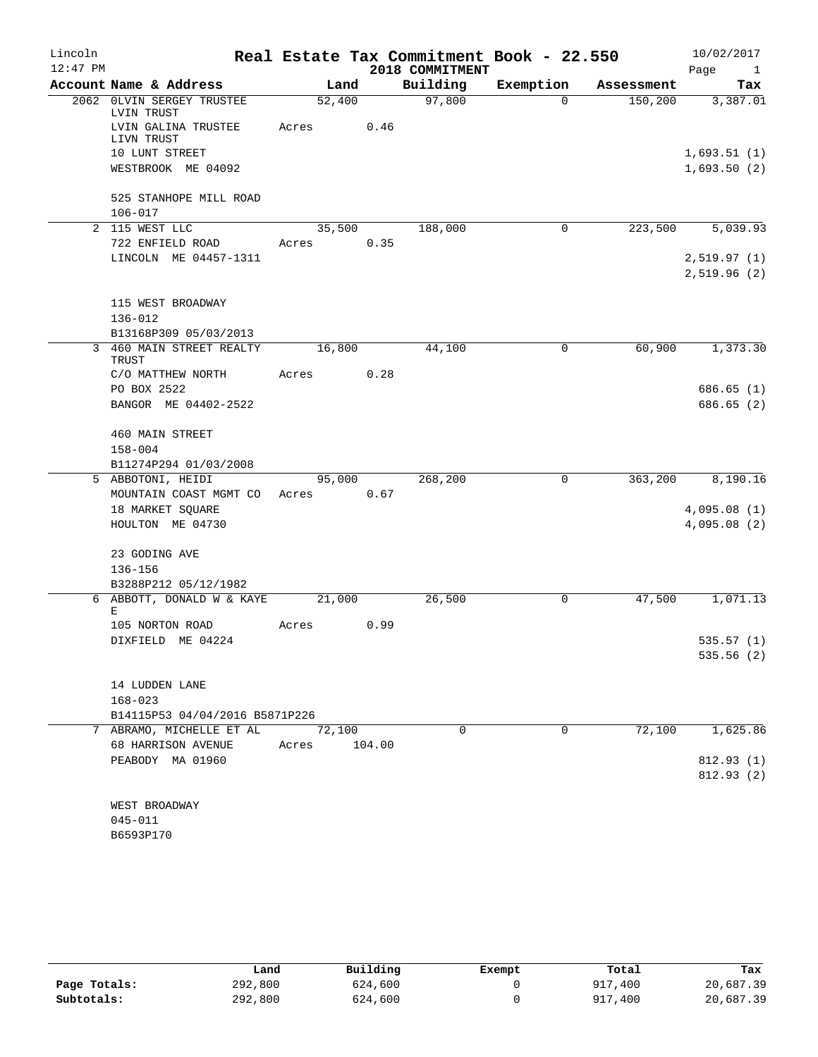| Lincoln<br>$12:47$ PM |                                         |        |        | 2018 COMMITMENT | Real Estate Tax Commitment Book - 22.550 |            | 10/02/2017<br>Page<br>$\frac{1}{2}$ |
|-----------------------|-----------------------------------------|--------|--------|-----------------|------------------------------------------|------------|-------------------------------------|
|                       | Account Name & Address                  | Land   |        | Building        | Exemption                                | Assessment | Tax                                 |
|                       | 2062 OLVIN SERGEY TRUSTEE<br>LVIN TRUST | 52,400 |        | 97,800          | $\Omega$                                 | 150, 200   | 3,387.01                            |
|                       | LVIN GALINA TRUSTEE<br>LIVN TRUST       | Acres  | 0.46   |                 |                                          |            |                                     |
|                       | 10 LUNT STREET                          |        |        |                 |                                          |            | 1,693.51(1)                         |
|                       | WESTBROOK ME 04092                      |        |        |                 |                                          |            | 1,693.50(2)                         |
|                       | 525 STANHOPE MILL ROAD                  |        |        |                 |                                          |            |                                     |
|                       | $106 - 017$                             |        |        |                 |                                          |            |                                     |
|                       | 2 115 WEST LLC                          | 35,500 |        | 188,000         | $\mathbf 0$                              | 223,500    | 5,039.93                            |
|                       | 722 ENFIELD ROAD                        | Acres  | 0.35   |                 |                                          |            |                                     |
|                       | LINCOLN ME 04457-1311                   |        |        |                 |                                          |            | 2,519.97(1)<br>2,519.96(2)          |
|                       | 115 WEST BROADWAY                       |        |        |                 |                                          |            |                                     |
|                       | $136 - 012$                             |        |        |                 |                                          |            |                                     |
|                       | B13168P309 05/03/2013                   |        |        |                 |                                          |            |                                     |
|                       | 3 460 MAIN STREET REALTY<br>TRUST       | 16,800 |        | 44,100          | 0                                        | 60,900     | 1,373.30                            |
|                       | C/O MATTHEW NORTH                       | Acres  | 0.28   |                 |                                          |            |                                     |
|                       | PO BOX 2522<br>BANGOR ME 04402-2522     |        |        |                 |                                          |            | 686.65(1)<br>686.65(2)              |
|                       | 460 MAIN STREET                         |        |        |                 |                                          |            |                                     |
|                       | $158 - 004$                             |        |        |                 |                                          |            |                                     |
|                       | B11274P294 01/03/2008                   |        |        |                 |                                          |            |                                     |
|                       | 5 ABBOTONI, HEIDI                       |        | 95,000 | 268,200         | 0                                        | 363,200    | 8,190.16                            |
|                       | MOUNTAIN COAST MGMT CO                  | Acres  | 0.67   |                 |                                          |            |                                     |
|                       | 18 MARKET SQUARE                        |        |        |                 |                                          |            | 4,095.08(1)                         |
|                       | HOULTON ME 04730                        |        |        |                 |                                          |            | 4,095.08(2)                         |
|                       | 23 GODING AVE                           |        |        |                 |                                          |            |                                     |
|                       | $136 - 156$<br>B3288P212 05/12/1982     |        |        |                 |                                          |            |                                     |
|                       | 6 ABBOTT, DONALD W & KAYE               | 21,000 |        | 26,500          | $\mathbf 0$                              | 47,500     | 1,071.13                            |
|                       | E                                       |        |        |                 |                                          |            |                                     |
|                       | 105 NORTON ROAD                         | Acres  | 0.99   |                 |                                          |            |                                     |
|                       | DIXFIELD ME 04224                       |        |        |                 |                                          |            | 535.57(1)                           |
|                       |                                         |        |        |                 |                                          |            | 535.56 (2)                          |
|                       | 14 LUDDEN LANE                          |        |        |                 |                                          |            |                                     |
|                       | $168 - 023$                             |        |        |                 |                                          |            |                                     |
|                       | B14115P53 04/04/2016 B5871P226          |        |        |                 |                                          |            |                                     |
|                       | 7 ABRAMO, MICHELLE ET AL                | 72,100 |        | 0               | 0                                        | 72,100     | 1,625.86                            |
|                       | 68 HARRISON AVENUE                      | Acres  | 104.00 |                 |                                          |            |                                     |
|                       | PEABODY MA 01960                        |        |        |                 |                                          |            | 812.93(1)                           |
|                       |                                         |        |        |                 |                                          |            | 812.93(2)                           |
|                       |                                         |        |        |                 |                                          |            |                                     |
|                       | WEST BROADWAY                           |        |        |                 |                                          |            |                                     |
|                       | $045 - 011$                             |        |        |                 |                                          |            |                                     |

| B6593P170 |  |
|-----------|--|
|           |  |

|              | Land    | Building | Exempt | Total   | Tax       |
|--------------|---------|----------|--------|---------|-----------|
| Page Totals: | 292,800 | 624,600  |        | 917,400 | 20,687.39 |
| Subtotals:   | 292,800 | 624,600  |        | 917,400 | 20,687.39 |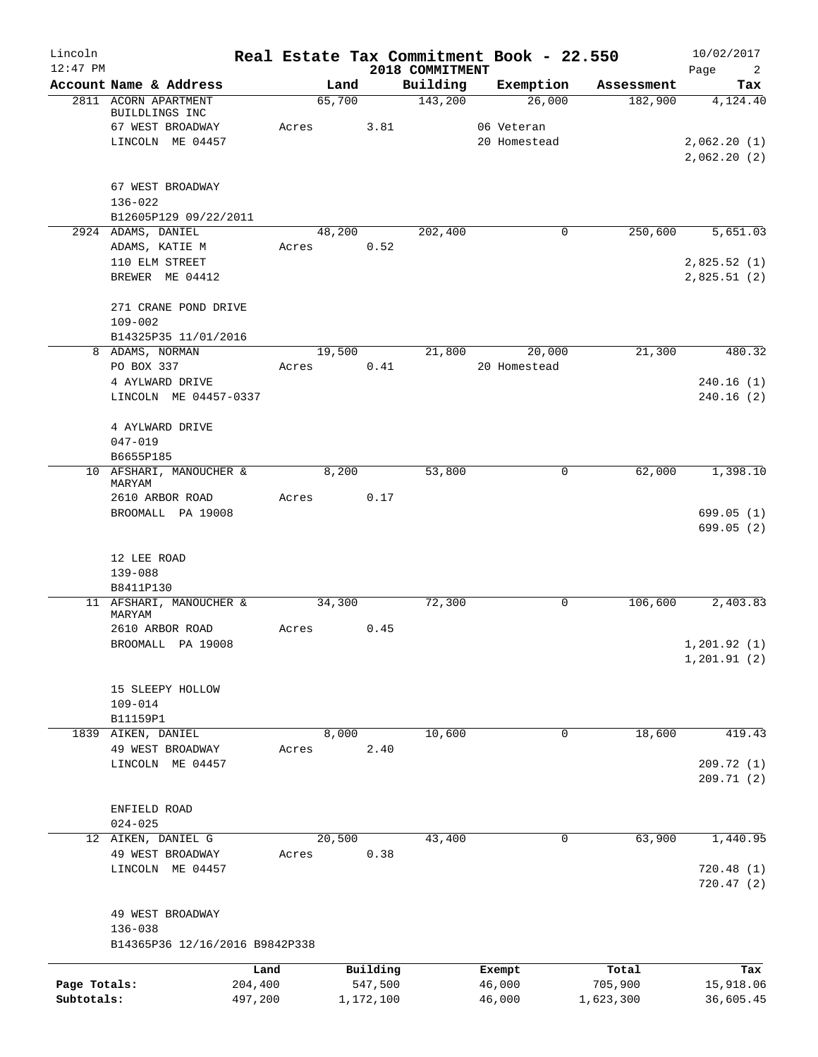| Lincoln<br>$12:47$ PM |                                             |                 |        |                     | 2018 COMMITMENT | Real Estate Tax Commitment Book - 22.550 |                  | 10/02/2017<br>Page<br>$\overline{2}$ |
|-----------------------|---------------------------------------------|-----------------|--------|---------------------|-----------------|------------------------------------------|------------------|--------------------------------------|
|                       | Account Name & Address                      |                 |        | Land                | Building        | Exemption                                | Assessment       | Tax                                  |
|                       | 2811 ACORN APARTMENT                        |                 | 65,700 |                     | 143,200         | 26,000                                   | 182,900          | 4,124.40                             |
|                       | BUILDLINGS INC                              |                 |        |                     |                 |                                          |                  |                                      |
|                       | 67 WEST BROADWAY                            |                 | Acres  | 3.81                |                 | 06 Veteran                               |                  |                                      |
|                       | LINCOLN ME 04457                            |                 |        |                     |                 | 20 Homestead                             |                  | 2,062.20(1)                          |
|                       |                                             |                 |        |                     |                 |                                          |                  | 2,062.20(2)                          |
|                       |                                             |                 |        |                     |                 |                                          |                  |                                      |
|                       | 67 WEST BROADWAY                            |                 |        |                     |                 |                                          |                  |                                      |
|                       | 136-022                                     |                 |        |                     |                 |                                          |                  |                                      |
|                       | B12605P129 09/22/2011<br>2924 ADAMS, DANIEL |                 | 48,200 |                     | 202,400         | 0                                        | 250,600          | 5,651.03                             |
|                       | ADAMS, KATIE M                              |                 | Acres  | 0.52                |                 |                                          |                  |                                      |
|                       | 110 ELM STREET                              |                 |        |                     |                 |                                          |                  | 2,825.52(1)                          |
|                       | BREWER ME 04412                             |                 |        |                     |                 |                                          |                  | 2,825.51(2)                          |
|                       |                                             |                 |        |                     |                 |                                          |                  |                                      |
|                       | 271 CRANE POND DRIVE                        |                 |        |                     |                 |                                          |                  |                                      |
|                       | $109 - 002$                                 |                 |        |                     |                 |                                          |                  |                                      |
|                       | B14325P35 11/01/2016                        |                 |        |                     |                 |                                          |                  |                                      |
|                       | 8 ADAMS, NORMAN                             |                 | 19,500 |                     | 21,800          | 20,000                                   | 21,300           | 480.32                               |
|                       | PO BOX 337                                  |                 | Acres  | 0.41                |                 | 20 Homestead                             |                  |                                      |
|                       | 4 AYLWARD DRIVE                             |                 |        |                     |                 |                                          |                  | 240.16(1)                            |
|                       | LINCOLN ME 04457-0337                       |                 |        |                     |                 |                                          |                  | 240.16(2)                            |
|                       |                                             |                 |        |                     |                 |                                          |                  |                                      |
|                       | 4 AYLWARD DRIVE                             |                 |        |                     |                 |                                          |                  |                                      |
|                       | $047 - 019$                                 |                 |        |                     |                 |                                          |                  |                                      |
|                       | B6655P185                                   |                 |        |                     |                 |                                          |                  |                                      |
|                       | 10 AFSHARI, MANOUCHER &                     |                 | 8,200  |                     | 53,800          | 0                                        | 62,000           | 1,398.10                             |
|                       | MARYAM                                      |                 |        |                     |                 |                                          |                  |                                      |
|                       | 2610 ARBOR ROAD<br>BROOMALL PA 19008        |                 | Acres  | 0.17                |                 |                                          |                  | 699.05(1)                            |
|                       |                                             |                 |        |                     |                 |                                          |                  | 699.05(2)                            |
|                       |                                             |                 |        |                     |                 |                                          |                  |                                      |
|                       | 12 LEE ROAD                                 |                 |        |                     |                 |                                          |                  |                                      |
|                       | 139-088                                     |                 |        |                     |                 |                                          |                  |                                      |
|                       | B8411P130                                   |                 |        |                     |                 |                                          |                  |                                      |
|                       | 11 AFSHARI, MANOUCHER &                     |                 | 34,300 |                     | 72,300          | 0                                        | 106,600          | 2,403.83                             |
|                       | MARYAM                                      |                 |        |                     |                 |                                          |                  |                                      |
|                       | 2610 ARBOR ROAD                             |                 | Acres  | 0.45                |                 |                                          |                  |                                      |
|                       | BROOMALL PA 19008                           |                 |        |                     |                 |                                          |                  | 1,201.92(1)                          |
|                       |                                             |                 |        |                     |                 |                                          |                  | 1, 201.91(2)                         |
|                       |                                             |                 |        |                     |                 |                                          |                  |                                      |
|                       | 15 SLEEPY HOLLOW                            |                 |        |                     |                 |                                          |                  |                                      |
|                       | $109 - 014$                                 |                 |        |                     |                 |                                          |                  |                                      |
|                       | B11159P1                                    |                 |        |                     |                 |                                          |                  |                                      |
|                       | 1839 AIKEN, DANIEL                          |                 | 8,000  |                     | 10,600          | 0                                        | 18,600           | 419.43                               |
|                       | 49 WEST BROADWAY<br>LINCOLN ME 04457        |                 | Acres  | 2.40                |                 |                                          |                  |                                      |
|                       |                                             |                 |        |                     |                 |                                          |                  | 209.72(1)<br>209.71(2)               |
|                       |                                             |                 |        |                     |                 |                                          |                  |                                      |
|                       | ENFIELD ROAD                                |                 |        |                     |                 |                                          |                  |                                      |
|                       | $024 - 025$                                 |                 |        |                     |                 |                                          |                  |                                      |
|                       | 12 AIKEN, DANIEL G                          |                 | 20,500 |                     | 43,400          | 0                                        | 63,900           | 1,440.95                             |
|                       | 49 WEST BROADWAY                            |                 | Acres  | 0.38                |                 |                                          |                  |                                      |
|                       | LINCOLN ME 04457                            |                 |        |                     |                 |                                          |                  | 720.48(1)                            |
|                       |                                             |                 |        |                     |                 |                                          |                  | 720.47(2)                            |
|                       |                                             |                 |        |                     |                 |                                          |                  |                                      |
|                       | 49 WEST BROADWAY                            |                 |        |                     |                 |                                          |                  |                                      |
|                       | $136 - 038$                                 |                 |        |                     |                 |                                          |                  |                                      |
|                       | B14365P36 12/16/2016 B9842P338              |                 |        |                     |                 |                                          |                  |                                      |
|                       |                                             |                 |        |                     |                 |                                          |                  |                                      |
| Page Totals:          |                                             | Land<br>204,400 |        | Building<br>547,500 |                 | Exempt<br>46,000                         | Total<br>705,900 | Tax<br>15,918.06                     |
| Subtotals:            |                                             | 497,200         |        | 1,172,100           |                 | 46,000                                   | 1,623,300        | 36,605.45                            |
|                       |                                             |                 |        |                     |                 |                                          |                  |                                      |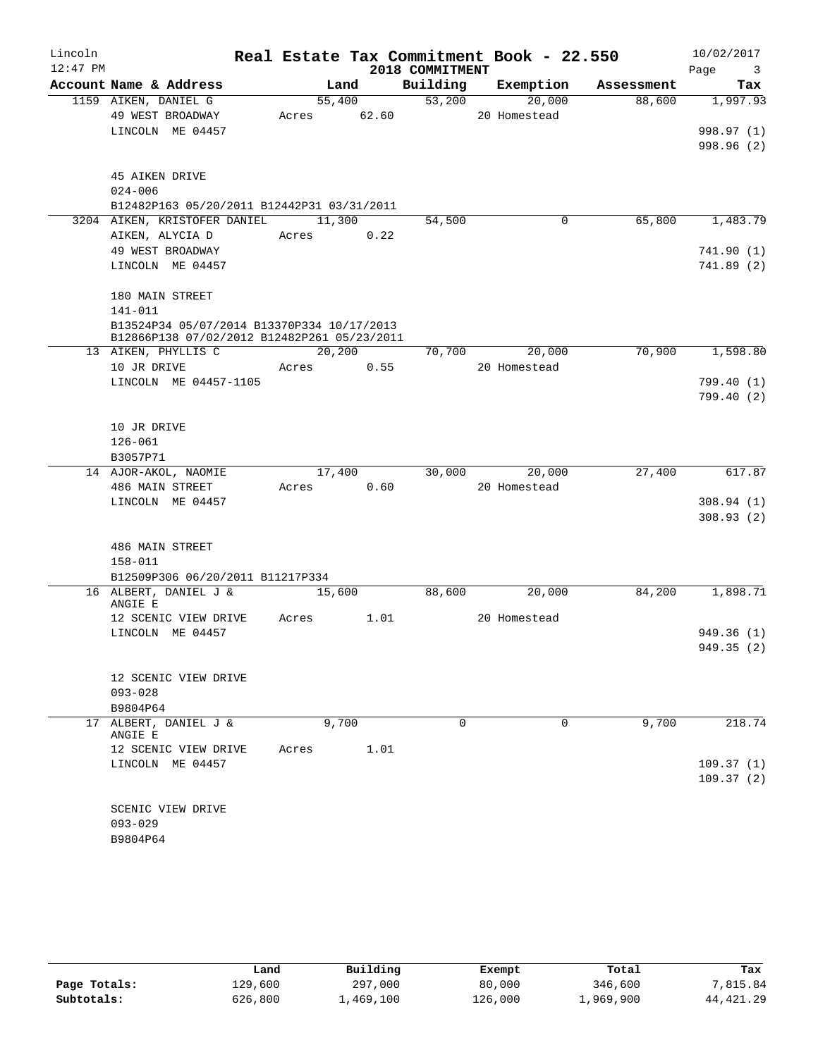| Lincoln    |                                                           |       |        |        |                 | Real Estate Tax Commitment Book - 22.550 |            | 10/02/2017                      |
|------------|-----------------------------------------------------------|-------|--------|--------|-----------------|------------------------------------------|------------|---------------------------------|
| $12:47$ PM |                                                           |       |        |        | 2018 COMMITMENT |                                          |            | Page<br>$\overline{\mathbf{3}}$ |
|            | Account Name & Address                                    |       | Land   |        | Building        | Exemption                                | Assessment | Tax                             |
|            | 1159 AIKEN, DANIEL G                                      |       |        | 55,400 | 53,200          | 20,000                                   | 88,600     | 1,997.93                        |
|            | 49 WEST BROADWAY                                          | Acres |        | 62.60  |                 | 20 Homestead                             |            |                                 |
|            | LINCOLN ME 04457                                          |       |        |        |                 |                                          |            | 998.97 (1)                      |
|            |                                                           |       |        |        |                 |                                          |            | 998.96 (2)                      |
|            |                                                           |       |        |        |                 |                                          |            |                                 |
|            | 45 AIKEN DRIVE                                            |       |        |        |                 |                                          |            |                                 |
|            | $024 - 006$<br>B12482P163 05/20/2011 B12442P31 03/31/2011 |       |        |        |                 |                                          |            |                                 |
|            | 3204 AIKEN, KRISTOFER DANIEL                              |       | 11,300 |        | 54,500          | 0                                        | 65,800     | 1,483.79                        |
|            | AIKEN, ALYCIA D                                           | Acres |        | 0.22   |                 |                                          |            |                                 |
|            | 49 WEST BROADWAY                                          |       |        |        |                 |                                          |            | 741.90 (1)                      |
|            | LINCOLN ME 04457                                          |       |        |        |                 |                                          |            | 741.89 (2)                      |
|            |                                                           |       |        |        |                 |                                          |            |                                 |
|            | 180 MAIN STREET                                           |       |        |        |                 |                                          |            |                                 |
|            | 141-011                                                   |       |        |        |                 |                                          |            |                                 |
|            | B13524P34 05/07/2014 B13370P334 10/17/2013                |       |        |        |                 |                                          |            |                                 |
|            | B12866P138 07/02/2012 B12482P261 05/23/2011               |       |        |        |                 |                                          |            |                                 |
|            | 13 AIKEN, PHYLLIS C                                       |       |        | 20,200 | 70,700          | 20,000                                   | 70,900     | 1,598.80                        |
|            | 10 JR DRIVE                                               | Acres |        | 0.55   |                 | 20 Homestead                             |            |                                 |
|            | LINCOLN ME 04457-1105                                     |       |        |        |                 |                                          |            | 799.40 (1)                      |
|            |                                                           |       |        |        |                 |                                          |            | 799.40 (2)                      |
|            |                                                           |       |        |        |                 |                                          |            |                                 |
|            | 10 JR DRIVE                                               |       |        |        |                 |                                          |            |                                 |
|            | $126 - 061$                                               |       |        |        |                 |                                          |            |                                 |
|            | B3057P71                                                  |       |        |        |                 |                                          |            |                                 |
|            | 14 AJOR-AKOL, NAOMIE                                      |       |        | 17,400 | 30,000          | 20,000                                   | 27,400     | 617.87                          |
|            | 486 MAIN STREET<br>LINCOLN ME 04457                       | Acres |        | 0.60   |                 | 20 Homestead                             |            | 308.94(1)                       |
|            |                                                           |       |        |        |                 |                                          |            | 308.93(2)                       |
|            |                                                           |       |        |        |                 |                                          |            |                                 |
|            | 486 MAIN STREET                                           |       |        |        |                 |                                          |            |                                 |
|            | $158 - 011$                                               |       |        |        |                 |                                          |            |                                 |
|            | B12509P306 06/20/2011 B11217P334                          |       |        |        |                 |                                          |            |                                 |
|            | 16 ALBERT, DANIEL J &                                     |       |        | 15,600 | 88,600          | 20,000                                   | 84,200     | 1,898.71                        |
|            | ANGIE E                                                   |       |        |        |                 |                                          |            |                                 |
|            | 12 SCENIC VIEW DRIVE                                      | Acres |        | 1.01   |                 | 20 Homestead                             |            |                                 |
|            | LINCOLN ME 04457                                          |       |        |        |                 |                                          |            | 949.36(1)                       |
|            |                                                           |       |        |        |                 |                                          |            | 949.35 (2)                      |
|            |                                                           |       |        |        |                 |                                          |            |                                 |
|            | 12 SCENIC VIEW DRIVE                                      |       |        |        |                 |                                          |            |                                 |
|            | $093 - 028$                                               |       |        |        |                 |                                          |            |                                 |
|            | B9804P64                                                  |       |        |        |                 |                                          |            |                                 |
|            | 17 ALBERT, DANIEL J &<br>ANGIE E                          |       | 9,700  |        | $\Omega$        | 0                                        | 9,700      | 218.74                          |
|            | 12 SCENIC VIEW DRIVE                                      | Acres |        | 1.01   |                 |                                          |            |                                 |
|            | LINCOLN ME 04457                                          |       |        |        |                 |                                          |            | 109.37(1)                       |
|            |                                                           |       |        |        |                 |                                          |            | 109.37(2)                       |
|            |                                                           |       |        |        |                 |                                          |            |                                 |
|            | SCENIC VIEW DRIVE                                         |       |        |        |                 |                                          |            |                                 |
|            | $093 - 029$                                               |       |        |        |                 |                                          |            |                                 |
|            | B9804P64                                                  |       |        |        |                 |                                          |            |                                 |

|              | Land    | Building  | Exempt  | Total     | Tax         |
|--------------|---------|-----------|---------|-----------|-------------|
| Page Totals: | 129,600 | 297,000   | 80,000  | 346,600   | 7,815.84    |
| Subtotals:   | 626,800 | 1,469,100 | 126,000 | 1,969,900 | 44, 421, 29 |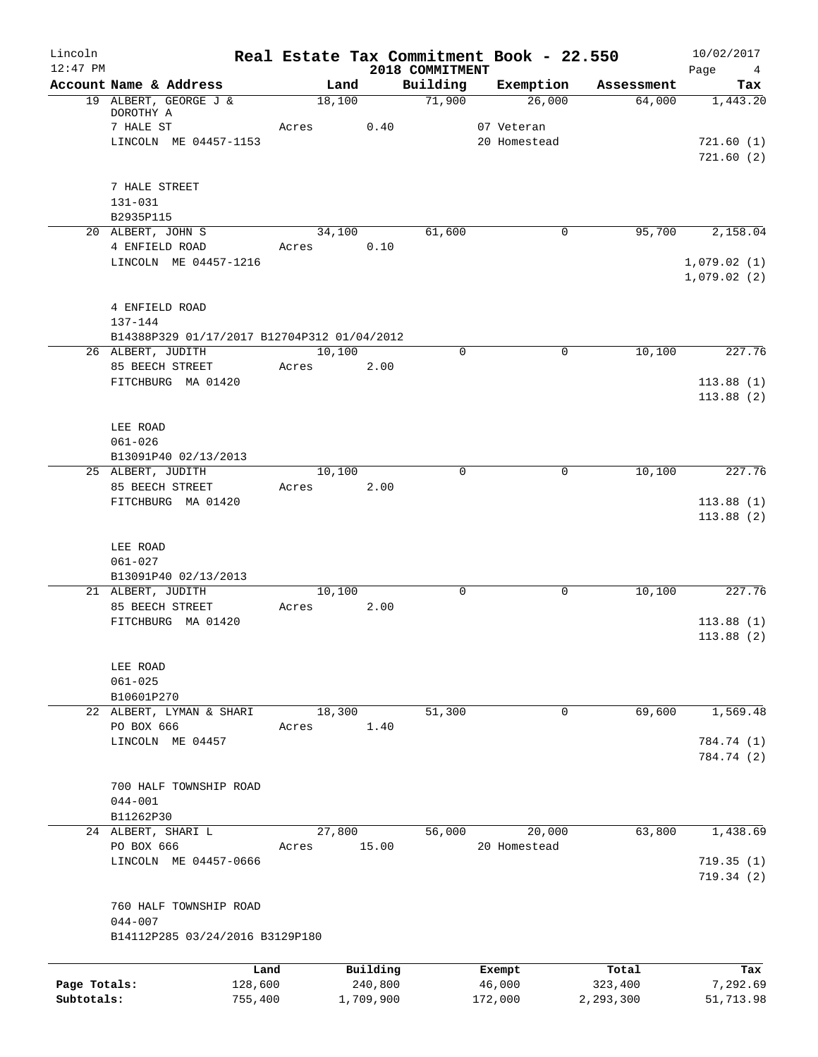| Lincoln                    |                                                                  | Real Estate Tax Commitment Book - 22.550 |                      |                             |                   |                       | 10/02/2017             |
|----------------------------|------------------------------------------------------------------|------------------------------------------|----------------------|-----------------------------|-------------------|-----------------------|------------------------|
| $12:47$ PM                 | Account Name & Address                                           | Land                                     |                      | 2018 COMMITMENT<br>Building | Exemption         | Assessment            | Page<br>4<br>Tax       |
|                            | 19 ALBERT, GEORGE J &                                            | 18,100                                   |                      | 71,900                      | 26,000            | 64,000                | 1,443.20               |
|                            | DOROTHY A                                                        |                                          |                      |                             |                   |                       |                        |
|                            | 7 HALE ST                                                        | Acres                                    | 0.40                 |                             | 07 Veteran        |                       |                        |
|                            | LINCOLN ME 04457-1153                                            |                                          |                      |                             | 20 Homestead      |                       | 721.60(1)<br>721.60(2) |
|                            | 7 HALE STREET                                                    |                                          |                      |                             |                   |                       |                        |
|                            | 131-031                                                          |                                          |                      |                             |                   |                       |                        |
|                            | B2935P115                                                        |                                          |                      |                             |                   |                       |                        |
|                            | 20 ALBERT, JOHN S<br>4 ENFIELD ROAD                              | 34,100<br>Acres                          | 0.10                 | 61,600                      |                   | 95,700<br>0           | 2,158.04               |
|                            | LINCOLN ME 04457-1216                                            |                                          |                      |                             |                   |                       | 1,079.02(1)            |
|                            |                                                                  |                                          |                      |                             |                   |                       | 1,079.02(2)            |
|                            | 4 ENFIELD ROAD                                                   |                                          |                      |                             |                   |                       |                        |
|                            | $137 - 144$                                                      |                                          |                      |                             |                   |                       |                        |
|                            | B14388P329 01/17/2017 B12704P312 01/04/2012<br>26 ALBERT, JUDITH | 10,100                                   |                      | 0                           |                   | 10,100<br>$\mathbf 0$ | 227.76                 |
|                            | 85 BEECH STREET                                                  | Acres                                    | 2.00                 |                             |                   |                       |                        |
|                            | FITCHBURG MA 01420                                               |                                          |                      |                             |                   |                       | 113.88(1)              |
|                            |                                                                  |                                          |                      |                             |                   |                       | 113.88(2)              |
|                            | LEE ROAD                                                         |                                          |                      |                             |                   |                       |                        |
|                            | $061 - 026$                                                      |                                          |                      |                             |                   |                       |                        |
|                            | B13091P40 02/13/2013<br>25 ALBERT, JUDITH                        | 10,100                                   |                      | $\Omega$                    |                   | 10,100<br>$\Omega$    | 227.76                 |
|                            | 85 BEECH STREET                                                  | Acres                                    | 2.00                 |                             |                   |                       |                        |
|                            | FITCHBURG MA 01420                                               |                                          |                      |                             |                   |                       | 113.88(1)              |
|                            |                                                                  |                                          |                      |                             |                   |                       | 113.88(2)              |
|                            | LEE ROAD                                                         |                                          |                      |                             |                   |                       |                        |
|                            | $061 - 027$                                                      |                                          |                      |                             |                   |                       |                        |
|                            | B13091P40 02/13/2013                                             |                                          |                      |                             |                   |                       |                        |
|                            | 21 ALBERT, JUDITH<br>85 BEECH STREET                             | 10,100<br>Acres                          | 2.00                 | $\mathsf{O}$                |                   | 10,100<br>0           | 227.76                 |
|                            | FITCHBURG MA 01420                                               |                                          |                      |                             |                   |                       | 113.88(1)              |
|                            |                                                                  |                                          |                      |                             |                   |                       | 113.88(2)              |
|                            | LEE ROAD                                                         |                                          |                      |                             |                   |                       |                        |
|                            | $061 - 025$                                                      |                                          |                      |                             |                   |                       |                        |
|                            | B10601P270<br>22 ALBERT, LYMAN & SHARI                           |                                          |                      |                             |                   |                       | 1,569.48               |
|                            | PO BOX 666                                                       | 18,300<br>Acres                          | 1.40                 | 51,300                      |                   | 69,600<br>0           |                        |
|                            | LINCOLN ME 04457                                                 |                                          |                      |                             |                   |                       | 784.74 (1)             |
|                            |                                                                  |                                          |                      |                             |                   |                       | 784.74 (2)             |
|                            | 700 HALF TOWNSHIP ROAD                                           |                                          |                      |                             |                   |                       |                        |
|                            | $044 - 001$                                                      |                                          |                      |                             |                   |                       |                        |
|                            | B11262P30                                                        |                                          |                      |                             |                   |                       |                        |
|                            | 24 ALBERT, SHARI L                                               | 27,800                                   |                      | 56,000                      | 20,000            | 63,800                | 1,438.69               |
|                            | PO BOX 666                                                       | Acres                                    | 15.00                |                             | 20 Homestead      |                       |                        |
|                            | LINCOLN ME 04457-0666                                            |                                          |                      |                             |                   |                       | 719.35(1)              |
|                            |                                                                  |                                          |                      |                             |                   |                       | 719.34(2)              |
|                            | 760 HALF TOWNSHIP ROAD                                           |                                          |                      |                             |                   |                       |                        |
|                            | $044 - 007$                                                      |                                          |                      |                             |                   |                       |                        |
|                            | B14112P285 03/24/2016 B3129P180                                  |                                          |                      |                             |                   |                       |                        |
|                            |                                                                  |                                          |                      |                             |                   |                       |                        |
|                            |                                                                  | Land                                     | Building             |                             | Exempt            | Total                 | Tax                    |
| Page Totals:<br>Subtotals: | 128,600<br>755,400                                               |                                          | 240,800<br>1,709,900 |                             | 46,000<br>172,000 | 323,400<br>2,293,300  | 7,292.69<br>51,713.98  |
|                            |                                                                  |                                          |                      |                             |                   |                       |                        |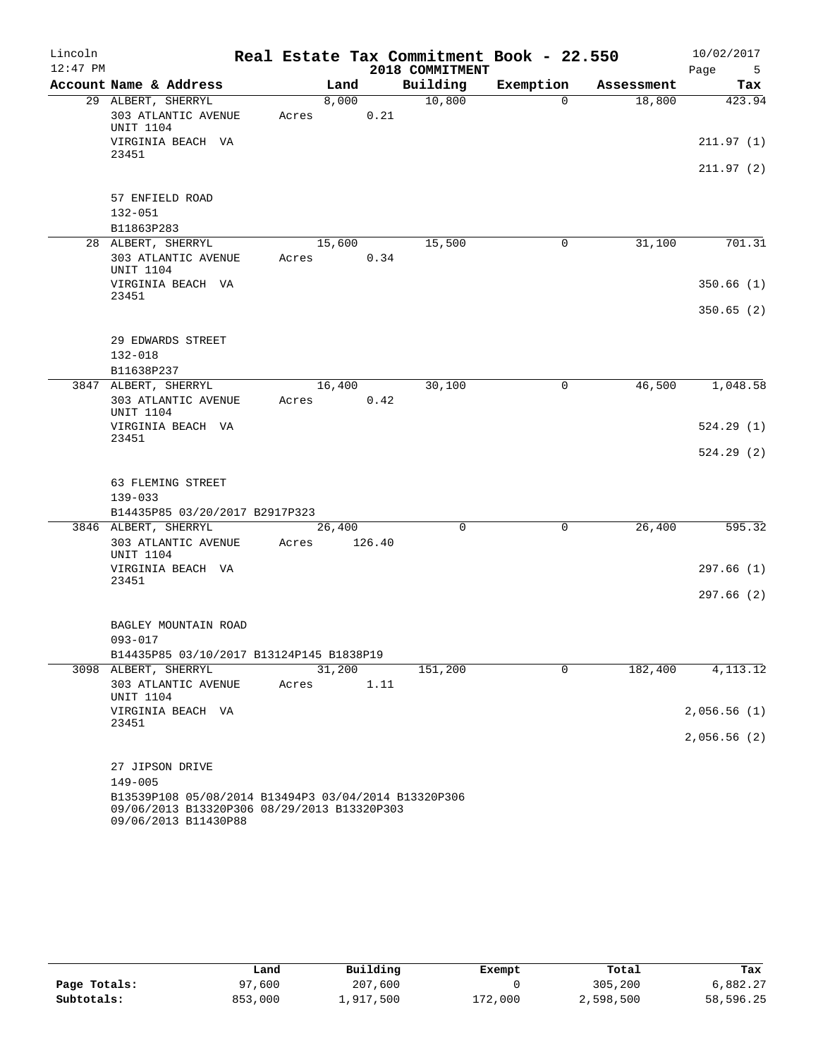| Lincoln<br>$12:47$ PM |                                                                                                                             |                 |        | 2018 COMMITMENT | Real Estate Tax Commitment Book - 22.550 |            | 10/02/2017<br>Page<br>- 5 |
|-----------------------|-----------------------------------------------------------------------------------------------------------------------------|-----------------|--------|-----------------|------------------------------------------|------------|---------------------------|
|                       | Account Name & Address                                                                                                      | Land            |        | Building        | Exemption                                | Assessment | Tax                       |
|                       | 29 ALBERT, SHERRYL                                                                                                          | 8,000           |        | 10,800          | $\Omega$                                 | 18,800     | 423.94                    |
|                       | 303 ATLANTIC AVENUE<br><b>UNIT 1104</b>                                                                                     | Acres           | 0.21   |                 |                                          |            |                           |
|                       | VIRGINIA BEACH VA<br>23451                                                                                                  |                 |        |                 |                                          |            | 211.97(1)                 |
|                       |                                                                                                                             |                 |        |                 |                                          |            | 211.97(2)                 |
|                       | 57 ENFIELD ROAD                                                                                                             |                 |        |                 |                                          |            |                           |
|                       | $132 - 051$                                                                                                                 |                 |        |                 |                                          |            |                           |
|                       | B11863P283                                                                                                                  |                 |        |                 |                                          |            |                           |
|                       | 28 ALBERT, SHERRYL                                                                                                          | 15,600          |        | 15,500          | $\mathbf 0$                              | 31,100     | 701.31                    |
|                       | 303 ATLANTIC AVENUE<br>UNIT 1104                                                                                            | Acres           | 0.34   |                 |                                          |            |                           |
|                       | VIRGINIA BEACH VA<br>23451                                                                                                  |                 |        |                 |                                          |            | 350.66(1)                 |
|                       |                                                                                                                             |                 |        |                 |                                          |            | 350.65(2)                 |
|                       | 29 EDWARDS STREET                                                                                                           |                 |        |                 |                                          |            |                           |
|                       | $132 - 018$                                                                                                                 |                 |        |                 |                                          |            |                           |
|                       | B11638P237                                                                                                                  |                 |        |                 |                                          |            |                           |
|                       | 3847 ALBERT, SHERRYL                                                                                                        | 16,400          |        | 30,100          | 0                                        | 46,500     | 1,048.58                  |
|                       | 303 ATLANTIC AVENUE<br>UNIT 1104                                                                                            | Acres           | 0.42   |                 |                                          |            |                           |
|                       | VIRGINIA BEACH VA<br>23451                                                                                                  |                 |        |                 |                                          |            | 524.29(1)                 |
|                       |                                                                                                                             |                 |        |                 |                                          |            | 524.29(2)                 |
|                       | 63 FLEMING STREET                                                                                                           |                 |        |                 |                                          |            |                           |
|                       | $139 - 033$                                                                                                                 |                 |        |                 |                                          |            |                           |
|                       | B14435P85 03/20/2017 B2917P323                                                                                              |                 |        |                 |                                          |            |                           |
|                       | 3846 ALBERT, SHERRYL                                                                                                        | 26,400          |        | $\mathbf 0$     | $\mathbf 0$                              | 26,400     | 595.32                    |
|                       | 303 ATLANTIC AVENUE<br><b>UNIT 1104</b>                                                                                     | Acres           | 126.40 |                 |                                          |            |                           |
|                       | VIRGINIA BEACH VA<br>23451                                                                                                  |                 |        |                 |                                          |            | 297.66(1)                 |
|                       |                                                                                                                             |                 |        |                 |                                          |            | 297.66(2)                 |
|                       | BAGLEY MOUNTAIN ROAD                                                                                                        |                 |        |                 |                                          |            |                           |
|                       | $093 - 017$                                                                                                                 |                 |        |                 |                                          |            |                           |
|                       | B14435P85 03/10/2017 B13124P145 B1838P19                                                                                    |                 |        |                 |                                          |            |                           |
|                       | 3098 ALBERT, SHERRYL<br>303 ATLANTIC AVENUE                                                                                 | 31,200<br>Acres | 1.11   | 151,200         | $\mathbf 0$                              | 182,400    | 4, 113.12                 |
|                       | <b>UNIT 1104</b><br>VIRGINIA BEACH VA                                                                                       |                 |        |                 |                                          |            | 2,056.56(1)               |
|                       | 23451                                                                                                                       |                 |        |                 |                                          |            |                           |
|                       |                                                                                                                             |                 |        |                 |                                          |            | 2,056.56(2)               |
|                       | 27 JIPSON DRIVE                                                                                                             |                 |        |                 |                                          |            |                           |
|                       | $149 - 005$                                                                                                                 |                 |        |                 |                                          |            |                           |
|                       | B13539P108 05/08/2014 B13494P3 03/04/2014 B13320P306<br>09/06/2013 B13320P306 08/29/2013 B13320P303<br>09/06/2013 B11430P88 |                 |        |                 |                                          |            |                           |

|              | Land    | Building  | Exempt  | Total     | Tax       |
|--------------|---------|-----------|---------|-----------|-----------|
| Page Totals: | 97,600  | 207,600   |         | 305,200   | 6,882.27  |
| Subtotals:   | 853,000 | 1,917,500 | 172,000 | 2,598,500 | 58,596.25 |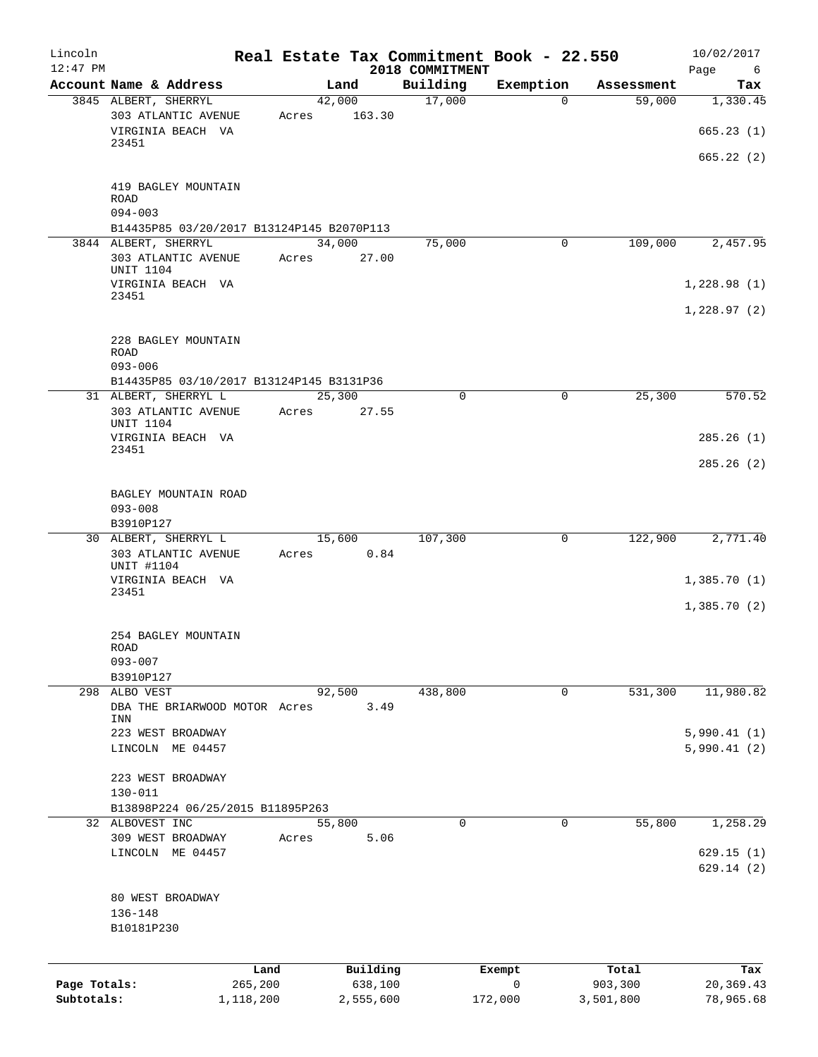| Lincoln<br>$12:47$ PM |                                                     |       |                 |                             | Real Estate Tax Commitment Book - 22.550 |            | 10/02/2017             |
|-----------------------|-----------------------------------------------------|-------|-----------------|-----------------------------|------------------------------------------|------------|------------------------|
|                       | Account Name & Address                              |       | Land            | 2018 COMMITMENT<br>Building | Exemption                                | Assessment | Page<br>6<br>Tax       |
|                       | 3845 ALBERT, SHERRYL                                |       | 42,000          | 17,000                      | $\mathbf 0$                              | 59,000     | 1,330.45               |
|                       | 303 ATLANTIC AVENUE<br>VIRGINIA BEACH VA            | Acres | 163.30          |                             |                                          |            | 665.23(1)              |
|                       | 23451                                               |       |                 |                             |                                          |            | 665.22 (2)             |
|                       | 419 BAGLEY MOUNTAIN<br><b>ROAD</b><br>$094 - 003$   |       |                 |                             |                                          |            |                        |
|                       | B14435P85 03/20/2017 B13124P145 B2070P113           |       |                 |                             |                                          |            |                        |
|                       | 3844 ALBERT, SHERRYL                                |       | 34,000          | 75,000                      | 0                                        | 109,000    | 2,457.95               |
|                       | 303 ATLANTIC AVENUE<br>UNIT 1104                    | Acres | 27.00           |                             |                                          |            |                        |
|                       | VIRGINIA BEACH VA<br>23451                          |       |                 |                             |                                          |            | 1,228.98(1)            |
|                       |                                                     |       |                 |                             |                                          |            | 1,228.97(2)            |
|                       | 228 BAGLEY MOUNTAIN<br>ROAD<br>$093 - 006$          |       |                 |                             |                                          |            |                        |
|                       | B14435P85 03/10/2017 B13124P145 B3131P36            |       |                 |                             |                                          |            |                        |
|                       | 31 ALBERT, SHERRYL L<br>303 ATLANTIC AVENUE         | Acres | 25,300<br>27.55 | 0                           | 0                                        | 25,300     | 570.52                 |
|                       | <b>UNIT 1104</b><br>VIRGINIA BEACH VA               |       |                 |                             |                                          |            | 285.26(1)              |
|                       | 23451                                               |       |                 |                             |                                          |            | 285.26(2)              |
|                       | BAGLEY MOUNTAIN ROAD<br>$093 - 008$                 |       |                 |                             |                                          |            |                        |
|                       | B3910P127                                           |       |                 |                             |                                          |            |                        |
|                       | 30 ALBERT, SHERRYL L                                |       | 15,600          | 107,300                     | 0                                        | 122,900    | 2,771.40               |
|                       | 303 ATLANTIC AVENUE<br>UNIT #1104                   | Acres | 0.84            |                             |                                          |            |                        |
|                       | VIRGINIA BEACH VA<br>23451                          |       |                 |                             |                                          |            | 1,385.70(1)            |
|                       |                                                     |       |                 |                             |                                          |            | 1,385.70(2)            |
|                       | 254 BAGLEY MOUNTAIN<br>ROAD                         |       |                 |                             |                                          |            |                        |
|                       | $093 - 007$<br>B3910P127                            |       |                 |                             |                                          |            |                        |
|                       | 298 ALBO VEST                                       |       | 92,500          | 438,800                     | 0                                        | 531,300    | 11,980.82              |
|                       | DBA THE BRIARWOOD MOTOR Acres<br>INN                |       | 3.49            |                             |                                          |            |                        |
|                       | 223 WEST BROADWAY                                   |       |                 |                             |                                          |            | 5,990.41(1)            |
|                       | LINCOLN ME 04457                                    |       |                 |                             |                                          |            | 5,990.41(2)            |
|                       | 223 WEST BROADWAY                                   |       |                 |                             |                                          |            |                        |
|                       | $130 - 011$                                         |       |                 |                             |                                          |            |                        |
|                       | B13898P224 06/25/2015 B11895P263<br>32 ALBOVEST INC |       | 55,800          | $\mathbf 0$                 | 0                                        | 55,800     | 1,258.29               |
|                       | 309 WEST BROADWAY                                   | Acres | 5.06            |                             |                                          |            |                        |
|                       | LINCOLN ME 04457                                    |       |                 |                             |                                          |            | 629.15(1)<br>629.14(2) |
|                       | 80 WEST BROADWAY                                    |       |                 |                             |                                          |            |                        |
|                       | 136-148                                             |       |                 |                             |                                          |            |                        |
|                       | B10181P230                                          |       |                 |                             |                                          |            |                        |
|                       |                                                     | Land  | Building        |                             | Exempt                                   | Total      | Tax                    |
| Page Totals:          | 265,200                                             |       | 638,100         |                             | 0                                        | 903,300    | 20,369.43              |
| Subtotals:            | 1,118,200                                           |       | 2,555,600       |                             | 172,000                                  | 3,501,800  | 78,965.68              |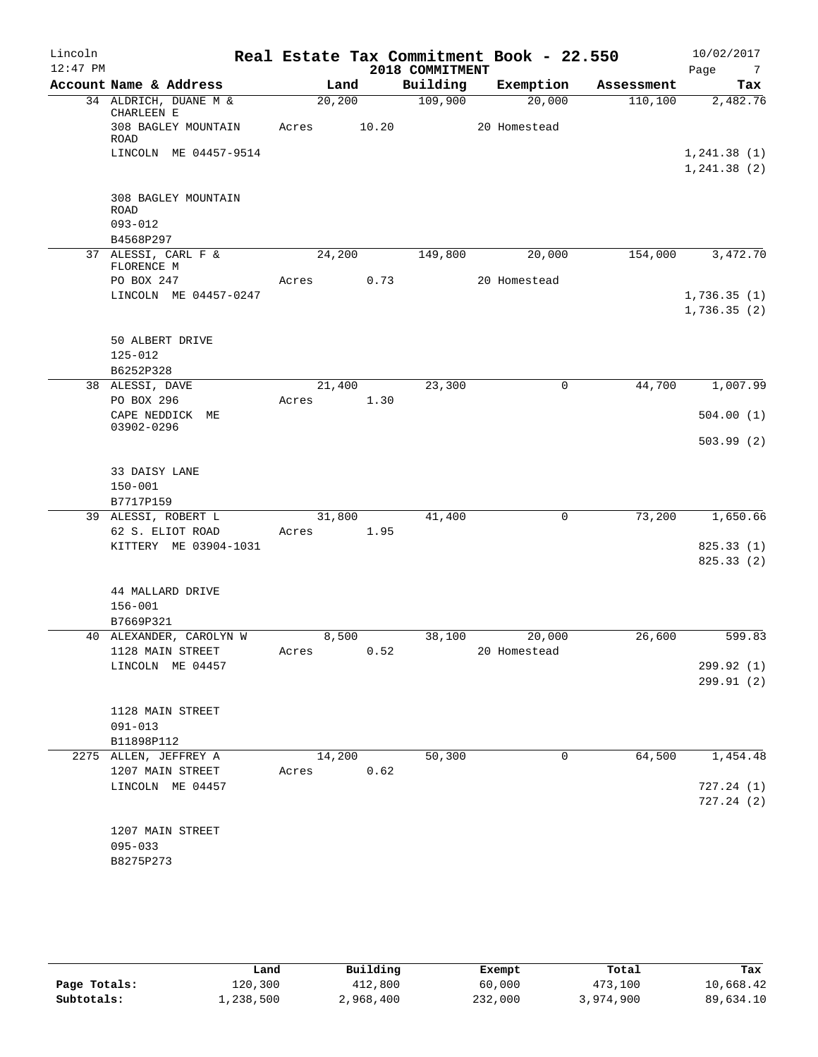| Lincoln<br>$12:47$ PM |                                   |       |         |                             | Real Estate Tax Commitment Book - 22.550 |            | 10/02/2017                    |
|-----------------------|-----------------------------------|-------|---------|-----------------------------|------------------------------------------|------------|-------------------------------|
|                       | Account Name & Address            |       | Land    | 2018 COMMITMENT<br>Building | Exemption                                | Assessment | Page<br>$\overline{7}$<br>Tax |
|                       | 34 ALDRICH, DUANE M &             |       | 20, 200 | 109,900                     | 20,000                                   | 110, 100   | 2,482.76                      |
|                       | CHARLEEN E<br>308 BAGLEY MOUNTAIN | Acres | 10.20   |                             | 20 Homestead                             |            |                               |
|                       | ROAD<br>LINCOLN ME 04457-9514     |       |         |                             |                                          |            | 1, 241.38(1)                  |
|                       |                                   |       |         |                             |                                          |            | 1, 241.38(2)                  |
|                       | 308 BAGLEY MOUNTAIN<br>ROAD       |       |         |                             |                                          |            |                               |
|                       | $093 - 012$                       |       |         |                             |                                          |            |                               |
|                       | B4568P297<br>37 ALESSI, CARL F &  |       | 24,200  | 149,800                     | 20,000                                   | 154,000    | 3,472.70                      |
|                       | FLORENCE M                        |       |         |                             |                                          |            |                               |
|                       | PO BOX 247                        | Acres | 0.73    |                             | 20 Homestead                             |            |                               |
|                       | LINCOLN ME 04457-0247             |       |         |                             |                                          |            | 1,736.35(1)                   |
|                       |                                   |       |         |                             |                                          |            | 1,736.35(2)                   |
|                       | 50 ALBERT DRIVE                   |       |         |                             |                                          |            |                               |
|                       | $125 - 012$<br>B6252P328          |       |         |                             |                                          |            |                               |
|                       | 38 ALESSI, DAVE                   |       | 21,400  | 23,300                      | 0                                        | 44,700     | 1,007.99                      |
|                       | PO BOX 296                        | Acres | 1.30    |                             |                                          |            |                               |
|                       | CAPE NEDDICK ME<br>03902-0296     |       |         |                             |                                          |            | 504.00(1)                     |
|                       |                                   |       |         |                             |                                          |            | 503.99(2)                     |
|                       | 33 DAISY LANE                     |       |         |                             |                                          |            |                               |
|                       | $150 - 001$                       |       |         |                             |                                          |            |                               |
|                       | B7717P159                         |       |         |                             |                                          |            |                               |
|                       | 39 ALESSI, ROBERT L               |       | 31,800  | 41,400                      | $\mathbf 0$                              | 73,200     | 1,650.66                      |
|                       | 62 S. ELIOT ROAD                  | Acres | 1.95    |                             |                                          |            |                               |
|                       | KITTERY ME 03904-1031             |       |         |                             |                                          |            | 825.33 (1)                    |
|                       |                                   |       |         |                             |                                          |            | 825.33(2)                     |
|                       | 44 MALLARD DRIVE                  |       |         |                             |                                          |            |                               |
|                       | $156 - 001$                       |       |         |                             |                                          |            |                               |
|                       | B7669P321                         |       |         |                             |                                          |            |                               |
|                       | 40 ALEXANDER, CAROLYN W           |       | 8,500   | 38,100                      | 20,000                                   | 26,600     | 599.83                        |
|                       | 1128 MAIN STREET                  | Acres | 0.52    |                             | 20 Homestead                             |            |                               |
|                       | LINCOLN ME 04457                  |       |         |                             |                                          |            | 299.92 (1)                    |
|                       |                                   |       |         |                             |                                          |            | 299.91 (2)                    |
|                       | 1128 MAIN STREET                  |       |         |                             |                                          |            |                               |
|                       | $091 - 013$                       |       |         |                             |                                          |            |                               |
|                       | B11898P112                        |       |         |                             |                                          |            |                               |
|                       | 2275 ALLEN, JEFFREY A             |       | 14,200  | 50,300                      | 0                                        | 64,500     | 1,454.48                      |
|                       | 1207 MAIN STREET                  | Acres | 0.62    |                             |                                          |            |                               |
|                       | LINCOLN ME 04457                  |       |         |                             |                                          |            | 727.24(1)                     |
|                       |                                   |       |         |                             |                                          |            | 727.24(2)                     |
|                       | 1207 MAIN STREET                  |       |         |                             |                                          |            |                               |
|                       | $095 - 033$                       |       |         |                             |                                          |            |                               |
|                       | B8275P273                         |       |         |                             |                                          |            |                               |
|                       |                                   |       |         |                             |                                          |            |                               |

|              | Land      | Building  | Exempt  | Total     | Tax       |
|--------------|-----------|-----------|---------|-----------|-----------|
| Page Totals: | 120,300   | 412,800   | 60,000  | 473,100   | 10,668.42 |
| Subtotals:   | ⊥,238,500 | 2,968,400 | 232,000 | 3,974,900 | 89,634.10 |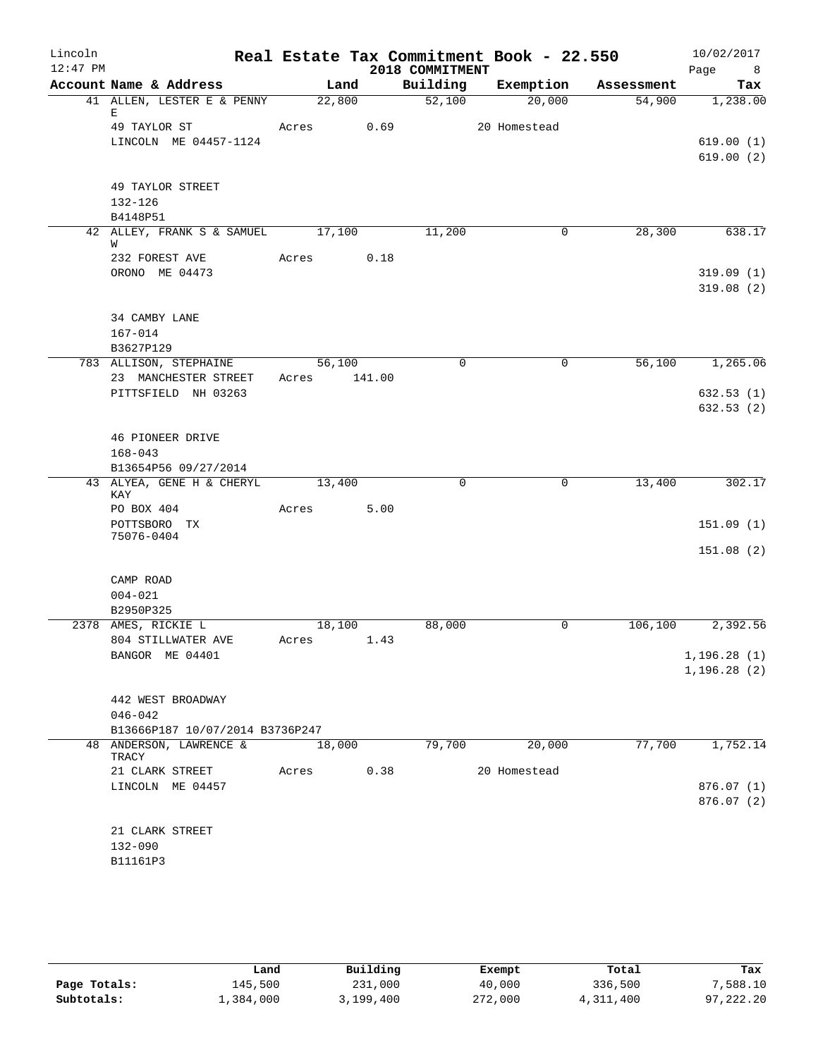| Lincoln<br>$12:47$ PM |                                   |        |        | 2018 COMMITMENT     | Real Estate Tax Commitment Book - 22.550 |            | 10/02/2017<br>Page<br>8 <sup>8</sup> |
|-----------------------|-----------------------------------|--------|--------|---------------------|------------------------------------------|------------|--------------------------------------|
|                       | Account Name & Address            |        | Land   | Building            | Exemption                                | Assessment | Tax                                  |
|                       | 41 ALLEN, LESTER E & PENNY<br>Е   | 22,800 |        | $\overline{52,100}$ | 20,000                                   | 54,900     | 1,238.00                             |
|                       | 49 TAYLOR ST                      | Acres  | 0.69   |                     | 20 Homestead                             |            |                                      |
|                       | LINCOLN ME 04457-1124             |        |        |                     |                                          |            | 619.00(1)                            |
|                       |                                   |        |        |                     |                                          |            | 619.00(2)                            |
|                       | 49 TAYLOR STREET                  |        |        |                     |                                          |            |                                      |
|                       | 132-126                           |        |        |                     |                                          |            |                                      |
|                       | B4148P51                          |        |        |                     |                                          |            |                                      |
|                       | 42 ALLEY, FRANK S & SAMUEL 17,100 |        |        | 11,200              | 0                                        | 28,300     | 638.17                               |
|                       | W                                 |        |        |                     |                                          |            |                                      |
|                       | 232 FOREST AVE<br>ORONO ME 04473  | Acres  | 0.18   |                     |                                          |            |                                      |
|                       |                                   |        |        |                     |                                          |            | 319.09(1)<br>319.08(2)               |
|                       | 34 CAMBY LANE                     |        |        |                     |                                          |            |                                      |
|                       | $167 - 014$                       |        |        |                     |                                          |            |                                      |
|                       | B3627P129                         |        |        |                     |                                          |            |                                      |
|                       | 783 ALLISON, STEPHAINE            | 56,100 |        | $\mathbf 0$         | $\mathbf 0$                              | 56,100     | 1,265.06                             |
|                       | 23 MANCHESTER STREET              | Acres  | 141.00 |                     |                                          |            |                                      |
|                       | PITTSFIELD NH 03263               |        |        |                     |                                          |            | 632.53(1)                            |
|                       |                                   |        |        |                     |                                          |            | 632.53 (2)                           |
|                       | 46 PIONEER DRIVE                  |        |        |                     |                                          |            |                                      |
|                       | $168 - 043$                       |        |        |                     |                                          |            |                                      |
|                       | B13654P56 09/27/2014              |        |        |                     |                                          |            |                                      |
|                       | 43 ALYEA, GENE H & CHERYL<br>KAY  | 13,400 |        | $\mathbf 0$         | 0                                        | 13,400     | 302.17                               |
|                       | PO BOX 404                        | Acres  | 5.00   |                     |                                          |            |                                      |
|                       | POTTSBORO TX<br>75076-0404        |        |        |                     |                                          |            | 151.09(1)                            |
|                       |                                   |        |        |                     |                                          |            | 151.08(2)                            |
|                       |                                   |        |        |                     |                                          |            |                                      |
|                       | CAMP ROAD<br>$004 - 021$          |        |        |                     |                                          |            |                                      |
|                       | B2950P325                         |        |        |                     |                                          |            |                                      |
|                       | 2378 AMES, RICKIE L               | 18,100 |        | 88,000              | $\mathbf 0$                              | 106,100    | 2,392.56                             |
|                       | 804 STILLWATER AVE                | Acres  | 1.43   |                     |                                          |            |                                      |
|                       | BANGOR ME 04401                   |        |        |                     |                                          |            | 1, 196.28(1)                         |
|                       |                                   |        |        |                     |                                          |            | 1, 196.28(2)                         |
|                       | 442 WEST BROADWAY                 |        |        |                     |                                          |            |                                      |
|                       | $046 - 042$                       |        |        |                     |                                          |            |                                      |
|                       | B13666P187 10/07/2014 B3736P247   |        |        |                     |                                          |            |                                      |
|                       | 48 ANDERSON, LAWRENCE &<br>TRACY  | 18,000 |        | 79,700              | 20,000                                   | 77,700     | 1,752.14                             |
|                       | 21 CLARK STREET                   | Acres  | 0.38   |                     | 20 Homestead                             |            |                                      |
|                       | LINCOLN ME 04457                  |        |        |                     |                                          |            | 876.07(1)                            |
|                       |                                   |        |        |                     |                                          |            | 876.07(2)                            |
|                       | 21 CLARK STREET                   |        |        |                     |                                          |            |                                      |
|                       | $132 - 090$                       |        |        |                     |                                          |            |                                      |
|                       | B11161P3                          |        |        |                     |                                          |            |                                      |
|                       |                                   |        |        |                     |                                          |            |                                      |

|              | Land      | Building  | Exempt  | Total     | Tax       |
|--------------|-----------|-----------|---------|-----------|-----------|
| Page Totals: | 145,500   | 231,000   | 40,000  | 336,500   | 7,588.10  |
| Subtotals:   | 1,384,000 | 3,199,400 | 272,000 | 4,311,400 | 97,222.20 |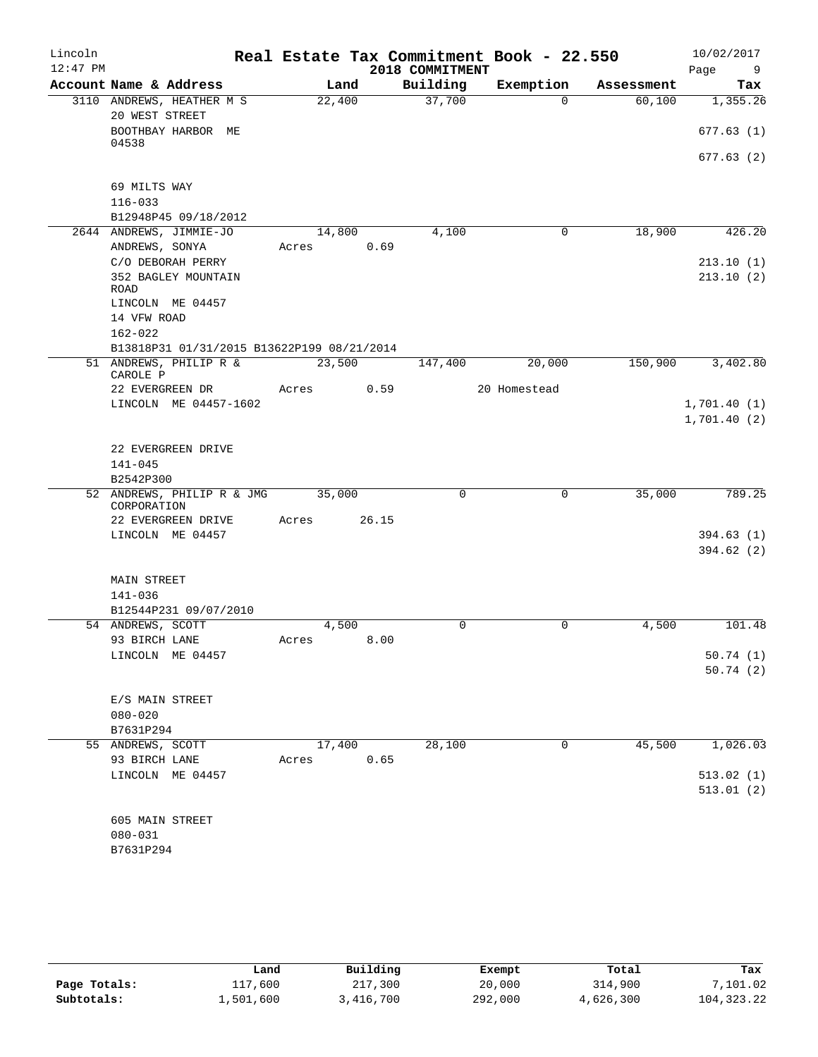| Lincoln<br>$12:47$ PM |                                            |        | Real Estate Tax Commitment Book - 22.550<br>2018 COMMITMENT |              |            | 10/02/2017<br>Page<br>9 |
|-----------------------|--------------------------------------------|--------|-------------------------------------------------------------|--------------|------------|-------------------------|
|                       | Account Name & Address                     | Land   | Building                                                    | Exemption    | Assessment | Tax                     |
|                       | 3110 ANDREWS, HEATHER M S                  | 22,400 | 37,700                                                      | $\Omega$     | 60,100     | 1,355.26                |
|                       | 20 WEST STREET                             |        |                                                             |              |            |                         |
|                       | BOOTHBAY HARBOR ME                         |        |                                                             |              |            | 677.63(1)               |
|                       | 04538                                      |        |                                                             |              |            | 677.63(2)               |
|                       |                                            |        |                                                             |              |            |                         |
|                       | 69 MILTS WAY                               |        |                                                             |              |            |                         |
|                       | $116 - 033$                                |        |                                                             |              |            |                         |
|                       | B12948P45 09/18/2012                       |        |                                                             |              |            |                         |
|                       | 2644 ANDREWS, JIMMIE-JO                    | 14,800 | 4,100                                                       | 0            | 18,900     | 426.20                  |
|                       | ANDREWS, SONYA                             | Acres  | 0.69                                                        |              |            |                         |
|                       | C/O DEBORAH PERRY                          |        |                                                             |              |            | 213.10(1)               |
|                       | 352 BAGLEY MOUNTAIN<br><b>ROAD</b>         |        |                                                             |              |            | 213.10(2)               |
|                       | LINCOLN ME 04457                           |        |                                                             |              |            |                         |
|                       | 14 VFW ROAD                                |        |                                                             |              |            |                         |
|                       | $162 - 022$                                |        |                                                             |              |            |                         |
|                       | B13818P31 01/31/2015 B13622P199 08/21/2014 |        |                                                             |              |            |                         |
|                       | 51 ANDREWS, PHILIP R &                     | 23,500 | 147,400                                                     | 20,000       | 150,900    | 3,402.80                |
|                       | CAROLE P<br>22 EVERGREEN DR                | Acres  | 0.59                                                        | 20 Homestead |            |                         |
|                       | LINCOLN ME 04457-1602                      |        |                                                             |              |            | 1,701.40(1)             |
|                       |                                            |        |                                                             |              |            | 1,701.40(2)             |
|                       |                                            |        |                                                             |              |            |                         |
|                       | 22 EVERGREEN DRIVE                         |        |                                                             |              |            |                         |
|                       | $141 - 045$                                |        |                                                             |              |            |                         |
|                       | B2542P300                                  |        |                                                             |              |            |                         |
|                       | 52 ANDREWS, PHILIP R & JMG<br>CORPORATION  | 35,000 | $\mathbf 0$                                                 | $\mathbf 0$  | 35,000     | 789.25                  |
|                       | 22 EVERGREEN DRIVE                         | Acres  | 26.15                                                       |              |            |                         |
|                       | LINCOLN ME 04457                           |        |                                                             |              |            | 394.63(1)               |
|                       |                                            |        |                                                             |              |            | 394.62(2)               |
|                       |                                            |        |                                                             |              |            |                         |
|                       | <b>MAIN STREET</b>                         |        |                                                             |              |            |                         |
|                       | 141-036                                    |        |                                                             |              |            |                         |
|                       | B12544P231 09/07/2010                      | 4,500  |                                                             |              |            |                         |
|                       | 54 ANDREWS, SCOTT<br>93 BIRCH LANE         | Acres  | 0<br>8.00                                                   | 0            | 4,500      | 101.48                  |
|                       | LINCOLN ME 04457                           |        |                                                             |              |            | 50.74(1)                |
|                       |                                            |        |                                                             |              |            | 50.74(2)                |
|                       |                                            |        |                                                             |              |            |                         |
|                       | E/S MAIN STREET                            |        |                                                             |              |            |                         |
|                       | $080 - 020$                                |        |                                                             |              |            |                         |
|                       | B7631P294                                  |        |                                                             |              |            |                         |
|                       | 55 ANDREWS, SCOTT                          | 17,400 | 28,100                                                      | 0            | 45,500     | 1,026.03                |
|                       | 93 BIRCH LANE<br>LINCOLN ME 04457          | Acres  | 0.65                                                        |              |            |                         |
|                       |                                            |        |                                                             |              |            | 513.02(1)<br>513.01(2)  |
|                       |                                            |        |                                                             |              |            |                         |
|                       | 605 MAIN STREET                            |        |                                                             |              |            |                         |
|                       | $080 - 031$                                |        |                                                             |              |            |                         |
|                       | B7631P294                                  |        |                                                             |              |            |                         |
|                       |                                            |        |                                                             |              |            |                         |

|              | Land      | Building  | Exempt  | Total     | Tax          |
|--------------|-----------|-----------|---------|-----------|--------------|
| Page Totals: | 117,600   | 217,300   | 20,000  | 314,900   | 7,101.02     |
| Subtotals:   | 1,501,600 | 3,416,700 | 292,000 | 4,626,300 | 104, 323. 22 |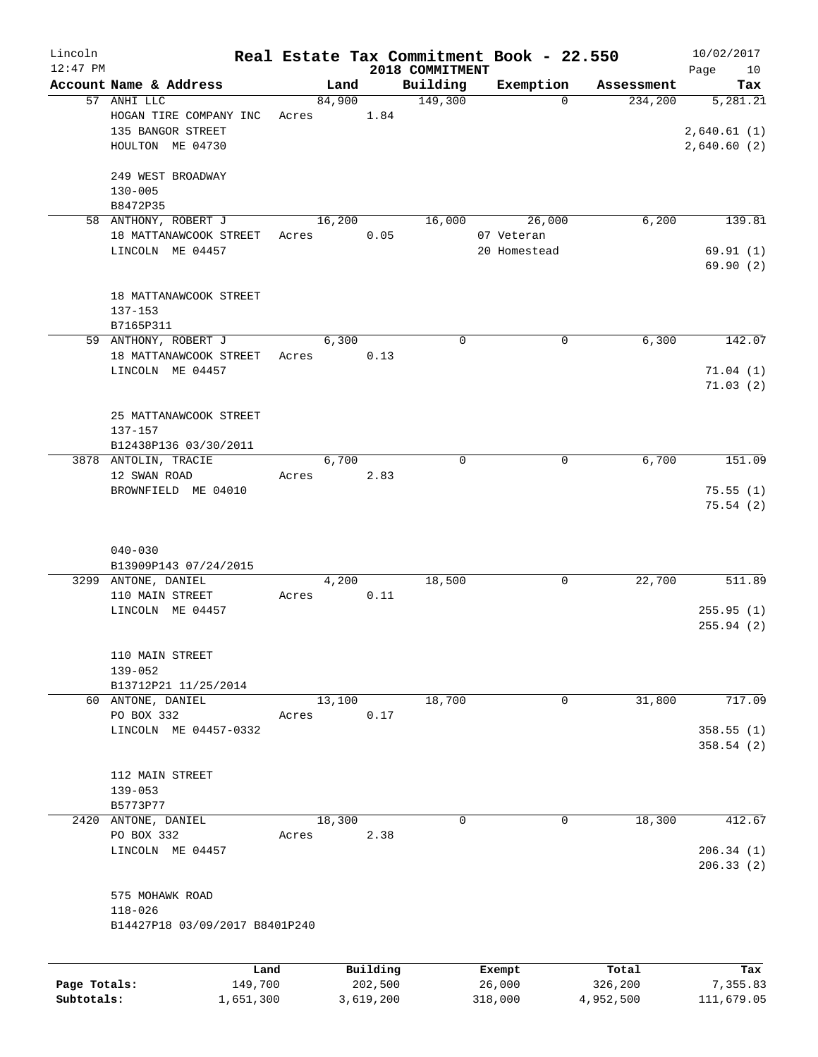| Lincoln      |                                           |       |                |          |                     | Real Estate Tax Commitment Book - 22.550 |                       | 10/02/2017  |
|--------------|-------------------------------------------|-------|----------------|----------|---------------------|------------------------------------------|-----------------------|-------------|
| $12:47$ PM   |                                           |       |                |          | 2018 COMMITMENT     |                                          |                       | Page<br>10  |
|              | Account Name & Address<br>57 ANHI LLC     |       | Land<br>84,900 |          | Building<br>149,300 | Exemption<br>$\mathbf 0$                 | Assessment<br>234,200 | Tax         |
|              | HOGAN TIRE COMPANY INC                    | Acres |                | 1.84     |                     |                                          |                       | 5,281.21    |
|              | 135 BANGOR STREET                         |       |                |          |                     |                                          |                       | 2,640.61(1) |
|              | HOULTON ME 04730                          |       |                |          |                     |                                          |                       | 2,640.60(2) |
|              |                                           |       |                |          |                     |                                          |                       |             |
|              | 249 WEST BROADWAY                         |       |                |          |                     |                                          |                       |             |
|              | $130 - 005$                               |       |                |          |                     |                                          |                       |             |
|              | B8472P35                                  |       |                |          |                     |                                          |                       |             |
|              | 58 ANTHONY, ROBERT J                      |       | 16,200         |          | 16,000              | 26,000                                   | 6,200                 | 139.81      |
|              | 18 MATTANAWCOOK STREET                    | Acres |                | 0.05     |                     | 07 Veteran                               |                       |             |
|              | LINCOLN ME 04457                          |       |                |          |                     | 20 Homestead                             |                       | 69.91(1)    |
|              |                                           |       |                |          |                     |                                          |                       | 69.90(2)    |
|              |                                           |       |                |          |                     |                                          |                       |             |
|              | 18 MATTANAWCOOK STREET                    |       |                |          |                     |                                          |                       |             |
|              | $137 - 153$                               |       |                |          |                     |                                          |                       |             |
|              | B7165P311                                 |       |                |          |                     |                                          |                       |             |
|              | 59 ANTHONY, ROBERT J                      |       | 6,300          |          | $\mathbf 0$         | 0                                        | 6,300                 | 142.07      |
|              | 18 MATTANAWCOOK STREET                    | Acres |                | 0.13     |                     |                                          |                       |             |
|              | LINCOLN ME 04457                          |       |                |          |                     |                                          |                       | 71.04(1)    |
|              |                                           |       |                |          |                     |                                          |                       | 71.03(2)    |
|              |                                           |       |                |          |                     |                                          |                       |             |
|              | 25 MATTANAWCOOK STREET                    |       |                |          |                     |                                          |                       |             |
|              | 137-157                                   |       |                |          |                     |                                          |                       |             |
|              | B12438P136 03/30/2011                     |       |                |          |                     |                                          |                       |             |
|              | 3878 ANTOLIN, TRACIE                      |       | 6,700          |          | $\mathbf 0$         | 0                                        | 6,700                 | 151.09      |
|              | 12 SWAN ROAD                              | Acres |                | 2.83     |                     |                                          |                       |             |
|              | BROWNFIELD ME 04010                       |       |                |          |                     |                                          |                       | 75.55(1)    |
|              |                                           |       |                |          |                     |                                          |                       | 75.54(2)    |
|              |                                           |       |                |          |                     |                                          |                       |             |
|              |                                           |       |                |          |                     |                                          |                       |             |
|              | $040 - 030$                               |       |                |          |                     |                                          |                       |             |
|              | B13909P143 07/24/2015                     |       |                |          |                     |                                          |                       |             |
|              | 3299 ANTONE, DANIEL                       |       | 4,200          |          | 18,500              | 0                                        | 22,700                | 511.89      |
|              | 110 MAIN STREET                           | Acres |                | 0.11     |                     |                                          |                       |             |
|              | LINCOLN ME 04457                          |       |                |          |                     |                                          |                       | 255.95(1)   |
|              |                                           |       |                |          |                     |                                          |                       | 255.94(2)   |
|              |                                           |       |                |          |                     |                                          |                       |             |
|              | 110 MAIN STREET                           |       |                |          |                     |                                          |                       |             |
|              | $139 - 052$                               |       |                |          |                     |                                          |                       |             |
|              | B13712P21 11/25/2014<br>60 ANTONE, DANIEL |       | 13,100         |          | 18,700              | 0                                        | 31,800                | 717.09      |
|              | PO BOX 332                                | Acres |                | 0.17     |                     |                                          |                       |             |
|              | LINCOLN ME 04457-0332                     |       |                |          |                     |                                          |                       | 358.55(1)   |
|              |                                           |       |                |          |                     |                                          |                       | 358.54(2)   |
|              |                                           |       |                |          |                     |                                          |                       |             |
|              | 112 MAIN STREET                           |       |                |          |                     |                                          |                       |             |
|              | $139 - 053$                               |       |                |          |                     |                                          |                       |             |
|              | B5773P77                                  |       |                |          |                     |                                          |                       |             |
| 2420         | ANTONE, DANIEL                            |       | 18,300         |          | 0                   | 0                                        | 18,300                | 412.67      |
|              | PO BOX 332                                | Acres |                | 2.38     |                     |                                          |                       |             |
|              | LINCOLN ME 04457                          |       |                |          |                     |                                          |                       | 206.34(1)   |
|              |                                           |       |                |          |                     |                                          |                       | 206.33(2)   |
|              |                                           |       |                |          |                     |                                          |                       |             |
|              | 575 MOHAWK ROAD                           |       |                |          |                     |                                          |                       |             |
|              | $118 - 026$                               |       |                |          |                     |                                          |                       |             |
|              | B14427P18 03/09/2017 B8401P240            |       |                |          |                     |                                          |                       |             |
|              |                                           |       |                |          |                     |                                          |                       |             |
|              |                                           |       |                |          |                     |                                          |                       |             |
|              | Land                                      |       |                | Building |                     | Exempt                                   | Total                 | Tax         |
| Page Totals: | 149,700                                   |       |                | 202,500  |                     | 26,000                                   | 326,200               | 7,355.83    |

**Subtotals:** 1,651,300 3,619,200 318,000 4,952,500 111,679.05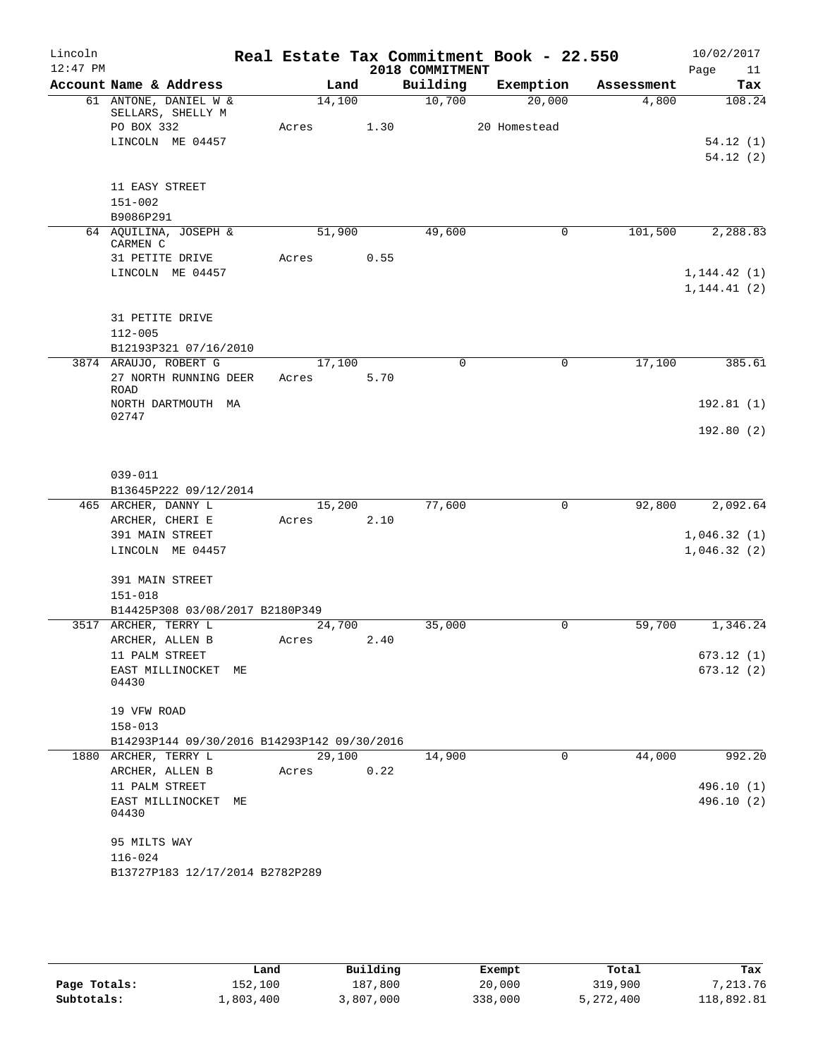| Lincoln<br>$12:47$ PM |                                        |                                             |       |                | 2018 COMMITMENT | Real Estate Tax Commitment Book - 22.550 |            | 10/02/2017<br>Page<br>11 |
|-----------------------|----------------------------------------|---------------------------------------------|-------|----------------|-----------------|------------------------------------------|------------|--------------------------|
|                       | Account Name & Address                 |                                             |       | Land           | Building        | Exemption                                | Assessment | Tax                      |
|                       | 61 ANTONE, DANIEL W &                  |                                             |       | 14,100         | 10,700          | 20,000                                   | 4,800      | 108.24                   |
|                       | SELLARS, SHELLY M                      |                                             |       |                |                 |                                          |            |                          |
|                       | PO BOX 332<br>LINCOLN ME 04457         |                                             | Acres | 1.30           |                 | 20 Homestead                             |            | 54.12(1)                 |
|                       |                                        |                                             |       |                |                 |                                          |            | 54.12(2)                 |
|                       |                                        |                                             |       |                |                 |                                          |            |                          |
|                       | 11 EASY STREET                         |                                             |       |                |                 |                                          |            |                          |
|                       | $151 - 002$                            |                                             |       |                |                 |                                          |            |                          |
|                       | B9086P291                              |                                             |       |                |                 |                                          |            |                          |
|                       | 64 AQUILINA, JOSEPH &<br>CARMEN C      |                                             |       | 51,900         | 49,600          | 0                                        | 101,500    | 2,288.83                 |
|                       | 31 PETITE DRIVE                        |                                             | Acres | 0.55           |                 |                                          |            |                          |
|                       | LINCOLN ME 04457                       |                                             |       |                |                 |                                          |            | 1, 144.42(1)             |
|                       |                                        |                                             |       |                |                 |                                          |            | 1, 144.41(2)             |
|                       |                                        |                                             |       |                |                 |                                          |            |                          |
|                       | 31 PETITE DRIVE                        |                                             |       |                |                 |                                          |            |                          |
|                       | $112 - 005$                            | B12193P321 07/16/2010                       |       |                |                 |                                          |            |                          |
|                       | 3874 ARAUJO, ROBERT G                  |                                             |       | 17,100         | 0               | 0                                        | 17,100     | 385.61                   |
|                       |                                        | 27 NORTH RUNNING DEER                       | Acres | 5.70           |                 |                                          |            |                          |
|                       | <b>ROAD</b>                            |                                             |       |                |                 |                                          |            |                          |
|                       | NORTH DARTMOUTH MA<br>02747            |                                             |       |                |                 |                                          |            | 192.81(1)                |
|                       |                                        |                                             |       |                |                 |                                          |            | 192.80(2)                |
|                       |                                        |                                             |       |                |                 |                                          |            |                          |
|                       |                                        |                                             |       |                |                 |                                          |            |                          |
|                       | $039 - 011$                            |                                             |       |                |                 |                                          |            |                          |
|                       |                                        | B13645P222 09/12/2014                       |       |                |                 |                                          |            |                          |
|                       | 465 ARCHER, DANNY L<br>ARCHER, CHERI E |                                             | Acres | 15,200<br>2.10 | 77,600          | 0                                        | 92,800     | 2,092.64                 |
|                       | 391 MAIN STREET                        |                                             |       |                |                 |                                          |            | 1,046.32(1)              |
|                       | LINCOLN ME 04457                       |                                             |       |                |                 |                                          |            | 1,046.32(2)              |
|                       |                                        |                                             |       |                |                 |                                          |            |                          |
|                       | 391 MAIN STREET                        |                                             |       |                |                 |                                          |            |                          |
|                       | $151 - 018$                            |                                             |       |                |                 |                                          |            |                          |
|                       | 3517 ARCHER, TERRY L                   | B14425P308 03/08/2017 B2180P349             |       |                | 35,000          | 0                                        | 59,700     | 1,346.24                 |
|                       | ARCHER, ALLEN B                        |                                             | Acres | 24,700<br>2.40 |                 |                                          |            |                          |
|                       | 11 PALM STREET                         |                                             |       |                |                 |                                          |            | 673.12 (1)               |
|                       | EAST MILLINOCKET                       | ME                                          |       |                |                 |                                          |            | 673.12(2)                |
|                       | 04430                                  |                                             |       |                |                 |                                          |            |                          |
|                       | 19 VFW ROAD                            |                                             |       |                |                 |                                          |            |                          |
|                       | $158 - 013$                            |                                             |       |                |                 |                                          |            |                          |
|                       |                                        | B14293P144 09/30/2016 B14293P142 09/30/2016 |       |                |                 |                                          |            |                          |
|                       | 1880 ARCHER, TERRY L                   |                                             |       | 29,100         | 14,900          | 0                                        | 44,000     | 992.20                   |
|                       | ARCHER, ALLEN B                        |                                             | Acres | 0.22           |                 |                                          |            |                          |
|                       | 11 PALM STREET                         |                                             |       |                |                 |                                          |            | 496.10 (1)               |
|                       | EAST MILLINOCKET<br>04430              | MЕ                                          |       |                |                 |                                          |            | 496.10 (2)               |
|                       |                                        |                                             |       |                |                 |                                          |            |                          |
|                       | 95 MILTS WAY                           |                                             |       |                |                 |                                          |            |                          |
|                       | $116 - 024$                            |                                             |       |                |                 |                                          |            |                          |
|                       |                                        | B13727P183 12/17/2014 B2782P289             |       |                |                 |                                          |            |                          |
|                       |                                        |                                             |       |                |                 |                                          |            |                          |

|              | Land      | Building | Exempt  | Total     | Tax        |
|--------------|-----------|----------|---------|-----------|------------|
| Page Totals: | 152,100   | 187,800  | 20,000  | 319,900   | 7,213.76   |
| Subtotals:   | 1,803,400 | ,807,000 | 338,000 | 5,272,400 | 118,892.81 |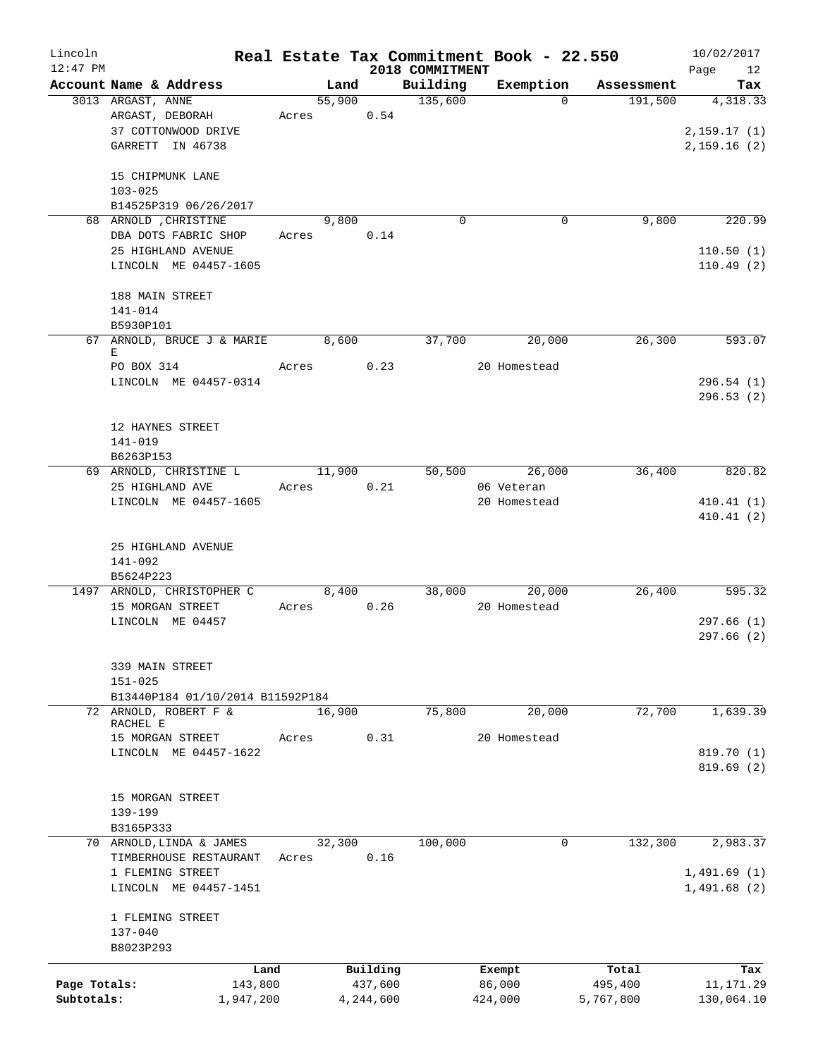| Lincoln      |                                                           |       |                |           |                     | Real Estate Tax Commitment Book - 22.550 |                       | 10/02/2017      |
|--------------|-----------------------------------------------------------|-------|----------------|-----------|---------------------|------------------------------------------|-----------------------|-----------------|
| $12:47$ PM   |                                                           |       |                |           | 2018 COMMITMENT     |                                          |                       | 12<br>Page      |
|              | Account Name & Address<br>3013 ARGAST, ANNE               |       | Land<br>55,900 |           | Building<br>135,600 | Exemption<br>$\Omega$                    | Assessment<br>191,500 | Tax<br>4,318.33 |
|              | ARGAST, DEBORAH                                           |       | Acres 0.54     |           |                     |                                          |                       |                 |
|              | 37 COTTONWOOD DRIVE                                       |       |                |           |                     |                                          |                       | 2, 159.17(1)    |
|              | GARRETT IN 46738                                          |       |                |           |                     |                                          |                       | 2,159.16(2)     |
|              |                                                           |       |                |           |                     |                                          |                       |                 |
|              | 15 CHIPMUNK LANE                                          |       |                |           |                     |                                          |                       |                 |
|              | $103 - 025$                                               |       |                |           |                     |                                          |                       |                 |
|              | B14525P319 06/26/2017                                     |       |                |           |                     |                                          |                       |                 |
|              | 68 ARNOLD , CHRISTINE                                     |       | 9,800          |           | $\mathbf 0$         | $\mathbf 0$                              | 9,800                 | 220.99          |
|              | DBA DOTS FABRIC SHOP                                      |       | Acres 0.14     |           |                     |                                          |                       |                 |
|              | 25 HIGHLAND AVENUE                                        |       |                |           |                     |                                          |                       | 110.50(1)       |
|              | LINCOLN ME 04457-1605                                     |       |                |           |                     |                                          |                       | 110.49(2)       |
|              |                                                           |       |                |           |                     |                                          |                       |                 |
|              | 188 MAIN STREET                                           |       |                |           |                     |                                          |                       |                 |
|              | 141-014                                                   |       |                |           |                     |                                          |                       |                 |
|              | B5930P101<br>67 ARNOLD, BRUCE J & MARIE                   |       | 8,600          |           | 37,700              | 20,000                                   | 26,300                | 593.07          |
|              | Е                                                         |       |                |           |                     |                                          |                       |                 |
|              | PO BOX 314                                                |       | Acres 0.23     |           |                     | 20 Homestead                             |                       |                 |
|              | LINCOLN ME 04457-0314                                     |       |                |           |                     |                                          |                       | 296.54(1)       |
|              |                                                           |       |                |           |                     |                                          |                       | 296.53(2)       |
|              |                                                           |       |                |           |                     |                                          |                       |                 |
|              | 12 HAYNES STREET                                          |       |                |           |                     |                                          |                       |                 |
|              | 141-019                                                   |       |                |           |                     |                                          |                       |                 |
|              | B6263P153                                                 |       |                |           |                     |                                          |                       |                 |
|              | 69 ARNOLD, CHRISTINE L                                    |       | 11,900         |           |                     | 50,500 26,000                            | 36,400                | 820.82          |
|              | 25 HIGHLAND AVE<br>LINCOLN ME 04457-1605                  |       | Acres          | 0.21      |                     | 06 Veteran<br>20 Homestead               |                       | 410.41(1)       |
|              |                                                           |       |                |           |                     |                                          |                       | 410.41(2)       |
|              |                                                           |       |                |           |                     |                                          |                       |                 |
|              | 25 HIGHLAND AVENUE                                        |       |                |           |                     |                                          |                       |                 |
|              | 141-092                                                   |       |                |           |                     |                                          |                       |                 |
|              | B5624P223                                                 |       |                |           |                     |                                          |                       |                 |
|              | 1497 ARNOLD, CHRISTOPHER C                                |       | 8,400          |           |                     | 38,000<br>20,000                         | 26,400                | 595.32          |
|              | 15 MORGAN STREET                                          |       | Acres 0.26     |           |                     | 20 Homestead                             |                       |                 |
|              | LINCOLN ME 04457                                          |       |                |           |                     |                                          |                       | 297.66(1)       |
|              |                                                           |       |                |           |                     |                                          |                       | 297.66(2)       |
|              |                                                           |       |                |           |                     |                                          |                       |                 |
|              | 339 MAIN STREET                                           |       |                |           |                     |                                          |                       |                 |
|              | $151 - 025$                                               |       |                |           |                     |                                          |                       |                 |
|              | B13440P184 01/10/2014 B11592P184<br>72 ARNOLD, ROBERT F & |       | 16,900         |           | 75,800              | 20,000                                   | 72,700                | 1,639.39        |
|              | RACHEL E                                                  |       |                |           |                     |                                          |                       |                 |
|              | 15 MORGAN STREET                                          | Acres |                | 0.31      |                     | 20 Homestead                             |                       |                 |
|              | LINCOLN ME 04457-1622                                     |       |                |           |                     |                                          |                       | 819.70 (1)      |
|              |                                                           |       |                |           |                     |                                          |                       | 819.69(2)       |
|              |                                                           |       |                |           |                     |                                          |                       |                 |
|              | 15 MORGAN STREET                                          |       |                |           |                     |                                          |                       |                 |
|              | 139-199<br>B3165P333                                      |       |                |           |                     |                                          |                       |                 |
|              | 70 ARNOLD, LINDA & JAMES                                  |       | 32,300         |           | 100,000             | 0                                        | 132,300               | 2,983.37        |
|              | TIMBERHOUSE RESTAURANT                                    | Acres |                | 0.16      |                     |                                          |                       |                 |
|              | 1 FLEMING STREET                                          |       |                |           |                     |                                          |                       | 1,491.69(1)     |
|              | LINCOLN ME 04457-1451                                     |       |                |           |                     |                                          |                       | 1,491.68(2)     |
|              |                                                           |       |                |           |                     |                                          |                       |                 |
|              | 1 FLEMING STREET                                          |       |                |           |                     |                                          |                       |                 |
|              | $137 - 040$                                               |       |                |           |                     |                                          |                       |                 |
|              | B8023P293                                                 |       |                |           |                     |                                          |                       |                 |
|              | Land                                                      |       |                | Building  |                     | Exempt                                   | Total                 | Tax             |
| Page Totals: | 143,800                                                   |       |                | 437,600   |                     | 86,000                                   | 495,400               | 11, 171.29      |
| Subtotals:   | 1,947,200                                                 |       |                | 4,244,600 |                     | 424,000                                  | 5,767,800             | 130,064.10      |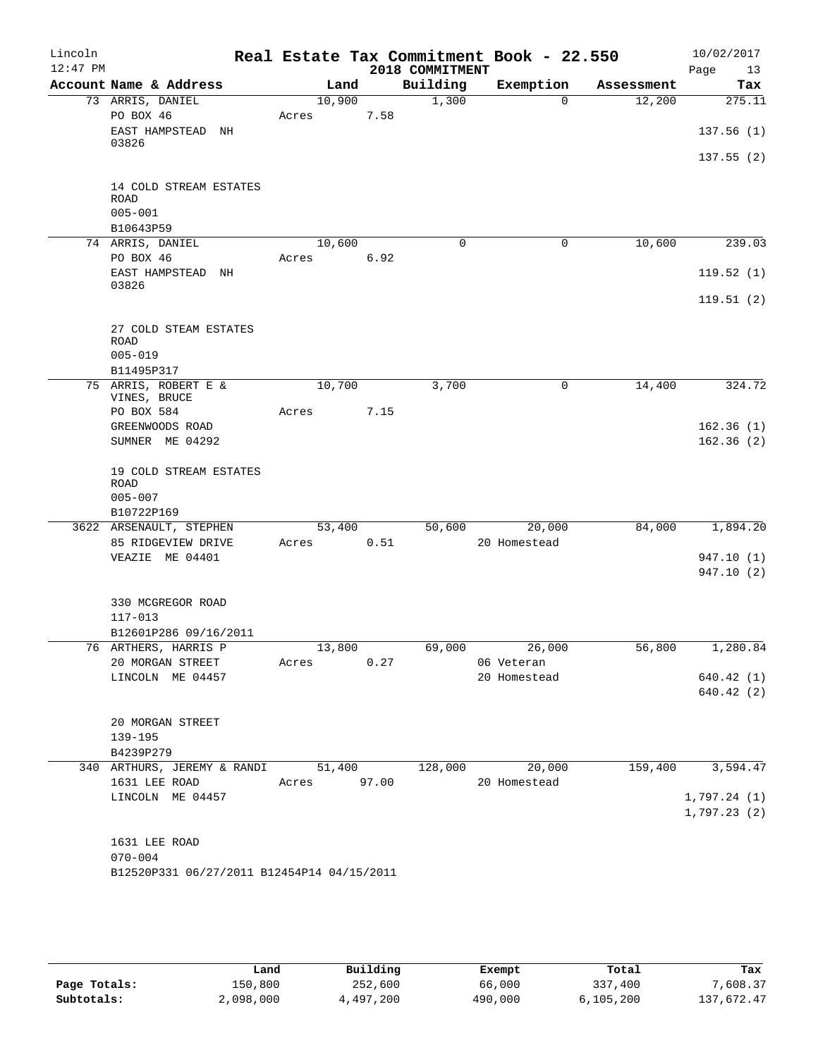| Lincoln<br>$12:47$ PM |                                                                            |             |      | 2018 COMMITMENT | Real Estate Tax Commitment Book - 22.550 |            | 10/02/2017<br>Page<br>13 |
|-----------------------|----------------------------------------------------------------------------|-------------|------|-----------------|------------------------------------------|------------|--------------------------|
|                       | Account Name & Address                                                     | Land        |      | Building        | Exemption                                | Assessment | Tax                      |
|                       | 73 ARRIS, DANIEL                                                           | 10,900      |      | 1,300           | $\Omega$                                 | 12,200     | 275.11                   |
|                       | PO BOX 46<br>EAST HAMPSTEAD<br>NH                                          | Acres       | 7.58 |                 |                                          |            | 137.56(1)                |
|                       | 03826                                                                      |             |      |                 |                                          |            | 137.55(2)                |
|                       | 14 COLD STREAM ESTATES<br><b>ROAD</b><br>$005 - 001$                       |             |      |                 |                                          |            |                          |
|                       | B10643P59                                                                  |             |      |                 |                                          |            |                          |
|                       | 74 ARRIS, DANIEL                                                           | 10,600      |      | 0               | $\mathbf 0$                              | 10,600     | 239.03                   |
|                       | PO BOX 46                                                                  | Acres       | 6.92 |                 |                                          |            |                          |
|                       | EAST HAMPSTEAD NH                                                          |             |      |                 |                                          |            | 119.52(1)                |
|                       | 03826                                                                      |             |      |                 |                                          |            | 119.51(2)                |
|                       | 27 COLD STEAM ESTATES<br>ROAD<br>$005 - 019$                               |             |      |                 |                                          |            |                          |
|                       | B11495P317                                                                 |             |      |                 |                                          |            |                          |
|                       | 75 ARRIS, ROBERT E &<br>VINES, BRUCE                                       | 10,700      |      | 3,700           | $\mathsf{O}$                             | 14,400     | 324.72                   |
|                       | PO BOX 584                                                                 | Acres       | 7.15 |                 |                                          |            |                          |
|                       | GREENWOODS ROAD                                                            |             |      |                 |                                          |            | 162.36(1)                |
|                       | SUMNER ME 04292                                                            |             |      |                 |                                          |            | 162.36(2)                |
|                       | 19 COLD STREAM ESTATES<br><b>ROAD</b><br>$005 - 007$<br>B10722P169         |             |      |                 |                                          |            |                          |
|                       | 3622 ARSENAULT, STEPHEN                                                    | 53,400      |      | 50,600          | 20,000                                   | 84,000     | 1,894.20                 |
|                       | 85 RIDGEVIEW DRIVE                                                         | Acres       | 0.51 |                 | 20 Homestead                             |            |                          |
|                       | VEAZIE ME 04401                                                            |             |      |                 |                                          |            | 947.10 (1)               |
|                       |                                                                            |             |      |                 |                                          |            | 947.10(2)                |
|                       | 330 MCGREGOR ROAD                                                          |             |      |                 |                                          |            |                          |
|                       | $117 - 013$                                                                |             |      |                 |                                          |            |                          |
|                       | B12601P286 09/16/2011<br>76 ARTHERS, HARRIS P                              | 13,800      |      | 69,000          | 26,000                                   | 56,800     | 1,280.84                 |
|                       | 20 MORGAN STREET                                                           | Acres       | 0.27 |                 | 06 Veteran                               |            |                          |
|                       | LINCOLN ME 04457                                                           |             |      |                 | 20 Homestead                             |            | 640.42 (1)               |
|                       |                                                                            |             |      |                 |                                          |            | 640.42 (2)               |
|                       | 20 MORGAN STREET                                                           |             |      |                 |                                          |            |                          |
|                       | $139 - 195$                                                                |             |      |                 |                                          |            |                          |
|                       | B4239P279                                                                  |             |      |                 |                                          |            |                          |
|                       | 340 ARTHURS, JEREMY & RANDI 51,400                                         |             |      |                 | 128,000 20,000                           |            | 159,400 3,594.47         |
|                       | 1631 LEE ROAD<br>LINCOLN ME 04457                                          | Acres 97.00 |      |                 | 20 Homestead                             |            | 1,797.24(1)              |
|                       |                                                                            |             |      |                 |                                          |            | 1,797.23(2)              |
|                       | 1631 LEE ROAD<br>$070 - 004$<br>B12520P331 06/27/2011 B12454P14 04/15/2011 |             |      |                 |                                          |            |                          |
|                       |                                                                            |             |      |                 |                                          |            |                          |

|              | Land      | Building  | Exempt  | Total       | Tax        |
|--------------|-----------|-----------|---------|-------------|------------|
| Page Totals: | 150,800   | 252,600   | 66,000  | 337,400     | 7,608.37   |
| Subtotals:   | 2,098,000 | 4,497,200 | 490,000 | 6, 105, 200 | 137,672.47 |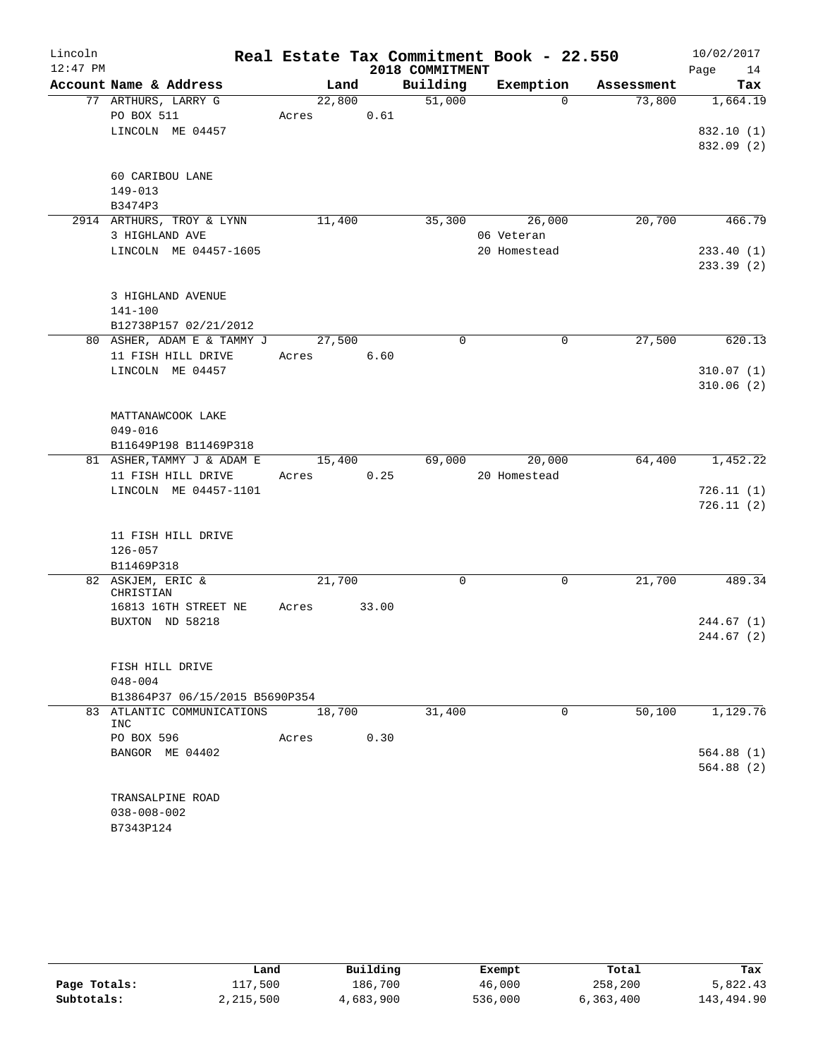| Lincoln    |                                                     |        |       |                 | Real Estate Tax Commitment Book - 22.550 |            | 10/02/2017 |
|------------|-----------------------------------------------------|--------|-------|-----------------|------------------------------------------|------------|------------|
| $12:47$ PM |                                                     |        |       | 2018 COMMITMENT |                                          |            | Page<br>14 |
|            | Account Name & Address                              | Land   |       | Building        | Exemption                                | Assessment | Tax        |
|            | 77 ARTHURS, LARRY G                                 | 22,800 |       | 51,000          | $\Omega$                                 | 73,800     | 1,664.19   |
|            | PO BOX 511                                          | Acres  | 0.61  |                 |                                          |            |            |
|            | LINCOLN ME 04457                                    |        |       |                 |                                          |            | 832.10 (1) |
|            |                                                     |        |       |                 |                                          |            | 832.09 (2) |
|            | 60 CARIBOU LANE                                     |        |       |                 |                                          |            |            |
|            | 149-013                                             |        |       |                 |                                          |            |            |
|            | B3474P3                                             |        |       |                 |                                          |            |            |
|            | 2914 ARTHURS, TROY & LYNN                           | 11,400 |       | 35,300          | 26,000                                   | 20,700     | 466.79     |
|            | 3 HIGHLAND AVE                                      |        |       |                 | 06 Veteran                               |            |            |
|            | LINCOLN ME 04457-1605                               |        |       |                 | 20 Homestead                             |            | 233.40(1)  |
|            |                                                     |        |       |                 |                                          |            | 233.39 (2) |
|            |                                                     |        |       |                 |                                          |            |            |
|            | 3 HIGHLAND AVENUE                                   |        |       |                 |                                          |            |            |
|            | 141-100                                             |        |       |                 |                                          |            |            |
|            | B12738P157 02/21/2012<br>80 ASHER, ADAM E & TAMMY J | 27,500 |       | $\Omega$        | $\mathbf 0$                              | 27,500     | 620.13     |
|            | 11 FISH HILL DRIVE                                  | Acres  | 6.60  |                 |                                          |            |            |
|            | LINCOLN ME 04457                                    |        |       |                 |                                          |            | 310.07(1)  |
|            |                                                     |        |       |                 |                                          |            | 310.06(2)  |
|            |                                                     |        |       |                 |                                          |            |            |
|            | MATTANAWCOOK LAKE                                   |        |       |                 |                                          |            |            |
|            | $049 - 016$                                         |        |       |                 |                                          |            |            |
|            | B11649P198 B11469P318                               |        |       |                 |                                          |            |            |
|            | 81 ASHER, TAMMY J & ADAM E                          | 15,400 |       | 69,000          | 20,000                                   | 64,400     | 1,452.22   |
|            | 11 FISH HILL DRIVE                                  | Acres  | 0.25  |                 | 20 Homestead                             |            |            |
|            | LINCOLN ME 04457-1101                               |        |       |                 |                                          |            | 726.11(1)  |
|            |                                                     |        |       |                 |                                          |            | 726.11(2)  |
|            | 11 FISH HILL DRIVE                                  |        |       |                 |                                          |            |            |
|            | $126 - 057$                                         |        |       |                 |                                          |            |            |
|            | B11469P318                                          |        |       |                 |                                          |            |            |
|            | 82 ASKJEM, ERIC &                                   | 21,700 |       | $\mathbf 0$     | $\mathbf 0$                              | 21,700     | 489.34     |
|            | CHRISTIAN                                           |        |       |                 |                                          |            |            |
|            | 16813 16TH STREET NE                                | Acres  | 33.00 |                 |                                          |            |            |
|            | BUXTON ND 58218                                     |        |       |                 |                                          |            | 244.67(1)  |
|            |                                                     |        |       |                 |                                          |            | 244.67 (2) |
|            | FISH HILL DRIVE                                     |        |       |                 |                                          |            |            |
|            | $048 - 004$                                         |        |       |                 |                                          |            |            |
|            | B13864P37 06/15/2015 B5690P354                      |        |       |                 |                                          |            |            |
|            | 83 ATLANTIC COMMUNICATIONS                          | 18,700 |       | 31,400          | $\mathbf{0}$                             | 50,100     | 1,129.76   |
|            | INC                                                 |        |       |                 |                                          |            |            |
|            | PO BOX 596                                          | Acres  | 0.30  |                 |                                          |            |            |
|            | BANGOR ME 04402                                     |        |       |                 |                                          |            | 564.88(1)  |
|            |                                                     |        |       |                 |                                          |            | 564.88(2)  |
|            | TRANSALPINE ROAD                                    |        |       |                 |                                          |            |            |
|            | $038 - 008 - 002$                                   |        |       |                 |                                          |            |            |
|            | B7343P124                                           |        |       |                 |                                          |            |            |

|              | Land      | Building  | Exempt  | Total     | Tax        |
|--------------|-----------|-----------|---------|-----------|------------|
| Page Totals: | 117,500   | 186,700   | 46,000  | 258,200   | 5,822.43   |
| Subtotals:   | 2,215,500 | 4,683,900 | 536,000 | 6,363,400 | 143,494.90 |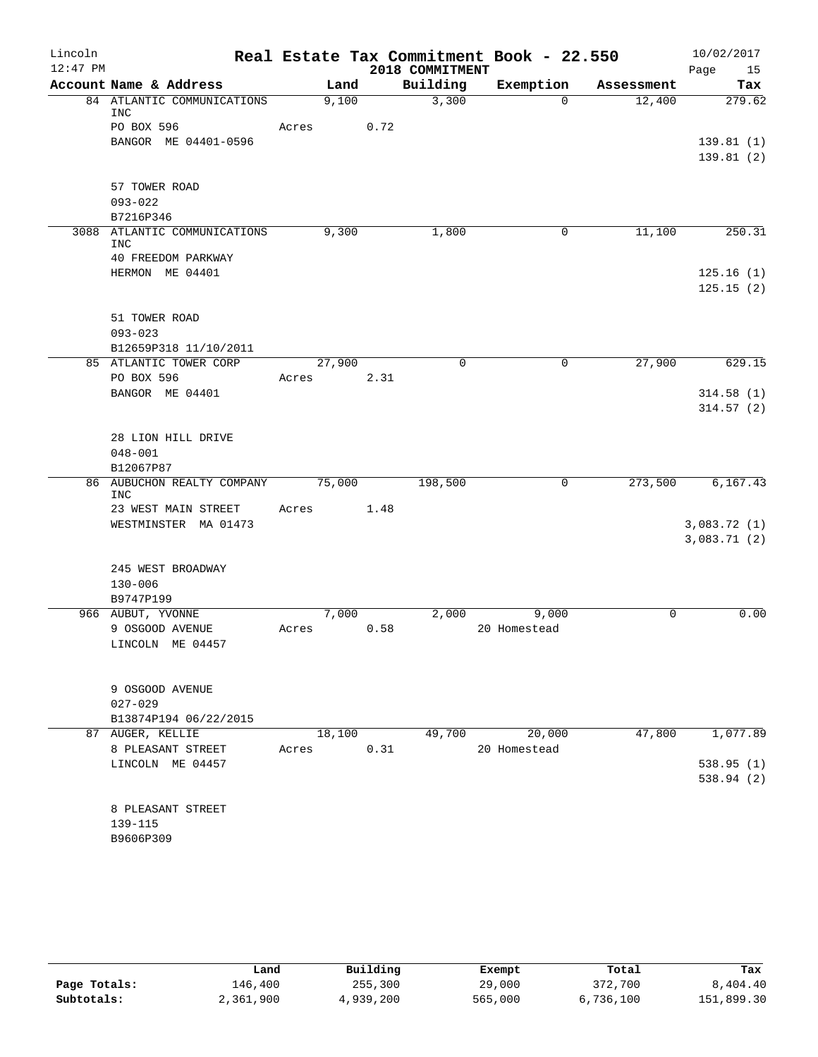| Lincoln    |                                          |       |        |      |                 | Real Estate Tax Commitment Book - 22.550 |            | 10/02/2017             |
|------------|------------------------------------------|-------|--------|------|-----------------|------------------------------------------|------------|------------------------|
| $12:47$ PM |                                          |       |        |      | 2018 COMMITMENT |                                          |            | Page<br>15             |
|            | Account Name & Address                   |       | Land   |      | Building        | Exemption                                | Assessment | Tax                    |
|            | 84 ATLANTIC COMMUNICATIONS<br><b>INC</b> |       | 9,100  |      | 3,300           | $\Omega$                                 | 12,400     | 279.62                 |
|            | PO BOX 596                               | Acres |        | 0.72 |                 |                                          |            |                        |
|            | BANGOR ME 04401-0596                     |       |        |      |                 |                                          |            | 139.81(1)<br>139.81(2) |
|            |                                          |       |        |      |                 |                                          |            |                        |
|            | 57 TOWER ROAD                            |       |        |      |                 |                                          |            |                        |
|            | $093 - 022$<br>B7216P346                 |       |        |      |                 |                                          |            |                        |
|            | 3088 ATLANTIC COMMUNICATIONS             |       | 9,300  |      | 1,800           | $\mathbf 0$                              | 11,100     | 250.31                 |
|            | <b>INC</b><br>40 FREEDOM PARKWAY         |       |        |      |                 |                                          |            |                        |
|            | HERMON ME 04401                          |       |        |      |                 |                                          |            | 125.16(1)              |
|            |                                          |       |        |      |                 |                                          |            | 125.15(2)              |
|            |                                          |       |        |      |                 |                                          |            |                        |
|            | 51 TOWER ROAD<br>$093 - 023$             |       |        |      |                 |                                          |            |                        |
|            | B12659P318 11/10/2011                    |       |        |      |                 |                                          |            |                        |
|            | 85 ATLANTIC TOWER CORP                   |       | 27,900 |      | $\mathbf 0$     | $\mathsf{O}$                             | 27,900     | 629.15                 |
|            | PO BOX 596                               | Acres |        | 2.31 |                 |                                          |            |                        |
|            | BANGOR ME 04401                          |       |        |      |                 |                                          |            | 314.58(1)              |
|            |                                          |       |        |      |                 |                                          |            | 314.57(2)              |
|            | 28 LION HILL DRIVE                       |       |        |      |                 |                                          |            |                        |
|            | $048 - 001$                              |       |        |      |                 |                                          |            |                        |
|            | B12067P87                                |       |        |      |                 |                                          |            |                        |
|            | 86 AUBUCHON REALTY COMPANY<br><b>INC</b> |       | 75,000 |      | 198,500         | $\mathbf 0$                              | 273,500    | 6,167.43               |
|            | 23 WEST MAIN STREET                      | Acres |        | 1.48 |                 |                                          |            |                        |
|            | WESTMINSTER MA 01473                     |       |        |      |                 |                                          |            | 3,083.72(1)            |
|            |                                          |       |        |      |                 |                                          |            | 3,083.71(2)            |
|            | 245 WEST BROADWAY                        |       |        |      |                 |                                          |            |                        |
|            | $130 - 006$                              |       |        |      |                 |                                          |            |                        |
|            | B9747P199                                |       |        |      |                 |                                          |            |                        |
|            | 966 AUBUT, YVONNE                        |       | 7,000  |      | 2,000           | 9,000                                    | $\Omega$   | 0.00                   |
|            | 9 OSGOOD AVENUE                          | Acres |        | 0.58 |                 | 20 Homestead                             |            |                        |
|            | LINCOLN ME 04457                         |       |        |      |                 |                                          |            |                        |
|            |                                          |       |        |      |                 |                                          |            |                        |
|            | 9 OSGOOD AVENUE<br>$027 - 029$           |       |        |      |                 |                                          |            |                        |
|            | B13874P194 06/22/2015                    |       |        |      |                 |                                          |            |                        |
|            | 87 AUGER, KELLIE                         |       | 18,100 |      | 49,700          | 20,000                                   | 47,800     | 1,077.89               |
|            | 8 PLEASANT STREET                        | Acres |        | 0.31 |                 | 20 Homestead                             |            |                        |
|            | LINCOLN ME 04457                         |       |        |      |                 |                                          |            | 538.95(1)              |
|            |                                          |       |        |      |                 |                                          |            | 538.94 (2)             |
|            | 8 PLEASANT STREET                        |       |        |      |                 |                                          |            |                        |
|            | 139-115                                  |       |        |      |                 |                                          |            |                        |
|            | B9606P309                                |       |        |      |                 |                                          |            |                        |
|            |                                          |       |        |      |                 |                                          |            |                        |

|              | Land      | Building  | Exempt  | Total     | Tax        |
|--------------|-----------|-----------|---------|-----------|------------|
| Page Totals: | 146,400   | 255,300   | 29,000  | 372,700   | 8,404.40   |
| Subtotals:   | 2,361,900 | 4,939,200 | 565,000 | 6,736,100 | 151,899.30 |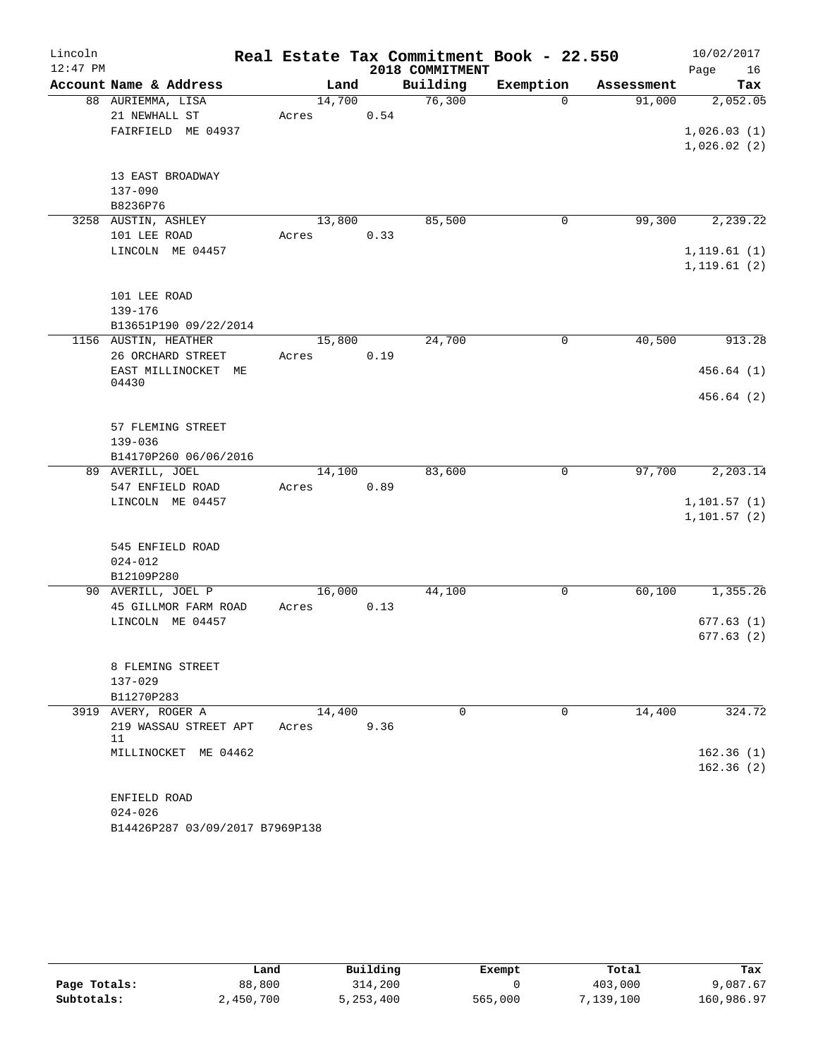| Lincoln    |                                          |        |      |                 | Real Estate Tax Commitment Book - 22.550 |            | 10/02/2017   |
|------------|------------------------------------------|--------|------|-----------------|------------------------------------------|------------|--------------|
| $12:47$ PM |                                          |        |      | 2018 COMMITMENT |                                          |            | Page<br>16   |
|            | Account Name & Address                   | Land   |      | Building        | Exemption                                | Assessment | Tax          |
|            | 88 AURIEMMA, LISA                        | 14,700 |      | 76,300          | $\Omega$                                 | 91,000     | 2,052.05     |
|            | 21 NEWHALL ST                            | Acres  | 0.54 |                 |                                          |            |              |
|            | FAIRFIELD ME 04937                       |        |      |                 |                                          |            | 1,026.03(1)  |
|            |                                          |        |      |                 |                                          |            | 1,026.02(2)  |
|            | 13 EAST BROADWAY                         |        |      |                 |                                          |            |              |
|            | 137-090                                  |        |      |                 |                                          |            |              |
|            | B8236P76                                 |        |      |                 |                                          |            |              |
|            | 3258 AUSTIN, ASHLEY                      | 13,800 |      | 85,500          | 0                                        | 99,300     | 2,239.22     |
|            | 101 LEE ROAD                             | Acres  | 0.33 |                 |                                          |            |              |
|            | LINCOLN ME 04457                         |        |      |                 |                                          |            | 1, 119.61(1) |
|            |                                          |        |      |                 |                                          |            | 1, 119.61(2) |
|            |                                          |        |      |                 |                                          |            |              |
|            | 101 LEE ROAD                             |        |      |                 |                                          |            |              |
|            | $139 - 176$<br>B13651P190 09/22/2014     |        |      |                 |                                          |            |              |
|            | 1156 AUSTIN, HEATHER                     | 15,800 |      | 24,700          | $\mathbf 0$                              | 40,500     | 913.28       |
|            | 26 ORCHARD STREET                        | Acres  | 0.19 |                 |                                          |            |              |
|            | EAST MILLINOCKET ME                      |        |      |                 |                                          |            | 456.64(1)    |
|            | 04430                                    |        |      |                 |                                          |            |              |
|            |                                          |        |      |                 |                                          |            | 456.64(2)    |
|            |                                          |        |      |                 |                                          |            |              |
|            | 57 FLEMING STREET                        |        |      |                 |                                          |            |              |
|            | $139 - 036$<br>B14170P260 06/06/2016     |        |      |                 |                                          |            |              |
|            | 89 AVERILL, JOEL                         | 14,100 |      | 83,600          | $\mathbf 0$                              | 97,700     | 2,203.14     |
|            | 547 ENFIELD ROAD                         | Acres  | 0.89 |                 |                                          |            |              |
|            | LINCOLN ME 04457                         |        |      |                 |                                          |            | 1, 101.57(1) |
|            |                                          |        |      |                 |                                          |            | 1, 101.57(2) |
|            |                                          |        |      |                 |                                          |            |              |
|            | 545 ENFIELD ROAD                         |        |      |                 |                                          |            |              |
|            | $024 - 012$                              |        |      |                 |                                          |            |              |
|            | B12109P280                               |        |      |                 |                                          |            |              |
|            | 90 AVERILL, JOEL P                       | 16,000 |      | 44,100          | 0                                        | 60,100     | 1,355.26     |
|            | 45 GILLMOR FARM ROAD<br>LINCOLN ME 04457 | Acres  | 0.13 |                 |                                          |            | 677.63(1)    |
|            |                                          |        |      |                 |                                          |            | 677.63(2)    |
|            |                                          |        |      |                 |                                          |            |              |
|            | 8 FLEMING STREET                         |        |      |                 |                                          |            |              |
|            | $137 - 029$                              |        |      |                 |                                          |            |              |
|            | B11270P283                               |        |      |                 |                                          |            |              |
|            | 3919 AVERY, ROGER A                      | 14,400 |      | $\Omega$        | 0                                        | 14,400     | 324.72       |
|            | 219 WASSAU STREET APT<br>11              | Acres  | 9.36 |                 |                                          |            |              |
|            | MILLINOCKET ME 04462                     |        |      |                 |                                          |            | 162.36(1)    |
|            |                                          |        |      |                 |                                          |            | 162.36(2)    |
|            |                                          |        |      |                 |                                          |            |              |
|            | ENFIELD ROAD                             |        |      |                 |                                          |            |              |
|            | $024 - 026$                              |        |      |                 |                                          |            |              |
|            | B14426P287 03/09/2017 B7969P138          |        |      |                 |                                          |            |              |

|              | Land      | Building  | Exempt  | Total     | Tax        |
|--------------|-----------|-----------|---------|-----------|------------|
| Page Totals: | 88,800    | 314,200   |         | 403,000   | 9,087.67   |
| Subtotals:   | 2,450,700 | 5,253,400 | 565,000 | 7,139,100 | 160,986.97 |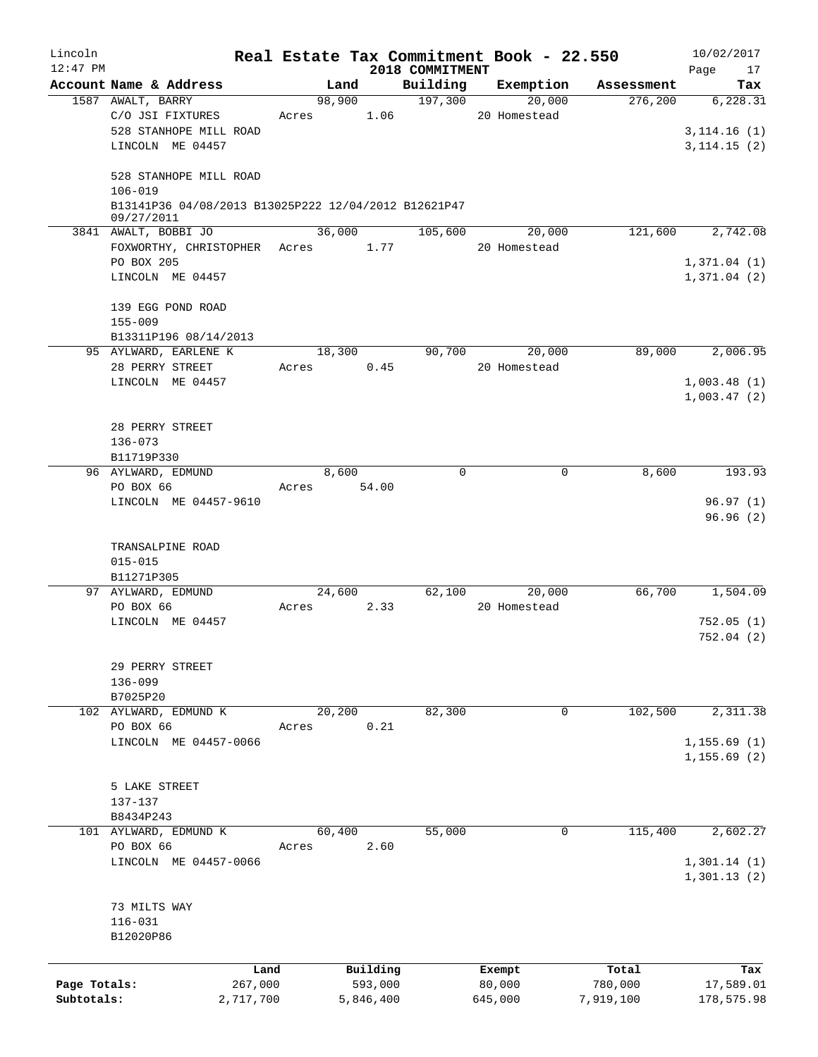| Lincoln<br>$12:47$ PM |                                                      |         |            |           |                             | Real Estate Tax Commitment Book - 22.550 |            | 10/02/2017        |
|-----------------------|------------------------------------------------------|---------|------------|-----------|-----------------------------|------------------------------------------|------------|-------------------|
|                       | Account Name & Address                               |         |            | Land      | 2018 COMMITMENT<br>Building | Exemption                                | Assessment | Page<br>17<br>Tax |
|                       | 1587 AWALT, BARRY                                    |         | 98,900     |           | 197,300                     | 20,000                                   | 276, 200   | 6,228.31          |
|                       | C/O JSI FIXTURES                                     |         | Acres 1.06 |           |                             | 20 Homestead                             |            |                   |
|                       | 528 STANHOPE MILL ROAD                               |         |            |           |                             |                                          |            | 3, 114.16(1)      |
|                       | LINCOLN ME 04457                                     |         |            |           |                             |                                          |            | 3, 114.15(2)      |
|                       |                                                      |         |            |           |                             |                                          |            |                   |
|                       | 528 STANHOPE MILL ROAD                               |         |            |           |                             |                                          |            |                   |
|                       | $106 - 019$                                          |         |            |           |                             |                                          |            |                   |
|                       | B13141P36 04/08/2013 B13025P222 12/04/2012 B12621P47 |         |            |           |                             |                                          |            |                   |
|                       | 09/27/2011                                           |         |            |           |                             |                                          |            |                   |
|                       | 3841 AWALT, BOBBI JO                                 |         | 36,000     |           | 105,600                     | 20,000                                   | 121,600    | 2,742.08          |
|                       | FOXWORTHY, CHRISTOPHER Acres                         |         |            | 1.77      |                             | 20 Homestead                             |            |                   |
|                       | PO BOX 205                                           |         |            |           |                             |                                          |            | 1,371.04(1)       |
|                       | LINCOLN ME 04457                                     |         |            |           |                             |                                          |            | 1,371.04(2)       |
|                       |                                                      |         |            |           |                             |                                          |            |                   |
|                       | 139 EGG POND ROAD                                    |         |            |           |                             |                                          |            |                   |
|                       | $155 - 009$                                          |         |            |           |                             |                                          |            |                   |
|                       | B13311P196 08/14/2013                                |         |            | 18,300    | 90,700                      | 20,000                                   | 89,000     | 2,006.95          |
|                       | 95 AYLWARD, EARLENE K<br>28 PERRY STREET             |         | Acres      | 0.45      |                             | 20 Homestead                             |            |                   |
|                       | LINCOLN ME 04457                                     |         |            |           |                             |                                          |            | 1,003.48(1)       |
|                       |                                                      |         |            |           |                             |                                          |            | 1,003.47(2)       |
|                       |                                                      |         |            |           |                             |                                          |            |                   |
|                       | 28 PERRY STREET                                      |         |            |           |                             |                                          |            |                   |
|                       | $136 - 073$                                          |         |            |           |                             |                                          |            |                   |
|                       | B11719P330                                           |         |            |           |                             |                                          |            |                   |
|                       | 96 AYLWARD, EDMUND                                   |         | 8,600      |           | $\Omega$                    | $\Omega$                                 | 8,600      | 193.93            |
|                       | PO BOX 66                                            |         | Acres      | 54.00     |                             |                                          |            |                   |
|                       | LINCOLN ME 04457-9610                                |         |            |           |                             |                                          |            | 96.97(1)          |
|                       |                                                      |         |            |           |                             |                                          |            | 96.96(2)          |
|                       |                                                      |         |            |           |                             |                                          |            |                   |
|                       | TRANSALPINE ROAD                                     |         |            |           |                             |                                          |            |                   |
|                       | $015 - 015$                                          |         |            |           |                             |                                          |            |                   |
|                       | B11271P305                                           |         |            |           |                             |                                          |            |                   |
|                       | 97 AYLWARD, EDMUND                                   |         | 24,600     |           | 62,100                      | 20,000                                   | 66,700     | 1,504.09          |
|                       | PO BOX 66                                            |         | Acres      | 2.33      |                             | 20 Homestead                             |            |                   |
|                       | LINCOLN ME 04457                                     |         |            |           |                             |                                          |            | 752.05(1)         |
|                       |                                                      |         |            |           |                             |                                          |            | 752.04(2)         |
|                       |                                                      |         |            |           |                             |                                          |            |                   |
|                       | 29 PERRY STREET                                      |         |            |           |                             |                                          |            |                   |
|                       | 136-099                                              |         |            |           |                             |                                          |            |                   |
|                       | B7025P20<br>102 AYLWARD, EDMUND K                    |         |            |           |                             | 0                                        |            |                   |
|                       | PO BOX 66                                            |         | 20,200     | 0.21      | 82,300                      |                                          | 102,500    | 2,311.38          |
|                       | LINCOLN ME 04457-0066                                |         | Acres      |           |                             |                                          |            | 1, 155.69(1)      |
|                       |                                                      |         |            |           |                             |                                          |            | 1, 155.69(2)      |
|                       |                                                      |         |            |           |                             |                                          |            |                   |
|                       | 5 LAKE STREET                                        |         |            |           |                             |                                          |            |                   |
|                       | 137-137                                              |         |            |           |                             |                                          |            |                   |
|                       | B8434P243                                            |         |            |           |                             |                                          |            |                   |
|                       | 101 AYLWARD, EDMUND K                                |         | 60,400     |           | 55,000                      | 0                                        | 115,400    | 2,602.27          |
|                       | PO BOX 66                                            |         | Acres      | 2.60      |                             |                                          |            |                   |
|                       | LINCOLN ME 04457-0066                                |         |            |           |                             |                                          |            | 1,301.14(1)       |
|                       |                                                      |         |            |           |                             |                                          |            | 1,301.13(2)       |
|                       |                                                      |         |            |           |                             |                                          |            |                   |
|                       | 73 MILTS WAY                                         |         |            |           |                             |                                          |            |                   |
|                       | $116 - 031$                                          |         |            |           |                             |                                          |            |                   |
|                       | B12020P86                                            |         |            |           |                             |                                          |            |                   |
|                       |                                                      |         |            |           |                             |                                          |            |                   |
|                       |                                                      | Land    |            | Building  |                             | Exempt                                   | Total      | Tax               |
| Page Totals:          |                                                      | 267,000 |            | 593,000   |                             | 80,000                                   | 780,000    | 17,589.01         |
| Subtotals:            | 2,717,700                                            |         |            | 5,846,400 |                             | 645,000                                  | 7,919,100  | 178,575.98        |
|                       |                                                      |         |            |           |                             |                                          |            |                   |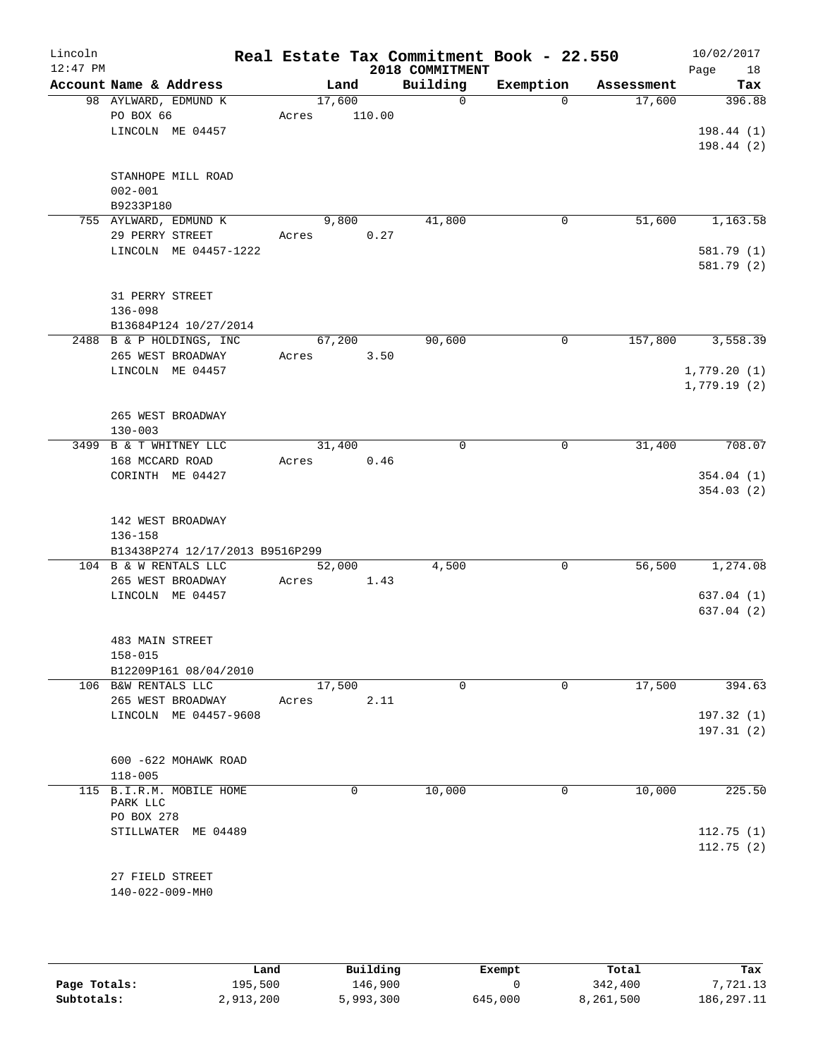| Lincoln<br>$12:47$ PM |                                                         |                 |        | Real Estate Tax Commitment Book - 22.550<br>2018 COMMITMENT |             |            | 10/02/2017<br>18<br>Page |
|-----------------------|---------------------------------------------------------|-----------------|--------|-------------------------------------------------------------|-------------|------------|--------------------------|
|                       | Account Name & Address                                  |                 | Land   | Building                                                    | Exemption   | Assessment | Tax                      |
|                       | 98 AYLWARD, EDMUND K<br>PO BOX 66                       | 17,600<br>Acres | 110.00 | $\Omega$                                                    | $\Omega$    | 17,600     | 396.88                   |
|                       | LINCOLN ME 04457                                        |                 |        |                                                             |             |            | 198.44(1)<br>198.44(2)   |
|                       | STANHOPE MILL ROAD<br>$002 - 001$<br>B9233P180          |                 |        |                                                             |             |            |                          |
|                       | 755 AYLWARD, EDMUND K                                   |                 | 9,800  | 41,800                                                      | 0           | 51,600     | 1,163.58                 |
|                       | 29 PERRY STREET                                         | Acres           | 0.27   |                                                             |             |            |                          |
|                       | LINCOLN ME 04457-1222                                   |                 |        |                                                             |             |            | 581.79 (1)<br>581.79 (2) |
|                       | 31 PERRY STREET<br>$136 - 098$<br>B13684P124 10/27/2014 |                 |        |                                                             |             |            |                          |
|                       | 2488 B & P HOLDINGS, INC                                | 67,200          |        | 90,600                                                      | $\mathbf 0$ | 157,800    | 3,558.39                 |
|                       | 265 WEST BROADWAY                                       | Acres           | 3.50   |                                                             |             |            |                          |
|                       | LINCOLN ME 04457                                        |                 |        |                                                             |             |            | 1,779.20(1)              |
|                       |                                                         |                 |        |                                                             |             |            | 1,779.19(2)              |
|                       | 265 WEST BROADWAY                                       |                 |        |                                                             |             |            |                          |
|                       | $130 - 003$                                             |                 |        |                                                             |             |            |                          |
|                       | 3499 B & T WHITNEY LLC<br>168 MCCARD ROAD               | 31,400          |        | $\mathbf 0$                                                 | 0           | 31,400     | 708.07                   |
|                       | CORINTH ME 04427                                        | Acres           | 0.46   |                                                             |             |            | 354.04(1)<br>354.03(2)   |
|                       | 142 WEST BROADWAY<br>136-158                            |                 |        |                                                             |             |            |                          |
|                       | B13438P274 12/17/2013 B9516P299                         |                 |        |                                                             |             |            |                          |
|                       | 104 B & W RENTALS LLC                                   | 52,000          |        | 4,500                                                       | 0           | 56,500     | 1,274.08                 |
|                       | 265 WEST BROADWAY<br>LINCOLN ME 04457                   | Acres           | 1.43   |                                                             |             |            | 637.04(1)                |
|                       |                                                         |                 |        |                                                             |             |            | 637.04 (2)               |
|                       | 483 MAIN STREET<br>158-015                              |                 |        |                                                             |             |            |                          |
|                       | B12209P161 08/04/2010                                   |                 |        |                                                             |             |            |                          |
|                       | 106 B&W RENTALS LLC                                     | 17,500          |        | $\mathbf 0$                                                 | $\Omega$    | 17,500     | 394.63                   |
|                       | 265 WEST BROADWAY                                       | Acres           | 2.11   |                                                             |             |            |                          |
|                       | LINCOLN ME 04457-9608                                   |                 |        |                                                             |             |            | 197.32(1)                |
|                       |                                                         |                 |        |                                                             |             |            | 197.31(2)                |
|                       | 600 -622 MOHAWK ROAD                                    |                 |        |                                                             |             |            |                          |
|                       | $118 - 005$                                             |                 |        |                                                             |             |            |                          |
|                       | 115 B.I.R.M. MOBILE HOME<br>PARK LLC                    |                 | 0      | 10,000                                                      | 0           | 10,000     | 225.50                   |
|                       | PO BOX 278                                              |                 |        |                                                             |             |            |                          |
|                       | STILLWATER ME 04489                                     |                 |        |                                                             |             |            | 112.75(1)                |
|                       |                                                         |                 |        |                                                             |             |            | 112.75(2)                |
|                       | 27 FIELD STREET                                         |                 |        |                                                             |             |            |                          |
|                       | 140-022-009-MH0                                         |                 |        |                                                             |             |            |                          |
|                       |                                                         |                 |        |                                                             |             |            |                          |

|              | Land      | Building  | Exempt  | Total     | Tax          |
|--------------|-----------|-----------|---------|-----------|--------------|
| Page Totals: | 195,500   | 146.900   |         | 342,400   | .721.13      |
| Subtotals:   | 2,913,200 | 5,993,300 | 645,000 | 8,261,500 | 186, 297. 11 |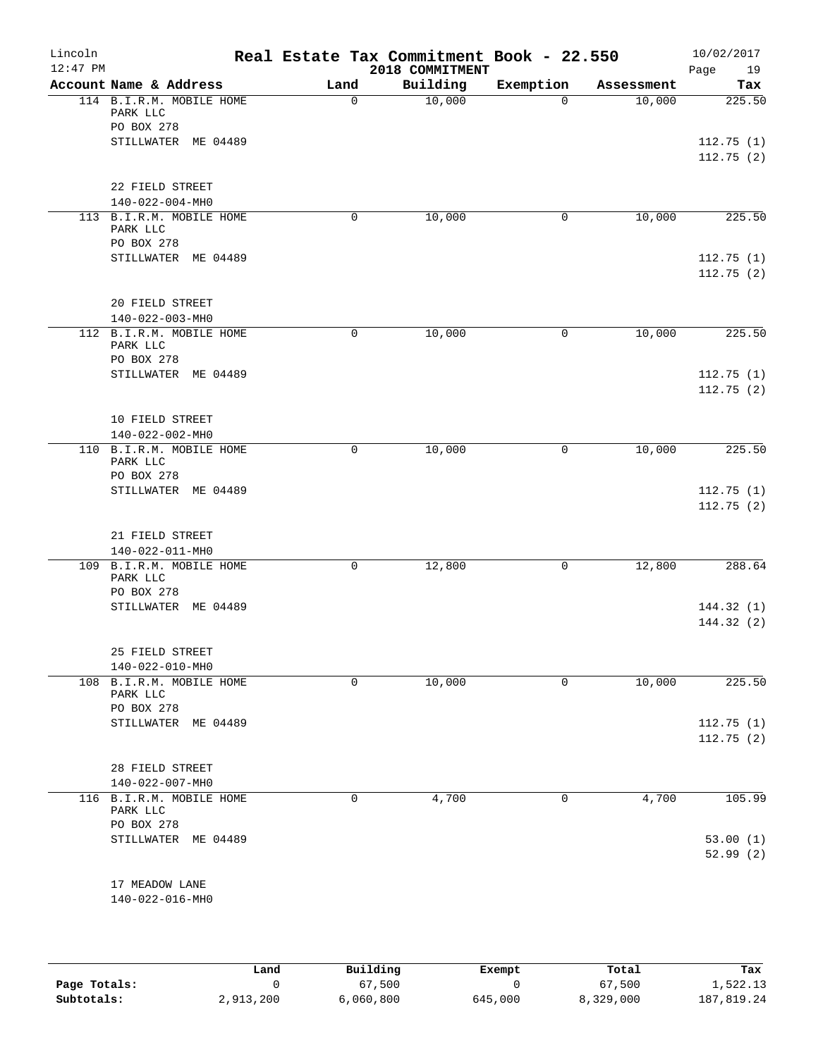| Lincoln<br>$12:47$ PM |                                                    |             | Real Estate Tax Commitment Book - 22.550<br>2018 COMMITMENT |             |            | 10/02/2017<br>Page<br>19 |
|-----------------------|----------------------------------------------------|-------------|-------------------------------------------------------------|-------------|------------|--------------------------|
|                       | Account Name & Address                             | Land        | Building                                                    | Exemption   | Assessment | Tax                      |
|                       | 114 B.I.R.M. MOBILE HOME<br>PARK LLC<br>PO BOX 278 | $\mathbf 0$ | 10,000                                                      | $\Omega$    | 10,000     | 225.50                   |
|                       | STILLWATER ME 04489                                |             |                                                             |             |            | 112.75(1)<br>112.75(2)   |
|                       | 22 FIELD STREET<br>140-022-004-MH0                 |             |                                                             |             |            |                          |
|                       | 113 B.I.R.M. MOBILE HOME<br>PARK LLC<br>PO BOX 278 | $\mathbf 0$ | 10,000                                                      | $\mathbf 0$ | 10,000     | 225.50                   |
|                       | STILLWATER ME 04489                                |             |                                                             |             |            | 112.75(1)<br>112.75(2)   |
|                       | 20 FIELD STREET<br>140-022-003-MH0                 |             |                                                             |             |            |                          |
|                       | 112 B.I.R.M. MOBILE HOME<br>PARK LLC<br>PO BOX 278 | $\mathbf 0$ | 10,000                                                      | 0           | 10,000     | 225.50                   |
|                       | STILLWATER ME 04489                                |             |                                                             |             |            | 112.75(1)<br>112.75(2)   |
|                       | 10 FIELD STREET<br>140-022-002-MH0                 |             |                                                             |             |            |                          |
|                       | 110 B.I.R.M. MOBILE HOME<br>PARK LLC<br>PO BOX 278 | 0           | 10,000                                                      | 0           | 10,000     | 225.50                   |
|                       | STILLWATER ME 04489                                |             |                                                             |             |            | 112.75(1)<br>112.75(2)   |
|                       | 21 FIELD STREET<br>140-022-011-MH0                 |             |                                                             |             |            |                          |
|                       | 109 B.I.R.M. MOBILE HOME<br>PARK LLC<br>PO BOX 278 | $\mathbf 0$ | 12,800                                                      | 0           | 12,800     | 288.64                   |
|                       | STILLWATER ME 04489                                |             |                                                             |             |            | 144.32(1)<br>144.32(2)   |
|                       | 25 FIELD STREET<br>140-022-010-MH0                 |             |                                                             |             |            |                          |
|                       | 108 B.I.R.M. MOBILE HOME<br>PARK LLC<br>PO BOX 278 | 0           | 10,000                                                      | 0           | 10,000     | 225.50                   |
|                       | STILLWATER ME 04489                                |             |                                                             |             |            | 112.75(1)<br>112.75(2)   |
|                       | 28 FIELD STREET<br>140-022-007-MH0                 |             |                                                             |             |            |                          |
|                       | 116 B.I.R.M. MOBILE HOME<br>PARK LLC<br>PO BOX 278 | $\mathbf 0$ | 4,700                                                       | 0           | 4,700      | 105.99                   |
|                       | STILLWATER ME 04489                                |             |                                                             |             |            | 53.00(1)<br>52.99(2)     |
|                       | 17 MEADOW LANE<br>140-022-016-MH0                  |             |                                                             |             |            |                          |
|                       |                                                    |             |                                                             |             |            |                          |

|              | Land      | Building  | Exempt  | Total     | Tax        |
|--------------|-----------|-----------|---------|-----------|------------|
| Page Totals: |           | 67,500    |         | 67,500    | 1,522.13   |
| Subtotals:   | 2,913,200 | 6,060,800 | 645,000 | 8,329,000 | 187,819.24 |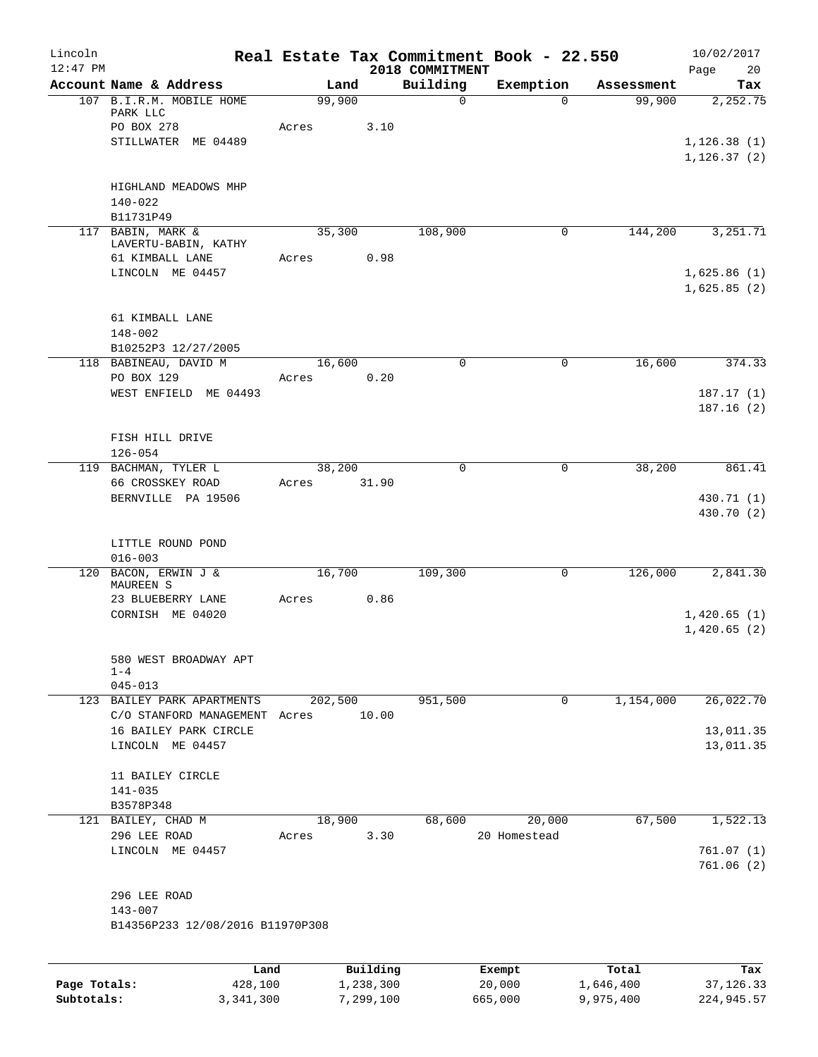| Lincoln<br>$12:47$ PM      |                                                                 |                 |                        | 2018 COMMITMENT | Real Estate Tax Commitment Book - 22.550 |                        | 10/02/2017<br>Page<br>20    |
|----------------------------|-----------------------------------------------------------------|-----------------|------------------------|-----------------|------------------------------------------|------------------------|-----------------------------|
|                            | Account Name & Address                                          |                 | Land                   | Building        | Exemption                                | Assessment             | Tax                         |
|                            | 107 B.I.R.M. MOBILE HOME<br>PARK LLC                            | 99,900          |                        | $\Omega$        | $\Omega$                                 | 99,900                 | 2,252.75                    |
|                            | PO BOX 278<br>STILLWATER ME 04489                               | Acres           | 3.10                   |                 |                                          |                        | 1,126.38(1)<br>1, 126.37(2) |
|                            | HIGHLAND MEADOWS MHP<br>$140 - 022$<br>B11731P49                |                 |                        |                 |                                          |                        |                             |
|                            | 117 BABIN, MARK &<br>LAVERTU-BABIN, KATHY                       | 35,300          |                        | 108,900         | 0                                        | 144,200                | 3,251.71                    |
|                            | 61 KIMBALL LANE<br>LINCOLN ME 04457                             | Acres           | 0.98                   |                 |                                          |                        | 1,625.86(1)<br>1,625.85(2)  |
|                            | 61 KIMBALL LANE<br>$148 - 002$<br>B10252P3 12/27/2005           |                 |                        |                 |                                          |                        |                             |
|                            | 118 BABINEAU, DAVID M<br>PO BOX 129                             | 16,600<br>Acres | 0.20                   | $\mathbf 0$     | $\mathbf 0$                              | 16,600                 | 374.33                      |
|                            | WEST ENFIELD ME 04493                                           |                 |                        |                 |                                          |                        | 187.17 (1)<br>187.16(2)     |
|                            | FISH HILL DRIVE<br>$126 - 054$                                  |                 |                        |                 |                                          |                        |                             |
|                            | 119 BACHMAN, TYLER L<br>66 CROSSKEY ROAD                        | 38,200<br>Acres | 31.90                  | $\mathbf 0$     | $\mathbf 0$                              | 38,200                 | 861.41                      |
|                            | BERNVILLE PA 19506                                              |                 |                        |                 |                                          |                        | 430.71 (1)<br>430.70 (2)    |
|                            | LITTLE ROUND POND<br>$016 - 003$                                |                 |                        |                 |                                          |                        |                             |
| 120                        | BACON, ERWIN J &<br>MAUREEN S<br>23 BLUEBERRY LANE              | 16,700<br>Acres | 0.86                   | 109,300         | 0                                        | 126,000                | 2,841.30                    |
|                            | CORNISH ME 04020                                                |                 |                        |                 |                                          |                        | 1,420.65(1)<br>1,420.65(2)  |
|                            | 580 WEST BROADWAY APT<br>$1 - 4$<br>$045 - 013$                 |                 |                        |                 |                                          |                        |                             |
|                            | 123 BAILEY PARK APARTMENTS<br>C/O STANFORD MANAGEMENT Acres     | 202,500         | 10.00                  | 951,500         | 0                                        | 1,154,000              | 26,022.70                   |
|                            | 16 BAILEY PARK CIRCLE<br>LINCOLN ME 04457                       |                 |                        |                 |                                          |                        | 13,011.35<br>13,011.35      |
|                            | 11 BAILEY CIRCLE<br>$141 - 035$<br>B3578P348                    |                 |                        |                 |                                          |                        |                             |
|                            | 121 BAILEY, CHAD M                                              | 18,900          |                        | 68,600          | 20,000                                   | 67,500                 | 1,522.13                    |
|                            | 296 LEE ROAD<br>LINCOLN ME 04457                                | Acres           | 3.30                   |                 | 20 Homestead                             |                        | 761.07(1)<br>761.06 (2)     |
|                            | 296 LEE ROAD<br>$143 - 007$<br>B14356P233 12/08/2016 B11970P308 |                 |                        |                 |                                          |                        |                             |
|                            | Land                                                            |                 | Building               |                 | Exempt                                   | Total                  | Tax                         |
| Page Totals:<br>Subtotals: | 428,100<br>3,341,300                                            |                 | 1,238,300<br>7,299,100 |                 | 20,000<br>665,000                        | 1,646,400<br>9,975,400 | 37, 126.33<br>224,945.57    |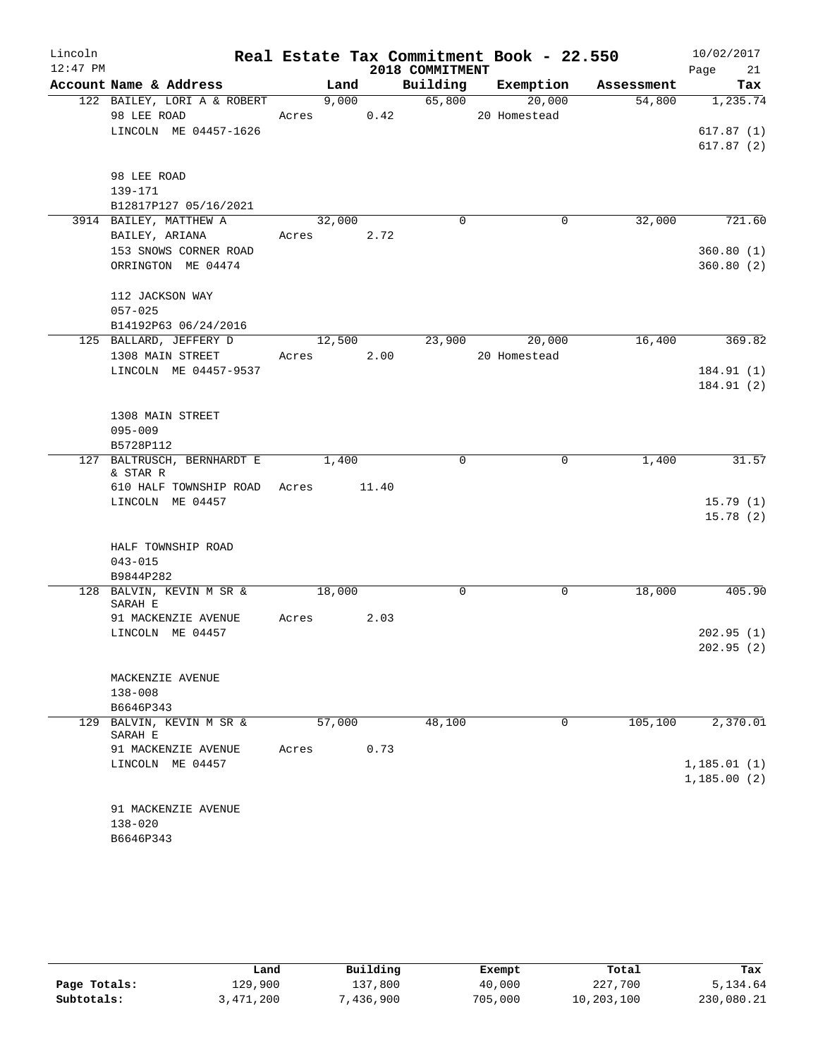| Lincoln    |                                                     |       |        |       |                 |  | Real Estate Tax Commitment Book - 22.550 |            | 10/02/2017  |
|------------|-----------------------------------------------------|-------|--------|-------|-----------------|--|------------------------------------------|------------|-------------|
| $12:47$ PM |                                                     |       |        |       | 2018 COMMITMENT |  |                                          |            | 21<br>Page  |
|            | Account Name & Address                              |       | Land   |       | Building        |  | Exemption                                | Assessment | Tax         |
|            | 122 BAILEY, LORI A & ROBERT                         |       | 9,000  |       | 65,800          |  | 20,000                                   | 54,800     | 1,235.74    |
|            | 98 LEE ROAD                                         | Acres |        | 0.42  |                 |  | 20 Homestead                             |            |             |
|            | LINCOLN ME 04457-1626                               |       |        |       |                 |  |                                          |            | 617.87(1)   |
|            |                                                     |       |        |       |                 |  |                                          |            | 617.87(2)   |
|            | 98 LEE ROAD                                         |       |        |       |                 |  |                                          |            |             |
|            | 139-171                                             |       |        |       |                 |  |                                          |            |             |
|            | B12817P127 05/16/2021                               |       |        |       |                 |  |                                          |            |             |
|            | 3914 BAILEY, MATTHEW A                              |       | 32,000 |       | $\mathbf 0$     |  | $\mathbf 0$                              | 32,000     | 721.60      |
|            | BAILEY, ARIANA                                      | Acres |        | 2.72  |                 |  |                                          |            |             |
|            | 153 SNOWS CORNER ROAD                               |       |        |       |                 |  |                                          |            | 360.80(1)   |
|            | ORRINGTON ME 04474                                  |       |        |       |                 |  |                                          |            | 360.80(2)   |
|            |                                                     |       |        |       |                 |  |                                          |            |             |
|            | 112 JACKSON WAY                                     |       |        |       |                 |  |                                          |            |             |
|            | $057 - 025$                                         |       |        |       |                 |  |                                          |            |             |
|            | B14192P63 06/24/2016                                |       |        |       |                 |  |                                          | 16,400     | 369.82      |
|            | 125 BALLARD, JEFFERY D<br>1308 MAIN STREET          | Acres | 12,500 | 2.00  | 23,900          |  | 20,000<br>20 Homestead                   |            |             |
|            | LINCOLN ME 04457-9537                               |       |        |       |                 |  |                                          |            | 184.91(1)   |
|            |                                                     |       |        |       |                 |  |                                          |            | 184.91 (2)  |
|            |                                                     |       |        |       |                 |  |                                          |            |             |
|            | 1308 MAIN STREET                                    |       |        |       |                 |  |                                          |            |             |
|            | $095 - 009$                                         |       |        |       |                 |  |                                          |            |             |
|            | B5728P112                                           |       |        |       |                 |  |                                          |            |             |
| 127        | BALTRUSCH, BERNHARDT E<br>1,400<br>$\mathbf 0$<br>0 |       | 1,400  | 31.57 |                 |  |                                          |            |             |
|            | & STAR R<br>610 HALF TOWNSHIP ROAD                  | Acres |        | 11.40 |                 |  |                                          |            |             |
|            | LINCOLN ME 04457                                    |       |        |       |                 |  |                                          |            | 15.79(1)    |
|            |                                                     |       |        |       |                 |  |                                          |            | 15.78(2)    |
|            |                                                     |       |        |       |                 |  |                                          |            |             |
|            | HALF TOWNSHIP ROAD                                  |       |        |       |                 |  |                                          |            |             |
|            | $043 - 015$                                         |       |        |       |                 |  |                                          |            |             |
|            | B9844P282                                           |       |        |       |                 |  |                                          |            |             |
|            | 128 BALVIN, KEVIN M SR &                            |       | 18,000 |       | $\mathbf 0$     |  | 0                                        | 18,000     | 405.90      |
|            | SARAH E<br>91 MACKENZIE AVENUE                      | Acres |        | 2.03  |                 |  |                                          |            |             |
|            | LINCOLN ME 04457                                    |       |        |       |                 |  |                                          |            | 202.95(1)   |
|            |                                                     |       |        |       |                 |  |                                          |            | 202.95(2)   |
|            |                                                     |       |        |       |                 |  |                                          |            |             |
|            | MACKENZIE AVENUE                                    |       |        |       |                 |  |                                          |            |             |
|            | $138 - 008$                                         |       |        |       |                 |  |                                          |            |             |
|            | B6646P343                                           |       |        |       |                 |  |                                          |            |             |
| 129        | BALVIN, KEVIN M SR &                                |       | 57,000 |       | 48,100          |  | 0                                        | 105,100    | 2,370.01    |
|            | SARAH E<br>91 MACKENZIE AVENUE                      | Acres |        | 0.73  |                 |  |                                          |            |             |
|            | LINCOLN ME 04457                                    |       |        |       |                 |  |                                          |            | 1,185.01(1) |
|            |                                                     |       |        |       |                 |  |                                          |            | 1,185.00(2) |
|            |                                                     |       |        |       |                 |  |                                          |            |             |
|            | 91 MACKENZIE AVENUE                                 |       |        |       |                 |  |                                          |            |             |
|            | $138 - 020$                                         |       |        |       |                 |  |                                          |            |             |
|            | B6646P343                                           |       |        |       |                 |  |                                          |            |             |

|              | Land      | Building  | Exempt  | Total      | Tax        |
|--------------|-----------|-----------|---------|------------|------------|
| Page Totals: | 129,900   | 137,800   | 40,000  | 227,700    | 5,134.64   |
| Subtotals:   | 3,471,200 | 7,436,900 | 705,000 | 10,203,100 | 230,080.21 |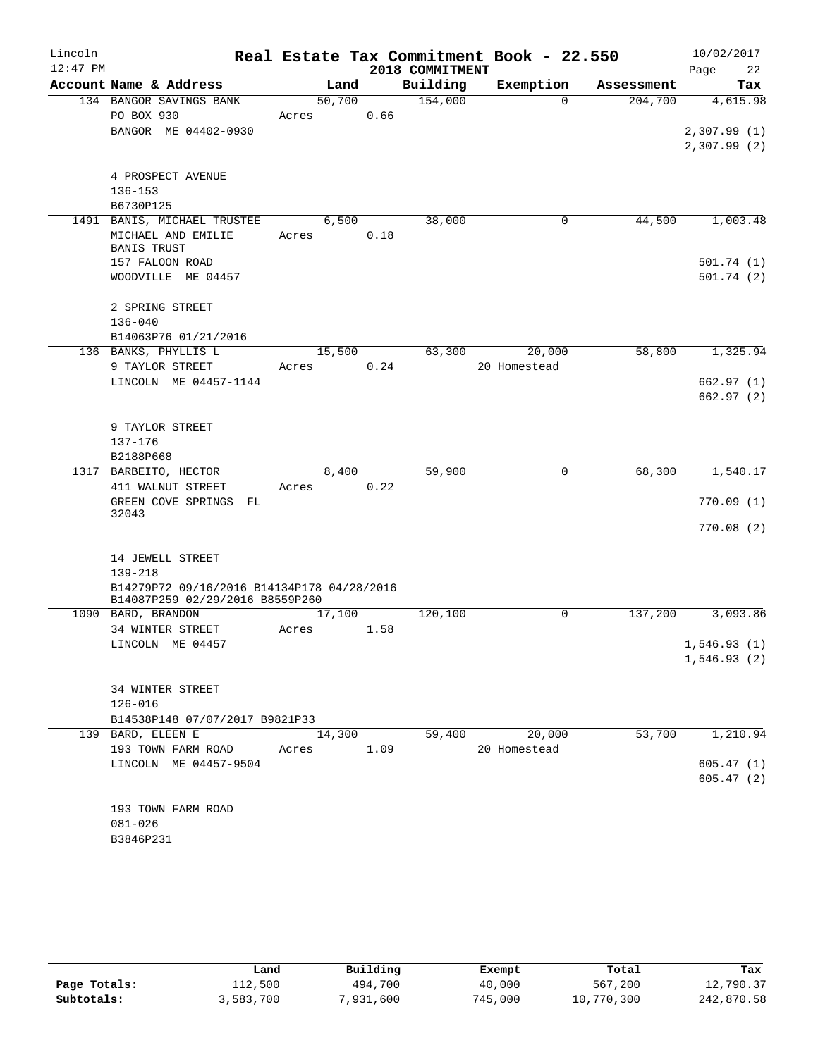| Lincoln    |                                                       |       |        |      |                 | Real Estate Tax Commitment Book - 22.550 |            | 10/02/2017  |
|------------|-------------------------------------------------------|-------|--------|------|-----------------|------------------------------------------|------------|-------------|
| $12:47$ PM |                                                       |       |        |      | 2018 COMMITMENT |                                          |            | 22<br>Page  |
|            | Account Name & Address                                |       | Land   |      | Building        | Exemption                                | Assessment | Tax         |
|            | 134 BANGOR SAVINGS BANK                               |       | 50,700 |      | 154,000         | $\Omega$                                 | 204,700    | 4,615.98    |
|            | PO BOX 930                                            | Acres |        | 0.66 |                 |                                          |            |             |
|            | BANGOR ME 04402-0930                                  |       |        |      |                 |                                          |            | 2,307.99(1) |
|            |                                                       |       |        |      |                 |                                          |            | 2,307.99(2) |
|            | 4 PROSPECT AVENUE                                     |       |        |      |                 |                                          |            |             |
|            | $136 - 153$                                           |       |        |      |                 |                                          |            |             |
|            | B6730P125                                             |       |        |      |                 |                                          |            |             |
|            | 1491 BANIS, MICHAEL TRUSTEE                           |       | 6,500  |      | 38,000          | $\mathbf 0$                              | 44,500     | 1,003.48    |
|            | MICHAEL AND EMILIE                                    | Acres |        | 0.18 |                 |                                          |            |             |
|            | <b>BANIS TRUST</b>                                    |       |        |      |                 |                                          |            |             |
|            | 157 FALOON ROAD                                       |       |        |      |                 |                                          |            | 501.74(1)   |
|            | WOODVILLE ME 04457                                    |       |        |      |                 |                                          |            | 501.74(2)   |
|            |                                                       |       |        |      |                 |                                          |            |             |
|            | 2 SPRING STREET<br>$136 - 040$                        |       |        |      |                 |                                          |            |             |
|            | B14063P76 01/21/2016                                  |       |        |      |                 |                                          |            |             |
|            | 136 BANKS, PHYLLIS L                                  |       | 15,500 |      | 63,300          | 20,000                                   | 58,800     | 1,325.94    |
|            | 9 TAYLOR STREET                                       | Acres |        | 0.24 |                 | 20 Homestead                             |            |             |
|            | LINCOLN ME 04457-1144                                 |       |        |      |                 |                                          |            | 662.97(1)   |
|            |                                                       |       |        |      |                 |                                          |            | 662.97 (2)  |
|            |                                                       |       |        |      |                 |                                          |            |             |
|            | 9 TAYLOR STREET                                       |       |        |      |                 |                                          |            |             |
|            | 137-176                                               |       |        |      |                 |                                          |            |             |
|            | B2188P668                                             |       |        |      |                 |                                          |            |             |
|            | 1317 BARBEITO, HECTOR                                 |       | 8,400  |      | 59,900          | $\mathbf 0$                              | 68,300     | 1,540.17    |
|            | 411 WALNUT STREET                                     | Acres |        | 0.22 |                 |                                          |            | 770.09(1)   |
|            | GREEN COVE SPRINGS FL<br>32043                        |       |        |      |                 |                                          |            |             |
|            |                                                       |       |        |      |                 |                                          |            | 770.08(2)   |
|            |                                                       |       |        |      |                 |                                          |            |             |
|            | 14 JEWELL STREET                                      |       |        |      |                 |                                          |            |             |
|            | $139 - 218$                                           |       |        |      |                 |                                          |            |             |
|            | B14279P72 09/16/2016 B14134P178 04/28/2016            |       |        |      |                 |                                          |            |             |
|            | B14087P259 02/29/2016 B8559P260<br>1090 BARD, BRANDON |       | 17,100 |      | 120,100         | 0                                        | 137,200    | 3,093.86    |
|            | 34 WINTER STREET                                      | Acres |        | 1.58 |                 |                                          |            |             |
|            | LINCOLN ME 04457                                      |       |        |      |                 |                                          |            | 1,546.93(1) |
|            |                                                       |       |        |      |                 |                                          |            | 1,546.93(2) |
|            |                                                       |       |        |      |                 |                                          |            |             |
|            | 34 WINTER STREET                                      |       |        |      |                 |                                          |            |             |
|            | $126 - 016$                                           |       |        |      |                 |                                          |            |             |
|            | B14538P148 07/07/2017 B9821P33                        |       |        |      |                 |                                          |            |             |
|            | 139 BARD, ELEEN E                                     |       | 14,300 |      | 59,400          | 20,000                                   | 53,700     | 1,210.94    |
|            | 193 TOWN FARM ROAD                                    | Acres |        | 1.09 |                 | 20 Homestead                             |            |             |
|            | LINCOLN ME 04457-9504                                 |       |        |      |                 |                                          |            | 605.47(1)   |
|            |                                                       |       |        |      |                 |                                          |            | 605.47(2)   |
|            | 193 TOWN FARM ROAD                                    |       |        |      |                 |                                          |            |             |
|            | $081 - 026$                                           |       |        |      |                 |                                          |            |             |
|            | B3846P231                                             |       |        |      |                 |                                          |            |             |
|            |                                                       |       |        |      |                 |                                          |            |             |

|              | Land      | Building | Exempt  | Total      | Tax        |
|--------------|-----------|----------|---------|------------|------------|
| Page Totals: | 112,500   | 494,700  | 40,000  | 567,200    | 12,790.37  |
| Subtotals:   | 3,583,700 | ,931,600 | 745,000 | 10,770,300 | 242,870.58 |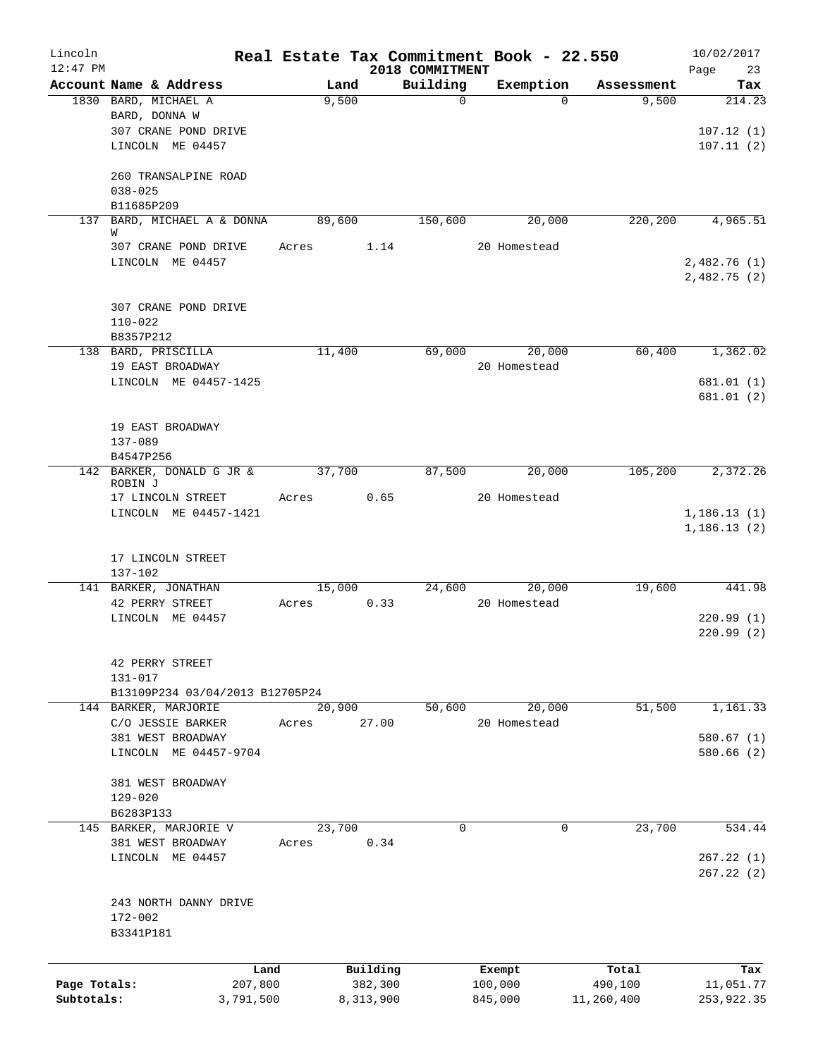| Lincoln<br>$12:47$ PM |                                      |        |           | 2018 COMMITMENT | Real Estate Tax Commitment Book - 22.550 |            | 10/02/2017<br>Page<br>23    |
|-----------------------|--------------------------------------|--------|-----------|-----------------|------------------------------------------|------------|-----------------------------|
|                       | Account Name & Address               | Land   |           | Building        | Exemption                                | Assessment | Tax                         |
|                       | 1830 BARD, MICHAEL A                 | 9,500  |           | 0               | $\Omega$                                 | 9,500      | 214.23                      |
|                       | BARD, DONNA W                        |        |           |                 |                                          |            |                             |
|                       | 307 CRANE POND DRIVE                 |        |           |                 |                                          |            | 107.12(1)                   |
|                       | LINCOLN ME 04457                     |        |           |                 |                                          |            | 107.11(2)                   |
|                       | 260 TRANSALPINE ROAD                 |        |           |                 |                                          |            |                             |
|                       | $038 - 025$                          |        |           |                 |                                          |            |                             |
|                       | B11685P209                           |        |           |                 |                                          |            |                             |
|                       | 137 BARD, MICHAEL A & DONNA<br>W     | 89,600 |           | 150,600         | 20,000                                   | 220,200    | 4,965.51                    |
|                       | 307 CRANE POND DRIVE                 | Acres  | 1.14      |                 | 20 Homestead                             |            |                             |
|                       | LINCOLN ME 04457                     |        |           |                 |                                          |            | 2,482.76(1)<br>2,482.75(2)  |
|                       | 307 CRANE POND DRIVE                 |        |           |                 |                                          |            |                             |
|                       | $110 - 022$                          |        |           |                 |                                          |            |                             |
|                       | B8357P212                            |        |           |                 |                                          |            |                             |
|                       | 138 BARD, PRISCILLA                  | 11,400 |           | 69,000          | 20,000                                   | 60,400     | 1,362.02                    |
|                       | 19 EAST BROADWAY                     |        |           |                 | 20 Homestead                             |            |                             |
|                       | LINCOLN ME 04457-1425                |        |           |                 |                                          |            | 681.01(1)                   |
|                       |                                      |        |           |                 |                                          |            | 681.01(2)                   |
|                       | 19 EAST BROADWAY                     |        |           |                 |                                          |            |                             |
|                       | 137-089                              |        |           |                 |                                          |            |                             |
|                       | B4547P256                            |        |           |                 |                                          |            |                             |
|                       | 142 BARKER, DONALD G JR &<br>ROBIN J | 37,700 |           | 87,500          | 20,000                                   | 105,200    | 2,372.26                    |
|                       | 17 LINCOLN STREET                    | Acres  | 0.65      |                 | 20 Homestead                             |            |                             |
|                       | LINCOLN ME 04457-1421                |        |           |                 |                                          |            | 1, 186.13(1)<br>1,186.13(2) |
|                       |                                      |        |           |                 |                                          |            |                             |
|                       | 17 LINCOLN STREET<br>137-102         |        |           |                 |                                          |            |                             |
|                       | 141 BARKER, JONATHAN                 | 15,000 |           | 24,600          | 20,000                                   | 19,600     | 441.98                      |
|                       | 42 PERRY STREET                      | Acres  | 0.33      |                 | 20 Homestead                             |            |                             |
|                       | LINCOLN ME 04457                     |        |           |                 |                                          |            | 220.99(1)                   |
|                       |                                      |        |           |                 |                                          |            | 220.99(2)                   |
|                       | 42 PERRY STREET                      |        |           |                 |                                          |            |                             |
|                       | 131-017                              |        |           |                 |                                          |            |                             |
|                       | B13109P234 03/04/2013 B12705P24      |        |           |                 |                                          |            |                             |
|                       | 144 BARKER, MARJORIE                 | 20,900 |           | 50,600          | 20,000                                   | 51,500     | 1,161.33                    |
|                       | C/O JESSIE BARKER                    | Acres  | 27.00     |                 | 20 Homestead                             |            |                             |
|                       | 381 WEST BROADWAY                    |        |           |                 |                                          |            | 580.67(1)                   |
|                       | LINCOLN ME 04457-9704                |        |           |                 |                                          |            | 580.66 (2)                  |
|                       | 381 WEST BROADWAY                    |        |           |                 |                                          |            |                             |
|                       | $129 - 020$                          |        |           |                 |                                          |            |                             |
|                       | B6283P133                            |        |           |                 |                                          |            |                             |
|                       | 145 BARKER, MARJORIE V               | 23,700 |           | $\mathsf{O}$    | $\mathbf 0$                              | 23,700     | 534.44                      |
|                       | 381 WEST BROADWAY                    | Acres  | 0.34      |                 |                                          |            |                             |
|                       | LINCOLN ME 04457                     |        |           |                 |                                          |            | 267.22(1)                   |
|                       |                                      |        |           |                 |                                          |            | 267.22(2)                   |
|                       | 243 NORTH DANNY DRIVE                |        |           |                 |                                          |            |                             |
|                       | 172-002                              |        |           |                 |                                          |            |                             |
|                       | B3341P181                            |        |           |                 |                                          |            |                             |
|                       |                                      |        |           |                 |                                          |            |                             |
|                       |                                      | Land   | Building  |                 | Exempt                                   | Total      | Tax                         |
| Page Totals:          | 207,800                              |        | 382,300   |                 | 100,000                                  | 490,100    | 11,051.77                   |
| Subtotals:            | 3,791,500                            |        | 8,313,900 |                 | 845,000                                  | 11,260,400 | 253,922.35                  |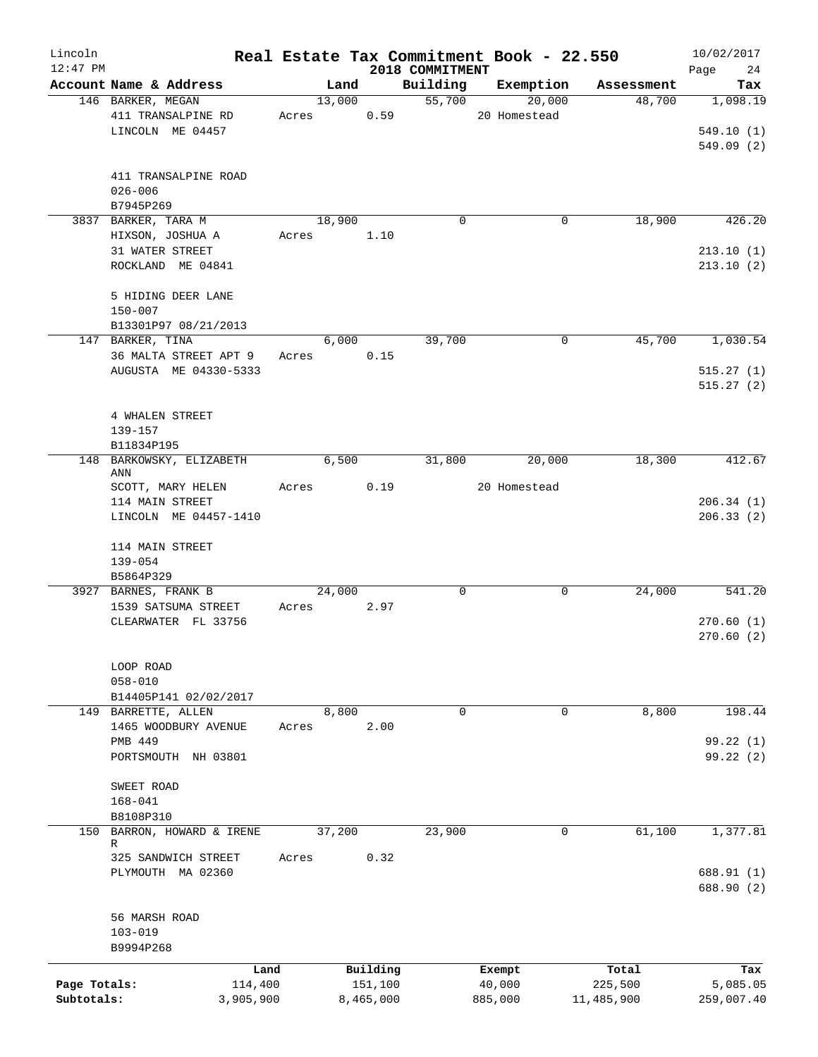| Lincoln<br>$12:47$ PM |                                          |       |        |           | 2018 COMMITMENT | Real Estate Tax Commitment Book - 22.550 |             |            | 10/02/2017<br>Page<br>24 |
|-----------------------|------------------------------------------|-------|--------|-----------|-----------------|------------------------------------------|-------------|------------|--------------------------|
|                       | Account Name & Address                   |       | Land   |           | Building        | Exemption                                |             | Assessment | Tax                      |
|                       | 146 BARKER, MEGAN                        |       | 13,000 |           | 55,700          |                                          | 20,000      | 48,700     | 1,098.19                 |
|                       | 411 TRANSALPINE RD                       | Acres |        | 0.59      |                 | 20 Homestead                             |             |            |                          |
|                       | LINCOLN ME 04457                         |       |        |           |                 |                                          |             |            | 549.10(1)                |
|                       |                                          |       |        |           |                 |                                          |             |            | 549.09(2)                |
|                       | 411 TRANSALPINE ROAD                     |       |        |           |                 |                                          |             |            |                          |
|                       | $026 - 006$                              |       |        |           |                 |                                          |             |            |                          |
|                       | B7945P269                                |       |        |           |                 |                                          |             |            |                          |
|                       | 3837 BARKER, TARA M                      |       | 18,900 |           | $\mathbf 0$     |                                          | $\mathbf 0$ | 18,900     | 426.20                   |
|                       | HIXSON, JOSHUA A                         | Acres |        | 1.10      |                 |                                          |             |            |                          |
|                       | 31 WATER STREET                          |       |        |           |                 |                                          |             |            | 213.10(1)                |
|                       | ROCKLAND ME 04841                        |       |        |           |                 |                                          |             |            | 213.10(2)                |
|                       |                                          |       |        |           |                 |                                          |             |            |                          |
|                       | 5 HIDING DEER LANE                       |       |        |           |                 |                                          |             |            |                          |
|                       | $150 - 007$                              |       |        |           |                 |                                          |             |            |                          |
|                       | B13301P97 08/21/2013<br>147 BARKER, TINA |       |        |           | 39,700          |                                          | 0           | 45,700     | 1,030.54                 |
|                       | 36 MALTA STREET APT 9                    | Acres | 6,000  | 0.15      |                 |                                          |             |            |                          |
|                       | AUGUSTA ME 04330-5333                    |       |        |           |                 |                                          |             |            |                          |
|                       |                                          |       |        |           |                 |                                          |             |            | 515.27(1)<br>515.27(2)   |
|                       |                                          |       |        |           |                 |                                          |             |            |                          |
|                       | 4 WHALEN STREET                          |       |        |           |                 |                                          |             |            |                          |
|                       | 139-157                                  |       |        |           |                 |                                          |             |            |                          |
|                       | B11834P195                               |       |        |           |                 |                                          |             |            |                          |
|                       | 148 BARKOWSKY, ELIZABETH                 |       | 6,500  |           | 31,800          |                                          | 20,000      | 18,300     | 412.67                   |
|                       | ANN                                      |       |        |           |                 |                                          |             |            |                          |
|                       | SCOTT, MARY HELEN                        | Acres |        | 0.19      |                 | 20 Homestead                             |             |            |                          |
|                       | 114 MAIN STREET                          |       |        |           |                 |                                          |             |            | 206.34(1)                |
|                       | LINCOLN ME 04457-1410                    |       |        |           |                 |                                          |             |            | 206.33(2)                |
|                       | 114 MAIN STREET                          |       |        |           |                 |                                          |             |            |                          |
|                       | $139 - 054$                              |       |        |           |                 |                                          |             |            |                          |
|                       | B5864P329                                |       |        |           |                 |                                          |             |            |                          |
|                       | 3927 BARNES, FRANK B                     |       | 24,000 |           | $\mathbf 0$     |                                          | 0           | 24,000     | 541.20                   |
|                       | 1539 SATSUMA STREET                      | Acres |        | 2.97      |                 |                                          |             |            |                          |
|                       | CLEARWATER FL 33756                      |       |        |           |                 |                                          |             |            | 270.60(1)                |
|                       |                                          |       |        |           |                 |                                          |             |            | 270.60(2)                |
|                       |                                          |       |        |           |                 |                                          |             |            |                          |
|                       | LOOP ROAD                                |       |        |           |                 |                                          |             |            |                          |
|                       | $058 - 010$                              |       |        |           |                 |                                          |             |            |                          |
|                       | B14405P141 02/02/2017                    |       |        |           |                 |                                          |             |            |                          |
|                       | 149 BARRETTE, ALLEN                      |       | 8,800  |           | $\mathbf 0$     |                                          | 0           | 8,800      | 198.44                   |
|                       | 1465 WOODBURY AVENUE                     | Acres |        | 2.00      |                 |                                          |             |            |                          |
|                       | PMB 449                                  |       |        |           |                 |                                          |             |            | 99.22(1)                 |
|                       | PORTSMOUTH NH 03801                      |       |        |           |                 |                                          |             |            | 99.22 (2)                |
|                       | SWEET ROAD                               |       |        |           |                 |                                          |             |            |                          |
|                       | $168 - 041$                              |       |        |           |                 |                                          |             |            |                          |
|                       | B8108P310                                |       |        |           |                 |                                          |             |            |                          |
|                       | 150 BARRON, HOWARD & IRENE               |       | 37,200 |           | 23,900          |                                          | 0           | 61,100     | 1,377.81                 |
|                       | R                                        |       |        |           |                 |                                          |             |            |                          |
|                       | 325 SANDWICH STREET                      | Acres |        | 0.32      |                 |                                          |             |            |                          |
|                       | PLYMOUTH MA 02360                        |       |        |           |                 |                                          |             |            | 688.91 (1)<br>688.90 (2) |
|                       |                                          |       |        |           |                 |                                          |             |            |                          |
|                       | 56 MARSH ROAD                            |       |        |           |                 |                                          |             |            |                          |
|                       | $103 - 019$                              |       |        |           |                 |                                          |             |            |                          |
|                       | B9994P268                                |       |        |           |                 |                                          |             |            |                          |
|                       |                                          | Land  |        | Building  |                 | Exempt                                   |             | Total      | Tax                      |
| Page Totals:          | 114,400                                  |       |        | 151,100   |                 | 40,000                                   |             | 225,500    | 5,085.05                 |
| Subtotals:            | 3,905,900                                |       |        | 8,465,000 |                 | 885,000                                  |             | 11,485,900 | 259,007.40               |
|                       |                                          |       |        |           |                 |                                          |             |            |                          |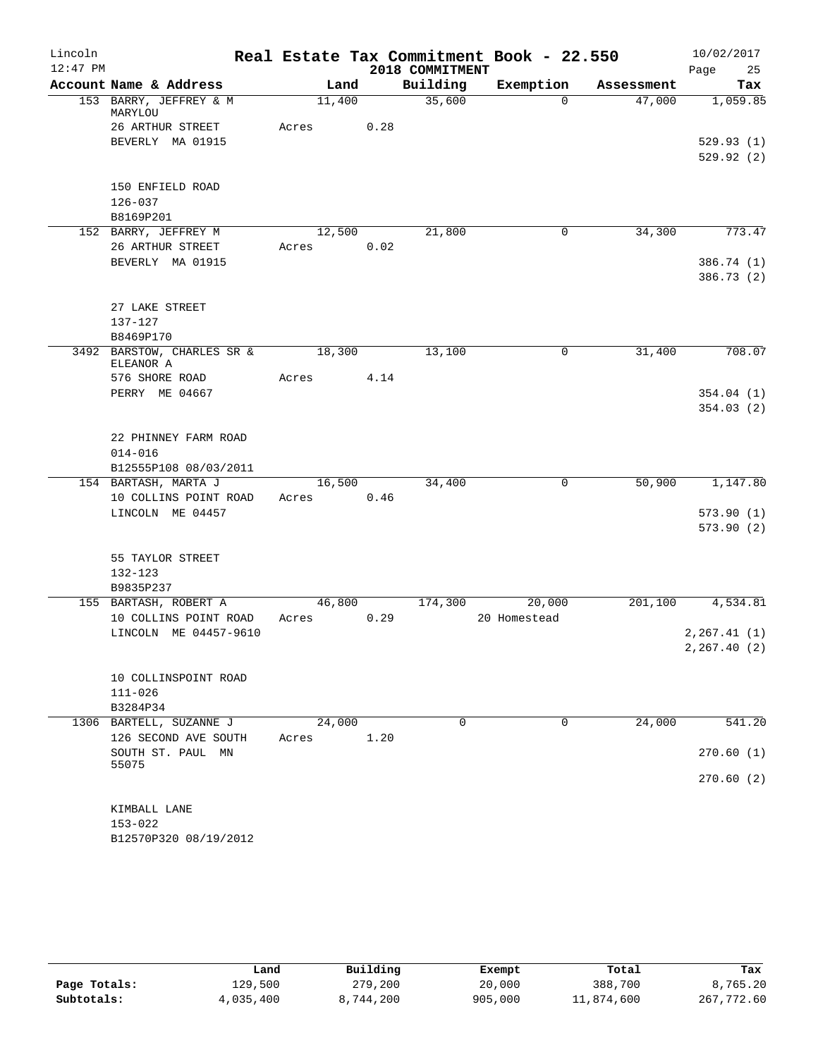| Lincoln    |                                   |       |        |      |                 | Real Estate Tax Commitment Book - 22.550 |            | 10/02/2017               |
|------------|-----------------------------------|-------|--------|------|-----------------|------------------------------------------|------------|--------------------------|
| $12:47$ PM |                                   |       |        |      | 2018 COMMITMENT |                                          |            | Page<br>25               |
|            | Account Name & Address            |       | Land   |      | Building        | Exemption                                | Assessment | Tax                      |
|            | 153 BARRY, JEFFREY & M<br>MARYLOU |       | 11,400 |      | 35,600          | $\Omega$                                 | 47,000     | 1,059.85                 |
|            | 26 ARTHUR STREET                  | Acres |        | 0.28 |                 |                                          |            |                          |
|            | BEVERLY MA 01915                  |       |        |      |                 |                                          |            | 529.93(1)                |
|            |                                   |       |        |      |                 |                                          |            | 529.92(2)                |
|            |                                   |       |        |      |                 |                                          |            |                          |
|            | 150 ENFIELD ROAD                  |       |        |      |                 |                                          |            |                          |
|            | 126-037                           |       |        |      |                 |                                          |            |                          |
|            | B8169P201                         |       |        |      |                 |                                          |            |                          |
|            | 152 BARRY, JEFFREY M              |       | 12,500 |      | 21,800          | 0                                        | 34,300     | 773.47                   |
|            | 26 ARTHUR STREET                  | Acres |        | 0.02 |                 |                                          |            |                          |
|            | BEVERLY MA 01915                  |       |        |      |                 |                                          |            | 386.74 (1)<br>386.73 (2) |
|            | 27 LAKE STREET                    |       |        |      |                 |                                          |            |                          |
|            | $137 - 127$                       |       |        |      |                 |                                          |            |                          |
|            | B8469P170                         |       |        |      |                 |                                          |            |                          |
|            | 3492 BARSTOW, CHARLES SR &        |       | 18,300 |      | 13,100          | 0                                        | 31,400     | 708.07                   |
|            | ELEANOR A                         |       |        |      |                 |                                          |            |                          |
|            | 576 SHORE ROAD                    | Acres |        | 4.14 |                 |                                          |            |                          |
|            | PERRY ME 04667                    |       |        |      |                 |                                          |            | 354.04(1)                |
|            |                                   |       |        |      |                 |                                          |            | 354.03(2)                |
|            | 22 PHINNEY FARM ROAD              |       |        |      |                 |                                          |            |                          |
|            | $014 - 016$                       |       |        |      |                 |                                          |            |                          |
|            | B12555P108 08/03/2011             |       |        |      |                 |                                          |            |                          |
|            | 154 BARTASH, MARTA J              |       | 16,500 |      | 34,400          | 0                                        | 50,900     | 1,147.80                 |
|            | 10 COLLINS POINT ROAD             | Acres |        | 0.46 |                 |                                          |            |                          |
|            | LINCOLN ME 04457                  |       |        |      |                 |                                          |            | 573.90(1)                |
|            |                                   |       |        |      |                 |                                          |            | 573.90(2)                |
|            | 55 TAYLOR STREET                  |       |        |      |                 |                                          |            |                          |
|            | $132 - 123$                       |       |        |      |                 |                                          |            |                          |
|            | B9835P237                         |       |        |      |                 |                                          |            |                          |
|            | 155 BARTASH, ROBERT A             |       | 46,800 |      | 174,300         | 20,000                                   | 201,100    | 4,534.81                 |
|            | 10 COLLINS POINT ROAD             | Acres |        | 0.29 |                 | 20 Homestead                             |            |                          |
|            | LINCOLN ME 04457-9610             |       |        |      |                 |                                          |            | 2, 267.41(1)             |
|            |                                   |       |        |      |                 |                                          |            | 2, 267.40 (2)            |
|            | 10 COLLINSPOINT ROAD              |       |        |      |                 |                                          |            |                          |
|            | $111 - 026$                       |       |        |      |                 |                                          |            |                          |
|            | B3284P34                          |       |        |      |                 |                                          |            |                          |
|            | 1306 BARTELL, SUZANNE J           |       | 24,000 |      | $\Omega$        | $\mathbf 0$                              | 24,000     | 541.20                   |
|            | 126 SECOND AVE SOUTH              | Acres |        | 1.20 |                 |                                          |            |                          |
|            | SOUTH ST. PAUL MN                 |       |        |      |                 |                                          |            | 270.60(1)                |
|            | 55075                             |       |        |      |                 |                                          |            |                          |
|            |                                   |       |        |      |                 |                                          |            | 270.60(2)                |
|            | KIMBALL LANE                      |       |        |      |                 |                                          |            |                          |
|            | $153 - 022$                       |       |        |      |                 |                                          |            |                          |
|            | B12570P320 08/19/2012             |       |        |      |                 |                                          |            |                          |
|            |                                   |       |        |      |                 |                                          |            |                          |

|              | Land      | Building  | Exempt  | Total      | Tax        |
|--------------|-----------|-----------|---------|------------|------------|
| Page Totals: | 129,500   | 279,200   | 20,000  | 388,700    | 8,765.20   |
| Subtotals:   | 4,035,400 | 8,744,200 | 905,000 | 11,874,600 | 267,772.60 |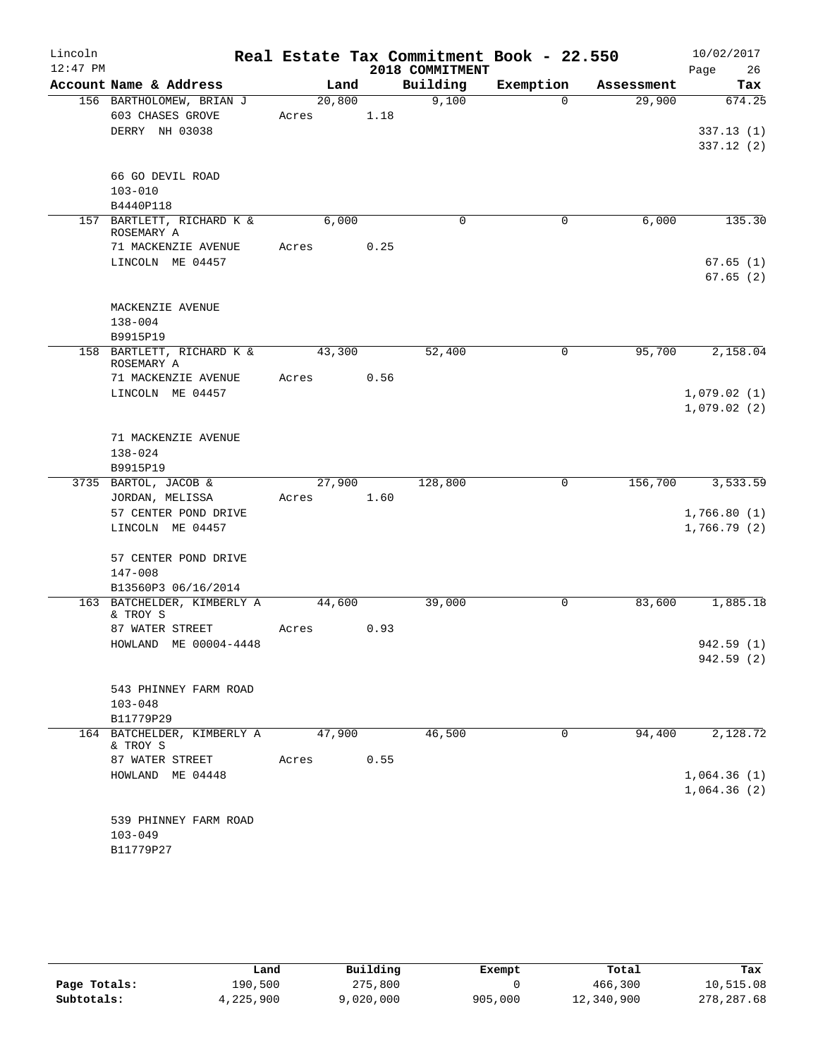| Lincoln    |                                                   |        |      |                 | Real Estate Tax Commitment Book - 22.550 |            | 10/02/2017  |
|------------|---------------------------------------------------|--------|------|-----------------|------------------------------------------|------------|-------------|
| $12:47$ PM |                                                   |        |      | 2018 COMMITMENT |                                          |            | Page<br>26  |
|            | Account Name & Address                            | Land   |      | Building        | Exemption                                | Assessment | Tax         |
|            | 156 BARTHOLOMEW, BRIAN J                          | 20,800 |      | 9,100           | $\Omega$                                 | 29,900     | 674.25      |
|            | 603 CHASES GROVE                                  | Acres  | 1.18 |                 |                                          |            |             |
|            | DERRY NH 03038                                    |        |      |                 |                                          |            | 337.13(1)   |
|            |                                                   |        |      |                 |                                          |            | 337.12(2)   |
|            | 66 GO DEVIL ROAD                                  |        |      |                 |                                          |            |             |
|            | $103 - 010$                                       |        |      |                 |                                          |            |             |
|            | B4440P118                                         |        |      |                 |                                          |            |             |
|            | 157 BARTLETT, RICHARD K &                         | 6,000  |      | $\mathbf 0$     | 0                                        | 6,000      | 135.30      |
|            | ROSEMARY A                                        |        |      |                 |                                          |            |             |
|            | 71 MACKENZIE AVENUE                               | Acres  | 0.25 |                 |                                          |            |             |
|            | LINCOLN ME 04457                                  |        |      |                 |                                          |            | 67.65(1)    |
|            |                                                   |        |      |                 |                                          |            | 67.65(2)    |
|            | MACKENZIE AVENUE                                  |        |      |                 |                                          |            |             |
|            | $138 - 004$                                       |        |      |                 |                                          |            |             |
|            | B9915P19                                          |        |      |                 |                                          |            |             |
|            | 158 BARTLETT, RICHARD K &                         | 43,300 |      | 52,400          | $\mathbf 0$                              | 95,700     | 2,158.04    |
|            | ROSEMARY A                                        |        |      |                 |                                          |            |             |
|            | 71 MACKENZIE AVENUE                               | Acres  | 0.56 |                 |                                          |            |             |
|            | LINCOLN ME 04457                                  |        |      |                 |                                          |            | 1,079.02(1) |
|            |                                                   |        |      |                 |                                          |            | 1,079.02(2) |
|            | 71 MACKENZIE AVENUE                               |        |      |                 |                                          |            |             |
|            | 138-024                                           |        |      |                 |                                          |            |             |
|            | B9915P19                                          |        |      |                 |                                          |            |             |
|            | 3735 BARTOL, JACOB &                              | 27,900 |      | 128,800         | $\mathbf 0$                              | 156,700    | 3,533.59    |
|            | JORDAN, MELISSA                                   | Acres  | 1.60 |                 |                                          |            |             |
|            | 57 CENTER POND DRIVE                              |        |      |                 |                                          |            | 1,766.80(1) |
|            | LINCOLN ME 04457                                  |        |      |                 |                                          |            | 1,766.79(2) |
|            |                                                   |        |      |                 |                                          |            |             |
|            | 57 CENTER POND DRIVE                              |        |      |                 |                                          |            |             |
|            | $147 - 008$                                       |        |      |                 |                                          |            |             |
|            | B13560P3 06/16/2014<br>163 BATCHELDER, KIMBERLY A | 44,600 |      | 39,000          | $\mathbf 0$                              | 83,600     | 1,885.18    |
|            | & TROY S                                          |        |      |                 |                                          |            |             |
|            | 87 WATER STREET                                   | Acres  | 0.93 |                 |                                          |            |             |
|            | HOWLAND ME 00004-4448                             |        |      |                 |                                          |            | 942.59 (1)  |
|            |                                                   |        |      |                 |                                          |            | 942.59(2)   |
|            |                                                   |        |      |                 |                                          |            |             |
|            | 543 PHINNEY FARM ROAD                             |        |      |                 |                                          |            |             |
|            | $103 - 048$                                       |        |      |                 |                                          |            |             |
|            | B11779P29<br>164 BATCHELDER, KIMBERLY A           | 47,900 |      | 46,500          | 0                                        | 94,400     | 2,128.72    |
|            | & TROY S                                          |        |      |                 |                                          |            |             |
|            | 87 WATER STREET                                   | Acres  | 0.55 |                 |                                          |            |             |
|            | HOWLAND ME 04448                                  |        |      |                 |                                          |            | 1,064.36(1) |
|            |                                                   |        |      |                 |                                          |            | 1,064.36(2) |
|            |                                                   |        |      |                 |                                          |            |             |
|            | 539 PHINNEY FARM ROAD                             |        |      |                 |                                          |            |             |
|            | $103 - 049$                                       |        |      |                 |                                          |            |             |
|            | B11779P27                                         |        |      |                 |                                          |            |             |

|              | Land      | Building  | Exempt  | Total      | Tax        |
|--------------|-----------|-----------|---------|------------|------------|
| Page Totals: | 190,500   | 275,800   |         | 466,300    | 10,515.08  |
| Subtotals:   | 4,225,900 | 9,020,000 | 905,000 | 12,340,900 | 278,287.68 |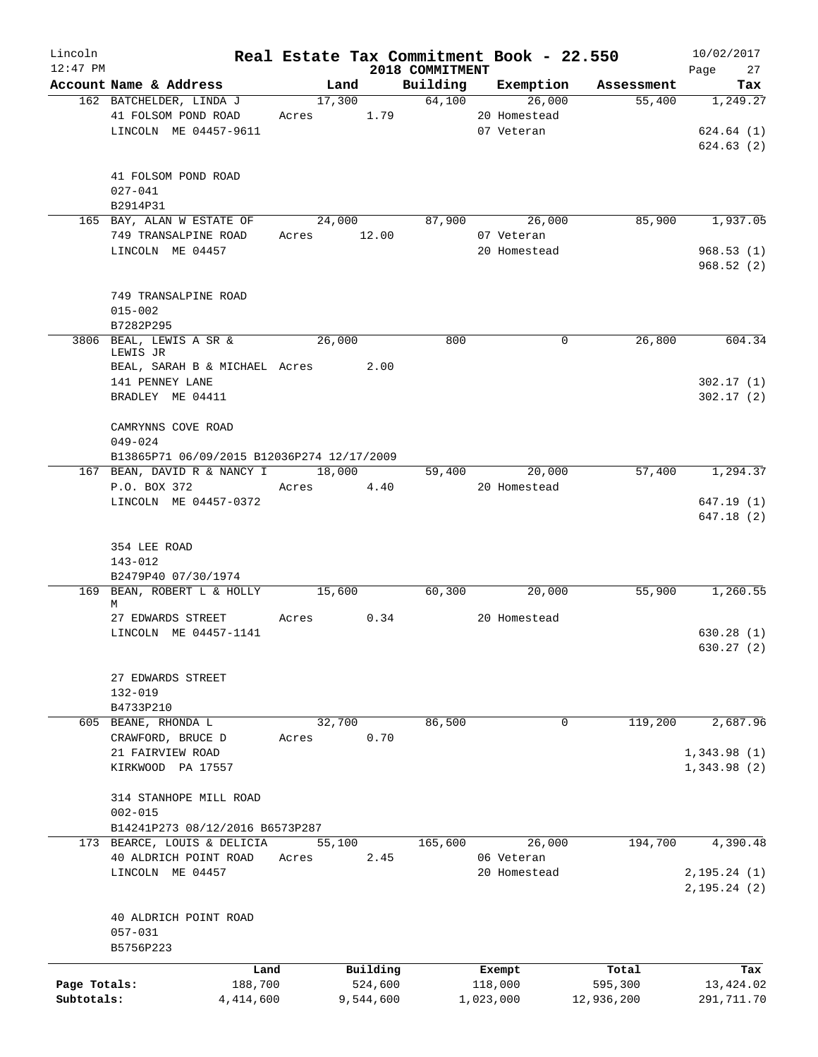| Lincoln<br>$12:47$ PM |                                            |       |             | 2018 COMMITMENT |               | Real Estate Tax Commitment Book - 22.550 | 10/02/2017<br>Page 27 |
|-----------------------|--------------------------------------------|-------|-------------|-----------------|---------------|------------------------------------------|-----------------------|
|                       | Account Name & Address                     |       | Land        |                 |               | Building Exemption Assessment            | Tax                   |
|                       | 162 BATCHELDER, LINDA J                    |       | 17,300      | 64,100          | 26,000        | $\overline{55,400}$                      | 1,249.27              |
|                       | 41 FOLSOM POND ROAD                        | Acres | 1.79        |                 | 20 Homestead  |                                          |                       |
|                       | LINCOLN ME 04457-9611                      |       |             |                 | 07 Veteran    |                                          | 624.64(1)             |
|                       |                                            |       |             |                 |               |                                          | 624.63(2)             |
|                       |                                            |       |             |                 |               |                                          |                       |
|                       | 41 FOLSOM POND ROAD                        |       |             |                 |               |                                          |                       |
|                       | $027 - 041$                                |       |             |                 |               |                                          |                       |
|                       | B2914P31                                   |       |             |                 |               |                                          |                       |
|                       | 165 BAY, ALAN W ESTATE OF                  |       | 24,000      | 87,900          | 26,000        | 85,900                                   | 1,937.05              |
|                       | 749 TRANSALPINE ROAD                       |       | Acres 12.00 |                 | 07 Veteran    |                                          |                       |
|                       | LINCOLN ME 04457                           |       |             |                 | 20 Homestead  |                                          | 968.53(1)             |
|                       |                                            |       |             |                 |               |                                          | 968.52(2)             |
|                       |                                            |       |             |                 |               |                                          |                       |
|                       | 749 TRANSALPINE ROAD                       |       |             |                 |               |                                          |                       |
|                       | $015 - 002$                                |       |             |                 |               |                                          |                       |
|                       | B7282P295                                  |       |             |                 |               |                                          |                       |
|                       | 3806 BEAL, LEWIS A SR &                    |       | 26,000      | 800             | 0             | 26,800                                   | 604.34                |
|                       | LEWIS JR                                   |       |             |                 |               |                                          |                       |
|                       | BEAL, SARAH B & MICHAEL Acres 2.00         |       |             |                 |               |                                          |                       |
|                       | 141 PENNEY LANE                            |       |             |                 |               |                                          | 302.17(1)             |
|                       | BRADLEY ME 04411                           |       |             |                 |               |                                          | 302.17(2)             |
|                       |                                            |       |             |                 |               |                                          |                       |
|                       | CAMRYNNS COVE ROAD                         |       |             |                 |               |                                          |                       |
|                       | $049 - 024$                                |       |             |                 |               |                                          |                       |
|                       | B13865P71 06/09/2015 B12036P274 12/17/2009 |       |             |                 |               |                                          |                       |
|                       | 167 BEAN, DAVID R & NANCY I 18,000         |       |             |                 | 59,400 20,000 |                                          | 57,400 1,294.37       |
|                       | P.O. BOX 372                               |       | Acres 4.40  |                 | 20 Homestead  |                                          |                       |
|                       | LINCOLN ME 04457-0372                      |       |             |                 |               |                                          | 647.19 (1)            |
|                       |                                            |       |             |                 |               |                                          | 647.18(2)             |
|                       |                                            |       |             |                 |               |                                          |                       |
|                       | 354 LEE ROAD                               |       |             |                 |               |                                          |                       |
|                       | 143-012                                    |       |             |                 |               |                                          |                       |
|                       | B2479P40 07/30/1974                        |       |             |                 |               |                                          |                       |
|                       | 169 BEAN, ROBERT L & HOLLY 15,600          |       |             | 60,300          | 20,000        | 55,900                                   | 1,260.55              |
|                       | М                                          |       |             |                 |               |                                          |                       |
|                       | 27 EDWARDS STREET                          |       | Acres 0.34  |                 | 20 Homestead  |                                          |                       |
|                       | LINCOLN ME 04457-1141                      |       |             |                 |               |                                          | 630.28(1)             |
|                       |                                            |       |             |                 |               |                                          | 630.27(2)             |
|                       |                                            |       |             |                 |               |                                          |                       |
|                       | 27 EDWARDS STREET                          |       |             |                 |               |                                          |                       |
|                       | $132 - 019$                                |       |             |                 |               |                                          |                       |
|                       | B4733P210                                  |       |             |                 |               |                                          |                       |
|                       | 605 BEANE, RHONDA L                        |       | 32,700      | 86,500          | 0             | 119,200                                  | 2,687.96              |
|                       | CRAWFORD, BRUCE D                          | Acres | 0.70        |                 |               |                                          |                       |
|                       | 21 FAIRVIEW ROAD                           |       |             |                 |               |                                          | 1,343.98(1)           |
|                       | KIRKWOOD PA 17557                          |       |             |                 |               |                                          | 1,343.98(2)           |
|                       |                                            |       |             |                 |               |                                          |                       |
|                       | 314 STANHOPE MILL ROAD                     |       |             |                 |               |                                          |                       |
|                       | $002 - 015$                                |       |             |                 |               |                                          |                       |
|                       | B14241P273 08/12/2016 B6573P287            |       |             |                 |               |                                          |                       |
|                       | 173 BEARCE, LOUIS & DELICIA                |       | 55,100      | 165,600         | 26,000        | 194,700                                  | 4,390.48              |
|                       | 40 ALDRICH POINT ROAD                      | Acres | 2.45        |                 | 06 Veteran    |                                          |                       |
|                       | LINCOLN ME 04457                           |       |             |                 | 20 Homestead  |                                          | 2, 195.24 (1)         |
|                       |                                            |       |             |                 |               |                                          | 2, 195.24 (2)         |
|                       |                                            |       |             |                 |               |                                          |                       |
|                       | 40 ALDRICH POINT ROAD                      |       |             |                 |               |                                          |                       |
|                       | $057 - 031$                                |       |             |                 |               |                                          |                       |
|                       | B5756P223                                  |       |             |                 |               |                                          |                       |
|                       | Land                                       |       | Building    |                 | Exempt        | Total                                    | Tax                   |
| Page Totals:          | 188,700                                    |       | 524,600     |                 | 118,000       | 595,300                                  | 13,424.02             |
| Subtotals:            | 4,414,600                                  |       | 9,544,600   |                 | 1,023,000     | 12,936,200                               | 291,711.70            |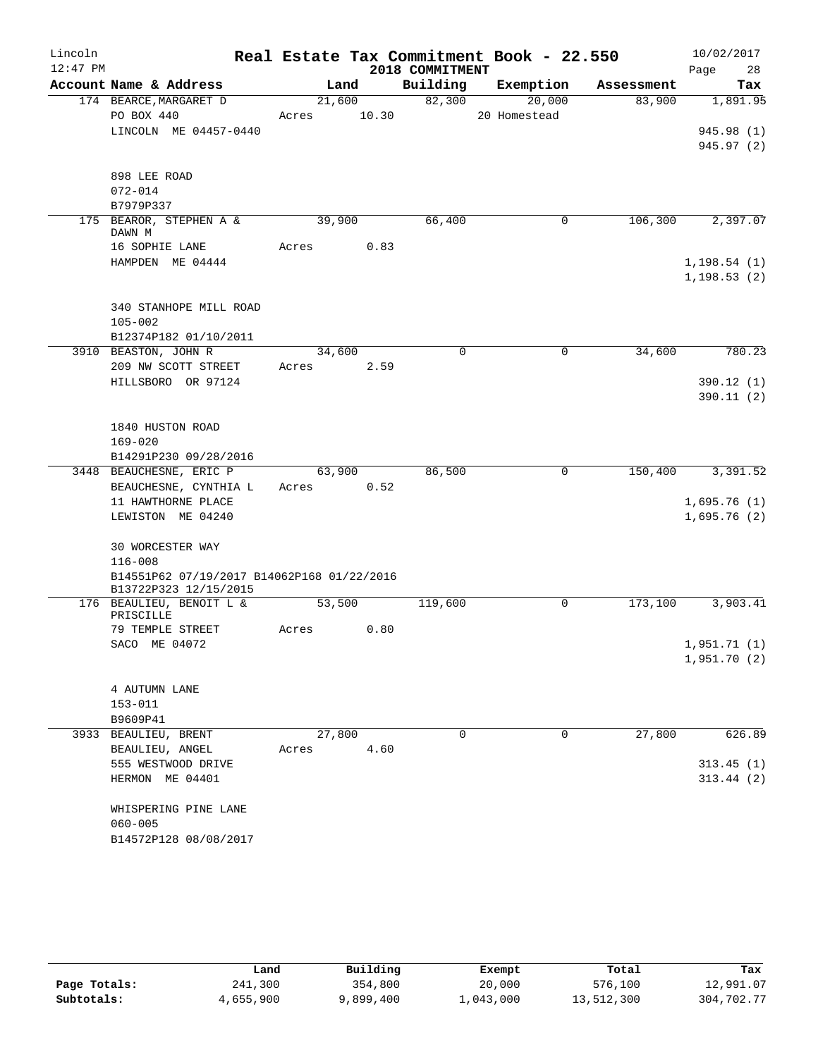| Lincoln    |                                             |       |        |       |                 | Real Estate Tax Commitment Book - 22.550 |            | 10/02/2017   |
|------------|---------------------------------------------|-------|--------|-------|-----------------|------------------------------------------|------------|--------------|
| $12:47$ PM |                                             |       |        |       | 2018 COMMITMENT |                                          |            | 28<br>Page   |
|            | Account Name & Address                      |       | Land   |       | Building        | Exemption                                | Assessment | Tax          |
|            | 174 BEARCE, MARGARET D                      |       | 21,600 |       | 82,300          | 20,000                                   | 83,900     | 1,891.95     |
|            | PO BOX 440                                  | Acres |        | 10.30 |                 | 20 Homestead                             |            |              |
|            | LINCOLN ME 04457-0440                       |       |        |       |                 |                                          |            | 945.98 (1)   |
|            |                                             |       |        |       |                 |                                          |            | 945.97 (2)   |
|            | 898 LEE ROAD                                |       |        |       |                 |                                          |            |              |
|            | $072 - 014$                                 |       |        |       |                 |                                          |            |              |
|            | B7979P337                                   |       |        |       |                 |                                          |            |              |
|            | 175 BEAROR, STEPHEN A &                     |       | 39,900 |       | 66,400          | 0                                        | 106,300    | 2,397.07     |
|            | DAWN M                                      |       |        |       |                 |                                          |            |              |
|            | 16 SOPHIE LANE                              | Acres |        | 0.83  |                 |                                          |            |              |
|            | HAMPDEN ME 04444                            |       |        |       |                 |                                          |            | 1, 198.54(1) |
|            |                                             |       |        |       |                 |                                          |            | 1, 198.53(2) |
|            | 340 STANHOPE MILL ROAD                      |       |        |       |                 |                                          |            |              |
|            | $105 - 002$                                 |       |        |       |                 |                                          |            |              |
|            | B12374P182 01/10/2011                       |       |        |       |                 |                                          |            |              |
|            | 3910 BEASTON, JOHN R                        |       | 34,600 |       | $\mathbf 0$     | 0                                        | 34,600     | 780.23       |
|            | 209 NW SCOTT STREET                         | Acres |        | 2.59  |                 |                                          |            |              |
|            | HILLSBORO OR 97124                          |       |        |       |                 |                                          |            | 390.12(1)    |
|            |                                             |       |        |       |                 |                                          |            | 390.11(2)    |
|            |                                             |       |        |       |                 |                                          |            |              |
|            | 1840 HUSTON ROAD                            |       |        |       |                 |                                          |            |              |
|            | $169 - 020$                                 |       |        |       |                 |                                          |            |              |
|            | B14291P230 09/28/2016                       |       |        |       |                 |                                          |            |              |
|            | 3448 BEAUCHESNE, ERIC P                     |       | 63,900 |       | 86,500          | $\mathbf 0$                              | 150,400    | 3,391.52     |
|            | BEAUCHESNE, CYNTHIA L<br>11 HAWTHORNE PLACE | Acres |        | 0.52  |                 |                                          |            | 1,695.76(1)  |
|            | LEWISTON ME 04240                           |       |        |       |                 |                                          |            | 1,695.76(2)  |
|            |                                             |       |        |       |                 |                                          |            |              |
|            | <b>30 WORCESTER WAY</b>                     |       |        |       |                 |                                          |            |              |
|            | $116 - 008$                                 |       |        |       |                 |                                          |            |              |
|            | B14551P62 07/19/2017 B14062P168 01/22/2016  |       |        |       |                 |                                          |            |              |
|            | B13722P323 12/15/2015                       |       |        |       |                 |                                          |            |              |
|            | 176 BEAULIEU, BENOIT L &<br>PRISCILLE       |       | 53,500 |       | 119,600         | 0                                        | 173,100    | 3,903.41     |
|            | 79 TEMPLE STREET                            | Acres |        | 0.80  |                 |                                          |            |              |
|            | SACO ME 04072                               |       |        |       |                 |                                          |            | 1,951.71(1)  |
|            |                                             |       |        |       |                 |                                          |            | 1,951.70 (2) |
|            |                                             |       |        |       |                 |                                          |            |              |
|            | 4 AUTUMN LANE                               |       |        |       |                 |                                          |            |              |
|            | $153 - 011$                                 |       |        |       |                 |                                          |            |              |
|            | B9609P41                                    |       |        |       |                 |                                          |            |              |
|            | 3933 BEAULIEU, BRENT                        |       | 27,800 |       | $\Omega$        | $\Omega$                                 | 27,800     | 626.89       |
|            | BEAULIEU, ANGEL                             | Acres |        | 4.60  |                 |                                          |            |              |
|            | 555 WESTWOOD DRIVE                          |       |        |       |                 |                                          |            | 313.45(1)    |
|            | HERMON ME 04401                             |       |        |       |                 |                                          |            | 313.44(2)    |
|            | WHISPERING PINE LANE                        |       |        |       |                 |                                          |            |              |
|            | $060 - 005$                                 |       |        |       |                 |                                          |            |              |
|            | B14572P128 08/08/2017                       |       |        |       |                 |                                          |            |              |
|            |                                             |       |        |       |                 |                                          |            |              |

|              | Land      | Building  | Exempt    | Total      | Tax        |
|--------------|-----------|-----------|-----------|------------|------------|
| Page Totals: | 241,300   | 354,800   | 20,000    | 576,100    | 12,991.07  |
| Subtotals:   | 4,655,900 | 9,899,400 | 1,043,000 | 13,512,300 | 304,702.77 |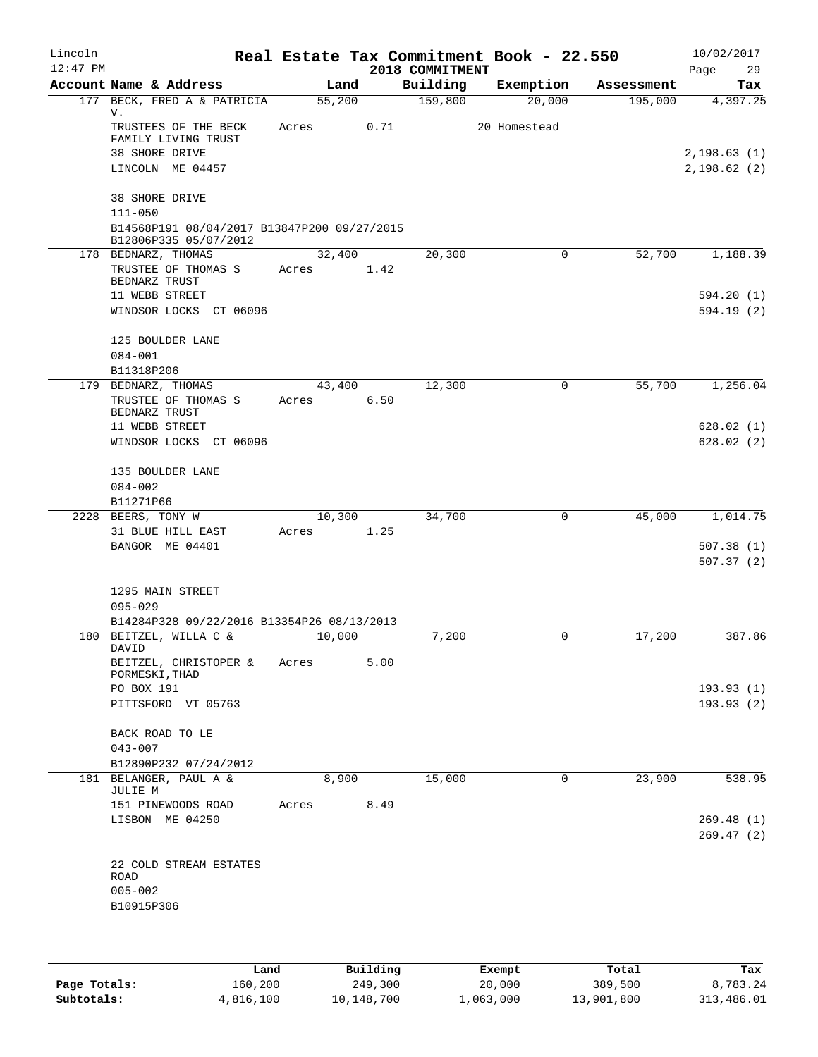| Lincoln<br>$12:47$ PM |                                                                      |        |      | 2018 COMMITMENT | Real Estate Tax Commitment Book - 22.550 |            | 10/02/2017<br>29<br>Page |
|-----------------------|----------------------------------------------------------------------|--------|------|-----------------|------------------------------------------|------------|--------------------------|
|                       | Account Name & Address                                               | Land   |      | Building        | Exemption                                | Assessment | Tax                      |
|                       | 177 BECK, FRED A & PATRICIA<br>V.                                    | 55,200 |      | 159,800         | 20,000                                   | 195,000    | 4,397.25                 |
|                       | TRUSTEES OF THE BECK<br>FAMILY LIVING TRUST                          | Acres  | 0.71 |                 | 20 Homestead                             |            |                          |
|                       | 38 SHORE DRIVE                                                       |        |      |                 |                                          |            | 2, 198.63(1)             |
|                       | LINCOLN ME 04457                                                     |        |      |                 |                                          |            | 2,198.62(2)              |
|                       | <b>38 SHORE DRIVE</b><br>$111 - 050$                                 |        |      |                 |                                          |            |                          |
|                       | B14568P191 08/04/2017 B13847P200 09/27/2015<br>B12806P335 05/07/2012 |        |      |                 |                                          |            |                          |
|                       | 178 BEDNARZ, THOMAS                                                  | 32,400 |      | 20,300          | 0                                        | 52,700     | 1,188.39                 |
|                       | TRUSTEE OF THOMAS S                                                  | Acres  | 1.42 |                 |                                          |            |                          |
|                       | BEDNARZ TRUST                                                        |        |      |                 |                                          |            |                          |
|                       | 11 WEBB STREET                                                       |        |      |                 |                                          |            | 594.20(1)                |
|                       | WINDSOR LOCKS CT 06096                                               |        |      |                 |                                          |            | 594.19(2)                |
|                       | 125 BOULDER LANE<br>$084 - 001$                                      |        |      |                 |                                          |            |                          |
|                       | B11318P206                                                           |        |      |                 |                                          |            |                          |
|                       | 179 BEDNARZ, THOMAS                                                  | 43,400 |      | 12,300          | 0                                        | 55,700     | 1,256.04                 |
|                       | TRUSTEE OF THOMAS S                                                  | Acres  | 6.50 |                 |                                          |            |                          |
|                       | BEDNARZ TRUST                                                        |        |      |                 |                                          |            |                          |
|                       | 11 WEBB STREET                                                       |        |      |                 |                                          |            | 628.02(1)                |
|                       | WINDSOR LOCKS CT 06096                                               |        |      |                 |                                          |            | 628.02(2)                |
|                       |                                                                      |        |      |                 |                                          |            |                          |
|                       | 135 BOULDER LANE                                                     |        |      |                 |                                          |            |                          |
|                       | $084 - 002$                                                          |        |      |                 |                                          |            |                          |
|                       | B11271P66                                                            |        |      |                 |                                          |            |                          |
|                       | 2228 BEERS, TONY W                                                   | 10,300 |      | 34,700          | 0                                        | 45,000     | 1,014.75                 |
|                       | 31 BLUE HILL EAST                                                    | Acres  | 1.25 |                 |                                          |            |                          |
|                       | BANGOR ME 04401                                                      |        |      |                 |                                          |            | 507.38(1)                |
|                       |                                                                      |        |      |                 |                                          |            | 507.37(2)                |
|                       | 1295 MAIN STREET                                                     |        |      |                 |                                          |            |                          |
|                       | $095 - 029$                                                          |        |      |                 |                                          |            |                          |
|                       | B14284P328 09/22/2016 B13354P26 08/13/2013                           |        |      |                 |                                          |            |                          |
|                       | 180 BEITZEL, WILLA C &                                               | 10,000 |      | 7,200           | 0                                        | 17,200     | 387.86                   |
|                       | DAVID<br>BEITZEL, CHRISTOPER &                                       | Acres  | 5.00 |                 |                                          |            |                          |
|                       | PORMESKI, THAD                                                       |        |      |                 |                                          |            |                          |
|                       | PO BOX 191                                                           |        |      |                 |                                          |            | 193.93(1)                |
|                       | PITTSFORD VT 05763                                                   |        |      |                 |                                          |            | 193.93(2)                |
|                       | BACK ROAD TO LE                                                      |        |      |                 |                                          |            |                          |
|                       | $043 - 007$                                                          |        |      |                 |                                          |            |                          |
|                       |                                                                      |        |      |                 |                                          |            |                          |
|                       | B12890P232 07/24/2012<br>181 BELANGER, PAUL A &                      | 8,900  |      | 15,000          | 0                                        | 23,900     | 538.95                   |
|                       | JULIE M                                                              |        |      |                 |                                          |            |                          |
|                       | 151 PINEWOODS ROAD                                                   | Acres  | 8.49 |                 |                                          |            |                          |
|                       | LISBON ME 04250                                                      |        |      |                 |                                          |            | 269.48(1)<br>269.47(2)   |
|                       |                                                                      |        |      |                 |                                          |            |                          |
|                       | 22 COLD STREAM ESTATES<br>ROAD                                       |        |      |                 |                                          |            |                          |
|                       | $005 - 002$                                                          |        |      |                 |                                          |            |                          |
|                       | B10915P306                                                           |        |      |                 |                                          |            |                          |
|                       |                                                                      |        |      |                 |                                          |            |                          |
|                       |                                                                      |        |      |                 |                                          |            |                          |
|                       |                                                                      |        |      |                 |                                          |            |                          |

|              | Land      | Building   | Exempt    | Total      | Tax        |
|--------------|-----------|------------|-----------|------------|------------|
| Page Totals: | 160,200   | 249,300    | 20,000    | 389,500    | 8,783.24   |
| Subtotals:   | 4,816,100 | 10,148,700 | 1,063,000 | 13,901,800 | 313,486.01 |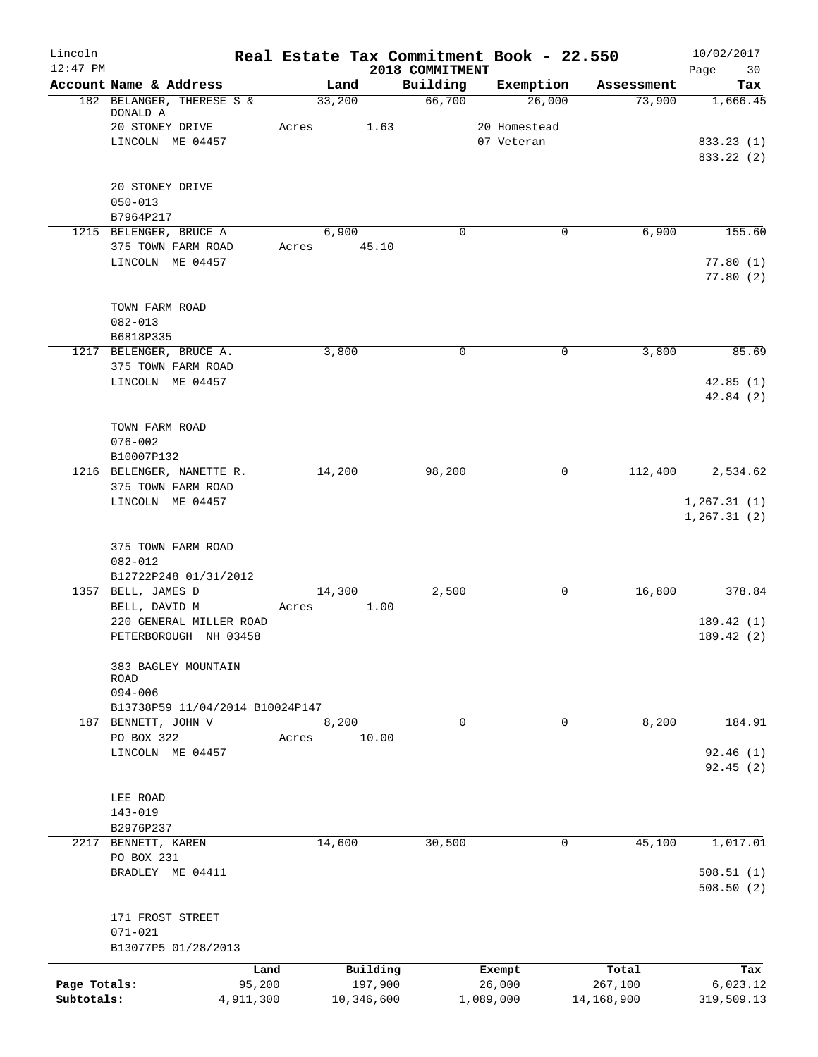| Lincoln<br>$12:47$ PM      |                                                |       | Real Estate Tax Commitment Book - 22.550 | 2018 COMMITMENT |                     |             |                       | 10/02/2017<br>Page<br>30 |
|----------------------------|------------------------------------------------|-------|------------------------------------------|-----------------|---------------------|-------------|-----------------------|--------------------------|
|                            | Account Name & Address                         |       | Land                                     | Building        | Exemption           |             | Assessment            | Tax                      |
|                            | 182 BELANGER, THERESE S &<br>DONALD A          |       | 33,200                                   | 66,700          |                     | 26,000      | 73,900                | 1,666.45                 |
|                            | 20 STONEY DRIVE                                | Acres | 1.63                                     |                 | 20 Homestead        |             |                       |                          |
|                            | LINCOLN ME 04457                               |       |                                          |                 | 07 Veteran          |             |                       | 833.23 (1)<br>833.22 (2) |
|                            | 20 STONEY DRIVE                                |       |                                          |                 |                     |             |                       |                          |
|                            | $050 - 013$                                    |       |                                          |                 |                     |             |                       |                          |
|                            | B7964P217                                      |       |                                          |                 |                     |             |                       |                          |
|                            | 1215 BELENGER, BRUCE A                         |       | 6,900                                    | $\Omega$        |                     | 0           | 6,900                 | 155.60                   |
|                            | 375 TOWN FARM ROAD<br>LINCOLN ME 04457         | Acres | 45.10                                    |                 |                     |             |                       | 77.80(1)                 |
|                            |                                                |       |                                          |                 |                     |             |                       | 77.80(2)                 |
|                            | TOWN FARM ROAD                                 |       |                                          |                 |                     |             |                       |                          |
|                            | $082 - 013$                                    |       |                                          |                 |                     |             |                       |                          |
|                            | B6818P335<br>1217 BELENGER, BRUCE A.           |       | 3,800                                    | $\mathbf 0$     |                     | 0           | 3,800                 | 85.69                    |
|                            | 375 TOWN FARM ROAD                             |       |                                          |                 |                     |             |                       |                          |
|                            | LINCOLN ME 04457                               |       |                                          |                 |                     |             |                       | 42.85(1)<br>42.84(2)     |
|                            | TOWN FARM ROAD                                 |       |                                          |                 |                     |             |                       |                          |
|                            | $076 - 002$                                    |       |                                          |                 |                     |             |                       |                          |
|                            | B10007P132                                     |       |                                          |                 |                     |             |                       |                          |
|                            | 1216 BELENGER, NANETTE R.                      |       | 14,200                                   | 98,200          |                     | $\mathbf 0$ | 112,400               | 2,534.62                 |
|                            | 375 TOWN FARM ROAD<br>LINCOLN ME 04457         |       |                                          |                 |                     |             |                       | 1, 267.31(1)             |
|                            |                                                |       |                                          |                 |                     |             |                       | 1, 267.31(2)             |
|                            | 375 TOWN FARM ROAD                             |       |                                          |                 |                     |             |                       |                          |
|                            | $082 - 012$<br>B12722P248 01/31/2012           |       |                                          |                 |                     |             |                       |                          |
|                            | 1357 BELL, JAMES D                             |       | 14,300                                   | 2,500           |                     | 0           | 16,800                | 378.84                   |
|                            | BELL, DAVID M                                  | Acres | 1.00                                     |                 |                     |             |                       |                          |
|                            | 220 GENERAL MILLER ROAD                        |       |                                          |                 |                     |             |                       | 189.42(1)                |
|                            | PETERBOROUGH NH 03458                          |       |                                          |                 |                     |             |                       | 189.42 (2)               |
|                            | 383 BAGLEY MOUNTAIN<br>ROAD                    |       |                                          |                 |                     |             |                       |                          |
|                            | $094 - 006$<br>B13738P59 11/04/2014 B10024P147 |       |                                          |                 |                     |             |                       |                          |
| 187                        | BENNETT, JOHN V                                |       | 8,200                                    | 0               |                     | 0           | 8,200                 | 184.91                   |
|                            | PO BOX 322                                     | Acres | 10.00                                    |                 |                     |             |                       |                          |
|                            | LINCOLN ME 04457                               |       |                                          |                 |                     |             |                       | 92.46(1)                 |
|                            |                                                |       |                                          |                 |                     |             |                       | 92.45(2)                 |
|                            |                                                |       |                                          |                 |                     |             |                       |                          |
|                            | LEE ROAD<br>$143 - 019$                        |       |                                          |                 |                     |             |                       |                          |
|                            | B2976P237                                      |       |                                          |                 |                     |             |                       |                          |
| 2217                       | BENNETT, KAREN                                 |       | 14,600                                   | 30,500          |                     | 0           | 45,100                | 1,017.01                 |
|                            | PO BOX 231                                     |       |                                          |                 |                     |             |                       |                          |
|                            | BRADLEY ME 04411                               |       |                                          |                 |                     |             |                       | 508.51(1)<br>508.50(2)   |
|                            | 171 FROST STREET                               |       |                                          |                 |                     |             |                       |                          |
|                            | $071 - 021$                                    |       |                                          |                 |                     |             |                       |                          |
|                            | B13077P5 01/28/2013                            |       |                                          |                 |                     |             |                       |                          |
|                            | Land                                           |       | Building                                 |                 | Exempt              |             | Total                 | Tax                      |
| Page Totals:<br>Subtotals: | 95,200<br>4,911,300                            |       | 197,900<br>10,346,600                    |                 | 26,000<br>1,089,000 |             | 267,100<br>14,168,900 | 6,023.12<br>319,509.13   |
|                            |                                                |       |                                          |                 |                     |             |                       |                          |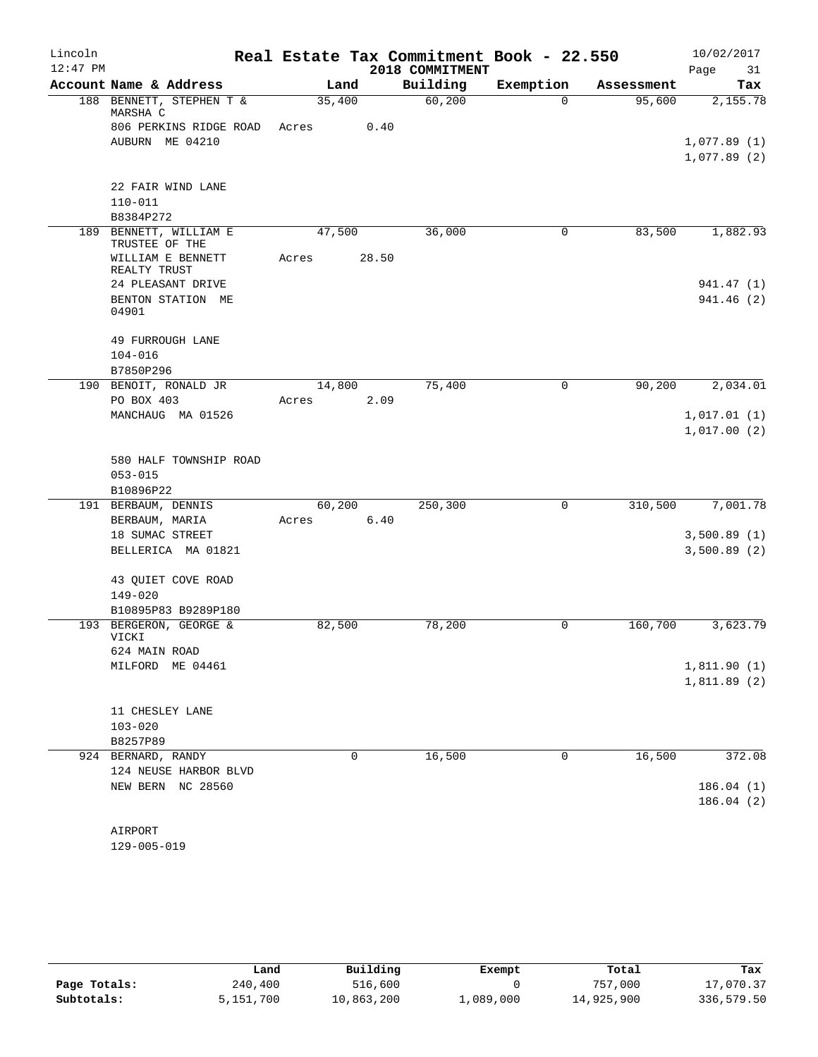| Lincoln    |                                       |        |       | Real Estate Tax Commitment Book - 22.550 |             |            | 10/02/2017  |            |
|------------|---------------------------------------|--------|-------|------------------------------------------|-------------|------------|-------------|------------|
| $12:47$ PM |                                       |        |       | 2018 COMMITMENT                          |             |            | Page        | 31         |
|            | Account Name & Address                | Land   |       | Building                                 | Exemption   | Assessment |             | Tax        |
|            | 188 BENNETT, STEPHEN T &<br>MARSHA C  | 35,400 |       | 60,200                                   | $\Omega$    | 95,600     |             | 2,155.78   |
|            | 806 PERKINS RIDGE ROAD                | Acres  | 0.40  |                                          |             |            |             |            |
|            | AUBURN ME 04210                       |        |       |                                          |             |            | 1,077.89(1) |            |
|            |                                       |        |       |                                          |             |            | 1,077.89(2) |            |
|            | 22 FAIR WIND LANE                     |        |       |                                          |             |            |             |            |
|            | $110 - 011$                           |        |       |                                          |             |            |             |            |
|            | B8384P272                             |        |       |                                          |             |            |             |            |
|            | 189 BENNETT, WILLIAM E                | 47,500 |       | 36,000                                   | 0           | 83,500     |             | 1,882.93   |
|            | TRUSTEE OF THE                        |        |       |                                          |             |            |             |            |
|            | WILLIAM E BENNETT                     | Acres  | 28.50 |                                          |             |            |             |            |
|            | REALTY TRUST                          |        |       |                                          |             |            |             |            |
|            | 24 PLEASANT DRIVE                     |        |       |                                          |             |            |             | 941.47 (1) |
|            | BENTON STATION ME<br>04901            |        |       |                                          |             |            |             | 941.46(2)  |
|            |                                       |        |       |                                          |             |            |             |            |
|            | <b>49 FURROUGH LANE</b>               |        |       |                                          |             |            |             |            |
|            | $104 - 016$                           |        |       |                                          |             |            |             |            |
|            | B7850P296                             |        |       |                                          |             |            |             |            |
|            | 190 BENOIT, RONALD JR                 | 14,800 |       | 75,400                                   | 0           | 90,200     |             | 2,034.01   |
|            | PO BOX 403                            | Acres  | 2.09  |                                          |             |            |             |            |
|            | MANCHAUG MA 01526                     |        |       |                                          |             |            | 1,017.01(1) |            |
|            |                                       |        |       |                                          |             |            | 1,017.00(2) |            |
|            |                                       |        |       |                                          |             |            |             |            |
|            | 580 HALF TOWNSHIP ROAD<br>$053 - 015$ |        |       |                                          |             |            |             |            |
|            | B10896P22                             |        |       |                                          |             |            |             |            |
|            | 191 BERBAUM, DENNIS                   | 60,200 |       | 250, 300                                 | $\mathbf 0$ | 310,500    |             | 7,001.78   |
|            | BERBAUM, MARIA                        | Acres  | 6.40  |                                          |             |            |             |            |
|            | 18 SUMAC STREET                       |        |       |                                          |             |            | 3,500.89(1) |            |
|            | BELLERICA MA 01821                    |        |       |                                          |             |            | 3,500.89(2) |            |
|            |                                       |        |       |                                          |             |            |             |            |
|            | 43 QUIET COVE ROAD                    |        |       |                                          |             |            |             |            |
|            | $149 - 020$                           |        |       |                                          |             |            |             |            |
|            | B10895P83 B9289P180                   |        |       |                                          |             |            |             |            |
|            | 193 BERGERON, GEORGE &<br>VICKI       | 82,500 |       | 78,200                                   | 0           | 160,700    |             | 3,623.79   |
|            | 624 MAIN ROAD                         |        |       |                                          |             |            |             |            |
|            | MILFORD ME 04461                      |        |       |                                          |             |            | 1,811.90(1) |            |
|            |                                       |        |       |                                          |             |            | 1,811.89(2) |            |
|            |                                       |        |       |                                          |             |            |             |            |
|            | 11 CHESLEY LANE                       |        |       |                                          |             |            |             |            |
|            | $103 - 020$                           |        |       |                                          |             |            |             |            |
|            | B8257P89                              |        |       |                                          |             |            |             |            |
|            | 924 BERNARD, RANDY                    |        | 0     | 16,500                                   | 0           | 16,500     |             | 372.08     |
|            | 124 NEUSE HARBOR BLVD                 |        |       |                                          |             |            |             |            |
|            | NEW BERN NC 28560                     |        |       |                                          |             |            |             | 186.04(1)  |
|            |                                       |        |       |                                          |             |            |             | 186.04(2)  |
|            |                                       |        |       |                                          |             |            |             |            |
|            | AIRPORT                               |        |       |                                          |             |            |             |            |

129-005-019

|              | Land      | Building   | Exempt    | Total      | Tax        |
|--------------|-----------|------------|-----------|------------|------------|
| Page Totals: | 240,400   | 516,600    |           | 757,000    | 17,070.37  |
| Subtotals:   | 5,151,700 | 10,863,200 | 1,089,000 | 14,925,900 | 336,579.50 |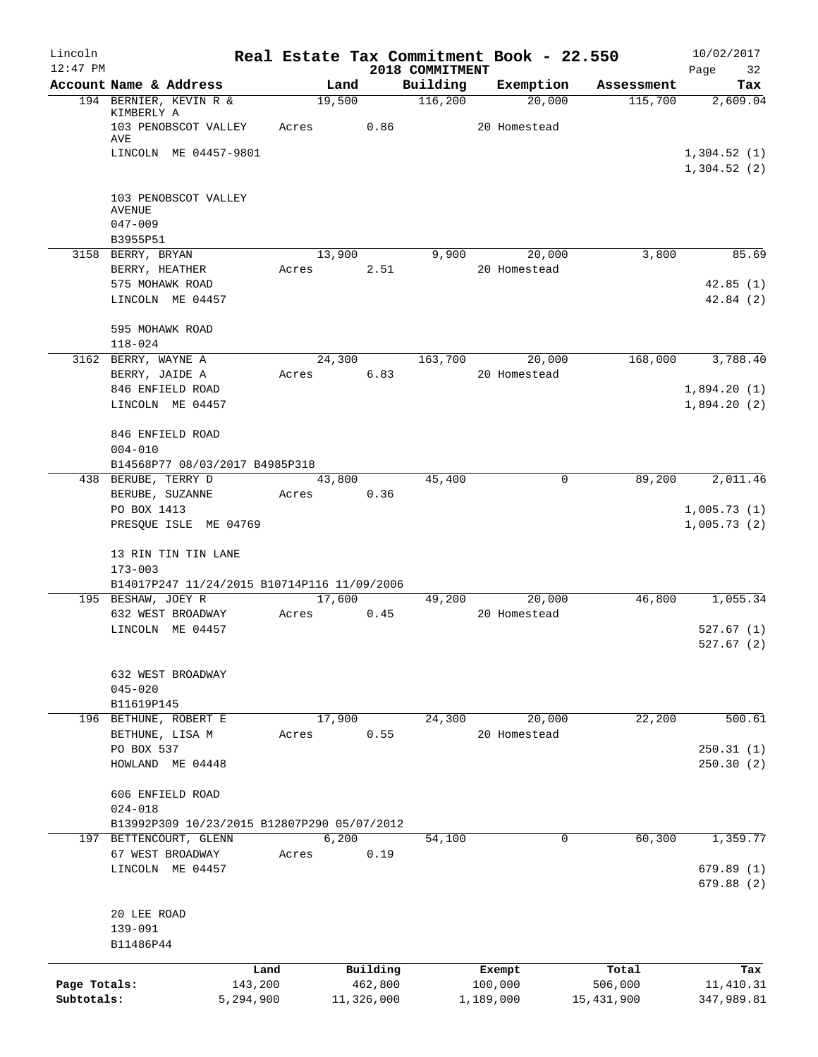| Lincoln      |                                                              |       |                     |                 | Real Estate Tax Commitment Book - 22.550 |                  | 10/02/2017                 |
|--------------|--------------------------------------------------------------|-------|---------------------|-----------------|------------------------------------------|------------------|----------------------------|
| $12:47$ PM   |                                                              |       |                     | 2018 COMMITMENT |                                          |                  | Page<br>32                 |
|              | Account Name & Address                                       |       | Land                | Building        | Exemption                                | Assessment       | Tax                        |
|              | 194 BERNIER, KEVIN R &<br>KIMBERLY A<br>103 PENOBSCOT VALLEY | Acres | 19,500<br>0.86      | 116,200         | 20,000<br>20 Homestead                   | 115,700          | 2,609.04                   |
|              | AVE<br>LINCOLN ME 04457-9801                                 |       |                     |                 |                                          |                  | 1,304.52(1)                |
|              |                                                              |       |                     |                 |                                          |                  | 1,304.52(2)                |
|              | 103 PENOBSCOT VALLEY<br><b>AVENUE</b><br>$047 - 009$         |       |                     |                 |                                          |                  |                            |
|              | B3955P51                                                     |       |                     |                 |                                          |                  |                            |
|              | 3158 BERRY, BRYAN                                            |       | 13,900              | 9,900           | 20,000                                   | 3,800            | 85.69                      |
|              | BERRY, HEATHER                                               | Acres | 2.51                |                 | 20 Homestead                             |                  |                            |
|              | 575 MOHAWK ROAD                                              |       |                     |                 |                                          |                  | 42.85(1)                   |
|              | LINCOLN ME 04457                                             |       |                     |                 |                                          |                  | 42.84(2)                   |
|              | 595 MOHAWK ROAD<br>$118 - 024$                               |       |                     |                 |                                          |                  |                            |
|              | 3162 BERRY, WAYNE A                                          |       | 24,300              | 163,700         | 20,000                                   | 168,000          | 3,788.40                   |
|              | BERRY, JAIDE A                                               | Acres | 6.83                |                 | 20 Homestead                             |                  |                            |
|              | 846 ENFIELD ROAD                                             |       |                     |                 |                                          |                  | 1,894.20(1)                |
|              | LINCOLN ME 04457                                             |       |                     |                 |                                          |                  | 1,894.20(2)                |
|              | 846 ENFIELD ROAD<br>$004 - 010$                              |       |                     |                 |                                          |                  |                            |
|              | B14568P77 08/03/2017 B4985P318                               |       |                     |                 |                                          |                  |                            |
|              | 438 BERUBE, TERRY D                                          |       | 43,800              | 45,400          |                                          | 89,200<br>0      | 2,011.46                   |
|              | BERUBE, SUZANNE                                              | Acres | 0.36                |                 |                                          |                  |                            |
|              | PO BOX 1413<br>PRESQUE ISLE ME 04769                         |       |                     |                 |                                          |                  | 1,005.73(1)<br>1,005.73(2) |
|              | 13 RIN TIN TIN LANE<br>$173 - 003$                           |       |                     |                 |                                          |                  |                            |
|              | B14017P247 11/24/2015 B10714P116 11/09/2006                  |       |                     |                 |                                          |                  |                            |
|              | 195 BESHAW, JOEY R                                           |       | 17,600              | 49,200          | 20,000                                   | 46,800           | 1,055.34                   |
|              | 632 WEST BROADWAY                                            | Acres | 0.45                |                 | 20 Homestead                             |                  |                            |
|              | LINCOLN ME 04457                                             |       |                     |                 |                                          |                  | 527.67(1)<br>527.67 (2)    |
|              | 632 WEST BROADWAY                                            |       |                     |                 |                                          |                  |                            |
|              | $045 - 020$                                                  |       |                     |                 |                                          |                  |                            |
|              | B11619P145                                                   |       |                     |                 |                                          |                  |                            |
|              | 196 BETHUNE, ROBERT E<br>BETHUNE, LISA M                     | Acres | 17,900<br>0.55      | 24,300          | 20,000<br>20 Homestead                   | 22,200           | 500.61                     |
|              | PO BOX 537                                                   |       |                     |                 |                                          |                  | 250.31(1)                  |
|              | HOWLAND ME 04448                                             |       |                     |                 |                                          |                  | 250.30(2)                  |
|              | 606 ENFIELD ROAD                                             |       |                     |                 |                                          |                  |                            |
|              | $024 - 018$                                                  |       |                     |                 |                                          |                  |                            |
|              | B13992P309 10/23/2015 B12807P290 05/07/2012                  |       |                     |                 |                                          |                  |                            |
|              | 197 BETTENCOURT, GLENN                                       |       | 6,200               | 54,100          |                                          | 60, 300<br>0     | 1,359.77                   |
|              | 67 WEST BROADWAY                                             | Acres | 0.19                |                 |                                          |                  |                            |
|              | LINCOLN ME 04457                                             |       |                     |                 |                                          |                  | 679.89(1)<br>679.88(2)     |
|              | 20 LEE ROAD                                                  |       |                     |                 |                                          |                  |                            |
|              | 139-091                                                      |       |                     |                 |                                          |                  |                            |
|              | B11486P44                                                    |       |                     |                 |                                          |                  |                            |
| Page Totals: | 143,200                                                      | Land  | Building<br>462,800 |                 | Exempt<br>100,000                        | Total<br>506,000 | Tax<br>11, 410.31          |
| Subtotals:   | 5,294,900                                                    |       | 11,326,000          |                 | 1,189,000                                | 15,431,900       | 347,989.81                 |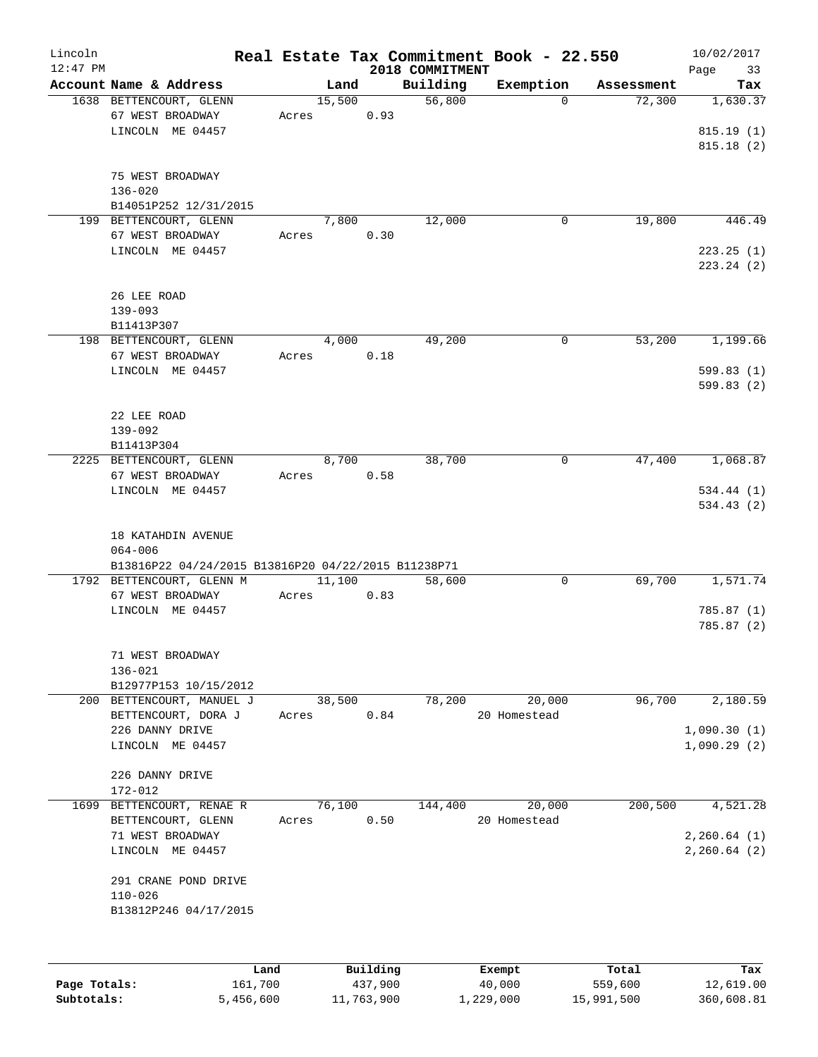| Lincoln<br>$12:47$ PM |                                                     |                 |                     | 2018 COMMITMENT | Real Estate Tax Commitment Book - 22.550 |                  | 10/02/2017        |
|-----------------------|-----------------------------------------------------|-----------------|---------------------|-----------------|------------------------------------------|------------------|-------------------|
|                       | Account Name & Address                              | Land            |                     | Building        | Exemption                                | Assessment       | Page<br>33<br>Tax |
|                       | 1638 BETTENCOURT, GLENN                             | 15,500          |                     | 56,800          | $\Omega$                                 | 72,300           | 1,630.37          |
|                       | 67 WEST BROADWAY                                    | Acres           | 0.93                |                 |                                          |                  |                   |
|                       | LINCOLN ME 04457                                    |                 |                     |                 |                                          |                  | 815.19(1)         |
|                       |                                                     |                 |                     |                 |                                          |                  | 815.18(2)         |
|                       |                                                     |                 |                     |                 |                                          |                  |                   |
|                       | 75 WEST BROADWAY                                    |                 |                     |                 |                                          |                  |                   |
|                       | $136 - 020$                                         |                 |                     |                 |                                          |                  |                   |
|                       | B14051P252 12/31/2015                               |                 |                     |                 |                                          |                  |                   |
|                       | 199 BETTENCOURT, GLENN                              | 7,800           |                     | 12,000          | $\mathbf 0$                              | 19,800           | 446.49            |
|                       | 67 WEST BROADWAY                                    | Acres           | 0.30                |                 |                                          |                  |                   |
|                       | LINCOLN ME 04457                                    |                 |                     |                 |                                          |                  | 223.25(1)         |
|                       |                                                     |                 |                     |                 |                                          |                  | 223.24(2)         |
|                       |                                                     |                 |                     |                 |                                          |                  |                   |
|                       | 26 LEE ROAD                                         |                 |                     |                 |                                          |                  |                   |
|                       | $139 - 093$                                         |                 |                     |                 |                                          |                  |                   |
|                       | B11413P307<br>198 BETTENCOURT, GLENN                | 4,000           |                     | 49,200          | 0                                        | 53,200           | 1,199.66          |
|                       | 67 WEST BROADWAY                                    | Acres           | 0.18                |                 |                                          |                  |                   |
|                       | LINCOLN ME 04457                                    |                 |                     |                 |                                          |                  | 599.83(1)         |
|                       |                                                     |                 |                     |                 |                                          |                  | 599.83(2)         |
|                       |                                                     |                 |                     |                 |                                          |                  |                   |
|                       | 22 LEE ROAD                                         |                 |                     |                 |                                          |                  |                   |
|                       | $139 - 092$                                         |                 |                     |                 |                                          |                  |                   |
|                       | B11413P304                                          |                 |                     |                 |                                          |                  |                   |
|                       | 2225 BETTENCOURT, GLENN                             | 8,700           |                     | 38,700          | 0                                        | 47,400           | 1,068.87          |
|                       | 67 WEST BROADWAY                                    | Acres           | 0.58                |                 |                                          |                  |                   |
|                       | LINCOLN ME 04457                                    |                 |                     |                 |                                          |                  | 534.44 (1)        |
|                       |                                                     |                 |                     |                 |                                          |                  | 534.43 (2)        |
|                       |                                                     |                 |                     |                 |                                          |                  |                   |
|                       | 18 KATAHDIN AVENUE                                  |                 |                     |                 |                                          |                  |                   |
|                       | $064 - 006$                                         |                 |                     |                 |                                          |                  |                   |
|                       | B13816P22 04/24/2015 B13816P20 04/22/2015 B11238P71 |                 |                     |                 |                                          |                  |                   |
|                       | 1792 BETTENCOURT, GLENN M                           | 11,100          |                     | 58,600          | 0                                        | 69,700           | 1,571.74          |
|                       | 67 WEST BROADWAY                                    | Acres           | 0.83                |                 |                                          |                  | 785.87(1)         |
|                       | LINCOLN ME 04457                                    |                 |                     |                 |                                          |                  | 785.87(2)         |
|                       |                                                     |                 |                     |                 |                                          |                  |                   |
|                       | 71 WEST BROADWAY                                    |                 |                     |                 |                                          |                  |                   |
|                       | $136 - 021$                                         |                 |                     |                 |                                          |                  |                   |
|                       | B12977P153 10/15/2012                               |                 |                     |                 |                                          |                  |                   |
|                       | 200 BETTENCOURT, MANUEL J                           | 38,500          |                     | 78,200          | 20,000                                   | 96,700           | 2,180.59          |
|                       | BETTENCOURT, DORA J                                 | Acres           | 0.84                |                 | 20 Homestead                             |                  |                   |
|                       | 226 DANNY DRIVE                                     |                 |                     |                 |                                          |                  | 1,090.30(1)       |
|                       | LINCOLN ME 04457                                    |                 |                     |                 |                                          |                  | 1,090.29(2)       |
|                       |                                                     |                 |                     |                 |                                          |                  |                   |
|                       | 226 DANNY DRIVE                                     |                 |                     |                 |                                          |                  |                   |
|                       | 172-012                                             |                 |                     |                 |                                          |                  |                   |
| 1699                  | BETTENCOURT, RENAE R<br>BETTENCOURT, GLENN          | 76,100<br>Acres | 0.50                | 144,400         | 20,000<br>20 Homestead                   | 200, 500         | 4,521.28          |
|                       | 71 WEST BROADWAY                                    |                 |                     |                 |                                          |                  | 2, 260.64 (1)     |
|                       | LINCOLN ME 04457                                    |                 |                     |                 |                                          |                  | 2, 260.64 (2)     |
|                       |                                                     |                 |                     |                 |                                          |                  |                   |
|                       | 291 CRANE POND DRIVE                                |                 |                     |                 |                                          |                  |                   |
|                       | $110 - 026$                                         |                 |                     |                 |                                          |                  |                   |
|                       | B13812P246 04/17/2015                               |                 |                     |                 |                                          |                  |                   |
|                       |                                                     |                 |                     |                 |                                          |                  |                   |
|                       |                                                     |                 |                     |                 |                                          |                  |                   |
|                       |                                                     |                 |                     |                 |                                          |                  |                   |
| Page Totals:          | Land<br>161,700                                     |                 | Building<br>437,900 |                 | Exempt<br>40,000                         | Total<br>559,600 | Tax<br>12,619.00  |
|                       |                                                     |                 |                     |                 |                                          |                  |                   |

**Subtotals:** 5,456,600 11,763,900 1,229,000 15,991,500 360,608.81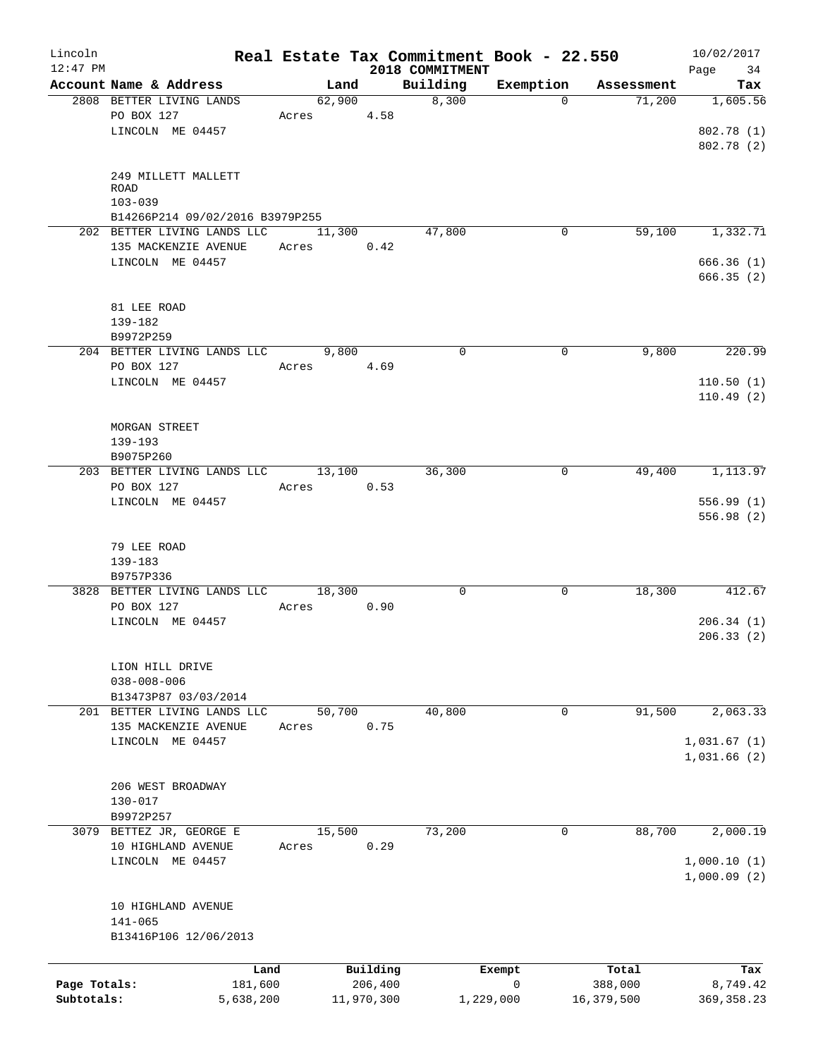| Lincoln<br>$12:47$ PM |                                    |        |            | 2018 COMMITMENT | Real Estate Tax Commitment Book - 22.550 |            | 10/02/2017<br>Page<br>34 |
|-----------------------|------------------------------------|--------|------------|-----------------|------------------------------------------|------------|--------------------------|
|                       | Account Name & Address             | Land   |            | Building        | Exemption                                | Assessment | Tax                      |
|                       | 2808 BETTER LIVING LANDS           | 62,900 |            | 8,300           | $\Omega$                                 | 71,200     | 1,605.56                 |
|                       | PO BOX 127                         | Acres  | 4.58       |                 |                                          |            |                          |
|                       | LINCOLN ME 04457                   |        |            |                 |                                          |            | 802.78 (1)               |
|                       |                                    |        |            |                 |                                          |            | 802.78 (2)               |
|                       |                                    |        |            |                 |                                          |            |                          |
|                       | 249 MILLETT MALLETT<br><b>ROAD</b> |        |            |                 |                                          |            |                          |
|                       | $103 - 039$                        |        |            |                 |                                          |            |                          |
|                       | B14266P214 09/02/2016 B3979P255    |        |            |                 |                                          |            |                          |
|                       | 202 BETTER LIVING LANDS LLC        | 11,300 |            | 47,800          | 0                                        | 59,100     | 1,332.71                 |
|                       | 135 MACKENZIE AVENUE               | Acres  | 0.42       |                 |                                          |            |                          |
|                       | LINCOLN ME 04457                   |        |            |                 |                                          |            | 666.36(1)                |
|                       |                                    |        |            |                 |                                          |            | 666.35(2)                |
|                       |                                    |        |            |                 |                                          |            |                          |
|                       | 81 LEE ROAD<br>139-182             |        |            |                 |                                          |            |                          |
|                       | B9972P259                          |        |            |                 |                                          |            |                          |
|                       | 204 BETTER LIVING LANDS LLC        | 9,800  |            | 0               | 0                                        | 9,800      | 220.99                   |
|                       | PO BOX 127                         | Acres  | 4.69       |                 |                                          |            |                          |
|                       | LINCOLN ME 04457                   |        |            |                 |                                          |            | 110.50(1)                |
|                       |                                    |        |            |                 |                                          |            | 110.49(2)                |
|                       |                                    |        |            |                 |                                          |            |                          |
|                       | MORGAN STREET                      |        |            |                 |                                          |            |                          |
|                       | $139 - 193$                        |        |            |                 |                                          |            |                          |
|                       | B9075P260                          |        |            |                 |                                          |            |                          |
|                       | 203 BETTER LIVING LANDS LLC        | 13,100 |            | 36,300          | 0                                        | 49,400     | 1,113.97                 |
|                       | PO BOX 127                         | Acres  | 0.53       |                 |                                          |            |                          |
|                       | LINCOLN ME 04457                   |        |            |                 |                                          |            | 556.99(1)                |
|                       |                                    |        |            |                 |                                          |            | 556.98(2)                |
|                       |                                    |        |            |                 |                                          |            |                          |
|                       | 79 LEE ROAD                        |        |            |                 |                                          |            |                          |
|                       | 139-183                            |        |            |                 |                                          |            |                          |
|                       | B9757P336                          |        |            |                 |                                          |            |                          |
|                       | 3828 BETTER LIVING LANDS LLC       | 18,300 |            | $\mathsf{O}$    | 0                                        | 18,300     | 412.67                   |
|                       | PO BOX 127                         | Acres  | 0.90       |                 |                                          |            |                          |
|                       | LINCOLN ME 04457                   |        |            |                 |                                          |            | 206.34(1)<br>206.33(2)   |
|                       |                                    |        |            |                 |                                          |            |                          |
|                       | LION HILL DRIVE                    |        |            |                 |                                          |            |                          |
|                       | $038 - 008 - 006$                  |        |            |                 |                                          |            |                          |
|                       | B13473P87 03/03/2014               |        |            |                 |                                          |            |                          |
|                       | 201 BETTER LIVING LANDS LLC        | 50,700 |            | 40,800          | $\mathbf 0$                              | 91,500     | 2,063.33                 |
|                       | 135 MACKENZIE AVENUE               | Acres  | 0.75       |                 |                                          |            |                          |
|                       | LINCOLN ME 04457                   |        |            |                 |                                          |            | 1,031.67(1)              |
|                       |                                    |        |            |                 |                                          |            | 1,031.66(2)              |
|                       |                                    |        |            |                 |                                          |            |                          |
|                       | 206 WEST BROADWAY                  |        |            |                 |                                          |            |                          |
|                       | $130 - 017$                        |        |            |                 |                                          |            |                          |
|                       | B9972P257                          |        |            |                 |                                          |            |                          |
|                       | 3079 BETTEZ JR, GEORGE E           | 15,500 |            | 73,200          | $\mathbf 0$                              | 88,700     | 2,000.19                 |
|                       | 10 HIGHLAND AVENUE                 | Acres  | 0.29       |                 |                                          |            |                          |
|                       | LINCOLN ME 04457                   |        |            |                 |                                          |            | 1,000.10(1)              |
|                       |                                    |        |            |                 |                                          |            | 1,000.09(2)              |
|                       |                                    |        |            |                 |                                          |            |                          |
|                       | 10 HIGHLAND AVENUE<br>$141 - 065$  |        |            |                 |                                          |            |                          |
|                       | B13416P106 12/06/2013              |        |            |                 |                                          |            |                          |
|                       |                                    |        |            |                 |                                          |            |                          |
|                       | Land                               |        | Building   |                 | Exempt                                   | Total      | Tax                      |
| Page Totals:          | 181,600                            |        | 206,400    |                 | $\mathbf 0$                              | 388,000    | 8,749.42                 |
| Subtotals:            | 5,638,200                          |        | 11,970,300 |                 | 1,229,000                                | 16,379,500 | 369, 358.23              |
|                       |                                    |        |            |                 |                                          |            |                          |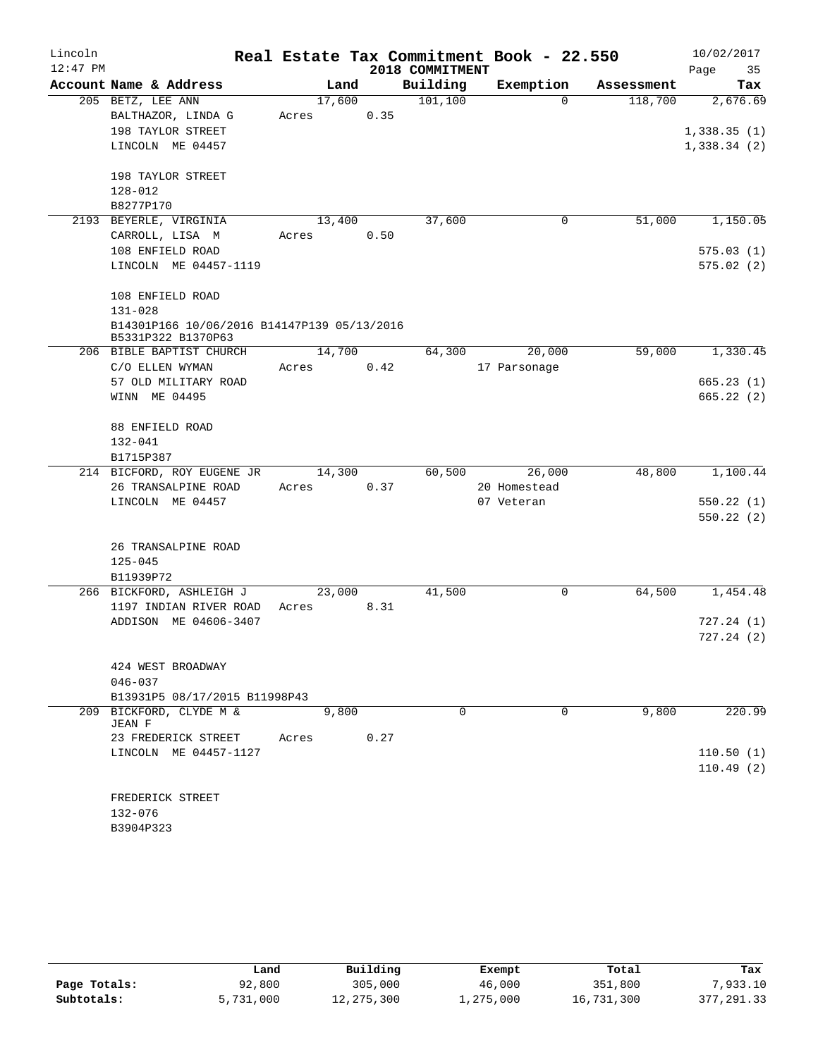| Lincoln    |                                                                   |        |       |                 | Real Estate Tax Commitment Book - 22.550 |            | 10/02/2017  |
|------------|-------------------------------------------------------------------|--------|-------|-----------------|------------------------------------------|------------|-------------|
| $12:47$ PM |                                                                   |        |       | 2018 COMMITMENT |                                          |            | Page<br>35  |
|            | Account Name & Address                                            |        | Land  | Building        | Exemption                                | Assessment | Tax         |
|            | 205 BETZ, LEE ANN                                                 | 17,600 |       | 101, 100        | $\Omega$                                 | 118,700    | 2,676.69    |
|            | BALTHAZOR, LINDA G                                                | Acres  | 0.35  |                 |                                          |            |             |
|            | 198 TAYLOR STREET                                                 |        |       |                 |                                          |            | 1,338.35(1) |
|            | LINCOLN ME 04457                                                  |        |       |                 |                                          |            | 1,338.34(2) |
|            | 198 TAYLOR STREET                                                 |        |       |                 |                                          |            |             |
|            | 128-012                                                           |        |       |                 |                                          |            |             |
|            | B8277P170                                                         |        |       |                 |                                          |            |             |
|            | 2193 BEYERLE, VIRGINIA                                            | 13,400 |       | 37,600          | 0                                        | 51,000     | 1,150.05    |
|            | CARROLL, LISA M                                                   | Acres  | 0.50  |                 |                                          |            |             |
|            | 108 ENFIELD ROAD                                                  |        |       |                 |                                          |            | 575.03(1)   |
|            | LINCOLN ME 04457-1119                                             |        |       |                 |                                          |            | 575.02(2)   |
|            | 108 ENFIELD ROAD                                                  |        |       |                 |                                          |            |             |
|            | $131 - 028$                                                       |        |       |                 |                                          |            |             |
|            | B14301P166 10/06/2016 B14147P139 05/13/2016<br>B5331P322 B1370P63 |        |       |                 |                                          |            |             |
|            | 206 BIBLE BAPTIST CHURCH                                          | 14,700 |       | 64,300          | 20,000                                   | 59,000     | 1,330.45    |
|            | C/O ELLEN WYMAN                                                   | Acres  | 0.42  |                 | 17 Parsonage                             |            |             |
|            | 57 OLD MILITARY ROAD                                              |        |       |                 |                                          |            | 665.23(1)   |
|            | WINN ME 04495                                                     |        |       |                 |                                          |            | 665.22 (2)  |
|            |                                                                   |        |       |                 |                                          |            |             |
|            | 88 ENFIELD ROAD                                                   |        |       |                 |                                          |            |             |
|            | $132 - 041$                                                       |        |       |                 |                                          |            |             |
|            | B1715P387                                                         |        |       |                 |                                          |            |             |
|            | 214 BICFORD, ROY EUGENE JR                                        | 14,300 |       | 60,500          | 26,000                                   | 48,800     | 1,100.44    |
|            | 26 TRANSALPINE ROAD                                               | Acres  | 0.37  |                 | 20 Homestead                             |            |             |
|            | LINCOLN ME 04457                                                  |        |       |                 | 07 Veteran                               |            | 550.22(1)   |
|            |                                                                   |        |       |                 |                                          |            | 550.22(2)   |
|            | 26 TRANSALPINE ROAD                                               |        |       |                 |                                          |            |             |
|            | $125 - 045$                                                       |        |       |                 |                                          |            |             |
|            | B11939P72                                                         |        |       |                 |                                          |            |             |
|            | 266 BICKFORD, ASHLEIGH J                                          | 23,000 |       | 41,500          | $\mathsf{O}$                             | 64,500     | 1,454.48    |
|            | 1197 INDIAN RIVER ROAD                                            |        |       |                 |                                          |            |             |
|            | ADDISON ME 04606-3407                                             | Acres  | 8.31  |                 |                                          |            |             |
|            |                                                                   |        |       |                 |                                          |            | 727.24(1)   |
|            |                                                                   |        |       |                 |                                          |            | 727.24(2)   |
|            | 424 WEST BROADWAY                                                 |        |       |                 |                                          |            |             |
|            | $046 - 037$                                                       |        |       |                 |                                          |            |             |
|            | B13931P5 08/17/2015 B11998P43                                     |        |       |                 |                                          |            |             |
|            | 209 BICKFORD, CLYDE M &                                           |        | 9,800 | $\Omega$        | $\Omega$                                 | 9,800      | 220.99      |
|            | <b>JEAN F</b><br>23 FREDERICK STREET                              | Acres  | 0.27  |                 |                                          |            |             |
|            | LINCOLN ME 04457-1127                                             |        |       |                 |                                          |            | 110.50(1)   |
|            |                                                                   |        |       |                 |                                          |            | 110.49(2)   |
|            |                                                                   |        |       |                 |                                          |            |             |
|            |                                                                   |        |       |                 |                                          |            |             |
|            | FREDERICK STREET                                                  |        |       |                 |                                          |            |             |
|            | 132-076                                                           |        |       |                 |                                          |            |             |
|            | B3904P323                                                         |        |       |                 |                                          |            |             |

|              | Land      | Building     | Exempt    | Total      | Tax         |
|--------------|-----------|--------------|-----------|------------|-------------|
| Page Totals: | 92,800    | 305,000      | 46,000    | 351,800    | 7,933.10    |
| Subtotals:   | 5,731,000 | 12, 275, 300 | ⊥,275,000 | 16,731,300 | 377, 291.33 |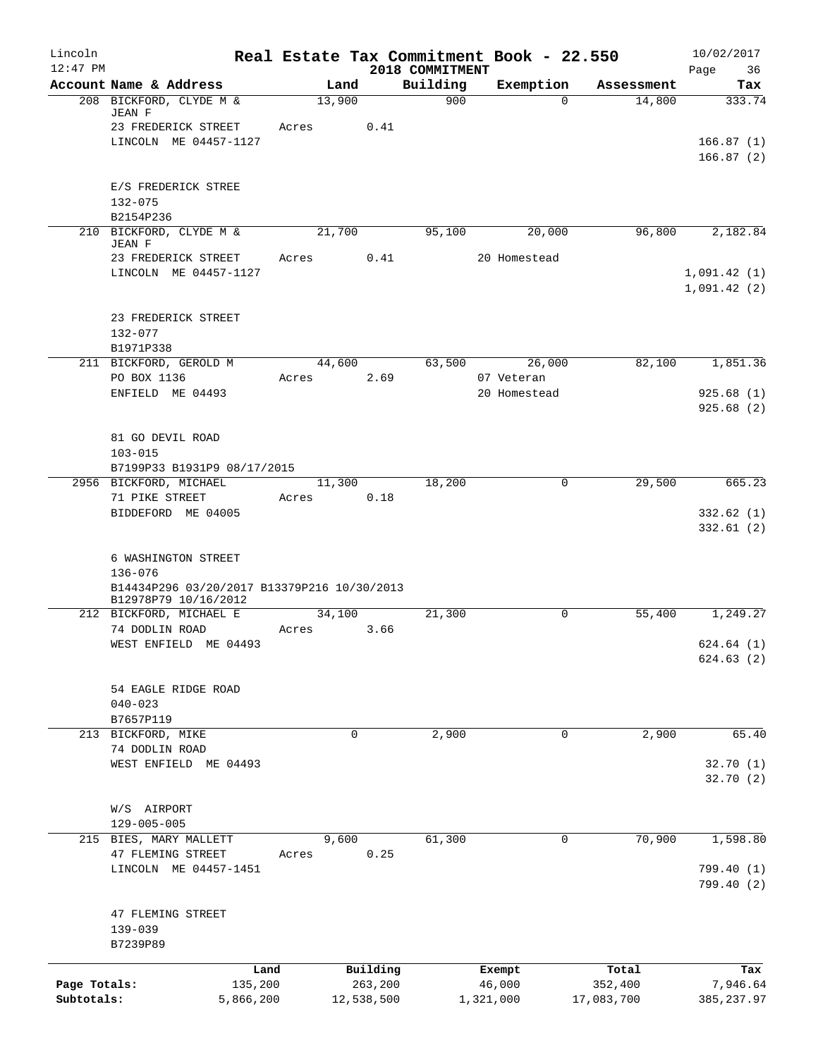| Lincoln<br>$12:47$ PM      |                                                                                   |       |             |                       | 2018 COMMITMENT |           | Real Estate Tax Commitment Book - 22.550 |                       | 10/02/2017<br>Page<br>36 |
|----------------------------|-----------------------------------------------------------------------------------|-------|-------------|-----------------------|-----------------|-----------|------------------------------------------|-----------------------|--------------------------|
|                            | Account Name & Address                                                            |       | Land        |                       | Building        |           | Exemption                                | Assessment            | Tax                      |
|                            | 208 BICKFORD, CLYDE M &<br>JEAN F                                                 |       | 13,900      |                       | 900             |           | $\Omega$                                 | 14,800                | 333.74                   |
|                            | 23 FREDERICK STREET                                                               | Acres |             | 0.41                  |                 |           |                                          |                       |                          |
|                            | LINCOLN ME 04457-1127                                                             |       |             |                       |                 |           |                                          |                       | 166.87(1)<br>166.87(2)   |
|                            | E/S FREDERICK STREE                                                               |       |             |                       |                 |           |                                          |                       |                          |
|                            | $132 - 075$<br>B2154P236                                                          |       |             |                       |                 |           |                                          |                       |                          |
|                            | 210 BICKFORD, CLYDE M &<br>JEAN F                                                 |       | 21,700      |                       | 95,100          |           | 20,000                                   | 96,800                | 2,182.84                 |
|                            | 23 FREDERICK STREET<br>LINCOLN ME 04457-1127                                      | Acres |             | 0.41                  |                 |           | 20 Homestead                             |                       | 1,091.42(1)              |
|                            | 23 FREDERICK STREET<br>$132 - 077$                                                |       |             |                       |                 |           |                                          |                       | 1,091.42(2)              |
|                            | B1971P338                                                                         |       |             |                       |                 |           |                                          |                       |                          |
|                            | 211 BICKFORD, GEROLD M                                                            |       | 44,600      |                       | 63,500          |           | 26,000                                   | 82,100                | 1,851.36                 |
|                            | PO BOX 1136                                                                       | Acres |             | 2.69                  |                 |           | 07 Veteran                               |                       |                          |
|                            | ENFIELD ME 04493                                                                  |       |             |                       |                 |           | 20 Homestead                             |                       | 925.68(1)<br>925.68 (2)  |
|                            | 81 GO DEVIL ROAD<br>$103 - 015$                                                   |       |             |                       |                 |           |                                          |                       |                          |
|                            | B7199P33 B1931P9 08/17/2015<br>2956 BICKFORD, MICHAEL                             |       | 11,300      |                       | 18,200          |           | 0                                        | 29,500                | 665.23                   |
|                            | 71 PIKE STREET                                                                    | Acres |             | 0.18                  |                 |           |                                          |                       |                          |
|                            | BIDDEFORD ME 04005                                                                |       |             |                       |                 |           |                                          |                       | 332.62(1)<br>332.61(2)   |
|                            | 6 WASHINGTON STREET<br>$136 - 076$<br>B14434P296 03/20/2017 B13379P216 10/30/2013 |       |             |                       |                 |           |                                          |                       |                          |
|                            | B12978P79 10/16/2012                                                              |       |             |                       |                 |           |                                          |                       |                          |
|                            | 212 BICKFORD, MICHAEL E                                                           |       | 34,100      |                       | 21,300          |           | $\mathbf 0$                              | 55,400                | 1,249.27                 |
|                            | 74 DODLIN ROAD<br>WEST ENFIELD ME 04493                                           | Acres |             | 3.66                  |                 |           |                                          |                       | 624.64(1)<br>624.63(2)   |
|                            | 54 EAGLE RIDGE ROAD<br>$040 - 023$<br>B7657P119                                   |       |             |                       |                 |           |                                          |                       |                          |
|                            | 213 BICKFORD, MIKE                                                                |       | $\mathbf 0$ |                       | 2,900           |           | $\mathbf 0$                              | 2,900                 | 65.40                    |
|                            | 74 DODLIN ROAD<br>WEST ENFIELD ME 04493                                           |       |             |                       |                 |           |                                          |                       | 32.70(1)<br>32.70(2)     |
|                            | W/S AIRPORT                                                                       |       |             |                       |                 |           |                                          |                       |                          |
|                            | $129 - 005 - 005$<br>215 BIES, MARY MALLETT                                       |       | 9,600       |                       | 61,300          |           | 0                                        | 70,900                | 1,598.80                 |
|                            | 47 FLEMING STREET                                                                 | Acres |             | 0.25                  |                 |           |                                          |                       |                          |
|                            | LINCOLN ME 04457-1451                                                             |       |             |                       |                 |           |                                          |                       | 799.40 (1)<br>799.40 (2) |
|                            | 47 FLEMING STREET<br>$139 - 039$<br>B7239P89                                      |       |             |                       |                 |           |                                          |                       |                          |
|                            |                                                                                   |       |             |                       |                 |           |                                          |                       |                          |
|                            |                                                                                   | Land  |             | Building              |                 |           | Exempt                                   | Total                 | Tax                      |
| Page Totals:<br>Subtotals: | 135,200<br>5,866,200                                                              |       |             | 263,200<br>12,538,500 |                 | 1,321,000 | 46,000                                   | 352,400<br>17,083,700 | 7,946.64<br>385, 237.97  |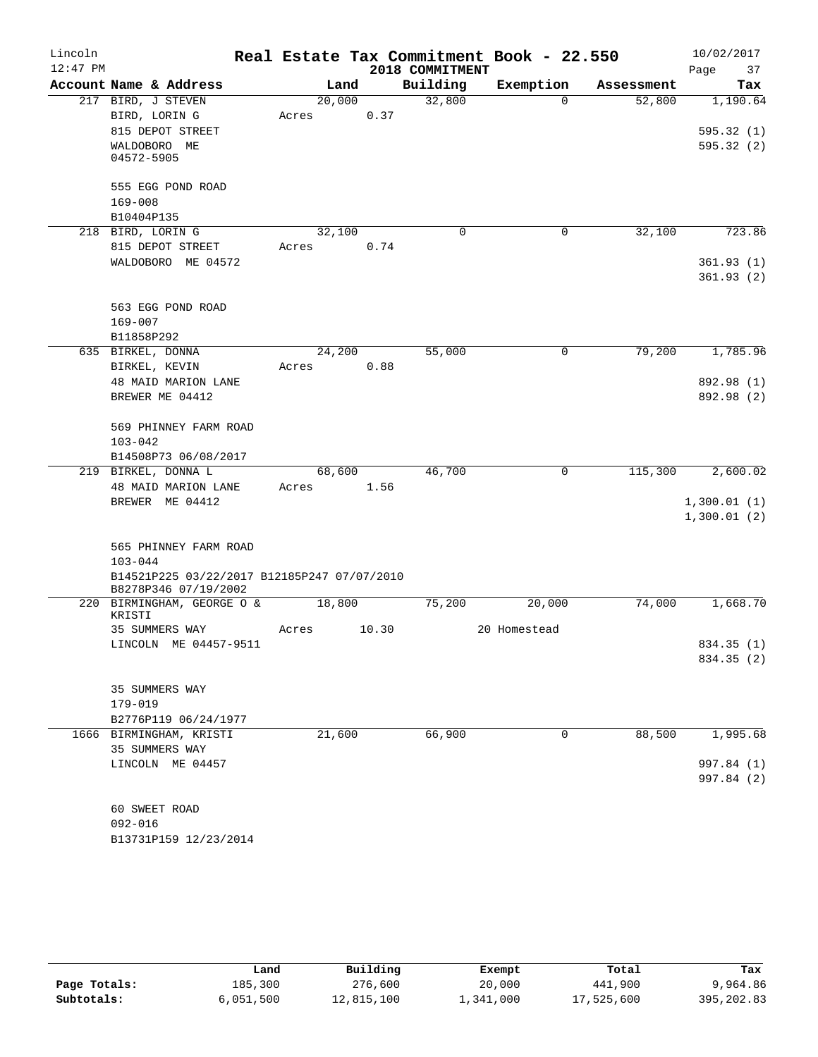| Lincoln    |                                                                     |       |        |       |                 | Real Estate Tax Commitment Book - 22.550 |            | 10/02/2017             |
|------------|---------------------------------------------------------------------|-------|--------|-------|-----------------|------------------------------------------|------------|------------------------|
| $12:47$ PM |                                                                     |       |        |       | 2018 COMMITMENT |                                          |            | Page<br>37             |
|            | Account Name & Address                                              |       | Land   |       | Building        | Exemption                                | Assessment | Tax                    |
|            | 217 BIRD, J STEVEN                                                  |       | 20,000 |       | 32,800          | $\Omega$                                 | 52,800     | 1,190.64               |
|            | BIRD, LORIN G                                                       | Acres |        | 0.37  |                 |                                          |            |                        |
|            | 815 DEPOT STREET                                                    |       |        |       |                 |                                          |            | 595.32(1)              |
|            | WALDOBORO ME<br>04572-5905                                          |       |        |       |                 |                                          |            | 595.32(2)              |
|            | 555 EGG POND ROAD                                                   |       |        |       |                 |                                          |            |                        |
|            | $169 - 008$                                                         |       |        |       |                 |                                          |            |                        |
|            | B10404P135                                                          |       |        |       |                 |                                          |            |                        |
|            | 218 BIRD, LORIN G                                                   |       | 32,100 |       | 0               | 0                                        | 32,100     | 723.86                 |
|            | 815 DEPOT STREET                                                    | Acres |        | 0.74  |                 |                                          |            |                        |
|            | WALDOBORO ME 04572                                                  |       |        |       |                 |                                          |            | 361.93(1)<br>361.93(2) |
|            | 563 EGG POND ROAD                                                   |       |        |       |                 |                                          |            |                        |
|            | $169 - 007$                                                         |       |        |       |                 |                                          |            |                        |
|            | B11858P292                                                          |       | 24,200 |       |                 |                                          |            | 1,785.96               |
|            | 635 BIRKEL, DONNA                                                   |       |        |       | 55,000          | 0                                        | 79,200     |                        |
|            | BIRKEL, KEVIN                                                       | Acres |        | 0.88  |                 |                                          |            |                        |
|            | 48 MAID MARION LANE                                                 |       |        |       |                 |                                          |            | 892.98 (1)             |
|            | BREWER ME 04412                                                     |       |        |       |                 |                                          |            | 892.98 (2)             |
|            | 569 PHINNEY FARM ROAD                                               |       |        |       |                 |                                          |            |                        |
|            | $103 - 042$                                                         |       |        |       |                 |                                          |            |                        |
|            | B14508P73 06/08/2017                                                |       |        |       |                 |                                          |            |                        |
|            | 219 BIRKEL, DONNA L                                                 |       | 68,600 |       | 46,700          | $\mathbf 0$                              | 115,300    | 2,600.02               |
|            | 48 MAID MARION LANE                                                 | Acres |        | 1.56  |                 |                                          |            |                        |
|            | BREWER ME 04412                                                     |       |        |       |                 |                                          |            | 1,300.01(1)            |
|            |                                                                     |       |        |       |                 |                                          |            | 1,300.01(2)            |
|            | 565 PHINNEY FARM ROAD                                               |       |        |       |                 |                                          |            |                        |
|            | $103 - 044$                                                         |       |        |       |                 |                                          |            |                        |
|            | B14521P225 03/22/2017 B12185P247 07/07/2010<br>B8278P346 07/19/2002 |       |        |       |                 |                                          |            |                        |
|            | 220 BIRMINGHAM, GEORGE O &                                          |       | 18,800 |       | 75,200          | 20,000                                   | 74,000     | 1,668.70               |
|            | KRISTI                                                              |       |        |       |                 |                                          |            |                        |
|            | 35 SUMMERS WAY                                                      | Acres |        | 10.30 |                 | 20 Homestead                             |            |                        |
|            | LINCOLN ME 04457-9511                                               |       |        |       |                 |                                          |            | 834.35 (1)             |
|            |                                                                     |       |        |       |                 |                                          |            | 834.35 (2)             |
|            | 35 SUMMERS WAY                                                      |       |        |       |                 |                                          |            |                        |
|            | $179 - 019$                                                         |       |        |       |                 |                                          |            |                        |
|            | B2776P119 06/24/1977                                                |       |        |       |                 |                                          |            |                        |
|            | 1666 BIRMINGHAM, KRISTI                                             |       | 21,600 |       | 66,900          | 0                                        | 88,500     | 1,995.68               |
|            | 35 SUMMERS WAY                                                      |       |        |       |                 |                                          |            |                        |
|            | LINCOLN ME 04457                                                    |       |        |       |                 |                                          |            | 997.84 (1)             |
|            |                                                                     |       |        |       |                 |                                          |            | 997.84 (2)             |
|            | 60 SWEET ROAD                                                       |       |        |       |                 |                                          |            |                        |
|            | $092 - 016$                                                         |       |        |       |                 |                                          |            |                        |
|            | B13731P159 12/23/2014                                               |       |        |       |                 |                                          |            |                        |

|              | Land      | Building   | Exempt    | Total      | Tax        |
|--------------|-----------|------------|-----------|------------|------------|
| Page Totals: | 185,300   | 276,600    | 20,000    | 441,900    | 9,964.86   |
| Subtotals:   | 6,051,500 | 12,815,100 | 1,341,000 | 17,525,600 | 395,202.83 |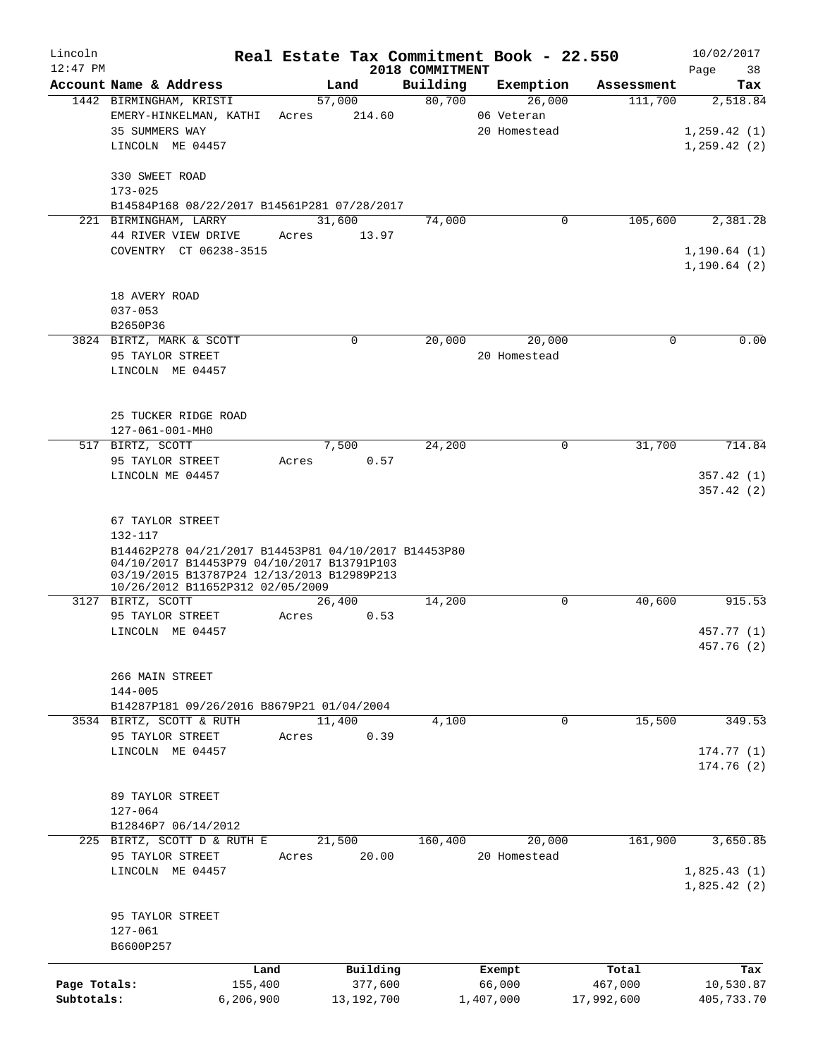| Lincoln      |                                              |                                                                                |       |                |                 | Real Estate Tax Commitment Book - 22.550 |             | 10/02/2017                   |
|--------------|----------------------------------------------|--------------------------------------------------------------------------------|-------|----------------|-----------------|------------------------------------------|-------------|------------------------------|
| $12:47$ PM   |                                              |                                                                                |       |                | 2018 COMMITMENT |                                          |             | Page<br>38                   |
|              | Account Name & Address                       |                                                                                |       | Land           | Building        | Exemption                                | Assessment  | Tax                          |
|              | 1442 BIRMINGHAM, KRISTI                      |                                                                                |       | 57,000         | 80,700          | 26,000                                   | 111,700     | 2,518.84                     |
|              | 35 SUMMERS WAY                               | EMERY-HINKELMAN, KATHI                                                         | Acres | 214.60         |                 | 06 Veteran<br>20 Homestead               |             |                              |
|              | LINCOLN ME 04457                             |                                                                                |       |                |                 |                                          |             | 1, 259.42(1)<br>1, 259.42(2) |
|              |                                              |                                                                                |       |                |                 |                                          |             |                              |
|              | 330 SWEET ROAD                               |                                                                                |       |                |                 |                                          |             |                              |
|              | $173 - 025$                                  |                                                                                |       |                |                 |                                          |             |                              |
|              |                                              | B14584P168 08/22/2017 B14561P281 07/28/2017                                    |       |                |                 |                                          |             |                              |
|              | 221 BIRMINGHAM, LARRY                        |                                                                                |       | 31,600         | 74,000          | 0                                        | 105,600     | 2,381.28                     |
|              | 44 RIVER VIEW DRIVE                          |                                                                                | Acres | 13.97          |                 |                                          |             |                              |
|              |                                              | COVENTRY CT 06238-3515                                                         |       |                |                 |                                          |             | 1, 190.64(1)                 |
|              |                                              |                                                                                |       |                |                 |                                          |             | 1, 190.64(2)                 |
|              |                                              |                                                                                |       |                |                 |                                          |             |                              |
|              | 18 AVERY ROAD                                |                                                                                |       |                |                 |                                          |             |                              |
|              | $037 - 053$                                  |                                                                                |       |                |                 |                                          |             |                              |
|              | B2650P36                                     |                                                                                |       |                |                 |                                          |             |                              |
|              | 3824 BIRTZ, MARK & SCOTT                     |                                                                                |       | 0              | 20,000          | 20,000                                   | $\mathbf 0$ | 0.00                         |
|              | 95 TAYLOR STREET                             |                                                                                |       |                |                 | 20 Homestead                             |             |                              |
|              | LINCOLN ME 04457                             |                                                                                |       |                |                 |                                          |             |                              |
|              |                                              |                                                                                |       |                |                 |                                          |             |                              |
|              | 25 TUCKER RIDGE ROAD                         |                                                                                |       |                |                 |                                          |             |                              |
|              | 127-061-001-MH0                              |                                                                                |       |                |                 |                                          |             |                              |
|              | 517 BIRTZ, SCOTT                             |                                                                                |       | 7,500          | 24,200          | 0                                        | 31,700      | 714.84                       |
|              | 95 TAYLOR STREET                             |                                                                                | Acres | 0.57           |                 |                                          |             |                              |
|              | LINCOLN ME 04457                             |                                                                                |       |                |                 |                                          |             | 357.42(1)                    |
|              |                                              |                                                                                |       |                |                 |                                          |             | 357.42(2)                    |
|              |                                              |                                                                                |       |                |                 |                                          |             |                              |
|              | 67 TAYLOR STREET                             |                                                                                |       |                |                 |                                          |             |                              |
|              | 132-117                                      |                                                                                |       |                |                 |                                          |             |                              |
|              |                                              | B14462P278 04/21/2017 B14453P81 04/10/2017 B14453P80                           |       |                |                 |                                          |             |                              |
|              |                                              | 04/10/2017 B14453P79 04/10/2017 B13791P103                                     |       |                |                 |                                          |             |                              |
|              |                                              | 03/19/2015 B13787P24 12/13/2013 B12989P213<br>10/26/2012 B11652P312 02/05/2009 |       |                |                 |                                          |             |                              |
|              | 3127 BIRTZ, SCOTT                            |                                                                                |       | 26,400         | 14,200          | 0                                        | 40,600      | 915.53                       |
|              | 95 TAYLOR STREET                             |                                                                                | Acres | 0.53           |                 |                                          |             |                              |
|              | LINCOLN ME 04457                             |                                                                                |       |                |                 |                                          |             | 457.77 (1)                   |
|              |                                              |                                                                                |       |                |                 |                                          |             | 457.76 (2)                   |
|              |                                              |                                                                                |       |                |                 |                                          |             |                              |
|              | 266 MAIN STREET                              |                                                                                |       |                |                 |                                          |             |                              |
|              | $144 - 005$                                  |                                                                                |       |                |                 |                                          |             |                              |
|              |                                              | B14287P181 09/26/2016 B8679P21 01/04/2004                                      |       |                | 4,100           | $\mathbf 0$                              | 15,500      |                              |
|              | 3534 BIRTZ, SCOTT & RUTH<br>95 TAYLOR STREET |                                                                                | Acres | 11,400<br>0.39 |                 |                                          |             | 349.53                       |
|              | LINCOLN ME 04457                             |                                                                                |       |                |                 |                                          |             | 174.77(1)                    |
|              |                                              |                                                                                |       |                |                 |                                          |             | 174.76(2)                    |
|              |                                              |                                                                                |       |                |                 |                                          |             |                              |
|              | 89 TAYLOR STREET                             |                                                                                |       |                |                 |                                          |             |                              |
|              | $127 - 064$                                  |                                                                                |       |                |                 |                                          |             |                              |
|              | B12846P7 06/14/2012                          |                                                                                |       |                |                 |                                          |             |                              |
|              |                                              | 225 BIRTZ, SCOTT D & RUTH E                                                    |       | 21,500         | 160,400         | 20,000                                   | 161,900     | 3,650.85                     |
|              | 95 TAYLOR STREET                             |                                                                                | Acres | 20.00          |                 | 20 Homestead                             |             |                              |
|              | LINCOLN ME 04457                             |                                                                                |       |                |                 |                                          |             | 1,825.43(1)                  |
|              |                                              |                                                                                |       |                |                 |                                          |             | 1,825.42(2)                  |
|              |                                              |                                                                                |       |                |                 |                                          |             |                              |
|              | 95 TAYLOR STREET                             |                                                                                |       |                |                 |                                          |             |                              |
|              | 127-061                                      |                                                                                |       |                |                 |                                          |             |                              |
|              | B6600P257                                    |                                                                                |       |                |                 |                                          |             |                              |
|              |                                              | Land                                                                           |       | Building       |                 | Exempt                                   | Total       | Tax                          |
| Page Totals: |                                              | 155,400                                                                        |       | 377,600        |                 | 66,000                                   | 467,000     | 10,530.87                    |
| Subtotals:   |                                              | 6, 206, 900                                                                    |       | 13,192,700     |                 | 1,407,000                                | 17,992,600  | 405,733.70                   |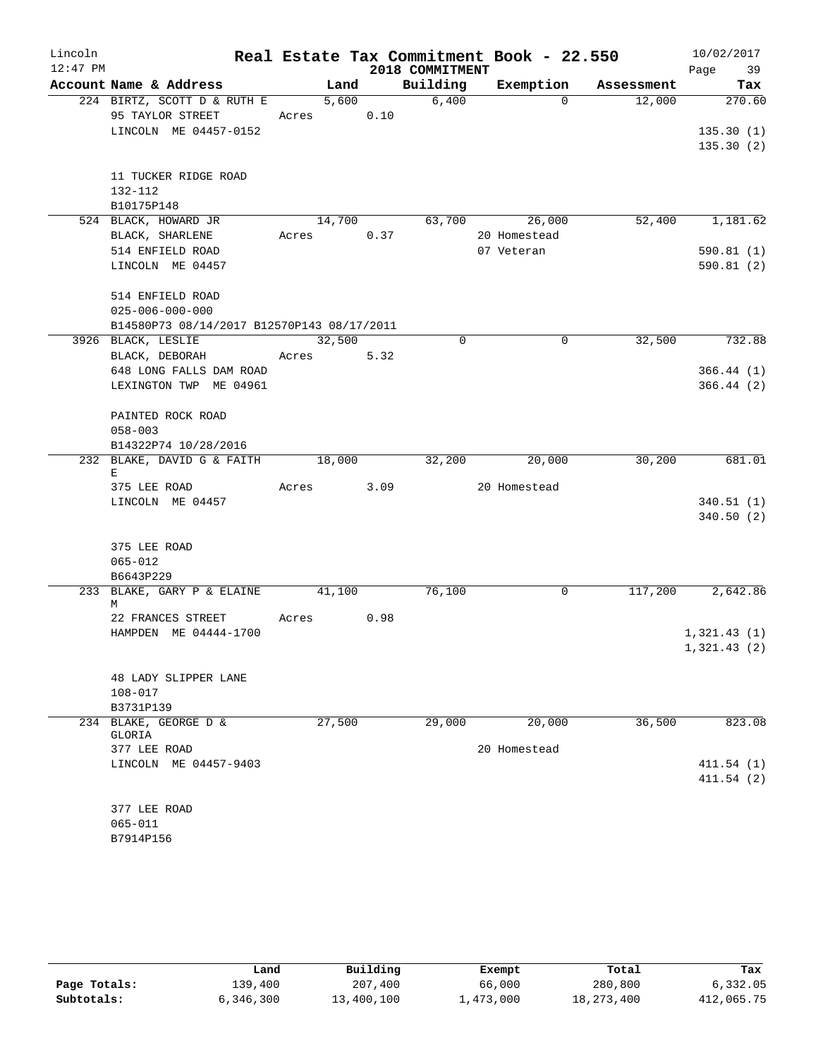| Lincoln    |                                            |       |            |      |                 | Real Estate Tax Commitment Book - 22.550 |            | 10/02/2017  |
|------------|--------------------------------------------|-------|------------|------|-----------------|------------------------------------------|------------|-------------|
| $12:47$ PM |                                            |       |            |      | 2018 COMMITMENT |                                          |            | Page 39     |
|            | Account Name & Address                     |       | Land       |      | Building        | Exemption                                | Assessment | Tax         |
|            | 224 BIRTZ, SCOTT D & RUTH E                |       | 5,600      |      | 6,400           | $\Omega$                                 | 12,000     | 270.60      |
|            | 95 TAYLOR STREET                           |       | Acres      | 0.10 |                 |                                          |            |             |
|            | LINCOLN ME 04457-0152                      |       |            |      |                 |                                          |            | 135.30(1)   |
|            |                                            |       |            |      |                 |                                          |            | 135.30(2)   |
|            |                                            |       |            |      |                 |                                          |            |             |
|            | 11 TUCKER RIDGE ROAD                       |       |            |      |                 |                                          |            |             |
|            | 132-112                                    |       |            |      |                 |                                          |            |             |
|            | B10175P148<br>524 BLACK, HOWARD JR         |       | 14,700     |      | 63,700          | 26,000                                   | 52,400     | 1,181.62    |
|            | BLACK, SHARLENE                            | Acres |            | 0.37 |                 | 20 Homestead                             |            |             |
|            | 514 ENFIELD ROAD                           |       |            |      |                 | 07 Veteran                               |            | 590.81(1)   |
|            | LINCOLN ME 04457                           |       |            |      |                 |                                          |            | 590.81(2)   |
|            |                                            |       |            |      |                 |                                          |            |             |
|            | 514 ENFIELD ROAD                           |       |            |      |                 |                                          |            |             |
|            | $025 - 006 - 000 - 000$                    |       |            |      |                 |                                          |            |             |
|            | B14580P73 08/14/2017 B12570P143 08/17/2011 |       |            |      |                 |                                          |            |             |
|            | 3926 BLACK, LESLIE                         |       | 32,500     |      | $\mathbf 0$     | $\mathbf 0$                              | 32,500     | 732.88      |
|            | BLACK, DEBORAH                             |       | Acres      | 5.32 |                 |                                          |            |             |
|            | 648 LONG FALLS DAM ROAD                    |       |            |      |                 |                                          |            | 366.44(1)   |
|            | LEXINGTON TWP ME 04961                     |       |            |      |                 |                                          |            | 366.44(2)   |
|            |                                            |       |            |      |                 |                                          |            |             |
|            | PAINTED ROCK ROAD                          |       |            |      |                 |                                          |            |             |
|            | $058 - 003$                                |       |            |      |                 |                                          |            |             |
|            | B14322P74 10/28/2016                       |       |            |      |                 |                                          |            |             |
|            | 232 BLAKE, DAVID G & FAITH                 |       | 18,000     |      | 32,200          | 20,000                                   | 30,200     | 681.01      |
|            | Е<br>375 LEE ROAD                          | Acres |            | 3.09 |                 | 20 Homestead                             |            |             |
|            | LINCOLN ME 04457                           |       |            |      |                 |                                          |            | 340.51(1)   |
|            |                                            |       |            |      |                 |                                          |            | 340.50(2)   |
|            |                                            |       |            |      |                 |                                          |            |             |
|            | 375 LEE ROAD                               |       |            |      |                 |                                          |            |             |
|            | $065 - 012$                                |       |            |      |                 |                                          |            |             |
|            | B6643P229                                  |       |            |      |                 |                                          |            |             |
|            | 233 BLAKE, GARY P & ELAINE 41,100          |       |            |      | 76,100          | 0                                        | 117,200    | 2,642.86    |
|            | М                                          |       |            |      |                 |                                          |            |             |
|            | 22 FRANCES STREET                          |       | Acres 0.98 |      |                 |                                          |            |             |
|            | HAMPDEN ME 04444-1700                      |       |            |      |                 |                                          |            | 1,321.43(1) |
|            |                                            |       |            |      |                 |                                          |            | 1,321.43(2) |
|            |                                            |       |            |      |                 |                                          |            |             |
|            | 48 LADY SLIPPER LANE                       |       |            |      |                 |                                          |            |             |
|            | $108 - 017$                                |       |            |      |                 |                                          |            |             |
|            | B3731P139                                  |       |            |      | 29,000          |                                          |            | 823.08      |
|            | 234 BLAKE, GEORGE D &<br>GLORIA            |       | 27,500     |      |                 | 20,000                                   | 36,500     |             |
|            | 377 LEE ROAD                               |       |            |      |                 | 20 Homestead                             |            |             |
|            | LINCOLN ME 04457-9403                      |       |            |      |                 |                                          |            | 411.54(1)   |
|            |                                            |       |            |      |                 |                                          |            | 411.54(2)   |
|            |                                            |       |            |      |                 |                                          |            |             |
|            | 377 LEE ROAD                               |       |            |      |                 |                                          |            |             |
|            | $065 - 011$                                |       |            |      |                 |                                          |            |             |
|            | B7914P156                                  |       |            |      |                 |                                          |            |             |

|              | Land      | Building   | Exempt    | Total        | Tax        |
|--------------|-----------|------------|-----------|--------------|------------|
| Page Totals: | 139,400   | 207,400    | 66,000    | 280,800      | 6,332.05   |
| Subtotals:   | 6,346,300 | 13,400,100 | ⊥,473,000 | 18, 273, 400 | 412,065.75 |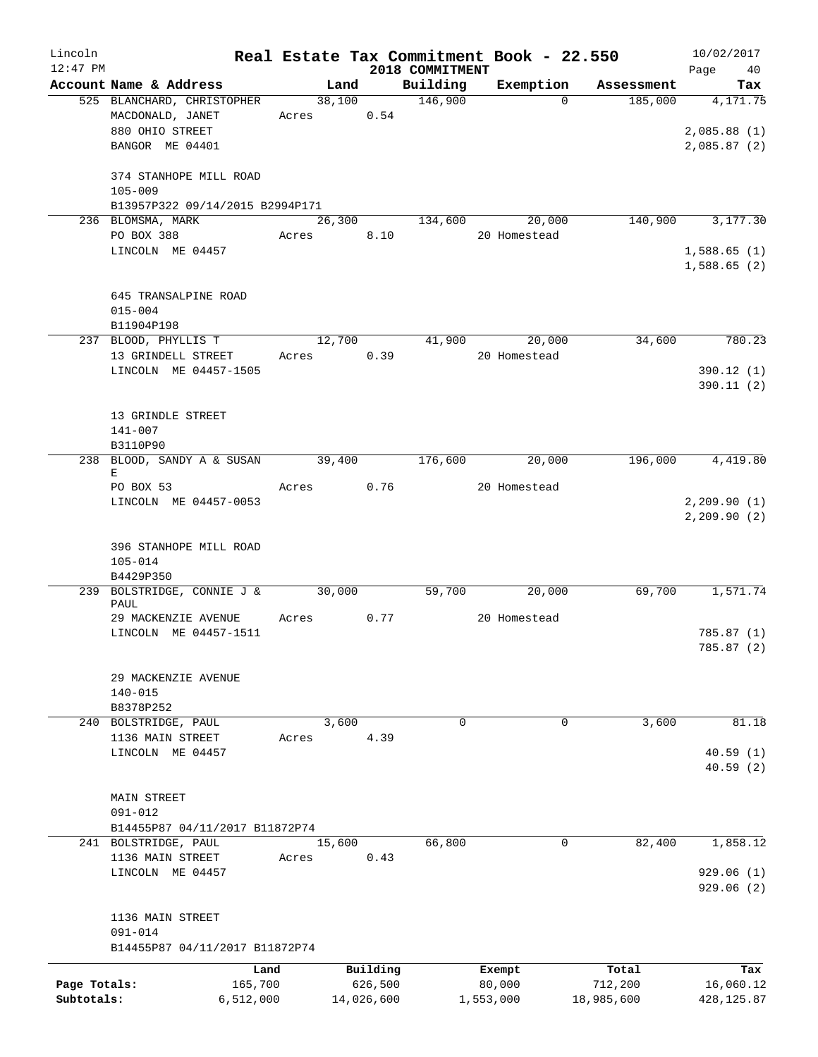| Lincoln<br>$12:47$ PM |                                           |           |       |                    |            | 2018 COMMITMENT | Real Estate Tax Commitment Book - 22.550 |            | 10/02/2017<br>40 |
|-----------------------|-------------------------------------------|-----------|-------|--------------------|------------|-----------------|------------------------------------------|------------|------------------|
|                       | Account Name & Address                    |           |       | Land               |            | Building        | Exemption                                | Assessment | Page<br>Tax      |
|                       | 525 BLANCHARD, CHRISTOPHER                |           |       | 38,100             |            | 146,900         | $\Omega$                                 | 185,000    | 4,171.75         |
|                       | MACDONALD, JANET                          |           | Acres |                    | 0.54       |                 |                                          |            |                  |
|                       | 880 OHIO STREET                           |           |       |                    |            |                 |                                          |            | 2,085.88(1)      |
|                       | BANGOR ME 04401                           |           |       |                    |            |                 |                                          |            | 2,085.87(2)      |
|                       |                                           |           |       |                    |            |                 |                                          |            |                  |
|                       | 374 STANHOPE MILL ROAD                    |           |       |                    |            |                 |                                          |            |                  |
|                       | $105 - 009$                               |           |       |                    |            |                 |                                          |            |                  |
|                       | B13957P322 09/14/2015 B2994P171           |           |       |                    |            |                 |                                          |            |                  |
|                       | 236 BLOMSMA, MARK                         |           |       | 26,300             |            | 134,600         | 20,000                                   | 140,900    | 3,177.30         |
|                       | PO BOX 388                                |           | Acres |                    | 8.10       |                 | 20 Homestead                             |            |                  |
|                       | LINCOLN ME 04457                          |           |       |                    |            |                 |                                          |            | 1,588.65(1)      |
|                       |                                           |           |       |                    |            |                 |                                          |            | 1,588.65(2)      |
|                       |                                           |           |       |                    |            |                 |                                          |            |                  |
|                       | 645 TRANSALPINE ROAD                      |           |       |                    |            |                 |                                          |            |                  |
|                       | $015 - 004$                               |           |       |                    |            |                 |                                          |            |                  |
|                       | B11904P198                                |           |       |                    |            |                 |                                          |            |                  |
|                       | 237 BLOOD, PHYLLIS T                      |           |       | 12,700             |            | 41,900          | 20,000                                   | 34,600     | 780.23           |
|                       | 13 GRINDELL STREET                        |           | Acres |                    | 0.39       |                 | 20 Homestead                             |            |                  |
|                       | LINCOLN ME 04457-1505                     |           |       |                    |            |                 |                                          |            | 390.12(1)        |
|                       |                                           |           |       |                    |            |                 |                                          |            | 390.11(2)        |
|                       |                                           |           |       |                    |            |                 |                                          |            |                  |
|                       | 13 GRINDLE STREET                         |           |       |                    |            |                 |                                          |            |                  |
|                       | $141 - 007$                               |           |       |                    |            |                 |                                          |            |                  |
|                       | B3110P90                                  |           |       |                    |            |                 |                                          |            |                  |
|                       | 238 BLOOD, SANDY A & SUSAN                |           |       | $\frac{39,400}{ }$ |            | 176,600         | 20,000                                   | 196,000    | 4,419.80         |
|                       | Е                                         |           |       |                    |            |                 |                                          |            |                  |
|                       | PO BOX 53                                 |           | Acres |                    | 0.76       |                 | 20 Homestead                             |            |                  |
|                       | LINCOLN ME 04457-0053                     |           |       |                    |            |                 |                                          |            | 2, 209.90(1)     |
|                       |                                           |           |       |                    |            |                 |                                          |            | 2, 209.90(2)     |
|                       |                                           |           |       |                    |            |                 |                                          |            |                  |
|                       | 396 STANHOPE MILL ROAD                    |           |       |                    |            |                 |                                          |            |                  |
|                       | $105 - 014$                               |           |       |                    |            |                 |                                          |            |                  |
|                       | B4429P350                                 |           |       |                    |            |                 |                                          |            |                  |
|                       | 239 BOLSTRIDGE, CONNIE J & 30,000<br>PAUL |           |       |                    |            | 59,700          | 20,000                                   | 69,700     | 1,571.74         |
|                       | 29 MACKENZIE AVENUE                       |           | Acres |                    | 0.77       |                 | 20 Homestead                             |            |                  |
|                       | LINCOLN ME 04457-1511                     |           |       |                    |            |                 |                                          |            | 785.87(1)        |
|                       |                                           |           |       |                    |            |                 |                                          |            | 785.87 (2)       |
|                       |                                           |           |       |                    |            |                 |                                          |            |                  |
|                       | 29 MACKENZIE AVENUE                       |           |       |                    |            |                 |                                          |            |                  |
|                       | $140 - 015$                               |           |       |                    |            |                 |                                          |            |                  |
|                       | B8378P252                                 |           |       |                    |            |                 |                                          |            |                  |
|                       | 240 BOLSTRIDGE, PAUL                      |           |       | 3,600              |            | $\mathbf 0$     | $\mathbf 0$                              | 3,600      | 81.18            |
|                       | 1136 MAIN STREET                          |           | Acres |                    | 4.39       |                 |                                          |            |                  |
|                       | LINCOLN ME 04457                          |           |       |                    |            |                 |                                          |            | 40.59(1)         |
|                       |                                           |           |       |                    |            |                 |                                          |            | 40.59 (2)        |
|                       |                                           |           |       |                    |            |                 |                                          |            |                  |
|                       | <b>MAIN STREET</b>                        |           |       |                    |            |                 |                                          |            |                  |
|                       | $091 - 012$                               |           |       |                    |            |                 |                                          |            |                  |
|                       | B14455P87 04/11/2017 B11872P74            |           |       |                    |            |                 |                                          |            |                  |
|                       | 241 BOLSTRIDGE, PAUL                      |           |       | 15,600             |            | 66,800          | 0                                        | 82,400     | 1,858.12         |
|                       | 1136 MAIN STREET                          |           | Acres |                    | 0.43       |                 |                                          |            |                  |
|                       | LINCOLN ME 04457                          |           |       |                    |            |                 |                                          |            | 929.06 (1)       |
|                       |                                           |           |       |                    |            |                 |                                          |            | 929.06(2)        |
|                       |                                           |           |       |                    |            |                 |                                          |            |                  |
|                       | 1136 MAIN STREET                          |           |       |                    |            |                 |                                          |            |                  |
|                       | $091 - 014$                               |           |       |                    |            |                 |                                          |            |                  |
|                       | B14455P87 04/11/2017 B11872P74            |           |       |                    |            |                 |                                          |            |                  |
|                       |                                           | Land      |       |                    | Building   |                 | Exempt                                   | Total      | Tax              |
| Page Totals:          |                                           | 165,700   |       |                    | 626,500    |                 | 80,000                                   | 712,200    | 16,060.12        |
| Subtotals:            |                                           | 6,512,000 |       |                    | 14,026,600 |                 | 1,553,000                                | 18,985,600 | 428, 125.87      |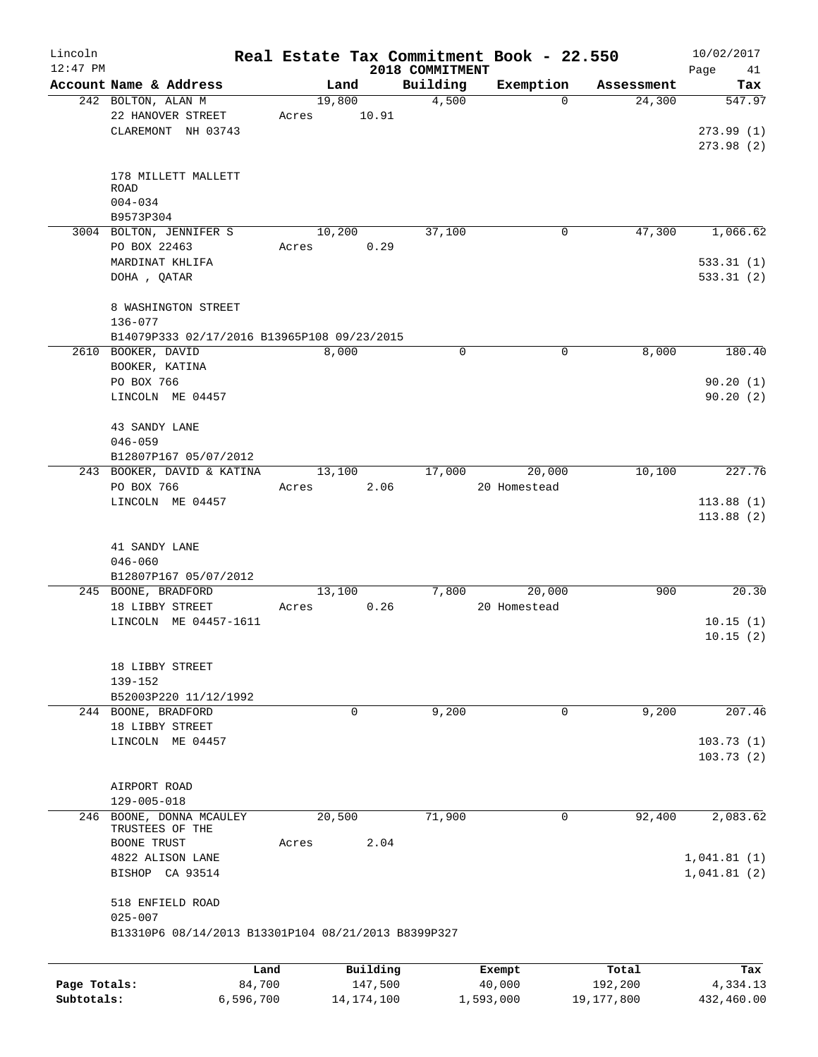| Lincoln      |                                                     |        |              |                             | Real Estate Tax Commitment Book - 22.550 |            | 10/02/2017             |
|--------------|-----------------------------------------------------|--------|--------------|-----------------------------|------------------------------------------|------------|------------------------|
| $12:47$ PM   | Account Name & Address                              | Land   |              | 2018 COMMITMENT<br>Building | Exemption                                | Assessment | Page<br>41<br>Tax      |
|              | 242 BOLTON, ALAN M                                  | 19,800 |              | 4,500                       | $\Omega$                                 | 24,300     | 547.97                 |
|              | 22 HANOVER STREET                                   | Acres  | 10.91        |                             |                                          |            |                        |
|              | CLAREMONT NH 03743                                  |        |              |                             |                                          |            | 273.99(1)              |
|              |                                                     |        |              |                             |                                          |            | 273.98(2)              |
|              |                                                     |        |              |                             |                                          |            |                        |
|              | 178 MILLETT MALLETT                                 |        |              |                             |                                          |            |                        |
|              | <b>ROAD</b>                                         |        |              |                             |                                          |            |                        |
|              | $004 - 034$                                         |        |              |                             |                                          |            |                        |
|              | B9573P304                                           | 10,200 |              |                             | 0                                        | 47,300     | 1,066.62               |
|              | 3004 BOLTON, JENNIFER S<br>PO BOX 22463             | Acres  | 0.29         | 37,100                      |                                          |            |                        |
|              | MARDINAT KHLIFA                                     |        |              |                             |                                          |            | 533.31(1)              |
|              | DOHA , QATAR                                        |        |              |                             |                                          |            | 533.31(2)              |
|              |                                                     |        |              |                             |                                          |            |                        |
|              | 8 WASHINGTON STREET                                 |        |              |                             |                                          |            |                        |
|              | 136-077                                             |        |              |                             |                                          |            |                        |
|              | B14079P333 02/17/2016 B13965P108 09/23/2015         |        |              |                             |                                          |            |                        |
|              | 2610 BOOKER, DAVID                                  | 8,000  |              | 0                           | 0                                        | 8,000      | 180.40                 |
|              | BOOKER, KATINA                                      |        |              |                             |                                          |            |                        |
|              | PO BOX 766                                          |        |              |                             |                                          |            | 90.20(1)               |
|              | LINCOLN ME 04457                                    |        |              |                             |                                          |            | 90.20(2)               |
|              |                                                     |        |              |                             |                                          |            |                        |
|              | 43 SANDY LANE                                       |        |              |                             |                                          |            |                        |
|              | $046 - 059$                                         |        |              |                             |                                          |            |                        |
|              | B12807P167 05/07/2012                               |        |              |                             |                                          |            |                        |
|              | 243 BOOKER, DAVID & KATINA                          | 13,100 |              | 17,000                      | 20,000                                   | 10,100     | 227.76                 |
|              | PO BOX 766                                          | Acres  | 2.06         |                             | 20 Homestead                             |            |                        |
|              | LINCOLN ME 04457                                    |        |              |                             |                                          |            | 113.88(1)              |
|              |                                                     |        |              |                             |                                          |            | 113.88(2)              |
|              | 41 SANDY LANE                                       |        |              |                             |                                          |            |                        |
|              | $046 - 060$                                         |        |              |                             |                                          |            |                        |
|              | B12807P167 05/07/2012                               |        |              |                             |                                          |            |                        |
|              | 245 BOONE, BRADFORD                                 | 13,100 |              | 7,800                       | 20,000                                   | 900        | 20.30                  |
|              | 18 LIBBY STREET                                     | Acres  | 0.26         |                             | 20 Homestead                             |            |                        |
|              | LINCOLN ME 04457-1611                               |        |              |                             |                                          |            | 10.15(1)               |
|              |                                                     |        |              |                             |                                          |            | 10.15(2)               |
|              |                                                     |        |              |                             |                                          |            |                        |
|              | 18 LIBBY STREET                                     |        |              |                             |                                          |            |                        |
|              | 139-152                                             |        |              |                             |                                          |            |                        |
|              | B52003P220 11/12/1992                               |        |              |                             |                                          |            |                        |
|              | 244 BOONE, BRADFORD                                 | 0      |              | 9,200                       | $\mathbf 0$                              | 9,200      | 207.46                 |
|              | 18 LIBBY STREET<br>LINCOLN ME 04457                 |        |              |                             |                                          |            |                        |
|              |                                                     |        |              |                             |                                          |            | 103.73(1)<br>103.73(2) |
|              |                                                     |        |              |                             |                                          |            |                        |
|              | AIRPORT ROAD                                        |        |              |                             |                                          |            |                        |
|              | $129 - 005 - 018$                                   |        |              |                             |                                          |            |                        |
| 246          | BOONE, DONNA MCAULEY                                | 20,500 |              | 71,900                      | 0                                        | 92,400     | 2,083.62               |
|              | TRUSTEES OF THE                                     |        |              |                             |                                          |            |                        |
|              | BOONE TRUST                                         | Acres  | 2.04         |                             |                                          |            |                        |
|              | 4822 ALISON LANE                                    |        |              |                             |                                          |            | 1,041.81(1)            |
|              | BISHOP CA 93514                                     |        |              |                             |                                          |            | 1,041.81(2)            |
|              |                                                     |        |              |                             |                                          |            |                        |
|              | 518 ENFIELD ROAD                                    |        |              |                             |                                          |            |                        |
|              | $025 - 007$                                         |        |              |                             |                                          |            |                        |
|              | B13310P6 08/14/2013 B13301P104 08/21/2013 B8399P327 |        |              |                             |                                          |            |                        |
|              |                                                     |        |              |                             |                                          |            |                        |
|              |                                                     | Land   | Building     |                             | Exempt                                   | Total      | Tax                    |
| Page Totals: | 84,700                                              |        | 147,500      |                             | 40,000                                   | 192,200    | 4,334.13               |
| Subtotals:   | 6,596,700                                           |        | 14, 174, 100 |                             | 1,593,000                                | 19,177,800 | 432,460.00             |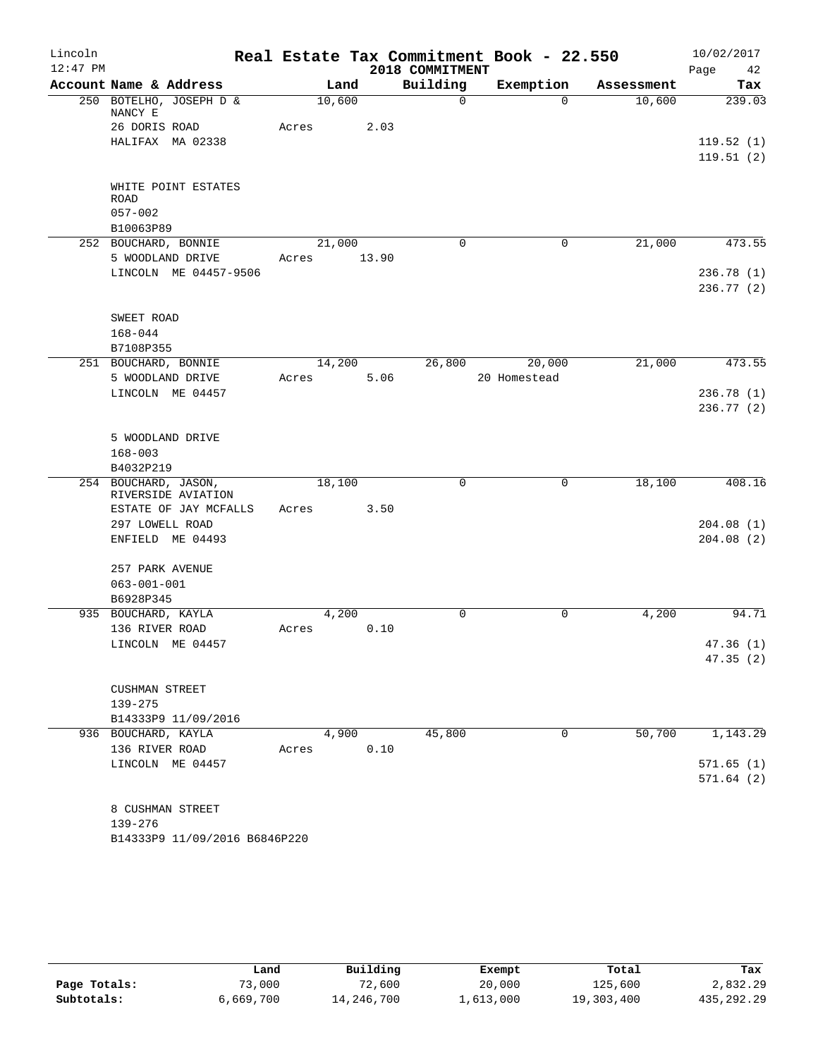| Lincoln    |                                    |       |        |       |                 | Real Estate Tax Commitment Book - 22.550 |            | 10/02/2017 |
|------------|------------------------------------|-------|--------|-------|-----------------|------------------------------------------|------------|------------|
| $12:47$ PM |                                    |       |        |       | 2018 COMMITMENT |                                          |            | Page<br>42 |
|            | Account Name & Address             |       | Land   |       | Building        | Exemption                                | Assessment | Tax        |
|            | 250 BOTELHO, JOSEPH D &<br>NANCY E |       | 10,600 |       | $\mathbf 0$     | $\Omega$                                 | 10,600     | 239.03     |
|            | 26 DORIS ROAD                      | Acres |        | 2.03  |                 |                                          |            |            |
|            | HALIFAX MA 02338                   |       |        |       |                 |                                          |            | 119.52(1)  |
|            |                                    |       |        |       |                 |                                          |            | 119.51(2)  |
|            |                                    |       |        |       |                 |                                          |            |            |
|            | WHITE POINT ESTATES<br><b>ROAD</b> |       |        |       |                 |                                          |            |            |
|            | $057 - 002$                        |       |        |       |                 |                                          |            |            |
|            | B10063P89                          |       |        |       |                 |                                          |            |            |
|            | 252 BOUCHARD, BONNIE               |       | 21,000 |       | $\mathbf 0$     | 0                                        | 21,000     | 473.55     |
|            | 5 WOODLAND DRIVE                   | Acres |        | 13.90 |                 |                                          |            |            |
|            | LINCOLN ME 04457-9506              |       |        |       |                 |                                          |            | 236.78(1)  |
|            |                                    |       |        |       |                 |                                          |            | 236.77(2)  |
|            |                                    |       |        |       |                 |                                          |            |            |
|            | SWEET ROAD                         |       |        |       |                 |                                          |            |            |
|            | $168 - 044$                        |       |        |       |                 |                                          |            |            |
|            | B7108P355                          |       |        |       |                 |                                          |            |            |
|            | 251 BOUCHARD, BONNIE               |       | 14,200 |       | 26,800          | 20,000                                   | 21,000     | 473.55     |
|            | 5 WOODLAND DRIVE                   | Acres |        | 5.06  |                 | 20 Homestead                             |            |            |
|            | LINCOLN ME 04457                   |       |        |       |                 |                                          |            | 236.78(1)  |
|            |                                    |       |        |       |                 |                                          |            | 236.77(2)  |
|            |                                    |       |        |       |                 |                                          |            |            |
|            | 5 WOODLAND DRIVE                   |       |        |       |                 |                                          |            |            |
|            | $168 - 003$                        |       |        |       |                 |                                          |            |            |
|            | B4032P219<br>254 BOUCHARD, JASON,  |       | 18,100 |       | 0               | 0                                        | 18,100     | 408.16     |
|            | RIVERSIDE AVIATION                 |       |        |       |                 |                                          |            |            |
|            | ESTATE OF JAY MCFALLS              | Acres |        | 3.50  |                 |                                          |            |            |
|            | 297 LOWELL ROAD                    |       |        |       |                 |                                          |            | 204.08(1)  |
|            | ENFIELD ME 04493                   |       |        |       |                 |                                          |            | 204.08(2)  |
|            |                                    |       |        |       |                 |                                          |            |            |
|            | 257 PARK AVENUE                    |       |        |       |                 |                                          |            |            |
|            | $063 - 001 - 001$                  |       |        |       |                 |                                          |            |            |
|            | B6928P345                          |       |        |       |                 |                                          |            |            |
|            | 935 BOUCHARD, KAYLA                |       | 4,200  |       | $\mathbf 0$     | $\Omega$                                 | 4,200      | 94.71      |
|            | 136 RIVER ROAD                     | Acres |        | 0.10  |                 |                                          |            |            |
|            | LINCOLN ME 04457                   |       |        |       |                 |                                          |            | 47.36(1)   |
|            |                                    |       |        |       |                 |                                          |            | 47.35(2)   |
|            | CUSHMAN STREET                     |       |        |       |                 |                                          |            |            |
|            | 139-275                            |       |        |       |                 |                                          |            |            |
|            | B14333P9 11/09/2016                |       |        |       |                 |                                          |            |            |
|            | 936 BOUCHARD, KAYLA                |       | 4,900  |       | 45,800          | 0                                        | 50,700     | 1,143.29   |
|            | 136 RIVER ROAD                     | Acres |        | 0.10  |                 |                                          |            |            |
|            | LINCOLN ME 04457                   |       |        |       |                 |                                          |            | 571.65(1)  |
|            |                                    |       |        |       |                 |                                          |            | 571.64(2)  |
|            |                                    |       |        |       |                 |                                          |            |            |
|            | 8 CUSHMAN STREET                   |       |        |       |                 |                                          |            |            |
|            | 139-276                            |       |        |       |                 |                                          |            |            |
|            | B14333P9 11/09/2016 B6846P220      |       |        |       |                 |                                          |            |            |

|              | Land      | Building   | Exempt    | Total      | Tax        |
|--------------|-----------|------------|-----------|------------|------------|
| Page Totals: | 73,000    | 72,600     | 20,000    | 125,600    | 2,832.29   |
| Subtotals:   | 6,669,700 | 14,246,700 | 1,613,000 | 19,303,400 | 435,292.29 |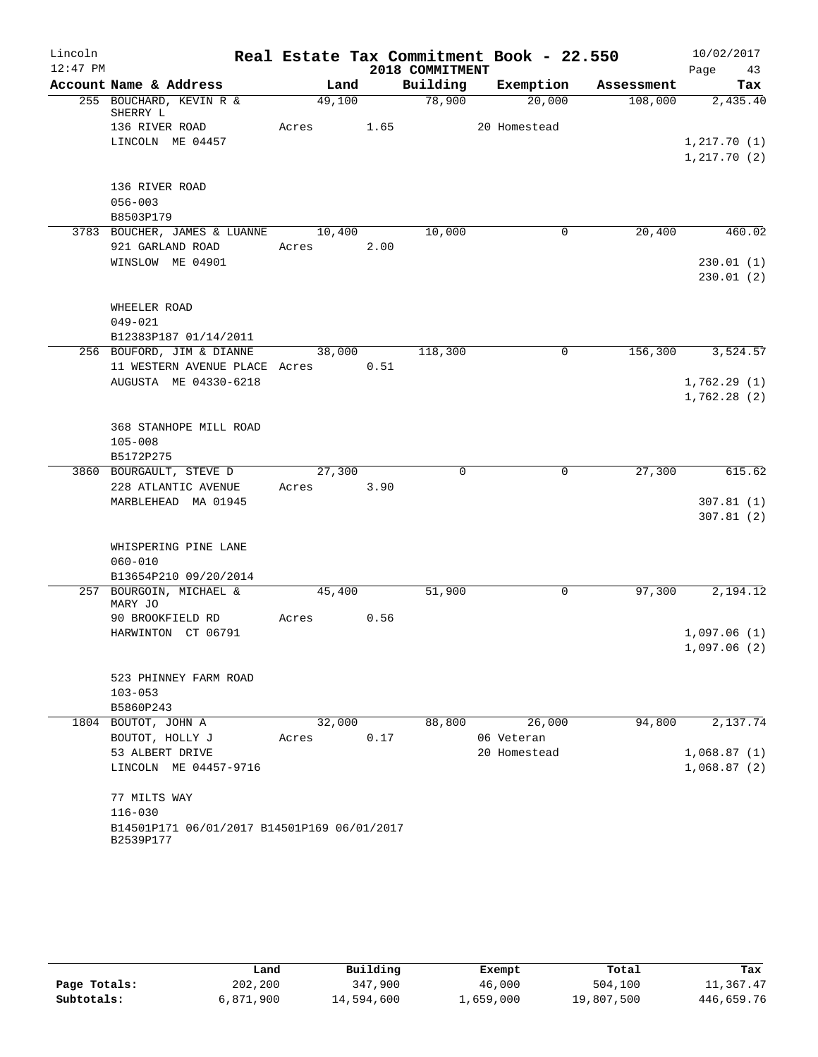| Lincoln    |                                                          |        |        |                 | Real Estate Tax Commitment Book - 22.550 |            | 10/02/2017   |
|------------|----------------------------------------------------------|--------|--------|-----------------|------------------------------------------|------------|--------------|
| $12:47$ PM |                                                          |        |        | 2018 COMMITMENT |                                          |            | Page<br>43   |
|            | Account Name & Address                                   | Land   |        | Building        | Exemption                                | Assessment | Tax          |
|            | 255 BOUCHARD, KEVIN R &<br>SHERRY L                      | 49,100 |        | 78,900          | 20,000                                   | 108,000    | 2,435.40     |
|            | 136 RIVER ROAD                                           | Acres  | 1.65   |                 | 20 Homestead                             |            |              |
|            | LINCOLN ME 04457                                         |        |        |                 |                                          |            | 1, 217.70(1) |
|            |                                                          |        |        |                 |                                          |            | 1, 217.70(2) |
|            | 136 RIVER ROAD                                           |        |        |                 |                                          |            |              |
|            | $056 - 003$                                              |        |        |                 |                                          |            |              |
|            | B8503P179                                                |        |        |                 |                                          |            |              |
|            | 3783 BOUCHER, JAMES & LUANNE                             | 10,400 |        | 10,000          | 0                                        | 20,400     | 460.02       |
|            | 921 GARLAND ROAD                                         | Acres  | 2.00   |                 |                                          |            |              |
|            | WINSLOW ME 04901                                         |        |        |                 |                                          |            | 230.01(1)    |
|            |                                                          |        |        |                 |                                          |            | 230.01(2)    |
|            |                                                          |        |        |                 |                                          |            |              |
|            | WHEELER ROAD<br>$049 - 021$                              |        |        |                 |                                          |            |              |
|            | B12383P187 01/14/2011                                    |        |        |                 |                                          |            |              |
|            | 256 BOUFORD, JIM & DIANNE                                |        | 38,000 | 118,300         | 0                                        | 156,300    | 3,524.57     |
|            | 11 WESTERN AVENUE PLACE Acres                            |        | 0.51   |                 |                                          |            |              |
|            | AUGUSTA ME 04330-6218                                    |        |        |                 |                                          |            | 1,762.29(1)  |
|            |                                                          |        |        |                 |                                          |            | 1,762.28(2)  |
|            |                                                          |        |        |                 |                                          |            |              |
|            | 368 STANHOPE MILL ROAD                                   |        |        |                 |                                          |            |              |
|            | $105 - 008$                                              |        |        |                 |                                          |            |              |
|            | B5172P275<br>3860 BOURGAULT, STEVE D                     | 27,300 |        | $\Omega$        | $\Omega$                                 | 27,300     | 615.62       |
|            | 228 ATLANTIC AVENUE                                      | Acres  | 3.90   |                 |                                          |            |              |
|            | MARBLEHEAD MA 01945                                      |        |        |                 |                                          |            | 307.81(1)    |
|            |                                                          |        |        |                 |                                          |            | 307.81(2)    |
|            |                                                          |        |        |                 |                                          |            |              |
|            | WHISPERING PINE LANE                                     |        |        |                 |                                          |            |              |
|            | $060 - 010$                                              |        |        |                 |                                          |            |              |
|            | B13654P210 09/20/2014                                    |        |        |                 |                                          |            |              |
|            | 257 BOURGOIN, MICHAEL &<br>MARY JO                       | 45,400 |        | 51,900          | 0                                        | 97,300     | 2,194.12     |
|            | 90 BROOKFIELD RD                                         | Acres  | 0.56   |                 |                                          |            |              |
|            | HARWINTON CT 06791                                       |        |        |                 |                                          |            | 1,097.06(1)  |
|            |                                                          |        |        |                 |                                          |            | 1,097.06(2)  |
|            |                                                          |        |        |                 |                                          |            |              |
|            | 523 PHINNEY FARM ROAD<br>$103 - 053$                     |        |        |                 |                                          |            |              |
|            | B5860P243                                                |        |        |                 |                                          |            |              |
|            | 1804 BOUTOT, JOHN A                                      | 32,000 |        | 88,800          | 26,000                                   | 94,800     | 2,137.74     |
|            | BOUTOT, HOLLY J                                          | Acres  | 0.17   |                 | 06 Veteran                               |            |              |
|            | 53 ALBERT DRIVE                                          |        |        |                 | 20 Homestead                             |            | 1,068.87(1)  |
|            | LINCOLN ME 04457-9716                                    |        |        |                 |                                          |            | 1,068.87(2)  |
|            |                                                          |        |        |                 |                                          |            |              |
|            | 77 MILTS WAY                                             |        |        |                 |                                          |            |              |
|            | $116 - 030$                                              |        |        |                 |                                          |            |              |
|            | B14501P171 06/01/2017 B14501P169 06/01/2017<br>B2539P177 |        |        |                 |                                          |            |              |
|            |                                                          |        |        |                 |                                          |            |              |

|              | Land      | Building   | Exempt    | Total      | Tax        |
|--------------|-----------|------------|-----------|------------|------------|
| Page Totals: | 202,200   | 347,900    | 46,000    | 504,100    | 11,367.47  |
| Subtotals:   | 6,871,900 | 14,594,600 | 1,659,000 | 19,807,500 | 446,659.76 |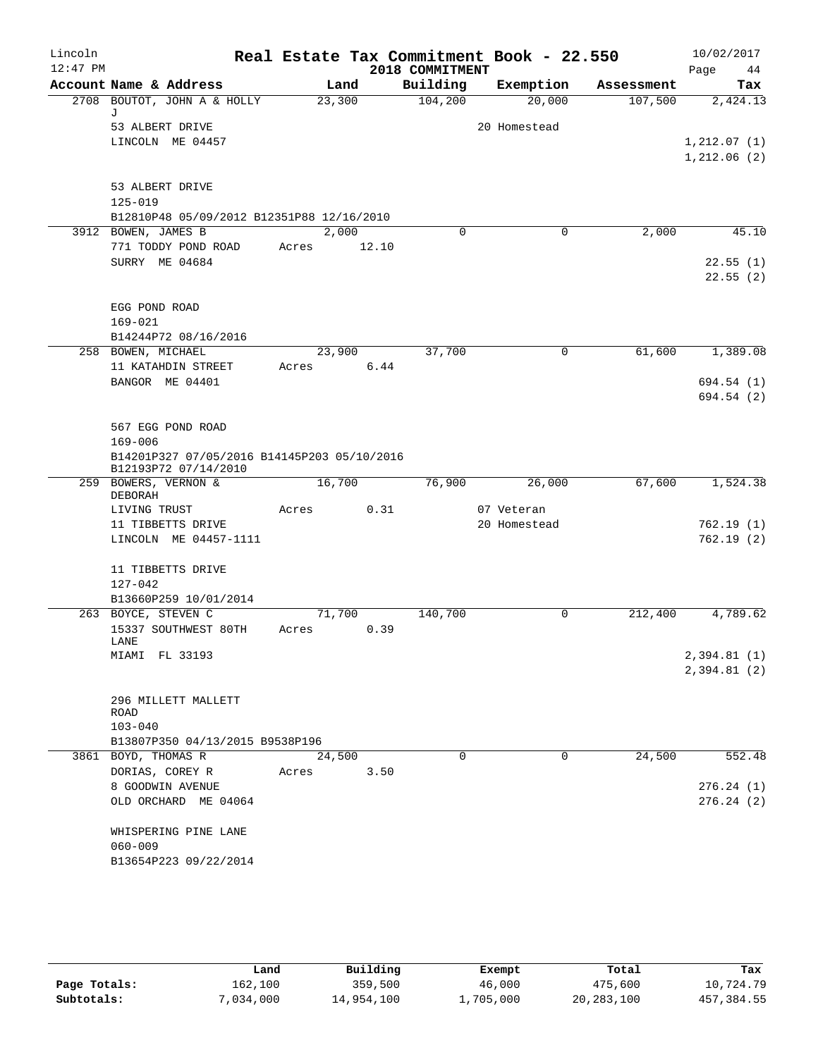| Lincoln<br>$12:47$ PM |                                                                     |       |                |                             | Real Estate Tax Commitment Book - 22.550 |                       | 10/02/2017                  |
|-----------------------|---------------------------------------------------------------------|-------|----------------|-----------------------------|------------------------------------------|-----------------------|-----------------------------|
|                       | Account Name & Address                                              |       |                | 2018 COMMITMENT<br>Building |                                          |                       | Page<br>44                  |
|                       | 2708 BOUTOT, JOHN A & HOLLY                                         |       | Land<br>23,300 | 104, 200                    | Exemption<br>20,000                      | Assessment<br>107,500 | Tax<br>2,424.13             |
|                       | J                                                                   |       |                |                             |                                          |                       |                             |
|                       | 53 ALBERT DRIVE                                                     |       |                |                             | 20 Homestead                             |                       |                             |
|                       | LINCOLN ME 04457                                                    |       |                |                             |                                          |                       | 1, 212.07(1)                |
|                       |                                                                     |       |                |                             |                                          |                       | 1,212.06(2)                 |
|                       |                                                                     |       |                |                             |                                          |                       |                             |
|                       | 53 ALBERT DRIVE<br>$125 - 019$                                      |       |                |                             |                                          |                       |                             |
|                       | B12810P48 05/09/2012 B12351P88 12/16/2010                           |       |                |                             |                                          |                       |                             |
|                       | 3912 BOWEN, JAMES B                                                 |       | 2,000          | $\Omega$                    | 0                                        | 2,000                 | 45.10                       |
|                       | 771 TODDY POND ROAD                                                 | Acres |                | 12.10                       |                                          |                       |                             |
|                       | SURRY ME 04684                                                      |       |                |                             |                                          |                       | 22.55(1)                    |
|                       |                                                                     |       |                |                             |                                          |                       | 22.55(2)                    |
|                       |                                                                     |       |                |                             |                                          |                       |                             |
|                       | EGG POND ROAD                                                       |       |                |                             |                                          |                       |                             |
|                       | $169 - 021$                                                         |       |                |                             |                                          |                       |                             |
|                       | B14244P72 08/16/2016<br>258 BOWEN, MICHAEL                          |       | 23,900         | 37,700                      | 0                                        | 61,600                | 1,389.08                    |
|                       | 11 KATAHDIN STREET                                                  | Acres |                | 6.44                        |                                          |                       |                             |
|                       | BANGOR ME 04401                                                     |       |                |                             |                                          |                       | 694.54 (1)                  |
|                       |                                                                     |       |                |                             |                                          |                       | 694.54 (2)                  |
|                       |                                                                     |       |                |                             |                                          |                       |                             |
|                       | 567 EGG POND ROAD                                                   |       |                |                             |                                          |                       |                             |
|                       | $169 - 006$                                                         |       |                |                             |                                          |                       |                             |
|                       | B14201P327 07/05/2016 B14145P203 05/10/2016<br>B12193P72 07/14/2010 |       |                |                             |                                          |                       |                             |
|                       | 259 BOWERS, VERNON &                                                |       | 16,700         | 76,900                      | 26,000                                   | 67,600                | 1,524.38                    |
|                       | DEBORAH                                                             |       |                |                             |                                          |                       |                             |
|                       | LIVING TRUST                                                        | Acres |                | 0.31                        | 07 Veteran                               |                       |                             |
|                       | 11 TIBBETTS DRIVE                                                   |       |                |                             | 20 Homestead                             |                       | 762.19(1)                   |
|                       | LINCOLN ME 04457-1111                                               |       |                |                             |                                          |                       | 762.19(2)                   |
|                       | 11 TIBBETTS DRIVE                                                   |       |                |                             |                                          |                       |                             |
|                       | 127-042                                                             |       |                |                             |                                          |                       |                             |
|                       | B13660P259 10/01/2014                                               |       |                |                             |                                          |                       |                             |
|                       | 263 BOYCE, STEVEN C                                                 |       | 71,700         | 140,700                     | 0                                        | 212,400               | 4,789.62                    |
|                       | 15337 SOUTHWEST 80TH                                                | Acres |                | 0.39                        |                                          |                       |                             |
|                       | LANE<br>MIAMI FL 33193                                              |       |                |                             |                                          |                       |                             |
|                       |                                                                     |       |                |                             |                                          |                       | 2,394.81 (1)<br>2,394.81(2) |
|                       |                                                                     |       |                |                             |                                          |                       |                             |
|                       | 296 MILLETT MALLETT                                                 |       |                |                             |                                          |                       |                             |
|                       | ROAD                                                                |       |                |                             |                                          |                       |                             |
|                       | $103 - 040$                                                         |       |                |                             |                                          |                       |                             |
|                       | B13807P350 04/13/2015 B9538P196<br>3861 BOYD, THOMAS R              |       | 24,500         | $\mathbf 0$                 | $\Omega$                                 | 24,500                | 552.48                      |
|                       | DORIAS, COREY R                                                     | Acres |                | 3.50                        |                                          |                       |                             |
|                       | 8 GOODWIN AVENUE                                                    |       |                |                             |                                          |                       | 276.24(1)                   |
|                       | OLD ORCHARD ME 04064                                                |       |                |                             |                                          |                       | 276.24(2)                   |
|                       |                                                                     |       |                |                             |                                          |                       |                             |
|                       | WHISPERING PINE LANE                                                |       |                |                             |                                          |                       |                             |
|                       | $060 - 009$                                                         |       |                |                             |                                          |                       |                             |
|                       | B13654P223 09/22/2014                                               |       |                |                             |                                          |                       |                             |

|              | Land      | Building   | Exempt    | Total      | Tax         |
|--------------|-----------|------------|-----------|------------|-------------|
| Page Totals: | 162,100   | 359,500    | 46,000    | 475,600    | 10,724.79   |
| Subtotals:   | 7,034,000 | 14,954,100 | 1,705,000 | 20,283,100 | 457, 384.55 |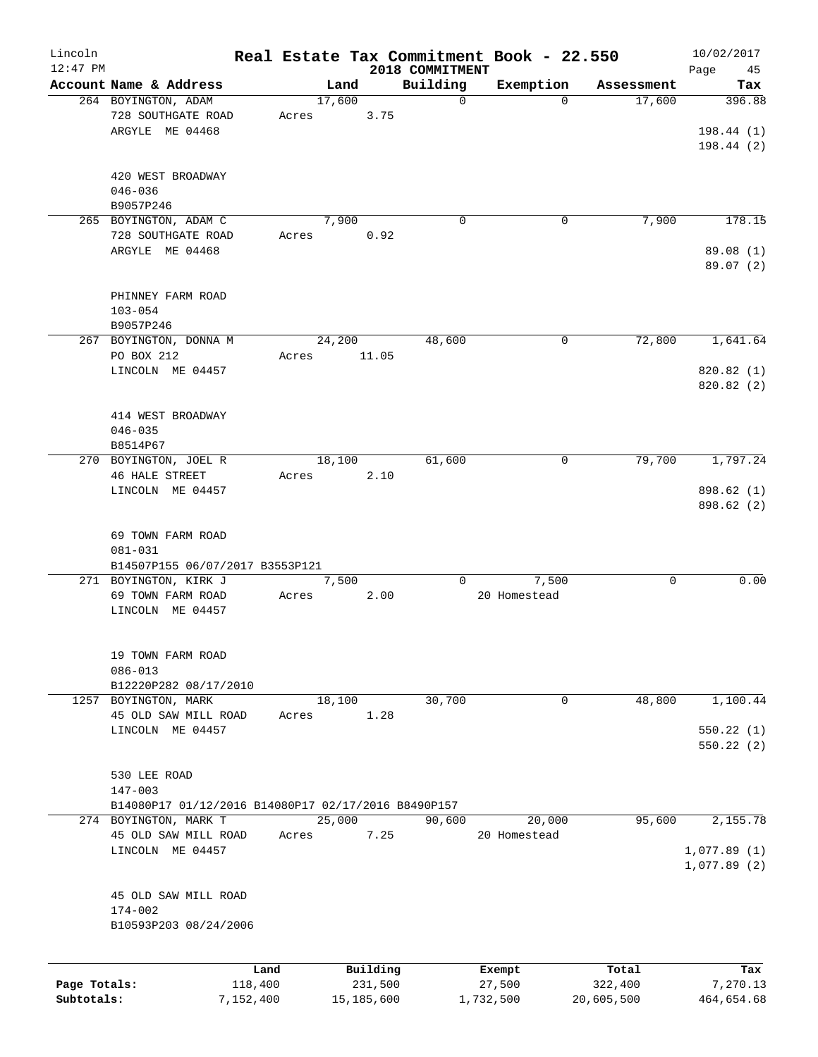| Lincoln      |                                                     |           |       |        |            |                             | Real Estate Tax Commitment Book - 22.550 |            | 10/02/2017                 |
|--------------|-----------------------------------------------------|-----------|-------|--------|------------|-----------------------------|------------------------------------------|------------|----------------------------|
| $12:47$ PM   | Account Name & Address                              |           |       | Land   |            | 2018 COMMITMENT<br>Building | Exemption                                | Assessment | Page<br>45                 |
|              | 264 BOYINGTON, ADAM                                 |           |       | 17,600 |            | 0                           | $\Omega$                                 | 17,600     | Tax<br>396.88              |
|              | 728 SOUTHGATE ROAD                                  |           | Acres |        | 3.75       |                             |                                          |            |                            |
|              | ARGYLE ME 04468                                     |           |       |        |            |                             |                                          |            | 198.44(1)<br>198.44(2)     |
|              | 420 WEST BROADWAY                                   |           |       |        |            |                             |                                          |            |                            |
|              | $046 - 036$                                         |           |       |        |            |                             |                                          |            |                            |
|              | B9057P246                                           |           |       |        |            |                             |                                          |            |                            |
|              | 265 BOYINGTON, ADAM C<br>728 SOUTHGATE ROAD         |           |       | 7,900  |            | $\Omega$                    | 0                                        | 7,900      | 178.15                     |
|              | ARGYLE ME 04468                                     |           | Acres |        | 0.92       |                             |                                          |            | 89.08(1)                   |
|              |                                                     |           |       |        |            |                             |                                          |            | 89.07 (2)                  |
|              | PHINNEY FARM ROAD                                   |           |       |        |            |                             |                                          |            |                            |
|              | $103 - 054$                                         |           |       |        |            |                             |                                          |            |                            |
|              | B9057P246                                           |           |       |        |            |                             |                                          |            |                            |
|              | 267 BOYINGTON, DONNA M                              |           |       | 24,200 |            | 48,600                      | 0                                        | 72,800     | 1,641.64                   |
|              | PO BOX 212                                          |           | Acres |        | 11.05      |                             |                                          |            |                            |
|              | LINCOLN ME 04457                                    |           |       |        |            |                             |                                          |            | 820.82 (1)<br>820.82(2)    |
|              |                                                     |           |       |        |            |                             |                                          |            |                            |
|              | 414 WEST BROADWAY                                   |           |       |        |            |                             |                                          |            |                            |
|              | $046 - 035$<br>B8514P67                             |           |       |        |            |                             |                                          |            |                            |
|              | 270 BOYINGTON, JOEL R                               |           |       | 18,100 |            | 61,600                      | 0                                        | 79,700     | 1,797.24                   |
|              | <b>46 HALE STREET</b>                               |           | Acres |        | 2.10       |                             |                                          |            |                            |
|              | LINCOLN ME 04457                                    |           |       |        |            |                             |                                          |            | 898.62 (1)                 |
|              |                                                     |           |       |        |            |                             |                                          |            | 898.62 (2)                 |
|              | 69 TOWN FARM ROAD                                   |           |       |        |            |                             |                                          |            |                            |
|              | $081 - 031$                                         |           |       |        |            |                             |                                          |            |                            |
|              | B14507P155 06/07/2017 B3553P121                     |           |       |        |            |                             |                                          |            |                            |
|              | 271 BOYINGTON, KIRK J                               |           |       | 7,500  |            | 0                           | 7,500                                    | 0          | 0.00                       |
|              | 69 TOWN FARM ROAD                                   |           | Acres |        | 2.00       |                             | 20 Homestead                             |            |                            |
|              | LINCOLN ME 04457                                    |           |       |        |            |                             |                                          |            |                            |
|              | 19 TOWN FARM ROAD                                   |           |       |        |            |                             |                                          |            |                            |
|              | $086 - 013$                                         |           |       |        |            |                             |                                          |            |                            |
|              | B12220P282 08/17/2010                               |           |       |        |            |                             |                                          |            |                            |
|              | 1257 BOYINGTON, MARK                                |           |       | 18,100 |            | 30,700                      | 0                                        | 48,800     | 1,100.44                   |
|              | 45 OLD SAW MILL ROAD                                |           | Acres |        | 1.28       |                             |                                          |            |                            |
|              | LINCOLN ME 04457                                    |           |       |        |            |                             |                                          |            | 550.22(1)                  |
|              |                                                     |           |       |        |            |                             |                                          |            | 550.22 (2)                 |
|              | 530 LEE ROAD                                        |           |       |        |            |                             |                                          |            |                            |
|              | $147 - 003$                                         |           |       |        |            |                             |                                          |            |                            |
|              | B14080P17 01/12/2016 B14080P17 02/17/2016 B8490P157 |           |       |        |            |                             |                                          |            |                            |
|              | 274 BOYINGTON, MARK T                               |           |       | 25,000 |            | 90,600                      | 20,000                                   | 95,600     | 2,155.78                   |
|              | 45 OLD SAW MILL ROAD                                |           | Acres |        | 7.25       |                             | 20 Homestead                             |            |                            |
|              | LINCOLN ME 04457                                    |           |       |        |            |                             |                                          |            | 1,077.89(1)<br>1,077.89(2) |
|              |                                                     |           |       |        |            |                             |                                          |            |                            |
|              | 45 OLD SAW MILL ROAD                                |           |       |        |            |                             |                                          |            |                            |
|              | $174 - 002$                                         |           |       |        |            |                             |                                          |            |                            |
|              | B10593P203 08/24/2006                               |           |       |        |            |                             |                                          |            |                            |
|              |                                                     | Land      |       |        | Building   |                             | Exempt                                   | Total      | Tax                        |
| Page Totals: |                                                     | 118,400   |       |        | 231,500    |                             | 27,500                                   | 322,400    | 7,270.13                   |
| Subtotals:   |                                                     | 7,152,400 |       |        | 15,185,600 |                             | 1,732,500                                | 20,605,500 | 464,654.68                 |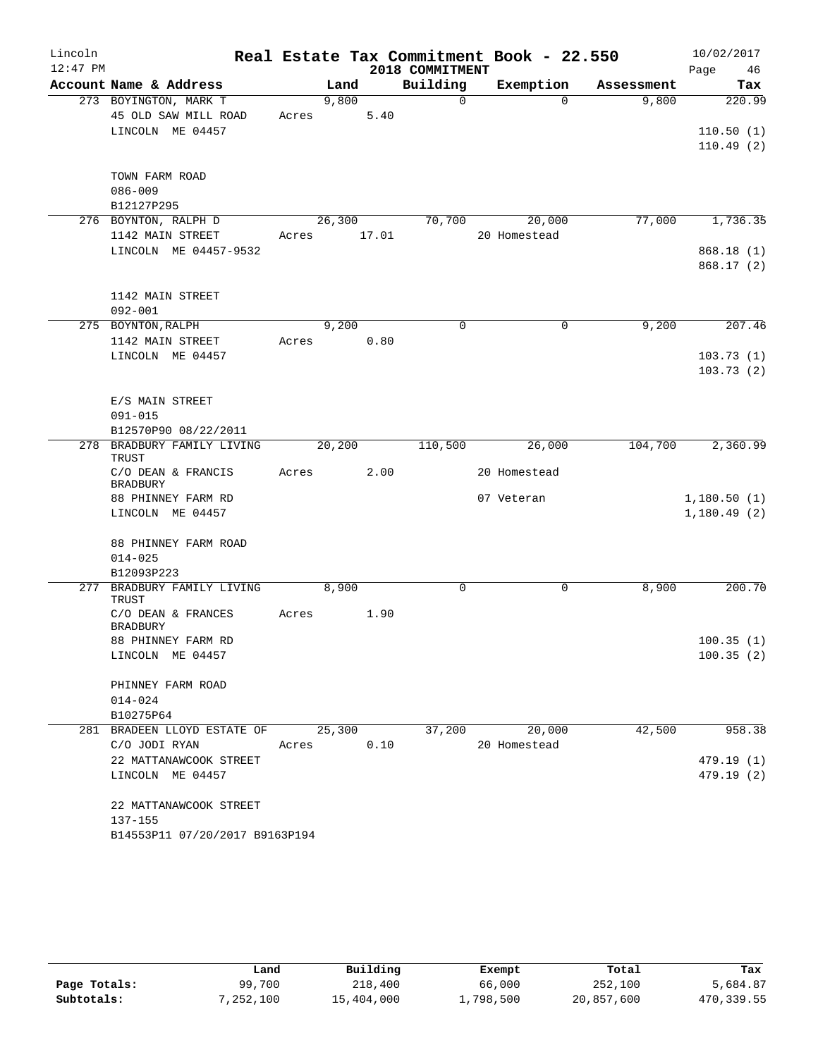| Lincoln    |                                        |             |         |      |                 | Real Estate Tax Commitment Book - 22.550 |            | 10/02/2017                 |
|------------|----------------------------------------|-------------|---------|------|-----------------|------------------------------------------|------------|----------------------------|
| $12:47$ PM |                                        |             |         |      | 2018 COMMITMENT |                                          |            | Page<br>46                 |
|            | Account Name & Address                 |             | Land    |      | Building        | Exemption                                | Assessment | Tax                        |
|            | 273 BOYINGTON, MARK T                  |             | 9,800   |      | $\Omega$        | $\Omega$                                 | 9,800      | 220.99                     |
|            | 45 OLD SAW MILL ROAD                   | Acres       |         | 5.40 |                 |                                          |            |                            |
|            | LINCOLN ME 04457                       |             |         |      |                 |                                          |            | 110.50(1)<br>110.49(2)     |
|            |                                        |             |         |      |                 |                                          |            |                            |
|            | TOWN FARM ROAD                         |             |         |      |                 |                                          |            |                            |
|            | $086 - 009$                            |             |         |      |                 |                                          |            |                            |
|            | B12127P295                             |             |         |      |                 |                                          |            |                            |
|            | 276 BOYNTON, RALPH D                   |             | 26,300  |      | 70,700          | 20,000                                   | 77,000     | 1,736.35                   |
|            | 1142 MAIN STREET                       | Acres 17.01 |         |      |                 | 20 Homestead                             |            |                            |
|            | LINCOLN ME 04457-9532                  |             |         |      |                 |                                          |            | 868.18(1)                  |
|            |                                        |             |         |      |                 |                                          |            | 868.17(2)                  |
|            |                                        |             |         |      |                 |                                          |            |                            |
|            | 1142 MAIN STREET                       |             |         |      |                 |                                          |            |                            |
|            | $092 - 001$                            |             |         |      |                 |                                          |            |                            |
|            | 275 BOYNTON, RALPH                     |             | 9,200   |      | $\Omega$        | $\Omega$                                 | 9,200      | 207.46                     |
|            | 1142 MAIN STREET                       | Acres       |         | 0.80 |                 |                                          |            |                            |
|            | LINCOLN ME 04457                       |             |         |      |                 |                                          |            | 103.73(1)                  |
|            |                                        |             |         |      |                 |                                          |            | 103.73(2)                  |
|            |                                        |             |         |      |                 |                                          |            |                            |
|            | E/S MAIN STREET<br>$091 - 015$         |             |         |      |                 |                                          |            |                            |
|            | B12570P90 08/22/2011                   |             |         |      |                 |                                          |            |                            |
|            | 278 BRADBURY FAMILY LIVING             |             | 20, 200 |      | 110,500         | 26,000                                   | 104,700    | 2,360.99                   |
|            | <b>TRUST</b>                           |             |         |      |                 |                                          |            |                            |
|            | C/O DEAN & FRANCIS                     | Acres       |         | 2.00 |                 | 20 Homestead                             |            |                            |
|            | <b>BRADBURY</b>                        |             |         |      |                 |                                          |            |                            |
|            | 88 PHINNEY FARM RD<br>LINCOLN ME 04457 |             |         |      |                 | 07 Veteran                               |            | 1,180.50(1)<br>1,180.49(2) |
|            |                                        |             |         |      |                 |                                          |            |                            |
|            | 88 PHINNEY FARM ROAD                   |             |         |      |                 |                                          |            |                            |
|            | $014 - 025$                            |             |         |      |                 |                                          |            |                            |
|            | B12093P223                             |             |         |      |                 |                                          |            |                            |
| 277        | BRADBURY FAMILY LIVING                 |             | 8,900   |      | $\mathbf 0$     | 0                                        | 8,900      | 200.70                     |
|            | TRUST                                  |             |         |      |                 |                                          |            |                            |
|            | C/O DEAN & FRANCES                     | Acres       |         | 1.90 |                 |                                          |            |                            |
|            | <b>BRADBURY</b><br>88 PHINNEY FARM RD  |             |         |      |                 |                                          |            | 100.35(1)                  |
|            | LINCOLN ME 04457                       |             |         |      |                 |                                          |            | 100.35(2)                  |
|            |                                        |             |         |      |                 |                                          |            |                            |
|            | PHINNEY FARM ROAD                      |             |         |      |                 |                                          |            |                            |
|            | $014 - 024$                            |             |         |      |                 |                                          |            |                            |
|            | B10275P64                              |             |         |      |                 |                                          |            |                            |
|            | 281 BRADEEN LLOYD ESTATE OF            |             | 25,300  |      | 37,200          | 20,000                                   | 42,500     | 958.38                     |
|            | C/O JODI RYAN                          | Acres       |         | 0.10 |                 | 20 Homestead                             |            |                            |
|            | 22 MATTANAWCOOK STREET                 |             |         |      |                 |                                          |            | 479.19 (1)                 |
|            | LINCOLN ME 04457                       |             |         |      |                 |                                          |            | 479.19 (2)                 |
|            |                                        |             |         |      |                 |                                          |            |                            |
|            | 22 MATTANAWCOOK STREET                 |             |         |      |                 |                                          |            |                            |
|            | 137-155                                |             |         |      |                 |                                          |            |                            |
|            | B14553P11 07/20/2017 B9163P194         |             |         |      |                 |                                          |            |                            |

|              | Land      | Building   | Exempt    | Total      | Tax        |
|--------------|-----------|------------|-----------|------------|------------|
| Page Totals: | 99,700    | 218,400    | 66,000    | 252,100    | 5,684.87   |
| Subtotals:   | 7,252,100 | 15,404,000 | 1,798,500 | 20,857,600 | 470,339.55 |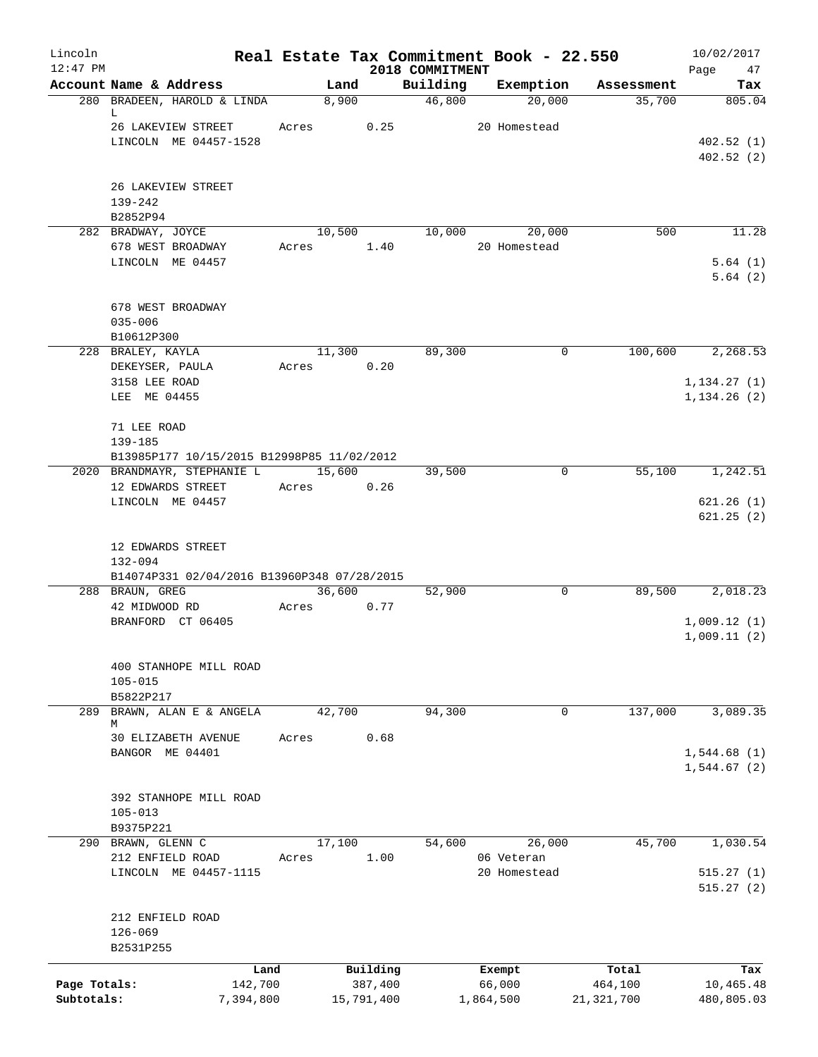| Lincoln<br>$12:47$ PM |                                                                           |       |                     | 2018 COMMITMENT | Real Estate Tax Commitment Book - 22.550 |                  | 10/02/2017<br>Page<br>47     |
|-----------------------|---------------------------------------------------------------------------|-------|---------------------|-----------------|------------------------------------------|------------------|------------------------------|
|                       | Account Name & Address                                                    |       | Land                | Building        | Exemption                                | Assessment       | Tax                          |
|                       | 280 BRADEEN, HAROLD & LINDA<br>L                                          |       | 8,900               | 46,800          | 20,000                                   | 35,700           | 805.04                       |
|                       | 26 LAKEVIEW STREET                                                        | Acres | 0.25                |                 | 20 Homestead                             |                  |                              |
|                       | LINCOLN ME 04457-1528                                                     |       |                     |                 |                                          |                  | 402.52(1)<br>402.52(2)       |
|                       | 26 LAKEVIEW STREET                                                        |       |                     |                 |                                          |                  |                              |
|                       | 139-242<br>B2852P94                                                       |       |                     |                 |                                          |                  |                              |
|                       | 282 BRADWAY, JOYCE                                                        |       | 10,500              | 10,000          | 20,000                                   | 500              | 11.28                        |
|                       | 678 WEST BROADWAY<br>LINCOLN ME 04457                                     | Acres | 1.40                |                 | 20 Homestead                             |                  | 5.64(1)                      |
|                       |                                                                           |       |                     |                 |                                          |                  | 5.64(2)                      |
|                       | 678 WEST BROADWAY                                                         |       |                     |                 |                                          |                  |                              |
|                       | $035 - 006$<br>B10612P300                                                 |       |                     |                 |                                          |                  |                              |
|                       | 228 BRALEY, KAYLA                                                         |       | 11,300              | 89,300          | $\mathbf 0$                              | 100,600          | 2,268.53                     |
|                       | DEKEYSER, PAULA                                                           | Acres | 0.20                |                 |                                          |                  |                              |
|                       | 3158 LEE ROAD<br>LEE ME 04455                                             |       |                     |                 |                                          |                  | 1, 134.27(1)<br>1, 134.26(2) |
|                       | 71 LEE ROAD                                                               |       |                     |                 |                                          |                  |                              |
|                       | 139-185                                                                   |       |                     |                 |                                          |                  |                              |
|                       | B13985P177 10/15/2015 B12998P85 11/02/2012<br>2020 BRANDMAYR, STEPHANIE L |       | 15,600              | 39,500          | 0                                        | 55,100           | 1,242.51                     |
|                       | 12 EDWARDS STREET                                                         | Acres | 0.26                |                 |                                          |                  |                              |
|                       | LINCOLN ME 04457                                                          |       |                     |                 |                                          |                  | 621.26(1)<br>621.25(2)       |
|                       | 12 EDWARDS STREET<br>132-094                                              |       |                     |                 |                                          |                  |                              |
|                       | B14074P331 02/04/2016 B13960P348 07/28/2015<br>288 BRAUN, GREG            |       | 36,600              | 52,900          | $\mathbf 0$                              | 89,500           | 2,018.23                     |
|                       | 42 MIDWOOD RD                                                             | Acres | 0.77                |                 |                                          |                  |                              |
|                       | BRANFORD CT 06405                                                         |       |                     |                 |                                          |                  | 1,009.12(1)                  |
|                       |                                                                           |       |                     |                 |                                          |                  | 1,009.11(2)                  |
|                       | 400 STANHOPE MILL ROAD<br>$105 - 015$                                     |       |                     |                 |                                          |                  |                              |
| 289                   | B5822P217<br>BRAWN, ALAN E & ANGELA                                       |       | 42,700              | 94,300          | 0                                        | 137,000          | 3,089.35                     |
|                       | М                                                                         |       |                     |                 |                                          |                  |                              |
|                       | 30 ELIZABETH AVENUE<br>BANGOR ME 04401                                    | Acres | 0.68                |                 |                                          |                  | 1,544.68(1)                  |
|                       |                                                                           |       |                     |                 |                                          |                  | 1,544.67(2)                  |
|                       | 392 STANHOPE MILL ROAD                                                    |       |                     |                 |                                          |                  |                              |
|                       | $105 - 013$<br>B9375P221                                                  |       |                     |                 |                                          |                  |                              |
|                       | 290 BRAWN, GLENN C                                                        |       | 17,100              | 54,600          | 26,000                                   | 45,700           | 1,030.54                     |
|                       | 212 ENFIELD ROAD                                                          | Acres | 1.00                |                 | 06 Veteran                               |                  |                              |
|                       | LINCOLN ME 04457-1115                                                     |       |                     |                 | 20 Homestead                             |                  | 515.27(1)<br>515.27(2)       |
|                       | 212 ENFIELD ROAD<br>$126 - 069$                                           |       |                     |                 |                                          |                  |                              |
|                       | B2531P255                                                                 |       |                     |                 |                                          |                  |                              |
| Page Totals:          | 142,700                                                                   | Land  | Building<br>387,400 |                 | Exempt<br>66,000                         | Total<br>464,100 | Tax<br>10,465.48             |
| Subtotals:            | 7,394,800                                                                 |       | 15,791,400          |                 | 1,864,500                                | 21, 321, 700     | 480,805.03                   |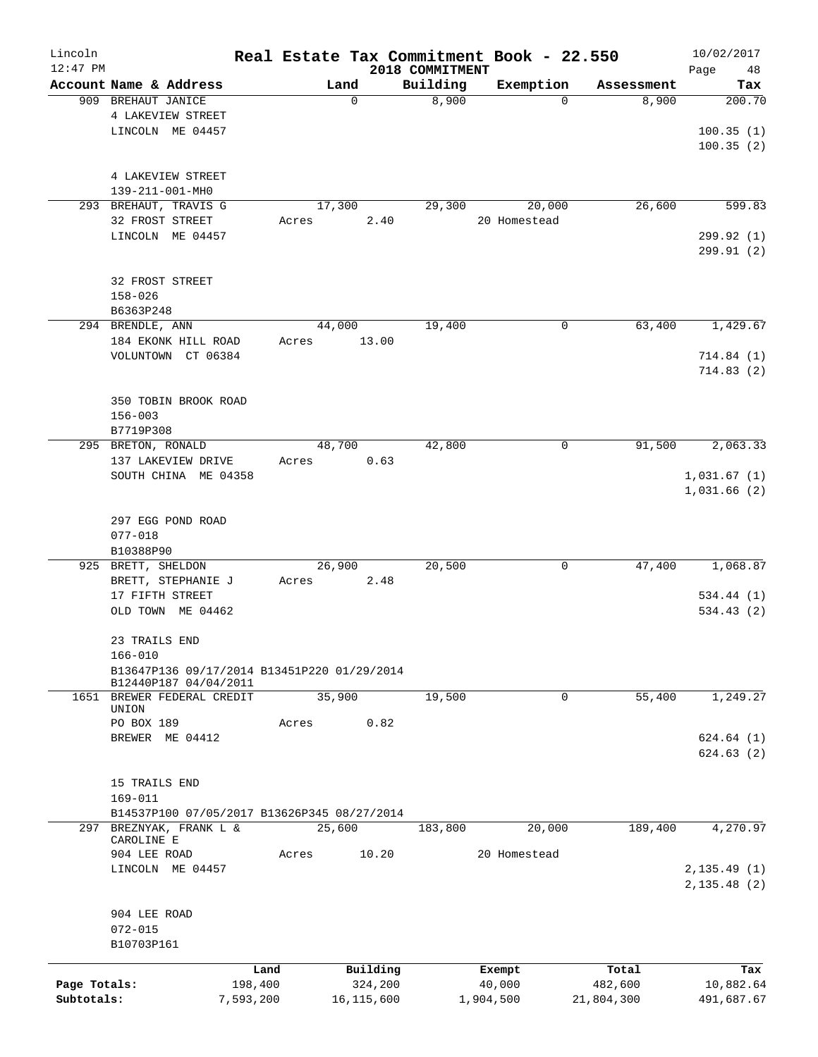| Lincoln<br>$12:47$ PM |                                                                      |           |       |            | 2018 COMMITMENT |           | Real Estate Tax Commitment Book - 22.550 |            | 10/02/2017<br>48<br>Page |
|-----------------------|----------------------------------------------------------------------|-----------|-------|------------|-----------------|-----------|------------------------------------------|------------|--------------------------|
|                       | Account Name & Address                                               |           |       | Land       | Building        |           | Exemption                                | Assessment | Tax                      |
|                       | 909 BREHAUT JANICE                                                   |           |       | 0          | 8,900           |           | $\Omega$                                 | 8,900      | 200.70                   |
|                       | 4 LAKEVIEW STREET                                                    |           |       |            |                 |           |                                          |            |                          |
|                       | LINCOLN ME 04457                                                     |           |       |            |                 |           |                                          |            | 100.35(1)                |
|                       |                                                                      |           |       |            |                 |           |                                          |            | 100.35(2)                |
|                       |                                                                      |           |       |            |                 |           |                                          |            |                          |
|                       | 4 LAKEVIEW STREET                                                    |           |       |            |                 |           |                                          |            |                          |
|                       | 139-211-001-MH0                                                      |           |       |            |                 |           |                                          |            |                          |
|                       | 293 BREHAUT, TRAVIS G                                                |           |       | 17,300     | 29,300          |           | 20,000                                   | 26,600     | 599.83                   |
|                       | 32 FROST STREET                                                      |           | Acres | 2.40       |                 |           | 20 Homestead                             |            |                          |
|                       | LINCOLN ME 04457                                                     |           |       |            |                 |           |                                          |            | 299.92 (1)               |
|                       |                                                                      |           |       |            |                 |           |                                          |            | 299.91(2)                |
|                       |                                                                      |           |       |            |                 |           |                                          |            |                          |
|                       | 32 FROST STREET                                                      |           |       |            |                 |           |                                          |            |                          |
|                       | $158 - 026$                                                          |           |       |            |                 |           |                                          |            |                          |
|                       | B6363P248                                                            |           |       |            |                 |           |                                          |            |                          |
|                       | 294 BRENDLE, ANN                                                     |           |       | 44,000     | 19,400          |           | 0                                        | 63,400     | 1,429.67                 |
|                       |                                                                      |           | Acres | 13.00      |                 |           |                                          |            |                          |
|                       | 184 EKONK HILL ROAD<br>VOLUNTOWN CT 06384                            |           |       |            |                 |           |                                          |            | 714.84(1)                |
|                       |                                                                      |           |       |            |                 |           |                                          |            |                          |
|                       |                                                                      |           |       |            |                 |           |                                          |            | 714.83(2)                |
|                       |                                                                      |           |       |            |                 |           |                                          |            |                          |
|                       | 350 TOBIN BROOK ROAD                                                 |           |       |            |                 |           |                                          |            |                          |
|                       | $156 - 003$                                                          |           |       |            |                 |           |                                          |            |                          |
|                       | B7719P308                                                            |           |       | 48,700     | 42,800          |           |                                          | 91,500     | 2,063.33                 |
|                       | 295 BRETON, RONALD                                                   |           |       |            |                 |           | 0                                        |            |                          |
|                       | 137 LAKEVIEW DRIVE                                                   |           | Acres | 0.63       |                 |           |                                          |            |                          |
|                       | SOUTH CHINA ME 04358                                                 |           |       |            |                 |           |                                          |            | 1,031.67(1)              |
|                       |                                                                      |           |       |            |                 |           |                                          |            | 1,031.66(2)              |
|                       |                                                                      |           |       |            |                 |           |                                          |            |                          |
|                       | 297 EGG POND ROAD                                                    |           |       |            |                 |           |                                          |            |                          |
|                       | $077 - 018$                                                          |           |       |            |                 |           |                                          |            |                          |
|                       | B10388P90                                                            |           |       |            |                 |           |                                          |            |                          |
|                       | 925 BRETT, SHELDON                                                   |           |       | 26,900     | 20,500          |           | 0                                        | 47,400     | 1,068.87                 |
|                       | BRETT, STEPHANIE J                                                   |           | Acres | 2.48       |                 |           |                                          |            |                          |
|                       | 17 FIFTH STREET                                                      |           |       |            |                 |           |                                          |            | 534.44(1)                |
|                       | OLD TOWN ME 04462                                                    |           |       |            |                 |           |                                          |            | 534.43(2)                |
|                       |                                                                      |           |       |            |                 |           |                                          |            |                          |
|                       | 23 TRAILS END                                                        |           |       |            |                 |           |                                          |            |                          |
|                       | $166 - 010$                                                          |           |       |            |                 |           |                                          |            |                          |
|                       | B13647P136 09/17/2014 B13451P220 01/29/2014<br>B12440P187 04/04/2011 |           |       |            |                 |           |                                          |            |                          |
|                       | 1651 BREWER FEDERAL CREDIT                                           |           |       | 35,900     | 19,500          |           | 0                                        | 55,400     | 1,249.27                 |
|                       | UNION                                                                |           |       |            |                 |           |                                          |            |                          |
|                       | PO BOX 189                                                           |           | Acres | 0.82       |                 |           |                                          |            |                          |
|                       | BREWER ME 04412                                                      |           |       |            |                 |           |                                          |            | 624.64(1)                |
|                       |                                                                      |           |       |            |                 |           |                                          |            | 624.63(2)                |
|                       |                                                                      |           |       |            |                 |           |                                          |            |                          |
|                       | 15 TRAILS END                                                        |           |       |            |                 |           |                                          |            |                          |
|                       | 169-011                                                              |           |       |            |                 |           |                                          |            |                          |
|                       | B14537P100 07/05/2017 B13626P345 08/27/2014                          |           |       |            |                 |           |                                          |            |                          |
| 297                   | BREZNYAK, FRANK L &                                                  |           |       | 25,600     | 183,800         |           | 20,000                                   | 189,400    | 4,270.97                 |
|                       | CAROLINE E                                                           |           |       |            |                 |           |                                          |            |                          |
|                       | 904 LEE ROAD                                                         |           | Acres | 10.20      |                 |           | 20 Homestead                             |            |                          |
|                       | LINCOLN ME 04457                                                     |           |       |            |                 |           |                                          |            | 2, 135.49(1)             |
|                       |                                                                      |           |       |            |                 |           |                                          |            | 2, 135.48 (2)            |
|                       |                                                                      |           |       |            |                 |           |                                          |            |                          |
|                       | 904 LEE ROAD                                                         |           |       |            |                 |           |                                          |            |                          |
|                       | $072 - 015$                                                          |           |       |            |                 |           |                                          |            |                          |
|                       | B10703P161                                                           |           |       |            |                 |           |                                          |            |                          |
|                       |                                                                      |           |       |            |                 |           |                                          |            |                          |
|                       |                                                                      | Land      |       | Building   |                 |           | Exempt                                   | Total      | Tax                      |
| Page Totals:          |                                                                      | 198,400   |       | 324,200    |                 |           | 40,000                                   | 482,600    | 10,882.64                |
| Subtotals:            |                                                                      | 7,593,200 |       | 16,115,600 |                 | 1,904,500 |                                          | 21,804,300 | 491,687.67               |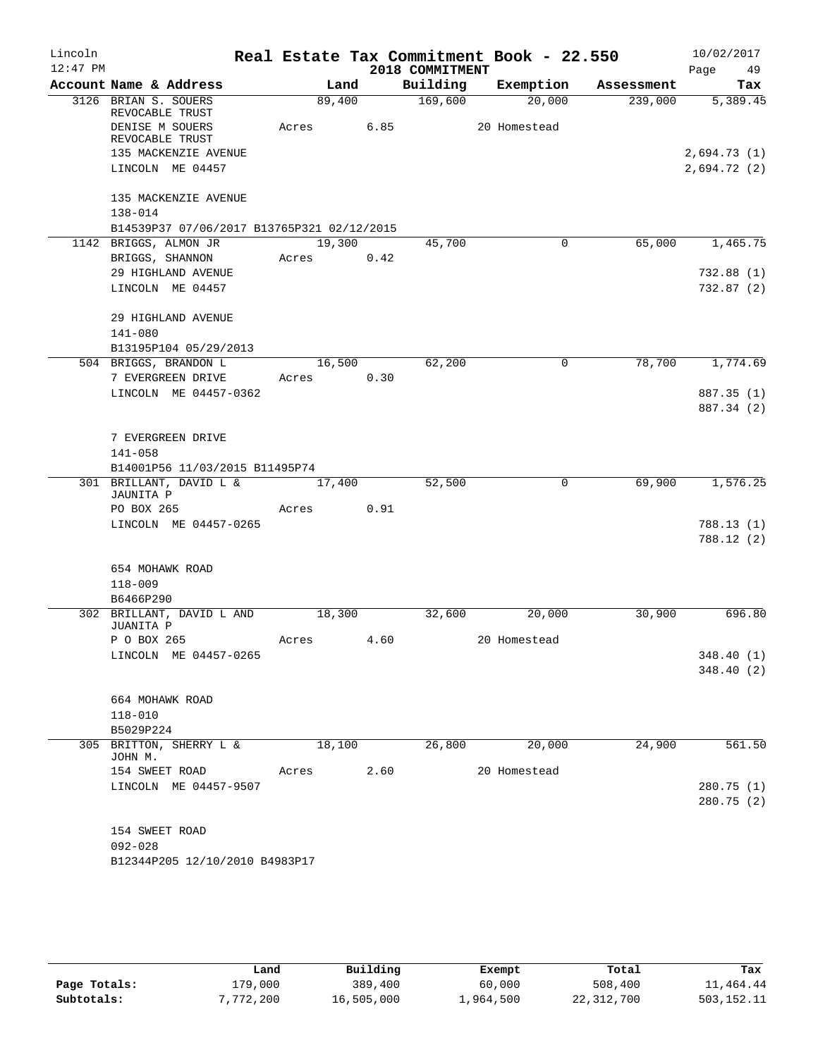| Lincoln    |                                            |        |        |                 | Real Estate Tax Commitment Book - 22.550 |            | 10/02/2017  |
|------------|--------------------------------------------|--------|--------|-----------------|------------------------------------------|------------|-------------|
| $12:47$ PM |                                            |        |        | 2018 COMMITMENT |                                          |            | Page<br>49  |
|            | Account Name & Address                     |        | Land   | Building        | Exemption                                | Assessment | Tax         |
|            | 3126 BRIAN S. SOUERS<br>REVOCABLE TRUST    | 89,400 |        | 169,600         | 20,000                                   | 239,000    | 5,389.45    |
|            | DENISE M SOUERS<br>REVOCABLE TRUST         | Acres  | 6.85   |                 | 20 Homestead                             |            |             |
|            | 135 MACKENZIE AVENUE                       |        |        |                 |                                          |            | 2,694.73(1) |
|            | LINCOLN ME 04457                           |        |        |                 |                                          |            | 2,694.72(2) |
|            | 135 MACKENZIE AVENUE<br>$138 - 014$        |        |        |                 |                                          |            |             |
|            | B14539P37 07/06/2017 B13765P321 02/12/2015 |        |        |                 |                                          |            |             |
|            | 1142 BRIGGS, ALMON JR                      |        | 19,300 | 45,700          | $\mathbf 0$                              | 65,000     | 1,465.75    |
|            | BRIGGS, SHANNON                            | Acres  | 0.42   |                 |                                          |            |             |
|            | 29 HIGHLAND AVENUE                         |        |        |                 |                                          |            | 732.88(1)   |
|            | LINCOLN ME 04457                           |        |        |                 |                                          |            | 732.87(2)   |
|            |                                            |        |        |                 |                                          |            |             |
|            | 29 HIGHLAND AVENUE                         |        |        |                 |                                          |            |             |
|            | 141-080                                    |        |        |                 |                                          |            |             |
|            | B13195P104 05/29/2013                      |        |        |                 |                                          |            |             |
|            | 504 BRIGGS, BRANDON L                      | 16,500 |        | 62,200          | 0                                        | 78,700     | 1,774.69    |
|            | 7 EVERGREEN DRIVE                          | Acres  | 0.30   |                 |                                          |            |             |
|            | LINCOLN ME 04457-0362                      |        |        |                 |                                          |            | 887.35 (1)  |
|            |                                            |        |        |                 |                                          |            | 887.34 (2)  |
|            | 7 EVERGREEN DRIVE                          |        |        |                 |                                          |            |             |
|            | $141 - 058$                                |        |        |                 |                                          |            |             |
|            | B14001P56 11/03/2015 B11495P74             |        |        |                 |                                          |            |             |
|            | 301 BRILLANT, DAVID L &                    | 17,400 |        | 52,500          | 0                                        | 69,900     | 1,576.25    |
|            | JAUNITA P                                  |        |        |                 |                                          |            |             |
|            | PO BOX 265                                 | Acres  | 0.91   |                 |                                          |            |             |
|            | LINCOLN ME 04457-0265                      |        |        |                 |                                          |            | 788.13(1)   |
|            |                                            |        |        |                 |                                          |            | 788.12 (2)  |
|            | 654 MOHAWK ROAD                            |        |        |                 |                                          |            |             |
|            | $118 - 009$                                |        |        |                 |                                          |            |             |
|            | B6466P290                                  |        |        |                 |                                          |            |             |
|            | 302 BRILLANT, DAVID L AND<br>JUANITA P     | 18,300 |        | 32,600          | 20,000                                   | 30,900     | 696.80      |
|            | P O BOX 265                                | Acres  | 4.60   |                 | 20 Homestead                             |            |             |
|            | LINCOLN ME 04457-0265                      |        |        |                 |                                          |            | 348.40 (1)  |
|            |                                            |        |        |                 |                                          |            | 348.40(2)   |
|            | 664 MOHAWK ROAD                            |        |        |                 |                                          |            |             |
|            | 118-010                                    |        |        |                 |                                          |            |             |
|            | B5029P224                                  |        |        |                 |                                          |            |             |
|            | 305 BRITTON, SHERRY L &                    | 18,100 |        | 26,800          | 20,000                                   | 24,900     | 561.50      |
|            | JOHN M.                                    |        |        |                 |                                          |            |             |
|            | 154 SWEET ROAD                             | Acres  | 2.60   |                 | 20 Homestead                             |            |             |
|            | LINCOLN ME 04457-9507                      |        |        |                 |                                          |            | 280.75(1)   |
|            |                                            |        |        |                 |                                          |            | 280.75(2)   |
|            | 154 SWEET ROAD                             |        |        |                 |                                          |            |             |
|            | $092 - 028$                                |        |        |                 |                                          |            |             |
|            | B12344P205 12/10/2010 B4983P17             |        |        |                 |                                          |            |             |
|            |                                            |        |        |                 |                                          |            |             |

|              | Land      | Building   | Exempt    | Total      | Tax        |
|--------------|-----------|------------|-----------|------------|------------|
| Page Totals: | 179,000   | 389,400    | 60,000    | 508,400    | 11,464.44  |
| Subtotals:   | 7,772,200 | 16,505,000 | 1,964,500 | 22,312,700 | 503,152.11 |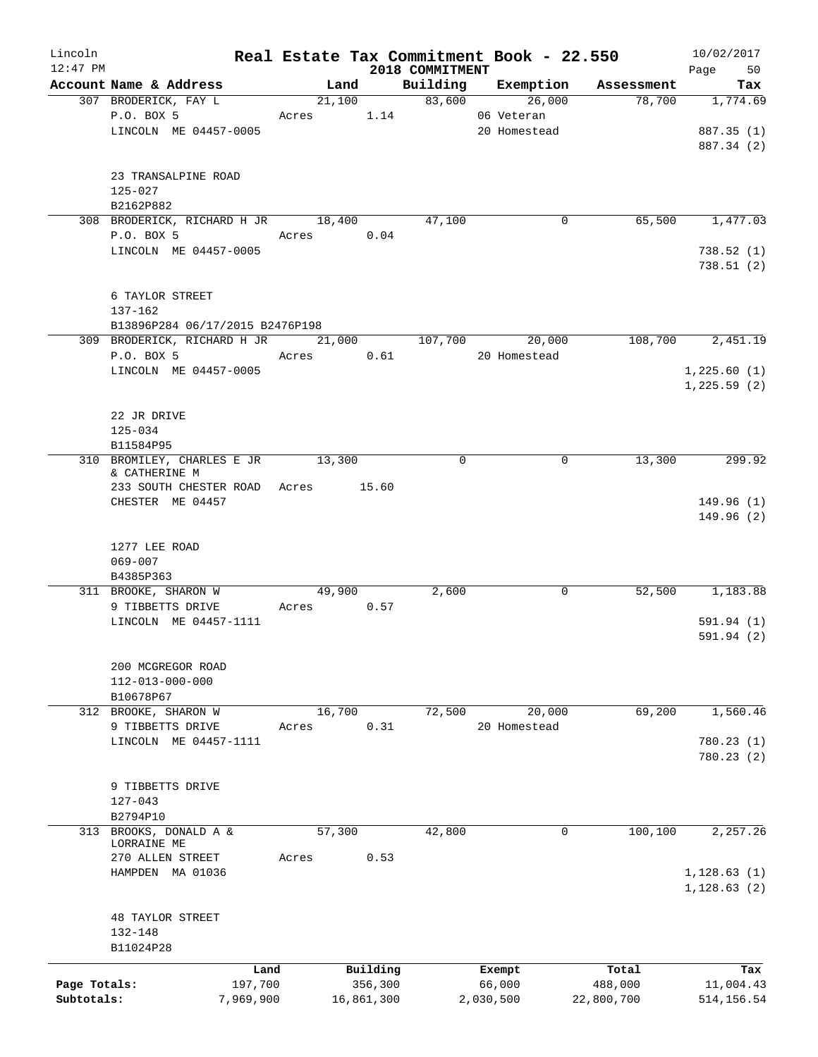| Lincoln      |                                                |                |            |                    | Real Estate Tax Commitment Book - 22.550 |                      | 10/02/2017      |
|--------------|------------------------------------------------|----------------|------------|--------------------|------------------------------------------|----------------------|-----------------|
| $12:47$ PM   |                                                |                |            | 2018 COMMITMENT    |                                          |                      | Page<br>50      |
|              | Account Name & Address<br>307 BRODERICK, FAY L | Land<br>21,100 |            | Building<br>83,600 | Exemption<br>26,000                      | Assessment<br>78,700 | Tax<br>1,774.69 |
|              | P.O. BOX 5                                     | Acres          | 1.14       |                    | 06 Veteran                               |                      |                 |
|              | LINCOLN ME 04457-0005                          |                |            |                    | 20 Homestead                             |                      | 887.35 (1)      |
|              |                                                |                |            |                    |                                          |                      | 887.34 (2)      |
|              |                                                |                |            |                    |                                          |                      |                 |
|              | 23 TRANSALPINE ROAD                            |                |            |                    |                                          |                      |                 |
|              | $125 - 027$                                    |                |            |                    |                                          |                      |                 |
|              | B2162P882                                      |                |            |                    |                                          |                      |                 |
|              | 308 BRODERICK, RICHARD H JR                    | 18,400         |            | 47,100             | 0                                        | 65,500               | 1,477.03        |
|              | P.O. BOX 5                                     | Acres          | 0.04       |                    |                                          |                      |                 |
|              | LINCOLN ME 04457-0005                          |                |            |                    |                                          |                      | 738.52(1)       |
|              |                                                |                |            |                    |                                          |                      | 738.51(2)       |
|              |                                                |                |            |                    |                                          |                      |                 |
|              | 6 TAYLOR STREET                                |                |            |                    |                                          |                      |                 |
|              | 137-162                                        |                |            |                    |                                          |                      |                 |
|              | B13896P284 06/17/2015 B2476P198                |                |            |                    |                                          |                      |                 |
|              | 309 BRODERICK, RICHARD H JR                    | 21,000         |            | 107,700            | 20,000                                   | 108,700              | 2,451.19        |
|              | P.O. BOX 5                                     | Acres          | 0.61       |                    | 20 Homestead                             |                      |                 |
|              | LINCOLN ME 04457-0005                          |                |            |                    |                                          |                      | 1,225.60(1)     |
|              |                                                |                |            |                    |                                          |                      | 1,225.59(2)     |
|              |                                                |                |            |                    |                                          |                      |                 |
|              | 22 JR DRIVE                                    |                |            |                    |                                          |                      |                 |
|              | $125 - 034$                                    |                |            |                    |                                          |                      |                 |
|              | B11584P95                                      |                |            |                    |                                          |                      |                 |
|              | 310 BROMILEY, CHARLES E JR                     | 13,300         |            | 0                  | 0                                        | 13,300               | 299.92          |
|              | & CATHERINE M<br>233 SOUTH CHESTER ROAD        | Acres          | 15.60      |                    |                                          |                      |                 |
|              | CHESTER ME 04457                               |                |            |                    |                                          |                      | 149.96(1)       |
|              |                                                |                |            |                    |                                          |                      | 149.96(2)       |
|              |                                                |                |            |                    |                                          |                      |                 |
|              | 1277 LEE ROAD                                  |                |            |                    |                                          |                      |                 |
|              | $069 - 007$                                    |                |            |                    |                                          |                      |                 |
|              | B4385P363                                      |                |            |                    |                                          |                      |                 |
|              | 311 BROOKE, SHARON W                           | 49,900         |            | 2,600              | 0                                        | 52,500               | 1,183.88        |
|              | 9 TIBBETTS DRIVE                               | Acres          | 0.57       |                    |                                          |                      |                 |
|              | LINCOLN ME 04457-1111                          |                |            |                    |                                          |                      | 591.94 (1)      |
|              |                                                |                |            |                    |                                          |                      | 591.94(2)       |
|              |                                                |                |            |                    |                                          |                      |                 |
|              | 200 MCGREGOR ROAD                              |                |            |                    |                                          |                      |                 |
|              | 112-013-000-000                                |                |            |                    |                                          |                      |                 |
|              | B10678P67                                      |                |            |                    |                                          |                      |                 |
|              | 312 BROOKE, SHARON W                           | 16,700         |            | 72,500             | 20,000                                   | 69,200               | 1,560.46        |
|              | 9 TIBBETTS DRIVE                               | Acres          | 0.31       |                    | 20 Homestead                             |                      |                 |
|              | LINCOLN ME 04457-1111                          |                |            |                    |                                          |                      | 780.23(1)       |
|              |                                                |                |            |                    |                                          |                      | 780.23(2)       |
|              |                                                |                |            |                    |                                          |                      |                 |
|              | 9 TIBBETTS DRIVE                               |                |            |                    |                                          |                      |                 |
|              | $127 - 043$                                    |                |            |                    |                                          |                      |                 |
|              | B2794P10                                       |                |            |                    |                                          |                      |                 |
| 313          | BROOKS, DONALD A &<br>LORRAINE ME              | 57,300         |            | 42,800             |                                          | 100, 100<br>0        | 2,257.26        |
|              | 270 ALLEN STREET                               | Acres          | 0.53       |                    |                                          |                      |                 |
|              | HAMPDEN MA 01036                               |                |            |                    |                                          |                      | 1, 128.63(1)    |
|              |                                                |                |            |                    |                                          |                      | 1, 128.63(2)    |
|              |                                                |                |            |                    |                                          |                      |                 |
|              | <b>48 TAYLOR STREET</b>                        |                |            |                    |                                          |                      |                 |
|              | 132-148                                        |                |            |                    |                                          |                      |                 |
|              | B11024P28                                      |                |            |                    |                                          |                      |                 |
|              | Land                                           |                | Building   |                    | Exempt                                   | Total                | Tax             |
| Page Totals: | 197,700                                        |                | 356,300    |                    | 66,000                                   | 488,000              | 11,004.43       |
| Subtotals:   | 7,969,900                                      |                | 16,861,300 |                    | 2,030,500                                | 22,800,700           | 514,156.54      |
|              |                                                |                |            |                    |                                          |                      |                 |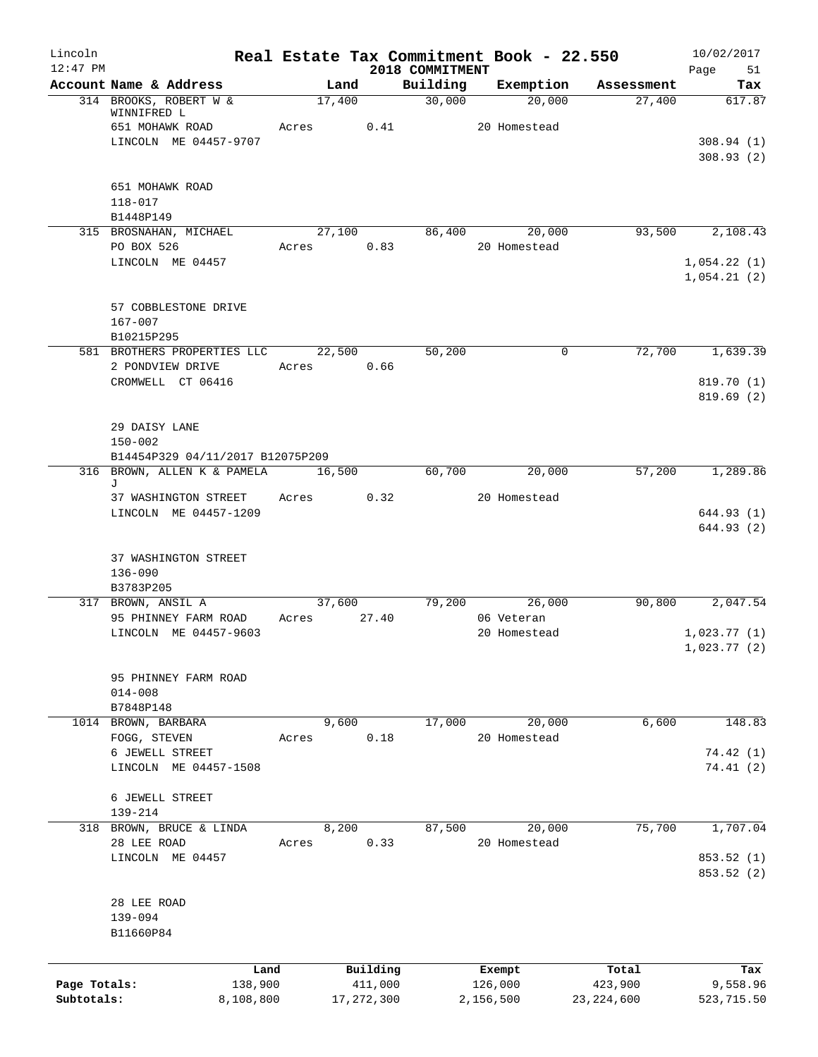| Lincoln<br>$12:47$ PM |                                       |        |                     | 2018 COMMITMENT | Real Estate Tax Commitment Book - 22.550 |                       | 10/02/2017<br>Page<br>51 |
|-----------------------|---------------------------------------|--------|---------------------|-----------------|------------------------------------------|-----------------------|--------------------------|
|                       | Account Name & Address                |        | Land                | Building        | Exemption                                | Assessment            | Tax                      |
|                       | 314 BROOKS, ROBERT W &<br>WINNIFRED L | 17,400 |                     | 30,000          | 20,000                                   | 27,400                | 617.87                   |
|                       | 651 MOHAWK ROAD                       | Acres  | 0.41                |                 | 20 Homestead                             |                       |                          |
|                       | LINCOLN ME 04457-9707                 |        |                     |                 |                                          |                       | 308.94(1)<br>308.93(2)   |
|                       | 651 MOHAWK ROAD                       |        |                     |                 |                                          |                       |                          |
|                       | 118-017                               |        |                     |                 |                                          |                       |                          |
|                       | B1448P149<br>315 BROSNAHAN, MICHAEL   |        | 27,100              | 86,400          | 20,000                                   | 93,500                | 2,108.43                 |
|                       | PO BOX 526                            | Acres  | 0.83                |                 | 20 Homestead                             |                       |                          |
|                       | LINCOLN ME 04457                      |        |                     |                 |                                          |                       | 1,054.22(1)              |
|                       |                                       |        |                     |                 |                                          |                       | 1,054.21(2)              |
|                       | 57 COBBLESTONE DRIVE                  |        |                     |                 |                                          |                       |                          |
|                       | $167 - 007$                           |        |                     |                 |                                          |                       |                          |
|                       | B10215P295                            |        |                     |                 |                                          |                       |                          |
|                       | 581 BROTHERS PROPERTIES LLC           |        | 22,500              | 50,200          |                                          | $\mathbf 0$<br>72,700 | 1,639.39                 |
|                       | 2 PONDVIEW DRIVE<br>CROMWELL CT 06416 | Acres  | 0.66                |                 |                                          |                       | 819.70 (1)               |
|                       |                                       |        |                     |                 |                                          |                       | 819.69(2)                |
|                       | 29 DAISY LANE                         |        |                     |                 |                                          |                       |                          |
|                       | $150 - 002$                           |        |                     |                 |                                          |                       |                          |
|                       | B14454P329 04/11/2017 B12075P209      |        |                     |                 |                                          |                       |                          |
|                       | 316 BROWN, ALLEN K & PAMELA<br>J      | 16,500 |                     | 60,700          | 20,000                                   | 57,200                | 1,289.86                 |
|                       | 37 WASHINGTON STREET                  | Acres  | 0.32                |                 | 20 Homestead                             |                       |                          |
|                       | LINCOLN ME 04457-1209                 |        |                     |                 |                                          |                       | 644.93 (1)<br>644.93(2)  |
|                       |                                       |        |                     |                 |                                          |                       |                          |
|                       | 37 WASHINGTON STREET<br>$136 - 090$   |        |                     |                 |                                          |                       |                          |
|                       | B3783P205                             |        |                     |                 |                                          |                       |                          |
|                       | 317 BROWN, ANSIL A                    | 37,600 |                     | 79,200          | 26,000                                   | 90,800                | 2,047.54                 |
|                       | 95 PHINNEY FARM ROAD                  | Acres  | 27.40               |                 | 06 Veteran                               |                       |                          |
|                       | LINCOLN ME 04457-9603                 |        |                     |                 | 20 Homestead                             |                       | 1,023.77(1)              |
|                       |                                       |        |                     |                 |                                          |                       | 1,023.77(2)              |
|                       | 95 PHINNEY FARM ROAD                  |        |                     |                 |                                          |                       |                          |
|                       | $014 - 008$<br>B7848P148              |        |                     |                 |                                          |                       |                          |
|                       | 1014 BROWN, BARBARA                   |        | 9,600               | 17,000          | 20,000                                   | 6,600                 | 148.83                   |
|                       | FOGG, STEVEN                          | Acres  | 0.18                |                 | 20 Homestead                             |                       |                          |
|                       | 6 JEWELL STREET                       |        |                     |                 |                                          |                       | 74.42 (1)                |
|                       | LINCOLN ME 04457-1508                 |        |                     |                 |                                          |                       | 74.41(2)                 |
|                       | 6 JEWELL STREET                       |        |                     |                 |                                          |                       |                          |
|                       | 139-214                               |        |                     |                 |                                          |                       |                          |
|                       | 318 BROWN, BRUCE & LINDA              |        | 8,200               | 87,500          | 20,000                                   | 75,700                | 1,707.04                 |
|                       | 28 LEE ROAD                           | Acres  | 0.33                |                 | 20 Homestead                             |                       |                          |
|                       | LINCOLN ME 04457                      |        |                     |                 |                                          |                       | 853.52 (1)<br>853.52 (2) |
|                       | 28 LEE ROAD                           |        |                     |                 |                                          |                       |                          |
|                       | 139-094                               |        |                     |                 |                                          |                       |                          |
|                       | B11660P84                             |        |                     |                 |                                          |                       |                          |
|                       |                                       |        |                     |                 |                                          |                       |                          |
| Page Totals:          | 138,900                               | Land   | Building<br>411,000 |                 | Exempt<br>126,000                        | Total<br>423,900      | Tax<br>9,558.96          |
| Subtotals:            | 8,108,800                             |        | 17, 272, 300        |                 | 2,156,500                                | 23, 224, 600          | 523,715.50               |
|                       |                                       |        |                     |                 |                                          |                       |                          |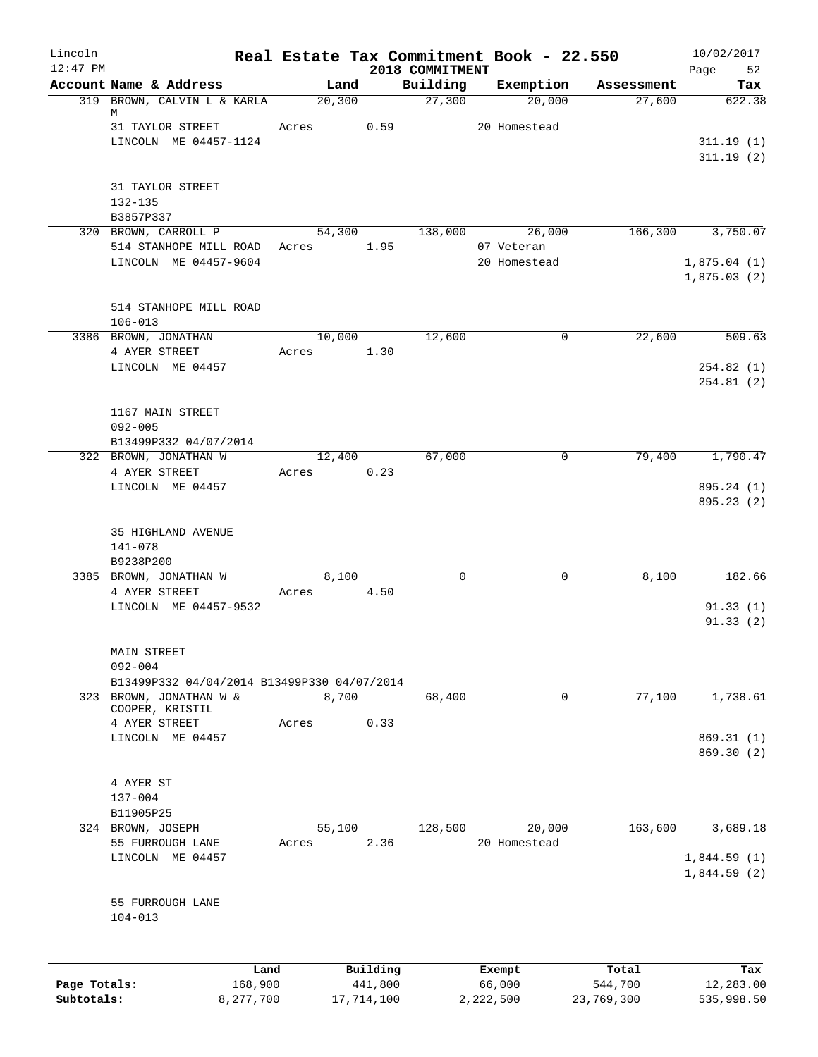| Lincoln      |                                                            | Real Estate Tax Commitment Book - 22.550 |            |                             |                      |            | 10/02/2017               |
|--------------|------------------------------------------------------------|------------------------------------------|------------|-----------------------------|----------------------|------------|--------------------------|
| $12:47$ PM   | Account Name & Address                                     | Land                                     |            | 2018 COMMITMENT<br>Building | Exemption            | Assessment | Page<br>52<br>Tax        |
|              | 319 BROWN, CALVIN L & KARLA                                | 20, 300                                  |            | 27,300                      | 20,000               | 27,600     | 622.38                   |
|              | M                                                          |                                          |            |                             |                      |            |                          |
|              | 31 TAYLOR STREET                                           | Acres                                    | 0.59       |                             | 20 Homestead         |            |                          |
|              | LINCOLN ME 04457-1124                                      |                                          |            |                             |                      |            | 311.19(1)<br>311.19(2)   |
|              |                                                            |                                          |            |                             |                      |            |                          |
|              | 31 TAYLOR STREET                                           |                                          |            |                             |                      |            |                          |
|              | 132-135                                                    |                                          |            |                             |                      |            |                          |
|              | B3857P337                                                  |                                          |            |                             |                      |            |                          |
|              | 320 BROWN, CARROLL P<br>514 STANHOPE MILL ROAD             | 54,300<br>Acres                          | 1.95       | 138,000                     | 26,000<br>07 Veteran | 166,300    | 3,750.07                 |
|              | LINCOLN ME 04457-9604                                      |                                          |            |                             | 20 Homestead         |            | 1,875.04(1)              |
|              |                                                            |                                          |            |                             |                      |            | 1,875.03(2)              |
|              |                                                            |                                          |            |                             |                      |            |                          |
|              | 514 STANHOPE MILL ROAD                                     |                                          |            |                             |                      |            |                          |
|              | $106 - 013$<br>3386 BROWN, JONATHAN                        | 10,000                                   |            | 12,600                      | 0                    | 22,600     | 509.63                   |
|              | 4 AYER STREET                                              | Acres                                    | 1.30       |                             |                      |            |                          |
|              | LINCOLN ME 04457                                           |                                          |            |                             |                      |            | 254.82(1)                |
|              |                                                            |                                          |            |                             |                      |            | 254.81(2)                |
|              | 1167 MAIN STREET                                           |                                          |            |                             |                      |            |                          |
|              | $092 - 005$                                                |                                          |            |                             |                      |            |                          |
|              | B13499P332 04/07/2014                                      |                                          |            |                             |                      |            |                          |
|              | 322 BROWN, JONATHAN W                                      | 12,400                                   |            | 67,000                      | $\mathbf 0$          | 79,400     | 1,790.47                 |
|              | 4 AYER STREET                                              | Acres                                    | 0.23       |                             |                      |            |                          |
|              | LINCOLN ME 04457                                           |                                          |            |                             |                      |            | 895.24 (1)<br>895.23 (2) |
|              |                                                            |                                          |            |                             |                      |            |                          |
|              | 35 HIGHLAND AVENUE                                         |                                          |            |                             |                      |            |                          |
|              | 141-078                                                    |                                          |            |                             |                      |            |                          |
|              | B9238P200                                                  |                                          |            |                             |                      |            |                          |
|              | 3385 BROWN, JONATHAN W<br>4 AYER STREET                    | 8,100<br>Acres                           | 4.50       | $\mathbf 0$                 | $\mathbf 0$          | 8,100      | 182.66                   |
|              | LINCOLN ME 04457-9532                                      |                                          |            |                             |                      |            | 91.33(1)                 |
|              |                                                            |                                          |            |                             |                      |            | 91.33(2)                 |
|              |                                                            |                                          |            |                             |                      |            |                          |
|              | MAIN STREET                                                |                                          |            |                             |                      |            |                          |
|              | $092 - 004$<br>B13499P332 04/04/2014 B13499P330 04/07/2014 |                                          |            |                             |                      |            |                          |
|              | 323 BROWN, JONATHAN W &                                    | 8,700                                    |            | 68,400                      | 0                    | 77,100     | 1,738.61                 |
|              | COOPER, KRISTIL                                            |                                          |            |                             |                      |            |                          |
|              | 4 AYER STREET<br>LINCOLN ME 04457                          | Acres                                    | 0.33       |                             |                      |            | 869.31(1)                |
|              |                                                            |                                          |            |                             |                      |            | 869.30 (2)               |
|              |                                                            |                                          |            |                             |                      |            |                          |
|              | 4 AYER ST                                                  |                                          |            |                             |                      |            |                          |
|              | $137 - 004$                                                |                                          |            |                             |                      |            |                          |
|              | B11905P25<br>324 BROWN, JOSEPH                             | 55,100                                   |            | 128,500                     | 20,000               | 163,600    | 3,689.18                 |
|              | 55 FURROUGH LANE                                           | Acres                                    | 2.36       |                             | 20 Homestead         |            |                          |
|              | LINCOLN ME 04457                                           |                                          |            |                             |                      |            | 1,844.59(1)              |
|              |                                                            |                                          |            |                             |                      |            | 1,844.59(2)              |
|              |                                                            |                                          |            |                             |                      |            |                          |
|              | 55 FURROUGH LANE<br>$104 - 013$                            |                                          |            |                             |                      |            |                          |
|              |                                                            |                                          |            |                             |                      |            |                          |
|              |                                                            |                                          |            |                             |                      |            |                          |
|              | Land                                                       |                                          | Building   |                             | Exempt               | Total      | Tax                      |
| Page Totals: | 168,900                                                    |                                          | 441,800    |                             | 66,000               | 544,700    | 12,283.00                |
| Subtotals:   | 8,277,700                                                  |                                          | 17,714,100 |                             | 2,222,500            | 23,769,300 | 535,998.50               |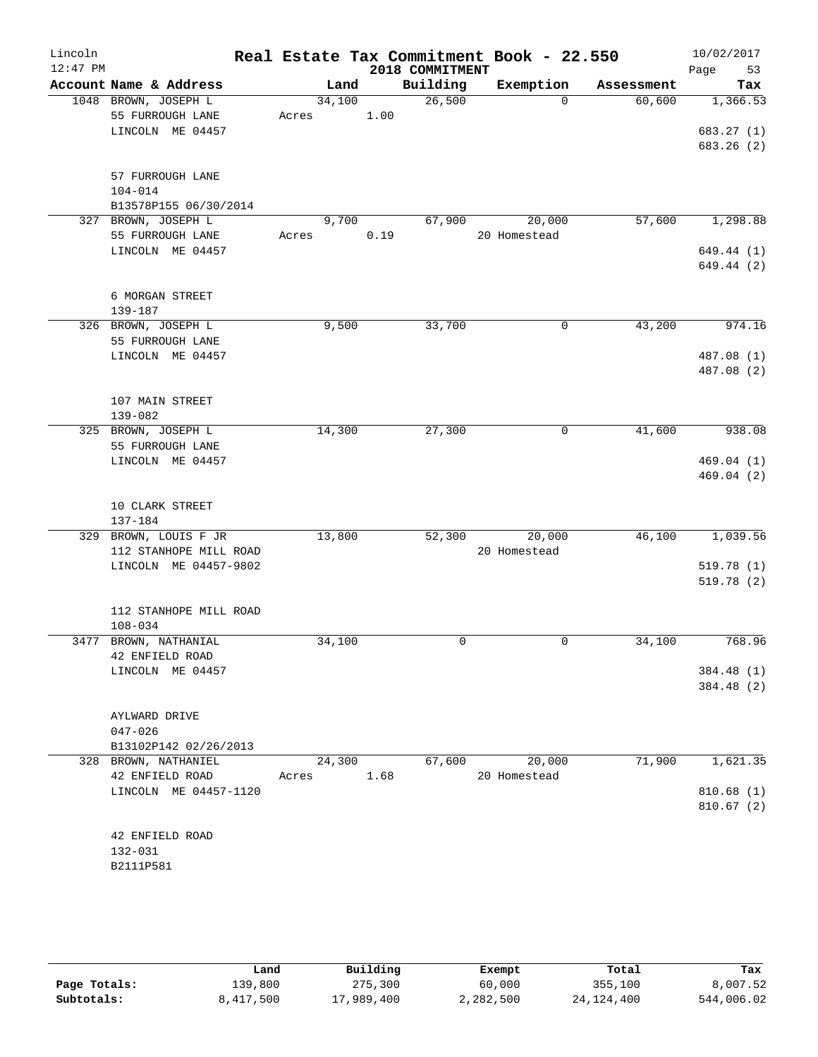| Lincoln    |                                  |       |        |      |                 | Real Estate Tax Commitment Book - 22.550 |             | 10/02/2017               |
|------------|----------------------------------|-------|--------|------|-----------------|------------------------------------------|-------------|--------------------------|
| $12:47$ PM |                                  |       |        |      | 2018 COMMITMENT |                                          |             | 53<br>Page               |
|            | Account Name & Address           |       | Land   |      | Building        | Exemption                                | Assessment  | Tax                      |
|            | 1048 BROWN, JOSEPH L             |       | 34,100 |      | 26,500          | $\Omega$                                 | 60,600      | 1,366.53                 |
|            | 55 FURROUGH LANE                 | Acres |        | 1.00 |                 |                                          |             |                          |
|            | LINCOLN ME 04457                 |       |        |      |                 |                                          |             | 683.27 (1)<br>683.26 (2) |
|            |                                  |       |        |      |                 |                                          |             |                          |
|            | 57 FURROUGH LANE                 |       |        |      |                 |                                          |             |                          |
|            | $104 - 014$                      |       |        |      |                 |                                          |             |                          |
|            | B13578P155 06/30/2014            |       |        |      |                 |                                          |             |                          |
|            | 327 BROWN, JOSEPH L              |       | 9,700  |      | 67,900          | 20,000                                   | 57,600      | 1,298.88                 |
|            | 55 FURROUGH LANE                 | Acres |        | 0.19 |                 | 20 Homestead                             |             |                          |
|            | LINCOLN ME 04457                 |       |        |      |                 |                                          |             | 649.44 (1)               |
|            |                                  |       |        |      |                 |                                          |             | 649.44 (2)               |
|            |                                  |       |        |      |                 |                                          |             |                          |
|            | 6 MORGAN STREET                  |       |        |      |                 |                                          |             |                          |
|            | 139-187                          |       |        |      |                 |                                          |             |                          |
|            | 326 BROWN, JOSEPH L              |       | 9,500  |      | 33,700          | 0                                        | 43,200      | 974.16                   |
|            | 55 FURROUGH LANE                 |       |        |      |                 |                                          |             |                          |
|            | LINCOLN ME 04457                 |       |        |      |                 |                                          |             | 487.08 (1)<br>487.08 (2) |
|            |                                  |       |        |      |                 |                                          |             |                          |
|            | 107 MAIN STREET                  |       |        |      |                 |                                          |             |                          |
|            | $139 - 082$                      |       |        |      |                 |                                          |             |                          |
|            | 325 BROWN, JOSEPH L              |       | 14,300 |      | 27,300          |                                          | 0<br>41,600 | 938.08                   |
|            | 55 FURROUGH LANE                 |       |        |      |                 |                                          |             |                          |
|            | LINCOLN ME 04457                 |       |        |      |                 |                                          |             | 469.04(1)                |
|            |                                  |       |        |      |                 |                                          |             | 469.04 (2)               |
|            |                                  |       |        |      |                 |                                          |             |                          |
|            | 10 CLARK STREET                  |       |        |      |                 |                                          |             |                          |
|            | 137-184<br>329 BROWN, LOUIS F JR |       | 13,800 |      | 52,300          | 20,000                                   | 46,100      | 1,039.56                 |
|            | 112 STANHOPE MILL ROAD           |       |        |      |                 | 20 Homestead                             |             |                          |
|            | LINCOLN ME 04457-9802            |       |        |      |                 |                                          |             | 519.78 (1)               |
|            |                                  |       |        |      |                 |                                          |             | 519.78(2)                |
|            |                                  |       |        |      |                 |                                          |             |                          |
|            | 112 STANHOPE MILL ROAD           |       |        |      |                 |                                          |             |                          |
|            | $108 - 034$                      |       |        |      |                 |                                          |             |                          |
| 3477       | BROWN, NATHANIAL                 |       | 34,100 |      | 0               | 0                                        | 34,100      | 768.96                   |
|            | 42 ENFIELD ROAD                  |       |        |      |                 |                                          |             |                          |
|            | LINCOLN ME 04457                 |       |        |      |                 |                                          |             | 384.48 (1)               |
|            |                                  |       |        |      |                 |                                          |             | 384.48 (2)               |
|            | AYLWARD DRIVE                    |       |        |      |                 |                                          |             |                          |
|            | $047 - 026$                      |       |        |      |                 |                                          |             |                          |
|            | B13102P142 02/26/2013            |       |        |      |                 |                                          |             |                          |
|            | 328 BROWN, NATHANIEL             |       | 24,300 |      | 67,600          | 20,000                                   | 71,900      | 1,621.35                 |
|            | 42 ENFIELD ROAD                  | Acres |        | 1.68 |                 | 20 Homestead                             |             |                          |
|            | LINCOLN ME 04457-1120            |       |        |      |                 |                                          |             | 810.68(1)                |
|            |                                  |       |        |      |                 |                                          |             | 810.67(2)                |
|            |                                  |       |        |      |                 |                                          |             |                          |
|            | 42 ENFIELD ROAD                  |       |        |      |                 |                                          |             |                          |
|            | 132-031                          |       |        |      |                 |                                          |             |                          |
|            | B2111P581                        |       |        |      |                 |                                          |             |                          |

|              | Land      | Building   | Exempt    | Total        | Tax        |
|--------------|-----------|------------|-----------|--------------|------------|
| Page Totals: | 139,800   | 275,300    | 60,000    | 355,100      | 8,007.52   |
| Subtotals:   | 8,417,500 | 17,989,400 | 2,282,500 | 24, 124, 400 | 544,006.02 |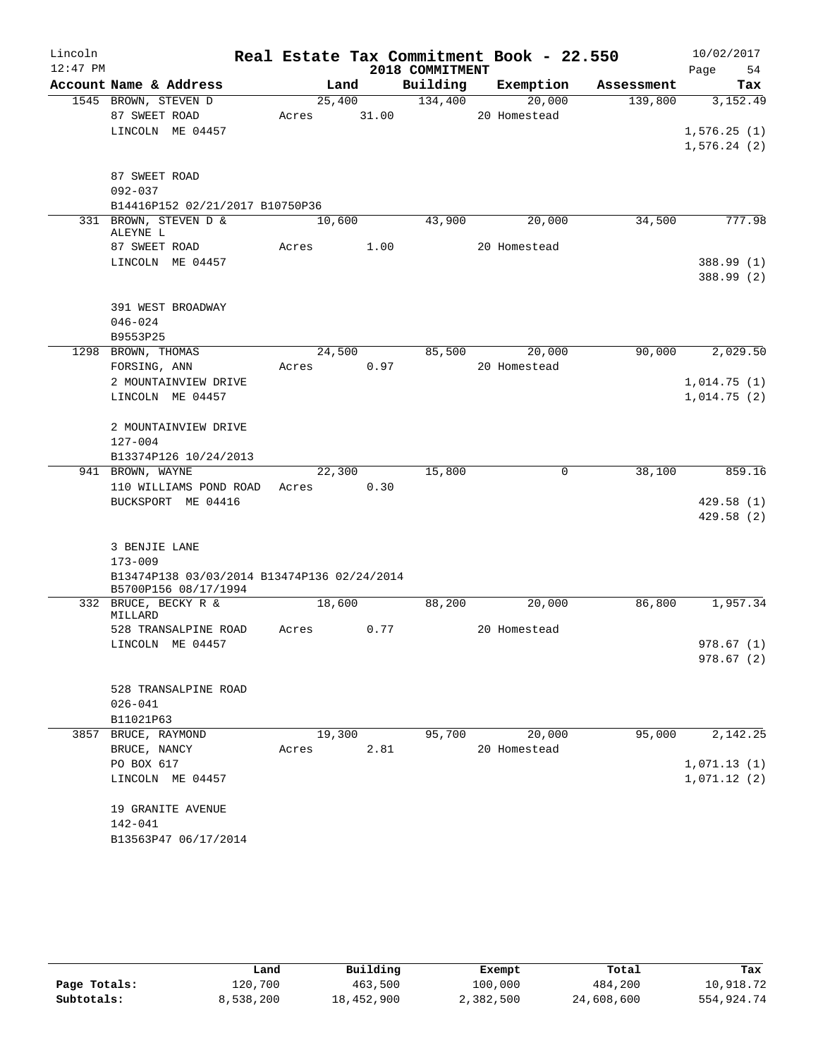| Lincoln<br>$12:47$ PM |                                              |       |                | 2018 COMMITMENT | Real Estate Tax Commitment Book - 22.550 |            | 10/02/2017<br>54<br>Page |
|-----------------------|----------------------------------------------|-------|----------------|-----------------|------------------------------------------|------------|--------------------------|
|                       | Account Name & Address                       |       | Land           | Building        | Exemption                                | Assessment | Tax                      |
|                       | 1545 BROWN, STEVEN D                         |       | 25,400         | 134,400         | 20,000                                   | 139,800    | 3,152.49                 |
|                       | 87 SWEET ROAD                                | Acres | 31.00          |                 | 20 Homestead                             |            |                          |
|                       | LINCOLN ME 04457                             |       |                |                 |                                          |            | 1,576.25(1)              |
|                       |                                              |       |                |                 |                                          |            | 1,576.24(2)              |
|                       | 87 SWEET ROAD                                |       |                |                 |                                          |            |                          |
|                       | $092 - 037$                                  |       |                |                 |                                          |            |                          |
|                       | B14416P152 02/21/2017 B10750P36              |       |                |                 |                                          |            |                          |
|                       | 331 BROWN, STEVEN D &                        |       | 10,600         | 43,900          | 20,000                                   | 34,500     | 777.98                   |
|                       | ALEYNE L                                     |       |                |                 |                                          |            |                          |
|                       | 87 SWEET ROAD                                | Acres | 1.00           |                 | 20 Homestead                             |            |                          |
|                       | LINCOLN ME 04457                             |       |                |                 |                                          |            | 388.99 (1)<br>388.99 (2) |
|                       | 391 WEST BROADWAY                            |       |                |                 |                                          |            |                          |
|                       | $046 - 024$                                  |       |                |                 |                                          |            |                          |
|                       | B9553P25                                     |       |                |                 |                                          |            |                          |
|                       | 1298 BROWN, THOMAS                           |       | 24,500         | 85,500          | 20,000                                   | 90,000     | 2,029.50                 |
|                       | FORSING, ANN                                 | Acres | 0.97           |                 | 20 Homestead                             |            |                          |
|                       | 2 MOUNTAINVIEW DRIVE                         |       |                |                 |                                          |            | 1,014.75(1)              |
|                       | LINCOLN ME 04457                             |       |                |                 |                                          |            | 1,014.75(2)              |
|                       | 2 MOUNTAINVIEW DRIVE                         |       |                |                 |                                          |            |                          |
|                       | $127 - 004$                                  |       |                |                 |                                          |            |                          |
|                       | B13374P126 10/24/2013                        |       |                |                 |                                          |            |                          |
|                       | 941 BROWN, WAYNE                             |       | 22,300<br>0.30 | 15,800          | 0                                        | 38,100     | 859.16                   |
|                       | 110 WILLIAMS POND ROAD<br>BUCKSPORT ME 04416 | Acres |                |                 |                                          |            | 429.58(1)                |
|                       |                                              |       |                |                 |                                          |            | 429.58(2)                |
|                       |                                              |       |                |                 |                                          |            |                          |
|                       | 3 BENJIE LANE<br>$173 - 009$                 |       |                |                 |                                          |            |                          |
|                       | B13474P138 03/03/2014 B13474P136 02/24/2014  |       |                |                 |                                          |            |                          |
|                       | B5700P156 08/17/1994                         |       |                | 88,200          |                                          |            |                          |
|                       | 332 BRUCE, BECKY R &<br>MILLARD              |       | 18,600         |                 | 20,000                                   | 86,800     | 1,957.34                 |
|                       | 528 TRANSALPINE ROAD                         | Acres | 0.77           |                 | 20 Homestead                             |            |                          |
|                       | LINCOLN ME 04457                             |       |                |                 |                                          |            | 978.67 (1)               |
|                       |                                              |       |                |                 |                                          |            | 978.67(2)                |
|                       | 528 TRANSALPINE ROAD                         |       |                |                 |                                          |            |                          |
|                       | $026 - 041$                                  |       |                |                 |                                          |            |                          |
|                       | B11021P63                                    |       |                |                 |                                          |            |                          |
|                       | 3857 BRUCE, RAYMOND                          |       | 19,300         | 95,700          | 20,000                                   | 95,000     | 2,142.25                 |
|                       | BRUCE, NANCY                                 | Acres | 2.81           |                 | 20 Homestead                             |            |                          |
|                       | PO BOX 617                                   |       |                |                 |                                          |            | 1,071.13(1)              |
|                       | LINCOLN ME 04457                             |       |                |                 |                                          |            | 1,071.12(2)              |
|                       | 19 GRANITE AVENUE                            |       |                |                 |                                          |            |                          |
|                       | 142-041                                      |       |                |                 |                                          |            |                          |
|                       | B13563P47 06/17/2014                         |       |                |                 |                                          |            |                          |

|              | Land      | Building   | Exempt    | Total      | Tax        |
|--------------|-----------|------------|-----------|------------|------------|
| Page Totals: | 120,700   | 463,500    | 100,000   | 484,200    | 10,918.72  |
| Subtotals:   | 8,538,200 | 18,452,900 | 2,382,500 | 24,608,600 | 554,924.74 |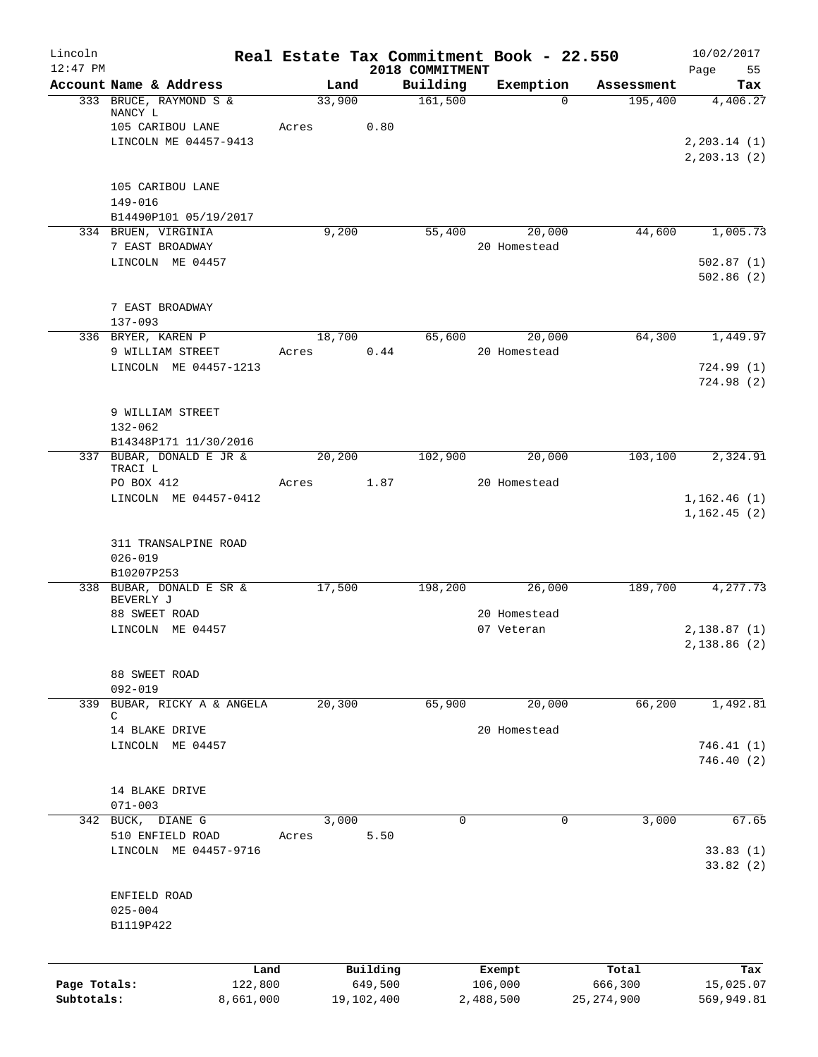| Lincoln<br>$12:47$ PM |                                                   | Real Estate Tax Commitment Book - 22.550 |            | 2018 COMMITMENT |              |              | 10/02/2017<br>Page<br>55    |
|-----------------------|---------------------------------------------------|------------------------------------------|------------|-----------------|--------------|--------------|-----------------------------|
|                       | Account Name & Address                            | Land                                     |            | Building        | Exemption    | Assessment   | Tax                         |
|                       | 333 BRUCE, RAYMOND S &<br>NANCY L                 | 33,900                                   |            | 161,500         | $\Omega$     | 195,400      | 4,406.27                    |
|                       | 105 CARIBOU LANE<br>LINCOLN ME 04457-9413         | Acres                                    | 0.80       |                 |              |              | 2, 203.14 (1)               |
|                       |                                                   |                                          |            |                 |              |              | 2, 203.13(2)                |
|                       | 105 CARIBOU LANE                                  |                                          |            |                 |              |              |                             |
|                       | $149 - 016$<br>B14490P101 05/19/2017              |                                          |            |                 |              |              |                             |
|                       | 334 BRUEN, VIRGINIA                               | 9,200                                    |            | 55,400          | 20,000       | 44,600       | 1,005.73                    |
|                       | 7 EAST BROADWAY                                   |                                          |            |                 | 20 Homestead |              |                             |
|                       | LINCOLN ME 04457                                  |                                          |            |                 |              |              | 502.87(1)<br>502.86(2)      |
|                       | 7 EAST BROADWAY                                   |                                          |            |                 |              |              |                             |
|                       | $137 - 093$<br>336 BRYER, KAREN P                 | 18,700                                   |            | 65,600          | 20,000       | 64,300       | 1,449.97                    |
|                       | 9 WILLIAM STREET                                  | Acres                                    | 0.44       |                 | 20 Homestead |              |                             |
|                       | LINCOLN ME 04457-1213                             |                                          |            |                 |              |              | 724.99(1)                   |
|                       |                                                   |                                          |            |                 |              |              | 724.98(2)                   |
|                       | 9 WILLIAM STREET                                  |                                          |            |                 |              |              |                             |
|                       | $132 - 062$                                       |                                          |            |                 |              |              |                             |
|                       | B14348P171 11/30/2016                             |                                          |            |                 |              |              |                             |
|                       | 337 BUBAR, DONALD E JR &<br>TRACI L               | 20,200                                   |            | 102,900         | 20,000       | 103,100      | 2,324.91                    |
|                       | PO BOX 412                                        | Acres                                    | 1.87       |                 | 20 Homestead |              |                             |
|                       | LINCOLN ME 04457-0412                             |                                          |            |                 |              |              | 1,162.46(1)<br>1, 162.45(2) |
|                       | 311 TRANSALPINE ROAD<br>$026 - 019$<br>B10207P253 |                                          |            |                 |              |              |                             |
|                       | 338 BUBAR, DONALD E SR &<br>BEVERLY J             | 17,500                                   |            | 198,200         | 26,000       | 189,700      | 4,277.73                    |
|                       | 88 SWEET ROAD                                     |                                          |            |                 | 20 Homestead |              |                             |
|                       | LINCOLN ME 04457                                  |                                          |            |                 | 07 Veteran   |              | 2,138.87(1)                 |
|                       |                                                   |                                          |            |                 |              |              | 2,138.86(2)                 |
|                       | 88 SWEET ROAD<br>$092 - 019$                      |                                          |            |                 |              |              |                             |
|                       | 339 BUBAR, RICKY A & ANGELA                       | 20,300                                   |            | 65,900          | 20,000       | 66,200       | 1,492.81                    |
|                       | C<br>14 BLAKE DRIVE                               |                                          |            |                 | 20 Homestead |              |                             |
|                       | LINCOLN ME 04457                                  |                                          |            |                 |              |              | 746.41(1)                   |
|                       |                                                   |                                          |            |                 |              |              | 746.40(2)                   |
|                       | 14 BLAKE DRIVE                                    |                                          |            |                 |              |              |                             |
|                       | $071 - 003$                                       |                                          |            |                 |              |              |                             |
|                       | 342 BUCK, DIANE G                                 | 3,000                                    |            | 0               | $\mathbf 0$  | 3,000        | 67.65                       |
|                       | 510 ENFIELD ROAD<br>LINCOLN ME 04457-9716         | Acres                                    | 5.50       |                 |              |              | 33.83(1)                    |
|                       |                                                   |                                          |            |                 |              |              | 33.82 (2)                   |
|                       |                                                   |                                          |            |                 |              |              |                             |
|                       | ENFIELD ROAD<br>$025 - 004$                       |                                          |            |                 |              |              |                             |
|                       | B1119P422                                         |                                          |            |                 |              |              |                             |
|                       |                                                   |                                          |            |                 |              |              |                             |
|                       |                                                   | Land                                     | Building   |                 | Exempt       | Total        | Tax                         |
| Page Totals:          | 122,800                                           |                                          | 649,500    |                 | 106,000      | 666,300      | 15,025.07                   |
| Subtotals:            | 8,661,000                                         |                                          | 19,102,400 |                 | 2,488,500    | 25, 274, 900 | 569,949.81                  |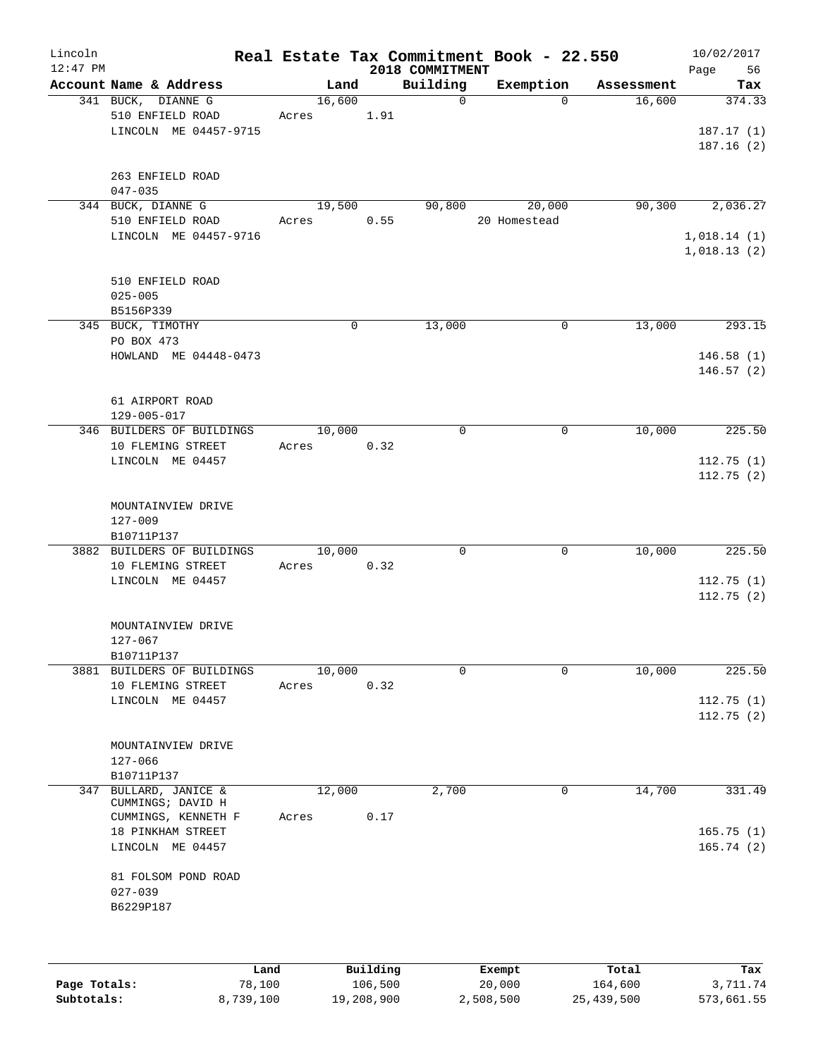| Lincoln<br>$12:47$ PM |                               |            |        |             |      | Real Estate Tax Commitment Book - 22.550<br>2018 COMMITMENT |              |            | 10/02/2017<br>Page<br>56   |
|-----------------------|-------------------------------|------------|--------|-------------|------|-------------------------------------------------------------|--------------|------------|----------------------------|
|                       | Account Name & Address        |            |        | Land        |      | Building                                                    | Exemption    | Assessment | Tax                        |
|                       | 341 BUCK, DIANNE G            |            | 16,600 |             |      | $\Omega$                                                    | $\Omega$     | 16,600     | 374.33                     |
|                       | 510 ENFIELD ROAD              | Acres 1.91 |        |             |      |                                                             |              |            |                            |
|                       | LINCOLN ME 04457-9715         |            |        |             |      |                                                             |              |            | 187.17(1)                  |
|                       |                               |            |        |             |      |                                                             |              |            | 187.16(2)                  |
|                       |                               |            |        |             |      |                                                             |              |            |                            |
|                       | 263 ENFIELD ROAD              |            |        |             |      |                                                             |              |            |                            |
|                       | $047 - 035$                   |            |        |             |      |                                                             |              |            |                            |
|                       | 344 BUCK, DIANNE G            |            | 19,500 |             |      | 90,800                                                      | 20,000       | 90, 300    | 2,036.27                   |
|                       | 510 ENFIELD ROAD              | Acres 0.55 |        |             |      |                                                             | 20 Homestead |            |                            |
|                       | LINCOLN ME 04457-9716         |            |        |             |      |                                                             |              |            | 1,018.14(1)<br>1,018.13(2) |
|                       |                               |            |        |             |      |                                                             |              |            |                            |
|                       | 510 ENFIELD ROAD              |            |        |             |      |                                                             |              |            |                            |
|                       | $025 - 005$                   |            |        |             |      |                                                             |              |            |                            |
|                       | B5156P339                     |            |        |             |      |                                                             |              |            |                            |
|                       | 345 BUCK, TIMOTHY             |            |        | $\mathbf 0$ |      | 13,000                                                      | $\mathbf 0$  | 13,000     | 293.15                     |
|                       | PO BOX 473                    |            |        |             |      |                                                             |              |            |                            |
|                       | HOWLAND ME 04448-0473         |            |        |             |      |                                                             |              |            | 146.58(1)                  |
|                       |                               |            |        |             |      |                                                             |              |            | 146.57(2)                  |
|                       |                               |            |        |             |      |                                                             |              |            |                            |
|                       | 61 AIRPORT ROAD               |            |        |             |      |                                                             |              |            |                            |
|                       | $129 - 005 - 017$             |            |        |             |      |                                                             |              |            |                            |
|                       | 346 BUILDERS OF BUILDINGS     |            | 10,000 |             |      | $\mathbf 0$                                                 | 0            | 10,000     | 225.50                     |
|                       | 10 FLEMING STREET             | Acres 0.32 |        |             |      |                                                             |              |            |                            |
|                       | LINCOLN ME 04457              |            |        |             |      |                                                             |              |            | 112.75(1)                  |
|                       |                               |            |        |             |      |                                                             |              |            | 112.75(2)                  |
|                       |                               |            |        |             |      |                                                             |              |            |                            |
|                       | MOUNTAINVIEW DRIVE<br>127-009 |            |        |             |      |                                                             |              |            |                            |
|                       | B10711P137                    |            |        |             |      |                                                             |              |            |                            |
|                       | 3882 BUILDERS OF BUILDINGS    |            | 10,000 |             |      | $\Omega$                                                    | $\mathbf 0$  | 10,000     | 225.50                     |
|                       | 10 FLEMING STREET             | Acres 0.32 |        |             |      |                                                             |              |            |                            |
|                       | LINCOLN ME 04457              |            |        |             |      |                                                             |              |            | 112.75(1)                  |
|                       |                               |            |        |             |      |                                                             |              |            | 112.75(2)                  |
|                       |                               |            |        |             |      |                                                             |              |            |                            |
|                       | MOUNTAINVIEW DRIVE            |            |        |             |      |                                                             |              |            |                            |
|                       | $127 - 067$                   |            |        |             |      |                                                             |              |            |                            |
|                       | B10711P137                    |            |        |             |      |                                                             |              |            |                            |
|                       | 3881 BUILDERS OF BUILDINGS    |            | 10,000 |             |      | $\Omega$                                                    | $\Omega$     | 10,000     | 225.50                     |
|                       | 10 FLEMING STREET             | Acres      |        |             | 0.32 |                                                             |              |            |                            |
|                       | LINCOLN ME 04457              |            |        |             |      |                                                             |              |            | 112.75(1)                  |
|                       |                               |            |        |             |      |                                                             |              |            | 112.75(2)                  |
|                       | MOUNTAINVIEW DRIVE            |            |        |             |      |                                                             |              |            |                            |
|                       | 127-066                       |            |        |             |      |                                                             |              |            |                            |
|                       | B10711P137                    |            |        |             |      |                                                             |              |            |                            |
|                       | 347 BULLARD, JANICE &         |            | 12,000 |             |      | 2,700                                                       | 0            | 14,700     | 331.49                     |
|                       | CUMMINGS; DAVID H             |            |        |             |      |                                                             |              |            |                            |
|                       | CUMMINGS, KENNETH F           | Acres      |        |             | 0.17 |                                                             |              |            |                            |
|                       | 18 PINKHAM STREET             |            |        |             |      |                                                             |              |            | 165.75(1)                  |
|                       | LINCOLN ME 04457              |            |        |             |      |                                                             |              |            | 165.74(2)                  |
|                       |                               |            |        |             |      |                                                             |              |            |                            |
|                       | 81 FOLSOM POND ROAD           |            |        |             |      |                                                             |              |            |                            |
|                       | $027 - 039$<br>B6229P187      |            |        |             |      |                                                             |              |            |                            |
|                       |                               |            |        |             |      |                                                             |              |            |                            |
|                       |                               |            |        |             |      |                                                             |              |            |                            |
|                       |                               |            |        |             |      |                                                             |              |            |                            |
|                       |                               |            |        |             |      |                                                             |              |            |                            |

|              | Land      | Building   | Exempt    | Total      | Tax        |
|--------------|-----------|------------|-----------|------------|------------|
| Page Totals: | 78,100    | 106,500    | 20,000    | 164,600    | 3,711.74   |
| Subtotals:   | 8,739,100 | 19,208,900 | 2,508,500 | 25,439,500 | 573,661.55 |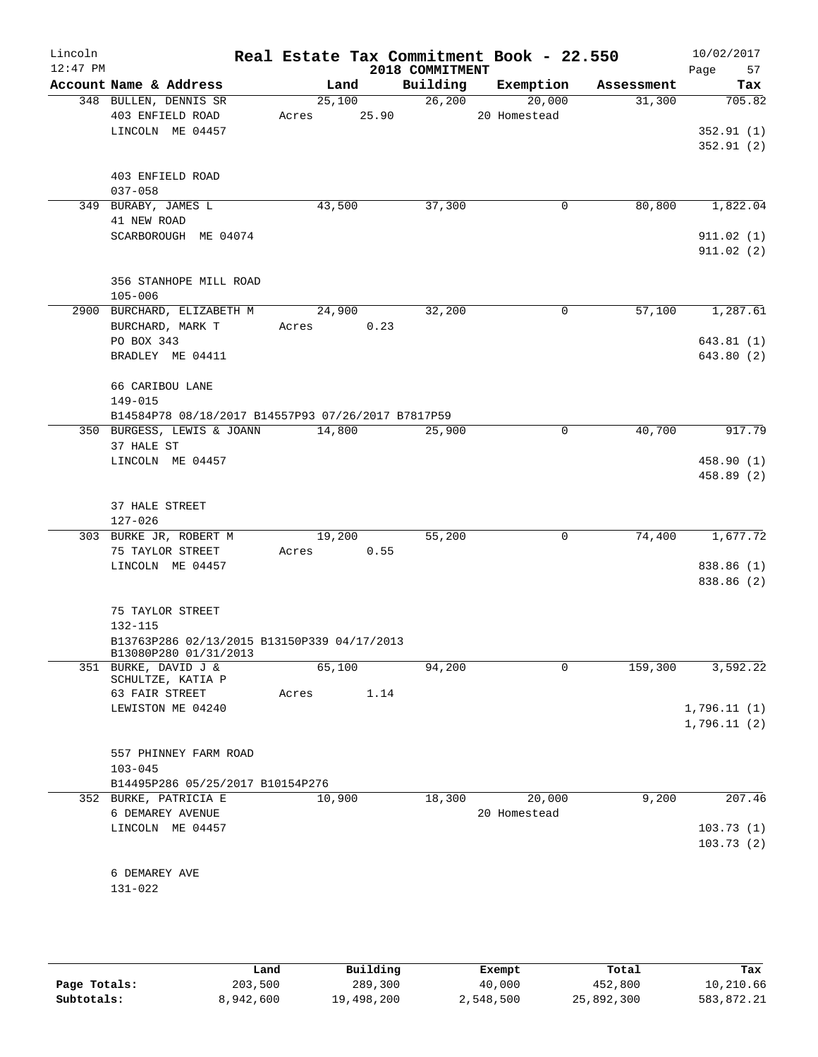| Lincoln<br>$12:47$ PM |                                                                      |             |        |                     | Real Estate Tax Commitment Book - 22.550 |            | 10/02/2017      |
|-----------------------|----------------------------------------------------------------------|-------------|--------|---------------------|------------------------------------------|------------|-----------------|
|                       | Account Name & Address                                               |             | Land   | 2018 COMMITMENT     | Building Exemption                       | Assessment | Page 57<br>Tax  |
|                       | 348 BULLEN, DENNIS SR                                                |             | 25,100 | 26, 200             | 20,000                                   | 31,300     | 705.82          |
|                       | 403 ENFIELD ROAD                                                     | Acres 25.90 |        |                     | 20 Homestead                             |            |                 |
|                       | LINCOLN ME 04457                                                     |             |        |                     |                                          |            | 352.91(1)       |
|                       |                                                                      |             |        |                     |                                          |            | 352.91(2)       |
|                       |                                                                      |             |        |                     |                                          |            |                 |
|                       | 403 ENFIELD ROAD                                                     |             |        |                     |                                          |            |                 |
|                       | $037 - 058$                                                          |             |        |                     |                                          |            |                 |
|                       | 349 BURABY, JAMES L<br>41 NEW ROAD                                   | 43,500      |        | 37,300              | 0                                        | 80,800     | 1,822.04        |
|                       | SCARBOROUGH ME 04074                                                 |             |        |                     |                                          |            | 911.02(1)       |
|                       |                                                                      |             |        |                     |                                          |            | 911.02(2)       |
|                       |                                                                      |             |        |                     |                                          |            |                 |
|                       | 356 STANHOPE MILL ROAD                                               |             |        |                     |                                          |            |                 |
|                       | $105 - 006$                                                          |             |        |                     |                                          |            |                 |
|                       | 2900 BURCHARD, ELIZABETH M 24,900                                    |             |        | 32,200              | 0                                        |            | 57,100 1,287.61 |
|                       | BURCHARD, MARK T                                                     | Acres 0.23  |        |                     |                                          |            |                 |
|                       | PO BOX 343                                                           |             |        |                     |                                          |            | 643.81(1)       |
|                       | BRADLEY ME 04411                                                     |             |        |                     |                                          |            | 643.80 (2)      |
|                       | 66 CARIBOU LANE                                                      |             |        |                     |                                          |            |                 |
|                       | 149-015                                                              |             |        |                     |                                          |            |                 |
|                       | B14584P78 08/18/2017 B14557P93 07/26/2017 B7817P59                   |             |        |                     |                                          |            |                 |
|                       | 350 BURGESS, LEWIS & JOANN 14,800                                    |             |        | $\overline{25,900}$ | 0                                        | 40,700     | 917.79          |
|                       | 37 HALE ST                                                           |             |        |                     |                                          |            |                 |
|                       | LINCOLN ME 04457                                                     |             |        |                     |                                          |            | 458.90 (1)      |
|                       |                                                                      |             |        |                     |                                          |            | 458.89 (2)      |
|                       |                                                                      |             |        |                     |                                          |            |                 |
|                       | 37 HALE STREET                                                       |             |        |                     |                                          |            |                 |
|                       | 127-026<br>303 BURKE JR, ROBERT M                                    | 19,200      |        | 55,200              | $\mathbf 0$                              | 74,400     | 1,677.72        |
|                       | 75 TAYLOR STREET                                                     | Acres       | 0.55   |                     |                                          |            |                 |
|                       | LINCOLN ME 04457                                                     |             |        |                     |                                          |            | 838.86 (1)      |
|                       |                                                                      |             |        |                     |                                          |            | 838.86 (2)      |
|                       |                                                                      |             |        |                     |                                          |            |                 |
|                       | 75 TAYLOR STREET                                                     |             |        |                     |                                          |            |                 |
|                       | $132 - 115$                                                          |             |        |                     |                                          |            |                 |
|                       | B13763P286 02/13/2015 B13150P339 04/17/2013<br>B13080P280 01/31/2013 |             |        |                     |                                          |            |                 |
|                       | 351 BURKE, DAVID J &                                                 | 65,100      |        | 94,200              | 0                                        | 159,300    | 3,592.22        |
|                       | SCHULTZE, KATIA P                                                    |             |        |                     |                                          |            |                 |
|                       | 63 FAIR STREET                                                       | Acres       | 1.14   |                     |                                          |            |                 |
|                       | LEWISTON ME 04240                                                    |             |        |                     |                                          |            | 1,796.11(1)     |
|                       |                                                                      |             |        |                     |                                          |            | 1,796.11(2)     |
|                       | 557 PHINNEY FARM ROAD                                                |             |        |                     |                                          |            |                 |
|                       | $103 - 045$                                                          |             |        |                     |                                          |            |                 |
|                       | B14495P286 05/25/2017 B10154P276                                     |             |        |                     |                                          |            |                 |
|                       | 352 BURKE, PATRICIA E                                                | 10,900      |        | 18,300              | 20,000                                   | 9,200      | 207.46          |
|                       | 6 DEMAREY AVENUE                                                     |             |        |                     | 20 Homestead                             |            |                 |
|                       | LINCOLN ME 04457                                                     |             |        |                     |                                          |            | 103.73(1)       |
|                       |                                                                      |             |        |                     |                                          |            | 103.73(2)       |
|                       |                                                                      |             |        |                     |                                          |            |                 |
|                       | 6 DEMAREY AVE<br>131-022                                             |             |        |                     |                                          |            |                 |
|                       |                                                                      |             |        |                     |                                          |            |                 |
|                       |                                                                      |             |        |                     |                                          |            |                 |

|              | Land      | Building   | Exempt    | Total      | Tax        |
|--------------|-----------|------------|-----------|------------|------------|
| Page Totals: | 203,500   | 289,300    | 40,000    | 452,800    | 10,210.66  |
| Subtotals:   | 8,942,600 | 19,498,200 | 2,548,500 | 25,892,300 | 583,872.21 |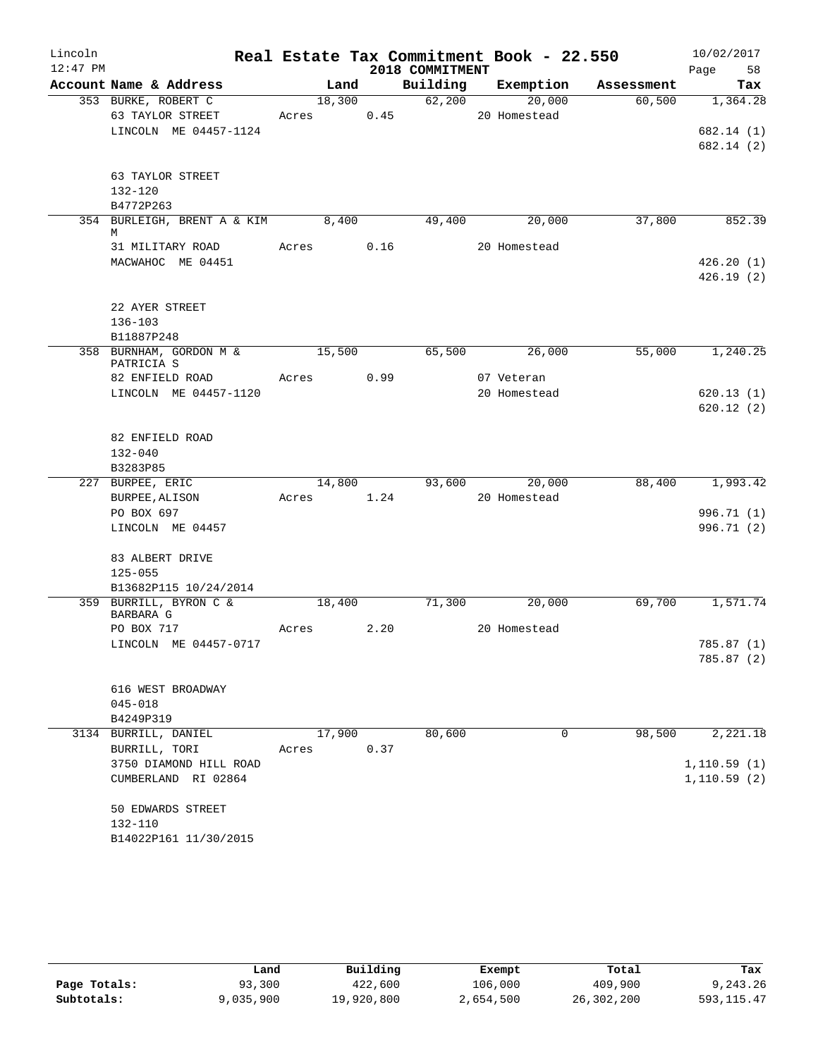|            |                                           |        |      |                 | Real Estate Tax Commitment Book - 22.550 |            | 10/02/2017               |
|------------|-------------------------------------------|--------|------|-----------------|------------------------------------------|------------|--------------------------|
| $12:47$ PM |                                           |        |      | 2018 COMMITMENT |                                          |            | 58<br>Page               |
|            | Account Name & Address                    | Land   |      | Building        | Exemption                                | Assessment | Tax                      |
|            | 353 BURKE, ROBERT C                       | 18,300 |      | 62,200          | 20,000                                   | 60,500     | 1,364.28                 |
|            | 63 TAYLOR STREET<br>LINCOLN ME 04457-1124 | Acres  | 0.45 |                 | 20 Homestead                             |            |                          |
|            |                                           |        |      |                 |                                          |            | 682.14 (1)<br>682.14 (2) |
|            |                                           |        |      |                 |                                          |            |                          |
|            | 63 TAYLOR STREET                          |        |      |                 |                                          |            |                          |
|            | 132-120                                   |        |      |                 |                                          |            |                          |
|            | B4772P263                                 |        |      |                 |                                          |            |                          |
|            | 354 BURLEIGH, BRENT A & KIM 8,400         |        |      | 49,400          | 20,000                                   | 37,800     | 852.39                   |
|            | M                                         |        |      |                 |                                          |            |                          |
|            | 31 MILITARY ROAD                          | Acres  | 0.16 |                 | 20 Homestead                             |            |                          |
|            | MACWAHOC ME 04451                         |        |      |                 |                                          |            | 426.20(1)<br>426.19(2)   |
|            |                                           |        |      |                 |                                          |            |                          |
|            | 22 AYER STREET                            |        |      |                 |                                          |            |                          |
|            | $136 - 103$                               |        |      |                 |                                          |            |                          |
|            | B11887P248                                |        |      |                 |                                          |            |                          |
|            | 358 BURNHAM, GORDON M &                   | 15,500 |      | 65,500          | 26,000                                   | 55,000     | 1,240.25                 |
|            | PATRICIA S<br>82 ENFIELD ROAD             | Acres  | 0.99 |                 | 07 Veteran                               |            |                          |
|            | LINCOLN ME 04457-1120                     |        |      |                 | 20 Homestead                             |            | 620.13(1)                |
|            |                                           |        |      |                 |                                          |            | 620.12(2)                |
|            |                                           |        |      |                 |                                          |            |                          |
|            | 82 ENFIELD ROAD                           |        |      |                 |                                          |            |                          |
|            | $132 - 040$                               |        |      |                 |                                          |            |                          |
|            | B3283P85                                  |        |      |                 |                                          |            |                          |
|            | 227 BURPEE, ERIC                          | 14,800 |      | 93,600          | 20,000                                   | 88,400     | 1,993.42                 |
|            | BURPEE, ALISON                            | Acres  | 1.24 |                 | 20 Homestead                             |            |                          |
|            | PO BOX 697<br>LINCOLN ME 04457            |        |      |                 |                                          |            | 996.71 (1)<br>996.71 (2) |
|            |                                           |        |      |                 |                                          |            |                          |
|            | 83 ALBERT DRIVE                           |        |      |                 |                                          |            |                          |
|            | $125 - 055$                               |        |      |                 |                                          |            |                          |
|            | B13682P115 10/24/2014                     |        |      |                 |                                          |            |                          |
|            | 359 BURRILL, BYRON C &                    | 18,400 |      | 71,300          | 20,000                                   | 69,700     | 1,571.74                 |
|            | BARBARA G<br>PO BOX 717                   | Acres  | 2.20 |                 | 20 Homestead                             |            |                          |
|            | LINCOLN ME 04457-0717                     |        |      |                 |                                          |            | 785.87 (1)               |
|            |                                           |        |      |                 |                                          |            | 785.87 (2)               |
|            |                                           |        |      |                 |                                          |            |                          |
|            | 616 WEST BROADWAY                         |        |      |                 |                                          |            |                          |
|            | $045 - 018$                               |        |      |                 |                                          |            |                          |
|            | B4249P319                                 |        |      |                 |                                          |            |                          |
|            | 3134 BURRILL, DANIEL                      | 17,900 |      | 80,600          | 0                                        | 98,500     | 2,221.18                 |
|            | BURRILL, TORI                             | Acres  | 0.37 |                 |                                          |            |                          |
|            | 3750 DIAMOND HILL ROAD                    |        |      |                 |                                          |            | 1,110.59(1)              |
|            | CUMBERLAND RI 02864                       |        |      |                 |                                          |            | 1, 110.59(2)             |
|            | 50 EDWARDS STREET                         |        |      |                 |                                          |            |                          |
|            | 132-110                                   |        |      |                 |                                          |            |                          |
|            | B14022P161 11/30/2015                     |        |      |                 |                                          |            |                          |

|              | Land      | Building   | Exempt    | Total      | Tax         |
|--------------|-----------|------------|-----------|------------|-------------|
| Page Totals: | 93,300    | 422,600    | 106,000   | 409,900    | 9,243.26    |
| Subtotals:   | 9,035,900 | 19,920,800 | 2,654,500 | 26,302,200 | 593, 115.47 |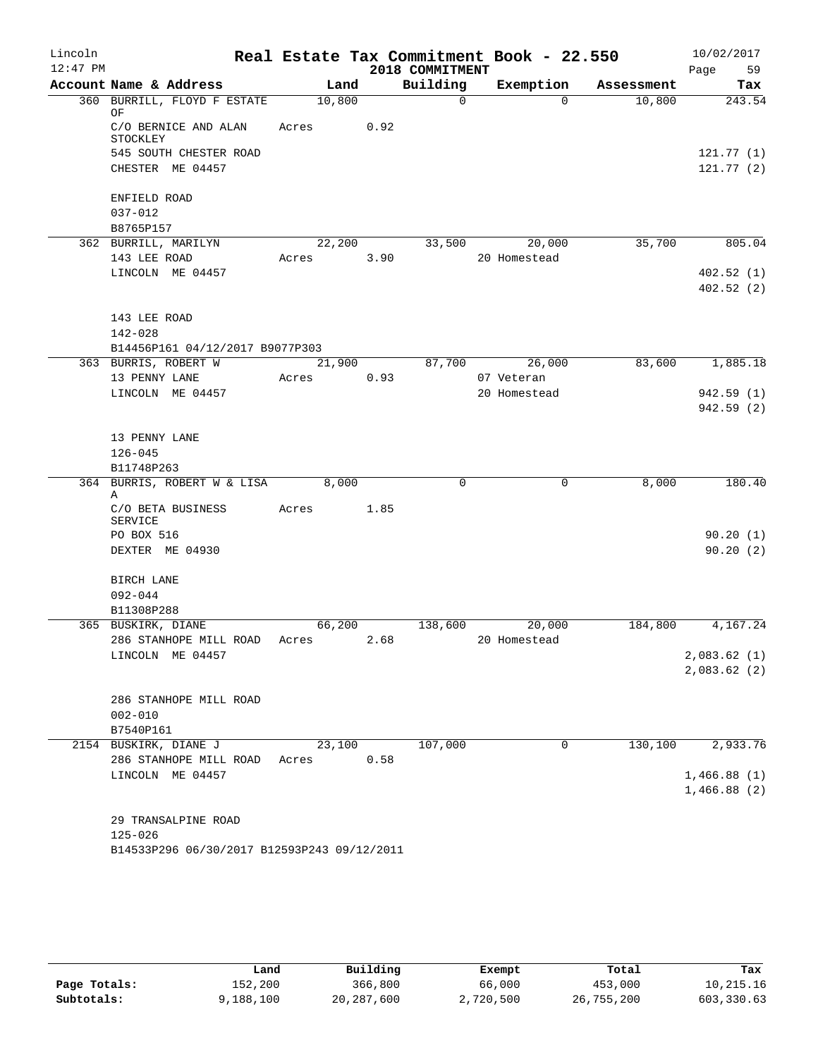| Lincoln<br>$12:47$ PM |                                             |        |      | 2018 COMMITMENT | Real Estate Tax Commitment Book - 22.550 |            | 10/02/2017<br>Page<br>59 |
|-----------------------|---------------------------------------------|--------|------|-----------------|------------------------------------------|------------|--------------------------|
|                       | Account Name & Address                      | Land   |      | Building        | Exemption                                | Assessment | Tax                      |
|                       | 360 BURRILL, FLOYD F ESTATE                 | 10,800 |      | $\Omega$        | $\Omega$                                 | 10,800     | 243.54                   |
|                       | ΟF                                          |        |      |                 |                                          |            |                          |
|                       | C/O BERNICE AND ALAN<br>STOCKLEY            | Acres  | 0.92 |                 |                                          |            |                          |
|                       | 545 SOUTH CHESTER ROAD                      |        |      |                 |                                          |            | 121.77(1)                |
|                       | CHESTER ME 04457                            |        |      |                 |                                          |            | 121.77(2)                |
|                       | ENFIELD ROAD                                |        |      |                 |                                          |            |                          |
|                       | $037 - 012$                                 |        |      |                 |                                          |            |                          |
|                       | B8765P157                                   |        |      |                 |                                          |            |                          |
|                       | 362 BURRILL, MARILYN                        | 22,200 |      | 33,500          | 20,000                                   | 35,700     | 805.04                   |
|                       | 143 LEE ROAD                                | Acres  | 3.90 |                 | 20 Homestead                             |            |                          |
|                       | LINCOLN ME 04457                            |        |      |                 |                                          |            | 402.52(1)                |
|                       |                                             |        |      |                 |                                          |            | 402.52(2)                |
|                       | 143 LEE ROAD                                |        |      |                 |                                          |            |                          |
|                       | 142-028                                     |        |      |                 |                                          |            |                          |
|                       | B14456P161 04/12/2017 B9077P303             |        |      |                 |                                          |            |                          |
|                       | 363 BURRIS, ROBERT W                        | 21,900 |      | 87,700          | 26,000                                   | 83,600     | 1,885.18                 |
|                       | 13 PENNY LANE                               | Acres  | 0.93 |                 | 07 Veteran                               |            |                          |
|                       | LINCOLN ME 04457                            |        |      |                 | 20 Homestead                             |            | 942.59 (1)               |
|                       |                                             |        |      |                 |                                          |            | 942.59(2)                |
|                       |                                             |        |      |                 |                                          |            |                          |
|                       | 13 PENNY LANE<br>$126 - 045$                |        |      |                 |                                          |            |                          |
|                       | B11748P263                                  |        |      |                 |                                          |            |                          |
|                       | 364 BURRIS, ROBERT W & LISA                 | 8,000  |      | $\mathbf 0$     | 0                                        | 8,000      | 180.40                   |
|                       | Α                                           |        |      |                 |                                          |            |                          |
|                       | C/O BETA BUSINESS                           | Acres  | 1.85 |                 |                                          |            |                          |
|                       | <b>SERVICE</b>                              |        |      |                 |                                          |            |                          |
|                       | PO BOX 516<br>DEXTER ME 04930               |        |      |                 |                                          |            | 90.20(1)<br>90.20(2)     |
|                       |                                             |        |      |                 |                                          |            |                          |
|                       | BIRCH LANE                                  |        |      |                 |                                          |            |                          |
|                       | $092 - 044$                                 |        |      |                 |                                          |            |                          |
|                       | B11308P288                                  |        |      |                 |                                          |            |                          |
|                       | 365 BUSKIRK, DIANE                          | 66,200 |      | 138,600         | 20,000                                   | 184,800    | 4,167.24                 |
|                       | 286 STANHOPE MILL ROAD                      | Acres  | 2.68 |                 | 20 Homestead                             |            |                          |
|                       | LINCOLN ME 04457                            |        |      |                 |                                          |            | 2,083.62(1)              |
|                       |                                             |        |      |                 |                                          |            | 2,083.62(2)              |
|                       | 286 STANHOPE MILL ROAD                      |        |      |                 |                                          |            |                          |
|                       | $002 - 010$                                 |        |      |                 |                                          |            |                          |
|                       | B7540P161                                   |        |      |                 |                                          |            |                          |
|                       | 2154 BUSKIRK, DIANE J                       | 23,100 |      | 107,000         | 0                                        | 130, 100   | 2,933.76                 |
|                       | 286 STANHOPE MILL ROAD                      | Acres  | 0.58 |                 |                                          |            |                          |
|                       | LINCOLN ME 04457                            |        |      |                 |                                          |            | 1,466.88(1)              |
|                       |                                             |        |      |                 |                                          |            | 1,466.88(2)              |
|                       | 29 TRANSALPINE ROAD                         |        |      |                 |                                          |            |                          |
|                       | $125 - 026$                                 |        |      |                 |                                          |            |                          |
|                       | B14533P296 06/30/2017 B12593P243 09/12/2011 |        |      |                 |                                          |            |                          |
|                       |                                             |        |      |                 |                                          |            |                          |

|              | Land      | Building     | Exempt    | Total      | Tax        |
|--------------|-----------|--------------|-----------|------------|------------|
| Page Totals: | 152,200   | 366,800      | 66,000    | 453,000    | 10,215.16  |
| Subtotals:   | 9,188,100 | 20, 287, 600 | 2,720,500 | 26,755,200 | 603,330.63 |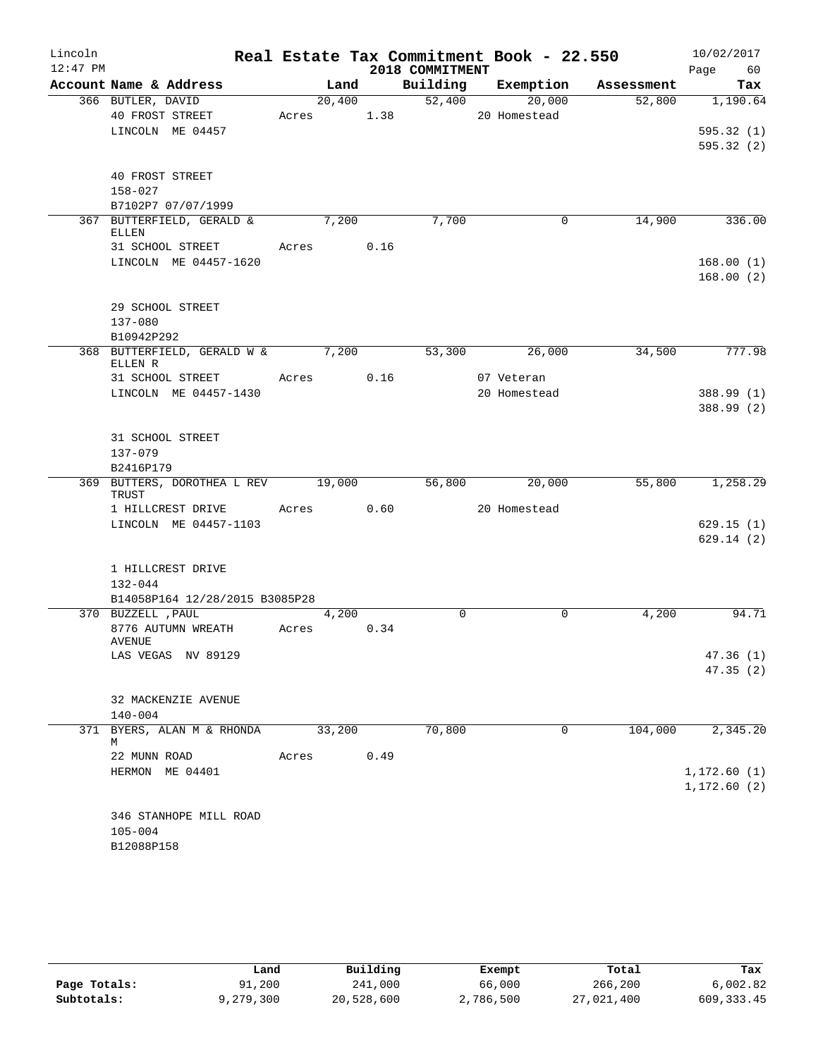| Lincoln    |                                               |        |      |                 | Real Estate Tax Commitment Book - 22.550 |            | 10/02/2017   |
|------------|-----------------------------------------------|--------|------|-----------------|------------------------------------------|------------|--------------|
| $12:47$ PM |                                               |        |      | 2018 COMMITMENT |                                          |            | Page<br>60   |
|            | Account Name & Address                        | Land   |      | Building        | Exemption                                | Assessment | Tax          |
|            | 366 BUTLER, DAVID                             | 20,400 |      | 52,400          | 20,000                                   | 52,800     | 1,190.64     |
|            | 40 FROST STREET<br>LINCOLN ME 04457           | Acres  | 1.38 |                 | 20 Homestead                             |            | 595.32(1)    |
|            |                                               |        |      |                 |                                          |            | 595.32(2)    |
|            |                                               |        |      |                 |                                          |            |              |
|            | 40 FROST STREET                               |        |      |                 |                                          |            |              |
|            | $158 - 027$                                   |        |      |                 |                                          |            |              |
|            | B7102P7 07/07/1999                            |        |      |                 |                                          |            |              |
|            | 367 BUTTERFIELD, GERALD &                     | 7,200  |      | 7,700           | $\mathbf 0$                              | 14,900     | 336.00       |
|            | ELLEN<br>31 SCHOOL STREET                     | Acres  | 0.16 |                 |                                          |            |              |
|            | LINCOLN ME 04457-1620                         |        |      |                 |                                          |            | 168.00(1)    |
|            |                                               |        |      |                 |                                          |            | 168.00(2)    |
|            |                                               |        |      |                 |                                          |            |              |
|            | 29 SCHOOL STREET                              |        |      |                 |                                          |            |              |
|            | $137 - 080$                                   |        |      |                 |                                          |            |              |
|            | B10942P292                                    |        |      |                 |                                          |            |              |
|            | 368 BUTTERFIELD, GERALD W & 7,200<br>ELLEN R  |        |      | 53,300          | 26,000                                   | 34,500     | 777.98       |
|            | 31 SCHOOL STREET                              | Acres  | 0.16 |                 | 07 Veteran                               |            |              |
|            | LINCOLN ME 04457-1430                         |        |      |                 | 20 Homestead                             |            | 388.99 (1)   |
|            |                                               |        |      |                 |                                          |            | 388.99 (2)   |
|            |                                               |        |      |                 |                                          |            |              |
|            | 31 SCHOOL STREET                              |        |      |                 |                                          |            |              |
|            | $137 - 079$                                   |        |      |                 |                                          |            |              |
|            | B2416P179<br>369 BUTTERS, DOROTHEA L REV      | 19,000 |      | 56,800          | 20,000                                   | 55,800     | 1,258.29     |
|            | TRUST                                         |        |      |                 |                                          |            |              |
|            | 1 HILLCREST DRIVE                             | Acres  | 0.60 |                 | 20 Homestead                             |            |              |
|            | LINCOLN ME 04457-1103                         |        |      |                 |                                          |            | 629.15(1)    |
|            |                                               |        |      |                 |                                          |            | 629.14(2)    |
|            |                                               |        |      |                 |                                          |            |              |
|            | 1 HILLCREST DRIVE                             |        |      |                 |                                          |            |              |
|            | $132 - 044$<br>B14058P164 12/28/2015 B3085P28 |        |      |                 |                                          |            |              |
|            | 370 BUZZELL , PAUL                            | 4,200  |      | 0               | $\Omega$                                 | 4,200      | 94.71        |
|            | 8776 AUTUMN WREATH                            | Acres  | 0.34 |                 |                                          |            |              |
|            | AVENUE                                        |        |      |                 |                                          |            |              |
|            | LAS VEGAS NV 89129                            |        |      |                 |                                          |            | 47.36 (1)    |
|            |                                               |        |      |                 |                                          |            | 47.35(2)     |
|            | 32 MACKENZIE AVENUE                           |        |      |                 |                                          |            |              |
|            | $140 - 004$                                   |        |      |                 |                                          |            |              |
| 371        | BYERS, ALAN M & RHONDA                        | 33,200 |      | 70,800          | 0                                        | 104,000    | 2,345.20     |
|            | М                                             |        |      |                 |                                          |            |              |
|            | 22 MUNN ROAD                                  | Acres  | 0.49 |                 |                                          |            |              |
|            | HERMON ME 04401                               |        |      |                 |                                          |            | 1,172.60(1)  |
|            |                                               |        |      |                 |                                          |            | 1, 172.60(2) |
|            | 346 STANHOPE MILL ROAD                        |        |      |                 |                                          |            |              |
|            | $105 - 004$                                   |        |      |                 |                                          |            |              |
|            | B12088P158                                    |        |      |                 |                                          |            |              |

|              | Land      | Building   | Exempt    | Total      | Tax         |
|--------------|-----------|------------|-----------|------------|-------------|
| Page Totals: | 91,200    | 241,000    | 66,000    | 266,200    | 6,002.82    |
| Subtotals:   | 9,279,300 | 20,528,600 | 2,786,500 | 27,021,400 | 609, 333.45 |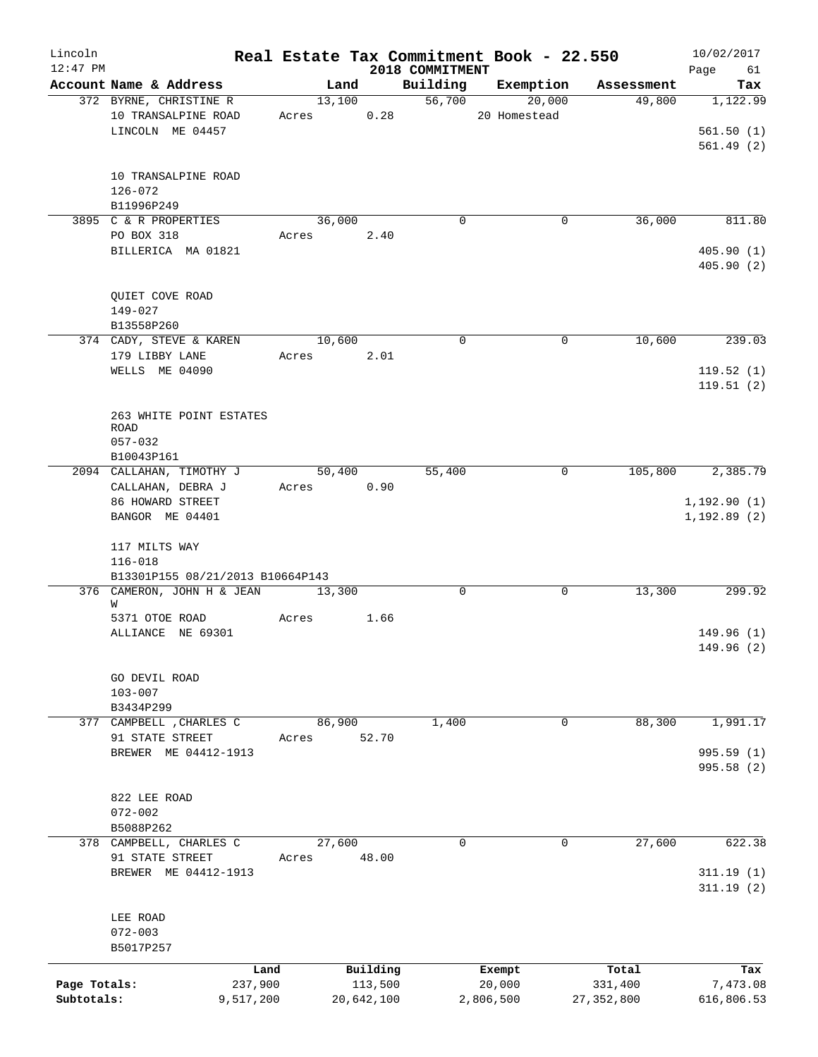| Lincoln<br>$12:47$ PM |                                   |            |            | 2018 COMMITMENT | Real Estate Tax Commitment Book - 22.550 |              | 10/02/2017<br>Page<br>61 |
|-----------------------|-----------------------------------|------------|------------|-----------------|------------------------------------------|--------------|--------------------------|
|                       | Account Name & Address            |            | Land       | Building        | Exemption                                | Assessment   | Tax                      |
|                       | 372 BYRNE, CHRISTINE R            |            | 13,100     | 56,700          | 20,000                                   | 49,800       | 1,122.99                 |
|                       | 10 TRANSALPINE ROAD               | Acres 0.28 |            |                 | 20 Homestead                             |              |                          |
|                       | LINCOLN ME 04457                  |            |            |                 |                                          |              | 561.50(1)                |
|                       |                                   |            |            |                 |                                          |              | 561.49(2)                |
|                       |                                   |            |            |                 |                                          |              |                          |
|                       | 10 TRANSALPINE ROAD               |            |            |                 |                                          |              |                          |
|                       | $126 - 072$                       |            |            |                 |                                          |              |                          |
|                       |                                   |            |            |                 |                                          |              |                          |
|                       | B11996P249                        |            |            | $\mathbf 0$     |                                          |              |                          |
|                       | 3895 C & R PROPERTIES             |            | 36,000     |                 | 0                                        | 36,000       | 811.80                   |
|                       | PO BOX 318                        | Acres 2.40 |            |                 |                                          |              |                          |
|                       | BILLERICA MA 01821                |            |            |                 |                                          |              | 405.90(1)                |
|                       |                                   |            |            |                 |                                          |              | 405.90(2)                |
|                       |                                   |            |            |                 |                                          |              |                          |
|                       | QUIET COVE ROAD                   |            |            |                 |                                          |              |                          |
|                       | 149-027                           |            |            |                 |                                          |              |                          |
|                       | B13558P260                        |            |            |                 |                                          |              |                          |
|                       | 374 CADY, STEVE & KAREN           | 10,600     |            | $\mathbf 0$     | $\mathbf 0$                              | 10,600       | 239.03                   |
|                       | 179 LIBBY LANE                    | Acres 2.01 |            |                 |                                          |              |                          |
|                       | WELLS ME 04090                    |            |            |                 |                                          |              | 119.52(1)                |
|                       |                                   |            |            |                 |                                          |              | 119.51(2)                |
|                       |                                   |            |            |                 |                                          |              |                          |
|                       | 263 WHITE POINT ESTATES           |            |            |                 |                                          |              |                          |
|                       | <b>ROAD</b>                       |            |            |                 |                                          |              |                          |
|                       | $057 - 032$                       |            |            |                 |                                          |              |                          |
|                       | B10043P161                        |            |            |                 |                                          |              |                          |
|                       | 2094 CALLAHAN, TIMOTHY J          |            | 50,400     | 55,400          | 0                                        | 105,800      | 2,385.79                 |
|                       | CALLAHAN, DEBRA J                 | Acres 0.90 |            |                 |                                          |              |                          |
|                       | 86 HOWARD STREET                  |            |            |                 |                                          |              | 1, 192.90(1)             |
|                       | BANGOR ME 04401                   |            |            |                 |                                          |              | 1, 192.89(2)             |
|                       |                                   |            |            |                 |                                          |              |                          |
|                       | 117 MILTS WAY                     |            |            |                 |                                          |              |                          |
|                       | $116 - 018$                       |            |            |                 |                                          |              |                          |
|                       | B13301P155 08/21/2013 B10664P143  |            |            |                 |                                          |              |                          |
|                       | 376 CAMERON, JOHN H & JEAN 13,300 |            |            | $\mathbf 0$     | $\mathbf 0$                              | 13,300       | 299.92                   |
|                       | W                                 |            |            |                 |                                          |              |                          |
|                       | 5371 OTOE ROAD                    | Acres      | 1.66       |                 |                                          |              |                          |
|                       | ALLIANCE NE 69301                 |            |            |                 |                                          |              | 149.96(1)                |
|                       |                                   |            |            |                 |                                          |              | 149.96 (2)               |
|                       |                                   |            |            |                 |                                          |              |                          |
|                       | GO DEVIL ROAD                     |            |            |                 |                                          |              |                          |
|                       | $103 - 007$                       |            |            |                 |                                          |              |                          |
|                       | B3434P299                         |            |            |                 |                                          |              |                          |
|                       | 377 CAMPBELL , CHARLES C          | 86,900     |            | 1,400           | 0                                        | 88,300       | 1,991.17                 |
|                       | 91 STATE STREET                   | Acres      | 52.70      |                 |                                          |              |                          |
|                       | BREWER ME 04412-1913              |            |            |                 |                                          |              | 995.59 (1)               |
|                       |                                   |            |            |                 |                                          |              | 995.58 (2)               |
|                       |                                   |            |            |                 |                                          |              |                          |
|                       | 822 LEE ROAD                      |            |            |                 |                                          |              |                          |
|                       | $072 - 002$                       |            |            |                 |                                          |              |                          |
|                       | B5088P262                         |            |            |                 |                                          |              |                          |
|                       | 378 CAMPBELL, CHARLES C           | 27,600     |            | 0               | 0                                        | 27,600       | 622.38                   |
|                       | 91 STATE STREET                   | Acres      | 48.00      |                 |                                          |              |                          |
|                       | BREWER ME 04412-1913              |            |            |                 |                                          |              | 311.19(1)                |
|                       |                                   |            |            |                 |                                          |              | 311.19(2)                |
|                       |                                   |            |            |                 |                                          |              |                          |
|                       | LEE ROAD                          |            |            |                 |                                          |              |                          |
|                       | $072 - 003$                       |            |            |                 |                                          |              |                          |
|                       | B5017P257                         |            |            |                 |                                          |              |                          |
|                       |                                   |            |            |                 |                                          |              |                          |
|                       | Land                              |            | Building   |                 | Exempt                                   | Total        | Tax                      |
| Page Totals:          | 237,900                           |            | 113,500    |                 | 20,000                                   | 331,400      | 7,473.08                 |
| Subtotals:            | 9,517,200                         |            | 20,642,100 |                 | 2,806,500                                | 27, 352, 800 | 616,806.53               |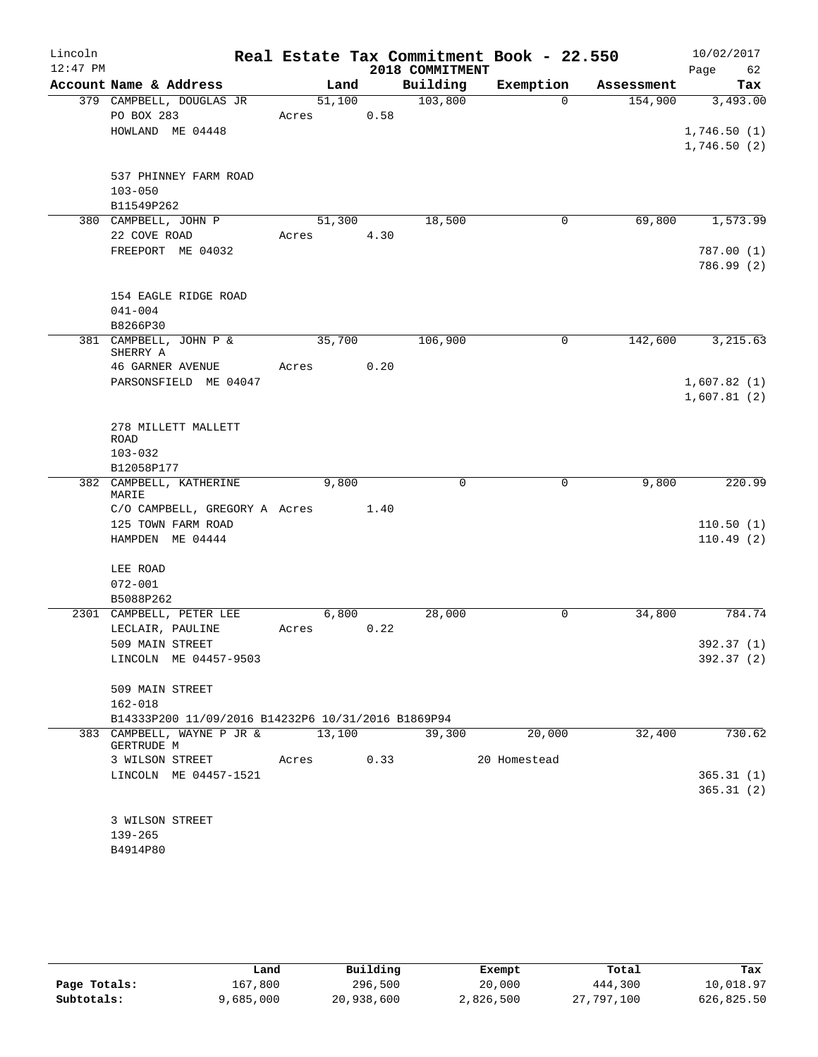| Lincoln    |                                                    |       |        |      |                 | Real Estate Tax Commitment Book - 22.550 |            | 10/02/2017  |
|------------|----------------------------------------------------|-------|--------|------|-----------------|------------------------------------------|------------|-------------|
| $12:47$ PM |                                                    |       |        |      | 2018 COMMITMENT |                                          |            | 62<br>Page  |
|            | Account Name & Address                             |       | Land   |      | Building        | Exemption                                | Assessment | Tax         |
|            | 379 CAMPBELL, DOUGLAS JR                           |       | 51,100 |      | 103,800         | $\Omega$                                 | 154,900    | 3,493.00    |
|            | PO BOX 283                                         | Acres |        | 0.58 |                 |                                          |            |             |
|            | HOWLAND ME 04448                                   |       |        |      |                 |                                          |            | 1,746.50(1) |
|            |                                                    |       |        |      |                 |                                          |            | 1,746.50(2) |
|            | 537 PHINNEY FARM ROAD                              |       |        |      |                 |                                          |            |             |
|            | $103 - 050$                                        |       |        |      |                 |                                          |            |             |
|            | B11549P262                                         |       |        |      |                 |                                          |            |             |
|            | 380 CAMPBELL, JOHN P                               |       | 51,300 |      | 18,500          | $\mathbf 0$                              | 69,800     | 1,573.99    |
|            | 22 COVE ROAD                                       | Acres |        | 4.30 |                 |                                          |            |             |
|            | FREEPORT ME 04032                                  |       |        |      |                 |                                          |            | 787.00 (1)  |
|            |                                                    |       |        |      |                 |                                          |            | 786.99 (2)  |
|            | 154 EAGLE RIDGE ROAD                               |       |        |      |                 |                                          |            |             |
|            | $041 - 004$                                        |       |        |      |                 |                                          |            |             |
|            | B8266P30                                           |       |        |      |                 |                                          |            |             |
|            | 381 CAMPBELL, JOHN P &                             |       | 35,700 |      | 106,900         | $\mathbf 0$                              | 142,600    | 3, 215.63   |
|            | SHERRY A                                           |       |        |      |                 |                                          |            |             |
|            | 46 GARNER AVENUE                                   | Acres |        | 0.20 |                 |                                          |            |             |
|            | PARSONSFIELD ME 04047                              |       |        |      |                 |                                          |            | 1,607.82(1) |
|            |                                                    |       |        |      |                 |                                          |            | 1,607.81(2) |
|            | 278 MILLETT MALLETT                                |       |        |      |                 |                                          |            |             |
|            | ROAD                                               |       |        |      |                 |                                          |            |             |
|            | $103 - 032$                                        |       |        |      |                 |                                          |            |             |
|            | B12058P177                                         |       |        |      |                 |                                          |            |             |
|            | 382 CAMPBELL, KATHERINE<br>MARIE                   |       | 9,800  |      | 0               | $\mathbf 0$                              | 9,800      | 220.99      |
|            | C/O CAMPBELL, GREGORY A Acres 1.40                 |       |        |      |                 |                                          |            |             |
|            | 125 TOWN FARM ROAD                                 |       |        |      |                 |                                          |            | 110.50(1)   |
|            | HAMPDEN ME 04444                                   |       |        |      |                 |                                          |            | 110.49(2)   |
|            |                                                    |       |        |      |                 |                                          |            |             |
|            | LEE ROAD                                           |       |        |      |                 |                                          |            |             |
|            | $072 - 001$                                        |       |        |      |                 |                                          |            |             |
|            | B5088P262                                          |       |        |      |                 |                                          |            |             |
|            | 2301 CAMPBELL, PETER LEE<br>LECLAIR, PAULINE       | Acres | 6,800  | 0.22 | 28,000          | 0                                        | 34,800     | 784.74      |
|            | 509 MAIN STREET                                    |       |        |      |                 |                                          |            | 392.37 (1)  |
|            | LINCOLN ME 04457-9503                              |       |        |      |                 |                                          |            | 392.37 (2)  |
|            |                                                    |       |        |      |                 |                                          |            |             |
|            | 509 MAIN STREET                                    |       |        |      |                 |                                          |            |             |
|            | $162 - 018$                                        |       |        |      |                 |                                          |            |             |
|            | B14333P200 11/09/2016 B14232P6 10/31/2016 B1869P94 |       |        |      |                 |                                          |            |             |
|            | 383 CAMPBELL, WAYNE P JR & 13,100<br>GERTRUDE M    |       |        |      | 39,300          | 20,000                                   | 32,400     | 730.62      |
|            | 3 WILSON STREET                                    | Acres |        | 0.33 |                 | 20 Homestead                             |            |             |
|            | LINCOLN ME 04457-1521                              |       |        |      |                 |                                          |            | 365.31(1)   |
|            |                                                    |       |        |      |                 |                                          |            | 365.31(2)   |
|            |                                                    |       |        |      |                 |                                          |            |             |
|            | 3 WILSON STREET                                    |       |        |      |                 |                                          |            |             |
|            | $139 - 265$                                        |       |        |      |                 |                                          |            |             |
|            | B4914P80                                           |       |        |      |                 |                                          |            |             |
|            |                                                    |       |        |      |                 |                                          |            |             |

|              | Land      | Building   | Exempt    | Total      | Tax        |
|--------------|-----------|------------|-----------|------------|------------|
| Page Totals: | 167.800   | 296,500    | 20,000    | 444,300    | 10,018.97  |
| Subtotals:   | 9,685,000 | 20,938,600 | 2,826,500 | 27,797,100 | 626,825.50 |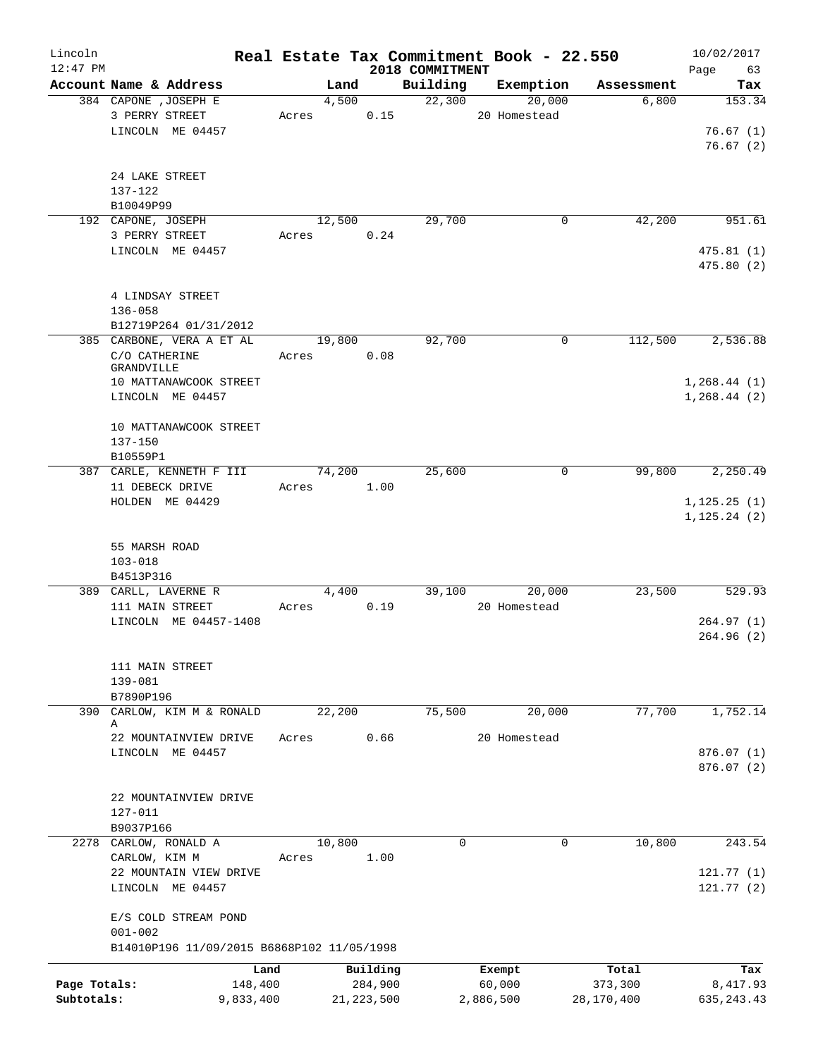| Lincoln<br>$12:47$ PM      |                                                                                                        |                              |       |                |                                     | Real Estate Tax Commitment Book - 22.550<br>2018 COMMITMENT |                               |             |                                | 10/02/2017<br>Page<br>63                |
|----------------------------|--------------------------------------------------------------------------------------------------------|------------------------------|-------|----------------|-------------------------------------|-------------------------------------------------------------|-------------------------------|-------------|--------------------------------|-----------------------------------------|
|                            | Account Name & Address                                                                                 |                              |       | Land           |                                     | Building                                                    | Exemption                     |             | Assessment                     | Tax                                     |
|                            | 384 CAPONE , JOSEPH E<br>3 PERRY STREET<br>LINCOLN ME 04457                                            |                              |       | 4,500<br>Acres | 0.15                                | 22,300                                                      | 20 Homestead                  | 20,000      | 6,800                          | 153.34<br>76.67(1)<br>76.67(2)          |
|                            | 24 LAKE STREET<br>137-122<br>B10049P99                                                                 |                              |       |                |                                     |                                                             |                               |             |                                |                                         |
|                            | 192 CAPONE, JOSEPH                                                                                     |                              |       | 12,500         |                                     | 29,700                                                      |                               | 0           | 42,200                         | 951.61                                  |
|                            | 3 PERRY STREET<br>LINCOLN ME 04457                                                                     |                              | Acres |                | 0.24                                |                                                             |                               |             |                                | 475.81(1)<br>475.80 (2)                 |
|                            | 4 LINDSAY STREET<br>$136 - 058$                                                                        |                              |       |                |                                     |                                                             |                               |             |                                |                                         |
|                            | B12719P264 01/31/2012                                                                                  |                              |       |                |                                     |                                                             |                               |             |                                |                                         |
|                            | 385 CARBONE, VERA A ET AL<br>C/O CATHERINE<br>GRANDVILLE<br>10 MATTANAWCOOK STREET<br>LINCOLN ME 04457 |                              | Acres | 19,800         | 0.08                                | 92,700                                                      |                               | $\mathbf 0$ | 112,500                        | 2,536.88<br>1, 268.44(1)<br>1,268.44(2) |
|                            | 10 MATTANAWCOOK STREET<br>$137 - 150$<br>B10559P1                                                      |                              |       |                |                                     |                                                             |                               |             |                                |                                         |
|                            | 387 CARLE, KENNETH F III                                                                               |                              |       | 74,200         |                                     | 25,600                                                      |                               | $\mathbf 0$ | 99,800                         | 2,250.49                                |
|                            | 11 DEBECK DRIVE<br>HOLDEN ME 04429                                                                     |                              | Acres |                | 1.00                                |                                                             |                               |             |                                | 1, 125.25(1)<br>1, 125.24(2)            |
|                            | 55 MARSH ROAD<br>$103 - 018$<br>B4513P316                                                              |                              |       |                |                                     |                                                             |                               |             |                                |                                         |
|                            | 389 CARLL, LAVERNE R                                                                                   |                              |       | 4,400          |                                     | 39,100                                                      |                               | 20,000      | 23,500                         | 529.93                                  |
|                            | 111 MAIN STREET<br>LINCOLN ME 04457-1408                                                               |                              | Acres |                | 0.19                                |                                                             | 20 Homestead                  |             |                                | 264.97(1)<br>264.96 (2)                 |
|                            | 111 MAIN STREET<br>139-081<br>B7890P196                                                                |                              |       |                |                                     |                                                             |                               |             |                                |                                         |
| 390                        | CARLOW, KIM M & RONALD                                                                                 |                              |       | 22,200         |                                     | 75,500                                                      |                               | 20,000      | 77,700                         | 1,752.14                                |
|                            | Α<br>22 MOUNTAINVIEW DRIVE<br>LINCOLN ME 04457                                                         |                              | Acres |                | 0.66                                |                                                             | 20 Homestead                  |             |                                | 876.07 (1)<br>876.07(2)                 |
|                            | 22 MOUNTAINVIEW DRIVE<br>127-011<br>B9037P166                                                          |                              |       |                |                                     |                                                             |                               |             |                                |                                         |
|                            | 2278 CARLOW, RONALD A                                                                                  |                              |       | 10,800         |                                     | $\mathbf 0$                                                 |                               | $\mathbf 0$ | 10,800                         | 243.54                                  |
|                            | CARLOW, KIM M<br>22 MOUNTAIN VIEW DRIVE<br>LINCOLN ME 04457                                            |                              | Acres |                | 1.00                                |                                                             |                               |             |                                | 121.77(1)<br>121.77(2)                  |
|                            | E/S COLD STREAM POND<br>$001 - 002$                                                                    |                              |       |                |                                     |                                                             |                               |             |                                |                                         |
|                            | B14010P196 11/09/2015 B6868P102 11/05/1998                                                             |                              |       |                |                                     |                                                             |                               |             |                                |                                         |
| Page Totals:<br>Subtotals: |                                                                                                        | Land<br>148,400<br>9,833,400 |       |                | Building<br>284,900<br>21, 223, 500 |                                                             | Exempt<br>60,000<br>2,886,500 |             | Total<br>373,300<br>28,170,400 | Tax<br>8,417.93<br>635, 243.43          |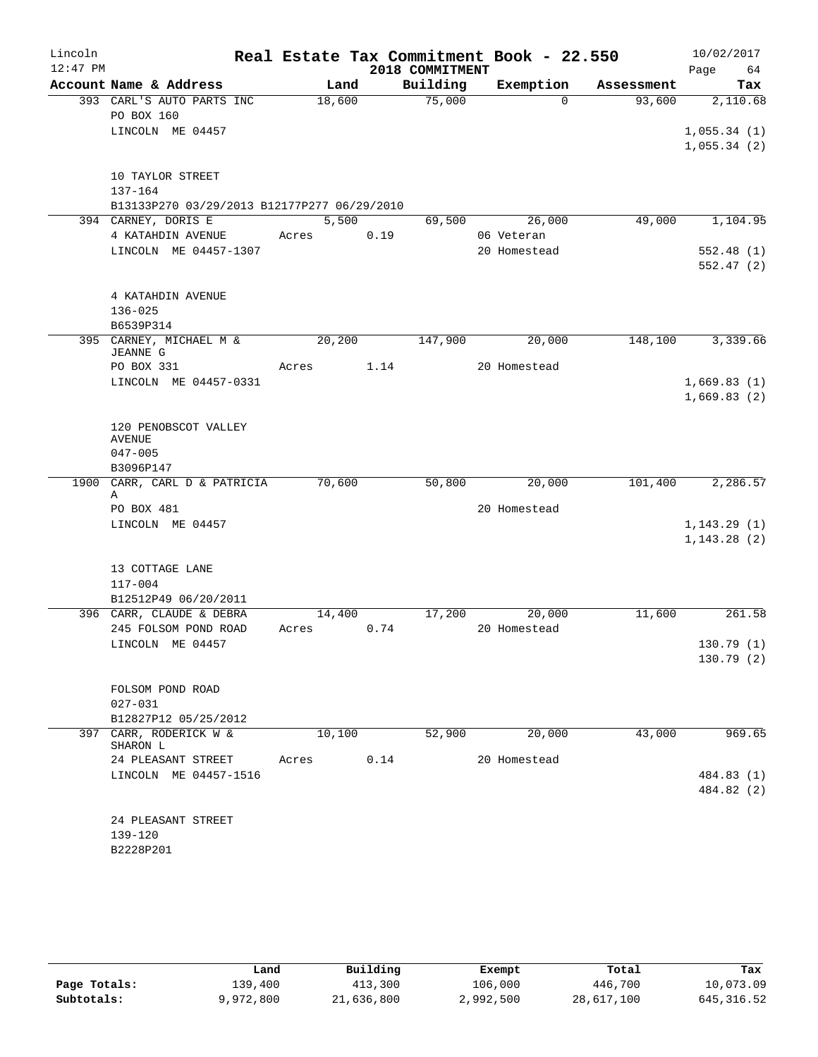| Lincoln    |                                             |            |      | Real Estate Tax Commitment Book - 22.550 |              |            | 10/02/2017                  |
|------------|---------------------------------------------|------------|------|------------------------------------------|--------------|------------|-----------------------------|
| $12:47$ PM |                                             |            |      | 2018 COMMITMENT                          |              |            | 64<br>Page                  |
|            | Account Name & Address                      | Land       |      | Building                                 | Exemption    | Assessment | Tax                         |
|            | 393 CARL'S AUTO PARTS INC                   | 18,600     |      | 75,000                                   | $\Omega$     | 93,600     | 2,110.68                    |
|            | PO BOX 160<br>LINCOLN ME 04457              |            |      |                                          |              |            |                             |
|            |                                             |            |      |                                          |              |            | 1,055.34(1)<br>1,055.34(2)  |
|            |                                             |            |      |                                          |              |            |                             |
|            | 10 TAYLOR STREET                            |            |      |                                          |              |            |                             |
|            | 137-164                                     |            |      |                                          |              |            |                             |
|            | B13133P270 03/29/2013 B12177P277 06/29/2010 |            |      |                                          |              |            |                             |
|            | 394 CARNEY, DORIS E                         | 5,500      |      | 69,500                                   | 26,000       | 49,000     | 1,104.95                    |
|            | 4 KATAHDIN AVENUE                           | Acres      | 0.19 |                                          | 06 Veteran   |            |                             |
|            | LINCOLN ME 04457-1307                       |            |      |                                          | 20 Homestead |            | 552.48(1)<br>552.47(2)      |
|            |                                             |            |      |                                          |              |            |                             |
|            | 4 KATAHDIN AVENUE                           |            |      |                                          |              |            |                             |
|            | $136 - 025$                                 |            |      |                                          |              |            |                             |
|            | B6539P314                                   |            |      |                                          |              |            |                             |
|            | 395 CARNEY, MICHAEL M &<br><b>JEANNE G</b>  | 20,200     |      | 147,900                                  | 20,000       | 148,100    | 3,339.66                    |
|            | PO BOX 331                                  | Acres 1.14 |      |                                          | 20 Homestead |            |                             |
|            | LINCOLN ME 04457-0331                       |            |      |                                          |              |            | 1,669.83(1)                 |
|            |                                             |            |      |                                          |              |            | 1,669.83(2)                 |
|            |                                             |            |      |                                          |              |            |                             |
|            | 120 PENOBSCOT VALLEY<br><b>AVENUE</b>       |            |      |                                          |              |            |                             |
|            | $047 - 005$                                 |            |      |                                          |              |            |                             |
|            | B3096P147                                   |            |      |                                          |              |            |                             |
|            | 1900 CARR, CARL D & PATRICIA                | 70,600     |      | 50,800                                   | 20,000       | 101,400    | 2,286.57                    |
|            | Α                                           |            |      |                                          |              |            |                             |
|            | PO BOX 481                                  |            |      |                                          | 20 Homestead |            |                             |
|            | LINCOLN ME 04457                            |            |      |                                          |              |            | 1,143.29(1)<br>1, 143.28(2) |
|            |                                             |            |      |                                          |              |            |                             |
|            | 13 COTTAGE LANE                             |            |      |                                          |              |            |                             |
|            | $117 - 004$                                 |            |      |                                          |              |            |                             |
|            | B12512P49 06/20/2011                        |            |      |                                          |              |            |                             |
|            | 396 CARR, CLAUDE & DEBRA                    | 14,400     |      | 17,200                                   | 20,000       | 11,600     | 261.58                      |
|            | 245 FOLSOM POND ROAD                        | Acres      | 0.74 |                                          | 20 Homestead |            |                             |
|            | LINCOLN ME 04457                            |            |      |                                          |              |            | 130.79 (1)<br>130.79(2)     |
|            |                                             |            |      |                                          |              |            |                             |
|            | FOLSOM POND ROAD                            |            |      |                                          |              |            |                             |
|            | $027 - 031$                                 |            |      |                                          |              |            |                             |
|            | B12827P12 05/25/2012                        |            |      |                                          |              |            |                             |
|            | 397 CARR, RODERICK W &<br>SHARON L          | 10,100     |      | 52,900                                   | 20,000       | 43,000     | 969.65                      |
|            | 24 PLEASANT STREET                          | Acres      | 0.14 |                                          | 20 Homestead |            |                             |
|            | LINCOLN ME 04457-1516                       |            |      |                                          |              |            | 484.83 (1)                  |
|            |                                             |            |      |                                          |              |            | 484.82 (2)                  |
|            |                                             |            |      |                                          |              |            |                             |
|            | 24 PLEASANT STREET                          |            |      |                                          |              |            |                             |
|            | 139-120<br>B2228P201                        |            |      |                                          |              |            |                             |
|            |                                             |            |      |                                          |              |            |                             |

|              | Land      | Building   | Exempt    | Total      | Tax         |
|--------------|-----------|------------|-----------|------------|-------------|
| Page Totals: | 139,400   | 413,300    | 106,000   | 446,700    | 10,073.09   |
| Subtotals:   | 9,972,800 | 21,636,800 | 2,992,500 | 28,617,100 | 645, 316.52 |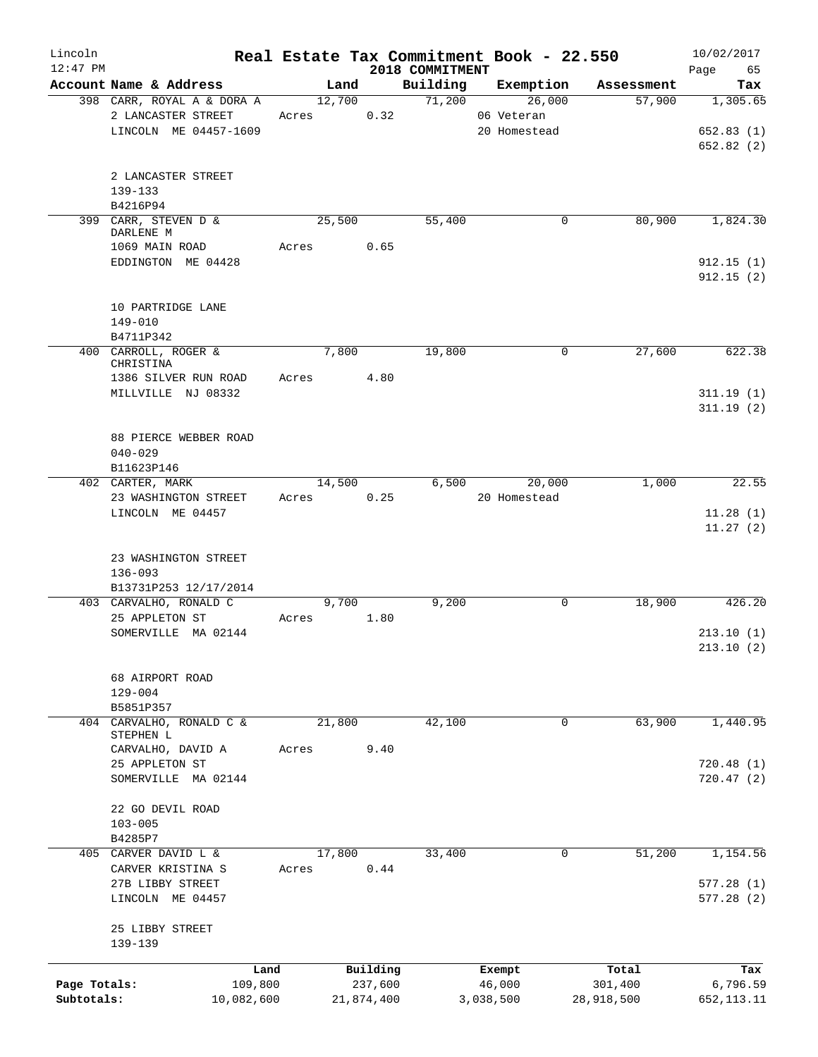| Lincoln      |                            |       |        |            |                             | Real Estate Tax Commitment Book - 22.550 |            | 10/02/2017        |
|--------------|----------------------------|-------|--------|------------|-----------------------------|------------------------------------------|------------|-------------------|
| $12:47$ PM   | Account Name & Address     |       | Land   |            | 2018 COMMITMENT<br>Building | Exemption                                | Assessment | Page<br>65<br>Tax |
|              | 398 CARR, ROYAL A & DORA A |       | 12,700 |            | 71,200                      | 26,000                                   | 57,900     | 1,305.65          |
|              | 2 LANCASTER STREET         | Acres |        | 0.32       |                             | 06 Veteran                               |            |                   |
|              | LINCOLN ME 04457-1609      |       |        |            |                             | 20 Homestead                             |            | 652.83(1)         |
|              |                            |       |        |            |                             |                                          |            | 652.82(2)         |
|              |                            |       |        |            |                             |                                          |            |                   |
|              | 2 LANCASTER STREET         |       |        |            |                             |                                          |            |                   |
|              | $139 - 133$                |       |        |            |                             |                                          |            |                   |
|              | B4216P94                   |       |        |            |                             |                                          |            |                   |
|              | 399 CARR, STEVEN D &       |       | 25,500 |            | 55,400                      | 0                                        | 80,900     | 1,824.30          |
|              | DARLENE M                  |       |        |            |                             |                                          |            |                   |
|              | 1069 MAIN ROAD             | Acres |        | 0.65       |                             |                                          |            |                   |
|              | EDDINGTON ME 04428         |       |        |            |                             |                                          |            | 912.15(1)         |
|              |                            |       |        |            |                             |                                          |            | 912.15(2)         |
|              |                            |       |        |            |                             |                                          |            |                   |
|              | 10 PARTRIDGE LANE          |       |        |            |                             |                                          |            |                   |
|              | 149-010                    |       |        |            |                             |                                          |            |                   |
|              | B4711P342                  |       |        |            |                             |                                          |            |                   |
|              | 400 CARROLL, ROGER &       |       | 7,800  |            | 19,800                      | 0                                        | 27,600     | 622.38            |
|              | CHRISTINA                  |       |        |            |                             |                                          |            |                   |
|              | 1386 SILVER RUN ROAD       | Acres |        | 4.80       |                             |                                          |            |                   |
|              | MILLVILLE NJ 08332         |       |        |            |                             |                                          |            | 311.19(1)         |
|              |                            |       |        |            |                             |                                          |            | 311.19(2)         |
|              |                            |       |        |            |                             |                                          |            |                   |
|              | 88 PIERCE WEBBER ROAD      |       |        |            |                             |                                          |            |                   |
|              | $040 - 029$                |       |        |            |                             |                                          |            |                   |
|              | B11623P146                 |       |        |            |                             |                                          |            |                   |
|              | 402 CARTER, MARK           |       | 14,500 |            | 6,500                       | 20,000                                   | 1,000      | 22.55             |
|              | 23 WASHINGTON STREET       | Acres |        | 0.25       |                             | 20 Homestead                             |            |                   |
|              | LINCOLN ME 04457           |       |        |            |                             |                                          |            | 11.28(1)          |
|              |                            |       |        |            |                             |                                          |            | 11.27(2)          |
|              |                            |       |        |            |                             |                                          |            |                   |
|              | 23 WASHINGTON STREET       |       |        |            |                             |                                          |            |                   |
|              | $136 - 093$                |       |        |            |                             |                                          |            |                   |
|              | B13731P253 12/17/2014      |       |        |            |                             |                                          |            |                   |
|              | 403 CARVALHO, RONALD C     |       | 9,700  |            | 9,200                       | $\mathbf 0$                              | 18,900     | 426.20            |
|              | 25 APPLETON ST             | Acres |        | 1.80       |                             |                                          |            |                   |
|              | SOMERVILLE MA 02144        |       |        |            |                             |                                          |            | 213.10(1)         |
|              |                            |       |        |            |                             |                                          |            | 213.10(2)         |
|              |                            |       |        |            |                             |                                          |            |                   |
|              | 68 AIRPORT ROAD            |       |        |            |                             |                                          |            |                   |
|              | $129 - 004$                |       |        |            |                             |                                          |            |                   |
|              | B5851P357                  |       |        |            |                             |                                          |            |                   |
| 404          | CARVALHO, RONALD C &       |       | 21,800 |            | 42,100                      | 0                                        | 63,900     | 1,440.95          |
|              | STEPHEN L                  |       |        |            |                             |                                          |            |                   |
|              | CARVALHO, DAVID A          | Acres |        | 9.40       |                             |                                          |            |                   |
|              | 25 APPLETON ST             |       |        |            |                             |                                          |            | 720.48(1)         |
|              | SOMERVILLE MA 02144        |       |        |            |                             |                                          |            | 720.47(2)         |
|              |                            |       |        |            |                             |                                          |            |                   |
|              | 22 GO DEVIL ROAD           |       |        |            |                             |                                          |            |                   |
|              | $103 - 005$                |       |        |            |                             |                                          |            |                   |
|              | B4285P7                    |       |        |            |                             |                                          | 51,200     |                   |
| 405          | CARVER DAVID L &           |       | 17,800 |            | 33,400                      | 0                                        |            | 1,154.56          |
|              | CARVER KRISTINA S          | Acres |        | 0.44       |                             |                                          |            |                   |
|              | 27B LIBBY STREET           |       |        |            |                             |                                          |            | 577.28(1)         |
|              | LINCOLN ME 04457           |       |        |            |                             |                                          |            | 577.28(2)         |
|              |                            |       |        |            |                             |                                          |            |                   |
|              | 25 LIBBY STREET            |       |        |            |                             |                                          |            |                   |
|              | 139-139                    |       |        |            |                             |                                          |            |                   |
|              | Land                       |       |        | Building   |                             | Exempt                                   | Total      | Tax               |
| Page Totals: | 109,800                    |       |        | 237,600    |                             | 46,000                                   | 301,400    | 6,796.59          |
| Subtotals:   | 10,082,600                 |       |        | 21,874,400 |                             | 3,038,500                                | 28,918,500 | 652, 113. 11      |
|              |                            |       |        |            |                             |                                          |            |                   |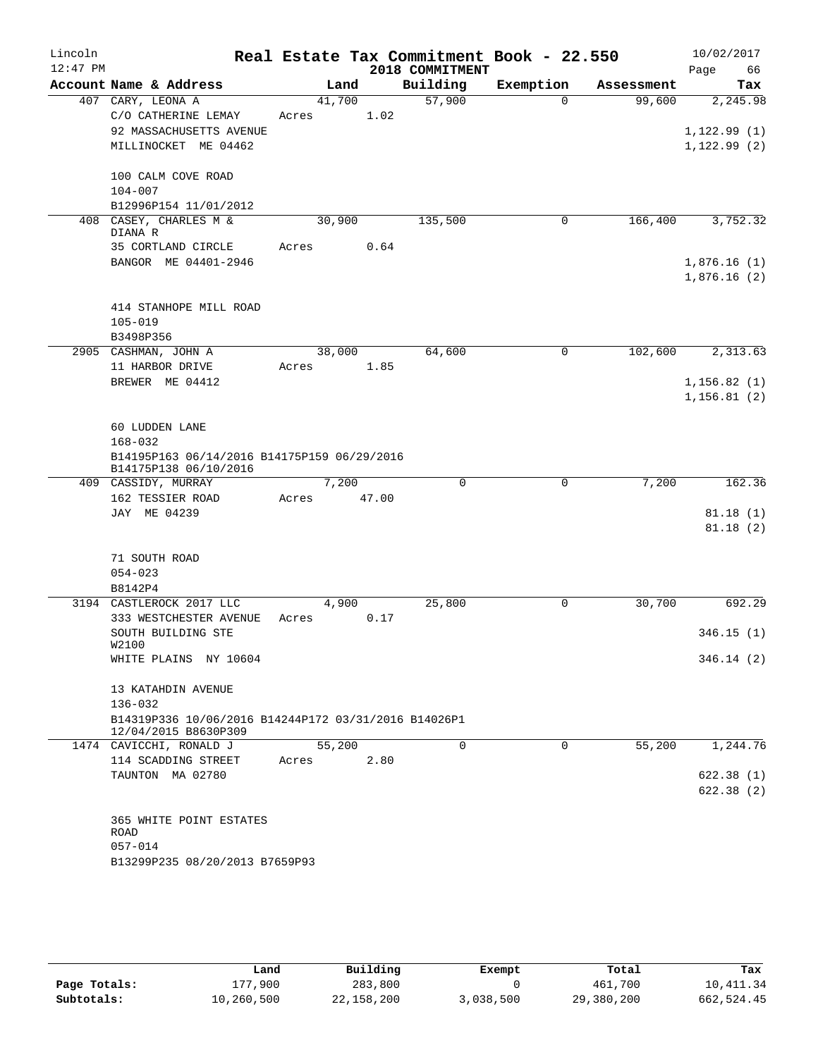| Lincoln    |                                                            |       |        |       | Real Estate Tax Commitment Book - 22.550 |              |            | 10/02/2017   |
|------------|------------------------------------------------------------|-------|--------|-------|------------------------------------------|--------------|------------|--------------|
| $12:47$ PM |                                                            |       |        |       | 2018 COMMITMENT                          |              |            | 66<br>Page   |
|            | Account Name & Address                                     |       | Land   |       | Building                                 | Exemption    | Assessment | Tax          |
|            | 407 CARY, LEONA A<br>C/O CATHERINE LEMAY                   | Acres | 41,700 | 1.02  | 57,900                                   | $\Omega$     | 99,600     | 2,245.98     |
|            | 92 MASSACHUSETTS AVENUE                                    |       |        |       |                                          |              |            | 1,122.99(1)  |
|            | MILLINOCKET ME 04462                                       |       |        |       |                                          |              |            | 1, 122.99(2) |
|            |                                                            |       |        |       |                                          |              |            |              |
|            | 100 CALM COVE ROAD                                         |       |        |       |                                          |              |            |              |
|            | $104 - 007$                                                |       |        |       |                                          |              |            |              |
|            | B12996P154 11/01/2012                                      |       |        |       |                                          |              |            |              |
|            | 408 CASEY, CHARLES M &<br>DIANA R                          |       | 30,900 |       | 135,500                                  | 0            | 166,400    | 3,752.32     |
|            | 35 CORTLAND CIRCLE                                         | Acres |        | 0.64  |                                          |              |            |              |
|            | BANGOR ME 04401-2946                                       |       |        |       |                                          |              |            | 1,876.16(1)  |
|            |                                                            |       |        |       |                                          |              |            | 1,876.16(2)  |
|            | 414 STANHOPE MILL ROAD                                     |       |        |       |                                          |              |            |              |
|            | $105 - 019$                                                |       |        |       |                                          |              |            |              |
|            | B3498P356                                                  |       |        |       |                                          |              |            |              |
|            | 2905 CASHMAN, JOHN A                                       |       | 38,000 |       | 64,600                                   | $\mathsf{O}$ | 102,600    | 2,313.63     |
|            | 11 HARBOR DRIVE                                            | Acres |        | 1.85  |                                          |              |            |              |
|            | BREWER ME 04412                                            |       |        |       |                                          |              |            | 1, 156.82(1) |
|            |                                                            |       |        |       |                                          |              |            | 1, 156.81(2) |
|            |                                                            |       |        |       |                                          |              |            |              |
|            | 60 LUDDEN LANE                                             |       |        |       |                                          |              |            |              |
|            | $168 - 032$<br>B14195P163 06/14/2016 B14175P159 06/29/2016 |       |        |       |                                          |              |            |              |
|            | B14175P138 06/10/2016                                      |       |        |       |                                          |              |            |              |
|            | 409 CASSIDY, MURRAY                                        |       | 7,200  |       | $\Omega$                                 | $\mathbf 0$  | 7,200      | 162.36       |
|            | 162 TESSIER ROAD                                           | Acres |        | 47.00 |                                          |              |            |              |
|            | JAY ME 04239                                               |       |        |       |                                          |              |            | 81.18(1)     |
|            |                                                            |       |        |       |                                          |              |            | 81.18(2)     |
|            | 71 SOUTH ROAD                                              |       |        |       |                                          |              |            |              |
|            | $054 - 023$                                                |       |        |       |                                          |              |            |              |
|            | B8142P4                                                    |       |        |       |                                          |              |            |              |
| 3194       | CASTLEROCK 2017 LLC                                        |       | 4,900  |       | 25,800                                   | 0            | 30,700     | 692.29       |
|            | 333 WESTCHESTER AVENUE                                     | Acres |        | 0.17  |                                          |              |            |              |
|            | SOUTH BUILDING STE                                         |       |        |       |                                          |              |            | 346.15(1)    |
|            | W2100<br>WHITE PLAINS NY 10604                             |       |        |       |                                          |              |            | 346.14(2)    |
|            |                                                            |       |        |       |                                          |              |            |              |
|            | 13 KATAHDIN AVENUE                                         |       |        |       |                                          |              |            |              |
|            | $136 - 032$                                                |       |        |       |                                          |              |            |              |
|            | B14319P336 10/06/2016 B14244P172 03/31/2016 B14026P1       |       |        |       |                                          |              |            |              |
|            | 12/04/2015 B8630P309                                       |       |        |       |                                          |              |            |              |
|            | 1474 CAVICCHI, RONALD J<br>114 SCADDING STREET             | Acres | 55,200 | 2.80  | 0                                        | 0            | 55,200     | 1,244.76     |
|            | TAUNTON MA 02780                                           |       |        |       |                                          |              |            | 622.38(1)    |
|            |                                                            |       |        |       |                                          |              |            | 622.38(2)    |
|            |                                                            |       |        |       |                                          |              |            |              |
|            | 365 WHITE POINT ESTATES                                    |       |        |       |                                          |              |            |              |
|            | ROAD                                                       |       |        |       |                                          |              |            |              |
|            | $057 - 014$                                                |       |        |       |                                          |              |            |              |
|            | B13299P235 08/20/2013 B7659P93                             |       |        |       |                                          |              |            |              |
|            |                                                            |       |        |       |                                          |              |            |              |

|              | Land       | Building   | Exempt    | Total      | Tax        |
|--------------|------------|------------|-----------|------------|------------|
| Page Totals: | l 77,900   | 283,800    |           | 461,700    | 10,411.34  |
| Subtotals:   | 10,260,500 | 22,158,200 | 3,038,500 | 29,380,200 | 662,524.45 |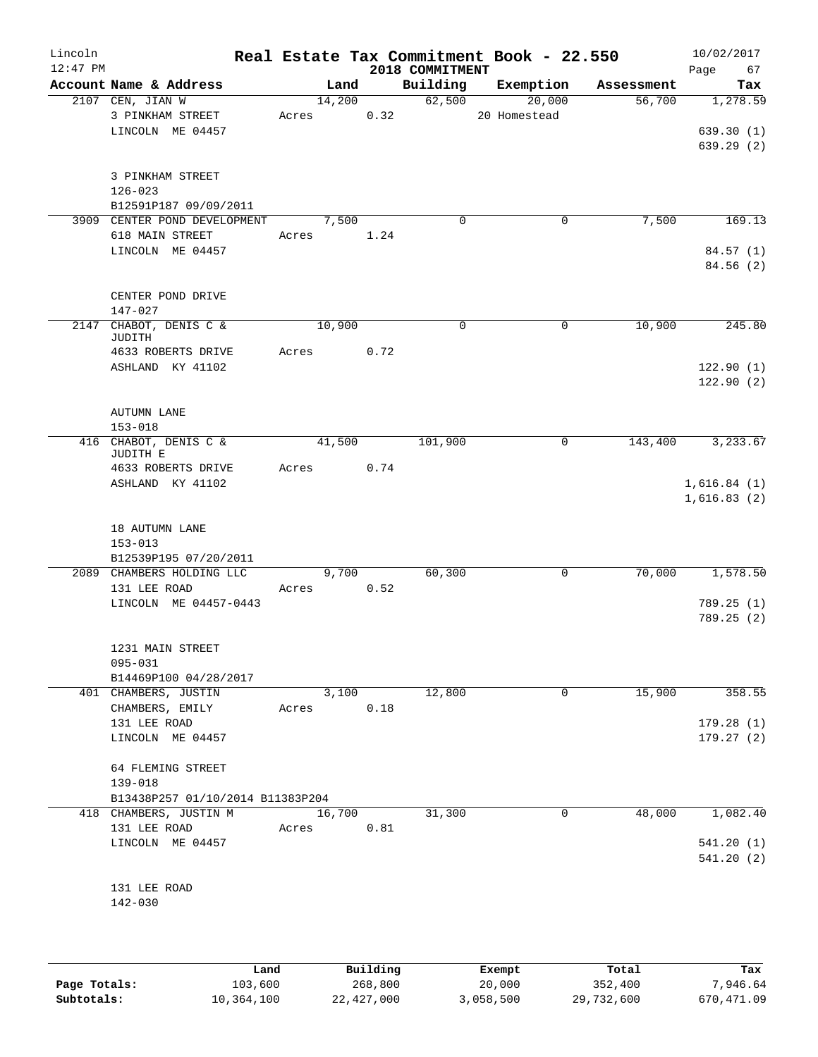| Lincoln<br>$12:47$ PM |                                                          |       |        |      | 2018 COMMITMENT | Real Estate Tax Commitment Book - 22.550 |            | 10/02/2017<br>Page<br>67   |
|-----------------------|----------------------------------------------------------|-------|--------|------|-----------------|------------------------------------------|------------|----------------------------|
|                       | Account Name & Address                                   |       | Land   |      | Building        | Exemption                                | Assessment | Tax                        |
|                       | 2107 CEN, JIAN W<br>3 PINKHAM STREET<br>LINCOLN ME 04457 | Acres | 14,200 | 0.32 | 62,500          | 20,000<br>20 Homestead                   | 56,700     | 1,278.59<br>639.30(1)      |
|                       | 3 PINKHAM STREET<br>$126 - 023$<br>B12591P187 09/09/2011 |       |        |      |                 |                                          |            | 639.29(2)                  |
|                       | 3909 CENTER POND DEVELOPMENT                             |       | 7,500  |      | $\mathbf 0$     | $\mathbf 0$                              | 7,500      | 169.13                     |
|                       | 618 MAIN STREET                                          | Acres |        | 1.24 |                 |                                          |            |                            |
|                       | LINCOLN ME 04457                                         |       |        |      |                 |                                          |            | 84.57(1)<br>84.56 (2)      |
|                       | CENTER POND DRIVE<br>$147 - 027$                         |       |        |      |                 |                                          |            |                            |
|                       | 2147 CHABOT, DENIS C &                                   |       | 10,900 |      | $\mathbf 0$     | $\mathbf 0$                              | 10,900     | 245.80                     |
|                       | JUDITH                                                   |       |        |      |                 |                                          |            |                            |
|                       | 4633 ROBERTS DRIVE                                       | Acres |        | 0.72 |                 |                                          |            |                            |
|                       | ASHLAND KY 41102                                         |       |        |      |                 |                                          |            | 122.90(1)<br>122.90(2)     |
|                       | <b>AUTUMN LANE</b>                                       |       |        |      |                 |                                          |            |                            |
|                       | $153 - 018$                                              |       |        |      |                 |                                          |            |                            |
|                       | 416 CHABOT, DENIS C &<br>JUDITH E                        |       | 41,500 |      | 101,900         | 0                                        | 143,400    | 3,233.67                   |
|                       | 4633 ROBERTS DRIVE                                       | Acres |        | 0.74 |                 |                                          |            |                            |
|                       | ASHLAND KY 41102                                         |       |        |      |                 |                                          |            | 1,616.84(1)<br>1,616.83(2) |
|                       | 18 AUTUMN LANE<br>$153 - 013$                            |       |        |      |                 |                                          |            |                            |
|                       | B12539P195 07/20/2011<br>2089 CHAMBERS HOLDING LLC       |       | 9.700  |      | 60,300          | 0                                        | 70,000     | 1,578.50                   |
|                       | 131 LEE ROAD                                             | Acres |        | 0.52 |                 |                                          |            |                            |
|                       | LINCOLN ME 04457-0443                                    |       |        |      |                 |                                          |            | 789.25(1)<br>789.25(2)     |
|                       |                                                          |       |        |      |                 |                                          |            |                            |
|                       | 1231 MAIN STREET<br>$095 - 031$                          |       |        |      |                 |                                          |            |                            |
|                       | B14469P100 04/28/2017                                    |       |        |      |                 |                                          |            |                            |
|                       | 401 CHAMBERS, JUSTIN                                     |       | 3,100  |      | 12,800          | 0                                        | 15,900     | 358.55                     |
|                       | CHAMBERS, EMILY                                          | Acres |        | 0.18 |                 |                                          |            |                            |
|                       | 131 LEE ROAD<br>LINCOLN ME 04457                         |       |        |      |                 |                                          |            | 179.28(1)<br>179.27(2)     |
|                       | 64 FLEMING STREET<br>139-018                             |       |        |      |                 |                                          |            |                            |
|                       | B13438P257 01/10/2014 B11383P204                         |       |        |      |                 |                                          |            |                            |
|                       | 418 CHAMBERS, JUSTIN M                                   |       | 16,700 |      | 31,300          | 0                                        | 48,000     | 1,082.40                   |
|                       | 131 LEE ROAD                                             | Acres |        | 0.81 |                 |                                          |            |                            |
|                       | LINCOLN ME 04457                                         |       |        |      |                 |                                          |            | 541.20(1)<br>541.20(2)     |
|                       | 131 LEE ROAD                                             |       |        |      |                 |                                          |            |                            |
|                       | 142-030                                                  |       |        |      |                 |                                          |            |                            |
|                       |                                                          |       |        |      |                 |                                          |            |                            |
|                       |                                                          |       |        |      |                 |                                          |            |                            |

|              | Land       | Building   | Exempt    | Total      | Tax        |
|--------------|------------|------------|-----------|------------|------------|
| Page Totals: | 103,600    | 268,800    | 20,000    | 352,400    | 7,946.64   |
| Subtotals:   | 10,364,100 | 22,427,000 | 3,058,500 | 29,732,600 | 670,471.09 |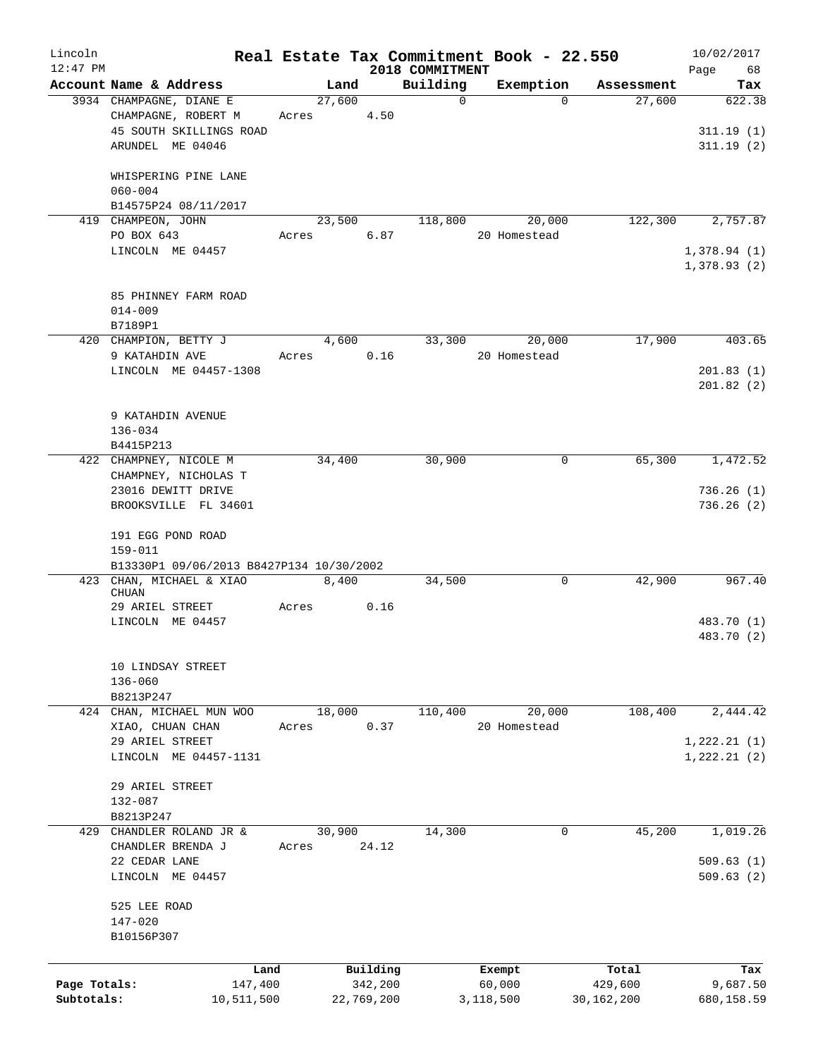| Lincoln      |                                                   |       |                |                     |                      | Real Estate Tax Commitment Book - 22.550 |                      | 10/02/2017      |
|--------------|---------------------------------------------------|-------|----------------|---------------------|----------------------|------------------------------------------|----------------------|-----------------|
| $12:47$ PM   |                                                   |       |                |                     | 2018 COMMITMENT      |                                          |                      | Page<br>68      |
|              | Account Name & Address<br>3934 CHAMPAGNE, DIANE E |       | Land<br>27,600 |                     | Building<br>$\Omega$ | Exemption<br>$\Omega$                    | Assessment<br>27,600 | Tax<br>622.38   |
|              | CHAMPAGNE, ROBERT M                               | Acres |                | 4.50                |                      |                                          |                      |                 |
|              | 45 SOUTH SKILLINGS ROAD                           |       |                |                     |                      |                                          |                      | 311.19(1)       |
|              | ARUNDEL ME 04046                                  |       |                |                     |                      |                                          |                      | 311.19(2)       |
|              |                                                   |       |                |                     |                      |                                          |                      |                 |
|              | WHISPERING PINE LANE                              |       |                |                     |                      |                                          |                      |                 |
|              | $060 - 004$                                       |       |                |                     |                      |                                          |                      |                 |
|              | B14575P24 08/11/2017                              |       |                |                     |                      |                                          |                      |                 |
|              | 419 CHAMPEON, JOHN                                |       | 23,500         |                     | 118,800              | 20,000                                   | 122,300              | 2,757.87        |
|              | PO BOX 643                                        | Acres |                | 6.87                |                      | 20 Homestead                             |                      |                 |
|              | LINCOLN ME 04457                                  |       |                |                     |                      |                                          |                      | 1,378.94(1)     |
|              |                                                   |       |                |                     |                      |                                          |                      | 1,378.93(2)     |
|              | 85 PHINNEY FARM ROAD                              |       |                |                     |                      |                                          |                      |                 |
|              | $014 - 009$                                       |       |                |                     |                      |                                          |                      |                 |
|              | B7189P1                                           |       |                |                     |                      |                                          |                      |                 |
|              | 420 CHAMPION, BETTY J                             |       | 4,600          |                     | 33,300               | 20,000                                   | 17,900               | 403.65          |
|              | 9 KATAHDIN AVE                                    | Acres |                | 0.16                |                      | 20 Homestead                             |                      |                 |
|              | LINCOLN ME 04457-1308                             |       |                |                     |                      |                                          |                      | 201.83(1)       |
|              |                                                   |       |                |                     |                      |                                          |                      | 201.82(2)       |
|              |                                                   |       |                |                     |                      |                                          |                      |                 |
|              | 9 KATAHDIN AVENUE                                 |       |                |                     |                      |                                          |                      |                 |
|              | $136 - 034$                                       |       |                |                     |                      |                                          |                      |                 |
|              | B4415P213                                         |       |                |                     |                      |                                          |                      |                 |
|              | 422 CHAMPNEY, NICOLE M                            |       | 34,400         |                     | 30,900               | 0                                        | 65,300               | 1,472.52        |
|              | CHAMPNEY, NICHOLAS T                              |       |                |                     |                      |                                          |                      |                 |
|              | 23016 DEWITT DRIVE                                |       |                |                     |                      |                                          |                      | 736.26(1)       |
|              | BROOKSVILLE FL 34601                              |       |                |                     |                      |                                          |                      | 736.26(2)       |
|              |                                                   |       |                |                     |                      |                                          |                      |                 |
|              | 191 EGG POND ROAD                                 |       |                |                     |                      |                                          |                      |                 |
|              | 159-011                                           |       |                |                     |                      |                                          |                      |                 |
|              | B13330P1 09/06/2013 B8427P134 10/30/2002          |       |                |                     |                      |                                          |                      |                 |
|              | 423 CHAN, MICHAEL & XIAO                          |       | 8,400          |                     | 34,500               | 0                                        | 42,900               | 967.40          |
|              | CHUAN                                             |       |                |                     |                      |                                          |                      |                 |
|              | 29 ARIEL STREET                                   | Acres |                | 0.16                |                      |                                          |                      |                 |
|              | LINCOLN ME 04457                                  |       |                |                     |                      |                                          |                      | 483.70 (1)      |
|              |                                                   |       |                |                     |                      |                                          |                      | 483.70 (2)      |
|              |                                                   |       |                |                     |                      |                                          |                      |                 |
|              | 10 LINDSAY STREET<br>$136 - 060$                  |       |                |                     |                      |                                          |                      |                 |
|              | B8213P247                                         |       |                |                     |                      |                                          |                      |                 |
|              | 424 CHAN, MICHAEL MUN WOO                         |       | 18,000         |                     | 110,400              | 20,000                                   | 108,400              | 2,444.42        |
|              | XIAO, CHUAN CHAN                                  | Acres |                | 0.37                |                      | 20 Homestead                             |                      |                 |
|              | 29 ARIEL STREET                                   |       |                |                     |                      |                                          |                      | 1, 222.21(1)    |
|              | LINCOLN ME 04457-1131                             |       |                |                     |                      |                                          |                      | 1, 222.21(2)    |
|              |                                                   |       |                |                     |                      |                                          |                      |                 |
|              | 29 ARIEL STREET                                   |       |                |                     |                      |                                          |                      |                 |
|              | 132-087                                           |       |                |                     |                      |                                          |                      |                 |
|              | B8213P247                                         |       |                |                     |                      |                                          |                      |                 |
|              | 429 CHANDLER ROLAND JR &                          |       | 30,900         |                     | 14,300               | 0                                        | 45,200               | 1,019.26        |
|              | CHANDLER BRENDA J                                 | Acres |                | 24.12               |                      |                                          |                      |                 |
|              | 22 CEDAR LANE                                     |       |                |                     |                      |                                          |                      | 509.63(1)       |
|              | LINCOLN ME 04457                                  |       |                |                     |                      |                                          |                      | 509.63(2)       |
|              |                                                   |       |                |                     |                      |                                          |                      |                 |
|              | 525 LEE ROAD                                      |       |                |                     |                      |                                          |                      |                 |
|              | 147-020                                           |       |                |                     |                      |                                          |                      |                 |
|              | B10156P307                                        |       |                |                     |                      |                                          |                      |                 |
|              |                                                   |       |                |                     |                      |                                          |                      |                 |
| Page Totals: | Land<br>147,400                                   |       |                | Building<br>342,200 |                      | Exempt<br>60,000                         | Total<br>429,600     | Tax<br>9,687.50 |
| Subtotals:   | 10,511,500                                        |       |                | 22,769,200          |                      | 3,118,500                                | 30, 162, 200         | 680,158.59      |
|              |                                                   |       |                |                     |                      |                                          |                      |                 |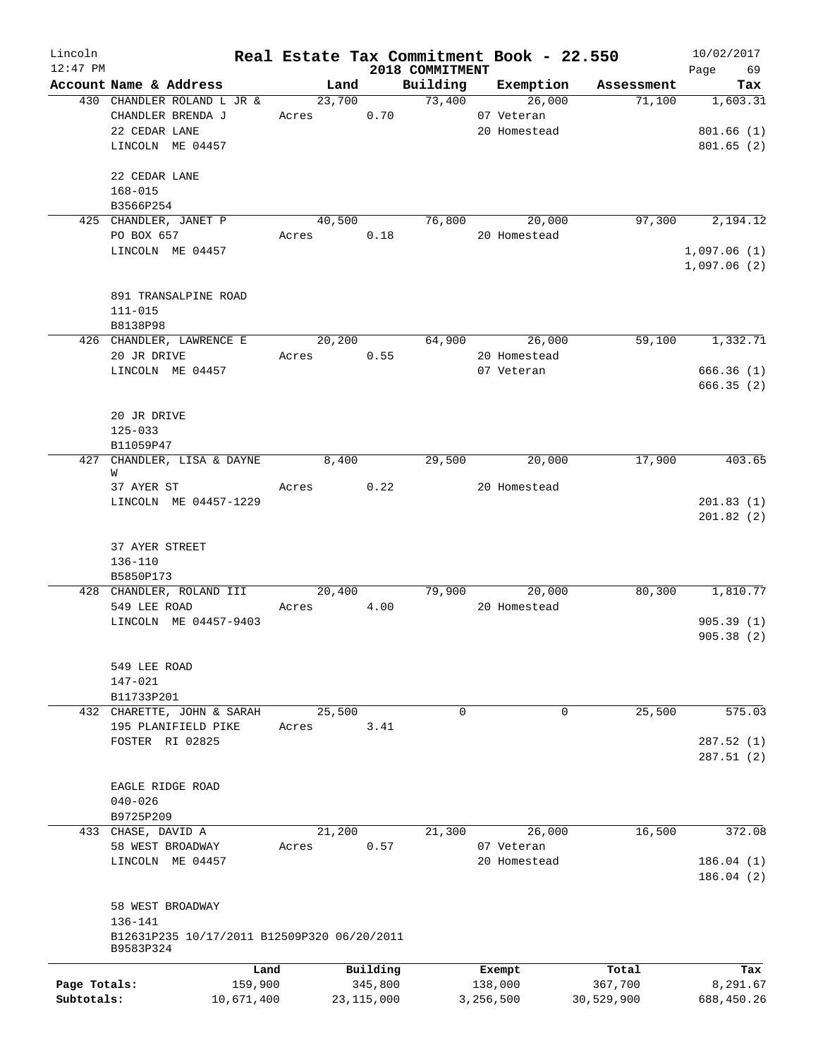| Lincoln      |                                                      |            |              |                                            |               | Real Estate Tax Commitment Book - 22.550 | 10/02/2017  |
|--------------|------------------------------------------------------|------------|--------------|--------------------------------------------|---------------|------------------------------------------|-------------|
| $12:47$ PM   |                                                      |            |              | 2018 COMMITMENT                            |               |                                          | Page 69     |
|              | Account Name & Address<br>430 CHANDLER ROLAND L JR & |            | Land         | Building Exemption<br>23,700 73,400 26,000 |               | Assessment                               | Tax         |
|              | CHANDLER BRENDA J                                    | Acres 0.70 |              |                                            | 07 Veteran    | 71,100                                   | 1,603.31    |
|              | 22 CEDAR LANE                                        |            |              |                                            |               |                                          | 801.66(1)   |
|              | LINCOLN ME 04457                                     |            |              |                                            | 20 Homestead  |                                          |             |
|              |                                                      |            |              |                                            |               |                                          | 801.65(2)   |
|              | 22 CEDAR LANE                                        |            |              |                                            |               |                                          |             |
|              | $168 - 015$                                          |            |              |                                            |               |                                          |             |
|              | B3566P254                                            |            |              |                                            |               |                                          |             |
|              | 425 CHANDLER, JANET P                                |            | 40,500       | 76,800                                     |               | 20,000<br>97,300                         | 2,194.12    |
|              | PO BOX 657                                           | Acres      | 0.18         |                                            | 20 Homestead  |                                          |             |
|              | LINCOLN ME 04457                                     |            |              |                                            |               |                                          | 1,097.06(1) |
|              |                                                      |            |              |                                            |               |                                          | 1,097.06(2) |
|              |                                                      |            |              |                                            |               |                                          |             |
|              | 891 TRANSALPINE ROAD                                 |            |              |                                            |               |                                          |             |
|              | $111 - 015$                                          |            |              |                                            |               |                                          |             |
|              | B8138P98                                             |            |              |                                            |               |                                          |             |
|              | 426 CHANDLER, LAWRENCE E                             |            | 20,200       |                                            | 64,900        | 26,000<br>59,100                         | 1,332.71    |
|              | 20 JR DRIVE                                          | Acres      | 0.55         |                                            | 20 Homestead  |                                          |             |
|              | LINCOLN ME 04457                                     |            |              |                                            |               |                                          | 666.36(1)   |
|              |                                                      |            |              |                                            | 07 Veteran    |                                          |             |
|              |                                                      |            |              |                                            |               |                                          | 666.35(2)   |
|              |                                                      |            |              |                                            |               |                                          |             |
|              | 20 JR DRIVE                                          |            |              |                                            |               |                                          |             |
|              | $125 - 033$                                          |            |              |                                            |               |                                          |             |
|              | B11059P47                                            |            |              |                                            |               |                                          |             |
|              | 427 CHANDLER, LISA & DAYNE                           | 8,400      |              | 29,500                                     |               | 17,900<br>20,000                         | 403.65      |
|              | W                                                    |            |              |                                            |               |                                          |             |
|              | 37 AYER ST                                           | Acres 0.22 |              |                                            | 20 Homestead  |                                          |             |
|              | LINCOLN ME 04457-1229                                |            |              |                                            |               |                                          | 201.83(1)   |
|              |                                                      |            |              |                                            |               |                                          | 201.82(2)   |
|              |                                                      |            |              |                                            |               |                                          |             |
|              | 37 AYER STREET                                       |            |              |                                            |               |                                          |             |
|              | 136-110                                              |            |              |                                            |               |                                          |             |
|              | B5850P173                                            |            |              |                                            |               |                                          |             |
|              | 428 CHANDLER, ROLAND III 20,400                      |            |              |                                            | 79,900 20,000 | 80,300                                   | 1,810.77    |
|              | 549 LEE ROAD                                         | Acres 4.00 |              |                                            | 20 Homestead  |                                          |             |
|              | LINCOLN ME 04457-9403                                |            |              |                                            |               |                                          | 905.39(1)   |
|              |                                                      |            |              |                                            |               |                                          | 905.38 (2)  |
|              |                                                      |            |              |                                            |               |                                          |             |
|              | 549 LEE ROAD                                         |            |              |                                            |               |                                          |             |
|              | 147-021                                              |            |              |                                            |               |                                          |             |
|              | B11733P201                                           |            |              |                                            |               |                                          |             |
|              | 432 CHARETTE, JOHN & SARAH                           |            | 25,500       | $\mathbf 0$                                |               | 0<br>25,500                              | 575.03      |
|              | 195 PLANIFIELD PIKE                                  | Acres      | 3.41         |                                            |               |                                          |             |
|              | FOSTER RI 02825                                      |            |              |                                            |               |                                          | 287.52(1)   |
|              |                                                      |            |              |                                            |               |                                          | 287.51(2)   |
|              |                                                      |            |              |                                            |               |                                          |             |
|              | EAGLE RIDGE ROAD                                     |            |              |                                            |               |                                          |             |
|              | $040 - 026$                                          |            |              |                                            |               |                                          |             |
|              | B9725P209                                            |            |              |                                            |               |                                          |             |
|              | 433 CHASE, DAVID A                                   |            | 21,200       | 21,300                                     |               | 26,000<br>16,500                         | 372.08      |
|              | 58 WEST BROADWAY                                     | Acres      | 0.57         |                                            | 07 Veteran    |                                          |             |
|              | LINCOLN ME 04457                                     |            |              |                                            | 20 Homestead  |                                          | 186.04(1)   |
|              |                                                      |            |              |                                            |               |                                          | 186.04(2)   |
|              |                                                      |            |              |                                            |               |                                          |             |
|              | 58 WEST BROADWAY                                     |            |              |                                            |               |                                          |             |
|              | 136-141                                              |            |              |                                            |               |                                          |             |
|              | B12631P235 10/17/2011 B12509P320 06/20/2011          |            |              |                                            |               |                                          |             |
|              | B9583P324                                            |            |              |                                            |               |                                          |             |
|              |                                                      | Land       | Building     |                                            | Exempt        | Total                                    | Tax         |
| Page Totals: | 159,900                                              |            | 345,800      |                                            | 138,000       | 367,700                                  | 8,291.67    |
| Subtotals:   | 10,671,400                                           |            | 23, 115, 000 |                                            | 3,256,500     | 30,529,900                               | 688,450.26  |
|              |                                                      |            |              |                                            |               |                                          |             |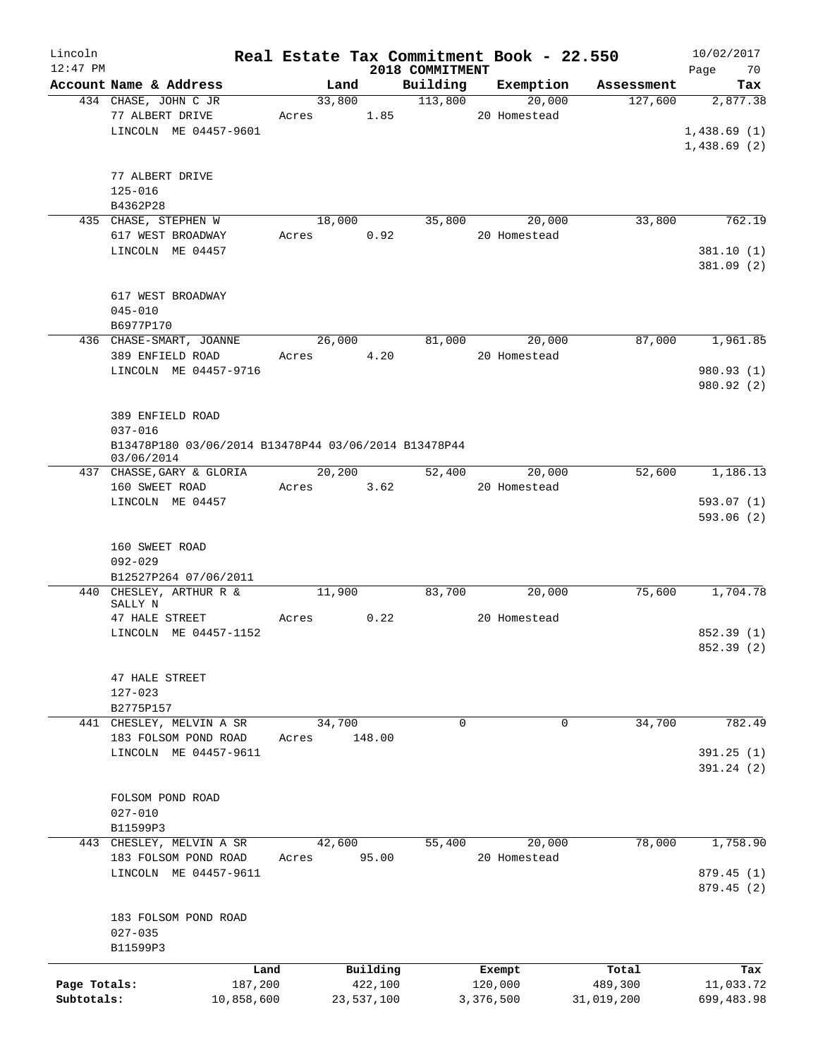| Lincoln<br>$12:47$ PM |                                                      |       |            | 2018 COMMITMENT | Real Estate Tax Commitment Book - 22.550 |            | 10/02/2017<br>Page<br>70 |
|-----------------------|------------------------------------------------------|-------|------------|-----------------|------------------------------------------|------------|--------------------------|
|                       | Account Name & Address                               |       | Land       | Building        | Exemption                                | Assessment | Tax                      |
|                       | 434 CHASE, JOHN C JR                                 |       | 33,800     | 113,800         | 20,000                                   | 127,600    | 2,877.38                 |
|                       | 77 ALBERT DRIVE                                      | Acres | 1.85       |                 | 20 Homestead                             |            |                          |
|                       | LINCOLN ME 04457-9601                                |       |            |                 |                                          |            | 1,438.69(1)              |
|                       |                                                      |       |            |                 |                                          |            | 1,438.69(2)              |
|                       |                                                      |       |            |                 |                                          |            |                          |
|                       | 77 ALBERT DRIVE                                      |       |            |                 |                                          |            |                          |
|                       | $125 - 016$                                          |       |            |                 |                                          |            |                          |
|                       | B4362P28                                             |       |            |                 |                                          |            |                          |
|                       | 435 CHASE, STEPHEN W                                 |       | 18,000     | 35,800          | 20,000                                   | 33,800     | 762.19                   |
|                       | 617 WEST BROADWAY                                    | Acres | 0.92       |                 | 20 Homestead                             |            |                          |
|                       | LINCOLN ME 04457                                     |       |            |                 |                                          |            | 381.10 (1)               |
|                       |                                                      |       |            |                 |                                          |            | 381.09 (2)               |
|                       |                                                      |       |            |                 |                                          |            |                          |
|                       | 617 WEST BROADWAY                                    |       |            |                 |                                          |            |                          |
|                       | $045 - 010$                                          |       |            |                 |                                          |            |                          |
|                       |                                                      |       |            |                 |                                          |            |                          |
|                       | B6977P170<br>436 CHASE-SMART, JOANNE                 |       |            |                 |                                          |            |                          |
|                       |                                                      |       | 26,000     | 81,000          | 20,000                                   | 87,000     | 1,961.85                 |
|                       | 389 ENFIELD ROAD                                     | Acres | 4.20       |                 | 20 Homestead                             |            |                          |
|                       | LINCOLN ME 04457-9716                                |       |            |                 |                                          |            | 980.93 (1)               |
|                       |                                                      |       |            |                 |                                          |            | 980.92 (2)               |
|                       |                                                      |       |            |                 |                                          |            |                          |
|                       | 389 ENFIELD ROAD                                     |       |            |                 |                                          |            |                          |
|                       | $037 - 016$                                          |       |            |                 |                                          |            |                          |
|                       | B13478P180 03/06/2014 B13478P44 03/06/2014 B13478P44 |       |            |                 |                                          |            |                          |
|                       | 03/06/2014                                           |       |            |                 |                                          |            |                          |
|                       | 437 CHASSE, GARY & GLORIA                            |       | 20,200     | 52,400          | 20,000                                   | 52,600     | 1,186.13                 |
|                       | 160 SWEET ROAD                                       | Acres | 3.62       |                 | 20 Homestead                             |            |                          |
|                       | LINCOLN ME 04457                                     |       |            |                 |                                          |            | 593.07(1)                |
|                       |                                                      |       |            |                 |                                          |            | 593.06(2)                |
|                       |                                                      |       |            |                 |                                          |            |                          |
|                       | 160 SWEET ROAD                                       |       |            |                 |                                          |            |                          |
|                       | $092 - 029$                                          |       |            |                 |                                          |            |                          |
|                       | B12527P264 07/06/2011                                |       |            |                 |                                          |            |                          |
|                       | 440 CHESLEY, ARTHUR R &                              |       | 11,900     | 83,700          | 20,000                                   | 75,600     | 1,704.78                 |
|                       | SALLY N                                              |       |            |                 |                                          |            |                          |
|                       | 47 HALE STREET                                       | Acres | 0.22       |                 | 20 Homestead                             |            |                          |
|                       | LINCOLN ME 04457-1152                                |       |            |                 |                                          |            | 852.39 (1)               |
|                       |                                                      |       |            |                 |                                          |            | 852.39 (2)               |
|                       |                                                      |       |            |                 |                                          |            |                          |
|                       | 47 HALE STREET                                       |       |            |                 |                                          |            |                          |
|                       | $127 - 023$                                          |       |            |                 |                                          |            |                          |
|                       | B2775P157                                            |       |            |                 |                                          |            |                          |
| 441                   | CHESLEY, MELVIN A SR                                 |       | 34,700     | 0               | 0                                        | 34,700     | 782.49                   |
|                       | 183 FOLSOM POND ROAD                                 | Acres | 148.00     |                 |                                          |            |                          |
|                       | LINCOLN ME 04457-9611                                |       |            |                 |                                          |            | 391.25 (1)               |
|                       |                                                      |       |            |                 |                                          |            | 391.24 (2)               |
|                       |                                                      |       |            |                 |                                          |            |                          |
|                       | FOLSOM POND ROAD                                     |       |            |                 |                                          |            |                          |
|                       | $027 - 010$                                          |       |            |                 |                                          |            |                          |
|                       | B11599P3                                             |       |            |                 |                                          |            |                          |
|                       | 443 CHESLEY, MELVIN A SR                             |       | 42,600     | 55,400          | 20,000                                   | 78,000     | 1,758.90                 |
|                       | 183 FOLSOM POND ROAD                                 | Acres | 95.00      |                 | 20 Homestead                             |            |                          |
|                       | LINCOLN ME 04457-9611                                |       |            |                 |                                          |            | 879.45 (1)               |
|                       |                                                      |       |            |                 |                                          |            | 879.45 (2)               |
|                       |                                                      |       |            |                 |                                          |            |                          |
|                       | 183 FOLSOM POND ROAD                                 |       |            |                 |                                          |            |                          |
|                       | $027 - 035$                                          |       |            |                 |                                          |            |                          |
|                       | B11599P3                                             |       |            |                 |                                          |            |                          |
|                       |                                                      |       |            |                 |                                          |            |                          |
|                       | Land                                                 |       | Building   |                 | Exempt                                   | Total      | Tax                      |
| Page Totals:          | 187,200                                              |       | 422,100    |                 | 120,000                                  | 489,300    | 11,033.72                |
| Subtotals:            | 10,858,600                                           |       | 23,537,100 |                 | 3,376,500                                | 31,019,200 | 699,483.98               |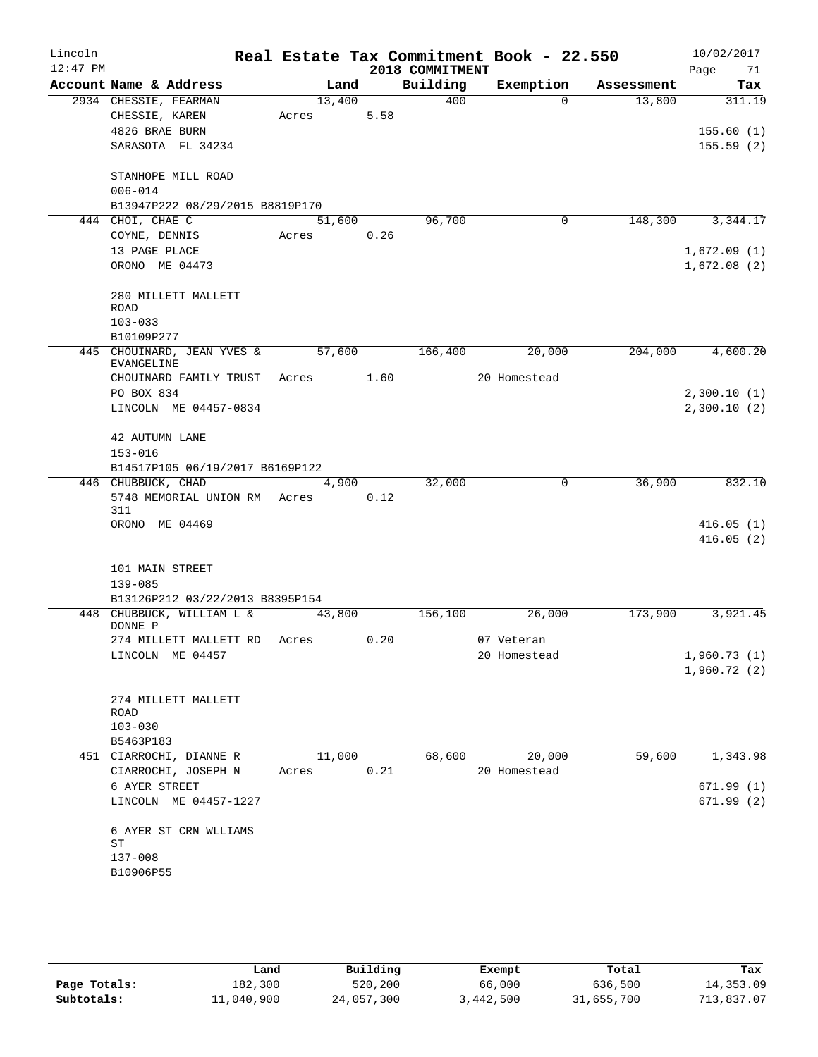| Lincoln    |                                          |        |        |                 | Real Estate Tax Commitment Book - 22.550 |            | 10/02/2017                 |
|------------|------------------------------------------|--------|--------|-----------------|------------------------------------------|------------|----------------------------|
| $12:47$ PM |                                          |        |        | 2018 COMMITMENT |                                          |            | Page<br>71                 |
|            | Account Name & Address                   |        | Land   | Building        | Exemption                                | Assessment | Tax                        |
|            | 2934 CHESSIE, FEARMAN                    | 13,400 |        | 400             | $\Omega$                                 | 13,800     | 311.19                     |
|            | CHESSIE, KAREN<br>4826 BRAE BURN         | Acres  | 5.58   |                 |                                          |            | 155.60(1)                  |
|            | SARASOTA FL 34234                        |        |        |                 |                                          |            | 155.59(2)                  |
|            |                                          |        |        |                 |                                          |            |                            |
|            | STANHOPE MILL ROAD                       |        |        |                 |                                          |            |                            |
|            | $006 - 014$                              |        |        |                 |                                          |            |                            |
|            | B13947P222 08/29/2015 B8819P170          |        |        |                 |                                          |            |                            |
|            | 444 CHOI, CHAE C                         |        | 51,600 | 96,700          | 0                                        | 148,300    | 3,344.17                   |
|            | COYNE, DENNIS                            | Acres  | 0.26   |                 |                                          |            |                            |
|            | 13 PAGE PLACE                            |        |        |                 |                                          |            | 1,672.09(1)                |
|            | ORONO ME 04473                           |        |        |                 |                                          |            | 1,672.08(2)                |
|            |                                          |        |        |                 |                                          |            |                            |
|            | 280 MILLETT MALLETT                      |        |        |                 |                                          |            |                            |
|            | <b>ROAD</b>                              |        |        |                 |                                          |            |                            |
|            | $103 - 033$                              |        |        |                 |                                          |            |                            |
|            | B10109P277                               |        |        |                 |                                          |            |                            |
|            | 445 CHOUINARD, JEAN YVES &<br>EVANGELINE | 57,600 |        | 166,400         | 20,000                                   | 204,000    | 4,600.20                   |
|            | CHOUINARD FAMILY TRUST Acres 1.60        |        |        |                 | 20 Homestead                             |            |                            |
|            | PO BOX 834                               |        |        |                 |                                          |            | 2,300.10(1)                |
|            | LINCOLN ME 04457-0834                    |        |        |                 |                                          |            | 2,300.10(2)                |
|            |                                          |        |        |                 |                                          |            |                            |
|            | 42 AUTUMN LANE                           |        |        |                 |                                          |            |                            |
|            | $153 - 016$                              |        |        |                 |                                          |            |                            |
|            | B14517P105 06/19/2017 B6169P122          |        |        |                 |                                          |            |                            |
|            | 446 CHUBBUCK, CHAD                       |        | 4,900  | 32,000          | 0                                        | 36,900     | 832.10                     |
|            | 5748 MEMORIAL UNION RM Acres<br>311      |        | 0.12   |                 |                                          |            |                            |
|            | ORONO ME 04469                           |        |        |                 |                                          |            | 416.05(1)                  |
|            |                                          |        |        |                 |                                          |            | 416.05(2)                  |
|            |                                          |        |        |                 |                                          |            |                            |
|            | 101 MAIN STREET                          |        |        |                 |                                          |            |                            |
|            | 139-085                                  |        |        |                 |                                          |            |                            |
|            | B13126P212 03/22/2013 B8395P154          |        |        |                 |                                          |            |                            |
|            | 448 CHUBBUCK, WILLIAM L &                | 43,800 |        | 156,100         | 26,000                                   | 173,900    | 3,921.45                   |
|            | DONNE P                                  |        |        |                 |                                          |            |                            |
|            | 274 MILLETT MALLETT RD                   | Acres  | 0.20   |                 | 07 Veteran                               |            |                            |
|            | LINCOLN ME 04457                         |        |        |                 | 20 Homestead                             |            | 1,960.73(1)<br>1,960.72(2) |
|            |                                          |        |        |                 |                                          |            |                            |
|            | 274 MILLETT MALLETT                      |        |        |                 |                                          |            |                            |
|            | ROAD                                     |        |        |                 |                                          |            |                            |
|            | $103 - 030$                              |        |        |                 |                                          |            |                            |
|            | B5463P183                                |        |        |                 |                                          |            |                            |
|            | 451 CIARROCHI, DIANNE R                  | 11,000 |        | 68,600          | 20,000                                   | 59,600     | 1,343.98                   |
|            | CIARROCHI, JOSEPH N                      | Acres  | 0.21   |                 | 20 Homestead                             |            |                            |
|            | 6 AYER STREET                            |        |        |                 |                                          |            | 671.99(1)                  |
|            | LINCOLN ME 04457-1227                    |        |        |                 |                                          |            | 671.99(2)                  |
|            |                                          |        |        |                 |                                          |            |                            |
|            | 6 AYER ST CRN WLLIAMS<br>ST              |        |        |                 |                                          |            |                            |
|            | 137-008                                  |        |        |                 |                                          |            |                            |
|            | B10906P55                                |        |        |                 |                                          |            |                            |
|            |                                          |        |        |                 |                                          |            |                            |
|            |                                          |        |        |                 |                                          |            |                            |

|              | Land       | Building   | Exempt    | Total      | Tax        |
|--------------|------------|------------|-----------|------------|------------|
| Page Totals: | 182,300    | 520,200    | 66,000    | 636,500    | 14,353.09  |
| Subtotals:   | 11,040,900 | 24,057,300 | 3,442,500 | 31,655,700 | 713,837.07 |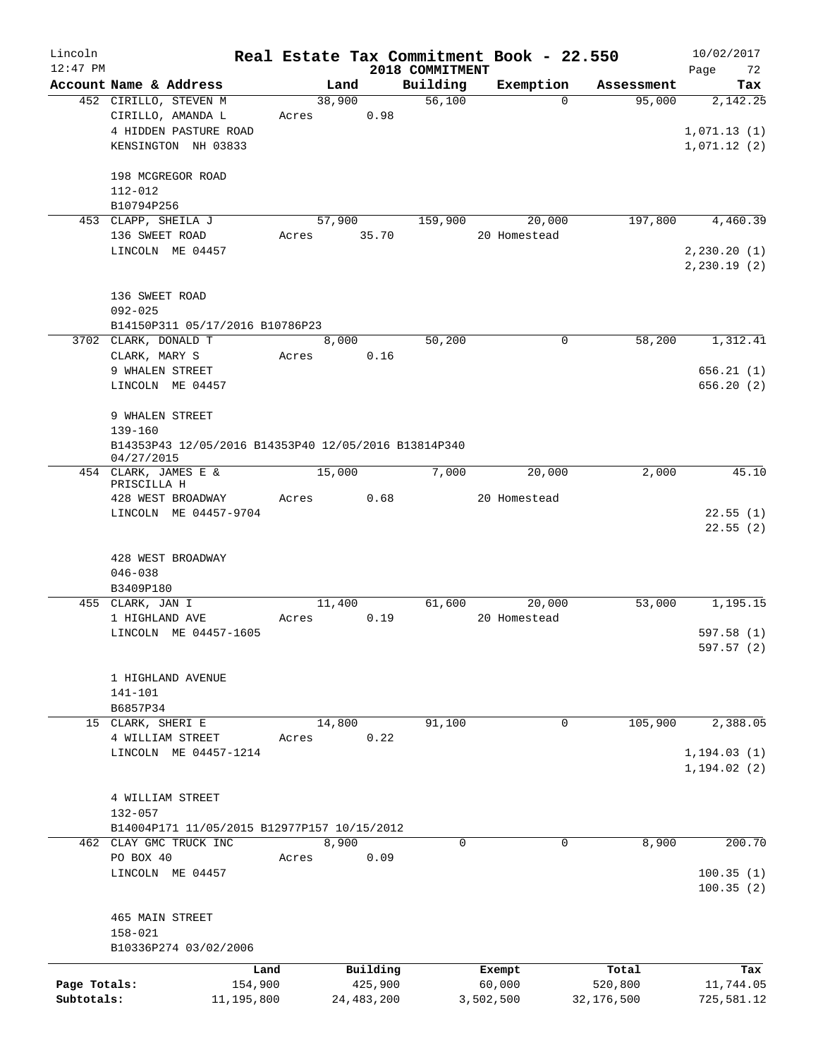| Lincoln<br>$12:47$ PM      |                                                                                                 |                               |       |        |                                     | 2018 COMMITMENT | Real Estate Tax Commitment Book - 22.550 |                                | 10/02/2017<br>72<br>Page                 |
|----------------------------|-------------------------------------------------------------------------------------------------|-------------------------------|-------|--------|-------------------------------------|-----------------|------------------------------------------|--------------------------------|------------------------------------------|
|                            | Account Name & Address                                                                          |                               |       | Land   |                                     | Building        | Exemption                                | Assessment                     | Tax                                      |
|                            | 452 CIRILLO, STEVEN M<br>CIRILLO, AMANDA L<br>4 HIDDEN PASTURE ROAD<br>KENSINGTON NH 03833      |                               | Acres | 38,900 | 0.98                                | 56,100          | $\Omega$                                 | 95,000                         | 2,142.25<br>1,071.13(1)<br>1,071.12(2)   |
|                            | 198 MCGREGOR ROAD<br>112-012<br>B10794P256                                                      |                               |       |        |                                     |                 |                                          |                                |                                          |
|                            | 453 CLAPP, SHEILA J<br>136 SWEET ROAD<br>LINCOLN ME 04457                                       |                               | Acres | 57,900 | 35.70                               | 159,900         | 20,000<br>20 Homestead                   | 197,800                        | 4,460.39<br>2, 230.20(1)<br>2, 230.19(2) |
|                            | 136 SWEET ROAD<br>$092 - 025$<br>B14150P311 05/17/2016 B10786P23                                |                               |       |        |                                     |                 |                                          |                                |                                          |
|                            | 3702 CLARK, DONALD T<br>CLARK, MARY S<br>9 WHALEN STREET<br>LINCOLN ME 04457<br>9 WHALEN STREET |                               | Acres | 8,000  | 0.16                                | 50,200          | 0                                        | 58,200                         | 1,312.41<br>656.21(1)<br>656.20(2)       |
|                            | 139-160<br>B14353P43 12/05/2016 B14353P40 12/05/2016 B13814P340<br>04/27/2015                   |                               |       |        |                                     |                 |                                          |                                |                                          |
|                            | 454 CLARK, JAMES E &<br>PRISCILLA H<br>428 WEST BROADWAY<br>LINCOLN ME 04457-9704               |                               | Acres | 15,000 | 0.68                                | 7,000           | 20,000<br>20 Homestead                   | 2,000                          | 45.10<br>22.55(1)                        |
|                            | 428 WEST BROADWAY<br>$046 - 038$<br>B3409P180                                                   |                               |       |        |                                     |                 |                                          |                                | 22.55(2)                                 |
|                            | 455 CLARK, JAN I                                                                                |                               |       | 11,400 |                                     | 61,600          | 20,000                                   | 53,000                         | 1,195.15                                 |
|                            | 1 HIGHLAND AVE<br>LINCOLN ME 04457-1605                                                         |                               | Acres |        | 0.19                                |                 | 20 Homestead                             |                                | 597.58 (1)<br>597.57 (2)                 |
|                            | 1 HIGHLAND AVENUE<br>141-101<br>B6857P34                                                        |                               |       |        |                                     |                 |                                          |                                |                                          |
|                            | 15 CLARK, SHERI E<br>4 WILLIAM STREET<br>LINCOLN ME 04457-1214                                  |                               | Acres | 14,800 | 0.22                                | 91,100          | $\mathbf 0$                              | 105,900                        | 2,388.05<br>1, 194.03(1)<br>1, 194.02(2) |
|                            | 4 WILLIAM STREET<br>132-057<br>B14004P171 11/05/2015 B12977P157 10/15/2012                      |                               |       |        |                                     |                 |                                          |                                |                                          |
|                            | 462 CLAY GMC TRUCK INC<br>PO BOX 40<br>LINCOLN ME 04457                                         |                               | Acres | 8,900  | 0.09                                | $\mathbf 0$     | $\mathbf 0$                              | 8,900                          | 200.70<br>100.35(1)<br>100.35(2)         |
|                            | 465 MAIN STREET<br>$158 - 021$<br>B10336P274 03/02/2006                                         |                               |       |        |                                     |                 |                                          |                                |                                          |
| Page Totals:<br>Subtotals: |                                                                                                 | Land<br>154,900<br>11,195,800 |       |        | Building<br>425,900<br>24, 483, 200 |                 | Exempt<br>60,000<br>3,502,500            | Total<br>520,800<br>32,176,500 | Tax<br>11,744.05<br>725,581.12           |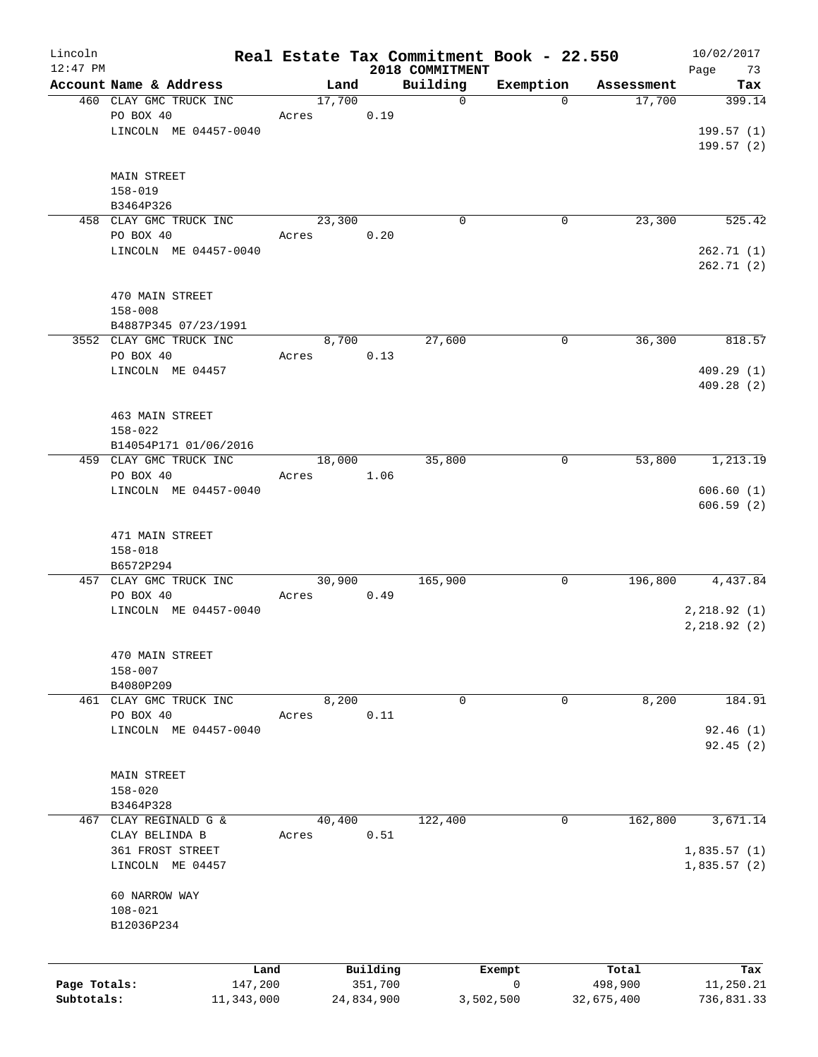| Lincoln<br>$12:47$ PM |                         |        |            | 2018 COMMITMENT | Real Estate Tax Commitment Book - 22.550 |            | 10/02/2017<br>Page<br>73 |
|-----------------------|-------------------------|--------|------------|-----------------|------------------------------------------|------------|--------------------------|
|                       | Account Name & Address  | Land   |            | Building        | Exemption                                | Assessment | Tax                      |
|                       | 460 CLAY GMC TRUCK INC  | 17,700 |            | $\mathbf 0$     | $\mathbf 0$                              | 17,700     | 399.14                   |
|                       | PO BOX 40               | Acres  | 0.19       |                 |                                          |            |                          |
|                       | LINCOLN ME 04457-0040   |        |            |                 |                                          |            | 199.57(1)                |
|                       |                         |        |            |                 |                                          |            | 199.57 (2)               |
|                       |                         |        |            |                 |                                          |            |                          |
|                       | <b>MAIN STREET</b>      |        |            |                 |                                          |            |                          |
|                       | $158 - 019$             |        |            |                 |                                          |            |                          |
|                       | B3464P326               |        |            |                 |                                          |            |                          |
|                       | 458 CLAY GMC TRUCK INC  | 23,300 |            | $\mathbf 0$     | $\mathbf 0$                              | 23,300     | 525.42                   |
|                       |                         |        |            |                 |                                          |            |                          |
|                       | PO BOX 40               | Acres  | 0.20       |                 |                                          |            |                          |
|                       | LINCOLN ME 04457-0040   |        |            |                 |                                          |            | 262.71(1)                |
|                       |                         |        |            |                 |                                          |            | 262.71 (2)               |
|                       |                         |        |            |                 |                                          |            |                          |
|                       | 470 MAIN STREET         |        |            |                 |                                          |            |                          |
|                       | $158 - 008$             |        |            |                 |                                          |            |                          |
|                       | B4887P345 07/23/1991    |        |            |                 |                                          |            |                          |
|                       | 3552 CLAY GMC TRUCK INC | 8,700  |            | 27,600          | 0                                        | 36,300     | 818.57                   |
|                       | PO BOX 40               | Acres  | 0.13       |                 |                                          |            |                          |
|                       | LINCOLN ME 04457        |        |            |                 |                                          |            | 409.29(1)                |
|                       |                         |        |            |                 |                                          |            | 409.28(2)                |
|                       |                         |        |            |                 |                                          |            |                          |
|                       | 463 MAIN STREET         |        |            |                 |                                          |            |                          |
|                       | $158 - 022$             |        |            |                 |                                          |            |                          |
|                       | B14054P171 01/06/2016   |        |            |                 |                                          |            |                          |
|                       | 459 CLAY GMC TRUCK INC  | 18,000 |            | 35,800          | 0                                        | 53,800     | 1,213.19                 |
|                       | PO BOX 40               | Acres  | 1.06       |                 |                                          |            |                          |
|                       | LINCOLN ME 04457-0040   |        |            |                 |                                          |            | 606.60(1)                |
|                       |                         |        |            |                 |                                          |            | 606.59(2)                |
|                       |                         |        |            |                 |                                          |            |                          |
|                       | 471 MAIN STREET         |        |            |                 |                                          |            |                          |
|                       | $158 - 018$             |        |            |                 |                                          |            |                          |
|                       | B6572P294               |        |            |                 |                                          |            |                          |
|                       | 457 CLAY GMC TRUCK INC  | 30,900 |            | 165,900         | 0                                        | 196,800    | 4,437.84                 |
|                       | PO BOX 40               | Acres  | 0.49       |                 |                                          |            |                          |
|                       | LINCOLN ME 04457-0040   |        |            |                 |                                          |            | 2, 218.92(1)             |
|                       |                         |        |            |                 |                                          |            | 2, 218.92(2)             |
|                       |                         |        |            |                 |                                          |            |                          |
|                       | 470 MAIN STREET         |        |            |                 |                                          |            |                          |
|                       | $158 - 007$             |        |            |                 |                                          |            |                          |
|                       | B4080P209               |        |            |                 |                                          |            |                          |
|                       |                         |        |            |                 |                                          |            | 184.91                   |
|                       | 461 CLAY GMC TRUCK INC  | 8,200  |            | 0               | 0                                        | 8,200      |                          |
|                       | PO BOX 40               | Acres  | 0.11       |                 |                                          |            |                          |
|                       | LINCOLN ME 04457-0040   |        |            |                 |                                          |            | 92.46(1)                 |
|                       |                         |        |            |                 |                                          |            | 92.45(2)                 |
|                       |                         |        |            |                 |                                          |            |                          |
|                       | MAIN STREET             |        |            |                 |                                          |            |                          |
|                       | $158 - 020$             |        |            |                 |                                          |            |                          |
|                       | B3464P328               |        |            |                 |                                          |            |                          |
|                       | 467 CLAY REGINALD G &   | 40,400 |            | 122,400         | 0                                        | 162,800    | 3,671.14                 |
|                       | CLAY BELINDA B          | Acres  | 0.51       |                 |                                          |            |                          |
|                       | 361 FROST STREET        |        |            |                 |                                          |            | 1,835.57(1)              |
|                       | LINCOLN ME 04457        |        |            |                 |                                          |            | 1,835.57(2)              |
|                       |                         |        |            |                 |                                          |            |                          |
|                       | 60 NARROW WAY           |        |            |                 |                                          |            |                          |
|                       | $108 - 021$             |        |            |                 |                                          |            |                          |
|                       | B12036P234              |        |            |                 |                                          |            |                          |
|                       |                         |        |            |                 |                                          |            |                          |
|                       |                         |        |            |                 |                                          |            |                          |
|                       | Land                    |        | Building   |                 | Exempt                                   | Total      | Tax                      |
| Page Totals:          | 147,200                 |        | 351,700    |                 | 0                                        | 498,900    | 11,250.21                |
| Subtotals:            | 11,343,000              |        | 24,834,900 |                 | 3,502,500                                | 32,675,400 | 736,831.33               |
|                       |                         |        |            |                 |                                          |            |                          |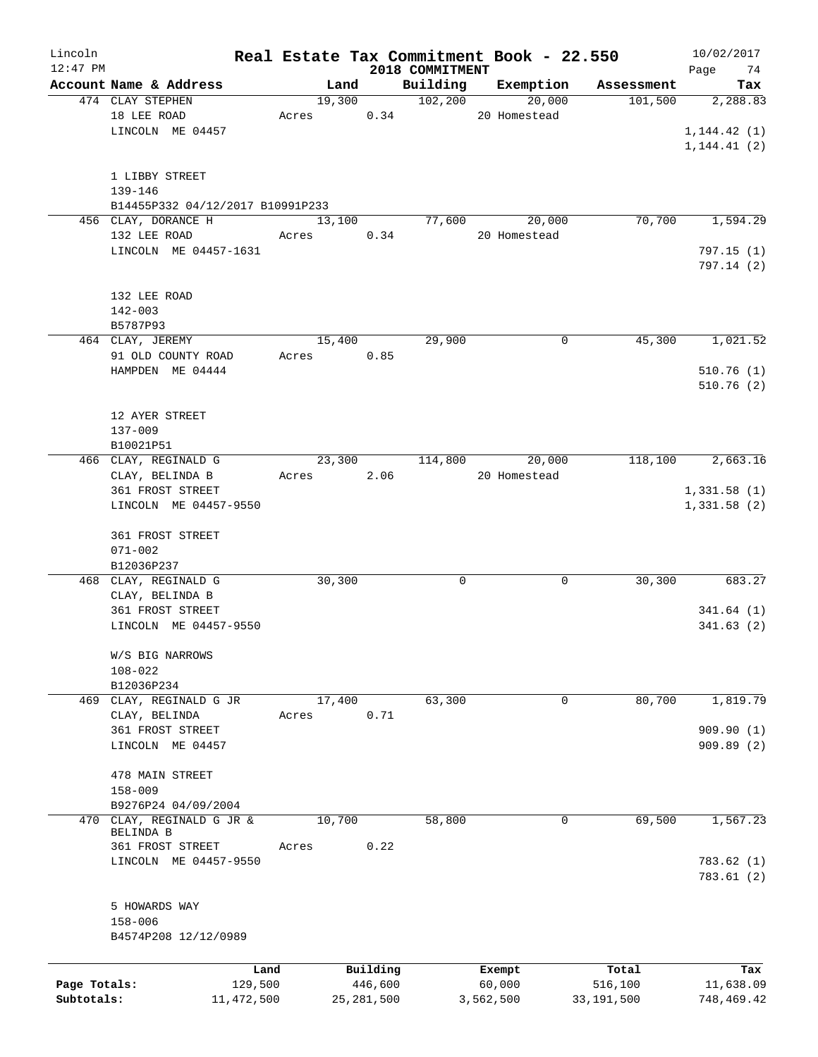| Lincoln      |                                      |       |        |              | Real Estate Tax Commitment Book - 22.550 |              |           |              | 10/02/2017              |
|--------------|--------------------------------------|-------|--------|--------------|------------------------------------------|--------------|-----------|--------------|-------------------------|
| $12:47$ PM   |                                      |       |        |              | 2018 COMMITMENT                          |              |           |              | Page<br>74              |
|              | Account Name & Address               |       | Land   |              | Building                                 |              | Exemption | Assessment   | Tax                     |
|              | 474 CLAY STEPHEN                     |       | 19,300 |              | 102, 200                                 |              | 20,000    | 101,500      | 2,288.83                |
|              | 18 LEE ROAD                          | Acres |        | 0.34         |                                          | 20 Homestead |           |              |                         |
|              | LINCOLN ME 04457                     |       |        |              |                                          |              |           |              | 1, 144.42(1)            |
|              |                                      |       |        |              |                                          |              |           |              | 1, 144.41(2)            |
|              | 1 LIBBY STREET                       |       |        |              |                                          |              |           |              |                         |
|              | $139 - 146$                          |       |        |              |                                          |              |           |              |                         |
|              | B14455P332 04/12/2017 B10991P233     |       |        |              |                                          |              |           |              |                         |
|              | 456 CLAY, DORANCE H                  |       | 13,100 |              | 77,600                                   |              | 20,000    | 70,700       | 1,594.29                |
|              | 132 LEE ROAD                         | Acres |        | 0.34         |                                          | 20 Homestead |           |              |                         |
|              | LINCOLN ME 04457-1631                |       |        |              |                                          |              |           |              | 797.15(1)               |
|              |                                      |       |        |              |                                          |              |           |              | 797.14(2)               |
|              |                                      |       |        |              |                                          |              |           |              |                         |
|              | 132 LEE ROAD                         |       |        |              |                                          |              |           |              |                         |
|              | $142 - 003$                          |       |        |              |                                          |              |           |              |                         |
|              | B5787P93                             |       |        |              |                                          |              |           |              |                         |
|              | 464 CLAY, JEREMY                     |       | 15,400 |              | 29,900                                   |              | 0         | 45,300       | 1,021.52                |
|              | 91 OLD COUNTY ROAD                   | Acres |        | 0.85         |                                          |              |           |              |                         |
|              | HAMPDEN ME 04444                     |       |        |              |                                          |              |           |              | 510.76(1)               |
|              |                                      |       |        |              |                                          |              |           |              | 510.76(2)               |
|              |                                      |       |        |              |                                          |              |           |              |                         |
|              | 12 AYER STREET                       |       |        |              |                                          |              |           |              |                         |
|              | 137-009                              |       |        |              |                                          |              |           |              |                         |
|              | B10021P51                            |       |        |              |                                          |              |           |              |                         |
|              | 466 CLAY, REGINALD G                 |       | 23,300 |              | 114,800                                  |              | 20,000    | 118,100      | 2,663.16                |
|              | CLAY, BELINDA B                      | Acres |        | 2.06         |                                          | 20 Homestead |           |              |                         |
|              | 361 FROST STREET                     |       |        |              |                                          |              |           |              | 1,331.58(1)             |
|              | LINCOLN ME 04457-9550                |       |        |              |                                          |              |           |              | 1,331.58(2)             |
|              |                                      |       |        |              |                                          |              |           |              |                         |
|              | 361 FROST STREET                     |       |        |              |                                          |              |           |              |                         |
|              | $071 - 002$                          |       |        |              |                                          |              |           |              |                         |
|              | B12036P237                           |       |        |              |                                          |              |           |              |                         |
|              | 468 CLAY, REGINALD G                 |       | 30,300 |              | 0                                        |              | 0         | 30,300       | 683.27                  |
|              | CLAY, BELINDA B                      |       |        |              |                                          |              |           |              |                         |
|              | 361 FROST STREET                     |       |        |              |                                          |              |           |              | 341.64(1)               |
|              | LINCOLN ME 04457-9550                |       |        |              |                                          |              |           |              | 341.63(2)               |
|              |                                      |       |        |              |                                          |              |           |              |                         |
|              | W/S BIG NARROWS                      |       |        |              |                                          |              |           |              |                         |
|              | $108 - 022$                          |       |        |              |                                          |              |           |              |                         |
|              | B12036P234                           |       |        |              |                                          |              |           |              |                         |
|              | 469 CLAY, REGINALD G JR              |       | 17,400 |              | 63,300                                   |              | 0         | 80,700       | 1,819.79                |
|              | CLAY, BELINDA                        | Acres |        | 0.71         |                                          |              |           |              |                         |
|              | 361 FROST STREET<br>LINCOLN ME 04457 |       |        |              |                                          |              |           |              | 909.90(1)<br>909.89 (2) |
|              |                                      |       |        |              |                                          |              |           |              |                         |
|              | 478 MAIN STREET                      |       |        |              |                                          |              |           |              |                         |
|              | $158 - 009$                          |       |        |              |                                          |              |           |              |                         |
|              | B9276P24 04/09/2004                  |       |        |              |                                          |              |           |              |                         |
|              | 470 CLAY, REGINALD G JR &            |       | 10,700 |              | 58,800                                   |              | 0         | 69,500       | 1, 567.23               |
|              | BELINDA B                            |       |        |              |                                          |              |           |              |                         |
|              | 361 FROST STREET                     | Acres |        | 0.22         |                                          |              |           |              |                         |
|              | LINCOLN ME 04457-9550                |       |        |              |                                          |              |           |              | 783.62(1)               |
|              |                                      |       |        |              |                                          |              |           |              | 783.61(2)               |
|              |                                      |       |        |              |                                          |              |           |              |                         |
|              | 5 HOWARDS WAY                        |       |        |              |                                          |              |           |              |                         |
|              | $158 - 006$                          |       |        |              |                                          |              |           |              |                         |
|              | B4574P208 12/12/0989                 |       |        |              |                                          |              |           |              |                         |
|              |                                      |       |        |              |                                          |              |           |              |                         |
|              |                                      | Land  |        | Building     |                                          | Exempt       |           | Total        | Tax                     |
| Page Totals: | 129,500                              |       |        | 446,600      |                                          | 60,000       |           | 516,100      | 11,638.09               |
| Subtotals:   | 11, 472, 500                         |       |        | 25, 281, 500 |                                          | 3,562,500    |           | 33, 191, 500 | 748,469.42              |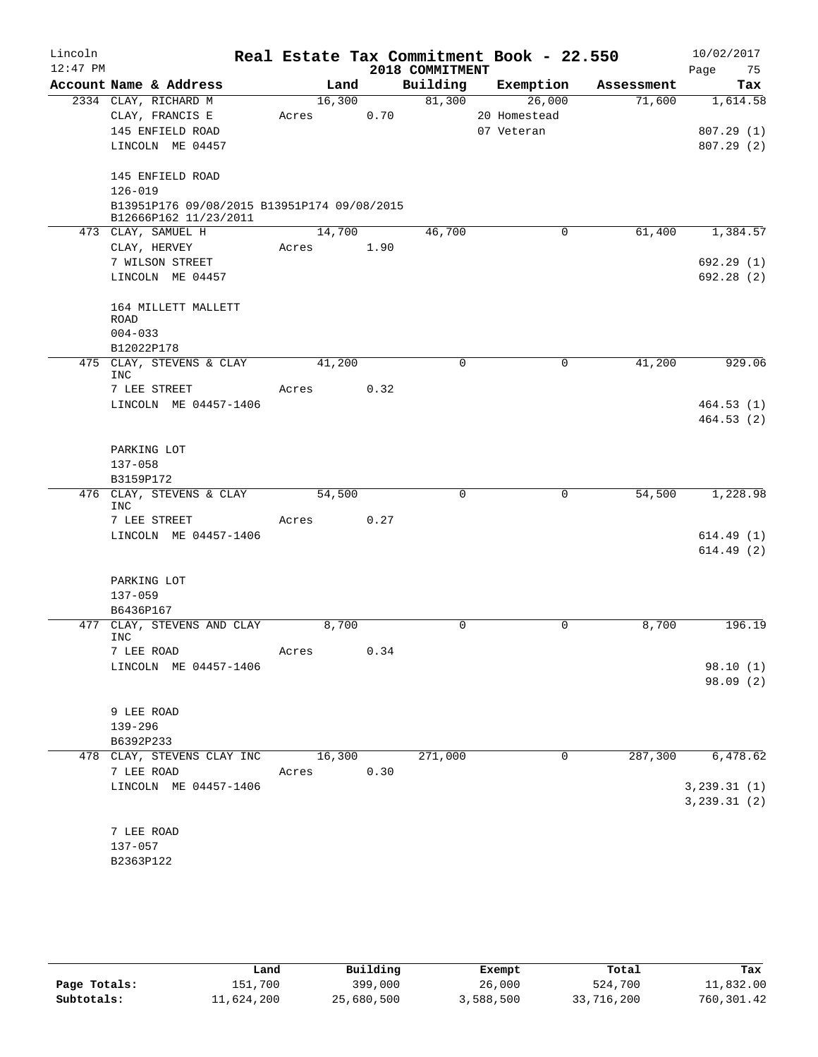| Lincoln    |                                             |        |      |                 | Real Estate Tax Commitment Book - 22.550 |            | 10/02/2017    |
|------------|---------------------------------------------|--------|------|-----------------|------------------------------------------|------------|---------------|
| $12:47$ PM |                                             |        |      | 2018 COMMITMENT |                                          |            | Page<br>75    |
|            | Account Name & Address                      |        | Land | Building        | Exemption                                | Assessment | Tax           |
|            | 2334 CLAY, RICHARD M                        | 16,300 |      | 81,300          | 26,000                                   | 71,600     | 1,614.58      |
|            | CLAY, FRANCIS E                             | Acres  | 0.70 |                 | 20 Homestead                             |            |               |
|            | 145 ENFIELD ROAD                            |        |      |                 | 07 Veteran                               |            | 807.29(1)     |
|            | LINCOLN ME 04457                            |        |      |                 |                                          |            | 807.29(2)     |
|            | 145 ENFIELD ROAD                            |        |      |                 |                                          |            |               |
|            | $126 - 019$                                 |        |      |                 |                                          |            |               |
|            | B13951P176 09/08/2015 B13951P174 09/08/2015 |        |      |                 |                                          |            |               |
|            | B12666P162 11/23/2011                       |        |      |                 |                                          |            |               |
|            | 473 CLAY, SAMUEL H                          | 14,700 |      | 46,700          | $\mathbf 0$                              | 61,400     | 1,384.57      |
|            | CLAY, HERVEY<br>7 WILSON STREET             | Acres  | 1.90 |                 |                                          |            | 692.29(1)     |
|            | LINCOLN ME 04457                            |        |      |                 |                                          |            | 692.28(2)     |
|            |                                             |        |      |                 |                                          |            |               |
|            | 164 MILLETT MALLETT                         |        |      |                 |                                          |            |               |
|            | <b>ROAD</b>                                 |        |      |                 |                                          |            |               |
|            | $004 - 033$                                 |        |      |                 |                                          |            |               |
|            | B12022P178                                  |        |      |                 |                                          |            |               |
|            | 475 CLAY, STEVENS & CLAY<br><b>INC</b>      | 41,200 |      | $\Omega$        | $\mathbf 0$                              | 41,200     | 929.06        |
|            | 7 LEE STREET                                | Acres  | 0.32 |                 |                                          |            |               |
|            | LINCOLN ME 04457-1406                       |        |      |                 |                                          |            | 464.53(1)     |
|            |                                             |        |      |                 |                                          |            | 464.53(2)     |
|            |                                             |        |      |                 |                                          |            |               |
|            | PARKING LOT                                 |        |      |                 |                                          |            |               |
|            | $137 - 058$                                 |        |      |                 |                                          |            |               |
|            | B3159P172<br>476 CLAY, STEVENS & CLAY       | 54,500 |      | 0               | 0                                        | 54,500     | 1,228.98      |
|            | <b>INC</b>                                  |        |      |                 |                                          |            |               |
|            | 7 LEE STREET                                | Acres  | 0.27 |                 |                                          |            |               |
|            | LINCOLN ME 04457-1406                       |        |      |                 |                                          |            | 614.49(1)     |
|            |                                             |        |      |                 |                                          |            | 614.49(2)     |
|            |                                             |        |      |                 |                                          |            |               |
|            | PARKING LOT                                 |        |      |                 |                                          |            |               |
|            | $137 - 059$<br>B6436P167                    |        |      |                 |                                          |            |               |
|            | 477 CLAY, STEVENS AND CLAY                  | 8,700  |      | 0               | $\mathbf 0$                              | 8,700      | 196.19        |
|            | <b>INC</b>                                  |        |      |                 |                                          |            |               |
|            | 7 LEE ROAD                                  | Acres  | 0.34 |                 |                                          |            |               |
|            | LINCOLN ME 04457-1406                       |        |      |                 |                                          |            | 98.10(1)      |
|            |                                             |        |      |                 |                                          |            | 98.09 (2)     |
|            |                                             |        |      |                 |                                          |            |               |
|            | 9 LEE ROAD<br>139-296                       |        |      |                 |                                          |            |               |
|            | B6392P233                                   |        |      |                 |                                          |            |               |
|            | 478 CLAY, STEVENS CLAY INC                  | 16,300 |      | 271,000         | 0                                        | 287,300    | 6,478.62      |
|            | 7 LEE ROAD                                  | Acres  | 0.30 |                 |                                          |            |               |
|            | LINCOLN ME 04457-1406                       |        |      |                 |                                          |            | 3, 239.31(1)  |
|            |                                             |        |      |                 |                                          |            | 3, 239.31 (2) |
|            |                                             |        |      |                 |                                          |            |               |
|            | 7 LEE ROAD                                  |        |      |                 |                                          |            |               |
|            | 137-057                                     |        |      |                 |                                          |            |               |
|            | B2363P122                                   |        |      |                 |                                          |            |               |

|              | Land       | Building   | Exempt    | Total      | Tax         |
|--------------|------------|------------|-----------|------------|-------------|
| Page Totals: | 151,700    | 399,000    | 26,000    | 524,700    | 11,832.00   |
| Subtotals:   | 11,624,200 | 25,680,500 | 3,588,500 | 33,716,200 | 760, 301.42 |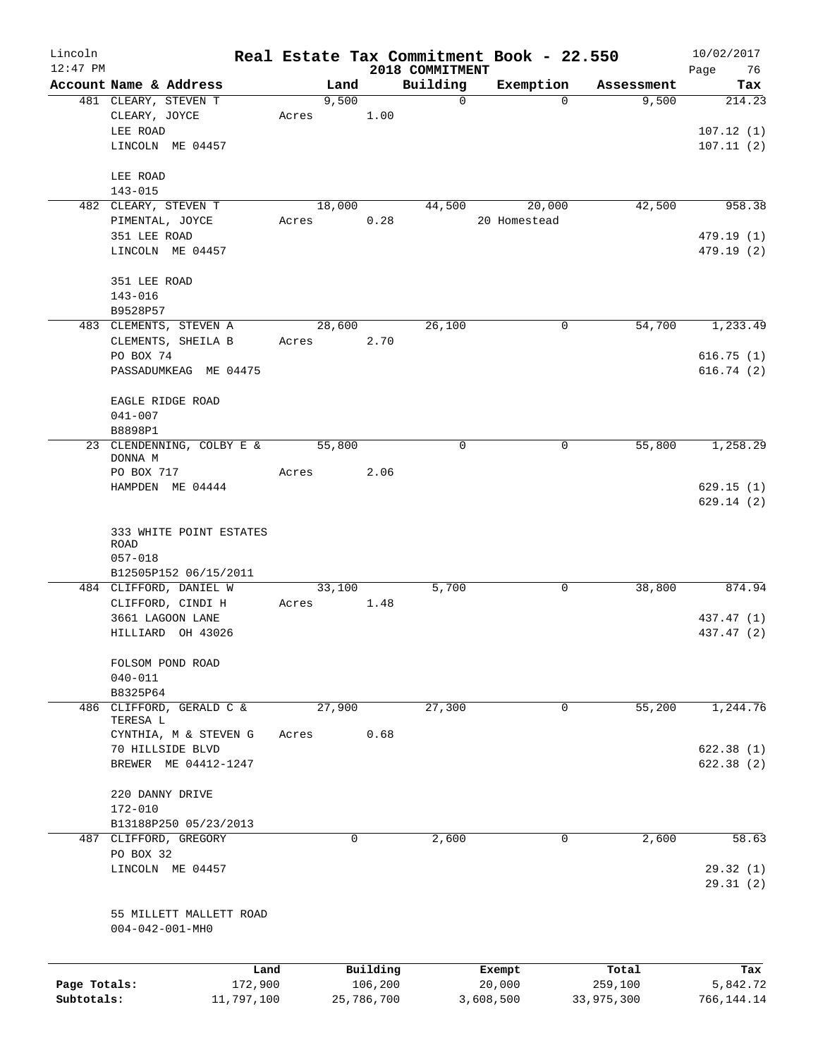| Lincoln<br>$12:47$ PM      |                                                |                       |        |                       |      | 2018 COMMITMENT | Real Estate Tax Commitment Book - 22.550 |             |                       | 10/02/2017<br>76<br>Page |
|----------------------------|------------------------------------------------|-----------------------|--------|-----------------------|------|-----------------|------------------------------------------|-------------|-----------------------|--------------------------|
|                            | Account Name & Address                         |                       |        | Land                  |      | Building        | Exemption                                |             | Assessment            | Tax                      |
|                            | 481 CLEARY, STEVEN T                           |                       |        | 9,500                 |      | $\Omega$        |                                          | $\Omega$    | 9,500                 | 214.23                   |
|                            | CLEARY, JOYCE                                  |                       | Acres  |                       | 1.00 |                 |                                          |             |                       |                          |
|                            | LEE ROAD                                       |                       |        |                       |      |                 |                                          |             |                       | 107.12(1)                |
|                            | LINCOLN ME 04457                               |                       |        |                       |      |                 |                                          |             |                       | 107.11(2)                |
|                            |                                                |                       |        |                       |      |                 |                                          |             |                       |                          |
|                            | LEE ROAD                                       |                       |        |                       |      |                 |                                          |             |                       |                          |
|                            | $143 - 015$<br>482 CLEARY, STEVEN T            |                       |        | 18,000                |      | 44,500          | 20,000                                   |             | 42,500                | 958.38                   |
|                            | PIMENTAL, JOYCE                                |                       | Acres  |                       | 0.28 |                 | 20 Homestead                             |             |                       |                          |
|                            | 351 LEE ROAD                                   |                       |        |                       |      |                 |                                          |             |                       | 479.19 (1)               |
|                            | LINCOLN ME 04457                               |                       |        |                       |      |                 |                                          |             |                       | 479.19 (2)               |
|                            |                                                |                       |        |                       |      |                 |                                          |             |                       |                          |
|                            | 351 LEE ROAD                                   |                       |        |                       |      |                 |                                          |             |                       |                          |
|                            | $143 - 016$                                    |                       |        |                       |      |                 |                                          |             |                       |                          |
|                            | B9528P57<br>483 CLEMENTS, STEVEN A             |                       |        | 28,600                |      | 26,100          |                                          | $\mathbf 0$ | 54,700                | 1, 233.49                |
|                            | CLEMENTS, SHEILA B                             |                       | Acres  |                       | 2.70 |                 |                                          |             |                       |                          |
|                            | PO BOX 74                                      |                       |        |                       |      |                 |                                          |             |                       | 616.75(1)                |
|                            | PASSADUMKEAG ME 04475                          |                       |        |                       |      |                 |                                          |             |                       | 616.74(2)                |
|                            |                                                |                       |        |                       |      |                 |                                          |             |                       |                          |
|                            | EAGLE RIDGE ROAD                               |                       |        |                       |      |                 |                                          |             |                       |                          |
|                            | $041 - 007$<br>B8898P1                         |                       |        |                       |      |                 |                                          |             |                       |                          |
|                            | 23 CLENDENNING, COLBY E &                      |                       | 55,800 |                       |      | $\mathbf 0$     |                                          | 0           | 55,800                | 1,258.29                 |
|                            | DONNA M                                        |                       |        |                       |      |                 |                                          |             |                       |                          |
|                            | PO BOX 717                                     |                       | Acres  |                       | 2.06 |                 |                                          |             |                       |                          |
|                            | HAMPDEN ME 04444                               |                       |        |                       |      |                 |                                          |             |                       | 629.15(1)                |
|                            |                                                |                       |        |                       |      |                 |                                          |             |                       | 629.14(2)                |
|                            | 333 WHITE POINT ESTATES                        |                       |        |                       |      |                 |                                          |             |                       |                          |
|                            | ROAD                                           |                       |        |                       |      |                 |                                          |             |                       |                          |
|                            | $057 - 018$                                    |                       |        |                       |      |                 |                                          |             |                       |                          |
|                            | B12505P152 06/15/2011                          |                       |        |                       |      |                 |                                          |             |                       |                          |
|                            | 484 CLIFFORD, DANIEL W                         |                       | 33,100 |                       |      | 5,700           |                                          | 0           | 38,800                | 874.94                   |
|                            | CLIFFORD, CINDI H                              |                       | Acres  |                       | 1.48 |                 |                                          |             |                       |                          |
|                            | 3661 LAGOON LANE                               |                       |        |                       |      |                 |                                          |             |                       | 437.47 (1)               |
|                            | HILLIARD OH 43026                              |                       |        |                       |      |                 |                                          |             |                       | 437.47 (2)               |
|                            | FOLSOM POND ROAD                               |                       |        |                       |      |                 |                                          |             |                       |                          |
|                            | $040 - 011$                                    |                       |        |                       |      |                 |                                          |             |                       |                          |
|                            | B8325P64                                       |                       |        |                       |      |                 |                                          |             |                       |                          |
| 486                        | CLIFFORD, GERALD C &                           |                       | 27,900 |                       |      | 27,300          |                                          | $\mathbf 0$ | 55,200                | 1,244.76                 |
|                            | TERESA L<br>CYNTHIA, M & STEVEN G              |                       | Acres  |                       | 0.68 |                 |                                          |             |                       |                          |
|                            | 70 HILLSIDE BLVD                               |                       |        |                       |      |                 |                                          |             |                       | 622.38(1)                |
|                            | BREWER ME 04412-1247                           |                       |        |                       |      |                 |                                          |             |                       | 622.38(2)                |
|                            |                                                |                       |        |                       |      |                 |                                          |             |                       |                          |
|                            | 220 DANNY DRIVE                                |                       |        |                       |      |                 |                                          |             |                       |                          |
|                            | 172-010                                        |                       |        |                       |      |                 |                                          |             |                       |                          |
|                            | B13188P250 05/23/2013<br>487 CLIFFORD, GREGORY |                       |        | 0                     |      | 2,600           |                                          | 0           | 2,600                 | 58.63                    |
|                            | PO BOX 32                                      |                       |        |                       |      |                 |                                          |             |                       |                          |
|                            | LINCOLN ME 04457                               |                       |        |                       |      |                 |                                          |             |                       | 29.32(1)                 |
|                            |                                                |                       |        |                       |      |                 |                                          |             |                       | 29.31(2)                 |
|                            |                                                |                       |        |                       |      |                 |                                          |             |                       |                          |
|                            | 55 MILLETT MALLETT ROAD                        |                       |        |                       |      |                 |                                          |             |                       |                          |
|                            | $004 - 042 - 001 - MH0$                        |                       |        |                       |      |                 |                                          |             |                       |                          |
|                            |                                                |                       |        |                       |      |                 |                                          |             |                       |                          |
|                            |                                                | Land                  |        | Building              |      |                 | Exempt                                   |             | Total                 | Tax                      |
| Page Totals:<br>Subtotals: |                                                | 172,900<br>11,797,100 |        | 106,200<br>25,786,700 |      |                 | 20,000<br>3,608,500                      |             | 259,100<br>33,975,300 | 5,842.72<br>766,144.14   |
|                            |                                                |                       |        |                       |      |                 |                                          |             |                       |                          |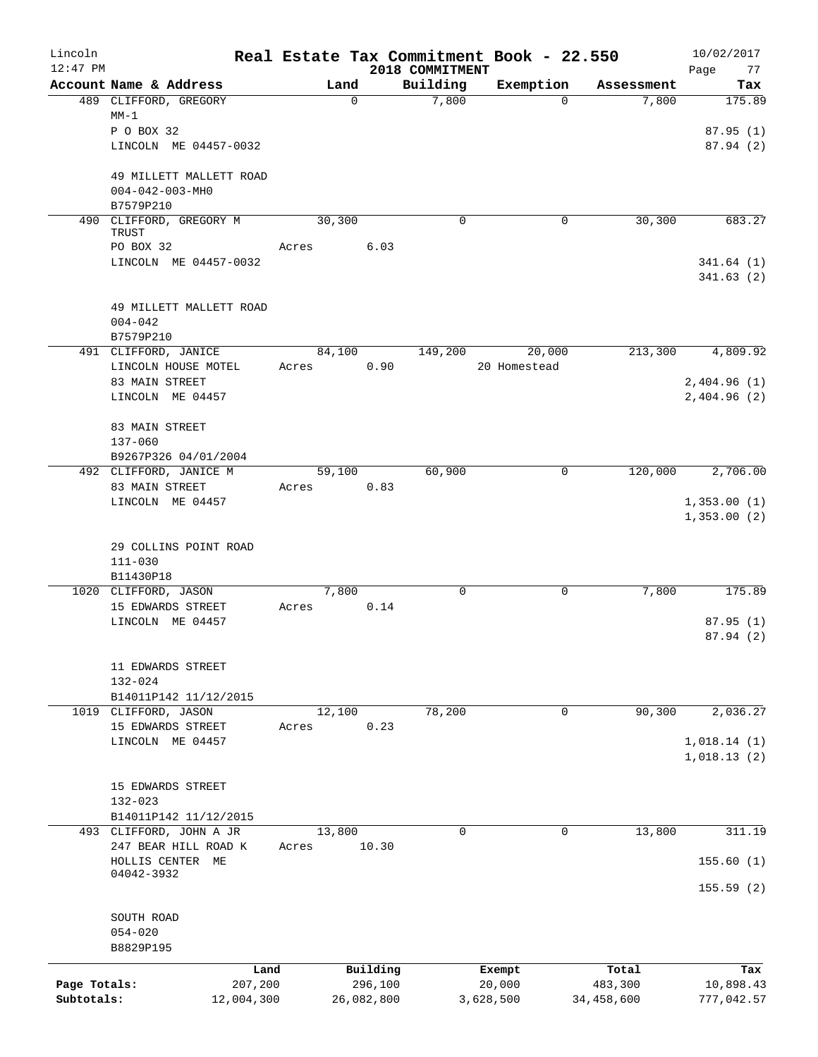| Lincoln<br>$12:47$ PM |                                                  |                 |             |                             | Real Estate Tax Commitment Book - 22.550 |            | 10/02/2017            |
|-----------------------|--------------------------------------------------|-----------------|-------------|-----------------------------|------------------------------------------|------------|-----------------------|
|                       | Account Name & Address                           | Land            |             | 2018 COMMITMENT<br>Building | Exemption                                | Assessment | Page<br>77<br>Tax     |
|                       | 489 CLIFFORD, GREGORY                            |                 | $\mathbf 0$ | 7,800                       | $\Omega$                                 | 7,800      | 175.89                |
|                       | $MM-1$                                           |                 |             |                             |                                          |            |                       |
|                       | P O BOX 32                                       |                 |             |                             |                                          |            | 87.95 (1)             |
|                       | LINCOLN ME 04457-0032                            |                 |             |                             |                                          |            | 87.94(2)              |
|                       | 49 MILLETT MALLETT ROAD                          |                 |             |                             |                                          |            |                       |
|                       | $004 - 042 - 003 - MHO$                          |                 |             |                             |                                          |            |                       |
|                       | B7579P210                                        |                 |             |                             |                                          |            |                       |
| 490                   | CLIFFORD, GREGORY M                              | 30, 300         |             | $\mathbf 0$                 | 0                                        | 30, 300    | 683.27                |
|                       | TRUST<br>PO BOX 32                               | Acres           | 6.03        |                             |                                          |            |                       |
|                       | LINCOLN ME 04457-0032                            |                 |             |                             |                                          |            | 341.64(1)             |
|                       |                                                  |                 |             |                             |                                          |            | 341.63(2)             |
|                       |                                                  |                 |             |                             |                                          |            |                       |
|                       | 49 MILLETT MALLETT ROAD<br>$004 - 042$           |                 |             |                             |                                          |            |                       |
|                       | B7579P210                                        |                 |             |                             |                                          |            |                       |
|                       | 491 CLIFFORD, JANICE                             | 84,100          |             | 149,200                     | 20,000                                   | 213,300    | 4,809.92              |
|                       | LINCOLN HOUSE MOTEL                              | Acres           |             | 0.90                        | 20 Homestead                             |            |                       |
|                       | 83 MAIN STREET                                   |                 |             |                             |                                          |            | 2,404.96(1)           |
|                       | LINCOLN ME 04457                                 |                 |             |                             |                                          |            | 2,404.96 (2)          |
|                       | 83 MAIN STREET                                   |                 |             |                             |                                          |            |                       |
|                       | $137 - 060$                                      |                 |             |                             |                                          |            |                       |
|                       | B9267P326 04/01/2004                             |                 |             |                             |                                          |            |                       |
|                       | 492 CLIFFORD, JANICE M                           | 59,100          |             | 60,900                      | $\mathbf 0$                              | 120,000    | 2,706.00              |
|                       | 83 MAIN STREET                                   | Acres           | 0.83        |                             |                                          |            |                       |
|                       | LINCOLN ME 04457                                 |                 |             |                             |                                          |            | 1,353.00(1)           |
|                       |                                                  |                 |             |                             |                                          |            | 1,353.00(2)           |
|                       | 29 COLLINS POINT ROAD                            |                 |             |                             |                                          |            |                       |
|                       | $111 - 030$                                      |                 |             |                             |                                          |            |                       |
|                       | B11430P18                                        |                 |             |                             |                                          |            |                       |
|                       | 1020 CLIFFORD, JASON                             | 7,800           |             | $\mathbf 0$                 | 0                                        | 7,800      | 175.89                |
|                       | 15 EDWARDS STREET<br>LINCOLN ME 04457            | Acres           |             | 0.14                        |                                          |            |                       |
|                       |                                                  |                 |             |                             |                                          |            | 87.95(1)<br>87.94 (2) |
|                       |                                                  |                 |             |                             |                                          |            |                       |
|                       | 11 EDWARDS STREET                                |                 |             |                             |                                          |            |                       |
|                       | 132-024                                          |                 |             |                             |                                          |            |                       |
|                       | B14011P142 11/12/2015                            |                 |             |                             |                                          |            |                       |
|                       | 1019 CLIFFORD, JASON<br>15 EDWARDS STREET        | 12,100<br>Acres |             | 78,200<br>0.23              | 0                                        | 90, 300    | 2,036.27              |
|                       | LINCOLN ME 04457                                 |                 |             |                             |                                          |            | 1,018.14(1)           |
|                       |                                                  |                 |             |                             |                                          |            | 1,018.13(2)           |
|                       |                                                  |                 |             |                             |                                          |            |                       |
|                       | 15 EDWARDS STREET                                |                 |             |                             |                                          |            |                       |
|                       | $132 - 023$                                      |                 |             |                             |                                          |            |                       |
|                       | B14011P142 11/12/2015<br>493 CLIFFORD, JOHN A JR | 13,800          |             | $\Omega$                    | $\mathbf 0$                              | 13,800     | 311.19                |
|                       | 247 BEAR HILL ROAD K                             | Acres           | 10.30       |                             |                                          |            |                       |
|                       | HOLLIS CENTER ME                                 |                 |             |                             |                                          |            | 155.60(1)             |
|                       | 04042-3932                                       |                 |             |                             |                                          |            |                       |
|                       |                                                  |                 |             |                             |                                          |            | 155.59(2)             |
|                       | SOUTH ROAD                                       |                 |             |                             |                                          |            |                       |
|                       | $054 - 020$                                      |                 |             |                             |                                          |            |                       |
|                       | B8829P195                                        |                 |             |                             |                                          |            |                       |
|                       | Land                                             |                 | Building    |                             | Exempt                                   | Total      | Tax                   |
| Page Totals:          | 207,200                                          |                 | 296,100     |                             | 20,000                                   | 483,300    | 10,898.43             |
| Subtotals:            | 12,004,300                                       |                 | 26,082,800  |                             | 3,628,500                                | 34,458,600 | 777,042.57            |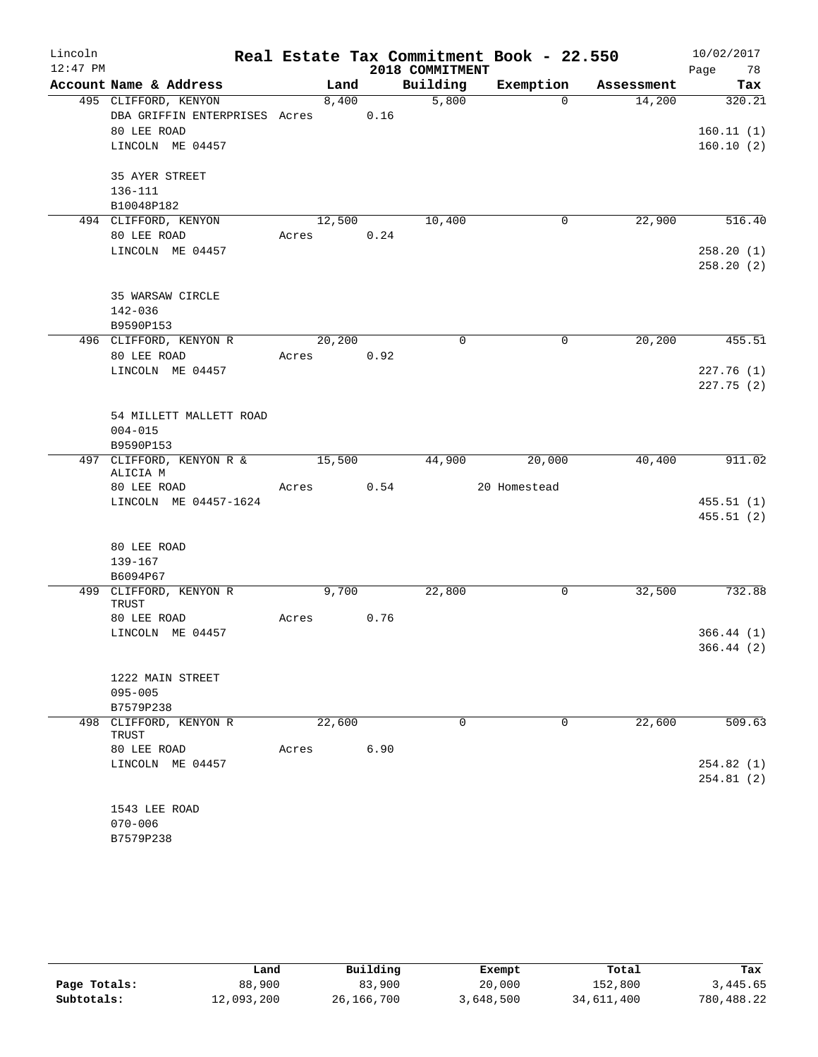| Lincoln    |                                      |       |        |      |                 | Real Estate Tax Commitment Book - 22.550 |            | 10/02/2017 |
|------------|--------------------------------------|-------|--------|------|-----------------|------------------------------------------|------------|------------|
| $12:47$ PM |                                      |       |        |      | 2018 COMMITMENT |                                          |            | Page<br>78 |
|            | Account Name & Address               |       | Land   |      | Building        | Exemption                                | Assessment | Tax        |
|            | 495 CLIFFORD, KENYON                 |       | 8,400  |      | 5,800           | $\Omega$                                 | 14,200     | 320.21     |
|            | DBA GRIFFIN ENTERPRISES Acres        |       |        | 0.16 |                 |                                          |            |            |
|            | 80 LEE ROAD                          |       |        |      |                 |                                          |            | 160.11(1)  |
|            | LINCOLN ME 04457                     |       |        |      |                 |                                          |            | 160.10(2)  |
|            | 35 AYER STREET                       |       |        |      |                 |                                          |            |            |
|            | 136-111                              |       |        |      |                 |                                          |            |            |
|            | B10048P182                           |       |        |      |                 |                                          |            |            |
|            | 494 CLIFFORD, KENYON                 |       | 12,500 |      | 10,400          | 0                                        | 22,900     | 516.40     |
|            | 80 LEE ROAD                          | Acres |        | 0.24 |                 |                                          |            |            |
|            | LINCOLN ME 04457                     |       |        |      |                 |                                          |            | 258.20(1)  |
|            |                                      |       |        |      |                 |                                          |            | 258.20(2)  |
|            | 35 WARSAW CIRCLE                     |       |        |      |                 |                                          |            |            |
|            | 142-036                              |       |        |      |                 |                                          |            |            |
|            | B9590P153                            |       |        |      |                 |                                          |            |            |
|            | 496 CLIFFORD, KENYON R               |       | 20,200 |      | $\Omega$        | $\mathbf 0$                              | 20,200     | 455.51     |
|            | 80 LEE ROAD                          | Acres |        | 0.92 |                 |                                          |            |            |
|            | LINCOLN ME 04457                     |       |        |      |                 |                                          |            | 227.76(1)  |
|            |                                      |       |        |      |                 |                                          |            | 227.75(2)  |
|            |                                      |       |        |      |                 |                                          |            |            |
|            | 54 MILLETT MALLETT ROAD              |       |        |      |                 |                                          |            |            |
|            | $004 - 015$                          |       |        |      |                 |                                          |            |            |
|            | B9590P153                            |       |        |      |                 |                                          |            |            |
|            | 497 CLIFFORD, KENYON R &<br>ALICIA M |       | 15,500 |      | 44,900          | 20,000                                   | 40,400     | 911.02     |
|            | 80 LEE ROAD                          | Acres |        | 0.54 |                 | 20 Homestead                             |            |            |
|            | LINCOLN ME 04457-1624                |       |        |      |                 |                                          |            | 455.51(1)  |
|            |                                      |       |        |      |                 |                                          |            | 455.51(2)  |
|            | 80 LEE ROAD                          |       |        |      |                 |                                          |            |            |
|            | 139-167                              |       |        |      |                 |                                          |            |            |
|            | B6094P67                             |       |        |      |                 |                                          |            |            |
|            | 499 CLIFFORD, KENYON R<br>TRUST      |       | 9,700  |      | 22,800          | 0                                        | 32,500     | 732.88     |
|            | 80 LEE ROAD                          | Acres |        | 0.76 |                 |                                          |            |            |
|            | LINCOLN ME 04457                     |       |        |      |                 |                                          |            | 366.44(1)  |
|            |                                      |       |        |      |                 |                                          |            | 366.44 (2) |
|            |                                      |       |        |      |                 |                                          |            |            |
|            | 1222 MAIN STREET                     |       |        |      |                 |                                          |            |            |
|            | $095 - 005$                          |       |        |      |                 |                                          |            |            |
|            | B7579P238                            |       | 22,600 |      | $\Omega$        | 0                                        | 22,600     | 509.63     |
|            | 498 CLIFFORD, KENYON R<br>TRUST      |       |        |      |                 |                                          |            |            |
|            | 80 LEE ROAD                          | Acres |        | 6.90 |                 |                                          |            |            |
|            | LINCOLN ME 04457                     |       |        |      |                 |                                          |            | 254.82(1)  |
|            |                                      |       |        |      |                 |                                          |            | 254.81(2)  |
|            | 1543 LEE ROAD                        |       |        |      |                 |                                          |            |            |
|            | $070 - 006$                          |       |        |      |                 |                                          |            |            |
|            | B7579P238                            |       |        |      |                 |                                          |            |            |
|            |                                      |       |        |      |                 |                                          |            |            |

|              | Land       | Building     | Exempt    | Total      | Tax        |
|--------------|------------|--------------|-----------|------------|------------|
| Page Totals: | 88,900     | 83,900       | 20,000    | 152,800    | 3,445.65   |
| Subtotals:   | 12,093,200 | 26, 166, 700 | 3,648,500 | 34,611,400 | 780,488.22 |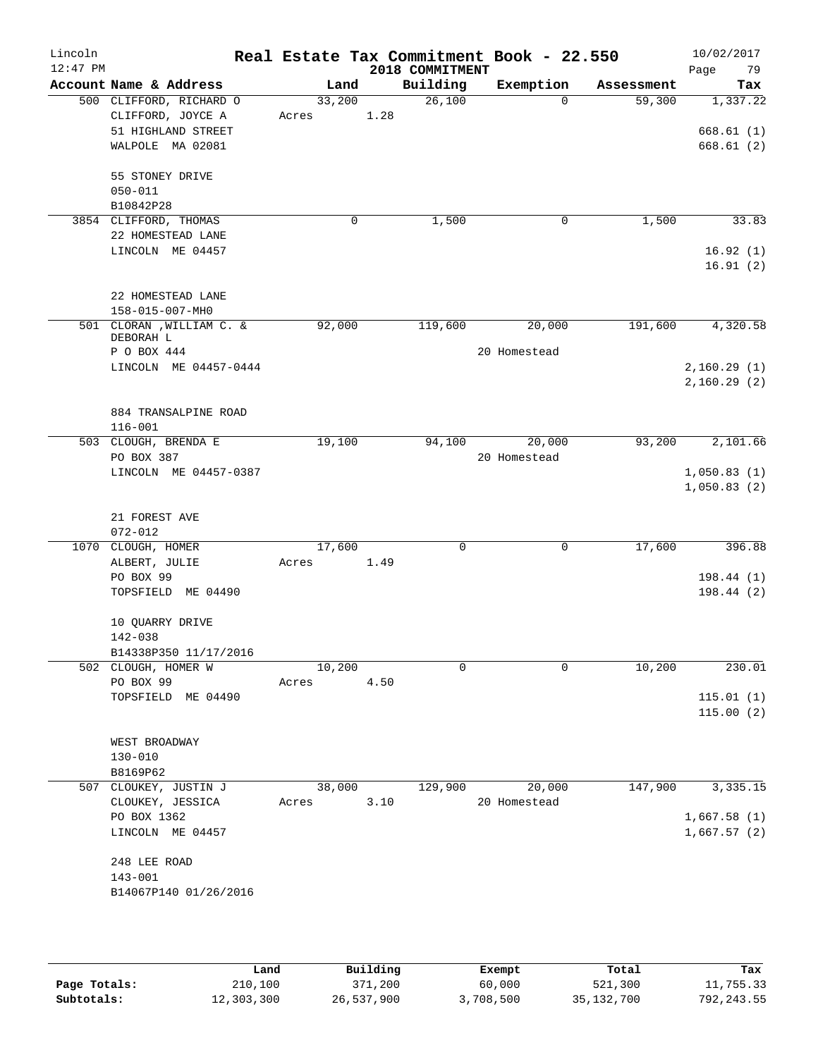| Lincoln<br>$12:47$ PM |                                        |        |      | 2018 COMMITMENT | Real Estate Tax Commitment Book - 22.550 |            | 10/02/2017<br>Page<br>79 |
|-----------------------|----------------------------------------|--------|------|-----------------|------------------------------------------|------------|--------------------------|
|                       | Account Name & Address                 | Land   |      | Building        | Exemption                                | Assessment | Tax                      |
|                       | 500 CLIFFORD, RICHARD O                | 33,200 |      | 26,100          | $\Omega$                                 | 59,300     | 1,337.22                 |
|                       | CLIFFORD, JOYCE A                      | Acres  | 1.28 |                 |                                          |            |                          |
|                       | 51 HIGHLAND STREET                     |        |      |                 |                                          |            | 668.61(1)                |
|                       | WALPOLE MA 02081                       |        |      |                 |                                          |            | 668.61(2)                |
|                       | 55 STONEY DRIVE                        |        |      |                 |                                          |            |                          |
|                       | $050 - 011$                            |        |      |                 |                                          |            |                          |
|                       | B10842P28                              |        |      |                 |                                          |            |                          |
|                       | 3854 CLIFFORD, THOMAS                  |        | 0    | 1,500           | 0                                        | 1,500      | 33.83                    |
|                       | 22 HOMESTEAD LANE                      |        |      |                 |                                          |            |                          |
|                       | LINCOLN ME 04457                       |        |      |                 |                                          |            | 16.92(1)<br>16.91(2)     |
|                       |                                        |        |      |                 |                                          |            |                          |
|                       | 22 HOMESTEAD LANE                      |        |      |                 |                                          |            |                          |
|                       | 158-015-007-MH0                        |        |      |                 |                                          |            |                          |
|                       | 501 CLORAN , WILLIAM C. &<br>DEBORAH L | 92,000 |      | 119,600         | 20,000                                   | 191,600    | 4,320.58                 |
|                       | P O BOX 444                            |        |      |                 | 20 Homestead                             |            |                          |
|                       | LINCOLN ME 04457-0444                  |        |      |                 |                                          |            | 2,160.29(1)              |
|                       |                                        |        |      |                 |                                          |            | 2,160.29(2)              |
|                       |                                        |        |      |                 |                                          |            |                          |
|                       | 884 TRANSALPINE ROAD<br>$116 - 001$    |        |      |                 |                                          |            |                          |
|                       | 503 CLOUGH, BRENDA E                   | 19,100 |      | 94,100          | 20,000                                   | 93,200     | 2,101.66                 |
|                       | PO BOX 387                             |        |      |                 | 20 Homestead                             |            |                          |
|                       | LINCOLN ME 04457-0387                  |        |      |                 |                                          |            | 1,050.83(1)              |
|                       |                                        |        |      |                 |                                          |            | 1,050.83(2)              |
|                       | 21 FOREST AVE                          |        |      |                 |                                          |            |                          |
|                       | $072 - 012$                            |        |      |                 |                                          |            |                          |
|                       | 1070 CLOUGH, HOMER                     | 17,600 |      | $\mathbf 0$     | 0                                        | 17,600     | 396.88                   |
|                       | ALBERT, JULIE                          | Acres  | 1.49 |                 |                                          |            |                          |
|                       | PO BOX 99                              |        |      |                 |                                          |            | 198.44 (1)               |
|                       | TOPSFIELD ME 04490                     |        |      |                 |                                          |            | 198.44(2)                |
|                       | 10 QUARRY DRIVE                        |        |      |                 |                                          |            |                          |
|                       | 142-038                                |        |      |                 |                                          |            |                          |
|                       | B14338P350 11/17/2016                  |        |      |                 |                                          |            |                          |
|                       | 502 CLOUGH, HOMER W                    | 10,200 |      | 0               | $\mathbf 0$                              | 10,200     | 230.01                   |
|                       | PO BOX 99                              | Acres  | 4.50 |                 |                                          |            |                          |
|                       | TOPSFIELD ME 04490                     |        |      |                 |                                          |            | 115.01(1)                |
|                       |                                        |        |      |                 |                                          |            | 115.00(2)                |
|                       | WEST BROADWAY                          |        |      |                 |                                          |            |                          |
|                       | $130 - 010$                            |        |      |                 |                                          |            |                          |
|                       | B8169P62                               |        |      |                 |                                          |            |                          |
|                       | 507 CLOUKEY, JUSTIN J                  | 38,000 |      | 129,900         | 20,000                                   | 147,900    | 3,335.15                 |
|                       | CLOUKEY, JESSICA                       | Acres  | 3.10 |                 | 20 Homestead                             |            |                          |
|                       | PO BOX 1362                            |        |      |                 |                                          |            | 1,667.58(1)              |
|                       | LINCOLN ME 04457                       |        |      |                 |                                          |            | 1,667.57(2)              |
|                       | 248 LEE ROAD                           |        |      |                 |                                          |            |                          |
|                       | $143 - 001$                            |        |      |                 |                                          |            |                          |
|                       | B14067P140 01/26/2016                  |        |      |                 |                                          |            |                          |
|                       |                                        |        |      |                 |                                          |            |                          |
|                       |                                        |        |      |                 |                                          |            |                          |
|                       |                                        |        |      |                 |                                          |            |                          |

|              | Land       | Building   | Exempt    | Total        | Tax         |
|--------------|------------|------------|-----------|--------------|-------------|
| Page Totals: | 210,100    | 371,200    | 60,000    | 521,300      | 11,755.33   |
| Subtotals:   | 12,303,300 | 26,537,900 | 3,708,500 | 35, 132, 700 | 792, 243.55 |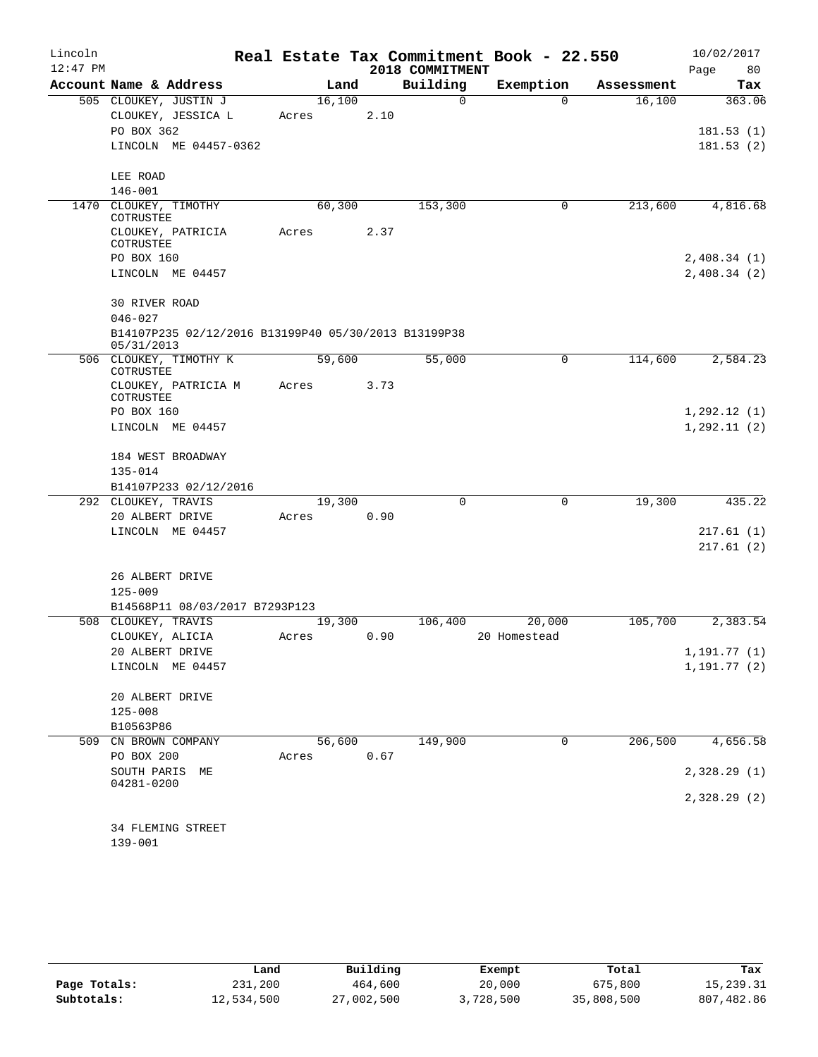| Lincoln    |                         |                                                      |       |        |      |                 | Real Estate Tax Commitment Book - 22.550 |            | 10/02/2017   |          |
|------------|-------------------------|------------------------------------------------------|-------|--------|------|-----------------|------------------------------------------|------------|--------------|----------|
| $12:47$ PM |                         |                                                      |       |        |      | 2018 COMMITMENT |                                          |            | Page         | 80       |
|            |                         | Account Name & Address                               |       | Land   |      | Building        | Exemption                                | Assessment |              | Tax      |
|            |                         | 505 CLOUKEY, JUSTIN J                                |       | 16,100 |      | 0               | $\Omega$                                 | 16,100     |              | 363.06   |
|            |                         | CLOUKEY, JESSICA L                                   | Acres |        | 2.10 |                 |                                          |            |              |          |
|            | PO BOX 362              |                                                      |       |        |      |                 |                                          |            | 181.53(1)    |          |
|            |                         | LINCOLN ME 04457-0362                                |       |        |      |                 |                                          |            | 181.53(2)    |          |
|            | LEE ROAD                |                                                      |       |        |      |                 |                                          |            |              |          |
|            | $146 - 001$             |                                                      |       |        |      |                 |                                          |            |              |          |
| 1470       |                         | CLOUKEY, TIMOTHY                                     |       | 60,300 |      | 153,300         | 0                                        | 213,600    |              | 4,816.68 |
|            | COTRUSTEE               | CLOUKEY, PATRICIA                                    | Acres |        | 2.37 |                 |                                          |            |              |          |
|            | COTRUSTEE               |                                                      |       |        |      |                 |                                          |            |              |          |
|            | PO BOX 160              |                                                      |       |        |      |                 |                                          |            | 2,408.34(1)  |          |
|            |                         | LINCOLN ME 04457                                     |       |        |      |                 |                                          |            | 2,408.34(2)  |          |
|            | <b>30 RIVER ROAD</b>    |                                                      |       |        |      |                 |                                          |            |              |          |
|            | $046 - 027$             |                                                      |       |        |      |                 |                                          |            |              |          |
|            | 05/31/2013              | B14107P235 02/12/2016 B13199P40 05/30/2013 B13199P38 |       |        |      |                 |                                          |            |              |          |
|            | COTRUSTEE               | 506 CLOUKEY, TIMOTHY K                               |       | 59,600 |      | 55,000          | 0                                        | 114,600    |              | 2,584.23 |
|            |                         | CLOUKEY, PATRICIA M                                  | Acres |        | 3.73 |                 |                                          |            |              |          |
|            | COTRUSTEE<br>PO BOX 160 |                                                      |       |        |      |                 |                                          |            | 1, 292.12(1) |          |
|            |                         | LINCOLN ME 04457                                     |       |        |      |                 |                                          |            | 1, 292.11(2) |          |
|            |                         |                                                      |       |        |      |                 |                                          |            |              |          |
|            |                         | 184 WEST BROADWAY                                    |       |        |      |                 |                                          |            |              |          |
|            | 135-014                 |                                                      |       |        |      |                 |                                          |            |              |          |
|            |                         | B14107P233 02/12/2016                                |       |        |      |                 |                                          |            |              |          |
|            | 292 CLOUKEY, TRAVIS     |                                                      |       | 19,300 |      | $\Omega$        | $\mathbf 0$                              | 19,300     |              | 435.22   |
|            | 20 ALBERT DRIVE         |                                                      | Acres |        | 0.90 |                 |                                          |            |              |          |
|            |                         | LINCOLN ME 04457                                     |       |        |      |                 |                                          |            | 217.61(1)    |          |
|            |                         |                                                      |       |        |      |                 |                                          |            | 217.61(2)    |          |
|            | 26 ALBERT DRIVE         |                                                      |       |        |      |                 |                                          |            |              |          |
|            | $125 - 009$             |                                                      |       |        |      |                 |                                          |            |              |          |
|            |                         | B14568P11 08/03/2017 B7293P123                       |       |        |      |                 |                                          |            |              |          |
|            | 508 CLOUKEY, TRAVIS     |                                                      |       | 19,300 |      | 106,400         | 20,000                                   | 105,700    |              | 2,383.54 |
|            | CLOUKEY, ALICIA         |                                                      | Acres |        | 0.90 |                 | 20 Homestead                             |            |              |          |
|            | 20 ALBERT DRIVE         |                                                      |       |        |      |                 |                                          |            | 1, 191.77(1) |          |
|            |                         | LINCOLN ME 04457                                     |       |        |      |                 |                                          |            | 1, 191.77(2) |          |
|            | 20 ALBERT DRIVE         |                                                      |       |        |      |                 |                                          |            |              |          |
|            | $125 - 008$             |                                                      |       |        |      |                 |                                          |            |              |          |
|            | B10563P86               |                                                      |       |        |      |                 |                                          |            |              |          |
| 509        |                         | CN BROWN COMPANY                                     |       | 56,600 |      | 149,900         | 0                                        | 206,500    |              | 4,656.58 |
|            | PO BOX 200              |                                                      | Acres |        | 0.67 |                 |                                          |            |              |          |
|            | SOUTH PARIS ME          |                                                      |       |        |      |                 |                                          |            | 2,328.29 (1) |          |
|            | 04281-0200              |                                                      |       |        |      |                 |                                          |            |              |          |
|            |                         |                                                      |       |        |      |                 |                                          |            | 2,328.29 (2) |          |
|            |                         | 34 FLEMING STREET                                    |       |        |      |                 |                                          |            |              |          |
|            | $139 - 001$             |                                                      |       |        |      |                 |                                          |            |              |          |

|              | Land       | Building   | Exempt    | Total      | Tax        |
|--------------|------------|------------|-----------|------------|------------|
| Page Totals: | 231,200    | 464,600    | 20,000    | 675,800    | 15,239.31  |
| Subtotals:   | 12,534,500 | 27,002,500 | 3,728,500 | 35,808,500 | 807,482.86 |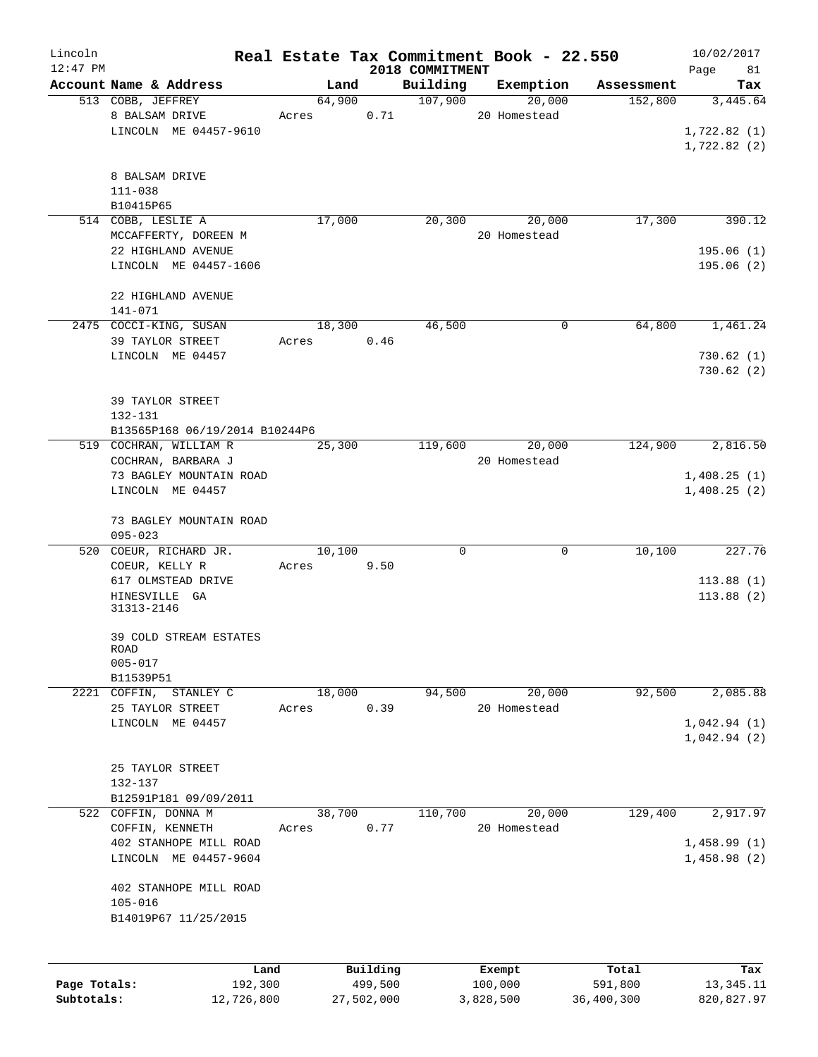| Lincoln      |                                     | Real Estate Tax Commitment Book - 22.550 |            |                     |              |                     |                       | 10/02/2017      |
|--------------|-------------------------------------|------------------------------------------|------------|---------------------|--------------|---------------------|-----------------------|-----------------|
| $12:47$ PM   |                                     |                                          |            | 2018 COMMITMENT     |              |                     |                       | Page<br>81      |
|              | Account Name & Address              | Land<br>64,900                           |            | Building<br>107,900 |              | Exemption<br>20,000 | Assessment<br>152,800 | Tax<br>3,445.64 |
|              | 513 COBB, JEFFREY<br>8 BALSAM DRIVE | Acres                                    | 0.71       |                     | 20 Homestead |                     |                       |                 |
|              | LINCOLN ME 04457-9610               |                                          |            |                     |              |                     |                       | 1,722.82(1)     |
|              |                                     |                                          |            |                     |              |                     |                       | 1,722.82(2)     |
|              |                                     |                                          |            |                     |              |                     |                       |                 |
|              | 8 BALSAM DRIVE                      |                                          |            |                     |              |                     |                       |                 |
|              | $111 - 038$                         |                                          |            |                     |              |                     |                       |                 |
|              | B10415P65                           |                                          |            |                     |              |                     |                       |                 |
|              | 514 COBB, LESLIE A                  | 17,000                                   |            | 20,300              |              | 20,000              | 17,300                | 390.12          |
|              | MCCAFFERTY, DOREEN M                |                                          |            |                     | 20 Homestead |                     |                       |                 |
|              | 22 HIGHLAND AVENUE                  |                                          |            |                     |              |                     |                       | 195.06(1)       |
|              | LINCOLN ME 04457-1606               |                                          |            |                     |              |                     |                       | 195.06(2)       |
|              |                                     |                                          |            |                     |              |                     |                       |                 |
|              | 22 HIGHLAND AVENUE                  |                                          |            |                     |              |                     |                       |                 |
|              | $141 - 071$                         |                                          |            |                     |              |                     |                       |                 |
|              | 2475 COCCI-KING, SUSAN              | 18,300                                   |            | 46,500              |              | 0                   | 64,800                | 1,461.24        |
|              | 39 TAYLOR STREET                    | Acres                                    | 0.46       |                     |              |                     |                       |                 |
|              | LINCOLN ME 04457                    |                                          |            |                     |              |                     |                       | 730.62(1)       |
|              |                                     |                                          |            |                     |              |                     |                       | 730.62(2)       |
|              |                                     |                                          |            |                     |              |                     |                       |                 |
|              | 39 TAYLOR STREET                    |                                          |            |                     |              |                     |                       |                 |
|              | $132 - 131$                         |                                          |            |                     |              |                     |                       |                 |
|              | B13565P168 06/19/2014 B10244P6      |                                          |            |                     |              |                     |                       |                 |
|              | 519 COCHRAN, WILLIAM R              | 25,300                                   |            | 119,600             |              | 20,000              | 124,900               | 2,816.50        |
|              | COCHRAN, BARBARA J                  |                                          |            |                     | 20 Homestead |                     |                       |                 |
|              | 73 BAGLEY MOUNTAIN ROAD             |                                          |            |                     |              |                     |                       | 1,408.25(1)     |
|              | LINCOLN ME 04457                    |                                          |            |                     |              |                     |                       | 1,408.25(2)     |
|              |                                     |                                          |            |                     |              |                     |                       |                 |
|              | 73 BAGLEY MOUNTAIN ROAD             |                                          |            |                     |              |                     |                       |                 |
|              | $095 - 023$                         |                                          |            |                     |              |                     |                       |                 |
| 520          | COEUR, RICHARD JR.                  | 10,100                                   |            | 0                   |              | 0                   | 10,100                | 227.76          |
|              | COEUR, KELLY R                      | Acres                                    | 9.50       |                     |              |                     |                       |                 |
|              | 617 OLMSTEAD DRIVE                  |                                          |            |                     |              |                     |                       | 113.88(1)       |
|              | HINESVILLE GA                       |                                          |            |                     |              |                     |                       | 113.88(2)       |
|              | 31313-2146                          |                                          |            |                     |              |                     |                       |                 |
|              |                                     |                                          |            |                     |              |                     |                       |                 |
|              | 39 COLD STREAM ESTATES              |                                          |            |                     |              |                     |                       |                 |
|              | ROAD<br>$005 - 017$                 |                                          |            |                     |              |                     |                       |                 |
|              | B11539P51                           |                                          |            |                     |              |                     |                       |                 |
|              | 2221 COFFIN,<br>STANLEY C           | 18,000                                   |            | 94,500              |              | 20,000              | 92,500                | 2,085.88        |
|              | 25 TAYLOR STREET                    | Acres                                    | 0.39       |                     | 20 Homestead |                     |                       |                 |
|              | LINCOLN ME 04457                    |                                          |            |                     |              |                     |                       | 1,042.94(1)     |
|              |                                     |                                          |            |                     |              |                     |                       | 1,042.94(2)     |
|              |                                     |                                          |            |                     |              |                     |                       |                 |
|              | 25 TAYLOR STREET                    |                                          |            |                     |              |                     |                       |                 |
|              | $132 - 137$                         |                                          |            |                     |              |                     |                       |                 |
|              | B12591P181 09/09/2011               |                                          |            |                     |              |                     |                       |                 |
|              | 522 COFFIN, DONNA M                 | 38,700                                   |            | 110,700             |              | 20,000              | 129,400               | 2,917.97        |
|              | COFFIN, KENNETH                     | Acres                                    | 0.77       |                     | 20 Homestead |                     |                       |                 |
|              | 402 STANHOPE MILL ROAD              |                                          |            |                     |              |                     |                       | 1,458.99(1)     |
|              | LINCOLN ME 04457-9604               |                                          |            |                     |              |                     |                       | 1,458.98(2)     |
|              |                                     |                                          |            |                     |              |                     |                       |                 |
|              | 402 STANHOPE MILL ROAD              |                                          |            |                     |              |                     |                       |                 |
|              | $105 - 016$                         |                                          |            |                     |              |                     |                       |                 |
|              | B14019P67 11/25/2015                |                                          |            |                     |              |                     |                       |                 |
|              |                                     |                                          |            |                     |              |                     |                       |                 |
|              |                                     |                                          |            |                     |              |                     |                       |                 |
|              | Land                                |                                          | Building   |                     | Exempt       |                     | Total                 | Tax             |
| Page Totals: | 192,300                             |                                          | 499,500    |                     | 100,000      |                     | 591,800               | 13, 345. 11     |
| Subtotals:   | 12,726,800                          |                                          | 27,502,000 |                     | 3,828,500    |                     | 36,400,300            | 820, 827.97     |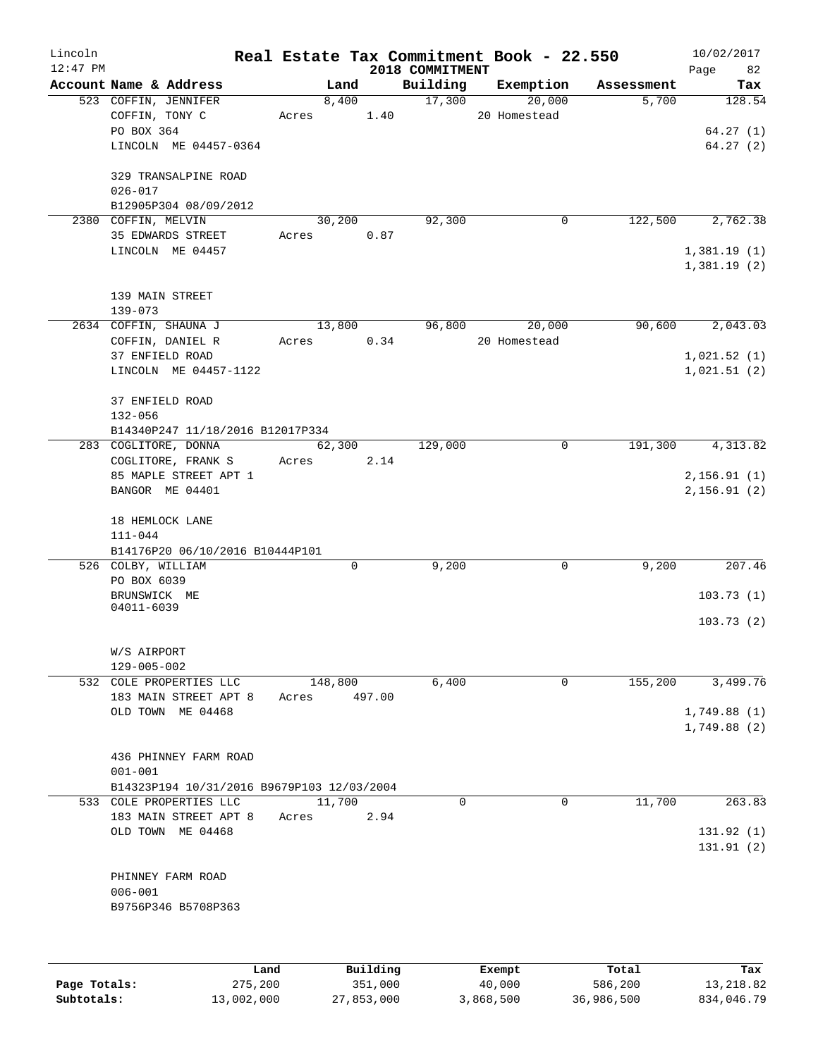| Lincoln    |                                                          |       |                     |        | Real Estate Tax Commitment Book - 22.550 |              |              |            | 10/02/2017             |
|------------|----------------------------------------------------------|-------|---------------------|--------|------------------------------------------|--------------|--------------|------------|------------------------|
| $12:47$ PM |                                                          |       |                     |        | 2018 COMMITMENT                          |              |              |            | Page 82                |
|            | Account Name & Address                                   |       | Land                |        | Building                                 | Exemption    |              | Assessment | Tax                    |
|            | 523 COFFIN, JENNIFER<br>COFFIN, TONY C                   |       | 8,400<br>Acres 1.40 |        | 17,300                                   | 20 Homestead | 20,000       | 5,700      | 128.54                 |
|            | PO BOX 364                                               |       |                     |        |                                          |              |              |            | 64.27(1)               |
|            | LINCOLN ME 04457-0364                                    |       |                     |        |                                          |              |              |            | 64.27(2)               |
|            |                                                          |       |                     |        |                                          |              |              |            |                        |
|            | 329 TRANSALPINE ROAD                                     |       |                     |        |                                          |              |              |            |                        |
|            | $026 - 017$                                              |       |                     |        |                                          |              |              |            |                        |
|            | B12905P304 08/09/2012                                    |       |                     |        |                                          |              |              |            |                        |
|            | 2380 COFFIN, MELVIN                                      |       | 30,200              |        | 92,300                                   |              | $\mathsf{O}$ | 122,500    | 2,762.38               |
|            | 35 EDWARDS STREET                                        |       | Acres               | 0.87   |                                          |              |              |            |                        |
|            | LINCOLN ME 04457                                         |       |                     |        |                                          |              |              |            | 1,381.19(1)            |
|            |                                                          |       |                     |        |                                          |              |              |            | 1,381.19(2)            |
|            | 139 MAIN STREET                                          |       |                     |        |                                          |              |              |            |                        |
|            | $139 - 073$                                              |       |                     |        |                                          |              |              |            |                        |
|            | 2634 COFFIN, SHAUNA J                                    |       | 13,800              |        | 96,800                                   | 20,000       |              | 90,600     | 2,043.03               |
|            | COFFIN, DANIEL R                                         |       | Acres 0.34          |        |                                          | 20 Homestead |              |            |                        |
|            | 37 ENFIELD ROAD                                          |       |                     |        |                                          |              |              |            | 1,021.52(1)            |
|            | LINCOLN ME 04457-1122                                    |       |                     |        |                                          |              |              |            | 1,021.51(2)            |
|            |                                                          |       |                     |        |                                          |              |              |            |                        |
|            | 37 ENFIELD ROAD                                          |       |                     |        |                                          |              |              |            |                        |
|            | 132-056                                                  |       |                     |        |                                          |              |              |            |                        |
|            | B14340P247 11/18/2016 B12017P334<br>283 COGLITORE, DONNA |       | 62,300              |        | 129,000                                  |              | $\mathbf 0$  | 191,300    | 4,313.82               |
|            | COGLITORE, FRANK S                                       |       | Acres 2.14          |        |                                          |              |              |            |                        |
|            | 85 MAPLE STREET APT 1                                    |       |                     |        |                                          |              |              |            | 2,156.91(1)            |
|            | BANGOR ME 04401                                          |       |                     |        |                                          |              |              |            | 2, 156.91(2)           |
|            |                                                          |       |                     |        |                                          |              |              |            |                        |
|            | 18 HEMLOCK LANE                                          |       |                     |        |                                          |              |              |            |                        |
|            | $111 - 044$                                              |       |                     |        |                                          |              |              |            |                        |
|            | B14176P20 06/10/2016 B10444P101                          |       |                     |        |                                          |              |              |            |                        |
|            | 526 COLBY, WILLIAM<br>PO BOX 6039                        |       | $\Omega$            |        | 9,200                                    |              | 0            | 9,200      | 207.46                 |
|            | BRUNSWICK ME                                             |       |                     |        |                                          |              |              |            | 103.73(1)              |
|            | 04011-6039                                               |       |                     |        |                                          |              |              |            |                        |
|            |                                                          |       |                     |        |                                          |              |              |            | 103.73(2)              |
|            |                                                          |       |                     |        |                                          |              |              |            |                        |
|            | W/S AIRPORT                                              |       |                     |        |                                          |              |              |            |                        |
|            | 129-005-002                                              |       |                     |        |                                          |              |              |            |                        |
|            | 532 COLE PROPERTIES LLC<br>183 MAIN STREET APT 8         | Acres | 148,800             | 497.00 | 6,400                                    |              | $\mathbf 0$  | 155,200    | 3,499.76               |
|            | OLD TOWN ME 04468                                        |       |                     |        |                                          |              |              |            | 1,749.88(1)            |
|            |                                                          |       |                     |        |                                          |              |              |            | 1,749.88(2)            |
|            |                                                          |       |                     |        |                                          |              |              |            |                        |
|            | 436 PHINNEY FARM ROAD                                    |       |                     |        |                                          |              |              |            |                        |
|            | $001 - 001$                                              |       |                     |        |                                          |              |              |            |                        |
|            | B14323P194 10/31/2016 B9679P103 12/03/2004               |       |                     |        |                                          |              |              |            |                        |
|            | 533 COLE PROPERTIES LLC                                  |       | 11,700              |        | $\Omega$                                 |              | 0            | 11,700     | 263.83                 |
|            | 183 MAIN STREET APT 8                                    | Acres |                     | 2.94   |                                          |              |              |            |                        |
|            | OLD TOWN ME 04468                                        |       |                     |        |                                          |              |              |            | 131.92(1)<br>131.91(2) |
|            |                                                          |       |                     |        |                                          |              |              |            |                        |
|            | PHINNEY FARM ROAD                                        |       |                     |        |                                          |              |              |            |                        |
|            | $006 - 001$                                              |       |                     |        |                                          |              |              |            |                        |
|            | B9756P346 B5708P363                                      |       |                     |        |                                          |              |              |            |                        |
|            |                                                          |       |                     |        |                                          |              |              |            |                        |
|            |                                                          |       |                     |        |                                          |              |              |            |                        |
|            |                                                          |       |                     |        |                                          |              |              |            |                        |

|              | Land       | Building   | Exempt    | Total      | Tax        |
|--------------|------------|------------|-----------|------------|------------|
| Page Totals: | 275,200    | 351,000    | 40,000    | 586,200    | 13,218.82  |
| Subtotals:   | 13,002,000 | 27,853,000 | 3,868,500 | 36,986,500 | 834,046.79 |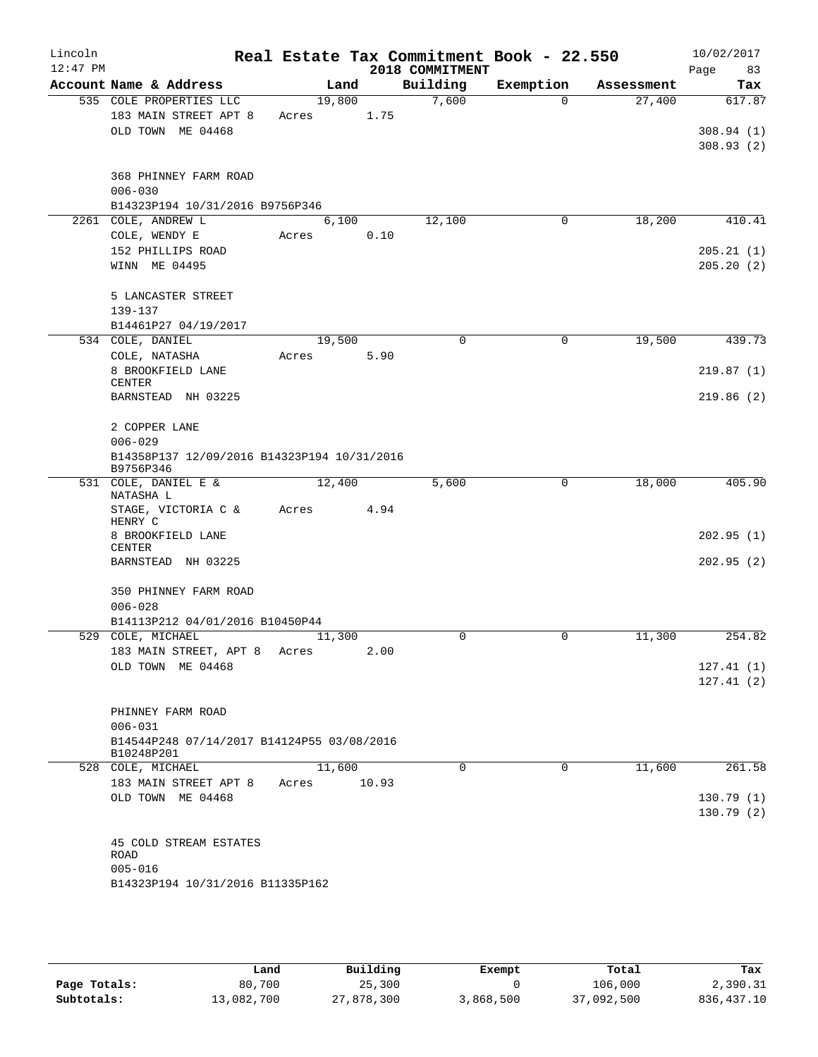| Lincoln<br>$12:47$ PM |                                             |        |       | Real Estate Tax Commitment Book - 22.550<br>2018 COMMITMENT |             |            | 10/02/2017<br>83<br>Page |  |  |  |
|-----------------------|---------------------------------------------|--------|-------|-------------------------------------------------------------|-------------|------------|--------------------------|--|--|--|
|                       | Account Name & Address                      |        | Land  | Building                                                    | Exemption   | Assessment | Tax                      |  |  |  |
|                       | 535 COLE PROPERTIES LLC                     | 19,800 |       | 7,600                                                       | $\Omega$    | 27,400     | 617.87                   |  |  |  |
|                       | 183 MAIN STREET APT 8                       | Acres  | 1.75  |                                                             |             |            |                          |  |  |  |
|                       | OLD TOWN ME 04468                           |        |       |                                                             |             |            | 308.94(1)                |  |  |  |
|                       |                                             |        |       |                                                             |             |            | 308.93(2)                |  |  |  |
|                       | 368 PHINNEY FARM ROAD                       |        |       |                                                             |             |            |                          |  |  |  |
|                       | $006 - 030$                                 |        |       |                                                             |             |            |                          |  |  |  |
|                       | B14323P194 10/31/2016 B9756P346             |        |       |                                                             |             |            |                          |  |  |  |
|                       | 2261 COLE, ANDREW L                         | 6,100  |       | 12,100                                                      | $\mathbf 0$ | 18,200     | 410.41                   |  |  |  |
|                       | COLE, WENDY E                               | Acres  | 0.10  |                                                             |             |            |                          |  |  |  |
|                       | 152 PHILLIPS ROAD                           |        |       |                                                             |             |            | 205.21(1)                |  |  |  |
|                       | WINN ME 04495                               |        |       |                                                             |             |            | 205.20(2)                |  |  |  |
|                       | 5 LANCASTER STREET                          |        |       |                                                             |             |            |                          |  |  |  |
|                       | 139-137                                     |        |       |                                                             |             |            |                          |  |  |  |
|                       | B14461P27 04/19/2017                        |        |       |                                                             |             |            |                          |  |  |  |
|                       | 534 COLE, DANIEL                            | 19,500 |       | $\mathbf 0$                                                 | $\mathbf 0$ | 19,500     | 439.73                   |  |  |  |
|                       | COLE, NATASHA                               | Acres  | 5.90  |                                                             |             |            |                          |  |  |  |
|                       | 8 BROOKFIELD LANE                           |        |       |                                                             |             |            | 219.87(1)                |  |  |  |
|                       | CENTER                                      |        |       |                                                             |             |            |                          |  |  |  |
|                       | BARNSTEAD NH 03225                          |        |       |                                                             |             |            | 219.86(2)                |  |  |  |
|                       | 2 COPPER LANE                               |        |       |                                                             |             |            |                          |  |  |  |
|                       | $006 - 029$                                 |        |       |                                                             |             |            |                          |  |  |  |
|                       | B14358P137 12/09/2016 B14323P194 10/31/2016 |        |       |                                                             |             |            |                          |  |  |  |
|                       | B9756P346                                   |        |       |                                                             |             |            |                          |  |  |  |
|                       | 531 COLE, DANIEL E &<br>NATASHA L           | 12,400 |       | 5,600                                                       | 0           | 18,000     | 405.90                   |  |  |  |
|                       | STAGE, VICTORIA C &                         | Acres  | 4.94  |                                                             |             |            |                          |  |  |  |
|                       | HENRY C                                     |        |       |                                                             |             |            |                          |  |  |  |
|                       | 8 BROOKFIELD LANE                           |        |       |                                                             |             |            | 202.95(1)                |  |  |  |
|                       | <b>CENTER</b>                               |        |       |                                                             |             |            |                          |  |  |  |
|                       | BARNSTEAD NH 03225                          |        |       |                                                             |             |            | 202.95(2)                |  |  |  |
|                       | 350 PHINNEY FARM ROAD                       |        |       |                                                             |             |            |                          |  |  |  |
|                       | $006 - 028$                                 |        |       |                                                             |             |            |                          |  |  |  |
|                       | B14113P212 04/01/2016 B10450P44             |        |       |                                                             |             |            |                          |  |  |  |
|                       | 529 COLE, MICHAEL                           | 11,300 |       | 0                                                           | 0           | 11,300     | 254.82                   |  |  |  |
|                       | 183 MAIN STREET, APT 8                      | Acres  | 2.00  |                                                             |             |            |                          |  |  |  |
|                       | OLD TOWN ME 04468                           |        |       |                                                             |             |            | 127.41(1)                |  |  |  |
|                       |                                             |        |       |                                                             |             |            | 127.41(2)                |  |  |  |
|                       | PHINNEY FARM ROAD                           |        |       |                                                             |             |            |                          |  |  |  |
|                       | $006 - 031$                                 |        |       |                                                             |             |            |                          |  |  |  |
|                       | B14544P248 07/14/2017 B14124P55 03/08/2016  |        |       |                                                             |             |            |                          |  |  |  |
|                       | B10248P201                                  |        |       |                                                             |             |            |                          |  |  |  |
|                       | 528 COLE, MICHAEL                           | 11,600 |       | $\Omega$                                                    | 0           | 11,600     | 261.58                   |  |  |  |
|                       | 183 MAIN STREET APT 8                       | Acres  | 10.93 |                                                             |             |            |                          |  |  |  |
|                       | OLD TOWN ME 04468                           |        |       |                                                             |             |            | 130.79(1)                |  |  |  |
|                       |                                             |        |       |                                                             |             |            | 130.79(2)                |  |  |  |
|                       |                                             |        |       |                                                             |             |            |                          |  |  |  |
|                       | 45 COLD STREAM ESTATES                      |        |       |                                                             |             |            |                          |  |  |  |
|                       | ROAD<br>$005 - 016$                         |        |       |                                                             |             |            |                          |  |  |  |
|                       | B14323P194 10/31/2016 B11335P162            |        |       |                                                             |             |            |                          |  |  |  |
|                       |                                             |        |       |                                                             |             |            |                          |  |  |  |
|                       |                                             |        |       |                                                             |             |            |                          |  |  |  |

|              | Land       | Building   | Exempt    | Total      | Tax         |
|--------------|------------|------------|-----------|------------|-------------|
| Page Totals: | 80,700     | 25,300     |           | 106,000    | 2,390.31    |
| Subtotals:   | 13,082,700 | 27,878,300 | 3,868,500 | 37,092,500 | 836, 437.10 |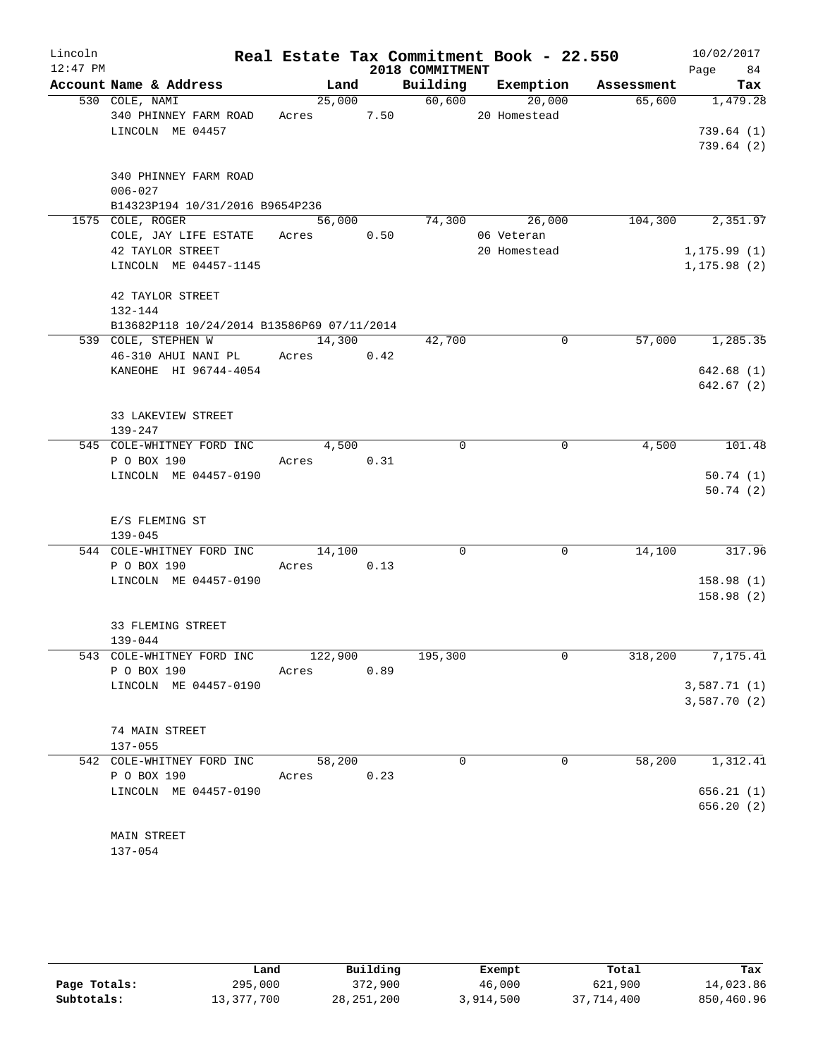| Lincoln    |             |                                              |            |        |      |                 | Real Estate Tax Commitment Book - 22.550 |            | 10/02/2017           |     |
|------------|-------------|----------------------------------------------|------------|--------|------|-----------------|------------------------------------------|------------|----------------------|-----|
| $12:47$ PM |             |                                              |            |        |      | 2018 COMMITMENT |                                          |            | Page 84              |     |
|            |             | Account Name & Address                       |            | Land   |      |                 | Building Exemption                       | Assessment |                      | Tax |
|            |             | 530 COLE, NAMI                               |            | 25,000 |      | 60,600          | 20,000                                   | 65,600     | 1,479.28             |     |
|            |             | 340 PHINNEY FARM ROAD                        | Acres      |        | 7.50 |                 | 20 Homestead                             |            |                      |     |
|            |             | LINCOLN ME 04457                             |            |        |      |                 |                                          |            | 739.64(1)            |     |
|            |             |                                              |            |        |      |                 |                                          |            | 739.64(2)            |     |
|            |             |                                              |            |        |      |                 |                                          |            |                      |     |
|            |             | 340 PHINNEY FARM ROAD                        |            |        |      |                 |                                          |            |                      |     |
|            | $006 - 027$ |                                              |            |        |      |                 |                                          |            |                      |     |
|            |             | B14323P194 10/31/2016 B9654P236              |            |        |      |                 |                                          |            |                      |     |
|            |             | 1575 COLE, ROGER                             |            | 56,000 |      | 74,300          | 26,000                                   | 104,300    | 2,351.97             |     |
|            |             | COLE, JAY LIFE ESTATE                        | Acres      |        | 0.50 |                 | 06 Veteran                               |            |                      |     |
|            |             | 42 TAYLOR STREET                             |            |        |      |                 | 20 Homestead                             |            | 1, 175.99(1)         |     |
|            |             | LINCOLN ME 04457-1145                        |            |        |      |                 |                                          |            | 1, 175.98(2)         |     |
|            |             |                                              |            |        |      |                 |                                          |            |                      |     |
|            |             | 42 TAYLOR STREET                             |            |        |      |                 |                                          |            |                      |     |
|            | 132-144     |                                              |            |        |      |                 |                                          |            |                      |     |
|            |             | B13682P118 10/24/2014 B13586P69 07/11/2014   |            |        |      |                 |                                          |            |                      |     |
|            |             | 539 COLE, STEPHEN W                          |            | 14,300 |      | 42,700          | 0                                        | 57,000     | 1,285.35             |     |
|            |             | 46-310 AHUI NANI PL<br>KANEOHE HI 96744-4054 | Acres 0.42 |        |      |                 |                                          |            |                      |     |
|            |             |                                              |            |        |      |                 |                                          |            | 642.68(1)            |     |
|            |             |                                              |            |        |      |                 |                                          |            | 642.67(2)            |     |
|            |             | 33 LAKEVIEW STREET                           |            |        |      |                 |                                          |            |                      |     |
|            | $139 - 247$ |                                              |            |        |      |                 |                                          |            |                      |     |
|            |             | 545 COLE-WHITNEY FORD INC                    |            | 4,500  |      | $\mathbf 0$     | $\mathbf 0$                              | 4,500      | 101.48               |     |
|            |             | P O BOX 190                                  | Acres 0.31 |        |      |                 |                                          |            |                      |     |
|            |             | LINCOLN ME 04457-0190                        |            |        |      |                 |                                          |            | 50.74(1)             |     |
|            |             |                                              |            |        |      |                 |                                          |            | 50.74(2)             |     |
|            |             |                                              |            |        |      |                 |                                          |            |                      |     |
|            |             | E/S FLEMING ST                               |            |        |      |                 |                                          |            |                      |     |
|            | $139 - 045$ |                                              |            |        |      |                 |                                          |            |                      |     |
|            |             | 544 COLE-WHITNEY FORD INC                    |            | 14,100 |      | $\Omega$        | 0                                        | 14,100     | 317.96               |     |
|            |             | P O BOX 190                                  | Acres 0.13 |        |      |                 |                                          |            |                      |     |
|            |             | LINCOLN ME 04457-0190                        |            |        |      |                 |                                          |            | 158.98(1)            |     |
|            |             |                                              |            |        |      |                 |                                          |            | 158.98(2)            |     |
|            |             |                                              |            |        |      |                 |                                          |            |                      |     |
|            |             | 33 FLEMING STREET                            |            |        |      |                 |                                          |            |                      |     |
|            | 139-044     |                                              |            |        |      |                 |                                          |            |                      |     |
|            |             | 543 COLE-WHITNEY FORD INC                    | 122,900    |        |      | 195,300         | $\mathsf{O}$                             |            | $318, 200$ 7, 175.41 |     |
|            |             | P O BOX 190                                  | Acres 0.89 |        |      |                 |                                          |            |                      |     |
|            |             | LINCOLN ME 04457-0190                        |            |        |      |                 |                                          |            | 3,587.71(1)          |     |
|            |             |                                              |            |        |      |                 |                                          |            | 3,587.70 (2)         |     |
|            |             |                                              |            |        |      |                 |                                          |            |                      |     |
|            |             | 74 MAIN STREET                               |            |        |      |                 |                                          |            |                      |     |
|            | $137 - 055$ |                                              |            |        |      |                 |                                          |            |                      |     |
|            |             | 542 COLE-WHITNEY FORD INC                    | 58,200     |        |      | 0               | 0                                        | 58,200     | 1,312.41             |     |
|            |             | P O BOX 190                                  | Acres 0.23 |        |      |                 |                                          |            |                      |     |
|            |             | LINCOLN ME 04457-0190                        |            |        |      |                 |                                          |            | 656.21(1)            |     |
|            |             |                                              |            |        |      |                 |                                          |            | 656.20(2)            |     |
|            |             |                                              |            |        |      |                 |                                          |            |                      |     |
|            |             | MAIN STREET                                  |            |        |      |                 |                                          |            |                      |     |

137-054

|              | Land       | Building     | Exempt    | Total      | Tax        |
|--------------|------------|--------------|-----------|------------|------------|
| Page Totals: | 295,000    | 372,900      | 46,000    | 621,900    | 14,023.86  |
| Subtotals:   | 13,377,700 | 28, 251, 200 | 3,914,500 | 37,714,400 | 850,460.96 |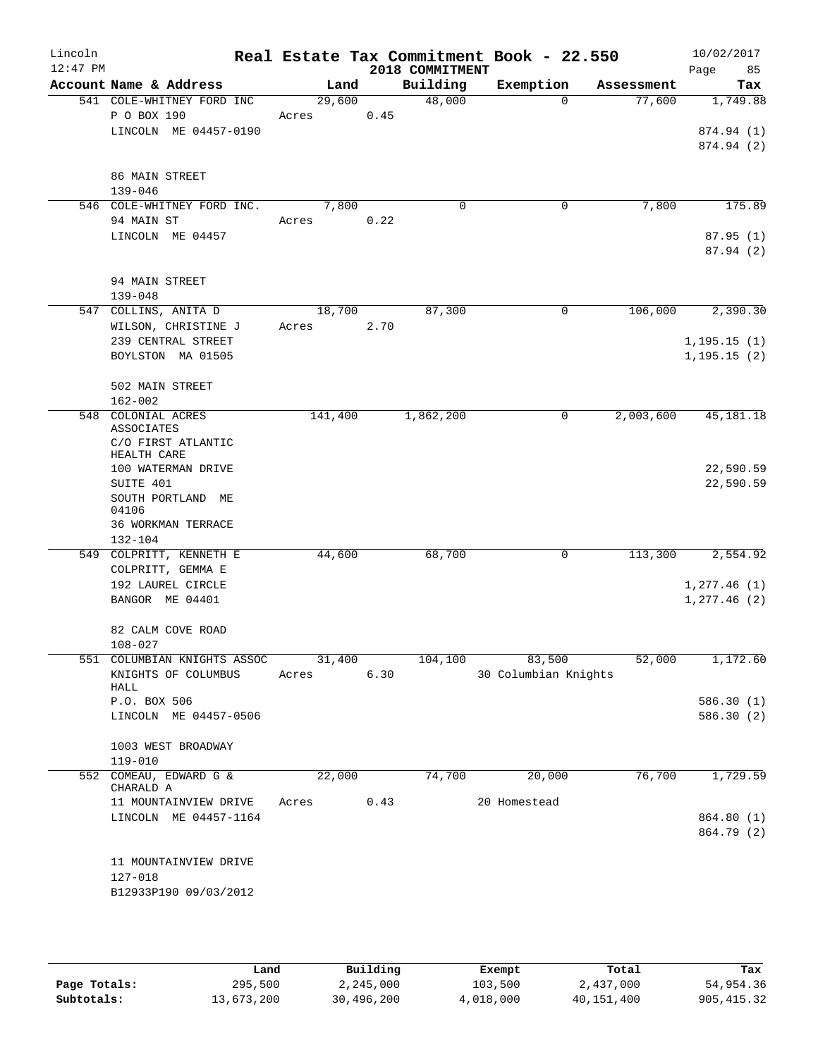| Lincoln<br>$12:47$ PM |                                           |         |      | 2018 COMMITMENT | Real Estate Tax Commitment Book - 22.550 |            | 10/02/2017<br>85<br>Page |
|-----------------------|-------------------------------------------|---------|------|-----------------|------------------------------------------|------------|--------------------------|
|                       | Account Name & Address                    | Land    |      | Building        | Exemption                                | Assessment | Tax                      |
|                       | 541 COLE-WHITNEY FORD INC                 | 29,600  |      | 48,000          | $\Omega$                                 | 77,600     | 1,749.88                 |
|                       | P O BOX 190                               | Acres   | 0.45 |                 |                                          |            |                          |
|                       | LINCOLN ME 04457-0190                     |         |      |                 |                                          |            | 874.94 (1)               |
|                       |                                           |         |      |                 |                                          |            | 874.94 (2)               |
|                       |                                           |         |      |                 |                                          |            |                          |
|                       | 86 MAIN STREET                            |         |      |                 |                                          |            |                          |
|                       | $139 - 046$<br>546 COLE-WHITNEY FORD INC. | 7,800   |      | $\Omega$        | 0                                        | 7,800      | 175.89                   |
|                       | 94 MAIN ST                                | Acres   | 0.22 |                 |                                          |            |                          |
|                       | LINCOLN ME 04457                          |         |      |                 |                                          |            | 87.95(1)                 |
|                       |                                           |         |      |                 |                                          |            | 87.94(2)                 |
|                       |                                           |         |      |                 |                                          |            |                          |
|                       | 94 MAIN STREET                            |         |      |                 |                                          |            |                          |
|                       | $139 - 048$                               |         |      |                 |                                          |            |                          |
|                       | 547 COLLINS, ANITA D                      | 18,700  |      | 87,300          | 0                                        | 106,000    | 2,390.30                 |
|                       | WILSON, CHRISTINE J                       | Acres   | 2.70 |                 |                                          |            |                          |
|                       | 239 CENTRAL STREET                        |         |      |                 |                                          |            | 1, 195.15(1)             |
|                       | BOYLSTON MA 01505                         |         |      |                 |                                          |            | 1, 195.15(2)             |
|                       |                                           |         |      |                 |                                          |            |                          |
|                       | 502 MAIN STREET                           |         |      |                 |                                          |            |                          |
|                       | $162 - 002$                               |         |      |                 |                                          |            |                          |
|                       | 548 COLONIAL ACRES<br><b>ASSOCIATES</b>   | 141,400 |      | 1,862,200       | 0                                        | 2,003,600  | 45, 181. 18              |
|                       | C/O FIRST ATLANTIC                        |         |      |                 |                                          |            |                          |
|                       | HEALTH CARE                               |         |      |                 |                                          |            |                          |
|                       | 100 WATERMAN DRIVE                        |         |      |                 |                                          |            | 22,590.59                |
|                       | SUITE 401                                 |         |      |                 |                                          |            | 22,590.59                |
|                       | SOUTH PORTLAND ME                         |         |      |                 |                                          |            |                          |
|                       | 04106                                     |         |      |                 |                                          |            |                          |
|                       | 36 WORKMAN TERRACE<br>132-104             |         |      |                 |                                          |            |                          |
|                       | 549 COLPRITT, KENNETH E                   | 44,600  |      | 68,700          | 0                                        | 113,300    | 2,554.92                 |
|                       | COLPRITT, GEMMA E                         |         |      |                 |                                          |            |                          |
|                       | 192 LAUREL CIRCLE                         |         |      |                 |                                          |            | 1,277.46(1)              |
|                       | BANGOR ME 04401                           |         |      |                 |                                          |            | 1, 277.46 (2)            |
|                       |                                           |         |      |                 |                                          |            |                          |
|                       | 82 CALM COVE ROAD                         |         |      |                 |                                          |            |                          |
|                       | $108 - 027$                               |         |      |                 |                                          |            |                          |
|                       | 551 COLUMBIAN KNIGHTS ASSOC               | 31,400  |      | 104,100         | 83,500                                   | 52,000     | 1,172.60                 |
|                       | KNIGHTS OF COLUMBUS                       | Acres   | 6.30 |                 | 30 Columbian Knights                     |            |                          |
|                       | HALL<br>P.O. BOX 506                      |         |      |                 |                                          |            |                          |
|                       | LINCOLN ME 04457-0506                     |         |      |                 |                                          |            | 586.30(1)<br>586.30(2)   |
|                       |                                           |         |      |                 |                                          |            |                          |
|                       | 1003 WEST BROADWAY                        |         |      |                 |                                          |            |                          |
|                       | 119-010                                   |         |      |                 |                                          |            |                          |
|                       | 552 COMEAU, EDWARD G &                    | 22,000  |      | 74,700          | 20,000                                   | 76,700     | 1,729.59                 |
|                       | CHARALD A                                 |         |      |                 |                                          |            |                          |
|                       | 11 MOUNTAINVIEW DRIVE                     | Acres   | 0.43 |                 | 20 Homestead                             |            |                          |
|                       | LINCOLN ME 04457-1164                     |         |      |                 |                                          |            | 864.80 (1)               |
|                       |                                           |         |      |                 |                                          |            | 864.79 (2)               |
|                       |                                           |         |      |                 |                                          |            |                          |
|                       | 11 MOUNTAINVIEW DRIVE<br>127-018          |         |      |                 |                                          |            |                          |
|                       | B12933P190 09/03/2012                     |         |      |                 |                                          |            |                          |
|                       |                                           |         |      |                 |                                          |            |                          |
|                       |                                           |         |      |                 |                                          |            |                          |

|              | Land       | Building   | Exempt    | Total      | Tax         |
|--------------|------------|------------|-----------|------------|-------------|
| Page Totals: | 295,500    | 2,245,000  | 103,500   | 2,437,000  | 54,954.36   |
| Subtotals:   | 13,673,200 | 30,496,200 | 4,018,000 | 40,151,400 | 905, 415.32 |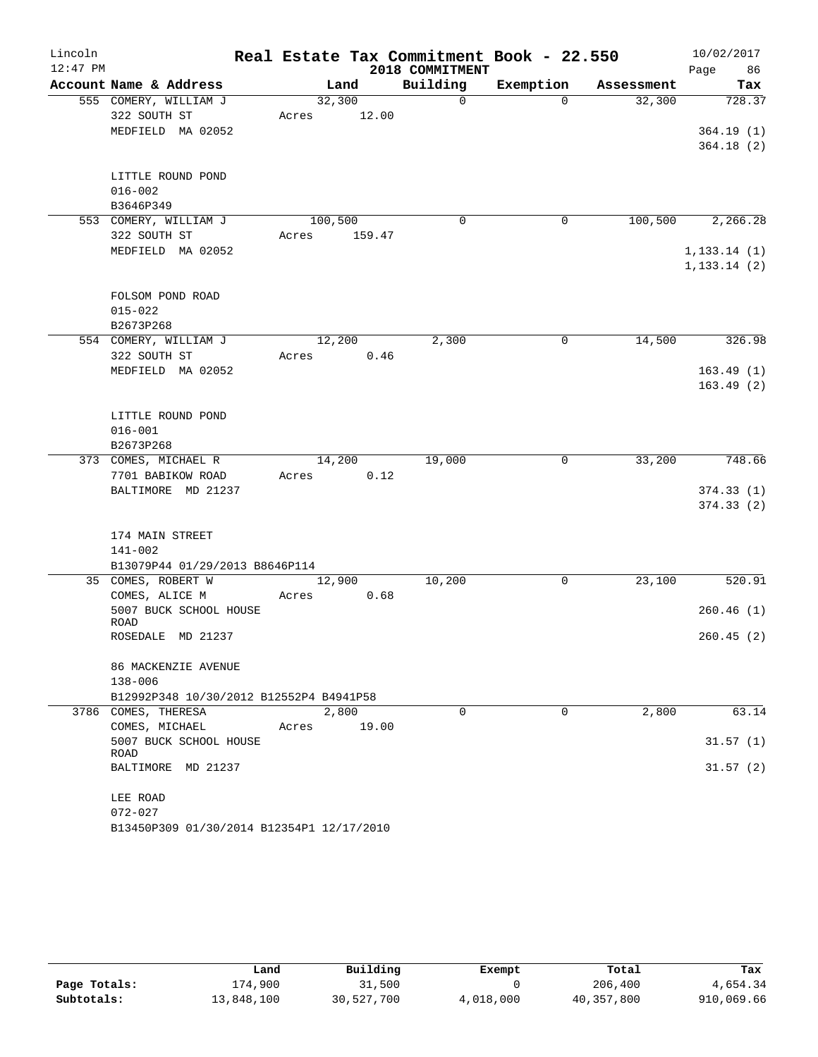| Lincoln    |                                           |         |                |                 | Real Estate Tax Commitment Book - 22.550 |            | 10/02/2017   |
|------------|-------------------------------------------|---------|----------------|-----------------|------------------------------------------|------------|--------------|
| $12:47$ PM |                                           |         |                | 2018 COMMITMENT |                                          |            | Page<br>86   |
|            | Account Name & Address                    |         | Land           | Building        | Exemption                                | Assessment | Tax          |
|            | 555 COMERY, WILLIAM J                     |         | 32,300         | $\mathbf 0$     | $\Omega$                                 | 32,300     | 728.37       |
|            | 322 SOUTH ST                              | Acres   | 12.00          |                 |                                          |            |              |
|            | MEDFIELD MA 02052                         |         |                |                 |                                          |            | 364.19(1)    |
|            |                                           |         |                |                 |                                          |            | 364.18(2)    |
|            |                                           |         |                |                 |                                          |            |              |
|            | LITTLE ROUND POND                         |         |                |                 |                                          |            |              |
|            | $016 - 002$                               |         |                |                 |                                          |            |              |
|            | B3646P349                                 |         |                |                 |                                          |            |              |
|            | 553 COMERY, WILLIAM J                     | 100,500 |                | 0               | $\mathbf 0$                              | 100, 500   | 2,266.28     |
|            | 322 SOUTH ST                              | Acres   | 159.47         |                 |                                          |            |              |
|            | MEDFIELD MA 02052                         |         |                |                 |                                          |            | 1, 133.14(1) |
|            |                                           |         |                |                 |                                          |            | 1, 133.14(2) |
|            |                                           |         |                |                 |                                          |            |              |
|            | FOLSOM POND ROAD                          |         |                |                 |                                          |            |              |
|            | $015 - 022$                               |         |                |                 |                                          |            |              |
|            | B2673P268<br>554 COMERY, WILLIAM J        |         | 12,200         |                 | $\mathbf 0$                              | 14,500     | 326.98       |
|            | 322 SOUTH ST                              |         | 0.46           | 2,300           |                                          |            |              |
|            | MEDFIELD MA 02052                         | Acres   |                |                 |                                          |            | 163.49(1)    |
|            |                                           |         |                |                 |                                          |            | 163.49(2)    |
|            |                                           |         |                |                 |                                          |            |              |
|            | LITTLE ROUND POND                         |         |                |                 |                                          |            |              |
|            | $016 - 001$                               |         |                |                 |                                          |            |              |
|            | B2673P268                                 |         |                |                 |                                          |            |              |
|            | 373 COMES, MICHAEL R                      |         | 14,200         | 19,000          | 0                                        | 33,200     | 748.66       |
|            | 7701 BABIKOW ROAD                         | Acres   | 0.12           |                 |                                          |            |              |
|            | BALTIMORE MD 21237                        |         |                |                 |                                          |            | 374.33(1)    |
|            |                                           |         |                |                 |                                          |            | 374.33(2)    |
|            |                                           |         |                |                 |                                          |            |              |
|            | 174 MAIN STREET                           |         |                |                 |                                          |            |              |
|            | 141-002                                   |         |                |                 |                                          |            |              |
|            | B13079P44 01/29/2013 B8646P114            |         |                |                 |                                          |            |              |
|            | 35 COMES, ROBERT W                        |         | 12,900         | 10,200          | 0                                        | 23,100     | 520.91       |
|            | COMES, ALICE M                            | Acres   | 0.68           |                 |                                          |            |              |
|            | 5007 BUCK SCHOOL HOUSE                    |         |                |                 |                                          |            | 260.46(1)    |
|            | ROAD                                      |         |                |                 |                                          |            |              |
|            | ROSEDALE MD 21237                         |         |                |                 |                                          |            | 260.45(2)    |
|            |                                           |         |                |                 |                                          |            |              |
|            | 86 MACKENZIE AVENUE                       |         |                |                 |                                          |            |              |
|            | 138-006                                   |         |                |                 |                                          |            |              |
|            | B12992P348 10/30/2012 B12552P4 B4941P58   |         |                | $\Omega$        | $\Omega$                                 |            |              |
|            | 3786 COMES, THERESA                       | Acres   | 2,800<br>19.00 |                 |                                          | 2,800      | 63.14        |
|            | COMES, MICHAEL<br>5007 BUCK SCHOOL HOUSE  |         |                |                 |                                          |            | 31.57(1)     |
|            | ROAD                                      |         |                |                 |                                          |            |              |
|            | BALTIMORE MD 21237                        |         |                |                 |                                          |            | 31.57(2)     |
|            |                                           |         |                |                 |                                          |            |              |
|            | LEE ROAD                                  |         |                |                 |                                          |            |              |
|            | $072 - 027$                               |         |                |                 |                                          |            |              |
|            | B13450P309 01/30/2014 B12354P1 12/17/2010 |         |                |                 |                                          |            |              |

|              | Land       | Building   | Exempt    | Total      | Tax        |
|--------------|------------|------------|-----------|------------|------------|
| Page Totals: | 174,900    | 31,500     |           | 206,400    | 4,654.34   |
| Subtotals:   | 13,848,100 | 30,527,700 | 4,018,000 | 40,357,800 | 910,069.66 |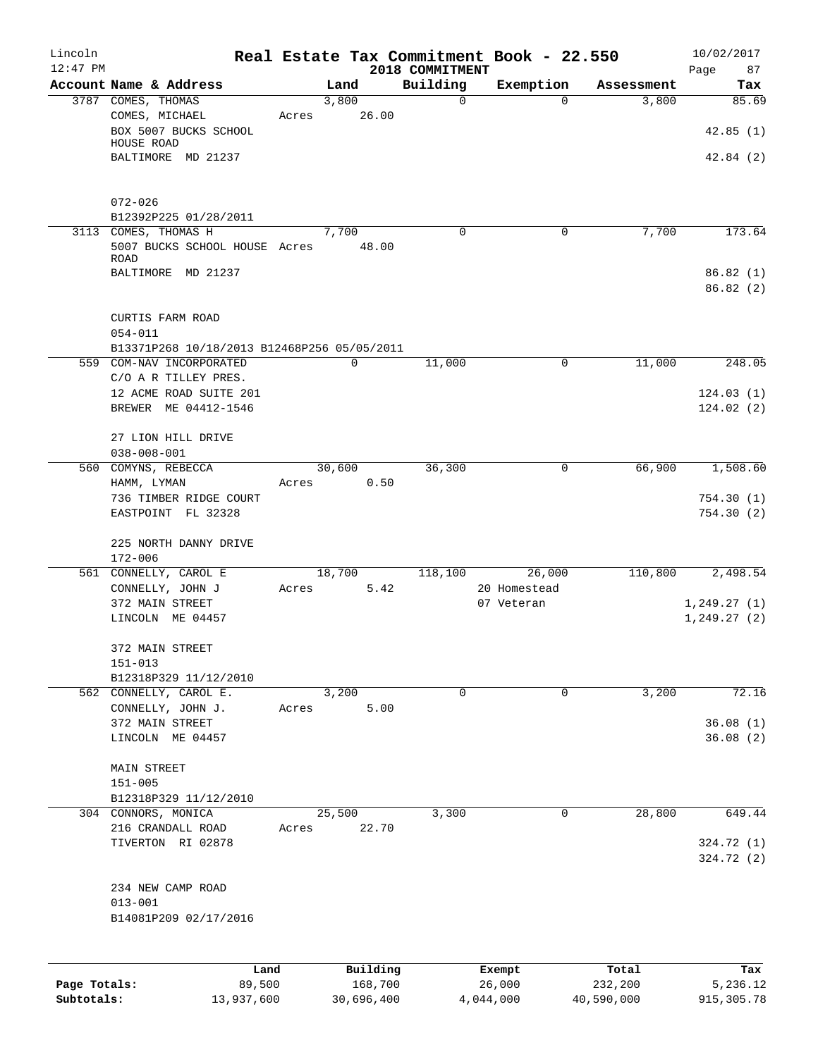| Lincoln<br>$12:47$ PM |                                                 |       |                 | 2018 COMMITMENT | Real Estate Tax Commitment Book - 22.550 |            | 10/02/2017        |
|-----------------------|-------------------------------------------------|-------|-----------------|-----------------|------------------------------------------|------------|-------------------|
|                       | Account Name & Address                          |       | Land            | Building        | Exemption                                | Assessment | Page<br>87<br>Tax |
|                       | 3787 COMES, THOMAS                              |       | 3,800           | 0               | $\Omega$                                 | 3,800      | 85.69             |
|                       | COMES, MICHAEL<br>BOX 5007 BUCKS SCHOOL         | Acres | 26.00           |                 |                                          |            | 42.85(1)          |
|                       | HOUSE ROAD                                      |       |                 |                 |                                          |            |                   |
|                       | BALTIMORE MD 21237                              |       |                 |                 |                                          |            | 42.84(2)          |
|                       | $072 - 026$                                     |       |                 |                 |                                          |            |                   |
|                       | B12392P225 01/28/2011<br>3113 COMES, THOMAS H   |       | 7,700           | $\Omega$        | 0                                        | 7,700      | 173.64            |
|                       | 5007 BUCKS SCHOOL HOUSE Acres<br>ROAD           |       | 48.00           |                 |                                          |            |                   |
|                       | BALTIMORE MD 21237                              |       |                 |                 |                                          |            | 86.82(1)          |
|                       |                                                 |       |                 |                 |                                          |            | 86.82(2)          |
|                       | CURTIS FARM ROAD<br>$054 - 011$                 |       |                 |                 |                                          |            |                   |
|                       | B13371P268 10/18/2013 B12468P256 05/05/2011     |       |                 |                 |                                          |            |                   |
|                       | 559 COM-NAV INCORPORATED                        |       | $\mathbf 0$     | 11,000          | 0                                        | 11,000     | 248.05            |
|                       | C/O A R TILLEY PRES.                            |       |                 |                 |                                          |            |                   |
|                       | 12 ACME ROAD SUITE 201                          |       |                 |                 |                                          |            | 124.03(1)         |
|                       | BREWER ME 04412-1546                            |       |                 |                 |                                          |            | 124.02(2)         |
|                       | 27 LION HILL DRIVE                              |       |                 |                 |                                          |            |                   |
|                       | $038 - 008 - 001$<br>560 COMYNS, REBECCA        |       | 30,600          | 36,300          | 0                                        | 66,900     | 1,508.60          |
|                       | HAMM, LYMAN                                     | Acres | 0.50            |                 |                                          |            |                   |
|                       | 736 TIMBER RIDGE COURT                          |       |                 |                 |                                          |            | 754.30(1)         |
|                       | EASTPOINT FL 32328                              |       |                 |                 |                                          |            | 754.30(2)         |
|                       | 225 NORTH DANNY DRIVE<br>$172 - 006$            |       |                 |                 |                                          |            |                   |
|                       | 561 CONNELLY, CAROL E                           |       | 18,700          | 118,100         | 26,000                                   | 110,800    | 2,498.54          |
|                       | CONNELLY, JOHN J                                | Acres | 5.42            |                 | 20 Homestead                             |            |                   |
|                       | 372 MAIN STREET                                 |       |                 |                 | 07 Veteran                               |            | 1, 249.27(1)      |
|                       | LINCOLN ME 04457                                |       |                 |                 |                                          |            | 1, 249.27 (2)     |
|                       | 372 MAIN STREET                                 |       |                 |                 |                                          |            |                   |
|                       | $151 - 013$                                     |       |                 |                 |                                          |            |                   |
|                       | B12318P329 11/12/2010<br>562 CONNELLY, CAROL E. |       | 3,200           | $\Omega$        | $\Omega$                                 | 3,200      | 72.16             |
|                       | CONNELLY, JOHN J.                               | Acres | 5.00            |                 |                                          |            |                   |
|                       | 372 MAIN STREET                                 |       |                 |                 |                                          |            | 36.08(1)          |
|                       | LINCOLN ME 04457                                |       |                 |                 |                                          |            | 36.08(2)          |
|                       | MAIN STREET                                     |       |                 |                 |                                          |            |                   |
|                       | $151 - 005$                                     |       |                 |                 |                                          |            |                   |
|                       | B12318P329 11/12/2010                           |       |                 |                 | 0                                        |            | 649.44            |
|                       | 304 CONNORS, MONICA<br>216 CRANDALL ROAD        | Acres | 25,500<br>22.70 | 3,300           |                                          | 28,800     |                   |
|                       | TIVERTON RI 02878                               |       |                 |                 |                                          |            | 324.72 (1)        |
|                       |                                                 |       |                 |                 |                                          |            | 324.72 (2)        |
|                       | 234 NEW CAMP ROAD                               |       |                 |                 |                                          |            |                   |
|                       | $013 - 001$                                     |       |                 |                 |                                          |            |                   |
|                       | B14081P209 02/17/2016                           |       |                 |                 |                                          |            |                   |
|                       |                                                 |       | Building        |                 |                                          | Total      | Tax               |
| Page Totals:          | Land<br>89,500                                  |       | 168,700         |                 | Exempt<br>26,000                         | 232,200    | 5,236.12          |

**Page Totals:** 89,500 168,700 26,000 232,200 5,236.12 **Subtotals:** 13,937,600 30,696,400 4,044,000 40,590,000 915,305.78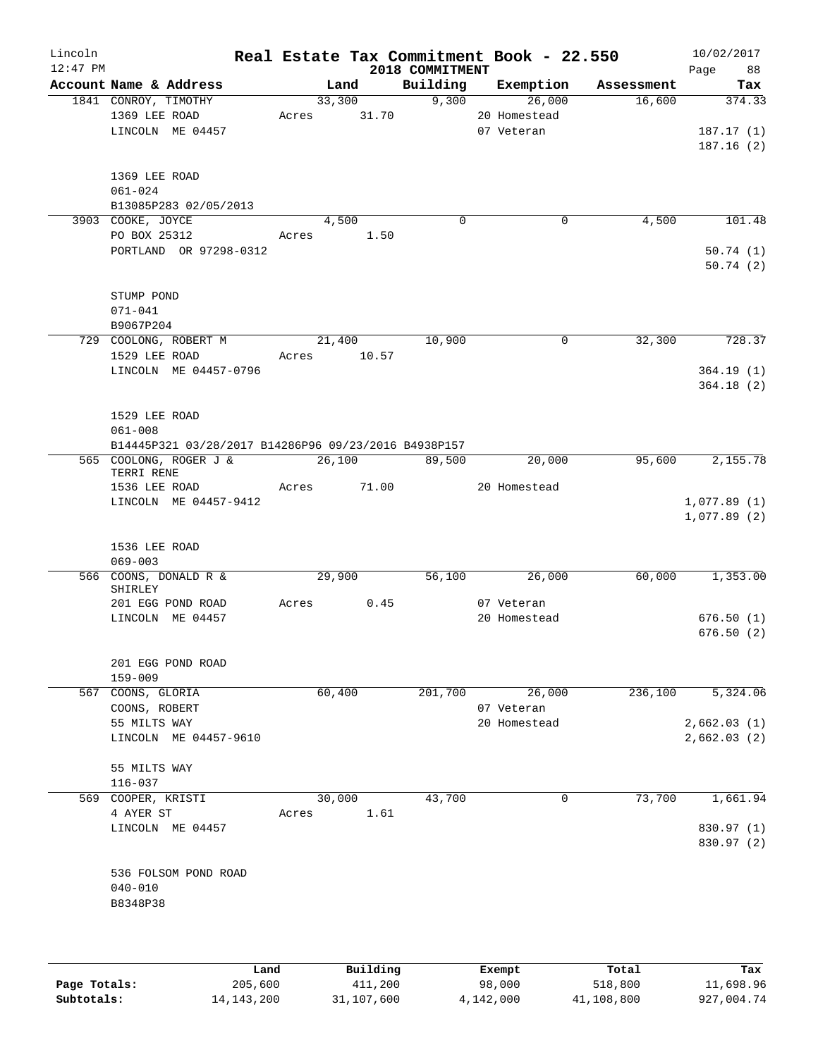| Lincoln<br>$12:47$ PM |                               |                                                      |       |        |       | 2018 COMMITMENT | Real Estate Tax Commitment Book - 22.550 |            | 10/02/2017<br>Page<br>88   |
|-----------------------|-------------------------------|------------------------------------------------------|-------|--------|-------|-----------------|------------------------------------------|------------|----------------------------|
|                       |                               | Account Name & Address                               |       | Land   |       | Building        | Exemption                                | Assessment | Tax                        |
|                       | 1841 CONROY, TIMOTHY          |                                                      |       | 33,300 |       | 9,300           | 26,000                                   | 16,600     | 374.33                     |
|                       | 1369 LEE ROAD                 |                                                      | Acres |        | 31.70 |                 | 20 Homestead                             |            |                            |
|                       |                               | LINCOLN ME 04457                                     |       |        |       |                 | 07 Veteran                               |            | 187.17(1)                  |
|                       |                               |                                                      |       |        |       |                 |                                          |            | 187.16(2)                  |
|                       |                               |                                                      |       |        |       |                 |                                          |            |                            |
|                       | 1369 LEE ROAD                 |                                                      |       |        |       |                 |                                          |            |                            |
|                       | $061 - 024$                   |                                                      |       |        |       |                 |                                          |            |                            |
|                       |                               | B13085P283 02/05/2013                                |       |        |       |                 |                                          |            |                            |
|                       | 3903 COOKE, JOYCE             |                                                      |       | 4,500  |       | 0               | $\mathbf 0$                              | 4,500      | 101.48                     |
|                       | PO BOX 25312                  |                                                      | Acres |        | 1.50  |                 |                                          |            |                            |
|                       |                               | PORTLAND OR 97298-0312                               |       |        |       |                 |                                          |            | 50.74(1)                   |
|                       |                               |                                                      |       |        |       |                 |                                          |            | 50.74(2)                   |
|                       | STUMP POND                    |                                                      |       |        |       |                 |                                          |            |                            |
|                       | $071 - 041$                   |                                                      |       |        |       |                 |                                          |            |                            |
|                       | B9067P204                     |                                                      |       |        |       |                 |                                          |            |                            |
|                       |                               | 729 COOLONG, ROBERT M                                |       | 21,400 |       | 10,900          | 0                                        | 32,300     | 728.37                     |
|                       | 1529 LEE ROAD                 |                                                      | Acres |        | 10.57 |                 |                                          |            |                            |
|                       |                               | LINCOLN ME 04457-0796                                |       |        |       |                 |                                          |            | 364.19(1)                  |
|                       |                               |                                                      |       |        |       |                 |                                          |            | 364.18(2)                  |
|                       |                               |                                                      |       |        |       |                 |                                          |            |                            |
|                       | 1529 LEE ROAD                 |                                                      |       |        |       |                 |                                          |            |                            |
|                       | $061 - 008$                   |                                                      |       |        |       |                 |                                          |            |                            |
|                       |                               | B14445P321 03/28/2017 B14286P96 09/23/2016 B4938P157 |       |        |       |                 |                                          |            |                            |
|                       |                               | 565 COOLONG, ROGER J &                               |       | 26,100 |       | 89,500          | 20,000                                   | 95,600     | 2,155.78                   |
|                       | TERRI RENE                    |                                                      |       |        |       |                 |                                          |            |                            |
|                       | 1536 LEE ROAD                 |                                                      | Acres |        | 71.00 |                 | 20 Homestead                             |            |                            |
|                       |                               | LINCOLN ME 04457-9412                                |       |        |       |                 |                                          |            | 1,077.89(1)<br>1,077.89(2) |
|                       |                               |                                                      |       |        |       |                 |                                          |            |                            |
|                       | 1536 LEE ROAD                 |                                                      |       |        |       |                 |                                          |            |                            |
|                       | $069 - 003$                   |                                                      |       |        |       |                 |                                          |            |                            |
|                       |                               | 566 COONS, DONALD R &                                |       | 29,900 |       | 56,100          | 26,000                                   | 60,000     | 1,353.00                   |
|                       | SHIRLEY                       |                                                      |       |        |       |                 |                                          |            |                            |
|                       |                               | 201 EGG POND ROAD                                    | Acres |        | 0.45  |                 | 07 Veteran                               |            |                            |
|                       |                               | LINCOLN ME 04457                                     |       |        |       |                 | 20 Homestead                             |            | 676.50(1)                  |
|                       |                               |                                                      |       |        |       |                 |                                          |            | 676.50(2)                  |
|                       |                               |                                                      |       |        |       |                 |                                          |            |                            |
|                       |                               | 201 EGG POND ROAD                                    |       |        |       |                 |                                          |            |                            |
|                       | $159 - 009$                   |                                                      |       |        |       |                 |                                          |            |                            |
|                       | 567 COONS, GLORIA             |                                                      |       | 60,400 |       | 201,700         | 26,000<br>07 Veteran                     | 236,100    | 5,324.06                   |
|                       | COONS, ROBERT<br>55 MILTS WAY |                                                      |       |        |       |                 | 20 Homestead                             |            | 2,662.03(1)                |
|                       |                               | LINCOLN ME 04457-9610                                |       |        |       |                 |                                          |            | 2,662.03(2)                |
|                       |                               |                                                      |       |        |       |                 |                                          |            |                            |
|                       | 55 MILTS WAY                  |                                                      |       |        |       |                 |                                          |            |                            |
|                       | $116 - 037$                   |                                                      |       |        |       |                 |                                          |            |                            |
|                       | 569 COOPER, KRISTI            |                                                      |       | 30,000 |       | 43,700          | 0                                        | 73,700     | 1,661.94                   |
|                       | 4 AYER ST                     |                                                      | Acres |        | 1.61  |                 |                                          |            |                            |
|                       |                               | LINCOLN ME 04457                                     |       |        |       |                 |                                          |            | 830.97 (1)                 |
|                       |                               |                                                      |       |        |       |                 |                                          |            | 830.97 (2)                 |
|                       |                               |                                                      |       |        |       |                 |                                          |            |                            |
|                       |                               | 536 FOLSOM POND ROAD                                 |       |        |       |                 |                                          |            |                            |
|                       | $040 - 010$                   |                                                      |       |        |       |                 |                                          |            |                            |
|                       | B8348P38                      |                                                      |       |        |       |                 |                                          |            |                            |
|                       |                               |                                                      |       |        |       |                 |                                          |            |                            |
|                       |                               |                                                      |       |        |       |                 |                                          |            |                            |

|              | Land         | Building   | Exempt    | Total      | Tax        |
|--------------|--------------|------------|-----------|------------|------------|
| Page Totals: | 205,600      | 411,200    | 98,000    | 518,800    | 11,698.96  |
| Subtotals:   | 14, 143, 200 | 31,107,600 | 4,142,000 | 41,108,800 | 927,004.74 |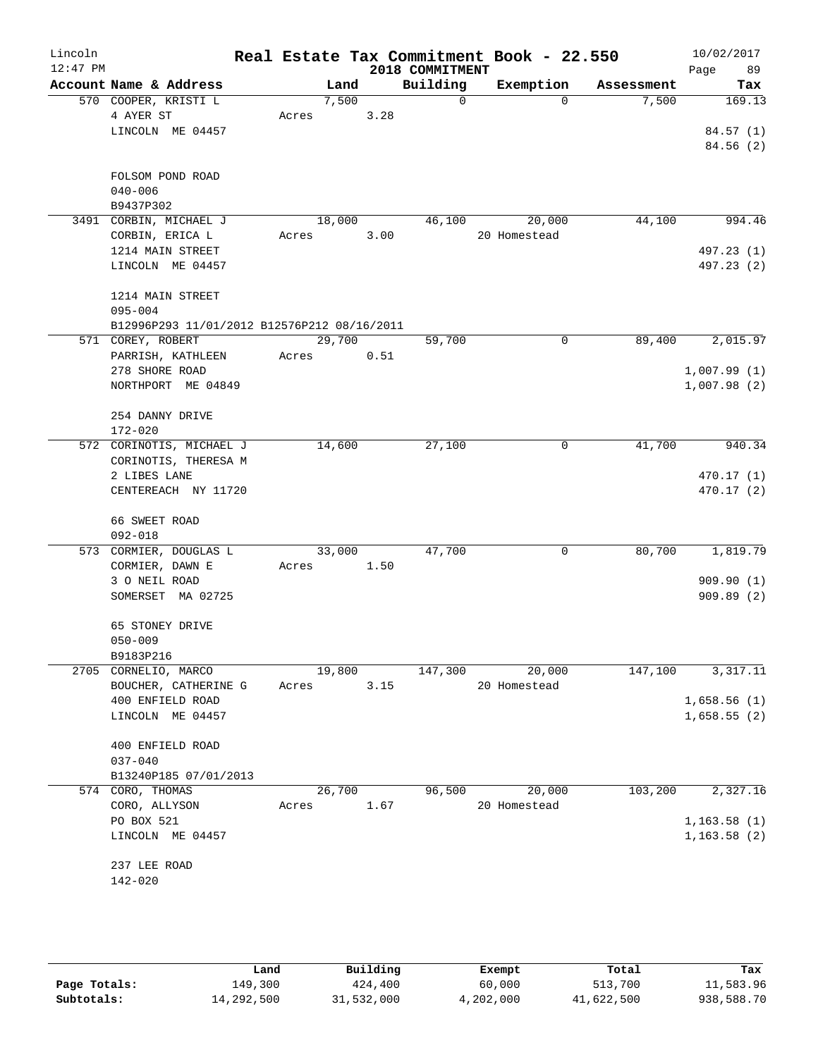| Lincoln<br>$12:47$ PM |                                             |       |        |      | 2018 COMMITMENT | Real Estate Tax Commitment Book - 22.550 |            | 10/02/2017<br>89<br>Page |
|-----------------------|---------------------------------------------|-------|--------|------|-----------------|------------------------------------------|------------|--------------------------|
|                       | Account Name & Address                      |       | Land   |      | Building        | Exemption                                | Assessment | Tax                      |
|                       | 570 COOPER, KRISTI L                        |       | 7,500  |      | $\mathsf{O}$    | $\Omega$                                 | 7,500      | 169.13                   |
|                       | 4 AYER ST                                   | Acres |        | 3.28 |                 |                                          |            |                          |
|                       | LINCOLN ME 04457                            |       |        |      |                 |                                          |            | 84.57(1)                 |
|                       |                                             |       |        |      |                 |                                          |            | 84.56(2)                 |
|                       | FOLSOM POND ROAD                            |       |        |      |                 |                                          |            |                          |
|                       | $040 - 006$                                 |       |        |      |                 |                                          |            |                          |
|                       | B9437P302                                   |       |        |      |                 |                                          |            |                          |
|                       | 3491 CORBIN, MICHAEL J                      |       | 18,000 |      | 46,100          | 20,000                                   | 44,100     | 994.46                   |
|                       | CORBIN, ERICA L                             | Acres |        | 3.00 |                 | 20 Homestead                             |            |                          |
|                       | 1214 MAIN STREET                            |       |        |      |                 |                                          |            | 497.23 (1)               |
|                       | LINCOLN ME 04457                            |       |        |      |                 |                                          |            | 497.23 (2)               |
|                       | 1214 MAIN STREET                            |       |        |      |                 |                                          |            |                          |
|                       | $095 - 004$                                 |       |        |      |                 |                                          |            |                          |
|                       | B12996P293 11/01/2012 B12576P212 08/16/2011 |       |        |      |                 |                                          |            |                          |
|                       | 571 COREY, ROBERT                           |       | 29,700 |      | 59,700          | $\mathbf 0$                              | 89,400     | 2,015.97                 |
|                       | PARRISH, KATHLEEN                           | Acres |        | 0.51 |                 |                                          |            |                          |
|                       | 278 SHORE ROAD                              |       |        |      |                 |                                          |            | 1,007.99(1)              |
|                       | NORTHPORT ME 04849                          |       |        |      |                 |                                          |            | 1,007.98(2)              |
|                       | 254 DANNY DRIVE                             |       |        |      |                 |                                          |            |                          |
|                       | $172 - 020$                                 |       |        |      |                 |                                          |            |                          |
|                       | 572 CORINOTIS, MICHAEL J                    |       | 14,600 |      | 27,100          | 0                                        | 41,700     | 940.34                   |
|                       | CORINOTIS, THERESA M                        |       |        |      |                 |                                          |            |                          |
|                       | 2 LIBES LANE                                |       |        |      |                 |                                          |            | 470.17 (1)               |
|                       | CENTEREACH NY 11720                         |       |        |      |                 |                                          |            | 470.17(2)                |
|                       | 66 SWEET ROAD                               |       |        |      |                 |                                          |            |                          |
|                       | $092 - 018$                                 |       |        |      |                 |                                          |            |                          |
|                       | 573 CORMIER, DOUGLAS L                      |       | 33,000 |      | 47,700          | 0                                        | 80,700     | 1,819.79                 |
|                       | CORMIER, DAWN E                             | Acres |        | 1.50 |                 |                                          |            |                          |
|                       | 3 O NEIL ROAD                               |       |        |      |                 |                                          |            | 909.90(1)                |
|                       | SOMERSET MA 02725                           |       |        |      |                 |                                          |            | 909.89(2)                |
|                       | 65 STONEY DRIVE                             |       |        |      |                 |                                          |            |                          |
|                       | $050 - 009$                                 |       |        |      |                 |                                          |            |                          |
|                       | B9183P216                                   |       |        |      |                 |                                          |            |                          |
|                       | 2705 CORNELIO, MARCO                        |       | 19,800 |      | 147,300         | 20,000                                   | 147,100    | 3,317.11                 |
|                       | BOUCHER, CATHERINE G                        | Acres |        | 3.15 |                 | 20 Homestead                             |            |                          |
|                       | 400 ENFIELD ROAD                            |       |        |      |                 |                                          |            | 1,658.56(1)              |
|                       | LINCOLN ME 04457                            |       |        |      |                 |                                          |            | 1,658.55(2)              |
|                       | 400 ENFIELD ROAD                            |       |        |      |                 |                                          |            |                          |
|                       | $037 - 040$                                 |       |        |      |                 |                                          |            |                          |
|                       | B13240P185 07/01/2013                       |       |        |      |                 |                                          |            |                          |
|                       | 574 CORO, THOMAS                            |       | 26,700 |      | 96,500          | 20,000                                   | 103,200    | 2,327.16                 |
|                       | CORO, ALLYSON                               | Acres |        | 1.67 |                 | 20 Homestead                             |            |                          |
|                       | PO BOX 521                                  |       |        |      |                 |                                          |            | 1, 163.58(1)             |
|                       | LINCOLN ME 04457                            |       |        |      |                 |                                          |            | 1, 163.58(2)             |
|                       | 237 LEE ROAD                                |       |        |      |                 |                                          |            |                          |
|                       | $142 - 020$                                 |       |        |      |                 |                                          |            |                          |
|                       |                                             |       |        |      |                 |                                          |            |                          |
|                       |                                             |       |        |      |                 |                                          |            |                          |

|              | Land       | Building   | Exempt    | Total      | Tax        |
|--------------|------------|------------|-----------|------------|------------|
| Page Totals: | 149,300    | 424,400    | 60,000    | 513,700    | 11,583.96  |
| Subtotals:   | 14,292,500 | 31,532,000 | 4,202,000 | 41,622,500 | 938,588.70 |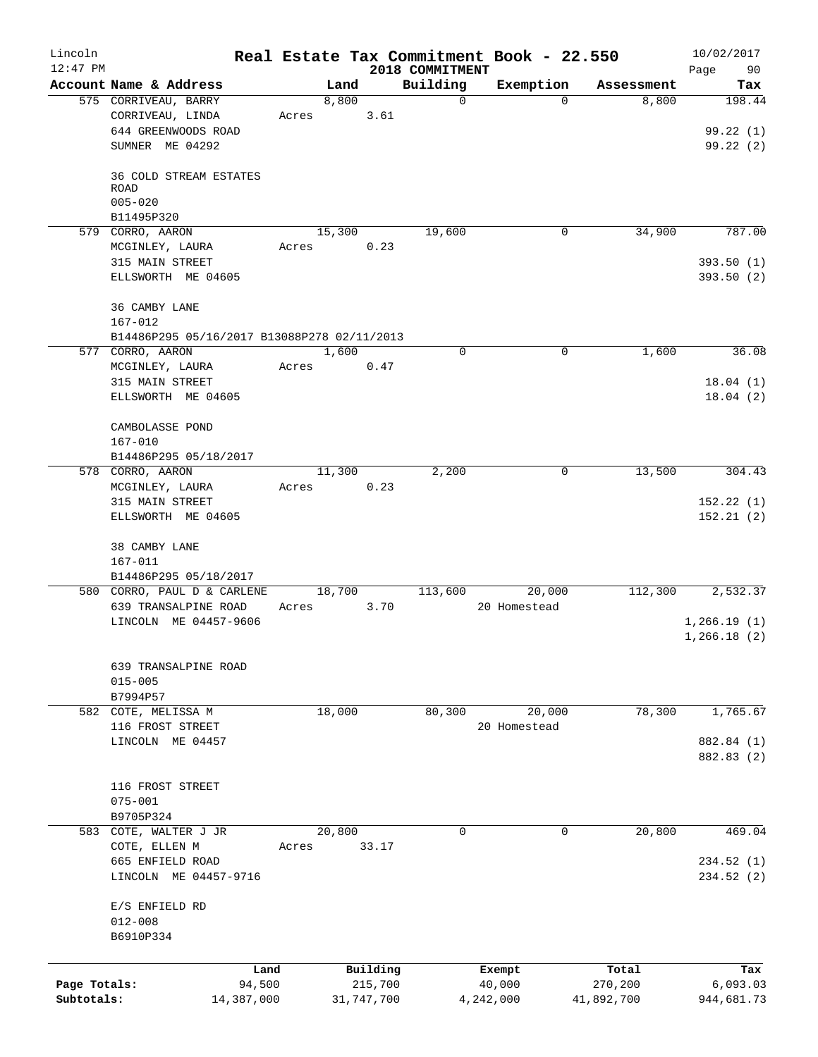| Lincoln<br>$12:47$ PM      |                                                         |                 |                                   | 2018 COMMITMENT | Real Estate Tax Commitment Book - 22.550 |                                | 10/02/2017<br>Page<br>90      |
|----------------------------|---------------------------------------------------------|-----------------|-----------------------------------|-----------------|------------------------------------------|--------------------------------|-------------------------------|
|                            | Account Name & Address                                  | Land            |                                   | Building        | Exemption                                | Assessment                     | Tax                           |
|                            | 575 CORRIVEAU, BARRY<br>CORRIVEAU, LINDA                | 8,800<br>Acres  | 3.61                              | $\mathbf 0$     | $\Omega$                                 | 8,800                          | 198.44                        |
|                            | 644 GREENWOODS ROAD<br>SUMNER ME 04292                  |                 |                                   |                 |                                          |                                | 99.22(1)<br>99.22(2)          |
|                            | 36 COLD STREAM ESTATES<br><b>ROAD</b>                   |                 |                                   |                 |                                          |                                |                               |
|                            | $005 - 020$<br>B11495P320                               |                 |                                   |                 |                                          |                                |                               |
|                            | 579 CORRO, AARON<br>MCGINLEY, LAURA                     | 15,300<br>Acres | 0.23                              | 19,600          | $\overline{0}$                           | 34,900                         | 787.00                        |
|                            | 315 MAIN STREET<br>ELLSWORTH ME 04605                   |                 |                                   |                 |                                          |                                | 393.50(1)<br>393.50(2)        |
|                            | 36 CAMBY LANE<br>$167 - 012$                            |                 |                                   |                 |                                          |                                |                               |
|                            | B14486P295 05/16/2017 B13088P278 02/11/2013             |                 |                                   |                 |                                          |                                |                               |
|                            | 577 CORRO, AARON<br>MCGINLEY, LAURA                     | 1,600<br>Acres  | 0.47                              | $\mathbf 0$     | 0                                        | 1,600                          | 36.08                         |
|                            | 315 MAIN STREET<br>ELLSWORTH ME 04605                   |                 |                                   |                 |                                          |                                | 18.04(1)<br>18.04(2)          |
|                            | CAMBOLASSE POND<br>$167 - 010$<br>B14486P295 05/18/2017 |                 |                                   |                 |                                          |                                |                               |
|                            | 578 CORRO, AARON<br>MCGINLEY, LAURA                     | 11,300<br>Acres | 0.23                              | 2,200           | $\mathbf 0$                              | 13,500                         | 304.43                        |
|                            | 315 MAIN STREET<br>ELLSWORTH ME 04605                   |                 |                                   |                 |                                          |                                | 152.22(1)<br>152.21(2)        |
|                            | 38 CAMBY LANE<br>167-011<br>B14486P295 05/18/2017       |                 |                                   |                 |                                          |                                |                               |
|                            | 580 CORRO, PAUL D & CARLENE<br>639 TRANSALPINE ROAD     | 18,700<br>Acres | 3.70                              | 113,600         | 20,000<br>20 Homestead                   | 112,300                        | 2,532.37                      |
|                            | LINCOLN ME 04457-9606                                   |                 |                                   |                 |                                          |                                | 1,266.19(1)<br>1,266.18(2)    |
|                            | 639 TRANSALPINE ROAD<br>$015 - 005$<br>B7994P57         |                 |                                   |                 |                                          |                                |                               |
|                            | 582 COTE, MELISSA M<br>116 FROST STREET                 | 18,000          |                                   | 80, 300         | 20,000<br>20 Homestead                   | 78,300                         | 1,765.67                      |
|                            | LINCOLN ME 04457                                        |                 |                                   |                 |                                          |                                | 882.84 (1)<br>882.83 (2)      |
|                            | 116 FROST STREET<br>$075 - 001$                         |                 |                                   |                 |                                          |                                |                               |
|                            | B9705P324                                               |                 |                                   | $\Omega$        | $\mathbf 0$                              |                                |                               |
|                            | 583 COTE, WALTER J JR<br>COTE, ELLEN M                  | 20,800<br>Acres | 33.17                             |                 |                                          | 20,800                         | 469.04                        |
|                            | 665 ENFIELD ROAD<br>LINCOLN ME 04457-9716               |                 |                                   |                 |                                          |                                | 234.52(1)<br>234.52(2)        |
|                            | E/S ENFIELD RD<br>$012 - 008$<br>B6910P334              |                 |                                   |                 |                                          |                                |                               |
|                            |                                                         |                 |                                   |                 |                                          |                                |                               |
| Page Totals:<br>Subtotals: | Land<br>94,500<br>14,387,000                            |                 | Building<br>215,700<br>31,747,700 |                 | Exempt<br>40,000<br>4,242,000            | Total<br>270,200<br>41,892,700 | Tax<br>6,093.03<br>944,681.73 |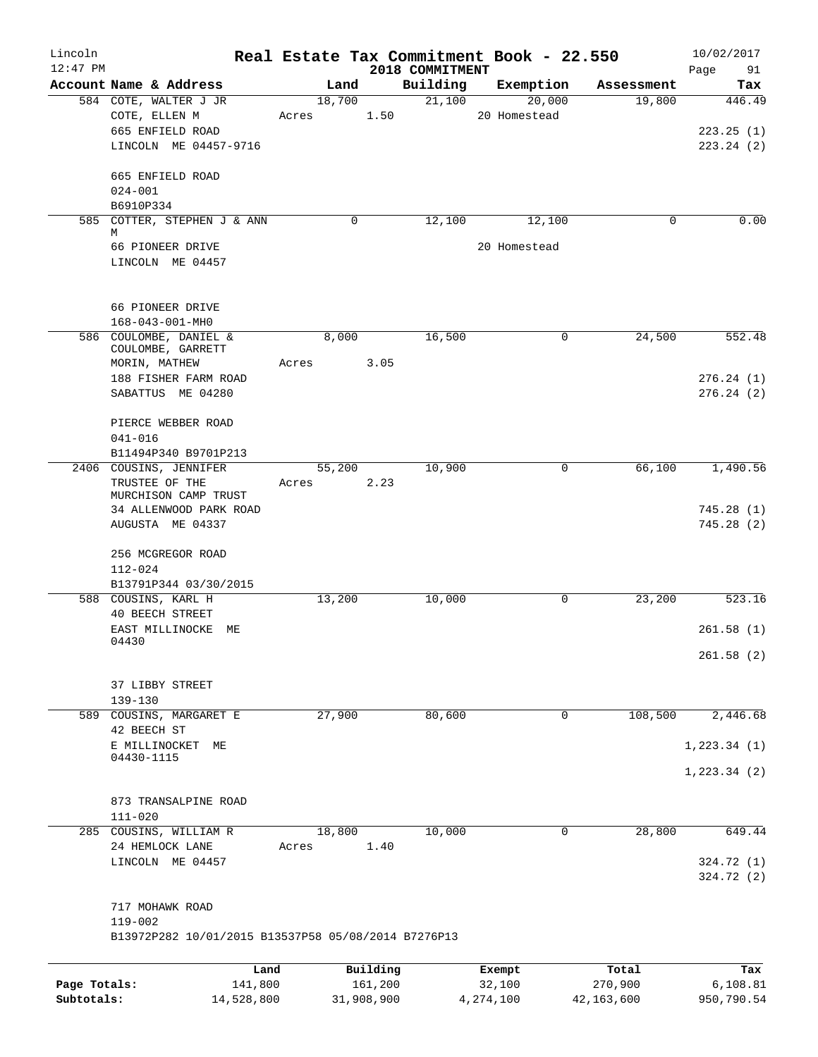| Lincoln      |                                                     | Real Estate Tax Commitment Book - 22.550 |                             |                     |                      | 10/02/2017             |
|--------------|-----------------------------------------------------|------------------------------------------|-----------------------------|---------------------|----------------------|------------------------|
| $12:47$ PM   | Account Name & Address                              |                                          | 2018 COMMITMENT<br>Building |                     |                      | Page<br>91             |
|              | 584 COTE, WALTER J JR                               | Land<br>18,700                           | 21,100                      | Exemption<br>20,000 | Assessment<br>19,800 | Tax<br>446.49          |
|              | COTE, ELLEN M                                       | Acres                                    | 1.50                        | 20 Homestead        |                      |                        |
|              | 665 ENFIELD ROAD                                    |                                          |                             |                     |                      | 223.25(1)              |
|              | LINCOLN ME 04457-9716                               |                                          |                             |                     |                      | 223.24(2)              |
|              |                                                     |                                          |                             |                     |                      |                        |
|              | 665 ENFIELD ROAD                                    |                                          |                             |                     |                      |                        |
|              | $024 - 001$                                         |                                          |                             |                     |                      |                        |
|              | B6910P334                                           |                                          |                             |                     |                      |                        |
| 585          | COTTER, STEPHEN J & ANN<br>М                        | 0                                        | 12,100                      | 12,100              | 0                    | 0.00                   |
|              | 66 PIONEER DRIVE                                    |                                          |                             | 20 Homestead        |                      |                        |
|              | LINCOLN ME 04457                                    |                                          |                             |                     |                      |                        |
|              | 66 PIONEER DRIVE                                    |                                          |                             |                     |                      |                        |
|              | $168 - 043 - 001 - MH0$                             |                                          |                             |                     |                      |                        |
|              | 586 COULOMBE, DANIEL &                              | 8,000                                    | 16,500                      | 0                   | 24,500               | 552.48                 |
|              | COULOMBE, GARRETT                                   |                                          |                             |                     |                      |                        |
|              | MORIN, MATHEW                                       | Acres                                    | 3.05                        |                     |                      |                        |
|              | 188 FISHER FARM ROAD<br>SABATTUS ME 04280           |                                          |                             |                     |                      | 276.24(1)<br>276.24(2) |
|              |                                                     |                                          |                             |                     |                      |                        |
|              | PIERCE WEBBER ROAD                                  |                                          |                             |                     |                      |                        |
|              | $041 - 016$                                         |                                          |                             |                     |                      |                        |
|              | B11494P340 B9701P213                                |                                          |                             |                     |                      |                        |
|              | 2406 COUSINS, JENNIFER                              | 55,200                                   | 10,900                      | 0                   | 66,100               | 1,490.56               |
|              | TRUSTEE OF THE                                      | Acres                                    | 2.23                        |                     |                      |                        |
|              | MURCHISON CAMP TRUST                                |                                          |                             |                     |                      |                        |
|              | 34 ALLENWOOD PARK ROAD                              |                                          |                             |                     |                      | 745.28(1)              |
|              | AUGUSTA ME 04337                                    |                                          |                             |                     |                      | 745.28(2)              |
|              | 256 MCGREGOR ROAD                                   |                                          |                             |                     |                      |                        |
|              | 112-024                                             |                                          |                             |                     |                      |                        |
|              | B13791P344 03/30/2015                               |                                          |                             |                     |                      |                        |
|              | 588 COUSINS, KARL H                                 | 13,200                                   | 10,000                      | 0                   | 23,200               | 523.16                 |
|              | <b>40 BEECH STREET</b>                              |                                          |                             |                     |                      |                        |
|              | EAST MILLINOCKE<br>МE                               |                                          |                             |                     |                      | 261.58(1)              |
|              | 04430                                               |                                          |                             |                     |                      | 261.58(2)              |
|              |                                                     |                                          |                             |                     |                      |                        |
|              | 37 LIBBY STREET                                     |                                          |                             |                     |                      |                        |
|              | $139 - 130$                                         |                                          |                             |                     |                      |                        |
|              | 589 COUSINS, MARGARET E                             | 27,900                                   | 80,600                      | 0                   | 108,500              | 2,446.68               |
|              | 42 BEECH ST                                         |                                          |                             |                     |                      |                        |
|              | E MILLINOCKET<br>МE<br>04430-1115                   |                                          |                             |                     |                      | 1, 223.34(1)           |
|              |                                                     |                                          |                             |                     |                      | 1, 223.34 (2)          |
|              |                                                     |                                          |                             |                     |                      |                        |
|              | 873 TRANSALPINE ROAD                                |                                          |                             |                     |                      |                        |
|              | $111 - 020$                                         |                                          |                             |                     |                      |                        |
|              | 285 COUSINS, WILLIAM R<br>24 HEMLOCK LANE           | 18,800<br>1.40<br>Acres                  | 10,000                      | 0                   | 28,800               | 649.44                 |
|              | LINCOLN ME 04457                                    |                                          |                             |                     |                      | 324.72 (1)             |
|              |                                                     |                                          |                             |                     |                      | 324.72 (2)             |
|              | 717 MOHAWK ROAD                                     |                                          |                             |                     |                      |                        |
|              | 119-002                                             |                                          |                             |                     |                      |                        |
|              | B13972P282 10/01/2015 B13537P58 05/08/2014 B7276P13 |                                          |                             |                     |                      |                        |
|              | Land                                                | Building                                 |                             | Exempt              | Total                | Tax                    |
| Page Totals: | 141,800                                             | 161,200                                  |                             | 32,100              | 270,900              | 6, 108.81              |
| Subtotals:   | 14,528,800                                          | 31,908,900                               |                             | 4, 274, 100         | 42,163,600           | 950,790.54             |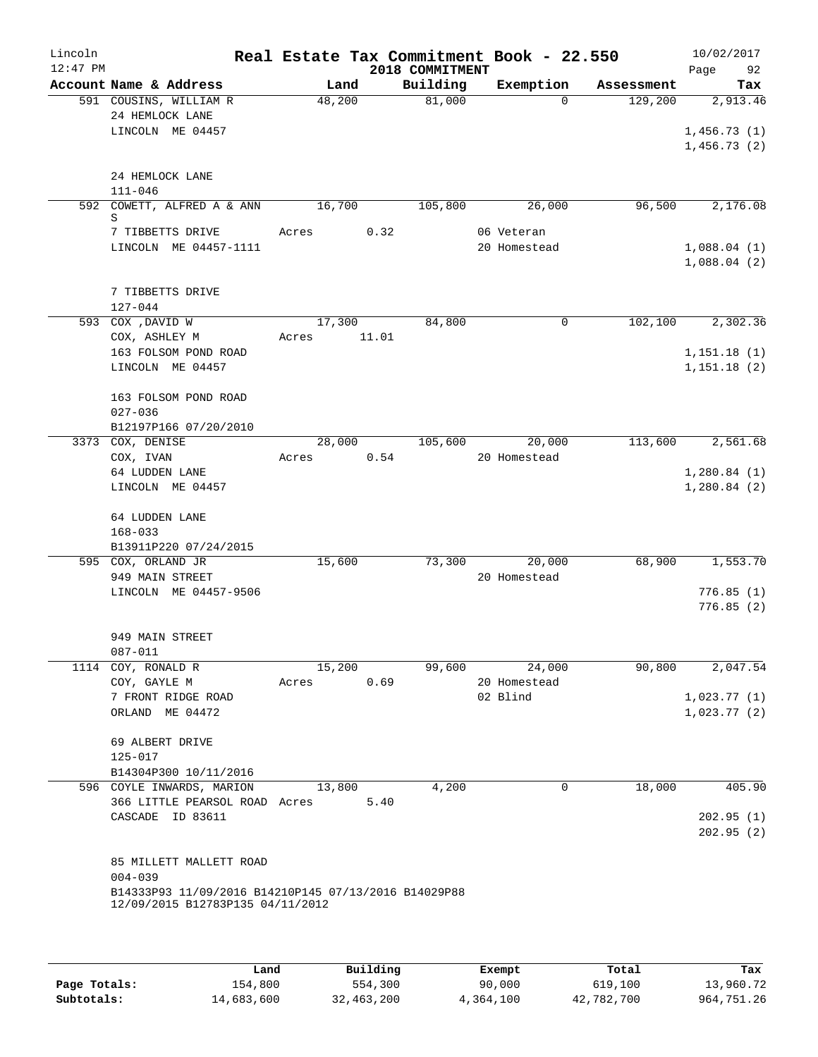| Lincoln<br>$12:47$ PM |                                                                                          |        |       | 2018 COMMITMENT | Real Estate Tax Commitment Book - 22.550 |          |            | 10/02/2017<br>Page<br>92   |
|-----------------------|------------------------------------------------------------------------------------------|--------|-------|-----------------|------------------------------------------|----------|------------|----------------------------|
|                       | Account Name & Address                                                                   | Land   |       | Building        | Exemption                                |          | Assessment | Tax                        |
|                       | 591 COUSINS, WILLIAM R<br>24 HEMLOCK LANE<br>LINCOLN ME 04457                            | 48,200 |       | 81,000          |                                          | $\Omega$ | 129,200    | 2,913.46<br>1,456.73(1)    |
|                       |                                                                                          |        |       |                 |                                          |          |            | 1,456.73(2)                |
|                       | 24 HEMLOCK LANE                                                                          |        |       |                 |                                          |          |            |                            |
|                       | $111 - 046$                                                                              |        |       |                 |                                          |          |            |                            |
|                       | 592 COWETT, ALFRED A & ANN<br>S                                                          | 16,700 |       | 105,800         | 26,000                                   |          | 96,500     | 2,176.08                   |
|                       | 7 TIBBETTS DRIVE                                                                         | Acres  | 0.32  |                 | 06 Veteran                               |          |            |                            |
|                       | LINCOLN ME 04457-1111                                                                    |        |       |                 | 20 Homestead                             |          |            | 1,088.04(1)                |
|                       |                                                                                          |        |       |                 |                                          |          |            | 1,088.04(2)                |
|                       | 7 TIBBETTS DRIVE                                                                         |        |       |                 |                                          |          |            |                            |
|                       | $127 - 044$                                                                              |        |       |                 |                                          |          |            |                            |
|                       | 593 COX , DAVID W                                                                        | 17,300 |       | 84,800          |                                          | 0        | 102,100    | 2,302.36                   |
|                       | COX, ASHLEY M                                                                            | Acres  | 11.01 |                 |                                          |          |            |                            |
|                       | 163 FOLSOM POND ROAD                                                                     |        |       |                 |                                          |          |            | 1, 151.18(1)               |
|                       | LINCOLN ME 04457                                                                         |        |       |                 |                                          |          |            | 1,151.18(2)                |
|                       |                                                                                          |        |       |                 |                                          |          |            |                            |
|                       | 163 FOLSOM POND ROAD                                                                     |        |       |                 |                                          |          |            |                            |
|                       | $027 - 036$<br>B12197P166 07/20/2010                                                     |        |       |                 |                                          |          |            |                            |
|                       | 3373 COX, DENISE                                                                         | 28,000 |       | 105,600         | 20,000                                   |          | 113,600    | 2,561.68                   |
|                       | COX, IVAN                                                                                | Acres  | 0.54  |                 | 20 Homestead                             |          |            |                            |
|                       | 64 LUDDEN LANE                                                                           |        |       |                 |                                          |          |            | 1,280.84(1)                |
|                       | LINCOLN ME 04457                                                                         |        |       |                 |                                          |          |            | 1,280.84(2)                |
|                       | 64 LUDDEN LANE<br>$168 - 033$                                                            |        |       |                 |                                          |          |            |                            |
|                       | B13911P220 07/24/2015                                                                    |        |       |                 |                                          |          |            |                            |
|                       | 595 COX, ORLAND JR                                                                       | 15,600 |       | 73,300          | 20,000                                   |          | 68,900     | 1,553.70                   |
|                       | 949 MAIN STREET                                                                          |        |       |                 | 20 Homestead                             |          |            |                            |
|                       | LINCOLN ME 04457-9506                                                                    |        |       |                 |                                          |          |            | 776.85(1)<br>776.85(2)     |
|                       |                                                                                          |        |       |                 |                                          |          |            |                            |
|                       | 949 MAIN STREET                                                                          |        |       |                 |                                          |          |            |                            |
|                       | 087-011                                                                                  |        |       |                 |                                          |          |            |                            |
|                       | 1114 COY, RONALD R                                                                       | 15,200 |       | 99,600          | 24,000                                   |          | 90,800     | 2,047.54                   |
|                       | COY, GAYLE M<br>7 FRONT RIDGE ROAD                                                       | Acres  | 0.69  |                 | 20 Homestead<br>02 Blind                 |          |            |                            |
|                       | ORLAND ME 04472                                                                          |        |       |                 |                                          |          |            | 1,023.77(1)<br>1,023.77(2) |
|                       |                                                                                          |        |       |                 |                                          |          |            |                            |
|                       | 69 ALBERT DRIVE                                                                          |        |       |                 |                                          |          |            |                            |
|                       | 125-017                                                                                  |        |       |                 |                                          |          |            |                            |
|                       | B14304P300 10/11/2016                                                                    |        |       |                 |                                          |          |            |                            |
|                       | 596 COYLE INWARDS, MARION                                                                | 13,800 |       | 4,200           |                                          | 0        | 18,000     | 405.90                     |
|                       | 366 LITTLE PEARSOL ROAD Acres<br>CASCADE ID 83611                                        |        | 5.40  |                 |                                          |          |            | 202.95(1)                  |
|                       |                                                                                          |        |       |                 |                                          |          |            | 202.95(2)                  |
|                       |                                                                                          |        |       |                 |                                          |          |            |                            |
|                       | 85 MILLETT MALLETT ROAD                                                                  |        |       |                 |                                          |          |            |                            |
|                       | $004 - 039$                                                                              |        |       |                 |                                          |          |            |                            |
|                       | B14333P93 11/09/2016 B14210P145 07/13/2016 B14029P88<br>12/09/2015 B12783P135 04/11/2012 |        |       |                 |                                          |          |            |                            |
|                       |                                                                                          |        |       |                 |                                          |          |            |                            |
|                       |                                                                                          |        |       |                 |                                          |          |            |                            |
|                       |                                                                                          |        |       |                 |                                          |          |            |                            |

|              | Land       | Building   | Exempt    | Total      | Tax        |
|--------------|------------|------------|-----------|------------|------------|
| Page Totals: | 154,800    | 554,300    | 90,000    | 619,100    | 13,960.72  |
| Subtotals:   | 14,683,600 | 32,463,200 | 4,364,100 | 42,782,700 | 964,751.26 |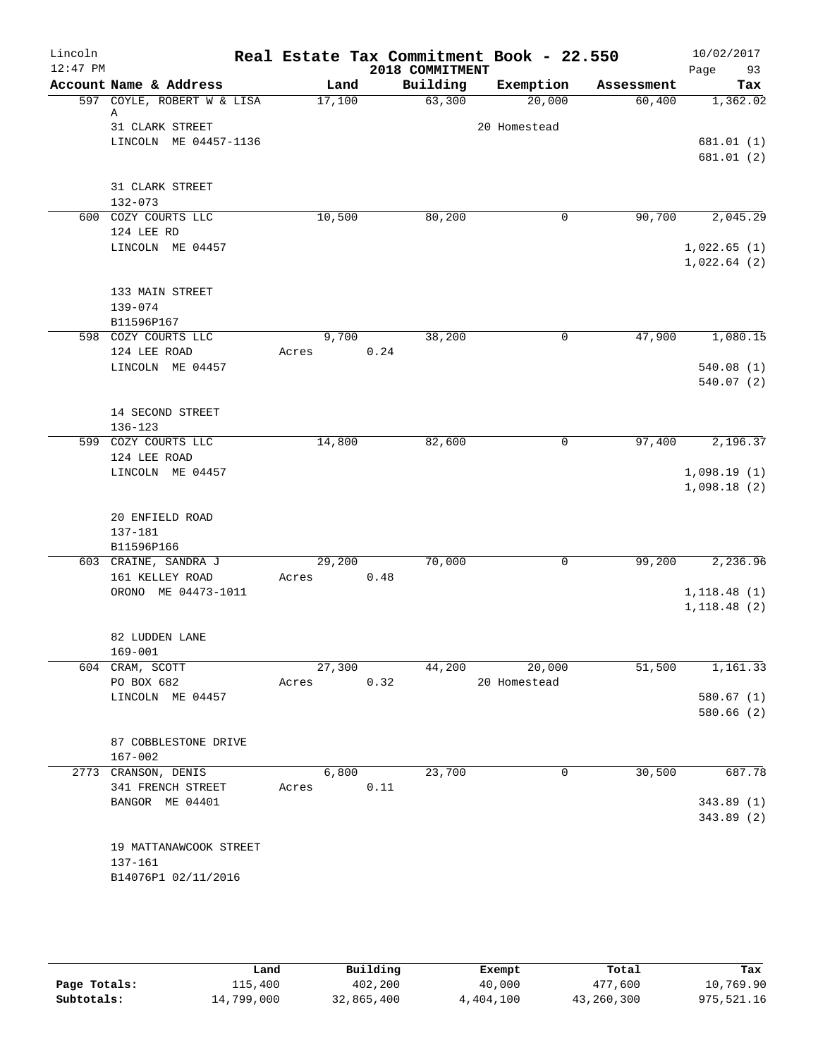| Lincoln    |                                                      |                 |      |                    | Real Estate Tax Commitment Book - 22.550 |                      | 10/02/2017      |
|------------|------------------------------------------------------|-----------------|------|--------------------|------------------------------------------|----------------------|-----------------|
| $12:47$ PM |                                                      |                 |      | 2018 COMMITMENT    |                                          |                      | Page<br>93      |
|            | Account Name & Address<br>597 COYLE, ROBERT W & LISA | Land<br>17,100  |      | Building<br>63,300 | Exemption<br>20,000                      | Assessment<br>60,400 | Tax<br>1,362.02 |
|            | Α                                                    |                 |      |                    |                                          |                      |                 |
|            | 31 CLARK STREET                                      |                 |      |                    | 20 Homestead                             |                      |                 |
|            | LINCOLN ME 04457-1136                                |                 |      |                    |                                          |                      | 681.01(1)       |
|            |                                                      |                 |      |                    |                                          |                      | 681.01(2)       |
|            | 31 CLARK STREET                                      |                 |      |                    |                                          |                      |                 |
|            | $132 - 073$                                          |                 |      |                    |                                          |                      |                 |
|            | 600 COZY COURTS LLC                                  | 10,500          |      | 80,200             | 0                                        | 90,700               | 2,045.29        |
|            | 124 LEE RD                                           |                 |      |                    |                                          |                      |                 |
|            | LINCOLN ME 04457                                     |                 |      |                    |                                          |                      | 1,022.65(1)     |
|            |                                                      |                 |      |                    |                                          |                      | 1,022.64(2)     |
|            |                                                      |                 |      |                    |                                          |                      |                 |
|            | 133 MAIN STREET                                      |                 |      |                    |                                          |                      |                 |
|            | 139-074                                              |                 |      |                    |                                          |                      |                 |
|            | B11596P167                                           |                 |      |                    |                                          |                      |                 |
|            | 598 COZY COURTS LLC                                  | 9,700           |      | 38,200             | 0                                        | 47,900               | 1,080.15        |
|            | 124 LEE ROAD                                         | Acres           | 0.24 |                    |                                          |                      |                 |
|            | LINCOLN ME 04457                                     |                 |      |                    |                                          |                      | 540.08(1)       |
|            |                                                      |                 |      |                    |                                          |                      | 540.07(2)       |
|            | 14 SECOND STREET                                     |                 |      |                    |                                          |                      |                 |
|            | 136-123                                              |                 |      |                    |                                          |                      |                 |
|            | 599 COZY COURTS LLC                                  | 14,800          |      | 82,600             | 0                                        | 97,400               | 2,196.37        |
|            | 124 LEE ROAD                                         |                 |      |                    |                                          |                      |                 |
|            | LINCOLN ME 04457                                     |                 |      |                    |                                          |                      | 1,098.19(1)     |
|            |                                                      |                 |      |                    |                                          |                      | 1,098.18(2)     |
|            |                                                      |                 |      |                    |                                          |                      |                 |
|            | 20 ENFIELD ROAD                                      |                 |      |                    |                                          |                      |                 |
|            | 137-181                                              |                 |      |                    |                                          |                      |                 |
|            | B11596P166                                           |                 |      | 70,000             | 0                                        |                      |                 |
|            | 603 CRAINE, SANDRA J<br>161 KELLEY ROAD              | 29,200<br>Acres | 0.48 |                    |                                          | 99,200               | 2,236.96        |
|            | ORONO ME 04473-1011                                  |                 |      |                    |                                          |                      | 1, 118.48(1)    |
|            |                                                      |                 |      |                    |                                          |                      | 1, 118.48(2)    |
|            |                                                      |                 |      |                    |                                          |                      |                 |
|            | 82 LUDDEN LANE                                       |                 |      |                    |                                          |                      |                 |
|            | $169 - 001$                                          |                 |      |                    |                                          |                      |                 |
|            | 604 CRAM, SCOTT                                      | 27,300          |      | 44,200             | 20,000                                   | 51,500               | 1,161.33        |
|            | PO BOX 682                                           | Acres           | 0.32 |                    | 20 Homestead                             |                      |                 |
|            | LINCOLN ME 04457                                     |                 |      |                    |                                          |                      | 580.67(1)       |
|            |                                                      |                 |      |                    |                                          |                      | 580.66(2)       |
|            |                                                      |                 |      |                    |                                          |                      |                 |
|            | 87 COBBLESTONE DRIVE<br>$167 - 002$                  |                 |      |                    |                                          |                      |                 |
|            | 2773 CRANSON, DENIS                                  | 6,800           |      | 23,700             | 0                                        | 30,500               | 687.78          |
|            | 341 FRENCH STREET                                    | Acres           | 0.11 |                    |                                          |                      |                 |
|            | BANGOR ME 04401                                      |                 |      |                    |                                          |                      | 343.89(1)       |
|            |                                                      |                 |      |                    |                                          |                      | 343.89(2)       |
|            |                                                      |                 |      |                    |                                          |                      |                 |
|            | 19 MATTANAWCOOK STREET                               |                 |      |                    |                                          |                      |                 |
|            | 137-161                                              |                 |      |                    |                                          |                      |                 |
|            | B14076P1 02/11/2016                                  |                 |      |                    |                                          |                      |                 |
|            |                                                      |                 |      |                    |                                          |                      |                 |

|              | Land       | Building   | Exempt    | Total      | Tax        |
|--------------|------------|------------|-----------|------------|------------|
| Page Totals: | 115,400    | 402,200    | 40,000    | 477,600    | 10,769.90  |
| Subtotals:   | 14,799,000 | 32,865,400 | 4,404,100 | 43,260,300 | 975,521.16 |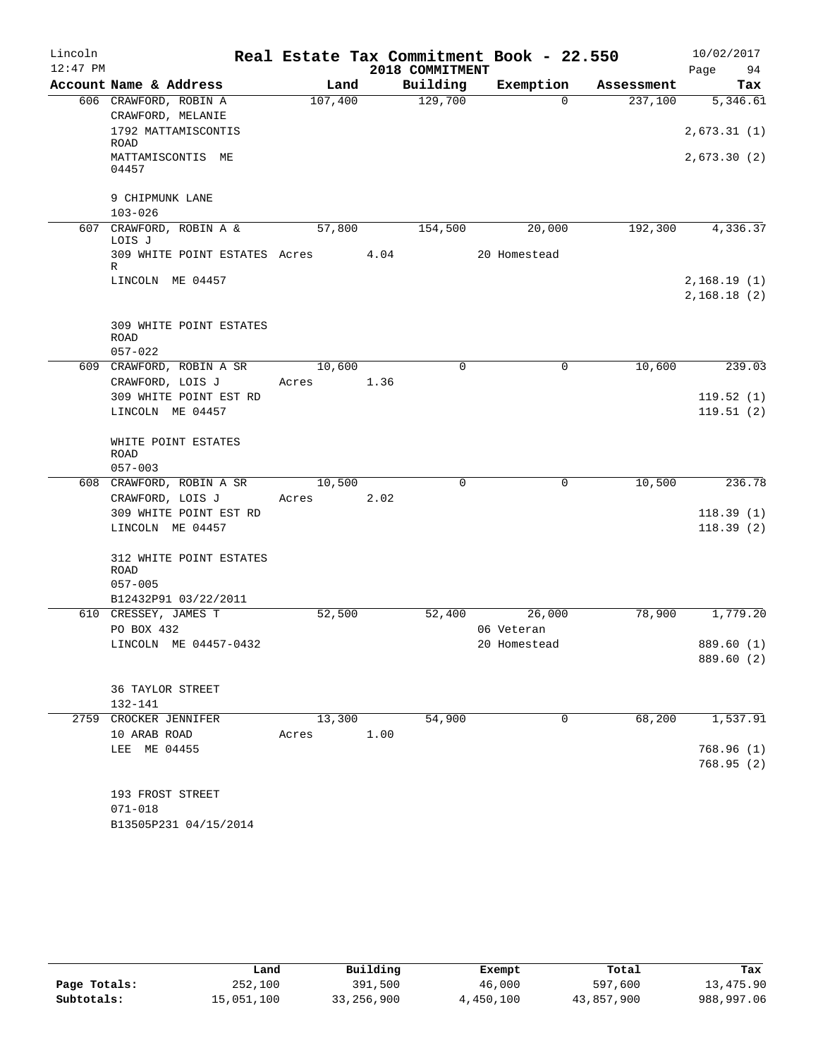| Lincoln    |                                            |            |      | Real Estate Tax Commitment Book - 22.550 |              |            | 10/02/2017             |
|------------|--------------------------------------------|------------|------|------------------------------------------|--------------|------------|------------------------|
| $12:47$ PM |                                            |            |      | 2018 COMMITMENT                          |              |            | 94<br>Page             |
|            | Account Name & Address                     | Land       |      | Building                                 | Exemption    | Assessment | Tax                    |
|            | 606 CRAWFORD, ROBIN A                      | 107,400    |      | 129,700                                  | $\Omega$     | 237,100    | 5,346.61               |
|            | CRAWFORD, MELANIE<br>1792 MATTAMISCONTIS   |            |      |                                          |              |            | 2,673.31(1)            |
|            | ROAD                                       |            |      |                                          |              |            |                        |
|            | MATTAMISCONTIS ME                          |            |      |                                          |              |            | 2,673.30 (2)           |
|            | 04457                                      |            |      |                                          |              |            |                        |
|            | 9 CHIPMUNK LANE                            |            |      |                                          |              |            |                        |
|            | $103 - 026$                                |            |      |                                          |              |            |                        |
|            | 607 CRAWFORD, ROBIN A &<br>LOIS J          | 57,800     |      | 154,500                                  | 20,000       | 192,300    | 4,336.37               |
|            | 309 WHITE POINT ESTATES Acres 4.04         |            |      |                                          | 20 Homestead |            |                        |
|            | R                                          |            |      |                                          |              |            |                        |
|            | LINCOLN ME 04457                           |            |      |                                          |              |            | 2,168.19(1)            |
|            |                                            |            |      |                                          |              |            | 2,168.18(2)            |
|            | 309 WHITE POINT ESTATES                    |            |      |                                          |              |            |                        |
|            | <b>ROAD</b>                                |            |      |                                          |              |            |                        |
|            | $057 - 022$                                |            |      |                                          |              |            |                        |
|            | 609 CRAWFORD, ROBIN A SR                   | 10,600     |      | $\Omega$                                 | 0            | 10,600     | 239.03                 |
|            | CRAWFORD, LOIS J                           | Acres 1.36 |      |                                          |              |            |                        |
|            | 309 WHITE POINT EST RD<br>LINCOLN ME 04457 |            |      |                                          |              |            | 119.52(1)<br>119.51(2) |
|            |                                            |            |      |                                          |              |            |                        |
|            | WHITE POINT ESTATES                        |            |      |                                          |              |            |                        |
|            | <b>ROAD</b>                                |            |      |                                          |              |            |                        |
|            | $057 - 003$                                |            |      |                                          |              |            |                        |
|            | 608 CRAWFORD, ROBIN A SR                   | 10,500     | 2.02 | $\Omega$                                 | 0            | 10,500     | 236.78                 |
|            | CRAWFORD, LOIS J<br>309 WHITE POINT EST RD | Acres      |      |                                          |              |            | 118.39(1)              |
|            | LINCOLN ME 04457                           |            |      |                                          |              |            | 118.39(2)              |
|            |                                            |            |      |                                          |              |            |                        |
|            | 312 WHITE POINT ESTATES                    |            |      |                                          |              |            |                        |
|            | <b>ROAD</b>                                |            |      |                                          |              |            |                        |
|            | $057 - 005$<br>B12432P91 03/22/2011        |            |      |                                          |              |            |                        |
|            | 610 CRESSEY, JAMES T                       | 52,500     |      | 52,400                                   | 26,000       | 78,900     | 1,779.20               |
|            | PO BOX 432                                 |            |      |                                          | 06 Veteran   |            |                        |
|            | LINCOLN ME 04457-0432                      |            |      |                                          | 20 Homestead |            | 889.60 (1)             |
|            |                                            |            |      |                                          |              |            | 889.60 (2)             |
|            | 36 TAYLOR STREET                           |            |      |                                          |              |            |                        |
|            | 132-141                                    |            |      |                                          |              |            |                        |
|            | 2759 CROCKER JENNIFER                      | 13,300     |      | 54,900                                   | $\mathbf 0$  | 68,200     | 1,537.91               |
|            | 10 ARAB ROAD                               | Acres      | 1.00 |                                          |              |            |                        |
|            | LEE ME 04455                               |            |      |                                          |              |            | 768.96(1)              |
|            |                                            |            |      |                                          |              |            | 768.95(2)              |
|            |                                            |            |      |                                          |              |            |                        |
|            | 193 FROST STREET                           |            |      |                                          |              |            |                        |
|            | $071 - 018$<br>B13505P231 04/15/2014       |            |      |                                          |              |            |                        |
|            |                                            |            |      |                                          |              |            |                        |

|              | Land       | Building     | Exempt    | Total      | Tax        |
|--------------|------------|--------------|-----------|------------|------------|
| Page Totals: | 252,100    | 391,500      | 46,000    | 597,600    | 13,475.90  |
| Subtotals:   | 15,051,100 | 33, 256, 900 | 4,450,100 | 43,857,900 | 988,997.06 |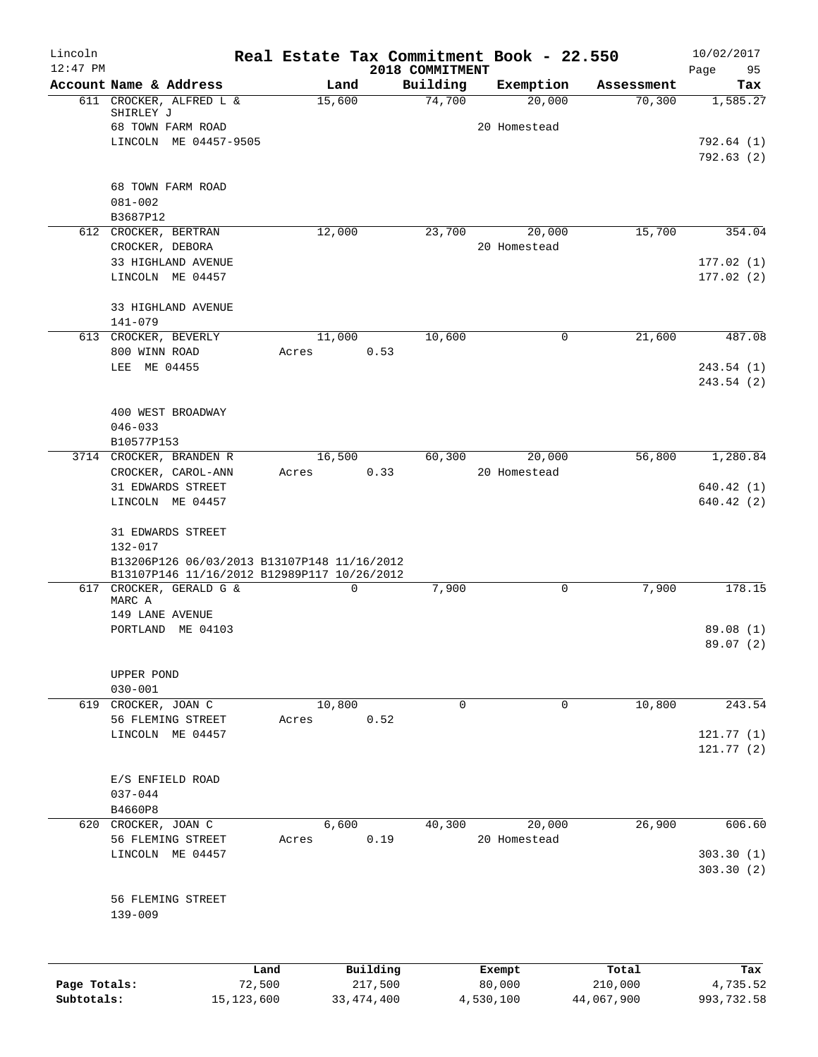| Lincoln      |                                                                                            |        |        | Real Estate Tax Commitment Book - 22.550 |                        |                      | 10/02/2017      |
|--------------|--------------------------------------------------------------------------------------------|--------|--------|------------------------------------------|------------------------|----------------------|-----------------|
| $12:47$ PM   | Account Name & Address                                                                     |        | Land   | 2018 COMMITMENT<br>Building              |                        |                      | Page<br>95      |
|              | 611 CROCKER, ALFRED L &                                                                    |        | 15,600 | 74,700                                   | Exemption<br>20,000    | Assessment<br>70,300 | Tax<br>1,585.27 |
|              | SHIRLEY J                                                                                  |        |        |                                          |                        |                      |                 |
|              | 68 TOWN FARM ROAD                                                                          |        |        |                                          | 20 Homestead           |                      |                 |
|              | LINCOLN ME 04457-9505                                                                      |        |        |                                          |                        |                      | 792.64 (1)      |
|              |                                                                                            |        |        |                                          |                        |                      | 792.63(2)       |
|              | 68 TOWN FARM ROAD                                                                          |        |        |                                          |                        |                      |                 |
|              | $081 - 002$                                                                                |        |        |                                          |                        |                      |                 |
|              | B3687P12                                                                                   |        |        |                                          |                        |                      |                 |
|              | 612 CROCKER, BERTRAN                                                                       |        | 12,000 | 23,700                                   | 20,000                 | 15,700               | 354.04          |
|              | CROCKER, DEBORA                                                                            |        |        |                                          | 20 Homestead           |                      |                 |
|              | 33 HIGHLAND AVENUE                                                                         |        |        |                                          |                        |                      | 177.02(1)       |
|              | LINCOLN ME 04457                                                                           |        |        |                                          |                        |                      | 177.02(2)       |
|              | 33 HIGHLAND AVENUE                                                                         |        |        |                                          |                        |                      |                 |
|              | 141-079                                                                                    |        |        |                                          |                        |                      |                 |
|              | 613 CROCKER, BEVERLY                                                                       |        | 11,000 | 10,600                                   | 0                      | 21,600               | 487.08          |
|              | 800 WINN ROAD                                                                              | Acres  |        | 0.53                                     |                        |                      |                 |
|              | LEE ME 04455                                                                               |        |        |                                          |                        |                      | 243.54 (1)      |
|              |                                                                                            |        |        |                                          |                        |                      | 243.54 (2)      |
|              |                                                                                            |        |        |                                          |                        |                      |                 |
|              | 400 WEST BROADWAY                                                                          |        |        |                                          |                        |                      |                 |
|              | $046 - 033$                                                                                |        |        |                                          |                        |                      |                 |
|              | B10577P153<br>3714 CROCKER, BRANDEN R                                                      |        | 16,500 |                                          |                        | 56,800               | 1,280.84        |
|              | CROCKER, CAROL-ANN                                                                         | Acres  |        | 60,300<br>0.33                           | 20,000<br>20 Homestead |                      |                 |
|              | 31 EDWARDS STREET                                                                          |        |        |                                          |                        |                      | 640.42(1)       |
|              | LINCOLN ME 04457                                                                           |        |        |                                          |                        |                      | 640.42(2)       |
|              |                                                                                            |        |        |                                          |                        |                      |                 |
|              | 31 EDWARDS STREET                                                                          |        |        |                                          |                        |                      |                 |
|              | 132-017                                                                                    |        |        |                                          |                        |                      |                 |
|              | B13206P126 06/03/2013 B13107P148 11/16/2012<br>B13107P146 11/16/2012 B12989P117 10/26/2012 |        |        |                                          |                        |                      |                 |
|              | 617 CROCKER, GERALD G &                                                                    |        | 0      | 7,900                                    | $\mathbf 0$            | 7,900                | 178.15          |
|              | MARC A                                                                                     |        |        |                                          |                        |                      |                 |
|              | 149 LANE AVENUE                                                                            |        |        |                                          |                        |                      |                 |
|              | PORTLAND ME 04103                                                                          |        |        |                                          |                        |                      | 89.08 (1)       |
|              |                                                                                            |        |        |                                          |                        |                      | 89.07 (2)       |
|              | UPPER POND                                                                                 |        |        |                                          |                        |                      |                 |
|              | $030 - 001$                                                                                |        |        |                                          |                        |                      |                 |
|              | 619 CROCKER, JOAN C                                                                        |        | 10,800 | $\Omega$                                 | $\mathbf 0$            | 10,800               | 243.54          |
|              | 56 FLEMING STREET                                                                          | Acres  |        | 0.52                                     |                        |                      |                 |
|              | LINCOLN ME 04457                                                                           |        |        |                                          |                        |                      | 121.77(1)       |
|              |                                                                                            |        |        |                                          |                        |                      | 121.77(2)       |
|              |                                                                                            |        |        |                                          |                        |                      |                 |
|              | E/S ENFIELD ROAD                                                                           |        |        |                                          |                        |                      |                 |
|              | $037 - 044$<br>B4660P8                                                                     |        |        |                                          |                        |                      |                 |
|              | 620 CROCKER, JOAN C                                                                        |        | 6,600  | 40,300                                   | 20,000                 | 26,900               | 606.60          |
|              | 56 FLEMING STREET                                                                          | Acres  |        | 0.19                                     | 20 Homestead           |                      |                 |
|              | LINCOLN ME 04457                                                                           |        |        |                                          |                        |                      | 303.30(1)       |
|              |                                                                                            |        |        |                                          |                        |                      | 303.30(2)       |
|              |                                                                                            |        |        |                                          |                        |                      |                 |
|              | 56 FLEMING STREET                                                                          |        |        |                                          |                        |                      |                 |
|              | $139 - 009$                                                                                |        |        |                                          |                        |                      |                 |
|              |                                                                                            |        |        |                                          |                        |                      |                 |
|              |                                                                                            |        |        |                                          |                        |                      |                 |
|              |                                                                                            | Land   |        | Building                                 | Exempt                 | Total                | Tax             |
| Page Totals: |                                                                                            | 72,500 |        | 217,500                                  | 80,000                 | 210,000              | 4,735.52        |

**Subtotals:** 15,123,600 33,474,400 4,530,100 44,067,900 993,732.58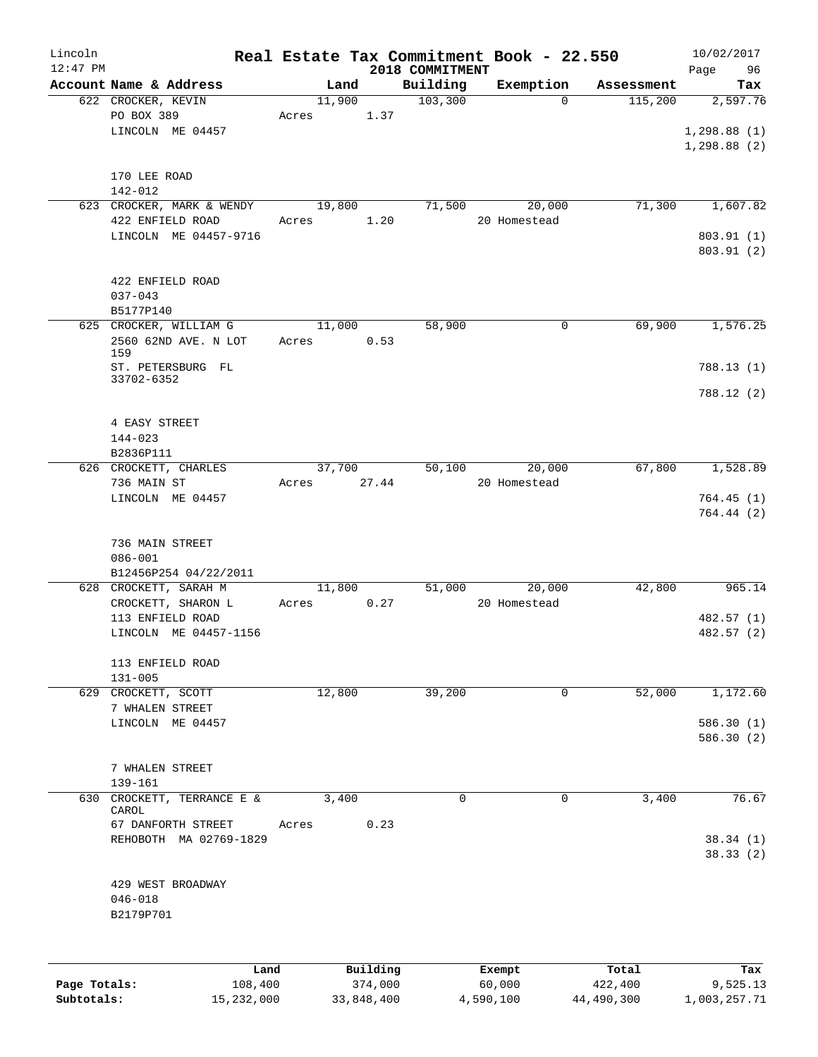| Lincoln      |                                             |                 |                     |                             | Real Estate Tax Commitment Book - 22.550 |                  | 10/02/2017        |
|--------------|---------------------------------------------|-----------------|---------------------|-----------------------------|------------------------------------------|------------------|-------------------|
| $12:47$ PM   | Account Name & Address                      | Land            |                     | 2018 COMMITMENT<br>Building | Exemption                                | Assessment       | Page<br>96<br>Tax |
|              | 622 CROCKER, KEVIN                          | 11,900          |                     | 103,300                     | $\Omega$                                 | 115,200          | 2,597.76          |
|              | PO BOX 389                                  | Acres           | 1.37                |                             |                                          |                  |                   |
|              | LINCOLN ME 04457                            |                 |                     |                             |                                          |                  | 1, 298.88(1)      |
|              |                                             |                 |                     |                             |                                          |                  | 1, 298.88(2)      |
|              |                                             |                 |                     |                             |                                          |                  |                   |
|              | 170 LEE ROAD                                |                 |                     |                             |                                          |                  |                   |
|              | $142 - 012$<br>623 CROCKER, MARK & WENDY    | 19,800          |                     | 71,500                      | 20,000                                   | 71,300           | 1,607.82          |
|              | 422 ENFIELD ROAD                            | Acres           | 1.20                |                             | 20 Homestead                             |                  |                   |
|              | LINCOLN ME 04457-9716                       |                 |                     |                             |                                          |                  | 803.91 (1)        |
|              |                                             |                 |                     |                             |                                          |                  | 803.91 (2)        |
|              |                                             |                 |                     |                             |                                          |                  |                   |
|              | 422 ENFIELD ROAD                            |                 |                     |                             |                                          |                  |                   |
|              | $037 - 043$<br>B5177P140                    |                 |                     |                             |                                          |                  |                   |
|              | 625 CROCKER, WILLIAM G                      | 11,000          |                     | 58,900                      | 0                                        | 69,900           | 1,576.25          |
|              | 2560 62ND AVE. N LOT                        | Acres           | 0.53                |                             |                                          |                  |                   |
|              | 159                                         |                 |                     |                             |                                          |                  |                   |
|              | ST. PETERSBURG FL                           |                 |                     |                             |                                          |                  | 788.13(1)         |
|              | 33702-6352                                  |                 |                     |                             |                                          |                  | 788.12 (2)        |
|              |                                             |                 |                     |                             |                                          |                  |                   |
|              | 4 EASY STREET                               |                 |                     |                             |                                          |                  |                   |
|              | $144 - 023$                                 |                 |                     |                             |                                          |                  |                   |
|              | B2836P111                                   |                 |                     |                             |                                          |                  |                   |
|              | 626 CROCKETT, CHARLES                       | 37,700          |                     | 50,100                      | 20,000                                   | 67,800           | 1,528.89          |
|              | 736 MAIN ST<br>LINCOLN ME 04457             | Acres           | 27.44               |                             | 20 Homestead                             |                  | 764.45(1)         |
|              |                                             |                 |                     |                             |                                          |                  | 764.44(2)         |
|              |                                             |                 |                     |                             |                                          |                  |                   |
|              | 736 MAIN STREET                             |                 |                     |                             |                                          |                  |                   |
|              | $086 - 001$                                 |                 |                     |                             |                                          |                  |                   |
|              | B12456P254 04/22/2011                       |                 |                     |                             |                                          |                  |                   |
|              | 628 CROCKETT, SARAH M<br>CROCKETT, SHARON L | 11,800<br>Acres | 0.27                | 51,000                      | 20,000<br>20 Homestead                   | 42,800           | 965.14            |
|              | 113 ENFIELD ROAD                            |                 |                     |                             |                                          |                  | 482.57 (1)        |
|              | LINCOLN ME 04457-1156                       |                 |                     |                             |                                          |                  | 482.57 (2)        |
|              |                                             |                 |                     |                             |                                          |                  |                   |
|              | 113 ENFIELD ROAD                            |                 |                     |                             |                                          |                  |                   |
|              | $131 - 005$                                 |                 |                     |                             |                                          |                  |                   |
| 629          | CROCKETT, SCOTT                             | 12,800          |                     | 39,200                      | 0                                        | 52,000           | 1,172.60          |
|              | 7 WHALEN STREET<br>LINCOLN ME 04457         |                 |                     |                             |                                          |                  | 586.30(1)         |
|              |                                             |                 |                     |                             |                                          |                  | 586.30(2)         |
|              |                                             |                 |                     |                             |                                          |                  |                   |
|              | 7 WHALEN STREET                             |                 |                     |                             |                                          |                  |                   |
|              | 139-161                                     |                 |                     |                             |                                          |                  |                   |
| 630          | CROCKETT, TERRANCE E &                      | 3,400           |                     | $\mathbf 0$                 | $\Omega$                                 | 3,400            | 76.67             |
|              | CAROL<br>67 DANFORTH STREET                 | Acres           | 0.23                |                             |                                          |                  |                   |
|              | REHOBOTH MA 02769-1829                      |                 |                     |                             |                                          |                  | 38.34(1)          |
|              |                                             |                 |                     |                             |                                          |                  | 38.33(2)          |
|              |                                             |                 |                     |                             |                                          |                  |                   |
|              | 429 WEST BROADWAY                           |                 |                     |                             |                                          |                  |                   |
|              | $046 - 018$                                 |                 |                     |                             |                                          |                  |                   |
|              | B2179P701                                   |                 |                     |                             |                                          |                  |                   |
|              |                                             |                 |                     |                             |                                          |                  |                   |
|              |                                             |                 |                     |                             |                                          |                  |                   |
| Page Totals: | Land<br>108,400                             |                 | Building<br>374,000 |                             | Exempt<br>60,000                         | Total<br>422,400 | Tax<br>9,525.13   |
|              |                                             |                 |                     |                             |                                          |                  |                   |

**Subtotals:** 15,232,000 33,848,400 4,590,100 44,490,300 1,003,257.71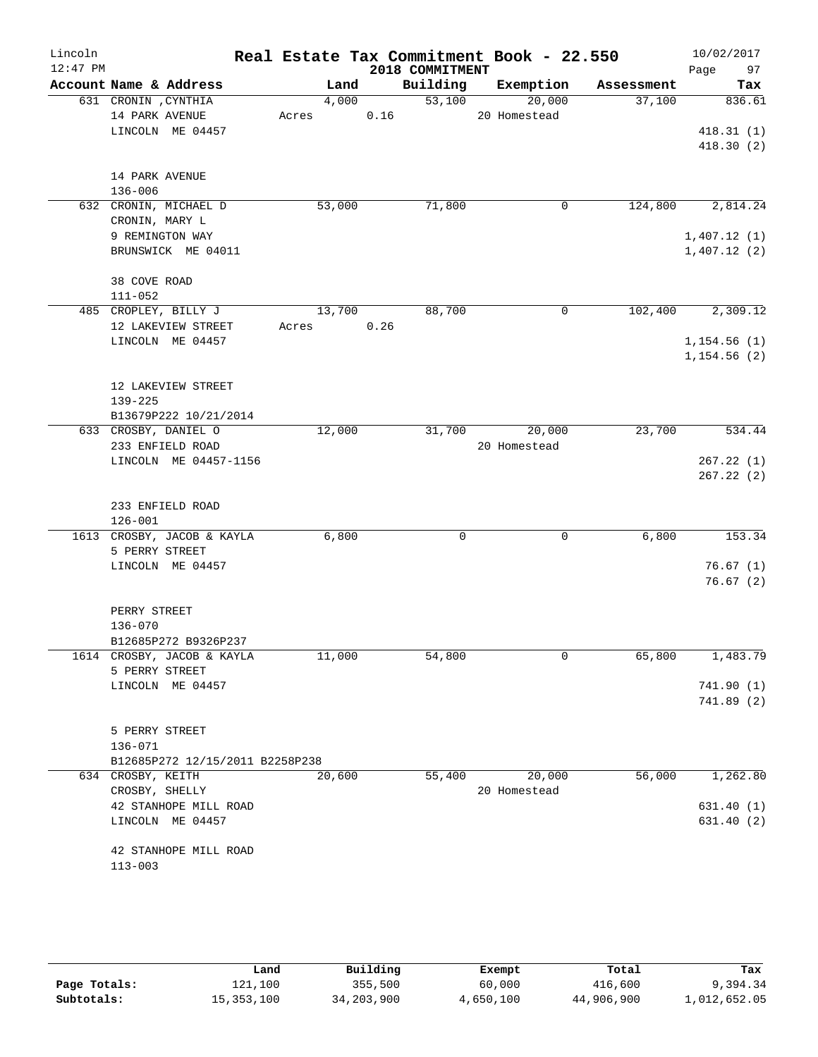| Lincoln    |                                            |                 |                 |          | Real Estate Tax Commitment Book - 22.550 |            | 10/02/2017   |
|------------|--------------------------------------------|-----------------|-----------------|----------|------------------------------------------|------------|--------------|
| $12:47$ PM |                                            |                 | 2018 COMMITMENT |          |                                          |            | Page<br>97   |
|            | Account Name & Address                     | Land            |                 | Building | Exemption                                | Assessment | Tax          |
|            | 631 CRONIN , CYNTHIA<br>14 PARK AVENUE     | 4,000<br>Acres  | 0.16            | 53,100   | 20,000<br>20 Homestead                   | 37,100     | 836.61       |
|            | LINCOLN ME 04457                           |                 |                 |          |                                          |            | 418.31(1)    |
|            |                                            |                 |                 |          |                                          |            | 418.30(2)    |
|            |                                            |                 |                 |          |                                          |            |              |
|            | 14 PARK AVENUE                             |                 |                 |          |                                          |            |              |
|            | $136 - 006$                                |                 |                 | 71,800   | $\mathbf 0$                              | 124,800    |              |
|            | 632 CRONIN, MICHAEL D<br>CRONIN, MARY L    | 53,000          |                 |          |                                          |            | 2,814.24     |
|            | 9 REMINGTON WAY                            |                 |                 |          |                                          |            | 1,407.12(1)  |
|            | BRUNSWICK ME 04011                         |                 |                 |          |                                          |            | 1,407.12(2)  |
|            |                                            |                 |                 |          |                                          |            |              |
|            | 38 COVE ROAD                               |                 |                 |          |                                          |            |              |
|            | $111 - 052$                                |                 |                 |          |                                          |            |              |
|            | 485 CROPLEY, BILLY J<br>12 LAKEVIEW STREET | 13,700<br>Acres | 0.26            | 88,700   | $\mathbf 0$                              | 102,400    | 2,309.12     |
|            | LINCOLN ME 04457                           |                 |                 |          |                                          |            | 1, 154.56(1) |
|            |                                            |                 |                 |          |                                          |            | 1, 154.56(2) |
|            |                                            |                 |                 |          |                                          |            |              |
|            | 12 LAKEVIEW STREET                         |                 |                 |          |                                          |            |              |
|            | $139 - 225$                                |                 |                 |          |                                          |            |              |
|            | B13679P222 10/21/2014                      |                 |                 |          |                                          |            |              |
|            | 633 CROSBY, DANIEL O<br>233 ENFIELD ROAD   | 12,000          |                 | 31,700   | 20,000<br>20 Homestead                   | 23,700     | 534.44       |
|            | LINCOLN ME 04457-1156                      |                 |                 |          |                                          |            | 267.22(1)    |
|            |                                            |                 |                 |          |                                          |            | 267.22(2)    |
|            |                                            |                 |                 |          |                                          |            |              |
|            | 233 ENFIELD ROAD                           |                 |                 |          |                                          |            |              |
|            | $126 - 001$                                |                 |                 |          |                                          |            |              |
|            | 1613 CROSBY, JACOB & KAYLA                 | 6,800           |                 | 0        | $\mathbf 0$                              | 6,800      | 153.34       |
|            | 5 PERRY STREET<br>LINCOLN ME 04457         |                 |                 |          |                                          |            | 76.67(1)     |
|            |                                            |                 |                 |          |                                          |            | 76.67(2)     |
|            |                                            |                 |                 |          |                                          |            |              |
|            | PERRY STREET                               |                 |                 |          |                                          |            |              |
|            | $136 - 070$                                |                 |                 |          |                                          |            |              |
|            | B12685P272 B9326P237                       |                 |                 |          |                                          |            |              |
|            | 1614 CROSBY, JACOB & KAYLA                 | 11,000          |                 | 54,800   | $\mathbf 0$                              | 65,800     | 1,483.79     |
|            | 5 PERRY STREET<br>LINCOLN ME 04457         |                 |                 |          |                                          |            | 741.90(1)    |
|            |                                            |                 |                 |          |                                          |            | 741.89(2)    |
|            |                                            |                 |                 |          |                                          |            |              |
|            | 5 PERRY STREET                             |                 |                 |          |                                          |            |              |
|            | $136 - 071$                                |                 |                 |          |                                          |            |              |
|            | B12685P272 12/15/2011 B2258P238            |                 |                 |          |                                          |            |              |
|            | 634 CROSBY, KEITH<br>CROSBY, SHELLY        | 20,600          |                 | 55,400   | 20,000<br>20 Homestead                   | 56,000     | 1,262.80     |
|            | 42 STANHOPE MILL ROAD                      |                 |                 |          |                                          |            | 631.40(1)    |
|            | LINCOLN ME 04457                           |                 |                 |          |                                          |            | 631.40(2)    |
|            |                                            |                 |                 |          |                                          |            |              |
|            | 42 STANHOPE MILL ROAD                      |                 |                 |          |                                          |            |              |
|            | $113 - 003$                                |                 |                 |          |                                          |            |              |
|            |                                            |                 |                 |          |                                          |            |              |

|              | Land       | Building   | Exempt    | Total      | Tax          |
|--------------|------------|------------|-----------|------------|--------------|
| Page Totals: | 121,100    | 355,500    | 60,000    | 416,600    | 9,394.34     |
| Subtotals:   | 15,353,100 | 34,203,900 | 4,650,100 | 44,906,900 | 1,012,652.05 |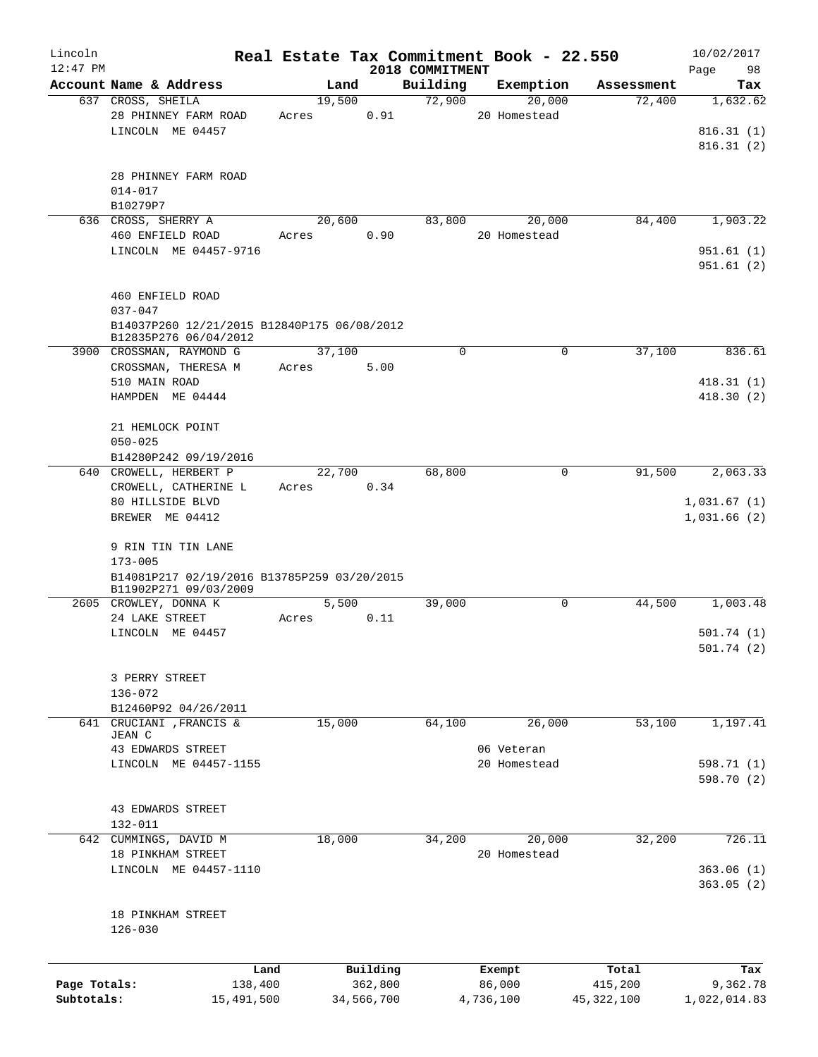| Lincoln      |                                                 |                 |            |                    | Real Estate Tax Commitment Book - 22.550 |                      | 10/02/2017      |
|--------------|-------------------------------------------------|-----------------|------------|--------------------|------------------------------------------|----------------------|-----------------|
| $12:47$ PM   | Account Name & Address                          |                 |            | 2018 COMMITMENT    |                                          |                      | 98<br>Page      |
|              | 637 CROSS, SHEILA                               | Land<br>19,500  |            | Building<br>72,900 | Exemption<br>20,000                      | Assessment<br>72,400 | Tax<br>1,632.62 |
|              | 28 PHINNEY FARM ROAD                            | Acres           | 0.91       |                    | 20 Homestead                             |                      |                 |
|              | LINCOLN ME 04457                                |                 |            |                    |                                          |                      | 816.31(1)       |
|              |                                                 |                 |            |                    |                                          |                      | 816.31(2)       |
|              |                                                 |                 |            |                    |                                          |                      |                 |
|              | 28 PHINNEY FARM ROAD                            |                 |            |                    |                                          |                      |                 |
|              | $014 - 017$                                     |                 |            |                    |                                          |                      |                 |
|              | B10279P7                                        |                 |            |                    |                                          |                      |                 |
|              | 636 CROSS, SHERRY A                             | 20,600          |            | 83,800             | 20,000                                   | 84,400               | 1,903.22        |
|              | 460 ENFIELD ROAD                                | Acres           | 0.90       |                    | 20 Homestead                             |                      |                 |
|              | LINCOLN ME 04457-9716                           |                 |            |                    |                                          |                      | 951.61(1)       |
|              |                                                 |                 |            |                    |                                          |                      | 951.61(2)       |
|              |                                                 |                 |            |                    |                                          |                      |                 |
|              | 460 ENFIELD ROAD                                |                 |            |                    |                                          |                      |                 |
|              | $037 - 047$                                     |                 |            |                    |                                          |                      |                 |
|              | B14037P260 12/21/2015 B12840P175 06/08/2012     |                 |            |                    |                                          |                      |                 |
|              | B12835P276 06/04/2012                           |                 |            |                    |                                          |                      |                 |
|              | 3900 CROSSMAN, RAYMOND G                        | 37,100          |            | 0                  | 0                                        | 37,100               | 836.61          |
|              | CROSSMAN, THERESA M                             | Acres           | 5.00       |                    |                                          |                      |                 |
|              | 510 MAIN ROAD                                   |                 |            |                    |                                          |                      | 418.31(1)       |
|              | HAMPDEN ME 04444                                |                 |            |                    |                                          |                      | 418.30(2)       |
|              |                                                 |                 |            |                    |                                          |                      |                 |
|              | 21 HEMLOCK POINT                                |                 |            |                    |                                          |                      |                 |
|              | $050 - 025$                                     |                 |            |                    |                                          |                      |                 |
|              | B14280P242 09/19/2016<br>640 CROWELL, HERBERT P |                 |            | 68,800             | $\Omega$                                 | 91,500               | 2,063.33        |
|              | CROWELL, CATHERINE L                            | 22,700<br>Acres | 0.34       |                    |                                          |                      |                 |
|              | 80 HILLSIDE BLVD                                |                 |            |                    |                                          |                      | 1,031.67(1)     |
|              | BREWER ME 04412                                 |                 |            |                    |                                          |                      | 1,031.66(2)     |
|              |                                                 |                 |            |                    |                                          |                      |                 |
|              | 9 RIN TIN TIN LANE                              |                 |            |                    |                                          |                      |                 |
|              | $173 - 005$                                     |                 |            |                    |                                          |                      |                 |
|              | B14081P217 02/19/2016 B13785P259 03/20/2015     |                 |            |                    |                                          |                      |                 |
|              | B11902P271 09/03/2009                           |                 |            |                    |                                          |                      |                 |
|              | 2605 CROWLEY, DONNA K                           | 5,500           |            | 39,000             | 0                                        | 44,500               | 1,003.48        |
|              | 24 LAKE STREET                                  | Acres           | 0.11       |                    |                                          |                      |                 |
|              | LINCOLN ME 04457                                |                 |            |                    |                                          |                      | 501.74(1)       |
|              |                                                 |                 |            |                    |                                          |                      | 501.74(2)       |
|              |                                                 |                 |            |                    |                                          |                      |                 |
|              | 3 PERRY STREET                                  |                 |            |                    |                                          |                      |                 |
|              | 136-072<br>B12460P92 04/26/2011                 |                 |            |                    |                                          |                      |                 |
|              | 641 CRUCIANI , FRANCIS &                        | 15,000          |            | 64,100             | 26,000                                   | 53,100               | 1,197.41        |
|              | JEAN C                                          |                 |            |                    |                                          |                      |                 |
|              | 43 EDWARDS STREET                               |                 |            |                    | 06 Veteran                               |                      |                 |
|              | LINCOLN ME 04457-1155                           |                 |            |                    | 20 Homestead                             |                      | 598.71 (1)      |
|              |                                                 |                 |            |                    |                                          |                      | 598.70 (2)      |
|              |                                                 |                 |            |                    |                                          |                      |                 |
|              | 43 EDWARDS STREET                               |                 |            |                    |                                          |                      |                 |
|              | 132-011                                         |                 |            |                    |                                          |                      |                 |
|              | 642 CUMMINGS, DAVID M                           | 18,000          |            | 34,200             | 20,000                                   | 32,200               | 726.11          |
|              | 18 PINKHAM STREET                               |                 |            |                    | 20 Homestead                             |                      |                 |
|              | LINCOLN ME 04457-1110                           |                 |            |                    |                                          |                      | 363.06(1)       |
|              |                                                 |                 |            |                    |                                          |                      | 363.05(2)       |
|              |                                                 |                 |            |                    |                                          |                      |                 |
|              | 18 PINKHAM STREET                               |                 |            |                    |                                          |                      |                 |
|              | $126 - 030$                                     |                 |            |                    |                                          |                      |                 |
|              |                                                 |                 |            |                    |                                          |                      |                 |
|              | Land                                            |                 | Building   |                    | Exempt                                   | Total                | Tax             |
| Page Totals: | 138,400                                         |                 | 362,800    |                    | 86,000                                   | 415,200              | 9,362.78        |
| Subtotals:   | 15,491,500                                      |                 | 34,566,700 |                    | 4,736,100                                | 45, 322, 100         | 1,022,014.83    |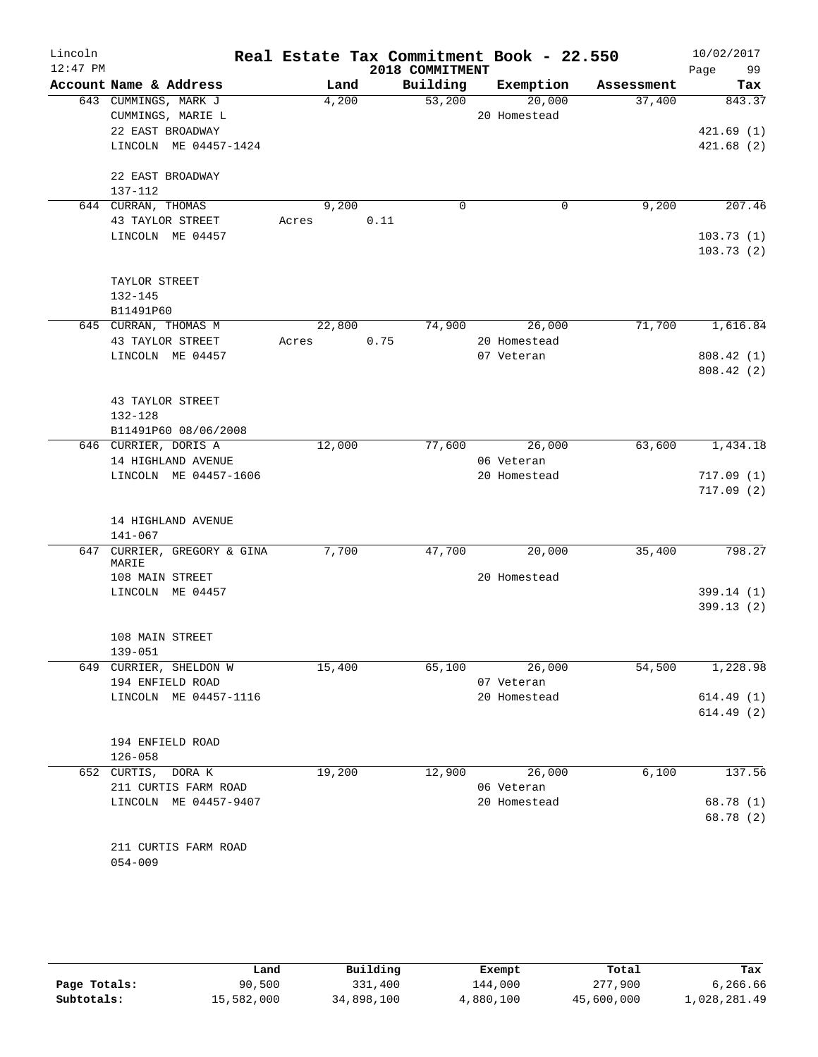| Lincoln    |                                      |       |        |      |                 | Real Estate Tax Commitment Book - 22.550 |            |      | 10/02/2017             |
|------------|--------------------------------------|-------|--------|------|-----------------|------------------------------------------|------------|------|------------------------|
| $12:47$ PM |                                      |       |        |      | 2018 COMMITMENT |                                          |            | Page | 99                     |
|            | Account Name & Address               |       | Land   |      | Building        | Exemption                                | Assessment |      | Tax                    |
|            | 643 CUMMINGS, MARK J                 |       | 4,200  |      | 53,200          | 20,000                                   | 37,400     |      | 843.37                 |
|            | CUMMINGS, MARIE L                    |       |        |      |                 | 20 Homestead                             |            |      |                        |
|            | 22 EAST BROADWAY                     |       |        |      |                 |                                          |            |      | 421.69(1)              |
|            | LINCOLN ME 04457-1424                |       |        |      |                 |                                          |            |      | 421.68(2)              |
|            | 22 EAST BROADWAY                     |       |        |      |                 |                                          |            |      |                        |
|            | 137-112                              |       |        |      |                 |                                          |            |      |                        |
|            | 644 CURRAN, THOMAS                   |       | 9,200  |      | $\Omega$        | 0                                        | 9,200      |      | 207.46                 |
|            | 43 TAYLOR STREET                     | Acres |        | 0.11 |                 |                                          |            |      |                        |
|            | LINCOLN ME 04457                     |       |        |      |                 |                                          |            |      | 103.73(1)              |
|            |                                      |       |        |      |                 |                                          |            |      | 103.73(2)              |
|            |                                      |       |        |      |                 |                                          |            |      |                        |
|            | TAYLOR STREET                        |       |        |      |                 |                                          |            |      |                        |
|            | 132-145                              |       |        |      |                 |                                          |            |      |                        |
|            | B11491P60                            |       |        |      |                 |                                          |            |      |                        |
|            | 645 CURRAN, THOMAS M                 |       | 22,800 |      | 74,900          | 26,000                                   | 71,700     |      | 1,616.84               |
|            | 43 TAYLOR STREET<br>LINCOLN ME 04457 | Acres |        | 0.75 |                 | 20 Homestead<br>07 Veteran               |            |      |                        |
|            |                                      |       |        |      |                 |                                          |            |      | 808.42(1)<br>808.42(2) |
|            |                                      |       |        |      |                 |                                          |            |      |                        |
|            | 43 TAYLOR STREET                     |       |        |      |                 |                                          |            |      |                        |
|            | 132-128                              |       |        |      |                 |                                          |            |      |                        |
|            | B11491P60 08/06/2008                 |       |        |      |                 |                                          |            |      |                        |
|            | 646 CURRIER, DORIS A                 |       | 12,000 |      | 77,600          | 26,000                                   | 63,600     |      | 1,434.18               |
|            | 14 HIGHLAND AVENUE                   |       |        |      |                 | 06 Veteran                               |            |      |                        |
|            | LINCOLN ME 04457-1606                |       |        |      |                 | 20 Homestead                             |            |      | 717.09(1)              |
|            |                                      |       |        |      |                 |                                          |            |      | 717.09(2)              |
|            |                                      |       |        |      |                 |                                          |            |      |                        |
|            | 14 HIGHLAND AVENUE                   |       |        |      |                 |                                          |            |      |                        |
|            | $141 - 067$                          |       |        |      |                 |                                          |            |      |                        |
|            | 647 CURRIER, GREGORY & GINA<br>MARIE |       | 7,700  |      | 47,700          | 20,000                                   | 35,400     |      | 798.27                 |
|            | 108 MAIN STREET                      |       |        |      |                 | 20 Homestead                             |            |      |                        |
|            | LINCOLN ME 04457                     |       |        |      |                 |                                          |            |      | 399.14(1)              |
|            |                                      |       |        |      |                 |                                          |            |      | 399.13(2)              |
|            |                                      |       |        |      |                 |                                          |            |      |                        |
|            | 108 MAIN STREET                      |       |        |      |                 |                                          |            |      |                        |
|            | $139 - 051$                          |       |        |      |                 |                                          |            |      |                        |
|            | 649 CURRIER, SHELDON W               |       | 15,400 |      | 65,100          | 26,000                                   | 54,500     |      | 1,228.98               |
|            | 194 ENFIELD ROAD                     |       |        |      |                 | 07 Veteran                               |            |      |                        |
|            | LINCOLN ME 04457-1116                |       |        |      |                 | 20 Homestead                             |            |      | 614.49(1)              |
|            |                                      |       |        |      |                 |                                          |            |      | 614.49(2)              |
|            | 194 ENFIELD ROAD                     |       |        |      |                 |                                          |            |      |                        |
|            | $126 - 058$                          |       |        |      |                 |                                          |            |      |                        |
|            | 652 CURTIS, DORA K                   |       | 19,200 |      | 12,900          | 26,000                                   | 6,100      |      | 137.56                 |
|            | 211 CURTIS FARM ROAD                 |       |        |      |                 | 06 Veteran                               |            |      |                        |
|            | LINCOLN ME 04457-9407                |       |        |      |                 | 20 Homestead                             |            |      | 68.78 (1)              |
|            |                                      |       |        |      |                 |                                          |            |      | 68.78 (2)              |
|            |                                      |       |        |      |                 |                                          |            |      |                        |
|            | 211 CURTIS FARM ROAD                 |       |        |      |                 |                                          |            |      |                        |

054-009

|              | Land       | Building   | Exempt    | Total      | Tax          |
|--------------|------------|------------|-----------|------------|--------------|
| Page Totals: | 90,500     | 331,400    | 144,000   | 277,900    | 6,266.66     |
| Subtotals:   | 15,582,000 | 34,898,100 | 4,880,100 | 45,600,000 | 1,028,281.49 |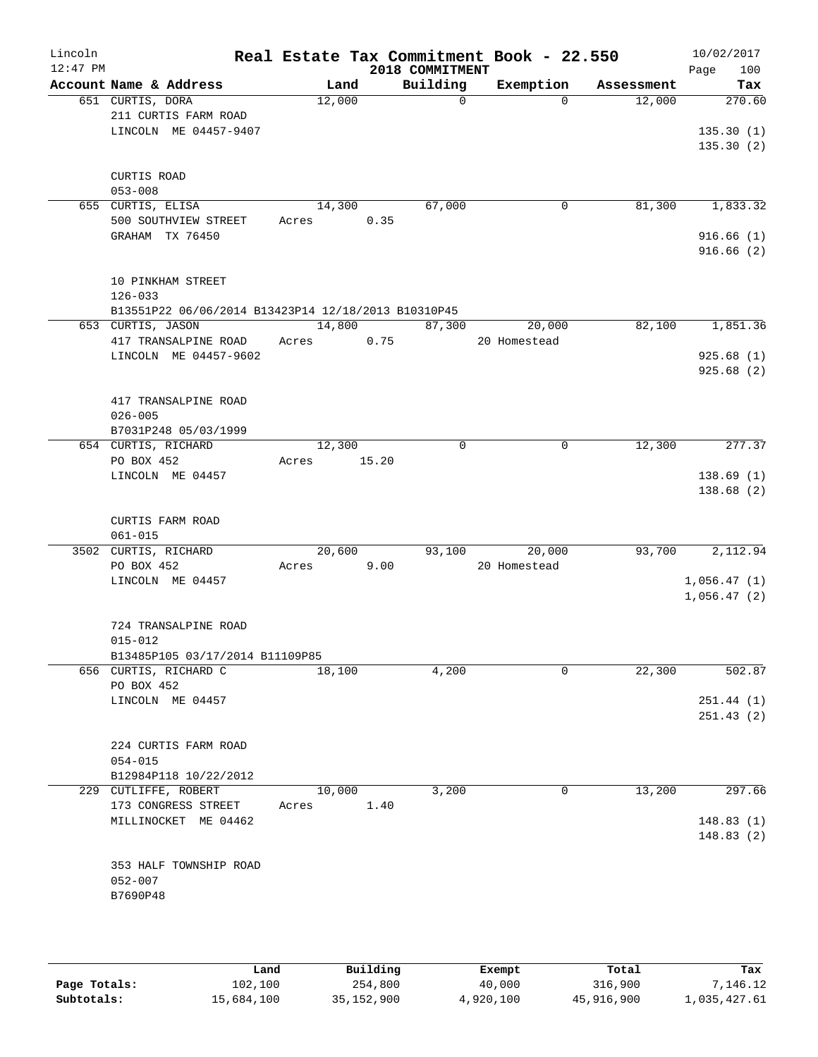| Lincoln<br>$12:47$ PM |                                                     |       |        | 2018 COMMITMENT | Real Estate Tax Commitment Book - 22.550 |            | 10/02/2017<br>Page<br>100 |
|-----------------------|-----------------------------------------------------|-------|--------|-----------------|------------------------------------------|------------|---------------------------|
|                       | Account Name & Address                              |       | Land   | Building        | Exemption                                | Assessment | Tax                       |
|                       | 651 CURTIS, DORA                                    |       | 12,000 | $\mathsf{O}$    | $\Omega$                                 | 12,000     | 270.60                    |
|                       | 211 CURTIS FARM ROAD                                |       |        |                 |                                          |            |                           |
|                       | LINCOLN ME 04457-9407                               |       |        |                 |                                          |            | 135.30(1)                 |
|                       |                                                     |       |        |                 |                                          |            | 135.30(2)                 |
|                       |                                                     |       |        |                 |                                          |            |                           |
|                       | CURTIS ROAD<br>$053 - 008$                          |       |        |                 |                                          |            |                           |
|                       | 655 CURTIS, ELISA                                   |       | 14,300 | 67,000          | 0                                        | 81,300     | 1,833.32                  |
|                       | 500 SOUTHVIEW STREET                                | Acres |        | 0.35            |                                          |            |                           |
|                       | GRAHAM TX 76450                                     |       |        |                 |                                          |            | 916.66(1)                 |
|                       |                                                     |       |        |                 |                                          |            | 916.66(2)                 |
|                       |                                                     |       |        |                 |                                          |            |                           |
|                       | 10 PINKHAM STREET                                   |       |        |                 |                                          |            |                           |
|                       | $126 - 033$                                         |       |        |                 |                                          |            |                           |
|                       | B13551P22 06/06/2014 B13423P14 12/18/2013 B10310P45 |       |        |                 |                                          |            |                           |
|                       | 653 CURTIS, JASON                                   |       | 14,800 | 87,300          | 20,000                                   | 82,100     | 1,851.36                  |
|                       | 417 TRANSALPINE ROAD<br>LINCOLN ME 04457-9602       | Acres |        | 0.75            | 20 Homestead                             |            | 925.68(1)                 |
|                       |                                                     |       |        |                 |                                          |            | 925.68(2)                 |
|                       |                                                     |       |        |                 |                                          |            |                           |
|                       | 417 TRANSALPINE ROAD                                |       |        |                 |                                          |            |                           |
|                       | $026 - 005$                                         |       |        |                 |                                          |            |                           |
|                       | B7031P248 05/03/1999                                |       |        |                 |                                          |            |                           |
|                       | 654 CURTIS, RICHARD                                 |       | 12,300 | $\mathbf 0$     | 0                                        | 12,300     | 277.37                    |
|                       | PO BOX 452                                          | Acres | 15.20  |                 |                                          |            |                           |
|                       | LINCOLN ME 04457                                    |       |        |                 |                                          |            | 138.69(1)                 |
|                       |                                                     |       |        |                 |                                          |            | 138.68(2)                 |
|                       | CURTIS FARM ROAD                                    |       |        |                 |                                          |            |                           |
|                       | $061 - 015$                                         |       |        |                 |                                          |            |                           |
|                       | 3502 CURTIS, RICHARD                                |       | 20,600 | 93,100          | 20,000                                   | 93,700     | 2,112.94                  |
|                       | PO BOX 452                                          | Acres |        | 9.00            | 20 Homestead                             |            |                           |
|                       | LINCOLN ME 04457                                    |       |        |                 |                                          |            | 1,056.47(1)               |
|                       |                                                     |       |        |                 |                                          |            | 1,056.47(2)               |
|                       |                                                     |       |        |                 |                                          |            |                           |
|                       | 724 TRANSALPINE ROAD                                |       |        |                 |                                          |            |                           |
|                       | $015 - 012$                                         |       |        |                 |                                          |            |                           |
|                       | B13485P105 03/17/2014 B11109P85                     |       |        |                 | $\Omega$                                 | 22,300     | 502.87                    |
|                       | 656 CURTIS, RICHARD C<br>PO BOX 452                 |       | 18,100 | 4,200           |                                          |            |                           |
|                       | LINCOLN ME 04457                                    |       |        |                 |                                          |            | 251.44(1)                 |
|                       |                                                     |       |        |                 |                                          |            | 251.43(2)                 |
|                       |                                                     |       |        |                 |                                          |            |                           |
|                       | 224 CURTIS FARM ROAD                                |       |        |                 |                                          |            |                           |
|                       | $054 - 015$                                         |       |        |                 |                                          |            |                           |
|                       | B12984P118 10/22/2012                               |       |        |                 |                                          |            |                           |
|                       | 229 CUTLIFFE, ROBERT                                |       | 10,000 | 3,200           | 0                                        | 13,200     | 297.66                    |
|                       | 173 CONGRESS STREET<br>MILLINOCKET ME 04462         | Acres |        | 1.40            |                                          |            | 148.83(1)                 |
|                       |                                                     |       |        |                 |                                          |            | 148.83(2)                 |
|                       |                                                     |       |        |                 |                                          |            |                           |
|                       | 353 HALF TOWNSHIP ROAD                              |       |        |                 |                                          |            |                           |
|                       | $052 - 007$                                         |       |        |                 |                                          |            |                           |
|                       | B7690P48                                            |       |        |                 |                                          |            |                           |
|                       |                                                     |       |        |                 |                                          |            |                           |
|                       |                                                     |       |        |                 |                                          |            |                           |

|              | Land       | Building   | Exempt    | Total      | Tax          |
|--------------|------------|------------|-----------|------------|--------------|
| Page Totals: | 102,100    | 254,800    | 40,000    | 316,900    | 7,146.12     |
| Subtotals:   | 15,684,100 | 35,152,900 | 4,920,100 | 45,916,900 | 1,035,427.61 |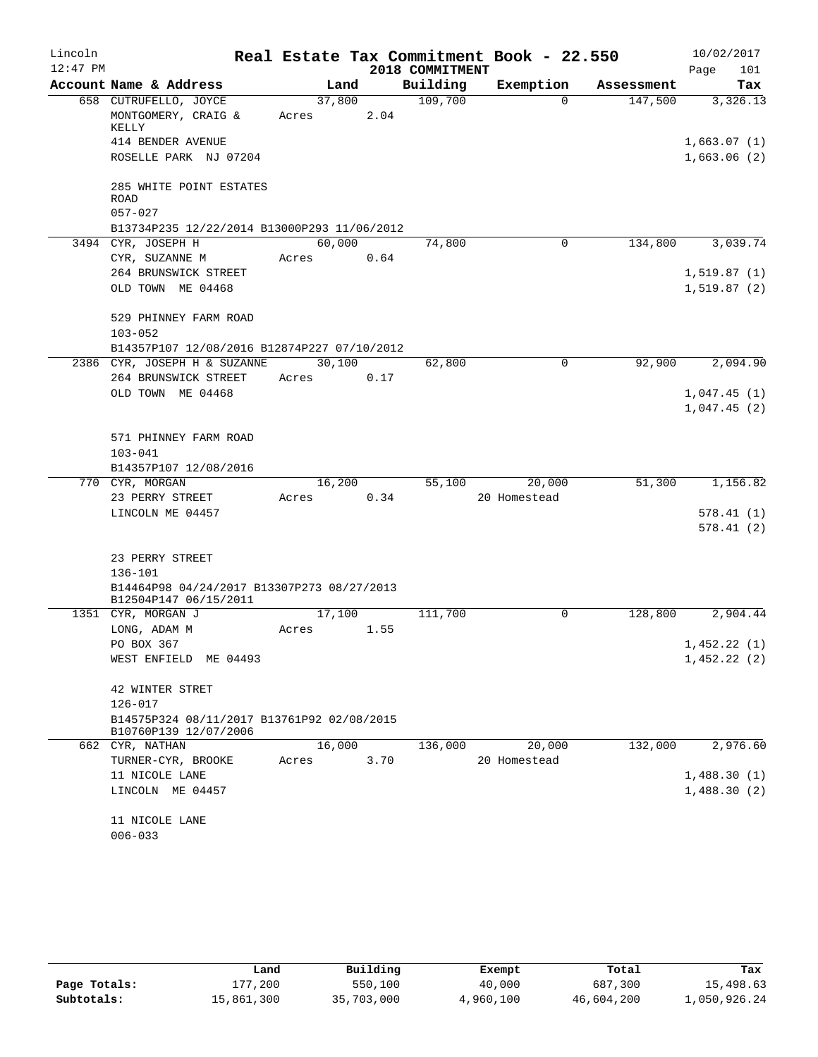| Lincoln    |                                                                     |                 |      |                 | Real Estate Tax Commitment Book - 22.550 |            | 10/02/2017                 |
|------------|---------------------------------------------------------------------|-----------------|------|-----------------|------------------------------------------|------------|----------------------------|
| $12:47$ PM |                                                                     |                 |      | 2018 COMMITMENT |                                          |            | 101<br>Page                |
|            | Account Name & Address                                              | Land            |      | Building        | Exemption                                | Assessment | Tax                        |
|            | 658 CUTRUFELLO, JOYCE<br>MONTGOMERY, CRAIG &                        | 37,800<br>Acres | 2.04 | 109,700         | $\Omega$                                 | 147,500    | 3,326.13                   |
|            | KELLY                                                               |                 |      |                 |                                          |            |                            |
|            | 414 BENDER AVENUE<br>ROSELLE PARK NJ 07204                          |                 |      |                 |                                          |            | 1,663.07(1)<br>1,663.06(2) |
|            |                                                                     |                 |      |                 |                                          |            |                            |
|            | 285 WHITE POINT ESTATES<br><b>ROAD</b><br>$057 - 027$               |                 |      |                 |                                          |            |                            |
|            | B13734P235 12/22/2014 B13000P293 11/06/2012                         |                 |      |                 |                                          |            |                            |
|            | 3494 CYR, JOSEPH H                                                  | 60,000          |      | 74,800          | $\mathbf 0$                              | 134,800    | 3,039.74                   |
|            | CYR, SUZANNE M                                                      | Acres           | 0.64 |                 |                                          |            |                            |
|            | 264 BRUNSWICK STREET                                                |                 |      |                 |                                          |            | 1,519.87(1)                |
|            | OLD TOWN ME 04468                                                   |                 |      |                 |                                          |            | 1,519.87(2)                |
|            | 529 PHINNEY FARM ROAD                                               |                 |      |                 |                                          |            |                            |
|            | $103 - 052$                                                         |                 |      |                 |                                          |            |                            |
|            | B14357P107 12/08/2016 B12874P227 07/10/2012                         |                 |      |                 |                                          |            |                            |
|            | 2386 CYR, JOSEPH H & SUZANNE                                        | 30,100          |      | 62,800          | $\mathbf 0$                              | 92,900     | 2,094.90                   |
|            | 264 BRUNSWICK STREET                                                | Acres           | 0.17 |                 |                                          |            |                            |
|            | OLD TOWN ME 04468                                                   |                 |      |                 |                                          |            | 1,047.45(1)<br>1,047.45(2) |
|            |                                                                     |                 |      |                 |                                          |            |                            |
|            | 571 PHINNEY FARM ROAD                                               |                 |      |                 |                                          |            |                            |
|            | $103 - 041$                                                         |                 |      |                 |                                          |            |                            |
|            | B14357P107 12/08/2016                                               |                 |      |                 |                                          |            |                            |
|            | 770 CYR, MORGAN                                                     | 16,200          |      | 55,100          | 20,000                                   | 51,300     | 1,156.82                   |
|            | 23 PERRY STREET                                                     | Acres           | 0.34 |                 | 20 Homestead                             |            |                            |
|            | LINCOLN ME 04457                                                    |                 |      |                 |                                          |            | 578.41(1)                  |
|            |                                                                     |                 |      |                 |                                          |            | 578.41(2)                  |
|            | 23 PERRY STREET                                                     |                 |      |                 |                                          |            |                            |
|            | $136 - 101$                                                         |                 |      |                 |                                          |            |                            |
|            | B14464P98 04/24/2017 B13307P273 08/27/2013                          |                 |      |                 |                                          |            |                            |
|            | B12504P147 06/15/2011                                               |                 |      |                 |                                          |            |                            |
|            | 1351 CYR, MORGAN J                                                  | 17,100          |      | 111,700         | 0                                        | 128,800    | 2,904.44                   |
|            | LONG, ADAM M                                                        | Acres           | 1.55 |                 |                                          |            |                            |
|            | PO BOX 367<br>WEST ENFIELD ME 04493                                 |                 |      |                 |                                          |            | 1,452.22(1)<br>1,452.22(2) |
|            |                                                                     |                 |      |                 |                                          |            |                            |
|            | 42 WINTER STRET                                                     |                 |      |                 |                                          |            |                            |
|            | $126 - 017$                                                         |                 |      |                 |                                          |            |                            |
|            | B14575P324 08/11/2017 B13761P92 02/08/2015<br>B10760P139 12/07/2006 |                 |      |                 |                                          |            |                            |
|            | 662 CYR, NATHAN                                                     | 16,000          |      | 136,000         | 20,000                                   | 132,000    | 2,976.60                   |
|            | TURNER-CYR, BROOKE                                                  | Acres           | 3.70 |                 | 20 Homestead                             |            |                            |
|            | 11 NICOLE LANE                                                      |                 |      |                 |                                          |            | 1,488.30(1)                |
|            | LINCOLN ME 04457                                                    |                 |      |                 |                                          |            | 1,488.30(2)                |
|            |                                                                     |                 |      |                 |                                          |            |                            |
|            | 11 NICOLE LANE<br>$006 - 033$                                       |                 |      |                 |                                          |            |                            |
|            |                                                                     |                 |      |                 |                                          |            |                            |

|              | Land       | Building   | Exempt    | Total      | Tax          |
|--------------|------------|------------|-----------|------------|--------------|
| Page Totals: | 177,200    | 550,100    | 40,000    | 687,300    | 15,498.63    |
| Subtotals:   | 15,861,300 | 35,703,000 | 4,960,100 | 46,604,200 | 1,050,926.24 |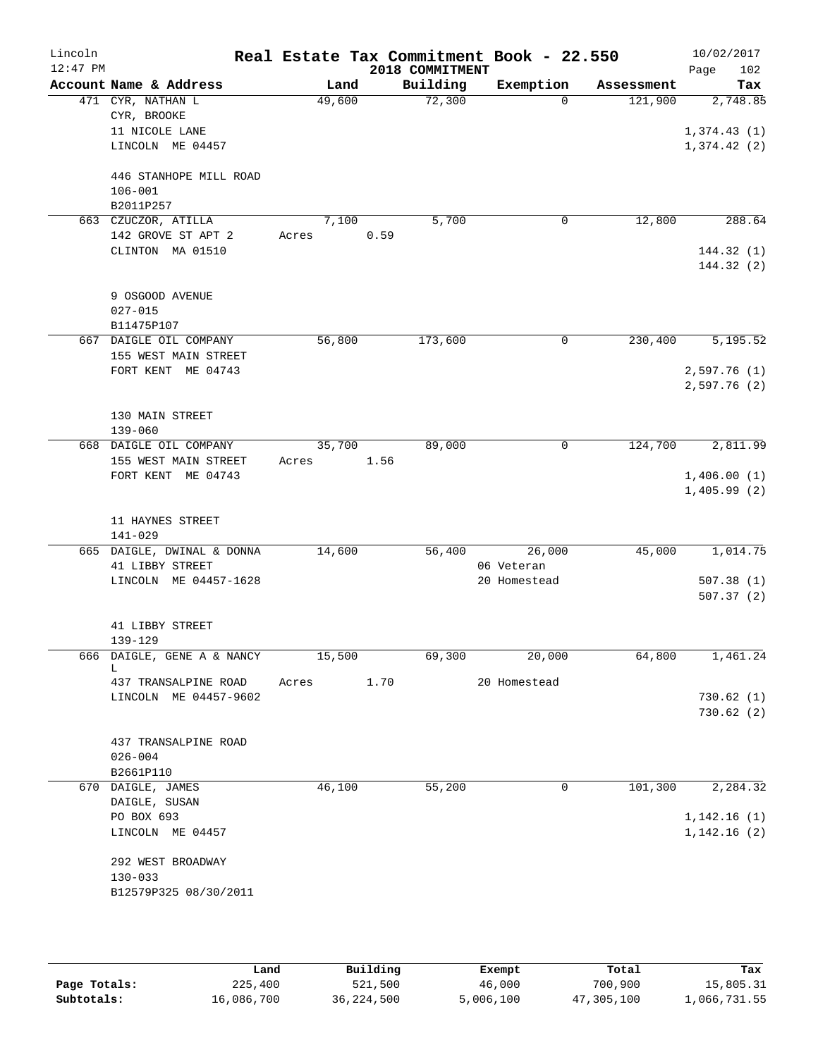| Lincoln<br>$12:47$ PM |                                               |        |      | 2018 COMMITMENT | Real Estate Tax Commitment Book - 22.550 |            | 10/02/2017<br>Page<br>102 |
|-----------------------|-----------------------------------------------|--------|------|-----------------|------------------------------------------|------------|---------------------------|
|                       | Account Name & Address                        | Land   |      | Building        | Exemption                                | Assessment | Tax                       |
|                       | 471 CYR, NATHAN L                             | 49,600 |      | 72,300          | $\Omega$                                 | 121,900    | 2,748.85                  |
|                       | CYR, BROOKE                                   |        |      |                 |                                          |            |                           |
|                       | 11 NICOLE LANE                                |        |      |                 |                                          |            | 1,374.43(1)               |
|                       | LINCOLN ME 04457                              |        |      |                 |                                          |            | 1,374.42(2)               |
|                       | 446 STANHOPE MILL ROAD                        |        |      |                 |                                          |            |                           |
|                       | $106 - 001$                                   |        |      |                 |                                          |            |                           |
|                       | B2011P257                                     |        |      |                 |                                          |            |                           |
|                       | 663 CZUCZOR, ATILLA                           | 7,100  |      | 5,700           | 0                                        | 12,800     | 288.64                    |
|                       | 142 GROVE ST APT 2                            | Acres  | 0.59 |                 |                                          |            |                           |
|                       | CLINTON MA 01510                              |        |      |                 |                                          |            | 144.32(1)                 |
|                       |                                               |        |      |                 |                                          |            | 144.32 (2)                |
|                       |                                               |        |      |                 |                                          |            |                           |
|                       | 9 OSGOOD AVENUE<br>$027 - 015$                |        |      |                 |                                          |            |                           |
|                       | B11475P107                                    |        |      |                 |                                          |            |                           |
|                       | 667 DAIGLE OIL COMPANY                        | 56,800 |      | 173,600         | 0                                        | 230,400    | 5,195.52                  |
|                       | 155 WEST MAIN STREET                          |        |      |                 |                                          |            |                           |
|                       | FORT KENT ME 04743                            |        |      |                 |                                          |            | 2,597.76(1)               |
|                       |                                               |        |      |                 |                                          |            | 2,597.76 (2)              |
|                       |                                               |        |      |                 |                                          |            |                           |
|                       | 130 MAIN STREET                               |        |      |                 |                                          |            |                           |
|                       | $139 - 060$<br>668 DAIGLE OIL COMPANY         | 35,700 |      | 89,000          | 0                                        | 124,700    | 2,811.99                  |
|                       | 155 WEST MAIN STREET                          | Acres  | 1.56 |                 |                                          |            |                           |
|                       | FORT KENT ME 04743                            |        |      |                 |                                          |            | 1,406.00(1)               |
|                       |                                               |        |      |                 |                                          |            | 1,405.99(2)               |
|                       |                                               |        |      |                 |                                          |            |                           |
|                       | 11 HAYNES STREET                              |        |      |                 |                                          |            |                           |
|                       | $141 - 029$                                   |        |      |                 |                                          |            |                           |
|                       | 665 DAIGLE, DWINAL & DONNA<br>41 LIBBY STREET | 14,600 |      | 56,400          | 26,000<br>06 Veteran                     | 45,000     | 1,014.75                  |
|                       | LINCOLN ME 04457-1628                         |        |      |                 | 20 Homestead                             |            | 507.38(1)                 |
|                       |                                               |        |      |                 |                                          |            | 507.37(2)                 |
|                       |                                               |        |      |                 |                                          |            |                           |
|                       | 41 LIBBY STREET                               |        |      |                 |                                          |            |                           |
|                       | 139-129                                       |        |      |                 |                                          |            |                           |
|                       | 666 DAIGLE, GENE A & NANCY<br>L               | 15,500 |      | 69,300          | 20,000                                   | 64,800     | 1,461.24                  |
|                       | 437 TRANSALPINE ROAD                          | Acres  | 1.70 |                 | 20 Homestead                             |            |                           |
|                       | LINCOLN ME 04457-9602                         |        |      |                 |                                          |            | 730.62(1)                 |
|                       |                                               |        |      |                 |                                          |            | 730.62(2)                 |
|                       |                                               |        |      |                 |                                          |            |                           |
|                       | 437 TRANSALPINE ROAD                          |        |      |                 |                                          |            |                           |
|                       | $026 - 004$                                   |        |      |                 |                                          |            |                           |
|                       | B2661P110<br>670 DAIGLE, JAMES                | 46,100 |      | 55,200          | 0                                        | 101, 300   | 2,284.32                  |
|                       | DAIGLE, SUSAN                                 |        |      |                 |                                          |            |                           |
|                       | PO BOX 693                                    |        |      |                 |                                          |            | 1,142.16(1)               |
|                       | LINCOLN ME 04457                              |        |      |                 |                                          |            | 1,142.16(2)               |
|                       |                                               |        |      |                 |                                          |            |                           |
|                       | 292 WEST BROADWAY                             |        |      |                 |                                          |            |                           |
|                       | $130 - 033$                                   |        |      |                 |                                          |            |                           |
|                       | B12579P325 08/30/2011                         |        |      |                 |                                          |            |                           |
|                       |                                               |        |      |                 |                                          |            |                           |
|                       |                                               |        |      |                 |                                          |            |                           |

|              | Land       | Building   | Exempt    | Total      | Tax          |
|--------------|------------|------------|-----------|------------|--------------|
| Page Totals: | 225,400    | 521,500    | 46,000    | 700,900    | 15,805.31    |
| Subtotals:   | 16,086,700 | 36,224,500 | 5,006,100 | 47,305,100 | 1,066,731.55 |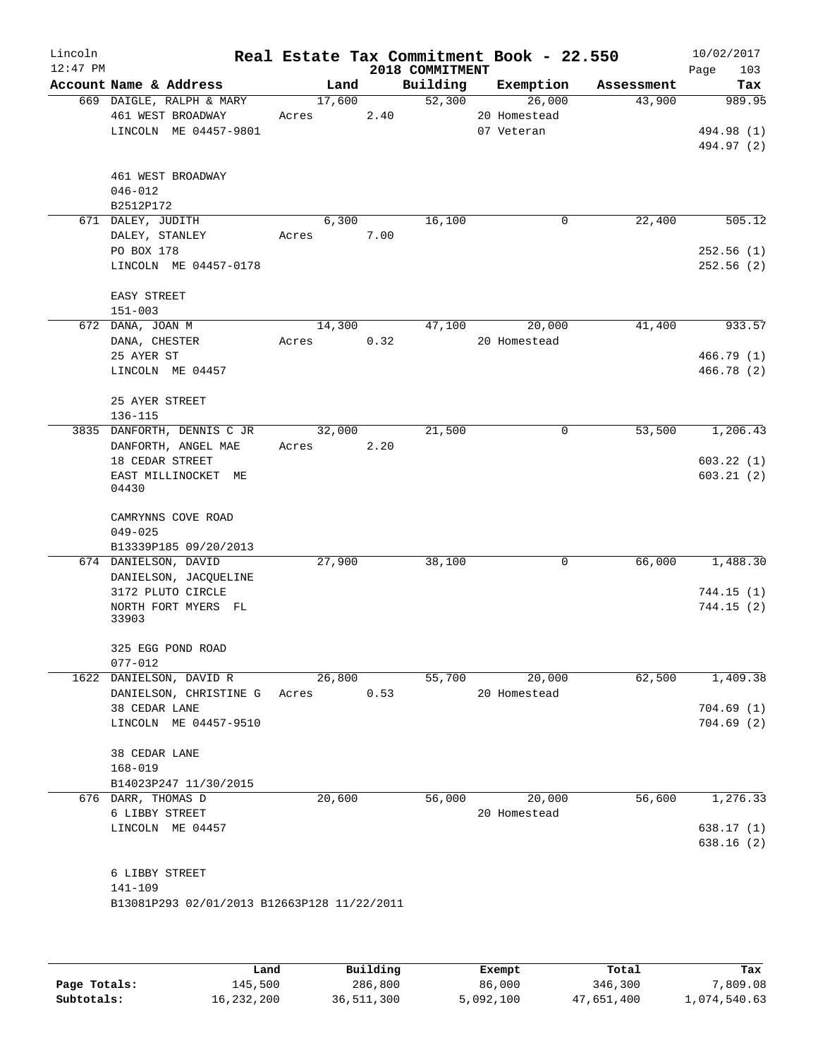| Lincoln<br>$12:47$ PM |                                                                        |                 |      | 2018 COMMITMENT | Real Estate Tax Commitment Book - 22.550 |            | 10/02/2017<br>103<br>Page |
|-----------------------|------------------------------------------------------------------------|-----------------|------|-----------------|------------------------------------------|------------|---------------------------|
|                       | Account Name & Address                                                 | Land            |      | Building        | Exemption                                | Assessment | Tax                       |
|                       | 669 DAIGLE, RALPH & MARY<br>461 WEST BROADWAY<br>LINCOLN ME 04457-9801 | 17,600<br>Acres | 2.40 | 52,300          | 26,000<br>20 Homestead<br>07 Veteran     | 43,900     | 989.95<br>494.98 (1)      |
|                       | 461 WEST BROADWAY<br>$046 - 012$<br>B2512P172                          |                 |      |                 |                                          |            | 494.97 (2)                |
|                       | 671 DALEY, JUDITH                                                      | 6,300           |      | 16,100          | 0                                        | 22,400     | 505.12                    |
|                       | DALEY, STANLEY<br>PO BOX 178                                           | Acres           | 7.00 |                 |                                          |            | 252.56(1)                 |
|                       | LINCOLN ME 04457-0178                                                  |                 |      |                 |                                          |            | 252.56(2)                 |
|                       | EASY STREET<br>$151 - 003$                                             |                 |      |                 |                                          |            |                           |
|                       | 672 DANA, JOAN M                                                       | 14,300          |      | 47,100          | 20,000                                   | 41,400     | 933.57                    |
|                       | DANA, CHESTER                                                          | Acres           | 0.32 |                 | 20 Homestead                             |            |                           |
|                       | 25 AYER ST                                                             |                 |      |                 |                                          |            | 466.79 (1)                |
|                       | LINCOLN ME 04457                                                       |                 |      |                 |                                          |            | 466.78 (2)                |
|                       | 25 AYER STREET<br>136-115                                              |                 |      |                 |                                          |            |                           |
|                       | 3835 DANFORTH, DENNIS C JR                                             | 32,000          |      | 21,500          | 0                                        | 53,500     | 1,206.43                  |
|                       | DANFORTH, ANGEL MAE                                                    | Acres           | 2.20 |                 |                                          |            |                           |
|                       | 18 CEDAR STREET<br>EAST MILLINOCKET ME                                 |                 |      |                 |                                          |            | 603.22(1)<br>603.21(2)    |
|                       | 04430                                                                  |                 |      |                 |                                          |            |                           |
|                       | CAMRYNNS COVE ROAD<br>$049 - 025$                                      |                 |      |                 |                                          |            |                           |
|                       | B13339P185 09/20/2013                                                  |                 |      |                 |                                          |            |                           |
|                       | 674 DANIELSON, DAVID<br>DANIELSON, JACQUELINE                          | 27,900          |      | 38,100          | 0                                        | 66,000     | 1,488.30                  |
|                       | 3172 PLUTO CIRCLE                                                      |                 |      |                 |                                          |            | 744.15(1)                 |
|                       | NORTH FORT MYERS FL<br>33903                                           |                 |      |                 |                                          |            | 744.15(2)                 |
|                       | 325 EGG POND ROAD<br>$077 - 012$                                       |                 |      |                 |                                          |            |                           |
|                       | 1622 DANIELSON, DAVID R                                                | 26,800          |      | 55,700          | 20,000                                   | 62,500     | 1,409.38                  |
|                       | DANIELSON, CHRISTINE G<br>38 CEDAR LANE                                | Acres           | 0.53 |                 | 20 Homestead                             |            | 704.69(1)                 |
|                       | LINCOLN ME 04457-9510                                                  |                 |      |                 |                                          |            | 704.69(2)                 |
|                       | 38 CEDAR LANE<br>$168 - 019$                                           |                 |      |                 |                                          |            |                           |
|                       | B14023P247 11/30/2015                                                  |                 |      |                 |                                          |            |                           |
|                       | 676 DARR, THOMAS D                                                     | 20,600          |      | 56,000          | 20,000                                   | 56,600     | 1,276.33                  |
|                       | 6 LIBBY STREET<br>LINCOLN ME 04457                                     |                 |      |                 | 20 Homestead                             |            | 638.17(1)                 |
|                       |                                                                        |                 |      |                 |                                          |            | 638.16(2)                 |
|                       | 6 LIBBY STREET                                                         |                 |      |                 |                                          |            |                           |
|                       | 141-109                                                                |                 |      |                 |                                          |            |                           |
|                       | B13081P293 02/01/2013 B12663P128 11/22/2011                            |                 |      |                 |                                          |            |                           |
|                       |                                                                        |                 |      |                 |                                          |            |                           |
|                       |                                                                        |                 |      |                 |                                          |            |                           |

|              | Land       | Building   | Exempt    | Total      | Tax          |
|--------------|------------|------------|-----------|------------|--------------|
| Page Totals: | 145,500    | 286,800    | 86,000    | 346,300    | 7,809.08     |
| Subtotals:   | 16,232,200 | 36,511,300 | 5,092,100 | 47,651,400 | 1,074,540.63 |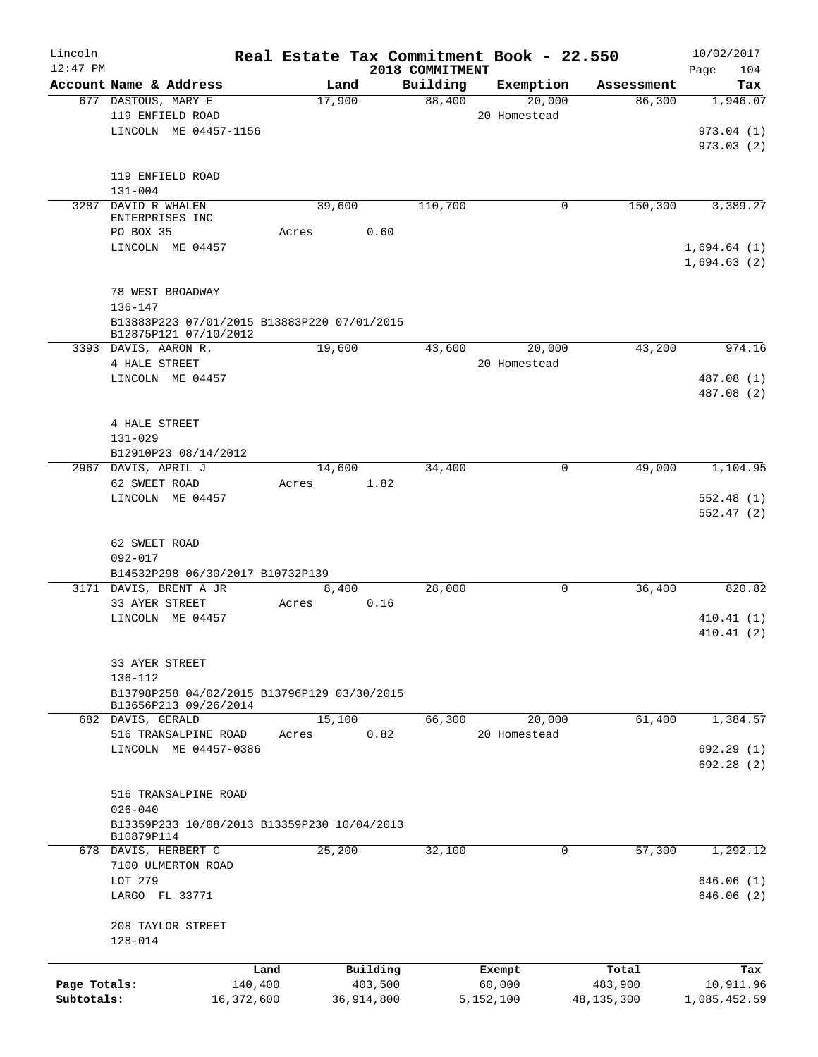| Lincoln      |                                                           |                |            |                    | Real Estate Tax Commitment Book - 22.550 |                      | 10/02/2017      |
|--------------|-----------------------------------------------------------|----------------|------------|--------------------|------------------------------------------|----------------------|-----------------|
| $12:47$ PM   | Account Name & Address                                    |                |            | 2018 COMMITMENT    | Exemption                                |                      | 104<br>Page     |
|              | 677 DASTOUS, MARY E                                       | Land<br>17,900 |            | Building<br>88,400 | 20,000                                   | Assessment<br>86,300 | Tax<br>1,946.07 |
|              | 119 ENFIELD ROAD                                          |                |            |                    | 20 Homestead                             |                      |                 |
|              | LINCOLN ME 04457-1156                                     |                |            |                    |                                          |                      | 973.04(1)       |
|              |                                                           |                |            |                    |                                          |                      | 973.03(2)       |
|              |                                                           |                |            |                    |                                          |                      |                 |
|              | 119 ENFIELD ROAD                                          |                |            |                    |                                          |                      |                 |
|              | $131 - 004$                                               |                |            |                    |                                          |                      |                 |
|              | 3287 DAVID R WHALEN                                       | 39,600         |            | 110,700            |                                          | 150,300<br>0         | 3,389.27        |
|              | ENTERPRISES INC                                           |                |            |                    |                                          |                      |                 |
|              | PO BOX 35                                                 | Acres          | 0.60       |                    |                                          |                      |                 |
|              | LINCOLN ME 04457                                          |                |            |                    |                                          |                      | 1,694.64(1)     |
|              |                                                           |                |            |                    |                                          |                      | 1,694.63(2)     |
|              |                                                           |                |            |                    |                                          |                      |                 |
|              | 78 WEST BROADWAY                                          |                |            |                    |                                          |                      |                 |
|              | 136-147                                                   |                |            |                    |                                          |                      |                 |
|              | B13883P223 07/01/2015 B13883P220 07/01/2015               |                |            |                    |                                          |                      |                 |
|              | B12875P121 07/10/2012<br>3393 DAVIS, AARON R.             |                |            | 43,600             | 20,000                                   | 43,200               | 974.16          |
|              | 4 HALE STREET                                             | 19,600         |            |                    | 20 Homestead                             |                      |                 |
|              | LINCOLN ME 04457                                          |                |            |                    |                                          |                      | 487.08 (1)      |
|              |                                                           |                |            |                    |                                          |                      | 487.08 (2)      |
|              |                                                           |                |            |                    |                                          |                      |                 |
|              | 4 HALE STREET                                             |                |            |                    |                                          |                      |                 |
|              | $131 - 029$                                               |                |            |                    |                                          |                      |                 |
|              | B12910P23 08/14/2012                                      |                |            |                    |                                          |                      |                 |
|              | 2967 DAVIS, APRIL J                                       | 14,600         |            | 34,400             |                                          | 49,000<br>0          | 1,104.95        |
|              | 62 SWEET ROAD                                             | Acres          | 1.82       |                    |                                          |                      |                 |
|              | LINCOLN ME 04457                                          |                |            |                    |                                          |                      | 552.48(1)       |
|              |                                                           |                |            |                    |                                          |                      | 552.47(2)       |
|              |                                                           |                |            |                    |                                          |                      |                 |
|              | 62 SWEET ROAD                                             |                |            |                    |                                          |                      |                 |
|              | $092 - 017$                                               |                |            |                    |                                          |                      |                 |
|              | B14532P298 06/30/2017 B10732P139                          |                |            |                    |                                          |                      |                 |
|              | 3171 DAVIS, BRENT A JR                                    | 8,400          |            | 28,000             |                                          | 0<br>36,400          | 820.82          |
|              | 33 AYER STREET                                            | Acres          | 0.16       |                    |                                          |                      |                 |
|              | LINCOLN ME 04457                                          |                |            |                    |                                          |                      | 410.41(1)       |
|              |                                                           |                |            |                    |                                          |                      | 410.41(2)       |
|              |                                                           |                |            |                    |                                          |                      |                 |
|              | 33 AYER STREET                                            |                |            |                    |                                          |                      |                 |
|              | 136-112                                                   |                |            |                    |                                          |                      |                 |
|              | B13798P258 04/02/2015 B13796P129 03/30/2015               |                |            |                    |                                          |                      |                 |
|              | B13656P213 09/26/2014                                     |                |            |                    |                                          |                      |                 |
|              | 682 DAVIS, GERALD                                         | 15,100         |            | 66,300             | 20,000                                   | 61,400               | 1,384.57        |
|              | 516 TRANSALPINE ROAD                                      | Acres          | 0.82       |                    | 20 Homestead                             |                      |                 |
|              | LINCOLN ME 04457-0386                                     |                |            |                    |                                          |                      | 692.29(1)       |
|              |                                                           |                |            |                    |                                          |                      | 692.28(2)       |
|              |                                                           |                |            |                    |                                          |                      |                 |
|              | 516 TRANSALPINE ROAD                                      |                |            |                    |                                          |                      |                 |
|              | $026 - 040$                                               |                |            |                    |                                          |                      |                 |
|              | B13359P233 10/08/2013 B13359P230 10/04/2013<br>B10879P114 |                |            |                    |                                          |                      |                 |
|              | 678 DAVIS, HERBERT C                                      | 25,200         |            | 32,100             |                                          | 57,300<br>0          | 1,292.12        |
|              | 7100 ULMERTON ROAD                                        |                |            |                    |                                          |                      |                 |
|              | LOT 279                                                   |                |            |                    |                                          |                      | 646.06(1)       |
|              | LARGO FL 33771                                            |                |            |                    |                                          |                      | 646.06(2)       |
|              |                                                           |                |            |                    |                                          |                      |                 |
|              | 208 TAYLOR STREET                                         |                |            |                    |                                          |                      |                 |
|              | 128-014                                                   |                |            |                    |                                          |                      |                 |
|              |                                                           |                |            |                    |                                          |                      |                 |
|              |                                                           | Land           | Building   |                    | Exempt                                   | Total                | Tax             |
| Page Totals: | 140,400                                                   |                | 403,500    |                    | 60,000                                   | 483,900              | 10,911.96       |
| Subtotals:   | 16,372,600                                                |                | 36,914,800 |                    | 5,152,100                                | 48,135,300           | 1,085,452.59    |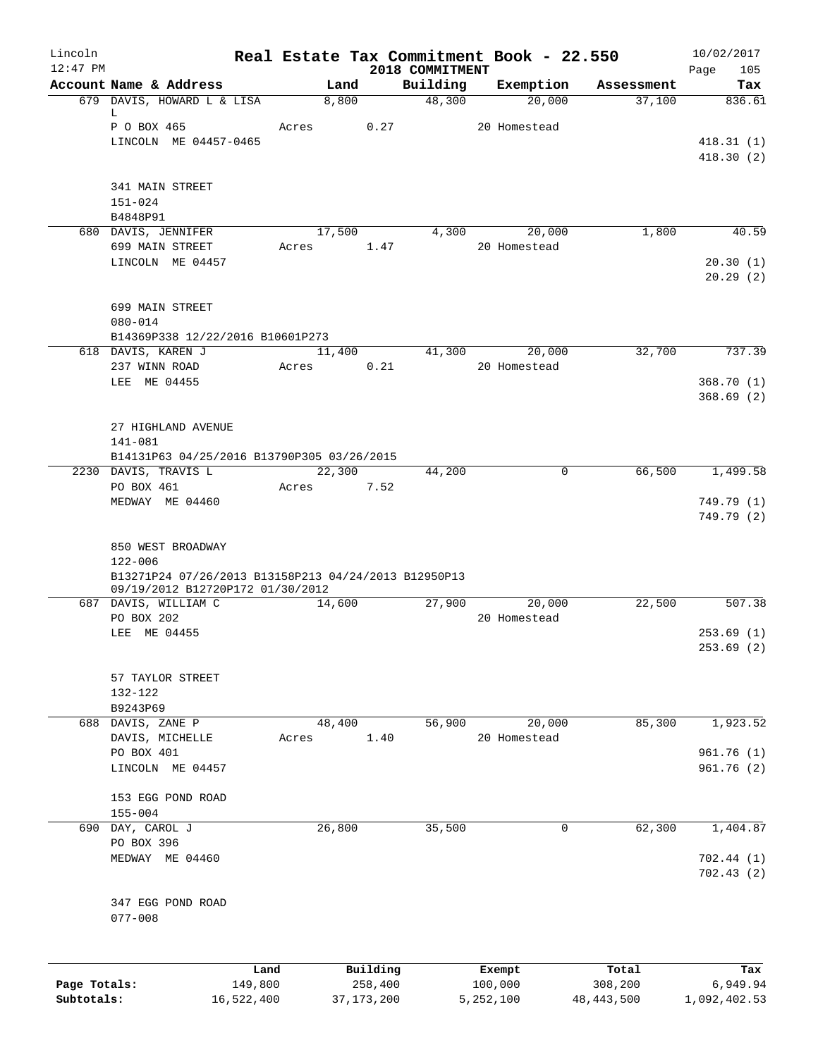| Lincoln<br>$12:47$ PM      |                                                                                          | Real Estate Tax Commitment Book - 22.550 |                         |                             |                        |                         | 10/02/2017               |
|----------------------------|------------------------------------------------------------------------------------------|------------------------------------------|-------------------------|-----------------------------|------------------------|-------------------------|--------------------------|
|                            | Account Name & Address                                                                   | Land                                     |                         | 2018 COMMITMENT<br>Building | Exemption              | Assessment              | Page<br>105<br>Tax       |
|                            | 679 DAVIS, HOWARD L & LISA                                                               | 8,800                                    |                         | 48,300                      | 20,000                 | 37,100                  | 836.61                   |
|                            | L<br>P O BOX 465                                                                         | Acres                                    | 0.27                    |                             | 20 Homestead           |                         |                          |
|                            | LINCOLN ME 04457-0465                                                                    |                                          |                         |                             |                        |                         | 418.31(1)                |
|                            |                                                                                          |                                          |                         |                             |                        |                         | 418.30(2)                |
|                            | 341 MAIN STREET                                                                          |                                          |                         |                             |                        |                         |                          |
|                            | $151 - 024$                                                                              |                                          |                         |                             |                        |                         |                          |
|                            | B4848P91                                                                                 |                                          |                         |                             |                        |                         |                          |
|                            | 680 DAVIS, JENNIFER<br>699 MAIN STREET                                                   | 17,500<br>Acres                          | 1.47                    | 4,300                       | 20,000<br>20 Homestead | 1,800                   | 40.59                    |
|                            | LINCOLN ME 04457                                                                         |                                          |                         |                             |                        |                         | 20.30(1)                 |
|                            |                                                                                          |                                          |                         |                             |                        |                         | 20.29(2)                 |
|                            | 699 MAIN STREET                                                                          |                                          |                         |                             |                        |                         |                          |
|                            | $080 - 014$                                                                              |                                          |                         |                             |                        |                         |                          |
|                            | B14369P338 12/22/2016 B10601P273                                                         |                                          |                         |                             |                        |                         |                          |
|                            | 618 DAVIS, KAREN J<br>237 WINN ROAD                                                      | 11,400<br>Acres                          | 0.21                    | 41,300                      | 20,000<br>20 Homestead | 32,700                  | 737.39                   |
|                            | LEE ME 04455                                                                             |                                          |                         |                             |                        |                         | 368.70(1)                |
|                            |                                                                                          |                                          |                         |                             |                        |                         | 368.69(2)                |
|                            | 27 HIGHLAND AVENUE                                                                       |                                          |                         |                             |                        |                         |                          |
|                            | 141-081                                                                                  |                                          |                         |                             |                        |                         |                          |
|                            | B14131P63 04/25/2016 B13790P305 03/26/2015                                               |                                          |                         |                             |                        |                         |                          |
|                            | 2230 DAVIS, TRAVIS L<br>PO BOX 461                                                       | 22,300<br>Acres                          | 7.52                    | 44,200                      | $\Omega$               | 66,500                  | 1,499.58                 |
|                            | MEDWAY ME 04460                                                                          |                                          |                         |                             |                        |                         | 749.79 (1)               |
|                            |                                                                                          |                                          |                         |                             |                        |                         | 749.79 (2)               |
|                            | 850 WEST BROADWAY                                                                        |                                          |                         |                             |                        |                         |                          |
|                            | 122-006                                                                                  |                                          |                         |                             |                        |                         |                          |
|                            | B13271P24 07/26/2013 B13158P213 04/24/2013 B12950P13<br>09/19/2012 B12720P172 01/30/2012 |                                          |                         |                             |                        |                         |                          |
|                            | 687 DAVIS, WILLIAM C                                                                     | 14,600                                   |                         | 27,900                      | 20,000                 | 22,500                  | 507.38                   |
|                            | PO BOX 202                                                                               |                                          |                         |                             | 20 Homestead           |                         |                          |
|                            | LEE ME 04455                                                                             |                                          |                         |                             |                        |                         | 253.69(1)                |
|                            |                                                                                          |                                          |                         |                             |                        |                         | 253.69 (2)               |
|                            | 57 TAYLOR STREET                                                                         |                                          |                         |                             |                        |                         |                          |
|                            | 132-122                                                                                  |                                          |                         |                             |                        |                         |                          |
|                            | B9243P69                                                                                 |                                          |                         |                             |                        |                         |                          |
|                            | 688 DAVIS, ZANE P<br>DAVIS, MICHELLE                                                     | 48,400<br>Acres                          | 1.40                    | 56,900                      | 20,000<br>20 Homestead | 85,300                  | 1,923.52                 |
|                            | PO BOX 401                                                                               |                                          |                         |                             |                        |                         | 961.76 (1)               |
|                            | LINCOLN ME 04457                                                                         |                                          |                         |                             |                        |                         | 961.76 (2)               |
|                            | 153 EGG POND ROAD                                                                        |                                          |                         |                             |                        |                         |                          |
|                            | $155 - 004$                                                                              |                                          |                         |                             |                        |                         |                          |
|                            | 690 DAY, CAROL J                                                                         | 26,800                                   |                         | 35,500                      | 0                      | 62,300                  | 1,404.87                 |
|                            | PO BOX 396<br>MEDWAY ME 04460                                                            |                                          |                         |                             |                        |                         | 702.44(1)                |
|                            |                                                                                          |                                          |                         |                             |                        |                         | 702.43(2)                |
|                            | 347 EGG POND ROAD                                                                        |                                          |                         |                             |                        |                         |                          |
|                            | $077 - 008$                                                                              |                                          |                         |                             |                        |                         |                          |
|                            |                                                                                          |                                          |                         |                             |                        |                         |                          |
|                            |                                                                                          | Land                                     | Building                |                             | Exempt                 | Total                   | Tax                      |
| Page Totals:<br>Subtotals: | 149,800<br>16,522,400                                                                    |                                          | 258,400<br>37, 173, 200 |                             | 100,000<br>5,252,100   | 308,200<br>48, 443, 500 | 6,949.94<br>1,092,402.53 |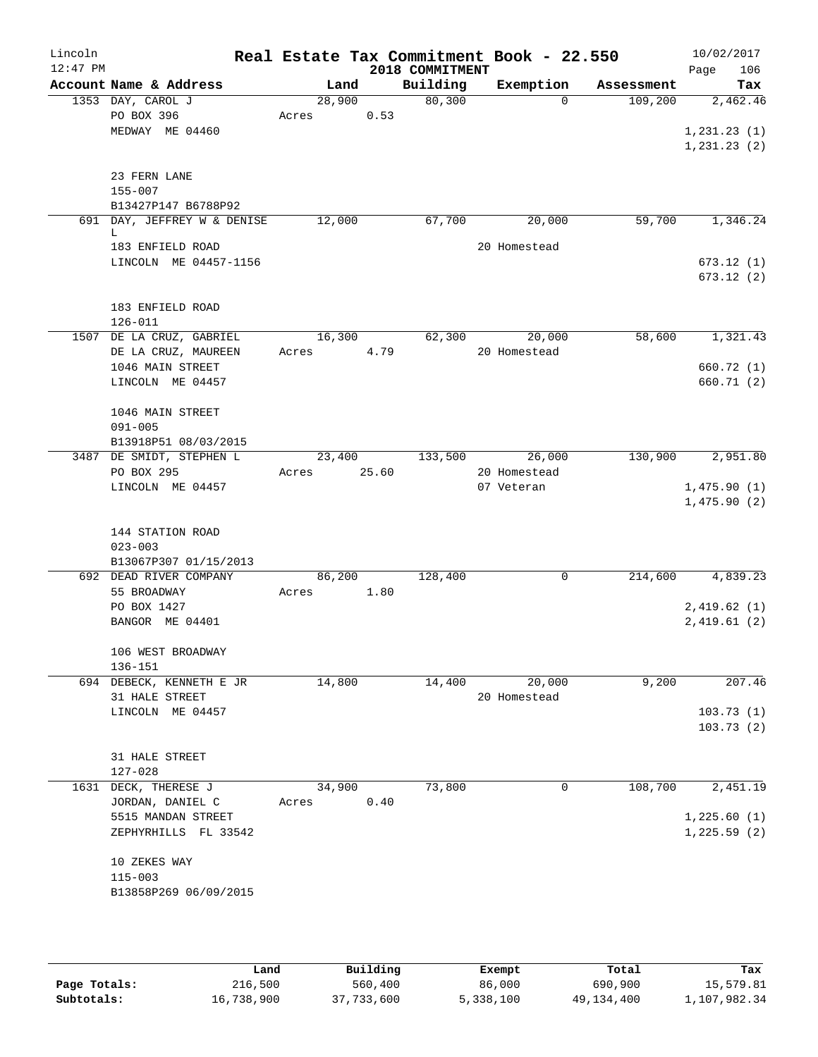| Lincoln<br>$12:47$ PM |                                                          |                 |       | Real Estate Tax Commitment Book - 22.550<br>2018 COMMITMENT |                        |                     | 10/02/2017<br>Page<br>106  |
|-----------------------|----------------------------------------------------------|-----------------|-------|-------------------------------------------------------------|------------------------|---------------------|----------------------------|
|                       | Account Name & Address                                   | Land            |       | Building                                                    | Exemption              | Assessment          | Tax                        |
|                       | 1353 DAY, CAROL J<br>PO BOX 396<br>MEDWAY ME 04460       | 28,900<br>Acres | 0.53  | 80,300                                                      |                        | 109,200<br>$\Omega$ | 2,462.46<br>1, 231.23(1)   |
|                       | 23 FERN LANE<br>$155 - 007$                              |                 |       |                                                             |                        |                     | 1, 231.23(2)               |
|                       | B13427P147 B6788P92<br>691 DAY, JEFFREY W & DENISE       | 12,000          |       | 67,700                                                      | 20,000                 | 59,700              | 1,346.24                   |
|                       | L<br>183 ENFIELD ROAD<br>LINCOLN ME 04457-1156           |                 |       |                                                             | 20 Homestead           |                     | 673.12(1)                  |
|                       | 183 ENFIELD ROAD<br>$126 - 011$                          |                 |       |                                                             |                        |                     | 673.12(2)                  |
|                       | 1507 DE LA CRUZ, GABRIEL<br>DE LA CRUZ, MAUREEN          | 16,300<br>Acres | 4.79  | 62,300                                                      | 20,000<br>20 Homestead | 58,600              | 1,321.43                   |
|                       | 1046 MAIN STREET<br>LINCOLN ME 04457                     |                 |       |                                                             |                        |                     | 660.72 (1)<br>660.71 (2)   |
|                       | 1046 MAIN STREET<br>$091 - 005$<br>B13918P51 08/03/2015  |                 |       |                                                             |                        |                     |                            |
|                       | 3487 DE SMIDT, STEPHEN L<br>PO BOX 295                   | 23,400<br>Acres | 25.60 | 133,500                                                     | 26,000<br>20 Homestead | 130,900             | 2,951.80                   |
|                       | LINCOLN ME 04457                                         |                 |       |                                                             | 07 Veteran             |                     | 1,475.90(1)<br>1,475.90(2) |
|                       | 144 STATION ROAD<br>$023 - 003$<br>B13067P307 01/15/2013 |                 |       |                                                             |                        |                     |                            |
|                       | 692 DEAD RIVER COMPANY<br>55 BROADWAY                    | 86,200<br>Acres | 1.80  | 128,400                                                     |                        | 214,600<br>0        | 4,839.23                   |
|                       | PO BOX 1427<br>BANGOR ME 04401                           |                 |       |                                                             |                        |                     | 2,419.62(1)<br>2,419.61(2) |
|                       | 106 WEST BROADWAY<br>136-151                             |                 |       |                                                             |                        |                     |                            |
|                       | 694 DEBECK, KENNETH E JR<br>31 HALE STREET               | 14,800          |       | 14,400                                                      | 20,000<br>20 Homestead | 9,200               | 207.46                     |
|                       | LINCOLN ME 04457                                         |                 |       |                                                             |                        |                     | 103.73(1)<br>103.73(2)     |
|                       | 31 HALE STREET<br>$127 - 028$                            |                 |       |                                                             |                        |                     |                            |
|                       | 1631 DECK, THERESE J<br>JORDAN, DANIEL C                 | 34,900<br>Acres | 0.40  | 73,800                                                      |                        | 108,700<br>0        | 2,451.19                   |
|                       | 5515 MANDAN STREET<br>ZEPHYRHILLS FL 33542               |                 |       |                                                             |                        |                     | 1,225.60(1)<br>1,225.59(2) |
|                       | 10 ZEKES WAY<br>$115 - 003$<br>B13858P269 06/09/2015     |                 |       |                                                             |                        |                     |                            |
|                       |                                                          |                 |       |                                                             |                        |                     |                            |

|              | Land       | Building   | Exempt    | Total      | Tax          |
|--------------|------------|------------|-----------|------------|--------------|
| Page Totals: | 216,500    | 560,400    | 86,000    | 690,900    | 15,579.81    |
| Subtotals:   | 16,738,900 | 37,733,600 | 5,338,100 | 49,134,400 | 1,107,982.34 |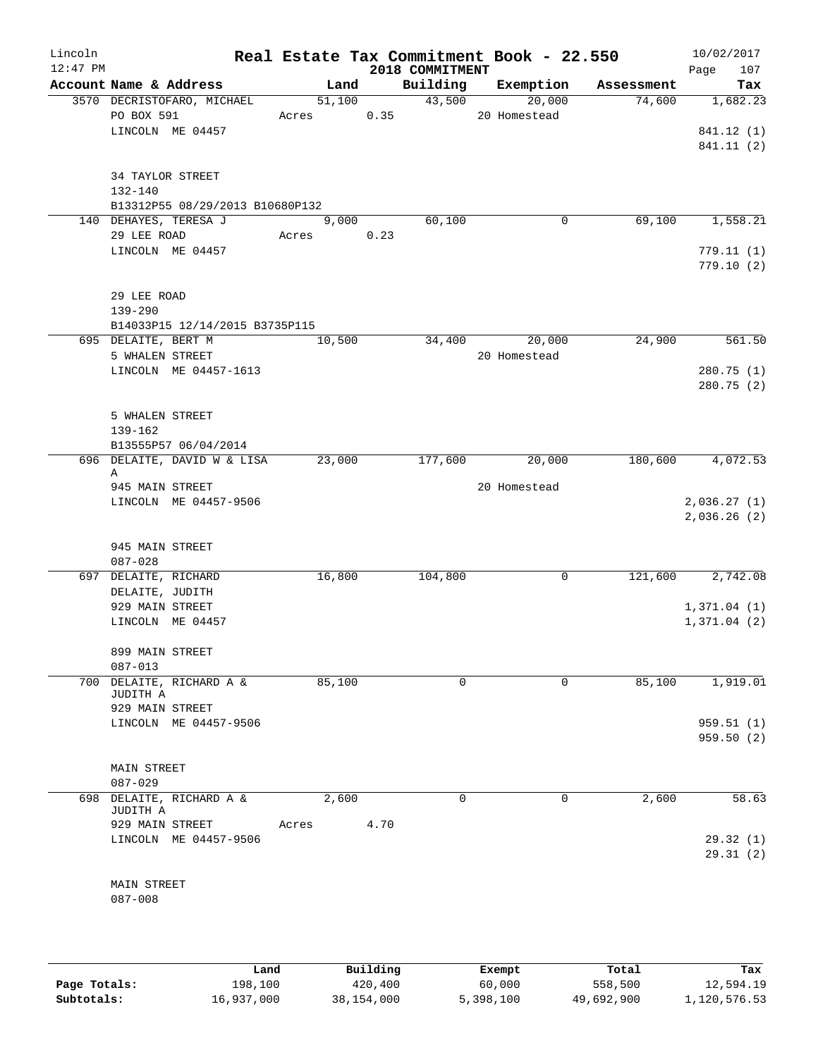| Lincoln<br>$12:47$ PM |                                     |       |        |      | 2018 COMMITMENT | Real Estate Tax Commitment Book - 22.550 |            | 10/02/2017<br>Page<br>107 |
|-----------------------|-------------------------------------|-------|--------|------|-----------------|------------------------------------------|------------|---------------------------|
|                       | Account Name & Address              |       | Land   |      | Building        | Exemption                                | Assessment | Tax                       |
|                       | 3570 DECRISTOFARO, MICHAEL          |       | 51,100 |      | 43,500          | 20,000                                   | 74,600     | 1,682.23                  |
|                       | PO BOX 591                          | Acres |        | 0.35 |                 | 20 Homestead                             |            |                           |
|                       | LINCOLN ME 04457                    |       |        |      |                 |                                          |            | 841.12 (1)                |
|                       |                                     |       |        |      |                 |                                          |            | 841.11 (2)                |
|                       |                                     |       |        |      |                 |                                          |            |                           |
|                       | 34 TAYLOR STREET                    |       |        |      |                 |                                          |            |                           |
|                       | 132-140                             |       |        |      |                 |                                          |            |                           |
|                       | B13312P55 08/29/2013 B10680P132     |       |        |      |                 |                                          |            |                           |
|                       | 140 DEHAYES, TERESA J               |       | 9,000  |      | 60,100          | 0                                        | 69,100     | 1,558.21                  |
|                       | 29 LEE ROAD                         | Acres |        | 0.23 |                 |                                          |            |                           |
|                       | LINCOLN ME 04457                    |       |        |      |                 |                                          |            | 779.11(1)                 |
|                       |                                     |       |        |      |                 |                                          |            | 779.10(2)                 |
|                       |                                     |       |        |      |                 |                                          |            |                           |
|                       | 29 LEE ROAD                         |       |        |      |                 |                                          |            |                           |
|                       | $139 - 290$                         |       |        |      |                 |                                          |            |                           |
|                       | B14033P15 12/14/2015 B3735P115      |       |        |      |                 |                                          |            |                           |
|                       | 695 DELAITE, BERT M                 |       | 10,500 |      | 34,400          | 20,000                                   | 24,900     | 561.50                    |
|                       | 5 WHALEN STREET                     |       |        |      |                 | 20 Homestead                             |            |                           |
|                       | LINCOLN ME 04457-1613               |       |        |      |                 |                                          |            | 280.75(1)                 |
|                       |                                     |       |        |      |                 |                                          |            | 280.75(2)                 |
|                       |                                     |       |        |      |                 |                                          |            |                           |
|                       | 5 WHALEN STREET                     |       |        |      |                 |                                          |            |                           |
|                       | 139-162                             |       |        |      |                 |                                          |            |                           |
|                       | B13555P57 06/04/2014                |       |        |      |                 |                                          |            |                           |
|                       | 696 DELAITE, DAVID W & LISA         |       | 23,000 |      | 177,600         | 20,000                                   | 180,600    | 4,072.53                  |
|                       | Α                                   |       |        |      |                 |                                          |            |                           |
|                       | 945 MAIN STREET                     |       |        |      |                 | 20 Homestead                             |            |                           |
|                       | LINCOLN ME 04457-9506               |       |        |      |                 |                                          |            | 2,036.27(1)               |
|                       |                                     |       |        |      |                 |                                          |            | 2,036.26(2)               |
|                       |                                     |       |        |      |                 |                                          |            |                           |
|                       | 945 MAIN STREET                     |       |        |      |                 |                                          |            |                           |
|                       | $087 - 028$                         |       |        |      |                 |                                          |            |                           |
|                       | 697 DELAITE, RICHARD                |       | 16,800 |      | 104,800         | 0                                        | 121,600    | 2,742.08                  |
|                       | DELAITE, JUDITH                     |       |        |      |                 |                                          |            |                           |
|                       | 929 MAIN STREET                     |       |        |      |                 |                                          |            | 1,371.04(1)               |
|                       | LINCOLN ME 04457                    |       |        |      |                 |                                          |            | 1,371.04(2)               |
|                       | 899 MAIN STREET                     |       |        |      |                 |                                          |            |                           |
|                       |                                     |       |        |      |                 |                                          |            |                           |
|                       | $087 - 013$<br>DELAITE, RICHARD A & |       |        |      | 0               | 0                                        | 85,100     |                           |
| 700                   | JUDITH A                            |       | 85,100 |      |                 |                                          |            | 1,919.01                  |
|                       | 929 MAIN STREET                     |       |        |      |                 |                                          |            |                           |
|                       | LINCOLN ME 04457-9506               |       |        |      |                 |                                          |            | 959.51(1)                 |
|                       |                                     |       |        |      |                 |                                          |            | 959.50(2)                 |
|                       |                                     |       |        |      |                 |                                          |            |                           |
|                       | MAIN STREET                         |       |        |      |                 |                                          |            |                           |
|                       | $087 - 029$                         |       |        |      |                 |                                          |            |                           |
| 698                   | DELAITE, RICHARD A &                |       | 2,600  |      | 0               | 0                                        | 2,600      | 58.63                     |
|                       | JUDITH A                            |       |        |      |                 |                                          |            |                           |
|                       | 929 MAIN STREET                     | Acres |        | 4.70 |                 |                                          |            |                           |
|                       | LINCOLN ME 04457-9506               |       |        |      |                 |                                          |            | 29.32(1)                  |
|                       |                                     |       |        |      |                 |                                          |            | 29.31(2)                  |
|                       |                                     |       |        |      |                 |                                          |            |                           |
|                       | MAIN STREET                         |       |        |      |                 |                                          |            |                           |
|                       | $087 - 008$                         |       |        |      |                 |                                          |            |                           |
|                       |                                     |       |        |      |                 |                                          |            |                           |
|                       |                                     |       |        |      |                 |                                          |            |                           |
|                       |                                     |       |        |      |                 |                                          |            |                           |
|                       |                                     |       |        |      |                 |                                          |            |                           |

|              | Land       | Building   | Exempt    | Total      | Tax          |
|--------------|------------|------------|-----------|------------|--------------|
| Page Totals: | 198,100    | 420,400    | 60,000    | 558,500    | 12,594.19    |
| Subtotals:   | 16,937,000 | 38,154,000 | 5,398,100 | 49,692,900 | 1,120,576.53 |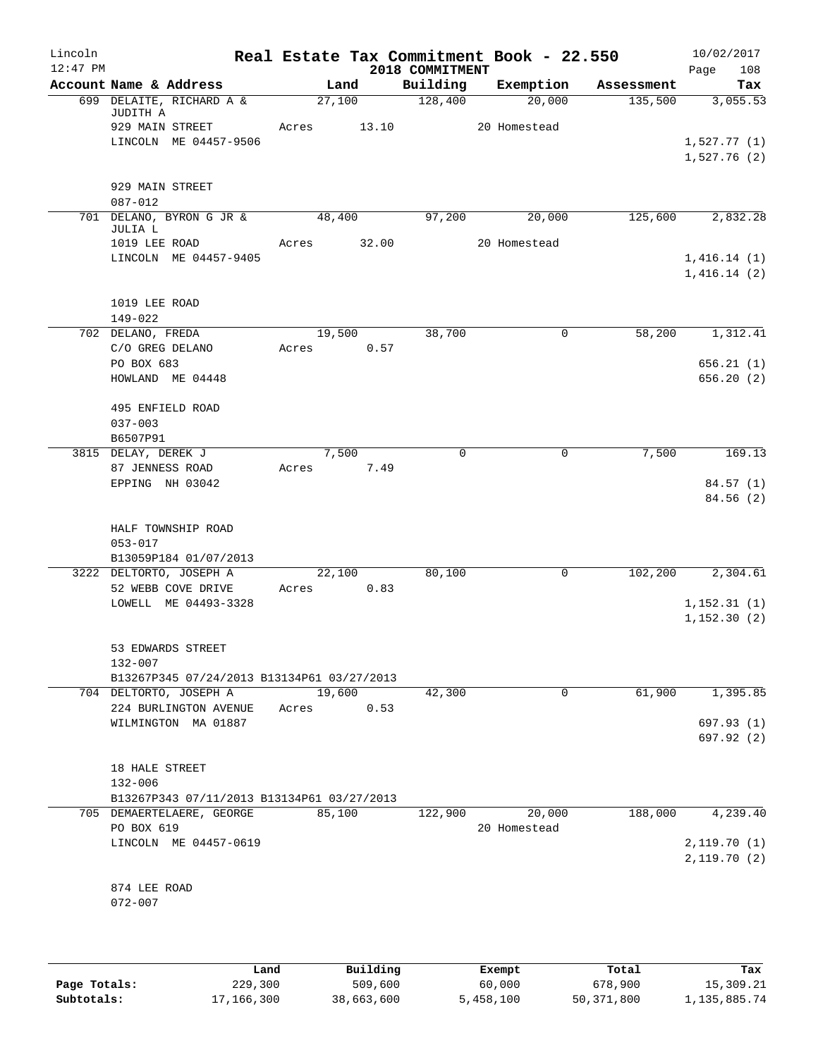| Lincoln<br>$12:47$ PM |                                                       |                 | 2018 COMMITMENT | Real Estate Tax Commitment Book - 22.550 |               | 10/02/2017<br>Page<br>108  |
|-----------------------|-------------------------------------------------------|-----------------|-----------------|------------------------------------------|---------------|----------------------------|
|                       | Account Name & Address                                | Land            | Building        | Exemption                                | Assessment    | Tax                        |
|                       | 699 DELAITE, RICHARD A &<br>JUDITH A                  | 27,100          | 128,400         | 20,000                                   | 135,500       | 3,055.53                   |
|                       | 929 MAIN STREET                                       | Acres<br>13.10  |                 | 20 Homestead                             |               |                            |
|                       | LINCOLN ME 04457-9506                                 |                 |                 |                                          |               | 1,527.77(1)<br>1,527.76(2) |
|                       | 929 MAIN STREET                                       |                 |                 |                                          |               |                            |
|                       | $087 - 012$<br>701 DELANO, BYRON G JR &               | 48,400          | 97,200          | 20,000                                   | 125,600       | 2,832.28                   |
|                       | JULIA L                                               |                 |                 |                                          |               |                            |
|                       | 1019 LEE ROAD                                         | Acres           | 32.00           | 20 Homestead                             |               |                            |
|                       | LINCOLN ME 04457-9405                                 |                 |                 |                                          |               | 1,416.14(1)<br>1,416.14(2) |
|                       | 1019 LEE ROAD                                         |                 |                 |                                          |               |                            |
|                       | $149 - 022$                                           |                 |                 |                                          |               |                            |
|                       | 702 DELANO, FREDA<br>C/O GREG DELANO                  | 19,500<br>Acres | 38,700<br>0.57  |                                          | 58,200<br>0   | 1,312.41                   |
|                       | PO BOX 683                                            |                 |                 |                                          |               | 656.21(1)                  |
|                       | HOWLAND ME 04448                                      |                 |                 |                                          |               | 656.20 (2)                 |
|                       | 495 ENFIELD ROAD                                      |                 |                 |                                          |               |                            |
|                       | $037 - 003$                                           |                 |                 |                                          |               |                            |
|                       | B6507P91                                              |                 |                 |                                          |               |                            |
|                       | 3815 DELAY, DEREK J<br>87 JENNESS ROAD                | 7,500<br>Acres  | 7.49            | $\mathbf 0$                              | 7,500<br>0    | 169.13                     |
|                       | EPPING NH 03042                                       |                 |                 |                                          |               | 84.57(1)                   |
|                       |                                                       |                 |                 |                                          |               | 84.56 (2)                  |
|                       | HALF TOWNSHIP ROAD<br>$053 - 017$                     |                 |                 |                                          |               |                            |
|                       | B13059P184 01/07/2013                                 |                 |                 |                                          |               |                            |
|                       | 3222 DELTORTO, JOSEPH A<br>52 WEBB COVE DRIVE         | 22,100<br>Acres | 80,100<br>0.83  |                                          | 0<br>102, 200 | 2,304.61                   |
|                       | LOWELL ME 04493-3328                                  |                 |                 |                                          |               | 1, 152.31(1)               |
|                       |                                                       |                 |                 |                                          |               | 1,152.30(2)                |
|                       | 53 EDWARDS STREET                                     |                 |                 |                                          |               |                            |
|                       | 132-007<br>B13267P345 07/24/2013 B13134P61 03/27/2013 |                 |                 |                                          |               |                            |
|                       | 704 DELTORTO, JOSEPH A                                | 19,600          | 42,300          |                                          | 61,900<br>0   | 1,395.85                   |
|                       | 224 BURLINGTON AVENUE                                 | Acres           | 0.53            |                                          |               |                            |
|                       | WILMINGTON MA 01887                                   |                 |                 |                                          |               | 697.93 (1)                 |
|                       |                                                       |                 |                 |                                          |               | 697.92 (2)                 |
|                       | 18 HALE STREET                                        |                 |                 |                                          |               |                            |
|                       | 132-006                                               |                 |                 |                                          |               |                            |
|                       | B13267P343 07/11/2013 B13134P61 03/27/2013            |                 |                 |                                          |               |                            |
|                       | 705 DEMAERTELAERE, GEORGE                             | 85,100          | 122,900         | 20,000                                   | 188,000       | 4,239.40                   |
|                       | PO BOX 619                                            |                 |                 | 20 Homestead                             |               |                            |
|                       | LINCOLN ME 04457-0619                                 |                 |                 |                                          |               | 2,119.70(1)<br>2,119.70(2) |
|                       | 874 LEE ROAD                                          |                 |                 |                                          |               |                            |
|                       | $072 - 007$                                           |                 |                 |                                          |               |                            |
|                       |                                                       |                 |                 |                                          |               |                            |
|                       |                                                       |                 |                 |                                          |               |                            |

|              | Land       | Building   | Exempt    | Total      | Tax          |
|--------------|------------|------------|-----------|------------|--------------|
| Page Totals: | 229,300    | 509,600    | 60,000    | 678,900    | 15,309.21    |
| Subtotals:   | 17,166,300 | 38,663,600 | 5,458,100 | 50,371,800 | 1,135,885.74 |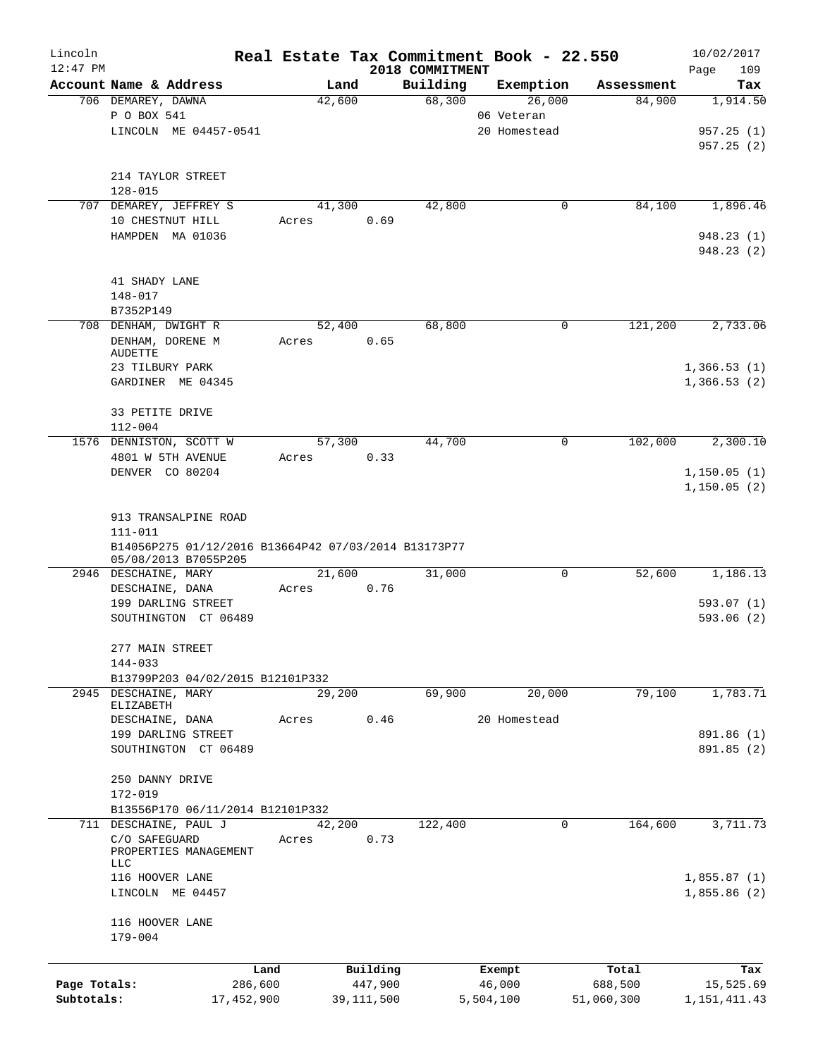| Lincoln<br>$12:47$ PM |                                                      | Real Estate Tax Commitment Book - 22.550 |        |              | 2018 COMMITMENT |              |             |            | 10/02/2017<br>109<br>Page |
|-----------------------|------------------------------------------------------|------------------------------------------|--------|--------------|-----------------|--------------|-------------|------------|---------------------------|
|                       | Account Name & Address                               |                                          | Land   |              | Building        | Exemption    |             | Assessment | Tax                       |
|                       | 706 DEMAREY, DAWNA                                   |                                          | 42,600 |              | 68,300          | 26,000       |             | 84,900     | 1,914.50                  |
|                       | P O BOX 541                                          |                                          |        |              |                 | 06 Veteran   |             |            |                           |
|                       | LINCOLN ME 04457-0541                                |                                          |        |              |                 | 20 Homestead |             |            | 957.25(1)                 |
|                       |                                                      |                                          |        |              |                 |              |             |            | 957.25(2)                 |
|                       | 214 TAYLOR STREET                                    |                                          |        |              |                 |              |             |            |                           |
|                       | $128 - 015$                                          |                                          |        |              |                 |              |             |            |                           |
|                       | 707 DEMAREY, JEFFREY S                               |                                          | 41,300 |              | 42,800          |              | 0           | 84,100     | 1,896.46                  |
|                       | 10 CHESTNUT HILL                                     | Acres                                    |        | 0.69         |                 |              |             |            |                           |
|                       | HAMPDEN MA 01036                                     |                                          |        |              |                 |              |             |            | 948.23(1)                 |
|                       |                                                      |                                          |        |              |                 |              |             |            | 948.23(2)                 |
|                       |                                                      |                                          |        |              |                 |              |             |            |                           |
|                       | 41 SHADY LANE<br>148-017                             |                                          |        |              |                 |              |             |            |                           |
|                       | B7352P149                                            |                                          |        |              |                 |              |             |            |                           |
|                       | 708 DENHAM, DWIGHT R                                 |                                          | 52,400 |              | 68,800          |              | 0           | 121,200    | 2,733.06                  |
|                       | DENHAM, DORENE M                                     | Acres                                    |        | 0.65         |                 |              |             |            |                           |
|                       | <b>AUDETTE</b>                                       |                                          |        |              |                 |              |             |            |                           |
|                       | 23 TILBURY PARK                                      |                                          |        |              |                 |              |             |            | 1,366.53(1)               |
|                       | GARDINER ME 04345                                    |                                          |        |              |                 |              |             |            | 1,366.53(2)               |
|                       | 33 PETITE DRIVE                                      |                                          |        |              |                 |              |             |            |                           |
|                       | $112 - 004$                                          |                                          |        |              |                 |              |             |            |                           |
|                       | 1576 DENNISTON, SCOTT W                              |                                          | 57,300 |              | 44,700          |              | 0           | 102,000    | 2,300.10                  |
|                       | 4801 W 5TH AVENUE                                    | Acres                                    |        | 0.33         |                 |              |             |            |                           |
|                       | DENVER CO 80204                                      |                                          |        |              |                 |              |             |            | 1, 150.05(1)              |
|                       |                                                      |                                          |        |              |                 |              |             |            | 1,150.05(2)               |
|                       |                                                      |                                          |        |              |                 |              |             |            |                           |
|                       | 913 TRANSALPINE ROAD<br>$111 - 011$                  |                                          |        |              |                 |              |             |            |                           |
|                       | B14056P275 01/12/2016 B13664P42 07/03/2014 B13173P77 |                                          |        |              |                 |              |             |            |                           |
|                       | 05/08/2013 B7055P205                                 |                                          |        |              |                 |              |             |            |                           |
|                       | 2946 DESCHAINE, MARY                                 |                                          | 21,600 |              | 31,000          |              | $\mathbf 0$ | 52,600     | 1,186.13                  |
|                       | DESCHAINE, DANA                                      | Acres                                    |        | 0.76         |                 |              |             |            |                           |
|                       | 199 DARLING STREET                                   |                                          |        |              |                 |              |             |            | 593.07(1)                 |
|                       | SOUTHINGTON CT 06489                                 |                                          |        |              |                 |              |             |            | 593.06(2)                 |
|                       | 277 MAIN STREET                                      |                                          |        |              |                 |              |             |            |                           |
|                       | 144-033                                              |                                          |        |              |                 |              |             |            |                           |
|                       | B13799P203 04/02/2015 B12101P332                     |                                          |        |              |                 |              |             |            |                           |
|                       | 2945 DESCHAINE, MARY                                 |                                          | 29,200 |              | 69,900          |              | 20,000      | 79,100     | 1,783.71                  |
|                       | ELIZABETH                                            |                                          |        |              |                 |              |             |            |                           |
|                       | DESCHAINE, DANA                                      | Acres                                    |        | 0.46         |                 | 20 Homestead |             |            |                           |
|                       | 199 DARLING STREET                                   |                                          |        |              |                 |              |             |            | 891.86 (1)                |
|                       | SOUTHINGTON CT 06489                                 |                                          |        |              |                 |              |             |            | 891.85 (2)                |
|                       | 250 DANNY DRIVE                                      |                                          |        |              |                 |              |             |            |                           |
|                       | 172-019                                              |                                          |        |              |                 |              |             |            |                           |
|                       | B13556P170 06/11/2014 B12101P332                     |                                          |        |              |                 |              |             |            |                           |
|                       | 711 DESCHAINE, PAUL J                                |                                          | 42,200 |              | 122,400         |              | 0           | 164,600    | 3,711.73                  |
|                       | C/O SAFEGUARD                                        | Acres                                    |        | 0.73         |                 |              |             |            |                           |
|                       | PROPERTIES MANAGEMENT<br>LLC                         |                                          |        |              |                 |              |             |            |                           |
|                       | 116 HOOVER LANE                                      |                                          |        |              |                 |              |             |            | 1,855.87(1)               |
|                       | LINCOLN ME 04457                                     |                                          |        |              |                 |              |             |            | 1,855.86(2)               |
|                       |                                                      |                                          |        |              |                 |              |             |            |                           |
|                       | 116 HOOVER LANE                                      |                                          |        |              |                 |              |             |            |                           |
|                       | 179-004                                              |                                          |        |              |                 |              |             |            |                           |
|                       |                                                      | Land                                     |        | Building     |                 | Exempt       |             | Total      | Tax                       |
| Page Totals:          |                                                      | 286,600                                  |        | 447,900      |                 | 46,000       |             | 688,500    | 15,525.69                 |
| Subtotals:            |                                                      | 17,452,900                               |        | 39, 111, 500 |                 | 5,504,100    |             | 51,060,300 | 1, 151, 411. 43           |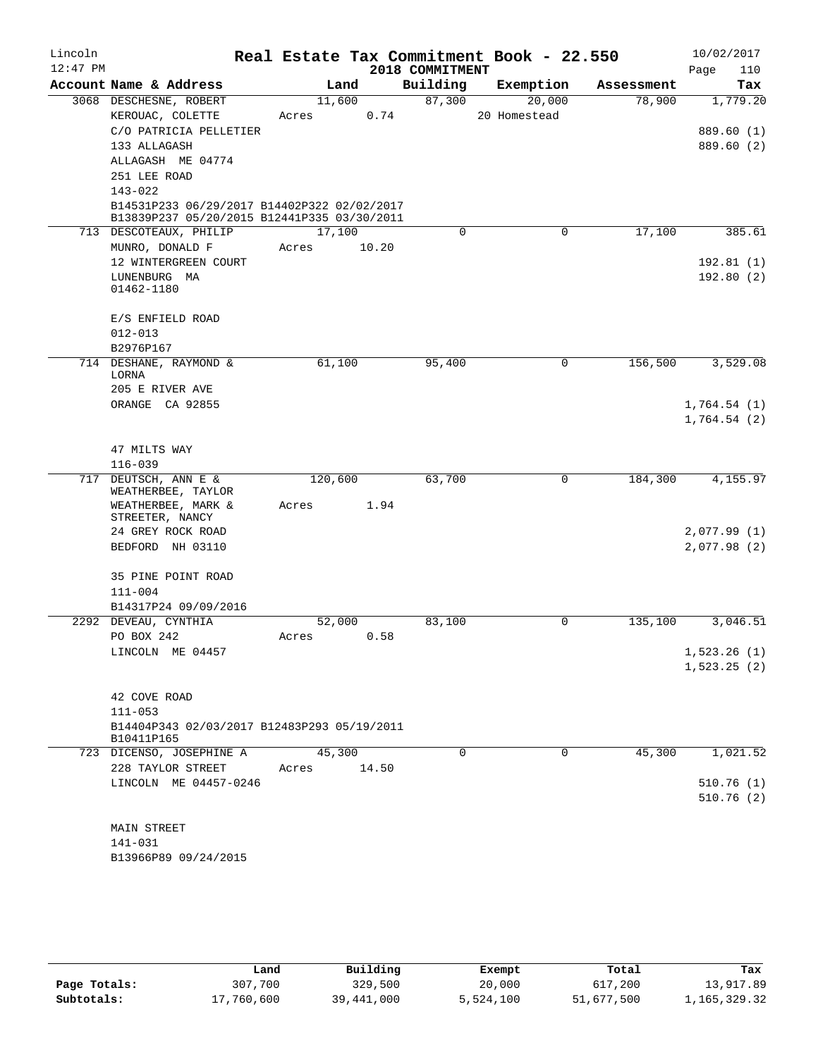| Lincoln    |                                                                                            |                 |       |                 | Real Estate Tax Commitment Book - 22.550 |            | 10/02/2017  |
|------------|--------------------------------------------------------------------------------------------|-----------------|-------|-----------------|------------------------------------------|------------|-------------|
| $12:47$ PM |                                                                                            |                 |       | 2018 COMMITMENT |                                          |            | 110<br>Page |
|            | Account Name & Address                                                                     | Land            |       | Building        | Exemption                                | Assessment | Tax         |
|            | 3068 DESCHESNE, ROBERT                                                                     | 11,600          |       | 87,300          | 20,000                                   | 78,900     | 1,779.20    |
|            | KEROUAC, COLETTE                                                                           | Acres           | 0.74  |                 | 20 Homestead                             |            |             |
|            | C/O PATRICIA PELLETIER                                                                     |                 |       |                 |                                          |            | 889.60 (1)  |
|            | 133 ALLAGASH                                                                               |                 |       |                 |                                          |            | 889.60 (2)  |
|            | ALLAGASH ME 04774                                                                          |                 |       |                 |                                          |            |             |
|            | 251 LEE ROAD                                                                               |                 |       |                 |                                          |            |             |
|            | $143 - 022$                                                                                |                 |       |                 |                                          |            |             |
|            | B14531P233 06/29/2017 B14402P322 02/02/2017<br>B13839P237 05/20/2015 B12441P335 03/30/2011 |                 |       |                 |                                          |            |             |
|            | 713 DESCOTEAUX, PHILIP                                                                     | 17,100          |       | 0               | 0                                        | 17,100     | 385.61      |
|            | MUNRO, DONALD F                                                                            | Acres           | 10.20 |                 |                                          |            |             |
|            | 12 WINTERGREEN COURT                                                                       |                 |       |                 |                                          |            | 192.81(1)   |
|            | LUNENBURG MA                                                                               |                 |       |                 |                                          |            | 192.80(2)   |
|            | 01462-1180                                                                                 |                 |       |                 |                                          |            |             |
|            | E/S ENFIELD ROAD                                                                           |                 |       |                 |                                          |            |             |
|            | $012 - 013$                                                                                |                 |       |                 |                                          |            |             |
|            | B2976P167                                                                                  |                 |       |                 |                                          |            |             |
|            | 714 DESHANE, RAYMOND &                                                                     | 61,100          |       | 95,400          | 0                                        | 156,500    | 3,529.08    |
|            | LORNA                                                                                      |                 |       |                 |                                          |            |             |
|            | 205 E RIVER AVE                                                                            |                 |       |                 |                                          |            |             |
|            | ORANGE CA 92855                                                                            |                 |       |                 |                                          |            | 1,764.54(1) |
|            |                                                                                            |                 |       |                 |                                          |            | 1,764.54(2) |
|            |                                                                                            |                 |       |                 |                                          |            |             |
|            | 47 MILTS WAY                                                                               |                 |       |                 |                                          |            |             |
|            | $116 - 039$                                                                                |                 |       |                 |                                          |            |             |
| 717        | DEUTSCH, ANN E &<br>WEATHERBEE, TAYLOR                                                     | 120,600         |       | 63,700          | 0                                        | 184,300    | 4,155.97    |
|            | WEATHERBEE, MARK &                                                                         | Acres           | 1.94  |                 |                                          |            |             |
|            | STREETER, NANCY                                                                            |                 |       |                 |                                          |            |             |
|            | 24 GREY ROCK ROAD                                                                          |                 |       |                 |                                          |            | 2,077.99(1) |
|            | BEDFORD NH 03110                                                                           |                 |       |                 |                                          |            | 2,077.98(2) |
|            |                                                                                            |                 |       |                 |                                          |            |             |
|            | 35 PINE POINT ROAD                                                                         |                 |       |                 |                                          |            |             |
|            | $111 - 004$                                                                                |                 |       |                 |                                          |            |             |
|            | B14317P24 09/09/2016                                                                       |                 |       |                 |                                          |            | 3,046.51    |
|            | 2292 DEVEAU, CYNTHIA<br>PO BOX 242                                                         | 52,000<br>Acres | 0.58  | 83,100          | 0                                        | 135,100    |             |
|            | LINCOLN ME 04457                                                                           |                 |       |                 |                                          |            | 1,523.26(1) |
|            |                                                                                            |                 |       |                 |                                          |            | 1,523.25(2) |
|            |                                                                                            |                 |       |                 |                                          |            |             |
|            | 42 COVE ROAD                                                                               |                 |       |                 |                                          |            |             |
|            | $111 - 053$                                                                                |                 |       |                 |                                          |            |             |
|            | B14404P343 02/03/2017 B12483P293 05/19/2011                                                |                 |       |                 |                                          |            |             |
|            | B10411P165                                                                                 |                 |       |                 |                                          |            |             |
|            | 723 DICENSO, JOSEPHINE A                                                                   | 45,300          |       | $\Omega$        | $\Omega$                                 | 45,300     | 1,021.52    |
|            | 228 TAYLOR STREET                                                                          | Acres           | 14.50 |                 |                                          |            |             |
|            | LINCOLN ME 04457-0246                                                                      |                 |       |                 |                                          |            | 510.76(1)   |
|            |                                                                                            |                 |       |                 |                                          |            | 510.76(2)   |
|            |                                                                                            |                 |       |                 |                                          |            |             |
|            | MAIN STREET                                                                                |                 |       |                 |                                          |            |             |
|            | 141-031                                                                                    |                 |       |                 |                                          |            |             |
|            | B13966P89 09/24/2015                                                                       |                 |       |                 |                                          |            |             |

|              | Land       | Building   |           | Total      | Tax          |
|--------------|------------|------------|-----------|------------|--------------|
|              |            |            | Exempt    |            |              |
| Page Totals: | 307,700    | 329,500    | 20,000    | 617,200    | 13,917.89    |
| Subtotals:   | 17,760,600 | 39,441,000 | 5,524,100 | 51,677,500 | 1,165,329.32 |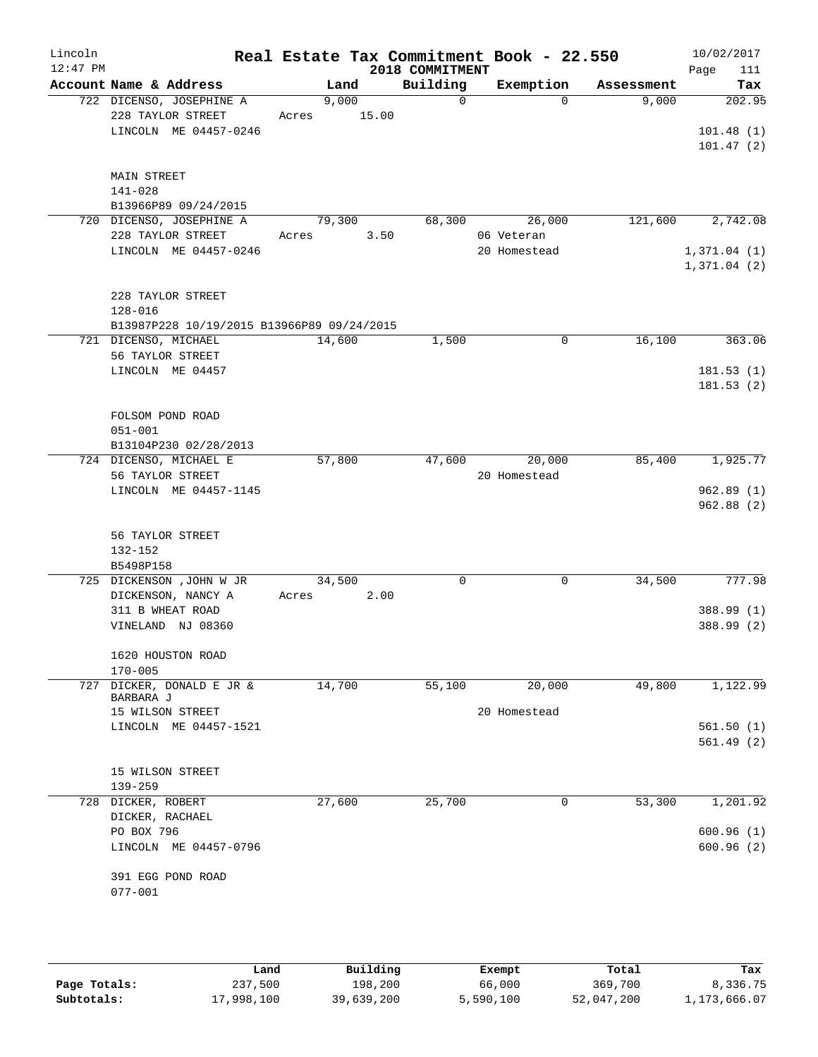| Lincoln<br>$12:47$ PM |                                       |                                            |       |        |       | 2018 COMMITMENT | Real Estate Tax Commitment Book - 22.550 |            | 10/02/2017<br>111<br>Page |
|-----------------------|---------------------------------------|--------------------------------------------|-------|--------|-------|-----------------|------------------------------------------|------------|---------------------------|
|                       |                                       | Account Name & Address                     |       | Land   |       | Building        | Exemption                                | Assessment | Tax                       |
|                       |                                       | 722 DICENSO, JOSEPHINE A                   |       | 9,000  |       | $\Omega$        | $\Omega$                                 | 9,000      | 202.95                    |
|                       |                                       | 228 TAYLOR STREET                          | Acres |        | 15.00 |                 |                                          |            |                           |
|                       |                                       | LINCOLN ME 04457-0246                      |       |        |       |                 |                                          |            | 101.48(1)                 |
|                       |                                       |                                            |       |        |       |                 |                                          |            | 101.47(2)                 |
|                       |                                       |                                            |       |        |       |                 |                                          |            |                           |
|                       | <b>MAIN STREET</b><br>$141 - 028$     |                                            |       |        |       |                 |                                          |            |                           |
|                       |                                       | B13966P89 09/24/2015                       |       |        |       |                 |                                          |            |                           |
|                       |                                       | 720 DICENSO, JOSEPHINE A                   |       | 79,300 |       | 68,300          | 26,000                                   | 121,600    | 2,742.08                  |
|                       |                                       | 228 TAYLOR STREET                          | Acres |        | 3.50  |                 | 06 Veteran                               |            |                           |
|                       |                                       | LINCOLN ME 04457-0246                      |       |        |       |                 | 20 Homestead                             |            | 1,371.04(1)               |
|                       |                                       |                                            |       |        |       |                 |                                          |            | 1,371.04(2)               |
|                       |                                       |                                            |       |        |       |                 |                                          |            |                           |
|                       |                                       | 228 TAYLOR STREET                          |       |        |       |                 |                                          |            |                           |
|                       | $128 - 016$                           |                                            |       |        |       |                 |                                          |            |                           |
|                       |                                       | B13987P228 10/19/2015 B13966P89 09/24/2015 |       |        |       |                 |                                          |            |                           |
|                       |                                       | 721 DICENSO, MICHAEL                       |       | 14,600 |       | 1,500           | $\mathbf 0$                              | 16,100     | 363.06                    |
|                       |                                       | 56 TAYLOR STREET<br>LINCOLN ME 04457       |       |        |       |                 |                                          |            | 181.53(1)                 |
|                       |                                       |                                            |       |        |       |                 |                                          |            | 181.53(2)                 |
|                       |                                       |                                            |       |        |       |                 |                                          |            |                           |
|                       |                                       | FOLSOM POND ROAD                           |       |        |       |                 |                                          |            |                           |
|                       | $051 - 001$                           |                                            |       |        |       |                 |                                          |            |                           |
|                       |                                       | B13104P230 02/28/2013                      |       |        |       |                 |                                          |            |                           |
|                       |                                       | 724 DICENSO, MICHAEL E                     |       | 57,800 |       | 47,600          | 20,000                                   | 85,400     | 1,925.77                  |
|                       |                                       | 56 TAYLOR STREET                           |       |        |       |                 | 20 Homestead                             |            |                           |
|                       |                                       | LINCOLN ME 04457-1145                      |       |        |       |                 |                                          |            | 962.89(1)                 |
|                       |                                       |                                            |       |        |       |                 |                                          |            | 962.88(2)                 |
|                       |                                       |                                            |       |        |       |                 |                                          |            |                           |
|                       | $132 - 152$                           | 56 TAYLOR STREET                           |       |        |       |                 |                                          |            |                           |
|                       | B5498P158                             |                                            |       |        |       |                 |                                          |            |                           |
|                       |                                       | 725 DICKENSON , JOHN W JR                  |       | 34,500 |       | 0               | $\mathbf 0$                              | 34,500     | 777.98                    |
|                       |                                       | DICKENSON, NANCY A                         | Acres |        | 2.00  |                 |                                          |            |                           |
|                       |                                       | 311 B WHEAT ROAD                           |       |        |       |                 |                                          |            | 388.99 (1)                |
|                       |                                       | VINELAND NJ 08360                          |       |        |       |                 |                                          |            | 388.99 (2)                |
|                       |                                       |                                            |       |        |       |                 |                                          |            |                           |
|                       |                                       | 1620 HOUSTON ROAD                          |       |        |       |                 |                                          |            |                           |
|                       | $170 - 005$                           |                                            |       |        |       |                 |                                          |            |                           |
| 727                   | BARBARA J                             | DICKER, DONALD E JR &                      |       | 14,700 |       | 55,100          | 20,000                                   | 49,800     | 1,122.99                  |
|                       |                                       | 15 WILSON STREET                           |       |        |       |                 | 20 Homestead                             |            |                           |
|                       |                                       | LINCOLN ME 04457-1521                      |       |        |       |                 |                                          |            | 561.50(1)                 |
|                       |                                       |                                            |       |        |       |                 |                                          |            | 561.49(2)                 |
|                       |                                       |                                            |       |        |       |                 |                                          |            |                           |
|                       |                                       | 15 WILSON STREET                           |       |        |       |                 |                                          |            |                           |
|                       | $139 - 259$                           |                                            |       |        |       |                 |                                          |            |                           |
|                       | 728 DICKER, ROBERT<br>DICKER, RACHAEL |                                            |       | 27,600 |       | 25,700          | 0                                        | 53,300     | 1,201.92                  |
|                       | PO BOX 796                            |                                            |       |        |       |                 |                                          |            | 600.96(1)                 |
|                       |                                       | LINCOLN ME 04457-0796                      |       |        |       |                 |                                          |            | 600.96(2)                 |
|                       |                                       |                                            |       |        |       |                 |                                          |            |                           |
|                       |                                       | 391 EGG POND ROAD                          |       |        |       |                 |                                          |            |                           |
|                       | $077 - 001$                           |                                            |       |        |       |                 |                                          |            |                           |
|                       |                                       |                                            |       |        |       |                 |                                          |            |                           |
|                       |                                       |                                            |       |        |       |                 |                                          |            |                           |

|              | Land       | Building   | Exempt    | Total      | Tax          |
|--------------|------------|------------|-----------|------------|--------------|
| Page Totals: | 237,500    | 198,200    | 66,000    | 369,700    | 8,336.75     |
| Subtotals:   | 17,998,100 | 39,639,200 | 5,590,100 | 52,047,200 | 1,173,666.07 |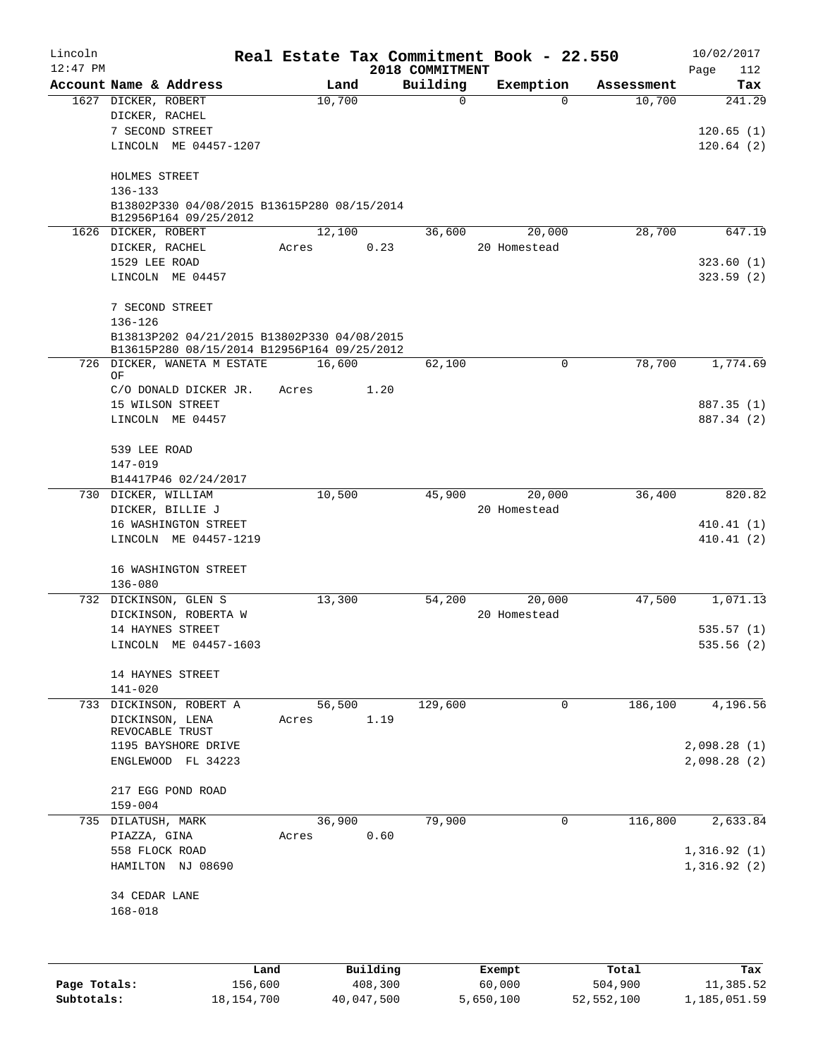| Lincoln<br>$12:47$ PM |                                                                      |         |        |        |          | 2018 COMMITMENT | Real Estate Tax Commitment Book - 22.550 |            | 10/02/2017<br>112<br>Page |
|-----------------------|----------------------------------------------------------------------|---------|--------|--------|----------|-----------------|------------------------------------------|------------|---------------------------|
|                       | Account Name & Address                                               |         |        | Land   |          | Building        | Exemption                                | Assessment | Tax                       |
|                       | 1627 DICKER, ROBERT                                                  |         | 10,700 |        |          | $\mathbf 0$     | $\Omega$                                 | 10,700     | 241.29                    |
|                       | DICKER, RACHEL                                                       |         |        |        |          |                 |                                          |            |                           |
|                       | 7 SECOND STREET                                                      |         |        |        |          |                 |                                          |            | 120.65(1)                 |
|                       | LINCOLN ME 04457-1207                                                |         |        |        |          |                 |                                          |            | 120.64(2)                 |
|                       | HOLMES STREET                                                        |         |        |        |          |                 |                                          |            |                           |
|                       | 136-133                                                              |         |        |        |          |                 |                                          |            |                           |
|                       | B13802P330 04/08/2015 B13615P280 08/15/2014<br>B12956P164 09/25/2012 |         |        |        |          |                 |                                          |            |                           |
|                       | 1626 DICKER, ROBERT                                                  |         | 12,100 |        |          | 36,600          | 20,000                                   | 28,700     | 647.19                    |
|                       | DICKER, RACHEL                                                       |         | Acres  |        | 0.23     |                 | 20 Homestead                             |            |                           |
|                       | 1529 LEE ROAD                                                        |         |        |        |          |                 |                                          |            | 323.60(1)                 |
|                       | LINCOLN ME 04457                                                     |         |        |        |          |                 |                                          |            | 323.59(2)                 |
|                       | 7 SECOND STREET                                                      |         |        |        |          |                 |                                          |            |                           |
|                       | $136 - 126$<br>B13813P202 04/21/2015 B13802P330 04/08/2015           |         |        |        |          |                 |                                          |            |                           |
|                       | B13615P280 08/15/2014 B12956P164 09/25/2012                          |         |        |        |          |                 |                                          |            |                           |
|                       | 726 DICKER, WANETA M ESTATE<br>ΟF                                    |         | 16,600 |        |          | 62,100          | $\mathbf 0$                              | 78,700     | 1,774.69                  |
|                       | C/O DONALD DICKER JR.                                                |         | Acres  |        | 1.20     |                 |                                          |            |                           |
|                       | 15 WILSON STREET                                                     |         |        |        |          |                 |                                          |            | 887.35 (1)                |
|                       | LINCOLN ME 04457                                                     |         |        |        |          |                 |                                          |            | 887.34 (2)                |
|                       | 539 LEE ROAD                                                         |         |        |        |          |                 |                                          |            |                           |
|                       | 147-019                                                              |         |        |        |          |                 |                                          |            |                           |
|                       | B14417P46 02/24/2017                                                 |         |        |        |          |                 |                                          |            |                           |
|                       | 730 DICKER, WILLIAM                                                  |         | 10,500 |        |          | 45,900          | 20,000                                   | 36,400     | 820.82                    |
|                       | DICKER, BILLIE J                                                     |         |        |        |          |                 | 20 Homestead                             |            |                           |
|                       | 16 WASHINGTON STREET                                                 |         |        |        |          |                 |                                          |            | 410.41(1)                 |
|                       | LINCOLN ME 04457-1219                                                |         |        |        |          |                 |                                          |            | 410.41(2)                 |
|                       | 16 WASHINGTON STREET                                                 |         |        |        |          |                 |                                          |            |                           |
|                       | $136 - 080$<br>732 DICKINSON, GLEN S                                 |         | 13,300 |        |          |                 |                                          | 47,500     |                           |
|                       | DICKINSON, ROBERTA W                                                 |         |        |        |          | 54,200          | 20,000<br>20 Homestead                   |            | 1,071.13                  |
|                       | 14 HAYNES STREET                                                     |         |        |        |          |                 |                                          |            | 535.57(1)                 |
|                       | LINCOLN ME 04457-1603                                                |         |        |        |          |                 |                                          |            | 535.56 (2)                |
|                       |                                                                      |         |        |        |          |                 |                                          |            |                           |
|                       | 14 HAYNES STREET<br>$141 - 020$                                      |         |        |        |          |                 |                                          |            |                           |
|                       | 733 DICKINSON, ROBERT A                                              |         |        | 56,500 |          | 129,600         | $\overline{0}$                           | 186,100    | 4,196.56                  |
|                       | DICKINSON, LENA                                                      |         | Acres  |        | 1.19     |                 |                                          |            |                           |
|                       | REVOCABLE TRUST<br>1195 BAYSHORE DRIVE                               |         |        |        |          |                 |                                          |            | 2,098.28(1)               |
|                       | ENGLEWOOD FL 34223                                                   |         |        |        |          |                 |                                          |            | 2,098.28(2)               |
|                       | 217 EGG POND ROAD                                                    |         |        |        |          |                 |                                          |            |                           |
|                       | $159 - 004$                                                          |         |        |        |          |                 |                                          |            |                           |
| 735                   | DILATUSH, MARK                                                       |         | 36,900 |        |          | 79,900          | $\mathbf 0$                              | 116,800    | 2,633.84                  |
|                       | PIAZZA, GINA                                                         |         | Acres  |        | 0.60     |                 |                                          |            |                           |
|                       | 558 FLOCK ROAD                                                       |         |        |        |          |                 |                                          |            | 1,316.92(1)               |
|                       | HAMILTON NJ 08690                                                    |         |        |        |          |                 |                                          |            | 1,316.92(2)               |
|                       | 34 CEDAR LANE                                                        |         |        |        |          |                 |                                          |            |                           |
|                       | $168 - 018$                                                          |         |        |        |          |                 |                                          |            |                           |
|                       |                                                                      |         |        |        |          |                 |                                          |            |                           |
|                       |                                                                      | Land    |        |        | Building |                 | Exempt                                   | Total      | Tax                       |
| Page Totals:          |                                                                      | 156,600 |        |        | 408,300  |                 | 60,000                                   | 504,900    | 11,385.52                 |

**Subtotals:** 18,154,700 40,047,500 5,650,100 52,552,100 1,185,051.59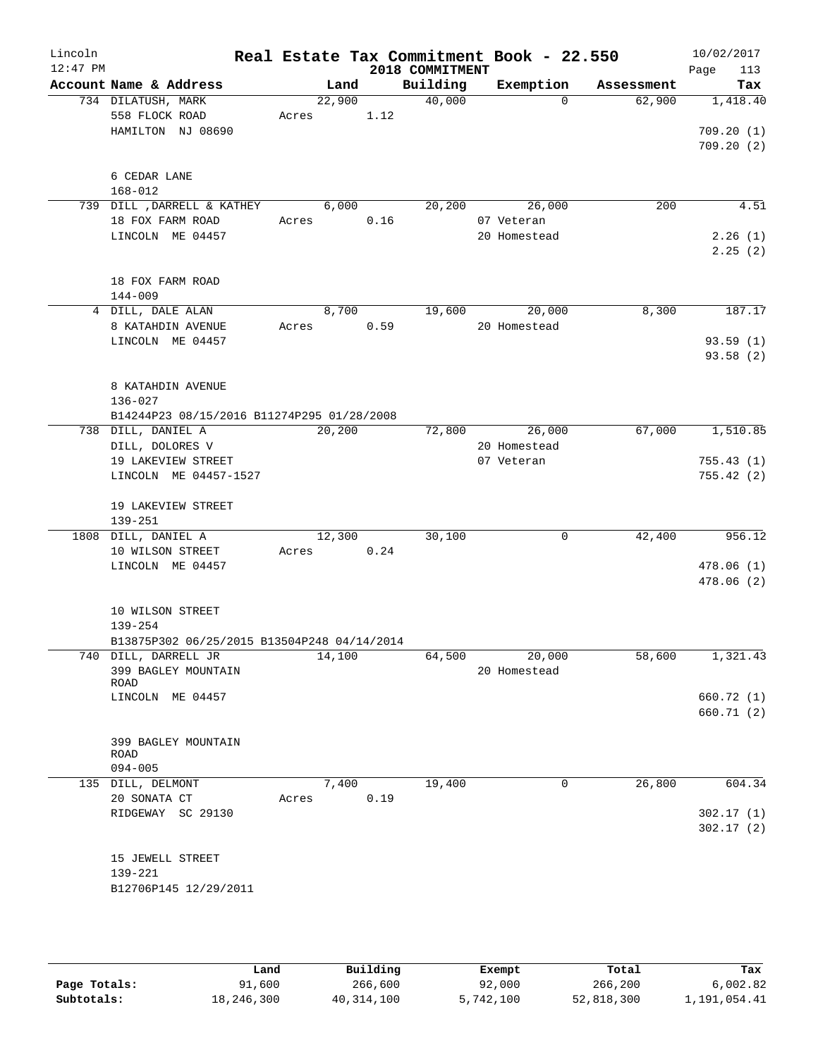| Lincoln<br>$12:47$ PM |                                                                     |       |        |      | 2018 COMMITMENT | Real Estate Tax Commitment Book - 22.550 |            | 10/02/2017<br>113<br>Page          |
|-----------------------|---------------------------------------------------------------------|-------|--------|------|-----------------|------------------------------------------|------------|------------------------------------|
|                       | Account Name & Address                                              |       | Land   |      | Building        | Exemption                                | Assessment | Tax                                |
|                       | 734 DILATUSH, MARK<br>558 FLOCK ROAD<br>HAMILTON NJ 08690           | Acres | 22,900 | 1.12 | 40,000          | $\Omega$                                 | 62,900     | 1,418.40<br>709.20(1)<br>709.20(2) |
|                       | 6 CEDAR LANE<br>$168 - 012$                                         |       |        |      |                 |                                          |            |                                    |
|                       | 739 DILL , DARRELL & KATHEY                                         |       | 6,000  |      | 20,200          | 26,000                                   | 200        | 4.51                               |
|                       | 18 FOX FARM ROAD                                                    | Acres |        | 0.16 |                 | 07 Veteran                               |            |                                    |
|                       | LINCOLN ME 04457                                                    |       |        |      |                 | 20 Homestead                             |            | 2.26(1)                            |
|                       | 18 FOX FARM ROAD                                                    |       |        |      |                 |                                          |            | 2.25(2)                            |
|                       | $144 - 009$                                                         |       |        |      |                 |                                          |            |                                    |
|                       | 4 DILL, DALE ALAN                                                   |       | 8,700  |      | 19,600          | 20,000                                   | 8,300      | 187.17                             |
|                       | 8 KATAHDIN AVENUE                                                   | Acres |        | 0.59 |                 | 20 Homestead                             |            |                                    |
|                       | LINCOLN ME 04457                                                    |       |        |      |                 |                                          |            | 93.59(1)                           |
|                       |                                                                     |       |        |      |                 |                                          |            | 93.58 (2)                          |
|                       | 8 KATAHDIN AVENUE<br>$136 - 027$                                    |       |        |      |                 |                                          |            |                                    |
|                       | B14244P23 08/15/2016 B11274P295 01/28/2008                          |       |        |      |                 |                                          |            |                                    |
|                       | 738 DILL, DANIEL A                                                  |       | 20,200 |      |                 | 72,800 26,000                            | 67,000     | 1,510.85                           |
|                       | DILL, DOLORES V<br>19 LAKEVIEW STREET                               |       |        |      |                 | 20 Homestead<br>07 Veteran               |            | 755.43(1)                          |
|                       | LINCOLN ME 04457-1527                                               |       |        |      |                 |                                          |            | 755.42(2)                          |
|                       | 19 LAKEVIEW STREET<br>$139 - 251$                                   |       |        |      |                 |                                          |            |                                    |
|                       | 1808 DILL, DANIEL A                                                 |       | 12,300 |      | 30,100          | $\mathbf 0$                              | 42,400     | 956.12                             |
|                       | 10 WILSON STREET                                                    | Acres |        | 0.24 |                 |                                          |            |                                    |
|                       | LINCOLN ME 04457                                                    |       |        |      |                 |                                          |            | 478.06(1)<br>478.06 (2)            |
|                       | 10 WILSON STREET<br>$139 - 254$                                     |       |        |      |                 |                                          |            |                                    |
|                       | B13875P302 06/25/2015 B13504P248 04/14/2014<br>740 DILL, DARRELL JR |       | 14,100 |      | 64,500          | 20,000                                   | 58,600     | 1,321.43                           |
|                       | 399 BAGLEY MOUNTAIN<br>ROAD                                         |       |        |      |                 | 20 Homestead                             |            |                                    |
|                       | LINCOLN ME 04457                                                    |       |        |      |                 |                                          |            | 660.72 (1)                         |
|                       |                                                                     |       |        |      |                 |                                          |            | 660.71(2)                          |
|                       | 399 BAGLEY MOUNTAIN<br>ROAD                                         |       |        |      |                 |                                          |            |                                    |
|                       | $094 - 005$                                                         |       |        |      |                 |                                          |            |                                    |
|                       | 135 DILL, DELMONT<br>20 SONATA CT                                   | Acres | 7,400  | 0.19 | 19,400          | 0                                        | 26,800     | 604.34                             |
|                       | RIDGEWAY SC 29130                                                   |       |        |      |                 |                                          |            | 302.17(1)                          |
|                       |                                                                     |       |        |      |                 |                                          |            | 302.17(2)                          |
|                       |                                                                     |       |        |      |                 |                                          |            |                                    |
|                       | 15 JEWELL STREET<br>139-221                                         |       |        |      |                 |                                          |            |                                    |
|                       | B12706P145 12/29/2011                                               |       |        |      |                 |                                          |            |                                    |
|                       |                                                                     |       |        |      |                 |                                          |            |                                    |
|                       |                                                                     |       |        |      |                 |                                          |            |                                    |

|              | Land       | Building   | Exempt    | Total      | Tax          |
|--------------|------------|------------|-----------|------------|--------------|
| Page Totals: | 91,600     | 266,600    | 92,000    | 266,200    | 6,002.82     |
| Subtotals:   | 18,246,300 | 40,314,100 | 5,742,100 | 52,818,300 | 1,191,054.41 |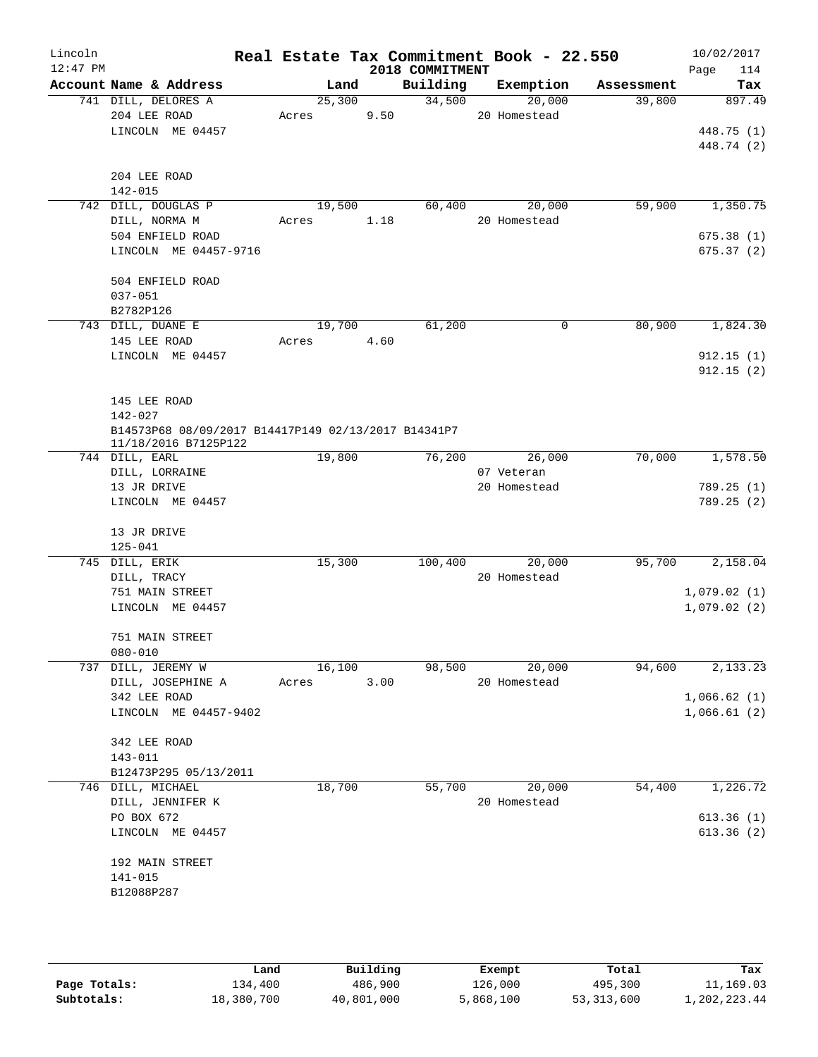| Lincoln<br>$12:47$ PM |                                                                             |       |        |      | 2018 COMMITMENT | Real Estate Tax Commitment Book - 22.550 |            | 10/02/2017<br>Page<br>114 |
|-----------------------|-----------------------------------------------------------------------------|-------|--------|------|-----------------|------------------------------------------|------------|---------------------------|
|                       | Account Name & Address                                                      |       | Land   |      | Building        | Exemption                                | Assessment | Tax                       |
|                       | 741 DILL, DELORES A                                                         |       | 25,300 |      | 34,500          | 20,000                                   | 39,800     | 897.49                    |
|                       | 204 LEE ROAD                                                                | Acres |        | 9.50 |                 | 20 Homestead                             |            |                           |
|                       | LINCOLN ME 04457                                                            |       |        |      |                 |                                          |            | 448.75 (1)                |
|                       |                                                                             |       |        |      |                 |                                          |            | 448.74 (2)                |
|                       | 204 LEE ROAD                                                                |       |        |      |                 |                                          |            |                           |
|                       | 142-015                                                                     |       |        |      |                 |                                          |            |                           |
|                       | 742 DILL, DOUGLAS P                                                         |       | 19,500 |      | 60,400          | 20,000                                   | 59,900     | 1,350.75                  |
|                       | DILL, NORMA M                                                               | Acres |        | 1.18 |                 | 20 Homestead                             |            |                           |
|                       | 504 ENFIELD ROAD                                                            |       |        |      |                 |                                          |            | 675.38(1)                 |
|                       | LINCOLN ME 04457-9716                                                       |       |        |      |                 |                                          |            | 675.37(2)                 |
|                       | 504 ENFIELD ROAD                                                            |       |        |      |                 |                                          |            |                           |
|                       | $037 - 051$                                                                 |       |        |      |                 |                                          |            |                           |
|                       | B2782P126                                                                   |       |        |      |                 |                                          |            |                           |
|                       | 743 DILL, DUANE E                                                           |       | 19,700 |      | 61,200          | $\mathbf 0$                              | 80,900     | 1,824.30                  |
|                       | 145 LEE ROAD                                                                | Acres |        | 4.60 |                 |                                          |            |                           |
|                       | LINCOLN ME 04457                                                            |       |        |      |                 |                                          |            | 912.15(1)                 |
|                       |                                                                             |       |        |      |                 |                                          |            | 912.15(2)                 |
|                       | 145 LEE ROAD                                                                |       |        |      |                 |                                          |            |                           |
|                       | 142-027                                                                     |       |        |      |                 |                                          |            |                           |
|                       | B14573P68 08/09/2017 B14417P149 02/13/2017 B14341P7<br>11/18/2016 B7125P122 |       |        |      |                 |                                          |            |                           |
|                       | 744 DILL, EARL                                                              |       | 19,800 |      | 76,200          | 26,000                                   | 70,000     | 1,578.50                  |
|                       | DILL, LORRAINE                                                              |       |        |      |                 | 07 Veteran                               |            |                           |
|                       | 13 JR DRIVE                                                                 |       |        |      |                 | 20 Homestead                             |            | 789.25(1)                 |
|                       | LINCOLN ME 04457                                                            |       |        |      |                 |                                          |            | 789.25 (2)                |
|                       | 13 JR DRIVE                                                                 |       |        |      |                 |                                          |            |                           |
|                       | $125 - 041$                                                                 |       |        |      |                 |                                          |            |                           |
|                       | 745 DILL, ERIK                                                              |       | 15,300 |      | 100,400         | 20,000                                   | 95,700     | 2,158.04                  |
|                       | DILL, TRACY                                                                 |       |        |      |                 | 20 Homestead                             |            |                           |
|                       | 751 MAIN STREET                                                             |       |        |      |                 |                                          |            | 1,079.02(1)               |
|                       | LINCOLN ME 04457                                                            |       |        |      |                 |                                          |            | 1,079.02(2)               |
|                       |                                                                             |       |        |      |                 |                                          |            |                           |
|                       | 751 MAIN STREET                                                             |       |        |      |                 |                                          |            |                           |
|                       | $080 - 010$                                                                 |       |        |      |                 |                                          |            |                           |
| 737                   | DILL, JEREMY W                                                              |       | 16,100 |      | 98,500          | 20,000                                   | 94,600     | 2,133.23                  |
|                       | DILL, JOSEPHINE A                                                           | Acres |        | 3.00 |                 | 20 Homestead                             |            |                           |
|                       | 342 LEE ROAD                                                                |       |        |      |                 |                                          |            | 1,066.62(1)               |
|                       | LINCOLN ME 04457-9402                                                       |       |        |      |                 |                                          |            | 1,066.61(2)               |
|                       | 342 LEE ROAD                                                                |       |        |      |                 |                                          |            |                           |
|                       | 143-011                                                                     |       |        |      |                 |                                          |            |                           |
|                       | B12473P295 05/13/2011                                                       |       |        |      |                 |                                          |            |                           |
|                       | 746 DILL, MICHAEL                                                           |       | 18,700 |      | 55,700          | 20,000                                   | 54,400     | 1,226.72                  |
|                       | DILL, JENNIFER K                                                            |       |        |      |                 | 20 Homestead                             |            |                           |
|                       | PO BOX 672                                                                  |       |        |      |                 |                                          |            | 613.36(1)                 |
|                       | LINCOLN ME 04457                                                            |       |        |      |                 |                                          |            | 613.36(2)                 |
|                       | 192 MAIN STREET                                                             |       |        |      |                 |                                          |            |                           |
|                       | $141 - 015$                                                                 |       |        |      |                 |                                          |            |                           |
|                       | B12088P287                                                                  |       |        |      |                 |                                          |            |                           |
|                       |                                                                             |       |        |      |                 |                                          |            |                           |
|                       |                                                                             |       |        |      |                 |                                          |            |                           |
|                       |                                                                             |       |        |      |                 |                                          |            |                           |
|                       |                                                                             |       |        |      |                 |                                          |            |                           |

|              | Land       | Building   | Exempt    | Total      | Tax          |
|--------------|------------|------------|-----------|------------|--------------|
| Page Totals: | 134,400    | 486,900    | 126,000   | 495,300    | 11,169.03    |
| Subtotals:   | 18,380,700 | 40,801,000 | 5,868,100 | 53,313,600 | 1,202,223.44 |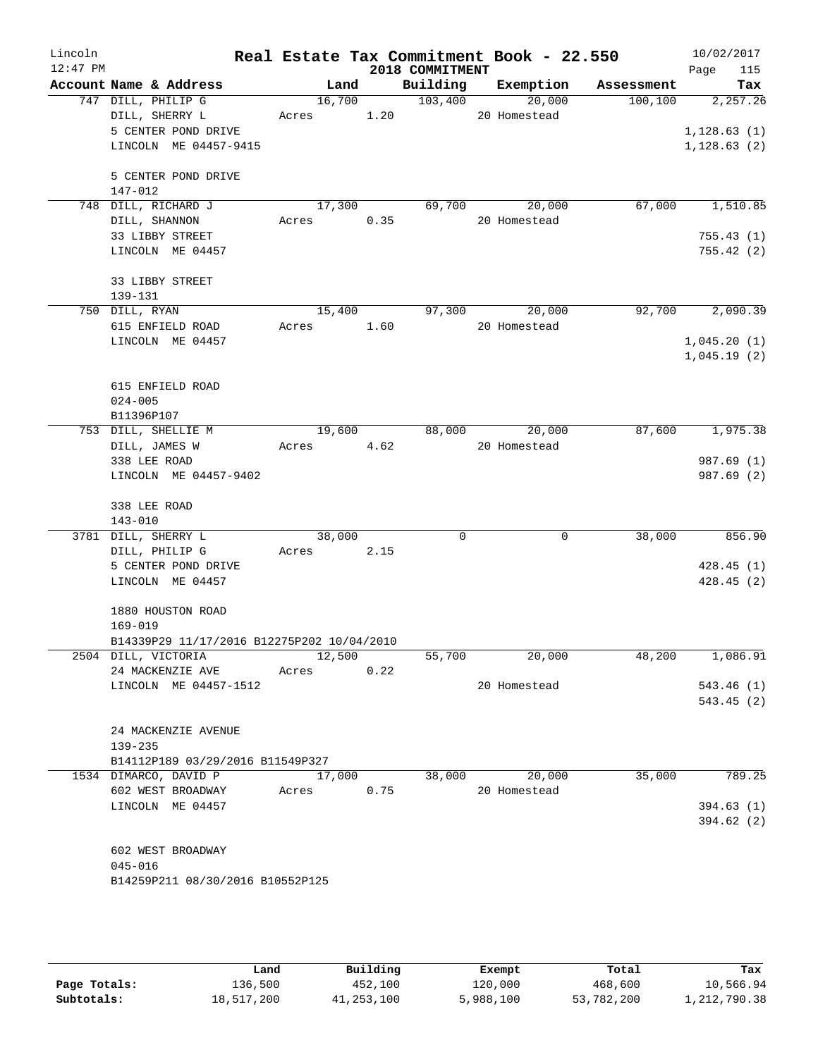| Lincoln    |                                            |            |        |                    | Real Estate Tax Commitment Book - 22.550 |                                    | 10/02/2017                 |
|------------|--------------------------------------------|------------|--------|--------------------|------------------------------------------|------------------------------------|----------------------------|
| $12:47$ PM | Account Name & Address                     |            |        | 2018 COMMITMENT    |                                          | Land Building Exemption Assessment | 115<br>Page                |
|            | 747 DILL, PHILIP G                         |            |        | $16,700$ $103,400$ | 20,000                                   | 100,100                            | Tax<br>2,257.26            |
|            | DILL, SHERRY L                             |            |        |                    | Acres 1.20 20 Homestead                  |                                    |                            |
|            | 5 CENTER POND DRIVE                        |            |        |                    |                                          |                                    | 1, 128.63(1)               |
|            | LINCOLN ME 04457-9415                      |            |        |                    |                                          |                                    | 1, 128.63(2)               |
|            |                                            |            |        |                    |                                          |                                    |                            |
|            | 5 CENTER POND DRIVE                        |            |        |                    |                                          |                                    |                            |
|            | 147-012                                    |            |        |                    |                                          |                                    |                            |
|            | 748 DILL, RICHARD J                        |            | 17,300 |                    | 69,700 20,000                            | 67,000                             | 1,510.85                   |
|            | DILL, SHANNON                              | Acres 0.35 |        |                    | 20 Homestead                             |                                    |                            |
|            | 33 LIBBY STREET                            |            |        |                    |                                          |                                    | 755.43(1)                  |
|            | LINCOLN ME 04457                           |            |        |                    |                                          |                                    | 755.42(2)                  |
|            |                                            |            |        |                    |                                          |                                    |                            |
|            | 33 LIBBY STREET                            |            |        |                    |                                          |                                    |                            |
|            | 139-131                                    |            |        |                    |                                          |                                    |                            |
|            | 750 DILL, RYAN                             |            |        |                    | 15,400 97,300 20,000                     |                                    | 92,700 2,090.39            |
|            | 615 ENFIELD ROAD                           | Acres 1.60 |        |                    | 20 Homestead                             |                                    |                            |
|            | LINCOLN ME 04457                           |            |        |                    |                                          |                                    | 1,045.20(1)<br>1,045.19(2) |
|            |                                            |            |        |                    |                                          |                                    |                            |
|            | 615 ENFIELD ROAD                           |            |        |                    |                                          |                                    |                            |
|            | $024 - 005$                                |            |        |                    |                                          |                                    |                            |
|            | B11396P107                                 |            |        |                    |                                          |                                    |                            |
|            | 753 DILL, SHELLIE M                        |            |        |                    | 19,600 88,000 20,000                     |                                    | 87,600 1,975.38            |
|            | DILL, JAMES W                              | Acres 4.62 |        |                    | 20 Homestead                             |                                    |                            |
|            | 338 LEE ROAD                               |            |        |                    |                                          |                                    | 987.69 (1)                 |
|            | LINCOLN ME 04457-9402                      |            |        |                    |                                          |                                    | 987.69(2)                  |
|            |                                            |            |        |                    |                                          |                                    |                            |
|            | 338 LEE ROAD                               |            |        |                    |                                          |                                    |                            |
|            | $143 - 010$                                |            |        |                    |                                          |                                    |                            |
|            | 3781 DILL, SHERRY L                        | 38,000     |        | $\Omega$           | $\mathbf 0$                              | 38,000                             | 856.90                     |
|            | DILL, PHILIP G                             | Acres 2.15 |        |                    |                                          |                                    |                            |
|            | 5 CENTER POND DRIVE                        |            |        |                    |                                          |                                    | 428.45(1)                  |
|            | LINCOLN ME 04457                           |            |        |                    |                                          |                                    | 428.45(2)                  |
|            | 1880 HOUSTON ROAD                          |            |        |                    |                                          |                                    |                            |
|            | $169 - 019$                                |            |        |                    |                                          |                                    |                            |
|            | B14339P29 11/17/2016 B12275P202 10/04/2010 |            |        |                    |                                          |                                    |                            |
|            | 2504 DILL, VICTORIA                        |            | 12,500 | 55,700             | 20,000                                   | 48,200                             | 1,086.91                   |
|            | 24 MACKENZIE AVE                           | Acres      | 0.22   |                    |                                          |                                    |                            |
|            | LINCOLN ME 04457-1512                      |            |        |                    | 20 Homestead                             |                                    | 543.46(1)                  |
|            |                                            |            |        |                    |                                          |                                    | 543.45(2)                  |
|            |                                            |            |        |                    |                                          |                                    |                            |
|            | 24 MACKENZIE AVENUE                        |            |        |                    |                                          |                                    |                            |
|            | 139-235                                    |            |        |                    |                                          |                                    |                            |
|            | B14112P189 03/29/2016 B11549P327           |            |        |                    |                                          |                                    |                            |
|            | 1534 DIMARCO, DAVID P                      | 17,000     |        | 38,000             | 20,000                                   | 35,000                             | 789.25                     |
|            | 602 WEST BROADWAY                          | Acres      | 0.75   |                    | 20 Homestead                             |                                    |                            |
|            | LINCOLN ME 04457                           |            |        |                    |                                          |                                    | 394.63(1)                  |
|            |                                            |            |        |                    |                                          |                                    | 394.62(2)                  |
|            |                                            |            |        |                    |                                          |                                    |                            |
|            | 602 WEST BROADWAY                          |            |        |                    |                                          |                                    |                            |
|            | $045 - 016$                                |            |        |                    |                                          |                                    |                            |
|            | B14259P211 08/30/2016 B10552P125           |            |        |                    |                                          |                                    |                            |
|            |                                            |            |        |                    |                                          |                                    |                            |

|              | Land       | Building   | Exempt    | Total      | Tax          |
|--------------|------------|------------|-----------|------------|--------------|
| Page Totals: | 136,500    | 452,100    | 120,000   | 468,600    | 10,566.94    |
| Subtotals:   | 18,517,200 | 41,253,100 | 5,988,100 | 53,782,200 | 1,212,790.38 |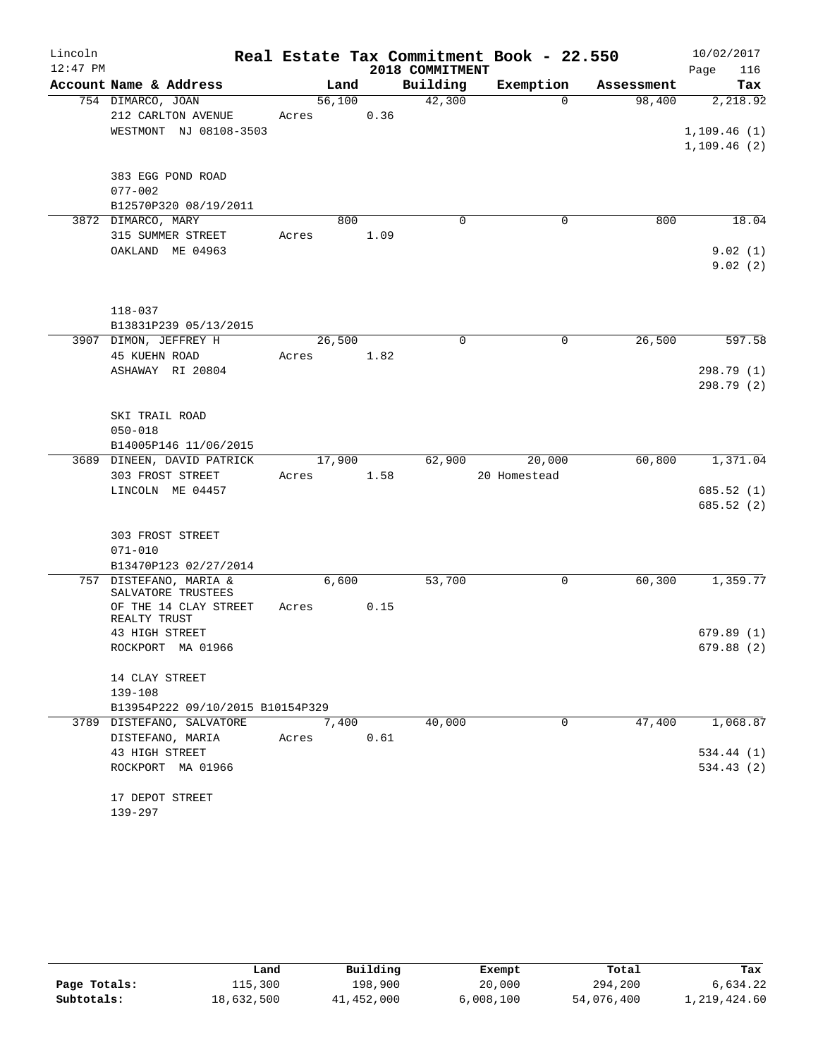| Lincoln    |                                             |        |      |                 | Real Estate Tax Commitment Book - 22.550 |            | 10/02/2017  |
|------------|---------------------------------------------|--------|------|-----------------|------------------------------------------|------------|-------------|
| $12:47$ PM |                                             |        |      | 2018 COMMITMENT |                                          |            | Page<br>116 |
|            | Account Name & Address                      | Land   |      | Building        | Exemption                                | Assessment | Tax         |
|            | 754 DIMARCO, JOAN                           | 56,100 |      | 42,300          | $\Omega$                                 | 98,400     | 2,218.92    |
|            | 212 CARLTON AVENUE                          | Acres  | 0.36 |                 |                                          |            |             |
|            | WESTMONT NJ 08108-3503                      |        |      |                 |                                          |            | 1,109.46(1) |
|            |                                             |        |      |                 |                                          |            | 1,109.46(2) |
|            |                                             |        |      |                 |                                          |            |             |
|            | 383 EGG POND ROAD<br>$077 - 002$            |        |      |                 |                                          |            |             |
|            | B12570P320 08/19/2011                       |        |      |                 |                                          |            |             |
|            | 3872 DIMARCO, MARY                          | 800    |      | $\Omega$        | $\mathbf 0$                              | 800        | 18.04       |
|            | 315 SUMMER STREET                           | Acres  | 1.09 |                 |                                          |            |             |
|            | OAKLAND ME 04963                            |        |      |                 |                                          |            | 9.02(1)     |
|            |                                             |        |      |                 |                                          |            | 9.02(2)     |
|            |                                             |        |      |                 |                                          |            |             |
|            |                                             |        |      |                 |                                          |            |             |
|            | $118 - 037$                                 |        |      |                 |                                          |            |             |
|            | B13831P239 05/13/2015                       |        |      |                 |                                          |            |             |
|            | 3907 DIMON, JEFFREY H                       | 26,500 |      | 0               | $\mathbf 0$                              | 26,500     | 597.58      |
|            | 45 KUEHN ROAD                               | Acres  | 1.82 |                 |                                          |            |             |
|            | ASHAWAY RI 20804                            |        |      |                 |                                          |            | 298.79(1)   |
|            |                                             |        |      |                 |                                          |            | 298.79 (2)  |
|            | SKI TRAIL ROAD                              |        |      |                 |                                          |            |             |
|            | $050 - 018$                                 |        |      |                 |                                          |            |             |
|            | B14005P146 11/06/2015                       |        |      |                 |                                          |            |             |
|            | 3689 DINEEN, DAVID PATRICK                  | 17,900 |      | 62,900          | 20,000                                   | 60,800     | 1,371.04    |
|            | 303 FROST STREET                            | Acres  | 1.58 |                 | 20 Homestead                             |            |             |
|            | LINCOLN ME 04457                            |        |      |                 |                                          |            | 685.52(1)   |
|            |                                             |        |      |                 |                                          |            | 685.52 (2)  |
|            |                                             |        |      |                 |                                          |            |             |
|            | 303 FROST STREET                            |        |      |                 |                                          |            |             |
|            | $071 - 010$                                 |        |      |                 |                                          |            |             |
|            | B13470P123 02/27/2014                       |        |      |                 |                                          |            |             |
|            | 757 DISTEFANO, MARIA &                      | 6,600  |      | 53,700          | 0                                        | 60,300     | 1,359.77    |
|            | SALVATORE TRUSTEES<br>OF THE 14 CLAY STREET | Acres  | 0.15 |                 |                                          |            |             |
|            | REALTY TRUST                                |        |      |                 |                                          |            |             |
|            | 43 HIGH STREET                              |        |      |                 |                                          |            | 679.89(1)   |
|            | ROCKPORT MA 01966                           |        |      |                 |                                          |            | 679.88 (2)  |
|            |                                             |        |      |                 |                                          |            |             |
|            | 14 CLAY STREET                              |        |      |                 |                                          |            |             |
|            | 139-108                                     |        |      |                 |                                          |            |             |
|            | B13954P222 09/10/2015 B10154P329            |        |      |                 |                                          |            |             |
|            | 3789 DISTEFANO, SALVATORE                   | 7,400  |      | 40,000          | 0                                        | 47,400     | 1,068.87    |
|            | DISTEFANO, MARIA<br>43 HIGH STREET          | Acres  | 0.61 |                 |                                          |            | 534.44 (1)  |
|            | ROCKPORT MA 01966                           |        |      |                 |                                          |            | 534.43(2)   |
|            |                                             |        |      |                 |                                          |            |             |
|            | 17 DEPOT STREET                             |        |      |                 |                                          |            |             |
|            | 139-297                                     |        |      |                 |                                          |            |             |

|              | Land       | Building   | Exempt    | Total      | Tax          |
|--------------|------------|------------|-----------|------------|--------------|
| Page Totals: | 115,300    | 198,900    | 20,000    | 294,200    | 6,634.22     |
| Subtotals:   | 18,632,500 | 41,452,000 | 6,008,100 | 54,076,400 | 1,219,424.60 |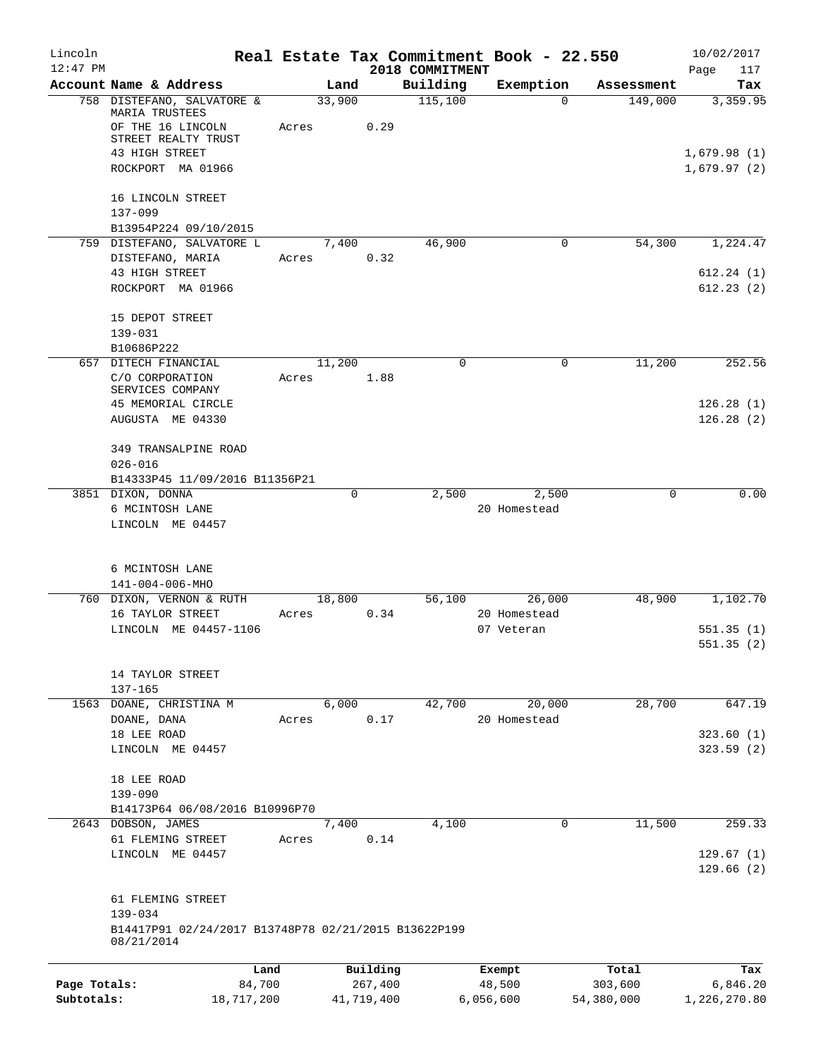| Lincoln      |                                                                 |       |                     |                             | Real Estate Tax Commitment Book - 22.550 |                       | 10/02/2017                 |
|--------------|-----------------------------------------------------------------|-------|---------------------|-----------------------------|------------------------------------------|-----------------------|----------------------------|
| $12:47$ PM   | Account Name & Address                                          |       | Land                | 2018 COMMITMENT<br>Building | Exemption                                |                       | Page<br>117<br>Tax         |
|              | 758 DISTEFANO, SALVATORE &                                      |       | 33,900              | 115,100                     | $\Omega$                                 | Assessment<br>149,000 | 3,359.95                   |
|              | MARIA TRUSTEES                                                  |       |                     |                             |                                          |                       |                            |
|              | OF THE 16 LINCOLN                                               | Acres | 0.29                |                             |                                          |                       |                            |
|              | STREET REALTY TRUST                                             |       |                     |                             |                                          |                       |                            |
|              | 43 HIGH STREET<br>ROCKPORT MA 01966                             |       |                     |                             |                                          |                       | 1,679.98(1)<br>1,679.97(2) |
|              |                                                                 |       |                     |                             |                                          |                       |                            |
|              | 16 LINCOLN STREET                                               |       |                     |                             |                                          |                       |                            |
|              | $137 - 099$                                                     |       |                     |                             |                                          |                       |                            |
|              | B13954P224 09/10/2015                                           |       |                     |                             |                                          |                       |                            |
|              | 759 DISTEFANO, SALVATORE L                                      |       | 7,400               | 46,900                      | 0                                        | 54,300                | 1,224.47                   |
|              | DISTEFANO, MARIA                                                | Acres | 0.32                |                             |                                          |                       |                            |
|              | 43 HIGH STREET                                                  |       |                     |                             |                                          |                       | 612.24(1)                  |
|              | ROCKPORT MA 01966                                               |       |                     |                             |                                          |                       | 612.23(2)                  |
|              |                                                                 |       |                     |                             |                                          |                       |                            |
|              | 15 DEPOT STREET                                                 |       |                     |                             |                                          |                       |                            |
|              | 139-031<br>B10686P222                                           |       |                     |                             |                                          |                       |                            |
|              | 657 DITECH FINANCIAL                                            |       | 11,200              | 0                           | 0                                        | 11,200                | 252.56                     |
|              | C/O CORPORATION                                                 | Acres | 1.88                |                             |                                          |                       |                            |
|              | SERVICES COMPANY                                                |       |                     |                             |                                          |                       |                            |
|              | 45 MEMORIAL CIRCLE                                              |       |                     |                             |                                          |                       | 126.28(1)                  |
|              | AUGUSTA ME 04330                                                |       |                     |                             |                                          |                       | 126.28(2)                  |
|              |                                                                 |       |                     |                             |                                          |                       |                            |
|              | 349 TRANSALPINE ROAD<br>$026 - 016$                             |       |                     |                             |                                          |                       |                            |
|              | B14333P45 11/09/2016 B11356P21                                  |       |                     |                             |                                          |                       |                            |
|              | 3851 DIXON, DONNA                                               |       | $\mathbf 0$         | 2,500                       | 2,500                                    | 0                     | 0.00                       |
|              | 6 MCINTOSH LANE                                                 |       |                     |                             | 20 Homestead                             |                       |                            |
|              | LINCOLN ME 04457                                                |       |                     |                             |                                          |                       |                            |
|              |                                                                 |       |                     |                             |                                          |                       |                            |
|              |                                                                 |       |                     |                             |                                          |                       |                            |
|              | 6 MCINTOSH LANE                                                 |       |                     |                             |                                          |                       |                            |
|              | 141-004-006-MHO                                                 |       |                     |                             |                                          |                       |                            |
|              | 760 DIXON, VERNON & RUTH                                        |       | 18,800              | 56,100                      | 26,000                                   | 48,900                | 1,102.70                   |
|              | 16 TAYLOR STREET                                                | Acres | 0.34                |                             | 20 Homestead                             |                       |                            |
|              | LINCOLN ME 04457-1106                                           |       |                     |                             | 07 Veteran                               |                       | 551.35(1)<br>551.35(2)     |
|              |                                                                 |       |                     |                             |                                          |                       |                            |
|              | 14 TAYLOR STREET                                                |       |                     |                             |                                          |                       |                            |
|              | $137 - 165$                                                     |       |                     |                             |                                          |                       |                            |
|              | 1563 DOANE, CHRISTINA M                                         |       | 6,000               | 42,700                      | 20,000                                   | 28,700                | 647.19                     |
|              | DOANE, DANA                                                     | Acres | 0.17                |                             | 20 Homestead                             |                       |                            |
|              | 18 LEE ROAD                                                     |       |                     |                             |                                          |                       | 323.60(1)                  |
|              | LINCOLN ME 04457                                                |       |                     |                             |                                          |                       | 323.59(2)                  |
|              | 18 LEE ROAD                                                     |       |                     |                             |                                          |                       |                            |
|              | 139-090                                                         |       |                     |                             |                                          |                       |                            |
|              | B14173P64 06/08/2016 B10996P70                                  |       |                     |                             |                                          |                       |                            |
|              | 2643 DOBSON, JAMES                                              |       | 7,400               | 4,100                       | 0                                        | 11,500                | 259.33                     |
|              | 61 FLEMING STREET                                               | Acres | 0.14                |                             |                                          |                       |                            |
|              | LINCOLN ME 04457                                                |       |                     |                             |                                          |                       | 129.67(1)                  |
|              |                                                                 |       |                     |                             |                                          |                       | 129.66(2)                  |
|              |                                                                 |       |                     |                             |                                          |                       |                            |
|              | 61 FLEMING STREET                                               |       |                     |                             |                                          |                       |                            |
|              | 139-034<br>B14417P91 02/24/2017 B13748P78 02/21/2015 B13622P199 |       |                     |                             |                                          |                       |                            |
|              | 08/21/2014                                                      |       |                     |                             |                                          |                       |                            |
|              |                                                                 |       |                     |                             |                                          |                       |                            |
| Page Totals: | Land<br>84,700                                                  |       | Building<br>267,400 |                             | Exempt<br>48,500                         | Total<br>303,600      | Tax<br>6,846.20            |
|              |                                                                 |       |                     |                             |                                          |                       |                            |

**Subtotals:** 18,717,200 41,719,400 6,056,600 54,380,000 1,226,270.80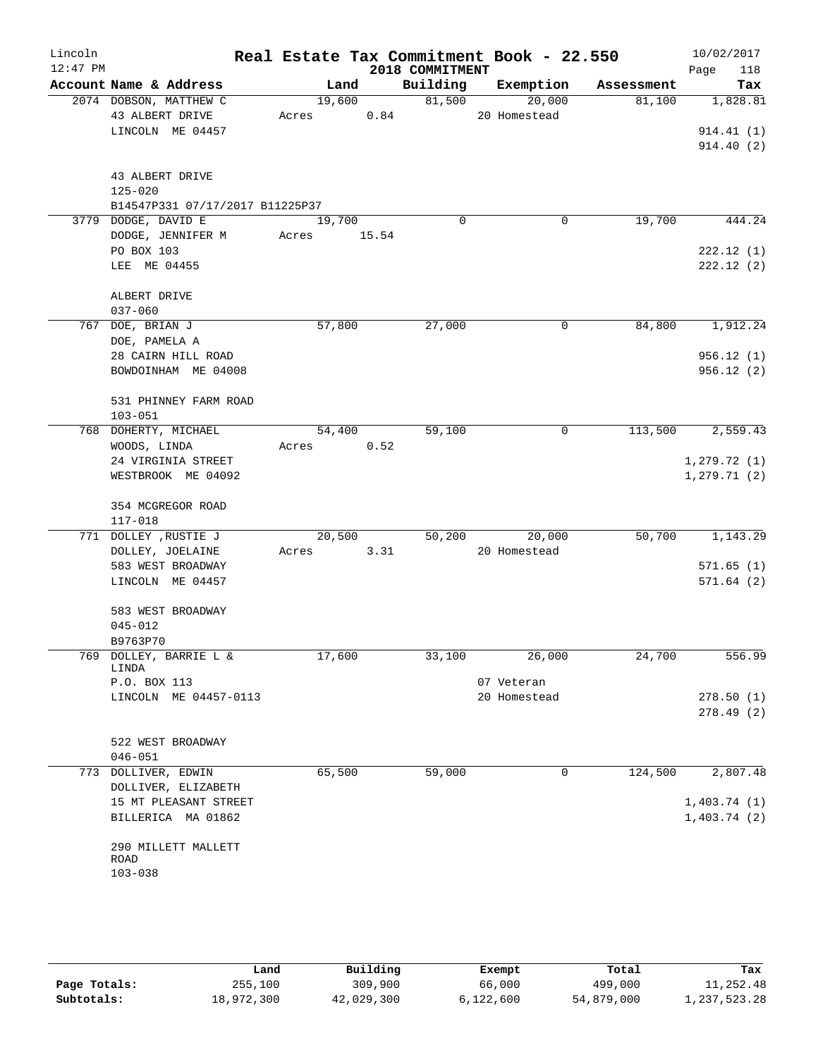| Lincoln<br>$12:47$ PM |                                             |                 |       | 2018 COMMITMENT | Real Estate Tax Commitment Book - 22.550 |            | 10/02/2017<br>Page<br>118    |
|-----------------------|---------------------------------------------|-----------------|-------|-----------------|------------------------------------------|------------|------------------------------|
|                       | Account Name & Address                      | Land            |       | Building        | Exemption                                | Assessment | Tax                          |
|                       | 2074 DOBSON, MATTHEW C<br>43 ALBERT DRIVE   | 19,600<br>Acres | 0.84  | 81,500          | 20,000<br>20 Homestead                   | 81,100     | 1,828.81                     |
|                       | LINCOLN ME 04457                            |                 |       |                 |                                          |            | 914.41(1)<br>914.40(2)       |
|                       | 43 ALBERT DRIVE<br>$125 - 020$              |                 |       |                 |                                          |            |                              |
|                       | B14547P331 07/17/2017 B11225P37             |                 |       |                 |                                          |            |                              |
|                       | 3779 DODGE, DAVID E<br>DODGE, JENNIFER M    | 19,700<br>Acres | 15.54 | $\Omega$        | 0                                        | 19,700     | 444.24                       |
|                       | PO BOX 103<br>LEE ME 04455                  |                 |       |                 |                                          |            | 222.12(1)<br>222.12(2)       |
|                       | ALBERT DRIVE<br>$037 - 060$                 |                 |       |                 |                                          |            |                              |
|                       | 767 DOE, BRIAN J<br>DOE, PAMELA A           | 57,800          |       | 27,000          | 0                                        | 84,800     | 1,912.24                     |
|                       | 28 CAIRN HILL ROAD<br>BOWDOINHAM ME 04008   |                 |       |                 |                                          |            | 956.12(1)<br>956.12(2)       |
|                       | 531 PHINNEY FARM ROAD<br>$103 - 051$        |                 |       |                 |                                          |            |                              |
|                       | 768 DOHERTY, MICHAEL<br>WOODS, LINDA        | 54,400<br>Acres | 0.52  | 59,100          | $\mathbf 0$                              | 113,500    | 2,559.43                     |
|                       | 24 VIRGINIA STREET<br>WESTBROOK ME 04092    |                 |       |                 |                                          |            | 1, 279.72(1)<br>1, 279.71(2) |
|                       | 354 MCGREGOR ROAD<br>$117 - 018$            |                 |       |                 |                                          |            |                              |
|                       | 771 DOLLEY , RUSTIE J                       | 20,500          |       | 50,200          | 20,000                                   | 50,700     | 1,143.29                     |
|                       | DOLLEY, JOELAINE<br>583 WEST BROADWAY       | Acres           | 3.31  |                 | 20 Homestead                             |            | 571.65(1)                    |
|                       | LINCOLN ME 04457                            |                 |       |                 |                                          |            | 571.64(2)                    |
|                       | 583 WEST BROADWAY<br>$045 - 012$            |                 |       |                 |                                          |            |                              |
|                       | B9763P70<br>769 DOLLEY, BARRIE L &          | 17,600          |       | 33,100          | 26,000                                   | 24,700     | 556.99                       |
|                       | LINDA<br>P.O. BOX 113                       |                 |       |                 | 07 Veteran                               |            |                              |
|                       | LINCOLN ME 04457-0113                       |                 |       |                 | 20 Homestead                             |            | 278.50(1)<br>278.49(2)       |
|                       | 522 WEST BROADWAY<br>$046 - 051$            |                 |       |                 |                                          |            |                              |
|                       | 773 DOLLIVER, EDWIN<br>DOLLIVER, ELIZABETH  | 65,500          |       | 59,000          | 0                                        | 124,500    | 2,807.48                     |
|                       | 15 MT PLEASANT STREET<br>BILLERICA MA 01862 |                 |       |                 |                                          |            | 1,403.74(1)<br>1,403.74(2)   |
|                       | 290 MILLETT MALLETT<br>ROAD                 |                 |       |                 |                                          |            |                              |
|                       | $103 - 038$                                 |                 |       |                 |                                          |            |                              |

|              | Land       | Building   | Exempt    | Total      | Tax          |
|--------------|------------|------------|-----------|------------|--------------|
| Page Totals: | 255,100    | 309,900    | 66,000    | 499,000    | 11,252.48    |
| Subtotals:   | 18,972,300 | 42,029,300 | 6,122,600 | 54,879,000 | 1,237,523.28 |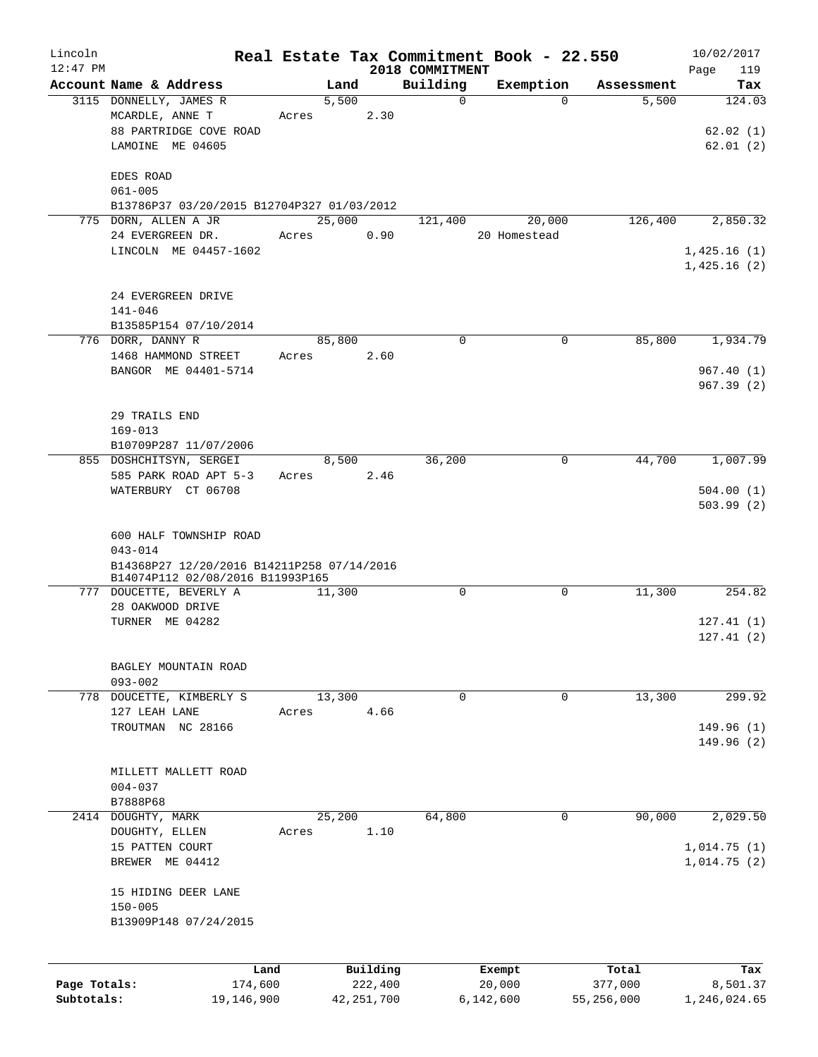| Lincoln<br>$12:47$ PM      |                                                                                                                         |       |        |                         | 2018 COMMITMENT | Real Estate Tax Commitment Book - 22.550 |                       | 10/02/2017<br>Page<br>119          |
|----------------------------|-------------------------------------------------------------------------------------------------------------------------|-------|--------|-------------------------|-----------------|------------------------------------------|-----------------------|------------------------------------|
|                            | Account Name & Address                                                                                                  |       | Land   |                         | Building        | Exemption                                | Assessment            | Tax                                |
|                            | 3115 DONNELLY, JAMES R<br>MCARDLE, ANNE T<br>88 PARTRIDGE COVE ROAD<br>LAMOINE ME 04605                                 | Acres | 5,500  | 2.30                    | $\mathbf 0$     | $\Omega$                                 | 5,500                 | 124.03<br>62.02(1)<br>62.01(2)     |
|                            | EDES ROAD<br>$061 - 005$<br>B13786P37 03/20/2015 B12704P327 01/03/2012                                                  |       |        |                         |                 |                                          |                       |                                    |
|                            | 775 DORN, ALLEN A JR                                                                                                    |       | 25,000 |                         | 121,400         | 20,000                                   | 126,400               | 2,850.32                           |
|                            | 24 EVERGREEN DR.<br>LINCOLN ME 04457-1602                                                                               | Acres |        | 0.90                    |                 | 20 Homestead                             |                       | 1,425.16(1)<br>1,425.16(2)         |
|                            | 24 EVERGREEN DRIVE<br>$141 - 046$<br>B13585P154 07/10/2014                                                              |       |        |                         |                 |                                          |                       |                                    |
|                            | 776 DORR, DANNY R<br>1468 HAMMOND STREET<br>BANGOR ME 04401-5714                                                        | Acres | 85,800 | 2.60                    | $\mathbf 0$     | 0                                        | 85,800                | 1,934.79<br>967.40(1)<br>967.39(2) |
|                            | 29 TRAILS END<br>$169 - 013$<br>B10709P287 11/07/2006                                                                   |       |        |                         |                 |                                          |                       |                                    |
|                            | 855 DOSHCHITSYN, SERGEI<br>585 PARK ROAD APT 5-3<br>WATERBURY CT 06708                                                  | Acres | 8,500  | 2.46                    | 36,200          | 0                                        | 44,700                | 1,007.99<br>504.00(1)<br>503.99(2) |
|                            | 600 HALF TOWNSHIP ROAD<br>$043 - 014$<br>B14368P27 12/20/2016 B14211P258 07/14/2016<br>B14074P112 02/08/2016 B11993P165 |       |        |                         |                 |                                          |                       |                                    |
|                            | 777 DOUCETTE, BEVERLY A<br>28 OAKWOOD DRIVE<br>TURNER ME 04282                                                          |       | 11,300 |                         | $\mathbf 0$     | 0                                        | 11,300                | 254.82<br>127.41(1)<br>127.41(2)   |
|                            | BAGLEY MOUNTAIN ROAD<br>$093 - 002$                                                                                     |       |        |                         |                 |                                          |                       |                                    |
|                            | 778 DOUCETTE, KIMBERLY S<br>127 LEAH LANE<br>TROUTMAN NC 28166                                                          | Acres | 13,300 | 4.66                    | $\mathbf 0$     | 0                                        | 13,300                | 299.92<br>149.96 (1)<br>149.96(2)  |
|                            | MILLETT MALLETT ROAD<br>$004 - 037$<br>B7888P68                                                                         |       |        |                         |                 |                                          |                       |                                    |
|                            | 2414 DOUGHTY, MARK                                                                                                      |       | 25,200 |                         | 64,800          | 0                                        | 90,000                | 2,029.50                           |
|                            | DOUGHTY, ELLEN<br>15 PATTEN COURT<br>BREWER ME 04412                                                                    | Acres |        | 1.10                    |                 |                                          |                       | 1,014.75(1)<br>1,014.75(2)         |
|                            | 15 HIDING DEER LANE<br>$150 - 005$<br>B13909P148 07/24/2015                                                             |       |        |                         |                 |                                          |                       |                                    |
|                            |                                                                                                                         | Land  |        | Building                |                 | Exempt                                   | Total                 | Tax                                |
| Page Totals:<br>Subtotals: | 174,600<br>19,146,900                                                                                                   |       |        | 222,400<br>42, 251, 700 |                 | 20,000<br>6,142,600                      | 377,000<br>55,256,000 | 8,501.37<br>1,246,024.65           |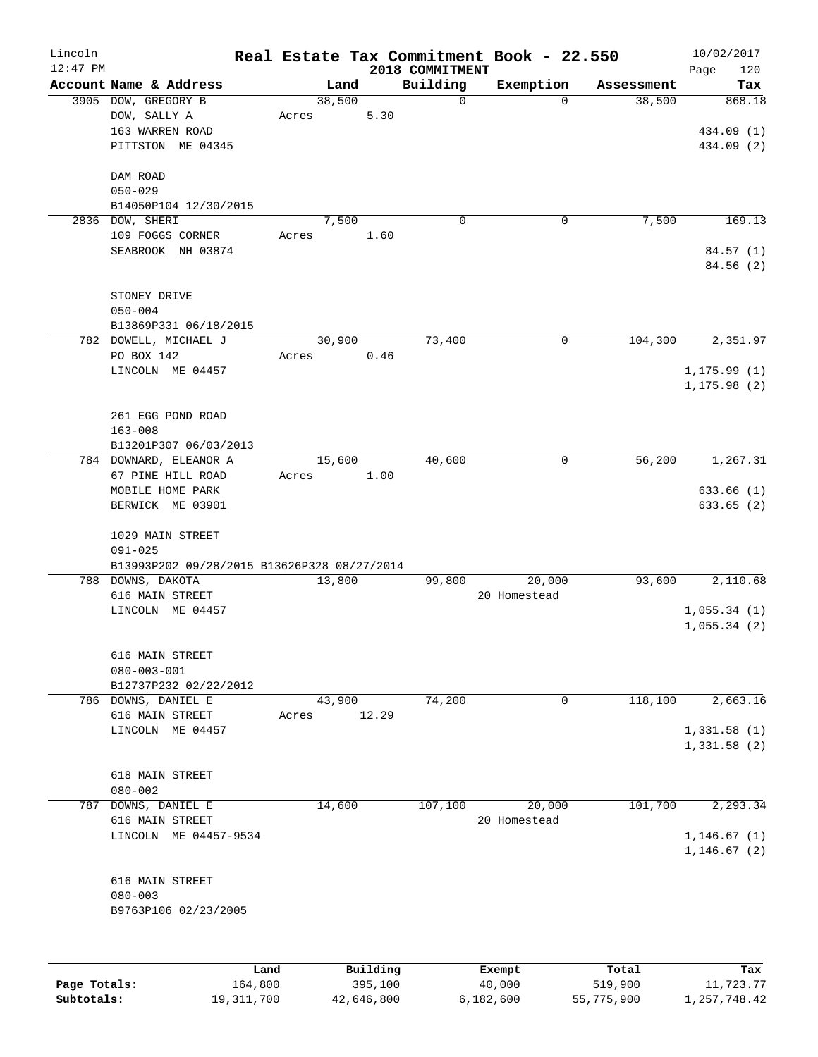| Lincoln      |                                               |                |          |                 | Real Estate Tax Commitment Book - 22.550 |                      | 10/02/2017    |
|--------------|-----------------------------------------------|----------------|----------|-----------------|------------------------------------------|----------------------|---------------|
| $12:47$ PM   |                                               |                |          | 2018 COMMITMENT |                                          |                      | 120<br>Page   |
|              | Account Name & Address<br>3905 DOW, GREGORY B | Land<br>38,500 |          | Building<br>0   | Exemption<br>$\Omega$                    | Assessment<br>38,500 | Tax<br>868.18 |
|              | DOW, SALLY A                                  | Acres          | 5.30     |                 |                                          |                      |               |
|              | 163 WARREN ROAD                               |                |          |                 |                                          |                      | 434.09 (1)    |
|              | PITTSTON ME 04345                             |                |          |                 |                                          |                      | 434.09 (2)    |
|              |                                               |                |          |                 |                                          |                      |               |
|              | DAM ROAD                                      |                |          |                 |                                          |                      |               |
|              | $050 - 029$                                   |                |          |                 |                                          |                      |               |
|              | B14050P104 12/30/2015                         |                |          |                 |                                          |                      |               |
| 2836         | DOW, SHERI                                    | 7,500          |          | 0               | 0                                        | 7,500                | 169.13        |
|              | 109 FOGGS CORNER                              | Acres          | 1.60     |                 |                                          |                      |               |
|              | SEABROOK NH 03874                             |                |          |                 |                                          |                      | 84.57(1)      |
|              |                                               |                |          |                 |                                          |                      | 84.56 (2)     |
|              |                                               |                |          |                 |                                          |                      |               |
|              | STONEY DRIVE                                  |                |          |                 |                                          |                      |               |
|              | $050 - 004$                                   |                |          |                 |                                          |                      |               |
|              | B13869P331 06/18/2015                         |                |          |                 |                                          |                      |               |
|              | 782 DOWELL, MICHAEL J                         | 30,900         |          | 73,400          | 0                                        | 104,300              | 2,351.97      |
|              | PO BOX 142                                    | Acres          | 0.46     |                 |                                          |                      |               |
|              | LINCOLN ME 04457                              |                |          |                 |                                          |                      | 1, 175.99(1)  |
|              |                                               |                |          |                 |                                          |                      | 1, 175.98(2)  |
|              |                                               |                |          |                 |                                          |                      |               |
|              | 261 EGG POND ROAD                             |                |          |                 |                                          |                      |               |
|              | $163 - 008$                                   |                |          |                 |                                          |                      |               |
|              | B13201P307 06/03/2013                         |                |          |                 |                                          |                      |               |
|              | 784 DOWNARD, ELEANOR A                        | 15,600         |          | 40,600          | 0                                        | 56,200               | 1,267.31      |
|              | 67 PINE HILL ROAD                             | Acres          | 1.00     |                 |                                          |                      |               |
|              | MOBILE HOME PARK                              |                |          |                 |                                          |                      | 633.66 (1)    |
|              | BERWICK ME 03901                              |                |          |                 |                                          |                      | 633.65 (2)    |
|              | 1029 MAIN STREET                              |                |          |                 |                                          |                      |               |
|              | $091 - 025$                                   |                |          |                 |                                          |                      |               |
|              | B13993P202 09/28/2015 B13626P328 08/27/2014   |                |          |                 |                                          |                      |               |
|              | 788 DOWNS, DAKOTA                             | 13,800         |          | 99,800          | 20,000                                   | 93,600               | 2,110.68      |
|              | 616 MAIN STREET                               |                |          |                 | 20 Homestead                             |                      |               |
|              | LINCOLN ME 04457                              |                |          |                 |                                          |                      | 1,055.34(1)   |
|              |                                               |                |          |                 |                                          |                      | 1,055.34(2)   |
|              |                                               |                |          |                 |                                          |                      |               |
|              | 616 MAIN STREET                               |                |          |                 |                                          |                      |               |
|              | $080 - 003 - 001$                             |                |          |                 |                                          |                      |               |
|              | B12737P232 02/22/2012                         |                |          |                 |                                          |                      |               |
|              | 786 DOWNS, DANIEL E                           | 43,900         |          | 74,200          | 0                                        | 118,100              | 2,663.16      |
|              | 616 MAIN STREET                               | Acres          | 12.29    |                 |                                          |                      |               |
|              | LINCOLN ME 04457                              |                |          |                 |                                          |                      | 1,331.58(1)   |
|              |                                               |                |          |                 |                                          |                      | 1,331.58(2)   |
|              | 618 MAIN STREET                               |                |          |                 |                                          |                      |               |
|              | $080 - 002$                                   |                |          |                 |                                          |                      |               |
| 787          | DOWNS, DANIEL E                               | 14,600         |          | 107,100         | 20,000                                   | 101,700              | 2,293.34      |
|              | 616 MAIN STREET                               |                |          |                 | 20 Homestead                             |                      |               |
|              | LINCOLN ME 04457-9534                         |                |          |                 |                                          |                      | 1, 146.67(1)  |
|              |                                               |                |          |                 |                                          |                      | 1, 146.67(2)  |
|              |                                               |                |          |                 |                                          |                      |               |
|              | 616 MAIN STREET                               |                |          |                 |                                          |                      |               |
|              | $080 - 003$                                   |                |          |                 |                                          |                      |               |
|              | B9763P106 02/23/2005                          |                |          |                 |                                          |                      |               |
|              |                                               |                |          |                 |                                          |                      |               |
|              |                                               |                |          |                 |                                          |                      |               |
|              | Land                                          |                | Building |                 | Exempt                                   | Total                | Tax           |
| Page Totals: | 164,800                                       |                | 395,100  |                 | 40,000                                   | 519,900              | 11,723.77     |

**Subtotals:** 19,311,700 42,646,800 6,182,600 55,775,900 1,257,748.42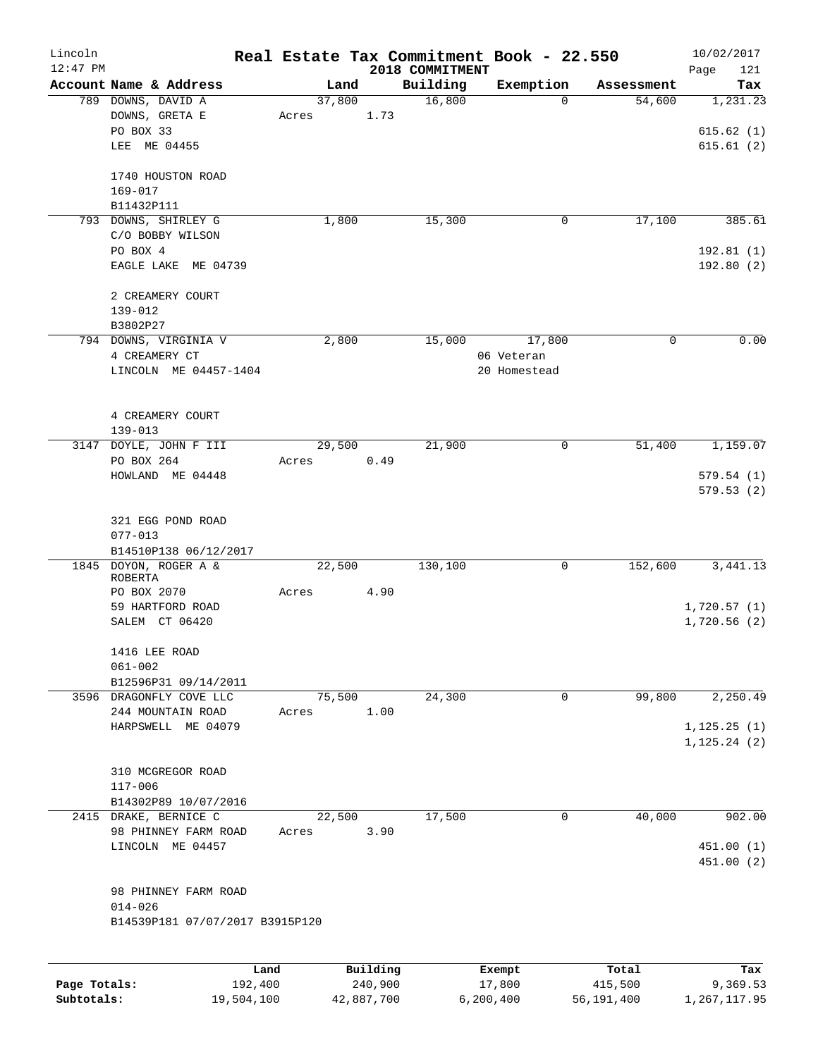| Lincoln<br>$12:47$ PM |                                              |       |        |          | 2018 COMMITMENT | Real Estate Tax Commitment Book - 22.550 |              | 10/02/2017<br>Page<br>121 |
|-----------------------|----------------------------------------------|-------|--------|----------|-----------------|------------------------------------------|--------------|---------------------------|
|                       | Account Name & Address                       |       | Land   |          | Building        | Exemption                                | Assessment   | Tax                       |
|                       | 789 DOWNS, DAVID A                           |       | 37,800 |          | 16,800          |                                          | 54,600<br>0  | 1,231.23                  |
|                       | DOWNS, GRETA E                               | Acres |        | 1.73     |                 |                                          |              |                           |
|                       | PO BOX 33                                    |       |        |          |                 |                                          |              | 615.62(1)                 |
|                       | LEE ME 04455                                 |       |        |          |                 |                                          |              | 615.61(2)                 |
|                       |                                              |       |        |          |                 |                                          |              |                           |
|                       | 1740 HOUSTON ROAD                            |       |        |          |                 |                                          |              |                           |
|                       | $169 - 017$                                  |       |        |          |                 |                                          |              |                           |
|                       | B11432P111                                   |       |        |          |                 |                                          |              |                           |
|                       | 793 DOWNS, SHIRLEY G                         |       | 1,800  |          | 15,300          |                                          | 17,100<br>0  | 385.61                    |
|                       | C/O BOBBY WILSON                             |       |        |          |                 |                                          |              |                           |
|                       | PO BOX 4                                     |       |        |          |                 |                                          |              | 192.81(1)                 |
|                       | EAGLE LAKE ME 04739                          |       |        |          |                 |                                          |              | 192.80 (2)                |
|                       | 2 CREAMERY COURT                             |       |        |          |                 |                                          |              |                           |
|                       | $139 - 012$                                  |       |        |          |                 |                                          |              |                           |
|                       | B3802P27                                     |       |        |          |                 |                                          |              |                           |
|                       | 794 DOWNS, VIRGINIA V                        |       | 2,800  |          | 15,000          | 17,800                                   | 0            | 0.00                      |
|                       | 4 CREAMERY CT                                |       |        |          |                 | 06 Veteran                               |              |                           |
|                       | LINCOLN ME 04457-1404                        |       |        |          |                 | 20 Homestead                             |              |                           |
|                       |                                              |       |        |          |                 |                                          |              |                           |
|                       |                                              |       |        |          |                 |                                          |              |                           |
|                       | 4 CREAMERY COURT<br>$139 - 013$              |       |        |          |                 |                                          |              |                           |
| 3147                  | DOYLE, JOHN F III                            |       | 29,500 |          | 21,900          |                                          | 51,400<br>0  | 1,159.07                  |
|                       | PO BOX 264                                   | Acres |        | 0.49     |                 |                                          |              |                           |
|                       | HOWLAND ME 04448                             |       |        |          |                 |                                          |              | 579.54(1)                 |
|                       |                                              |       |        |          |                 |                                          |              | 579.53 (2)                |
|                       |                                              |       |        |          |                 |                                          |              |                           |
|                       | 321 EGG POND ROAD                            |       |        |          |                 |                                          |              |                           |
|                       | $077 - 013$                                  |       |        |          |                 |                                          |              |                           |
|                       | B14510P138 06/12/2017                        |       |        |          |                 |                                          |              |                           |
| 1845                  | DOYON, ROGER A &                             |       | 22,500 |          | 130,100         |                                          | 152,600<br>0 | 3, 441.13                 |
|                       | <b>ROBERTA</b>                               |       |        |          |                 |                                          |              |                           |
|                       | PO BOX 2070                                  | Acres |        | 4.90     |                 |                                          |              |                           |
|                       | 59 HARTFORD ROAD                             |       |        |          |                 |                                          |              | 1,720.57(1)               |
|                       | SALEM CT 06420                               |       |        |          |                 |                                          |              | 1,720.56(2)               |
|                       |                                              |       |        |          |                 |                                          |              |                           |
|                       | 1416 LEE ROAD                                |       |        |          |                 |                                          |              |                           |
|                       | $061 - 002$                                  |       |        |          |                 |                                          |              |                           |
|                       | B12596P31 09/14/2011                         |       |        |          | 24,300          |                                          | 99,800<br>0  | 2,250.49                  |
|                       | 3596 DRAGONFLY COVE LLC<br>244 MOUNTAIN ROAD | Acres | 75,500 | 1.00     |                 |                                          |              |                           |
|                       | HARPSWELL ME 04079                           |       |        |          |                 |                                          |              | 1, 125.25(1)              |
|                       |                                              |       |        |          |                 |                                          |              | 1, 125.24(2)              |
|                       |                                              |       |        |          |                 |                                          |              |                           |
|                       | 310 MCGREGOR ROAD                            |       |        |          |                 |                                          |              |                           |
|                       | $117 - 006$                                  |       |        |          |                 |                                          |              |                           |
|                       | B14302P89 10/07/2016                         |       |        |          |                 |                                          |              |                           |
|                       | 2415 DRAKE, BERNICE C                        |       | 22,500 |          | 17,500          |                                          | 0<br>40,000  | 902.00                    |
|                       | 98 PHINNEY FARM ROAD                         | Acres |        | 3.90     |                 |                                          |              |                           |
|                       | LINCOLN ME 04457                             |       |        |          |                 |                                          |              | 451.00(1)                 |
|                       |                                              |       |        |          |                 |                                          |              | 451.00 (2)                |
|                       |                                              |       |        |          |                 |                                          |              |                           |
|                       | 98 PHINNEY FARM ROAD                         |       |        |          |                 |                                          |              |                           |
|                       | $014 - 026$                                  |       |        |          |                 |                                          |              |                           |
|                       | B14539P181 07/07/2017 B3915P120              |       |        |          |                 |                                          |              |                           |
|                       |                                              |       |        |          |                 |                                          |              |                           |
|                       |                                              | Land  |        | Building |                 | Exempt                                   | Total        | Tax                       |
|                       |                                              |       |        |          |                 |                                          |              |                           |

|              | nana       | <b>DUITOTII</b> d | LACINUL   | TOLAT      | ias.         |
|--------------|------------|-------------------|-----------|------------|--------------|
| Page Totals: | 192,400    | 240,900           | 17,800    | 415,500    | 9,369.53     |
| Subtotals:   | 19,504,100 | 42,887,700        | 6,200,400 | 56,191,400 | 1,267,117.95 |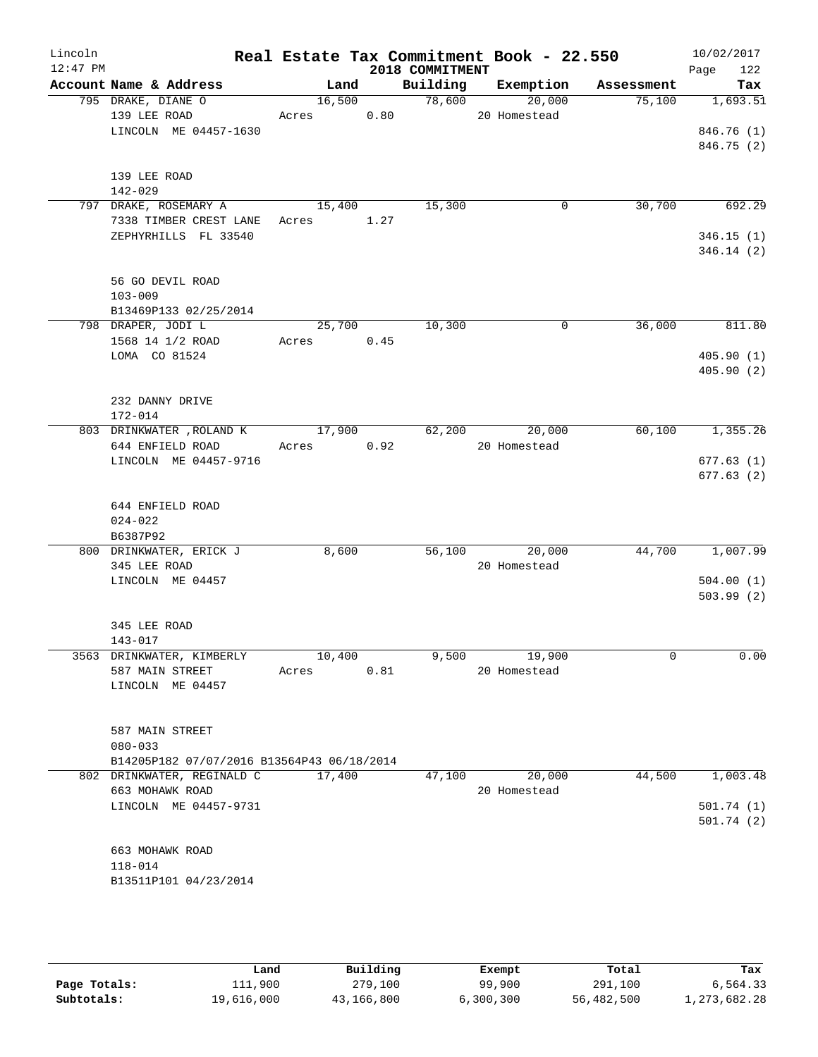| Lincoln    |                                                |            |        |                 | Real Estate Tax Commitment Book - 22.550 |                                    | 10/02/2017         |
|------------|------------------------------------------------|------------|--------|-----------------|------------------------------------------|------------------------------------|--------------------|
| $12:47$ PM | Account Name & Address                         |            |        | 2018 COMMITMENT |                                          | Land Building Exemption Assessment | 122<br>Page<br>Tax |
|            | 795 DRAKE, DIANE O                             |            |        | $16,500$ 78,600 | 20,000                                   | 75,100                             | 1,693.51           |
|            | 139 LEE ROAD                                   | Acres 0.80 |        |                 | 20 Homestead                             |                                    |                    |
|            | LINCOLN ME 04457-1630                          |            |        |                 |                                          |                                    | 846.76 (1)         |
|            |                                                |            |        |                 |                                          |                                    | 846.75 (2)         |
|            |                                                |            |        |                 |                                          |                                    |                    |
|            | 139 LEE ROAD                                   |            |        |                 |                                          |                                    |                    |
|            | $142 - 029$                                    |            |        |                 |                                          |                                    |                    |
|            | 797 DRAKE, ROSEMARY A                          | 15,400     |        | 15,300          | $\mathbf 0$                              | 30,700                             | 692.29             |
|            | 7338 TIMBER CREST LANE Acres 1.27              |            |        |                 |                                          |                                    |                    |
|            | ZEPHYRHILLS FL 33540                           |            |        |                 |                                          |                                    | 346.15(1)          |
|            |                                                |            |        |                 |                                          |                                    | 346.14(2)          |
|            |                                                |            |        |                 |                                          |                                    |                    |
|            | 56 GO DEVIL ROAD                               |            |        |                 |                                          |                                    |                    |
|            | $103 - 009$                                    |            |        |                 |                                          |                                    |                    |
|            | B13469P133 02/25/2014                          |            |        |                 |                                          |                                    |                    |
|            | 798 DRAPER, JODI L                             |            | 25,700 | 10,300          | $\Omega$                                 | 36,000                             | 811.80             |
|            | 1568 14 1/2 ROAD                               | Acres 0.45 |        |                 |                                          |                                    |                    |
|            | LOMA CO 81524                                  |            |        |                 |                                          |                                    | 405.90(1)          |
|            |                                                |            |        |                 |                                          |                                    | 405.90(2)          |
|            |                                                |            |        |                 |                                          |                                    |                    |
|            | 232 DANNY DRIVE                                |            |        |                 |                                          |                                    |                    |
|            | 172-014                                        |            |        |                 |                                          |                                    |                    |
|            | 803 DRINKWATER , ROLAND K 17,900 62,200 20,000 |            |        |                 |                                          | 60,100                             | 1,355.26           |
|            | 644 ENFIELD ROAD                               | Acres 0.92 |        |                 | 20 Homestead                             |                                    |                    |
|            | LINCOLN ME 04457-9716                          |            |        |                 |                                          |                                    | 677.63(1)          |
|            |                                                |            |        |                 |                                          |                                    | 677.63(2)          |
|            | 644 ENFIELD ROAD                               |            |        |                 |                                          |                                    |                    |
|            | $024 - 022$                                    |            |        |                 |                                          |                                    |                    |
|            | B6387P92                                       |            |        |                 |                                          |                                    |                    |
|            | 800 DRINKWATER, ERICK J                        | 8,600      |        |                 | 56,100 20,000                            |                                    | 44,700 1,007.99    |
|            | 345 LEE ROAD                                   |            |        |                 | 20 Homestead                             |                                    |                    |
|            | LINCOLN ME 04457                               |            |        |                 |                                          |                                    | 504.00(1)          |
|            |                                                |            |        |                 |                                          |                                    | 503.99(2)          |
|            |                                                |            |        |                 |                                          |                                    |                    |
|            | 345 LEE ROAD                                   |            |        |                 |                                          |                                    |                    |
|            | 143-017                                        |            |        |                 |                                          |                                    |                    |
|            | 3563 DRINKWATER, KIMBERLY                      | 10,400     |        | 9,500           | 19,900                                   | $\mathbf 0$                        | 0.00               |
|            | 587 MAIN STREET                                | Acres      | 0.81   |                 | 20 Homestead                             |                                    |                    |
|            | LINCOLN ME 04457                               |            |        |                 |                                          |                                    |                    |
|            |                                                |            |        |                 |                                          |                                    |                    |
|            |                                                |            |        |                 |                                          |                                    |                    |
|            | 587 MAIN STREET                                |            |        |                 |                                          |                                    |                    |
|            | $080 - 033$                                    |            |        |                 |                                          |                                    |                    |
|            | B14205P182 07/07/2016 B13564P43 06/18/2014     |            |        |                 |                                          |                                    |                    |
|            | 802 DRINKWATER, REGINALD C                     | 17,400     |        | 47,100          | 20,000                                   | 44,500                             | 1,003.48           |
|            | 663 MOHAWK ROAD<br>LINCOLN ME 04457-9731       |            |        |                 | 20 Homestead                             |                                    | 501.74(1)          |
|            |                                                |            |        |                 |                                          |                                    |                    |
|            |                                                |            |        |                 |                                          |                                    | 501.74(2)          |
|            | 663 MOHAWK ROAD                                |            |        |                 |                                          |                                    |                    |
|            | $118 - 014$                                    |            |        |                 |                                          |                                    |                    |
|            | B13511P101 04/23/2014                          |            |        |                 |                                          |                                    |                    |
|            |                                                |            |        |                 |                                          |                                    |                    |
|            |                                                |            |        |                 |                                          |                                    |                    |

|              | Land       | Building   | Exempt    | Total      | Tax          |
|--------------|------------|------------|-----------|------------|--------------|
| Page Totals: | 111,900    | 279,100    | 99,900    | 291,100    | 6,564.33     |
| Subtotals:   | 19,616,000 | 43,166,800 | 6,300,300 | 56,482,500 | 1,273,682.28 |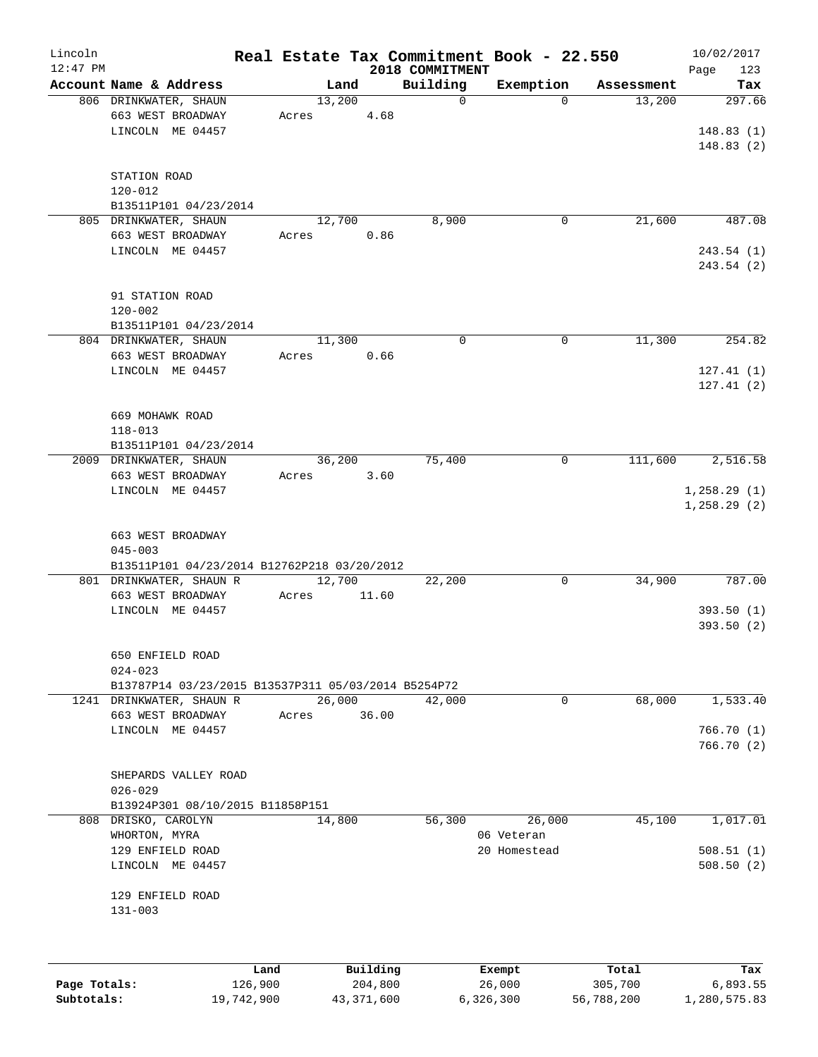| Lincoln    |                                                            |       |          |                             | Real Estate Tax Commitment Book - 22.550 |            | 10/02/2017         |
|------------|------------------------------------------------------------|-------|----------|-----------------------------|------------------------------------------|------------|--------------------|
| $12:47$ PM | Account Name & Address                                     |       | Land     | 2018 COMMITMENT<br>Building | Exemption                                | Assessment | Page<br>123<br>Tax |
|            | 806 DRINKWATER, SHAUN                                      |       | 13,200   | $\mathbf 0$                 | $\mathbf 0$                              | 13,200     | 297.66             |
|            | 663 WEST BROADWAY                                          | Acres | 4.68     |                             |                                          |            |                    |
|            | LINCOLN ME 04457                                           |       |          |                             |                                          |            | 148.83(1)          |
|            |                                                            |       |          |                             |                                          |            | 148.83(2)          |
|            |                                                            |       |          |                             |                                          |            |                    |
|            | STATION ROAD                                               |       |          |                             |                                          |            |                    |
|            | $120 - 012$                                                |       |          |                             |                                          |            |                    |
|            | B13511P101 04/23/2014                                      |       |          |                             |                                          |            |                    |
|            | 805 DRINKWATER, SHAUN                                      |       | 12,700   | 8,900                       | 0                                        | 21,600     | 487.08             |
|            | 663 WEST BROADWAY                                          | Acres | 0.86     |                             |                                          |            |                    |
|            | LINCOLN ME 04457                                           |       |          |                             |                                          |            | 243.54 (1)         |
|            |                                                            |       |          |                             |                                          |            | 243.54 (2)         |
|            |                                                            |       |          |                             |                                          |            |                    |
|            | 91 STATION ROAD                                            |       |          |                             |                                          |            |                    |
|            | $120 - 002$<br>B13511P101 04/23/2014                       |       |          |                             |                                          |            |                    |
|            | 804 DRINKWATER, SHAUN                                      |       | 11,300   | $\mathbf 0$                 | 0                                        | 11,300     | 254.82             |
|            | 663 WEST BROADWAY                                          | Acres | 0.66     |                             |                                          |            |                    |
|            | LINCOLN ME 04457                                           |       |          |                             |                                          |            | 127.41(1)          |
|            |                                                            |       |          |                             |                                          |            | 127.41(2)          |
|            |                                                            |       |          |                             |                                          |            |                    |
|            | 669 MOHAWK ROAD                                            |       |          |                             |                                          |            |                    |
|            | $118 - 013$                                                |       |          |                             |                                          |            |                    |
|            | B13511P101 04/23/2014                                      |       |          |                             |                                          |            |                    |
|            | 2009 DRINKWATER, SHAUN                                     |       | 36,200   | 75,400                      | 0                                        | 111,600    | 2,516.58           |
|            | 663 WEST BROADWAY                                          | Acres | 3.60     |                             |                                          |            |                    |
|            | LINCOLN ME 04457                                           |       |          |                             |                                          |            | 1, 258.29(1)       |
|            |                                                            |       |          |                             |                                          |            | 1, 258.29(2)       |
|            |                                                            |       |          |                             |                                          |            |                    |
|            | 663 WEST BROADWAY                                          |       |          |                             |                                          |            |                    |
|            | $045 - 003$<br>B13511P101 04/23/2014 B12762P218 03/20/2012 |       |          |                             |                                          |            |                    |
|            | 801 DRINKWATER, SHAUN R                                    |       | 12,700   | 22,200                      | 0                                        | 34,900     | 787.00             |
|            | 663 WEST BROADWAY                                          | Acres | 11.60    |                             |                                          |            |                    |
|            | LINCOLN ME 04457                                           |       |          |                             |                                          |            | 393.50(1)          |
|            |                                                            |       |          |                             |                                          |            | 393.50(2)          |
|            |                                                            |       |          |                             |                                          |            |                    |
|            | 650 ENFIELD ROAD                                           |       |          |                             |                                          |            |                    |
|            | $024 - 023$                                                |       |          |                             |                                          |            |                    |
|            | B13787P14 03/23/2015 B13537P311 05/03/2014 B5254P72        |       |          |                             |                                          |            |                    |
|            | 1241 DRINKWATER, SHAUN R                                   |       | 26,000   | 42,000                      | $\mathbf 0$                              | 68,000     | 1,533.40           |
|            | 663 WEST BROADWAY                                          | Acres | 36.00    |                             |                                          |            |                    |
|            | LINCOLN ME 04457                                           |       |          |                             |                                          |            | 766.70(1)          |
|            |                                                            |       |          |                             |                                          |            | 766.70(2)          |
|            |                                                            |       |          |                             |                                          |            |                    |
|            | SHEPARDS VALLEY ROAD<br>$026 - 029$                        |       |          |                             |                                          |            |                    |
|            | B13924P301 08/10/2015 B11858P151                           |       |          |                             |                                          |            |                    |
|            | 808 DRISKO, CAROLYN                                        |       | 14,800   | 56,300                      | 26,000                                   | 45,100     | 1,017.01           |
|            | WHORTON, MYRA                                              |       |          |                             | 06 Veteran                               |            |                    |
|            | 129 ENFIELD ROAD                                           |       |          |                             | 20 Homestead                             |            | 508.51(1)          |
|            | LINCOLN ME 04457                                           |       |          |                             |                                          |            | 508.50(2)          |
|            |                                                            |       |          |                             |                                          |            |                    |
|            | 129 ENFIELD ROAD                                           |       |          |                             |                                          |            |                    |
|            | $131 - 003$                                                |       |          |                             |                                          |            |                    |
|            |                                                            |       |          |                             |                                          |            |                    |
|            |                                                            |       |          |                             |                                          |            |                    |
|            |                                                            |       |          |                             |                                          |            |                    |
|            |                                                            | Land  | Building |                             | Exempt                                   | Total      | Tax                |

|              | Lanu       | <b>BUILQING</b> | Lxempt    | TOLAT      | 1ax.         |
|--------------|------------|-----------------|-----------|------------|--------------|
| Page Totals: | 126,900    | 204,800         | 26,000    | 305,700    | 6,893.55     |
| Subtotals:   | 19,742,900 | 43,371,600      | 6,326,300 | 56,788,200 | 1,280,575.83 |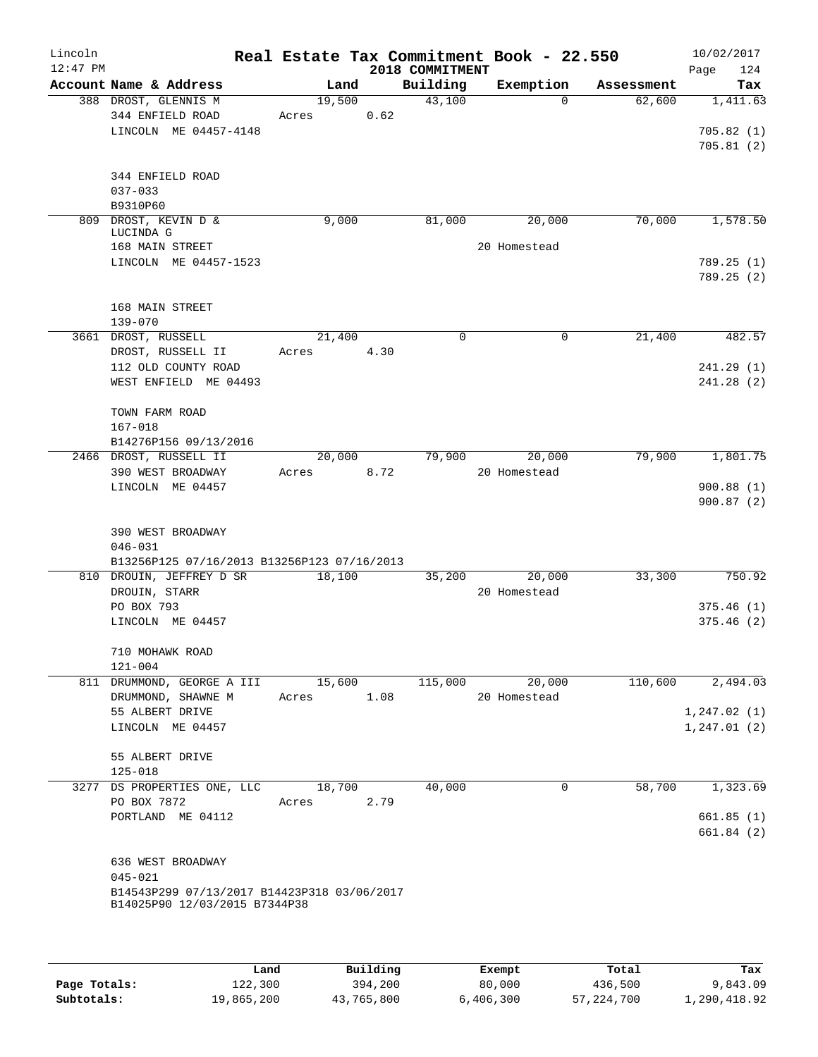| Lincoln<br>$12:47$ PM |                                                                         |        |      |      | 2018 COMMITMENT | Real Estate Tax Commitment Book - 22.550 |            | 10/02/2017<br>124<br>Page |
|-----------------------|-------------------------------------------------------------------------|--------|------|------|-----------------|------------------------------------------|------------|---------------------------|
|                       | Account Name & Address                                                  | Land   |      |      | Building        | Exemption                                | Assessment | Tax                       |
|                       | 388 DROST, GLENNIS M                                                    | 19,500 |      |      | 43,100          | $\Omega$                                 | 62,600     | 1,411.63                  |
|                       | 344 ENFIELD ROAD                                                        | Acres  |      | 0.62 |                 |                                          |            |                           |
|                       | LINCOLN ME 04457-4148                                                   |        |      |      |                 |                                          |            | 705.82(1)                 |
|                       |                                                                         |        |      |      |                 |                                          |            | 705.81(2)                 |
|                       | 344 ENFIELD ROAD                                                        |        |      |      |                 |                                          |            |                           |
|                       | $037 - 033$                                                             |        |      |      |                 |                                          |            |                           |
|                       | B9310P60                                                                |        |      |      |                 |                                          |            |                           |
| 809                   | DROST, KEVIN D &<br>LUCINDA G                                           | 9,000  |      |      | 81,000          | 20,000                                   | 70,000     | 1,578.50                  |
|                       | 168 MAIN STREET                                                         |        |      |      |                 | 20 Homestead                             |            |                           |
|                       | LINCOLN ME 04457-1523                                                   |        |      |      |                 |                                          |            | 789.25(1)                 |
|                       |                                                                         |        |      |      |                 |                                          |            | 789.25(2)                 |
|                       |                                                                         |        |      |      |                 |                                          |            |                           |
|                       | 168 MAIN STREET<br>139-070                                              |        |      |      |                 |                                          |            |                           |
|                       | 3661 DROST, RUSSELL                                                     | 21,400 |      |      | 0               | $\mathbf 0$                              | 21,400     | 482.57                    |
|                       | DROST, RUSSELL II                                                       | Acres  | 4.30 |      |                 |                                          |            |                           |
|                       | 112 OLD COUNTY ROAD                                                     |        |      |      |                 |                                          |            | 241.29(1)                 |
|                       | WEST ENFIELD ME 04493                                                   |        |      |      |                 |                                          |            | 241.28(2)                 |
|                       |                                                                         |        |      |      |                 |                                          |            |                           |
|                       | TOWN FARM ROAD                                                          |        |      |      |                 |                                          |            |                           |
|                       | $167 - 018$                                                             |        |      |      |                 |                                          |            |                           |
|                       | B14276P156 09/13/2016<br>2466 DROST, RUSSELL II                         | 20,000 |      |      | 79,900          | 20,000                                   | 79,900     | 1,801.75                  |
|                       | 390 WEST BROADWAY                                                       | Acres  |      | 8.72 |                 | 20 Homestead                             |            |                           |
|                       | LINCOLN ME 04457                                                        |        |      |      |                 |                                          |            | 900.88(1)                 |
|                       |                                                                         |        |      |      |                 |                                          |            | 900.87(2)                 |
|                       |                                                                         |        |      |      |                 |                                          |            |                           |
|                       | 390 WEST BROADWAY                                                       |        |      |      |                 |                                          |            |                           |
|                       | $046 - 031$                                                             |        |      |      |                 |                                          |            |                           |
|                       | B13256P125 07/16/2013 B13256P123 07/16/2013<br>810 DROUIN, JEFFREY D SR | 18,100 |      |      | 35,200          | 20,000                                   | 33,300     | 750.92                    |
|                       | DROUIN, STARR                                                           |        |      |      |                 | 20 Homestead                             |            |                           |
|                       | PO BOX 793                                                              |        |      |      |                 |                                          |            | 375.46(1)                 |
|                       | LINCOLN ME 04457                                                        |        |      |      |                 |                                          |            | 375.46(2)                 |
|                       |                                                                         |        |      |      |                 |                                          |            |                           |
|                       | 710 MOHAWK ROAD                                                         |        |      |      |                 |                                          |            |                           |
|                       | $121 - 004$                                                             |        |      |      |                 |                                          |            |                           |
|                       | 811 DRUMMOND, GEORGE A III                                              | 15,600 |      |      | 115,000         | 20,000                                   | 110,600    | 2,494.03                  |
|                       | DRUMMOND, SHAWNE M                                                      | Acres  |      | 1.08 |                 | 20 Homestead                             |            |                           |
|                       | 55 ALBERT DRIVE                                                         |        |      |      |                 |                                          |            | 1, 247.02(1)              |
|                       | LINCOLN ME 04457                                                        |        |      |      |                 |                                          |            | 1, 247.01(2)              |
|                       | 55 ALBERT DRIVE                                                         |        |      |      |                 |                                          |            |                           |
|                       | $125 - 018$                                                             |        |      |      |                 |                                          |            |                           |
|                       | 3277 DS PROPERTIES ONE, LLC                                             | 18,700 |      |      | 40,000          | 0                                        | 58,700     | 1,323.69                  |
|                       | PO BOX 7872                                                             | Acres  | 2.79 |      |                 |                                          |            |                           |
|                       | PORTLAND ME 04112                                                       |        |      |      |                 |                                          |            | 661.85(1)                 |
|                       |                                                                         |        |      |      |                 |                                          |            | 661.84(2)                 |
|                       |                                                                         |        |      |      |                 |                                          |            |                           |
|                       | 636 WEST BROADWAY<br>$045 - 021$                                        |        |      |      |                 |                                          |            |                           |
|                       | B14543P299 07/13/2017 B14423P318 03/06/2017                             |        |      |      |                 |                                          |            |                           |
|                       | B14025P90 12/03/2015 B7344P38                                           |        |      |      |                 |                                          |            |                           |
|                       |                                                                         |        |      |      |                 |                                          |            |                           |
|                       |                                                                         |        |      |      |                 |                                          |            |                           |
|                       |                                                                         |        |      |      |                 |                                          |            |                           |

|              | Land       | Building   | Exempt    | Total        | Tax          |
|--------------|------------|------------|-----------|--------------|--------------|
| Page Totals: | 122,300    | 394,200    | 80,000    | 436,500      | 9,843.09     |
| Subtotals:   | 19,865,200 | 43,765,800 | 6,406,300 | 57, 224, 700 | 1,290,418.92 |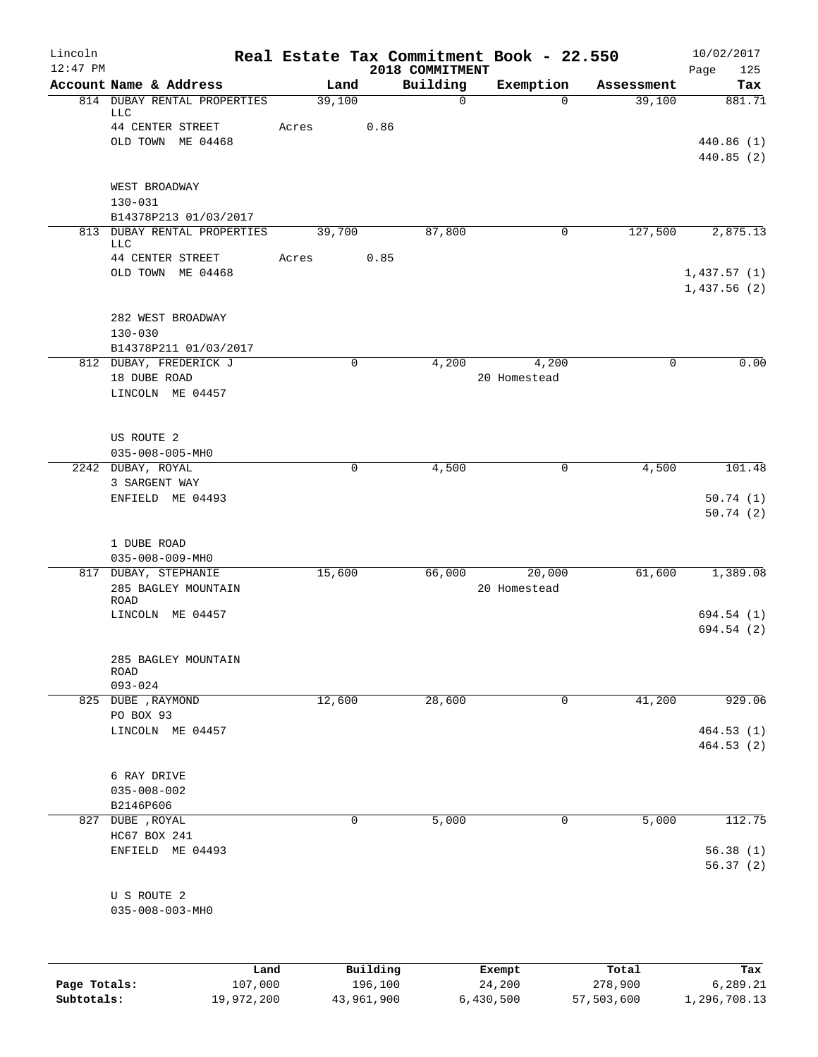| Lincoln<br>$12:47$ PM |                                                                                    |                 |             | 2018 COMMITMENT | Real Estate Tax Commitment Book - 22.550 |            | 10/02/2017<br>Page<br>125         |
|-----------------------|------------------------------------------------------------------------------------|-----------------|-------------|-----------------|------------------------------------------|------------|-----------------------------------|
|                       | Account Name & Address                                                             | Land            |             | Building        | Exemption                                | Assessment | Tax                               |
|                       | 814 DUBAY RENTAL PROPERTIES<br><b>LLC</b><br>44 CENTER STREET<br>OLD TOWN ME 04468 | 39,100<br>Acres | 0.86        | 0               | $\mathbf 0$                              | 39,100     | 881.71<br>440.86 (1)<br>440.85(2) |
|                       | WEST BROADWAY<br>$130 - 031$<br>B14378P213 01/03/2017                              |                 |             |                 |                                          |            |                                   |
|                       | 813 DUBAY RENTAL PROPERTIES<br><b>LLC</b><br>44 CENTER STREET                      | 39,700          | 0.85        | 87,800          | 0                                        | 127,500    | 2,875.13                          |
|                       | OLD TOWN ME 04468                                                                  | Acres           |             |                 |                                          |            | 1,437.57(1)<br>1,437.56(2)        |
|                       | 282 WEST BROADWAY<br>$130 - 030$<br>B14378P211 01/03/2017                          |                 |             |                 |                                          |            |                                   |
|                       | 812 DUBAY, FREDERICK J<br>18 DUBE ROAD<br>LINCOLN ME 04457                         |                 | 0           | 4,200           | 4,200<br>20 Homestead                    | 0          | 0.00                              |
|                       | US ROUTE 2<br>$035 - 008 - 005 - MHO$                                              |                 |             |                 |                                          |            |                                   |
|                       | 2242 DUBAY, ROYAL<br>3 SARGENT WAY<br>ENFIELD ME 04493                             |                 | $\mathbf 0$ | 4,500           | 0                                        | 4,500      | 101.48<br>50.74(1)<br>50.74(2)    |
|                       | 1 DUBE ROAD<br>$035 - 008 - 009 - MHO$                                             |                 |             |                 |                                          |            |                                   |
|                       | 817 DUBAY, STEPHANIE<br>285 BAGLEY MOUNTAIN<br>ROAD                                | 15,600          |             | 66,000          | 20,000<br>20 Homestead                   | 61,600     | 1,389.08                          |
|                       | LINCOLN ME 04457                                                                   |                 |             |                 |                                          |            | 694.54 (1)<br>694.54 (2)          |
|                       | 285 BAGLEY MOUNTAIN<br>ROAD<br>$093 - 024$                                         |                 |             |                 |                                          |            |                                   |
|                       | 825 DUBE , RAYMOND<br>PO BOX 93                                                    | 12,600          |             | 28,600          | 0                                        | 41,200     | 929.06                            |
|                       | LINCOLN ME 04457                                                                   |                 |             |                 |                                          |            | 464.53(1)<br>464.53(2)            |
|                       | 6 RAY DRIVE<br>$035 - 008 - 002$<br>B2146P606                                      |                 |             |                 |                                          |            |                                   |
|                       | 827 DUBE , ROYAL<br>HC67 BOX 241<br>ENFIELD ME 04493                               |                 | 0           | 5,000           | $\mathbf 0$                              | 5,000      | 112.75<br>56.38(1)                |
|                       | U S ROUTE 2                                                                        |                 |             |                 |                                          |            | 56.37(2)                          |
|                       | $035 - 008 - 003 - MHO$                                                            |                 |             |                 |                                          |            |                                   |
|                       | Land                                                                               |                 | Building    |                 | Exempt                                   | Total      | Tax                               |

|              | uanu       | <b>DULLULIN</b> | <b>BACILDL</b> | TOLAT      | ⊥a∧          |
|--------------|------------|-----------------|----------------|------------|--------------|
| Page Totals: | 107,000    | 196,100         | 24,200         | 278,900    | 6,289.21     |
| Subtotals:   | 19,972,200 | 43,961,900      | 6,430,500      | 57,503,600 | 1,296,708.13 |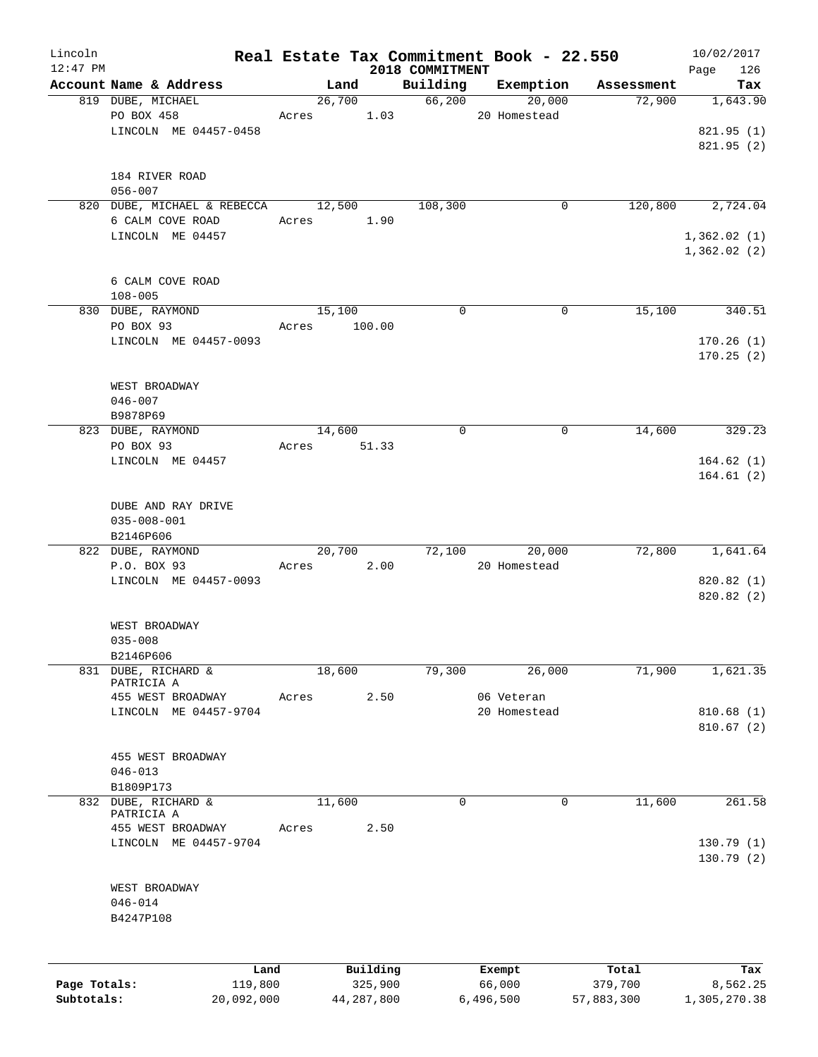| Lincoln      |                                             |       |                     |                    | Real Estate Tax Commitment Book - 22.550 |                      | 10/02/2017              |
|--------------|---------------------------------------------|-------|---------------------|--------------------|------------------------------------------|----------------------|-------------------------|
| $12:47$ PM   |                                             |       |                     | 2018 COMMITMENT    |                                          |                      | Page<br>126             |
|              | Account Name & Address<br>819 DUBE, MICHAEL |       | Land<br>26,700      | Building<br>66,200 | Exemption<br>20,000                      | Assessment<br>72,900 | Tax<br>1,643.90         |
|              | PO BOX 458                                  | Acres | 1.03                |                    | 20 Homestead                             |                      |                         |
|              | LINCOLN ME 04457-0458                       |       |                     |                    |                                          |                      | 821.95(1)               |
|              |                                             |       |                     |                    |                                          |                      | 821.95(2)               |
|              |                                             |       |                     |                    |                                          |                      |                         |
|              | 184 RIVER ROAD<br>$056 - 007$               |       |                     |                    |                                          |                      |                         |
|              | 820 DUBE, MICHAEL & REBECCA                 |       | 12,500              | 108,300            | 0                                        | 120,800              | 2,724.04                |
|              | 6 CALM COVE ROAD                            | Acres | 1.90                |                    |                                          |                      |                         |
|              | LINCOLN ME 04457                            |       |                     |                    |                                          |                      | 1,362.02(1)             |
|              |                                             |       |                     |                    |                                          |                      | 1,362.02(2)             |
|              |                                             |       |                     |                    |                                          |                      |                         |
|              | 6 CALM COVE ROAD<br>$108 - 005$             |       |                     |                    |                                          |                      |                         |
|              | 830 DUBE, RAYMOND                           |       | 15,100              | $\Omega$           | 0                                        | 15,100               | 340.51                  |
|              | PO BOX 93                                   | Acres | 100.00              |                    |                                          |                      |                         |
|              | LINCOLN ME 04457-0093                       |       |                     |                    |                                          |                      | 170.26(1)               |
|              |                                             |       |                     |                    |                                          |                      | 170.25(2)               |
|              |                                             |       |                     |                    |                                          |                      |                         |
|              | WEST BROADWAY<br>$046 - 007$                |       |                     |                    |                                          |                      |                         |
|              | B9878P69                                    |       |                     |                    |                                          |                      |                         |
|              | 823 DUBE, RAYMOND                           |       | 14,600              | $\mathbf 0$        | 0                                        | 14,600               | 329.23                  |
|              | PO BOX 93                                   |       | Acres 51.33         |                    |                                          |                      |                         |
|              | LINCOLN ME 04457                            |       |                     |                    |                                          |                      | 164.62(1)               |
|              |                                             |       |                     |                    |                                          |                      | 164.61(2)               |
|              | DUBE AND RAY DRIVE                          |       |                     |                    |                                          |                      |                         |
|              | $035 - 008 - 001$                           |       |                     |                    |                                          |                      |                         |
|              | B2146P606                                   |       |                     |                    |                                          |                      |                         |
|              | 822 DUBE, RAYMOND                           |       | 20,700              | 72,100             | 20,000                                   | 72,800               | 1,641.64                |
|              | P.O. BOX 93                                 | Acres | 2.00                |                    | 20 Homestead                             |                      |                         |
|              | LINCOLN ME 04457-0093                       |       |                     |                    |                                          |                      | 820.82(1)               |
|              |                                             |       |                     |                    |                                          |                      | 820.82 (2)              |
|              | WEST BROADWAY                               |       |                     |                    |                                          |                      |                         |
|              | $035 - 008$                                 |       |                     |                    |                                          |                      |                         |
|              | B2146P606                                   |       |                     |                    |                                          |                      |                         |
|              | 831 DUBE, RICHARD &<br>PATRICIA A           |       | 18,600              | 79,300             | 26,000                                   | 71,900               | 1,621.35                |
|              | 455 WEST BROADWAY                           | Acres | 2.50                |                    | 06 Veteran                               |                      |                         |
|              | LINCOLN ME 04457-9704                       |       |                     |                    | 20 Homestead                             |                      | 810.68(1)               |
|              |                                             |       |                     |                    |                                          |                      | 810.67(2)               |
|              |                                             |       |                     |                    |                                          |                      |                         |
|              | 455 WEST BROADWAY                           |       |                     |                    |                                          |                      |                         |
|              | $046 - 013$<br>B1809P173                    |       |                     |                    |                                          |                      |                         |
|              | 832 DUBE, RICHARD &                         |       | 11,600              | $\mathbf 0$        | $\mathbf 0$                              | 11,600               | 261.58                  |
|              | PATRICIA A                                  |       |                     |                    |                                          |                      |                         |
|              | 455 WEST BROADWAY                           | Acres | 2.50                |                    |                                          |                      |                         |
|              | LINCOLN ME 04457-9704                       |       |                     |                    |                                          |                      | 130.79(1)<br>130.79 (2) |
|              |                                             |       |                     |                    |                                          |                      |                         |
|              | WEST BROADWAY                               |       |                     |                    |                                          |                      |                         |
|              | $046 - 014$                                 |       |                     |                    |                                          |                      |                         |
|              | B4247P108                                   |       |                     |                    |                                          |                      |                         |
|              |                                             |       |                     |                    |                                          |                      |                         |
|              |                                             |       |                     |                    |                                          |                      |                         |
| Page Totals: | Land<br>119,800                             |       | Building<br>325,900 |                    | Exempt<br>66,000                         | Total<br>379,700     | Tax<br>8,562.25         |
| Subtotals:   | 20,092,000                                  |       | 44, 287, 800        |                    | 6,496,500                                | 57,883,300           | 1,305,270.38            |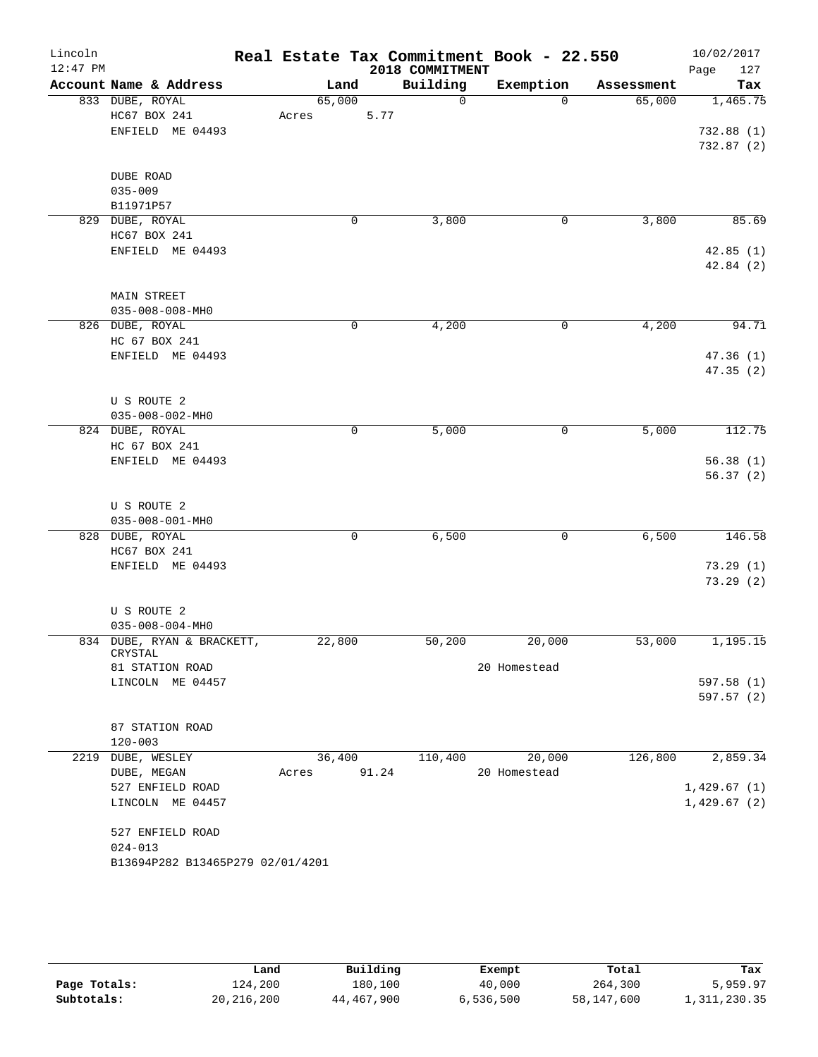| Lincoln<br>$12:47$ PM |                                  |             |             |      | 2018 COMMITMENT | Real Estate Tax Commitment Book - 22.550 |            | 10/02/2017<br>127<br>Page |
|-----------------------|----------------------------------|-------------|-------------|------|-----------------|------------------------------------------|------------|---------------------------|
|                       | Account Name & Address           | Land        |             |      | Building        | Exemption                                | Assessment | Tax                       |
|                       | 833 DUBE, ROYAL                  | 65,000      |             |      | $\overline{0}$  | $\Omega$                                 | 65,000     | 1,465.75                  |
|                       | HC67 BOX 241                     | Acres       |             | 5.77 |                 |                                          |            |                           |
|                       | ENFIELD ME 04493                 |             |             |      |                 |                                          |            | 732.88(1)                 |
|                       |                                  |             |             |      |                 |                                          |            | 732.87(2)                 |
|                       | DUBE ROAD                        |             |             |      |                 |                                          |            |                           |
|                       | $035 - 009$                      |             |             |      |                 |                                          |            |                           |
|                       | B11971P57                        |             |             |      |                 |                                          |            |                           |
|                       | 829 DUBE, ROYAL                  |             | 0           |      | 3,800           | 0                                        | 3,800      | 85.69                     |
|                       | HC67 BOX 241                     |             |             |      |                 |                                          |            |                           |
|                       | ENFIELD ME 04493                 |             |             |      |                 |                                          |            | 42.85(1)                  |
|                       |                                  |             |             |      |                 |                                          |            | 42.84(2)                  |
|                       |                                  |             |             |      |                 |                                          |            |                           |
|                       | <b>MAIN STREET</b>               |             |             |      |                 |                                          |            |                           |
|                       | $035 - 008 - 008 - MHO$          |             |             |      |                 |                                          |            |                           |
|                       | 826 DUBE, ROYAL                  |             | $\mathbf 0$ |      | 4,200           | 0                                        | 4,200      | 94.71                     |
|                       | HC 67 BOX 241                    |             |             |      |                 |                                          |            |                           |
|                       | ENFIELD ME 04493                 |             |             |      |                 |                                          |            | 47.36(1)<br>47.35(2)      |
|                       |                                  |             |             |      |                 |                                          |            |                           |
|                       | U S ROUTE 2                      |             |             |      |                 |                                          |            |                           |
|                       | $035 - 008 - 002 - MHz$          |             |             |      |                 |                                          |            |                           |
|                       | 824 DUBE, ROYAL                  |             | 0           |      | 5,000           | $\mathbf 0$                              | 5,000      | 112.75                    |
|                       | HC 67 BOX 241                    |             |             |      |                 |                                          |            |                           |
|                       | ENFIELD ME 04493                 |             |             |      |                 |                                          |            | 56.38(1)                  |
|                       |                                  |             |             |      |                 |                                          |            | 56.37(2)                  |
|                       |                                  |             |             |      |                 |                                          |            |                           |
|                       | U S ROUTE 2                      |             |             |      |                 |                                          |            |                           |
|                       | $035 - 008 - 001 - MH0$          |             | $\mathbf 0$ |      | 6,500           |                                          | 6,500      | 146.58                    |
|                       | 828 DUBE, ROYAL<br>HC67 BOX 241  |             |             |      |                 | 0                                        |            |                           |
|                       | ENFIELD ME 04493                 |             |             |      |                 |                                          |            | 73.29(1)                  |
|                       |                                  |             |             |      |                 |                                          |            | 73.29(2)                  |
|                       |                                  |             |             |      |                 |                                          |            |                           |
|                       | U S ROUTE 2                      |             |             |      |                 |                                          |            |                           |
|                       | $035 - 008 - 004 - MHO$          |             |             |      |                 |                                          |            |                           |
| 834                   | DUBE, RYAN & BRACKETT,           | 22,800      |             |      | 50,200          | 20,000                                   | 53,000     | 1,195.15                  |
|                       | CRYSTAL<br>81 STATION ROAD       |             |             |      |                 | 20 Homestead                             |            |                           |
|                       | LINCOLN ME 04457                 |             |             |      |                 |                                          |            | 597.58(1)                 |
|                       |                                  |             |             |      |                 |                                          |            | 597.57(2)                 |
|                       |                                  |             |             |      |                 |                                          |            |                           |
|                       | 87 STATION ROAD                  |             |             |      |                 |                                          |            |                           |
|                       | $120 - 003$                      |             |             |      |                 |                                          |            |                           |
|                       | 2219 DUBE, WESLEY                | 36,400      |             |      | 110,400         | 20,000                                   | 126,800    | 2,859.34                  |
|                       | DUBE, MEGAN                      | Acres 91.24 |             |      |                 | 20 Homestead                             |            |                           |
|                       | 527 ENFIELD ROAD                 |             |             |      |                 |                                          |            | 1,429.67(1)               |
|                       | LINCOLN ME 04457                 |             |             |      |                 |                                          |            | 1,429.67(2)               |
|                       | 527 ENFIELD ROAD                 |             |             |      |                 |                                          |            |                           |
|                       | $024 - 013$                      |             |             |      |                 |                                          |            |                           |
|                       | B13694P282 B13465P279 02/01/4201 |             |             |      |                 |                                          |            |                           |
|                       |                                  |             |             |      |                 |                                          |            |                           |

|              | Land         | Building   | Exempt    | Total      | Tax          |
|--------------|--------------|------------|-----------|------------|--------------|
| Page Totals: | 124,200      | 180,100    | 40,000    | 264,300    | 5,959.97     |
| Subtotals:   | 20, 216, 200 | 44,467,900 | 6,536,500 | 58,147,600 | 1,311,230.35 |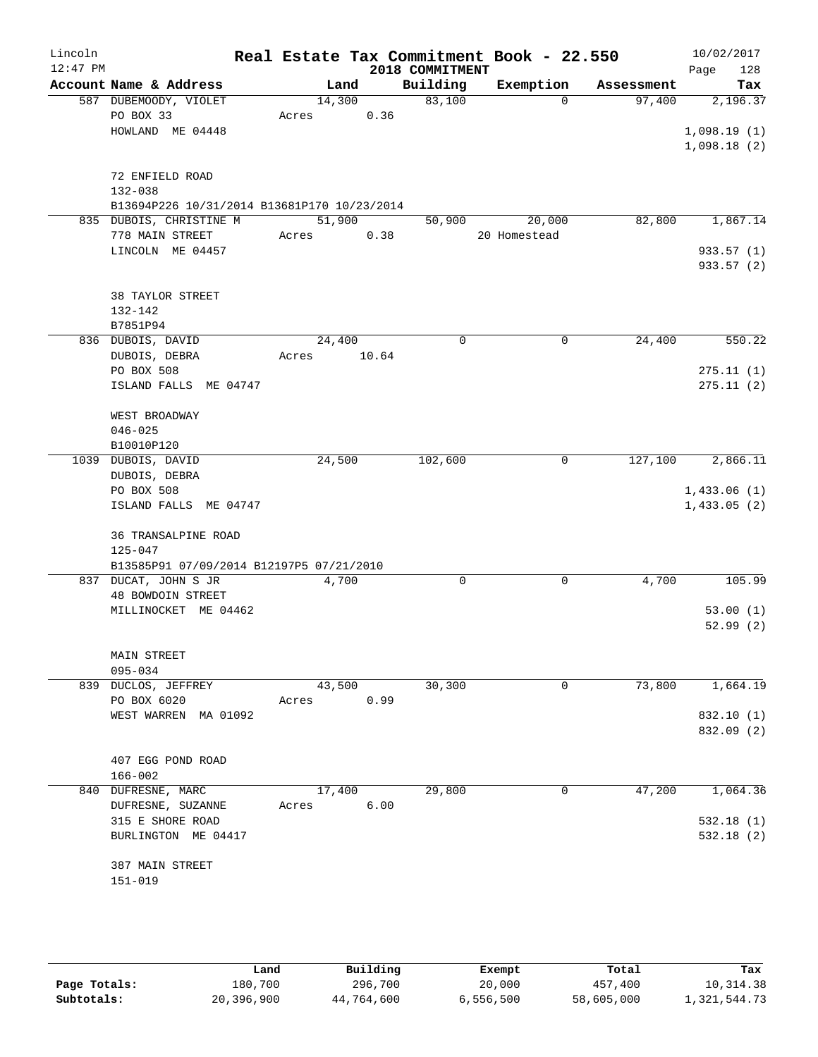| Lincoln<br>$12:47$ PM |                                             |       |        |       | 2018 COMMITMENT | Real Estate Tax Commitment Book - 22.550 |            | 10/02/2017<br>128<br>Page |
|-----------------------|---------------------------------------------|-------|--------|-------|-----------------|------------------------------------------|------------|---------------------------|
|                       | Account Name & Address                      |       | Land   |       | Building        | Exemption                                | Assessment | Tax                       |
|                       | 587 DUBEMOODY, VIOLET                       |       | 14,300 |       | 83,100          | $\Omega$                                 | 97,400     | 2,196.37                  |
|                       | PO BOX 33                                   | Acres |        | 0.36  |                 |                                          |            |                           |
|                       | HOWLAND ME 04448                            |       |        |       |                 |                                          |            | 1,098.19(1)               |
|                       |                                             |       |        |       |                 |                                          |            | 1,098.18(2)               |
|                       | 72 ENFIELD ROAD                             |       |        |       |                 |                                          |            |                           |
|                       | 132-038                                     |       |        |       |                 |                                          |            |                           |
|                       | B13694P226 10/31/2014 B13681P170 10/23/2014 |       |        |       |                 |                                          |            |                           |
|                       | 835 DUBOIS, CHRISTINE M                     |       | 51,900 |       | 50,900          | 20,000                                   | 82,800     | 1,867.14                  |
|                       | 778 MAIN STREET                             | Acres |        | 0.38  |                 | 20 Homestead                             |            |                           |
|                       | LINCOLN ME 04457                            |       |        |       |                 |                                          |            | 933.57 (1)                |
|                       |                                             |       |        |       |                 |                                          |            | 933.57 (2)                |
|                       | <b>38 TAYLOR STREET</b>                     |       |        |       |                 |                                          |            |                           |
|                       | 132-142                                     |       |        |       |                 |                                          |            |                           |
|                       | B7851P94                                    |       |        |       |                 |                                          |            |                           |
|                       | 836 DUBOIS, DAVID                           |       | 24,400 |       | $\Omega$        | $\mathbf 0$                              | 24,400     | 550.22                    |
|                       | DUBOIS, DEBRA                               | Acres |        | 10.64 |                 |                                          |            |                           |
|                       | PO BOX 508                                  |       |        |       |                 |                                          |            | 275.11(1)                 |
|                       | ISLAND FALLS ME 04747                       |       |        |       |                 |                                          |            | 275.11(2)                 |
|                       |                                             |       |        |       |                 |                                          |            |                           |
|                       | WEST BROADWAY                               |       |        |       |                 |                                          |            |                           |
|                       | $046 - 025$                                 |       |        |       |                 |                                          |            |                           |
|                       | B10010P120                                  |       |        |       |                 |                                          |            |                           |
|                       | 1039 DUBOIS, DAVID                          |       | 24,500 |       | 102,600         | 0                                        | 127,100    | 2,866.11                  |
|                       | DUBOIS, DEBRA                               |       |        |       |                 |                                          |            |                           |
|                       | PO BOX 508                                  |       |        |       |                 |                                          |            | 1,433.06(1)               |
|                       | ISLAND FALLS ME 04747                       |       |        |       |                 |                                          |            | 1,433.05(2)               |
|                       | 36 TRANSALPINE ROAD                         |       |        |       |                 |                                          |            |                           |
|                       | $125 - 047$                                 |       |        |       |                 |                                          |            |                           |
|                       | B13585P91 07/09/2014 B12197P5 07/21/2010    |       |        |       |                 |                                          |            |                           |
|                       | 837 DUCAT, JOHN S JR                        |       | 4,700  |       | 0               | 0                                        | 4,700      | 105.99                    |
|                       | <b>48 BOWDOIN STREET</b>                    |       |        |       |                 |                                          |            |                           |
|                       | MILLINOCKET ME 04462                        |       |        |       |                 |                                          |            | 53.00(1)                  |
|                       |                                             |       |        |       |                 |                                          |            | 52.99(2)                  |
|                       |                                             |       |        |       |                 |                                          |            |                           |
|                       | <b>MAIN STREET</b>                          |       |        |       |                 |                                          |            |                           |
|                       | $095 - 034$                                 |       |        |       |                 |                                          |            |                           |
|                       | 839 DUCLOS, JEFFREY                         |       | 43,500 |       | 30,300          | 0                                        | 73,800     | 1,664.19                  |
|                       | PO BOX 6020                                 | Acres |        | 0.99  |                 |                                          |            |                           |
|                       | WEST WARREN MA 01092                        |       |        |       |                 |                                          |            | 832.10 (1)                |
|                       |                                             |       |        |       |                 |                                          |            | 832.09 (2)                |
|                       |                                             |       |        |       |                 |                                          |            |                           |
|                       | 407 EGG POND ROAD                           |       |        |       |                 |                                          |            |                           |
|                       | $166 - 002$<br>840 DUFRESNE, MARC           |       | 17,400 |       | 29,800          | 0                                        | 47,200     | 1,064.36                  |
|                       | DUFRESNE, SUZANNE                           | Acres |        | 6.00  |                 |                                          |            |                           |
|                       | 315 E SHORE ROAD                            |       |        |       |                 |                                          |            | 532.18(1)                 |
|                       | BURLINGTON ME 04417                         |       |        |       |                 |                                          |            | 532.18(2)                 |
|                       |                                             |       |        |       |                 |                                          |            |                           |
|                       | 387 MAIN STREET                             |       |        |       |                 |                                          |            |                           |
|                       | $151 - 019$                                 |       |        |       |                 |                                          |            |                           |
|                       |                                             |       |        |       |                 |                                          |            |                           |
|                       |                                             |       |        |       |                 |                                          |            |                           |

|              | Land       | Building   | Exempt    | Total      | Tax          |
|--------------|------------|------------|-----------|------------|--------------|
| Page Totals: | 180,700    | 296,700    | 20,000    | 457,400    | 10,314.38    |
| Subtotals:   | 20,396,900 | 44,764,600 | 6,556,500 | 58,605,000 | 1,321,544.73 |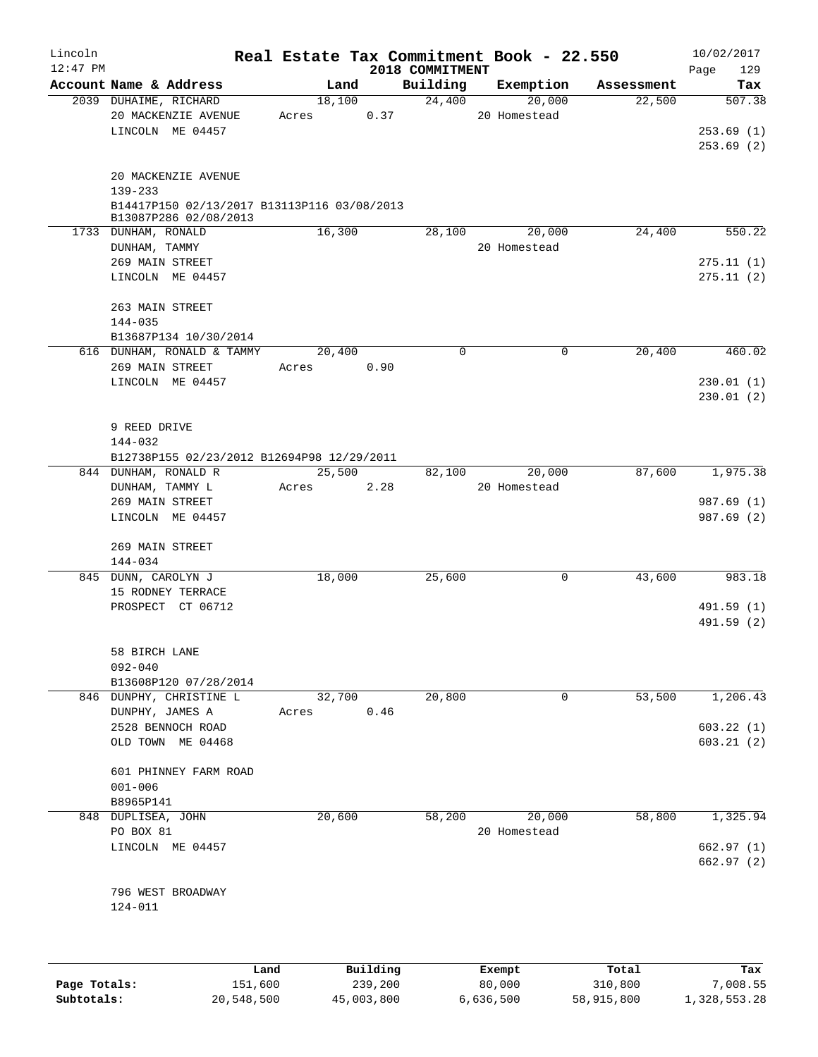| Lincoln<br>$12:47$ PM |                                                                                                        | Real Estate Tax Commitment Book - 22.550 |      | 2018 COMMITMENT |                        |            | 10/02/2017<br>Page<br>129        |
|-----------------------|--------------------------------------------------------------------------------------------------------|------------------------------------------|------|-----------------|------------------------|------------|----------------------------------|
|                       | Account Name & Address                                                                                 | Land                                     |      | Building        | Exemption              | Assessment | Tax                              |
|                       | 2039 DUHAIME, RICHARD<br>20 MACKENZIE AVENUE<br>LINCOLN ME 04457                                       | 18,100<br>Acres                          | 0.37 | 24,400          | 20,000<br>20 Homestead | 22,500     | 507.38<br>253.69(1)<br>253.69(2) |
|                       | 20 MACKENZIE AVENUE<br>139-233<br>B14417P150 02/13/2017 B13113P116 03/08/2013<br>B13087P286 02/08/2013 |                                          |      |                 |                        |            |                                  |
|                       | 1733 DUNHAM, RONALD                                                                                    | 16,300                                   |      | 28,100          | 20,000                 | 24,400     | 550.22                           |
|                       | DUNHAM, TAMMY                                                                                          |                                          |      |                 | 20 Homestead           |            |                                  |
|                       | 269 MAIN STREET                                                                                        |                                          |      |                 |                        |            | 275.11(1)                        |
|                       | LINCOLN ME 04457                                                                                       |                                          |      |                 |                        |            | 275.11(2)                        |
|                       | 263 MAIN STREET<br>144-035                                                                             |                                          |      |                 |                        |            |                                  |
|                       | B13687P134 10/30/2014                                                                                  |                                          |      |                 |                        |            |                                  |
|                       | 616 DUNHAM, RONALD & TAMMY                                                                             | 20,400                                   |      | $\Omega$        | $\mathbf 0$            | 20,400     | 460.02                           |
|                       | 269 MAIN STREET                                                                                        | Acres                                    | 0.90 |                 |                        |            |                                  |
|                       | LINCOLN ME 04457                                                                                       |                                          |      |                 |                        |            | 230.01(1)<br>230.01(2)           |
|                       | 9 REED DRIVE<br>144-032                                                                                |                                          |      |                 |                        |            |                                  |
|                       | B12738P155 02/23/2012 B12694P98 12/29/2011<br>844 DUNHAM, RONALD R                                     | 25,500                                   |      | 82,100          | 20,000                 | 87,600     | 1,975.38                         |
|                       | DUNHAM, TAMMY L                                                                                        | Acres                                    | 2.28 |                 | 20 Homestead           |            |                                  |
|                       | 269 MAIN STREET                                                                                        |                                          |      |                 |                        |            | 987.69 (1)                       |
|                       | LINCOLN ME 04457                                                                                       |                                          |      |                 |                        |            | 987.69 (2)                       |
|                       | 269 MAIN STREET<br>144-034                                                                             |                                          |      |                 |                        |            |                                  |
|                       | 845 DUNN, CAROLYN J                                                                                    | 18,000                                   |      | 25,600          | 0                      | 43,600     | 983.18                           |
|                       | 15 RODNEY TERRACE                                                                                      |                                          |      |                 |                        |            |                                  |
|                       | PROSPECT CT 06712                                                                                      |                                          |      |                 |                        |            | 491.59 (1)<br>491.59 (2)         |
|                       | 58 BIRCH LANE<br>$092 - 040$                                                                           |                                          |      |                 |                        |            |                                  |
|                       | B13608P120 07/28/2014<br>846 DUNPHY, CHRISTINE L                                                       | 32,700                                   |      | 20,800          | 0                      | 53,500     | 1,206.43                         |
|                       | DUNPHY, JAMES A                                                                                        | Acres                                    | 0.46 |                 |                        |            |                                  |
|                       | 2528 BENNOCH ROAD                                                                                      |                                          |      |                 |                        |            | 603.22(1)                        |
|                       | OLD TOWN ME 04468                                                                                      |                                          |      |                 |                        |            | 603.21(2)                        |
|                       | 601 PHINNEY FARM ROAD<br>$001 - 006$                                                                   |                                          |      |                 |                        |            |                                  |
|                       | B8965P141<br>848 DUPLISEA, JOHN                                                                        | 20,600                                   |      | 58,200          | 20,000                 | 58,800     | 1,325.94                         |
|                       | PO BOX 81<br>LINCOLN ME 04457                                                                          |                                          |      |                 | 20 Homestead           |            | 662.97(1)                        |
|                       |                                                                                                        |                                          |      |                 |                        |            | 662.97 (2)                       |
|                       | 796 WEST BROADWAY<br>124-011                                                                           |                                          |      |                 |                        |            |                                  |
|                       |                                                                                                        |                                          |      |                 |                        |            |                                  |

|              | Land       | Building   | Exempt    | Total      | Tax          |
|--------------|------------|------------|-----------|------------|--------------|
| Page Totals: | 151,600    | 239,200    | 80,000    | 310,800    | 7,008.55     |
| Subtotals:   | 20,548,500 | 45,003,800 | 6,636,500 | 58,915,800 | 1,328,553.28 |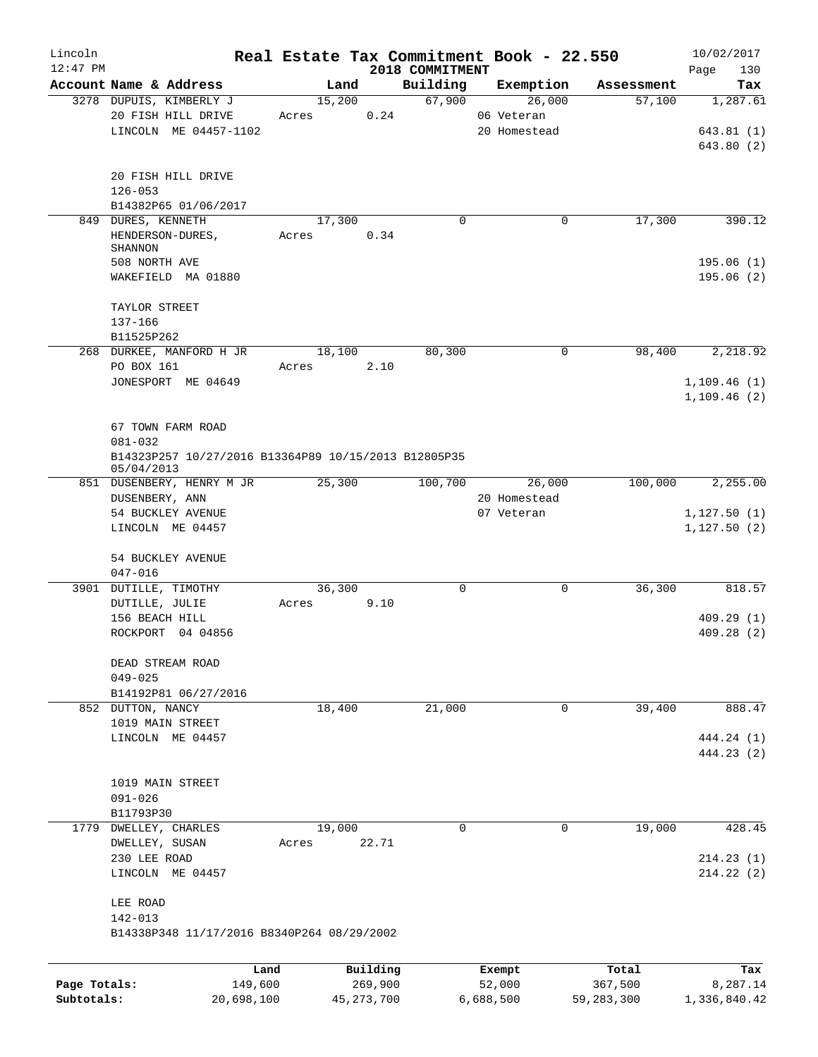| Lincoln                    |                                                      |            |                |              |                    | Real Estate Tax Commitment Book - 22.550 |                      | 10/02/2017      |
|----------------------------|------------------------------------------------------|------------|----------------|--------------|--------------------|------------------------------------------|----------------------|-----------------|
| $12:47$ PM                 | Account Name & Address                               |            |                |              | 2018 COMMITMENT    |                                          |                      | 130<br>Page     |
|                            | 3278 DUPUIS, KIMBERLY J                              |            | Land<br>15,200 |              | Building<br>67,900 | Exemption<br>26,000                      | Assessment<br>57,100 | Tax<br>1,287.61 |
|                            | 20 FISH HILL DRIVE                                   | Acres      |                | 0.24         |                    | 06 Veteran                               |                      |                 |
|                            | LINCOLN ME 04457-1102                                |            |                |              |                    | 20 Homestead                             |                      | 643.81(1)       |
|                            |                                                      |            |                |              |                    |                                          |                      | 643.80 (2)      |
|                            |                                                      |            |                |              |                    |                                          |                      |                 |
|                            | 20 FISH HILL DRIVE                                   |            |                |              |                    |                                          |                      |                 |
|                            | $126 - 053$                                          |            |                |              |                    |                                          |                      |                 |
|                            | B14382P65 01/06/2017                                 |            |                |              |                    |                                          |                      |                 |
| 849                        | DURES, KENNETH                                       |            | 17,300         |              | $\Omega$           |                                          | 17,300<br>0          | 390.12          |
|                            | HENDERSON-DURES,                                     | Acres      |                | 0.34         |                    |                                          |                      |                 |
|                            | SHANNON                                              |            |                |              |                    |                                          |                      |                 |
|                            | 508 NORTH AVE                                        |            |                |              |                    |                                          |                      | 195.06(1)       |
|                            | WAKEFIELD MA 01880                                   |            |                |              |                    |                                          |                      | 195.06(2)       |
|                            |                                                      |            |                |              |                    |                                          |                      |                 |
|                            | TAYLOR STREET<br>137-166                             |            |                |              |                    |                                          |                      |                 |
|                            | B11525P262                                           |            |                |              |                    |                                          |                      |                 |
|                            | 268 DURKEE, MANFORD H JR                             |            | 18,100         |              | 80,300             |                                          | 98,400<br>0          | 2,218.92        |
|                            | PO BOX 161                                           | Acres      |                | 2.10         |                    |                                          |                      |                 |
|                            | JONESPORT ME 04649                                   |            |                |              |                    |                                          |                      | 1,109.46(1)     |
|                            |                                                      |            |                |              |                    |                                          |                      | 1,109.46(2)     |
|                            |                                                      |            |                |              |                    |                                          |                      |                 |
|                            | 67 TOWN FARM ROAD                                    |            |                |              |                    |                                          |                      |                 |
|                            | 081-032                                              |            |                |              |                    |                                          |                      |                 |
|                            | B14323P257 10/27/2016 B13364P89 10/15/2013 B12805P35 |            |                |              |                    |                                          |                      |                 |
|                            | 05/04/2013                                           |            |                |              |                    |                                          |                      |                 |
|                            | 851 DUSENBERY, HENRY M JR                            |            | 25,300         |              | 100,700            | 26,000                                   | 100,000              | 2,255.00        |
|                            | DUSENBERY, ANN                                       |            |                |              |                    | 20 Homestead                             |                      |                 |
|                            | 54 BUCKLEY AVENUE                                    |            |                |              |                    | 07 Veteran                               |                      | 1,127.50(1)     |
|                            | LINCOLN ME 04457                                     |            |                |              |                    |                                          |                      | 1,127.50(2)     |
|                            | 54 BUCKLEY AVENUE                                    |            |                |              |                    |                                          |                      |                 |
|                            | $047 - 016$                                          |            |                |              |                    |                                          |                      |                 |
|                            | 3901 DUTILLE, TIMOTHY                                |            | 36,300         |              | 0                  |                                          | 36,300<br>0          | 818.57          |
|                            | DUTILLE, JULIE                                       | Acres      |                | 9.10         |                    |                                          |                      |                 |
|                            | 156 BEACH HILL                                       |            |                |              |                    |                                          |                      | 409.29(1)       |
|                            | ROCKPORT 04 04856                                    |            |                |              |                    |                                          |                      | 409.28(2)       |
|                            |                                                      |            |                |              |                    |                                          |                      |                 |
|                            | DEAD STREAM ROAD                                     |            |                |              |                    |                                          |                      |                 |
|                            | $049 - 025$                                          |            |                |              |                    |                                          |                      |                 |
|                            | B14192P81 06/27/2016                                 |            |                |              |                    |                                          |                      |                 |
|                            | 852 DUTTON, NANCY                                    |            | 18,400         |              | 21,000             |                                          | 39,400<br>0          | 888.47          |
|                            | 1019 MAIN STREET                                     |            |                |              |                    |                                          |                      |                 |
|                            | LINCOLN ME 04457                                     |            |                |              |                    |                                          |                      | 444.24 (1)      |
|                            |                                                      |            |                |              |                    |                                          |                      | 444.23 (2)      |
|                            | 1019 MAIN STREET                                     |            |                |              |                    |                                          |                      |                 |
|                            | $091 - 026$                                          |            |                |              |                    |                                          |                      |                 |
|                            | B11793P30                                            |            |                |              |                    |                                          |                      |                 |
|                            | 1779 DWELLEY, CHARLES                                |            | 19,000         |              | 0                  |                                          | 19,000<br>0          | 428.45          |
|                            | DWELLEY, SUSAN                                       | Acres      |                | 22.71        |                    |                                          |                      |                 |
|                            | 230 LEE ROAD                                         |            |                |              |                    |                                          |                      | 214.23(1)       |
|                            | LINCOLN ME 04457                                     |            |                |              |                    |                                          |                      | 214.22(2)       |
|                            |                                                      |            |                |              |                    |                                          |                      |                 |
|                            | LEE ROAD                                             |            |                |              |                    |                                          |                      |                 |
|                            | 142-013                                              |            |                |              |                    |                                          |                      |                 |
|                            | B14338P348 11/17/2016 B8340P264 08/29/2002           |            |                |              |                    |                                          |                      |                 |
|                            |                                                      |            |                |              |                    |                                          |                      |                 |
|                            |                                                      | Land       |                | Building     |                    | Exempt                                   | Total                | Tax             |
| Page Totals:<br>Subtotals: |                                                      | 149,600    |                | 269,900      |                    | 52,000                                   | 367,500              | 8,287.14        |
|                            |                                                      | 20,698,100 |                | 45, 273, 700 |                    | 6,688,500                                | 59,283,300           | 1,336,840.42    |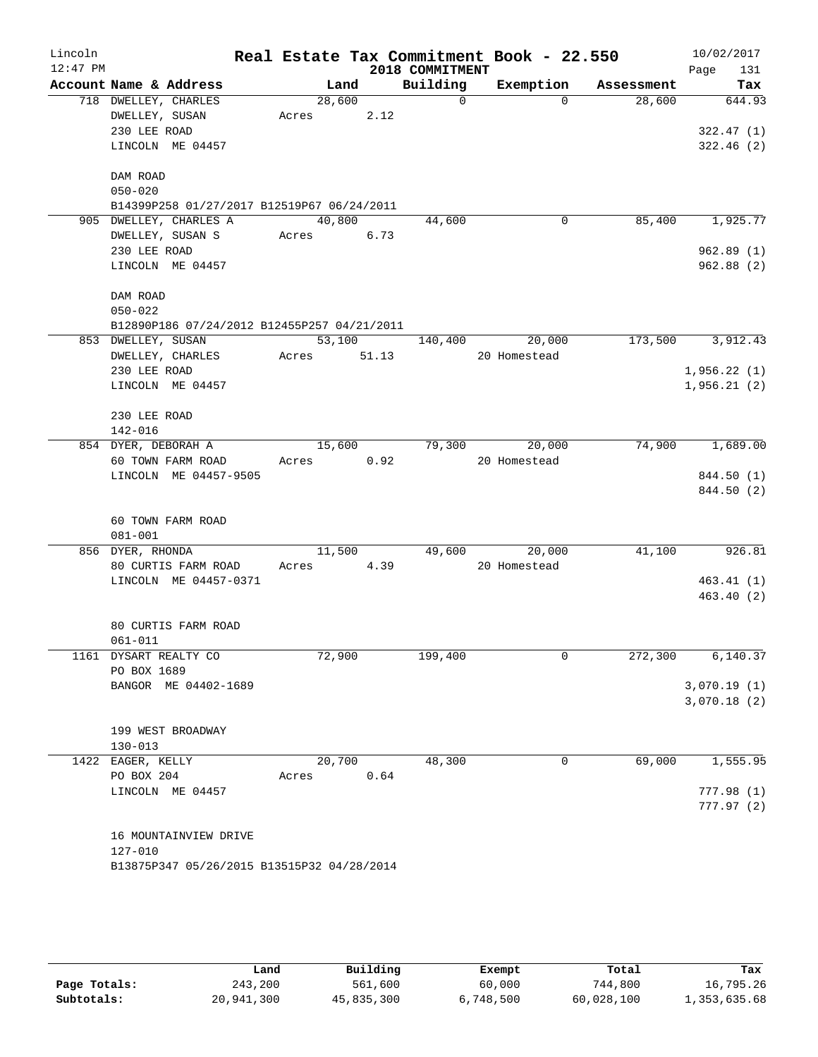| Lincoln<br>$12:47$ PM |                                             |             |        | 2018 COMMITMENT | Real Estate Tax Commitment Book - 22.550 |            | 10/02/2017<br>131 |
|-----------------------|---------------------------------------------|-------------|--------|-----------------|------------------------------------------|------------|-------------------|
|                       | Account Name & Address                      |             |        | Land Building   | Exemption                                | Assessment | Page<br>Tax       |
|                       | 718 DWELLEY, CHARLES                        | 28,600      |        | $\Omega$        | $\Omega$                                 | 28,600     | 644.93            |
|                       | DWELLEY, SUSAN                              | Acres 2.12  |        |                 |                                          |            |                   |
|                       | 230 LEE ROAD                                |             |        |                 |                                          |            | 322.47(1)         |
|                       | LINCOLN ME 04457                            |             |        |                 |                                          |            | 322.46(2)         |
|                       |                                             |             |        |                 |                                          |            |                   |
|                       | DAM ROAD                                    |             |        |                 |                                          |            |                   |
|                       | $050 - 020$                                 |             |        |                 |                                          |            |                   |
|                       | B14399P258 01/27/2017 B12519P67 06/24/2011  |             |        |                 |                                          |            |                   |
|                       | 905 DWELLEY, CHARLES A                      | 40,800      |        | 44,600          | $\mathbf 0$                              | 85,400     | 1,925.77          |
|                       | DWELLEY, SUSAN S                            | Acres 6.73  |        |                 |                                          |            |                   |
|                       | 230 LEE ROAD                                |             |        |                 |                                          |            | 962.89(1)         |
|                       | LINCOLN ME 04457                            |             |        |                 |                                          |            | 962.88 (2)        |
|                       |                                             |             |        |                 |                                          |            |                   |
|                       | DAM ROAD                                    |             |        |                 |                                          |            |                   |
|                       | $050 - 022$                                 |             |        |                 |                                          |            |                   |
|                       | B12890P186 07/24/2012 B12455P257 04/21/2011 |             |        |                 |                                          |            |                   |
|                       | 853 DWELLEY, SUSAN                          |             | 53,100 |                 | 140,400 20,000                           | 173,500    | 3,912.43          |
|                       | DWELLEY, CHARLES                            | Acres 51.13 |        |                 | 20 Homestead                             |            |                   |
|                       | 230 LEE ROAD                                |             |        |                 |                                          |            | 1,956.22(1)       |
|                       | LINCOLN ME 04457                            |             |        |                 |                                          |            | 1,956.21(2)       |
|                       |                                             |             |        |                 |                                          |            |                   |
|                       | 230 LEE ROAD                                |             |        |                 |                                          |            |                   |
|                       | 142-016                                     |             |        |                 |                                          |            |                   |
|                       | 854 DYER, DEBORAH A                         |             | 15,600 | 79,300          | 20,000                                   | 74,900     | 1,689.00          |
|                       | 60 TOWN FARM ROAD                           | Acres 0.92  |        |                 | 20 Homestead                             |            |                   |
|                       | LINCOLN ME 04457-9505                       |             |        |                 |                                          |            | 844.50 (1)        |
|                       |                                             |             |        |                 |                                          |            | 844.50 (2)        |
|                       | 60 TOWN FARM ROAD                           |             |        |                 |                                          |            |                   |
|                       | $081 - 001$                                 |             |        |                 |                                          |            |                   |
|                       | 856 DYER, RHONDA                            |             | 11,500 |                 | 49,600 20,000                            | 41,100     | 926.81            |
|                       | 80 CURTIS FARM ROAD                         | Acres 4.39  |        |                 | 20 Homestead                             |            |                   |
|                       | LINCOLN ME 04457-0371                       |             |        |                 |                                          |            | 463.41(1)         |
|                       |                                             |             |        |                 |                                          |            | 463.40(2)         |
|                       |                                             |             |        |                 |                                          |            |                   |
|                       | 80 CURTIS FARM ROAD                         |             |        |                 |                                          |            |                   |
|                       | 061-011                                     |             |        |                 |                                          |            |                   |
|                       | 1161 DYSART REALTY CO                       | 72,900      |        | 199,400         | $\mathbf 0$                              | 272,300    | 6,140.37          |
|                       | PO BOX 1689                                 |             |        |                 |                                          |            |                   |
|                       | BANGOR ME 04402-1689                        |             |        |                 |                                          |            | 3,070.19(1)       |
|                       |                                             |             |        |                 |                                          |            | 3,070.18(2)       |
|                       |                                             |             |        |                 |                                          |            |                   |
|                       | 199 WEST BROADWAY                           |             |        |                 |                                          |            |                   |
|                       | $130 - 013$                                 |             |        |                 |                                          |            |                   |
|                       | 1422 EAGER, KELLY                           | 20,700      |        | 48,300          | 0                                        | 69,000     | 1,555.95          |
|                       | PO BOX 204                                  | Acres       | 0.64   |                 |                                          |            |                   |
|                       | LINCOLN ME 04457                            |             |        |                 |                                          |            | 777.98(1)         |
|                       |                                             |             |        |                 |                                          |            | 777.97(2)         |
|                       | 16 MOUNTAINVIEW DRIVE                       |             |        |                 |                                          |            |                   |
|                       | 127-010                                     |             |        |                 |                                          |            |                   |
|                       | B13875P347 05/26/2015 B13515P32 04/28/2014  |             |        |                 |                                          |            |                   |
|                       |                                             |             |        |                 |                                          |            |                   |

|              | Land       | Building   | Exempt    | Total      | Tax          |
|--------------|------------|------------|-----------|------------|--------------|
| Page Totals: | 243,200    | 561,600    | 60,000    | 744,800    | 16,795.26    |
| Subtotals:   | 20,941,300 | 45,835,300 | 6,748,500 | 60,028,100 | 1,353,635.68 |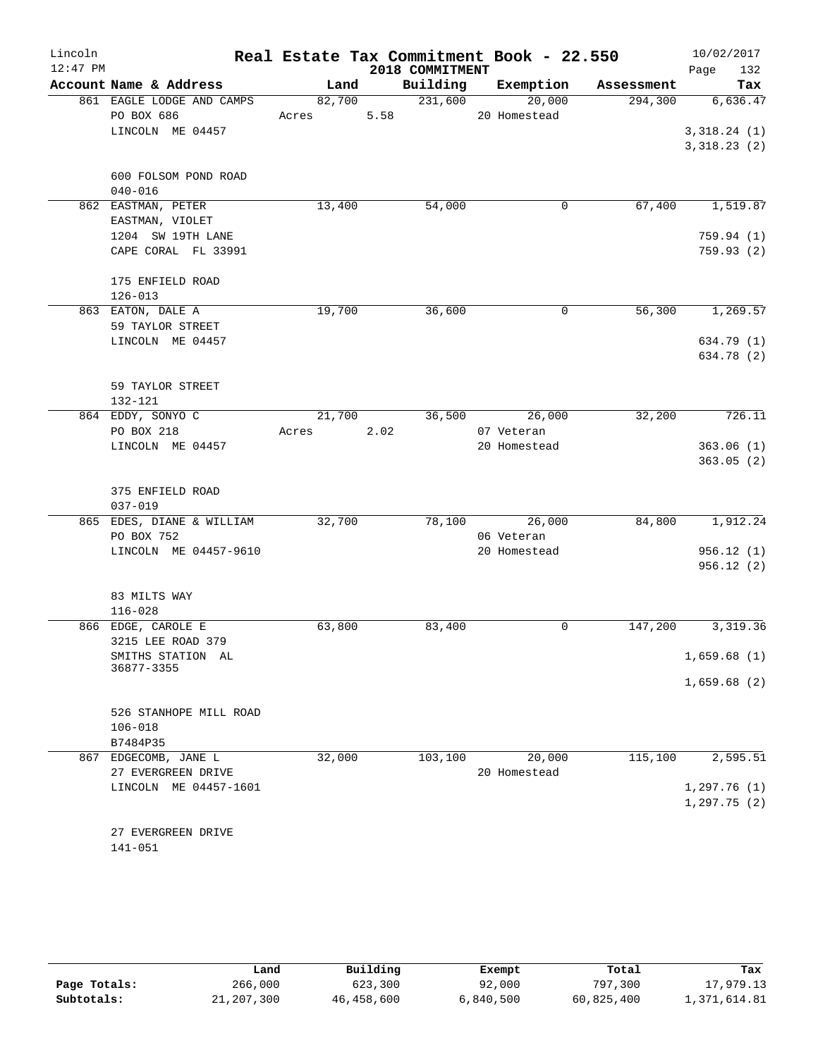| Lincoln    |              |                           |       |        |      |                 | Real Estate Tax Commitment Book - 22.550 |            |         |                     | 10/02/2017 |
|------------|--------------|---------------------------|-------|--------|------|-----------------|------------------------------------------|------------|---------|---------------------|------------|
| $12:47$ PM |              |                           |       |        |      | 2018 COMMITMENT |                                          |            |         | Page                | 132        |
|            |              | Account Name & Address    |       | Land   |      |                 | Building Exemption                       | Assessment |         |                     | Tax        |
|            |              | 861 EAGLE LODGE AND CAMPS |       |        |      | 82,700 231,600  | 20,000                                   |            | 294,300 |                     | 6,636.47   |
|            |              | PO BOX 686                |       | Acres  | 5.58 |                 | 20 Homestead                             |            |         |                     |            |
|            |              | LINCOLN ME 04457          |       |        |      |                 |                                          |            |         | 3,318.24(1)         |            |
|            |              |                           |       |        |      |                 |                                          |            |         | 3,318.23(2)         |            |
|            |              | 600 FOLSOM POND ROAD      |       |        |      |                 |                                          |            |         |                     |            |
|            | $040 - 016$  |                           |       |        |      |                 |                                          |            |         |                     |            |
|            |              | 862 EASTMAN, PETER        |       | 13,400 |      | 54,000          | 0                                        |            |         | 67,400 1,519.87     |            |
|            |              | EASTMAN, VIOLET           |       |        |      |                 |                                          |            |         |                     |            |
|            |              | 1204 SW 19TH LANE         |       |        |      |                 |                                          |            |         |                     | 759.94(1)  |
|            |              | CAPE CORAL FL 33991       |       |        |      |                 |                                          |            |         |                     | 759.93(2)  |
|            |              |                           |       |        |      |                 |                                          |            |         |                     |            |
|            |              | 175 ENFIELD ROAD          |       |        |      |                 |                                          |            |         |                     |            |
|            | $126 - 013$  |                           |       |        |      |                 |                                          |            |         |                     |            |
|            |              | 863 EATON, DALE A         |       | 19,700 |      | 36,600          | $\circ$                                  |            |         | 56,300 1,269.57     |            |
|            |              | 59 TAYLOR STREET          |       |        |      |                 |                                          |            |         |                     |            |
|            |              | LINCOLN ME 04457          |       |        |      |                 |                                          |            |         |                     | 634.79 (1) |
|            |              |                           |       |        |      |                 |                                          |            |         |                     | 634.78 (2) |
|            |              |                           |       |        |      |                 |                                          |            |         |                     |            |
|            |              | 59 TAYLOR STREET          |       |        |      |                 |                                          |            |         |                     |            |
|            | 132-121      |                           |       |        |      |                 |                                          |            |         |                     |            |
|            |              | 864 EDDY, SONYO C         |       | 21,700 |      |                 | 36,500 26,000                            |            | 32,200  | $\overline{726.11}$ |            |
|            | PO BOX 218   |                           | Acres |        | 2.02 |                 | 07 Veteran                               |            |         |                     |            |
|            |              | LINCOLN ME 04457          |       |        |      |                 | 20 Homestead                             |            |         |                     | 363.06(1)  |
|            |              |                           |       |        |      |                 |                                          |            |         |                     | 363.05(2)  |
|            |              |                           |       |        |      |                 |                                          |            |         |                     |            |
|            |              | 375 ENFIELD ROAD          |       |        |      |                 |                                          |            |         |                     |            |
|            | $037 - 019$  |                           |       |        |      |                 |                                          |            |         |                     |            |
|            |              | 865 EDES, DIANE & WILLIAM |       | 32,700 |      | 78,100          | 26,000                                   |            |         | 84,800 1,912.24     |            |
|            | PO BOX 752   |                           |       |        |      |                 | 06 Veteran                               |            |         |                     |            |
|            |              | LINCOLN ME 04457-9610     |       |        |      |                 | 20 Homestead                             |            |         |                     | 956.12(1)  |
|            |              |                           |       |        |      |                 |                                          |            |         |                     | 956.12 (2) |
|            |              |                           |       |        |      |                 |                                          |            |         |                     |            |
|            | 83 MILTS WAY |                           |       |        |      |                 |                                          |            |         |                     |            |
|            | $116 - 028$  |                           |       |        |      |                 |                                          |            |         |                     |            |
|            |              | 866 EDGE, CAROLE E        |       | 63,800 |      | 83,400          | 0                                        |            | 147,200 |                     | 3, 319.36  |
|            |              | 3215 LEE ROAD 379         |       |        |      |                 |                                          |            |         |                     |            |
|            |              | SMITHS STATION AL         |       |        |      |                 |                                          |            |         | 1,659.68(1)         |            |
|            | 36877-3355   |                           |       |        |      |                 |                                          |            |         |                     |            |
|            |              |                           |       |        |      |                 |                                          |            |         | 1,659.68(2)         |            |
|            |              | 526 STANHOPE MILL ROAD    |       |        |      |                 |                                          |            |         |                     |            |
|            | $106 - 018$  |                           |       |        |      |                 |                                          |            |         |                     |            |
|            | B7484P35     |                           |       |        |      |                 |                                          |            |         |                     |            |
|            |              | 867 EDGECOMB, JANE L      |       | 32,000 |      | 103,100         | 20,000                                   |            | 115,100 |                     | 2,595.51   |
|            |              | 27 EVERGREEN DRIVE        |       |        |      |                 | 20 Homestead                             |            |         |                     |            |
|            |              | LINCOLN ME 04457-1601     |       |        |      |                 |                                          |            |         | 1,297.76(1)         |            |
|            |              |                           |       |        |      |                 |                                          |            |         | 1, 297.75(2)        |            |
|            |              |                           |       |        |      |                 |                                          |            |         |                     |            |
|            |              | 27 EVERGREEN DRIVE        |       |        |      |                 |                                          |            |         |                     |            |
|            | $141 - 051$  |                           |       |        |      |                 |                                          |            |         |                     |            |

|              | Land       | Building   | Exempt    | Total      | Tax          |
|--------------|------------|------------|-----------|------------|--------------|
| Page Totals: | 266,000    | 623,300    | 92,000    | 797,300    | 17,979.13    |
| Subtotals:   | 21,207,300 | 46,458,600 | 6,840,500 | 60,825,400 | 1,371,614.81 |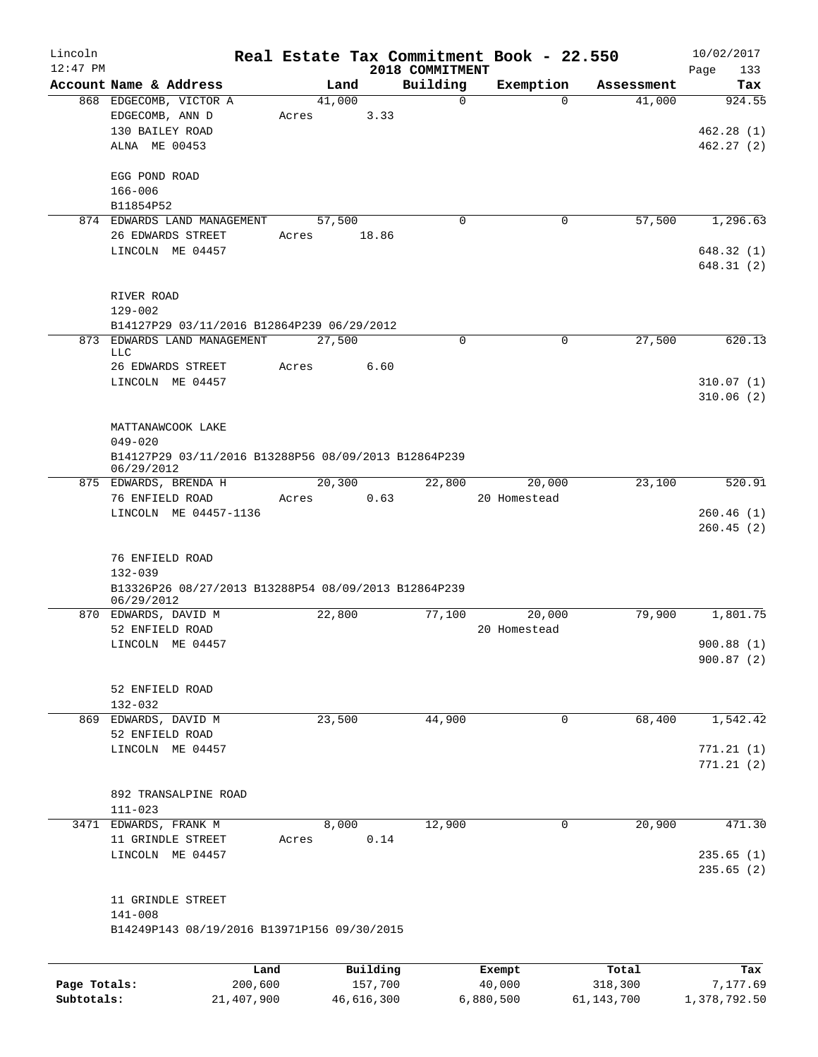| Lincoln<br>$12:47$ PM |                                                                                                      |       |                | 2018 COMMITMENT | Real Estate Tax Commitment Book - 22.550 |            | 10/02/2017<br>133<br>Page        |
|-----------------------|------------------------------------------------------------------------------------------------------|-------|----------------|-----------------|------------------------------------------|------------|----------------------------------|
|                       | Account Name & Address                                                                               |       | Land           | Building        | Exemption                                | Assessment | Tax                              |
|                       | 868 EDGECOMB, VICTOR A<br>EDGECOMB, ANN D<br>130 BAILEY ROAD<br>ALNA ME 00453                        | Acres | 41,000<br>3.33 | $\mathbf 0$     | $\Omega$                                 | 41,000     | 924.55<br>462.28(1)<br>462.27(2) |
|                       | EGG POND ROAD<br>$166 - 006$<br>B11854P52                                                            |       |                |                 |                                          |            |                                  |
|                       | 874 EDWARDS LAND MANAGEMENT                                                                          |       | 57,500         | $\mathbf 0$     | 0                                        | 57,500     | 1,296.63                         |
|                       | 26 EDWARDS STREET                                                                                    | Acres | 18.86          |                 |                                          |            |                                  |
|                       | LINCOLN ME 04457                                                                                     |       |                |                 |                                          |            | 648.32 (1)<br>648.31 (2)         |
|                       | RIVER ROAD<br>$129 - 002$                                                                            |       |                |                 |                                          |            |                                  |
|                       | B14127P29 03/11/2016 B12864P239 06/29/2012                                                           |       |                |                 |                                          |            |                                  |
| 873                   | EDWARDS LAND MANAGEMENT<br><b>LLC</b><br>26 EDWARDS STREET                                           | Acres | 27,500<br>6.60 | 0               | $\mathbf 0$                              | 27,500     | 620.13                           |
|                       | LINCOLN ME 04457                                                                                     |       |                |                 |                                          |            | 310.07(1)<br>310.06(2)           |
|                       | MATTANAWCOOK LAKE<br>$049 - 020$                                                                     |       |                |                 |                                          |            |                                  |
|                       | B14127P29 03/11/2016 B13288P56 08/09/2013 B12864P239<br>06/29/2012                                   |       |                |                 |                                          |            |                                  |
|                       | 875 EDWARDS, BRENDA H<br>76 ENFIELD ROAD                                                             | Acres | 20,300<br>0.63 | 22,800          | 20,000<br>20 Homestead                   | 23,100     | 520.91                           |
|                       | LINCOLN ME 04457-1136                                                                                |       |                |                 |                                          |            | 260.46(1)<br>260.45(2)           |
|                       | 76 ENFIELD ROAD<br>$132 - 039$<br>B13326P26 08/27/2013 B13288P54 08/09/2013 B12864P239<br>06/29/2012 |       |                |                 |                                          |            |                                  |
|                       | 870 EDWARDS, DAVID M                                                                                 |       | 22,800         | 77,100          | 20,000                                   | 79,900     | 1,801.75                         |
|                       | 52 ENFIELD ROAD                                                                                      |       |                |                 | 20 Homestead                             |            |                                  |
|                       | LINCOLN ME 04457                                                                                     |       |                |                 |                                          |            | 900.88(1)<br>900.87(2)           |
|                       | 52 ENFIELD ROAD<br>$132 - 032$                                                                       |       |                |                 |                                          |            |                                  |
|                       | 869 EDWARDS, DAVID M                                                                                 |       | 23,500         | 44,900          | $\mathbf{0}$                             | 68,400     | 1,542.42                         |
|                       | 52 ENFIELD ROAD                                                                                      |       |                |                 |                                          |            |                                  |
|                       | LINCOLN ME 04457                                                                                     |       |                |                 |                                          |            | 771.21(1)<br>771.21(2)           |
|                       | 892 TRANSALPINE ROAD<br>$111 - 023$                                                                  |       |                |                 |                                          |            |                                  |
|                       | 3471 EDWARDS, FRANK M                                                                                |       | 8,000          | 12,900          | 0                                        | 20,900     | 471.30                           |
|                       | 11 GRINDLE STREET                                                                                    | Acres | 0.14           |                 |                                          |            |                                  |
|                       | LINCOLN ME 04457                                                                                     |       |                |                 |                                          |            | 235.65(1)<br>235.65(2)           |
|                       | 11 GRINDLE STREET<br>$141 - 008$                                                                     |       |                |                 |                                          |            |                                  |
|                       | B14249P143 08/19/2016 B13971P156 09/30/2015                                                          |       |                |                 |                                          |            |                                  |
|                       |                                                                                                      | Land  | Building       |                 | Exempt                                   | Total      | Tax                              |
| Page Totals:          | 200,600                                                                                              |       | 157,700        |                 | 40,000                                   | 318,300    | 7,177.69                         |

**Subtotals:** 21,407,900 46,616,300 6,880,500 61,143,700 1,378,792.50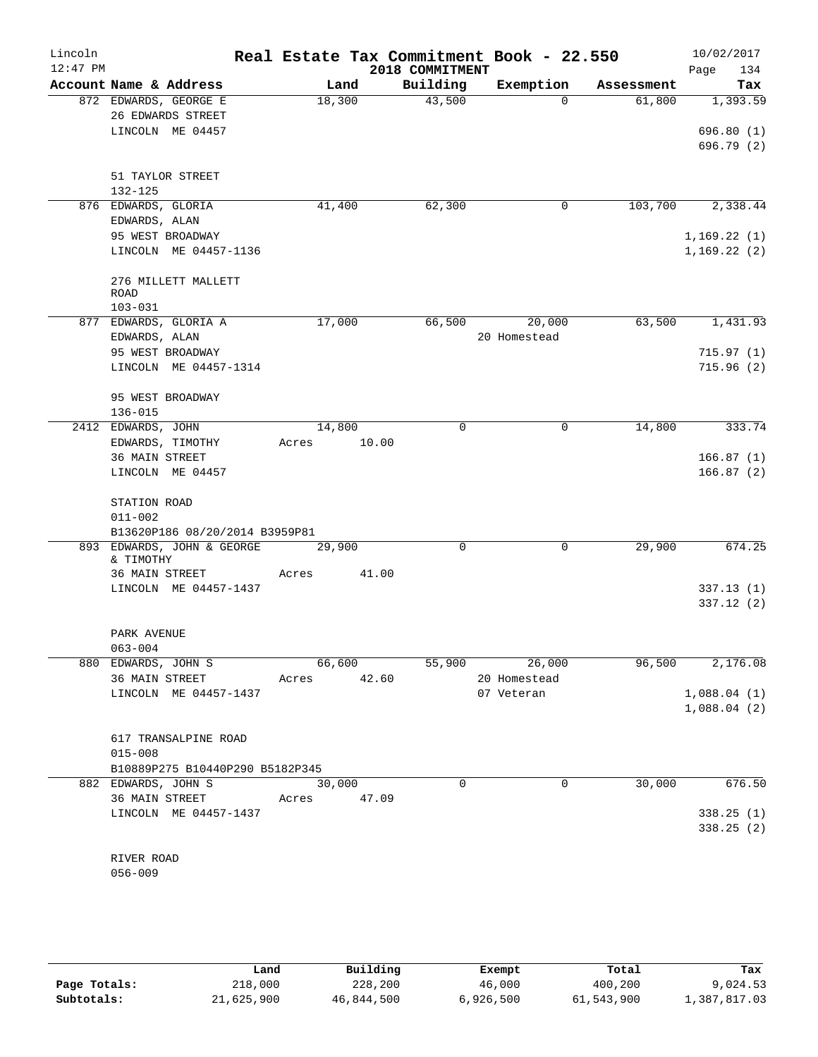| Lincoln<br>$12:47$ PM |                                     |             |        | 2018 COMMITMENT | Real Estate Tax Commitment Book - 22.550 |            | 10/02/2017         |
|-----------------------|-------------------------------------|-------------|--------|-----------------|------------------------------------------|------------|--------------------|
|                       | Account Name & Address              | Land        |        | Building        | Exemption                                | Assessment | Page<br>134<br>Tax |
|                       | 872 EDWARDS, GEORGE E               | 18,300      |        | 43,500          | $\Omega$                                 | 61,800     | 1,393.59           |
|                       | 26 EDWARDS STREET                   |             |        |                 |                                          |            |                    |
|                       | LINCOLN ME 04457                    |             |        |                 |                                          |            | 696.80(1)          |
|                       |                                     |             |        |                 |                                          |            | 696.79(2)          |
|                       | 51 TAYLOR STREET                    |             |        |                 |                                          |            |                    |
|                       | 132-125                             |             |        |                 |                                          |            |                    |
|                       | 876 EDWARDS, GLORIA                 | 41,400      |        | 62,300          | 0                                        | 103,700    | 2,338.44           |
|                       | EDWARDS, ALAN                       |             |        |                 |                                          |            |                    |
|                       | 95 WEST BROADWAY                    |             |        |                 |                                          |            | 1,169.22(1)        |
|                       | LINCOLN ME 04457-1136               |             |        |                 |                                          |            | 1,169.22(2)        |
|                       | 276 MILLETT MALLETT<br><b>ROAD</b>  |             |        |                 |                                          |            |                    |
|                       | $103 - 031$                         |             |        |                 |                                          |            |                    |
|                       | 877 EDWARDS, GLORIA A               | 17,000      |        | 66,500          | 20,000                                   | 63,500     | 1,431.93           |
|                       | EDWARDS, ALAN                       |             |        |                 | 20 Homestead                             |            |                    |
|                       | 95 WEST BROADWAY                    |             |        |                 |                                          |            | 715.97(1)          |
|                       | LINCOLN ME 04457-1314               |             |        |                 |                                          |            | 715.96(2)          |
|                       | 95 WEST BROADWAY                    |             |        |                 |                                          |            |                    |
|                       | 136-015                             |             |        |                 |                                          |            |                    |
|                       | 2412 EDWARDS, JOHN                  | 14,800      |        | $\mathbf 0$     | $\mathbf 0$                              | 14,800     | 333.74             |
|                       | EDWARDS, TIMOTHY                    | Acres       | 10.00  |                 |                                          |            |                    |
|                       | <b>36 MAIN STREET</b>               |             |        |                 |                                          |            | 166.87(1)          |
|                       | LINCOLN ME 04457                    |             |        |                 |                                          |            | 166.87(2)          |
|                       | STATION ROAD                        |             |        |                 |                                          |            |                    |
|                       | $011 - 002$                         |             |        |                 |                                          |            |                    |
|                       | B13620P186 08/20/2014 B3959P81      |             |        |                 |                                          |            |                    |
| 893                   | EDWARDS, JOHN & GEORGE<br>& TIMOTHY | 29,900      |        | $\mathbf 0$     | $\mathbf 0$                              | 29,900     | 674.25             |
|                       | 36 MAIN STREET                      | Acres       | 41.00  |                 |                                          |            |                    |
|                       | LINCOLN ME 04457-1437               |             |        |                 |                                          |            | 337.13(1)          |
|                       |                                     |             |        |                 |                                          |            | 337.12(2)          |
|                       | PARK AVENUE                         |             |        |                 |                                          |            |                    |
|                       | 063-004                             |             |        |                 |                                          |            |                    |
|                       | 880 EDWARDS, JOHN S                 |             | 66,600 |                 | 55,900 26,000                            |            | 96,500 2,176.08    |
|                       | 36 MAIN STREET                      | Acres 42.60 |        |                 | 20 Homestead                             |            |                    |
|                       | LINCOLN ME 04457-1437               |             |        |                 | 07 Veteran                               |            | 1,088.04(1)        |
|                       |                                     |             |        |                 |                                          |            | 1,088.04(2)        |
|                       | 617 TRANSALPINE ROAD                |             |        |                 |                                          |            |                    |
|                       | $015 - 008$                         |             |        |                 |                                          |            |                    |
|                       | B10889P275 B10440P290 B5182P345     |             |        |                 |                                          |            |                    |
|                       | 882 EDWARDS, JOHN S                 | 30,000      |        | $\Omega$        | 0                                        | 30,000     | 676.50             |
|                       | 36 MAIN STREET                      | Acres 47.09 |        |                 |                                          |            |                    |
|                       | LINCOLN ME 04457-1437               |             |        |                 |                                          |            | 338.25(1)          |
|                       |                                     |             |        |                 |                                          |            | 338.25(2)          |
|                       | RIVER ROAD                          |             |        |                 |                                          |            |                    |
|                       | $056 - 009$                         |             |        |                 |                                          |            |                    |
|                       |                                     |             |        |                 |                                          |            |                    |

|              | Land       | Building   | Exempt    | Total      | Tax          |
|--------------|------------|------------|-----------|------------|--------------|
| Page Totals: | 218,000    | 228,200    | 46,000    | 400,200    | 9,024.53     |
| Subtotals:   | 21,625,900 | 46,844,500 | 6,926,500 | 61,543,900 | 1,387,817.03 |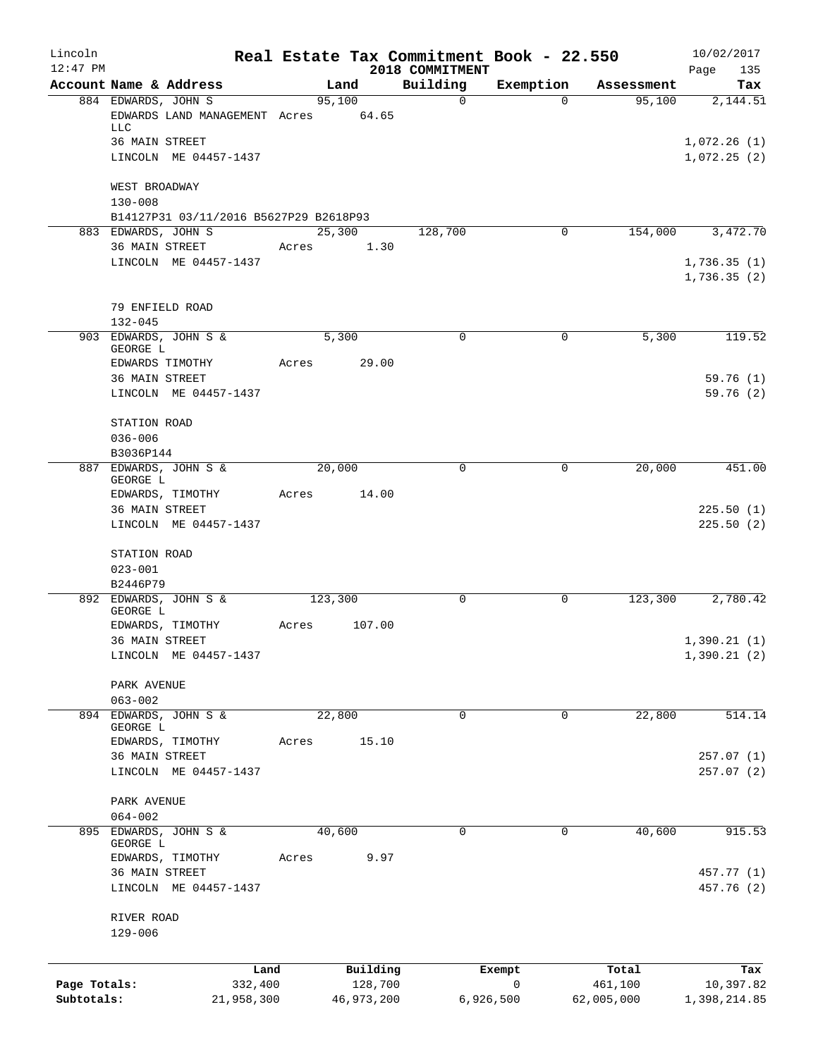| Lincoln<br>$12:47$ PM |                                                               |       |            | Real Estate Tax Commitment Book - 22.550<br>2018 COMMITMENT |             |            | 10/02/2017<br>Page<br>135 |
|-----------------------|---------------------------------------------------------------|-------|------------|-------------------------------------------------------------|-------------|------------|---------------------------|
|                       | Account Name & Address                                        |       | Land       | Building                                                    | Exemption   | Assessment | Tax                       |
|                       | 884 EDWARDS, JOHN S                                           |       | 95,100     | $\mathbf 0$                                                 | $\Omega$    | 95,100     | 2,144.51                  |
|                       | EDWARDS LAND MANAGEMENT Acres<br>LLC                          |       | 64.65      |                                                             |             |            |                           |
|                       | 36 MAIN STREET                                                |       |            |                                                             |             |            | 1,072.26(1)               |
|                       | LINCOLN ME 04457-1437                                         |       |            |                                                             |             |            | 1,072.25(2)               |
|                       | WEST BROADWAY                                                 |       |            |                                                             |             |            |                           |
|                       | $130 - 008$                                                   |       |            |                                                             |             |            |                           |
|                       | B14127P31 03/11/2016 B5627P29 B2618P93<br>883 EDWARDS, JOHN S |       | 25,300     | 128,700                                                     | $\mathbf 0$ |            |                           |
|                       | 36 MAIN STREET                                                | Acres | 1.30       |                                                             |             | 154,000    | 3,472.70                  |
|                       | LINCOLN ME 04457-1437                                         |       |            |                                                             |             |            | 1,736.35(1)               |
|                       |                                                               |       |            |                                                             |             |            | 1,736.35(2)               |
|                       | 79 ENFIELD ROAD                                               |       |            |                                                             |             |            |                           |
|                       | $132 - 045$                                                   |       |            |                                                             |             |            |                           |
|                       | 903 EDWARDS, JOHN S &<br>GEORGE L                             |       | 5,300      | $\mathbf 0$                                                 | 0           | 5,300      | 119.52                    |
|                       | EDWARDS TIMOTHY                                               | Acres | 29.00      |                                                             |             |            |                           |
|                       | 36 MAIN STREET                                                |       |            |                                                             |             |            | 59.76(1)                  |
|                       | LINCOLN ME 04457-1437                                         |       |            |                                                             |             |            | 59.76(2)                  |
|                       | STATION ROAD                                                  |       |            |                                                             |             |            |                           |
|                       | $036 - 006$                                                   |       |            |                                                             |             |            |                           |
| 887                   | B3036P144<br>EDWARDS, JOHN S &                                |       | 20,000     | 0                                                           | 0           | 20,000     | 451.00                    |
|                       | GEORGE L<br>EDWARDS, TIMOTHY                                  | Acres | 14.00      |                                                             |             |            |                           |
|                       | 36 MAIN STREET                                                |       |            |                                                             |             |            | 225.50(1)                 |
|                       | LINCOLN ME 04457-1437                                         |       |            |                                                             |             |            | 225.50(2)                 |
|                       | STATION ROAD                                                  |       |            |                                                             |             |            |                           |
|                       | $023 - 001$                                                   |       |            |                                                             |             |            |                           |
|                       | B2446P79                                                      |       |            |                                                             |             |            |                           |
|                       | 892 EDWARDS, JOHN S &<br>GEORGE L                             |       | 123,300    | $\Omega$                                                    | 0           | 123,300    | 2,780.42                  |
|                       | EDWARDS, TIMOTHY                                              | Acres | 107.00     |                                                             |             |            |                           |
|                       | 36 MAIN STREET                                                |       |            |                                                             |             |            | 1,390.21(1)               |
|                       | LINCOLN ME 04457-1437                                         |       |            |                                                             |             |            | 1,390.21(2)               |
|                       | PARK AVENUE                                                   |       |            |                                                             |             |            |                           |
|                       | $063 - 002$                                                   |       |            |                                                             |             |            |                           |
|                       | 894 EDWARDS, JOHN S &<br>GEORGE L                             |       | 22,800     | 0                                                           | 0           | 22,800     | 514.14                    |
|                       | EDWARDS, TIMOTHY                                              | Acres | 15.10      |                                                             |             |            |                           |
|                       | 36 MAIN STREET<br>LINCOLN ME 04457-1437                       |       |            |                                                             |             |            | 257.07 (1)<br>257.07(2)   |
|                       |                                                               |       |            |                                                             |             |            |                           |
|                       | PARK AVENUE<br>$064 - 002$                                    |       |            |                                                             |             |            |                           |
| 895                   | EDWARDS, JOHN S &                                             |       | 40,600     | 0                                                           | 0           | 40,600     | 915.53                    |
|                       | GEORGE L                                                      |       |            |                                                             |             |            |                           |
|                       | EDWARDS, TIMOTHY                                              | Acres | 9.97       |                                                             |             |            |                           |
|                       | 36 MAIN STREET<br>LINCOLN ME 04457-1437                       |       |            |                                                             |             |            | 457.77 (1)<br>457.76 (2)  |
|                       | RIVER ROAD<br>129-006                                         |       |            |                                                             |             |            |                           |
|                       |                                                               |       |            |                                                             |             |            |                           |
|                       | Land                                                          |       | Building   |                                                             | Exempt      | Total      | Tax                       |
| Page Totals:          | 332,400                                                       |       | 128,700    |                                                             | 0           | 461,100    | 10,397.82                 |
| Subtotals:            | 21,958,300                                                    |       | 46,973,200 |                                                             | 6,926,500   | 62,005,000 | 1,398,214.85              |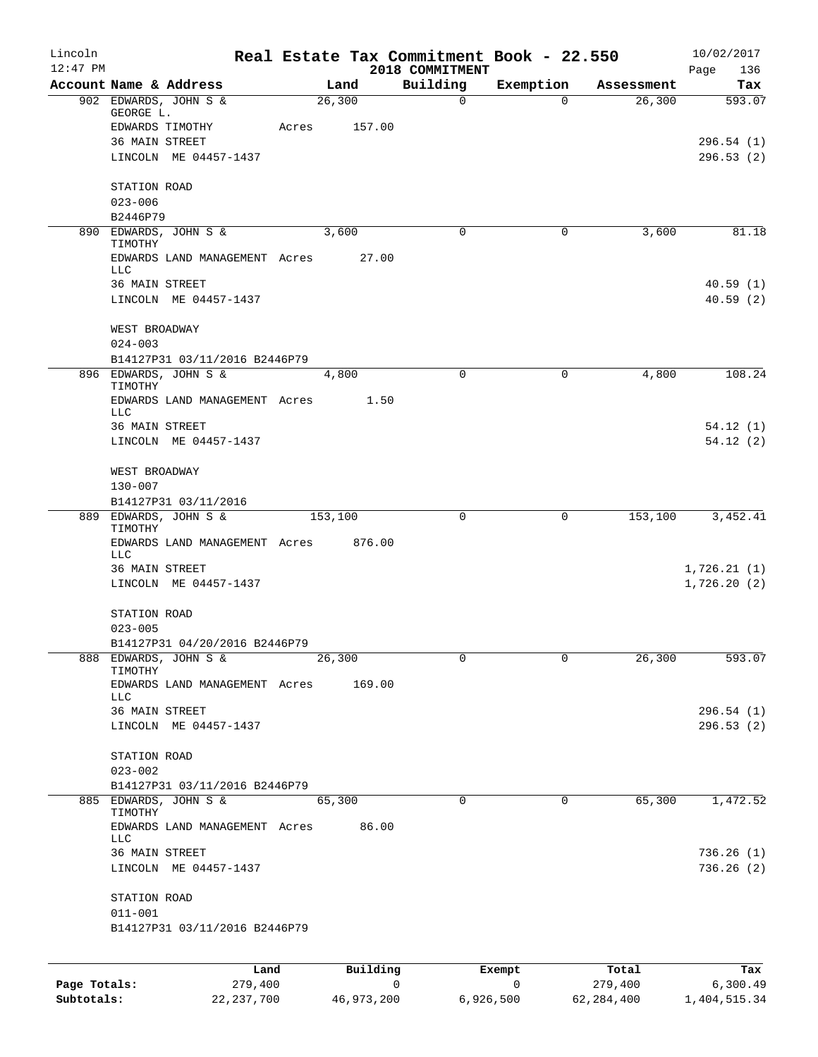| Lincoln<br>$12:47$ PM |                                                        |       |          | Real Estate Tax Commitment Book - 22.550<br>2018 COMMITMENT |             |                  | 10/02/2017<br>136<br>Page |
|-----------------------|--------------------------------------------------------|-------|----------|-------------------------------------------------------------|-------------|------------------|---------------------------|
|                       | Account Name & Address                                 |       | Land     | Building                                                    | Exemption   | Assessment       | Tax                       |
|                       | 902 EDWARDS, JOHN S &<br>GEORGE L.                     |       | 26,300   | 0                                                           | $\Omega$    | 26,300           | 593.07                    |
|                       | EDWARDS TIMOTHY                                        | Acres | 157.00   |                                                             |             |                  |                           |
|                       | 36 MAIN STREET                                         |       |          |                                                             |             |                  | 296.54(1)                 |
|                       | LINCOLN ME 04457-1437                                  |       |          |                                                             |             |                  | 296.53(2)                 |
|                       | STATION ROAD                                           |       |          |                                                             |             |                  |                           |
|                       | $023 - 006$<br>B2446P79                                |       |          |                                                             |             |                  |                           |
|                       | 890 EDWARDS, JOHN S &<br>TIMOTHY                       |       | 3,600    | $\Omega$                                                    | 0           | 3,600            | 81.18                     |
|                       | EDWARDS LAND MANAGEMENT Acres<br>LLC.                  |       | 27.00    |                                                             |             |                  |                           |
|                       | 36 MAIN STREET                                         |       |          |                                                             |             |                  | 40.59(1)                  |
|                       | LINCOLN ME 04457-1437                                  |       |          |                                                             |             |                  | 40.59(2)                  |
|                       | WEST BROADWAY<br>$024 - 003$                           |       |          |                                                             |             |                  |                           |
|                       | B14127P31 03/11/2016 B2446P79                          |       |          |                                                             |             |                  |                           |
|                       | 896 EDWARDS, JOHN S &<br>TIMOTHY                       |       | 4,800    | $\mathbf 0$                                                 | 0           | 4,800            | 108.24                    |
|                       | EDWARDS LAND MANAGEMENT Acres<br>LLC                   |       | 1.50     |                                                             |             |                  |                           |
|                       | 36 MAIN STREET                                         |       |          |                                                             |             |                  | 54.12(1)                  |
|                       | LINCOLN ME 04457-1437                                  |       |          |                                                             |             |                  | 54.12(2)                  |
|                       | WEST BROADWAY                                          |       |          |                                                             |             |                  |                           |
|                       | $130 - 007$<br>B14127P31 03/11/2016                    |       |          |                                                             |             |                  |                           |
|                       | 889 EDWARDS, JOHN S &<br>TIMOTHY                       |       | 153,100  | 0                                                           | 0           | 153,100          | 3,452.41                  |
|                       | EDWARDS LAND MANAGEMENT Acres<br>LLC                   |       | 876.00   |                                                             |             |                  |                           |
|                       | <b>36 MAIN STREET</b>                                  |       |          |                                                             |             |                  | 1,726.21(1)               |
|                       | LINCOLN ME 04457-1437                                  |       |          |                                                             |             |                  | 1,726.20(2)               |
|                       | STATION ROAD                                           |       |          |                                                             |             |                  |                           |
|                       | $023 - 005$                                            |       |          |                                                             |             |                  |                           |
|                       | B14127P31 04/20/2016 B2446P79<br>888 EDWARDS, JOHN S & |       | 26,300   | 0                                                           | 0           | 26,300           | 593.07                    |
|                       | TIMOTHY                                                |       |          |                                                             |             |                  |                           |
|                       | EDWARDS LAND MANAGEMENT Acres<br>LLC                   |       | 169.00   |                                                             |             |                  |                           |
|                       | 36 MAIN STREET                                         |       |          |                                                             |             |                  | 296.54(1)                 |
|                       | LINCOLN ME 04457-1437                                  |       |          |                                                             |             |                  | 296.53(2)                 |
|                       | STATION ROAD<br>$023 - 002$                            |       |          |                                                             |             |                  |                           |
|                       | B14127P31 03/11/2016 B2446P79                          |       |          |                                                             |             |                  |                           |
|                       | 885 EDWARDS, JOHN S &                                  |       | 65,300   | $\Omega$                                                    | $\Omega$    | 65,300           | 1,472.52                  |
|                       | TIMOTHY<br>EDWARDS LAND MANAGEMENT Acres               |       | 86.00    |                                                             |             |                  |                           |
|                       | LLC.                                                   |       |          |                                                             |             |                  |                           |
|                       | 36 MAIN STREET<br>LINCOLN ME 04457-1437                |       |          |                                                             |             |                  | 736.26(1)<br>736.26(2)    |
|                       | STATION ROAD                                           |       |          |                                                             |             |                  |                           |
|                       | $011 - 001$                                            |       |          |                                                             |             |                  |                           |
|                       | B14127P31 03/11/2016 B2446P79                          |       |          |                                                             |             |                  |                           |
|                       |                                                        |       |          |                                                             |             |                  |                           |
| Page Totals:          | Land<br>279,400                                        |       | Building | $\mathsf{O}$                                                | Exempt<br>0 | Total<br>279,400 | Tax<br>6,300.49           |

**Page Totals:** 279,400 0 0 279,400 6,300.49 **Subtotals:** 22,237,700 46,973,200 6,926,500 62,284,400 1,404,515.34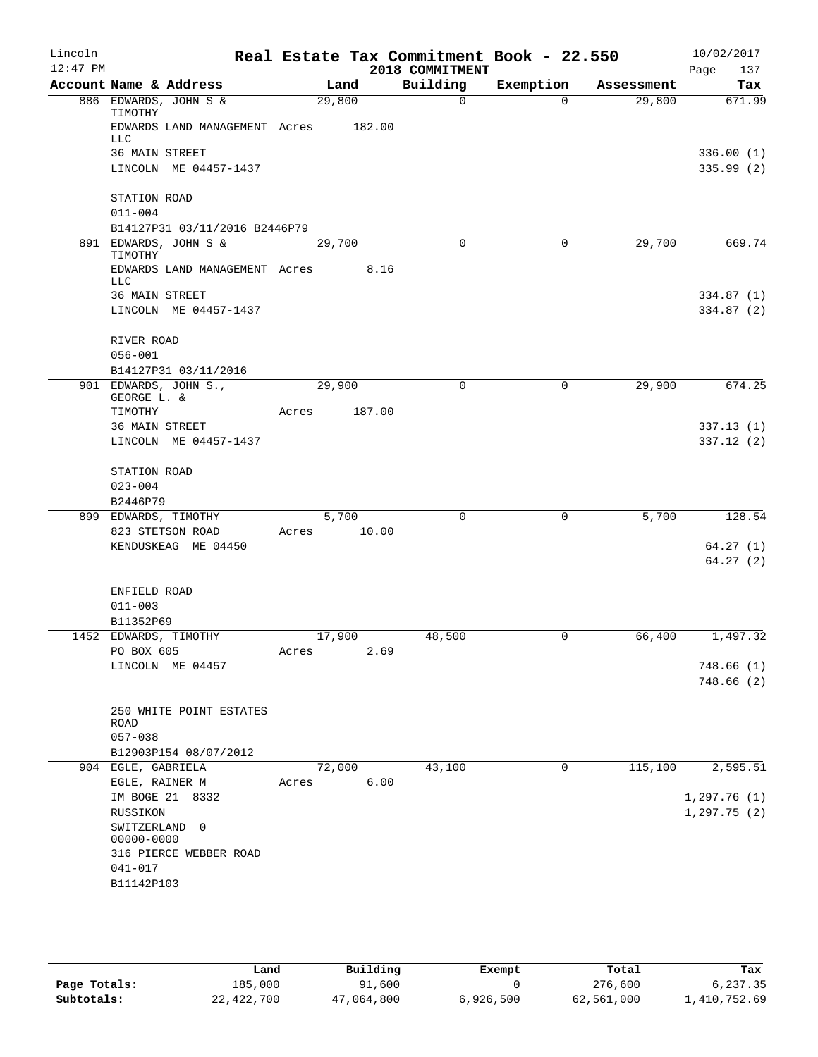| Lincoln    |                             |                               |       |        |        | Real Estate Tax Commitment Book - 22.550 |             |            | 10/02/2017             |
|------------|-----------------------------|-------------------------------|-------|--------|--------|------------------------------------------|-------------|------------|------------------------|
| $12:47$ PM |                             |                               |       |        |        | 2018 COMMITMENT                          |             |            | 137<br>Page            |
|            |                             | Account Name & Address        |       |        | Land   | Building                                 | Exemption   | Assessment | Tax                    |
|            | TIMOTHY                     | 886 EDWARDS, JOHN S &         |       | 29,800 |        | $\Omega$                                 | $\Omega$    | 29,800     | 671.99                 |
|            | LLC                         | EDWARDS LAND MANAGEMENT Acres |       |        | 182.00 |                                          |             |            |                        |
|            | 36 MAIN STREET              |                               |       |        |        |                                          |             |            | 336.00(1)              |
|            |                             | LINCOLN ME 04457-1437         |       |        |        |                                          |             |            | 335.99(2)              |
|            | STATION ROAD                |                               |       |        |        |                                          |             |            |                        |
|            | $011 - 004$                 |                               |       |        |        |                                          |             |            |                        |
|            |                             | B14127P31 03/11/2016 B2446P79 |       |        |        |                                          |             |            |                        |
|            | TIMOTHY                     | 891 EDWARDS, JOHN S &         |       | 29,700 |        | $\mathbf 0$                              | $\mathbf 0$ | 29,700     | 669.74                 |
|            | <b>LLC</b>                  | EDWARDS LAND MANAGEMENT Acres |       |        | 8.16   |                                          |             |            |                        |
|            | 36 MAIN STREET              |                               |       |        |        |                                          |             |            | 334.87(1)              |
|            |                             | LINCOLN ME 04457-1437         |       |        |        |                                          |             |            | 334.87 (2)             |
|            | RIVER ROAD                  |                               |       |        |        |                                          |             |            |                        |
|            | $056 - 001$                 |                               |       |        |        |                                          |             |            |                        |
|            |                             | B14127P31 03/11/2016          |       |        |        |                                          |             |            |                        |
|            | GEORGE L. &                 | 901 EDWARDS, JOHN S.,         |       | 29,900 |        | 0                                        | 0           | 29,900     | 674.25                 |
|            | TIMOTHY                     |                               | Acres |        | 187.00 |                                          |             |            |                        |
|            | 36 MAIN STREET              |                               |       |        |        |                                          |             |            | 337.13(1)              |
|            |                             | LINCOLN ME 04457-1437         |       |        |        |                                          |             |            | 337.12(2)              |
|            | STATION ROAD                |                               |       |        |        |                                          |             |            |                        |
|            | $023 - 004$                 |                               |       |        |        |                                          |             |            |                        |
|            | B2446P79                    |                               |       |        |        |                                          |             |            |                        |
|            |                             | 899 EDWARDS, TIMOTHY          |       | 5,700  |        | $\Omega$                                 | $\mathbf 0$ | 5,700      | 128.54                 |
|            |                             | 823 STETSON ROAD              | Acres |        | 10.00  |                                          |             |            |                        |
|            |                             | KENDUSKEAG ME 04450           |       |        |        |                                          |             |            | 64.27(1)               |
|            |                             |                               |       |        |        |                                          |             |            | 64.27(2)               |
|            | ENFIELD ROAD                |                               |       |        |        |                                          |             |            |                        |
|            | $011 - 003$                 |                               |       |        |        |                                          |             |            |                        |
|            | B11352P69                   |                               |       |        |        |                                          |             |            |                        |
|            |                             | 1452 EDWARDS, TIMOTHY         |       | 17,900 |        | 48,500                                   | 0           | 66,400     | 1,497.32               |
|            | PO BOX 605                  |                               | Acres |        | 2.69   |                                          |             |            |                        |
|            |                             | LINCOLN ME 04457              |       |        |        |                                          |             |            | 748.66(1)<br>748.66(2) |
|            |                             |                               |       |        |        |                                          |             |            |                        |
|            |                             | 250 WHITE POINT ESTATES       |       |        |        |                                          |             |            |                        |
|            | ROAD                        |                               |       |        |        |                                          |             |            |                        |
|            | $057 - 038$                 |                               |       |        |        |                                          |             |            |                        |
|            |                             | B12903P154 08/07/2012         |       |        |        |                                          |             |            |                        |
|            | 904 EGLE, GABRIELA          |                               |       | 72,000 |        | 43,100                                   | $\mathbf 0$ | 115,100    | 2,595.51               |
|            | EGLE, RAINER M              |                               | Acres |        | 6.00   |                                          |             |            |                        |
|            |                             | IM BOGE 21 8332               |       |        |        |                                          |             |            | 1,297.76(1)            |
|            | RUSSIKON                    |                               |       |        |        |                                          |             |            | 1, 297.75(2)           |
|            | SWITZERLAND 0<br>00000-0000 |                               |       |        |        |                                          |             |            |                        |
|            |                             | 316 PIERCE WEBBER ROAD        |       |        |        |                                          |             |            |                        |
|            | 041-017                     |                               |       |        |        |                                          |             |            |                        |
|            | B11142P103                  |                               |       |        |        |                                          |             |            |                        |
|            |                             |                               |       |        |        |                                          |             |            |                        |

|              | Land         | Building   | Exempt    | Total      | Tax          |
|--------------|--------------|------------|-----------|------------|--------------|
| Page Totals: | 185,000      | 91,600     |           | 276,600    | 6,237.35     |
| Subtotals:   | 22, 422, 700 | 47,064,800 | 6,926,500 | 62,561,000 | 1,410,752.69 |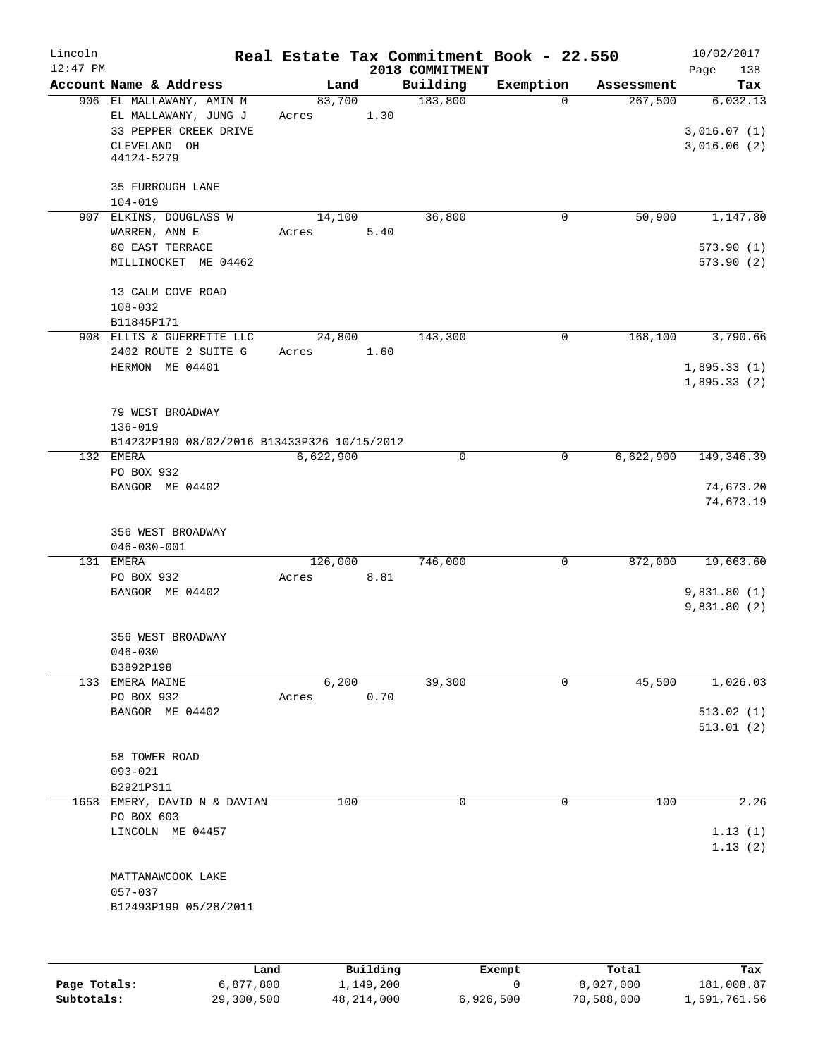| Lincoln<br>$12:47$ PM |                                                                                                         |                  |      | 2018 COMMITMENT | Real Estate Tax Commitment Book - 22.550 |            | 10/02/2017<br>138<br>Page               |
|-----------------------|---------------------------------------------------------------------------------------------------------|------------------|------|-----------------|------------------------------------------|------------|-----------------------------------------|
|                       | Account Name & Address                                                                                  | Land             |      | Building        | Exemption                                | Assessment | Tax                                     |
|                       | 906 EL MALLAWANY, AMIN M<br>EL MALLAWANY, JUNG J<br>33 PEPPER CREEK DRIVE<br>CLEVELAND OH<br>44124-5279 | 83,700<br>Acres  | 1.30 | 183,800         | $\Omega$                                 | 267,500    | 6,032.13<br>3,016.07(1)<br>3,016.06(2)  |
|                       | 35 FURROUGH LANE<br>$104 - 019$                                                                         |                  |      |                 |                                          |            |                                         |
|                       | 907 ELKINS, DOUGLASS W<br>WARREN, ANN E                                                                 | 14,100<br>Acres  | 5.40 | 36,800          | 0                                        | 50,900     | 1,147.80                                |
|                       | 80 EAST TERRACE<br>MILLINOCKET ME 04462                                                                 |                  |      |                 |                                          |            | 573.90(1)<br>573.90(2)                  |
|                       | 13 CALM COVE ROAD<br>$108 - 032$<br>B11845P171                                                          |                  |      |                 |                                          |            |                                         |
|                       | 908 ELLIS & GUERRETTE LLC<br>2402 ROUTE 2 SUITE G                                                       | 24,800<br>Acres  | 1.60 | 143,300         | 0                                        | 168,100    | 3,790.66                                |
|                       | HERMON ME 04401                                                                                         |                  |      |                 |                                          |            | 1,895.33(1)<br>1,895.33(2)              |
|                       | 79 WEST BROADWAY<br>$136 - 019$<br>B14232P190 08/02/2016 B13433P326 10/15/2012                          |                  |      |                 |                                          |            |                                         |
|                       | 132 EMERA                                                                                               | 6,622,900        |      | 0               | $\mathbf 0$                              | 6,622,900  | 149, 346.39                             |
|                       | PO BOX 932<br>BANGOR ME 04402                                                                           |                  |      |                 |                                          |            | 74,673.20<br>74,673.19                  |
|                       | 356 WEST BROADWAY<br>$046 - 030 - 001$                                                                  |                  |      |                 |                                          |            |                                         |
|                       | 131 EMERA<br>PO BOX 932<br>BANGOR ME 04402                                                              | 126,000<br>Acres | 8.81 | 746,000         | 0                                        | 872,000    | 19,663.60<br>9,831.80(1)<br>9,831.80(2) |
|                       | 356 WEST BROADWAY<br>$046 - 030$<br>B3892P198                                                           |                  |      |                 |                                          |            |                                         |
|                       | 133 EMERA MAINE<br>PO BOX 932                                                                           | 6,200            | 0.70 | 39,300          | 0                                        | 45,500     | 1,026.03                                |
|                       | BANGOR ME 04402                                                                                         | Acres            |      |                 |                                          |            | 513.02(1)<br>513.01(2)                  |
|                       | 58 TOWER ROAD<br>$093 - 021$<br>B2921P311                                                               |                  |      |                 |                                          |            |                                         |
|                       | 1658 EMERY, DAVID N & DAVIAN<br>PO BOX 603<br>LINCOLN ME 04457                                          |                  | 100  | 0               | 0                                        | 100        | 2.26<br>1.13(1)<br>1.13(2)              |
|                       | MATTANAWCOOK LAKE<br>057-037<br>B12493P199 05/28/2011                                                   |                  |      |                 |                                          |            |                                         |
|                       |                                                                                                         |                  |      |                 |                                          |            |                                         |

|              | Land       | Building     | Exempt    | Total      | Tax          |
|--------------|------------|--------------|-----------|------------|--------------|
| Page Totals: | 6,877,800  | 1,149,200    |           | 8,027,000  | 181,008.87   |
| Subtotals:   | 29,300,500 | 48, 214, 000 | 6,926,500 | 70,588,000 | 1,591,761.56 |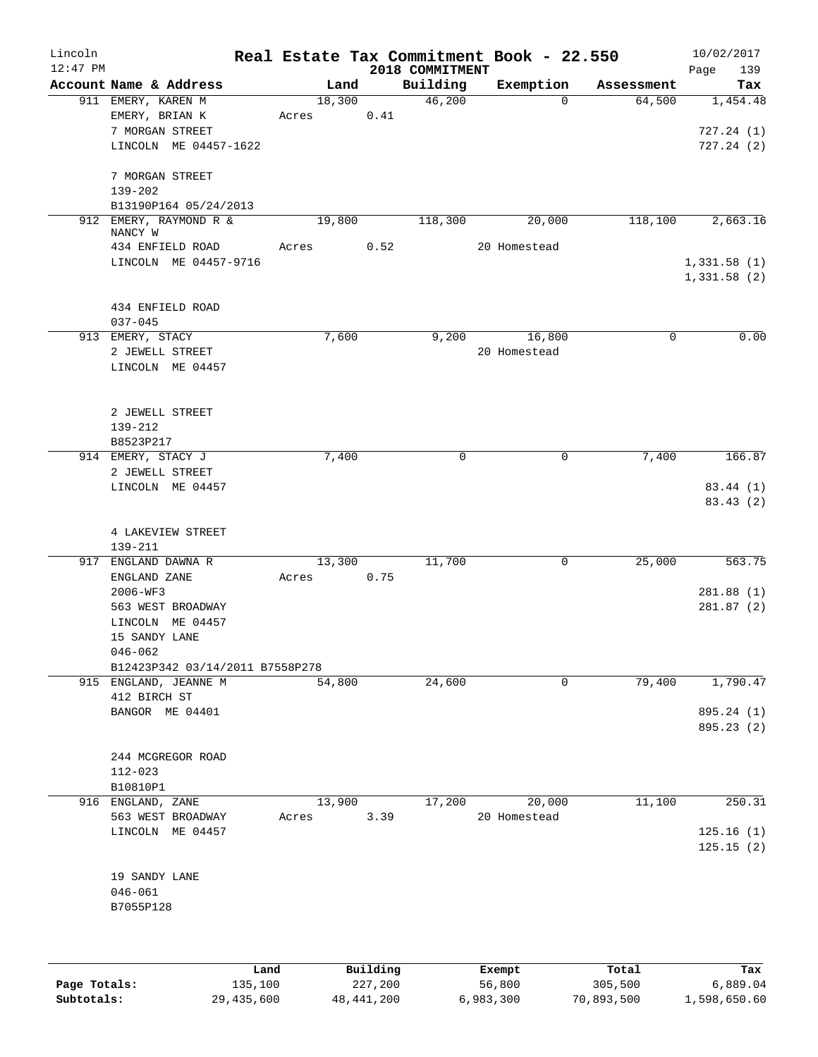| Lincoln<br>$12:47$ PM |                                     |      |       |        |          | 2018 COMMITMENT | Real Estate Tax Commitment Book - 22.550 |            | 10/02/2017<br>Page<br>139 |
|-----------------------|-------------------------------------|------|-------|--------|----------|-----------------|------------------------------------------|------------|---------------------------|
|                       | Account Name & Address              |      |       | Land   |          | Building        | Exemption                                | Assessment | Tax                       |
|                       | 911 EMERY, KAREN M                  |      |       | 18,300 |          | 46,200          | $\mathbf 0$                              | 64,500     | 1,454.48                  |
|                       | EMERY, BRIAN K                      |      | Acres |        | 0.41     |                 |                                          |            |                           |
|                       | 7 MORGAN STREET                     |      |       |        |          |                 |                                          |            | 727.24(1)                 |
|                       | LINCOLN ME 04457-1622               |      |       |        |          |                 |                                          |            | 727.24(2)                 |
|                       |                                     |      |       |        |          |                 |                                          |            |                           |
|                       | 7 MORGAN STREET                     |      |       |        |          |                 |                                          |            |                           |
|                       | 139-202                             |      |       |        |          |                 |                                          |            |                           |
|                       | B13190P164 05/24/2013               |      |       |        |          |                 |                                          |            |                           |
|                       | 912 EMERY, RAYMOND R &              |      |       | 19,800 |          | 118,300         | 20,000                                   | 118,100    | 2,663.16                  |
|                       | NANCY W                             |      |       |        |          |                 |                                          |            |                           |
|                       | 434 ENFIELD ROAD                    |      | Acres |        | 0.52     |                 | 20 Homestead                             |            |                           |
|                       | LINCOLN ME 04457-9716               |      |       |        |          |                 |                                          |            | 1,331.58(1)               |
|                       |                                     |      |       |        |          |                 |                                          |            | 1,331.58(2)               |
|                       |                                     |      |       |        |          |                 |                                          |            |                           |
|                       | 434 ENFIELD ROAD                    |      |       |        |          |                 |                                          |            |                           |
|                       | $037 - 045$                         |      |       |        |          | 9,200           | 16,800                                   | 0          | 0.00                      |
|                       | 913 EMERY, STACY<br>2 JEWELL STREET |      |       | 7,600  |          |                 | 20 Homestead                             |            |                           |
|                       |                                     |      |       |        |          |                 |                                          |            |                           |
|                       | LINCOLN ME 04457                    |      |       |        |          |                 |                                          |            |                           |
|                       |                                     |      |       |        |          |                 |                                          |            |                           |
|                       | 2 JEWELL STREET                     |      |       |        |          |                 |                                          |            |                           |
|                       | 139-212                             |      |       |        |          |                 |                                          |            |                           |
|                       | B8523P217                           |      |       |        |          |                 |                                          |            |                           |
|                       | 914 EMERY, STACY J                  |      |       | 7,400  |          | 0               | $\mathbf 0$                              | 7,400      | 166.87                    |
|                       | 2 JEWELL STREET                     |      |       |        |          |                 |                                          |            |                           |
|                       | LINCOLN ME 04457                    |      |       |        |          |                 |                                          |            | 83.44 (1)                 |
|                       |                                     |      |       |        |          |                 |                                          |            | 83.43(2)                  |
|                       |                                     |      |       |        |          |                 |                                          |            |                           |
|                       | 4 LAKEVIEW STREET                   |      |       |        |          |                 |                                          |            |                           |
|                       | 139-211                             |      |       |        |          |                 |                                          |            |                           |
|                       | 917 ENGLAND DAWNA R                 |      |       | 13,300 |          | 11,700          | $\mathsf{O}$                             | 25,000     | 563.75                    |
|                       | ENGLAND ZANE                        |      | Acres |        | 0.75     |                 |                                          |            |                           |
|                       | 2006-WF3                            |      |       |        |          |                 |                                          |            | 281.88 (1)                |
|                       | 563 WEST BROADWAY                   |      |       |        |          |                 |                                          |            | 281.87(2)                 |
|                       | LINCOLN ME 04457                    |      |       |        |          |                 |                                          |            |                           |
|                       | 15 SANDY LANE                       |      |       |        |          |                 |                                          |            |                           |
|                       | $046 - 062$                         |      |       |        |          |                 |                                          |            |                           |
|                       | B12423P342 03/14/2011 B7558P278     |      |       |        |          |                 |                                          |            |                           |
|                       | 915 ENGLAND, JEANNE M               |      |       | 54,800 |          | 24,600          | 0                                        | 79,400     | 1,790.47                  |
|                       | 412 BIRCH ST                        |      |       |        |          |                 |                                          |            |                           |
|                       | BANGOR ME 04401                     |      |       |        |          |                 |                                          |            | 895.24 (1)                |
|                       |                                     |      |       |        |          |                 |                                          |            | 895.23 (2)                |
|                       |                                     |      |       |        |          |                 |                                          |            |                           |
|                       | 244 MCGREGOR ROAD                   |      |       |        |          |                 |                                          |            |                           |
|                       | $112 - 023$                         |      |       |        |          |                 |                                          |            |                           |
|                       | B10810P1                            |      |       |        |          |                 |                                          |            |                           |
|                       | 916 ENGLAND, ZANE                   |      |       | 13,900 |          | 17,200          | 20,000                                   | 11,100     | 250.31                    |
|                       | 563 WEST BROADWAY                   |      | Acres |        | 3.39     |                 | 20 Homestead                             |            |                           |
|                       | LINCOLN ME 04457                    |      |       |        |          |                 |                                          |            | 125.16(1)                 |
|                       |                                     |      |       |        |          |                 |                                          |            | 125.15(2)                 |
|                       | 19 SANDY LANE                       |      |       |        |          |                 |                                          |            |                           |
|                       | $046 - 061$                         |      |       |        |          |                 |                                          |            |                           |
|                       | B7055P128                           |      |       |        |          |                 |                                          |            |                           |
|                       |                                     |      |       |        |          |                 |                                          |            |                           |
|                       |                                     |      |       |        |          |                 |                                          |            |                           |
|                       |                                     |      |       |        |          |                 |                                          |            |                           |
|                       |                                     | Land |       |        | Building |                 | Exempt                                   | Total      | Tax                       |

|              | Land       | Building   | Exempt    | Total      | Tax          |
|--------------|------------|------------|-----------|------------|--------------|
| Page Totals: | 135,100    | 227,200    | 56,800    | 305,500    | 6,889.04     |
| Subtotals:   | 29,435,600 | 48,441,200 | 6,983,300 | 70,893,500 | 1,598,650.60 |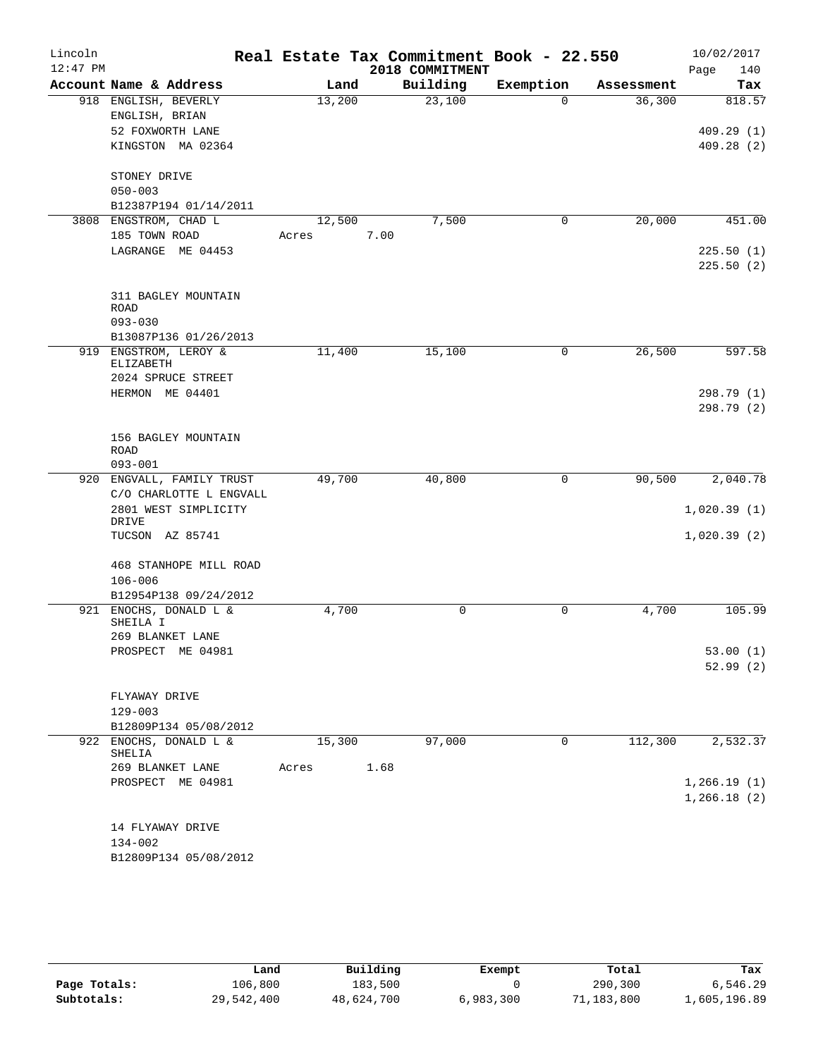| Lincoln    |                                    |        | Real Estate Tax Commitment Book - 22.550 |             |            | 10/02/2017  |
|------------|------------------------------------|--------|------------------------------------------|-------------|------------|-------------|
| $12:47$ PM |                                    |        | 2018 COMMITMENT                          |             |            | 140<br>Page |
|            | Account Name & Address             | Land   | Building                                 | Exemption   | Assessment | Tax         |
|            | 918 ENGLISH, BEVERLY               | 13,200 | 23,100                                   | $\Omega$    | 36,300     | 818.57      |
|            | ENGLISH, BRIAN                     |        |                                          |             |            |             |
|            | 52 FOXWORTH LANE                   |        |                                          |             |            | 409.29(1)   |
|            | KINGSTON MA 02364                  |        |                                          |             |            | 409.28(2)   |
|            | STONEY DRIVE                       |        |                                          |             |            |             |
|            | $050 - 003$                        |        |                                          |             |            |             |
|            | B12387P194 01/14/2011              |        |                                          |             |            |             |
|            | 3808 ENGSTROM, CHAD L              | 12,500 | 7,500                                    | 0           | 20,000     | 451.00      |
|            | 185 TOWN ROAD                      | Acres  | 7.00                                     |             |            |             |
|            | LAGRANGE ME 04453                  |        |                                          |             |            | 225.50(1)   |
|            |                                    |        |                                          |             |            | 225.50(2)   |
|            |                                    |        |                                          |             |            |             |
|            | 311 BAGLEY MOUNTAIN                |        |                                          |             |            |             |
|            | <b>ROAD</b>                        |        |                                          |             |            |             |
|            | $093 - 030$                        |        |                                          |             |            |             |
|            | B13087P136 01/26/2013              |        |                                          |             |            |             |
|            | 919 ENGSTROM, LEROY &<br>ELIZABETH | 11,400 | 15,100                                   | 0           | 26,500     | 597.58      |
|            | 2024 SPRUCE STREET                 |        |                                          |             |            |             |
|            | HERMON ME 04401                    |        |                                          |             |            | 298.79 (1)  |
|            |                                    |        |                                          |             |            | 298.79 (2)  |
|            |                                    |        |                                          |             |            |             |
|            | 156 BAGLEY MOUNTAIN                |        |                                          |             |            |             |
|            | <b>ROAD</b>                        |        |                                          |             |            |             |
|            | $093 - 001$                        |        |                                          |             |            |             |
|            | 920 ENGVALL, FAMILY TRUST          | 49,700 | 40,800                                   | 0           | 90,500     | 2,040.78    |
|            | C/O CHARLOTTE L ENGVALL            |        |                                          |             |            |             |
|            | 2801 WEST SIMPLICITY<br>DRIVE      |        |                                          |             |            | 1,020.39(1) |
|            | TUCSON AZ 85741                    |        |                                          |             |            | 1,020.39(2) |
|            |                                    |        |                                          |             |            |             |
|            | 468 STANHOPE MILL ROAD             |        |                                          |             |            |             |
|            | $106 - 006$                        |        |                                          |             |            |             |
|            | B12954P138 09/24/2012              |        |                                          |             |            |             |
| 921        | ENOCHS, DONALD L &                 | 4,700  | 0                                        | 0           | 4,700      | 105.99      |
|            | SHEILA I<br>269 BLANKET LANE       |        |                                          |             |            |             |
|            | PROSPECT ME 04981                  |        |                                          |             |            | 53.00(1)    |
|            |                                    |        |                                          |             |            | 52.99(2)    |
|            |                                    |        |                                          |             |            |             |
|            | FLYAWAY DRIVE                      |        |                                          |             |            |             |
|            | $129 - 003$                        |        |                                          |             |            |             |
|            | B12809P134 05/08/2012              |        |                                          |             |            |             |
|            | 922 ENOCHS, DONALD L &             | 15,300 | 97,000                                   | $\mathbf 0$ | 112,300    | 2,532.37    |
|            | SHELIA                             |        |                                          |             |            |             |
|            | 269 BLANKET LANE                   | Acres  | 1.68                                     |             |            |             |
|            | PROSPECT ME 04981                  |        |                                          |             |            | 1,266.19(1) |
|            |                                    |        |                                          |             |            | 1,266.18(2) |
|            | 14 FLYAWAY DRIVE                   |        |                                          |             |            |             |
|            | 134-002                            |        |                                          |             |            |             |
|            | B12809P134 05/08/2012              |        |                                          |             |            |             |
|            |                                    |        |                                          |             |            |             |

|              | Land       | Building   | Exempt    | Total      | Tax          |
|--------------|------------|------------|-----------|------------|--------------|
| Page Totals: | 106,800    | 183,500    |           | 290,300    | 6,546.29     |
| Subtotals:   | 29,542,400 | 48,624,700 | 6,983,300 | 71,183,800 | 1,605,196.89 |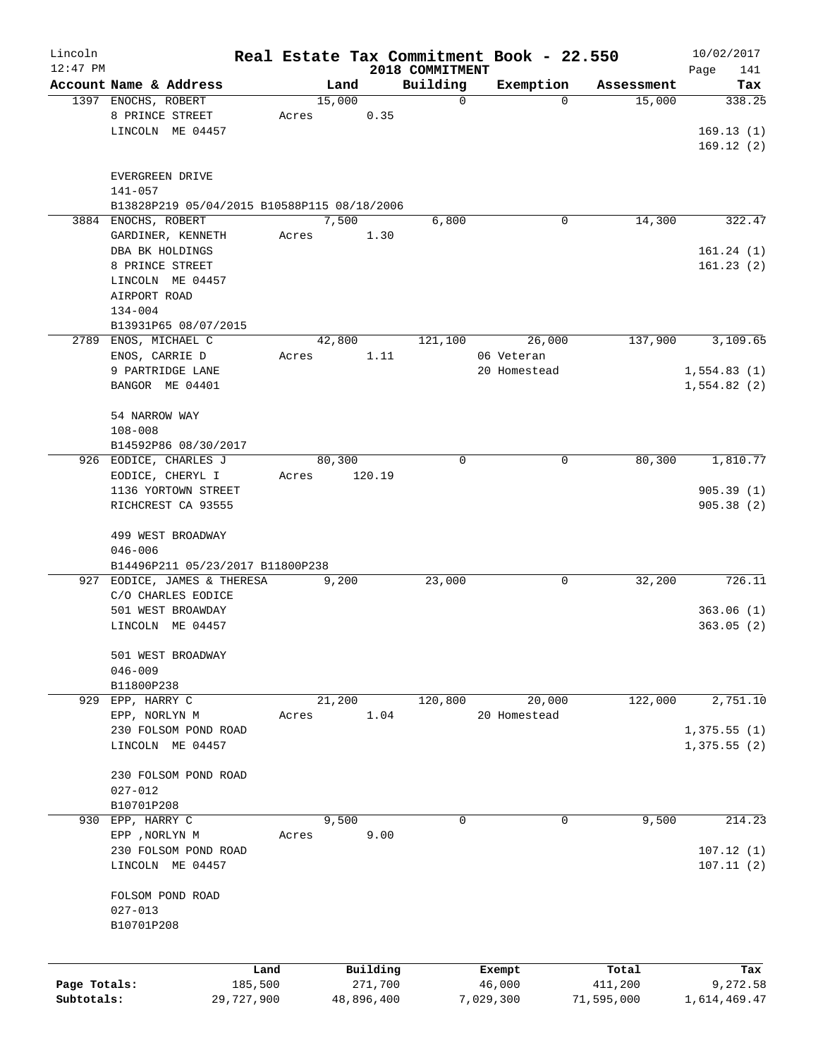| Lincoln<br>$12:47$ PM |                                             |       |        |            | 2018 COMMITMENT | Real Estate Tax Commitment Book - 22.550 |            | 10/02/2017         |
|-----------------------|---------------------------------------------|-------|--------|------------|-----------------|------------------------------------------|------------|--------------------|
|                       | Account Name & Address                      |       | Land   |            | Building        | Exemption                                | Assessment | Page<br>141<br>Tax |
|                       | 1397 ENOCHS, ROBERT                         |       | 15,000 |            | 0               | 0                                        | 15,000     | 338.25             |
|                       | 8 PRINCE STREET                             | Acres |        | 0.35       |                 |                                          |            |                    |
|                       | LINCOLN ME 04457                            |       |        |            |                 |                                          |            | 169.13(1)          |
|                       |                                             |       |        |            |                 |                                          |            | 169.12(2)          |
|                       |                                             |       |        |            |                 |                                          |            |                    |
|                       | EVERGREEN DRIVE                             |       |        |            |                 |                                          |            |                    |
|                       | $141 - 057$                                 |       |        |            |                 |                                          |            |                    |
|                       | B13828P219 05/04/2015 B10588P115 08/18/2006 |       |        |            |                 |                                          |            |                    |
|                       | 3884 ENOCHS, ROBERT                         |       | 7,500  |            | 6,800           | 0                                        | 14,300     | 322.47             |
|                       | GARDINER, KENNETH                           | Acres |        | 1.30       |                 |                                          |            |                    |
|                       | DBA BK HOLDINGS                             |       |        |            |                 |                                          |            | 161.24(1)          |
|                       | 8 PRINCE STREET                             |       |        |            |                 |                                          |            | 161.23(2)          |
|                       | LINCOLN ME 04457                            |       |        |            |                 |                                          |            |                    |
|                       | AIRPORT ROAD                                |       |        |            |                 |                                          |            |                    |
|                       | $134 - 004$                                 |       |        |            |                 |                                          |            |                    |
|                       | B13931P65 08/07/2015                        |       |        |            |                 |                                          |            |                    |
| 2789                  | ENOS, MICHAEL C                             |       | 42,800 |            | 121,100         | 26,000                                   | 137,900    | 3,109.65           |
|                       |                                             | Acres |        | 1.11       |                 | 06 Veteran                               |            |                    |
|                       | ENOS, CARRIE D                              |       |        |            |                 | 20 Homestead                             |            |                    |
|                       | 9 PARTRIDGE LANE                            |       |        |            |                 |                                          |            | 1,554.83(1)        |
|                       | BANGOR ME 04401                             |       |        |            |                 |                                          |            | 1,554.82(2)        |
|                       |                                             |       |        |            |                 |                                          |            |                    |
|                       | 54 NARROW WAY                               |       |        |            |                 |                                          |            |                    |
|                       | $108 - 008$                                 |       |        |            |                 |                                          |            |                    |
|                       | B14592P86 08/30/2017                        |       |        |            |                 |                                          |            |                    |
| 926                   | EODICE, CHARLES J                           |       | 80,300 |            | 0               | 0                                        | 80,300     | 1,810.77           |
|                       | EODICE, CHERYL I                            | Acres |        | 120.19     |                 |                                          |            |                    |
|                       | 1136 YORTOWN STREET                         |       |        |            |                 |                                          |            | 905.39(1)          |
|                       | RICHCREST CA 93555                          |       |        |            |                 |                                          |            | 905.38(2)          |
|                       |                                             |       |        |            |                 |                                          |            |                    |
|                       | 499 WEST BROADWAY                           |       |        |            |                 |                                          |            |                    |
|                       | $046 - 006$                                 |       |        |            |                 |                                          |            |                    |
|                       | B14496P211 05/23/2017 B11800P238            |       |        |            |                 |                                          |            |                    |
|                       | 927 EODICE, JAMES & THERESA                 |       | 9,200  |            | 23,000          | 0                                        | 32,200     | 726.11             |
|                       | C/O CHARLES EODICE                          |       |        |            |                 |                                          |            |                    |
|                       | 501 WEST BROAWDAY                           |       |        |            |                 |                                          |            | 363.06(1)          |
|                       | LINCOLN ME 04457                            |       |        |            |                 |                                          |            | 363.05(2)          |
|                       |                                             |       |        |            |                 |                                          |            |                    |
|                       | 501 WEST BROADWAY                           |       |        |            |                 |                                          |            |                    |
|                       | $046 - 009$                                 |       |        |            |                 |                                          |            |                    |
|                       | B11800P238                                  |       |        |            |                 |                                          |            |                    |
| 929                   | EPP, HARRY C                                |       | 21,200 |            | 120,800         | 20,000                                   | 122,000    | 2,751.10           |
|                       | EPP, NORLYN M                               | Acres |        | 1.04       |                 | 20 Homestead                             |            |                    |
|                       | 230 FOLSOM POND ROAD                        |       |        |            |                 |                                          |            | 1,375.55(1)        |
|                       | LINCOLN ME 04457                            |       |        |            |                 |                                          |            | 1,375.55(2)        |
|                       |                                             |       |        |            |                 |                                          |            |                    |
|                       | 230 FOLSOM POND ROAD                        |       |        |            |                 |                                          |            |                    |
|                       | $027 - 012$                                 |       |        |            |                 |                                          |            |                    |
|                       | B10701P208                                  |       |        |            |                 |                                          |            |                    |
| 930                   | EPP, HARRY C                                |       | 9,500  |            | 0               | 0                                        | 9,500      | 214.23             |
|                       | EPP , NORLYN M                              | Acres |        | 9.00       |                 |                                          |            |                    |
|                       | 230 FOLSOM POND ROAD                        |       |        |            |                 |                                          |            | 107.12(1)          |
|                       | LINCOLN ME 04457                            |       |        |            |                 |                                          |            | 107.11(2)          |
|                       |                                             |       |        |            |                 |                                          |            |                    |
|                       | FOLSOM POND ROAD                            |       |        |            |                 |                                          |            |                    |
|                       | $027 - 013$                                 |       |        |            |                 |                                          |            |                    |
|                       | B10701P208                                  |       |        |            |                 |                                          |            |                    |
|                       |                                             |       |        |            |                 |                                          |            |                    |
|                       |                                             |       |        | Building   |                 |                                          | Total      | Tax                |
| Page Totals:          | 185,500                                     | Land  |        | 271,700    |                 | Exempt<br>46,000                         | 411,200    | 9,272.58           |
| Subtotals:            | 29,727,900                                  |       |        | 48,896,400 |                 | 7,029,300                                | 71,595,000 | 1,614,469.47       |
|                       |                                             |       |        |            |                 |                                          |            |                    |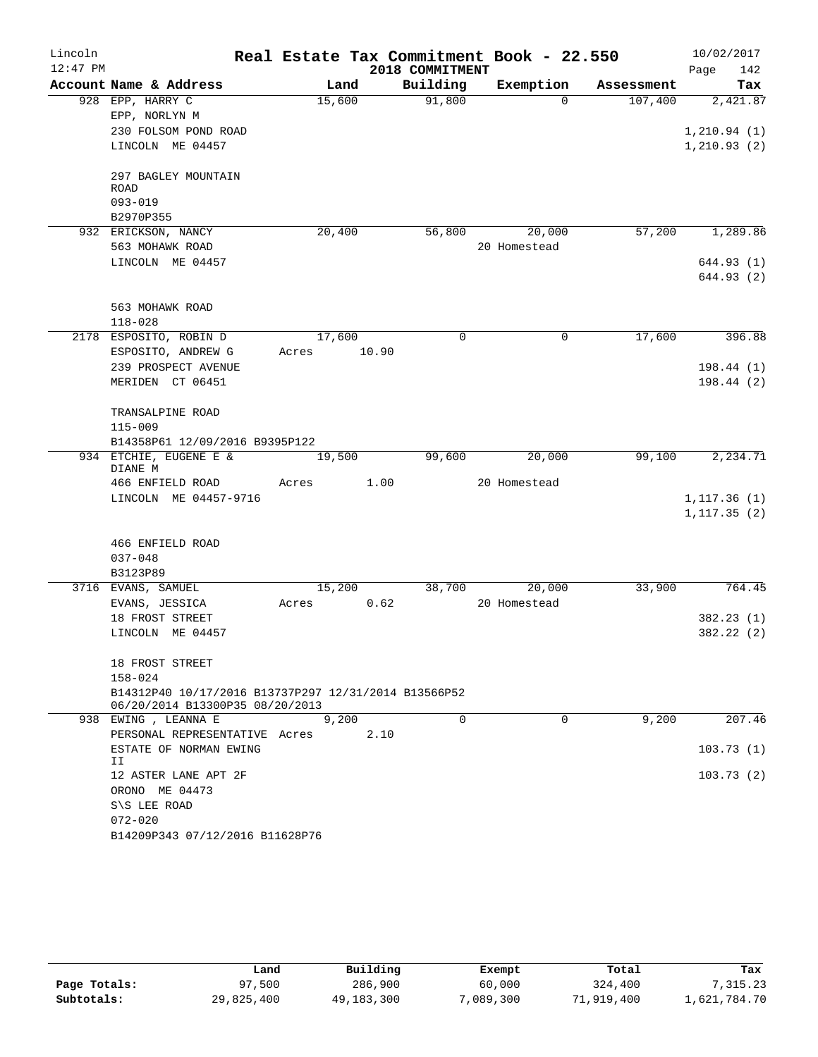| Lincoln<br>$12:47$ PM |                                                                                         |       |        |       | 2018 COMMITMENT | Real Estate Tax Commitment Book - 22.550 |            | 10/02/2017<br>Page<br>142 |
|-----------------------|-----------------------------------------------------------------------------------------|-------|--------|-------|-----------------|------------------------------------------|------------|---------------------------|
|                       | Account Name & Address                                                                  |       | Land   |       | Building        | Exemption                                | Assessment | Tax                       |
|                       | 928 EPP, HARRY C                                                                        |       | 15,600 |       | 91,800          | $\Omega$                                 | 107,400    | 2,421.87                  |
|                       | EPP, NORLYN M                                                                           |       |        |       |                 |                                          |            |                           |
|                       | 230 FOLSOM POND ROAD                                                                    |       |        |       |                 |                                          |            | 1, 210.94(1)              |
|                       | LINCOLN ME 04457                                                                        |       |        |       |                 |                                          |            | 1, 210.93(2)              |
|                       | 297 BAGLEY MOUNTAIN<br>ROAD                                                             |       |        |       |                 |                                          |            |                           |
|                       | $093 - 019$                                                                             |       |        |       |                 |                                          |            |                           |
|                       | B2970P355                                                                               |       |        |       |                 |                                          |            |                           |
|                       | 932 ERICKSON, NANCY                                                                     |       | 20,400 |       | 56,800          | 20,000                                   | 57,200     | 1,289.86                  |
|                       | 563 MOHAWK ROAD                                                                         |       |        |       |                 | 20 Homestead                             |            |                           |
|                       | LINCOLN ME 04457                                                                        |       |        |       |                 |                                          |            | 644.93 (1)                |
|                       |                                                                                         |       |        |       |                 |                                          |            | 644.93 (2)                |
|                       | 563 MOHAWK ROAD                                                                         |       |        |       |                 |                                          |            |                           |
|                       | $118 - 028$                                                                             |       |        |       |                 |                                          |            |                           |
|                       | 2178 ESPOSITO, ROBIN D                                                                  |       | 17,600 |       | 0               | 0                                        | 17,600     | 396.88                    |
|                       | ESPOSITO, ANDREW G                                                                      | Acres |        | 10.90 |                 |                                          |            |                           |
|                       | 239 PROSPECT AVENUE                                                                     |       |        |       |                 |                                          |            | 198.44 (1)                |
|                       | MERIDEN CT 06451                                                                        |       |        |       |                 |                                          |            | 198.44(2)                 |
|                       | TRANSALPINE ROAD<br>$115 - 009$                                                         |       |        |       |                 |                                          |            |                           |
|                       | B14358P61 12/09/2016 B9395P122                                                          |       |        |       |                 |                                          |            |                           |
|                       | 934 ETCHIE, EUGENE E &                                                                  |       | 19,500 |       | 99,600          | 20,000                                   | 99,100     | 2,234.71                  |
|                       | DIANE M                                                                                 |       |        |       |                 |                                          |            |                           |
|                       | 466 ENFIELD ROAD                                                                        | Acres |        | 1.00  |                 | 20 Homestead                             |            |                           |
|                       | LINCOLN ME 04457-9716                                                                   |       |        |       |                 |                                          |            | 1, 117.36(1)              |
|                       |                                                                                         |       |        |       |                 |                                          |            | 1, 117.35(2)              |
|                       |                                                                                         |       |        |       |                 |                                          |            |                           |
|                       | 466 ENFIELD ROAD                                                                        |       |        |       |                 |                                          |            |                           |
|                       | $037 - 048$                                                                             |       |        |       |                 |                                          |            |                           |
|                       | B3123P89                                                                                |       |        |       |                 |                                          |            |                           |
|                       | 3716 EVANS, SAMUEL                                                                      |       | 15,200 |       | 38,700          | 20,000                                   | 33,900     | 764.45                    |
|                       | EVANS, JESSICA                                                                          | Acres |        | 0.62  |                 | 20 Homestead                             |            |                           |
|                       | 18 FROST STREET                                                                         |       |        |       |                 |                                          |            | 382.23(1)                 |
|                       | LINCOLN ME 04457                                                                        |       |        |       |                 |                                          |            | 382.22 (2)                |
|                       |                                                                                         |       |        |       |                 |                                          |            |                           |
|                       | 18 FROST STREET                                                                         |       |        |       |                 |                                          |            |                           |
|                       | $158 - 024$                                                                             |       |        |       |                 |                                          |            |                           |
|                       | B14312P40 10/17/2016 B13737P297 12/31/2014 B13566P52<br>06/20/2014 B13300P35 08/20/2013 |       |        |       |                 |                                          |            |                           |
|                       | 938 EWING, LEANNA E                                                                     |       | 9,200  |       | $\Omega$        | $\Omega$                                 | 9,200      | 207.46                    |
|                       | PERSONAL REPRESENTATIVE Acres<br>ESTATE OF NORMAN EWING                                 |       |        | 2.10  |                 |                                          |            | 103.73(1)                 |
|                       | IJ                                                                                      |       |        |       |                 |                                          |            |                           |
|                       | 12 ASTER LANE APT 2F                                                                    |       |        |       |                 |                                          |            | 103.73(2)                 |
|                       | ORONO ME 04473                                                                          |       |        |       |                 |                                          |            |                           |
|                       | S\S LEE ROAD                                                                            |       |        |       |                 |                                          |            |                           |
|                       | $072 - 020$                                                                             |       |        |       |                 |                                          |            |                           |
|                       | B14209P343 07/12/2016 B11628P76                                                         |       |        |       |                 |                                          |            |                           |

|              | Land       | Building     | Exempt   | Total      | Tax          |
|--------------|------------|--------------|----------|------------|--------------|
| Page Totals: | 97,500     | 286,900      | 60,000   | 324,400    | , 315.23     |
| Subtotals:   | 29,825,400 | 49, 183, 300 | ,089,300 | 71,919,400 | 1,621,784.70 |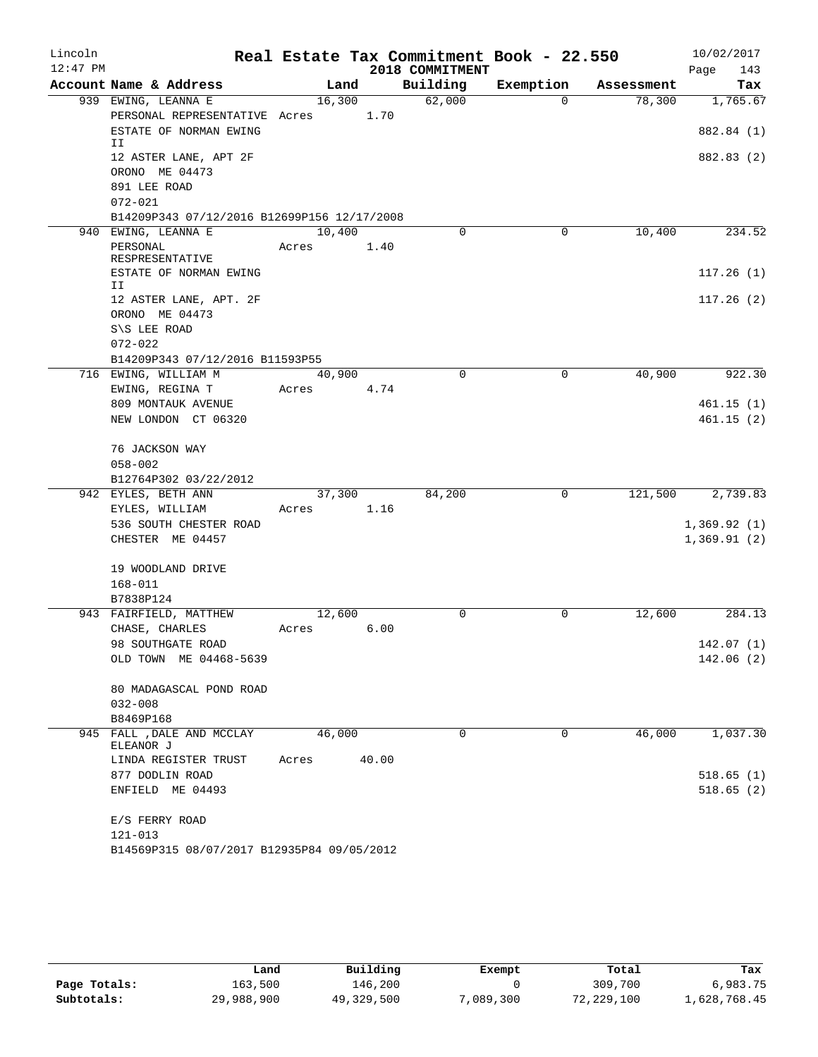| Lincoln    |                                             |            |       |                 | Real Estate Tax Commitment Book - 22.550 |            | 10/02/2017  |
|------------|---------------------------------------------|------------|-------|-----------------|------------------------------------------|------------|-------------|
| $12:47$ PM |                                             |            |       | 2018 COMMITMENT |                                          |            | 143<br>Page |
|            | Account Name & Address                      | Land       |       | Building        | Exemption                                | Assessment | Tax         |
|            | 939 EWING, LEANNA E                         | 16,300     |       | 62,000          | $\Omega$                                 | 78,300     | 1,765.67    |
|            | PERSONAL REPRESENTATIVE Acres 1.70          |            |       |                 |                                          |            |             |
|            | ESTATE OF NORMAN EWING<br>II                |            |       |                 |                                          |            | 882.84 (1)  |
|            | 12 ASTER LANE, APT 2F                       |            |       |                 |                                          |            | 882.83 (2)  |
|            | ORONO ME 04473                              |            |       |                 |                                          |            |             |
|            | 891 LEE ROAD                                |            |       |                 |                                          |            |             |
|            | $072 - 021$                                 |            |       |                 |                                          |            |             |
|            | B14209P343 07/12/2016 B12699P156 12/17/2008 |            |       |                 |                                          |            |             |
|            | 940 EWING, LEANNA E                         | 10,400     |       | $\Omega$        | 0                                        | 10,400     | 234.52      |
|            | PERSONAL                                    | Acres      | 1.40  |                 |                                          |            |             |
|            | RESPRESENTATIVE                             |            |       |                 |                                          |            |             |
|            | ESTATE OF NORMAN EWING<br>II                |            |       |                 |                                          |            | 117.26(1)   |
|            | 12 ASTER LANE, APT. 2F                      |            |       |                 |                                          |            | 117.26(2)   |
|            | ORONO ME 04473                              |            |       |                 |                                          |            |             |
|            | S\S LEE ROAD                                |            |       |                 |                                          |            |             |
|            | $072 - 022$                                 |            |       |                 |                                          |            |             |
|            | B14209P343 07/12/2016 B11593P55             |            |       |                 |                                          |            |             |
|            | 716 EWING, WILLIAM M                        | 40,900     |       | $\Omega$        | $\mathbf 0$                              | 40,900     | 922.30      |
|            | EWING, REGINA T                             | Acres 4.74 |       |                 |                                          |            |             |
|            | 809 MONTAUK AVENUE                          |            |       |                 |                                          |            | 461.15(1)   |
|            | NEW LONDON CT 06320                         |            |       |                 |                                          |            | 461.15(2)   |
|            |                                             |            |       |                 |                                          |            |             |
|            | 76 JACKSON WAY                              |            |       |                 |                                          |            |             |
|            | $058 - 002$                                 |            |       |                 |                                          |            |             |
|            | B12764P302 03/22/2012                       |            |       |                 |                                          |            |             |
|            | 942 EYLES, BETH ANN                         | 37,300     |       | 84,200          | 0                                        | 121,500    | 2,739.83    |
|            | EYLES, WILLIAM                              | Acres 1.16 |       |                 |                                          |            |             |
|            | 536 SOUTH CHESTER ROAD                      |            |       |                 |                                          |            | 1,369.92(1) |
|            | CHESTER ME 04457                            |            |       |                 |                                          |            | 1,369.91(2) |
|            |                                             |            |       |                 |                                          |            |             |
|            | 19 WOODLAND DRIVE                           |            |       |                 |                                          |            |             |
|            | $168 - 011$                                 |            |       |                 |                                          |            |             |
|            | B7838P124                                   |            |       |                 |                                          |            |             |
|            | 943 FAIRFIELD, MATTHEW                      | 12,600     |       | $\Omega$        | 0                                        | 12,600     | 284.13      |
|            | CHASE, CHARLES                              | Acres      | 6.00  |                 |                                          |            |             |
|            | 98 SOUTHGATE ROAD                           |            |       |                 |                                          |            | 142.07(1)   |
|            | OLD TOWN ME 04468-5639                      |            |       |                 |                                          |            | 142.06 (2)  |
|            |                                             |            |       |                 |                                          |            |             |
|            | 80 MADAGASCAL POND ROAD                     |            |       |                 |                                          |            |             |
|            | $032 - 008$                                 |            |       |                 |                                          |            |             |
|            | B8469P168                                   |            |       |                 |                                          |            |             |
|            | 945 FALL , DALE AND MCCLAY<br>ELEANOR J     | 46,000     |       | $\Omega$        | $\Omega$                                 | 46,000     | 1,037.30    |
|            | LINDA REGISTER TRUST                        | Acres      | 40.00 |                 |                                          |            |             |
|            | 877 DODLIN ROAD                             |            |       |                 |                                          |            | 518.65(1)   |
|            | ENFIELD ME 04493                            |            |       |                 |                                          |            | 518.65(2)   |
|            |                                             |            |       |                 |                                          |            |             |
|            | E/S FERRY ROAD                              |            |       |                 |                                          |            |             |
|            | $121 - 013$                                 |            |       |                 |                                          |            |             |
|            | B14569P315 08/07/2017 B12935P84 09/05/2012  |            |       |                 |                                          |            |             |

|              | Land       | Building   | Exempt    | Total      | Tax          |
|--------------|------------|------------|-----------|------------|--------------|
| Page Totals: | 163,500    | 146,200    |           | 309,700    | 6,983.75     |
| Subtotals:   | 29,988,900 | 49,329,500 | 7,089,300 | 72,229,100 | 1,628,768.45 |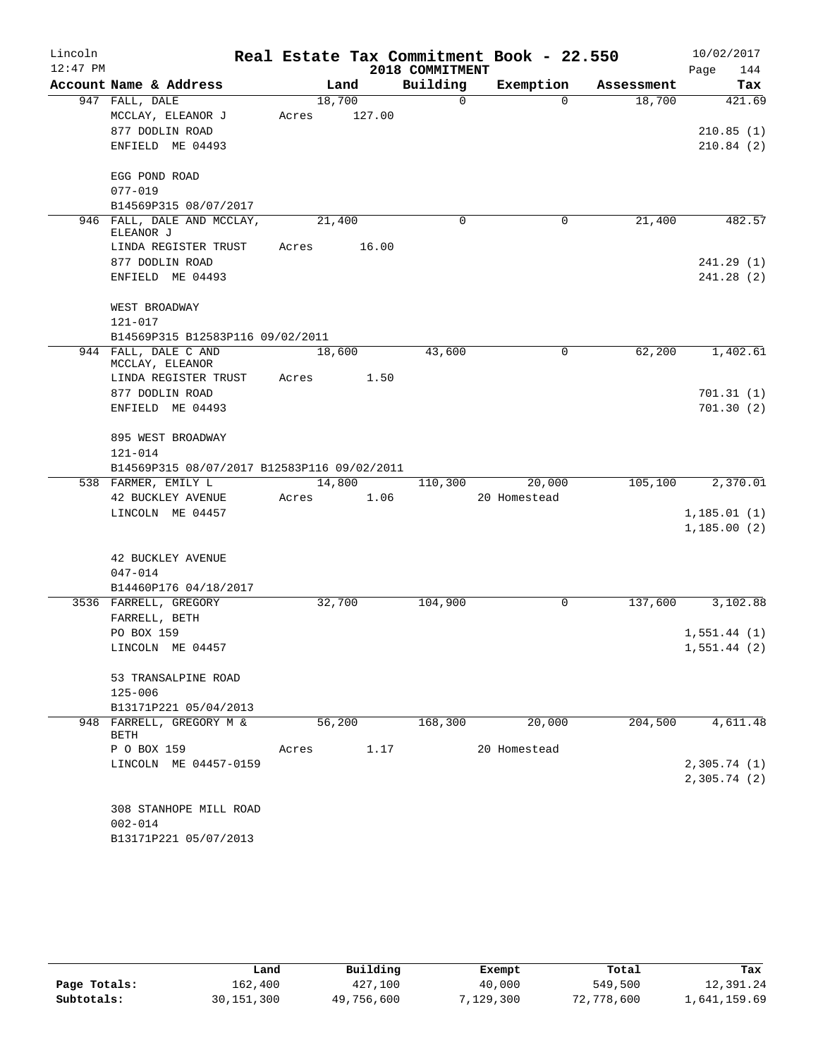| Lincoln    |                                             |       |        |        |                 | Real Estate Tax Commitment Book - 22.550 |            | 10/02/2017   |
|------------|---------------------------------------------|-------|--------|--------|-----------------|------------------------------------------|------------|--------------|
| $12:47$ PM |                                             |       |        |        | 2018 COMMITMENT |                                          |            | 144<br>Page  |
|            | Account Name & Address                      |       | Land   |        | Building        | Exemption                                | Assessment | Tax          |
|            | 947 FALL, DALE                              |       | 18,700 |        | $\mathsf{O}$    | $\Omega$                                 | 18,700     | 421.69       |
|            | MCCLAY, ELEANOR J                           | Acres |        | 127.00 |                 |                                          |            |              |
|            | 877 DODLIN ROAD                             |       |        |        |                 |                                          |            | 210.85(1)    |
|            | ENFIELD ME 04493                            |       |        |        |                 |                                          |            | 210.84(2)    |
|            | EGG POND ROAD                               |       |        |        |                 |                                          |            |              |
|            | $077 - 019$                                 |       |        |        |                 |                                          |            |              |
|            | B14569P315 08/07/2017                       |       |        |        |                 |                                          |            |              |
|            | 946 FALL, DALE AND MCCLAY,                  |       | 21,400 |        | 0               | 0                                        | 21,400     | 482.57       |
|            | ELEANOR J                                   |       |        |        |                 |                                          |            |              |
|            | LINDA REGISTER TRUST                        | Acres |        | 16.00  |                 |                                          |            |              |
|            | 877 DODLIN ROAD                             |       |        |        |                 |                                          |            | 241.29(1)    |
|            | ENFIELD ME 04493                            |       |        |        |                 |                                          |            | 241.28(2)    |
|            | WEST BROADWAY                               |       |        |        |                 |                                          |            |              |
|            | 121-017                                     |       |        |        |                 |                                          |            |              |
|            | B14569P315 B12583P116 09/02/2011            |       |        |        |                 |                                          |            |              |
|            | 944 FALL, DALE C AND<br>MCCLAY, ELEANOR     |       | 18,600 |        | 43,600          | $\mathbf 0$                              | 62,200     | 1,402.61     |
|            | LINDA REGISTER TRUST                        | Acres |        | 1.50   |                 |                                          |            |              |
|            | 877 DODLIN ROAD                             |       |        |        |                 |                                          |            | 701.31(1)    |
|            | ENFIELD ME 04493                            |       |        |        |                 |                                          |            | 701.30(2)    |
|            | 895 WEST BROADWAY                           |       |        |        |                 |                                          |            |              |
|            | $121 - 014$                                 |       |        |        |                 |                                          |            |              |
|            | B14569P315 08/07/2017 B12583P116 09/02/2011 |       |        |        |                 |                                          |            |              |
|            | 538 FARMER, EMILY L                         |       |        | 14,800 | 110,300         | 20,000                                   | 105,100    | 2,370.01     |
|            | 42 BUCKLEY AVENUE                           | Acres |        | 1.06   |                 | 20 Homestead                             |            |              |
|            | LINCOLN ME 04457                            |       |        |        |                 |                                          |            | 1, 185.01(1) |
|            |                                             |       |        |        |                 |                                          |            | 1,185.00(2)  |
|            | <b>42 BUCKLEY AVENUE</b>                    |       |        |        |                 |                                          |            |              |
|            | $047 - 014$                                 |       |        |        |                 |                                          |            |              |
|            | B14460P176 04/18/2017                       |       |        |        |                 |                                          |            |              |
|            | 3536 FARRELL, GREGORY                       |       | 32,700 |        | 104,900         | $\mathbf 0$                              | 137,600    | 3,102.88     |
|            | FARRELL, BETH                               |       |        |        |                 |                                          |            |              |
|            | PO BOX 159                                  |       |        |        |                 |                                          |            | 1,551.44(1)  |
|            | LINCOLN ME 04457                            |       |        |        |                 |                                          |            | 1,551.44(2)  |
|            | 53 TRANSALPINE ROAD                         |       |        |        |                 |                                          |            |              |
|            | $125 - 006$                                 |       |        |        |                 |                                          |            |              |
|            | B13171P221 05/04/2013                       |       |        |        |                 |                                          |            |              |
|            | 948 FARRELL, GREGORY M &<br>BETH            |       | 56,200 |        | 168,300         | 20,000                                   | 204,500    | 4,611.48     |
|            | P O BOX 159                                 | Acres |        | 1.17   |                 | 20 Homestead                             |            |              |
|            | LINCOLN ME 04457-0159                       |       |        |        |                 |                                          |            | 2,305.74(1)  |
|            |                                             |       |        |        |                 |                                          |            | 2,305.74(2)  |
|            | 308 STANHOPE MILL ROAD                      |       |        |        |                 |                                          |            |              |
|            | $002 - 014$                                 |       |        |        |                 |                                          |            |              |
|            | B13171P221 05/07/2013                       |       |        |        |                 |                                          |            |              |

|              | Land         | Building   | Exempt   | Total      | Tax          |
|--------------|--------------|------------|----------|------------|--------------|
| Page Totals: | 162,400      | 427,100    | 40,000   | 549,500    | 12,391.24    |
| Subtotals:   | 30, 151, 300 | 49,756,600 | 129,300" | 72,778,600 | 1,641,159.69 |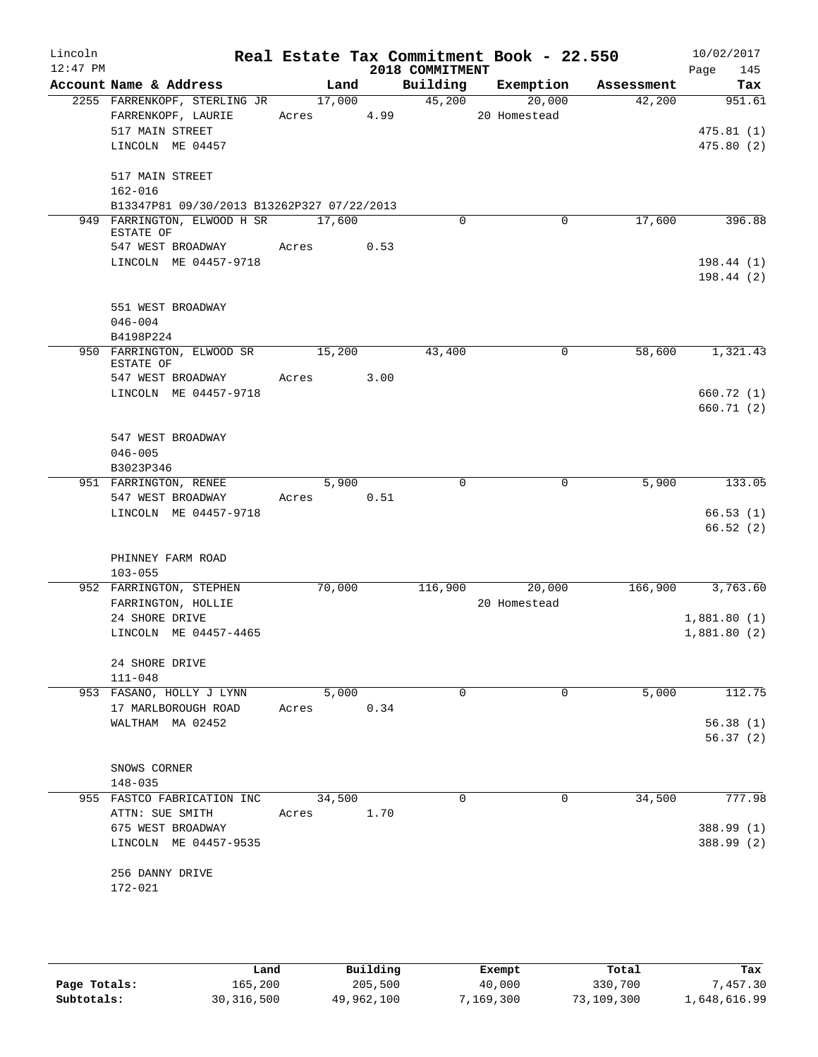| Lincoln<br>$12:47$ PM |                                            |            |      | 2018 COMMITMENT | Real Estate Tax Commitment Book - 22.550 |            | 10/02/2017<br>145<br>Page |
|-----------------------|--------------------------------------------|------------|------|-----------------|------------------------------------------|------------|---------------------------|
|                       | Account Name & Address                     | Land       |      | Building        | Exemption                                | Assessment | Tax                       |
|                       | 2255 FARRENKOPF, STERLING JR               | 17,000     |      | 45,200          | 20,000                                   | 42,200     | 951.61                    |
|                       | FARRENKOPF, LAURIE                         | Acres 4.99 |      |                 | 20 Homestead                             |            |                           |
|                       | 517 MAIN STREET                            |            |      |                 |                                          |            | 475.81(1)                 |
|                       | LINCOLN ME 04457                           |            |      |                 |                                          |            | 475.80(2)                 |
|                       | 517 MAIN STREET                            |            |      |                 |                                          |            |                           |
|                       | $162 - 016$                                |            |      |                 |                                          |            |                           |
|                       | B13347P81 09/30/2013 B13262P327 07/22/2013 |            |      |                 |                                          |            |                           |
|                       | 949 FARRINGTON, ELWOOD H SR<br>ESTATE OF   | 17,600     |      | $\mathbf 0$     | $\mathbf 0$                              | 17,600     | 396.88                    |
|                       | 547 WEST BROADWAY                          | Acres      | 0.53 |                 |                                          |            |                           |
|                       | LINCOLN ME 04457-9718                      |            |      |                 |                                          |            | 198.44(1)                 |
|                       |                                            |            |      |                 |                                          |            | 198.44(2)                 |
|                       | 551 WEST BROADWAY                          |            |      |                 |                                          |            |                           |
|                       | $046 - 004$                                |            |      |                 |                                          |            |                           |
|                       | B4198P224                                  |            |      |                 |                                          |            |                           |
|                       | 950 FARRINGTON, ELWOOD SR                  | 15,200     |      | 43,400          | 0                                        | 58,600     | 1,321.43                  |
|                       | ESTATE OF                                  |            |      |                 |                                          |            |                           |
|                       | 547 WEST BROADWAY                          | Acres      | 3.00 |                 |                                          |            |                           |
|                       | LINCOLN ME 04457-9718                      |            |      |                 |                                          |            | 660.72 (1)                |
|                       |                                            |            |      |                 |                                          |            | 660.71 (2)                |
|                       | 547 WEST BROADWAY                          |            |      |                 |                                          |            |                           |
|                       | $046 - 005$                                |            |      |                 |                                          |            |                           |
|                       | B3023P346                                  |            |      |                 |                                          |            |                           |
|                       | 951 FARRINGTON, RENEE                      | 5,900      |      | 0               | 0                                        | 5,900      | 133.05                    |
|                       | 547 WEST BROADWAY                          | Acres      | 0.51 |                 |                                          |            |                           |
|                       | LINCOLN ME 04457-9718                      |            |      |                 |                                          |            | 66.53(1)                  |
|                       |                                            |            |      |                 |                                          |            | 66.52(2)                  |
|                       | PHINNEY FARM ROAD                          |            |      |                 |                                          |            |                           |
|                       | $103 - 055$                                |            |      |                 |                                          |            |                           |
|                       | 952 FARRINGTON, STEPHEN                    | 70,000     |      | 116,900         | 20,000                                   | 166,900    | 3,763.60                  |
|                       | FARRINGTON, HOLLIE                         |            |      |                 | 20 Homestead                             |            |                           |
|                       | 24 SHORE DRIVE                             |            |      |                 |                                          |            | 1,881.80(1)               |
|                       | LINCOLN ME 04457-4465                      |            |      |                 |                                          |            | 1,881.80(2)               |
|                       |                                            |            |      |                 |                                          |            |                           |
|                       | 24 SHORE DRIVE<br>$111 - 048$              |            |      |                 |                                          |            |                           |
|                       | 953 FASANO, HOLLY J LYNN                   | 5,000      |      | $\Omega$        | 0                                        | 5,000      | 112.75                    |
|                       | 17 MARLBOROUGH ROAD                        | Acres      | 0.34 |                 |                                          |            |                           |
|                       | WALTHAM MA 02452                           |            |      |                 |                                          |            | 56.38(1)                  |
|                       |                                            |            |      |                 |                                          |            | 56.37(2)                  |
|                       |                                            |            |      |                 |                                          |            |                           |
|                       | SNOWS CORNER<br>$148 - 035$                |            |      |                 |                                          |            |                           |
|                       | 955 FASTCO FABRICATION INC                 | 34,500     |      | 0               | $\Omega$                                 | 34,500     | 777.98                    |
|                       | ATTN: SUE SMITH                            | Acres      | 1.70 |                 |                                          |            |                           |
|                       | 675 WEST BROADWAY                          |            |      |                 |                                          |            | 388.99 (1)                |
|                       | LINCOLN ME 04457-9535                      |            |      |                 |                                          |            | 388.99 (2)                |
|                       |                                            |            |      |                 |                                          |            |                           |
|                       | 256 DANNY DRIVE                            |            |      |                 |                                          |            |                           |
|                       | 172-021                                    |            |      |                 |                                          |            |                           |
|                       |                                            |            |      |                 |                                          |            |                           |
|                       |                                            |            |      |                 |                                          |            |                           |
|                       |                                            |            |      |                 |                                          |            |                           |

|              | Land         | Building   | Exempt    | Total      | Tax          |
|--------------|--------------|------------|-----------|------------|--------------|
| Page Totals: | 165,200      | 205,500    | 40,000    | 330,700    | 7,457.30     |
| Subtotals:   | 30, 316, 500 | 49,962,100 | 7,169,300 | 73,109,300 | 1,648,616.99 |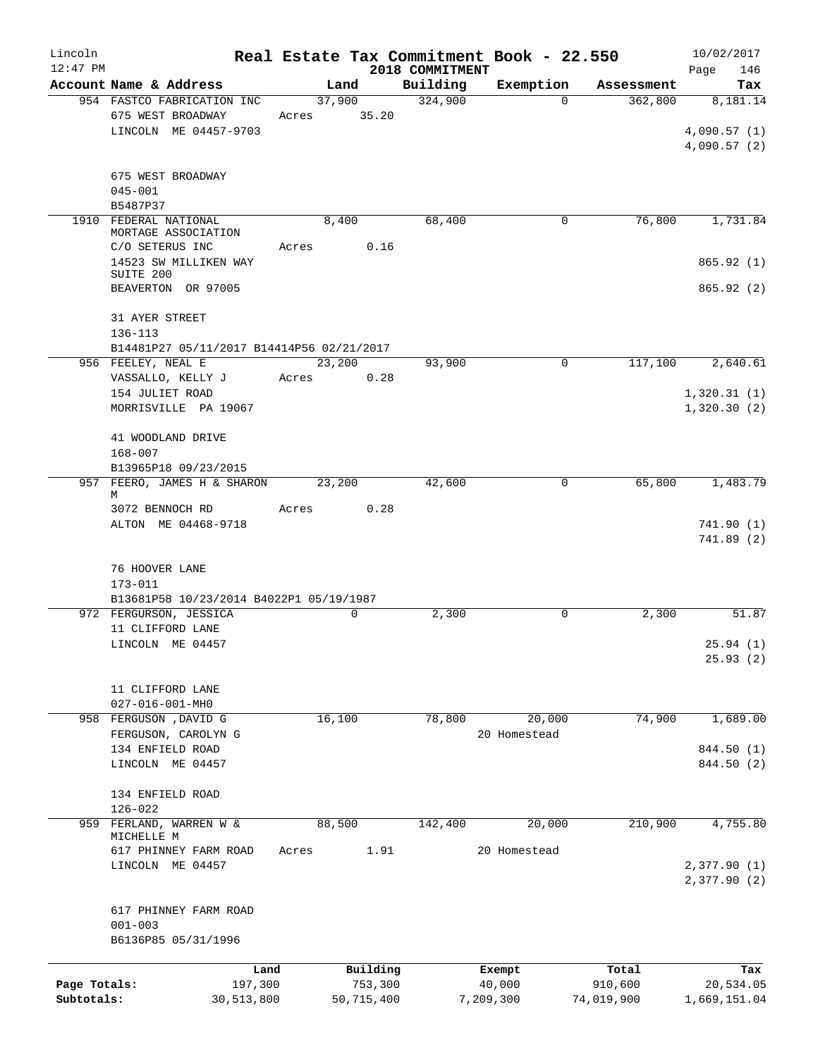| Lincoln      |                                                 |                 | Real Estate Tax Commitment Book - 22.550 |              |            | 10/02/2017                 |
|--------------|-------------------------------------------------|-----------------|------------------------------------------|--------------|------------|----------------------------|
| $12:47$ PM   |                                                 |                 | 2018 COMMITMENT                          |              |            | 146<br>Page                |
|              | Account Name & Address                          | Land            | Building                                 | Exemption    | Assessment | Tax                        |
|              | 954 FASTCO FABRICATION INC<br>675 WEST BROADWAY | 37,900<br>35.20 | 324,900                                  | $\Omega$     | 362,800    | 8,181.14                   |
|              | LINCOLN ME 04457-9703                           | Acres           |                                          |              |            |                            |
|              |                                                 |                 |                                          |              |            | 4,090.57(1)<br>4,090.57(2) |
|              |                                                 |                 |                                          |              |            |                            |
|              | 675 WEST BROADWAY                               |                 |                                          |              |            |                            |
|              | $045 - 001$                                     |                 |                                          |              |            |                            |
|              | B5487P37                                        |                 |                                          |              |            |                            |
| 1910         | FEDERAL NATIONAL                                | 8,400           | 68,400                                   | 0            | 76,800     | 1,731.84                   |
|              | MORTAGE ASSOCIATION                             |                 |                                          |              |            |                            |
|              | C/O SETERUS INC                                 | Acres           | 0.16                                     |              |            |                            |
|              | 14523 SW MILLIKEN WAY<br>SUITE 200              |                 |                                          |              |            | 865.92(1)                  |
|              | BEAVERTON OR 97005                              |                 |                                          |              |            | 865.92 (2)                 |
|              |                                                 |                 |                                          |              |            |                            |
|              | 31 AYER STREET                                  |                 |                                          |              |            |                            |
|              | $136 - 113$                                     |                 |                                          |              |            |                            |
|              | B14481P27 05/11/2017 B14414P56 02/21/2017       |                 |                                          |              |            |                            |
|              | 956 FEELEY, NEAL E                              | 23,200          | 93,900                                   | 0            | 117,100    | 2,640.61                   |
|              | VASSALLO, KELLY J                               | Acres           | 0.28                                     |              |            |                            |
|              | 154 JULIET ROAD                                 |                 |                                          |              |            | 1,320.31(1)                |
|              | MORRISVILLE PA 19067                            |                 |                                          |              |            | 1,320.30(2)                |
|              |                                                 |                 |                                          |              |            |                            |
|              | 41 WOODLAND DRIVE                               |                 |                                          |              |            |                            |
|              | $168 - 007$                                     |                 |                                          |              |            |                            |
|              | B13965P18 09/23/2015                            |                 |                                          |              |            |                            |
|              | 957 FEERO, JAMES H & SHARON<br>М                | 23,200          | 42,600                                   | 0            | 65,800     | 1,483.79                   |
|              | 3072 BENNOCH RD                                 | Acres           | 0.28                                     |              |            |                            |
|              | ALTON ME 04468-9718                             |                 |                                          |              |            | 741.90(1)                  |
|              |                                                 |                 |                                          |              |            | 741.89(2)                  |
|              |                                                 |                 |                                          |              |            |                            |
|              | 76 HOOVER LANE                                  |                 |                                          |              |            |                            |
|              | $173 - 011$                                     |                 |                                          |              |            |                            |
|              | B13681P58 10/23/2014 B4022P1 05/19/1987         |                 |                                          |              |            |                            |
|              | 972 FERGURSON, JESSICA                          | $\mathbf 0$     | 2,300                                    | 0            | 2,300      | 51.87                      |
|              | 11 CLIFFORD LANE                                |                 |                                          |              |            |                            |
|              | LINCOLN ME 04457                                |                 |                                          |              |            | 25.94(1)                   |
|              |                                                 |                 |                                          |              |            | 25.93(2)                   |
|              |                                                 |                 |                                          |              |            |                            |
|              | 11 CLIFFORD LANE                                |                 |                                          |              |            |                            |
|              | 027-016-001-MH0<br>958 FERGUSON , DAVID G       |                 |                                          |              |            |                            |
|              |                                                 | 16,100          | 78,800                                   | 20,000       | 74,900     | 1,689.00                   |
|              | FERGUSON, CAROLYN G                             |                 |                                          | 20 Homestead |            |                            |
|              | 134 ENFIELD ROAD                                |                 |                                          |              |            | 844.50 (1)                 |
|              | LINCOLN ME 04457                                |                 |                                          |              |            | 844.50 (2)                 |
|              | 134 ENFIELD ROAD                                |                 |                                          |              |            |                            |
|              | $126 - 022$                                     |                 |                                          |              |            |                            |
| 959          | FERLAND, WARREN W &                             | 88,500          | 142,400                                  | 20,000       | 210,900    | 4,755.80                   |
|              | MICHELLE M                                      |                 |                                          |              |            |                            |
|              | 617 PHINNEY FARM ROAD                           | Acres           | 1.91                                     | 20 Homestead |            |                            |
|              | LINCOLN ME 04457                                |                 |                                          |              |            | 2,377.90(1)                |
|              |                                                 |                 |                                          |              |            | 2,377.90(2)                |
|              |                                                 |                 |                                          |              |            |                            |
|              | 617 PHINNEY FARM ROAD                           |                 |                                          |              |            |                            |
|              | $001 - 003$                                     |                 |                                          |              |            |                            |
|              | B6136P85 05/31/1996                             |                 |                                          |              |            |                            |
|              | Land                                            |                 | Building                                 | Exempt       | Total      | Tax                        |
| Page Totals: | 197,300                                         |                 | 753,300                                  | 40,000       | 910,600    | 20,534.05                  |
| Subtotals:   | 30,513,800                                      |                 | 50,715,400                               | 7,209,300    | 74,019,900 | 1,669,151.04               |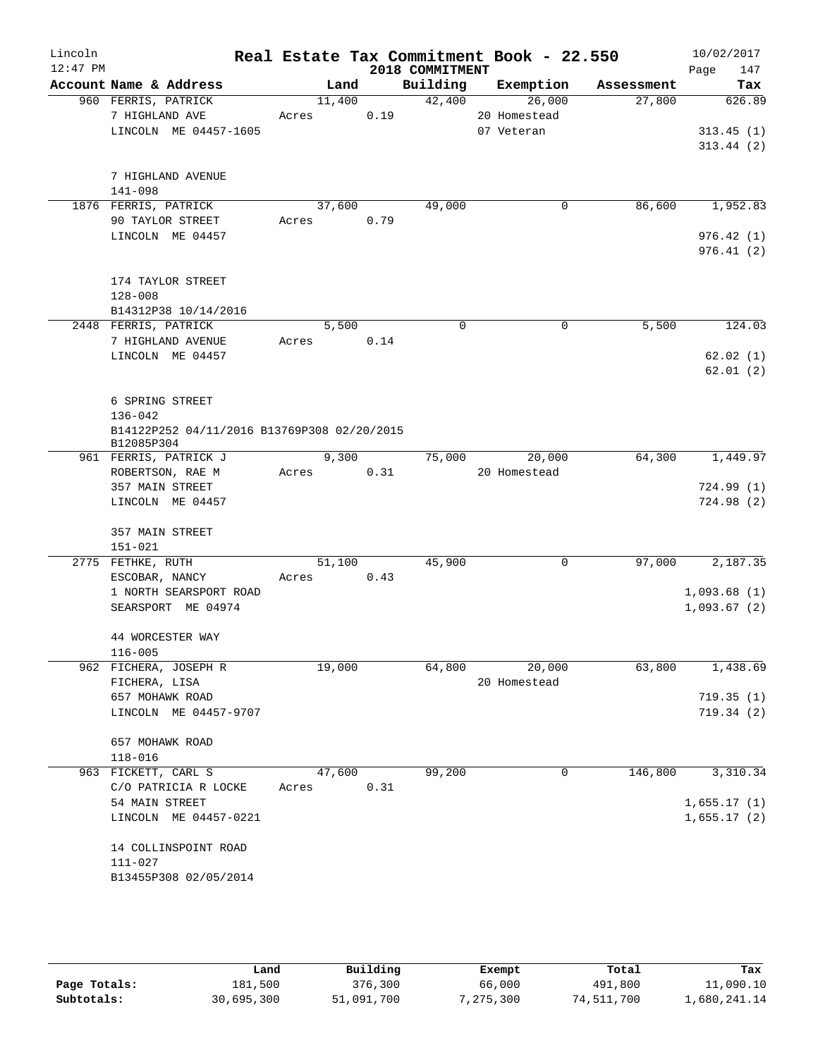| Lincoln<br>$12:47$ PM |                                                           |       |        |      | 2018 COMMITMENT | Real Estate Tax Commitment Book - 22.550 |            | 10/02/2017<br>Page<br>147  |
|-----------------------|-----------------------------------------------------------|-------|--------|------|-----------------|------------------------------------------|------------|----------------------------|
|                       | Account Name & Address                                    |       | Land   |      | Building        | Exemption                                | Assessment | Tax                        |
|                       | 960 FERRIS, PATRICK<br>7 HIGHLAND AVE                     | Acres | 11,400 | 0.19 | 42,400          | 26,000<br>20 Homestead                   | 27,800     | 626.89                     |
|                       | LINCOLN ME 04457-1605                                     |       |        |      |                 | 07 Veteran                               |            | 313.45(1)                  |
|                       |                                                           |       |        |      |                 |                                          |            | 313.44(2)                  |
|                       | 7 HIGHLAND AVENUE                                         |       |        |      |                 |                                          |            |                            |
|                       | 141-098                                                   |       |        |      |                 |                                          |            |                            |
|                       | 1876 FERRIS, PATRICK                                      |       | 37,600 |      | 49,000          | 0                                        | 86,600     | 1,952.83                   |
|                       | 90 TAYLOR STREET                                          | Acres |        | 0.79 |                 |                                          |            |                            |
|                       | LINCOLN ME 04457                                          |       |        |      |                 |                                          |            | 976.42(1)<br>976.41(2)     |
|                       | 174 TAYLOR STREET                                         |       |        |      |                 |                                          |            |                            |
|                       | $128 - 008$                                               |       |        |      |                 |                                          |            |                            |
|                       | B14312P38 10/14/2016                                      |       |        |      |                 |                                          |            |                            |
|                       | 2448 FERRIS, PATRICK                                      |       | 5,500  |      | $\Omega$        | 0                                        | 5,500      | 124.03                     |
|                       | 7 HIGHLAND AVENUE<br>LINCOLN ME 04457                     | Acres |        | 0.14 |                 |                                          |            | 62.02(1)                   |
|                       |                                                           |       |        |      |                 |                                          |            | 62.01(2)                   |
|                       | 6 SPRING STREET                                           |       |        |      |                 |                                          |            |                            |
|                       | $136 - 042$                                               |       |        |      |                 |                                          |            |                            |
|                       | B14122P252 04/11/2016 B13769P308 02/20/2015<br>B12085P304 |       |        |      |                 |                                          |            |                            |
|                       | 961 FERRIS, PATRICK J                                     |       | 9,300  |      | 75,000          | 20,000                                   | 64,300     | 1,449.97                   |
|                       | ROBERTSON, RAE M                                          | Acres |        | 0.31 |                 | 20 Homestead                             |            |                            |
|                       | 357 MAIN STREET                                           |       |        |      |                 |                                          |            | 724.99(1)                  |
|                       | LINCOLN ME 04457                                          |       |        |      |                 |                                          |            | 724.98 (2)                 |
|                       | 357 MAIN STREET                                           |       |        |      |                 |                                          |            |                            |
|                       | $151 - 021$                                               |       |        |      |                 |                                          |            |                            |
|                       | 2775 FETHKE, RUTH                                         |       | 51,100 |      | 45,900          | 0                                        | 97,000     | 2,187.35                   |
|                       | ESCOBAR, NANCY                                            | Acres |        | 0.43 |                 |                                          |            | 1,093.68(1)                |
|                       | 1 NORTH SEARSPORT ROAD<br>SEARSPORT ME 04974              |       |        |      |                 |                                          |            | 1,093.67(2)                |
|                       |                                                           |       |        |      |                 |                                          |            |                            |
|                       | 44 WORCESTER WAY                                          |       |        |      |                 |                                          |            |                            |
|                       | $116 - 005$                                               |       |        |      |                 |                                          |            |                            |
|                       | 962 FICHERA, JOSEPH R                                     |       | 19,000 |      | 64,800          | 20,000                                   | 63,800     | 1,438.69                   |
|                       | FICHERA, LISA                                             |       |        |      |                 | 20 Homestead                             |            |                            |
|                       | 657 MOHAWK ROAD                                           |       |        |      |                 |                                          |            | 719.35(1)                  |
|                       | LINCOLN ME 04457-9707                                     |       |        |      |                 |                                          |            | 719.34(2)                  |
|                       | 657 MOHAWK ROAD                                           |       |        |      |                 |                                          |            |                            |
|                       | $118 - 016$                                               |       |        |      |                 |                                          |            |                            |
|                       | 963 FICKETT, CARL S                                       |       | 47,600 |      | 99,200          | 0                                        | 146,800    | 3,310.34                   |
|                       | C/O PATRICIA R LOCKE                                      | Acres |        | 0.31 |                 |                                          |            |                            |
|                       | 54 MAIN STREET<br>LINCOLN ME 04457-0221                   |       |        |      |                 |                                          |            | 1,655.17(1)<br>1,655.17(2) |
|                       | 14 COLLINSPOINT ROAD                                      |       |        |      |                 |                                          |            |                            |
|                       | $111 - 027$                                               |       |        |      |                 |                                          |            |                            |
|                       | B13455P308 02/05/2014                                     |       |        |      |                 |                                          |            |                            |

|              | úand       | Building   | Exempt   | Total      | Tax          |
|--------------|------------|------------|----------|------------|--------------|
| Page Totals: | 181,500    | 376,300    | 66,000   | 491,800    | 11,090.10    |
| Subtotals:   | 30,695,300 | 51,091,700 | .275.300 | 74,511,700 | .,680,241.14 |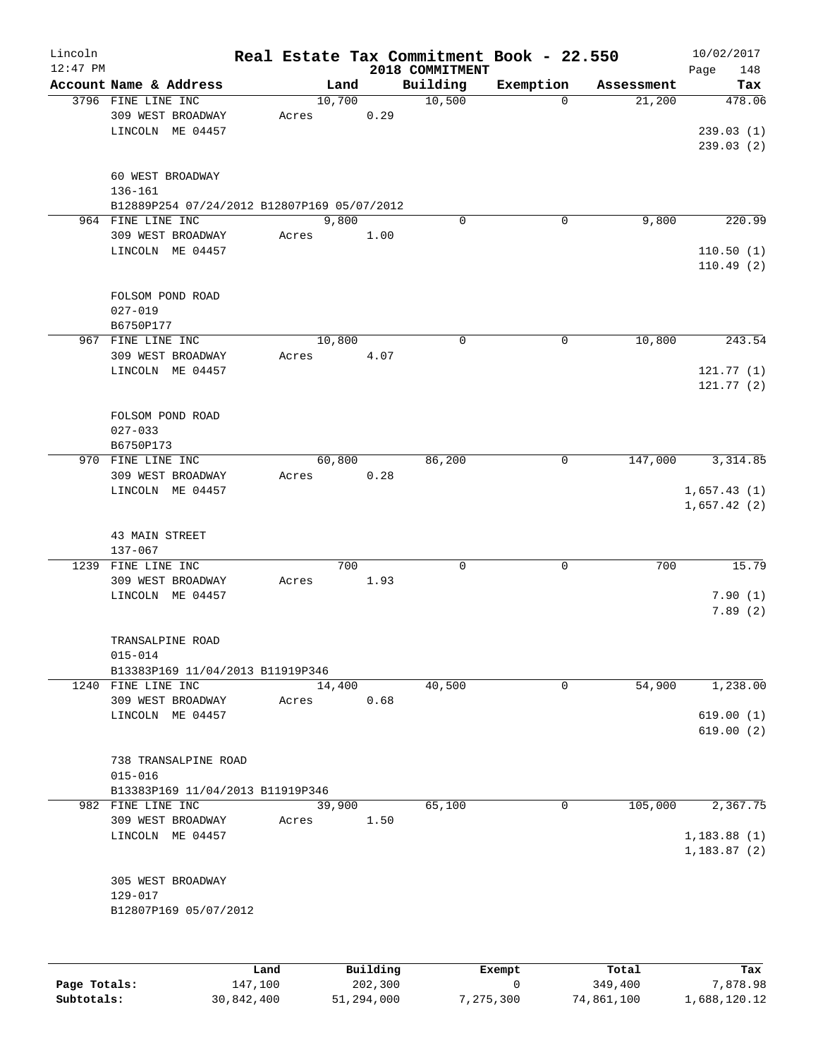| Lincoln    |                                                       |      |       |               |      |                             | Real Estate Tax Commitment Book - 22.550 |                      | 10/02/2017         |
|------------|-------------------------------------------------------|------|-------|---------------|------|-----------------------------|------------------------------------------|----------------------|--------------------|
| $12:47$ PM | Account Name & Address                                |      |       | Land          |      | 2018 COMMITMENT<br>Building |                                          |                      | Page<br>148        |
|            | 3796 FINE LINE INC                                    |      |       | 10,700        |      | 10,500                      | Exemption<br>$\mathbf 0$                 | Assessment<br>21,200 | Tax<br>478.06      |
|            | 309 WEST BROADWAY<br>LINCOLN ME 04457                 |      | Acres | 0.29          |      |                             |                                          |                      | 239.03(1)          |
|            |                                                       |      |       |               |      |                             |                                          |                      | 239.03 (2)         |
|            | 60 WEST BROADWAY<br>136-161                           |      |       |               |      |                             |                                          |                      |                    |
|            | B12889P254 07/24/2012 B12807P169 05/07/2012           |      |       |               |      |                             |                                          |                      |                    |
|            | 964 FINE LINE INC<br>309 WEST BROADWAY                |      | Acres | 9,800<br>1.00 |      | 0                           | 0                                        | 9,800                | 220.99             |
|            | LINCOLN ME 04457                                      |      |       |               |      |                             |                                          |                      | 110.50(1)          |
|            |                                                       |      |       |               |      |                             |                                          |                      | 110.49(2)          |
|            | FOLSOM POND ROAD<br>$027 - 019$                       |      |       |               |      |                             |                                          |                      |                    |
|            | B6750P177                                             |      |       |               |      |                             |                                          |                      |                    |
|            | 967 FINE LINE INC                                     |      |       | 10,800        |      | $\mathbf 0$                 | 0                                        | 10,800               | 243.54             |
|            | 309 WEST BROADWAY<br>LINCOLN ME 04457                 |      | Acres | 4.07          |      |                             |                                          |                      | 121.77(1)          |
|            |                                                       |      |       |               |      |                             |                                          |                      | 121.77(2)          |
|            | FOLSOM POND ROAD                                      |      |       |               |      |                             |                                          |                      |                    |
|            | $027 - 033$<br>B6750P173                              |      |       |               |      |                             |                                          |                      |                    |
|            | 970 FINE LINE INC                                     |      |       | 60,800        |      | 86,200                      | 0                                        | 147,000              | 3, 314.85          |
|            | 309 WEST BROADWAY<br>LINCOLN ME 04457                 |      | Acres | 0.28          |      |                             |                                          |                      | 1,657.43(1)        |
|            |                                                       |      |       |               |      |                             |                                          |                      | 1,657.42(2)        |
|            | 43 MAIN STREET                                        |      |       |               |      |                             |                                          |                      |                    |
|            | 137-067<br>1239 FINE LINE INC                         |      |       | 700           |      | $\mathbf 0$                 | $\mathbf 0$                              | 700                  | 15.79              |
|            | 309 WEST BROADWAY                                     |      | Acres | 1.93          |      |                             |                                          |                      |                    |
|            | LINCOLN ME 04457                                      |      |       |               |      |                             |                                          |                      | 7.90(1)<br>7.89(2) |
|            |                                                       |      |       |               |      |                             |                                          |                      |                    |
|            | TRANSALPINE ROAD<br>$015 - 014$                       |      |       |               |      |                             |                                          |                      |                    |
|            | B13383P169 11/04/2013 B11919P346                      |      |       |               |      |                             |                                          |                      |                    |
|            | 1240 FINE LINE INC<br>309 WEST BROADWAY               |      | Acres | 14,400        | 0.68 | 40,500                      | 0                                        | 54,900               | 1,238.00           |
|            | LINCOLN ME 04457                                      |      |       |               |      |                             |                                          |                      | 619.00(1)          |
|            |                                                       |      |       |               |      |                             |                                          |                      | 619.00(2)          |
|            | 738 TRANSALPINE ROAD                                  |      |       |               |      |                             |                                          |                      |                    |
|            | $015 - 016$                                           |      |       |               |      |                             |                                          |                      |                    |
|            | B13383P169 11/04/2013 B11919P346<br>982 FINE LINE INC |      |       | 39,900        |      | 65,100                      | 0                                        | 105,000              | 2,367.75           |
|            | 309 WEST BROADWAY                                     |      | Acres | 1.50          |      |                             |                                          |                      |                    |
|            | LINCOLN ME 04457                                      |      |       |               |      |                             |                                          |                      | 1,183.88(1)        |
|            |                                                       |      |       |               |      |                             |                                          |                      | 1,183.87(2)        |
|            | 305 WEST BROADWAY<br>129-017                          |      |       |               |      |                             |                                          |                      |                    |
|            | B12807P169 05/07/2012                                 |      |       |               |      |                             |                                          |                      |                    |
|            |                                                       |      |       |               |      |                             |                                          |                      |                    |
|            |                                                       | Land |       | Building      |      |                             | Exempt                                   | Total                | Tax                |

**Page Totals:** 147,100 202,300 0 349,400 7,878.98 **Subtotals:** 30,842,400 51,294,000 7,275,300 74,861,100 1,688,120.12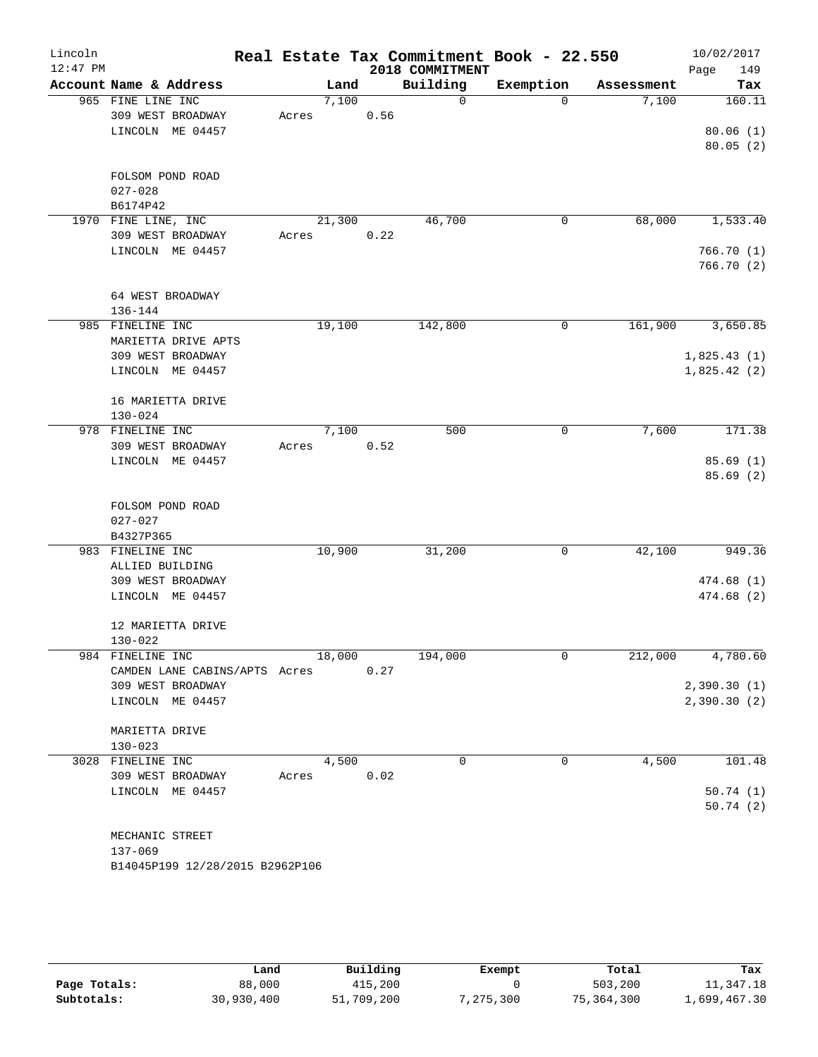| Lincoln<br>$12:47$ PM |                                 |        |      | 2018 COMMITMENT | Real Estate Tax Commitment Book - 22.550 |            | 10/02/2017<br>149<br>Page |
|-----------------------|---------------------------------|--------|------|-----------------|------------------------------------------|------------|---------------------------|
|                       | Account Name & Address          | Land   |      | Building        | Exemption                                | Assessment | Tax                       |
|                       | 965 FINE LINE INC               | 7,100  |      | $\Omega$        | $\Omega$                                 | 7,100      | 160.11                    |
|                       | 309 WEST BROADWAY               | Acres  | 0.56 |                 |                                          |            |                           |
|                       | LINCOLN ME 04457                |        |      |                 |                                          |            | 80.06(1)                  |
|                       |                                 |        |      |                 |                                          |            | 80.05(2)                  |
|                       |                                 |        |      |                 |                                          |            |                           |
|                       | FOLSOM POND ROAD<br>$027 - 028$ |        |      |                 |                                          |            |                           |
|                       | B6174P42                        |        |      |                 |                                          |            |                           |
|                       | 1970 FINE LINE, INC             | 21,300 |      | 46,700          | 0                                        | 68,000     | 1,533.40                  |
|                       | 309 WEST BROADWAY               | Acres  | 0.22 |                 |                                          |            |                           |
|                       | LINCOLN ME 04457                |        |      |                 |                                          |            | 766.70 (1)                |
|                       |                                 |        |      |                 |                                          |            | 766.70 (2)                |
|                       |                                 |        |      |                 |                                          |            |                           |
|                       | 64 WEST BROADWAY                |        |      |                 |                                          |            |                           |
|                       | 136-144                         |        |      |                 |                                          |            |                           |
|                       | 985 FINELINE INC                | 19,100 |      | 142,800         | 0                                        | 161,900    | 3,650.85                  |
|                       | MARIETTA DRIVE APTS             |        |      |                 |                                          |            |                           |
|                       | 309 WEST BROADWAY               |        |      |                 |                                          |            | 1,825.43(1)               |
|                       | LINCOLN ME 04457                |        |      |                 |                                          |            | 1,825.42(2)               |
|                       | 16 MARIETTA DRIVE               |        |      |                 |                                          |            |                           |
|                       | $130 - 024$                     |        |      |                 |                                          |            |                           |
|                       | 978 FINELINE INC                | 7,100  |      | 500             | 0                                        | 7,600      | 171.38                    |
|                       | 309 WEST BROADWAY               | Acres  | 0.52 |                 |                                          |            |                           |
|                       | LINCOLN ME 04457                |        |      |                 |                                          |            | 85.69(1)                  |
|                       |                                 |        |      |                 |                                          |            | 85.69(2)                  |
|                       |                                 |        |      |                 |                                          |            |                           |
|                       | FOLSOM POND ROAD                |        |      |                 |                                          |            |                           |
|                       | $027 - 027$                     |        |      |                 |                                          |            |                           |
|                       | B4327P365                       |        |      |                 |                                          |            |                           |
|                       | 983 FINELINE INC                | 10,900 |      | 31,200          | 0                                        | 42,100     | 949.36                    |
|                       | ALLIED BUILDING                 |        |      |                 |                                          |            |                           |
|                       | 309 WEST BROADWAY               |        |      |                 |                                          |            | 474.68 (1)                |
|                       | LINCOLN ME 04457                |        |      |                 |                                          |            | 474.68 (2)                |
|                       | 12 MARIETTA DRIVE               |        |      |                 |                                          |            |                           |
|                       | $130 - 022$                     |        |      |                 |                                          |            |                           |
|                       | 984 FINELINE INC                | 18,000 |      | 194,000         | 0                                        | 212,000    | 4,780.60                  |
|                       | CAMDEN LANE CABINS/APTS Acres   |        | 0.27 |                 |                                          |            |                           |
|                       | 309 WEST BROADWAY               |        |      |                 |                                          |            | 2,390.30(1)               |
|                       | LINCOLN ME 04457                |        |      |                 |                                          |            | 2,390.30(2)               |
|                       |                                 |        |      |                 |                                          |            |                           |
|                       | MARIETTA DRIVE                  |        |      |                 |                                          |            |                           |
|                       | $130 - 023$                     |        |      |                 |                                          |            |                           |
|                       | 3028 FINELINE INC               | 4,500  |      | 0               | 0                                        | 4,500      | 101.48                    |
|                       | 309 WEST BROADWAY               | Acres  | 0.02 |                 |                                          |            |                           |
|                       | LINCOLN ME 04457                |        |      |                 |                                          |            | 50.74(1)                  |
|                       |                                 |        |      |                 |                                          |            | 50.74(2)                  |
|                       | MECHANIC STREET                 |        |      |                 |                                          |            |                           |
|                       | 137-069                         |        |      |                 |                                          |            |                           |
|                       | B14045P199 12/28/2015 B2962P106 |        |      |                 |                                          |            |                           |
|                       |                                 |        |      |                 |                                          |            |                           |

|              | Land       | Building   | Exempt    | Total      | Tax          |
|--------------|------------|------------|-----------|------------|--------------|
| Page Totals: | 88,000     | 415,200    |           | 503,200    | 11,347.18    |
| Subtotals:   | 30,930,400 | 51,709,200 | 7,275,300 | 75,364,300 | 1,699,467.30 |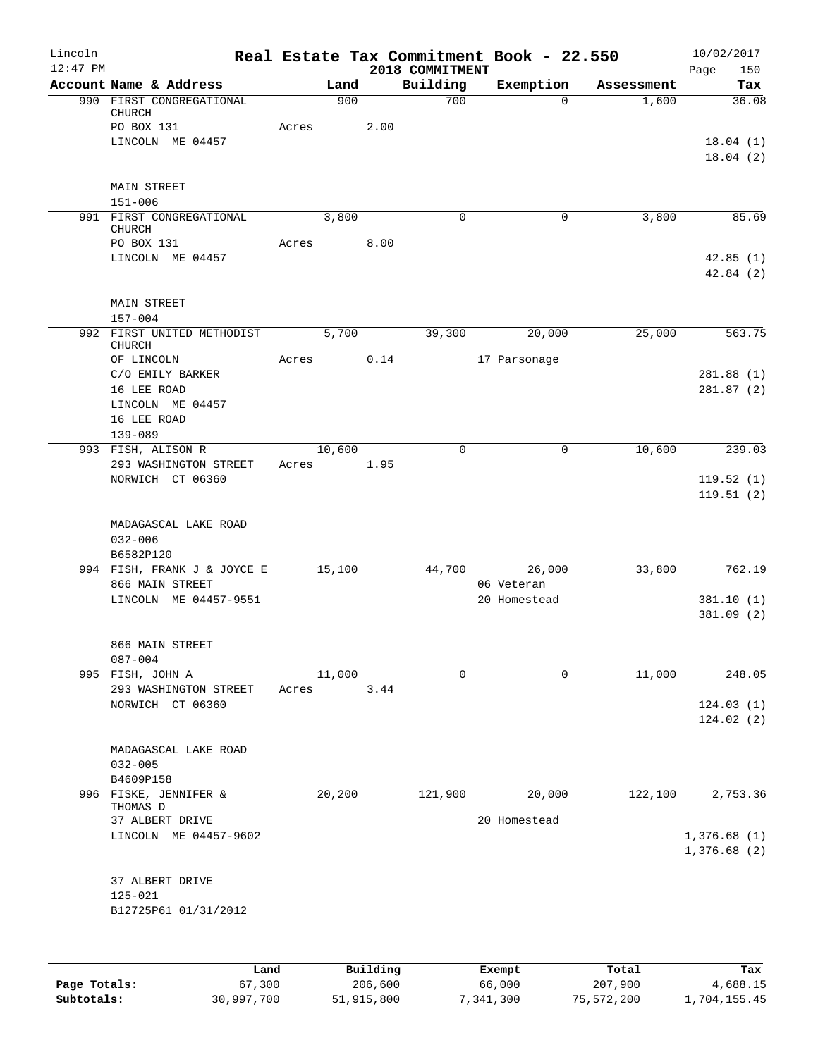| Lincoln<br>$12:47$ PM |                                                |         |          | 2018 COMMITMENT | Real Estate Tax Commitment Book - 22.550 |            | 10/02/2017<br>Page<br>150 |
|-----------------------|------------------------------------------------|---------|----------|-----------------|------------------------------------------|------------|---------------------------|
|                       | Account Name & Address                         | Land    |          | Building        | Exemption                                | Assessment | Tax                       |
|                       | 990 FIRST CONGREGATIONAL<br>CHURCH             | 900     |          | 700             | $\Omega$                                 | 1,600      | 36.08                     |
|                       | PO BOX 131                                     | Acres   | 2.00     |                 |                                          |            |                           |
|                       | LINCOLN ME 04457                               |         |          |                 |                                          |            | 18.04(1)                  |
|                       |                                                |         |          |                 |                                          |            | 18.04(2)                  |
|                       | <b>MAIN STREET</b>                             |         |          |                 |                                          |            |                           |
|                       | $151 - 006$<br>991 FIRST CONGREGATIONAL        | 3,800   |          | 0               | 0                                        | 3,800      | 85.69                     |
|                       | <b>CHURCH</b><br>PO BOX 131                    | Acres   | 8.00     |                 |                                          |            |                           |
|                       | LINCOLN ME 04457                               |         |          |                 |                                          |            | 42.85(1)                  |
|                       |                                                |         |          |                 |                                          |            | 42.84(2)                  |
|                       | <b>MAIN STREET</b>                             |         |          |                 |                                          |            |                           |
|                       | $157 - 004$                                    |         |          |                 |                                          |            |                           |
|                       | 992 FIRST UNITED METHODIST<br><b>CHURCH</b>    | 5,700   |          | 39,300          | 20,000                                   | 25,000     | 563.75                    |
|                       | OF LINCOLN                                     | Acres   | 0.14     |                 | 17 Parsonage                             |            |                           |
|                       | C/O EMILY BARKER                               |         |          |                 |                                          |            | 281.88(1)                 |
|                       | 16 LEE ROAD<br>LINCOLN ME 04457                |         |          |                 |                                          |            | 281.87(2)                 |
|                       | 16 LEE ROAD                                    |         |          |                 |                                          |            |                           |
|                       | 139-089                                        |         |          |                 |                                          |            |                           |
|                       | 993 FISH, ALISON R                             | 10,600  |          | $\mathbf 0$     | 0                                        | 10,600     | 239.03                    |
|                       | 293 WASHINGTON STREET                          | Acres   | 1.95     |                 |                                          |            |                           |
|                       | NORWICH CT 06360                               |         |          |                 |                                          |            | 119.52(1)                 |
|                       |                                                |         |          |                 |                                          |            | 119.51(2)                 |
|                       | MADAGASCAL LAKE ROAD                           |         |          |                 |                                          |            |                           |
|                       | $032 - 006$                                    |         |          |                 |                                          |            |                           |
|                       | B6582P120                                      |         |          |                 |                                          |            |                           |
|                       | 994 FISH, FRANK J & JOYCE E<br>866 MAIN STREET | 15,100  |          |                 | 44,700<br>26,000<br>06 Veteran           | 33,800     | 762.19                    |
|                       | LINCOLN ME 04457-9551                          |         |          |                 | 20 Homestead                             |            | 381.10(1)                 |
|                       |                                                |         |          |                 |                                          |            | 381.09(2)                 |
|                       | 866 MAIN STREET                                |         |          |                 |                                          |            |                           |
|                       | $087 - 004$                                    |         |          |                 |                                          |            |                           |
|                       | 995 FISH, JOHN A                               | 11,000  |          | $\Omega$        | $\Omega$                                 | 11,000     | 248.05                    |
|                       | 293 WASHINGTON STREET                          | Acres   | 3.44     |                 |                                          |            |                           |
|                       | NORWICH CT 06360                               |         |          |                 |                                          |            | 124.03(1)<br>124.02(2)    |
|                       |                                                |         |          |                 |                                          |            |                           |
|                       | MADAGASCAL LAKE ROAD                           |         |          |                 |                                          |            |                           |
|                       | $032 - 005$                                    |         |          |                 |                                          |            |                           |
|                       | B4609P158                                      |         |          |                 |                                          |            |                           |
|                       | 996 FISKE, JENNIFER &                          | 20, 200 |          | 121,900         | 20,000                                   | 122,100    | 2,753.36                  |
|                       | THOMAS D<br>37 ALBERT DRIVE                    |         |          |                 | 20 Homestead                             |            |                           |
|                       | LINCOLN ME 04457-9602                          |         |          |                 |                                          |            | 1,376.68(1)               |
|                       |                                                |         |          |                 |                                          |            | 1,376.68(2)               |
|                       | 37 ALBERT DRIVE                                |         |          |                 |                                          |            |                           |
|                       | $125 - 021$                                    |         |          |                 |                                          |            |                           |
|                       | B12725P61 01/31/2012                           |         |          |                 |                                          |            |                           |
|                       |                                                |         |          |                 |                                          |            |                           |
|                       | Land                                           |         | Building |                 | Exempt                                   | Total      | Tax                       |
| Page Totals:          | 67,300                                         |         | 206,600  |                 | 66,000                                   | 207,900    | 4,688.15                  |

**Subtotals:** 30,997,700 51,915,800 7,341,300 75,572,200 1,704,155.45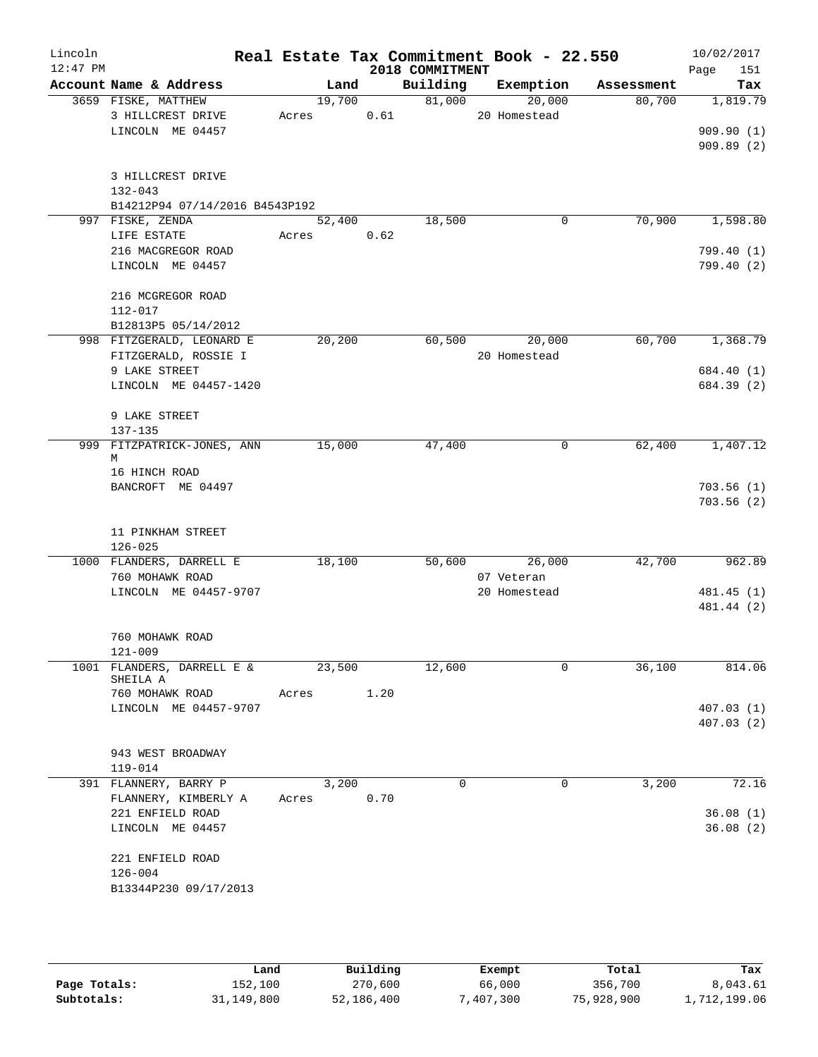| Lincoln<br>$12:47$ PM |                                  |        |      | 2018 COMMITMENT | Real Estate Tax Commitment Book - 22.550 |            | 10/02/2017<br>151<br>Page |
|-----------------------|----------------------------------|--------|------|-----------------|------------------------------------------|------------|---------------------------|
|                       | Account Name & Address           |        | Land | Building        | Exemption                                | Assessment | Tax                       |
|                       | 3659 FISKE, MATTHEW              | 19,700 |      | 81,000          | 20,000                                   | 80,700     | 1,819.79                  |
|                       | 3 HILLCREST DRIVE                | Acres  | 0.61 |                 | 20 Homestead                             |            |                           |
|                       | LINCOLN ME 04457                 |        |      |                 |                                          |            | 909.90(1)                 |
|                       |                                  |        |      |                 |                                          |            | 909.89(2)                 |
|                       | 3 HILLCREST DRIVE                |        |      |                 |                                          |            |                           |
|                       | $132 - 043$                      |        |      |                 |                                          |            |                           |
|                       | B14212P94 07/14/2016 B4543P192   |        |      |                 |                                          |            |                           |
|                       | 997 FISKE, ZENDA                 | 52,400 |      | 18,500          | 0                                        | 70,900     | 1,598.80                  |
|                       | LIFE ESTATE                      | Acres  | 0.62 |                 |                                          |            |                           |
|                       | 216 MACGREGOR ROAD               |        |      |                 |                                          |            | 799.40 (1)                |
|                       | LINCOLN ME 04457                 |        |      |                 |                                          |            | 799.40 (2)                |
|                       | 216 MCGREGOR ROAD                |        |      |                 |                                          |            |                           |
|                       | 112-017                          |        |      |                 |                                          |            |                           |
|                       | B12813P5 05/14/2012              |        |      |                 |                                          |            |                           |
|                       | 998 FITZGERALD, LEONARD E        | 20,200 |      | 60,500          | 20,000                                   | 60,700     | 1,368.79                  |
|                       | FITZGERALD, ROSSIE I             |        |      |                 | 20 Homestead                             |            |                           |
|                       | 9 LAKE STREET                    |        |      |                 |                                          |            | 684.40 (1)                |
|                       | LINCOLN ME 04457-1420            |        |      |                 |                                          |            | 684.39 (2)                |
|                       | 9 LAKE STREET                    |        |      |                 |                                          |            |                           |
|                       | 137-135                          |        |      |                 |                                          |            |                           |
|                       | 999 FITZPATRICK-JONES, ANN<br>М  | 15,000 |      | 47,400          | 0                                        | 62,400     | 1,407.12                  |
|                       | 16 HINCH ROAD                    |        |      |                 |                                          |            |                           |
|                       | BANCROFT ME 04497                |        |      |                 |                                          |            | 703.56(1)                 |
|                       |                                  |        |      |                 |                                          |            | 703.56(2)                 |
|                       | 11 PINKHAM STREET                |        |      |                 |                                          |            |                           |
|                       | $126 - 025$                      |        |      |                 |                                          |            |                           |
|                       | 1000 FLANDERS, DARRELL E         | 18,100 |      | 50,600          | 26,000                                   | 42,700     | 962.89                    |
|                       | 760 MOHAWK ROAD                  |        |      |                 | 07 Veteran                               |            |                           |
|                       | LINCOLN ME 04457-9707            |        |      |                 | 20 Homestead                             |            | 481.45 (1)                |
|                       |                                  |        |      |                 |                                          |            | 481.44 (2)                |
|                       | 760 MOHAWK ROAD                  |        |      |                 |                                          |            |                           |
|                       | $121 - 009$                      |        |      |                 |                                          |            |                           |
| 1001                  | FLANDERS, DARRELL E &            | 23,500 |      | 12,600          | 0                                        | 36,100     | 814.06                    |
|                       | SHEILA A                         |        |      |                 |                                          |            |                           |
|                       | 760 MOHAWK ROAD                  | Acres  | 1.20 |                 |                                          |            |                           |
|                       | LINCOLN ME 04457-9707            |        |      |                 |                                          |            | 407.03(1)<br>407.03(2)    |
|                       |                                  |        |      |                 |                                          |            |                           |
|                       | 943 WEST BROADWAY                |        |      |                 |                                          |            |                           |
|                       | 119-014<br>391 FLANNERY, BARRY P | 3,200  |      | 0               | 0                                        | 3,200      | 72.16                     |
|                       | FLANNERY, KIMBERLY A             | Acres  | 0.70 |                 |                                          |            |                           |
|                       | 221 ENFIELD ROAD                 |        |      |                 |                                          |            | 36.08(1)                  |
|                       | LINCOLN ME 04457                 |        |      |                 |                                          |            | 36.08(2)                  |
|                       | 221 ENFIELD ROAD                 |        |      |                 |                                          |            |                           |
|                       | $126 - 004$                      |        |      |                 |                                          |            |                           |
|                       | B13344P230 09/17/2013            |        |      |                 |                                          |            |                           |
|                       |                                  |        |      |                 |                                          |            |                           |

|              | Land       | Building   | Exempt   | Total      | Tax          |
|--------------|------------|------------|----------|------------|--------------|
| Page Totals: | 152,100    | 270,600    | 66,000   | 356,700    | 8,043.61     |
| Subtotals:   | 31,149,800 | 52,186,400 | .407.300 | 75,928,900 | 1,712,199.06 |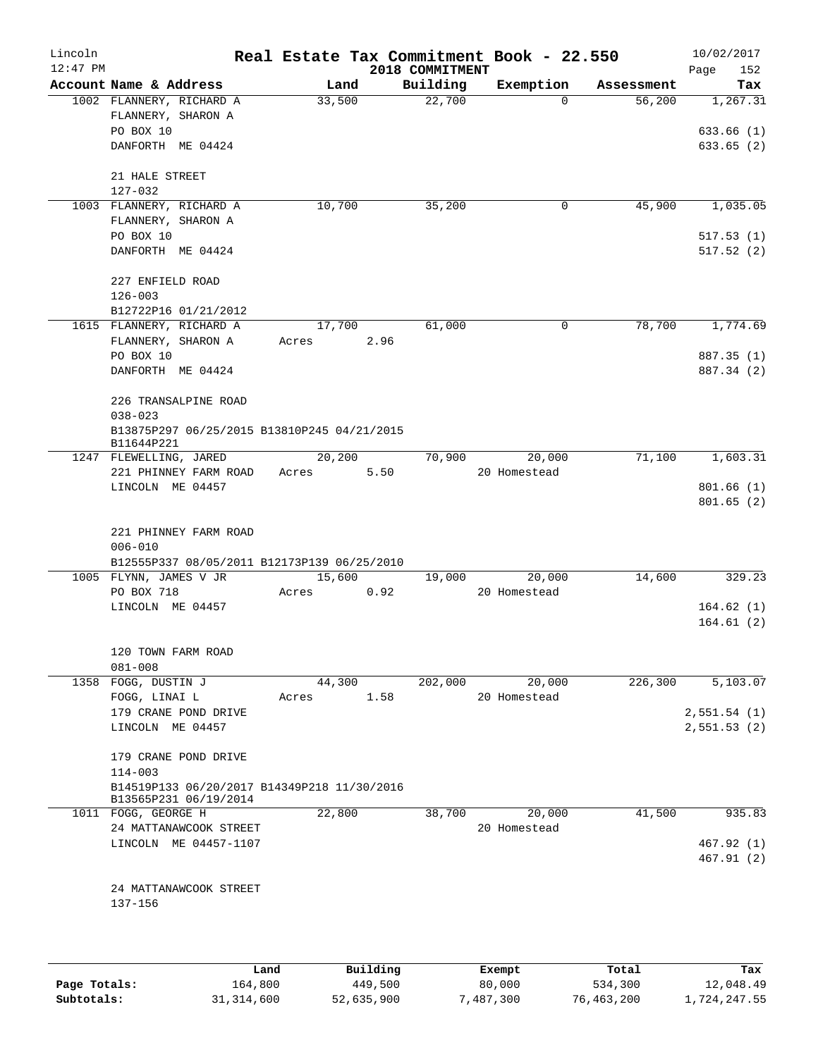| Lincoln<br>$12:47$ PM |                                                  |                 |      | 2018 COMMITMENT | Real Estate Tax Commitment Book - 22.550 |            | 10/02/2017<br>152 |
|-----------------------|--------------------------------------------------|-----------------|------|-----------------|------------------------------------------|------------|-------------------|
|                       | Account Name & Address                           | Land            |      | Building        | Exemption                                | Assessment | Page<br>Tax       |
|                       | 1002 FLANNERY, RICHARD A                         | 33,500          |      | 22,700          | $\Omega$                                 | 56,200     | 1,267.31          |
|                       | FLANNERY, SHARON A                               |                 |      |                 |                                          |            |                   |
|                       | PO BOX 10                                        |                 |      |                 |                                          |            | 633.66(1)         |
|                       | DANFORTH ME 04424                                |                 |      |                 |                                          |            | 633.65(2)         |
|                       | 21 HALE STREET                                   |                 |      |                 |                                          |            |                   |
|                       | 127-032                                          |                 |      |                 |                                          |            |                   |
|                       | 1003 FLANNERY, RICHARD A                         | 10,700          |      | 35,200          | 0                                        | 45,900     | 1,035.05          |
|                       | FLANNERY, SHARON A                               |                 |      |                 |                                          |            |                   |
|                       | PO BOX 10                                        |                 |      |                 |                                          |            | 517.53(1)         |
|                       | DANFORTH ME 04424                                |                 |      |                 |                                          |            | 517.52(2)         |
|                       | 227 ENFIELD ROAD                                 |                 |      |                 |                                          |            |                   |
|                       | $126 - 003$                                      |                 |      |                 |                                          |            |                   |
|                       | B12722P16 01/21/2012<br>1615 FLANNERY, RICHARD A | 17,700          |      | 61,000          | 0                                        | 78,700     | 1,774.69          |
|                       | FLANNERY, SHARON A                               | Acres           | 2.96 |                 |                                          |            |                   |
|                       | PO BOX 10                                        |                 |      |                 |                                          |            | 887.35 (1)        |
|                       | DANFORTH ME 04424                                |                 |      |                 |                                          |            | 887.34 (2)        |
|                       |                                                  |                 |      |                 |                                          |            |                   |
|                       | 226 TRANSALPINE ROAD                             |                 |      |                 |                                          |            |                   |
|                       | $038 - 023$                                      |                 |      |                 |                                          |            |                   |
|                       | B13875P297 06/25/2015 B13810P245 04/21/2015      |                 |      |                 |                                          |            |                   |
|                       | B11644P221                                       |                 |      |                 |                                          |            |                   |
|                       | 1247 FLEWELLING, JARED<br>221 PHINNEY FARM ROAD  | 20,200<br>Acres | 5.50 | 70,900          | 20,000<br>20 Homestead                   | 71,100     | 1,603.31          |
|                       | LINCOLN ME 04457                                 |                 |      |                 |                                          |            | 801.66(1)         |
|                       |                                                  |                 |      |                 |                                          |            | 801.65(2)         |
|                       |                                                  |                 |      |                 |                                          |            |                   |
|                       | 221 PHINNEY FARM ROAD                            |                 |      |                 |                                          |            |                   |
|                       | $006 - 010$                                      |                 |      |                 |                                          |            |                   |
|                       | B12555P337 08/05/2011 B12173P139 06/25/2010      |                 |      |                 |                                          |            |                   |
|                       | 1005 FLYNN, JAMES V JR                           | 15,600          |      | 19,000          | 20,000                                   | 14,600     | 329.23            |
|                       | PO BOX 718                                       | Acres           | 0.92 |                 | 20 Homestead                             |            |                   |
|                       | LINCOLN ME 04457                                 |                 |      |                 |                                          |            | 164.62(1)         |
|                       |                                                  |                 |      |                 |                                          |            | 164.61(2)         |
|                       | 120 TOWN FARM ROAD                               |                 |      |                 |                                          |            |                   |
|                       | $081 - 008$                                      |                 |      |                 |                                          |            |                   |
|                       | 1358 FOGG, DUSTIN J                              | 44,300          |      | 202,000         | 20,000                                   | 226,300    | 5,103.07          |
|                       | FOGG, LINAI L                                    | Acres           | 1.58 |                 | 20 Homestead                             |            |                   |
|                       | 179 CRANE POND DRIVE                             |                 |      |                 |                                          |            | 2,551.54(1)       |
|                       | LINCOLN ME 04457                                 |                 |      |                 |                                          |            | 2,551.53(2)       |
|                       | 179 CRANE POND DRIVE                             |                 |      |                 |                                          |            |                   |
|                       | $114 - 003$                                      |                 |      |                 |                                          |            |                   |
|                       | B14519P133 06/20/2017 B14349P218 11/30/2016      |                 |      |                 |                                          |            |                   |
|                       | B13565P231 06/19/2014                            |                 |      |                 |                                          |            |                   |
|                       | 1011 FOGG, GEORGE H                              | 22,800          |      | 38,700          | 20,000                                   | 41,500     | 935.83            |
|                       | 24 MATTANAWCOOK STREET                           |                 |      |                 | 20 Homestead                             |            |                   |
|                       | LINCOLN ME 04457-1107                            |                 |      |                 |                                          |            | 467.92(1)         |
|                       |                                                  |                 |      |                 |                                          |            | 467.91(2)         |
|                       | 24 MATTANAWCOOK STREET                           |                 |      |                 |                                          |            |                   |
|                       | 137-156                                          |                 |      |                 |                                          |            |                   |
|                       |                                                  |                 |      |                 |                                          |            |                   |
|                       |                                                  |                 |      |                 |                                          |            |                   |
|                       |                                                  |                 |      |                 |                                          |            |                   |

|              | Land         | Building   | Exempt   | Total      | Tax          |
|--------------|--------------|------------|----------|------------|--------------|
| Page Totals: | 164,800      | 449,500    | 80,000   | 534,300    | 12,048.49    |
| Subtotals:   | 31, 314, 600 | 52,635,900 | .487.300 | 76,463,200 | 1,724,247.55 |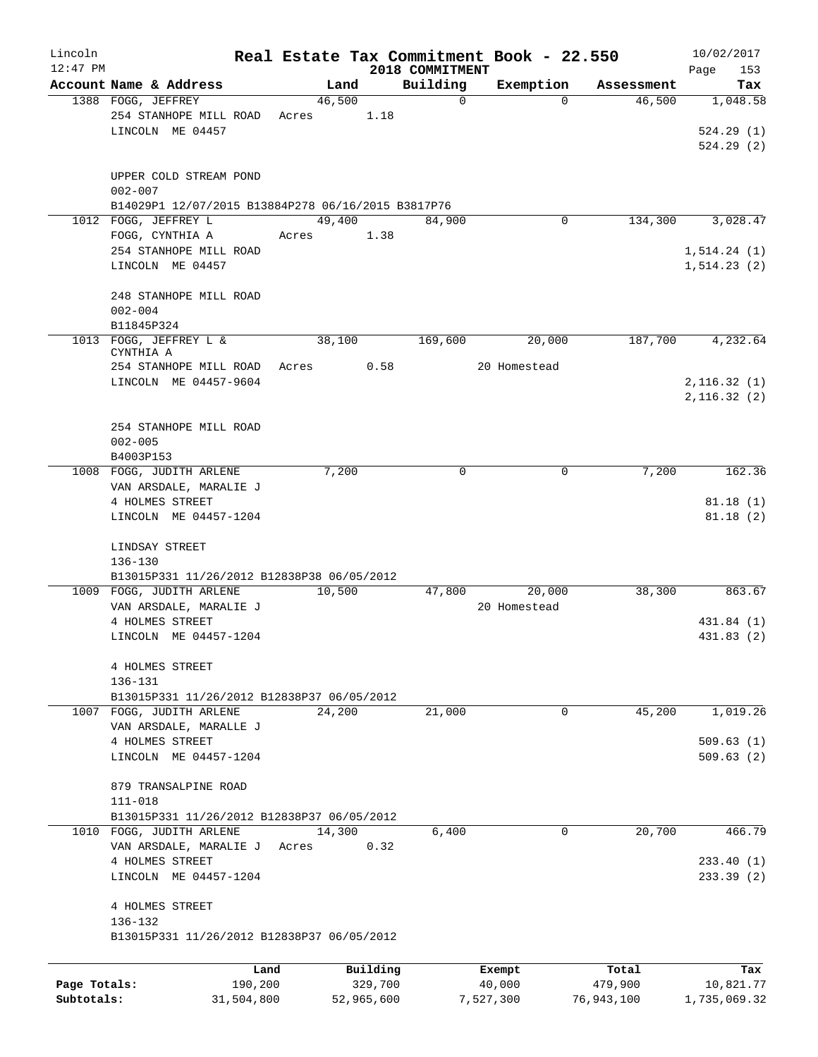| Lincoln      |                                                                        |            |        |            |                 | Real Estate Tax Commitment Book - 22.550 |            | 10/02/2017   |
|--------------|------------------------------------------------------------------------|------------|--------|------------|-----------------|------------------------------------------|------------|--------------|
| $12:47$ PM   |                                                                        |            |        |            | 2018 COMMITMENT |                                          |            | Page<br>153  |
|              | Account Name & Address                                                 |            | Land   |            | Building        | Exemption                                | Assessment | Tax          |
|              | 1388 FOGG, JEFFREY                                                     |            | 46,500 |            | $\mathbf 0$     | $\Omega$                                 | 46,500     | 1,048.58     |
|              | 254 STANHOPE MILL ROAD                                                 | Acres      |        | 1.18       |                 |                                          |            |              |
|              | LINCOLN ME 04457                                                       |            |        |            |                 |                                          |            | 524.29(1)    |
|              |                                                                        |            |        |            |                 |                                          |            | 524.29(2)    |
|              | UPPER COLD STREAM POND                                                 |            |        |            |                 |                                          |            |              |
|              | $002 - 007$                                                            |            |        |            |                 |                                          |            |              |
|              | B14029P1 12/07/2015 B13884P278 06/16/2015 B3817P76                     |            |        |            |                 |                                          |            |              |
|              | 1012 FOGG, JEFFREY L                                                   |            | 49,400 |            | 84,900          | 0                                        | 134,300    | 3,028.47     |
|              | FOGG, CYNTHIA A                                                        | Acres      |        | 1.38       |                 |                                          |            |              |
|              | 254 STANHOPE MILL ROAD                                                 |            |        |            |                 |                                          |            | 1, 514.24(1) |
|              | LINCOLN ME 04457                                                       |            |        |            |                 |                                          |            | 1, 514.23(2) |
|              |                                                                        |            |        |            |                 |                                          |            |              |
|              | 248 STANHOPE MILL ROAD                                                 |            |        |            |                 |                                          |            |              |
|              | $002 - 004$                                                            |            |        |            |                 |                                          |            |              |
|              | B11845P324                                                             |            |        |            |                 |                                          |            |              |
|              | 1013 FOGG, JEFFREY L &                                                 |            | 38,100 |            | 169,600         | 20,000                                   | 187,700    | 4,232.64     |
|              | CYNTHIA A<br>254 STANHOPE MILL ROAD                                    |            | Acres  | 0.58       |                 | 20 Homestead                             |            |              |
|              | LINCOLN ME 04457-9604                                                  |            |        |            |                 |                                          |            | 2, 116.32(1) |
|              |                                                                        |            |        |            |                 |                                          |            | 2,116.32(2)  |
|              |                                                                        |            |        |            |                 |                                          |            |              |
|              | 254 STANHOPE MILL ROAD                                                 |            |        |            |                 |                                          |            |              |
|              | $002 - 005$                                                            |            |        |            |                 |                                          |            |              |
|              | B4003P153                                                              |            |        |            |                 |                                          |            |              |
|              | 1008 FOGG, JUDITH ARLENE                                               |            | 7,200  |            | $\Omega$        | $\Omega$                                 | 7,200      | 162.36       |
|              | VAN ARSDALE, MARALIE J                                                 |            |        |            |                 |                                          |            |              |
|              | 4 HOLMES STREET                                                        |            |        |            |                 |                                          |            | 81.18(1)     |
|              | LINCOLN ME 04457-1204                                                  |            |        |            |                 |                                          |            | 81.18(2)     |
|              |                                                                        |            |        |            |                 |                                          |            |              |
|              | LINDSAY STREET                                                         |            |        |            |                 |                                          |            |              |
|              | $136 - 130$                                                            |            |        |            |                 |                                          |            |              |
|              | B13015P331 11/26/2012 B12838P38 06/05/2012<br>1009 FOGG, JUDITH ARLENE |            | 10,500 |            | 47,800          | 20,000                                   | 38,300     | 863.67       |
|              | VAN ARSDALE, MARALIE J                                                 |            |        |            |                 | 20 Homestead                             |            |              |
|              | 4 HOLMES STREET                                                        |            |        |            |                 |                                          |            | 431.84 (1)   |
|              | LINCOLN ME 04457-1204                                                  |            |        |            |                 |                                          |            | 431.83 (2)   |
|              |                                                                        |            |        |            |                 |                                          |            |              |
|              | 4 HOLMES STREET                                                        |            |        |            |                 |                                          |            |              |
|              | 136-131                                                                |            |        |            |                 |                                          |            |              |
|              | B13015P331 11/26/2012 B12838P37 06/05/2012                             |            |        |            |                 |                                          |            |              |
|              | 1007 FOGG, JUDITH ARLENE                                               |            | 24,200 |            | 21,000          | 0                                        | 45,200     | 1,019.26     |
|              | VAN ARSDALE, MARALLE J                                                 |            |        |            |                 |                                          |            |              |
|              | 4 HOLMES STREET                                                        |            |        |            |                 |                                          |            | 509.63(1)    |
|              | LINCOLN ME 04457-1204                                                  |            |        |            |                 |                                          |            | 509.63(2)    |
|              |                                                                        |            |        |            |                 |                                          |            |              |
|              | 879 TRANSALPINE ROAD<br>$111 - 018$                                    |            |        |            |                 |                                          |            |              |
|              | B13015P331 11/26/2012 B12838P37 06/05/2012                             |            |        |            |                 |                                          |            |              |
|              | 1010 FOGG, JUDITH ARLENE                                               |            | 14,300 |            | 6,400           | 0                                        | 20,700     | 466.79       |
|              | VAN ARSDALE, MARALIE J                                                 | Acres      |        | 0.32       |                 |                                          |            |              |
|              | 4 HOLMES STREET                                                        |            |        |            |                 |                                          |            | 233.40(1)    |
|              | LINCOLN ME 04457-1204                                                  |            |        |            |                 |                                          |            | 233.39(2)    |
|              |                                                                        |            |        |            |                 |                                          |            |              |
|              | 4 HOLMES STREET                                                        |            |        |            |                 |                                          |            |              |
|              | 136-132                                                                |            |        |            |                 |                                          |            |              |
|              | B13015P331 11/26/2012 B12838P37 06/05/2012                             |            |        |            |                 |                                          |            |              |
|              |                                                                        | Land       |        | Building   |                 | Exempt                                   | Total      | Tax          |
| Page Totals: |                                                                        | 190,200    |        | 329,700    |                 | 40,000                                   | 479,900    | 10,821.77    |
| Subtotals:   |                                                                        | 31,504,800 |        | 52,965,600 |                 | 7,527,300                                | 76,943,100 | 1,735,069.32 |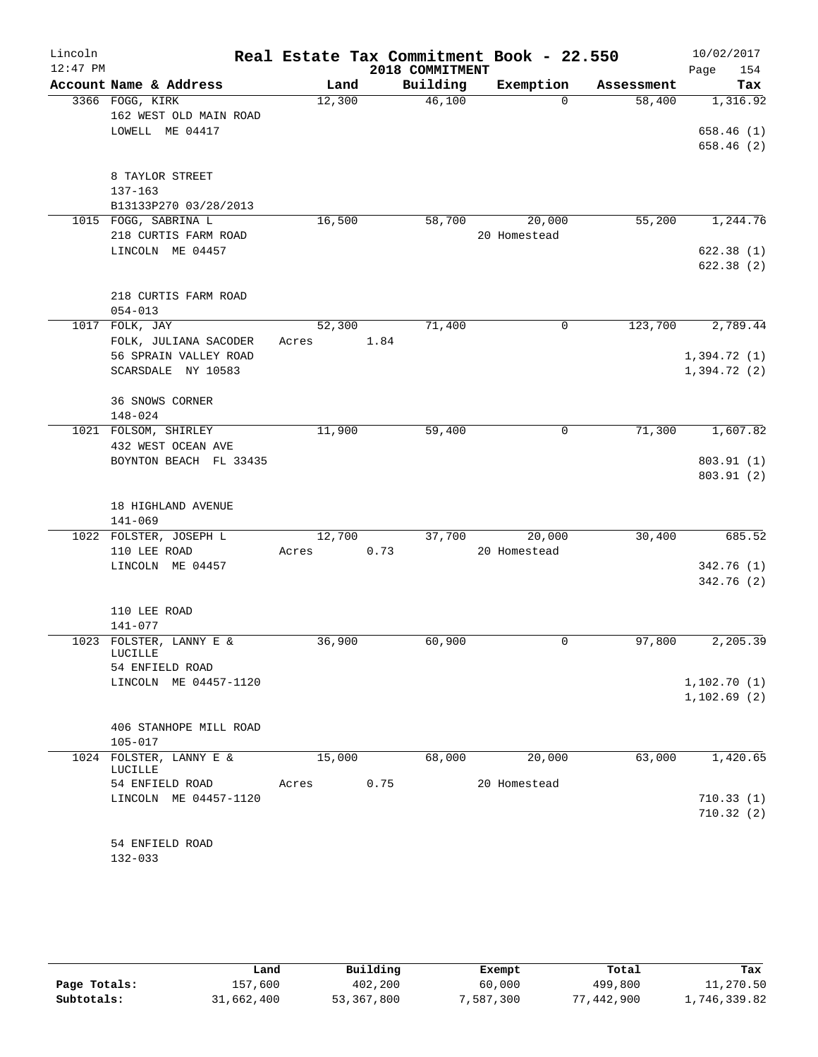| Lincoln    |                                                |        |      |                 | Real Estate Tax Commitment Book - 22.550 |            | 10/02/2017   |
|------------|------------------------------------------------|--------|------|-----------------|------------------------------------------|------------|--------------|
| $12:47$ PM |                                                |        |      | 2018 COMMITMENT |                                          |            | 154<br>Page  |
|            | Account Name & Address                         | Land   |      | Building        | Exemption                                | Assessment | Tax          |
|            | 3366 FOGG, KIRK                                | 12,300 |      | 46,100          | $\Omega$                                 | 58,400     | 1,316.92     |
|            | 162 WEST OLD MAIN ROAD                         |        |      |                 |                                          |            |              |
|            | LOWELL ME 04417                                |        |      |                 |                                          |            | 658.46(1)    |
|            |                                                |        |      |                 |                                          |            | 658.46(2)    |
|            | 8 TAYLOR STREET                                |        |      |                 |                                          |            |              |
|            | $137 - 163$                                    |        |      |                 |                                          |            |              |
|            | B13133P270 03/28/2013                          |        |      |                 |                                          |            |              |
|            | 1015 FOGG, SABRINA L                           | 16,500 |      | 58,700          | 20,000                                   | 55,200     | 1,244.76     |
|            | 218 CURTIS FARM ROAD                           |        |      |                 | 20 Homestead                             |            |              |
|            | LINCOLN ME 04457                               |        |      |                 |                                          |            | 622.38(1)    |
|            |                                                |        |      |                 |                                          |            | 622.38(2)    |
|            |                                                |        |      |                 |                                          |            |              |
|            | 218 CURTIS FARM ROAD                           |        |      |                 |                                          |            |              |
|            | $054 - 013$                                    |        |      |                 |                                          |            |              |
|            | 1017 FOLK, JAY                                 | 52,300 |      | 71,400          | 0                                        | 123,700    | 2,789.44     |
|            | FOLK, JULIANA SACODER<br>56 SPRAIN VALLEY ROAD | Acres  | 1.84 |                 |                                          |            | 1,394.72(1)  |
|            | SCARSDALE NY 10583                             |        |      |                 |                                          |            | 1,394.72 (2) |
|            |                                                |        |      |                 |                                          |            |              |
|            | 36 SNOWS CORNER                                |        |      |                 |                                          |            |              |
|            | 148-024                                        |        |      |                 |                                          |            |              |
|            | 1021 FOLSOM, SHIRLEY                           | 11,900 |      | 59,400          | 0                                        | 71,300     | 1,607.82     |
|            | 432 WEST OCEAN AVE                             |        |      |                 |                                          |            |              |
|            | BOYNTON BEACH FL 33435                         |        |      |                 |                                          |            | 803.91 (1)   |
|            |                                                |        |      |                 |                                          |            | 803.91 (2)   |
|            |                                                |        |      |                 |                                          |            |              |
|            | 18 HIGHLAND AVENUE<br>$141 - 069$              |        |      |                 |                                          |            |              |
|            | 1022 FOLSTER, JOSEPH L                         | 12,700 |      | 37,700          | 20,000                                   | 30,400     | 685.52       |
|            | 110 LEE ROAD                                   | Acres  | 0.73 |                 | 20 Homestead                             |            |              |
|            | LINCOLN ME 04457                               |        |      |                 |                                          |            | 342.76(1)    |
|            |                                                |        |      |                 |                                          |            | 342.76(2)    |
|            |                                                |        |      |                 |                                          |            |              |
|            | 110 LEE ROAD                                   |        |      |                 |                                          |            |              |
|            | 141-077                                        |        |      |                 |                                          |            |              |
|            | 1023 FOLSTER, LANNY E &<br>LUCILLE             | 36,900 |      | 60,900          | 0                                        | 97,800     | 2,205.39     |
|            | 54 ENFIELD ROAD                                |        |      |                 |                                          |            |              |
|            | LINCOLN ME 04457-1120                          |        |      |                 |                                          |            | 1,102.70(1)  |
|            |                                                |        |      |                 |                                          |            | 1,102.69(2)  |
|            |                                                |        |      |                 |                                          |            |              |
|            | 406 STANHOPE MILL ROAD                         |        |      |                 |                                          |            |              |
|            | $105 - 017$                                    |        |      |                 |                                          |            |              |
|            | 1024 FOLSTER, LANNY E &<br>LUCILLE             | 15,000 |      | 68,000          | 20,000                                   | 63,000     | 1,420.65     |
|            | 54 ENFIELD ROAD                                | Acres  | 0.75 |                 | 20 Homestead                             |            |              |
|            | LINCOLN ME 04457-1120                          |        |      |                 |                                          |            | 710.33(1)    |
|            |                                                |        |      |                 |                                          |            | 710.32(2)    |
|            |                                                |        |      |                 |                                          |            |              |
|            | 54 ENFIELD ROAD                                |        |      |                 |                                          |            |              |
|            |                                                |        |      |                 |                                          |            |              |

132-033

|              | Land       | Building   | Exempt    | Total           | Tax          |
|--------------|------------|------------|-----------|-----------------|--------------|
| Page Totals: | 157,600    | 402,200    | 60,000    | 499,800         | 11,270.50    |
| Subtotals:   | 31,662,400 | 53,367,800 | 7,587,300 | 442,900 "<br>77 | .,746,339.82 |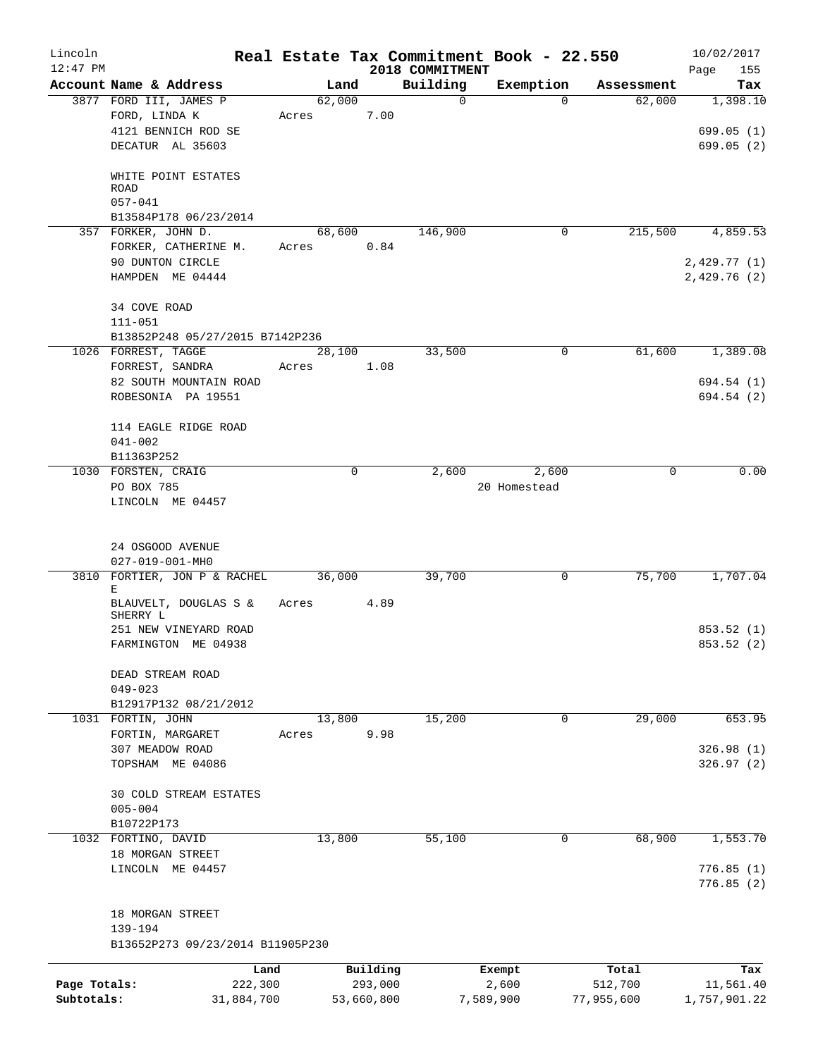| Lincoln      |                                                  |                 |                |                     |                         | Real Estate Tax Commitment Book - 22.550 |                      | 10/02/2017       |
|--------------|--------------------------------------------------|-----------------|----------------|---------------------|-------------------------|------------------------------------------|----------------------|------------------|
| $12:47$ PM   |                                                  |                 |                |                     | 2018 COMMITMENT         |                                          |                      | Page<br>155      |
|              | Account Name & Address<br>3877 FORD III, JAMES P |                 | Land<br>62,000 |                     | Building<br>$\mathbf 0$ | Exemption<br>$\Omega$                    | Assessment<br>62,000 | Tax<br>1,398.10  |
|              | FORD, LINDA K                                    | Acres           |                | 7.00                |                         |                                          |                      |                  |
|              | 4121 BENNICH ROD SE                              |                 |                |                     |                         |                                          |                      | 699.05(1)        |
|              | DECATUR AL 35603                                 |                 |                |                     |                         |                                          |                      | 699.05(2)        |
|              |                                                  |                 |                |                     |                         |                                          |                      |                  |
|              | WHITE POINT ESTATES                              |                 |                |                     |                         |                                          |                      |                  |
|              | <b>ROAD</b>                                      |                 |                |                     |                         |                                          |                      |                  |
|              | $057 - 041$                                      |                 |                |                     |                         |                                          |                      |                  |
|              | B13584P178 06/23/2014<br>357 FORKER, JOHN D.     |                 | 68,600         |                     | 146,900                 | 0                                        | 215,500              | 4,859.53         |
|              | FORKER, CATHERINE M.                             |                 | Acres          | 0.84                |                         |                                          |                      |                  |
|              | 90 DUNTON CIRCLE                                 |                 |                |                     |                         |                                          |                      | 2,429.77 (1)     |
|              | HAMPDEN ME 04444                                 |                 |                |                     |                         |                                          |                      | 2,429.76(2)      |
|              |                                                  |                 |                |                     |                         |                                          |                      |                  |
|              | 34 COVE ROAD                                     |                 |                |                     |                         |                                          |                      |                  |
|              | $111 - 051$                                      |                 |                |                     |                         |                                          |                      |                  |
|              | B13852P248 05/27/2015 B7142P236                  |                 |                |                     |                         |                                          |                      |                  |
|              | 1026 FORREST, TAGGE                              |                 | 28,100         |                     | 33,500                  | 0                                        | 61,600               | 1,389.08         |
|              | FORREST, SANDRA<br>82 SOUTH MOUNTAIN ROAD        | Acres           |                | 1.08                |                         |                                          |                      | 694.54 (1)       |
|              | ROBESONIA PA 19551                               |                 |                |                     |                         |                                          |                      | 694.54 (2)       |
|              |                                                  |                 |                |                     |                         |                                          |                      |                  |
|              | 114 EAGLE RIDGE ROAD                             |                 |                |                     |                         |                                          |                      |                  |
|              | $041 - 002$                                      |                 |                |                     |                         |                                          |                      |                  |
|              | B11363P252                                       |                 |                |                     |                         |                                          |                      |                  |
|              | 1030 FORSTEN, CRAIG                              |                 | $\Omega$       |                     | 2,600                   | 2,600                                    | $\Omega$             | 0.00             |
|              | PO BOX 785                                       |                 |                |                     |                         | 20 Homestead                             |                      |                  |
|              | LINCOLN ME 04457                                 |                 |                |                     |                         |                                          |                      |                  |
|              |                                                  |                 |                |                     |                         |                                          |                      |                  |
|              | 24 OSGOOD AVENUE                                 |                 |                |                     |                         |                                          |                      |                  |
|              | $027 - 019 - 001 - MHO$                          |                 |                |                     |                         |                                          |                      |                  |
|              | 3810 FORTIER, JON P & RACHEL                     |                 | 36,000         |                     | 39,700                  | 0                                        | 75,700               | 1,707.04         |
|              | Е<br>BLAUVELT, DOUGLAS S &                       | Acres           |                | 4.89                |                         |                                          |                      |                  |
|              | SHERRY L                                         |                 |                |                     |                         |                                          |                      |                  |
|              | 251 NEW VINEYARD ROAD                            |                 |                |                     |                         |                                          |                      | 853.52 (1)       |
|              | FARMINGTON ME 04938                              |                 |                |                     |                         |                                          |                      | 853.52 (2)       |
|              |                                                  |                 |                |                     |                         |                                          |                      |                  |
|              | DEAD STREAM ROAD                                 |                 |                |                     |                         |                                          |                      |                  |
|              | $049 - 023$                                      |                 |                |                     |                         |                                          |                      |                  |
|              | B12917P132 08/21/2012<br>1031 FORTIN, JOHN       |                 | 13,800         |                     | 15,200                  | 0                                        | 29,000               | 653.95           |
|              | FORTIN, MARGARET                                 | Acres           |                | 9.98                |                         |                                          |                      |                  |
|              | 307 MEADOW ROAD                                  |                 |                |                     |                         |                                          |                      | 326.98(1)        |
|              | TOPSHAM ME 04086                                 |                 |                |                     |                         |                                          |                      | 326.97(2)        |
|              |                                                  |                 |                |                     |                         |                                          |                      |                  |
|              | 30 COLD STREAM ESTATES                           |                 |                |                     |                         |                                          |                      |                  |
|              | $005 - 004$                                      |                 |                |                     |                         |                                          |                      |                  |
|              | B10722P173<br>1032 FORTINO, DAVID                |                 |                |                     |                         | 0                                        |                      |                  |
|              | 18 MORGAN STREET                                 |                 | 13,800         |                     | 55,100                  |                                          | 68,900               | 1,553.70         |
|              | LINCOLN ME 04457                                 |                 |                |                     |                         |                                          |                      | 776.85(1)        |
|              |                                                  |                 |                |                     |                         |                                          |                      | 776.85(2)        |
|              |                                                  |                 |                |                     |                         |                                          |                      |                  |
|              | 18 MORGAN STREET                                 |                 |                |                     |                         |                                          |                      |                  |
|              | 139-194<br>B13652P273 09/23/2014 B11905P230      |                 |                |                     |                         |                                          |                      |                  |
|              |                                                  |                 |                |                     |                         |                                          |                      |                  |
| Page Totals: |                                                  | Land<br>222,300 |                | Building<br>293,000 |                         | Exempt<br>2,600                          | Total<br>512,700     | Tax<br>11,561.40 |
| Subtotals:   | 31,884,700                                       |                 |                | 53,660,800          |                         | 7,589,900                                | 77,955,600           | 1,757,901.22     |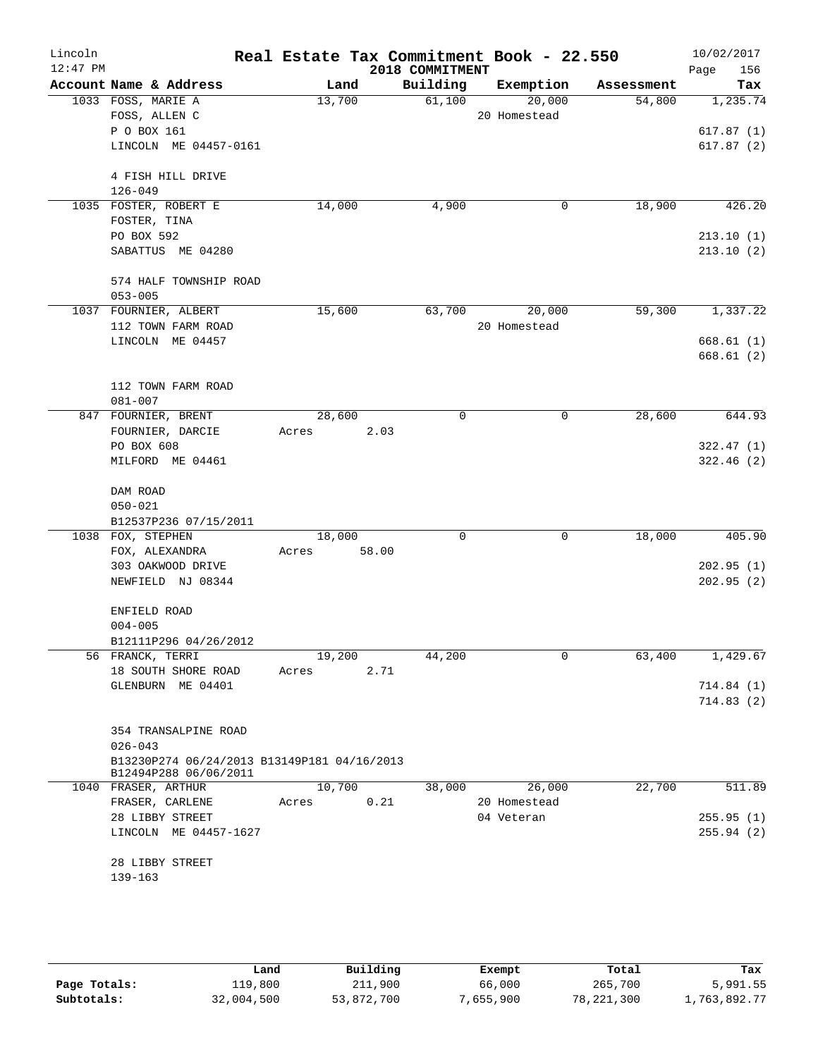| Lincoln<br>$12:47$ PM |                                                            | Real Estate Tax Commitment Book - 22.550 | 2018 COMMITMENT |              |            | 10/02/2017<br>156<br>Page |
|-----------------------|------------------------------------------------------------|------------------------------------------|-----------------|--------------|------------|---------------------------|
|                       | Account Name & Address                                     | Land                                     | Building        | Exemption    | Assessment | Tax                       |
|                       | 1033 FOSS, MARIE A                                         | 13,700                                   | 61,100          | 20,000       | 54,800     | 1,235.74                  |
|                       | FOSS, ALLEN C                                              |                                          |                 | 20 Homestead |            |                           |
|                       | P O BOX 161<br>LINCOLN ME 04457-0161                       |                                          |                 |              |            | 617.87(1)<br>617.87(2)    |
|                       |                                                            |                                          |                 |              |            |                           |
|                       | 4 FISH HILL DRIVE                                          |                                          |                 |              |            |                           |
|                       | $126 - 049$                                                |                                          |                 |              |            |                           |
|                       | 1035 FOSTER, ROBERT E                                      | 14,000                                   | 4,900           | 0            | 18,900     | 426.20                    |
|                       | FOSTER, TINA                                               |                                          |                 |              |            |                           |
|                       | PO BOX 592                                                 |                                          |                 |              |            | 213.10(1)                 |
|                       | SABATTUS ME 04280                                          |                                          |                 |              |            | 213.10(2)                 |
|                       | 574 HALF TOWNSHIP ROAD                                     |                                          |                 |              |            |                           |
|                       | $053 - 005$                                                |                                          |                 |              |            |                           |
|                       | 1037 FOURNIER, ALBERT                                      | 15,600                                   | 63,700          | 20,000       | 59,300     | 1,337.22                  |
|                       | 112 TOWN FARM ROAD                                         |                                          |                 | 20 Homestead |            |                           |
|                       | LINCOLN ME 04457                                           |                                          |                 |              |            | 668.61(1)                 |
|                       |                                                            |                                          |                 |              |            | 668.61 (2)                |
|                       |                                                            |                                          |                 |              |            |                           |
|                       | 112 TOWN FARM ROAD<br>$081 - 007$                          |                                          |                 |              |            |                           |
|                       | 847 FOURNIER, BRENT                                        | 28,600                                   | 0               | 0            | 28,600     | 644.93                    |
|                       | FOURNIER, DARCIE                                           | Acres<br>2.03                            |                 |              |            |                           |
|                       | PO BOX 608                                                 |                                          |                 |              |            | 322.47(1)                 |
|                       | MILFORD ME 04461                                           |                                          |                 |              |            | 322.46(2)                 |
|                       |                                                            |                                          |                 |              |            |                           |
|                       | DAM ROAD                                                   |                                          |                 |              |            |                           |
|                       | $050 - 021$<br>B12537P236 07/15/2011                       |                                          |                 |              |            |                           |
|                       | 1038 FOX, STEPHEN                                          | 18,000                                   | $\mathbf 0$     | $\mathbf 0$  | 18,000     | 405.90                    |
|                       | FOX, ALEXANDRA                                             | 58.00<br>Acres                           |                 |              |            |                           |
|                       | 303 OAKWOOD DRIVE                                          |                                          |                 |              |            | 202.95(1)                 |
|                       | NEWFIELD NJ 08344                                          |                                          |                 |              |            | 202.95(2)                 |
|                       |                                                            |                                          |                 |              |            |                           |
|                       | ENFIELD ROAD                                               |                                          |                 |              |            |                           |
|                       | $004 - 005$                                                |                                          |                 |              |            |                           |
|                       | B12111P296 04/26/2012<br>56 FRANCK, TERRI                  | 19,200                                   | 44,200          | $\mathbf 0$  | 63,400     | 1,429.67                  |
|                       | 18 SOUTH SHORE ROAD                                        | 2.71<br>Acres                            |                 |              |            |                           |
|                       | GLENBURN ME 04401                                          |                                          |                 |              |            | 714.84(1)                 |
|                       |                                                            |                                          |                 |              |            | 714.83(2)                 |
|                       |                                                            |                                          |                 |              |            |                           |
|                       | 354 TRANSALPINE ROAD                                       |                                          |                 |              |            |                           |
|                       | $026 - 043$<br>B13230P274 06/24/2013 B13149P181 04/16/2013 |                                          |                 |              |            |                           |
|                       | B12494P288 06/06/2011                                      |                                          |                 |              |            |                           |
|                       | 1040 FRASER, ARTHUR                                        | 10,700                                   | 38,000          | 26,000       | 22,700     | 511.89                    |
|                       | FRASER, CARLENE                                            | 0.21<br>Acres                            |                 | 20 Homestead |            |                           |
|                       | 28 LIBBY STREET                                            |                                          |                 | 04 Veteran   |            | 255.95(1)                 |
|                       | LINCOLN ME 04457-1627                                      |                                          |                 |              |            | 255.94(2)                 |
|                       | 28 LIBBY STREET                                            |                                          |                 |              |            |                           |
|                       | 139-163                                                    |                                          |                 |              |            |                           |
|                       |                                                            |                                          |                 |              |            |                           |
|                       |                                                            |                                          |                 |              |            |                           |

|              | Land       | Building   | Exempt   | Total        | Tax          |
|--------------|------------|------------|----------|--------------|--------------|
| Page Totals: | ⊥19,800    | 211,900    | 66,000   | 265,700      | 5,991.55     |
| Subtotals:   | 32,004,500 | 53,872,700 | ,655,900 | 78, 221, 300 | 1,763,892.77 |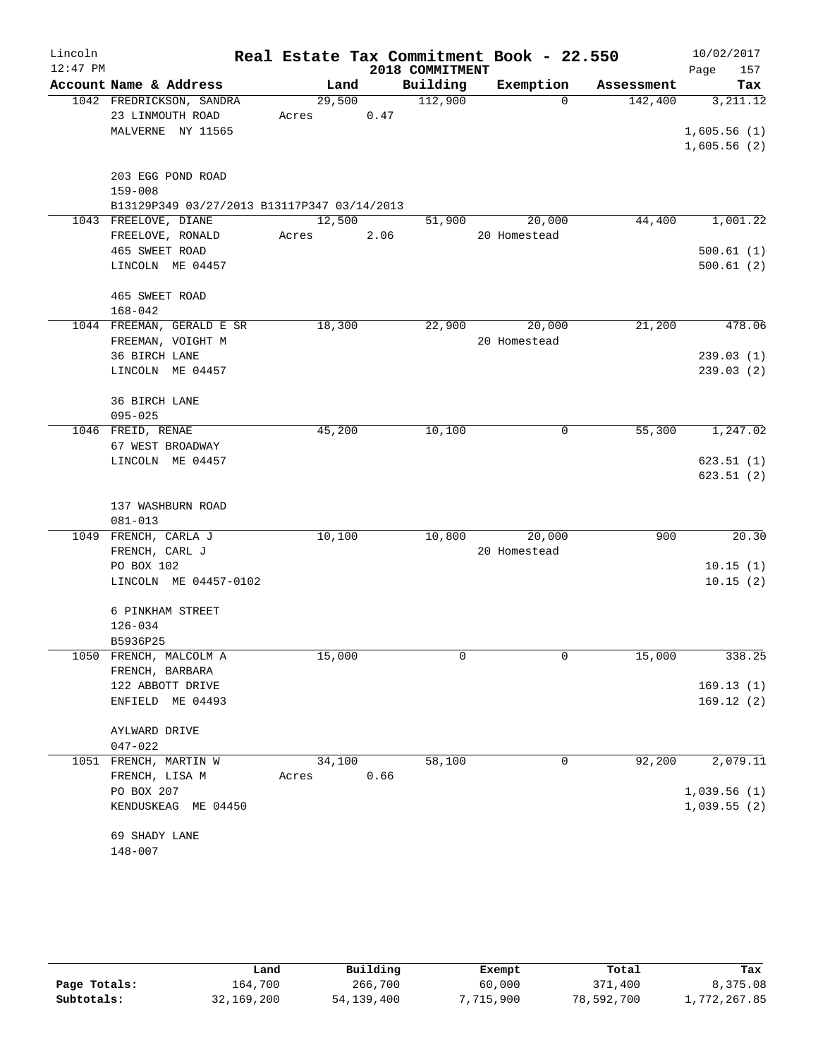| Lincoln    |                                                            |       |        |      | Real Estate Tax Commitment Book - 22.550 |              |            | 10/02/2017  |
|------------|------------------------------------------------------------|-------|--------|------|------------------------------------------|--------------|------------|-------------|
| $12:47$ PM |                                                            |       |        |      | 2018 COMMITMENT                          |              |            | 157<br>Page |
|            | Account Name & Address                                     |       | Land   |      | Building                                 | Exemption    | Assessment | Tax         |
|            | 1042 FREDRICKSON, SANDRA                                   |       | 29,500 |      | 112,900                                  | $\Omega$     | 142,400    | 3,211.12    |
|            | 23 LINMOUTH ROAD                                           | Acres |        | 0.47 |                                          |              |            |             |
|            | MALVERNE NY 11565                                          |       |        |      |                                          |              |            | 1,605.56(1) |
|            |                                                            |       |        |      |                                          |              |            | 1,605.56(2) |
|            |                                                            |       |        |      |                                          |              |            |             |
|            | 203 EGG POND ROAD                                          |       |        |      |                                          |              |            |             |
|            | $159 - 008$<br>B13129P349 03/27/2013 B13117P347 03/14/2013 |       |        |      |                                          |              |            |             |
|            | 1043 FREELOVE, DIANE                                       |       | 12,500 |      | 51,900                                   | 20,000       | 44,400     | 1,001.22    |
|            | FREELOVE, RONALD                                           | Acres |        | 2.06 |                                          | 20 Homestead |            |             |
|            | 465 SWEET ROAD                                             |       |        |      |                                          |              |            | 500.61(1)   |
|            | LINCOLN ME 04457                                           |       |        |      |                                          |              |            | 500.61(2)   |
|            |                                                            |       |        |      |                                          |              |            |             |
|            | 465 SWEET ROAD                                             |       |        |      |                                          |              |            |             |
|            | $168 - 042$                                                |       |        |      |                                          |              |            |             |
|            | 1044 FREEMAN, GERALD E SR                                  |       | 18,300 |      | 22,900                                   | 20,000       | 21,200     | 478.06      |
|            | FREEMAN, VOIGHT M                                          |       |        |      |                                          | 20 Homestead |            |             |
|            | 36 BIRCH LANE                                              |       |        |      |                                          |              |            | 239.03(1)   |
|            | LINCOLN ME 04457                                           |       |        |      |                                          |              |            | 239.03(2)   |
|            |                                                            |       |        |      |                                          |              |            |             |
|            | 36 BIRCH LANE                                              |       |        |      |                                          |              |            |             |
|            | $095 - 025$                                                |       |        |      |                                          |              |            |             |
|            | 1046 FREID, RENAE                                          |       | 45,200 |      | 10,100                                   | 0            | 55,300     | 1,247.02    |
|            | 67 WEST BROADWAY                                           |       |        |      |                                          |              |            |             |
|            | LINCOLN ME 04457                                           |       |        |      |                                          |              |            | 623.51(1)   |
|            |                                                            |       |        |      |                                          |              |            | 623.51(2)   |
|            | 137 WASHBURN ROAD                                          |       |        |      |                                          |              |            |             |
|            | $081 - 013$                                                |       |        |      |                                          |              |            |             |
|            | 1049 FRENCH, CARLA J                                       |       | 10,100 |      | 10,800                                   | 20,000       | 900        | 20.30       |
|            | FRENCH, CARL J                                             |       |        |      |                                          | 20 Homestead |            |             |
|            | PO BOX 102                                                 |       |        |      |                                          |              |            | 10.15(1)    |
|            | LINCOLN ME 04457-0102                                      |       |        |      |                                          |              |            | 10.15(2)    |
|            |                                                            |       |        |      |                                          |              |            |             |
|            | 6 PINKHAM STREET                                           |       |        |      |                                          |              |            |             |
|            | $126 - 034$                                                |       |        |      |                                          |              |            |             |
|            | B5936P25                                                   |       |        |      |                                          |              |            |             |
|            | 1050 FRENCH, MALCOLM A                                     |       | 15,000 |      | 0                                        | $\mathbf 0$  | 15,000     | 338.25      |
|            | FRENCH, BARBARA                                            |       |        |      |                                          |              |            |             |
|            | 122 ABBOTT DRIVE                                           |       |        |      |                                          |              |            | 169.13(1)   |
|            | ENFIELD ME 04493                                           |       |        |      |                                          |              |            | 169.12(2)   |
|            |                                                            |       |        |      |                                          |              |            |             |
|            | AYLWARD DRIVE                                              |       |        |      |                                          |              |            |             |
|            | $047 - 022$<br>1051 FRENCH, MARTIN W                       |       | 34,100 |      | 58,100                                   | 0            | 92,200     | 2,079.11    |
|            | FRENCH, LISA M                                             | Acres |        | 0.66 |                                          |              |            |             |
|            | PO BOX 207                                                 |       |        |      |                                          |              |            | 1,039.56(1) |
|            | KENDUSKEAG ME 04450                                        |       |        |      |                                          |              |            | 1,039.55(2) |
|            |                                                            |       |        |      |                                          |              |            |             |
|            | 69 SHADY LANE                                              |       |        |      |                                          |              |            |             |
|            | $148 - 007$                                                |       |        |      |                                          |              |            |             |

|              | Land       | Building     | Exempt    | Total      | Tax          |
|--------------|------------|--------------|-----------|------------|--------------|
| Page Totals: | 164,700    | 266,700      | 60,000    | 371,400    | 8,375.08     |
| Subtotals:   | 32,169,200 | 54, 139, 400 | 7,715,900 | 78,592,700 | 1,772,267.85 |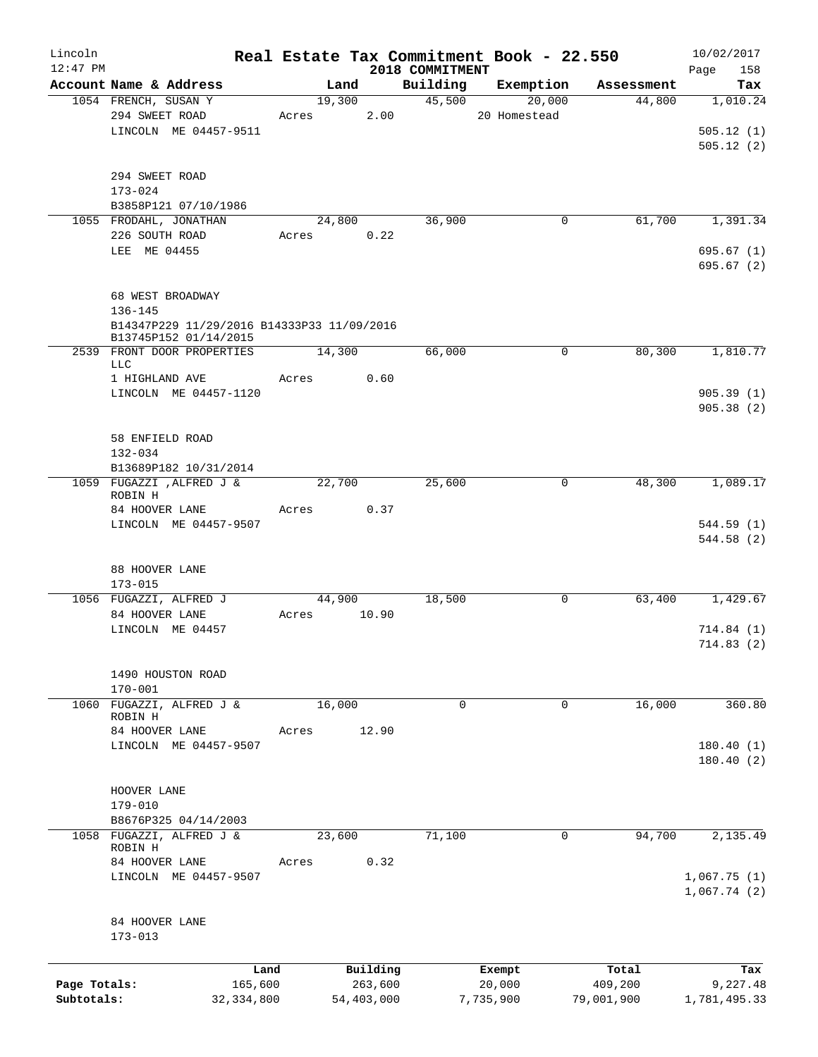| Lincoln      |                                                |              |        |              |                    | Real Estate Tax Commitment Book - 22.550 |                      | 10/02/2017      |
|--------------|------------------------------------------------|--------------|--------|--------------|--------------------|------------------------------------------|----------------------|-----------------|
| $12:47$ PM   |                                                |              |        |              | 2018 COMMITMENT    |                                          |                      | 158<br>Page     |
|              | Account Name & Address<br>1054 FRENCH, SUSAN Y |              | 19,300 | Land         | Building<br>45,500 | Exemption<br>20,000                      | Assessment<br>44,800 | Tax<br>1,010.24 |
|              | 294 SWEET ROAD                                 |              | Acres  | 2.00         |                    | 20 Homestead                             |                      |                 |
|              | LINCOLN ME 04457-9511                          |              |        |              |                    |                                          |                      | 505.12(1)       |
|              |                                                |              |        |              |                    |                                          |                      | 505.12(2)       |
|              |                                                |              |        |              |                    |                                          |                      |                 |
|              | 294 SWEET ROAD                                 |              |        |              |                    |                                          |                      |                 |
|              | $173 - 024$                                    |              |        |              |                    |                                          |                      |                 |
|              | B3858P121 07/10/1986                           |              |        |              |                    |                                          |                      |                 |
|              | 1055 FRODAHL, JONATHAN                         |              |        | 24,800       | 36,900             | $\mathbf 0$                              | 61,700               | 1,391.34        |
|              | 226 SOUTH ROAD                                 |              | Acres  | 0.22         |                    |                                          |                      |                 |
|              | LEE ME 04455                                   |              |        |              |                    |                                          |                      | 695.67 (1)      |
|              |                                                |              |        |              |                    |                                          |                      | 695.67 (2)      |
|              | 68 WEST BROADWAY                               |              |        |              |                    |                                          |                      |                 |
|              | $136 - 145$                                    |              |        |              |                    |                                          |                      |                 |
|              | B14347P229 11/29/2016 B14333P33 11/09/2016     |              |        |              |                    |                                          |                      |                 |
|              | B13745P152 01/14/2015                          |              |        |              |                    |                                          |                      |                 |
|              | 2539 FRONT DOOR PROPERTIES                     |              | 14,300 |              | 66,000             | $\mathbf 0$                              | 80,300               | 1,810.77        |
|              | LLC<br>1 HIGHLAND AVE                          |              | Acres  | 0.60         |                    |                                          |                      |                 |
|              | LINCOLN ME 04457-1120                          |              |        |              |                    |                                          |                      | 905.39(1)       |
|              |                                                |              |        |              |                    |                                          |                      | 905.38(2)       |
|              |                                                |              |        |              |                    |                                          |                      |                 |
|              | 58 ENFIELD ROAD                                |              |        |              |                    |                                          |                      |                 |
|              | $132 - 034$                                    |              |        |              |                    |                                          |                      |                 |
|              | B13689P182 10/31/2014                          |              |        |              |                    |                                          |                      |                 |
|              | 1059 FUGAZZI , ALFRED J &                      |              | 22,700 |              | 25,600             | $\mathbf 0$                              | 48,300               | 1,089.17        |
|              | ROBIN H                                        |              |        | 0.37         |                    |                                          |                      |                 |
|              | 84 HOOVER LANE<br>LINCOLN ME 04457-9507        |              | Acres  |              |                    |                                          |                      | 544.59 (1)      |
|              |                                                |              |        |              |                    |                                          |                      | 544.58 (2)      |
|              |                                                |              |        |              |                    |                                          |                      |                 |
|              | 88 HOOVER LANE                                 |              |        |              |                    |                                          |                      |                 |
|              | $173 - 015$                                    |              |        |              |                    |                                          |                      |                 |
|              | 1056 FUGAZZI, ALFRED J                         |              | 44,900 |              | 18,500             | $\mathbf 0$                              | 63,400               | 1,429.67        |
|              | 84 HOOVER LANE                                 |              | Acres  | 10.90        |                    |                                          |                      |                 |
|              | LINCOLN ME 04457                               |              |        |              |                    |                                          |                      | 714.84(1)       |
|              |                                                |              |        |              |                    |                                          |                      | 714.83 (2)      |
|              | 1490 HOUSTON ROAD                              |              |        |              |                    |                                          |                      |                 |
|              | $170 - 001$                                    |              |        |              |                    |                                          |                      |                 |
|              | 1060 FUGAZZI, ALFRED J &                       |              | 16,000 |              | $\mathbf 0$        | $\Omega$                                 | 16,000               | 360.80          |
|              | ROBIN H                                        |              |        |              |                    |                                          |                      |                 |
|              | 84 HOOVER LANE                                 |              | Acres  | 12.90        |                    |                                          |                      |                 |
|              | LINCOLN ME 04457-9507                          |              |        |              |                    |                                          |                      | 180.40(1)       |
|              |                                                |              |        |              |                    |                                          |                      | 180.40(2)       |
|              | HOOVER LANE                                    |              |        |              |                    |                                          |                      |                 |
|              | $179 - 010$                                    |              |        |              |                    |                                          |                      |                 |
|              | B8676P325 04/14/2003                           |              |        |              |                    |                                          |                      |                 |
|              | 1058 FUGAZZI, ALFRED J &                       |              | 23,600 |              | 71,100             | $\mathbf 0$                              | 94,700               | 2,135.49        |
|              | ROBIN H                                        |              |        |              |                    |                                          |                      |                 |
|              | 84 HOOVER LANE                                 |              | Acres  | 0.32         |                    |                                          |                      |                 |
|              | LINCOLN ME 04457-9507                          |              |        |              |                    |                                          |                      | 1,067.75(1)     |
|              |                                                |              |        |              |                    |                                          |                      | 1,067.74(2)     |
|              | 84 HOOVER LANE                                 |              |        |              |                    |                                          |                      |                 |
|              | $173 - 013$                                    |              |        |              |                    |                                          |                      |                 |
|              |                                                |              |        |              |                    |                                          |                      |                 |
|              |                                                | Land         |        | Building     |                    | Exempt                                   | Total                | Tax             |
| Page Totals: |                                                | 165,600      |        | 263,600      |                    | 20,000                                   | 409,200              | 9,227.48        |
| Subtotals:   |                                                | 32, 334, 800 |        | 54, 403, 000 |                    | 7,735,900                                | 79,001,900           | 1,781,495.33    |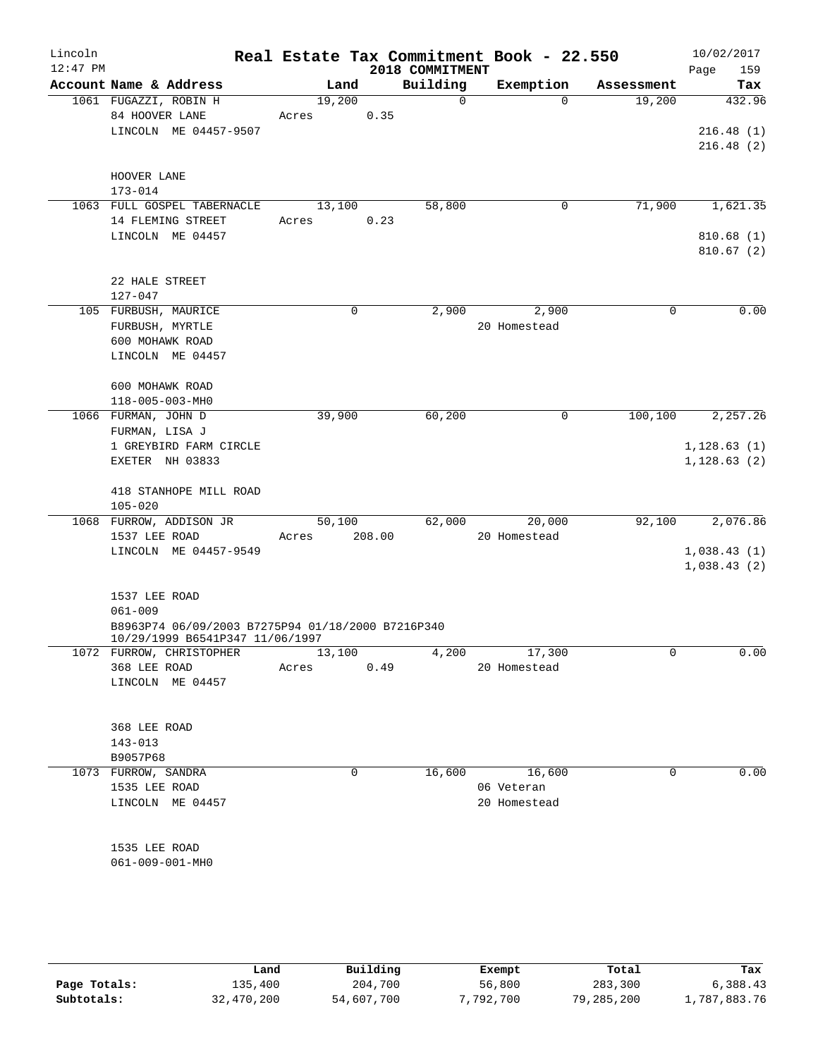| Lincoln<br>$12:47$ PM |                                                                                      |        |             | 2018 COMMITMENT | Real Estate Tax Commitment Book - 22.550 |            | 10/02/2017<br>Page<br>159 |
|-----------------------|--------------------------------------------------------------------------------------|--------|-------------|-----------------|------------------------------------------|------------|---------------------------|
|                       | Account Name & Address                                                               | Land   |             | Building        | Exemption                                | Assessment | Tax                       |
|                       | 1061 FUGAZZI, ROBIN H                                                                | 19,200 |             | $\Omega$        | $\Omega$                                 | 19,200     | 432.96                    |
|                       | 84 HOOVER LANE                                                                       | Acres  | 0.35        |                 |                                          |            |                           |
|                       | LINCOLN ME 04457-9507                                                                |        |             |                 |                                          |            | 216.48(1)                 |
|                       |                                                                                      |        |             |                 |                                          |            | 216.48(2)                 |
|                       | HOOVER LANE                                                                          |        |             |                 |                                          |            |                           |
|                       | $173 - 014$                                                                          |        |             |                 |                                          |            |                           |
|                       | 1063 FULL GOSPEL TABERNACLE                                                          | 13,100 |             | 58,800          | 0                                        | 71,900     | 1,621.35                  |
|                       | 14 FLEMING STREET                                                                    | Acres  | 0.23        |                 |                                          |            |                           |
|                       | LINCOLN ME 04457                                                                     |        |             |                 |                                          |            | 810.68(1)                 |
|                       |                                                                                      |        |             |                 |                                          |            | 810.67(2)                 |
|                       | 22 HALE STREET                                                                       |        |             |                 |                                          |            |                           |
|                       | $127 - 047$                                                                          |        |             |                 |                                          |            |                           |
|                       | 105 FURBUSH, MAURICE                                                                 |        | 0           | 2,900           | 2,900                                    | 0          | 0.00                      |
|                       | FURBUSH, MYRTLE                                                                      |        |             |                 | 20 Homestead                             |            |                           |
|                       | 600 MOHAWK ROAD                                                                      |        |             |                 |                                          |            |                           |
|                       | LINCOLN ME 04457                                                                     |        |             |                 |                                          |            |                           |
|                       |                                                                                      |        |             |                 |                                          |            |                           |
|                       | 600 MOHAWK ROAD<br>118-005-003-MH0                                                   |        |             |                 |                                          |            |                           |
|                       | 1066 FURMAN, JOHN D                                                                  | 39,900 |             | 60, 200         | 0                                        | 100,100    | 2,257.26                  |
|                       | FURMAN, LISA J                                                                       |        |             |                 |                                          |            |                           |
|                       | 1 GREYBIRD FARM CIRCLE                                                               |        |             |                 |                                          |            | 1, 128.63(1)              |
|                       | EXETER NH 03833                                                                      |        |             |                 |                                          |            | 1, 128.63(2)              |
|                       |                                                                                      |        |             |                 |                                          |            |                           |
|                       | 418 STANHOPE MILL ROAD                                                               |        |             |                 |                                          |            |                           |
|                       | $105 - 020$                                                                          |        |             |                 |                                          |            |                           |
|                       | 1068 FURROW, ADDISON JR                                                              | 50,100 |             | 62,000          | 20,000                                   | 92,100     | 2,076.86                  |
|                       | 1537 LEE ROAD                                                                        | Acres  | 208.00      |                 | 20 Homestead                             |            |                           |
|                       | LINCOLN ME 04457-9549                                                                |        |             |                 |                                          |            | 1,038.43(1)               |
|                       |                                                                                      |        |             |                 |                                          |            | 1,038.43(2)               |
|                       | 1537 LEE ROAD                                                                        |        |             |                 |                                          |            |                           |
|                       | $061 - 009$                                                                          |        |             |                 |                                          |            |                           |
|                       | B8963P74 06/09/2003 B7275P94 01/18/2000 B7216P340<br>10/29/1999 B6541P347 11/06/1997 |        |             |                 |                                          |            |                           |
|                       | 1072 FURROW, CHRISTOPHER                                                             | 13,100 |             | 4,200           | 17,300                                   | 0          | 0.00                      |
|                       | 368 LEE ROAD                                                                         | Acres  | 0.49        |                 | 20 Homestead                             |            |                           |
|                       | LINCOLN ME 04457                                                                     |        |             |                 |                                          |            |                           |
|                       |                                                                                      |        |             |                 |                                          |            |                           |
|                       | 368 LEE ROAD                                                                         |        |             |                 |                                          |            |                           |
|                       | $143 - 013$                                                                          |        |             |                 |                                          |            |                           |
|                       | B9057P68                                                                             |        |             |                 |                                          |            |                           |
|                       | 1073 FURROW, SANDRA                                                                  |        | $\mathbf 0$ | 16,600          | 16,600                                   | 0          | 0.00                      |
|                       | 1535 LEE ROAD                                                                        |        |             |                 | 06 Veteran                               |            |                           |
|                       | LINCOLN ME 04457                                                                     |        |             |                 | 20 Homestead                             |            |                           |
|                       |                                                                                      |        |             |                 |                                          |            |                           |
|                       |                                                                                      |        |             |                 |                                          |            |                           |
|                       | 1535 LEE ROAD                                                                        |        |             |                 |                                          |            |                           |
|                       | 061-009-001-MH0                                                                      |        |             |                 |                                          |            |                           |
|                       |                                                                                      |        |             |                 |                                          |            |                           |
|                       |                                                                                      |        |             |                 |                                          |            |                           |
|                       |                                                                                      |        |             |                 |                                          |            |                           |

|              | Land       | Building   | Exempt    | Total      | Tax          |
|--------------|------------|------------|-----------|------------|--------------|
| Page Totals: | 135,400    | 204,700    | 56,800    | 283,300    | 6,388.43     |
| Subtotals:   | 32,470,200 | 54,607,700 | 7,792,700 | 79,285,200 | 1,787,883.76 |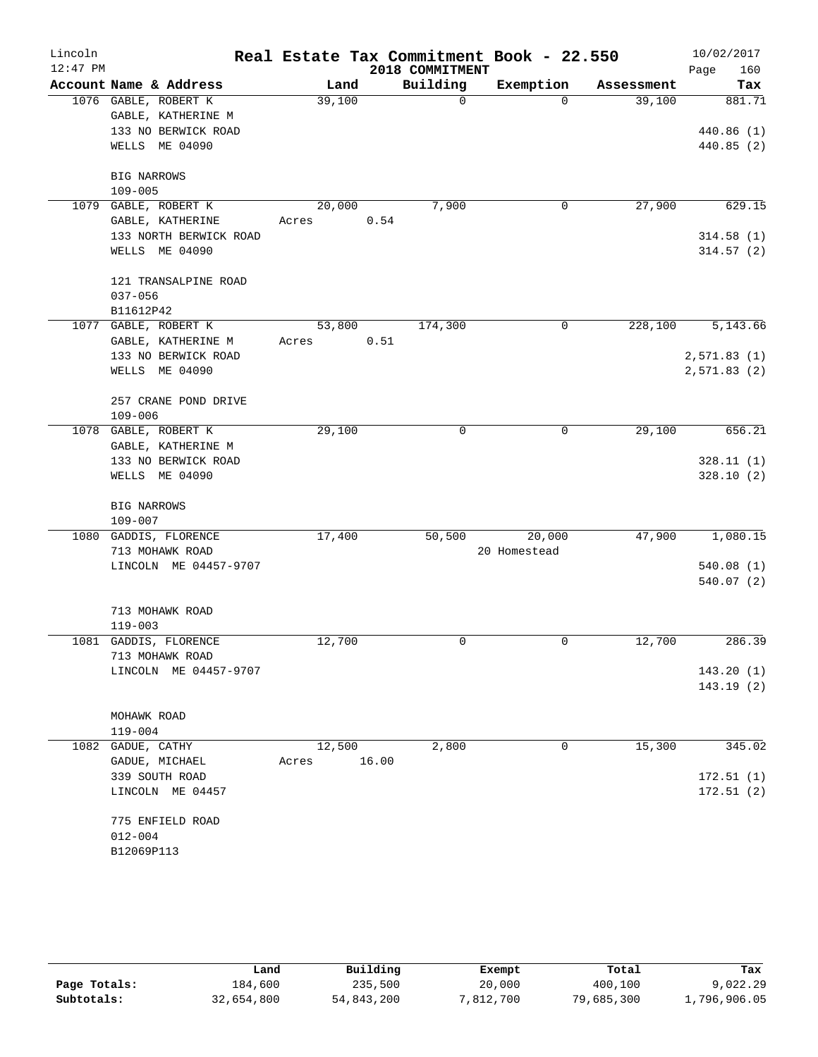| Lincoln    |                                   |        |       |                 | Real Estate Tax Commitment Book - 22.550 |            | 10/02/2017  |
|------------|-----------------------------------|--------|-------|-----------------|------------------------------------------|------------|-------------|
| $12:47$ PM |                                   |        |       | 2018 COMMITMENT |                                          |            | 160<br>Page |
|            | Account Name & Address            | Land   |       | Building        | Exemption                                | Assessment | Tax         |
|            | 1076 GABLE, ROBERT K              | 39,100 |       |                 | $\mathbf 0$<br>$\Omega$                  | 39,100     | 881.71      |
|            | GABLE, KATHERINE M                |        |       |                 |                                          |            |             |
|            | 133 NO BERWICK ROAD               |        |       |                 |                                          |            | 440.86 (1)  |
|            | WELLS ME 04090                    |        |       |                 |                                          |            | 440.85(2)   |
|            | <b>BIG NARROWS</b>                |        |       |                 |                                          |            |             |
|            | $109 - 005$                       |        |       |                 |                                          |            |             |
|            | 1079 GABLE, ROBERT K              | 20,000 |       | 7,900           | 0                                        | 27,900     | 629.15      |
|            | GABLE, KATHERINE                  | Acres  |       | 0.54            |                                          |            |             |
|            | 133 NORTH BERWICK ROAD            |        |       |                 |                                          |            | 314.58(1)   |
|            | WELLS ME 04090                    |        |       |                 |                                          |            | 314.57(2)   |
|            |                                   |        |       |                 |                                          |            |             |
|            | 121 TRANSALPINE ROAD              |        |       |                 |                                          |            |             |
|            | $037 - 056$                       |        |       |                 |                                          |            |             |
|            | B11612P42                         |        |       |                 |                                          |            |             |
|            | 1077 GABLE, ROBERT K              | 53,800 |       | 174,300         | 0                                        | 228,100    | 5,143.66    |
|            | GABLE, KATHERINE M                | Acres  |       | 0.51            |                                          |            |             |
|            | 133 NO BERWICK ROAD               |        |       |                 |                                          |            | 2,571.83(1) |
|            | WELLS ME 04090                    |        |       |                 |                                          |            | 2,571.83(2) |
|            |                                   |        |       |                 |                                          |            |             |
|            | 257 CRANE POND DRIVE              |        |       |                 |                                          |            |             |
|            | $109 - 006$                       |        |       |                 |                                          |            |             |
|            | 1078 GABLE, ROBERT K              | 29,100 |       |                 | $\mathbf 0$<br>0                         | 29,100     | 656.21      |
|            | GABLE, KATHERINE M                |        |       |                 |                                          |            |             |
|            | 133 NO BERWICK ROAD               |        |       |                 |                                          |            | 328.11(1)   |
|            | WELLS ME 04090                    |        |       |                 |                                          |            | 328.10(2)   |
|            |                                   |        |       |                 |                                          |            |             |
|            | <b>BIG NARROWS</b><br>$109 - 007$ |        |       |                 |                                          |            |             |
|            | 1080 GADDIS, FLORENCE             | 17,400 |       | 50,500          | 20,000                                   | 47,900     | 1,080.15    |
|            | 713 MOHAWK ROAD                   |        |       |                 | 20 Homestead                             |            |             |
|            | LINCOLN ME 04457-9707             |        |       |                 |                                          |            | 540.08(1)   |
|            |                                   |        |       |                 |                                          |            | 540.07(2)   |
|            |                                   |        |       |                 |                                          |            |             |
|            | 713 MOHAWK ROAD                   |        |       |                 |                                          |            |             |
|            | $119 - 003$                       |        |       |                 |                                          |            |             |
| 1081       | GADDIS, FLORENCE                  | 12,700 |       |                 | 0<br>0                                   | 12,700     | 286.39      |
|            | 713 MOHAWK ROAD                   |        |       |                 |                                          |            |             |
|            | LINCOLN ME 04457-9707             |        |       |                 |                                          |            | 143.20(1)   |
|            |                                   |        |       |                 |                                          |            | 143.19(2)   |
|            |                                   |        |       |                 |                                          |            |             |
|            | MOHAWK ROAD                       |        |       |                 |                                          |            |             |
|            | $119 - 004$                       |        |       |                 |                                          |            |             |
|            | 1082 GADUE, CATHY                 | 12,500 |       | 2,800           | 0                                        | 15,300     | 345.02      |
|            | GADUE, MICHAEL                    | Acres  | 16.00 |                 |                                          |            |             |
|            | 339 SOUTH ROAD                    |        |       |                 |                                          |            | 172.51(1)   |
|            | LINCOLN ME 04457                  |        |       |                 |                                          |            | 172.51(2)   |
|            |                                   |        |       |                 |                                          |            |             |
|            | 775 ENFIELD ROAD<br>$012 - 004$   |        |       |                 |                                          |            |             |
|            | B12069P113                        |        |       |                 |                                          |            |             |
|            |                                   |        |       |                 |                                          |            |             |

|              | Land       | Building   | Exempt    | Total      | Tax          |
|--------------|------------|------------|-----------|------------|--------------|
| Page Totals: | 184,600    | 235,500    | 20,000    | 400,100    | 9,022.29     |
| Subtotals:   | 32,654,800 | 54,843,200 | 7,812,700 | 79,685,300 | 1,796,906.05 |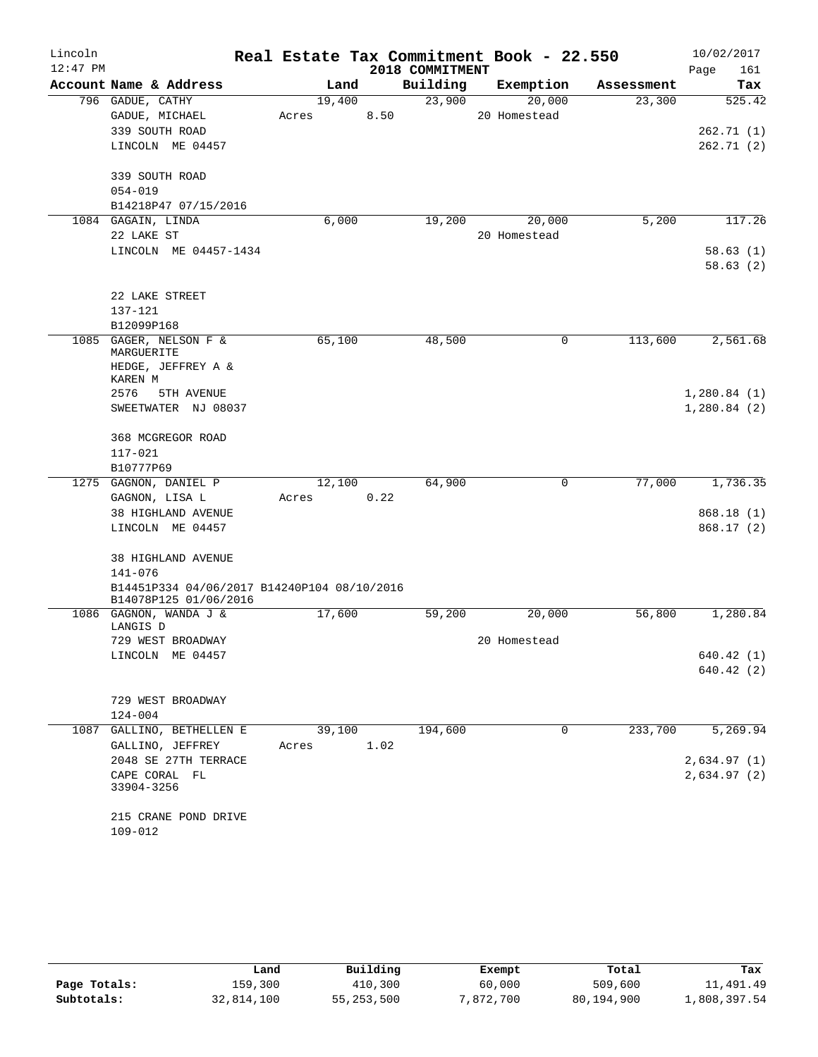| Lincoln    |                                                                      | Real Estate Tax Commitment Book - 22.550 |      |                 |              |            | 10/02/2017  |
|------------|----------------------------------------------------------------------|------------------------------------------|------|-----------------|--------------|------------|-------------|
| $12:47$ PM |                                                                      |                                          |      | 2018 COMMITMENT |              |            | 161<br>Page |
|            | Account Name & Address                                               | Land                                     |      | Building        | Exemption    | Assessment | Tax         |
|            | 796 GADUE, CATHY                                                     | 19,400                                   |      | 23,900          | 20,000       | 23,300     | 525.42      |
|            | GADUE, MICHAEL                                                       | Acres                                    | 8.50 |                 | 20 Homestead |            |             |
|            | 339 SOUTH ROAD                                                       |                                          |      |                 |              |            | 262.71(1)   |
|            | LINCOLN ME 04457                                                     |                                          |      |                 |              |            | 262.71(2)   |
|            | 339 SOUTH ROAD                                                       |                                          |      |                 |              |            |             |
|            | $054 - 019$                                                          |                                          |      |                 |              |            |             |
|            | B14218P47 07/15/2016                                                 |                                          |      |                 |              |            |             |
|            | 1084 GAGAIN, LINDA                                                   | 6,000                                    |      | 19,200          | 20,000       | 5,200      | 117.26      |
|            | 22 LAKE ST                                                           |                                          |      |                 | 20 Homestead |            |             |
|            | LINCOLN ME 04457-1434                                                |                                          |      |                 |              |            | 58.63(1)    |
|            |                                                                      |                                          |      |                 |              |            | 58.63(2)    |
|            | 22 LAKE STREET                                                       |                                          |      |                 |              |            |             |
|            | $137 - 121$                                                          |                                          |      |                 |              |            |             |
|            | B12099P168                                                           |                                          |      |                 |              |            |             |
|            | 1085 GAGER, NELSON F &<br>MARGUERITE                                 | 65,100                                   |      | 48,500          | 0            | 113,600    | 2,561.68    |
|            | HEDGE, JEFFREY A &                                                   |                                          |      |                 |              |            |             |
|            | KAREN M                                                              |                                          |      |                 |              |            |             |
|            | 2576<br>5TH AVENUE                                                   |                                          |      |                 |              |            | 1,280.84(1) |
|            | SWEETWATER NJ 08037                                                  |                                          |      |                 |              |            | 1,280.84(2) |
|            | 368 MCGREGOR ROAD                                                    |                                          |      |                 |              |            |             |
|            | $117 - 021$                                                          |                                          |      |                 |              |            |             |
|            | B10777P69                                                            |                                          |      |                 |              |            |             |
|            | 1275 GAGNON, DANIEL P                                                | 12,100                                   |      | 64,900          | 0            | 77,000     | 1,736.35    |
|            | GAGNON, LISA L                                                       | Acres                                    | 0.22 |                 |              |            |             |
|            | 38 HIGHLAND AVENUE                                                   |                                          |      |                 |              |            | 868.18(1)   |
|            | LINCOLN ME 04457                                                     |                                          |      |                 |              |            | 868.17(2)   |
|            | 38 HIGHLAND AVENUE                                                   |                                          |      |                 |              |            |             |
|            | $141 - 076$                                                          |                                          |      |                 |              |            |             |
|            | B14451P334 04/06/2017 B14240P104 08/10/2016<br>B14078P125 01/06/2016 |                                          |      |                 |              |            |             |
|            | 1086 GAGNON, WANDA J &                                               | 17,600                                   |      | 59,200          | 20,000       | 56,800     | 1,280.84    |
|            | LANGIS D<br>729 WEST BROADWAY                                        |                                          |      |                 | 20 Homestead |            |             |
|            | LINCOLN ME 04457                                                     |                                          |      |                 |              |            | 640.42(1)   |
|            |                                                                      |                                          |      |                 |              |            | 640.42(2)   |
|            | 729 WEST BROADWAY                                                    |                                          |      |                 |              |            |             |
|            | $124 - 004$                                                          |                                          |      |                 |              |            |             |
|            | 1087 GALLINO, BETHELLEN E                                            | 39,100                                   |      | 194,600         | 0            | 233,700    | 5,269.94    |
|            | GALLINO, JEFFREY                                                     | Acres                                    | 1.02 |                 |              |            |             |
|            | 2048 SE 27TH TERRACE                                                 |                                          |      |                 |              |            | 2,634.97(1) |
|            | CAPE CORAL FL                                                        |                                          |      |                 |              |            | 2,634.97(2) |
|            | 33904-3256                                                           |                                          |      |                 |              |            |             |
|            | 215 CRANE POND DRIVE                                                 |                                          |      |                 |              |            |             |
|            | $109 - 012$                                                          |                                          |      |                 |              |            |             |

|              | Land       | Building     | Exempt    | Total      | Tax          |
|--------------|------------|--------------|-----------|------------|--------------|
| Page Totals: | 159,300    | 410,300      | 60,000    | 509,600    | 11,491.49    |
| Subtotals:   | 32,814,100 | 55, 253, 500 | 7,872,700 | 80,194,900 | 1,808,397.54 |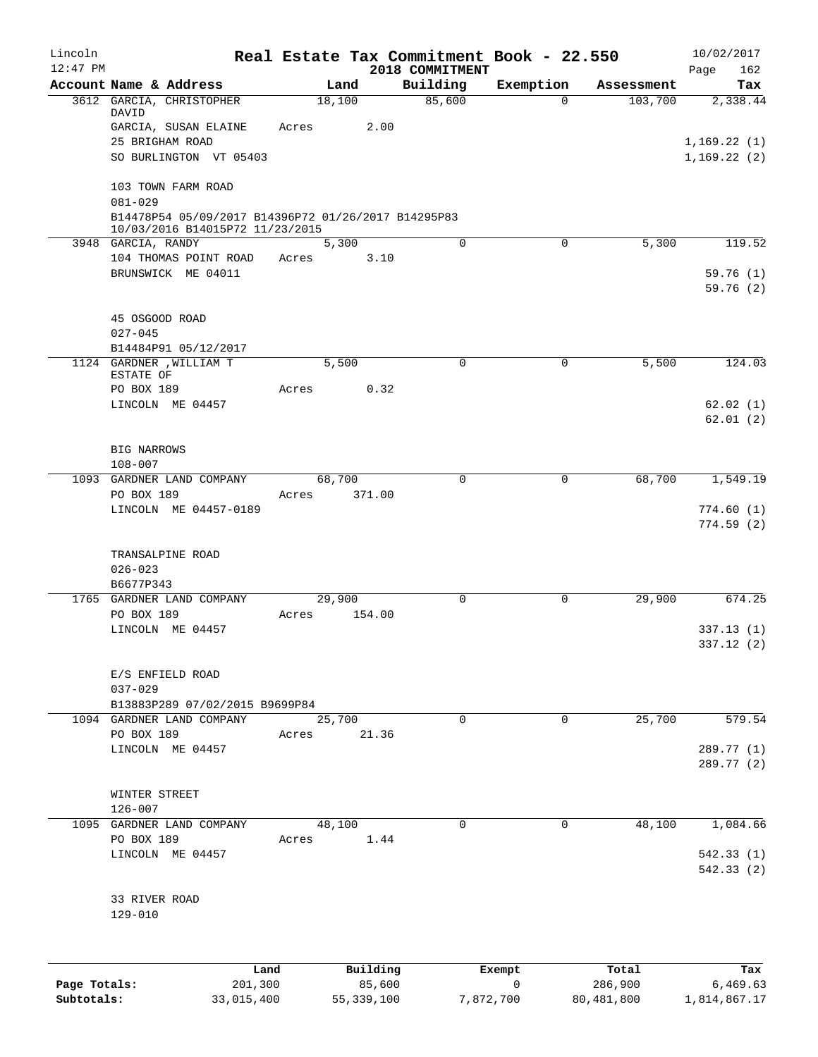| Lincoln      |                                                       |       |            | Real Estate Tax Commitment Book - 22.550 |             |            | 10/02/2017                 |
|--------------|-------------------------------------------------------|-------|------------|------------------------------------------|-------------|------------|----------------------------|
| $12:47$ PM   | Account Name & Address                                |       | Land       | 2018 COMMITMENT<br>Building              | Exemption   | Assessment | 162<br>Page<br>Tax         |
|              | 3612 GARCIA, CHRISTOPHER                              |       | 18,100     | 85,600                                   | $\Omega$    | 103,700    | 2,338.44                   |
|              | DAVID                                                 |       |            |                                          |             |            |                            |
|              | GARCIA, SUSAN ELAINE                                  | Acres | 2.00       |                                          |             |            |                            |
|              | 25 BRIGHAM ROAD<br>SO BURLINGTON VT 05403             |       |            |                                          |             |            | 1,169.22(1)<br>1,169.22(2) |
|              |                                                       |       |            |                                          |             |            |                            |
|              | 103 TOWN FARM ROAD                                    |       |            |                                          |             |            |                            |
|              | $081 - 029$                                           |       |            |                                          |             |            |                            |
|              | B14478P54 05/09/2017 B14396P72 01/26/2017 B14295P83   |       |            |                                          |             |            |                            |
|              | 10/03/2016 B14015P72 11/23/2015<br>3948 GARCIA, RANDY |       | 5,300      | 0                                        | 0           | 5,300      | 119.52                     |
|              | 104 THOMAS POINT ROAD                                 | Acres | 3.10       |                                          |             |            |                            |
|              | BRUNSWICK ME 04011                                    |       |            |                                          |             |            | 59.76(1)                   |
|              |                                                       |       |            |                                          |             |            | 59.76(2)                   |
|              |                                                       |       |            |                                          |             |            |                            |
|              | 45 OSGOOD ROAD                                        |       |            |                                          |             |            |                            |
|              | $027 - 045$                                           |       |            |                                          |             |            |                            |
|              | B14484P91 05/12/2017<br>1124 GARDNER , WILLIAM T      |       | 5,500      | $\Omega$                                 | 0           | 5,500      | 124.03                     |
|              | ESTATE OF                                             |       |            |                                          |             |            |                            |
|              | PO BOX 189                                            | Acres | 0.32       |                                          |             |            |                            |
|              | LINCOLN ME 04457                                      |       |            |                                          |             |            | 62.02(1)                   |
|              |                                                       |       |            |                                          |             |            | 62.01(2)                   |
|              | BIG NARROWS                                           |       |            |                                          |             |            |                            |
|              | $108 - 007$                                           |       |            |                                          |             |            |                            |
|              | 1093 GARDNER LAND COMPANY                             |       | 68,700     | 0                                        | 0           | 68,700     | 1,549.19                   |
|              | PO BOX 189                                            | Acres | 371.00     |                                          |             |            |                            |
|              | LINCOLN ME 04457-0189                                 |       |            |                                          |             |            | 774.60(1)                  |
|              |                                                       |       |            |                                          |             |            | 774.59(2)                  |
|              |                                                       |       |            |                                          |             |            |                            |
|              | TRANSALPINE ROAD<br>$026 - 023$                       |       |            |                                          |             |            |                            |
|              | B6677P343                                             |       |            |                                          |             |            |                            |
|              | 1765 GARDNER LAND COMPANY                             |       | 29,900     | 0                                        | 0           | 29,900     | 674.25                     |
|              | PO BOX 189                                            | Acres | 154.00     |                                          |             |            |                            |
|              | LINCOLN ME 04457                                      |       |            |                                          |             |            | 337.13(1)                  |
|              |                                                       |       |            |                                          |             |            | 337.12 (2)                 |
|              | E/S ENFIELD ROAD                                      |       |            |                                          |             |            |                            |
|              | $037 - 029$                                           |       |            |                                          |             |            |                            |
|              | B13883P289 07/02/2015 B9699P84                        |       |            |                                          |             |            |                            |
|              | 1094 GARDNER LAND COMPANY                             |       | 25,700     | $\Omega$                                 | $\Omega$    | 25,700     | 579.54                     |
|              | PO BOX 189                                            | Acres | 21.36      |                                          |             |            |                            |
|              | LINCOLN ME 04457                                      |       |            |                                          |             |            | 289.77 (1)                 |
|              |                                                       |       |            |                                          |             |            | 289.77 (2)                 |
|              | WINTER STREET                                         |       |            |                                          |             |            |                            |
|              | $126 - 007$                                           |       |            |                                          |             |            |                            |
|              | 1095 GARDNER LAND COMPANY                             |       | 48,100     | 0                                        | $\Omega$    | 48,100     | 1,084.66                   |
|              | PO BOX 189                                            | Acres | 1.44       |                                          |             |            |                            |
|              | LINCOLN ME 04457                                      |       |            |                                          |             |            | 542.33(1)                  |
|              |                                                       |       |            |                                          |             |            | 542.33 (2)                 |
|              | 33 RIVER ROAD                                         |       |            |                                          |             |            |                            |
|              | $129 - 010$                                           |       |            |                                          |             |            |                            |
|              |                                                       |       |            |                                          |             |            |                            |
|              |                                                       |       |            |                                          |             |            |                            |
|              | Land                                                  |       | Building   |                                          | Exempt      | Total      | Tax                        |
| Page Totals: | 201,300                                               |       | 85,600     |                                          | $\mathbf 0$ | 286,900    | 6,469.63                   |
| Subtotals:   | 33,015,400                                            |       | 55,339,100 | 7,872,700                                |             | 80,481,800 | 1,814,867.17               |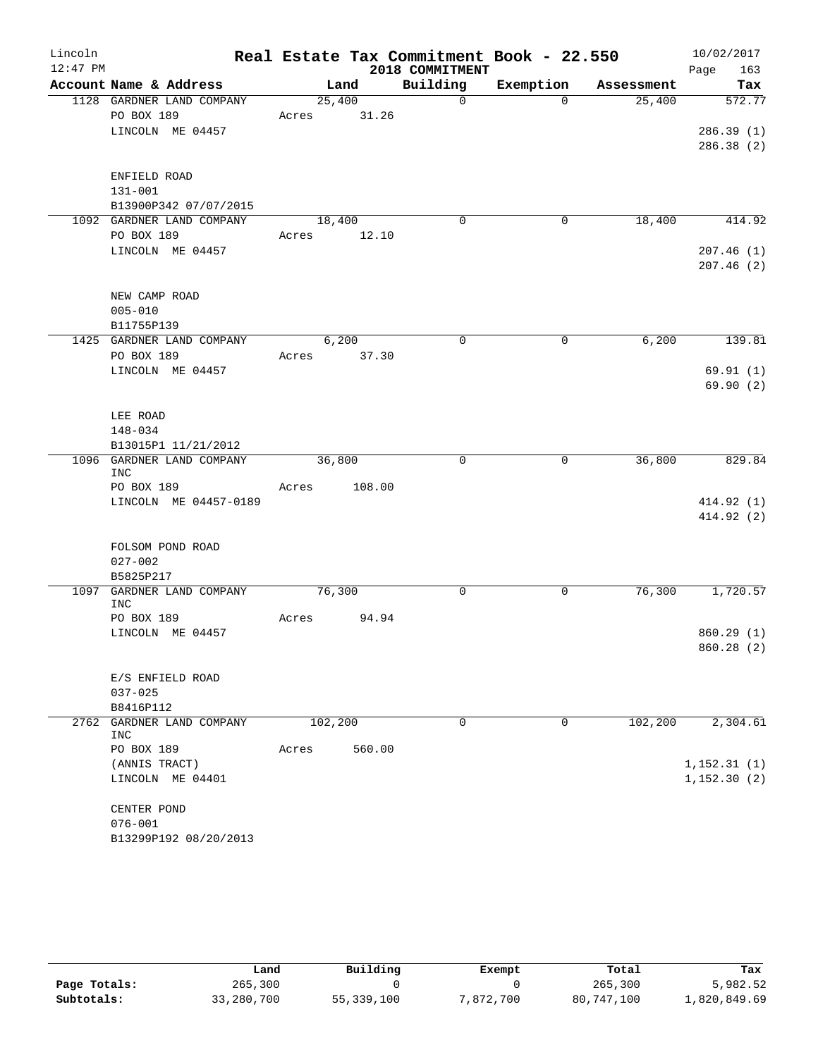| Lincoln    |                                    |       |         |        |                 | Real Estate Tax Commitment Book - 22.550 |             |            |      | 10/02/2017   |
|------------|------------------------------------|-------|---------|--------|-----------------|------------------------------------------|-------------|------------|------|--------------|
| $12:47$ PM |                                    |       |         |        | 2018 COMMITMENT |                                          |             |            | Page | 163          |
|            | Account Name & Address             |       | Land    |        | Building        | Exemption                                |             | Assessment |      | Tax          |
|            | 1128 GARDNER LAND COMPANY          |       | 25,400  |        | $\mathbf 0$     |                                          | $\Omega$    | 25,400     |      | 572.77       |
|            | PO BOX 189                         | Acres |         | 31.26  |                 |                                          |             |            |      |              |
|            | LINCOLN ME 04457                   |       |         |        |                 |                                          |             |            |      | 286.39(1)    |
|            |                                    |       |         |        |                 |                                          |             |            |      | 286.38(2)    |
|            |                                    |       |         |        |                 |                                          |             |            |      |              |
|            | ENFIELD ROAD<br>$131 - 001$        |       |         |        |                 |                                          |             |            |      |              |
|            | B13900P342 07/07/2015              |       |         |        |                 |                                          |             |            |      |              |
|            | 1092 GARDNER LAND COMPANY          |       | 18,400  |        | $\mathbf 0$     |                                          | 0           | 18,400     |      | 414.92       |
|            | PO BOX 189                         | Acres |         | 12.10  |                 |                                          |             |            |      |              |
|            | LINCOLN ME 04457                   |       |         |        |                 |                                          |             |            |      | 207.46(1)    |
|            |                                    |       |         |        |                 |                                          |             |            |      | 207.46(2)    |
|            |                                    |       |         |        |                 |                                          |             |            |      |              |
|            | NEW CAMP ROAD                      |       |         |        |                 |                                          |             |            |      |              |
|            | $005 - 010$                        |       |         |        |                 |                                          |             |            |      |              |
|            | B11755P139                         |       |         |        |                 |                                          |             |            |      |              |
|            | 1425 GARDNER LAND COMPANY          |       | 6,200   |        | $\mathbf 0$     |                                          | $\mathbf 0$ | 6,200      |      | 139.81       |
|            | PO BOX 189                         | Acres |         | 37.30  |                 |                                          |             |            |      |              |
|            | LINCOLN ME 04457                   |       |         |        |                 |                                          |             |            |      | 69.91(1)     |
|            |                                    |       |         |        |                 |                                          |             |            |      | 69.90(2)     |
|            |                                    |       |         |        |                 |                                          |             |            |      |              |
|            | LEE ROAD                           |       |         |        |                 |                                          |             |            |      |              |
|            | 148-034<br>B13015P1 11/21/2012     |       |         |        |                 |                                          |             |            |      |              |
|            | 1096 GARDNER LAND COMPANY          |       | 36,800  |        | $\mathbf 0$     |                                          | 0           | 36,800     |      | 829.84       |
|            | <b>INC</b>                         |       |         |        |                 |                                          |             |            |      |              |
|            | PO BOX 189                         | Acres |         | 108.00 |                 |                                          |             |            |      |              |
|            | LINCOLN ME 04457-0189              |       |         |        |                 |                                          |             |            |      | 414.92 (1)   |
|            |                                    |       |         |        |                 |                                          |             |            |      | 414.92(2)    |
|            |                                    |       |         |        |                 |                                          |             |            |      |              |
|            | FOLSOM POND ROAD                   |       |         |        |                 |                                          |             |            |      |              |
|            | $027 - 002$                        |       |         |        |                 |                                          |             |            |      |              |
|            | B5825P217                          |       | 76,300  |        | 0               |                                          | 0           | 76,300     |      | 1,720.57     |
| 1097       | GARDNER LAND COMPANY<br>INC        |       |         |        |                 |                                          |             |            |      |              |
|            | PO BOX 189                         | Acres |         | 94.94  |                 |                                          |             |            |      |              |
|            | LINCOLN ME 04457                   |       |         |        |                 |                                          |             |            |      | 860.29(1)    |
|            |                                    |       |         |        |                 |                                          |             |            |      | 860.28 (2)   |
|            |                                    |       |         |        |                 |                                          |             |            |      |              |
|            | E/S ENFIELD ROAD                   |       |         |        |                 |                                          |             |            |      |              |
|            | $037 - 025$                        |       |         |        |                 |                                          |             |            |      |              |
|            | B8416P112                          |       |         |        |                 |                                          |             |            |      |              |
| 2762       | GARDNER LAND COMPANY<br><b>INC</b> |       | 102,200 |        | 0               |                                          | 0           | 102,200    |      | 2,304.61     |
|            | PO BOX 189                         | Acres |         | 560.00 |                 |                                          |             |            |      |              |
|            | (ANNIS TRACT)                      |       |         |        |                 |                                          |             |            |      | 1,152.31(1)  |
|            | LINCOLN ME 04401                   |       |         |        |                 |                                          |             |            |      | 1, 152.30(2) |
|            |                                    |       |         |        |                 |                                          |             |            |      |              |
|            | CENTER POND                        |       |         |        |                 |                                          |             |            |      |              |
|            | $076 - 001$                        |       |         |        |                 |                                          |             |            |      |              |
|            | B13299P192 08/20/2013              |       |         |        |                 |                                          |             |            |      |              |

|              | Land       | Building     | Exempt    | Total      | Tax          |
|--------------|------------|--------------|-----------|------------|--------------|
| Page Totals: | 265,300    |              |           | 265,300    | 5,982.52     |
| Subtotals:   | 33,280,700 | 55, 339, 100 | 7,872,700 | 80,747,100 | 1,820,849.69 |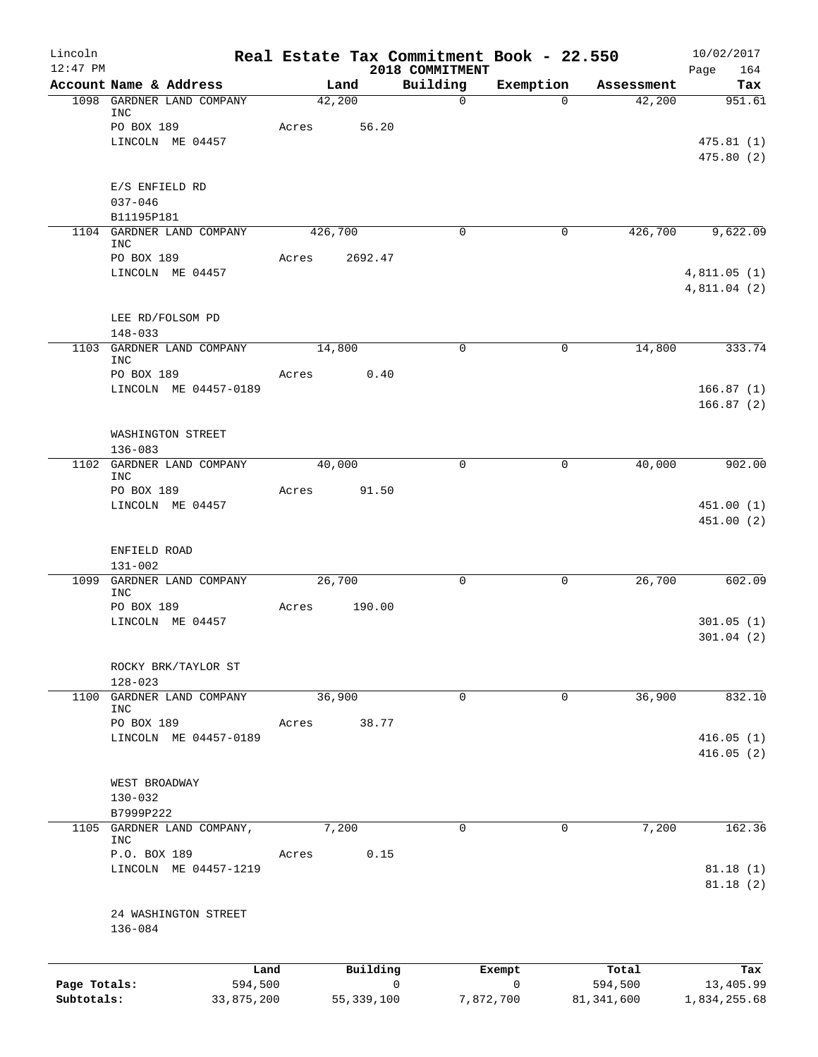| Lincoln<br>$12:47$ PM |                                         |                 |       |              | Real Estate Tax Commitment Book - 22.550 |                       |                  | 10/02/2017         |
|-----------------------|-----------------------------------------|-----------------|-------|--------------|------------------------------------------|-----------------------|------------------|--------------------|
|                       | Account Name & Address                  |                 |       | Land         | 2018 COMMITMENT<br>Building              | Exemption             | Assessment       | Page<br>164<br>Tax |
|                       | 1098 GARDNER LAND COMPANY               |                 |       | 42,200       | $\mathbf 0$                              | $\Omega$              | 42,200           | 951.61             |
|                       | INC<br>PO BOX 189                       |                 | Acres | 56.20        |                                          |                       |                  |                    |
|                       | LINCOLN ME 04457                        |                 |       |              |                                          |                       |                  | 475.81(1)          |
|                       |                                         |                 |       |              |                                          |                       |                  | 475.80(2)          |
|                       | E/S ENFIELD RD                          |                 |       |              |                                          |                       |                  |                    |
|                       | $037 - 046$                             |                 |       |              |                                          |                       |                  |                    |
|                       | B11195P181<br>1104 GARDNER LAND COMPANY |                 |       | 426,700      | 0                                        | 0                     | 426,700          | 9,622.09           |
|                       | <b>INC</b>                              |                 |       |              |                                          |                       |                  |                    |
|                       | PO BOX 189<br>LINCOLN ME 04457          |                 | Acres | 2692.47      |                                          |                       |                  | 4,811.05(1)        |
|                       |                                         |                 |       |              |                                          |                       |                  | 4,811.04 (2)       |
|                       | LEE RD/FOLSOM PD                        |                 |       |              |                                          |                       |                  |                    |
|                       | 148-033                                 |                 |       |              |                                          |                       |                  |                    |
|                       | 1103 GARDNER LAND COMPANY<br>INC        |                 |       | 14,800       | $\mathbf 0$                              | 0                     | 14,800           | 333.74             |
|                       | PO BOX 189                              |                 | Acres | 0.40         |                                          |                       |                  |                    |
|                       | LINCOLN ME 04457-0189                   |                 |       |              |                                          |                       |                  | 166.87(1)          |
|                       |                                         |                 |       |              |                                          |                       |                  | 166.87(2)          |
|                       | WASHINGTON STREET                       |                 |       |              |                                          |                       |                  |                    |
|                       | $136 - 083$                             |                 |       |              |                                          |                       |                  |                    |
| 1102                  | GARDNER LAND COMPANY                    |                 |       | 40,000       | $\mathbf 0$                              | $\mathbf 0$           | 40,000           | 902.00             |
|                       | <b>INC</b><br>PO BOX 189                |                 | Acres | 91.50        |                                          |                       |                  |                    |
|                       | LINCOLN ME 04457                        |                 |       |              |                                          |                       |                  | 451.00(1)          |
|                       |                                         |                 |       |              |                                          |                       |                  | 451.00 (2)         |
|                       | ENFIELD ROAD                            |                 |       |              |                                          |                       |                  |                    |
|                       | $131 - 002$                             |                 |       |              |                                          |                       |                  |                    |
| 1099                  | GARDNER LAND COMPANY                    |                 |       | 26,700       | $\mathbf 0$                              | $\mathbf 0$           | 26,700           | 602.09             |
|                       | INC<br>PO BOX 189                       |                 | Acres | 190.00       |                                          |                       |                  |                    |
|                       | LINCOLN ME 04457                        |                 |       |              |                                          |                       |                  | 301.05(1)          |
|                       |                                         |                 |       |              |                                          |                       |                  | 301.04(2)          |
|                       | ROCKY BRK/TAYLOR ST                     |                 |       |              |                                          |                       |                  |                    |
|                       | $128 - 023$                             |                 |       |              |                                          |                       |                  |                    |
|                       | 1100 GARDNER LAND COMPANY               |                 |       | 36,900       | $\mathbf 0$                              | 0                     | 36,900           | 832.10             |
|                       | INC<br>PO BOX 189                       |                 | Acres | 38.77        |                                          |                       |                  |                    |
|                       | LINCOLN ME 04457-0189                   |                 |       |              |                                          |                       |                  | 416.05(1)          |
|                       |                                         |                 |       |              |                                          |                       |                  | 416.05(2)          |
|                       | WEST BROADWAY                           |                 |       |              |                                          |                       |                  |                    |
|                       | $130 - 032$                             |                 |       |              |                                          |                       |                  |                    |
|                       | B7999P222                               |                 |       |              |                                          |                       |                  |                    |
| 1105                  | GARDNER LAND COMPANY,<br><b>INC</b>     |                 |       | 7,200        | 0                                        | 0                     | 7,200            | 162.36             |
|                       | P.O. BOX 189                            |                 | Acres | 0.15         |                                          |                       |                  |                    |
|                       | LINCOLN ME 04457-1219                   |                 |       |              |                                          |                       |                  | 81.18(1)           |
|                       |                                         |                 |       |              |                                          |                       |                  | 81.18(2)           |
|                       | 24 WASHINGTON STREET                    |                 |       |              |                                          |                       |                  |                    |
|                       | $136 - 084$                             |                 |       |              |                                          |                       |                  |                    |
|                       |                                         |                 |       |              |                                          |                       |                  |                    |
| Page Totals:          |                                         | Land<br>594,500 |       | Building     | 0                                        | Exempt<br>$\mathbf 0$ | Total<br>594,500 | Tax<br>13,405.99   |
| Subtotals:            |                                         | 33,875,200      |       | 55, 339, 100 |                                          | 7,872,700             | 81,341,600       | 1,834,255.68       |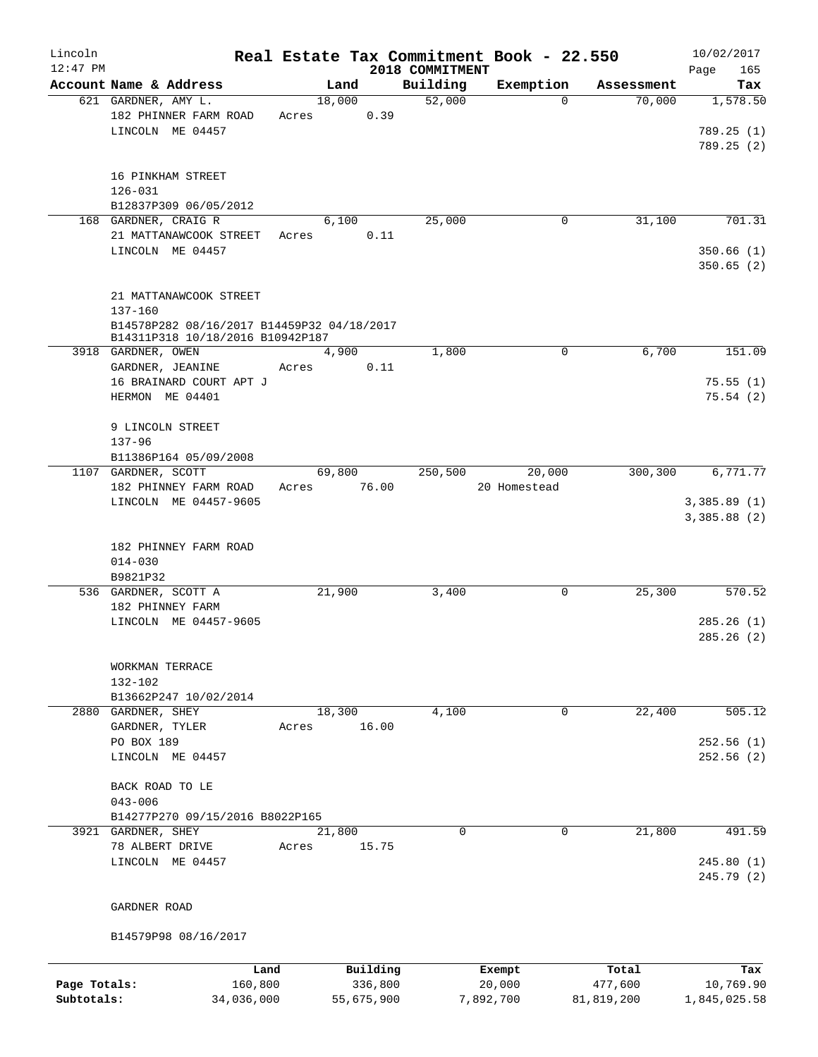| Lincoln<br>$12:47$ PM |                                                                                |       |        |            |                             | Real Estate Tax Commitment Book - 22.550 |            | 10/02/2017         |
|-----------------------|--------------------------------------------------------------------------------|-------|--------|------------|-----------------------------|------------------------------------------|------------|--------------------|
|                       | Account Name & Address                                                         |       | Land   |            | 2018 COMMITMENT<br>Building | Exemption                                | Assessment | Page<br>165<br>Tax |
|                       | 621 GARDNER, AMY L.                                                            |       | 18,000 |            | 52,000                      | $\Omega$                                 | 70,000     | 1,578.50           |
|                       | 182 PHINNER FARM ROAD                                                          | Acres |        | 0.39       |                             |                                          |            |                    |
|                       | LINCOLN ME 04457                                                               |       |        |            |                             |                                          |            | 789.25 (1)         |
|                       |                                                                                |       |        |            |                             |                                          |            | 789.25(2)          |
|                       |                                                                                |       |        |            |                             |                                          |            |                    |
|                       | 16 PINKHAM STREET                                                              |       |        |            |                             |                                          |            |                    |
|                       | $126 - 031$<br>B12837P309 06/05/2012                                           |       |        |            |                             |                                          |            |                    |
|                       | 168 GARDNER, CRAIG R                                                           |       | 6,100  |            | 25,000                      | 0                                        | 31,100     | 701.31             |
|                       | 21 MATTANAWCOOK STREET                                                         | Acres |        | 0.11       |                             |                                          |            |                    |
|                       | LINCOLN ME 04457                                                               |       |        |            |                             |                                          |            | 350.66(1)          |
|                       |                                                                                |       |        |            |                             |                                          |            | 350.65(2)          |
|                       |                                                                                |       |        |            |                             |                                          |            |                    |
|                       | 21 MATTANAWCOOK STREET                                                         |       |        |            |                             |                                          |            |                    |
|                       | $137 - 160$                                                                    |       |        |            |                             |                                          |            |                    |
|                       | B14578P282 08/16/2017 B14459P32 04/18/2017<br>B14311P318 10/18/2016 B10942P187 |       |        |            |                             |                                          |            |                    |
|                       | 3918 GARDNER, OWEN                                                             |       | 4,900  |            | 1,800                       | 0                                        | 6,700      | 151.09             |
|                       | GARDNER, JEANINE                                                               | Acres |        | 0.11       |                             |                                          |            |                    |
|                       | 16 BRAINARD COURT APT J                                                        |       |        |            |                             |                                          |            | 75.55(1)           |
|                       | HERMON ME 04401                                                                |       |        |            |                             |                                          |            | 75.54(2)           |
|                       |                                                                                |       |        |            |                             |                                          |            |                    |
|                       | 9 LINCOLN STREET                                                               |       |        |            |                             |                                          |            |                    |
|                       | $137 - 96$                                                                     |       |        |            |                             |                                          |            |                    |
|                       | B11386P164 05/09/2008                                                          |       |        |            |                             |                                          |            |                    |
|                       | 1107 GARDNER, SCOTT<br>182 PHINNEY FARM ROAD                                   | Acres | 69,800 | 76.00      | 250,500                     | 20,000<br>20 Homestead                   | 300,300    | 6,771.77           |
|                       | LINCOLN ME 04457-9605                                                          |       |        |            |                             |                                          |            | 3,385.89(1)        |
|                       |                                                                                |       |        |            |                             |                                          |            | 3,385.88(2)        |
|                       |                                                                                |       |        |            |                             |                                          |            |                    |
|                       | 182 PHINNEY FARM ROAD                                                          |       |        |            |                             |                                          |            |                    |
|                       | $014 - 030$                                                                    |       |        |            |                             |                                          |            |                    |
|                       | B9821P32                                                                       |       |        |            |                             |                                          |            |                    |
|                       | 536 GARDNER, SCOTT A<br>182 PHINNEY FARM                                       |       | 21,900 |            | 3,400                       | 0                                        | 25,300     | 570.52             |
|                       | LINCOLN ME 04457-9605                                                          |       |        |            |                             |                                          |            | 285.26(1)          |
|                       |                                                                                |       |        |            |                             |                                          |            | 285.26(2)          |
|                       |                                                                                |       |        |            |                             |                                          |            |                    |
|                       | WORKMAN TERRACE                                                                |       |        |            |                             |                                          |            |                    |
|                       | 132-102                                                                        |       |        |            |                             |                                          |            |                    |
|                       | B13662P247 10/02/2014                                                          |       |        |            |                             |                                          |            |                    |
|                       | 2880 GARDNER, SHEY                                                             |       | 18,300 |            | 4,100                       | 0                                        | 22,400     | 505.12             |
|                       | GARDNER, TYLER                                                                 | Acres |        | 16.00      |                             |                                          |            |                    |
|                       | PO BOX 189<br>LINCOLN ME 04457                                                 |       |        |            |                             |                                          |            | 252.56(1)          |
|                       |                                                                                |       |        |            |                             |                                          |            | 252.56(2)          |
|                       | BACK ROAD TO LE                                                                |       |        |            |                             |                                          |            |                    |
|                       | $043 - 006$                                                                    |       |        |            |                             |                                          |            |                    |
|                       | B14277P270 09/15/2016 B8022P165                                                |       |        |            |                             |                                          |            |                    |
|                       | 3921 GARDNER, SHEY                                                             |       | 21,800 |            | $\Omega$                    | $\Omega$                                 | 21,800     | 491.59             |
|                       | 78 ALBERT DRIVE                                                                | Acres |        | 15.75      |                             |                                          |            |                    |
|                       | LINCOLN ME 04457                                                               |       |        |            |                             |                                          |            | 245.80(1)          |
|                       |                                                                                |       |        |            |                             |                                          |            | 245.79 (2)         |
|                       | GARDNER ROAD                                                                   |       |        |            |                             |                                          |            |                    |
|                       |                                                                                |       |        |            |                             |                                          |            |                    |
|                       | B14579P98 08/16/2017                                                           |       |        |            |                             |                                          |            |                    |
|                       | Land                                                                           |       |        | Building   |                             | Exempt                                   | Total      | Tax                |
| Page Totals:          | 160,800                                                                        |       |        | 336,800    |                             | 20,000                                   | 477,600    | 10,769.90          |
| Subtotals:            | 34,036,000                                                                     |       |        | 55,675,900 |                             | 7,892,700                                | 81,819,200 | 1,845,025.58       |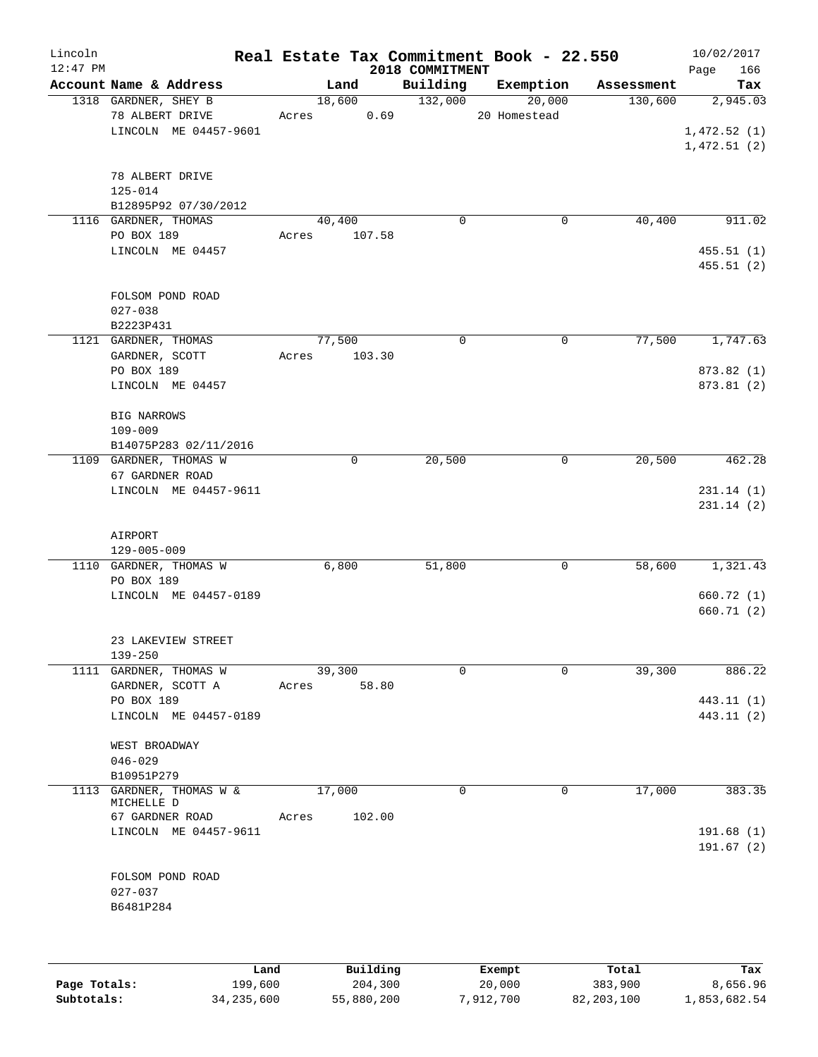| Lincoln<br>$12:47$ PM |                                       | Real Estate Tax Commitment Book - 22.550 | 2018 COMMITMENT |              |            | 10/02/2017<br>166<br>Page |
|-----------------------|---------------------------------------|------------------------------------------|-----------------|--------------|------------|---------------------------|
|                       | Account Name & Address                | Land                                     | Building        | Exemption    | Assessment | Tax                       |
|                       | 1318 GARDNER, SHEY B                  | 18,600                                   | 132,000         | 20,000       | 130,600    | 2,945.03                  |
|                       | 78 ALBERT DRIVE                       | 0.69<br>Acres                            |                 | 20 Homestead |            |                           |
|                       | LINCOLN ME 04457-9601                 |                                          |                 |              |            | 1,472.52(1)               |
|                       |                                       |                                          |                 |              |            | 1,472.51(2)               |
|                       | 78 ALBERT DRIVE                       |                                          |                 |              |            |                           |
|                       | $125 - 014$                           |                                          |                 |              |            |                           |
|                       | B12895P92 07/30/2012                  |                                          |                 |              |            |                           |
|                       | 1116 GARDNER, THOMAS                  | 40,400                                   | $\mathbf 0$     | 0            | 40,400     | 911.02                    |
|                       | PO BOX 189                            | 107.58<br>Acres                          |                 |              |            |                           |
|                       | LINCOLN ME 04457                      |                                          |                 |              |            | 455.51(1)                 |
|                       |                                       |                                          |                 |              |            | 455.51(2)                 |
|                       | FOLSOM POND ROAD                      |                                          |                 |              |            |                           |
|                       | $027 - 038$                           |                                          |                 |              |            |                           |
|                       | B2223P431                             |                                          |                 |              |            |                           |
|                       | 1121 GARDNER, THOMAS                  | 77,500                                   | $\mathbf 0$     | $\mathbf 0$  | 77,500     | 1,747.63                  |
|                       | GARDNER, SCOTT                        | Acres<br>103.30                          |                 |              |            |                           |
|                       | PO BOX 189                            |                                          |                 |              |            | 873.82 (1)                |
|                       | LINCOLN ME 04457                      |                                          |                 |              |            | 873.81 (2)                |
|                       |                                       |                                          |                 |              |            |                           |
|                       | BIG NARROWS                           |                                          |                 |              |            |                           |
|                       | $109 - 009$                           |                                          |                 |              |            |                           |
|                       | B14075P283 02/11/2016                 |                                          |                 |              |            |                           |
|                       | 1109 GARDNER, THOMAS W                | $\mathbf 0$                              | 20,500          | 0            | 20,500     | 462.28                    |
|                       | 67 GARDNER ROAD                       |                                          |                 |              |            |                           |
|                       | LINCOLN ME 04457-9611                 |                                          |                 |              |            | 231.14(1)                 |
|                       |                                       |                                          |                 |              |            | 231.14(2)                 |
|                       |                                       |                                          |                 |              |            |                           |
|                       | AIRPORT                               |                                          |                 |              |            |                           |
|                       | 129-005-009<br>1110 GARDNER, THOMAS W | 6,800                                    | 51,800          | 0            | 58,600     | 1,321.43                  |
|                       | PO BOX 189                            |                                          |                 |              |            |                           |
|                       | LINCOLN ME 04457-0189                 |                                          |                 |              |            | 660.72 (1)                |
|                       |                                       |                                          |                 |              |            | 660.71 (2)                |
|                       | 23 LAKEVIEW STREET                    |                                          |                 |              |            |                           |
|                       | $139 - 250$                           |                                          |                 |              |            |                           |
|                       | 1111 GARDNER, THOMAS W                | 39,300                                   | $\Omega$        | $\Omega$     | 39,300     | 886.22                    |
|                       | GARDNER, SCOTT A                      | 58.80<br>Acres                           |                 |              |            |                           |
|                       | PO BOX 189                            |                                          |                 |              |            | 443.11 (1)                |
|                       | LINCOLN ME 04457-0189                 |                                          |                 |              |            | 443.11 (2)                |
|                       | WEST BROADWAY                         |                                          |                 |              |            |                           |
|                       | $046 - 029$                           |                                          |                 |              |            |                           |
|                       | B10951P279                            |                                          |                 |              |            |                           |
|                       | 1113 GARDNER, THOMAS W &              | 17,000                                   | 0               | 0            | 17,000     | 383.35                    |
|                       | MICHELLE D                            |                                          |                 |              |            |                           |
|                       | 67 GARDNER ROAD                       | Acres<br>102.00                          |                 |              |            |                           |
|                       | LINCOLN ME 04457-9611                 |                                          |                 |              |            | 191.68(1)                 |
|                       |                                       |                                          |                 |              |            | 191.67(2)                 |
|                       |                                       |                                          |                 |              |            |                           |
|                       | FOLSOM POND ROAD                      |                                          |                 |              |            |                           |
|                       | $027 - 037$                           |                                          |                 |              |            |                           |
|                       | B6481P284                             |                                          |                 |              |            |                           |
|                       |                                       |                                          |                 |              |            |                           |
|                       |                                       |                                          |                 |              |            |                           |

|              | Land       | Building   | Exempt    | Total      | Tax          |
|--------------|------------|------------|-----------|------------|--------------|
| Page Totals: | 199,600    | 204,300    | 20,000    | 383,900    | 8,656.96     |
| Subtotals:   | 34,235,600 | 55,880,200 | 7,912,700 | 82,203,100 | l,853,682.54 |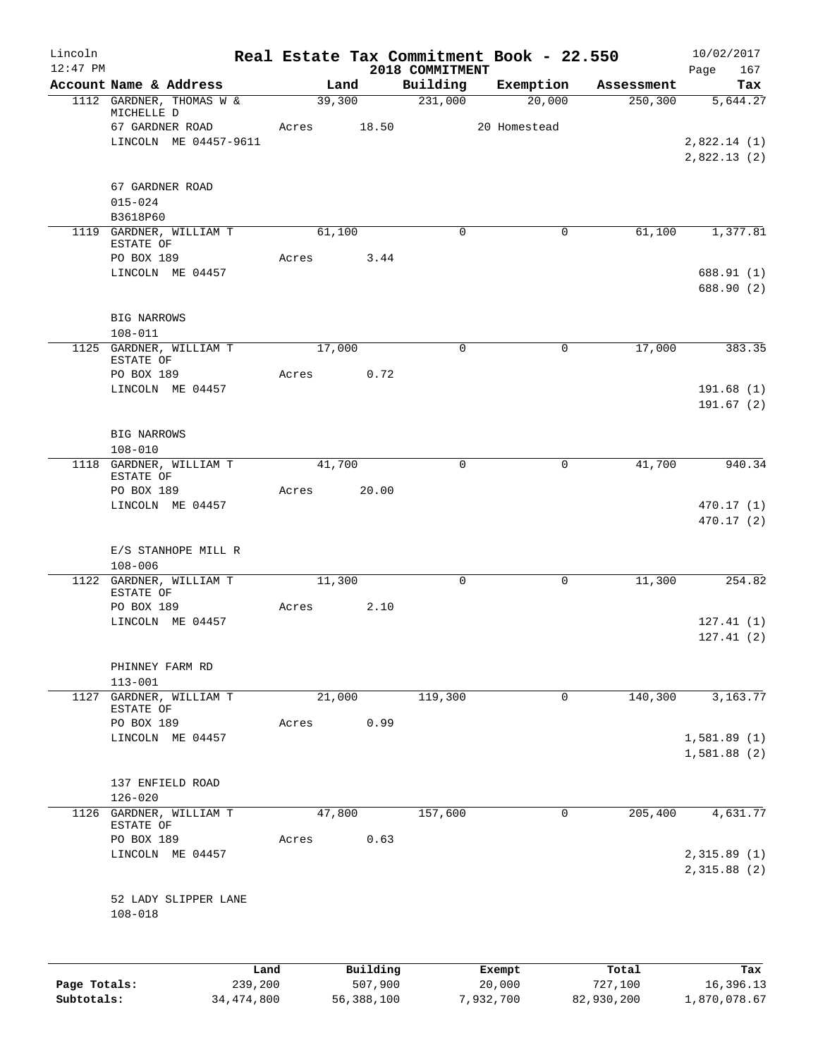| $12:47$ PM   | Account Name & Address<br>1112 GARDNER, THOMAS W &<br>MICHELLE D<br>67 GARDNER ROAD<br>LINCOLN ME 04457-9611<br>67 GARDNER ROAD<br>$015 - 024$ | Acres | Land<br>39,300 | 18.50    | 2018 COMMITMENT<br>Building<br>231,000 | Exemption<br>20,000 | Assessment<br>250, 300 | Page<br>167<br>Tax<br>5,644.27 |
|--------------|------------------------------------------------------------------------------------------------------------------------------------------------|-------|----------------|----------|----------------------------------------|---------------------|------------------------|--------------------------------|
|              |                                                                                                                                                |       |                |          |                                        |                     |                        |                                |
|              |                                                                                                                                                |       |                |          |                                        |                     |                        |                                |
|              |                                                                                                                                                |       |                |          |                                        | 20 Homestead        |                        |                                |
|              |                                                                                                                                                |       |                |          |                                        |                     |                        | 2,822.14(1)<br>2,822.13 (2)    |
|              |                                                                                                                                                |       |                |          |                                        |                     |                        |                                |
|              | B3618P60                                                                                                                                       |       |                |          |                                        |                     |                        |                                |
|              | 1119 GARDNER, WILLIAM T<br>ESTATE OF                                                                                                           |       | 61,100         |          | $\Omega$                               | $\mathbf 0$         | 61,100                 | 1,377.81                       |
|              | PO BOX 189                                                                                                                                     | Acres |                | 3.44     |                                        |                     |                        |                                |
|              | LINCOLN ME 04457                                                                                                                               |       |                |          |                                        |                     |                        | 688.91 (1)<br>688.90 (2)       |
|              | <b>BIG NARROWS</b><br>$108 - 011$                                                                                                              |       |                |          |                                        |                     |                        |                                |
|              | 1125 GARDNER, WILLIAM T<br>ESTATE OF                                                                                                           |       | 17,000         |          | $\mathbf 0$                            | $\mathbf 0$         | 17,000                 | 383.35                         |
|              | PO BOX 189                                                                                                                                     | Acres |                | 0.72     |                                        |                     |                        |                                |
|              | LINCOLN ME 04457                                                                                                                               |       |                |          |                                        |                     |                        | 191.68(1)<br>191.67(2)         |
|              | <b>BIG NARROWS</b><br>$108 - 010$                                                                                                              |       |                |          |                                        |                     |                        |                                |
|              | 1118 GARDNER, WILLIAM T<br>ESTATE OF                                                                                                           |       | 41,700         |          | $\mathbf 0$                            | $\mathbf 0$         | 41,700                 | 940.34                         |
|              | PO BOX 189                                                                                                                                     | Acres |                | 20.00    |                                        |                     |                        |                                |
|              | LINCOLN ME 04457                                                                                                                               |       |                |          |                                        |                     |                        | 470.17 (1)<br>470.17 (2)       |
|              | E/S STANHOPE MILL R<br>$108 - 006$                                                                                                             |       |                |          |                                        |                     |                        |                                |
|              | 1122 GARDNER, WILLIAM T<br>ESTATE OF                                                                                                           |       | 11,300         |          | $\mathbf 0$                            | $\mathbf 0$         | 11,300                 | 254.82                         |
|              | PO BOX 189                                                                                                                                     | Acres |                | 2.10     |                                        |                     |                        |                                |
|              | LINCOLN ME 04457                                                                                                                               |       |                |          |                                        |                     |                        | 127.41(1)<br>127.41(2)         |
|              | PHINNEY FARM RD<br>$113 - 001$                                                                                                                 |       |                |          |                                        |                     |                        |                                |
|              | 1127 GARDNER, WILLIAM T                                                                                                                        |       | 21,000         |          | 119,300                                | 0                   | 140,300                | 3,163.77                       |
|              | ESTATE OF<br>PO BOX 189                                                                                                                        | Acres |                | 0.99     |                                        |                     |                        |                                |
|              | LINCOLN ME 04457                                                                                                                               |       |                |          |                                        |                     |                        | 1,581.89 (1)                   |
|              |                                                                                                                                                |       |                |          |                                        |                     |                        | 1,581.88(2)                    |
|              | 137 ENFIELD ROAD                                                                                                                               |       |                |          |                                        |                     |                        |                                |
|              | $126 - 020$                                                                                                                                    |       |                |          |                                        |                     |                        |                                |
| 1126         | GARDNER, WILLIAM T<br>ESTATE OF                                                                                                                |       | 47,800         |          | 157,600                                | $\mathbf 0$         | 205,400                | 4,631.77                       |
|              | PO BOX 189                                                                                                                                     | Acres |                | 0.63     |                                        |                     |                        |                                |
|              | LINCOLN ME 04457                                                                                                                               |       |                |          |                                        |                     |                        | 2,315.89(1)<br>2,315.88(2)     |
|              | 52 LADY SLIPPER LANE<br>$108 - 018$                                                                                                            |       |                |          |                                        |                     |                        |                                |
|              |                                                                                                                                                |       |                |          |                                        |                     |                        |                                |
| Page Totals: | Land                                                                                                                                           |       |                | Building |                                        | Exempt              | Total                  | Tax                            |

**Subtotals:** 34,474,800 56,388,100 7,932,700 82,930,200 1,870,078.67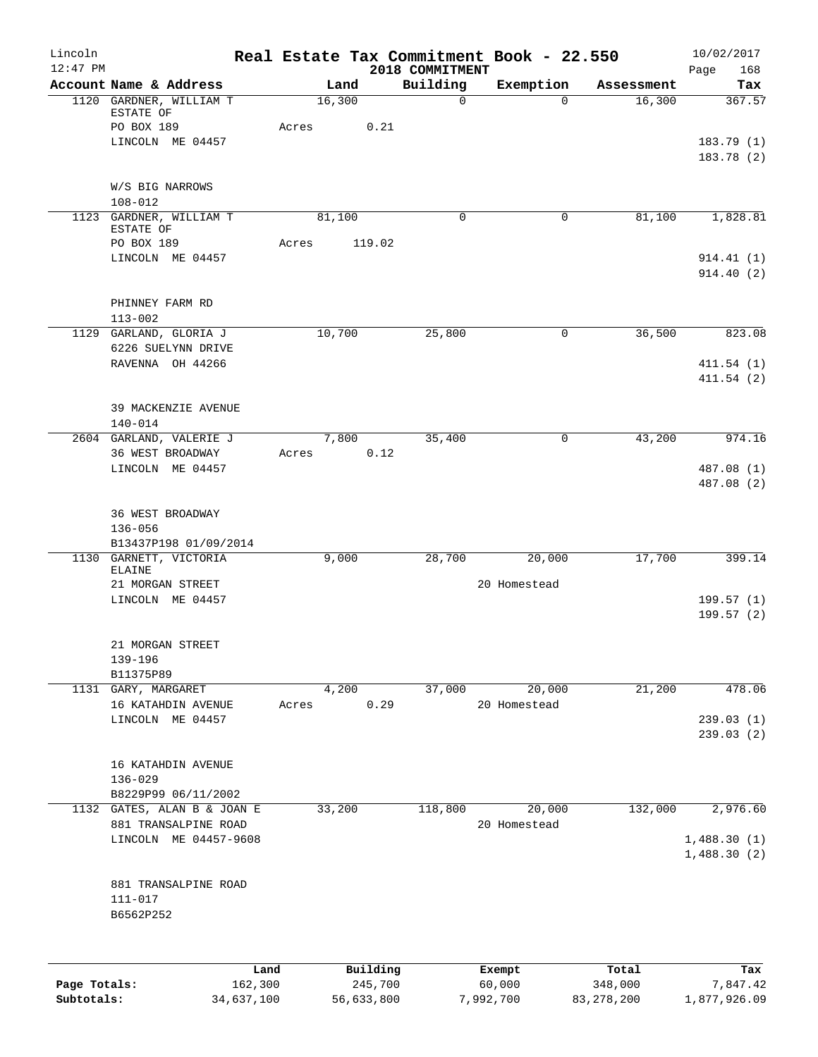| 2018 COMMITMENT<br>Building<br>Account Name & Address<br>Exemption<br>Land<br>Tax<br>Assessment<br>16,300<br>1120 GARDNER, WILLIAM T<br>16,300<br>$\mathbf 0$<br>$\Omega$<br>ESTATE OF<br>PO BOX 189<br>0.21<br>Acres<br>LINCOLN ME 04457<br>W/S BIG NARROWS<br>$108 - 012$<br>1123 GARDNER, WILLIAM T<br>81,100<br>$\Omega$<br>$\mathbf 0$<br>81,100<br>1,828.81<br>ESTATE OF<br>PO BOX 189<br>Acres<br>119.02<br>LINCOLN ME 04457<br>PHINNEY FARM RD<br>$113 - 002$<br>10,700<br>25,800<br>36,500<br>GARLAND, GLORIA J<br>0<br>1129<br>6226 SUELYNN DRIVE<br>RAVENNA OH 44266<br>411.54 (2)<br>39 MACKENZIE AVENUE<br>$140 - 014$<br>2604 GARLAND, VALERIE J<br>43,200<br>7,800<br>35,400<br>$\mathbf 0$<br>0.12<br>36 WEST BROADWAY<br>Acres<br>LINCOLN ME 04457<br>36 WEST BROADWAY<br>136-056<br>B13437P198 01/09/2014<br>9,000<br>28,700<br>20,000<br>17,700<br>1130 GARNETT, VICTORIA<br>ELAINE<br>21 MORGAN STREET<br>20 Homestead<br>LINCOLN ME 04457<br>199.57(1)<br>21 MORGAN STREET<br>139-196<br>B11375P89<br>478.06<br>1131 GARY, MARGARET<br>4,200<br>37,000<br>20,000<br>21,200<br>0.29<br>16 KATAHDIN AVENUE<br>20 Homestead<br>Acres<br>LINCOLN ME 04457<br>16 KATAHDIN AVENUE<br>$136 - 029$<br>B8229P99 06/11/2002<br>33,200<br>20,000<br>132,000<br>2,976.60<br>1132 GATES, ALAN B & JOAN E<br>118,800<br>881 TRANSALPINE ROAD<br>20 Homestead<br>LINCOLN ME 04457-9608<br>881 TRANSALPINE ROAD<br>$111 - 017$<br>B6562P252<br>Building<br>Land<br>Exempt<br>Total<br>162,300<br>245,700<br>Page Totals:<br>60,000<br>348,000<br>7,847.42 | Lincoln<br>$12:47$ PM |  |  | Real Estate Tax Commitment Book - 22.550 | 10/02/2017  |
|----------------------------------------------------------------------------------------------------------------------------------------------------------------------------------------------------------------------------------------------------------------------------------------------------------------------------------------------------------------------------------------------------------------------------------------------------------------------------------------------------------------------------------------------------------------------------------------------------------------------------------------------------------------------------------------------------------------------------------------------------------------------------------------------------------------------------------------------------------------------------------------------------------------------------------------------------------------------------------------------------------------------------------------------------------------------------------------------------------------------------------------------------------------------------------------------------------------------------------------------------------------------------------------------------------------------------------------------------------------------------------------------------------------------------------------------------------------------------------------------------------------------------------------------------------------|-----------------------|--|--|------------------------------------------|-------------|
|                                                                                                                                                                                                                                                                                                                                                                                                                                                                                                                                                                                                                                                                                                                                                                                                                                                                                                                                                                                                                                                                                                                                                                                                                                                                                                                                                                                                                                                                                                                                                                |                       |  |  |                                          | Page<br>168 |
|                                                                                                                                                                                                                                                                                                                                                                                                                                                                                                                                                                                                                                                                                                                                                                                                                                                                                                                                                                                                                                                                                                                                                                                                                                                                                                                                                                                                                                                                                                                                                                |                       |  |  |                                          | 367.57      |
|                                                                                                                                                                                                                                                                                                                                                                                                                                                                                                                                                                                                                                                                                                                                                                                                                                                                                                                                                                                                                                                                                                                                                                                                                                                                                                                                                                                                                                                                                                                                                                |                       |  |  |                                          |             |
|                                                                                                                                                                                                                                                                                                                                                                                                                                                                                                                                                                                                                                                                                                                                                                                                                                                                                                                                                                                                                                                                                                                                                                                                                                                                                                                                                                                                                                                                                                                                                                |                       |  |  |                                          | 183.79(1)   |
|                                                                                                                                                                                                                                                                                                                                                                                                                                                                                                                                                                                                                                                                                                                                                                                                                                                                                                                                                                                                                                                                                                                                                                                                                                                                                                                                                                                                                                                                                                                                                                |                       |  |  |                                          | 183.78 (2)  |
|                                                                                                                                                                                                                                                                                                                                                                                                                                                                                                                                                                                                                                                                                                                                                                                                                                                                                                                                                                                                                                                                                                                                                                                                                                                                                                                                                                                                                                                                                                                                                                |                       |  |  |                                          |             |
|                                                                                                                                                                                                                                                                                                                                                                                                                                                                                                                                                                                                                                                                                                                                                                                                                                                                                                                                                                                                                                                                                                                                                                                                                                                                                                                                                                                                                                                                                                                                                                |                       |  |  |                                          |             |
|                                                                                                                                                                                                                                                                                                                                                                                                                                                                                                                                                                                                                                                                                                                                                                                                                                                                                                                                                                                                                                                                                                                                                                                                                                                                                                                                                                                                                                                                                                                                                                |                       |  |  |                                          |             |
|                                                                                                                                                                                                                                                                                                                                                                                                                                                                                                                                                                                                                                                                                                                                                                                                                                                                                                                                                                                                                                                                                                                                                                                                                                                                                                                                                                                                                                                                                                                                                                |                       |  |  |                                          |             |
|                                                                                                                                                                                                                                                                                                                                                                                                                                                                                                                                                                                                                                                                                                                                                                                                                                                                                                                                                                                                                                                                                                                                                                                                                                                                                                                                                                                                                                                                                                                                                                |                       |  |  |                                          | 914.41 (1)  |
|                                                                                                                                                                                                                                                                                                                                                                                                                                                                                                                                                                                                                                                                                                                                                                                                                                                                                                                                                                                                                                                                                                                                                                                                                                                                                                                                                                                                                                                                                                                                                                |                       |  |  |                                          | 914.40(2)   |
|                                                                                                                                                                                                                                                                                                                                                                                                                                                                                                                                                                                                                                                                                                                                                                                                                                                                                                                                                                                                                                                                                                                                                                                                                                                                                                                                                                                                                                                                                                                                                                |                       |  |  |                                          |             |
|                                                                                                                                                                                                                                                                                                                                                                                                                                                                                                                                                                                                                                                                                                                                                                                                                                                                                                                                                                                                                                                                                                                                                                                                                                                                                                                                                                                                                                                                                                                                                                |                       |  |  |                                          |             |
|                                                                                                                                                                                                                                                                                                                                                                                                                                                                                                                                                                                                                                                                                                                                                                                                                                                                                                                                                                                                                                                                                                                                                                                                                                                                                                                                                                                                                                                                                                                                                                |                       |  |  |                                          | 823.08      |
|                                                                                                                                                                                                                                                                                                                                                                                                                                                                                                                                                                                                                                                                                                                                                                                                                                                                                                                                                                                                                                                                                                                                                                                                                                                                                                                                                                                                                                                                                                                                                                |                       |  |  |                                          |             |
|                                                                                                                                                                                                                                                                                                                                                                                                                                                                                                                                                                                                                                                                                                                                                                                                                                                                                                                                                                                                                                                                                                                                                                                                                                                                                                                                                                                                                                                                                                                                                                |                       |  |  |                                          | 411.54(1)   |
|                                                                                                                                                                                                                                                                                                                                                                                                                                                                                                                                                                                                                                                                                                                                                                                                                                                                                                                                                                                                                                                                                                                                                                                                                                                                                                                                                                                                                                                                                                                                                                |                       |  |  |                                          |             |
|                                                                                                                                                                                                                                                                                                                                                                                                                                                                                                                                                                                                                                                                                                                                                                                                                                                                                                                                                                                                                                                                                                                                                                                                                                                                                                                                                                                                                                                                                                                                                                |                       |  |  |                                          |             |
|                                                                                                                                                                                                                                                                                                                                                                                                                                                                                                                                                                                                                                                                                                                                                                                                                                                                                                                                                                                                                                                                                                                                                                                                                                                                                                                                                                                                                                                                                                                                                                |                       |  |  |                                          |             |
|                                                                                                                                                                                                                                                                                                                                                                                                                                                                                                                                                                                                                                                                                                                                                                                                                                                                                                                                                                                                                                                                                                                                                                                                                                                                                                                                                                                                                                                                                                                                                                |                       |  |  |                                          | 974.16      |
|                                                                                                                                                                                                                                                                                                                                                                                                                                                                                                                                                                                                                                                                                                                                                                                                                                                                                                                                                                                                                                                                                                                                                                                                                                                                                                                                                                                                                                                                                                                                                                |                       |  |  |                                          |             |
|                                                                                                                                                                                                                                                                                                                                                                                                                                                                                                                                                                                                                                                                                                                                                                                                                                                                                                                                                                                                                                                                                                                                                                                                                                                                                                                                                                                                                                                                                                                                                                |                       |  |  |                                          | 487.08 (1)  |
|                                                                                                                                                                                                                                                                                                                                                                                                                                                                                                                                                                                                                                                                                                                                                                                                                                                                                                                                                                                                                                                                                                                                                                                                                                                                                                                                                                                                                                                                                                                                                                |                       |  |  |                                          | 487.08 (2)  |
|                                                                                                                                                                                                                                                                                                                                                                                                                                                                                                                                                                                                                                                                                                                                                                                                                                                                                                                                                                                                                                                                                                                                                                                                                                                                                                                                                                                                                                                                                                                                                                |                       |  |  |                                          |             |
|                                                                                                                                                                                                                                                                                                                                                                                                                                                                                                                                                                                                                                                                                                                                                                                                                                                                                                                                                                                                                                                                                                                                                                                                                                                                                                                                                                                                                                                                                                                                                                |                       |  |  |                                          |             |
|                                                                                                                                                                                                                                                                                                                                                                                                                                                                                                                                                                                                                                                                                                                                                                                                                                                                                                                                                                                                                                                                                                                                                                                                                                                                                                                                                                                                                                                                                                                                                                |                       |  |  |                                          |             |
|                                                                                                                                                                                                                                                                                                                                                                                                                                                                                                                                                                                                                                                                                                                                                                                                                                                                                                                                                                                                                                                                                                                                                                                                                                                                                                                                                                                                                                                                                                                                                                |                       |  |  |                                          | 399.14      |
|                                                                                                                                                                                                                                                                                                                                                                                                                                                                                                                                                                                                                                                                                                                                                                                                                                                                                                                                                                                                                                                                                                                                                                                                                                                                                                                                                                                                                                                                                                                                                                |                       |  |  |                                          |             |
|                                                                                                                                                                                                                                                                                                                                                                                                                                                                                                                                                                                                                                                                                                                                                                                                                                                                                                                                                                                                                                                                                                                                                                                                                                                                                                                                                                                                                                                                                                                                                                |                       |  |  |                                          |             |
|                                                                                                                                                                                                                                                                                                                                                                                                                                                                                                                                                                                                                                                                                                                                                                                                                                                                                                                                                                                                                                                                                                                                                                                                                                                                                                                                                                                                                                                                                                                                                                |                       |  |  |                                          | 199.57(2)   |
|                                                                                                                                                                                                                                                                                                                                                                                                                                                                                                                                                                                                                                                                                                                                                                                                                                                                                                                                                                                                                                                                                                                                                                                                                                                                                                                                                                                                                                                                                                                                                                |                       |  |  |                                          |             |
|                                                                                                                                                                                                                                                                                                                                                                                                                                                                                                                                                                                                                                                                                                                                                                                                                                                                                                                                                                                                                                                                                                                                                                                                                                                                                                                                                                                                                                                                                                                                                                |                       |  |  |                                          |             |
|                                                                                                                                                                                                                                                                                                                                                                                                                                                                                                                                                                                                                                                                                                                                                                                                                                                                                                                                                                                                                                                                                                                                                                                                                                                                                                                                                                                                                                                                                                                                                                |                       |  |  |                                          |             |
|                                                                                                                                                                                                                                                                                                                                                                                                                                                                                                                                                                                                                                                                                                                                                                                                                                                                                                                                                                                                                                                                                                                                                                                                                                                                                                                                                                                                                                                                                                                                                                |                       |  |  |                                          |             |
|                                                                                                                                                                                                                                                                                                                                                                                                                                                                                                                                                                                                                                                                                                                                                                                                                                                                                                                                                                                                                                                                                                                                                                                                                                                                                                                                                                                                                                                                                                                                                                |                       |  |  |                                          |             |
|                                                                                                                                                                                                                                                                                                                                                                                                                                                                                                                                                                                                                                                                                                                                                                                                                                                                                                                                                                                                                                                                                                                                                                                                                                                                                                                                                                                                                                                                                                                                                                |                       |  |  |                                          | 239.03(1)   |
|                                                                                                                                                                                                                                                                                                                                                                                                                                                                                                                                                                                                                                                                                                                                                                                                                                                                                                                                                                                                                                                                                                                                                                                                                                                                                                                                                                                                                                                                                                                                                                |                       |  |  |                                          | 239.03(2)   |
|                                                                                                                                                                                                                                                                                                                                                                                                                                                                                                                                                                                                                                                                                                                                                                                                                                                                                                                                                                                                                                                                                                                                                                                                                                                                                                                                                                                                                                                                                                                                                                |                       |  |  |                                          |             |
|                                                                                                                                                                                                                                                                                                                                                                                                                                                                                                                                                                                                                                                                                                                                                                                                                                                                                                                                                                                                                                                                                                                                                                                                                                                                                                                                                                                                                                                                                                                                                                |                       |  |  |                                          |             |
|                                                                                                                                                                                                                                                                                                                                                                                                                                                                                                                                                                                                                                                                                                                                                                                                                                                                                                                                                                                                                                                                                                                                                                                                                                                                                                                                                                                                                                                                                                                                                                |                       |  |  |                                          |             |
|                                                                                                                                                                                                                                                                                                                                                                                                                                                                                                                                                                                                                                                                                                                                                                                                                                                                                                                                                                                                                                                                                                                                                                                                                                                                                                                                                                                                                                                                                                                                                                |                       |  |  |                                          |             |
|                                                                                                                                                                                                                                                                                                                                                                                                                                                                                                                                                                                                                                                                                                                                                                                                                                                                                                                                                                                                                                                                                                                                                                                                                                                                                                                                                                                                                                                                                                                                                                |                       |  |  |                                          |             |
|                                                                                                                                                                                                                                                                                                                                                                                                                                                                                                                                                                                                                                                                                                                                                                                                                                                                                                                                                                                                                                                                                                                                                                                                                                                                                                                                                                                                                                                                                                                                                                |                       |  |  |                                          | 1,488.30(1) |
|                                                                                                                                                                                                                                                                                                                                                                                                                                                                                                                                                                                                                                                                                                                                                                                                                                                                                                                                                                                                                                                                                                                                                                                                                                                                                                                                                                                                                                                                                                                                                                |                       |  |  |                                          | 1,488.30(2) |
|                                                                                                                                                                                                                                                                                                                                                                                                                                                                                                                                                                                                                                                                                                                                                                                                                                                                                                                                                                                                                                                                                                                                                                                                                                                                                                                                                                                                                                                                                                                                                                |                       |  |  |                                          |             |
|                                                                                                                                                                                                                                                                                                                                                                                                                                                                                                                                                                                                                                                                                                                                                                                                                                                                                                                                                                                                                                                                                                                                                                                                                                                                                                                                                                                                                                                                                                                                                                |                       |  |  |                                          |             |
|                                                                                                                                                                                                                                                                                                                                                                                                                                                                                                                                                                                                                                                                                                                                                                                                                                                                                                                                                                                                                                                                                                                                                                                                                                                                                                                                                                                                                                                                                                                                                                |                       |  |  |                                          |             |
|                                                                                                                                                                                                                                                                                                                                                                                                                                                                                                                                                                                                                                                                                                                                                                                                                                                                                                                                                                                                                                                                                                                                                                                                                                                                                                                                                                                                                                                                                                                                                                |                       |  |  |                                          |             |
|                                                                                                                                                                                                                                                                                                                                                                                                                                                                                                                                                                                                                                                                                                                                                                                                                                                                                                                                                                                                                                                                                                                                                                                                                                                                                                                                                                                                                                                                                                                                                                |                       |  |  |                                          |             |
|                                                                                                                                                                                                                                                                                                                                                                                                                                                                                                                                                                                                                                                                                                                                                                                                                                                                                                                                                                                                                                                                                                                                                                                                                                                                                                                                                                                                                                                                                                                                                                |                       |  |  |                                          | Tax         |

**Subtotals:** 34,637,100 56,633,800 7,992,700 83,278,200 1,877,926.09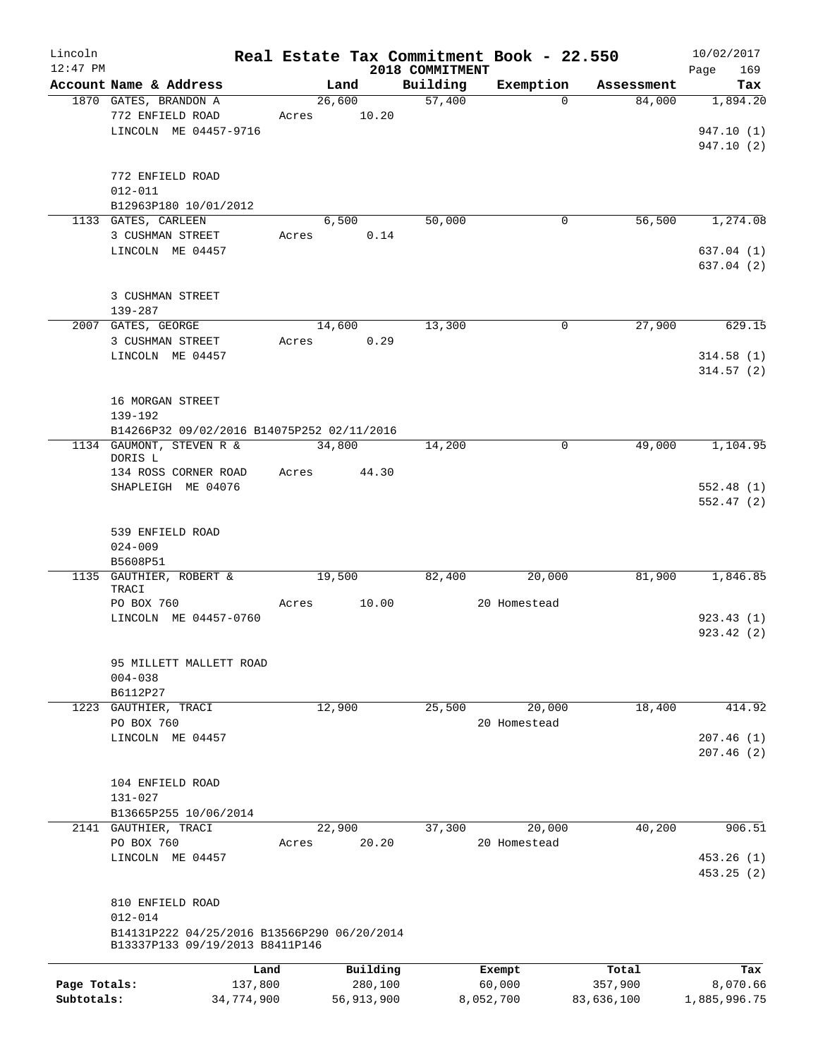| Lincoln      |                                             |       |            |                 | Real Estate Tax Commitment Book - 22.550 |            | 10/02/2017             |
|--------------|---------------------------------------------|-------|------------|-----------------|------------------------------------------|------------|------------------------|
| $12:47$ PM   |                                             |       |            | 2018 COMMITMENT |                                          |            | Page<br>169            |
|              | Account Name & Address                      |       | Land       | Building        | Exemption                                | Assessment | Tax                    |
|              | 1870 GATES, BRANDON A                       |       | 26,600     | 57,400          | $\Omega$                                 | 84,000     | 1,894.20               |
|              | 772 ENFIELD ROAD                            | Acres | 10.20      |                 |                                          |            |                        |
|              | LINCOLN ME 04457-9716                       |       |            |                 |                                          |            | 947.10 (1)             |
|              |                                             |       |            |                 |                                          |            | 947.10 (2)             |
|              |                                             |       |            |                 |                                          |            |                        |
|              | 772 ENFIELD ROAD                            |       |            |                 |                                          |            |                        |
|              | $012 - 011$                                 |       |            |                 |                                          |            |                        |
|              | B12963P180 10/01/2012                       |       |            |                 |                                          |            |                        |
|              | 1133 GATES, CARLEEN                         |       | 6,500      | 50,000          | 0                                        | 56,500     | 1,274.08               |
|              | 3 CUSHMAN STREET                            | Acres | 0.14       |                 |                                          |            |                        |
|              | LINCOLN ME 04457                            |       |            |                 |                                          |            | 637.04 (1)             |
|              |                                             |       |            |                 |                                          |            | 637.04 (2)             |
|              |                                             |       |            |                 |                                          |            |                        |
|              | 3 CUSHMAN STREET                            |       |            |                 |                                          |            |                        |
|              | $139 - 287$                                 |       |            |                 |                                          | 27,900     |                        |
|              | 2007 GATES, GEORGE                          |       | 14,600     | 13,300          | $\mathbf 0$                              |            | 629.15                 |
|              | 3 CUSHMAN STREET<br>LINCOLN ME 04457        | Acres | 0.29       |                 |                                          |            |                        |
|              |                                             |       |            |                 |                                          |            | 314.58(1)<br>314.57(2) |
|              |                                             |       |            |                 |                                          |            |                        |
|              | 16 MORGAN STREET                            |       |            |                 |                                          |            |                        |
|              | 139-192                                     |       |            |                 |                                          |            |                        |
|              | B14266P32 09/02/2016 B14075P252 02/11/2016  |       |            |                 |                                          |            |                        |
|              | 1134 GAUMONT, STEVEN R &                    |       | 34,800     | 14,200          | 0                                        | 49,000     | 1,104.95               |
|              | DORIS L                                     |       |            |                 |                                          |            |                        |
|              | 134 ROSS CORNER ROAD                        | Acres | 44.30      |                 |                                          |            |                        |
|              | SHAPLEIGH ME 04076                          |       |            |                 |                                          |            | 552.48(1)              |
|              |                                             |       |            |                 |                                          |            | 552.47(2)              |
|              |                                             |       |            |                 |                                          |            |                        |
|              | 539 ENFIELD ROAD                            |       |            |                 |                                          |            |                        |
|              | $024 - 009$                                 |       |            |                 |                                          |            |                        |
|              | B5608P51                                    |       |            |                 |                                          |            |                        |
|              | 1135 GAUTHIER, ROBERT &                     |       | 19,500     | 82,400          | 20,000                                   | 81,900     | 1,846.85               |
|              | TRACI                                       |       |            |                 |                                          |            |                        |
|              | PO BOX 760                                  | Acres | 10.00      |                 | 20 Homestead                             |            |                        |
|              | LINCOLN ME 04457-0760                       |       |            |                 |                                          |            | 923.43(1)              |
|              |                                             |       |            |                 |                                          |            | 923.42(2)              |
|              |                                             |       |            |                 |                                          |            |                        |
|              | 95 MILLETT MALLETT ROAD                     |       |            |                 |                                          |            |                        |
|              | $004 - 038$                                 |       |            |                 |                                          |            |                        |
| 1223         | B6112P27                                    |       |            |                 |                                          |            |                        |
|              | GAUTHIER, TRACI                             |       | 12,900     | 25,500          | 20,000<br>20 Homestead                   | 18,400     | 414.92                 |
|              | PO BOX 760                                  |       |            |                 |                                          |            |                        |
|              | LINCOLN ME 04457                            |       |            |                 |                                          |            | 207.46(1)<br>207.46(2) |
|              |                                             |       |            |                 |                                          |            |                        |
|              | 104 ENFIELD ROAD                            |       |            |                 |                                          |            |                        |
|              | 131-027                                     |       |            |                 |                                          |            |                        |
|              | B13665P255 10/06/2014                       |       |            |                 |                                          |            |                        |
|              | 2141 GAUTHIER, TRACI                        |       | 22,900     | 37,300          | 20,000                                   | 40,200     | 906.51                 |
|              | PO BOX 760                                  | Acres | 20.20      |                 | 20 Homestead                             |            |                        |
|              | LINCOLN ME 04457                            |       |            |                 |                                          |            | 453.26(1)              |
|              |                                             |       |            |                 |                                          |            | 453.25(2)              |
|              |                                             |       |            |                 |                                          |            |                        |
|              | 810 ENFIELD ROAD                            |       |            |                 |                                          |            |                        |
|              | $012 - 014$                                 |       |            |                 |                                          |            |                        |
|              | B14131P222 04/25/2016 B13566P290 06/20/2014 |       |            |                 |                                          |            |                        |
|              | B13337P133 09/19/2013 B8411P146             |       |            |                 |                                          |            |                        |
|              |                                             |       |            |                 |                                          |            |                        |
|              |                                             | Land  | Building   |                 | Exempt                                   | Total      | Tax                    |
| Page Totals: | 137,800                                     |       | 280,100    |                 | 60,000                                   | 357,900    | 8,070.66               |
| Subtotals:   | 34,774,900                                  |       | 56,913,900 |                 | 8,052,700                                | 83,636,100 | 1,885,996.75           |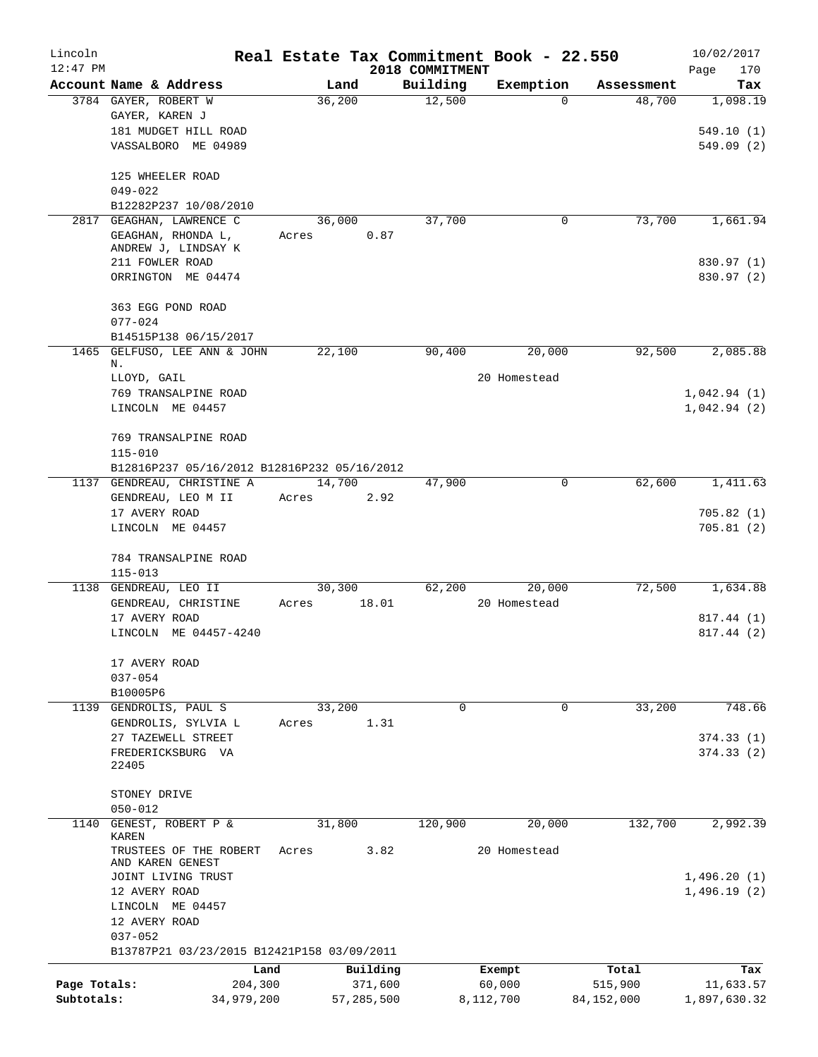| Lincoln      |                                             |        |            |                 | Real Estate Tax Commitment Book - 22.550 |              | 10/02/2017                 |
|--------------|---------------------------------------------|--------|------------|-----------------|------------------------------------------|--------------|----------------------------|
| $12:47$ PM   |                                             |        |            | 2018 COMMITMENT |                                          |              | Page<br>170                |
|              | Account Name & Address                      | Land   |            | Building        | Exemption                                | Assessment   | Tax                        |
|              | 3784 GAYER, ROBERT W                        | 36,200 |            | 12,500          | 0                                        | 48,700       | 1,098.19                   |
|              | GAYER, KAREN J<br>181 MUDGET HILL ROAD      |        |            |                 |                                          |              | 549.10(1)                  |
|              | VASSALBORO ME 04989                         |        |            |                 |                                          |              | 549.09(2)                  |
|              |                                             |        |            |                 |                                          |              |                            |
|              | 125 WHEELER ROAD                            |        |            |                 |                                          |              |                            |
|              | $049 - 022$                                 |        |            |                 |                                          |              |                            |
|              | B12282P237 10/08/2010                       |        |            |                 |                                          |              |                            |
| 2817         | GEAGHAN, LAWRENCE C                         | 36,000 |            | 37,700          | 0                                        | 73,700       | 1,661.94                   |
|              | GEAGHAN, RHONDA L,                          | Acres  | 0.87       |                 |                                          |              |                            |
|              | ANDREW J, LINDSAY K                         |        |            |                 |                                          |              |                            |
|              | 211 FOWLER ROAD                             |        |            |                 |                                          |              | 830.97 (1)                 |
|              | ORRINGTON ME 04474                          |        |            |                 |                                          |              | 830.97 (2)                 |
|              | 363 EGG POND ROAD                           |        |            |                 |                                          |              |                            |
|              | $077 - 024$                                 |        |            |                 |                                          |              |                            |
|              | B14515P138 06/15/2017                       |        |            |                 |                                          |              |                            |
| 1465         | GELFUSO, LEE ANN & JOHN                     | 22,100 |            | 90,400          | 20,000                                   | 92,500       | 2,085.88                   |
|              | Ν.<br>LLOYD, GAIL                           |        |            |                 | 20 Homestead                             |              |                            |
|              | 769 TRANSALPINE ROAD                        |        |            |                 |                                          |              | 1,042.94(1)                |
|              | LINCOLN ME 04457                            |        |            |                 |                                          |              | 1,042.94(2)                |
|              |                                             |        |            |                 |                                          |              |                            |
|              | 769 TRANSALPINE ROAD                        |        |            |                 |                                          |              |                            |
|              | $115 - 010$                                 |        |            |                 |                                          |              |                            |
|              | B12816P237 05/16/2012 B12816P232 05/16/2012 |        |            |                 |                                          |              |                            |
|              | 1137 GENDREAU, CHRISTINE A                  | 14,700 |            | 47,900          | 0                                        | 62,600       | 1,411.63                   |
|              | GENDREAU, LEO M II                          | Acres  | 2.92       |                 |                                          |              |                            |
|              | 17 AVERY ROAD                               |        |            |                 |                                          |              | 705.82(1)                  |
|              | LINCOLN ME 04457                            |        |            |                 |                                          |              | 705.81(2)                  |
|              |                                             |        |            |                 |                                          |              |                            |
|              | 784 TRANSALPINE ROAD<br>$115 - 013$         |        |            |                 |                                          |              |                            |
| 1138         | GENDREAU, LEO II                            | 30,300 |            | 62,200          | 20,000                                   | 72,500       | 1,634.88                   |
|              | GENDREAU, CHRISTINE                         | Acres  | 18.01      |                 | 20 Homestead                             |              |                            |
|              | 17 AVERY ROAD                               |        |            |                 |                                          |              | 817.44 (1)                 |
|              | LINCOLN ME 04457-4240                       |        |            |                 |                                          |              | 817.44 (2)                 |
|              |                                             |        |            |                 |                                          |              |                            |
|              | 17 AVERY ROAD                               |        |            |                 |                                          |              |                            |
|              | $037 - 054$                                 |        |            |                 |                                          |              |                            |
|              | B10005P6                                    |        |            |                 |                                          |              |                            |
| 1139         | GENDROLIS, PAUL S                           | 33,200 |            | 0               | 0                                        | 33,200       | 748.66                     |
|              | GENDROLIS, SYLVIA L                         | Acres  | 1.31       |                 |                                          |              |                            |
|              | 27 TAZEWELL STREET                          |        |            |                 |                                          |              | 374.33(1)                  |
|              | FREDERICKSBURG VA                           |        |            |                 |                                          |              | 374.33(2)                  |
|              | 22405                                       |        |            |                 |                                          |              |                            |
|              | STONEY DRIVE                                |        |            |                 |                                          |              |                            |
|              | $050 - 012$                                 |        |            |                 |                                          |              |                            |
| 1140         | GENEST, ROBERT P &                          | 31,800 |            | 120,900         | 20,000                                   | 132,700      | 2,992.39                   |
|              | KAREN                                       |        |            |                 |                                          |              |                            |
|              | TRUSTEES OF THE ROBERT                      | Acres  | 3.82       |                 | 20 Homestead                             |              |                            |
|              | AND KAREN GENEST                            |        |            |                 |                                          |              |                            |
|              | JOINT LIVING TRUST<br>12 AVERY ROAD         |        |            |                 |                                          |              | 1,496.20(1)<br>1,496.19(2) |
|              | LINCOLN ME 04457                            |        |            |                 |                                          |              |                            |
|              | 12 AVERY ROAD                               |        |            |                 |                                          |              |                            |
|              | $037 - 052$                                 |        |            |                 |                                          |              |                            |
|              | B13787P21 03/23/2015 B12421P158 03/09/2011  |        |            |                 |                                          |              |                            |
|              | Land                                        |        | Building   |                 | Exempt                                   | Total        | Tax                        |
| Page Totals: | 204,300                                     |        | 371,600    |                 | 60,000                                   | 515,900      | 11,633.57                  |
| Subtotals:   | 34,979,200                                  |        | 57,285,500 |                 | 8,112,700                                | 84, 152, 000 | 1,897,630.32               |
|              |                                             |        |            |                 |                                          |              |                            |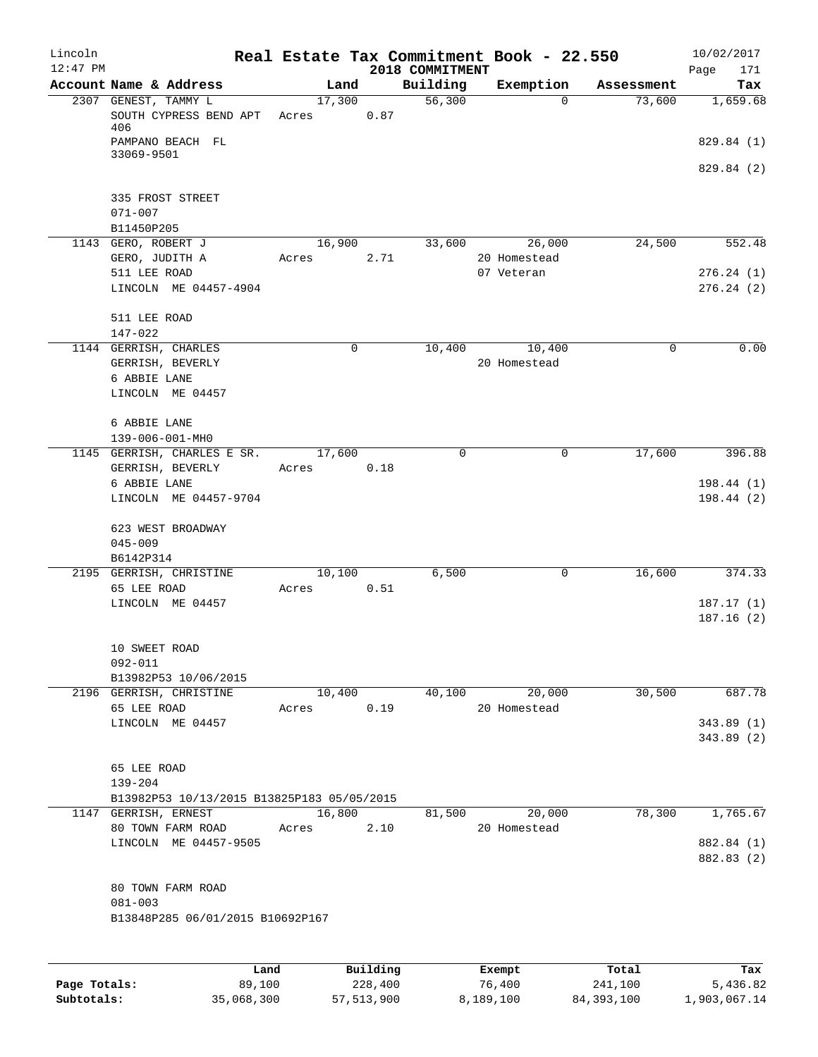| Lincoln<br>$12:47$ PM |                                                 |                 |          | 2018 COMMITMENT | Real Estate Tax Commitment Book - 22.550 |            | 10/02/2017<br>171<br>Page |
|-----------------------|-------------------------------------------------|-----------------|----------|-----------------|------------------------------------------|------------|---------------------------|
|                       | Account Name & Address                          | Land            |          | Building        | Exemption                                | Assessment | Tax                       |
|                       | 2307 GENEST, TAMMY L<br>SOUTH CYPRESS BEND APT  | 17,300<br>Acres | 0.87     | 56,300          | 0                                        | 73,600     | 1,659.68                  |
|                       | 406<br>PAMPANO BEACH FL<br>33069-9501           |                 |          |                 |                                          |            | 829.84 (1)                |
|                       |                                                 |                 |          |                 |                                          |            | 829.84 (2)                |
|                       | 335 FROST STREET<br>$071 - 007$                 |                 |          |                 |                                          |            |                           |
|                       | B11450P205                                      |                 |          |                 |                                          |            |                           |
|                       | 1143 GERO, ROBERT J<br>GERO, JUDITH A           | 16,900<br>Acres | 2.71     | 33,600          | 26,000<br>20 Homestead                   | 24,500     | 552.48                    |
|                       | 511 LEE ROAD<br>LINCOLN ME 04457-4904           |                 |          |                 | 07 Veteran                               |            | 276.24(1)<br>276.24(2)    |
|                       | 511 LEE ROAD<br>147-022                         |                 |          |                 |                                          |            |                           |
|                       | 1144 GERRISH, CHARLES                           |                 | 0        | 10,400          | 10,400                                   | 0          | 0.00                      |
|                       | GERRISH, BEVERLY                                |                 |          |                 | 20 Homestead                             |            |                           |
|                       | 6 ABBIE LANE                                    |                 |          |                 |                                          |            |                           |
|                       | LINCOLN ME 04457                                |                 |          |                 |                                          |            |                           |
|                       | 6 ABBIE LANE                                    |                 |          |                 |                                          |            |                           |
|                       | 139-006-001-MH0                                 |                 |          |                 |                                          |            |                           |
|                       | 1145 GERRISH, CHARLES E SR.<br>GERRISH, BEVERLY | 17,600<br>Acres | 0.18     | $\mathbf 0$     | $\mathbf 0$                              | 17,600     | 396.88                    |
|                       | 6 ABBIE LANE                                    |                 |          |                 |                                          |            | 198.44 (1)                |
|                       | LINCOLN ME 04457-9704                           |                 |          |                 |                                          |            | 198.44(2)                 |
|                       | 623 WEST BROADWAY                               |                 |          |                 |                                          |            |                           |
|                       | $045 - 009$                                     |                 |          |                 |                                          |            |                           |
|                       | B6142P314<br>2195 GERRISH, CHRISTINE            | 10,100          |          | 6,500           | 0                                        | 16,600     | 374.33                    |
|                       | 65 LEE ROAD                                     | Acres           | 0.51     |                 |                                          |            |                           |
|                       | LINCOLN ME 04457                                |                 |          |                 |                                          |            | 187.17(1)                 |
|                       |                                                 |                 |          |                 |                                          |            | 187.16(2)                 |
|                       | 10 SWEET ROAD                                   |                 |          |                 |                                          |            |                           |
|                       | 092-011<br>B13982P53 10/06/2015                 |                 |          |                 |                                          |            |                           |
|                       | 2196 GERRISH, CHRISTINE                         | 10,400          |          | 40,100          | 20,000                                   | 30,500     | 687.78                    |
|                       | 65 LEE ROAD                                     | Acres           | 0.19     |                 | 20 Homestead                             |            |                           |
|                       | LINCOLN ME 04457                                |                 |          |                 |                                          |            | 343.89(1)                 |
|                       |                                                 |                 |          |                 |                                          |            | 343.89 (2)                |
|                       | 65 LEE ROAD                                     |                 |          |                 |                                          |            |                           |
|                       | $139 - 204$                                     |                 |          |                 |                                          |            |                           |
|                       | B13982P53 10/13/2015 B13825P183 05/05/2015      |                 |          |                 |                                          |            |                           |
|                       | 1147 GERRISH, ERNEST                            | 16,800          |          | 81,500          | 20,000                                   | 78,300     | 1,765.67                  |
|                       | 80 TOWN FARM ROAD<br>LINCOLN ME 04457-9505      | Acres           | 2.10     |                 | 20 Homestead                             |            | 882.84 (1)                |
|                       |                                                 |                 |          |                 |                                          |            | 882.83 (2)                |
|                       | 80 TOWN FARM ROAD                               |                 |          |                 |                                          |            |                           |
|                       | $081 - 003$                                     |                 |          |                 |                                          |            |                           |
|                       | B13848P285 06/01/2015 B10692P167                |                 |          |                 |                                          |            |                           |
|                       |                                                 |                 |          |                 |                                          |            |                           |
|                       | Land                                            |                 | Building |                 | Exempt                                   | Total      | Tax                       |

|              | úand       | Building     | Exempt    | Total        | тах          |
|--------------|------------|--------------|-----------|--------------|--------------|
| Page Totals: | 89,100     | 228,400      | 76,400    | 241,100      | 5,436.82     |
| Subtotals:   | 35,068,300 | 57, 513, 900 | 8,189,100 | 84, 393, 100 | 1,903,067.14 |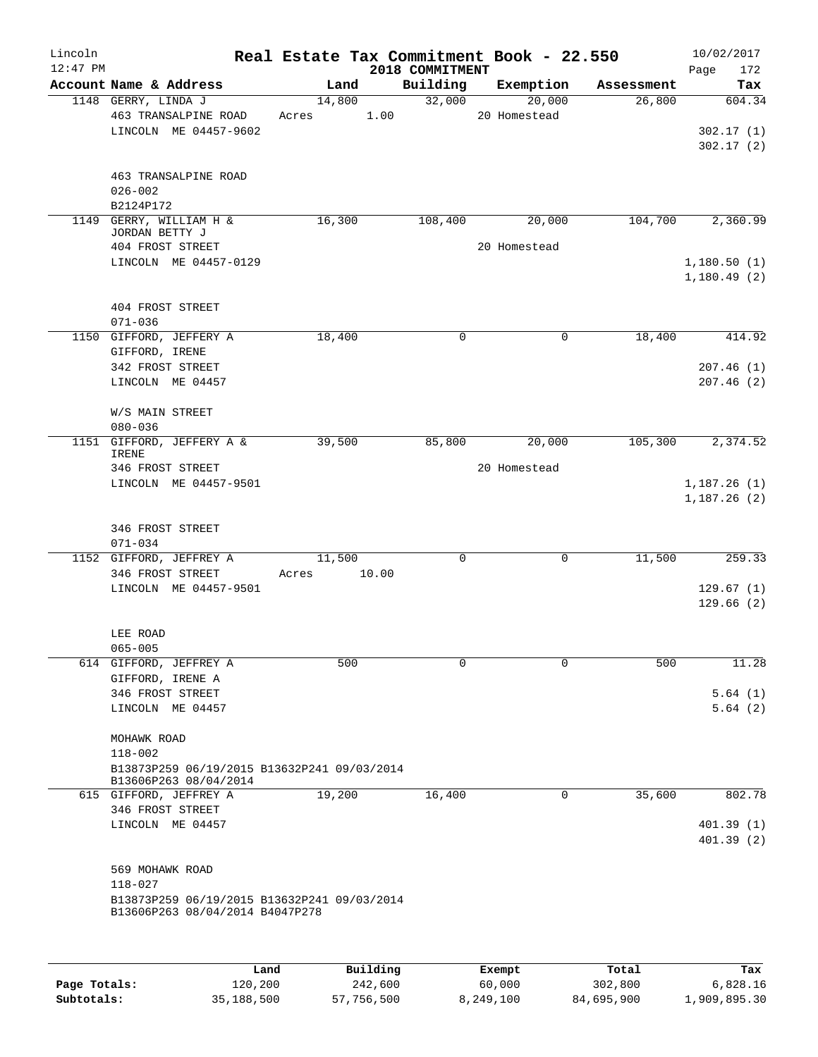| Lincoln<br>$12:47$ PM |                                                                      | Real Estate Tax Commitment Book - 22.550 | 2018 COMMITMENT |              |            | 10/02/2017<br>172<br>Page  |
|-----------------------|----------------------------------------------------------------------|------------------------------------------|-----------------|--------------|------------|----------------------------|
|                       | Account Name & Address                                               | Land                                     | Building        | Exemption    | Assessment | Tax                        |
|                       | 1148 GERRY, LINDA J                                                  | 14,800                                   | 32,000          | 20,000       | 26,800     | 604.34                     |
|                       | 463 TRANSALPINE ROAD                                                 | Acres                                    | 1.00            | 20 Homestead |            |                            |
|                       | LINCOLN ME 04457-9602                                                |                                          |                 |              |            | 302.17(1)                  |
|                       |                                                                      |                                          |                 |              |            | 302.17(2)                  |
|                       |                                                                      |                                          |                 |              |            |                            |
|                       | 463 TRANSALPINE ROAD<br>$026 - 002$                                  |                                          |                 |              |            |                            |
|                       | B2124P172                                                            |                                          |                 |              |            |                            |
|                       | 1149 GERRY, WILLIAM H &                                              | 16,300                                   | 108,400         | 20,000       | 104,700    | 2,360.99                   |
|                       | JORDAN BETTY J                                                       |                                          |                 |              |            |                            |
|                       | 404 FROST STREET                                                     |                                          |                 | 20 Homestead |            |                            |
|                       | LINCOLN ME 04457-0129                                                |                                          |                 |              |            | 1,180.50(1)<br>1,180.49(2) |
|                       | 404 FROST STREET                                                     |                                          |                 |              |            |                            |
|                       | $071 - 036$                                                          |                                          |                 |              |            |                            |
|                       | 1150 GIFFORD, JEFFERY A                                              | 18,400                                   | 0               | 0            | 18,400     | 414.92                     |
|                       | GIFFORD, IRENE                                                       |                                          |                 |              |            |                            |
|                       | 342 FROST STREET                                                     |                                          |                 |              |            | 207.46(1)                  |
|                       | LINCOLN ME 04457                                                     |                                          |                 |              |            | 207.46(2)                  |
|                       | W/S MAIN STREET                                                      |                                          |                 |              |            |                            |
|                       | $080 - 036$                                                          |                                          |                 |              |            |                            |
|                       | 1151 GIFFORD, JEFFERY A &                                            | 39,500                                   | 85,800          | 20,000       | 105,300    | 2,374.52                   |
|                       | IRENE                                                                |                                          |                 |              |            |                            |
|                       | 346 FROST STREET                                                     |                                          |                 | 20 Homestead |            |                            |
|                       | LINCOLN ME 04457-9501                                                |                                          |                 |              |            | 1,187.26(1)<br>1,187.26(2) |
|                       | 346 FROST STREET                                                     |                                          |                 |              |            |                            |
|                       | $071 - 034$                                                          |                                          |                 |              |            |                            |
|                       | 1152 GIFFORD, JEFFREY A                                              | 11,500                                   | 0               | 0            | 11,500     | 259.33                     |
|                       | 346 FROST STREET                                                     | 10.00<br>Acres                           |                 |              |            |                            |
|                       | LINCOLN ME 04457-9501                                                |                                          |                 |              |            | 129.67(1)                  |
|                       |                                                                      |                                          |                 |              |            | 129.66(2)                  |
|                       | LEE ROAD                                                             |                                          |                 |              |            |                            |
|                       | $065 - 005$                                                          |                                          |                 |              |            |                            |
|                       | 614 GIFFORD, JEFFREY A                                               | 500                                      | 0               | $\Omega$     | 500        | 11.28                      |
|                       | GIFFORD, IRENE A                                                     |                                          |                 |              |            |                            |
|                       | 346 FROST STREET                                                     |                                          |                 |              |            | 5.64(1)                    |
|                       | LINCOLN ME 04457                                                     |                                          |                 |              |            | 5.64(2)                    |
|                       | MOHAWK ROAD                                                          |                                          |                 |              |            |                            |
|                       | $118 - 002$                                                          |                                          |                 |              |            |                            |
|                       | B13873P259 06/19/2015 B13632P241 09/03/2014<br>B13606P263 08/04/2014 |                                          |                 |              |            |                            |
|                       | 615 GIFFORD, JEFFREY A                                               | 19,200                                   | 16,400          | 0            | 35,600     | 802.78                     |
|                       | 346 FROST STREET                                                     |                                          |                 |              |            |                            |
|                       | LINCOLN ME 04457                                                     |                                          |                 |              |            | 401.39(1)<br>401.39(2)     |
|                       |                                                                      |                                          |                 |              |            |                            |
|                       | 569 MOHAWK ROAD                                                      |                                          |                 |              |            |                            |
|                       | $118 - 027$                                                          |                                          |                 |              |            |                            |
|                       | B13873P259 06/19/2015 B13632P241 09/03/2014                          |                                          |                 |              |            |                            |
|                       | B13606P263 08/04/2014 B4047P278                                      |                                          |                 |              |            |                            |
|                       |                                                                      |                                          |                 |              |            |                            |
|                       |                                                                      |                                          |                 |              |            |                            |

|              | Land       | Building   | Exempt    | Total      | Tax          |
|--------------|------------|------------|-----------|------------|--------------|
| Page Totals: | 120,200    | 242,600    | 60,000    | 302,800    | 6,828.16     |
| Subtotals:   | 35,188,500 | 57,756,500 | 8,249,100 | 84,695,900 | 1,909,895.30 |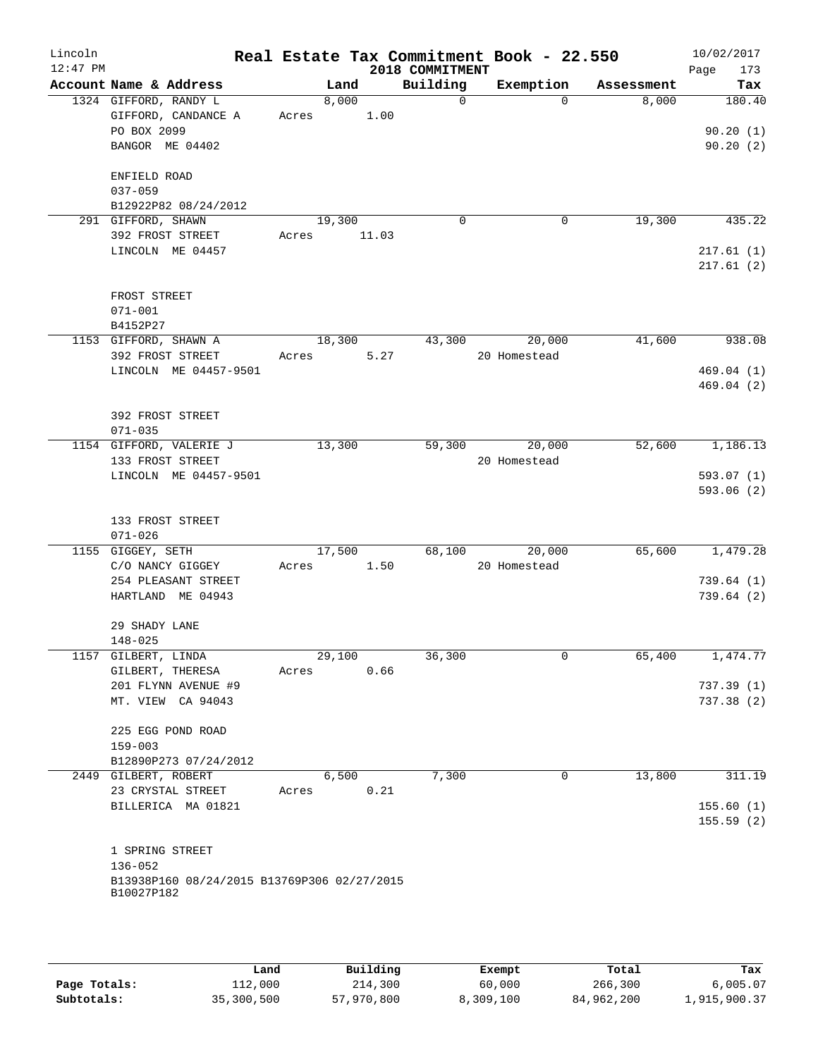| Lincoln<br>$12:47$ PM |                                                                                             |                       |                | 2018 COMMITMENT | Real Estate Tax Commitment Book - 22.550 |            | 10/02/2017<br>173<br>Page      |
|-----------------------|---------------------------------------------------------------------------------------------|-----------------------|----------------|-----------------|------------------------------------------|------------|--------------------------------|
|                       | Account Name & Address                                                                      |                       | Land           | Building        | Exemption                                | Assessment | Tax                            |
|                       | 1324 GIFFORD, RANDY L<br>GIFFORD, CANDANCE A<br>PO BOX 2099<br>BANGOR ME 04402              | Acres 1.00            | 8,000          | $\overline{0}$  | $\Omega$                                 | 8,000      | 180.40<br>90.20(1)<br>90.20(2) |
|                       | ENFIELD ROAD<br>$037 - 059$                                                                 |                       |                |                 |                                          |            |                                |
|                       | B12922P82 08/24/2012                                                                        |                       |                |                 |                                          |            |                                |
|                       | 291 GIFFORD, SHAWN<br>392 FROST STREET<br>LINCOLN ME 04457                                  | 19,300<br>Acres 11.03 |                | $\Omega$        | 0                                        | 19,300     | 435.22<br>217.61(1)            |
|                       |                                                                                             |                       |                |                 |                                          |            | 217.61(2)                      |
|                       | FROST STREET<br>$071 - 001$<br>B4152P27                                                     |                       |                |                 |                                          |            |                                |
|                       | 1153 GIFFORD, SHAWN A<br>392 FROST STREET                                                   | Acres                 | 18,300<br>5.27 | 43,300          | 20,000<br>20 Homestead                   | 41,600     | 938.08                         |
|                       | LINCOLN ME 04457-9501                                                                       |                       |                |                 |                                          |            | 469.04(1)<br>469.04(2)         |
|                       | 392 FROST STREET<br>$071 - 035$                                                             |                       |                |                 |                                          |            |                                |
|                       | 1154 GIFFORD, VALERIE J<br>133 FROST STREET                                                 | 13,300                |                | 59,300          | 20,000<br>20 Homestead                   | 52,600     | 1,186.13                       |
|                       | LINCOLN ME 04457-9501                                                                       |                       |                |                 |                                          |            | 593.07(1)<br>593.06(2)         |
|                       | 133 FROST STREET<br>$071 - 026$                                                             |                       |                |                 |                                          |            |                                |
|                       | 1155 GIGGEY, SETH<br>C/O NANCY GIGGEY                                                       | Acres 1.50            | 17,500         |                 | 68,100 20,000<br>20 Homestead            | 65,600     | 1,479.28                       |
|                       | 254 PLEASANT STREET<br>HARTLAND ME 04943                                                    |                       |                |                 |                                          |            | 739.64(1)<br>739.64(2)         |
|                       | 29 SHADY LANE<br>$148 - 025$                                                                |                       |                |                 |                                          |            |                                |
|                       | 1157 GILBERT, LINDA<br>GILBERT, THERESA                                                     | 29,100<br>Acres       | 0.66           | 36,300          | $\mathbf 0$                              | 65,400     | 1,474.77                       |
|                       | 201 FLYNN AVENUE #9<br>MT. VIEW CA 94043                                                    |                       |                |                 |                                          |            | 737.39(1)<br>737.38(2)         |
|                       | 225 EGG POND ROAD<br>$159 - 003$                                                            |                       |                |                 |                                          |            |                                |
|                       | B12890P273 07/24/2012                                                                       |                       |                |                 |                                          |            |                                |
|                       | 2449 GILBERT, ROBERT<br>23 CRYSTAL STREET                                                   | Acres                 | 6,500<br>0.21  | 7,300           | 0                                        | 13,800     | 311.19                         |
|                       | BILLERICA MA 01821                                                                          |                       |                |                 |                                          |            | 155.60(1)<br>155.59(2)         |
|                       | 1 SPRING STREET<br>$136 - 052$<br>B13938P160 08/24/2015 B13769P306 02/27/2015<br>B10027P182 |                       |                |                 |                                          |            |                                |
|                       |                                                                                             |                       |                |                 |                                          |            |                                |

|              | Land       | Building   | Exempt    | Total      | Tax          |
|--------------|------------|------------|-----------|------------|--------------|
| Page Totals: | 112,000    | 214,300    | 60,000    | 266,300    | 6.005.07     |
| Subtotals:   | 35,300,500 | 57,970,800 | 8,309,100 | 84,962,200 | 1,915,900.37 |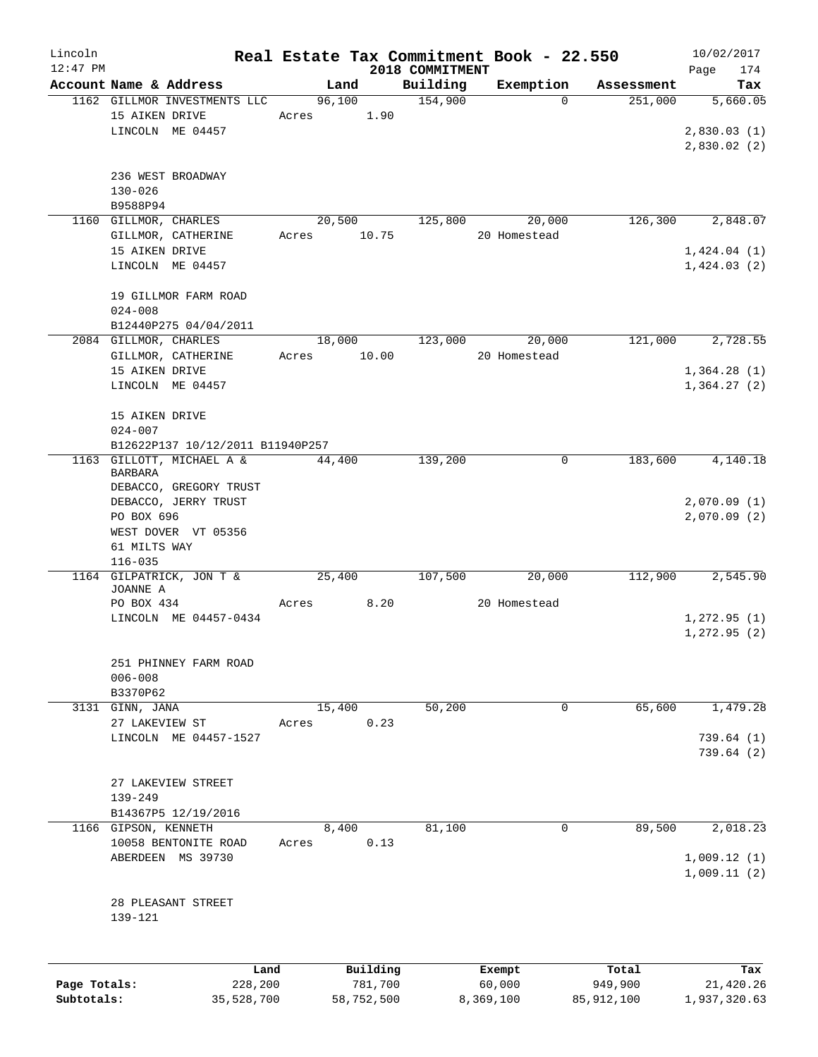| Lincoln      |                         |                                                  |       |                |                 | Real Estate Tax Commitment Book - 22.550 |              | 10/02/2017                             |
|--------------|-------------------------|--------------------------------------------------|-------|----------------|-----------------|------------------------------------------|--------------|----------------------------------------|
| $12:47$ PM   |                         |                                                  |       |                | 2018 COMMITMENT |                                          |              | Page<br>174                            |
|              |                         | Account Name & Address                           |       | Land           | Building        | Exemption                                | Assessment   | Tax                                    |
|              | 15 AIKEN DRIVE          | 1162 GILLMOR INVESTMENTS LLC<br>LINCOLN ME 04457 | Acres | 96,100<br>1.90 | 154,900         | $\Omega$                                 | 251,000      | 5,660.05<br>2,830.03(1)<br>2,830.02(2) |
|              | $130 - 026$<br>B9588P94 | 236 WEST BROADWAY                                |       |                |                 |                                          |              |                                        |
|              |                         | 1160 GILLMOR, CHARLES                            |       | 20,500         | 125,800         | 20,000                                   | 126,300      | 2,848.07                               |
|              |                         | GILLMOR, CATHERINE                               | Acres | 10.75          |                 | 20 Homestead                             |              |                                        |
|              | 15 AIKEN DRIVE          |                                                  |       |                |                 |                                          |              | 1,424.04(1)                            |
|              |                         | LINCOLN ME 04457                                 |       |                |                 |                                          |              | 1,424.03(2)                            |
|              | $024 - 008$             | 19 GILLMOR FARM ROAD                             |       |                |                 |                                          |              |                                        |
|              |                         | B12440P275 04/04/2011                            |       |                |                 |                                          |              |                                        |
|              |                         | 2084 GILLMOR, CHARLES                            |       | 18,000         | 123,000         | 20,000                                   | 121,000      | 2,728.55                               |
|              |                         | GILLMOR, CATHERINE                               | Acres | 10.00          |                 | 20 Homestead                             |              |                                        |
|              | 15 AIKEN DRIVE          |                                                  |       |                |                 |                                          |              | 1,364.28(1)                            |
|              |                         | LINCOLN ME 04457                                 |       |                |                 |                                          |              | 1,364.27(2)                            |
|              | 15 AIKEN DRIVE          |                                                  |       |                |                 |                                          |              |                                        |
|              | $024 - 007$             |                                                  |       |                |                 |                                          |              |                                        |
|              |                         | B12622P137 10/12/2011 B11940P257                 |       |                |                 |                                          |              |                                        |
| 1163         |                         | GILLOTT, MICHAEL A &                             |       | 44,400         | 139,200         | 0                                        | 183,600      | 4,140.18                               |
|              | <b>BARBARA</b>          |                                                  |       |                |                 |                                          |              |                                        |
|              |                         | DEBACCO, GREGORY TRUST                           |       |                |                 |                                          |              |                                        |
|              |                         | DEBACCO, JERRY TRUST                             |       |                |                 |                                          |              | 2,070.09(1)                            |
|              | PO BOX 696              |                                                  |       |                |                 |                                          |              | 2,070.09(2)                            |
|              |                         | WEST DOVER VT 05356                              |       |                |                 |                                          |              |                                        |
|              | 61 MILTS WAY            |                                                  |       |                |                 |                                          |              |                                        |
|              | $116 - 035$             |                                                  |       |                |                 |                                          |              |                                        |
|              | JOANNE A                | 1164 GILPATRICK, JON T &                         |       | 25,400         | 107,500         | 20,000                                   | 112,900      | 2,545.90                               |
|              | PO BOX 434              |                                                  | Acres | 8.20           |                 | 20 Homestead                             |              |                                        |
|              |                         | LINCOLN ME 04457-0434                            |       |                |                 |                                          |              | 1,272.95(1)                            |
|              |                         |                                                  |       |                |                 |                                          |              | 1, 272.95(2)                           |
|              |                         | 251 PHINNEY FARM ROAD                            |       |                |                 |                                          |              |                                        |
|              | $006 - 008$<br>B3370P62 |                                                  |       |                |                 |                                          |              |                                        |
|              | 3131 GINN, JANA         |                                                  |       | 15,400         | 50,200          | $\mathbf 0$                              | 65,600       | 1,479.28                               |
|              | 27 LAKEVIEW ST          |                                                  | Acres | 0.23           |                 |                                          |              |                                        |
|              |                         | LINCOLN ME 04457-1527                            |       |                |                 |                                          |              | 739.64 (1)                             |
|              |                         |                                                  |       |                |                 |                                          |              | 739.64 (2)                             |
|              |                         | 27 LAKEVIEW STREET                               |       |                |                 |                                          |              |                                        |
|              | $139 - 249$             |                                                  |       |                |                 |                                          |              |                                        |
|              |                         | B14367P5 12/19/2016                              |       |                |                 |                                          |              |                                        |
|              | 1166 GIPSON, KENNETH    |                                                  |       | 8,400          | 81,100          | 0                                        | 89,500       | 2,018.23                               |
|              |                         | 10058 BENTONITE ROAD                             | Acres | 0.13           |                 |                                          |              |                                        |
|              |                         | ABERDEEN MS 39730                                |       |                |                 |                                          |              | 1,009.12(1)                            |
|              |                         |                                                  |       |                |                 |                                          |              | 1,009.11(2)                            |
|              |                         | 28 PLEASANT STREET                               |       |                |                 |                                          |              |                                        |
|              | 139-121                 |                                                  |       |                |                 |                                          |              |                                        |
|              |                         | Land                                             |       | Building       |                 | Exempt                                   | Total        | Tax                                    |
| Page Totals: |                         | 228,200                                          |       | 781,700        |                 | 60,000                                   | 949,900      | 21,420.26                              |
| Subtotals:   |                         | 35,528,700                                       |       | 58,752,500     |                 | 8,369,100                                | 85, 912, 100 | 1,937,320.63                           |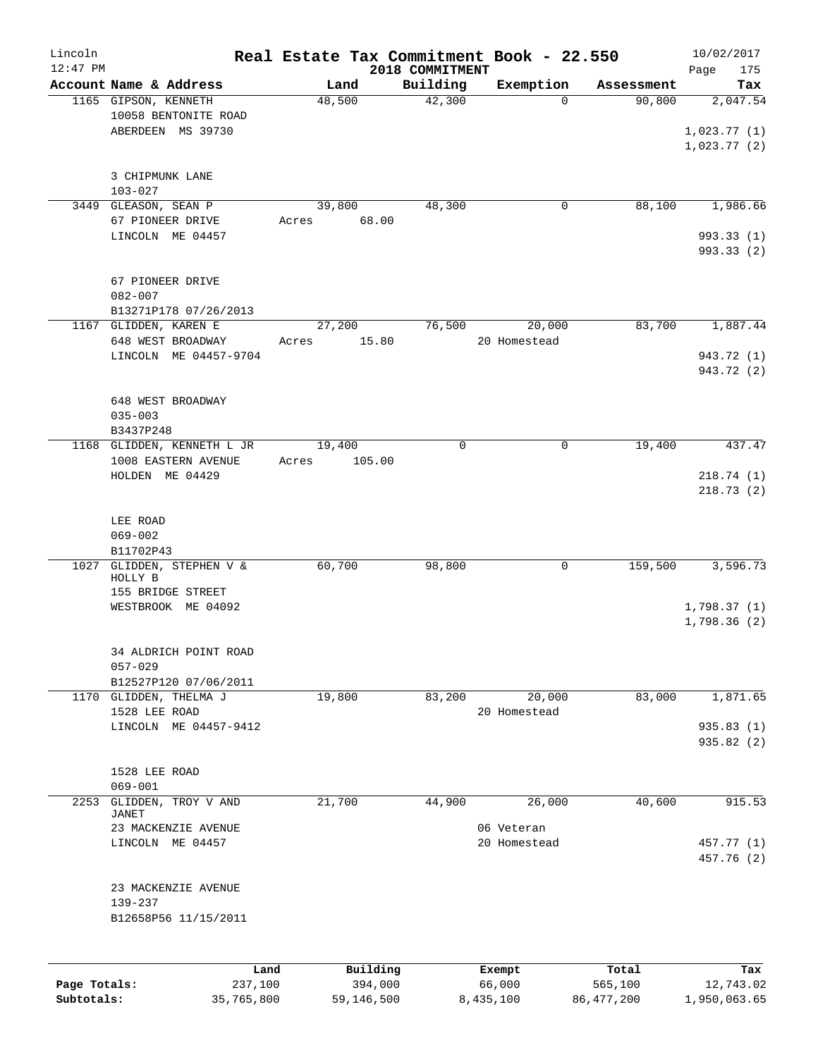| Lincoln<br>$12:47$ PM |                                                                   | Real Estate Tax Commitment Book - 22.550 | 2018 COMMITMENT |                            |            | 10/02/2017<br>175<br>Page              |
|-----------------------|-------------------------------------------------------------------|------------------------------------------|-----------------|----------------------------|------------|----------------------------------------|
|                       | Account Name & Address                                            | Land                                     | Building        | Exemption                  | Assessment | Tax                                    |
|                       | 1165 GIPSON, KENNETH<br>10058 BENTONITE ROAD<br>ABERDEEN MS 39730 | 48,500                                   | 42,300          | $\Omega$                   | 90,800     | 2,047.54<br>1,023.77(1)<br>1,023.77(2) |
|                       | 3 CHIPMUNK LANE<br>$103 - 027$                                    |                                          |                 |                            |            |                                        |
|                       | 3449 GLEASON, SEAN P<br>67 PIONEER DRIVE                          | 39,800<br>68.00<br>Acres                 | 48,300          | 0                          | 88,100     | 1,986.66                               |
|                       | LINCOLN ME 04457                                                  |                                          |                 |                            |            | 993.33(1)<br>993.33 (2)                |
|                       | 67 PIONEER DRIVE<br>$082 - 007$<br>B13271P178 07/26/2013          |                                          |                 |                            |            |                                        |
|                       | 1167 GLIDDEN, KAREN E<br>648 WEST BROADWAY                        | 27,200<br>15.80<br>Acres                 | 76,500          | 20,000<br>20 Homestead     | 83,700     | 1,887.44                               |
|                       | LINCOLN ME 04457-9704                                             |                                          |                 |                            |            | 943.72 (1)<br>943.72 (2)               |
|                       | 648 WEST BROADWAY<br>$035 - 003$<br>B3437P248                     |                                          |                 |                            |            |                                        |
|                       | 1168 GLIDDEN, KENNETH L JR                                        | 19,400                                   | $\mathbf 0$     | 0                          | 19,400     | 437.47                                 |
|                       | 1008 EASTERN AVENUE<br>HOLDEN ME 04429                            | 105.00<br>Acres                          |                 |                            |            | 218.74(1)<br>218.73(2)                 |
|                       | LEE ROAD<br>$069 - 002$<br>B11702P43                              |                                          |                 |                            |            |                                        |
|                       | 1027 GLIDDEN, STEPHEN V &<br>HOLLY B                              | 60,700                                   | 98,800          | 0                          | 159,500    | 3,596.73                               |
|                       | 155 BRIDGE STREET<br>WESTBROOK ME 04092                           |                                          |                 |                            |            | 1,798.37(1)<br>1,798.36(2)             |
|                       | 34 ALDRICH POINT ROAD<br>$057 - 029$                              |                                          |                 |                            |            |                                        |
|                       | B12527P120 07/06/2011<br>1170 GLIDDEN, THELMA J                   | 19,800                                   | 83,200          | 20,000                     | 83,000     | 1,871.65                               |
|                       | 1528 LEE ROAD<br>LINCOLN ME 04457-9412                            |                                          |                 | 20 Homestead               |            | 935.83(1)                              |
|                       |                                                                   |                                          |                 |                            |            | 935.82 (2)                             |
|                       | 1528 LEE ROAD<br>$069 - 001$                                      |                                          |                 |                            |            |                                        |
| 2253                  | GLIDDEN, TROY V AND<br>JANET                                      | 21,700                                   | 44,900          | 26,000                     | 40,600     | 915.53                                 |
|                       | 23 MACKENZIE AVENUE<br>LINCOLN ME 04457                           |                                          |                 | 06 Veteran<br>20 Homestead |            | 457.77 (1)<br>457.76 (2)               |
|                       | 23 MACKENZIE AVENUE<br>139-237<br>B12658P56 11/15/2011            |                                          |                 |                            |            |                                        |
|                       | Land                                                              | Building                                 |                 | Exempt                     | Total      | Tax                                    |
| Page Totals:          | 237,100                                                           | 394,000                                  |                 | 66,000                     | 565,100    | 12,743.02                              |

**Subtotals:** 35,765,800 59,146,500 8,435,100 86,477,200 1,950,063.65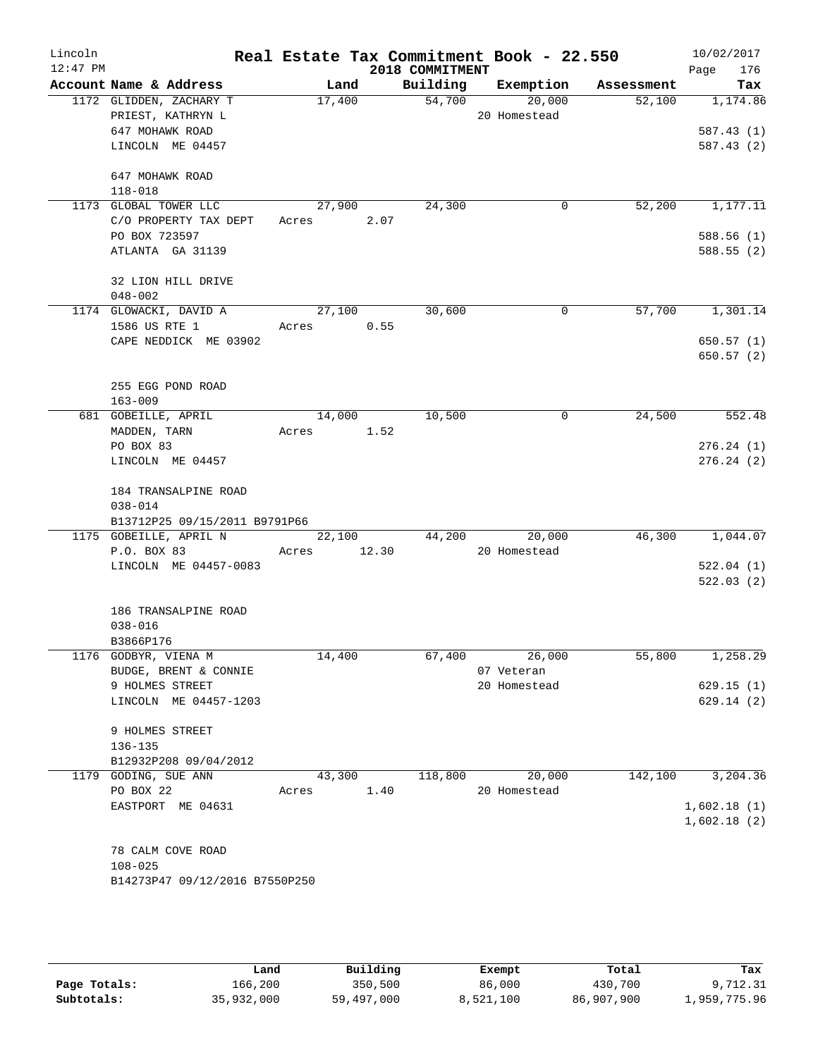| Lincoln<br>$12:47$ PM |                                |             |        |                 | Real Estate Tax Commitment Book - 22.550 |            | 10/02/2017         |
|-----------------------|--------------------------------|-------------|--------|-----------------|------------------------------------------|------------|--------------------|
|                       | Account Name & Address         | Land        |        | 2018 COMMITMENT | Building Exemption                       | Assessment | 176<br>Page<br>Tax |
|                       | 1172 GLIDDEN, ZACHARY T        | 17,400      |        | 54,700          | 20,000                                   | 52,100     | 1,174.86           |
|                       | PRIEST, KATHRYN L              |             |        |                 | 20 Homestead                             |            |                    |
|                       | 647 MOHAWK ROAD                |             |        |                 |                                          |            | 587.43(1)          |
|                       | LINCOLN ME 04457               |             |        |                 |                                          |            | 587.43(2)          |
|                       | 647 MOHAWK ROAD                |             |        |                 |                                          |            |                    |
|                       | $118 - 018$                    |             |        |                 |                                          |            |                    |
|                       | 1173 GLOBAL TOWER LLC          |             | 27,900 | 24,300          | $\mathbf{0}$                             | 52,200     | 1,177.11           |
|                       | C/O PROPERTY TAX DEPT          | Acres 2.07  |        |                 |                                          |            |                    |
|                       | PO BOX 723597                  |             |        |                 |                                          |            | 588.56(1)          |
|                       | ATLANTA GA 31139               |             |        |                 |                                          |            | 588.55(2)          |
|                       | 32 LION HILL DRIVE             |             |        |                 |                                          |            |                    |
|                       | $048 - 002$                    |             |        |                 |                                          |            |                    |
|                       | 1174 GLOWACKI, DAVID A         | 27,100      |        | 30,600          | $\mathbf{0}$                             |            | 57,700 1,301.14    |
|                       | 1586 US RTE 1                  | Acres       | 0.55   |                 |                                          |            |                    |
|                       | CAPE NEDDICK ME 03902          |             |        |                 |                                          |            | 650.57(1)          |
|                       |                                |             |        |                 |                                          |            | 650.57 (2)         |
|                       | 255 EGG POND ROAD              |             |        |                 |                                          |            |                    |
|                       | $163 - 009$                    |             |        |                 |                                          |            |                    |
|                       | 681 GOBEILLE, APRIL            |             | 14,000 | 10,500          | $\mathsf{O}$                             | 24,500     | 552.48             |
|                       | MADDEN, TARN                   | Acres 1.52  |        |                 |                                          |            |                    |
|                       | PO BOX 83                      |             |        |                 |                                          |            | 276.24(1)          |
|                       | LINCOLN ME 04457               |             |        |                 |                                          |            | 276.24(2)          |
|                       | 184 TRANSALPINE ROAD           |             |        |                 |                                          |            |                    |
|                       | $038 - 014$                    |             |        |                 |                                          |            |                    |
|                       | B13712P25 09/15/2011 B9791P66  |             |        |                 |                                          |            |                    |
|                       | 1175 GOBEILLE, APRIL N         |             | 22,100 |                 | 44,200<br>20,000                         |            | 46,300 1,044.07    |
|                       | P.O. BOX 83                    | Acres 12.30 |        |                 | 20 Homestead                             |            |                    |
|                       | LINCOLN ME 04457-0083          |             |        |                 |                                          |            | 522.04(1)          |
|                       |                                |             |        |                 |                                          |            | 522.03(2)          |
|                       | 186 TRANSALPINE ROAD           |             |        |                 |                                          |            |                    |
|                       | $038 - 016$                    |             |        |                 |                                          |            |                    |
|                       | B3866P176                      |             |        |                 |                                          |            |                    |
|                       | 1176 GODBYR, VIENA M           | 14,400      |        |                 | 67,400<br>26,000                         | 55,800     | 1,258.29           |
|                       | BUDGE, BRENT & CONNIE          |             |        |                 | 07 Veteran                               |            |                    |
|                       | 9 HOLMES STREET                |             |        |                 | 20 Homestead                             |            | 629.15(1)          |
|                       | LINCOLN ME 04457-1203          |             |        |                 |                                          |            | 629.14(2)          |
|                       | 9 HOLMES STREET                |             |        |                 |                                          |            |                    |
|                       | 136-135                        |             |        |                 |                                          |            |                    |
|                       | B12932P208 09/04/2012          |             |        |                 |                                          |            |                    |
|                       | 1179 GODING, SUE ANN           | 43,300      |        | 118,800         | 20,000                                   | 142,100    | 3,204.36           |
|                       | PO BOX 22                      | Acres       | 1.40   |                 | 20 Homestead                             |            |                    |
|                       | EASTPORT ME 04631              |             |        |                 |                                          |            | 1,602.18(1)        |
|                       |                                |             |        |                 |                                          |            | 1,602.18(2)        |
|                       | 78 CALM COVE ROAD              |             |        |                 |                                          |            |                    |
|                       | $108 - 025$                    |             |        |                 |                                          |            |                    |
|                       | B14273P47 09/12/2016 B7550P250 |             |        |                 |                                          |            |                    |
|                       |                                |             |        |                 |                                          |            |                    |
|                       |                                |             |        |                 |                                          |            |                    |

|              | Land       | Building   | Exempt    | Total      | Tax          |
|--------------|------------|------------|-----------|------------|--------------|
| Page Totals: | 166,200    | 350,500    | 86,000    | 430,700    | 9,712.31     |
| Subtotals:   | 35,932,000 | 59,497,000 | 8,521,100 | 86,907,900 | L,959,775.96 |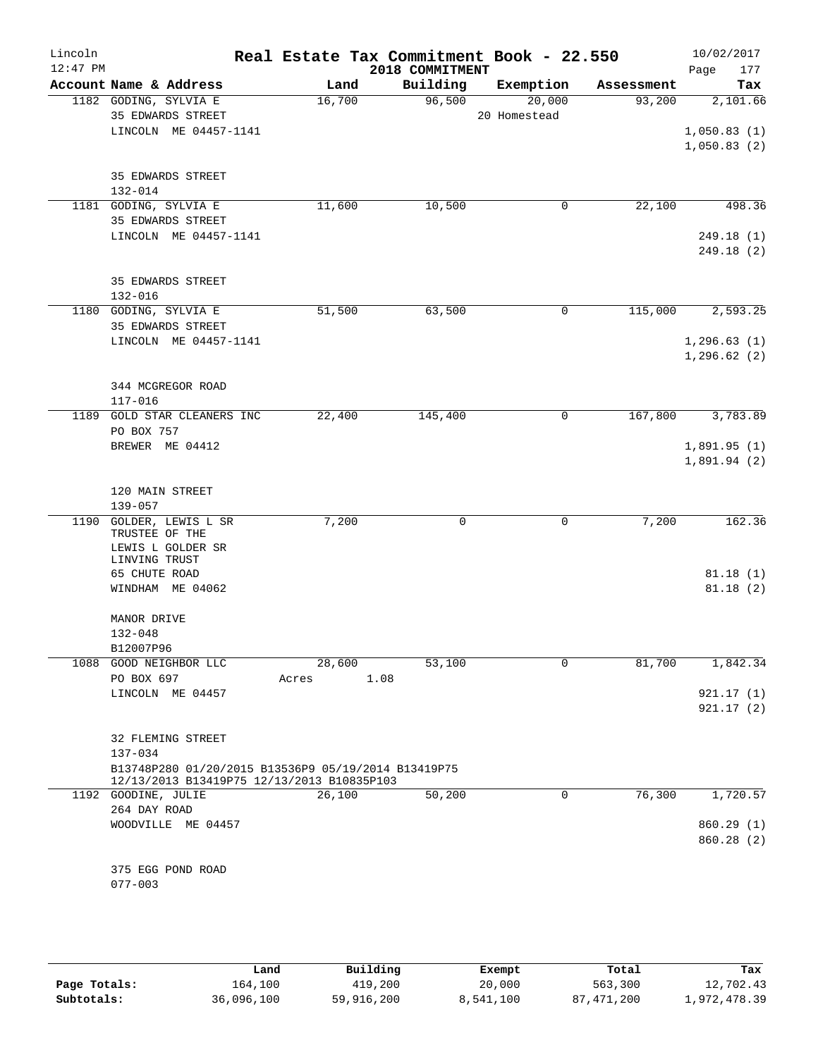| Lincoln<br>$12:47$ PM |                                      |                             | Real Estate Tax Commitment Book - 22.550            |      | 2018 COMMITMENT |              |             |            | Page | 10/02/2017<br>177 |
|-----------------------|--------------------------------------|-----------------------------|-----------------------------------------------------|------|-----------------|--------------|-------------|------------|------|-------------------|
|                       |                                      | Account Name & Address      | Land                                                |      | Building        | Exemption    |             | Assessment |      | Tax               |
|                       | 1182 GODING, SYLVIA E                |                             | 16,700                                              |      | 96,500          |              | 20,000      | 93,200     |      | 2,101.66          |
|                       |                                      | 35 EDWARDS STREET           |                                                     |      |                 | 20 Homestead |             |            |      |                   |
|                       |                                      | LINCOLN ME 04457-1141       |                                                     |      |                 |              |             |            |      | 1,050.83(1)       |
|                       |                                      |                             |                                                     |      |                 |              |             |            |      | 1,050.83(2)       |
|                       |                                      |                             |                                                     |      |                 |              |             |            |      |                   |
|                       | 132-014                              | 35 EDWARDS STREET           |                                                     |      |                 |              |             |            |      |                   |
|                       | 1181 GODING, SYLVIA E                |                             | 11,600                                              |      | 10,500          |              | 0           | 22,100     |      | 498.36            |
|                       |                                      | 35 EDWARDS STREET           |                                                     |      |                 |              |             |            |      |                   |
|                       |                                      | LINCOLN ME 04457-1141       |                                                     |      |                 |              |             |            |      | 249.18(1)         |
|                       |                                      |                             |                                                     |      |                 |              |             |            |      | 249.18(2)         |
|                       |                                      |                             |                                                     |      |                 |              |             |            |      |                   |
|                       |                                      | 35 EDWARDS STREET           |                                                     |      |                 |              |             |            |      |                   |
|                       | $132 - 016$<br>1180 GODING, SYLVIA E |                             | 51,500                                              |      | 63,500          |              | 0           | 115,000    |      | 2,593.25          |
|                       |                                      | 35 EDWARDS STREET           |                                                     |      |                 |              |             |            |      |                   |
|                       |                                      | LINCOLN ME 04457-1141       |                                                     |      |                 |              |             |            |      | 1,296.63(1)       |
|                       |                                      |                             |                                                     |      |                 |              |             |            |      | 1, 296.62(2)      |
|                       |                                      |                             |                                                     |      |                 |              |             |            |      |                   |
|                       |                                      | 344 MCGREGOR ROAD           |                                                     |      |                 |              |             |            |      |                   |
|                       | 117-016                              |                             |                                                     |      |                 |              |             |            |      |                   |
|                       | PO BOX 757                           | 1189 GOLD STAR CLEANERS INC | 22,400                                              |      | 145,400         |              | 0           | 167,800    |      | 3,783.89          |
|                       |                                      | BREWER ME 04412             |                                                     |      |                 |              |             |            |      | 1,891.95(1)       |
|                       |                                      |                             |                                                     |      |                 |              |             |            |      | 1,891.94(2)       |
|                       |                                      |                             |                                                     |      |                 |              |             |            |      |                   |
|                       | 120 MAIN STREET                      |                             |                                                     |      |                 |              |             |            |      |                   |
|                       | $139 - 057$                          |                             |                                                     |      |                 |              |             |            |      |                   |
|                       | TRUSTEE OF THE                       | 1190 GOLDER, LEWIS L SR     | 7,200                                               |      | 0               |              | 0           | 7,200      |      | 162.36            |
|                       |                                      | LEWIS L GOLDER SR           |                                                     |      |                 |              |             |            |      |                   |
|                       | LINVING TRUST                        |                             |                                                     |      |                 |              |             |            |      |                   |
|                       | 65 CHUTE ROAD                        |                             |                                                     |      |                 |              |             |            |      | 81.18(1)          |
|                       |                                      | WINDHAM ME 04062            |                                                     |      |                 |              |             |            |      | 81.18(2)          |
|                       | MANOR DRIVE                          |                             |                                                     |      |                 |              |             |            |      |                   |
|                       | $132 - 048$                          |                             |                                                     |      |                 |              |             |            |      |                   |
|                       | B12007P96                            |                             |                                                     |      |                 |              |             |            |      |                   |
|                       |                                      | 1088 GOOD NEIGHBOR LLC      | 28,600                                              |      | 53,100          |              | 0           | 81,700     |      | 1,842.34          |
|                       | PO BOX 697                           |                             | Acres                                               | 1.08 |                 |              |             |            |      |                   |
|                       |                                      | LINCOLN ME 04457            |                                                     |      |                 |              |             |            |      | 921.17(1)         |
|                       |                                      |                             |                                                     |      |                 |              |             |            |      | 921.17(2)         |
|                       |                                      | 32 FLEMING STREET           |                                                     |      |                 |              |             |            |      |                   |
|                       | $137 - 034$                          |                             |                                                     |      |                 |              |             |            |      |                   |
|                       |                                      |                             | B13748P280 01/20/2015 B13536P9 05/19/2014 B13419P75 |      |                 |              |             |            |      |                   |
|                       |                                      |                             | 12/13/2013 B13419P75 12/13/2013 B10835P103          |      |                 |              |             |            |      |                   |
|                       | 1192 GOODINE, JULIE                  |                             | 26,100                                              |      | 50,200          |              | $\mathbf 0$ | 76,300     |      | 1,720.57          |
|                       | 264 DAY ROAD                         | WOODVILLE ME 04457          |                                                     |      |                 |              |             |            |      | 860.29 (1)        |
|                       |                                      |                             |                                                     |      |                 |              |             |            |      | 860.28(2)         |
|                       |                                      |                             |                                                     |      |                 |              |             |            |      |                   |
|                       |                                      | 375 EGG POND ROAD           |                                                     |      |                 |              |             |            |      |                   |
|                       | $077 - 003$                          |                             |                                                     |      |                 |              |             |            |      |                   |
|                       |                                      |                             |                                                     |      |                 |              |             |            |      |                   |

|              | Land       | Building   | Exempt    | Total        | Tax          |
|--------------|------------|------------|-----------|--------------|--------------|
| Page Totals: | 164,100    | 419,200    | 20,000    | 563,300      | 12,702.43    |
| Subtotals:   | 36,096,100 | 59,916,200 | 8,541,100 | 87, 471, 200 | 1,972,478.39 |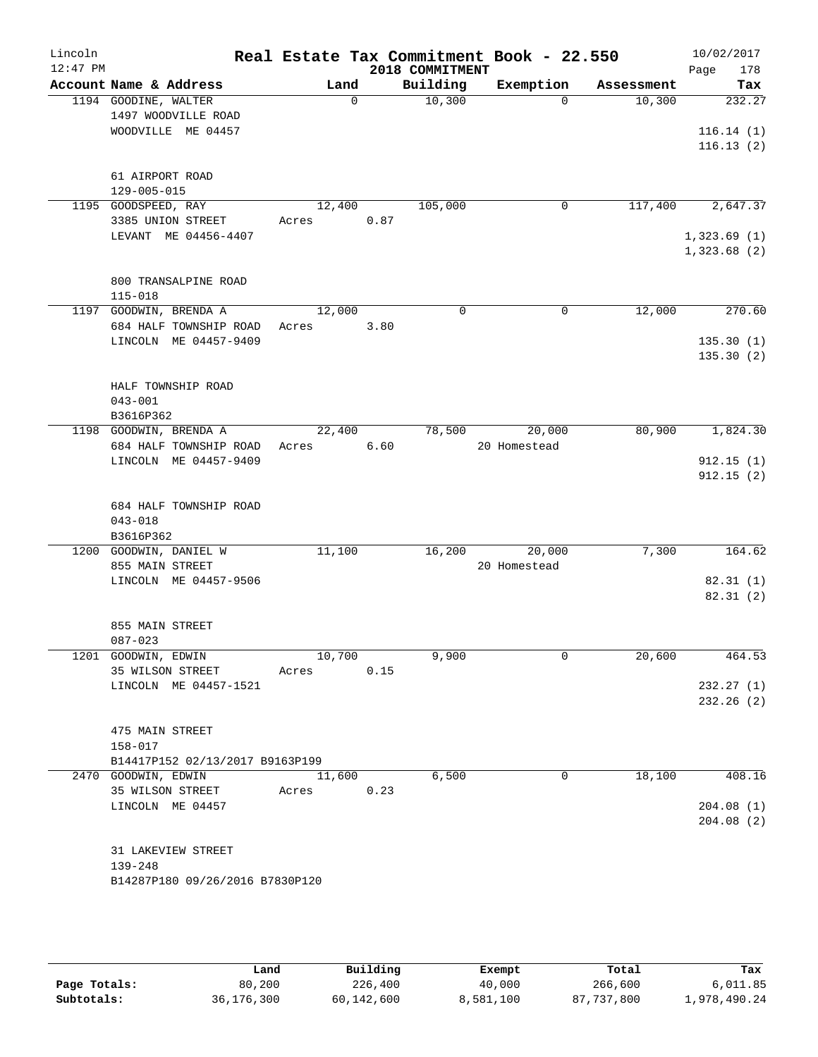| Lincoln    |                                                 |                  |      |                             | Real Estate Tax Commitment Book - 22.550 |                      | 10/02/2017    |
|------------|-------------------------------------------------|------------------|------|-----------------------------|------------------------------------------|----------------------|---------------|
| $12:47$ PM |                                                 |                  |      | 2018 COMMITMENT<br>Building |                                          |                      | 178<br>Page   |
|            | Account Name & Address<br>1194 GOODINE, WALTER  | Land<br>$\Omega$ |      | 10,300                      | Exemption<br>$\Omega$                    | Assessment<br>10,300 | Tax<br>232.27 |
|            | 1497 WOODVILLE ROAD                             |                  |      |                             |                                          |                      |               |
|            | WOODVILLE ME 04457                              |                  |      |                             |                                          |                      | 116.14(1)     |
|            |                                                 |                  |      |                             |                                          |                      | 116.13(2)     |
|            |                                                 |                  |      |                             |                                          |                      |               |
|            | 61 AIRPORT ROAD                                 |                  |      |                             |                                          |                      |               |
|            | $129 - 005 - 015$                               |                  |      |                             |                                          |                      |               |
|            | 1195 GOODSPEED, RAY                             | 12,400           |      | 105,000                     | 0                                        | 117,400              | 2,647.37      |
|            | 3385 UNION STREET                               | Acres            | 0.87 |                             |                                          |                      |               |
|            | LEVANT ME 04456-4407                            |                  |      |                             |                                          |                      | 1,323.69(1)   |
|            |                                                 |                  |      |                             |                                          |                      | 1,323.68(2)   |
|            | 800 TRANSALPINE ROAD                            |                  |      |                             |                                          |                      |               |
|            | $115 - 018$                                     |                  |      |                             |                                          |                      |               |
|            | 1197 GOODWIN, BRENDA A                          | 12,000           |      | $\Omega$                    | $\mathbf 0$                              | 12,000               | 270.60        |
|            | 684 HALF TOWNSHIP ROAD                          | Acres            | 3.80 |                             |                                          |                      |               |
|            | LINCOLN ME 04457-9409                           |                  |      |                             |                                          |                      | 135.30(1)     |
|            |                                                 |                  |      |                             |                                          |                      | 135.30(2)     |
|            |                                                 |                  |      |                             |                                          |                      |               |
|            | HALF TOWNSHIP ROAD                              |                  |      |                             |                                          |                      |               |
|            | $043 - 001$                                     |                  |      |                             |                                          |                      |               |
|            | B3616P362                                       |                  |      |                             |                                          |                      |               |
|            | 1198 GOODWIN, BRENDA A                          | 22,400           |      | 78,500                      | 20,000                                   | 80,900               | 1,824.30      |
|            | 684 HALF TOWNSHIP ROAD<br>LINCOLN ME 04457-9409 | Acres            | 6.60 |                             | 20 Homestead                             |                      | 912.15(1)     |
|            |                                                 |                  |      |                             |                                          |                      | 912.15(2)     |
|            |                                                 |                  |      |                             |                                          |                      |               |
|            | 684 HALF TOWNSHIP ROAD                          |                  |      |                             |                                          |                      |               |
|            | $043 - 018$                                     |                  |      |                             |                                          |                      |               |
|            | B3616P362                                       |                  |      |                             |                                          |                      |               |
|            | 1200 GOODWIN, DANIEL W                          | 11,100           |      | 16,200                      | 20,000                                   | 7,300                | 164.62        |
|            | 855 MAIN STREET                                 |                  |      |                             | 20 Homestead                             |                      |               |
|            | LINCOLN ME 04457-9506                           |                  |      |                             |                                          |                      | 82.31(1)      |
|            |                                                 |                  |      |                             |                                          |                      | 82.31(2)      |
|            | 855 MAIN STREET                                 |                  |      |                             |                                          |                      |               |
|            | $087 - 023$                                     |                  |      |                             |                                          |                      |               |
|            | 1201 GOODWIN, EDWIN                             | 10,700           |      | 9,900                       | 0                                        | 20,600               | 464.53        |
|            | 35 WILSON STREET                                | Acres            | 0.15 |                             |                                          |                      |               |
|            | LINCOLN ME 04457-1521                           |                  |      |                             |                                          |                      | 232.27(1)     |
|            |                                                 |                  |      |                             |                                          |                      | 232.26(2)     |
|            |                                                 |                  |      |                             |                                          |                      |               |
|            | 475 MAIN STREET                                 |                  |      |                             |                                          |                      |               |
|            | $158 - 017$                                     |                  |      |                             |                                          |                      |               |
|            | B14417P152 02/13/2017 B9163P199                 |                  |      |                             |                                          |                      |               |
|            | 2470 GOODWIN, EDWIN<br>35 WILSON STREET         | 11,600<br>Acres  | 0.23 | 6,500                       | 0                                        | 18,100               | 408.16        |
|            | LINCOLN ME 04457                                |                  |      |                             |                                          |                      | 204.08(1)     |
|            |                                                 |                  |      |                             |                                          |                      | 204.08(2)     |
|            |                                                 |                  |      |                             |                                          |                      |               |
|            | 31 LAKEVIEW STREET                              |                  |      |                             |                                          |                      |               |
|            | $139 - 248$                                     |                  |      |                             |                                          |                      |               |
|            | B14287P180 09/26/2016 B7830P120                 |                  |      |                             |                                          |                      |               |
|            |                                                 |                  |      |                             |                                          |                      |               |
|            |                                                 |                  |      |                             |                                          |                      |               |

|              | Land         | Building   | Exempt    | Total      | Tax          |
|--------------|--------------|------------|-----------|------------|--------------|
| Page Totals: | 80,200       | 226,400    | 40,000    | 266,600    | 6,011.85     |
| Subtotals:   | 36, 176, 300 | 60,142,600 | 8,581,100 | 87,737,800 | l,978,490.24 |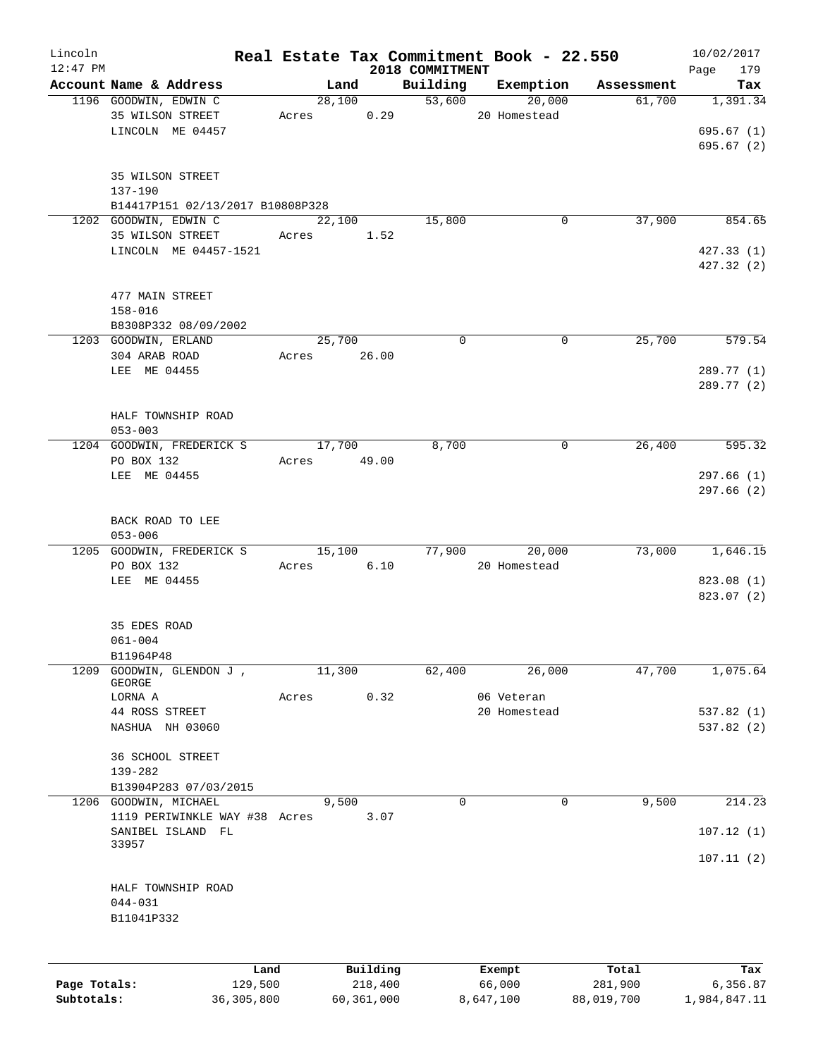| Lincoln      |                                       |             |          |                             | Real Estate Tax Commitment Book - 22.550 |            | 10/02/2017         |
|--------------|---------------------------------------|-------------|----------|-----------------------------|------------------------------------------|------------|--------------------|
| $12:47$ PM   | Account Name & Address                | Land        |          | 2018 COMMITMENT<br>Building | Exemption                                | Assessment | Page<br>179<br>Tax |
|              | 1196 GOODWIN, EDWIN C                 | 28,100      |          |                             | 53,600<br>20,000                         | 61,700     | 1,391.34           |
|              | 35 WILSON STREET                      | Acres       | 0.29     |                             | 20 Homestead                             |            |                    |
|              | LINCOLN ME 04457                      |             |          |                             |                                          |            | 695.67(1)          |
|              |                                       |             |          |                             |                                          |            | 695.67(2)          |
|              |                                       |             |          |                             |                                          |            |                    |
|              | 35 WILSON STREET                      |             |          |                             |                                          |            |                    |
|              | 137-190                               |             |          |                             |                                          |            |                    |
|              | B14417P151 02/13/2017 B10808P328      |             |          |                             |                                          |            |                    |
|              | 1202 GOODWIN, EDWIN C                 | 22,100      |          | 15,800                      | 0                                        | 37,900     | 854.65             |
|              | 35 WILSON STREET                      | Acres       | 1.52     |                             |                                          |            |                    |
|              | LINCOLN ME 04457-1521                 |             |          |                             |                                          |            | 427.33(1)          |
|              |                                       |             |          |                             |                                          |            | 427.32(2)          |
|              |                                       |             |          |                             |                                          |            |                    |
|              | 477 MAIN STREET                       |             |          |                             |                                          |            |                    |
|              | $158 - 016$                           |             |          |                             |                                          |            |                    |
|              | B8308P332 08/09/2002                  | 25,700      |          | $\mathbf 0$                 | $\mathbf 0$                              | 25,700     | 579.54             |
|              | 1203 GOODWIN, ERLAND<br>304 ARAB ROAD | Acres 26.00 |          |                             |                                          |            |                    |
|              | LEE ME 04455                          |             |          |                             |                                          |            | 289.77 (1)         |
|              |                                       |             |          |                             |                                          |            | 289.77 (2)         |
|              |                                       |             |          |                             |                                          |            |                    |
|              | HALF TOWNSHIP ROAD                    |             |          |                             |                                          |            |                    |
|              | $053 - 003$                           |             |          |                             |                                          |            |                    |
|              | 1204 GOODWIN, FREDERICK S             | 17,700      |          | 8,700                       | 0                                        | 26,400     | 595.32             |
|              | PO BOX 132                            | Acres 49.00 |          |                             |                                          |            |                    |
|              | LEE ME 04455                          |             |          |                             |                                          |            | 297.66(1)          |
|              |                                       |             |          |                             |                                          |            | 297.66(2)          |
|              |                                       |             |          |                             |                                          |            |                    |
|              | BACK ROAD TO LEE                      |             |          |                             |                                          |            |                    |
|              | $053 - 006$                           |             |          |                             |                                          |            |                    |
|              | 1205 GOODWIN, FREDERICK S             | 15,100      |          |                             | 77,900<br>20,000                         | 73,000     | 1,646.15           |
|              | PO BOX 132<br>LEE ME 04455            | Acres       | 6.10     |                             | 20 Homestead                             |            | 823.08 (1)         |
|              |                                       |             |          |                             |                                          |            | 823.07 (2)         |
|              |                                       |             |          |                             |                                          |            |                    |
|              | 35 EDES ROAD                          |             |          |                             |                                          |            |                    |
|              | $061 - 004$                           |             |          |                             |                                          |            |                    |
|              | B11964P48                             |             |          |                             |                                          |            |                    |
| 1209         | GOODWIN, GLENDON J ,                  | 11,300      |          | 62,400                      | 26,000                                   | 47,700     | 1,075.64           |
|              | GEORGE                                |             |          |                             |                                          |            |                    |
|              | LORNA A                               | Acres       | 0.32     |                             | 06 Veteran                               |            |                    |
|              | 44 ROSS STREET                        |             |          |                             | 20 Homestead                             |            | 537.82(1)          |
|              | NASHUA NH 03060                       |             |          |                             |                                          |            | 537.82(2)          |
|              | 36 SCHOOL STREET                      |             |          |                             |                                          |            |                    |
|              | $139 - 282$                           |             |          |                             |                                          |            |                    |
|              | B13904P283 07/03/2015                 |             |          |                             |                                          |            |                    |
|              | 1206 GOODWIN, MICHAEL                 | 9,500       |          | $\Omega$                    | $\mathbf 0$                              | 9,500      | 214.23             |
|              | 1119 PERIWINKLE WAY #38 Acres         |             | 3.07     |                             |                                          |            |                    |
|              | SANIBEL ISLAND FL                     |             |          |                             |                                          |            | 107.12(1)          |
|              | 33957                                 |             |          |                             |                                          |            |                    |
|              |                                       |             |          |                             |                                          |            | 107.11(2)          |
|              |                                       |             |          |                             |                                          |            |                    |
|              | HALF TOWNSHIP ROAD                    |             |          |                             |                                          |            |                    |
|              | $044 - 031$                           |             |          |                             |                                          |            |                    |
|              | B11041P332                            |             |          |                             |                                          |            |                    |
|              |                                       |             |          |                             |                                          |            |                    |
|              |                                       |             |          |                             |                                          |            |                    |
|              | Land                                  |             | Building |                             | Exempt                                   | Total      | Tax                |
| Page Totals: | 129,500                               |             | 218,400  |                             | 66,000                                   | 281,900    | 6,356.87           |

**Subtotals:** 36,305,800 60,361,000 8,647,100 88,019,700 1,984,847.11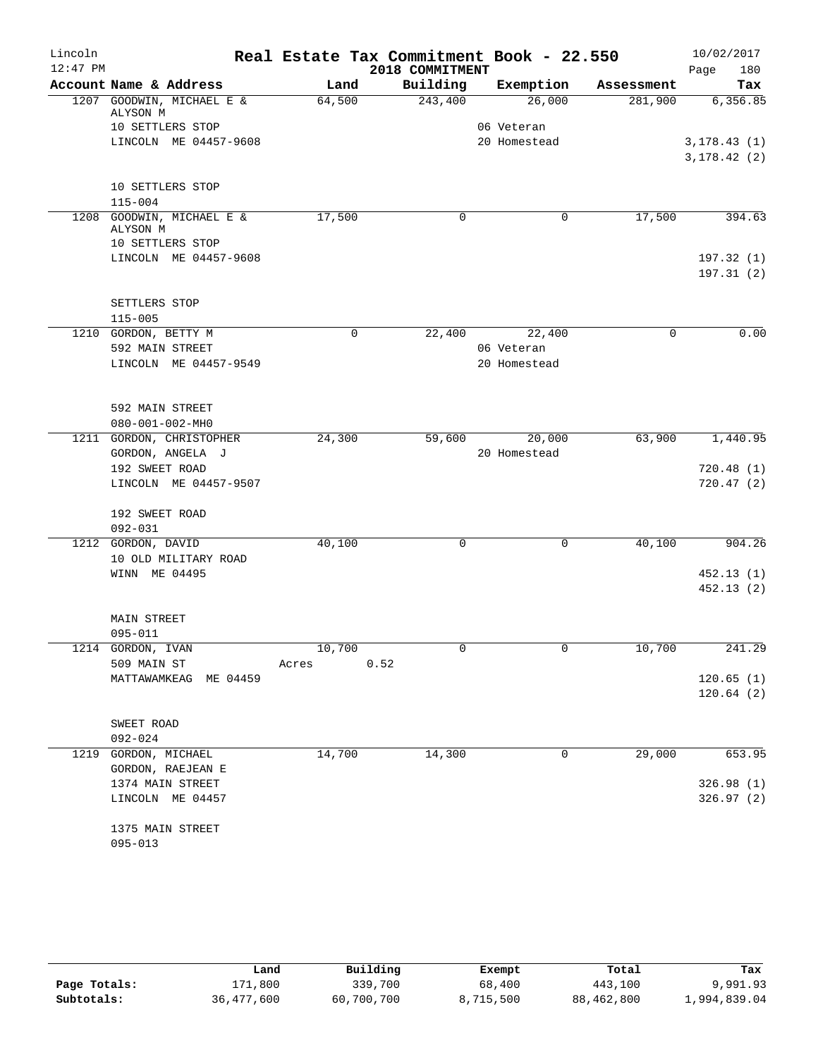| Lincoln<br>$12:47$ PM |                                       |                 | Real Estate Tax Commitment Book - 22.550<br>2018 COMMITMENT |              |            | 10/02/2017<br>Page<br>180 |
|-----------------------|---------------------------------------|-----------------|-------------------------------------------------------------|--------------|------------|---------------------------|
|                       | Account Name & Address                | Land            | Building                                                    | Exemption    | Assessment | Tax                       |
|                       | 1207 GOODWIN, MICHAEL E &<br>ALYSON M | 64,500          | 243,400                                                     | 26,000       | 281,900    | 6,356.85                  |
|                       | 10 SETTLERS STOP                      |                 |                                                             | 06 Veteran   |            |                           |
|                       | LINCOLN ME 04457-9608                 |                 |                                                             | 20 Homestead |            | 3,178.43(1)               |
|                       |                                       |                 |                                                             |              |            | 3, 178.42(2)              |
|                       | 10 SETTLERS STOP<br>$115 - 004$       |                 |                                                             |              |            |                           |
|                       | 1208 GOODWIN, MICHAEL E &             | 17,500          | 0                                                           | 0            | 17,500     | 394.63                    |
|                       | ALYSON M<br>10 SETTLERS STOP          |                 |                                                             |              |            |                           |
|                       | LINCOLN ME 04457-9608                 |                 |                                                             |              |            |                           |
|                       |                                       |                 |                                                             |              |            | 197.32(1)<br>197.31(2)    |
|                       | SETTLERS STOP                         |                 |                                                             |              |            |                           |
|                       | $115 - 005$                           |                 |                                                             |              |            |                           |
|                       | 1210 GORDON, BETTY M                  | $\mathbf 0$     | 22,400                                                      | 22,400       | 0          | 0.00                      |
|                       | 592 MAIN STREET                       |                 |                                                             | 06 Veteran   |            |                           |
|                       | LINCOLN ME 04457-9549                 |                 |                                                             | 20 Homestead |            |                           |
|                       | 592 MAIN STREET                       |                 |                                                             |              |            |                           |
|                       | $080 - 001 - 002 - MHz$               |                 |                                                             |              |            |                           |
|                       | 1211 GORDON, CHRISTOPHER              | 24,300          | 59,600                                                      | 20,000       | 63,900     | 1,440.95                  |
|                       | GORDON, ANGELA J                      |                 |                                                             | 20 Homestead |            |                           |
|                       | 192 SWEET ROAD                        |                 |                                                             |              |            | 720.48(1)                 |
|                       | LINCOLN ME 04457-9507                 |                 |                                                             |              |            | 720.47(2)                 |
|                       | 192 SWEET ROAD                        |                 |                                                             |              |            |                           |
|                       | 092-031                               |                 |                                                             |              |            |                           |
|                       | 1212 GORDON, DAVID                    | 40,100          | $\mathbf 0$                                                 | 0            | 40,100     | 904.26                    |
|                       | 10 OLD MILITARY ROAD                  |                 |                                                             |              |            |                           |
|                       | WINN ME 04495                         |                 |                                                             |              |            | 452.13(1)                 |
|                       |                                       |                 |                                                             |              |            | 452.13(2)                 |
|                       | <b>MAIN STREET</b>                    |                 |                                                             |              |            |                           |
|                       | 095-011                               |                 |                                                             |              |            |                           |
|                       |                                       |                 | 0                                                           | 0            |            |                           |
|                       | 1214 GORDON, IVAN<br>509 MAIN ST      | 10,700<br>Acres | 0.52                                                        |              | 10,700     | 241.29                    |
|                       | MATTAWAMKEAG ME 04459                 |                 |                                                             |              |            | 120.65(1)                 |
|                       |                                       |                 |                                                             |              |            | 120.64(2)                 |
|                       |                                       |                 |                                                             |              |            |                           |
|                       | SWEET ROAD                            |                 |                                                             |              |            |                           |
|                       | $092 - 024$                           |                 |                                                             |              |            |                           |
| 1219                  | GORDON, MICHAEL<br>GORDON, RAEJEAN E  | 14,700          | 14,300                                                      | 0            | 29,000     | 653.95                    |
|                       |                                       |                 |                                                             |              |            |                           |
|                       | 1374 MAIN STREET                      |                 |                                                             |              |            | 326.98 (1)                |
|                       | LINCOLN ME 04457                      |                 |                                                             |              |            | 326.97 (2)                |
|                       | 1375 MAIN STREET                      |                 |                                                             |              |            |                           |
|                       | $095 - 013$                           |                 |                                                             |              |            |                           |
|                       |                                       |                 |                                                             |              |            |                           |

|              | Land       | Building   | Exempt    | Total      | Tax          |
|--------------|------------|------------|-----------|------------|--------------|
| Page Totals: | 171,800    | 339,700    | 68,400    | 443,100    | 9,991.93     |
| Subtotals:   | 36,477,600 | 60,700,700 | 8,715,500 | 88,462,800 | 1,994,839.04 |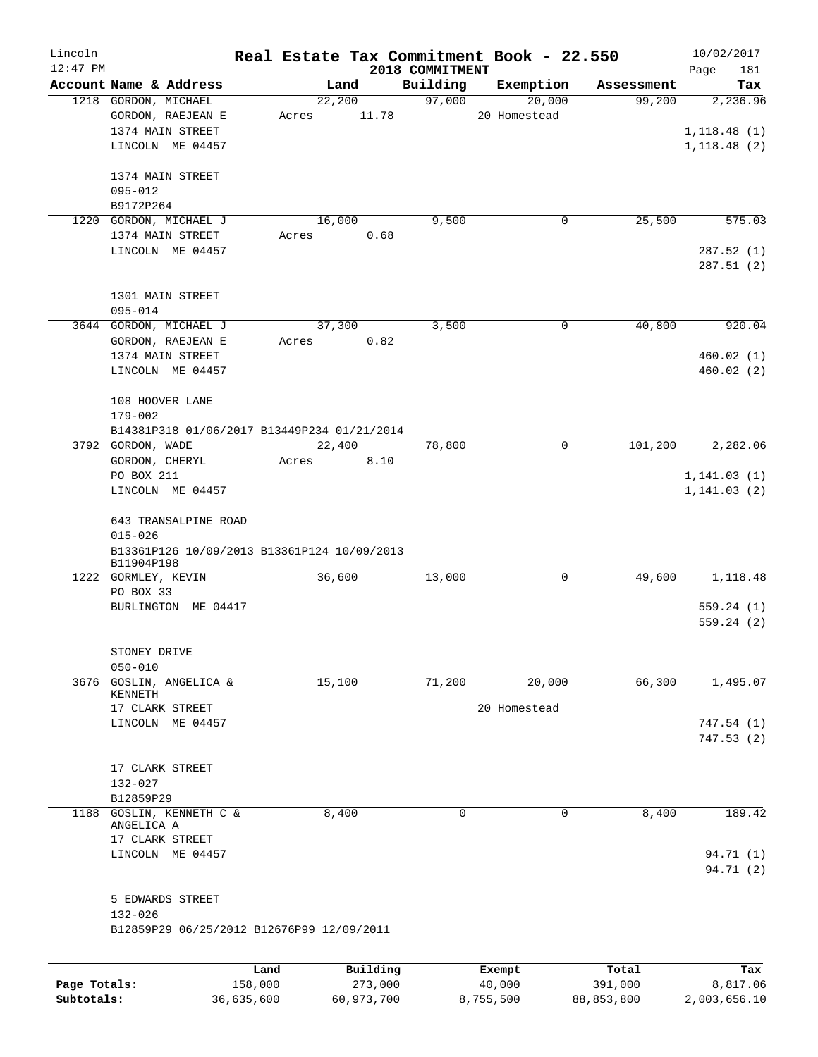| Lincoln    |                                             |      |       |          | Real Estate Tax Commitment Book - 22.550 |              |        |            | 10/02/2017   |     |
|------------|---------------------------------------------|------|-------|----------|------------------------------------------|--------------|--------|------------|--------------|-----|
| $12:47$ PM |                                             |      |       |          | 2018 COMMITMENT                          |              |        |            | Page         | 181 |
|            | Account Name & Address                      |      |       | Land     | Building                                 | Exemption    |        | Assessment |              | Tax |
|            | 1218 GORDON, MICHAEL                        |      |       | 22,200   | 97,000                                   |              | 20,000 | 99,200     | 2,236.96     |     |
|            | GORDON, RAEJEAN E                           |      | Acres | 11.78    |                                          | 20 Homestead |        |            |              |     |
|            | 1374 MAIN STREET                            |      |       |          |                                          |              |        |            | 1, 118.48(1) |     |
|            | LINCOLN ME 04457                            |      |       |          |                                          |              |        |            | 1, 118.48(2) |     |
|            | 1374 MAIN STREET                            |      |       |          |                                          |              |        |            |              |     |
|            | 095-012                                     |      |       |          |                                          |              |        |            |              |     |
|            | B9172P264                                   |      |       |          |                                          |              |        |            |              |     |
|            | 1220 GORDON, MICHAEL J                      |      |       | 16,000   | 9,500                                    |              | 0      | 25,500     | 575.03       |     |
|            | 1374 MAIN STREET                            |      | Acres | 0.68     |                                          |              |        |            |              |     |
|            | LINCOLN ME 04457                            |      |       |          |                                          |              |        |            | 287.52(1)    |     |
|            |                                             |      |       |          |                                          |              |        |            | 287.51(2)    |     |
|            |                                             |      |       |          |                                          |              |        |            |              |     |
|            | 1301 MAIN STREET                            |      |       |          |                                          |              |        |            |              |     |
|            | $095 - 014$                                 |      |       |          |                                          |              |        |            |              |     |
|            | 3644 GORDON, MICHAEL J                      |      |       | 37,300   | 3,500                                    |              | 0      | 40,800     | 920.04       |     |
|            | GORDON, RAEJEAN E                           |      | Acres | 0.82     |                                          |              |        |            |              |     |
|            | 1374 MAIN STREET                            |      |       |          |                                          |              |        |            | 460.02(1)    |     |
|            | LINCOLN ME 04457                            |      |       |          |                                          |              |        |            | 460.02(2)    |     |
|            | 108 HOOVER LANE                             |      |       |          |                                          |              |        |            |              |     |
|            | 179-002                                     |      |       |          |                                          |              |        |            |              |     |
|            | B14381P318 01/06/2017 B13449P234 01/21/2014 |      |       |          |                                          |              |        |            |              |     |
|            | 3792 GORDON, WADE                           |      |       | 22,400   | 78,800                                   |              | 0      | 101,200    | 2,282.06     |     |
|            | GORDON, CHERYL                              |      |       | 8.10     |                                          |              |        |            |              |     |
|            | PO BOX 211                                  |      | Acres |          |                                          |              |        |            | 1, 141.03(1) |     |
|            | LINCOLN ME 04457                            |      |       |          |                                          |              |        |            | 1, 141.03(2) |     |
|            |                                             |      |       |          |                                          |              |        |            |              |     |
|            | 643 TRANSALPINE ROAD                        |      |       |          |                                          |              |        |            |              |     |
|            | $015 - 026$                                 |      |       |          |                                          |              |        |            |              |     |
|            | B13361P126 10/09/2013 B13361P124 10/09/2013 |      |       |          |                                          |              |        |            |              |     |
|            | B11904P198                                  |      |       |          |                                          |              |        |            |              |     |
|            | 1222 GORMLEY, KEVIN                         |      |       | 36,600   | 13,000                                   |              | 0      | 49,600     | 1,118.48     |     |
|            | PO BOX 33                                   |      |       |          |                                          |              |        |            |              |     |
|            | BURLINGTON ME 04417                         |      |       |          |                                          |              |        |            | 559.24(1)    |     |
|            |                                             |      |       |          |                                          |              |        |            | 559.24(2)    |     |
|            |                                             |      |       |          |                                          |              |        |            |              |     |
|            | STONEY DRIVE<br>$050 - 010$                 |      |       |          |                                          |              |        |            |              |     |
| 3676       | GOSLIN, ANGELICA &                          |      |       | 15,100   | 71,200                                   |              | 20,000 | 66,300     | 1,495.07     |     |
|            | KENNETH                                     |      |       |          |                                          |              |        |            |              |     |
|            | 17 CLARK STREET                             |      |       |          |                                          | 20 Homestead |        |            |              |     |
|            | LINCOLN ME 04457                            |      |       |          |                                          |              |        |            | 747.54 (1)   |     |
|            |                                             |      |       |          |                                          |              |        |            | 747.53(2)    |     |
|            |                                             |      |       |          |                                          |              |        |            |              |     |
|            | 17 CLARK STREET                             |      |       |          |                                          |              |        |            |              |     |
|            | 132-027                                     |      |       |          |                                          |              |        |            |              |     |
|            | B12859P29                                   |      |       |          |                                          |              |        |            |              |     |
| 1188       | GOSLIN, KENNETH C &                         |      |       | 8,400    | 0                                        |              | 0      | 8,400      | 189.42       |     |
|            | ANGELICA A<br>17 CLARK STREET               |      |       |          |                                          |              |        |            |              |     |
|            | LINCOLN ME 04457                            |      |       |          |                                          |              |        |            | 94.71 (1)    |     |
|            |                                             |      |       |          |                                          |              |        |            | 94.71 (2)    |     |
|            |                                             |      |       |          |                                          |              |        |            |              |     |
|            | 5 EDWARDS STREET                            |      |       |          |                                          |              |        |            |              |     |
|            | $132 - 026$                                 |      |       |          |                                          |              |        |            |              |     |
|            | B12859P29 06/25/2012 B12676P99 12/09/2011   |      |       |          |                                          |              |        |            |              |     |
|            |                                             |      |       |          |                                          |              |        |            |              |     |
|            |                                             | Land |       | Building |                                          | Exempt       |        | Total      |              | Tax |

**Page Totals:** 158,000 273,000 40,000 391,000 8,817.06 **Subtotals:** 36,635,600 60,973,700 8,755,500 88,853,800 2,003,656.10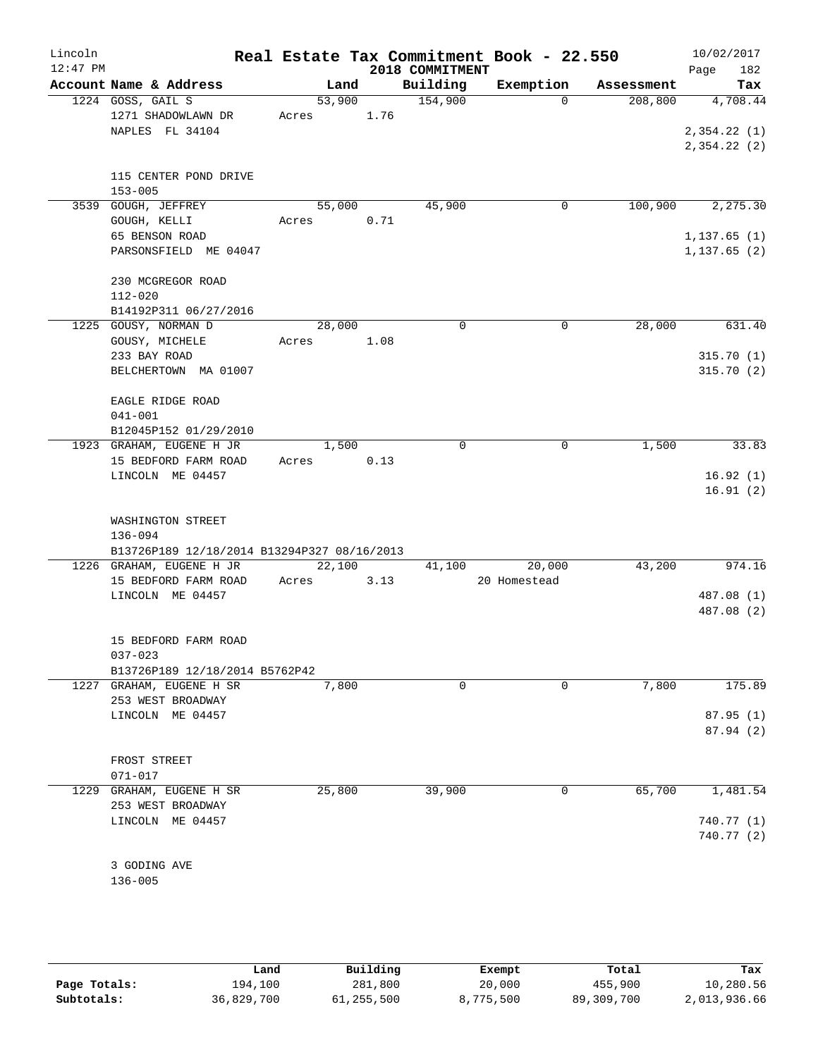| Lincoln<br>$12:47$ PM |                                             |            |      | 2018 COMMITMENT     | Real Estate Tax Commitment Book - 22.550 |            | 10/02/2017<br>182<br>Page |
|-----------------------|---------------------------------------------|------------|------|---------------------|------------------------------------------|------------|---------------------------|
|                       | Account Name & Address                      | Land       |      | Building            | Exemption                                | Assessment | Tax                       |
|                       | 1224 GOSS, GAIL S                           | 53,900     |      | $\frac{154,900}{ }$ | $\Omega$                                 | 208,800    | 4,708.44                  |
|                       | 1271 SHADOWLAWN DR                          | Acres 1.76 |      |                     |                                          |            |                           |
|                       | NAPLES FL 34104                             |            |      |                     |                                          |            | 2,354.22(1)               |
|                       |                                             |            |      |                     |                                          |            | 2,354.22(2)               |
|                       | 115 CENTER POND DRIVE                       |            |      |                     |                                          |            |                           |
|                       | $153 - 005$                                 |            |      |                     |                                          |            |                           |
|                       | 3539 GOUGH, JEFFREY                         | 55,000     |      | 45,900              | 0                                        | 100,900    | 2,275.30                  |
|                       | GOUGH, KELLI                                | Acres      | 0.71 |                     |                                          |            |                           |
|                       | 65 BENSON ROAD                              |            |      |                     |                                          |            | 1, 137.65(1)              |
|                       | PARSONSFIELD ME 04047                       |            |      |                     |                                          |            | 1, 137.65(2)              |
|                       | 230 MCGREGOR ROAD                           |            |      |                     |                                          |            |                           |
|                       | $112 - 020$                                 |            |      |                     |                                          |            |                           |
|                       | B14192P311 06/27/2016                       |            |      |                     |                                          |            |                           |
|                       | 1225 GOUSY, NORMAN D                        | 28,000     |      | $\Omega$            | $\mathbf 0$                              | 28,000     | 631.40                    |
|                       | GOUSY, MICHELE                              | Acres 1.08 |      |                     |                                          |            |                           |
|                       | 233 BAY ROAD                                |            |      |                     |                                          |            | 315.70(1)                 |
|                       | BELCHERTOWN MA 01007                        |            |      |                     |                                          |            | 315.70(2)                 |
|                       | EAGLE RIDGE ROAD                            |            |      |                     |                                          |            |                           |
|                       | $041 - 001$                                 |            |      |                     |                                          |            |                           |
|                       | B12045P152 01/29/2010                       |            |      |                     |                                          |            |                           |
|                       | 1923 GRAHAM, EUGENE H JR                    | 1,500      |      | $\Omega$            | $\mathbf 0$                              | 1,500      | 33.83                     |
|                       | 15 BEDFORD FARM ROAD                        | Acres 0.13 |      |                     |                                          |            |                           |
|                       | LINCOLN ME 04457                            |            |      |                     |                                          |            | 16.92(1)                  |
|                       |                                             |            |      |                     |                                          |            | 16.91(2)                  |
|                       | WASHINGTON STREET                           |            |      |                     |                                          |            |                           |
|                       | 136-094                                     |            |      |                     |                                          |            |                           |
|                       | B13726P189 12/18/2014 B13294P327 08/16/2013 |            |      |                     |                                          |            |                           |
|                       | 1226 GRAHAM, EUGENE H JR                    | 22,100     |      | 41,100              | 20,000                                   | 43,200     | 974.16                    |
|                       | 15 BEDFORD FARM ROAD                        | Acres      | 3.13 |                     | 20 Homestead                             |            |                           |
|                       | LINCOLN ME 04457                            |            |      |                     |                                          |            | 487.08 (1)                |
|                       |                                             |            |      |                     |                                          |            | 487.08 (2)                |
|                       | 15 BEDFORD FARM ROAD                        |            |      |                     |                                          |            |                           |
|                       | $037 - 023$                                 |            |      |                     |                                          |            |                           |
|                       | B13726P189 12/18/2014 B5762P42              |            |      |                     |                                          |            |                           |
|                       | 1227 GRAHAM, EUGENE H SR                    | 7,800      |      | 0                   | 0                                        | 7,800      | 175.89                    |
|                       | 253 WEST BROADWAY                           |            |      |                     |                                          |            |                           |
|                       | LINCOLN ME 04457                            |            |      |                     |                                          |            | 87.95(1)                  |
|                       |                                             |            |      |                     |                                          |            | 87.94(2)                  |
|                       | FROST STREET                                |            |      |                     |                                          |            |                           |
|                       | $071 - 017$                                 |            |      |                     |                                          |            |                           |
|                       | 1229 GRAHAM, EUGENE H SR                    | 25,800     |      | 39,900              | 0                                        | 65,700     | 1,481.54                  |
|                       | 253 WEST BROADWAY                           |            |      |                     |                                          |            |                           |
|                       | LINCOLN ME 04457                            |            |      |                     |                                          |            | 740.77 (1)                |
|                       |                                             |            |      |                     |                                          |            | 740.77 (2)                |
|                       |                                             |            |      |                     |                                          |            |                           |
|                       | 3 GODING AVE                                |            |      |                     |                                          |            |                           |
|                       | $136 - 005$                                 |            |      |                     |                                          |            |                           |
|                       |                                             |            |      |                     |                                          |            |                           |

|              | Land       | Building   | Exempt    | Total      | Tax          |
|--------------|------------|------------|-----------|------------|--------------|
| Page Totals: | 194,100    | 281,800    | 20,000    | 455,900    | 10,280.56    |
| Subtotals:   | 36,829,700 | 61,255,500 | 8,775,500 | 89,309,700 | 2,013,936.66 |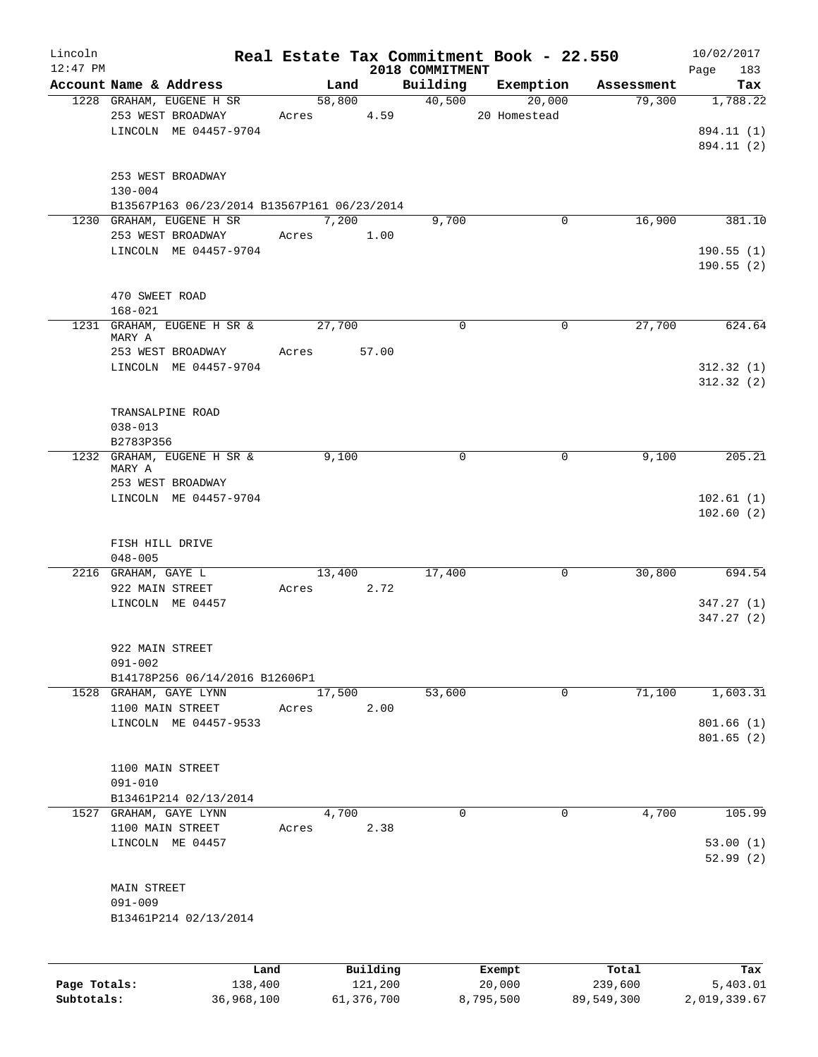| Lincoln      |                                                                         |            |          |                             | Real Estate Tax Commitment Book - 22.550 |            | 10/02/2017         |
|--------------|-------------------------------------------------------------------------|------------|----------|-----------------------------|------------------------------------------|------------|--------------------|
| $12:47$ PM   | Account Name & Address                                                  | Land       |          | 2018 COMMITMENT<br>Building | Exemption                                | Assessment | Page<br>183<br>Tax |
|              | 1228 GRAHAM, EUGENE H SR                                                |            |          | 58,800 40,500               | 20,000                                   | 79,300     | 1,788.22           |
|              | 253 WEST BROADWAY                                                       | Acres 4.59 |          |                             | 20 Homestead                             |            |                    |
|              | LINCOLN ME 04457-9704                                                   |            |          |                             |                                          |            | 894.11 (1)         |
|              |                                                                         |            |          |                             |                                          |            | 894.11 (2)         |
|              |                                                                         |            |          |                             |                                          |            |                    |
|              | 253 WEST BROADWAY                                                       |            |          |                             |                                          |            |                    |
|              | $130 - 004$                                                             |            |          |                             |                                          |            |                    |
|              | B13567P163 06/23/2014 B13567P161 06/23/2014<br>1230 GRAHAM, EUGENE H SR | 7,200      |          | 9,700                       | 0                                        | 16,900     | 381.10             |
|              | 253 WEST BROADWAY                                                       | Acres      | 1.00     |                             |                                          |            |                    |
|              | LINCOLN ME 04457-9704                                                   |            |          |                             |                                          |            | 190.55(1)          |
|              |                                                                         |            |          |                             |                                          |            | 190.55(2)          |
|              |                                                                         |            |          |                             |                                          |            |                    |
|              | 470 SWEET ROAD                                                          |            |          |                             |                                          |            |                    |
|              | $168 - 021$                                                             |            |          |                             |                                          |            |                    |
|              | 1231 GRAHAM, EUGENE H SR &<br>MARY A                                    | 27,700     |          | $\Omega$                    | $\Omega$                                 | 27,700     | 624.64             |
|              | 253 WEST BROADWAY                                                       | Acres      | 57.00    |                             |                                          |            |                    |
|              | LINCOLN ME 04457-9704                                                   |            |          |                             |                                          |            | 312.32(1)          |
|              |                                                                         |            |          |                             |                                          |            | 312.32(2)          |
|              |                                                                         |            |          |                             |                                          |            |                    |
|              | TRANSALPINE ROAD                                                        |            |          |                             |                                          |            |                    |
|              | $038 - 013$<br>B2783P356                                                |            |          |                             |                                          |            |                    |
|              | 1232 GRAHAM, EUGENE H SR &                                              | 9,100      |          | 0                           | 0                                        | 9,100      | 205.21             |
|              | MARY A                                                                  |            |          |                             |                                          |            |                    |
|              | 253 WEST BROADWAY                                                       |            |          |                             |                                          |            |                    |
|              | LINCOLN ME 04457-9704                                                   |            |          |                             |                                          |            | 102.61(1)          |
|              |                                                                         |            |          |                             |                                          |            | 102.60(2)          |
|              | FISH HILL DRIVE                                                         |            |          |                             |                                          |            |                    |
|              | $048 - 005$                                                             |            |          |                             |                                          |            |                    |
|              | 2216 GRAHAM, GAYE L                                                     | 13,400     |          | 17,400                      | 0                                        | 30,800     | 694.54             |
|              | 922 MAIN STREET                                                         | Acres      | 2.72     |                             |                                          |            |                    |
|              | LINCOLN ME 04457                                                        |            |          |                             |                                          |            | 347.27(1)          |
|              |                                                                         |            |          |                             |                                          |            | 347.27(2)          |
|              | 922 MAIN STREET                                                         |            |          |                             |                                          |            |                    |
|              | $091 - 002$                                                             |            |          |                             |                                          |            |                    |
|              | B14178P256 06/14/2016 B12606P1                                          |            |          |                             |                                          |            |                    |
| 1528         | GRAHAM, GAYE LYNN                                                       | 17,500     |          | 53,600                      | 0                                        | 71,100     | 1,603.31           |
|              | 1100 MAIN STREET                                                        | Acres      | 2.00     |                             |                                          |            |                    |
|              | LINCOLN ME 04457-9533                                                   |            |          |                             |                                          |            | 801.66(1)          |
|              |                                                                         |            |          |                             |                                          |            | 801.65(2)          |
|              | 1100 MAIN STREET                                                        |            |          |                             |                                          |            |                    |
|              | $091 - 010$                                                             |            |          |                             |                                          |            |                    |
|              | B13461P214 02/13/2014                                                   |            |          |                             |                                          |            |                    |
| 1527         | GRAHAM, GAYE LYNN                                                       | 4,700      |          | $\mathbf 0$                 | $\mathbf 0$                              | 4,700      | 105.99             |
|              | 1100 MAIN STREET                                                        | Acres      | 2.38     |                             |                                          |            |                    |
|              | LINCOLN ME 04457                                                        |            |          |                             |                                          |            | 53.00(1)           |
|              |                                                                         |            |          |                             |                                          |            | 52.99(2)           |
|              | <b>MAIN STREET</b>                                                      |            |          |                             |                                          |            |                    |
|              | $091 - 009$                                                             |            |          |                             |                                          |            |                    |
|              | B13461P214 02/13/2014                                                   |            |          |                             |                                          |            |                    |
|              |                                                                         |            |          |                             |                                          |            |                    |
|              |                                                                         |            |          |                             |                                          |            |                    |
|              | Land                                                                    |            | Building |                             | Exempt                                   | Total      | Tax                |
| Page Totals: | 138,400                                                                 |            | 121,200  |                             | 20,000                                   | 239,600    | 5,403.01           |

**Subtotals:** 36,968,100 61,376,700 8,795,500 89,549,300 2,019,339.67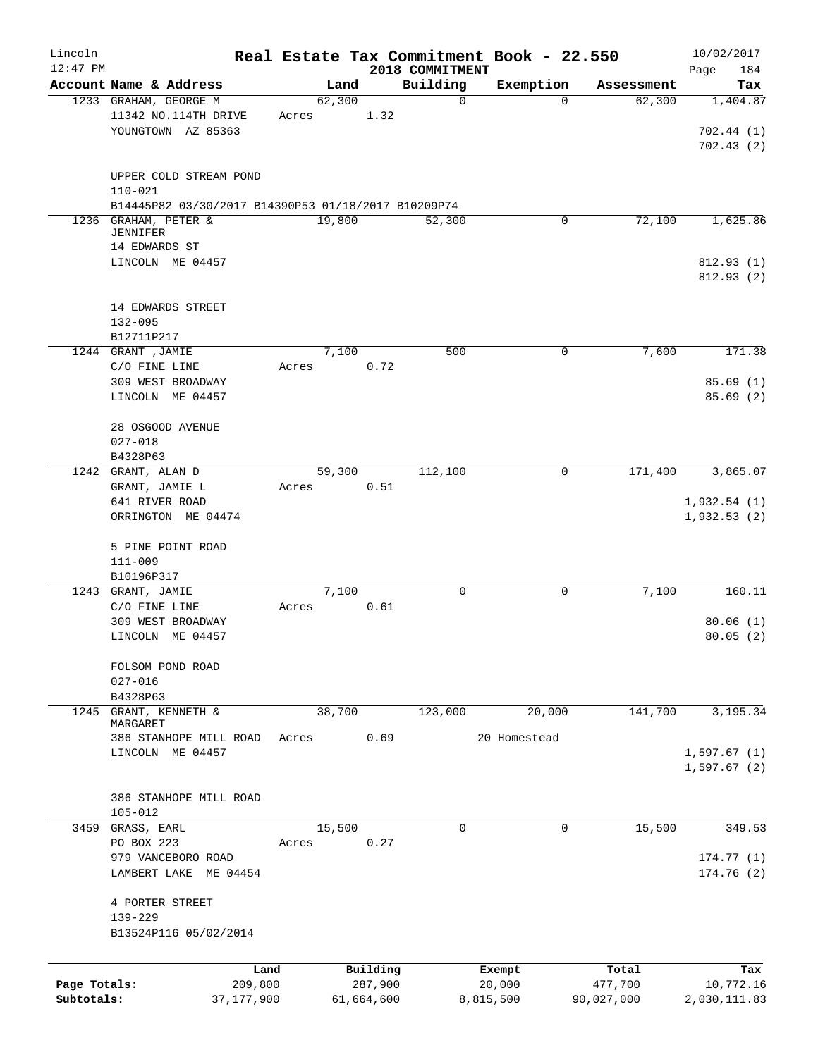| Lincoln<br>$12:47$ PM |                                                     |       |        |            | 2018 COMMITMENT | Real Estate Tax Commitment Book - 22.550 |            | 10/02/2017<br>184 |
|-----------------------|-----------------------------------------------------|-------|--------|------------|-----------------|------------------------------------------|------------|-------------------|
|                       | Account Name & Address                              |       | Land   |            | Building        | Exemption                                | Assessment | Page<br>Tax       |
|                       | 1233 GRAHAM, GEORGE M                               |       | 62,300 |            | $\mathbf 0$     | $\mathbf 0$                              | 62,300     | 1,404.87          |
|                       | 11342 NO.114TH DRIVE                                | Acres |        | 1.32       |                 |                                          |            |                   |
|                       | YOUNGTOWN AZ 85363                                  |       |        |            |                 |                                          |            | 702.44(1)         |
|                       |                                                     |       |        |            |                 |                                          |            | 702.43(2)         |
|                       |                                                     |       |        |            |                 |                                          |            |                   |
|                       | UPPER COLD STREAM POND                              |       |        |            |                 |                                          |            |                   |
|                       | $110 - 021$                                         |       |        |            |                 |                                          |            |                   |
|                       | B14445P82 03/30/2017 B14390P53 01/18/2017 B10209P74 |       |        |            |                 |                                          |            |                   |
|                       | 1236 GRAHAM, PETER &                                |       | 19,800 |            | 52,300          | 0                                        | 72,100     | 1,625.86          |
|                       | <b>JENNIFER</b>                                     |       |        |            |                 |                                          |            |                   |
|                       | 14 EDWARDS ST                                       |       |        |            |                 |                                          |            |                   |
|                       | LINCOLN ME 04457                                    |       |        |            |                 |                                          |            | 812.93(1)         |
|                       |                                                     |       |        |            |                 |                                          |            | 812.93(2)         |
|                       |                                                     |       |        |            |                 |                                          |            |                   |
|                       | 14 EDWARDS STREET                                   |       |        |            |                 |                                          |            |                   |
|                       | $132 - 095$                                         |       |        |            |                 |                                          |            |                   |
|                       | B12711P217                                          |       |        |            |                 |                                          |            |                   |
|                       | 1244 GRANT , JAMIE                                  |       | 7,100  |            | 500             | 0                                        | 7,600      | 171.38            |
|                       | C/O FINE LINE                                       | Acres |        | 0.72       |                 |                                          |            |                   |
|                       | 309 WEST BROADWAY                                   |       |        |            |                 |                                          |            | 85.69(1)          |
|                       | LINCOLN ME 04457                                    |       |        |            |                 |                                          |            | 85.69(2)          |
|                       |                                                     |       |        |            |                 |                                          |            |                   |
|                       | 28 OSGOOD AVENUE                                    |       |        |            |                 |                                          |            |                   |
|                       | $027 - 018$                                         |       |        |            |                 |                                          |            |                   |
|                       | B4328P63                                            |       |        |            |                 |                                          |            |                   |
|                       | 1242 GRANT, ALAN D                                  |       | 59,300 |            | 112,100         | 0                                        | 171,400    | 3,865.07          |
|                       | GRANT, JAMIE L                                      | Acres |        | 0.51       |                 |                                          |            |                   |
|                       | 641 RIVER ROAD                                      |       |        |            |                 |                                          |            | 1,932.54(1)       |
|                       | ORRINGTON ME 04474                                  |       |        |            |                 |                                          |            | 1,932.53(2)       |
|                       |                                                     |       |        |            |                 |                                          |            |                   |
|                       | 5 PINE POINT ROAD<br>$111 - 009$                    |       |        |            |                 |                                          |            |                   |
|                       | B10196P317                                          |       |        |            |                 |                                          |            |                   |
|                       | 1243 GRANT, JAMIE                                   |       | 7,100  |            | 0               | $\mathbf 0$                              | 7,100      | 160.11            |
|                       | C/O FINE LINE                                       | Acres |        | 0.61       |                 |                                          |            |                   |
|                       | 309 WEST BROADWAY                                   |       |        |            |                 |                                          |            | 80.06(1)          |
|                       | LINCOLN ME 04457                                    |       |        |            |                 |                                          |            | 80.05(2)          |
|                       |                                                     |       |        |            |                 |                                          |            |                   |
|                       | FOLSOM POND ROAD                                    |       |        |            |                 |                                          |            |                   |
|                       | $027 - 016$                                         |       |        |            |                 |                                          |            |                   |
|                       | B4328P63                                            |       |        |            |                 |                                          |            |                   |
| 1245                  | GRANT, KENNETH &                                    |       | 38,700 |            | 123,000         | 20,000                                   | 141,700    | 3,195.34          |
|                       | MARGARET                                            |       |        |            |                 |                                          |            |                   |
|                       | 386 STANHOPE MILL ROAD                              | Acres |        | 0.69       |                 | 20 Homestead                             |            |                   |
|                       | LINCOLN ME 04457                                    |       |        |            |                 |                                          |            | 1,597.67(1)       |
|                       |                                                     |       |        |            |                 |                                          |            | 1,597.67(2)       |
|                       |                                                     |       |        |            |                 |                                          |            |                   |
|                       | 386 STANHOPE MILL ROAD                              |       |        |            |                 |                                          |            |                   |
|                       | $105 - 012$                                         |       |        |            |                 |                                          |            |                   |
| 3459                  | GRASS, EARL                                         |       | 15,500 |            | 0               | 0                                        | 15,500     | 349.53            |
|                       | PO BOX 223                                          | Acres |        | 0.27       |                 |                                          |            |                   |
|                       | 979 VANCEBORO ROAD                                  |       |        |            |                 |                                          |            | 174.77(1)         |
|                       | LAMBERT LAKE ME 04454                               |       |        |            |                 |                                          |            | 174.76(2)         |
|                       |                                                     |       |        |            |                 |                                          |            |                   |
|                       | 4 PORTER STREET                                     |       |        |            |                 |                                          |            |                   |
|                       | 139-229<br>B13524P116 05/02/2014                    |       |        |            |                 |                                          |            |                   |
|                       |                                                     |       |        |            |                 |                                          |            |                   |
|                       |                                                     |       |        |            |                 |                                          |            |                   |
|                       | Land                                                |       |        | Building   |                 | Exempt                                   | Total      | Tax               |
| Page Totals:          | 209,800                                             |       |        | 287,900    |                 | 20,000                                   | 477,700    | 10,772.16         |
| Subtotals:            | 37, 177, 900                                        |       |        | 61,664,600 |                 | 8,815,500                                | 90,027,000 | 2,030,111.83      |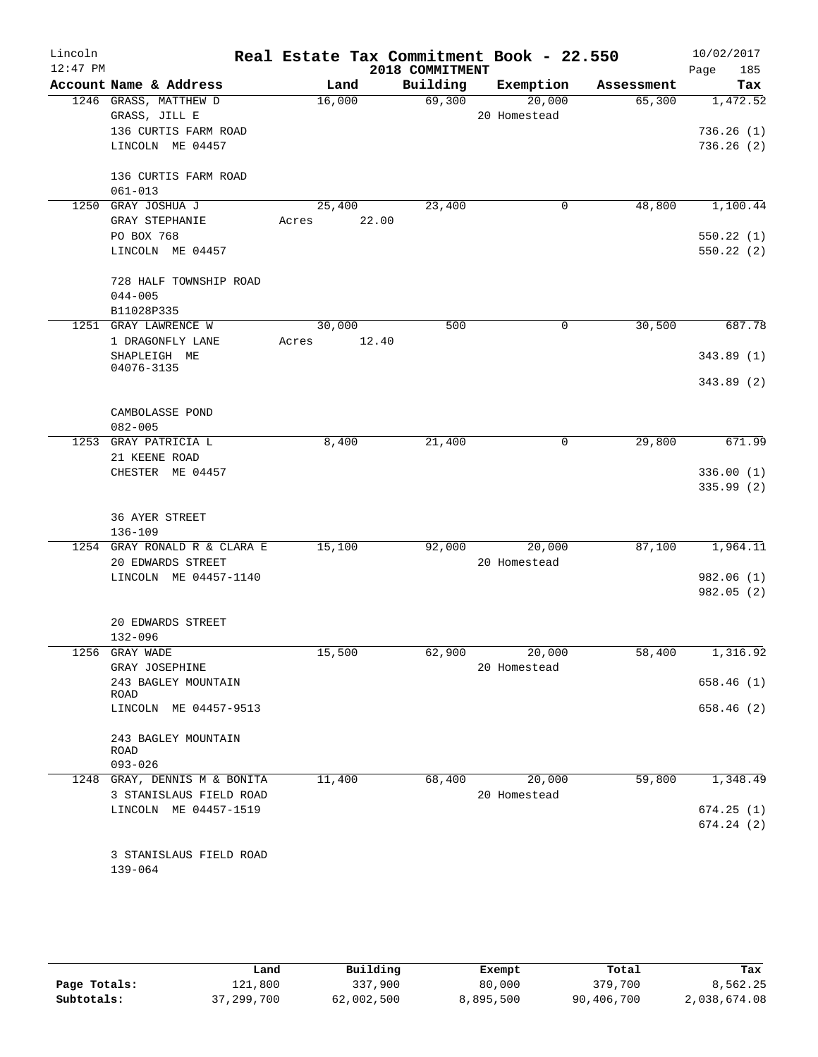| Lincoln<br>$12:47$ PM |                                                   | Real Estate Tax Commitment Book - 22.550 | 2018 COMMITMENT |                        |            | 10/02/2017<br>Page<br>185 |
|-----------------------|---------------------------------------------------|------------------------------------------|-----------------|------------------------|------------|---------------------------|
|                       | Account Name & Address                            | Land                                     | Building        | Exemption              | Assessment | Tax                       |
|                       | 1246 GRASS, MATTHEW D<br>GRASS, JILL E            | 16,000                                   | 69,300          | 20,000<br>20 Homestead | 65,300     | 1,472.52                  |
|                       | 136 CURTIS FARM ROAD<br>LINCOLN ME 04457          |                                          |                 |                        |            | 736.26(1)<br>736.26(2)    |
|                       | 136 CURTIS FARM ROAD<br>$061 - 013$               |                                          |                 |                        |            |                           |
|                       | 1250 GRAY JOSHUA J                                | 25,400                                   | 23,400          | 0                      | 48,800     | 1,100.44                  |
|                       | GRAY STEPHANIE                                    | 22.00<br>Acres                           |                 |                        |            |                           |
|                       | PO BOX 768<br>LINCOLN ME 04457                    |                                          |                 |                        |            | 550.22(1)<br>550.22 (2)   |
|                       | 728 HALF TOWNSHIP ROAD<br>$044 - 005$             |                                          |                 |                        |            |                           |
|                       | B11028P335                                        |                                          |                 |                        |            |                           |
|                       | 1251 GRAY LAWRENCE W                              | 30,000                                   | 500             | $\mathbf 0$            | 30,500     | 687.78                    |
|                       | 1 DRAGONFLY LANE<br>SHAPLEIGH ME                  | 12.40<br>Acres                           |                 |                        |            | 343.89(1)                 |
|                       | 04076-3135                                        |                                          |                 |                        |            | 343.89 (2)                |
|                       | CAMBOLASSE POND<br>$082 - 005$                    |                                          |                 |                        |            |                           |
| 1253                  | GRAY PATRICIA L                                   | 8,400                                    | 21,400          | $\mathsf{O}$           | 29,800     | 671.99                    |
|                       | 21 KEENE ROAD                                     |                                          |                 |                        |            |                           |
|                       | CHESTER ME 04457                                  |                                          |                 |                        |            | 336.00(1)<br>335.99(2)    |
|                       | <b>36 AYER STREET</b><br>$136 - 109$              |                                          |                 |                        |            |                           |
|                       | 1254 GRAY RONALD R & CLARA E<br>20 EDWARDS STREET | 15,100                                   | 92,000          | 20,000<br>20 Homestead | 87,100     | 1,964.11                  |
|                       | LINCOLN ME 04457-1140                             |                                          |                 |                        |            | 982.06 (1)<br>982.05 (2)  |
|                       | 20 EDWARDS STREET<br>132-096                      |                                          |                 |                        |            |                           |
|                       | 1256 GRAY WADE                                    | 15,500                                   | 62,900          | 20,000                 | 58,400     | 1,316.92                  |
|                       | GRAY JOSEPHINE<br>243 BAGLEY MOUNTAIN             |                                          |                 | 20 Homestead           |            | 658.46 (1)                |
|                       | ROAD                                              |                                          |                 |                        |            |                           |
|                       | LINCOLN ME 04457-9513                             |                                          |                 |                        |            | 658.46 (2)                |
|                       | 243 BAGLEY MOUNTAIN<br>ROAD                       |                                          |                 |                        |            |                           |
|                       | $093 - 026$                                       |                                          |                 |                        |            |                           |
|                       | 1248 GRAY, DENNIS M & BONITA                      | 11,400                                   | 68,400          | 20,000                 | 59,800     | 1,348.49                  |
|                       | 3 STANISLAUS FIELD ROAD                           |                                          |                 | 20 Homestead           |            |                           |
|                       | LINCOLN ME 04457-1519                             |                                          |                 |                        |            | 674.25(1)                 |
|                       |                                                   |                                          |                 |                        |            | 674.24(2)                 |
|                       | 3 STANISLAUS FIELD ROAD<br>139-064                |                                          |                 |                        |            |                           |
|                       |                                                   |                                          |                 |                        |            |                           |

|              | Land       | Building   | Exempt    | Total      | Tax          |
|--------------|------------|------------|-----------|------------|--------------|
| Page Totals: | 121,800    | 337,900    | 80,000    | 379,700    | 8,562.25     |
| Subtotals:   | 37,299,700 | 62,002,500 | 8,895,500 | 90,406,700 | 2,038,674.08 |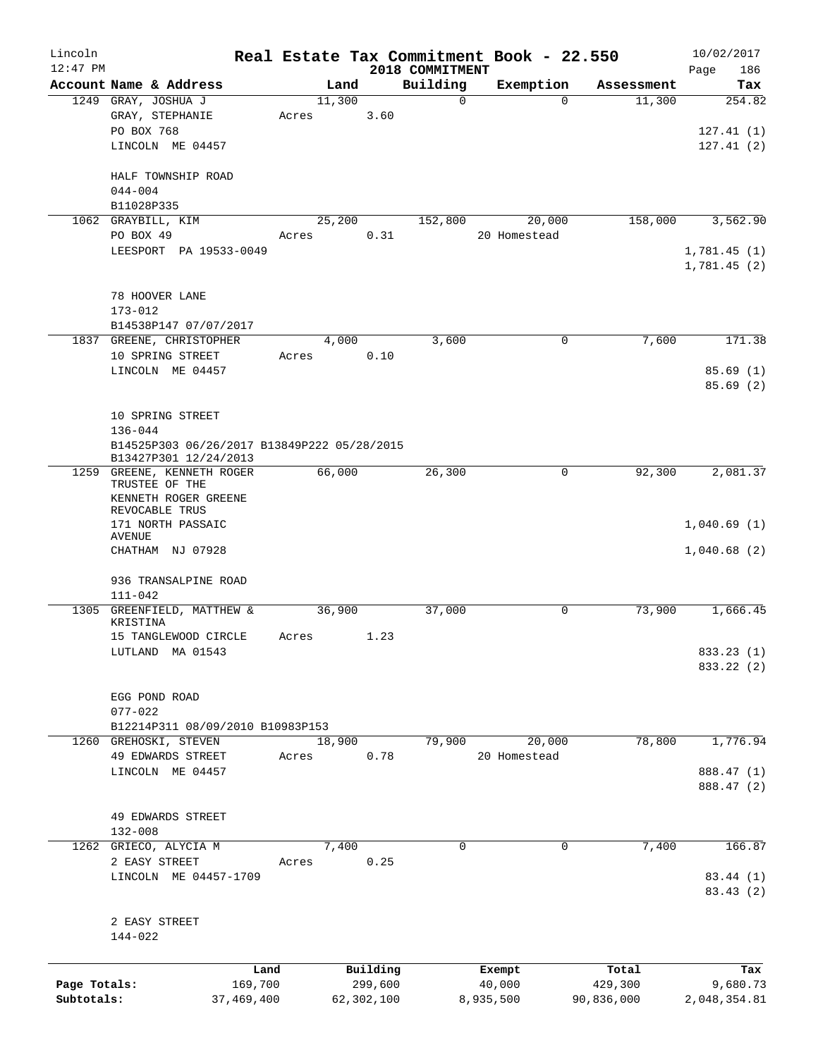| Lincoln      |                                                                      |                 |       |        |                     | Real Estate Tax Commitment Book - 22.550 |                  |           |                  | 10/02/2017         |
|--------------|----------------------------------------------------------------------|-----------------|-------|--------|---------------------|------------------------------------------|------------------|-----------|------------------|--------------------|
| $12:47$ PM   | Account Name & Address                                               |                 |       | Land   |                     | 2018 COMMITMENT<br>Building              |                  | Exemption | Assessment       | 186<br>Page<br>Tax |
|              | 1249 GRAY, JOSHUA J                                                  |                 |       | 11,300 |                     | $\Omega$                                 |                  | $\Omega$  | 11,300           | 254.82             |
|              | GRAY, STEPHANIE                                                      |                 | Acres |        | 3.60                |                                          |                  |           |                  |                    |
|              | PO BOX 768                                                           |                 |       |        |                     |                                          |                  |           |                  | 127.41(1)          |
|              | LINCOLN ME 04457                                                     |                 |       |        |                     |                                          |                  |           |                  | 127.41(2)          |
|              | HALF TOWNSHIP ROAD                                                   |                 |       |        |                     |                                          |                  |           |                  |                    |
|              | $044 - 004$                                                          |                 |       |        |                     |                                          |                  |           |                  |                    |
|              | B11028P335                                                           |                 |       |        |                     |                                          |                  |           |                  |                    |
|              | 1062 GRAYBILL, KIM                                                   |                 |       | 25,200 |                     | 152,800                                  |                  | 20,000    | 158,000          | 3,562.90           |
|              | PO BOX 49                                                            |                 | Acres |        | 0.31                |                                          | 20 Homestead     |           |                  |                    |
|              | LEESPORT PA 19533-0049                                               |                 |       |        |                     |                                          |                  |           |                  | 1,781.45(1)        |
|              |                                                                      |                 |       |        |                     |                                          |                  |           |                  | 1,781.45(2)        |
|              | 78 HOOVER LANE                                                       |                 |       |        |                     |                                          |                  |           |                  |                    |
|              | $173 - 012$                                                          |                 |       |        |                     |                                          |                  |           |                  |                    |
|              | B14538P147 07/07/2017                                                |                 |       |        |                     |                                          |                  |           |                  |                    |
|              | 1837 GREENE, CHRISTOPHER                                             |                 |       | 4,000  |                     | 3,600                                    |                  | 0         | 7,600            | 171.38             |
|              | 10 SPRING STREET                                                     |                 | Acres |        | 0.10                |                                          |                  |           |                  |                    |
|              | LINCOLN ME 04457                                                     |                 |       |        |                     |                                          |                  |           |                  | 85.69(1)           |
|              |                                                                      |                 |       |        |                     |                                          |                  |           |                  | 85.69(2)           |
|              |                                                                      |                 |       |        |                     |                                          |                  |           |                  |                    |
|              | 10 SPRING STREET                                                     |                 |       |        |                     |                                          |                  |           |                  |                    |
|              | $136 - 044$                                                          |                 |       |        |                     |                                          |                  |           |                  |                    |
|              | B14525P303 06/26/2017 B13849P222 05/28/2015<br>B13427P301 12/24/2013 |                 |       |        |                     |                                          |                  |           |                  |                    |
|              | 1259 GREENE, KENNETH ROGER                                           |                 |       | 66,000 |                     | 26,300                                   |                  | 0         | 92,300           | 2,081.37           |
|              | TRUSTEE OF THE                                                       |                 |       |        |                     |                                          |                  |           |                  |                    |
|              | KENNETH ROGER GREENE                                                 |                 |       |        |                     |                                          |                  |           |                  |                    |
|              | REVOCABLE TRUS                                                       |                 |       |        |                     |                                          |                  |           |                  |                    |
|              | 171 NORTH PASSAIC<br>AVENUE                                          |                 |       |        |                     |                                          |                  |           |                  | 1,040.69(1)        |
|              | CHATHAM NJ 07928                                                     |                 |       |        |                     |                                          |                  |           |                  | 1,040.68(2)        |
|              |                                                                      |                 |       |        |                     |                                          |                  |           |                  |                    |
|              | 936 TRANSALPINE ROAD                                                 |                 |       |        |                     |                                          |                  |           |                  |                    |
| 1305         | $111 - 042$<br>GREENFIELD, MATTHEW &                                 |                 |       | 36,900 |                     | 37,000                                   |                  | 0         | 73,900           | 1,666.45           |
|              | KRISTINA                                                             |                 |       |        |                     |                                          |                  |           |                  |                    |
|              | 15 TANGLEWOOD CIRCLE                                                 |                 | Acres |        | 1.23                |                                          |                  |           |                  |                    |
|              | LUTLAND MA 01543                                                     |                 |       |        |                     |                                          |                  |           |                  | 833.23 (1)         |
|              |                                                                      |                 |       |        |                     |                                          |                  |           |                  | 833.22 (2)         |
|              |                                                                      |                 |       |        |                     |                                          |                  |           |                  |                    |
|              | EGG POND ROAD<br>$077 - 022$                                         |                 |       |        |                     |                                          |                  |           |                  |                    |
|              | B12214P311 08/09/2010 B10983P153                                     |                 |       |        |                     |                                          |                  |           |                  |                    |
|              | 1260 GREHOSKI, STEVEN                                                |                 |       | 18,900 |                     | 79,900                                   |                  | 20,000    | 78,800           | 1,776.94           |
|              | 49 EDWARDS STREET                                                    |                 | Acres |        | 0.78                |                                          | 20 Homestead     |           |                  |                    |
|              | LINCOLN ME 04457                                                     |                 |       |        |                     |                                          |                  |           |                  | 888.47 (1)         |
|              |                                                                      |                 |       |        |                     |                                          |                  |           |                  | 888.47 (2)         |
|              |                                                                      |                 |       |        |                     |                                          |                  |           |                  |                    |
|              | 49 EDWARDS STREET                                                    |                 |       |        |                     |                                          |                  |           |                  |                    |
|              | $132 - 008$<br>1262 GRIECO, ALYCIA M                                 |                 |       | 7,400  |                     | $\Omega$                                 |                  | 0         | 7,400            | 166.87             |
|              | 2 EASY STREET                                                        |                 | Acres |        | 0.25                |                                          |                  |           |                  |                    |
|              | LINCOLN ME 04457-1709                                                |                 |       |        |                     |                                          |                  |           |                  | 83.44 (1)          |
|              |                                                                      |                 |       |        |                     |                                          |                  |           |                  | 83.43(2)           |
|              |                                                                      |                 |       |        |                     |                                          |                  |           |                  |                    |
|              | 2 EASY STREET                                                        |                 |       |        |                     |                                          |                  |           |                  |                    |
|              | 144-022                                                              |                 |       |        |                     |                                          |                  |           |                  |                    |
|              |                                                                      |                 |       |        |                     |                                          |                  |           |                  |                    |
| Page Totals: |                                                                      | Land<br>169,700 |       |        | Building<br>299,600 |                                          | Exempt<br>40,000 |           | Total<br>429,300 | Tax<br>9,680.73    |
| Subtotals:   |                                                                      | 37,469,400      |       |        | 62,302,100          |                                          | 8,935,500        |           | 90,836,000       | 2,048,354.81       |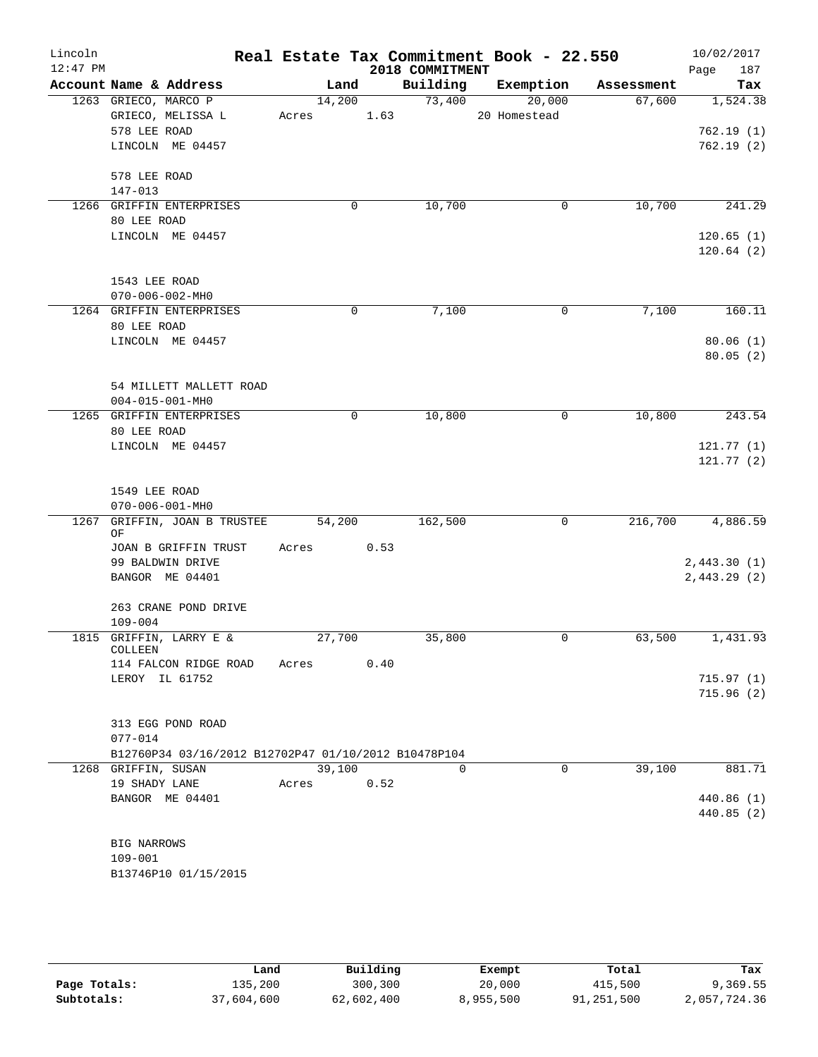| Lincoln<br>$12:47$ PM |                                                      |            |      | 2018 COMMITMENT | Real Estate Tax Commitment Book - 22.550 |            | 10/02/2017<br>187<br>Page |
|-----------------------|------------------------------------------------------|------------|------|-----------------|------------------------------------------|------------|---------------------------|
|                       | Account Name & Address                               | Land       |      | Building        | Exemption                                | Assessment | Tax                       |
|                       | 1263 GRIECO, MARCO P                                 | 14,200     |      | 73,400          | 20,000                                   | 67,600     | 1,524.38                  |
|                       | GRIECO, MELISSA L                                    | Acres 1.63 |      |                 | 20 Homestead                             |            |                           |
|                       | 578 LEE ROAD                                         |            |      |                 |                                          |            | 762.19(1)                 |
|                       | LINCOLN ME 04457                                     |            |      |                 |                                          |            | 762.19(2)                 |
|                       | 578 LEE ROAD                                         |            |      |                 |                                          |            |                           |
|                       | 147-013                                              |            |      |                 |                                          |            |                           |
|                       | 1266 GRIFFIN ENTERPRISES                             | 0          |      | 10,700          | 0                                        | 10,700     | 241.29                    |
|                       | 80 LEE ROAD                                          |            |      |                 |                                          |            |                           |
|                       | LINCOLN ME 04457                                     |            |      |                 |                                          |            | 120.65(1)                 |
|                       |                                                      |            |      |                 |                                          |            | 120.64(2)                 |
|                       | 1543 LEE ROAD                                        |            |      |                 |                                          |            |                           |
|                       | $070 - 006 - 002 - MHz$                              |            |      |                 |                                          |            |                           |
|                       | 1264 GRIFFIN ENTERPRISES                             | 0          |      | 7,100           | $\mathbf 0$                              | 7,100      | 160.11                    |
|                       | 80 LEE ROAD                                          |            |      |                 |                                          |            |                           |
|                       | LINCOLN ME 04457                                     |            |      |                 |                                          |            | 80.06(1)                  |
|                       |                                                      |            |      |                 |                                          |            | 80.05(2)                  |
|                       |                                                      |            |      |                 |                                          |            |                           |
|                       | 54 MILLETT MALLETT ROAD                              |            |      |                 |                                          |            |                           |
|                       | $004 - 015 - 001 - MH0$                              |            |      |                 |                                          |            |                           |
|                       | 1265 GRIFFIN ENTERPRISES                             | 0          |      | 10,800          | 0                                        | 10,800     | 243.54                    |
|                       | 80 LEE ROAD                                          |            |      |                 |                                          |            |                           |
|                       | LINCOLN ME 04457                                     |            |      |                 |                                          |            | 121.77(1)                 |
|                       |                                                      |            |      |                 |                                          |            | 121.77(2)                 |
|                       |                                                      |            |      |                 |                                          |            |                           |
|                       | 1549 LEE ROAD<br>$070 - 006 - 001 - MHz$             |            |      |                 |                                          |            |                           |
| 1267                  | GRIFFIN, JOAN B TRUSTEE                              | 54,200     |      | 162,500         | $\mathbf 0$                              | 216,700    | 4,886.59                  |
|                       | ΟF                                                   |            |      |                 |                                          |            |                           |
|                       | JOAN B GRIFFIN TRUST                                 | Acres      | 0.53 |                 |                                          |            |                           |
|                       | 99 BALDWIN DRIVE                                     |            |      |                 |                                          |            | 2,443.30(1)               |
|                       | BANGOR ME 04401                                      |            |      |                 |                                          |            | 2,443.29(2)               |
|                       |                                                      |            |      |                 |                                          |            |                           |
|                       | 263 CRANE POND DRIVE<br>$109 - 004$                  |            |      |                 |                                          |            |                           |
|                       | 1815 GRIFFIN, LARRY E &                              | 27,700     |      | 35,800          | $\mathbf 0$                              | 63,500     | 1,431.93                  |
|                       | COLLEEN                                              |            |      |                 |                                          |            |                           |
|                       | 114 FALCON RIDGE ROAD                                | Acres      | 0.40 |                 |                                          |            |                           |
|                       | LEROY IL 61752                                       |            |      |                 |                                          |            | 715.97(1)                 |
|                       |                                                      |            |      |                 |                                          |            | 715.96(2)                 |
|                       |                                                      |            |      |                 |                                          |            |                           |
|                       | 313 EGG POND ROAD<br>$077 - 014$                     |            |      |                 |                                          |            |                           |
|                       | B12760P34 03/16/2012 B12702P47 01/10/2012 B10478P104 |            |      |                 |                                          |            |                           |
|                       | 1268 GRIFFIN, SUSAN                                  | 39,100     |      | $\Omega$        | $\mathbf 0$                              | 39,100     | 881.71                    |
|                       | 19 SHADY LANE                                        | Acres      | 0.52 |                 |                                          |            |                           |
|                       | BANGOR ME 04401                                      |            |      |                 |                                          |            | 440.86 (1)                |
|                       |                                                      |            |      |                 |                                          |            | 440.85 (2)                |
|                       |                                                      |            |      |                 |                                          |            |                           |
|                       | BIG NARROWS                                          |            |      |                 |                                          |            |                           |
|                       | $109 - 001$                                          |            |      |                 |                                          |            |                           |
|                       | B13746P10 01/15/2015                                 |            |      |                 |                                          |            |                           |
|                       |                                                      |            |      |                 |                                          |            |                           |

|              | Land       | Building   | Exempt    | Total      | Tax          |
|--------------|------------|------------|-----------|------------|--------------|
| Page Totals: | 135,200    | 300,300    | 20,000    | 415,500    | 9,369.55     |
| Subtotals:   | 37,604,600 | 62,602,400 | 8,955,500 | 91,251,500 | 2,057,724.36 |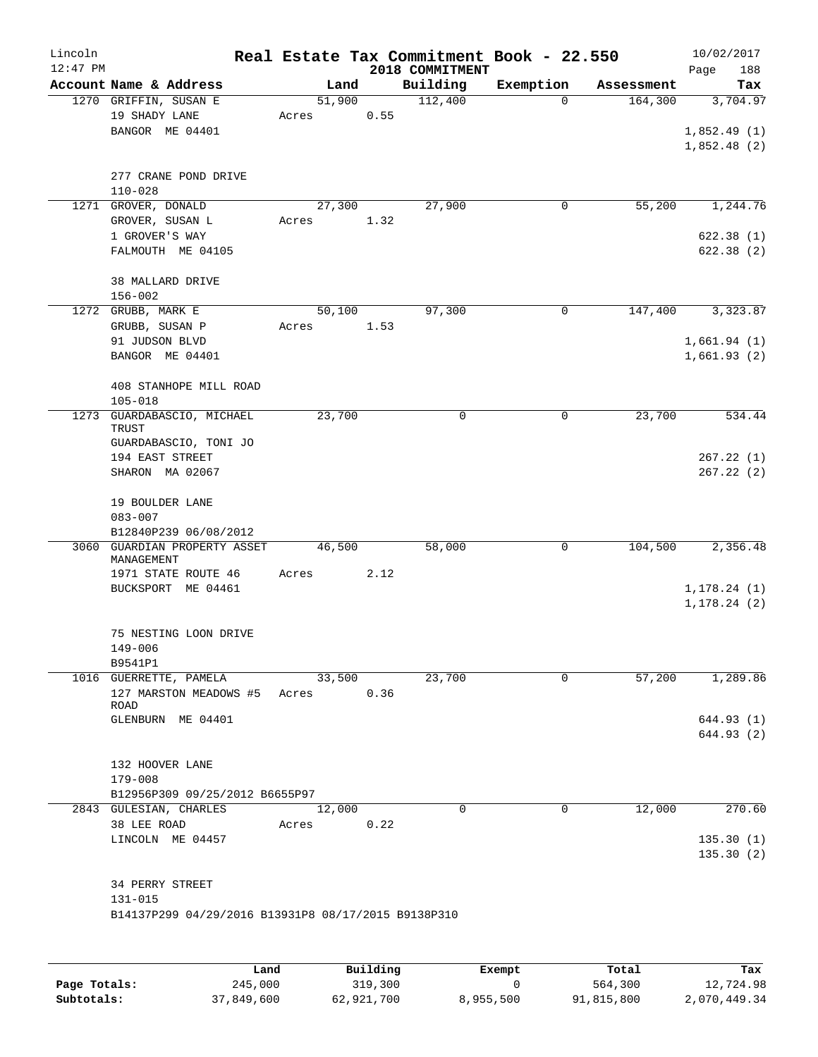| Lincoln<br>$12:47$ PM |                                                                                   |                 |      | Real Estate Tax Commitment Book - 22.550<br>2018 COMMITMENT |             |            | 10/02/2017<br>188<br>Page    |
|-----------------------|-----------------------------------------------------------------------------------|-----------------|------|-------------------------------------------------------------|-------------|------------|------------------------------|
|                       | Account Name & Address                                                            |                 | Land | Building                                                    | Exemption   | Assessment | Tax                          |
|                       | 1270 GRIFFIN, SUSAN E<br>19 SHADY LANE<br>BANGOR ME 04401                         | 51,900<br>Acres | 0.55 | 112,400                                                     | $\Omega$    | 164,300    | 3,704.97                     |
|                       |                                                                                   |                 |      |                                                             |             |            | 1,852.49(1)<br>1,852.48(2)   |
|                       | 277 CRANE POND DRIVE<br>$110 - 028$                                               |                 |      |                                                             |             |            |                              |
|                       | 1271 GROVER, DONALD<br>GROVER, SUSAN L                                            | 27,300<br>Acres | 1.32 | 27,900                                                      | 0           | 55,200     | 1,244.76                     |
|                       | 1 GROVER'S WAY<br>FALMOUTH ME 04105                                               |                 |      |                                                             |             |            | 622.38(1)<br>622.38(2)       |
|                       | 38 MALLARD DRIVE<br>$156 - 002$                                                   |                 |      |                                                             |             |            |                              |
|                       | 1272 GRUBB, MARK E                                                                | 50,100          |      | 97,300                                                      | $\mathbf 0$ | 147,400    | 3,323.87                     |
|                       | GRUBB, SUSAN P                                                                    | Acres           | 1.53 |                                                             |             |            |                              |
|                       | 91 JUDSON BLVD<br>BANGOR ME 04401                                                 |                 |      |                                                             |             |            | 1,661.94(1)<br>1,661.93(2)   |
|                       | 408 STANHOPE MILL ROAD<br>$105 - 018$                                             |                 |      |                                                             |             |            |                              |
|                       | 1273 GUARDABASCIO, MICHAEL<br>TRUST                                               | 23,700          |      | 0                                                           | 0           | 23,700     | 534.44                       |
|                       | GUARDABASCIO, TONI JO<br>194 EAST STREET<br>SHARON MA 02067                       |                 |      |                                                             |             |            | 267.22(1)<br>267.22(2)       |
|                       | 19 BOULDER LANE<br>$083 - 007$                                                    |                 |      |                                                             |             |            |                              |
|                       | B12840P239 06/08/2012                                                             |                 |      |                                                             |             |            |                              |
| 3060                  | GUARDIAN PROPERTY ASSET<br>MANAGEMENT                                             | 46,500          |      | 58,000                                                      | 0           | 104,500    | 2,356.48                     |
|                       | 1971 STATE ROUTE 46<br>BUCKSPORT ME 04461                                         | Acres           | 2.12 |                                                             |             |            | 1, 178.24(1)<br>1, 178.24(2) |
|                       | 75 NESTING LOON DRIVE<br>149-006                                                  |                 |      |                                                             |             |            |                              |
|                       | B9541P1<br>1016 GUERRETTE, PAMELA                                                 | 33,500          |      | 23,700                                                      | 0           | 57,200     | 1,289.86                     |
|                       | 127 MARSTON MEADOWS #5 Acres<br>ROAD                                              |                 | 0.36 |                                                             |             |            |                              |
|                       | GLENBURN ME 04401                                                                 |                 |      |                                                             |             |            | 644.93 (1)<br>644.93 (2)     |
|                       | 132 HOOVER LANE<br>179-008                                                        |                 |      |                                                             |             |            |                              |
|                       | B12956P309 09/25/2012 B6655P97                                                    |                 |      |                                                             |             |            |                              |
|                       | 2843 GULESIAN, CHARLES<br>38 LEE ROAD                                             | 12,000<br>Acres | 0.22 | 0                                                           | 0           | 12,000     | 270.60                       |
|                       | LINCOLN ME 04457                                                                  |                 |      |                                                             |             |            | 135.30(1)<br>135.30(2)       |
|                       | 34 PERRY STREET<br>131-015<br>B14137P299 04/29/2016 B13931P8 08/17/2015 B9138P310 |                 |      |                                                             |             |            |                              |
|                       |                                                                                   |                 |      |                                                             |             |            |                              |

|              | Land       | Building   | Exempt    | Total      | Tax          |
|--------------|------------|------------|-----------|------------|--------------|
| Page Totals: | 245,000    | 319,300    |           | 564,300    | 12,724.98    |
| Subtotals:   | 37,849,600 | 62,921,700 | 8,955,500 | 91,815,800 | 2,070,449.34 |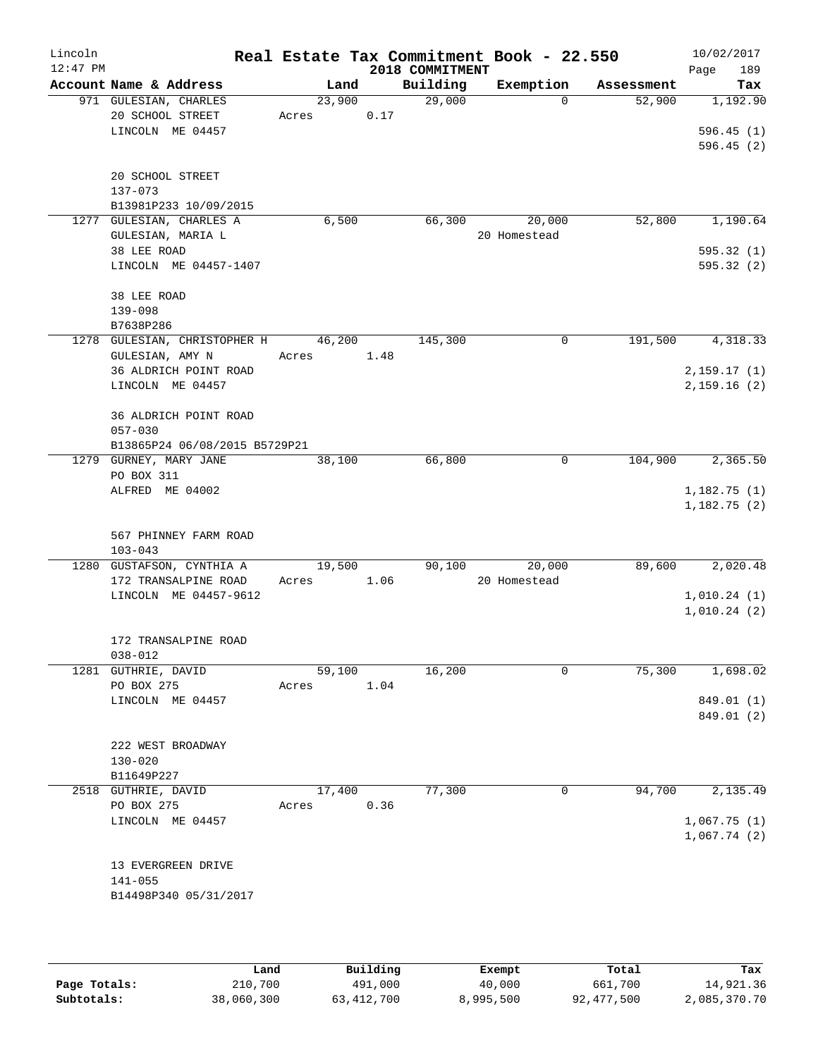| Lincoln<br>$12:47$ PM |                                      |        |      | 2018 COMMITMENT | Real Estate Tax Commitment Book - 22.550 |            | 10/02/2017<br>189<br>Page  |
|-----------------------|--------------------------------------|--------|------|-----------------|------------------------------------------|------------|----------------------------|
|                       | Account Name & Address               | Land   |      | Building        | Exemption                                | Assessment | Tax                        |
|                       | 971 GULESIAN, CHARLES                | 23,900 |      | 29,000          | $\Omega$                                 | 52,900     | 1,192.90                   |
|                       | 20 SCHOOL STREET                     | Acres  | 0.17 |                 |                                          |            |                            |
|                       | LINCOLN ME 04457                     |        |      |                 |                                          |            | 596.45(1)                  |
|                       |                                      |        |      |                 |                                          |            | 596.45(2)                  |
|                       | 20 SCHOOL STREET                     |        |      |                 |                                          |            |                            |
|                       | 137-073                              |        |      |                 |                                          |            |                            |
|                       | B13981P233 10/09/2015                |        |      |                 |                                          |            |                            |
|                       | 1277 GULESIAN, CHARLES A             | 6,500  |      | 66,300          | 20,000                                   | 52,800     | 1,190.64                   |
|                       | GULESIAN, MARIA L                    |        |      |                 | 20 Homestead                             |            |                            |
|                       | 38 LEE ROAD                          |        |      |                 |                                          |            | 595.32(1)                  |
|                       | LINCOLN ME 04457-1407                |        |      |                 |                                          |            | 595.32 (2)                 |
|                       |                                      |        |      |                 |                                          |            |                            |
|                       | 38 LEE ROAD<br>139-098               |        |      |                 |                                          |            |                            |
|                       | B7638P286                            |        |      |                 |                                          |            |                            |
|                       | 1278 GULESIAN, CHRISTOPHER H         | 46,200 |      | 145,300         | $\mathbf 0$                              | 191,500    | 4,318.33                   |
|                       | GULESIAN, AMY N                      | Acres  | 1.48 |                 |                                          |            |                            |
|                       | 36 ALDRICH POINT ROAD                |        |      |                 |                                          |            | 2, 159.17(1)               |
|                       | LINCOLN ME 04457                     |        |      |                 |                                          |            | 2,159.16(2)                |
|                       |                                      |        |      |                 |                                          |            |                            |
|                       | 36 ALDRICH POINT ROAD<br>$057 - 030$ |        |      |                 |                                          |            |                            |
|                       | B13865P24 06/08/2015 B5729P21        |        |      |                 |                                          |            |                            |
|                       | 1279 GURNEY, MARY JANE               | 38,100 |      | 66,800          | 0                                        | 104,900    | 2,365.50                   |
|                       | PO BOX 311                           |        |      |                 |                                          |            |                            |
|                       | ALFRED ME 04002                      |        |      |                 |                                          |            | 1,182.75(1)                |
|                       |                                      |        |      |                 |                                          |            | 1,182.75(2)                |
|                       |                                      |        |      |                 |                                          |            |                            |
|                       | 567 PHINNEY FARM ROAD<br>$103 - 043$ |        |      |                 |                                          |            |                            |
|                       | 1280 GUSTAFSON, CYNTHIA A            | 19,500 |      | 90,100          | 20,000                                   | 89,600     | 2,020.48                   |
|                       | 172 TRANSALPINE ROAD                 | Acres  | 1.06 |                 | 20 Homestead                             |            |                            |
|                       | LINCOLN ME 04457-9612                |        |      |                 |                                          |            | 1,010.24(1)                |
|                       |                                      |        |      |                 |                                          |            | 1,010.24(2)                |
|                       |                                      |        |      |                 |                                          |            |                            |
|                       | 172 TRANSALPINE ROAD                 |        |      |                 |                                          |            |                            |
|                       | $038 - 012$                          |        |      |                 |                                          |            |                            |
|                       | 1281 GUTHRIE, DAVID                  | 59,100 |      | 16,200          | $\mathbf 0$                              | 75,300     | 1,698.02                   |
|                       | PO BOX 275<br>LINCOLN ME 04457       | Acres  | 1.04 |                 |                                          |            | 849.01 (1)                 |
|                       |                                      |        |      |                 |                                          |            | 849.01 (2)                 |
|                       |                                      |        |      |                 |                                          |            |                            |
|                       | 222 WEST BROADWAY                    |        |      |                 |                                          |            |                            |
|                       | $130 - 020$                          |        |      |                 |                                          |            |                            |
|                       | B11649P227                           |        |      |                 |                                          |            |                            |
|                       | 2518 GUTHRIE, DAVID                  | 17,400 |      | 77,300          | 0                                        | 94,700     | 2,135.49                   |
|                       | PO BOX 275                           | Acres  | 0.36 |                 |                                          |            |                            |
|                       | LINCOLN ME 04457                     |        |      |                 |                                          |            | 1,067.75(1)<br>1,067.74(2) |
|                       |                                      |        |      |                 |                                          |            |                            |
|                       | 13 EVERGREEN DRIVE                   |        |      |                 |                                          |            |                            |
|                       | $141 - 055$                          |        |      |                 |                                          |            |                            |
|                       | B14498P340 05/31/2017                |        |      |                 |                                          |            |                            |
|                       |                                      |        |      |                 |                                          |            |                            |
|                       |                                      |        |      |                 |                                          |            |                            |

|              | Land       | Building   | Exempt    | Total      | Tax          |
|--------------|------------|------------|-----------|------------|--------------|
| Page Totals: | 210,700    | 491,000    | 40,000    | 661,700    | 14,921.36    |
| Subtotals:   | 38,060,300 | 63,412,700 | 8,995,500 | 92,477,500 | 2,085,370.70 |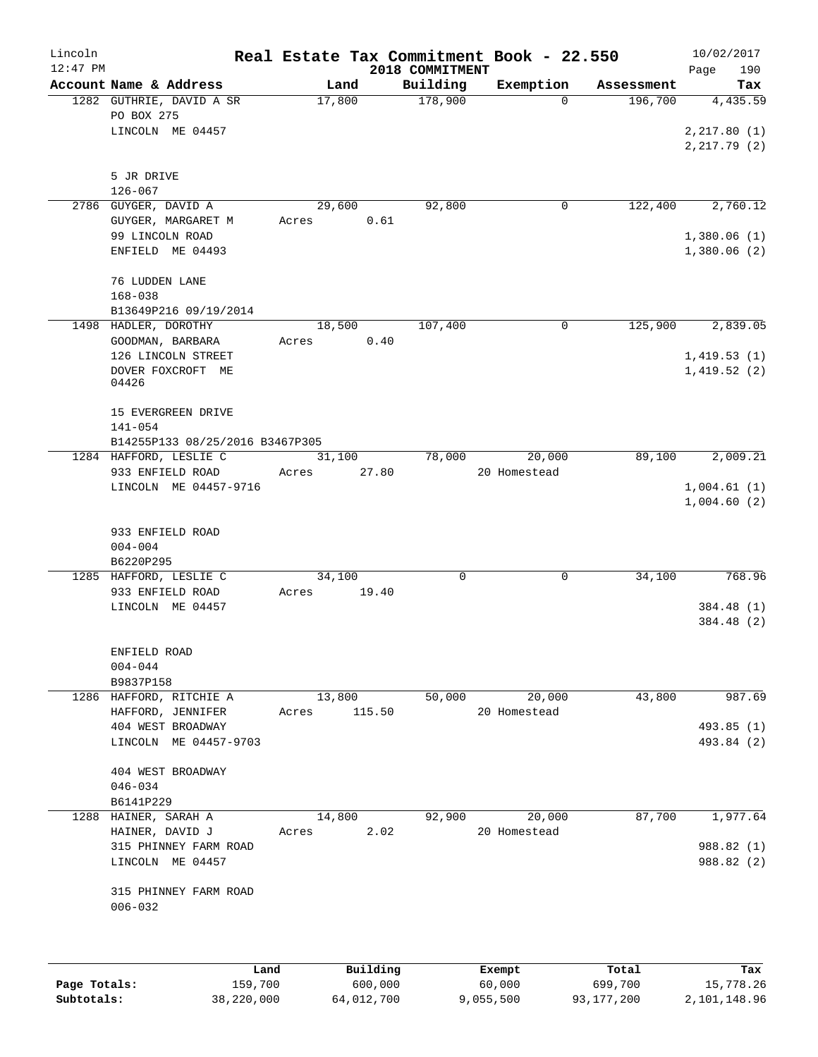| Lincoln      |                                               | Real Estate Tax Commitment Book - 22.550 |          |                     |                       |                       | 10/02/2017               |
|--------------|-----------------------------------------------|------------------------------------------|----------|---------------------|-----------------------|-----------------------|--------------------------|
| $12:47$ PM   | Account Name & Address                        |                                          |          | 2018 COMMITMENT     |                       |                       | Page<br>190              |
|              | 1282 GUTHRIE, DAVID A SR                      | Land<br>17,800                           |          | Building<br>178,900 | Exemption<br>$\Omega$ | Assessment<br>196,700 | Tax<br>4,435.59          |
|              | PO BOX 275                                    |                                          |          |                     |                       |                       |                          |
|              | LINCOLN ME 04457                              |                                          |          |                     |                       |                       | 2, 217.80(1)             |
|              |                                               |                                          |          |                     |                       |                       | 2, 217.79(2)             |
|              |                                               |                                          |          |                     |                       |                       |                          |
|              | 5 JR DRIVE                                    |                                          |          |                     |                       |                       |                          |
|              | $126 - 067$<br>2786 GUYGER, DAVID A           |                                          |          | 92,800              | 0                     | 122,400               | 2,760.12                 |
|              | GUYGER, MARGARET M                            | 29,600<br>Acres                          | 0.61     |                     |                       |                       |                          |
|              | 99 LINCOLN ROAD                               |                                          |          |                     |                       |                       | 1,380.06(1)              |
|              | ENFIELD ME 04493                              |                                          |          |                     |                       |                       | 1,380.06(2)              |
|              |                                               |                                          |          |                     |                       |                       |                          |
|              | 76 LUDDEN LANE                                |                                          |          |                     |                       |                       |                          |
|              | $168 - 038$                                   |                                          |          |                     |                       |                       |                          |
|              | B13649P216 09/19/2014<br>1498 HADLER, DOROTHY | 18,500                                   |          | 107,400             | 0                     | 125,900               | 2,839.05                 |
|              | GOODMAN, BARBARA                              | Acres                                    | 0.40     |                     |                       |                       |                          |
|              | 126 LINCOLN STREET                            |                                          |          |                     |                       |                       | 1,419.53(1)              |
|              | DOVER FOXCROFT ME                             |                                          |          |                     |                       |                       | 1,419.52(2)              |
|              | 04426                                         |                                          |          |                     |                       |                       |                          |
|              | 15 EVERGREEN DRIVE                            |                                          |          |                     |                       |                       |                          |
|              | 141-054                                       |                                          |          |                     |                       |                       |                          |
|              | B14255P133 08/25/2016 B3467P305               |                                          |          |                     |                       |                       |                          |
|              | 1284 HAFFORD, LESLIE C                        | 31,100                                   |          | 78,000              | 20,000                | 89,100                | 2,009.21                 |
|              | 933 ENFIELD ROAD                              | Acres                                    | 27.80    |                     | 20 Homestead          |                       |                          |
|              | LINCOLN ME 04457-9716                         |                                          |          |                     |                       |                       | 1,004.61(1)              |
|              |                                               |                                          |          |                     |                       |                       | 1,004.60(2)              |
|              | 933 ENFIELD ROAD                              |                                          |          |                     |                       |                       |                          |
|              | $004 - 004$                                   |                                          |          |                     |                       |                       |                          |
|              | B6220P295                                     |                                          |          |                     |                       |                       |                          |
|              | 1285 HAFFORD, LESLIE C                        | 34,100                                   |          | 0                   | 0                     | 34,100                | 768.96                   |
|              | 933 ENFIELD ROAD                              | Acres                                    | 19.40    |                     |                       |                       |                          |
|              | LINCOLN ME 04457                              |                                          |          |                     |                       |                       | 384.48 (1)               |
|              |                                               |                                          |          |                     |                       |                       | 384.48 (2)               |
|              | ENFIELD ROAD                                  |                                          |          |                     |                       |                       |                          |
|              | $004 - 044$                                   |                                          |          |                     |                       |                       |                          |
|              | B9837P158                                     |                                          |          |                     |                       |                       |                          |
|              | 1286 HAFFORD, RITCHIE A                       | 13,800                                   |          | 50,000              | 20,000                | 43,800                | 987.69                   |
|              | HAFFORD, JENNIFER                             | Acres                                    | 115.50   |                     | 20 Homestead          |                       |                          |
|              | 404 WEST BROADWAY<br>LINCOLN ME 04457-9703    |                                          |          |                     |                       |                       | 493.85 (1)<br>493.84 (2) |
|              |                                               |                                          |          |                     |                       |                       |                          |
|              | 404 WEST BROADWAY                             |                                          |          |                     |                       |                       |                          |
|              | $046 - 034$                                   |                                          |          |                     |                       |                       |                          |
|              | B6141P229                                     |                                          |          |                     |                       |                       |                          |
|              | 1288 HAINER, SARAH A                          | 14,800                                   |          | 92,900              | 20,000                | 87,700                | 1,977.64                 |
|              | HAINER, DAVID J<br>315 PHINNEY FARM ROAD      | Acres                                    | 2.02     |                     | 20 Homestead          |                       | 988.82 (1)               |
|              | LINCOLN ME 04457                              |                                          |          |                     |                       |                       | 988.82 (2)               |
|              |                                               |                                          |          |                     |                       |                       |                          |
|              | 315 PHINNEY FARM ROAD                         |                                          |          |                     |                       |                       |                          |
|              | $006 - 032$                                   |                                          |          |                     |                       |                       |                          |
|              |                                               |                                          |          |                     |                       |                       |                          |
|              |                                               |                                          |          |                     |                       |                       |                          |
|              | Land                                          |                                          | Building |                     | Exempt                | Total                 | Tax                      |
| Page Totals: | 159,700                                       |                                          | 600,000  |                     | 60,000                | 699,700               | 15,778.26                |

**Subtotals:** 38,220,000 64,012,700 9,055,500 93,177,200 2,101,148.96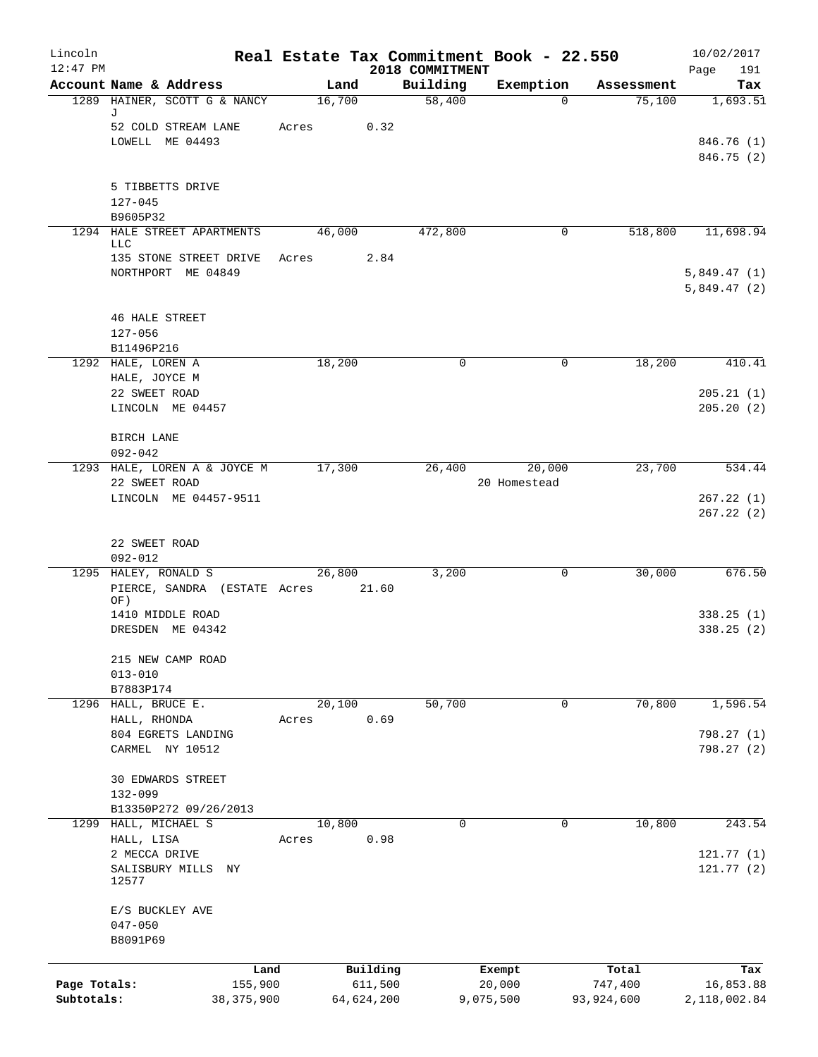| Lincoln<br>$12:47$ PM |                                       |                 |       |        |                     | 2018 COMMITMENT | Real Estate Tax Commitment Book - 22.550 |              |                  | 10/02/2017<br>Page<br>191  |
|-----------------------|---------------------------------------|-----------------|-------|--------|---------------------|-----------------|------------------------------------------|--------------|------------------|----------------------------|
|                       | Account Name & Address                |                 |       | Land   |                     | Building        | Exemption                                |              | Assessment       | Tax                        |
|                       | 1289 HAINER, SCOTT G & NANCY          |                 |       | 16,700 |                     | 58,400          |                                          | $\Omega$     | 75,100           | 1,693.51                   |
|                       | J<br>52 COLD STREAM LANE              |                 | Acres |        | 0.32                |                 |                                          |              |                  |                            |
|                       | LOWELL ME 04493                       |                 |       |        |                     |                 |                                          |              |                  | 846.76 (1)                 |
|                       |                                       |                 |       |        |                     |                 |                                          |              |                  | 846.75 (2)                 |
|                       | 5 TIBBETTS DRIVE                      |                 |       |        |                     |                 |                                          |              |                  |                            |
|                       | $127 - 045$                           |                 |       |        |                     |                 |                                          |              |                  |                            |
|                       | B9605P32                              |                 |       |        |                     |                 |                                          |              |                  |                            |
|                       | 1294 HALE STREET APARTMENTS<br>LLC    |                 |       | 46,000 |                     | 472,800         |                                          | 0            | 518,800          | 11,698.94                  |
|                       | 135 STONE STREET DRIVE                |                 | Acres |        | 2.84                |                 |                                          |              |                  |                            |
|                       | NORTHPORT ME 04849                    |                 |       |        |                     |                 |                                          |              |                  | 5,849.47(1)<br>5,849.47(2) |
|                       | <b>46 HALE STREET</b>                 |                 |       |        |                     |                 |                                          |              |                  |                            |
|                       | $127 - 056$                           |                 |       |        |                     |                 |                                          |              |                  |                            |
|                       | B11496P216                            |                 |       |        |                     |                 |                                          |              |                  |                            |
|                       | 1292 HALE, LOREN A                    |                 |       | 18,200 |                     | 0               |                                          | $\mathbf 0$  | 18,200           | 410.41                     |
|                       | HALE, JOYCE M                         |                 |       |        |                     |                 |                                          |              |                  |                            |
|                       | 22 SWEET ROAD                         |                 |       |        |                     |                 |                                          |              |                  | 205.21(1)                  |
|                       | LINCOLN ME 04457                      |                 |       |        |                     |                 |                                          |              |                  | 205.20(2)                  |
|                       | <b>BIRCH LANE</b>                     |                 |       |        |                     |                 |                                          |              |                  |                            |
|                       | $092 - 042$                           |                 |       |        |                     |                 |                                          |              |                  |                            |
|                       | 1293 HALE, LOREN A & JOYCE M          |                 |       | 17,300 |                     | 26,400          | 20,000                                   |              | 23,700           | 534.44                     |
|                       | 22 SWEET ROAD                         |                 |       |        |                     |                 | 20 Homestead                             |              |                  |                            |
|                       | LINCOLN ME 04457-9511                 |                 |       |        |                     |                 |                                          |              |                  | 267.22(1)                  |
|                       |                                       |                 |       |        |                     |                 |                                          |              |                  | 267.22(2)                  |
|                       | 22 SWEET ROAD                         |                 |       |        |                     |                 |                                          |              |                  |                            |
|                       | $092 - 012$                           |                 |       |        |                     |                 |                                          |              |                  |                            |
|                       | 1295 HALEY, RONALD S                  |                 |       | 26,800 |                     | 3,200           |                                          | 0            | 30,000           | 676.50                     |
|                       | PIERCE, SANDRA (ESTATE Acres<br>OF)   |                 |       |        | 21.60               |                 |                                          |              |                  |                            |
|                       | 1410 MIDDLE ROAD                      |                 |       |        |                     |                 |                                          |              |                  | 338.25(1)                  |
|                       | DRESDEN ME 04342                      |                 |       |        |                     |                 |                                          |              |                  | 338.25(2)                  |
|                       | 215 NEW CAMP ROAD                     |                 |       |        |                     |                 |                                          |              |                  |                            |
|                       | $013 - 010$                           |                 |       |        |                     |                 |                                          |              |                  |                            |
|                       | B7883P174                             |                 |       |        |                     |                 |                                          |              |                  |                            |
|                       | 1296 HALL, BRUCE E.                   |                 |       | 20,100 |                     | 50,700          |                                          | $\mathbf{0}$ | 70,800           | 1,596.54                   |
|                       | HALL, RHONDA                          |                 | Acres |        | 0.69                |                 |                                          |              |                  |                            |
|                       | 804 EGRETS LANDING<br>CARMEL NY 10512 |                 |       |        |                     |                 |                                          |              |                  | 798.27 (1)<br>798.27(2)    |
|                       |                                       |                 |       |        |                     |                 |                                          |              |                  |                            |
|                       | <b>30 EDWARDS STREET</b>              |                 |       |        |                     |                 |                                          |              |                  |                            |
|                       | 132-099                               |                 |       |        |                     |                 |                                          |              |                  |                            |
|                       | B13350P272 09/26/2013                 |                 |       |        |                     |                 |                                          |              |                  |                            |
|                       | 1299 HALL, MICHAEL S                  |                 |       | 10,800 |                     | $\mathbf 0$     |                                          | 0            | 10,800           | 243.54                     |
|                       | HALL, LISA<br>2 MECCA DRIVE           |                 | Acres |        | 0.98                |                 |                                          |              |                  | 121.77(1)                  |
|                       | SALISBURY MILLS                       | ΝY              |       |        |                     |                 |                                          |              |                  | 121.77(2)                  |
|                       | 12577                                 |                 |       |        |                     |                 |                                          |              |                  |                            |
|                       | E/S BUCKLEY AVE                       |                 |       |        |                     |                 |                                          |              |                  |                            |
|                       | $047 - 050$                           |                 |       |        |                     |                 |                                          |              |                  |                            |
|                       | B8091P69                              |                 |       |        |                     |                 |                                          |              |                  |                            |
|                       |                                       |                 |       |        |                     |                 |                                          |              |                  |                            |
| Page Totals:          |                                       | Land<br>155,900 |       |        | Building<br>611,500 |                 | Exempt<br>20,000                         |              | Total<br>747,400 | Tax<br>16,853.88           |
| Subtotals:            |                                       | 38, 375, 900    |       |        | 64,624,200          |                 | 9,075,500                                |              | 93,924,600       | 2,118,002.84               |
|                       |                                       |                 |       |        |                     |                 |                                          |              |                  |                            |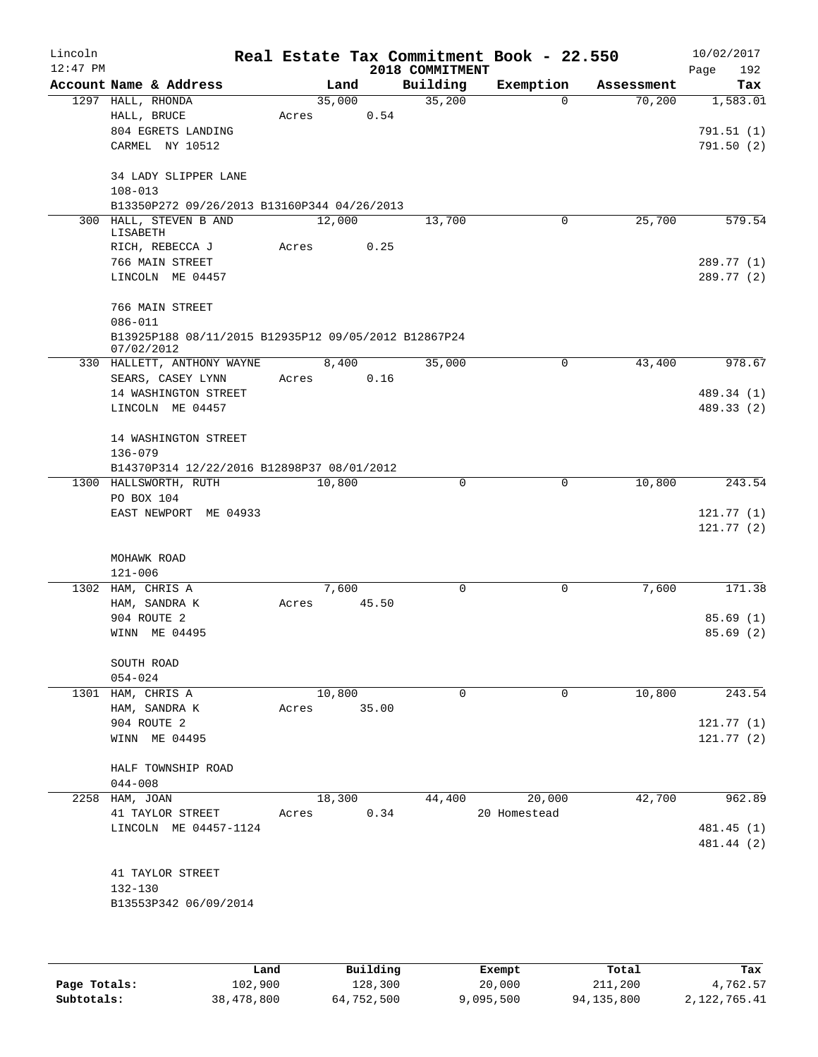| Lincoln<br>$12:47$ PM |                                                                                    |                 |       | 2018 COMMITMENT | Real Estate Tax Commitment Book - 22.550 |            | 10/02/2017<br>192<br>Page |
|-----------------------|------------------------------------------------------------------------------------|-----------------|-------|-----------------|------------------------------------------|------------|---------------------------|
|                       | Account Name & Address                                                             |                 | Land  | Building        | Exemption                                | Assessment | Tax                       |
|                       | 1297 HALL, RHONDA<br>HALL, BRUCE<br>804 EGRETS LANDING                             | 35,000<br>Acres | 0.54  | 35,200          | $\Omega$                                 | 70,200     | 1,583.01<br>791.51(1)     |
|                       | CARMEL NY 10512                                                                    |                 |       |                 |                                          |            | 791.50(2)                 |
|                       | 34 LADY SLIPPER LANE<br>$108 - 013$<br>B13350P272 09/26/2013 B13160P344 04/26/2013 |                 |       |                 |                                          |            |                           |
|                       | 300 HALL, STEVEN B AND<br>LISABETH                                                 | 12,000          |       | 13,700          | 0                                        | 25,700     | 579.54                    |
|                       | RICH, REBECCA J                                                                    | Acres           | 0.25  |                 |                                          |            |                           |
|                       | 766 MAIN STREET<br>LINCOLN ME 04457                                                |                 |       |                 |                                          |            | 289.77 (1)<br>289.77 (2)  |
|                       | 766 MAIN STREET<br>$086 - 011$                                                     |                 |       |                 |                                          |            |                           |
|                       | B13925P188 08/11/2015 B12935P12 09/05/2012 B12867P24<br>07/02/2012                 |                 |       |                 |                                          |            |                           |
|                       | 330 HALLETT, ANTHONY WAYNE                                                         |                 | 8,400 | 35,000          | 0                                        | 43,400     | 978.67                    |
|                       | SEARS, CASEY LYNN<br>14 WASHINGTON STREET                                          | Acres           | 0.16  |                 |                                          |            |                           |
|                       | LINCOLN ME 04457                                                                   |                 |       |                 |                                          |            | 489.34 (1)<br>489.33 (2)  |
|                       |                                                                                    |                 |       |                 |                                          |            |                           |
|                       | 14 WASHINGTON STREET                                                               |                 |       |                 |                                          |            |                           |
|                       | $136 - 079$                                                                        |                 |       |                 |                                          |            |                           |
|                       | B14370P314 12/22/2016 B12898P37 08/01/2012                                         |                 |       | 0               | $\mathbf 0$                              |            |                           |
|                       | 1300 HALLSWORTH, RUTH<br>PO BOX 104                                                | 10,800          |       |                 |                                          | 10,800     | 243.54                    |
|                       | EAST NEWPORT ME 04933                                                              |                 |       |                 |                                          |            | 121.77(1)                 |
|                       |                                                                                    |                 |       |                 |                                          |            | 121.77(2)                 |
|                       | MOHAWK ROAD                                                                        |                 |       |                 |                                          |            |                           |
| 1302                  | $121 - 006$<br>HAM, CHRIS A                                                        |                 | 7,600 | 0               | 0                                        | 7,600      | 171.38                    |
|                       | HAM, SANDRA K                                                                      | Acres           | 45.50 |                 |                                          |            |                           |
|                       | 904 ROUTE 2                                                                        |                 |       |                 |                                          |            | 85.69(1)                  |
|                       | WINN ME 04495                                                                      |                 |       |                 |                                          |            | 85.69(2)                  |
|                       | SOUTH ROAD<br>$054 - 024$                                                          |                 |       |                 |                                          |            |                           |
|                       | 1301 HAM, CHRIS A                                                                  | 10,800          |       | $\Omega$        | 0                                        | 10,800     | 243.54                    |
|                       | HAM, SANDRA K                                                                      | Acres           | 35.00 |                 |                                          |            |                           |
|                       | 904 ROUTE 2                                                                        |                 |       |                 |                                          |            | 121.77(1)                 |
|                       | WINN ME 04495                                                                      |                 |       |                 |                                          |            | 121.77 (2)                |
|                       | HALF TOWNSHIP ROAD<br>$044 - 008$                                                  |                 |       |                 |                                          |            |                           |
|                       | 2258 HAM, JOAN                                                                     | 18,300          |       | 44,400          | 20,000                                   | 42,700     | 962.89                    |
|                       | 41 TAYLOR STREET                                                                   | Acres           | 0.34  |                 | 20 Homestead                             |            |                           |
|                       | LINCOLN ME 04457-1124                                                              |                 |       |                 |                                          |            | 481.45 (1)<br>481.44 (2)  |
|                       | 41 TAYLOR STREET<br>132-130                                                        |                 |       |                 |                                          |            |                           |
|                       | B13553P342 06/09/2014                                                              |                 |       |                 |                                          |            |                           |
|                       |                                                                                    |                 |       |                 |                                          |            |                           |

|              | Land       | Building   | Exempt    | Total      | Tax          |
|--------------|------------|------------|-----------|------------|--------------|
| Page Totals: | 102,900    | 128,300    | 20,000    | 211,200    | 4,762.57     |
| Subtotals:   | 38,478,800 | 64,752,500 | 9,095,500 | 94,135,800 | 2,122,765.41 |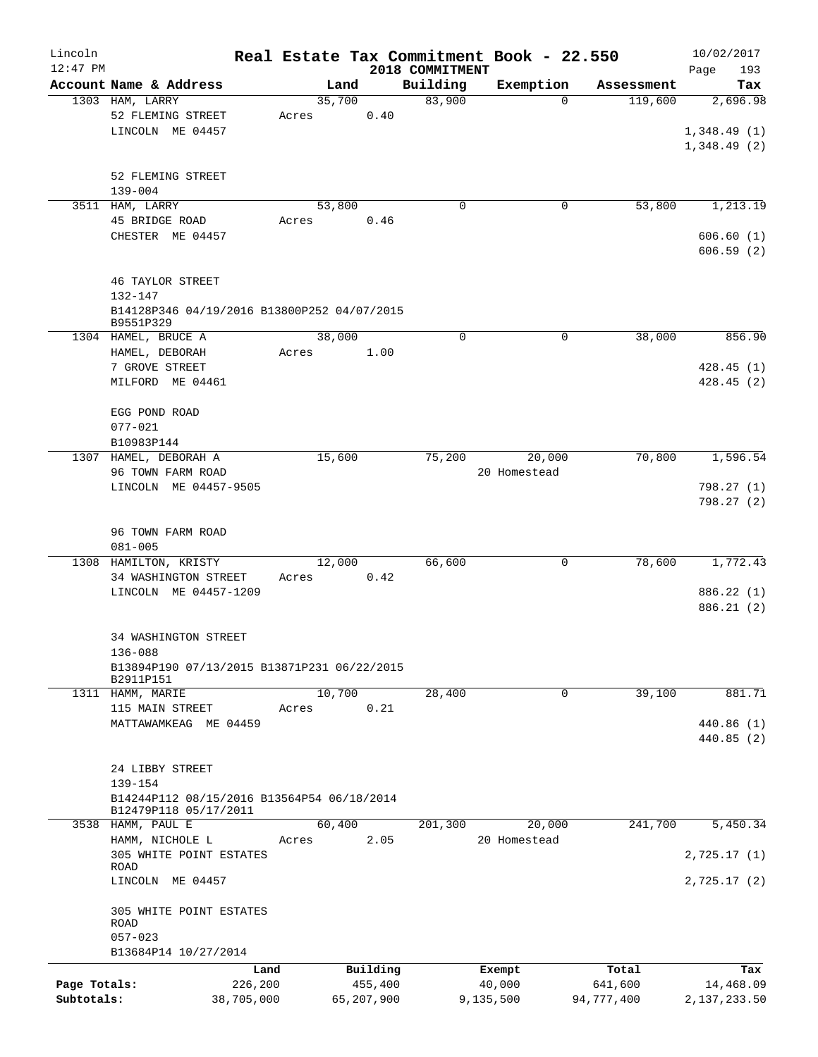| Lincoln      |                                                                     |        |            |                 | Real Estate Tax Commitment Book - 22.550 |                       | 10/02/2017   |
|--------------|---------------------------------------------------------------------|--------|------------|-----------------|------------------------------------------|-----------------------|--------------|
| $12:47$ PM   |                                                                     |        |            | 2018 COMMITMENT |                                          |                       | Page<br>193  |
|              | Account Name & Address                                              | Land   |            | Building        | Exemption                                | Assessment            | Tax          |
|              | 1303 HAM, LARRY                                                     | 35,700 |            | 83,900          |                                          | $\Omega$<br>119,600   | 2,696.98     |
|              | 52 FLEMING STREET<br>LINCOLN ME 04457                               | Acres  | 0.40       |                 |                                          |                       | 1,348.49(1)  |
|              |                                                                     |        |            |                 |                                          |                       | 1,348.49(2)  |
|              |                                                                     |        |            |                 |                                          |                       |              |
|              | 52 FLEMING STREET                                                   |        |            |                 |                                          |                       |              |
|              | $139 - 004$                                                         |        |            |                 |                                          |                       |              |
|              | 3511 HAM, LARRY                                                     | 53,800 |            | $\mathbf 0$     |                                          | 53,800<br>0           | 1, 213.19    |
|              | 45 BRIDGE ROAD                                                      | Acres  | 0.46       |                 |                                          |                       |              |
|              | CHESTER ME 04457                                                    |        |            |                 |                                          |                       | 606.60(1)    |
|              |                                                                     |        |            |                 |                                          |                       | 606.59(2)    |
|              |                                                                     |        |            |                 |                                          |                       |              |
|              | <b>46 TAYLOR STREET</b>                                             |        |            |                 |                                          |                       |              |
|              | $132 - 147$                                                         |        |            |                 |                                          |                       |              |
|              | B14128P346 04/19/2016 B13800P252 04/07/2015<br>B9551P329            |        |            |                 |                                          |                       |              |
|              | 1304 HAMEL, BRUCE A                                                 | 38,000 |            | $\mathbf 0$     |                                          | 0<br>38,000           | 856.90       |
|              | HAMEL, DEBORAH                                                      | Acres  | 1.00       |                 |                                          |                       |              |
|              | 7 GROVE STREET                                                      |        |            |                 |                                          |                       | 428.45(1)    |
|              | MILFORD ME 04461                                                    |        |            |                 |                                          |                       | 428.45(2)    |
|              |                                                                     |        |            |                 |                                          |                       |              |
|              | EGG POND ROAD                                                       |        |            |                 |                                          |                       |              |
|              | $077 - 021$                                                         |        |            |                 |                                          |                       |              |
|              | B10983P144                                                          |        |            |                 |                                          |                       |              |
|              | 1307 HAMEL, DEBORAH A                                               | 15,600 |            | 75,200          | 20,000                                   | 70,800                | 1,596.54     |
|              | 96 TOWN FARM ROAD<br>LINCOLN ME 04457-9505                          |        |            |                 | 20 Homestead                             |                       | 798.27 (1)   |
|              |                                                                     |        |            |                 |                                          |                       | 798.27(2)    |
|              |                                                                     |        |            |                 |                                          |                       |              |
|              | 96 TOWN FARM ROAD                                                   |        |            |                 |                                          |                       |              |
|              | $081 - 005$                                                         |        |            |                 |                                          |                       |              |
|              | 1308 HAMILTON, KRISTY                                               | 12,000 |            | 66,600          |                                          | $\mathbf 0$<br>78,600 | 1,772.43     |
|              | 34 WASHINGTON STREET                                                | Acres  | 0.42       |                 |                                          |                       |              |
|              | LINCOLN ME 04457-1209                                               |        |            |                 |                                          |                       | 886.22 (1)   |
|              |                                                                     |        |            |                 |                                          |                       | 886.21 (2)   |
|              |                                                                     |        |            |                 |                                          |                       |              |
|              | <b>34 WASHINGTON STREET</b>                                         |        |            |                 |                                          |                       |              |
|              | $136 - 088$                                                         |        |            |                 |                                          |                       |              |
|              | B13894P190 07/13/2015 B13871P231 06/22/2015<br>B2911P151            |        |            |                 |                                          |                       |              |
|              | 1311 HAMM, MARIE                                                    | 10,700 |            | 28,400          |                                          | 39,100<br>0           | 881.71       |
|              | 115 MAIN STREET                                                     | Acres  | 0.21       |                 |                                          |                       |              |
|              | MATTAWAMKEAG ME 04459                                               |        |            |                 |                                          |                       | 440.86 (1)   |
|              |                                                                     |        |            |                 |                                          |                       | 440.85 (2)   |
|              |                                                                     |        |            |                 |                                          |                       |              |
|              | 24 LIBBY STREET                                                     |        |            |                 |                                          |                       |              |
|              | 139-154                                                             |        |            |                 |                                          |                       |              |
|              | B14244P112 08/15/2016 B13564P54 06/18/2014<br>B12479P118 05/17/2011 |        |            |                 |                                          |                       |              |
|              | 3538 HAMM, PAUL E                                                   | 60,400 |            | 201,300         | 20,000                                   | 241,700               | 5,450.34     |
|              | HAMM, NICHOLE L                                                     | Acres  | 2.05       |                 | 20 Homestead                             |                       |              |
|              | 305 WHITE POINT ESTATES                                             |        |            |                 |                                          |                       | 2,725.17(1)  |
|              | ROAD                                                                |        |            |                 |                                          |                       |              |
|              | LINCOLN ME 04457                                                    |        |            |                 |                                          |                       | 2,725.17(2)  |
|              |                                                                     |        |            |                 |                                          |                       |              |
|              | 305 WHITE POINT ESTATES<br>ROAD                                     |        |            |                 |                                          |                       |              |
|              | $057 - 023$                                                         |        |            |                 |                                          |                       |              |
|              | B13684P14 10/27/2014                                                |        |            |                 |                                          |                       |              |
|              | Land                                                                |        | Building   |                 | Exempt                                   | Total                 | Tax          |
| Page Totals: | 226,200                                                             |        | 455,400    |                 | 40,000                                   | 641,600               | 14,468.09    |
| Subtotals:   | 38,705,000                                                          |        | 65,207,900 |                 | 9,135,500                                | 94,777,400            | 2,137,233.50 |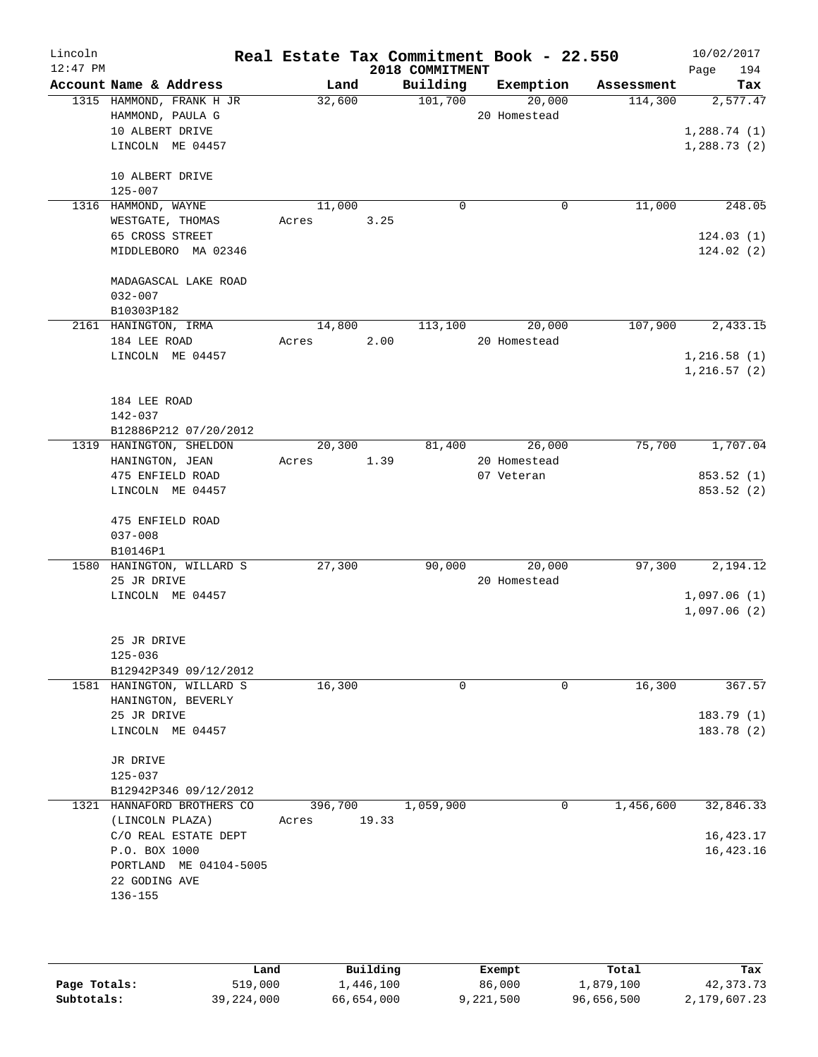| Lincoln<br>$12:47$ PM |                                              |         |       | Real Estate Tax Commitment Book - 22.550<br>2018 COMMITMENT |                        |            | 10/02/2017<br>194<br>Page  |
|-----------------------|----------------------------------------------|---------|-------|-------------------------------------------------------------|------------------------|------------|----------------------------|
|                       | Account Name & Address                       | Land    |       | Building                                                    | Exemption              | Assessment | Tax                        |
|                       | 1315 HAMMOND, FRANK H JR<br>HAMMOND, PAULA G | 32,600  |       | 101,700                                                     | 20,000<br>20 Homestead | 114,300    | 2,577.47                   |
|                       | 10 ALBERT DRIVE<br>LINCOLN ME 04457          |         |       |                                                             |                        |            | 1,288.74(1)<br>1,288.73(2) |
|                       | 10 ALBERT DRIVE<br>$125 - 007$               |         |       |                                                             |                        |            |                            |
|                       | 1316 HAMMOND, WAYNE                          | 11,000  |       | 0                                                           | 0                      | 11,000     | 248.05                     |
|                       | WESTGATE, THOMAS                             | Acres   | 3.25  |                                                             |                        |            |                            |
|                       | 65 CROSS STREET                              |         |       |                                                             |                        |            | 124.03(1)                  |
|                       | MIDDLEBORO MA 02346                          |         |       |                                                             |                        |            | 124.02(2)                  |
|                       | MADAGASCAL LAKE ROAD                         |         |       |                                                             |                        |            |                            |
|                       | $032 - 007$                                  |         |       |                                                             |                        |            |                            |
|                       | B10303P182                                   |         |       |                                                             |                        |            |                            |
|                       | 2161 HANINGTON, IRMA                         | 14,800  |       | 113,100                                                     | 20,000                 | 107,900    | 2,433.15                   |
|                       | 184 LEE ROAD                                 | Acres   | 2.00  |                                                             | 20 Homestead           |            |                            |
|                       | LINCOLN ME 04457                             |         |       |                                                             |                        |            | 1,216.58(1)                |
|                       |                                              |         |       |                                                             |                        |            | 1,216.57(2)                |
|                       | 184 LEE ROAD                                 |         |       |                                                             |                        |            |                            |
|                       | 142-037                                      |         |       |                                                             |                        |            |                            |
|                       | B12886P212 07/20/2012                        |         |       |                                                             |                        |            |                            |
|                       | 1319 HANINGTON, SHELDON                      | 20,300  |       | 81,400                                                      | 26,000                 | 75,700     | 1,707.04                   |
|                       | HANINGTON, JEAN                              | Acres   | 1.39  |                                                             | 20 Homestead           |            |                            |
|                       | 475 ENFIELD ROAD                             |         |       |                                                             | 07 Veteran             |            | 853.52 (1)                 |
|                       | LINCOLN ME 04457                             |         |       |                                                             |                        |            | 853.52 (2)                 |
|                       |                                              |         |       |                                                             |                        |            |                            |
|                       | 475 ENFIELD ROAD<br>$037 - 008$              |         |       |                                                             |                        |            |                            |
|                       | B10146P1                                     |         |       |                                                             |                        |            |                            |
|                       | 1580 HANINGTON, WILLARD S                    | 27,300  |       | 90,000                                                      | 20,000                 | 97,300     | 2,194.12                   |
|                       | 25 JR DRIVE                                  |         |       |                                                             | 20 Homestead           |            |                            |
|                       | LINCOLN ME 04457                             |         |       |                                                             |                        |            | 1,097.06(1)                |
|                       |                                              |         |       |                                                             |                        |            | 1,097.06(2)                |
|                       | 25 JR DRIVE                                  |         |       |                                                             |                        |            |                            |
|                       | $125 - 036$                                  |         |       |                                                             |                        |            |                            |
|                       | B12942P349 09/12/2012                        |         |       |                                                             |                        |            |                            |
|                       | 1581 HANINGTON, WILLARD S                    | 16,300  |       | 0                                                           | 0                      | 16,300     | 367.57                     |
|                       | HANINGTON, BEVERLY                           |         |       |                                                             |                        |            |                            |
|                       | 25 JR DRIVE                                  |         |       |                                                             |                        |            | 183.79(1)                  |
|                       | LINCOLN ME 04457                             |         |       |                                                             |                        |            | 183.78 (2)                 |
|                       | JR DRIVE                                     |         |       |                                                             |                        |            |                            |
|                       | 125-037                                      |         |       |                                                             |                        |            |                            |
|                       | B12942P346 09/12/2012                        |         |       |                                                             |                        |            |                            |
|                       | 1321 HANNAFORD BROTHERS CO                   | 396,700 |       | 1,059,900                                                   | 0                      | 1,456,600  | 32,846.33                  |
|                       | (LINCOLN PLAZA)                              | Acres   | 19.33 |                                                             |                        |            |                            |
|                       | C/O REAL ESTATE DEPT                         |         |       |                                                             |                        |            | 16, 423.17                 |
|                       | P.O. BOX 1000                                |         |       |                                                             |                        |            | 16, 423. 16                |
|                       | PORTLAND ME 04104-5005                       |         |       |                                                             |                        |            |                            |
|                       | 22 GODING AVE<br>136-155                     |         |       |                                                             |                        |            |                            |
|                       |                                              |         |       |                                                             |                        |            |                            |
|                       |                                              |         |       |                                                             |                        |            |                            |
|                       |                                              |         |       |                                                             |                        |            |                            |

|              | Land       | Building   | Exempt    | Total      | Tax          |
|--------------|------------|------------|-----------|------------|--------------|
| Page Totals: | 519,000    | .,446,100  | 86,000    | 1,879,100  | 42,373.73    |
| Subtotals:   | 39,224,000 | 66,654,000 | 9,221,500 | 96,656,500 | 2,179,607.23 |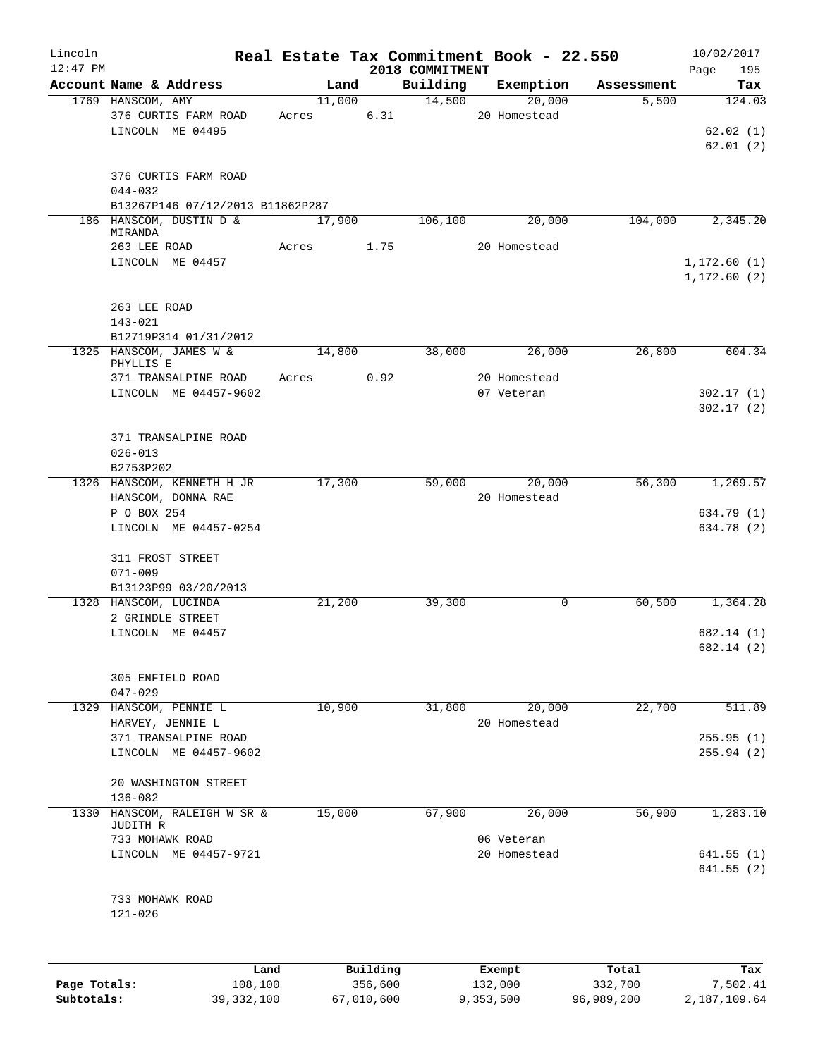| Lincoln<br>$12:47$ PM |                                                                         |       |        |      | 2018 COMMITMENT | Real Estate Tax Commitment Book - 22.550 |            | 10/02/2017<br>Page<br>195 |
|-----------------------|-------------------------------------------------------------------------|-------|--------|------|-----------------|------------------------------------------|------------|---------------------------|
|                       | Account Name & Address                                                  |       | Land   |      | Building        | Exemption                                | Assessment | Tax                       |
|                       | 1769 HANSCOM, AMY<br>376 CURTIS FARM ROAD                               | Acres | 11,000 | 6.31 | 14,500          | 20,000<br>20 Homestead                   | 5,500      | 124.03                    |
|                       | LINCOLN ME 04495                                                        |       |        |      |                 |                                          |            | 62.02(1)<br>62.01(2)      |
|                       | 376 CURTIS FARM ROAD<br>$044 - 032$<br>B13267P146 07/12/2013 B11862P287 |       |        |      |                 |                                          |            |                           |
|                       | 186 HANSCOM, DUSTIN D &<br>MIRANDA                                      |       | 17,900 |      | 106,100         | 20,000                                   | 104,000    | 2,345.20                  |
|                       | 263 LEE ROAD<br>LINCOLN ME 04457                                        | Acres |        | 1.75 |                 | 20 Homestead                             |            | 1,172.60(1)               |
|                       |                                                                         |       |        |      |                 |                                          |            | 1, 172.60(2)              |
|                       | 263 LEE ROAD<br>$143 - 021$                                             |       |        |      |                 |                                          |            |                           |
|                       | B12719P314 01/31/2012                                                   |       |        |      |                 |                                          |            |                           |
|                       | 1325 HANSCOM, JAMES W &<br>PHYLLIS E                                    |       | 14,800 |      | 38,000          | 26,000                                   | 26,800     | 604.34                    |
|                       | 371 TRANSALPINE ROAD                                                    | Acres |        | 0.92 |                 | 20 Homestead                             |            |                           |
|                       | LINCOLN ME 04457-9602                                                   |       |        |      |                 | 07 Veteran                               |            | 302.17(1)                 |
|                       |                                                                         |       |        |      |                 |                                          |            | 302.17(2)                 |
|                       | 371 TRANSALPINE ROAD                                                    |       |        |      |                 |                                          |            |                           |
|                       | $026 - 013$                                                             |       |        |      |                 |                                          |            |                           |
|                       | B2753P202                                                               |       |        |      |                 |                                          |            |                           |
|                       | 1326 HANSCOM, KENNETH H JR                                              |       | 17,300 |      | 59,000          | 20,000                                   | 56,300     | 1,269.57                  |
|                       | HANSCOM, DONNA RAE                                                      |       |        |      |                 | 20 Homestead                             |            |                           |
|                       | P O BOX 254                                                             |       |        |      |                 |                                          |            | 634.79 (1)                |
|                       | LINCOLN ME 04457-0254                                                   |       |        |      |                 |                                          |            | 634.78 (2)                |
|                       | 311 FROST STREET                                                        |       |        |      |                 |                                          |            |                           |
|                       | $071 - 009$                                                             |       |        |      |                 |                                          |            |                           |
|                       | B13123P99 03/20/2013                                                    |       |        |      |                 |                                          |            |                           |
|                       | 1328 HANSCOM, LUCINDA                                                   |       | 21,200 |      | 39,300          | 0                                        | 60,500     | 1,364.28                  |
|                       | 2 GRINDLE STREET                                                        |       |        |      |                 |                                          |            |                           |
|                       | LINCOLN ME 04457                                                        |       |        |      |                 |                                          |            | 682.14 (1)<br>682.14 (2)  |
|                       |                                                                         |       |        |      |                 |                                          |            |                           |
|                       | 305 ENFIELD ROAD                                                        |       |        |      |                 |                                          |            |                           |
|                       | $047 - 029$                                                             |       |        |      |                 |                                          |            |                           |
| 1329                  | HANSCOM, PENNIE L                                                       |       | 10,900 |      | 31,800          | 20,000                                   | 22,700     | 511.89                    |
|                       | HARVEY, JENNIE L                                                        |       |        |      |                 | 20 Homestead                             |            |                           |
|                       | 371 TRANSALPINE ROAD                                                    |       |        |      |                 |                                          |            | 255.95(1)                 |
|                       | LINCOLN ME 04457-9602                                                   |       |        |      |                 |                                          |            | 255.94(2)                 |
|                       | 20 WASHINGTON STREET<br>$136 - 082$                                     |       |        |      |                 |                                          |            |                           |
| 1330                  | HANSCOM, RALEIGH W SR &<br>JUDITH R                                     |       | 15,000 |      | 67,900          | 26,000                                   | 56,900     | 1,283.10                  |
|                       | 733 MOHAWK ROAD                                                         |       |        |      |                 | 06 Veteran                               |            |                           |
|                       | LINCOLN ME 04457-9721                                                   |       |        |      |                 | 20 Homestead                             |            | 641.55 (1)<br>641.55(2)   |
|                       | 733 MOHAWK ROAD                                                         |       |        |      |                 |                                          |            |                           |
|                       | $121 - 026$                                                             |       |        |      |                 |                                          |            |                           |
|                       |                                                                         |       |        |      |                 |                                          |            |                           |

|              | Land         | Building   | Exempt    | Total      | Tax          |
|--------------|--------------|------------|-----------|------------|--------------|
| Page Totals: | 108,100      | 356,600    | 132,000   | 332,700    | 7,502.41     |
| Subtotals:   | 39, 332, 100 | 67,010,600 | 9,353,500 | 96,989,200 | 2,187,109.64 |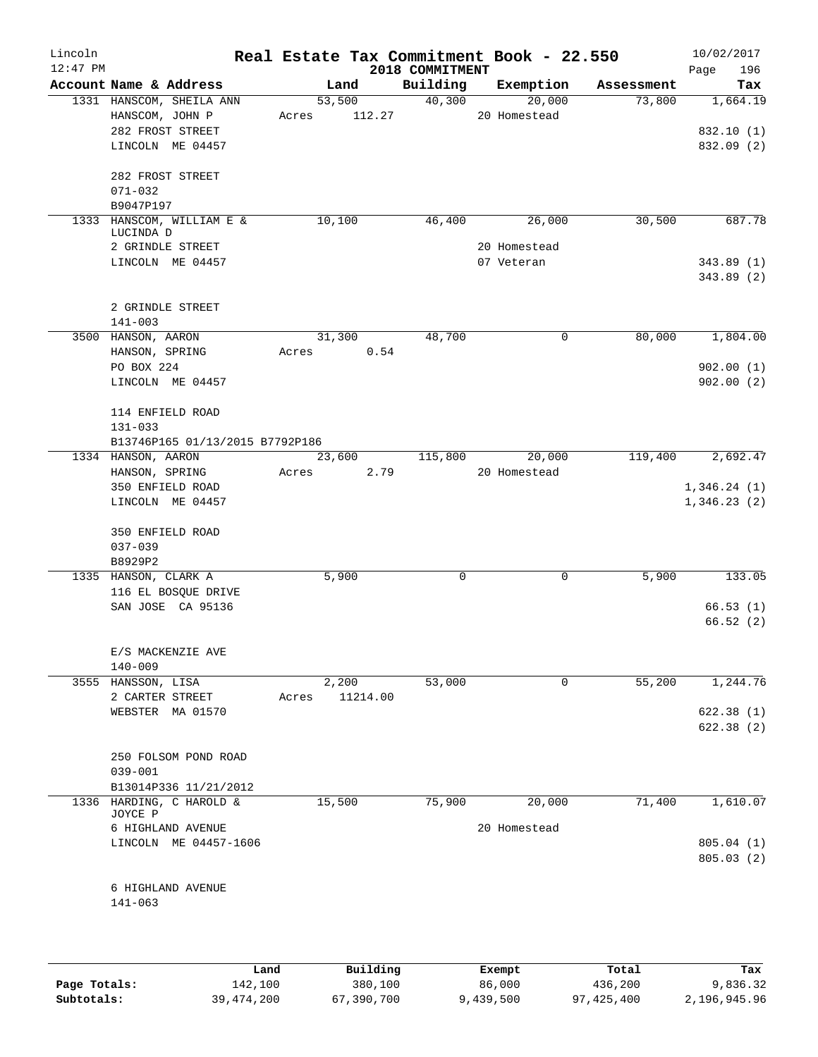| Lincoln<br>$12:47$ PM |                                   |       |        |          | 2018 COMMITMENT | Real Estate Tax Commitment Book - 22.550 |            | 10/02/2017         |
|-----------------------|-----------------------------------|-------|--------|----------|-----------------|------------------------------------------|------------|--------------------|
|                       | Account Name & Address            |       | Land   |          | Building        | Exemption                                | Assessment | Page<br>196<br>Tax |
|                       | 1331 HANSCOM, SHEILA ANN          |       | 53,500 |          | 40,300          | 20,000                                   | 73,800     | 1,664.19           |
|                       | HANSCOM, JOHN P                   | Acres |        | 112.27   |                 | 20 Homestead                             |            |                    |
|                       | 282 FROST STREET                  |       |        |          |                 |                                          |            | 832.10 (1)         |
|                       | LINCOLN ME 04457                  |       |        |          |                 |                                          |            | 832.09 (2)         |
|                       |                                   |       |        |          |                 |                                          |            |                    |
|                       | 282 FROST STREET                  |       |        |          |                 |                                          |            |                    |
|                       | $071 - 032$                       |       |        |          |                 |                                          |            |                    |
|                       | B9047P197                         |       |        |          |                 |                                          |            |                    |
|                       | 1333 HANSCOM, WILLIAM E &         |       | 10,100 |          | 46,400          | 26,000                                   | 30,500     | 687.78             |
|                       | LUCINDA D                         |       |        |          |                 |                                          |            |                    |
|                       | 2 GRINDLE STREET                  |       |        |          |                 | 20 Homestead                             |            |                    |
|                       | LINCOLN ME 04457                  |       |        |          |                 | 07 Veteran                               |            | 343.89(1)          |
|                       |                                   |       |        |          |                 |                                          |            | 343.89 (2)         |
|                       |                                   |       |        |          |                 |                                          |            |                    |
|                       | 2 GRINDLE STREET                  |       |        |          |                 |                                          |            |                    |
|                       | $141 - 003$                       |       |        |          |                 |                                          |            |                    |
|                       | 3500 HANSON, AARON                |       | 31,300 |          | 48,700          | $\mathbf 0$                              | 80,000     | 1,804.00           |
|                       | HANSON, SPRING                    | Acres |        | 0.54     |                 |                                          |            |                    |
|                       | PO BOX 224                        |       |        |          |                 |                                          |            | 902.00(1)          |
|                       | LINCOLN ME 04457                  |       |        |          |                 |                                          |            | 902.00(2)          |
|                       |                                   |       |        |          |                 |                                          |            |                    |
|                       | 114 ENFIELD ROAD                  |       |        |          |                 |                                          |            |                    |
|                       | $131 - 033$                       |       |        |          |                 |                                          |            |                    |
|                       | B13746P165 01/13/2015 B7792P186   |       |        |          |                 |                                          |            |                    |
|                       | 1334 HANSON, AARON                |       | 23,600 |          | 115,800         | 20,000                                   | 119,400    | 2,692.47           |
|                       | HANSON, SPRING                    | Acres |        | 2.79     |                 | 20 Homestead                             |            |                    |
|                       | 350 ENFIELD ROAD                  |       |        |          |                 |                                          |            | 1,346.24(1)        |
|                       | LINCOLN ME 04457                  |       |        |          |                 |                                          |            | 1,346.23(2)        |
|                       |                                   |       |        |          |                 |                                          |            |                    |
|                       | 350 ENFIELD ROAD                  |       |        |          |                 |                                          |            |                    |
|                       | $037 - 039$                       |       |        |          |                 |                                          |            |                    |
|                       | B8929P2                           |       |        |          |                 |                                          |            |                    |
|                       | 1335 HANSON, CLARK A              |       | 5,900  |          | 0               | 0                                        | 5,900      | 133.05             |
|                       | 116 EL BOSQUE DRIVE               |       |        |          |                 |                                          |            |                    |
|                       | SAN JOSE CA 95136                 |       |        |          |                 |                                          |            | 66.53(1)           |
|                       |                                   |       |        |          |                 |                                          |            | 66.52(2)           |
|                       |                                   |       |        |          |                 |                                          |            |                    |
|                       | E/S MACKENZIE AVE                 |       |        |          |                 |                                          |            |                    |
|                       | $140 - 009$<br>3555 HANSSON, LISA |       | 2,200  |          | 53,000          | 0                                        | 55,200     | 1,244.76           |
|                       | 2 CARTER STREET                   | Acres |        | 11214.00 |                 |                                          |            |                    |
|                       | WEBSTER MA 01570                  |       |        |          |                 |                                          |            | 622.38(1)          |
|                       |                                   |       |        |          |                 |                                          |            | 622.38(2)          |
|                       |                                   |       |        |          |                 |                                          |            |                    |
|                       | 250 FOLSOM POND ROAD              |       |        |          |                 |                                          |            |                    |
|                       | $039 - 001$                       |       |        |          |                 |                                          |            |                    |
|                       | B13014P336 11/21/2012             |       |        |          |                 |                                          |            |                    |
|                       | 1336 HARDING, C HAROLD &          |       | 15,500 |          | 75,900          | 20,000                                   | 71,400     | 1,610.07           |
|                       | JOYCE P                           |       |        |          |                 |                                          |            |                    |
|                       | 6 HIGHLAND AVENUE                 |       |        |          |                 | 20 Homestead                             |            |                    |
|                       | LINCOLN ME 04457-1606             |       |        |          |                 |                                          |            | 805.04(1)          |
|                       |                                   |       |        |          |                 |                                          |            | 805.03(2)          |
|                       |                                   |       |        |          |                 |                                          |            |                    |
|                       | 6 HIGHLAND AVENUE                 |       |        |          |                 |                                          |            |                    |
|                       | $141 - 063$                       |       |        |          |                 |                                          |            |                    |
|                       |                                   |       |        |          |                 |                                          |            |                    |
|                       |                                   |       |        |          |                 |                                          |            |                    |
|                       |                                   |       |        |          |                 |                                          |            |                    |

|              | Land         | Building   | Exempt    | Total      | Tax          |
|--------------|--------------|------------|-----------|------------|--------------|
| Page Totals: | 142,100      | 380,100    | 86,000    | 436,200    | 9,836.32     |
| Subtotals:   | 39, 474, 200 | 67,390,700 | 9,439,500 | 97,425,400 | 2,196,945.96 |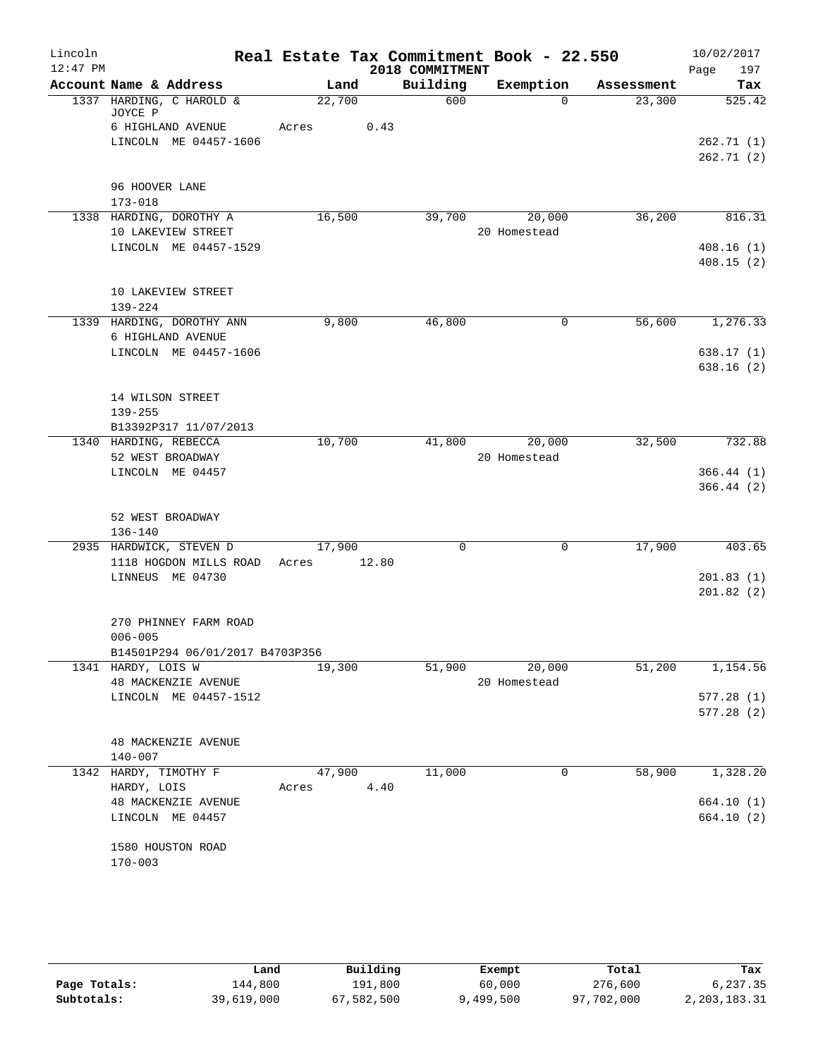| Lincoln<br>$12:47$ PM |                                                          |                 |       | 2018 COMMITMENT | Real Estate Tax Commitment Book - 22.550 |            | 10/02/2017<br>Page<br>197 |
|-----------------------|----------------------------------------------------------|-----------------|-------|-----------------|------------------------------------------|------------|---------------------------|
|                       | Account Name & Address                                   | Land            |       | Building        | Exemption                                | Assessment | Tax                       |
|                       | 1337 HARDING, C HAROLD &<br>JOYCE P                      | 22,700          |       | 600             | $\Omega$                                 | 23,300     | 525.42                    |
|                       | 6 HIGHLAND AVENUE<br>LINCOLN ME 04457-1606               | Acres           | 0.43  |                 |                                          |            | 262.71(1)<br>262.71(2)    |
|                       | 96 HOOVER LANE<br>$173 - 018$                            |                 |       |                 |                                          |            |                           |
|                       | 1338 HARDING, DOROTHY A<br>10 LAKEVIEW STREET            | 16,500          |       | 39,700          | 20,000<br>20 Homestead                   | 36,200     | 816.31                    |
|                       | LINCOLN ME 04457-1529                                    |                 |       |                 |                                          |            | 408.16(1)<br>408.15(2)    |
|                       | 10 LAKEVIEW STREET<br>$139 - 224$                        |                 |       |                 |                                          |            |                           |
|                       | 1339 HARDING, DOROTHY ANN<br>6 HIGHLAND AVENUE           | 9,800           |       | 46,800          | 0                                        | 56,600     | 1,276.33                  |
|                       | LINCOLN ME 04457-1606                                    |                 |       |                 |                                          |            | 638.17(1)<br>638.16(2)    |
|                       | 14 WILSON STREET<br>$139 - 255$<br>B13392P317 11/07/2013 |                 |       |                 |                                          |            |                           |
|                       | 1340 HARDING, REBECCA<br>52 WEST BROADWAY                | 10,700          |       | 41,800          | 20,000<br>20 Homestead                   | 32,500     | 732.88                    |
|                       | LINCOLN ME 04457                                         |                 |       |                 |                                          |            | 366.44(1)<br>366.44(2)    |
|                       | 52 WEST BROADWAY<br>$136 - 140$                          |                 |       |                 |                                          |            |                           |
|                       | 2935 HARDWICK, STEVEN D<br>1118 HOGDON MILLS ROAD        | 17,900<br>Acres | 12.80 | $\mathbf 0$     | $\mathbf 0$                              | 17,900     | 403.65                    |
|                       | LINNEUS ME 04730                                         |                 |       |                 |                                          |            | 201.83(1)<br>201.82(2)    |
|                       | 270 PHINNEY FARM ROAD<br>$006 - 005$                     |                 |       |                 |                                          |            |                           |
|                       | B14501P294 06/01/2017 B4703P356                          |                 |       |                 |                                          |            |                           |
|                       | 1341 HARDY, LOIS W<br>48 MACKENZIE AVENUE                | 19,300          |       | 51,900          | 20,000<br>20 Homestead                   | 51,200     | 1,154.56                  |
|                       | LINCOLN ME 04457-1512                                    |                 |       |                 |                                          |            | 577.28(1)<br>577.28(2)    |
|                       | 48 MACKENZIE AVENUE<br>$140 - 007$                       |                 |       |                 |                                          |            |                           |
|                       | 1342 HARDY, TIMOTHY F<br>HARDY, LOIS                     | 47,900<br>Acres | 4.40  | 11,000          | $\mathbf 0$                              | 58,900     | 1,328.20                  |
|                       | <b>48 MACKENZIE AVENUE</b><br>LINCOLN ME 04457           |                 |       |                 |                                          |            | 664.10(1)<br>664.10(2)    |
|                       | 1580 HOUSTON ROAD<br>$170 - 003$                         |                 |       |                 |                                          |            |                           |

|              | Land       | Building   | Exempt    | Total      | Tax          |
|--------------|------------|------------|-----------|------------|--------------|
| Page Totals: | 144,800    | 191,800    | 60,000    | 276,600    | 6,237.35     |
| Subtotals:   | 39,619,000 | 67,582,500 | 9,499,500 | 97,702,000 | 2,203,183.31 |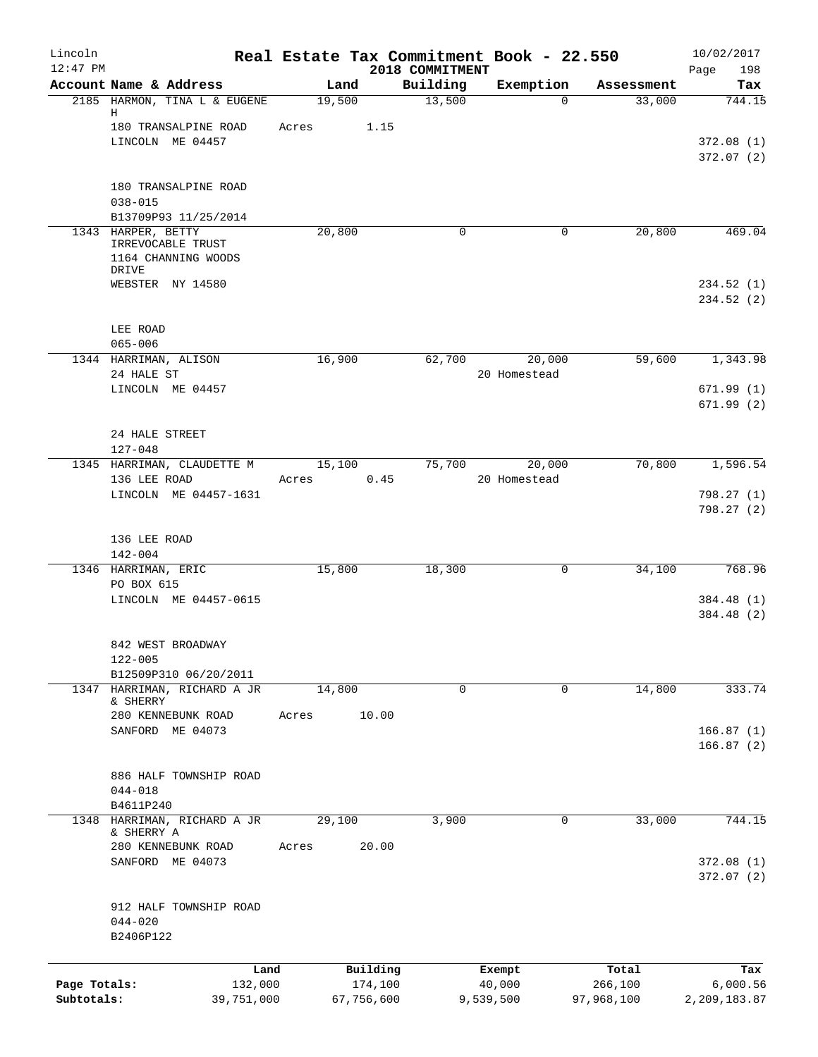| Lincoln<br>$12:47$ PM |                                           |        |                     | 2018 COMMITMENT | Real Estate Tax Commitment Book - 22.550 |                  | 10/02/2017<br>Page<br>198 |
|-----------------------|-------------------------------------------|--------|---------------------|-----------------|------------------------------------------|------------------|---------------------------|
|                       | Account Name & Address                    | Land   |                     | Building        | Exemption                                | Assessment       | Tax                       |
|                       | 2185 HARMON, TINA L & EUGENE<br>Н         | 19,500 |                     | 13,500          | $\mathbf 0$                              | 33,000           | 744.15                    |
|                       | 180 TRANSALPINE ROAD                      | Acres  | 1.15                |                 |                                          |                  |                           |
|                       | LINCOLN ME 04457                          |        |                     |                 |                                          |                  | 372.08(1)<br>372.07(2)    |
|                       |                                           |        |                     |                 |                                          |                  |                           |
|                       | 180 TRANSALPINE ROAD<br>$038 - 015$       |        |                     |                 |                                          |                  |                           |
|                       | B13709P93 11/25/2014                      |        |                     |                 |                                          |                  |                           |
|                       | 1343 HARPER, BETTY<br>IRREVOCABLE TRUST   | 20,800 |                     | 0               | 0                                        | 20,800           | 469.04                    |
|                       | 1164 CHANNING WOODS<br>DRIVE              |        |                     |                 |                                          |                  |                           |
|                       | WEBSTER NY 14580                          |        |                     |                 |                                          |                  | 234.52 (1)                |
|                       |                                           |        |                     |                 |                                          |                  | 234.52 (2)                |
|                       | LEE ROAD                                  |        |                     |                 |                                          |                  |                           |
|                       | $065 - 006$<br>1344 HARRIMAN, ALISON      | 16,900 |                     | 62,700          | 20,000                                   | 59,600           | 1,343.98                  |
|                       | 24 HALE ST                                |        |                     |                 | 20 Homestead                             |                  |                           |
|                       | LINCOLN ME 04457                          |        |                     |                 |                                          |                  | 671.99(1)                 |
|                       |                                           |        |                     |                 |                                          |                  | 671.99(2)                 |
|                       | 24 HALE STREET                            |        |                     |                 |                                          |                  |                           |
|                       | $127 - 048$<br>1345 HARRIMAN, CLAUDETTE M | 15,100 |                     | 75,700          | 20,000                                   | 70,800           | 1,596.54                  |
|                       | 136 LEE ROAD                              | Acres  | 0.45                |                 | 20 Homestead                             |                  |                           |
|                       | LINCOLN ME 04457-1631                     |        |                     |                 |                                          |                  | 798.27(1)                 |
|                       |                                           |        |                     |                 |                                          |                  | 798.27(2)                 |
|                       | 136 LEE ROAD                              |        |                     |                 |                                          |                  |                           |
|                       | 142-004                                   |        |                     |                 |                                          |                  |                           |
|                       | 1346 HARRIMAN, ERIC<br>PO BOX 615         | 15,800 |                     | 18,300          | $\mathbf 0$                              | 34,100           | 768.96                    |
|                       | LINCOLN ME 04457-0615                     |        |                     |                 |                                          |                  | 384.48 (1)                |
|                       |                                           |        |                     |                 |                                          |                  | 384.48 (2)                |
|                       | 842 WEST BROADWAY                         |        |                     |                 |                                          |                  |                           |
|                       | $122 - 005$                               |        |                     |                 |                                          |                  |                           |
|                       | B12509P310 06/20/2011                     |        |                     |                 |                                          |                  |                           |
|                       | 1347 HARRIMAN, RICHARD A JR<br>& SHERRY   | 14,800 |                     | $\mathbf 0$     | $\mathbf 0$                              | 14,800           | 333.74                    |
|                       | 280 KENNEBUNK ROAD                        | Acres  | 10.00               |                 |                                          |                  |                           |
|                       | SANFORD ME 04073                          |        |                     |                 |                                          |                  | 166.87(1)<br>166.87(2)    |
|                       |                                           |        |                     |                 |                                          |                  |                           |
|                       | 886 HALF TOWNSHIP ROAD<br>$044 - 018$     |        |                     |                 |                                          |                  |                           |
|                       | B4611P240                                 |        |                     |                 |                                          |                  |                           |
| 1348                  | HARRIMAN, RICHARD A JR                    | 29,100 |                     | 3,900           | 0                                        | 33,000           | 744.15                    |
|                       | & SHERRY A<br>280 KENNEBUNK ROAD          | Acres  | 20.00               |                 |                                          |                  |                           |
|                       | SANFORD ME 04073                          |        |                     |                 |                                          |                  | 372.08(1)                 |
|                       |                                           |        |                     |                 |                                          |                  | 372.07(2)                 |
|                       | 912 HALF TOWNSHIP ROAD                    |        |                     |                 |                                          |                  |                           |
|                       | $044 - 020$                               |        |                     |                 |                                          |                  |                           |
|                       | B2406P122                                 |        |                     |                 |                                          |                  |                           |
|                       |                                           |        |                     |                 |                                          |                  |                           |
| Page Totals:          | Land<br>132,000                           |        | Building<br>174,100 |                 | Exempt<br>40,000                         | Total<br>266,100 | Tax<br>6,000.56           |
| Subtotals:            | 39,751,000                                |        | 67,756,600          |                 | 9,539,500                                | 97,968,100       | 2,209,183.87              |
|                       |                                           |        |                     |                 |                                          |                  |                           |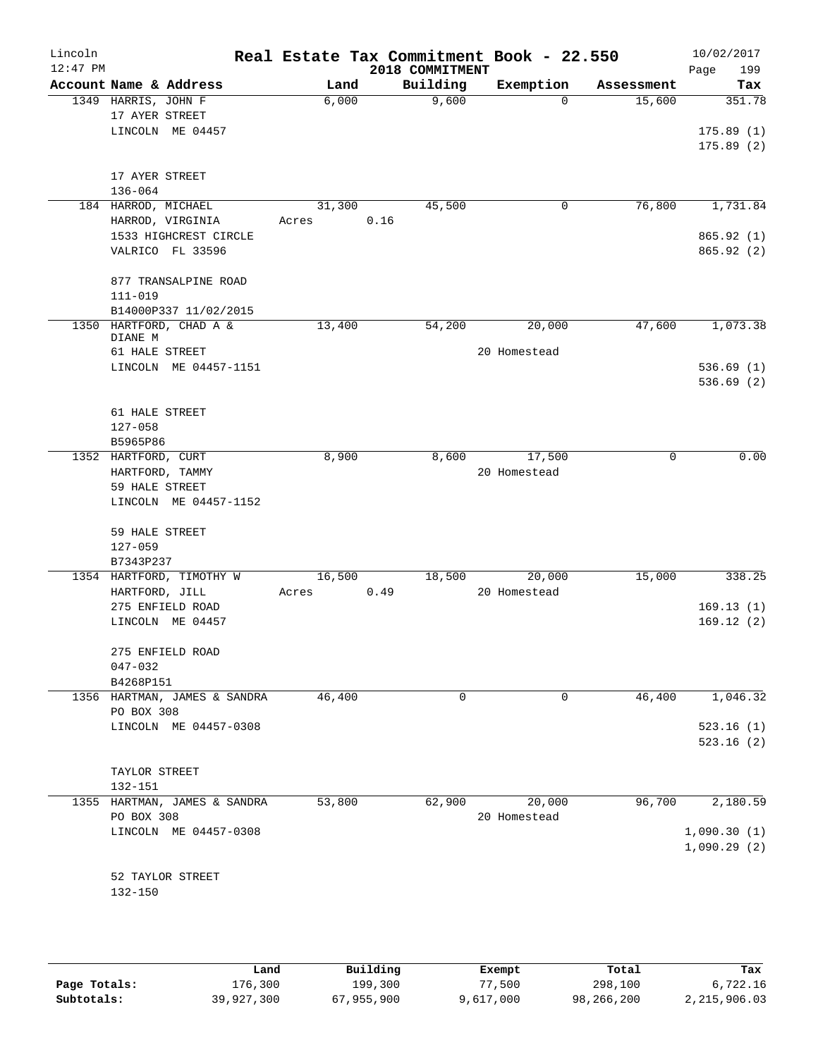| Lincoln<br>$12:47$ PM |                     |                              |       |        |      | 2018 COMMITMENT | Real Estate Tax Commitment Book - 22.550 |            | 10/02/2017<br>Page<br>199 |
|-----------------------|---------------------|------------------------------|-------|--------|------|-----------------|------------------------------------------|------------|---------------------------|
|                       |                     | Account Name & Address       |       | Land   |      | Building        | Exemption                                | Assessment | Tax                       |
|                       | 1349 HARRIS, JOHN F |                              |       | 6,000  |      | 9,600           | $\Omega$                                 | 15,600     | 351.78                    |
|                       | 17 AYER STREET      |                              |       |        |      |                 |                                          |            |                           |
|                       |                     | LINCOLN ME 04457             |       |        |      |                 |                                          |            | 175.89(1)                 |
|                       |                     |                              |       |        |      |                 |                                          |            | 175.89(2)                 |
|                       |                     |                              |       |        |      |                 |                                          |            |                           |
|                       | 17 AYER STREET      |                              |       |        |      |                 |                                          |            |                           |
|                       | $136 - 064$         |                              |       |        |      |                 |                                          |            |                           |
|                       | 184 HARROD, MICHAEL |                              |       | 31,300 |      | 45,500          | 0                                        | 76,800     | 1,731.84                  |
|                       |                     | HARROD, VIRGINIA             | Acres |        | 0.16 |                 |                                          |            |                           |
|                       |                     | 1533 HIGHCREST CIRCLE        |       |        |      |                 |                                          |            | 865.92(1)                 |
|                       |                     | VALRICO FL 33596             |       |        |      |                 |                                          |            | 865.92 (2)                |
|                       |                     |                              |       |        |      |                 |                                          |            |                           |
|                       |                     | 877 TRANSALPINE ROAD         |       |        |      |                 |                                          |            |                           |
|                       | $111 - 019$         |                              |       |        |      |                 |                                          |            |                           |
|                       |                     | B14000P337 11/02/2015        |       |        |      |                 |                                          |            |                           |
|                       |                     | 1350 HARTFORD, CHAD A &      |       | 13,400 |      | 54,200          | 20,000                                   | 47,600     | 1,073.38                  |
|                       | DIANE M             |                              |       |        |      |                 |                                          |            |                           |
|                       | 61 HALE STREET      |                              |       |        |      |                 | 20 Homestead                             |            |                           |
|                       |                     | LINCOLN ME 04457-1151        |       |        |      |                 |                                          |            | 536.69(1)                 |
|                       |                     |                              |       |        |      |                 |                                          |            | 536.69(2)                 |
|                       |                     |                              |       |        |      |                 |                                          |            |                           |
|                       | 61 HALE STREET      |                              |       |        |      |                 |                                          |            |                           |
|                       | $127 - 058$         |                              |       |        |      |                 |                                          |            |                           |
|                       | B5965P86            |                              |       |        |      |                 |                                          |            |                           |
|                       | 1352 HARTFORD, CURT |                              |       | 8,900  |      | 8,600           | 17,500                                   | 0          | 0.00                      |
|                       | HARTFORD, TAMMY     |                              |       |        |      |                 | 20 Homestead                             |            |                           |
|                       | 59 HALE STREET      |                              |       |        |      |                 |                                          |            |                           |
|                       |                     | LINCOLN ME 04457-1152        |       |        |      |                 |                                          |            |                           |
|                       |                     |                              |       |        |      |                 |                                          |            |                           |
|                       | 59 HALE STREET      |                              |       |        |      |                 |                                          |            |                           |
|                       | $127 - 059$         |                              |       |        |      |                 |                                          |            |                           |
|                       | B7343P237           |                              |       |        |      |                 |                                          |            |                           |
|                       |                     | 1354 HARTFORD, TIMOTHY W     |       | 16,500 |      | 18,500          | 20,000                                   | 15,000     | 338.25                    |
|                       | HARTFORD, JILL      |                              | Acres |        | 0.49 |                 | 20 Homestead                             |            |                           |
|                       |                     | 275 ENFIELD ROAD             |       |        |      |                 |                                          |            | 169.13(1)                 |
|                       |                     | LINCOLN ME 04457             |       |        |      |                 |                                          |            | 169.12(2)                 |
|                       |                     |                              |       |        |      |                 |                                          |            |                           |
|                       |                     | 275 ENFIELD ROAD             |       |        |      |                 |                                          |            |                           |
|                       | $047 - 032$         |                              |       |        |      |                 |                                          |            |                           |
|                       | B4268P151           |                              |       |        |      |                 |                                          |            |                           |
|                       |                     | 1356 HARTMAN, JAMES & SANDRA |       | 46,400 |      | 0               | 0                                        | 46,400     | 1,046.32                  |
|                       | PO BOX 308          |                              |       |        |      |                 |                                          |            |                           |
|                       |                     | LINCOLN ME 04457-0308        |       |        |      |                 |                                          |            | 523.16(1)                 |
|                       |                     |                              |       |        |      |                 |                                          |            | 523.16(2)                 |
|                       |                     |                              |       |        |      |                 |                                          |            |                           |
|                       | TAYLOR STREET       |                              |       |        |      |                 |                                          |            |                           |
|                       | 132-151             |                              |       |        |      |                 |                                          |            |                           |
|                       |                     | 1355 HARTMAN, JAMES & SANDRA |       | 53,800 |      | 62,900          | 20,000                                   | 96,700     | 2,180.59                  |
|                       | PO BOX 308          |                              |       |        |      |                 | 20 Homestead                             |            |                           |
|                       |                     | LINCOLN ME 04457-0308        |       |        |      |                 |                                          |            | 1,090.30(1)               |
|                       |                     |                              |       |        |      |                 |                                          |            | 1,090.29(2)               |
|                       |                     |                              |       |        |      |                 |                                          |            |                           |
|                       |                     | 52 TAYLOR STREET             |       |        |      |                 |                                          |            |                           |
|                       | 132-150             |                              |       |        |      |                 |                                          |            |                           |
|                       |                     |                              |       |        |      |                 |                                          |            |                           |
|                       |                     |                              |       |        |      |                 |                                          |            |                           |
|                       |                     |                              |       |        |      |                 |                                          |            |                           |

|              | Land       | Building   | Exempt    | Total      | Tax          |
|--------------|------------|------------|-----------|------------|--------------|
| Page Totals: | 176,300    | 199,300    | 77.500    | 298,100    | 6,722.16     |
| Subtotals:   | 39,927,300 | 67,955,900 | 9,617,000 | 98,266,200 | 2,215,906.03 |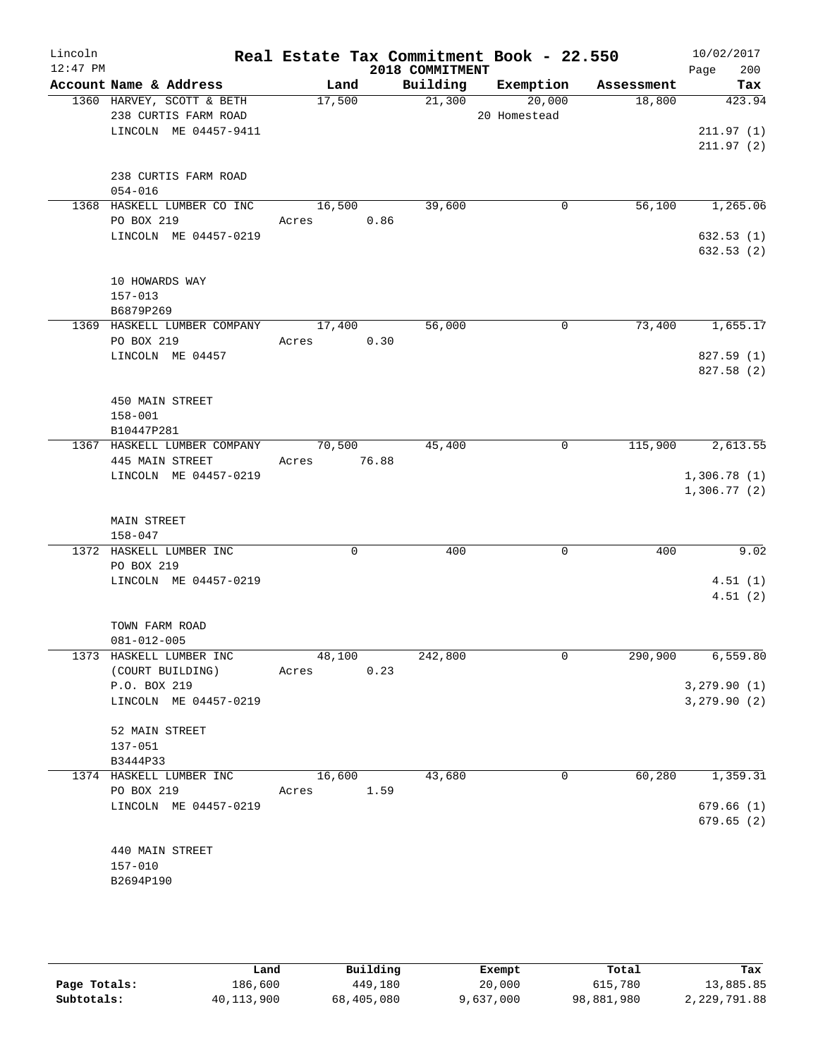| Lincoln<br>$12:47$ PM |                                                   |                 |             | 2018 COMMITMENT | Real Estate Tax Commitment Book - 22.550 |            | 10/02/2017<br>Page<br>200 |
|-----------------------|---------------------------------------------------|-----------------|-------------|-----------------|------------------------------------------|------------|---------------------------|
|                       | Account Name & Address                            | Land            |             | Building        | Exemption                                | Assessment | Tax                       |
|                       | 1360 HARVEY, SCOTT & BETH<br>238 CURTIS FARM ROAD | 17,500          |             | 21,300          | 20,000<br>20 Homestead                   | 18,800     | 423.94                    |
|                       | LINCOLN ME 04457-9411                             |                 |             |                 |                                          |            | 211.97(1)<br>211.97(2)    |
|                       | 238 CURTIS FARM ROAD<br>$054 - 016$               |                 |             |                 |                                          |            |                           |
|                       | 1368 HASKELL LUMBER CO INC<br>PO BOX 219          | 16,500<br>Acres | 0.86        | 39,600          | 0                                        | 56,100     | 1,265.06                  |
|                       | LINCOLN ME 04457-0219                             |                 |             |                 |                                          |            | 632.53(1)<br>632.53(2)    |
|                       | 10 HOWARDS WAY<br>$157 - 013$                     |                 |             |                 |                                          |            |                           |
|                       | B6879P269                                         |                 |             |                 |                                          |            | 1,655.17                  |
|                       | 1369 HASKELL LUMBER COMPANY<br>PO BOX 219         | 17,400<br>Acres | 0.30        | 56,000          | $\mathbf 0$                              | 73,400     |                           |
|                       | LINCOLN ME 04457                                  |                 |             |                 |                                          |            | 827.59 (1)<br>827.58 (2)  |
|                       | 450 MAIN STREET<br>$158 - 001$                    |                 |             |                 |                                          |            |                           |
|                       | B10447P281<br>1367 HASKELL LUMBER COMPANY         | 70,500          |             | 45,400          | 0                                        | 115,900    | 2,613.55                  |
|                       | 445 MAIN STREET<br>LINCOLN ME 04457-0219          | Acres           | 76.88       |                 |                                          |            | 1,306.78(1)               |
|                       | <b>MAIN STREET</b>                                |                 |             |                 |                                          |            | 1,306.77(2)               |
|                       | $158 - 047$<br>1372 HASKELL LUMBER INC            |                 | $\mathbf 0$ | 400             | $\mathbf 0$                              | 400        | 9.02                      |
|                       | PO BOX 219                                        |                 |             |                 |                                          |            |                           |
|                       | LINCOLN ME 04457-0219                             |                 |             |                 |                                          |            | 4.51(1)<br>4.51(2)        |
|                       | TOWN FARM ROAD<br>081-012-005                     |                 |             |                 |                                          |            |                           |
|                       | 1373 HASKELL LUMBER INC<br>(COURT BUILDING)       | 48,100<br>Acres | 0.23        | 242,800         | 0                                        | 290,900    | 6,559.80                  |
|                       | P.O. BOX 219                                      |                 |             |                 |                                          |            | 3,279.90(1)               |
|                       | LINCOLN ME 04457-0219                             |                 |             |                 |                                          |            | 3,279.90 (2)              |
|                       | 52 MAIN STREET<br>137-051                         |                 |             |                 |                                          |            |                           |
|                       | B3444P33                                          |                 |             |                 |                                          |            |                           |
|                       | 1374 HASKELL LUMBER INC                           | 16,600          |             | 43,680          | 0                                        | 60,280     | 1,359.31                  |
|                       | PO BOX 219<br>LINCOLN ME 04457-0219               | Acres           | 1.59        |                 |                                          |            | 679.66(1)                 |
|                       |                                                   |                 |             |                 |                                          |            | 679.65(2)                 |
|                       | 440 MAIN STREET                                   |                 |             |                 |                                          |            |                           |
|                       | $157 - 010$<br>B2694P190                          |                 |             |                 |                                          |            |                           |
|                       |                                                   |                 |             |                 |                                          |            |                           |

|              | Land       | Building   | Exempt    | Total      | Tax          |
|--------------|------------|------------|-----------|------------|--------------|
| Page Totals: | 186,600    | 449,180    | 20,000    | 615,780    | 13,885.85    |
| Subtotals:   | 40,113,900 | 68,405,080 | 9,637,000 | 98,881,980 | 2,229,791.88 |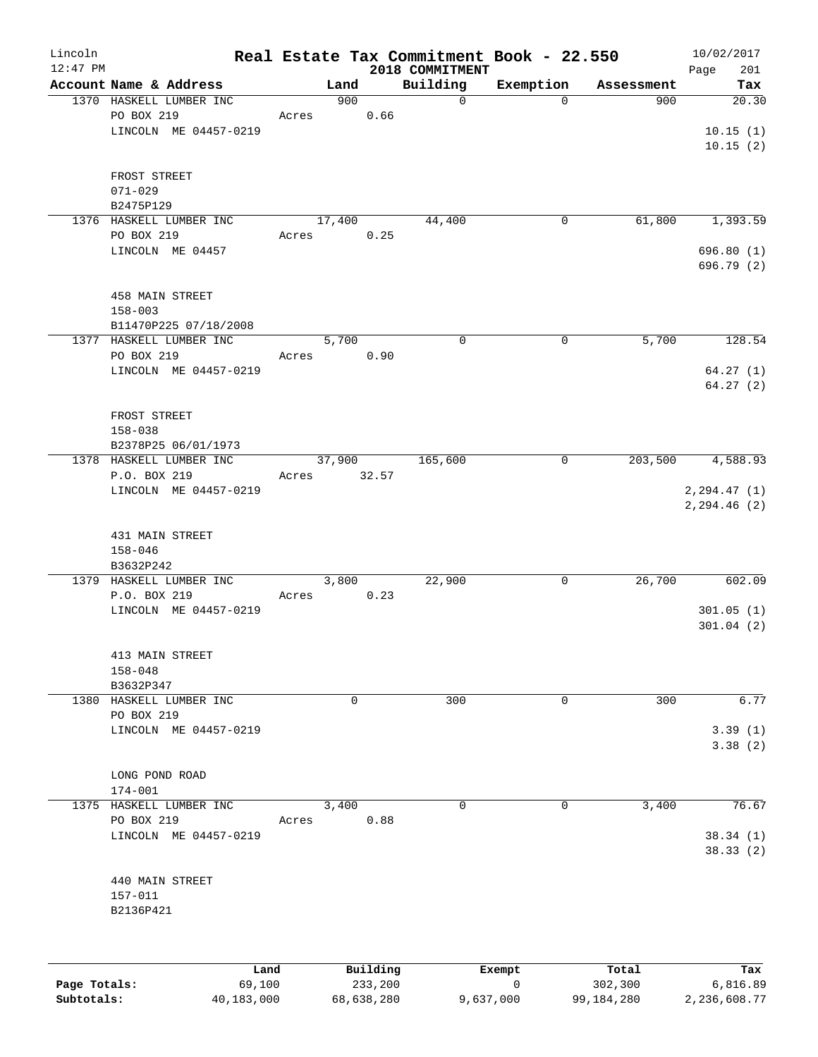| Lincoln     |                             |       |                 |      | Real Estate Tax Commitment Book - 22.550 |             |            | 10/02/2017         |
|-------------|-----------------------------|-------|-----------------|------|------------------------------------------|-------------|------------|--------------------|
| $12:47$ PM  | Account Name & Address      |       | Land            |      | 2018 COMMITMENT<br>Building              | Exemption   | Assessment | Page<br>201<br>Tax |
|             | 1370 HASKELL LUMBER INC     |       | 900             |      | $\mathbf 0$                              | $\mathbf 0$ | 900        | 20.30              |
|             | PO BOX 219                  | Acres |                 | 0.66 |                                          |             |            |                    |
|             | LINCOLN ME 04457-0219       |       |                 |      |                                          |             |            | 10.15(1)           |
|             |                             |       |                 |      |                                          |             |            | 10.15(2)           |
|             |                             |       |                 |      |                                          |             |            |                    |
|             | FROST STREET<br>$071 - 029$ |       |                 |      |                                          |             |            |                    |
|             | B2475P129                   |       |                 |      |                                          |             |            |                    |
|             | 1376 HASKELL LUMBER INC     |       | 17,400          |      | 44,400                                   | 0           | 61,800     | 1,393.59           |
|             | PO BOX 219                  | Acres |                 | 0.25 |                                          |             |            |                    |
| $158 - 003$ | LINCOLN ME 04457            |       |                 |      |                                          |             |            | 696.80(1)          |
|             |                             |       |                 |      |                                          |             |            | 696.79 (2)         |
|             | 458 MAIN STREET             |       |                 |      |                                          |             |            |                    |
|             |                             |       |                 |      |                                          |             |            |                    |
|             | B11470P225 07/18/2008       |       |                 |      |                                          |             |            |                    |
|             | 1377 HASKELL LUMBER INC     |       | 5,700           |      | $\mathbf 0$                              | 0           | 5,700      | 128.54             |
|             | PO BOX 219                  | Acres |                 | 0.90 |                                          |             |            |                    |
|             | LINCOLN ME 04457-0219       |       |                 |      |                                          |             |            | 64.27(1)           |
|             |                             |       |                 |      |                                          |             |            | 64.27(2)           |
|             | FROST STREET                |       |                 |      |                                          |             |            |                    |
|             | $158 - 038$                 |       |                 |      |                                          |             |            |                    |
|             | B2378P25 06/01/1973         |       |                 |      |                                          |             |            |                    |
|             | 1378 HASKELL LUMBER INC     |       | 37,900          |      | 165,600                                  | 0           | 203,500    | 4,588.93           |
|             | P.O. BOX 219                | Acres | 32.57           |      |                                          |             |            |                    |
|             | LINCOLN ME 04457-0219       |       |                 |      |                                          |             |            | 2, 294.47(1)       |
|             |                             |       |                 |      |                                          |             |            | 2,294.46 (2)       |
|             | 431 MAIN STREET             |       |                 |      |                                          |             |            |                    |
|             | $158 - 046$                 |       |                 |      |                                          |             |            |                    |
|             | B3632P242                   |       |                 |      |                                          |             |            |                    |
|             | 1379 HASKELL LUMBER INC     |       | 3,800           |      | 22,900                                   | 0           | 26,700     | 602.09             |
|             | P.O. BOX 219                | Acres |                 | 0.23 |                                          |             |            |                    |
|             | LINCOLN ME 04457-0219       |       |                 |      |                                          |             |            | 301.05(1)          |
|             |                             |       |                 |      |                                          |             |            | 301.04(2)          |
|             | 413 MAIN STREET             |       |                 |      |                                          |             |            |                    |
|             | $158 - 048$                 |       |                 |      |                                          |             |            |                    |
|             | B3632P347                   |       |                 |      |                                          |             |            |                    |
|             | 1380 HASKELL LUMBER INC     |       | $\mathbf 0$     |      | 300                                      | 0           | 300        | 6.77               |
|             | PO BOX 219                  |       |                 |      |                                          |             |            |                    |
|             | LINCOLN ME 04457-0219       |       |                 |      |                                          |             |            | 3.39(1)<br>3.38(2) |
|             |                             |       |                 |      |                                          |             |            |                    |
|             | LONG POND ROAD              |       |                 |      |                                          |             |            |                    |
|             | 174-001                     |       |                 |      |                                          |             |            |                    |
|             | 1375 HASKELL LUMBER INC     |       | 3,400           |      | 0                                        | 0           | 3,400      | 76.67              |
|             | PO BOX 219                  | Acres |                 | 0.88 |                                          |             |            |                    |
|             | LINCOLN ME 04457-0219       |       |                 |      |                                          |             |            | 38.34(1)           |
|             |                             |       |                 |      |                                          |             |            | 38.33(2)           |
|             | 440 MAIN STREET             |       |                 |      |                                          |             |            |                    |
|             | 157-011                     |       |                 |      |                                          |             |            |                    |
|             | B2136P421                   |       |                 |      |                                          |             |            |                    |
|             |                             |       |                 |      |                                          |             |            |                    |
|             |                             |       |                 |      |                                          |             |            |                    |
|             | Land.                       |       | <b>Building</b> |      |                                          | $F$ vemnt   | $T0+21$    |                    |

|              | Land       | Building   | Exempt    | Total      | Tax          |
|--------------|------------|------------|-----------|------------|--------------|
| Page Totals: | 69.100     | 233,200    |           | 302,300    | 6,816.89     |
| Subtotals:   | 40,183,000 | 68,638,280 | 9,637,000 | 99,184,280 | 2,236,608.77 |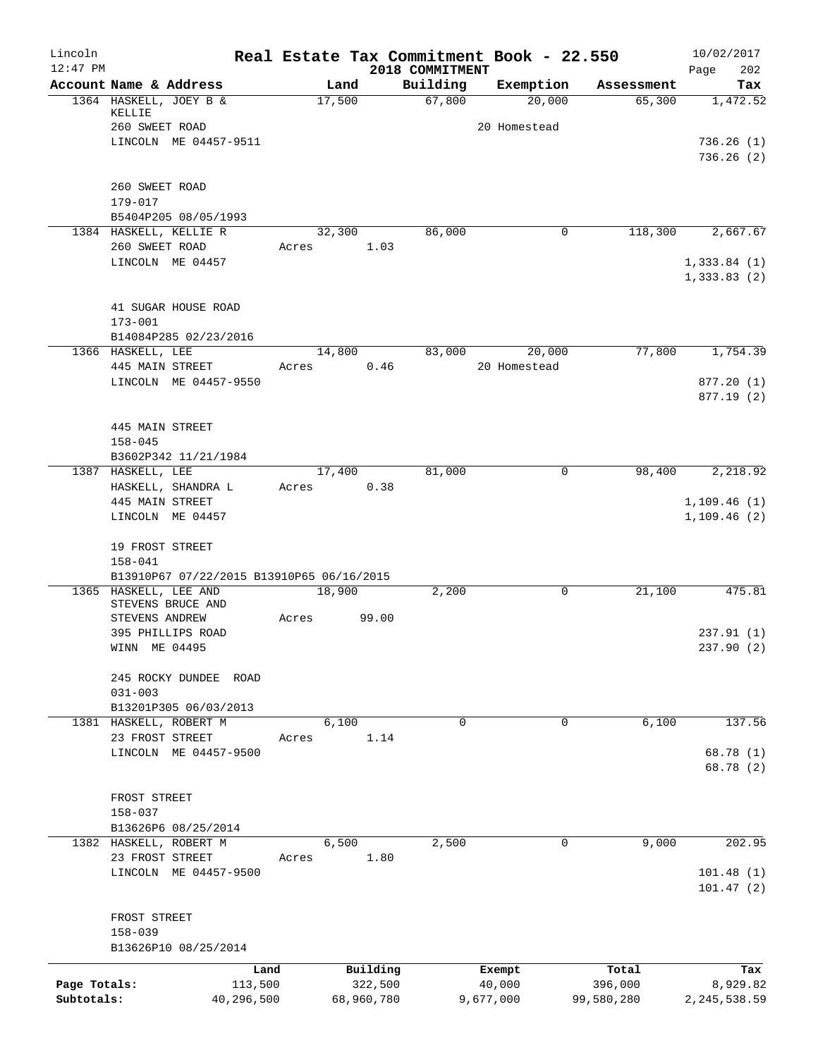| Lincoln<br>$12:47$ PM |                                                                                         |                 |            |                     | 2018 COMMITMENT | Real Estate Tax Commitment Book - 22.550 |                  | 10/02/2017<br>202<br>Page   |
|-----------------------|-----------------------------------------------------------------------------------------|-----------------|------------|---------------------|-----------------|------------------------------------------|------------------|-----------------------------|
|                       | Account Name & Address                                                                  |                 | Land       |                     | Building        | Exemption                                | Assessment       | Tax                         |
|                       | 1364 HASKELL, JOEY B &<br>KELLIE                                                        |                 | 17,500     |                     | 67,800          | 20,000                                   | 65,300           | 1,472.52                    |
|                       | 260 SWEET ROAD<br>LINCOLN ME 04457-9511                                                 |                 |            |                     |                 | 20 Homestead                             |                  | 736.26(1)<br>736.26(2)      |
|                       | 260 SWEET ROAD<br>179-017                                                               |                 |            |                     |                 |                                          |                  |                             |
|                       | B5404P205 08/05/1993                                                                    |                 |            |                     |                 |                                          |                  |                             |
|                       | 1384 HASKELL, KELLIE R<br>260 SWEET ROAD                                                | Acres           | 32,300     | 1.03                | 86,000          | $\overline{0}$                           | 118,300          | 2,667.67                    |
|                       | LINCOLN ME 04457                                                                        |                 |            |                     |                 |                                          |                  | 1,333.84(1)<br>1,333.83(2)  |
|                       | 41 SUGAR HOUSE ROAD<br>$173 - 001$                                                      |                 |            |                     |                 |                                          |                  |                             |
|                       | B14084P285 02/23/2016<br>1366 HASKELL, LEE                                              |                 | 14,800     |                     | 83,000          | 20,000                                   | 77,800           | 1,754.39                    |
|                       | 445 MAIN STREET                                                                         | Acres           |            | 0.46                |                 | 20 Homestead                             |                  |                             |
|                       | LINCOLN ME 04457-9550                                                                   |                 |            |                     |                 |                                          |                  | 877.20(1)<br>877.19 (2)     |
|                       | 445 MAIN STREET<br>$158 - 045$<br>B3602P342 11/21/1984                                  |                 |            |                     |                 |                                          |                  |                             |
|                       | 1387 HASKELL, LEE                                                                       |                 | 17,400     |                     | 81,000          | $\mathbf 0$                              | 98,400           | 2,218.92                    |
|                       | HASKELL, SHANDRA L                                                                      | Acres           |            | 0.38                |                 |                                          |                  |                             |
|                       | 445 MAIN STREET<br>LINCOLN ME 04457                                                     |                 |            |                     |                 |                                          |                  | 1,109.46(1)<br>1, 109.46(2) |
|                       | 19 FROST STREET<br>$158 - 041$                                                          |                 |            |                     |                 |                                          |                  |                             |
|                       | B13910P67 07/22/2015 B13910P65 06/16/2015<br>1365 HASKELL, LEE AND<br>STEVENS BRUCE AND |                 | 18,900     |                     | 2,200           | 0                                        | 21,100           | 475.81                      |
|                       | STEVENS ANDREW                                                                          | Acres           |            | 99.00               |                 |                                          |                  |                             |
|                       | 395 PHILLIPS ROAD<br>WINN ME 04495                                                      |                 |            |                     |                 |                                          |                  | 237.91(1)<br>237.90 (2)     |
|                       | 245 ROCKY DUNDEE ROAD<br>$031 - 003$                                                    |                 |            |                     |                 |                                          |                  |                             |
|                       | B13201P305 06/03/2013                                                                   |                 |            |                     |                 |                                          |                  |                             |
|                       | 1381 HASKELL, ROBERT M<br>23 FROST STREET                                               | Acres           | 6,100      | 1.14                | 0               | 0                                        | 6,100            | 137.56                      |
|                       | LINCOLN ME 04457-9500                                                                   |                 |            |                     |                 |                                          |                  | 68.78 (1)<br>68.78 (2)      |
|                       | FROST STREET<br>$158 - 037$                                                             |                 |            |                     |                 |                                          |                  |                             |
|                       | B13626P6 08/25/2014                                                                     |                 |            |                     |                 |                                          |                  |                             |
|                       | 1382 HASKELL, ROBERT M                                                                  |                 | 6,500      |                     | 2,500           | 0                                        | 9,000            | 202.95                      |
|                       | 23 FROST STREET<br>LINCOLN ME 04457-9500                                                | Acres           |            | 1.80                |                 |                                          |                  | 101.48(1)                   |
|                       |                                                                                         |                 |            |                     |                 |                                          |                  | 101.47(2)                   |
|                       | FROST STREET                                                                            |                 |            |                     |                 |                                          |                  |                             |
|                       | $158 - 039$                                                                             |                 |            |                     |                 |                                          |                  |                             |
|                       | B13626P10 08/25/2014                                                                    |                 |            |                     |                 |                                          |                  |                             |
| Page Totals:          |                                                                                         | Land<br>113,500 |            | Building<br>322,500 |                 | Exempt<br>40,000                         | Total<br>396,000 | Tax<br>8,929.82             |
| Subtotals:            |                                                                                         | 40,296,500      | 68,960,780 |                     |                 | 9,677,000                                | 99,580,280       | 2, 245, 538.59              |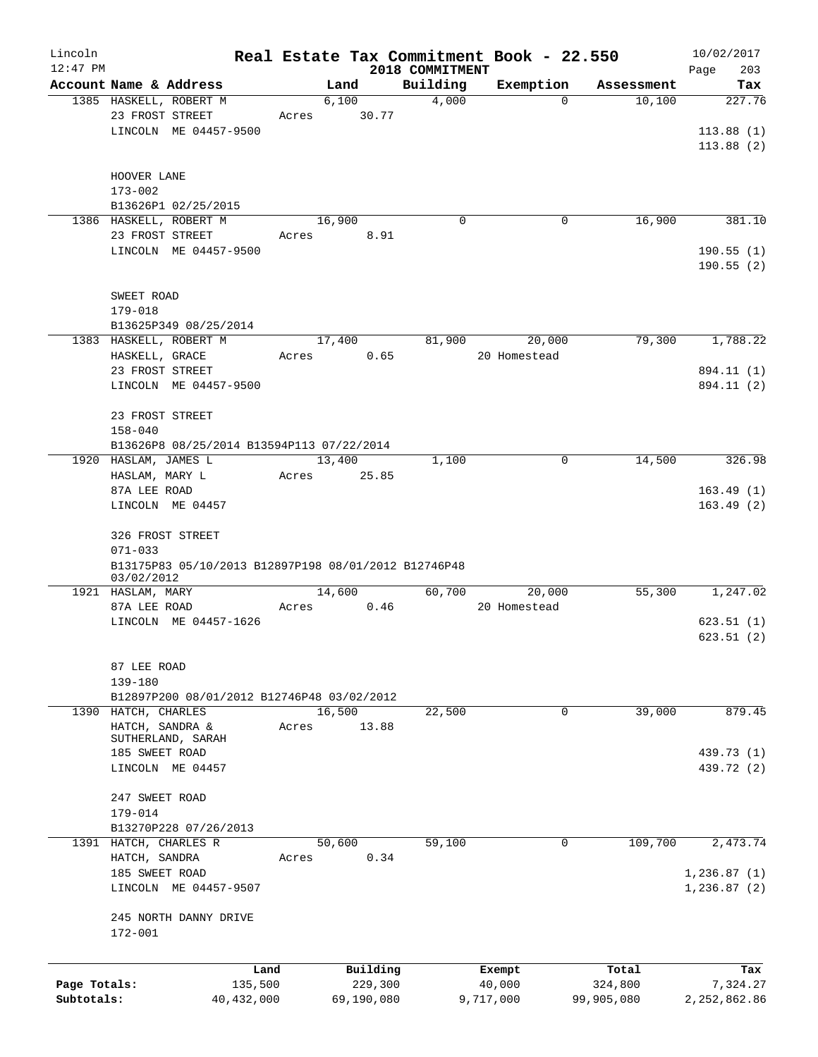| Lincoln                    |                                                                   |                         |               |          |                   | Real Estate Tax Commitment Book - 22.550 |                                  | 10/02/2017                 |
|----------------------------|-------------------------------------------------------------------|-------------------------|---------------|----------|-------------------|------------------------------------------|----------------------------------|----------------------------|
| $12:47$ PM                 |                                                                   |                         |               |          | 2018 COMMITMENT   |                                          |                                  | 203<br>Page                |
|                            | Account Name & Address<br>1385 HASKELL, ROBERT M                  |                         | Land<br>6,100 |          | Building<br>4,000 | Exemption                                | Assessment<br>10,100<br>$\Omega$ | Tax<br>227.76              |
|                            | 23 FROST STREET                                                   | Acres                   |               | 30.77    |                   |                                          |                                  |                            |
|                            | LINCOLN ME 04457-9500                                             |                         |               |          |                   |                                          |                                  | 113.88(1)                  |
|                            |                                                                   |                         |               |          |                   |                                          |                                  | 113.88(2)                  |
|                            |                                                                   |                         |               |          |                   |                                          |                                  |                            |
|                            | HOOVER LANE                                                       |                         |               |          |                   |                                          |                                  |                            |
|                            | $173 - 002$                                                       |                         |               |          |                   |                                          |                                  |                            |
|                            | B13626P1 02/25/2015                                               |                         |               |          |                   |                                          |                                  |                            |
|                            | 1386 HASKELL, ROBERT M                                            |                         | 16,900        |          | $\mathbf 0$       |                                          | 16,900<br>$\mathbf 0$            | 381.10                     |
|                            | 23 FROST STREET                                                   | Acres                   |               | 8.91     |                   |                                          |                                  |                            |
|                            | LINCOLN ME 04457-9500                                             |                         |               |          |                   |                                          |                                  | 190.55(1)                  |
|                            |                                                                   |                         |               |          |                   |                                          |                                  | 190.55(2)                  |
|                            | SWEET ROAD                                                        |                         |               |          |                   |                                          |                                  |                            |
|                            | 179-018                                                           |                         |               |          |                   |                                          |                                  |                            |
|                            | B13625P349 08/25/2014                                             |                         |               |          |                   |                                          |                                  |                            |
|                            | 1383 HASKELL, ROBERT M                                            |                         | 17,400        |          | 81,900            | 20,000                                   | 79,300                           | 1,788.22                   |
|                            | HASKELL, GRACE                                                    | Acres                   |               | 0.65     |                   | 20 Homestead                             |                                  |                            |
|                            | 23 FROST STREET                                                   |                         |               |          |                   |                                          |                                  | 894.11 (1)                 |
|                            | LINCOLN ME 04457-9500                                             |                         |               |          |                   |                                          |                                  | 894.11 (2)                 |
|                            |                                                                   |                         |               |          |                   |                                          |                                  |                            |
|                            | 23 FROST STREET                                                   |                         |               |          |                   |                                          |                                  |                            |
|                            | $158 - 040$                                                       |                         |               |          |                   |                                          |                                  |                            |
|                            | B13626P8 08/25/2014 B13594P113 07/22/2014                         |                         |               |          |                   |                                          |                                  |                            |
|                            | 1920 HASLAM, JAMES L                                              |                         | 13,400        |          | 1,100             |                                          | 14,500<br>0                      | 326.98                     |
|                            | HASLAM, MARY L                                                    | Acres                   |               | 25.85    |                   |                                          |                                  |                            |
|                            | 87A LEE ROAD                                                      |                         |               |          |                   |                                          |                                  | 163.49(1)                  |
|                            | LINCOLN ME 04457                                                  |                         |               |          |                   |                                          |                                  | 163.49(2)                  |
|                            | 326 FROST STREET                                                  |                         |               |          |                   |                                          |                                  |                            |
|                            | $071 - 033$                                                       |                         |               |          |                   |                                          |                                  |                            |
|                            | B13175P83 05/10/2013 B12897P198 08/01/2012 B12746P48              |                         |               |          |                   |                                          |                                  |                            |
|                            | 03/02/2012<br>1921 HASLAM, MARY                                   |                         | 14,600        |          | 60,700            | 20,000                                   | 55,300                           | 1,247.02                   |
|                            | 87A LEE ROAD                                                      | Acres                   |               | 0.46     |                   | 20 Homestead                             |                                  |                            |
|                            | LINCOLN ME 04457-1626                                             |                         |               |          |                   |                                          |                                  | 623.51(1)                  |
|                            |                                                                   |                         |               |          |                   |                                          |                                  | 623.51(2)                  |
|                            |                                                                   |                         |               |          |                   |                                          |                                  |                            |
|                            | 87 LEE ROAD                                                       |                         |               |          |                   |                                          |                                  |                            |
|                            | 139-180                                                           |                         |               |          |                   |                                          |                                  |                            |
|                            | B12897P200 08/01/2012 B12746P48 03/02/2012<br>1390 HATCH, CHARLES |                         | 16,500        |          | 22,500            |                                          | 39,000<br>0                      | 879.45                     |
|                            | HATCH, SANDRA &                                                   | Acres                   |               | 13.88    |                   |                                          |                                  |                            |
|                            | SUTHERLAND, SARAH                                                 |                         |               |          |                   |                                          |                                  |                            |
|                            | 185 SWEET ROAD                                                    |                         |               |          |                   |                                          |                                  | 439.73 (1)                 |
|                            | LINCOLN ME 04457                                                  |                         |               |          |                   |                                          |                                  | 439.72 (2)                 |
|                            |                                                                   |                         |               |          |                   |                                          |                                  |                            |
|                            | 247 SWEET ROAD                                                    |                         |               |          |                   |                                          |                                  |                            |
|                            | 179-014                                                           |                         |               |          |                   |                                          |                                  |                            |
|                            | B13270P228 07/26/2013                                             |                         |               |          | 59,100            |                                          | 109,700<br>0                     |                            |
|                            | 1391 HATCH, CHARLES R<br>HATCH, SANDRA                            | Acres                   | 50,600        | 0.34     |                   |                                          |                                  | 2,473.74                   |
|                            | 185 SWEET ROAD                                                    |                         |               |          |                   |                                          |                                  | 1, 236.87(1)               |
|                            | LINCOLN ME 04457-9507                                             |                         |               |          |                   |                                          |                                  | 1, 236.87(2)               |
|                            |                                                                   |                         |               |          |                   |                                          |                                  |                            |
|                            | 245 NORTH DANNY DRIVE                                             |                         |               |          |                   |                                          |                                  |                            |
|                            | 172-001                                                           |                         |               |          |                   |                                          |                                  |                            |
|                            |                                                                   |                         |               |          |                   |                                          |                                  |                            |
|                            |                                                                   | Land                    |               | Building |                   | Exempt                                   | Total                            | Tax                        |
| Page Totals:<br>Subtotals: |                                                                   | 135,500<br>40, 432, 000 | 69,190,080    | 229,300  |                   | 40,000<br>9,717,000                      | 324,800<br>99,905,080            | 7,324.27<br>2, 252, 862.86 |
|                            |                                                                   |                         |               |          |                   |                                          |                                  |                            |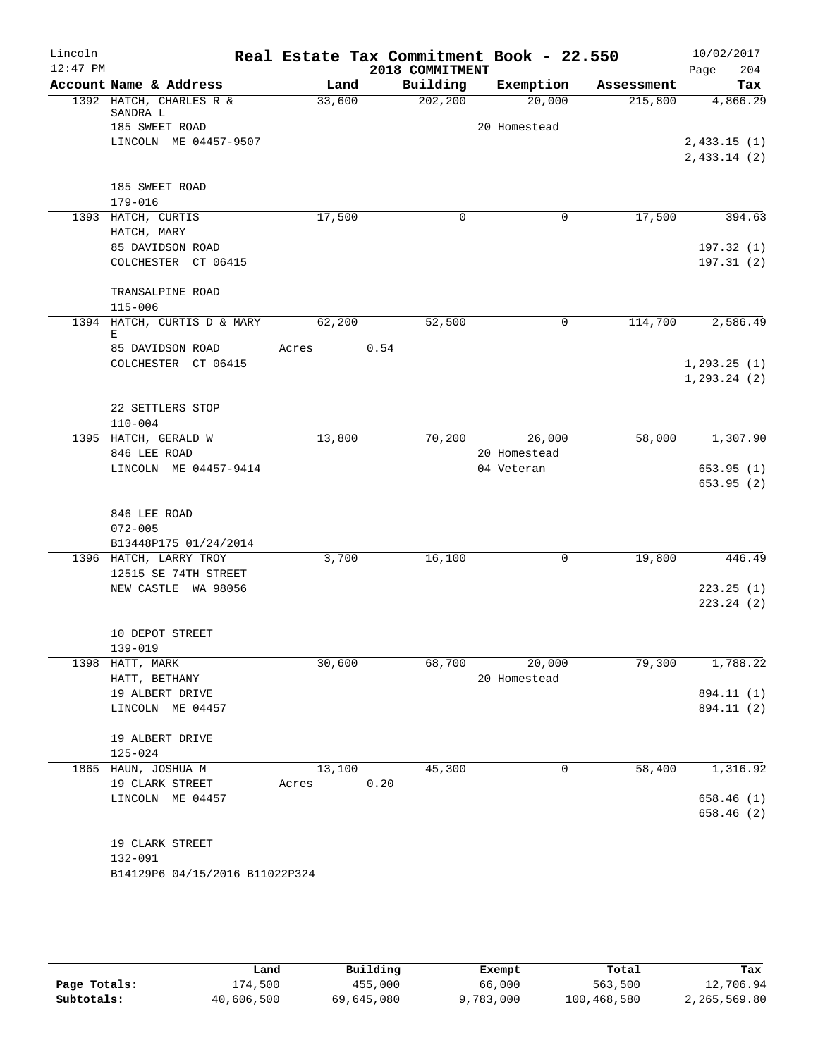| Lincoln<br>$12:47$ PM |                                     |        |      | Real Estate Tax Commitment Book - 22.550<br>2018 COMMITMENT |              |            | 10/02/2017<br>204<br>Page |
|-----------------------|-------------------------------------|--------|------|-------------------------------------------------------------|--------------|------------|---------------------------|
|                       | Account Name & Address              | Land   |      | Building                                                    | Exemption    | Assessment | Tax                       |
|                       | 1392 HATCH, CHARLES R &<br>SANDRA L | 33,600 |      | 202, 200                                                    | 20,000       | 215,800    | 4,866.29                  |
|                       | 185 SWEET ROAD                      |        |      |                                                             | 20 Homestead |            |                           |
|                       | LINCOLN ME 04457-9507               |        |      |                                                             |              |            | 2,433.15(1)               |
|                       |                                     |        |      |                                                             |              |            | 2,433.14(2)               |
|                       | 185 SWEET ROAD                      |        |      |                                                             |              |            |                           |
|                       | 179-016                             |        |      |                                                             |              |            |                           |
|                       | 1393 HATCH, CURTIS                  | 17,500 |      | $\Omega$                                                    | 0            | 17,500     | 394.63                    |
|                       | HATCH, MARY                         |        |      |                                                             |              |            |                           |
|                       | 85 DAVIDSON ROAD                    |        |      |                                                             |              |            | 197.32(1)                 |
|                       | COLCHESTER CT 06415                 |        |      |                                                             |              |            | 197.31(2)                 |
|                       | TRANSALPINE ROAD                    |        |      |                                                             |              |            |                           |
|                       | $115 - 006$                         |        |      |                                                             |              |            |                           |
|                       | 1394 HATCH, CURTIS D & MARY         | 62,200 |      | 52,500                                                      | 0            | 114,700    | 2,586.49                  |
|                       | Е<br>85 DAVIDSON ROAD               | Acres  | 0.54 |                                                             |              |            |                           |
|                       | COLCHESTER CT 06415                 |        |      |                                                             |              |            | 1, 293.25(1)              |
|                       |                                     |        |      |                                                             |              |            | 1, 293.24 (2)             |
|                       |                                     |        |      |                                                             |              |            |                           |
|                       | 22 SETTLERS STOP                    |        |      |                                                             |              |            |                           |
|                       | $110 - 004$                         |        |      |                                                             |              |            |                           |
|                       | 1395 HATCH, GERALD W                | 13,800 |      | 70,200                                                      | 26,000       | 58,000     | 1,307.90                  |
|                       | 846 LEE ROAD                        |        |      |                                                             | 20 Homestead |            |                           |
|                       | LINCOLN ME 04457-9414               |        |      |                                                             | 04 Veteran   |            | 653.95(1)                 |
|                       |                                     |        |      |                                                             |              |            | 653.95(2)                 |
|                       | 846 LEE ROAD                        |        |      |                                                             |              |            |                           |
|                       | $072 - 005$                         |        |      |                                                             |              |            |                           |
|                       | B13448P175 01/24/2014               |        |      |                                                             |              |            |                           |
|                       | 1396 HATCH, LARRY TROY              | 3,700  |      | 16,100                                                      | 0            | 19,800     | 446.49                    |
|                       | 12515 SE 74TH STREET                |        |      |                                                             |              |            |                           |
|                       | NEW CASTLE WA 98056                 |        |      |                                                             |              |            | 223.25(1)                 |
|                       |                                     |        |      |                                                             |              |            | 223.24 (2)                |
|                       |                                     |        |      |                                                             |              |            |                           |
|                       | 10 DEPOT STREET<br>139-019          |        |      |                                                             |              |            |                           |
|                       | 1398 HATT, MARK                     | 30,600 |      | 68,700                                                      | 20,000       | 79,300     | 1,788.22                  |
|                       | HATT, BETHANY                       |        |      |                                                             | 20 Homestead |            |                           |
|                       | 19 ALBERT DRIVE                     |        |      |                                                             |              |            | 894.11 (1)                |
|                       | LINCOLN ME 04457                    |        |      |                                                             |              |            | 894.11 (2)                |
|                       | 19 ALBERT DRIVE                     |        |      |                                                             |              |            |                           |
|                       | $125 - 024$                         |        |      |                                                             |              |            |                           |
|                       | 1865 HAUN, JOSHUA M                 | 13,100 |      | 45,300                                                      | 0            | 58,400     | 1,316.92                  |
|                       | 19 CLARK STREET                     | Acres  | 0.20 |                                                             |              |            |                           |
|                       | LINCOLN ME 04457                    |        |      |                                                             |              |            | 658.46(1)                 |
|                       |                                     |        |      |                                                             |              |            | 658.46 (2)                |
|                       | 19 CLARK STREET                     |        |      |                                                             |              |            |                           |
|                       | 132-091                             |        |      |                                                             |              |            |                           |
|                       | B14129P6 04/15/2016 B11022P324      |        |      |                                                             |              |            |                           |
|                       |                                     |        |      |                                                             |              |            |                           |
|                       |                                     |        |      |                                                             |              |            |                           |

|              | Land       | Building   | Exempt    | Total       | Tax          |
|--------------|------------|------------|-----------|-------------|--------------|
| Page Totals: | L74,500    | 455,000    | 66,000    | 563,500     | 12,706.94    |
| Subtotals:   | 40,606,500 | 69,645,080 | 9,783,000 | 100,468,580 | 2,265,569.80 |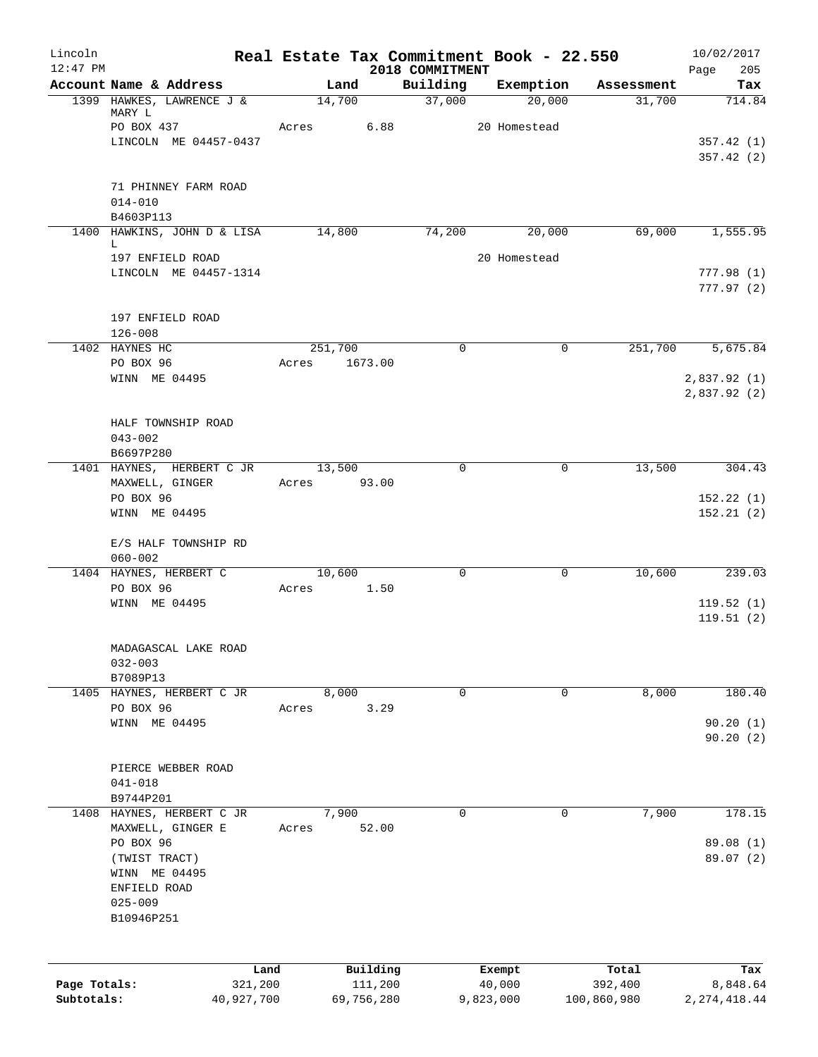| Lincoln<br>$12:47$ PM |                                           | Real Estate Tax Commitment Book - 22.550 |            |                             |              |           |             | 10/02/2017             |
|-----------------------|-------------------------------------------|------------------------------------------|------------|-----------------------------|--------------|-----------|-------------|------------------------|
|                       | Account Name & Address                    | Land                                     |            | 2018 COMMITMENT<br>Building |              | Exemption | Assessment  | Page<br>205<br>Tax     |
|                       | 1399 HAWKES, LAWRENCE J &                 | 14,700                                   |            | 37,000                      |              | 20,000    | 31,700      | 714.84                 |
|                       | MARY L                                    |                                          |            |                             |              |           |             |                        |
|                       | PO BOX 437                                | Acres                                    | 6.88       |                             | 20 Homestead |           |             |                        |
|                       | LINCOLN ME 04457-0437                     |                                          |            |                             |              |           |             | 357.42(1)<br>357.42(2) |
|                       |                                           |                                          |            |                             |              |           |             |                        |
|                       | 71 PHINNEY FARM ROAD                      |                                          |            |                             |              |           |             |                        |
|                       | $014 - 010$                               |                                          |            |                             |              |           |             |                        |
|                       | B4603P113                                 |                                          |            |                             |              |           |             |                        |
|                       | 1400 HAWKINS, JOHN D & LISA<br>L          | 14,800                                   |            | 74,200                      |              | 20,000    | 69,000      | 1, 555.95              |
|                       | 197 ENFIELD ROAD                          |                                          |            |                             | 20 Homestead |           |             |                        |
|                       | LINCOLN ME 04457-1314                     |                                          |            |                             |              |           |             | 777.98(1)              |
|                       |                                           |                                          |            |                             |              |           |             | 777.97(2)              |
|                       |                                           |                                          |            |                             |              |           |             |                        |
|                       | 197 ENFIELD ROAD<br>$126 - 008$           |                                          |            |                             |              |           |             |                        |
|                       | 1402 HAYNES HC                            | 251,700                                  |            | 0                           |              | 0         | 251,700     | 5,675.84               |
|                       | PO BOX 96                                 | Acres                                    | 1673.00    |                             |              |           |             |                        |
|                       | WINN ME 04495                             |                                          |            |                             |              |           |             | 2,837.92 (1)           |
|                       |                                           |                                          |            |                             |              |           |             | 2,837.92(2)            |
|                       |                                           |                                          |            |                             |              |           |             |                        |
|                       | HALF TOWNSHIP ROAD<br>$043 - 002$         |                                          |            |                             |              |           |             |                        |
|                       | B6697P280                                 |                                          |            |                             |              |           |             |                        |
|                       | 1401 HAYNES, HERBERT C JR                 | 13,500                                   |            | 0                           |              | 0         | 13,500      | 304.43                 |
|                       | MAXWELL, GINGER                           | Acres                                    | 93.00      |                             |              |           |             |                        |
|                       | PO BOX 96                                 |                                          |            |                             |              |           |             | 152.22(1)              |
|                       | WINN ME 04495                             |                                          |            |                             |              |           |             | 152.21(2)              |
|                       | E/S HALF TOWNSHIP RD                      |                                          |            |                             |              |           |             |                        |
|                       | $060 - 002$                               |                                          |            |                             |              |           |             |                        |
|                       | 1404 HAYNES, HERBERT C                    | 10,600                                   |            | $\mathbf 0$                 |              | 0         | 10,600      | 239.03                 |
|                       | PO BOX 96                                 | Acres                                    | 1.50       |                             |              |           |             |                        |
|                       | WINN ME 04495                             |                                          |            |                             |              |           |             | 119.52(1)              |
|                       |                                           |                                          |            |                             |              |           |             | 119.51(2)              |
|                       | MADAGASCAL LAKE ROAD                      |                                          |            |                             |              |           |             |                        |
|                       | $032 - 003$                               |                                          |            |                             |              |           |             |                        |
|                       | B7089P13                                  |                                          |            |                             |              |           |             |                        |
| 1405                  | HAYNES, HERBERT C JR                      | 8,000                                    |            | $\mathbf 0$                 |              | 0         | 8,000       | 180.40                 |
|                       | PO BOX 96<br>WINN ME 04495                | Acres                                    | 3.29       |                             |              |           |             | 90.20(1)               |
|                       |                                           |                                          |            |                             |              |           |             | 90.20(2)               |
|                       |                                           |                                          |            |                             |              |           |             |                        |
|                       | PIERCE WEBBER ROAD                        |                                          |            |                             |              |           |             |                        |
|                       | $041 - 018$                               |                                          |            |                             |              |           |             |                        |
|                       | B9744P201                                 |                                          |            | 0                           |              | 0         |             |                        |
| 1408                  | HAYNES, HERBERT C JR<br>MAXWELL, GINGER E | 7,900<br>Acres                           | 52.00      |                             |              |           | 7,900       | 178.15                 |
|                       | PO BOX 96                                 |                                          |            |                             |              |           |             | 89.08 (1)              |
|                       | (TWIST TRACT)                             |                                          |            |                             |              |           |             | 89.07 (2)              |
|                       | WINN ME 04495                             |                                          |            |                             |              |           |             |                        |
|                       | ENFIELD ROAD                              |                                          |            |                             |              |           |             |                        |
|                       | $025 - 009$                               |                                          |            |                             |              |           |             |                        |
|                       | B10946P251                                |                                          |            |                             |              |           |             |                        |
|                       |                                           |                                          |            |                             |              |           |             |                        |
|                       | Land                                      |                                          | Building   |                             | Exempt       |           | Total       | Tax                    |
| Page Totals:          | 321,200                                   |                                          | 111,200    |                             | 40,000       |           | 392,400     | 8,848.64               |
| Subtotals:            | 40,927,700                                |                                          | 69,756,280 |                             | 9,823,000    |           | 100,860,980 | 2, 274, 418.44         |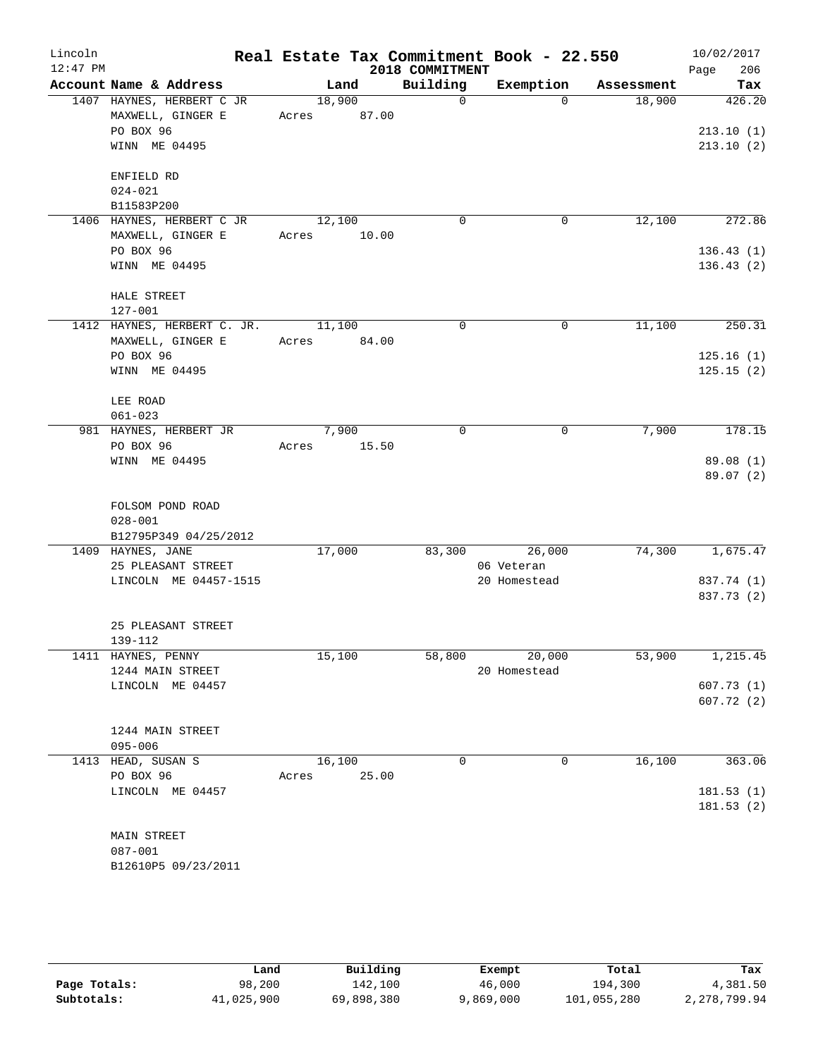| Lincoln<br>$12:47$ PM |                                                                              |                       |       | 2018 COMMITMENT | Real Estate Tax Commitment Book - 22.550 |            | 10/02/2017<br>206<br>Page        |
|-----------------------|------------------------------------------------------------------------------|-----------------------|-------|-----------------|------------------------------------------|------------|----------------------------------|
|                       | Account Name & Address                                                       |                       | Land  | Building        | Exemption                                | Assessment | Tax                              |
|                       | 1407 HAYNES, HERBERT C JR<br>MAXWELL, GINGER E<br>PO BOX 96<br>WINN ME 04495 | 18,900<br>Acres 87.00 |       | $\Omega$        | $\Omega$                                 | 18,900     | 426.20<br>213.10(1)<br>213.10(2) |
|                       | ENFIELD RD<br>$024 - 021$<br>B11583P200                                      |                       |       |                 |                                          |            |                                  |
|                       | 1406 HAYNES, HERBERT C JR<br>MAXWELL, GINGER E                               | 12,100<br>Acres 10.00 |       | 0               | 0                                        | 12,100     | 272.86                           |
|                       | PO BOX 96<br>WINN ME 04495                                                   |                       |       |                 |                                          |            | 136.43(1)<br>136.43(2)           |
|                       | HALE STREET<br>127-001                                                       |                       |       |                 |                                          |            |                                  |
|                       | 1412 HAYNES, HERBERT C. JR.<br>MAXWELL, GINGER E                             | 11,100<br>Acres 84.00 |       | $\Omega$        | $\mathbf 0$                              | 11,100     | 250.31                           |
|                       | PO BOX 96<br>WINN ME 04495                                                   |                       |       |                 |                                          |            | 125.16(1)<br>125.15(2)           |
|                       | LEE ROAD<br>$061 - 023$                                                      |                       |       |                 |                                          |            |                                  |
|                       | 981 HAYNES, HERBERT JR<br>PO BOX 96                                          | 7,900<br>Acres        | 15.50 | 0               | 0                                        | 7,900      | 178.15                           |
|                       | WINN ME 04495                                                                |                       |       |                 |                                          |            | 89.08(1)<br>89.07 (2)            |
|                       | FOLSOM POND ROAD<br>$028 - 001$<br>B12795P349 04/25/2012                     |                       |       |                 |                                          |            |                                  |
|                       | 1409 HAYNES, JANE                                                            | 17,000                |       | 83,300          | 26,000                                   | 74,300     | 1,675.47                         |
|                       | 25 PLEASANT STREET<br>LINCOLN ME 04457-1515                                  |                       |       |                 | 06 Veteran<br>20 Homestead               |            | 837.74 (1)<br>837.73 (2)         |
|                       | 25 PLEASANT STREET<br>139-112                                                |                       |       |                 |                                          |            |                                  |
|                       | 1411 HAYNES, PENNY<br>1244 MAIN STREET                                       | 15,100                |       | 58,800          | 20,000<br>20 Homestead                   | 53,900     | 1,215.45                         |
|                       | LINCOLN ME 04457                                                             |                       |       |                 |                                          |            | 607.73(1)<br>607.72(2)           |
|                       | 1244 MAIN STREET<br>$095 - 006$                                              |                       |       |                 |                                          |            |                                  |
|                       | 1413 HEAD, SUSAN S<br>PO BOX 96                                              | 16,100<br>Acres       | 25.00 | 0               | 0                                        | 16,100     | 363.06                           |
|                       | LINCOLN ME 04457                                                             |                       |       |                 |                                          |            | 181.53(1)<br>181.53(2)           |
|                       | MAIN STREET<br>$087 - 001$<br>B12610P5 09/23/2011                            |                       |       |                 |                                          |            |                                  |

|              | Land       | Building   | Exempt    | Total       | Tax          |
|--------------|------------|------------|-----------|-------------|--------------|
| Page Totals: | 98,200     | 142,100    | 46,000    | 194,300     | 4,381.50     |
| Subtotals:   | 41,025,900 | 69,898,380 | 9,869,000 | 101,055,280 | 2,278,799.94 |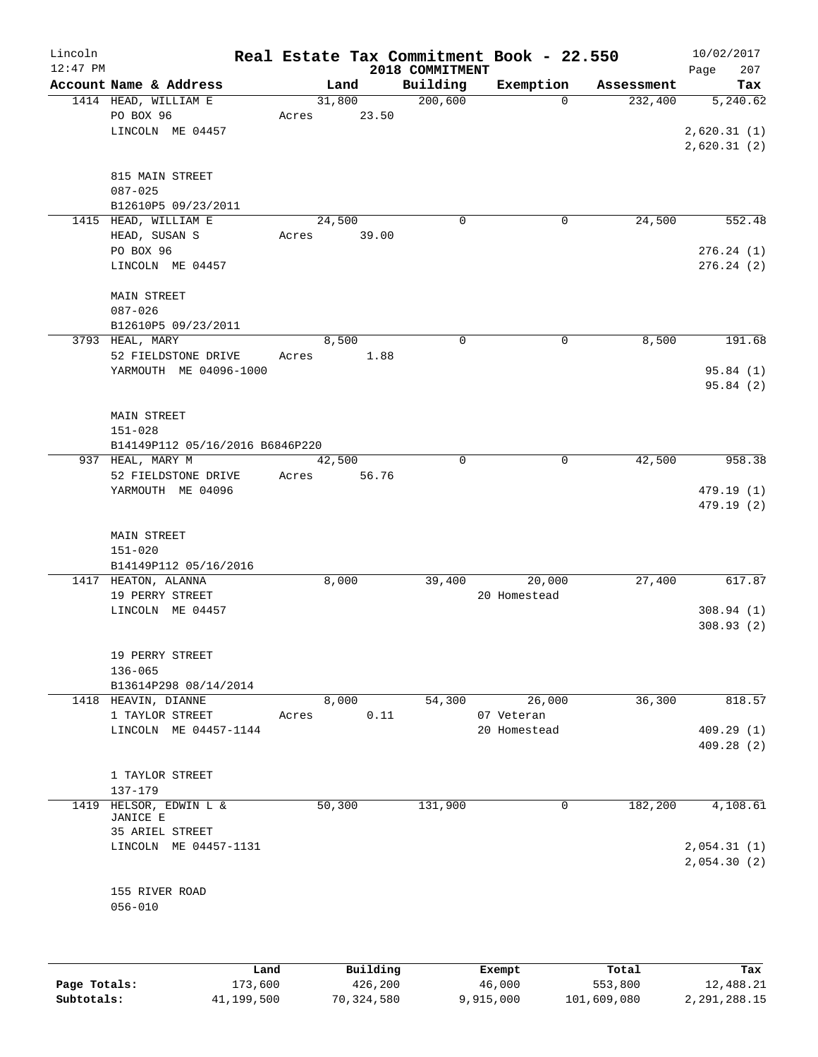| Lincoln    |                                                       |        |                 |                 | Real Estate Tax Commitment Book - 22.550 |            | 10/02/2017                             |
|------------|-------------------------------------------------------|--------|-----------------|-----------------|------------------------------------------|------------|----------------------------------------|
| $12:47$ PM |                                                       |        |                 | 2018 COMMITMENT |                                          |            | 207<br>Page                            |
|            | Account Name & Address                                |        | Land            | Building        | Exemption                                | Assessment | Tax                                    |
|            | 1414 HEAD, WILLIAM E<br>PO BOX 96<br>LINCOLN ME 04457 | Acres  | 31,800<br>23.50 | 200,600         | $\Omega$                                 | 232,400    | 5,240.62<br>2,620.31(1)<br>2,620.31(2) |
|            | 815 MAIN STREET<br>$087 - 025$<br>B12610P5 09/23/2011 |        |                 |                 |                                          |            |                                        |
|            | 1415 HEAD, WILLIAM E                                  |        | 24,500          | 0               | $\mathbf 0$                              | 24,500     | 552.48                                 |
|            | HEAD, SUSAN S                                         | Acres  | 39.00           |                 |                                          |            |                                        |
|            | PO BOX 96<br>LINCOLN ME 04457                         |        |                 |                 |                                          |            | 276.24(1)<br>276.24(2)                 |
|            | <b>MAIN STREET</b>                                    |        |                 |                 |                                          |            |                                        |
|            | $087 - 026$                                           |        |                 |                 |                                          |            |                                        |
|            | B12610P5 09/23/2011                                   |        |                 |                 |                                          |            |                                        |
|            | 3793 HEAL, MARY<br>52 FIELDSTONE DRIVE                | Acres  | 8,500<br>1.88   | $\mathbf 0$     | $\mathbf 0$                              | 8,500      | 191.68                                 |
|            | YARMOUTH ME 04096-1000                                |        |                 |                 |                                          |            | 95.84 (1)                              |
|            |                                                       |        |                 |                 |                                          |            | 95.84(2)                               |
|            | MAIN STREET                                           |        |                 |                 |                                          |            |                                        |
|            | $151 - 028$                                           |        |                 |                 |                                          |            |                                        |
|            | B14149P112 05/16/2016 B6846P220                       |        |                 |                 |                                          |            |                                        |
|            | 937 HEAL, MARY M                                      |        | 42,500          | 0               | $\mathbf 0$                              | 42,500     | 958.38                                 |
|            | 52 FIELDSTONE DRIVE                                   | Acres  | 56.76           |                 |                                          |            |                                        |
|            | YARMOUTH ME 04096                                     |        |                 |                 |                                          |            | 479.19 (1)<br>479.19 (2)               |
|            | MAIN STREET                                           |        |                 |                 |                                          |            |                                        |
|            | $151 - 020$                                           |        |                 |                 |                                          |            |                                        |
|            | B14149P112 05/16/2016                                 |        |                 |                 |                                          |            |                                        |
|            | 1417 HEATON, ALANNA<br>19 PERRY STREET                |        | 8,000           | 39,400          | 20,000<br>20 Homestead                   | 27,400     | 617.87                                 |
|            | LINCOLN ME 04457                                      |        |                 |                 |                                          |            | 308.94(1)                              |
|            |                                                       |        |                 |                 |                                          |            | 308.93(2)                              |
|            | 19 PERRY STREET                                       |        |                 |                 |                                          |            |                                        |
|            | $136 - 065$                                           |        |                 |                 |                                          |            |                                        |
|            | B13614P298 08/14/2014                                 |        |                 |                 |                                          |            |                                        |
|            | 1418 HEAVIN, DIANNE                                   |        | 8,000           | 54,300          | 26,000                                   | 36,300     | 818.57                                 |
|            | 1 TAYLOR STREET<br>LINCOLN ME 04457-1144              | Acres  | 0.11            |                 | 07 Veteran<br>20 Homestead               |            | 409.29(1)                              |
|            |                                                       |        |                 |                 |                                          |            | 409.28 (2)                             |
|            | 1 TAYLOR STREET                                       |        |                 |                 |                                          |            |                                        |
|            | 137-179                                               |        |                 |                 |                                          |            |                                        |
| 1419       | HELSOR, EDWIN L &                                     | 50,300 |                 | 131,900         | 0                                        | 182,200    | 4,108.61                               |
|            | JANICE E                                              |        |                 |                 |                                          |            |                                        |
|            | 35 ARIEL STREET                                       |        |                 |                 |                                          |            |                                        |
|            | LINCOLN ME 04457-1131                                 |        |                 |                 |                                          |            | 2,054.31(1)<br>2,054.30(2)             |
|            |                                                       |        |                 |                 |                                          |            |                                        |
|            | 155 RIVER ROAD<br>$056 - 010$                         |        |                 |                 |                                          |            |                                        |
|            |                                                       |        |                 |                 |                                          |            |                                        |
|            |                                                       |        |                 |                 |                                          |            |                                        |
|            |                                                       |        |                 |                 |                                          |            |                                        |

|              | Land       | Building   | Exempt    | Total       | Tax          |
|--------------|------------|------------|-----------|-------------|--------------|
| Page Totals: | 173,600    | 426,200    | 46,000    | 553,800     | 12,488.21    |
| Subtotals:   | 41,199,500 | 70,324,580 | 9,915,000 | 101,609,080 | 2,291,288.15 |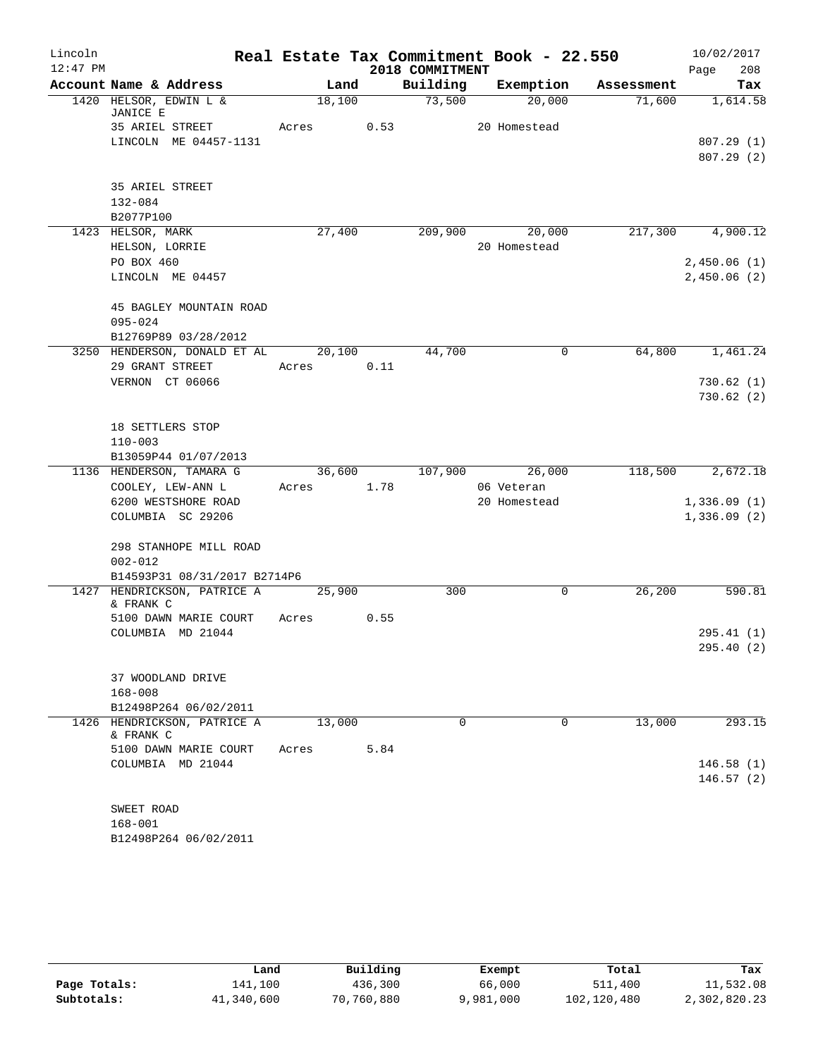| Lincoln    |                                                      |            |        |                 | Real Estate Tax Commitment Book - 22.550 |            | 10/02/2017       |
|------------|------------------------------------------------------|------------|--------|-----------------|------------------------------------------|------------|------------------|
| $12:47$ PM |                                                      |            |        | 2018 COMMITMENT |                                          |            | 208<br>Page      |
|            | Account Name & Address                               | Land       |        | Building        | Exemption                                | Assessment | Tax              |
|            | 1420 HELSOR, EDWIN L &<br>JANICE E                   | 18,100     |        | 73,500          | 20,000                                   | 71,600     | 1,614.58         |
|            | 35 ARIEL STREET                                      | Acres      | 0.53   |                 | 20 Homestead                             |            |                  |
|            | LINCOLN ME 04457-1131                                |            |        |                 |                                          |            | 807.29(1)        |
|            |                                                      |            |        |                 |                                          |            | 807.29(2)        |
|            |                                                      |            |        |                 |                                          |            |                  |
|            | 35 ARIEL STREET                                      |            |        |                 |                                          |            |                  |
|            | 132-084                                              |            |        |                 |                                          |            |                  |
|            | B2077P100                                            |            |        |                 |                                          |            |                  |
|            | 1423 HELSOR, MARK                                    | 27,400     |        |                 | 209,900 20,000                           |            | 217,300 4,900.12 |
|            | HELSON, LORRIE                                       |            |        |                 | 20 Homestead                             |            |                  |
|            | PO BOX 460                                           |            |        |                 |                                          |            | 2,450.06(1)      |
|            | LINCOLN ME 04457                                     |            |        |                 |                                          |            | 2,450.06(2)      |
|            | 45 BAGLEY MOUNTAIN ROAD                              |            |        |                 |                                          |            |                  |
|            | $095 - 024$                                          |            |        |                 |                                          |            |                  |
|            | B12769P89 03/28/2012                                 |            |        |                 |                                          |            |                  |
|            | 3250 HENDERSON, DONALD ET AL                         |            | 20,100 | 44,700          | 0                                        | 64,800     | 1,461.24         |
|            | 29 GRANT STREET                                      | Acres      | 0.11   |                 |                                          |            |                  |
|            | VERNON CT 06066                                      |            |        |                 |                                          |            | 730.62(1)        |
|            |                                                      |            |        |                 |                                          |            | 730.62(2)        |
|            |                                                      |            |        |                 |                                          |            |                  |
|            | 18 SETTLERS STOP                                     |            |        |                 |                                          |            |                  |
|            | $110 - 003$                                          |            |        |                 |                                          |            |                  |
|            | B13059P44 01/07/2013                                 |            |        |                 |                                          |            |                  |
|            | 1136 HENDERSON, TAMARA G                             | 36,600     |        |                 | 107,900 26,000                           | 118,500    | 2,672.18         |
|            | COOLEY, LEW-ANN L<br>6200 WESTSHORE ROAD             | Acres      | 1.78   |                 | 06 Veteran<br>20 Homestead               |            | 1,336.09(1)      |
|            | COLUMBIA SC 29206                                    |            |        |                 |                                          |            | 1,336.09(2)      |
|            |                                                      |            |        |                 |                                          |            |                  |
|            | 298 STANHOPE MILL ROAD                               |            |        |                 |                                          |            |                  |
|            | $002 - 012$                                          |            |        |                 |                                          |            |                  |
|            | B14593P31 08/31/2017 B2714P6                         |            |        |                 |                                          |            |                  |
|            | 1427 HENDRICKSON, PATRICE A<br>& FRANK C             | 25,900     |        | 300             | 0                                        | 26,200     | 590.81           |
|            | 5100 DAWN MARIE COURT                                | Acres 0.55 |        |                 |                                          |            |                  |
|            | COLUMBIA MD 21044                                    |            |        |                 |                                          |            | 295.41(1)        |
|            |                                                      |            |        |                 |                                          |            | 295.40 (2)       |
|            |                                                      |            |        |                 |                                          |            |                  |
|            | 37 WOODLAND DRIVE                                    |            |        |                 |                                          |            |                  |
|            | $168 - 008$                                          |            |        |                 |                                          |            |                  |
|            | B12498P264 06/02/2011<br>1426 HENDRICKSON, PATRICE A | 13,000     |        | $\Omega$        | 0                                        | 13,000     | 293.15           |
|            | & FRANK C                                            |            |        |                 |                                          |            |                  |
|            | 5100 DAWN MARIE COURT                                | Acres      | 5.84   |                 |                                          |            |                  |
|            | COLUMBIA MD 21044                                    |            |        |                 |                                          |            | 146.58(1)        |
|            |                                                      |            |        |                 |                                          |            | 146.57(2)        |
|            |                                                      |            |        |                 |                                          |            |                  |
|            | SWEET ROAD                                           |            |        |                 |                                          |            |                  |
|            | $168 - 001$<br>B12498P264 06/02/2011                 |            |        |                 |                                          |            |                  |
|            |                                                      |            |        |                 |                                          |            |                  |

|              | Land       | Building   | Exempt    | Total       | Tax          |
|--------------|------------|------------|-----------|-------------|--------------|
| Page Totals: | 141.100    | 436,300    | 66,000    | 511,400     | 11,532.08    |
| Subtotals:   | 41,340,600 | 70,760,880 | 9,981,000 | 102,120,480 | 2,302,820.23 |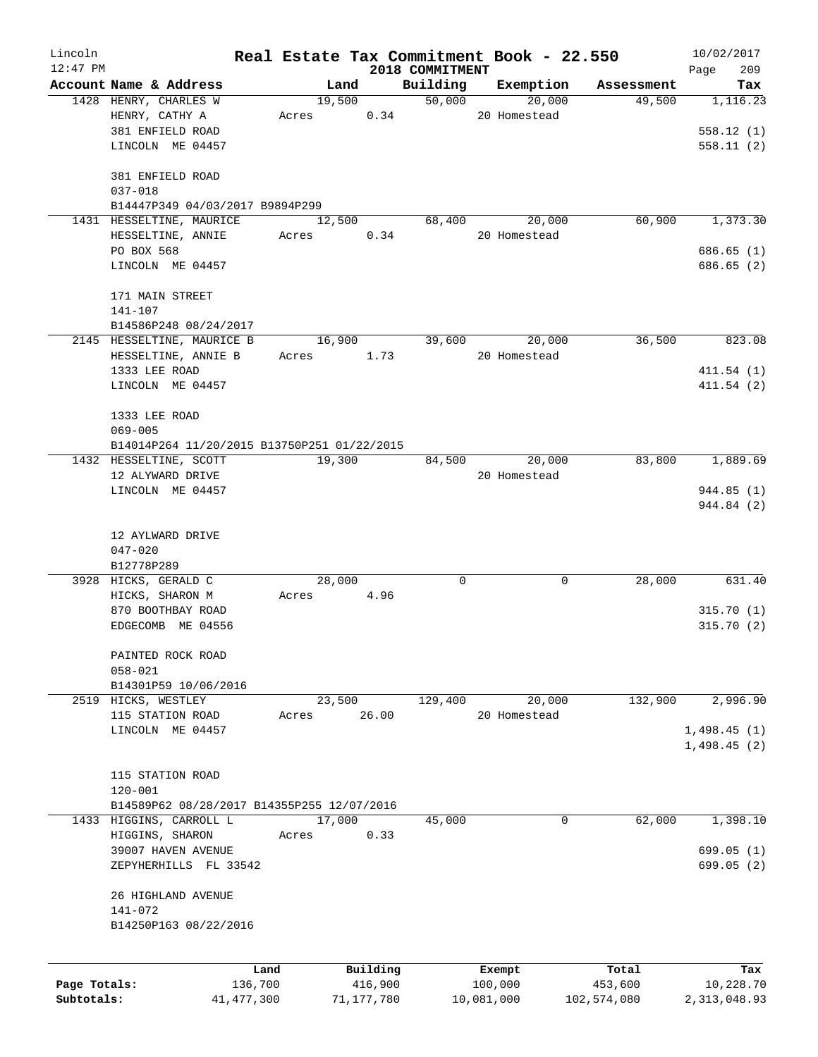| Lincoln      |                                                 |       |                |            |                    | Real Estate Tax Commitment Book - 22.550 |                      | 10/02/2017      |
|--------------|-------------------------------------------------|-------|----------------|------------|--------------------|------------------------------------------|----------------------|-----------------|
| $12:47$ PM   |                                                 |       |                |            | 2018 COMMITMENT    |                                          |                      | 209<br>Page     |
|              | Account Name & Address<br>1428 HENRY, CHARLES W |       | Land<br>19,500 |            | Building<br>50,000 | Exemption<br>20,000                      | Assessment<br>49,500 | Tax<br>1,116.23 |
|              | HENRY, CATHY A                                  | Acres |                | 0.34       |                    | 20 Homestead                             |                      |                 |
|              |                                                 |       |                |            |                    |                                          |                      |                 |
|              | 381 ENFIELD ROAD                                |       |                |            |                    |                                          |                      | 558.12(1)       |
|              | LINCOLN ME 04457                                |       |                |            |                    |                                          |                      | 558.11(2)       |
|              | 381 ENFIELD ROAD                                |       |                |            |                    |                                          |                      |                 |
|              | $037 - 018$                                     |       |                |            |                    |                                          |                      |                 |
|              | B14447P349 04/03/2017 B9894P299                 |       |                |            |                    |                                          |                      |                 |
|              | 1431 HESSELTINE, MAURICE                        |       | 12,500         |            | 68,400             | 20,000                                   | 60,900               | 1,373.30        |
|              | HESSELTINE, ANNIE                               | Acres |                | 0.34       |                    | 20 Homestead                             |                      |                 |
|              | PO BOX 568                                      |       |                |            |                    |                                          |                      | 686.65(1)       |
|              | LINCOLN ME 04457                                |       |                |            |                    |                                          |                      | 686.65(2)       |
|              | 171 MAIN STREET                                 |       |                |            |                    |                                          |                      |                 |
|              | 141-107                                         |       |                |            |                    |                                          |                      |                 |
|              | B14586P248 08/24/2017                           |       |                |            |                    |                                          |                      |                 |
|              | 2145 HESSELTINE, MAURICE B                      |       | 16,900         |            | 39,600             | 20,000                                   | 36,500               | 823.08          |
|              | HESSELTINE, ANNIE B                             | Acres |                | 1.73       |                    | 20 Homestead                             |                      |                 |
|              | 1333 LEE ROAD                                   |       |                |            |                    |                                          |                      | 411.54(1)       |
|              | LINCOLN ME 04457                                |       |                |            |                    |                                          |                      | 411.54(2)       |
|              |                                                 |       |                |            |                    |                                          |                      |                 |
|              | 1333 LEE ROAD                                   |       |                |            |                    |                                          |                      |                 |
|              | $069 - 005$                                     |       |                |            |                    |                                          |                      |                 |
|              | B14014P264 11/20/2015 B13750P251 01/22/2015     |       |                |            |                    |                                          |                      |                 |
|              | 1432 HESSELTINE, SCOTT                          |       | 19,300         |            | 84,500             | 20,000                                   | 83,800               | 1,889.69        |
|              | 12 ALYWARD DRIVE                                |       |                |            |                    | 20 Homestead                             |                      |                 |
|              | LINCOLN ME 04457                                |       |                |            |                    |                                          |                      | 944.85(1)       |
|              |                                                 |       |                |            |                    |                                          |                      | 944.84 (2)      |
|              | 12 AYLWARD DRIVE                                |       |                |            |                    |                                          |                      |                 |
|              | $047 - 020$                                     |       |                |            |                    |                                          |                      |                 |
|              | B12778P289                                      |       |                |            |                    |                                          |                      |                 |
|              | 3928 HICKS, GERALD C                            |       | 28,000         |            | 0                  | 0                                        | 28,000               | 631.40          |
|              | HICKS, SHARON M                                 | Acres |                | 4.96       |                    |                                          |                      |                 |
|              | 870 BOOTHBAY ROAD                               |       |                |            |                    |                                          |                      | 315.70(1)       |
|              | EDGECOMB ME 04556                               |       |                |            |                    |                                          |                      | 315.70(2)       |
|              |                                                 |       |                |            |                    |                                          |                      |                 |
|              | PAINTED ROCK ROAD                               |       |                |            |                    |                                          |                      |                 |
|              | $058 - 021$                                     |       |                |            |                    |                                          |                      |                 |
|              | B14301P59 10/06/2016                            |       |                |            |                    |                                          |                      |                 |
|              | 2519 HICKS, WESTLEY                             |       | 23,500         |            | 129,400            | 20,000                                   | 132,900              | 2,996.90        |
|              | 115 STATION ROAD                                | Acres |                | 26.00      |                    | 20 Homestead                             |                      |                 |
|              | LINCOLN ME 04457                                |       |                |            |                    |                                          |                      | 1,498.45(1)     |
|              |                                                 |       |                |            |                    |                                          |                      | 1,498.45(2)     |
|              |                                                 |       |                |            |                    |                                          |                      |                 |
|              | 115 STATION ROAD                                |       |                |            |                    |                                          |                      |                 |
|              | $120 - 001$                                     |       |                |            |                    |                                          |                      |                 |
|              | B14589P62 08/28/2017 B14355P255 12/07/2016      |       |                |            |                    |                                          |                      |                 |
|              | 1433 HIGGINS, CARROLL L                         |       | 17,000         |            | 45,000             | 0                                        | 62,000               | 1,398.10        |
|              | HIGGINS, SHARON                                 | Acres |                | 0.33       |                    |                                          |                      |                 |
|              | 39007 HAVEN AVENUE                              |       |                |            |                    |                                          |                      | 699.05(1)       |
|              | ZEPYHERHILLS FL 33542                           |       |                |            |                    |                                          |                      | 699.05 (2)      |
|              | 26 HIGHLAND AVENUE                              |       |                |            |                    |                                          |                      |                 |
|              | 141-072                                         |       |                |            |                    |                                          |                      |                 |
|              | B14250P163 08/22/2016                           |       |                |            |                    |                                          |                      |                 |
|              |                                                 |       |                |            |                    |                                          |                      |                 |
|              |                                                 | Land  |                | Building   |                    | Exempt                                   | Total                | Tax             |
| Page Totals: | 136,700                                         |       |                | 416,900    |                    | 100,000                                  | 453,600              | 10,228.70       |
| Subtotals:   | 41, 477, 300                                    |       |                | 71,177,780 |                    | 10,081,000                               | 102,574,080          | 2,313,048.93    |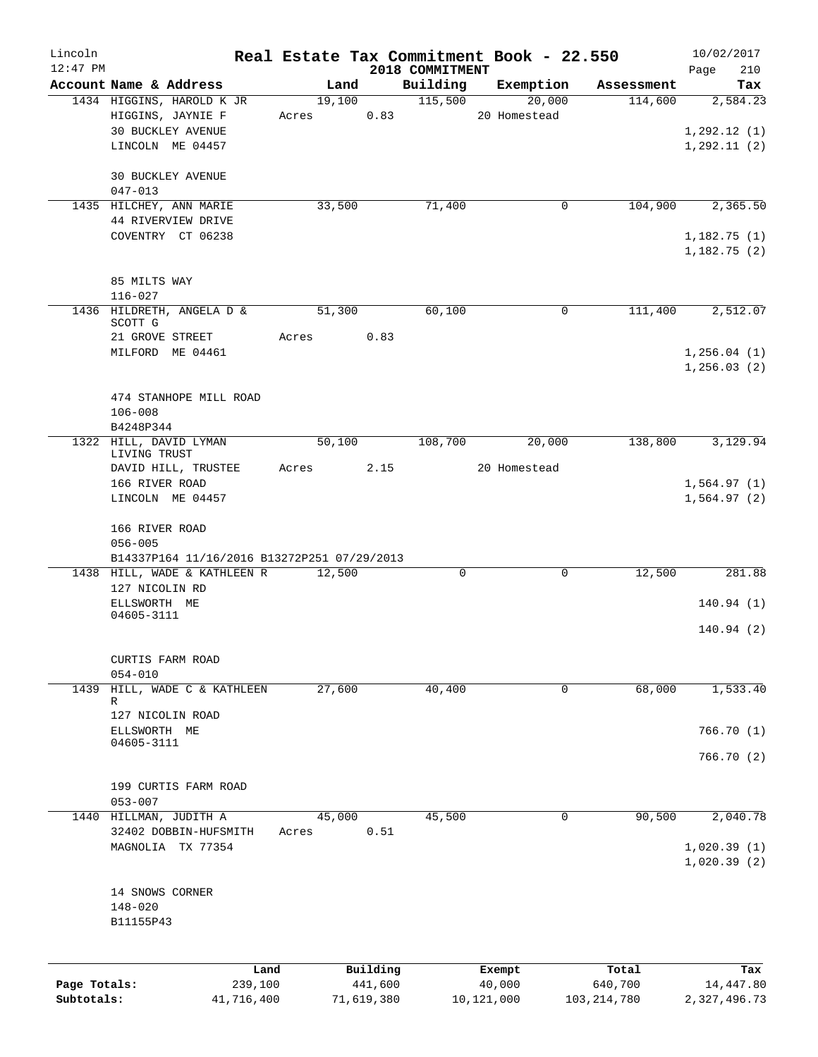| Lincoln      |                                                 |       |        |            |                             | Real Estate Tax Commitment Book - 22.550 |               | 10/02/2017         |
|--------------|-------------------------------------------------|-------|--------|------------|-----------------------------|------------------------------------------|---------------|--------------------|
| $12:47$ PM   | Account Name & Address                          |       | Land   |            | 2018 COMMITMENT<br>Building | Exemption                                | Assessment    | 210<br>Page<br>Tax |
|              | 1434 HIGGINS, HAROLD K JR                       |       | 19,100 |            | 115,500                     | 20,000                                   | 114,600       | 2,584.23           |
|              | HIGGINS, JAYNIE F                               | Acres |        | 0.83       |                             | 20 Homestead                             |               |                    |
|              | <b>30 BUCKLEY AVENUE</b>                        |       |        |            |                             |                                          |               | 1, 292.12(1)       |
|              | LINCOLN ME 04457                                |       |        |            |                             |                                          |               | 1, 292.11(2)       |
|              |                                                 |       |        |            |                             |                                          |               |                    |
|              | 30 BUCKLEY AVENUE<br>$047 - 013$                |       |        |            |                             |                                          |               |                    |
|              | 1435 HILCHEY, ANN MARIE                         |       | 33,500 |            | 71,400                      | $\mathbf 0$                              | 104,900       | 2,365.50           |
|              | 44 RIVERVIEW DRIVE                              |       |        |            |                             |                                          |               |                    |
|              | COVENTRY CT 06238                               |       |        |            |                             |                                          |               | 1,182.75(1)        |
|              |                                                 |       |        |            |                             |                                          |               | 1,182.75(2)        |
|              | 85 MILTS WAY                                    |       |        |            |                             |                                          |               |                    |
|              | $116 - 027$                                     |       |        |            |                             |                                          |               |                    |
|              | 1436 HILDRETH, ANGELA D &                       |       | 51,300 |            | 60,100                      | 0                                        | 111,400       | 2,512.07           |
|              | SCOTT G<br>21 GROVE STREET                      | Acres |        | 0.83       |                             |                                          |               |                    |
|              | MILFORD ME 04461                                |       |        |            |                             |                                          |               | 1,256.04(1)        |
|              |                                                 |       |        |            |                             |                                          |               | 1, 256.03(2)       |
|              |                                                 |       |        |            |                             |                                          |               |                    |
|              | 474 STANHOPE MILL ROAD                          |       |        |            |                             |                                          |               |                    |
|              | $106 - 008$                                     |       |        |            |                             |                                          |               |                    |
|              | B4248P344<br>1322 HILL, DAVID LYMAN             |       | 50,100 |            | 108,700                     | 20,000                                   | 138,800       | 3,129.94           |
|              | LIVING TRUST                                    |       |        |            |                             |                                          |               |                    |
|              | DAVID HILL, TRUSTEE                             | Acres |        | 2.15       |                             | 20 Homestead                             |               |                    |
|              | 166 RIVER ROAD                                  |       |        |            |                             |                                          |               | 1,564.97(1)        |
|              | LINCOLN ME 04457                                |       |        |            |                             |                                          |               | 1,564.97(2)        |
|              | 166 RIVER ROAD                                  |       |        |            |                             |                                          |               |                    |
|              | $056 - 005$                                     |       |        |            |                             |                                          |               |                    |
|              | B14337P164 11/16/2016 B13272P251 07/29/2013     |       |        |            |                             |                                          |               |                    |
|              | 1438 HILL, WADE & KATHLEEN R                    |       | 12,500 |            | $\mathbf 0$                 | $\mathbf 0$                              | 12,500        | 281.88             |
|              | 127 NICOLIN RD                                  |       |        |            |                             |                                          |               |                    |
|              | ELLSWORTH ME<br>04605-3111                      |       |        |            |                             |                                          |               | 140.94(1)          |
|              |                                                 |       |        |            |                             |                                          |               | 140.94(2)          |
|              |                                                 |       |        |            |                             |                                          |               |                    |
|              | CURTIS FARM ROAD                                |       |        |            |                             |                                          |               |                    |
| 1439         | $054 - 010$<br>HILL, WADE C & KATHLEEN          |       | 27,600 |            | 40,400                      | $\mathbf 0$                              | 68,000        | 1,533.40           |
|              | R                                               |       |        |            |                             |                                          |               |                    |
|              | 127 NICOLIN ROAD                                |       |        |            |                             |                                          |               |                    |
|              | ELLSWORTH ME<br>04605-3111                      |       |        |            |                             |                                          |               | 766.70(1)          |
|              |                                                 |       |        |            |                             |                                          |               | 766.70(2)          |
|              |                                                 |       |        |            |                             |                                          |               |                    |
|              | 199 CURTIS FARM ROAD                            |       |        |            |                             |                                          |               |                    |
|              | $053 - 007$                                     |       |        |            |                             |                                          |               |                    |
|              | 1440 HILLMAN, JUDITH A<br>32402 DOBBIN-HUFSMITH |       | 45,000 | 0.51       | 45,500                      | 0                                        | 90,500        | 2,040.78           |
|              | MAGNOLIA TX 77354                               | Acres |        |            |                             |                                          |               | 1,020.39(1)        |
|              |                                                 |       |        |            |                             |                                          |               | 1,020.39(2)        |
|              |                                                 |       |        |            |                             |                                          |               |                    |
|              | 14 SNOWS CORNER                                 |       |        |            |                             |                                          |               |                    |
|              | $148 - 020$                                     |       |        |            |                             |                                          |               |                    |
|              | B11155P43                                       |       |        |            |                             |                                          |               |                    |
|              |                                                 |       |        |            |                             |                                          |               |                    |
|              | Land                                            |       |        | Building   |                             | Exempt                                   | Total         | Tax                |
| Page Totals: | 239,100                                         |       |        | 441,600    |                             | 40,000                                   | 640,700       | 14,447.80          |
| Subtotals:   | 41,716,400                                      |       |        | 71,619,380 |                             | 10,121,000                               | 103, 214, 780 | 2,327,496.73       |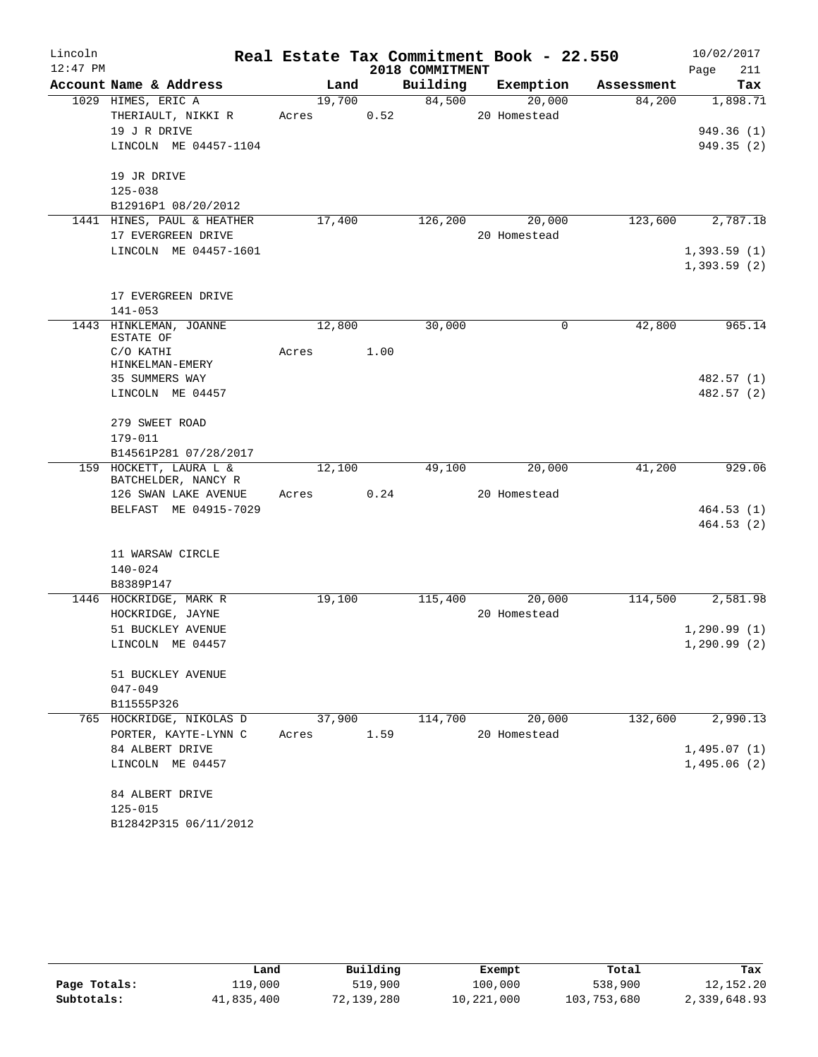| Lincoln    |                                     |        |      |                 | Real Estate Tax Commitment Book - 22.550 |            | 10/02/2017   |
|------------|-------------------------------------|--------|------|-----------------|------------------------------------------|------------|--------------|
| $12:47$ PM |                                     |        |      | 2018 COMMITMENT |                                          |            | 211<br>Page  |
|            | Account Name & Address              | Land   |      | Building        | Exemption                                | Assessment | Tax          |
|            | 1029 HIMES, ERIC A                  | 19,700 |      | 84,500          | 20,000                                   | 84,200     | 1,898.71     |
|            | THERIAULT, NIKKI R                  | Acres  | 0.52 |                 | 20 Homestead                             |            |              |
|            | 19 J R DRIVE                        |        |      |                 |                                          |            | 949.36 (1)   |
|            | LINCOLN ME 04457-1104               |        |      |                 |                                          |            | 949.35(2)    |
|            | 19 JR DRIVE                         |        |      |                 |                                          |            |              |
|            | $125 - 038$                         |        |      |                 |                                          |            |              |
|            | B12916P1 08/20/2012                 |        |      |                 |                                          |            |              |
|            | 1441 HINES, PAUL & HEATHER          | 17,400 |      | 126,200         | 20,000                                   | 123,600    | 2,787.18     |
|            | 17 EVERGREEN DRIVE                  |        |      |                 | 20 Homestead                             |            |              |
|            | LINCOLN ME 04457-1601               |        |      |                 |                                          |            | 1,393.59(1)  |
|            |                                     |        |      |                 |                                          |            | 1,393.59(2)  |
|            | 17 EVERGREEN DRIVE                  |        |      |                 |                                          |            |              |
|            | $141 - 053$                         |        |      |                 |                                          |            |              |
|            | 1443 HINKLEMAN, JOANNE<br>ESTATE OF | 12,800 |      | 30,000          | 0                                        | 42,800     | 965.14       |
|            | C/O KATHI                           | Acres  | 1.00 |                 |                                          |            |              |
|            | HINKELMAN-EMERY                     |        |      |                 |                                          |            |              |
|            | 35 SUMMERS WAY                      |        |      |                 |                                          |            | 482.57 (1)   |
|            | LINCOLN ME 04457                    |        |      |                 |                                          |            | 482.57 (2)   |
|            | 279 SWEET ROAD                      |        |      |                 |                                          |            |              |
|            | 179-011                             |        |      |                 |                                          |            |              |
|            | B14561P281 07/28/2017               |        |      |                 |                                          |            |              |
|            | 159 HOCKETT, LAURA L &              | 12,100 |      | 49,100          | 20,000                                   | 41,200     | 929.06       |
|            | BATCHELDER, NANCY R                 |        |      |                 |                                          |            |              |
|            | 126 SWAN LAKE AVENUE                | Acres  | 0.24 |                 | 20 Homestead                             |            |              |
|            | BELFAST ME 04915-7029               |        |      |                 |                                          |            | 464.53(1)    |
|            |                                     |        |      |                 |                                          |            | 464.53(2)    |
|            | 11 WARSAW CIRCLE                    |        |      |                 |                                          |            |              |
|            | $140 - 024$                         |        |      |                 |                                          |            |              |
|            | B8389P147                           |        |      |                 |                                          |            |              |
|            | 1446 HOCKRIDGE, MARK R              | 19,100 |      | 115,400         | 20,000                                   | 114,500    | 2,581.98     |
|            | HOCKRIDGE, JAYNE                    |        |      |                 | 20 Homestead                             |            |              |
|            | 51 BUCKLEY AVENUE                   |        |      |                 |                                          |            | 1, 290.99(1) |
|            | LINCOLN ME 04457                    |        |      |                 |                                          |            | 1, 290.99(2) |
|            | 51 BUCKLEY AVENUE                   |        |      |                 |                                          |            |              |
|            | $047 - 049$                         |        |      |                 |                                          |            |              |
|            | B11555P326                          |        |      |                 |                                          |            |              |
|            | 765 HOCKRIDGE, NIKOLAS D            | 37,900 |      | 114,700         | 20,000                                   | 132,600    | 2,990.13     |
|            | PORTER, KAYTE-LYNN C                | Acres  | 1.59 |                 | 20 Homestead                             |            |              |
|            | 84 ALBERT DRIVE                     |        |      |                 |                                          |            | 1,495.07(1)  |
|            | LINCOLN ME 04457                    |        |      |                 |                                          |            | 1,495.06(2)  |
|            | 84 ALBERT DRIVE                     |        |      |                 |                                          |            |              |
|            | $125 - 015$                         |        |      |                 |                                          |            |              |
|            | B12842P315 06/11/2012               |        |      |                 |                                          |            |              |
|            |                                     |        |      |                 |                                          |            |              |

|              | Land       | Building   | Exempt     | Total       | Tax          |
|--------------|------------|------------|------------|-------------|--------------|
| Page Totals: | 119,000    | 519,900    | 100,000    | 538,900     | 12, 152. 20  |
| Subtotals:   | 41,835,400 | 72,139,280 | 10,221,000 | 103,753,680 | 2,339,648.93 |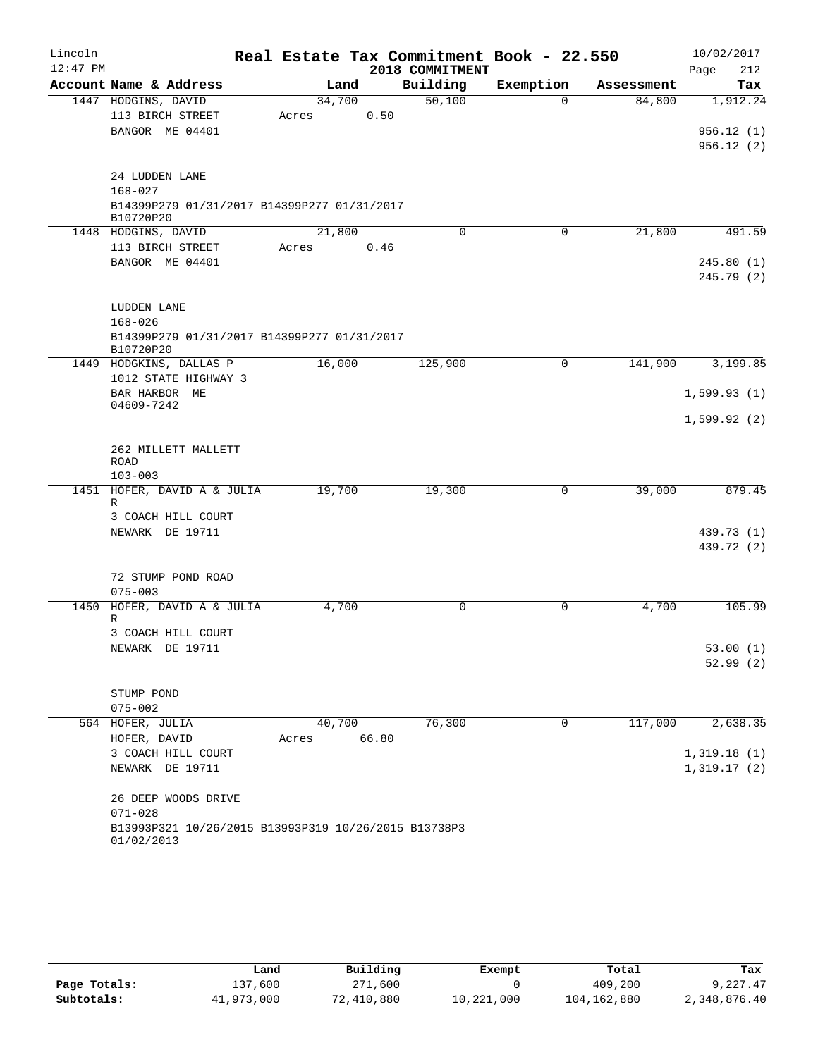| Lincoln    |                                                                    |        |       |                 | Real Estate Tax Commitment Book - 22.550 |            | 10/02/2017  |
|------------|--------------------------------------------------------------------|--------|-------|-----------------|------------------------------------------|------------|-------------|
| $12:47$ PM |                                                                    |        |       | 2018 COMMITMENT |                                          |            | 212<br>Page |
|            | Account Name & Address                                             | Land   |       | Building        | Exemption                                | Assessment | Tax         |
|            | 1447 HODGINS, DAVID                                                | 34,700 |       | 50,100          | $\Omega$                                 | 84,800     | 1,912.24    |
|            | 113 BIRCH STREET                                                   | Acres  | 0.50  |                 |                                          |            |             |
|            | BANGOR ME 04401                                                    |        |       |                 |                                          |            | 956.12(1)   |
|            |                                                                    |        |       |                 |                                          |            | 956.12(2)   |
|            |                                                                    |        |       |                 |                                          |            |             |
|            | 24 LUDDEN LANE                                                     |        |       |                 |                                          |            |             |
|            | $168 - 027$                                                        |        |       |                 |                                          |            |             |
|            | B14399P279 01/31/2017 B14399P277 01/31/2017<br>B10720P20           |        |       |                 |                                          |            |             |
|            | 1448 HODGINS, DAVID                                                | 21,800 |       | $\Omega$        | 0                                        | 21,800     | 491.59      |
|            | 113 BIRCH STREET                                                   | Acres  | 0.46  |                 |                                          |            |             |
|            | BANGOR ME 04401                                                    |        |       |                 |                                          |            | 245.80(1)   |
|            |                                                                    |        |       |                 |                                          |            | 245.79(2)   |
|            |                                                                    |        |       |                 |                                          |            |             |
|            | LUDDEN LANE                                                        |        |       |                 |                                          |            |             |
|            | $168 - 026$                                                        |        |       |                 |                                          |            |             |
|            | B14399P279 01/31/2017 B14399P277 01/31/2017                        |        |       |                 |                                          |            |             |
|            | B10720P20                                                          |        |       |                 |                                          |            |             |
|            | 1449 HODGKINS, DALLAS P<br>1012 STATE HIGHWAY 3                    | 16,000 |       | 125,900         | $\mathbf 0$                              | 141,900    | 3,199.85    |
|            |                                                                    |        |       |                 |                                          |            |             |
|            | BAR HARBOR ME<br>04609-7242                                        |        |       |                 |                                          |            | 1,599.93(1) |
|            |                                                                    |        |       |                 |                                          |            | 1,599.92(2) |
|            |                                                                    |        |       |                 |                                          |            |             |
|            | 262 MILLETT MALLETT                                                |        |       |                 |                                          |            |             |
|            | <b>ROAD</b>                                                        |        |       |                 |                                          |            |             |
|            | $103 - 003$                                                        |        |       |                 |                                          |            |             |
| 1451       | HOFER, DAVID A & JULIA<br>R                                        | 19,700 |       | 19,300          | 0                                        | 39,000     | 879.45      |
|            | 3 COACH HILL COURT                                                 |        |       |                 |                                          |            |             |
|            | NEWARK DE 19711                                                    |        |       |                 |                                          |            | 439.73 (1)  |
|            |                                                                    |        |       |                 |                                          |            | 439.72 (2)  |
|            |                                                                    |        |       |                 |                                          |            |             |
|            | 72 STUMP POND ROAD                                                 |        |       |                 |                                          |            |             |
|            | $075 - 003$                                                        |        |       |                 |                                          |            |             |
| 1450       | HOFER, DAVID A & JULIA                                             | 4,700  |       | 0               | 0                                        | 4,700      | 105.99      |
|            | R                                                                  |        |       |                 |                                          |            |             |
|            | 3 COACH HILL COURT                                                 |        |       |                 |                                          |            |             |
|            | NEWARK DE 19711                                                    |        |       |                 |                                          |            | 53.00(1)    |
|            |                                                                    |        |       |                 |                                          |            | 52.99(2)    |
|            | STUMP POND                                                         |        |       |                 |                                          |            |             |
|            | $075 - 002$                                                        |        |       |                 |                                          |            |             |
|            | 564 HOFER, JULIA                                                   | 40,700 |       | 76,300          | 0                                        | 117,000    | 2,638.35    |
|            | HOFER, DAVID                                                       | Acres  | 66.80 |                 |                                          |            |             |
|            | 3 COACH HILL COURT                                                 |        |       |                 |                                          |            | 1,319.18(1) |
|            | NEWARK DE 19711                                                    |        |       |                 |                                          |            | 1,319.17(2) |
|            |                                                                    |        |       |                 |                                          |            |             |
|            | 26 DEEP WOODS DRIVE                                                |        |       |                 |                                          |            |             |
|            | $071 - 028$                                                        |        |       |                 |                                          |            |             |
|            | B13993P321 10/26/2015 B13993P319 10/26/2015 B13738P3<br>01/02/2013 |        |       |                 |                                          |            |             |

|              | Land       | Building   | Exempt     | Total       | Tax          |
|--------------|------------|------------|------------|-------------|--------------|
| Page Totals: | 137,600    | 271,600    |            | 409,200     | 9,227.47     |
| Subtotals:   | 41,973,000 | 72,410,880 | 10,221,000 | 104,162,880 | 2,348,876.40 |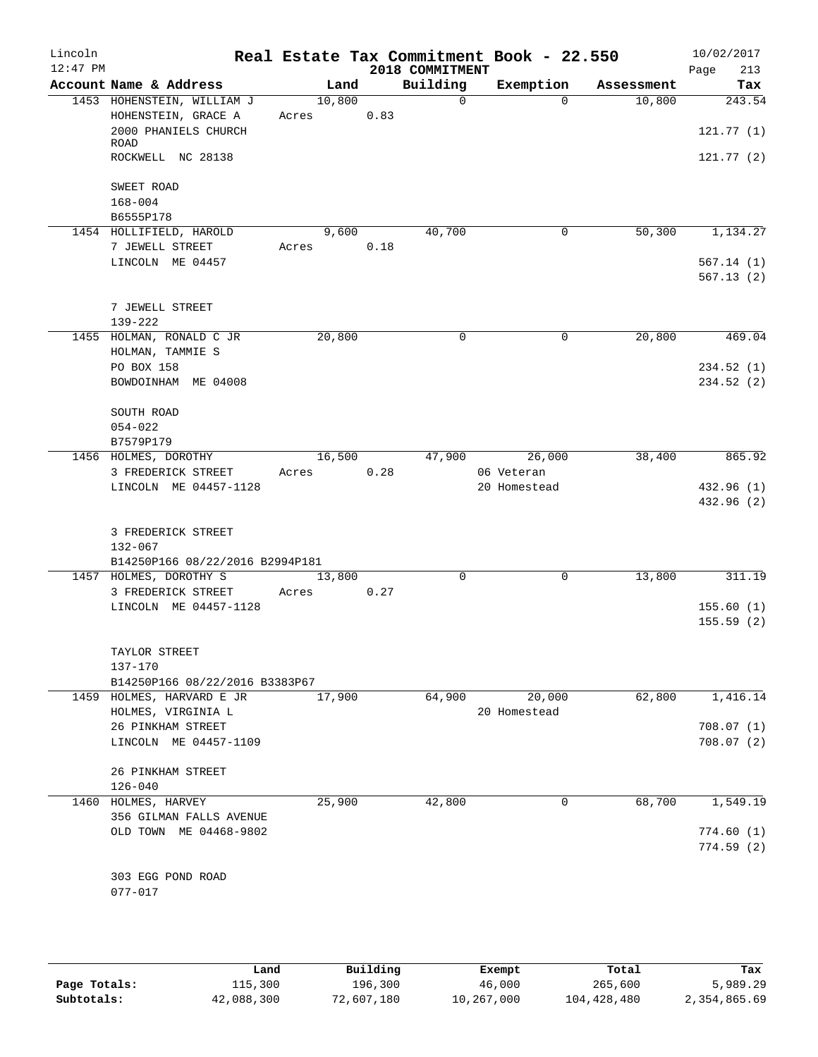| Lincoln<br>$12:47$ PM |                                                             |        |      | 2018 COMMITMENT | Real Estate Tax Commitment Book - 22.550 |            | 10/02/2017<br>213<br>Page |
|-----------------------|-------------------------------------------------------------|--------|------|-----------------|------------------------------------------|------------|---------------------------|
|                       | Account Name & Address                                      | Land   |      | Building        | Exemption                                | Assessment | Tax                       |
|                       | 1453 HOHENSTEIN, WILLIAM J                                  | 10,800 |      | $\overline{0}$  | $\Omega$                                 | 10,800     | 243.54                    |
|                       | HOHENSTEIN, GRACE A                                         | Acres  | 0.83 |                 |                                          |            |                           |
|                       | 2000 PHANIELS CHURCH<br>ROAD                                |        |      |                 |                                          |            | 121.77(1)                 |
|                       | ROCKWELL NC 28138                                           |        |      |                 |                                          |            | 121.77(2)                 |
|                       |                                                             |        |      |                 |                                          |            |                           |
|                       | SWEET ROAD<br>$168 - 004$                                   |        |      |                 |                                          |            |                           |
|                       | B6555P178                                                   |        |      |                 |                                          |            |                           |
|                       | 1454 HOLLIFIELD, HAROLD                                     | 9,600  |      | 40,700          | 0                                        | 50,300     | 1,134.27                  |
|                       | 7 JEWELL STREET                                             | Acres  | 0.18 |                 |                                          |            |                           |
|                       | LINCOLN ME 04457                                            |        |      |                 |                                          |            | 567.14(1)                 |
|                       |                                                             |        |      |                 |                                          |            | 567.13(2)                 |
|                       | 7 JEWELL STREET                                             |        |      |                 |                                          |            |                           |
|                       | $139 - 222$                                                 |        |      |                 |                                          |            |                           |
|                       | 1455 HOLMAN, RONALD C JR                                    | 20,800 |      | $\mathbf 0$     | 0                                        | 20,800     | 469.04                    |
|                       | HOLMAN, TAMMIE S                                            |        |      |                 |                                          |            |                           |
|                       | PO BOX 158                                                  |        |      |                 |                                          |            | 234.52(1)                 |
|                       | BOWDOINHAM ME 04008                                         |        |      |                 |                                          |            | 234.52(2)                 |
|                       | SOUTH ROAD                                                  |        |      |                 |                                          |            |                           |
|                       | $054 - 022$                                                 |        |      |                 |                                          |            |                           |
|                       | B7579P179                                                   |        |      |                 |                                          |            |                           |
|                       | 1456 HOLMES, DOROTHY                                        | 16,500 |      | 47,900          | 26,000                                   | 38,400     | 865.92                    |
|                       | 3 FREDERICK STREET                                          | Acres  | 0.28 |                 | 06 Veteran                               |            |                           |
|                       | LINCOLN ME 04457-1128                                       |        |      |                 | 20 Homestead                             |            | 432.96 (1)                |
|                       |                                                             |        |      |                 |                                          |            | 432.96 (2)                |
|                       | 3 FREDERICK STREET                                          |        |      |                 |                                          |            |                           |
|                       | 132-067                                                     |        |      |                 |                                          |            |                           |
|                       | B14250P166 08/22/2016 B2994P181                             |        |      |                 |                                          |            |                           |
|                       | 1457 HOLMES, DOROTHY S                                      | 13,800 | 0.27 | $\Omega$        | 0                                        | 13,800     | 311.19                    |
|                       | 3 FREDERICK STREET<br>LINCOLN ME 04457-1128                 | Acres  |      |                 |                                          |            | 155.60(1)                 |
|                       |                                                             |        |      |                 |                                          |            | 155.59(2)                 |
|                       |                                                             |        |      |                 |                                          |            |                           |
|                       | TAYLOR STREET                                               |        |      |                 |                                          |            |                           |
|                       | 137-170                                                     |        |      |                 |                                          |            |                           |
|                       | B14250P166 08/22/2016 B3383P67<br>1459 HOLMES, HARVARD E JR | 17,900 |      | 64,900          | 20,000                                   | 62,800     | 1,416.14                  |
|                       | HOLMES, VIRGINIA L                                          |        |      |                 | 20 Homestead                             |            |                           |
|                       | 26 PINKHAM STREET                                           |        |      |                 |                                          |            | 708.07(1)                 |
|                       | LINCOLN ME 04457-1109                                       |        |      |                 |                                          |            | 708.07(2)                 |
|                       |                                                             |        |      |                 |                                          |            |                           |
|                       | 26 PINKHAM STREET                                           |        |      |                 |                                          |            |                           |
| 1460                  | $126 - 040$<br>HOLMES, HARVEY                               | 25,900 |      | 42,800          | 0                                        | 68,700     | 1,549.19                  |
|                       | 356 GILMAN FALLS AVENUE                                     |        |      |                 |                                          |            |                           |
|                       | OLD TOWN ME 04468-9802                                      |        |      |                 |                                          |            | 774.60(1)                 |
|                       |                                                             |        |      |                 |                                          |            | 774.59(2)                 |
|                       |                                                             |        |      |                 |                                          |            |                           |
|                       | 303 EGG POND ROAD                                           |        |      |                 |                                          |            |                           |
|                       | $077 - 017$                                                 |        |      |                 |                                          |            |                           |
|                       |                                                             |        |      |                 |                                          |            |                           |

|              | Land       | Building   | Exempt     | Total       | Tax          |
|--------------|------------|------------|------------|-------------|--------------|
| Page Totals: | 115,300    | 196,300    | 46,000     | 265,600     | 5,989.29     |
| Subtotals:   | 42,088,300 | 72,607,180 | 10,267,000 | 104,428,480 | 2,354,865.69 |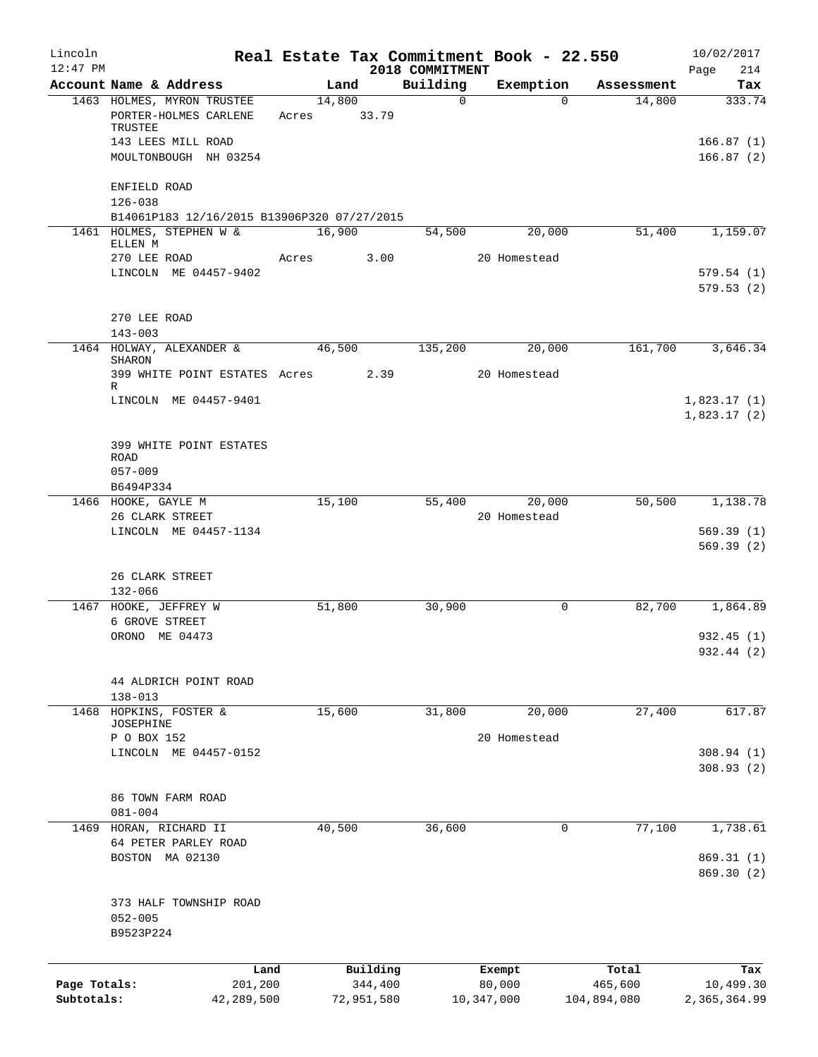| Lincoln<br>$12:47$ PM |                                                                |       |                     | 2018 COMMITMENT |             | Real Estate Tax Commitment Book - 22.550 |                  | 10/02/2017<br>214<br>Page  |
|-----------------------|----------------------------------------------------------------|-------|---------------------|-----------------|-------------|------------------------------------------|------------------|----------------------------|
|                       | Account Name & Address                                         |       | Land                | Building        |             | Exemption                                | Assessment       | Tax                        |
|                       | 1463 HOLMES, MYRON TRUSTEE<br>PORTER-HOLMES CARLENE<br>TRUSTEE | Acres | 14,800<br>33.79     |                 | $\mathbf 0$ | $\Omega$                                 | 14,800           | 333.74                     |
|                       | 143 LEES MILL ROAD<br>MOULTONBOUGH NH 03254                    |       |                     |                 |             |                                          |                  | 166.87(1)<br>166.87(2)     |
|                       | ENFIELD ROAD<br>$126 - 038$                                    |       |                     |                 |             |                                          |                  |                            |
|                       | B14061P183 12/16/2015 B13906P320 07/27/2015                    |       |                     |                 |             |                                          |                  |                            |
|                       | 1461 HOLMES, STEPHEN W &<br>ELLEN M                            |       | 16,900              | 54,500          |             | 20,000                                   | 51,400           | 1,159.07                   |
|                       | 270 LEE ROAD                                                   | Acres | 3.00                |                 |             | 20 Homestead                             |                  |                            |
|                       | LINCOLN ME 04457-9402                                          |       |                     |                 |             |                                          |                  | 579.54(1)<br>579.53(2)     |
|                       | 270 LEE ROAD                                                   |       |                     |                 |             |                                          |                  |                            |
|                       | $143 - 003$                                                    |       |                     |                 |             |                                          |                  |                            |
|                       | 1464 HOLWAY, ALEXANDER &<br>SHARON                             |       | 46,500              | 135,200         |             | 20,000                                   | 161,700          | 3,646.34                   |
|                       | 399 WHITE POINT ESTATES Acres<br>R                             |       | 2.39                |                 |             | 20 Homestead                             |                  |                            |
|                       | LINCOLN ME 04457-9401                                          |       |                     |                 |             |                                          |                  | 1,823.17(1)<br>1,823.17(2) |
|                       |                                                                |       |                     |                 |             |                                          |                  |                            |
|                       | 399 WHITE POINT ESTATES<br>ROAD<br>$057 - 009$                 |       |                     |                 |             |                                          |                  |                            |
|                       | B6494P334                                                      |       |                     |                 |             |                                          |                  |                            |
|                       | 1466 HOOKE, GAYLE M                                            |       | 15,100              | 55,400          |             | 20,000                                   | 50,500           | 1,138.78                   |
|                       | 26 CLARK STREET                                                |       |                     |                 |             | 20 Homestead                             |                  |                            |
|                       | LINCOLN ME 04457-1134                                          |       |                     |                 |             |                                          |                  | 569.39(1)<br>569.39(2)     |
|                       | 26 CLARK STREET<br>$132 - 066$                                 |       |                     |                 |             |                                          |                  |                            |
|                       | 1467 HOOKE, JEFFREY W                                          |       | 51,800              | 30,900          |             | 0                                        | 82,700           | 1,864.89                   |
|                       | 6 GROVE STREET                                                 |       |                     |                 |             |                                          |                  |                            |
|                       | ORONO ME 04473                                                 |       |                     |                 |             |                                          |                  | 932.45(1)<br>932.44 (2)    |
|                       | 44 ALDRICH POINT ROAD                                          |       |                     |                 |             |                                          |                  |                            |
| 1468                  | $138 - 013$<br>HOPKINS, FOSTER &                               |       | 15,600              | 31,800          |             | 20,000                                   | 27,400           | 617.87                     |
|                       | JOSEPHINE                                                      |       |                     |                 |             |                                          |                  |                            |
|                       | P O BOX 152                                                    |       |                     |                 |             | 20 Homestead                             |                  |                            |
|                       | LINCOLN ME 04457-0152                                          |       |                     |                 |             |                                          |                  | 308.94(1)<br>308.93(2)     |
|                       | 86 TOWN FARM ROAD                                              |       |                     |                 |             |                                          |                  |                            |
| 1469                  | $081 - 004$<br>HORAN, RICHARD II                               |       | 40,500              | 36,600          |             | $\mathsf{O}$                             | 77,100           | 1,738.61                   |
|                       | 64 PETER PARLEY ROAD                                           |       |                     |                 |             |                                          |                  |                            |
|                       | BOSTON MA 02130                                                |       |                     |                 |             |                                          |                  | 869.31(1)<br>869.30 (2)    |
|                       | 373 HALF TOWNSHIP ROAD                                         |       |                     |                 |             |                                          |                  |                            |
|                       | $052 - 005$<br>B9523P224                                       |       |                     |                 |             |                                          |                  |                            |
|                       |                                                                |       |                     |                 |             |                                          |                  |                            |
| Page Totals:          | Land<br>201,200                                                |       | Building<br>344,400 |                 |             | Exempt<br>80,000                         | Total<br>465,600 | Tax<br>10,499.30           |
| Subtotals:            | 42,289,500                                                     |       | 72,951,580          |                 | 10,347,000  |                                          | 104,894,080      | 2,365,364.99               |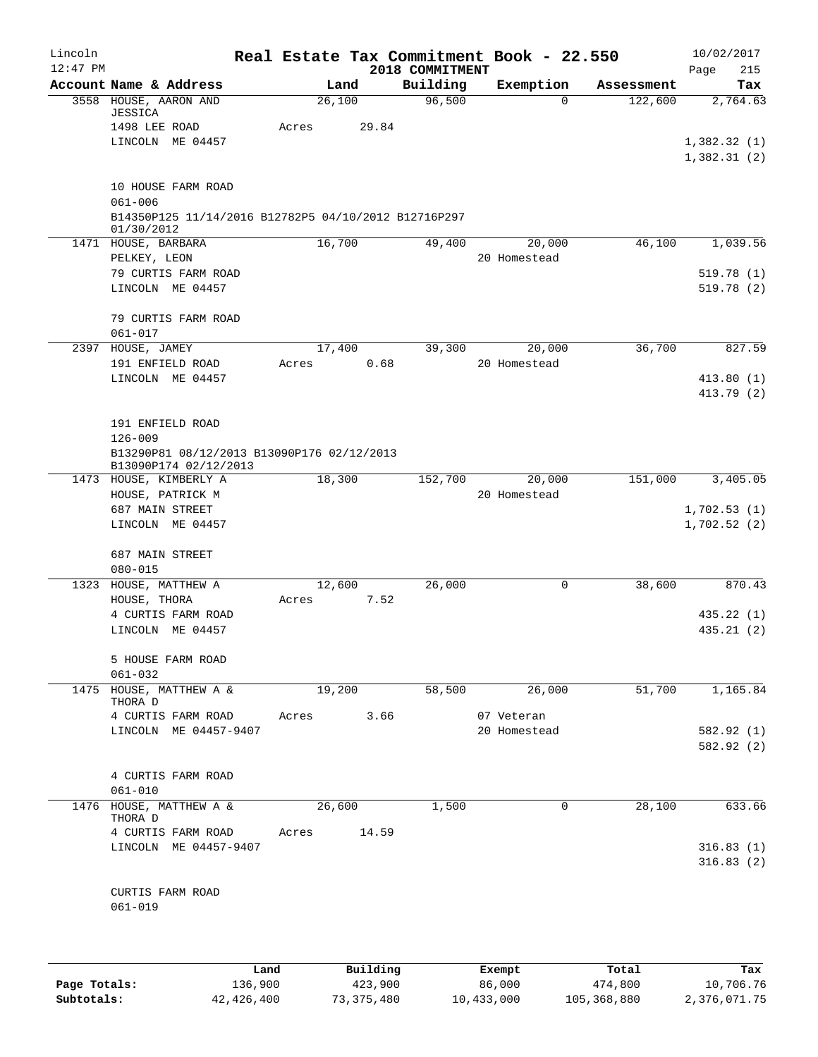| Lincoln<br>$12:47$ PM |                                                                                                         |                 |          | 2018 COMMITMENT | Real Estate Tax Commitment Book - 22.550 |            | 10/02/2017<br>Page<br>215              |
|-----------------------|---------------------------------------------------------------------------------------------------------|-----------------|----------|-----------------|------------------------------------------|------------|----------------------------------------|
|                       | Account Name & Address                                                                                  |                 | Land     | Building        | Exemption                                | Assessment | Tax                                    |
|                       | 3558 HOUSE, AARON AND<br>JESSICA<br>1498 LEE ROAD<br>LINCOLN ME 04457                                   | 26,100<br>Acres | 29.84    | 96,500          | $\Omega$                                 | 122,600    | 2,764.63<br>1,382.32(1)<br>1,382.31(2) |
|                       | 10 HOUSE FARM ROAD<br>$061 - 006$<br>B14350P125 11/14/2016 B12782P5 04/10/2012 B12716P297<br>01/30/2012 |                 |          |                 |                                          |            |                                        |
|                       | 1471 HOUSE, BARBARA                                                                                     | 16,700          |          | 49,400          | 20,000                                   | 46,100     | 1,039.56                               |
|                       | PELKEY, LEON<br>79 CURTIS FARM ROAD<br>LINCOLN ME 04457                                                 |                 |          |                 | 20 Homestead                             |            | 519.78(1)<br>519.78(2)                 |
|                       | 79 CURTIS FARM ROAD<br>$061 - 017$                                                                      |                 |          |                 |                                          |            |                                        |
| 2397                  | HOUSE, JAMEY<br>191 ENFIELD ROAD                                                                        | 17,400<br>Acres | 0.68     | 39,300          | 20,000<br>20 Homestead                   | 36,700     | 827.59                                 |
|                       | LINCOLN ME 04457                                                                                        |                 |          |                 |                                          |            | 413.80(1)<br>413.79 (2)                |
|                       | 191 ENFIELD ROAD<br>$126 - 009$<br>B13290P81 08/12/2013 B13090P176 02/12/2013                           |                 |          |                 |                                          |            |                                        |
|                       | B13090P174 02/12/2013<br>1473 HOUSE, KIMBERLY A                                                         | 18,300          |          | 152,700         | 20,000                                   | 151,000    | 3,405.05                               |
|                       | HOUSE, PATRICK M<br>687 MAIN STREET                                                                     |                 |          |                 | 20 Homestead                             |            | 1,702.53(1)                            |
|                       | LINCOLN ME 04457<br>687 MAIN STREET                                                                     |                 |          |                 |                                          |            | 1,702.52(2)                            |
|                       | $080 - 015$<br>1323 HOUSE, MATTHEW A                                                                    | 12,600          |          | 26,000          | 0                                        | 38,600     | 870.43                                 |
|                       | HOUSE, THORA                                                                                            | Acres           | 7.52     |                 |                                          |            |                                        |
|                       | 4 CURTIS FARM ROAD<br>LINCOLN ME 04457                                                                  |                 |          |                 |                                          |            | 435.22(1)<br>435.21(2)                 |
|                       | 5 HOUSE FARM ROAD<br>$061 - 032$                                                                        |                 |          |                 |                                          |            |                                        |
|                       | 1475 HOUSE, MATTHEW A &<br>THORA D                                                                      | 19,200          |          | 58,500          | 26,000                                   | 51,700     | 1,165.84                               |
|                       | 4 CURTIS FARM ROAD<br>LINCOLN ME 04457-9407                                                             | Acres           | 3.66     |                 | 07 Veteran<br>20 Homestead               |            | 582.92 (1)<br>582.92 (2)               |
|                       | 4 CURTIS FARM ROAD<br>$061 - 010$                                                                       |                 |          |                 |                                          |            |                                        |
|                       | 1476 HOUSE, MATTHEW A &<br>THORA D                                                                      | 26,600          |          | 1,500           | 0                                        | 28,100     | 633.66                                 |
|                       | 4 CURTIS FARM ROAD<br>LINCOLN ME 04457-9407                                                             | Acres           | 14.59    |                 |                                          |            | 316.83(1)<br>316.83(2)                 |
|                       | CURTIS FARM ROAD<br>$061 - 019$                                                                         |                 |          |                 |                                          |            |                                        |
|                       |                                                                                                         | Land.           | Building |                 | <b>Fromnt</b>                            | $T0+21$    | Tov                                    |

|              | Land       | Building   | Exempt     | Total       | Tax          |
|--------------|------------|------------|------------|-------------|--------------|
| Page Totals: | 136,900    | 423,900    | 86,000     | 474,800     | 10,706.76    |
| Subtotals:   | 42,426,400 | 73,375,480 | 10,433,000 | 105,368,880 | 2,376,071.75 |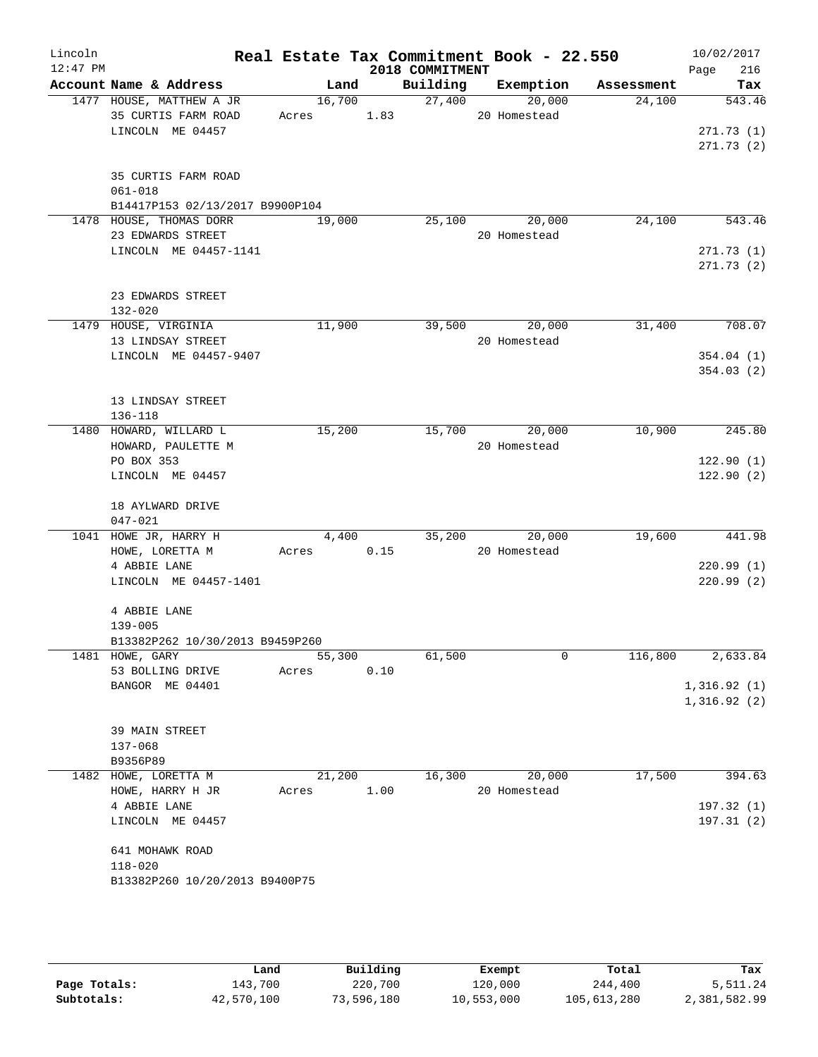| Lincoln<br>$12:47$ PM |                                                 |                      |      | 2018 COMMITMENT    | Real Estate Tax Commitment Book - 22.550 |            | 10/02/2017<br>216<br>Page  |
|-----------------------|-------------------------------------------------|----------------------|------|--------------------|------------------------------------------|------------|----------------------------|
|                       | Account Name & Address                          |                      |      |                    | Land Building Exemption                  | Assessment | Tax                        |
|                       | 1477 HOUSE, MATTHEW A JR<br>35 CURTIS FARM ROAD | 16,700<br>Acres 1.83 |      | $\frac{27,400}{ }$ | 20,000<br>20 Homestead                   | 24,100     | 543.46                     |
|                       | LINCOLN ME 04457                                |                      |      |                    |                                          |            | 271.73(1)<br>271.73(2)     |
|                       | 35 CURTIS FARM ROAD<br>$061 - 018$              |                      |      |                    |                                          |            |                            |
|                       | B14417P153 02/13/2017 B9900P104                 |                      |      |                    |                                          |            |                            |
|                       | 1478 HOUSE, THOMAS DORR<br>23 EDWARDS STREET    | 19,000               |      | 25,100             | 20,000<br>20 Homestead                   | 24,100     | 543.46                     |
|                       | LINCOLN ME 04457-1141                           |                      |      |                    |                                          |            | 271.73(1)<br>271.73(2)     |
|                       | 23 EDWARDS STREET<br>$132 - 020$                |                      |      |                    |                                          |            |                            |
|                       | 1479 HOUSE, VIRGINIA                            | 11,900               |      | 39,500             | 20,000                                   | 31,400     | 708.07                     |
|                       | 13 LINDSAY STREET                               |                      |      |                    | 20 Homestead                             |            |                            |
|                       | LINCOLN ME 04457-9407                           |                      |      |                    |                                          |            | 354.04(1)<br>354.03(2)     |
|                       | 13 LINDSAY STREET<br>$136 - 118$                |                      |      |                    |                                          |            |                            |
|                       | 1480 HOWARD, WILLARD L                          | 15,200               |      |                    | 15,700 20,000                            | 10,900     | 245.80                     |
|                       | HOWARD, PAULETTE M                              |                      |      |                    | 20 Homestead                             |            |                            |
|                       | PO BOX 353<br>LINCOLN ME 04457                  |                      |      |                    |                                          |            | 122.90(1)<br>122.90(2)     |
|                       | 18 AYLWARD DRIVE<br>$047 - 021$                 |                      |      |                    |                                          |            |                            |
|                       | 1041 HOWE JR, HARRY H                           | 4,400                |      | 35,200             | 20,000                                   | 19,600     | 441.98                     |
|                       | HOWE, LORETTA M                                 | Acres                | 0.15 |                    | 20 Homestead                             |            |                            |
|                       | 4 ABBIE LANE<br>LINCOLN ME 04457-1401           |                      |      |                    |                                          |            | 220.99(1)<br>220.99(2)     |
|                       | 4 ABBIE LANE<br>$139 - 005$                     |                      |      |                    |                                          |            |                            |
|                       | B13382P262 10/30/2013 B9459P260                 |                      |      |                    |                                          |            |                            |
|                       | 1481 HOWE, GARY                                 | 55,300               |      | 61,500             | $\mathbf 0$                              | 116,800    | 2,633.84                   |
|                       | 53 BOLLING DRIVE                                | Acres                | 0.10 |                    |                                          |            |                            |
|                       | BANGOR ME 04401                                 |                      |      |                    |                                          |            | 1,316.92(1)<br>1,316.92(2) |
|                       | 39 MAIN STREET                                  |                      |      |                    |                                          |            |                            |
|                       | $137 - 068$                                     |                      |      |                    |                                          |            |                            |
|                       | B9356P89<br>1482 HOWE, LORETTA M                |                      |      |                    |                                          |            |                            |
|                       | HOWE, HARRY H JR                                | 21,200<br>Acres      | 1.00 | 16,300             | 20,000<br>20 Homestead                   | 17,500     | 394.63<br>197.32 (1)       |
|                       | 4 ABBIE LANE<br>LINCOLN ME 04457                |                      |      |                    |                                          |            | 197.31(2)                  |
|                       | 641 MOHAWK ROAD<br>$118 - 020$                  |                      |      |                    |                                          |            |                            |
|                       | B13382P260 10/20/2013 B9400P75                  |                      |      |                    |                                          |            |                            |

|              | Land       | Building   | Exempt     | Total       | Tax          |
|--------------|------------|------------|------------|-------------|--------------|
| Page Totals: | 143,700    | 220,700    | 120,000    | 244,400     | 5,511.24     |
| Subtotals:   | 42,570,100 | 73,596,180 | 10,553,000 | 105,613,280 | 2,381,582.99 |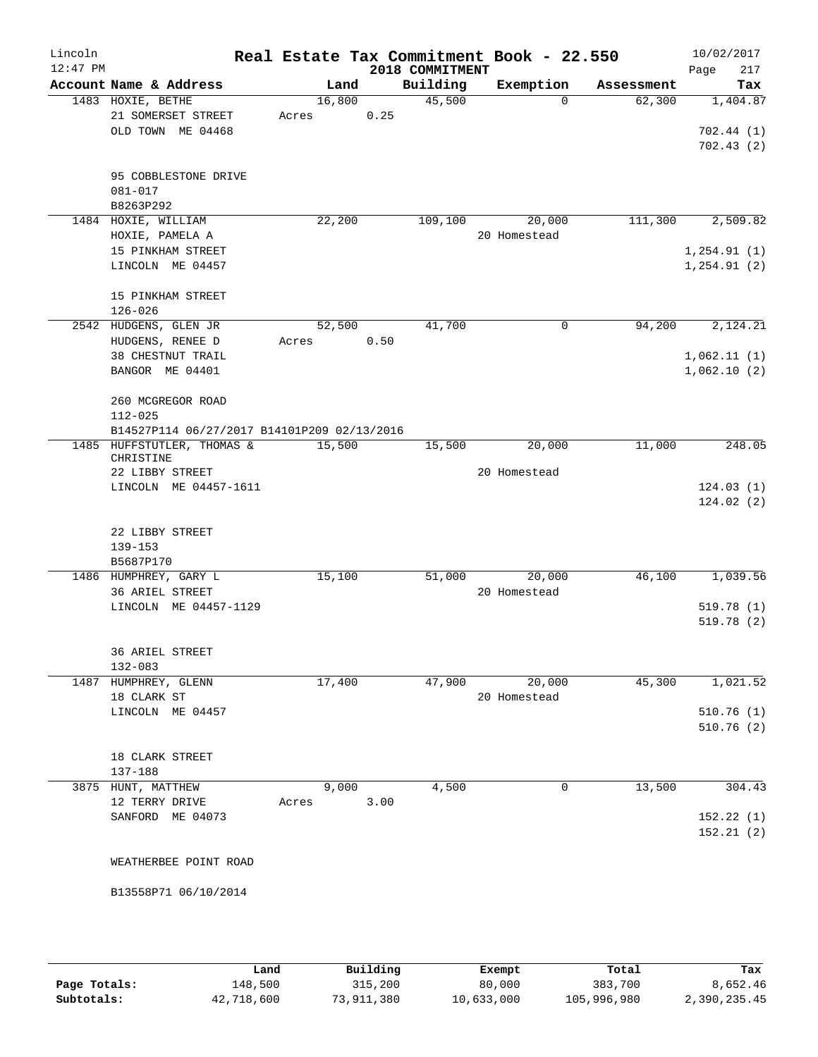| Lincoln<br>$12:47$ PM |                                             |                 |      | 2018 COMMITMENT | Real Estate Tax Commitment Book - 22.550 |                    | 10/02/2017<br>217<br>Page |
|-----------------------|---------------------------------------------|-----------------|------|-----------------|------------------------------------------|--------------------|---------------------------|
|                       | Account Name & Address                      | Land            |      | Building        | Exemption                                | Assessment         | Tax                       |
|                       | 1483 HOXIE, BETHE<br>21 SOMERSET STREET     | 16,800<br>Acres | 0.25 | 45,500          |                                          | $\Omega$<br>62,300 | 1,404.87                  |
|                       | OLD TOWN ME 04468                           |                 |      |                 |                                          |                    | 702.44 (1)<br>702.43(2)   |
|                       | 95 COBBLESTONE DRIVE<br>081-017             |                 |      |                 |                                          |                    |                           |
|                       | B8263P292                                   |                 |      |                 |                                          |                    |                           |
|                       | 1484 HOXIE, WILLIAM                         | 22,200          |      | 109,100         | 20,000                                   | 111,300            | 2,509.82                  |
|                       | HOXIE, PAMELA A                             |                 |      |                 | 20 Homestead                             |                    |                           |
|                       | 15 PINKHAM STREET                           |                 |      |                 |                                          |                    | 1,254.91(1)               |
|                       | LINCOLN ME 04457                            |                 |      |                 |                                          |                    | 1, 254.91(2)              |
|                       | 15 PINKHAM STREET                           |                 |      |                 |                                          |                    |                           |
|                       | $126 - 026$                                 |                 |      |                 |                                          |                    |                           |
|                       | 2542 HUDGENS, GLEN JR                       | 52,500          |      | 41,700          |                                          | 0<br>94,200        | 2,124.21                  |
|                       | HUDGENS, RENEE D                            | Acres           | 0.50 |                 |                                          |                    |                           |
|                       | 38 CHESTNUT TRAIL                           |                 |      |                 |                                          |                    | 1,062.11(1)               |
|                       | BANGOR ME 04401                             |                 |      |                 |                                          |                    | 1,062.10(2)               |
|                       | 260 MCGREGOR ROAD                           |                 |      |                 |                                          |                    |                           |
|                       | $112 - 025$                                 |                 |      |                 |                                          |                    |                           |
|                       | B14527P114 06/27/2017 B14101P209 02/13/2016 |                 |      |                 |                                          |                    |                           |
|                       | 1485 HUFFSTUTLER, THOMAS &<br>CHRISTINE     | 15,500          |      | 15,500          | 20,000                                   | 11,000             | 248.05                    |
|                       | 22 LIBBY STREET                             |                 |      |                 | 20 Homestead                             |                    |                           |
|                       | LINCOLN ME 04457-1611                       |                 |      |                 |                                          |                    | 124.03(1)<br>124.02(2)    |
|                       |                                             |                 |      |                 |                                          |                    |                           |
|                       | 22 LIBBY STREET                             |                 |      |                 |                                          |                    |                           |
|                       | 139-153                                     |                 |      |                 |                                          |                    |                           |
|                       | B5687P170                                   |                 |      |                 |                                          |                    |                           |
|                       | 1486 HUMPHREY, GARY L                       | 15,100          |      | 51,000          | 20,000                                   | 46,100             | 1,039.56                  |
|                       | 36 ARIEL STREET                             |                 |      |                 | 20 Homestead                             |                    |                           |
|                       | LINCOLN ME 04457-1129                       |                 |      |                 |                                          |                    | 519.78(1)                 |
|                       |                                             |                 |      |                 |                                          |                    | 519.78 (2)                |
|                       | 36 ARIEL STREET                             |                 |      |                 |                                          |                    |                           |
|                       | 132-083                                     |                 |      |                 |                                          |                    |                           |
|                       | 1487 HUMPHREY, GLENN                        | 17,400          |      | 47,900          | 20,000                                   | 45,300             | 1,021.52                  |
|                       | 18 CLARK ST                                 |                 |      |                 | 20 Homestead                             |                    |                           |
|                       | LINCOLN ME 04457                            |                 |      |                 |                                          |                    | 510.76(1)                 |
|                       |                                             |                 |      |                 |                                          |                    | 510.76(2)                 |
|                       | 18 CLARK STREET                             |                 |      |                 |                                          |                    |                           |
|                       | 137-188                                     |                 |      |                 |                                          |                    |                           |
|                       | 3875 HUNT, MATTHEW                          | 9,000           |      | 4,500           |                                          | 13,500<br>0        | 304.43                    |
|                       | 12 TERRY DRIVE                              | Acres           | 3.00 |                 |                                          |                    |                           |
|                       | SANFORD ME 04073                            |                 |      |                 |                                          |                    | 152.22(1)                 |
|                       |                                             |                 |      |                 |                                          |                    | 152.21(2)                 |
|                       | WEATHERBEE POINT ROAD                       |                 |      |                 |                                          |                    |                           |
|                       | B13558P71 06/10/2014                        |                 |      |                 |                                          |                    |                           |
|                       |                                             |                 |      |                 |                                          |                    |                           |
|                       |                                             |                 |      |                 |                                          |                    |                           |

|              | Land       | Building   | Exempt     | Total       | Tax          |
|--------------|------------|------------|------------|-------------|--------------|
| Page Totals: | 148,500    | 315,200    | 80,000     | 383,700     | 8,652.46     |
| Subtotals:   | 42,718,600 | 73,911,380 | 10,633,000 | 105,996,980 | 2,390,235.45 |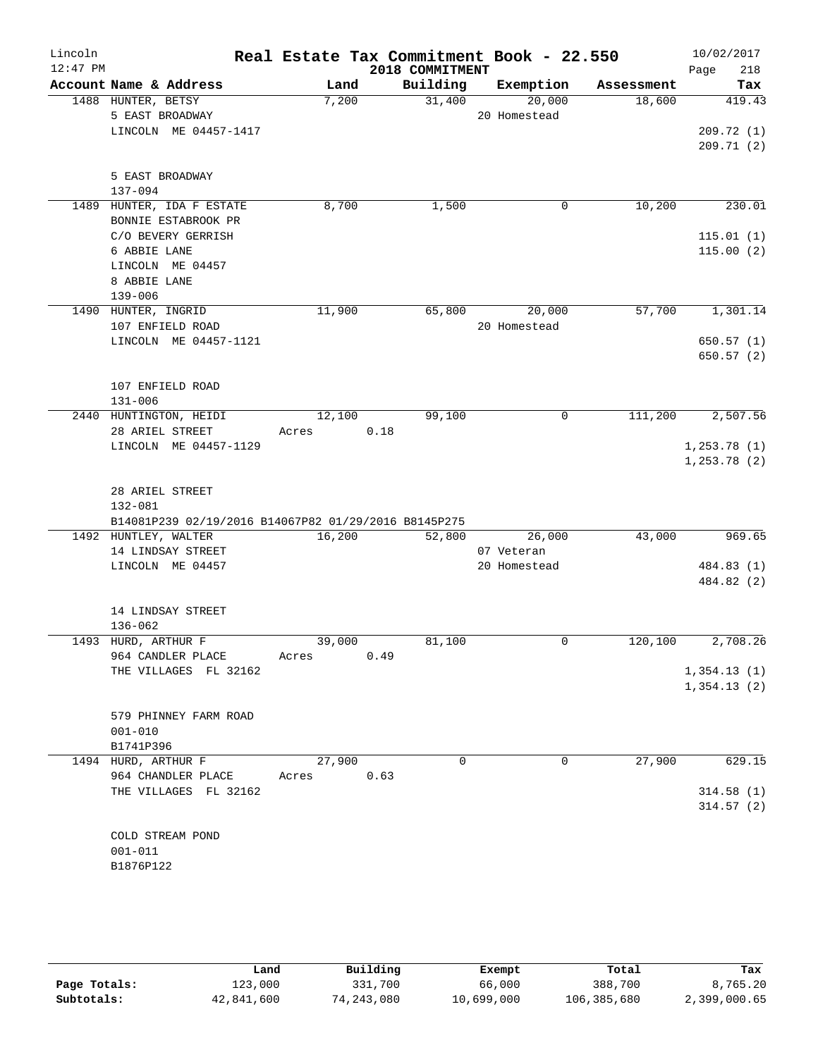| Lincoln<br>$12:47$ PM |                                                      |            | 2018 COMMITMENT |          | Real Estate Tax Commitment Book - 22.550 |            | 10/02/2017<br>218<br>Page |
|-----------------------|------------------------------------------------------|------------|-----------------|----------|------------------------------------------|------------|---------------------------|
|                       | Account Name & Address                               | Land       | Building        |          | Exemption                                | Assessment | Tax                       |
|                       | 1488 HUNTER, BETSY                                   | 7,200      |                 | 31,400   | 20,000                                   | 18,600     | 419.43                    |
|                       | 5 EAST BROADWAY                                      |            |                 |          | 20 Homestead                             |            |                           |
|                       | LINCOLN ME 04457-1417                                |            |                 |          |                                          |            | 209.72(1)                 |
|                       |                                                      |            |                 |          |                                          |            | 209.71(2)                 |
|                       |                                                      |            |                 |          |                                          |            |                           |
|                       | 5 EAST BROADWAY<br>$137 - 094$                       |            |                 |          |                                          |            |                           |
|                       | 1489 HUNTER, IDA F ESTATE                            | 8,700      |                 | 1,500    | 0                                        | 10,200     | 230.01                    |
|                       | BONNIE ESTABROOK PR                                  |            |                 |          |                                          |            |                           |
|                       | C/O BEVERY GERRISH                                   |            |                 |          |                                          |            | 115.01(1)                 |
|                       | 6 ABBIE LANE                                         |            |                 |          |                                          |            | 115.00(2)                 |
|                       | LINCOLN ME 04457                                     |            |                 |          |                                          |            |                           |
|                       | 8 ABBIE LANE                                         |            |                 |          |                                          |            |                           |
|                       | $139 - 006$                                          |            |                 |          |                                          |            |                           |
|                       | 1490 HUNTER, INGRID                                  | 11,900     |                 | 65,800   | 20,000                                   | 57,700     | 1,301.14                  |
|                       | 107 ENFIELD ROAD                                     |            |                 |          | 20 Homestead                             |            |                           |
|                       | LINCOLN ME 04457-1121                                |            |                 |          |                                          |            | 650.57(1)                 |
|                       |                                                      |            |                 |          |                                          |            | 650.57(2)                 |
|                       |                                                      |            |                 |          |                                          |            |                           |
|                       | 107 ENFIELD ROAD                                     |            |                 |          |                                          |            |                           |
|                       | $131 - 006$                                          |            |                 |          |                                          |            |                           |
|                       | 2440 HUNTINGTON, HEIDI                               | 12,100     |                 | 99,100   | 0                                        | 111,200    | 2,507.56                  |
|                       | 28 ARIEL STREET                                      | Acres      | 0.18            |          |                                          |            |                           |
|                       | LINCOLN ME 04457-1129                                |            |                 |          |                                          |            | 1, 253.78(1)              |
|                       |                                                      |            |                 |          |                                          |            | 1, 253.78 (2)             |
|                       |                                                      |            |                 |          |                                          |            |                           |
|                       | 28 ARIEL STREET                                      |            |                 |          |                                          |            |                           |
|                       | 132-081                                              |            |                 |          |                                          |            |                           |
|                       | B14081P239 02/19/2016 B14067P82 01/29/2016 B8145P275 | 16,200     |                 | 52,800   | 26,000                                   | 43,000     | 969.65                    |
|                       | 1492 HUNTLEY, WALTER<br>14 LINDSAY STREET            |            |                 |          | 07 Veteran                               |            |                           |
|                       | LINCOLN ME 04457                                     |            |                 |          | 20 Homestead                             |            | 484.83 (1)                |
|                       |                                                      |            |                 |          |                                          |            | 484.82 (2)                |
|                       |                                                      |            |                 |          |                                          |            |                           |
|                       | 14 LINDSAY STREET                                    |            |                 |          |                                          |            |                           |
|                       | $136 - 062$                                          |            |                 |          |                                          |            |                           |
| 1493                  | HURD, ARTHUR F                                       | 39,000     |                 | 81,100   | 0                                        | 120,100    | 2,708.26                  |
|                       | 964 CANDLER PLACE                                    | Acres      | 0.49            |          |                                          |            |                           |
|                       | THE VILLAGES FL 32162                                |            |                 |          |                                          |            | 1,354.13(1)               |
|                       |                                                      |            |                 |          |                                          |            | 1,354.13(2)               |
|                       |                                                      |            |                 |          |                                          |            |                           |
|                       | 579 PHINNEY FARM ROAD                                |            |                 |          |                                          |            |                           |
|                       | $001 - 010$                                          |            |                 |          |                                          |            |                           |
|                       | B1741P396                                            |            |                 |          |                                          |            |                           |
|                       | 1494 HURD, ARTHUR F                                  | 27,900     |                 | $\Omega$ | 0                                        | 27,900     | 629.15                    |
|                       | 964 CHANDLER PLACE                                   | Acres 0.63 |                 |          |                                          |            |                           |
|                       | THE VILLAGES FL 32162                                |            |                 |          |                                          |            | 314.58(1)                 |
|                       |                                                      |            |                 |          |                                          |            | 314.57(2)                 |
|                       |                                                      |            |                 |          |                                          |            |                           |
|                       | COLD STREAM POND                                     |            |                 |          |                                          |            |                           |
|                       | $001 - 011$<br>B1876P122                             |            |                 |          |                                          |            |                           |
|                       |                                                      |            |                 |          |                                          |            |                           |

|              | Land       | Building   | Exempt     | Total       | Tax          |
|--------------|------------|------------|------------|-------------|--------------|
| Page Totals: | 123,000    | 331,700    | 66,000     | 388,700     | 8,765.20     |
| Subtotals:   | 42,841,600 | 74,243,080 | 10,699,000 | 106,385,680 | 2,399,000.65 |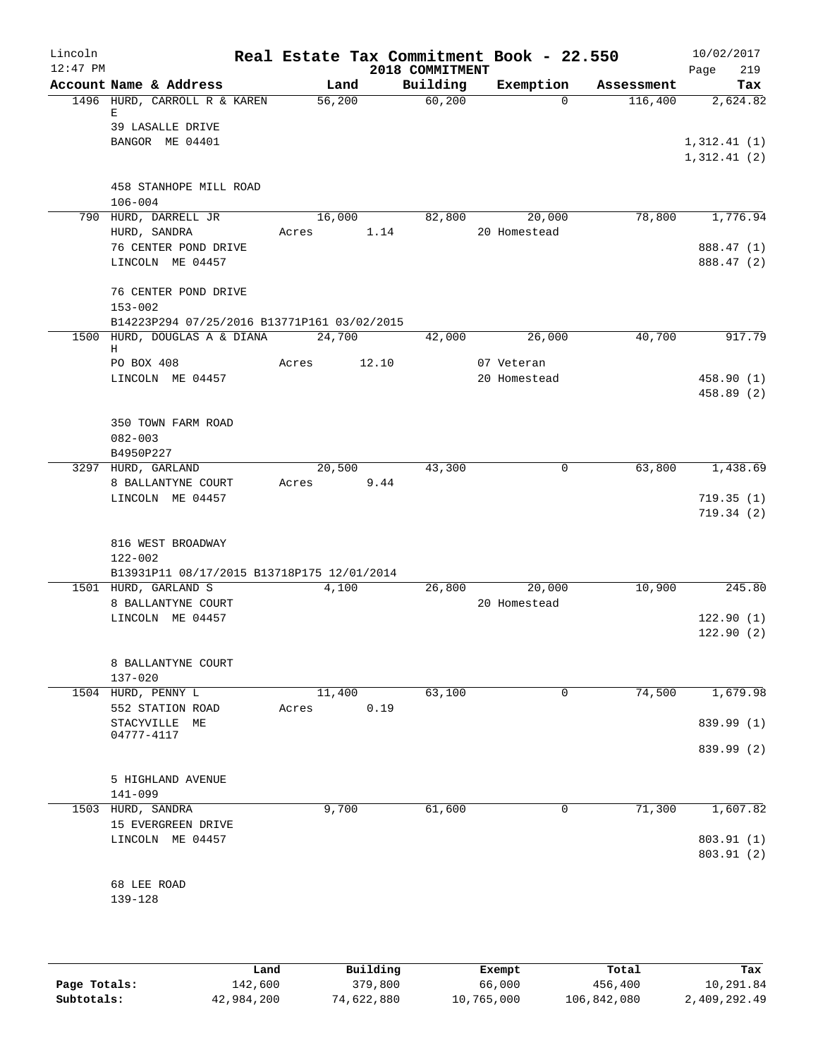| Lincoln<br>$12:47$ PM |                                                |                 | 2018 COMMITMENT | Real Estate Tax Commitment Book - 22.550 |            | 10/02/2017<br>219<br>Page  |
|-----------------------|------------------------------------------------|-----------------|-----------------|------------------------------------------|------------|----------------------------|
|                       | Account Name & Address                         | Land            | Building        | Exemption                                | Assessment | Tax                        |
|                       | 1496 HURD, CARROLL R & KAREN<br>Е              | 56,200          | 60,200          | $\Omega$                                 | 116,400    | 2,624.82                   |
|                       | 39 LASALLE DRIVE<br>BANGOR ME 04401            |                 |                 |                                          |            | 1,312.41(1)<br>1,312.41(2) |
|                       | 458 STANHOPE MILL ROAD<br>$106 - 004$          |                 |                 |                                          |            |                            |
|                       | 790 HURD, DARRELL JR<br>HURD, SANDRA           | 16,000<br>Acres | 82,800<br>1.14  | 20,000<br>20 Homestead                   | 78,800     | 1,776.94                   |
|                       | 76 CENTER POND DRIVE<br>LINCOLN ME 04457       |                 |                 |                                          |            | 888.47 (1)<br>888.47 (2)   |
|                       | 76 CENTER POND DRIVE<br>$153 - 002$            |                 |                 |                                          |            |                            |
|                       | B14223P294 07/25/2016 B13771P161 03/02/2015    |                 |                 |                                          |            |                            |
|                       | 1500 HURD, DOUGLAS A & DIANA<br>Н              | 24,700          | 42,000          | 26,000                                   | 40,700     | 917.79                     |
|                       | PO BOX 408<br>LINCOLN ME 04457                 | Acres           | 12.10           | 07 Veteran<br>20 Homestead               |            | 458.90 (1)<br>458.89 (2)   |
|                       | 350 TOWN FARM ROAD<br>$082 - 003$<br>B4950P227 |                 |                 |                                          |            |                            |
|                       | 3297 HURD, GARLAND                             | 20,500          | 43,300          | $\mathbf 0$                              | 63,800     | 1,438.69                   |
|                       | 8 BALLANTYNE COURT<br>LINCOLN ME 04457         | Acres           | 9.44            |                                          |            | 719.35(1)                  |
|                       |                                                |                 |                 |                                          |            | 719.34(2)                  |
|                       | 816 WEST BROADWAY<br>122-002                   |                 |                 |                                          |            |                            |
|                       | B13931P11 08/17/2015 B13718P175 12/01/2014     |                 |                 |                                          |            | 245.80                     |
|                       | 1501 HURD, GARLAND S<br>8 BALLANTYNE COURT     | 4,100           | 26,800          | 20,000<br>20 Homestead                   | 10,900     |                            |
|                       | LINCOLN ME 04457                               |                 |                 |                                          |            | 122.90(1)<br>122.90(2)     |
|                       | 8 BALLANTYNE COURT<br>$137 - 020$              |                 |                 |                                          |            |                            |
|                       | 1504 HURD, PENNY L<br>552 STATION ROAD         | 11,400<br>Acres | 63,100<br>0.19  | 0                                        | 74,500     | 1,679.98                   |
|                       | STACYVILLE ME<br>04777-4117                    |                 |                 |                                          |            | 839.99 (1)                 |
|                       |                                                |                 |                 |                                          |            | 839.99 (2)                 |
|                       | 5 HIGHLAND AVENUE<br>141-099                   |                 |                 |                                          |            |                            |
|                       | 1503 HURD, SANDRA<br>15 EVERGREEN DRIVE        | 9,700           | 61,600          | 0                                        | 71,300     | 1,607.82                   |
|                       | LINCOLN ME 04457                               |                 |                 |                                          |            | 803.91 (1)<br>803.91 (2)   |
|                       | 68 LEE ROAD<br>139-128                         |                 |                 |                                          |            |                            |
|                       |                                                |                 |                 |                                          |            |                            |

|              | Land       | Building   | Exempt     | Total       | Tax          |
|--------------|------------|------------|------------|-------------|--------------|
| Page Totals: | 142,600    | 379,800    | 66,000     | 456,400     | 10,291.84    |
| Subtotals:   | 42,984,200 | 74,622,880 | 10,765,000 | 106,842,080 | 2,409,292.49 |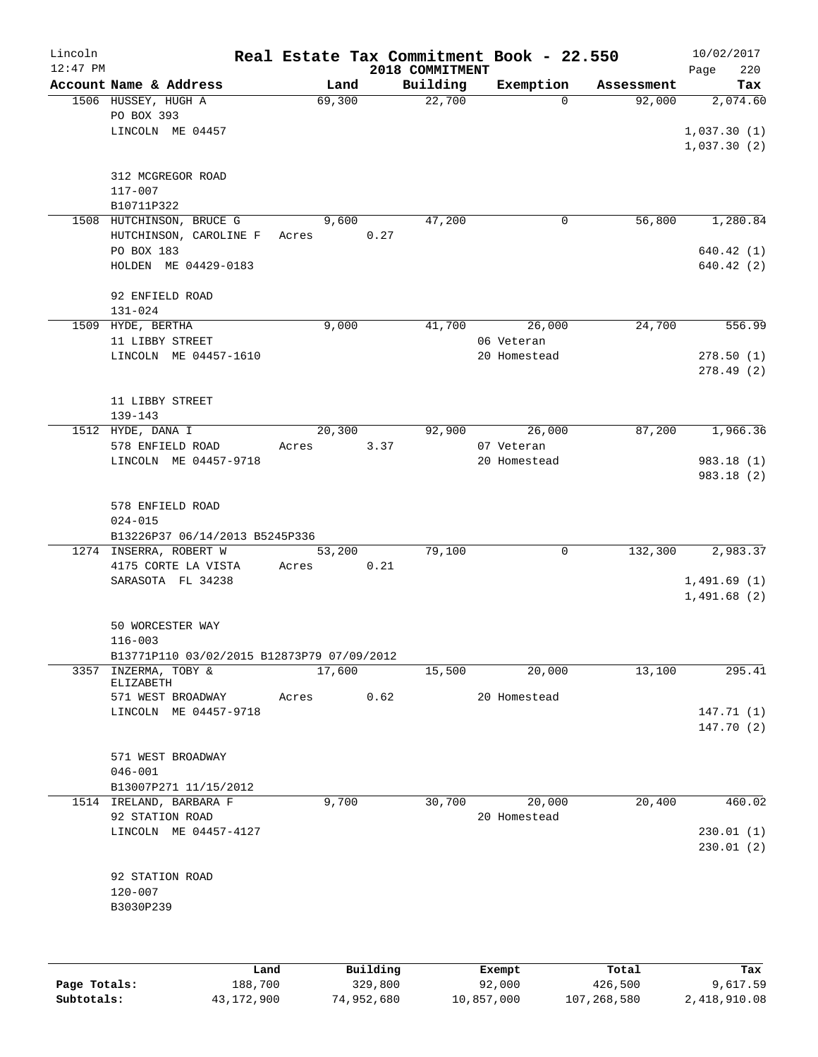| Lincoln    |                                                    |        |          |                             | Real Estate Tax Commitment Book - 22.550 |            | 10/02/2017         |
|------------|----------------------------------------------------|--------|----------|-----------------------------|------------------------------------------|------------|--------------------|
| $12:47$ PM | Account Name & Address                             | Land   |          | 2018 COMMITMENT<br>Building | Exemption                                | Assessment | Page<br>220<br>Tax |
|            | 1506 HUSSEY, HUGH A                                | 69,300 |          | 22,700                      | $\Omega$                                 | 92,000     | 2,074.60           |
|            | PO BOX 393                                         |        |          |                             |                                          |            |                    |
|            | LINCOLN ME 04457                                   |        |          |                             |                                          |            | 1,037.30(1)        |
|            |                                                    |        |          |                             |                                          |            | 1,037.30(2)        |
|            |                                                    |        |          |                             |                                          |            |                    |
|            | 312 MCGREGOR ROAD                                  |        |          |                             |                                          |            |                    |
|            | 117-007                                            |        |          |                             |                                          |            |                    |
|            | B10711P322                                         | 9,600  |          | 47,200                      | 0                                        | 56,800     | 1,280.84           |
|            | 1508 HUTCHINSON, BRUCE G<br>HUTCHINSON, CAROLINE F | Acres  | 0.27     |                             |                                          |            |                    |
|            | PO BOX 183                                         |        |          |                             |                                          |            | 640.42(1)          |
|            | HOLDEN ME 04429-0183                               |        |          |                             |                                          |            | 640.42(2)          |
|            |                                                    |        |          |                             |                                          |            |                    |
|            | 92 ENFIELD ROAD                                    |        |          |                             |                                          |            |                    |
|            | $131 - 024$                                        |        |          |                             |                                          |            |                    |
|            | 1509 HYDE, BERTHA                                  | 9,000  |          | 41,700                      | 26,000                                   | 24,700     | 556.99             |
|            | 11 LIBBY STREET                                    |        |          |                             | 06 Veteran                               |            |                    |
|            | LINCOLN ME 04457-1610                              |        |          |                             | 20 Homestead                             |            | 278.50(1)          |
|            |                                                    |        |          |                             |                                          |            | 278.49(2)          |
|            |                                                    |        |          |                             |                                          |            |                    |
|            | 11 LIBBY STREET<br>$139 - 143$                     |        |          |                             |                                          |            |                    |
|            | 1512 HYDE, DANA I                                  | 20,300 |          | 92,900                      | 26,000                                   | 87,200     | 1,966.36           |
|            | 578 ENFIELD ROAD                                   | Acres  | 3.37     |                             | 07 Veteran                               |            |                    |
|            | LINCOLN ME 04457-9718                              |        |          |                             | 20 Homestead                             |            | 983.18 (1)         |
|            |                                                    |        |          |                             |                                          |            | 983.18 (2)         |
|            |                                                    |        |          |                             |                                          |            |                    |
|            | 578 ENFIELD ROAD                                   |        |          |                             |                                          |            |                    |
|            | $024 - 015$                                        |        |          |                             |                                          |            |                    |
|            | B13226P37 06/14/2013 B5245P336                     |        |          |                             |                                          |            |                    |
|            | 1274 INSERRA, ROBERT W                             | 53,200 |          | 79,100                      | $\mathbf 0$                              | 132,300    | 2,983.37           |
|            | 4175 CORTE LA VISTA<br>SARASOTA FL 34238           | Acres  | 0.21     |                             |                                          |            | 1,491.69(1)        |
|            |                                                    |        |          |                             |                                          |            | 1,491.68(2)        |
|            |                                                    |        |          |                             |                                          |            |                    |
|            | 50 WORCESTER WAY                                   |        |          |                             |                                          |            |                    |
|            | $116 - 003$                                        |        |          |                             |                                          |            |                    |
|            | B13771P110 03/02/2015 B12873P79 07/09/2012         |        |          |                             |                                          |            |                    |
| 3357       | INZERMA, TOBY &                                    | 17,600 |          | 15,500                      | 20,000                                   | 13,100     | 295.41             |
|            | ELIZABETH<br>571 WEST BROADWAY                     | Acres  | 0.62     |                             | 20 Homestead                             |            |                    |
|            | LINCOLN ME 04457-9718                              |        |          |                             |                                          |            | 147.71(1)          |
|            |                                                    |        |          |                             |                                          |            | 147.70(2)          |
|            |                                                    |        |          |                             |                                          |            |                    |
|            | 571 WEST BROADWAY                                  |        |          |                             |                                          |            |                    |
|            | $046 - 001$                                        |        |          |                             |                                          |            |                    |
|            | B13007P271 11/15/2012                              |        |          |                             |                                          |            |                    |
|            | 1514 IRELAND, BARBARA F                            | 9,700  |          | 30,700                      | 20,000                                   | 20,400     | 460.02             |
|            | 92 STATION ROAD                                    |        |          |                             | 20 Homestead                             |            |                    |
|            | LINCOLN ME 04457-4127                              |        |          |                             |                                          |            | 230.01(1)          |
|            |                                                    |        |          |                             |                                          |            | 230.01(2)          |
|            | 92 STATION ROAD                                    |        |          |                             |                                          |            |                    |
|            | $120 - 007$                                        |        |          |                             |                                          |            |                    |
|            | B3030P239                                          |        |          |                             |                                          |            |                    |
|            |                                                    |        |          |                             |                                          |            |                    |
|            |                                                    |        |          |                             |                                          |            |                    |
|            |                                                    |        |          |                             |                                          |            |                    |
|            | Land                                               |        | Building |                             | Exempt                                   | Total      | Tax                |

| Page Totals: | 188,700      | 329,800    | 92,000     | 426,500     | 9,617.59     |
|--------------|--------------|------------|------------|-------------|--------------|
| Subtotals:   | 43, 172, 900 | 74,952,680 | 10,857,000 | 107,268,580 | 2,418,910.08 |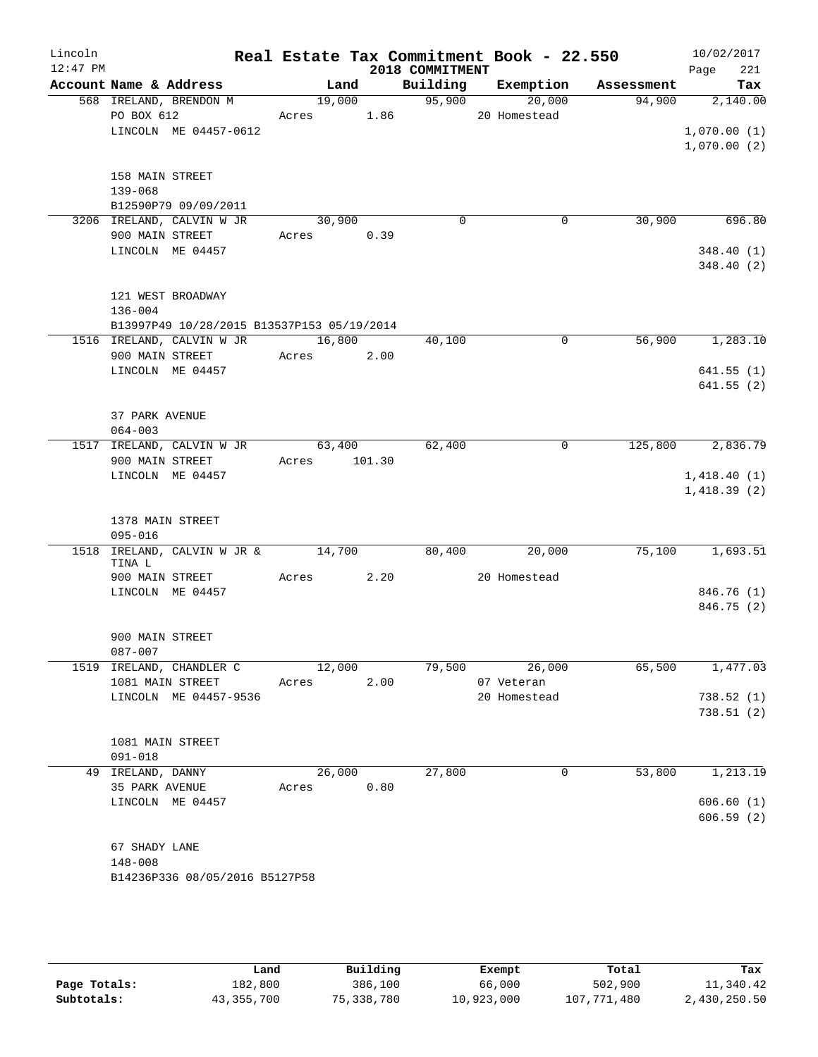| Lincoln<br>$12:47$ PM |                                            |              |      | 2018 COMMITMENT    | Real Estate Tax Commitment Book - 22.550 |         | 10/02/2017<br>221<br>Page |
|-----------------------|--------------------------------------------|--------------|------|--------------------|------------------------------------------|---------|---------------------------|
|                       | Account Name & Address                     | Land         |      |                    | Building Exemption Assessment            |         | Tax                       |
|                       | 568 IRELAND, BRENDON M                     | 19,000       |      | $\frac{95,900}{ }$ | 20,000                                   | 94,900  | 2,140.00                  |
|                       | PO BOX 612                                 | Acres 1.86   |      |                    | 20 Homestead                             |         |                           |
|                       | LINCOLN ME 04457-0612                      |              |      |                    |                                          |         | 1,070.00(1)               |
|                       |                                            |              |      |                    |                                          |         | 1,070.00(2)               |
|                       |                                            |              |      |                    |                                          |         |                           |
|                       | 158 MAIN STREET                            |              |      |                    |                                          |         |                           |
|                       | 139-068<br>B12590P79 09/09/2011            |              |      |                    |                                          |         |                           |
|                       | 3206 IRELAND, CALVIN W JR                  | 30,900       |      | $\mathbf 0$        | $\mathbf 0$                              | 30,900  | 696.80                    |
|                       | 900 MAIN STREET                            | Acres 0.39   |      |                    |                                          |         |                           |
|                       | LINCOLN ME 04457                           |              |      |                    |                                          |         | 348.40(1)                 |
|                       |                                            |              |      |                    |                                          |         | 348.40(2)                 |
|                       |                                            |              |      |                    |                                          |         |                           |
|                       | 121 WEST BROADWAY                          |              |      |                    |                                          |         |                           |
|                       | $136 - 004$                                |              |      |                    |                                          |         |                           |
|                       | B13997P49 10/28/2015 B13537P153 05/19/2014 |              |      |                    |                                          |         |                           |
|                       | 1516 IRELAND, CALVIN W JR                  | 16,800       |      | 40,100             | 0                                        | 56,900  | 1,283.10                  |
|                       | 900 MAIN STREET                            | Acres 2.00   |      |                    |                                          |         |                           |
|                       | LINCOLN ME 04457                           |              |      |                    |                                          |         | 641.55(1)                 |
|                       |                                            |              |      |                    |                                          |         | 641.55(2)                 |
|                       |                                            |              |      |                    |                                          |         |                           |
|                       | 37 PARK AVENUE                             |              |      |                    |                                          |         |                           |
|                       | $064 - 003$                                |              |      |                    |                                          |         |                           |
|                       | 1517 IRELAND, CALVIN W JR                  | 63,400       |      | 62,400             | $\mathbf 0$                              | 125,800 | 2,836.79                  |
|                       | 900 MAIN STREET                            | Acres 101.30 |      |                    |                                          |         |                           |
|                       | LINCOLN ME 04457                           |              |      |                    |                                          |         | 1,418.40(1)               |
|                       |                                            |              |      |                    |                                          |         | 1,418.39(2)               |
|                       |                                            |              |      |                    |                                          |         |                           |
|                       | 1378 MAIN STREET<br>095-016                |              |      |                    |                                          |         |                           |
|                       | 1518 IRELAND, CALVIN W JR & 14,700         |              |      | 80,400             | 20,000                                   | 75,100  | 1,693.51                  |
|                       | TINA L                                     |              |      |                    |                                          |         |                           |
|                       | 900 MAIN STREET                            | Acres 2.20   |      |                    | 20 Homestead                             |         |                           |
|                       | LINCOLN ME 04457                           |              |      |                    |                                          |         | 846.76 (1)                |
|                       |                                            |              |      |                    |                                          |         | 846.75 (2)                |
|                       |                                            |              |      |                    |                                          |         |                           |
|                       | 900 MAIN STREET                            |              |      |                    |                                          |         |                           |
|                       | $087 - 007$                                |              |      |                    |                                          |         |                           |
|                       | 1519 IRELAND, CHANDLER C                   | 12,000       |      | 79,500             | 26,000                                   | 65,500  | 1,477.03                  |
|                       | 1081 MAIN STREET                           | Acres        | 2.00 |                    | 07 Veteran                               |         |                           |
|                       | LINCOLN ME 04457-9536                      |              |      |                    | 20 Homestead                             |         | 738.52(1)                 |
|                       |                                            |              |      |                    |                                          |         | 738.51(2)                 |
|                       |                                            |              |      |                    |                                          |         |                           |
|                       | 1081 MAIN STREET<br>$091 - 018$            |              |      |                    |                                          |         |                           |
|                       | 49 IRELAND, DANNY                          | 26,000       |      | 27,800             | 0                                        | 53,800  | 1,213.19                  |
|                       | 35 PARK AVENUE                             | Acres        | 0.80 |                    |                                          |         |                           |
|                       | LINCOLN ME 04457                           |              |      |                    |                                          |         | 606.60(1)                 |
|                       |                                            |              |      |                    |                                          |         | 606.59(2)                 |
|                       |                                            |              |      |                    |                                          |         |                           |
|                       | 67 SHADY LANE                              |              |      |                    |                                          |         |                           |
|                       | 148-008                                    |              |      |                    |                                          |         |                           |
|                       | B14236P336 08/05/2016 B5127P58             |              |      |                    |                                          |         |                           |
|                       |                                            |              |      |                    |                                          |         |                           |

|              | Land         | Building   | Exempt     | Total       | Tax          |
|--------------|--------------|------------|------------|-------------|--------------|
| Page Totals: | 182,800      | 386,100    | 66,000     | 502,900     | 11,340.42    |
| Subtotals:   | 43, 355, 700 | 75,338,780 | 10,923,000 | 107,771,480 | 2,430,250.50 |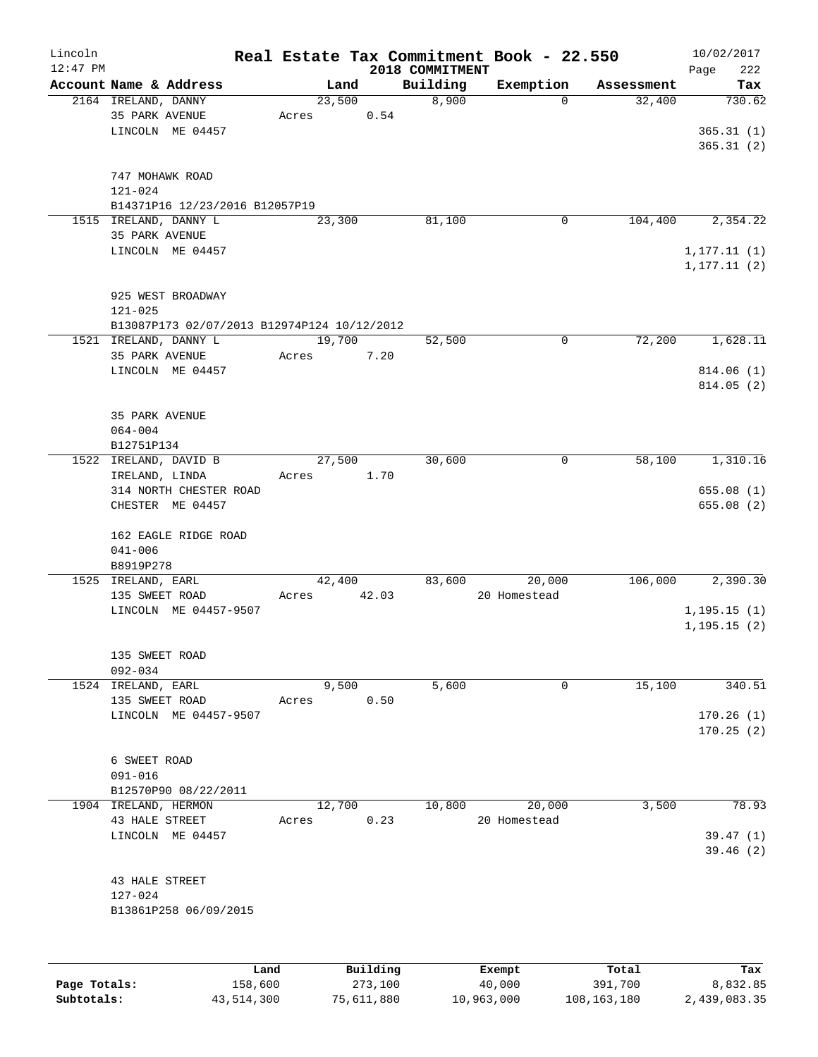| Lincoln<br>$12:47$ PM |                                             |      |       |        |          | 2018 COMMITMENT | Real Estate Tax Commitment Book - 22.550 |            | 10/02/2017<br>Page<br>222 |
|-----------------------|---------------------------------------------|------|-------|--------|----------|-----------------|------------------------------------------|------------|---------------------------|
|                       | Account Name & Address                      |      |       | Land   |          | Building        | Exemption                                | Assessment | Tax                       |
|                       | 2164 IRELAND, DANNY                         |      |       | 23,500 |          | 8,900           | $\Omega$                                 | 32,400     | 730.62                    |
|                       | 35 PARK AVENUE                              |      | Acres |        | 0.54     |                 |                                          |            |                           |
|                       | LINCOLN ME 04457                            |      |       |        |          |                 |                                          |            | 365.31(1)                 |
|                       |                                             |      |       |        |          |                 |                                          |            | 365.31(2)                 |
|                       |                                             |      |       |        |          |                 |                                          |            |                           |
|                       | 747 MOHAWK ROAD                             |      |       |        |          |                 |                                          |            |                           |
|                       | $121 - 024$                                 |      |       |        |          |                 |                                          |            |                           |
|                       | B14371P16 12/23/2016 B12057P19              |      |       |        |          |                 |                                          |            |                           |
|                       | 1515 IRELAND, DANNY L                       |      |       | 23,300 |          | 81,100          | 0                                        | 104,400    | 2,354.22                  |
|                       | 35 PARK AVENUE                              |      |       |        |          |                 |                                          |            |                           |
|                       | LINCOLN ME 04457                            |      |       |        |          |                 |                                          |            | 1, 177.11(1)              |
|                       |                                             |      |       |        |          |                 |                                          |            | 1, 177.11(2)              |
|                       |                                             |      |       |        |          |                 |                                          |            |                           |
|                       | 925 WEST BROADWAY                           |      |       |        |          |                 |                                          |            |                           |
|                       | $121 - 025$                                 |      |       |        |          |                 |                                          |            |                           |
|                       | B13087P173 02/07/2013 B12974P124 10/12/2012 |      |       |        |          |                 |                                          |            |                           |
|                       | 1521 IRELAND, DANNY L                       |      |       | 19,700 |          | 52,500          | $\mathbf 0$                              | 72,200     | 1,628.11                  |
|                       | 35 PARK AVENUE                              |      | Acres |        | 7.20     |                 |                                          |            |                           |
|                       | LINCOLN ME 04457                            |      |       |        |          |                 |                                          |            | 814.06 (1)                |
|                       |                                             |      |       |        |          |                 |                                          |            | 814.05(2)                 |
|                       |                                             |      |       |        |          |                 |                                          |            |                           |
|                       | 35 PARK AVENUE                              |      |       |        |          |                 |                                          |            |                           |
|                       | $064 - 004$                                 |      |       |        |          |                 |                                          |            |                           |
|                       | B12751P134                                  |      |       |        |          |                 |                                          |            |                           |
|                       | 1522 IRELAND, DAVID B                       |      |       | 27,500 |          | 30,600          | 0                                        | 58,100     | 1,310.16                  |
|                       | IRELAND, LINDA                              |      | Acres |        | 1.70     |                 |                                          |            |                           |
|                       | 314 NORTH CHESTER ROAD<br>CHESTER ME 04457  |      |       |        |          |                 |                                          |            | 655.08(1)<br>655.08 (2)   |
|                       |                                             |      |       |        |          |                 |                                          |            |                           |
|                       | 162 EAGLE RIDGE ROAD                        |      |       |        |          |                 |                                          |            |                           |
|                       | $041 - 006$                                 |      |       |        |          |                 |                                          |            |                           |
|                       | B8919P278                                   |      |       |        |          |                 |                                          |            |                           |
|                       | 1525 IRELAND, EARL                          |      |       | 42,400 |          | 83,600          | 20,000                                   | 106,000    | 2,390.30                  |
|                       | 135 SWEET ROAD                              |      | Acres |        | 42.03    |                 | 20 Homestead                             |            |                           |
|                       | LINCOLN ME 04457-9507                       |      |       |        |          |                 |                                          |            | 1, 195.15(1)              |
|                       |                                             |      |       |        |          |                 |                                          |            | 1, 195.15(2)              |
|                       |                                             |      |       |        |          |                 |                                          |            |                           |
|                       | 135 SWEET ROAD                              |      |       |        |          |                 |                                          |            |                           |
|                       | $092 - 034$                                 |      |       |        |          |                 |                                          |            |                           |
|                       | 1524 IRELAND, EARL                          |      |       | 9,500  |          | 5,600           | 0                                        | 15,100     | 340.51                    |
|                       | 135 SWEET ROAD                              |      | Acres |        | 0.50     |                 |                                          |            |                           |
|                       | LINCOLN ME 04457-9507                       |      |       |        |          |                 |                                          |            | 170.26(1)                 |
|                       |                                             |      |       |        |          |                 |                                          |            | 170.25(2)                 |
|                       |                                             |      |       |        |          |                 |                                          |            |                           |
|                       | 6 SWEET ROAD                                |      |       |        |          |                 |                                          |            |                           |
|                       | $091 - 016$                                 |      |       |        |          |                 |                                          |            |                           |
|                       | B12570P90 08/22/2011                        |      |       |        |          |                 |                                          |            |                           |
|                       | 1904 IRELAND, HERMON                        |      |       | 12,700 |          | 10,800          | 20,000                                   | 3,500      | 78.93                     |
|                       | 43 HALE STREET                              |      | Acres |        | 0.23     |                 | 20 Homestead                             |            |                           |
|                       | LINCOLN ME 04457                            |      |       |        |          |                 |                                          |            | 39.47(1)                  |
|                       |                                             |      |       |        |          |                 |                                          |            | 39.46(2)                  |
|                       |                                             |      |       |        |          |                 |                                          |            |                           |
|                       | 43 HALE STREET                              |      |       |        |          |                 |                                          |            |                           |
|                       | 127-024                                     |      |       |        |          |                 |                                          |            |                           |
|                       | B13861P258 06/09/2015                       |      |       |        |          |                 |                                          |            |                           |
|                       |                                             |      |       |        |          |                 |                                          |            |                           |
|                       |                                             |      |       |        |          |                 |                                          |            |                           |
|                       |                                             | Land |       |        | Building |                 | Exempt.                                  | Total      | Tax                       |

|              | Land       | Building   | Exempt     | Total         | Tax          |
|--------------|------------|------------|------------|---------------|--------------|
| Page Totals: | 158,600    | 273,100    | 40,000     | 391,700       | 8,832.85     |
| Subtotals:   | 43,514,300 | 75,611,880 | 10,963,000 | 108, 163, 180 | 2,439,083.35 |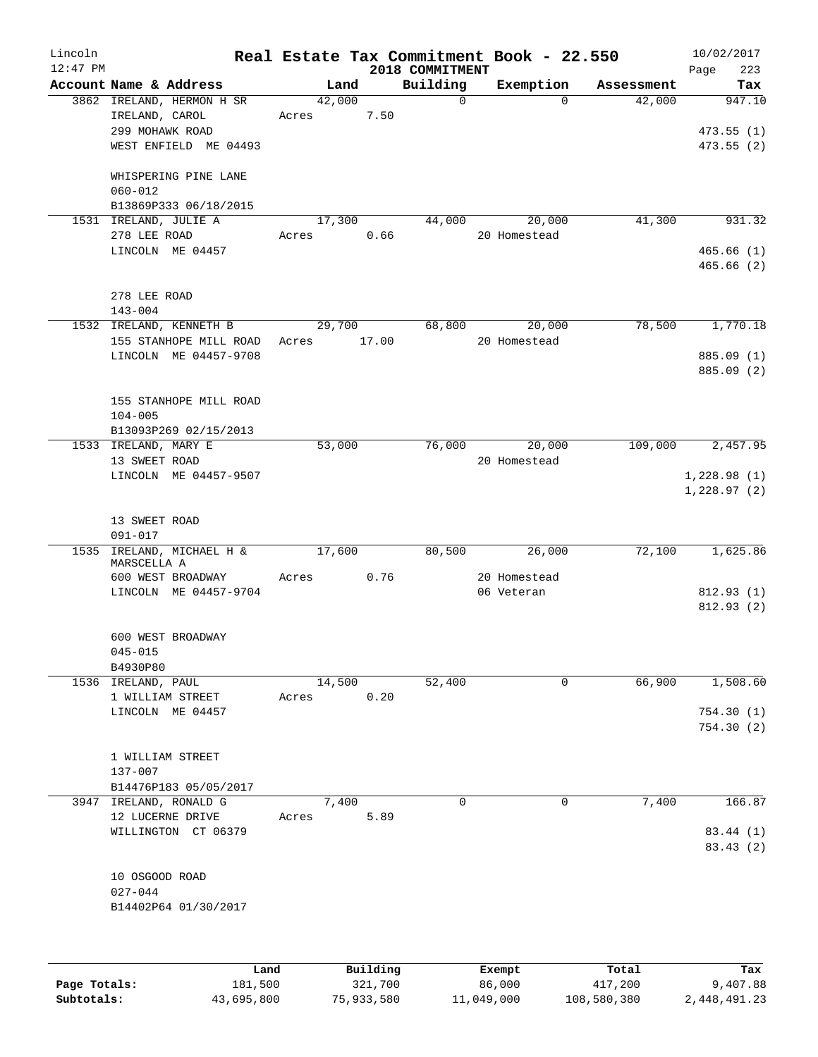| Lincoln    |                                       |             |        |                             | Real Estate Tax Commitment Book - 22.550 |            | 10/02/2017         |
|------------|---------------------------------------|-------------|--------|-----------------------------|------------------------------------------|------------|--------------------|
| $12:47$ PM | Account Name & Address                |             | Land   | 2018 COMMITMENT<br>Building | Exemption                                | Assessment | 223<br>Page<br>Tax |
|            | 3862 IRELAND, HERMON H SR             | 42,000      |        | $\Omega$                    | $\Omega$                                 | 42,000     | 947.10             |
|            | IRELAND, CAROL                        | Acres 7.50  |        |                             |                                          |            |                    |
|            | 299 MOHAWK ROAD                       |             |        |                             |                                          |            | 473.55(1)          |
|            | WEST ENFIELD ME 04493                 |             |        |                             |                                          |            | 473.55(2)          |
|            |                                       |             |        |                             |                                          |            |                    |
|            | WHISPERING PINE LANE<br>$060 - 012$   |             |        |                             |                                          |            |                    |
|            | B13869P333 06/18/2015                 |             |        |                             |                                          |            |                    |
|            | 1531 IRELAND, JULIE A                 |             | 17,300 |                             | 44,000<br>20,000                         | 41,300     | 931.32             |
|            | 278 LEE ROAD                          | Acres       | 0.66   |                             | 20 Homestead                             |            |                    |
|            | LINCOLN ME 04457                      |             |        |                             |                                          |            | 465.66(1)          |
|            |                                       |             |        |                             |                                          |            | 465.66(2)          |
|            | 278 LEE ROAD                          |             |        |                             |                                          |            |                    |
|            | $143 - 004$                           |             |        |                             |                                          |            |                    |
|            | 1532 IRELAND, KENNETH B               |             | 29,700 |                             | 68,800 20,000                            | 78,500     | 1,770.18           |
|            | 155 STANHOPE MILL ROAD                | Acres 17.00 |        |                             | 20 Homestead                             |            |                    |
|            | LINCOLN ME 04457-9708                 |             |        |                             |                                          |            | 885.09 (1)         |
|            |                                       |             |        |                             |                                          |            | 885.09 (2)         |
|            |                                       |             |        |                             |                                          |            |                    |
|            | 155 STANHOPE MILL ROAD<br>$104 - 005$ |             |        |                             |                                          |            |                    |
|            | B13093P269 02/15/2013                 |             |        |                             |                                          |            |                    |
|            | 1533 IRELAND, MARY E                  | 53,000      |        |                             | 76,000<br>20,000                         | 109,000    | 2,457.95           |
|            | 13 SWEET ROAD                         |             |        |                             | 20 Homestead                             |            |                    |
|            | LINCOLN ME 04457-9507                 |             |        |                             |                                          |            | 1,228.98(1)        |
|            |                                       |             |        |                             |                                          |            | 1,228.97(2)        |
|            | 13 SWEET ROAD                         |             |        |                             |                                          |            |                    |
|            | 091-017                               |             |        |                             |                                          |            |                    |
|            | 1535 IRELAND, MICHAEL H &             | 17,600      |        | 80,500                      | 26,000                                   | 72,100     | 1,625.86           |
|            | MARSCELLA A<br>600 WEST BROADWAY      | Acres       | 0.76   |                             | 20 Homestead                             |            |                    |
|            | LINCOLN ME 04457-9704                 |             |        |                             | 06 Veteran                               |            | 812.93(1)          |
|            |                                       |             |        |                             |                                          |            | 812.93(2)          |
|            |                                       |             |        |                             |                                          |            |                    |
|            | 600 WEST BROADWAY                     |             |        |                             |                                          |            |                    |
|            | $045 - 015$                           |             |        |                             |                                          |            |                    |
|            | B4930P80<br>1536 IRELAND, PAUL        | 14,500      |        | 52,400                      | 0                                        | 66,900     | 1,508.60           |
|            | 1 WILLIAM STREET                      | Acres       | 0.20   |                             |                                          |            |                    |
|            | LINCOLN ME 04457                      |             |        |                             |                                          |            | 754.30(1)          |
|            |                                       |             |        |                             |                                          |            | 754.30 (2)         |
|            |                                       |             |        |                             |                                          |            |                    |
|            | 1 WILLIAM STREET                      |             |        |                             |                                          |            |                    |
|            | 137-007<br>B14476P183 05/05/2017      |             |        |                             |                                          |            |                    |
| 3947       | IRELAND, RONALD G                     |             | 7,400  | $\Omega$                    | 0                                        | 7,400      | 166.87             |
|            | 12 LUCERNE DRIVE                      | Acres       | 5.89   |                             |                                          |            |                    |
|            | WILLINGTON CT 06379                   |             |        |                             |                                          |            | 83.44 (1)          |
|            |                                       |             |        |                             |                                          |            | 83.43 (2)          |
|            |                                       |             |        |                             |                                          |            |                    |
|            | 10 OSGOOD ROAD<br>$027 - 044$         |             |        |                             |                                          |            |                    |
|            | B14402P64 01/30/2017                  |             |        |                             |                                          |            |                    |
|            |                                       |             |        |                             |                                          |            |                    |
|            |                                       |             |        |                             |                                          |            |                    |
|            |                                       |             |        |                             |                                          |            |                    |

|              | Land       | Building   | Exempt     | Total       | Tax          |
|--------------|------------|------------|------------|-------------|--------------|
| Page Totals: | 181,500    | 321,700    | 86,000     | 417,200     | 9,407.88     |
| Subtotals:   | 43,695,800 | 75,933,580 | 11,049,000 | 108,580,380 | 2,448,491.23 |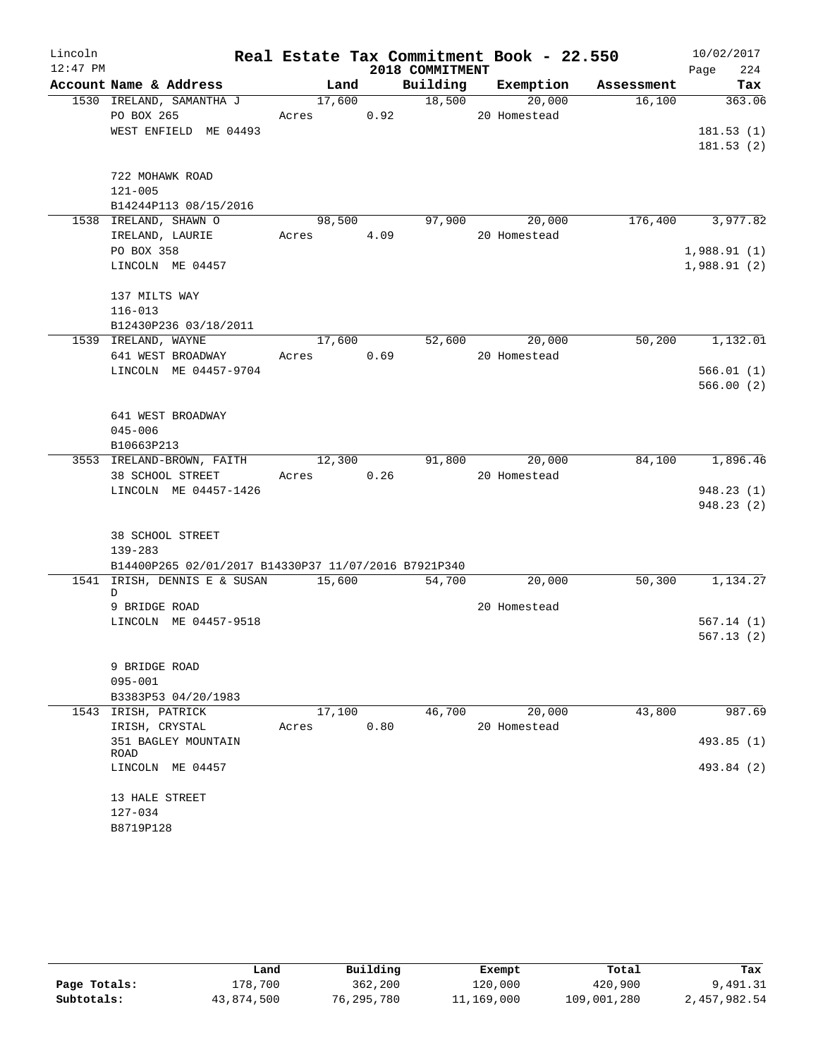| Lincoln<br>$12:47$ PM |                                                      |        |      | 2018 COMMITMENT | Real Estate Tax Commitment Book - 22.550 |            | 10/02/2017<br>224<br>Page |
|-----------------------|------------------------------------------------------|--------|------|-----------------|------------------------------------------|------------|---------------------------|
|                       | Account Name & Address                               | Land   |      | Building        | Exemption                                | Assessment | Tax                       |
|                       | 1530 IRELAND, SAMANTHA J                             | 17,600 |      | 18,500          | 20,000                                   | 16,100     | 363.06                    |
|                       | PO BOX 265                                           | Acres  | 0.92 |                 | 20 Homestead                             |            |                           |
|                       | WEST ENFIELD ME 04493                                |        |      |                 |                                          |            | 181.53(1)                 |
|                       |                                                      |        |      |                 |                                          |            | 181.53(2)                 |
|                       | 722 MOHAWK ROAD                                      |        |      |                 |                                          |            |                           |
|                       | $121 - 005$                                          |        |      |                 |                                          |            |                           |
|                       | B14244P113 08/15/2016                                |        |      |                 |                                          |            |                           |
|                       | 1538 IRELAND, SHAWN O                                | 98,500 |      | 97,900          | 20,000                                   | 176,400    | 3,977.82                  |
|                       | IRELAND, LAURIE                                      | Acres  | 4.09 |                 | 20 Homestead                             |            |                           |
|                       | PO BOX 358                                           |        |      |                 |                                          |            | 1,988.91(1)               |
|                       | LINCOLN ME 04457                                     |        |      |                 |                                          |            | 1,988.91(2)               |
|                       | 137 MILTS WAY                                        |        |      |                 |                                          |            |                           |
|                       | $116 - 013$                                          |        |      |                 |                                          |            |                           |
|                       | B12430P236 03/18/2011                                |        |      |                 |                                          |            |                           |
|                       | 1539 IRELAND, WAYNE                                  | 17,600 |      | 52,600          | 20,000                                   | 50,200     | 1,132.01                  |
|                       | 641 WEST BROADWAY                                    | Acres  | 0.69 |                 | 20 Homestead                             |            |                           |
|                       | LINCOLN ME 04457-9704                                |        |      |                 |                                          |            | 566.01(1)                 |
|                       |                                                      |        |      |                 |                                          |            | 566.00(2)                 |
|                       | 641 WEST BROADWAY                                    |        |      |                 |                                          |            |                           |
|                       | $045 - 006$                                          |        |      |                 |                                          |            |                           |
|                       | B10663P213                                           |        |      |                 |                                          |            |                           |
|                       | 3553 IRELAND-BROWN, FAITH                            | 12,300 |      | 91,800          | 20,000                                   | 84,100     | 1,896.46                  |
|                       | 38 SCHOOL STREET                                     | Acres  | 0.26 |                 | 20 Homestead                             |            |                           |
|                       | LINCOLN ME 04457-1426                                |        |      |                 |                                          |            | 948.23(1)                 |
|                       |                                                      |        |      |                 |                                          |            | 948.23 (2)                |
|                       | 38 SCHOOL STREET                                     |        |      |                 |                                          |            |                           |
|                       | $139 - 283$                                          |        |      |                 |                                          |            |                           |
|                       | B14400P265 02/01/2017 B14330P37 11/07/2016 B7921P340 |        |      |                 |                                          |            |                           |
|                       | 1541 IRISH, DENNIS E & SUSAN<br>D                    | 15,600 |      | 54,700          | 20,000                                   | 50,300     | 1,134.27                  |
|                       | 9 BRIDGE ROAD                                        |        |      |                 | 20 Homestead                             |            |                           |
|                       | LINCOLN ME 04457-9518                                |        |      |                 |                                          |            | 567.14(1)                 |
|                       |                                                      |        |      |                 |                                          |            | 567.13(2)                 |
|                       | 9 BRIDGE ROAD                                        |        |      |                 |                                          |            |                           |
|                       | $095 - 001$                                          |        |      |                 |                                          |            |                           |
|                       | B3383P53 04/20/1983                                  |        |      |                 |                                          |            |                           |
|                       | 1543 IRISH, PATRICK                                  | 17,100 |      | 46,700          | 20,000                                   | 43,800     | 987.69                    |
|                       | IRISH, CRYSTAL                                       | Acres  | 0.80 |                 | 20 Homestead                             |            |                           |
|                       | 351 BAGLEY MOUNTAIN<br>ROAD                          |        |      |                 |                                          |            | 493.85 (1)                |
|                       | LINCOLN ME 04457                                     |        |      |                 |                                          |            | 493.84 (2)                |
|                       | 13 HALE STREET                                       |        |      |                 |                                          |            |                           |
|                       | 127-034                                              |        |      |                 |                                          |            |                           |
|                       | B8719P128                                            |        |      |                 |                                          |            |                           |

|              | Land       | Building     | Exempt     | Total       | Tax          |
|--------------|------------|--------------|------------|-------------|--------------|
| Page Totals: | 178,700    | 362,200      | 120,000    | 420,900     | 9,491.31     |
| Subtotals:   | 43,874,500 | 76, 295, 780 | 11,169,000 | 109,001,280 | 2,457,982.54 |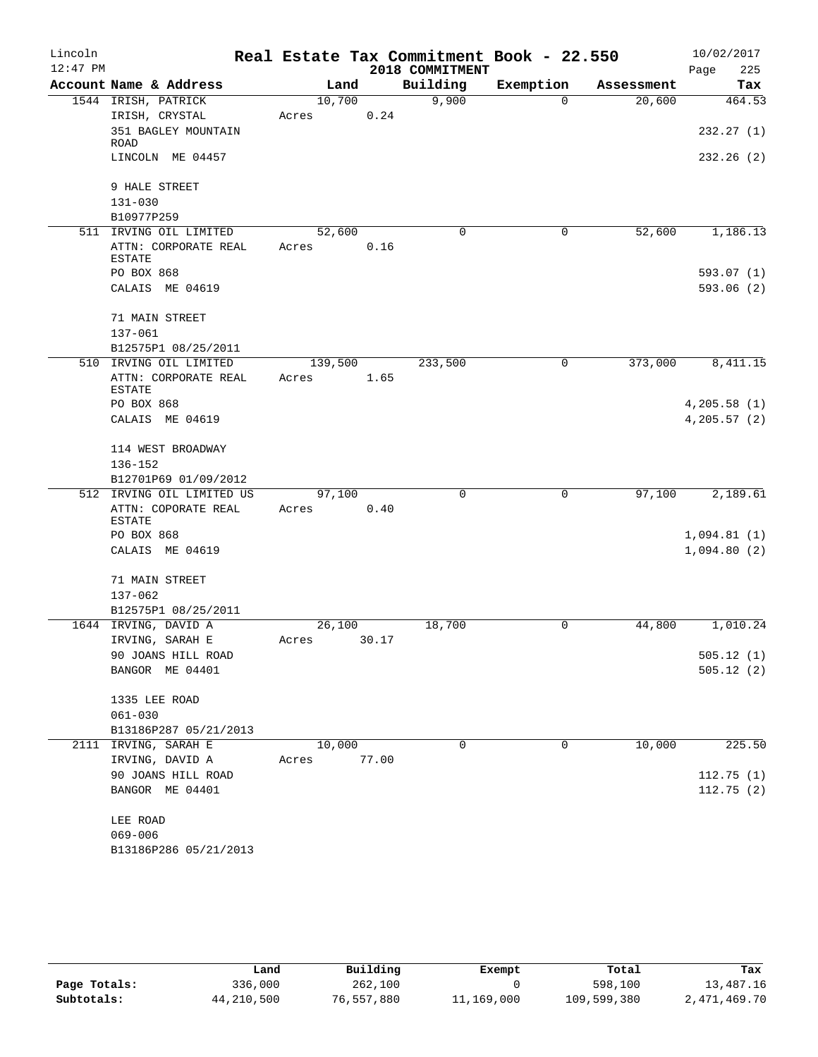| Lincoln    |                                       |         |       |      | Real Estate Tax Commitment Book - 22.550 |             |            |              | 10/02/2017   |
|------------|---------------------------------------|---------|-------|------|------------------------------------------|-------------|------------|--------------|--------------|
| $12:47$ PM |                                       |         |       |      | 2018 COMMITMENT                          |             |            | Page         | 225          |
|            | Account Name & Address                |         | Land  |      | Building                                 | Exemption   | Assessment |              | Tax          |
|            | 1544 IRISH, PATRICK                   | 10,700  |       |      | 9,900                                    | $\Omega$    | 20,600     |              | 464.53       |
|            | IRISH, CRYSTAL                        | Acres   |       | 0.24 |                                          |             |            |              |              |
|            | 351 BAGLEY MOUNTAIN                   |         |       |      |                                          |             |            |              | 232.27(1)    |
|            | ROAD<br>LINCOLN ME 04457              |         |       |      |                                          |             |            |              | 232.26(2)    |
|            |                                       |         |       |      |                                          |             |            |              |              |
|            | 9 HALE STREET                         |         |       |      |                                          |             |            |              |              |
|            | $131 - 030$                           |         |       |      |                                          |             |            |              |              |
|            | B10977P259                            |         |       |      |                                          |             |            |              |              |
|            | 511 IRVING OIL LIMITED                | 52,600  |       |      | $\Omega$                                 | 0           | 52,600     |              | 1,186.13     |
|            | ATTN: CORPORATE REAL                  | Acres   |       | 0.16 |                                          |             |            |              |              |
|            | <b>ESTATE</b>                         |         |       |      |                                          |             |            |              |              |
|            | PO BOX 868                            |         |       |      |                                          |             |            |              | 593.07 (1)   |
|            | CALAIS ME 04619                       |         |       |      |                                          |             |            |              | 593.06(2)    |
|            | 71 MAIN STREET                        |         |       |      |                                          |             |            |              |              |
|            |                                       |         |       |      |                                          |             |            |              |              |
|            | $137 - 061$<br>B12575P1 08/25/2011    |         |       |      |                                          |             |            |              |              |
|            | 510 IRVING OIL LIMITED                |         |       |      | 233,500                                  | $\mathbf 0$ | 373,000    |              | 8,411.15     |
|            |                                       | 139,500 |       |      |                                          |             |            |              |              |
|            | ATTN: CORPORATE REAL<br><b>ESTATE</b> | Acres   |       | 1.65 |                                          |             |            |              |              |
|            | PO BOX 868                            |         |       |      |                                          |             |            | 4, 205.58(1) |              |
|            | CALAIS ME 04619                       |         |       |      |                                          |             |            |              | 4, 205.57(2) |
|            |                                       |         |       |      |                                          |             |            |              |              |
|            | 114 WEST BROADWAY                     |         |       |      |                                          |             |            |              |              |
|            | 136-152                               |         |       |      |                                          |             |            |              |              |
|            | B12701P69 01/09/2012                  |         |       |      |                                          |             |            |              |              |
|            | 512 IRVING OIL LIMITED US             | 97,100  |       |      | $\mathbf 0$                              | $\mathbf 0$ | 97,100     |              | 2,189.61     |
|            | ATTN: COPORATE REAL                   | Acres   |       | 0.40 |                                          |             |            |              |              |
|            | <b>ESTATE</b>                         |         |       |      |                                          |             |            |              |              |
|            | PO BOX 868                            |         |       |      |                                          |             |            | 1,094.81(1)  |              |
|            | CALAIS ME 04619                       |         |       |      |                                          |             |            | 1,094.80(2)  |              |
|            | 71 MAIN STREET                        |         |       |      |                                          |             |            |              |              |
|            | 137-062                               |         |       |      |                                          |             |            |              |              |
|            | B12575P1 08/25/2011                   |         |       |      |                                          |             |            |              |              |
|            | 1644 IRVING, DAVID A                  | 26,100  |       |      | 18,700                                   | 0           | 44,800     |              | 1,010.24     |
|            | IRVING, SARAH E                       | Acres   | 30.17 |      |                                          |             |            |              |              |
|            | 90 JOANS HILL ROAD                    |         |       |      |                                          |             |            |              | 505.12(1)    |
|            | BANGOR ME 04401                       |         |       |      |                                          |             |            |              | 505.12(2)    |
|            |                                       |         |       |      |                                          |             |            |              |              |
|            | 1335 LEE ROAD                         |         |       |      |                                          |             |            |              |              |
|            | $061 - 030$                           |         |       |      |                                          |             |            |              |              |
|            | B13186P287 05/21/2013                 |         |       |      |                                          |             |            |              |              |
|            | 2111 IRVING, SARAH E                  | 10,000  |       |      | 0                                        | 0           | 10,000     |              | 225.50       |
|            | IRVING, DAVID A                       | Acres   | 77.00 |      |                                          |             |            |              |              |
|            | 90 JOANS HILL ROAD                    |         |       |      |                                          |             |            |              | 112.75(1)    |
|            | BANGOR ME 04401                       |         |       |      |                                          |             |            |              | 112.75(2)    |
|            |                                       |         |       |      |                                          |             |            |              |              |
|            | LEE ROAD                              |         |       |      |                                          |             |            |              |              |
|            | $069 - 006$                           |         |       |      |                                          |             |            |              |              |
|            | B13186P286 05/21/2013                 |         |       |      |                                          |             |            |              |              |

|              | Land       | Building   | Exempt     | Total       | Tax          |
|--------------|------------|------------|------------|-------------|--------------|
| Page Totals: | 336,000    | 262,100    |            | 598,100     | 13,487.16    |
| Subtotals:   | 44,210,500 | 76,557,880 | 11,169,000 | 109,599,380 | 2,471,469.70 |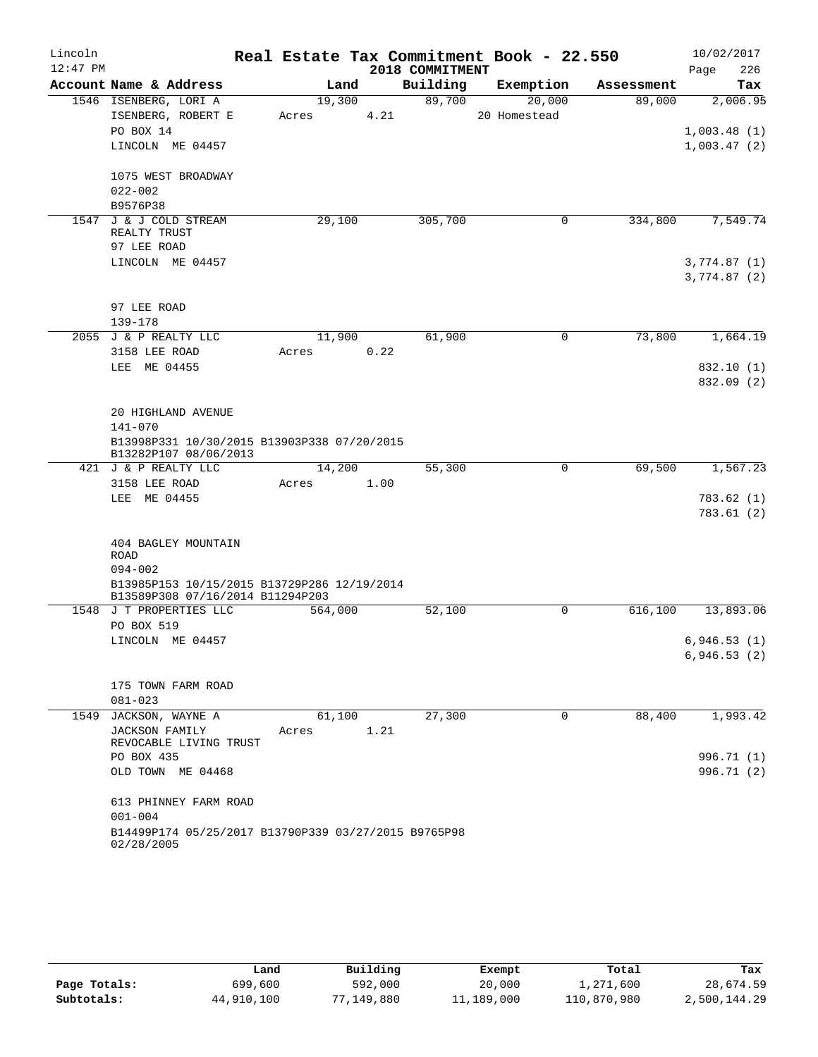| Lincoln    |                                                                      |         |      |      |                 | Real Estate Tax Commitment Book - 22.550 |            | 10/02/2017   |            |
|------------|----------------------------------------------------------------------|---------|------|------|-----------------|------------------------------------------|------------|--------------|------------|
| $12:47$ PM |                                                                      |         |      |      | 2018 COMMITMENT |                                          |            | Page         | 226        |
|            | Account Name & Address                                               | Land    |      |      | Building        | Exemption                                | Assessment |              | Tax        |
|            | 1546 ISENBERG, LORI A                                                | 19,300  |      |      | 89,700          | 20,000                                   | 89,000     |              | 2,006.95   |
|            | ISENBERG, ROBERT E                                                   | Acres   |      | 4.21 |                 | 20 Homestead                             |            |              |            |
|            | PO BOX 14                                                            |         |      |      |                 |                                          |            | 1,003.48(1)  |            |
|            | LINCOLN ME 04457                                                     |         |      |      |                 |                                          |            | 1,003.47(2)  |            |
|            |                                                                      |         |      |      |                 |                                          |            |              |            |
|            | 1075 WEST BROADWAY                                                   |         |      |      |                 |                                          |            |              |            |
|            | $022 - 002$                                                          |         |      |      |                 |                                          |            |              |            |
|            | B9576P38                                                             |         |      |      |                 |                                          |            |              |            |
|            | 1547 J & J COLD STREAM<br>REALTY TRUST                               | 29,100  |      |      | 305,700         | 0                                        | 334,800    |              | 7,549.74   |
|            | 97 LEE ROAD                                                          |         |      |      |                 |                                          |            |              |            |
|            | LINCOLN ME 04457                                                     |         |      |      |                 |                                          |            | 3,774.87(1)  |            |
|            |                                                                      |         |      |      |                 |                                          |            | 3,774.87 (2) |            |
|            |                                                                      |         |      |      |                 |                                          |            |              |            |
|            | 97 LEE ROAD                                                          |         |      |      |                 |                                          |            |              |            |
|            | 139-178                                                              |         |      |      |                 |                                          |            |              |            |
|            | 2055 J & P REALTY LLC                                                | 11,900  |      |      | 61,900          | 0                                        | 73,800     |              | 1,664.19   |
|            | 3158 LEE ROAD                                                        | Acres   |      | 0.22 |                 |                                          |            |              |            |
|            | LEE ME 04455                                                         |         |      |      |                 |                                          |            |              | 832.10 (1) |
|            |                                                                      |         |      |      |                 |                                          |            |              | 832.09 (2) |
|            |                                                                      |         |      |      |                 |                                          |            |              |            |
|            | 20 HIGHLAND AVENUE                                                   |         |      |      |                 |                                          |            |              |            |
|            | $141 - 070$                                                          |         |      |      |                 |                                          |            |              |            |
|            | B13998P331 10/30/2015 B13903P338 07/20/2015<br>B13282P107 08/06/2013 |         |      |      |                 |                                          |            |              |            |
|            | 421 J & P REALTY LLC                                                 | 14,200  |      |      | 55,300          | 0                                        | 69,500     |              | 1,567.23   |
|            | 3158 LEE ROAD                                                        | Acres   | 1.00 |      |                 |                                          |            |              |            |
|            | LEE ME 04455                                                         |         |      |      |                 |                                          |            |              | 783.62(1)  |
|            |                                                                      |         |      |      |                 |                                          |            |              | 783.61(2)  |
|            |                                                                      |         |      |      |                 |                                          |            |              |            |
|            | 404 BAGLEY MOUNTAIN                                                  |         |      |      |                 |                                          |            |              |            |
|            | ROAD                                                                 |         |      |      |                 |                                          |            |              |            |
|            | $094 - 002$                                                          |         |      |      |                 |                                          |            |              |            |
|            | B13985P153 10/15/2015 B13729P286 12/19/2014                          |         |      |      |                 |                                          |            |              |            |
|            | B13589P308 07/16/2014 B11294P203<br>1548 J T PROPERTIES LLC          | 564,000 |      |      | 52,100          | 0                                        | 616,100    |              | 13,893.06  |
|            | PO BOX 519                                                           |         |      |      |                 |                                          |            |              |            |
|            | LINCOLN ME 04457                                                     |         |      |      |                 |                                          |            | 6,946.53(1)  |            |
|            |                                                                      |         |      |      |                 |                                          |            | 6,946.53(2)  |            |
|            |                                                                      |         |      |      |                 |                                          |            |              |            |
|            | 175 TOWN FARM ROAD                                                   |         |      |      |                 |                                          |            |              |            |
|            | $081 - 023$                                                          |         |      |      |                 |                                          |            |              |            |
| 1549       | JACKSON, WAYNE A                                                     | 61,100  |      |      | 27,300          | 0                                        | 88,400     |              | 1,993.42   |
|            | <b>JACKSON FAMILY</b>                                                | Acres   |      | 1.21 |                 |                                          |            |              |            |
|            | REVOCABLE LIVING TRUST                                               |         |      |      |                 |                                          |            |              |            |
|            | PO BOX 435                                                           |         |      |      |                 |                                          |            |              | 996.71 (1) |
|            | OLD TOWN ME 04468                                                    |         |      |      |                 |                                          |            |              | 996.71 (2) |
|            |                                                                      |         |      |      |                 |                                          |            |              |            |
|            | 613 PHINNEY FARM ROAD<br>$001 - 004$                                 |         |      |      |                 |                                          |            |              |            |
|            | B14499P174 05/25/2017 B13790P339 03/27/2015 B9765P98                 |         |      |      |                 |                                          |            |              |            |
|            | 02/28/2005                                                           |         |      |      |                 |                                          |            |              |            |
|            |                                                                      |         |      |      |                 |                                          |            |              |            |

|              | Land       | Building   | Exempt     | Total       | Tax          |
|--------------|------------|------------|------------|-------------|--------------|
| Page Totals: | 699,600    | 592,000    | 20,000     | 1,271,600   | 28,674.59    |
| Subtotals:   | 44,910,100 | 77,149,880 | 11,189,000 | 110,870,980 | 2,500,144.29 |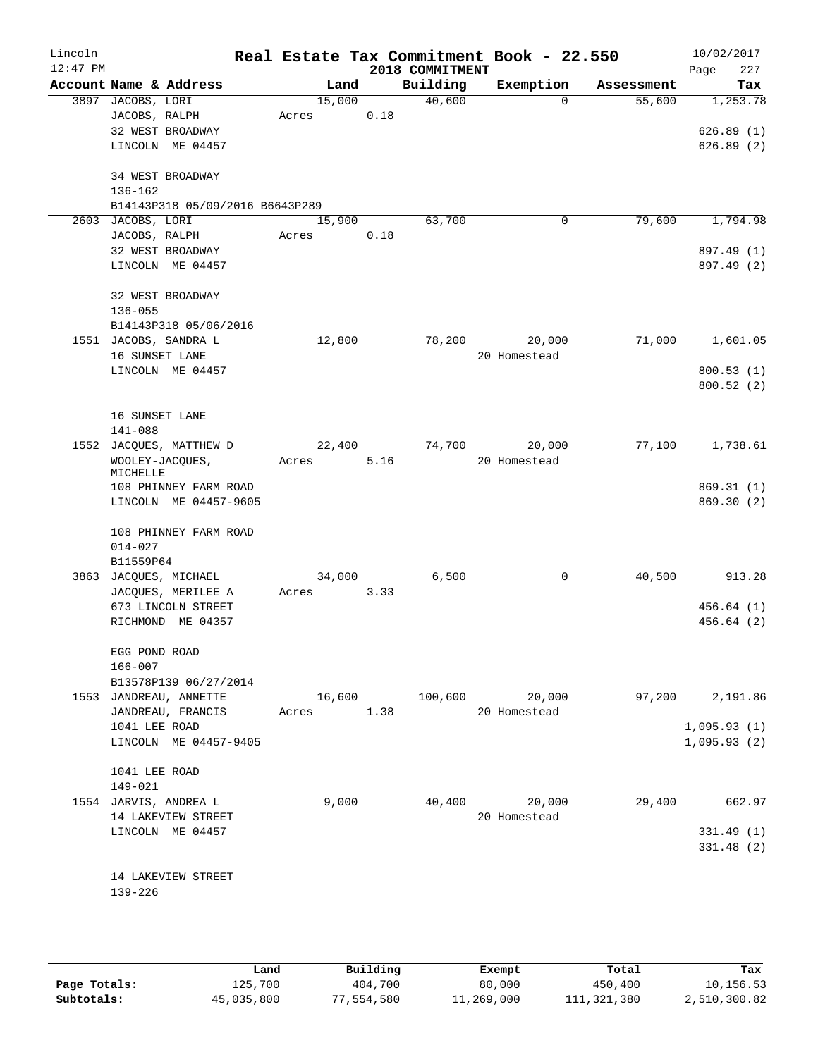| Lincoln<br>$12:47$ PM |                                 |       |        |      | 2018 COMMITMENT | Real Estate Tax Commitment Book - 22.550 |            | 10/02/2017<br>227<br>Page |
|-----------------------|---------------------------------|-------|--------|------|-----------------|------------------------------------------|------------|---------------------------|
|                       | Account Name & Address          |       | Land   |      | Building        | Exemption                                | Assessment | Tax                       |
|                       | 3897 JACOBS, LORI               |       | 15,000 |      | 40,600          | 0                                        | 55,600     | 1,253.78                  |
|                       | JACOBS, RALPH                   | Acres |        | 0.18 |                 |                                          |            |                           |
|                       | 32 WEST BROADWAY                |       |        |      |                 |                                          |            | 626.89(1)                 |
|                       | LINCOLN ME 04457                |       |        |      |                 |                                          |            | 626.89(2)                 |
|                       | 34 WEST BROADWAY                |       |        |      |                 |                                          |            |                           |
|                       | $136 - 162$                     |       |        |      |                 |                                          |            |                           |
|                       | B14143P318 05/09/2016 B6643P289 |       |        |      |                 |                                          |            |                           |
| 2603                  | JACOBS, LORI                    |       | 15,900 |      | 63,700          | $\mathbf 0$                              | 79,600     | 1,794.98                  |
|                       | JACOBS, RALPH                   | Acres |        | 0.18 |                 |                                          |            |                           |
|                       | 32 WEST BROADWAY                |       |        |      |                 |                                          |            | 897.49 (1)                |
|                       | LINCOLN ME 04457                |       |        |      |                 |                                          |            | 897.49 (2)                |
|                       | 32 WEST BROADWAY                |       |        |      |                 |                                          |            |                           |
|                       | $136 - 055$                     |       |        |      |                 |                                          |            |                           |
|                       | B14143P318 05/06/2016           |       |        |      |                 |                                          |            |                           |
|                       | 1551 JACOBS, SANDRA L           |       | 12,800 |      | 78,200          | 20,000                                   | 71,000     | 1,601.05                  |
|                       | 16 SUNSET LANE                  |       |        |      |                 | 20 Homestead                             |            |                           |
|                       | LINCOLN ME 04457                |       |        |      |                 |                                          |            | 800.53(1)                 |
|                       |                                 |       |        |      |                 |                                          |            | 800.52(2)                 |
|                       | 16 SUNSET LANE                  |       |        |      |                 |                                          |            |                           |
|                       | $141 - 088$                     |       |        |      |                 |                                          |            |                           |
| 1552                  | JACQUES, MATTHEW D              |       | 22,400 |      | 74,700          | 20,000                                   | 77,100     | 1,738.61                  |
|                       | WOOLEY-JACQUES,<br>MICHELLE     | Acres |        | 5.16 |                 | 20 Homestead                             |            |                           |
|                       | 108 PHINNEY FARM ROAD           |       |        |      |                 |                                          |            | 869.31(1)                 |
|                       | LINCOLN ME 04457-9605           |       |        |      |                 |                                          |            | 869.30(2)                 |
|                       | 108 PHINNEY FARM ROAD           |       |        |      |                 |                                          |            |                           |
|                       | $014 - 027$                     |       |        |      |                 |                                          |            |                           |
|                       | B11559P64                       |       |        |      |                 |                                          |            |                           |
|                       | 3863 JACQUES, MICHAEL           |       | 34,000 |      | 6,500           | $\mathbf 0$                              | 40,500     | 913.28                    |
|                       | JACQUES, MERILEE A              | Acres |        | 3.33 |                 |                                          |            |                           |
|                       | 673 LINCOLN STREET              |       |        |      |                 |                                          |            | 456.64(1)                 |
|                       | RICHMOND ME 04357               |       |        |      |                 |                                          |            | 456.64 (2)                |
|                       | EGG POND ROAD                   |       |        |      |                 |                                          |            |                           |
|                       | $166 - 007$                     |       |        |      |                 |                                          |            |                           |
|                       | B13578P139 06/27/2014           |       |        |      |                 |                                          |            |                           |
|                       | 1553 JANDREAU, ANNETTE          |       | 16,600 |      | 100,600         | 20,000                                   | 97,200     | 2,191.86                  |
|                       | JANDREAU, FRANCIS               | Acres |        | 1.38 |                 | 20 Homestead                             |            |                           |
|                       | 1041 LEE ROAD                   |       |        |      |                 |                                          |            | 1,095.93(1)               |
|                       | LINCOLN ME 04457-9405           |       |        |      |                 |                                          |            | 1,095.93(2)               |
|                       | 1041 LEE ROAD                   |       |        |      |                 |                                          |            |                           |
|                       | 149-021                         |       |        |      |                 |                                          |            |                           |
|                       | 1554 JARVIS, ANDREA L           |       | 9,000  |      | 40,400          | 20,000                                   | 29,400     | 662.97                    |
|                       | 14 LAKEVIEW STREET              |       |        |      |                 | 20 Homestead                             |            |                           |
|                       | LINCOLN ME 04457                |       |        |      |                 |                                          |            | 331.49(1)                 |
|                       |                                 |       |        |      |                 |                                          |            | 331.48(2)                 |
|                       |                                 |       |        |      |                 |                                          |            |                           |
|                       | 14 LAKEVIEW STREET              |       |        |      |                 |                                          |            |                           |
|                       | 139-226                         |       |        |      |                 |                                          |            |                           |
|                       |                                 |       |        |      |                 |                                          |            |                           |
|                       |                                 |       |        |      |                 |                                          |            |                           |
|                       |                                 |       |        |      |                 |                                          |            |                           |

|              | Land       | Building   | Exempt     | Total       | Tax          |
|--------------|------------|------------|------------|-------------|--------------|
| Page Totals: | 125,700    | 404,700    | 80,000     | 450,400     | 10,156.53    |
| Subtotals:   | 45,035,800 | 77,554,580 | 11,269,000 | 111,321,380 | 2,510,300.82 |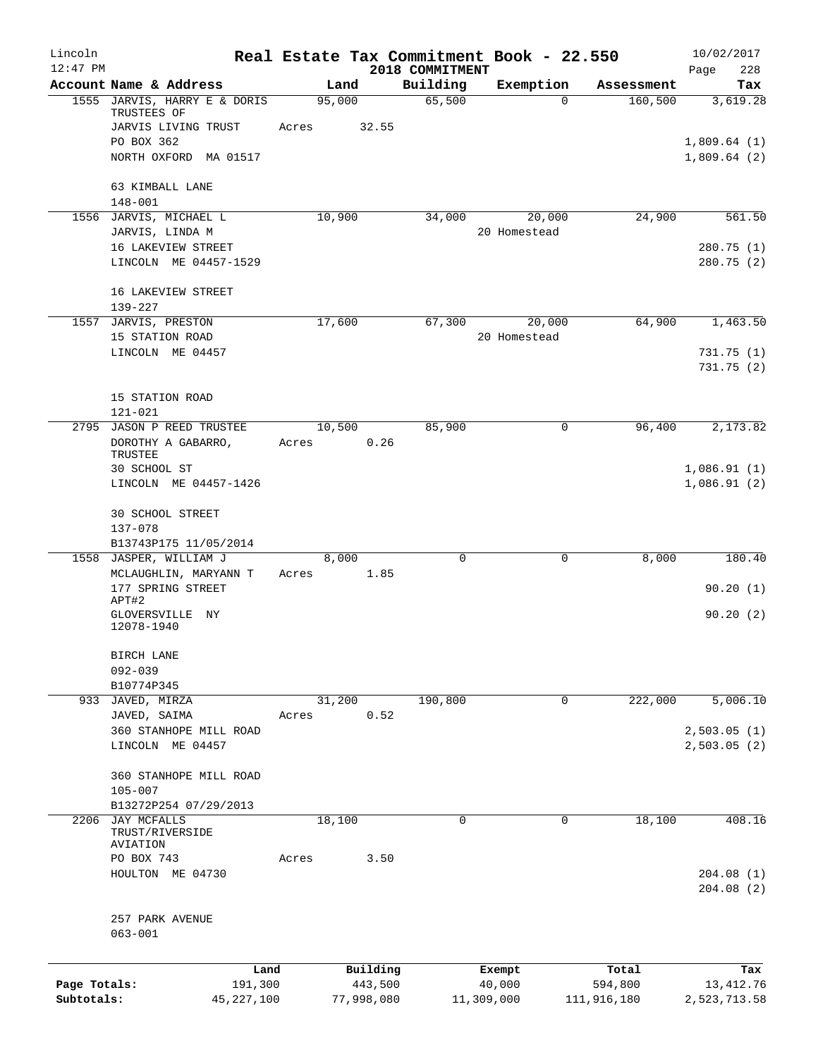| Lincoln      |                                                 |       |            |      | Real Estate Tax Commitment Book - 22.550 |              |             |                        | 10/02/2017                 |
|--------------|-------------------------------------------------|-------|------------|------|------------------------------------------|--------------|-------------|------------------------|----------------------------|
| $12:47$ PM   | Account Name & Address                          |       | Land       |      | 2018 COMMITMENT<br>Building              |              | Exemption   |                        | 228<br>Page                |
|              | 1555 JARVIS, HARRY E & DORIS                    |       | 95,000     |      | 65,500                                   |              | $\Omega$    | Assessment<br>160, 500 | Tax<br>3,619.28            |
|              | TRUSTEES OF                                     |       |            |      |                                          |              |             |                        |                            |
|              | JARVIS LIVING TRUST                             | Acres | 32.55      |      |                                          |              |             |                        |                            |
|              | PO BOX 362                                      |       |            |      |                                          |              |             |                        | 1,809.64(1)                |
|              | NORTH OXFORD MA 01517                           |       |            |      |                                          |              |             |                        | 1,809.64(2)                |
|              | 63 KIMBALL LANE                                 |       |            |      |                                          |              |             |                        |                            |
|              | $148 - 001$                                     |       |            |      |                                          |              |             |                        |                            |
|              | 1556 JARVIS, MICHAEL L                          |       | 10,900     |      | 34,000                                   |              | 20,000      | 24,900                 | 561.50                     |
|              | JARVIS, LINDA M                                 |       |            |      |                                          | 20 Homestead |             |                        |                            |
|              | 16 LAKEVIEW STREET                              |       |            |      |                                          |              |             |                        | 280.75 (1)                 |
|              | LINCOLN ME 04457-1529                           |       |            |      |                                          |              |             |                        | 280.75(2)                  |
|              | 16 LAKEVIEW STREET                              |       |            |      |                                          |              |             |                        |                            |
|              | 139-227                                         |       |            |      |                                          |              |             |                        |                            |
|              | 1557 JARVIS, PRESTON                            |       | 17,600     |      | 67,300                                   |              | 20,000      | 64,900                 | 1,463.50                   |
|              | 15 STATION ROAD                                 |       |            |      |                                          | 20 Homestead |             |                        |                            |
|              | LINCOLN ME 04457                                |       |            |      |                                          |              |             |                        | 731.75(1)                  |
|              |                                                 |       |            |      |                                          |              |             |                        | 731.75(2)                  |
|              | 15 STATION ROAD                                 |       |            |      |                                          |              |             |                        |                            |
|              | $121 - 021$                                     |       |            |      |                                          |              |             |                        |                            |
|              | 2795 JASON P REED TRUSTEE                       |       | 10,500     |      | 85,900                                   |              | 0           | 96,400                 | 2,173.82                   |
|              | DOROTHY A GABARRO,<br>TRUSTEE                   | Acres |            | 0.26 |                                          |              |             |                        |                            |
|              | 30 SCHOOL ST                                    |       |            |      |                                          |              |             |                        | 1,086.91(1)                |
|              | LINCOLN ME 04457-1426                           |       |            |      |                                          |              |             |                        | 1,086.91(2)                |
|              |                                                 |       |            |      |                                          |              |             |                        |                            |
|              | 30 SCHOOL STREET                                |       |            |      |                                          |              |             |                        |                            |
|              | 137-078                                         |       |            |      |                                          |              |             |                        |                            |
|              | B13743P175 11/05/2014<br>1558 JASPER, WILLIAM J |       | 8,000      |      | $\mathbf 0$                              |              | 0           | 8,000                  | 180.40                     |
|              | MCLAUGHLIN, MARYANN T                           | Acres |            | 1.85 |                                          |              |             |                        |                            |
|              | 177 SPRING STREET                               |       |            |      |                                          |              |             |                        | 90.20(1)                   |
|              | APT#2                                           |       |            |      |                                          |              |             |                        |                            |
|              | GLOVERSVILLE NY<br>12078-1940                   |       |            |      |                                          |              |             |                        | 90.20(2)                   |
|              |                                                 |       |            |      |                                          |              |             |                        |                            |
|              | BIRCH LANE                                      |       |            |      |                                          |              |             |                        |                            |
|              | $092 - 039$                                     |       |            |      |                                          |              |             |                        |                            |
|              | B10774P345                                      |       |            |      |                                          |              |             |                        |                            |
|              | 933 JAVED, MIRZA                                |       | 31,200     |      | 190,800                                  |              | 0           | 222,000                | 5,006.10                   |
|              | JAVED, SAIMA<br>360 STANHOPE MILL ROAD          | Acres |            | 0.52 |                                          |              |             |                        |                            |
|              | LINCOLN ME 04457                                |       |            |      |                                          |              |             |                        | 2,503.05(1)<br>2,503.05(2) |
|              |                                                 |       |            |      |                                          |              |             |                        |                            |
|              | 360 STANHOPE MILL ROAD                          |       |            |      |                                          |              |             |                        |                            |
|              | $105 - 007$                                     |       |            |      |                                          |              |             |                        |                            |
|              | B13272P254 07/29/2013                           |       |            |      |                                          |              |             |                        |                            |
| 2206         | <b>JAY MCFALLS</b>                              |       | 18,100     |      | $\mathbf 0$                              |              | $\mathbf 0$ | 18,100                 | 408.16                     |
|              | TRUST/RIVERSIDE<br>AVIATION                     |       |            |      |                                          |              |             |                        |                            |
|              | PO BOX 743                                      | Acres |            | 3.50 |                                          |              |             |                        |                            |
|              | HOULTON ME 04730                                |       |            |      |                                          |              |             |                        | 204.08(1)                  |
|              |                                                 |       |            |      |                                          |              |             |                        | 204.08(2)                  |
|              | 257 PARK AVENUE                                 |       |            |      |                                          |              |             |                        |                            |
|              | $063 - 001$                                     |       |            |      |                                          |              |             |                        |                            |
|              |                                                 |       |            |      |                                          |              |             |                        |                            |
|              | Land                                            |       | Building   |      |                                          | Exempt       |             | Total                  | Tax                        |
| Page Totals: | 191,300                                         |       | 443,500    |      |                                          | 40,000       |             | 594,800                | 13, 412. 76                |
| Subtotals:   | 45, 227, 100                                    |       | 77,998,080 |      |                                          | 11,309,000   |             | 111,916,180            | 2,523,713.58               |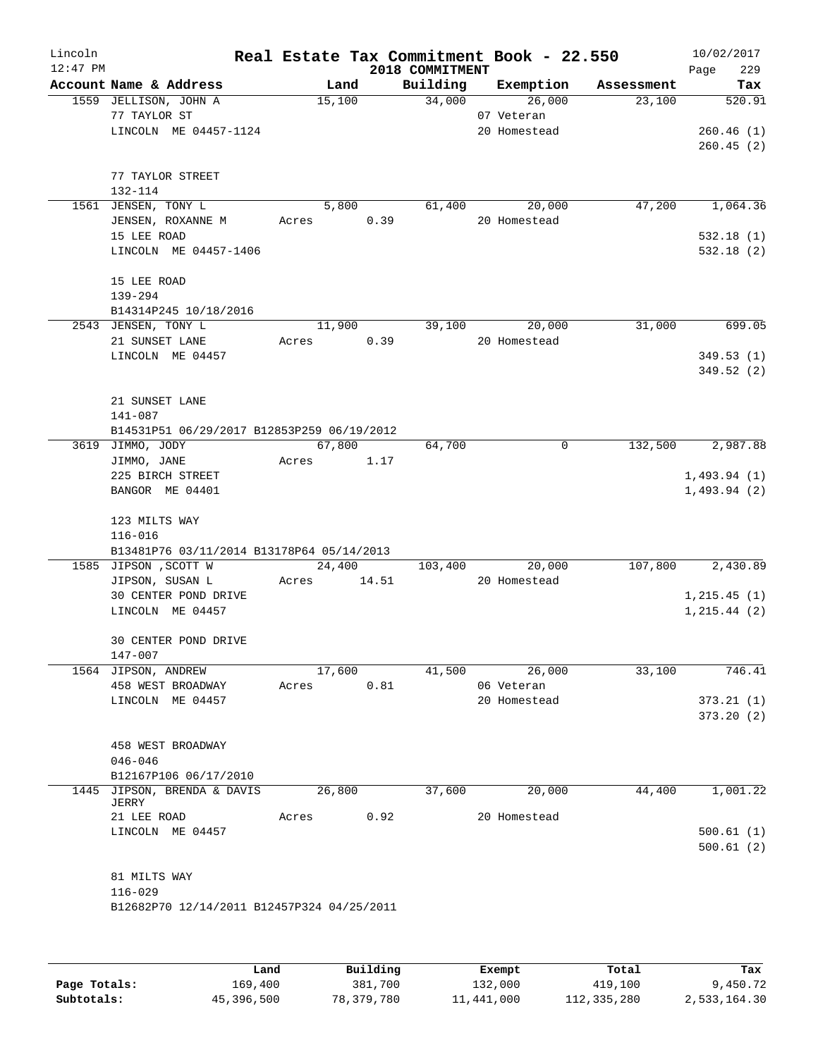| Lincoln<br>$12:47$ PM |                                            |             |        |      | 2018 COMMITMENT | Real Estate Tax Commitment Book - 22.550 |            | 10/02/2017<br>229<br>Page |
|-----------------------|--------------------------------------------|-------------|--------|------|-----------------|------------------------------------------|------------|---------------------------|
|                       | Account Name & Address                     |             | Land   |      | Building        | Exemption                                | Assessment | Tax                       |
|                       | 1559 JELLISON, JOHN A                      |             | 15,100 |      | 34,000          | 26,000                                   | 23,100     | 520.91                    |
|                       | 77 TAYLOR ST                               |             |        |      |                 | 07 Veteran                               |            |                           |
|                       | LINCOLN ME 04457-1124                      |             |        |      |                 | 20 Homestead                             |            | 260.46(1)                 |
|                       |                                            |             |        |      |                 |                                          |            | 260.45(2)                 |
|                       | 77 TAYLOR STREET                           |             |        |      |                 |                                          |            |                           |
|                       | 132-114                                    |             |        |      |                 |                                          |            |                           |
|                       | 1561 JENSEN, TONY L                        |             | 5,800  |      | 61,400          | 20,000                                   | 47,200     | 1,064.36                  |
|                       | JENSEN, ROXANNE M                          | Acres 0.39  |        |      |                 | 20 Homestead                             |            |                           |
|                       | 15 LEE ROAD                                |             |        |      |                 |                                          |            | 532.18(1)                 |
|                       | LINCOLN ME 04457-1406                      |             |        |      |                 |                                          |            | 532.18(2)                 |
|                       | 15 LEE ROAD                                |             |        |      |                 |                                          |            |                           |
|                       | 139-294                                    |             |        |      |                 |                                          |            |                           |
|                       | B14314P245 10/18/2016                      |             |        |      |                 |                                          |            |                           |
|                       | 2543 JENSEN, TONY L                        |             | 11,900 |      | 39,100          | 20,000                                   | 31,000     | 699.05                    |
|                       | 21 SUNSET LANE                             | Acres       |        | 0.39 |                 | 20 Homestead                             |            |                           |
|                       | LINCOLN ME 04457                           |             |        |      |                 |                                          |            | 349.53(1)                 |
|                       |                                            |             |        |      |                 |                                          |            | 349.52 (2)                |
|                       | 21 SUNSET LANE                             |             |        |      |                 |                                          |            |                           |
|                       | 141-087                                    |             |        |      |                 |                                          |            |                           |
|                       | B14531P51 06/29/2017 B12853P259 06/19/2012 |             |        |      |                 |                                          |            |                           |
|                       | 3619 JIMMO, JODY                           |             | 67,800 |      | 64,700          | 0                                        | 132,500    | 2,987.88                  |
|                       | JIMMO, JANE                                | Acres 1.17  |        |      |                 |                                          |            |                           |
|                       | 225 BIRCH STREET                           |             |        |      |                 |                                          |            | 1,493.94(1)               |
|                       | BANGOR ME 04401                            |             |        |      |                 |                                          |            | 1,493.94(2)               |
|                       | 123 MILTS WAY                              |             |        |      |                 |                                          |            |                           |
|                       | $116 - 016$                                |             |        |      |                 |                                          |            |                           |
|                       | B13481P76 03/11/2014 B13178P64 05/14/2013  |             |        |      |                 |                                          |            |                           |
|                       | 1585 JIPSON , SCOTT W                      |             | 24,400 |      | 103,400         | 20,000                                   | 107,800    | 2,430.89                  |
|                       | JIPSON, SUSAN L                            | Acres 14.51 |        |      |                 | 20 Homestead                             |            |                           |
|                       | 30 CENTER POND DRIVE                       |             |        |      |                 |                                          |            | 1, 215.45(1)              |
|                       | LINCOLN ME 04457                           |             |        |      |                 |                                          |            | 1, 215.44 (2)             |
|                       |                                            |             |        |      |                 |                                          |            |                           |
|                       | 30 CENTER POND DRIVE                       |             |        |      |                 |                                          |            |                           |
|                       | 147-007                                    |             | 17,600 |      |                 | 26,000                                   |            |                           |
|                       | 1564 JIPSON, ANDREW<br>458 WEST BROADWAY   | Acres       |        | 0.81 | 41,500          | 06 Veteran                               | 33,100     | 746.41                    |
|                       | LINCOLN ME 04457                           |             |        |      |                 | 20 Homestead                             |            | 373.21(1)                 |
|                       |                                            |             |        |      |                 |                                          |            | 373.20(2)                 |
|                       |                                            |             |        |      |                 |                                          |            |                           |
|                       | 458 WEST BROADWAY                          |             |        |      |                 |                                          |            |                           |
|                       | $046 - 046$                                |             |        |      |                 |                                          |            |                           |
|                       | B12167P106 06/17/2010                      |             |        |      |                 |                                          |            |                           |
|                       | 1445 JIPSON, BRENDA & DAVIS                |             | 26,800 |      | 37,600          | 20,000                                   | 44,400     | 1,001.22                  |
|                       | JERRY<br>21 LEE ROAD                       | Acres       |        | 0.92 |                 | 20 Homestead                             |            |                           |
|                       | LINCOLN ME 04457                           |             |        |      |                 |                                          |            | 500.61(1)                 |
|                       |                                            |             |        |      |                 |                                          |            | 500.61(2)                 |
|                       |                                            |             |        |      |                 |                                          |            |                           |
|                       | 81 MILTS WAY                               |             |        |      |                 |                                          |            |                           |
|                       | $116 - 029$                                |             |        |      |                 |                                          |            |                           |
|                       | B12682P70 12/14/2011 B12457P324 04/25/2011 |             |        |      |                 |                                          |            |                           |
|                       |                                            |             |        |      |                 |                                          |            |                           |
|                       |                                            |             |        |      |                 |                                          |            |                           |

|              | Land       | Building   | Exempt     | Total       | Tax          |
|--------------|------------|------------|------------|-------------|--------------|
| Page Totals: | 169,400    | 381,700    | 132,000    | 419,100     | 9,450.72     |
| Subtotals:   | 45,396,500 | 78,379,780 | 11,441,000 | 112,335,280 | 2,533,164.30 |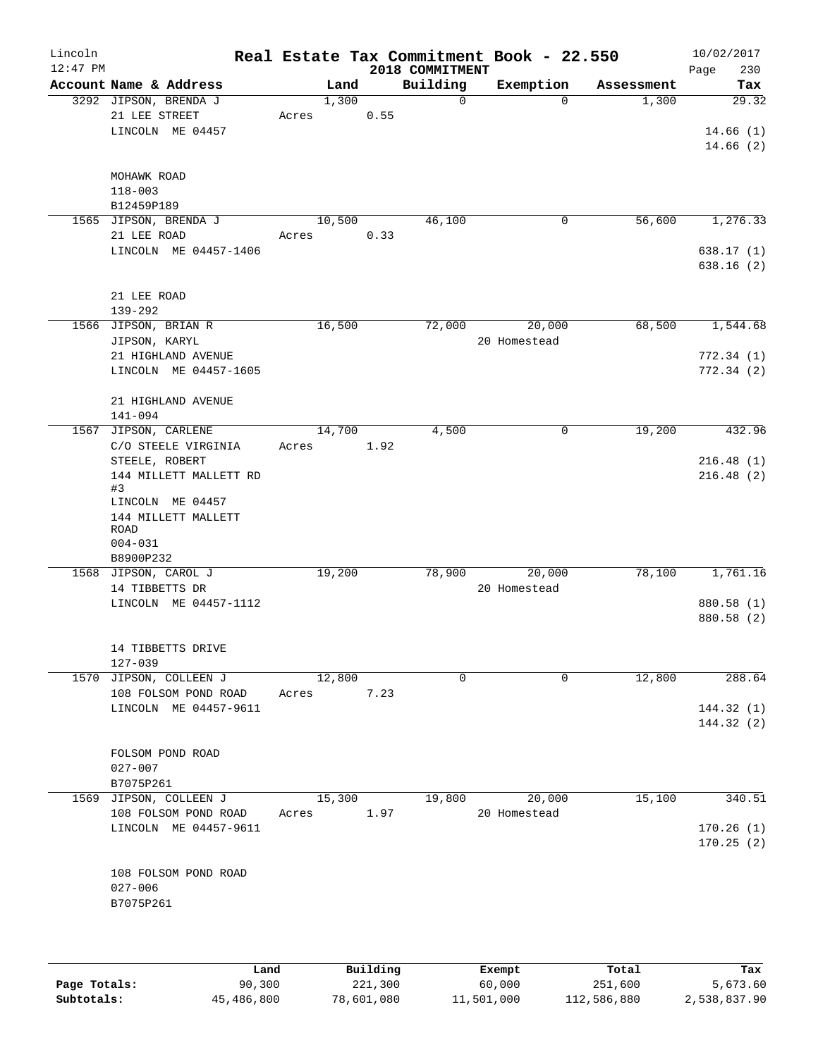| Lincoln<br>$12:47$ PM |                                                |                 |      | 2018 COMMITMENT | Real Estate Tax Commitment Book - 22.550 |            | 10/02/2017<br>Page<br>230 |
|-----------------------|------------------------------------------------|-----------------|------|-----------------|------------------------------------------|------------|---------------------------|
|                       | Account Name & Address                         | Land            |      | Building        | Exemption                                | Assessment | Tax                       |
|                       | 3292 JIPSON, BRENDA J<br>21 LEE STREET         | 1,300<br>Acres  | 0.55 | $\mathbf 0$     | $\Omega$                                 | 1,300      | 29.32                     |
|                       | LINCOLN ME 04457                               |                 |      |                 |                                          |            | 14.66(1)<br>14.66(2)      |
|                       | MOHAWK ROAD                                    |                 |      |                 |                                          |            |                           |
|                       | $118 - 003$                                    |                 |      |                 |                                          |            |                           |
|                       | B12459P189<br>1565 JIPSON, BRENDA J            | 10,500          |      | 46,100          | $\mathbf 0$                              | 56,600     |                           |
|                       | 21 LEE ROAD                                    | Acres           | 0.33 |                 |                                          |            | 1,276.33                  |
|                       | LINCOLN ME 04457-1406                          |                 |      |                 |                                          |            | 638.17(1)<br>638.16(2)    |
|                       | 21 LEE ROAD<br>$139 - 292$                     |                 |      |                 |                                          |            |                           |
|                       | 1566 JIPSON, BRIAN R                           | 16,500          |      | 72,000          | 20,000                                   | 68,500     | 1,544.68                  |
|                       | JIPSON, KARYL                                  |                 |      |                 | 20 Homestead                             |            |                           |
|                       | 21 HIGHLAND AVENUE                             |                 |      |                 |                                          |            | 772.34(1)                 |
|                       | LINCOLN ME 04457-1605                          |                 |      |                 |                                          |            | 772.34(2)                 |
|                       | 21 HIGHLAND AVENUE<br>141-094                  |                 |      |                 |                                          |            |                           |
|                       | 1567 JIPSON, CARLENE                           | 14,700          |      | 4,500           | 0                                        | 19,200     | 432.96                    |
|                       | C/O STEELE VIRGINIA<br>STEELE, ROBERT          | Acres           | 1.92 |                 |                                          |            | 216.48(1)                 |
|                       | 144 MILLETT MALLETT RD<br>#3                   |                 |      |                 |                                          |            | 216.48(2)                 |
|                       | LINCOLN ME 04457                               |                 |      |                 |                                          |            |                           |
|                       | 144 MILLETT MALLETT<br>ROAD                    |                 |      |                 |                                          |            |                           |
|                       | $004 - 031$<br>B8900P232                       |                 |      |                 |                                          |            |                           |
|                       | 1568 JIPSON, CAROL J                           | 19,200          |      | 78,900          | 20,000                                   | 78,100     | 1,761.16                  |
|                       | 14 TIBBETTS DR                                 |                 |      |                 | 20 Homestead                             |            |                           |
|                       | LINCOLN ME 04457-1112                          |                 |      |                 |                                          |            | 880.58 (1)<br>880.58 (2)  |
|                       | 14 TIBBETTS DRIVE                              |                 |      |                 |                                          |            |                           |
|                       | 127-039                                        |                 |      | 0               | $\Omega$                                 |            |                           |
|                       | 1570 JIPSON, COLLEEN J<br>108 FOLSOM POND ROAD | 12,800<br>Acres | 7.23 |                 |                                          | 12,800     | 288.64                    |
|                       | LINCOLN ME 04457-9611                          |                 |      |                 |                                          |            | 144.32(1)                 |
|                       |                                                |                 |      |                 |                                          |            | 144.32(2)                 |
|                       | FOLSOM POND ROAD                               |                 |      |                 |                                          |            |                           |
|                       | $027 - 007$                                    |                 |      |                 |                                          |            |                           |
|                       | B7075P261                                      |                 |      |                 |                                          |            |                           |
|                       | 1569 JIPSON, COLLEEN J<br>108 FOLSOM POND ROAD | 15,300<br>Acres | 1.97 | 19,800          | 20,000<br>20 Homestead                   | 15,100     | 340.51                    |
|                       | LINCOLN ME 04457-9611                          |                 |      |                 |                                          |            | 170.26(1)                 |
|                       |                                                |                 |      |                 |                                          |            | 170.25(2)                 |
|                       | 108 FOLSOM POND ROAD                           |                 |      |                 |                                          |            |                           |
|                       | $027 - 006$                                    |                 |      |                 |                                          |            |                           |
|                       | B7075P261                                      |                 |      |                 |                                          |            |                           |
|                       |                                                |                 |      |                 |                                          |            |                           |
|                       |                                                |                 |      |                 |                                          |            |                           |
|                       |                                                |                 |      |                 |                                          |            |                           |

|              | Land       | Building   | Exempt     | Total       | Tax          |
|--------------|------------|------------|------------|-------------|--------------|
| Page Totals: | 90,300     | 221,300    | 60,000     | 251,600     | 5,673.60     |
| Subtotals:   | 45,486,800 | 78,601,080 | 11,501,000 | 112,586,880 | 2,538,837.90 |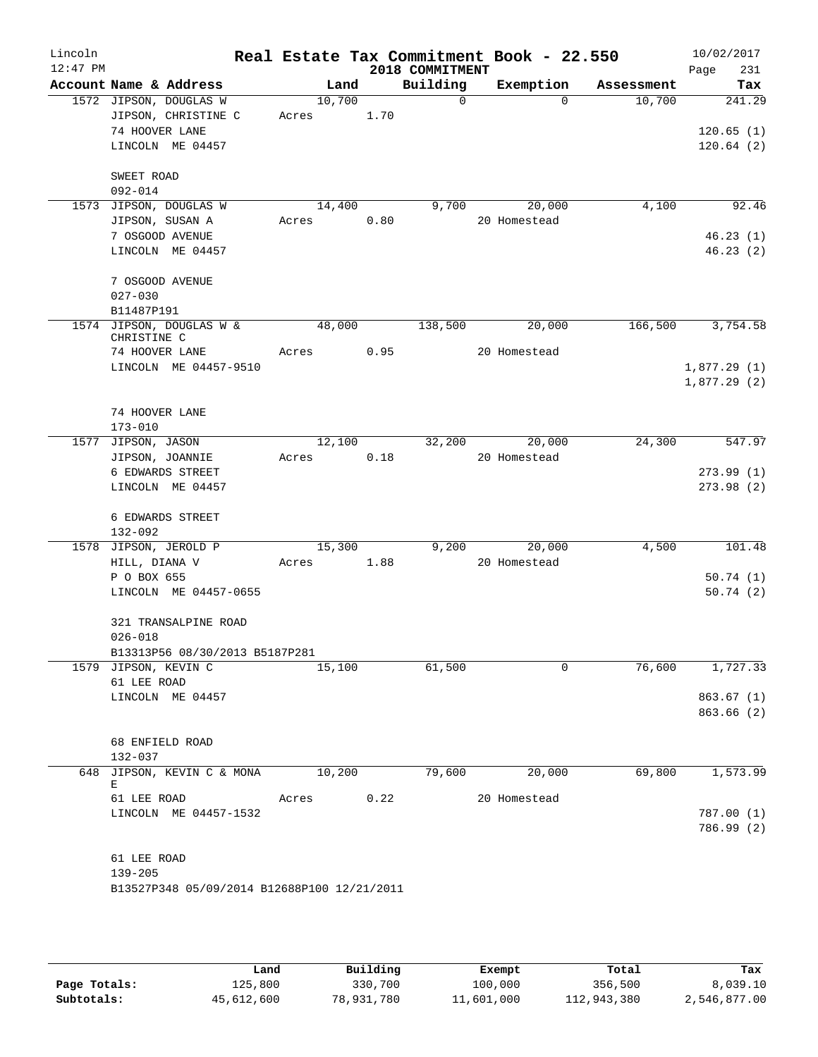| Lincoln    |                                                        |        |      |                 | Real Estate Tax Commitment Book - 22.550 |            |      | 10/02/2017             |
|------------|--------------------------------------------------------|--------|------|-----------------|------------------------------------------|------------|------|------------------------|
| $12:47$ PM |                                                        |        |      | 2018 COMMITMENT |                                          |            | Page | 231                    |
|            | Account Name & Address                                 | Land   |      | Building        | Exemption                                | Assessment |      | Tax                    |
|            | 1572 JIPSON, DOUGLAS W                                 | 10,700 |      | $\overline{0}$  | $\Omega$                                 | 10,700     |      | 241.29                 |
|            | JIPSON, CHRISTINE C                                    | Acres  | 1.70 |                 |                                          |            |      |                        |
|            | 74 HOOVER LANE<br>LINCOLN ME 04457                     |        |      |                 |                                          |            |      | 120.65(1)<br>120.64(2) |
|            |                                                        |        |      |                 |                                          |            |      |                        |
|            | SWEET ROAD                                             |        |      |                 |                                          |            |      |                        |
|            | $092 - 014$                                            |        |      |                 |                                          |            |      |                        |
|            | 1573 JIPSON, DOUGLAS W                                 | 14,400 |      | 9,700           | 20,000                                   | 4,100      |      | 92.46                  |
|            | JIPSON, SUSAN A                                        | Acres  | 0.80 |                 | 20 Homestead                             |            |      |                        |
|            | 7 OSGOOD AVENUE                                        |        |      |                 |                                          |            |      | 46.23(1)               |
|            | LINCOLN ME 04457                                       |        |      |                 |                                          |            |      | 46.23(2)               |
|            |                                                        |        |      |                 |                                          |            |      |                        |
|            | 7 OSGOOD AVENUE<br>$027 - 030$                         |        |      |                 |                                          |            |      |                        |
|            | B11487P191                                             |        |      |                 |                                          |            |      |                        |
|            | 1574 JIPSON, DOUGLAS W &                               | 48,000 |      | 138,500         | 20,000                                   | 166,500    |      | 3,754.58               |
|            | CHRISTINE C                                            |        |      |                 |                                          |            |      |                        |
|            | 74 HOOVER LANE                                         | Acres  | 0.95 |                 | 20 Homestead                             |            |      |                        |
|            | LINCOLN ME 04457-9510                                  |        |      |                 |                                          |            |      | 1,877.29(1)            |
|            |                                                        |        |      |                 |                                          |            |      | 1,877.29(2)            |
|            | 74 HOOVER LANE                                         |        |      |                 |                                          |            |      |                        |
|            | $173 - 010$                                            |        |      |                 |                                          |            |      |                        |
|            | 1577 JIPSON, JASON                                     | 12,100 |      | 32,200          | 20,000                                   | 24,300     |      | 547.97                 |
|            | JIPSON, JOANNIE                                        | Acres  | 0.18 |                 | 20 Homestead                             |            |      |                        |
|            | 6 EDWARDS STREET                                       |        |      |                 |                                          |            |      | 273.99(1)              |
|            | LINCOLN ME 04457                                       |        |      |                 |                                          |            |      | 273.98(2)              |
|            |                                                        |        |      |                 |                                          |            |      |                        |
|            | 6 EDWARDS STREET<br>$132 - 092$                        |        |      |                 |                                          |            |      |                        |
|            | 1578 JIPSON, JEROLD P                                  | 15,300 |      | 9,200           | 20,000                                   | 4,500      |      | 101.48                 |
|            | HILL, DIANA V                                          | Acres  | 1.88 |                 | 20 Homestead                             |            |      |                        |
|            | P O BOX 655                                            |        |      |                 |                                          |            |      | 50.74(1)               |
|            | LINCOLN ME 04457-0655                                  |        |      |                 |                                          |            |      | 50.74(2)               |
|            |                                                        |        |      |                 |                                          |            |      |                        |
|            | 321 TRANSALPINE ROAD                                   |        |      |                 |                                          |            |      |                        |
|            | $026 - 018$                                            |        |      |                 |                                          |            |      |                        |
|            | B13313P56 08/30/2013 B5187P281<br>1579 JIPSON, KEVIN C | 15,100 |      | 61,500          | $\mathbf 0$                              | 76,600     |      | 1,727.33               |
|            | 61 LEE ROAD                                            |        |      |                 |                                          |            |      |                        |
|            | LINCOLN ME 04457                                       |        |      |                 |                                          |            |      | 863.67(1)              |
|            |                                                        |        |      |                 |                                          |            |      | 863.66 (2)             |
|            |                                                        |        |      |                 |                                          |            |      |                        |
|            | 68 ENFIELD ROAD                                        |        |      |                 |                                          |            |      |                        |
|            | 132-037                                                |        |      |                 |                                          |            |      |                        |
| 648        | JIPSON, KEVIN C & MONA<br>Е                            | 10,200 |      | 79,600          | 20,000                                   | 69,800     |      | 1,573.99               |
|            | 61 LEE ROAD                                            | Acres  | 0.22 |                 | 20 Homestead                             |            |      |                        |
|            | LINCOLN ME 04457-1532                                  |        |      |                 |                                          |            |      | 787.00(1)              |
|            |                                                        |        |      |                 |                                          |            |      | 786.99 (2)             |
|            |                                                        |        |      |                 |                                          |            |      |                        |
|            | 61 LEE ROAD                                            |        |      |                 |                                          |            |      |                        |
|            | $139 - 205$                                            |        |      |                 |                                          |            |      |                        |
|            | B13527P348 05/09/2014 B12688P100 12/21/2011            |        |      |                 |                                          |            |      |                        |

|              | Land       | Building   | Exempt     | Total       | Tax          |
|--------------|------------|------------|------------|-------------|--------------|
| Page Totals: | 125,800    | 330,700    | 100,000    | 356,500     | 8,039.10     |
| Subtotals:   | 45,612,600 | 78,931,780 | 11,601,000 | 112,943,380 | 2,546,877.00 |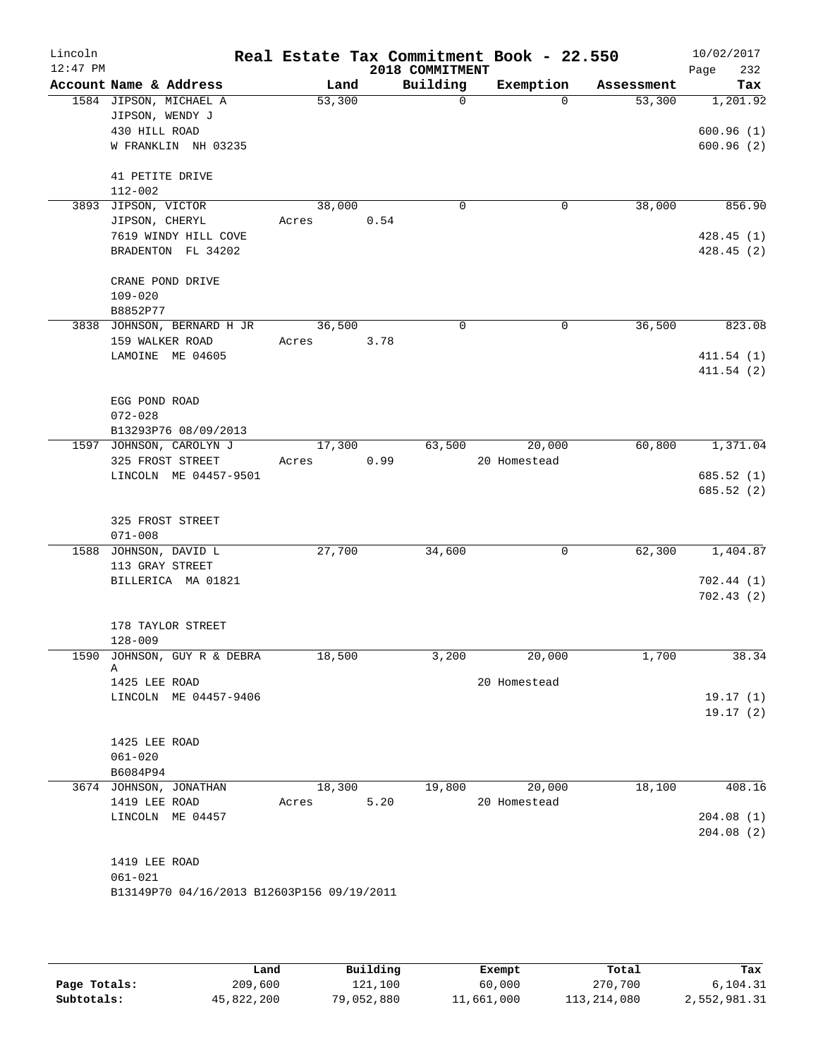| Lincoln<br>$12:47$ PM |                                             |                 |      | 2018 COMMITMENT | Real Estate Tax Commitment Book - 22.550 |            | 10/02/2017<br>232<br>Page |
|-----------------------|---------------------------------------------|-----------------|------|-----------------|------------------------------------------|------------|---------------------------|
|                       | Account Name & Address                      |                 | Land | Building        | Exemption                                | Assessment | Tax                       |
|                       | 1584 JIPSON, MICHAEL A<br>JIPSON, WENDY J   | 53,300          |      | $\Omega$        | $\Omega$                                 | 53,300     | 1,201.92                  |
|                       | 430 HILL ROAD                               |                 |      |                 |                                          |            | 600.96(1)                 |
|                       | W FRANKLIN NH 03235                         |                 |      |                 |                                          |            | 600.96(2)                 |
|                       | 41 PETITE DRIVE                             |                 |      |                 |                                          |            |                           |
|                       | 112-002                                     |                 |      | $\Omega$        |                                          |            |                           |
|                       | 3893 JIPSON, VICTOR<br>JIPSON, CHERYL       | 38,000<br>Acres | 0.54 |                 | 0                                        | 38,000     | 856.90                    |
|                       | 7619 WINDY HILL COVE                        |                 |      |                 |                                          |            | 428.45(1)                 |
|                       | BRADENTON FL 34202                          |                 |      |                 |                                          |            | 428.45(2)                 |
|                       | CRANE POND DRIVE                            |                 |      |                 |                                          |            |                           |
|                       | $109 - 020$                                 |                 |      |                 |                                          |            |                           |
|                       | B8852P77<br>3838 JOHNSON, BERNARD H JR      | 36,500          |      | $\Omega$        | $\mathbf 0$                              | 36,500     | 823.08                    |
|                       | 159 WALKER ROAD                             | Acres           | 3.78 |                 |                                          |            |                           |
|                       | LAMOINE ME 04605                            |                 |      |                 |                                          |            | 411.54(1)                 |
|                       |                                             |                 |      |                 |                                          |            | 411.54(2)                 |
|                       | EGG POND ROAD                               |                 |      |                 |                                          |            |                           |
|                       | $072 - 028$                                 |                 |      |                 |                                          |            |                           |
|                       | B13293P76 08/09/2013                        |                 |      | 63,500          | 20,000                                   | 60,800     | 1,371.04                  |
|                       | 1597 JOHNSON, CAROLYN J<br>325 FROST STREET | 17,300<br>Acres | 0.99 |                 | 20 Homestead                             |            |                           |
|                       | LINCOLN ME 04457-9501                       |                 |      |                 |                                          |            | 685.52 (1)                |
|                       |                                             |                 |      |                 |                                          |            | 685.52 (2)                |
|                       | 325 FROST STREET                            |                 |      |                 |                                          |            |                           |
|                       | $071 - 008$                                 |                 |      |                 |                                          |            |                           |
|                       | 1588 JOHNSON, DAVID L                       | 27,700          |      | 34,600          | $\mathbf 0$                              | 62,300     | 1,404.87                  |
|                       | 113 GRAY STREET<br>BILLERICA MA 01821       |                 |      |                 |                                          |            | 702.44 (1)                |
|                       |                                             |                 |      |                 |                                          |            | 702.43(2)                 |
|                       | 178 TAYLOR STREET                           |                 |      |                 |                                          |            |                           |
|                       | $128 - 009$                                 |                 |      |                 |                                          |            |                           |
|                       | 1590 JOHNSON, GUY R & DEBRA<br>Α            | 18,500          |      | 3,200           | 20,000                                   | 1,700      | 38.34                     |
|                       | 1425 LEE ROAD                               |                 |      |                 | 20 Homestead                             |            |                           |
|                       | LINCOLN ME 04457-9406                       |                 |      |                 |                                          |            | 19.17(1)                  |
|                       |                                             |                 |      |                 |                                          |            | 19.17(2)                  |
|                       | 1425 LEE ROAD                               |                 |      |                 |                                          |            |                           |
|                       | $061 - 020$                                 |                 |      |                 |                                          |            |                           |
|                       | B6084P94                                    |                 |      |                 |                                          |            |                           |
|                       | 3674 JOHNSON, JONATHAN<br>1419 LEE ROAD     | 18,300          | 5.20 | 19,800          | 20,000<br>20 Homestead                   | 18,100     | 408.16                    |
|                       | LINCOLN ME 04457                            | Acres           |      |                 |                                          |            | 204.08(1)                 |
|                       |                                             |                 |      |                 |                                          |            | 204.08 (2)                |
|                       | 1419 LEE ROAD                               |                 |      |                 |                                          |            |                           |
|                       | $061 - 021$                                 |                 |      |                 |                                          |            |                           |
|                       | B13149P70 04/16/2013 B12603P156 09/19/2011  |                 |      |                 |                                          |            |                           |
|                       |                                             |                 |      |                 |                                          |            |                           |

|              | Land       | Building   | Exempt     | Total       | Tax          |
|--------------|------------|------------|------------|-------------|--------------|
| Page Totals: | 209,600    | 121,100    | 60,000     | 270,700     | 6,104.31     |
| Subtotals:   | 45,822,200 | 79,052,880 | 11,661,000 | 113,214,080 | 2,552,981.31 |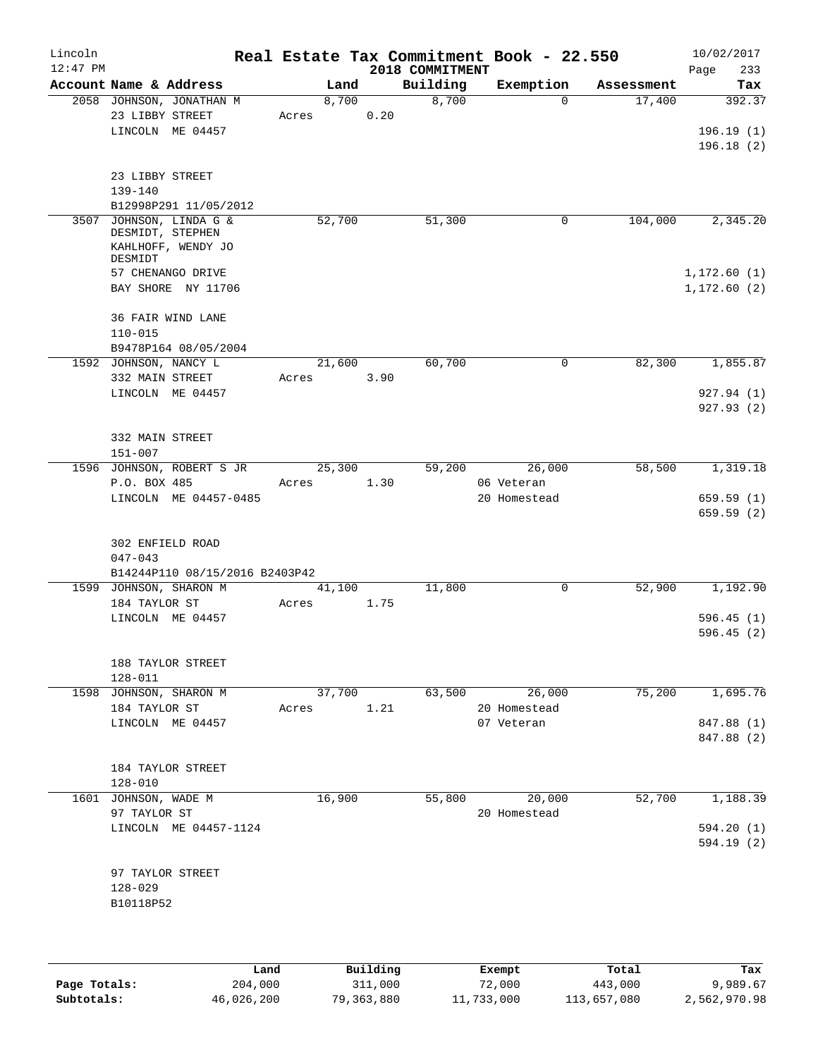| Lincoln<br>$12:47$ PM |                                                                         |       |        |      | 2018 COMMITMENT | Real Estate Tax Commitment Book - 22.550 |            | 10/02/2017<br>Page<br>233        |
|-----------------------|-------------------------------------------------------------------------|-------|--------|------|-----------------|------------------------------------------|------------|----------------------------------|
|                       | Account Name & Address                                                  |       | Land   |      | Building        | Exemption                                | Assessment | Tax                              |
|                       | 2058 JOHNSON, JONATHAN M<br>23 LIBBY STREET<br>LINCOLN ME 04457         | Acres | 8,700  | 0.20 | 8,700           | $\mathbf 0$                              | 17,400     | 392.37<br>196.19(1)<br>196.18(2) |
|                       | 23 LIBBY STREET<br>139-140<br>B12998P291 11/05/2012                     |       |        |      |                 |                                          |            |                                  |
| 3507                  | JOHNSON, LINDA G &<br>DESMIDT, STEPHEN<br>KAHLHOFF, WENDY JO<br>DESMIDT |       | 52,700 |      | 51,300          | 0                                        | 104,000    | 2,345.20                         |
|                       | 57 CHENANGO DRIVE<br>BAY SHORE NY 11706                                 |       |        |      |                 |                                          |            | 1,172.60(1)<br>1,172.60(2)       |
|                       | 36 FAIR WIND LANE<br>$110 - 015$<br>B9478P164 08/05/2004                |       |        |      |                 |                                          |            |                                  |
|                       | 1592 JOHNSON, NANCY L                                                   |       | 21,600 |      | 60,700          | 0                                        | 82,300     | 1,855.87                         |
|                       | 332 MAIN STREET<br>LINCOLN ME 04457                                     | Acres |        | 3.90 |                 |                                          |            | 927.94 (1)<br>927.93 (2)         |
|                       | 332 MAIN STREET<br>$151 - 007$                                          |       |        |      |                 |                                          |            |                                  |
|                       | 1596 JOHNSON, ROBERT S JR<br>P.O. BOX 485                               | Acres | 25,300 | 1.30 | 59,200          | 26,000<br>06 Veteran                     | 58,500     | 1,319.18                         |
|                       | LINCOLN ME 04457-0485                                                   |       |        |      |                 | 20 Homestead                             |            | 659.59(1)<br>659.59(2)           |
|                       | 302 ENFIELD ROAD<br>$047 - 043$<br>B14244P110 08/15/2016 B2403P42       |       |        |      |                 |                                          |            |                                  |
|                       | 1599 JOHNSON, SHARON M                                                  |       | 41,100 |      | 11,800          | 0                                        | 52,900     | 1,192.90                         |
|                       | 184 TAYLOR ST<br>LINCOLN ME 04457                                       | Acres |        | 1.75 |                 |                                          |            | 596.45(1)<br>596.45 (2)          |
|                       | 188 TAYLOR STREET<br>128-011                                            |       |        |      |                 |                                          |            |                                  |
|                       | 1598 JOHNSON, SHARON M<br>184 TAYLOR ST                                 | Acres | 37,700 | 1.21 | 63,500          | 26,000<br>20 Homestead                   | 75,200     | 1,695.76                         |
|                       | LINCOLN ME 04457                                                        |       |        |      |                 | 07 Veteran                               |            | 847.88 (1)                       |
|                       |                                                                         |       |        |      |                 |                                          |            | 847.88 (2)                       |
|                       | 184 TAYLOR STREET<br>$128 - 010$                                        |       |        |      |                 |                                          |            |                                  |
|                       | 1601 JOHNSON, WADE M                                                    |       | 16,900 |      | 55,800          | 20,000                                   | 52,700     | 1,188.39                         |
|                       | 97 TAYLOR ST<br>LINCOLN ME 04457-1124                                   |       |        |      |                 | 20 Homestead                             |            | 594.20 (1)<br>594.19(2)          |
|                       | 97 TAYLOR STREET<br>$128 - 029$<br>B10118P52                            |       |        |      |                 |                                          |            |                                  |
|                       |                                                                         |       |        |      |                 |                                          |            |                                  |

|              | Land       | Building   | Exempt     | Total       | Tax          |
|--------------|------------|------------|------------|-------------|--------------|
| Page Totals: | 204,000    | 311,000    | 72,000     | 443,000     | 9,989.67     |
| Subtotals:   | 46,026,200 | 79,363,880 | 11,733,000 | 113,657,080 | 2,562,970.98 |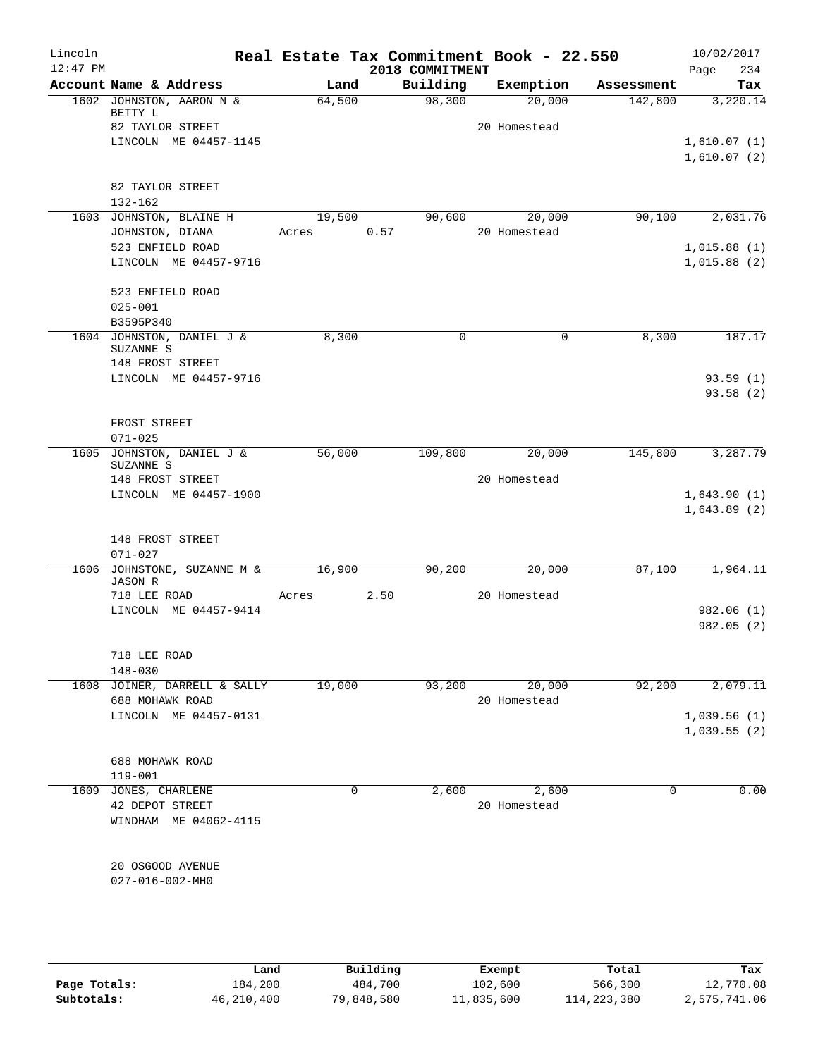| Lincoln<br>$12:47$ PM |                                             |        |      | 2018 COMMITMENT | Real Estate Tax Commitment Book - 22.550 |            | 10/02/2017         |
|-----------------------|---------------------------------------------|--------|------|-----------------|------------------------------------------|------------|--------------------|
|                       | Account Name & Address                      | Land   |      | Building        | Exemption                                | Assessment | 234<br>Page<br>Tax |
|                       | 1602 JOHNSTON, AARON N &                    | 64,500 |      | 98,300          | 20,000                                   | 142,800    | 3,220.14           |
|                       | BETTY L                                     |        |      |                 |                                          |            |                    |
|                       | 82 TAYLOR STREET                            |        |      |                 | 20 Homestead                             |            |                    |
|                       | LINCOLN ME 04457-1145                       |        |      |                 |                                          |            | 1,610.07(1)        |
|                       |                                             |        |      |                 |                                          |            | 1,610.07(2)        |
|                       | 82 TAYLOR STREET                            |        |      |                 |                                          |            |                    |
|                       | $132 - 162$                                 |        |      |                 |                                          |            |                    |
|                       | 1603 JOHNSTON, BLAINE H                     | 19,500 |      | 90,600          | 20,000                                   | 90,100     | 2,031.76           |
|                       | JOHNSTON, DIANA                             | Acres  | 0.57 |                 | 20 Homestead                             |            |                    |
|                       | 523 ENFIELD ROAD                            |        |      |                 |                                          |            | 1,015.88(1)        |
|                       | LINCOLN ME 04457-9716                       |        |      |                 |                                          |            | 1,015.88(2)        |
|                       |                                             |        |      |                 |                                          |            |                    |
|                       | 523 ENFIELD ROAD                            |        |      |                 |                                          |            |                    |
|                       | $025 - 001$<br>B3595P340                    |        |      |                 |                                          |            |                    |
|                       | 1604 JOHNSTON, DANIEL J &                   | 8,300  |      | 0               | 0                                        | 8,300      | 187.17             |
|                       | SUZANNE S                                   |        |      |                 |                                          |            |                    |
|                       | 148 FROST STREET                            |        |      |                 |                                          |            |                    |
|                       | LINCOLN ME 04457-9716                       |        |      |                 |                                          |            | 93.59(1)           |
|                       |                                             |        |      |                 |                                          |            | 93.58(2)           |
|                       |                                             |        |      |                 |                                          |            |                    |
|                       | FROST STREET                                |        |      |                 |                                          |            |                    |
|                       | $071 - 025$<br>1605 JOHNSTON, DANIEL J &    | 56,000 |      | 109,800         | 20,000                                   | 145,800    | 3,287.79           |
|                       | SUZANNE S                                   |        |      |                 |                                          |            |                    |
|                       | 148 FROST STREET                            |        |      |                 | 20 Homestead                             |            |                    |
|                       | LINCOLN ME 04457-1900                       |        |      |                 |                                          |            | 1,643.90(1)        |
|                       |                                             |        |      |                 |                                          |            | 1,643.89(2)        |
|                       |                                             |        |      |                 |                                          |            |                    |
|                       | 148 FROST STREET                            |        |      |                 |                                          |            |                    |
|                       | $071 - 027$<br>1606 JOHNSTONE, SUZANNE M &  | 16,900 |      | 90,200          | 20,000                                   | 87,100     | 1,964.11           |
|                       | <b>JASON R</b>                              |        |      |                 |                                          |            |                    |
|                       | 718 LEE ROAD                                | Acres  | 2.50 |                 | 20 Homestead                             |            |                    |
|                       | LINCOLN ME 04457-9414                       |        |      |                 |                                          |            | 982.06 (1)         |
|                       |                                             |        |      |                 |                                          |            | 982.05(2)          |
|                       |                                             |        |      |                 |                                          |            |                    |
|                       | 718 LEE ROAD                                |        |      |                 |                                          |            |                    |
|                       | $148 - 030$<br>1608 JOINER, DARRELL & SALLY | 19,000 |      | 93,200          | 20,000                                   | 92,200     | 2,079.11           |
|                       | 688 MOHAWK ROAD                             |        |      |                 | 20 Homestead                             |            |                    |
|                       | LINCOLN ME 04457-0131                       |        |      |                 |                                          |            | 1,039.56(1)        |
|                       |                                             |        |      |                 |                                          |            | 1,039.55(2)        |
|                       |                                             |        |      |                 |                                          |            |                    |
|                       | 688 MOHAWK ROAD                             |        |      |                 |                                          |            |                    |
|                       | 119-001                                     |        |      |                 |                                          |            |                    |
|                       | 1609 JONES, CHARLENE                        | 0      |      | 2,600           | 2,600                                    | 0          | 0.00               |
|                       | 42 DEPOT STREET                             |        |      |                 | 20 Homestead                             |            |                    |
|                       | WINDHAM ME 04062-4115                       |        |      |                 |                                          |            |                    |
|                       |                                             |        |      |                 |                                          |            |                    |
|                       | 20 OSGOOD AVENUE                            |        |      |                 |                                          |            |                    |
|                       | 027-016-002-MH0                             |        |      |                 |                                          |            |                    |
|                       |                                             |        |      |                 |                                          |            |                    |
|                       |                                             |        |      |                 |                                          |            |                    |
|                       |                                             |        |      |                 |                                          |            |                    |

|              | Land       | Building   | Exempt     | Total       | Tax          |
|--------------|------------|------------|------------|-------------|--------------|
| Page Totals: | 184,200    | 484,700    | 102,600    | 566,300     | 12,770.08    |
| Subtotals:   | 46,210,400 | 79,848,580 | 11,835,600 | 114,223,380 | 2,575,741.06 |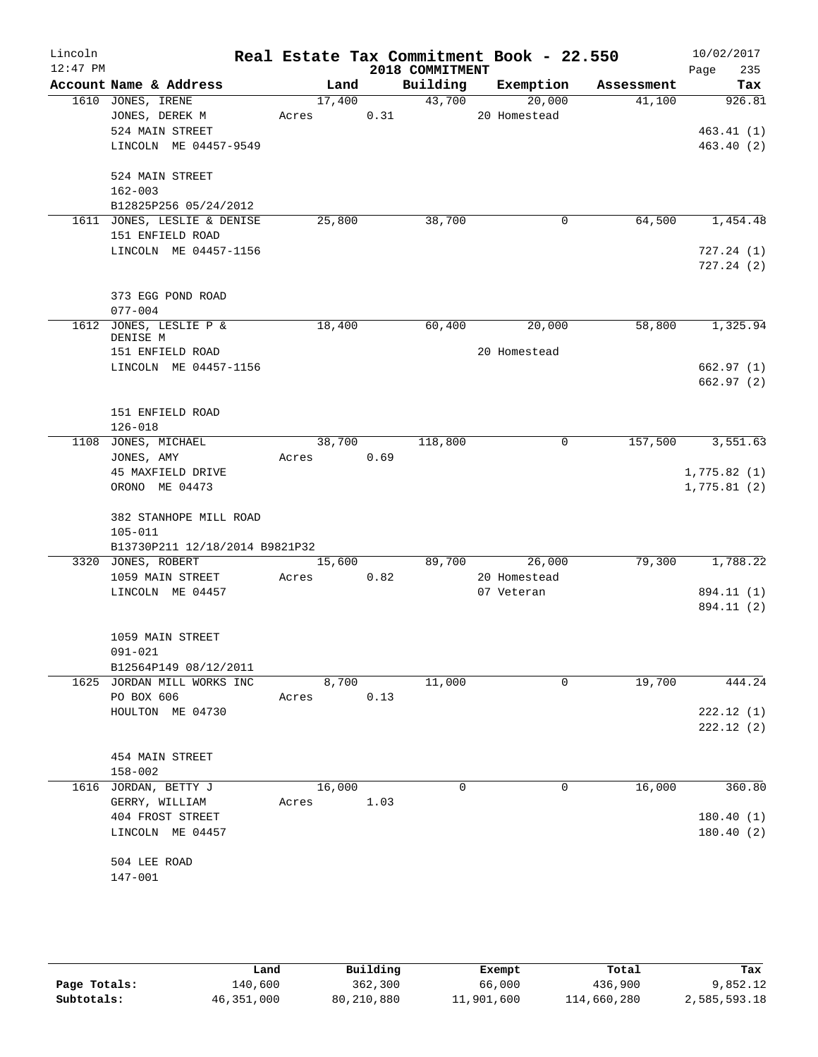| Lincoln<br>$12:47$ PM |                                                                                 |                 |                | 2018 COMMITMENT | Real Estate Tax Commitment Book - 22.550 |            | 10/02/2017<br>235<br>Page         |
|-----------------------|---------------------------------------------------------------------------------|-----------------|----------------|-----------------|------------------------------------------|------------|-----------------------------------|
|                       | Account Name & Address                                                          |                 | Land           | Building        | Exemption                                | Assessment | Tax                               |
|                       | 1610 JONES, IRENE<br>JONES, DEREK M<br>524 MAIN STREET<br>LINCOLN ME 04457-9549 | 17,400<br>Acres | 0.31           | 43,700          | 20,000<br>20 Homestead                   | 41,100     | 926.81<br>463.41(1)<br>463.40 (2) |
|                       | 524 MAIN STREET<br>$162 - 003$<br>B12825P256 05/24/2012                         |                 |                |                 |                                          |            |                                   |
|                       | 1611 JONES, LESLIE & DENISE                                                     | 25,800          |                | 38,700          | $\mathbf 0$                              | 64,500     | 1,454.48                          |
|                       | 151 ENFIELD ROAD<br>LINCOLN ME 04457-1156                                       |                 |                |                 |                                          |            | 727.24(1)<br>727.24(2)            |
|                       | 373 EGG POND ROAD<br>$077 - 004$                                                |                 |                |                 |                                          |            |                                   |
|                       | 1612 JONES, LESLIE P &<br>DENISE M                                              | 18,400          |                | 60,400          | 20,000                                   | 58,800     | 1,325.94                          |
|                       | 151 ENFIELD ROAD<br>LINCOLN ME 04457-1156                                       |                 |                |                 | 20 Homestead                             |            | 662.97(1)<br>662.97(2)            |
|                       | 151 ENFIELD ROAD<br>$126 - 018$                                                 |                 |                |                 |                                          |            |                                   |
|                       | 1108 JONES, MICHAEL<br>JONES, AMY                                               | Acres           | 38,700<br>0.69 | 118,800         | 0                                        | 157,500    | 3,551.63                          |
|                       | 45 MAXFIELD DRIVE<br>ORONO ME 04473                                             |                 |                |                 |                                          |            | 1,775.82(1)<br>1,775.81(2)        |
|                       | 382 STANHOPE MILL ROAD<br>$105 - 011$                                           |                 |                |                 |                                          |            |                                   |
|                       | B13730P211 12/18/2014 B9821P32<br>3320 JONES, ROBERT                            | 15,600          |                | 89,700          | 26,000                                   | 79,300     | 1,788.22                          |
|                       | 1059 MAIN STREET                                                                | Acres           | 0.82           |                 | 20 Homestead                             |            |                                   |
|                       | LINCOLN ME 04457                                                                |                 |                |                 | 07 Veteran                               |            | 894.11 (1)<br>894.11 (2)          |
|                       | 1059 MAIN STREET<br>091-021<br>B12564P149 08/12/2011                            |                 |                |                 |                                          |            |                                   |
|                       | 1625 JORDAN MILL WORKS INC                                                      |                 | 8,700          | 11,000          | 0                                        | 19,700     | 444.24                            |
|                       | PO BOX 606<br>HOULTON ME 04730                                                  | Acres           | 0.13           |                 |                                          |            | 222.12(1)<br>222.12(2)            |
|                       | 454 MAIN STREET<br>$158 - 002$                                                  |                 |                |                 |                                          |            |                                   |
|                       | 1616 JORDAN, BETTY J                                                            | 16,000          |                | $\Omega$        | 0                                        | 16,000     | 360.80                            |
|                       | GERRY, WILLIAM<br>404 FROST STREET<br>LINCOLN ME 04457                          | Acres           | 1.03           |                 |                                          |            | 180.40(1)<br>180.40(2)            |
|                       | 504 LEE ROAD<br>147-001                                                         |                 |                |                 |                                          |            |                                   |
|                       |                                                                                 |                 |                |                 |                                          |            |                                   |

|              | Land       | Building   | Exempt     | Total       | Tax          |
|--------------|------------|------------|------------|-------------|--------------|
| Page Totals: | 140,600    | 362,300    | 66,000     | 436,900     | 9,852.12     |
| Subtotals:   | 46,351,000 | 80,210,880 | 11,901,600 | 114,660,280 | 2,585,593.18 |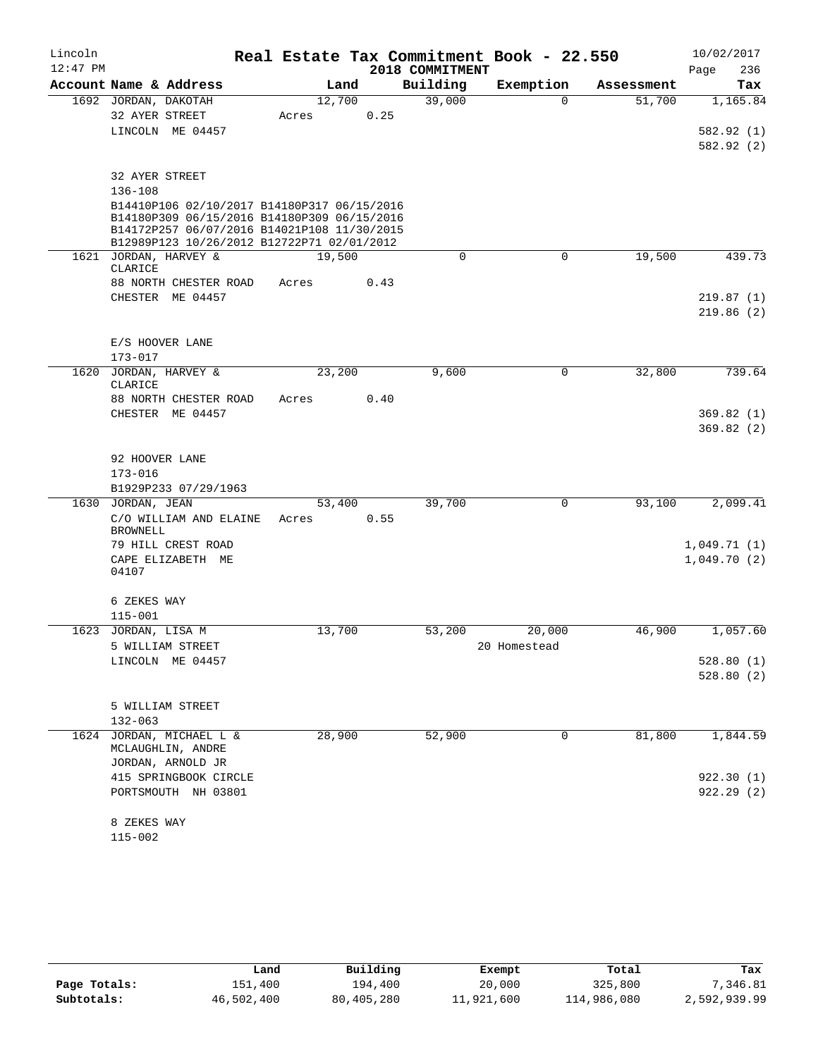| Lincoln    |                      |                                                                                           |       |        |                 | Real Estate Tax Commitment Book - 22.550 |            | 10/02/2017  |
|------------|----------------------|-------------------------------------------------------------------------------------------|-------|--------|-----------------|------------------------------------------|------------|-------------|
| $12:47$ PM |                      |                                                                                           |       |        | 2018 COMMITMENT |                                          |            | 236<br>Page |
|            |                      | Account Name & Address                                                                    |       | Land   | Building        | Exemption                                | Assessment | Tax         |
|            | 1692 JORDAN, DAKOTAH |                                                                                           |       | 12,700 | 39,000          | $\Omega$                                 | 51,700     | 1,165.84    |
|            | 32 AYER STREET       |                                                                                           | Acres | 0.25   |                 |                                          |            |             |
|            |                      | LINCOLN ME 04457                                                                          |       |        |                 |                                          |            | 582.92 (1)  |
|            |                      |                                                                                           |       |        |                 |                                          |            | 582.92 (2)  |
|            | 32 AYER STREET       |                                                                                           |       |        |                 |                                          |            |             |
|            | $136 - 108$          |                                                                                           |       |        |                 |                                          |            |             |
|            |                      | B14410P106 02/10/2017 B14180P317 06/15/2016                                               |       |        |                 |                                          |            |             |
|            |                      | B14180P309 06/15/2016 B14180P309 06/15/2016                                               |       |        |                 |                                          |            |             |
|            |                      | B14172P257 06/07/2016 B14021P108 11/30/2015<br>B12989P123 10/26/2012 B12722P71 02/01/2012 |       |        |                 |                                          |            |             |
|            |                      | 1621 JORDAN, HARVEY &                                                                     |       | 19,500 | $\mathbf 0$     | $\mathbf 0$                              | 19,500     | 439.73      |
|            | CLARICE              |                                                                                           |       |        |                 |                                          |            |             |
|            |                      | 88 NORTH CHESTER ROAD                                                                     | Acres | 0.43   |                 |                                          |            |             |
|            |                      | CHESTER ME 04457                                                                          |       |        |                 |                                          |            | 219.87(1)   |
|            |                      |                                                                                           |       |        |                 |                                          |            | 219.86(2)   |
|            |                      |                                                                                           |       |        |                 |                                          |            |             |
|            | $173 - 017$          | E/S HOOVER LANE                                                                           |       |        |                 |                                          |            |             |
| 1620       |                      | JORDAN, HARVEY &                                                                          |       | 23,200 | 9,600           | $\mathbf 0$                              | 32,800     | 739.64      |
|            | CLARICE              |                                                                                           |       |        |                 |                                          |            |             |
|            |                      | 88 NORTH CHESTER ROAD                                                                     | Acres | 0.40   |                 |                                          |            |             |
|            |                      | CHESTER ME 04457                                                                          |       |        |                 |                                          |            | 369.82(1)   |
|            |                      |                                                                                           |       |        |                 |                                          |            | 369.82(2)   |
|            |                      |                                                                                           |       |        |                 |                                          |            |             |
|            | 92 HOOVER LANE       |                                                                                           |       |        |                 |                                          |            |             |
|            | $173 - 016$          | B1929P233 07/29/1963                                                                      |       |        |                 |                                          |            |             |
|            | 1630 JORDAN, JEAN    |                                                                                           |       | 53,400 | 39,700          | 0                                        | 93,100     | 2,099.41    |
|            |                      | C/O WILLIAM AND ELAINE                                                                    | Acres | 0.55   |                 |                                          |            |             |
|            | <b>BROWNELL</b>      |                                                                                           |       |        |                 |                                          |            |             |
|            |                      | 79 HILL CREST ROAD                                                                        |       |        |                 |                                          |            | 1,049.71(1) |
|            |                      | CAPE ELIZABETH ME                                                                         |       |        |                 |                                          |            | 1,049.70(2) |
|            | 04107                |                                                                                           |       |        |                 |                                          |            |             |
|            | 6 ZEKES WAY          |                                                                                           |       |        |                 |                                          |            |             |
|            | $115 - 001$          |                                                                                           |       |        |                 |                                          |            |             |
|            | 1623 JORDAN, LISA M  |                                                                                           |       | 13,700 | 53,200          | 20,000                                   | 46,900     | 1,057.60    |
|            |                      | 5 WILLIAM STREET                                                                          |       |        |                 | 20 Homestead                             |            |             |
|            |                      | LINCOLN ME 04457                                                                          |       |        |                 |                                          |            | 528.80(1)   |
|            |                      |                                                                                           |       |        |                 |                                          |            | 528.80(2)   |
|            |                      | 5 WILLIAM STREET                                                                          |       |        |                 |                                          |            |             |
|            | $132 - 063$          |                                                                                           |       |        |                 |                                          |            |             |
|            |                      | 1624 JORDAN, MICHAEL L &                                                                  |       | 28,900 | 52,900          | $\mathbf 0$                              | 81,800     | 1,844.59    |
|            |                      | MCLAUGHLIN, ANDRE                                                                         |       |        |                 |                                          |            |             |
|            |                      | JORDAN, ARNOLD JR                                                                         |       |        |                 |                                          |            |             |
|            |                      | 415 SPRINGBOOK CIRCLE                                                                     |       |        |                 |                                          |            | 922.30(1)   |
|            |                      | PORTSMOUTH NH 03801                                                                       |       |        |                 |                                          |            | 922.29(2)   |
|            |                      |                                                                                           |       |        |                 |                                          |            |             |
|            | 8 ZEKES WAY          |                                                                                           |       |        |                 |                                          |            |             |
|            | $115 - 002$          |                                                                                           |       |        |                 |                                          |            |             |

|              | Land       | Building   | Exempt     | Total       | Tax          |
|--------------|------------|------------|------------|-------------|--------------|
| Page Totals: | 151,400    | 194,400    | 20,000     | 325,800     | 7,346.81     |
| Subtotals:   | 46,502,400 | 80,405,280 | 11,921,600 | 114,986,080 | 2,592,939.99 |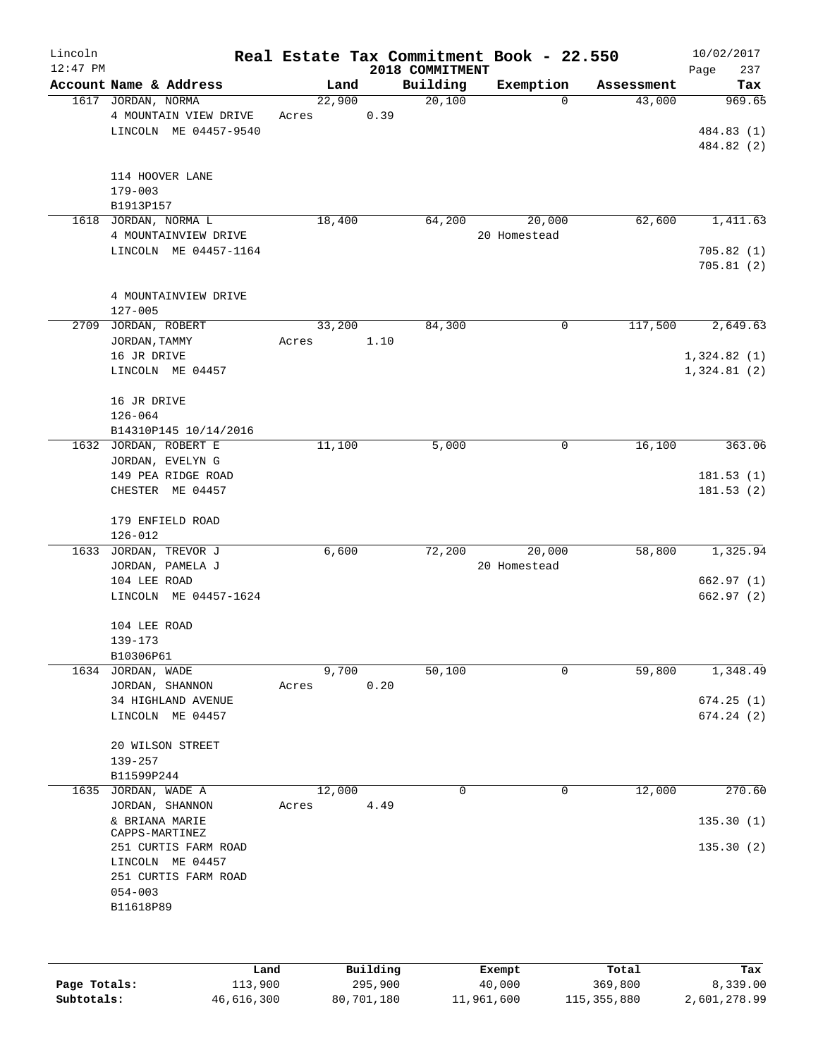| Lincoln    |                                                |        |      |                 | Real Estate Tax Commitment Book - 22.550 |            | 10/02/2017             |
|------------|------------------------------------------------|--------|------|-----------------|------------------------------------------|------------|------------------------|
| $12:47$ PM |                                                |        |      | 2018 COMMITMENT |                                          |            | 237<br>Page            |
|            | Account Name & Address                         | Land   |      | Building        | Exemption                                | Assessment | Tax                    |
|            | 1617 JORDAN, NORMA                             | 22,900 |      | 20,100          | $\Omega$                                 | 43,000     | 969.65                 |
|            | 4 MOUNTAIN VIEW DRIVE<br>LINCOLN ME 04457-9540 | Acres  | 0.39 |                 |                                          |            | 484.83 (1)             |
|            |                                                |        |      |                 |                                          |            | 484.82 (2)             |
|            |                                                |        |      |                 |                                          |            |                        |
|            | 114 HOOVER LANE                                |        |      |                 |                                          |            |                        |
|            | $179 - 003$                                    |        |      |                 |                                          |            |                        |
|            | B1913P157                                      |        |      |                 |                                          |            |                        |
|            | 1618 JORDAN, NORMA L                           | 18,400 |      | 64,200          | 20,000                                   | 62,600     | 1,411.63               |
|            | 4 MOUNTAINVIEW DRIVE                           |        |      |                 | 20 Homestead                             |            |                        |
|            | LINCOLN ME 04457-1164                          |        |      |                 |                                          |            | 705.82(1)              |
|            |                                                |        |      |                 |                                          |            | 705.81(2)              |
|            |                                                |        |      |                 |                                          |            |                        |
|            | 4 MOUNTAINVIEW DRIVE                           |        |      |                 |                                          |            |                        |
|            | $127 - 005$                                    |        |      |                 |                                          |            |                        |
|            | 2709 JORDAN, ROBERT                            | 33,200 |      | 84,300          | 0                                        | 117,500    | 2,649.63               |
|            | JORDAN, TAMMY                                  | Acres  | 1.10 |                 |                                          |            |                        |
|            | 16 JR DRIVE                                    |        |      |                 |                                          |            | 1,324.82(1)            |
|            | LINCOLN ME 04457                               |        |      |                 |                                          |            | 1,324.81(2)            |
|            |                                                |        |      |                 |                                          |            |                        |
|            | 16 JR DRIVE                                    |        |      |                 |                                          |            |                        |
|            | $126 - 064$                                    |        |      |                 |                                          |            |                        |
|            | B14310P145 10/14/2016                          |        |      |                 |                                          |            |                        |
|            | 1632 JORDAN, ROBERT E                          | 11,100 |      | 5,000           | 0                                        | 16,100     | 363.06                 |
|            | JORDAN, EVELYN G                               |        |      |                 |                                          |            |                        |
|            | 149 PEA RIDGE ROAD<br>CHESTER ME 04457         |        |      |                 |                                          |            | 181.53(1)<br>181.53(2) |
|            |                                                |        |      |                 |                                          |            |                        |
|            | 179 ENFIELD ROAD                               |        |      |                 |                                          |            |                        |
|            | $126 - 012$                                    |        |      |                 |                                          |            |                        |
|            | 1633 JORDAN, TREVOR J                          | 6,600  |      | 72,200          | 20,000                                   | 58,800     | 1,325.94               |
|            | JORDAN, PAMELA J                               |        |      |                 | 20 Homestead                             |            |                        |
|            | 104 LEE ROAD                                   |        |      |                 |                                          |            | 662.97(1)              |
|            | LINCOLN ME 04457-1624                          |        |      |                 |                                          |            | 662.97(2)              |
|            |                                                |        |      |                 |                                          |            |                        |
|            | 104 LEE ROAD                                   |        |      |                 |                                          |            |                        |
|            | 139-173                                        |        |      |                 |                                          |            |                        |
|            | B10306P61                                      |        |      |                 |                                          |            |                        |
|            | 1634 JORDAN, WADE                              | 9,700  |      | 50,100          | $\mathbf 0$                              | 59,800     | 1,348.49               |
|            | JORDAN, SHANNON                                | Acres  | 0.20 |                 |                                          |            |                        |
|            | 34 HIGHLAND AVENUE                             |        |      |                 |                                          |            | 674.25(1)              |
|            | LINCOLN ME 04457                               |        |      |                 |                                          |            | 674.24(2)              |
|            |                                                |        |      |                 |                                          |            |                        |
|            | 20 WILSON STREET                               |        |      |                 |                                          |            |                        |
|            | $139 - 257$                                    |        |      |                 |                                          |            |                        |
|            | B11599P244                                     |        |      |                 |                                          |            |                        |
|            | 1635 JORDAN, WADE A                            | 12,000 |      | 0               | 0                                        | 12,000     | 270.60                 |
|            | JORDAN, SHANNON                                | Acres  | 4.49 |                 |                                          |            |                        |
|            | & BRIANA MARIE<br>CAPPS-MARTINEZ               |        |      |                 |                                          |            | 135.30(1)              |
|            | 251 CURTIS FARM ROAD                           |        |      |                 |                                          |            | 135.30(2)              |
|            | LINCOLN ME 04457                               |        |      |                 |                                          |            |                        |
|            | 251 CURTIS FARM ROAD                           |        |      |                 |                                          |            |                        |
|            | $054 - 003$                                    |        |      |                 |                                          |            |                        |
|            | B11618P89                                      |        |      |                 |                                          |            |                        |
|            |                                                |        |      |                 |                                          |            |                        |
|            |                                                |        |      |                 |                                          |            |                        |
|            |                                                |        |      |                 |                                          |            |                        |
|            |                                                |        |      |                 |                                          |            |                        |

|              | Land       | Building   | Exempt     | Total       | Tax          |
|--------------|------------|------------|------------|-------------|--------------|
| Page Totals: | 113,900    | 295,900    | 40,000     | 369,800     | 8,339.00     |
| Subtotals:   | 46,616,300 | 80,701,180 | 11,961,600 | 115,355,880 | 2,601,278.99 |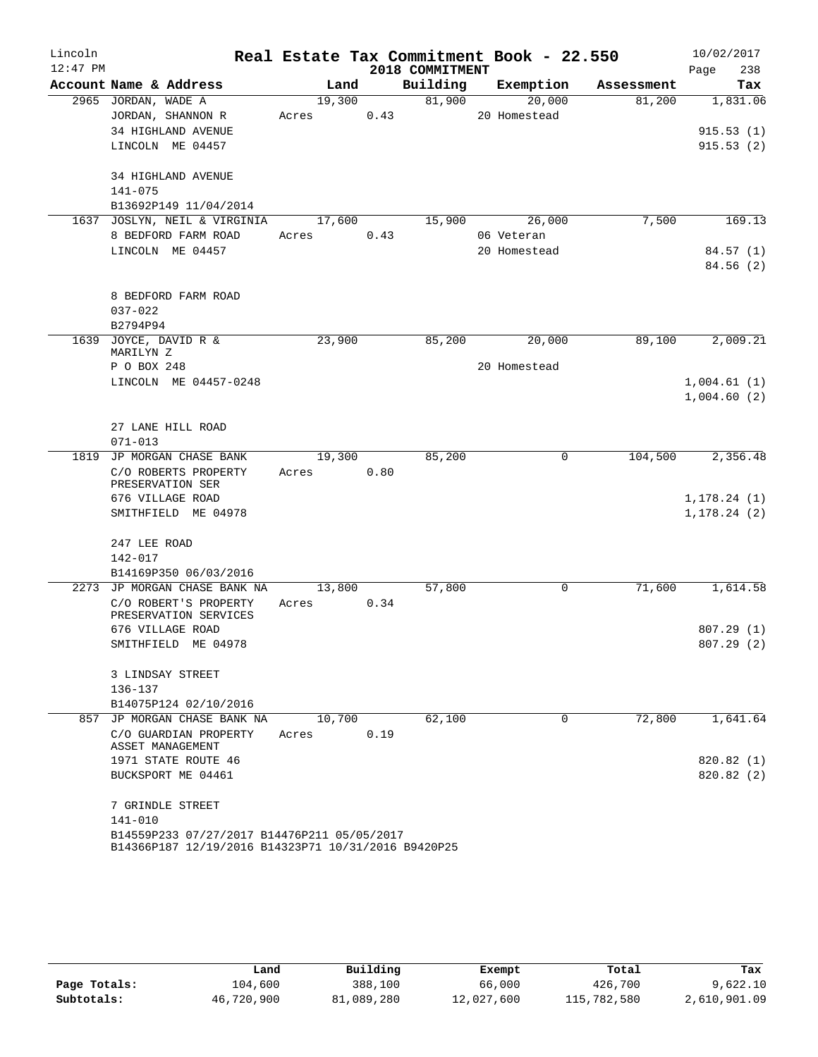| Lincoln    |                                                     |        |      |                 | Real Estate Tax Commitment Book - 22.550 |            | 10/02/2017   |
|------------|-----------------------------------------------------|--------|------|-----------------|------------------------------------------|------------|--------------|
| $12:47$ PM |                                                     |        |      | 2018 COMMITMENT |                                          |            | 238<br>Page  |
|            | Account Name & Address                              | Land   |      | Building        | Exemption                                | Assessment | Tax          |
|            | 2965 JORDAN, WADE A                                 | 19,300 |      | 81,900          | 20,000                                   | 81,200     | 1,831.06     |
|            | JORDAN, SHANNON R                                   | Acres  | 0.43 |                 | 20 Homestead                             |            |              |
|            | 34 HIGHLAND AVENUE                                  |        |      |                 |                                          |            | 915.53(1)    |
|            | LINCOLN ME 04457                                    |        |      |                 |                                          |            | 915.53(2)    |
|            | 34 HIGHLAND AVENUE                                  |        |      |                 |                                          |            |              |
|            | $141 - 075$                                         |        |      |                 |                                          |            |              |
|            | B13692P149 11/04/2014                               |        |      |                 |                                          |            |              |
|            | 1637 JOSLYN, NEIL & VIRGINIA                        | 17,600 |      | 15,900          | 26,000                                   | 7,500      | 169.13       |
|            | 8 BEDFORD FARM ROAD                                 | Acres  | 0.43 |                 | 06 Veteran                               |            |              |
|            | LINCOLN ME 04457                                    |        |      |                 | 20 Homestead                             |            | 84.57(1)     |
|            |                                                     |        |      |                 |                                          |            | 84.56 (2)    |
|            |                                                     |        |      |                 |                                          |            |              |
|            | 8 BEDFORD FARM ROAD                                 |        |      |                 |                                          |            |              |
|            | $037 - 022$                                         |        |      |                 |                                          |            |              |
|            | B2794P94                                            |        |      |                 |                                          |            |              |
|            | 1639 JOYCE, DAVID R &<br>MARILYN Z                  | 23,900 |      | 85,200          | 20,000                                   | 89,100     | 2,009.21     |
|            | P O BOX 248                                         |        |      |                 | 20 Homestead                             |            |              |
|            | LINCOLN ME 04457-0248                               |        |      |                 |                                          |            | 1,004.61(1)  |
|            |                                                     |        |      |                 |                                          |            | 1,004.60(2)  |
|            |                                                     |        |      |                 |                                          |            |              |
|            | 27 LANE HILL ROAD                                   |        |      |                 |                                          |            |              |
|            | $071 - 013$                                         |        |      |                 |                                          |            |              |
|            | 1819 JP MORGAN CHASE BANK                           | 19,300 |      | 85,200          | 0                                        | 104,500    | 2,356.48     |
|            | C/O ROBERTS PROPERTY                                | Acres  | 0.80 |                 |                                          |            |              |
|            | PRESERVATION SER<br>676 VILLAGE ROAD                |        |      |                 |                                          |            | 1, 178.24(1) |
|            | SMITHFIELD ME 04978                                 |        |      |                 |                                          |            | 1,178.24(2)  |
|            |                                                     |        |      |                 |                                          |            |              |
|            | 247 LEE ROAD                                        |        |      |                 |                                          |            |              |
|            | 142-017                                             |        |      |                 |                                          |            |              |
|            | B14169P350 06/03/2016                               |        |      |                 |                                          |            |              |
| 2273       | JP MORGAN CHASE BANK NA                             | 13,800 |      | 57,800          | $\mathbf 0$                              | 71,600     | 1,614.58     |
|            | C/O ROBERT'S PROPERTY                               | Acres  | 0.34 |                 |                                          |            |              |
|            | PRESERVATION SERVICES                               |        |      |                 |                                          |            |              |
|            | 676 VILLAGE ROAD<br>SMITHFIELD ME 04978             |        |      |                 |                                          |            | 807.29(1)    |
|            |                                                     |        |      |                 |                                          |            | 807.29 (2)   |
|            | 3 LINDSAY STREET                                    |        |      |                 |                                          |            |              |
|            | 136-137                                             |        |      |                 |                                          |            |              |
|            | B14075P124 02/10/2016                               |        |      |                 |                                          |            |              |
|            | 857 JP MORGAN CHASE BANK NA                         | 10,700 |      | 62,100          | $\mathbf 0$                              | 72,800     | 1,641.64     |
|            | C/O GUARDIAN PROPERTY                               | Acres  | 0.19 |                 |                                          |            |              |
|            | ASSET MANAGEMENT                                    |        |      |                 |                                          |            |              |
|            | 1971 STATE ROUTE 46                                 |        |      |                 |                                          |            | 820.82(1)    |
|            | BUCKSPORT ME 04461                                  |        |      |                 |                                          |            | 820.82(2)    |
|            |                                                     |        |      |                 |                                          |            |              |
|            | 7 GRINDLE STREET<br>141-010                         |        |      |                 |                                          |            |              |
|            | B14559P233 07/27/2017 B14476P211 05/05/2017         |        |      |                 |                                          |            |              |
|            | B14366P187 12/19/2016 B14323P71 10/31/2016 B9420P25 |        |      |                 |                                          |            |              |

|              | Land       | Building   | Exempt     | Total       | Tax          |
|--------------|------------|------------|------------|-------------|--------------|
| Page Totals: | 104,600    | 388,100    | 66,000     | 426,700     | 9,622.10     |
| Subtotals:   | 46,720,900 | 81,089,280 | 12,027,600 | 115,782,580 | 2,610,901.09 |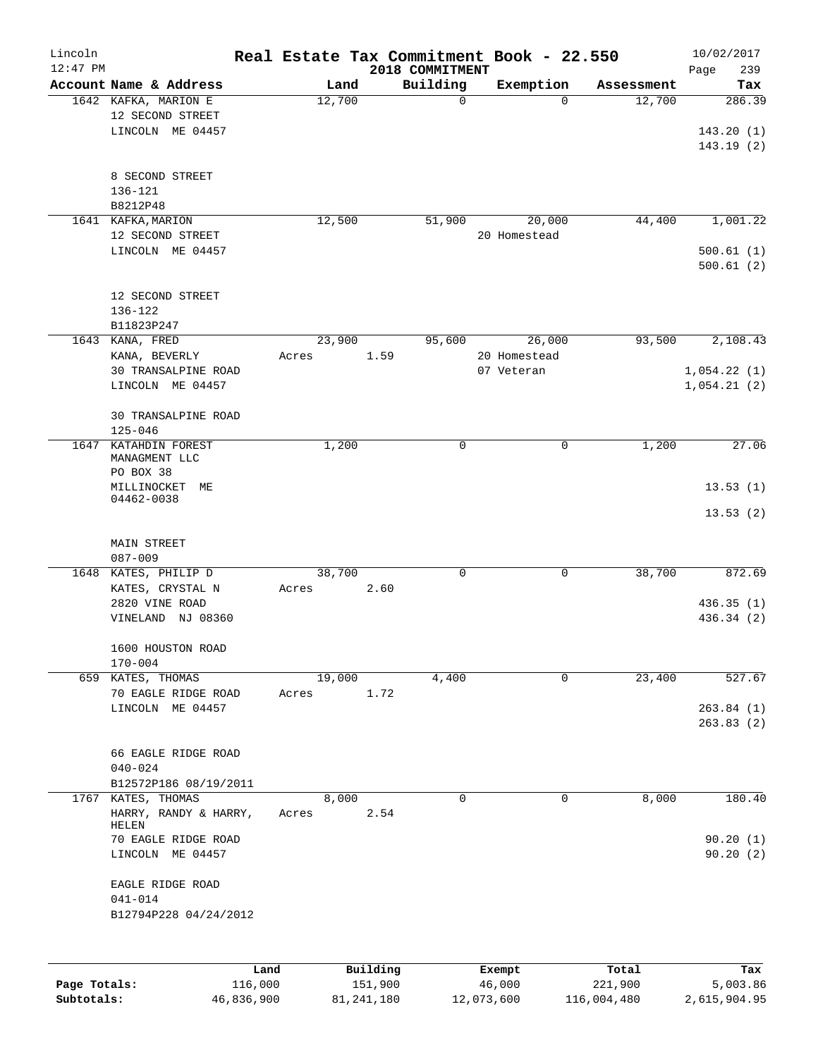| Lincoln      |                                 |        |          |                             | Real Estate Tax Commitment Book - 22.550 |            | 10/02/2017         |
|--------------|---------------------------------|--------|----------|-----------------------------|------------------------------------------|------------|--------------------|
| $12:47$ PM   | Account Name & Address          | Land   |          | 2018 COMMITMENT<br>Building | Exemption                                | Assessment | Page<br>239<br>Tax |
|              | 1642 KAFKA, MARION E            | 12,700 |          | 0                           | $\Omega$                                 | 12,700     | 286.39             |
|              | 12 SECOND STREET                |        |          |                             |                                          |            |                    |
|              | LINCOLN ME 04457                |        |          |                             |                                          |            | 143.20(1)          |
|              |                                 |        |          |                             |                                          |            | 143.19(2)          |
|              |                                 |        |          |                             |                                          |            |                    |
|              | 8 SECOND STREET                 |        |          |                             |                                          |            |                    |
|              | 136-121                         |        |          |                             |                                          |            |                    |
|              | B8212P48                        |        |          |                             |                                          |            |                    |
|              | 1641 KAFKA, MARION              | 12,500 |          | 51,900                      | 20,000                                   | 44,400     | 1,001.22           |
|              | 12 SECOND STREET                |        |          |                             | 20 Homestead                             |            |                    |
|              | LINCOLN ME 04457                |        |          |                             |                                          |            | 500.61(1)          |
|              |                                 |        |          |                             |                                          |            | 500.61(2)          |
|              |                                 |        |          |                             |                                          |            |                    |
|              | 12 SECOND STREET                |        |          |                             |                                          |            |                    |
|              | 136-122                         |        |          |                             |                                          |            |                    |
|              | B11823P247                      |        |          |                             |                                          |            |                    |
|              | 1643 KANA, FRED                 | 23,900 |          | 95,600                      | 26,000                                   | 93,500     | 2,108.43           |
|              | KANA, BEVERLY                   | Acres  | 1.59     |                             | 20 Homestead                             |            |                    |
|              | 30 TRANSALPINE ROAD             |        |          |                             | 07 Veteran                               |            | 1,054.22(1)        |
|              | LINCOLN ME 04457                |        |          |                             |                                          |            | 1,054.21(2)        |
|              |                                 |        |          |                             |                                          |            |                    |
|              | 30 TRANSALPINE ROAD             |        |          |                             |                                          |            |                    |
|              | $125 - 046$                     |        |          |                             |                                          |            |                    |
| 1647         | KATAHDIN FOREST                 | 1,200  |          | 0                           | 0                                        | 1,200      | 27.06              |
|              | MANAGMENT LLC                   |        |          |                             |                                          |            |                    |
|              | PO BOX 38                       |        |          |                             |                                          |            |                    |
|              | MILLINOCKET<br>МE<br>04462-0038 |        |          |                             |                                          |            | 13.53(1)           |
|              |                                 |        |          |                             |                                          |            | 13.53(2)           |
|              |                                 |        |          |                             |                                          |            |                    |
|              | MAIN STREET                     |        |          |                             |                                          |            |                    |
|              | $087 - 009$                     |        |          |                             |                                          |            |                    |
|              | 1648 KATES, PHILIP D            | 38,700 |          | $\mathsf{O}$                | 0                                        | 38,700     | 872.69             |
|              | KATES, CRYSTAL N                | Acres  | 2.60     |                             |                                          |            |                    |
|              | 2820 VINE ROAD                  |        |          |                             |                                          |            | 436.35(1)          |
|              | VINELAND NJ 08360               |        |          |                             |                                          |            | 436.34 (2)         |
|              |                                 |        |          |                             |                                          |            |                    |
|              | 1600 HOUSTON ROAD               |        |          |                             |                                          |            |                    |
|              | $170 - 004$                     |        |          |                             |                                          |            |                    |
|              | 659 KATES, THOMAS               | 19,000 |          | 4,400                       | 0                                        | 23,400     | 527.67             |
|              | 70 EAGLE RIDGE ROAD             | Acres  | 1.72     |                             |                                          |            |                    |
|              | LINCOLN ME 04457                |        |          |                             |                                          |            | 263.84(1)          |
|              |                                 |        |          |                             |                                          |            | 263.83(2)          |
|              |                                 |        |          |                             |                                          |            |                    |
|              | 66 EAGLE RIDGE ROAD             |        |          |                             |                                          |            |                    |
|              | $040 - 024$                     |        |          |                             |                                          |            |                    |
|              | B12572P186 08/19/2011           |        |          |                             |                                          |            |                    |
|              | 1767 KATES, THOMAS              | 8,000  |          | 0                           | $\mathbf 0$                              | 8,000      | 180.40             |
|              | HARRY, RANDY & HARRY,           | Acres  | 2.54     |                             |                                          |            |                    |
|              | HELEN<br>70 EAGLE RIDGE ROAD    |        |          |                             |                                          |            | 90.20(1)           |
|              | LINCOLN ME 04457                |        |          |                             |                                          |            | 90.20(2)           |
|              |                                 |        |          |                             |                                          |            |                    |
|              | EAGLE RIDGE ROAD                |        |          |                             |                                          |            |                    |
|              | $041 - 014$                     |        |          |                             |                                          |            |                    |
|              | B12794P228 04/24/2012           |        |          |                             |                                          |            |                    |
|              |                                 |        |          |                             |                                          |            |                    |
|              |                                 |        |          |                             |                                          |            |                    |
|              |                                 |        |          |                             |                                          |            |                    |
|              | Land                            |        | Building |                             | Exempt                                   | Total      | Tax                |
| Page Totals: | 116,000                         |        | 151,900  |                             | 46,000                                   | 221,900    | 5,003.86           |

**Subtotals:** 46,836,900 81,241,180 12,073,600 116,004,480 2,615,904.95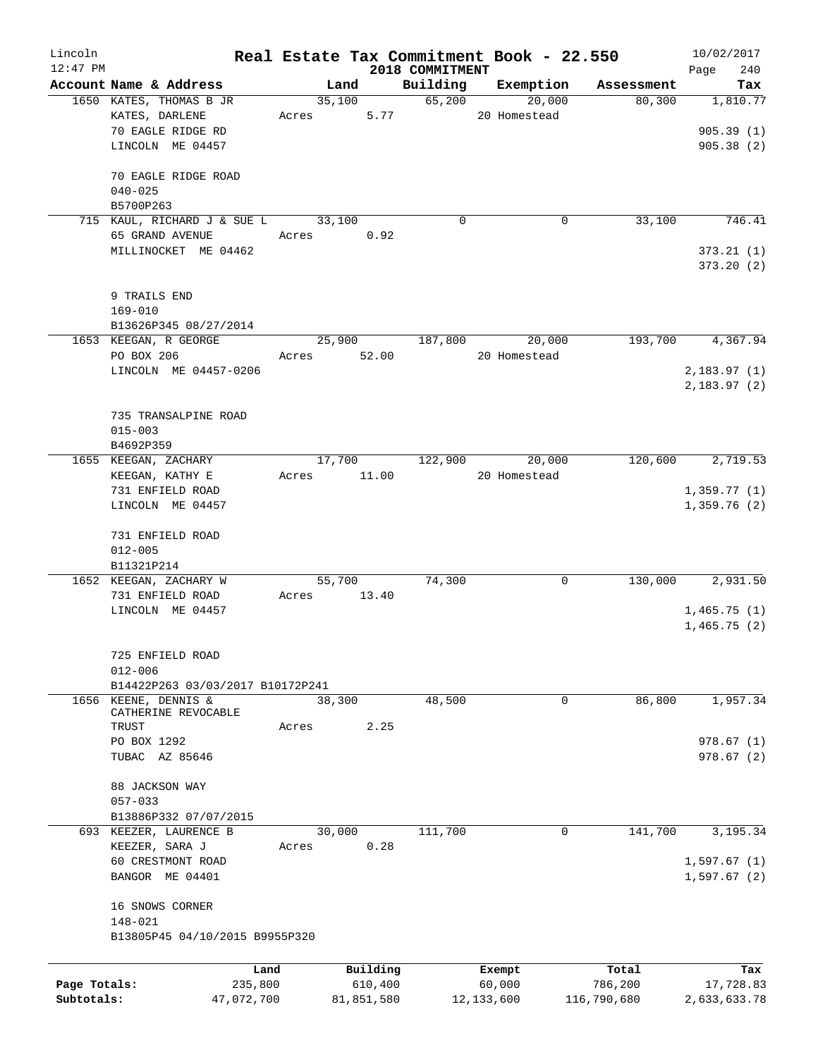| Lincoln      |                                           |             |                |                    | Real Estate Tax Commitment Book - 22.550 |             | 10/02/2017      |
|--------------|-------------------------------------------|-------------|----------------|--------------------|------------------------------------------|-------------|-----------------|
| $12:47$ PM   |                                           |             |                | 2018 COMMITMENT    |                                          |             | Page<br>240     |
|              | Account Name & Address                    |             | Land           | Building<br>65,200 | Exemption                                | Assessment  | Tax<br>1,810.77 |
|              | 1650 KATES, THOMAS B JR<br>KATES, DARLENE |             | 35,100<br>5.77 |                    | 20,000<br>20 Homestead                   | 80,300      |                 |
|              | 70 EAGLE RIDGE RD                         | Acres       |                |                    |                                          |             | 905.39(1)       |
|              | LINCOLN ME 04457                          |             |                |                    |                                          |             | 905.38(2)       |
|              |                                           |             |                |                    |                                          |             |                 |
|              | 70 EAGLE RIDGE ROAD                       |             |                |                    |                                          |             |                 |
|              | $040 - 025$                               |             |                |                    |                                          |             |                 |
|              | B5700P263                                 |             |                |                    |                                          |             |                 |
|              | 715 KAUL, RICHARD J & SUE L               |             | 33,100         | 0                  | 0                                        | 33,100      | 746.41          |
|              | 65 GRAND AVENUE                           | Acres       | 0.92           |                    |                                          |             |                 |
|              | MILLINOCKET ME 04462                      |             |                |                    |                                          |             | 373.21(1)       |
|              |                                           |             |                |                    |                                          |             | 373.20(2)       |
|              |                                           |             |                |                    |                                          |             |                 |
|              | 9 TRAILS END                              |             |                |                    |                                          |             |                 |
|              | $169 - 010$                               |             |                |                    |                                          |             |                 |
|              | B13626P345 08/27/2014                     |             |                |                    |                                          |             |                 |
|              | 1653 KEEGAN, R GEORGE                     |             | 25,900         | 187,800            | 20,000                                   | 193,700     | 4,367.94        |
|              | PO BOX 206                                | Acres 52.00 |                |                    | 20 Homestead                             |             |                 |
|              | LINCOLN ME 04457-0206                     |             |                |                    |                                          |             | 2,183.97(1)     |
|              |                                           |             |                |                    |                                          |             | 2,183.97(2)     |
|              |                                           |             |                |                    |                                          |             |                 |
|              | 735 TRANSALPINE ROAD                      |             |                |                    |                                          |             |                 |
|              | $015 - 003$                               |             |                |                    |                                          |             |                 |
|              | B4692P359                                 |             |                |                    |                                          |             |                 |
|              | 1655 KEEGAN, ZACHARY                      |             | 17,700         | 122,900            | 20,000                                   | 120,600     | 2,719.53        |
|              | KEEGAN, KATHY E                           | Acres       | 11.00          |                    | 20 Homestead                             |             |                 |
|              | 731 ENFIELD ROAD                          |             |                |                    |                                          |             | 1,359.77(1)     |
|              | LINCOLN ME 04457                          |             |                |                    |                                          |             | 1,359.76(2)     |
|              |                                           |             |                |                    |                                          |             |                 |
|              | 731 ENFIELD ROAD                          |             |                |                    |                                          |             |                 |
|              | $012 - 005$                               |             |                |                    |                                          |             |                 |
|              | B11321P214<br>1652 KEEGAN, ZACHARY W      |             | 55,700         | 74,300             | 0                                        | 130,000     | 2,931.50        |
|              | 731 ENFIELD ROAD                          | Acres       | 13.40          |                    |                                          |             |                 |
|              | LINCOLN ME 04457                          |             |                |                    |                                          |             | 1,465.75(1)     |
|              |                                           |             |                |                    |                                          |             | 1,465.75(2)     |
|              |                                           |             |                |                    |                                          |             |                 |
|              | 725 ENFIELD ROAD                          |             |                |                    |                                          |             |                 |
|              | $012 - 006$                               |             |                |                    |                                          |             |                 |
|              | B14422P263 03/03/2017 B10172P241          |             |                |                    |                                          |             |                 |
| 1656         | KEENE, DENNIS &                           |             | 38,300         | 48,500             | 0                                        | 86,800      | 1,957.34        |
|              | CATHERINE REVOCABLE                       |             |                |                    |                                          |             |                 |
|              | TRUST                                     | Acres       | 2.25           |                    |                                          |             |                 |
|              | PO BOX 1292                               |             |                |                    |                                          |             | 978.67 (1)      |
|              | TUBAC AZ 85646                            |             |                |                    |                                          |             | 978.67(2)       |
|              |                                           |             |                |                    |                                          |             |                 |
|              | 88 JACKSON WAY                            |             |                |                    |                                          |             |                 |
|              | $057 - 033$                               |             |                |                    |                                          |             |                 |
|              | B13886P332 07/07/2015                     |             |                |                    |                                          |             |                 |
|              | 693 KEEZER, LAURENCE B                    |             | 30,000         | 111,700            | 0                                        | 141,700     | 3,195.34        |
|              | KEEZER, SARA J                            | Acres       | 0.28           |                    |                                          |             |                 |
|              | 60 CRESTMONT ROAD                         |             |                |                    |                                          |             | 1,597.67(1)     |
|              | BANGOR ME 04401                           |             |                |                    |                                          |             | 1,597.67(2)     |
|              |                                           |             |                |                    |                                          |             |                 |
|              | 16 SNOWS CORNER                           |             |                |                    |                                          |             |                 |
|              | 148-021                                   |             |                |                    |                                          |             |                 |
|              | B13805P45 04/10/2015 B9955P320            |             |                |                    |                                          |             |                 |
|              | Land                                      |             | Building       |                    |                                          | Total       | Tax             |
| Page Totals: | 235,800                                   |             | 610,400        |                    | Exempt<br>60,000                         | 786,200     | 17,728.83       |
| Subtotals:   | 47,072,700                                |             | 81,851,580     |                    | 12, 133, 600                             | 116,790,680 | 2,633,633.78    |
|              |                                           |             |                |                    |                                          |             |                 |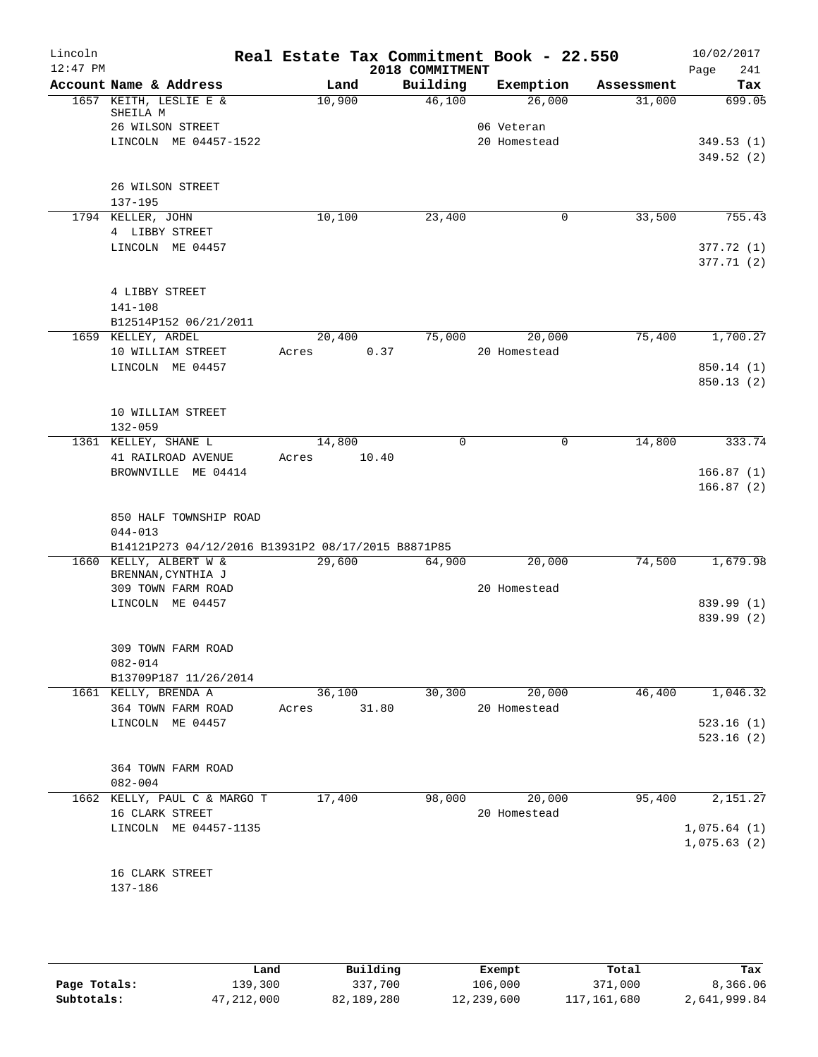| Lincoln<br>$12:47$ PM |                                                    |        | Real Estate Tax Commitment Book - 22.550 |              |            | 10/02/2017         |
|-----------------------|----------------------------------------------------|--------|------------------------------------------|--------------|------------|--------------------|
|                       | Account Name & Address                             | Land   | 2018 COMMITMENT<br>Building              | Exemption    | Assessment | 241<br>Page<br>Tax |
|                       | 1657 KEITH, LESLIE E &                             | 10,900 | 46,100                                   | 26,000       | 31,000     | 699.05             |
|                       | SHEILA M                                           |        |                                          |              |            |                    |
|                       | 26 WILSON STREET                                   |        |                                          | 06 Veteran   |            |                    |
|                       | LINCOLN ME 04457-1522                              |        |                                          | 20 Homestead |            | 349.53(1)          |
|                       |                                                    |        |                                          |              |            | 349.52(2)          |
|                       | 26 WILSON STREET                                   |        |                                          |              |            |                    |
|                       | 137-195                                            |        |                                          |              |            |                    |
|                       | 1794 KELLER, JOHN                                  | 10,100 | 23,400                                   | 0            | 33,500     | 755.43             |
|                       | 4 LIBBY STREET                                     |        |                                          |              |            |                    |
|                       | LINCOLN ME 04457                                   |        |                                          |              |            | 377.72(1)          |
|                       |                                                    |        |                                          |              |            | 377.71 (2)         |
|                       |                                                    |        |                                          |              |            |                    |
|                       | 4 LIBBY STREET                                     |        |                                          |              |            |                    |
|                       | 141-108                                            |        |                                          |              |            |                    |
|                       | B12514P152 06/21/2011<br>1659 KELLEY, ARDEL        | 20,400 | 75,000                                   | 20,000       | 75,400     | 1,700.27           |
|                       | 10 WILLIAM STREET                                  | Acres  | 0.37                                     | 20 Homestead |            |                    |
|                       | LINCOLN ME 04457                                   |        |                                          |              |            | 850.14 (1)         |
|                       |                                                    |        |                                          |              |            | 850.13(2)          |
|                       |                                                    |        |                                          |              |            |                    |
|                       | 10 WILLIAM STREET                                  |        |                                          |              |            |                    |
|                       | $132 - 059$                                        |        |                                          |              |            |                    |
|                       | 1361 KELLEY, SHANE L                               | 14,800 | $\Omega$                                 | 0            | 14,800     | 333.74             |
|                       | 41 RAILROAD AVENUE<br>BROWNVILLE ME 04414          | Acres  | 10.40                                    |              |            | 166.87(1)          |
|                       |                                                    |        |                                          |              |            | 166.87(2)          |
|                       |                                                    |        |                                          |              |            |                    |
|                       | 850 HALF TOWNSHIP ROAD                             |        |                                          |              |            |                    |
|                       | $044 - 013$                                        |        |                                          |              |            |                    |
|                       | B14121P273 04/12/2016 B13931P2 08/17/2015 B8871P85 |        |                                          |              |            |                    |
|                       | 1660 KELLY, ALBERT W &<br>BRENNAN, CYNTHIA J       | 29,600 | 64,900                                   | 20,000       | 74,500     | 1,679.98           |
|                       | 309 TOWN FARM ROAD                                 |        |                                          | 20 Homestead |            |                    |
|                       | LINCOLN ME 04457                                   |        |                                          |              |            | 839.99 (1)         |
|                       |                                                    |        |                                          |              |            | 839.99 (2)         |
|                       |                                                    |        |                                          |              |            |                    |
|                       | 309 TOWN FARM ROAD                                 |        |                                          |              |            |                    |
|                       | 082-014                                            |        |                                          |              |            |                    |
|                       | B13709P187 11/26/2014<br>1661 KELLY, BRENDA A      | 36,100 | 30,300                                   | 20,000       | 46,400     | 1,046.32           |
|                       | 364 TOWN FARM ROAD                                 | Acres  | 31.80                                    | 20 Homestead |            |                    |
|                       | LINCOLN ME 04457                                   |        |                                          |              |            | 523.16(1)          |
|                       |                                                    |        |                                          |              |            | 523.16(2)          |
|                       |                                                    |        |                                          |              |            |                    |
|                       | 364 TOWN FARM ROAD                                 |        |                                          |              |            |                    |
|                       | $082 - 004$                                        | 17,400 |                                          | 20,000       | 95,400     |                    |
|                       | 1662 KELLY, PAUL C & MARGO T<br>16 CLARK STREET    |        | 98,000                                   | 20 Homestead |            | 2,151.27           |
|                       | LINCOLN ME 04457-1135                              |        |                                          |              |            | 1,075.64(1)        |
|                       |                                                    |        |                                          |              |            | 1,075.63(2)        |
|                       |                                                    |        |                                          |              |            |                    |
|                       | 16 CLARK STREET                                    |        |                                          |              |            |                    |
|                       | 137-186                                            |        |                                          |              |            |                    |
|                       |                                                    |        |                                          |              |            |                    |
|                       |                                                    |        |                                          |              |            |                    |

|              | Land       | Building   | Exempt     | Total       | Tax          |
|--------------|------------|------------|------------|-------------|--------------|
| Page Totals: | 139,300    | 337,700    | 106,000    | 371,000     | 8,366.06     |
| Subtotals:   | 47,212,000 | 82,189,280 | 12,239,600 | 117,161,680 | 2,641,999.84 |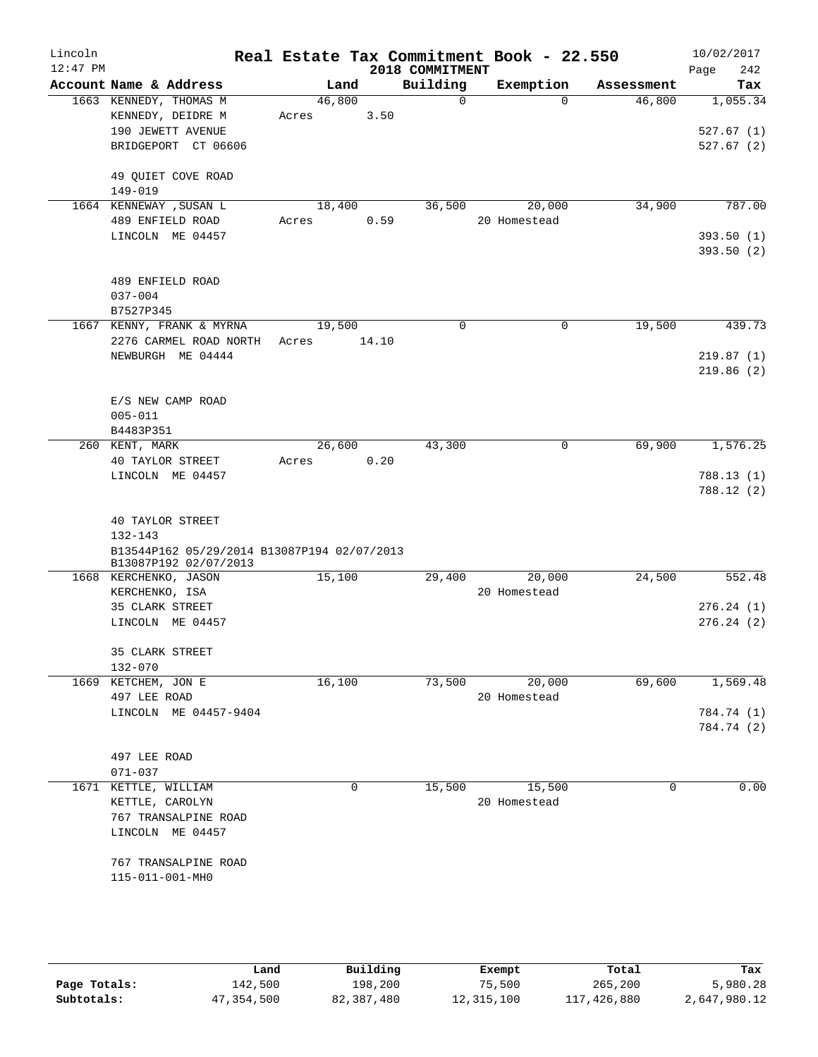| Lincoln<br>$12:47$ PM |                                                                                                                            |                 |       | 2018 COMMITMENT | Real Estate Tax Commitment Book - 22.550 |            | 10/02/2017<br>242<br>Page          |
|-----------------------|----------------------------------------------------------------------------------------------------------------------------|-----------------|-------|-----------------|------------------------------------------|------------|------------------------------------|
|                       | Account Name & Address                                                                                                     |                 | Land  | Building        | Exemption                                | Assessment | Tax                                |
|                       | 1663 KENNEDY, THOMAS M<br>KENNEDY, DEIDRE M<br>190 JEWETT AVENUE<br>BRIDGEPORT CT 06606                                    | 46,800<br>Acres | 3.50  | $\Omega$        | $\Omega$                                 | 46,800     | 1,055.34<br>527.67(1)<br>527.67(2) |
|                       | 49 QUIET COVE ROAD<br>149-019                                                                                              |                 |       |                 |                                          |            |                                    |
|                       | 1664 KENNEWAY , SUSAN L<br>489 ENFIELD ROAD<br>LINCOLN ME 04457                                                            | 18,400<br>Acres | 0.59  | 36,500          | 20,000<br>20 Homestead                   | 34,900     | 787.00<br>393.50(1)<br>393.50 (2)  |
|                       | 489 ENFIELD ROAD<br>$037 - 004$<br>B7527P345                                                                               |                 |       |                 |                                          |            |                                    |
|                       | 1667 KENNY, FRANK & MYRNA<br>2276 CARMEL ROAD NORTH<br>NEWBURGH ME 04444                                                   | 19,500<br>Acres | 14.10 | $\Omega$        | 0                                        | 19,500     | 439.73<br>219.87(1)<br>219.86(2)   |
|                       | E/S NEW CAMP ROAD<br>$005 - 011$<br>B4483P351                                                                              |                 |       |                 |                                          |            |                                    |
|                       | 260 KENT, MARK<br>40 TAYLOR STREET<br>LINCOLN ME 04457                                                                     | 26,600<br>Acres | 0.20  | 43,300          | 0                                        | 69,900     | 1,576.25<br>788.13(1)<br>788.12(2) |
|                       | 40 TAYLOR STREET<br>$132 - 143$<br>B13544P162 05/29/2014 B13087P194 02/07/2013                                             |                 |       |                 |                                          |            |                                    |
|                       | B13087P192 02/07/2013<br>1668 KERCHENKO, JASON<br>KERCHENKO, ISA<br>35 CLARK STREET<br>LINCOLN ME 04457<br>35 CLARK STREET | 15,100          |       | 29,400          | 20,000<br>20 Homestead                   | 24,500     | 552.48<br>276.24(1)<br>276.24(2)   |
| 1669                  | 132-070<br>KETCHEM, JON E                                                                                                  | 16,100          |       | 73,500          | 20,000                                   | 69,600     | 1,569.48                           |
|                       | 497 LEE ROAD<br>LINCOLN ME 04457-9404                                                                                      |                 |       |                 | 20 Homestead                             |            | 784.74 (1)<br>784.74 (2)           |
|                       | 497 LEE ROAD<br>$071 - 037$                                                                                                |                 |       |                 |                                          |            |                                    |
|                       | 1671 KETTLE, WILLIAM<br>KETTLE, CAROLYN<br>767 TRANSALPINE ROAD<br>LINCOLN ME 04457<br>767 TRANSALPINE ROAD                |                 | 0     | 15,500          | 15,500<br>20 Homestead                   | 0          | 0.00                               |

|              | Land       | Building   | Exempt     | Total       | Tax          |
|--------------|------------|------------|------------|-------------|--------------|
| Page Totals: | 142,500    | 198,200    | 75,500     | 265,200     | 5,980.28     |
| Subtotals:   | 47,354,500 | 82,387,480 | 12,315,100 | 117,426,880 | 2,647,980.12 |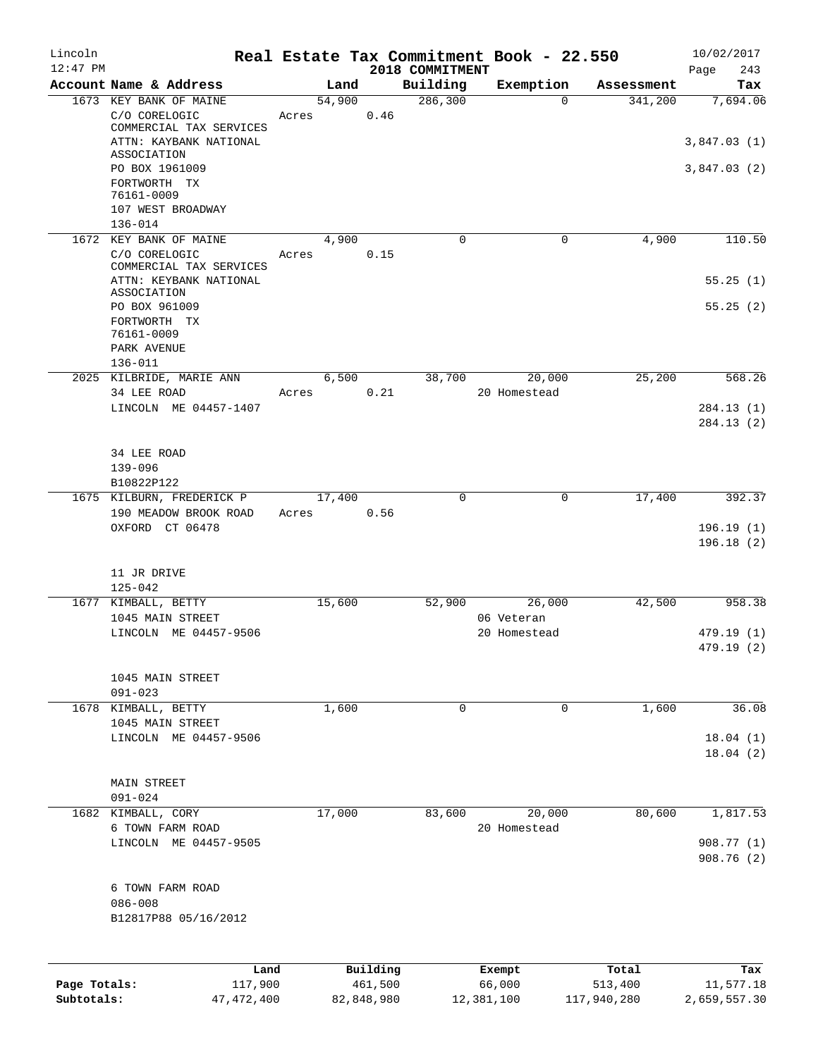| Lincoln                    |                                                  |       |                |         |                      | Real Estate Tax Commitment Book - 22.550 |                        | 10/02/2017                |
|----------------------------|--------------------------------------------------|-------|----------------|---------|----------------------|------------------------------------------|------------------------|---------------------------|
| $12:47$ PM                 |                                                  |       |                |         | 2018 COMMITMENT      |                                          |                        | 243<br>Page               |
|                            | Account Name & Address<br>1673 KEY BANK OF MAINE |       | Land<br>54,900 |         | Building<br>286, 300 | Exemption<br>$\Omega$                    | Assessment<br>341,200  | Tax<br>7,694.06           |
|                            | C/O CORELOGIC<br>COMMERCIAL TAX SERVICES         | Acres |                | 0.46    |                      |                                          |                        |                           |
|                            | ATTN: KAYBANK NATIONAL<br>ASSOCIATION            |       |                |         |                      |                                          |                        | 3,847.03(1)               |
|                            | PO BOX 1961009<br>FORTWORTH TX                   |       |                |         |                      |                                          |                        | 3,847.03(2)               |
|                            | 76161-0009<br>107 WEST BROADWAY                  |       |                |         |                      |                                          |                        |                           |
|                            | $136 - 014$<br>1672 KEY BANK OF MAINE            |       | 4,900          |         | 0                    | 0                                        | 4,900                  | 110.50                    |
|                            | C/O CORELOGIC<br>COMMERCIAL TAX SERVICES         | Acres |                | 0.15    |                      |                                          |                        |                           |
|                            | ATTN: KEYBANK NATIONAL<br>ASSOCIATION            |       |                |         |                      |                                          |                        | 55.25(1)                  |
|                            | PO BOX 961009<br>FORTWORTH TX<br>76161-0009      |       |                |         |                      |                                          |                        | 55.25(2)                  |
|                            | PARK AVENUE<br>$136 - 011$                       |       |                |         |                      |                                          |                        |                           |
|                            | 2025 KILBRIDE, MARIE ANN                         |       | 6,500          |         | 38,700               | 20,000                                   | 25,200                 | 568.26                    |
|                            | 34 LEE ROAD                                      | Acres |                | 0.21    |                      | 20 Homestead                             |                        |                           |
|                            | LINCOLN ME 04457-1407                            |       |                |         |                      |                                          |                        | 284.13(1)                 |
|                            |                                                  |       |                |         |                      |                                          |                        | 284.13(2)                 |
|                            | 34 LEE ROAD                                      |       |                |         |                      |                                          |                        |                           |
|                            | $139 - 096$                                      |       |                |         |                      |                                          |                        |                           |
|                            | B10822P122                                       |       |                |         |                      |                                          |                        |                           |
|                            | 1675 KILBURN, FREDERICK P                        |       | 17,400         |         | 0                    | $\mathbf 0$                              | 17,400                 | 392.37                    |
|                            | 190 MEADOW BROOK ROAD<br>OXFORD CT 06478         | Acres |                | 0.56    |                      |                                          |                        | 196.19(1)                 |
|                            |                                                  |       |                |         |                      |                                          |                        | 196.18(2)                 |
|                            | 11 JR DRIVE                                      |       |                |         |                      |                                          |                        |                           |
|                            | $125 - 042$                                      |       |                |         |                      |                                          |                        |                           |
|                            | 1677 KIMBALL, BETTY<br>1045 MAIN STREET          |       | 15,600         |         | 52,900               | 26,000<br>06 Veteran                     | 42,500                 | 958.38                    |
|                            | LINCOLN ME 04457-9506                            |       |                |         |                      | 20 Homestead                             |                        | 479.19 (1)                |
|                            |                                                  |       |                |         |                      |                                          |                        | 479.19 (2)                |
|                            | 1045 MAIN STREET<br>$091 - 023$                  |       |                |         |                      |                                          |                        |                           |
|                            | 1678 KIMBALL, BETTY                              |       | 1,600          |         | 0                    | $\mathbf 0$                              | 1,600                  | 36.08                     |
|                            | 1045 MAIN STREET                                 |       |                |         |                      |                                          |                        |                           |
|                            | LINCOLN ME 04457-9506                            |       |                |         |                      |                                          |                        | 18.04(1)                  |
|                            |                                                  |       |                |         |                      |                                          |                        | 18.04(2)                  |
|                            | <b>MAIN STREET</b>                               |       |                |         |                      |                                          |                        |                           |
|                            | $091 - 024$                                      |       |                |         |                      |                                          |                        |                           |
|                            | 1682 KIMBALL, CORY                               |       | 17,000         |         | 83,600               | 20,000                                   | 80,600                 | 1,817.53                  |
|                            | 6 TOWN FARM ROAD                                 |       |                |         |                      | 20 Homestead                             |                        |                           |
|                            | LINCOLN ME 04457-9505                            |       |                |         |                      |                                          |                        | 908.77 (1)<br>908.76(2)   |
|                            | 6 TOWN FARM ROAD                                 |       |                |         |                      |                                          |                        |                           |
|                            | $086 - 008$<br>B12817P88 05/16/2012              |       |                |         |                      |                                          |                        |                           |
|                            |                                                  |       |                |         |                      |                                          |                        |                           |
|                            | Land                                             |       | Building       |         |                      | Exempt                                   | Total                  | Tax                       |
| Page Totals:<br>Subtotals: | 117,900<br>47, 472, 400                          |       | 82,848,980     | 461,500 |                      | 66,000<br>12,381,100                     | 513,400<br>117,940,280 | 11,577.18<br>2,659,557.30 |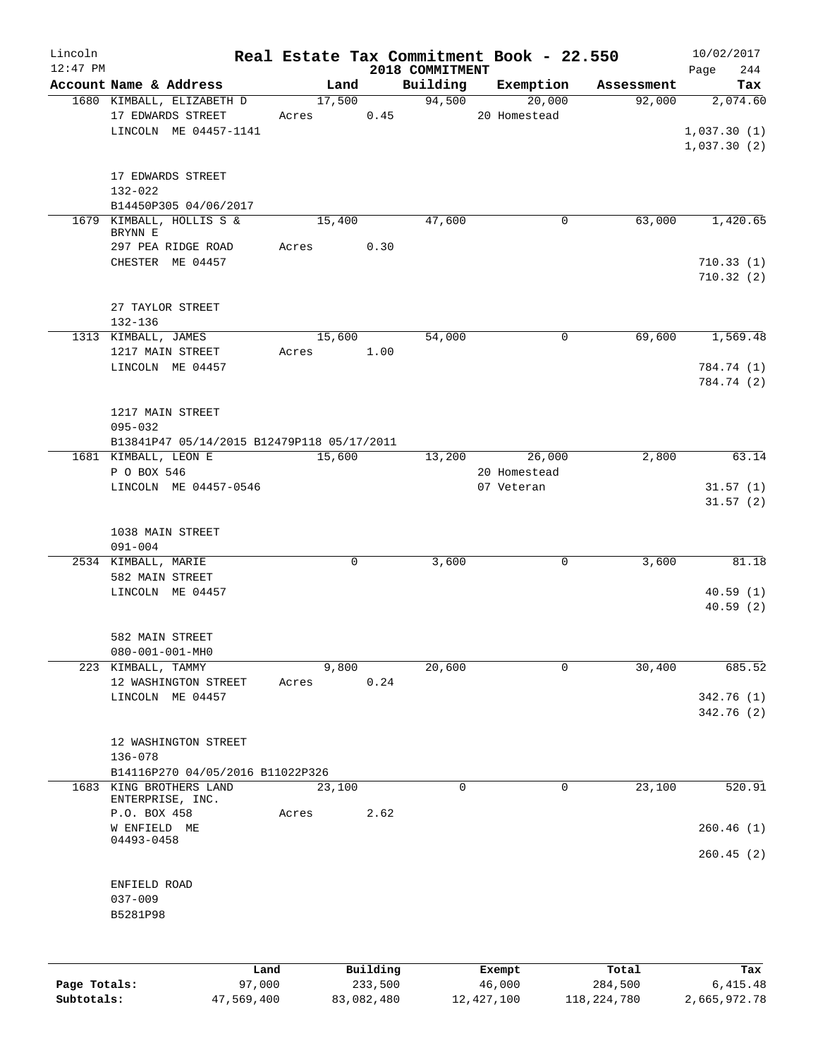| Lincoln      |                                            |       |             |          |                 | Real Estate Tax Commitment Book - 22.550 |            | 10/02/2017  |
|--------------|--------------------------------------------|-------|-------------|----------|-----------------|------------------------------------------|------------|-------------|
| $12:47$ PM   |                                            |       |             |          | 2018 COMMITMENT |                                          |            | 244<br>Page |
|              | Account Name & Address                     |       | Land        |          | Building        | Exemption                                | Assessment | Tax         |
|              | 1680 KIMBALL, ELIZABETH D                  |       | 17,500      |          | 94,500          | 20,000                                   | 92,000     | 2,074.60    |
|              | 17 EDWARDS STREET                          | Acres |             | 0.45     |                 | 20 Homestead                             |            |             |
|              | LINCOLN ME 04457-1141                      |       |             |          |                 |                                          |            | 1,037.30(1) |
|              |                                            |       |             |          |                 |                                          |            | 1,037.30(2) |
|              | 17 EDWARDS STREET                          |       |             |          |                 |                                          |            |             |
|              | $132 - 022$                                |       |             |          |                 |                                          |            |             |
|              | B14450P305 04/06/2017                      |       |             |          |                 |                                          |            |             |
|              | 1679 KIMBALL, HOLLIS S &                   |       | 15,400      |          | 47,600          | 0                                        | 63,000     | 1,420.65    |
|              | BRYNN E                                    |       |             |          |                 |                                          |            |             |
|              | 297 PEA RIDGE ROAD                         | Acres |             | 0.30     |                 |                                          |            |             |
|              | CHESTER ME 04457                           |       |             |          |                 |                                          |            | 710.33(1)   |
|              |                                            |       |             |          |                 |                                          |            | 710.32(2)   |
|              |                                            |       |             |          |                 |                                          |            |             |
|              | 27 TAYLOR STREET                           |       |             |          |                 |                                          |            |             |
|              | 132-136                                    |       |             |          |                 |                                          |            |             |
|              | 1313 KIMBALL, JAMES                        |       | 15,600      |          | 54,000          | 0                                        | 69,600     | 1,569.48    |
|              | 1217 MAIN STREET                           | Acres |             | 1.00     |                 |                                          |            |             |
|              | LINCOLN ME 04457                           |       |             |          |                 |                                          |            | 784.74 (1)  |
|              |                                            |       |             |          |                 |                                          |            | 784.74 (2)  |
|              |                                            |       |             |          |                 |                                          |            |             |
|              | 1217 MAIN STREET                           |       |             |          |                 |                                          |            |             |
|              | $095 - 032$                                |       |             |          |                 |                                          |            |             |
|              | B13841P47 05/14/2015 B12479P118 05/17/2011 |       |             |          |                 |                                          |            |             |
|              | 1681 KIMBALL, LEON E                       |       | 15,600      |          | 13,200          | 26,000                                   | 2,800      | 63.14       |
|              | P O BOX 546                                |       |             |          |                 | 20 Homestead                             |            |             |
|              | LINCOLN ME 04457-0546                      |       |             |          |                 | 07 Veteran                               |            | 31.57(1)    |
|              |                                            |       |             |          |                 |                                          |            | 31.57(2)    |
|              |                                            |       |             |          |                 |                                          |            |             |
|              | 1038 MAIN STREET                           |       |             |          |                 |                                          |            |             |
|              | $091 - 004$                                |       |             |          |                 |                                          |            |             |
|              | 2534 KIMBALL, MARIE                        |       | $\mathbf 0$ |          | 3,600           | 0                                        | 3,600      | 81.18       |
|              | 582 MAIN STREET                            |       |             |          |                 |                                          |            |             |
|              | LINCOLN ME 04457                           |       |             |          |                 |                                          |            | 40.59(1)    |
|              |                                            |       |             |          |                 |                                          |            | 40.59(2)    |
|              | 582 MAIN STREET                            |       |             |          |                 |                                          |            |             |
|              | $080 - 001 - 001 - MH0$                    |       |             |          |                 |                                          |            |             |
|              | 223 KIMBALL, TAMMY                         |       | 9,800       |          | 20,600          | 0                                        | 30,400     | 685.52      |
|              | 12 WASHINGTON STREET                       | Acres |             | 0.24     |                 |                                          |            |             |
|              | LINCOLN ME 04457                           |       |             |          |                 |                                          |            | 342.76 (1)  |
|              |                                            |       |             |          |                 |                                          |            | 342.76 (2)  |
|              |                                            |       |             |          |                 |                                          |            |             |
|              | 12 WASHINGTON STREET                       |       |             |          |                 |                                          |            |             |
|              | $136 - 078$                                |       |             |          |                 |                                          |            |             |
|              | B14116P270 04/05/2016 B11022P326           |       |             |          |                 |                                          |            |             |
|              | 1683 KING BROTHERS LAND                    |       | 23,100      |          | $\Omega$        | $\Omega$                                 | 23,100     | 520.91      |
|              | ENTERPRISE, INC.                           |       |             |          |                 |                                          |            |             |
|              | P.O. BOX 458                               | Acres |             | 2.62     |                 |                                          |            |             |
|              | W ENFIELD ME                               |       |             |          |                 |                                          |            | 260.46(1)   |
|              | 04493-0458                                 |       |             |          |                 |                                          |            |             |
|              |                                            |       |             |          |                 |                                          |            | 260.45(2)   |
|              |                                            |       |             |          |                 |                                          |            |             |
|              | ENFIELD ROAD                               |       |             |          |                 |                                          |            |             |
|              | $037 - 009$                                |       |             |          |                 |                                          |            |             |
|              | B5281P98                                   |       |             |          |                 |                                          |            |             |
|              |                                            |       |             |          |                 |                                          |            |             |
|              |                                            |       |             |          |                 |                                          |            |             |
|              | Land                                       |       |             | Building |                 | Exempt                                   | Total      | Tax         |
| Page Totals: | 97,000                                     |       |             | 233,500  |                 | 46,000                                   | 284,500    | 6,415.48    |

**Subtotals:** 47,569,400 83,082,480 12,427,100 118,224,780 2,665,972.78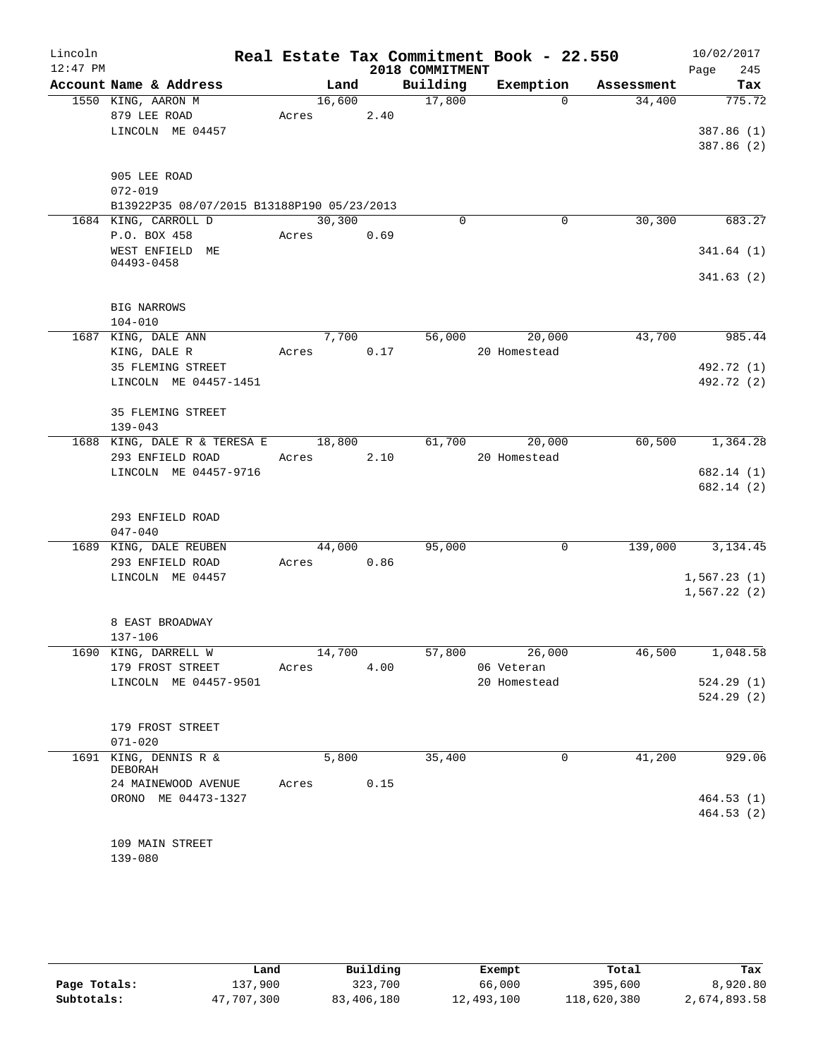| Lincoln    |                                            |                |        |                 | Real Estate Tax Commitment Book - 22.550 |            | 10/02/2017               |
|------------|--------------------------------------------|----------------|--------|-----------------|------------------------------------------|------------|--------------------------|
| $12:47$ PM |                                            |                |        | 2018 COMMITMENT |                                          |            | 245<br>Page              |
|            | Account Name & Address                     | Land           |        | Building        | Exemption                                | Assessment | Tax                      |
|            | 1550 KING, AARON M                         | 16,600         |        | 17,800          | $\Omega$                                 | 34,400     | 775.72                   |
|            | 879 LEE ROAD                               | Acres          | 2.40   |                 |                                          |            |                          |
|            | LINCOLN ME 04457                           |                |        |                 |                                          |            | 387.86 (1)<br>387.86 (2) |
|            |                                            |                |        |                 |                                          |            |                          |
|            | 905 LEE ROAD                               |                |        |                 |                                          |            |                          |
|            | $072 - 019$                                |                |        |                 |                                          |            |                          |
|            | B13922P35 08/07/2015 B13188P190 05/23/2013 |                |        |                 |                                          |            |                          |
|            | 1684 KING, CARROLL D                       | 30,300         |        | 0               | $\mathbf 0$                              | 30,300     | 683.27                   |
|            | P.O. BOX 458                               | Acres          | 0.69   |                 |                                          |            |                          |
|            | WEST ENFIELD ME<br>04493-0458              |                |        |                 |                                          |            | 341.64(1)                |
|            |                                            |                |        |                 |                                          |            | 341.63(2)                |
|            |                                            |                |        |                 |                                          |            |                          |
|            | BIG NARROWS                                |                |        |                 |                                          |            |                          |
|            | $104 - 010$                                |                |        |                 |                                          |            |                          |
|            | 1687 KING, DALE ANN<br>KING, DALE R        | 7,700<br>Acres | 0.17   | 56,000          | 20,000<br>20 Homestead                   | 43,700     | 985.44                   |
|            | 35 FLEMING STREET                          |                |        |                 |                                          |            | 492.72 (1)               |
|            | LINCOLN ME 04457-1451                      |                |        |                 |                                          |            | 492.72 (2)               |
|            |                                            |                |        |                 |                                          |            |                          |
|            | 35 FLEMING STREET                          |                |        |                 |                                          |            |                          |
|            | $139 - 043$                                |                |        |                 |                                          |            |                          |
|            | 1688 KING, DALE R & TERESA E               | 18,800         |        | 61,700          | 20,000                                   | 60,500     | 1,364.28                 |
|            | 293 ENFIELD ROAD                           | Acres          | 2.10   |                 | 20 Homestead                             |            |                          |
|            | LINCOLN ME 04457-9716                      |                |        |                 |                                          |            | 682.14 (1)               |
|            |                                            |                |        |                 |                                          |            | 682.14 (2)               |
|            | 293 ENFIELD ROAD                           |                |        |                 |                                          |            |                          |
|            | $047 - 040$                                |                |        |                 |                                          |            |                          |
|            | 1689 KING, DALE REUBEN                     | 44,000         |        | 95,000          | $\mathbf 0$                              | 139,000    | 3, 134.45                |
|            | 293 ENFIELD ROAD                           | Acres          | 0.86   |                 |                                          |            |                          |
|            | LINCOLN ME 04457                           |                |        |                 |                                          |            | 1,567.23(1)              |
|            |                                            |                |        |                 |                                          |            | 1,567.22(2)              |
|            |                                            |                |        |                 |                                          |            |                          |
|            | 8 EAST BROADWAY<br>137-106                 |                |        |                 |                                          |            |                          |
|            | 1690 KING, DARRELL W                       |                | 14,700 | 57,800          | 26,000                                   | 46,500     | 1,048.58                 |
|            | 179 FROST STREET                           | Acres          | 4.00   |                 | 06 Veteran                               |            |                          |
|            | LINCOLN ME 04457-9501                      |                |        |                 | 20 Homestead                             |            | 524.29(1)                |
|            |                                            |                |        |                 |                                          |            | 524.29(2)                |
|            |                                            |                |        |                 |                                          |            |                          |
|            | 179 FROST STREET                           |                |        |                 |                                          |            |                          |
|            | $071 - 020$<br>1691 KING, DENNIS R &       | 5,800          |        | 35,400          | 0                                        | 41,200     | 929.06                   |
|            | DEBORAH                                    |                |        |                 |                                          |            |                          |
|            | 24 MAINEWOOD AVENUE                        | Acres          | 0.15   |                 |                                          |            |                          |
|            | ORONO ME 04473-1327                        |                |        |                 |                                          |            | 464.53(1)                |
|            |                                            |                |        |                 |                                          |            | 464.53(2)                |
|            |                                            |                |        |                 |                                          |            |                          |
|            | 109 MAIN STREET                            |                |        |                 |                                          |            |                          |
|            | 139-080                                    |                |        |                 |                                          |            |                          |

|              | Land       | Building   | Exempt     | Total       | Tax          |
|--------------|------------|------------|------------|-------------|--------------|
| Page Totals: | 137,900    | 323,700    | 66,000     | 395,600     | 8,920.80     |
| Subtotals:   | 47,707,300 | 83,406,180 | 12,493,100 | 118,620,380 | 2,674,893.58 |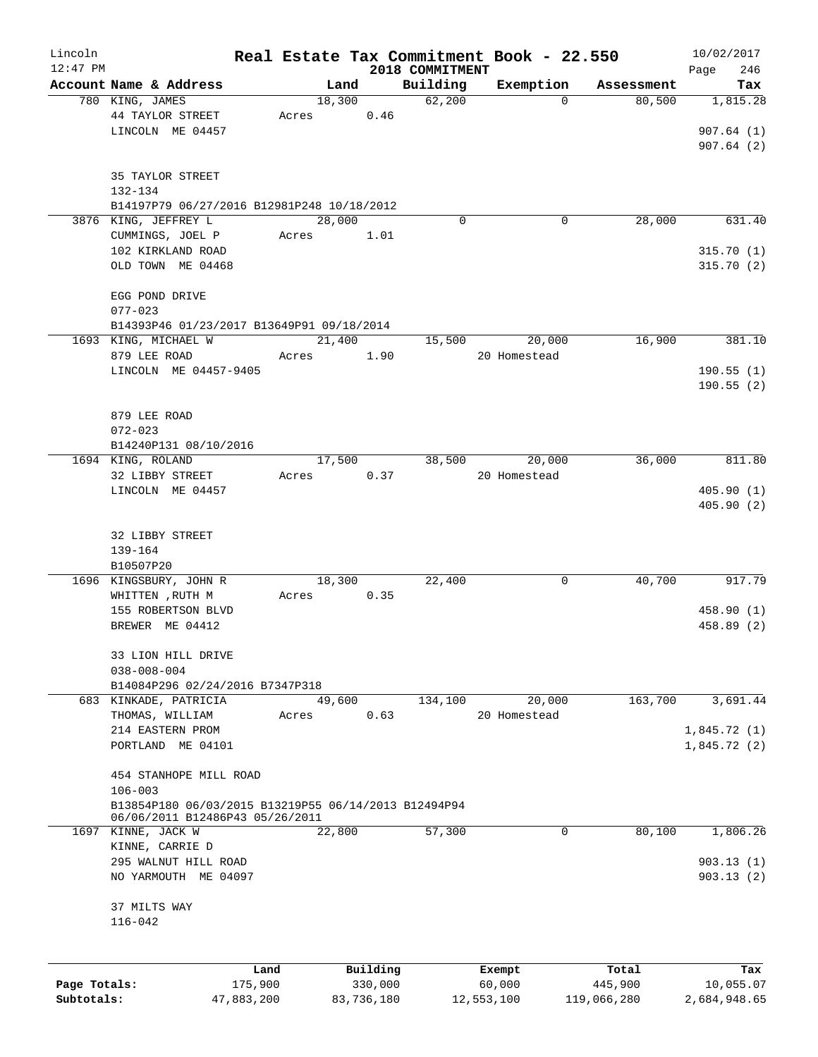| Lincoln                    |                                                                                         |                       |       |        |                       |                 | Real Estate Tax Commitment Book - 22.550 |                        | 10/02/2017                |
|----------------------------|-----------------------------------------------------------------------------------------|-----------------------|-------|--------|-----------------------|-----------------|------------------------------------------|------------------------|---------------------------|
| $12:47$ PM                 |                                                                                         |                       |       |        |                       | 2018 COMMITMENT |                                          |                        | 246<br>Page               |
|                            | Account Name & Address                                                                  |                       |       | Land   |                       | Building        | Exemption                                | Assessment             | Tax                       |
|                            | 780 KING, JAMES<br>44 TAYLOR STREET                                                     |                       | Acres | 18,300 | 0.46                  | 62,200          |                                          | 80,500<br>$\Omega$     | 1,815.28                  |
|                            | LINCOLN ME 04457                                                                        |                       |       |        |                       |                 |                                          |                        | 907.64(1)<br>907.64(2)    |
|                            | 35 TAYLOR STREET<br>132-134                                                             |                       |       |        |                       |                 |                                          |                        |                           |
|                            | B14197P79 06/27/2016 B12981P248 10/18/2012                                              |                       |       |        |                       |                 |                                          |                        |                           |
|                            | 3876 KING, JEFFREY L                                                                    |                       |       | 28,000 |                       | $\Omega$        |                                          | 28,000<br>0            | 631.40                    |
|                            | CUMMINGS, JOEL P                                                                        |                       | Acres |        | 1.01                  |                 |                                          |                        |                           |
|                            | 102 KIRKLAND ROAD                                                                       |                       |       |        |                       |                 |                                          |                        | 315.70(1)                 |
|                            | OLD TOWN ME 04468                                                                       |                       |       |        |                       |                 |                                          |                        | 315.70(2)                 |
|                            | EGG POND DRIVE<br>$077 - 023$                                                           |                       |       |        |                       |                 |                                          |                        |                           |
|                            | B14393P46 01/23/2017 B13649P91 09/18/2014                                               |                       |       |        |                       |                 |                                          |                        |                           |
|                            | 1693 KING, MICHAEL W                                                                    |                       |       | 21,400 |                       | 15,500          | 20,000                                   | 16,900                 | 381.10                    |
|                            | 879 LEE ROAD                                                                            |                       | Acres |        | 1.90                  |                 | 20 Homestead                             |                        |                           |
|                            | LINCOLN ME 04457-9405                                                                   |                       |       |        |                       |                 |                                          |                        | 190.55(1)                 |
|                            |                                                                                         |                       |       |        |                       |                 |                                          |                        | 190.55(2)                 |
|                            | 879 LEE ROAD                                                                            |                       |       |        |                       |                 |                                          |                        |                           |
|                            | $072 - 023$                                                                             |                       |       |        |                       |                 |                                          |                        |                           |
|                            | B14240P131 08/10/2016                                                                   |                       |       |        |                       |                 |                                          |                        |                           |
|                            | 1694 KING, ROLAND                                                                       |                       |       | 17,500 |                       | 38,500          | 20,000                                   | 36,000                 | 811.80                    |
|                            | 32 LIBBY STREET                                                                         |                       | Acres |        | 0.37                  |                 | 20 Homestead                             |                        |                           |
|                            | LINCOLN ME 04457                                                                        |                       |       |        |                       |                 |                                          |                        | 405.90(1)                 |
|                            |                                                                                         |                       |       |        |                       |                 |                                          |                        | 405.90(2)                 |
|                            | 32 LIBBY STREET                                                                         |                       |       |        |                       |                 |                                          |                        |                           |
|                            | $139 - 164$                                                                             |                       |       |        |                       |                 |                                          |                        |                           |
|                            | B10507P20                                                                               |                       |       |        |                       |                 |                                          |                        |                           |
|                            | 1696 KINGSBURY, JOHN R                                                                  |                       |       | 18,300 |                       | 22,400          |                                          | 40,700<br>0            | 917.79                    |
|                            | WHITTEN, RUTH M                                                                         |                       | Acres |        | 0.35                  |                 |                                          |                        |                           |
|                            | 155 ROBERTSON BLVD                                                                      |                       |       |        |                       |                 |                                          |                        | 458.90(1)                 |
|                            | BREWER ME 04412                                                                         |                       |       |        |                       |                 |                                          |                        | 458.89 (2)                |
|                            | 33 LION HILL DRIVE                                                                      |                       |       |        |                       |                 |                                          |                        |                           |
|                            | $038 - 008 - 004$                                                                       |                       |       |        |                       |                 |                                          |                        |                           |
|                            | B14084P296 02/24/2016 B7347P318                                                         |                       |       |        |                       |                 |                                          |                        |                           |
|                            | 683 KINKADE, PATRICIA                                                                   |                       |       | 49,600 |                       | 134,100         | 20,000                                   | 163,700                | 3,691.44                  |
|                            | THOMAS, WILLIAM                                                                         |                       | Acres |        | 0.63                  |                 | 20 Homestead                             |                        |                           |
|                            | 214 EASTERN PROM                                                                        |                       |       |        |                       |                 |                                          |                        | 1,845.72(1)               |
|                            | PORTLAND ME 04101                                                                       |                       |       |        |                       |                 |                                          |                        | 1,845.72(2)               |
|                            | 454 STANHOPE MILL ROAD                                                                  |                       |       |        |                       |                 |                                          |                        |                           |
|                            | $106 - 003$                                                                             |                       |       |        |                       |                 |                                          |                        |                           |
|                            | B13854P180 06/03/2015 B13219P55 06/14/2013 B12494P94<br>06/06/2011 B12486P43 05/26/2011 |                       |       |        |                       |                 |                                          |                        |                           |
|                            | 1697 KINNE, JACK W                                                                      |                       |       | 22,800 |                       | 57,300          |                                          | $\Omega$<br>80,100     | 1,806.26                  |
|                            | KINNE, CARRIE D                                                                         |                       |       |        |                       |                 |                                          |                        |                           |
|                            | 295 WALNUT HILL ROAD                                                                    |                       |       |        |                       |                 |                                          |                        | 903.13(1)                 |
|                            | NO YARMOUTH ME 04097                                                                    |                       |       |        |                       |                 |                                          |                        | 903.13(2)                 |
|                            | 37 MILTS WAY                                                                            |                       |       |        |                       |                 |                                          |                        |                           |
|                            | $116 - 042$                                                                             |                       |       |        |                       |                 |                                          |                        |                           |
|                            |                                                                                         |                       |       |        |                       |                 |                                          |                        |                           |
|                            |                                                                                         | Land                  |       |        | Building              |                 | Exempt                                   | Total                  | Tax                       |
| Page Totals:<br>Subtotals: |                                                                                         | 175,900<br>47,883,200 |       |        | 330,000<br>83,736,180 |                 | 60,000<br>12,553,100                     | 445,900<br>119,066,280 | 10,055.07<br>2,684,948.65 |
|                            |                                                                                         |                       |       |        |                       |                 |                                          |                        |                           |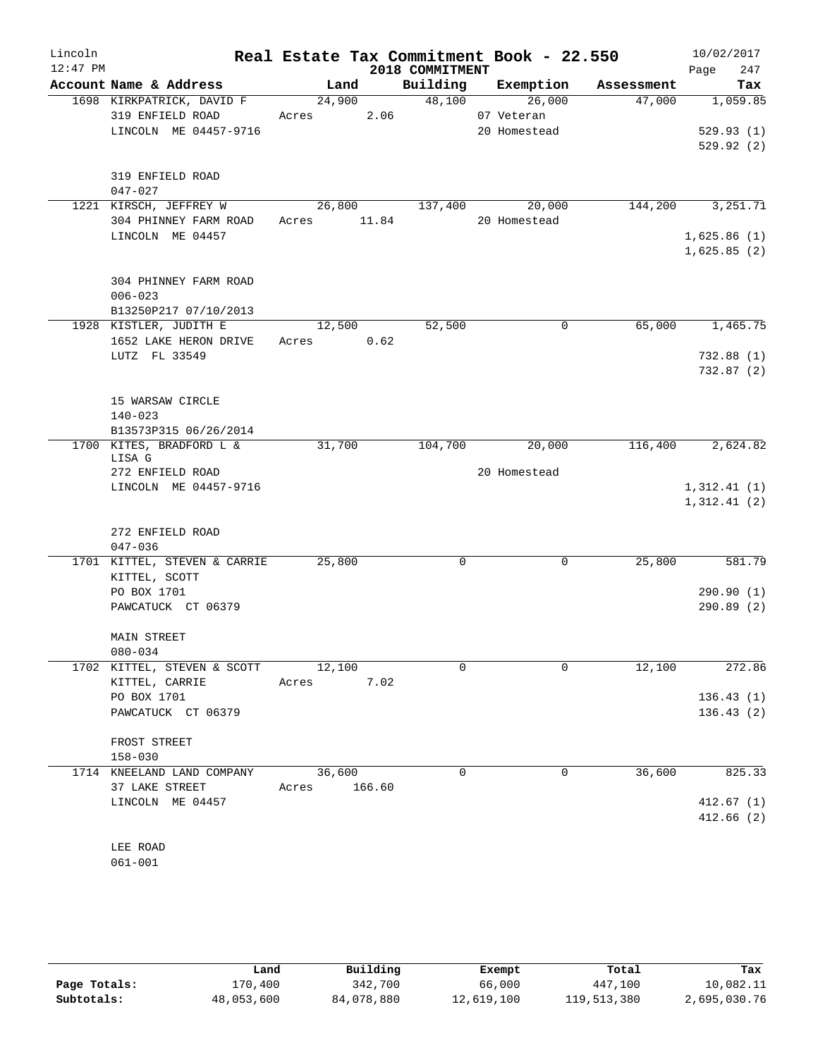| Lincoln<br>$12:47$ PM |                                                                        |                 |        | 2018 COMMITMENT | Real Estate Tax Commitment Book - 22.550 |            | 10/02/2017<br>247<br>Page  |
|-----------------------|------------------------------------------------------------------------|-----------------|--------|-----------------|------------------------------------------|------------|----------------------------|
|                       | Account Name & Address                                                 |                 | Land   |                 | Building Exemption                       | Assessment | Tax                        |
|                       | 1698 KIRKPATRICK, DAVID F<br>319 ENFIELD ROAD<br>LINCOLN ME 04457-9716 | 24,900<br>Acres | 2.06   | 48,100          | 26,000<br>07 Veteran<br>20 Homestead     | 47,000     | 1,059.85<br>529.93(1)      |
|                       | 319 ENFIELD ROAD<br>$047 - 027$                                        |                 |        |                 |                                          |            | 529.92(2)                  |
|                       | 1221 KIRSCH, JEFFREY W                                                 |                 | 26,800 | 137,400         | 20,000                                   | 144,200    | 3, 251. 71                 |
|                       | 304 PHINNEY FARM ROAD<br>LINCOLN ME 04457                              | Acres 11.84     |        |                 | 20 Homestead                             |            | 1,625.86(1)                |
|                       |                                                                        |                 |        |                 |                                          |            | 1,625.85(2)                |
|                       | 304 PHINNEY FARM ROAD<br>$006 - 023$                                   |                 |        |                 |                                          |            |                            |
|                       | B13250P217 07/10/2013                                                  |                 |        |                 |                                          |            |                            |
|                       | 1928 KISTLER, JUDITH E                                                 |                 | 12,500 | 52,500          | 0                                        | 65,000     | 1,465.75                   |
|                       | 1652 LAKE HERON DRIVE<br>LUTZ FL 33549                                 | Acres 0.62      |        |                 |                                          |            | 732.88(1)                  |
|                       |                                                                        |                 |        |                 |                                          |            | 732.87(2)                  |
|                       | 15 WARSAW CIRCLE                                                       |                 |        |                 |                                          |            |                            |
|                       | $140 - 023$                                                            |                 |        |                 |                                          |            |                            |
|                       | B13573P315 06/26/2014<br>1700 KITES, BRADFORD L &                      | 31,700          |        | 104,700         | 20,000                                   | 116,400    | 2,624.82                   |
|                       | LISA G                                                                 |                 |        |                 |                                          |            |                            |
|                       | 272 ENFIELD ROAD                                                       |                 |        |                 | 20 Homestead                             |            |                            |
|                       | LINCOLN ME 04457-9716                                                  |                 |        |                 |                                          |            | 1,312.41(1)<br>1,312.41(2) |
|                       |                                                                        |                 |        |                 |                                          |            |                            |
|                       | 272 ENFIELD ROAD<br>$047 - 036$                                        |                 |        |                 |                                          |            |                            |
|                       | 1701 KITTEL, STEVEN & CARRIE<br>KITTEL, SCOTT                          | 25,800          |        | 0               | $\mathbf 0$                              | 25,800     | 581.79                     |
|                       | PO BOX 1701                                                            |                 |        |                 |                                          |            | 290.90(1)                  |
|                       | PAWCATUCK CT 06379                                                     |                 |        |                 |                                          |            | 290.89(2)                  |
|                       | MAIN STREET                                                            |                 |        |                 |                                          |            |                            |
|                       | $080 - 034$                                                            |                 |        |                 |                                          |            |                            |
|                       | 1702 KITTEL, STEVEN & SCOTT<br>KITTEL, CARRIE                          | 12,100<br>Acres | 7.02   | $\mathbf 0$     | 0                                        | 12,100     | 272.86                     |
|                       | PO BOX 1701                                                            |                 |        |                 |                                          |            | 136.43(1)                  |
|                       | PAWCATUCK CT 06379                                                     |                 |        |                 |                                          |            | 136.43(2)                  |
|                       | FROST STREET                                                           |                 |        |                 |                                          |            |                            |
|                       | $158 - 030$                                                            |                 |        |                 |                                          |            |                            |
|                       | 1714 KNEELAND LAND COMPANY                                             | 36,600          |        | $\mathbf 0$     | 0                                        | 36,600     | 825.33                     |
|                       | 37 LAKE STREET                                                         | Acres           | 166.60 |                 |                                          |            |                            |
|                       | LINCOLN ME 04457                                                       |                 |        |                 |                                          |            | 412.67(1)<br>412.66(2)     |
|                       | LEE ROAD                                                               |                 |        |                 |                                          |            |                            |

061-001

|              | Land       | Building   | Exempt     | Total       | Tax          |
|--------------|------------|------------|------------|-------------|--------------|
| Page Totals: | 170,400    | 342,700    | 66,000     | 447,100     | 10,082.11    |
| Subtotals:   | 48,053,600 | 84,078,880 | 12,619,100 | 119,513,380 | 2,695,030.76 |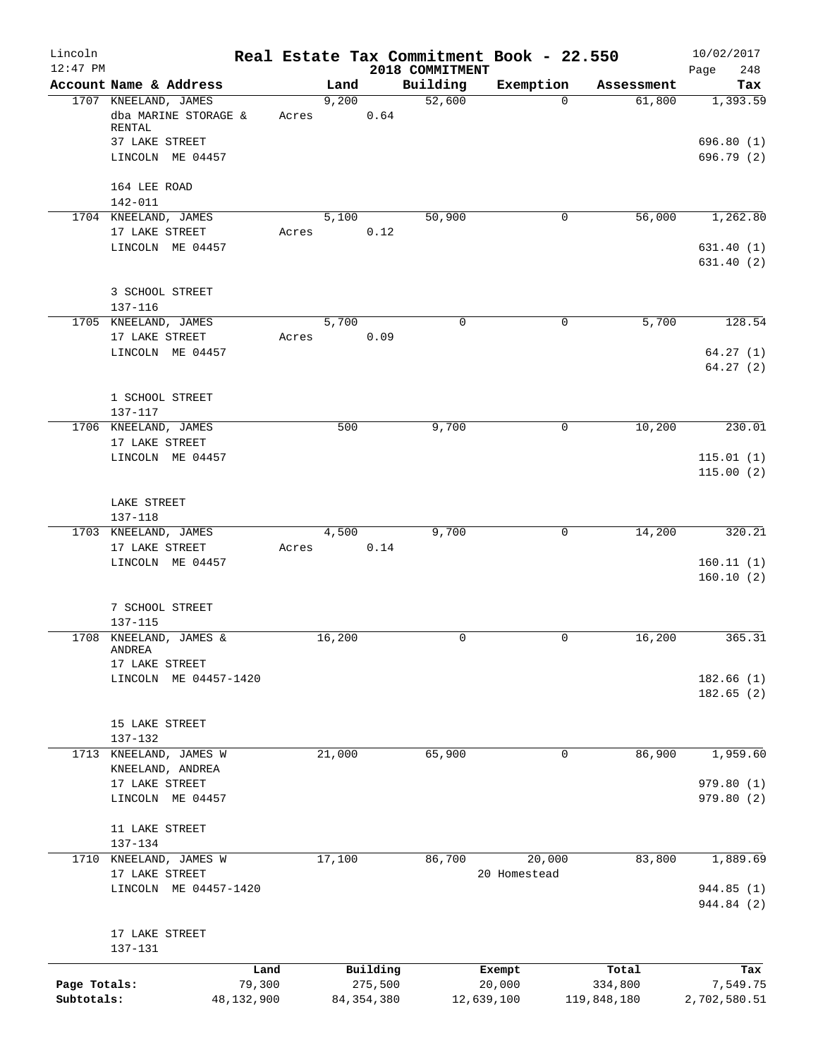| Lincoln<br>$12:47$ PM |                                         |            |        |              | Real Estate Tax Commitment Book - 22.550<br>2018 COMMITMENT |              |             | 10/02/2017<br>248<br>Page |
|-----------------------|-----------------------------------------|------------|--------|--------------|-------------------------------------------------------------|--------------|-------------|---------------------------|
|                       | Account Name & Address                  |            | Land   |              | Building                                                    | Exemption    | Assessment  | Tax                       |
|                       | 1707 KNEELAND, JAMES                    |            | 9,200  |              | 52,600                                                      | $\Omega$     | 61,800      | 1,393.59                  |
|                       | dba MARINE STORAGE &                    | Acres      |        | 0.64         |                                                             |              |             |                           |
|                       | RENTAL                                  |            |        |              |                                                             |              |             |                           |
|                       | 37 LAKE STREET                          |            |        |              |                                                             |              |             | 696.80(1)                 |
|                       | LINCOLN ME 04457                        |            |        |              |                                                             |              |             | 696.79 (2)                |
|                       |                                         |            |        |              |                                                             |              |             |                           |
|                       | 164 LEE ROAD<br>142-011                 |            |        |              |                                                             |              |             |                           |
|                       | 1704 KNEELAND, JAMES                    |            | 5,100  |              | 50,900                                                      | 0            | 56,000      | 1,262.80                  |
|                       | 17 LAKE STREET                          | Acres      |        | 0.12         |                                                             |              |             |                           |
|                       | LINCOLN ME 04457                        |            |        |              |                                                             |              |             | 631.40(1)                 |
|                       |                                         |            |        |              |                                                             |              |             | 631.40 (2)                |
|                       |                                         |            |        |              |                                                             |              |             |                           |
|                       | 3 SCHOOL STREET                         |            |        |              |                                                             |              |             |                           |
|                       | 137-116                                 |            |        |              |                                                             |              |             |                           |
|                       | 1705 KNEELAND, JAMES                    |            | 5,700  |              | $\mathbf 0$                                                 | 0            | 5,700       | 128.54                    |
|                       | 17 LAKE STREET                          | Acres      |        | 0.09         |                                                             |              |             |                           |
|                       | LINCOLN ME 04457                        |            |        |              |                                                             |              |             | 64.27(1)                  |
|                       |                                         |            |        |              |                                                             |              |             | 64.27(2)                  |
|                       |                                         |            |        |              |                                                             |              |             |                           |
|                       | 1 SCHOOL STREET                         |            |        |              |                                                             |              |             |                           |
|                       | 137-117                                 |            |        |              |                                                             |              |             |                           |
|                       | 1706 KNEELAND, JAMES                    |            | 500    |              | 9,700                                                       | $\mathsf{O}$ | 10,200      | 230.01                    |
|                       | 17 LAKE STREET                          |            |        |              |                                                             |              |             |                           |
|                       | LINCOLN ME 04457                        |            |        |              |                                                             |              |             | 115.01(1)<br>115.00(2)    |
|                       |                                         |            |        |              |                                                             |              |             |                           |
|                       | LAKE STREET                             |            |        |              |                                                             |              |             |                           |
|                       | 137-118                                 |            |        |              |                                                             |              |             |                           |
|                       | 1703 KNEELAND, JAMES                    |            | 4,500  |              | 9,700                                                       | $\mathbf 0$  | 14,200      | 320.21                    |
|                       | 17 LAKE STREET                          | Acres      |        | 0.14         |                                                             |              |             |                           |
|                       | LINCOLN ME 04457                        |            |        |              |                                                             |              |             | 160.11(1)                 |
|                       |                                         |            |        |              |                                                             |              |             | 160.10(2)                 |
|                       |                                         |            |        |              |                                                             |              |             |                           |
|                       | 7 SCHOOL STREET                         |            |        |              |                                                             |              |             |                           |
|                       | $137 - 115$                             |            |        |              |                                                             |              |             |                           |
|                       | 1708 KNEELAND, JAMES &                  |            | 16,200 |              | $\mathbf 0$                                                 | 0            | 16,200      | 365.31                    |
|                       | ANDREA                                  |            |        |              |                                                             |              |             |                           |
|                       | 17 LAKE STREET<br>LINCOLN ME 04457-1420 |            |        |              |                                                             |              |             | 182.66(1)                 |
|                       |                                         |            |        |              |                                                             |              |             | 182.65(2)                 |
|                       |                                         |            |        |              |                                                             |              |             |                           |
|                       | 15 LAKE STREET                          |            |        |              |                                                             |              |             |                           |
|                       | 137-132                                 |            |        |              |                                                             |              |             |                           |
| 1713                  | KNEELAND, JAMES W                       |            | 21,000 |              | 65,900                                                      | 0            | 86,900      | 1,959.60                  |
|                       | KNEELAND, ANDREA                        |            |        |              |                                                             |              |             |                           |
|                       | 17 LAKE STREET                          |            |        |              |                                                             |              |             | 979.80(1)                 |
|                       | LINCOLN ME 04457                        |            |        |              |                                                             |              |             | 979.80(2)                 |
|                       |                                         |            |        |              |                                                             |              |             |                           |
|                       | 11 LAKE STREET                          |            |        |              |                                                             |              |             |                           |
|                       | 137-134                                 |            |        |              |                                                             |              |             |                           |
| 1710                  | KNEELAND, JAMES W                       |            | 17,100 |              | 86,700                                                      | 20,000       | 83,800      | 1,889.69                  |
|                       | 17 LAKE STREET                          |            |        |              |                                                             | 20 Homestead |             |                           |
|                       | LINCOLN ME 04457-1420                   |            |        |              |                                                             |              |             | 944.85 (1)                |
|                       |                                         |            |        |              |                                                             |              |             | 944.84 (2)                |
|                       |                                         |            |        |              |                                                             |              |             |                           |
|                       | 17 LAKE STREET<br>137-131               |            |        |              |                                                             |              |             |                           |
|                       |                                         |            |        |              |                                                             |              |             |                           |
|                       |                                         | Land       |        | Building     |                                                             | Exempt       | Total       | Tax                       |
| Page Totals:          |                                         | 79,300     |        | 275,500      |                                                             | 20,000       | 334,800     | 7,549.75                  |
| Subtotals:            |                                         | 48,132,900 |        | 84, 354, 380 |                                                             | 12,639,100   | 119,848,180 | 2,702,580.51              |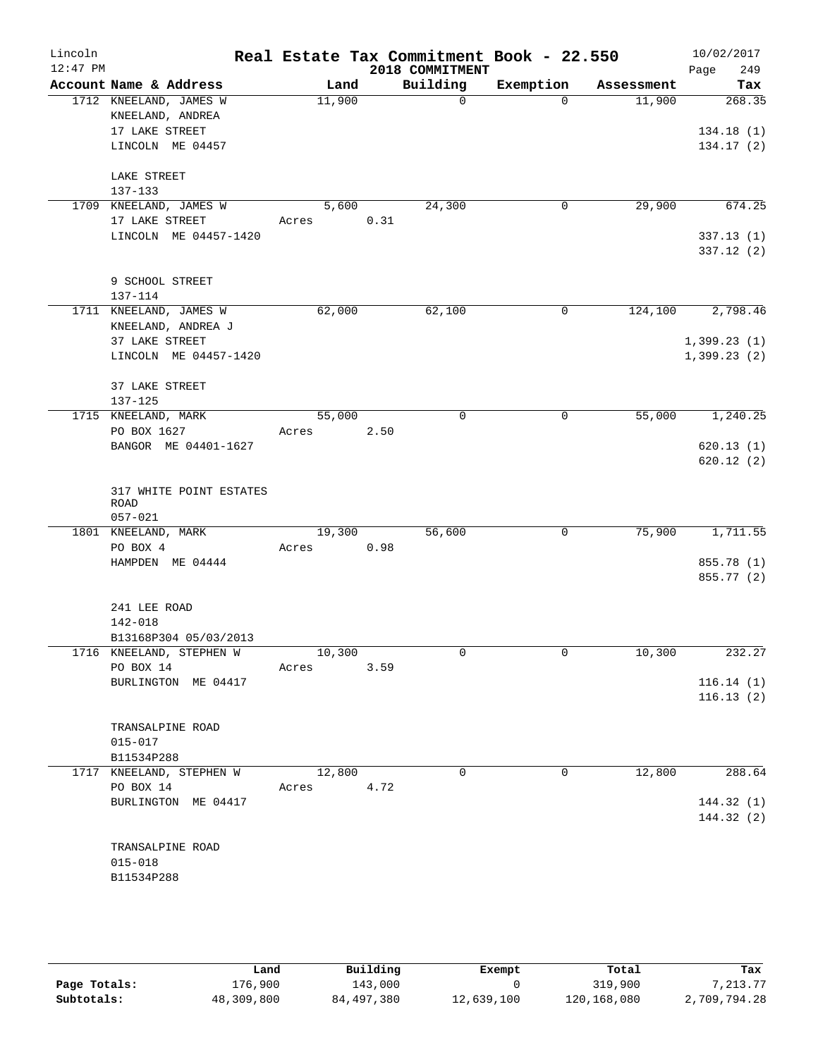| Lincoln<br>$12:47$ PM |                                                                                  |        |      | Real Estate Tax Commitment Book - 22.550 |             |            | 10/02/2017                       |
|-----------------------|----------------------------------------------------------------------------------|--------|------|------------------------------------------|-------------|------------|----------------------------------|
|                       | Account Name & Address                                                           | Land   |      | 2018 COMMITMENT<br>Building              | Exemption   | Assessment | 249<br>Page<br>Tax               |
|                       | 1712 KNEELAND, JAMES W<br>KNEELAND, ANDREA<br>17 LAKE STREET<br>LINCOLN ME 04457 | 11,900 |      | $\Omega$                                 | $\Omega$    | 11,900     | 268.35<br>134.18(1)<br>134.17(2) |
|                       | LAKE STREET<br>137-133                                                           |        |      |                                          |             |            |                                  |
|                       | 1709 KNEELAND, JAMES W                                                           | 5,600  |      | 24,300                                   | 0           | 29,900     | 674.25                           |
|                       | 17 LAKE STREET                                                                   | Acres  | 0.31 |                                          |             |            |                                  |
|                       | LINCOLN ME 04457-1420                                                            |        |      |                                          |             |            | 337.13(1)<br>337.12(2)           |
|                       | 9 SCHOOL STREET<br>137-114                                                       |        |      |                                          |             |            |                                  |
|                       | 1711 KNEELAND, JAMES W                                                           | 62,000 |      | 62,100                                   | $\mathbf 0$ | 124,100    | 2,798.46                         |
|                       | KNEELAND, ANDREA J                                                               |        |      |                                          |             |            |                                  |
|                       | 37 LAKE STREET<br>LINCOLN ME 04457-1420                                          |        |      |                                          |             |            | 1,399.23(1)<br>1,399.23(2)       |
|                       | 37 LAKE STREET<br>$137 - 125$                                                    |        |      |                                          |             |            |                                  |
|                       | 1715 KNEELAND, MARK                                                              | 55,000 |      | 0                                        | 0           | 55,000     | 1,240.25                         |
|                       | PO BOX 1627                                                                      | Acres  | 2.50 |                                          |             |            |                                  |
|                       | BANGOR ME 04401-1627                                                             |        |      |                                          |             |            | 620.13(1)<br>620.12(2)           |
|                       | 317 WHITE POINT ESTATES<br><b>ROAD</b><br>$057 - 021$                            |        |      |                                          |             |            |                                  |
|                       | 1801 KNEELAND, MARK                                                              | 19,300 |      | 56,600                                   | $\mathbf 0$ | 75,900     | 1,711.55                         |
|                       | PO BOX 4                                                                         | Acres  | 0.98 |                                          |             |            |                                  |
|                       | HAMPDEN ME 04444                                                                 |        |      |                                          |             |            | 855.78 (1)<br>855.77 (2)         |
|                       | 241 LEE ROAD                                                                     |        |      |                                          |             |            |                                  |
|                       | 142-018                                                                          |        |      |                                          |             |            |                                  |
|                       | B13168P304 05/03/2013                                                            |        |      |                                          |             |            |                                  |
|                       | 1716 KNEELAND, STEPHEN W                                                         | 10,300 |      | 0                                        | 0           | 10,300     | 232.27                           |
|                       | PO BOX 14<br>BURLINGTON ME 04417                                                 | Acres  | 3.59 |                                          |             |            | 116.14(1)                        |
|                       |                                                                                  |        |      |                                          |             |            | 116.13(2)                        |
|                       | TRANSALPINE ROAD                                                                 |        |      |                                          |             |            |                                  |
|                       | $015 - 017$                                                                      |        |      |                                          |             |            |                                  |
|                       | B11534P288<br>1717 KNEELAND, STEPHEN W                                           | 12,800 |      | $\mathbf 0$                              | $\mathbf 0$ | 12,800     | 288.64                           |
|                       | PO BOX 14                                                                        | Acres  | 4.72 |                                          |             |            |                                  |
|                       | BURLINGTON ME 04417                                                              |        |      |                                          |             |            | 144.32(1)                        |
|                       |                                                                                  |        |      |                                          |             |            | 144.32 (2)                       |
|                       | TRANSALPINE ROAD                                                                 |        |      |                                          |             |            |                                  |
|                       | $015 - 018$                                                                      |        |      |                                          |             |            |                                  |
|                       | B11534P288                                                                       |        |      |                                          |             |            |                                  |
|                       |                                                                                  |        |      |                                          |             |            |                                  |

|              | Land       | Building   | Exempt     | Total       | Tax          |
|--------------|------------|------------|------------|-------------|--------------|
| Page Totals: | 176,900    | 143,000    |            | 319,900     | 7.213.77     |
| Subtotals:   | 48,309,800 | 84,497,380 | 12,639,100 | 120,168,080 | 2,709,794.28 |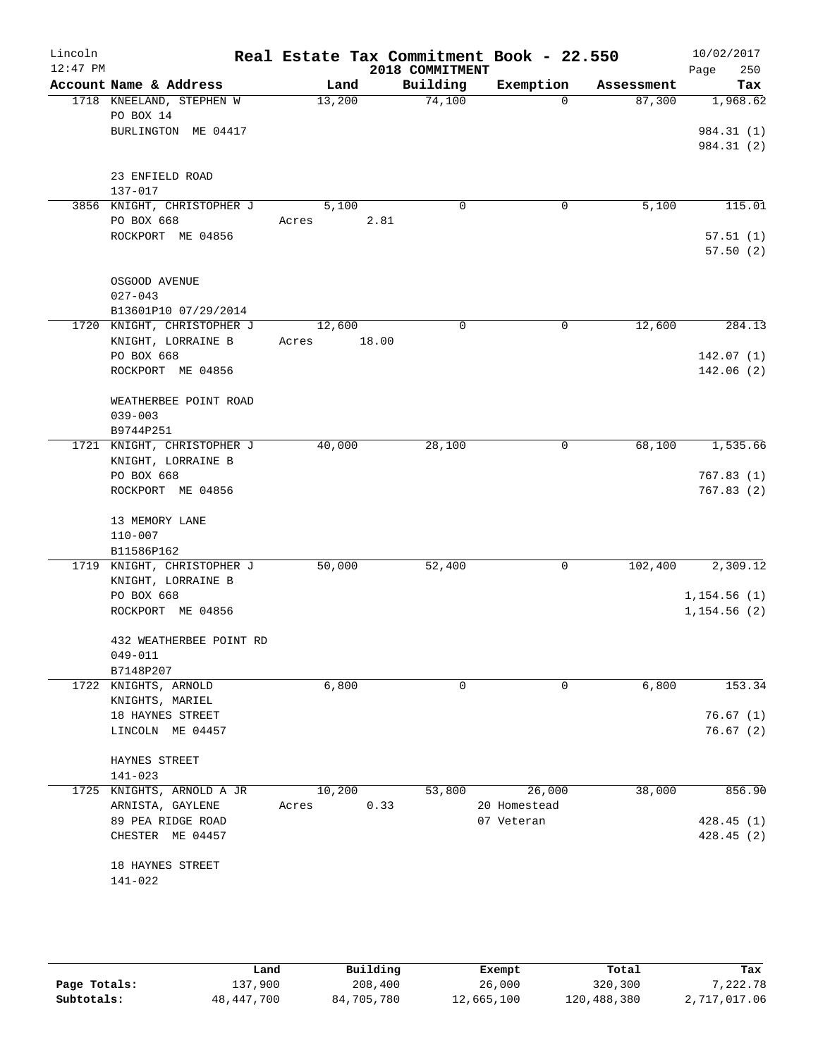| Lincoln<br>$12:47$ PM |                                       |             |      | 2018 COMMITMENT | Real Estate Tax Commitment Book - 22.550 |            | 10/02/2017<br>Page<br>250 |
|-----------------------|---------------------------------------|-------------|------|-----------------|------------------------------------------|------------|---------------------------|
|                       | Account Name & Address                | Land        |      | Building        | Exemption                                | Assessment | Tax                       |
|                       | 1718 KNEELAND, STEPHEN W<br>PO BOX 14 | 13,200      |      | 74,100          | $\Omega$                                 | 87,300     | 1,968.62                  |
|                       | BURLINGTON ME 04417                   |             |      |                 |                                          |            | 984.31 (1)<br>984.31 (2)  |
|                       |                                       |             |      |                 |                                          |            |                           |
|                       | 23 ENFIELD ROAD<br>137-017            |             |      |                 |                                          |            |                           |
|                       | 3856 KNIGHT, CHRISTOPHER J            | 5,100       |      | 0               | 0                                        | 5,100      | 115.01                    |
|                       | PO BOX 668                            | Acres       | 2.81 |                 |                                          |            |                           |
|                       | ROCKPORT ME 04856                     |             |      |                 |                                          |            | 57.51(1)<br>57.50(2)      |
|                       | OSGOOD AVENUE                         |             |      |                 |                                          |            |                           |
|                       | $027 - 043$                           |             |      |                 |                                          |            |                           |
|                       | B13601P10 07/29/2014                  |             |      |                 |                                          |            |                           |
|                       | 1720 KNIGHT, CHRISTOPHER J            | 12,600      |      | $\Omega$        | $\mathbf 0$                              | 12,600     | 284.13                    |
|                       | KNIGHT, LORRAINE B                    | Acres 18.00 |      |                 |                                          |            |                           |
|                       | PO BOX 668                            |             |      |                 |                                          |            | 142.07(1)                 |
|                       | ROCKPORT ME 04856                     |             |      |                 |                                          |            | 142.06(2)                 |
|                       | WEATHERBEE POINT ROAD                 |             |      |                 |                                          |            |                           |
|                       | $039 - 003$                           |             |      |                 |                                          |            |                           |
|                       | B9744P251                             |             |      |                 |                                          |            |                           |
|                       | 1721 KNIGHT, CHRISTOPHER J            | 40,000      |      | 28,100          | 0                                        | 68,100     | 1,535.66                  |
|                       | KNIGHT, LORRAINE B                    |             |      |                 |                                          |            |                           |
|                       | PO BOX 668                            |             |      |                 |                                          |            | 767.83(1)                 |
|                       | ROCKPORT ME 04856                     |             |      |                 |                                          |            | 767.83(2)                 |
|                       | 13 MEMORY LANE                        |             |      |                 |                                          |            |                           |
|                       | $110 - 007$                           |             |      |                 |                                          |            |                           |
|                       | B11586P162                            |             |      |                 |                                          |            |                           |
|                       | 1719 KNIGHT, CHRISTOPHER J            | 50,000      |      | 52,400          | $\mathbf 0$                              | 102,400    | 2,309.12                  |
|                       | KNIGHT, LORRAINE B                    |             |      |                 |                                          |            |                           |
|                       | PO BOX 668                            |             |      |                 |                                          |            | 1,154.56(1)               |
|                       | ROCKPORT ME 04856                     |             |      |                 |                                          |            | 1, 154.56(2)              |
|                       | 432 WEATHERBEE POINT RD               |             |      |                 |                                          |            |                           |
|                       | 049-011                               |             |      |                 |                                          |            |                           |
|                       | B7148P207<br>1722 KNIGHTS, ARNOLD     | 6,800       |      | 0               | 0                                        | 6,800      | 153.34                    |
|                       | KNIGHTS, MARIEL                       |             |      |                 |                                          |            |                           |
|                       | 18 HAYNES STREET                      |             |      |                 |                                          |            | 76.67(1)                  |
|                       | LINCOLN ME 04457                      |             |      |                 |                                          |            | 76.67(2)                  |
|                       | HAYNES STREET                         |             |      |                 |                                          |            |                           |
|                       | $141 - 023$                           |             |      |                 |                                          |            |                           |
|                       | 1725 KNIGHTS, ARNOLD A JR             | 10,200      |      | 53,800          | 26,000                                   | 38,000     | 856.90                    |
|                       | ARNISTA, GAYLENE                      | Acres       | 0.33 |                 | 20 Homestead                             |            |                           |
|                       | 89 PEA RIDGE ROAD                     |             |      |                 | 07 Veteran                               |            | 428.45 (1)                |
|                       | CHESTER ME 04457                      |             |      |                 |                                          |            | 428.45(2)                 |
|                       | 18 HAYNES STREET                      |             |      |                 |                                          |            |                           |
|                       | 141-022                               |             |      |                 |                                          |            |                           |
|                       |                                       |             |      |                 |                                          |            |                           |

|              | Land         | Building   | Exempt     | Total       | Tax          |
|--------------|--------------|------------|------------|-------------|--------------|
| Page Totals: | 137,900      | 208,400    | 26,000     | 320,300     | 7,222.78     |
| Subtotals:   | 48, 447, 700 | 84,705,780 | 12,665,100 | 120,488,380 | 2,717,017.06 |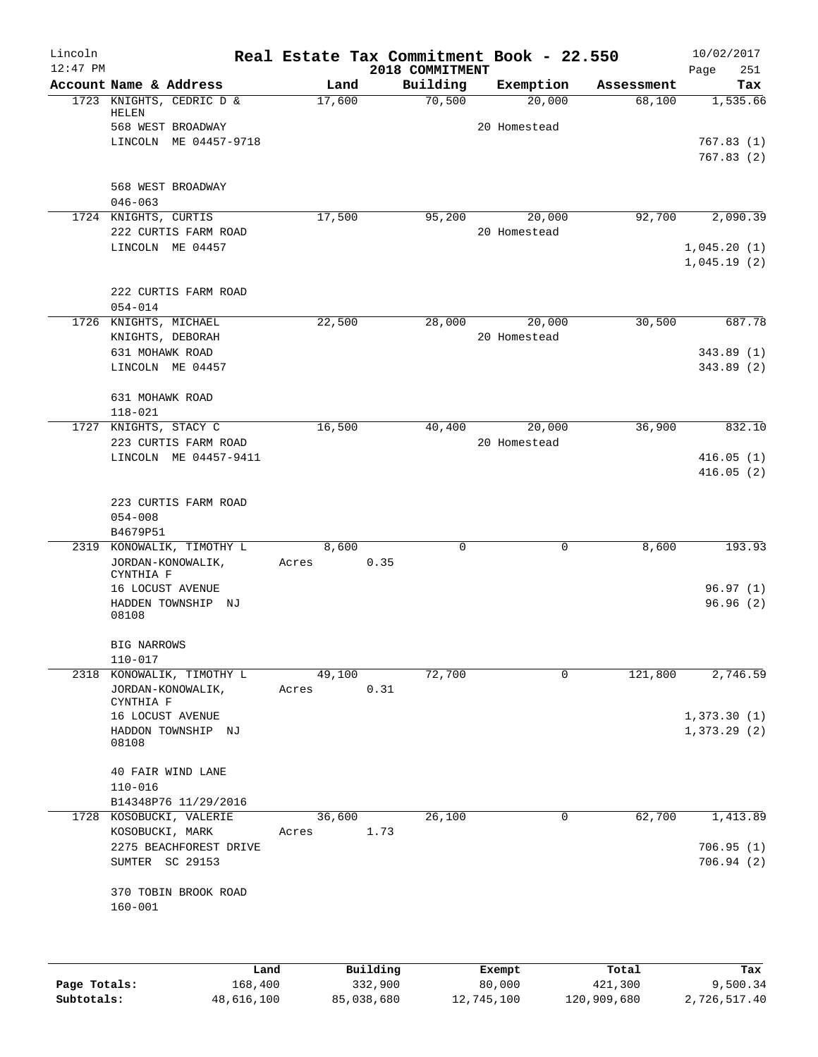| Lincoln<br>$12:47$ PM |                                        |        | Real Estate Tax Commitment Book - 22.550<br>2018 COMMITMENT |               |            | 10/02/2017<br>251<br>Page  |
|-----------------------|----------------------------------------|--------|-------------------------------------------------------------|---------------|------------|----------------------------|
|                       | Account Name & Address                 | Land   | Building                                                    | Exemption     | Assessment | Tax                        |
|                       | 1723 KNIGHTS, CEDRIC D &<br>HELEN      | 17,600 | 70,500                                                      | 20,000        | 68,100     | 1,535.66                   |
|                       | 568 WEST BROADWAY                      |        |                                                             | 20 Homestead  |            |                            |
|                       | LINCOLN ME 04457-9718                  |        |                                                             |               |            | 767.83(1)                  |
|                       |                                        |        |                                                             |               |            | 767.83(2)                  |
|                       | 568 WEST BROADWAY                      |        |                                                             |               |            |                            |
|                       | $046 - 063$                            |        |                                                             |               |            |                            |
|                       | 1724 KNIGHTS, CURTIS                   | 17,500 | 95,200                                                      | 20,000        | 92,700     | 2,090.39                   |
|                       | 222 CURTIS FARM ROAD                   |        |                                                             | 20 Homestead  |            |                            |
|                       | LINCOLN ME 04457                       |        |                                                             |               |            | 1,045.20(1)<br>1,045.19(2) |
|                       | 222 CURTIS FARM ROAD                   |        |                                                             |               |            |                            |
|                       | $054 - 014$                            |        |                                                             |               |            |                            |
|                       | 1726 KNIGHTS, MICHAEL                  | 22,500 | 28,000                                                      | 20,000        | 30,500     | 687.78                     |
|                       | KNIGHTS, DEBORAH                       |        |                                                             | 20 Homestead  |            |                            |
|                       | 631 MOHAWK ROAD                        |        |                                                             |               |            | 343.89(1)                  |
|                       | LINCOLN ME 04457                       |        |                                                             |               |            | 343.89(2)                  |
|                       | 631 MOHAWK ROAD                        |        |                                                             |               |            |                            |
|                       | $118 - 021$                            |        |                                                             |               |            |                            |
| 1727                  | KNIGHTS, STACY C                       | 16,500 | 40,400                                                      | 20,000        | 36,900     | 832.10                     |
|                       | 223 CURTIS FARM ROAD                   |        |                                                             | 20 Homestead  |            |                            |
|                       | LINCOLN ME 04457-9411                  |        |                                                             |               |            | 416.05(1)<br>416.05(2)     |
|                       |                                        |        |                                                             |               |            |                            |
|                       | 223 CURTIS FARM ROAD                   |        |                                                             |               |            |                            |
|                       | $054 - 008$                            |        |                                                             |               |            |                            |
|                       | B4679P51                               |        |                                                             |               |            |                            |
| 2319                  | KONOWALIK, TIMOTHY L                   | 8,600  | $\mathbf 0$                                                 | 0             | 8,600      | 193.93                     |
|                       | JORDAN-KONOWALIK,                      | Acres  | 0.35                                                        |               |            |                            |
|                       | CYNTHIA F                              |        |                                                             |               |            |                            |
|                       | 16 LOCUST AVENUE                       |        |                                                             |               |            | 96.97(1)                   |
|                       | HADDEN TOWNSHIP NJ<br>08108            |        |                                                             |               |            | 96.96(2)                   |
|                       | <b>BIG NARROWS</b>                     |        |                                                             |               |            |                            |
|                       | 110-017                                |        |                                                             |               |            |                            |
|                       | 2318 KONOWALIK, TIMOTHY L              | 49,100 | 72,700                                                      | 0             | 121,800    | 2,746.59                   |
|                       | JORDAN-KONOWALIK,                      | Acres  | 0.31                                                        |               |            |                            |
|                       | CYNTHIA F                              |        |                                                             |               |            | 1,373.30(1)                |
|                       | 16 LOCUST AVENUE<br>HADDON TOWNSHIP NJ |        |                                                             |               |            | 1,373.29(2)                |
|                       | 08108                                  |        |                                                             |               |            |                            |
|                       | 40 FAIR WIND LANE                      |        |                                                             |               |            |                            |
|                       | $110 - 016$                            |        |                                                             |               |            |                            |
|                       | B14348P76 11/29/2016                   |        |                                                             |               |            |                            |
|                       | 1728 KOSOBUCKI, VALERIE                | 36,600 | 26,100                                                      | 0             | 62,700     | 1,413.89                   |
|                       | KOSOBUCKI, MARK                        | Acres  | 1.73                                                        |               |            |                            |
|                       | 2275 BEACHFOREST DRIVE                 |        |                                                             |               |            | 706.95(1)                  |
|                       | SUMTER SC 29153                        |        |                                                             |               |            | 706.94(2)                  |
|                       | 370 TOBIN BROOK ROAD<br>$160 - 001$    |        |                                                             |               |            |                            |
|                       |                                        |        |                                                             |               |            |                            |
|                       |                                        |        |                                                             |               |            |                            |
|                       | Land.                                  |        | Building                                                    | <b>Ryomnt</b> | $T0+21$    | Tay                        |

|              | Land       | Building   | Exempt     | Total       | Tax          |
|--------------|------------|------------|------------|-------------|--------------|
| Page Totals: | 168,400    | 332,900    | 80,000     | 421,300     | 9,500.34     |
| Subtotals:   | 48,616,100 | 85,038,680 | 12,745,100 | 120,909,680 | 2,726,517.40 |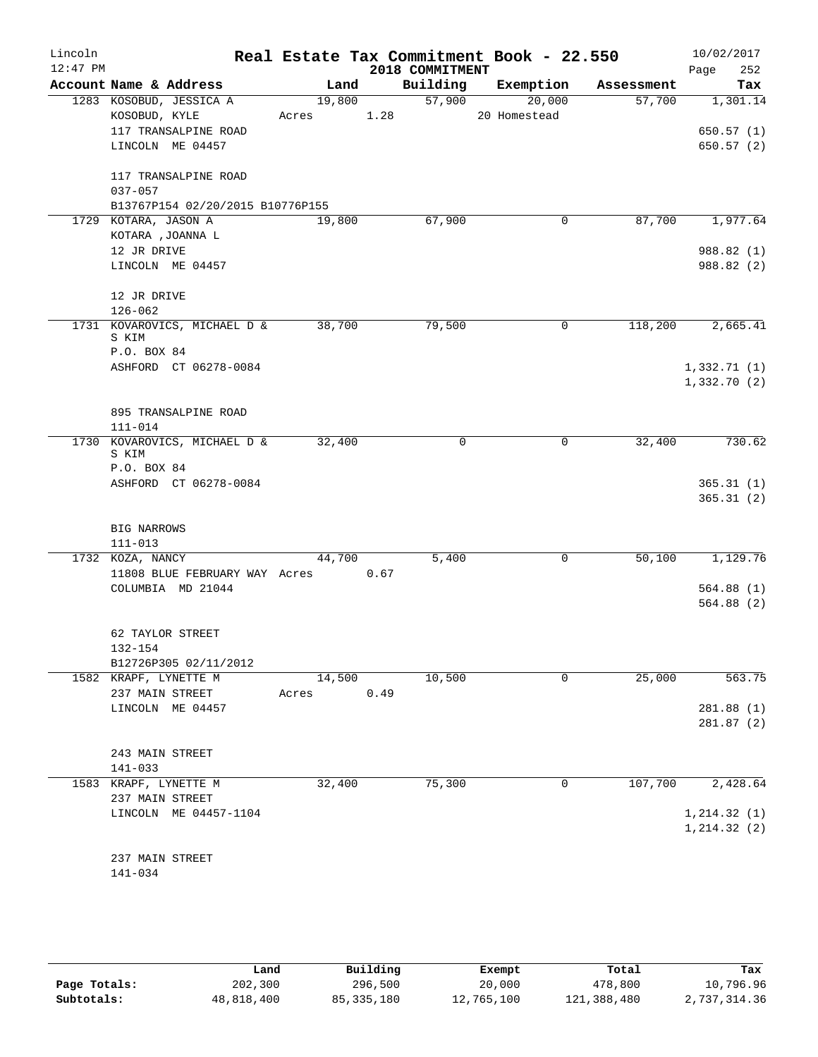| Lincoln    |                                    |            |      | Real Estate Tax Commitment Book - 22.550 |              |            | 10/02/2017             |
|------------|------------------------------------|------------|------|------------------------------------------|--------------|------------|------------------------|
| $12:47$ PM |                                    |            |      | 2018 COMMITMENT                          |              |            | 252<br>Page            |
|            | Account Name & Address             | Land       |      | Building                                 | Exemption    | Assessment | Tax                    |
|            | 1283 KOSOBUD, JESSICA A            | 19,800     |      | 57,900                                   | 20,000       | 57,700     | 1,301.14               |
|            | KOSOBUD, KYLE                      | Acres 1.28 |      |                                          | 20 Homestead |            |                        |
|            | 117 TRANSALPINE ROAD               |            |      |                                          |              |            | 650.57(1)              |
|            | LINCOLN ME 04457                   |            |      |                                          |              |            | 650.57(2)              |
|            | 117 TRANSALPINE ROAD               |            |      |                                          |              |            |                        |
|            | $037 - 057$                        |            |      |                                          |              |            |                        |
|            | B13767P154 02/20/2015 B10776P155   |            |      |                                          |              |            |                        |
|            | 1729 KOTARA, JASON A               | 19,800     |      | 67,900                                   | 0            | 87,700     | 1,977.64               |
|            | KOTARA , JOANNA L                  |            |      |                                          |              |            |                        |
|            | 12 JR DRIVE                        |            |      |                                          |              |            | 988.82 (1)             |
|            | LINCOLN ME 04457                   |            |      |                                          |              |            | 988.82 (2)             |
|            |                                    |            |      |                                          |              |            |                        |
|            | 12 JR DRIVE                        |            |      |                                          |              |            |                        |
|            | $126 - 062$                        |            |      |                                          |              |            |                        |
|            | 1731 KOVAROVICS, MICHAEL D &       | 38,700     |      | 79,500                                   | $\mathbf 0$  | 118,200    | 2,665.41               |
|            | S KIM<br>P.O. BOX 84               |            |      |                                          |              |            |                        |
|            | ASHFORD CT 06278-0084              |            |      |                                          |              |            | 1,332.71(1)            |
|            |                                    |            |      |                                          |              |            | 1,332.70(2)            |
|            |                                    |            |      |                                          |              |            |                        |
|            | 895 TRANSALPINE ROAD               |            |      |                                          |              |            |                        |
|            | $111 - 014$                        |            |      |                                          |              |            |                        |
|            | 1730 KOVAROVICS, MICHAEL D &       | 32,400     |      | $\mathbf 0$                              | $\mathbf 0$  | 32,400     | 730.62                 |
|            | S KIM                              |            |      |                                          |              |            |                        |
|            | P.O. BOX 84                        |            |      |                                          |              |            |                        |
|            | ASHFORD CT 06278-0084              |            |      |                                          |              |            | 365.31(1)              |
|            |                                    |            |      |                                          |              |            | 365.31(2)              |
|            | <b>BIG NARROWS</b>                 |            |      |                                          |              |            |                        |
|            | $111 - 013$                        |            |      |                                          |              |            |                        |
|            | 1732 KOZA, NANCY                   | 44,700     |      | 5,400                                    | 0            | 50,100     | 1,129.76               |
|            | 11808 BLUE FEBRUARY WAY Acres 0.67 |            |      |                                          |              |            |                        |
|            | COLUMBIA MD 21044                  |            |      |                                          |              |            | 564.88(1)              |
|            |                                    |            |      |                                          |              |            | 564.88(2)              |
|            |                                    |            |      |                                          |              |            |                        |
|            | 62 TAYLOR STREET                   |            |      |                                          |              |            |                        |
|            | 132-154                            |            |      |                                          |              |            |                        |
|            | B12726P305 02/11/2012              |            |      |                                          |              |            |                        |
|            | 1582 KRAPF, LYNETTE M              | 14,500     |      | 10,500                                   | 0            | 25,000     | 563.75                 |
|            | 237 MAIN STREET                    | Acres      | 0.49 |                                          |              |            |                        |
|            | LINCOLN ME 04457                   |            |      |                                          |              |            | 281.88(1)<br>281.87(2) |
|            |                                    |            |      |                                          |              |            |                        |
|            | 243 MAIN STREET                    |            |      |                                          |              |            |                        |
|            | 141-033                            |            |      |                                          |              |            |                        |
|            | 1583 KRAPF, LYNETTE M              | 32,400     |      | 75,300                                   | 0            | 107,700    | 2,428.64               |
|            | 237 MAIN STREET                    |            |      |                                          |              |            |                        |
|            | LINCOLN ME 04457-1104              |            |      |                                          |              |            | 1, 214.32(1)           |
|            |                                    |            |      |                                          |              |            | 1, 214.32(2)           |
|            |                                    |            |      |                                          |              |            |                        |
|            | 237 MAIN STREET                    |            |      |                                          |              |            |                        |
|            | 141-034                            |            |      |                                          |              |            |                        |

|              | Land       | Building     | Exempt     | Total       | Tax          |
|--------------|------------|--------------|------------|-------------|--------------|
| Page Totals: | 202,300    | 296,500      | 20,000     | 478,800     | 10,796.96    |
| Subtotals:   | 48,818,400 | 85, 335, 180 | 12,765,100 | 121,388,480 | 2,737,314.36 |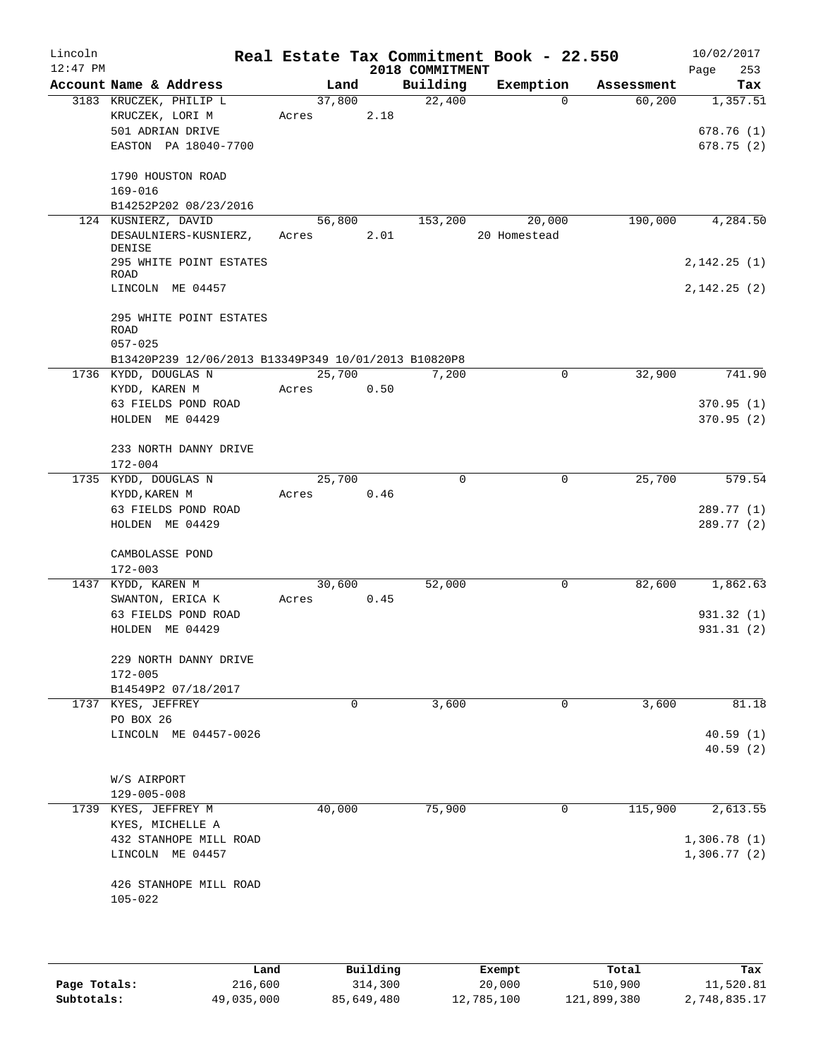| Lincoln<br>$12:47$ PM |                                                      |                      |      | 2018 COMMITMENT | Real Estate Tax Commitment Book - 22.550 |            | 10/02/2017<br>253<br>Page |
|-----------------------|------------------------------------------------------|----------------------|------|-----------------|------------------------------------------|------------|---------------------------|
|                       | Account Name & Address                               | Land                 |      | Building        | Exemption                                | Assessment | Tax                       |
|                       | 3183 KRUCZEK, PHILIP L                               | 37,800               |      | 22,400          | $\Omega$                                 | 60,200     | 1,357.51                  |
|                       | KRUCZEK, LORI M                                      | Acres                | 2.18 |                 |                                          |            |                           |
|                       | 501 ADRIAN DRIVE                                     |                      |      |                 |                                          |            | 678.76(1)                 |
|                       | EASTON PA 18040-7700                                 |                      |      |                 |                                          |            | 678.75(2)                 |
|                       |                                                      |                      |      |                 |                                          |            |                           |
|                       | 1790 HOUSTON ROAD                                    |                      |      |                 |                                          |            |                           |
|                       | $169 - 016$                                          |                      |      |                 |                                          |            |                           |
|                       | B14252P202 08/23/2016                                |                      |      |                 |                                          |            |                           |
|                       | 124 KUSNIERZ, DAVID                                  | 56,800               |      | 153,200         | 20,000                                   | 190,000    | 4,284.50                  |
|                       | DESAULNIERS-KUSNIERZ,                                | Acres                | 2.01 |                 | 20 Homestead                             |            |                           |
|                       | DENISE                                               |                      |      |                 |                                          |            |                           |
|                       | 295 WHITE POINT ESTATES<br>ROAD                      |                      |      |                 |                                          |            | 2,142.25(1)               |
|                       | LINCOLN ME 04457                                     |                      |      |                 |                                          |            | 2,142.25(2)               |
|                       |                                                      |                      |      |                 |                                          |            |                           |
|                       | 295 WHITE POINT ESTATES                              |                      |      |                 |                                          |            |                           |
|                       | ROAD                                                 |                      |      |                 |                                          |            |                           |
|                       | $057 - 025$                                          |                      |      |                 |                                          |            |                           |
|                       | B13420P239 12/06/2013 B13349P349 10/01/2013 B10820P8 |                      |      |                 |                                          |            |                           |
|                       | 1736 KYDD, DOUGLAS N                                 | 25,700               |      | 7,200           | $\Omega$                                 | 32,900     | 741.90                    |
|                       | KYDD, KAREN M                                        | Acres                | 0.50 |                 |                                          |            |                           |
|                       | 63 FIELDS POND ROAD                                  |                      |      |                 |                                          |            | 370.95(1)                 |
|                       | HOLDEN ME 04429                                      |                      |      |                 |                                          |            | 370.95(2)                 |
|                       |                                                      |                      |      |                 |                                          |            |                           |
|                       | 233 NORTH DANNY DRIVE                                |                      |      |                 |                                          |            |                           |
|                       | 172-004                                              |                      |      |                 |                                          |            |                           |
|                       | 1735 KYDD, DOUGLAS N                                 | 25,700<br>Acres 0.46 |      | $\Omega$        | $\mathbf 0$                              | 25,700     | 579.54                    |
|                       | KYDD, KAREN M<br>63 FIELDS POND ROAD                 |                      |      |                 |                                          |            | 289.77 (1)                |
|                       | HOLDEN ME 04429                                      |                      |      |                 |                                          |            | 289.77 (2)                |
|                       |                                                      |                      |      |                 |                                          |            |                           |
|                       | CAMBOLASSE POND                                      |                      |      |                 |                                          |            |                           |
|                       | $172 - 003$                                          |                      |      |                 |                                          |            |                           |
|                       | 1437 KYDD, KAREN M                                   | 30,600               |      | 52,000          | $\mathbf 0$                              |            | 82,600 1,862.63           |
|                       | SWANTON, ERICA K                                     | Acres                | 0.45 |                 |                                          |            |                           |
|                       | 63 FIELDS POND ROAD                                  |                      |      |                 |                                          |            | 931.32(1)                 |
|                       | HOLDEN ME 04429                                      |                      |      |                 |                                          |            | 931.31(2)                 |
|                       |                                                      |                      |      |                 |                                          |            |                           |
|                       | 229 NORTH DANNY DRIVE                                |                      |      |                 |                                          |            |                           |
|                       | $172 - 005$                                          |                      |      |                 |                                          |            |                           |
|                       | B14549P2 07/18/2017                                  |                      |      |                 |                                          |            |                           |
|                       | 1737 KYES, JEFFREY                                   |                      | 0    | 3,600           | 0                                        | 3,600      | 81.18                     |
|                       | PO BOX 26                                            |                      |      |                 |                                          |            |                           |
|                       | LINCOLN ME 04457-0026                                |                      |      |                 |                                          |            | 40.59(1)<br>40.59(2)      |
|                       |                                                      |                      |      |                 |                                          |            |                           |
|                       | W/S AIRPORT                                          |                      |      |                 |                                          |            |                           |
|                       | $129 - 005 - 008$                                    |                      |      |                 |                                          |            |                           |
|                       | 1739 KYES, JEFFREY M                                 | 40,000               |      | 75,900          | 0                                        | 115,900    | 2,613.55                  |
|                       | KYES, MICHELLE A                                     |                      |      |                 |                                          |            |                           |
|                       | 432 STANHOPE MILL ROAD                               |                      |      |                 |                                          |            | 1,306.78(1)               |
|                       | LINCOLN ME 04457                                     |                      |      |                 |                                          |            | 1,306.77(2)               |
|                       |                                                      |                      |      |                 |                                          |            |                           |
|                       | 426 STANHOPE MILL ROAD                               |                      |      |                 |                                          |            |                           |
|                       | $105 - 022$                                          |                      |      |                 |                                          |            |                           |
|                       |                                                      |                      |      |                 |                                          |            |                           |
|                       |                                                      |                      |      |                 |                                          |            |                           |
|                       |                                                      |                      |      |                 |                                          |            |                           |

|              | Land       | Building   | Exempt     | Total       | Tax          |
|--------------|------------|------------|------------|-------------|--------------|
| Page Totals: | 216,600    | 314,300    | 20,000     | 510,900     | 11,520.81    |
| Subtotals:   | 49,035,000 | 85,649,480 | 12,785,100 | 121,899,380 | 2,748,835.17 |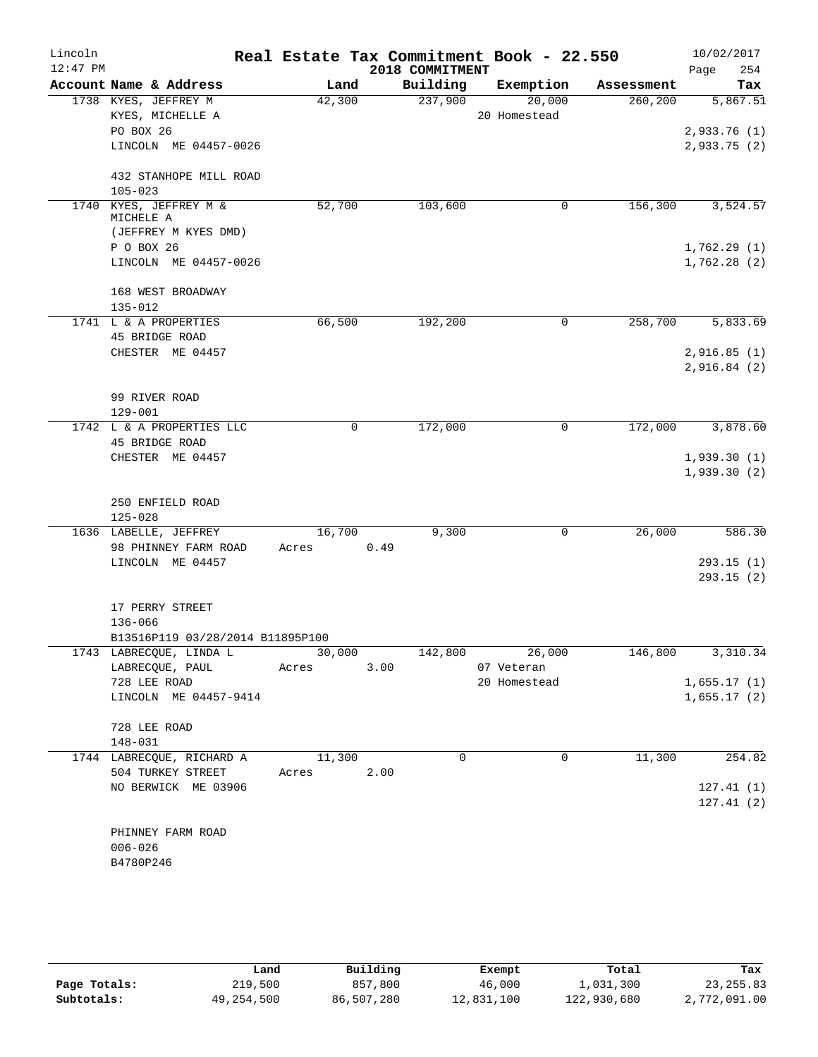| Lincoln    |                                          |        |      | Real Estate Tax Commitment Book - 22.550 |              |        |            | 10/02/2017                 |           |
|------------|------------------------------------------|--------|------|------------------------------------------|--------------|--------|------------|----------------------------|-----------|
| $12:47$ PM |                                          |        |      | 2018 COMMITMENT                          |              |        |            | Page                       | 254       |
|            | Account Name & Address                   | Land   |      | Building                                 | Exemption    |        | Assessment |                            | Tax       |
|            | 1738 KYES, JEFFREY M                     | 42,300 |      | 237,900                                  |              | 20,000 | 260,200    |                            | 5,867.51  |
|            | KYES, MICHELLE A                         |        |      |                                          | 20 Homestead |        |            |                            |           |
|            | PO BOX 26                                |        |      |                                          |              |        |            | 2,933.76(1)                |           |
|            | LINCOLN ME 04457-0026                    |        |      |                                          |              |        |            | 2,933.75(2)                |           |
|            | 432 STANHOPE MILL ROAD                   |        |      |                                          |              |        |            |                            |           |
|            | $105 - 023$                              |        |      |                                          |              |        |            |                            |           |
|            | 1740 KYES, JEFFREY M &                   | 52,700 |      | 103,600                                  |              | 0      | 156,300    |                            | 3,524.57  |
|            | MICHELE A                                |        |      |                                          |              |        |            |                            |           |
|            | (JEFFREY M KYES DMD)                     |        |      |                                          |              |        |            |                            |           |
|            | P O BOX 26                               |        |      |                                          |              |        |            | 1,762.29(1)                |           |
|            | LINCOLN ME 04457-0026                    |        |      |                                          |              |        |            | 1,762.28(2)                |           |
|            |                                          |        |      |                                          |              |        |            |                            |           |
|            | 168 WEST BROADWAY                        |        |      |                                          |              |        |            |                            |           |
|            | $135 - 012$                              |        |      |                                          |              |        |            |                            |           |
|            | 1741 L & A PROPERTIES<br>45 BRIDGE ROAD  | 66,500 |      | 192,200                                  |              | 0      | 258,700    |                            | 5,833.69  |
|            |                                          |        |      |                                          |              |        |            |                            |           |
|            | CHESTER ME 04457                         |        |      |                                          |              |        |            | 2,916.85(1)<br>2,916.84(2) |           |
|            |                                          |        |      |                                          |              |        |            |                            |           |
|            | 99 RIVER ROAD                            |        |      |                                          |              |        |            |                            |           |
|            | 129-001                                  |        |      |                                          |              |        |            |                            |           |
|            | 1742 L & A PROPERTIES LLC                | 0      |      | 172,000                                  |              | 0      | 172,000    |                            | 3,878.60  |
|            | 45 BRIDGE ROAD                           |        |      |                                          |              |        |            |                            |           |
|            | CHESTER ME 04457                         |        |      |                                          |              |        |            | 1,939.30(1)                |           |
|            |                                          |        |      |                                          |              |        |            | 1,939.30(2)                |           |
|            |                                          |        |      |                                          |              |        |            |                            |           |
|            | 250 ENFIELD ROAD                         |        |      |                                          |              |        |            |                            |           |
|            | $125 - 028$                              |        |      |                                          |              |        |            |                            |           |
|            | 1636 LABELLE, JEFFREY                    | 16,700 |      | 9,300                                    |              | 0      | 26,000     |                            | 586.30    |
|            | 98 PHINNEY FARM ROAD<br>LINCOLN ME 04457 | Acres  | 0.49 |                                          |              |        |            |                            | 293.15(1) |
|            |                                          |        |      |                                          |              |        |            |                            | 293.15(2) |
|            |                                          |        |      |                                          |              |        |            |                            |           |
|            | 17 PERRY STREET                          |        |      |                                          |              |        |            |                            |           |
|            | 136-066                                  |        |      |                                          |              |        |            |                            |           |
|            | B13516P119 03/28/2014 B11895P100         |        |      |                                          |              |        |            |                            |           |
|            | 1743 LABRECQUE, LINDA L                  | 30,000 |      | 142,800                                  |              | 26,000 | 146,800    |                            | 3,310.34  |
|            | LABRECQUE, PAUL                          | Acres  | 3.00 |                                          | 07 Veteran   |        |            |                            |           |
|            | 728 LEE ROAD                             |        |      |                                          | 20 Homestead |        |            | 1,655.17(1)                |           |
|            | LINCOLN ME 04457-9414                    |        |      |                                          |              |        |            | 1,655.17(2)                |           |
|            |                                          |        |      |                                          |              |        |            |                            |           |
|            | 728 LEE ROAD                             |        |      |                                          |              |        |            |                            |           |
|            | $148 - 031$<br>1744 LABRECQUE, RICHARD A | 11,300 |      | $\Omega$                                 |              | 0      | 11,300     |                            | 254.82    |
|            | 504 TURKEY STREET                        | Acres  | 2.00 |                                          |              |        |            |                            |           |
|            | NO BERWICK ME 03906                      |        |      |                                          |              |        |            |                            | 127.41(1) |
|            |                                          |        |      |                                          |              |        |            |                            | 127.41(2) |
|            |                                          |        |      |                                          |              |        |            |                            |           |
|            | PHINNEY FARM ROAD                        |        |      |                                          |              |        |            |                            |           |
|            | $006 - 026$                              |        |      |                                          |              |        |            |                            |           |
|            | B4780P246                                |        |      |                                          |              |        |            |                            |           |
|            |                                          |        |      |                                          |              |        |            |                            |           |
|            |                                          |        |      |                                          |              |        |            |                            |           |
|            |                                          |        |      |                                          |              |        |            |                            |           |

|              | Land       | Building   | Exempt     | Total       | Tax          |
|--------------|------------|------------|------------|-------------|--------------|
| Page Totals: | 219,500    | 857,800    | 46,000     | 1,031,300   | 23, 255.83   |
| Subtotals:   | 49,254,500 | 86,507,280 | 12,831,100 | 122,930,680 | 2,772,091.00 |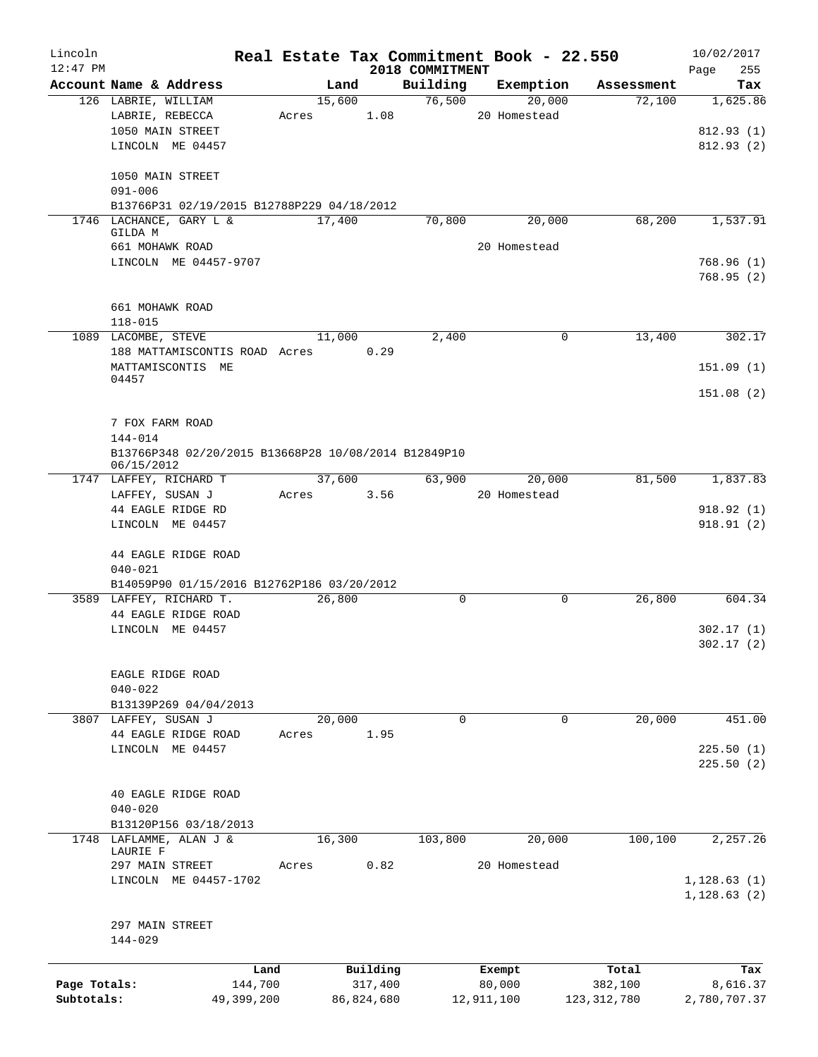| Lincoln      |                                                      |            |        |            |                 | Real Estate Tax Commitment Book - 22.550 |               | 10/02/2017   |
|--------------|------------------------------------------------------|------------|--------|------------|-----------------|------------------------------------------|---------------|--------------|
| $12:47$ PM   |                                                      |            |        |            | 2018 COMMITMENT |                                          |               | 255<br>Page  |
|              | Account Name & Address                               |            | Land   |            | Building        | Exemption                                | Assessment    | Tax          |
|              | 126 LABRIE, WILLIAM                                  |            | 15,600 |            | 76,500          | 20,000                                   | 72,100        | 1,625.86     |
|              | LABRIE, REBECCA                                      |            | Acres  | 1.08       |                 | 20 Homestead                             |               |              |
|              | 1050 MAIN STREET                                     |            |        |            |                 |                                          |               | 812.93(1)    |
|              | LINCOLN ME 04457                                     |            |        |            |                 |                                          |               | 812.93(2)    |
|              | 1050 MAIN STREET                                     |            |        |            |                 |                                          |               |              |
|              | $091 - 006$                                          |            |        |            |                 |                                          |               |              |
|              | B13766P31 02/19/2015 B12788P229 04/18/2012           |            |        |            |                 |                                          |               |              |
|              | 1746 LACHANCE, GARY L &                              |            | 17,400 |            | 70,800          | 20,000                                   | 68,200        | 1,537.91     |
|              | GILDA M                                              |            |        |            |                 |                                          |               |              |
|              | 661 MOHAWK ROAD                                      |            |        |            |                 | 20 Homestead                             |               |              |
|              | LINCOLN ME 04457-9707                                |            |        |            |                 |                                          |               | 768.96(1)    |
|              |                                                      |            |        |            |                 |                                          |               | 768.95(2)    |
|              | 661 MOHAWK ROAD                                      |            |        |            |                 |                                          |               |              |
|              | $118 - 015$                                          |            |        |            |                 |                                          |               |              |
|              | 1089 LACOMBE, STEVE                                  |            | 11,000 |            | 2,400           | 0                                        | 13,400        | 302.17       |
|              | 188 MATTAMISCONTIS ROAD Acres                        |            |        | 0.29       |                 |                                          |               |              |
|              | MATTAMISCONTIS ME                                    |            |        |            |                 |                                          |               | 151.09(1)    |
|              | 04457                                                |            |        |            |                 |                                          |               |              |
|              |                                                      |            |        |            |                 |                                          |               | 151.08(2)    |
|              |                                                      |            |        |            |                 |                                          |               |              |
|              | 7 FOX FARM ROAD<br>$144 - 014$                       |            |        |            |                 |                                          |               |              |
|              | B13766P348 02/20/2015 B13668P28 10/08/2014 B12849P10 |            |        |            |                 |                                          |               |              |
|              | 06/15/2012                                           |            |        |            |                 |                                          |               |              |
|              | 1747 LAFFEY, RICHARD T                               |            | 37,600 |            | 63,900          | 20,000                                   | 81,500        | 1,837.83     |
|              | LAFFEY, SUSAN J                                      |            | Acres  | 3.56       |                 | 20 Homestead                             |               |              |
|              | 44 EAGLE RIDGE RD                                    |            |        |            |                 |                                          |               | 918.92(1)    |
|              | LINCOLN ME 04457                                     |            |        |            |                 |                                          |               | 918.91(2)    |
|              |                                                      |            |        |            |                 |                                          |               |              |
|              | 44 EAGLE RIDGE ROAD                                  |            |        |            |                 |                                          |               |              |
|              | $040 - 021$                                          |            |        |            |                 |                                          |               |              |
|              | B14059P90 01/15/2016 B12762P186 03/20/2012           |            |        |            |                 |                                          |               |              |
|              | 3589 LAFFEY, RICHARD T.                              |            | 26,800 |            | 0               | 0                                        | 26,800        | 604.34       |
|              | 44 EAGLE RIDGE ROAD                                  |            |        |            |                 |                                          |               |              |
|              | LINCOLN ME 04457                                     |            |        |            |                 |                                          |               | 302.17(1)    |
|              |                                                      |            |        |            |                 |                                          |               | 302.17(2)    |
|              | EAGLE RIDGE ROAD                                     |            |        |            |                 |                                          |               |              |
|              | $040 - 022$                                          |            |        |            |                 |                                          |               |              |
|              | B13139P269 04/04/2013                                |            |        |            |                 |                                          |               |              |
|              | 3807 LAFFEY, SUSAN J                                 |            | 20,000 |            | $\Omega$        | $\mathbf 0$                              | 20,000        | 451.00       |
|              | 44 EAGLE RIDGE ROAD                                  |            | Acres  | 1.95       |                 |                                          |               |              |
|              | LINCOLN ME 04457                                     |            |        |            |                 |                                          |               | 225.50(1)    |
|              |                                                      |            |        |            |                 |                                          |               | 225.50(2)    |
|              |                                                      |            |        |            |                 |                                          |               |              |
|              | 40 EAGLE RIDGE ROAD                                  |            |        |            |                 |                                          |               |              |
|              | $040 - 020$                                          |            |        |            |                 |                                          |               |              |
|              | B13120P156 03/18/2013                                |            |        |            |                 |                                          |               |              |
| 1748         | LAFLAMME, ALAN J &                                   |            | 16,300 |            | 103,800         | 20,000                                   | 100, 100      | 2,257.26     |
|              | LAURIE F                                             |            |        |            |                 |                                          |               |              |
|              | 297 MAIN STREET                                      |            | Acres  | 0.82       |                 | 20 Homestead                             |               |              |
|              | LINCOLN ME 04457-1702                                |            |        |            |                 |                                          |               | 1, 128.63(1) |
|              |                                                      |            |        |            |                 |                                          |               | 1,128.63(2)  |
|              |                                                      |            |        |            |                 |                                          |               |              |
|              | 297 MAIN STREET                                      |            |        |            |                 |                                          |               |              |
|              | 144-029                                              |            |        |            |                 |                                          |               |              |
|              |                                                      | Land       |        | Building   |                 | Exempt                                   | Total         | Tax          |
| Page Totals: |                                                      | 144,700    |        | 317,400    |                 | 80,000                                   | 382,100       | 8,616.37     |
| Subtotals:   |                                                      | 49,399,200 |        | 86,824,680 |                 | 12,911,100                               | 123, 312, 780 | 2,780,707.37 |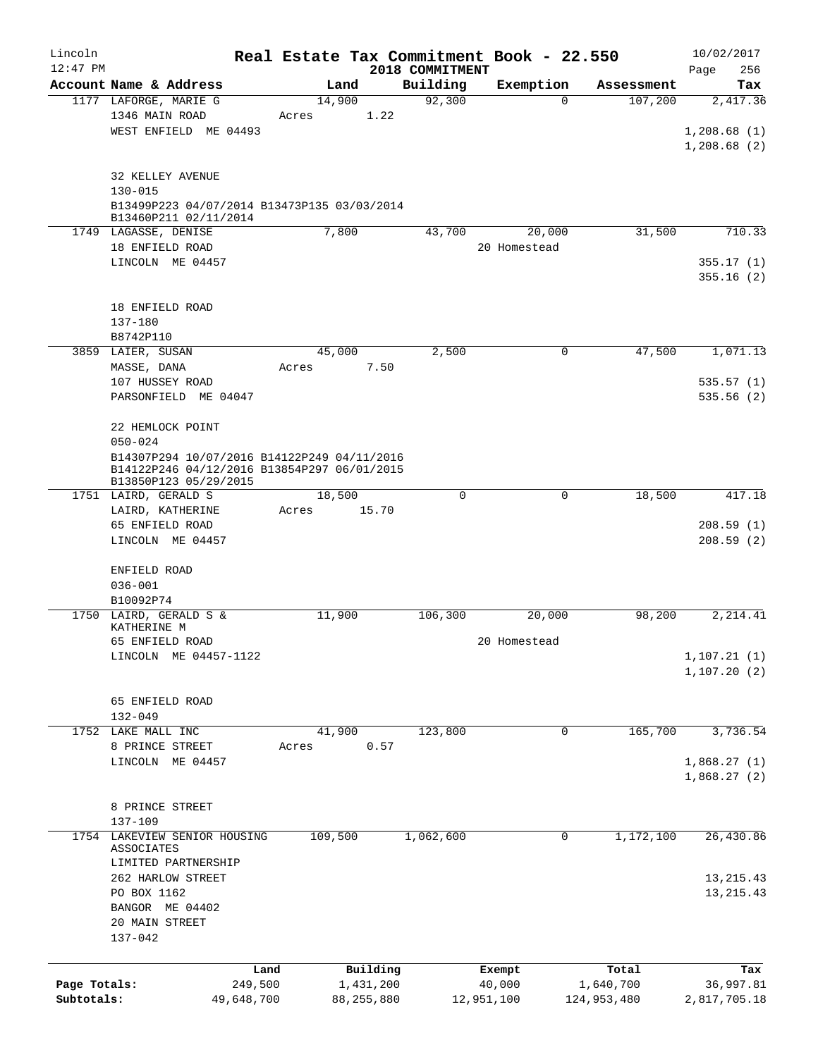| Lincoln<br>$12:47$ PM      |                                                                                            | Real Estate Tax Commitment Book - 22.550 | 2018 COMMITMENT |                      |                          | 10/02/2017<br>256<br>Page |
|----------------------------|--------------------------------------------------------------------------------------------|------------------------------------------|-----------------|----------------------|--------------------------|---------------------------|
|                            | Account Name & Address                                                                     | Land                                     | Building        | Exemption            | Assessment               | Tax                       |
|                            | 1177 LAFORGE, MARIE G                                                                      | 14,900                                   | 92,300          | $\Omega$             | 107,200                  | 2,417.36                  |
|                            | 1346 MAIN ROAD                                                                             | 1.22<br>Acres                            |                 |                      |                          |                           |
|                            | WEST ENFIELD ME 04493                                                                      |                                          |                 |                      |                          | 1,208.68(1)               |
|                            |                                                                                            |                                          |                 |                      |                          | 1,208.68(2)               |
|                            | 32 KELLEY AVENUE                                                                           |                                          |                 |                      |                          |                           |
|                            | $130 - 015$                                                                                |                                          |                 |                      |                          |                           |
|                            | B13499P223 04/07/2014 B13473P135 03/03/2014<br>B13460P211 02/11/2014                       |                                          |                 |                      |                          |                           |
|                            | 1749 LAGASSE, DENISE                                                                       | 7,800                                    | 43,700          | 20,000               | 31,500                   | 710.33                    |
|                            | 18 ENFIELD ROAD                                                                            |                                          |                 | 20 Homestead         |                          |                           |
|                            | LINCOLN ME 04457                                                                           |                                          |                 |                      |                          | 355.17(1)                 |
|                            |                                                                                            |                                          |                 |                      |                          | 355.16(2)                 |
|                            | 18 ENFIELD ROAD                                                                            |                                          |                 |                      |                          |                           |
|                            | 137-180                                                                                    |                                          |                 |                      |                          |                           |
|                            | B8742P110                                                                                  |                                          |                 |                      |                          |                           |
|                            | 3859 LAIER, SUSAN                                                                          | 45,000                                   | 2,500           | 0                    | 47,500                   | 1,071.13                  |
|                            | MASSE, DANA<br>107 HUSSEY ROAD                                                             | 7.50<br>Acres                            |                 |                      |                          | 535.57(1)                 |
|                            | PARSONFIELD ME 04047                                                                       |                                          |                 |                      |                          | 535.56(2)                 |
|                            |                                                                                            |                                          |                 |                      |                          |                           |
|                            | 22 HEMLOCK POINT                                                                           |                                          |                 |                      |                          |                           |
|                            | $050 - 024$                                                                                |                                          |                 |                      |                          |                           |
|                            | B14307P294 10/07/2016 B14122P249 04/11/2016<br>B14122P246 04/12/2016 B13854P297 06/01/2015 |                                          |                 |                      |                          |                           |
|                            | B13850P123 05/29/2015                                                                      |                                          |                 |                      |                          |                           |
|                            | 1751 LAIRD, GERALD S                                                                       | 18,500                                   | $\mathbf 0$     | $\mathbf 0$          | 18,500                   | 417.18                    |
|                            | LAIRD, KATHERINE                                                                           | 15.70<br>Acres                           |                 |                      |                          |                           |
|                            | 65 ENFIELD ROAD<br>LINCOLN ME 04457                                                        |                                          |                 |                      |                          | 208.59(1)<br>208.59(2)    |
|                            |                                                                                            |                                          |                 |                      |                          |                           |
|                            | ENFIELD ROAD                                                                               |                                          |                 |                      |                          |                           |
|                            | $036 - 001$                                                                                |                                          |                 |                      |                          |                           |
|                            | B10092P74                                                                                  |                                          |                 |                      |                          |                           |
|                            | 1750 LAIRD, GERALD S &<br>KATHERINE M                                                      | 11,900                                   | 106,300         | 20,000               | 98,200                   | 2,214.41                  |
|                            | 65 ENFIELD ROAD                                                                            |                                          |                 | 20 Homestead         |                          |                           |
|                            | LINCOLN ME 04457-1122                                                                      |                                          |                 |                      |                          | 1, 107.21(1)              |
|                            |                                                                                            |                                          |                 |                      |                          | 1, 107.20(2)              |
|                            |                                                                                            |                                          |                 |                      |                          |                           |
|                            | 65 ENFIELD ROAD<br>$132 - 049$                                                             |                                          |                 |                      |                          |                           |
|                            | 1752 LAKE MALL INC                                                                         | 41,900                                   | 123,800         | 0                    | 165,700                  | 3,736.54                  |
|                            | 8 PRINCE STREET                                                                            | 0.57<br>Acres                            |                 |                      |                          |                           |
|                            | LINCOLN ME 04457                                                                           |                                          |                 |                      |                          | 1,868.27(1)               |
|                            |                                                                                            |                                          |                 |                      |                          | 1,868.27(2)               |
|                            |                                                                                            |                                          |                 |                      |                          |                           |
|                            | 8 PRINCE STREET<br>137-109                                                                 |                                          |                 |                      |                          |                           |
|                            | 1754 LAKEVIEW SENIOR HOUSING                                                               | 109,500                                  | 1,062,600       | 0                    | 1,172,100                | 26,430.86                 |
|                            | ASSOCIATES                                                                                 |                                          |                 |                      |                          |                           |
|                            | LIMITED PARTNERSHIP                                                                        |                                          |                 |                      |                          |                           |
|                            | 262 HARLOW STREET                                                                          |                                          |                 |                      |                          | 13, 215. 43               |
|                            | PO BOX 1162<br>BANGOR ME 04402                                                             |                                          |                 |                      |                          | 13, 215. 43               |
|                            | 20 MAIN STREET                                                                             |                                          |                 |                      |                          |                           |
|                            | 137-042                                                                                    |                                          |                 |                      |                          |                           |
|                            |                                                                                            |                                          |                 |                      |                          |                           |
|                            | Land                                                                                       | Building                                 |                 | Exempt               | Total                    | Tax                       |
| Page Totals:<br>Subtotals: | 249,500<br>49,648,700                                                                      | 1,431,200<br>88, 255, 880                |                 | 40,000<br>12,951,100 | 1,640,700<br>124,953,480 | 36,997.81<br>2,817,705.18 |
|                            |                                                                                            |                                          |                 |                      |                          |                           |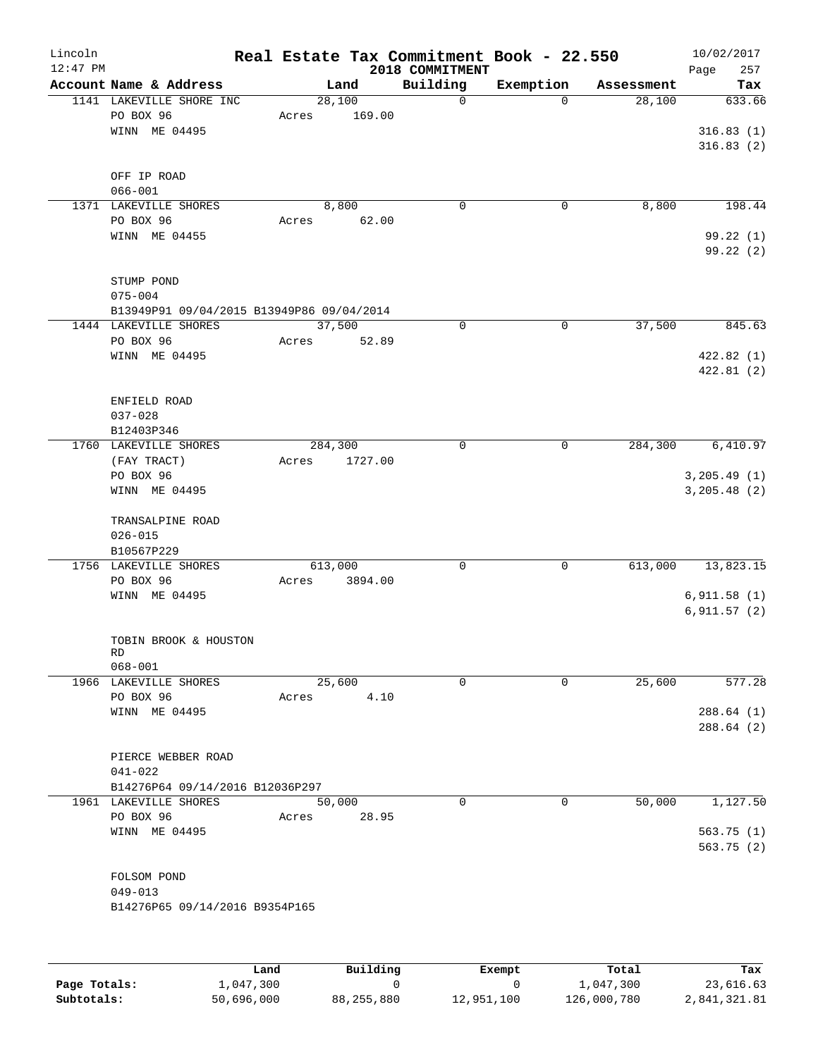| Lincoln<br>$12:47$ PM |                                           |       |         |         |                             | Real Estate Tax Commitment Book - 22.550 |            | 10/02/2017    |            |
|-----------------------|-------------------------------------------|-------|---------|---------|-----------------------------|------------------------------------------|------------|---------------|------------|
|                       | Account Name & Address                    |       | Land    |         | 2018 COMMITMENT<br>Building | Exemption                                | Assessment | Page          | 257<br>Tax |
|                       | 1141 LAKEVILLE SHORE INC                  |       | 28,100  |         | $\mathbf 0$                 | $\Omega$                                 | 28,100     |               | 633.66     |
|                       | PO BOX 96                                 | Acres |         | 169.00  |                             |                                          |            |               |            |
|                       | WINN ME 04495                             |       |         |         |                             |                                          |            | 316.83(1)     |            |
|                       |                                           |       |         |         |                             |                                          |            | 316.83(2)     |            |
|                       |                                           |       |         |         |                             |                                          |            |               |            |
|                       | OFF IP ROAD<br>$066 - 001$                |       |         |         |                             |                                          |            |               |            |
|                       | 1371 LAKEVILLE SHORES                     |       | 8,800   |         | 0                           | 0                                        | 8,800      |               | 198.44     |
|                       | PO BOX 96                                 | Acres |         | 62.00   |                             |                                          |            |               |            |
|                       | WINN ME 04455                             |       |         |         |                             |                                          |            |               | 99.22(1)   |
|                       |                                           |       |         |         |                             |                                          |            |               | 99.22 (2)  |
|                       |                                           |       |         |         |                             |                                          |            |               |            |
|                       | STUMP POND                                |       |         |         |                             |                                          |            |               |            |
|                       | $075 - 004$                               |       |         |         |                             |                                          |            |               |            |
|                       | B13949P91 09/04/2015 B13949P86 09/04/2014 |       |         |         |                             |                                          |            |               |            |
|                       | 1444 LAKEVILLE SHORES                     |       | 37,500  |         | 0                           | $\mathbf 0$                              | 37,500     |               | 845.63     |
|                       | PO BOX 96                                 | Acres |         | 52.89   |                             |                                          |            |               |            |
|                       | WINN ME 04495                             |       |         |         |                             |                                          |            | 422.82(1)     |            |
|                       |                                           |       |         |         |                             |                                          |            | 422.81(2)     |            |
|                       | ENFIELD ROAD                              |       |         |         |                             |                                          |            |               |            |
|                       | $037 - 028$                               |       |         |         |                             |                                          |            |               |            |
|                       | B12403P346                                |       |         |         |                             |                                          |            |               |            |
|                       | 1760 LAKEVILLE SHORES                     |       | 284,300 |         | $\mathbf 0$                 | 0                                        | 284,300    |               | 6,410.97   |
|                       | (FAY TRACT)                               | Acres |         | 1727.00 |                             |                                          |            |               |            |
|                       | PO BOX 96                                 |       |         |         |                             |                                          |            | 3, 205.49(1)  |            |
|                       | WINN ME 04495                             |       |         |         |                             |                                          |            | 3, 205.48 (2) |            |
|                       |                                           |       |         |         |                             |                                          |            |               |            |
|                       | TRANSALPINE ROAD                          |       |         |         |                             |                                          |            |               |            |
|                       | $026 - 015$                               |       |         |         |                             |                                          |            |               |            |
|                       | B10567P229<br>1756 LAKEVILLE SHORES       |       |         |         |                             |                                          |            |               |            |
|                       | PO BOX 96                                 |       | 613,000 | 3894.00 | 0                           | 0                                        | 613,000    | 13,823.15     |            |
|                       | WINN ME 04495                             | Acres |         |         |                             |                                          |            | 6,911.58(1)   |            |
|                       |                                           |       |         |         |                             |                                          |            | 6, 911.57(2)  |            |
|                       |                                           |       |         |         |                             |                                          |            |               |            |
|                       | TOBIN BROOK & HOUSTON                     |       |         |         |                             |                                          |            |               |            |
|                       | RD                                        |       |         |         |                             |                                          |            |               |            |
|                       | $068 - 001$<br>1966 LAKEVILLE SHORES      |       | 25,600  |         | 0                           | 0                                        | 25,600     |               | 577.28     |
|                       | PO BOX 96                                 | Acres |         | 4.10    |                             |                                          |            |               |            |
|                       | WINN ME 04495                             |       |         |         |                             |                                          |            | 288.64(1)     |            |
|                       |                                           |       |         |         |                             |                                          |            | 288.64(2)     |            |
|                       |                                           |       |         |         |                             |                                          |            |               |            |
|                       | PIERCE WEBBER ROAD                        |       |         |         |                             |                                          |            |               |            |
|                       | $041 - 022$                               |       |         |         |                             |                                          |            |               |            |
|                       | B14276P64 09/14/2016 B12036P297           |       |         |         |                             |                                          |            |               |            |
|                       | 1961 LAKEVILLE SHORES                     |       | 50,000  |         | $\Omega$                    | 0                                        | 50,000     |               | 1,127.50   |
|                       | PO BOX 96                                 | Acres |         | 28.95   |                             |                                          |            |               |            |
|                       | WINN ME 04495                             |       |         |         |                             |                                          |            | 563.75(1)     |            |
|                       |                                           |       |         |         |                             |                                          |            | 563.75(2)     |            |
|                       | FOLSOM POND                               |       |         |         |                             |                                          |            |               |            |
|                       | $049 - 013$                               |       |         |         |                             |                                          |            |               |            |
|                       | B14276P65 09/14/2016 B9354P165            |       |         |         |                             |                                          |            |               |            |
|                       |                                           |       |         |         |                             |                                          |            |               |            |
|                       |                                           |       |         |         |                             |                                          |            |               |            |
|                       |                                           |       |         |         |                             |                                          |            |               |            |

|              | Land       | Building   | Exempt     | Total       | Tax          |
|--------------|------------|------------|------------|-------------|--------------|
| Page Totals: | 1,047,300  |            |            | 1,047,300   | 23,616.63    |
| Subtotals:   | 50,696,000 | 88,255,880 | 12,951,100 | 126,000,780 | 2,841,321.81 |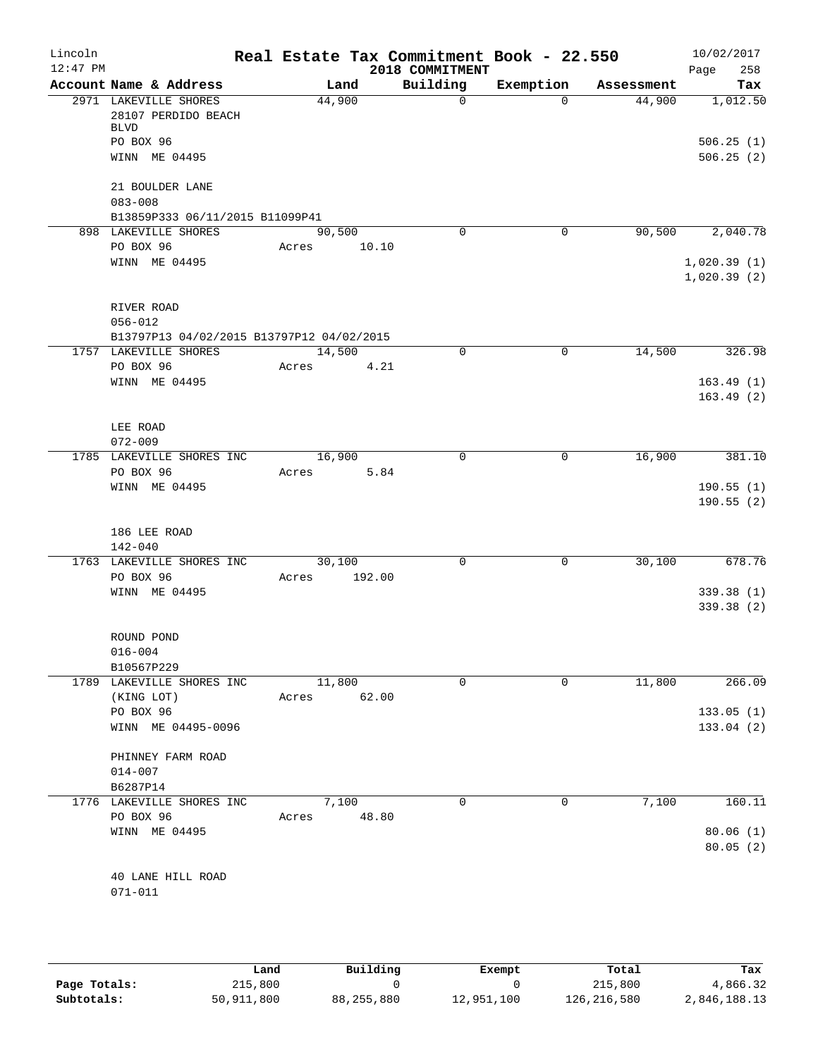| Lincoln    |                                                                          |        |        | Real Estate Tax Commitment Book - 22.550 |             |            | 10/02/2017                 |
|------------|--------------------------------------------------------------------------|--------|--------|------------------------------------------|-------------|------------|----------------------------|
| $12:47$ PM |                                                                          |        |        | 2018 COMMITMENT                          |             |            | 258<br>Page                |
|            | Account Name & Address                                                   |        | Land   | Building                                 | Exemption   | Assessment | Tax                        |
|            | 2971 LAKEVILLE SHORES<br>28107 PERDIDO BEACH<br><b>BLVD</b><br>PO BOX 96 | 44,900 |        | $\mathbf 0$                              | $\Omega$    | 44,900     | 1,012.50<br>506.25(1)      |
|            | WINN ME 04495                                                            |        |        |                                          |             |            | 506.25(2)                  |
|            | 21 BOULDER LANE<br>$083 - 008$                                           |        |        |                                          |             |            |                            |
|            | B13859P333 06/11/2015 B11099P41                                          |        |        |                                          |             |            |                            |
|            | 898 LAKEVILLE SHORES                                                     | 90,500 |        | $\Omega$                                 | 0           | 90,500     | 2,040.78                   |
|            | PO BOX 96                                                                | Acres  | 10.10  |                                          |             |            |                            |
|            | WINN ME 04495                                                            |        |        |                                          |             |            | 1,020.39(1)<br>1,020.39(2) |
|            | RIVER ROAD                                                               |        |        |                                          |             |            |                            |
|            | $056 - 012$<br>B13797P13 04/02/2015 B13797P12 04/02/2015                 |        |        |                                          |             |            |                            |
|            | 1757 LAKEVILLE SHORES                                                    | 14,500 |        | $\mathbf 0$                              | $\mathbf 0$ | 14,500     | 326.98                     |
|            | PO BOX 96                                                                | Acres  | 4.21   |                                          |             |            |                            |
|            | WINN ME 04495                                                            |        |        |                                          |             |            | 163.49(1)                  |
|            |                                                                          |        |        |                                          |             |            | 163.49(2)                  |
|            | LEE ROAD                                                                 |        |        |                                          |             |            |                            |
|            | $072 - 009$                                                              |        |        |                                          |             |            |                            |
|            | 1785 LAKEVILLE SHORES INC                                                | 16,900 |        | $\Omega$                                 | $\mathbf 0$ | 16,900     | 381.10                     |
|            | PO BOX 96                                                                | Acres  | 5.84   |                                          |             |            |                            |
|            | WINN ME 04495                                                            |        |        |                                          |             |            | 190.55(1)                  |
|            |                                                                          |        |        |                                          |             |            | 190.55(2)                  |
|            | 186 LEE ROAD<br>$142 - 040$                                              |        |        |                                          |             |            |                            |
|            | 1763 LAKEVILLE SHORES INC                                                | 30,100 |        | 0                                        | 0           | 30,100     | 678.76                     |
|            | PO BOX 96                                                                | Acres  | 192.00 |                                          |             |            |                            |
|            | WINN ME 04495                                                            |        |        |                                          |             |            | 339.38 (1)                 |
|            |                                                                          |        |        |                                          |             |            | 339.38 (2)                 |
|            | ROUND POND                                                               |        |        |                                          |             |            |                            |
|            | $016 - 004$                                                              |        |        |                                          |             |            |                            |
|            | B10567P229                                                               |        |        |                                          |             |            | 266.09                     |
|            | 1789 LAKEVILLE SHORES INC                                                | 11,800 |        | 0                                        | 0           | 11,800     |                            |
|            | (KING LOT)<br>PO BOX 96                                                  | Acres  | 62.00  |                                          |             |            | 133.05(1)                  |
|            | WINN ME 04495-0096                                                       |        |        |                                          |             |            | 133.04(2)                  |
|            | PHINNEY FARM ROAD                                                        |        |        |                                          |             |            |                            |
|            | $014 - 007$                                                              |        |        |                                          |             |            |                            |
|            | B6287P14                                                                 |        |        |                                          |             |            |                            |
|            | 1776 LAKEVILLE SHORES INC                                                |        | 7,100  | $\Omega$                                 | 0           | 7,100      | 160.11                     |
|            | PO BOX 96                                                                | Acres  | 48.80  |                                          |             |            |                            |
|            | WINN ME 04495                                                            |        |        |                                          |             |            | 80.06(1)                   |
|            |                                                                          |        |        |                                          |             |            | 80.05(2)                   |
|            |                                                                          |        |        |                                          |             |            |                            |
|            | 40 LANE HILL ROAD                                                        |        |        |                                          |             |            |                            |
|            | $071 - 011$                                                              |        |        |                                          |             |            |                            |

|              | Land       | Building     | Exempt     | Total       | Tax          |
|--------------|------------|--------------|------------|-------------|--------------|
| Page Totals: | 215,800    |              |            | 215,800     | 4,866.32     |
| Subtotals:   | 50,911,800 | 88, 255, 880 | 12,951,100 | 126,216,580 | 2,846,188.13 |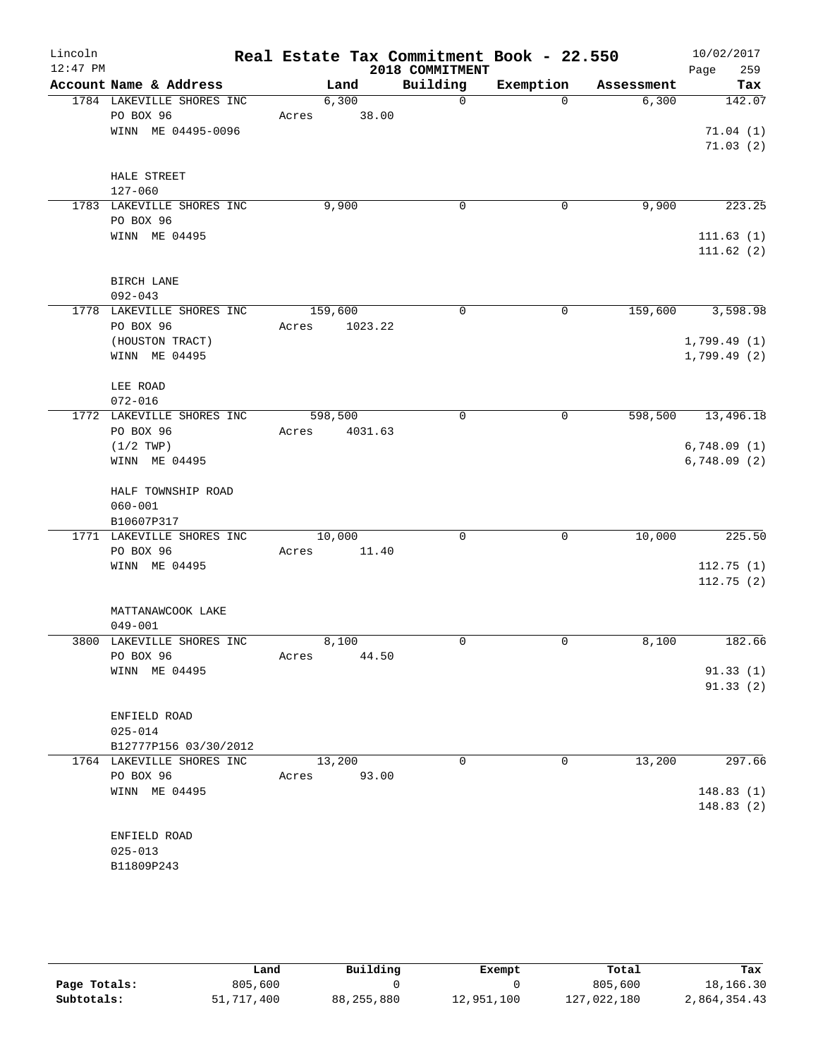| Lincoln<br>$12:47$ PM |                                        |             |         |         | Real Estate Tax Commitment Book - 22.550<br>2018 COMMITMENT |             |                   | Page | 10/02/2017<br>259 |
|-----------------------|----------------------------------------|-------------|---------|---------|-------------------------------------------------------------|-------------|-------------------|------|-------------------|
|                       | Account Name & Address                 |             | Land    |         | Building                                                    | Exemption   | Assessment        |      | Tax               |
|                       | 1784 LAKEVILLE SHORES INC              |             | 6,300   |         | $\overline{0}$                                              | $\Omega$    | 6,300             |      | 142.07            |
|                       | PO BOX 96                              | Acres 38.00 |         |         |                                                             |             |                   |      |                   |
|                       | WINN ME 04495-0096                     |             |         |         |                                                             |             |                   |      | 71.04(1)          |
|                       |                                        |             |         |         |                                                             |             |                   |      | 71.03(2)          |
|                       |                                        |             |         |         |                                                             |             |                   |      |                   |
|                       | HALE STREET                            |             |         |         |                                                             |             |                   |      |                   |
|                       | 127-060                                |             |         |         |                                                             |             |                   |      | 223.25            |
|                       | 1783 LAKEVILLE SHORES INC<br>PO BOX 96 |             | 9,900   |         | $\mathbf 0$                                                 | 0           | 9,900             |      |                   |
|                       | WINN ME 04495                          |             |         |         |                                                             |             |                   |      | 111.63(1)         |
|                       |                                        |             |         |         |                                                             |             |                   |      | 111.62(2)         |
|                       |                                        |             |         |         |                                                             |             |                   |      |                   |
|                       | <b>BIRCH LANE</b>                      |             |         |         |                                                             |             |                   |      |                   |
|                       | $092 - 043$                            |             |         |         |                                                             |             |                   |      |                   |
|                       | 1778 LAKEVILLE SHORES INC              |             | 159,600 |         | $\Omega$                                                    | $\mathbf 0$ | 159,600           |      | 3,598.98          |
|                       | PO BOX 96                              | Acres       |         | 1023.22 |                                                             |             |                   |      |                   |
|                       | (HOUSTON TRACT)                        |             |         |         |                                                             |             |                   |      | 1,799.49(1)       |
|                       | WINN ME 04495                          |             |         |         |                                                             |             |                   |      | 1,799.49(2)       |
|                       | LEE ROAD                               |             |         |         |                                                             |             |                   |      |                   |
|                       | $072 - 016$                            |             |         |         |                                                             |             |                   |      |                   |
|                       | 1772 LAKEVILLE SHORES INC              |             | 598,500 |         | 0                                                           | 0           | 598,500 13,496.18 |      |                   |
|                       | PO BOX 96                              | Acres       |         | 4031.63 |                                                             |             |                   |      |                   |
|                       | (1/2 TWP)                              |             |         |         |                                                             |             |                   |      | 6,748.09(1)       |
|                       | WINN ME 04495                          |             |         |         |                                                             |             |                   |      | 6,748.09(2)       |
|                       |                                        |             |         |         |                                                             |             |                   |      |                   |
|                       | HALF TOWNSHIP ROAD                     |             |         |         |                                                             |             |                   |      |                   |
|                       | $060 - 001$                            |             |         |         |                                                             |             |                   |      |                   |
|                       | B10607P317                             |             |         |         |                                                             |             |                   |      |                   |
|                       | 1771 LAKEVILLE SHORES INC<br>PO BOX 96 | Acres       | 10,000  | 11.40   | $\mathbf 0$                                                 | $\mathbf 0$ | 10,000            |      | 225.50            |
|                       | WINN ME 04495                          |             |         |         |                                                             |             |                   |      | 112.75(1)         |
|                       |                                        |             |         |         |                                                             |             |                   |      | 112.75(2)         |
|                       |                                        |             |         |         |                                                             |             |                   |      |                   |
|                       | MATTANAWCOOK LAKE                      |             |         |         |                                                             |             |                   |      |                   |
|                       | $049 - 001$                            |             |         |         |                                                             |             |                   |      |                   |
| 3800                  | LAKEVILLE SHORES INC                   |             | 8,100   |         | 0                                                           | 0           | 8,100             |      | 182.66            |
|                       | PO BOX 96                              | Acres       |         | 44.50   |                                                             |             |                   |      |                   |
|                       | WINN ME 04495                          |             |         |         |                                                             |             |                   |      | 91.33(1)          |
|                       |                                        |             |         |         |                                                             |             |                   |      | 91.33(2)          |
|                       |                                        |             |         |         |                                                             |             |                   |      |                   |
|                       | ENFIELD ROAD<br>$025 - 014$            |             |         |         |                                                             |             |                   |      |                   |
|                       | B12777P156 03/30/2012                  |             |         |         |                                                             |             |                   |      |                   |
|                       | 1764 LAKEVILLE SHORES INC              |             | 13,200  |         | 0                                                           | 0           | 13,200            |      | 297.66            |
|                       | PO BOX 96                              | Acres       |         | 93.00   |                                                             |             |                   |      |                   |
|                       | WINN ME 04495                          |             |         |         |                                                             |             |                   |      | 148.83(1)         |
|                       |                                        |             |         |         |                                                             |             |                   |      | 148.83(2)         |
|                       |                                        |             |         |         |                                                             |             |                   |      |                   |
|                       | ENFIELD ROAD                           |             |         |         |                                                             |             |                   |      |                   |
|                       | $025 - 013$                            |             |         |         |                                                             |             |                   |      |                   |
|                       | B11809P243                             |             |         |         |                                                             |             |                   |      |                   |

|              | Land       | Building     | Exempt     | Total       | Tax          |
|--------------|------------|--------------|------------|-------------|--------------|
| Page Totals: | 805,600    |              |            | 805,600     | 18,166.30    |
| Subtotals:   | 51,717,400 | 88, 255, 880 | 12,951,100 | 127,022,180 | 2,864,354.43 |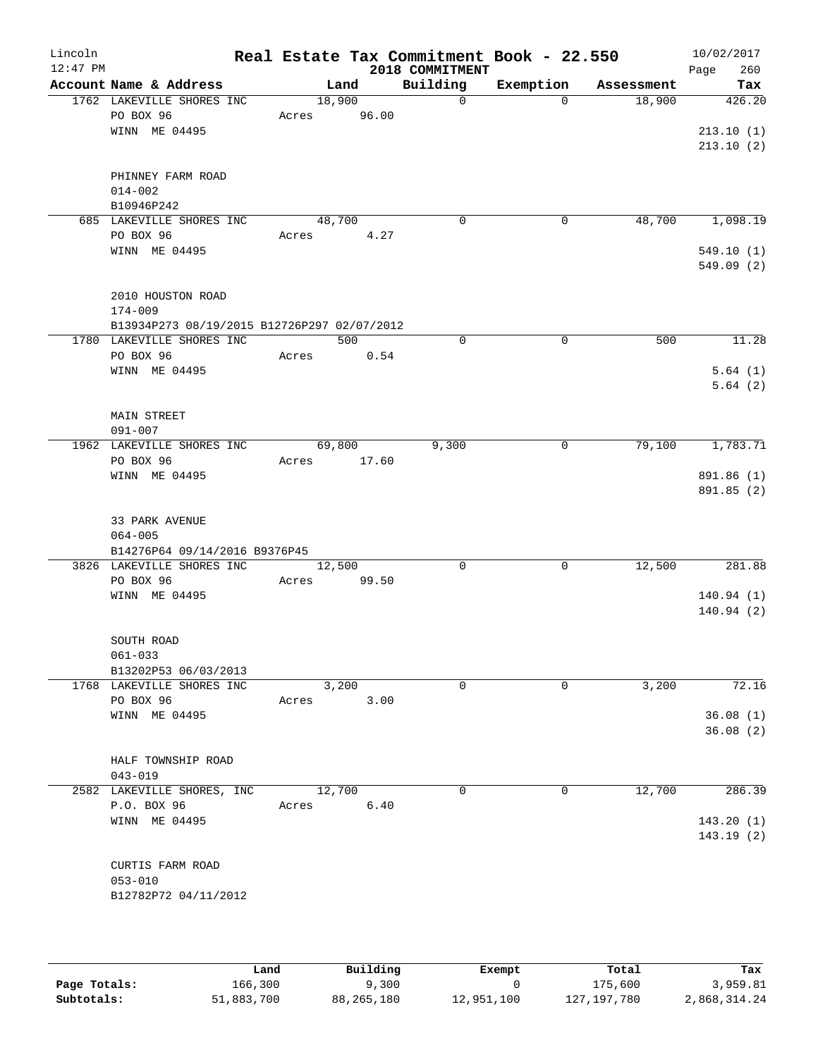| Lincoln<br>$12:47$ PM |                                             |             |             | 2018 COMMITMENT | Real Estate Tax Commitment Book - 22.550 |            | 10/02/2017<br>260<br>Page |
|-----------------------|---------------------------------------------|-------------|-------------|-----------------|------------------------------------------|------------|---------------------------|
|                       | Account Name & Address                      |             | Land        | Building        | Exemption                                | Assessment | Tax                       |
|                       | 1762 LAKEVILLE SHORES INC                   | 18,900      |             | $\Omega$        | $\Omega$                                 | 18,900     | 426.20                    |
|                       | PO BOX 96                                   | Acres       | 96.00       |                 |                                          |            |                           |
|                       | WINN ME 04495                               |             |             |                 |                                          |            | 213.10(1)                 |
|                       |                                             |             |             |                 |                                          |            | 213.10(2)                 |
|                       |                                             |             |             |                 |                                          |            |                           |
|                       | PHINNEY FARM ROAD<br>$014 - 002$            |             |             |                 |                                          |            |                           |
|                       | B10946P242                                  |             |             |                 |                                          |            |                           |
|                       | 685 LAKEVILLE SHORES INC                    |             | 48,700      | 0               | 0                                        | 48,700     | 1,098.19                  |
|                       | PO BOX 96                                   | Acres       | 4.27        |                 |                                          |            |                           |
|                       | WINN ME 04495                               |             |             |                 |                                          |            | 549.10(1)                 |
|                       |                                             |             |             |                 |                                          |            | 549.09(2)                 |
|                       |                                             |             |             |                 |                                          |            |                           |
|                       | 2010 HOUSTON ROAD                           |             |             |                 |                                          |            |                           |
|                       | $174 - 009$                                 |             |             |                 |                                          |            |                           |
|                       | B13934P273 08/19/2015 B12726P297 02/07/2012 |             |             | $\Omega$        |                                          |            | 11.28                     |
|                       | 1780 LAKEVILLE SHORES INC<br>PO BOX 96      |             | 500<br>0.54 |                 | $\mathbf 0$                              | 500        |                           |
|                       | WINN ME 04495                               | Acres       |             |                 |                                          |            | 5.64(1)                   |
|                       |                                             |             |             |                 |                                          |            | 5.64(2)                   |
|                       |                                             |             |             |                 |                                          |            |                           |
|                       | <b>MAIN STREET</b>                          |             |             |                 |                                          |            |                           |
|                       | $091 - 007$                                 |             |             |                 |                                          |            |                           |
|                       | 1962 LAKEVILLE SHORES INC                   |             | 69,800      | 9,300           | 0                                        | 79,100     | 1,783.71                  |
|                       | PO BOX 96                                   | Acres 17.60 |             |                 |                                          |            |                           |
|                       | WINN ME 04495                               |             |             |                 |                                          |            | 891.86 (1)                |
|                       |                                             |             |             |                 |                                          |            | 891.85 (2)                |
|                       |                                             |             |             |                 |                                          |            |                           |
|                       | 33 PARK AVENUE<br>$064 - 005$               |             |             |                 |                                          |            |                           |
|                       | B14276P64 09/14/2016 B9376P45               |             |             |                 |                                          |            |                           |
|                       | 3826 LAKEVILLE SHORES INC                   |             | 12,500      | $\Omega$        | 0                                        | 12,500     | 281.88                    |
|                       | PO BOX 96                                   | Acres       | 99.50       |                 |                                          |            |                           |
|                       | WINN ME 04495                               |             |             |                 |                                          |            | 140.94(1)                 |
|                       |                                             |             |             |                 |                                          |            | 140.94(2)                 |
|                       |                                             |             |             |                 |                                          |            |                           |
|                       | SOUTH ROAD                                  |             |             |                 |                                          |            |                           |
|                       | $061 - 033$                                 |             |             |                 |                                          |            |                           |
|                       | B13202P53 06/03/2013                        |             |             |                 |                                          |            |                           |
|                       | 1768 LAKEVILLE SHORES INC                   |             | 3,200       | $\mathbf 0$     | $\Omega$                                 | 3,200      | 72.16                     |
|                       | PO BOX 96                                   | Acres       | 3.00        |                 |                                          |            |                           |
|                       | WINN ME 04495                               |             |             |                 |                                          |            | 36.08(1)<br>36.08(2)      |
|                       |                                             |             |             |                 |                                          |            |                           |
|                       | HALF TOWNSHIP ROAD                          |             |             |                 |                                          |            |                           |
|                       | $043 - 019$                                 |             |             |                 |                                          |            |                           |
|                       | 2582 LAKEVILLE SHORES, INC                  | 12,700      |             | $\Omega$        | 0                                        | 12,700     | 286.39                    |
|                       | P.O. BOX 96                                 | Acres       | 6.40        |                 |                                          |            |                           |
|                       | WINN ME 04495                               |             |             |                 |                                          |            | 143.20(1)                 |
|                       |                                             |             |             |                 |                                          |            | 143.19(2)                 |
|                       |                                             |             |             |                 |                                          |            |                           |
|                       | CURTIS FARM ROAD                            |             |             |                 |                                          |            |                           |
|                       | $053 - 010$                                 |             |             |                 |                                          |            |                           |
|                       | B12782P72 04/11/2012                        |             |             |                 |                                          |            |                           |
|                       |                                             |             |             |                 |                                          |            |                           |

|              | Land       | Building     | Exempt     | Total         | Tax          |
|--------------|------------|--------------|------------|---------------|--------------|
| Page Totals: | 166,300    | 9,300        |            | 175,600       | 3,959.81     |
| Subtotals:   | 51,883,700 | 88, 265, 180 | 12,951,100 | 127, 197, 780 | 2,868,314.24 |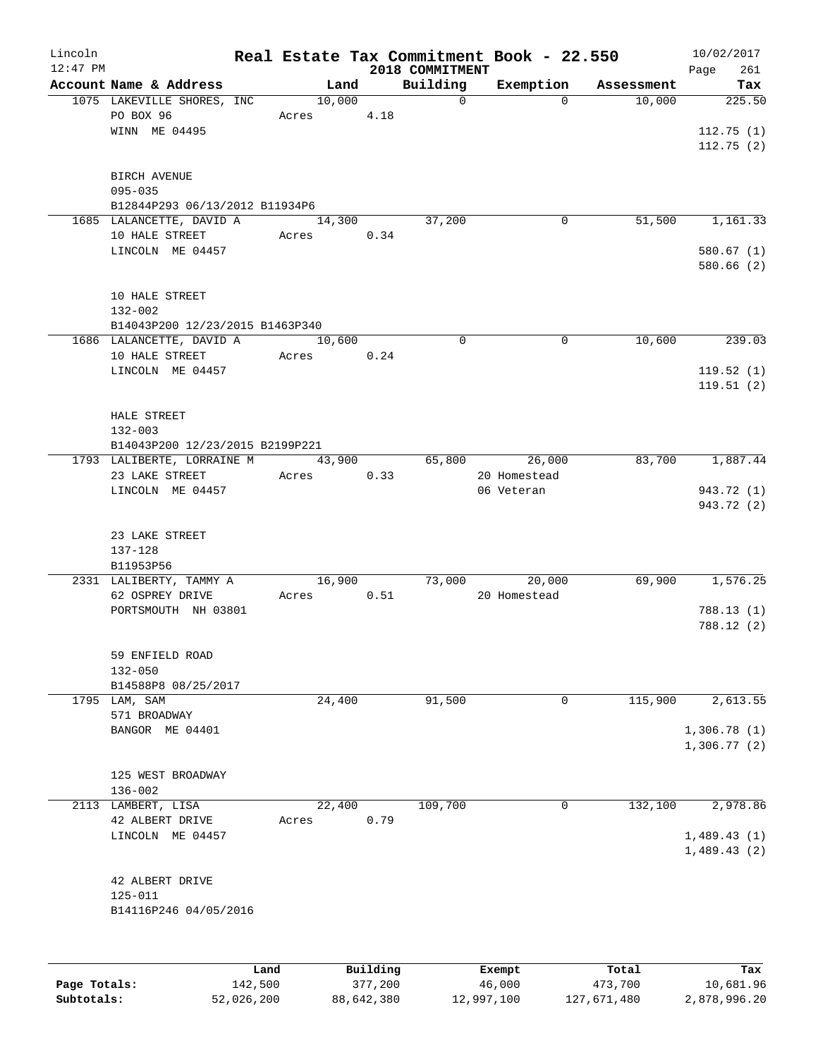| Lincoln      |                                 |        |                     |                 | Real Estate Tax Commitment Book - 22.550 |            | 10/02/2017       |
|--------------|---------------------------------|--------|---------------------|-----------------|------------------------------------------|------------|------------------|
| $12:47$ PM   |                                 |        |                     | 2018 COMMITMENT |                                          |            | Page<br>261      |
|              | Account Name & Address          | Land   |                     | Building        | Exemption                                | Assessment | Tax              |
|              | 1075 LAKEVILLE SHORES, INC      | 10,000 |                     | $\mathbf 0$     | $\Omega$                                 | 10,000     | 225.50           |
|              | PO BOX 96                       | Acres  | 4.18                |                 |                                          |            |                  |
|              | WINN ME 04495                   |        |                     |                 |                                          |            | 112.75(1)        |
|              |                                 |        |                     |                 |                                          |            | 112.75(2)        |
|              | <b>BIRCH AVENUE</b>             |        |                     |                 |                                          |            |                  |
|              | $095 - 035$                     |        |                     |                 |                                          |            |                  |
|              | B12844P293 06/13/2012 B11934P6  |        |                     |                 |                                          |            |                  |
|              | 1685 LALANCETTE, DAVID A        | 14,300 |                     | 37,200          | 0                                        | 51,500     | 1,161.33         |
|              | 10 HALE STREET                  | Acres  | 0.34                |                 |                                          |            |                  |
|              | LINCOLN ME 04457                |        |                     |                 |                                          |            | 580.67(1)        |
|              |                                 |        |                     |                 |                                          |            | 580.66(2)        |
|              |                                 |        |                     |                 |                                          |            |                  |
|              | 10 HALE STREET                  |        |                     |                 |                                          |            |                  |
|              | $132 - 002$                     |        |                     |                 |                                          |            |                  |
|              | B14043P200 12/23/2015 B1463P340 |        |                     |                 |                                          |            |                  |
|              | 1686 LALANCETTE, DAVID A        | 10,600 |                     | $\Omega$        | 0                                        | 10,600     | 239.03           |
|              | 10 HALE STREET                  | Acres  | 0.24                |                 |                                          |            |                  |
|              | LINCOLN ME 04457                |        |                     |                 |                                          |            | 119.52(1)        |
|              |                                 |        |                     |                 |                                          |            | 119.51(2)        |
|              |                                 |        |                     |                 |                                          |            |                  |
|              | HALE STREET                     |        |                     |                 |                                          |            |                  |
|              | $132 - 003$                     |        |                     |                 |                                          |            |                  |
|              | B14043P200 12/23/2015 B2199P221 |        |                     |                 |                                          |            |                  |
|              | 1793 LALIBERTE, LORRAINE M      | 43,900 |                     | 65,800          | 26,000                                   | 83,700     | 1,887.44         |
|              | 23 LAKE STREET                  | Acres  | 0.33                |                 | 20 Homestead                             |            |                  |
|              | LINCOLN ME 04457                |        |                     |                 | 06 Veteran                               |            | 943.72 (1)       |
|              |                                 |        |                     |                 |                                          |            | 943.72 (2)       |
|              |                                 |        |                     |                 |                                          |            |                  |
|              | 23 LAKE STREET                  |        |                     |                 |                                          |            |                  |
|              | $137 - 128$                     |        |                     |                 |                                          |            |                  |
|              | B11953P56                       |        |                     |                 |                                          |            |                  |
|              | 2331 LALIBERTY, TAMMY A         | 16,900 |                     |                 | 73,000<br>20,000                         | 69,900     | 1,576.25         |
|              | 62 OSPREY DRIVE                 | Acres  | 0.51                |                 | 20 Homestead                             |            |                  |
|              | PORTSMOUTH NH 03801             |        |                     |                 |                                          |            | 788.13(1)        |
|              |                                 |        |                     |                 |                                          |            | 788.12 (2)       |
|              |                                 |        |                     |                 |                                          |            |                  |
|              | 59 ENFIELD ROAD                 |        |                     |                 |                                          |            |                  |
|              | $132 - 050$                     |        |                     |                 |                                          |            |                  |
|              | B14588P8 08/25/2017             |        |                     |                 |                                          |            |                  |
|              | 1795 LAM, SAM                   | 24,400 |                     | 91,500          | 0                                        | 115,900    | 2,613.55         |
|              | 571 BROADWAY                    |        |                     |                 |                                          |            |                  |
|              | BANGOR ME 04401                 |        |                     |                 |                                          |            | 1,306.78(1)      |
|              |                                 |        |                     |                 |                                          |            | 1,306.77(2)      |
|              |                                 |        |                     |                 |                                          |            |                  |
|              | 125 WEST BROADWAY               |        |                     |                 |                                          |            |                  |
|              | $136 - 002$                     |        |                     |                 |                                          |            |                  |
|              | 2113 LAMBERT, LISA              | 22,400 |                     | 109,700         | 0                                        | 132,100    | 2,978.86         |
|              | 42 ALBERT DRIVE                 | Acres  | 0.79                |                 |                                          |            |                  |
|              | LINCOLN ME 04457                |        |                     |                 |                                          |            | 1,489.43(1)      |
|              |                                 |        |                     |                 |                                          |            | 1,489.43(2)      |
|              |                                 |        |                     |                 |                                          |            |                  |
|              | 42 ALBERT DRIVE                 |        |                     |                 |                                          |            |                  |
|              | $125 - 011$                     |        |                     |                 |                                          |            |                  |
|              | B14116P246 04/05/2016           |        |                     |                 |                                          |            |                  |
|              |                                 |        |                     |                 |                                          |            |                  |
|              |                                 |        |                     |                 |                                          |            |                  |
|              |                                 |        |                     |                 |                                          |            |                  |
|              | Land<br>142,500                 |        | Building<br>377,200 |                 | Exempt                                   | Total      | Tax<br>10,681.96 |
| Page Totals: |                                 |        |                     |                 | 46,000                                   | 473,700    |                  |

**Subtotals:** 52,026,200 88,642,380 12,997,100 127,671,480 2,878,996.20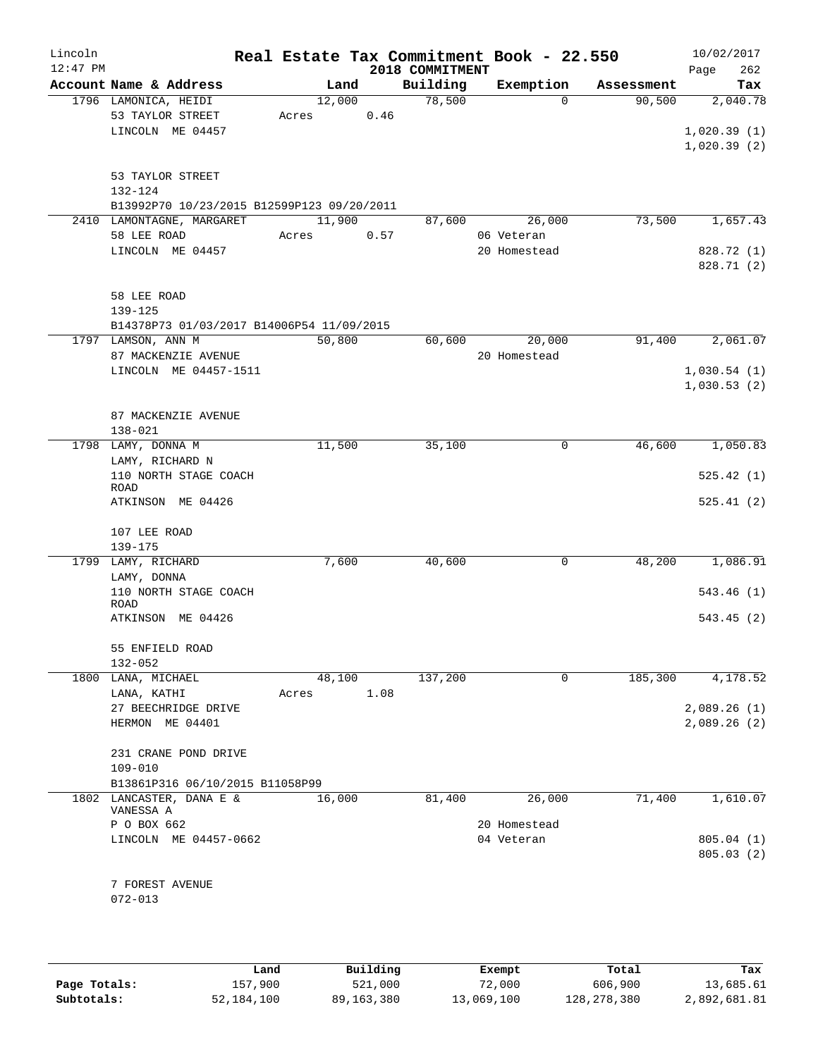| Lincoln<br>$12:47$ PM |                                            |       |        |      | 2018 COMMITMENT | Real Estate Tax Commitment Book - 22.550 |            | 10/02/2017         |
|-----------------------|--------------------------------------------|-------|--------|------|-----------------|------------------------------------------|------------|--------------------|
|                       | Account Name & Address                     |       | Land   |      | Building        | Exemption                                | Assessment | 262<br>Page<br>Tax |
|                       | 1796 LAMONICA, HEIDI                       |       | 12,000 |      | 78,500          | $\Omega$                                 | 90,500     | 2,040.78           |
|                       | 53 TAYLOR STREET                           | Acres |        | 0.46 |                 |                                          |            |                    |
|                       | LINCOLN ME 04457                           |       |        |      |                 |                                          |            | 1,020.39(1)        |
|                       |                                            |       |        |      |                 |                                          |            | 1,020.39(2)        |
|                       |                                            |       |        |      |                 |                                          |            |                    |
|                       | 53 TAYLOR STREET<br>132-124                |       |        |      |                 |                                          |            |                    |
|                       | B13992P70 10/23/2015 B12599P123 09/20/2011 |       |        |      |                 |                                          |            |                    |
|                       | 2410 LAMONTAGNE, MARGARET                  |       | 11,900 |      | 87,600          | 26,000                                   | 73,500     | 1,657.43           |
|                       | 58 LEE ROAD                                | Acres |        | 0.57 |                 | 06 Veteran                               |            |                    |
|                       | LINCOLN ME 04457                           |       |        |      |                 | 20 Homestead                             |            | 828.72 (1)         |
|                       |                                            |       |        |      |                 |                                          |            | 828.71 (2)         |
|                       |                                            |       |        |      |                 |                                          |            |                    |
|                       | 58 LEE ROAD<br>$139 - 125$                 |       |        |      |                 |                                          |            |                    |
|                       | B14378P73 01/03/2017 B14006P54 11/09/2015  |       |        |      |                 |                                          |            |                    |
|                       | 1797 LAMSON, ANN M                         |       | 50,800 |      | 60,600          | 20,000                                   | 91,400     | 2,061.07           |
|                       | 87 MACKENZIE AVENUE                        |       |        |      |                 | 20 Homestead                             |            |                    |
|                       | LINCOLN ME 04457-1511                      |       |        |      |                 |                                          |            | 1,030.54(1)        |
|                       |                                            |       |        |      |                 |                                          |            | 1,030.53(2)        |
|                       |                                            |       |        |      |                 |                                          |            |                    |
|                       | 87 MACKENZIE AVENUE                        |       |        |      |                 |                                          |            |                    |
|                       | $138 - 021$                                |       |        |      |                 |                                          |            |                    |
|                       | 1798 LAMY, DONNA M                         |       | 11,500 |      | 35,100          | 0                                        | 46,600     | 1,050.83           |
|                       | LAMY, RICHARD N<br>110 NORTH STAGE COACH   |       |        |      |                 |                                          |            | 525.42(1)          |
|                       | <b>ROAD</b>                                |       |        |      |                 |                                          |            |                    |
|                       | ATKINSON ME 04426                          |       |        |      |                 |                                          |            | 525.41(2)          |
|                       | 107 LEE ROAD                               |       |        |      |                 |                                          |            |                    |
|                       | 139-175                                    |       |        |      |                 |                                          |            |                    |
|                       | 1799 LAMY, RICHARD                         |       | 7,600  |      | 40,600          | 0                                        | 48,200     | 1,086.91           |
|                       | LAMY, DONNA                                |       |        |      |                 |                                          |            |                    |
|                       | 110 NORTH STAGE COACH                      |       |        |      |                 |                                          |            | 543.46 (1)         |
|                       | ROAD<br>ATKINSON ME 04426                  |       |        |      |                 |                                          |            | 543.45(2)          |
|                       |                                            |       |        |      |                 |                                          |            |                    |
|                       | 55 ENFIELD ROAD                            |       |        |      |                 |                                          |            |                    |
|                       | 132-052                                    |       |        |      |                 |                                          |            |                    |
|                       | 1800 LANA, MICHAEL                         |       | 48,100 |      | 137,200         | 0                                        | 185,300    | 4,178.52           |
|                       | LANA, KATHI                                | Acres |        | 1.08 |                 |                                          |            |                    |
|                       | 27 BEECHRIDGE DRIVE                        |       |        |      |                 |                                          |            | 2,089.26(1)        |
|                       | HERMON ME 04401                            |       |        |      |                 |                                          |            | 2,089.26(2)        |
|                       | 231 CRANE POND DRIVE                       |       |        |      |                 |                                          |            |                    |
|                       | $109 - 010$                                |       |        |      |                 |                                          |            |                    |
|                       | B13861P316 06/10/2015 B11058P99            |       |        |      |                 |                                          |            |                    |
|                       | 1802 LANCASTER, DANA E &                   |       | 16,000 |      | 81,400          | 26,000                                   | 71,400     | 1,610.07           |
|                       | VANESSA A<br>P O BOX 662                   |       |        |      |                 | 20 Homestead                             |            |                    |
|                       | LINCOLN ME 04457-0662                      |       |        |      |                 | 04 Veteran                               |            | 805.04(1)          |
|                       |                                            |       |        |      |                 |                                          |            | 805.03 (2)         |
|                       |                                            |       |        |      |                 |                                          |            |                    |
|                       | 7 FOREST AVENUE                            |       |        |      |                 |                                          |            |                    |
|                       | $072 - 013$                                |       |        |      |                 |                                          |            |                    |
|                       |                                            |       |        |      |                 |                                          |            |                    |

|              | Land       | Building     | Exempt     | Total         | Tax          |
|--------------|------------|--------------|------------|---------------|--------------|
| Page Totals: | 157,900    | 521,000      | 72,000     | 606,900       | 13,685.61    |
| Subtotals:   | 52,184,100 | 89, 163, 380 | 13,069,100 | 128, 278, 380 | 2,892,681.81 |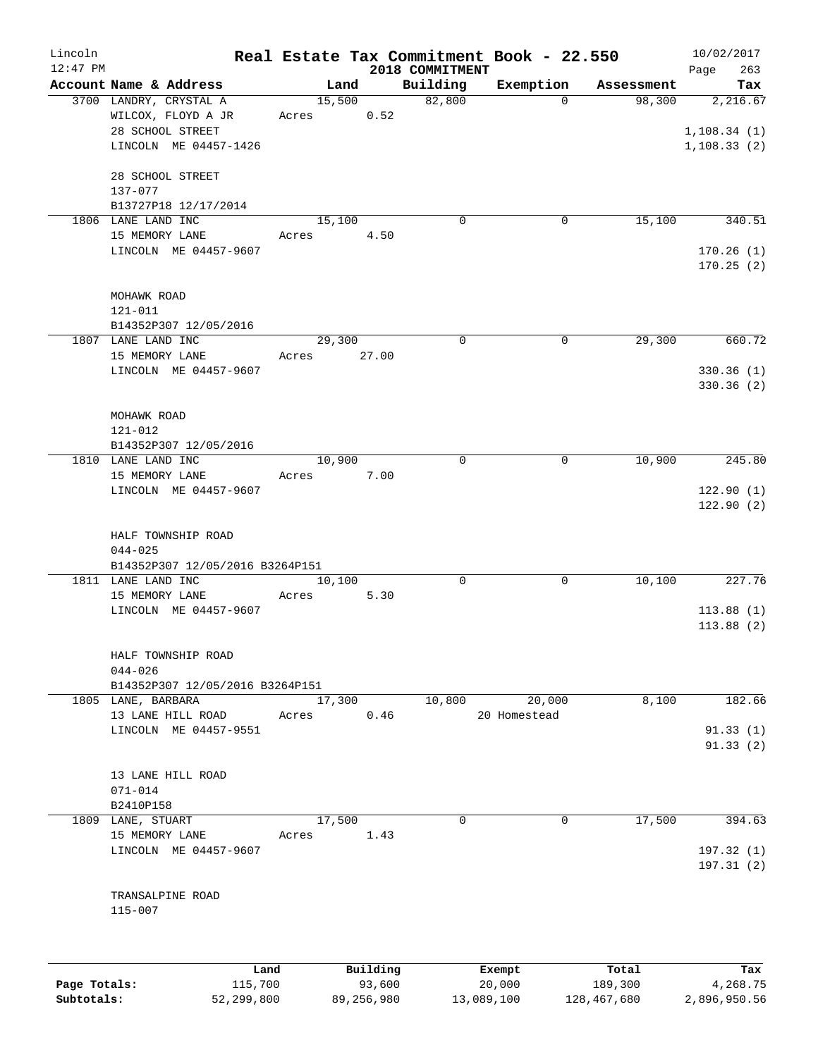| Lincoln    |                                                                 |                 |          |                    | Real Estate Tax Commitment Book - 22.550 |                      | 10/02/2017                   |
|------------|-----------------------------------------------------------------|-----------------|----------|--------------------|------------------------------------------|----------------------|------------------------------|
| $12:47$ PM |                                                                 |                 |          | 2018 COMMITMENT    |                                          |                      | 263<br>Page                  |
|            | Account Name & Address<br>3700 LANDRY, CRYSTAL A                | Land<br>15,500  |          | Building<br>82,800 | Exemption<br>$\Omega$                    | Assessment<br>98,300 | Tax<br>2,216.67              |
|            | WILCOX, FLOYD A JR<br>28 SCHOOL STREET<br>LINCOLN ME 04457-1426 | Acres           | 0.52     |                    |                                          |                      | 1, 108.34(1)<br>1, 108.33(2) |
|            | 28 SCHOOL STREET<br>137-077                                     |                 |          |                    |                                          |                      |                              |
|            | B13727P18 12/17/2014                                            |                 |          |                    |                                          |                      |                              |
|            | 1806 LANE LAND INC<br>15 MEMORY LANE                            | 15,100<br>Acres | 4.50     | $\mathbf 0$        | $\mathbf 0$                              | 15,100               | 340.51                       |
|            | LINCOLN ME 04457-9607                                           |                 |          |                    |                                          |                      | 170.26(1)<br>170.25(2)       |
|            | MOHAWK ROAD                                                     |                 |          |                    |                                          |                      |                              |
|            | $121 - 011$                                                     |                 |          |                    |                                          |                      |                              |
|            | B14352P307 12/05/2016                                           |                 |          |                    |                                          |                      |                              |
|            | 1807 LANE LAND INC                                              | 29,300          |          | $\mathbf 0$        | $\mathbf 0$                              | 29,300               | 660.72                       |
|            | 15 MEMORY LANE                                                  | Acres           | 27.00    |                    |                                          |                      | 330.36(1)                    |
|            | LINCOLN ME 04457-9607                                           |                 |          |                    |                                          |                      | 330.36(2)                    |
|            | MOHAWK ROAD                                                     |                 |          |                    |                                          |                      |                              |
|            | 121-012                                                         |                 |          |                    |                                          |                      |                              |
|            | B14352P307 12/05/2016                                           |                 |          |                    |                                          |                      |                              |
|            | 1810 LANE LAND INC                                              | 10,900          |          | 0                  | 0                                        | 10,900               | 245.80                       |
|            | 15 MEMORY LANE                                                  | Acres           | 7.00     |                    |                                          |                      |                              |
|            | LINCOLN ME 04457-9607                                           |                 |          |                    |                                          |                      | 122.90(1)<br>122.90(2)       |
|            | HALF TOWNSHIP ROAD<br>$044 - 025$                               |                 |          |                    |                                          |                      |                              |
|            | B14352P307 12/05/2016 B3264P151                                 |                 |          |                    |                                          |                      |                              |
|            | 1811 LANE LAND INC<br>15 MEMORY LANE                            | 10,100          |          | 0                  | 0                                        | 10,100               | 227.76                       |
|            | LINCOLN ME 04457-9607                                           | Acres           | 5.30     |                    |                                          |                      | 113.88(1)                    |
|            |                                                                 |                 |          |                    |                                          |                      | 113.88(2)                    |
|            | HALF TOWNSHIP ROAD                                              |                 |          |                    |                                          |                      |                              |
|            | $044 - 026$<br>B14352P307 12/05/2016 B3264P151                  |                 |          |                    |                                          |                      |                              |
|            | 1805 LANE, BARBARA                                              | 17,300          |          | 10,800             | 20,000                                   | 8,100                | 182.66                       |
|            | 13 LANE HILL ROAD                                               | Acres           | 0.46     |                    | 20 Homestead                             |                      |                              |
|            | LINCOLN ME 04457-9551                                           |                 |          |                    |                                          |                      | 91.33(1)                     |
|            |                                                                 |                 |          |                    |                                          |                      | 91.33(2)                     |
|            | 13 LANE HILL ROAD                                               |                 |          |                    |                                          |                      |                              |
|            | $071 - 014$                                                     |                 |          |                    |                                          |                      |                              |
|            | B2410P158                                                       |                 |          |                    |                                          |                      |                              |
|            | 1809 LANE, STUART<br>15 MEMORY LANE                             | 17,500<br>Acres | 1.43     | 0                  | 0                                        | 17,500               | 394.63                       |
|            | LINCOLN ME 04457-9607                                           |                 |          |                    |                                          |                      | 197.32(1)                    |
|            |                                                                 |                 |          |                    |                                          |                      | 197.31(2)                    |
|            | TRANSALPINE ROAD<br>115-007                                     |                 |          |                    |                                          |                      |                              |
|            |                                                                 |                 |          |                    |                                          |                      |                              |
|            | Land                                                            |                 | Building |                    | Exempt                                   | Total                | Tax                          |

|              | Land       | Building   | Exempt     | тосат       | rax.         |
|--------------|------------|------------|------------|-------------|--------------|
| Page Totals: | 115,700    | 93,600     | 20,000     | 189,300     | 4,268.75     |
| Subtotals:   | 52,299,800 | 89,256,980 | 13,089,100 | 128,467,680 | 2,896,950.56 |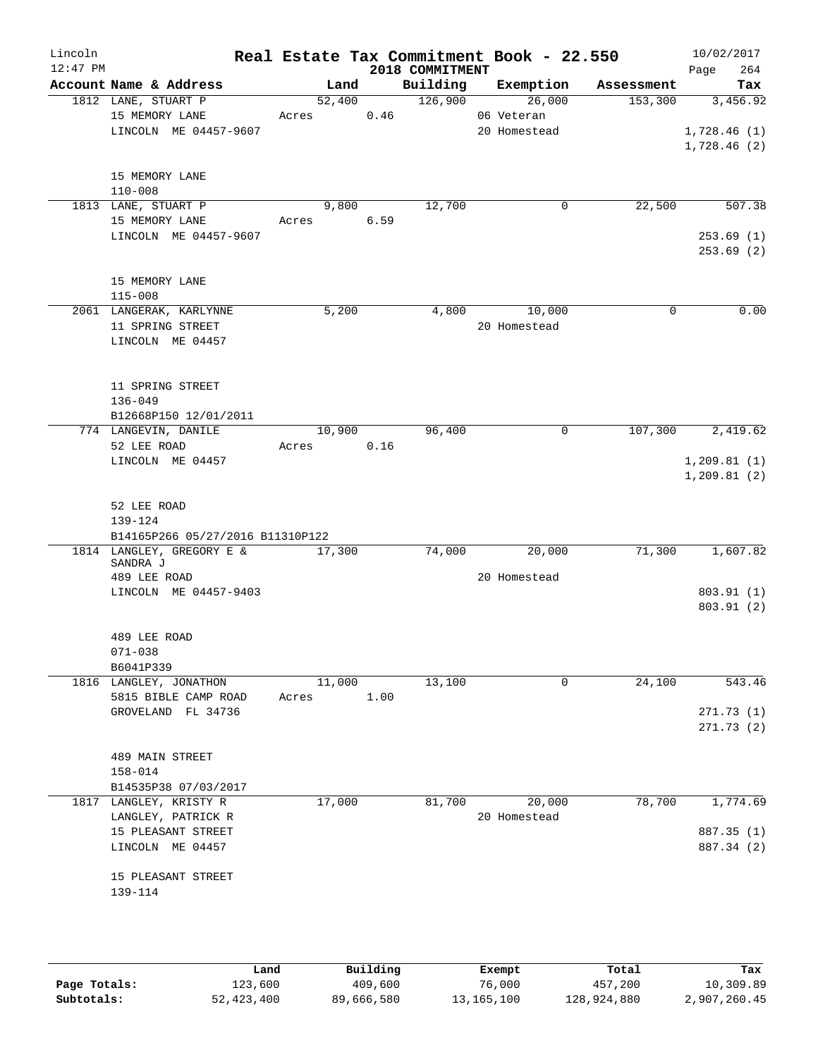| Lincoln    |                                                |       |            |      |                 | Real Estate Tax Commitment Book - 22.550 |            | 10/02/2017                 |
|------------|------------------------------------------------|-------|------------|------|-----------------|------------------------------------------|------------|----------------------------|
| $12:47$ PM |                                                |       |            |      | 2018 COMMITMENT |                                          |            | 264<br>Page                |
|            | Account Name & Address                         |       | Land       |      | Building        | Exemption                                | Assessment | Tax                        |
|            | 1812 LANE, STUART P                            |       | 52,400     |      | 126,900         | 26,000                                   | 153,300    | 3,456.92                   |
|            | 15 MEMORY LANE<br>LINCOLN ME 04457-9607        |       | Acres      | 0.46 |                 | 06 Veteran                               |            |                            |
|            |                                                |       |            |      |                 | 20 Homestead                             |            | 1,728.46(1)<br>1,728.46(2) |
|            |                                                |       |            |      |                 |                                          |            |                            |
|            | 15 MEMORY LANE                                 |       |            |      |                 |                                          |            |                            |
|            | $110 - 008$                                    |       |            |      |                 |                                          |            |                            |
|            | 1813 LANE, STUART P                            |       | 9,800      |      | 12,700          | 0                                        | 22,500     | 507.38                     |
|            | 15 MEMORY LANE                                 |       | Acres 6.59 |      |                 |                                          |            |                            |
|            | LINCOLN ME 04457-9607                          |       |            |      |                 |                                          |            | 253.69(1)                  |
|            |                                                |       |            |      |                 |                                          |            | 253.69(2)                  |
|            |                                                |       |            |      |                 |                                          |            |                            |
|            | 15 MEMORY LANE                                 |       |            |      |                 |                                          |            |                            |
|            | $115 - 008$                                    |       |            |      |                 |                                          | $\Omega$   |                            |
|            | 2061 LANGERAK, KARLYNNE<br>11 SPRING STREET    |       | 5,200      |      | 4,800           | 10,000<br>20 Homestead                   |            | 0.00                       |
|            | LINCOLN ME 04457                               |       |            |      |                 |                                          |            |                            |
|            |                                                |       |            |      |                 |                                          |            |                            |
|            |                                                |       |            |      |                 |                                          |            |                            |
|            | 11 SPRING STREET                               |       |            |      |                 |                                          |            |                            |
|            | $136 - 049$                                    |       |            |      |                 |                                          |            |                            |
|            | B12668P150 12/01/2011                          |       |            |      |                 |                                          |            |                            |
|            | 774 LANGEVIN, DANILE                           |       | 10,900     |      | 96,400          | 0                                        | 107,300    | 2,419.62                   |
|            | 52 LEE ROAD                                    |       | Acres      | 0.16 |                 |                                          |            |                            |
|            | LINCOLN ME 04457                               |       |            |      |                 |                                          |            | 1, 209.81(1)               |
|            |                                                |       |            |      |                 |                                          |            | 1, 209.81(2)               |
|            |                                                |       |            |      |                 |                                          |            |                            |
|            | 52 LEE ROAD<br>139-124                         |       |            |      |                 |                                          |            |                            |
|            | B14165P266 05/27/2016 B11310P122               |       |            |      |                 |                                          |            |                            |
|            | 1814 LANGLEY, GREGORY E &                      |       | 17,300     |      | 74,000          | 20,000                                   | 71,300     | 1,607.82                   |
|            | SANDRA J                                       |       |            |      |                 |                                          |            |                            |
|            | 489 LEE ROAD                                   |       |            |      |                 | 20 Homestead                             |            |                            |
|            | LINCOLN ME 04457-9403                          |       |            |      |                 |                                          |            | 803.91 (1)                 |
|            |                                                |       |            |      |                 |                                          |            | 803.91(2)                  |
|            | 489 LEE ROAD                                   |       |            |      |                 |                                          |            |                            |
|            | $071 - 038$                                    |       |            |      |                 |                                          |            |                            |
|            | B6041P339                                      |       |            |      |                 |                                          |            |                            |
|            | 1816 LANGLEY, JONATHON                         |       | 11,000     |      | 13,100          | 0                                        | 24,100     | 543.46                     |
|            | 5815 BIBLE CAMP ROAD                           | Acres |            | 1.00 |                 |                                          |            |                            |
|            | GROVELAND FL 34736                             |       |            |      |                 |                                          |            | 271.73 (1)                 |
|            |                                                |       |            |      |                 |                                          |            | 271.73(2)                  |
|            |                                                |       |            |      |                 |                                          |            |                            |
|            | 489 MAIN STREET                                |       |            |      |                 |                                          |            |                            |
|            | $158 - 014$                                    |       |            |      |                 |                                          |            |                            |
|            | B14535P38 07/03/2017<br>1817 LANGLEY, KRISTY R |       |            |      | 81,700          |                                          | 78,700     |                            |
|            | LANGLEY, PATRICK R                             |       | 17,000     |      |                 | 20,000<br>20 Homestead                   |            | 1,774.69                   |
|            | 15 PLEASANT STREET                             |       |            |      |                 |                                          |            | 887.35 (1)                 |
|            | LINCOLN ME 04457                               |       |            |      |                 |                                          |            | 887.34 (2)                 |
|            |                                                |       |            |      |                 |                                          |            |                            |
|            | 15 PLEASANT STREET                             |       |            |      |                 |                                          |            |                            |
|            | 139-114                                        |       |            |      |                 |                                          |            |                            |
|            |                                                |       |            |      |                 |                                          |            |                            |
|            |                                                |       |            |      |                 |                                          |            |                            |
|            |                                                |       |            |      |                 |                                          |            |                            |
|            |                                                |       |            |      |                 |                                          |            |                            |

|              | Land       | Building   | Exempt     | Total       | Tax          |
|--------------|------------|------------|------------|-------------|--------------|
| Page Totals: | 123,600    | 409,600    | 76,000     | 457,200     | 10,309.89    |
| Subtotals:   | 52,423,400 | 89,666,580 | 13,165,100 | 128,924,880 | 2,907,260.45 |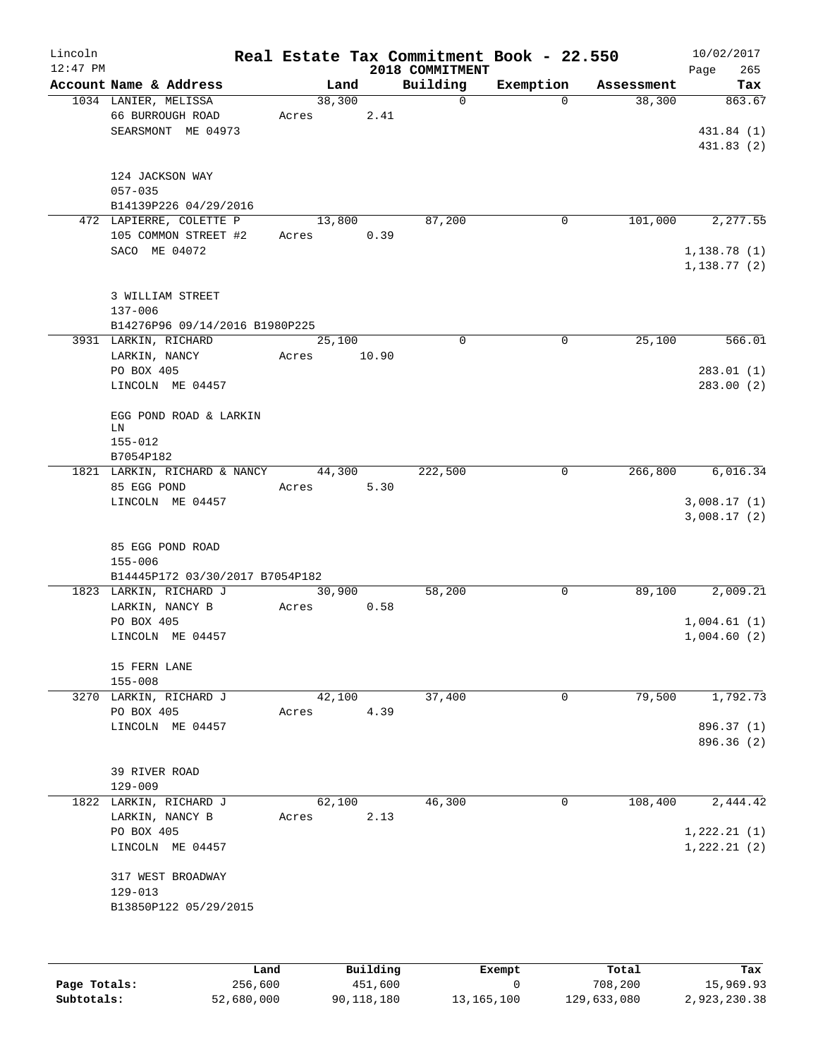| Lincoln<br>$12:47$ PM |                                                                    |       |        |       |      | Real Estate Tax Commitment Book - 22.550<br>2018 COMMITMENT |             |            | 10/02/2017<br>Page<br>265         |
|-----------------------|--------------------------------------------------------------------|-------|--------|-------|------|-------------------------------------------------------------|-------------|------------|-----------------------------------|
|                       | Account Name & Address                                             |       |        | Land  |      | Building                                                    | Exemption   | Assessment | Tax                               |
|                       | 1034 LANIER, MELISSA<br>66 BURROUGH ROAD<br>SEARSMONT ME 04973     | Acres | 38,300 |       | 2.41 | $\mathbf 0$                                                 | $\Omega$    | 38,300     | 863.67<br>431.84 (1)<br>431.83(2) |
|                       | 124 JACKSON WAY<br>$057 - 035$<br>B14139P226 04/29/2016            |       |        |       |      |                                                             |             |            |                                   |
|                       | 472 LAPIERRE, COLETTE P<br>105 COMMON STREET #2                    | Acres | 13,800 |       | 0.39 | 87,200                                                      | 0           | 101,000    | 2, 277.55                         |
|                       | SACO ME 04072                                                      |       |        |       |      |                                                             |             |            | 1,138.78(1)<br>1,138.77(2)        |
|                       | 3 WILLIAM STREET<br>$137 - 006$                                    |       |        |       |      |                                                             |             |            |                                   |
|                       | B14276P96 09/14/2016 B1980P225                                     |       |        |       |      |                                                             |             |            |                                   |
|                       | 3931 LARKIN, RICHARD<br>LARKIN, NANCY                              | Acres | 25,100 | 10.90 |      | $\mathbf 0$                                                 | $\mathbf 0$ | 25,100     | 566.01                            |
|                       | PO BOX 405<br>LINCOLN ME 04457                                     |       |        |       |      |                                                             |             |            | 283.01(1)<br>283.00(2)            |
|                       | EGG POND ROAD & LARKIN<br>LN                                       |       |        |       |      |                                                             |             |            |                                   |
|                       | $155 - 012$<br>B7054P182                                           |       |        |       |      |                                                             |             |            |                                   |
|                       | 1821 LARKIN, RICHARD & NANCY<br>85 EGG POND                        | Acres | 44,300 |       | 5.30 | 222,500                                                     | 0           | 266,800    | 6,016.34                          |
|                       | LINCOLN ME 04457                                                   |       |        |       |      |                                                             |             |            | 3,008.17(1)<br>3,008.17(2)        |
|                       | 85 EGG POND ROAD<br>$155 - 006$<br>B14445P172 03/30/2017 B7054P182 |       |        |       |      |                                                             |             |            |                                   |
|                       | 1823 LARKIN, RICHARD J                                             |       | 30,900 |       |      | 58,200                                                      | 0           | 89,100     | 2,009.21                          |
|                       | LARKIN, NANCY B                                                    | Acres |        |       | 0.58 |                                                             |             |            |                                   |
|                       | PO BOX 405<br>LINCOLN ME 04457                                     |       |        |       |      |                                                             |             |            | 1,004.61(1)<br>1,004.60(2)        |
|                       | 15 FERN LANE<br>$155 - 008$                                        |       |        |       |      |                                                             |             |            |                                   |
|                       | 3270 LARKIN, RICHARD J                                             |       | 42,100 |       |      | 37,400                                                      | 0           | 79,500     | 1,792.73                          |
|                       | PO BOX 405<br>LINCOLN ME 04457                                     | Acres |        |       | 4.39 |                                                             |             |            | 896.37 (1)                        |
|                       |                                                                    |       |        |       |      |                                                             |             |            | 896.36 (2)                        |
|                       | 39 RIVER ROAD<br>$129 - 009$                                       |       |        |       |      |                                                             |             |            |                                   |
|                       | 1822 LARKIN, RICHARD J                                             |       | 62,100 |       |      | 46,300                                                      | 0           | 108,400    | 2,444.42                          |
|                       | LARKIN, NANCY B<br>PO BOX 405                                      | Acres |        |       | 2.13 |                                                             |             |            | 1,222.21(1)                       |
|                       | LINCOLN ME 04457                                                   |       |        |       |      |                                                             |             |            | 1, 222.21(2)                      |
|                       | 317 WEST BROADWAY<br>$129 - 013$                                   |       |        |       |      |                                                             |             |            |                                   |
|                       | B13850P122 05/29/2015                                              |       |        |       |      |                                                             |             |            |                                   |
|                       |                                                                    |       |        |       |      |                                                             |             |            |                                   |

|              | Land       | Building   | Exempt     | Total       | Tax          |
|--------------|------------|------------|------------|-------------|--------------|
| Page Totals: | 256,600    | 451,600    |            | 708,200     | 15,969.93    |
| Subtotals:   | 52,680,000 | 90,118,180 | 13,165,100 | 129,633,080 | 2,923,230.38 |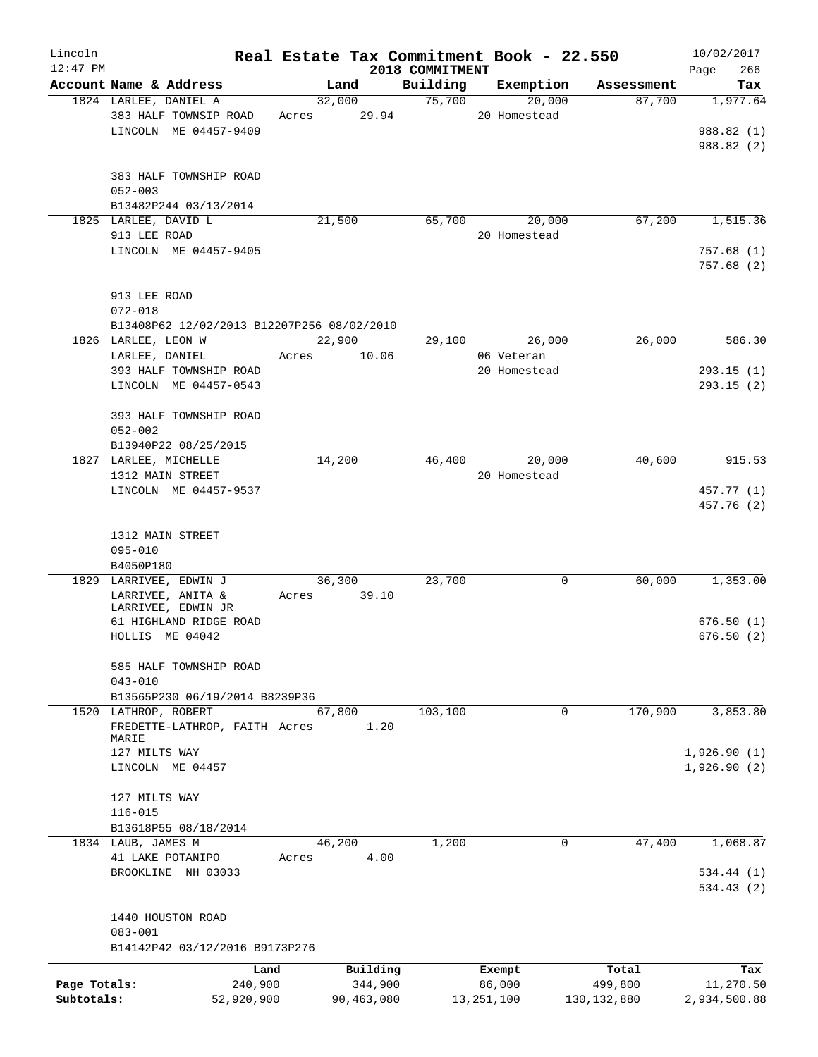| Lincoln<br>$12:47$ PM |                                            |        |            | 2018 COMMITMENT | Real Estate Tax Commitment Book - 22.550 |               | 10/02/2017<br>266<br>Page |
|-----------------------|--------------------------------------------|--------|------------|-----------------|------------------------------------------|---------------|---------------------------|
|                       | Account Name & Address                     |        | Land       | Building        | Exemption                                | Assessment    | Tax                       |
|                       | 1824 LARLEE, DANIEL A                      | 32,000 |            | 75,700          | 20,000                                   | 87,700        | 1,977.64                  |
|                       | 383 HALF TOWNSIP ROAD                      | Acres  | 29.94      |                 | 20 Homestead                             |               |                           |
|                       | LINCOLN ME 04457-9409                      |        |            |                 |                                          |               | 988.82 (1)                |
|                       |                                            |        |            |                 |                                          |               | 988.82 (2)                |
|                       |                                            |        |            |                 |                                          |               |                           |
|                       | 383 HALF TOWNSHIP ROAD                     |        |            |                 |                                          |               |                           |
|                       | $052 - 003$                                |        |            |                 |                                          |               |                           |
|                       | B13482P244 03/13/2014                      |        |            |                 |                                          |               |                           |
|                       | 1825 LARLEE, DAVID L                       | 21,500 |            | 65,700          | 20,000                                   | 67,200        | 1,515.36                  |
|                       | 913 LEE ROAD                               |        |            |                 | 20 Homestead                             |               |                           |
|                       | LINCOLN ME 04457-9405                      |        |            |                 |                                          |               | 757.68 (1)                |
|                       |                                            |        |            |                 |                                          |               | 757.68(2)                 |
|                       |                                            |        |            |                 |                                          |               |                           |
|                       | 913 LEE ROAD                               |        |            |                 |                                          |               |                           |
|                       | $072 - 018$                                |        |            |                 |                                          |               |                           |
|                       | B13408P62 12/02/2013 B12207P256 08/02/2010 |        |            |                 |                                          |               |                           |
|                       | 1826 LARLEE, LEON W                        | 22,900 |            | 29,100          | 26,000                                   | 26,000        | 586.30                    |
|                       | LARLEE, DANIEL                             | Acres  | 10.06      |                 | 06 Veteran                               |               |                           |
|                       | 393 HALF TOWNSHIP ROAD                     |        |            |                 | 20 Homestead                             |               | 293.15(1)                 |
|                       | LINCOLN ME 04457-0543                      |        |            |                 |                                          |               | 293.15(2)                 |
|                       |                                            |        |            |                 |                                          |               |                           |
|                       | 393 HALF TOWNSHIP ROAD                     |        |            |                 |                                          |               |                           |
|                       | $052 - 002$                                |        |            |                 |                                          |               |                           |
|                       | B13940P22 08/25/2015                       |        |            |                 |                                          |               |                           |
|                       | 1827 LARLEE, MICHELLE                      | 14,200 |            | 46,400          | 20,000                                   | 40,600        | 915.53                    |
|                       | 1312 MAIN STREET                           |        |            |                 | 20 Homestead                             |               |                           |
|                       | LINCOLN ME 04457-9537                      |        |            |                 |                                          |               | 457.77 (1)                |
|                       |                                            |        |            |                 |                                          |               | 457.76 (2)                |
|                       |                                            |        |            |                 |                                          |               |                           |
|                       | 1312 MAIN STREET                           |        |            |                 |                                          |               |                           |
|                       | $095 - 010$                                |        |            |                 |                                          |               |                           |
|                       | B4050P180<br>1829 LARRIVEE, EDWIN J        | 36,300 |            | 23,700          | 0                                        | 60,000        | 1,353.00                  |
|                       | LARRIVEE, ANITA &                          | Acres  | 39.10      |                 |                                          |               |                           |
|                       | LARRIVEE, EDWIN JR                         |        |            |                 |                                          |               |                           |
|                       | 61 HIGHLAND RIDGE ROAD                     |        |            |                 |                                          |               | 676.50(1)                 |
|                       | HOLLIS ME 04042                            |        |            |                 |                                          |               | 676.50(2)                 |
|                       |                                            |        |            |                 |                                          |               |                           |
|                       | 585 HALF TOWNSHIP ROAD                     |        |            |                 |                                          |               |                           |
|                       | $043 - 010$                                |        |            |                 |                                          |               |                           |
|                       | B13565P230 06/19/2014 B8239P36             |        |            |                 |                                          |               |                           |
|                       | 1520 LATHROP, ROBERT                       | 67,800 |            | 103,100         | 0                                        | 170,900       | 3,853.80                  |
|                       | FREDETTE-LATHROP, FAITH Acres              |        | 1.20       |                 |                                          |               |                           |
|                       | MARIE                                      |        |            |                 |                                          |               |                           |
|                       | 127 MILTS WAY                              |        |            |                 |                                          |               | 1,926.90(1)               |
|                       | LINCOLN ME 04457                           |        |            |                 |                                          |               | 1,926.90(2)               |
|                       | 127 MILTS WAY                              |        |            |                 |                                          |               |                           |
|                       | $116 - 015$                                |        |            |                 |                                          |               |                           |
|                       | B13618P55 08/18/2014                       |        |            |                 |                                          |               |                           |
|                       | 1834 LAUB, JAMES M                         | 46,200 |            | 1,200           | 0                                        | 47,400        | 1,068.87                  |
|                       | 41 LAKE POTANIPO                           | Acres  | 4.00       |                 |                                          |               |                           |
|                       | BROOKLINE NH 03033                         |        |            |                 |                                          |               | 534.44 (1)                |
|                       |                                            |        |            |                 |                                          |               | 534.43(2)                 |
|                       |                                            |        |            |                 |                                          |               |                           |
|                       | 1440 HOUSTON ROAD                          |        |            |                 |                                          |               |                           |
|                       | $083 - 001$                                |        |            |                 |                                          |               |                           |
|                       | B14142P42 03/12/2016 B9173P276             |        |            |                 |                                          |               |                           |
|                       | Land                                       |        | Building   |                 | Exempt                                   | Total         | Tax                       |
| Page Totals:          | 240,900                                    |        | 344,900    |                 | 86,000                                   | 499,800       | 11,270.50                 |
| Subtotals:            | 52,920,900                                 |        | 90,463,080 |                 | 13, 251, 100                             | 130, 132, 880 | 2,934,500.88              |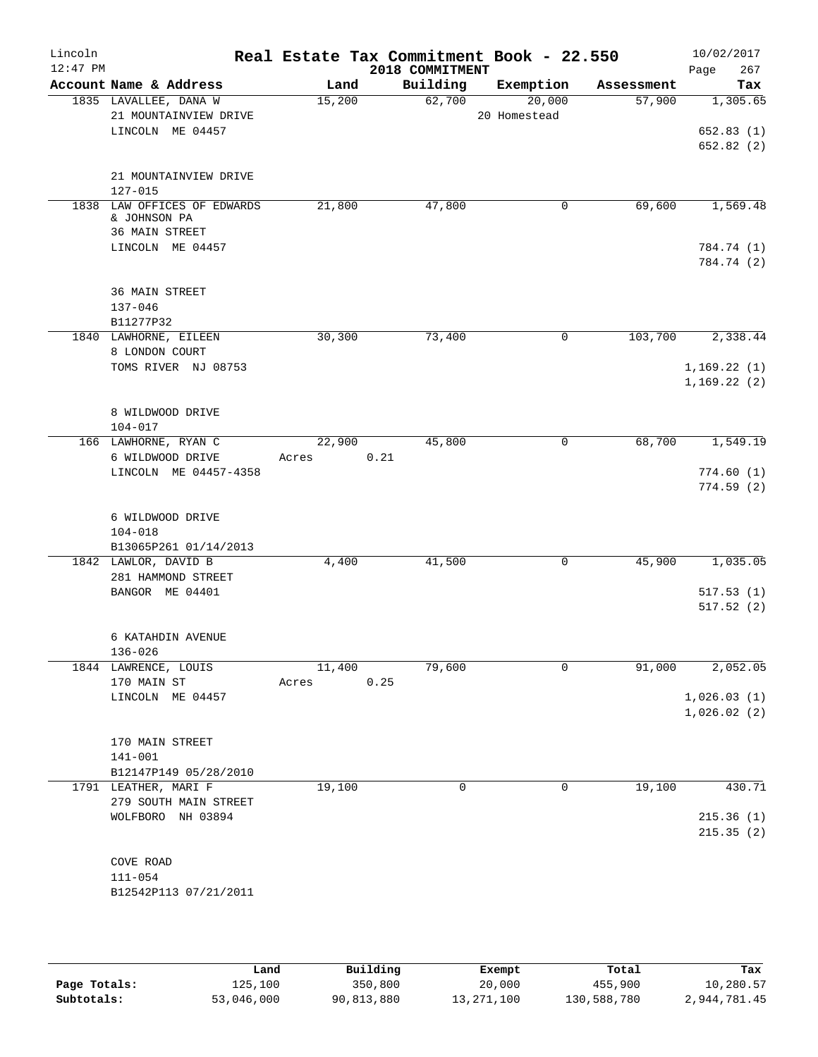| Lincoln<br>$12:47$ PM |                                               |        | Real Estate Tax Commitment Book - 22.550<br>2018 COMMITMENT |              |            | 10/02/2017<br>267      |
|-----------------------|-----------------------------------------------|--------|-------------------------------------------------------------|--------------|------------|------------------------|
|                       | Account Name & Address                        | Land   | Building                                                    | Exemption    | Assessment | Page<br>Tax            |
|                       | 1835 LAVALLEE, DANA W                         | 15,200 | 62,700                                                      | 20,000       | 57,900     | 1,305.65               |
|                       | 21 MOUNTAINVIEW DRIVE                         |        |                                                             | 20 Homestead |            |                        |
|                       | LINCOLN ME 04457                              |        |                                                             |              |            | 652.83(1)<br>652.82(2) |
|                       |                                               |        |                                                             |              |            |                        |
|                       | 21 MOUNTAINVIEW DRIVE<br>$127 - 015$          |        |                                                             |              |            |                        |
|                       | 1838 LAW OFFICES OF EDWARDS                   | 21,800 | 47,800                                                      | 0            | 69,600     | 1,569.48               |
|                       | & JOHNSON PA                                  |        |                                                             |              |            |                        |
|                       | 36 MAIN STREET<br>LINCOLN ME 04457            |        |                                                             |              |            | 784.74 (1)             |
|                       |                                               |        |                                                             |              |            | 784.74 (2)             |
|                       | 36 MAIN STREET                                |        |                                                             |              |            |                        |
|                       | $137 - 046$                                   |        |                                                             |              |            |                        |
|                       | B11277P32                                     |        |                                                             |              |            |                        |
|                       | 1840 LAWHORNE, EILEEN<br>8 LONDON COURT       | 30,300 | 73,400                                                      | 0            | 103,700    | 2,338.44               |
|                       | TOMS RIVER NJ 08753                           |        |                                                             |              |            | 1, 169.22(1)           |
|                       |                                               |        |                                                             |              |            | 1,169.22(2)            |
|                       |                                               |        |                                                             |              |            |                        |
|                       | 8 WILDWOOD DRIVE                              |        |                                                             |              |            |                        |
|                       | $104 - 017$                                   |        |                                                             |              |            |                        |
|                       | 166 LAWHORNE, RYAN C                          | 22,900 | 45,800                                                      | 0            | 68,700     | 1,549.19               |
|                       | 6 WILDWOOD DRIVE<br>LINCOLN ME 04457-4358     | Acres  | 0.21                                                        |              |            | 774.60(1)              |
|                       |                                               |        |                                                             |              |            | 774.59(2)              |
|                       |                                               |        |                                                             |              |            |                        |
|                       | 6 WILDWOOD DRIVE                              |        |                                                             |              |            |                        |
|                       | $104 - 018$                                   |        |                                                             |              |            |                        |
|                       | B13065P261 01/14/2013                         |        |                                                             |              |            |                        |
|                       | 1842 LAWLOR, DAVID B<br>281 HAMMOND STREET    | 4,400  | 41,500                                                      | 0            | 45,900     | 1,035.05               |
|                       | BANGOR ME 04401                               |        |                                                             |              |            | 517.53(1)              |
|                       |                                               |        |                                                             |              |            | 517.52(2)              |
|                       |                                               |        |                                                             |              |            |                        |
|                       | 6 KATAHDIN AVENUE                             |        |                                                             |              |            |                        |
|                       | $136 - 026$                                   |        |                                                             |              |            |                        |
|                       | 1844 LAWRENCE, LOUIS                          | 11,400 | 79,600                                                      | $\mathbf 0$  | 91,000     | 2,052.05               |
|                       | 170 MAIN ST<br>LINCOLN ME 04457               | Acres  | 0.25                                                        |              |            | 1,026.03(1)            |
|                       |                                               |        |                                                             |              |            | 1,026.02(2)            |
|                       |                                               |        |                                                             |              |            |                        |
|                       | 170 MAIN STREET                               |        |                                                             |              |            |                        |
|                       | $141 - 001$                                   |        |                                                             |              |            |                        |
|                       | B12147P149 05/28/2010                         |        |                                                             |              |            |                        |
|                       | 1791 LEATHER, MARI F<br>279 SOUTH MAIN STREET | 19,100 | 0                                                           | 0            | 19,100     | 430.71                 |
|                       | WOLFBORO NH 03894                             |        |                                                             |              |            | 215.36(1)              |
|                       |                                               |        |                                                             |              |            | 215.35(2)              |
|                       |                                               |        |                                                             |              |            |                        |
|                       | COVE ROAD                                     |        |                                                             |              |            |                        |
|                       | $111 - 054$                                   |        |                                                             |              |            |                        |
|                       | B12542P113 07/21/2011                         |        |                                                             |              |            |                        |
|                       |                                               |        |                                                             |              |            |                        |

|              | Land       | Building   | Exempt     | Total       | Tax          |
|--------------|------------|------------|------------|-------------|--------------|
| Page Totals: | 125,100    | 350,800    | 20,000     | 455,900     | 10,280.57    |
| Subtotals:   | 53,046,000 | 90,813,880 | 13,271,100 | 130,588,780 | 2,944,781.45 |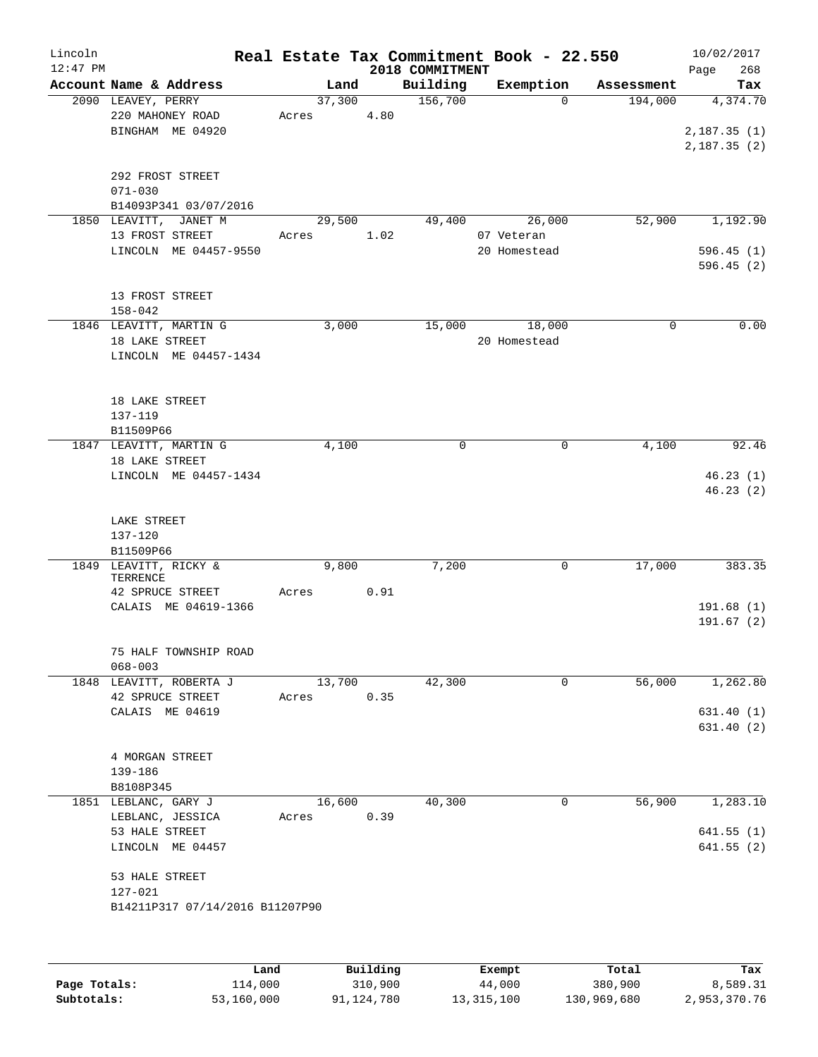| Lincoln<br>$12:47$ PM |                        |                                 |       |        |      | 2018 COMMITMENT | Real Estate Tax Commitment Book - 22.550 |            | 10/02/2017<br>268<br>Page |
|-----------------------|------------------------|---------------------------------|-------|--------|------|-----------------|------------------------------------------|------------|---------------------------|
|                       |                        | Account Name & Address          |       | Land   |      | Building        | Exemption                                | Assessment | Tax                       |
|                       | 2090 LEAVEY, PERRY     |                                 |       | 37,300 |      | 156,700         | $\Omega$                                 | 194,000    | 4,374.70                  |
|                       |                        | 220 MAHONEY ROAD                | Acres |        | 4.80 |                 |                                          |            |                           |
|                       |                        | BINGHAM ME 04920                |       |        |      |                 |                                          |            | 2,187.35(1)               |
|                       |                        |                                 |       |        |      |                 |                                          |            | 2,187.35(2)               |
|                       |                        | 292 FROST STREET                |       |        |      |                 |                                          |            |                           |
|                       | $071 - 030$            |                                 |       |        |      |                 |                                          |            |                           |
|                       |                        | B14093P341 03/07/2016           |       |        |      |                 |                                          |            |                           |
|                       |                        | 1850 LEAVITT, JANET M           |       | 29,500 |      | 49,400          | 26,000                                   | 52,900     | 1,192.90                  |
|                       |                        | 13 FROST STREET                 | Acres |        | 1.02 |                 | 07 Veteran                               |            |                           |
|                       |                        | LINCOLN ME 04457-9550           |       |        |      |                 | 20 Homestead                             |            | 596.45(1)                 |
|                       |                        |                                 |       |        |      |                 |                                          |            | 596.45(2)                 |
|                       |                        | 13 FROST STREET                 |       |        |      |                 |                                          |            |                           |
|                       | $158 - 042$            |                                 |       |        |      |                 |                                          |            |                           |
|                       |                        | 1846 LEAVITT, MARTIN G          |       | 3,000  |      | 15,000          | 18,000                                   | $\Omega$   | 0.00                      |
|                       | 18 LAKE STREET         |                                 |       |        |      |                 | 20 Homestead                             |            |                           |
|                       |                        | LINCOLN ME 04457-1434           |       |        |      |                 |                                          |            |                           |
|                       |                        |                                 |       |        |      |                 |                                          |            |                           |
|                       |                        |                                 |       |        |      |                 |                                          |            |                           |
|                       | 18 LAKE STREET         |                                 |       |        |      |                 |                                          |            |                           |
|                       | 137-119<br>B11509P66   |                                 |       |        |      |                 |                                          |            |                           |
|                       |                        | 1847 LEAVITT, MARTIN G          |       | 4,100  |      | 0               | 0                                        | 4,100      | 92.46                     |
|                       | 18 LAKE STREET         |                                 |       |        |      |                 |                                          |            |                           |
|                       |                        | LINCOLN ME 04457-1434           |       |        |      |                 |                                          |            | 46.23(1)                  |
|                       |                        |                                 |       |        |      |                 |                                          |            | 46.23(2)                  |
|                       |                        |                                 |       |        |      |                 |                                          |            |                           |
|                       | LAKE STREET<br>137-120 |                                 |       |        |      |                 |                                          |            |                           |
|                       | B11509P66              |                                 |       |        |      |                 |                                          |            |                           |
|                       |                        | 1849 LEAVITT, RICKY &           |       | 9,800  |      | 7,200           | 0                                        | 17,000     | 383.35                    |
|                       | TERRENCE               |                                 |       |        |      |                 |                                          |            |                           |
|                       |                        | 42 SPRUCE STREET                | Acres |        | 0.91 |                 |                                          |            |                           |
|                       |                        | CALAIS ME 04619-1366            |       |        |      |                 |                                          |            | 191.68(1)<br>191.67(2)    |
|                       |                        |                                 |       |        |      |                 |                                          |            |                           |
|                       |                        | 75 HALF TOWNSHIP ROAD           |       |        |      |                 |                                          |            |                           |
|                       | $068 - 003$            |                                 |       |        |      |                 |                                          |            |                           |
|                       |                        | 1848 LEAVITT, ROBERTA J         |       | 13,700 |      | 42,300          | 0                                        | 56,000     | 1,262.80                  |
|                       |                        | 42 SPRUCE STREET                | Acres |        | 0.35 |                 |                                          |            |                           |
|                       |                        | CALAIS ME 04619                 |       |        |      |                 |                                          |            | 631.40(1)                 |
|                       |                        |                                 |       |        |      |                 |                                          |            | 631.40(2)                 |
|                       |                        | 4 MORGAN STREET                 |       |        |      |                 |                                          |            |                           |
|                       | 139-186                |                                 |       |        |      |                 |                                          |            |                           |
|                       | B8108P345              |                                 |       |        |      |                 |                                          |            |                           |
|                       |                        | 1851 LEBLANC, GARY J            |       | 16,600 |      | 40,300          | 0                                        | 56,900     | 1,283.10                  |
|                       |                        | LEBLANC, JESSICA                | Acres |        | 0.39 |                 |                                          |            |                           |
|                       | 53 HALE STREET         |                                 |       |        |      |                 |                                          |            | 641.55(1)                 |
|                       |                        | LINCOLN ME 04457                |       |        |      |                 |                                          |            | 641.55(2)                 |
|                       | 53 HALE STREET         |                                 |       |        |      |                 |                                          |            |                           |
|                       | 127-021                |                                 |       |        |      |                 |                                          |            |                           |
|                       |                        | B14211P317 07/14/2016 B11207P90 |       |        |      |                 |                                          |            |                           |
|                       |                        |                                 |       |        |      |                 |                                          |            |                           |
|                       |                        |                                 |       |        |      |                 |                                          |            |                           |
|                       |                        |                                 |       |        |      |                 |                                          |            |                           |

|              | Land       | Building   | Exempt     | Total       | Tax          |
|--------------|------------|------------|------------|-------------|--------------|
| Page Totals: | 114,000    | 310,900    | 44,000     | 380,900     | 8,589.31     |
| Subtotals:   | 53,160,000 | 91,124,780 | 13,315,100 | 130,969,680 | 2,953,370.76 |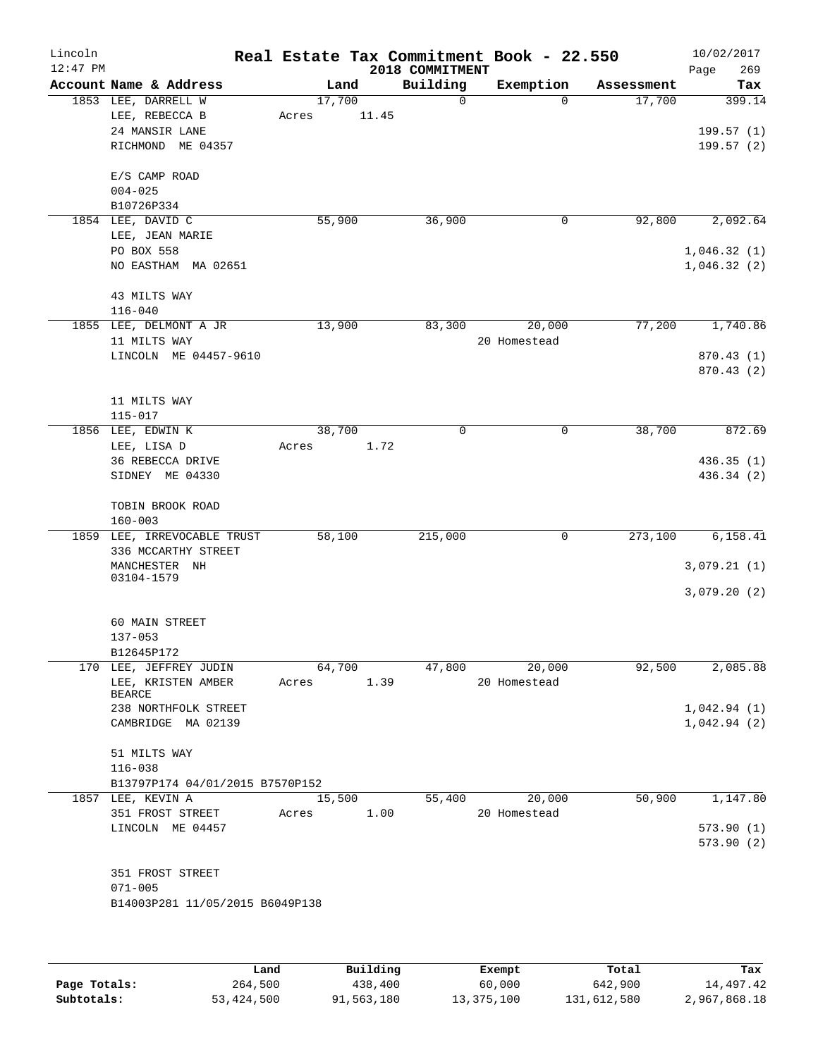| Lincoln    |                                              |       |                 |                 | Real Estate Tax Commitment Book - 22.550 |            | 10/02/2017  |
|------------|----------------------------------------------|-------|-----------------|-----------------|------------------------------------------|------------|-------------|
| $12:47$ PM |                                              |       |                 | 2018 COMMITMENT |                                          |            | Page<br>269 |
|            | Account Name & Address                       |       | Land            | Building        | Exemption                                | Assessment | Tax         |
|            | 1853 LEE, DARRELL W<br>LEE, REBECCA B        |       | 17,700<br>11.45 | $\mathbf 0$     | $\mathbf 0$                              | 17,700     | 399.14      |
|            | 24 MANSIR LANE                               | Acres |                 |                 |                                          |            | 199.57(1)   |
|            | RICHMOND ME 04357                            |       |                 |                 |                                          |            | 199.57(2)   |
|            |                                              |       |                 |                 |                                          |            |             |
|            | E/S CAMP ROAD                                |       |                 |                 |                                          |            |             |
|            | $004 - 025$                                  |       |                 |                 |                                          |            |             |
|            | B10726P334                                   |       |                 |                 |                                          |            |             |
|            | 1854 LEE, DAVID C                            |       | 55,900          | 36,900          | 0                                        | 92,800     | 2,092.64    |
|            | LEE, JEAN MARIE                              |       |                 |                 |                                          |            |             |
|            | PO BOX 558                                   |       |                 |                 |                                          |            | 1,046.32(1) |
|            | NO EASTHAM MA 02651                          |       |                 |                 |                                          |            | 1,046.32(2) |
|            |                                              |       |                 |                 |                                          |            |             |
|            | 43 MILTS WAY<br>$116 - 040$                  |       |                 |                 |                                          |            |             |
|            | 1855 LEE, DELMONT A JR                       |       | 13,900          | 83,300          | 20,000                                   | 77,200     | 1,740.86    |
|            | 11 MILTS WAY                                 |       |                 |                 | 20 Homestead                             |            |             |
|            | LINCOLN ME 04457-9610                        |       |                 |                 |                                          |            | 870.43 (1)  |
|            |                                              |       |                 |                 |                                          |            | 870.43 (2)  |
|            |                                              |       |                 |                 |                                          |            |             |
|            | 11 MILTS WAY                                 |       |                 |                 |                                          |            |             |
|            | 115-017                                      |       |                 |                 |                                          |            |             |
|            | 1856 LEE, EDWIN K                            |       | 38,700          | $\mathbf 0$     | $\mathsf{O}$                             | 38,700     | 872.69      |
|            | LEE, LISA D                                  | Acres | 1.72            |                 |                                          |            |             |
|            | 36 REBECCA DRIVE                             |       |                 |                 |                                          |            | 436.35(1)   |
|            | SIDNEY ME 04330                              |       |                 |                 |                                          |            | 436.34 (2)  |
|            |                                              |       |                 |                 |                                          |            |             |
|            | TOBIN BROOK ROAD                             |       |                 |                 |                                          |            |             |
|            | $160 - 003$<br>1859 LEE, IRREVOCABLE TRUST   |       | 58,100          | 215,000         | 0                                        | 273,100    | 6, 158.41   |
|            | 336 MCCARTHY STREET                          |       |                 |                 |                                          |            |             |
|            | MANCHESTER NH                                |       |                 |                 |                                          |            | 3,079.21(1) |
|            | 03104-1579                                   |       |                 |                 |                                          |            |             |
|            |                                              |       |                 |                 |                                          |            | 3,079.20(2) |
|            |                                              |       |                 |                 |                                          |            |             |
|            | 60 MAIN STREET                               |       |                 |                 |                                          |            |             |
|            | $137 - 053$                                  |       |                 |                 |                                          |            |             |
|            | B12645P172                                   |       |                 |                 |                                          |            |             |
|            | 170 LEE, JEFFREY JUDIN<br>LEE, KRISTEN AMBER |       | 64,700          | 47,800          | 20,000<br>20 Homestead                   | 92,500     | 2,085.88    |
|            | <b>BEARCE</b>                                | Acres | 1.39            |                 |                                          |            |             |
|            | 238 NORTHFOLK STREET                         |       |                 |                 |                                          |            | 1,042.94(1) |
|            | CAMBRIDGE MA 02139                           |       |                 |                 |                                          |            | 1,042.94(2) |
|            |                                              |       |                 |                 |                                          |            |             |
|            | 51 MILTS WAY                                 |       |                 |                 |                                          |            |             |
|            | $116 - 038$                                  |       |                 |                 |                                          |            |             |
|            | B13797P174 04/01/2015 B7570P152              |       |                 |                 |                                          |            |             |
|            | 1857 LEE, KEVIN A                            |       | 15,500          | 55,400          | 20,000                                   | 50,900     | 1,147.80    |
|            | 351 FROST STREET<br>LINCOLN ME 04457         | Acres | 1.00            |                 | 20 Homestead                             |            | 573.90(1)   |
|            |                                              |       |                 |                 |                                          |            | 573.90(2)   |
|            |                                              |       |                 |                 |                                          |            |             |
|            | 351 FROST STREET                             |       |                 |                 |                                          |            |             |
|            | $071 - 005$                                  |       |                 |                 |                                          |            |             |
|            | B14003P281 11/05/2015 B6049P138              |       |                 |                 |                                          |            |             |
|            |                                              |       |                 |                 |                                          |            |             |
|            |                                              |       |                 |                 |                                          |            |             |
|            |                                              |       |                 |                 |                                          |            |             |

|              | Land       | Building   | Exempt     | Total       | Tax          |
|--------------|------------|------------|------------|-------------|--------------|
| Page Totals: | 264,500    | 438,400    | 60,000     | 642,900     | 14,497.42    |
| Subtotals:   | 53,424,500 | 91,563,180 | 13,375,100 | 131,612,580 | 2,967,868.18 |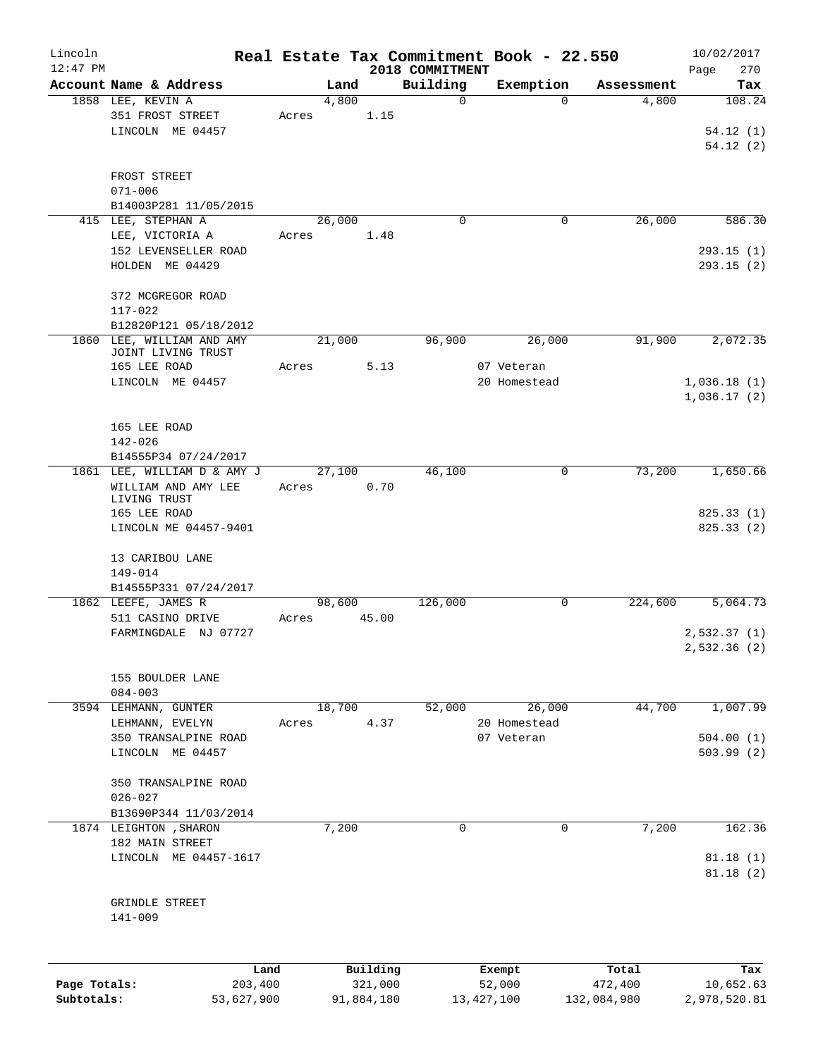| Lincoln      |                                                           |                |                     |                 | Real Estate Tax Commitment Book - 22.550 |                  | 10/02/2017             |
|--------------|-----------------------------------------------------------|----------------|---------------------|-----------------|------------------------------------------|------------------|------------------------|
| $12:47$ PM   |                                                           |                |                     | 2018 COMMITMENT |                                          |                  | Page<br>270            |
|              | Account Name & Address                                    | Land           |                     | Building        | Exemption                                | Assessment       | Tax                    |
|              | 1858 LEE, KEVIN A<br>351 FROST STREET<br>LINCOLN ME 04457 | 4,800<br>Acres | 1.15                | 0               | $\Omega$                                 | 4,800            | 108.24<br>54.12(1)     |
|              |                                                           |                |                     |                 |                                          |                  | 54.12(2)               |
|              | FROST STREET<br>$071 - 006$                               |                |                     |                 |                                          |                  |                        |
|              | B14003P281 11/05/2015                                     |                |                     |                 |                                          |                  |                        |
|              | 415 LEE, STEPHAN A                                        | 26,000         |                     | $\mathbf 0$     | 0                                        | 26,000           | 586.30                 |
|              | LEE, VICTORIA A                                           | Acres          | 1.48                |                 |                                          |                  |                        |
|              | 152 LEVENSELLER ROAD<br>HOLDEN ME 04429                   |                |                     |                 |                                          |                  | 293.15(1)<br>293.15(2) |
|              |                                                           |                |                     |                 |                                          |                  |                        |
|              | 372 MCGREGOR ROAD                                         |                |                     |                 |                                          |                  |                        |
|              | $117 - 022$                                               |                |                     |                 |                                          |                  |                        |
|              | B12820P121 05/18/2012                                     |                |                     |                 |                                          |                  |                        |
|              | 1860 LEE, WILLIAM AND AMY<br>JOINT LIVING TRUST           | 21,000         |                     | 96,900          | 26,000                                   | 91,900           | 2,072.35               |
|              | 165 LEE ROAD                                              | Acres          | 5.13                |                 | 07 Veteran                               |                  |                        |
|              | LINCOLN ME 04457                                          |                |                     |                 | 20 Homestead                             |                  | 1,036.18(1)            |
|              |                                                           |                |                     |                 |                                          |                  | 1,036.17(2)            |
|              | 165 LEE ROAD                                              |                |                     |                 |                                          |                  |                        |
|              | 142-026                                                   |                |                     |                 |                                          |                  |                        |
|              | B14555P34 07/24/2017                                      |                |                     |                 |                                          |                  |                        |
|              | 1861 LEE, WILLIAM D & AMY J                               | 27,100         |                     | 46,100          | 0                                        | 73,200           | 1,650.66               |
|              | WILLIAM AND AMY LEE<br>LIVING TRUST                       | Acres          | 0.70                |                 |                                          |                  |                        |
|              | 165 LEE ROAD                                              |                |                     |                 |                                          |                  | 825.33(1)              |
|              | LINCOLN ME 04457-9401                                     |                |                     |                 |                                          |                  | 825.33 (2)             |
|              | 13 CARIBOU LANE                                           |                |                     |                 |                                          |                  |                        |
|              | 149-014                                                   |                |                     |                 |                                          |                  |                        |
|              | B14555P331 07/24/2017                                     |                |                     |                 |                                          |                  |                        |
|              | 1862 LEEFE, JAMES R                                       | 98,600         |                     | 126,000         | 0                                        | 224,600          | 5,064.73               |
|              | 511 CASINO DRIVE                                          | Acres          | 45.00               |                 |                                          |                  |                        |
|              | FARMINGDALE NJ 07727                                      |                |                     |                 |                                          |                  | 2,532.37(1)            |
|              |                                                           |                |                     |                 |                                          |                  | 2,532.36 (2)           |
|              | 155 BOULDER LANE                                          |                |                     |                 |                                          |                  |                        |
|              | $084 - 003$                                               |                |                     |                 |                                          |                  |                        |
|              | 3594 LEHMANN, GUNTER                                      | 18,700         |                     | 52,000          | 26,000                                   | 44,700           | 1,007.99               |
|              | LEHMANN, EVELYN                                           | Acres          | 4.37                |                 | 20 Homestead                             |                  |                        |
|              | 350 TRANSALPINE ROAD                                      |                |                     |                 | 07 Veteran                               |                  | 504.00(1)              |
|              | LINCOLN ME 04457                                          |                |                     |                 |                                          |                  | 503.99 (2)             |
|              | 350 TRANSALPINE ROAD                                      |                |                     |                 |                                          |                  |                        |
|              | $026 - 027$                                               |                |                     |                 |                                          |                  |                        |
|              | B13690P344 11/03/2014                                     |                |                     |                 |                                          |                  |                        |
|              | 1874 LEIGHTON , SHARON                                    | 7,200          |                     | 0               | 0                                        | 7,200            | 162.36                 |
|              | 182 MAIN STREET                                           |                |                     |                 |                                          |                  |                        |
|              | LINCOLN ME 04457-1617                                     |                |                     |                 |                                          |                  | 81.18(1)<br>81.18(2)   |
|              |                                                           |                |                     |                 |                                          |                  |                        |
|              | GRINDLE STREET                                            |                |                     |                 |                                          |                  |                        |
|              | $141 - 009$                                               |                |                     |                 |                                          |                  |                        |
|              |                                                           |                |                     |                 |                                          |                  |                        |
| Page Totals: | Land<br>203,400                                           |                | Building<br>321,000 |                 | Exempt<br>52,000                         | Total<br>472,400 | Tax<br>10,652.63       |
| Subtotals:   | 53,627,900                                                |                | 91,884,180          |                 | 13, 427, 100                             | 132,084,980      | 2,978,520.81           |
|              |                                                           |                |                     |                 |                                          |                  |                        |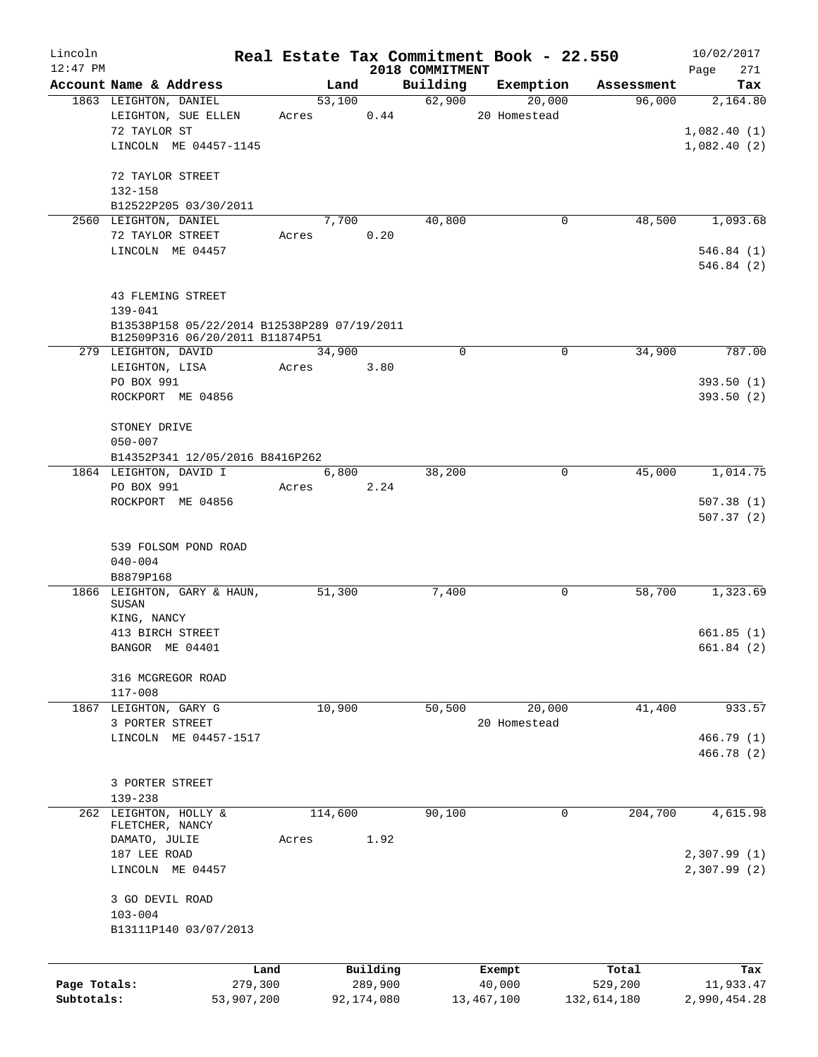| Lincoln<br>$12:47$ PM |                                                                                |                 |         |                     |                             | Real Estate Tax Commitment Book - 22.550 |                  | 10/02/2017         |
|-----------------------|--------------------------------------------------------------------------------|-----------------|---------|---------------------|-----------------------------|------------------------------------------|------------------|--------------------|
|                       | Account Name & Address                                                         |                 | Land    |                     | 2018 COMMITMENT<br>Building | Exemption                                | Assessment       | 271<br>Page<br>Tax |
|                       | 1863 LEIGHTON, DANIEL                                                          |                 | 53,100  |                     | 62,900                      | 20,000                                   | 96,000           | 2,164.80           |
|                       | LEIGHTON, SUE ELLEN                                                            | Acres           |         | 0.44                |                             | 20 Homestead                             |                  |                    |
|                       | 72 TAYLOR ST                                                                   |                 |         |                     |                             |                                          |                  | 1,082.40(1)        |
|                       | LINCOLN ME 04457-1145                                                          |                 |         |                     |                             |                                          |                  | 1,082.40(2)        |
|                       |                                                                                |                 |         |                     |                             |                                          |                  |                    |
|                       | 72 TAYLOR STREET                                                               |                 |         |                     |                             |                                          |                  |                    |
|                       | 132-158                                                                        |                 |         |                     |                             |                                          |                  |                    |
|                       | B12522P205 03/30/2011<br>2560 LEIGHTON, DANIEL                                 |                 | 7,700   |                     | 40,800                      | 0                                        | 48,500           | 1,093.68           |
|                       | 72 TAYLOR STREET                                                               | Acres           |         | 0.20                |                             |                                          |                  |                    |
|                       | LINCOLN ME 04457                                                               |                 |         |                     |                             |                                          |                  | 546.84(1)          |
|                       |                                                                                |                 |         |                     |                             |                                          |                  | 546.84(2)          |
|                       |                                                                                |                 |         |                     |                             |                                          |                  |                    |
|                       | 43 FLEMING STREET                                                              |                 |         |                     |                             |                                          |                  |                    |
|                       | $139 - 041$                                                                    |                 |         |                     |                             |                                          |                  |                    |
|                       | B13538P158 05/22/2014 B12538P289 07/19/2011<br>B12509P316 06/20/2011 B11874P51 |                 |         |                     |                             |                                          |                  |                    |
|                       | 279 LEIGHTON, DAVID                                                            |                 | 34,900  |                     | $\Omega$                    | 0                                        | 34,900           | 787.00             |
|                       | LEIGHTON, LISA                                                                 | Acres           |         | 3.80                |                             |                                          |                  |                    |
|                       | PO BOX 991                                                                     |                 |         |                     |                             |                                          |                  | 393.50(1)          |
|                       | ROCKPORT ME 04856                                                              |                 |         |                     |                             |                                          |                  | 393.50(2)          |
|                       |                                                                                |                 |         |                     |                             |                                          |                  |                    |
|                       | STONEY DRIVE                                                                   |                 |         |                     |                             |                                          |                  |                    |
|                       | $050 - 007$                                                                    |                 |         |                     |                             |                                          |                  |                    |
|                       | B14352P341 12/05/2016 B8416P262                                                |                 |         |                     |                             |                                          |                  |                    |
|                       | 1864 LEIGHTON, DAVID I<br>PO BOX 991                                           | Acres           | 6,800   | 2.24                | 38,200                      | 0                                        | 45,000           | 1,014.75           |
|                       | ROCKPORT ME 04856                                                              |                 |         |                     |                             |                                          |                  | 507.38(1)          |
|                       |                                                                                |                 |         |                     |                             |                                          |                  | 507.37(2)          |
|                       |                                                                                |                 |         |                     |                             |                                          |                  |                    |
|                       | 539 FOLSOM POND ROAD                                                           |                 |         |                     |                             |                                          |                  |                    |
|                       | $040 - 004$                                                                    |                 |         |                     |                             |                                          |                  |                    |
|                       | B8879P168                                                                      |                 |         |                     |                             |                                          |                  |                    |
|                       | 1866 LEIGHTON, GARY & HAUN,<br>SUSAN                                           |                 | 51,300  |                     | 7,400                       | 0                                        | 58,700           | 1,323.69           |
|                       | KING, NANCY                                                                    |                 |         |                     |                             |                                          |                  |                    |
|                       | 413 BIRCH STREET                                                               |                 |         |                     |                             |                                          |                  | 661.85(1)          |
|                       | BANGOR ME 04401                                                                |                 |         |                     |                             |                                          |                  | 661.84(2)          |
|                       |                                                                                |                 |         |                     |                             |                                          |                  |                    |
|                       | 316 MCGREGOR ROAD<br>$117 - 008$                                               |                 |         |                     |                             |                                          |                  |                    |
|                       | 1867 LEIGHTON, GARY G                                                          |                 | 10,900  |                     | 50,500                      | 20,000                                   | 41,400           | 933.57             |
|                       | 3 PORTER STREET                                                                |                 |         |                     |                             | 20 Homestead                             |                  |                    |
|                       | LINCOLN ME 04457-1517                                                          |                 |         |                     |                             |                                          |                  | 466.79 (1)         |
|                       |                                                                                |                 |         |                     |                             |                                          |                  | 466.78 (2)         |
|                       |                                                                                |                 |         |                     |                             |                                          |                  |                    |
|                       | 3 PORTER STREET                                                                |                 |         |                     |                             |                                          |                  |                    |
|                       | 139-238                                                                        |                 |         |                     |                             |                                          |                  |                    |
|                       | 262 LEIGHTON, HOLLY &<br>FLETCHER, NANCY                                       |                 | 114,600 |                     | 90,100                      | 0                                        | 204,700          | 4,615.98           |
|                       | DAMATO, JULIE                                                                  | Acres           |         | 1.92                |                             |                                          |                  |                    |
|                       | 187 LEE ROAD                                                                   |                 |         |                     |                             |                                          |                  | 2,307.99 (1)       |
|                       | LINCOLN ME 04457                                                               |                 |         |                     |                             |                                          |                  | 2,307.99(2)        |
|                       |                                                                                |                 |         |                     |                             |                                          |                  |                    |
|                       | 3 GO DEVIL ROAD<br>$103 - 004$                                                 |                 |         |                     |                             |                                          |                  |                    |
|                       | B13111P140 03/07/2013                                                          |                 |         |                     |                             |                                          |                  |                    |
|                       |                                                                                |                 |         |                     |                             |                                          |                  |                    |
|                       |                                                                                |                 |         |                     |                             |                                          |                  |                    |
| Page Totals:          |                                                                                | Land<br>279,300 |         | Building<br>289,900 |                             | Exempt<br>40,000                         | Total<br>529,200 | Tax<br>11,933.47   |
| Subtotals:            |                                                                                | 53,907,200      |         | 92,174,080          |                             | 13, 467, 100                             | 132,614,180      | 2,990,454.28       |
|                       |                                                                                |                 |         |                     |                             |                                          |                  |                    |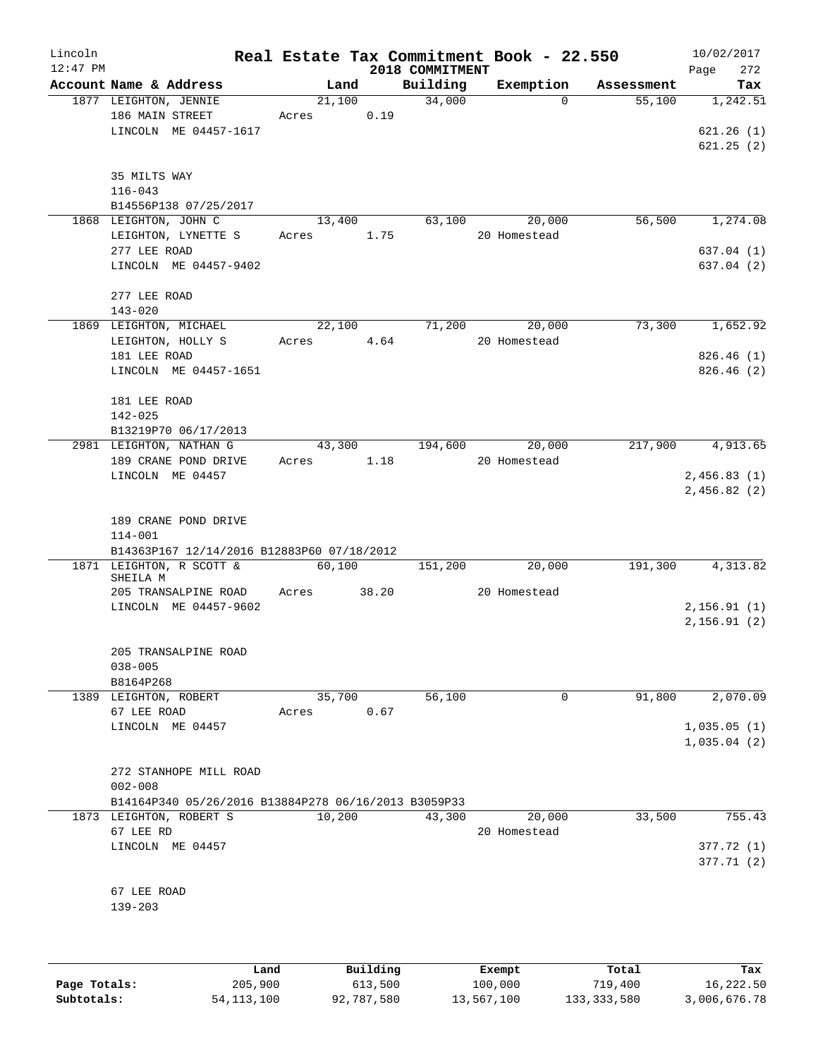| Lincoln    |                                                      |       |                 |                 | Real Estate Tax Commitment Book - 22.550 |            | 10/02/2017   |
|------------|------------------------------------------------------|-------|-----------------|-----------------|------------------------------------------|------------|--------------|
| $12:47$ PM |                                                      |       |                 | 2018 COMMITMENT |                                          |            | 272<br>Page  |
|            | Account Name & Address                               |       | Land            | Building        | Exemption                                | Assessment | Tax          |
|            | 1877 LEIGHTON, JENNIE<br>186 MAIN STREET             |       | 21,100          | 34,000          | $\Omega$                                 | 55,100     | 1,242.51     |
|            | LINCOLN ME 04457-1617                                | Acres | 0.19            |                 |                                          |            |              |
|            |                                                      |       |                 |                 |                                          |            | 621.26(1)    |
|            |                                                      |       |                 |                 |                                          |            | 621.25(2)    |
|            | 35 MILTS WAY                                         |       |                 |                 |                                          |            |              |
|            | $116 - 043$                                          |       |                 |                 |                                          |            |              |
|            | B14556P138 07/25/2017                                |       |                 |                 |                                          |            |              |
|            | 1868 LEIGHTON, JOHN C                                |       | 13,400          | 63,100          | 20,000                                   | 56,500     | 1,274.08     |
|            | LEIGHTON, LYNETTE S                                  | Acres | 1.75            |                 | 20 Homestead                             |            |              |
|            | 277 LEE ROAD                                         |       |                 |                 |                                          |            | 637.04(1)    |
|            | LINCOLN ME 04457-9402                                |       |                 |                 |                                          |            | 637.04(2)    |
|            |                                                      |       |                 |                 |                                          |            |              |
|            | 277 LEE ROAD                                         |       |                 |                 |                                          |            |              |
|            | $143 - 020$                                          |       |                 |                 |                                          |            |              |
|            | 1869 LEIGHTON, MICHAEL                               |       | 22,100          | 71,200          | 20,000                                   | 73,300     | 1,652.92     |
|            | LEIGHTON, HOLLY S                                    | Acres | 4.64            |                 | 20 Homestead                             |            |              |
|            | 181 LEE ROAD                                         |       |                 |                 |                                          |            | 826.46(1)    |
|            | LINCOLN ME 04457-1651                                |       |                 |                 |                                          |            | 826.46(2)    |
|            |                                                      |       |                 |                 |                                          |            |              |
|            | 181 LEE ROAD                                         |       |                 |                 |                                          |            |              |
|            | 142-025                                              |       |                 |                 |                                          |            |              |
|            | B13219P70 06/17/2013                                 |       |                 |                 |                                          |            |              |
|            | 2981 LEIGHTON, NATHAN G                              |       | 43,300          | 194,600         | 20,000                                   | 217,900    | 4,913.65     |
|            | 189 CRANE POND DRIVE                                 | Acres | 1.18            |                 | 20 Homestead                             |            |              |
|            | LINCOLN ME 04457                                     |       |                 |                 |                                          |            | 2,456.83(1)  |
|            |                                                      |       |                 |                 |                                          |            | 2,456.82(2)  |
|            |                                                      |       |                 |                 |                                          |            |              |
|            | 189 CRANE POND DRIVE                                 |       |                 |                 |                                          |            |              |
|            | $114 - 001$                                          |       |                 |                 |                                          |            |              |
|            | B14363P167 12/14/2016 B12883P60 07/18/2012           |       |                 |                 |                                          |            |              |
|            | 1871 LEIGHTON, R SCOTT &                             |       | 60,100          | 151,200         | 20,000                                   | 191,300    | 4,313.82     |
|            | SHEILA M                                             |       |                 |                 |                                          |            |              |
|            | 205 TRANSALPINE ROAD                                 | Acres | 38.20           |                 | 20 Homestead                             |            |              |
|            | LINCOLN ME 04457-9602                                |       |                 |                 |                                          |            | 2, 156.91(1) |
|            |                                                      |       |                 |                 |                                          |            | 2,156.91(2)  |
|            |                                                      |       |                 |                 |                                          |            |              |
|            | 205 TRANSALPINE ROAD                                 |       |                 |                 |                                          |            |              |
|            | $038 - 005$                                          |       |                 |                 |                                          |            |              |
|            | B8164P268                                            |       |                 |                 |                                          |            |              |
|            | 1389 LEIGHTON, ROBERT                                |       | 35,700          | 56,100          | 0                                        | 91,800     | 2,070.09     |
|            | 67 LEE ROAD                                          | Acres | 0.67            |                 |                                          |            |              |
|            | LINCOLN ME 04457                                     |       |                 |                 |                                          |            | 1,035.05(1)  |
|            |                                                      |       |                 |                 |                                          |            | 1,035.04(2)  |
|            |                                                      |       |                 |                 |                                          |            |              |
|            | 272 STANHOPE MILL ROAD                               |       |                 |                 |                                          |            |              |
|            | $002 - 008$                                          |       |                 |                 |                                          |            |              |
|            | B14164P340 05/26/2016 B13884P278 06/16/2013 B3059P33 |       |                 |                 |                                          |            |              |
|            | 1873 LEIGHTON, ROBERT S                              |       | 10,200          | 43,300          | 20,000                                   | 33,500     | 755.43       |
|            | 67 LEE RD                                            |       |                 |                 | 20 Homestead                             |            |              |
|            | LINCOLN ME 04457                                     |       |                 |                 |                                          |            | 377.72(1)    |
|            |                                                      |       |                 |                 |                                          |            | 377.71 (2)   |
|            |                                                      |       |                 |                 |                                          |            |              |
|            | 67 LEE ROAD                                          |       |                 |                 |                                          |            |              |
|            | $139 - 203$                                          |       |                 |                 |                                          |            |              |
|            |                                                      |       |                 |                 |                                          |            |              |
|            |                                                      |       |                 |                 |                                          |            |              |
|            |                                                      |       |                 |                 |                                          |            |              |
|            | Land.                                                |       | <b>Building</b> |                 | <b>Fromnt</b>                            | $T0+21$    | mа.          |

|              | Land         | Building   | Exempt     | Total       | Tax          |
|--------------|--------------|------------|------------|-------------|--------------|
| Page Totals: | 205,900      | 613,500    | 100,000    | 719,400     | 16,222.50    |
| Subtotals:   | 54, 113, 100 | 92,787,580 | 13,567,100 | 133,333,580 | 3,006,676.78 |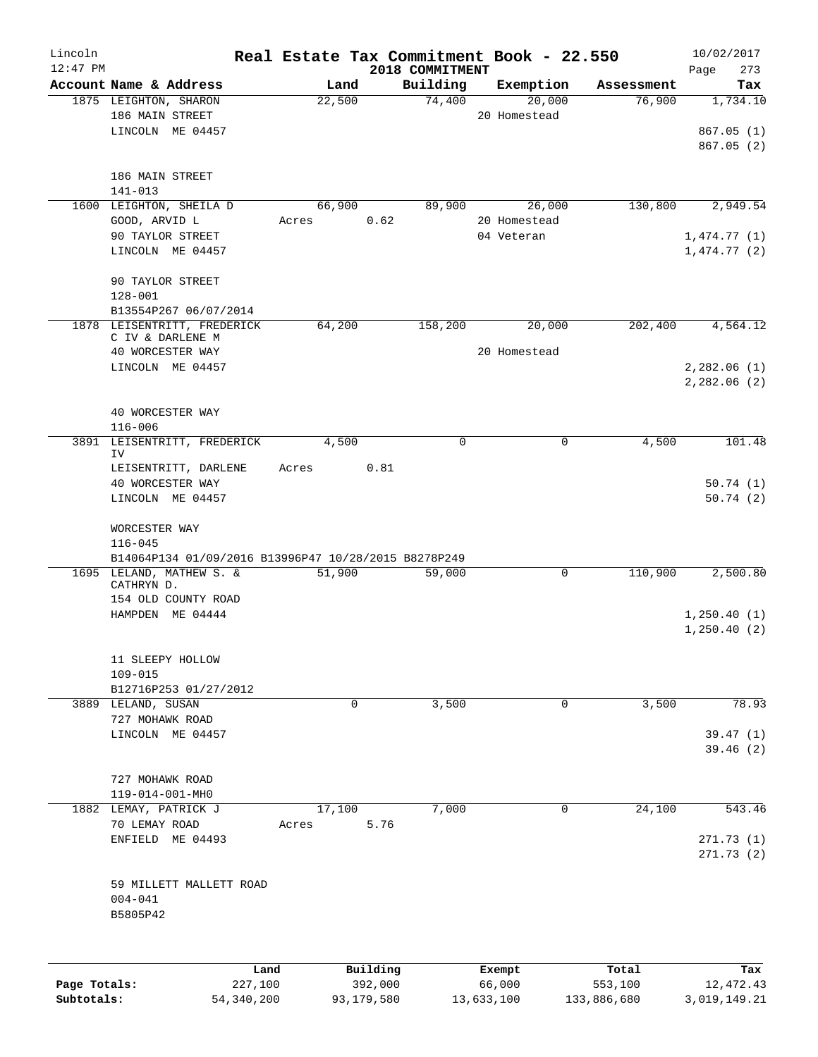| Lincoln      |                                                      |              |        |              |                             | Real Estate Tax Commitment Book - 22.550 |             | 10/02/2017         |
|--------------|------------------------------------------------------|--------------|--------|--------------|-----------------------------|------------------------------------------|-------------|--------------------|
| $12:47$ PM   | Account Name & Address                               |              | Land   |              | 2018 COMMITMENT<br>Building | Exemption                                | Assessment  | 273<br>Page<br>Tax |
|              | 1875 LEIGHTON, SHARON                                |              | 22,500 |              | 74,400                      | 20,000                                   | 76,900      | 1,734.10           |
|              | 186 MAIN STREET                                      |              |        |              |                             | 20 Homestead                             |             |                    |
|              | LINCOLN ME 04457                                     |              |        |              |                             |                                          |             | 867.05(1)          |
|              |                                                      |              |        |              |                             |                                          |             | 867.05(2)          |
|              |                                                      |              |        |              |                             |                                          |             |                    |
|              | 186 MAIN STREET                                      |              |        |              |                             |                                          |             |                    |
|              | 141-013                                              |              |        |              |                             |                                          |             |                    |
|              | 1600 LEIGHTON, SHEILA D                              |              | 66,900 |              | 89,900                      | 26,000                                   | 130,800     | 2,949.54           |
|              | GOOD, ARVID L                                        |              | Acres  | 0.62         |                             | 20 Homestead                             |             |                    |
|              | 90 TAYLOR STREET                                     |              |        |              |                             | 04 Veteran                               |             | 1,474.77(1)        |
|              | LINCOLN ME 04457                                     |              |        |              |                             |                                          |             | 1,474.77(2)        |
|              |                                                      |              |        |              |                             |                                          |             |                    |
|              | 90 TAYLOR STREET<br>$128 - 001$                      |              |        |              |                             |                                          |             |                    |
|              | B13554P267 06/07/2014                                |              |        |              |                             |                                          |             |                    |
|              | 1878 LEISENTRITT, FREDERICK                          |              | 64,200 |              | 158,200                     | 20,000                                   | 202,400     | 4,564.12           |
|              | C IV & DARLENE M                                     |              |        |              |                             |                                          |             |                    |
|              | 40 WORCESTER WAY                                     |              |        |              |                             | 20 Homestead                             |             |                    |
|              | LINCOLN ME 04457                                     |              |        |              |                             |                                          |             | 2,282.06(1)        |
|              |                                                      |              |        |              |                             |                                          |             | 2,282.06(2)        |
|              |                                                      |              |        |              |                             |                                          |             |                    |
|              | 40 WORCESTER WAY                                     |              |        |              |                             |                                          |             |                    |
|              | $116 - 006$                                          |              |        |              |                             |                                          |             |                    |
|              | 3891 LEISENTRITT, FREDERICK<br>IV                    |              | 4,500  |              | 0                           | 0                                        | 4,500       | 101.48             |
|              | LEISENTRITT, DARLENE                                 |              | Acres  | 0.81         |                             |                                          |             |                    |
|              | 40 WORCESTER WAY                                     |              |        |              |                             |                                          |             | 50.74(1)           |
|              | LINCOLN ME 04457                                     |              |        |              |                             |                                          |             | 50.74(2)           |
|              |                                                      |              |        |              |                             |                                          |             |                    |
|              | WORCESTER WAY                                        |              |        |              |                             |                                          |             |                    |
|              | $116 - 045$                                          |              |        |              |                             |                                          |             |                    |
|              | B14064P134 01/09/2016 B13996P47 10/28/2015 B8278P249 |              |        |              |                             |                                          |             |                    |
|              | 1695 LELAND, MATHEW S. &                             |              | 51,900 |              | 59,000                      | $\mathbf 0$                              | 110,900     | 2,500.80           |
|              | CATHRYN D.<br>154 OLD COUNTY ROAD                    |              |        |              |                             |                                          |             |                    |
|              | HAMPDEN ME 04444                                     |              |        |              |                             |                                          |             | 1,250.40(1)        |
|              |                                                      |              |        |              |                             |                                          |             | 1, 250.40(2)       |
|              |                                                      |              |        |              |                             |                                          |             |                    |
|              | 11 SLEEPY HOLLOW                                     |              |        |              |                             |                                          |             |                    |
|              | $109 - 015$                                          |              |        |              |                             |                                          |             |                    |
|              | B12716P253 01/27/2012                                |              |        |              |                             |                                          |             |                    |
|              | 3889 LELAND, SUSAN                                   |              |        | $\mathbf{0}$ | 3,500                       | 0                                        | 3,500       | 78.93              |
|              | 727 MOHAWK ROAD                                      |              |        |              |                             |                                          |             |                    |
|              | LINCOLN ME 04457                                     |              |        |              |                             |                                          |             | 39.47(1)           |
|              |                                                      |              |        |              |                             |                                          |             | 39.46(2)           |
|              |                                                      |              |        |              |                             |                                          |             |                    |
|              | 727 MOHAWK ROAD<br>119-014-001-MH0                   |              |        |              |                             |                                          |             |                    |
|              | 1882 LEMAY, PATRICK J                                |              | 17,100 |              | 7,000                       | 0                                        | 24,100      | 543.46             |
|              | 70 LEMAY ROAD                                        |              | Acres  | 5.76         |                             |                                          |             |                    |
|              | ENFIELD ME 04493                                     |              |        |              |                             |                                          |             | 271.73(1)          |
|              |                                                      |              |        |              |                             |                                          |             | 271.73(2)          |
|              |                                                      |              |        |              |                             |                                          |             |                    |
|              | 59 MILLETT MALLETT ROAD                              |              |        |              |                             |                                          |             |                    |
|              | $004 - 041$                                          |              |        |              |                             |                                          |             |                    |
|              | B5805P42                                             |              |        |              |                             |                                          |             |                    |
|              |                                                      |              |        |              |                             |                                          |             |                    |
|              |                                                      |              |        |              |                             |                                          |             |                    |
|              |                                                      | Land         |        | Building     |                             | Exempt                                   | Total       | Tax                |
| Page Totals: |                                                      | 227,100      |        | 392,000      |                             | 66,000                                   | 553,100     | 12, 472.43         |
| Subtotals:   |                                                      | 54, 340, 200 |        | 93,179,580   |                             | 13,633,100                               | 133,886,680 | 3,019,149.21       |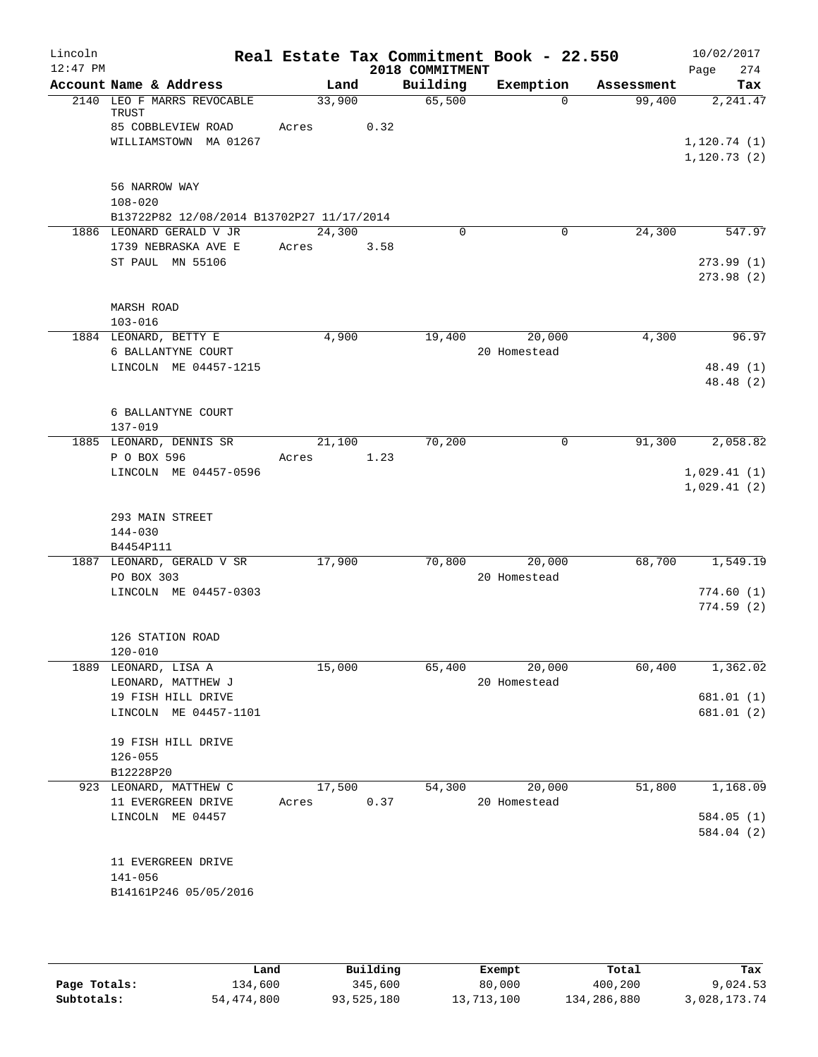| Lincoln    |                                                                                    |                 |      |                 | Real Estate Tax Commitment Book - 22.550 |            | 10/02/2017                 |
|------------|------------------------------------------------------------------------------------|-----------------|------|-----------------|------------------------------------------|------------|----------------------------|
| $12:47$ PM |                                                                                    |                 |      | 2018 COMMITMENT |                                          |            | Page<br>274                |
|            | Account Name & Address                                                             | Land            |      | Building        | Exemption                                | Assessment | Tax                        |
|            | 2140 LEO F MARRS REVOCABLE<br>TRUST<br>85 COBBLEVIEW ROAD<br>WILLIAMSTOWN MA 01267 | 33,900<br>Acres | 0.32 | 65,500          | $\Omega$                                 | 99,400     | 2,241.47<br>1, 120.74(1)   |
|            | 56 NARROW WAY<br>$108 - 020$                                                       |                 |      |                 |                                          |            | 1, 120.73(2)               |
|            | B13722P82 12/08/2014 B13702P27 11/17/2014<br>1886 LEONARD GERALD V JR              | 24,300          |      | 0               | 0                                        | 24,300     | 547.97                     |
|            | 1739 NEBRASKA AVE E                                                                | Acres           | 3.58 |                 |                                          |            |                            |
|            | ST PAUL MN 55106                                                                   |                 |      |                 |                                          |            | 273.99(1)<br>273.98(2)     |
|            | <b>MARSH ROAD</b><br>$103 - 016$                                                   |                 |      |                 |                                          |            |                            |
|            | 1884 LEONARD, BETTY E                                                              | 4,900           |      | 19,400          | 20,000<br>20 Homestead                   | 4,300      | 96.97                      |
|            | 6 BALLANTYNE COURT<br>LINCOLN ME 04457-1215                                        |                 |      |                 |                                          |            | 48.49 (1)<br>48.48 (2)     |
|            | 6 BALLANTYNE COURT<br>$137 - 019$                                                  |                 |      |                 |                                          |            |                            |
|            | 1885 LEONARD, DENNIS SR                                                            | 21,100          |      | 70,200          | 0                                        | 91,300     | 2,058.82                   |
|            | P O BOX 596                                                                        | Acres           | 1.23 |                 |                                          |            |                            |
|            | LINCOLN ME 04457-0596                                                              |                 |      |                 |                                          |            | 1,029.41(1)<br>1,029.41(2) |
|            | 293 MAIN STREET<br>$144 - 030$                                                     |                 |      |                 |                                          |            |                            |
|            | B4454P111                                                                          |                 |      |                 |                                          |            |                            |
|            | 1887 LEONARD, GERALD V SR<br>PO BOX 303                                            | 17,900          |      | 70,800          | 20,000<br>20 Homestead                   | 68,700     | 1,549.19                   |
|            | LINCOLN ME 04457-0303                                                              |                 |      |                 |                                          |            | 774.60(1)                  |
|            |                                                                                    |                 |      |                 |                                          |            | 774.59(2)                  |
|            | 126 STATION ROAD<br>$120 - 010$                                                    |                 |      |                 |                                          |            |                            |
|            | 1889 LEONARD, LISA A                                                               | 15,000          |      | 65,400          | 20,000                                   | 60,400     | 1,362.02                   |
|            | LEONARD, MATTHEW J                                                                 |                 |      |                 | 20 Homestead                             |            |                            |
|            | 19 FISH HILL DRIVE                                                                 |                 |      |                 |                                          |            | 681.01 (1)                 |
|            | LINCOLN ME 04457-1101                                                              |                 |      |                 |                                          |            | 681.01(2)                  |
|            | 19 FISH HILL DRIVE<br>$126 - 055$                                                  |                 |      |                 |                                          |            |                            |
|            | B12228P20                                                                          |                 |      |                 |                                          |            |                            |
|            | 923 LEONARD, MATTHEW C                                                             | 17,500          |      | 54,300          | 20,000                                   | 51,800     | 1,168.09                   |
|            | 11 EVERGREEN DRIVE                                                                 | Acres           | 0.37 |                 | 20 Homestead                             |            |                            |
|            | LINCOLN ME 04457                                                                   |                 |      |                 |                                          |            | 584.05(1)<br>584.04 (2)    |
|            | 11 EVERGREEN DRIVE<br>$141 - 056$<br>B14161P246 05/05/2016                         |                 |      |                 |                                          |            |                            |
|            |                                                                                    |                 |      |                 |                                          |            |                            |

|              | Land       | Building   | Exempt     | Total       | Tax          |
|--------------|------------|------------|------------|-------------|--------------|
| Page Totals: | 134,600    | 345,600    | 80,000     | 400,200     | 9,024.53     |
| Subtotals:   | 54,474,800 | 93,525,180 | 13,713,100 | 134,286,880 | 3,028,173.74 |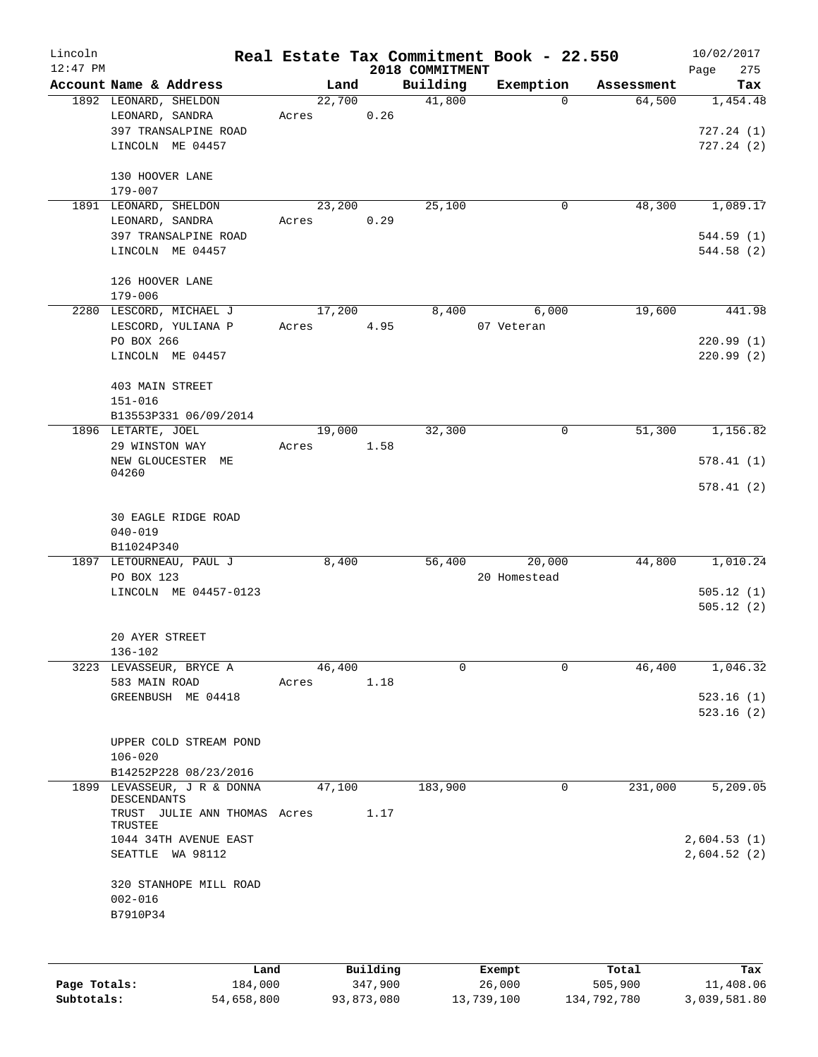| Lincoln    |                                          |                |      |                    | Real Estate Tax Commitment Book - 22.550 |                      | 10/02/2017      |
|------------|------------------------------------------|----------------|------|--------------------|------------------------------------------|----------------------|-----------------|
| $12:47$ PM |                                          |                |      | 2018 COMMITMENT    |                                          |                      | 275<br>Page     |
|            | Account Name & Address                   | Land<br>22,700 |      | Building<br>41,800 | Exemption<br>$\Omega$                    | Assessment<br>64,500 | Tax<br>1,454.48 |
|            | 1892 LEONARD, SHELDON<br>LEONARD, SANDRA | Acres          | 0.26 |                    |                                          |                      |                 |
|            | 397 TRANSALPINE ROAD                     |                |      |                    |                                          |                      | 727.24(1)       |
|            | LINCOLN ME 04457                         |                |      |                    |                                          |                      | 727.24(2)       |
|            |                                          |                |      |                    |                                          |                      |                 |
|            | 130 HOOVER LANE                          |                |      |                    |                                          |                      |                 |
|            | 179-007                                  |                |      |                    |                                          |                      |                 |
|            | 1891 LEONARD, SHELDON                    | 23,200         |      | 25,100             | 0                                        | 48,300               | 1,089.17        |
|            | LEONARD, SANDRA                          | Acres          | 0.29 |                    |                                          |                      |                 |
|            | 397 TRANSALPINE ROAD                     |                |      |                    |                                          |                      | 544.59 (1)      |
|            | LINCOLN ME 04457                         |                |      |                    |                                          |                      | 544.58(2)       |
|            |                                          |                |      |                    |                                          |                      |                 |
|            | 126 HOOVER LANE                          |                |      |                    |                                          |                      |                 |
|            | $179 - 006$                              |                |      |                    |                                          |                      |                 |
|            | 2280 LESCORD, MICHAEL J                  | 17,200         |      | 8,400              | 6,000                                    | 19,600               | 441.98          |
|            | LESCORD, YULIANA P                       | Acres          | 4.95 |                    | 07 Veteran                               |                      |                 |
|            | PO BOX 266                               |                |      |                    |                                          |                      | 220.99(1)       |
|            | LINCOLN ME 04457                         |                |      |                    |                                          |                      | 220.99(2)       |
|            |                                          |                |      |                    |                                          |                      |                 |
|            | 403 MAIN STREET                          |                |      |                    |                                          |                      |                 |
|            | $151 - 016$                              |                |      |                    |                                          |                      |                 |
|            | B13553P331 06/09/2014                    |                |      |                    |                                          |                      |                 |
|            | 1896 LETARTE, JOEL                       | 19,000         |      | 32,300             | 0                                        | 51,300               | 1,156.82        |
|            | 29 WINSTON WAY                           | Acres          | 1.58 |                    |                                          |                      |                 |
|            | NEW GLOUCESTER ME<br>04260               |                |      |                    |                                          |                      | 578.41(1)       |
|            |                                          |                |      |                    |                                          |                      | 578.41(2)       |
|            |                                          |                |      |                    |                                          |                      |                 |
|            | 30 EAGLE RIDGE ROAD                      |                |      |                    |                                          |                      |                 |
|            | $040 - 019$                              |                |      |                    |                                          |                      |                 |
|            | B11024P340                               |                |      |                    |                                          |                      |                 |
|            | 1897 LETOURNEAU, PAUL J                  | 8,400          |      | 56,400             | 20,000                                   | 44,800               | 1,010.24        |
|            | PO BOX 123                               |                |      |                    | 20 Homestead                             |                      |                 |
|            | LINCOLN ME 04457-0123                    |                |      |                    |                                          |                      | 505.12(1)       |
|            |                                          |                |      |                    |                                          |                      | 505.12(2)       |
|            |                                          |                |      |                    |                                          |                      |                 |
|            | 20 AYER STREET                           |                |      |                    |                                          |                      |                 |
|            | 136-102                                  |                |      |                    |                                          |                      |                 |
|            | 3223 LEVASSEUR, BRYCE A                  | 46,400         |      | $\mathbf 0$        | 0                                        | 46,400               | 1,046.32        |
|            | 583 MAIN ROAD                            | Acres          | 1.18 |                    |                                          |                      |                 |
|            | GREENBUSH ME 04418                       |                |      |                    |                                          |                      | 523.16(1)       |
|            |                                          |                |      |                    |                                          |                      | 523.16(2)       |
|            |                                          |                |      |                    |                                          |                      |                 |
|            | UPPER COLD STREAM POND                   |                |      |                    |                                          |                      |                 |
|            | $106 - 020$<br>B14252P228 08/23/2016     |                |      |                    |                                          |                      |                 |
|            | 1899 LEVASSEUR, J R & DONNA              | 47,100         |      | 183,900            | 0                                        | 231,000              | 5,209.05        |
|            | DESCENDANTS                              |                |      |                    |                                          |                      |                 |
|            | TRUST JULIE ANN THOMAS Acres             |                | 1.17 |                    |                                          |                      |                 |
|            | TRUSTEE                                  |                |      |                    |                                          |                      |                 |
|            | 1044 34TH AVENUE EAST                    |                |      |                    |                                          |                      | 2,604.53(1)     |
|            | SEATTLE WA 98112                         |                |      |                    |                                          |                      | 2,604.52(2)     |
|            |                                          |                |      |                    |                                          |                      |                 |
|            | 320 STANHOPE MILL ROAD                   |                |      |                    |                                          |                      |                 |
|            | $002 - 016$                              |                |      |                    |                                          |                      |                 |
|            | B7910P34                                 |                |      |                    |                                          |                      |                 |
|            |                                          |                |      |                    |                                          |                      |                 |
|            |                                          |                |      |                    |                                          |                      |                 |

|              | Land       | Building   | Exempt     | Total       | Tax          |
|--------------|------------|------------|------------|-------------|--------------|
| Page Totals: | 184,000    | 347,900    | 26,000     | 505,900     | 11,408.06    |
| Subtotals:   | 54,658,800 | 93,873,080 | 13,739,100 | 134,792,780 | 3,039,581.80 |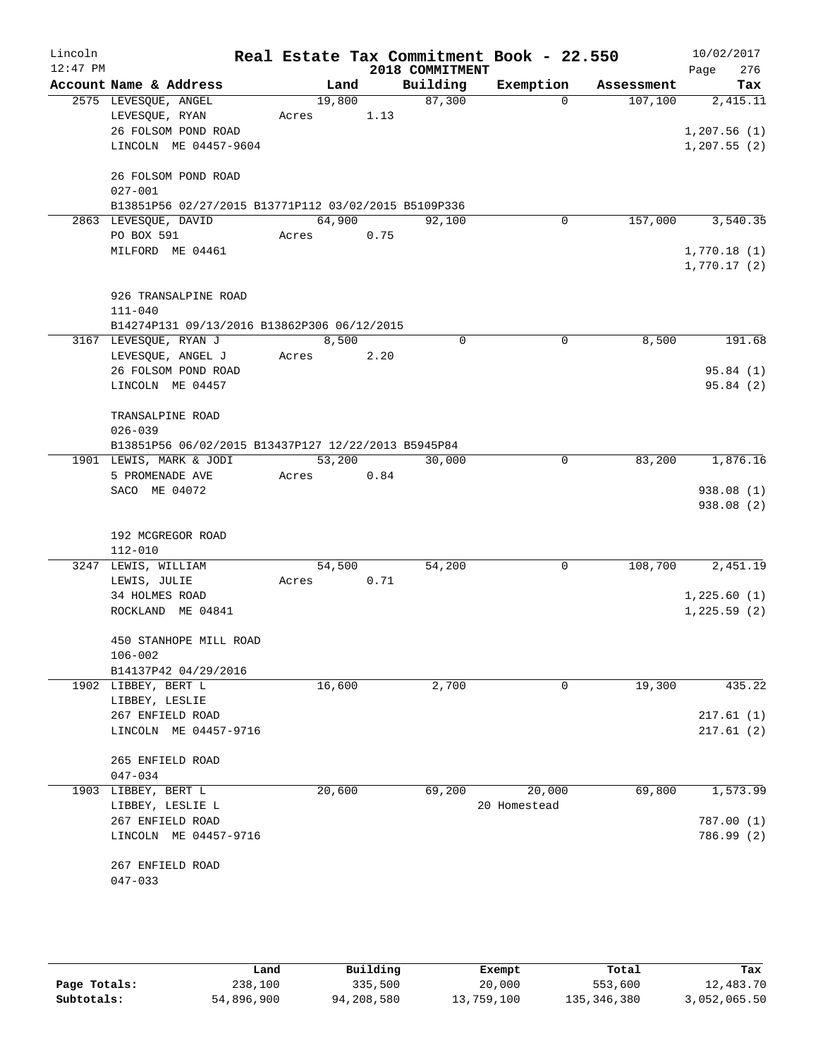| Lincoln    |                                                      |                 |        |                 | Real Estate Tax Commitment Book - 22.550 |            | 10/02/2017   |
|------------|------------------------------------------------------|-----------------|--------|-----------------|------------------------------------------|------------|--------------|
| $12:47$ PM |                                                      |                 |        | 2018 COMMITMENT |                                          |            | 276<br>Page  |
|            | Account Name & Address                               |                 | Land   | Building        | Exemption                                | Assessment | Tax          |
|            | 2575 LEVESQUE, ANGEL<br>LEVESQUE, RYAN               | 19,800<br>Acres | 1.13   | 87,300          | $\Omega$                                 | 107,100    | 2,415.11     |
|            | 26 FOLSOM POND ROAD                                  |                 |        |                 |                                          |            | 1,207.56(1)  |
|            | LINCOLN ME 04457-9604                                |                 |        |                 |                                          |            | 1, 207.55(2) |
|            |                                                      |                 |        |                 |                                          |            |              |
|            | 26 FOLSOM POND ROAD                                  |                 |        |                 |                                          |            |              |
|            | $027 - 001$                                          |                 |        |                 |                                          |            |              |
|            | B13851P56 02/27/2015 B13771P112 03/02/2015 B5109P336 |                 |        |                 |                                          |            |              |
|            | 2863 LEVESQUE, DAVID                                 |                 | 64,900 | 92,100          | $\mathbf 0$                              | 157,000    | 3,540.35     |
|            | PO BOX 591                                           | Acres           | 0.75   |                 |                                          |            |              |
|            | MILFORD ME 04461                                     |                 |        |                 |                                          |            | 1,770.18(1)  |
|            |                                                      |                 |        |                 |                                          |            | 1,770.17(2)  |
|            |                                                      |                 |        |                 |                                          |            |              |
|            | 926 TRANSALPINE ROAD                                 |                 |        |                 |                                          |            |              |
|            | $111 - 040$                                          |                 |        |                 |                                          |            |              |
|            | B14274P131 09/13/2016 B13862P306 06/12/2015          |                 |        |                 |                                          |            |              |
|            | 3167 LEVESQUE, RYAN J                                | 8,500           |        | $\Omega$        | $\mathbf 0$                              | 8,500      | 191.68       |
|            | LEVESQUE, ANGEL J                                    | Acres           | 2.20   |                 |                                          |            |              |
|            | 26 FOLSOM POND ROAD                                  |                 |        |                 |                                          |            | 95.84(1)     |
|            | LINCOLN ME 04457                                     |                 |        |                 |                                          |            | 95.84(2)     |
|            | TRANSALPINE ROAD                                     |                 |        |                 |                                          |            |              |
|            | $026 - 039$                                          |                 |        |                 |                                          |            |              |
|            | B13851P56 06/02/2015 B13437P127 12/22/2013 B5945P84  |                 |        |                 |                                          |            |              |
|            | 1901 LEWIS, MARK & JODI                              |                 | 53,200 | 30,000          | 0                                        | 83,200     | 1,876.16     |
|            | 5 PROMENADE AVE                                      | Acres           | 0.84   |                 |                                          |            |              |
|            | SACO ME 04072                                        |                 |        |                 |                                          |            | 938.08 (1)   |
|            |                                                      |                 |        |                 |                                          |            | 938.08 (2)   |
|            |                                                      |                 |        |                 |                                          |            |              |
|            | 192 MCGREGOR ROAD                                    |                 |        |                 |                                          |            |              |
|            | $112 - 010$                                          |                 |        |                 |                                          |            |              |
|            | 3247 LEWIS, WILLIAM                                  | 54,500          |        | 54,200          | 0                                        | 108,700    | 2,451.19     |
|            | LEWIS, JULIE                                         | Acres           | 0.71   |                 |                                          |            |              |
|            | 34 HOLMES ROAD                                       |                 |        |                 |                                          |            | 1,225.60(1)  |
|            | ROCKLAND ME 04841                                    |                 |        |                 |                                          |            | 1,225.59(2)  |
|            |                                                      |                 |        |                 |                                          |            |              |
|            | 450 STANHOPE MILL ROAD                               |                 |        |                 |                                          |            |              |
|            | $106 - 002$                                          |                 |        |                 |                                          |            |              |
|            | B14137P42 04/29/2016<br>1902 LIBBEY, BERT L          | 16,600          |        | 2,700           | $\mathbf 0$                              | 19,300     | 435.22       |
|            | LIBBEY, LESLIE                                       |                 |        |                 |                                          |            |              |
|            | 267 ENFIELD ROAD                                     |                 |        |                 |                                          |            | 217.61(1)    |
|            | LINCOLN ME 04457-9716                                |                 |        |                 |                                          |            | 217.61(2)    |
|            |                                                      |                 |        |                 |                                          |            |              |
|            | 265 ENFIELD ROAD                                     |                 |        |                 |                                          |            |              |
|            | $047 - 034$                                          |                 |        |                 |                                          |            |              |
|            | 1903 LIBBEY, BERT L                                  | 20,600          |        | 69,200          | 20,000                                   | 69,800     | 1,573.99     |
|            | LIBBEY, LESLIE L                                     |                 |        |                 | 20 Homestead                             |            |              |
|            | 267 ENFIELD ROAD                                     |                 |        |                 |                                          |            | 787.00(1)    |
|            | LINCOLN ME 04457-9716                                |                 |        |                 |                                          |            | 786.99 (2)   |
|            |                                                      |                 |        |                 |                                          |            |              |
|            | 267 ENFIELD ROAD                                     |                 |        |                 |                                          |            |              |
|            | $047 - 033$                                          |                 |        |                 |                                          |            |              |
|            |                                                      |                 |        |                 |                                          |            |              |

|              | Land       | Building   | Exempt     | Total         | Tax          |
|--------------|------------|------------|------------|---------------|--------------|
| Page Totals: | 238,100    | 335,500    | 20,000     | 553,600       | 12,483.70    |
| Subtotals:   | 54,896,900 | 94,208,580 | 13,759,100 | 135, 346, 380 | 3,052,065.50 |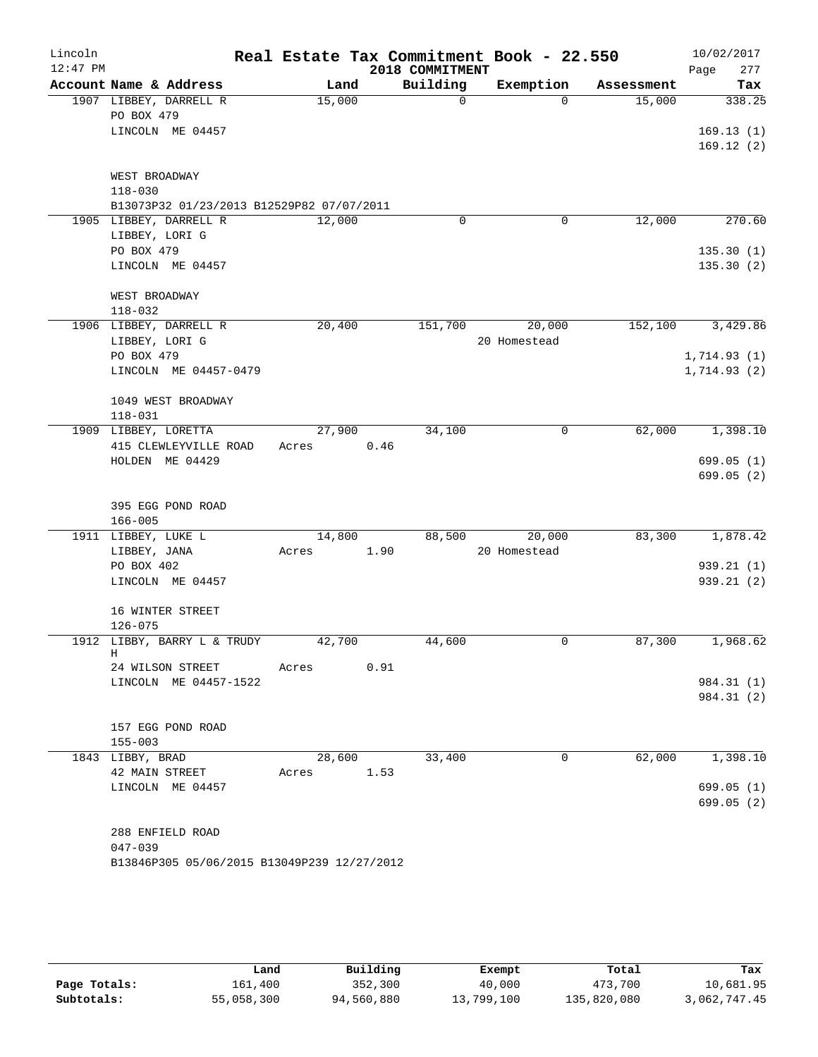| Lincoln<br>$12:47$ PM |                                             |       |        |      | Real Estate Tax Commitment Book - 22.550<br>2018 COMMITMENT |              |            | 10/02/2017<br>277<br>Page |
|-----------------------|---------------------------------------------|-------|--------|------|-------------------------------------------------------------|--------------|------------|---------------------------|
|                       | Account Name & Address                      |       | Land   |      | Building                                                    | Exemption    | Assessment | Tax                       |
|                       | 1907 LIBBEY, DARRELL R                      |       | 15,000 |      | $\overline{0}$                                              | $\Omega$     | 15,000     | 338.25                    |
|                       | PO BOX 479                                  |       |        |      |                                                             |              |            |                           |
|                       | LINCOLN ME 04457                            |       |        |      |                                                             |              |            | 169.13(1)                 |
|                       |                                             |       |        |      |                                                             |              |            | 169.12(2)                 |
|                       | WEST BROADWAY                               |       |        |      |                                                             |              |            |                           |
|                       | $118 - 030$                                 |       |        |      |                                                             |              |            |                           |
|                       | B13073P32 01/23/2013 B12529P82 07/07/2011   |       |        |      |                                                             |              |            |                           |
|                       | 1905 LIBBEY, DARRELL R                      |       | 12,000 |      | 0                                                           | 0            | 12,000     | 270.60                    |
|                       | LIBBEY, LORI G<br>PO BOX 479                |       |        |      |                                                             |              |            | 135.30(1)                 |
|                       | LINCOLN ME 04457                            |       |        |      |                                                             |              |            | 135.30(2)                 |
|                       |                                             |       |        |      |                                                             |              |            |                           |
|                       | WEST BROADWAY                               |       |        |      |                                                             |              |            |                           |
|                       | $118 - 032$                                 |       |        |      |                                                             |              |            |                           |
|                       | 1906 LIBBEY, DARRELL R                      |       | 20,400 |      | 151,700                                                     | 20,000       | 152,100    | 3,429.86                  |
|                       | LIBBEY, LORI G<br>PO BOX 479                |       |        |      |                                                             | 20 Homestead |            | 1,714.93(1)               |
|                       | LINCOLN ME 04457-0479                       |       |        |      |                                                             |              |            | 1,714.93(2)               |
|                       |                                             |       |        |      |                                                             |              |            |                           |
|                       | 1049 WEST BROADWAY                          |       |        |      |                                                             |              |            |                           |
|                       | $118 - 031$                                 |       |        |      |                                                             |              |            |                           |
|                       | 1909 LIBBEY, LORETTA                        |       | 27,900 |      | 34,100                                                      | $\mathsf{O}$ | 62,000     | 1,398.10                  |
|                       | 415 CLEWLEYVILLE ROAD                       | Acres |        | 0.46 |                                                             |              |            |                           |
|                       | HOLDEN ME 04429                             |       |        |      |                                                             |              |            | 699.05 (1)<br>699.05(2)   |
|                       |                                             |       |        |      |                                                             |              |            |                           |
|                       | 395 EGG POND ROAD                           |       |        |      |                                                             |              |            |                           |
|                       | $166 - 005$                                 |       |        |      |                                                             |              |            |                           |
|                       | 1911 LIBBEY, LUKE L                         |       | 14,800 |      | 88,500                                                      | 20,000       | 83,300     | 1,878.42                  |
|                       | LIBBEY, JANA                                | Acres |        | 1.90 |                                                             | 20 Homestead |            |                           |
|                       | PO BOX 402<br>LINCOLN ME 04457              |       |        |      |                                                             |              |            | 939.21(1)<br>939.21(2)    |
|                       |                                             |       |        |      |                                                             |              |            |                           |
|                       | 16 WINTER STREET                            |       |        |      |                                                             |              |            |                           |
|                       | $126 - 075$                                 |       |        |      |                                                             |              |            |                           |
|                       | 1912 LIBBY, BARRY L & TRUDY                 |       | 42,700 |      | 44,600                                                      | 0            | 87,300     | 1,968.62                  |
|                       | Η<br>24 WILSON STREET                       | Acres |        | 0.91 |                                                             |              |            |                           |
|                       | LINCOLN ME 04457-1522                       |       |        |      |                                                             |              |            | 984.31 (1)                |
|                       |                                             |       |        |      |                                                             |              |            | 984.31 (2)                |
|                       |                                             |       |        |      |                                                             |              |            |                           |
|                       | 157 EGG POND ROAD                           |       |        |      |                                                             |              |            |                           |
|                       | $155 - 003$                                 |       |        |      |                                                             |              |            |                           |
|                       | 1843 LIBBY, BRAD<br>42 MAIN STREET          | Acres | 28,600 | 1.53 | 33,400                                                      | 0            | 62,000     | 1,398.10                  |
|                       | LINCOLN ME 04457                            |       |        |      |                                                             |              |            | 699.05(1)                 |
|                       |                                             |       |        |      |                                                             |              |            | 699.05(2)                 |
|                       |                                             |       |        |      |                                                             |              |            |                           |
|                       | 288 ENFIELD ROAD                            |       |        |      |                                                             |              |            |                           |
|                       | $047 - 039$                                 |       |        |      |                                                             |              |            |                           |
|                       | B13846P305 05/06/2015 B13049P239 12/27/2012 |       |        |      |                                                             |              |            |                           |

|              | Land       | Building   | Exempt     | Total       | Tax          |
|--------------|------------|------------|------------|-------------|--------------|
| Page Totals: | 161,400    | 352,300    | 40,000     | 473,700     | 10,681.95    |
| Subtotals:   | 55,058,300 | 94,560,880 | 13,799,100 | 135,820,080 | 3,062,747.45 |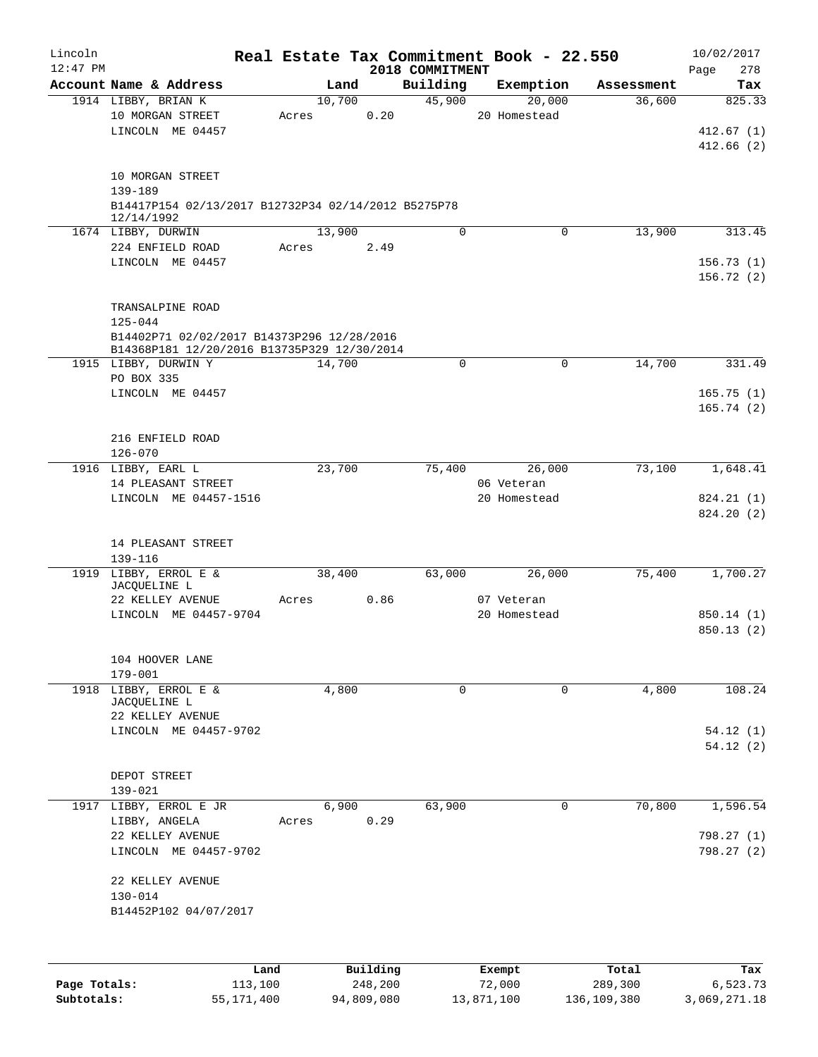| Lincoln<br>$12:47$ PM |                                                           |       |        |          | 2018 COMMITMENT | Real Estate Tax Commitment Book - 22.550 |            | 10/02/2017<br>Page<br>278 |
|-----------------------|-----------------------------------------------------------|-------|--------|----------|-----------------|------------------------------------------|------------|---------------------------|
|                       | Account Name & Address                                    |       | Land   |          | Building        | Exemption                                | Assessment | Tax                       |
|                       | 1914 LIBBY, BRIAN K                                       |       | 10,700 |          | 45,900          | 20,000                                   | 36,600     | 825.33                    |
|                       | 10 MORGAN STREET                                          | Acres |        | 0.20     |                 | 20 Homestead                             |            |                           |
|                       | LINCOLN ME 04457                                          |       |        |          |                 |                                          |            | 412.67(1)                 |
|                       |                                                           |       |        |          |                 |                                          |            | 412.66(2)                 |
|                       |                                                           |       |        |          |                 |                                          |            |                           |
|                       | 10 MORGAN STREET<br>139-189                               |       |        |          |                 |                                          |            |                           |
|                       | B14417P154 02/13/2017 B12732P34 02/14/2012 B5275P78       |       |        |          |                 |                                          |            |                           |
|                       | 12/14/1992                                                |       |        |          |                 |                                          |            |                           |
|                       | 1674 LIBBY, DURWIN                                        |       | 13,900 |          | $\Omega$        | 0                                        | 13,900     | 313.45                    |
|                       | 224 ENFIELD ROAD                                          | Acres |        | 2.49     |                 |                                          |            |                           |
|                       | LINCOLN ME 04457                                          |       |        |          |                 |                                          |            | 156.73(1)                 |
|                       |                                                           |       |        |          |                 |                                          |            | 156.72(2)                 |
|                       |                                                           |       |        |          |                 |                                          |            |                           |
|                       | TRANSALPINE ROAD                                          |       |        |          |                 |                                          |            |                           |
|                       | $125 - 044$<br>B14402P71 02/02/2017 B14373P296 12/28/2016 |       |        |          |                 |                                          |            |                           |
|                       | B14368P181 12/20/2016 B13735P329 12/30/2014               |       |        |          |                 |                                          |            |                           |
|                       | 1915 LIBBY, DURWIN Y                                      |       | 14,700 |          | $\Omega$        | $\mathbf 0$                              | 14,700     | 331.49                    |
|                       | PO BOX 335                                                |       |        |          |                 |                                          |            |                           |
|                       | LINCOLN ME 04457                                          |       |        |          |                 |                                          |            | 165.75(1)                 |
|                       |                                                           |       |        |          |                 |                                          |            | 165.74(2)                 |
|                       |                                                           |       |        |          |                 |                                          |            |                           |
|                       | 216 ENFIELD ROAD                                          |       |        |          |                 |                                          |            |                           |
|                       | $126 - 070$                                               |       |        |          |                 |                                          |            |                           |
|                       | 1916 LIBBY, EARL L<br>14 PLEASANT STREET                  |       | 23,700 |          | 75,400          | 26,000<br>06 Veteran                     | 73,100     | 1,648.41                  |
|                       | LINCOLN ME 04457-1516                                     |       |        |          |                 | 20 Homestead                             |            | 824.21 (1)                |
|                       |                                                           |       |        |          |                 |                                          |            | 824.20 (2)                |
|                       |                                                           |       |        |          |                 |                                          |            |                           |
|                       | 14 PLEASANT STREET                                        |       |        |          |                 |                                          |            |                           |
|                       | 139-116                                                   |       |        |          |                 |                                          |            |                           |
|                       | 1919 LIBBY, ERROL E &                                     |       | 38,400 |          | 63,000          | 26,000                                   | 75,400     | 1,700.27                  |
|                       | JACQUELINE L<br>22 KELLEY AVENUE                          | Acres |        | 0.86     |                 | 07 Veteran                               |            |                           |
|                       | LINCOLN ME 04457-9704                                     |       |        |          |                 | 20 Homestead                             |            | 850.14(1)                 |
|                       |                                                           |       |        |          |                 |                                          |            | 850.13 (2)                |
|                       |                                                           |       |        |          |                 |                                          |            |                           |
|                       | 104 HOOVER LANE                                           |       |        |          |                 |                                          |            |                           |
|                       | $179 - 001$                                               |       |        |          |                 |                                          |            |                           |
|                       | 1918 LIBBY, ERROL E &                                     |       | 4,800  |          | 0               | 0                                        | 4,800      | 108.24                    |
|                       | JACQUELINE L<br>22 KELLEY AVENUE                          |       |        |          |                 |                                          |            |                           |
|                       | LINCOLN ME 04457-9702                                     |       |        |          |                 |                                          |            | 54.12(1)                  |
|                       |                                                           |       |        |          |                 |                                          |            | 54.12(2)                  |
|                       |                                                           |       |        |          |                 |                                          |            |                           |
|                       | DEPOT STREET                                              |       |        |          |                 |                                          |            |                           |
|                       | 139-021                                                   |       |        |          |                 |                                          |            |                           |
| 1917                  | LIBBY, ERROL E JR                                         |       | 6,900  |          | 63,900          | 0                                        | 70,800     | 1,596.54                  |
|                       | LIBBY, ANGELA                                             | Acres |        | 0.29     |                 |                                          |            |                           |
|                       | 22 KELLEY AVENUE                                          |       |        |          |                 |                                          |            | 798.27 (1)                |
|                       | LINCOLN ME 04457-9702                                     |       |        |          |                 |                                          |            | 798.27(2)                 |
|                       | 22 KELLEY AVENUE                                          |       |        |          |                 |                                          |            |                           |
|                       | $130 - 014$                                               |       |        |          |                 |                                          |            |                           |
|                       | B14452P102 04/07/2017                                     |       |        |          |                 |                                          |            |                           |
|                       |                                                           |       |        |          |                 |                                          |            |                           |
|                       |                                                           |       |        |          |                 |                                          |            |                           |
|                       |                                                           | Land  |        | Building |                 | Exempt                                   | Total      | Tax                       |
| Page Totals:          | 113,100                                                   |       |        | 248,200  |                 | 72,000                                   | 289,300    | 6,523.73                  |

**Subtotals:** 55,171,400 94,809,080 13,871,100 136,109,380 3,069,271.18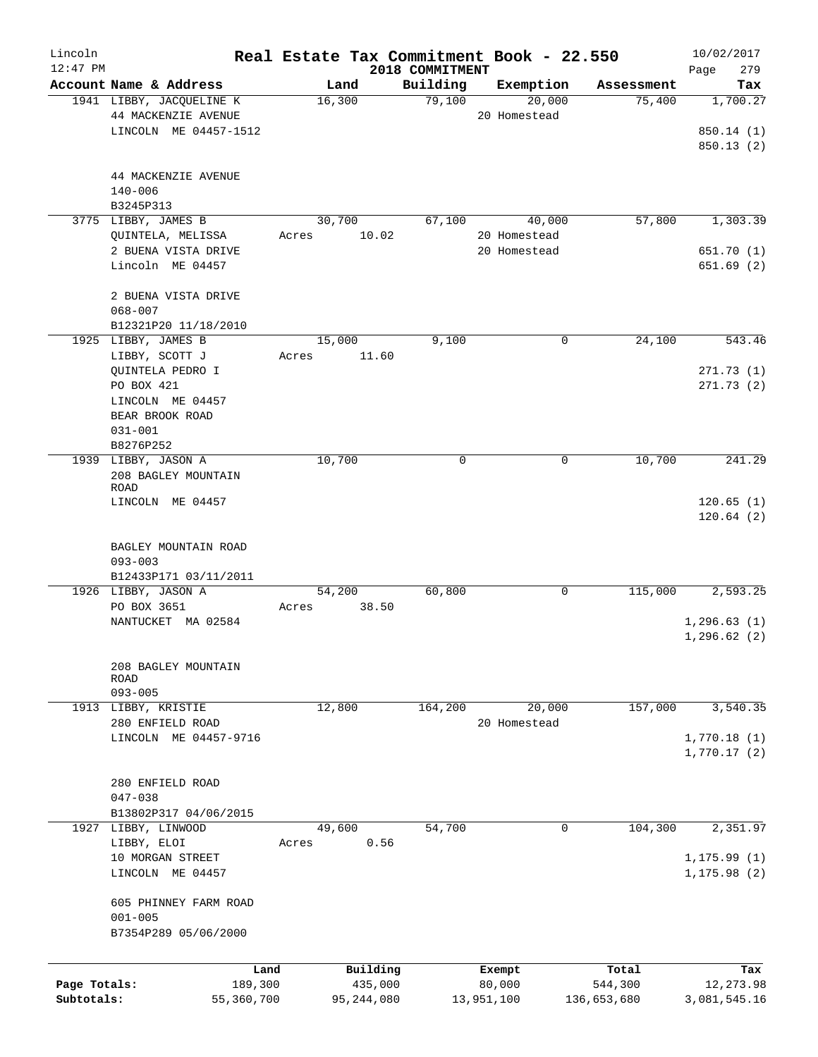| Lincoln<br>$12:47$ PM |                          | Real Estate Tax Commitment Book - 22.550 | 2018 COMMITMENT |              |             | 10/02/2017<br>279<br>Page |
|-----------------------|--------------------------|------------------------------------------|-----------------|--------------|-------------|---------------------------|
|                       | Account Name & Address   | Land                                     | Building        | Exemption    | Assessment  | Tax                       |
|                       | 1941 LIBBY, JACQUELINE K | 16,300                                   | 79,100          | 20,000       | 75,400      | 1,700.27                  |
|                       | 44 MACKENZIE AVENUE      |                                          |                 | 20 Homestead |             |                           |
|                       | LINCOLN ME 04457-1512    |                                          |                 |              |             | 850.14 (1)                |
|                       |                          |                                          |                 |              |             |                           |
|                       |                          |                                          |                 |              |             | 850.13(2)                 |
|                       |                          |                                          |                 |              |             |                           |
|                       | 44 MACKENZIE AVENUE      |                                          |                 |              |             |                           |
|                       | $140 - 006$              |                                          |                 |              |             |                           |
|                       | B3245P313                |                                          |                 |              |             |                           |
|                       | 3775 LIBBY, JAMES B      | 30,700                                   | 67,100          | 40,000       | 57,800      | 1,303.39                  |
|                       | QUINTELA, MELISSA        | 10.02<br>Acres                           |                 | 20 Homestead |             |                           |
|                       | 2 BUENA VISTA DRIVE      |                                          |                 | 20 Homestead |             | 651.70 (1)                |
|                       | Lincoln ME 04457         |                                          |                 |              |             | 651.69(2)                 |
|                       |                          |                                          |                 |              |             |                           |
|                       | 2 BUENA VISTA DRIVE      |                                          |                 |              |             |                           |
|                       | $068 - 007$              |                                          |                 |              |             |                           |
|                       | B12321P20 11/18/2010     |                                          |                 |              |             |                           |
|                       | 1925 LIBBY, JAMES B      | 15,000                                   | 9,100           | 0            | 24,100      | 543.46                    |
|                       | LIBBY, SCOTT J           | 11.60<br>Acres                           |                 |              |             |                           |
|                       | QUINTELA PEDRO I         |                                          |                 |              |             | 271.73(1)                 |
|                       | PO BOX 421               |                                          |                 |              |             | 271.73(2)                 |
|                       | LINCOLN ME 04457         |                                          |                 |              |             |                           |
|                       | BEAR BROOK ROAD          |                                          |                 |              |             |                           |
|                       | $031 - 001$              |                                          |                 |              |             |                           |
|                       | B8276P252                |                                          |                 |              |             |                           |
|                       | 1939 LIBBY, JASON A      | 10,700                                   | $\mathsf{O}$    | 0            | 10,700      | 241.29                    |
|                       | 208 BAGLEY MOUNTAIN      |                                          |                 |              |             |                           |
|                       | <b>ROAD</b>              |                                          |                 |              |             |                           |
|                       | LINCOLN ME 04457         |                                          |                 |              |             | 120.65(1)                 |
|                       |                          |                                          |                 |              |             | 120.64(2)                 |
|                       |                          |                                          |                 |              |             |                           |
|                       | BAGLEY MOUNTAIN ROAD     |                                          |                 |              |             |                           |
|                       | $093 - 003$              |                                          |                 |              |             |                           |
|                       | B12433P171 03/11/2011    |                                          |                 |              |             |                           |
|                       | 1926 LIBBY, JASON A      | 54,200                                   | 60,800          | 0            | 115,000     | 2,593.25                  |
|                       | PO BOX 3651              | 38.50<br>Acres                           |                 |              |             |                           |
|                       | NANTUCKET MA 02584       |                                          |                 |              |             | 1, 296.63(1)              |
|                       |                          |                                          |                 |              |             | 1, 296.62(2)              |
|                       |                          |                                          |                 |              |             |                           |
|                       | 208 BAGLEY MOUNTAIN      |                                          |                 |              |             |                           |
|                       | ROAD                     |                                          |                 |              |             |                           |
|                       | $093 - 005$              |                                          |                 |              |             |                           |
|                       | 1913 LIBBY, KRISTIE      | 12,800                                   | 164,200         | 20,000       | 157,000     | 3,540.35                  |
|                       | 280 ENFIELD ROAD         |                                          |                 | 20 Homestead |             |                           |
|                       | LINCOLN ME 04457-9716    |                                          |                 |              |             | 1,770.18(1)               |
|                       |                          |                                          |                 |              |             | 1,770.17(2)               |
|                       |                          |                                          |                 |              |             |                           |
|                       | 280 ENFIELD ROAD         |                                          |                 |              |             |                           |
|                       | $047 - 038$              |                                          |                 |              |             |                           |
|                       | B13802P317 04/06/2015    |                                          |                 |              |             |                           |
|                       |                          |                                          |                 | 0            |             |                           |
|                       | 1927 LIBBY, LINWOOD      | 49,600                                   | 54,700          |              | 104,300     | 2,351.97                  |
|                       | LIBBY, ELOI              | 0.56<br>Acres                            |                 |              |             |                           |
|                       | 10 MORGAN STREET         |                                          |                 |              |             | 1, 175.99(1)              |
|                       | LINCOLN ME 04457         |                                          |                 |              |             | 1, 175.98(2)              |
|                       |                          |                                          |                 |              |             |                           |
|                       | 605 PHINNEY FARM ROAD    |                                          |                 |              |             |                           |
|                       | $001 - 005$              |                                          |                 |              |             |                           |
|                       | B7354P289 05/06/2000     |                                          |                 |              |             |                           |
|                       |                          |                                          |                 |              |             |                           |
|                       | Land                     | Building                                 |                 | Exempt       | Total       | Tax                       |
| Page Totals:          | 189,300                  | 435,000                                  |                 | 80,000       | 544,300     | 12,273.98                 |
| Subtotals:            | 55,360,700               | 95,244,080                               |                 | 13,951,100   | 136,653,680 | 3,081,545.16              |
|                       |                          |                                          |                 |              |             |                           |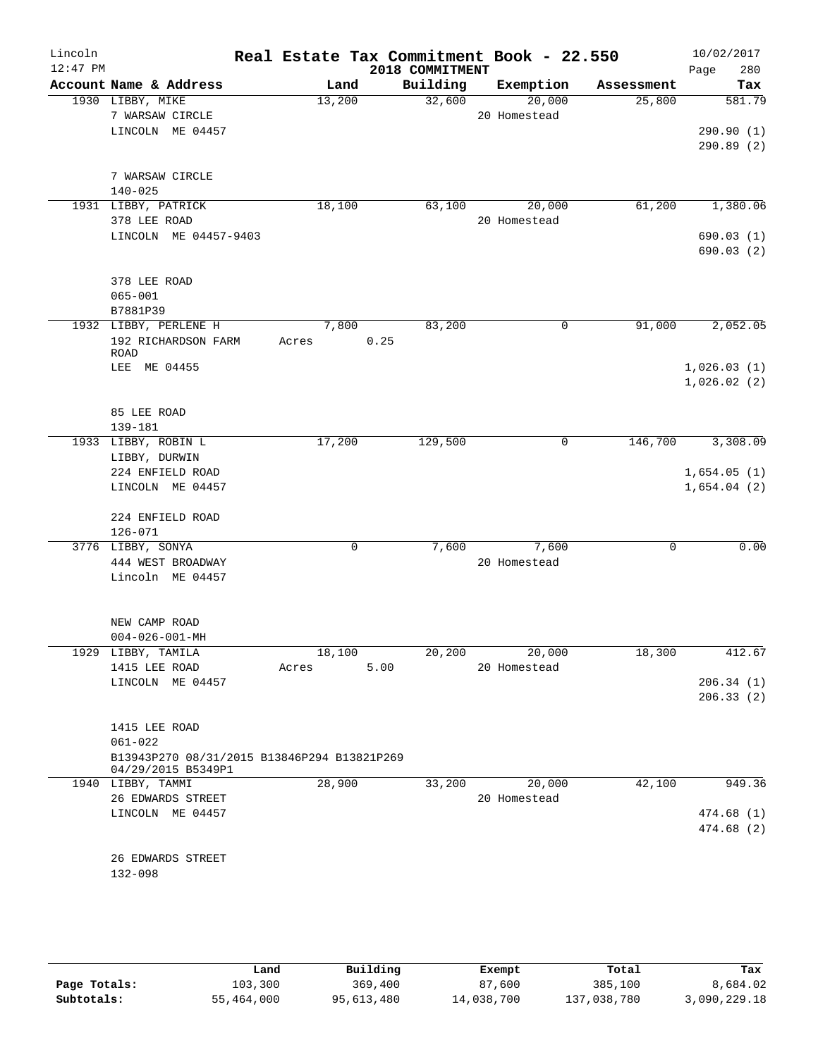| Lincoln<br>$12:47$ PM |                                             |             |      | 2018 COMMITMENT | Real Estate Tax Commitment Book - 22.550 |             | 10/02/2017<br>Page<br>280 |
|-----------------------|---------------------------------------------|-------------|------|-----------------|------------------------------------------|-------------|---------------------------|
|                       | Account Name & Address                      | Land        |      | Building        | Exemption                                | Assessment  | Tax                       |
|                       | 1930 LIBBY, MIKE                            | 13,200      |      | 32,600          | 20,000                                   | 25,800      | 581.79                    |
|                       | 7 WARSAW CIRCLE<br>LINCOLN ME 04457         |             |      |                 | 20 Homestead                             |             | 290.90(1)                 |
|                       |                                             |             |      |                 |                                          |             | 290.89(2)                 |
|                       |                                             |             |      |                 |                                          |             |                           |
|                       | 7 WARSAW CIRCLE                             |             |      |                 |                                          |             |                           |
|                       | $140 - 025$                                 |             |      |                 |                                          |             |                           |
|                       | 1931 LIBBY, PATRICK                         | 18,100      |      | 63,100          | 20,000                                   | 61,200      | 1,380.06                  |
|                       | 378 LEE ROAD                                |             |      |                 | 20 Homestead                             |             |                           |
|                       | LINCOLN ME 04457-9403                       |             |      |                 |                                          |             | 690.03(1)                 |
|                       |                                             |             |      |                 |                                          |             | 690.03 (2)                |
|                       | 378 LEE ROAD                                |             |      |                 |                                          |             |                           |
|                       | $065 - 001$                                 |             |      |                 |                                          |             |                           |
|                       | B7881P39                                    |             |      |                 |                                          |             |                           |
|                       | 1932 LIBBY, PERLENE H                       | 7,800       |      | 83,200          | 0                                        | 91,000      | 2,052.05                  |
|                       | 192 RICHARDSON FARM                         | Acres       | 0.25 |                 |                                          |             |                           |
|                       | ROAD                                        |             |      |                 |                                          |             |                           |
|                       | LEE ME 04455                                |             |      |                 |                                          |             | 1,026.03(1)               |
|                       |                                             |             |      |                 |                                          |             | 1,026.02(2)               |
|                       | 85 LEE ROAD                                 |             |      |                 |                                          |             |                           |
|                       | 139-181                                     |             |      |                 |                                          |             |                           |
|                       | 1933 LIBBY, ROBIN L                         | 17,200      |      | 129,500         | 0                                        | 146,700     | 3,308.09                  |
|                       | LIBBY, DURWIN                               |             |      |                 |                                          |             |                           |
|                       | 224 ENFIELD ROAD                            |             |      |                 |                                          |             | 1,654.05(1)               |
|                       | LINCOLN ME 04457                            |             |      |                 |                                          |             | 1,654.04(2)               |
|                       |                                             |             |      |                 |                                          |             |                           |
|                       | 224 ENFIELD ROAD                            |             |      |                 |                                          |             |                           |
|                       | $126 - 071$                                 |             |      |                 |                                          |             |                           |
|                       | 3776 LIBBY, SONYA                           | $\mathbf 0$ |      | 7,600           | 7,600<br>20 Homestead                    | $\mathbf 0$ | 0.00                      |
|                       | 444 WEST BROADWAY<br>Lincoln ME 04457       |             |      |                 |                                          |             |                           |
|                       |                                             |             |      |                 |                                          |             |                           |
|                       |                                             |             |      |                 |                                          |             |                           |
|                       | NEW CAMP ROAD                               |             |      |                 |                                          |             |                           |
|                       | $004 - 026 - 001 - MH$                      |             |      |                 |                                          |             |                           |
|                       | 1929 LIBBY, TAMILA                          | 18,100      |      | 20,200          | 20,000                                   | 18,300      | 412.67                    |
|                       | 1415 LEE ROAD                               | Acres       | 5.00 |                 | 20 Homestead                             |             |                           |
|                       | LINCOLN ME 04457                            |             |      |                 |                                          |             | 206.34(1)                 |
|                       |                                             |             |      |                 |                                          |             | 206.33(2)                 |
|                       | 1415 LEE ROAD                               |             |      |                 |                                          |             |                           |
|                       | $061 - 022$                                 |             |      |                 |                                          |             |                           |
|                       | B13943P270 08/31/2015 B13846P294 B13821P269 |             |      |                 |                                          |             |                           |
|                       | 04/29/2015 B5349P1                          |             |      |                 |                                          |             |                           |
|                       | 1940 LIBBY, TAMMI<br>26 EDWARDS STREET      | 28,900      |      | 33,200          | 20,000<br>20 Homestead                   | 42,100      | 949.36                    |
|                       | LINCOLN ME 04457                            |             |      |                 |                                          |             |                           |
|                       |                                             |             |      |                 |                                          |             | 474.68 (1)<br>474.68 (2)  |
|                       |                                             |             |      |                 |                                          |             |                           |
|                       | 26 EDWARDS STREET                           |             |      |                 |                                          |             |                           |
|                       | 132-098                                     |             |      |                 |                                          |             |                           |
|                       |                                             |             |      |                 |                                          |             |                           |
|                       |                                             |             |      |                 |                                          |             |                           |
|                       |                                             |             |      |                 |                                          |             |                           |
|                       |                                             |             |      |                 |                                          |             |                           |

|              | Land       | Building   | Exempt     | Total       | Tax          |
|--------------|------------|------------|------------|-------------|--------------|
| Page Totals: | 103,300    | 369,400    | 87,600     | 385,100     | 8,684.02     |
| Subtotals:   | 55,464,000 | 95,613,480 | 14,038,700 | 137,038,780 | 3,090,229.18 |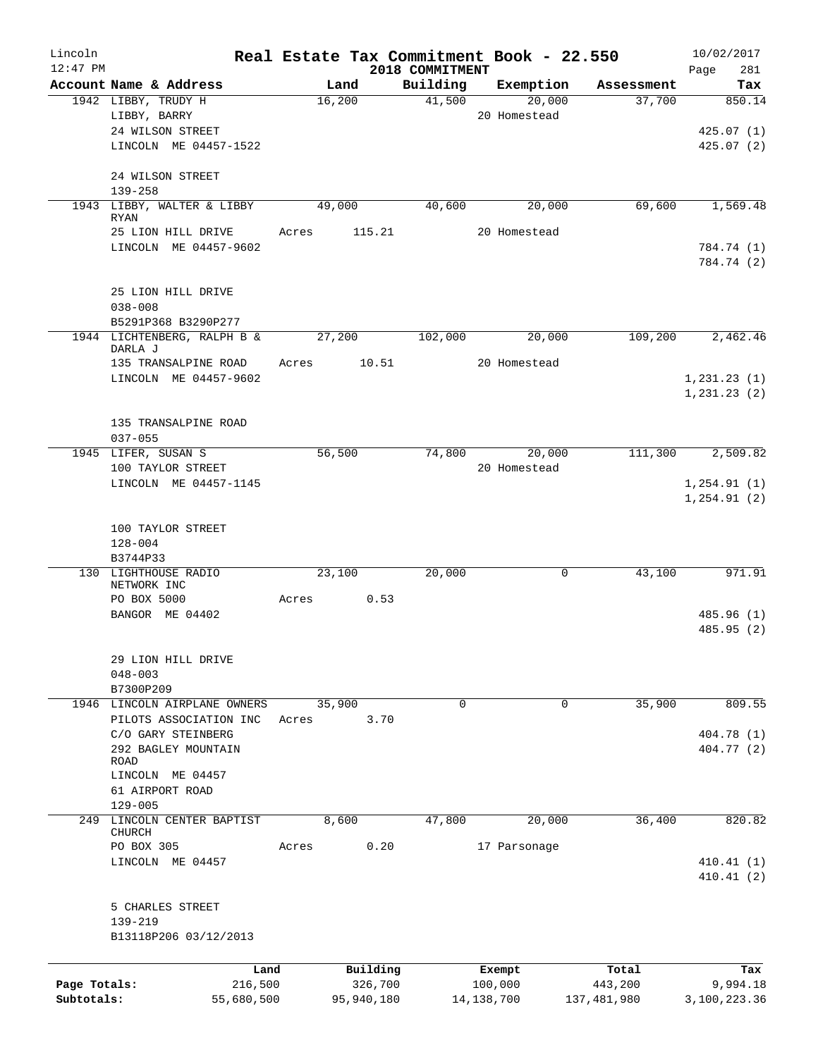| Lincoln<br>$12:47$ PM |                                           |       |            | 2018 COMMITMENT | Real Estate Tax Commitment Book - 22.550 |               | 10/02/2017<br>281        |
|-----------------------|-------------------------------------------|-------|------------|-----------------|------------------------------------------|---------------|--------------------------|
|                       | Account Name & Address                    |       | Land       | Building        | Exemption                                | Assessment    | Page<br>Tax              |
|                       | 1942 LIBBY, TRUDY H                       |       | 16,200     | 41,500          | 20,000                                   | 37,700        | 850.14                   |
|                       | LIBBY, BARRY                              |       |            |                 | 20 Homestead                             |               |                          |
|                       | 24 WILSON STREET                          |       |            |                 |                                          |               | 425.07(1)                |
|                       | LINCOLN ME 04457-1522                     |       |            |                 |                                          |               | 425.07(2)                |
|                       | 24 WILSON STREET                          |       |            |                 |                                          |               |                          |
|                       | $139 - 258$                               |       |            |                 |                                          |               |                          |
|                       | 1943 LIBBY, WALTER & LIBBY<br><b>RYAN</b> |       | 49,000     | 40,600          | 20,000                                   | 69,600        | 1,569.48                 |
|                       | 25 LION HILL DRIVE                        | Acres | 115.21     |                 | 20 Homestead                             |               |                          |
|                       | LINCOLN ME 04457-9602                     |       |            |                 |                                          |               | 784.74 (1)<br>784.74 (2) |
|                       |                                           |       |            |                 |                                          |               |                          |
|                       | 25 LION HILL DRIVE                        |       |            |                 |                                          |               |                          |
|                       | $038 - 008$<br>B5291P368 B3290P277        |       |            |                 |                                          |               |                          |
|                       | 1944 LICHTENBERG, RALPH B &               |       | 27,200     | 102,000         | 20,000                                   | 109,200       | 2,462.46                 |
|                       | DARLA J                                   |       |            |                 |                                          |               |                          |
|                       | 135 TRANSALPINE ROAD                      | Acres | 10.51      |                 | 20 Homestead                             |               |                          |
|                       | LINCOLN ME 04457-9602                     |       |            |                 |                                          |               | 1, 231.23(1)             |
|                       |                                           |       |            |                 |                                          |               | 1, 231.23(2)             |
|                       | 135 TRANSALPINE ROAD                      |       |            |                 |                                          |               |                          |
|                       | $037 - 055$                               |       |            |                 |                                          |               |                          |
|                       | 1945 LIFER, SUSAN S                       |       | 56,500     | 74,800          | 20,000                                   | 111,300       | 2,509.82                 |
|                       | 100 TAYLOR STREET                         |       |            |                 | 20 Homestead                             |               |                          |
|                       | LINCOLN ME 04457-1145                     |       |            |                 |                                          |               | 1, 254.91(1)             |
|                       |                                           |       |            |                 |                                          |               | 1, 254.91(2)             |
|                       |                                           |       |            |                 |                                          |               |                          |
|                       | 100 TAYLOR STREET                         |       |            |                 |                                          |               |                          |
|                       | $128 - 004$                               |       |            |                 |                                          |               |                          |
|                       | B3744P33                                  |       |            |                 |                                          |               |                          |
|                       | 130 LIGHTHOUSE RADIO<br>NETWORK INC       |       | 23,100     | 20,000          | $\mathbf 0$                              | 43,100        | 971.91                   |
|                       | PO BOX 5000                               | Acres | 0.53       |                 |                                          |               |                          |
|                       | BANGOR ME 04402                           |       |            |                 |                                          |               | 485.96 (1)               |
|                       |                                           |       |            |                 |                                          |               | 485.95 (2)               |
|                       |                                           |       |            |                 |                                          |               |                          |
|                       | 29 LION HILL DRIVE                        |       |            |                 |                                          |               |                          |
|                       | $048 - 003$<br>B7300P209                  |       |            |                 |                                          |               |                          |
|                       | 1946 LINCOLN AIRPLANE OWNERS              |       | 35,900     | $\mathbf 0$     | $\overline{0}$                           | 35,900        | 809.55                   |
|                       | PILOTS ASSOCIATION INC                    | Acres | 3.70       |                 |                                          |               |                          |
|                       | C/O GARY STEINBERG                        |       |            |                 |                                          |               | 404.78 (1)               |
|                       | 292 BAGLEY MOUNTAIN                       |       |            |                 |                                          |               | 404.77 (2)               |
|                       | ROAD                                      |       |            |                 |                                          |               |                          |
|                       | LINCOLN ME 04457                          |       |            |                 |                                          |               |                          |
|                       | 61 AIRPORT ROAD<br>$129 - 005$            |       |            |                 |                                          |               |                          |
|                       | 249 LINCOLN CENTER BAPTIST                |       | 8,600      | 47,800          | 20,000                                   | 36,400        | 820.82                   |
|                       | <b>CHURCH</b>                             |       |            |                 |                                          |               |                          |
|                       | PO BOX 305                                | Acres | 0.20       |                 | 17 Parsonage                             |               |                          |
|                       | LINCOLN ME 04457                          |       |            |                 |                                          |               | 410.41 (1)               |
|                       |                                           |       |            |                 |                                          |               | 410.41(2)                |
|                       | 5 CHARLES STREET                          |       |            |                 |                                          |               |                          |
|                       | $139 - 219$                               |       |            |                 |                                          |               |                          |
|                       | B13118P206 03/12/2013                     |       |            |                 |                                          |               |                          |
|                       | Land                                      |       | Building   |                 | Exempt                                   | Total         | Tax                      |
| Page Totals:          | 216,500                                   |       | 326,700    |                 | 100,000                                  | 443,200       | 9,994.18                 |
| Subtotals:            | 55,680,500                                |       | 95,940,180 |                 | 14, 138, 700                             | 137, 481, 980 | 3,100,223.36             |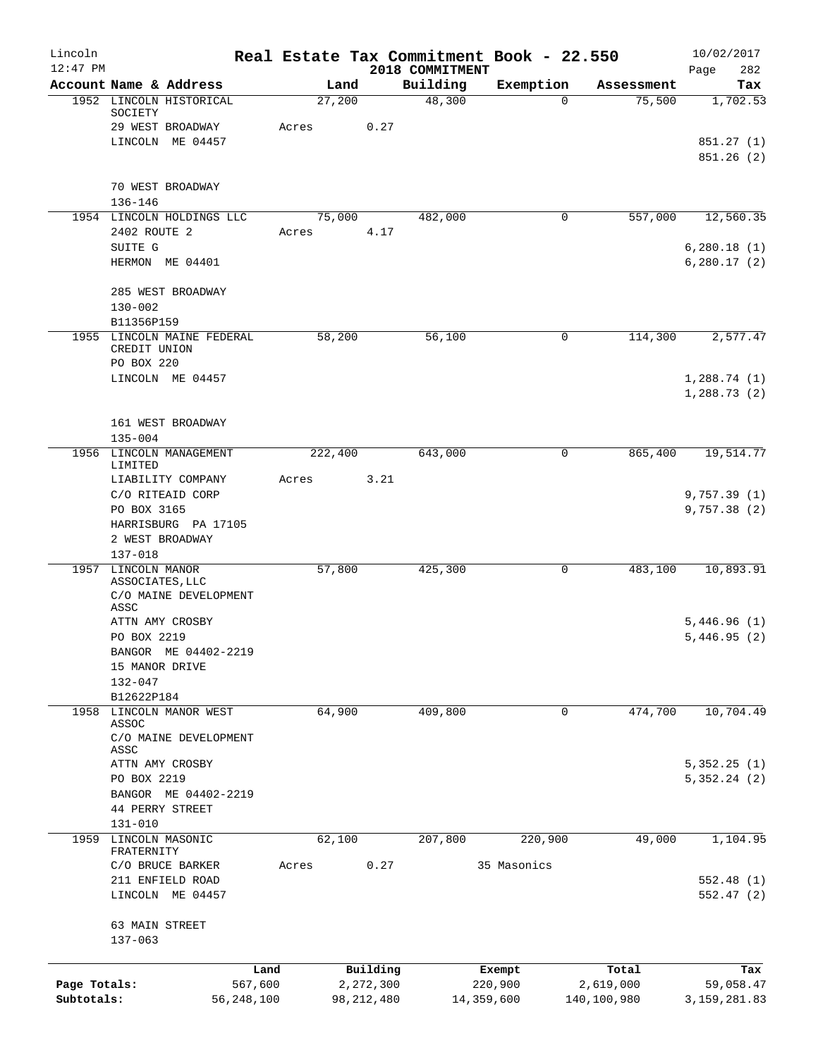| Lincoln      |                                |                                                  |                |                           |                             | Real Estate Tax Commitment Book - 22.550 |                          | 10/02/2017                  |
|--------------|--------------------------------|--------------------------------------------------|----------------|---------------------------|-----------------------------|------------------------------------------|--------------------------|-----------------------------|
| $12:47$ PM   | Account Name & Address         |                                                  |                |                           | 2018 COMMITMENT<br>Building | Exemption                                |                          | 282<br>Page                 |
|              |                                | 1952 LINCOLN HISTORICAL                          | Land<br>27,200 |                           | 48,300                      | $\mathbf 0$                              | Assessment<br>75,500     | Tax<br>1,702.53             |
|              | SOCIETY                        | 29 WEST BROADWAY                                 | Acres          | 0.27                      |                             |                                          |                          |                             |
|              |                                | LINCOLN ME 04457                                 |                |                           |                             |                                          |                          | 851.27 (1)                  |
|              |                                |                                                  |                |                           |                             |                                          |                          | 851.26(2)                   |
|              | 70 WEST BROADWAY               |                                                  |                |                           |                             |                                          |                          |                             |
|              | $136 - 146$                    |                                                  |                |                           |                             |                                          |                          |                             |
|              |                                | 1954 LINCOLN HOLDINGS LLC                        | 75,000         |                           | 482,000                     | $\mathbf 0$                              | 557,000                  | 12,560.35                   |
|              | 2402 ROUTE 2<br>SUITE G        |                                                  | Acres          | 4.17                      |                             |                                          |                          | 6, 280.18(1)                |
|              | HERMON ME 04401                |                                                  |                |                           |                             |                                          |                          | 6, 280.17(2)                |
|              | $130 - 002$                    | 285 WEST BROADWAY                                |                |                           |                             |                                          |                          |                             |
|              | B11356P159                     |                                                  |                |                           |                             |                                          |                          |                             |
|              | CREDIT UNION                   | 1955 LINCOLN MAINE FEDERAL                       | 58,200         |                           | 56,100                      | 0                                        | 114,300                  | 2,577.47                    |
|              | PO BOX 220                     |                                                  |                |                           |                             |                                          |                          |                             |
|              |                                | LINCOLN ME 04457                                 |                |                           |                             |                                          |                          | 1,288.74(1)<br>1,288.73(2)  |
|              |                                |                                                  |                |                           |                             |                                          |                          |                             |
|              | $135 - 004$                    | 161 WEST BROADWAY                                |                |                           |                             |                                          |                          |                             |
|              | LIMITED                        | 1956 LINCOLN MANAGEMENT                          | 222,400        |                           | 643,000                     | 0                                        | 865,400                  | 19,514.77                   |
|              |                                | LIABILITY COMPANY                                | Acres          | 3.21                      |                             |                                          |                          |                             |
|              | C/O RITEAID CORP               |                                                  |                |                           |                             |                                          |                          | 9,757.39(1)                 |
|              | PO BOX 3165                    |                                                  |                |                           |                             |                                          |                          | 9,757.38(2)                 |
|              |                                | HARRISBURG PA 17105                              |                |                           |                             |                                          |                          |                             |
|              | 2 WEST BROADWAY<br>$137 - 018$ |                                                  |                |                           |                             |                                          |                          |                             |
|              | 1957 LINCOLN MANOR             |                                                  | 57,800         |                           | 425,300                     | $\mathbf 0$                              | 483,100                  | 10,893.91                   |
|              | ASSOCIATES, LLC<br>ASSC        | C/O MAINE DEVELOPMENT                            |                |                           |                             |                                          |                          |                             |
|              | ATTN AMY CROSBY                |                                                  |                |                           |                             |                                          |                          | 5,446.96(1)                 |
|              | PO BOX 2219                    |                                                  |                |                           |                             |                                          |                          | 5,446.95(2)                 |
|              |                                | BANGOR ME 04402-2219                             |                |                           |                             |                                          |                          |                             |
|              | 15 MANOR DRIVE                 |                                                  |                |                           |                             |                                          |                          |                             |
|              | $132 - 047$                    |                                                  |                |                           |                             |                                          |                          |                             |
|              | B12622P184                     |                                                  |                |                           |                             |                                          |                          |                             |
|              | ASSOC                          | 1958 LINCOLN MANOR WEST<br>C/O MAINE DEVELOPMENT | 64,900         |                           | 409,800                     | 0                                        | 474,700                  | 10,704.49                   |
|              | ASSC                           |                                                  |                |                           |                             |                                          |                          |                             |
|              | ATTN AMY CROSBY<br>PO BOX 2219 |                                                  |                |                           |                             |                                          |                          | 5,352.25(1)<br>5,352.24(2)  |
|              |                                | BANGOR ME 04402-2219                             |                |                           |                             |                                          |                          |                             |
|              | 44 PERRY STREET                |                                                  |                |                           |                             |                                          |                          |                             |
|              | $131 - 010$                    |                                                  |                |                           |                             |                                          |                          |                             |
| 1959         | LINCOLN MASONIC<br>FRATERNITY  |                                                  | 62,100         |                           | 207,800                     | 220,900                                  | 49,000                   | 1,104.95                    |
|              | C/O BRUCE BARKER               |                                                  | Acres          | 0.27                      |                             | 35 Masonics                              |                          |                             |
|              |                                | 211 ENFIELD ROAD                                 |                |                           |                             |                                          |                          | 552.48(1)                   |
|              |                                | LINCOLN ME 04457                                 |                |                           |                             |                                          |                          | 552.47(2)                   |
|              | 63 MAIN STREET<br>$137 - 063$  |                                                  |                |                           |                             |                                          |                          |                             |
|              |                                |                                                  |                |                           |                             |                                          |                          |                             |
| Page Totals: |                                | Land                                             |                | Building                  |                             | Exempt                                   | Total                    | Tax                         |
| Subtotals:   |                                | 567,600<br>56,248,100                            |                | 2,272,300<br>98, 212, 480 |                             | 220,900<br>14,359,600                    | 2,619,000<br>140,100,980 | 59,058.47<br>3, 159, 281.83 |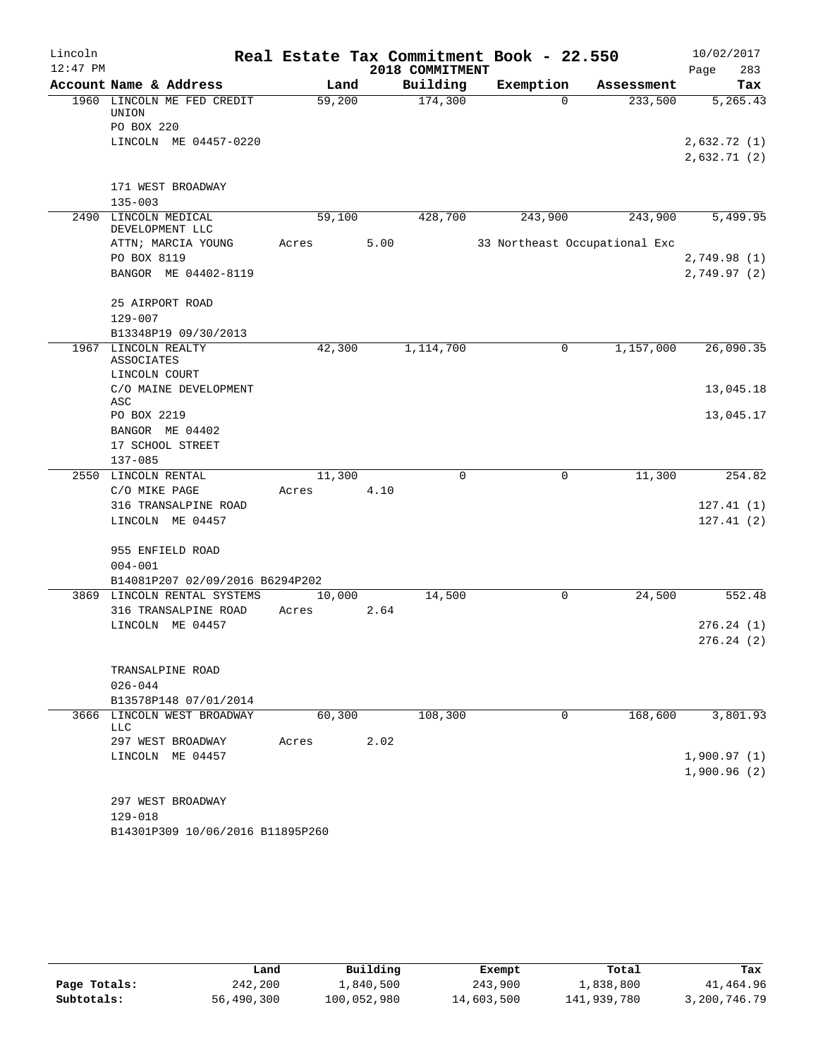| Lincoln    |                                     |       |        |      | Real Estate Tax Commitment Book - 22.550 |           |             |                               | 10/02/2017                 |     |
|------------|-------------------------------------|-------|--------|------|------------------------------------------|-----------|-------------|-------------------------------|----------------------------|-----|
| $12:47$ PM |                                     |       |        |      | 2018 COMMITMENT                          |           |             |                               | Page                       | 283 |
|            | Account Name & Address              |       | Land   |      | Building                                 | Exemption |             | Assessment                    |                            | Tax |
|            | 1960 LINCOLN ME FED CREDIT<br>UNION |       | 59,200 |      | 174,300                                  |           | $\Omega$    | 233,500                       | 5,265.43                   |     |
|            | PO BOX 220                          |       |        |      |                                          |           |             |                               |                            |     |
|            | LINCOLN ME 04457-0220               |       |        |      |                                          |           |             |                               | 2,632.72 (1)               |     |
|            |                                     |       |        |      |                                          |           |             |                               | 2,632.71(2)                |     |
|            |                                     |       |        |      |                                          |           |             |                               |                            |     |
|            | 171 WEST BROADWAY                   |       |        |      |                                          |           |             |                               |                            |     |
|            | $135 - 003$<br>2490 LINCOLN MEDICAL |       | 59,100 |      | 428,700                                  |           | 243,900     | 243,900                       | 5,499.95                   |     |
|            | DEVELOPMENT LLC                     |       |        |      |                                          |           |             |                               |                            |     |
|            | ATTN; MARCIA YOUNG<br>PO BOX 8119   | Acres |        | 5.00 |                                          |           |             | 33 Northeast Occupational Exc |                            |     |
|            | BANGOR ME 04402-8119                |       |        |      |                                          |           |             |                               | 2,749.98(1)<br>2,749.97(2) |     |
|            |                                     |       |        |      |                                          |           |             |                               |                            |     |
|            | 25 AIRPORT ROAD                     |       |        |      |                                          |           |             |                               |                            |     |
|            | $129 - 007$                         |       |        |      |                                          |           |             |                               |                            |     |
|            | B13348P19 09/30/2013                |       |        |      |                                          |           |             |                               |                            |     |
| 1967       | LINCOLN REALTY                      |       | 42,300 |      | 1,114,700                                |           | 0           | 1,157,000                     | 26,090.35                  |     |
|            | ASSOCIATES<br>LINCOLN COURT         |       |        |      |                                          |           |             |                               |                            |     |
|            | C/O MAINE DEVELOPMENT               |       |        |      |                                          |           |             |                               | 13,045.18                  |     |
|            | ASC                                 |       |        |      |                                          |           |             |                               |                            |     |
|            | PO BOX 2219                         |       |        |      |                                          |           |             |                               | 13,045.17                  |     |
|            | BANGOR ME 04402                     |       |        |      |                                          |           |             |                               |                            |     |
|            | 17 SCHOOL STREET                    |       |        |      |                                          |           |             |                               |                            |     |
|            | $137 - 085$                         |       |        |      |                                          |           |             |                               |                            |     |
|            | 2550 LINCOLN RENTAL                 |       | 11,300 |      | $\mathbf 0$                              |           | 0           | 11,300                        | 254.82                     |     |
|            | C/O MIKE PAGE                       | Acres |        | 4.10 |                                          |           |             |                               |                            |     |
|            | 316 TRANSALPINE ROAD                |       |        |      |                                          |           |             |                               | 127.41(1)                  |     |
|            | LINCOLN ME 04457                    |       |        |      |                                          |           |             |                               | 127.41(2)                  |     |
|            | 955 ENFIELD ROAD                    |       |        |      |                                          |           |             |                               |                            |     |
|            | $004 - 001$                         |       |        |      |                                          |           |             |                               |                            |     |
|            | B14081P207 02/09/2016 B6294P202     |       |        |      |                                          |           |             |                               |                            |     |
|            | 3869 LINCOLN RENTAL SYSTEMS         |       | 10,000 |      | 14,500                                   |           | 0           | 24,500                        | 552.48                     |     |
|            | 316 TRANSALPINE ROAD                | Acres |        | 2.64 |                                          |           |             |                               |                            |     |
|            | LINCOLN ME 04457                    |       |        |      |                                          |           |             |                               | 276.24(1)                  |     |
|            |                                     |       |        |      |                                          |           |             |                               | 276.24(2)                  |     |
|            |                                     |       |        |      |                                          |           |             |                               |                            |     |
|            | TRANSALPINE ROAD<br>$026 - 044$     |       |        |      |                                          |           |             |                               |                            |     |
|            | B13578P148 07/01/2014               |       |        |      |                                          |           |             |                               |                            |     |
|            | 3666 LINCOLN WEST BROADWAY          |       | 60,300 |      | 108,300                                  |           | $\mathbf 0$ | 168,600                       | 3,801.93                   |     |
|            | LLC                                 |       |        |      |                                          |           |             |                               |                            |     |
|            | 297 WEST BROADWAY                   | Acres |        | 2.02 |                                          |           |             |                               |                            |     |
|            | LINCOLN ME 04457                    |       |        |      |                                          |           |             |                               | 1,900.97(1)                |     |
|            |                                     |       |        |      |                                          |           |             |                               | 1,900.96(2)                |     |
|            |                                     |       |        |      |                                          |           |             |                               |                            |     |
|            | 297 WEST BROADWAY<br>129-018        |       |        |      |                                          |           |             |                               |                            |     |
|            | B14301P309 10/06/2016 B11895P260    |       |        |      |                                          |           |             |                               |                            |     |
|            |                                     |       |        |      |                                          |           |             |                               |                            |     |

|              | úand       | Building    | Exempt     | Total       | Tax          |
|--------------|------------|-------------|------------|-------------|--------------|
| Page Totals: | 242,200    | 1,840,500   | 243,900    | 1,838,800   | 41,464.96    |
| Subtotals:   | 56,490,300 | 100,052,980 | 14,603,500 | 141,939,780 | 3,200,746.79 |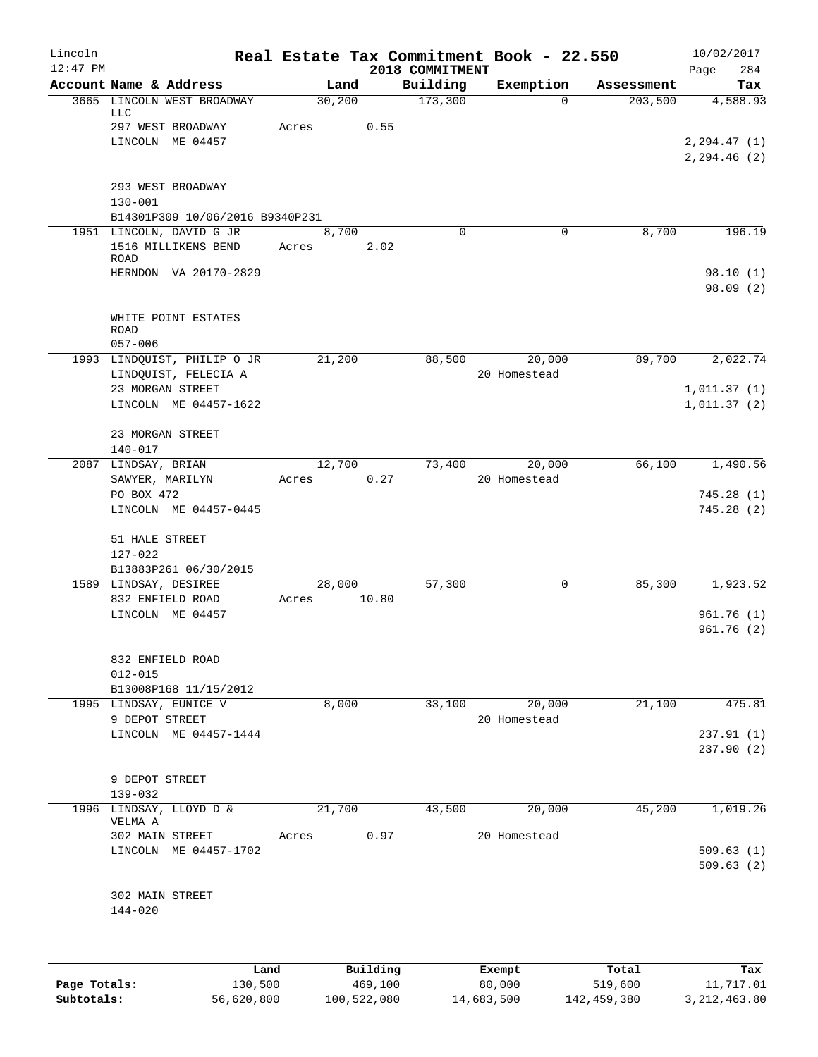| Lincoln    |                                                         |                |          |                             | Real Estate Tax Commitment Book - 22.550 |            | 10/02/2017              |
|------------|---------------------------------------------------------|----------------|----------|-----------------------------|------------------------------------------|------------|-------------------------|
| $12:47$ PM | Account Name & Address                                  | Land           |          | 2018 COMMITMENT<br>Building | Exemption                                | Assessment | 284<br>Page<br>Tax      |
|            | 3665 LINCOLN WEST BROADWAY                              | 30,200         |          | 173,300                     | $\Omega$                                 | 203,500    | 4,588.93                |
|            | LLC<br>297 WEST BROADWAY                                | Acres          | 0.55     |                             |                                          |            |                         |
|            | LINCOLN ME 04457                                        |                |          |                             |                                          |            | 2, 294.47(1)            |
|            |                                                         |                |          |                             |                                          |            | 2,294.46 (2)            |
|            | 293 WEST BROADWAY<br>$130 - 001$                        |                |          |                             |                                          |            |                         |
|            | B14301P309 10/06/2016 B9340P231                         |                |          |                             |                                          |            |                         |
|            | 1951 LINCOLN, DAVID G JR<br>1516 MILLIKENS BEND<br>ROAD | 8,700<br>Acres | 2.02     | $\Omega$                    | 0                                        | 8,700      | 196.19                  |
|            | HERNDON VA 20170-2829                                   |                |          |                             |                                          |            | 98.10(1)                |
|            |                                                         |                |          |                             |                                          |            | 98.09(2)                |
|            | WHITE POINT ESTATES<br><b>ROAD</b><br>$057 - 006$       |                |          |                             |                                          |            |                         |
|            | 1993 LINDQUIST, PHILIP O JR<br>LINDQUIST, FELECIA A     | 21,200         |          | 88,500                      | 20,000<br>20 Homestead                   | 89,700     | 2,022.74                |
|            | 23 MORGAN STREET                                        |                |          |                             |                                          |            | 1,011.37(1)             |
|            | LINCOLN ME 04457-1622                                   |                |          |                             |                                          |            | 1,011.37(2)             |
|            | 23 MORGAN STREET<br>$140 - 017$                         |                |          |                             |                                          |            |                         |
|            | 2087 LINDSAY, BRIAN                                     | 12,700         |          | 73,400                      | 20,000                                   | 66,100     | 1,490.56                |
|            | SAWYER, MARILYN                                         | Acres          | 0.27     |                             | 20 Homestead                             |            |                         |
|            | PO BOX 472<br>LINCOLN ME 04457-0445                     |                |          |                             |                                          |            | 745.28(1)<br>745.28 (2) |
|            | 51 HALE STREET<br>$127 - 022$                           |                |          |                             |                                          |            |                         |
|            | B13883P261 06/30/2015                                   |                |          |                             |                                          |            |                         |
|            | 1589 LINDSAY, DESIREE                                   | 28,000         |          | 57,300                      | 0                                        | 85,300     | 1,923.52                |
|            | 832 ENFIELD ROAD                                        | Acres          | 10.80    |                             |                                          |            |                         |
|            | LINCOLN ME 04457                                        |                |          |                             |                                          |            | 961.76(1)<br>961.76(2)  |
|            | 832 ENFIELD ROAD<br>$012 - 015$                         |                |          |                             |                                          |            |                         |
|            | B13008P168 11/15/2012                                   |                |          |                             |                                          |            |                         |
|            | 1995 LINDSAY, EUNICE V<br>9 DEPOT STREET                | 8,000          |          | 33,100                      | 20,000<br>20 Homestead                   | 21,100     | 475.81                  |
|            | LINCOLN ME 04457-1444                                   |                |          |                             |                                          |            | 237.91(1)               |
|            |                                                         |                |          |                             |                                          |            | 237.90(2)               |
|            | 9 DEPOT STREET<br>139-032                               |                |          |                             |                                          |            |                         |
|            | 1996 LINDSAY, LLOYD D &<br>VELMA A                      | 21,700         |          | 43,500                      | 20,000                                   | 45,200     | 1,019.26                |
|            | 302 MAIN STREET                                         | Acres          | 0.97     |                             | 20 Homestead                             |            |                         |
|            | LINCOLN ME 04457-1702                                   |                |          |                             |                                          |            | 509.63(1)<br>509.63(2)  |
|            | 302 MAIN STREET                                         |                |          |                             |                                          |            |                         |
|            | 144-020                                                 |                |          |                             |                                          |            |                         |
|            |                                                         |                |          |                             |                                          |            |                         |
|            | Land                                                    |                | Building |                             | Exempt                                   | Total      | Tax                     |

|              | -----      | --------    | -------    | -----       | .            |
|--------------|------------|-------------|------------|-------------|--------------|
| Page Totals: | 130,500    | 469,100     | 80,000     | 519,600     | 11,717.01    |
| Subtotals:   | 56,620,800 | 100,522,080 | 14,683,500 | 142,459,380 | 3,212,463.80 |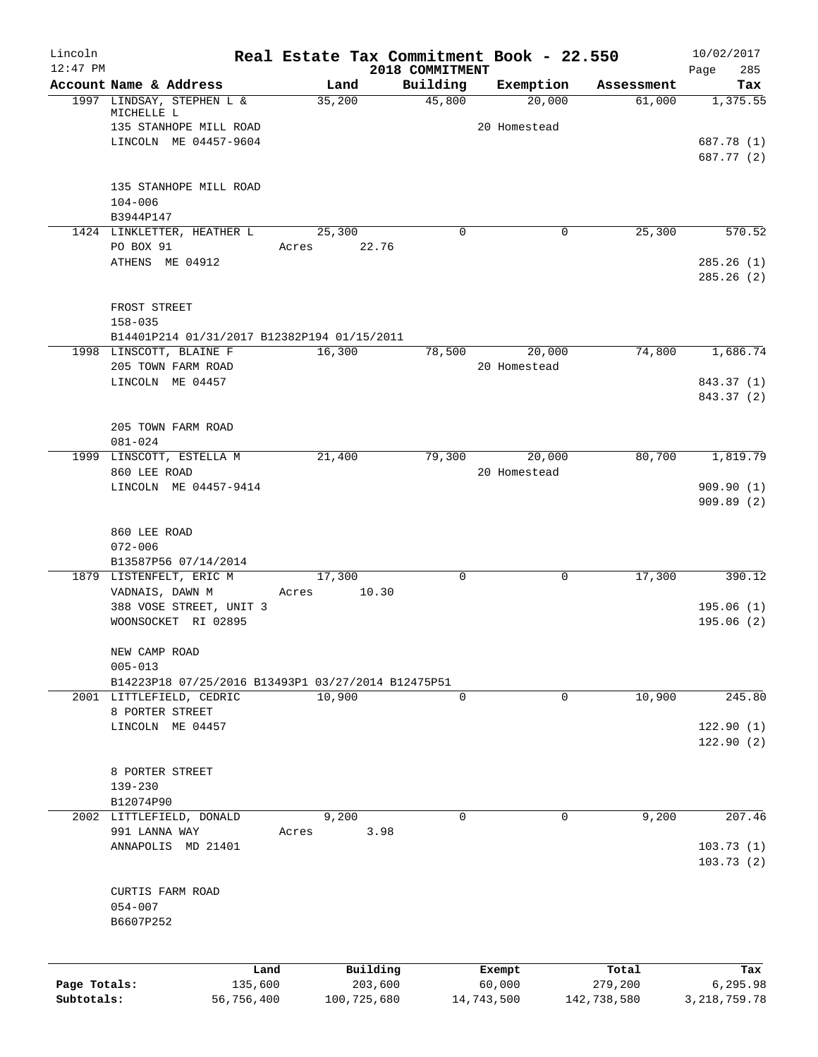| Lincoln<br>$12:47$ PM |                                                                                | Real Estate Tax Commitment Book - 22.550 |                             |                        |                       | 10/02/2017             |
|-----------------------|--------------------------------------------------------------------------------|------------------------------------------|-----------------------------|------------------------|-----------------------|------------------------|
|                       | Account Name & Address                                                         | Land                                     | 2018 COMMITMENT<br>Building | Exemption              | Assessment            | 285<br>Page<br>Tax     |
|                       | 1997 LINDSAY, STEPHEN L &                                                      | 35,200                                   | 45,800                      | 20,000                 | 61,000                | 1,375.55               |
|                       | MICHELLE L<br>135 STANHOPE MILL ROAD                                           |                                          |                             | 20 Homestead           |                       |                        |
|                       | LINCOLN ME 04457-9604                                                          |                                          |                             |                        |                       | 687.78 (1)             |
|                       |                                                                                |                                          |                             |                        |                       | 687.77 (2)             |
|                       | 135 STANHOPE MILL ROAD                                                         |                                          |                             |                        |                       |                        |
|                       | $104 - 006$                                                                    |                                          |                             |                        |                       |                        |
|                       | B3944P147<br>1424 LINKLETTER, HEATHER L                                        | 25,300                                   | $\Omega$                    |                        | 25,300<br>0           | 570.52                 |
|                       | PO BOX 91                                                                      | 22.76<br>Acres                           |                             |                        |                       |                        |
|                       | ATHENS ME 04912                                                                |                                          |                             |                        |                       | 285.26(1)<br>285.26(2) |
|                       | FROST STREET                                                                   |                                          |                             |                        |                       |                        |
|                       | $158 - 035$                                                                    |                                          |                             |                        |                       |                        |
|                       | B14401P214 01/31/2017 B12382P194 01/15/2011                                    |                                          |                             |                        |                       |                        |
|                       | 1998 LINSCOTT, BLAINE F                                                        | 16,300                                   | 78,500                      | 20,000                 | 74,800                | 1,686.74               |
|                       | 205 TOWN FARM ROAD<br>LINCOLN ME 04457                                         |                                          |                             | 20 Homestead           |                       | 843.37 (1)             |
|                       |                                                                                |                                          |                             |                        |                       | 843.37 (2)             |
|                       | 205 TOWN FARM ROAD                                                             |                                          |                             |                        |                       |                        |
|                       | $081 - 024$<br>1999 LINSCOTT, ESTELLA M                                        | 21,400                                   |                             |                        | 80,700                | 1,819.79               |
|                       | 860 LEE ROAD                                                                   |                                          | 79,300                      | 20,000<br>20 Homestead |                       |                        |
|                       | LINCOLN ME 04457-9414                                                          |                                          |                             |                        |                       | 909.90(1)              |
|                       |                                                                                |                                          |                             |                        |                       | 909.89(2)              |
|                       | 860 LEE ROAD                                                                   |                                          |                             |                        |                       |                        |
|                       | $072 - 006$                                                                    |                                          |                             |                        |                       |                        |
|                       | B13587P56 07/14/2014                                                           |                                          |                             |                        |                       |                        |
|                       | 1879 LISTENFELT, ERIC M<br>VADNAIS, DAWN M                                     | 17,300<br>10.30<br>Acres                 | $\mathbf 0$                 |                        | $\mathbf 0$<br>17,300 | 390.12                 |
|                       | 388 VOSE STREET, UNIT 3                                                        |                                          |                             |                        |                       | 195.06(1)              |
|                       | WOONSOCKET RI 02895                                                            |                                          |                             |                        |                       | 195.06(2)              |
|                       | NEW CAMP ROAD                                                                  |                                          |                             |                        |                       |                        |
|                       | $005 - 013$                                                                    |                                          |                             |                        |                       |                        |
|                       | B14223P18 07/25/2016 B13493P1 03/27/2014 B12475P51<br>2001 LITTLEFIELD, CEDRIC | 10,900                                   | $\mathbf 0$                 |                        | 10,900<br>0           | 245.80                 |
|                       | 8 PORTER STREET                                                                |                                          |                             |                        |                       |                        |
|                       | LINCOLN ME 04457                                                               |                                          |                             |                        |                       | 122.90(1)              |
|                       |                                                                                |                                          |                             |                        |                       | 122.90(2)              |
|                       | 8 PORTER STREET                                                                |                                          |                             |                        |                       |                        |
|                       | 139-230                                                                        |                                          |                             |                        |                       |                        |
|                       | B12074P90                                                                      |                                          |                             |                        |                       |                        |
|                       | 2002 LITTLEFIELD, DONALD<br>991 LANNA WAY                                      | 9,200<br>3.98<br>Acres                   | $\Omega$                    |                        | 0<br>9,200            | 207.46                 |
|                       | ANNAPOLIS MD 21401                                                             |                                          |                             |                        |                       | 103.73(1)              |
|                       |                                                                                |                                          |                             |                        |                       | 103.73(2)              |
|                       | CURTIS FARM ROAD                                                               |                                          |                             |                        |                       |                        |
|                       | $054 - 007$                                                                    |                                          |                             |                        |                       |                        |
|                       | B6607P252                                                                      |                                          |                             |                        |                       |                        |
|                       |                                                                                |                                          |                             |                        |                       |                        |
|                       | Land                                                                           | Building                                 |                             | Exempt                 | Total                 | Tax                    |
| Page Totals:          | 135,600                                                                        | 203,600                                  |                             | 60,000                 | 279,200               | 6,295.98               |
| Subtotals:            | 56,756,400                                                                     | 100,725,680                              |                             | 14,743,500             | 142,738,580           | 3, 218, 759. 78        |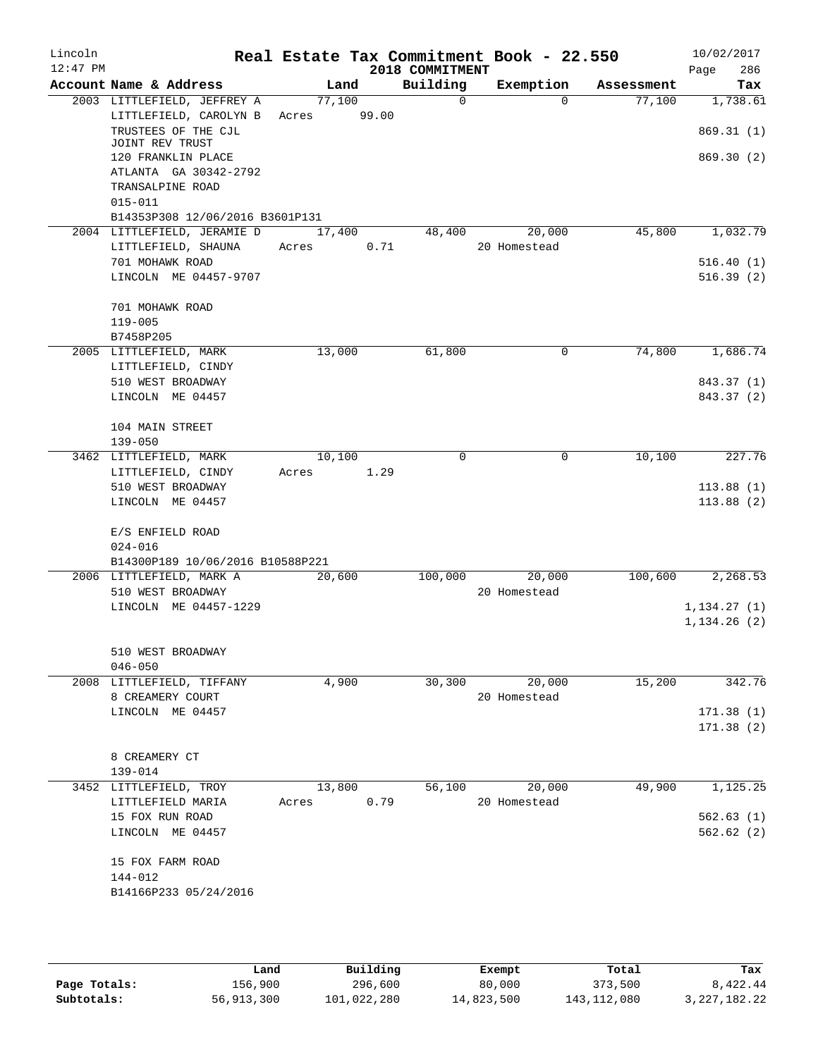| Lincoln<br>$12:47$ PM |                                         |        |      | 2018 COMMITMENT | Real Estate Tax Commitment Book - 22.550 |            | 10/02/2017<br>286<br>Page |
|-----------------------|-----------------------------------------|--------|------|-----------------|------------------------------------------|------------|---------------------------|
|                       | Account Name & Address                  |        | Land | Building        | Exemption                                | Assessment | Tax                       |
|                       | 2003 LITTLEFIELD, JEFFREY A             | 77,100 |      | $\Omega$        | $\Omega$                                 | 77,100     | 1,738.61                  |
|                       | LITTLEFIELD, CAROLYN B Acres 99.00      |        |      |                 |                                          |            |                           |
|                       | TRUSTEES OF THE CJL                     |        |      |                 |                                          |            | 869.31(1)                 |
|                       | JOINT REV TRUST<br>120 FRANKLIN PLACE   |        |      |                 |                                          |            | 869.30(2)                 |
|                       | ATLANTA GA 30342-2792                   |        |      |                 |                                          |            |                           |
|                       | TRANSALPINE ROAD                        |        |      |                 |                                          |            |                           |
|                       | $015 - 011$                             |        |      |                 |                                          |            |                           |
|                       | B14353P308 12/06/2016 B3601P131         |        |      |                 |                                          |            |                           |
|                       | 2004 LITTLEFIELD, JERAMIE D             | 17,400 |      | 48,400          | 20,000                                   | 45,800     | 1,032.79                  |
|                       | LITTLEFIELD, SHAUNA                     | Acres  | 0.71 |                 | 20 Homestead                             |            |                           |
|                       | 701 MOHAWK ROAD                         |        |      |                 |                                          |            | 516.40(1)                 |
|                       | LINCOLN ME 04457-9707                   |        |      |                 |                                          |            | 516.39(2)                 |
|                       | 701 MOHAWK ROAD                         |        |      |                 |                                          |            |                           |
|                       | $119 - 005$                             |        |      |                 |                                          |            |                           |
|                       | B7458P205                               |        |      |                 |                                          |            |                           |
|                       | 2005 LITTLEFIELD, MARK                  | 13,000 |      | 61,800          | 0                                        | 74,800     | 1,686.74                  |
|                       | LITTLEFIELD, CINDY                      |        |      |                 |                                          |            |                           |
|                       | 510 WEST BROADWAY                       |        |      |                 |                                          |            | 843.37 (1)                |
|                       | LINCOLN ME 04457                        |        |      |                 |                                          |            | 843.37 (2)                |
|                       |                                         |        |      |                 |                                          |            |                           |
|                       | 104 MAIN STREET                         |        |      |                 |                                          |            |                           |
|                       | $139 - 050$                             |        |      |                 |                                          |            |                           |
|                       | 3462 LITTLEFIELD, MARK                  | 10,100 |      | $\Omega$        | 0                                        | 10,100     | 227.76                    |
|                       | LITTLEFIELD, CINDY<br>510 WEST BROADWAY | Acres  | 1.29 |                 |                                          |            | 113.88(1)                 |
|                       | LINCOLN ME 04457                        |        |      |                 |                                          |            | 113.88(2)                 |
|                       |                                         |        |      |                 |                                          |            |                           |
|                       | E/S ENFIELD ROAD                        |        |      |                 |                                          |            |                           |
|                       | $024 - 016$                             |        |      |                 |                                          |            |                           |
|                       | B14300P189 10/06/2016 B10588P221        |        |      |                 |                                          |            |                           |
|                       | 2006 LITTLEFIELD, MARK A                | 20,600 |      | 100,000         | 20,000                                   | 100,600    | 2,268.53                  |
|                       | 510 WEST BROADWAY                       |        |      |                 | 20 Homestead                             |            |                           |
|                       | LINCOLN ME 04457-1229                   |        |      |                 |                                          |            | 1, 134.27(1)              |
|                       |                                         |        |      |                 |                                          |            | 1, 134.26(2)              |
|                       | 510 WEST BROADWAY                       |        |      |                 |                                          |            |                           |
|                       | $046 - 050$                             |        |      |                 |                                          |            |                           |
|                       | 2008 LITTLEFIELD, TIFFANY               | 4,900  |      | 30,300          | 20,000                                   | 15,200     | 342.76                    |
|                       | 8 CREAMERY COURT                        |        |      |                 | 20 Homestead                             |            |                           |
|                       | LINCOLN ME 04457                        |        |      |                 |                                          |            | 171.38(1)                 |
|                       |                                         |        |      |                 |                                          |            | 171.38 (2)                |
|                       |                                         |        |      |                 |                                          |            |                           |
|                       | 8 CREAMERY CT                           |        |      |                 |                                          |            |                           |
|                       | 139-014                                 |        |      |                 |                                          |            |                           |
|                       | 3452 LITTLEFIELD, TROY                  | 13,800 |      | 56,100          | 20,000                                   | 49,900     | 1,125.25                  |
|                       | LITTLEFIELD MARIA                       | Acres  | 0.79 |                 | 20 Homestead                             |            |                           |
|                       | 15 FOX RUN ROAD<br>LINCOLN ME 04457     |        |      |                 |                                          |            | 562.63(1)<br>562.62(2)    |
|                       |                                         |        |      |                 |                                          |            |                           |
|                       | 15 FOX FARM ROAD                        |        |      |                 |                                          |            |                           |
|                       | 144-012                                 |        |      |                 |                                          |            |                           |
|                       | B14166P233 05/24/2016                   |        |      |                 |                                          |            |                           |
|                       |                                         |        |      |                 |                                          |            |                           |
|                       |                                         |        |      |                 |                                          |            |                           |
|                       |                                         |        |      |                 |                                          |            |                           |

|              | úand       | Building    | Exempt     | Total         | Tax             |
|--------------|------------|-------------|------------|---------------|-----------------|
| Page Totals: | 156,900    | 296,600     | 80,000     | 373,500       | 8,422.44        |
| Subtotals:   | 56,913,300 | 101,022,280 | 14,823,500 | 143, 112, 080 | 3, 227, 182. 22 |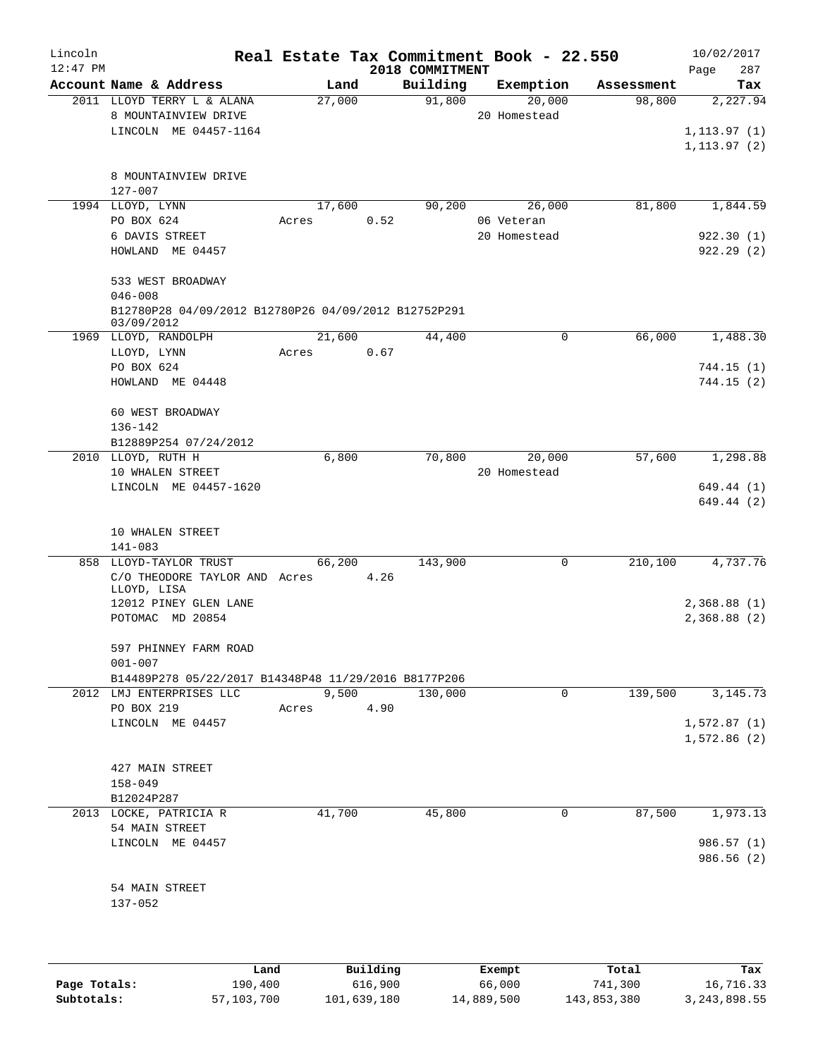| Lincoln    |                                                                    |       |        |      |                 | Real Estate Tax Commitment Book - 22.550 |            | 10/02/2017   |
|------------|--------------------------------------------------------------------|-------|--------|------|-----------------|------------------------------------------|------------|--------------|
| $12:47$ PM |                                                                    |       |        |      | 2018 COMMITMENT |                                          |            | 287<br>Page  |
|            | Account Name & Address                                             |       | Land   |      | Building        | Exemption                                | Assessment | Tax          |
|            | 2011 LLOYD TERRY L & ALANA                                         |       | 27,000 |      | 91,800          | 20,000                                   | 98,800     | 2,227.94     |
|            | 8 MOUNTAINVIEW DRIVE                                               |       |        |      |                 | 20 Homestead                             |            |              |
|            | LINCOLN ME 04457-1164                                              |       |        |      |                 |                                          |            | 1, 113.97(1) |
|            |                                                                    |       |        |      |                 |                                          |            | 1, 113.97(2) |
|            |                                                                    |       |        |      |                 |                                          |            |              |
|            | 8 MOUNTAINVIEW DRIVE                                               |       |        |      |                 |                                          |            |              |
|            | 127-007                                                            |       |        |      |                 |                                          |            |              |
|            | 1994 LLOYD, LYNN                                                   |       | 17,600 |      | 90,200          | 26,000                                   | 81,800     | 1,844.59     |
|            | PO BOX 624                                                         | Acres |        | 0.52 |                 | 06 Veteran                               |            |              |
|            | 6 DAVIS STREET                                                     |       |        |      |                 | 20 Homestead                             |            | 922.30(1)    |
|            | HOWLAND ME 04457                                                   |       |        |      |                 |                                          |            | 922.29(2)    |
|            |                                                                    |       |        |      |                 |                                          |            |              |
|            | 533 WEST BROADWAY                                                  |       |        |      |                 |                                          |            |              |
|            | $046 - 008$                                                        |       |        |      |                 |                                          |            |              |
|            | B12780P28 04/09/2012 B12780P26 04/09/2012 B12752P291<br>03/09/2012 |       |        |      |                 |                                          |            |              |
|            | 1969 LLOYD, RANDOLPH                                               |       | 21,600 |      | 44,400          | 0                                        | 66,000     | 1,488.30     |
|            | LLOYD, LYNN                                                        | Acres |        | 0.67 |                 |                                          |            |              |
|            | PO BOX 624                                                         |       |        |      |                 |                                          |            | 744.15(1)    |
|            | HOWLAND ME 04448                                                   |       |        |      |                 |                                          |            | 744.15(2)    |
|            |                                                                    |       |        |      |                 |                                          |            |              |
|            | 60 WEST BROADWAY                                                   |       |        |      |                 |                                          |            |              |
|            | 136-142                                                            |       |        |      |                 |                                          |            |              |
|            | B12889P254 07/24/2012                                              |       |        |      |                 |                                          |            |              |
|            | 2010 LLOYD, RUTH H                                                 |       | 6,800  |      | 70,800          | 20,000                                   | 57,600     | 1,298.88     |
|            | 10 WHALEN STREET                                                   |       |        |      |                 | 20 Homestead                             |            |              |
|            | LINCOLN ME 04457-1620                                              |       |        |      |                 |                                          |            | 649.44 (1)   |
|            |                                                                    |       |        |      |                 |                                          |            | 649.44 (2)   |
|            |                                                                    |       |        |      |                 |                                          |            |              |
|            | 10 WHALEN STREET                                                   |       |        |      |                 |                                          |            |              |
|            | 141-083                                                            |       |        |      |                 |                                          |            |              |
|            | 858 LLOYD-TAYLOR TRUST                                             |       | 66,200 |      | 143,900         | $\mathbf 0$                              | 210,100    | 4,737.76     |
|            | C/O THEODORE TAYLOR AND Acres                                      |       |        | 4.26 |                 |                                          |            |              |
|            | LLOYD, LISA                                                        |       |        |      |                 |                                          |            |              |
|            | 12012 PINEY GLEN LANE                                              |       |        |      |                 |                                          |            | 2,368.88(1)  |
|            | POTOMAC MD 20854                                                   |       |        |      |                 |                                          |            | 2,368.88 (2) |
|            |                                                                    |       |        |      |                 |                                          |            |              |
|            | 597 PHINNEY FARM ROAD                                              |       |        |      |                 |                                          |            |              |
|            | $001 - 007$                                                        |       |        |      |                 |                                          |            |              |
|            | B14489P278 05/22/2017 B14348P48 11/29/2016 B8177P206               |       |        |      |                 |                                          |            |              |
|            | 2012 LMJ ENTERPRISES LLC                                           |       | 9,500  |      | 130,000         | 0                                        | 139,500    | 3,145.73     |
|            | PO BOX 219                                                         | Acres |        | 4.90 |                 |                                          |            |              |
|            | LINCOLN ME 04457                                                   |       |        |      |                 |                                          |            | 1,572.87(1)  |
|            |                                                                    |       |        |      |                 |                                          |            | 1,572.86(2)  |
|            |                                                                    |       |        |      |                 |                                          |            |              |
|            | 427 MAIN STREET                                                    |       |        |      |                 |                                          |            |              |
|            | $158 - 049$                                                        |       |        |      |                 |                                          |            |              |
|            | B12024P287                                                         |       |        |      |                 |                                          |            |              |
|            | 2013 LOCKE, PATRICIA R                                             |       | 41,700 |      | 45,800          | 0                                        | 87,500     | 1,973.13     |
|            | 54 MAIN STREET                                                     |       |        |      |                 |                                          |            |              |
|            | LINCOLN ME 04457                                                   |       |        |      |                 |                                          |            | 986.57 (1)   |
|            |                                                                    |       |        |      |                 |                                          |            | 986.56 (2)   |
|            |                                                                    |       |        |      |                 |                                          |            |              |
|            | 54 MAIN STREET                                                     |       |        |      |                 |                                          |            |              |
|            | 137-052                                                            |       |        |      |                 |                                          |            |              |
|            |                                                                    |       |        |      |                 |                                          |            |              |
|            |                                                                    |       |        |      |                 |                                          |            |              |
|            |                                                                    |       |        |      |                 |                                          |            |              |

|              | Land       | Building    | Exempt     | Total       | Tax            |
|--------------|------------|-------------|------------|-------------|----------------|
| Page Totals: | 190,400    | 616,900     | 66,000     | 741,300     | 16,716.33      |
| Subtotals:   | 57,103,700 | 101,639,180 | 14,889,500 | 143,853,380 | 3, 243, 898.55 |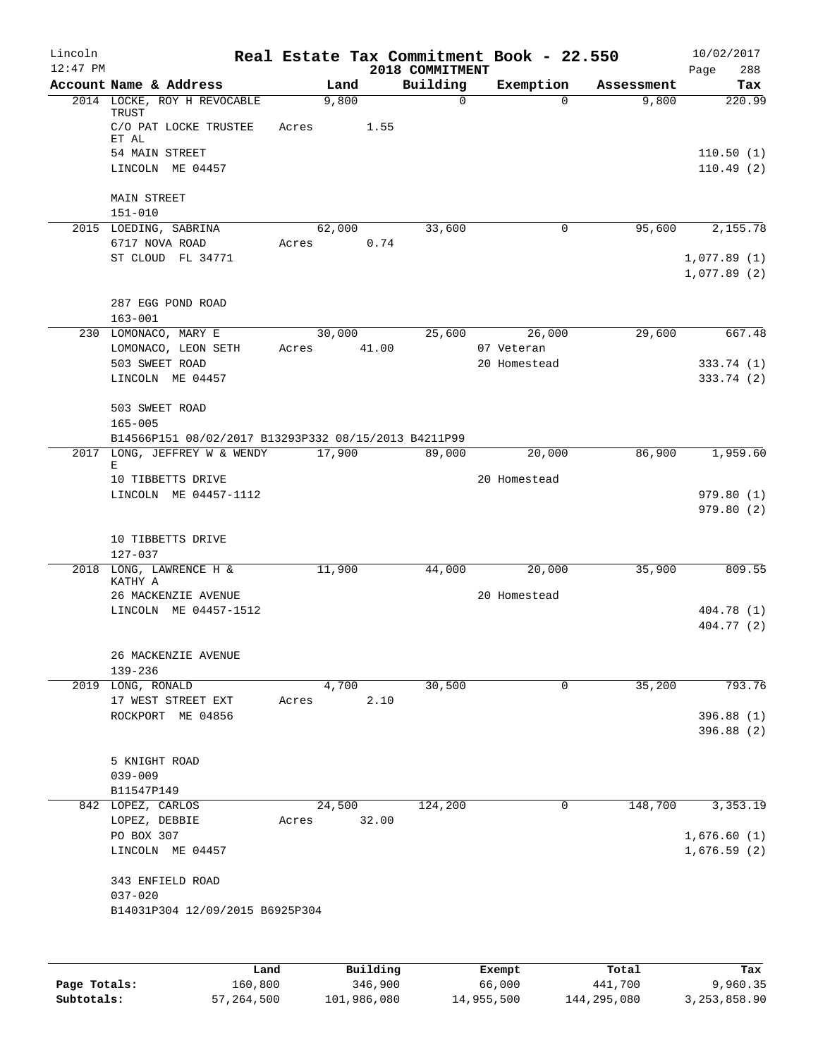| Lincoln    |                                                       |             |               | Real Estate Tax Commitment Book - 22.550 |              |                       |                     | 10/02/2017    |
|------------|-------------------------------------------------------|-------------|---------------|------------------------------------------|--------------|-----------------------|---------------------|---------------|
| $12:47$ PM |                                                       |             |               | 2018 COMMITMENT                          |              |                       |                     | 288<br>Page   |
|            | Account Name & Address<br>2014 LOCKE, ROY H REVOCABLE |             | Land<br>9,800 | Building                                 | $\Omega$     | Exemption<br>$\Omega$ | Assessment<br>9,800 | Tax<br>220.99 |
|            | <b>TRUST</b><br>C/O PAT LOCKE TRUSTEE                 | Acres       | 1.55          |                                          |              |                       |                     |               |
|            | ET AL                                                 |             |               |                                          |              |                       |                     |               |
|            | 54 MAIN STREET                                        |             |               |                                          |              |                       |                     | 110.50(1)     |
|            | LINCOLN ME 04457                                      |             |               |                                          |              |                       |                     | 110.49(2)     |
|            | <b>MAIN STREET</b>                                    |             |               |                                          |              |                       |                     |               |
|            | $151 - 010$                                           |             |               |                                          |              |                       |                     |               |
|            | 2015 LOEDING, SABRINA                                 |             | 62,000        | 33,600                                   |              | 0                     | 95,600              | 2,155.78      |
|            | 6717 NOVA ROAD                                        | Acres       | 0.74          |                                          |              |                       |                     |               |
|            | ST CLOUD FL 34771                                     |             |               |                                          |              |                       |                     | 1,077.89(1)   |
|            |                                                       |             |               |                                          |              |                       |                     | 1,077.89(2)   |
|            |                                                       |             |               |                                          |              |                       |                     |               |
|            | 287 EGG POND ROAD                                     |             |               |                                          |              |                       |                     |               |
|            | $163 - 001$<br>230 LOMONACO, MARY E                   |             | 30,000        | 25,600                                   |              | 26,000                | 29,600              | 667.48        |
|            | LOMONACO, LEON SETH                                   | Acres 41.00 |               |                                          | 07 Veteran   |                       |                     |               |
|            | 503 SWEET ROAD                                        |             |               |                                          | 20 Homestead |                       |                     | 333.74(1)     |
|            | LINCOLN ME 04457                                      |             |               |                                          |              |                       |                     | 333.74 (2)    |
|            |                                                       |             |               |                                          |              |                       |                     |               |
|            | 503 SWEET ROAD                                        |             |               |                                          |              |                       |                     |               |
|            | $165 - 005$                                           |             |               |                                          |              |                       |                     |               |
|            | B14566P151 08/02/2017 B13293P332 08/15/2013 B4211P99  |             |               |                                          |              |                       |                     |               |
|            | 2017 LONG, JEFFREY W & WENDY<br>Е                     |             | 17,900        | 89,000                                   |              | 20,000                | 86,900              | 1,959.60      |
|            | 10 TIBBETTS DRIVE                                     |             |               |                                          | 20 Homestead |                       |                     |               |
|            | LINCOLN ME 04457-1112                                 |             |               |                                          |              |                       |                     | 979.80(1)     |
|            |                                                       |             |               |                                          |              |                       |                     | 979.80(2)     |
|            |                                                       |             |               |                                          |              |                       |                     |               |
|            | 10 TIBBETTS DRIVE                                     |             |               |                                          |              |                       |                     |               |
|            | 127-037<br>2018 LONG, LAWRENCE H &                    |             | 11,900        | 44,000                                   |              | 20,000                | 35,900              | 809.55        |
|            | KATHY A                                               |             |               |                                          |              |                       |                     |               |
|            | 26 MACKENZIE AVENUE                                   |             |               |                                          | 20 Homestead |                       |                     |               |
|            | LINCOLN ME 04457-1512                                 |             |               |                                          |              |                       |                     | 404.78 (1)    |
|            |                                                       |             |               |                                          |              |                       |                     | 404.77 (2)    |
|            |                                                       |             |               |                                          |              |                       |                     |               |
|            | 26 MACKENZIE AVENUE<br>139-236                        |             |               |                                          |              |                       |                     |               |
|            | 2019 LONG, RONALD                                     |             | 4,700         | 30,500                                   |              | 0                     | 35,200              | 793.76        |
|            | 17 WEST STREET EXT                                    | Acres       | 2.10          |                                          |              |                       |                     |               |
|            | ROCKPORT ME 04856                                     |             |               |                                          |              |                       |                     | 396.88 (1)    |
|            |                                                       |             |               |                                          |              |                       |                     | 396.88(2)     |
|            |                                                       |             |               |                                          |              |                       |                     |               |
|            | 5 KNIGHT ROAD                                         |             |               |                                          |              |                       |                     |               |
|            | $039 - 009$<br>B11547P149                             |             |               |                                          |              |                       |                     |               |
|            | 842 LOPEZ, CARLOS                                     |             | 24,500        | 124,200                                  |              | 0                     | 148,700             | 3,353.19      |
|            | LOPEZ, DEBBIE                                         | Acres       | 32.00         |                                          |              |                       |                     |               |
|            | PO BOX 307                                            |             |               |                                          |              |                       |                     | 1,676.60(1)   |
|            | LINCOLN ME 04457                                      |             |               |                                          |              |                       |                     | 1,676.59(2)   |
|            |                                                       |             |               |                                          |              |                       |                     |               |
|            | 343 ENFIELD ROAD                                      |             |               |                                          |              |                       |                     |               |
|            | $037 - 020$                                           |             |               |                                          |              |                       |                     |               |
|            | B14031P304 12/09/2015 B6925P304                       |             |               |                                          |              |                       |                     |               |
|            |                                                       |             |               |                                          |              |                       |                     |               |
|            |                                                       |             |               |                                          |              |                       |                     |               |
|            | Land                                                  |             | Building      |                                          | Exempt       |                       | Total               | Tax           |

|              | Land       | Building    | Exempt     | Total       | Tax            |
|--------------|------------|-------------|------------|-------------|----------------|
| Page Totals: | 160,800    | 346,900     | 66,000     | 441,700     | 9,960.35       |
| Subtotals:   | 57,264,500 | 101,986,080 | 14,955,500 | 144,295,080 | 3, 253, 858.90 |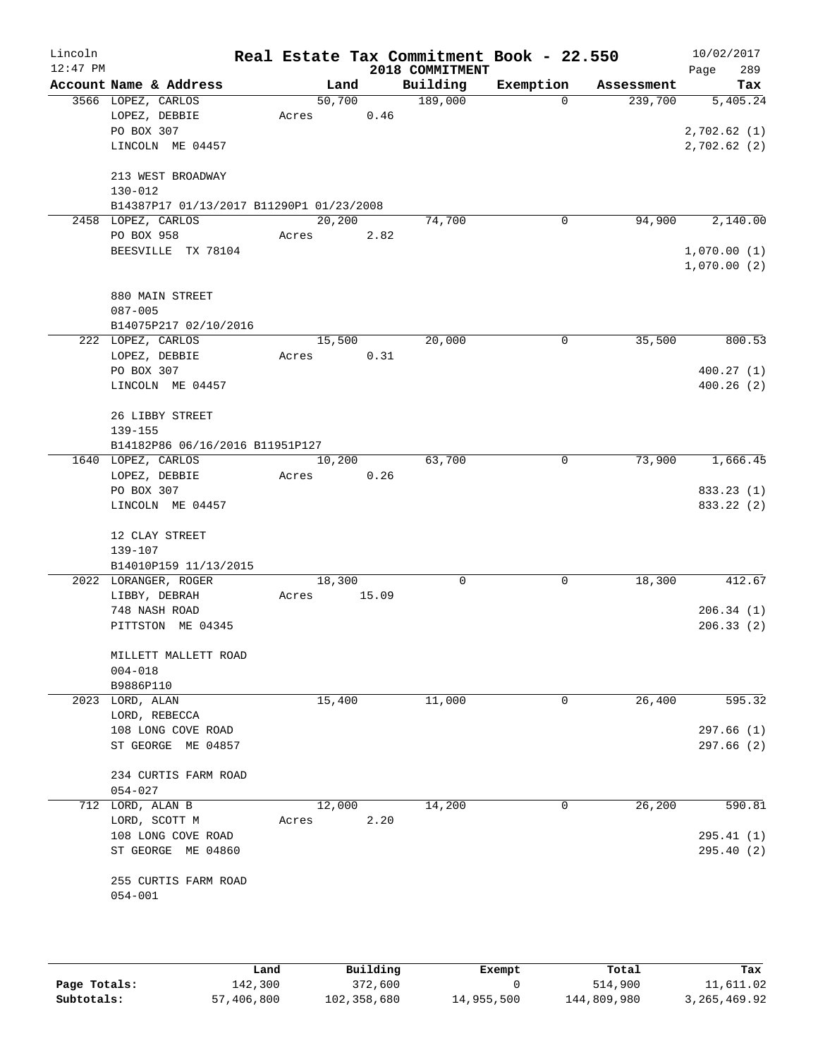| Lincoln<br>$12:47$ PM |                                          |       |         |       | Real Estate Tax Commitment Book - 22.550<br>2018 COMMITMENT |             |            | 10/02/2017                 |
|-----------------------|------------------------------------------|-------|---------|-------|-------------------------------------------------------------|-------------|------------|----------------------------|
|                       | Account Name & Address                   |       | Land    |       | Building                                                    | Exemption   | Assessment | 289<br>Page<br>Tax         |
|                       | 3566 LOPEZ, CARLOS                       |       | 50,700  |       | 189,000                                                     | $\Omega$    | 239,700    | 5,405.24                   |
|                       | LOPEZ, DEBBIE                            | Acres |         | 0.46  |                                                             |             |            |                            |
|                       | PO BOX 307                               |       |         |       |                                                             |             |            | 2,702.62(1)                |
|                       | LINCOLN ME 04457                         |       |         |       |                                                             |             |            | 2,702.62(2)                |
|                       | 213 WEST BROADWAY                        |       |         |       |                                                             |             |            |                            |
|                       | $130 - 012$                              |       |         |       |                                                             |             |            |                            |
|                       | B14387P17 01/13/2017 B11290P1 01/23/2008 |       |         |       |                                                             |             |            |                            |
|                       | 2458 LOPEZ, CARLOS                       |       | 20, 200 |       | 74,700                                                      | $\mathbf 0$ | 94,900     | 2,140.00                   |
|                       | PO BOX 958                               | Acres |         | 2.82  |                                                             |             |            |                            |
|                       | BEESVILLE TX 78104                       |       |         |       |                                                             |             |            | 1,070.00(1)<br>1,070.00(2) |
|                       | 880 MAIN STREET                          |       |         |       |                                                             |             |            |                            |
|                       | $087 - 005$                              |       |         |       |                                                             |             |            |                            |
|                       | B14075P217 02/10/2016                    |       |         |       |                                                             |             |            |                            |
|                       | 222 LOPEZ, CARLOS                        |       | 15,500  |       | 20,000                                                      | 0           | 35,500     | 800.53                     |
|                       | LOPEZ, DEBBIE                            | Acres |         | 0.31  |                                                             |             |            |                            |
|                       | PO BOX 307                               |       |         |       |                                                             |             |            | 400.27(1)                  |
|                       | LINCOLN ME 04457                         |       |         |       |                                                             |             |            | 400.26(2)                  |
|                       | 26 LIBBY STREET                          |       |         |       |                                                             |             |            |                            |
|                       | 139-155                                  |       |         |       |                                                             |             |            |                            |
|                       | B14182P86 06/16/2016 B11951P127          |       |         |       |                                                             |             |            |                            |
|                       | 1640 LOPEZ, CARLOS                       |       | 10,200  |       | 63,700                                                      | 0           | 73,900     | 1,666.45                   |
|                       | LOPEZ, DEBBIE                            | Acres |         | 0.26  |                                                             |             |            |                            |
|                       | PO BOX 307<br>LINCOLN ME 04457           |       |         |       |                                                             |             |            | 833.23 (1)<br>833.22 (2)   |
|                       |                                          |       |         |       |                                                             |             |            |                            |
|                       | 12 CLAY STREET                           |       |         |       |                                                             |             |            |                            |
|                       | 139-107                                  |       |         |       |                                                             |             |            |                            |
|                       | B14010P159 11/13/2015                    |       |         |       |                                                             |             |            |                            |
|                       | 2022 LORANGER, ROGER                     |       | 18,300  |       | 0                                                           | 0           | 18,300     | 412.67                     |
|                       | LIBBY, DEBRAH                            | Acres |         | 15.09 |                                                             |             |            |                            |
|                       | 748 NASH ROAD                            |       |         |       |                                                             |             |            | 206.34(1)                  |
|                       | PITTSTON ME 04345                        |       |         |       |                                                             |             |            | 206.33(2)                  |
|                       | MILLETT MALLETT ROAD                     |       |         |       |                                                             |             |            |                            |
|                       | $004 - 018$                              |       |         |       |                                                             |             |            |                            |
|                       | B9886P110                                |       |         |       |                                                             |             |            |                            |
|                       | 2023 LORD, ALAN<br>LORD, REBECCA         |       | 15,400  |       | 11,000                                                      | 0           | 26,400     | 595.32                     |
|                       | 108 LONG COVE ROAD                       |       |         |       |                                                             |             |            | 297.66 (1)                 |
|                       | ST GEORGE ME 04857                       |       |         |       |                                                             |             |            | 297.66(2)                  |
|                       | 234 CURTIS FARM ROAD                     |       |         |       |                                                             |             |            |                            |
|                       | $054 - 027$                              |       |         |       |                                                             |             |            |                            |
|                       | 712 LORD, ALAN B                         |       | 12,000  |       | 14,200                                                      | 0           | 26,200     | 590.81                     |
|                       | LORD, SCOTT M                            | Acres |         | 2.20  |                                                             |             |            |                            |
|                       | 108 LONG COVE ROAD                       |       |         |       |                                                             |             |            | 295.41(1)                  |
|                       | ST GEORGE ME 04860                       |       |         |       |                                                             |             |            | 295.40(2)                  |
|                       | 255 CURTIS FARM ROAD<br>$054 - 001$      |       |         |       |                                                             |             |            |                            |
|                       |                                          |       |         |       |                                                             |             |            |                            |
|                       |                                          |       |         |       |                                                             |             |            |                            |

|              | Land       | Building    | Exempt     | Total       | Tax            |
|--------------|------------|-------------|------------|-------------|----------------|
| Page Totals: | 142,300    | 372,600     |            | 514,900     | 11,611.02      |
| Subtotals:   | 57,406,800 | 102,358,680 | 14,955,500 | 144,809,980 | 3, 265, 469.92 |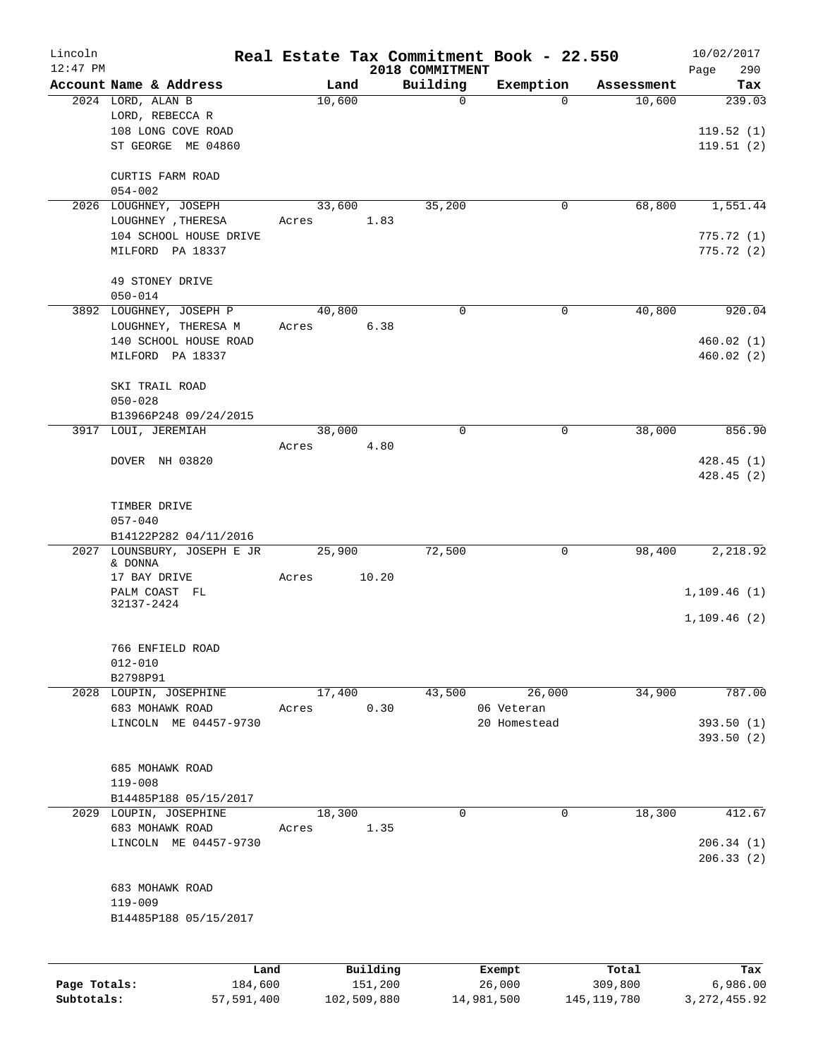| Lincoln<br>$12:47$ PM |                                            |        |          |                             | Real Estate Tax Commitment Book - 22.550 |            | 10/02/2017             |
|-----------------------|--------------------------------------------|--------|----------|-----------------------------|------------------------------------------|------------|------------------------|
|                       | Account Name & Address                     | Land   |          | 2018 COMMITMENT<br>Building | Exemption                                | Assessment | Page<br>290<br>Tax     |
|                       | 2024 LORD, ALAN B                          | 10,600 |          | 0                           | $\Omega$                                 | 10,600     | 239.03                 |
|                       | LORD, REBECCA R                            |        |          |                             |                                          |            |                        |
|                       | 108 LONG COVE ROAD                         |        |          |                             |                                          |            | 119.52(1)              |
|                       | ST GEORGE ME 04860                         |        |          |                             |                                          |            | 119.51(2)              |
|                       | CURTIS FARM ROAD                           |        |          |                             |                                          |            |                        |
|                       | $054 - 002$                                |        |          |                             |                                          |            |                        |
|                       | 2026 LOUGHNEY, JOSEPH                      | 33,600 |          | 35,200                      | 0                                        | 68,800     | 1,551.44               |
|                       | LOUGHNEY, THERESA                          | Acres  | 1.83     |                             |                                          |            |                        |
|                       | 104 SCHOOL HOUSE DRIVE<br>MILFORD PA 18337 |        |          |                             |                                          |            | 775.72(1)<br>775.72(2) |
|                       |                                            |        |          |                             |                                          |            |                        |
|                       | 49 STONEY DRIVE                            |        |          |                             |                                          |            |                        |
|                       | $050 - 014$                                |        |          |                             |                                          |            |                        |
|                       | 3892 LOUGHNEY, JOSEPH P                    | 40,800 |          | $\Omega$                    | 0                                        | 40,800     | 920.04                 |
|                       | LOUGHNEY, THERESA M                        | Acres  | 6.38     |                             |                                          |            |                        |
|                       | 140 SCHOOL HOUSE ROAD                      |        |          |                             |                                          |            | 460.02(1)              |
|                       | MILFORD PA 18337                           |        |          |                             |                                          |            | 460.02(2)              |
|                       | SKI TRAIL ROAD                             |        |          |                             |                                          |            |                        |
|                       | $050 - 028$                                |        |          |                             |                                          |            |                        |
|                       | B13966P248 09/24/2015                      |        |          |                             |                                          |            |                        |
|                       | 3917 LOUI, JEREMIAH                        | 38,000 |          | $\mathbf 0$                 | 0                                        | 38,000     | 856.90                 |
|                       |                                            | Acres  | 4.80     |                             |                                          |            |                        |
|                       | DOVER NH 03820                             |        |          |                             |                                          |            | 428.45(1)              |
|                       |                                            |        |          |                             |                                          |            | 428.45(2)              |
|                       |                                            |        |          |                             |                                          |            |                        |
|                       | TIMBER DRIVE<br>$057 - 040$                |        |          |                             |                                          |            |                        |
|                       | B14122P282 04/11/2016                      |        |          |                             |                                          |            |                        |
| 2027                  | LOUNSBURY, JOSEPH E JR                     | 25,900 |          | 72,500                      | $\mathbf 0$                              | 98,400     | 2,218.92               |
|                       | & DONNA                                    |        |          |                             |                                          |            |                        |
|                       | 17 BAY DRIVE                               | Acres  | 10.20    |                             |                                          |            |                        |
|                       | PALM COAST FL<br>32137-2424                |        |          |                             |                                          |            | 1, 109.46(1)           |
|                       |                                            |        |          |                             |                                          |            | 1,109.46(2)            |
|                       | 766 ENFIELD ROAD                           |        |          |                             |                                          |            |                        |
|                       | $012 - 010$                                |        |          |                             |                                          |            |                        |
|                       | B2798P91                                   |        |          |                             |                                          |            |                        |
|                       | 2028 LOUPIN, JOSEPHINE                     | 17,400 |          | 43,500                      | 26,000                                   | 34,900     | 787.00                 |
|                       | 683 MOHAWK ROAD                            | Acres  | 0.30     |                             | 06 Veteran                               |            |                        |
|                       | LINCOLN ME 04457-9730                      |        |          |                             | 20 Homestead                             |            | 393.50(1)              |
|                       |                                            |        |          |                             |                                          |            | 393.50 (2)             |
|                       | 685 MOHAWK ROAD                            |        |          |                             |                                          |            |                        |
|                       | $119 - 008$                                |        |          |                             |                                          |            |                        |
|                       | B14485P188 05/15/2017                      |        |          |                             |                                          |            |                        |
|                       | 2029 LOUPIN, JOSEPHINE                     | 18,300 |          | 0                           | $\mathbf 0$                              | 18,300     | 412.67                 |
|                       | 683 MOHAWK ROAD                            | Acres  | 1.35     |                             |                                          |            |                        |
|                       | LINCOLN ME 04457-9730                      |        |          |                             |                                          |            | 206.34(1)              |
|                       |                                            |        |          |                             |                                          |            | 206.33(2)              |
|                       | 683 MOHAWK ROAD                            |        |          |                             |                                          |            |                        |
|                       | $119 - 009$                                |        |          |                             |                                          |            |                        |
|                       | B14485P188 05/15/2017                      |        |          |                             |                                          |            |                        |
|                       |                                            |        |          |                             |                                          |            |                        |
|                       |                                            |        |          |                             |                                          |            |                        |
|                       | Land                                       |        | Building |                             | Exempt                                   | Total      | Tax                    |
| Page Totals:          | 184,600                                    |        | 151,200  |                             | 26,000                                   | 309,800    | 6,986.00               |

**Subtotals:** 57,591,400 102,509,880 14,981,500 145,119,780 3,272,455.92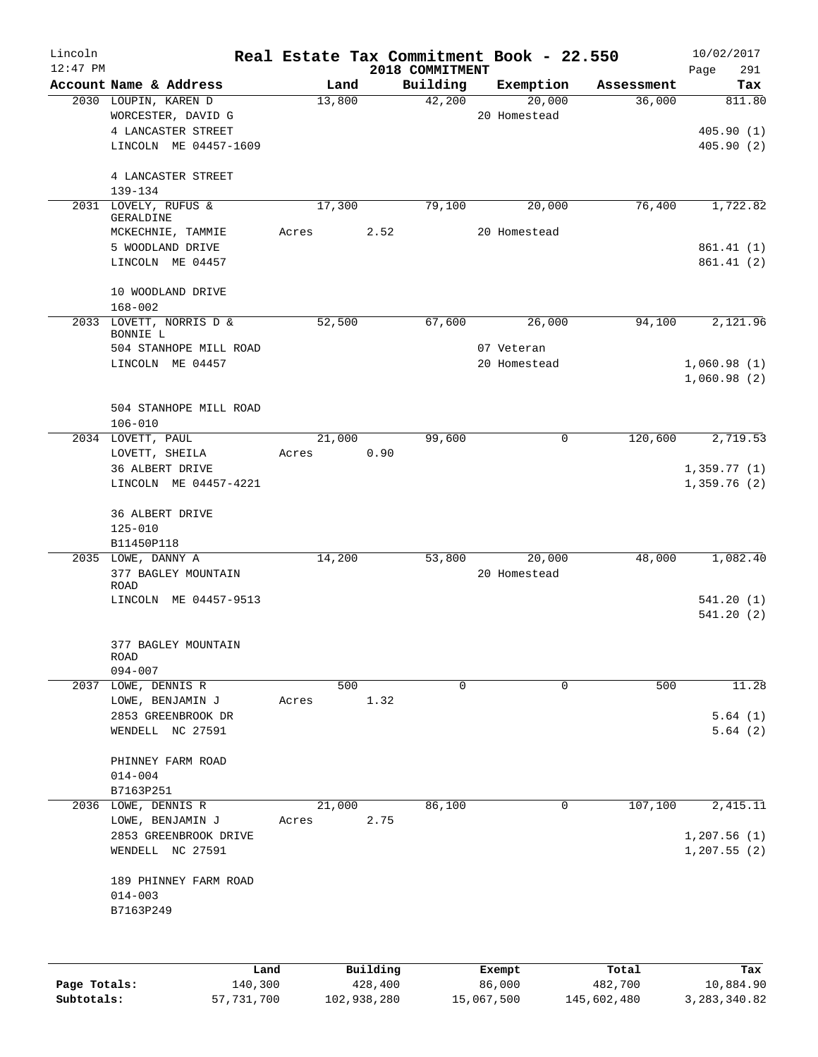| Lincoln      |                                     |       |        |          |                 | Real Estate Tax Commitment Book - 22.550 |            |              | 10/02/2017 |
|--------------|-------------------------------------|-------|--------|----------|-----------------|------------------------------------------|------------|--------------|------------|
| $12:47$ PM   |                                     |       |        |          | 2018 COMMITMENT |                                          |            | Page         | 291        |
|              | Account Name & Address              |       | Land   |          | Building        | Exemption                                | Assessment |              | Tax        |
|              | 2030 LOUPIN, KAREN D                |       | 13,800 |          | 42,200          | 20,000                                   | 36,000     |              | 811.80     |
|              | WORCESTER, DAVID G                  |       |        |          |                 | 20 Homestead                             |            |              |            |
|              | 4 LANCASTER STREET                  |       |        |          |                 |                                          |            |              | 405.90(1)  |
|              | LINCOLN ME 04457-1609               |       |        |          |                 |                                          |            |              | 405.90(2)  |
|              | 4 LANCASTER STREET                  |       |        |          |                 |                                          |            |              |            |
|              | $139 - 134$                         |       |        |          |                 |                                          |            |              |            |
|              | 2031 LOVELY, RUFUS &<br>GERALDINE   |       | 17,300 |          | 79,100          | 20,000                                   | 76,400     |              | 1,722.82   |
|              | MCKECHNIE, TAMMIE                   | Acres |        | 2.52     |                 | 20 Homestead                             |            |              |            |
|              | 5 WOODLAND DRIVE                    |       |        |          |                 |                                          |            |              | 861.41(1)  |
|              | LINCOLN ME 04457                    |       |        |          |                 |                                          |            |              | 861.41(2)  |
|              | 10 WOODLAND DRIVE                   |       |        |          |                 |                                          |            |              |            |
|              | $168 - 002$                         |       |        |          |                 |                                          |            |              |            |
|              | 2033 LOVETT, NORRIS D &<br>BONNIE L |       | 52,500 |          | 67,600          | 26,000                                   | 94,100     |              | 2,121.96   |
|              | 504 STANHOPE MILL ROAD              |       |        |          |                 | 07 Veteran                               |            |              |            |
|              | LINCOLN ME 04457                    |       |        |          |                 | 20 Homestead                             |            | 1,060.98(1)  |            |
|              |                                     |       |        |          |                 |                                          |            | 1,060.98(2)  |            |
|              |                                     |       |        |          |                 |                                          |            |              |            |
|              | 504 STANHOPE MILL ROAD              |       |        |          |                 |                                          |            |              |            |
|              | $106 - 010$                         |       |        |          |                 |                                          |            |              |            |
|              | 2034 LOVETT, PAUL                   |       | 21,000 |          | 99,600          | $\mathbf 0$                              | 120,600    |              | 2,719.53   |
|              | LOVETT, SHEILA                      | Acres |        | 0.90     |                 |                                          |            |              |            |
|              | 36 ALBERT DRIVE                     |       |        |          |                 |                                          |            | 1,359.77(1)  |            |
|              | LINCOLN ME 04457-4221               |       |        |          |                 |                                          |            | 1,359.76(2)  |            |
|              | 36 ALBERT DRIVE                     |       |        |          |                 |                                          |            |              |            |
|              | $125 - 010$                         |       |        |          |                 |                                          |            |              |            |
|              | B11450P118                          |       |        |          |                 |                                          |            |              |            |
|              | 2035 LOWE, DANNY A                  |       | 14,200 |          | 53,800          | 20,000                                   | 48,000     |              | 1,082.40   |
|              | 377 BAGLEY MOUNTAIN                 |       |        |          |                 | 20 Homestead                             |            |              |            |
|              | <b>ROAD</b>                         |       |        |          |                 |                                          |            |              |            |
|              | LINCOLN ME 04457-9513               |       |        |          |                 |                                          |            |              | 541.20(1)  |
|              |                                     |       |        |          |                 |                                          |            |              | 541.20(2)  |
|              | 377 BAGLEY MOUNTAIN                 |       |        |          |                 |                                          |            |              |            |
|              | ROAD                                |       |        |          |                 |                                          |            |              |            |
|              | $094 - 007$                         |       |        |          |                 |                                          |            |              |            |
|              | 2037 LOWE, DENNIS R                 |       | 500    |          | $\mathbf 0$     | $\mathbf 0$                              | 500        |              | 11.28      |
|              | LOWE, BENJAMIN J                    | Acres |        | 1.32     |                 |                                          |            |              |            |
|              | 2853 GREENBROOK DR                  |       |        |          |                 |                                          |            |              | 5.64(1)    |
|              | WENDELL NC 27591                    |       |        |          |                 |                                          |            |              | 5.64(2)    |
|              | PHINNEY FARM ROAD                   |       |        |          |                 |                                          |            |              |            |
|              | $014 - 004$                         |       |        |          |                 |                                          |            |              |            |
|              | B7163P251                           |       |        |          |                 |                                          |            |              |            |
| 2036         | LOWE, DENNIS R                      |       | 21,000 |          | 86,100          | 0                                        | 107,100    |              | 2,415.11   |
|              | LOWE, BENJAMIN J                    | Acres |        | 2.75     |                 |                                          |            |              |            |
|              | 2853 GREENBROOK DRIVE               |       |        |          |                 |                                          |            | 1,207.56(1)  |            |
|              | WENDELL NC 27591                    |       |        |          |                 |                                          |            | 1, 207.55(2) |            |
|              | 189 PHINNEY FARM ROAD               |       |        |          |                 |                                          |            |              |            |
|              | $014 - 003$                         |       |        |          |                 |                                          |            |              |            |
|              | B7163P249                           |       |        |          |                 |                                          |            |              |            |
|              |                                     |       |        |          |                 |                                          |            |              |            |
|              |                                     |       |        |          |                 |                                          |            |              |            |
|              |                                     | Land  |        | Building |                 | Exempt                                   | Total      |              | Tax        |
| Page Totals: | 140,300                             |       |        | 428,400  |                 | 86,000                                   | 482,700    |              | 10,884.90  |

**Subtotals:** 57,731,700 102,938,280 15,067,500 145,602,480 3,283,340.82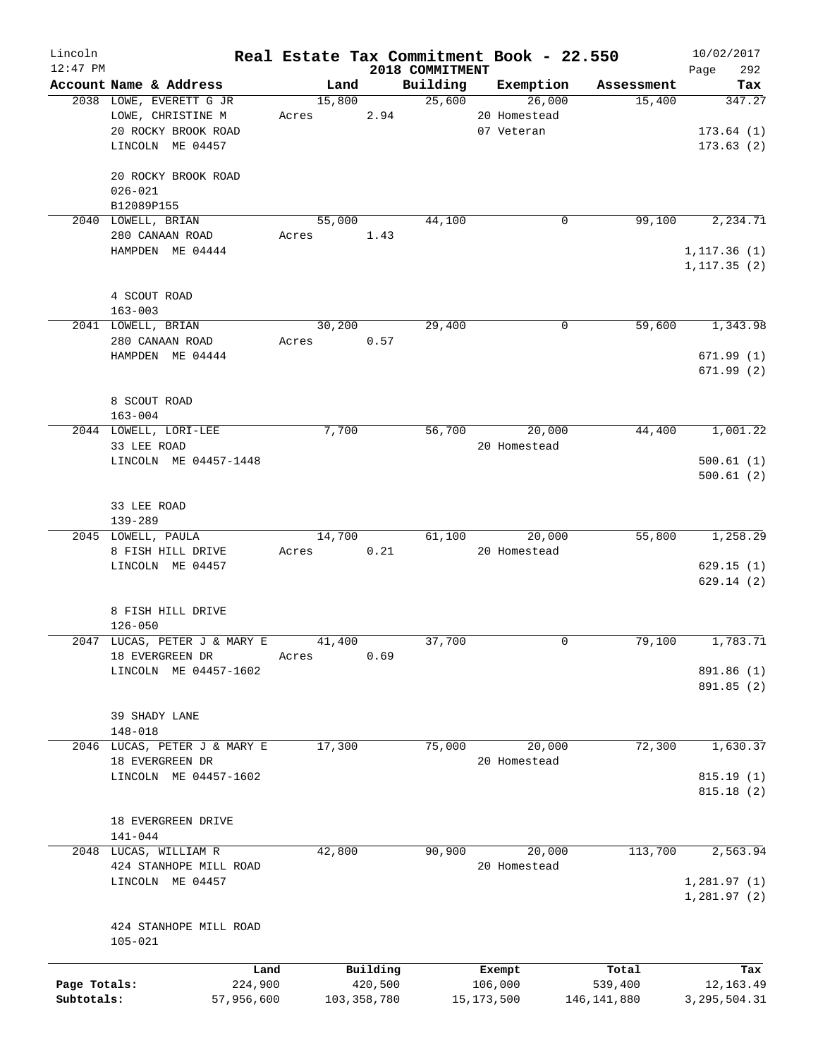| Lincoln      |                                        |       |        |               |                             | Real Estate Tax Commitment Book - 22.550 |             | 10/02/2017         |
|--------------|----------------------------------------|-------|--------|---------------|-----------------------------|------------------------------------------|-------------|--------------------|
| $12:47$ PM   | Account Name & Address                 |       | Land   |               | 2018 COMMITMENT<br>Building | Exemption                                | Assessment  | 292<br>Page<br>Tax |
|              | 2038 LOWE, EVERETT G JR                |       | 15,800 |               | 25,600                      | 26,000                                   | 15,400      | 347.27             |
|              | LOWE, CHRISTINE M                      |       | Acres  | 2.94          |                             | 20 Homestead                             |             |                    |
|              | 20 ROCKY BROOK ROAD                    |       |        |               |                             | 07 Veteran                               |             | 173.64(1)          |
|              | LINCOLN ME 04457                       |       |        |               |                             |                                          |             | 173.63(2)          |
|              |                                        |       |        |               |                             |                                          |             |                    |
|              | 20 ROCKY BROOK ROAD                    |       |        |               |                             |                                          |             |                    |
|              | $026 - 021$                            |       |        |               |                             |                                          |             |                    |
|              | B12089P155                             |       |        |               |                             |                                          |             |                    |
|              | 2040 LOWELL, BRIAN                     |       | 55,000 |               | 44,100                      | 0                                        | 99,100      | 2,234.71           |
|              | 280 CANAAN ROAD                        | Acres |        | 1.43          |                             |                                          |             |                    |
|              | HAMPDEN ME 04444                       |       |        |               |                             |                                          |             | 1, 117.36(1)       |
|              |                                        |       |        |               |                             |                                          |             | 1, 117.35(2)       |
|              |                                        |       |        |               |                             |                                          |             |                    |
|              | 4 SCOUT ROAD                           |       |        |               |                             |                                          |             |                    |
|              | $163 - 003$                            |       |        |               |                             |                                          |             |                    |
|              | 2041 LOWELL, BRIAN                     |       | 30,200 |               | 29,400                      | 0                                        | 59,600      | 1,343.98           |
|              | 280 CANAAN ROAD                        |       | Acres  | 0.57          |                             |                                          |             |                    |
|              | HAMPDEN ME 04444                       |       |        |               |                             |                                          |             | 671.99(1)          |
|              |                                        |       |        |               |                             |                                          |             | 671.99(2)          |
|              |                                        |       |        |               |                             |                                          |             |                    |
|              | 8 SCOUT ROAD                           |       |        |               |                             |                                          |             |                    |
|              | $163 - 004$<br>2044 LOWELL, LORI-LEE   |       | 7,700  |               | 56,700                      | 20,000                                   | 44,400      | 1,001.22           |
|              | 33 LEE ROAD                            |       |        |               |                             | 20 Homestead                             |             |                    |
|              | LINCOLN ME 04457-1448                  |       |        |               |                             |                                          |             | 500.61(1)          |
|              |                                        |       |        |               |                             |                                          |             | 500.61(2)          |
|              |                                        |       |        |               |                             |                                          |             |                    |
|              | 33 LEE ROAD                            |       |        |               |                             |                                          |             |                    |
|              | 139-289                                |       |        |               |                             |                                          |             |                    |
|              | 2045 LOWELL, PAULA                     |       | 14,700 |               | 61,100                      | 20,000                                   | 55,800      | 1,258.29           |
|              | 8 FISH HILL DRIVE                      | Acres |        | 0.21          |                             | 20 Homestead                             |             |                    |
|              | LINCOLN ME 04457                       |       |        |               |                             |                                          |             | 629.15(1)          |
|              |                                        |       |        |               |                             |                                          |             | 629.14(2)          |
|              |                                        |       |        |               |                             |                                          |             |                    |
|              | 8 FISH HILL DRIVE                      |       |        |               |                             |                                          |             |                    |
|              | $126 - 050$                            |       |        |               |                             |                                          |             |                    |
| 2047         | LUCAS, PETER J & MARY E                |       | 41,400 |               | 37,700                      | $\Omega$                                 | 79,100      | 1,783.71           |
|              | 18 EVERGREEN DR                        | Acres |        | 0.69          |                             |                                          |             |                    |
|              | LINCOLN ME 04457-1602                  |       |        |               |                             |                                          |             | 891.86 (1)         |
|              |                                        |       |        |               |                             |                                          |             | 891.85 (2)         |
|              |                                        |       |        |               |                             |                                          |             |                    |
|              | 39 SHADY LANE                          |       |        |               |                             |                                          |             |                    |
| 2046         | $148 - 018$<br>LUCAS, PETER J & MARY E |       | 17,300 |               | 75,000                      | 20,000                                   | 72,300      | 1,630.37           |
|              | 18 EVERGREEN DR                        |       |        |               |                             | 20 Homestead                             |             |                    |
|              | LINCOLN ME 04457-1602                  |       |        |               |                             |                                          |             | 815.19(1)          |
|              |                                        |       |        |               |                             |                                          |             | 815.18(2)          |
|              |                                        |       |        |               |                             |                                          |             |                    |
|              | 18 EVERGREEN DRIVE                     |       |        |               |                             |                                          |             |                    |
|              | $141 - 044$                            |       |        |               |                             |                                          |             |                    |
| 2048         | LUCAS, WILLIAM R                       |       | 42,800 |               | 90,900                      | 20,000                                   | 113,700     | 2,563.94           |
|              | 424 STANHOPE MILL ROAD                 |       |        |               |                             | 20 Homestead                             |             |                    |
|              | LINCOLN ME 04457                       |       |        |               |                             |                                          |             | 1,281.97(1)        |
|              |                                        |       |        |               |                             |                                          |             | 1,281.97(2)        |
|              |                                        |       |        |               |                             |                                          |             |                    |
|              | 424 STANHOPE MILL ROAD                 |       |        |               |                             |                                          |             |                    |
|              | $105 - 021$                            |       |        |               |                             |                                          |             |                    |
|              |                                        |       |        |               |                             |                                          |             |                    |
|              | Land                                   |       |        | Building      |                             | Exempt                                   | Total       | Tax                |
| Page Totals: | 224,900                                |       |        | 420,500       |                             | 106,000                                  | 539,400     | 12,163.49          |
| Subtotals:   | 57,956,600                             |       |        | 103, 358, 780 |                             | 15, 173, 500                             | 146,141,880 | 3, 295, 504.31     |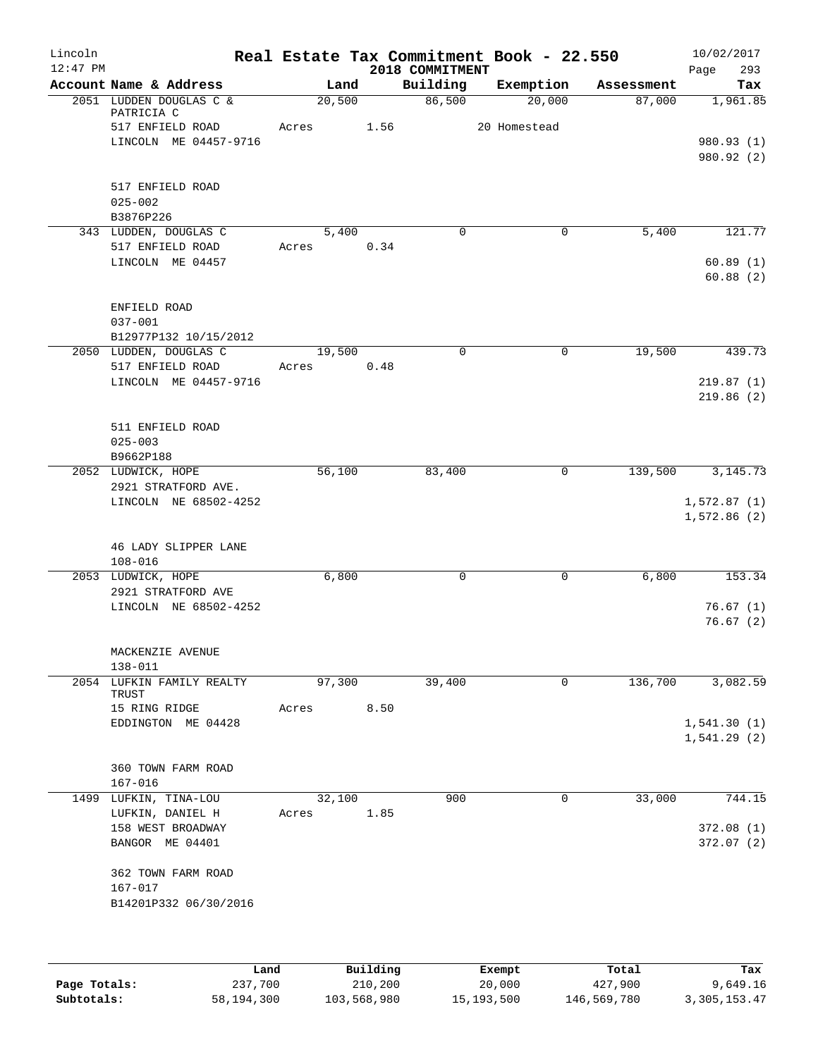| Lincoln<br>$12:47$ PM |                                                     |                 |          | 2018 COMMITMENT | Real Estate Tax Commitment Book - 22.550 |            | 10/02/2017<br>Page<br>293 |
|-----------------------|-----------------------------------------------------|-----------------|----------|-----------------|------------------------------------------|------------|---------------------------|
|                       | Account Name & Address                              | Land            |          | Building        | Exemption                                | Assessment | Tax                       |
|                       | 2051 LUDDEN DOUGLAS C &<br>PATRICIA C               | 20,500          |          | 86,500          | 20,000                                   | 87,000     | 1,961.85                  |
|                       | 517 ENFIELD ROAD                                    | Acres           | 1.56     |                 | 20 Homestead                             |            |                           |
|                       | LINCOLN ME 04457-9716                               |                 |          |                 |                                          |            | 980.93 (1)<br>980.92 (2)  |
|                       | 517 ENFIELD ROAD                                    |                 |          |                 |                                          |            |                           |
|                       | $025 - 002$                                         |                 |          |                 |                                          |            |                           |
|                       | B3876P226                                           |                 |          |                 |                                          |            |                           |
|                       | 343 LUDDEN, DOUGLAS C                               | 5,400           |          | $\Omega$        | 0                                        | 5,400      | 121.77                    |
|                       | 517 ENFIELD ROAD<br>LINCOLN ME 04457                | Acres           | 0.34     |                 |                                          |            | 60.89(1)                  |
|                       |                                                     |                 |          |                 |                                          |            | 60.88(2)                  |
|                       | ENFIELD ROAD                                        |                 |          |                 |                                          |            |                           |
|                       | $037 - 001$                                         |                 |          |                 |                                          |            |                           |
|                       | B12977P132 10/15/2012<br>2050 LUDDEN, DOUGLAS C     | 19,500          |          | $\mathbf 0$     | 0                                        | 19,500     | 439.73                    |
|                       | 517 ENFIELD ROAD                                    | Acres           | 0.48     |                 |                                          |            |                           |
|                       | LINCOLN ME 04457-9716                               |                 |          |                 |                                          |            | 219.87(1)                 |
|                       |                                                     |                 |          |                 |                                          |            | 219.86(2)                 |
|                       | 511 ENFIELD ROAD                                    |                 |          |                 |                                          |            |                           |
|                       | $025 - 003$                                         |                 |          |                 |                                          |            |                           |
|                       | B9662P188<br>2052 LUDWICK, HOPE                     | 56,100          |          | 83,400          | 0                                        | 139,500    | 3, 145. 73                |
|                       | 2921 STRATFORD AVE.                                 |                 |          |                 |                                          |            |                           |
|                       | LINCOLN NE 68502-4252                               |                 |          |                 |                                          |            | 1,572.87(1)               |
|                       |                                                     |                 |          |                 |                                          |            | 1,572.86(2)               |
|                       |                                                     |                 |          |                 |                                          |            |                           |
|                       | 46 LADY SLIPPER LANE<br>$108 - 016$                 |                 |          |                 |                                          |            |                           |
|                       | 2053 LUDWICK, HOPE                                  | 6,800           |          | 0               | 0                                        | 6,800      | 153.34                    |
|                       | 2921 STRATFORD AVE                                  |                 |          |                 |                                          |            |                           |
|                       | LINCOLN NE 68502-4252                               |                 |          |                 |                                          |            | 76.67(1)                  |
|                       |                                                     |                 |          |                 |                                          |            | 76.67(2)                  |
|                       | MACKENZIE AVENUE                                    |                 |          |                 |                                          |            |                           |
|                       | 138-011                                             |                 |          |                 |                                          |            |                           |
|                       | 2054 LUFKIN FAMILY REALTY<br>TRUST<br>15 RING RIDGE | 97,300<br>Acres | 8.50     | 39,400          | 0                                        | 136,700    | 3,082.59                  |
|                       | EDDINGTON ME 04428                                  |                 |          |                 |                                          |            | 1,541.30(1)               |
|                       |                                                     |                 |          |                 |                                          |            | 1,541.29(2)               |
|                       | 360 TOWN FARM ROAD                                  |                 |          |                 |                                          |            |                           |
|                       | $167 - 016$                                         |                 |          |                 |                                          |            |                           |
|                       | 1499 LUFKIN, TINA-LOU                               | 32,100          |          | 900             | 0                                        | 33,000     | 744.15                    |
|                       | LUFKIN, DANIEL H                                    | Acres           | 1.85     |                 |                                          |            |                           |
|                       | 158 WEST BROADWAY                                   |                 |          |                 |                                          |            | 372.08(1)                 |
|                       | BANGOR ME 04401                                     |                 |          |                 |                                          |            | 372.07 (2)                |
|                       | 362 TOWN FARM ROAD                                  |                 |          |                 |                                          |            |                           |
|                       | 167-017                                             |                 |          |                 |                                          |            |                           |
|                       | B14201P332 06/30/2016                               |                 |          |                 |                                          |            |                           |
|                       |                                                     |                 |          |                 |                                          |            |                           |
|                       | Land                                                |                 | Building |                 | Exempt                                   | Total      | Tax                       |

|              | Land       | Building    | Exempt     | Total       | Tax          |
|--------------|------------|-------------|------------|-------------|--------------|
| Page Totals: | 237,700    | 210,200     | 20,000     | 427,900     | 9,649.16     |
| Subtotals:   | 58,194,300 | 103,568,980 | 15,193,500 | 146,569,780 | 3,305,153.47 |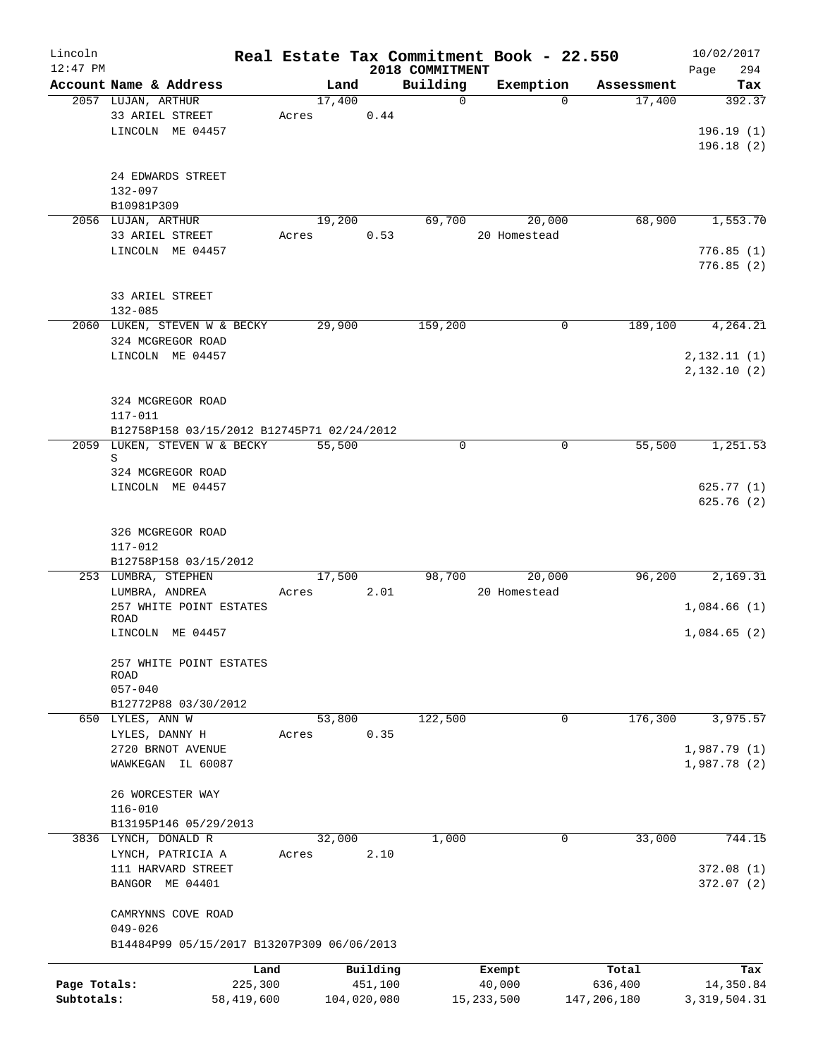| $12:47$ PM<br>2018 COMMITMENT<br>Account Name & Address<br>Building<br>Exemption<br>Land<br>Assessment<br>17,400<br>17,400<br>2057 LUJAN, ARTHUR<br>$\mathbf 0$<br>$\Omega$<br>33 ARIEL STREET<br>0.44<br>Acres<br>LINCOLN ME 04457<br>24 EDWARDS STREET<br>132-097<br>B10981P309<br>19,200<br>69,700<br>20,000<br>68,900<br>2056 LUJAN, ARTHUR<br>33 ARIEL STREET<br>0.53<br>20 Homestead<br>Acres<br>LINCOLN ME 04457<br>33 ARIEL STREET<br>$132 - 085$<br>2060 LUKEN, STEVEN W & BECKY<br>29,900<br>159,200<br>0<br>189,100<br>324 MCGREGOR ROAD<br>LINCOLN ME 04457<br>324 MCGREGOR ROAD<br>117-011<br>B12758P158 03/15/2012 B12745P71 02/24/2012<br>2059 LUKEN, STEVEN W & BECKY<br>55,500<br>55,500<br>0<br>0<br>S<br>324 MCGREGOR ROAD<br>LINCOLN ME 04457<br>326 MCGREGOR ROAD<br>117-012<br>B12758P158 03/15/2012<br>17,500<br>98,700<br>20,000<br>96,200<br>253 LUMBRA, STEPHEN<br>LUMBRA, ANDREA<br>2.01<br>20 Homestead<br>Acres<br>257 WHITE POINT ESTATES<br>ROAD<br>LINCOLN ME 04457<br>257 WHITE POINT ESTATES<br><b>ROAD</b><br>$057 - 040$<br>B12772P88 03/30/2012<br>53,800<br>122,500<br>176,300<br>650 LYLES, ANN W<br>$\mathbf 0$<br>0.35<br>LYLES, DANNY H<br>Acres<br>2720 BRNOT AVENUE | 294<br>Page<br>Tax<br>392.37<br>196.19(1)<br>196.18(2)<br>1,553.70<br>776.85(1)<br>776.85(2)<br>4,264.21 |
|-----------------------------------------------------------------------------------------------------------------------------------------------------------------------------------------------------------------------------------------------------------------------------------------------------------------------------------------------------------------------------------------------------------------------------------------------------------------------------------------------------------------------------------------------------------------------------------------------------------------------------------------------------------------------------------------------------------------------------------------------------------------------------------------------------------------------------------------------------------------------------------------------------------------------------------------------------------------------------------------------------------------------------------------------------------------------------------------------------------------------------------------------------------------------------------------------------------------|----------------------------------------------------------------------------------------------------------|
|                                                                                                                                                                                                                                                                                                                                                                                                                                                                                                                                                                                                                                                                                                                                                                                                                                                                                                                                                                                                                                                                                                                                                                                                                 |                                                                                                          |
|                                                                                                                                                                                                                                                                                                                                                                                                                                                                                                                                                                                                                                                                                                                                                                                                                                                                                                                                                                                                                                                                                                                                                                                                                 |                                                                                                          |
|                                                                                                                                                                                                                                                                                                                                                                                                                                                                                                                                                                                                                                                                                                                                                                                                                                                                                                                                                                                                                                                                                                                                                                                                                 |                                                                                                          |
|                                                                                                                                                                                                                                                                                                                                                                                                                                                                                                                                                                                                                                                                                                                                                                                                                                                                                                                                                                                                                                                                                                                                                                                                                 |                                                                                                          |
|                                                                                                                                                                                                                                                                                                                                                                                                                                                                                                                                                                                                                                                                                                                                                                                                                                                                                                                                                                                                                                                                                                                                                                                                                 |                                                                                                          |
|                                                                                                                                                                                                                                                                                                                                                                                                                                                                                                                                                                                                                                                                                                                                                                                                                                                                                                                                                                                                                                                                                                                                                                                                                 |                                                                                                          |
|                                                                                                                                                                                                                                                                                                                                                                                                                                                                                                                                                                                                                                                                                                                                                                                                                                                                                                                                                                                                                                                                                                                                                                                                                 |                                                                                                          |
|                                                                                                                                                                                                                                                                                                                                                                                                                                                                                                                                                                                                                                                                                                                                                                                                                                                                                                                                                                                                                                                                                                                                                                                                                 |                                                                                                          |
|                                                                                                                                                                                                                                                                                                                                                                                                                                                                                                                                                                                                                                                                                                                                                                                                                                                                                                                                                                                                                                                                                                                                                                                                                 |                                                                                                          |
|                                                                                                                                                                                                                                                                                                                                                                                                                                                                                                                                                                                                                                                                                                                                                                                                                                                                                                                                                                                                                                                                                                                                                                                                                 |                                                                                                          |
|                                                                                                                                                                                                                                                                                                                                                                                                                                                                                                                                                                                                                                                                                                                                                                                                                                                                                                                                                                                                                                                                                                                                                                                                                 |                                                                                                          |
|                                                                                                                                                                                                                                                                                                                                                                                                                                                                                                                                                                                                                                                                                                                                                                                                                                                                                                                                                                                                                                                                                                                                                                                                                 |                                                                                                          |
|                                                                                                                                                                                                                                                                                                                                                                                                                                                                                                                                                                                                                                                                                                                                                                                                                                                                                                                                                                                                                                                                                                                                                                                                                 |                                                                                                          |
|                                                                                                                                                                                                                                                                                                                                                                                                                                                                                                                                                                                                                                                                                                                                                                                                                                                                                                                                                                                                                                                                                                                                                                                                                 |                                                                                                          |
|                                                                                                                                                                                                                                                                                                                                                                                                                                                                                                                                                                                                                                                                                                                                                                                                                                                                                                                                                                                                                                                                                                                                                                                                                 |                                                                                                          |
|                                                                                                                                                                                                                                                                                                                                                                                                                                                                                                                                                                                                                                                                                                                                                                                                                                                                                                                                                                                                                                                                                                                                                                                                                 |                                                                                                          |
|                                                                                                                                                                                                                                                                                                                                                                                                                                                                                                                                                                                                                                                                                                                                                                                                                                                                                                                                                                                                                                                                                                                                                                                                                 |                                                                                                          |
|                                                                                                                                                                                                                                                                                                                                                                                                                                                                                                                                                                                                                                                                                                                                                                                                                                                                                                                                                                                                                                                                                                                                                                                                                 |                                                                                                          |
|                                                                                                                                                                                                                                                                                                                                                                                                                                                                                                                                                                                                                                                                                                                                                                                                                                                                                                                                                                                                                                                                                                                                                                                                                 |                                                                                                          |
|                                                                                                                                                                                                                                                                                                                                                                                                                                                                                                                                                                                                                                                                                                                                                                                                                                                                                                                                                                                                                                                                                                                                                                                                                 | 2,132.11(1)                                                                                              |
|                                                                                                                                                                                                                                                                                                                                                                                                                                                                                                                                                                                                                                                                                                                                                                                                                                                                                                                                                                                                                                                                                                                                                                                                                 | 2,132.10(2)                                                                                              |
|                                                                                                                                                                                                                                                                                                                                                                                                                                                                                                                                                                                                                                                                                                                                                                                                                                                                                                                                                                                                                                                                                                                                                                                                                 |                                                                                                          |
|                                                                                                                                                                                                                                                                                                                                                                                                                                                                                                                                                                                                                                                                                                                                                                                                                                                                                                                                                                                                                                                                                                                                                                                                                 |                                                                                                          |
|                                                                                                                                                                                                                                                                                                                                                                                                                                                                                                                                                                                                                                                                                                                                                                                                                                                                                                                                                                                                                                                                                                                                                                                                                 |                                                                                                          |
|                                                                                                                                                                                                                                                                                                                                                                                                                                                                                                                                                                                                                                                                                                                                                                                                                                                                                                                                                                                                                                                                                                                                                                                                                 |                                                                                                          |
|                                                                                                                                                                                                                                                                                                                                                                                                                                                                                                                                                                                                                                                                                                                                                                                                                                                                                                                                                                                                                                                                                                                                                                                                                 | 1,251.53                                                                                                 |
|                                                                                                                                                                                                                                                                                                                                                                                                                                                                                                                                                                                                                                                                                                                                                                                                                                                                                                                                                                                                                                                                                                                                                                                                                 |                                                                                                          |
|                                                                                                                                                                                                                                                                                                                                                                                                                                                                                                                                                                                                                                                                                                                                                                                                                                                                                                                                                                                                                                                                                                                                                                                                                 | 625.77(1)                                                                                                |
|                                                                                                                                                                                                                                                                                                                                                                                                                                                                                                                                                                                                                                                                                                                                                                                                                                                                                                                                                                                                                                                                                                                                                                                                                 | 625.76(2)                                                                                                |
|                                                                                                                                                                                                                                                                                                                                                                                                                                                                                                                                                                                                                                                                                                                                                                                                                                                                                                                                                                                                                                                                                                                                                                                                                 |                                                                                                          |
|                                                                                                                                                                                                                                                                                                                                                                                                                                                                                                                                                                                                                                                                                                                                                                                                                                                                                                                                                                                                                                                                                                                                                                                                                 |                                                                                                          |
|                                                                                                                                                                                                                                                                                                                                                                                                                                                                                                                                                                                                                                                                                                                                                                                                                                                                                                                                                                                                                                                                                                                                                                                                                 |                                                                                                          |
|                                                                                                                                                                                                                                                                                                                                                                                                                                                                                                                                                                                                                                                                                                                                                                                                                                                                                                                                                                                                                                                                                                                                                                                                                 |                                                                                                          |
|                                                                                                                                                                                                                                                                                                                                                                                                                                                                                                                                                                                                                                                                                                                                                                                                                                                                                                                                                                                                                                                                                                                                                                                                                 | 2,169.31                                                                                                 |
|                                                                                                                                                                                                                                                                                                                                                                                                                                                                                                                                                                                                                                                                                                                                                                                                                                                                                                                                                                                                                                                                                                                                                                                                                 |                                                                                                          |
|                                                                                                                                                                                                                                                                                                                                                                                                                                                                                                                                                                                                                                                                                                                                                                                                                                                                                                                                                                                                                                                                                                                                                                                                                 | 1,084.66(1)                                                                                              |
|                                                                                                                                                                                                                                                                                                                                                                                                                                                                                                                                                                                                                                                                                                                                                                                                                                                                                                                                                                                                                                                                                                                                                                                                                 |                                                                                                          |
|                                                                                                                                                                                                                                                                                                                                                                                                                                                                                                                                                                                                                                                                                                                                                                                                                                                                                                                                                                                                                                                                                                                                                                                                                 | 1,084.65(2)                                                                                              |
|                                                                                                                                                                                                                                                                                                                                                                                                                                                                                                                                                                                                                                                                                                                                                                                                                                                                                                                                                                                                                                                                                                                                                                                                                 |                                                                                                          |
|                                                                                                                                                                                                                                                                                                                                                                                                                                                                                                                                                                                                                                                                                                                                                                                                                                                                                                                                                                                                                                                                                                                                                                                                                 |                                                                                                          |
|                                                                                                                                                                                                                                                                                                                                                                                                                                                                                                                                                                                                                                                                                                                                                                                                                                                                                                                                                                                                                                                                                                                                                                                                                 |                                                                                                          |
|                                                                                                                                                                                                                                                                                                                                                                                                                                                                                                                                                                                                                                                                                                                                                                                                                                                                                                                                                                                                                                                                                                                                                                                                                 |                                                                                                          |
|                                                                                                                                                                                                                                                                                                                                                                                                                                                                                                                                                                                                                                                                                                                                                                                                                                                                                                                                                                                                                                                                                                                                                                                                                 |                                                                                                          |
|                                                                                                                                                                                                                                                                                                                                                                                                                                                                                                                                                                                                                                                                                                                                                                                                                                                                                                                                                                                                                                                                                                                                                                                                                 | 3,975.57                                                                                                 |
|                                                                                                                                                                                                                                                                                                                                                                                                                                                                                                                                                                                                                                                                                                                                                                                                                                                                                                                                                                                                                                                                                                                                                                                                                 |                                                                                                          |
|                                                                                                                                                                                                                                                                                                                                                                                                                                                                                                                                                                                                                                                                                                                                                                                                                                                                                                                                                                                                                                                                                                                                                                                                                 | 1,987.79(1)                                                                                              |
| WAWKEGAN IL 60087                                                                                                                                                                                                                                                                                                                                                                                                                                                                                                                                                                                                                                                                                                                                                                                                                                                                                                                                                                                                                                                                                                                                                                                               | 1,987.78(2)                                                                                              |
|                                                                                                                                                                                                                                                                                                                                                                                                                                                                                                                                                                                                                                                                                                                                                                                                                                                                                                                                                                                                                                                                                                                                                                                                                 |                                                                                                          |
| 26 WORCESTER WAY                                                                                                                                                                                                                                                                                                                                                                                                                                                                                                                                                                                                                                                                                                                                                                                                                                                                                                                                                                                                                                                                                                                                                                                                |                                                                                                          |
| $116 - 010$                                                                                                                                                                                                                                                                                                                                                                                                                                                                                                                                                                                                                                                                                                                                                                                                                                                                                                                                                                                                                                                                                                                                                                                                     |                                                                                                          |
| B13195P146 05/29/2013                                                                                                                                                                                                                                                                                                                                                                                                                                                                                                                                                                                                                                                                                                                                                                                                                                                                                                                                                                                                                                                                                                                                                                                           |                                                                                                          |
| 32,000<br>1,000<br>33,000<br>3836 LYNCH, DONALD R<br>0                                                                                                                                                                                                                                                                                                                                                                                                                                                                                                                                                                                                                                                                                                                                                                                                                                                                                                                                                                                                                                                                                                                                                          | 744.15                                                                                                   |
| 2.10<br>LYNCH, PATRICIA A<br>Acres                                                                                                                                                                                                                                                                                                                                                                                                                                                                                                                                                                                                                                                                                                                                                                                                                                                                                                                                                                                                                                                                                                                                                                              |                                                                                                          |
| 111 HARVARD STREET                                                                                                                                                                                                                                                                                                                                                                                                                                                                                                                                                                                                                                                                                                                                                                                                                                                                                                                                                                                                                                                                                                                                                                                              | 372.08(1)                                                                                                |
| BANGOR ME 04401                                                                                                                                                                                                                                                                                                                                                                                                                                                                                                                                                                                                                                                                                                                                                                                                                                                                                                                                                                                                                                                                                                                                                                                                 | 372.07(2)                                                                                                |
|                                                                                                                                                                                                                                                                                                                                                                                                                                                                                                                                                                                                                                                                                                                                                                                                                                                                                                                                                                                                                                                                                                                                                                                                                 |                                                                                                          |
| CAMRYNNS COVE ROAD                                                                                                                                                                                                                                                                                                                                                                                                                                                                                                                                                                                                                                                                                                                                                                                                                                                                                                                                                                                                                                                                                                                                                                                              |                                                                                                          |
| $049 - 026$                                                                                                                                                                                                                                                                                                                                                                                                                                                                                                                                                                                                                                                                                                                                                                                                                                                                                                                                                                                                                                                                                                                                                                                                     |                                                                                                          |
| B14484P99 05/15/2017 B13207P309 06/06/2013                                                                                                                                                                                                                                                                                                                                                                                                                                                                                                                                                                                                                                                                                                                                                                                                                                                                                                                                                                                                                                                                                                                                                                      |                                                                                                          |
| Building<br>Land<br>Total<br>Exempt                                                                                                                                                                                                                                                                                                                                                                                                                                                                                                                                                                                                                                                                                                                                                                                                                                                                                                                                                                                                                                                                                                                                                                             |                                                                                                          |
| Page Totals:<br>225,300<br>451,100<br>40,000<br>636,400                                                                                                                                                                                                                                                                                                                                                                                                                                                                                                                                                                                                                                                                                                                                                                                                                                                                                                                                                                                                                                                                                                                                                         | Tax                                                                                                      |
| Subtotals:<br>104,020,080<br>147,206,180<br>58,419,600<br>15, 233, 500                                                                                                                                                                                                                                                                                                                                                                                                                                                                                                                                                                                                                                                                                                                                                                                                                                                                                                                                                                                                                                                                                                                                          | 14,350.84                                                                                                |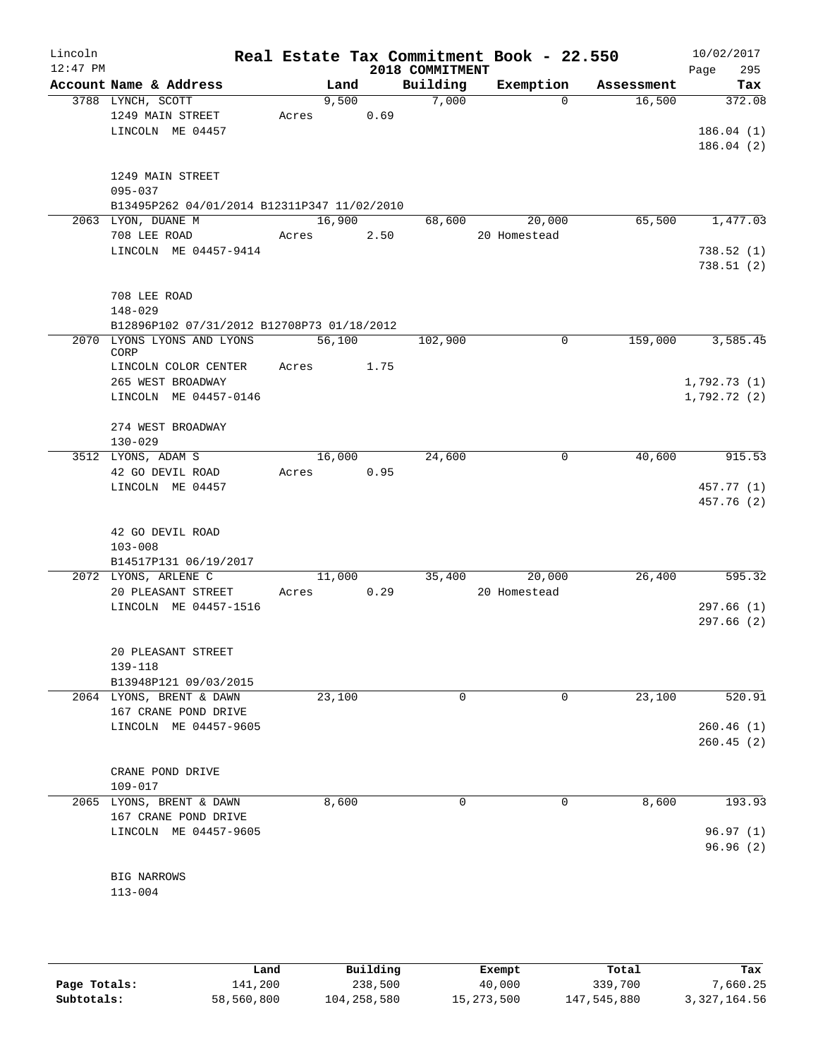| Lincoln<br>$12:47$ PM |                                             |       |        |      | 2018 COMMITMENT | Real Estate Tax Commitment Book - 22.550 |            | 10/02/2017<br>295<br>Page |
|-----------------------|---------------------------------------------|-------|--------|------|-----------------|------------------------------------------|------------|---------------------------|
|                       | Account Name & Address                      |       | Land   |      | Building        | Exemption                                | Assessment | Tax                       |
|                       | 3788 LYNCH, SCOTT                           |       | 9,500  |      | 7,000           | $\Omega$                                 | 16,500     | 372.08                    |
|                       | 1249 MAIN STREET                            | Acres |        | 0.69 |                 |                                          |            |                           |
|                       | LINCOLN ME 04457                            |       |        |      |                 |                                          |            | 186.04(1)                 |
|                       |                                             |       |        |      |                 |                                          |            | 186.04(2)                 |
|                       | 1249 MAIN STREET                            |       |        |      |                 |                                          |            |                           |
|                       | $095 - 037$                                 |       |        |      |                 |                                          |            |                           |
|                       | B13495P262 04/01/2014 B12311P347 11/02/2010 |       |        |      |                 |                                          |            |                           |
|                       | 2063 LYON, DUANE M                          |       | 16,900 |      | 68,600          | 20,000                                   | 65,500     | 1,477.03                  |
|                       | 708 LEE ROAD                                | Acres |        | 2.50 |                 | 20 Homestead                             |            |                           |
|                       | LINCOLN ME 04457-9414                       |       |        |      |                 |                                          |            | 738.52(1)<br>738.51(2)    |
|                       | 708 LEE ROAD                                |       |        |      |                 |                                          |            |                           |
|                       | $148 - 029$                                 |       |        |      |                 |                                          |            |                           |
|                       | B12896P102 07/31/2012 B12708P73 01/18/2012  |       |        |      |                 |                                          |            |                           |
|                       | 2070 LYONS LYONS AND LYONS<br>CORP          |       | 56,100 |      | 102,900         | $\Omega$                                 | 159,000    | 3,585.45                  |
|                       | LINCOLN COLOR CENTER                        | Acres |        | 1.75 |                 |                                          |            |                           |
|                       | 265 WEST BROADWAY                           |       |        |      |                 |                                          |            | 1,792.73(1)               |
|                       | LINCOLN ME 04457-0146                       |       |        |      |                 |                                          |            | 1,792.72(2)               |
|                       | 274 WEST BROADWAY                           |       |        |      |                 |                                          |            |                           |
|                       | $130 - 029$                                 |       |        |      |                 |                                          |            |                           |
|                       | 3512 LYONS, ADAM S                          |       | 16,000 |      | 24,600          | 0                                        | 40,600     | 915.53                    |
|                       | 42 GO DEVIL ROAD                            | Acres |        | 0.95 |                 |                                          |            |                           |
|                       | LINCOLN ME 04457                            |       |        |      |                 |                                          |            | 457.77 (1)                |
|                       |                                             |       |        |      |                 |                                          |            | 457.76 (2)                |
|                       | 42 GO DEVIL ROAD                            |       |        |      |                 |                                          |            |                           |
|                       | $103 - 008$                                 |       |        |      |                 |                                          |            |                           |
|                       | B14517P131 06/19/2017                       |       |        |      |                 |                                          |            |                           |
|                       | 2072 LYONS, ARLENE C                        |       | 11,000 |      | 35,400          | 20,000                                   | 26,400     | 595.32                    |
|                       | 20 PLEASANT STREET                          | Acres |        | 0.29 |                 | 20 Homestead                             |            |                           |
|                       | LINCOLN ME 04457-1516                       |       |        |      |                 |                                          |            | 297.66(1)                 |
|                       |                                             |       |        |      |                 |                                          |            | 297.66(2)                 |
|                       | 20 PLEASANT STREET                          |       |        |      |                 |                                          |            |                           |
|                       | 139-118                                     |       |        |      |                 |                                          |            |                           |
|                       | B13948P121 09/03/2015                       |       |        |      |                 |                                          |            |                           |
|                       | 2064 LYONS, BRENT & DAWN                    |       | 23,100 |      | 0               | 0                                        | 23,100     | 520.91                    |
|                       | 167 CRANE POND DRIVE                        |       |        |      |                 |                                          |            |                           |
|                       | LINCOLN ME 04457-9605                       |       |        |      |                 |                                          |            | 260.46(1)                 |
|                       |                                             |       |        |      |                 |                                          |            | 260.45(2)                 |
|                       | CRANE POND DRIVE                            |       |        |      |                 |                                          |            |                           |
|                       | $109 - 017$                                 |       |        |      |                 |                                          |            |                           |
|                       | 2065 LYONS, BRENT & DAWN                    |       | 8,600  |      | 0               | 0                                        | 8,600      | 193.93                    |
|                       | 167 CRANE POND DRIVE                        |       |        |      |                 |                                          |            |                           |
|                       | LINCOLN ME 04457-9605                       |       |        |      |                 |                                          |            | 96.97(1)                  |
|                       |                                             |       |        |      |                 |                                          |            | 96.96(2)                  |
|                       | <b>BIG NARROWS</b>                          |       |        |      |                 |                                          |            |                           |
|                       | $113 - 004$                                 |       |        |      |                 |                                          |            |                           |
|                       |                                             |       |        |      |                 |                                          |            |                           |

|              | Land       | Building    | Exempt       | Total       | Tax            |
|--------------|------------|-------------|--------------|-------------|----------------|
| Page Totals: | 141,200    | 238,500     | 40,000       | 339,700     | 7,660.25       |
| Subtotals:   | 58,560,800 | 104,258,580 | 15, 273, 500 | 147,545,880 | 3, 327, 164.56 |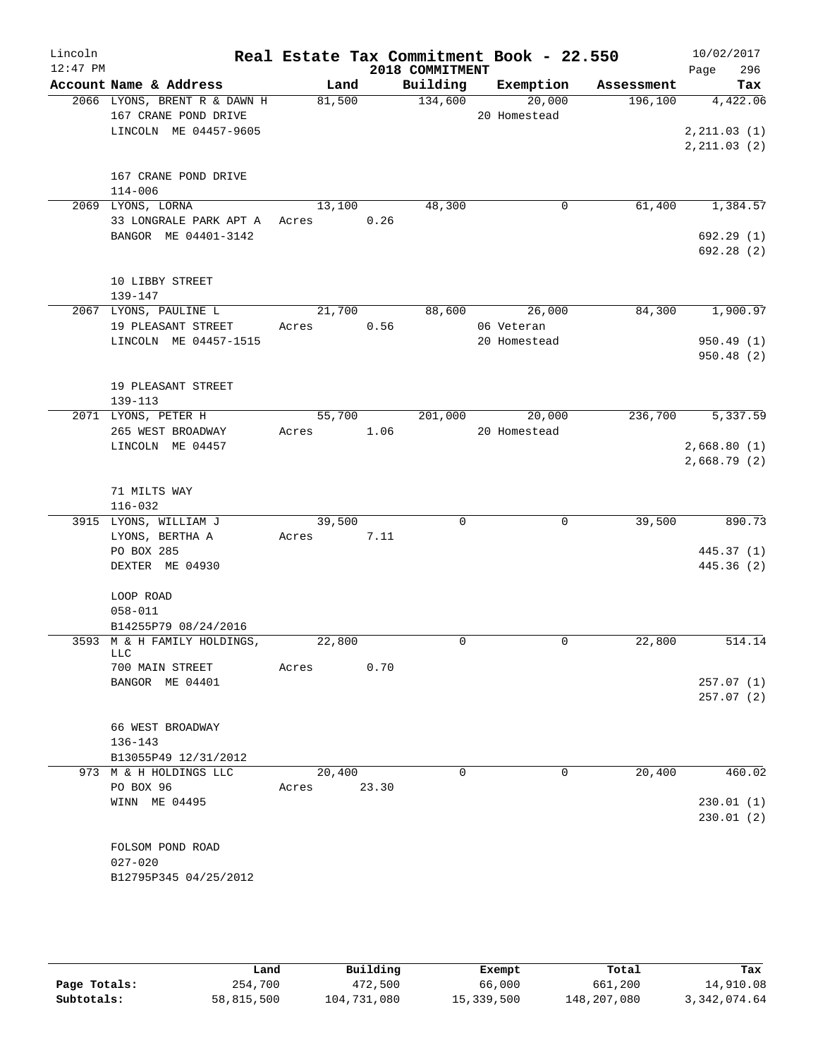| Lincoln    |                                                        |                |       |                 | Real Estate Tax Commitment Book - 22.550 |                               | 10/02/2017                  |
|------------|--------------------------------------------------------|----------------|-------|-----------------|------------------------------------------|-------------------------------|-----------------------------|
| $12:47$ PM |                                                        |                |       | 2018 COMMITMENT |                                          |                               | Page<br>296                 |
|            | Account Name & Address<br>2066 LYONS, BRENT R & DAWN H | Land<br>81,500 |       | 134,600         | 20,000                                   | Building Exemption Assessment | Tax<br>196,100 4,422.06     |
|            | 167 CRANE POND DRIVE                                   |                |       |                 | 20 Homestead                             |                               |                             |
|            | LINCOLN ME 04457-9605                                  |                |       |                 |                                          |                               | 2, 211.03(1)                |
|            |                                                        |                |       |                 |                                          |                               | 2, 211.03(2)                |
|            | 167 CRANE POND DRIVE                                   |                |       |                 |                                          |                               |                             |
|            | $114 - 006$                                            |                |       |                 |                                          |                               |                             |
|            | 2069 LYONS, LORNA                                      | 13,100         |       | 48,300          |                                          | $\mathsf{O}$<br>61,400        | 1,384.57                    |
|            | 33 LONGRALE PARK APT A Acres 0.26                      |                |       |                 |                                          |                               |                             |
|            | BANGOR ME 04401-3142                                   |                |       |                 |                                          |                               | 692.29(1)                   |
|            |                                                        |                |       |                 |                                          |                               | 692.28(2)                   |
|            | 10 LIBBY STREET                                        |                |       |                 |                                          |                               |                             |
|            | 139-147                                                |                |       |                 |                                          |                               |                             |
|            | 2067 LYONS, PAULINE L                                  | 21,700         |       |                 | 88,600 26,000                            |                               | 84,300 1,900.97             |
|            | 19 PLEASANT STREET                                     | Acres          | 0.56  |                 | 06 Veteran                               |                               |                             |
|            | LINCOLN ME 04457-1515                                  |                |       |                 | 20 Homestead                             |                               | 950.49(1)                   |
|            |                                                        |                |       |                 |                                          |                               | 950.48(2)                   |
|            | 19 PLEASANT STREET                                     |                |       |                 |                                          |                               |                             |
|            | $139 - 113$                                            |                |       |                 |                                          |                               |                             |
|            | 2071 LYONS, PETER H                                    |                |       |                 | 55,700 201,000 20,000                    |                               | 236,700 5,337.59            |
|            | 265 WEST BROADWAY                                      | Acres 1.06     |       |                 | 20 Homestead                             |                               |                             |
|            | LINCOLN ME 04457                                       |                |       |                 |                                          |                               | 2,668.80(1)<br>2,668.79 (2) |
|            |                                                        |                |       |                 |                                          |                               |                             |
|            | 71 MILTS WAY                                           |                |       |                 |                                          |                               |                             |
|            | $116 - 032$                                            |                |       |                 |                                          |                               |                             |
|            | 3915 LYONS, WILLIAM J                                  | 39,500         |       | 0               |                                          | 39,500<br>$\mathbf 0$         | 890.73                      |
|            | LYONS, BERTHA A                                        | Acres 7.11     |       |                 |                                          |                               |                             |
|            | PO BOX 285<br>DEXTER ME 04930                          |                |       |                 |                                          |                               | 445.37 (1)<br>445.36 (2)    |
|            |                                                        |                |       |                 |                                          |                               |                             |
|            | LOOP ROAD                                              |                |       |                 |                                          |                               |                             |
|            | $058 - 011$                                            |                |       |                 |                                          |                               |                             |
|            | B14255P79 08/24/2016                                   |                |       |                 |                                          |                               |                             |
|            | 3593 M & H FAMILY HOLDINGS,<br>LLC                     | 22,800         |       | $\Omega$        |                                          | 22,800<br>$\Omega$            | 514.14                      |
|            | 700 MAIN STREET                                        | Acres          | 0.70  |                 |                                          |                               |                             |
|            | BANGOR ME 04401                                        |                |       |                 |                                          |                               | 257.07(1)                   |
|            |                                                        |                |       |                 |                                          |                               | 257.07(2)                   |
|            | 66 WEST BROADWAY                                       |                |       |                 |                                          |                               |                             |
|            | $136 - 143$                                            |                |       |                 |                                          |                               |                             |
|            | B13055P49 12/31/2012                                   |                |       |                 |                                          |                               |                             |
|            | 973 M & H HOLDINGS LLC                                 | 20,400         |       | $\Omega$        |                                          | 20,400<br>$\Omega$            | 460.02                      |
|            | PO BOX 96                                              | Acres          | 23.30 |                 |                                          |                               |                             |
|            | WINN ME 04495                                          |                |       |                 |                                          |                               | 230.01(1)                   |
|            |                                                        |                |       |                 |                                          |                               | 230.01(2)                   |
|            | FOLSOM POND ROAD                                       |                |       |                 |                                          |                               |                             |
|            | $027 - 020$                                            |                |       |                 |                                          |                               |                             |
|            | B12795P345 04/25/2012                                  |                |       |                 |                                          |                               |                             |
|            |                                                        |                |       |                 |                                          |                               |                             |

|              | Land       | Building    | Exempt     | Total       | Tax            |
|--------------|------------|-------------|------------|-------------|----------------|
| Page Totals: | 254,700    | 472,500     | 66,000     | 661,200     | 14,910.08      |
| Subtotals:   | 58,815,500 | 104,731,080 | 15,339,500 | 148,207,080 | 3, 342, 074.64 |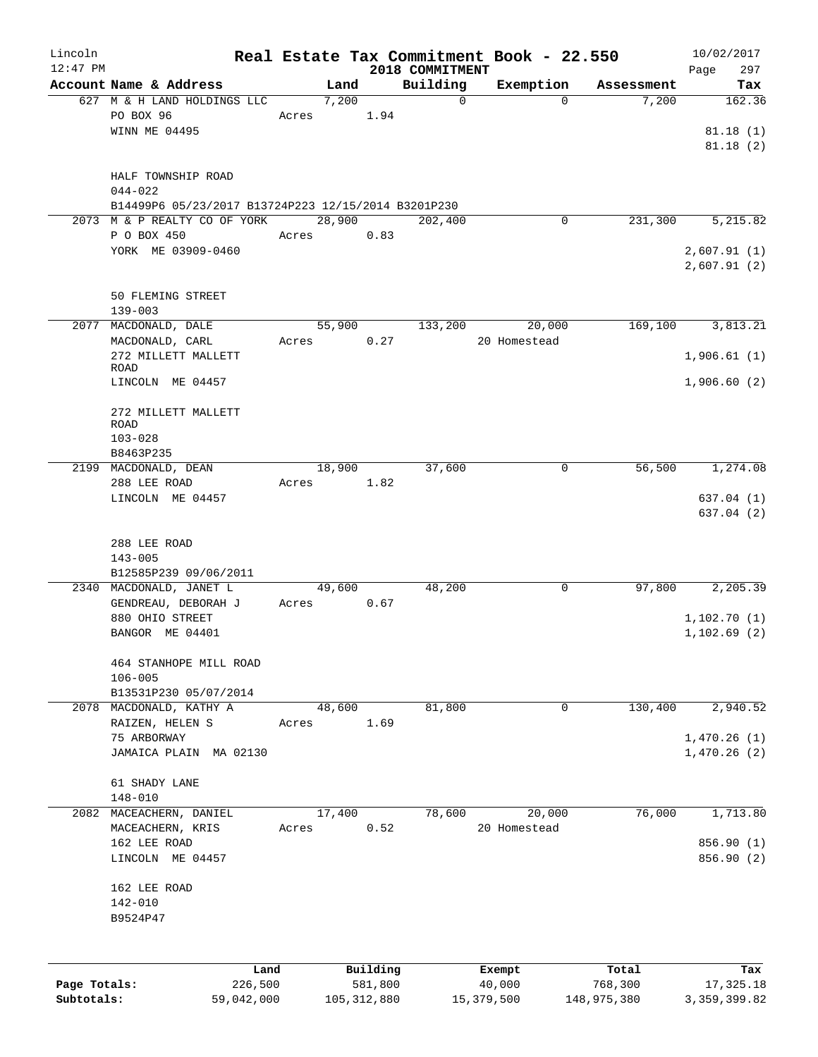| Lincoln                    |                                                     |       |               |                          |                 | Real Estate Tax Commitment Book - 22.550 |                        | 10/02/2017                  |
|----------------------------|-----------------------------------------------------|-------|---------------|--------------------------|-----------------|------------------------------------------|------------------------|-----------------------------|
| $12:47$ PM                 | Account Name & Address                              |       |               |                          | 2018 COMMITMENT |                                          |                        | 297<br>Page                 |
|                            | 627 M & H LAND HOLDINGS LLC                         |       | Land<br>7,200 |                          | Building<br>0   | Exemption<br>$\mathbf 0$                 | Assessment<br>7,200    | Tax<br>162.36               |
|                            | PO BOX 96                                           | Acres |               | 1.94                     |                 |                                          |                        |                             |
|                            | WINN ME 04495                                       |       |               |                          |                 |                                          |                        | 81.18(1)                    |
|                            |                                                     |       |               |                          |                 |                                          |                        | 81.18(2)                    |
|                            |                                                     |       |               |                          |                 |                                          |                        |                             |
|                            | HALF TOWNSHIP ROAD                                  |       |               |                          |                 |                                          |                        |                             |
|                            | $044 - 022$                                         |       |               |                          |                 |                                          |                        |                             |
|                            | B14499P6 05/23/2017 B13724P223 12/15/2014 B3201P230 |       |               |                          |                 |                                          |                        |                             |
|                            | 2073 M & P REALTY CO OF YORK                        |       | 28,900        |                          | 202,400         | 0                                        | 231,300                | 5,215.82                    |
|                            | P O BOX 450                                         | Acres |               | 0.83                     |                 |                                          |                        |                             |
|                            | YORK ME 03909-0460                                  |       |               |                          |                 |                                          |                        | 2,607.91(1)                 |
|                            |                                                     |       |               |                          |                 |                                          |                        | 2,607.91(2)                 |
|                            |                                                     |       |               |                          |                 |                                          |                        |                             |
|                            | 50 FLEMING STREET                                   |       |               |                          |                 |                                          |                        |                             |
|                            | $139 - 003$                                         |       |               |                          |                 |                                          |                        |                             |
| 2077                       | MACDONALD, DALE                                     |       | 55,900        |                          | 133,200         | 20,000                                   | 169,100                | 3,813.21                    |
|                            | MACDONALD, CARL                                     | Acres |               | 0.27                     |                 | 20 Homestead                             |                        |                             |
|                            | 272 MILLETT MALLETT                                 |       |               |                          |                 |                                          |                        | 1,906.61(1)                 |
|                            | ROAD                                                |       |               |                          |                 |                                          |                        |                             |
|                            | LINCOLN ME 04457                                    |       |               |                          |                 |                                          |                        | 1,906.60(2)                 |
|                            |                                                     |       |               |                          |                 |                                          |                        |                             |
|                            | 272 MILLETT MALLETT                                 |       |               |                          |                 |                                          |                        |                             |
|                            | <b>ROAD</b>                                         |       |               |                          |                 |                                          |                        |                             |
|                            | $103 - 028$                                         |       |               |                          |                 |                                          |                        |                             |
|                            | B8463P235                                           |       |               |                          |                 |                                          |                        |                             |
|                            | 2199 MACDONALD, DEAN                                |       | 18,900        |                          | 37,600          | 0                                        | 56,500                 | 1,274.08                    |
|                            | 288 LEE ROAD                                        | Acres |               | 1.82                     |                 |                                          |                        |                             |
|                            | LINCOLN ME 04457                                    |       |               |                          |                 |                                          |                        | 637.04(1)                   |
|                            |                                                     |       |               |                          |                 |                                          |                        | 637.04 (2)                  |
|                            |                                                     |       |               |                          |                 |                                          |                        |                             |
|                            | 288 LEE ROAD                                        |       |               |                          |                 |                                          |                        |                             |
|                            | $143 - 005$<br>B12585P239 09/06/2011                |       |               |                          |                 |                                          |                        |                             |
|                            | 2340 MACDONALD, JANET L                             |       | 49,600        |                          | 48,200          | 0                                        | 97,800                 | 2,205.39                    |
|                            | GENDREAU, DEBORAH J                                 | Acres |               | 0.67                     |                 |                                          |                        |                             |
|                            | 880 OHIO STREET                                     |       |               |                          |                 |                                          |                        | 1,102.70(1)                 |
|                            | BANGOR ME 04401                                     |       |               |                          |                 |                                          |                        | 1,102.69(2)                 |
|                            |                                                     |       |               |                          |                 |                                          |                        |                             |
|                            | 464 STANHOPE MILL ROAD                              |       |               |                          |                 |                                          |                        |                             |
|                            | $106 - 005$                                         |       |               |                          |                 |                                          |                        |                             |
|                            | B13531P230 05/07/2014                               |       |               |                          |                 |                                          |                        |                             |
| 2078                       | MACDONALD, KATHY A                                  |       | 48,600        |                          | 81,800          | $\mathbf 0$                              | 130,400                | 2,940.52                    |
|                            | RAIZEN, HELEN S                                     | Acres |               | 1.69                     |                 |                                          |                        |                             |
|                            | 75 ARBORWAY                                         |       |               |                          |                 |                                          |                        | 1,470.26(1)                 |
|                            | JAMAICA PLAIN MA 02130                              |       |               |                          |                 |                                          |                        | 1,470.26(2)                 |
|                            |                                                     |       |               |                          |                 |                                          |                        |                             |
|                            | 61 SHADY LANE                                       |       |               |                          |                 |                                          |                        |                             |
|                            | $148 - 010$                                         |       |               |                          |                 |                                          |                        |                             |
| 2082                       | MACEACHERN, DANIEL                                  |       | 17,400        |                          | 78,600          | 20,000                                   | 76,000                 | 1,713.80                    |
|                            | MACEACHERN, KRIS                                    | Acres |               | 0.52                     |                 | 20 Homestead                             |                        |                             |
|                            | 162 LEE ROAD                                        |       |               |                          |                 |                                          |                        | 856.90 (1)                  |
|                            | LINCOLN ME 04457                                    |       |               |                          |                 |                                          |                        | 856.90 (2)                  |
|                            |                                                     |       |               |                          |                 |                                          |                        |                             |
|                            | 162 LEE ROAD                                        |       |               |                          |                 |                                          |                        |                             |
|                            | $142 - 010$                                         |       |               |                          |                 |                                          |                        |                             |
|                            | B9524P47                                            |       |               |                          |                 |                                          |                        |                             |
|                            |                                                     |       |               |                          |                 |                                          |                        |                             |
|                            |                                                     |       |               |                          |                 |                                          |                        |                             |
|                            | Land                                                |       |               | Building                 |                 | Exempt                                   | Total                  | Tax                         |
| Page Totals:<br>Subtotals: | 226,500<br>59,042,000                               |       |               | 581,800<br>105, 312, 880 |                 | 40,000<br>15,379,500                     | 768,300<br>148,975,380 | 17,325.18<br>3, 359, 399.82 |
|                            |                                                     |       |               |                          |                 |                                          |                        |                             |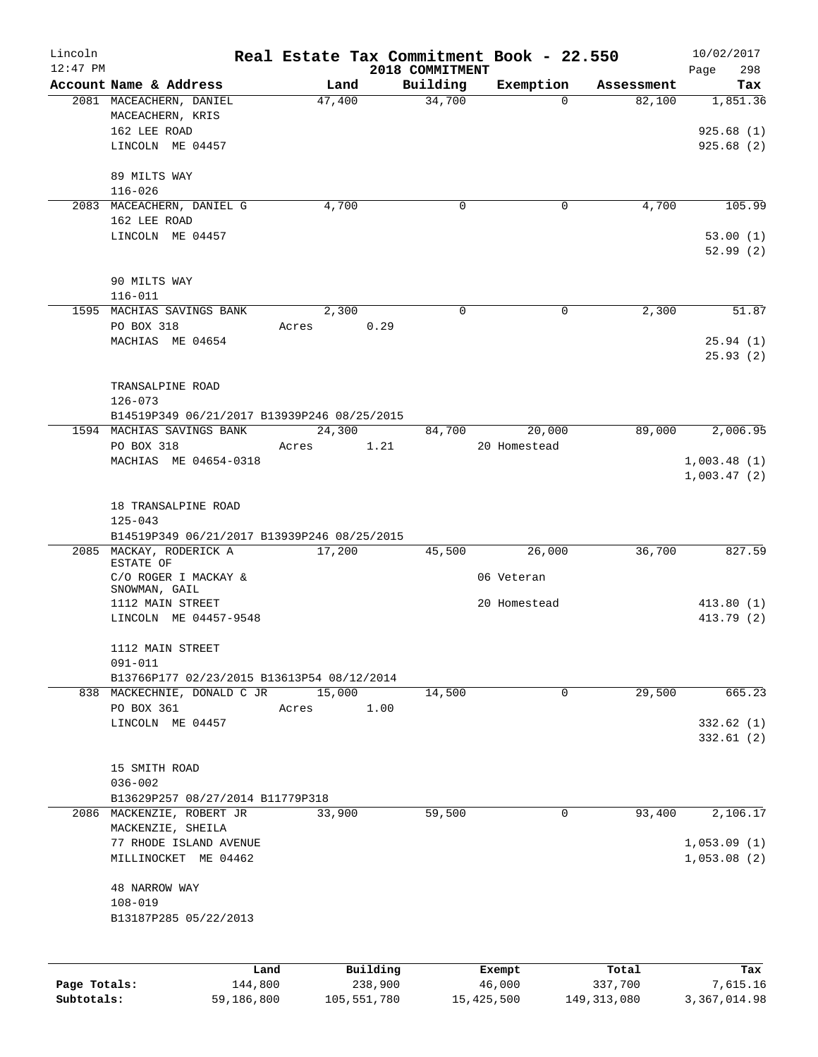| Lincoln      |                                             |            |          |                 | Real Estate Tax Commitment Book - 22.550 |            | 10/02/2017  |
|--------------|---------------------------------------------|------------|----------|-----------------|------------------------------------------|------------|-------------|
| $12:47$ PM   |                                             |            |          | 2018 COMMITMENT |                                          |            | 298<br>Page |
|              | Account Name & Address                      | Land       |          | Building        | Exemption                                | Assessment | Tax         |
|              | 2081 MACEACHERN, DANIEL                     | 47,400     |          | 34,700          | $\Omega$                                 | 82,100     | 1,851.36    |
|              | MACEACHERN, KRIS<br>162 LEE ROAD            |            |          |                 |                                          |            | 925.68(1)   |
|              | LINCOLN ME 04457                            |            |          |                 |                                          |            | 925.68(2)   |
|              |                                             |            |          |                 |                                          |            |             |
|              | 89 MILTS WAY                                |            |          |                 |                                          |            |             |
|              | $116 - 026$                                 |            |          |                 |                                          |            |             |
|              | 2083 MACEACHERN, DANIEL G                   | 4,700      |          | 0               | 0                                        | 4,700      | 105.99      |
|              | 162 LEE ROAD                                |            |          |                 |                                          |            |             |
|              | LINCOLN ME 04457                            |            |          |                 |                                          |            | 53.00(1)    |
|              |                                             |            |          |                 |                                          |            | 52.99(2)    |
|              |                                             |            |          |                 |                                          |            |             |
|              | 90 MILTS WAY                                |            |          |                 |                                          |            |             |
|              | $116 - 011$                                 |            |          |                 |                                          |            |             |
|              | 1595 MACHIAS SAVINGS BANK                   | 2,300      |          | $\Omega$        | $\Omega$                                 | 2,300      | 51.87       |
|              | PO BOX 318                                  | Acres      | 0.29     |                 |                                          |            |             |
|              | MACHIAS ME 04654                            |            |          |                 |                                          |            | 25.94(1)    |
|              |                                             |            |          |                 |                                          |            | 25.93(2)    |
|              | TRANSALPINE ROAD                            |            |          |                 |                                          |            |             |
|              | $126 - 073$                                 |            |          |                 |                                          |            |             |
|              | B14519P349 06/21/2017 B13939P246 08/25/2015 |            |          |                 |                                          |            |             |
|              | 1594 MACHIAS SAVINGS BANK                   | 24,300     |          | 84,700          | 20,000                                   | 89,000     | 2,006.95    |
|              | PO BOX 318                                  | Acres 1.21 |          |                 | 20 Homestead                             |            |             |
|              | MACHIAS ME 04654-0318                       |            |          |                 |                                          |            | 1,003.48(1) |
|              |                                             |            |          |                 |                                          |            | 1,003.47(2) |
|              |                                             |            |          |                 |                                          |            |             |
|              | 18 TRANSALPINE ROAD                         |            |          |                 |                                          |            |             |
|              | $125 - 043$                                 |            |          |                 |                                          |            |             |
|              | B14519P349 06/21/2017 B13939P246 08/25/2015 |            |          |                 |                                          |            |             |
|              | 2085 MACKAY, RODERICK A<br>ESTATE OF        | 17,200     |          | 45,500          | 26,000                                   | 36,700     | 827.59      |
|              | C/O ROGER I MACKAY &                        |            |          |                 | 06 Veteran                               |            |             |
|              | SNOWMAN, GAIL                               |            |          |                 |                                          |            |             |
|              | 1112 MAIN STREET                            |            |          |                 | 20 Homestead                             |            | 413.80(1)   |
|              | LINCOLN ME 04457-9548                       |            |          |                 |                                          |            | 413.79 (2)  |
|              |                                             |            |          |                 |                                          |            |             |
|              | 1112 MAIN STREET<br>091-011                 |            |          |                 |                                          |            |             |
|              | B13766P177 02/23/2015 B13613P54 08/12/2014  |            |          |                 |                                          |            |             |
|              | 838 MACKECHNIE, DONALD C JR                 | 15,000     |          | 14,500          | 0                                        | 29,500     | 665.23      |
|              | PO BOX 361                                  | Acres      | 1.00     |                 |                                          |            |             |
|              | LINCOLN ME 04457                            |            |          |                 |                                          |            | 332.62(1)   |
|              |                                             |            |          |                 |                                          |            | 332.61(2)   |
|              |                                             |            |          |                 |                                          |            |             |
|              | 15 SMITH ROAD                               |            |          |                 |                                          |            |             |
|              | $036 - 002$                                 |            |          |                 |                                          |            |             |
|              | B13629P257 08/27/2014 B11779P318            |            |          |                 |                                          |            |             |
|              | 2086 MACKENZIE, ROBERT JR                   | 33,900     |          | 59,500          | 0                                        | 93,400     | 2,106.17    |
|              | MACKENZIE, SHEILA                           |            |          |                 |                                          |            |             |
|              | 77 RHODE ISLAND AVENUE                      |            |          |                 |                                          |            | 1,053.09(1) |
|              | MILLINOCKET ME 04462                        |            |          |                 |                                          |            | 1,053.08(2) |
|              | 48 NARROW WAY                               |            |          |                 |                                          |            |             |
|              | $108 - 019$                                 |            |          |                 |                                          |            |             |
|              | B13187P285 05/22/2013                       |            |          |                 |                                          |            |             |
|              |                                             |            |          |                 |                                          |            |             |
|              |                                             |            |          |                 |                                          |            |             |
|              | Land                                        |            | Building |                 | Exempt                                   | Total      | Tax         |
| Page Totals: | 144,800                                     |            | 238,900  |                 | 46,000                                   | 337,700    | 7,615.16    |

**Subtotals:** 59,186,800 105,551,780 15,425,500 149,313,080 3,367,014.98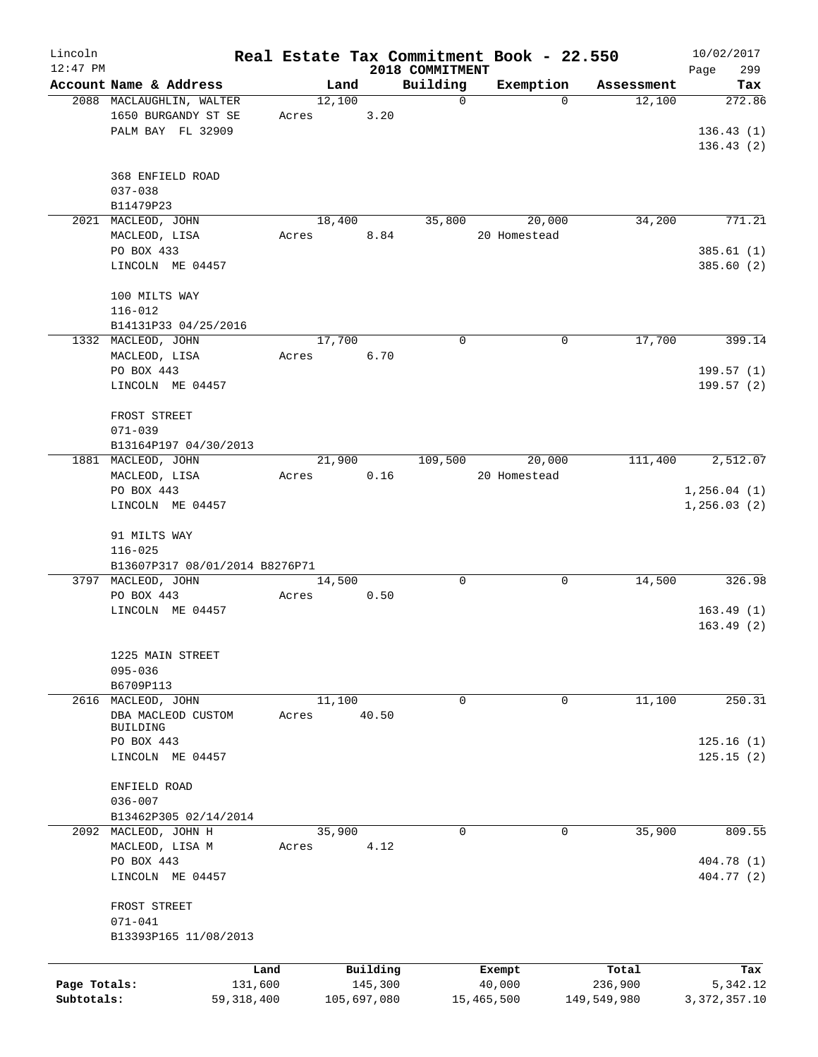| Lincoln      |                                     |       |             |                 | Real Estate Tax Commitment Book - 22.550 |             | 10/02/2017     |
|--------------|-------------------------------------|-------|-------------|-----------------|------------------------------------------|-------------|----------------|
| $12:47$ PM   |                                     |       |             | 2018 COMMITMENT |                                          |             | 299<br>Page    |
|              | Account Name & Address              |       | Land        | Building        | Exemption                                | Assessment  | Tax            |
|              | 2088 MACLAUGHLIN, WALTER            |       | 12,100      | $\mathbf 0$     | 0                                        | 12,100      | 272.86         |
|              | 1650 BURGANDY ST SE                 | Acres | 3.20        |                 |                                          |             |                |
|              | PALM BAY FL 32909                   |       |             |                 |                                          |             | 136.43(1)      |
|              |                                     |       |             |                 |                                          |             | 136.43(2)      |
|              |                                     |       |             |                 |                                          |             |                |
|              | 368 ENFIELD ROAD                    |       |             |                 |                                          |             |                |
|              | $037 - 038$                         |       |             |                 |                                          |             |                |
|              | B11479P23                           |       |             |                 | 20,000                                   | 34,200      | 771.21         |
|              | 2021 MACLEOD, JOHN<br>MACLEOD, LISA |       | 18,400      | 35,800          |                                          |             |                |
|              |                                     | Acres | 8.84        |                 | 20 Homestead                             |             |                |
|              | PO BOX 433                          |       |             |                 |                                          |             | 385.61(1)      |
|              | LINCOLN ME 04457                    |       |             |                 |                                          |             | 385.60(2)      |
|              | 100 MILTS WAY                       |       |             |                 |                                          |             |                |
|              | $116 - 012$                         |       |             |                 |                                          |             |                |
|              | B14131P33 04/25/2016                |       |             |                 |                                          |             |                |
|              | 1332 MACLEOD, JOHN                  |       | 17,700      | $\mathbf 0$     | 0                                        | 17,700      | 399.14         |
|              | MACLEOD, LISA                       | Acres | 6.70        |                 |                                          |             |                |
|              | PO BOX 443                          |       |             |                 |                                          |             | 199.57(1)      |
|              | LINCOLN ME 04457                    |       |             |                 |                                          |             | 199.57(2)      |
|              |                                     |       |             |                 |                                          |             |                |
|              | FROST STREET                        |       |             |                 |                                          |             |                |
|              | $071 - 039$                         |       |             |                 |                                          |             |                |
|              | B13164P197 04/30/2013               |       |             |                 |                                          |             |                |
|              | 1881 MACLEOD, JOHN                  |       | 21,900      | 109,500         | 20,000                                   | 111,400     | 2,512.07       |
|              | MACLEOD, LISA                       | Acres | 0.16        |                 | 20 Homestead                             |             |                |
|              | PO BOX 443                          |       |             |                 |                                          |             | 1, 256.04(1)   |
|              | LINCOLN ME 04457                    |       |             |                 |                                          |             | 1, 256.03(2)   |
|              |                                     |       |             |                 |                                          |             |                |
|              | 91 MILTS WAY                        |       |             |                 |                                          |             |                |
|              | $116 - 025$                         |       |             |                 |                                          |             |                |
|              | B13607P317 08/01/2014 B8276P71      |       |             |                 |                                          |             |                |
|              | 3797 MACLEOD, JOHN                  |       | 14,500      | $\mathbf 0$     | $\mathbf 0$                              | 14,500      | 326.98         |
|              | PO BOX 443                          | Acres | 0.50        |                 |                                          |             |                |
|              | LINCOLN ME 04457                    |       |             |                 |                                          |             | 163.49(1)      |
|              |                                     |       |             |                 |                                          |             | 163.49(2)      |
|              |                                     |       |             |                 |                                          |             |                |
|              | 1225 MAIN STREET                    |       |             |                 |                                          |             |                |
|              | $095 - 036$                         |       |             |                 |                                          |             |                |
|              | B6709P113                           |       |             |                 |                                          |             |                |
| 2616         | MACLEOD, JOHN                       |       | 11,100      | 0               | 0                                        | 11,100      | 250.31         |
|              | DBA MACLEOD CUSTOM                  | Acres | 40.50       |                 |                                          |             |                |
|              | <b>BUILDING</b>                     |       |             |                 |                                          |             |                |
|              | PO BOX 443                          |       |             |                 |                                          |             | 125.16(1)      |
|              | LINCOLN ME 04457                    |       |             |                 |                                          |             | 125.15(2)      |
|              |                                     |       |             |                 |                                          |             |                |
|              | ENFIELD ROAD                        |       |             |                 |                                          |             |                |
|              | $036 - 007$                         |       |             |                 |                                          |             |                |
|              | B13462P305 02/14/2014               |       |             |                 |                                          |             |                |
|              | 2092 MACLEOD, JOHN H                |       | 35,900      | $\mathbf 0$     | 0                                        | 35,900      | 809.55         |
|              | MACLEOD, LISA M                     | Acres | 4.12        |                 |                                          |             |                |
|              | PO BOX 443                          |       |             |                 |                                          |             | 404.78 (1)     |
|              | LINCOLN ME 04457                    |       |             |                 |                                          |             | 404.77 (2)     |
|              |                                     |       |             |                 |                                          |             |                |
|              | FROST STREET                        |       |             |                 |                                          |             |                |
|              | $071 - 041$                         |       |             |                 |                                          |             |                |
|              | B13393P165 11/08/2013               |       |             |                 |                                          |             |                |
|              |                                     | Land  | Building    |                 |                                          | Total       | Tax            |
| Page Totals: | 131,600                             |       | 145,300     |                 | Exempt<br>40,000                         | 236,900     | 5,342.12       |
| Subtotals:   | 59,318,400                          |       | 105,697,080 |                 | 15,465,500                               | 149,549,980 | 3, 372, 357.10 |
|              |                                     |       |             |                 |                                          |             |                |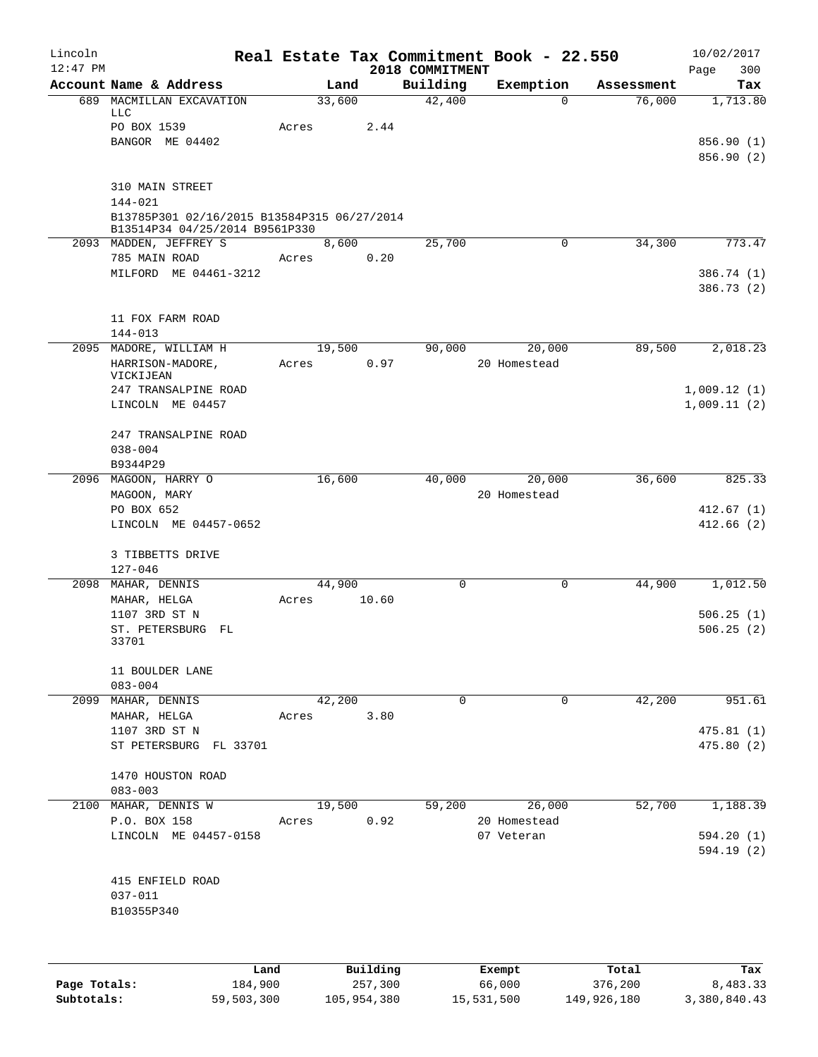| Lincoln    |                                                                               |                |          |                    | Real Estate Tax Commitment Book - 22.550 |                      | 10/02/2017                 |
|------------|-------------------------------------------------------------------------------|----------------|----------|--------------------|------------------------------------------|----------------------|----------------------------|
| $12:47$ PM |                                                                               |                |          | 2018 COMMITMENT    |                                          |                      | 300<br>Page                |
|            | Account Name & Address<br>689 MACMILLAN EXCAVATION                            | Land<br>33,600 |          | Building<br>42,400 | Exemption<br>$\mathbf 0$                 | Assessment<br>76,000 | Tax<br>1,713.80            |
|            | LLC                                                                           |                |          |                    |                                          |                      |                            |
|            | PO BOX 1539                                                                   | Acres          | 2.44     |                    |                                          |                      |                            |
|            | BANGOR ME 04402                                                               |                |          |                    |                                          |                      | 856.90(1)                  |
|            |                                                                               |                |          |                    |                                          |                      | 856.90 (2)                 |
|            | 310 MAIN STREET                                                               |                |          |                    |                                          |                      |                            |
|            | 144-021                                                                       |                |          |                    |                                          |                      |                            |
|            | B13785P301 02/16/2015 B13584P315 06/27/2014<br>B13514P34 04/25/2014 B9561P330 |                |          |                    |                                          |                      |                            |
|            | 2093 MADDEN, JEFFREY S                                                        | 8,600          |          | 25,700             | $\mathsf{O}$                             | 34,300               | 773.47                     |
|            | 785 MAIN ROAD                                                                 | Acres          | 0.20     |                    |                                          |                      |                            |
|            | MILFORD ME 04461-3212                                                         |                |          |                    |                                          |                      | 386.74 (1)                 |
|            |                                                                               |                |          |                    |                                          |                      | 386.73 (2)                 |
|            | 11 FOX FARM ROAD                                                              |                |          |                    |                                          |                      |                            |
|            | $144 - 013$                                                                   |                |          |                    |                                          |                      |                            |
|            | 2095 MADORE, WILLIAM H                                                        | 19,500         |          | 90,000             | 20,000                                   | 89,500               | 2,018.23                   |
|            | HARRISON-MADORE,                                                              | Acres          | 0.97     |                    | 20 Homestead                             |                      |                            |
|            | VICKIJEAN                                                                     |                |          |                    |                                          |                      |                            |
|            | 247 TRANSALPINE ROAD<br>LINCOLN ME 04457                                      |                |          |                    |                                          |                      | 1,009.12(1)<br>1,009.11(2) |
|            |                                                                               |                |          |                    |                                          |                      |                            |
|            | 247 TRANSALPINE ROAD                                                          |                |          |                    |                                          |                      |                            |
|            | $038 - 004$                                                                   |                |          |                    |                                          |                      |                            |
|            | B9344P29                                                                      |                |          |                    |                                          |                      |                            |
|            | 2096 MAGOON, HARRY O                                                          | 16,600         |          | 40,000             | 20,000                                   | 36,600               | 825.33                     |
|            | MAGOON, MARY                                                                  |                |          |                    | 20 Homestead                             |                      |                            |
|            | PO BOX 652                                                                    |                |          |                    |                                          |                      | 412.67(1)                  |
|            | LINCOLN ME 04457-0652                                                         |                |          |                    |                                          |                      | 412.66(2)                  |
|            | 3 TIBBETTS DRIVE                                                              |                |          |                    |                                          |                      |                            |
|            | $127 - 046$                                                                   |                |          |                    |                                          |                      |                            |
|            | 2098 MAHAR, DENNIS                                                            | 44,900         |          | $\Omega$           | 0                                        | 44,900               | 1,012.50                   |
|            | MAHAR, HELGA                                                                  | Acres          | 10.60    |                    |                                          |                      |                            |
|            | 1107 3RD ST N<br>ST. PETERSBURG                                               |                |          |                    |                                          |                      | 506.25(1)<br>506.25(2)     |
|            | FL<br>33701                                                                   |                |          |                    |                                          |                      |                            |
|            |                                                                               |                |          |                    |                                          |                      |                            |
|            | 11 BOULDER LANE                                                               |                |          |                    |                                          |                      |                            |
|            | $083 - 004$                                                                   |                |          |                    |                                          |                      |                            |
|            | 2099 MAHAR, DENNIS                                                            | 42,200         |          | 0                  | 0                                        | 42,200               | 951.61                     |
|            | MAHAR, HELGA<br>1107 3RD ST N                                                 | Acres          | 3.80     |                    |                                          |                      | 475.81(1)                  |
|            | ST PETERSBURG FL 33701                                                        |                |          |                    |                                          |                      | 475.80(2)                  |
|            |                                                                               |                |          |                    |                                          |                      |                            |
|            | 1470 HOUSTON ROAD                                                             |                |          |                    |                                          |                      |                            |
|            | $083 - 003$                                                                   |                |          |                    |                                          |                      |                            |
|            | 2100 MAHAR, DENNIS W                                                          | 19,500         |          | 59,200             | 26,000                                   | 52,700               | 1,188.39                   |
|            | P.O. BOX 158                                                                  | Acres          | 0.92     |                    | 20 Homestead                             |                      |                            |
|            | LINCOLN ME 04457-0158                                                         |                |          |                    | 07 Veteran                               |                      | 594.20(1)<br>594.19 (2)    |
|            |                                                                               |                |          |                    |                                          |                      |                            |
|            | 415 ENFIELD ROAD                                                              |                |          |                    |                                          |                      |                            |
|            | $037 - 011$                                                                   |                |          |                    |                                          |                      |                            |
|            | B10355P340                                                                    |                |          |                    |                                          |                      |                            |
|            |                                                                               |                |          |                    |                                          |                      |                            |
|            | Land                                                                          |                | Building |                    | Exempt                                   | Total                | Tax                        |

|              | Land       | Building    | Exempt     | Total       | Tax          |
|--------------|------------|-------------|------------|-------------|--------------|
| Page Totals: | 184,900    | 257,300     | 66,000     | 376,200     | 8,483.33     |
| Subtotals:   | 59,503,300 | 105,954,380 | 15,531,500 | 149,926,180 | 3,380,840.43 |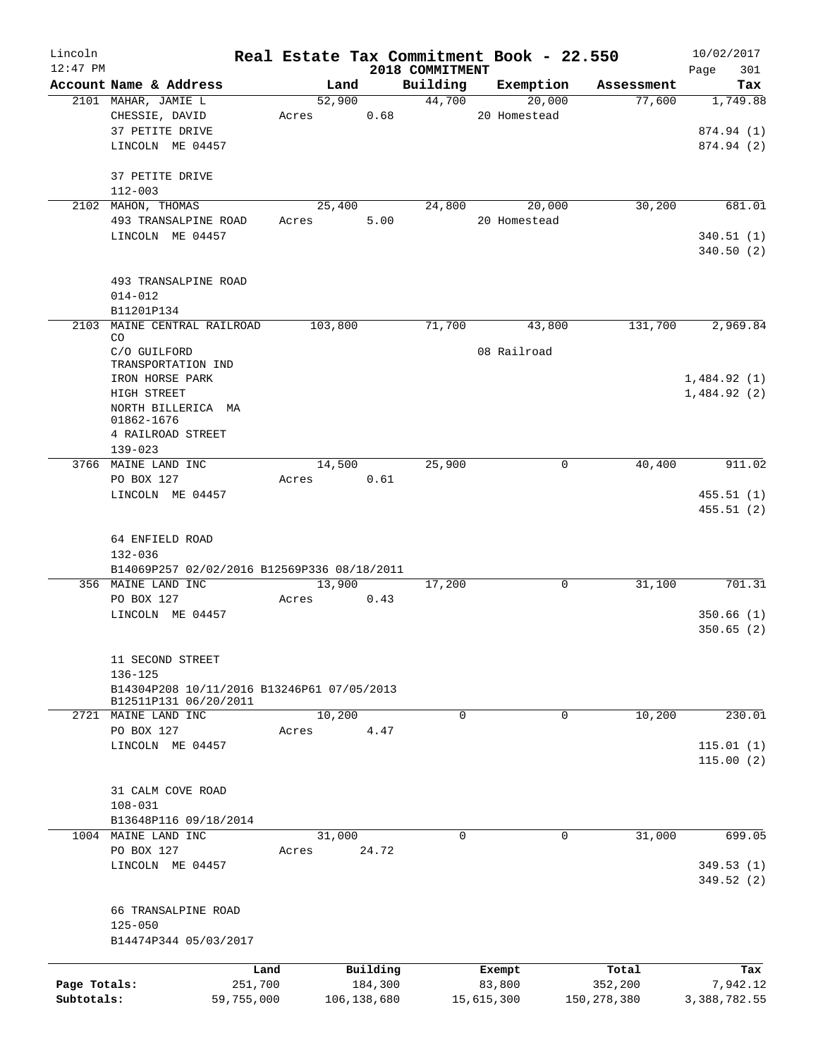| Lincoln      |                                                       |         |               | Real Estate Tax Commitment Book - 22.550 |              |             |               | 10/02/2017             |
|--------------|-------------------------------------------------------|---------|---------------|------------------------------------------|--------------|-------------|---------------|------------------------|
| $12:47$ PM   | Account Name & Address                                | Land    |               | 2018 COMMITMENT<br>Building              |              | Exemption   | Assessment    | 301<br>Page<br>Tax     |
|              | 2101 MAHAR, JAMIE L                                   | 52,900  |               | 44,700                                   |              | 20,000      | 77,600        | 1,749.88               |
|              | CHESSIE, DAVID                                        | Acres   | 0.68          |                                          | 20 Homestead |             |               |                        |
|              | 37 PETITE DRIVE                                       |         |               |                                          |              |             |               | 874.94 (1)             |
|              | LINCOLN ME 04457                                      |         |               |                                          |              |             |               | 874.94 (2)             |
|              | 37 PETITE DRIVE                                       |         |               |                                          |              |             |               |                        |
|              | $112 - 003$                                           |         |               |                                          |              |             |               |                        |
|              | 2102 MAHON, THOMAS                                    | 25,400  |               | 24,800                                   |              | 20,000      | 30,200        | 681.01                 |
|              | 493 TRANSALPINE ROAD                                  | Acres   | 5.00          |                                          | 20 Homestead |             |               |                        |
|              | LINCOLN ME 04457                                      |         |               |                                          |              |             |               | 340.51(1)<br>340.50(2) |
|              |                                                       |         |               |                                          |              |             |               |                        |
|              | 493 TRANSALPINE ROAD<br>$014 - 012$                   |         |               |                                          |              |             |               |                        |
|              | B11201P134                                            |         |               |                                          |              |             |               |                        |
|              | 2103 MAINE CENTRAL RAILROAD                           | 103,800 |               | 71,700                                   |              | 43,800      | 131,700       | 2,969.84               |
|              | CO<br>C/O GUILFORD                                    |         |               |                                          | 08 Railroad  |             |               |                        |
|              | TRANSPORTATION IND<br>IRON HORSE PARK                 |         |               |                                          |              |             |               | 1,484.92(1)            |
|              | HIGH STREET                                           |         |               |                                          |              |             |               | 1,484.92(2)            |
|              | NORTH BILLERICA MA                                    |         |               |                                          |              |             |               |                        |
|              | 01862-1676                                            |         |               |                                          |              |             |               |                        |
|              | 4 RAILROAD STREET                                     |         |               |                                          |              |             |               |                        |
|              | $139 - 023$                                           |         |               |                                          |              |             |               |                        |
|              | 3766 MAINE LAND INC                                   | 14,500  |               | 25,900                                   |              | 0           | 40,400        | 911.02                 |
|              | PO BOX 127                                            | Acres   | 0.61          |                                          |              |             |               |                        |
|              | LINCOLN ME 04457                                      |         |               |                                          |              |             |               | 455.51(1)              |
|              |                                                       |         |               |                                          |              |             |               | 455.51(2)              |
|              | 64 ENFIELD ROAD                                       |         |               |                                          |              |             |               |                        |
|              | $132 - 036$                                           |         |               |                                          |              |             |               |                        |
|              | B14069P257 02/02/2016 B12569P336 08/18/2011           |         |               |                                          |              |             |               |                        |
|              | 356 MAINE LAND INC                                    | 13,900  |               | 17,200                                   |              | $\mathbf 0$ | 31,100        | 701.31                 |
|              | PO BOX 127                                            | Acres   | 0.43          |                                          |              |             |               |                        |
|              | LINCOLN ME 04457                                      |         |               |                                          |              |             |               | 350.66(1)              |
|              |                                                       |         |               |                                          |              |             |               | 350.65(2)              |
|              |                                                       |         |               |                                          |              |             |               |                        |
|              | 11 SECOND STREET                                      |         |               |                                          |              |             |               |                        |
|              | 136-125<br>B14304P208 10/11/2016 B13246P61 07/05/2013 |         |               |                                          |              |             |               |                        |
|              | B12511P131 06/20/2011                                 |         |               |                                          |              |             |               |                        |
|              | 2721 MAINE LAND INC                                   | 10,200  |               | $\mathbf 0$                              |              | $\mathbf 0$ | 10,200        | 230.01                 |
|              | PO BOX 127                                            | Acres   | 4.47          |                                          |              |             |               |                        |
|              | LINCOLN ME 04457                                      |         |               |                                          |              |             |               | 115.01(1)              |
|              |                                                       |         |               |                                          |              |             |               | 115.00(2)              |
|              | 31 CALM COVE ROAD                                     |         |               |                                          |              |             |               |                        |
|              | $108 - 031$                                           |         |               |                                          |              |             |               |                        |
|              | B13648P116 09/18/2014                                 |         |               |                                          |              |             |               |                        |
|              | 1004 MAINE LAND INC                                   | 31,000  |               | $\mathbf 0$                              |              | 0           | 31,000        | 699.05                 |
|              | PO BOX 127                                            | Acres   | 24.72         |                                          |              |             |               |                        |
|              | LINCOLN ME 04457                                      |         |               |                                          |              |             |               | 349.53(1)              |
|              |                                                       |         |               |                                          |              |             |               | 349.52 (2)             |
|              | 66 TRANSALPINE ROAD                                   |         |               |                                          |              |             |               |                        |
|              | $125 - 050$                                           |         |               |                                          |              |             |               |                        |
|              | B14474P344 05/03/2017                                 |         |               |                                          |              |             |               |                        |
|              | Land                                                  |         | Building      |                                          | Exempt       |             | Total         | Tax                    |
| Page Totals: | 251,700                                               |         | 184,300       |                                          | 83,800       |             | 352,200       | 7,942.12               |
| Subtotals:   | 59,755,000                                            |         | 106, 138, 680 |                                          | 15,615,300   |             | 150, 278, 380 | 3,388,782.55           |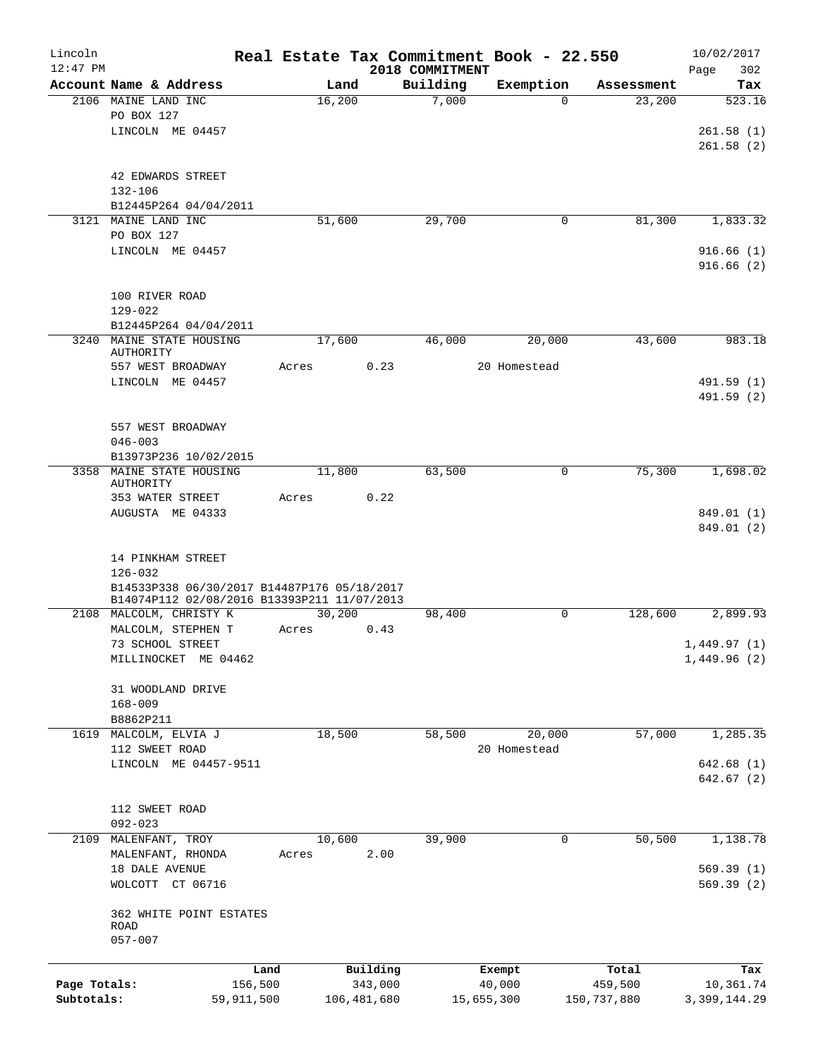| Lincoln      |                                              | Real Estate Tax Commitment Book - 22.550 |             |                 |              |             | 10/02/2017     |
|--------------|----------------------------------------------|------------------------------------------|-------------|-----------------|--------------|-------------|----------------|
| $12:47$ PM   |                                              |                                          |             | 2018 COMMITMENT |              |             | Page<br>302    |
|              | Account Name & Address                       | Land                                     |             | Building        | Exemption    | Assessment  | Tax            |
|              | 2106 MAINE LAND INC                          | 16,200                                   |             | 7,000           | $\Omega$     | 23,200      | 523.16         |
|              | PO BOX 127                                   |                                          |             |                 |              |             |                |
|              | LINCOLN ME 04457                             |                                          |             |                 |              |             | 261.58(1)      |
|              |                                              |                                          |             |                 |              |             | 261.58(2)      |
|              |                                              |                                          |             |                 |              |             |                |
|              | 42 EDWARDS STREET                            |                                          |             |                 |              |             |                |
|              | $132 - 106$                                  |                                          |             |                 |              |             |                |
|              | B12445P264 04/04/2011                        |                                          |             |                 |              |             |                |
|              | 3121 MAINE LAND INC                          | 51,600                                   |             | 29,700          | $\mathbf 0$  | 81,300      | 1,833.32       |
|              | PO BOX 127                                   |                                          |             |                 |              |             |                |
|              | LINCOLN ME 04457                             |                                          |             |                 |              |             | 916.66(1)      |
|              |                                              |                                          |             |                 |              |             | 916.66(2)      |
|              |                                              |                                          |             |                 |              |             |                |
|              | 100 RIVER ROAD                               |                                          |             |                 |              |             |                |
|              | $129 - 022$                                  |                                          |             |                 |              |             |                |
|              | B12445P264 04/04/2011                        |                                          |             |                 |              |             |                |
| 3240         | MAINE STATE HOUSING                          | 17,600                                   |             | 46,000          | 20,000       | 43,600      | 983.18         |
|              | AUTHORITY                                    | Acres                                    | 0.23        |                 | 20 Homestead |             |                |
|              | 557 WEST BROADWAY<br>LINCOLN ME 04457        |                                          |             |                 |              |             | 491.59 (1)     |
|              |                                              |                                          |             |                 |              |             |                |
|              |                                              |                                          |             |                 |              |             | 491.59 (2)     |
|              |                                              |                                          |             |                 |              |             |                |
|              | 557 WEST BROADWAY                            |                                          |             |                 |              |             |                |
|              | $046 - 003$                                  |                                          |             |                 |              |             |                |
|              | B13973P236 10/02/2015                        |                                          |             |                 |              |             |                |
|              | 3358 MAINE STATE HOUSING<br><b>AUTHORITY</b> | 11,800                                   |             | 63,500          | 0            | 75,300      | 1,698.02       |
|              | 353 WATER STREET                             | Acres                                    | 0.22        |                 |              |             |                |
|              | AUGUSTA ME 04333                             |                                          |             |                 |              |             | 849.01 (1)     |
|              |                                              |                                          |             |                 |              |             | 849.01 (2)     |
|              |                                              |                                          |             |                 |              |             |                |
|              | 14 PINKHAM STREET                            |                                          |             |                 |              |             |                |
|              | $126 - 032$                                  |                                          |             |                 |              |             |                |
|              | B14533P338 06/30/2017 B14487P176 05/18/2017  |                                          |             |                 |              |             |                |
|              | B14074P112 02/08/2016 B13393P211 11/07/2013  |                                          |             |                 |              |             |                |
|              | 2108 MALCOLM, CHRISTY K                      | 30,200                                   |             | 98,400          | $\Omega$     | 128,600     | 2,899.93       |
|              | MALCOLM, STEPHEN T                           | Acres                                    | 0.43        |                 |              |             |                |
|              | 73 SCHOOL STREET                             |                                          |             |                 |              |             | 1,449.97(1)    |
|              | MILLINOCKET ME 04462                         |                                          |             |                 |              |             | 1,449.96(2)    |
|              |                                              |                                          |             |                 |              |             |                |
|              | 31 WOODLAND DRIVE                            |                                          |             |                 |              |             |                |
|              | $168 - 009$                                  |                                          |             |                 |              |             |                |
|              | B8862P211                                    |                                          |             |                 |              |             |                |
|              | 1619 MALCOLM, ELVIA J                        | 18,500                                   |             | 58,500          | 20,000       | 57,000      | 1,285.35       |
|              | 112 SWEET ROAD                               |                                          |             |                 | 20 Homestead |             |                |
|              | LINCOLN ME 04457-9511                        |                                          |             |                 |              |             | 642.68(1)      |
|              |                                              |                                          |             |                 |              |             | 642.67(2)      |
|              |                                              |                                          |             |                 |              |             |                |
|              | 112 SWEET ROAD                               |                                          |             |                 |              |             |                |
|              | $092 - 023$                                  |                                          |             |                 |              |             |                |
|              | 2109 MALENFANT, TROY                         | 10,600                                   |             | 39,900          | 0            | 50,500      | 1,138.78       |
|              | MALENFANT, RHONDA                            | Acres                                    | 2.00        |                 |              |             |                |
|              | 18 DALE AVENUE                               |                                          |             |                 |              |             | 569.39(1)      |
|              | WOLCOTT CT 06716                             |                                          |             |                 |              |             | 569.39(2)      |
|              |                                              |                                          |             |                 |              |             |                |
|              | 362 WHITE POINT ESTATES                      |                                          |             |                 |              |             |                |
|              | ROAD                                         |                                          |             |                 |              |             |                |
|              | $057 - 007$                                  |                                          |             |                 |              |             |                |
|              |                                              |                                          |             |                 |              |             |                |
|              |                                              | Land                                     | Building    |                 | Exempt       | Total       | Tax            |
| Page Totals: |                                              | 156,500                                  | 343,000     |                 | 40,000       | 459,500     | 10,361.74      |
| Subtotals:   | 59,911,500                                   |                                          | 106,481,680 |                 | 15,655,300   | 150,737,880 | 3, 399, 144.29 |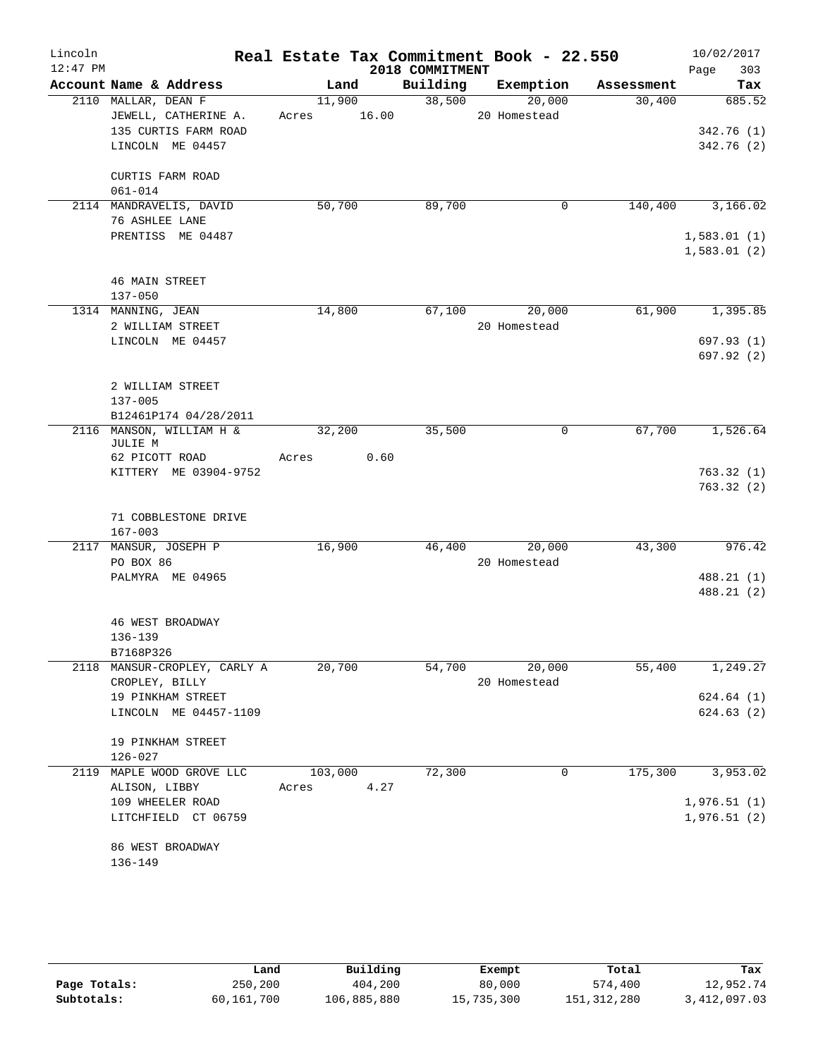| Lincoln    |                              |         |       |                 | Real Estate Tax Commitment Book - 22.550 |            | 10/02/2017  |
|------------|------------------------------|---------|-------|-----------------|------------------------------------------|------------|-------------|
| $12:47$ PM |                              |         |       | 2018 COMMITMENT |                                          |            | 303<br>Page |
|            | Account Name & Address       | Land    |       | Building        | Exemption                                | Assessment | Tax         |
|            | 2110 MALLAR, DEAN F          | 11,900  |       | 38,500          | 20,000                                   | 30,400     | 685.52      |
|            | JEWELL, CATHERINE A.         | Acres   | 16.00 |                 | 20 Homestead                             |            |             |
|            | 135 CURTIS FARM ROAD         |         |       |                 |                                          |            | 342.76(1)   |
|            | LINCOLN ME 04457             |         |       |                 |                                          |            | 342.76 (2)  |
|            | CURTIS FARM ROAD             |         |       |                 |                                          |            |             |
|            | $061 - 014$                  |         |       |                 |                                          |            |             |
|            | 2114 MANDRAVELIS, DAVID      | 50,700  |       | 89,700          | 0                                        | 140,400    | 3,166.02    |
|            | 76 ASHLEE LANE               |         |       |                 |                                          |            |             |
|            | PRENTISS ME 04487            |         |       |                 |                                          |            | 1,583.01(1) |
|            |                              |         |       |                 |                                          |            | 1,583.01(2) |
|            | <b>46 MAIN STREET</b>        |         |       |                 |                                          |            |             |
|            | $137 - 050$                  |         |       |                 |                                          |            |             |
|            | 1314 MANNING, JEAN           | 14,800  |       | 67,100          | 20,000                                   | 61,900     | 1,395.85    |
|            | 2 WILLIAM STREET             |         |       |                 | 20 Homestead                             |            |             |
|            | LINCOLN ME 04457             |         |       |                 |                                          |            | 697.93(1)   |
|            |                              |         |       |                 |                                          |            | 697.92 (2)  |
|            |                              |         |       |                 |                                          |            |             |
|            | 2 WILLIAM STREET             |         |       |                 |                                          |            |             |
|            | 137-005                      |         |       |                 |                                          |            |             |
|            | B12461P174 04/28/2011        |         |       |                 |                                          |            |             |
|            | 2116 MANSON, WILLIAM H &     | 32,200  |       | 35,500          | 0                                        | 67,700     | 1,526.64    |
|            | JULIE M                      |         |       |                 |                                          |            |             |
|            | 62 PICOTT ROAD               | Acres   | 0.60  |                 |                                          |            |             |
|            | KITTERY ME 03904-9752        |         |       |                 |                                          |            | 763.32(1)   |
|            |                              |         |       |                 |                                          |            | 763.32(2)   |
|            | 71 COBBLESTONE DRIVE         |         |       |                 |                                          |            |             |
|            | $167 - 003$                  |         |       |                 |                                          |            |             |
|            | 2117 MANSUR, JOSEPH P        | 16,900  |       | 46,400          | 20,000                                   | 43,300     | 976.42      |
|            | PO BOX 86                    |         |       |                 | 20 Homestead                             |            |             |
|            | PALMYRA ME 04965             |         |       |                 |                                          |            | 488.21 (1)  |
|            |                              |         |       |                 |                                          |            | 488.21 (2)  |
|            | <b>46 WEST BROADWAY</b>      |         |       |                 |                                          |            |             |
|            | 136-139                      |         |       |                 |                                          |            |             |
|            | B7168P326                    |         |       |                 |                                          |            |             |
|            | 2118 MANSUR-CROPLEY, CARLY A | 20,700  |       | 54,700          | 20,000                                   | 55,400     | 1,249.27    |
|            | CROPLEY, BILLY               |         |       |                 | 20 Homestead                             |            |             |
|            | 19 PINKHAM STREET            |         |       |                 |                                          |            | 624.64(1)   |
|            | LINCOLN ME 04457-1109        |         |       |                 |                                          |            | 624.63(2)   |
|            |                              |         |       |                 |                                          |            |             |
|            | 19 PINKHAM STREET            |         |       |                 |                                          |            |             |
|            | $126 - 027$                  |         |       |                 |                                          |            |             |
| 2119       | MAPLE WOOD GROVE LLC         | 103,000 |       | 72,300          | 0                                        | 175,300    | 3,953.02    |
|            | ALISON, LIBBY                | Acres   | 4.27  |                 |                                          |            |             |
|            | 109 WHEELER ROAD             |         |       |                 |                                          |            | 1,976.51(1) |
|            | LITCHFIELD CT 06759          |         |       |                 |                                          |            | 1,976.51(2) |
|            |                              |         |       |                 |                                          |            |             |
|            | 86 WEST BROADWAY             |         |       |                 |                                          |            |             |
|            | 136-149                      |         |       |                 |                                          |            |             |

|              | Land       | Building    | Exempt     | Total         | Tax          |
|--------------|------------|-------------|------------|---------------|--------------|
| Page Totals: | 250,200    | 404,200     | 80,000     | 574,400       | 12,952.74    |
| Subtotals:   | 60,161,700 | 106,885,880 | 15,735,300 | 151, 312, 280 | 3,412,097.03 |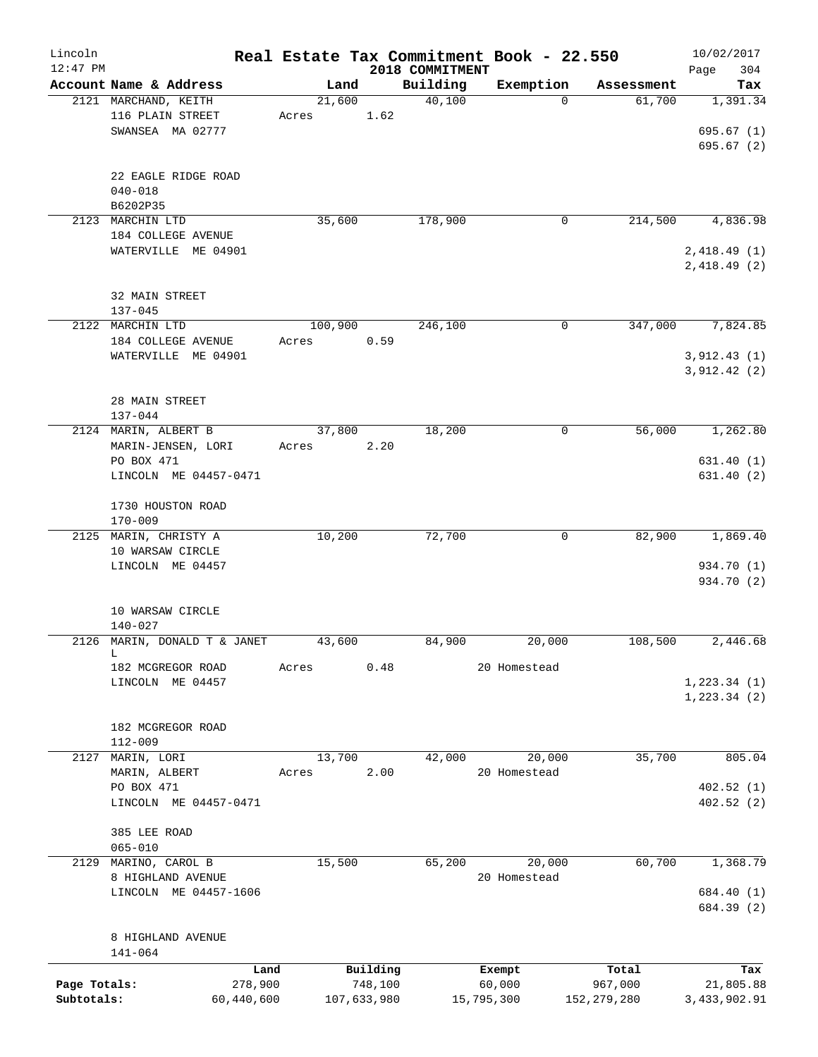| Lincoln      |                                            |                  |                     |                    | Real Estate Tax Commitment Book - 22.550 |                      | 10/02/2017                 |
|--------------|--------------------------------------------|------------------|---------------------|--------------------|------------------------------------------|----------------------|----------------------------|
| $12:47$ PM   | Account Name & Address                     |                  |                     | 2018 COMMITMENT    |                                          |                      | 304<br>Page                |
|              | 2121 MARCHAND, KEITH                       |                  | Land<br>21,600      | Building<br>40,100 | Exemption<br>$\Omega$                    | Assessment<br>61,700 | Tax<br>1,391.34            |
|              | 116 PLAIN STREET<br>SWANSEA MA 02777       | Acres            | 1.62                |                    |                                          |                      | 695.67(1)                  |
|              |                                            |                  |                     |                    |                                          |                      | 695.67(2)                  |
|              | 22 EAGLE RIDGE ROAD<br>$040 - 018$         |                  |                     |                    |                                          |                      |                            |
|              | B6202P35                                   |                  |                     |                    |                                          |                      |                            |
|              | 2123 MARCHIN LTD<br>184 COLLEGE AVENUE     |                  | 35,600              | 178,900            | 0                                        | 214,500              | 4,836.98                   |
|              | WATERVILLE ME 04901                        |                  |                     |                    |                                          |                      | 2,418.49(1)<br>2,418.49(2) |
|              | 32 MAIN STREET                             |                  |                     |                    |                                          |                      |                            |
|              | $137 - 045$                                |                  |                     |                    |                                          |                      |                            |
|              | 2122 MARCHIN LTD<br>184 COLLEGE AVENUE     | 100,900<br>Acres | 0.59                | 246,100            | 0                                        | 347,000              | 7,824.85                   |
|              | WATERVILLE ME 04901                        |                  |                     |                    |                                          |                      | 3,912.43(1)<br>3,912.42(2) |
|              | 28 MAIN STREET                             |                  |                     |                    |                                          |                      |                            |
|              | $137 - 044$                                |                  |                     |                    |                                          |                      |                            |
|              | 2124 MARIN, ALBERT B<br>MARIN-JENSEN, LORI | Acres            | 37,800<br>2.20      | 18,200             | 0                                        | 56,000               | 1,262.80                   |
|              | PO BOX 471<br>LINCOLN ME 04457-0471        |                  |                     |                    |                                          |                      | 631.40(1)<br>631.40(2)     |
|              | 1730 HOUSTON ROAD<br>$170 - 009$           |                  |                     |                    |                                          |                      |                            |
|              | 2125 MARIN, CHRISTY A                      | 10,200           |                     | 72,700             | 0                                        | 82,900               | 1,869.40                   |
|              | 10 WARSAW CIRCLE                           |                  |                     |                    |                                          |                      |                            |
|              | LINCOLN ME 04457                           |                  |                     |                    |                                          |                      | 934.70 (1)<br>934.70 (2)   |
|              |                                            |                  |                     |                    |                                          |                      |                            |
|              | 10 WARSAW CIRCLE<br>$140 - 027$            |                  |                     |                    |                                          |                      |                            |
| 2126         | MARIN, DONALD T & JANET<br>L               | 43,600           |                     | 84,900             | 20,000                                   | 108,500              | 2,446.68                   |
|              | 182 MCGREGOR ROAD                          | Acres            |                     | 0.48               | 20 Homestead                             |                      |                            |
|              | LINCOLN ME 04457                           |                  |                     |                    |                                          |                      | 1, 223.34 (1)              |
|              |                                            |                  |                     |                    |                                          |                      | 1,223.34(2)                |
|              | 182 MCGREGOR ROAD                          |                  |                     |                    |                                          |                      |                            |
| 2127         | $112 - 009$<br>MARIN, LORI                 |                  | 13,700              | 42,000             | 20,000                                   | 35,700               | 805.04                     |
|              | MARIN, ALBERT                              | Acres            | 2.00                |                    | 20 Homestead                             |                      |                            |
|              | PO BOX 471<br>LINCOLN ME 04457-0471        |                  |                     |                    |                                          |                      | 402.52(1)<br>402.52(2)     |
|              | 385 LEE ROAD                               |                  |                     |                    |                                          |                      |                            |
|              | $065 - 010$                                |                  |                     |                    |                                          |                      |                            |
|              | 2129 MARINO, CAROL B                       | 15,500           |                     | 65,200             | 20,000                                   | 60,700               | 1,368.79                   |
|              | 8 HIGHLAND AVENUE<br>LINCOLN ME 04457-1606 |                  |                     |                    | 20 Homestead                             |                      | 684.40 (1)                 |
|              |                                            |                  |                     |                    |                                          |                      | 684.39 (2)                 |
|              | 8 HIGHLAND AVENUE                          |                  |                     |                    |                                          |                      |                            |
|              | $141 - 064$                                |                  |                     |                    |                                          |                      |                            |
| Page Totals: | 278,900                                    | Land             | Building<br>748,100 |                    | Exempt<br>60,000                         | Total<br>967,000     | Tax<br>21,805.88           |
| Subtotals:   | 60,440,600                                 |                  | 107,633,980         |                    | 15,795,300                               | 152,279,280          | 3, 433, 902. 91            |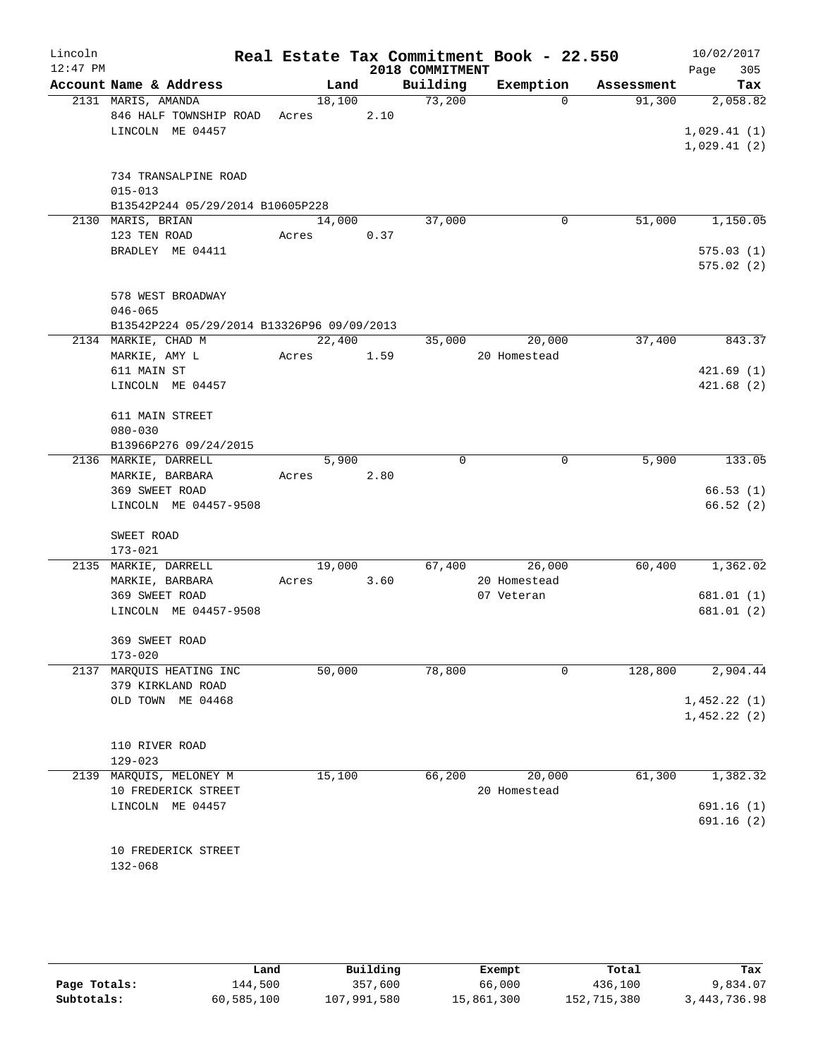| Lincoln<br>$12:47$ PM |                                                       |       |        |      | 2018 COMMITMENT | Real Estate Tax Commitment Book - 22.550 |            | 10/02/2017<br>305<br>Page |
|-----------------------|-------------------------------------------------------|-------|--------|------|-----------------|------------------------------------------|------------|---------------------------|
|                       | Account Name & Address                                |       | Land   |      | Building        | Exemption                                | Assessment | Tax                       |
|                       | 2131 MARIS, AMANDA                                    |       | 18,100 |      | 73,200          | $\Omega$                                 | 91,300     | 2,058.82                  |
|                       | 846 HALF TOWNSHIP ROAD                                | Acres |        | 2.10 |                 |                                          |            |                           |
|                       | LINCOLN ME 04457                                      |       |        |      |                 |                                          |            | 1,029.41(1)               |
|                       |                                                       |       |        |      |                 |                                          |            | 1,029.41(2)               |
|                       |                                                       |       |        |      |                 |                                          |            |                           |
|                       | 734 TRANSALPINE ROAD                                  |       |        |      |                 |                                          |            |                           |
|                       | $015 - 013$                                           |       |        |      |                 |                                          |            |                           |
|                       | B13542P244 05/29/2014 B10605P228<br>2130 MARIS, BRIAN |       | 14,000 |      | 37,000          | 0                                        | 51,000     | 1,150.05                  |
|                       | 123 TEN ROAD                                          | Acres |        | 0.37 |                 |                                          |            |                           |
|                       | BRADLEY ME 04411                                      |       |        |      |                 |                                          |            | 575.03(1)                 |
|                       |                                                       |       |        |      |                 |                                          |            | 575.02(2)                 |
|                       |                                                       |       |        |      |                 |                                          |            |                           |
|                       | 578 WEST BROADWAY                                     |       |        |      |                 |                                          |            |                           |
|                       | $046 - 065$                                           |       |        |      |                 |                                          |            |                           |
|                       | B13542P224 05/29/2014 B13326P96 09/09/2013            |       |        |      |                 |                                          |            |                           |
|                       | 2134 MARKIE, CHAD M                                   |       | 22,400 |      | 35,000          | 20,000                                   | 37,400     | 843.37                    |
|                       | MARKIE, AMY L                                         | Acres |        | 1.59 |                 | 20 Homestead                             |            |                           |
|                       | 611 MAIN ST                                           |       |        |      |                 |                                          |            | 421.69(1)                 |
|                       | LINCOLN ME 04457                                      |       |        |      |                 |                                          |            | 421.68(2)                 |
|                       |                                                       |       |        |      |                 |                                          |            |                           |
|                       | 611 MAIN STREET                                       |       |        |      |                 |                                          |            |                           |
|                       | $080 - 030$                                           |       |        |      |                 |                                          |            |                           |
|                       | B13966P276 09/24/2015                                 |       |        |      |                 |                                          |            |                           |
|                       | 2136 MARKIE, DARRELL                                  |       | 5,900  |      | 0               | 0                                        | 5,900      | 133.05                    |
|                       | MARKIE, BARBARA                                       | Acres |        | 2.80 |                 |                                          |            |                           |
|                       | 369 SWEET ROAD                                        |       |        |      |                 |                                          |            | 66.53(1)                  |
|                       | LINCOLN ME 04457-9508                                 |       |        |      |                 |                                          |            | 66.52(2)                  |
|                       |                                                       |       |        |      |                 |                                          |            |                           |
|                       | SWEET ROAD<br>$173 - 021$                             |       |        |      |                 |                                          |            |                           |
|                       | 2135 MARKIE, DARRELL                                  |       | 19,000 |      | 67,400          | 26,000                                   | 60,400     | 1,362.02                  |
|                       | MARKIE, BARBARA                                       | Acres |        | 3.60 |                 | 20 Homestead                             |            |                           |
|                       | 369 SWEET ROAD                                        |       |        |      |                 | 07 Veteran                               |            | 681.01 (1)                |
|                       | LINCOLN ME 04457-9508                                 |       |        |      |                 |                                          |            | 681.01 (2)                |
|                       |                                                       |       |        |      |                 |                                          |            |                           |
|                       | 369 SWEET ROAD                                        |       |        |      |                 |                                          |            |                           |
|                       | $173 - 020$                                           |       |        |      |                 |                                          |            |                           |
|                       | 2137 MARQUIS HEATING INC                              |       | 50,000 |      | 78,800          | 0                                        | 128,800    | 2,904.44                  |
|                       | 379 KIRKLAND ROAD                                     |       |        |      |                 |                                          |            |                           |
|                       | OLD TOWN<br>ME 04468                                  |       |        |      |                 |                                          |            | 1,452.22(1)               |
|                       |                                                       |       |        |      |                 |                                          |            | 1,452.22(2)               |
|                       |                                                       |       |        |      |                 |                                          |            |                           |
|                       | 110 RIVER ROAD                                        |       |        |      |                 |                                          |            |                           |
|                       | $129 - 023$                                           |       |        |      |                 |                                          |            |                           |
| 2139                  | MARQUIS, MELONEY M                                    |       | 15,100 |      | 66,200          | 20,000                                   | 61,300     | 1,382.32                  |
|                       | 10 FREDERICK STREET                                   |       |        |      |                 | 20 Homestead                             |            |                           |
|                       | LINCOLN ME 04457                                      |       |        |      |                 |                                          |            | 691.16(1)                 |
|                       |                                                       |       |        |      |                 |                                          |            | 691.16 (2)                |
|                       |                                                       |       |        |      |                 |                                          |            |                           |
|                       | 10 FREDERICK STREET                                   |       |        |      |                 |                                          |            |                           |
|                       | 132-068                                               |       |        |      |                 |                                          |            |                           |

|              | Land       | Building    | Exempt     | Total       | Tax            |
|--------------|------------|-------------|------------|-------------|----------------|
| Page Totals: | 144,500    | 357,600     | 66,000     | 436,100     | 9,834.07       |
| Subtotals:   | 60,585,100 | 107,991,580 | 15,861,300 | 152,715,380 | 3, 443, 736.98 |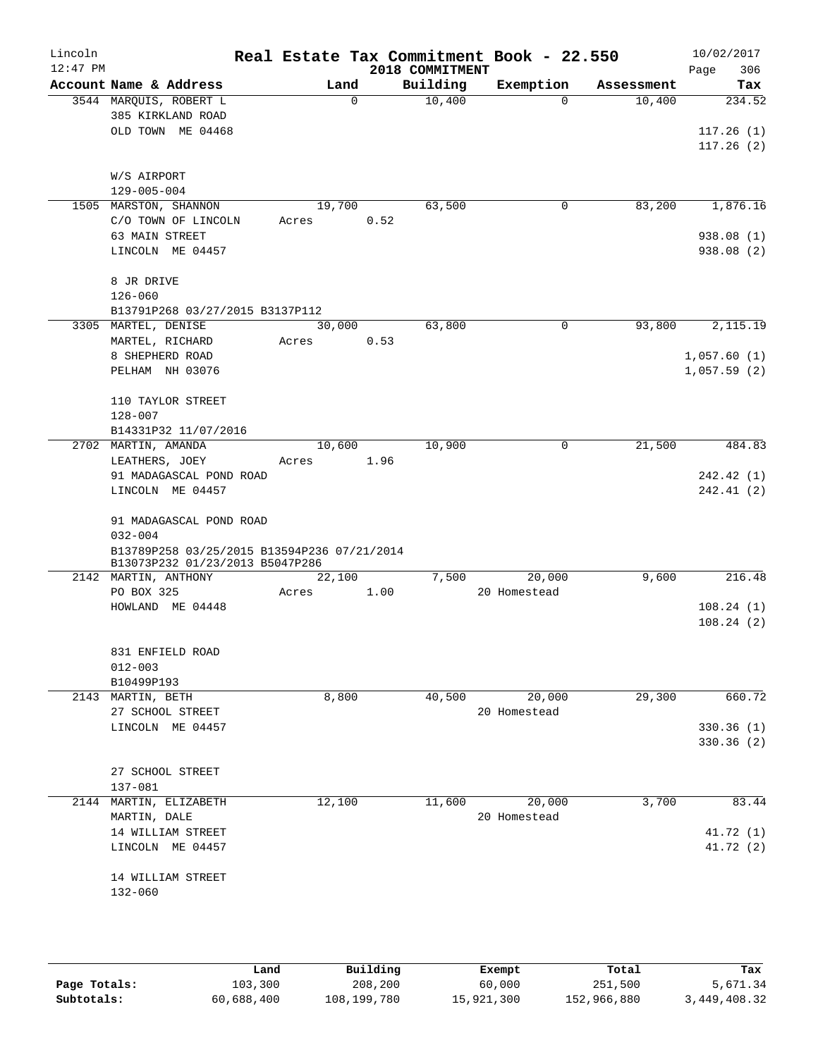| Lincoln    |                                       |                                             |       |             |      | Real Estate Tax Commitment Book - 22.550 |                        |            | 10/02/2017  |
|------------|---------------------------------------|---------------------------------------------|-------|-------------|------|------------------------------------------|------------------------|------------|-------------|
| $12:47$ PM |                                       |                                             |       |             |      | 2018 COMMITMENT                          |                        |            | 306<br>Page |
|            | Account Name & Address                |                                             |       | Land        |      | Building                                 | Exemption              | Assessment | Tax         |
|            | 3544 MARQUIS, ROBERT L                |                                             |       | $\mathbf 0$ |      | 10,400                                   | $\Omega$               | 10,400     | 234.52      |
|            | 385 KIRKLAND ROAD                     |                                             |       |             |      |                                          |                        |            |             |
|            |                                       | OLD TOWN ME 04468                           |       |             |      |                                          |                        |            | 117.26(1)   |
|            |                                       |                                             |       |             |      |                                          |                        |            | 117.26(2)   |
|            |                                       |                                             |       |             |      |                                          |                        |            |             |
|            | W/S AIRPORT<br>$129 - 005 - 004$      |                                             |       |             |      |                                          |                        |            |             |
|            | 1505 MARSTON, SHANNON                 |                                             |       | 19,700      |      | 63,500                                   | 0                      | 83,200     | 1,876.16    |
|            |                                       | C/O TOWN OF LINCOLN                         | Acres |             | 0.52 |                                          |                        |            |             |
|            | 63 MAIN STREET                        |                                             |       |             |      |                                          |                        |            | 938.08(1)   |
|            | LINCOLN ME 04457                      |                                             |       |             |      |                                          |                        |            | 938.08 (2)  |
|            |                                       |                                             |       |             |      |                                          |                        |            |             |
|            | 8 JR DRIVE                            |                                             |       |             |      |                                          |                        |            |             |
|            | $126 - 060$                           |                                             |       |             |      |                                          |                        |            |             |
|            |                                       | B13791P268 03/27/2015 B3137P112             |       |             |      |                                          |                        |            |             |
|            | 3305 MARTEL, DENISE                   |                                             |       | 30,000      |      | 63,800                                   | 0                      | 93,800     | 2,115.19    |
|            | MARTEL, RICHARD                       |                                             | Acres |             | 0.53 |                                          |                        |            |             |
|            | 8 SHEPHERD ROAD                       |                                             |       |             |      |                                          |                        |            | 1,057.60(1) |
|            | PELHAM NH 03076                       |                                             |       |             |      |                                          |                        |            | 1,057.59(2) |
|            |                                       |                                             |       |             |      |                                          |                        |            |             |
|            | 110 TAYLOR STREET                     |                                             |       |             |      |                                          |                        |            |             |
|            | $128 - 007$                           |                                             |       |             |      |                                          |                        |            |             |
|            |                                       | B14331P32 11/07/2016                        |       |             |      |                                          |                        |            |             |
|            | 2702 MARTIN, AMANDA                   |                                             |       | 10,600      |      | 10,900                                   | 0                      | 21,500     | 484.83      |
|            | LEATHERS, JOEY                        |                                             | Acres |             | 1.96 |                                          |                        |            |             |
|            |                                       | 91 MADAGASCAL POND ROAD                     |       |             |      |                                          |                        |            | 242.42 (1)  |
|            | LINCOLN ME 04457                      |                                             |       |             |      |                                          |                        |            | 242.41(2)   |
|            |                                       | 91 MADAGASCAL POND ROAD                     |       |             |      |                                          |                        |            |             |
|            | $032 - 004$                           |                                             |       |             |      |                                          |                        |            |             |
|            |                                       | B13789P258 03/25/2015 B13594P236 07/21/2014 |       |             |      |                                          |                        |            |             |
|            |                                       | B13073P232 01/23/2013 B5047P286             |       |             |      |                                          |                        |            |             |
|            | 2142 MARTIN, ANTHONY                  |                                             |       | 22,100      |      | 7,500                                    | 20,000                 | 9,600      | 216.48      |
|            | PO BOX 325                            |                                             | Acres |             | 1.00 |                                          | 20 Homestead           |            |             |
|            | HOWLAND ME 04448                      |                                             |       |             |      |                                          |                        |            | 108.24(1)   |
|            |                                       |                                             |       |             |      |                                          |                        |            | 108.24(2)   |
|            |                                       |                                             |       |             |      |                                          |                        |            |             |
|            | 831 ENFIELD ROAD                      |                                             |       |             |      |                                          |                        |            |             |
|            | $012 - 003$                           |                                             |       |             |      |                                          |                        |            |             |
|            | B10499P193                            |                                             |       |             |      | 40,500                                   |                        |            | 660.72      |
|            | 2143 MARTIN, BETH<br>27 SCHOOL STREET |                                             |       | 8,800       |      |                                          | 20,000<br>20 Homestead | 29,300     |             |
|            | LINCOLN ME 04457                      |                                             |       |             |      |                                          |                        |            | 330.36 (1)  |
|            |                                       |                                             |       |             |      |                                          |                        |            | 330.36(2)   |
|            |                                       |                                             |       |             |      |                                          |                        |            |             |
|            | 27 SCHOOL STREET                      |                                             |       |             |      |                                          |                        |            |             |
|            | $137 - 081$                           |                                             |       |             |      |                                          |                        |            |             |
|            | 2144 MARTIN, ELIZABETH                |                                             |       | 12,100      |      | 11,600                                   | 20,000                 | 3,700      | 83.44       |
|            | MARTIN, DALE                          |                                             |       |             |      |                                          | 20 Homestead           |            |             |
|            | 14 WILLIAM STREET                     |                                             |       |             |      |                                          |                        |            | 41.72 (1)   |
|            | LINCOLN ME 04457                      |                                             |       |             |      |                                          |                        |            | 41.72 (2)   |
|            |                                       |                                             |       |             |      |                                          |                        |            |             |
|            | 14 WILLIAM STREET                     |                                             |       |             |      |                                          |                        |            |             |
|            | 132-060                               |                                             |       |             |      |                                          |                        |            |             |
|            |                                       |                                             |       |             |      |                                          |                        |            |             |
|            |                                       |                                             |       |             |      |                                          |                        |            |             |
|            |                                       |                                             |       |             |      |                                          |                        |            |             |
|            |                                       |                                             |       |             |      |                                          |                        |            |             |

|              | Land       | Building    | Exempt     | Total       | Tax          |
|--------------|------------|-------------|------------|-------------|--------------|
| Page Totals: | 103,300    | 208,200     | 60,000     | 251,500     | 5,671.34     |
| Subtotals:   | 60,688,400 | 108,199,780 | 15,921,300 | 152,966,880 | 3,449,408.32 |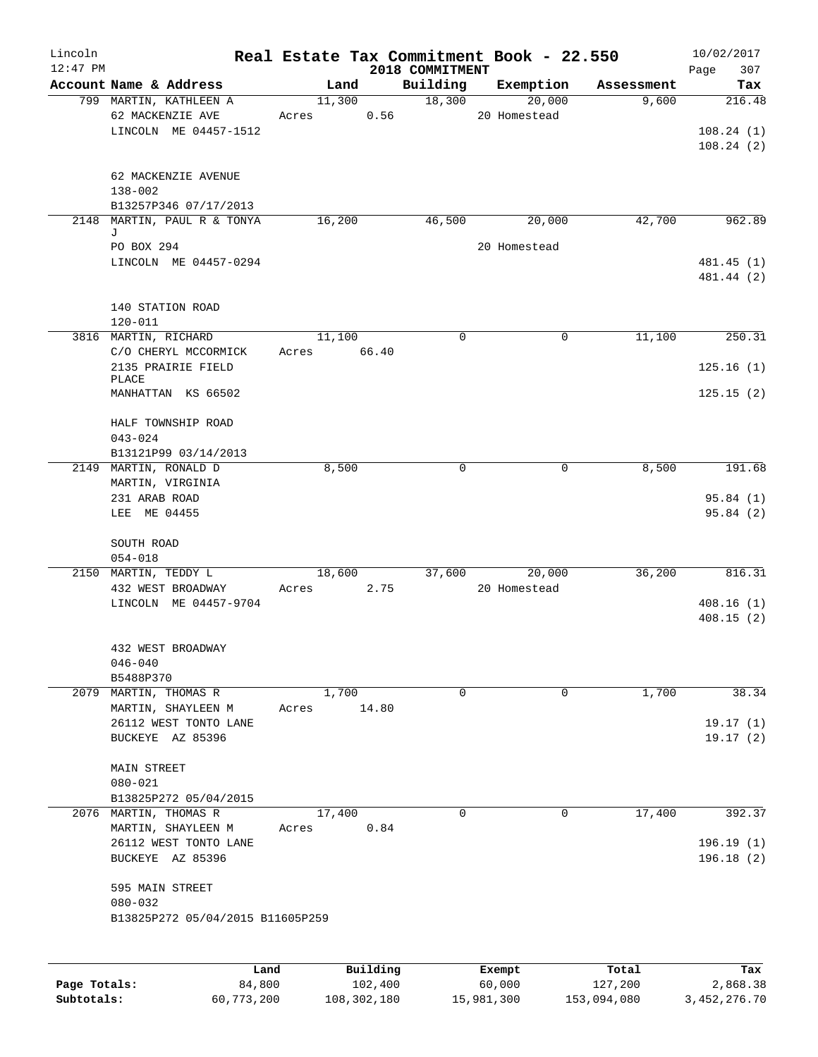| Lincoln<br>$12:47$ PM |                                             |        | 2018 COMMITMENT | Real Estate Tax Commitment Book - 22.550 |            | 10/02/2017<br>Page<br>307 |
|-----------------------|---------------------------------------------|--------|-----------------|------------------------------------------|------------|---------------------------|
|                       | Account Name & Address                      | Land   | Building        | Exemption                                | Assessment | Tax                       |
|                       | 799 MARTIN, KATHLEEN A                      | 11,300 | 18,300          | 20,000                                   | 9,600      | 216.48                    |
|                       | 62 MACKENZIE AVE                            | Acres  | 0.56            | 20 Homestead                             |            |                           |
|                       | LINCOLN ME 04457-1512                       |        |                 |                                          |            | 108.24(1)                 |
|                       |                                             |        |                 |                                          |            | 108.24(2)                 |
|                       | 62 MACKENZIE AVENUE                         |        |                 |                                          |            |                           |
|                       | $138 - 002$                                 |        |                 |                                          |            |                           |
|                       | B13257P346 07/17/2013                       |        |                 |                                          |            |                           |
|                       | 2148 MARTIN, PAUL R & TONYA                 | 16,200 | 46,500          | 20,000                                   | 42,700     | 962.89                    |
|                       | J<br>PO BOX 294                             |        |                 | 20 Homestead                             |            |                           |
|                       | LINCOLN ME 04457-0294                       |        |                 |                                          |            | 481.45 (1)                |
|                       |                                             |        |                 |                                          |            | 481.44 (2)                |
|                       |                                             |        |                 |                                          |            |                           |
|                       | 140 STATION ROAD                            |        |                 |                                          |            |                           |
|                       | $120 - 011$<br>3816 MARTIN, RICHARD         | 11,100 | 0               | 0                                        | 11,100     | 250.31                    |
|                       | C/O CHERYL MCCORMICK                        | Acres  | 66.40           |                                          |            |                           |
|                       | 2135 PRAIRIE FIELD                          |        |                 |                                          |            | 125.16(1)                 |
|                       | PLACE                                       |        |                 |                                          |            |                           |
|                       | MANHATTAN KS 66502                          |        |                 |                                          |            | 125.15(2)                 |
|                       | HALF TOWNSHIP ROAD                          |        |                 |                                          |            |                           |
|                       | $043 - 024$                                 |        |                 |                                          |            |                           |
|                       | B13121P99 03/14/2013                        |        |                 |                                          |            |                           |
|                       | 2149 MARTIN, RONALD D                       | 8,500  | $\mathbf 0$     | $\mathbf 0$                              | 8,500      | 191.68                    |
|                       | MARTIN, VIRGINIA                            |        |                 |                                          |            |                           |
|                       | 231 ARAB ROAD                               |        |                 |                                          |            | 95.84(1)                  |
|                       | LEE ME 04455                                |        |                 |                                          |            | 95.84(2)                  |
|                       | SOUTH ROAD                                  |        |                 |                                          |            |                           |
|                       | $054 - 018$                                 |        |                 |                                          |            |                           |
|                       | 2150 MARTIN, TEDDY L                        | 18,600 | 37,600          | 20,000                                   | 36,200     | 816.31                    |
|                       | 432 WEST BROADWAY                           | Acres  | 2.75            | 20 Homestead                             |            |                           |
|                       | LINCOLN ME 04457-9704                       |        |                 |                                          |            | 408.16(1)                 |
|                       |                                             |        |                 |                                          |            | 408.15(2)                 |
|                       | 432 WEST BROADWAY                           |        |                 |                                          |            |                           |
|                       | $046 - 040$                                 |        |                 |                                          |            |                           |
|                       | B5488P370                                   |        |                 |                                          |            |                           |
| 2079                  | MARTIN, THOMAS R                            | 1,700  | $\Omega$        | 0                                        | 1,700      | 38.34                     |
|                       | MARTIN, SHAYLEEN M                          | Acres  | 14.80           |                                          |            |                           |
|                       | 26112 WEST TONTO LANE                       |        |                 |                                          |            | 19.17(1)<br>19.17(2)      |
|                       | BUCKEYE AZ 85396                            |        |                 |                                          |            |                           |
|                       | <b>MAIN STREET</b>                          |        |                 |                                          |            |                           |
|                       | $080 - 021$                                 |        |                 |                                          |            |                           |
|                       | B13825P272 05/04/2015                       |        |                 |                                          |            |                           |
|                       | 2076 MARTIN, THOMAS R                       | 17,400 | 0               | 0                                        | 17,400     | 392.37                    |
|                       | MARTIN, SHAYLEEN M<br>26112 WEST TONTO LANE | Acres  | 0.84            |                                          |            | 196.19(1)                 |
|                       | BUCKEYE AZ 85396                            |        |                 |                                          |            | 196.18(2)                 |
|                       |                                             |        |                 |                                          |            |                           |
|                       | 595 MAIN STREET                             |        |                 |                                          |            |                           |
|                       | $080 - 032$                                 |        |                 |                                          |            |                           |
|                       | B13825P272 05/04/2015 B11605P259            |        |                 |                                          |            |                           |
|                       |                                             |        |                 |                                          |            |                           |
|                       | Land                                        |        | Building        | Exempt                                   | Total      | Tax                       |
|                       |                                             |        |                 |                                          |            |                           |

|              | -------    |             | -------    | ------      | ------       |
|--------------|------------|-------------|------------|-------------|--------------|
| Page Totals: | 84,800     | 102,400     | 60,000     | 127,200     | 2,868.38     |
| Subtotals:   | 60,773,200 | 108,302,180 | 15,981,300 | 153,094,080 | 3,452,276.70 |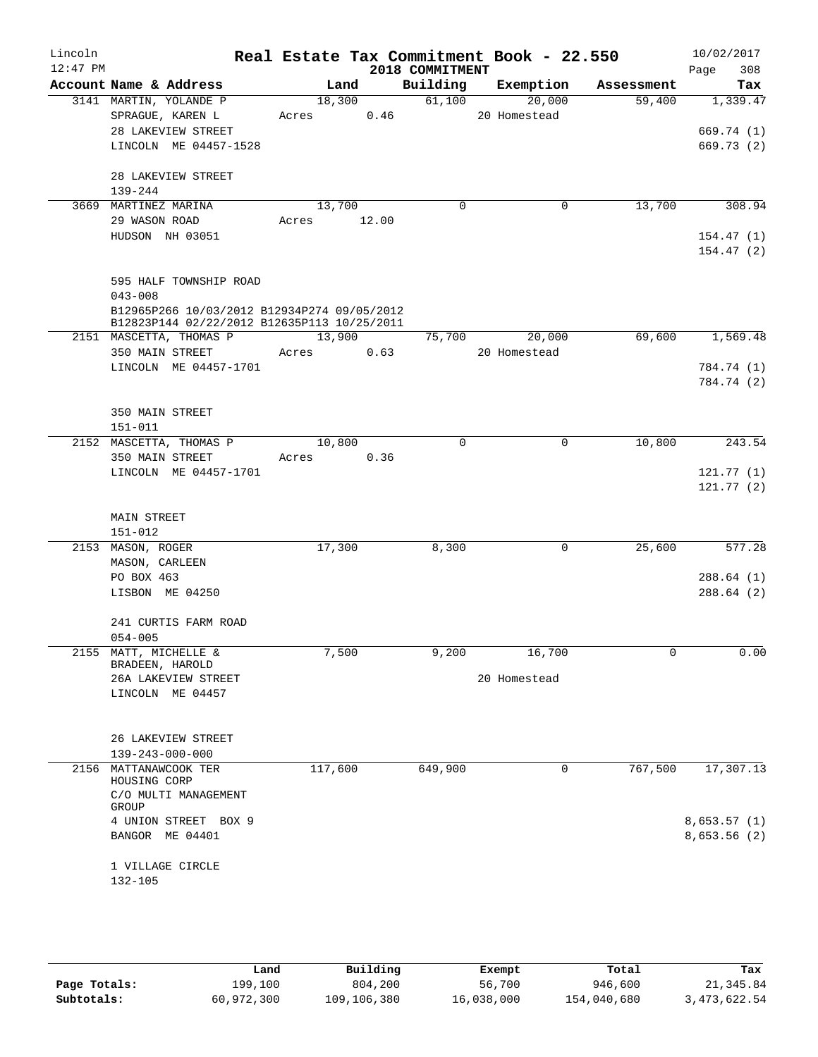| Lincoln    |                                                                                            |             |      |                             | Real Estate Tax Commitment Book - 22.550 |                      | 10/02/2017         |
|------------|--------------------------------------------------------------------------------------------|-------------|------|-----------------------------|------------------------------------------|----------------------|--------------------|
| $12:47$ PM | Account Name & Address                                                                     |             | Land | 2018 COMMITMENT<br>Building | Exemption                                |                      | 308<br>Page<br>Tax |
|            | 3141 MARTIN, YOLANDE P                                                                     | 18,300      |      | 61,100                      | 20,000                                   | Assessment<br>59,400 | 1,339.47           |
|            | SPRAGUE, KAREN L                                                                           | Acres 0.46  |      |                             | 20 Homestead                             |                      |                    |
|            | 28 LAKEVIEW STREET                                                                         |             |      |                             |                                          |                      | 669.74 (1)         |
|            | LINCOLN ME 04457-1528                                                                      |             |      |                             |                                          |                      | 669.73(2)          |
|            |                                                                                            |             |      |                             |                                          |                      |                    |
|            | 28 LAKEVIEW STREET                                                                         |             |      |                             |                                          |                      |                    |
|            | 139-244                                                                                    |             |      |                             |                                          |                      |                    |
|            | 3669 MARTINEZ MARINA                                                                       | 13,700      |      | $\Omega$                    | 0                                        | 13,700               | 308.94             |
|            | 29 WASON ROAD                                                                              | Acres 12.00 |      |                             |                                          |                      |                    |
|            | HUDSON NH 03051                                                                            |             |      |                             |                                          |                      | 154.47(1)          |
|            |                                                                                            |             |      |                             |                                          |                      | 154.47(2)          |
|            |                                                                                            |             |      |                             |                                          |                      |                    |
|            | 595 HALF TOWNSHIP ROAD                                                                     |             |      |                             |                                          |                      |                    |
|            | $043 - 008$                                                                                |             |      |                             |                                          |                      |                    |
|            | B12965P266 10/03/2012 B12934P274 09/05/2012<br>B12823P144 02/22/2012 B12635P113 10/25/2011 |             |      |                             |                                          |                      |                    |
|            | 2151 MASCETTA, THOMAS P                                                                    | 13,900      |      |                             | 75,700<br>20,000                         | 69,600               | 1,569.48           |
|            | 350 MAIN STREET                                                                            | Acres       | 0.63 |                             | 20 Homestead                             |                      |                    |
|            | LINCOLN ME 04457-1701                                                                      |             |      |                             |                                          |                      | 784.74 (1)         |
|            |                                                                                            |             |      |                             |                                          |                      | 784.74 (2)         |
|            |                                                                                            |             |      |                             |                                          |                      |                    |
|            | 350 MAIN STREET                                                                            |             |      |                             |                                          |                      |                    |
|            | $151 - 011$                                                                                |             |      |                             |                                          |                      |                    |
|            | 2152 MASCETTA, THOMAS P                                                                    | 10,800      |      | 0                           | 0                                        | 10,800               | 243.54             |
|            | 350 MAIN STREET                                                                            | Acres 0.36  |      |                             |                                          |                      |                    |
|            | LINCOLN ME 04457-1701                                                                      |             |      |                             |                                          |                      | 121.77(1)          |
|            |                                                                                            |             |      |                             |                                          |                      | 121.77(2)          |
|            | MAIN STREET                                                                                |             |      |                             |                                          |                      |                    |
|            | 151-012                                                                                    |             |      |                             |                                          |                      |                    |
|            | 2153 MASON, ROGER                                                                          | 17,300      |      | 8,300                       | 0                                        | 25,600               | 577.28             |
|            | MASON, CARLEEN                                                                             |             |      |                             |                                          |                      |                    |
|            | PO BOX 463                                                                                 |             |      |                             |                                          |                      | 288.64(1)          |
|            | LISBON ME 04250                                                                            |             |      |                             |                                          |                      | 288.64(2)          |
|            |                                                                                            |             |      |                             |                                          |                      |                    |
|            | 241 CURTIS FARM ROAD                                                                       |             |      |                             |                                          |                      |                    |
|            | $054 - 005$                                                                                |             |      |                             |                                          |                      |                    |
|            | 2155 MATT, MICHELLE &<br>BRADEEN, HAROLD                                                   | 7,500       |      | 9,200                       | 16,700                                   | 0                    | 0.00               |
|            | 26A LAKEVIEW STREET                                                                        |             |      |                             | 20 Homestead                             |                      |                    |
|            | LINCOLN ME 04457                                                                           |             |      |                             |                                          |                      |                    |
|            |                                                                                            |             |      |                             |                                          |                      |                    |
|            |                                                                                            |             |      |                             |                                          |                      |                    |
|            | 26 LAKEVIEW STREET                                                                         |             |      |                             |                                          |                      |                    |
|            | $139 - 243 - 000 - 000$                                                                    |             |      |                             |                                          |                      |                    |
|            | 2156 MATTANAWCOOK TER                                                                      | 117,600     |      | 649,900                     | 0                                        | 767,500              | 17,307.13          |
|            | HOUSING CORP<br>C/O MULTI MANAGEMENT                                                       |             |      |                             |                                          |                      |                    |
|            | GROUP                                                                                      |             |      |                             |                                          |                      |                    |
|            | 4 UNION STREET BOX 9                                                                       |             |      |                             |                                          |                      | 8,653.57(1)        |
|            | BANGOR ME 04401                                                                            |             |      |                             |                                          |                      | 8,653.56 (2)       |
|            |                                                                                            |             |      |                             |                                          |                      |                    |
|            | 1 VILLAGE CIRCLE                                                                           |             |      |                             |                                          |                      |                    |
|            | $132 - 105$                                                                                |             |      |                             |                                          |                      |                    |
|            |                                                                                            |             |      |                             |                                          |                      |                    |

|              | Land       | Building    | Exempt     | Total       | Tax            |
|--------------|------------|-------------|------------|-------------|----------------|
| Page Totals: | 199,100    | 804,200     | 56,700     | 946,600     | 21,345.84      |
| Subtotals:   | 60,972,300 | 109,106,380 | 16,038,000 | 154,040,680 | 3, 473, 622.54 |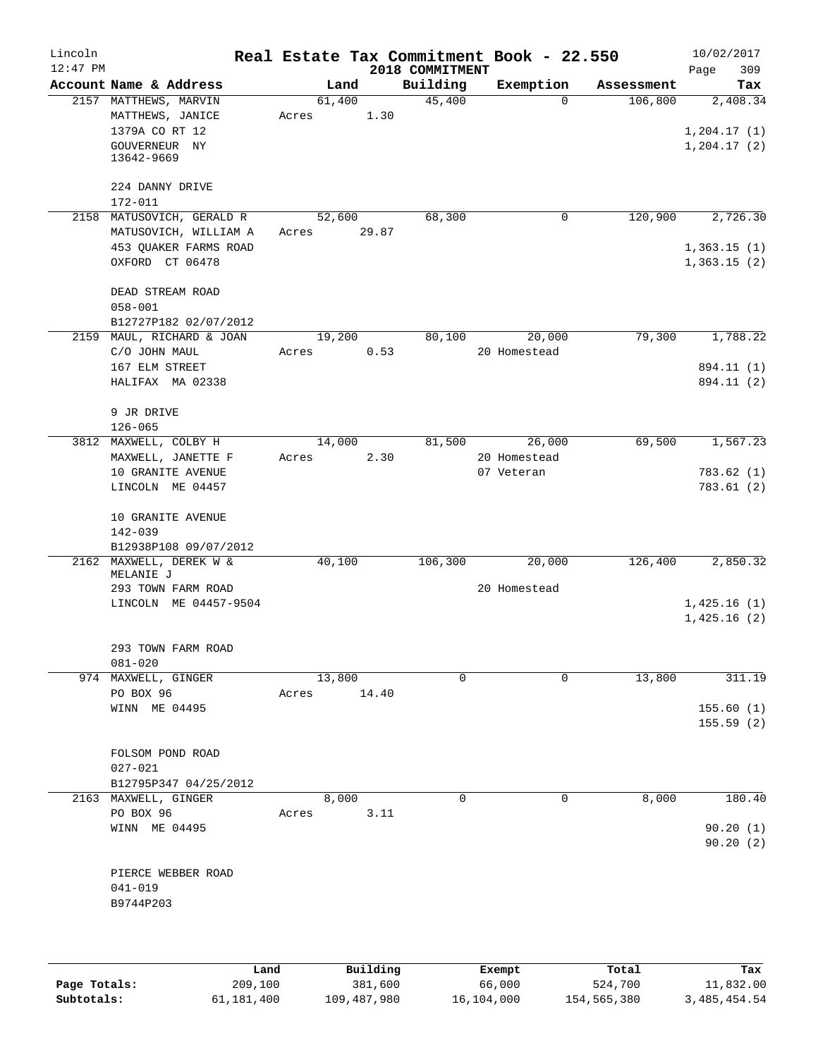| Lincoln<br>$12:47$ PM |                                      |        |       |                             | Real Estate Tax Commitment Book - 22.550 |            | 10/02/2017         |
|-----------------------|--------------------------------------|--------|-------|-----------------------------|------------------------------------------|------------|--------------------|
|                       | Account Name & Address               |        | Land  | 2018 COMMITMENT<br>Building | Exemption                                | Assessment | 309<br>Page<br>Tax |
|                       | 2157 MATTHEWS, MARVIN                | 61,400 |       | 45,400                      | $\Omega$                                 | 106,800    | 2,408.34           |
|                       | MATTHEWS, JANICE                     | Acres  | 1.30  |                             |                                          |            |                    |
|                       | 1379A CO RT 12                       |        |       |                             |                                          |            | 1, 204.17(1)       |
|                       | GOUVERNEUR NY                        |        |       |                             |                                          |            | 1, 204.17(2)       |
|                       | 13642-9669                           |        |       |                             |                                          |            |                    |
|                       |                                      |        |       |                             |                                          |            |                    |
|                       | 224 DANNY DRIVE                      |        |       |                             |                                          |            |                    |
| 2158                  | 172-011<br>MATUSOVICH, GERALD R      | 52,600 |       | 68,300                      | 0                                        | 120,900    | 2,726.30           |
|                       | MATUSOVICH, WILLIAM A                | Acres  | 29.87 |                             |                                          |            |                    |
|                       | 453 QUAKER FARMS ROAD                |        |       |                             |                                          |            | 1,363.15(1)        |
|                       | OXFORD CT 06478                      |        |       |                             |                                          |            | 1,363.15(2)        |
|                       |                                      |        |       |                             |                                          |            |                    |
|                       | DEAD STREAM ROAD                     |        |       |                             |                                          |            |                    |
|                       | $058 - 001$                          |        |       |                             |                                          |            |                    |
|                       | B12727P182 02/07/2012                |        |       |                             |                                          |            |                    |
| 2159                  | MAUL, RICHARD & JOAN                 | 19,200 |       | 80,100                      | 20,000                                   | 79,300     | 1,788.22           |
|                       | C/O JOHN MAUL                        | Acres  | 0.53  |                             | 20 Homestead                             |            |                    |
|                       | 167 ELM STREET                       |        |       |                             |                                          |            | 894.11 (1)         |
|                       | HALIFAX MA 02338                     |        |       |                             |                                          |            | 894.11 (2)         |
|                       |                                      |        |       |                             |                                          |            |                    |
|                       | 9 JR DRIVE                           |        |       |                             |                                          |            |                    |
|                       | $126 - 065$<br>3812 MAXWELL, COLBY H | 14,000 |       | 81,500                      | 26,000                                   | 69,500     | 1,567.23           |
|                       | MAXWELL, JANETTE F                   | Acres  | 2.30  |                             | 20 Homestead                             |            |                    |
|                       | 10 GRANITE AVENUE                    |        |       |                             | 07 Veteran                               |            | 783.62 (1)         |
|                       | LINCOLN ME 04457                     |        |       |                             |                                          |            | 783.61(2)          |
|                       |                                      |        |       |                             |                                          |            |                    |
|                       | 10 GRANITE AVENUE                    |        |       |                             |                                          |            |                    |
|                       | 142-039                              |        |       |                             |                                          |            |                    |
|                       | B12938P108 09/07/2012                |        |       |                             |                                          |            |                    |
|                       | 2162 MAXWELL, DEREK W &<br>MELANIE J | 40,100 |       | 106,300                     | 20,000                                   | 126,400    | 2,850.32           |
|                       | 293 TOWN FARM ROAD                   |        |       |                             | 20 Homestead                             |            |                    |
|                       | LINCOLN ME 04457-9504                |        |       |                             |                                          |            | 1,425.16(1)        |
|                       |                                      |        |       |                             |                                          |            | 1,425.16(2)        |
|                       |                                      |        |       |                             |                                          |            |                    |
|                       | 293 TOWN FARM ROAD                   |        |       |                             |                                          |            |                    |
|                       | $081 - 020$                          |        |       |                             |                                          |            |                    |
|                       | 974 MAXWELL, GINGER                  | 13,800 |       | 0                           | $\mathbf{0}$                             | 13,800     | 311.19             |
|                       | PO BOX 96                            | Acres  | 14.40 |                             |                                          |            |                    |
|                       | WINN ME 04495                        |        |       |                             |                                          |            | 155.60(1)          |
|                       |                                      |        |       |                             |                                          |            | 155.59(2)          |
|                       | FOLSOM POND ROAD                     |        |       |                             |                                          |            |                    |
|                       | $027 - 021$                          |        |       |                             |                                          |            |                    |
|                       | B12795P347 04/25/2012                |        |       |                             |                                          |            |                    |
|                       | 2163 MAXWELL, GINGER                 |        | 8,000 | $\Omega$                    | $\mathbf 0$                              | 8,000      | 180.40             |
|                       | PO BOX 96                            | Acres  | 3.11  |                             |                                          |            |                    |
|                       | WINN ME 04495                        |        |       |                             |                                          |            | 90.20(1)           |
|                       |                                      |        |       |                             |                                          |            | 90.20(2)           |
|                       |                                      |        |       |                             |                                          |            |                    |
|                       | PIERCE WEBBER ROAD                   |        |       |                             |                                          |            |                    |
|                       | 041-019                              |        |       |                             |                                          |            |                    |
|                       | B9744P203                            |        |       |                             |                                          |            |                    |
|                       |                                      |        |       |                             |                                          |            |                    |
|                       |                                      |        |       |                             |                                          |            |                    |

|              | Land       | Building    | Exempt     | Total       | Tax            |
|--------------|------------|-------------|------------|-------------|----------------|
| Page Totals: | 209,100    | 381,600     | 66,000     | 524,700     | 11,832.00      |
| Subtotals:   | 61,181,400 | 109,487,980 | 16,104,000 | 154,565,380 | 3, 485, 454.54 |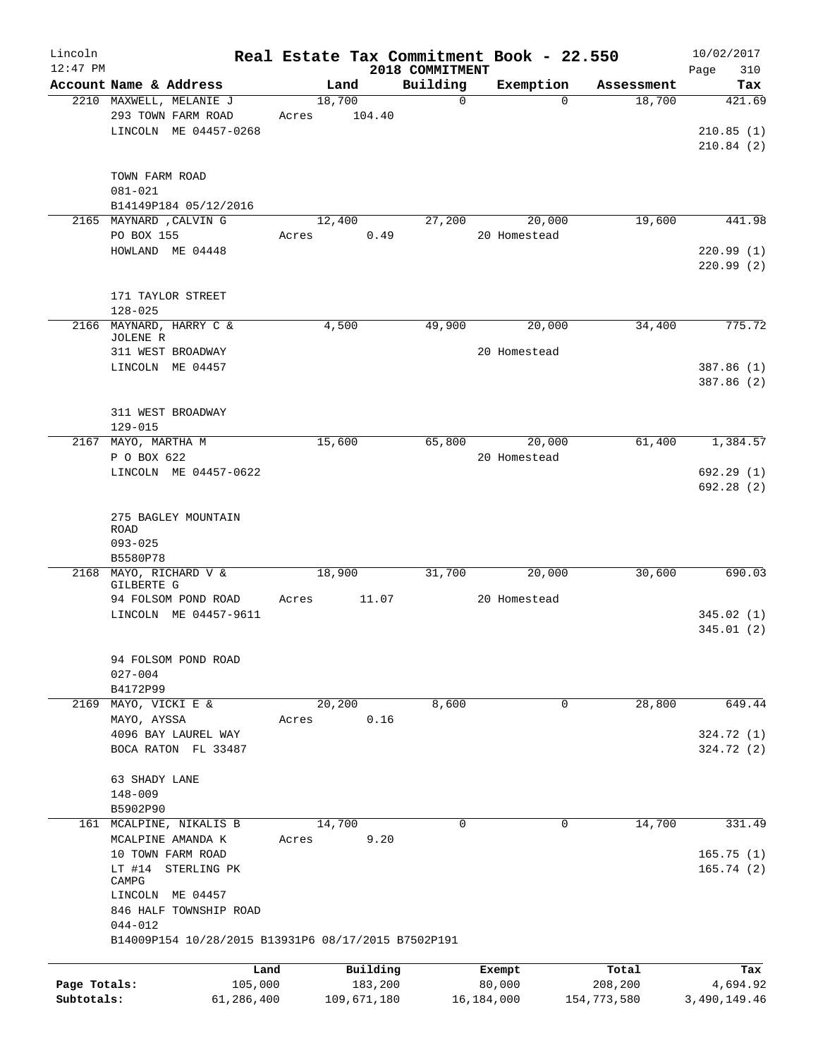| Lincoln      |                                                     |       |             |          | Real Estate Tax Commitment Book - 22.550 |              |              |             | 10/02/2017   |          |
|--------------|-----------------------------------------------------|-------|-------------|----------|------------------------------------------|--------------|--------------|-------------|--------------|----------|
| $12:47$ PM   |                                                     |       |             |          | 2018 COMMITMENT                          |              |              |             | Page         | 310      |
|              | Account Name & Address                              |       | Land        |          | Building                                 | Exemption    |              | Assessment  |              | Tax      |
|              | 2210 MAXWELL, MELANIE J                             |       | 18,700      |          | $\mathbf 0$                              |              | $\Omega$     | 18,700      |              | 421.69   |
|              | 293 TOWN FARM ROAD                                  | Acres |             | 104.40   |                                          |              |              |             |              |          |
|              | LINCOLN ME 04457-0268                               |       |             |          |                                          |              |              |             | 210.85(1)    |          |
|              |                                                     |       |             |          |                                          |              |              |             | 210.84(2)    |          |
|              |                                                     |       |             |          |                                          |              |              |             |              |          |
|              | TOWN FARM ROAD<br>$081 - 021$                       |       |             |          |                                          |              |              |             |              |          |
|              | B14149P184 05/12/2016                               |       |             |          |                                          |              |              |             |              |          |
|              | 2165 MAYNARD , CALVIN G                             |       | 12,400      |          | 27,200                                   | 20,000       |              | 19,600      |              | 441.98   |
|              | PO BOX 155                                          | Acres |             | 0.49     |                                          | 20 Homestead |              |             |              |          |
|              | HOWLAND ME 04448                                    |       |             |          |                                          |              |              |             | 220.99(1)    |          |
|              |                                                     |       |             |          |                                          |              |              |             | 220.99(2)    |          |
|              |                                                     |       |             |          |                                          |              |              |             |              |          |
|              | 171 TAYLOR STREET                                   |       |             |          |                                          |              |              |             |              |          |
|              | $128 - 025$                                         |       |             |          |                                          |              |              |             |              |          |
|              | 2166 MAYNARD, HARRY C &                             |       | 4,500       |          | 49,900                                   | 20,000       |              | 34,400      |              | 775.72   |
|              | JOLENE R                                            |       |             |          |                                          |              |              |             |              |          |
|              | 311 WEST BROADWAY                                   |       |             |          |                                          | 20 Homestead |              |             |              |          |
|              | LINCOLN ME 04457                                    |       |             |          |                                          |              |              |             | 387.86 (1)   |          |
|              |                                                     |       |             |          |                                          |              |              |             | 387.86 (2)   |          |
|              |                                                     |       |             |          |                                          |              |              |             |              |          |
|              | 311 WEST BROADWAY                                   |       |             |          |                                          |              |              |             |              |          |
|              | $129 - 015$                                         |       |             |          |                                          |              |              |             |              |          |
|              | 2167 MAYO, MARTHA M                                 |       | 15,600      |          | 65,800                                   | 20,000       |              | 61,400      |              | 1,384.57 |
|              | P O BOX 622                                         |       |             |          |                                          | 20 Homestead |              |             |              |          |
|              | LINCOLN ME 04457-0622                               |       |             |          |                                          |              |              |             | 692.29(1)    |          |
|              |                                                     |       |             |          |                                          |              |              |             | 692.28(2)    |          |
|              |                                                     |       |             |          |                                          |              |              |             |              |          |
|              | 275 BAGLEY MOUNTAIN                                 |       |             |          |                                          |              |              |             |              |          |
|              | ROAD                                                |       |             |          |                                          |              |              |             |              |          |
|              | $093 - 025$                                         |       |             |          |                                          |              |              |             |              |          |
|              | B5580P78                                            |       |             |          |                                          |              |              |             |              |          |
| 2168         | MAYO, RICHARD V &<br>GILBERTE G                     |       | 18,900      |          | 31,700                                   | 20,000       |              | 30,600      |              | 690.03   |
|              | 94 FOLSOM POND ROAD                                 | Acres |             | 11.07    |                                          | 20 Homestead |              |             |              |          |
|              | LINCOLN ME 04457-9611                               |       |             |          |                                          |              |              |             | 345.02(1)    |          |
|              |                                                     |       |             |          |                                          |              |              |             | 345.01(2)    |          |
|              |                                                     |       |             |          |                                          |              |              |             |              |          |
|              | 94 FOLSOM POND ROAD                                 |       |             |          |                                          |              |              |             |              |          |
|              | $027 - 004$                                         |       |             |          |                                          |              |              |             |              |          |
|              | B4172P99                                            |       |             |          |                                          |              |              |             |              |          |
|              | 2169 MAYO, VICKI E &                                |       | 20,200      |          | 8,600                                    |              | $\mathbf{0}$ | 28,800      |              | 649.44   |
|              | MAYO, AYSSA                                         | Acres |             | 0.16     |                                          |              |              |             |              |          |
|              | 4096 BAY LAUREL WAY                                 |       |             |          |                                          |              |              |             | 324.72 (1)   |          |
|              | BOCA RATON FL 33487                                 |       |             |          |                                          |              |              |             | 324.72 (2)   |          |
|              |                                                     |       |             |          |                                          |              |              |             |              |          |
|              | 63 SHADY LANE                                       |       |             |          |                                          |              |              |             |              |          |
|              | $148 - 009$                                         |       |             |          |                                          |              |              |             |              |          |
|              | B5902P90                                            |       |             |          |                                          |              |              |             |              |          |
|              | 161 MCALPINE, NIKALIS B                             |       | 14,700      |          | 0                                        |              | 0            | 14,700      |              | 331.49   |
|              | MCALPINE AMANDA K                                   | Acres |             | 9.20     |                                          |              |              |             |              |          |
|              | 10 TOWN FARM ROAD                                   |       |             |          |                                          |              |              |             | 165.75(1)    |          |
|              | LT #14 STERLING PK                                  |       |             |          |                                          |              |              |             | 165.74(2)    |          |
|              | CAMPG                                               |       |             |          |                                          |              |              |             |              |          |
|              | LINCOLN ME 04457                                    |       |             |          |                                          |              |              |             |              |          |
|              | 846 HALF TOWNSHIP ROAD                              |       |             |          |                                          |              |              |             |              |          |
|              | $044 - 012$                                         |       |             |          |                                          |              |              |             |              |          |
|              | B14009P154 10/28/2015 B13931P6 08/17/2015 B7502P191 |       |             |          |                                          |              |              |             |              |          |
|              |                                                     |       |             |          |                                          |              |              |             |              |          |
|              | Land                                                |       |             | Building |                                          | Exempt       |              | Total       |              | Tax      |
| Page Totals: | 105,000                                             |       |             | 183,200  |                                          | 80,000       |              | 208,200     |              | 4,694.92 |
| Subtotals:   | 61,286,400                                          |       | 109,671,180 |          |                                          | 16, 184, 000 |              | 154,773,580 | 3,490,149.46 |          |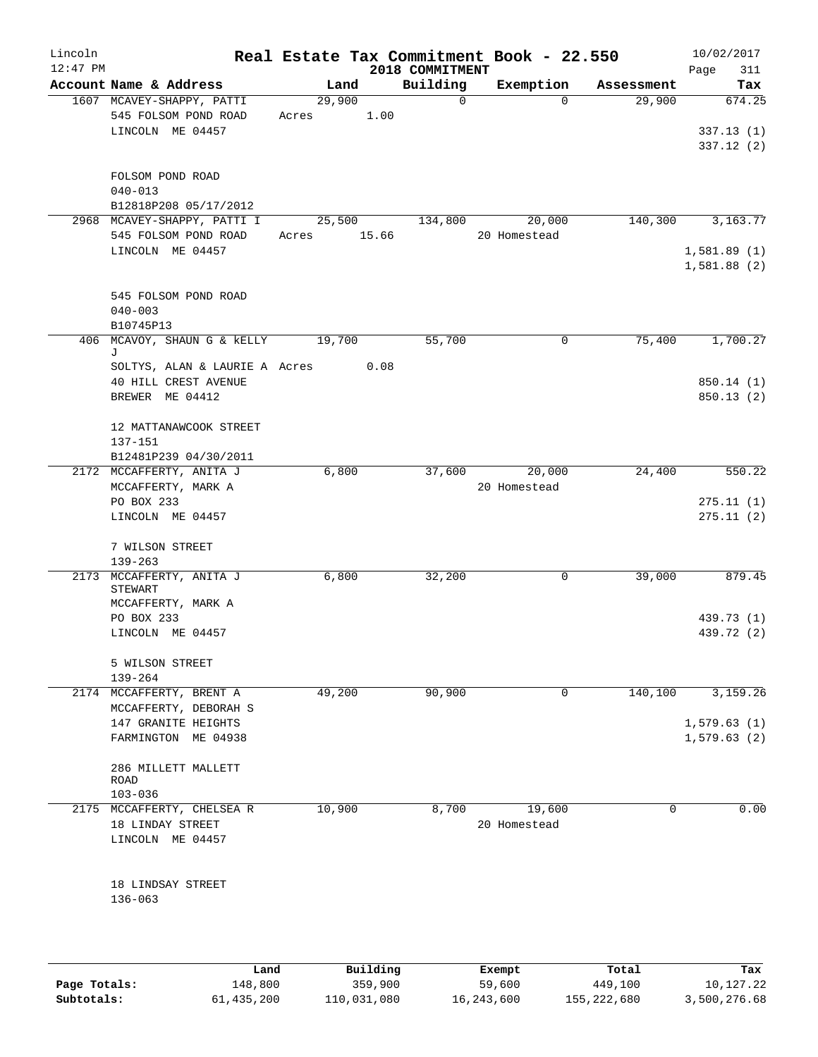| Lincoln<br>$12:47$ PM |                                                     |                 |                     | 2018 COMMITMENT | Real Estate Tax Commitment Book - 22.550 |                  | 10/02/2017<br>Page<br>311 |
|-----------------------|-----------------------------------------------------|-----------------|---------------------|-----------------|------------------------------------------|------------------|---------------------------|
|                       | Account Name & Address                              | Land            |                     | Building        | Exemption                                | Assessment       | Tax                       |
|                       | 1607 MCAVEY-SHAPPY, PATTI<br>545 FOLSOM POND ROAD   | 29,900<br>Acres | 1.00                | $\mathbf 0$     | $\Omega$                                 | 29,900           | 674.25                    |
|                       | LINCOLN ME 04457                                    |                 |                     |                 |                                          |                  | 337.13(1)<br>337.12 (2)   |
|                       | FOLSOM POND ROAD<br>$040 - 013$                     |                 |                     |                 |                                          |                  |                           |
|                       | B12818P208 05/17/2012                               |                 |                     |                 |                                          |                  |                           |
|                       | 2968 MCAVEY-SHAPPY, PATTI I<br>545 FOLSOM POND ROAD | 25,500<br>Acres | 15.66               | 134,800         | 20,000<br>20 Homestead                   | 140,300          | 3,163.77                  |
|                       | LINCOLN ME 04457                                    |                 |                     |                 |                                          |                  | 1,581.89(1)               |
|                       |                                                     |                 |                     |                 |                                          |                  | 1,581.88(2)               |
|                       | 545 FOLSOM POND ROAD                                |                 |                     |                 |                                          |                  |                           |
|                       | $040 - 003$                                         |                 |                     |                 |                                          |                  |                           |
|                       | B10745P13                                           |                 |                     |                 |                                          |                  |                           |
|                       | 406 MCAVOY, SHAUN G & KELLY<br>J                    | 19,700          |                     | 55,700          | 0                                        | 75,400           | 1,700.27                  |
|                       | SOLTYS, ALAN & LAURIE A Acres                       |                 | 0.08                |                 |                                          |                  |                           |
|                       | 40 HILL CREST AVENUE                                |                 |                     |                 |                                          |                  | 850.14(1)                 |
|                       | BREWER ME 04412                                     |                 |                     |                 |                                          |                  | 850.13(2)                 |
|                       | 12 MATTANAWCOOK STREET                              |                 |                     |                 |                                          |                  |                           |
|                       | 137-151                                             |                 |                     |                 |                                          |                  |                           |
|                       | B12481P239 04/30/2011<br>2172 MCCAFFERTY, ANITA J   | 6,800           |                     | 37,600          | 20,000                                   | 24,400           | 550.22                    |
|                       | MCCAFFERTY, MARK A                                  |                 |                     |                 | 20 Homestead                             |                  |                           |
|                       | PO BOX 233                                          |                 |                     |                 |                                          |                  | 275.11(1)                 |
|                       | LINCOLN ME 04457                                    |                 |                     |                 |                                          |                  | 275.11(2)                 |
|                       | 7 WILSON STREET                                     |                 |                     |                 |                                          |                  |                           |
|                       | $139 - 263$                                         |                 |                     |                 |                                          |                  |                           |
|                       | 2173 MCCAFFERTY, ANITA J<br><b>STEWART</b>          | 6,800           |                     | 32,200          | 0                                        | 39,000           | 879.45                    |
|                       | MCCAFFERTY, MARK A                                  |                 |                     |                 |                                          |                  |                           |
|                       | PO BOX 233                                          |                 |                     |                 |                                          |                  | 439.73 (1)                |
|                       | LINCOLN ME 04457                                    |                 |                     |                 |                                          |                  | 439.72 (2)                |
|                       | 5 WILSON STREET                                     |                 |                     |                 |                                          |                  |                           |
|                       | $139 - 264$                                         |                 |                     |                 |                                          |                  |                           |
|                       | 2174 MCCAFFERTY, BRENT A                            | 49,200          |                     | 90,900          | 0                                        | 140,100          | 3,159.26                  |
|                       | MCCAFFERTY, DEBORAH S<br>147 GRANITE HEIGHTS        |                 |                     |                 |                                          |                  | 1,579.63(1)               |
|                       | FARMINGTON ME 04938                                 |                 |                     |                 |                                          |                  | 1,579.63(2)               |
|                       |                                                     |                 |                     |                 |                                          |                  |                           |
|                       | 286 MILLETT MALLETT<br><b>ROAD</b>                  |                 |                     |                 |                                          |                  |                           |
|                       | $103 - 036$                                         |                 |                     |                 |                                          |                  |                           |
|                       | 2175 MCCAFFERTY, CHELSEA R                          | 10,900          |                     | 8,700           | 19,600                                   | 0                | 0.00                      |
|                       | 18 LINDAY STREET                                    |                 |                     |                 | 20 Homestead                             |                  |                           |
|                       | LINCOLN ME 04457                                    |                 |                     |                 |                                          |                  |                           |
|                       |                                                     |                 |                     |                 |                                          |                  |                           |
|                       | 18 LINDSAY STREET<br>$136 - 063$                    |                 |                     |                 |                                          |                  |                           |
|                       |                                                     |                 |                     |                 |                                          |                  |                           |
|                       |                                                     |                 |                     |                 |                                          |                  |                           |
| Page Totals:          | Land<br>148,800                                     |                 | Building<br>359,900 |                 | Exempt<br>59,600                         | Total<br>449,100 | Tax<br>10,127.22          |
|                       |                                                     |                 |                     |                 |                                          |                  |                           |

**Subtotals:** 61,435,200 110,031,080 16,243,600 155,222,680 3,500,276.68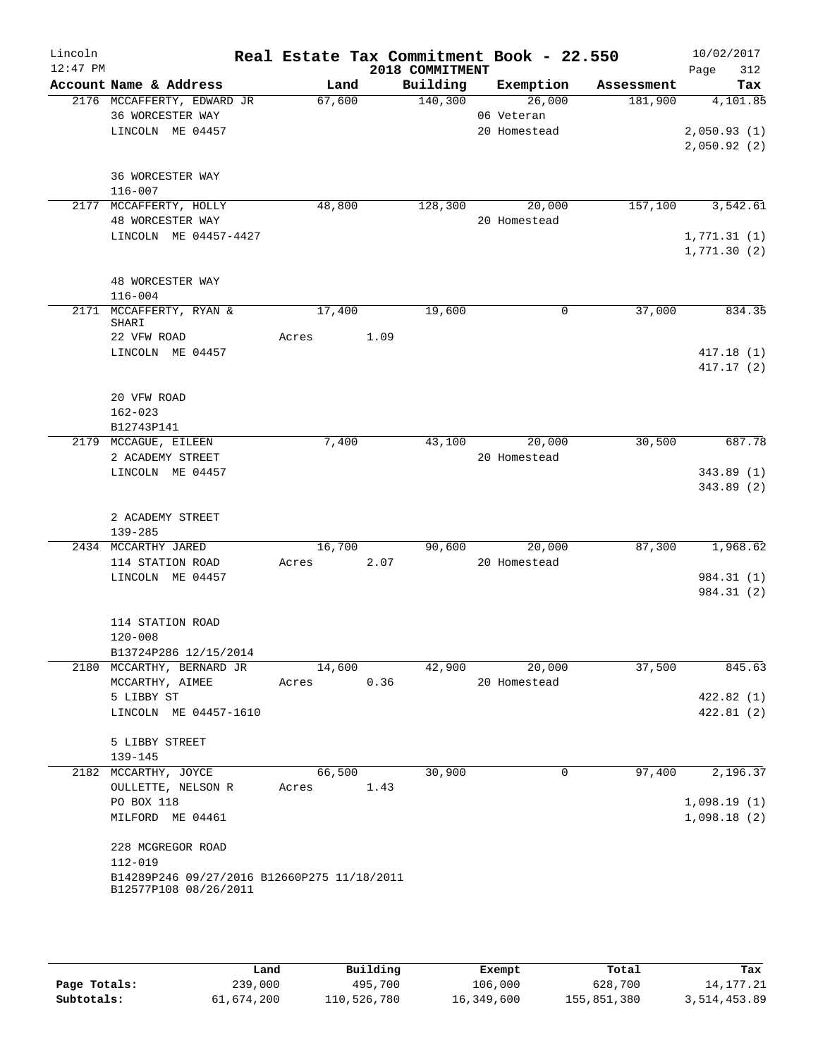| Lincoln<br>$12:47$ PM |                                                                      |        |      |      | 2018 COMMITMENT | Real Estate Tax Commitment Book - 22.550 |            | 10/02/2017<br>Page<br>312 |
|-----------------------|----------------------------------------------------------------------|--------|------|------|-----------------|------------------------------------------|------------|---------------------------|
|                       | Account Name & Address                                               |        | Land |      | Building        | Exemption                                | Assessment | Tax                       |
|                       | 2176 MCCAFFERTY, EDWARD JR                                           | 67,600 |      |      | 140,300         | 26,000                                   | 181,900    | 4,101.85                  |
|                       | 36 WORCESTER WAY                                                     |        |      |      |                 | 06 Veteran                               |            |                           |
|                       | LINCOLN ME 04457                                                     |        |      |      |                 | 20 Homestead                             |            | 2,050.93(1)               |
|                       |                                                                      |        |      |      |                 |                                          |            | 2,050.92(2)               |
|                       | 36 WORCESTER WAY                                                     |        |      |      |                 |                                          |            |                           |
|                       | $116 - 007$                                                          |        |      |      |                 |                                          |            |                           |
|                       | 2177 MCCAFFERTY, HOLLY                                               | 48,800 |      |      | 128,300         | 20,000                                   | 157,100    | 3,542.61                  |
|                       | 48 WORCESTER WAY                                                     |        |      |      |                 | 20 Homestead                             |            |                           |
|                       | LINCOLN ME 04457-4427                                                |        |      |      |                 |                                          |            | 1,771.31(1)               |
|                       |                                                                      |        |      |      |                 |                                          |            | 1,771.30(2)               |
|                       |                                                                      |        |      |      |                 |                                          |            |                           |
|                       | 48 WORCESTER WAY<br>$116 - 004$                                      |        |      |      |                 |                                          |            |                           |
|                       | 2171 MCCAFFERTY, RYAN &                                              | 17,400 |      |      | 19,600          | 0                                        | 37,000     | 834.35                    |
|                       | SHARI                                                                |        |      |      |                 |                                          |            |                           |
|                       | 22 VFW ROAD                                                          | Acres  |      | 1.09 |                 |                                          |            |                           |
|                       | LINCOLN ME 04457                                                     |        |      |      |                 |                                          |            | 417.18(1)                 |
|                       |                                                                      |        |      |      |                 |                                          |            | 417.17(2)                 |
|                       | 20 VFW ROAD                                                          |        |      |      |                 |                                          |            |                           |
|                       | $162 - 023$                                                          |        |      |      |                 |                                          |            |                           |
|                       | B12743P141                                                           |        |      |      |                 |                                          |            |                           |
|                       | 2179 MCCAGUE, EILEEN                                                 | 7,400  |      |      | 43,100          | 20,000                                   | 30,500     | 687.78                    |
|                       | 2 ACADEMY STREET                                                     |        |      |      |                 | 20 Homestead                             |            |                           |
|                       | LINCOLN ME 04457                                                     |        |      |      |                 |                                          |            | 343.89(1)                 |
|                       |                                                                      |        |      |      |                 |                                          |            | 343.89 (2)                |
|                       | 2 ACADEMY STREET                                                     |        |      |      |                 |                                          |            |                           |
|                       | 139-285                                                              |        |      |      |                 |                                          |            |                           |
|                       | 2434 MCCARTHY JARED                                                  | 16,700 |      |      | 90,600          | 20,000                                   | 87,300     | 1,968.62                  |
|                       | 114 STATION ROAD                                                     | Acres  |      | 2.07 |                 | 20 Homestead                             |            |                           |
|                       | LINCOLN ME 04457                                                     |        |      |      |                 |                                          |            | 984.31 (1)                |
|                       |                                                                      |        |      |      |                 |                                          |            | 984.31 (2)                |
|                       |                                                                      |        |      |      |                 |                                          |            |                           |
|                       | 114 STATION ROAD<br>$120 - 008$                                      |        |      |      |                 |                                          |            |                           |
|                       | B13724P286 12/15/2014                                                |        |      |      |                 |                                          |            |                           |
|                       | 2180 MCCARTHY, BERNARD JR                                            | 14,600 |      |      | 42,900          | 20,000                                   | 37,500     | 845.63                    |
|                       | MCCARTHY, AIMEE                                                      | Acres  |      | 0.36 |                 | 20 Homestead                             |            |                           |
|                       | 5 LIBBY ST                                                           |        |      |      |                 |                                          |            | 422.82(1)                 |
|                       | LINCOLN ME 04457-1610                                                |        |      |      |                 |                                          |            | 422.81(2)                 |
|                       |                                                                      |        |      |      |                 |                                          |            |                           |
|                       | 5 LIBBY STREET                                                       |        |      |      |                 |                                          |            |                           |
|                       | 139-145<br>2182 MCCARTHY, JOYCE                                      | 66,500 |      |      | 30,900          | 0                                        | 97,400     | 2,196.37                  |
|                       | OULLETTE, NELSON R                                                   | Acres  |      | 1.43 |                 |                                          |            |                           |
|                       | PO BOX 118                                                           |        |      |      |                 |                                          |            | 1,098.19(1)               |
|                       | MILFORD ME 04461                                                     |        |      |      |                 |                                          |            | 1,098.18(2)               |
|                       |                                                                      |        |      |      |                 |                                          |            |                           |
|                       | 228 MCGREGOR ROAD                                                    |        |      |      |                 |                                          |            |                           |
|                       | 112-019                                                              |        |      |      |                 |                                          |            |                           |
|                       | B14289P246 09/27/2016 B12660P275 11/18/2011<br>B12577P108 08/26/2011 |        |      |      |                 |                                          |            |                           |
|                       |                                                                      |        |      |      |                 |                                          |            |                           |
|                       |                                                                      |        |      |      |                 |                                          |            |                           |

|              | úand       | Building    | Exempt     | Total       | Tax          |
|--------------|------------|-------------|------------|-------------|--------------|
| Page Totals: | 239,000    | 495,700     | 106,000    | 628,700     | 14,177.21    |
| Subtotals:   | 61,674,200 | 110,526,780 | 16,349,600 | 155,851,380 | 3,514,453.89 |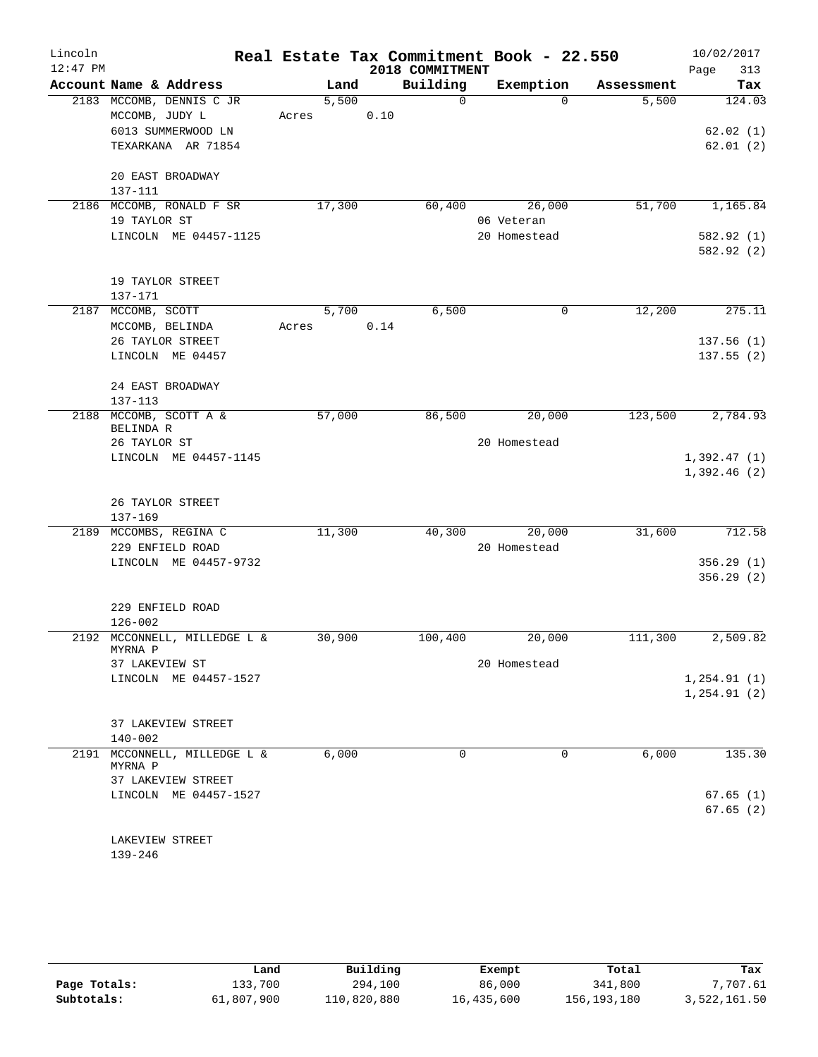| Lincoln    |                                         |        | Real Estate Tax Commitment Book - 22.550 |              |            | 10/02/2017   |
|------------|-----------------------------------------|--------|------------------------------------------|--------------|------------|--------------|
| $12:47$ PM |                                         |        | 2018 COMMITMENT                          |              |            | 313<br>Page  |
|            | Account Name & Address                  | Land   | Building                                 | Exemption    | Assessment | Tax          |
|            | 2183 MCCOMB, DENNIS C JR                | 5,500  | $\Omega$                                 | $\Omega$     | 5,500      | 124.03       |
|            | MCCOMB, JUDY L                          | Acres  | 0.10                                     |              |            |              |
|            | 6013 SUMMERWOOD LN                      |        |                                          |              |            | 62.02(1)     |
|            | TEXARKANA AR 71854                      |        |                                          |              |            | 62.01(2)     |
|            | 20 EAST BROADWAY                        |        |                                          |              |            |              |
|            | 137-111                                 |        |                                          |              |            |              |
|            | 2186 MCCOMB, RONALD F SR                | 17,300 | 60,400                                   | 26,000       | 51,700     | 1,165.84     |
|            | 19 TAYLOR ST                            |        |                                          | 06 Veteran   |            |              |
|            | LINCOLN ME 04457-1125                   |        |                                          | 20 Homestead |            | 582.92 (1)   |
|            |                                         |        |                                          |              |            | 582.92(2)    |
|            | 19 TAYLOR STREET                        |        |                                          |              |            |              |
|            | 137-171                                 |        |                                          |              |            |              |
|            | 2187 MCCOMB, SCOTT                      | 5,700  | 6,500                                    | $\mathbf 0$  | 12,200     | 275.11       |
|            | MCCOMB, BELINDA                         | Acres  | 0.14                                     |              |            |              |
|            | 26 TAYLOR STREET                        |        |                                          |              |            | 137.56(1)    |
|            | LINCOLN ME 04457                        |        |                                          |              |            | 137.55(2)    |
|            |                                         |        |                                          |              |            |              |
|            | 24 EAST BROADWAY                        |        |                                          |              |            |              |
|            | 137-113                                 |        |                                          |              |            |              |
| 2188       | MCCOMB, SCOTT A &                       | 57,000 | 86,500                                   | 20,000       | 123,500    | 2,784.93     |
|            | BELINDA R                               |        |                                          |              |            |              |
|            | 26 TAYLOR ST                            |        |                                          | 20 Homestead |            |              |
|            | LINCOLN ME 04457-1145                   |        |                                          |              |            | 1,392.47(1)  |
|            |                                         |        |                                          |              |            | 1,392.46(2)  |
|            | 26 TAYLOR STREET                        |        |                                          |              |            |              |
|            | $137 - 169$                             |        |                                          |              |            |              |
|            | 2189 MCCOMBS, REGINA C                  | 11,300 | 40,300                                   | 20,000       | 31,600     | 712.58       |
|            | 229 ENFIELD ROAD                        |        |                                          | 20 Homestead |            |              |
|            | LINCOLN ME 04457-9732                   |        |                                          |              |            | 356.29(1)    |
|            |                                         |        |                                          |              |            | 356.29(2)    |
|            | 229 ENFIELD ROAD                        |        |                                          |              |            |              |
|            | $126 - 002$                             |        |                                          |              |            |              |
|            | 2192 MCCONNELL, MILLEDGE L &            | 30,900 | 100,400                                  | 20,000       | 111,300    | 2,509.82     |
|            | MYRNA P                                 |        |                                          |              |            |              |
|            | 37 LAKEVIEW ST                          |        |                                          | 20 Homestead |            |              |
|            | LINCOLN ME 04457-1527                   |        |                                          |              |            | 1, 254.91(1) |
|            |                                         |        |                                          |              |            | 1, 254.91(2) |
|            | 37 LAKEVIEW STREET                      |        |                                          |              |            |              |
|            | $140 - 002$                             |        |                                          |              |            |              |
|            | 2191 MCCONNELL, MILLEDGE L &<br>MYRNA P | 6,000  | $\Omega$                                 | 0            | 6,000      | 135.30       |
|            | 37 LAKEVIEW STREET                      |        |                                          |              |            |              |
|            | LINCOLN ME 04457-1527                   |        |                                          |              |            | 67.65(1)     |
|            |                                         |        |                                          |              |            | 67.65(2)     |
|            |                                         |        |                                          |              |            |              |
|            | LAKEVIEW STREET                         |        |                                          |              |            |              |

139-246

|              | Land       | Building    | Exempt     | Total       | Tax          |
|--------------|------------|-------------|------------|-------------|--------------|
| Page Totals: | 133,700    | 294,100     | 86,000     | 341,800     | 7,707.61     |
| Subtotals:   | 61,807,900 | 110,820,880 | 16,435,600 | 156,193,180 | 3,522,161.50 |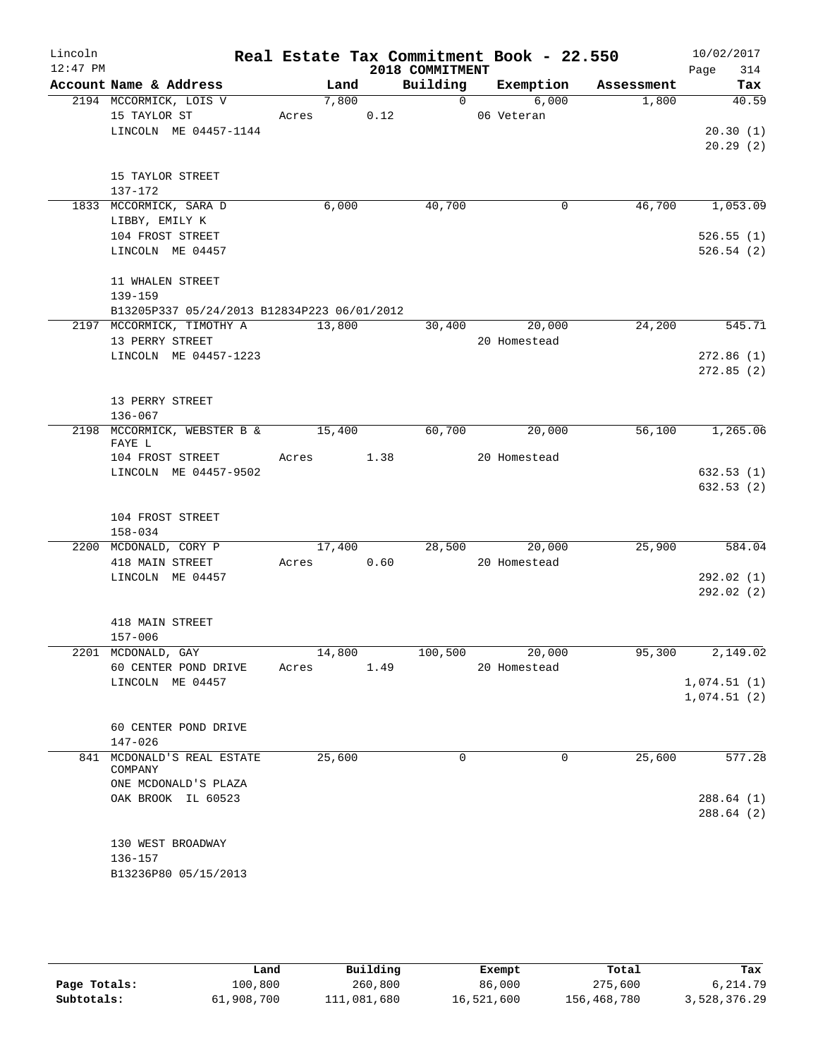| Lincoln<br>$12:47$ PM |                                                                                                                                             |                 |      | 2018 COMMITMENT | Real Estate Tax Commitment Book - 22.550 |            | 10/02/2017<br>314<br>Page          |
|-----------------------|---------------------------------------------------------------------------------------------------------------------------------------------|-----------------|------|-----------------|------------------------------------------|------------|------------------------------------|
|                       | Account Name & Address                                                                                                                      | Land            |      | Building        | Exemption                                | Assessment | Tax                                |
|                       | 2194 MCCORMICK, LOIS V<br>15 TAYLOR ST<br>LINCOLN ME 04457-1144                                                                             | 7,800<br>Acres  | 0.12 | $\overline{0}$  | 6,000<br>06 Veteran                      | 1,800      | 40.59<br>20.30(1)<br>20.29(2)      |
|                       | 15 TAYLOR STREET<br>137-172                                                                                                                 |                 |      |                 |                                          |            |                                    |
|                       | 1833 MCCORMICK, SARA D<br>LIBBY, EMILY K<br>104 FROST STREET<br>LINCOLN ME 04457                                                            | 6,000           |      | 40,700          | 0                                        | 46,700     | 1,053.09<br>526.55(1)<br>526.54(2) |
|                       | 11 WHALEN STREET<br>$139 - 159$<br>B13205P337 05/24/2013 B12834P223 06/01/2012                                                              |                 |      |                 |                                          |            |                                    |
|                       | 2197 MCCORMICK, TIMOTHY A<br>13 PERRY STREET<br>LINCOLN ME 04457-1223                                                                       | 13,800          |      | 30,400          | 20,000<br>20 Homestead                   | 24,200     | 545.71<br>272.86(1)<br>272.85(2)   |
|                       | 13 PERRY STREET<br>136-067                                                                                                                  |                 |      |                 |                                          |            |                                    |
|                       | 2198 MCCORMICK, WEBSTER B &<br>FAYE L<br>104 FROST STREET<br>LINCOLN ME 04457-9502                                                          | 15,400<br>Acres | 1.38 | 60,700          | 20,000<br>20 Homestead                   | 56,100     | 1,265.06<br>632.53(1)<br>632.53(2) |
|                       | 104 FROST STREET<br>$158 - 034$                                                                                                             |                 |      |                 |                                          |            |                                    |
|                       | 2200 MCDONALD, CORY P<br>418 MAIN STREET<br>LINCOLN ME 04457                                                                                | 17,400<br>Acres | 0.60 | 28,500          | 20,000<br>20 Homestead                   | 25,900     | 584.04<br>292.02(1)<br>292.02(2)   |
|                       | 418 MAIN STREET<br>$157 - 006$                                                                                                              |                 |      |                 |                                          |            |                                    |
|                       | 2201 MCDONALD, GAY<br>60 CENTER POND DRIVE<br>LINCOLN ME 04457                                                                              | 14,800<br>Acres | 1.49 | 100,500         | 20,000<br>20 Homestead                   | 95,300     | 2,149.02<br>1,074.51(1)            |
|                       | 60 CENTER POND DRIVE<br>$147 - 026$                                                                                                         |                 |      |                 |                                          |            | 1,074.51(2)                        |
|                       | 841 MCDONALD'S REAL ESTATE<br>COMPANY<br>ONE MCDONALD'S PLAZA<br>OAK BROOK IL 60523<br>130 WEST BROADWAY<br>136-157<br>B13236P80 05/15/2013 | 25,600          |      | 0               | 0                                        | 25,600     | 577.28<br>288.64(1)<br>288.64(2)   |

|              | Land       | Building    | Exempt     | Total       | Tax          |  |
|--------------|------------|-------------|------------|-------------|--------------|--|
| Page Totals: | 100,800    | 260,800     | 86,000     | 275,600     | 6,214.79     |  |
| Subtotals:   | 61,908,700 | 111,081,680 | 16,521,600 | 156,468,780 | 3,528,376.29 |  |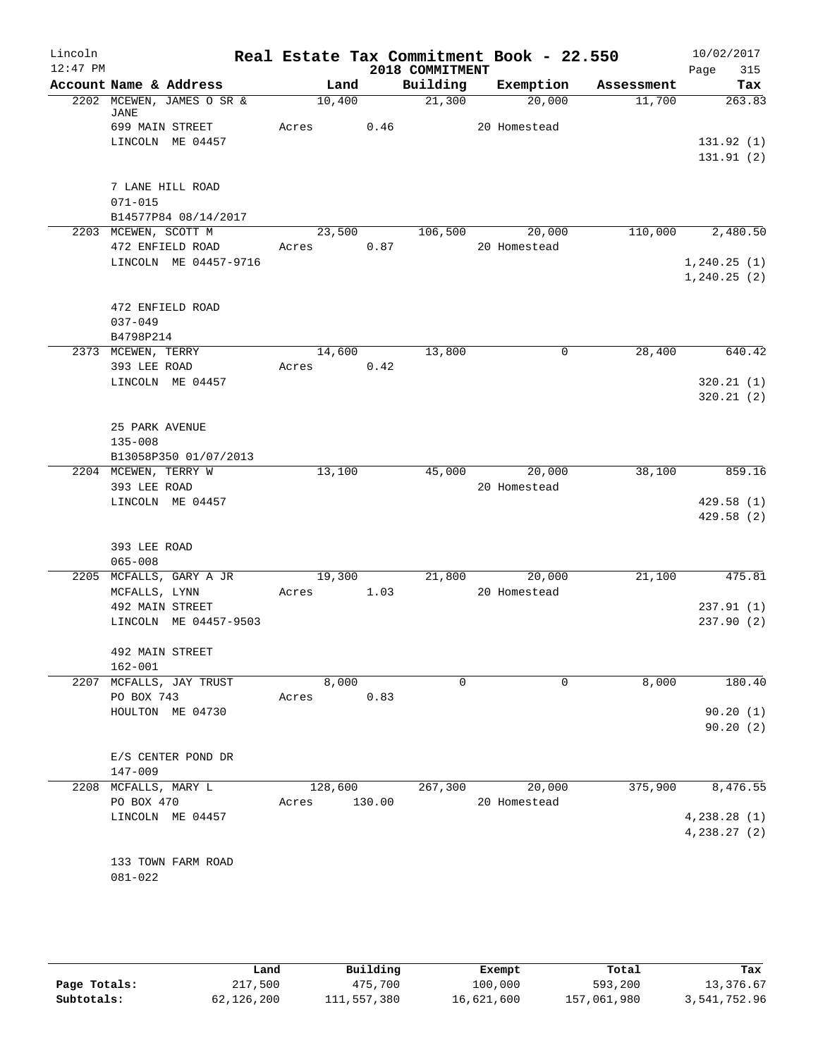| Lincoln<br>$12:47$ PM |                         |                           |       |         |            |                             |                  | Real Estate Tax Commitment Book - 22.550 | 10/02/2017         |
|-----------------------|-------------------------|---------------------------|-------|---------|------------|-----------------------------|------------------|------------------------------------------|--------------------|
|                       |                         | Account Name & Address    |       | Land    |            | 2018 COMMITMENT<br>Building | Exemption        | Assessment                               | 315<br>Page<br>Tax |
|                       |                         | 2202 MCEWEN, JAMES O SR & |       | 10,400  |            | 21,300                      | 20,000           | 11,700                                   | 263.83             |
|                       | JANE<br>699 MAIN STREET |                           | Acres |         |            | 0.46                        | 20 Homestead     |                                          |                    |
|                       |                         | LINCOLN ME 04457          |       |         |            |                             |                  |                                          | 131.92(1)          |
|                       |                         |                           |       |         |            |                             |                  |                                          | 131.91(2)          |
|                       |                         |                           |       |         |            |                             |                  |                                          |                    |
|                       | 7 LANE HILL ROAD        |                           |       |         |            |                             |                  |                                          |                    |
|                       | $071 - 015$             |                           |       |         |            |                             |                  |                                          |                    |
|                       |                         | B14577P84 08/14/2017      |       |         |            |                             |                  |                                          |                    |
|                       | 2203 MCEWEN, SCOTT M    |                           |       | 23,500  |            |                             | 106,500 20,000   | 110,000                                  | 2,480.50           |
|                       |                         | 472 ENFIELD ROAD          | Acres |         | 0.87       |                             | 20 Homestead     |                                          |                    |
|                       |                         | LINCOLN ME 04457-9716     |       |         |            |                             |                  |                                          | 1, 240.25(1)       |
|                       |                         |                           |       |         |            |                             |                  |                                          | 1, 240.25(2)       |
|                       | 472 ENFIELD ROAD        |                           |       |         |            |                             |                  |                                          |                    |
|                       | $037 - 049$             |                           |       |         |            |                             |                  |                                          |                    |
|                       | B4798P214               |                           |       |         |            |                             |                  |                                          |                    |
|                       | 2373 MCEWEN, TERRY      |                           |       | 14,600  |            | 13,800                      |                  | $\mathsf{O}$<br>28,400                   | 640.42             |
|                       | 393 LEE ROAD            |                           |       |         | Acres 0.42 |                             |                  |                                          |                    |
|                       |                         | LINCOLN ME 04457          |       |         |            |                             |                  |                                          | 320.21(1)          |
|                       |                         |                           |       |         |            |                             |                  |                                          | 320.21(2)          |
|                       | 25 PARK AVENUE          |                           |       |         |            |                             |                  |                                          |                    |
|                       | $135 - 008$             |                           |       |         |            |                             |                  |                                          |                    |
|                       |                         | B13058P350 01/07/2013     |       |         |            |                             |                  |                                          |                    |
|                       | 2204 MCEWEN, TERRY W    |                           |       | 13,100  |            |                             | 45,000 20,000    | 38,100                                   | 859.16             |
|                       | 393 LEE ROAD            |                           |       |         |            |                             | 20 Homestead     |                                          |                    |
|                       |                         | LINCOLN ME 04457          |       |         |            |                             |                  |                                          | 429.58(1)          |
|                       |                         |                           |       |         |            |                             |                  |                                          | 429.58(2)          |
|                       |                         |                           |       |         |            |                             |                  |                                          |                    |
|                       | 393 LEE ROAD            |                           |       |         |            |                             |                  |                                          |                    |
|                       | $065 - 008$             |                           |       |         |            |                             |                  |                                          |                    |
|                       |                         | 2205 MCFALLS, GARY A JR   |       | 19,300  |            |                             | 21,800<br>20,000 | 21,100                                   | 475.81             |
|                       | MCFALLS, LYNN           |                           | Acres |         | 1.03       |                             | 20 Homestead     |                                          |                    |
|                       | 492 MAIN STREET         |                           |       |         |            |                             |                  |                                          | 237.91(1)          |
|                       |                         | LINCOLN ME 04457-9503     |       |         |            |                             |                  |                                          | 237.90(2)          |
|                       |                         |                           |       |         |            |                             |                  |                                          |                    |
|                       | 492 MAIN STREET         |                           |       |         |            |                             |                  |                                          |                    |
|                       | $162 - 001$             |                           |       |         |            |                             |                  |                                          |                    |
| 2207                  |                         | MCFALLS, JAY TRUST        |       | 8,000   |            | 0                           |                  | 8,000<br>0                               | 180.40             |
|                       | PO BOX 743              |                           | Acres |         | 0.83       |                             |                  |                                          |                    |
|                       |                         | HOULTON ME 04730          |       |         |            |                             |                  |                                          | 90.20(1)           |
|                       |                         |                           |       |         |            |                             |                  |                                          | 90.20(2)           |
|                       |                         |                           |       |         |            |                             |                  |                                          |                    |
|                       | 147-009                 | E/S CENTER POND DR        |       |         |            |                             |                  |                                          |                    |
|                       | 2208 MCFALLS, MARY L    |                           |       | 128,600 |            | 267,300                     | 20,000           | 375,900                                  | 8,476.55           |
|                       | PO BOX 470              |                           | Acres |         | 130.00     |                             | 20 Homestead     |                                          |                    |
|                       |                         | LINCOLN ME 04457          |       |         |            |                             |                  |                                          | 4,238.28(1)        |
|                       |                         |                           |       |         |            |                             |                  |                                          | 4,238.27(2)        |
|                       |                         |                           |       |         |            |                             |                  |                                          |                    |
|                       |                         | 133 TOWN FARM ROAD        |       |         |            |                             |                  |                                          |                    |
|                       | 081-022                 |                           |       |         |            |                             |                  |                                          |                    |
|                       |                         |                           |       |         |            |                             |                  |                                          |                    |
|                       |                         |                           |       |         |            |                             |                  |                                          |                    |

|              | Land       | Building    | Exempt     | Total       | Tax          |
|--------------|------------|-------------|------------|-------------|--------------|
| Page Totals: | 217,500    | 475,700     | 100,000    | 593,200     | 13,376.67    |
| Subtotals:   | 62,126,200 | 111,557,380 | 16,621,600 | 157,061,980 | 3,541,752.96 |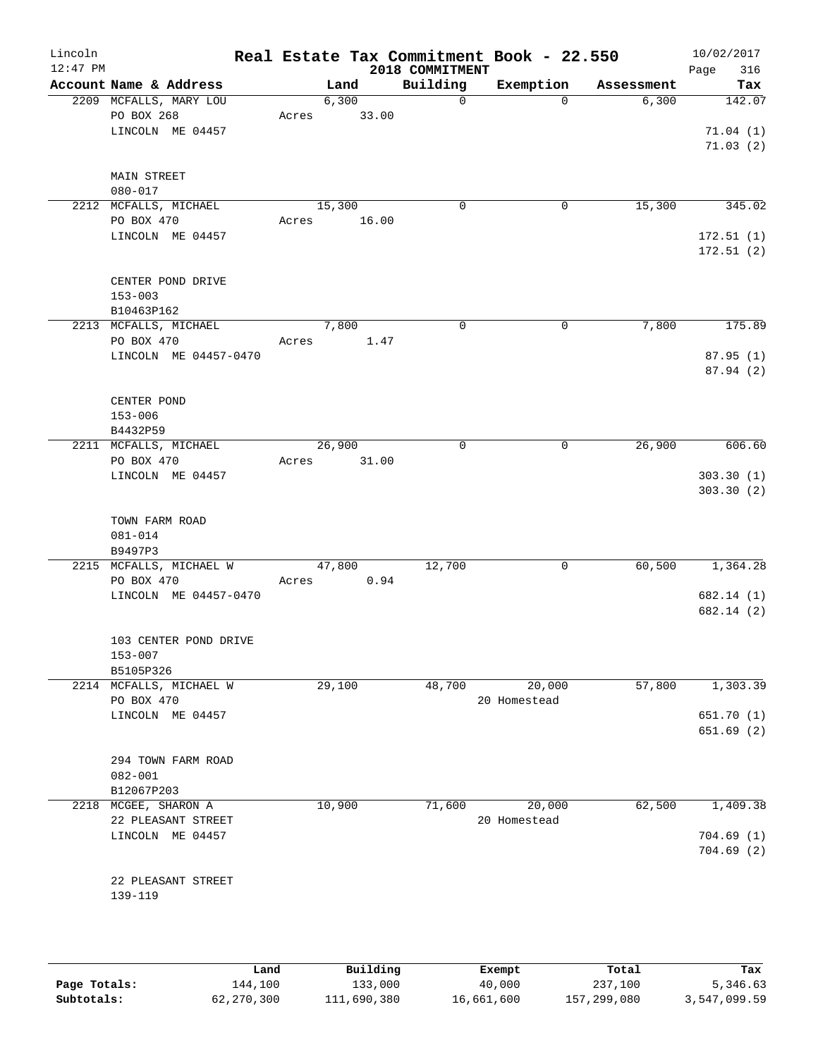| Lincoln<br>$12:47$ PM |                                                          |       |        |       | Real Estate Tax Commitment Book - 22.550<br>2018 COMMITMENT |                        |            | 10/02/2017<br>Page<br>316      |
|-----------------------|----------------------------------------------------------|-------|--------|-------|-------------------------------------------------------------|------------------------|------------|--------------------------------|
|                       | Account Name & Address                                   |       | Land   |       | Building                                                    | Exemption              | Assessment | Tax                            |
|                       | 2209 MCFALLS, MARY LOU<br>PO BOX 268<br>LINCOLN ME 04457 | Acres | 6,300  | 33.00 | $\mathsf{O}$                                                | $\mathbf 0$            | 6,300      | 142.07<br>71.04(1)<br>71.03(2) |
|                       | MAIN STREET<br>$080 - 017$                               |       |        |       |                                                             |                        |            |                                |
|                       | 2212 MCFALLS, MICHAEL<br>PO BOX 470                      | Acres | 15,300 | 16.00 | 0                                                           | 0                      | 15,300     | 345.02                         |
|                       | LINCOLN ME 04457                                         |       |        |       |                                                             |                        |            | 172.51(1)<br>172.51(2)         |
|                       | CENTER POND DRIVE<br>$153 - 003$                         |       |        |       |                                                             |                        |            |                                |
|                       | B10463P162                                               |       |        |       |                                                             |                        |            |                                |
|                       | 2213 MCFALLS, MICHAEL                                    |       | 7,800  |       | $\mathbf 0$                                                 | $\mathbf 0$            | 7,800      | 175.89                         |
|                       | PO BOX 470<br>LINCOLN ME 04457-0470                      | Acres |        | 1.47  |                                                             |                        |            | 87.95(1)                       |
|                       |                                                          |       |        |       |                                                             |                        |            | 87.94 (2)                      |
|                       | CENTER POND                                              |       |        |       |                                                             |                        |            |                                |
|                       | $153 - 006$                                              |       |        |       |                                                             |                        |            |                                |
|                       | B4432P59                                                 |       |        |       |                                                             |                        |            |                                |
|                       | 2211 MCFALLS, MICHAEL                                    |       | 26,900 |       | $\mathbf 0$                                                 | 0                      | 26,900     | 606.60                         |
|                       | PO BOX 470                                               | Acres |        | 31.00 |                                                             |                        |            |                                |
|                       | LINCOLN ME 04457                                         |       |        |       |                                                             |                        |            | 303.30(1)                      |
|                       | TOWN FARM ROAD<br>$081 - 014$<br>B9497P3                 |       |        |       |                                                             |                        |            |                                |
|                       | 2215 MCFALLS, MICHAEL W                                  |       | 47,800 |       | 12,700                                                      | 0                      | 60,500     | 1,364.28                       |
|                       | PO BOX 470                                               | Acres |        | 0.94  |                                                             |                        |            |                                |
|                       | LINCOLN ME 04457-0470                                    |       |        |       |                                                             |                        |            | 682.14(1)<br>682.14 (2)        |
|                       | 103 CENTER POND DRIVE                                    |       |        |       |                                                             |                        |            |                                |
|                       | $153 - 007$                                              |       |        |       |                                                             |                        |            |                                |
|                       | B5105P326                                                |       |        |       |                                                             |                        |            |                                |
|                       | 2214 MCFALLS, MICHAEL W<br>PO BOX 470                    |       | 29,100 |       | 48,700                                                      | 20,000<br>20 Homestead | 57,800     | 1,303.39                       |
|                       | LINCOLN ME 04457                                         |       |        |       |                                                             |                        |            | 651.70 (1)                     |
|                       |                                                          |       |        |       |                                                             |                        |            | 651.69 (2)                     |
|                       | 294 TOWN FARM ROAD                                       |       |        |       |                                                             |                        |            |                                |
|                       | $082 - 001$                                              |       |        |       |                                                             |                        |            |                                |
|                       | B12067P203                                               |       |        |       |                                                             |                        |            |                                |
| 2218                  | MCGEE, SHARON A                                          |       | 10,900 |       | 71,600                                                      | 20,000                 | 62,500     | 1,409.38                       |
|                       | 22 PLEASANT STREET                                       |       |        |       |                                                             | 20 Homestead           |            |                                |
|                       | LINCOLN ME 04457                                         |       |        |       |                                                             |                        |            | 704.69(1)                      |
|                       |                                                          |       |        |       |                                                             |                        |            | 704.69(2)                      |
|                       |                                                          |       |        |       |                                                             |                        |            |                                |
|                       | 22 PLEASANT STREET                                       |       |        |       |                                                             |                        |            |                                |
|                       | 139-119                                                  |       |        |       |                                                             |                        |            |                                |
|                       |                                                          |       |        |       |                                                             |                        |            |                                |
|                       |                                                          |       |        |       |                                                             |                        |            |                                |
|                       |                                                          |       |        |       |                                                             |                        |            |                                |
|                       |                                                          |       |        |       |                                                             |                        |            |                                |
|                       |                                                          |       |        |       |                                                             |                        |            |                                |

|              | Land       | Building    | Exempt     | Total       | Tax          |
|--------------|------------|-------------|------------|-------------|--------------|
| Page Totals: | 144,100    | 133,000     | 40,000     | 237,100     | 5,346.63     |
| Subtotals:   | 62,270,300 | 111,690,380 | 16,661,600 | 157,299,080 | 3,547,099.59 |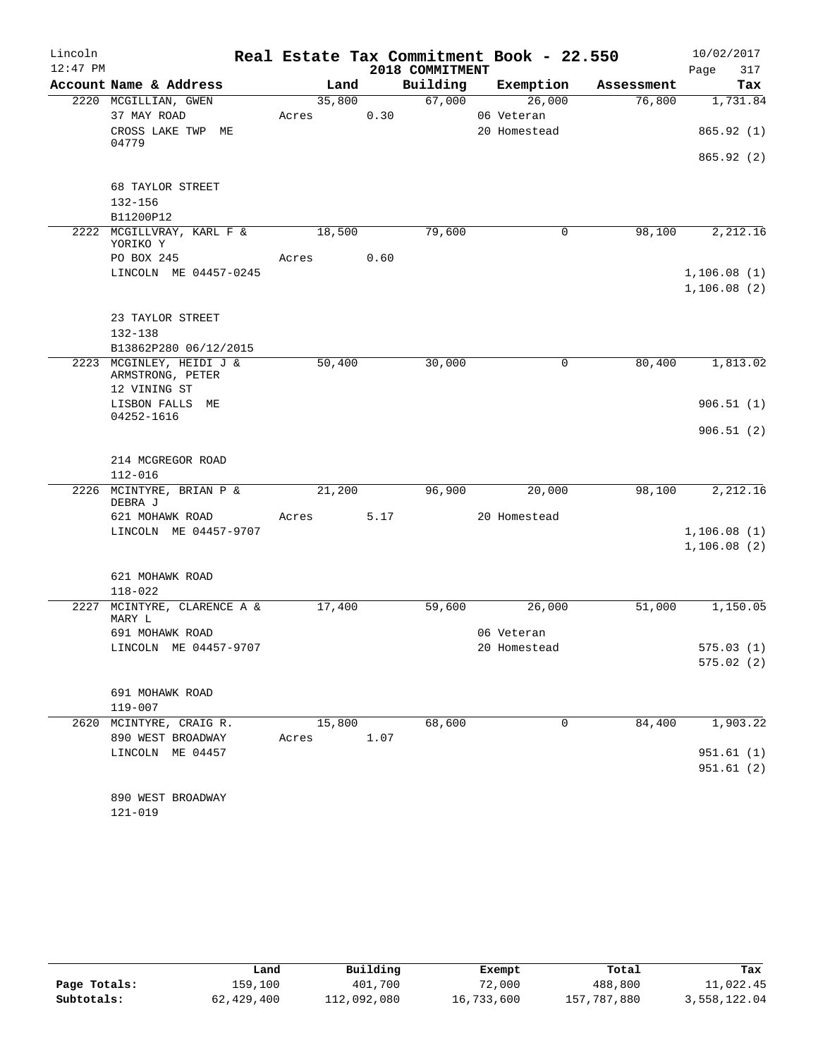| Lincoln    |                                       |            |      |                 | Real Estate Tax Commitment Book - 22.550 |            | 10/02/2017  |
|------------|---------------------------------------|------------|------|-----------------|------------------------------------------|------------|-------------|
| $12:47$ PM |                                       |            |      | 2018 COMMITMENT |                                          |            | 317<br>Page |
|            | Account Name & Address                | Land       |      | Building        | Exemption                                | Assessment | Tax         |
|            | 2220 MCGILLIAN, GWEN                  | 35,800     |      | 67,000          | 26,000                                   | 76,800     | 1,731.84    |
|            | 37 MAY ROAD                           | Acres      | 0.30 |                 | 06 Veteran                               |            |             |
|            | CROSS LAKE TWP ME<br>04779            |            |      |                 | 20 Homestead                             |            | 865.92(1)   |
|            |                                       |            |      |                 |                                          |            | 865.92(2)   |
|            | 68 TAYLOR STREET                      |            |      |                 |                                          |            |             |
|            | 132-156                               |            |      |                 |                                          |            |             |
|            | B11200P12                             |            |      |                 |                                          |            |             |
|            | 2222 MCGILLVRAY, KARL F &             | 18,500     |      | 79,600          | $\mathbf 0$                              | 98,100     | 2,212.16    |
|            | YORIKO Y                              |            |      |                 |                                          |            |             |
|            | PO BOX 245                            | Acres      | 0.60 |                 |                                          |            |             |
|            | LINCOLN ME 04457-0245                 |            |      |                 |                                          |            | 1,106.08(1) |
|            |                                       |            |      |                 |                                          |            | 1,106.08(2) |
|            | 23 TAYLOR STREET                      |            |      |                 |                                          |            |             |
|            | 132-138                               |            |      |                 |                                          |            |             |
|            | B13862P280 06/12/2015                 |            |      |                 |                                          |            |             |
|            | 2223 MCGINLEY, HEIDI J &              | 50,400     |      | 30,000          | $\mathbf 0$                              | 80,400     | 1,813.02    |
|            | ARMSTRONG, PETER                      |            |      |                 |                                          |            |             |
|            | 12 VINING ST                          |            |      |                 |                                          |            |             |
|            | LISBON FALLS ME                       |            |      |                 |                                          |            | 906.51(1)   |
|            | 04252-1616                            |            |      |                 |                                          |            |             |
|            |                                       |            |      |                 |                                          |            | 906.51(2)   |
|            | 214 MCGREGOR ROAD                     |            |      |                 |                                          |            |             |
|            | $112 - 016$                           |            |      |                 |                                          |            |             |
|            | 2226 MCINTYRE, BRIAN P &              | 21,200     |      | 96,900          | 20,000                                   | 98,100     | 2,212.16    |
|            | DEBRA J                               |            |      |                 |                                          |            |             |
|            | 621 MOHAWK ROAD                       | Acres      | 5.17 |                 | 20 Homestead                             |            |             |
|            | LINCOLN ME 04457-9707                 |            |      |                 |                                          |            | 1,106.08(1) |
|            |                                       |            |      |                 |                                          |            | 1,106.08(2) |
|            |                                       |            |      |                 |                                          |            |             |
|            | 621 MOHAWK ROAD                       |            |      |                 |                                          |            |             |
|            | 118-022                               |            |      |                 |                                          |            |             |
|            | 2227 MCINTYRE, CLARENCE A &<br>MARY L | 17,400     |      | 59,600          | 26,000                                   | 51,000     | 1,150.05    |
|            | 691 MOHAWK ROAD                       |            |      |                 | 06 Veteran                               |            |             |
|            | LINCOLN ME 04457-9707                 |            |      |                 | 20 Homestead                             |            | 575.03(1)   |
|            |                                       |            |      |                 |                                          |            | 575.02(2)   |
|            |                                       |            |      |                 |                                          |            |             |
|            | 691 MOHAWK ROAD                       |            |      |                 |                                          |            |             |
|            | $119 - 007$                           |            |      |                 |                                          |            |             |
|            | 2620 MCINTYRE, CRAIG R.               | 15,800     |      | 68,600          | $\Omega$                                 | 84,400     | 1,903.22    |
|            | 890 WEST BROADWAY                     | Acres 1.07 |      |                 |                                          |            |             |
|            | LINCOLN ME 04457                      |            |      |                 |                                          |            | 951.61 (1)  |
|            |                                       |            |      |                 |                                          |            | 951.61(2)   |
|            |                                       |            |      |                 |                                          |            |             |
|            | 890 WEST BROADWAY                     |            |      |                 |                                          |            |             |
|            | $121 - 019$                           |            |      |                 |                                          |            |             |

|              | Land       | Building    | Exempt     | Total       | Tax          |
|--------------|------------|-------------|------------|-------------|--------------|
| Page Totals: | 159,100    | 401,700     | 72,000     | 488,800     | 11,022.45    |
| Subtotals:   | 62,429,400 | 112,092,080 | 16,733,600 | 157,787,880 | 3,558,122.04 |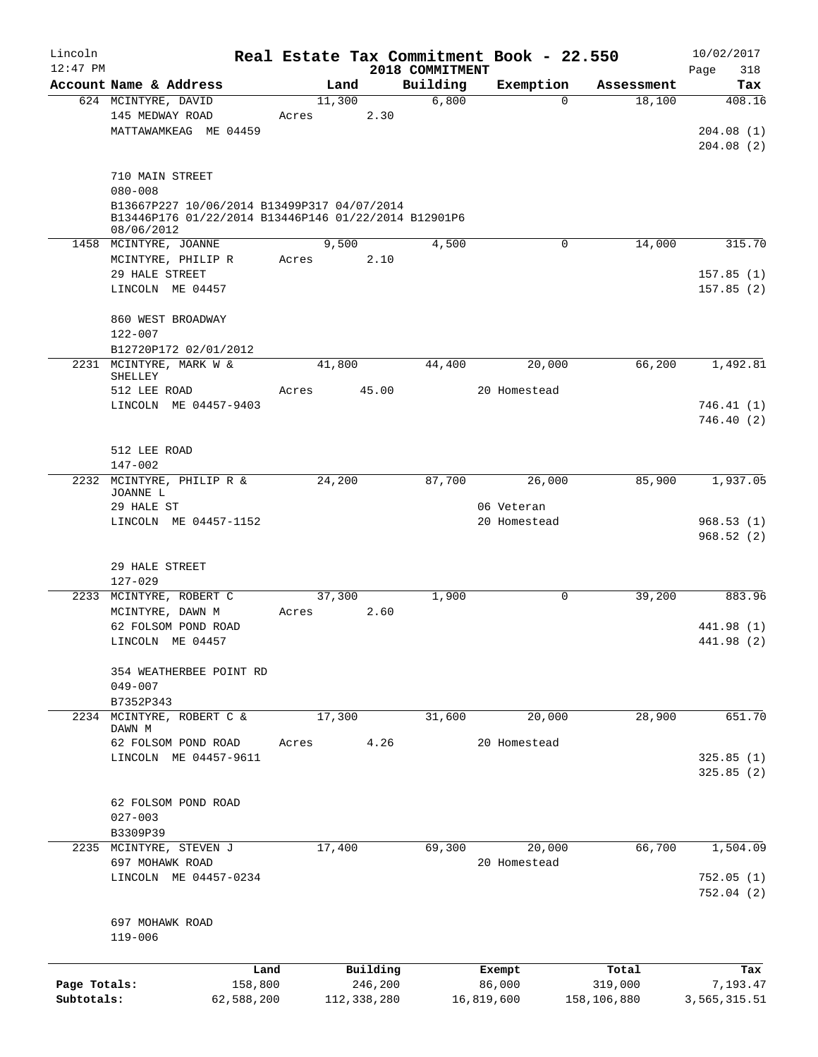| Lincoln      |                                                                                                     |        |             |                             | Real Estate Tax Commitment Book - 22.550 |             | 10/02/2017         |
|--------------|-----------------------------------------------------------------------------------------------------|--------|-------------|-----------------------------|------------------------------------------|-------------|--------------------|
| $12:47$ PM   | Account Name & Address                                                                              | Land   |             | 2018 COMMITMENT<br>Building | Exemption                                | Assessment  | Page<br>318<br>Tax |
|              | 624 MCINTYRE, DAVID                                                                                 | 11,300 |             | 6,800                       | $\Omega$                                 | 18,100      | 408.16             |
|              | 145 MEDWAY ROAD                                                                                     | Acres  | 2.30        |                             |                                          |             |                    |
|              | MATTAWAMKEAG ME 04459                                                                               |        |             |                             |                                          |             | 204.08(1)          |
|              |                                                                                                     |        |             |                             |                                          |             | 204.08(2)          |
|              |                                                                                                     |        |             |                             |                                          |             |                    |
|              | 710 MAIN STREET                                                                                     |        |             |                             |                                          |             |                    |
|              | $080 - 008$                                                                                         |        |             |                             |                                          |             |                    |
|              | B13667P227 10/06/2014 B13499P317 04/07/2014<br>B13446P176 01/22/2014 B13446P146 01/22/2014 B12901P6 |        |             |                             |                                          |             |                    |
|              | 08/06/2012                                                                                          |        |             |                             |                                          |             |                    |
|              | 1458 MCINTYRE, JOANNE                                                                               | 9,500  |             | 4,500                       | 0                                        | 14,000      | 315.70             |
|              | MCINTYRE, PHILIP R                                                                                  | Acres  | 2.10        |                             |                                          |             |                    |
|              | 29 HALE STREET                                                                                      |        |             |                             |                                          |             | 157.85(1)          |
|              | LINCOLN ME 04457                                                                                    |        |             |                             |                                          |             | 157.85(2)          |
|              |                                                                                                     |        |             |                             |                                          |             |                    |
|              | 860 WEST BROADWAY                                                                                   |        |             |                             |                                          |             |                    |
|              | 122-007                                                                                             |        |             |                             |                                          |             |                    |
|              | B12720P172 02/01/2012                                                                               |        |             |                             |                                          |             |                    |
|              | 2231 MCINTYRE, MARK W &<br>SHELLEY                                                                  | 41,800 |             | 44,400                      | 20,000                                   | 66,200      | 1,492.81           |
|              | 512 LEE ROAD                                                                                        | Acres  | 45.00       |                             | 20 Homestead                             |             |                    |
|              | LINCOLN ME 04457-9403                                                                               |        |             |                             |                                          |             | 746.41(1)          |
|              |                                                                                                     |        |             |                             |                                          |             | 746.40(2)          |
|              |                                                                                                     |        |             |                             |                                          |             |                    |
|              | 512 LEE ROAD                                                                                        |        |             |                             |                                          |             |                    |
|              | 147-002                                                                                             |        |             |                             |                                          |             |                    |
|              | 2232 MCINTYRE, PHILIP R &                                                                           | 24,200 |             | 87,700                      | 26,000                                   | 85,900      | 1,937.05           |
|              | JOANNE L                                                                                            |        |             |                             |                                          |             |                    |
|              | 29 HALE ST<br>LINCOLN ME 04457-1152                                                                 |        |             |                             | 06 Veteran<br>20 Homestead               |             | 968.53(1)          |
|              |                                                                                                     |        |             |                             |                                          |             | 968.52(2)          |
|              |                                                                                                     |        |             |                             |                                          |             |                    |
|              | 29 HALE STREET                                                                                      |        |             |                             |                                          |             |                    |
|              | $127 - 029$                                                                                         |        |             |                             |                                          |             |                    |
|              | 2233 MCINTYRE, ROBERT C                                                                             | 37,300 |             | 1,900                       | 0                                        | 39,200      | 883.96             |
|              | MCINTYRE, DAWN M                                                                                    | Acres  | 2.60        |                             |                                          |             |                    |
|              | 62 FOLSOM POND ROAD                                                                                 |        |             |                             |                                          |             | 441.98 (1)         |
|              | LINCOLN ME 04457                                                                                    |        |             |                             |                                          |             | 441.98 (2)         |
|              |                                                                                                     |        |             |                             |                                          |             |                    |
|              | 354 WEATHERBEE POINT RD                                                                             |        |             |                             |                                          |             |                    |
|              | $049 - 007$                                                                                         |        |             |                             |                                          |             |                    |
| 2234         | B7352P343<br>MCINTYRE, ROBERT C &                                                                   | 17,300 |             | 31,600                      | 20,000                                   | 28,900      | 651.70             |
|              | DAWN M                                                                                              |        |             |                             |                                          |             |                    |
|              | 62 FOLSOM POND ROAD                                                                                 | Acres  | 4.26        |                             | 20 Homestead                             |             |                    |
|              | LINCOLN ME 04457-9611                                                                               |        |             |                             |                                          |             | 325.85(1)          |
|              |                                                                                                     |        |             |                             |                                          |             | 325.85(2)          |
|              |                                                                                                     |        |             |                             |                                          |             |                    |
|              | 62 FOLSOM POND ROAD                                                                                 |        |             |                             |                                          |             |                    |
|              | $027 - 003$                                                                                         |        |             |                             |                                          |             |                    |
|              | B3309P39                                                                                            |        |             |                             |                                          |             |                    |
|              | 2235 MCINTYRE, STEVEN J<br>697 MOHAWK ROAD                                                          | 17,400 |             | 69,300                      | 20,000<br>20 Homestead                   | 66,700      | 1,504.09           |
|              | LINCOLN ME 04457-0234                                                                               |        |             |                             |                                          |             | 752.05(1)          |
|              |                                                                                                     |        |             |                             |                                          |             | 752.04(2)          |
|              |                                                                                                     |        |             |                             |                                          |             |                    |
|              | 697 MOHAWK ROAD                                                                                     |        |             |                             |                                          |             |                    |
|              | $119 - 006$                                                                                         |        |             |                             |                                          |             |                    |
|              |                                                                                                     |        |             |                             |                                          |             |                    |
|              |                                                                                                     | Land   | Building    |                             | Exempt                                   | Total       | Tax                |
| Page Totals: | 158,800                                                                                             |        | 246,200     |                             | 86,000                                   | 319,000     | 7,193.47           |
| Subtotals:   | 62,588,200                                                                                          |        | 112,338,280 |                             | 16,819,600                               | 158,106,880 | 3,565,315.51       |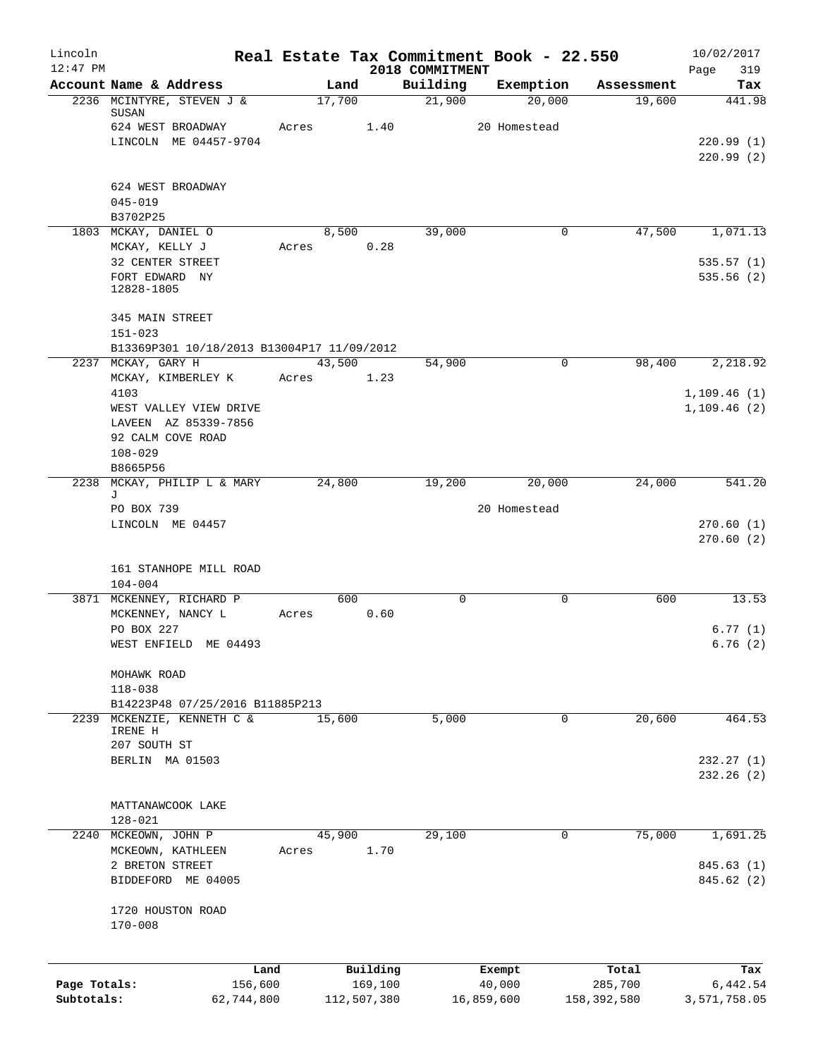| Lincoln      |                                                | Real Estate Tax Commitment Book - 22.550 |             |                             |              |             |             | 10/02/2017         |
|--------------|------------------------------------------------|------------------------------------------|-------------|-----------------------------|--------------|-------------|-------------|--------------------|
| $12:47$ PM   | Account Name & Address                         | Land                                     |             | 2018 COMMITMENT<br>Building | Exemption    |             | Assessment  | Page<br>319<br>Tax |
|              | 2236 MCINTYRE, STEVEN J &<br>SUSAN             | 17,700                                   |             | 21,900                      |              | 20,000      | 19,600      | 441.98             |
|              | 624 WEST BROADWAY                              | Acres                                    | 1.40        |                             | 20 Homestead |             |             |                    |
|              | LINCOLN ME 04457-9704                          |                                          |             |                             |              |             |             | 220.99(1)          |
|              |                                                |                                          |             |                             |              |             |             | 220.99(2)          |
|              | 624 WEST BROADWAY                              |                                          |             |                             |              |             |             |                    |
|              | $045 - 019$                                    |                                          |             |                             |              |             |             |                    |
|              | B3702P25<br>1803 MCKAY, DANIEL O               | 8,500                                    |             | 39,000                      |              | 0           | 47,500      | 1,071.13           |
|              | MCKAY, KELLY J                                 | Acres                                    | 0.28        |                             |              |             |             |                    |
|              | 32 CENTER STREET                               |                                          |             |                             |              |             |             | 535.57(1)          |
|              | FORT EDWARD NY<br>12828-1805                   |                                          |             |                             |              |             |             | 535.56(2)          |
|              | 345 MAIN STREET<br>$151 - 023$                 |                                          |             |                             |              |             |             |                    |
|              | B13369P301 10/18/2013 B13004P17 11/09/2012     |                                          |             |                             |              |             |             |                    |
|              | 2237 MCKAY, GARY H                             | 43,500                                   |             | 54,900                      |              | 0           | 98,400      | 2,218.92           |
|              | MCKAY, KIMBERLEY K                             | Acres                                    | 1.23        |                             |              |             |             |                    |
|              | 4103                                           |                                          |             |                             |              |             |             | 1,109.46(1)        |
|              | WEST VALLEY VIEW DRIVE<br>LAVEEN AZ 85339-7856 |                                          |             |                             |              |             |             | 1,109.46(2)        |
|              | 92 CALM COVE ROAD                              |                                          |             |                             |              |             |             |                    |
|              | $108 - 029$                                    |                                          |             |                             |              |             |             |                    |
|              | B8665P56                                       |                                          |             |                             |              |             |             |                    |
| 2238         | MCKAY, PHILIP L & MARY                         | 24,800                                   |             | 19,200                      |              | 20,000      | 24,000      | 541.20             |
|              | J<br>PO BOX 739                                |                                          |             |                             | 20 Homestead |             |             |                    |
|              | LINCOLN ME 04457                               |                                          |             |                             |              |             |             | 270.60(1)          |
|              |                                                |                                          |             |                             |              |             |             | 270.60(2)          |
|              |                                                |                                          |             |                             |              |             |             |                    |
|              | 161 STANHOPE MILL ROAD                         |                                          |             |                             |              |             |             |                    |
|              | $104 - 004$<br>3871 MCKENNEY, RICHARD P        | 600                                      |             | 0                           |              | 0           | 600         | 13.53              |
|              | MCKENNEY, NANCY L                              | Acres                                    | 0.60        |                             |              |             |             |                    |
|              | PO BOX 227                                     |                                          |             |                             |              |             |             | 6.77(1)            |
|              | WEST ENFIELD ME 04493                          |                                          |             |                             |              |             |             | 6.76(2)            |
|              | MOHAWK ROAD                                    |                                          |             |                             |              |             |             |                    |
|              | $118 - 038$                                    |                                          |             |                             |              |             |             |                    |
|              | B14223P48 07/25/2016 B11885P213                |                                          |             |                             |              |             |             |                    |
| 2239         | MCKENZIE, KENNETH C &<br>IRENE H               | 15,600                                   |             | 5,000                       |              | $\mathbf 0$ | 20,600      | 464.53             |
|              | 207 SOUTH ST                                   |                                          |             |                             |              |             |             |                    |
|              | BERLIN MA 01503                                |                                          |             |                             |              |             |             | 232.27(1)          |
|              |                                                |                                          |             |                             |              |             |             | 232.26(2)          |
|              |                                                |                                          |             |                             |              |             |             |                    |
|              | MATTANAWCOOK LAKE<br>$128 - 021$               |                                          |             |                             |              |             |             |                    |
|              | 2240 MCKEOWN, JOHN P                           | 45,900                                   |             | 29,100                      |              | 0           | 75,000      | 1,691.25           |
|              | MCKEOWN, KATHLEEN                              | Acres                                    | 1.70        |                             |              |             |             |                    |
|              | 2 BRETON STREET                                |                                          |             |                             |              |             |             | 845.63 (1)         |
|              | BIDDEFORD ME 04005                             |                                          |             |                             |              |             |             | 845.62 (2)         |
|              | 1720 HOUSTON ROAD                              |                                          |             |                             |              |             |             |                    |
|              | $170 - 008$                                    |                                          |             |                             |              |             |             |                    |
|              | Land                                           |                                          | Building    |                             | Exempt       |             | Total       | Tax                |
| Page Totals: | 156,600                                        |                                          | 169,100     |                             | 40,000       |             | 285,700     | 6,442.54           |
| Subtotals:   | 62,744,800                                     |                                          | 112,507,380 |                             | 16,859,600   |             | 158,392,580 | 3,571,758.05       |
|              |                                                |                                          |             |                             |              |             |             |                    |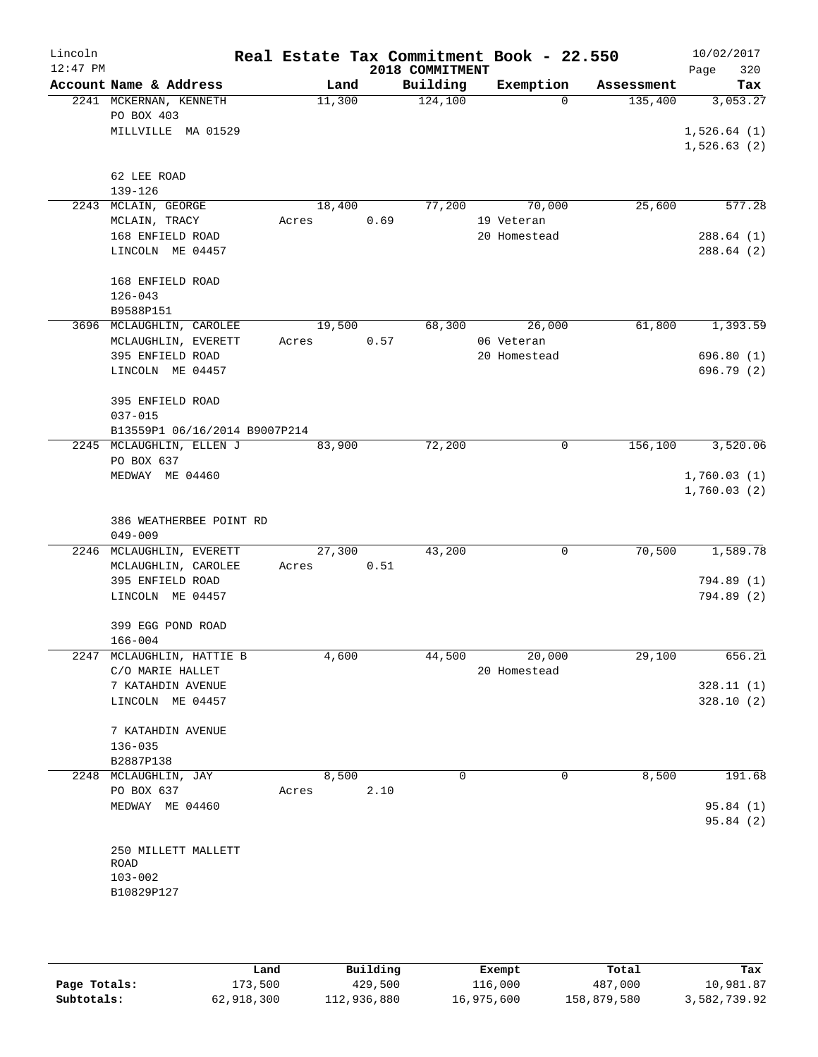| Lincoln<br>$12:47$ PM |                               |       |        |      | 2018 COMMITMENT | Real Estate Tax Commitment Book - 22.550 |            | 10/02/2017<br>320<br>Page |
|-----------------------|-------------------------------|-------|--------|------|-----------------|------------------------------------------|------------|---------------------------|
|                       | Account Name & Address        |       | Land   |      | Building        | Exemption                                | Assessment | Tax                       |
|                       | 2241 MCKERNAN, KENNETH        |       | 11,300 |      | 124,100         | $\Omega$                                 | 135,400    | 3,053.27                  |
|                       | PO BOX 403                    |       |        |      |                 |                                          |            |                           |
|                       | MILLVILLE MA 01529            |       |        |      |                 |                                          |            | 1,526.64(1)               |
|                       |                               |       |        |      |                 |                                          |            | 1,526.63(2)               |
|                       |                               |       |        |      |                 |                                          |            |                           |
|                       | 62 LEE ROAD                   |       |        |      |                 |                                          |            |                           |
|                       | $139 - 126$                   |       |        |      |                 |                                          |            |                           |
|                       | 2243 MCLAIN, GEORGE           |       | 18,400 |      | 77,200          | 70,000                                   | 25,600     | 577.28                    |
|                       | MCLAIN, TRACY                 | Acres |        | 0.69 |                 | 19 Veteran                               |            |                           |
|                       | 168 ENFIELD ROAD              |       |        |      |                 | 20 Homestead                             |            | 288.64(1)                 |
|                       | LINCOLN ME 04457              |       |        |      |                 |                                          |            | 288.64 (2)                |
|                       | 168 ENFIELD ROAD              |       |        |      |                 |                                          |            |                           |
|                       | $126 - 043$                   |       |        |      |                 |                                          |            |                           |
|                       | B9588P151                     |       |        |      |                 |                                          |            |                           |
|                       | 3696 MCLAUGHLIN, CAROLEE      |       | 19,500 |      | 68,300          | 26,000                                   | 61,800     | 1,393.59                  |
|                       | MCLAUGHLIN, EVERETT           | Acres |        | 0.57 |                 | 06 Veteran                               |            |                           |
|                       | 395 ENFIELD ROAD              |       |        |      |                 | 20 Homestead                             |            | 696.80(1)                 |
|                       | LINCOLN ME 04457              |       |        |      |                 |                                          |            | 696.79 (2)                |
|                       |                               |       |        |      |                 |                                          |            |                           |
|                       | 395 ENFIELD ROAD              |       |        |      |                 |                                          |            |                           |
|                       | $037 - 015$                   |       |        |      |                 |                                          |            |                           |
|                       | B13559P1 06/16/2014 B9007P214 |       |        |      |                 |                                          |            |                           |
|                       | 2245 MCLAUGHLIN, ELLEN J      |       | 83,900 |      | 72,200          | $\mathbf 0$                              | 156,100    | 3,520.06                  |
|                       | PO BOX 637                    |       |        |      |                 |                                          |            |                           |
|                       | MEDWAY ME 04460               |       |        |      |                 |                                          |            | 1,760.03(1)               |
|                       |                               |       |        |      |                 |                                          |            | 1,760.03(2)               |
|                       |                               |       |        |      |                 |                                          |            |                           |
|                       | 386 WEATHERBEE POINT RD       |       |        |      |                 |                                          |            |                           |
|                       | $049 - 009$                   |       |        |      |                 |                                          |            |                           |
|                       | 2246 MCLAUGHLIN, EVERETT      |       | 27,300 |      | 43,200          | 0                                        | 70,500     | 1,589.78                  |
|                       | MCLAUGHLIN, CAROLEE           | Acres |        | 0.51 |                 |                                          |            |                           |
|                       | 395 ENFIELD ROAD              |       |        |      |                 |                                          |            | 794.89 (1)                |
|                       | LINCOLN ME 04457              |       |        |      |                 |                                          |            | 794.89 (2)                |
|                       | 399 EGG POND ROAD             |       |        |      |                 |                                          |            |                           |
|                       | $166 - 004$                   |       |        |      |                 |                                          |            |                           |
|                       | 2247 MCLAUGHLIN, HATTIE B     |       | 4,600  |      |                 | 44,500 20,000                            | 29,100     | 656.21                    |
|                       | C/O MARIE HALLET              |       |        |      |                 | 20 Homestead                             |            |                           |
|                       | 7 KATAHDIN AVENUE             |       |        |      |                 |                                          |            | 328.11(1)                 |
|                       | LINCOLN ME 04457              |       |        |      |                 |                                          |            | 328.10(2)                 |
|                       |                               |       |        |      |                 |                                          |            |                           |
|                       | 7 KATAHDIN AVENUE             |       |        |      |                 |                                          |            |                           |
|                       | $136 - 035$                   |       |        |      |                 |                                          |            |                           |
|                       | B2887P138                     |       |        |      |                 |                                          |            |                           |
|                       | 2248 MCLAUGHLIN, JAY          |       | 8,500  |      | $\Omega$        | 0                                        | 8,500      | 191.68                    |
|                       | PO BOX 637                    | Acres |        | 2.10 |                 |                                          |            |                           |
|                       | MEDWAY ME 04460               |       |        |      |                 |                                          |            | 95.84 (1)                 |
|                       |                               |       |        |      |                 |                                          |            | 95.84 (2)                 |
|                       |                               |       |        |      |                 |                                          |            |                           |
|                       | 250 MILLETT MALLETT           |       |        |      |                 |                                          |            |                           |
|                       | ROAD<br>$103 - 002$           |       |        |      |                 |                                          |            |                           |
|                       | B10829P127                    |       |        |      |                 |                                          |            |                           |
|                       |                               |       |        |      |                 |                                          |            |                           |
|                       |                               |       |        |      |                 |                                          |            |                           |
|                       |                               |       |        |      |                 |                                          |            |                           |

|              | Land       | Building    | Exempt     | Total       | Tax          |
|--------------|------------|-------------|------------|-------------|--------------|
| Page Totals: | 173,500    | 429,500     | 116,000    | 487,000     | 10,981.87    |
| Subtotals:   | 62,918,300 | 112,936,880 | 16,975,600 | 158,879,580 | 3,582,739.92 |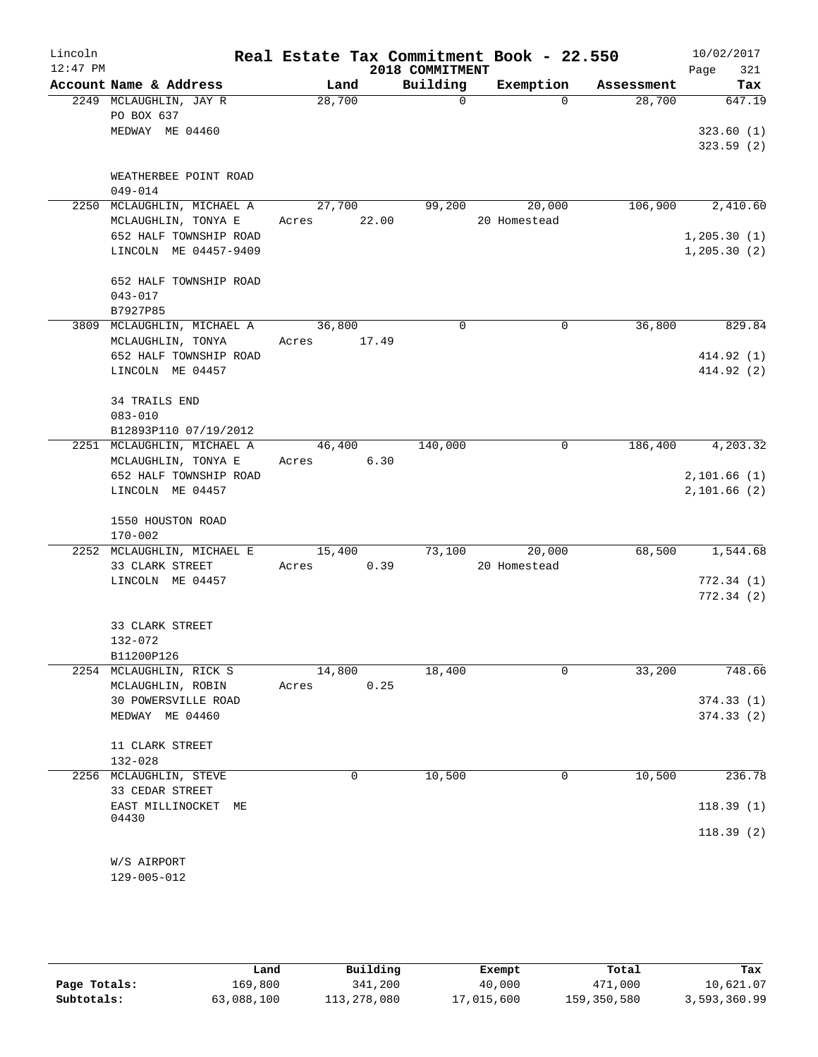| Lincoln<br>$12:47$ PM |                                           |             |        | 2018 COMMITMENT | Real Estate Tax Commitment Book - 22.550 |            | 10/02/2017<br>321<br>Page |
|-----------------------|-------------------------------------------|-------------|--------|-----------------|------------------------------------------|------------|---------------------------|
|                       | Account Name & Address                    |             | Land   | Building        | Exemption                                | Assessment | Tax                       |
|                       | 2249 MCLAUGHLIN, JAY R                    | 28,700      |        | $\Omega$        | $\Omega$                                 | 28,700     | 647.19                    |
|                       | PO BOX 637                                |             |        |                 |                                          |            |                           |
|                       | MEDWAY ME 04460                           |             |        |                 |                                          |            | 323.60(1)                 |
|                       |                                           |             |        |                 |                                          |            | 323.59(2)                 |
|                       | WEATHERBEE POINT ROAD                     |             |        |                 |                                          |            |                           |
|                       | $049 - 014$                               |             |        |                 |                                          |            |                           |
|                       | 2250 MCLAUGHLIN, MICHAEL A                |             | 27,700 | 99,200          | 20,000                                   | 106,900    | 2,410.60                  |
|                       | MCLAUGHLIN, TONYA E                       | Acres 22.00 |        |                 | 20 Homestead                             |            |                           |
|                       | 652 HALF TOWNSHIP ROAD                    |             |        |                 |                                          |            | 1, 205.30(1)              |
|                       | LINCOLN ME 04457-9409                     |             |        |                 |                                          |            | 1, 205.30(2)              |
|                       | 652 HALF TOWNSHIP ROAD                    |             |        |                 |                                          |            |                           |
|                       | $043 - 017$                               |             |        |                 |                                          |            |                           |
|                       | B7927P85                                  |             |        |                 |                                          |            |                           |
|                       | 3809 MCLAUGHLIN, MICHAEL A                | 36,800      |        | $\Omega$        | $\Omega$                                 | 36,800     | 829.84                    |
|                       | MCLAUGHLIN, TONYA                         | Acres 17.49 |        |                 |                                          |            |                           |
|                       | 652 HALF TOWNSHIP ROAD                    |             |        |                 |                                          |            | 414.92 (1)                |
|                       | LINCOLN ME 04457                          |             |        |                 |                                          |            | 414.92 (2)                |
|                       | <b>34 TRAILS END</b>                      |             |        |                 |                                          |            |                           |
|                       | $083 - 010$                               |             |        |                 |                                          |            |                           |
|                       | B12893P110 07/19/2012                     |             |        |                 |                                          |            |                           |
|                       | 2251 MCLAUGHLIN, MICHAEL A                |             | 46,400 | 140,000         | $\mathbf 0$                              | 186,400    | 4, 203.32                 |
|                       | MCLAUGHLIN, TONYA E                       | Acres 6.30  |        |                 |                                          |            |                           |
|                       | 652 HALF TOWNSHIP ROAD                    |             |        |                 |                                          |            | 2,101.66(1)               |
|                       | LINCOLN ME 04457                          |             |        |                 |                                          |            | 2,101.66(2)               |
|                       |                                           |             |        |                 |                                          |            |                           |
|                       | 1550 HOUSTON ROAD<br>$170 - 002$          |             |        |                 |                                          |            |                           |
|                       | 2252 MCLAUGHLIN, MICHAEL E                | 15,400      |        | 73,100          | 20,000                                   |            | 68,500 1,544.68           |
|                       | 33 CLARK STREET                           | Acres 0.39  |        |                 | 20 Homestead                             |            |                           |
|                       | LINCOLN ME 04457                          |             |        |                 |                                          |            | 772.34(1)                 |
|                       |                                           |             |        |                 |                                          |            | 772.34(2)                 |
|                       |                                           |             |        |                 |                                          |            |                           |
|                       | 33 CLARK STREET                           |             |        |                 |                                          |            |                           |
|                       | 132-072<br>B11200P126                     |             |        |                 |                                          |            |                           |
|                       | 2254 MCLAUGHLIN, RICK S                   | 14,800      |        | 18,400          | 0                                        | 33,200     | 748.66                    |
|                       | MCLAUGHLIN, ROBIN                         | Acres       | 0.25   |                 |                                          |            |                           |
|                       | 30 POWERSVILLE ROAD                       |             |        |                 |                                          |            | 374.33 (1)                |
|                       | MEDWAY ME 04460                           |             |        |                 |                                          |            | 374.33 (2)                |
|                       |                                           |             |        |                 |                                          |            |                           |
|                       | 11 CLARK STREET                           |             |        |                 |                                          |            |                           |
|                       | 132-028                                   |             | 0      |                 | 0                                        |            | 236.78                    |
|                       | 2256 MCLAUGHLIN, STEVE<br>33 CEDAR STREET |             |        | 10,500          |                                          | 10,500     |                           |
|                       | EAST MILLINOCKET<br>МE                    |             |        |                 |                                          |            | 118.39(1)                 |
|                       | 04430                                     |             |        |                 |                                          |            |                           |
|                       |                                           |             |        |                 |                                          |            | 118.39(2)                 |
|                       |                                           |             |        |                 |                                          |            |                           |
|                       | W/S AIRPORT<br>129-005-012                |             |        |                 |                                          |            |                           |
|                       |                                           |             |        |                 |                                          |            |                           |

|              | Land       | Building    | Exempt     | Total       | Tax          |
|--------------|------------|-------------|------------|-------------|--------------|
| Page Totals: | 169,800    | 341,200     | 40,000     | 471,000     | 10,621.07    |
| Subtotals:   | 63,088,100 | 113,278,080 | 17,015,600 | 159,350,580 | 3,593,360.99 |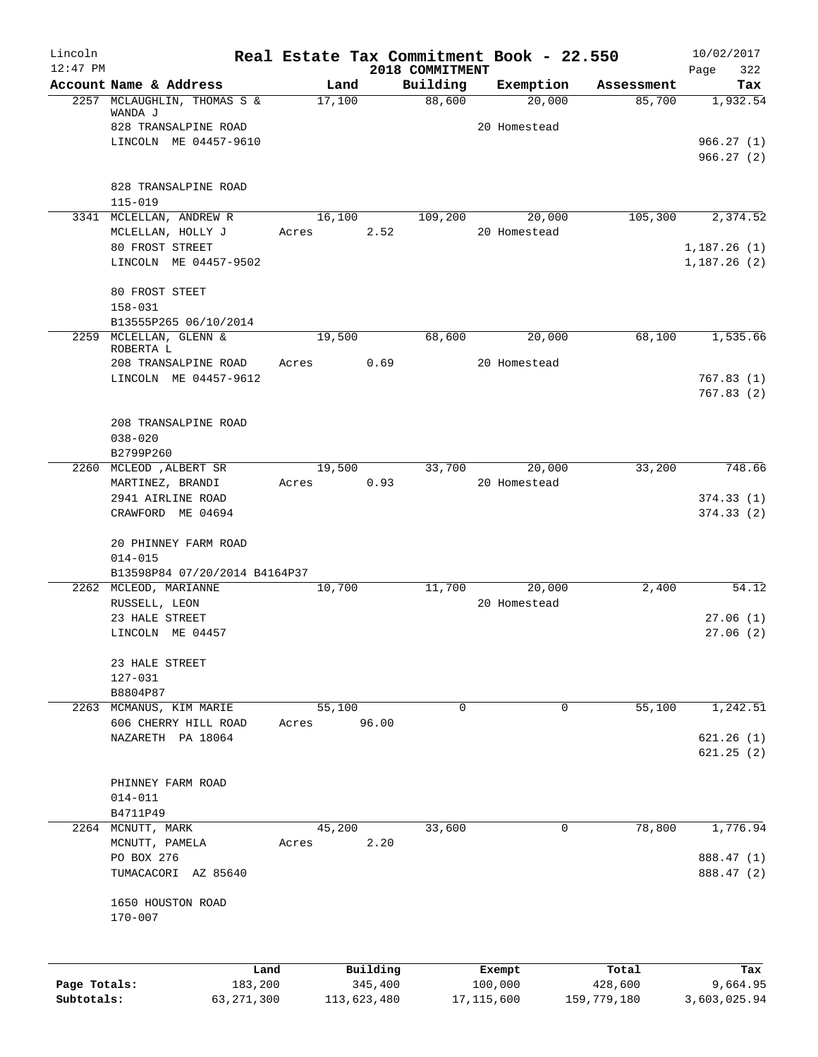| Lincoln      |                                      | Real Estate Tax Commitment Book - 22.550 |             |                    |                     |                      | 10/02/2017      |
|--------------|--------------------------------------|------------------------------------------|-------------|--------------------|---------------------|----------------------|-----------------|
| $12:47$ PM   | Account Name & Address               |                                          |             | 2018 COMMITMENT    |                     |                      | 322<br>Page     |
|              | 2257 MCLAUGHLIN, THOMAS S &          | Land<br>17,100                           |             | Building<br>88,600 | Exemption<br>20,000 | Assessment<br>85,700 | Tax<br>1,932.54 |
|              | WANDA J                              |                                          |             |                    |                     |                      |                 |
|              | 828 TRANSALPINE ROAD                 |                                          |             |                    | 20 Homestead        |                      |                 |
|              | LINCOLN ME 04457-9610                |                                          |             |                    |                     |                      | 966.27(1)       |
|              |                                      |                                          |             |                    |                     |                      | 966.27(2)       |
|              | 828 TRANSALPINE ROAD                 |                                          |             |                    |                     |                      |                 |
|              | $115 - 019$                          |                                          |             |                    |                     |                      |                 |
|              | 3341 MCLELLAN, ANDREW R              | 16,100                                   |             | 109,200            | 20,000              | 105,300              | 2,374.52        |
|              | MCLELLAN, HOLLY J                    | Acres                                    | 2.52        |                    | 20 Homestead        |                      |                 |
|              | 80 FROST STREET                      |                                          |             |                    |                     |                      | 1,187.26(1)     |
|              | LINCOLN ME 04457-9502                |                                          |             |                    |                     |                      | 1,187.26(2)     |
|              |                                      |                                          |             |                    |                     |                      |                 |
|              | 80 FROST STEET                       |                                          |             |                    |                     |                      |                 |
|              | $158 - 031$<br>B13555P265 06/10/2014 |                                          |             |                    |                     |                      |                 |
|              | 2259 MCLELLAN, GLENN &               | 19,500                                   |             | 68,600             | 20,000              | 68,100               | 1,535.66        |
|              | ROBERTA L                            |                                          |             |                    |                     |                      |                 |
|              | 208 TRANSALPINE ROAD                 | Acres                                    | 0.69        |                    | 20 Homestead        |                      |                 |
|              | LINCOLN ME 04457-9612                |                                          |             |                    |                     |                      | 767.83(1)       |
|              |                                      |                                          |             |                    |                     |                      | 767.83(2)       |
|              |                                      |                                          |             |                    |                     |                      |                 |
|              | 208 TRANSALPINE ROAD<br>$038 - 020$  |                                          |             |                    |                     |                      |                 |
|              | B2799P260                            |                                          |             |                    |                     |                      |                 |
|              | 2260 MCLEOD , ALBERT SR              | 19,500                                   |             | 33,700             | 20,000              | 33,200               | 748.66          |
|              | MARTINEZ, BRANDI                     | Acres                                    | 0.93        |                    | 20 Homestead        |                      |                 |
|              | 2941 AIRLINE ROAD                    |                                          |             |                    |                     |                      | 374.33(1)       |
|              | CRAWFORD ME 04694                    |                                          |             |                    |                     |                      | 374.33(2)       |
|              |                                      |                                          |             |                    |                     |                      |                 |
|              | 20 PHINNEY FARM ROAD<br>$014 - 015$  |                                          |             |                    |                     |                      |                 |
|              | B13598P84 07/20/2014 B4164P37        |                                          |             |                    |                     |                      |                 |
|              | 2262 MCLEOD, MARIANNE                | 10,700                                   |             | 11,700             | 20,000              | 2,400                | 54.12           |
|              | RUSSELL, LEON                        |                                          |             |                    | 20 Homestead        |                      |                 |
|              | 23 HALE STREET                       |                                          |             |                    |                     |                      | 27.06(1)        |
|              | LINCOLN ME 04457                     |                                          |             |                    |                     |                      | 27.06(2)        |
|              |                                      |                                          |             |                    |                     |                      |                 |
|              | 23 HALE STREET<br>127-031            |                                          |             |                    |                     |                      |                 |
|              | B8804P87                             |                                          |             |                    |                     |                      |                 |
|              | 2263 MCMANUS, KIM MARIE              | 55,100                                   |             | 0                  | $\overline{0}$      | 55,100               | 1,242.51        |
|              | 606 CHERRY HILL ROAD                 | Acres                                    | 96.00       |                    |                     |                      |                 |
|              | NAZARETH PA 18064                    |                                          |             |                    |                     |                      | 621.26(1)       |
|              |                                      |                                          |             |                    |                     |                      | 621.25(2)       |
|              |                                      |                                          |             |                    |                     |                      |                 |
|              | PHINNEY FARM ROAD<br>$014 - 011$     |                                          |             |                    |                     |                      |                 |
|              | B4711P49                             |                                          |             |                    |                     |                      |                 |
|              | 2264 MCNUTT, MARK                    | 45,200                                   |             | 33,600             | 0                   | 78,800               | 1,776.94        |
|              | MCNUTT, PAMELA                       | Acres                                    | 2.20        |                    |                     |                      |                 |
|              | PO BOX 276                           |                                          |             |                    |                     |                      | 888.47 (1)      |
|              | TUMACACORI AZ 85640                  |                                          |             |                    |                     |                      | 888.47 (2)      |
|              |                                      |                                          |             |                    |                     |                      |                 |
|              | 1650 HOUSTON ROAD                    |                                          |             |                    |                     |                      |                 |
|              | $170 - 007$                          |                                          |             |                    |                     |                      |                 |
|              |                                      |                                          |             |                    |                     |                      |                 |
|              | Land                                 |                                          | Building    |                    | Exempt              | Total                | Tax             |
| Page Totals: | 183,200                              |                                          | 345,400     |                    | 100,000             | 428,600              | 9,664.95        |
| Subtotals:   | 63, 271, 300                         |                                          | 113,623,480 |                    | 17, 115, 600        | 159,779,180          | 3,603,025.94    |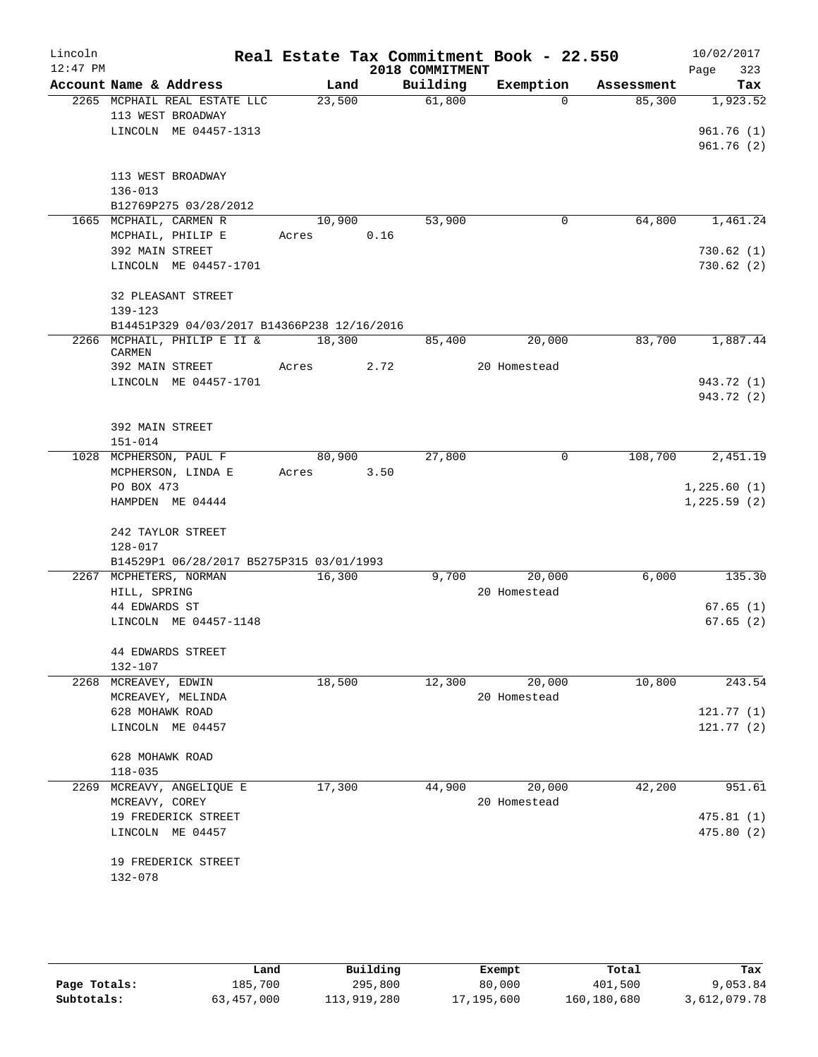| Lincoln<br>$12:47$ PM |                                |                                                   |       |        |      | 2018 COMMITMENT | Real Estate Tax Commitment Book - 22.550 |            | 10/02/2017<br>323<br>Page |
|-----------------------|--------------------------------|---------------------------------------------------|-------|--------|------|-----------------|------------------------------------------|------------|---------------------------|
|                       |                                | Account Name & Address                            |       | Land   |      | Building        | Exemption                                | Assessment | Tax                       |
|                       |                                | 2265 MCPHAIL REAL ESTATE LLC<br>113 WEST BROADWAY |       | 23,500 |      | 61,800          | $\Omega$                                 | 85,300     | 1,923.52                  |
|                       |                                | LINCOLN ME 04457-1313                             |       |        |      |                 |                                          |            | 961.76(1)<br>961.76(2)    |
|                       | $136 - 013$                    | 113 WEST BROADWAY<br>B12769P275 03/28/2012        |       |        |      |                 |                                          |            |                           |
|                       |                                | 1665 MCPHAIL, CARMEN R<br>MCPHAIL, PHILIP E       | Acres | 10,900 | 0.16 | 53,900          | 0                                        | 64,800     | 1,461.24                  |
|                       | 392 MAIN STREET                |                                                   |       |        |      |                 |                                          |            | 730.62(1)                 |
|                       |                                | LINCOLN ME 04457-1701                             |       |        |      |                 |                                          |            | 730.62(2)                 |
|                       | 139-123                        | 32 PLEASANT STREET                                |       |        |      |                 |                                          |            |                           |
|                       |                                | B14451P329 04/03/2017 B14366P238 12/16/2016       |       |        |      |                 |                                          |            |                           |
|                       | CARMEN                         | 2266 MCPHAIL, PHILIP E II &                       |       | 18,300 |      | 85,400          | 20,000                                   | 83,700     | 1,887.44                  |
|                       | 392 MAIN STREET                |                                                   | Acres |        | 2.72 |                 | 20 Homestead                             |            |                           |
|                       |                                | LINCOLN ME 04457-1701                             |       |        |      |                 |                                          |            | 943.72 (1)<br>943.72 (2)  |
|                       | 392 MAIN STREET<br>$151 - 014$ |                                                   |       |        |      |                 |                                          |            |                           |
|                       |                                | 1028 MCPHERSON, PAUL F                            |       | 80,900 |      | 27,800          | 0                                        | 108,700    | 2,451.19                  |
|                       |                                | MCPHERSON, LINDA E                                | Acres |        | 3.50 |                 |                                          |            |                           |
|                       | PO BOX 473                     |                                                   |       |        |      |                 |                                          |            | 1,225.60(1)               |
|                       |                                | HAMPDEN ME 04444                                  |       |        |      |                 |                                          |            | 1,225.59(2)               |
|                       | $128 - 017$                    | 242 TAYLOR STREET                                 |       |        |      |                 |                                          |            |                           |
|                       |                                | B14529P1 06/28/2017 B5275P315 03/01/1993          |       |        |      |                 |                                          |            |                           |
|                       |                                | 2267 MCPHETERS, NORMAN                            |       | 16,300 |      | 9,700           | 20,000                                   | 6,000      | 135.30                    |
|                       | HILL, SPRING                   |                                                   |       |        |      |                 | 20 Homestead                             |            |                           |
|                       | 44 EDWARDS ST                  |                                                   |       |        |      |                 |                                          |            | 67.65(1)                  |
|                       |                                | LINCOLN ME 04457-1148                             |       |        |      |                 |                                          |            | 67.65(2)                  |
|                       | 132-107                        | <b>44 EDWARDS STREET</b>                          |       |        |      |                 |                                          |            |                           |
| 2268                  | MCREAVEY, EDWIN                |                                                   |       | 18,500 |      | 12,300          | 20,000                                   | 10,800     | 243.54                    |
|                       |                                | MCREAVEY, MELINDA                                 |       |        |      |                 | 20 Homestead                             |            |                           |
|                       | 628 MOHAWK ROAD                |                                                   |       |        |      |                 |                                          |            | 121.77(1)                 |
|                       |                                | LINCOLN ME 04457                                  |       |        |      |                 |                                          |            | 121.77(2)                 |
|                       | 628 MOHAWK ROAD                |                                                   |       |        |      |                 |                                          |            |                           |
|                       | $118 - 035$                    |                                                   |       |        |      |                 |                                          |            |                           |
| 2269                  |                                | MCREAVY, ANGELIQUE E                              |       | 17,300 |      | 44,900          | 20,000                                   | 42,200     | 951.61                    |
|                       | MCREAVY, COREY                 |                                                   |       |        |      |                 | 20 Homestead                             |            |                           |
|                       |                                | 19 FREDERICK STREET<br>LINCOLN ME 04457           |       |        |      |                 |                                          |            | 475.81(1)<br>475.80 (2)   |
|                       |                                | 19 FREDERICK STREET                               |       |        |      |                 |                                          |            |                           |
|                       | 132-078                        |                                                   |       |        |      |                 |                                          |            |                           |
|                       |                                |                                                   |       |        |      |                 |                                          |            |                           |

|              | úand       | Building    | Exempt     | Total       | Tax          |
|--------------|------------|-------------|------------|-------------|--------------|
| Page Totals: | 185,700    | 295,800     | 80,000     | 401,500     | 9,053.84     |
| Subtotals:   | 63,457,000 | 113,919,280 | 17,195,600 | 160,180,680 | 3,612,079.78 |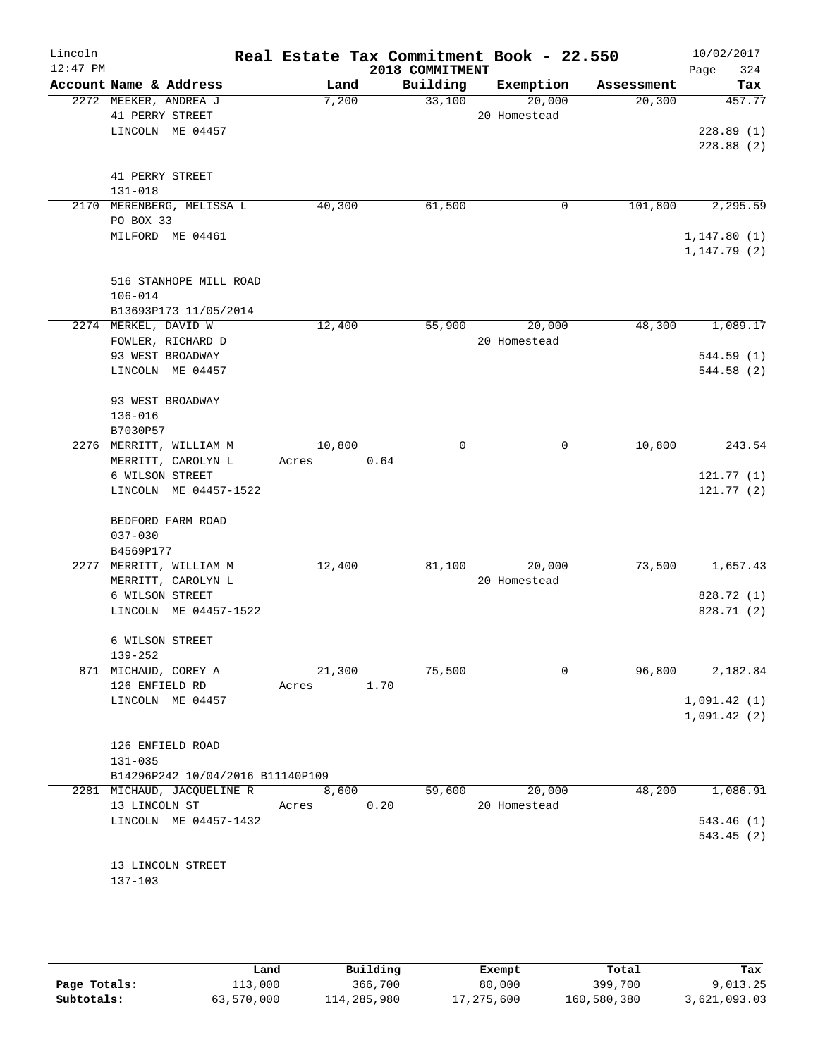| Lincoln<br>$12:47$ PM |                                               |        | Real Estate Tax Commitment Book - 22.550 |              |            | 10/02/2017                   |
|-----------------------|-----------------------------------------------|--------|------------------------------------------|--------------|------------|------------------------------|
|                       | Account Name & Address                        | Land   | 2018 COMMITMENT<br>Building              | Exemption    | Assessment | 324<br>Page<br>Tax           |
|                       | 2272 MEEKER, ANDREA J                         | 7,200  | 33,100                                   | 20,000       | 20,300     | 457.77                       |
|                       | 41 PERRY STREET                               |        |                                          | 20 Homestead |            |                              |
|                       | LINCOLN ME 04457                              |        |                                          |              |            | 228.89(1)                    |
|                       |                                               |        |                                          |              |            | 228.88(2)                    |
|                       | 41 PERRY STREET                               |        |                                          |              |            |                              |
|                       | 131-018                                       |        |                                          |              |            |                              |
|                       | 2170 MERENBERG, MELISSA L                     | 40,300 | 61,500                                   | 0            | 101,800    | 2,295.59                     |
|                       | PO BOX 33                                     |        |                                          |              |            |                              |
|                       | MILFORD ME 04461                              |        |                                          |              |            | 1, 147.80(1)<br>1, 147.79(2) |
|                       | 516 STANHOPE MILL ROAD                        |        |                                          |              |            |                              |
|                       | $106 - 014$                                   |        |                                          |              |            |                              |
|                       | B13693P173 11/05/2014<br>2274 MERKEL, DAVID W | 12,400 | 55,900                                   | 20,000       | 48,300     | 1,089.17                     |
|                       | FOWLER, RICHARD D                             |        |                                          | 20 Homestead |            |                              |
|                       | 93 WEST BROADWAY                              |        |                                          |              |            | 544.59(1)                    |
|                       | LINCOLN ME 04457                              |        |                                          |              |            | 544.58(2)                    |
|                       | 93 WEST BROADWAY                              |        |                                          |              |            |                              |
|                       | $136 - 016$                                   |        |                                          |              |            |                              |
|                       | B7030P57                                      |        |                                          |              |            |                              |
|                       | 2276 MERRITT, WILLIAM M                       | 10,800 | $\Omega$                                 | $\mathbf 0$  | 10,800     | 243.54                       |
|                       | MERRITT, CAROLYN L<br>6 WILSON STREET         | Acres  | 0.64                                     |              |            | 121.77(1)                    |
|                       | LINCOLN ME 04457-1522                         |        |                                          |              |            | 121.77(2)                    |
|                       | BEDFORD FARM ROAD                             |        |                                          |              |            |                              |
|                       | $037 - 030$                                   |        |                                          |              |            |                              |
|                       | B4569P177                                     |        |                                          |              |            |                              |
|                       | 2277 MERRITT, WILLIAM M                       | 12,400 | 81,100                                   | 20,000       | 73,500     | 1,657.43                     |
|                       | MERRITT, CAROLYN L                            |        |                                          | 20 Homestead |            |                              |
|                       | 6 WILSON STREET                               |        |                                          |              |            | 828.72 (1)                   |
|                       | LINCOLN ME 04457-1522                         |        |                                          |              |            | 828.71 (2)                   |
|                       | 6 WILSON STREET                               |        |                                          |              |            |                              |
|                       | $139 - 252$                                   |        |                                          |              |            |                              |
|                       | 871 MICHAUD, COREY A                          | 21,300 | 75,500                                   | $\Omega$     | 96,800     | 2,182.84                     |
|                       | 126 ENFIELD RD                                | Acres  | 1.70                                     |              |            |                              |
|                       | LINCOLN ME 04457                              |        |                                          |              |            | 1,091.42(1)<br>1,091.42(2)   |
|                       | 126 ENFIELD ROAD                              |        |                                          |              |            |                              |
|                       | $131 - 035$                                   |        |                                          |              |            |                              |
|                       | B14296P242 10/04/2016 B11140P109              |        |                                          |              |            |                              |
|                       | 2281 MICHAUD, JACQUELINE R                    | 8,600  | 59,600                                   | 20,000       | 48,200     | 1,086.91                     |
|                       | 13 LINCOLN ST                                 | Acres  | 0.20                                     | 20 Homestead |            |                              |
|                       | LINCOLN ME 04457-1432                         |        |                                          |              |            | 543.46(1)                    |
|                       |                                               |        |                                          |              |            | 543.45(2)                    |
|                       |                                               |        |                                          |              |            |                              |
|                       | 13 LINCOLN STREET<br>137-103                  |        |                                          |              |            |                              |
|                       |                                               |        |                                          |              |            |                              |
|                       |                                               |        |                                          |              |            |                              |

|              | Land       | Building    | Exempt     | Total       | Tax          |
|--------------|------------|-------------|------------|-------------|--------------|
| Page Totals: | 113,000    | 366,700     | 80,000     | 399,700     | 9,013.25     |
| Subtotals:   | 63,570,000 | 114,285,980 | 17,275,600 | 160,580,380 | 3,621,093.03 |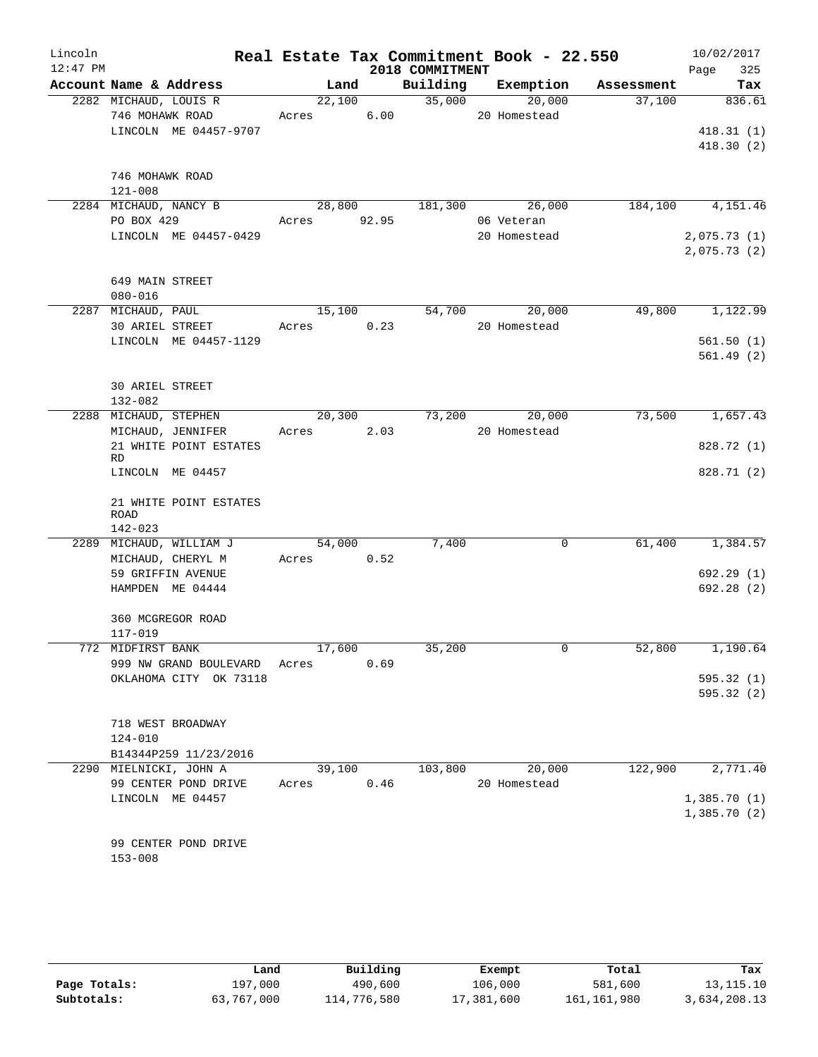| Lincoln<br>$12:47$ PM |                                       |                       |      | 2018 COMMITMENT           | Real Estate Tax Commitment Book - 22.550 |                                    | 10/02/2017<br>325<br>Page |
|-----------------------|---------------------------------------|-----------------------|------|---------------------------|------------------------------------------|------------------------------------|---------------------------|
|                       | Account Name & Address                |                       |      |                           |                                          | Land Building Exemption Assessment | Tax                       |
|                       | 2282 MICHAUD, LOUIS R                 |                       |      | $\frac{1}{22,100}$ 35,000 | 20,000                                   | 37,100                             | 836.61                    |
|                       | 746 MOHAWK ROAD                       | Acres 6.00            |      |                           | 20 Homestead                             |                                    |                           |
|                       | LINCOLN ME 04457-9707                 |                       |      |                           |                                          |                                    | 418.31(1)                 |
|                       |                                       |                       |      |                           |                                          |                                    | 418.30(2)                 |
|                       |                                       |                       |      |                           |                                          |                                    |                           |
|                       | 746 MOHAWK ROAD<br>$121 - 008$        |                       |      |                           |                                          |                                    |                           |
|                       | 2284 MICHAUD, NANCY B                 | 28,800 181,300 26,000 |      |                           |                                          |                                    | 184,100 4,151.46          |
|                       | PO BOX 429                            | Acres 92.95           |      |                           | 06 Veteran                               |                                    |                           |
|                       | LINCOLN ME 04457-0429                 |                       |      |                           | 20 Homestead                             |                                    | 2,075.73(1)               |
|                       |                                       |                       |      |                           |                                          |                                    | 2,075.73(2)               |
|                       | 649 MAIN STREET                       |                       |      |                           |                                          |                                    |                           |
|                       | $080 - 016$                           |                       |      |                           |                                          |                                    |                           |
|                       | 2287 MICHAUD, PAUL                    |                       |      |                           | 15,100 54,700 20,000                     |                                    | 49,800 1,122.99           |
|                       | 30 ARIEL STREET                       | Acres 0.23            |      |                           | 20 Homestead                             |                                    |                           |
|                       | LINCOLN ME 04457-1129                 |                       |      |                           |                                          |                                    | 561.50(1)                 |
|                       |                                       |                       |      |                           |                                          |                                    | 561.49(2)                 |
|                       |                                       |                       |      |                           |                                          |                                    |                           |
|                       | <b>30 ARIEL STREET</b><br>132-082     |                       |      |                           |                                          |                                    |                           |
|                       | 2288 MICHAUD, STEPHEN                 | 20,300                |      |                           | 73,200 20,000                            | 73,500                             | 1,657.43                  |
|                       | MICHAUD, JENNIFER                     | Acres 2.03            |      |                           | 20 Homestead                             |                                    |                           |
|                       | 21 WHITE POINT ESTATES                |                       |      |                           |                                          |                                    | 828.72 (1)                |
|                       | <b>RD</b>                             |                       |      |                           |                                          |                                    |                           |
|                       | LINCOLN ME 04457                      |                       |      |                           |                                          |                                    | 828.71 (2)                |
|                       | 21 WHITE POINT ESTATES                |                       |      |                           |                                          |                                    |                           |
|                       | <b>ROAD</b>                           |                       |      |                           |                                          |                                    |                           |
|                       | 142-023                               |                       |      |                           |                                          |                                    |                           |
|                       | 2289 MICHAUD, WILLIAM J               | 54,000                |      | 7,400                     | $\mathbf 0$                              |                                    | 61,400 1,384.57           |
|                       | MICHAUD, CHERYL M                     | Acres 0.52            |      |                           |                                          |                                    |                           |
|                       | 59 GRIFFIN AVENUE<br>HAMPDEN ME 04444 |                       |      |                           |                                          |                                    | 692.29(1)<br>692.28(2)    |
|                       |                                       |                       |      |                           |                                          |                                    |                           |
|                       | 360 MCGREGOR ROAD                     |                       |      |                           |                                          |                                    |                           |
|                       | $117 - 019$                           |                       |      |                           |                                          |                                    |                           |
|                       | 772 MIDFIRST BANK                     | 17,600                |      | 35,200                    | $\overline{0}$                           | 52,800                             | 1,190.64                  |
|                       | 999 NW GRAND BOULEVARD                | Acres                 | 0.69 |                           |                                          |                                    |                           |
|                       | OKLAHOMA CITY OK 73118                |                       |      |                           |                                          |                                    | 595.32(1)                 |
|                       |                                       |                       |      |                           |                                          |                                    | 595.32(2)                 |
|                       | 718 WEST BROADWAY                     |                       |      |                           |                                          |                                    |                           |
|                       | $124 - 010$                           |                       |      |                           |                                          |                                    |                           |
|                       | B14344P259 11/23/2016                 |                       |      |                           |                                          |                                    |                           |
|                       | 2290 MIELNICKI, JOHN A                | 39,100                |      | 103,800                   | 20,000                                   | 122,900                            | 2,771.40                  |
|                       | 99 CENTER POND DRIVE                  | Acres                 | 0.46 |                           | 20 Homestead                             |                                    |                           |
|                       | LINCOLN ME 04457                      |                       |      |                           |                                          |                                    | 1,385.70(1)               |
|                       |                                       |                       |      |                           |                                          |                                    | 1,385.70(2)               |
|                       | 99 CENTER POND DRIVE                  |                       |      |                           |                                          |                                    |                           |
|                       | $153 - 008$                           |                       |      |                           |                                          |                                    |                           |
|                       |                                       |                       |      |                           |                                          |                                    |                           |
|                       |                                       |                       |      |                           |                                          |                                    |                           |

|              | Land       | Building    | Exempt     | Total       | Tax          |
|--------------|------------|-------------|------------|-------------|--------------|
| Page Totals: | 197,000    | 490,600     | 106,000    | 581,600     | 13, 115. 10  |
| Subtotals:   | 63,767,000 | 114,776,580 | 17,381,600 | 161,161,980 | 3,634,208.13 |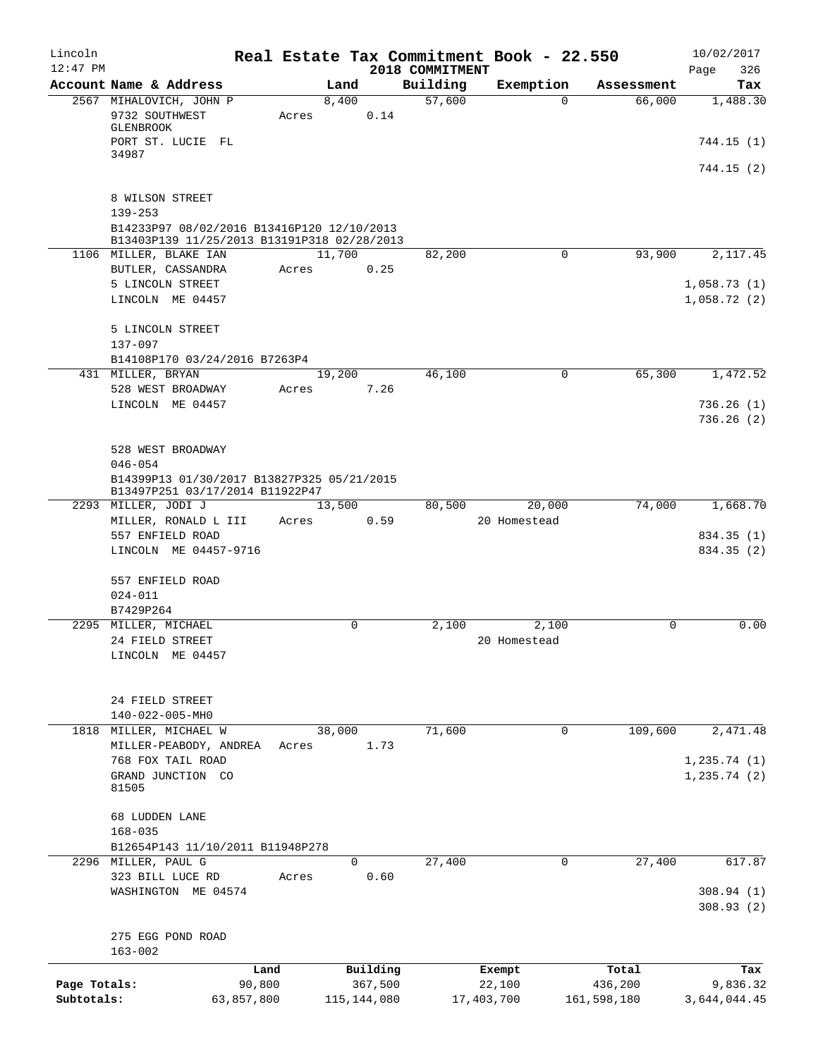| Lincoln<br>$12:47$ PM |                                                                               |       |                |                             | Real Estate Tax Commitment Book - 22.550 |             | 10/02/2017                 |
|-----------------------|-------------------------------------------------------------------------------|-------|----------------|-----------------------------|------------------------------------------|-------------|----------------------------|
|                       | Account Name & Address                                                        |       | Land           | 2018 COMMITMENT<br>Building | Exemption                                | Assessment  | 326<br>Page<br>Tax         |
|                       | 2567 MIHALOVICH, JOHN P                                                       |       | 8,400          | 57,600                      | $\Omega$                                 | 66,000      | 1,488.30                   |
|                       | 9732 SOUTHWEST                                                                | Acres | 0.14           |                             |                                          |             |                            |
|                       | GLENBROOK                                                                     |       |                |                             |                                          |             |                            |
|                       | PORT ST. LUCIE FL<br>34987                                                    |       |                |                             |                                          |             | 744.15(1)                  |
|                       |                                                                               |       |                |                             |                                          |             | 744.15(2)                  |
|                       |                                                                               |       |                |                             |                                          |             |                            |
|                       | 8 WILSON STREET<br>$139 - 253$                                                |       |                |                             |                                          |             |                            |
|                       | B14233P97 08/02/2016 B13416P120 12/10/2013                                    |       |                |                             |                                          |             |                            |
|                       | B13403P139 11/25/2013 B13191P318 02/28/2013                                   |       |                |                             |                                          |             |                            |
|                       | 1106 MILLER, BLAKE IAN                                                        |       | 11,700         | 82,200                      | 0                                        | 93,900      | 2,117.45                   |
|                       | BUTLER, CASSANDRA                                                             | Acres | 0.25           |                             |                                          |             |                            |
|                       | 5 LINCOLN STREET<br>LINCOLN ME 04457                                          |       |                |                             |                                          |             | 1,058.73(1)<br>1,058.72(2) |
|                       |                                                                               |       |                |                             |                                          |             |                            |
|                       | 5 LINCOLN STREET                                                              |       |                |                             |                                          |             |                            |
|                       | 137-097                                                                       |       |                |                             |                                          |             |                            |
|                       | B14108P170 03/24/2016 B7263P4                                                 |       |                |                             |                                          |             |                            |
|                       | 431 MILLER, BRYAN                                                             |       | 19,200<br>7.26 | 46,100                      | 0                                        | 65,300      | 1,472.52                   |
|                       | 528 WEST BROADWAY<br>LINCOLN ME 04457                                         | Acres |                |                             |                                          |             | 736.26(1)                  |
|                       |                                                                               |       |                |                             |                                          |             | 736.26(2)                  |
|                       |                                                                               |       |                |                             |                                          |             |                            |
|                       | 528 WEST BROADWAY                                                             |       |                |                             |                                          |             |                            |
|                       | $046 - 054$                                                                   |       |                |                             |                                          |             |                            |
|                       | B14399P13 01/30/2017 B13827P325 05/21/2015<br>B13497P251 03/17/2014 B11922P47 |       |                |                             |                                          |             |                            |
|                       | 2293 MILLER, JODI J                                                           |       | 13,500         | 80,500                      | 20,000                                   | 74,000      | 1,668.70                   |
|                       | MILLER, RONALD L III                                                          | Acres | 0.59           |                             | 20 Homestead                             |             |                            |
|                       | 557 ENFIELD ROAD                                                              |       |                |                             |                                          |             | 834.35 (1)                 |
|                       | LINCOLN ME 04457-9716                                                         |       |                |                             |                                          |             | 834.35 (2)                 |
|                       | 557 ENFIELD ROAD                                                              |       |                |                             |                                          |             |                            |
|                       | $024 - 011$                                                                   |       |                |                             |                                          |             |                            |
|                       | B7429P264                                                                     |       |                |                             |                                          |             |                            |
|                       | 2295 MILLER, MICHAEL                                                          |       | 0              | 2,100                       | 2,100                                    | 0           | 0.00                       |
|                       | 24 FIELD STREET                                                               |       |                |                             | 20 Homestead                             |             |                            |
|                       | LINCOLN ME 04457                                                              |       |                |                             |                                          |             |                            |
|                       |                                                                               |       |                |                             |                                          |             |                            |
|                       | 24 FIELD STREET                                                               |       |                |                             |                                          |             |                            |
|                       | 140-022-005-MH0                                                               |       |                |                             |                                          |             |                            |
| 1818                  | MILLER, MICHAEL W<br>MILLER-PEABODY, ANDREA                                   |       | 38,000<br>1.73 | 71,600                      | 0                                        | 109,600     | 2,471.48                   |
|                       | 768 FOX TAIL ROAD                                                             | Acres |                |                             |                                          |             | 1, 235.74(1)               |
|                       | GRAND JUNCTION CO                                                             |       |                |                             |                                          |             | 1, 235.74(2)               |
|                       | 81505                                                                         |       |                |                             |                                          |             |                            |
|                       | <b>68 LUDDEN LANE</b>                                                         |       |                |                             |                                          |             |                            |
|                       | $168 - 035$                                                                   |       |                |                             |                                          |             |                            |
|                       | B12654P143 11/10/2011 B11948P278                                              |       |                |                             |                                          |             |                            |
|                       | 2296 MILLER, PAUL G                                                           |       | $\Omega$       | 27,400                      | $\mathbf 0$                              | 27,400      | 617.87                     |
|                       | 323 BILL LUCE RD                                                              | Acres | 0.60           |                             |                                          |             |                            |
|                       | WASHINGTON ME 04574                                                           |       |                |                             |                                          |             | 308.94(1)<br>308.93(2)     |
|                       |                                                                               |       |                |                             |                                          |             |                            |
|                       | 275 EGG POND ROAD                                                             |       |                |                             |                                          |             |                            |
|                       | $163 - 002$                                                                   |       |                |                             |                                          |             |                            |
|                       |                                                                               | Land  | Building       |                             | Exempt                                   | Total       | Tax                        |
| Page Totals:          | 90,800                                                                        |       | 367,500        |                             | 22,100                                   | 436,200     | 9,836.32                   |
| Subtotals:            | 63,857,800                                                                    |       | 115, 144, 080  |                             | 17,403,700                               | 161,598,180 | 3,644,044.45               |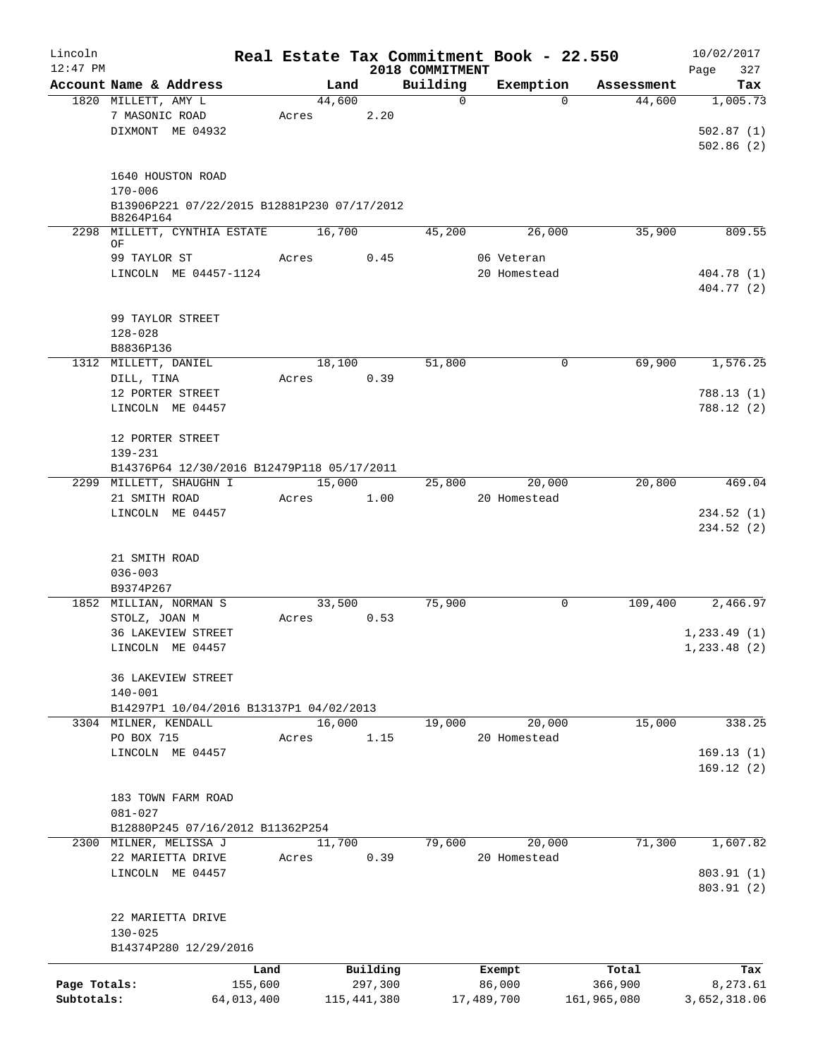| Lincoln      |                                                          |                 |       |                     | Real Estate Tax Commitment Book - 22.550 |                       |                      | 10/02/2017      |
|--------------|----------------------------------------------------------|-----------------|-------|---------------------|------------------------------------------|-----------------------|----------------------|-----------------|
| $12:47$ PM   |                                                          |                 |       |                     | 2018 COMMITMENT<br>Building              |                       |                      | 327<br>Page     |
|              | Account Name & Address<br>1820 MILLETT, AMY L            |                 |       | Land<br>44,600      | $\mathbf 0$                              | Exemption<br>$\Omega$ | Assessment<br>44,600 | Tax<br>1,005.73 |
|              | 7 MASONIC ROAD                                           |                 | Acres | 2.20                |                                          |                       |                      |                 |
|              | DIXMONT ME 04932                                         |                 |       |                     |                                          |                       |                      | 502.87(1)       |
|              |                                                          |                 |       |                     |                                          |                       |                      | 502.86(2)       |
|              |                                                          |                 |       |                     |                                          |                       |                      |                 |
|              | 1640 HOUSTON ROAD                                        |                 |       |                     |                                          |                       |                      |                 |
|              | $170 - 006$                                              |                 |       |                     |                                          |                       |                      |                 |
|              | B13906P221 07/22/2015 B12881P230 07/17/2012<br>B8264P164 |                 |       |                     |                                          |                       |                      |                 |
|              | 2298 MILLETT, CYNTHIA ESTATE 16,700                      |                 |       |                     | 45,200                                   | 26,000                | 35,900               | 809.55          |
|              | OF<br>99 TAYLOR ST                                       |                 | Acres | 0.45                |                                          | 06 Veteran            |                      |                 |
|              | LINCOLN ME 04457-1124                                    |                 |       |                     |                                          | 20 Homestead          |                      | 404.78 (1)      |
|              |                                                          |                 |       |                     |                                          |                       |                      | 404.77 (2)      |
|              |                                                          |                 |       |                     |                                          |                       |                      |                 |
|              | 99 TAYLOR STREET                                         |                 |       |                     |                                          |                       |                      |                 |
|              | $128 - 028$                                              |                 |       |                     |                                          |                       |                      |                 |
|              | B8836P136<br>1312 MILLETT, DANIEL                        |                 |       | 18,100              | 51,800                                   | 0                     | 69,900               | 1,576.25        |
|              | DILL, TINA                                               |                 | Acres | 0.39                |                                          |                       |                      |                 |
|              | 12 PORTER STREET                                         |                 |       |                     |                                          |                       |                      | 788.13(1)       |
|              | LINCOLN ME 04457                                         |                 |       |                     |                                          |                       |                      | 788.12 (2)      |
|              |                                                          |                 |       |                     |                                          |                       |                      |                 |
|              | 12 PORTER STREET                                         |                 |       |                     |                                          |                       |                      |                 |
|              | 139-231                                                  |                 |       |                     |                                          |                       |                      |                 |
|              | B14376P64 12/30/2016 B12479P118 05/17/2011               |                 |       |                     |                                          |                       |                      |                 |
|              | 2299 MILLETT, SHAUGHN I                                  |                 |       | 15,000              | 25,800                                   | 20,000                | 20,800               | 469.04          |
|              | 21 SMITH ROAD                                            |                 | Acres | 1.00                |                                          | 20 Homestead          |                      |                 |
|              | LINCOLN ME 04457                                         |                 |       |                     |                                          |                       |                      | 234.52(1)       |
|              |                                                          |                 |       |                     |                                          |                       |                      | 234.52(2)       |
|              |                                                          |                 |       |                     |                                          |                       |                      |                 |
|              | 21 SMITH ROAD<br>$036 - 003$                             |                 |       |                     |                                          |                       |                      |                 |
|              | B9374P267                                                |                 |       |                     |                                          |                       |                      |                 |
|              | 1852 MILLIAN, NORMAN S                                   |                 |       | 33,500              | 75,900                                   | 0                     | 109,400              | 2,466.97        |
|              | STOLZ, JOAN M                                            |                 | Acres | 0.53                |                                          |                       |                      |                 |
|              | <b>36 LAKEVIEW STREET</b>                                |                 |       |                     |                                          |                       |                      | 1, 233.49(1)    |
|              | LINCOLN ME 04457                                         |                 |       |                     |                                          |                       |                      | 1, 233.48 (2)   |
|              |                                                          |                 |       |                     |                                          |                       |                      |                 |
|              | <b>36 LAKEVIEW STREET</b>                                |                 |       |                     |                                          |                       |                      |                 |
|              | $140 - 001$                                              |                 |       |                     |                                          |                       |                      |                 |
|              | B14297P1 10/04/2016 B13137P1 04/02/2013                  |                 |       |                     |                                          |                       |                      |                 |
|              | 3304 MILNER, KENDALL                                     |                 |       | 16,000              | 19,000                                   | 20,000                | 15,000               | 338.25          |
|              | PO BOX 715                                               |                 | Acres | 1.15                |                                          | 20 Homestead          |                      |                 |
|              | LINCOLN ME 04457                                         |                 |       |                     |                                          |                       |                      | 169.13(1)       |
|              |                                                          |                 |       |                     |                                          |                       |                      | 169.12(2)       |
|              | 183 TOWN FARM ROAD                                       |                 |       |                     |                                          |                       |                      |                 |
|              | $081 - 027$                                              |                 |       |                     |                                          |                       |                      |                 |
|              | B12880P245 07/16/2012 B11362P254                         |                 |       |                     |                                          |                       |                      |                 |
|              | 2300 MILNER, MELISSA J                                   |                 |       | 11,700              | 79,600                                   | 20,000                | 71,300               | 1,607.82        |
|              | 22 MARIETTA DRIVE                                        |                 | Acres | 0.39                |                                          | 20 Homestead          |                      |                 |
|              | LINCOLN ME 04457                                         |                 |       |                     |                                          |                       |                      | 803.91 (1)      |
|              |                                                          |                 |       |                     |                                          |                       |                      | 803.91 (2)      |
|              |                                                          |                 |       |                     |                                          |                       |                      |                 |
|              | 22 MARIETTA DRIVE                                        |                 |       |                     |                                          |                       |                      |                 |
|              | $130 - 025$<br>B14374P280 12/29/2016                     |                 |       |                     |                                          |                       |                      |                 |
|              |                                                          |                 |       |                     |                                          |                       |                      |                 |
| Page Totals: |                                                          | Land<br>155,600 |       | Building<br>297,300 |                                          | Exempt<br>86,000      | Total<br>366,900     | Tax<br>8,273.61 |
| Subtotals:   |                                                          | 64,013,400      |       | 115,441,380         |                                          | 17,489,700            | 161,965,080          | 3,652,318.06    |
|              |                                                          |                 |       |                     |                                          |                       |                      |                 |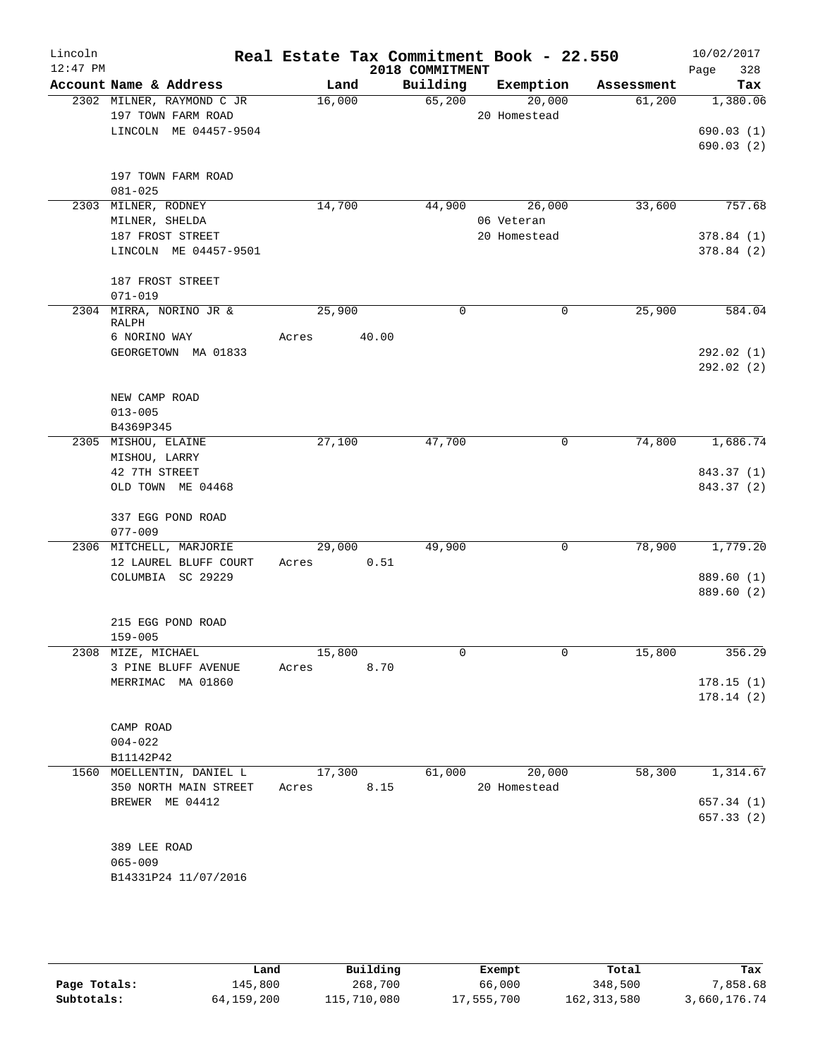| Lincoln<br>$12:47$ PM |                                  |        | 2018 COMMITMENT | Real Estate Tax Commitment Book - 22.550 |            | 10/02/2017<br>328 |
|-----------------------|----------------------------------|--------|-----------------|------------------------------------------|------------|-------------------|
|                       | Account Name & Address           | Land   | Building        | Exemption                                | Assessment | Page<br>Tax       |
|                       | 2302 MILNER, RAYMOND C JR        | 16,000 | 65,200          | 20,000                                   | 61,200     | 1,380.06          |
|                       | 197 TOWN FARM ROAD               |        |                 | 20 Homestead                             |            |                   |
|                       | LINCOLN ME 04457-9504            |        |                 |                                          |            | 690.03(1)         |
|                       |                                  |        |                 |                                          |            | 690.03(2)         |
|                       | 197 TOWN FARM ROAD               |        |                 |                                          |            |                   |
|                       | $081 - 025$                      |        |                 |                                          |            |                   |
|                       | 2303 MILNER, RODNEY              | 14,700 | 44,900          | 26,000                                   | 33,600     | 757.68            |
|                       | MILNER, SHELDA                   |        |                 | 06 Veteran                               |            |                   |
|                       | 187 FROST STREET                 |        |                 | 20 Homestead                             |            | 378.84(1)         |
|                       | LINCOLN ME 04457-9501            |        |                 |                                          |            | 378.84(2)         |
|                       | 187 FROST STREET                 |        |                 |                                          |            |                   |
|                       | $071 - 019$                      |        |                 |                                          |            |                   |
|                       | 2304 MIRRA, NORINO JR &<br>RALPH | 25,900 | 0               | $\mathbf 0$                              | 25,900     | 584.04            |
|                       | 6 NORINO WAY                     | Acres  | 40.00           |                                          |            |                   |
|                       | GEORGETOWN MA 01833              |        |                 |                                          |            | 292.02(1)         |
|                       |                                  |        |                 |                                          |            | 292.02(2)         |
|                       |                                  |        |                 |                                          |            |                   |
|                       | NEW CAMP ROAD                    |        |                 |                                          |            |                   |
|                       | $013 - 005$<br>B4369P345         |        |                 |                                          |            |                   |
|                       | 2305 MISHOU, ELAINE              | 27,100 | 47,700          | 0                                        | 74,800     | 1,686.74          |
|                       | MISHOU, LARRY                    |        |                 |                                          |            |                   |
|                       | 42 7TH STREET                    |        |                 |                                          |            | 843.37 (1)        |
|                       | OLD TOWN ME 04468                |        |                 |                                          |            | 843.37 (2)        |
|                       | 337 EGG POND ROAD                |        |                 |                                          |            |                   |
|                       | $077 - 009$                      |        |                 |                                          |            |                   |
|                       | 2306 MITCHELL, MARJORIE          | 29,000 | 49,900          | 0                                        | 78,900     | 1,779.20          |
|                       | 12 LAUREL BLUFF COURT            | Acres  | 0.51            |                                          |            |                   |
|                       | COLUMBIA SC 29229                |        |                 |                                          |            | 889.60 (1)        |
|                       |                                  |        |                 |                                          |            | 889.60 (2)        |
|                       | 215 EGG POND ROAD                |        |                 |                                          |            |                   |
|                       | $159 - 005$                      |        |                 |                                          |            |                   |
|                       | 2308 MIZE, MICHAEL               | 15,800 | 0               | 0                                        | 15,800     | 356.29            |
|                       | 3 PINE BLUFF AVENUE              | Acres  | 8.70            |                                          |            |                   |
|                       | MERRIMAC MA 01860                |        |                 |                                          |            | 178.15(1)         |
|                       |                                  |        |                 |                                          |            | 178.14(2)         |
|                       | CAMP ROAD                        |        |                 |                                          |            |                   |
|                       | $004 - 022$                      |        |                 |                                          |            |                   |
|                       | B11142P42                        |        |                 |                                          |            |                   |
| 1560                  | MOELLENTIN, DANIEL L             | 17,300 | 61,000          | 20,000                                   | 58,300     | 1,314.67          |
|                       | 350 NORTH MAIN STREET            | Acres  | 8.15            | 20 Homestead                             |            |                   |
|                       | BREWER ME 04412                  |        |                 |                                          |            | 657.34(1)         |
|                       |                                  |        |                 |                                          |            | 657.33(2)         |
|                       | 389 LEE ROAD                     |        |                 |                                          |            |                   |
|                       | $065 - 009$                      |        |                 |                                          |            |                   |
|                       | B14331P24 11/07/2016             |        |                 |                                          |            |                   |
|                       |                                  |        |                 |                                          |            |                   |
|                       |                                  |        |                 |                                          |            |                   |

|              | Land       | Building    | Exempt     | Total         | Tax          |
|--------------|------------|-------------|------------|---------------|--------------|
| Page Totals: | 145,800    | 268,700     | 66,000     | 348,500       | 7,858.68     |
| Subtotals:   | 64,159,200 | 115,710,080 | 17,555,700 | 162, 313, 580 | 3,660,176.74 |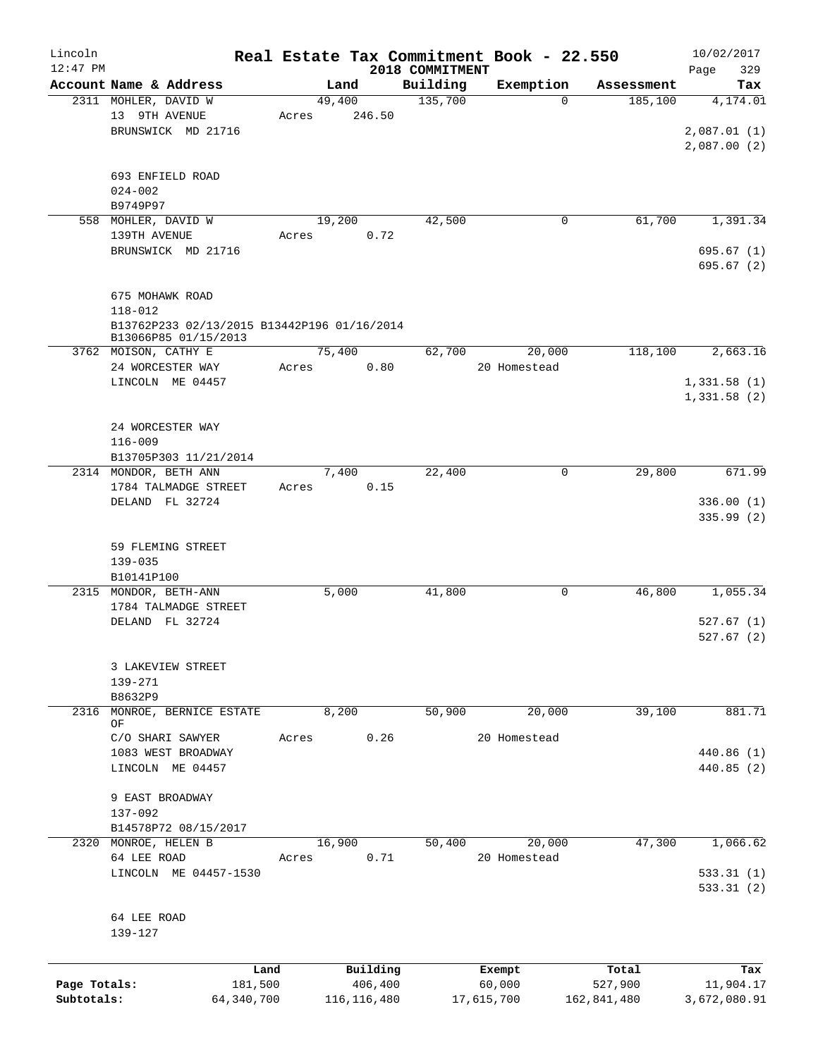| Lincoln      |                                             |       |        |          |                             | Real Estate Tax Commitment Book - 22.550 |            | 10/02/2017             |
|--------------|---------------------------------------------|-------|--------|----------|-----------------------------|------------------------------------------|------------|------------------------|
| $12:47$ PM   | Account Name & Address                      |       | Land   |          | 2018 COMMITMENT<br>Building | Exemption                                | Assessment | 329<br>Page<br>Tax     |
|              | 2311 MOHLER, DAVID W                        |       | 49,400 |          | 135,700                     | $\Omega$                                 | 185,100    | 4,174.01               |
|              | 13 9TH AVENUE                               | Acres |        | 246.50   |                             |                                          |            |                        |
|              | BRUNSWICK MD 21716                          |       |        |          |                             |                                          |            | 2,087.01(1)            |
|              |                                             |       |        |          |                             |                                          |            | 2,087.00(2)            |
|              |                                             |       |        |          |                             |                                          |            |                        |
|              | 693 ENFIELD ROAD                            |       |        |          |                             |                                          |            |                        |
|              | $024 - 002$                                 |       |        |          |                             |                                          |            |                        |
|              | B9749P97                                    |       |        |          |                             |                                          |            |                        |
|              | 558 MOHLER, DAVID W                         |       | 19,200 |          | 42,500                      | $\mathbf 0$                              | 61,700     | 1,391.34               |
|              | 139TH AVENUE                                | Acres |        | 0.72     |                             |                                          |            |                        |
|              | BRUNSWICK MD 21716                          |       |        |          |                             |                                          |            | 695.67(1)<br>695.67(2) |
|              |                                             |       |        |          |                             |                                          |            |                        |
|              | 675 MOHAWK ROAD                             |       |        |          |                             |                                          |            |                        |
|              | $118 - 012$                                 |       |        |          |                             |                                          |            |                        |
|              | B13762P233 02/13/2015 B13442P196 01/16/2014 |       |        |          |                             |                                          |            |                        |
|              | B13066P85 01/15/2013                        |       |        |          |                             |                                          |            |                        |
|              | 3762 MOISON, CATHY E                        |       | 75,400 |          | 62,700                      | 20,000                                   | 118,100    | 2,663.16               |
|              | 24 WORCESTER WAY                            | Acres |        | 0.80     |                             | 20 Homestead                             |            |                        |
|              | LINCOLN ME 04457                            |       |        |          |                             |                                          |            | 1,331.58(1)            |
|              |                                             |       |        |          |                             |                                          |            | 1,331.58(2)            |
|              |                                             |       |        |          |                             |                                          |            |                        |
|              | 24 WORCESTER WAY                            |       |        |          |                             |                                          |            |                        |
|              | $116 - 009$<br>B13705P303 11/21/2014        |       |        |          |                             |                                          |            |                        |
|              | 2314 MONDOR, BETH ANN                       |       | 7,400  |          | 22,400                      | 0                                        | 29,800     | 671.99                 |
|              | 1784 TALMADGE STREET                        | Acres |        | 0.15     |                             |                                          |            |                        |
|              | DELAND FL 32724                             |       |        |          |                             |                                          |            | 336.00(1)              |
|              |                                             |       |        |          |                             |                                          |            | 335.99(2)              |
|              |                                             |       |        |          |                             |                                          |            |                        |
|              | 59 FLEMING STREET                           |       |        |          |                             |                                          |            |                        |
|              | $139 - 035$                                 |       |        |          |                             |                                          |            |                        |
|              | B10141P100                                  |       |        |          |                             |                                          |            |                        |
|              | 2315 MONDOR, BETH-ANN                       |       | 5,000  |          | 41,800                      | 0                                        | 46,800     | 1,055.34               |
|              | 1784 TALMADGE STREET                        |       |        |          |                             |                                          |            |                        |
|              | DELAND FL 32724                             |       |        |          |                             |                                          |            | 527.67(1)              |
|              |                                             |       |        |          |                             |                                          |            | 527.67(2)              |
|              | 3 LAKEVIEW STREET                           |       |        |          |                             |                                          |            |                        |
|              | 139-271                                     |       |        |          |                             |                                          |            |                        |
|              | B8632P9                                     |       |        |          |                             |                                          |            |                        |
| 2316         | MONROE, BERNICE ESTATE                      |       | 8,200  |          | 50,900                      | 20,000                                   | 39,100     | 881.71                 |
|              | OF                                          |       |        |          |                             |                                          |            |                        |
|              | C/O SHARI SAWYER                            | Acres |        | 0.26     |                             | 20 Homestead                             |            |                        |
|              | 1083 WEST BROADWAY                          |       |        |          |                             |                                          |            | 440.86 (1)             |
|              | LINCOLN ME 04457                            |       |        |          |                             |                                          |            | 440.85 (2)             |
|              | 9 EAST BROADWAY                             |       |        |          |                             |                                          |            |                        |
|              | 137-092                                     |       |        |          |                             |                                          |            |                        |
|              | B14578P72 08/15/2017                        |       |        |          |                             |                                          |            |                        |
|              | 2320 MONROE, HELEN B                        |       | 16,900 |          | 50,400                      | 20,000                                   | 47,300     | 1,066.62               |
|              | 64 LEE ROAD                                 | Acres |        | 0.71     |                             | 20 Homestead                             |            |                        |
|              | LINCOLN ME 04457-1530                       |       |        |          |                             |                                          |            | 533.31(1)              |
|              |                                             |       |        |          |                             |                                          |            | 533.31(2)              |
|              |                                             |       |        |          |                             |                                          |            |                        |
|              | 64 LEE ROAD                                 |       |        |          |                             |                                          |            |                        |
|              | 139-127                                     |       |        |          |                             |                                          |            |                        |
|              |                                             |       |        |          |                             |                                          |            |                        |
|              |                                             | Land  |        | Building |                             | Exempt                                   | Total      | Tax                    |
| Page Totals: | 181,500                                     |       |        | 406,400  |                             | 60,000                                   | 527,900    | 11,904.17              |

**Subtotals:** 64,340,700 116,116,480 17,615,700 162,841,480 3,672,080.91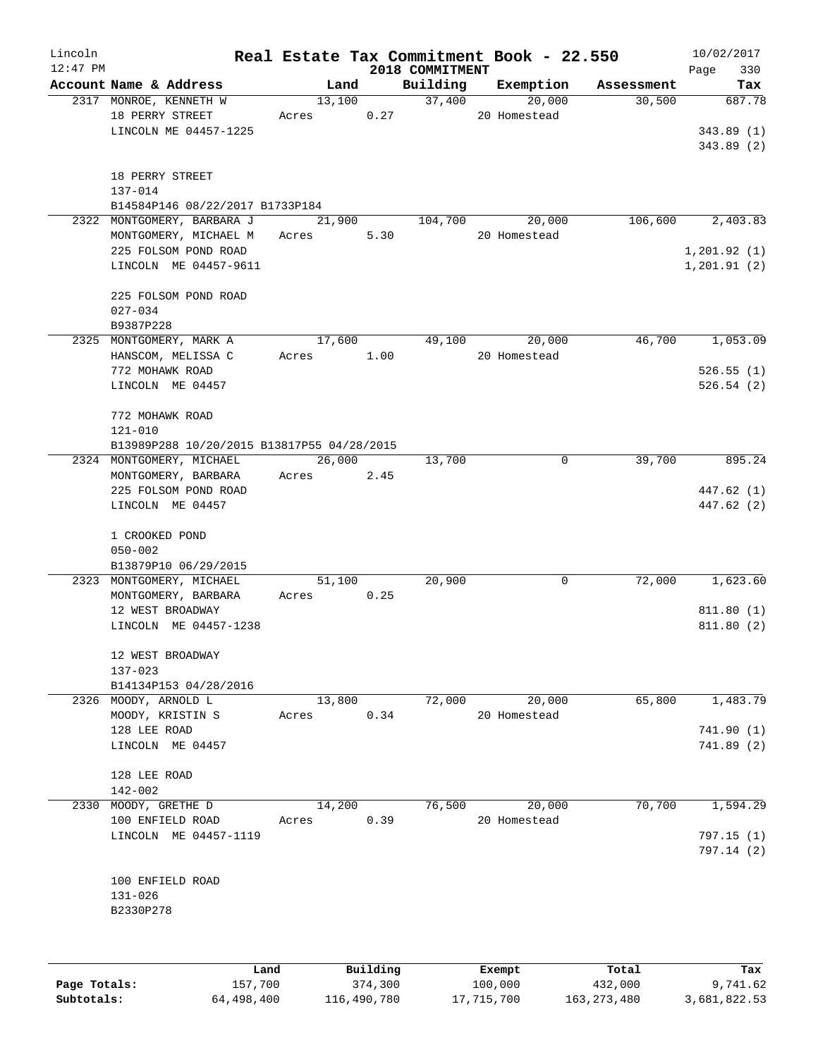| Lincoln    |                                            |        |          |                 | Real Estate Tax Commitment Book - 22.550 |            | 10/02/2017   |
|------------|--------------------------------------------|--------|----------|-----------------|------------------------------------------|------------|--------------|
| $12:47$ PM |                                            |        |          | 2018 COMMITMENT |                                          |            | 330<br>Page  |
|            | Account Name & Address                     | Land   |          | Building        | Exemption                                | Assessment | Tax          |
|            | 2317 MONROE, KENNETH W                     | 13,100 |          | 37,400          | 20,000                                   | 30,500     | 687.78       |
|            | 18 PERRY STREET                            | Acres  | 0.27     |                 | 20 Homestead                             |            |              |
|            | LINCOLN ME 04457-1225                      |        |          |                 |                                          |            | 343.89(1)    |
|            |                                            |        |          |                 |                                          |            | 343.89(2)    |
|            |                                            |        |          |                 |                                          |            |              |
|            | 18 PERRY STREET                            |        |          |                 |                                          |            |              |
|            | 137-014                                    |        |          |                 |                                          |            |              |
|            | B14584P146 08/22/2017 B1733P184            |        |          |                 |                                          |            |              |
|            | 2322 MONTGOMERY, BARBARA J                 | 21,900 |          | 104,700         | 20,000                                   | 106,600    | 2,403.83     |
|            | MONTGOMERY, MICHAEL M                      | Acres  | 5.30     |                 | 20 Homestead                             |            |              |
|            | 225 FOLSOM POND ROAD                       |        |          |                 |                                          |            | 1, 201.92(1) |
|            | LINCOLN ME 04457-9611                      |        |          |                 |                                          |            | 1, 201.91(2) |
|            |                                            |        |          |                 |                                          |            |              |
|            | 225 FOLSOM POND ROAD                       |        |          |                 |                                          |            |              |
|            | $027 - 034$                                |        |          |                 |                                          |            |              |
|            | B9387P228                                  |        |          |                 |                                          |            |              |
|            | 2325 MONTGOMERY, MARK A                    | 17,600 |          | 49,100          | 20,000                                   | 46,700     | 1,053.09     |
|            | HANSCOM, MELISSA C                         | Acres  | 1.00     |                 | 20 Homestead                             |            |              |
|            | 772 MOHAWK ROAD                            |        |          |                 |                                          |            | 526.55(1)    |
|            | LINCOLN ME 04457                           |        |          |                 |                                          |            | 526.54(2)    |
|            | 772 MOHAWK ROAD                            |        |          |                 |                                          |            |              |
|            | $121 - 010$                                |        |          |                 |                                          |            |              |
|            | B13989P288 10/20/2015 B13817P55 04/28/2015 |        |          |                 |                                          |            |              |
|            |                                            | 26,000 |          | 13,700          | 0                                        | 39,700     | 895.24       |
|            | 2324 MONTGOMERY, MICHAEL                   |        |          |                 |                                          |            |              |
|            | MONTGOMERY, BARBARA                        | Acres  | 2.45     |                 |                                          |            |              |
|            | 225 FOLSOM POND ROAD                       |        |          |                 |                                          |            | 447.62 (1)   |
|            | LINCOLN ME 04457                           |        |          |                 |                                          |            | 447.62 (2)   |
|            |                                            |        |          |                 |                                          |            |              |
|            | 1 CROOKED POND                             |        |          |                 |                                          |            |              |
|            | $050 - 002$                                |        |          |                 |                                          |            |              |
|            | B13879P10 06/29/2015                       |        |          |                 |                                          | 72,000     |              |
|            | 2323 MONTGOMERY, MICHAEL                   | 51,100 |          | 20,900          | 0                                        |            | 1,623.60     |
|            | MONTGOMERY, BARBARA                        | Acres  | 0.25     |                 |                                          |            |              |
|            | 12 WEST BROADWAY                           |        |          |                 |                                          |            | 811.80(1)    |
|            | LINCOLN ME 04457-1238                      |        |          |                 |                                          |            | 811.80(2)    |
|            |                                            |        |          |                 |                                          |            |              |
|            | 12 WEST BROADWAY                           |        |          |                 |                                          |            |              |
|            | $137 - 023$                                |        |          |                 |                                          |            |              |
|            | B14134P153 04/28/2016                      |        |          |                 |                                          |            |              |
|            | 2326 MOODY, ARNOLD L                       | 13,800 |          | 72,000          | 20,000                                   | 65,800     | 1,483.79     |
|            | MOODY, KRISTIN S                           | Acres  | 0.34     |                 | 20 Homestead                             |            |              |
|            | 128 LEE ROAD                               |        |          |                 |                                          |            | 741.90(1)    |
|            | LINCOLN ME 04457                           |        |          |                 |                                          |            | 741.89(2)    |
|            |                                            |        |          |                 |                                          |            |              |
|            | 128 LEE ROAD                               |        |          |                 |                                          |            |              |
|            | $142 - 002$                                |        |          |                 |                                          |            |              |
| 2330       | MOODY, GRETHE D                            | 14,200 |          | 76,500          | 20,000                                   | 70,700     | 1,594.29     |
|            | 100 ENFIELD ROAD                           | Acres  | 0.39     |                 | 20 Homestead                             |            |              |
|            | LINCOLN ME 04457-1119                      |        |          |                 |                                          |            | 797.15 (1)   |
|            |                                            |        |          |                 |                                          |            | 797.14(2)    |
|            |                                            |        |          |                 |                                          |            |              |
|            | 100 ENFIELD ROAD                           |        |          |                 |                                          |            |              |
|            | 131-026                                    |        |          |                 |                                          |            |              |
|            | B2330P278                                  |        |          |                 |                                          |            |              |
|            |                                            |        |          |                 |                                          |            |              |
|            |                                            |        |          |                 |                                          |            |              |
|            | Land                                       |        | Building |                 | Exempt                                   | Total      | Tax          |

|              | uanu       | <b>DULLUIN</b> | <b>BACILDL</b> | TOLAT         | ⊥a∧          |
|--------------|------------|----------------|----------------|---------------|--------------|
| Page Totals: | 157,700    | 374,300        | 100,000        | 432,000       | 9,741.62     |
| Subtotals:   | 64,498,400 | 116,490,780    | 17,715,700     | 163, 273, 480 | 3,681,822.53 |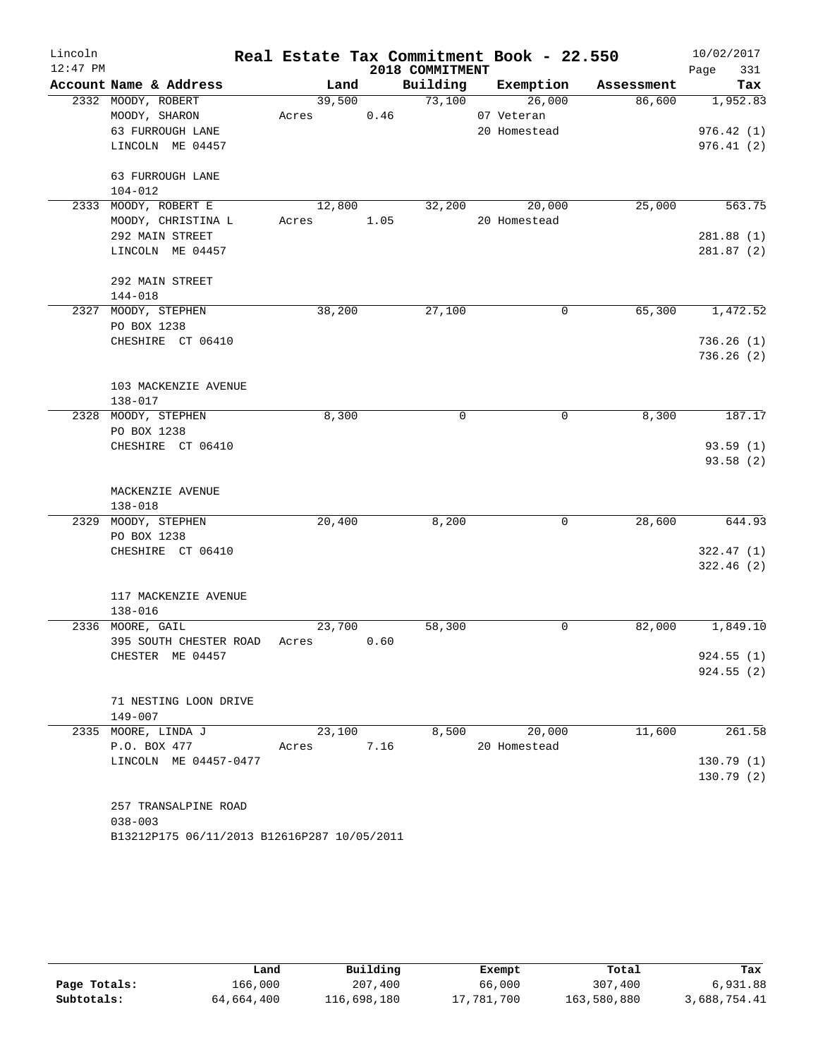| Lincoln    |                                             |       |            |      |                 | Real Estate Tax Commitment Book - 22.550 |            | 10/02/2017  |
|------------|---------------------------------------------|-------|------------|------|-----------------|------------------------------------------|------------|-------------|
| $12:47$ PM |                                             |       |            |      | 2018 COMMITMENT |                                          |            | 331<br>Page |
|            | Account Name & Address                      |       | Land       |      |                 | Building Exemption                       | Assessment | Tax         |
|            | 2332 MOODY, ROBERT                          |       | 39,500     |      | 73,100          | 26,000                                   | 86,600     | 1,952.83    |
|            | MOODY, SHARON                               |       | Acres      | 0.46 |                 | 07 Veteran                               |            |             |
|            | 63 FURROUGH LANE                            |       |            |      |                 | 20 Homestead                             |            | 976.42(1)   |
|            | LINCOLN ME 04457                            |       |            |      |                 |                                          |            | 976.41(2)   |
|            | 63 FURROUGH LANE                            |       |            |      |                 |                                          |            |             |
|            | $104 - 012$                                 |       |            |      |                 |                                          |            |             |
|            | 2333 MOODY, ROBERT E                        |       | 12,800     |      | 32,200          | 20,000                                   | 25,000     | 563.75      |
|            | MOODY, CHRISTINA L                          |       | Acres 1.05 |      |                 | 20 Homestead                             |            |             |
|            | 292 MAIN STREET                             |       |            |      |                 |                                          |            | 281.88(1)   |
|            | LINCOLN ME 04457                            |       |            |      |                 |                                          |            | 281.87(2)   |
|            |                                             |       |            |      |                 |                                          |            |             |
|            | 292 MAIN STREET                             |       |            |      |                 |                                          |            |             |
|            | 144-018                                     |       |            |      |                 |                                          |            |             |
|            | 2327 MOODY, STEPHEN                         |       | 38,200     |      | 27,100          | 0                                        | 65,300     | 1,472.52    |
|            | PO BOX 1238                                 |       |            |      |                 |                                          |            |             |
|            | CHESHIRE CT 06410                           |       |            |      |                 |                                          |            | 736.26(1)   |
|            |                                             |       |            |      |                 |                                          |            | 736.26(2)   |
|            |                                             |       |            |      |                 |                                          |            |             |
|            | 103 MACKENZIE AVENUE                        |       |            |      |                 |                                          |            |             |
|            | 138-017                                     |       |            |      |                 |                                          |            |             |
|            | 2328 MOODY, STEPHEN                         |       | 8,300      |      | 0               | 0                                        | 8,300      | 187.17      |
|            | PO BOX 1238                                 |       |            |      |                 |                                          |            |             |
|            | CHESHIRE CT 06410                           |       |            |      |                 |                                          |            | 93.59(1)    |
|            |                                             |       |            |      |                 |                                          |            | 93.58(2)    |
|            |                                             |       |            |      |                 |                                          |            |             |
|            | MACKENZIE AVENUE<br>$138 - 018$             |       |            |      |                 |                                          |            |             |
|            | 2329 MOODY, STEPHEN                         |       | 20,400     |      | 8,200           | $\mathbf 0$                              | 28,600     | 644.93      |
|            | PO BOX 1238                                 |       |            |      |                 |                                          |            |             |
|            | CHESHIRE CT 06410                           |       |            |      |                 |                                          |            | 322.47(1)   |
|            |                                             |       |            |      |                 |                                          |            | 322.46(2)   |
|            |                                             |       |            |      |                 |                                          |            |             |
|            | 117 MACKENZIE AVENUE                        |       |            |      |                 |                                          |            |             |
|            | $138 - 016$                                 |       |            |      |                 |                                          |            |             |
|            | 2336 MOORE, GAIL                            |       | 23,700     |      | 58,300          | 0                                        | 82,000     | 1,849.10    |
|            | 395 SOUTH CHESTER ROAD                      | Acres |            | 0.60 |                 |                                          |            |             |
|            | CHESTER ME 04457                            |       |            |      |                 |                                          |            | 924.55(1)   |
|            |                                             |       |            |      |                 |                                          |            | 924.55(2)   |
|            |                                             |       |            |      |                 |                                          |            |             |
|            | 71 NESTING LOON DRIVE                       |       |            |      |                 |                                          |            |             |
|            | 149-007                                     |       |            |      |                 |                                          |            |             |
|            | 2335 MOORE, LINDA J                         |       | 23,100     |      | 8,500           | 20,000                                   | 11,600     | 261.58      |
|            | P.O. BOX 477                                | Acres |            | 7.16 |                 | 20 Homestead                             |            |             |
|            | LINCOLN ME 04457-0477                       |       |            |      |                 |                                          |            | 130.79(1)   |
|            |                                             |       |            |      |                 |                                          |            | 130.79(2)   |
|            |                                             |       |            |      |                 |                                          |            |             |
|            | 257 TRANSALPINE ROAD                        |       |            |      |                 |                                          |            |             |
|            | $038 - 003$                                 |       |            |      |                 |                                          |            |             |
|            | B13212P175 06/11/2013 B12616P287 10/05/2011 |       |            |      |                 |                                          |            |             |

|              | Land       | Building    | Exempt     | Total       | Tax          |
|--------------|------------|-------------|------------|-------------|--------------|
| Page Totals: | 166,000    | 207,400     | 66,000     | 307,400     | 6,931.88     |
| Subtotals:   | 64,664,400 | 116,698,180 | 17,781,700 | 163,580,880 | 3,688,754.41 |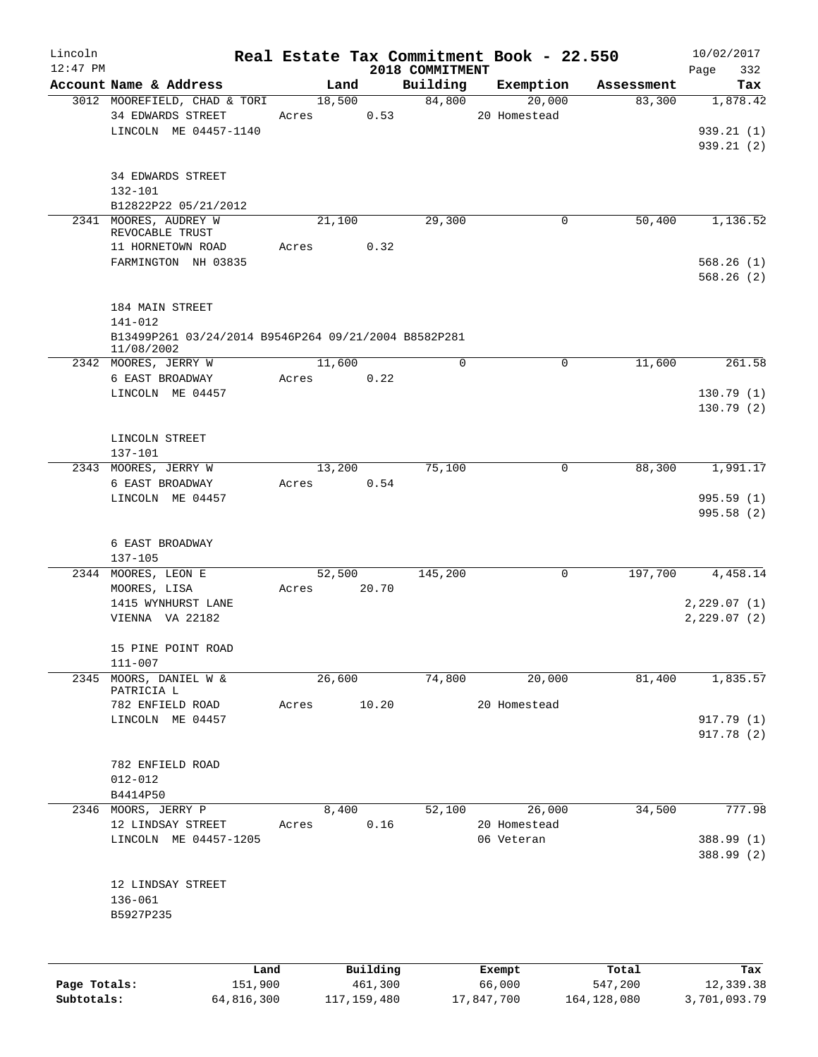| Lincoln      |                                                      |       |                |                    | Real Estate Tax Commitment Book - 22.550 |                      | 10/02/2017             |
|--------------|------------------------------------------------------|-------|----------------|--------------------|------------------------------------------|----------------------|------------------------|
| $12:47$ PM   | Account Name & Address                               |       |                | 2018 COMMITMENT    |                                          |                      | 332<br>Page            |
|              | 3012 MOOREFIELD, CHAD & TORI                         |       | Land<br>18,500 | Building<br>84,800 | Exemption<br>20,000                      | Assessment<br>83,300 | Tax<br>1,878.42        |
|              | 34 EDWARDS STREET                                    | Acres | 0.53           |                    | 20 Homestead                             |                      |                        |
|              | LINCOLN ME 04457-1140                                |       |                |                    |                                          |                      | 939.21(1)              |
|              |                                                      |       |                |                    |                                          |                      | 939.21(2)              |
|              |                                                      |       |                |                    |                                          |                      |                        |
|              | <b>34 EDWARDS STREET</b>                             |       |                |                    |                                          |                      |                        |
|              | 132-101                                              |       |                |                    |                                          |                      |                        |
|              | B12822P22 05/21/2012                                 |       |                |                    |                                          |                      |                        |
|              | 2341 MOORES, AUDREY W                                |       | 21,100         | 29,300             | 0                                        | 50,400               | 1,136.52               |
|              | REVOCABLE TRUST                                      |       |                |                    |                                          |                      |                        |
|              | 11 HORNETOWN ROAD                                    | Acres | 0.32           |                    |                                          |                      |                        |
|              | FARMINGTON NH 03835                                  |       |                |                    |                                          |                      | 568.26(1)              |
|              |                                                      |       |                |                    |                                          |                      | 568.26(2)              |
|              |                                                      |       |                |                    |                                          |                      |                        |
|              | 184 MAIN STREET                                      |       |                |                    |                                          |                      |                        |
|              | 141-012                                              |       |                |                    |                                          |                      |                        |
|              | B13499P261 03/24/2014 B9546P264 09/21/2004 B8582P281 |       |                |                    |                                          |                      |                        |
|              | 11/08/2002                                           |       |                |                    |                                          |                      |                        |
|              | 2342 MOORES, JERRY W                                 |       | 11,600         | $\Omega$           | 0                                        | 11,600               | 261.58                 |
|              | 6 EAST BROADWAY<br>LINCOLN ME 04457                  | Acres | 0.22           |                    |                                          |                      |                        |
|              |                                                      |       |                |                    |                                          |                      | 130.79(1)<br>130.79(2) |
|              |                                                      |       |                |                    |                                          |                      |                        |
|              | LINCOLN STREET                                       |       |                |                    |                                          |                      |                        |
|              | 137-101                                              |       |                |                    |                                          |                      |                        |
|              | 2343 MOORES, JERRY W                                 |       | 13,200         | 75,100             | 0                                        | 88,300               | 1,991.17               |
|              | 6 EAST BROADWAY                                      | Acres | 0.54           |                    |                                          |                      |                        |
|              | LINCOLN ME 04457                                     |       |                |                    |                                          |                      | 995.59(1)              |
|              |                                                      |       |                |                    |                                          |                      | 995.58 (2)             |
|              |                                                      |       |                |                    |                                          |                      |                        |
|              | 6 EAST BROADWAY                                      |       |                |                    |                                          |                      |                        |
|              | 137-105                                              |       |                |                    |                                          |                      |                        |
|              | 2344 MOORES, LEON E                                  |       | 52,500         | 145,200            | $\mathbf 0$                              | 197,700              | 4,458.14               |
|              | MOORES, LISA                                         | Acres | 20.70          |                    |                                          |                      |                        |
|              | 1415 WYNHURST LANE                                   |       |                |                    |                                          |                      | 2,229.07(1)            |
|              | VIENNA VA 22182                                      |       |                |                    |                                          |                      | 2, 229.07(2)           |
|              |                                                      |       |                |                    |                                          |                      |                        |
|              | 15 PINE POINT ROAD                                   |       |                |                    |                                          |                      |                        |
|              | 111-007                                              |       |                |                    |                                          |                      |                        |
| 2345         | MOORS, DANIEL W &<br>PATRICIA L                      |       | 26,600         | 74,800             | 20,000                                   | 81,400               | 1,835.57               |
|              | 782 ENFIELD ROAD                                     | Acres | 10.20          |                    | 20 Homestead                             |                      |                        |
|              | LINCOLN ME 04457                                     |       |                |                    |                                          |                      | 917.79 (1)             |
|              |                                                      |       |                |                    |                                          |                      | 917.78(2)              |
|              |                                                      |       |                |                    |                                          |                      |                        |
|              | 782 ENFIELD ROAD                                     |       |                |                    |                                          |                      |                        |
|              | $012 - 012$                                          |       |                |                    |                                          |                      |                        |
|              | B4414P50                                             |       |                |                    |                                          |                      |                        |
|              | 2346 MOORS, JERRY P                                  |       | 8,400          | 52,100             | 26,000                                   | 34,500               | 777.98                 |
|              | 12 LINDSAY STREET                                    | Acres | 0.16           |                    | 20 Homestead                             |                      |                        |
|              | LINCOLN ME 04457-1205                                |       |                |                    | 06 Veteran                               |                      | 388.99 (1)             |
|              |                                                      |       |                |                    |                                          |                      | 388.99 (2)             |
|              |                                                      |       |                |                    |                                          |                      |                        |
|              | 12 LINDSAY STREET                                    |       |                |                    |                                          |                      |                        |
|              | $136 - 061$                                          |       |                |                    |                                          |                      |                        |
|              | B5927P235                                            |       |                |                    |                                          |                      |                        |
|              |                                                      |       |                |                    |                                          |                      |                        |
|              |                                                      |       |                |                    |                                          |                      |                        |
|              | Land                                                 |       | Building       |                    | Exempt                                   | Total                | Tax                    |
| Page Totals: | 151,900                                              |       | 461,300        |                    | 66,000                                   | 547,200              | 12,339.38              |

**Subtotals:** 64,816,300 117,159,480 17,847,700 164,128,080 3,701,093.79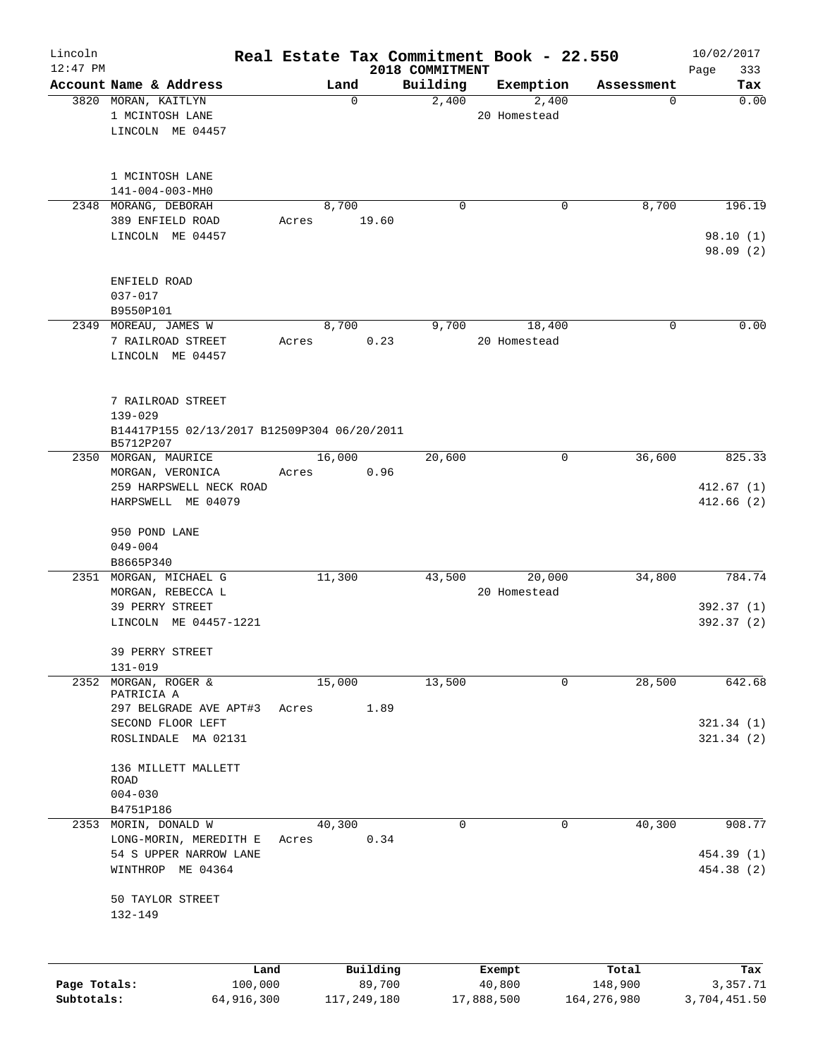| Lincoln<br>$12:47$ PM |                                             |        |             |                   | Real Estate Tax Commitment Book - 22.550 |                 | 10/02/2017             |
|-----------------------|---------------------------------------------|--------|-------------|-------------------|------------------------------------------|-----------------|------------------------|
|                       | Account Name & Address                      |        |             | 2018 COMMITMENT   |                                          |                 | 333<br>Page            |
|                       | 3820 MORAN, KAITLYN                         | Land   | $\mathbf 0$ | Building<br>2,400 | Exemption<br>2,400                       | Assessment<br>0 | Tax<br>0.00            |
|                       | 1 MCINTOSH LANE                             |        |             |                   | 20 Homestead                             |                 |                        |
|                       | LINCOLN ME 04457                            |        |             |                   |                                          |                 |                        |
|                       |                                             |        |             |                   |                                          |                 |                        |
|                       |                                             |        |             |                   |                                          |                 |                        |
|                       | 1 MCINTOSH LANE                             |        |             |                   |                                          |                 |                        |
|                       | 141-004-003-MH0                             |        |             |                   |                                          |                 |                        |
|                       | 2348 MORANG, DEBORAH                        | 8,700  |             | 0                 | 0                                        | 8,700           | 196.19                 |
|                       | 389 ENFIELD ROAD                            | Acres  | 19.60       |                   |                                          |                 |                        |
|                       | LINCOLN ME 04457                            |        |             |                   |                                          |                 | 98.10(1)               |
|                       |                                             |        |             |                   |                                          |                 | 98.09(2)               |
|                       |                                             |        |             |                   |                                          |                 |                        |
|                       | ENFIELD ROAD                                |        |             |                   |                                          |                 |                        |
|                       | $037 - 017$                                 |        |             |                   |                                          |                 |                        |
|                       | B9550P101                                   |        |             |                   |                                          |                 |                        |
|                       | 2349 MOREAU, JAMES W                        | 8,700  |             | 9,700             | 18,400                                   | 0               | 0.00                   |
|                       | 7 RAILROAD STREET                           | Acres  | 0.23        |                   | 20 Homestead                             |                 |                        |
|                       | LINCOLN ME 04457                            |        |             |                   |                                          |                 |                        |
|                       |                                             |        |             |                   |                                          |                 |                        |
|                       |                                             |        |             |                   |                                          |                 |                        |
|                       | 7 RAILROAD STREET                           |        |             |                   |                                          |                 |                        |
|                       | $139 - 029$                                 |        |             |                   |                                          |                 |                        |
|                       | B14417P155 02/13/2017 B12509P304 06/20/2011 |        |             |                   |                                          |                 |                        |
|                       | B5712P207                                   |        |             |                   |                                          |                 |                        |
|                       | 2350 MORGAN, MAURICE                        | 16,000 |             | 20,600            | 0                                        | 36,600          | 825.33                 |
|                       | MORGAN, VERONICA                            | Acres  | 0.96        |                   |                                          |                 |                        |
|                       | 259 HARPSWELL NECK ROAD                     |        |             |                   |                                          |                 | 412.67(1)              |
|                       | HARPSWELL ME 04079                          |        |             |                   |                                          |                 | 412.66(2)              |
|                       |                                             |        |             |                   |                                          |                 |                        |
|                       | 950 POND LANE                               |        |             |                   |                                          |                 |                        |
|                       | $049 - 004$                                 |        |             |                   |                                          |                 |                        |
|                       | B8665P340                                   |        |             |                   |                                          |                 |                        |
|                       | 2351 MORGAN, MICHAEL G                      | 11,300 |             | 43,500            | 20,000                                   | 34,800          | 784.74                 |
|                       | MORGAN, REBECCA L                           |        |             |                   | 20 Homestead                             |                 |                        |
|                       | 39 PERRY STREET<br>LINCOLN ME 04457-1221    |        |             |                   |                                          |                 | 392.37(1)<br>392.37(2) |
|                       |                                             |        |             |                   |                                          |                 |                        |
|                       | 39 PERRY STREET                             |        |             |                   |                                          |                 |                        |
|                       | $131 - 019$                                 |        |             |                   |                                          |                 |                        |
| 2352                  | MORGAN, ROGER &                             | 15,000 |             | 13,500            | 0                                        | 28,500          | 642.68                 |
|                       | PATRICIA A                                  |        |             |                   |                                          |                 |                        |
|                       | 297 BELGRADE AVE APT#3                      | Acres  | 1.89        |                   |                                          |                 |                        |
|                       | SECOND FLOOR LEFT                           |        |             |                   |                                          |                 | 321.34(1)              |
|                       | ROSLINDALE MA 02131                         |        |             |                   |                                          |                 | 321.34(2)              |
|                       |                                             |        |             |                   |                                          |                 |                        |
|                       | 136 MILLETT MALLETT                         |        |             |                   |                                          |                 |                        |
|                       | ROAD                                        |        |             |                   |                                          |                 |                        |
|                       | $004 - 030$                                 |        |             |                   |                                          |                 |                        |
|                       | B4751P186                                   |        |             |                   |                                          |                 |                        |
|                       | 2353 MORIN, DONALD W                        | 40,300 |             | 0                 | 0                                        | 40,300          | 908.77                 |
|                       | LONG-MORIN, MEREDITH E                      | Acres  | 0.34        |                   |                                          |                 |                        |
|                       | 54 S UPPER NARROW LANE                      |        |             |                   |                                          |                 | 454.39 (1)             |
|                       | WINTHROP ME 04364                           |        |             |                   |                                          |                 | 454.38 (2)             |
|                       |                                             |        |             |                   |                                          |                 |                        |
|                       | 50 TAYLOR STREET                            |        |             |                   |                                          |                 |                        |
|                       | $132 - 149$                                 |        |             |                   |                                          |                 |                        |
|                       |                                             |        |             |                   |                                          |                 |                        |
|                       |                                             |        |             |                   |                                          |                 |                        |
|                       | Land                                        |        | Building    |                   | Exempt                                   | Total           | Tax                    |
| Page Totals:          | 100,000                                     |        | 89,700      |                   | 40,800                                   | 148,900         | 3,357.71               |
| Subtotals:            | 64,916,300                                  |        | 117,249,180 |                   | 17,888,500                               | 164, 276, 980   | 3,704,451.50           |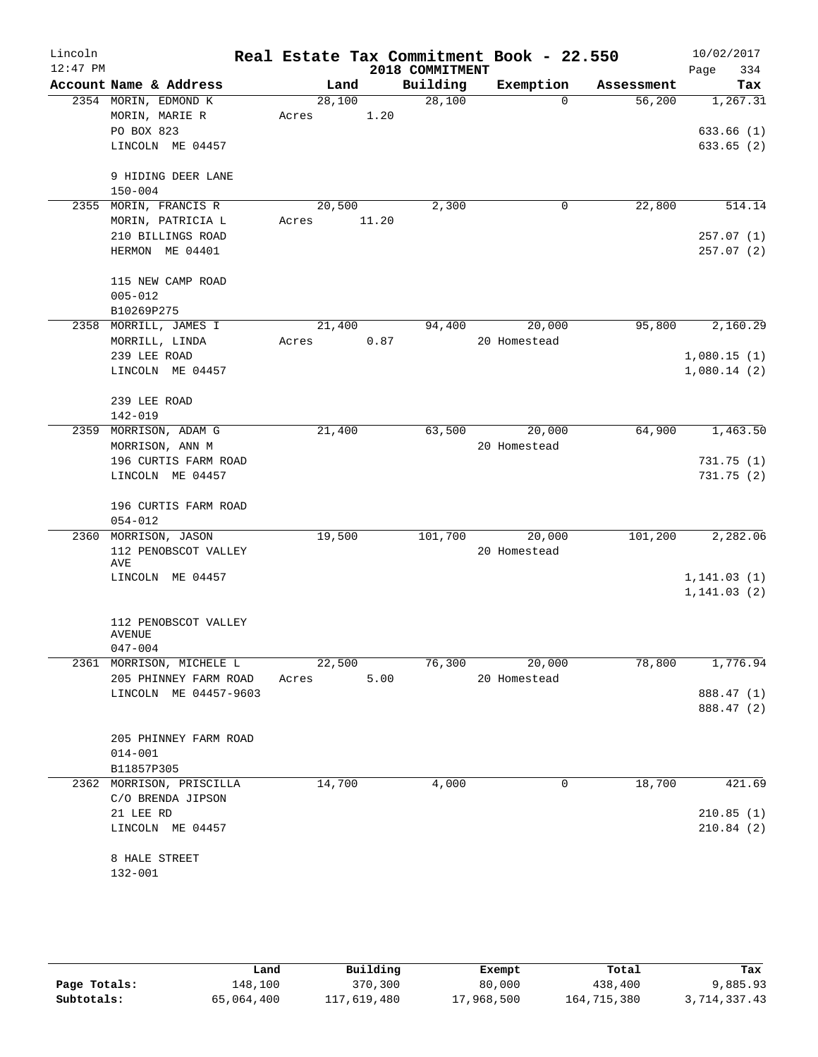| Lincoln<br>$12:47$ PM |                                     |        |        | 2018 COMMITMENT | Real Estate Tax Commitment Book - 22.550 |            | 10/02/2017<br>Page<br>334 |
|-----------------------|-------------------------------------|--------|--------|-----------------|------------------------------------------|------------|---------------------------|
|                       | Account Name & Address              |        | Land   | Building        | Exemption                                | Assessment | Tax                       |
|                       | 2354 MORIN, EDMOND K                | 28,100 |        | 28,100          | $\Omega$                                 | 56,200     | 1,267.31                  |
|                       | MORIN, MARIE R                      | Acres  | 1.20   |                 |                                          |            |                           |
|                       | PO BOX 823                          |        |        |                 |                                          |            | 633.66(1)                 |
|                       | LINCOLN ME 04457                    |        |        |                 |                                          |            | 633.65(2)                 |
|                       | 9 HIDING DEER LANE                  |        |        |                 |                                          |            |                           |
|                       | $150 - 004$                         |        |        |                 |                                          |            |                           |
|                       | 2355 MORIN, FRANCIS R               |        | 20,500 | 2,300           | 0                                        | 22,800     | 514.14                    |
|                       | MORIN, PATRICIA L                   | Acres  | 11.20  |                 |                                          |            |                           |
|                       | 210 BILLINGS ROAD                   |        |        |                 |                                          |            | 257.07(1)                 |
|                       | HERMON ME 04401                     |        |        |                 |                                          |            | 257.07(2)                 |
|                       | 115 NEW CAMP ROAD                   |        |        |                 |                                          |            |                           |
|                       | $005 - 012$                         |        |        |                 |                                          |            |                           |
|                       | B10269P275                          |        |        |                 |                                          |            |                           |
|                       | 2358 MORRILL, JAMES I               |        | 21,400 | 94,400          | 20,000                                   | 95,800     | 2,160.29                  |
|                       | MORRILL, LINDA                      | Acres  | 0.87   |                 | 20 Homestead                             |            |                           |
|                       | 239 LEE ROAD                        |        |        |                 |                                          |            | 1,080.15(1)               |
|                       | LINCOLN ME 04457                    |        |        |                 |                                          |            | 1,080.14(2)               |
|                       | 239 LEE ROAD                        |        |        |                 |                                          |            |                           |
|                       | 142-019                             |        |        |                 |                                          |            |                           |
|                       | 2359 MORRISON, ADAM G               | 21,400 |        | 63,500          | 20,000                                   | 64,900     | 1,463.50                  |
|                       | MORRISON, ANN M                     |        |        |                 | 20 Homestead                             |            |                           |
|                       | 196 CURTIS FARM ROAD                |        |        |                 |                                          |            | 731.75(1)                 |
|                       | LINCOLN ME 04457                    |        |        |                 |                                          |            | 731.75(2)                 |
|                       |                                     |        |        |                 |                                          |            |                           |
|                       | 196 CURTIS FARM ROAD                |        |        |                 |                                          |            |                           |
|                       | $054 - 012$<br>2360 MORRISON, JASON | 19,500 |        | 101,700         | 20,000                                   | 101,200    | 2,282.06                  |
|                       | 112 PENOBSCOT VALLEY                |        |        |                 | 20 Homestead                             |            |                           |
|                       | AVE                                 |        |        |                 |                                          |            |                           |
|                       | LINCOLN ME 04457                    |        |        |                 |                                          |            | 1, 141.03(1)              |
|                       |                                     |        |        |                 |                                          |            | 1, 141.03(2)              |
|                       |                                     |        |        |                 |                                          |            |                           |
|                       | 112 PENOBSCOT VALLEY                |        |        |                 |                                          |            |                           |
|                       | AVENUE<br>$047 - 004$               |        |        |                 |                                          |            |                           |
|                       | 2361 MORRISON, MICHELE L            |        | 22,500 |                 | 76,300 20,000                            | 78,800     | 1,776.94                  |
|                       | 205 PHINNEY FARM ROAD               | Acres  | 5.00   |                 | 20 Homestead                             |            |                           |
|                       | LINCOLN ME 04457-9603               |        |        |                 |                                          |            | 888.47 (1)                |
|                       |                                     |        |        |                 |                                          |            | 888.47 (2)                |
|                       |                                     |        |        |                 |                                          |            |                           |
|                       | 205 PHINNEY FARM ROAD               |        |        |                 |                                          |            |                           |
|                       | $014 - 001$                         |        |        |                 |                                          |            |                           |
|                       | B11857P305                          |        |        |                 |                                          |            |                           |
|                       | 2362 MORRISON, PRISCILLA            | 14,700 |        | 4,000           | 0                                        | 18,700     | 421.69                    |
|                       | C/O BRENDA JIPSON                   |        |        |                 |                                          |            |                           |
|                       | 21 LEE RD                           |        |        |                 |                                          |            | 210.85(1)                 |
|                       | LINCOLN ME 04457                    |        |        |                 |                                          |            | 210.84(2)                 |
|                       | 8 HALE STREET                       |        |        |                 |                                          |            |                           |
|                       | 132-001                             |        |        |                 |                                          |            |                           |
|                       |                                     |        |        |                 |                                          |            |                           |

|              | Land       | Building    | Exempt     | Total       | Tax          |
|--------------|------------|-------------|------------|-------------|--------------|
| Page Totals: | 148,100    | 370,300     | 80,000     | 438,400     | 9,885.93     |
| Subtotals:   | 65,064,400 | 117,619,480 | 17,968,500 | 164,715,380 | 3,714,337.43 |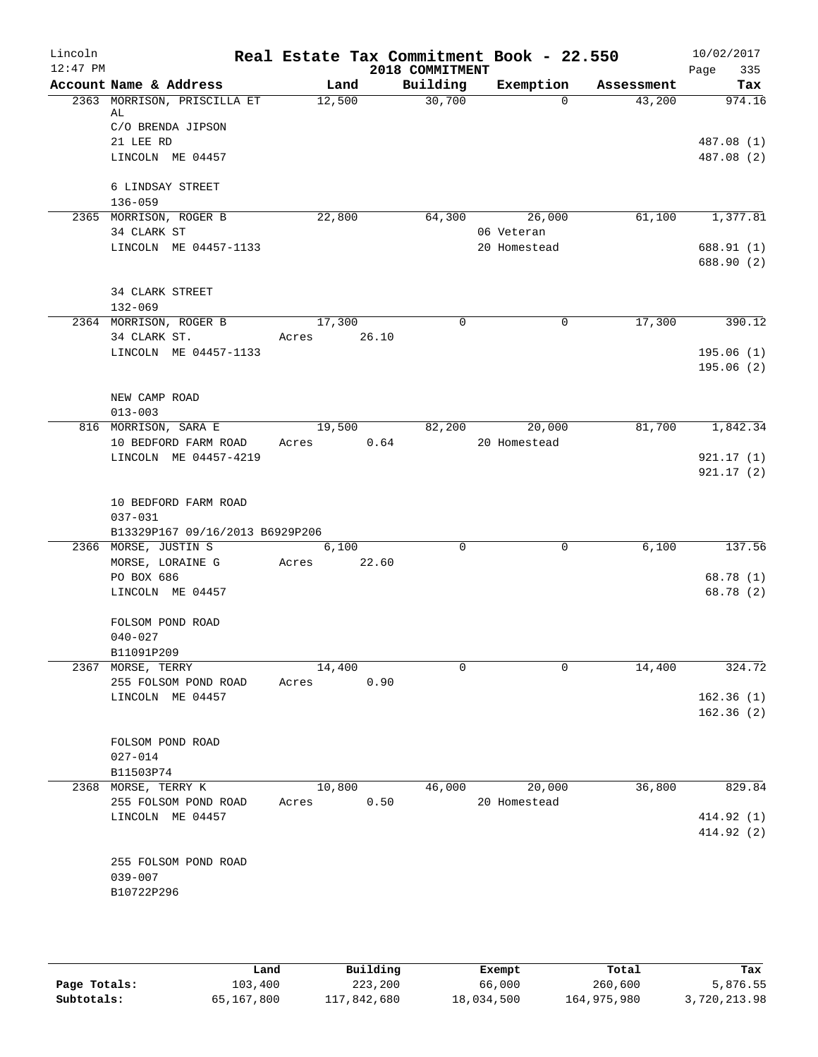| Lincoln<br>$12:47$ PM |                                        |                 |       | Real Estate Tax Commitment Book - 22.550<br>2018 COMMITMENT |              |            | 10/02/2017<br>335<br>Page |
|-----------------------|----------------------------------------|-----------------|-------|-------------------------------------------------------------|--------------|------------|---------------------------|
|                       | Account Name & Address                 | Land            |       | Building                                                    | Exemption    | Assessment | Tax                       |
|                       | 2363 MORRISON, PRISCILLA ET<br>AL      | 12,500          |       | 30,700                                                      | $\Omega$     | 43,200     | 974.16                    |
|                       | C/O BRENDA JIPSON                      |                 |       |                                                             |              |            |                           |
|                       | 21 LEE RD                              |                 |       |                                                             |              |            | 487.08 (1)                |
|                       | LINCOLN ME 04457                       |                 |       |                                                             |              |            | 487.08 (2)                |
|                       | 6 LINDSAY STREET                       |                 |       |                                                             |              |            |                           |
|                       | $136 - 059$                            |                 |       |                                                             |              |            |                           |
|                       | 2365 MORRISON, ROGER B                 | 22,800          |       | 64,300                                                      | 26,000       | 61,100     | 1,377.81                  |
|                       | 34 CLARK ST                            |                 |       |                                                             | 06 Veteran   |            |                           |
|                       | LINCOLN ME 04457-1133                  |                 |       |                                                             | 20 Homestead |            | 688.91 (1)<br>688.90 (2)  |
|                       |                                        |                 |       |                                                             |              |            |                           |
|                       | 34 CLARK STREET                        |                 |       |                                                             |              |            |                           |
|                       | $132 - 069$                            |                 |       | 0                                                           | $\mathbf 0$  |            | 390.12                    |
|                       | 2364 MORRISON, ROGER B<br>34 CLARK ST. | 17,300<br>Acres | 26.10 |                                                             |              | 17,300     |                           |
|                       | LINCOLN ME 04457-1133                  |                 |       |                                                             |              |            | 195.06(1)                 |
|                       |                                        |                 |       |                                                             |              |            | 195.06(2)                 |
|                       |                                        |                 |       |                                                             |              |            |                           |
|                       | NEW CAMP ROAD                          |                 |       |                                                             |              |            |                           |
|                       | $013 - 003$                            |                 |       |                                                             |              |            |                           |
|                       | 816 MORRISON, SARA E                   | 19,500          |       | 82,200                                                      | 20,000       | 81,700     | 1,842.34                  |
|                       | 10 BEDFORD FARM ROAD                   | Acres           | 0.64  |                                                             | 20 Homestead |            |                           |
|                       | LINCOLN ME 04457-4219                  |                 |       |                                                             |              |            | 921.17(1)<br>921.17(2)    |
|                       |                                        |                 |       |                                                             |              |            |                           |
|                       | 10 BEDFORD FARM ROAD                   |                 |       |                                                             |              |            |                           |
|                       | $037 - 031$                            |                 |       |                                                             |              |            |                           |
|                       | B13329P167 09/16/2013 B6929P206        |                 |       |                                                             |              |            |                           |
|                       | 2366 MORSE, JUSTIN S                   | 6,100           |       | $\mathbf 0$                                                 | 0            | 6,100      | 137.56                    |
|                       | MORSE, LORAINE G                       | Acres           | 22.60 |                                                             |              |            |                           |
|                       | PO BOX 686                             |                 |       |                                                             |              |            | 68.78 (1)                 |
|                       | LINCOLN ME 04457                       |                 |       |                                                             |              |            | 68.78 (2)                 |
|                       | FOLSOM POND ROAD                       |                 |       |                                                             |              |            |                           |
|                       | $040 - 027$                            |                 |       |                                                             |              |            |                           |
|                       | B11091P209                             |                 |       |                                                             |              |            |                           |
|                       | 2367 MORSE, TERRY                      | 14,400          |       | 0                                                           | 0            | 14,400     | 324.72                    |
|                       | 255 FOLSOM POND ROAD                   | Acres           | 0.90  |                                                             |              |            |                           |
|                       | LINCOLN ME 04457                       |                 |       |                                                             |              |            | 162.36(1)                 |
|                       |                                        |                 |       |                                                             |              |            | 162.36(2)                 |
|                       | FOLSOM POND ROAD                       |                 |       |                                                             |              |            |                           |
|                       | $027 - 014$                            |                 |       |                                                             |              |            |                           |
|                       | B11503P74                              |                 |       |                                                             |              |            |                           |
| 2368                  | MORSE, TERRY K                         | 10,800          |       | 46,000                                                      | 20,000       | 36,800     | 829.84                    |
|                       | 255 FOLSOM POND ROAD                   | Acres           | 0.50  |                                                             | 20 Homestead |            |                           |
|                       | LINCOLN ME 04457                       |                 |       |                                                             |              |            | 414.92 (1)                |
|                       |                                        |                 |       |                                                             |              |            | 414.92 (2)                |
|                       |                                        |                 |       |                                                             |              |            |                           |
|                       | 255 FOLSOM POND ROAD<br>$039 - 007$    |                 |       |                                                             |              |            |                           |
|                       | B10722P296                             |                 |       |                                                             |              |            |                           |
|                       |                                        |                 |       |                                                             |              |            |                           |
|                       |                                        |                 |       |                                                             |              |            |                           |
|                       |                                        |                 |       |                                                             |              |            |                           |

|              | Land       | Building    | Exempt     | Total       | Tax          |
|--------------|------------|-------------|------------|-------------|--------------|
| Page Totals: | 103,400    | 223,200     | 66,000     | 260,600     | 5,876.55     |
| Subtotals:   | 65,167,800 | 117,842,680 | 18,034,500 | 164,975,980 | 3,720,213.98 |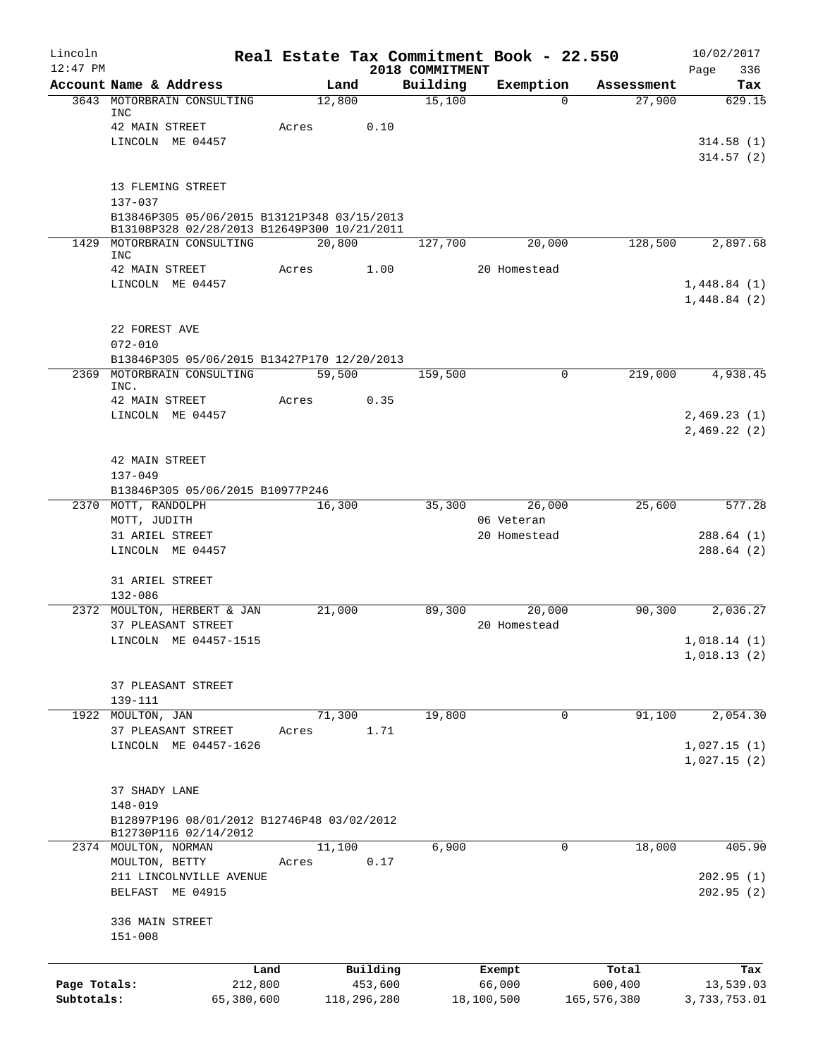| Lincoln      |                                                           |        |             |                             | Real Estate Tax Commitment Book - 22.550 |             | 10/02/2017                 |
|--------------|-----------------------------------------------------------|--------|-------------|-----------------------------|------------------------------------------|-------------|----------------------------|
| $12:47$ PM   | Account Name & Address                                    | Land   |             | 2018 COMMITMENT<br>Building | Exemption                                | Assessment  | Page<br>336<br>Tax         |
| 3643         | MOTORBRAIN CONSULTING                                     | 12,800 |             | 15,100                      | $\Omega$                                 | 27,900      | 629.15                     |
|              | INC                                                       |        |             |                             |                                          |             |                            |
|              | 42 MAIN STREET<br>LINCOLN ME 04457                        | Acres  | 0.10        |                             |                                          |             | 314.58(1)                  |
|              |                                                           |        |             |                             |                                          |             | 314.57(2)                  |
|              |                                                           |        |             |                             |                                          |             |                            |
|              | 13 FLEMING STREET<br>$137 - 037$                          |        |             |                             |                                          |             |                            |
|              | B13846P305 05/06/2015 B13121P348 03/15/2013               |        |             |                             |                                          |             |                            |
|              | B13108P328 02/28/2013 B12649P300 10/21/2011               |        |             |                             |                                          |             |                            |
| 1429         | MOTORBRAIN CONSULTING<br><b>INC</b>                       | 20,800 |             | 127,700                     | 20,000                                   | 128,500     | 2,897.68                   |
|              | 42 MAIN STREET                                            | Acres  | 1.00        |                             | 20 Homestead                             |             |                            |
|              | LINCOLN ME 04457                                          |        |             |                             |                                          |             | 1,448.84(1)                |
|              |                                                           |        |             |                             |                                          |             | 1,448.84(2)                |
|              | 22 FOREST AVE                                             |        |             |                             |                                          |             |                            |
|              | $072 - 010$                                               |        |             |                             |                                          |             |                            |
|              | B13846P305 05/06/2015 B13427P170 12/20/2013               |        |             |                             |                                          |             |                            |
| 2369         | MOTORBRAIN CONSULTING                                     | 59,500 |             | 159,500                     | 0                                        | 219,000     | 4,938.45                   |
|              | INC.<br>42 MAIN STREET                                    | Acres  | 0.35        |                             |                                          |             |                            |
|              | LINCOLN ME 04457                                          |        |             |                             |                                          |             | 2,469.23(1)                |
|              |                                                           |        |             |                             |                                          |             | 2,469.22(2)                |
|              |                                                           |        |             |                             |                                          |             |                            |
|              | 42 MAIN STREET                                            |        |             |                             |                                          |             |                            |
|              | $137 - 049$                                               |        |             |                             |                                          |             |                            |
|              | B13846P305 05/06/2015 B10977P246<br>2370 MOTT, RANDOLPH   | 16,300 |             | 35,300                      | 26,000                                   | 25,600      | 577.28                     |
|              | MOTT, JUDITH                                              |        |             |                             | 06 Veteran                               |             |                            |
|              | 31 ARIEL STREET                                           |        |             |                             | 20 Homestead                             |             | 288.64(1)                  |
|              | LINCOLN ME 04457                                          |        |             |                             |                                          |             | 288.64(2)                  |
|              | 31 ARIEL STREET                                           |        |             |                             |                                          |             |                            |
|              | $132 - 086$                                               |        |             |                             |                                          |             |                            |
|              | 2372 MOULTON, HERBERT & JAN                               | 21,000 |             | 89,300                      | 20,000                                   | 90,300      | 2,036.27                   |
|              | 37 PLEASANT STREET                                        |        |             |                             | 20 Homestead                             |             |                            |
|              | LINCOLN ME 04457-1515                                     |        |             |                             |                                          |             | 1,018.14(1)<br>1,018.13(2) |
|              |                                                           |        |             |                             |                                          |             |                            |
|              | 37 PLEASANT STREET                                        |        |             |                             |                                          |             |                            |
|              | 139-111                                                   |        |             |                             |                                          |             |                            |
| 1922         | MOULTON, JAN                                              | 71,300 |             | 19,800                      | 0                                        | 91,100      | 2,054.30                   |
|              | 37 PLEASANT STREET<br>LINCOLN ME 04457-1626               | Acres  | 1.71        |                             |                                          |             | 1,027.15(1)                |
|              |                                                           |        |             |                             |                                          |             | 1,027.15(2)                |
|              |                                                           |        |             |                             |                                          |             |                            |
|              | 37 SHADY LANE                                             |        |             |                             |                                          |             |                            |
|              | $148 - 019$<br>B12897P196 08/01/2012 B12746P48 03/02/2012 |        |             |                             |                                          |             |                            |
|              | B12730P116 02/14/2012                                     |        |             |                             |                                          |             |                            |
|              | 2374 MOULTON, NORMAN                                      | 11,100 |             | 6,900                       | $\Omega$                                 | 18,000      | 405.90                     |
|              | MOULTON, BETTY                                            | Acres  | 0.17        |                             |                                          |             |                            |
|              | 211 LINCOLNVILLE AVENUE<br>BELFAST ME 04915               |        |             |                             |                                          |             | 202.95(1)<br>202.95(2)     |
|              |                                                           |        |             |                             |                                          |             |                            |
|              | 336 MAIN STREET                                           |        |             |                             |                                          |             |                            |
|              | $151 - 008$                                               |        |             |                             |                                          |             |                            |
|              | Land                                                      |        | Building    |                             | Exempt                                   | Total       |                            |
| Page Totals: | 212,800                                                   |        | 453,600     |                             | 66,000                                   | 600,400     | Tax<br>13,539.03           |
| Subtotals:   | 65,380,600                                                |        | 118,296,280 |                             | 18,100,500                               | 165,576,380 | 3,733,753.01               |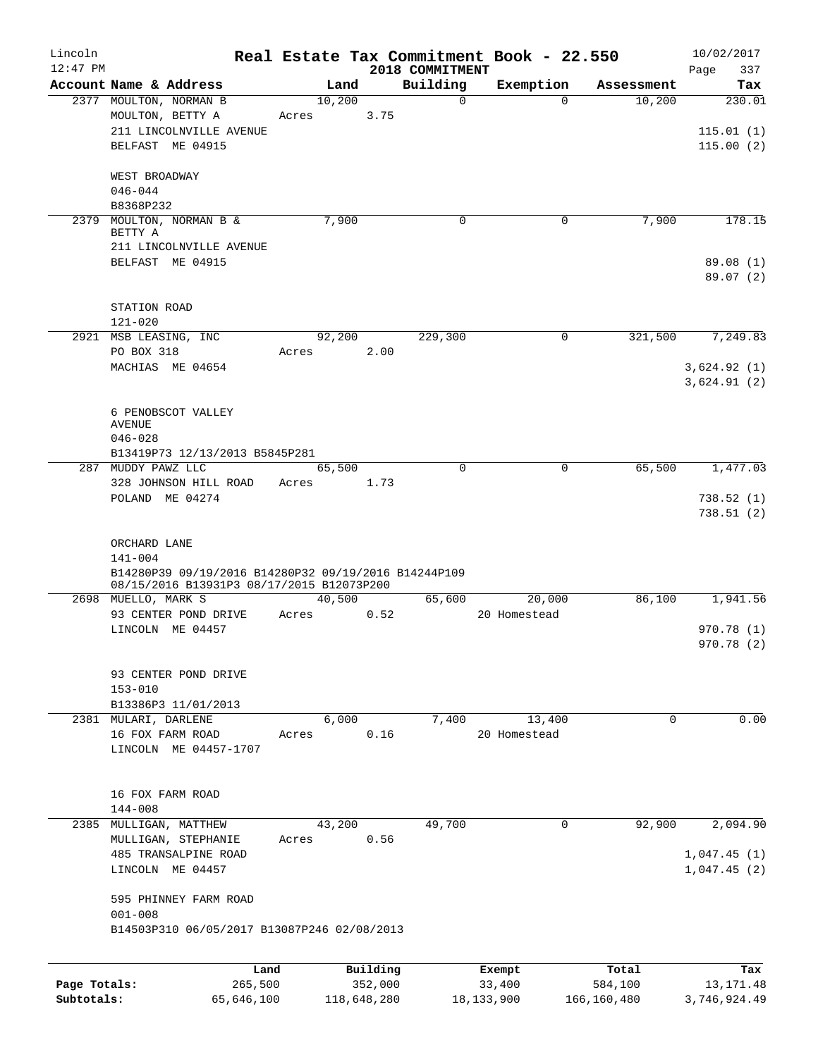| Lincoln      |                                                      |        |             |                 | Real Estate Tax Commitment Book - 22.550 |             | 10/02/2017   |
|--------------|------------------------------------------------------|--------|-------------|-----------------|------------------------------------------|-------------|--------------|
| $12:47$ PM   |                                                      |        |             | 2018 COMMITMENT |                                          |             | Page<br>337  |
|              | Account Name & Address                               | Land   |             | Building        | Exemption                                | Assessment  | Tax          |
|              | 2377 MOULTON, NORMAN B                               | 10,200 |             | $\mathsf{O}$    | $\Omega$                                 | 10,200      | 230.01       |
|              | MOULTON, BETTY A                                     | Acres  | 3.75        |                 |                                          |             |              |
|              | 211 LINCOLNVILLE AVENUE                              |        |             |                 |                                          |             | 115.01(1)    |
|              | BELFAST ME 04915                                     |        |             |                 |                                          |             | 115.00(2)    |
|              | WEST BROADWAY                                        |        |             |                 |                                          |             |              |
|              | $046 - 044$                                          |        |             |                 |                                          |             |              |
|              | B8368P232                                            |        |             |                 |                                          |             |              |
| 2379         | MOULTON, NORMAN B &                                  | 7,900  |             | $\mathbf 0$     | 0                                        | 7,900       | 178.15       |
|              | BETTY A<br>211 LINCOLNVILLE AVENUE                   |        |             |                 |                                          |             |              |
|              | BELFAST ME 04915                                     |        |             |                 |                                          |             | 89.08 (1)    |
|              |                                                      |        |             |                 |                                          |             | 89.07(2)     |
|              |                                                      |        |             |                 |                                          |             |              |
|              | STATION ROAD                                         |        |             |                 |                                          |             |              |
|              | $121 - 020$                                          |        |             |                 |                                          |             |              |
|              | 2921 MSB LEASING, INC                                | 92,200 |             | 229,300         | 0                                        | 321,500     | 7,249.83     |
|              | PO BOX 318                                           | Acres  | 2.00        |                 |                                          |             |              |
|              | MACHIAS ME 04654                                     |        |             |                 |                                          |             | 3,624.92(1)  |
|              |                                                      |        |             |                 |                                          |             | 3,624.91(2)  |
|              | 6 PENOBSCOT VALLEY                                   |        |             |                 |                                          |             |              |
|              | AVENUE                                               |        |             |                 |                                          |             |              |
|              | $046 - 028$                                          |        |             |                 |                                          |             |              |
|              | B13419P73 12/13/2013 B5845P281                       |        |             |                 |                                          |             |              |
| 287          | MUDDY PAWZ LLC                                       | 65,500 |             | $\Omega$        | $\mathbf 0$                              | 65,500      | 1,477.03     |
|              | 328 JOHNSON HILL ROAD                                | Acres  | 1.73        |                 |                                          |             |              |
|              | POLAND ME 04274                                      |        |             |                 |                                          |             | 738.52(1)    |
|              |                                                      |        |             |                 |                                          |             | 738.51(2)    |
|              | ORCHARD LANE                                         |        |             |                 |                                          |             |              |
|              | $141 - 004$                                          |        |             |                 |                                          |             |              |
|              | B14280P39 09/19/2016 B14280P32 09/19/2016 B14244P109 |        |             |                 |                                          |             |              |
|              | 08/15/2016 B13931P3 08/17/2015 B12073P200            |        |             |                 |                                          |             |              |
|              | 2698 MUELLO, MARK S                                  | 40,500 |             | 65,600          | 20,000                                   | 86,100      | 1,941.56     |
|              | 93 CENTER POND DRIVE                                 | Acres  | 0.52        |                 | 20 Homestead                             |             |              |
|              | LINCOLN ME 04457                                     |        |             |                 |                                          |             | 970.78(1)    |
|              |                                                      |        |             |                 |                                          |             | 970.78 (2)   |
|              | 93 CENTER POND DRIVE                                 |        |             |                 |                                          |             |              |
|              | $153 - 010$                                          |        |             |                 |                                          |             |              |
|              | B13386P3 11/01/2013                                  |        |             |                 |                                          |             |              |
|              | 2381 MULARI, DARLENE                                 | 6,000  |             | 7,400           | 13,400                                   | $\mathbf 0$ | 0.00         |
|              | 16 FOX FARM ROAD                                     | Acres  | 0.16        |                 | 20 Homestead                             |             |              |
|              | LINCOLN ME 04457-1707                                |        |             |                 |                                          |             |              |
|              |                                                      |        |             |                 |                                          |             |              |
|              |                                                      |        |             |                 |                                          |             |              |
|              | 16 FOX FARM ROAD                                     |        |             |                 |                                          |             |              |
|              | 144-008                                              |        |             |                 |                                          |             |              |
|              | 2385 MULLIGAN, MATTHEW                               | 43,200 | 0.56        | 49,700          | 0                                        | 92,900      | 2,094.90     |
|              | MULLIGAN, STEPHANIE<br>485 TRANSALPINE ROAD          | Acres  |             |                 |                                          |             | 1,047.45(1)  |
|              | LINCOLN ME 04457                                     |        |             |                 |                                          |             | 1,047.45(2)  |
|              |                                                      |        |             |                 |                                          |             |              |
|              | 595 PHINNEY FARM ROAD                                |        |             |                 |                                          |             |              |
|              | $001 - 008$                                          |        |             |                 |                                          |             |              |
|              | B14503P310 06/05/2017 B13087P246 02/08/2013          |        |             |                 |                                          |             |              |
|              |                                                      |        |             |                 |                                          |             |              |
|              | Land                                                 |        | Building    |                 | Exempt                                   | Total       | Tax          |
| Page Totals: | 265,500                                              |        | 352,000     |                 | 33,400                                   | 584,100     | 13, 171. 48  |
| Subtotals:   | 65,646,100                                           |        | 118,648,280 |                 | 18, 133, 900                             | 166,160,480 | 3,746,924.49 |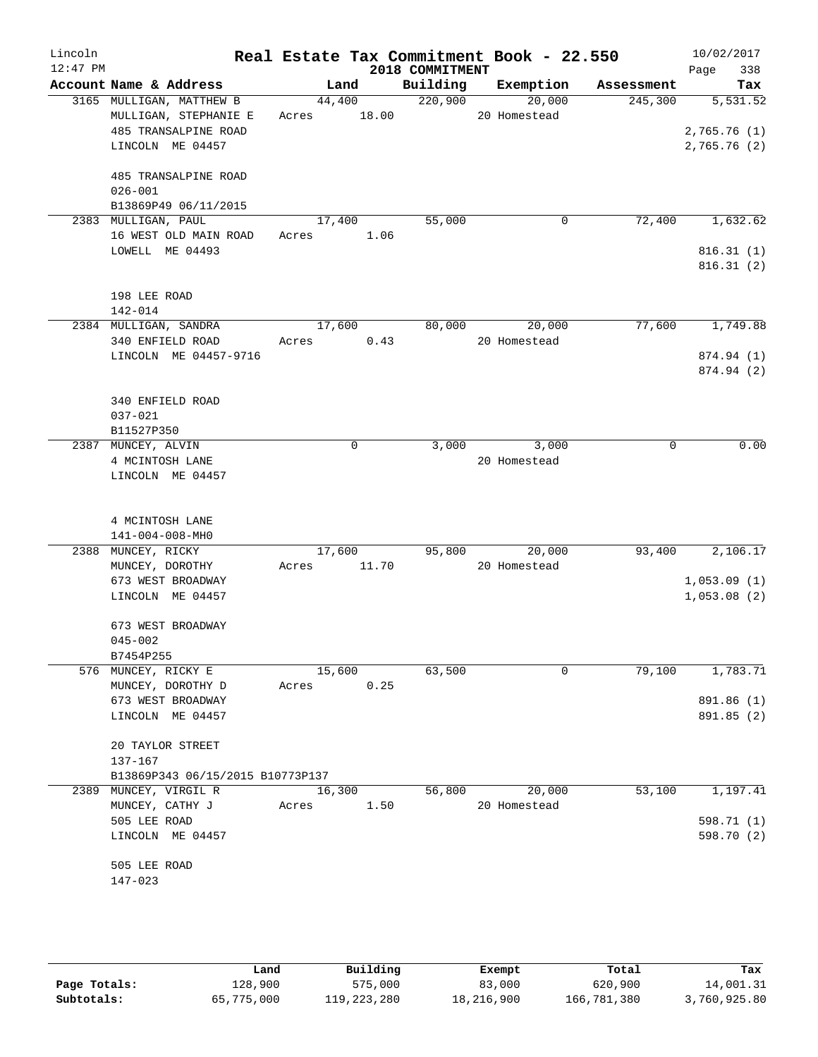| Lincoln<br>$12:47$ PM |                                                                                               |             |                | 2018 COMMITMENT | Real Estate Tax Commitment Book - 22.550 |            | 10/02/2017<br>338<br>Page               |
|-----------------------|-----------------------------------------------------------------------------------------------|-------------|----------------|-----------------|------------------------------------------|------------|-----------------------------------------|
|                       | Account Name & Address                                                                        |             | Land           |                 | Building Exemption                       | Assessment | Tax                                     |
|                       | 3165 MULLIGAN, MATTHEW B<br>MULLIGAN, STEPHANIE E<br>485 TRANSALPINE ROAD<br>LINCOLN ME 04457 | Acres 18.00 |                | 44,400 220,900  | 20,000<br>20 Homestead                   | 245,300    | 5,531.52<br>2,765.76(1)<br>2,765.76 (2) |
|                       | 485 TRANSALPINE ROAD<br>$026 - 001$<br>B13869P49 06/11/2015                                   |             |                |                 |                                          |            |                                         |
|                       | 2383 MULLIGAN, PAUL                                                                           |             | 17,400         | 55,000          | 0                                        | 72,400     | 1,632.62                                |
|                       | 16 WEST OLD MAIN ROAD<br>LOWELL ME 04493                                                      | Acres 1.06  |                |                 |                                          |            | 816.31(1)<br>816.31(2)                  |
|                       | 198 LEE ROAD<br>$142 - 014$                                                                   |             |                |                 |                                          |            |                                         |
|                       | 2384 MULLIGAN, SANDRA                                                                         |             | 17,600         | 80,000          | 20,000                                   | 77,600     | 1,749.88                                |
|                       | 340 ENFIELD ROAD<br>LINCOLN ME 04457-9716                                                     | Acres       | 0.43           |                 | 20 Homestead                             |            | 874.94 (1)                              |
|                       |                                                                                               |             |                |                 |                                          |            | 874.94 (2)                              |
|                       | 340 ENFIELD ROAD<br>$037 - 021$<br>B11527P350                                                 |             |                |                 |                                          |            |                                         |
|                       | 2387 MUNCEY, ALVIN                                                                            |             | 0              | 3,000           | 3,000                                    | 0          | 0.00                                    |
|                       | 4 MCINTOSH LANE<br>LINCOLN ME 04457                                                           |             |                |                 | 20 Homestead                             |            |                                         |
|                       | 4 MCINTOSH LANE<br>141-004-008-MH0                                                            |             |                |                 |                                          |            |                                         |
|                       | 2388 MUNCEY, RICKY                                                                            |             | 17,600         |                 | 95,800 20,000                            | 93,400     | 2,106.17                                |
|                       | MUNCEY, DOROTHY                                                                               | Acres 11.70 |                |                 | 20 Homestead                             |            |                                         |
|                       | 673 WEST BROADWAY<br>LINCOLN ME 04457                                                         |             |                |                 |                                          |            | 1,053.09(1)<br>1,053.08(2)              |
|                       | 673 WEST BROADWAY<br>$045 - 002$                                                              |             |                |                 |                                          |            |                                         |
|                       | B7454P255                                                                                     |             |                |                 | 0                                        |            |                                         |
|                       | 576 MUNCEY, RICKY E<br>MUNCEY, DOROTHY D                                                      | Acres       | 15,600<br>0.25 | 63,500          |                                          | 79,100     | 1,783.71                                |
|                       | 673 WEST BROADWAY                                                                             |             |                |                 |                                          |            | 891.86 (1)                              |
|                       | LINCOLN ME 04457                                                                              |             |                |                 |                                          |            | 891.85 (2)                              |
|                       | 20 TAYLOR STREET<br>137-167                                                                   |             |                |                 |                                          |            |                                         |
|                       | B13869P343 06/15/2015 B10773P137                                                              |             |                |                 |                                          |            |                                         |
|                       | 2389 MUNCEY, VIRGIL R                                                                         | 16,300      |                | 56,800          | 20,000                                   | 53,100     | 1,197.41                                |
|                       | MUNCEY, CATHY J                                                                               | Acres       | 1.50           |                 | 20 Homestead                             |            |                                         |
|                       | 505 LEE ROAD<br>LINCOLN ME 04457                                                              |             |                |                 |                                          |            | 598.71 (1)<br>598.70 (2)                |
|                       | 505 LEE ROAD                                                                                  |             |                |                 |                                          |            |                                         |
|                       | 147-023                                                                                       |             |                |                 |                                          |            |                                         |

|              | úand       | Building    | Exempt     | Total       | Tax          |
|--------------|------------|-------------|------------|-------------|--------------|
| Page Totals: | 128,900    | 575,000     | 83,000     | 620,900     | 14,001.31    |
| Subtotals:   | 65,775,000 | 119,223,280 | 18,216,900 | 166,781,380 | 3,760,925.80 |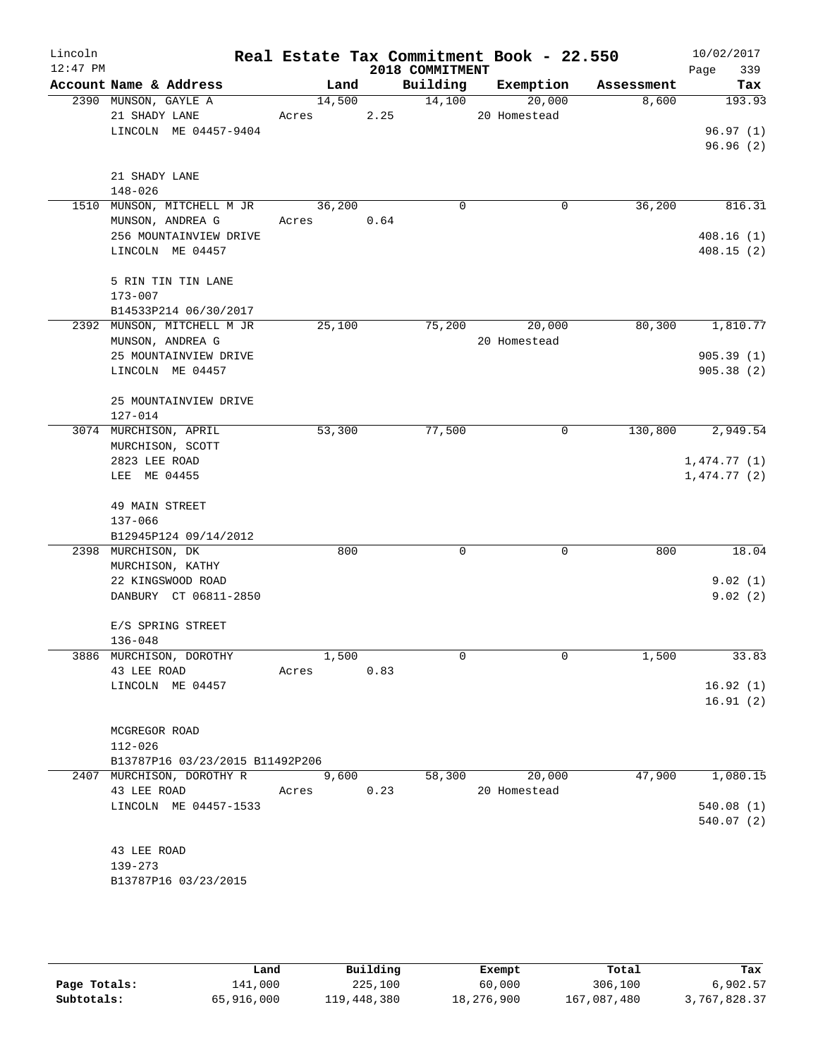| Lincoln<br>$12:47$ PM |                                                |                 |       | 2018 COMMITMENT | Real Estate Tax Commitment Book - 22.550 |            | 10/02/2017<br>Page<br>339 |
|-----------------------|------------------------------------------------|-----------------|-------|-----------------|------------------------------------------|------------|---------------------------|
|                       | Account Name & Address                         | Land            |       | Building        | Exemption                                | Assessment | Tax                       |
|                       | 2390 MUNSON, GAYLE A                           | 14,500          |       | 14,100          | 20,000                                   | 8,600      | 193.93                    |
|                       | 21 SHADY LANE                                  | Acres           | 2.25  |                 | 20 Homestead                             |            |                           |
|                       | LINCOLN ME 04457-9404                          |                 |       |                 |                                          |            | 96.97(1)                  |
|                       |                                                |                 |       |                 |                                          |            | 96.96(2)                  |
|                       | 21 SHADY LANE                                  |                 |       |                 |                                          |            |                           |
|                       | $148 - 026$                                    |                 |       |                 |                                          |            |                           |
|                       | 1510 MUNSON, MITCHELL M JR<br>MUNSON, ANDREA G | 36,200<br>Acres | 0.64  | $\Omega$        | 0                                        | 36,200     | 816.31                    |
|                       | 256 MOUNTAINVIEW DRIVE                         |                 |       |                 |                                          |            | 408.16(1)                 |
|                       | LINCOLN ME 04457                               |                 |       |                 |                                          |            | 408.15(2)                 |
|                       | 5 RIN TIN TIN LANE<br>$173 - 007$              |                 |       |                 |                                          |            |                           |
|                       | B14533P214 06/30/2017                          |                 |       |                 |                                          |            |                           |
|                       | 2392 MUNSON, MITCHELL M JR<br>MUNSON, ANDREA G | 25,100          |       | 75,200          | 20,000<br>20 Homestead                   | 80,300     | 1,810.77                  |
|                       | 25 MOUNTAINVIEW DRIVE                          |                 |       |                 |                                          |            | 905.39(1)                 |
|                       | LINCOLN ME 04457                               |                 |       |                 |                                          |            | 905.38(2)                 |
|                       | 25 MOUNTAINVIEW DRIVE<br>$127 - 014$           |                 |       |                 |                                          |            |                           |
|                       | 3074 MURCHISON, APRIL                          | 53,300          |       | 77,500          | $\mathbf 0$                              | 130,800    | 2,949.54                  |
|                       | MURCHISON, SCOTT                               |                 |       |                 |                                          |            |                           |
|                       | 2823 LEE ROAD                                  |                 |       |                 |                                          |            | 1,474.77(1)               |
|                       | LEE ME 04455                                   |                 |       |                 |                                          |            | 1,474.77(2)               |
|                       | 49 MAIN STREET                                 |                 |       |                 |                                          |            |                           |
|                       | 137-066                                        |                 |       |                 |                                          |            |                           |
|                       | B12945P124 09/14/2012                          |                 |       |                 |                                          |            |                           |
|                       | 2398 MURCHISON, DK                             |                 | 800   | $\Omega$        | $\Omega$                                 | 800        | 18.04                     |
|                       | MURCHISON, KATHY                               |                 |       |                 |                                          |            |                           |
|                       | 22 KINGSWOOD ROAD                              |                 |       |                 |                                          |            | 9.02(1)                   |
|                       | DANBURY CT 06811-2850                          |                 |       |                 |                                          |            | 9.02(2)                   |
|                       | E/S SPRING STREET                              |                 |       |                 |                                          |            |                           |
|                       | $136 - 048$                                    |                 |       |                 |                                          |            |                           |
|                       | 3886 MURCHISON, DOROTHY                        | 1,500           |       | $\Omega$        | $\Omega$                                 | 1,500      | 33.83                     |
|                       | 43 LEE ROAD                                    | Acres 0.83      |       |                 |                                          |            |                           |
|                       | LINCOLN ME 04457                               |                 |       |                 |                                          |            | 16.92(1)                  |
|                       |                                                |                 |       |                 |                                          |            | 16.91(2)                  |
|                       | MCGREGOR ROAD                                  |                 |       |                 |                                          |            |                           |
|                       | 112-026                                        |                 |       |                 |                                          |            |                           |
|                       | B13787P16 03/23/2015 B11492P206                |                 |       |                 |                                          |            |                           |
|                       | 2407 MURCHISON, DOROTHY R                      |                 | 9,600 |                 | 58,300 20,000                            | 47,900     | 1,080.15                  |
|                       | 43 LEE ROAD                                    | Acres 0.23      |       |                 | 20 Homestead                             |            |                           |
|                       | LINCOLN ME 04457-1533                          |                 |       |                 |                                          |            | 540.08(1)                 |
|                       |                                                |                 |       |                 |                                          |            | 540.07 (2)                |
|                       | 43 LEE ROAD                                    |                 |       |                 |                                          |            |                           |
|                       | 139-273                                        |                 |       |                 |                                          |            |                           |
|                       | B13787P16 03/23/2015                           |                 |       |                 |                                          |            |                           |
|                       |                                                |                 |       |                 |                                          |            |                           |

|              | Land       | Building    | Exempt     | Total       | Tax          |
|--------------|------------|-------------|------------|-------------|--------------|
| Page Totals: | 141,000    | 225,100     | 60,000     | 306,100     | 6,902.57     |
| Subtotals:   | 65,916,000 | 119,448,380 | 18,276,900 | 167,087,480 | 3,767,828.37 |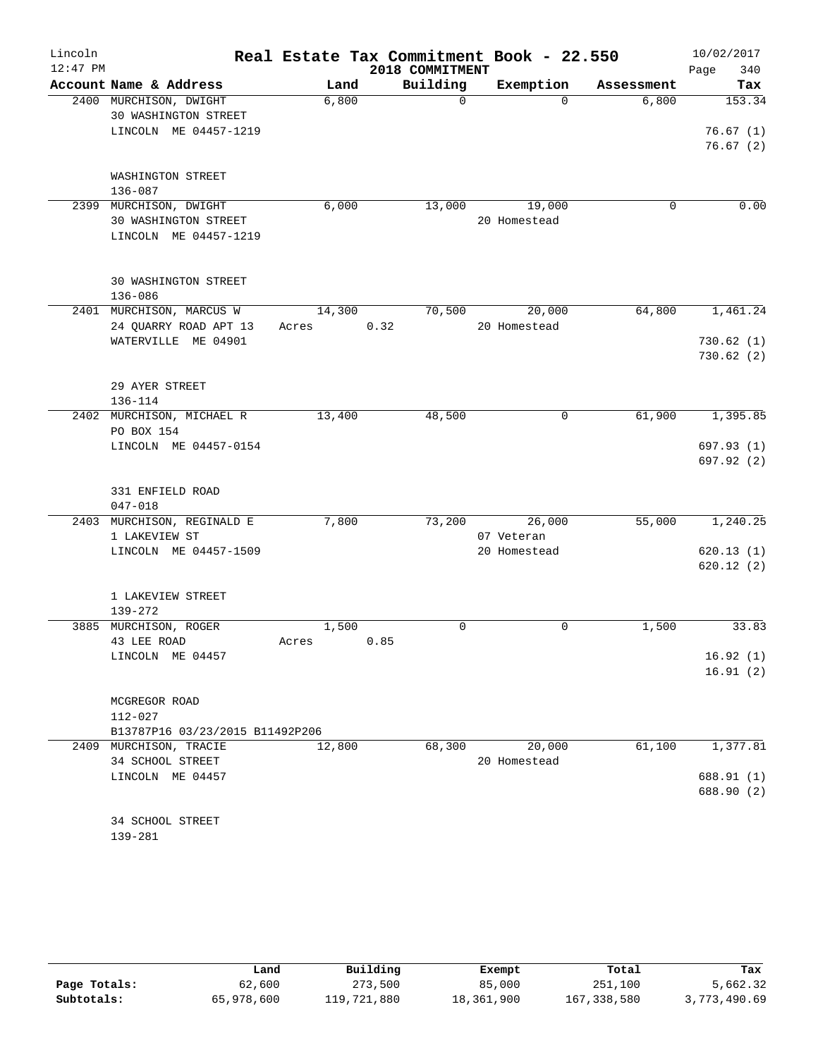| Lincoln<br>$12:47$ PM |                                                |        | Real Estate Tax Commitment Book - 22.550<br>2018 COMMITMENT |                        |            | 10/02/2017<br>340<br>Page |
|-----------------------|------------------------------------------------|--------|-------------------------------------------------------------|------------------------|------------|---------------------------|
|                       | Account Name & Address                         | Land   | Building                                                    | Exemption              | Assessment | Tax                       |
|                       | 2400 MURCHISON, DWIGHT<br>30 WASHINGTON STREET | 6,800  | $\Omega$                                                    | $\Omega$               | 6,800      | 153.34                    |
|                       | LINCOLN ME 04457-1219                          |        |                                                             |                        |            | 76.67(1)<br>76.67(2)      |
|                       | WASHINGTON STREET<br>136-087                   |        |                                                             |                        |            |                           |
|                       | 2399 MURCHISON, DWIGHT                         | 6,000  | 13,000                                                      | 19,000                 | $\Omega$   | 0.00                      |
|                       | 30 WASHINGTON STREET<br>LINCOLN ME 04457-1219  |        |                                                             | 20 Homestead           |            |                           |
|                       | 30 WASHINGTON STREET<br>$136 - 086$            |        |                                                             |                        |            |                           |
|                       | 2401 MURCHISON, MARCUS W                       | 14,300 | 70,500                                                      | 20,000                 | 64,800     | 1,461.24                  |
|                       | 24 QUARRY ROAD APT 13                          | Acres  | 0.32                                                        | 20 Homestead           |            |                           |
|                       | WATERVILLE ME 04901                            |        |                                                             |                        |            | 730.62(1)                 |
|                       |                                                |        |                                                             |                        |            | 730.62(2)                 |
|                       | 29 AYER STREET<br>136-114                      |        |                                                             |                        |            |                           |
|                       | 2402 MURCHISON, MICHAEL R                      | 13,400 | 48,500                                                      | 0                      | 61,900     | 1,395.85                  |
|                       | PO BOX 154                                     |        |                                                             |                        |            |                           |
|                       | LINCOLN ME 04457-0154                          |        |                                                             |                        |            | 697.93(1)                 |
|                       |                                                |        |                                                             |                        |            | 697.92 (2)                |
|                       | 331 ENFIELD ROAD<br>$047 - 018$                |        |                                                             |                        |            |                           |
|                       | 2403 MURCHISON, REGINALD E                     | 7,800  | 73,200                                                      | 26,000                 | 55,000     | 1,240.25                  |
|                       | 1 LAKEVIEW ST                                  |        |                                                             | 07 Veteran             |            |                           |
|                       | LINCOLN ME 04457-1509                          |        |                                                             | 20 Homestead           |            | 620.13(1)                 |
|                       |                                                |        |                                                             |                        |            | 620.12(2)                 |
|                       | 1 LAKEVIEW STREET                              |        |                                                             |                        |            |                           |
|                       | $139 - 272$                                    |        |                                                             |                        |            |                           |
|                       | 3885 MURCHISON, ROGER                          | 1,500  | 0                                                           | 0                      | 1,500      | 33.83                     |
|                       | 43 LEE ROAD                                    | Acres  | 0.85                                                        |                        |            |                           |
|                       | LINCOLN ME 04457                               |        |                                                             |                        |            | 16.92(1)                  |
|                       |                                                |        |                                                             |                        |            | 16.91(2)                  |
|                       | MCGREGOR ROAD                                  |        |                                                             |                        |            |                           |
|                       | 112-027                                        |        |                                                             |                        |            |                           |
|                       | B13787P16 03/23/2015 B11492P206                |        |                                                             |                        |            |                           |
|                       | 2409 MURCHISON, TRACIE                         | 12,800 | 68,300                                                      | 20,000<br>20 Homestead | 61,100     | 1,377.81                  |
|                       | 34 SCHOOL STREET<br>LINCOLN ME 04457           |        |                                                             |                        |            | 688.91 (1)                |
|                       |                                                |        |                                                             |                        |            | 688.90 (2)                |
|                       | 34 SCHOOL STREET<br>139-281                    |        |                                                             |                        |            |                           |
|                       |                                                |        |                                                             |                        |            |                           |

|              | Land       | Building    | Exempt     | Total         | Tax          |
|--------------|------------|-------------|------------|---------------|--------------|
| Page Totals: | 62,600     | 273,500     | 85,000     | 251,100       | 5,662.32     |
| Subtotals:   | 65,978,600 | 119,721,880 | 18,361,900 | 167, 338, 580 | 3,773,490.69 |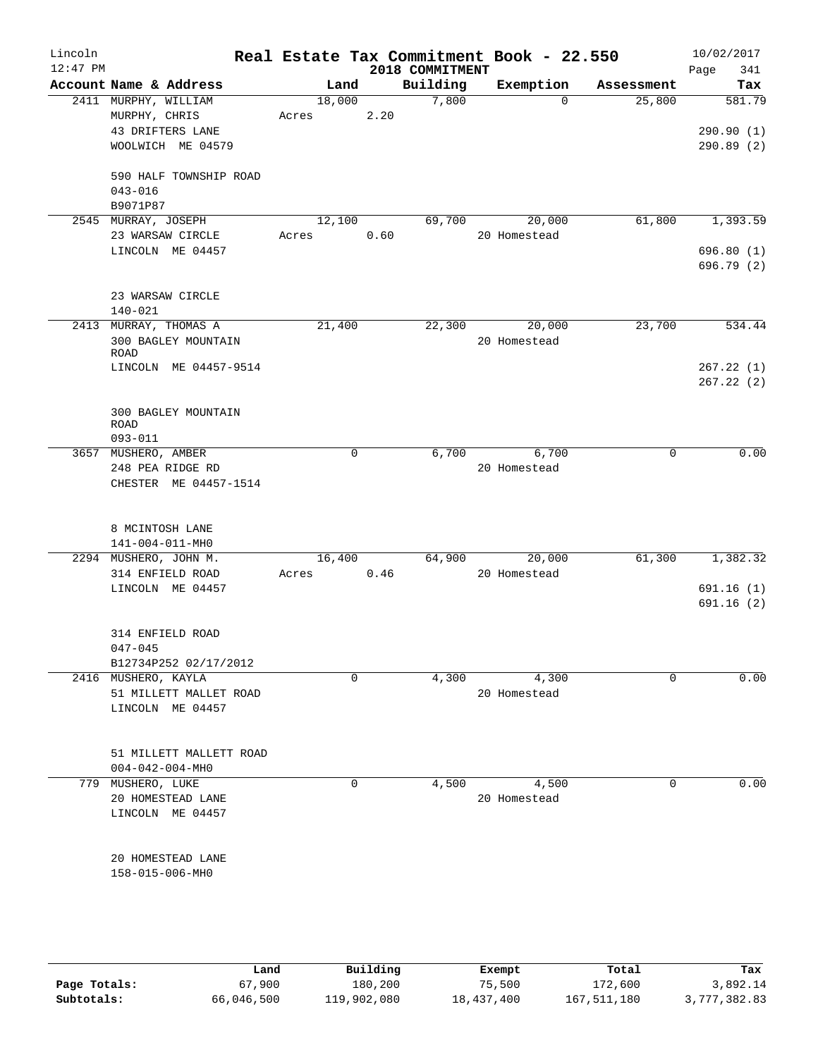| Lincoln<br>$12:47$ PM |                                                                   |                 |      | 2018 COMMITMENT | Real Estate Tax Commitment Book - 22.550 |             | 10/02/2017<br>341<br>Page |
|-----------------------|-------------------------------------------------------------------|-----------------|------|-----------------|------------------------------------------|-------------|---------------------------|
|                       | Account Name & Address                                            | Land            |      | Building        | Exemption                                | Assessment  | Tax                       |
|                       | 2411 MURPHY, WILLIAM<br>MURPHY, CHRIS                             | 18,000<br>Acres | 2.20 | 7,800           | $\Omega$                                 | 25,800      | 581.79                    |
|                       | 43 DRIFTERS LANE<br>WOOLWICH ME 04579                             |                 |      |                 |                                          |             | 290.90(1)<br>290.89(2)    |
|                       | 590 HALF TOWNSHIP ROAD<br>$043 - 016$<br>B9071P87                 |                 |      |                 |                                          |             |                           |
|                       | 2545 MURRAY, JOSEPH<br>23 WARSAW CIRCLE                           | 12,100<br>Acres | 0.60 | 69,700          | 20,000<br>20 Homestead                   | 61,800      | 1,393.59                  |
|                       | LINCOLN ME 04457                                                  |                 |      |                 |                                          |             | 696.80(1)<br>696.79 (2)   |
|                       | 23 WARSAW CIRCLE<br>$140 - 021$                                   |                 |      |                 |                                          |             |                           |
|                       | 2413 MURRAY, THOMAS A<br>300 BAGLEY MOUNTAIN<br>ROAD              | 21,400          |      | 22,300          | 20,000<br>20 Homestead                   | 23,700      | 534.44                    |
|                       | LINCOLN ME 04457-9514                                             |                 |      |                 |                                          |             | 267.22(1)<br>267.22(2)    |
|                       | 300 BAGLEY MOUNTAIN<br>ROAD<br>$093 - 011$                        |                 |      |                 |                                          |             |                           |
|                       | 3657 MUSHERO, AMBER                                               |                 | 0    | 6,700           | 6,700                                    | 0           | 0.00                      |
|                       | 248 PEA RIDGE RD<br>CHESTER ME 04457-1514                         |                 |      |                 | 20 Homestead                             |             |                           |
|                       | 8 MCINTOSH LANE<br>141-004-011-MH0                                |                 |      |                 |                                          |             |                           |
|                       | 2294 MUSHERO, JOHN M.                                             | 16,400          |      | 64,900          | 20,000                                   | 61,300      | 1,382.32                  |
|                       | 314 ENFIELD ROAD<br>LINCOLN ME 04457                              | Acres 0.46      |      |                 | 20 Homestead                             |             | 691.16(1)<br>691.16(2)    |
|                       | 314 ENFIELD ROAD<br>$047 - 045$                                   |                 |      |                 |                                          |             |                           |
|                       | B12734P252 02/17/2012                                             |                 |      |                 |                                          |             |                           |
|                       | 2416 MUSHERO, KAYLA<br>51 MILLETT MALLET ROAD<br>LINCOLN ME 04457 |                 | 0    | 4,300           | 4,300<br>20 Homestead                    | $\mathbf 0$ | 0.00                      |
|                       | 51 MILLETT MALLETT ROAD<br>$004 - 042 - 004 - MHz$                |                 |      |                 |                                          |             |                           |
|                       | 779 MUSHERO, LUKE<br>20 HOMESTEAD LANE<br>LINCOLN ME 04457        |                 | 0    | 4,500           | 4,500<br>20 Homestead                    | 0           | 0.00                      |
|                       | 20 HOMESTEAD LANE<br>158-015-006-MH0                              |                 |      |                 |                                          |             |                           |
|                       |                                                                   |                 |      |                 |                                          |             |                           |

|              | Land       | Building    | Exempt     | Total       | Tax          |
|--------------|------------|-------------|------------|-------------|--------------|
| Page Totals: | 67,900     | 180,200     | 75,500     | 172,600     | 3,892.14     |
| Subtotals:   | 66,046,500 | 119,902,080 | 18,437,400 | 167,511,180 | 3,777,382.83 |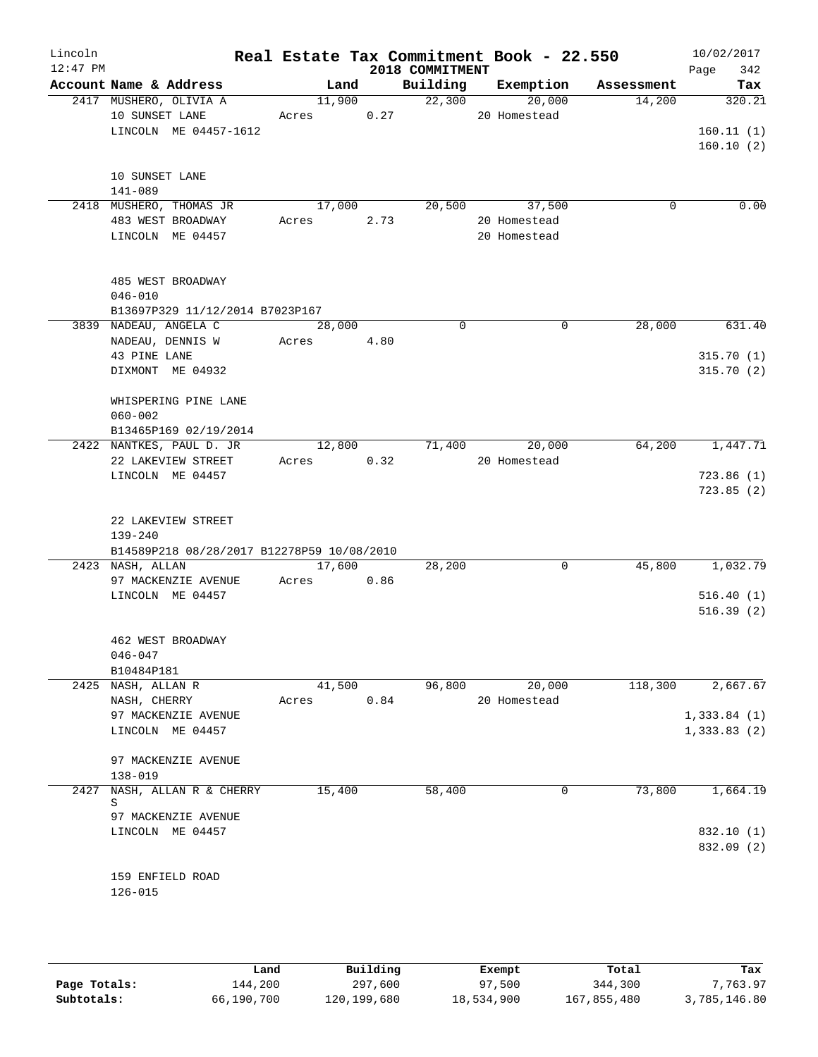| Lincoln<br>$12:47$ PM |                    |                                            |            |        | 2018 COMMITMENT | Real Estate Tax Commitment Book - 22.550 |            | 10/02/2017<br>342<br>Page |
|-----------------------|--------------------|--------------------------------------------|------------|--------|-----------------|------------------------------------------|------------|---------------------------|
|                       |                    | Account Name & Address                     |            | Land   |                 | Building Exemption                       | Assessment | Tax                       |
|                       |                    | 2417 MUSHERO, OLIVIA A                     | 11,900     |        | 22,300          | 20,000                                   | 14,200     | 320.21                    |
|                       | 10 SUNSET LANE     |                                            | Acres 0.27 |        |                 | 20 Homestead                             |            |                           |
|                       |                    | LINCOLN ME 04457-1612                      |            |        |                 |                                          |            | 160.11(1)<br>160.10(2)    |
|                       | 10 SUNSET LANE     |                                            |            |        |                 |                                          |            |                           |
|                       | 141-089            |                                            |            |        |                 |                                          |            |                           |
|                       |                    | 2418 MUSHERO, THOMAS JR                    | 17,000     |        | 20,500          | 37,500                                   | $\Omega$   | 0.00                      |
|                       |                    | 483 WEST BROADWAY                          | Acres      | 2.73   |                 | 20 Homestead                             |            |                           |
|                       |                    | LINCOLN ME 04457                           |            |        |                 | 20 Homestead                             |            |                           |
|                       |                    | 485 WEST BROADWAY                          |            |        |                 |                                          |            |                           |
|                       | $046 - 010$        |                                            |            |        |                 |                                          |            |                           |
|                       |                    | B13697P329 11/12/2014 B7023P167            |            |        |                 |                                          |            |                           |
|                       |                    | 3839 NADEAU, ANGELA C                      | 28,000     |        | $\Omega$        | $\Omega$                                 | 28,000     | 631.40                    |
|                       |                    | NADEAU, DENNIS W                           | Acres 4.80 |        |                 |                                          |            |                           |
|                       | 43 PINE LANE       |                                            |            |        |                 |                                          |            | 315.70(1)                 |
|                       |                    | DIXMONT ME 04932                           |            |        |                 |                                          |            | 315.70(2)                 |
|                       |                    | WHISPERING PINE LANE                       |            |        |                 |                                          |            |                           |
|                       | $060 - 002$        |                                            |            |        |                 |                                          |            |                           |
|                       |                    | B13465P169 02/19/2014                      |            |        |                 |                                          |            |                           |
|                       |                    | 2422 NANTKES, PAUL D. JR                   |            | 12,800 | 71,400          | 20,000                                   | 64,200     | 1,447.71                  |
|                       |                    | 22 LAKEVIEW STREET                         | Acres 0.32 |        |                 | 20 Homestead                             |            |                           |
|                       |                    | LINCOLN ME 04457                           |            |        |                 |                                          |            | 723.86(1)<br>723.85(2)    |
|                       |                    |                                            |            |        |                 |                                          |            |                           |
|                       |                    | 22 LAKEVIEW STREET                         |            |        |                 |                                          |            |                           |
|                       | $139 - 240$        |                                            |            |        |                 |                                          |            |                           |
|                       |                    | B14589P218 08/28/2017 B12278P59 10/08/2010 |            |        |                 |                                          |            |                           |
|                       | 2423 NASH, ALLAN   |                                            | 17,600     |        | 28,200          | 0                                        | 45,800     | 1,032.79                  |
|                       |                    | 97 MACKENZIE AVENUE                        | Acres      | 0.86   |                 |                                          |            |                           |
|                       |                    | LINCOLN ME 04457                           |            |        |                 |                                          |            | 516.40(1)                 |
|                       |                    |                                            |            |        |                 |                                          |            | 516.39(2)                 |
|                       |                    |                                            |            |        |                 |                                          |            |                           |
|                       | $046 - 047$        | 462 WEST BROADWAY                          |            |        |                 |                                          |            |                           |
|                       | B10484P181         |                                            |            |        |                 |                                          |            |                           |
|                       | 2425 NASH, ALLAN R |                                            | 41,500     |        | 96,800          | 20,000                                   | 118,300    | 2,667.67                  |
|                       | NASH, CHERRY       |                                            | Acres      | 0.84   |                 | 20 Homestead                             |            |                           |
|                       |                    | 97 MACKENZIE AVENUE                        |            |        |                 |                                          |            | 1,333.84(1)               |
|                       |                    | LINCOLN ME 04457                           |            |        |                 |                                          |            | 1,333.83(2)               |
|                       |                    | 97 MACKENZIE AVENUE                        |            |        |                 |                                          |            |                           |
|                       | 138-019            |                                            |            |        |                 |                                          |            |                           |
|                       | S                  | 2427 NASH, ALLAN R & CHERRY                | 15,400     |        | 58,400          | 0                                        | 73,800     | 1,664.19                  |
|                       |                    | 97 MACKENZIE AVENUE                        |            |        |                 |                                          |            |                           |
|                       |                    | LINCOLN ME 04457                           |            |        |                 |                                          |            | 832.10 (1)                |
|                       |                    |                                            |            |        |                 |                                          |            | 832.09 (2)                |
|                       |                    |                                            |            |        |                 |                                          |            |                           |
|                       |                    | 159 ENFIELD ROAD                           |            |        |                 |                                          |            |                           |
|                       | $126 - 015$        |                                            |            |        |                 |                                          |            |                           |
|                       |                    |                                            |            |        |                 |                                          |            |                           |

|              | Land       | Building    | Exempt     | Total       | Tax          |
|--------------|------------|-------------|------------|-------------|--------------|
| Page Totals: | ⊥44,200    | 297,600     | 97,500     | 344,300     | 7.763.97     |
| Subtotals:   | 66,190,700 | 120,199,680 | 18,534,900 | 167,855,480 | 3,785,146.80 |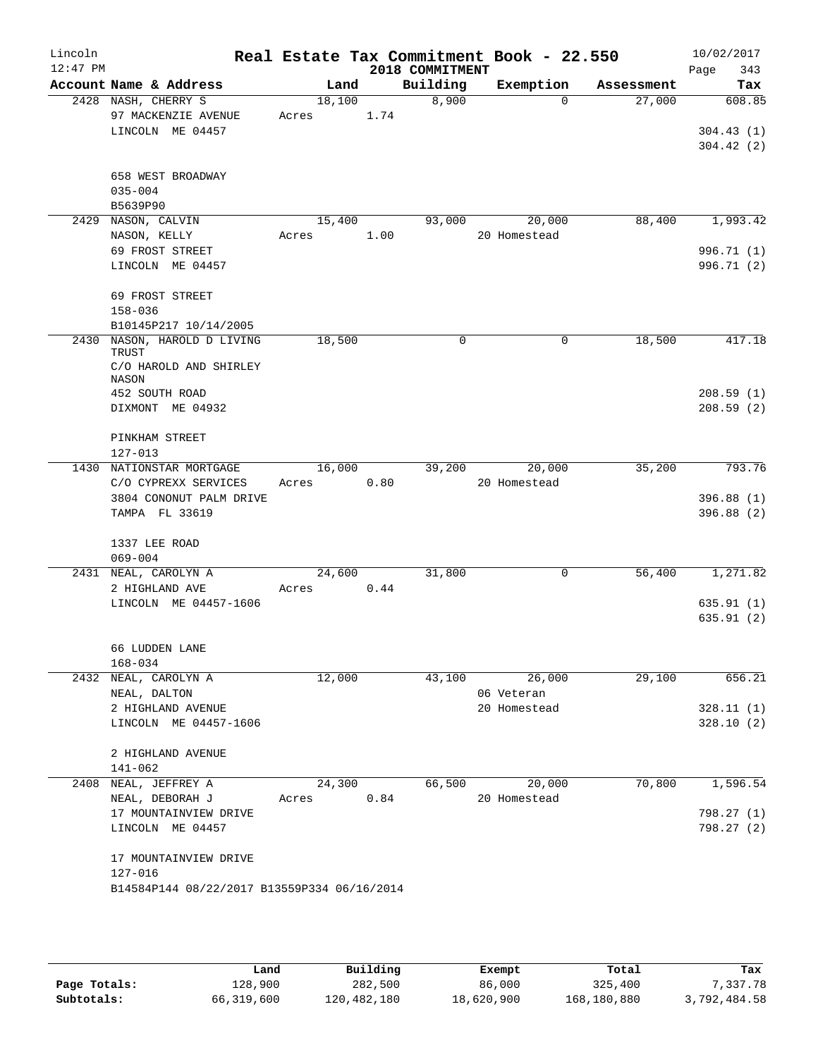| Lincoln    |                                             |        |      |                             | Real Estate Tax Commitment Book - 22.550 |            | 10/02/2017         |
|------------|---------------------------------------------|--------|------|-----------------------------|------------------------------------------|------------|--------------------|
| $12:47$ PM | Account Name & Address                      | Land   |      | 2018 COMMITMENT<br>Building | Exemption                                | Assessment | 343<br>Page<br>Tax |
|            | 2428 NASH, CHERRY S                         | 18,100 |      | 8,900                       | $\Omega$                                 | 27,000     | 608.85             |
|            | 97 MACKENZIE AVENUE                         | Acres  | 1.74 |                             |                                          |            |                    |
|            | LINCOLN ME 04457                            |        |      |                             |                                          |            | 304.43(1)          |
|            |                                             |        |      |                             |                                          |            | 304.42(2)          |
|            | 658 WEST BROADWAY                           |        |      |                             |                                          |            |                    |
|            | $035 - 004$                                 |        |      |                             |                                          |            |                    |
|            | B5639P90                                    |        |      |                             |                                          |            |                    |
|            | 2429 NASON, CALVIN                          | 15,400 |      |                             | 93,000<br>20,000                         | 88,400     | 1,993.42           |
|            | NASON, KELLY                                | Acres  | 1.00 |                             | 20 Homestead                             |            |                    |
|            | 69 FROST STREET                             |        |      |                             |                                          |            | 996.71 (1)         |
|            | LINCOLN ME 04457                            |        |      |                             |                                          |            | 996.71 (2)         |
|            | 69 FROST STREET                             |        |      |                             |                                          |            |                    |
|            | $158 - 036$                                 |        |      |                             |                                          |            |                    |
|            | B10145P217 10/14/2005                       |        |      |                             |                                          |            |                    |
|            | 2430 NASON, HAROLD D LIVING<br>TRUST        | 18,500 |      | $\Omega$                    | $\Omega$                                 | 18,500     | 417.18             |
|            | C/O HAROLD AND SHIRLEY<br>NASON             |        |      |                             |                                          |            |                    |
|            | 452 SOUTH ROAD                              |        |      |                             |                                          |            | 208.59(1)          |
|            | DIXMONT ME 04932                            |        |      |                             |                                          |            | 208.59(2)          |
|            | PINKHAM STREET                              |        |      |                             |                                          |            |                    |
|            | $127 - 013$                                 |        |      |                             |                                          |            |                    |
|            | 1430 NATIONSTAR MORTGAGE                    | 16,000 |      | 39,200                      | 20,000                                   | 35,200     | 793.76             |
|            | C/O CYPREXX SERVICES                        | Acres  | 0.80 |                             | 20 Homestead                             |            |                    |
|            | 3804 CONONUT PALM DRIVE                     |        |      |                             |                                          |            | 396.88(1)          |
|            | TAMPA FL 33619                              |        |      |                             |                                          |            | 396.88(2)          |
|            | 1337 LEE ROAD                               |        |      |                             |                                          |            |                    |
|            | $069 - 004$                                 |        |      |                             |                                          |            |                    |
|            | 2431 NEAL, CAROLYN A                        | 24,600 |      | 31,800                      | 0                                        | 56,400     | 1,271.82           |
|            | 2 HIGHLAND AVE                              | Acres  | 0.44 |                             |                                          |            |                    |
|            | LINCOLN ME 04457-1606                       |        |      |                             |                                          |            | 635.91(1)          |
|            |                                             |        |      |                             |                                          |            | 635.91(2)          |
|            | 66 LUDDEN LANE                              |        |      |                             |                                          |            |                    |
|            | $168 - 034$                                 |        |      |                             |                                          |            |                    |
|            | 2432 NEAL, CAROLYN A                        | 12,000 |      | 43,100                      | 26,000                                   | 29,100     | 656.21             |
|            | NEAL, DALTON                                |        |      |                             | 06 Veteran                               |            |                    |
|            | 2 HIGHLAND AVENUE                           |        |      |                             | 20 Homestead                             |            | 328.11(1)          |
|            | LINCOLN ME 04457-1606                       |        |      |                             |                                          |            | 328.10(2)          |
|            | 2 HIGHLAND AVENUE                           |        |      |                             |                                          |            |                    |
|            | $141 - 062$                                 |        |      |                             |                                          |            |                    |
|            | 2408 NEAL, JEFFREY A                        | 24,300 |      | 66,500                      | 20,000                                   | 70,800     | 1,596.54           |
|            | NEAL, DEBORAH J                             | Acres  | 0.84 |                             | 20 Homestead                             |            |                    |
|            | 17 MOUNTAINVIEW DRIVE                       |        |      |                             |                                          |            | 798.27 (1)         |
|            | LINCOLN ME 04457                            |        |      |                             |                                          |            | 798.27 (2)         |
|            | 17 MOUNTAINVIEW DRIVE                       |        |      |                             |                                          |            |                    |
|            | 127-016                                     |        |      |                             |                                          |            |                    |
|            | B14584P144 08/22/2017 B13559P334 06/16/2014 |        |      |                             |                                          |            |                    |
|            |                                             |        |      |                             |                                          |            |                    |

|              | úand       | Building    | Exempt     | Total       | Tax          |
|--------------|------------|-------------|------------|-------------|--------------|
| Page Totals: | 128,900    | 282,500     | 86,000     | 325,400     | 7,337.78     |
| Subtotals:   | 66,319,600 | 120,482,180 | 18,620,900 | 168,180,880 | 3,792,484.58 |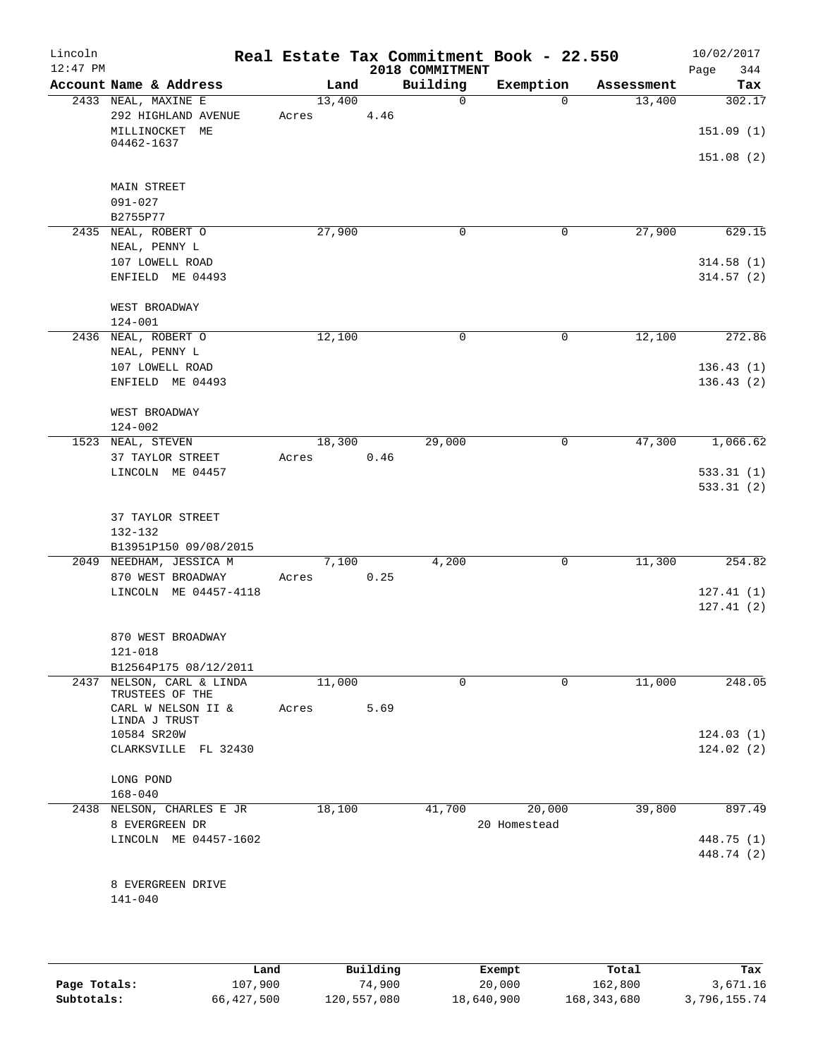| Lincoln<br>$12:47$ PM |                                                                            |       |        |      | Real Estate Tax Commitment Book - 22.550<br>2018 COMMITMENT |              |            | 10/02/2017<br>Page<br>344        |
|-----------------------|----------------------------------------------------------------------------|-------|--------|------|-------------------------------------------------------------|--------------|------------|----------------------------------|
|                       | Account Name & Address                                                     |       | Land   |      | Building                                                    | Exemption    | Assessment | Tax                              |
|                       | 2433 NEAL, MAXINE E<br>292 HIGHLAND AVENUE<br>MILLINOCKET ME<br>04462-1637 | Acres | 13,400 | 4.46 | $\mathsf{O}$                                                | $\Omega$     | 13,400     | 302.17<br>151.09(1)<br>151.08(2) |
|                       | <b>MAIN STREET</b><br>$091 - 027$<br>B2755P77                              |       |        |      |                                                             |              |            |                                  |
|                       | 2435 NEAL, ROBERT O                                                        |       | 27,900 |      | 0                                                           | $\mathbf 0$  | 27,900     | 629.15                           |
|                       | NEAL, PENNY L<br>107 LOWELL ROAD<br>ENFIELD ME 04493                       |       |        |      |                                                             |              |            | 314.58(1)<br>314.57(2)           |
|                       | WEST BROADWAY<br>$124 - 001$                                               |       |        |      |                                                             |              |            |                                  |
|                       | 2436 NEAL, ROBERT O                                                        |       | 12,100 |      | 0                                                           | $\mathsf{O}$ | 12,100     | 272.86                           |
|                       | NEAL, PENNY L<br>107 LOWELL ROAD<br>ENFIELD ME 04493                       |       |        |      |                                                             |              |            | 136.43(1)<br>136.43(2)           |
|                       | WEST BROADWAY<br>$124 - 002$                                               |       |        |      |                                                             |              |            |                                  |
|                       | 1523 NEAL, STEVEN<br>37 TAYLOR STREET<br>LINCOLN ME 04457                  | Acres | 18,300 | 0.46 | 29,000                                                      | $\mathsf{O}$ | 47,300     | 1,066.62<br>533.31(1)            |
|                       | 37 TAYLOR STREET<br>132-132<br>B13951P150 09/08/2015                       |       |        |      |                                                             |              |            | 533.31(2)                        |
|                       | 2049 NEEDHAM, JESSICA M<br>870 WEST BROADWAY<br>LINCOLN ME 04457-4118      | Acres | 7,100  | 0.25 | 4,200                                                       | $\mathsf{O}$ | 11,300     | 254.82<br>127.41(1)<br>127.41(2) |
|                       | 870 WEST BROADWAY<br>$121 - 018$                                           |       |        |      |                                                             |              |            |                                  |
| 2437                  | B12564P175 08/12/2011<br>NELSON, CARL & LINDA                              |       | 11,000 |      | 0                                                           | 0            | 11,000     | 248.05                           |
|                       | TRUSTEES OF THE<br>CARL W NELSON II &<br>LINDA J TRUST                     | Acres |        | 5.69 |                                                             |              |            |                                  |
|                       | 10584 SR20W<br>CLARKSVILLE FL 32430                                        |       |        |      |                                                             |              |            | 124.03(1)<br>124.02(2)           |
|                       | LONG POND<br>$168 - 040$                                                   |       |        |      |                                                             |              |            |                                  |
|                       | 2438 NELSON, CHARLES E JR                                                  |       | 18,100 |      | 41,700                                                      | 20,000       | 39,800     | 897.49                           |
|                       | 8 EVERGREEN DR<br>LINCOLN ME 04457-1602                                    |       |        |      |                                                             | 20 Homestead |            | 448.75 (1)<br>448.74 (2)         |
|                       | 8 EVERGREEN DRIVE<br>$141 - 040$                                           |       |        |      |                                                             |              |            |                                  |
|                       |                                                                            |       |        |      |                                                             |              |            |                                  |

|              | Land       | Building    | Exempt     | Total       | Tax          |
|--------------|------------|-------------|------------|-------------|--------------|
| Page Totals: | 107,900    | 74,900      | 20,000     | 162,800     | 3,671.16     |
| Subtotals:   | 66,427,500 | 120,557,080 | 18,640,900 | 168,343,680 | 3,796,155.74 |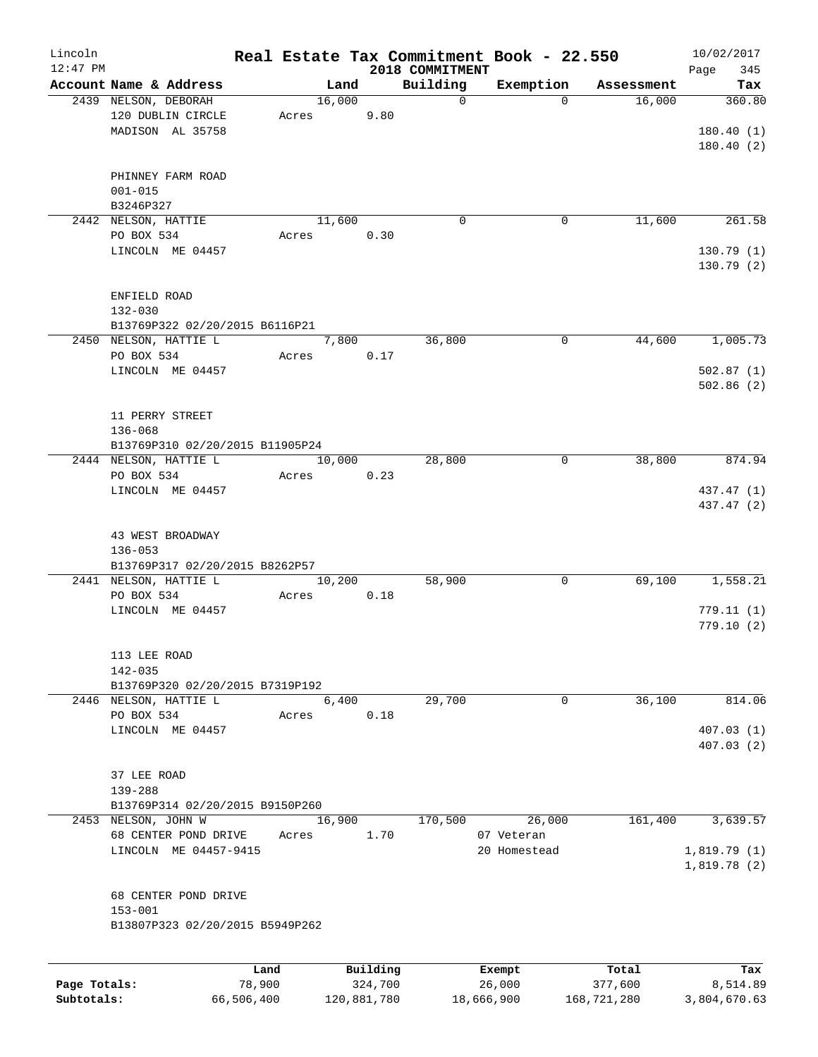| Lincoln<br>$12:47$ PM |                                                          |       |        |          | 2018 COMMITMENT | Real Estate Tax Commitment Book - 22.550 |            | 10/02/2017<br>Page<br>345 |
|-----------------------|----------------------------------------------------------|-------|--------|----------|-----------------|------------------------------------------|------------|---------------------------|
|                       | Account Name & Address                                   |       | Land   |          | Building        | Exemption                                | Assessment | Tax                       |
|                       | 2439 NELSON, DEBORAH                                     |       | 16,000 |          | $\mathbf 0$     | $\Omega$                                 | 16,000     | 360.80                    |
|                       | 120 DUBLIN CIRCLE<br>MADISON AL 35758                    | Acres |        | 9.80     |                 |                                          |            | 180.40(1)                 |
|                       |                                                          |       |        |          |                 |                                          |            | 180.40(2)                 |
|                       | PHINNEY FARM ROAD                                        |       |        |          |                 |                                          |            |                           |
|                       | $001 - 015$<br>B3246P327                                 |       |        |          |                 |                                          |            |                           |
|                       | 2442 NELSON, HATTIE                                      |       | 11,600 |          | 0               | 0                                        | 11,600     | 261.58                    |
|                       | PO BOX 534                                               | Acres |        | 0.30     |                 |                                          |            |                           |
|                       | LINCOLN ME 04457                                         |       |        |          |                 |                                          |            | 130.79(1)<br>130.79(2)    |
|                       | ENFIELD ROAD                                             |       |        |          |                 |                                          |            |                           |
|                       | $132 - 030$                                              |       |        |          |                 |                                          |            |                           |
|                       | B13769P322 02/20/2015 B6116P21                           |       |        |          |                 |                                          |            |                           |
|                       | 2450 NELSON, HATTIE L                                    |       | 7,800  |          | 36,800          | $\mathbf 0$                              | 44,600     | 1,005.73                  |
|                       | PO BOX 534<br>LINCOLN ME 04457                           | Acres |        | 0.17     |                 |                                          |            | 502.87(1)                 |
|                       |                                                          |       |        |          |                 |                                          |            | 502.86(2)                 |
|                       | 11 PERRY STREET                                          |       |        |          |                 |                                          |            |                           |
|                       | 136-068                                                  |       |        |          |                 |                                          |            |                           |
|                       | B13769P310 02/20/2015 B11905P24                          |       |        |          |                 |                                          |            |                           |
|                       | 2444 NELSON, HATTIE L                                    |       | 10,000 |          | 28,800          | 0                                        | 38,800     | 874.94                    |
|                       | PO BOX 534<br>LINCOLN ME 04457                           | Acres |        | 0.23     |                 |                                          |            | 437.47 (1)                |
|                       |                                                          |       |        |          |                 |                                          |            | 437.47 (2)                |
|                       | 43 WEST BROADWAY                                         |       |        |          |                 |                                          |            |                           |
|                       | $136 - 053$                                              |       |        |          |                 |                                          |            |                           |
|                       | B13769P317 02/20/2015 B8262P57                           |       |        |          |                 |                                          |            |                           |
|                       | 2441 NELSON, HATTIE L<br>PO BOX 534                      | Acres | 10,200 | 0.18     | 58,900          | 0                                        | 69,100     | 1,558.21                  |
|                       | LINCOLN ME 04457                                         |       |        |          |                 |                                          |            | 779.11(1)                 |
|                       |                                                          |       |        |          |                 |                                          |            | 779.10(2)                 |
|                       | 113 LEE ROAD                                             |       |        |          |                 |                                          |            |                           |
|                       | $142 - 035$                                              |       |        |          |                 |                                          |            |                           |
|                       | B13769P320 02/20/2015 B7319P192<br>2446 NELSON, HATTIE L |       | 6,400  |          |                 | 0                                        |            | 814.06                    |
|                       | PO BOX 534                                               | Acres |        | 0.18     | 29,700          |                                          | 36,100     |                           |
|                       | LINCOLN ME 04457                                         |       |        |          |                 |                                          |            | 407.03(1)                 |
|                       |                                                          |       |        |          |                 |                                          |            | 407.03(2)                 |
|                       | 37 LEE ROAD                                              |       |        |          |                 |                                          |            |                           |
|                       | 139-288                                                  |       |        |          |                 |                                          |            |                           |
|                       | B13769P314 02/20/2015 B9150P260<br>2453 NELSON, JOHN W   |       | 16,900 |          | 170,500         | 26,000                                   | 161,400    | 3,639.57                  |
|                       | 68 CENTER POND DRIVE                                     | Acres |        | 1.70     |                 | 07 Veteran                               |            |                           |
|                       | LINCOLN ME 04457-9415                                    |       |        |          |                 | 20 Homestead                             |            | 1,819.79(1)               |
|                       |                                                          |       |        |          |                 |                                          |            | 1,819.78(2)               |
|                       | 68 CENTER POND DRIVE                                     |       |        |          |                 |                                          |            |                           |
|                       | $153 - 001$                                              |       |        |          |                 |                                          |            |                           |
|                       | B13807P323 02/20/2015 B5949P262                          |       |        |          |                 |                                          |            |                           |
|                       |                                                          | Land  |        | Building |                 | Exempt                                   | Total      | Tax                       |
|                       |                                                          |       |        |          |                 |                                          |            |                           |

|              | nana       | <b>DUITOTII</b> | LACINUL    | ⊥∪∟a⊥       | 1 d.X        |
|--------------|------------|-----------------|------------|-------------|--------------|
| Page Totals: | 78,900     | 324,700         | 26,000     | 377,600     | 8,514.89     |
| Subtotals:   | 66,506,400 | 120,881,780     | 18,666,900 | 168,721,280 | 3,804,670.63 |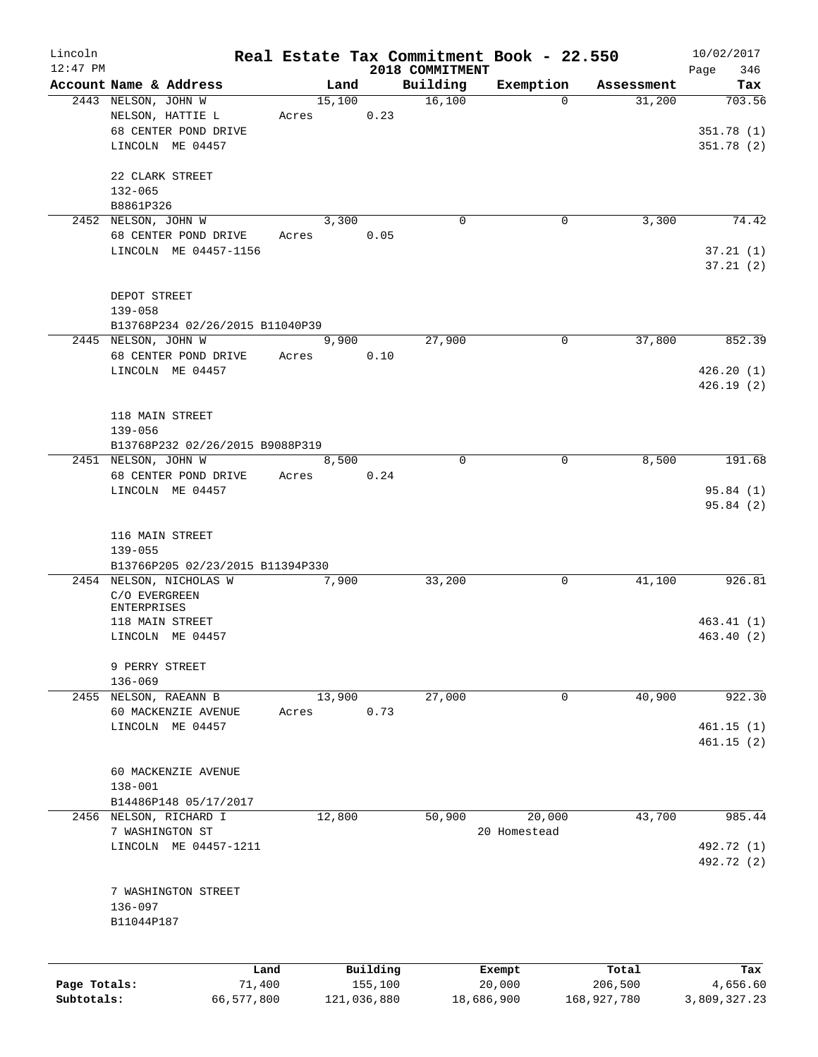| Lincoln                    |                                                             |        |                        |                             | Real Estate Tax Commitment Book - 22.550 |                        | 10/02/2017             |
|----------------------------|-------------------------------------------------------------|--------|------------------------|-----------------------------|------------------------------------------|------------------------|------------------------|
| $12:47$ PM                 | Account Name & Address                                      |        | Land                   | 2018 COMMITMENT<br>Building | Exemption                                | Assessment             | 346<br>Page<br>Tax     |
|                            | 2443 NELSON, JOHN W                                         | 15,100 |                        | 16,100                      | $\Omega$                                 | 31,200                 | 703.56                 |
|                            | NELSON, HATTIE L                                            | Acres  | 0.23                   |                             |                                          |                        |                        |
|                            | 68 CENTER POND DRIVE                                        |        |                        |                             |                                          |                        | 351.78(1)              |
|                            | LINCOLN ME 04457                                            |        |                        |                             |                                          |                        | 351.78(2)              |
|                            | 22 CLARK STREET                                             |        |                        |                             |                                          |                        |                        |
|                            | $132 - 065$                                                 |        |                        |                             |                                          |                        |                        |
|                            | B8861P326                                                   |        |                        |                             |                                          |                        |                        |
|                            | 2452 NELSON, JOHN W                                         |        | 3,300                  | 0                           | 0                                        | 3,300                  | 74.42                  |
|                            | 68 CENTER POND DRIVE                                        | Acres  | 0.05                   |                             |                                          |                        |                        |
|                            | LINCOLN ME 04457-1156                                       |        |                        |                             |                                          |                        | 37.21(1)               |
|                            |                                                             |        |                        |                             |                                          |                        | 37.21(2)               |
|                            |                                                             |        |                        |                             |                                          |                        |                        |
|                            | DEPOT STREET                                                |        |                        |                             |                                          |                        |                        |
|                            | $139 - 058$                                                 |        |                        |                             |                                          |                        |                        |
|                            | B13768P234 02/26/2015 B11040P39<br>2445 NELSON, JOHN W      |        | 9,900                  | 27,900                      | 0                                        | 37,800                 | 852.39                 |
|                            |                                                             |        | 0.10                   |                             |                                          |                        |                        |
|                            | 68 CENTER POND DRIVE                                        | Acres  |                        |                             |                                          |                        |                        |
|                            | LINCOLN ME 04457                                            |        |                        |                             |                                          |                        | 426.20(1)<br>426.19(2) |
|                            |                                                             |        |                        |                             |                                          |                        |                        |
|                            | 118 MAIN STREET                                             |        |                        |                             |                                          |                        |                        |
|                            | $139 - 056$                                                 |        |                        |                             |                                          |                        |                        |
|                            | B13768P232 02/26/2015 B9088P319                             |        |                        |                             |                                          |                        |                        |
|                            | 2451 NELSON, JOHN W                                         |        | 8,500                  | $\mathbf 0$                 | 0                                        | 8,500                  | 191.68                 |
|                            | 68 CENTER POND DRIVE                                        | Acres  | 0.24                   |                             |                                          |                        |                        |
|                            | LINCOLN ME 04457                                            |        |                        |                             |                                          |                        | 95.84(1)               |
|                            |                                                             |        |                        |                             |                                          |                        | 95.84(2)               |
|                            |                                                             |        |                        |                             |                                          |                        |                        |
|                            | 116 MAIN STREET                                             |        |                        |                             |                                          |                        |                        |
|                            | $139 - 055$                                                 |        |                        |                             |                                          |                        |                        |
|                            | B13766P205 02/23/2015 B11394P330<br>2454 NELSON, NICHOLAS W |        | 7,900                  | 33,200                      | 0                                        | 41,100                 | 926.81                 |
|                            | C/O EVERGREEN                                               |        |                        |                             |                                          |                        |                        |
|                            | <b>ENTERPRISES</b>                                          |        |                        |                             |                                          |                        |                        |
|                            | 118 MAIN STREET                                             |        |                        |                             |                                          |                        | 463.41(1)              |
|                            | LINCOLN ME 04457                                            |        |                        |                             |                                          |                        | 463.40(2)              |
|                            |                                                             |        |                        |                             |                                          |                        |                        |
|                            | 9 PERRY STREET                                              |        |                        |                             |                                          |                        |                        |
|                            | $136 - 069$                                                 |        |                        |                             |                                          |                        |                        |
|                            | 2455 NELSON, RAEANN B                                       | 13,900 | 0.73                   | 27,000                      | 0                                        | 40,900                 | 922.30                 |
|                            | 60 MACKENZIE AVENUE<br>LINCOLN ME 04457                     | Acres  |                        |                             |                                          |                        | 461.15(1)              |
|                            |                                                             |        |                        |                             |                                          |                        | 461.15(2)              |
|                            |                                                             |        |                        |                             |                                          |                        |                        |
|                            | 60 MACKENZIE AVENUE                                         |        |                        |                             |                                          |                        |                        |
|                            | $138 - 001$                                                 |        |                        |                             |                                          |                        |                        |
|                            | B14486P148 05/17/2017                                       |        |                        |                             |                                          |                        |                        |
|                            | 2456 NELSON, RICHARD I                                      | 12,800 |                        | 50,900                      | 20,000                                   | 43,700                 | 985.44                 |
|                            | 7 WASHINGTON ST                                             |        |                        |                             | 20 Homestead                             |                        |                        |
|                            | LINCOLN ME 04457-1211                                       |        |                        |                             |                                          |                        | 492.72 (1)             |
|                            |                                                             |        |                        |                             |                                          |                        | 492.72 (2)             |
|                            | 7 WASHINGTON STREET                                         |        |                        |                             |                                          |                        |                        |
|                            | 136-097                                                     |        |                        |                             |                                          |                        |                        |
|                            | B11044P187                                                  |        |                        |                             |                                          |                        |                        |
|                            |                                                             |        |                        |                             |                                          |                        |                        |
|                            |                                                             |        |                        |                             |                                          |                        |                        |
|                            | Land                                                        |        | Building               |                             | Exempt                                   | Total                  | Tax                    |
| Page Totals:<br>Subtotals: | 71,400<br>66,577,800                                        |        | 155,100<br>121,036,880 |                             | 20,000<br>18,686,900                     | 206,500<br>168,927,780 | 4,656.60               |
|                            |                                                             |        |                        |                             |                                          |                        | 3,809,327.23           |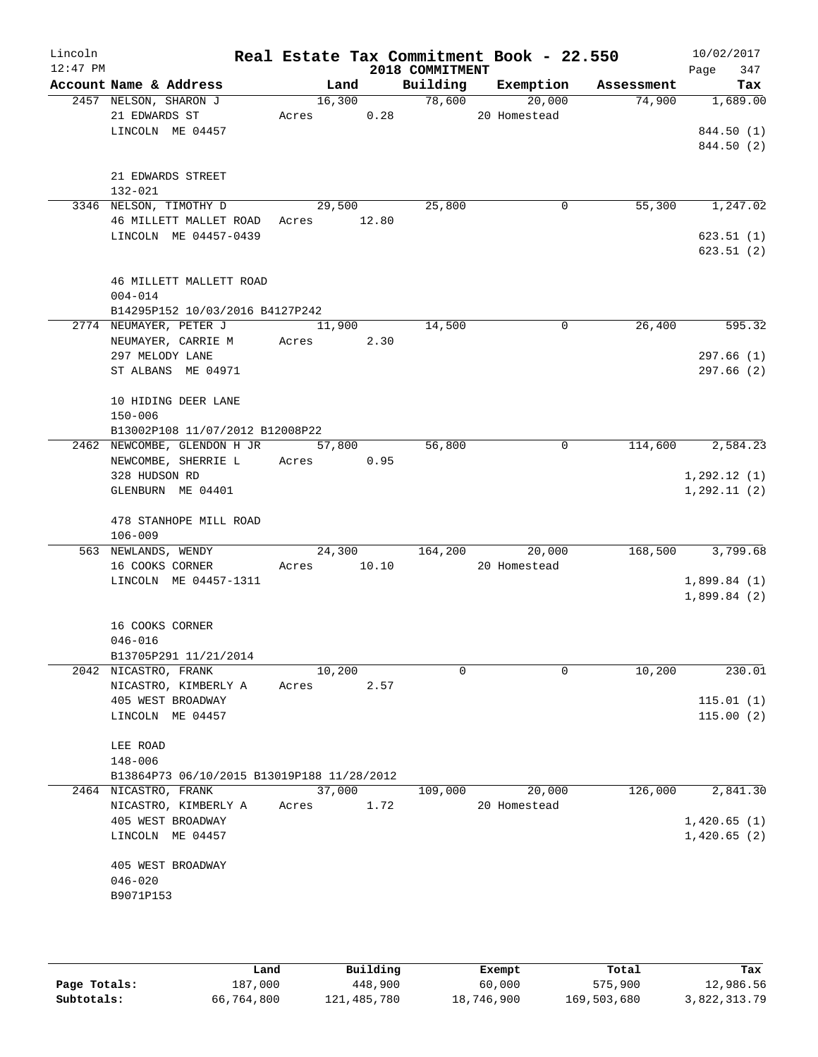| Lincoln<br>$12:47$ PM |                      |                                                              |             |        |      |                 | Real Estate Tax Commitment Book - 22.550 |              |                                    | 10/02/2017             |  |
|-----------------------|----------------------|--------------------------------------------------------------|-------------|--------|------|-----------------|------------------------------------------|--------------|------------------------------------|------------------------|--|
|                       |                      | Account Name & Address                                       |             |        |      | 2018 COMMITMENT |                                          |              | Land Building Exemption Assessment | 347<br>Page<br>Tax     |  |
|                       |                      | 2457 NELSON, SHARON J                                        |             |        |      | 16,300 78,600   | 20,000                                   |              |                                    | 74,900 1,689.00        |  |
|                       |                      | 21 EDWARDS ST                                                | Acres 0.28  |        |      |                 | 20 Homestead                             |              |                                    |                        |  |
|                       |                      | LINCOLN ME 04457                                             |             |        |      |                 |                                          |              |                                    | 844.50 (1)             |  |
|                       |                      |                                                              |             |        |      |                 |                                          |              |                                    | 844.50 (2)             |  |
|                       |                      |                                                              |             |        |      |                 |                                          |              |                                    |                        |  |
|                       |                      | 21 EDWARDS STREET                                            |             |        |      |                 |                                          |              |                                    |                        |  |
|                       | 132-021              |                                                              |             |        |      |                 |                                          |              |                                    |                        |  |
|                       |                      | 3346 NELSON, TIMOTHY D<br>46 MILLETT MALLET ROAD Acres 12.80 |             | 29,500 |      | 25,800          |                                          | 0            | 55,300                             | 1,247.02               |  |
|                       |                      | LINCOLN ME 04457-0439                                        |             |        |      |                 |                                          |              |                                    | 623.51(1)              |  |
|                       |                      |                                                              |             |        |      |                 |                                          |              |                                    | 623.51(2)              |  |
|                       |                      |                                                              |             |        |      |                 |                                          |              |                                    |                        |  |
|                       |                      | 46 MILLETT MALLETT ROAD                                      |             |        |      |                 |                                          |              |                                    |                        |  |
|                       | $004 - 014$          |                                                              |             |        |      |                 |                                          |              |                                    |                        |  |
|                       |                      | B14295P152 10/03/2016 B4127P242                              |             |        |      |                 |                                          |              |                                    |                        |  |
|                       |                      | 2774 NEUMAYER, PETER J                                       | 11,900      |        |      | 14,500          |                                          | 0            | 26,400                             | 595.32                 |  |
|                       |                      | NEUMAYER, CARRIE M Acres 2.30                                |             |        |      |                 |                                          |              |                                    |                        |  |
|                       | 297 MELODY LANE      |                                                              |             |        |      |                 |                                          |              |                                    | 297.66(1)              |  |
|                       |                      | ST ALBANS ME 04971                                           |             |        |      |                 |                                          |              |                                    | 297.66(2)              |  |
|                       |                      | 10 HIDING DEER LANE                                          |             |        |      |                 |                                          |              |                                    |                        |  |
|                       | $150 - 006$          |                                                              |             |        |      |                 |                                          |              |                                    |                        |  |
|                       |                      | B13002P108 11/07/2012 B12008P22                              |             |        |      |                 |                                          |              |                                    |                        |  |
|                       |                      | 2462 NEWCOMBE, GLENDON H JR 57,800                           |             |        |      | 56,800          |                                          | $\mathbf{0}$ |                                    | 114,600 2,584.23       |  |
|                       |                      | NEWCOMBE, SHERRIE L Acres 0.95                               |             |        |      |                 |                                          |              |                                    |                        |  |
|                       | 328 HUDSON RD        |                                                              |             |        |      |                 |                                          |              |                                    | 1, 292.12(1)           |  |
|                       |                      | GLENBURN ME 04401                                            |             |        |      |                 |                                          |              |                                    | 1, 292.11(2)           |  |
|                       |                      |                                                              |             |        |      |                 |                                          |              |                                    |                        |  |
|                       |                      | 478 STANHOPE MILL ROAD                                       |             |        |      |                 |                                          |              |                                    |                        |  |
|                       | $106 - 009$          | 563 NEWLANDS, WENDY                                          |             |        |      |                 | 24,300 164,200 20,000                    |              |                                    | 168,500 3,799.68       |  |
|                       |                      | 16 COOKS CORNER                                              | Acres 10.10 |        |      |                 | 20 Homestead                             |              |                                    |                        |  |
|                       |                      | LINCOLN ME 04457-1311                                        |             |        |      |                 |                                          |              |                                    | 1,899.84(1)            |  |
|                       |                      |                                                              |             |        |      |                 |                                          |              |                                    | 1,899.84(2)            |  |
|                       |                      |                                                              |             |        |      |                 |                                          |              |                                    |                        |  |
|                       | 16 COOKS CORNER      |                                                              |             |        |      |                 |                                          |              |                                    |                        |  |
|                       | $046 - 016$          |                                                              |             |        |      |                 |                                          |              |                                    |                        |  |
|                       |                      | B13705P291 11/21/2014                                        |             |        |      |                 |                                          |              |                                    |                        |  |
|                       | 2042 NICASTRO, FRANK |                                                              |             | 10,200 |      | 0               |                                          | 0            | 10,200                             | 230.01                 |  |
|                       |                      | NICASTRO, KIMBERLY A<br>405 WEST BROADWAY                    | Acres       |        | 2.57 |                 |                                          |              |                                    |                        |  |
|                       |                      | LINCOLN ME 04457                                             |             |        |      |                 |                                          |              |                                    | 115.01(1)<br>115.00(2) |  |
|                       |                      |                                                              |             |        |      |                 |                                          |              |                                    |                        |  |
|                       | LEE ROAD             |                                                              |             |        |      |                 |                                          |              |                                    |                        |  |
|                       | 148-006              |                                                              |             |        |      |                 |                                          |              |                                    |                        |  |
|                       |                      | B13864P73 06/10/2015 B13019P188 11/28/2012                   |             |        |      |                 |                                          |              |                                    |                        |  |
|                       | 2464 NICASTRO, FRANK |                                                              |             | 37,000 |      | 109,000         | 20,000                                   |              | 126,000                            | 2,841.30               |  |
|                       |                      | NICASTRO, KIMBERLY A                                         | Acres       |        | 1.72 |                 | 20 Homestead                             |              |                                    |                        |  |
|                       |                      | 405 WEST BROADWAY                                            |             |        |      |                 |                                          |              |                                    | 1,420.65(1)            |  |
|                       |                      | LINCOLN ME 04457                                             |             |        |      |                 |                                          |              |                                    | 1,420.65(2)            |  |
|                       |                      | 405 WEST BROADWAY                                            |             |        |      |                 |                                          |              |                                    |                        |  |
|                       | $046 - 020$          |                                                              |             |        |      |                 |                                          |              |                                    |                        |  |
|                       | B9071P153            |                                                              |             |        |      |                 |                                          |              |                                    |                        |  |
|                       |                      |                                                              |             |        |      |                 |                                          |              |                                    |                        |  |
|                       |                      |                                                              |             |        |      |                 |                                          |              |                                    |                        |  |

|              | Land       | Building    | Exempt     | Total       | Tax          |
|--------------|------------|-------------|------------|-------------|--------------|
| Page Totals: | 187,000    | 448,900     | 60,000     | 575,900     | 12,986.56    |
| Subtotals:   | 66,764,800 | 121,485,780 | 18,746,900 | 169,503,680 | 3,822,313.79 |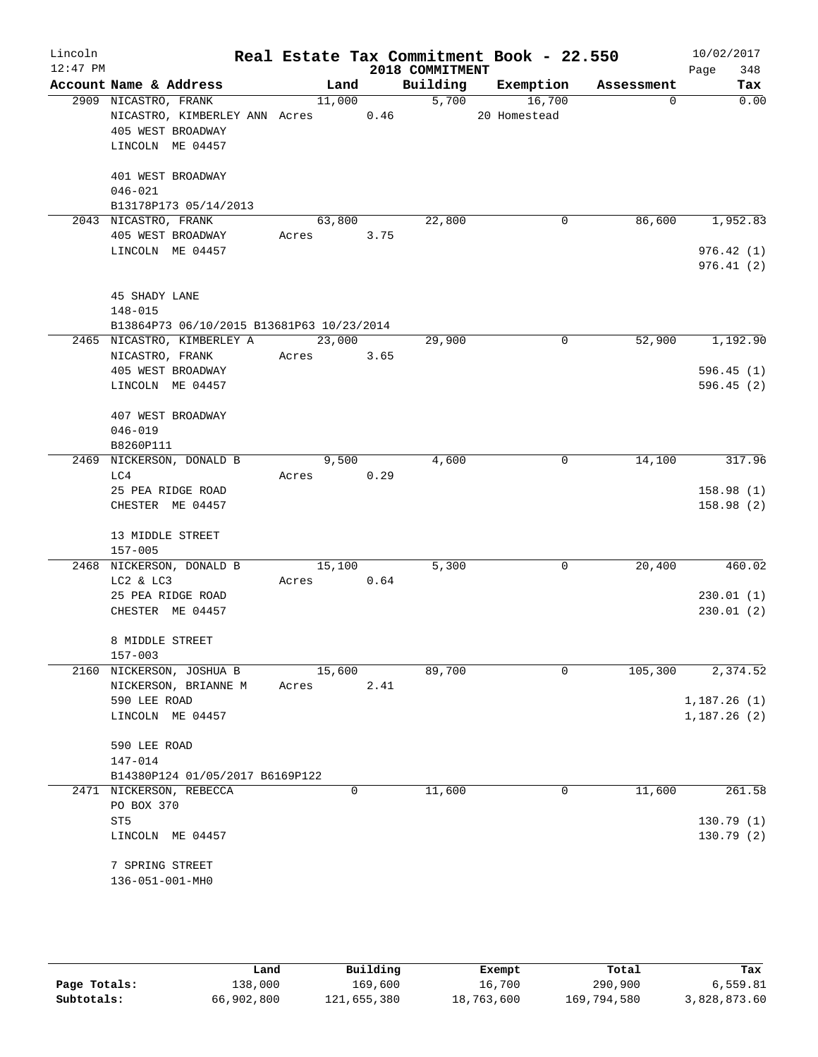| Lincoln<br>$12:47$ PM |                                                                                                |                 |      | 2018 COMMITMENT | Real Estate Tax Commitment Book - 22.550 |             | 10/02/2017<br>Page<br>348 |
|-----------------------|------------------------------------------------------------------------------------------------|-----------------|------|-----------------|------------------------------------------|-------------|---------------------------|
|                       | Account Name & Address                                                                         | Land            |      | Building        | Exemption                                | Assessment  | Tax                       |
|                       | 2909 NICASTRO, FRANK<br>NICASTRO, KIMBERLEY ANN Acres<br>405 WEST BROADWAY<br>LINCOLN ME 04457 | 11,000          | 0.46 | 5,700           | 16,700<br>20 Homestead                   | $\mathbf 0$ | 0.00                      |
|                       | 401 WEST BROADWAY<br>$046 - 021$<br>B13178P173 05/14/2013                                      |                 |      |                 |                                          |             |                           |
|                       | 2043 NICASTRO, FRANK<br>405 WEST BROADWAY                                                      | 63,800<br>Acres | 3.75 | 22,800          | 0                                        | 86,600      | 1,952.83                  |
|                       | LINCOLN ME 04457                                                                               |                 |      |                 |                                          |             | 976.42(1)<br>976.41(2)    |
|                       | 45 SHADY LANE<br>$148 - 015$<br>B13864P73 06/10/2015 B13681P63 10/23/2014                      |                 |      |                 |                                          |             |                           |
|                       | 2465 NICASTRO, KIMBERLEY A                                                                     | 23,000          |      | 29,900          | 0                                        | 52,900      | 1,192.90                  |
|                       | NICASTRO, FRANK                                                                                | Acres           | 3.65 |                 |                                          |             |                           |
|                       | 405 WEST BROADWAY                                                                              |                 |      |                 |                                          |             | 596.45(1)                 |
|                       | LINCOLN ME 04457                                                                               |                 |      |                 |                                          |             | 596.45(2)                 |
|                       | 407 WEST BROADWAY                                                                              |                 |      |                 |                                          |             |                           |
|                       | $046 - 019$                                                                                    |                 |      |                 |                                          |             |                           |
|                       | B8260P111                                                                                      |                 |      |                 |                                          |             |                           |
| 2469                  | NICKERSON, DONALD B<br>LC4                                                                     | 9,500<br>Acres  | 0.29 | 4,600           | 0                                        | 14,100      | 317.96                    |
|                       | 25 PEA RIDGE ROAD                                                                              |                 |      |                 |                                          |             | 158.98(1)                 |
|                       | CHESTER ME 04457                                                                               |                 |      |                 |                                          |             | 158.98(2)                 |
|                       | 13 MIDDLE STREET                                                                               |                 |      |                 |                                          |             |                           |
|                       | $157 - 005$<br>2468 NICKERSON, DONALD B                                                        | 15,100          |      | 5,300           | 0                                        | 20,400      | 460.02                    |
|                       | LC2 & LC3                                                                                      | Acres           | 0.64 |                 |                                          |             |                           |
|                       | 25 PEA RIDGE ROAD                                                                              |                 |      |                 |                                          |             | 230.01(1)                 |
|                       | CHESTER ME 04457                                                                               |                 |      |                 |                                          |             | 230.01 (2)                |
|                       | 8 MIDDLE STREET                                                                                |                 |      |                 |                                          |             |                           |
|                       | $157 - 003$                                                                                    |                 |      |                 |                                          |             |                           |
|                       | 2160 NICKERSON, JOSHUA B                                                                       | 15,600          |      | 89,700          | $\Omega$                                 | 105,300     | 2,374.52                  |
|                       | NICKERSON, BRIANNE M                                                                           | Acres           | 2.41 |                 |                                          |             |                           |
|                       | 590 LEE ROAD                                                                                   |                 |      |                 |                                          |             | 1,187.26(1)               |
|                       | LINCOLN ME 04457                                                                               |                 |      |                 |                                          |             | 1,187.26(2)               |
|                       | 590 LEE ROAD                                                                                   |                 |      |                 |                                          |             |                           |
|                       | 147-014                                                                                        |                 |      |                 |                                          |             |                           |
|                       | B14380P124 01/05/2017 B6169P122                                                                |                 |      |                 |                                          |             |                           |
|                       | 2471 NICKERSON, REBECCA<br>PO BOX 370                                                          |                 | 0    | 11,600          | 0                                        | 11,600      | 261.58                    |
|                       | ST <sub>5</sub>                                                                                |                 |      |                 |                                          |             | 130.79(1)                 |
|                       | LINCOLN ME 04457                                                                               |                 |      |                 |                                          |             | 130.79(2)                 |
|                       | 7 SPRING STREET                                                                                |                 |      |                 |                                          |             |                           |
|                       | 136-051-001-MH0                                                                                |                 |      |                 |                                          |             |                           |

|              | Land       | Building    | Exempt     | Total       | Tax          |
|--------------|------------|-------------|------------|-------------|--------------|
| Page Totals: | 138,000    | 169,600     | 16,700     | 290,900     | 6,559.81     |
| Subtotals:   | 66,902,800 | 121,655,380 | 18,763,600 | 169,794,580 | 3,828,873.60 |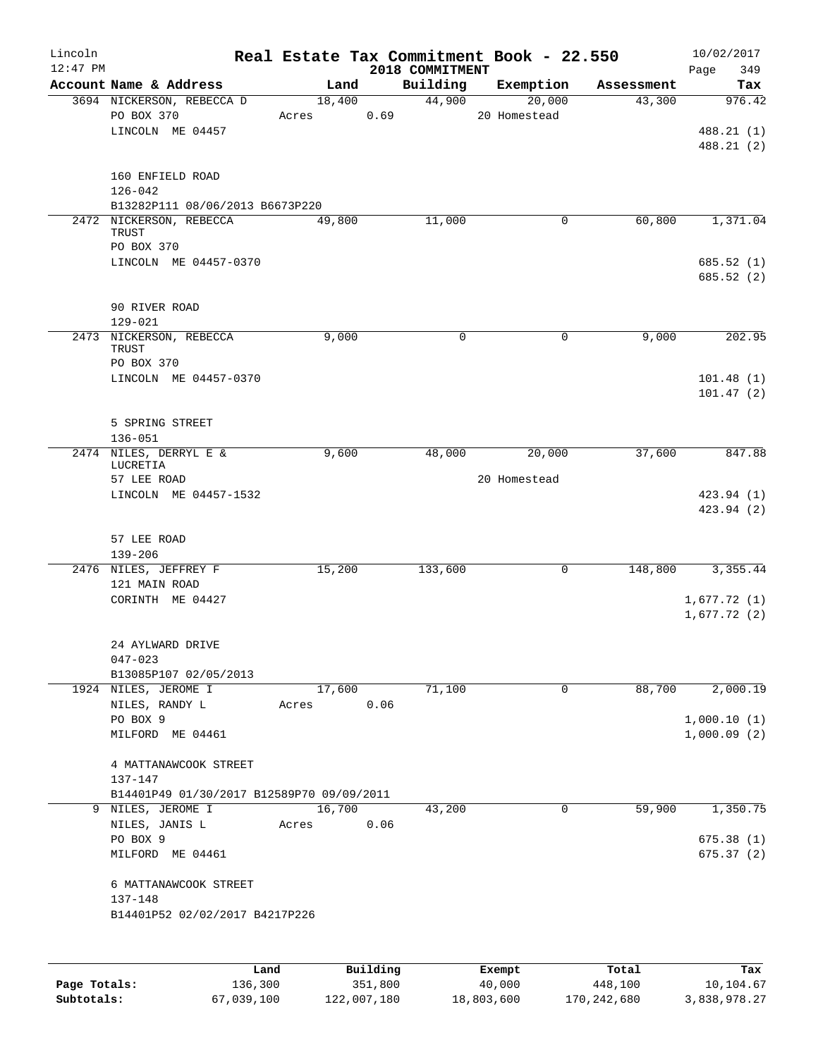| Lincoln    |                                                     |       |                | Real Estate Tax Commitment Book - 22.550 |                     |                         | 10/02/2017    |
|------------|-----------------------------------------------------|-------|----------------|------------------------------------------|---------------------|-------------------------|---------------|
| $12:47$ PM |                                                     |       |                | 2018 COMMITMENT                          |                     |                         | Page<br>349   |
|            | Account Name & Address<br>3694 NICKERSON, REBECCA D |       | Land<br>18,400 | Building<br>44,900                       | Exemption<br>20,000 | Assessment<br>43,300    | Tax<br>976.42 |
|            | PO BOX 370                                          | Acres | 0.69           |                                          | 20 Homestead        |                         |               |
|            | LINCOLN ME 04457                                    |       |                |                                          |                     |                         | 488.21 (1)    |
|            |                                                     |       |                |                                          |                     |                         | 488.21 (2)    |
|            |                                                     |       |                |                                          |                     |                         |               |
|            | 160 ENFIELD ROAD                                    |       |                |                                          |                     |                         |               |
|            | $126 - 042$                                         |       |                |                                          |                     |                         |               |
|            | B13282P111 08/06/2013 B6673P220                     |       |                |                                          |                     |                         |               |
|            | 2472 NICKERSON, REBECCA<br>TRUST                    |       | 49,800         | 11,000                                   |                     | 60,800<br>0             | 1,371.04      |
|            | PO BOX 370                                          |       |                |                                          |                     |                         |               |
|            | LINCOLN ME 04457-0370                               |       |                |                                          |                     |                         | 685.52(1)     |
|            |                                                     |       |                |                                          |                     |                         | 685.52(2)     |
|            |                                                     |       |                |                                          |                     |                         |               |
|            | 90 RIVER ROAD                                       |       |                |                                          |                     |                         |               |
|            | $129 - 021$                                         |       |                |                                          |                     |                         |               |
|            | 2473 NICKERSON, REBECCA<br>TRUST                    |       | 9,000          | 0                                        |                     | 0<br>9,000              | 202.95        |
|            | PO BOX 370                                          |       |                |                                          |                     |                         |               |
|            | LINCOLN ME 04457-0370                               |       |                |                                          |                     |                         | 101.48(1)     |
|            |                                                     |       |                |                                          |                     |                         | 101.47(2)     |
|            |                                                     |       |                |                                          |                     |                         |               |
|            | 5 SPRING STREET                                     |       |                |                                          |                     |                         |               |
|            | $136 - 051$                                         |       |                |                                          |                     |                         | 847.88        |
|            | 2474 NILES, DERRYL E &<br>LUCRETIA                  |       | 9,600          | 48,000                                   | 20,000              | 37,600                  |               |
|            | 57 LEE ROAD                                         |       |                |                                          | 20 Homestead        |                         |               |
|            | LINCOLN ME 04457-1532                               |       |                |                                          |                     |                         | 423.94 (1)    |
|            |                                                     |       |                |                                          |                     |                         | 423.94 (2)    |
|            |                                                     |       |                |                                          |                     |                         |               |
|            | 57 LEE ROAD<br>$139 - 206$                          |       |                |                                          |                     |                         |               |
|            | 2476 NILES, JEFFREY F                               |       | 15,200         | 133,600                                  |                     | $\mathsf{O}$<br>148,800 | 3,355.44      |
|            | 121 MAIN ROAD                                       |       |                |                                          |                     |                         |               |
|            | CORINTH ME 04427                                    |       |                |                                          |                     |                         | 1,677.72(1)   |
|            |                                                     |       |                |                                          |                     |                         | 1,677.72(2)   |
|            |                                                     |       |                |                                          |                     |                         |               |
|            | 24 AYLWARD DRIVE                                    |       |                |                                          |                     |                         |               |
|            | $047 - 023$                                         |       |                |                                          |                     |                         |               |
|            | B13085P107 02/05/2013<br>1924 NILES, JEROME I       |       |                |                                          |                     | 0<br>88,700             |               |
|            | NILES, RANDY L                                      | Acres | 17,600<br>0.06 | 71,100                                   |                     |                         | 2,000.19      |
|            | PO BOX 9                                            |       |                |                                          |                     |                         | 1,000.10(1)   |
|            | MILFORD ME 04461                                    |       |                |                                          |                     |                         | 1,000.09(2)   |
|            |                                                     |       |                |                                          |                     |                         |               |
|            | 4 MATTANAWCOOK STREET                               |       |                |                                          |                     |                         |               |
|            | 137-147                                             |       |                |                                          |                     |                         |               |
|            | B14401P49 01/30/2017 B12589P70 09/09/2011           |       |                |                                          |                     |                         |               |
|            | 9 NILES, JEROME I                                   |       | 16,700         | 43,200                                   |                     | 0<br>59,900             | 1,350.75      |
|            | NILES, JANIS L<br>PO BOX 9                          | Acres | 0.06           |                                          |                     |                         | 675.38(1)     |
|            | MILFORD ME 04461                                    |       |                |                                          |                     |                         | 675.37(2)     |
|            |                                                     |       |                |                                          |                     |                         |               |
|            | 6 MATTANAWCOOK STREET                               |       |                |                                          |                     |                         |               |
|            | 137-148                                             |       |                |                                          |                     |                         |               |
|            | B14401P52 02/02/2017 B4217P226                      |       |                |                                          |                     |                         |               |
|            |                                                     |       |                |                                          |                     |                         |               |
|            |                                                     |       |                |                                          |                     |                         |               |
|            |                                                     | Land  | Building       |                                          | Exempt              | Total                   | Tax           |

**Page Totals:** 136,300 351,800 40,000 448,100 10,104.67 **Subtotals:** 67,039,100 122,007,180 18,803,600 170,242,680 3,838,978.27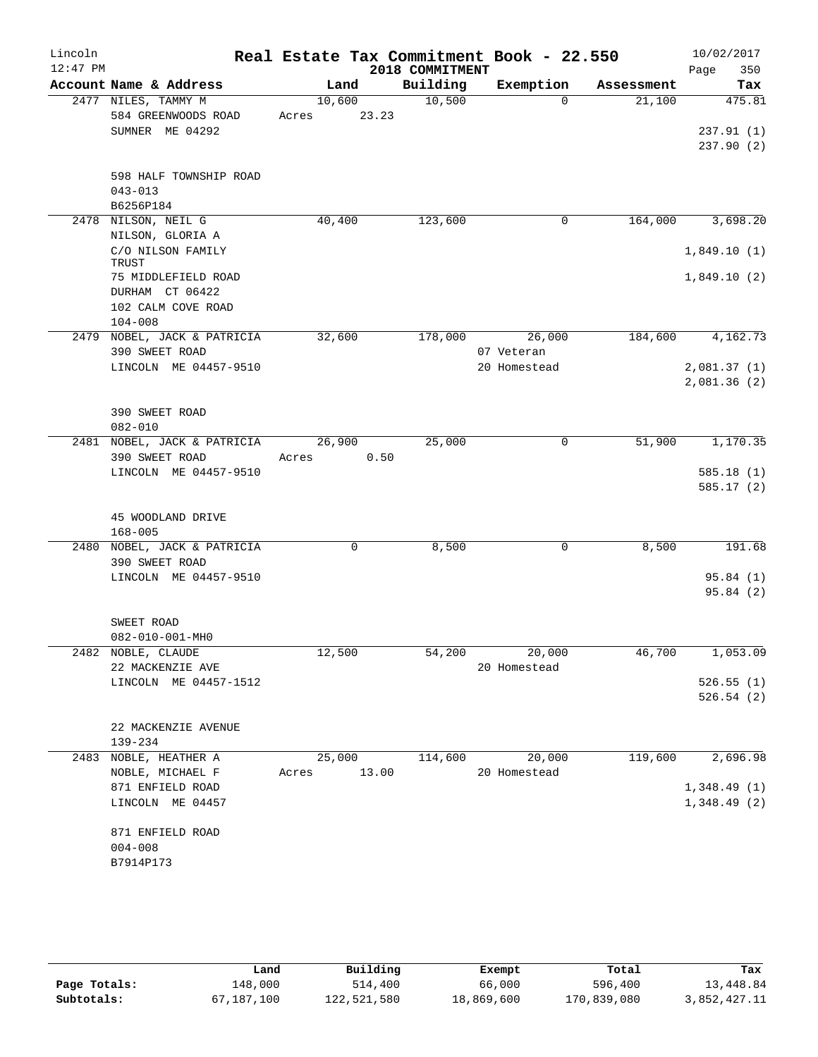| Lincoln    |                                               |        |       |                 | Real Estate Tax Commitment Book - 22.550 |            |      | 10/02/2017  |
|------------|-----------------------------------------------|--------|-------|-----------------|------------------------------------------|------------|------|-------------|
| $12:47$ PM |                                               |        |       | 2018 COMMITMENT |                                          |            | Page | 350         |
|            | Account Name & Address                        |        | Land  | Building        | Exemption                                | Assessment |      | Tax         |
|            | 2477 NILES, TAMMY M                           | 10,600 |       | 10,500          | $\Omega$                                 | 21,100     |      | 475.81      |
|            | 584 GREENWOODS ROAD                           | Acres  | 23.23 |                 |                                          |            |      |             |
|            | SUMNER ME 04292                               |        |       |                 |                                          |            |      | 237.91(1)   |
|            |                                               |        |       |                 |                                          |            |      | 237.90(2)   |
|            | 598 HALF TOWNSHIP ROAD                        |        |       |                 |                                          |            |      |             |
|            | $043 - 013$                                   |        |       |                 |                                          |            |      |             |
|            | B6256P184                                     |        |       |                 |                                          |            |      |             |
|            | 2478 NILSON, NEIL G                           | 40,400 |       | 123,600         | 0                                        | 164,000    |      | 3,698.20    |
|            | NILSON, GLORIA A                              |        |       |                 |                                          |            |      |             |
|            | C/O NILSON FAMILY                             |        |       |                 |                                          |            |      | 1,849.10(1) |
|            | TRUST                                         |        |       |                 |                                          |            |      |             |
|            | 75 MIDDLEFIELD ROAD                           |        |       |                 |                                          |            |      | 1,849.10(2) |
|            | DURHAM CT 06422                               |        |       |                 |                                          |            |      |             |
|            | 102 CALM COVE ROAD                            |        |       |                 |                                          |            |      |             |
|            | $104 - 008$                                   |        |       |                 |                                          |            |      |             |
|            | 2479 NOBEL, JACK & PATRICIA                   | 32,600 |       | 178,000         | 26,000                                   | 184,600    |      | 4,162.73    |
|            | 390 SWEET ROAD                                |        |       |                 | 07 Veteran                               |            |      |             |
|            | LINCOLN ME 04457-9510                         |        |       |                 | 20 Homestead                             |            |      | 2,081.37(1) |
|            |                                               |        |       |                 |                                          |            |      | 2,081.36(2) |
|            |                                               |        |       |                 |                                          |            |      |             |
|            | 390 SWEET ROAD                                |        |       |                 |                                          |            |      |             |
|            | $082 - 010$                                   |        |       |                 |                                          |            |      |             |
|            | 2481 NOBEL, JACK & PATRICIA                   | 26,900 |       | 25,000          | 0                                        | 51,900     |      | 1,170.35    |
|            | 390 SWEET ROAD                                | Acres  | 0.50  |                 |                                          |            |      |             |
|            | LINCOLN ME 04457-9510                         |        |       |                 |                                          |            |      | 585.18(1)   |
|            |                                               |        |       |                 |                                          |            |      | 585.17(2)   |
|            |                                               |        |       |                 |                                          |            |      |             |
|            | 45 WOODLAND DRIVE                             |        |       |                 |                                          |            |      |             |
|            | $168 - 005$                                   |        |       |                 |                                          |            |      |             |
|            | 2480 NOBEL, JACK & PATRICIA<br>390 SWEET ROAD |        | 0     | 8,500           | 0                                        | 8,500      |      | 191.68      |
|            | LINCOLN ME 04457-9510                         |        |       |                 |                                          |            |      | 95.84(1)    |
|            |                                               |        |       |                 |                                          |            |      | 95.84(2)    |
|            |                                               |        |       |                 |                                          |            |      |             |
|            | SWEET ROAD                                    |        |       |                 |                                          |            |      |             |
|            | 082-010-001-MH0                               |        |       |                 |                                          |            |      |             |
|            | 2482 NOBLE, CLAUDE                            | 12,500 |       | 54,200          | 20,000                                   | 46,700     |      | 1,053.09    |
|            | 22 MACKENZIE AVE                              |        |       |                 | 20 Homestead                             |            |      |             |
|            | LINCOLN ME 04457-1512                         |        |       |                 |                                          |            |      | 526.55(1)   |
|            |                                               |        |       |                 |                                          |            |      | 526.54(2)   |
|            |                                               |        |       |                 |                                          |            |      |             |
|            | 22 MACKENZIE AVENUE                           |        |       |                 |                                          |            |      |             |
|            | 139-234                                       |        |       |                 |                                          |            |      |             |
|            | 2483 NOBLE, HEATHER A                         | 25,000 |       | 114,600         | 20,000                                   | 119,600    |      | 2,696.98    |
|            | NOBLE, MICHAEL F                              | Acres  | 13.00 |                 | 20 Homestead                             |            |      |             |
|            | 871 ENFIELD ROAD                              |        |       |                 |                                          |            |      | 1,348.49(1) |
|            | LINCOLN ME 04457                              |        |       |                 |                                          |            |      | 1,348.49(2) |
|            |                                               |        |       |                 |                                          |            |      |             |
|            | 871 ENFIELD ROAD                              |        |       |                 |                                          |            |      |             |
|            | $004 - 008$                                   |        |       |                 |                                          |            |      |             |
|            | B7914P173                                     |        |       |                 |                                          |            |      |             |
|            |                                               |        |       |                 |                                          |            |      |             |

|              | Land       | Building    | Exempt     | Total       | Tax          |
|--------------|------------|-------------|------------|-------------|--------------|
| Page Totals: | 148,000    | 514,400     | 66,000     | 596,400     | 13,448.84    |
| Subtotals:   | 67,187,100 | 122,521,580 | 18,869,600 | 170,839,080 | 3,852,427.11 |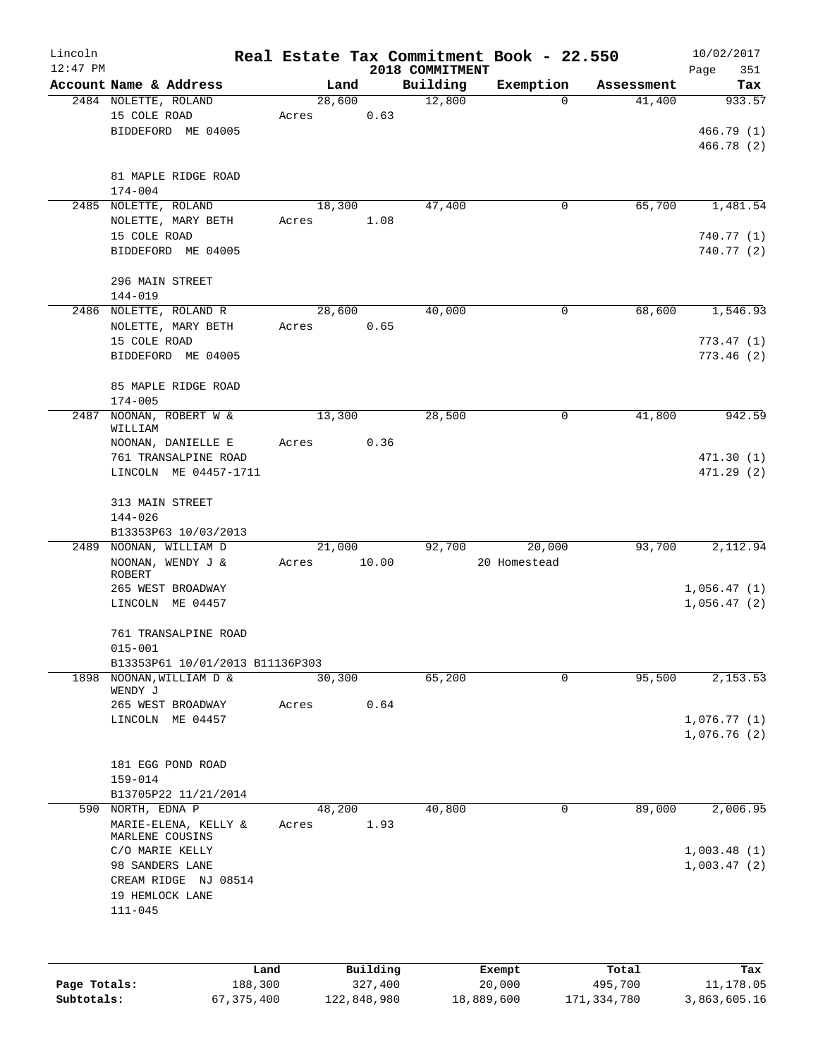| Lincoln<br>$12:47$ PM |                                           |       |         |                     | Real Estate Tax Commitment Book - 22.550<br>2018 COMMITMENT |                  |                  | 10/02/2017         |
|-----------------------|-------------------------------------------|-------|---------|---------------------|-------------------------------------------------------------|------------------|------------------|--------------------|
|                       | Account Name & Address                    |       | Land    |                     | Building                                                    | Exemption        | Assessment       | 351<br>Page<br>Tax |
|                       | 2484 NOLETTE, ROLAND                      |       | 28,600  |                     | 12,800                                                      | $\Omega$         | 41,400           | 933.57             |
|                       | 15 COLE ROAD                              | Acres |         | 0.63                |                                                             |                  |                  |                    |
|                       | BIDDEFORD ME 04005                        |       |         |                     |                                                             |                  |                  | 466.79(1)          |
|                       |                                           |       |         |                     |                                                             |                  |                  | 466.78 (2)         |
|                       |                                           |       |         |                     |                                                             |                  |                  |                    |
|                       | 81 MAPLE RIDGE ROAD                       |       |         |                     |                                                             |                  |                  |                    |
|                       | 174-004                                   |       |         |                     |                                                             |                  |                  |                    |
|                       | 2485 NOLETTE, ROLAND                      |       | 18,300  |                     | 47,400                                                      | 0                | 65,700           | 1,481.54           |
|                       | NOLETTE, MARY BETH                        | Acres |         | 1.08                |                                                             |                  |                  |                    |
|                       | 15 COLE ROAD                              |       |         |                     |                                                             |                  |                  | 740.77 (1)         |
|                       | BIDDEFORD ME 04005                        |       |         |                     |                                                             |                  |                  | 740.77 (2)         |
|                       | 296 MAIN STREET                           |       |         |                     |                                                             |                  |                  |                    |
|                       | $144 - 019$                               |       |         |                     |                                                             |                  |                  |                    |
|                       | 2486 NOLETTE, ROLAND R                    |       | 28,600  |                     | 40,000                                                      | 0                | 68,600           | 1,546.93           |
|                       | NOLETTE, MARY BETH                        | Acres |         | 0.65                |                                                             |                  |                  |                    |
|                       | 15 COLE ROAD                              |       |         |                     |                                                             |                  |                  | 773.47(1)          |
|                       | BIDDEFORD ME 04005                        |       |         |                     |                                                             |                  |                  | 773.46(2)          |
|                       |                                           |       |         |                     |                                                             |                  |                  |                    |
|                       | 85 MAPLE RIDGE ROAD                       |       |         |                     |                                                             |                  |                  |                    |
|                       | $174 - 005$                               |       |         |                     |                                                             |                  |                  |                    |
| 2487                  | NOONAN, ROBERT W &                        |       | 13,300  |                     | 28,500                                                      | 0                | 41,800           | 942.59             |
|                       | WILLIAM                                   |       |         |                     |                                                             |                  |                  |                    |
|                       | NOONAN, DANIELLE E                        | Acres |         | 0.36                |                                                             |                  |                  |                    |
|                       | 761 TRANSALPINE ROAD                      |       |         |                     |                                                             |                  |                  | 471.30(1)          |
|                       | LINCOLN ME 04457-1711                     |       |         |                     |                                                             |                  |                  | 471.29 (2)         |
|                       | 313 MAIN STREET                           |       |         |                     |                                                             |                  |                  |                    |
|                       | $144 - 026$                               |       |         |                     |                                                             |                  |                  |                    |
|                       | B13353P63 10/03/2013                      |       |         |                     |                                                             |                  |                  |                    |
| 2489                  | NOONAN, WILLIAM D                         |       | 21,000  |                     | 92,700                                                      | 20,000           | 93,700           | 2,112.94           |
|                       | NOONAN, WENDY J &                         | Acres |         | 10.00               |                                                             | 20 Homestead     |                  |                    |
|                       | ROBERT                                    |       |         |                     |                                                             |                  |                  |                    |
|                       | 265 WEST BROADWAY                         |       |         |                     |                                                             |                  |                  | 1,056.47(1)        |
|                       | LINCOLN ME 04457                          |       |         |                     |                                                             |                  |                  | 1,056.47(2)        |
|                       |                                           |       |         |                     |                                                             |                  |                  |                    |
|                       | 761 TRANSALPINE ROAD<br>$015 - 001$       |       |         |                     |                                                             |                  |                  |                    |
|                       | B13353P61 10/01/2013 B11136P303           |       |         |                     |                                                             |                  |                  |                    |
| 1898                  | NOONAN, WILLIAM D &                       |       | 30, 300 |                     | 65,200                                                      | 0                | 95,500           | 2,153.53           |
|                       | WENDY J                                   |       |         |                     |                                                             |                  |                  |                    |
|                       | 265 WEST BROADWAY                         | Acres |         | 0.64                |                                                             |                  |                  |                    |
|                       | LINCOLN ME 04457                          |       |         |                     |                                                             |                  |                  | 1,076.77(1)        |
|                       |                                           |       |         |                     |                                                             |                  |                  | 1,076.76(2)        |
|                       |                                           |       |         |                     |                                                             |                  |                  |                    |
|                       | 181 EGG POND ROAD                         |       |         |                     |                                                             |                  |                  |                    |
|                       | $159 - 014$                               |       |         |                     |                                                             |                  |                  |                    |
|                       | B13705P22 11/21/2014<br>590 NORTH, EDNA P |       |         |                     | 40,800                                                      | 0                | 89,000           | 2,006.95           |
|                       | MARIE-ELENA, KELLY &                      | Acres | 48,200  | 1.93                |                                                             |                  |                  |                    |
|                       | MARLENE COUSINS                           |       |         |                     |                                                             |                  |                  |                    |
|                       | C/O MARIE KELLY                           |       |         |                     |                                                             |                  |                  | 1,003.48(1)        |
|                       | 98 SANDERS LANE                           |       |         |                     |                                                             |                  |                  | 1,003.47(2)        |
|                       | CREAM RIDGE NJ 08514                      |       |         |                     |                                                             |                  |                  |                    |
|                       | 19 HEMLOCK LANE                           |       |         |                     |                                                             |                  |                  |                    |
|                       | $111 - 045$                               |       |         |                     |                                                             |                  |                  |                    |
|                       |                                           |       |         |                     |                                                             |                  |                  |                    |
|                       |                                           |       |         |                     |                                                             |                  |                  |                    |
|                       |                                           |       |         |                     |                                                             |                  |                  |                    |
| Page Totals:          | Land<br>188,300                           |       |         | Building<br>327,400 |                                                             | Exempt<br>20,000 | Total<br>495,700 | Tax<br>11,178.05   |
|                       |                                           |       |         |                     |                                                             |                  |                  |                    |

**Subtotals:** 67,375,400 122,848,980 18,889,600 171,334,780 3,863,605.16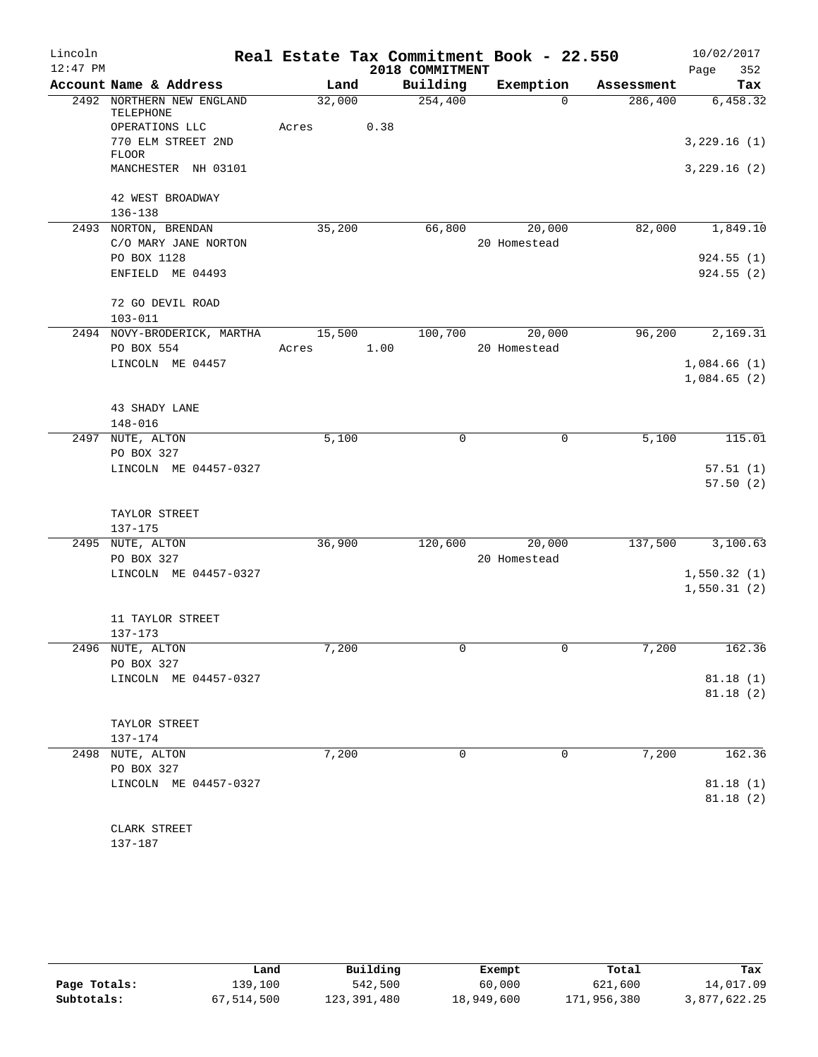| Lincoln<br>$12:47$ PM |                                              |            |      |                             | Real Estate Tax Commitment Book - 22.550 |            | 10/02/2017         |
|-----------------------|----------------------------------------------|------------|------|-----------------------------|------------------------------------------|------------|--------------------|
|                       | Account Name & Address                       | Land       |      | 2018 COMMITMENT<br>Building | Exemption                                | Assessment | 352<br>Page<br>Tax |
|                       | 2492 NORTHERN NEW ENGLAND                    | 32,000     |      | 254,400                     | $\Omega$                                 | 286,400    | 6,458.32           |
|                       | TELEPHONE<br>OPERATIONS LLC                  | Acres      | 0.38 |                             |                                          |            |                    |
|                       | 770 ELM STREET 2ND<br><b>FLOOR</b>           |            |      |                             |                                          |            | 3,229.16(1)        |
|                       | MANCHESTER NH 03101                          |            |      |                             |                                          |            | 3,229.16(2)        |
|                       | 42 WEST BROADWAY<br>$136 - 138$              |            |      |                             |                                          |            |                    |
|                       | 2493 NORTON, BRENDAN<br>C/O MARY JANE NORTON | 35,200     |      | 66,800                      | 20,000<br>20 Homestead                   | 82,000     | 1,849.10           |
|                       | PO BOX 1128                                  |            |      |                             |                                          |            | 924.55(1)          |
|                       | ENFIELD ME 04493                             |            |      |                             |                                          |            | 924.55(2)          |
|                       | 72 GO DEVIL ROAD<br>$103 - 011$              |            |      |                             |                                          |            |                    |
|                       | 2494 NOVY-BRODERICK, MARTHA                  | 15,500     |      | 100,700                     | 20,000                                   | 96,200     | 2,169.31           |
|                       | PO BOX 554                                   | Acres 1.00 |      |                             | 20 Homestead                             |            |                    |
|                       | LINCOLN ME 04457                             |            |      |                             |                                          |            | 1,084.66(1)        |
|                       |                                              |            |      |                             |                                          |            | 1,084.65(2)        |
|                       | 43 SHADY LANE                                |            |      |                             |                                          |            |                    |
|                       | $148 - 016$                                  |            |      |                             |                                          |            |                    |
|                       | 2497 NUTE, ALTON                             | 5,100      |      | 0                           | $\mathbf 0$                              | 5,100      | 115.01             |
|                       | PO BOX 327                                   |            |      |                             |                                          |            |                    |
|                       | LINCOLN ME 04457-0327                        |            |      |                             |                                          |            | 57.51(1)           |
|                       |                                              |            |      |                             |                                          |            | 57.50(2)           |
|                       | TAYLOR STREET                                |            |      |                             |                                          |            |                    |
|                       | 137-175                                      |            |      |                             |                                          |            |                    |
|                       | 2495 NUTE, ALTON                             | 36,900     |      | 120,600                     | 20,000                                   | 137,500    | 3,100.63           |
|                       | PO BOX 327                                   |            |      |                             | 20 Homestead                             |            |                    |
|                       | LINCOLN ME 04457-0327                        |            |      |                             |                                          |            | 1,550.32(1)        |
|                       |                                              |            |      |                             |                                          |            | 1,550.31(2)        |
|                       | 11 TAYLOR STREET                             |            |      |                             |                                          |            |                    |
|                       | $137 - 173$                                  |            |      |                             |                                          |            |                    |
|                       | 2496 NUTE, ALTON                             | 7,200      |      | 0                           | 0                                        | 7,200      | 162.36             |
|                       | PO BOX 327                                   |            |      |                             |                                          |            |                    |
|                       | LINCOLN ME 04457-0327                        |            |      |                             |                                          |            | 81.18(1)           |
|                       |                                              |            |      |                             |                                          |            | 81.18 (2)          |
|                       | TAYLOR STREET                                |            |      |                             |                                          |            |                    |
|                       | 137-174                                      |            |      |                             |                                          |            |                    |
|                       | 2498 NUTE, ALTON                             | 7,200      |      | $\Omega$                    | 0                                        | 7,200      | 162.36             |
|                       | PO BOX 327                                   |            |      |                             |                                          |            |                    |
|                       | LINCOLN ME 04457-0327                        |            |      |                             |                                          |            | 81.18 (1)          |
|                       |                                              |            |      |                             |                                          |            | 81.18(2)           |
|                       | CLARK STREET                                 |            |      |                             |                                          |            |                    |
|                       | 137-187                                      |            |      |                             |                                          |            |                    |

|              | Land       | Building    | Exempt     | Total       | Tax          |
|--------------|------------|-------------|------------|-------------|--------------|
| Page Totals: | 139,100    | 542,500     | 60,000     | 621,600     | 14,017.09    |
| Subtotals:   | 67,514,500 | 123,391,480 | 18,949,600 | 171,956,380 | 3,877,622.25 |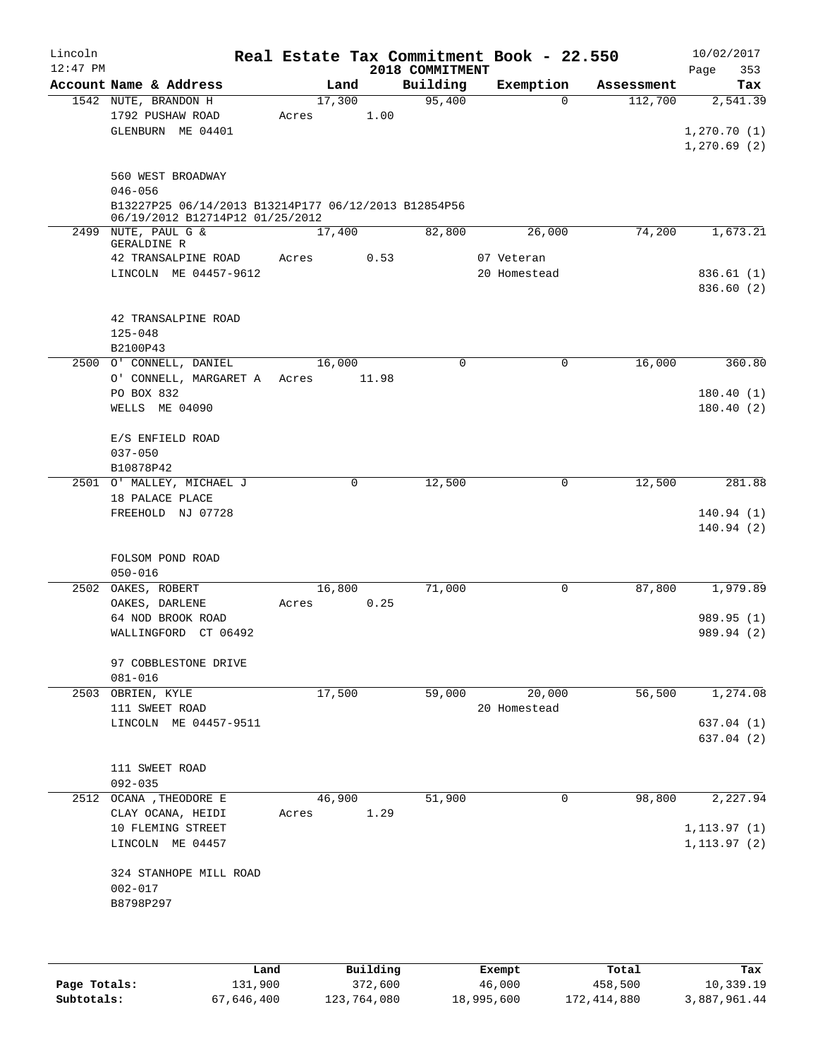| Lincoln    |                                                                                         |       |        |       | Real Estate Tax Commitment Book - 22.550 |              |            | 10/02/2017             |
|------------|-----------------------------------------------------------------------------------------|-------|--------|-------|------------------------------------------|--------------|------------|------------------------|
| $12:47$ PM |                                                                                         |       |        |       | 2018 COMMITMENT                          |              |            | 353<br>Page            |
|            | Account Name & Address                                                                  |       | Land   |       | Building                                 | Exemption    | Assessment | Tax                    |
|            | 1542 NUTE, BRANDON H<br>1792 PUSHAW ROAD                                                | Acres | 17,300 | 1.00  | 95,400                                   | $\Omega$     | 112,700    | 2,541.39               |
|            | GLENBURN ME 04401                                                                       |       |        |       |                                          |              |            | 1, 270.70(1)           |
|            |                                                                                         |       |        |       |                                          |              |            | 1, 270.69(2)           |
|            |                                                                                         |       |        |       |                                          |              |            |                        |
|            | 560 WEST BROADWAY                                                                       |       |        |       |                                          |              |            |                        |
|            | $046 - 056$                                                                             |       |        |       |                                          |              |            |                        |
|            | B13227P25 06/14/2013 B13214P177 06/12/2013 B12854P56<br>06/19/2012 B12714P12 01/25/2012 |       |        |       |                                          |              |            |                        |
|            | 2499 NUTE, PAUL G &                                                                     |       | 17,400 |       | 82,800                                   | 26,000       | 74,200     | 1,673.21               |
|            | GERALDINE R                                                                             |       |        |       |                                          |              |            |                        |
|            | 42 TRANSALPINE ROAD                                                                     | Acres |        | 0.53  |                                          | 07 Veteran   |            |                        |
|            | LINCOLN ME 04457-9612                                                                   |       |        |       |                                          | 20 Homestead |            | 836.61(1)              |
|            |                                                                                         |       |        |       |                                          |              |            | 836.60 (2)             |
|            | 42 TRANSALPINE ROAD                                                                     |       |        |       |                                          |              |            |                        |
|            | $125 - 048$                                                                             |       |        |       |                                          |              |            |                        |
|            | B2100P43                                                                                |       |        |       |                                          |              |            |                        |
|            | 2500 O' CONNELL, DANIEL                                                                 |       | 16,000 |       | 0                                        | $\mathbf 0$  | 16,000     | 360.80                 |
|            | O' CONNELL, MARGARET A Acres                                                            |       |        | 11.98 |                                          |              |            |                        |
|            | PO BOX 832<br>WELLS ME 04090                                                            |       |        |       |                                          |              |            | 180.40(1)<br>180.40(2) |
|            |                                                                                         |       |        |       |                                          |              |            |                        |
|            | E/S ENFIELD ROAD                                                                        |       |        |       |                                          |              |            |                        |
|            | $037 - 050$                                                                             |       |        |       |                                          |              |            |                        |
|            | B10878P42                                                                               |       |        |       |                                          |              |            |                        |
|            | 2501 O' MALLEY, MICHAEL J                                                               |       | 0      |       | 12,500                                   | 0            | 12,500     | 281.88                 |
|            | 18 PALACE PLACE                                                                         |       |        |       |                                          |              |            |                        |
|            | FREEHOLD NJ 07728                                                                       |       |        |       |                                          |              |            | 140.94(1)              |
|            |                                                                                         |       |        |       |                                          |              |            | 140.94(2)              |
|            | FOLSOM POND ROAD                                                                        |       |        |       |                                          |              |            |                        |
|            | $050 - 016$                                                                             |       |        |       |                                          |              |            |                        |
|            | 2502 OAKES, ROBERT                                                                      |       | 16,800 |       | 71,000                                   | 0            | 87,800     | 1,979.89               |
|            | OAKES, DARLENE                                                                          | Acres |        | 0.25  |                                          |              |            |                        |
|            | 64 NOD BROOK ROAD                                                                       |       |        |       |                                          |              |            | 989.95 (1)             |
|            | WALLINGFORD CT 06492                                                                    |       |        |       |                                          |              |            | 989.94 (2)             |
|            | 97 COBBLESTONE DRIVE                                                                    |       |        |       |                                          |              |            |                        |
|            | $081 - 016$                                                                             |       |        |       |                                          |              |            |                        |
| 2503       | OBRIEN, KYLE                                                                            |       | 17,500 |       | 59,000                                   | 20,000       | 56,500     | 1,274.08               |
|            | 111 SWEET ROAD                                                                          |       |        |       |                                          | 20 Homestead |            |                        |
|            | LINCOLN ME 04457-9511                                                                   |       |        |       |                                          |              |            | 637.04(1)              |
|            |                                                                                         |       |        |       |                                          |              |            | 637.04(2)              |
|            | 111 SWEET ROAD                                                                          |       |        |       |                                          |              |            |                        |
|            | $092 - 035$                                                                             |       |        |       |                                          |              |            |                        |
|            | 2512 OCANA , THEODORE E                                                                 |       | 46,900 |       | 51,900                                   | 0            | 98,800     | 2,227.94               |
|            | CLAY OCANA, HEIDI                                                                       | Acres |        | 1.29  |                                          |              |            |                        |
|            | 10 FLEMING STREET                                                                       |       |        |       |                                          |              |            | 1, 113.97(1)           |
|            | LINCOLN ME 04457                                                                        |       |        |       |                                          |              |            | 1, 113.97(2)           |
|            |                                                                                         |       |        |       |                                          |              |            |                        |
|            | 324 STANHOPE MILL ROAD<br>$002 - 017$                                                   |       |        |       |                                          |              |            |                        |
|            | B8798P297                                                                               |       |        |       |                                          |              |            |                        |
|            |                                                                                         |       |        |       |                                          |              |            |                        |
|            |                                                                                         |       |        |       |                                          |              |            |                        |
|            |                                                                                         |       |        |       |                                          |              |            |                        |

|              | Land       | Building    | Exempt     | Total       | Tax          |
|--------------|------------|-------------|------------|-------------|--------------|
| Page Totals: | 131,900    | 372,600     | 46,000     | 458,500     | 10,339.19    |
| Subtotals:   | 67,646,400 | 123,764,080 | 18,995,600 | 172,414,880 | 3,887,961.44 |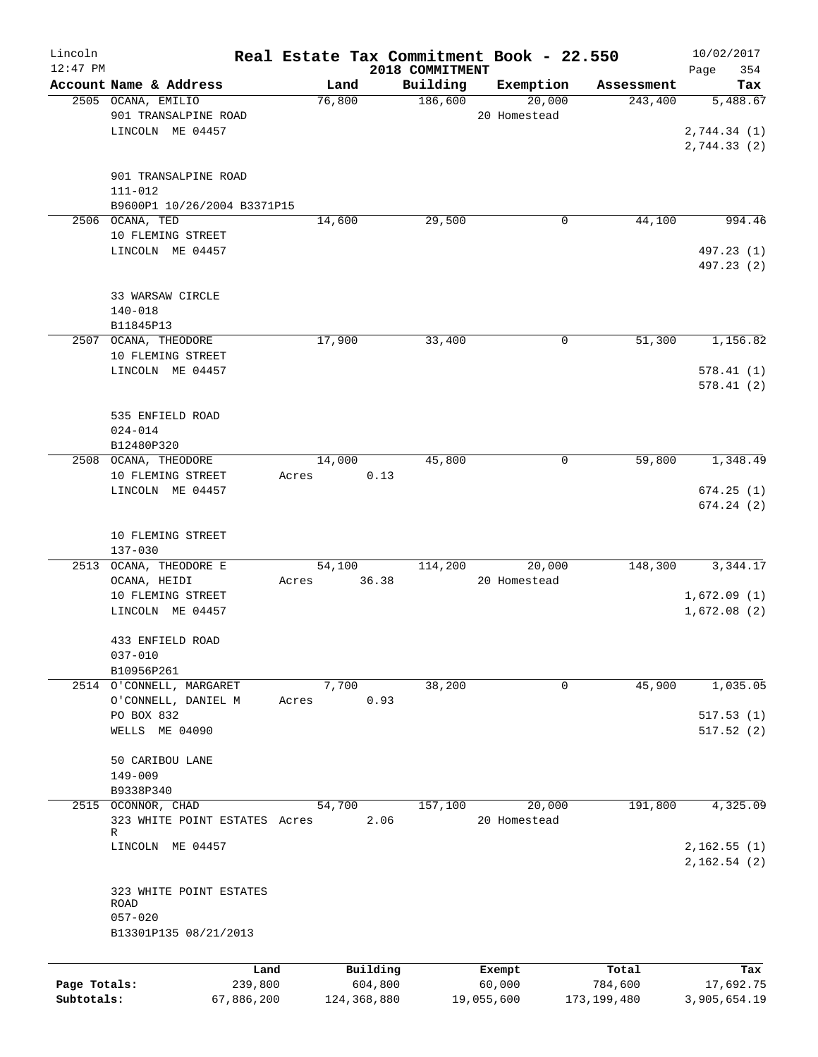| Lincoln<br>$12:47$ PM |                                                |                 |                 |                     | 2018 COMMITMENT | Real Estate Tax Commitment Book - 22.550 |                  | 10/02/2017<br>354<br>Page  |
|-----------------------|------------------------------------------------|-----------------|-----------------|---------------------|-----------------|------------------------------------------|------------------|----------------------------|
|                       | Account Name & Address                         |                 | Land            |                     | Building        | Exemption                                | Assessment       | Tax                        |
|                       | 2505 OCANA, EMILIO<br>901 TRANSALPINE ROAD     |                 | 76,800          |                     | 186,600         | 20,000<br>20 Homestead                   | 243,400          | 5,488.67                   |
|                       | LINCOLN ME 04457                               |                 |                 |                     |                 |                                          |                  | 2,744.34(1)<br>2,744.33(2) |
|                       | 901 TRANSALPINE ROAD<br>$111 - 012$            |                 |                 |                     |                 |                                          |                  |                            |
|                       | B9600P1 10/26/2004 B3371P15                    |                 |                 |                     |                 |                                          |                  |                            |
|                       | 2506 OCANA, TED                                |                 | 14,600          |                     | 29,500          |                                          | 44,100<br>0      | 994.46                     |
|                       | 10 FLEMING STREET                              |                 |                 |                     |                 |                                          |                  |                            |
|                       | LINCOLN ME 04457                               |                 |                 |                     |                 |                                          |                  | 497.23 (1)<br>497.23 (2)   |
|                       | 33 WARSAW CIRCLE                               |                 |                 |                     |                 |                                          |                  |                            |
|                       | $140 - 018$                                    |                 |                 |                     |                 |                                          |                  |                            |
|                       | B11845P13<br>2507 OCANA, THEODORE              |                 | 17,900          |                     | 33,400          |                                          | 51,300<br>0      | 1,156.82                   |
|                       | 10 FLEMING STREET                              |                 |                 |                     |                 |                                          |                  |                            |
|                       | LINCOLN ME 04457                               |                 |                 |                     |                 |                                          |                  | 578.41(1)                  |
|                       |                                                |                 |                 |                     |                 |                                          |                  | 578.41(2)                  |
|                       | 535 ENFIELD ROAD                               |                 |                 |                     |                 |                                          |                  |                            |
|                       | $024 - 014$                                    |                 |                 |                     |                 |                                          |                  |                            |
|                       | B12480P320                                     |                 |                 |                     | 45,800          |                                          | 59,800           | 1,348.49                   |
|                       | 2508 OCANA, THEODORE<br>10 FLEMING STREET      |                 | 14,000<br>Acres | 0.13                |                 |                                          | 0                |                            |
|                       | LINCOLN ME 04457                               |                 |                 |                     |                 |                                          |                  | 674.25(1)                  |
|                       |                                                |                 |                 |                     |                 |                                          |                  | 674.24(2)                  |
|                       | 10 FLEMING STREET                              |                 |                 |                     |                 |                                          |                  |                            |
|                       | $137 - 030$                                    |                 |                 |                     |                 |                                          |                  |                            |
|                       | 2513 OCANA, THEODORE E<br>OCANA, HEIDI         |                 | 54,100<br>Acres | 36.38               | 114,200         | 20,000<br>20 Homestead                   | 148,300          | 3,344.17                   |
|                       | 10 FLEMING STREET                              |                 |                 |                     |                 |                                          |                  | 1,672.09(1)                |
|                       | LINCOLN ME 04457                               |                 |                 |                     |                 |                                          |                  | 1,672.08(2)                |
|                       | 433 ENFIELD ROAD                               |                 |                 |                     |                 |                                          |                  |                            |
|                       | $037 - 010$                                    |                 |                 |                     |                 |                                          |                  |                            |
|                       | B10956P261<br>2514 O'CONNELL, MARGARET         |                 | 7,700           |                     | 38,200          |                                          | 0<br>45,900      | 1,035.05                   |
|                       | O'CONNELL, DANIEL M                            |                 | Acres           | 0.93                |                 |                                          |                  |                            |
|                       | PO BOX 832                                     |                 |                 |                     |                 |                                          |                  | 517.53(1)                  |
|                       | WELLS ME 04090                                 |                 |                 |                     |                 |                                          |                  | 517.52(2)                  |
|                       | 50 CARIBOU LANE                                |                 |                 |                     |                 |                                          |                  |                            |
|                       | 149-009                                        |                 |                 |                     |                 |                                          |                  |                            |
| 2515                  | B9338P340<br>OCONNOR, CHAD                     |                 | 54,700          |                     | 157,100         | 20,000                                   | 191,800          | 4,325.09                   |
|                       | 323 WHITE POINT ESTATES Acres<br>R             |                 |                 | 2.06                |                 | 20 Homestead                             |                  |                            |
|                       | LINCOLN ME 04457                               |                 |                 |                     |                 |                                          |                  | 2,162.55(1)<br>2,162.54(2) |
|                       | 323 WHITE POINT ESTATES<br>ROAD<br>$057 - 020$ |                 |                 |                     |                 |                                          |                  |                            |
|                       | B13301P135 08/21/2013                          |                 |                 |                     |                 |                                          |                  |                            |
|                       |                                                |                 |                 |                     |                 |                                          |                  |                            |
| Page Totals:          |                                                | Land<br>239,800 |                 | Building<br>604,800 |                 | Exempt<br>60,000                         | Total<br>784,600 | Tax<br>17,692.75           |

**Subtotals:** 67,886,200 124,368,880 19,055,600 173,199,480 3,905,654.19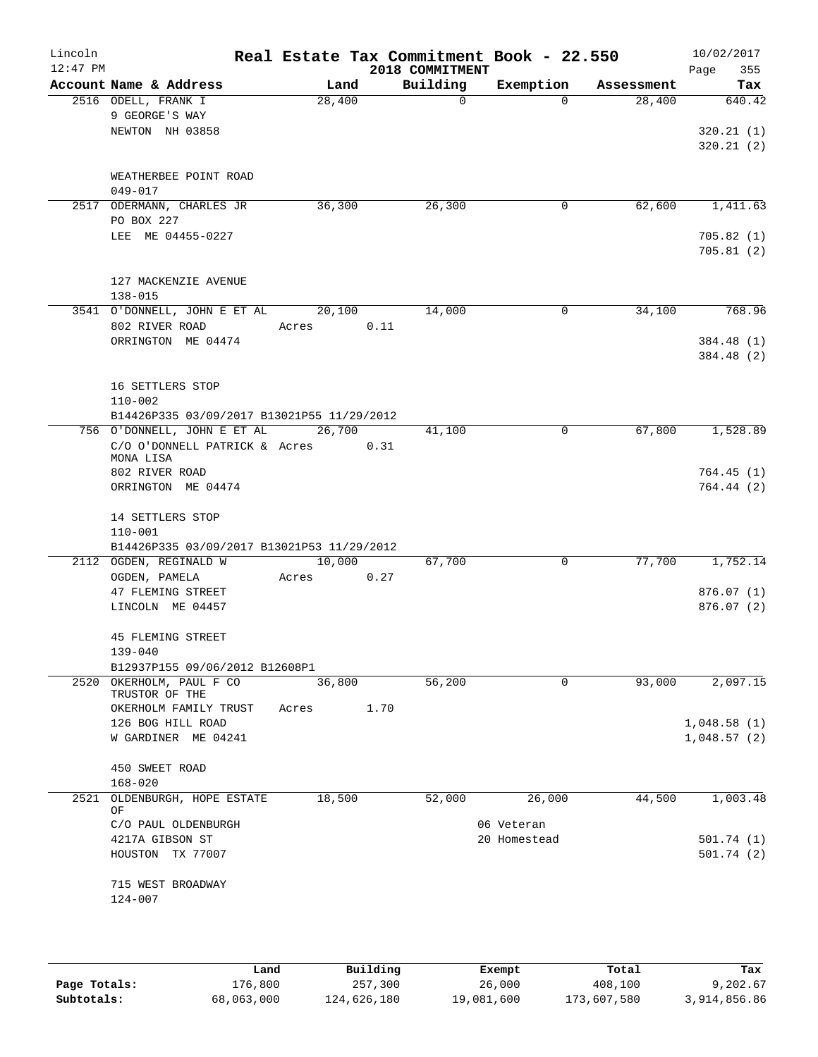| Lincoln<br>$12:47$ PM |                                                              |        |      | Real Estate Tax Commitment Book - 22.550<br>2018 COMMITMENT |              |            | 10/02/2017<br>355<br>Page |
|-----------------------|--------------------------------------------------------------|--------|------|-------------------------------------------------------------|--------------|------------|---------------------------|
|                       | Account Name & Address                                       | Land   |      | Building                                                    | Exemption    | Assessment | Tax                       |
|                       | 2516 ODELL, FRANK I                                          | 28,400 |      | $\mathbf 0$                                                 | $\Omega$     | 28,400     | 640.42                    |
|                       | 9 GEORGE'S WAY                                               |        |      |                                                             |              |            |                           |
|                       | NEWTON NH 03858                                              |        |      |                                                             |              |            | 320.21(1)<br>320.21(2)    |
|                       |                                                              |        |      |                                                             |              |            |                           |
|                       | WEATHERBEE POINT ROAD                                        |        |      |                                                             |              |            |                           |
|                       | $049 - 017$                                                  |        |      |                                                             |              |            |                           |
|                       | 2517 ODERMANN, CHARLES JR                                    | 36,300 |      | 26,300                                                      | 0            | 62,600     | 1,411.63                  |
|                       | PO BOX 227                                                   |        |      |                                                             |              |            |                           |
|                       | LEE ME 04455-0227                                            |        |      |                                                             |              |            | 705.82(1)<br>705.81(2)    |
|                       |                                                              |        |      |                                                             |              |            |                           |
|                       | 127 MACKENZIE AVENUE                                         |        |      |                                                             |              |            |                           |
|                       | $138 - 015$                                                  |        |      |                                                             |              |            |                           |
|                       | 3541 O'DONNELL, JOHN E ET AL                                 | 20,100 |      | 14,000                                                      | 0            | 34,100     | 768.96                    |
|                       | 802 RIVER ROAD<br>ORRINGTON ME 04474                         | Acres  | 0.11 |                                                             |              |            |                           |
|                       |                                                              |        |      |                                                             |              |            | 384.48 (1)<br>384.48 (2)  |
|                       |                                                              |        |      |                                                             |              |            |                           |
|                       | 16 SETTLERS STOP                                             |        |      |                                                             |              |            |                           |
|                       | $110 - 002$                                                  |        |      |                                                             |              |            |                           |
|                       | B14426P335 03/09/2017 B13021P55 11/29/2012                   |        |      |                                                             |              |            |                           |
|                       | 756 O'DONNELL, JOHN E ET AL<br>C/O O'DONNELL PATRICK & Acres | 26,700 |      | 41,100                                                      | $\mathbf 0$  | 67,800     | 1,528.89                  |
|                       | MONA LISA                                                    |        | 0.31 |                                                             |              |            |                           |
|                       | 802 RIVER ROAD                                               |        |      |                                                             |              |            | 764.45(1)                 |
|                       | ORRINGTON ME 04474                                           |        |      |                                                             |              |            | 764.44(2)                 |
|                       | 14 SETTLERS STOP                                             |        |      |                                                             |              |            |                           |
|                       | $110 - 001$                                                  |        |      |                                                             |              |            |                           |
|                       | B14426P335 03/09/2017 B13021P53 11/29/2012                   |        |      |                                                             |              |            |                           |
|                       | 2112 OGDEN, REGINALD W                                       | 10,000 |      | 67,700                                                      | 0            | 77,700     | 1,752.14                  |
|                       | OGDEN, PAMELA                                                | Acres  | 0.27 |                                                             |              |            |                           |
|                       | 47 FLEMING STREET                                            |        |      |                                                             |              |            | 876.07(1)                 |
|                       | LINCOLN ME 04457                                             |        |      |                                                             |              |            | 876.07(2)                 |
|                       | 45 FLEMING STREET                                            |        |      |                                                             |              |            |                           |
|                       | $139 - 040$                                                  |        |      |                                                             |              |            |                           |
|                       | B12937P155 09/06/2012 B12608P1                               |        |      |                                                             |              |            |                           |
|                       | 2520 OKERHOLM, PAUL F CO<br>TRUSTOR OF THE                   | 36,800 |      | 56,200                                                      | 0            | 93,000     | 2,097.15                  |
|                       | OKERHOLM FAMILY TRUST                                        | Acres  | 1.70 |                                                             |              |            |                           |
|                       | 126 BOG HILL ROAD                                            |        |      |                                                             |              |            | 1,048.58(1)               |
|                       | W GARDINER ME 04241                                          |        |      |                                                             |              |            | 1,048.57(2)               |
|                       |                                                              |        |      |                                                             |              |            |                           |
|                       | 450 SWEET ROAD<br>$168 - 020$                                |        |      |                                                             |              |            |                           |
| 2521                  | OLDENBURGH, HOPE ESTATE                                      | 18,500 |      | 52,000                                                      | 26,000       | 44,500     | 1,003.48                  |
|                       | ΟF                                                           |        |      |                                                             |              |            |                           |
|                       | C/O PAUL OLDENBURGH                                          |        |      |                                                             | 06 Veteran   |            |                           |
|                       | 4217A GIBSON ST                                              |        |      |                                                             | 20 Homestead |            | 501.74 (1)                |
|                       | HOUSTON TX 77007                                             |        |      |                                                             |              |            | 501.74(2)                 |
|                       | 715 WEST BROADWAY                                            |        |      |                                                             |              |            |                           |
|                       | $124 - 007$                                                  |        |      |                                                             |              |            |                           |
|                       |                                                              |        |      |                                                             |              |            |                           |
|                       |                                                              |        |      |                                                             |              |            |                           |

|              | Land       | Building    | Exempt     | Total       | Tax          |
|--------------|------------|-------------|------------|-------------|--------------|
| Page Totals: | 176,800    | 257,300     | 26,000     | 408,100     | 9,202.67     |
| Subtotals:   | 68,063,000 | 124,626,180 | 19,081,600 | 173,607,580 | 3,914,856.86 |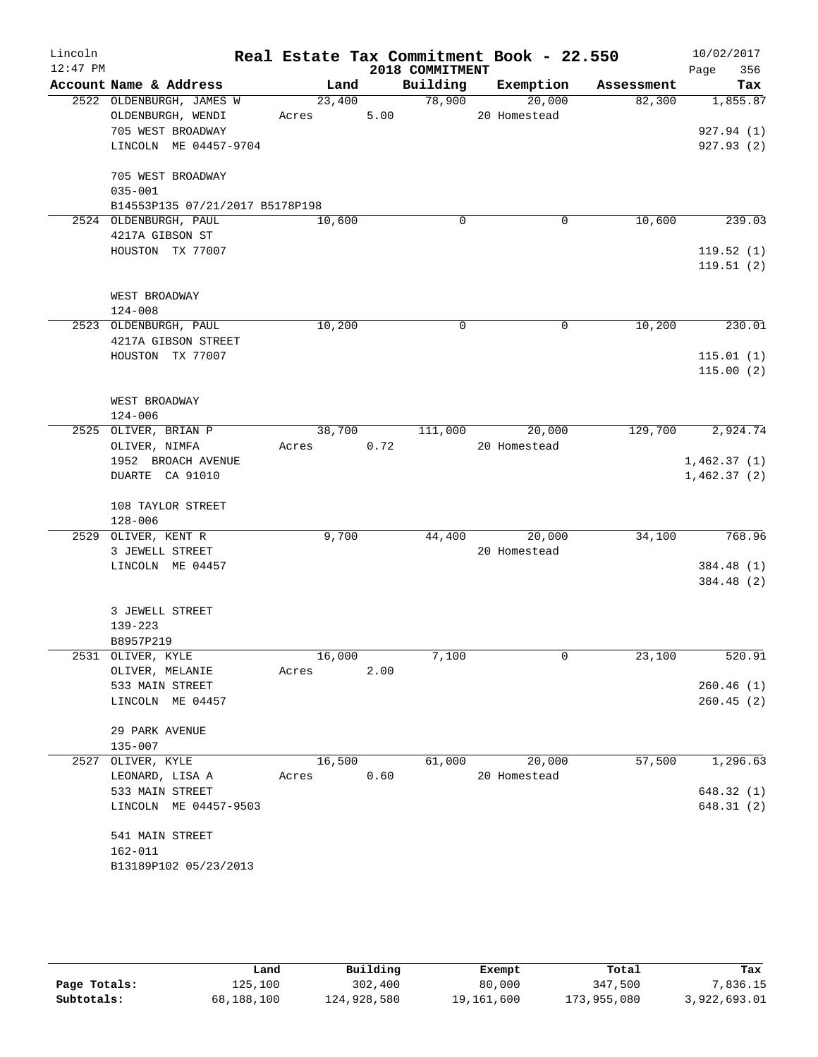| Lincoln    |                                 |            |        |                    | Real Estate Tax Commitment Book - 22.550 |                       | 10/02/2017  |
|------------|---------------------------------|------------|--------|--------------------|------------------------------------------|-----------------------|-------------|
| $12:47$ PM |                                 |            |        | 2018 COMMITMENT    |                                          |                       | 356<br>Page |
|            | Account Name & Address          | Land       |        |                    | Building Exemption                       | Assessment            | Tax         |
|            | 2522 OLDENBURGH, JAMES W        | 23,400     |        | $\frac{1}{78,900}$ | 20,000                                   | 82,300                | 1,855.87    |
|            | OLDENBURGH, WENDI               | Acres      | 5.00   |                    | 20 Homestead                             |                       |             |
|            | 705 WEST BROADWAY               |            |        |                    |                                          |                       | 927.94 (1)  |
|            | LINCOLN ME 04457-9704           |            |        |                    |                                          |                       | 927.93(2)   |
|            | 705 WEST BROADWAY               |            |        |                    |                                          |                       |             |
|            | $035 - 001$                     |            |        |                    |                                          |                       |             |
|            | B14553P135 07/21/2017 B5178P198 |            |        |                    |                                          |                       |             |
|            | 2524 OLDENBURGH, PAUL           | 10,600     |        | $\Omega$           |                                          | 10,600<br>0           | 239.03      |
|            | 4217A GIBSON ST                 |            |        |                    |                                          |                       |             |
|            | HOUSTON TX 77007                |            |        |                    |                                          |                       | 119.52(1)   |
|            |                                 |            |        |                    |                                          |                       | 119.51(2)   |
|            |                                 |            |        |                    |                                          |                       |             |
|            | WEST BROADWAY                   |            |        |                    |                                          |                       |             |
|            | $124 - 008$                     |            |        |                    |                                          |                       |             |
|            | 2523 OLDENBURGH, PAUL           | 10,200     |        | $\Omega$           |                                          | $\Omega$<br>10,200    | 230.01      |
|            | 4217A GIBSON STREET             |            |        |                    |                                          |                       |             |
|            | HOUSTON TX 77007                |            |        |                    |                                          |                       | 115.01(1)   |
|            |                                 |            |        |                    |                                          |                       | 115.00(2)   |
|            |                                 |            |        |                    |                                          |                       |             |
|            | WEST BROADWAY                   |            |        |                    |                                          |                       |             |
|            | 124-006                         |            |        |                    |                                          |                       |             |
|            | 2525 OLIVER, BRIAN P            |            | 38,700 |                    | 111,000 20,000                           | 129,700               | 2,924.74    |
|            | OLIVER, NIMFA                   | Acres 0.72 |        |                    | 20 Homestead                             |                       |             |
|            | 1952 BROACH AVENUE              |            |        |                    |                                          |                       | 1,462.37(1) |
|            | DUARTE CA 91010                 |            |        |                    |                                          |                       | 1,462.37(2) |
|            | 108 TAYLOR STREET               |            |        |                    |                                          |                       |             |
|            | $128 - 006$                     |            |        |                    |                                          |                       |             |
|            | 2529 OLIVER, KENT R             | 9,700      |        | 44,400             | 20,000                                   | 34,100                | 768.96      |
|            | 3 JEWELL STREET                 |            |        |                    | 20 Homestead                             |                       |             |
|            | LINCOLN ME 04457                |            |        |                    |                                          |                       | 384.48 (1)  |
|            |                                 |            |        |                    |                                          |                       | 384.48 (2)  |
|            |                                 |            |        |                    |                                          |                       |             |
|            | 3 JEWELL STREET                 |            |        |                    |                                          |                       |             |
|            | $139 - 223$                     |            |        |                    |                                          |                       |             |
|            | B8957P219                       |            |        |                    |                                          |                       |             |
|            | 2531 OLIVER, KYLE               | 16,000     |        | 7,100              |                                          | $\mathbf 0$<br>23,100 | 520.91      |
|            | OLIVER, MELANIE                 | Acres      | 2.00   |                    |                                          |                       |             |
|            | 533 MAIN STREET                 |            |        |                    |                                          |                       | 260.46(1)   |
|            | LINCOLN ME 04457                |            |        |                    |                                          |                       | 260.45(2)   |
|            |                                 |            |        |                    |                                          |                       |             |
|            | 29 PARK AVENUE                  |            |        |                    |                                          |                       |             |
|            | 135-007                         |            |        |                    |                                          |                       |             |
| 2527       | OLIVER, KYLE                    | 16,500     |        | 61,000             | 20,000                                   | 57,500                | 1,296.63    |
|            | LEONARD, LISA A                 | Acres      | 0.60   |                    | 20 Homestead                             |                       |             |
|            | 533 MAIN STREET                 |            |        |                    |                                          |                       | 648.32(1)   |
|            | LINCOLN ME 04457-9503           |            |        |                    |                                          |                       | 648.31(2)   |
|            | 541 MAIN STREET                 |            |        |                    |                                          |                       |             |
|            | 162-011                         |            |        |                    |                                          |                       |             |
|            | B13189P102 05/23/2013           |            |        |                    |                                          |                       |             |
|            |                                 |            |        |                    |                                          |                       |             |

|              | Land       | Building    | Exempt     | Total       | Tax          |
|--------------|------------|-------------|------------|-------------|--------------|
| Page Totals: | 125,100    | 302,400     | 80,000     | 347,500     | 7,836.15     |
| Subtotals:   | 68,188,100 | 124,928,580 | 19,161,600 | 173,955,080 | 3,922,693.01 |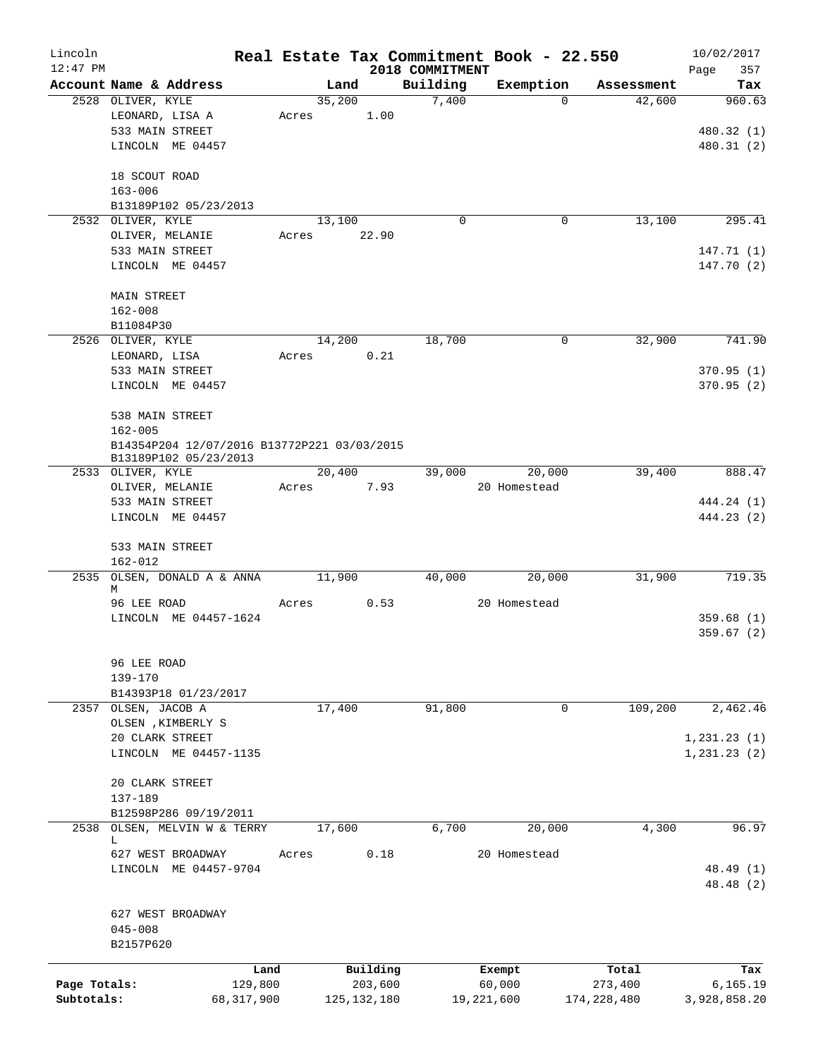| Lincoln      |                                             |                |                     |                   | Real Estate Tax Commitment Book - 22.550 |                      | 10/02/2017       |
|--------------|---------------------------------------------|----------------|---------------------|-------------------|------------------------------------------|----------------------|------------------|
| $12:47$ PM   | Account Name & Address                      |                |                     | 2018 COMMITMENT   |                                          |                      | 357<br>Page      |
|              | 2528 OLIVER, KYLE                           | Land<br>35,200 |                     | Building<br>7,400 | Exemption<br>0                           | Assessment<br>42,600 | Tax<br>960.63    |
|              | LEONARD, LISA A                             | Acres          | 1.00                |                   |                                          |                      |                  |
|              | 533 MAIN STREET                             |                |                     |                   |                                          |                      | 480.32 (1)       |
|              | LINCOLN ME 04457                            |                |                     |                   |                                          |                      | 480.31 (2)       |
|              |                                             |                |                     |                   |                                          |                      |                  |
|              | 18 SCOUT ROAD                               |                |                     |                   |                                          |                      |                  |
|              | $163 - 006$                                 |                |                     |                   |                                          |                      |                  |
|              | B13189P102 05/23/2013                       |                |                     |                   |                                          |                      |                  |
|              | 2532 OLIVER, KYLE                           | 13,100         |                     | $\mathbf 0$       | 0                                        | 13,100               | 295.41           |
|              | OLIVER, MELANIE                             | Acres          | 22.90               |                   |                                          |                      |                  |
|              | 533 MAIN STREET                             |                |                     |                   |                                          |                      | 147.71 (1)       |
|              | LINCOLN ME 04457                            |                |                     |                   |                                          |                      | 147.70(2)        |
|              | <b>MAIN STREET</b>                          |                |                     |                   |                                          |                      |                  |
|              | $162 - 008$                                 |                |                     |                   |                                          |                      |                  |
|              | B11084P30                                   |                |                     |                   |                                          |                      |                  |
|              | 2526 OLIVER, KYLE                           | 14,200         |                     | 18,700            | 0                                        | 32,900               | 741.90           |
|              | LEONARD, LISA                               | Acres          | 0.21                |                   |                                          |                      |                  |
|              | 533 MAIN STREET                             |                |                     |                   |                                          |                      | 370.95(1)        |
|              | LINCOLN ME 04457                            |                |                     |                   |                                          |                      | 370.95(2)        |
|              |                                             |                |                     |                   |                                          |                      |                  |
|              | 538 MAIN STREET                             |                |                     |                   |                                          |                      |                  |
|              | $162 - 005$                                 |                |                     |                   |                                          |                      |                  |
|              | B14354P204 12/07/2016 B13772P221 03/03/2015 |                |                     |                   |                                          |                      |                  |
|              | B13189P102 05/23/2013<br>2533 OLIVER, KYLE  | 20,400         |                     | 39,000            | 20,000                                   | 39,400               | 888.47           |
|              | OLIVER, MELANIE                             | Acres          | 7.93                |                   | 20 Homestead                             |                      |                  |
|              | 533 MAIN STREET                             |                |                     |                   |                                          |                      | 444.24 (1)       |
|              | LINCOLN ME 04457                            |                |                     |                   |                                          |                      | 444.23 (2)       |
|              |                                             |                |                     |                   |                                          |                      |                  |
|              | 533 MAIN STREET                             |                |                     |                   |                                          |                      |                  |
|              | $162 - 012$                                 |                |                     |                   |                                          |                      |                  |
|              | 2535 OLSEN, DONALD A & ANNA                 | 11,900         |                     | 40,000            | 20,000                                   | 31,900               | 719.35           |
|              | М<br>96 LEE ROAD                            |                | 0.53                |                   | 20 Homestead                             |                      |                  |
|              | LINCOLN ME 04457-1624                       | Acres          |                     |                   |                                          |                      | 359.68(1)        |
|              |                                             |                |                     |                   |                                          |                      | 359.67(2)        |
|              |                                             |                |                     |                   |                                          |                      |                  |
|              | 96 LEE ROAD                                 |                |                     |                   |                                          |                      |                  |
|              | $139 - 170$                                 |                |                     |                   |                                          |                      |                  |
|              | B14393P18 01/23/2017                        |                |                     |                   |                                          |                      |                  |
|              | 2357 OLSEN, JACOB A                         | 17,400         |                     | 91,800            | 0                                        | 109,200              | 2,462.46         |
|              | OLSEN , KIMBERLY S                          |                |                     |                   |                                          |                      |                  |
|              | 20 CLARK STREET                             |                |                     |                   |                                          |                      | 1, 231.23(1)     |
|              | LINCOLN ME 04457-1135                       |                |                     |                   |                                          |                      | 1, 231.23 (2)    |
|              | 20 CLARK STREET                             |                |                     |                   |                                          |                      |                  |
|              | $137 - 189$                                 |                |                     |                   |                                          |                      |                  |
|              | B12598P286 09/19/2011                       |                |                     |                   |                                          |                      |                  |
| 2538         | OLSEN, MELVIN W & TERRY                     | 17,600         |                     | 6,700             | 20,000                                   | 4,300                | 96.97            |
|              | L                                           |                |                     |                   |                                          |                      |                  |
|              | 627 WEST BROADWAY                           | Acres          | 0.18                |                   | 20 Homestead                             |                      |                  |
|              | LINCOLN<br>ME 04457-9704                    |                |                     |                   |                                          |                      | 48.49 (1)        |
|              |                                             |                |                     |                   |                                          |                      | 48.48 (2)        |
|              | 627 WEST BROADWAY                           |                |                     |                   |                                          |                      |                  |
|              | $045 - 008$                                 |                |                     |                   |                                          |                      |                  |
|              | B2157P620                                   |                |                     |                   |                                          |                      |                  |
|              |                                             |                |                     |                   |                                          |                      |                  |
| Page Totals: | Land<br>129,800                             |                | Building<br>203,600 |                   | Exempt<br>60,000                         | Total<br>273,400     | Tax<br>6, 165.19 |
| Subtotals:   | 68, 317, 900                                |                | 125, 132, 180       |                   | 19,221,600                               | 174, 228, 480        | 3,928,858.20     |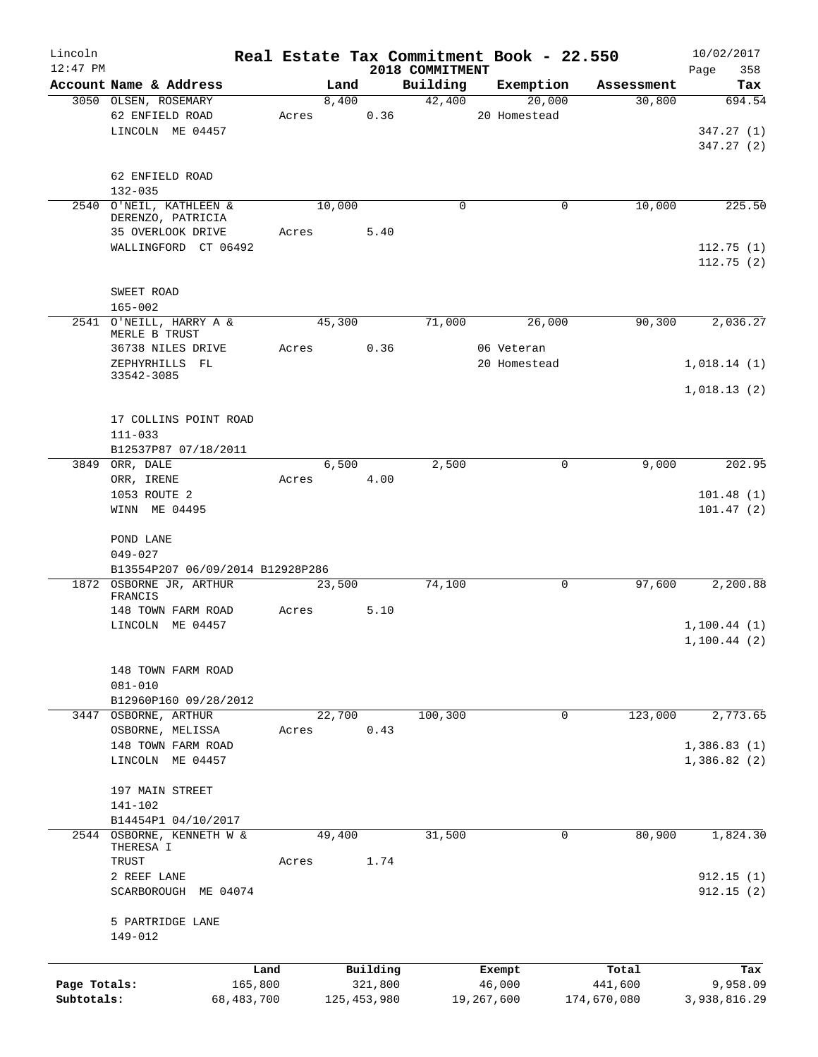| Lincoln      |                                    |       |               |          |                             |            | Real Estate Tax Commitment Book - 22.550 |             | 10/02/2017         |
|--------------|------------------------------------|-------|---------------|----------|-----------------------------|------------|------------------------------------------|-------------|--------------------|
| $12:47$ PM   | Account Name & Address             |       | Land          |          | 2018 COMMITMENT<br>Building |            | Exemption                                | Assessment  | 358<br>Page<br>Tax |
|              | 3050 OLSEN, ROSEMARY               |       | 8,400         |          | 42,400                      |            | 20,000                                   | 30,800      | 694.54             |
|              | 62 ENFIELD ROAD                    | Acres |               | 0.36     |                             |            | 20 Homestead                             |             |                    |
|              | LINCOLN ME 04457                   |       |               |          |                             |            |                                          |             | 347.27(1)          |
|              |                                    |       |               |          |                             |            |                                          |             | 347.27(2)          |
|              |                                    |       |               |          |                             |            |                                          |             |                    |
|              | 62 ENFIELD ROAD<br>$132 - 035$     |       |               |          |                             |            |                                          |             |                    |
|              | 2540 O'NEIL, KATHLEEN &            |       | 10,000        |          | $\Omega$                    |            | 0                                        | 10,000      | 225.50             |
|              | DERENZO, PATRICIA                  |       |               |          |                             |            |                                          |             |                    |
|              | 35 OVERLOOK DRIVE                  | Acres |               | 5.40     |                             |            |                                          |             |                    |
|              | WALLINGFORD CT 06492               |       |               |          |                             |            |                                          |             | 112.75(1)          |
|              |                                    |       |               |          |                             |            |                                          |             | 112.75(2)          |
|              | SWEET ROAD                         |       |               |          |                             |            |                                          |             |                    |
|              | $165 - 002$                        |       |               |          |                             |            |                                          |             |                    |
|              | 2541 O'NEILL, HARRY A &            |       | 45,300        |          | 71,000                      |            | 26,000                                   | 90,300      | 2,036.27           |
|              | MERLE B TRUST<br>36738 NILES DRIVE | Acres |               | 0.36     |                             |            | 06 Veteran                               |             |                    |
|              | ZEPHYRHILLS FL                     |       |               |          |                             |            | 20 Homestead                             |             | 1,018.14(1)        |
|              | 33542-3085                         |       |               |          |                             |            |                                          |             |                    |
|              |                                    |       |               |          |                             |            |                                          |             | 1,018.13(2)        |
|              | 17 COLLINS POINT ROAD              |       |               |          |                             |            |                                          |             |                    |
|              | $111 - 033$                        |       |               |          |                             |            |                                          |             |                    |
|              | B12537P87 07/18/2011               |       |               |          |                             |            |                                          |             |                    |
|              | 3849 ORR, DALE                     |       | 6,500         |          | 2,500                       |            | 0                                        | 9,000       | 202.95             |
|              | ORR, IRENE                         | Acres |               | 4.00     |                             |            |                                          |             |                    |
|              | 1053 ROUTE 2                       |       |               |          |                             |            |                                          |             | 101.48(1)          |
|              | WINN ME 04495                      |       |               |          |                             |            |                                          |             | 101.47(2)          |
|              | POND LANE                          |       |               |          |                             |            |                                          |             |                    |
|              | $049 - 027$                        |       |               |          |                             |            |                                          |             |                    |
|              | B13554P207 06/09/2014 B12928P286   |       |               |          |                             |            |                                          |             |                    |
|              | 1872 OSBORNE JR, ARTHUR<br>FRANCIS |       | 23,500        |          | 74,100                      |            | 0                                        | 97,600      | 2,200.88           |
|              | 148 TOWN FARM ROAD                 | Acres |               | 5.10     |                             |            |                                          |             |                    |
|              | LINCOLN ME 04457                   |       |               |          |                             |            |                                          |             | 1, 100.44(1)       |
|              |                                    |       |               |          |                             |            |                                          |             | 1, 100.44(2)       |
|              |                                    |       |               |          |                             |            |                                          |             |                    |
|              | 148 TOWN FARM ROAD<br>$081 - 010$  |       |               |          |                             |            |                                          |             |                    |
|              | B12960P160 09/28/2012              |       |               |          |                             |            |                                          |             |                    |
|              | 3447 OSBORNE, ARTHUR               |       | 22,700        |          | 100, 300                    |            | $\mathbf 0$                              | 123,000     | 2,773.65           |
|              | OSBORNE, MELISSA                   | Acres |               | 0.43     |                             |            |                                          |             |                    |
|              | 148 TOWN FARM ROAD                 |       |               |          |                             |            |                                          |             | 1,386.83(1)        |
|              | LINCOLN ME 04457                   |       |               |          |                             |            |                                          |             | 1,386.82(2)        |
|              | 197 MAIN STREET                    |       |               |          |                             |            |                                          |             |                    |
|              | 141-102                            |       |               |          |                             |            |                                          |             |                    |
|              | B14454P1 04/10/2017                |       |               |          |                             |            |                                          |             |                    |
| 2544         | OSBORNE, KENNETH W &               |       | 49,400        |          | 31,500                      |            | $\mathbf 0$                              | 80,900      | 1,824.30           |
|              | THERESA I                          |       |               |          |                             |            |                                          |             |                    |
|              | TRUST<br>2 REEF LANE               | Acres |               | 1.74     |                             |            |                                          |             | 912.15(1)          |
|              | SCARBOROUGH ME 04074               |       |               |          |                             |            |                                          |             | 912.15(2)          |
|              |                                    |       |               |          |                             |            |                                          |             |                    |
|              | 5 PARTRIDGE LANE                   |       |               |          |                             |            |                                          |             |                    |
|              | 149-012                            |       |               |          |                             |            |                                          |             |                    |
|              |                                    | Land  |               | Building |                             | Exempt     |                                          | Total       | Tax                |
| Page Totals: | 165,800                            |       |               | 321,800  |                             | 46,000     |                                          | 441,600     | 9,958.09           |
| Subtotals:   | 68,483,700                         |       | 125, 453, 980 |          |                             | 19,267,600 |                                          | 174,670,080 | 3,938,816.29       |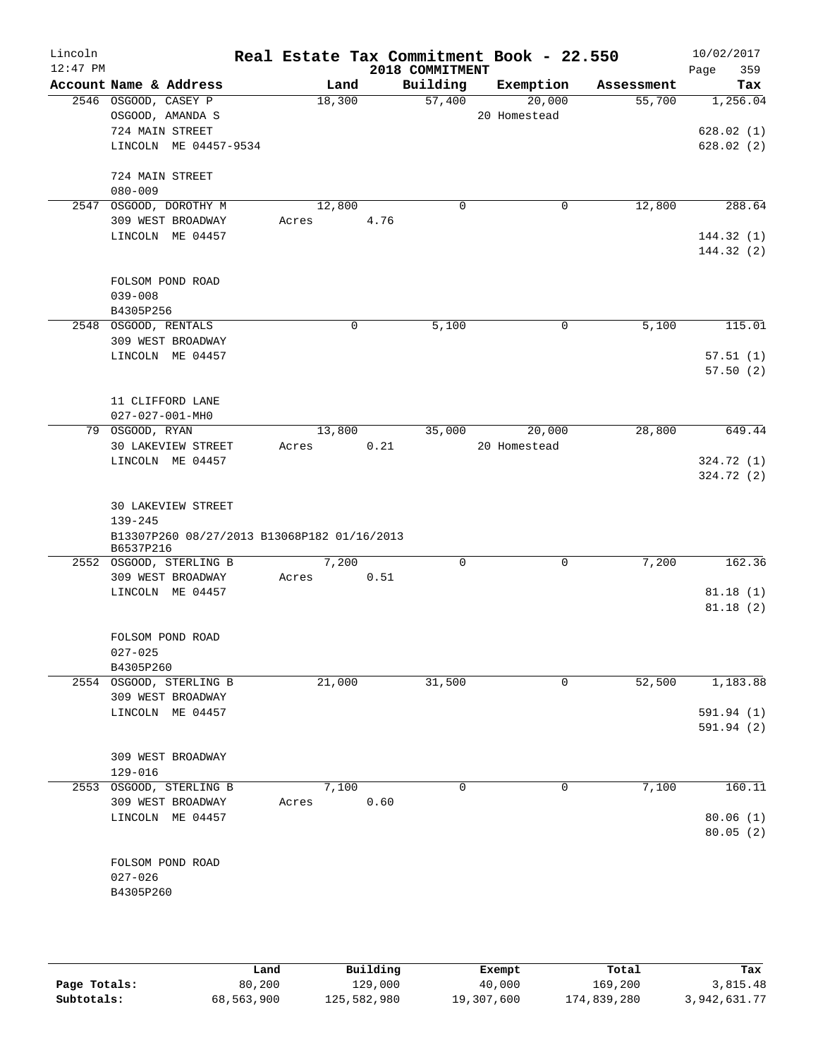| Lincoln<br>$12:47$ PM |                                    |                         |                                             |             |      | Real Estate Tax Commitment Book - 22.550<br>2018 COMMITMENT |              |            | 10/02/2017<br>359<br>Page |
|-----------------------|------------------------------------|-------------------------|---------------------------------------------|-------------|------|-------------------------------------------------------------|--------------|------------|---------------------------|
|                       |                                    | Account Name & Address  |                                             | Land        |      | Building                                                    | Exemption    | Assessment | Tax                       |
|                       | 2546 OSGOOD, CASEY P               |                         | 18,300                                      |             |      | 57,400                                                      | 20,000       | 55,700     | 1,256.04                  |
|                       |                                    | OSGOOD, AMANDA S        |                                             |             |      |                                                             | 20 Homestead |            |                           |
|                       | 724 MAIN STREET                    |                         |                                             |             |      |                                                             |              |            | 628.02(1)                 |
|                       |                                    | LINCOLN ME 04457-9534   |                                             |             |      |                                                             |              |            | 628.02(2)                 |
|                       | 724 MAIN STREET                    |                         |                                             |             |      |                                                             |              |            |                           |
|                       | $080 - 009$                        |                         |                                             |             |      |                                                             |              |            |                           |
|                       |                                    | 2547 OSGOOD, DOROTHY M  | 12,800                                      |             |      | $\mathbf 0$                                                 | 0            | 12,800     | 288.64                    |
|                       |                                    | 309 WEST BROADWAY       | Acres                                       |             | 4.76 |                                                             |              |            |                           |
|                       |                                    | LINCOLN ME 04457        |                                             |             |      |                                                             |              |            | 144.32(1)                 |
|                       |                                    |                         |                                             |             |      |                                                             |              |            | 144.32 (2)                |
|                       |                                    | FOLSOM POND ROAD        |                                             |             |      |                                                             |              |            |                           |
|                       | $039 - 008$                        |                         |                                             |             |      |                                                             |              |            |                           |
|                       | B4305P256                          |                         |                                             |             |      |                                                             |              |            |                           |
|                       | 2548 OSGOOD, RENTALS               |                         |                                             | $\mathbf 0$ |      | 5,100                                                       | $\mathbf 0$  | 5,100      | 115.01                    |
|                       |                                    | 309 WEST BROADWAY       |                                             |             |      |                                                             |              |            |                           |
|                       |                                    | LINCOLN ME 04457        |                                             |             |      |                                                             |              |            | 57.51(1)                  |
|                       |                                    |                         |                                             |             |      |                                                             |              |            | 57.50(2)                  |
|                       |                                    |                         |                                             |             |      |                                                             |              |            |                           |
|                       |                                    | 11 CLIFFORD LANE        |                                             |             |      |                                                             |              |            |                           |
|                       | 027-027-001-MH0<br>79 OSGOOD, RYAN |                         | 13,800                                      |             |      | 35,000                                                      | 20,000       | 28,800     | 649.44                    |
|                       |                                    | 30 LAKEVIEW STREET      | Acres                                       |             | 0.21 |                                                             | 20 Homestead |            |                           |
|                       |                                    | LINCOLN ME 04457        |                                             |             |      |                                                             |              |            | 324.72 (1)                |
|                       |                                    |                         |                                             |             |      |                                                             |              |            | 324.72 (2)                |
|                       | $139 - 245$<br>B6537P216           | 30 LAKEVIEW STREET      | B13307P260 08/27/2013 B13068P182 01/16/2013 |             |      |                                                             |              |            |                           |
|                       |                                    | 2552 OSGOOD, STERLING B | 7,200                                       |             |      | $\mathbf 0$                                                 | $\mathbf 0$  | 7,200      | 162.36                    |
|                       |                                    | 309 WEST BROADWAY       | Acres                                       |             | 0.51 |                                                             |              |            |                           |
|                       |                                    | LINCOLN ME 04457        |                                             |             |      |                                                             |              |            | 81.18(1)                  |
|                       |                                    |                         |                                             |             |      |                                                             |              |            | 81.18(2)                  |
|                       |                                    |                         |                                             |             |      |                                                             |              |            |                           |
|                       |                                    | FOLSOM POND ROAD        |                                             |             |      |                                                             |              |            |                           |
|                       | $027 - 025$<br>B4305P260           |                         |                                             |             |      |                                                             |              |            |                           |
|                       |                                    | 2554 OSGOOD, STERLING B | 21,000                                      |             |      | 31,500                                                      | 0            | 52,500     | 1,183.88                  |
|                       |                                    | 309 WEST BROADWAY       |                                             |             |      |                                                             |              |            |                           |
|                       |                                    | LINCOLN ME 04457        |                                             |             |      |                                                             |              |            | 591.94(1)                 |
|                       |                                    |                         |                                             |             |      |                                                             |              |            | 591.94(2)                 |
|                       |                                    |                         |                                             |             |      |                                                             |              |            |                           |
|                       |                                    | 309 WEST BROADWAY       |                                             |             |      |                                                             |              |            |                           |
|                       | $129 - 016$                        | 2553 OSGOOD, STERLING B | 7,100                                       |             |      | $\mathbf 0$                                                 | $\mathbf 0$  | 7,100      | 160.11                    |
|                       |                                    | 309 WEST BROADWAY       | Acres                                       |             | 0.60 |                                                             |              |            |                           |
|                       |                                    | LINCOLN ME 04457        |                                             |             |      |                                                             |              |            | 80.06(1)                  |
|                       |                                    |                         |                                             |             |      |                                                             |              |            | 80.05(2)                  |
|                       |                                    |                         |                                             |             |      |                                                             |              |            |                           |
|                       |                                    | FOLSOM POND ROAD        |                                             |             |      |                                                             |              |            |                           |
|                       | $027 - 026$                        |                         |                                             |             |      |                                                             |              |            |                           |
|                       | B4305P260                          |                         |                                             |             |      |                                                             |              |            |                           |
|                       |                                    |                         |                                             |             |      |                                                             |              |            |                           |
|                       |                                    |                         |                                             |             |      |                                                             |              |            |                           |

|              | Land       | Building    | Exempt     | Total       | Tax          |
|--------------|------------|-------------|------------|-------------|--------------|
| Page Totals: | 80,200     | 129,000     | 40,000     | 169,200     | 3,815.48     |
| Subtotals:   | 68,563,900 | 125,582,980 | 19,307,600 | 174,839,280 | 3,942,631.77 |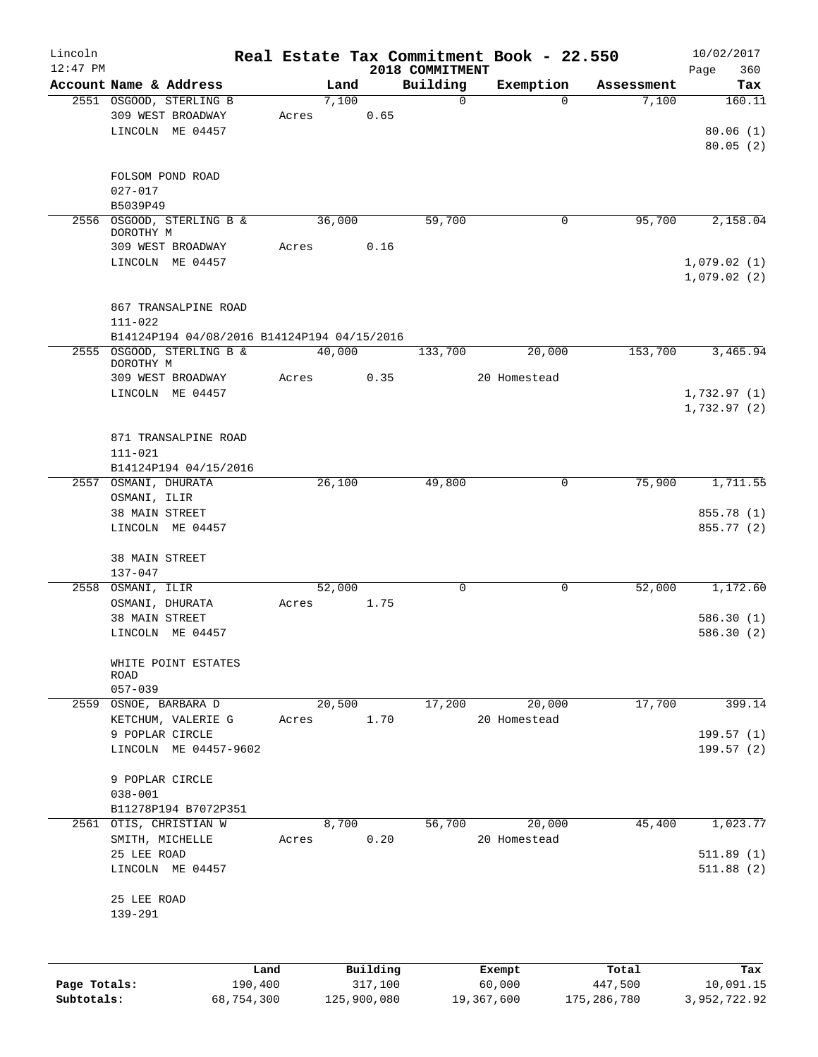| Lincoln      |                                             |        |                     |                             | Real Estate Tax Commitment Book - 22.550 |                  | 10/02/2017         |
|--------------|---------------------------------------------|--------|---------------------|-----------------------------|------------------------------------------|------------------|--------------------|
| $12:47$ PM   | Account Name & Address                      | Land   |                     | 2018 COMMITMENT<br>Building | Exemption                                | Assessment       | Page<br>360<br>Tax |
|              | 2551 OSGOOD, STERLING B                     | 7,100  |                     | $\mathbf 0$                 | $\Omega$                                 | 7,100            | 160.11             |
|              | 309 WEST BROADWAY                           | Acres  | 0.65                |                             |                                          |                  |                    |
|              | LINCOLN ME 04457                            |        |                     |                             |                                          |                  | 80.06(1)           |
|              |                                             |        |                     |                             |                                          |                  | 80.05(2)           |
|              |                                             |        |                     |                             |                                          |                  |                    |
|              | FOLSOM POND ROAD                            |        |                     |                             |                                          |                  |                    |
|              | $027 - 017$                                 |        |                     |                             |                                          |                  |                    |
|              | B5039P49                                    |        |                     |                             |                                          |                  |                    |
| 2556         | OSGOOD, STERLING B &                        | 36,000 |                     | 59,700                      | 0                                        | 95,700           | 2,158.04           |
|              | DOROTHY M<br>309 WEST BROADWAY              | Acres  | 0.16                |                             |                                          |                  |                    |
|              | LINCOLN ME 04457                            |        |                     |                             |                                          |                  | 1,079.02(1)        |
|              |                                             |        |                     |                             |                                          |                  | 1,079.02(2)        |
|              |                                             |        |                     |                             |                                          |                  |                    |
|              | 867 TRANSALPINE ROAD                        |        |                     |                             |                                          |                  |                    |
|              | $111 - 022$                                 |        |                     |                             |                                          |                  |                    |
|              | B14124P194 04/08/2016 B14124P194 04/15/2016 |        |                     |                             |                                          |                  |                    |
|              | 2555 OSGOOD, STERLING B &                   | 40,000 |                     | 133,700                     | 20,000                                   | 153,700          | 3,465.94           |
|              | DOROTHY M                                   |        |                     |                             |                                          |                  |                    |
|              | 309 WEST BROADWAY                           | Acres  | 0.35                |                             | 20 Homestead                             |                  |                    |
|              | LINCOLN ME 04457                            |        |                     |                             |                                          |                  | 1,732.97(1)        |
|              |                                             |        |                     |                             |                                          |                  | 1,732.97(2)        |
|              |                                             |        |                     |                             |                                          |                  |                    |
|              | 871 TRANSALPINE ROAD                        |        |                     |                             |                                          |                  |                    |
|              | $111 - 021$                                 |        |                     |                             |                                          |                  |                    |
|              | B14124P194 04/15/2016                       |        |                     |                             |                                          |                  |                    |
|              | 2557 OSMANI, DHURATA                        | 26,100 |                     | 49,800                      | $\mathbf 0$                              | 75,900           | 1,711.55           |
|              | OSMANI, ILIR                                |        |                     |                             |                                          |                  | 855.78 (1)         |
|              | 38 MAIN STREET                              |        |                     |                             |                                          |                  |                    |
|              | LINCOLN ME 04457                            |        |                     |                             |                                          |                  | 855.77 (2)         |
|              | 38 MAIN STREET                              |        |                     |                             |                                          |                  |                    |
|              | $137 - 047$                                 |        |                     |                             |                                          |                  |                    |
|              | 2558 OSMANI, ILIR                           | 52,000 |                     | 0                           | 0                                        | 52,000           | 1,172.60           |
|              | OSMANI, DHURATA                             | Acres  | 1.75                |                             |                                          |                  |                    |
|              | 38 MAIN STREET                              |        |                     |                             |                                          |                  | 586.30(1)          |
|              | LINCOLN ME 04457                            |        |                     |                             |                                          |                  | 586.30(2)          |
|              |                                             |        |                     |                             |                                          |                  |                    |
|              | WHITE POINT ESTATES                         |        |                     |                             |                                          |                  |                    |
|              | ROAD                                        |        |                     |                             |                                          |                  |                    |
|              | $057 - 039$                                 |        |                     |                             |                                          |                  |                    |
|              | 2559 OSNOE, BARBARA D                       | 20,500 |                     | 17,200                      | 20,000                                   | 17,700           | 399.14             |
|              | KETCHUM, VALERIE G                          | Acres  | 1.70                |                             | 20 Homestead                             |                  |                    |
|              | 9 POPLAR CIRCLE                             |        |                     |                             |                                          |                  | 199.57 (1)         |
|              | LINCOLN ME 04457-9602                       |        |                     |                             |                                          |                  | 199.57(2)          |
|              |                                             |        |                     |                             |                                          |                  |                    |
|              | 9 POPLAR CIRCLE<br>$038 - 001$              |        |                     |                             |                                          |                  |                    |
|              | B11278P194 B7072P351                        |        |                     |                             |                                          |                  |                    |
|              | 2561 OTIS, CHRISTIAN W                      | 8,700  |                     | 56,700                      | 20,000                                   | 45,400           | 1,023.77           |
|              | SMITH, MICHELLE                             | Acres  | 0.20                |                             | 20 Homestead                             |                  |                    |
|              | 25 LEE ROAD                                 |        |                     |                             |                                          |                  | 511.89(1)          |
|              | LINCOLN ME 04457                            |        |                     |                             |                                          |                  | 511.88(2)          |
|              |                                             |        |                     |                             |                                          |                  |                    |
|              | 25 LEE ROAD                                 |        |                     |                             |                                          |                  |                    |
|              | 139-291                                     |        |                     |                             |                                          |                  |                    |
|              |                                             |        |                     |                             |                                          |                  |                    |
|              |                                             |        |                     |                             |                                          |                  |                    |
|              |                                             |        |                     |                             |                                          |                  |                    |
| Page Totals: | Land<br>190,400                             |        | Building<br>317,100 |                             | Exempt<br>60,000                         | Total<br>447,500 | Tax<br>10,091.15   |
|              |                                             |        |                     |                             |                                          |                  |                    |

**Subtotals:** 68,754,300 125,900,080 19,367,600 175,286,780 3,952,722.92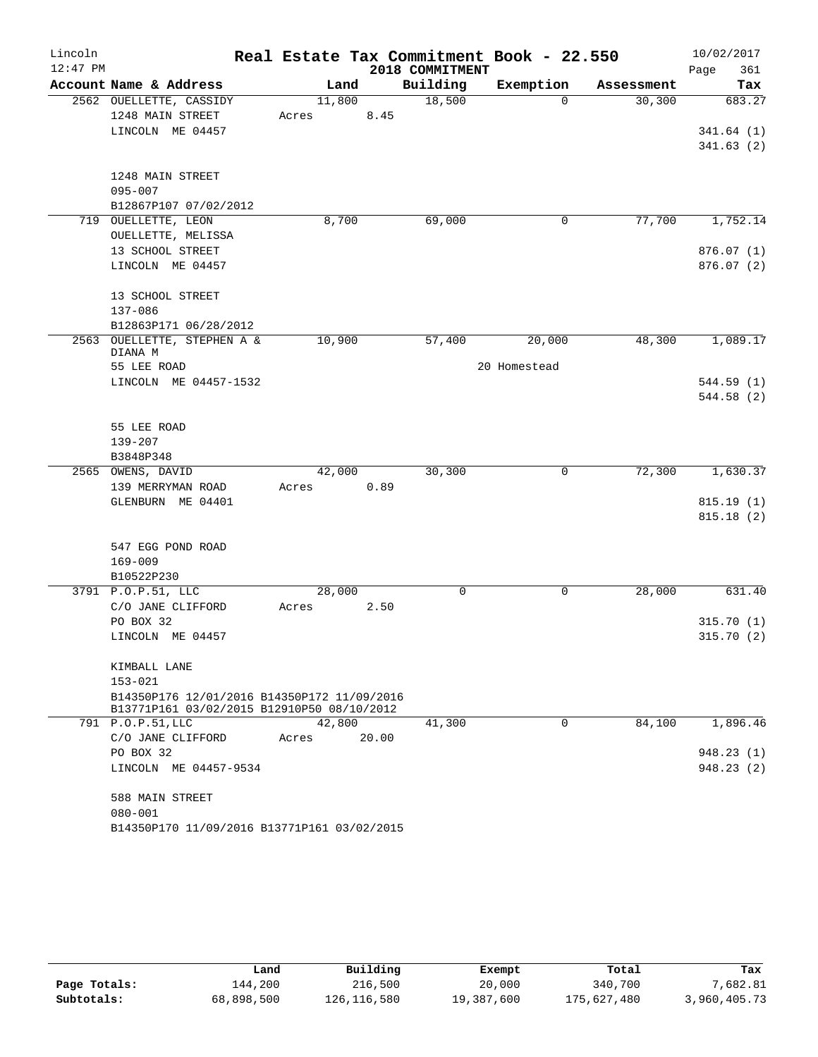| Lincoln<br>$12:47$ PM |                                             |        |       | 2018 COMMITMENT | Real Estate Tax Commitment Book - 22.550 |            | 10/02/2017<br>361       |
|-----------------------|---------------------------------------------|--------|-------|-----------------|------------------------------------------|------------|-------------------------|
|                       | Account Name & Address                      | Land   |       | Building        | Exemption                                | Assessment | Page<br>Tax             |
|                       | 2562 OUELLETTE, CASSIDY                     | 11,800 |       | 18,500          | $\Omega$                                 | 30, 300    | 683.27                  |
|                       | 1248 MAIN STREET                            | Acres  | 8.45  |                 |                                          |            |                         |
|                       | LINCOLN ME 04457                            |        |       |                 |                                          |            | 341.64(1)               |
|                       |                                             |        |       |                 |                                          |            | 341.63(2)               |
|                       | 1248 MAIN STREET                            |        |       |                 |                                          |            |                         |
|                       | $095 - 007$                                 |        |       |                 |                                          |            |                         |
|                       | B12867P107 07/02/2012                       |        |       |                 |                                          |            |                         |
|                       | 719 OUELLETTE, LEON                         | 8,700  |       | 69,000          | 0                                        | 77,700     | 1,752.14                |
|                       | OUELLETTE, MELISSA                          |        |       |                 |                                          |            |                         |
|                       | 13 SCHOOL STREET<br>LINCOLN ME 04457        |        |       |                 |                                          |            | 876.07(1)<br>876.07 (2) |
|                       |                                             |        |       |                 |                                          |            |                         |
|                       | 13 SCHOOL STREET                            |        |       |                 |                                          |            |                         |
|                       | 137-086                                     |        |       |                 |                                          |            |                         |
|                       | B12863P171 06/28/2012                       |        |       |                 |                                          |            |                         |
| 2563                  | OUELLETTE, STEPHEN A &<br>DIANA M           | 10,900 |       | 57,400          | 20,000                                   | 48,300     | 1,089.17                |
|                       | 55 LEE ROAD                                 |        |       |                 | 20 Homestead                             |            |                         |
|                       | LINCOLN ME 04457-1532                       |        |       |                 |                                          |            | 544.59 (1)              |
|                       |                                             |        |       |                 |                                          |            | 544.58 (2)              |
|                       | 55 LEE ROAD                                 |        |       |                 |                                          |            |                         |
|                       | $139 - 207$                                 |        |       |                 |                                          |            |                         |
|                       | B3848P348                                   |        |       |                 |                                          |            |                         |
|                       | 2565 OWENS, DAVID                           | 42,000 |       | 30,300          | 0                                        | 72,300     | 1,630.37                |
|                       | 139 MERRYMAN ROAD                           | Acres  | 0.89  |                 |                                          |            |                         |
|                       | GLENBURN ME 04401                           |        |       |                 |                                          |            | 815.19(1)               |
|                       |                                             |        |       |                 |                                          |            | 815.18(2)               |
|                       | 547 EGG POND ROAD                           |        |       |                 |                                          |            |                         |
|                       | $169 - 009$                                 |        |       |                 |                                          |            |                         |
|                       | B10522P230                                  |        |       |                 |                                          |            |                         |
|                       | 3791 P.O.P.51, LLC                          | 28,000 |       | 0               | 0                                        | 28,000     | 631.40                  |
|                       | C/O JANE CLIFFORD                           | Acres  | 2.50  |                 |                                          |            |                         |
|                       | PO BOX 32                                   |        |       |                 |                                          |            | 315.70(1)               |
|                       | LINCOLN ME 04457                            |        |       |                 |                                          |            | 315.70(2)               |
|                       | KIMBALL LANE                                |        |       |                 |                                          |            |                         |
|                       | $153 - 021$                                 |        |       |                 |                                          |            |                         |
|                       | B14350P176 12/01/2016 B14350P172 11/09/2016 |        |       |                 |                                          |            |                         |
|                       | B13771P161 03/02/2015 B12910P50 08/10/2012  |        |       |                 |                                          |            |                         |
|                       | 791 P.O.P.51, LLC                           | 42,800 |       | 41,300          | $\Omega$                                 | 84,100     | 1,896.46                |
|                       | C/O JANE CLIFFORD                           | Acres  | 20.00 |                 |                                          |            |                         |
|                       | PO BOX 32                                   |        |       |                 |                                          |            | 948.23 (1)              |
|                       | LINCOLN ME 04457-9534                       |        |       |                 |                                          |            | 948.23 (2)              |
|                       | 588 MAIN STREET                             |        |       |                 |                                          |            |                         |
|                       | $080 - 001$                                 |        |       |                 |                                          |            |                         |
|                       | B14350P170 11/09/2016 B13771P161 03/02/2015 |        |       |                 |                                          |            |                         |

|              | Land       | Building    | Exempt     | Total       | Tax          |
|--------------|------------|-------------|------------|-------------|--------------|
| Page Totals: | 144,200    | 216,500     | 20,000     | 340,700     | 7,682.81     |
| Subtotals:   | 68,898,500 | 126,116,580 | 19,387,600 | 175,627,480 | 3,960,405.73 |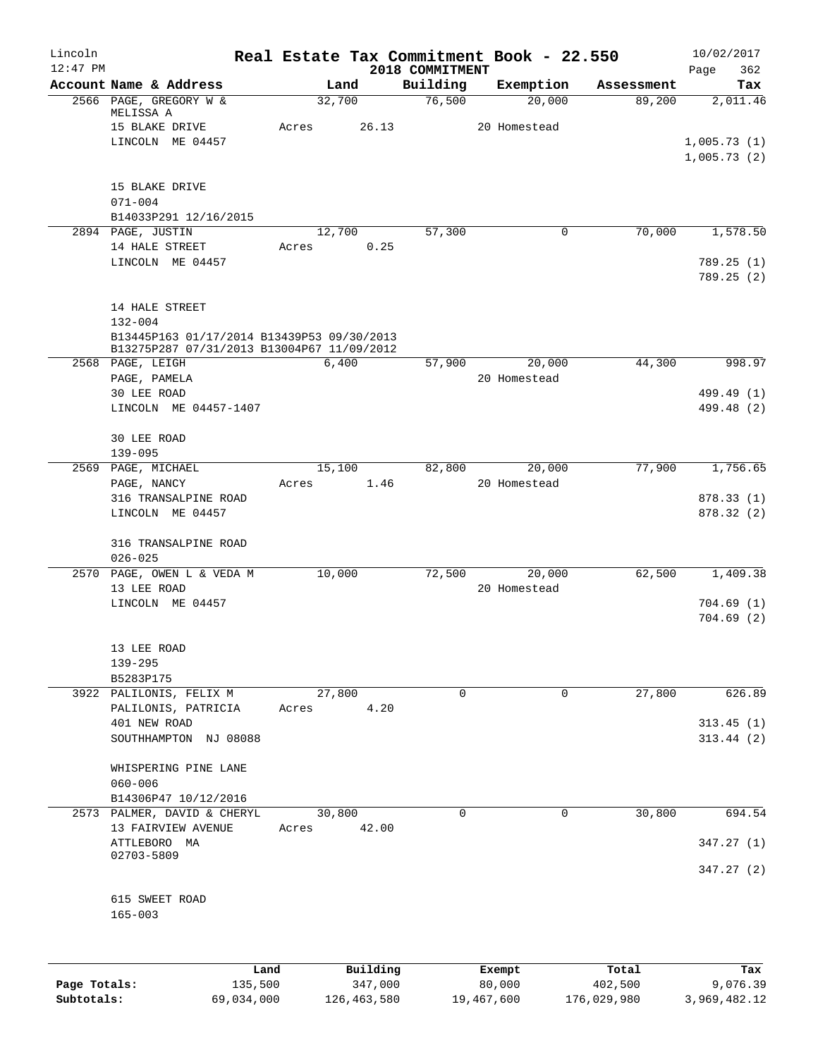| Lincoln<br>$12:47$ PM |                                                   |       |                 |                             | Real Estate Tax Commitment Book - 22.550 |            | 10/02/2017             |
|-----------------------|---------------------------------------------------|-------|-----------------|-----------------------------|------------------------------------------|------------|------------------------|
|                       | Account Name & Address                            |       | Land            | 2018 COMMITMENT<br>Building | Exemption                                | Assessment | Page<br>362<br>Tax     |
|                       | 2566 PAGE, GREGORY W &                            |       | 32,700          | 76,500                      | 20,000                                   | 89,200     | 2,011.46               |
|                       | MELISSA A                                         |       |                 |                             |                                          |            |                        |
|                       | 15 BLAKE DRIVE<br>LINCOLN ME 04457                | Acres | 26.13           |                             | 20 Homestead                             |            | 1,005.73(1)            |
|                       |                                                   |       |                 |                             |                                          |            | 1,005.73(2)            |
|                       |                                                   |       |                 |                             |                                          |            |                        |
|                       | 15 BLAKE DRIVE                                    |       |                 |                             |                                          |            |                        |
|                       | $071 - 004$                                       |       |                 |                             |                                          |            |                        |
|                       | B14033P291 12/16/2015                             |       |                 |                             |                                          |            |                        |
|                       | 2894 PAGE, JUSTIN<br>14 HALE STREET               | Acres | 12,700<br>0.25  | 57,300                      | 0                                        | 70,000     | 1,578.50               |
|                       | LINCOLN ME 04457                                  |       |                 |                             |                                          |            | 789.25(1)              |
|                       |                                                   |       |                 |                             |                                          |            | 789.25(2)              |
|                       | 14 HALE STREET                                    |       |                 |                             |                                          |            |                        |
|                       | $132 - 004$                                       |       |                 |                             |                                          |            |                        |
|                       | B13445P163 01/17/2014 B13439P53 09/30/2013        |       |                 |                             |                                          |            |                        |
|                       | B13275P287 07/31/2013 B13004P67 11/09/2012        |       |                 |                             |                                          |            |                        |
|                       | 2568 PAGE, LEIGH<br>PAGE, PAMELA                  |       | 6,400           | 57,900                      | 20,000<br>20 Homestead                   | 44,300     | 998.97                 |
|                       | 30 LEE ROAD                                       |       |                 |                             |                                          |            | 499.49 (1)             |
|                       | LINCOLN ME 04457-1407                             |       |                 |                             |                                          |            | 499.48 (2)             |
|                       |                                                   |       |                 |                             |                                          |            |                        |
|                       | 30 LEE ROAD                                       |       |                 |                             |                                          |            |                        |
|                       | $139 - 095$                                       |       |                 |                             |                                          |            |                        |
|                       | 2569 PAGE, MICHAEL                                |       | 15,100          | 82,800                      | 20,000<br>20 Homestead                   | 77,900     | 1,756.65               |
|                       | PAGE, NANCY<br>316 TRANSALPINE ROAD               | Acres | 1.46            |                             |                                          |            | 878.33 (1)             |
|                       | LINCOLN ME 04457                                  |       |                 |                             |                                          |            | 878.32(2)              |
|                       | 316 TRANSALPINE ROAD                              |       |                 |                             |                                          |            |                        |
|                       | $026 - 025$                                       |       |                 |                             |                                          |            |                        |
|                       | 2570 PAGE, OWEN L & VEDA M                        |       | 10,000          | 72,500                      | 20,000                                   | 62,500     | 1,409.38               |
|                       | 13 LEE ROAD                                       |       |                 |                             | 20 Homestead                             |            |                        |
|                       | LINCOLN ME 04457                                  |       |                 |                             |                                          |            | 704.69(1)              |
|                       |                                                   |       |                 |                             |                                          |            | 704.69(2)              |
|                       | 13 LEE ROAD                                       |       |                 |                             |                                          |            |                        |
|                       | $139 - 295$                                       |       |                 |                             |                                          |            |                        |
|                       | B5283P175                                         |       |                 |                             |                                          |            |                        |
|                       | 3922 PALILONIS, FELIX M                           |       | 27,800          | 0                           | 0                                        | 27,800     | 626.89                 |
|                       | PALILONIS, PATRICIA                               | Acres | 4.20            |                             |                                          |            |                        |
|                       | 401 NEW ROAD<br>SOUTHHAMPTON NJ 08088             |       |                 |                             |                                          |            | 313.45(1)<br>313.44(2) |
|                       |                                                   |       |                 |                             |                                          |            |                        |
|                       | WHISPERING PINE LANE                              |       |                 |                             |                                          |            |                        |
|                       | $060 - 006$                                       |       |                 |                             |                                          |            |                        |
|                       | B14306P47 10/12/2016                              |       |                 |                             |                                          |            |                        |
|                       | 2573 PALMER, DAVID & CHERYL<br>13 FAIRVIEW AVENUE | Acres | 30,800<br>42.00 | $\mathbf 0$                 | 0                                        | 30,800     | 694.54                 |
|                       | ATTLEBORO MA                                      |       |                 |                             |                                          |            | 347.27(1)              |
|                       | 02703-5809                                        |       |                 |                             |                                          |            |                        |
|                       |                                                   |       |                 |                             |                                          |            | 347.27 (2)             |
|                       | 615 SWEET ROAD                                    |       |                 |                             |                                          |            |                        |
|                       | $165 - 003$                                       |       |                 |                             |                                          |            |                        |
|                       |                                                   |       |                 |                             |                                          |            |                        |
|                       |                                                   |       |                 |                             |                                          |            |                        |
|                       |                                                   | Land  | Building        |                             | Exempt                                   | Total      | Tax                    |

|              | Land       | Building    | Exempt     | Total       | Tax          |
|--------------|------------|-------------|------------|-------------|--------------|
| Page Totals: | 135,500    | 347,000     | 80,000     | 402,500     | 9,076.39     |
| Subtotals:   | 69,034,000 | 126,463,580 | 19,467,600 | 176,029,980 | 3,969,482.12 |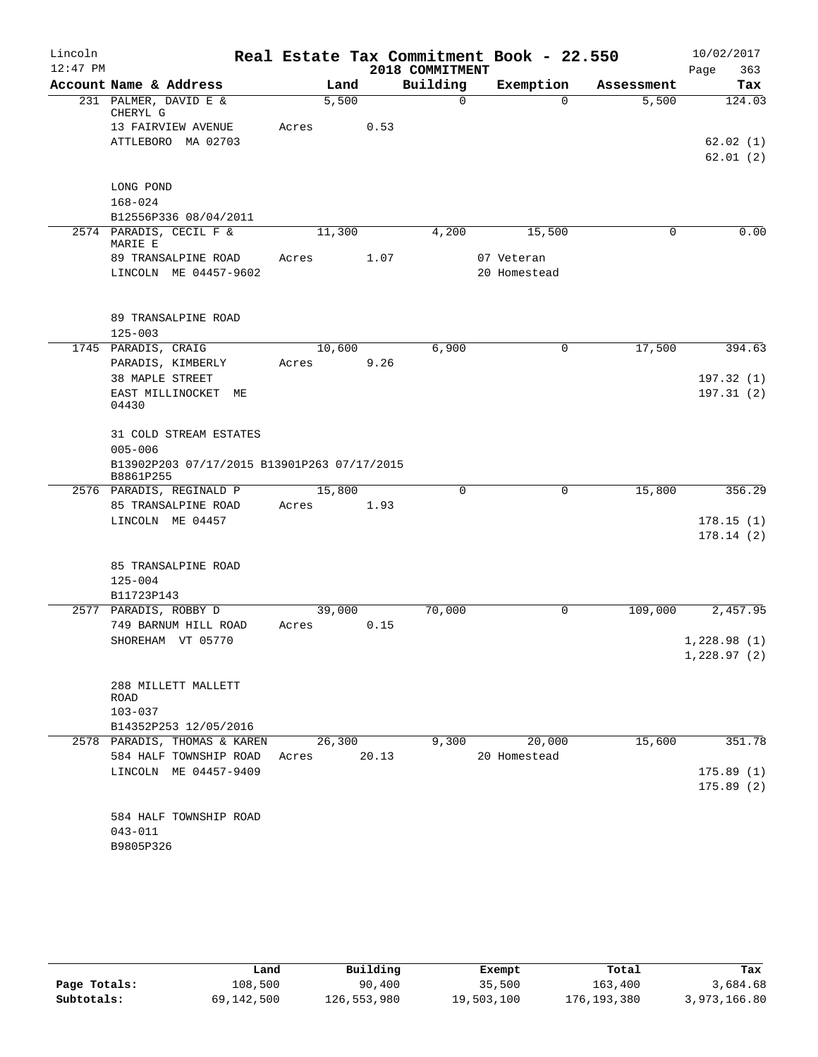| Lincoln    |                                                  |       |        |                 | Real Estate Tax Commitment Book - 22.550 |            | 10/02/2017  |
|------------|--------------------------------------------------|-------|--------|-----------------|------------------------------------------|------------|-------------|
| $12:47$ PM |                                                  |       |        | 2018 COMMITMENT |                                          |            | 363<br>Page |
|            | Account Name & Address                           |       | Land   | Building        | Exemption                                | Assessment | Tax         |
|            | 231 PALMER, DAVID E &<br>CHERYL G                |       | 5,500  | 0               | $\Omega$                                 | 5,500      | 124.03      |
|            | 13 FAIRVIEW AVENUE                               | Acres | 0.53   |                 |                                          |            |             |
|            | ATTLEBORO MA 02703                               |       |        |                 |                                          |            | 62.02(1)    |
|            |                                                  |       |        |                 |                                          |            | 62.01(2)    |
|            |                                                  |       |        |                 |                                          |            |             |
|            | LONG POND                                        |       |        |                 |                                          |            |             |
|            | $168 - 024$                                      |       |        |                 |                                          |            |             |
|            | B12556P336 08/04/2011<br>2574 PARADIS, CECIL F & |       | 11,300 | 4,200           | 15,500                                   | 0          | 0.00        |
|            | MARIE E                                          |       |        |                 |                                          |            |             |
|            | 89 TRANSALPINE ROAD                              | Acres | 1.07   |                 | 07 Veteran                               |            |             |
|            | LINCOLN ME 04457-9602                            |       |        |                 | 20 Homestead                             |            |             |
|            |                                                  |       |        |                 |                                          |            |             |
|            |                                                  |       |        |                 |                                          |            |             |
|            | 89 TRANSALPINE ROAD                              |       |        |                 |                                          |            |             |
|            | $125 - 003$                                      |       |        |                 |                                          |            |             |
|            | 1745 PARADIS, CRAIG                              |       | 10,600 | 6,900           | 0                                        | 17,500     | 394.63      |
|            | PARADIS, KIMBERLY<br>38 MAPLE STREET             | Acres | 9.26   |                 |                                          |            | 197.32(1)   |
|            | EAST MILLINOCKET ME                              |       |        |                 |                                          |            | 197.31(2)   |
|            | 04430                                            |       |        |                 |                                          |            |             |
|            |                                                  |       |        |                 |                                          |            |             |
|            | 31 COLD STREAM ESTATES                           |       |        |                 |                                          |            |             |
|            | $005 - 006$                                      |       |        |                 |                                          |            |             |
|            | B13902P203 07/17/2015 B13901P263 07/17/2015      |       |        |                 |                                          |            |             |
|            | B8861P255<br>2576 PARADIS, REGINALD P            |       | 15,800 | $\mathbf 0$     | 0                                        | 15,800     | 356.29      |
|            | 85 TRANSALPINE ROAD                              | Acres | 1.93   |                 |                                          |            |             |
|            | LINCOLN ME 04457                                 |       |        |                 |                                          |            | 178.15(1)   |
|            |                                                  |       |        |                 |                                          |            | 178.14(2)   |
|            |                                                  |       |        |                 |                                          |            |             |
|            | 85 TRANSALPINE ROAD                              |       |        |                 |                                          |            |             |
|            | $125 - 004$                                      |       |        |                 |                                          |            |             |
|            | B11723P143                                       |       |        |                 |                                          |            |             |
|            | 2577 PARADIS, ROBBY D                            |       | 39,000 | 70,000          | 0                                        | 109,000    | 2,457.95    |
|            | 749 BARNUM HILL ROAD                             | Acres | 0.15   |                 |                                          |            |             |
|            | SHOREHAM VT 05770                                |       |        |                 |                                          |            | 1,228.98(1) |
|            |                                                  |       |        |                 |                                          |            | 1,228.97(2) |
|            |                                                  |       |        |                 |                                          |            |             |
|            | 288 MILLETT MALLETT<br>ROAD                      |       |        |                 |                                          |            |             |
|            | $103 - 037$                                      |       |        |                 |                                          |            |             |
|            | B14352P253 12/05/2016                            |       |        |                 |                                          |            |             |
|            | 2578 PARADIS, THOMAS & KAREN                     |       | 26,300 | 9,300           | 20,000                                   | 15,600     | 351.78      |
|            | 584 HALF TOWNSHIP ROAD                           | Acres | 20.13  |                 | 20 Homestead                             |            |             |
|            | LINCOLN ME 04457-9409                            |       |        |                 |                                          |            | 175.89(1)   |
|            |                                                  |       |        |                 |                                          |            | 175.89(2)   |
|            |                                                  |       |        |                 |                                          |            |             |
|            | 584 HALF TOWNSHIP ROAD                           |       |        |                 |                                          |            |             |
|            | $043 - 011$<br>B9805P326                         |       |        |                 |                                          |            |             |
|            |                                                  |       |        |                 |                                          |            |             |

|              | Land       | Building    | Exempt     | Total       | Tax          |
|--------------|------------|-------------|------------|-------------|--------------|
| Page Totals: | 108,500    | 90,400      | 35,500     | 163,400     | 3,684.68     |
| Subtotals:   | 69,142,500 | 126,553,980 | 19,503,100 | 176,193,380 | 3,973,166.80 |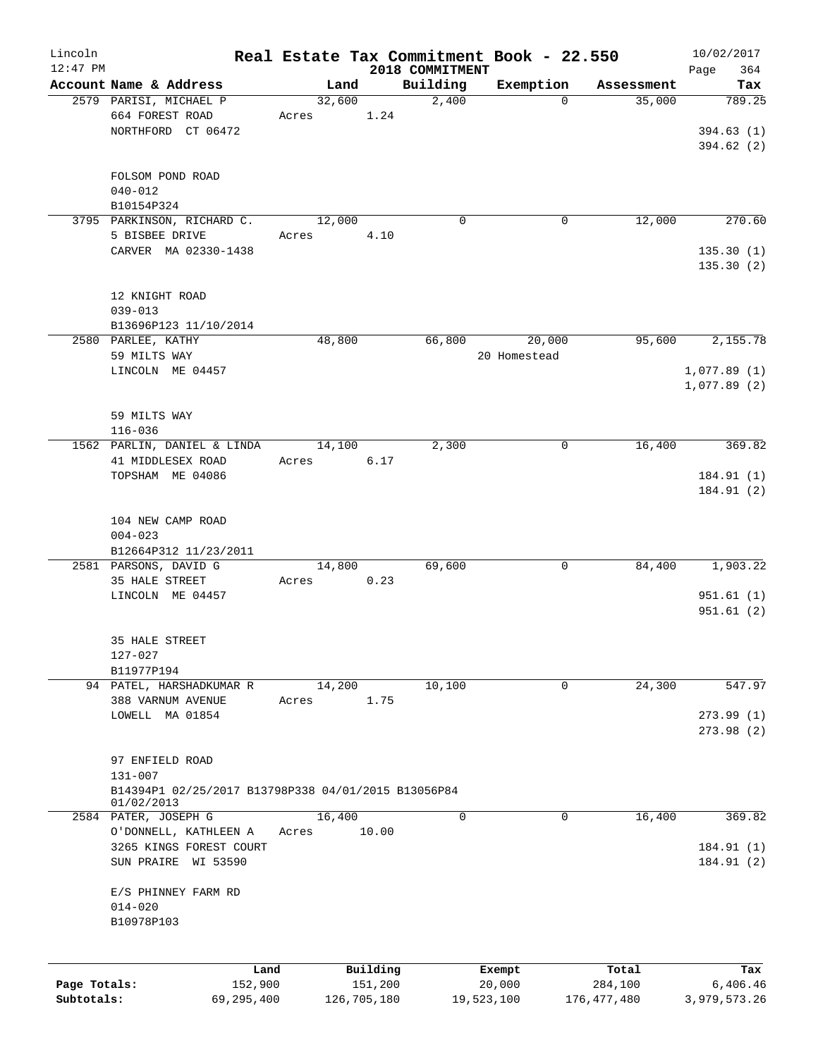| Lincoln<br>$12:47$ PM |                                                     |        |                     |                             | Real Estate Tax Commitment Book - 22.550 |                  | 10/02/2017         |
|-----------------------|-----------------------------------------------------|--------|---------------------|-----------------------------|------------------------------------------|------------------|--------------------|
|                       | Account Name & Address                              | Land   |                     | 2018 COMMITMENT<br>Building | Exemption                                | Assessment       | Page<br>364<br>Tax |
|                       | 2579 PARISI, MICHAEL P                              | 32,600 |                     | 2,400                       | $\Omega$                                 | 35,000           | 789.25             |
|                       | 664 FOREST ROAD                                     | Acres  | 1.24                |                             |                                          |                  |                    |
|                       | NORTHFORD CT 06472                                  |        |                     |                             |                                          |                  | 394.63(1)          |
|                       |                                                     |        |                     |                             |                                          |                  | 394.62(2)          |
|                       |                                                     |        |                     |                             |                                          |                  |                    |
|                       | FOLSOM POND ROAD                                    |        |                     |                             |                                          |                  |                    |
|                       | $040 - 012$                                         |        |                     |                             |                                          |                  |                    |
|                       | B10154P324                                          |        |                     |                             |                                          |                  |                    |
|                       | 3795 PARKINSON, RICHARD C.                          | 12,000 |                     | $\mathbf 0$                 | 0                                        | 12,000           | 270.60             |
|                       | 5 BISBEE DRIVE                                      | Acres  | 4.10                |                             |                                          |                  |                    |
|                       | CARVER MA 02330-1438                                |        |                     |                             |                                          |                  | 135.30(1)          |
|                       |                                                     |        |                     |                             |                                          |                  | 135.30(2)          |
|                       | 12 KNIGHT ROAD                                      |        |                     |                             |                                          |                  |                    |
|                       | $039 - 013$                                         |        |                     |                             |                                          |                  |                    |
|                       | B13696P123 11/10/2014                               |        |                     |                             |                                          |                  |                    |
|                       | 2580 PARLEE, KATHY                                  | 48,800 |                     | 66,800                      | 20,000                                   | 95,600           | 2,155.78           |
|                       | 59 MILTS WAY                                        |        |                     |                             | 20 Homestead                             |                  |                    |
|                       | LINCOLN ME 04457                                    |        |                     |                             |                                          |                  | 1,077.89(1)        |
|                       |                                                     |        |                     |                             |                                          |                  | 1,077.89(2)        |
|                       |                                                     |        |                     |                             |                                          |                  |                    |
|                       | 59 MILTS WAY                                        |        |                     |                             |                                          |                  |                    |
|                       | $116 - 036$                                         |        |                     |                             |                                          |                  |                    |
|                       | 1562 PARLIN, DANIEL & LINDA                         | 14,100 |                     | 2,300                       | 0                                        | 16,400           | 369.82             |
|                       | 41 MIDDLESEX ROAD                                   | Acres  | 6.17                |                             |                                          |                  |                    |
|                       | TOPSHAM ME 04086                                    |        |                     |                             |                                          |                  | 184.91 (1)         |
|                       |                                                     |        |                     |                             |                                          |                  | 184.91 (2)         |
|                       |                                                     |        |                     |                             |                                          |                  |                    |
|                       | 104 NEW CAMP ROAD                                   |        |                     |                             |                                          |                  |                    |
|                       | $004 - 023$                                         |        |                     |                             |                                          |                  |                    |
|                       | B12664P312 11/23/2011                               |        |                     |                             |                                          |                  |                    |
|                       | 2581 PARSONS, DAVID G                               | 14,800 |                     | 69,600                      | 0                                        | 84,400           | 1,903.22           |
|                       | 35 HALE STREET                                      | Acres  | 0.23                |                             |                                          |                  |                    |
|                       | LINCOLN ME 04457                                    |        |                     |                             |                                          |                  | 951.61(1)          |
|                       |                                                     |        |                     |                             |                                          |                  | 951.61(2)          |
|                       | 35 HALE STREET                                      |        |                     |                             |                                          |                  |                    |
|                       | 127-027                                             |        |                     |                             |                                          |                  |                    |
|                       | B11977P194                                          |        |                     |                             |                                          |                  |                    |
|                       | 94 PATEL, HARSHADKUMAR R                            | 14,200 |                     | 10,100                      | 0                                        | 24,300           | 547.97             |
|                       | 388 VARNUM AVENUE                                   | Acres  | 1.75                |                             |                                          |                  |                    |
|                       | LOWELL MA 01854                                     |        |                     |                             |                                          |                  | 273.99(1)          |
|                       |                                                     |        |                     |                             |                                          |                  | 273.98(2)          |
|                       |                                                     |        |                     |                             |                                          |                  |                    |
|                       | 97 ENFIELD ROAD                                     |        |                     |                             |                                          |                  |                    |
|                       | 131-007                                             |        |                     |                             |                                          |                  |                    |
|                       | B14394P1 02/25/2017 B13798P338 04/01/2015 B13056P84 |        |                     |                             |                                          |                  |                    |
|                       | 01/02/2013<br>2584 PATER, JOSEPH G                  | 16,400 |                     | $\mathbf 0$                 | $\mathbf 0$                              | 16,400           | 369.82             |
|                       | O'DONNELL, KATHLEEN A                               | Acres  | 10.00               |                             |                                          |                  |                    |
|                       | 3265 KINGS FOREST COURT                             |        |                     |                             |                                          |                  | 184.91 (1)         |
|                       | SUN PRAIRE WI 53590                                 |        |                     |                             |                                          |                  | 184.91 (2)         |
|                       |                                                     |        |                     |                             |                                          |                  |                    |
|                       | E/S PHINNEY FARM RD                                 |        |                     |                             |                                          |                  |                    |
|                       | $014 - 020$                                         |        |                     |                             |                                          |                  |                    |
|                       | B10978P103                                          |        |                     |                             |                                          |                  |                    |
|                       |                                                     |        |                     |                             |                                          |                  |                    |
|                       |                                                     |        |                     |                             |                                          |                  |                    |
| Page Totals:          | Land<br>152,900                                     |        | Building<br>151,200 |                             | Exempt<br>20,000                         | Total<br>284,100 | Tax<br>6,406.46    |
| Subtotals:            | 69,295,400                                          |        | 126,705,180         |                             | 19,523,100                               | 176,477,480      | 3,979,573.26       |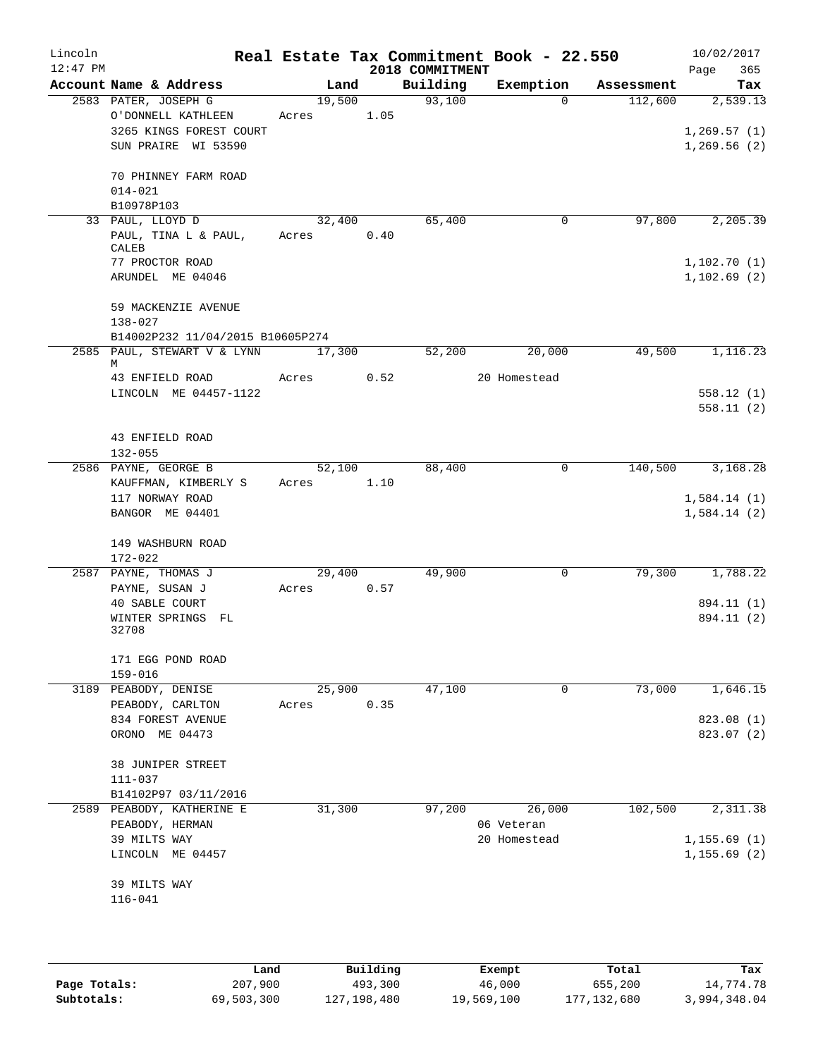| Lincoln<br>$12:47$ PM |                                  |        |      |      | 2018 COMMITMENT | Real Estate Tax Commitment Book - 22.550 |            | 10/02/2017<br>365<br>Page |
|-----------------------|----------------------------------|--------|------|------|-----------------|------------------------------------------|------------|---------------------------|
|                       | Account Name & Address           |        | Land |      | Building        | Exemption                                | Assessment | Tax                       |
|                       | 2583 PATER, JOSEPH G             | 19,500 |      |      | 93,100          | $\Omega$                                 | 112,600    | 2,539.13                  |
|                       | O'DONNELL KATHLEEN               | Acres  |      | 1.05 |                 |                                          |            |                           |
|                       | 3265 KINGS FOREST COURT          |        |      |      |                 |                                          |            | 1,269.57(1)               |
|                       | SUN PRAIRE WI 53590              |        |      |      |                 |                                          |            | 1,269.56(2)               |
|                       | 70 PHINNEY FARM ROAD             |        |      |      |                 |                                          |            |                           |
|                       | $014 - 021$                      |        |      |      |                 |                                          |            |                           |
|                       | B10978P103                       |        |      |      |                 |                                          |            |                           |
|                       | 33 PAUL, LLOYD D                 | 32,400 |      |      | 65,400          | 0                                        | 97,800     | 2, 205.39                 |
|                       | PAUL, TINA L & PAUL,             | Acres  |      | 0.40 |                 |                                          |            |                           |
|                       | CALEB                            |        |      |      |                 |                                          |            |                           |
|                       | 77 PROCTOR ROAD                  |        |      |      |                 |                                          |            | 1,102.70(1)               |
|                       | ARUNDEL ME 04046                 |        |      |      |                 |                                          |            | 1,102.69(2)               |
|                       | 59 MACKENZIE AVENUE              |        |      |      |                 |                                          |            |                           |
|                       | $138 - 027$                      |        |      |      |                 |                                          |            |                           |
|                       | B14002P232 11/04/2015 B10605P274 |        |      |      |                 |                                          |            |                           |
|                       | 2585 PAUL, STEWART V & LYNN      | 17,300 |      |      | 52,200          | 20,000                                   | 49,500     | 1,116.23                  |
|                       | М<br>43 ENFIELD ROAD             | Acres  |      | 0.52 |                 | 20 Homestead                             |            |                           |
|                       | LINCOLN ME 04457-1122            |        |      |      |                 |                                          |            | 558.12(1)                 |
|                       |                                  |        |      |      |                 |                                          |            | 558.11(2)                 |
|                       |                                  |        |      |      |                 |                                          |            |                           |
|                       | 43 ENFIELD ROAD                  |        |      |      |                 |                                          |            |                           |
|                       | $132 - 055$                      |        |      |      |                 |                                          |            |                           |
|                       | 2586 PAYNE, GEORGE B             | 52,100 |      |      | 88,400          | 0                                        | 140,500    | 3,168.28                  |
|                       | KAUFFMAN, KIMBERLY S             | Acres  |      | 1.10 |                 |                                          |            |                           |
|                       | 117 NORWAY ROAD                  |        |      |      |                 |                                          |            | 1,584.14(1)               |
|                       | BANGOR ME 04401                  |        |      |      |                 |                                          |            | 1,584.14(2)               |
|                       |                                  |        |      |      |                 |                                          |            |                           |
|                       | 149 WASHBURN ROAD<br>172-022     |        |      |      |                 |                                          |            |                           |
|                       | 2587 PAYNE, THOMAS J             | 29,400 |      |      | 49,900          | 0                                        | 79,300     | 1,788.22                  |
|                       | PAYNE, SUSAN J                   | Acres  |      | 0.57 |                 |                                          |            |                           |
|                       | 40 SABLE COURT                   |        |      |      |                 |                                          |            | 894.11 (1)                |
|                       | WINTER SPRINGS FL                |        |      |      |                 |                                          |            | 894.11 (2)                |
|                       | 32708                            |        |      |      |                 |                                          |            |                           |
|                       |                                  |        |      |      |                 |                                          |            |                           |
|                       | 171 EGG POND ROAD<br>159-016     |        |      |      |                 |                                          |            |                           |
|                       | 3189 PEABODY, DENISE             | 25,900 |      |      | 47,100          | 0                                        | 73,000     | 1,646.15                  |
|                       | PEABODY, CARLTON                 | Acres  |      | 0.35 |                 |                                          |            |                           |
|                       | 834 FOREST AVENUE                |        |      |      |                 |                                          |            | 823.08 (1)                |
|                       | ORONO ME 04473                   |        |      |      |                 |                                          |            | 823.07 (2)                |
|                       |                                  |        |      |      |                 |                                          |            |                           |
|                       | 38 JUNIPER STREET                |        |      |      |                 |                                          |            |                           |
|                       | $111 - 037$                      |        |      |      |                 |                                          |            |                           |
|                       | B14102P97 03/11/2016             |        |      |      |                 |                                          |            |                           |
|                       | 2589 PEABODY, KATHERINE E        | 31,300 |      |      | 97,200          | 26,000                                   | 102,500    | 2,311.38                  |
|                       | PEABODY, HERMAN                  |        |      |      |                 | 06 Veteran                               |            |                           |
|                       | 39 MILTS WAY                     |        |      |      |                 | 20 Homestead                             |            | 1, 155.69(1)              |
|                       | LINCOLN ME 04457                 |        |      |      |                 |                                          |            | 1, 155.69(2)              |
|                       | 39 MILTS WAY                     |        |      |      |                 |                                          |            |                           |
|                       | $116 - 041$                      |        |      |      |                 |                                          |            |                           |
|                       |                                  |        |      |      |                 |                                          |            |                           |
|                       |                                  |        |      |      |                 |                                          |            |                           |

|              | Land       | Building      | Exempt     | Total         | Tax          |
|--------------|------------|---------------|------------|---------------|--------------|
| Page Totals: | 207,900    | 493,300       | 46,000     | 655,200       | 14,774.78    |
| Subtotals:   | 69,503,300 | 127, 198, 480 | 19,569,100 | 177, 132, 680 | 3,994,348.04 |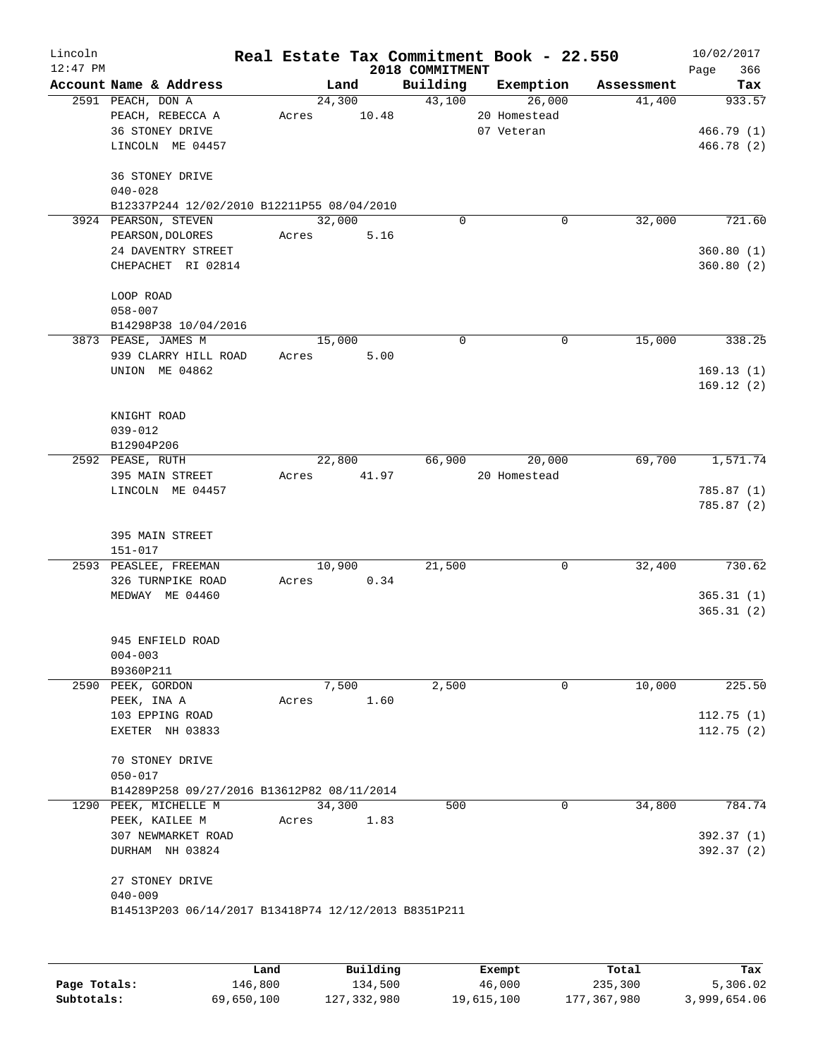| Lincoln    |                                                                                        |       |        |       |                 | Real Estate Tax Commitment Book - 22.550 |            | 10/02/2017                       |
|------------|----------------------------------------------------------------------------------------|-------|--------|-------|-----------------|------------------------------------------|------------|----------------------------------|
| $12:47$ PM |                                                                                        |       |        |       | 2018 COMMITMENT |                                          |            | 366<br>Page                      |
|            | Account Name & Address                                                                 |       | Land   |       | Building        | Exemption                                | Assessment | Tax                              |
|            | 2591 PEACH, DON A<br>PEACH, REBECCA A<br>36 STONEY DRIVE<br>LINCOLN ME 04457           | Acres | 24,300 | 10.48 | 43,100          | 26,000<br>20 Homestead<br>07 Veteran     | 41,400     | 933.57<br>466.79(1)<br>466.78(2) |
|            | 36 STONEY DRIVE<br>$040 - 028$<br>B12337P244 12/02/2010 B12211P55 08/04/2010           |       |        |       |                 |                                          |            |                                  |
|            | 3924 PEARSON, STEVEN<br>PEARSON, DOLORES<br>24 DAVENTRY STREET<br>CHEPACHET RI 02814   | Acres | 32,000 | 5.16  | 0               | 0                                        | 32,000     | 721.60<br>360.80(1)<br>360.80(2) |
|            | LOOP ROAD<br>$058 - 007$<br>B14298P38 10/04/2016                                       |       |        |       |                 |                                          |            |                                  |
|            | 3873 PEASE, JAMES M                                                                    |       | 15,000 |       | $\mathbf 0$     | 0                                        | 15,000     | 338.25                           |
|            | 939 CLARRY HILL ROAD<br>UNION ME 04862                                                 | Acres |        | 5.00  |                 |                                          |            | 169.13(1)<br>169.12(2)           |
|            | KNIGHT ROAD<br>$039 - 012$<br>B12904P206                                               |       |        |       |                 |                                          |            |                                  |
|            | 2592 PEASE, RUTH                                                                       |       | 22,800 |       | 66,900          | 20,000                                   | 69,700     | 1,571.74                         |
|            | 395 MAIN STREET<br>LINCOLN ME 04457                                                    | Acres |        | 41.97 |                 | 20 Homestead                             |            | 785.87 (1)<br>785.87 (2)         |
|            | 395 MAIN STREET<br>151-017                                                             |       |        |       |                 |                                          |            |                                  |
|            | 2593 PEASLEE, FREEMAN<br>326 TURNPIKE ROAD<br>MEDWAY ME 04460                          | Acres | 10,900 | 0.34  | 21,500          | 0                                        | 32,400     | 730.62<br>365.31(1)<br>365.31(2) |
|            | 945 ENFIELD ROAD<br>$004 - 003$<br>B9360P211                                           |       |        |       |                 |                                          |            |                                  |
|            | 2590 PEEK, GORDON                                                                      |       | 7,500  |       | 2,500           | 0                                        | 10,000     | 225.50                           |
|            | PEEK, INA A<br>103 EPPING ROAD<br>EXETER NH 03833                                      | Acres |        | 1.60  |                 |                                          |            | 112.75(1)<br>112.75(2)           |
|            | 70 STONEY DRIVE<br>$050 - 017$<br>B14289P258 09/27/2016 B13612P82 08/11/2014           |       |        |       |                 |                                          |            |                                  |
| 1290       | PEEK, MICHELLE M                                                                       |       | 34,300 |       | 500             | 0                                        | 34,800     | 784.74                           |
|            | PEEK, KAILEE M<br>307 NEWMARKET ROAD<br>DURHAM NH 03824                                | Acres |        | 1.83  |                 |                                          |            | 392.37 (1)<br>392.37 (2)         |
|            | 27 STONEY DRIVE<br>$040 - 009$<br>B14513P203 06/14/2017 B13418P74 12/12/2013 B8351P211 |       |        |       |                 |                                          |            |                                  |

|              | Land       | Building    | Exempt     | Total       | Tax          |
|--------------|------------|-------------|------------|-------------|--------------|
| Page Totals: | 146,800    | 134,500     | 46,000     | 235,300     | 5,306.02     |
| Subtotals:   | 69,650,100 | 127,332,980 | 19,615,100 | 177,367,980 | 3,999,654.06 |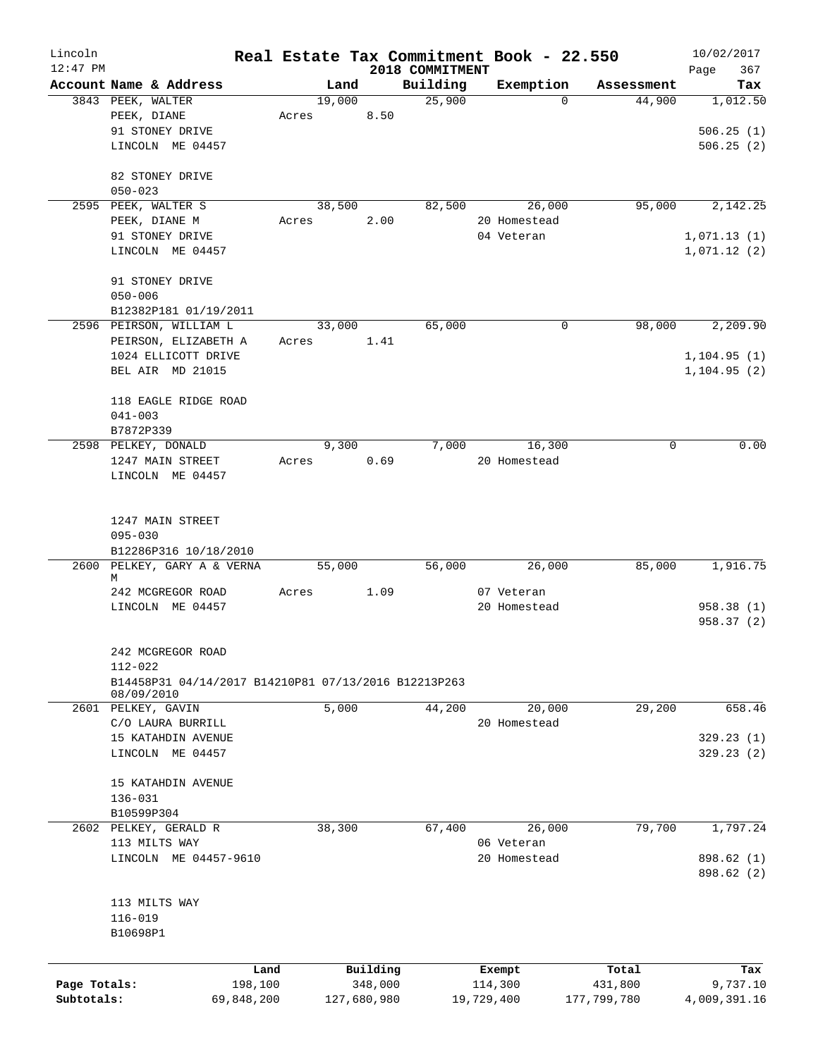| Lincoln<br>$12:47$ PM |                                                                    |       |        |             |                             | Real Estate Tax Commitment Book - 22.550 |             | 10/02/2017         |
|-----------------------|--------------------------------------------------------------------|-------|--------|-------------|-----------------------------|------------------------------------------|-------------|--------------------|
|                       | Account Name & Address                                             |       | Land   |             | 2018 COMMITMENT<br>Building | Exemption                                | Assessment  | 367<br>Page<br>Tax |
|                       | 3843 PEEK, WALTER                                                  |       | 19,000 |             | 25,900                      | $\Omega$                                 | 44,900      | 1,012.50           |
|                       | PEEK, DIANE                                                        | Acres |        | 8.50        |                             |                                          |             |                    |
|                       | 91 STONEY DRIVE                                                    |       |        |             |                             |                                          |             | 506.25(1)          |
|                       | LINCOLN ME 04457                                                   |       |        |             |                             |                                          |             | 506.25(2)          |
|                       |                                                                    |       |        |             |                             |                                          |             |                    |
|                       | 82 STONEY DRIVE                                                    |       |        |             |                             |                                          |             |                    |
|                       | $050 - 023$                                                        |       |        |             |                             |                                          |             |                    |
|                       | 2595 PEEK, WALTER S                                                |       | 38,500 |             | 82,500                      | 26,000                                   | 95,000      | 2,142.25           |
|                       | PEEK, DIANE M                                                      | Acres |        | 2.00        |                             | 20 Homestead                             |             |                    |
|                       | 91 STONEY DRIVE                                                    |       |        |             |                             | 04 Veteran                               |             | 1,071.13(1)        |
|                       | LINCOLN ME 04457                                                   |       |        |             |                             |                                          |             | 1,071.12(2)        |
|                       |                                                                    |       |        |             |                             |                                          |             |                    |
|                       | 91 STONEY DRIVE                                                    |       |        |             |                             |                                          |             |                    |
|                       | $050 - 006$                                                        |       |        |             |                             |                                          |             |                    |
|                       | B12382P181 01/19/2011<br>2596 PEIRSON, WILLIAM L                   |       | 33,000 |             | 65,000                      | $\mathbf 0$                              | 98,000      | 2,209.90           |
|                       | PEIRSON, ELIZABETH A                                               | Acres |        | 1.41        |                             |                                          |             |                    |
|                       | 1024 ELLICOTT DRIVE                                                |       |        |             |                             |                                          |             | 1, 104.95(1)       |
|                       | BEL AIR MD 21015                                                   |       |        |             |                             |                                          |             | 1, 104.95(2)       |
|                       |                                                                    |       |        |             |                             |                                          |             |                    |
|                       | 118 EAGLE RIDGE ROAD                                               |       |        |             |                             |                                          |             |                    |
|                       | $041 - 003$                                                        |       |        |             |                             |                                          |             |                    |
|                       | B7872P339                                                          |       |        |             |                             |                                          |             |                    |
|                       | 2598 PELKEY, DONALD                                                |       | 9,300  |             | 7,000                       | 16,300                                   | 0           | 0.00               |
|                       | 1247 MAIN STREET                                                   | Acres |        | 0.69        |                             | 20 Homestead                             |             |                    |
|                       | LINCOLN ME 04457                                                   |       |        |             |                             |                                          |             |                    |
|                       |                                                                    |       |        |             |                             |                                          |             |                    |
|                       |                                                                    |       |        |             |                             |                                          |             |                    |
|                       | 1247 MAIN STREET<br>$095 - 030$                                    |       |        |             |                             |                                          |             |                    |
|                       | B12286P316 10/18/2010                                              |       |        |             |                             |                                          |             |                    |
|                       | 2600 PELKEY, GARY A & VERNA                                        |       | 55,000 |             | 56,000                      | 26,000                                   | 85,000      | 1,916.75           |
|                       | М                                                                  |       |        |             |                             |                                          |             |                    |
|                       | 242 MCGREGOR ROAD                                                  | Acres |        | 1.09        |                             | 07 Veteran                               |             |                    |
|                       | LINCOLN ME 04457                                                   |       |        |             |                             | 20 Homestead                             |             | 958.38 (1)         |
|                       |                                                                    |       |        |             |                             |                                          |             | 958.37(2)          |
|                       |                                                                    |       |        |             |                             |                                          |             |                    |
|                       | 242 MCGREGOR ROAD                                                  |       |        |             |                             |                                          |             |                    |
|                       | 112-022                                                            |       |        |             |                             |                                          |             |                    |
|                       | B14458P31 04/14/2017 B14210P81 07/13/2016 B12213P263<br>08/09/2010 |       |        |             |                             |                                          |             |                    |
|                       | 2601 PELKEY, GAVIN                                                 |       | 5,000  |             | 44,200                      | 20,000                                   | 29,200      | 658.46             |
|                       | C/O LAURA BURRILL                                                  |       |        |             |                             | 20 Homestead                             |             |                    |
|                       | 15 KATAHDIN AVENUE                                                 |       |        |             |                             |                                          |             | 329.23(1)          |
|                       | LINCOLN ME 04457                                                   |       |        |             |                             |                                          |             | 329.23(2)          |
|                       |                                                                    |       |        |             |                             |                                          |             |                    |
|                       | 15 KATAHDIN AVENUE                                                 |       |        |             |                             |                                          |             |                    |
|                       | 136-031                                                            |       |        |             |                             |                                          |             |                    |
|                       | B10599P304                                                         |       |        |             |                             |                                          |             |                    |
|                       | 2602 PELKEY, GERALD R                                              |       | 38,300 |             | 67,400                      | 26,000                                   | 79,700      | 1,797.24           |
|                       | 113 MILTS WAY                                                      |       |        |             |                             | 06 Veteran                               |             |                    |
|                       | LINCOLN ME 04457-9610                                              |       |        |             |                             | 20 Homestead                             |             | 898.62 (1)         |
|                       |                                                                    |       |        |             |                             |                                          |             | 898.62 (2)         |
|                       | 113 MILTS WAY                                                      |       |        |             |                             |                                          |             |                    |
|                       | $116 - 019$                                                        |       |        |             |                             |                                          |             |                    |
|                       | B10698P1                                                           |       |        |             |                             |                                          |             |                    |
|                       |                                                                    |       |        |             |                             |                                          |             |                    |
|                       | Land                                                               |       |        | Building    |                             | Exempt                                   | Total       | Tax                |
| Page Totals:          | 198,100                                                            |       |        | 348,000     |                             | 114,300                                  | 431,800     | 9,737.10           |
| Subtotals:            | 69,848,200                                                         |       |        | 127,680,980 |                             | 19,729,400                               | 177,799,780 | 4,009,391.16       |
|                       |                                                                    |       |        |             |                             |                                          |             |                    |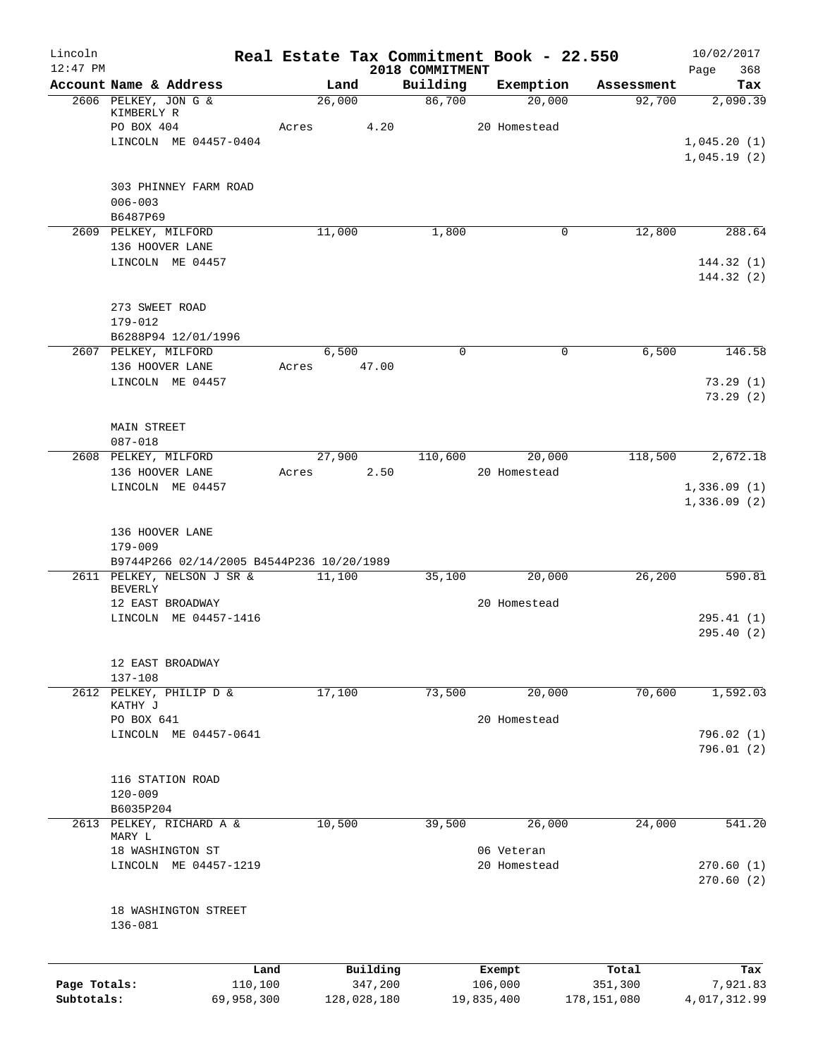| Lincoln      |                                                                         | Real Estate Tax Commitment Book - 22.550 |             |                             |              |           |               | 10/02/2017                 |
|--------------|-------------------------------------------------------------------------|------------------------------------------|-------------|-----------------------------|--------------|-----------|---------------|----------------------------|
| $12:47$ PM   | Account Name & Address                                                  | Land                                     |             | 2018 COMMITMENT<br>Building |              | Exemption | Assessment    | 368<br>Page<br>Tax         |
|              | 2606 PELKEY, JON G &                                                    | 26,000                                   |             | 86,700                      |              | 20,000    | 92,700        | 2,090.39                   |
|              | KIMBERLY R<br>PO BOX 404                                                | Acres                                    | 4.20        |                             | 20 Homestead |           |               |                            |
|              | LINCOLN ME 04457-0404                                                   |                                          |             |                             |              |           |               | 1,045.20(1)                |
|              |                                                                         |                                          |             |                             |              |           |               | 1,045.19(2)                |
|              | 303 PHINNEY FARM ROAD<br>$006 - 003$                                    |                                          |             |                             |              |           |               |                            |
|              | B6487P69<br>2609 PELKEY, MILFORD                                        | 11,000                                   |             | 1,800                       |              | 0         | 12,800        | 288.64                     |
|              | 136 HOOVER LANE                                                         |                                          |             |                             |              |           |               |                            |
|              | LINCOLN ME 04457                                                        |                                          |             |                             |              |           |               | 144.32(1)<br>144.32(2)     |
|              | 273 SWEET ROAD                                                          |                                          |             |                             |              |           |               |                            |
|              | 179-012                                                                 |                                          |             |                             |              |           |               |                            |
|              | B6288P94 12/01/1996                                                     |                                          |             |                             |              |           |               |                            |
|              | 2607 PELKEY, MILFORD<br>136 HOOVER LANE                                 | 6,500<br>Acres                           | 47.00       | $\mathbf 0$                 |              | 0         | 6,500         | 146.58                     |
|              | LINCOLN ME 04457                                                        |                                          |             |                             |              |           |               | 73.29(1)                   |
|              |                                                                         |                                          |             |                             |              |           |               | 73.29(2)                   |
|              | <b>MAIN STREET</b>                                                      |                                          |             |                             |              |           |               |                            |
|              | $087 - 018$<br>2608 PELKEY, MILFORD                                     | 27,900                                   |             | 110,600                     |              | 20,000    | 118,500       | 2,672.18                   |
|              | 136 HOOVER LANE                                                         | Acres                                    | 2.50        |                             | 20 Homestead |           |               |                            |
|              | LINCOLN ME 04457                                                        |                                          |             |                             |              |           |               | 1,336.09(1)<br>1,336.09(2) |
|              | 136 HOOVER LANE<br>179-009<br>B9744P266 02/14/2005 B4544P236 10/20/1989 |                                          |             |                             |              |           |               |                            |
|              | 2611 PELKEY, NELSON J SR &                                              | 11,100                                   |             | 35,100                      |              | 20,000    | 26, 200       | 590.81                     |
|              | <b>BEVERLY</b><br>12 EAST BROADWAY                                      |                                          |             |                             | 20 Homestead |           |               |                            |
|              | LINCOLN ME 04457-1416                                                   |                                          |             |                             |              |           |               | 295.41(1)                  |
|              |                                                                         |                                          |             |                             |              |           |               | 295.40 (2)                 |
|              | 12 EAST BROADWAY<br>$137 - 108$                                         |                                          |             |                             |              |           |               |                            |
|              | 2612 PELKEY, PHILIP D &<br>KATHY J                                      | 17,100                                   |             | 73,500                      |              | 20,000    | 70,600        | 1,592.03                   |
|              | PO BOX 641                                                              |                                          |             |                             | 20 Homestead |           |               |                            |
|              | LINCOLN ME 04457-0641                                                   |                                          |             |                             |              |           |               | 796.02(1)                  |
|              |                                                                         |                                          |             |                             |              |           |               | 796.01(2)                  |
|              | 116 STATION ROAD                                                        |                                          |             |                             |              |           |               |                            |
|              | $120 - 009$                                                             |                                          |             |                             |              |           |               |                            |
|              | B6035P204                                                               |                                          |             |                             |              |           |               |                            |
|              | 2613 PELKEY, RICHARD A &<br>MARY L                                      | 10,500                                   |             | 39,500                      |              | 26,000    | 24,000        | 541.20                     |
|              | 18 WASHINGTON ST                                                        |                                          |             |                             | 06 Veteran   |           |               |                            |
|              | LINCOLN ME 04457-1219                                                   |                                          |             |                             | 20 Homestead |           |               | 270.60(1)<br>270.60(2)     |
|              | 18 WASHINGTON STREET<br>136-081                                         |                                          |             |                             |              |           |               |                            |
|              |                                                                         | Land                                     | Building    |                             | Exempt       |           | Total         | Tax                        |
| Page Totals: | 110,100                                                                 |                                          | 347,200     |                             | 106,000      |           | 351,300       | 7,921.83                   |
| Subtotals:   | 69,958,300                                                              |                                          | 128,028,180 |                             | 19,835,400   |           | 178, 151, 080 | 4,017,312.99               |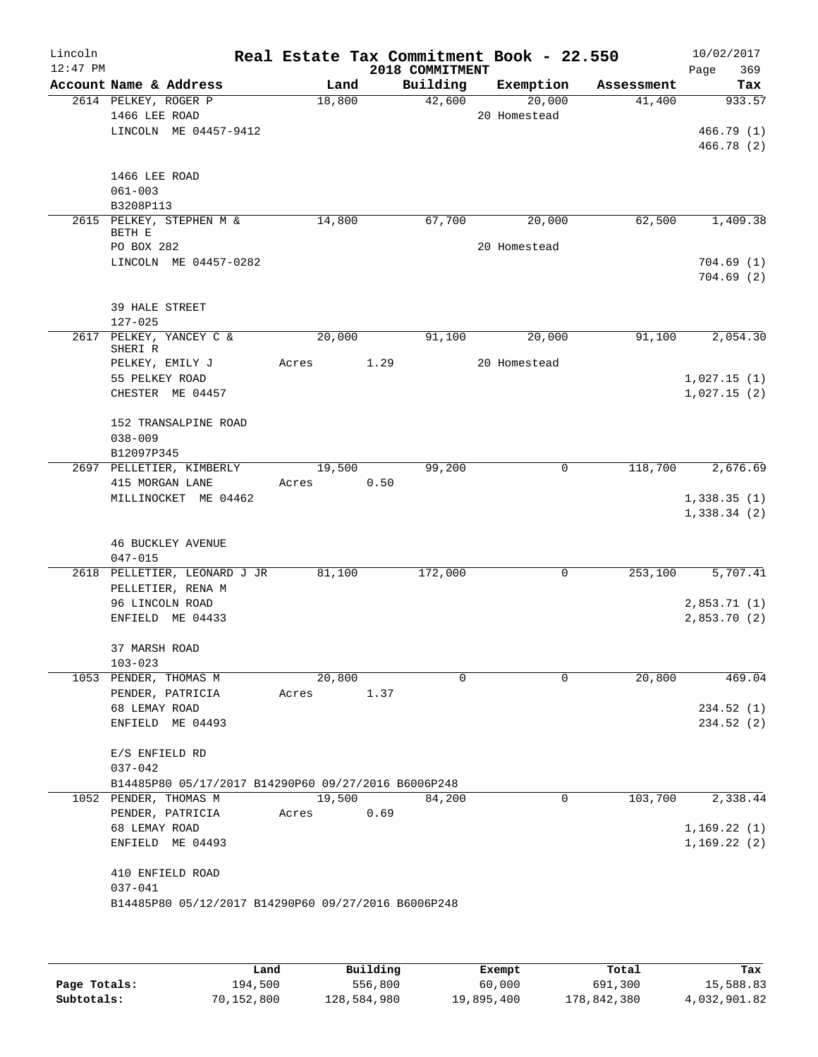| Lincoln<br>$12:47$ PM |                                       |                                                     |                 |      | 2018 COMMITMENT | Real Estate Tax Commitment Book - 22.550 |            | 10/02/2017<br>369<br>Page  |
|-----------------------|---------------------------------------|-----------------------------------------------------|-----------------|------|-----------------|------------------------------------------|------------|----------------------------|
|                       |                                       | Account Name & Address                              | Land            |      | Building        | Exemption                                | Assessment | Tax                        |
|                       | 2614 PELKEY, ROGER P<br>1466 LEE ROAD |                                                     | 18,800          |      | 42,600          | 20,000<br>20 Homestead                   | 41,400     | 933.57                     |
|                       |                                       | LINCOLN ME 04457-9412                               |                 |      |                 |                                          |            | 466.79(1)<br>466.78 (2)    |
|                       | 1466 LEE ROAD<br>$061 - 003$          |                                                     |                 |      |                 |                                          |            |                            |
|                       | B3208P113                             |                                                     |                 |      |                 |                                          |            |                            |
|                       | BETH E                                | 2615 PELKEY, STEPHEN M &                            | 14,800          |      | 67,700          | 20,000<br>20 Homestead                   | 62,500     | 1,409.38                   |
|                       | PO BOX 282                            | LINCOLN ME 04457-0282                               |                 |      |                 |                                          |            | 704.69(1)<br>704.69(2)     |
|                       | 39 HALE STREET<br>$127 - 025$         |                                                     |                 |      |                 |                                          |            |                            |
|                       | SHERI R                               | 2617 PELKEY, YANCEY C &                             | 20,000          |      | 91,100          | 20,000                                   | 91,100     | 2,054.30                   |
|                       | PELKEY, EMILY J<br>55 PELKEY ROAD     | CHESTER ME 04457                                    | Acres           | 1.29 |                 | 20 Homestead                             |            | 1,027.15(1)<br>1,027.15(2) |
|                       | $038 - 009$<br>B12097P345             | 152 TRANSALPINE ROAD                                |                 |      |                 |                                          |            |                            |
|                       |                                       | 2697 PELLETIER, KIMBERLY                            | 19,500          |      | 99,200          | $\mathbf 0$                              | 118,700    | 2,676.69                   |
|                       | 415 MORGAN LANE                       |                                                     | Acres           | 0.50 |                 |                                          |            |                            |
|                       |                                       | MILLINOCKET ME 04462                                |                 |      |                 |                                          |            | 1,338.35(1)<br>1,338.34(2) |
|                       | $047 - 015$                           | <b>46 BUCKLEY AVENUE</b>                            |                 |      |                 |                                          |            |                            |
|                       |                                       | 2618 PELLETIER, LEONARD J JR<br>PELLETIER, RENA M   | 81,100          |      | 172,000         | 0                                        | 253,100    | 5,707.41                   |
|                       | 96 LINCOLN ROAD                       | ENFIELD ME 04433                                    |                 |      |                 |                                          |            | 2,853.71(1)<br>2,853.70(2) |
|                       | 37 MARSH ROAD<br>$103 - 023$          |                                                     |                 |      |                 |                                          |            |                            |
|                       |                                       | 1053 PENDER, THOMAS M                               | 20,800          |      | $\Omega$        | $\Omega$                                 | 20,800     | 469.04                     |
|                       |                                       | PENDER, PATRICIA                                    | Acres           | 1.37 |                 |                                          |            |                            |
|                       | 68 LEMAY ROAD                         | ENFIELD ME 04493                                    |                 |      |                 |                                          |            | 234.52(1)<br>234.52(2)     |
|                       | E/S ENFIELD RD<br>$037 - 042$         |                                                     |                 |      |                 |                                          |            |                            |
|                       |                                       | B14485P80 05/17/2017 B14290P60 09/27/2016 B6006P248 |                 |      |                 |                                          |            |                            |
|                       |                                       | 1052 PENDER, THOMAS M<br>PENDER, PATRICIA           | 19,500<br>Acres | 0.69 | 84,200          | 0                                        | 103,700    | 2,338.44                   |
|                       | 68 LEMAY ROAD                         |                                                     |                 |      |                 |                                          |            | 1,169.22(1)                |
|                       |                                       | ENFIELD ME 04493                                    |                 |      |                 |                                          |            | 1, 169.22(2)               |
|                       | 037-041                               | 410 ENFIELD ROAD                                    |                 |      |                 |                                          |            |                            |
|                       |                                       | B14485P80 05/12/2017 B14290P60 09/27/2016 B6006P248 |                 |      |                 |                                          |            |                            |

|              | Land       | Building    | Exempt     | Total       | Tax          |
|--------------|------------|-------------|------------|-------------|--------------|
| Page Totals: | 194,500    | 556,800     | 60,000     | 691,300     | 15,588.83    |
| Subtotals:   | 70,152,800 | 128,584,980 | 19,895,400 | 178,842,380 | 4,032,901.82 |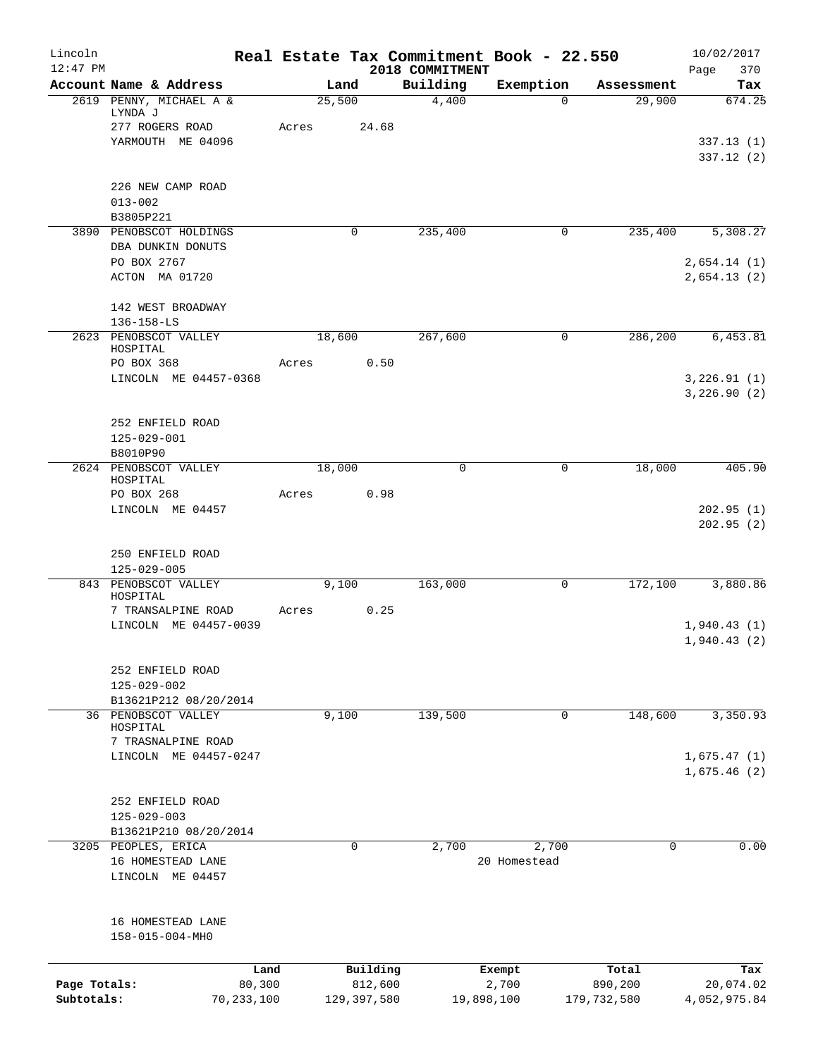| Lincoln<br>$12:47$ PM |                                          |        |             | 2018 COMMITMENT | Real Estate Tax Commitment Book - 22.550 |             | 10/02/2017<br>Page<br>370  |
|-----------------------|------------------------------------------|--------|-------------|-----------------|------------------------------------------|-------------|----------------------------|
|                       | Account Name & Address                   |        | Land        | Building        | Exemption                                | Assessment  | Tax                        |
|                       | 2619 PENNY, MICHAEL A &<br>LYNDA J       | 25,500 |             | 4,400           | $\mathbf 0$                              | 29,900      | 674.25                     |
|                       | 277 ROGERS ROAD                          | Acres  | 24.68       |                 |                                          |             |                            |
|                       | YARMOUTH ME 04096                        |        |             |                 |                                          |             | 337.13 (1)<br>337.12(2)    |
|                       | 226 NEW CAMP ROAD                        |        |             |                 |                                          |             |                            |
|                       | $013 - 002$<br>B3805P221                 |        |             |                 |                                          |             |                            |
|                       | 3890 PENOBSCOT HOLDINGS                  |        | 0           | 235,400         | 0                                        | 235,400     | 5,308.27                   |
|                       | DBA DUNKIN DONUTS                        |        |             |                 |                                          |             |                            |
|                       | PO BOX 2767                              |        |             |                 |                                          |             | 2,654.14(1)                |
|                       | ACTON MA 01720                           |        |             |                 |                                          |             | 2,654.13(2)                |
|                       | 142 WEST BROADWAY                        |        |             |                 |                                          |             |                            |
|                       | $136 - 158 - LS$                         |        |             |                 |                                          |             |                            |
|                       | 2623 PENOBSCOT VALLEY<br>HOSPITAL        |        | 18,600      | 267,600         | 0                                        | 286,200     | 6,453.81                   |
|                       | PO BOX 368                               | Acres  | 0.50        |                 |                                          |             |                            |
|                       | LINCOLN ME 04457-0368                    |        |             |                 |                                          |             | 3,226.91(1)<br>3,226.90(2) |
|                       |                                          |        |             |                 |                                          |             |                            |
|                       | 252 ENFIELD ROAD                         |        |             |                 |                                          |             |                            |
|                       | $125 - 029 - 001$                        |        |             |                 |                                          |             |                            |
|                       | B8010P90                                 |        |             | $\mathbf 0$     |                                          |             |                            |
|                       | 2624 PENOBSCOT VALLEY<br>HOSPITAL        | 18,000 |             |                 | 0                                        | 18,000      | 405.90                     |
|                       | PO BOX 268                               | Acres  | 0.98        |                 |                                          |             |                            |
|                       | LINCOLN ME 04457                         |        |             |                 |                                          |             | 202.95(1)<br>202.95(2)     |
|                       | 250 ENFIELD ROAD                         |        |             |                 |                                          |             |                            |
|                       | $125 - 029 - 005$                        |        |             |                 |                                          |             |                            |
|                       | 843 PENOBSCOT VALLEY<br>HOSPITAL         |        | 9,100       | 163,000         | 0                                        | 172,100     | 3,880.86                   |
|                       | 7 TRANSALPINE ROAD                       | Acres  | 0.25        |                 |                                          |             |                            |
|                       | LINCOLN ME 04457-0039                    |        |             |                 |                                          |             | 1,940.43(1)                |
|                       |                                          |        |             |                 |                                          |             | 1,940.43(2)                |
|                       | 252 ENFIELD ROAD                         |        |             |                 |                                          |             |                            |
|                       | 125-029-002                              |        |             |                 |                                          |             |                            |
|                       | B13621P212 08/20/2014                    |        |             |                 |                                          |             |                            |
|                       | 36 PENOBSCOT VALLEY<br>HOSPITAL          |        | 9,100       | 139,500         | 0                                        | 148,600     | 3,350.93                   |
|                       | 7 TRASNALPINE ROAD                       |        |             |                 |                                          |             |                            |
|                       | LINCOLN ME 04457-0247                    |        |             |                 |                                          |             | 1,675.47(1)                |
|                       |                                          |        |             |                 |                                          |             | 1,675.46(2)                |
|                       | 252 ENFIELD ROAD                         |        |             |                 |                                          |             |                            |
|                       | $125 - 029 - 003$                        |        |             |                 |                                          |             |                            |
|                       | B13621P210 08/20/2014                    |        |             |                 |                                          |             |                            |
|                       | 3205 PEOPLES, ERICA<br>16 HOMESTEAD LANE |        | $\mathbf 0$ | 2,700           | 2,700<br>20 Homestead                    | 0           | 0.00                       |
|                       | LINCOLN ME 04457                         |        |             |                 |                                          |             |                            |
|                       |                                          |        |             |                 |                                          |             |                            |
|                       | 16 HOMESTEAD LANE<br>158-015-004-MH0     |        |             |                 |                                          |             |                            |
|                       | Land                                     |        | Building    |                 | Exempt                                   | Total       | Tax                        |
| Page Totals:          | 80,300                                   |        | 812,600     |                 | 2,700                                    | 890,200     | 20,074.02                  |
| Subtotals:            | 70, 233, 100                             |        | 129,397,580 |                 | 19,898,100                               | 179,732,580 | 4,052,975.84               |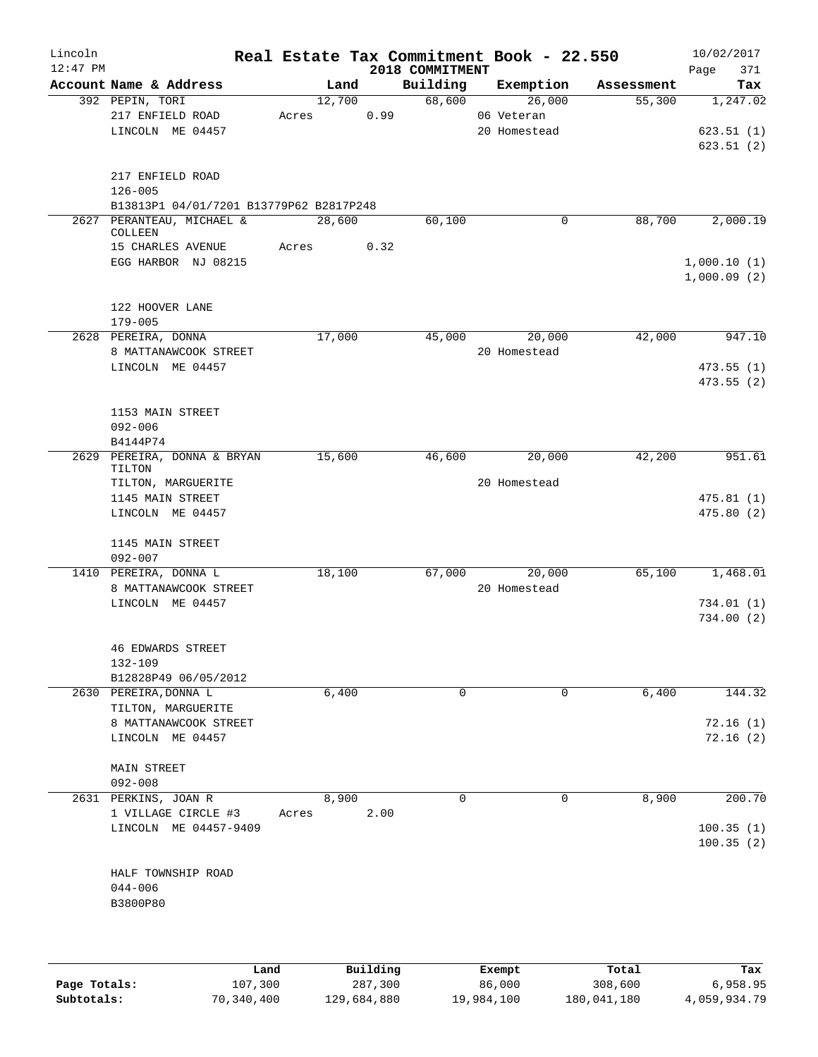| Lincoln<br>$12:47$ PM |                                              |       |        |      | 2018 COMMITMENT | Real Estate Tax Commitment Book - 22.550 |            | 10/02/2017<br>Page<br>371 |
|-----------------------|----------------------------------------------|-------|--------|------|-----------------|------------------------------------------|------------|---------------------------|
|                       | Account Name & Address                       |       | Land   |      | Building        | Exemption                                | Assessment | Tax                       |
|                       | 392 PEPIN, TORI                              |       | 12,700 |      | 68,600          | 26,000                                   | 55,300     | 1,247.02                  |
|                       | 217 ENFIELD ROAD                             | Acres |        | 0.99 |                 | 06 Veteran                               |            |                           |
|                       | LINCOLN ME 04457                             |       |        |      |                 | 20 Homestead                             |            | 623.51(1)                 |
|                       |                                              |       |        |      |                 |                                          |            | 623.51(2)                 |
|                       |                                              |       |        |      |                 |                                          |            |                           |
|                       | 217 ENFIELD ROAD                             |       |        |      |                 |                                          |            |                           |
|                       | $126 - 005$                                  |       |        |      |                 |                                          |            |                           |
|                       | B13813P1 04/01/7201 B13779P62 B2817P248      |       |        |      |                 |                                          |            |                           |
| 2627                  | PERANTEAU, MICHAEL &<br>COLLEEN              |       | 28,600 |      | 60,100          | $\mathbf 0$                              | 88,700     | 2,000.19                  |
|                       | 15 CHARLES AVENUE                            | Acres |        | 0.32 |                 |                                          |            |                           |
|                       | EGG HARBOR NJ 08215                          |       |        |      |                 |                                          |            | 1,000.10(1)               |
|                       |                                              |       |        |      |                 |                                          |            | 1,000.09(2)               |
|                       |                                              |       |        |      |                 |                                          |            |                           |
|                       | 122 HOOVER LANE                              |       |        |      |                 |                                          |            |                           |
|                       | $179 - 005$                                  |       |        |      |                 |                                          |            |                           |
|                       | 2628 PEREIRA, DONNA                          |       | 17,000 |      | 45,000          | 20,000                                   | 42,000     | 947.10                    |
|                       | 8 MATTANAWCOOK STREET                        |       |        |      |                 | 20 Homestead                             |            |                           |
|                       | LINCOLN ME 04457                             |       |        |      |                 |                                          |            | 473.55(1)                 |
|                       |                                              |       |        |      |                 |                                          |            | 473.55 (2)                |
|                       |                                              |       |        |      |                 |                                          |            |                           |
|                       |                                              |       |        |      |                 |                                          |            |                           |
|                       | 1153 MAIN STREET                             |       |        |      |                 |                                          |            |                           |
|                       | $092 - 006$                                  |       |        |      |                 |                                          |            |                           |
|                       | B4144P74                                     |       | 15,600 |      | 46,600          | 20,000                                   | 42,200     | 951.61                    |
|                       | 2629 PEREIRA, DONNA & BRYAN<br>TILTON        |       |        |      |                 |                                          |            |                           |
|                       | TILTON, MARGUERITE                           |       |        |      |                 | 20 Homestead                             |            |                           |
|                       | 1145 MAIN STREET                             |       |        |      |                 |                                          |            | 475.81(1)                 |
|                       | LINCOLN ME 04457                             |       |        |      |                 |                                          |            | 475.80(2)                 |
|                       |                                              |       |        |      |                 |                                          |            |                           |
|                       | 1145 MAIN STREET                             |       |        |      |                 |                                          |            |                           |
|                       | $092 - 007$                                  |       |        |      |                 |                                          |            |                           |
|                       | 1410 PEREIRA, DONNA L                        |       | 18,100 |      | 67,000          | 20,000                                   | 65,100     | 1,468.01                  |
|                       | 8 MATTANAWCOOK STREET                        |       |        |      |                 | 20 Homestead                             |            |                           |
|                       | LINCOLN ME 04457                             |       |        |      |                 |                                          |            | 734.01 (1)                |
|                       |                                              |       |        |      |                 |                                          |            | 734.00(2)                 |
|                       |                                              |       |        |      |                 |                                          |            |                           |
|                       | <b>46 EDWARDS STREET</b>                     |       |        |      |                 |                                          |            |                           |
|                       | 132-109                                      |       |        |      |                 |                                          |            |                           |
|                       | B12828P49 06/05/2012                         |       |        |      |                 |                                          |            |                           |
|                       | 2630 PEREIRA, DONNA L                        |       | 6,400  |      | $\mathbf 0$     | 0                                        | 6,400      | 144.32                    |
|                       | TILTON, MARGUERITE                           |       |        |      |                 |                                          |            |                           |
|                       | 8 MATTANAWCOOK STREET                        |       |        |      |                 |                                          |            | 72.16(1)                  |
|                       | LINCOLN ME 04457                             |       |        |      |                 |                                          |            | 72.16(2)                  |
|                       |                                              |       |        |      |                 |                                          |            |                           |
|                       | MAIN STREET                                  |       |        |      |                 |                                          |            |                           |
|                       | $092 - 008$                                  |       |        |      |                 |                                          |            |                           |
|                       | 2631 PERKINS, JOAN R                         |       | 8,900  |      | $\mathbf 0$     | $\mathbf 0$                              | 8,900      | 200.70                    |
|                       |                                              |       |        |      |                 |                                          |            |                           |
|                       | 1 VILLAGE CIRCLE #3<br>LINCOLN ME 04457-9409 | Acres |        | 2.00 |                 |                                          |            | 100.35(1)                 |
|                       |                                              |       |        |      |                 |                                          |            |                           |
|                       |                                              |       |        |      |                 |                                          |            | 100.35(2)                 |
|                       |                                              |       |        |      |                 |                                          |            |                           |
|                       | HALF TOWNSHIP ROAD                           |       |        |      |                 |                                          |            |                           |
|                       | $044 - 006$                                  |       |        |      |                 |                                          |            |                           |
|                       | B3800P80                                     |       |        |      |                 |                                          |            |                           |
|                       |                                              |       |        |      |                 |                                          |            |                           |
|                       |                                              |       |        |      |                 |                                          |            |                           |
|                       |                                              |       |        |      |                 |                                          |            |                           |

|              | Land       | Building    | Exempt     | Total       | Tax          |
|--------------|------------|-------------|------------|-------------|--------------|
| Page Totals: | 107,300    | 287,300     | 86,000     | 308,600     | 6,958.95     |
| Subtotals:   | 70,340,400 | 129,684,880 | 19,984,100 | 180,041,180 | 4,059,934.79 |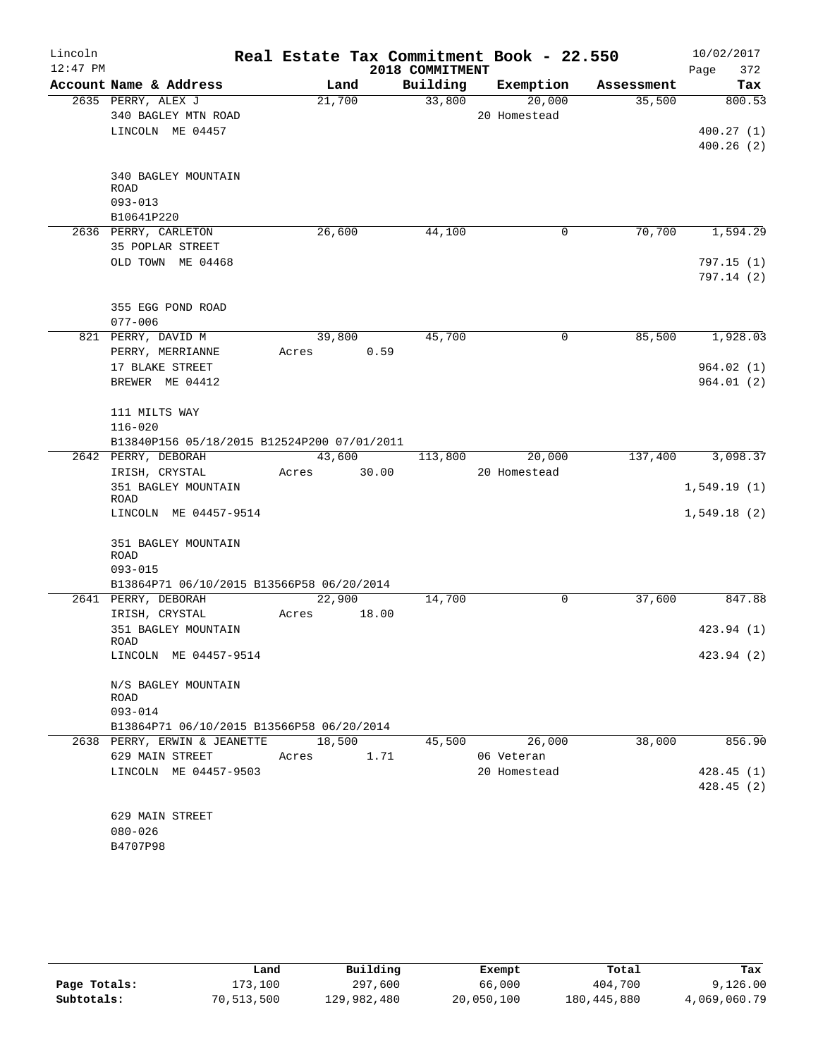| Lincoln<br>$12:47$ PM |                                             |        |       | 2018 COMMITMENT | Real Estate Tax Commitment Book - 22.550 |            | 10/02/2017<br>372<br>Page |
|-----------------------|---------------------------------------------|--------|-------|-----------------|------------------------------------------|------------|---------------------------|
|                       | Account Name & Address                      |        | Land  | Building        | Exemption                                | Assessment | Tax                       |
|                       | 2635 PERRY, ALEX J                          | 21,700 |       | 33,800          | 20,000                                   | 35,500     | 800.53                    |
|                       | 340 BAGLEY MTN ROAD                         |        |       |                 | 20 Homestead                             |            |                           |
|                       | LINCOLN ME 04457                            |        |       |                 |                                          |            | 400.27(1)                 |
|                       |                                             |        |       |                 |                                          |            | 400.26(2)                 |
|                       |                                             |        |       |                 |                                          |            |                           |
|                       | 340 BAGLEY MOUNTAIN                         |        |       |                 |                                          |            |                           |
|                       | <b>ROAD</b>                                 |        |       |                 |                                          |            |                           |
|                       | $093 - 013$                                 |        |       |                 |                                          |            |                           |
|                       | B10641P220<br>2636 PERRY, CARLETON          | 26,600 |       |                 | $\mathbf 0$                              | 70,700     | 1,594.29                  |
|                       | 35 POPLAR STREET                            |        |       | 44,100          |                                          |            |                           |
|                       | OLD TOWN ME 04468                           |        |       |                 |                                          |            | 797.15 (1)                |
|                       |                                             |        |       |                 |                                          |            | 797.14(2)                 |
|                       |                                             |        |       |                 |                                          |            |                           |
|                       | 355 EGG POND ROAD                           |        |       |                 |                                          |            |                           |
|                       | $077 - 006$                                 |        |       |                 |                                          |            |                           |
|                       | 821 PERRY, DAVID M                          | 39,800 |       | 45,700          | 0                                        | 85,500     | 1,928.03                  |
|                       | PERRY, MERRIANNE                            | Acres  | 0.59  |                 |                                          |            |                           |
|                       | 17 BLAKE STREET                             |        |       |                 |                                          |            | 964.02(1)                 |
|                       | BREWER ME 04412                             |        |       |                 |                                          |            | 964.01(2)                 |
|                       |                                             |        |       |                 |                                          |            |                           |
|                       | 111 MILTS WAY                               |        |       |                 |                                          |            |                           |
|                       | $116 - 020$                                 |        |       |                 |                                          |            |                           |
|                       | B13840P156 05/18/2015 B12524P200 07/01/2011 |        |       |                 |                                          |            |                           |
|                       | 2642 PERRY, DEBORAH                         | 43,600 |       | 113,800         | 20,000                                   | 137,400    | 3,098.37                  |
|                       | IRISH, CRYSTAL                              | Acres  | 30.00 |                 | 20 Homestead                             |            |                           |
|                       | 351 BAGLEY MOUNTAIN                         |        |       |                 |                                          |            | 1,549.19(1)               |
|                       | <b>ROAD</b>                                 |        |       |                 |                                          |            |                           |
|                       | LINCOLN ME 04457-9514                       |        |       |                 |                                          |            | 1,549.18(2)               |
|                       | 351 BAGLEY MOUNTAIN                         |        |       |                 |                                          |            |                           |
|                       | <b>ROAD</b>                                 |        |       |                 |                                          |            |                           |
|                       | $093 - 015$                                 |        |       |                 |                                          |            |                           |
|                       | B13864P71 06/10/2015 B13566P58 06/20/2014   |        |       |                 |                                          |            |                           |
|                       | 2641 PERRY, DEBORAH                         | 22,900 |       | 14,700          | 0                                        | 37,600     | 847.88                    |
|                       | IRISH, CRYSTAL                              | Acres  | 18.00 |                 |                                          |            |                           |
|                       | 351 BAGLEY MOUNTAIN                         |        |       |                 |                                          |            | 423.94 (1)                |
|                       | ROAD                                        |        |       |                 |                                          |            |                           |
|                       | LINCOLN ME 04457-9514                       |        |       |                 |                                          |            | 423.94 (2)                |
|                       | N/S BAGLEY MOUNTAIN                         |        |       |                 |                                          |            |                           |
|                       | ROAD                                        |        |       |                 |                                          |            |                           |
|                       | $093 - 014$                                 |        |       |                 |                                          |            |                           |
|                       | B13864P71 06/10/2015 B13566P58 06/20/2014   |        |       |                 |                                          |            |                           |
|                       | 2638 PERRY, ERWIN & JEANETTE                | 18,500 |       | 45,500          | 26,000                                   | 38,000     | 856.90                    |
|                       | 629 MAIN STREET                             | Acres  | 1.71  |                 | 06 Veteran                               |            |                           |
|                       | LINCOLN ME 04457-9503                       |        |       |                 | 20 Homestead                             |            | 428.45(1)                 |
|                       |                                             |        |       |                 |                                          |            | 428.45(2)                 |
|                       |                                             |        |       |                 |                                          |            |                           |
|                       | 629 MAIN STREET                             |        |       |                 |                                          |            |                           |
|                       | $080 - 026$                                 |        |       |                 |                                          |            |                           |
|                       | B4707P98                                    |        |       |                 |                                          |            |                           |
|                       |                                             |        |       |                 |                                          |            |                           |

|              | Land       | Building    | Exempt     | Total       | Tax          |
|--------------|------------|-------------|------------|-------------|--------------|
| Page Totals: | 173,100    | 297,600     | 66,000     | 404,700     | 9,126.00     |
| Subtotals:   | 70,513,500 | 129,982,480 | 20,050,100 | 180,445,880 | 4,069,060.79 |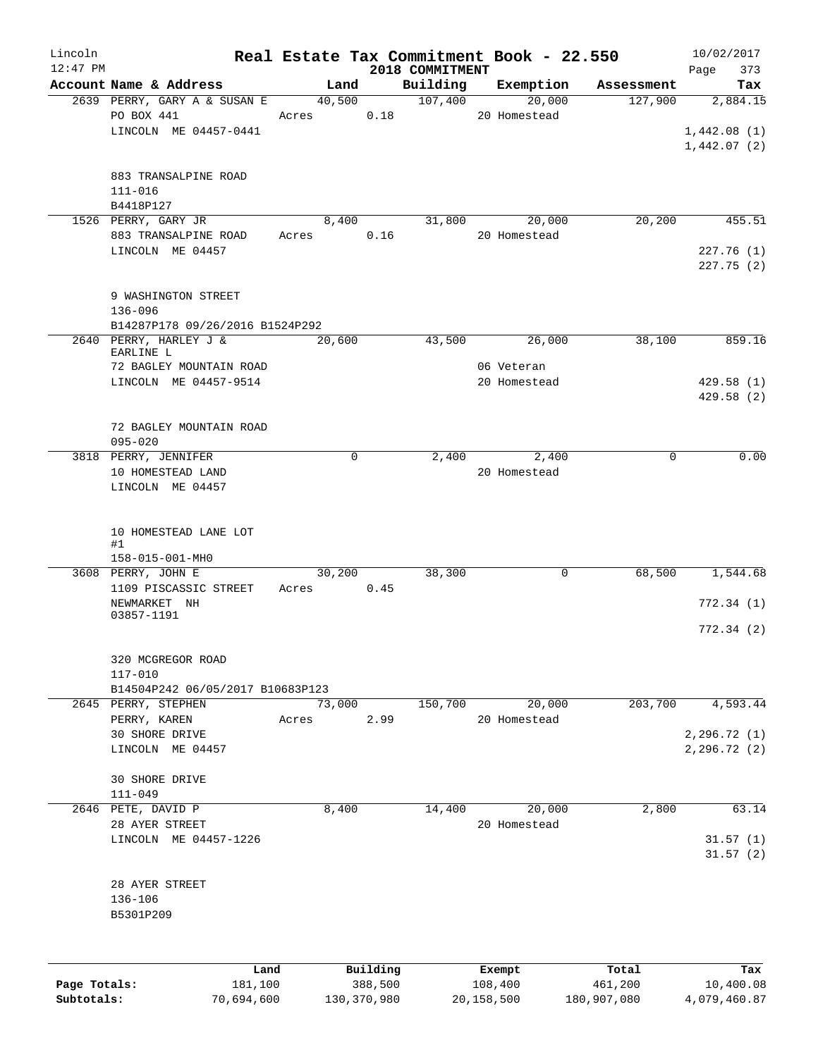| Lincoln      |                                  |       |          |                 | Real Estate Tax Commitment Book - 22.550 |            | 10/02/2017   |
|--------------|----------------------------------|-------|----------|-----------------|------------------------------------------|------------|--------------|
| $12:47$ PM   |                                  |       |          | 2018 COMMITMENT |                                          |            | 373<br>Page  |
|              | Account Name & Address           |       | Land     | Building        | Exemption                                | Assessment | Tax          |
|              | 2639 PERRY, GARY A & SUSAN E     |       | 40,500   | 107,400         | 20,000                                   | 127,900    | 2,884.15     |
|              | PO BOX 441                       | Acres | 0.18     |                 | 20 Homestead                             |            |              |
|              | LINCOLN ME 04457-0441            |       |          |                 |                                          |            | 1,442.08(1)  |
|              |                                  |       |          |                 |                                          |            | 1,442.07(2)  |
|              |                                  |       |          |                 |                                          |            |              |
|              | 883 TRANSALPINE ROAD             |       |          |                 |                                          |            |              |
|              | $111 - 016$                      |       |          |                 |                                          |            |              |
|              | B4418P127                        |       |          |                 |                                          |            |              |
|              | 1526 PERRY, GARY JR              |       | 8,400    | 31,800          | 20,000                                   | 20, 200    | 455.51       |
|              | 883 TRANSALPINE ROAD             | Acres | 0.16     |                 | 20 Homestead                             |            |              |
|              | LINCOLN ME 04457                 |       |          |                 |                                          |            | 227.76(1)    |
|              |                                  |       |          |                 |                                          |            | 227.75(2)    |
|              |                                  |       |          |                 |                                          |            |              |
|              | 9 WASHINGTON STREET              |       |          |                 |                                          |            |              |
|              | $136 - 096$                      |       |          |                 |                                          |            |              |
|              | B14287P178 09/26/2016 B1524P292  |       |          |                 |                                          |            |              |
|              | 2640 PERRY, HARLEY J &           |       | 20,600   | 43,500          | 26,000                                   | 38,100     | 859.16       |
|              | EARLINE L                        |       |          |                 |                                          |            |              |
|              | 72 BAGLEY MOUNTAIN ROAD          |       |          |                 | 06 Veteran                               |            |              |
|              | LINCOLN ME 04457-9514            |       |          |                 | 20 Homestead                             |            | 429.58(1)    |
|              |                                  |       |          |                 |                                          |            | 429.58(2)    |
|              |                                  |       |          |                 |                                          |            |              |
|              | 72 BAGLEY MOUNTAIN ROAD          |       |          |                 |                                          |            |              |
|              | $095 - 020$                      |       |          |                 |                                          |            |              |
|              | 3818 PERRY, JENNIFER             |       | 0        | 2,400           | 2,400                                    | 0          | 0.00         |
|              | 10 HOMESTEAD LAND                |       |          |                 | 20 Homestead                             |            |              |
|              | LINCOLN ME 04457                 |       |          |                 |                                          |            |              |
|              |                                  |       |          |                 |                                          |            |              |
|              |                                  |       |          |                 |                                          |            |              |
|              | 10 HOMESTEAD LANE LOT            |       |          |                 |                                          |            |              |
|              | #1                               |       |          |                 |                                          |            |              |
|              | 158-015-001-MH0                  |       |          |                 |                                          |            |              |
|              | 3608 PERRY, JOHN E               |       | 30,200   | 38,300          | 0                                        | 68,500     | 1,544.68     |
|              | 1109 PISCASSIC STREET            | Acres | 0.45     |                 |                                          |            |              |
|              | NEWMARKET NH                     |       |          |                 |                                          |            | 772.34(1)    |
|              | 03857-1191                       |       |          |                 |                                          |            |              |
|              |                                  |       |          |                 |                                          |            | 772.34(2)    |
|              |                                  |       |          |                 |                                          |            |              |
|              | 320 MCGREGOR ROAD                |       |          |                 |                                          |            |              |
|              | $117 - 010$                      |       |          |                 |                                          |            |              |
|              | B14504P242 06/05/2017 B10683P123 |       |          |                 |                                          |            |              |
|              | 2645 PERRY, STEPHEN              |       | 73,000   | 150,700         | 20,000                                   | 203,700    | 4,593.44     |
|              | PERRY, KAREN                     | Acres | 2.99     |                 | 20 Homestead                             |            |              |
|              | 30 SHORE DRIVE                   |       |          |                 |                                          |            | 2,296.72 (1) |
|              | LINCOLN ME 04457                 |       |          |                 |                                          |            | 2, 296.72(2) |
|              |                                  |       |          |                 |                                          |            |              |
|              | <b>30 SHORE DRIVE</b>            |       |          |                 |                                          |            |              |
|              | $111 - 049$                      |       |          |                 |                                          |            |              |
|              | 2646 PETE, DAVID P               |       | 8,400    | 14,400          | 20,000                                   | 2,800      | 63.14        |
|              | 28 AYER STREET                   |       |          |                 | 20 Homestead                             |            |              |
|              | LINCOLN ME 04457-1226            |       |          |                 |                                          |            | 31.57(1)     |
|              |                                  |       |          |                 |                                          |            | 31.57(2)     |
|              |                                  |       |          |                 |                                          |            |              |
|              | 28 AYER STREET                   |       |          |                 |                                          |            |              |
|              | 136-106                          |       |          |                 |                                          |            |              |
|              | B5301P209                        |       |          |                 |                                          |            |              |
|              |                                  |       |          |                 |                                          |            |              |
|              |                                  |       |          |                 |                                          |            |              |
|              |                                  |       |          |                 |                                          |            |              |
|              | Land                             |       | Building |                 | Exempt                                   | Total      | Tax          |
| Page Totals: | 181,100                          |       | 388,500  |                 | 108,400                                  | 461,200    | 10,400.08    |

**Subtotals:** 70,694,600 130,370,980 20,158,500 180,907,080 4,079,460.87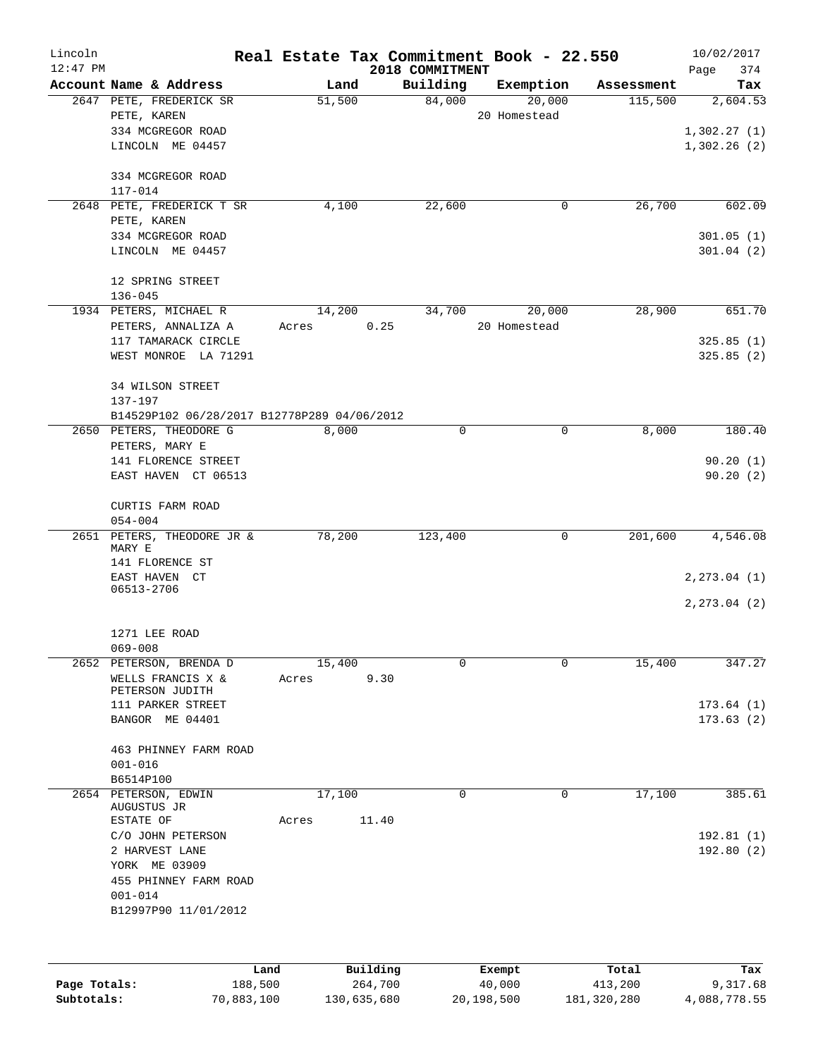| Lincoln      |                                             |        |          |                 | Real Estate Tax Commitment Book - 22.550 |            | 10/02/2017    |
|--------------|---------------------------------------------|--------|----------|-----------------|------------------------------------------|------------|---------------|
| $12:47$ PM   |                                             |        |          | 2018 COMMITMENT |                                          |            | 374<br>Page   |
|              | Account Name & Address                      | Land   |          | Building        | Exemption                                | Assessment | Tax           |
|              | 2647 PETE, FREDERICK SR<br>PETE, KAREN      | 51,500 |          | 84,000          | 20,000<br>20 Homestead                   | 115,500    | 2,604.53      |
|              | 334 MCGREGOR ROAD                           |        |          |                 |                                          |            | 1,302.27(1)   |
|              | LINCOLN ME 04457                            |        |          |                 |                                          |            | 1,302.26(2)   |
|              |                                             |        |          |                 |                                          |            |               |
|              | 334 MCGREGOR ROAD                           |        |          |                 |                                          |            |               |
|              | 117-014                                     |        |          |                 |                                          |            |               |
|              | 2648 PETE, FREDERICK T SR                   | 4,100  |          | 22,600          | 0                                        | 26,700     | 602.09        |
|              | PETE, KAREN                                 |        |          |                 |                                          |            |               |
|              | 334 MCGREGOR ROAD                           |        |          |                 |                                          |            | 301.05(1)     |
|              | LINCOLN ME 04457                            |        |          |                 |                                          |            | 301.04(2)     |
|              |                                             |        |          |                 |                                          |            |               |
|              | 12 SPRING STREET<br>$136 - 045$             |        |          |                 |                                          |            |               |
|              | 1934 PETERS, MICHAEL R                      | 14,200 |          | 34,700          | 20,000                                   | 28,900     | 651.70        |
|              | PETERS, ANNALIZA A                          | Acres  | 0.25     |                 | 20 Homestead                             |            |               |
|              | 117 TAMARACK CIRCLE                         |        |          |                 |                                          |            | 325.85(1)     |
|              | WEST MONROE LA 71291                        |        |          |                 |                                          |            | 325.85(2)     |
|              |                                             |        |          |                 |                                          |            |               |
|              | 34 WILSON STREET                            |        |          |                 |                                          |            |               |
|              | 137-197                                     |        |          |                 |                                          |            |               |
|              | B14529P102 06/28/2017 B12778P289 04/06/2012 |        |          |                 |                                          |            |               |
|              | 2650 PETERS, THEODORE G                     | 8,000  |          | 0               | $\mathbf 0$                              | 8,000      | 180.40        |
|              | PETERS, MARY E                              |        |          |                 |                                          |            |               |
|              | 141 FLORENCE STREET                         |        |          |                 |                                          |            | 90.20(1)      |
|              | EAST HAVEN CT 06513                         |        |          |                 |                                          |            | 90.20(2)      |
|              | CURTIS FARM ROAD                            |        |          |                 |                                          |            |               |
|              | $054 - 004$                                 |        |          |                 |                                          |            |               |
|              | 2651 PETERS, THEODORE JR &                  | 78,200 |          | 123,400         | 0                                        | 201,600    | 4,546.08      |
|              | MARY E                                      |        |          |                 |                                          |            |               |
|              | 141 FLORENCE ST                             |        |          |                 |                                          |            |               |
|              | EAST HAVEN CT<br>06513-2706                 |        |          |                 |                                          |            | 2, 273.04 (1) |
|              |                                             |        |          |                 |                                          |            | 2, 273.04 (2) |
|              |                                             |        |          |                 |                                          |            |               |
|              | 1271 LEE ROAD                               |        |          |                 |                                          |            |               |
|              | $069 - 008$                                 |        |          |                 |                                          |            |               |
|              | 2652 PETERSON, BRENDA D                     | 15,400 |          | $\mathbf 0$     | 0                                        | 15,400     | 347.27        |
|              | WELLS FRANCIS X &                           | Acres  | 9.30     |                 |                                          |            |               |
|              | PETERSON JUDITH                             |        |          |                 |                                          |            |               |
|              | 111 PARKER STREET                           |        |          |                 |                                          |            | 173.64(1)     |
|              | BANGOR ME 04401                             |        |          |                 |                                          |            | 173.63(2)     |
|              | 463 PHINNEY FARM ROAD                       |        |          |                 |                                          |            |               |
|              | $001 - 016$                                 |        |          |                 |                                          |            |               |
|              | B6514P100                                   |        |          |                 |                                          |            |               |
| 2654         | PETERSON, EDWIN                             | 17,100 |          | 0               | 0                                        | 17,100     | 385.61        |
|              | AUGUSTUS JR                                 |        |          |                 |                                          |            |               |
|              | ESTATE OF                                   | Acres  | 11.40    |                 |                                          |            |               |
|              | C/O JOHN PETERSON                           |        |          |                 |                                          |            | 192.81(1)     |
|              | 2 HARVEST LANE                              |        |          |                 |                                          |            | 192.80(2)     |
|              | YORK ME 03909                               |        |          |                 |                                          |            |               |
|              | 455 PHINNEY FARM ROAD                       |        |          |                 |                                          |            |               |
|              | $001 - 014$                                 |        |          |                 |                                          |            |               |
|              | B12997P90 11/01/2012                        |        |          |                 |                                          |            |               |
|              |                                             |        |          |                 |                                          |            |               |
|              |                                             |        |          |                 |                                          |            |               |
|              |                                             | Land   | Building |                 | Exempt                                   | Total      | Tax           |
| Page Totals: | 188,500                                     |        | 264,700  |                 | 40,000                                   | 413,200    | 9,317.68      |

**Subtotals:** 70,883,100 130,635,680 20,198,500 181,320,280 4,088,778.55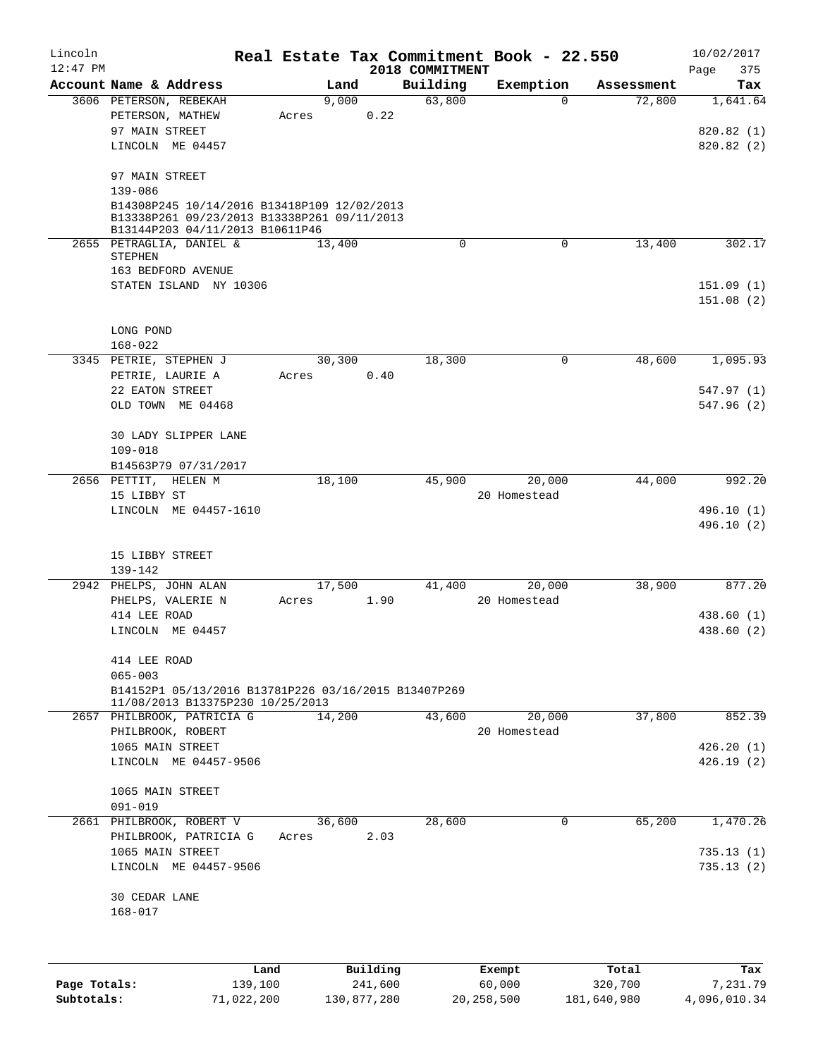| Lincoln      |                                                                                            |                 |          |                             | Real Estate Tax Commitment Book - 22.550 |            | 10/02/2017               |
|--------------|--------------------------------------------------------------------------------------------|-----------------|----------|-----------------------------|------------------------------------------|------------|--------------------------|
| $12:47$ PM   | Account Name & Address                                                                     | Land            |          | 2018 COMMITMENT<br>Building | Exemption                                | Assessment | 375<br>Page<br>Tax       |
|              | 3606 PETERSON, REBEKAH                                                                     | 9,000           |          | 63,800                      | $\mathbf 0$                              | 72,800     | 1,641.64                 |
|              | PETERSON, MATHEW                                                                           | Acres           | 0.22     |                             |                                          |            |                          |
|              | 97 MAIN STREET                                                                             |                 |          |                             |                                          |            | 820.82 (1)               |
|              | LINCOLN ME 04457                                                                           |                 |          |                             |                                          |            | 820.82(2)                |
|              |                                                                                            |                 |          |                             |                                          |            |                          |
|              | 97 MAIN STREET                                                                             |                 |          |                             |                                          |            |                          |
|              | $139 - 086$                                                                                |                 |          |                             |                                          |            |                          |
|              | B14308P245 10/14/2016 B13418P109 12/02/2013<br>B13338P261 09/23/2013 B13338P261 09/11/2013 |                 |          |                             |                                          |            |                          |
|              | B13144P203 04/11/2013 B10611P46                                                            |                 |          |                             |                                          |            |                          |
|              | 2655 PETRAGLIA, DANIEL &<br><b>STEPHEN</b>                                                 | 13,400          |          | 0                           | 0                                        | 13,400     | 302.17                   |
|              | 163 BEDFORD AVENUE                                                                         |                 |          |                             |                                          |            |                          |
|              | STATEN ISLAND NY 10306                                                                     |                 |          |                             |                                          |            | 151.09(1)                |
|              |                                                                                            |                 |          |                             |                                          |            | 151.08(2)                |
|              |                                                                                            |                 |          |                             |                                          |            |                          |
|              | LONG POND                                                                                  |                 |          |                             |                                          |            |                          |
|              | $168 - 022$                                                                                |                 |          |                             |                                          |            |                          |
|              | 3345 PETRIE, STEPHEN J                                                                     | 30,300          |          | 18,300                      | 0                                        | 48,600     | 1,095.93                 |
|              | PETRIE, LAURIE A<br>22 EATON STREET                                                        | Acres           | 0.40     |                             |                                          |            | 547.97 (1)               |
|              | OLD TOWN ME 04468                                                                          |                 |          |                             |                                          |            | 547.96 (2)               |
|              |                                                                                            |                 |          |                             |                                          |            |                          |
|              | 30 LADY SLIPPER LANE                                                                       |                 |          |                             |                                          |            |                          |
|              | $109 - 018$                                                                                |                 |          |                             |                                          |            |                          |
|              | B14563P79 07/31/2017                                                                       |                 |          |                             |                                          |            |                          |
|              | 2656 PETTIT, HELEN M                                                                       | 18,100          |          | 45,900                      | 20,000                                   | 44,000     | 992.20                   |
|              | 15 LIBBY ST                                                                                |                 |          |                             | 20 Homestead                             |            |                          |
|              | LINCOLN ME 04457-1610                                                                      |                 |          |                             |                                          |            | 496.10 (1)<br>496.10 (2) |
|              |                                                                                            |                 |          |                             |                                          |            |                          |
|              | 15 LIBBY STREET                                                                            |                 |          |                             |                                          |            |                          |
|              | 139-142                                                                                    |                 |          |                             |                                          |            |                          |
|              | 2942 PHELPS, JOHN ALAN                                                                     | 17,500          |          | 41,400                      | 20,000                                   | 38,900     | 877.20                   |
|              | PHELPS, VALERIE N                                                                          | Acres           | 1.90     |                             | 20 Homestead                             |            |                          |
|              | 414 LEE ROAD                                                                               |                 |          |                             |                                          |            | 438.60 (1)               |
|              | LINCOLN ME 04457                                                                           |                 |          |                             |                                          |            | 438.60 (2)               |
|              | 414 LEE ROAD                                                                               |                 |          |                             |                                          |            |                          |
|              | $065 - 003$                                                                                |                 |          |                             |                                          |            |                          |
|              | B14152P1 05/13/2016 B13781P226 03/16/2015 B13407P269                                       |                 |          |                             |                                          |            |                          |
|              | 11/08/2013 B13375P230 10/25/2013<br>2657 PHILBROOK, PATRICIA G                             | 14,200          |          | 43,600                      | 20,000                                   | 37,800     | 852.39                   |
|              | PHILBROOK, ROBERT                                                                          |                 |          |                             | 20 Homestead                             |            |                          |
|              | 1065 MAIN STREET                                                                           |                 |          |                             |                                          |            | 426.20(1)                |
|              | LINCOLN ME 04457-9506                                                                      |                 |          |                             |                                          |            | 426.19(2)                |
|              |                                                                                            |                 |          |                             |                                          |            |                          |
|              | 1065 MAIN STREET                                                                           |                 |          |                             |                                          |            |                          |
|              | $091 - 019$                                                                                |                 |          | 28,600                      |                                          |            |                          |
|              | 2661 PHILBROOK, ROBERT V<br>PHILBROOK, PATRICIA G                                          | 36,600<br>Acres | 2.03     |                             | $\mathbf 0$                              | 65,200     | 1,470.26                 |
|              | 1065 MAIN STREET                                                                           |                 |          |                             |                                          |            | 735.13(1)                |
|              | LINCOLN ME 04457-9506                                                                      |                 |          |                             |                                          |            | 735.13(2)                |
|              |                                                                                            |                 |          |                             |                                          |            |                          |
|              | 30 CEDAR LANE<br>168-017                                                                   |                 |          |                             |                                          |            |                          |
|              |                                                                                            |                 |          |                             |                                          |            |                          |
|              |                                                                                            |                 |          |                             |                                          |            |                          |
|              | Land                                                                                       |                 | Building |                             | Exempt                                   | Total      | Tax                      |
| Page Totals: | 139,100                                                                                    |                 | 241,600  |                             | 60,000                                   | 320,700    | 7,231.79                 |

**Subtotals:** 71,022,200 130,877,280 20,258,500 181,640,980 4,096,010.34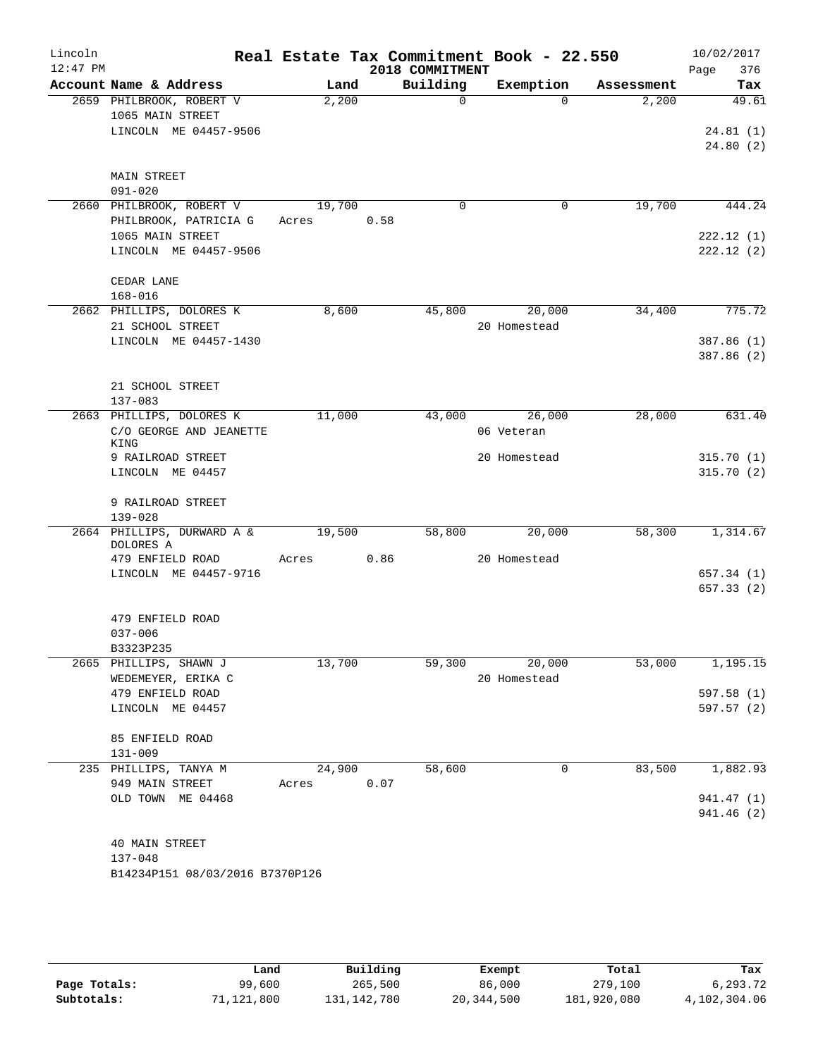| Lincoln<br>$12:47$ PM |                                                                    |                 |      | 2018 COMMITMENT | Real Estate Tax Commitment Book - 22.550 |            | 10/02/2017<br>376<br>Page |
|-----------------------|--------------------------------------------------------------------|-----------------|------|-----------------|------------------------------------------|------------|---------------------------|
|                       | Account Name & Address                                             | Land            |      | Building        | Exemption                                | Assessment | Tax                       |
|                       | 2659 PHILBROOK, ROBERT V<br>1065 MAIN STREET                       | 2,200           |      | $\Omega$        | $\Omega$                                 | 2,200      | 49.61                     |
|                       | LINCOLN ME 04457-9506                                              |                 |      |                 |                                          |            | 24.81(1)<br>24.80(2)      |
|                       | MAIN STREET<br>$091 - 020$                                         |                 |      |                 |                                          |            |                           |
|                       | 2660 PHILBROOK, ROBERT V<br>PHILBROOK, PATRICIA G                  | 19,700<br>Acres | 0.58 | 0               | 0                                        | 19,700     | 444.24                    |
|                       | 1065 MAIN STREET<br>LINCOLN ME 04457-9506                          |                 |      |                 |                                          |            | 222.12(1)<br>222.12(2)    |
|                       | CEDAR LANE<br>$168 - 016$                                          |                 |      |                 |                                          |            |                           |
|                       | 2662 PHILLIPS, DOLORES K<br>21 SCHOOL STREET                       | 8,600           |      | 45,800          | 20,000<br>20 Homestead                   | 34,400     | 775.72                    |
|                       | LINCOLN ME 04457-1430                                              |                 |      |                 |                                          |            | 387.86 (1)<br>387.86 (2)  |
|                       | 21 SCHOOL STREET<br>$137 - 083$                                    |                 |      |                 |                                          |            |                           |
|                       | 2663 PHILLIPS, DOLORES K<br>C/O GEORGE AND JEANETTE<br><b>KING</b> | 11,000          |      | 43,000          | 26,000<br>06 Veteran                     | 28,000     | 631.40                    |
|                       | 9 RAILROAD STREET<br>LINCOLN ME 04457                              |                 |      |                 | 20 Homestead                             |            | 315.70(1)<br>315.70(2)    |
|                       | 9 RAILROAD STREET<br>$139 - 028$                                   |                 |      |                 |                                          |            |                           |
|                       | 2664 PHILLIPS, DURWARD A &<br>DOLORES A                            | 19,500          |      | 58,800          | 20,000                                   | 58,300     | 1,314.67                  |
|                       | 479 ENFIELD ROAD                                                   | Acres           | 0.86 |                 | 20 Homestead                             |            |                           |
|                       | LINCOLN ME 04457-9716                                              |                 |      |                 |                                          |            | 657.34(1)<br>657.33 (2)   |
|                       | 479 ENFIELD ROAD<br>$037 - 006$                                    |                 |      |                 |                                          |            |                           |
|                       | B3323P235                                                          |                 |      |                 |                                          |            |                           |
|                       | 2665 PHILLIPS, SHAWN J                                             | 13,700          |      | 59,300          | 20,000                                   | 53,000     | 1,195.15                  |
|                       | WEDEMEYER, ERIKA C                                                 |                 |      |                 | 20 Homestead                             |            |                           |
|                       | 479 ENFIELD ROAD<br>LINCOLN ME 04457                               |                 |      |                 |                                          |            | 597.58(1)<br>597.57 (2)   |
|                       | 85 ENFIELD ROAD<br>$131 - 009$                                     |                 |      |                 |                                          |            |                           |
|                       | 235 PHILLIPS, TANYA M                                              | 24,900          |      | 58,600          | 0                                        | 83,500     | 1,882.93                  |
|                       | 949 MAIN STREET                                                    | Acres           | 0.07 |                 |                                          |            |                           |
|                       | OLD TOWN ME 04468                                                  |                 |      |                 |                                          |            | 941.47 (1)<br>941.46 (2)  |
|                       | 40 MAIN STREET<br>$137 - 048$                                      |                 |      |                 |                                          |            |                           |
|                       | B14234P151 08/03/2016 B7370P126                                    |                 |      |                 |                                          |            |                           |

|              | Land       | Building    | Exempt     | Total       | Tax          |
|--------------|------------|-------------|------------|-------------|--------------|
| Page Totals: | 99,600     | 265,500     | 86,000     | 279,100     | 6,293.72     |
| Subtotals:   | 71,121,800 | 131,142,780 | 20,344,500 | 181,920,080 | 4,102,304.06 |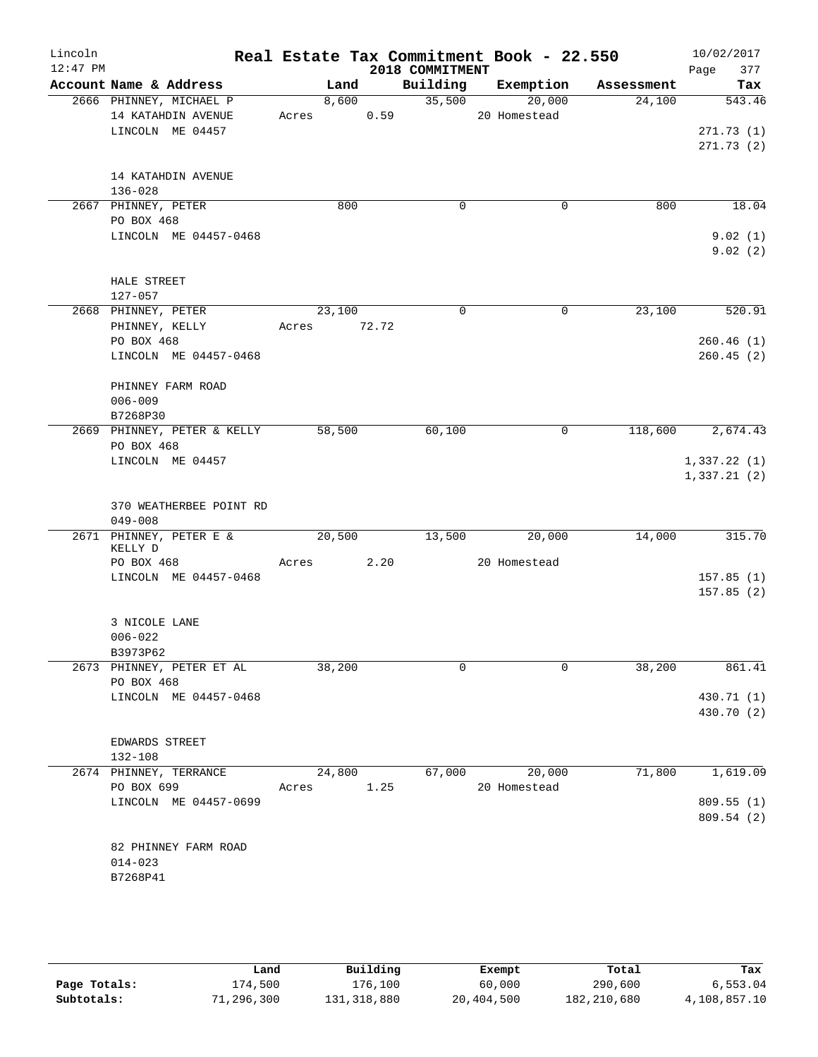| Lincoln<br>$12:47$ PM |                                        |        |       | 2018 COMMITMENT | Real Estate Tax Commitment Book - 22.550 |            | 10/02/2017<br>Page<br>377 |
|-----------------------|----------------------------------------|--------|-------|-----------------|------------------------------------------|------------|---------------------------|
|                       | Account Name & Address                 | Land   |       | Building        | Exemption                                | Assessment | Tax                       |
|                       | 2666 PHINNEY, MICHAEL P                | 8,600  |       | 35,500          | 20,000                                   | 24,100     | 543.46                    |
|                       | 14 KATAHDIN AVENUE<br>LINCOLN ME 04457 | Acres  | 0.59  |                 | 20 Homestead                             |            | 271.73(1)                 |
|                       |                                        |        |       |                 |                                          |            | 271.73(2)                 |
|                       | 14 KATAHDIN AVENUE                     |        |       |                 |                                          |            |                           |
|                       | $136 - 028$                            |        |       |                 |                                          |            |                           |
|                       | 2667 PHINNEY, PETER<br>PO BOX 468      | 800    |       | $\mathbf 0$     | 0                                        | 800        | 18.04                     |
|                       | LINCOLN ME 04457-0468                  |        |       |                 |                                          |            | 9.02(1)                   |
|                       |                                        |        |       |                 |                                          |            | 9.02(2)                   |
|                       | HALE STREET                            |        |       |                 |                                          |            |                           |
|                       | 127-057                                |        |       |                 |                                          |            |                           |
|                       | 2668 PHINNEY, PETER<br>PHINNEY, KELLY  | 23,100 | 72.72 | $\Omega$        | 0                                        | 23,100     | 520.91                    |
|                       | PO BOX 468                             | Acres  |       |                 |                                          |            | 260.46(1)                 |
|                       | LINCOLN ME 04457-0468                  |        |       |                 |                                          |            | 260.45(2)                 |
|                       |                                        |        |       |                 |                                          |            |                           |
|                       | PHINNEY FARM ROAD                      |        |       |                 |                                          |            |                           |
|                       | $006 - 009$                            |        |       |                 |                                          |            |                           |
|                       | B7268P30                               |        |       |                 |                                          |            |                           |
|                       | 2669 PHINNEY, PETER & KELLY            | 58,500 |       | 60,100          | 0                                        | 118,600    | 2,674.43                  |
|                       | PO BOX 468                             |        |       |                 |                                          |            |                           |
|                       | LINCOLN ME 04457                       |        |       |                 |                                          |            | 1,337.22(1)               |
|                       |                                        |        |       |                 |                                          |            | 1,337.21(2)               |
|                       | 370 WEATHERBEE POINT RD                |        |       |                 |                                          |            |                           |
|                       | $049 - 008$                            |        |       |                 |                                          |            |                           |
|                       | 2671 PHINNEY, PETER E &                | 20,500 |       | 13,500          | 20,000                                   | 14,000     | 315.70                    |
|                       | KELLY D                                |        |       |                 |                                          |            |                           |
|                       | PO BOX 468                             | Acres  | 2.20  |                 | 20 Homestead                             |            |                           |
|                       | LINCOLN ME 04457-0468                  |        |       |                 |                                          |            | 157.85(1)                 |
|                       |                                        |        |       |                 |                                          |            | 157.85(2)                 |
|                       | 3 NICOLE LANE                          |        |       |                 |                                          |            |                           |
|                       | $006 - 022$                            |        |       |                 |                                          |            |                           |
|                       | B3973P62                               |        |       |                 |                                          |            |                           |
|                       | 2673 PHINNEY, PETER ET AL              | 38,200 |       | $\mathbf 0$     | $\Omega$                                 | 38,200     | 861.41                    |
|                       | PO BOX 468                             |        |       |                 |                                          |            |                           |
|                       | LINCOLN ME 04457-0468                  |        |       |                 |                                          |            | 430.71 (1)                |
|                       |                                        |        |       |                 |                                          |            | 430.70 (2)                |
|                       |                                        |        |       |                 |                                          |            |                           |
|                       | EDWARDS STREET                         |        |       |                 |                                          |            |                           |
|                       | $132 - 108$                            |        |       |                 |                                          |            |                           |
|                       | 2674 PHINNEY, TERRANCE<br>PO BOX 699   | 24,800 | 1.25  | 67,000          | 20,000<br>20 Homestead                   | 71,800     | 1,619.09                  |
|                       | LINCOLN ME 04457-0699                  | Acres  |       |                 |                                          |            | 809.55(1)                 |
|                       |                                        |        |       |                 |                                          |            | 809.54 (2)                |
|                       |                                        |        |       |                 |                                          |            |                           |
|                       | 82 PHINNEY FARM ROAD                   |        |       |                 |                                          |            |                           |
|                       | $014 - 023$                            |        |       |                 |                                          |            |                           |
|                       | B7268P41                               |        |       |                 |                                          |            |                           |
|                       |                                        |        |       |                 |                                          |            |                           |

|              | Land       | Building      | Exempt     | Total       | Tax          |
|--------------|------------|---------------|------------|-------------|--------------|
| Page Totals: | L74,500    | 176,100       | 60,000     | 290,600     | 6.553.04     |
| Subtotals:   | 71,296,300 | 131, 318, 880 | 20,404,500 | 182,210,680 | 4,108,857.10 |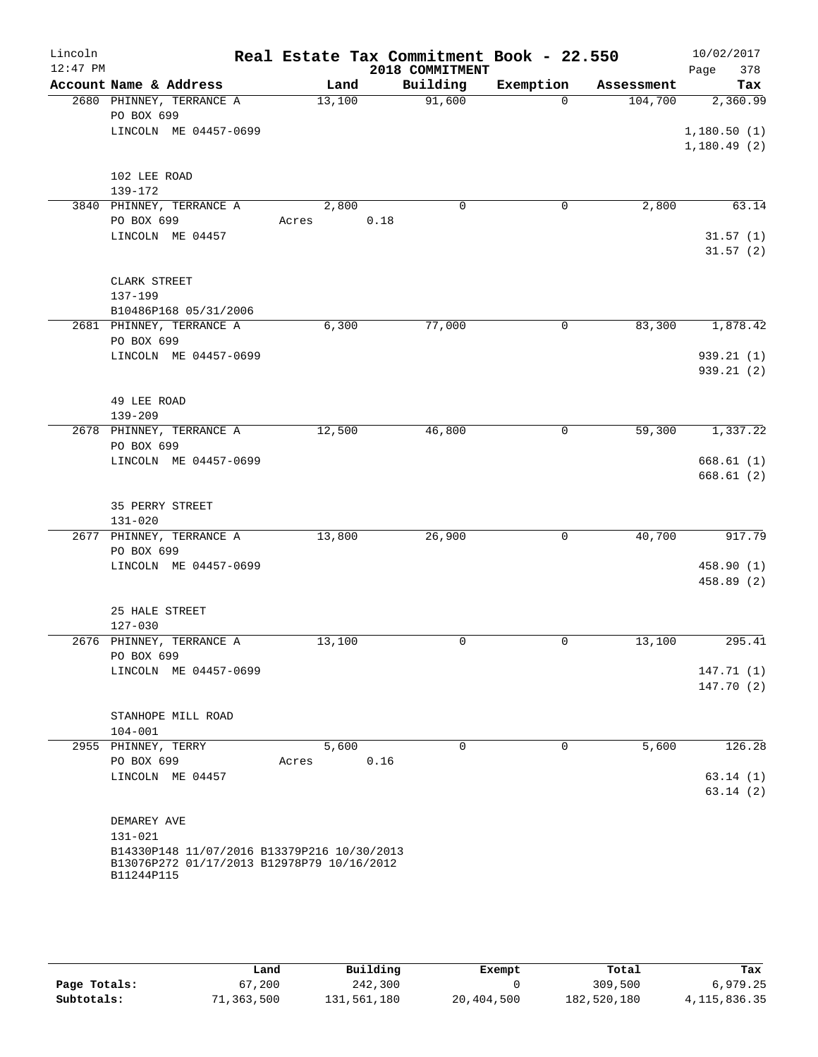| Lincoln<br>$12:47$ PM |                                                                                           |        |      | Real Estate Tax Commitment Book - 22.550<br>2018 COMMITMENT |             |            | 10/02/2017<br>Page<br>378 |
|-----------------------|-------------------------------------------------------------------------------------------|--------|------|-------------------------------------------------------------|-------------|------------|---------------------------|
|                       | Account Name & Address                                                                    | Land   |      | Building                                                    | Exemption   | Assessment | Tax                       |
|                       | 2680 PHINNEY, TERRANCE A                                                                  | 13,100 |      | 91,600                                                      | $\Omega$    | 104,700    | 2,360.99                  |
|                       | PO BOX 699                                                                                |        |      |                                                             |             |            |                           |
|                       | LINCOLN ME 04457-0699                                                                     |        |      |                                                             |             |            | 1,180.50(1)               |
|                       |                                                                                           |        |      |                                                             |             |            | 1,180.49(2)               |
|                       | 102 LEE ROAD                                                                              |        |      |                                                             |             |            |                           |
|                       | 139-172                                                                                   |        |      |                                                             |             |            |                           |
|                       | 3840 PHINNEY, TERRANCE A                                                                  | 2,800  |      | $\mathbf 0$                                                 | 0           | 2,800      | 63.14                     |
|                       | PO BOX 699                                                                                | Acres  | 0.18 |                                                             |             |            |                           |
|                       | LINCOLN ME 04457                                                                          |        |      |                                                             |             |            | 31.57(1)                  |
|                       |                                                                                           |        |      |                                                             |             |            | 31.57(2)                  |
|                       |                                                                                           |        |      |                                                             |             |            |                           |
|                       | CLARK STREET<br>137-199                                                                   |        |      |                                                             |             |            |                           |
|                       | B10486P168 05/31/2006                                                                     |        |      |                                                             |             |            |                           |
|                       | 2681 PHINNEY, TERRANCE A                                                                  | 6,300  |      | 77,000                                                      | 0           | 83,300     | 1,878.42                  |
|                       | PO BOX 699                                                                                |        |      |                                                             |             |            |                           |
|                       | LINCOLN ME 04457-0699                                                                     |        |      |                                                             |             |            | 939.21(1)                 |
|                       |                                                                                           |        |      |                                                             |             |            | 939.21(2)                 |
|                       |                                                                                           |        |      |                                                             |             |            |                           |
|                       | 49 LEE ROAD<br>$139 - 209$                                                                |        |      |                                                             |             |            |                           |
|                       | 2678 PHINNEY, TERRANCE A                                                                  | 12,500 |      | 46,800                                                      | 0           | 59,300     | 1,337.22                  |
|                       | PO BOX 699                                                                                |        |      |                                                             |             |            |                           |
|                       | LINCOLN ME 04457-0699                                                                     |        |      |                                                             |             |            | 668.61(1)                 |
|                       |                                                                                           |        |      |                                                             |             |            | 668.61(2)                 |
|                       |                                                                                           |        |      |                                                             |             |            |                           |
|                       | 35 PERRY STREET                                                                           |        |      |                                                             |             |            |                           |
|                       | $131 - 020$<br>2677 PHINNEY, TERRANCE A                                                   | 13,800 |      | 26,900                                                      | 0           | 40,700     | 917.79                    |
|                       | PO BOX 699                                                                                |        |      |                                                             |             |            |                           |
|                       | LINCOLN ME 04457-0699                                                                     |        |      |                                                             |             |            | 458.90 (1)                |
|                       |                                                                                           |        |      |                                                             |             |            | 458.89 (2)                |
|                       |                                                                                           |        |      |                                                             |             |            |                           |
|                       | 25 HALE STREET                                                                            |        |      |                                                             |             |            |                           |
|                       | $127 - 030$                                                                               |        |      |                                                             |             |            |                           |
|                       | 2676 PHINNEY, TERRANCE A<br>PO BOX 699                                                    | 13,100 |      | 0                                                           | 0           | 13,100     | 295.41                    |
|                       | LINCOLN ME 04457-0699                                                                     |        |      |                                                             |             |            | 147.71 (1)                |
|                       |                                                                                           |        |      |                                                             |             |            | 147.70 (2)                |
|                       |                                                                                           |        |      |                                                             |             |            |                           |
|                       | STANHOPE MILL ROAD                                                                        |        |      |                                                             |             |            |                           |
|                       | $104 - 001$                                                                               |        |      |                                                             |             |            |                           |
|                       | 2955 PHINNEY, TERRY                                                                       | 5,600  |      | $\mathbf 0$                                                 | $\mathbf 0$ | 5,600      | 126.28                    |
|                       | PO BOX 699<br>LINCOLN ME 04457                                                            | Acres  | 0.16 |                                                             |             |            | 63.14(1)                  |
|                       |                                                                                           |        |      |                                                             |             |            | 63.14(2)                  |
|                       |                                                                                           |        |      |                                                             |             |            |                           |
|                       | DEMAREY AVE                                                                               |        |      |                                                             |             |            |                           |
|                       | 131-021                                                                                   |        |      |                                                             |             |            |                           |
|                       | B14330P148 11/07/2016 B13379P216 10/30/2013<br>B13076P272 01/17/2013 B12978P79 10/16/2012 |        |      |                                                             |             |            |                           |
|                       | B11244P115                                                                                |        |      |                                                             |             |            |                           |
|                       |                                                                                           |        |      |                                                             |             |            |                           |

|              | Land      | Building    | Exempt     | Total       | Tax             |
|--------------|-----------|-------------|------------|-------------|-----------------|
| Page Totals: | 67,200    | 242,300     |            | 309,500     | 6,979.25        |
| Subtotals:   | 1,363,500 | 131,561,180 | 20,404,500 | 182,520,180 | 4, 115, 836. 35 |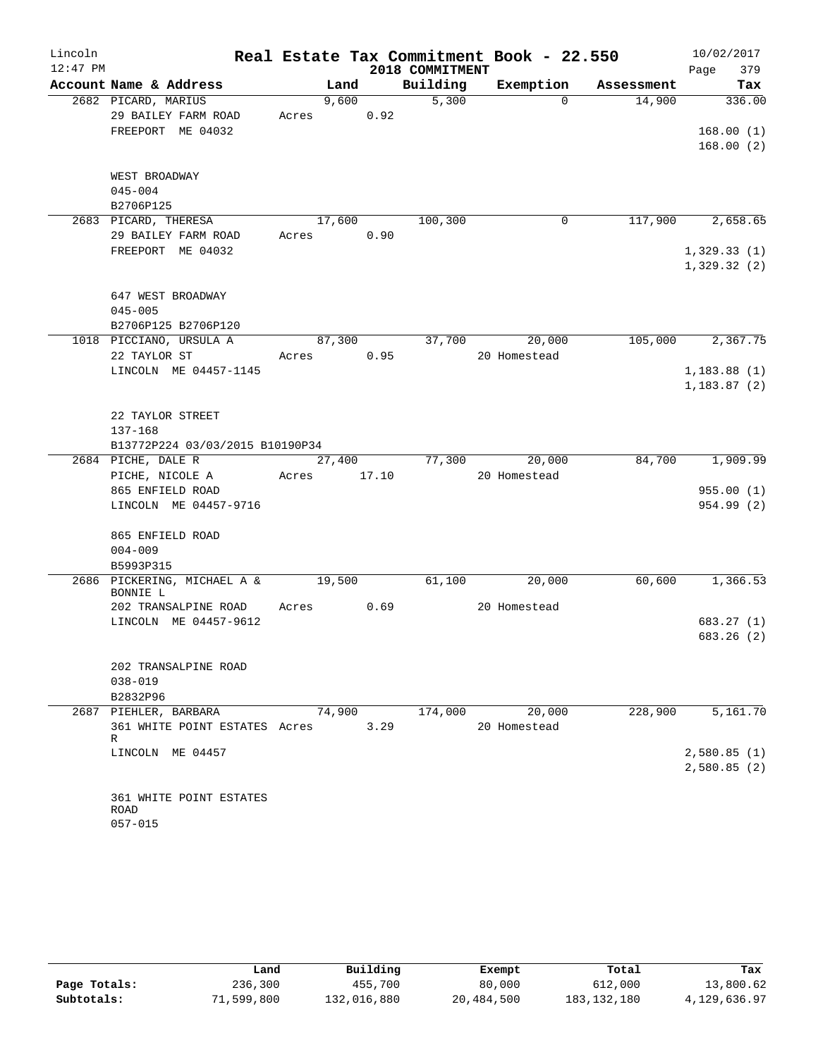| Lincoln    |                                    |        |       |                 | Real Estate Tax Commitment Book - 22.550 |            | 10/02/2017   |
|------------|------------------------------------|--------|-------|-----------------|------------------------------------------|------------|--------------|
| $12:47$ PM |                                    |        |       | 2018 COMMITMENT |                                          |            | Page<br>379  |
|            | Account Name & Address             | Land   |       | Building        | Exemption                                | Assessment | Tax          |
|            | 2682 PICARD, MARIUS                | 9,600  |       | 5,300           | $\Omega$                                 | 14,900     | 336.00       |
|            | 29 BAILEY FARM ROAD                | Acres  | 0.92  |                 |                                          |            |              |
|            | FREEPORT ME 04032                  |        |       |                 |                                          |            | 168.00(1)    |
|            |                                    |        |       |                 |                                          |            | 168.00(2)    |
|            |                                    |        |       |                 |                                          |            |              |
|            | WEST BROADWAY<br>$045 - 004$       |        |       |                 |                                          |            |              |
|            | B2706P125                          |        |       |                 |                                          |            |              |
|            | 2683 PICARD, THERESA               | 17,600 |       | 100,300         | $\mathbf 0$                              | 117,900    | 2,658.65     |
|            | 29 BAILEY FARM ROAD                | Acres  | 0.90  |                 |                                          |            |              |
|            | FREEPORT ME 04032                  |        |       |                 |                                          |            | 1,329.33(1)  |
|            |                                    |        |       |                 |                                          |            | 1,329.32(2)  |
|            |                                    |        |       |                 |                                          |            |              |
|            | 647 WEST BROADWAY                  |        |       |                 |                                          |            |              |
|            | $045 - 005$                        |        |       |                 |                                          |            |              |
|            | B2706P125 B2706P120                |        |       |                 |                                          |            |              |
|            | 1018 PICCIANO, URSULA A            | 87,300 |       | 37,700          | 20,000                                   | 105,000    | 2,367.75     |
|            | 22 TAYLOR ST                       | Acres  | 0.95  |                 | 20 Homestead                             |            |              |
|            | LINCOLN ME 04457-1145              |        |       |                 |                                          |            | 1,183.88(1)  |
|            |                                    |        |       |                 |                                          |            | 1, 183.87(2) |
|            |                                    |        |       |                 |                                          |            |              |
|            | 22 TAYLOR STREET<br>$137 - 168$    |        |       |                 |                                          |            |              |
|            | B13772P224 03/03/2015 B10190P34    |        |       |                 |                                          |            |              |
|            | 2684 PICHE, DALE R                 | 27,400 |       | 77,300          | 20,000                                   | 84,700     | 1,909.99     |
|            | PICHE, NICOLE A                    | Acres  | 17.10 |                 | 20 Homestead                             |            |              |
|            | 865 ENFIELD ROAD                   |        |       |                 |                                          |            | 955.00(1)    |
|            | LINCOLN ME 04457-9716              |        |       |                 |                                          |            | 954.99 (2)   |
|            |                                    |        |       |                 |                                          |            |              |
|            | 865 ENFIELD ROAD                   |        |       |                 |                                          |            |              |
|            | $004 - 009$                        |        |       |                 |                                          |            |              |
|            | B5993P315                          |        |       |                 |                                          |            |              |
|            | 2686 PICKERING, MICHAEL A &        | 19,500 |       | 61,100          | 20,000                                   | 60,600     | 1,366.53     |
|            | BONNIE L<br>202 TRANSALPINE ROAD   | Acres  | 0.69  |                 | 20 Homestead                             |            |              |
|            | LINCOLN ME 04457-9612              |        |       |                 |                                          |            | 683.27 (1)   |
|            |                                    |        |       |                 |                                          |            | 683.26 (2)   |
|            |                                    |        |       |                 |                                          |            |              |
|            | 202 TRANSALPINE ROAD               |        |       |                 |                                          |            |              |
|            | $038 - 019$                        |        |       |                 |                                          |            |              |
|            | B2832P96                           |        |       |                 |                                          |            |              |
|            | 2687 PIEHLER, BARBARA              | 74,900 |       | 174,000         | 20,000                                   | 228,900    | 5,161.70     |
|            | 361 WHITE POINT ESTATES Acres 3.29 |        |       |                 | 20 Homestead                             |            |              |
|            | R<br>LINCOLN ME 04457              |        |       |                 |                                          |            | 2,580.85(1)  |
|            |                                    |        |       |                 |                                          |            | 2,580.85(2)  |
|            |                                    |        |       |                 |                                          |            |              |
|            | 361 WHITE POINT ESTATES            |        |       |                 |                                          |            |              |
|            | ROAD                               |        |       |                 |                                          |            |              |
|            | $057 - 015$                        |        |       |                 |                                          |            |              |

|              | Land       | Building    | Exempt     | Total         | Tax          |
|--------------|------------|-------------|------------|---------------|--------------|
| Page Totals: | 236,300    | 455,700     | 80,000     | 612,000       | 13,800.62    |
| Subtotals:   | 71,599,800 | 132,016,880 | 20,484,500 | 183, 132, 180 | 4,129,636.97 |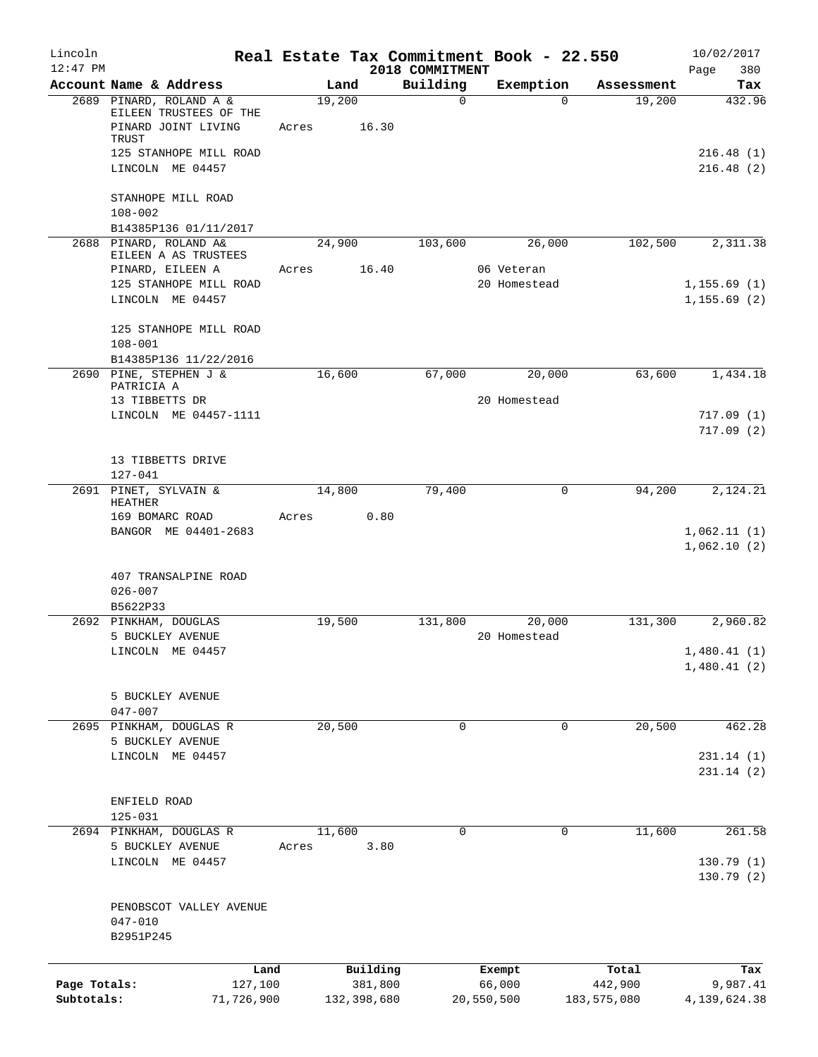| Lincoln      |                                                        |       |                     | Real Estate Tax Commitment Book - 22.550 |                  |                       |                      | 10/02/2017      |
|--------------|--------------------------------------------------------|-------|---------------------|------------------------------------------|------------------|-----------------------|----------------------|-----------------|
| $12:47$ PM   |                                                        |       |                     | 2018 COMMITMENT                          |                  |                       |                      | 380<br>Page     |
|              | Account Name & Address<br>2689 PINARD, ROLAND A &      |       | Land<br>19,200      | Building<br>$\mathbf 0$                  |                  | Exemption<br>$\Omega$ | Assessment<br>19,200 | Tax<br>432.96   |
|              | EILEEN TRUSTEES OF THE<br>PINARD JOINT LIVING<br>TRUST | Acres | 16.30               |                                          |                  |                       |                      |                 |
|              | 125 STANHOPE MILL ROAD                                 |       |                     |                                          |                  |                       |                      | 216.48(1)       |
|              | LINCOLN ME 04457                                       |       |                     |                                          |                  |                       |                      | 216.48(2)       |
|              | STANHOPE MILL ROAD<br>$108 - 002$                      |       |                     |                                          |                  |                       |                      |                 |
|              | B14385P136 01/11/2017                                  |       |                     |                                          |                  |                       |                      |                 |
|              | 2688 PINARD, ROLAND A&<br>EILEEN A AS TRUSTEES         |       | 24,900              | 103,600                                  |                  | 26,000                | 102,500              | 2,311.38        |
|              | PINARD, EILEEN A                                       | Acres | 16.40               |                                          | 06 Veteran       |                       |                      |                 |
|              | 125 STANHOPE MILL ROAD                                 |       |                     |                                          |                  | 20 Homestead          |                      | 1, 155.69(1)    |
|              | LINCOLN ME 04457                                       |       |                     |                                          |                  |                       |                      | 1, 155.69(2)    |
|              | 125 STANHOPE MILL ROAD                                 |       |                     |                                          |                  |                       |                      |                 |
|              | $108 - 001$                                            |       |                     |                                          |                  |                       |                      |                 |
|              | B14385P136 11/22/2016<br>2690 PINE, STEPHEN J &        |       | 16,600              | 67,000                                   |                  | 20,000                | 63,600               | 1,434.18        |
|              | PATRICIA A                                             |       |                     |                                          |                  |                       |                      |                 |
|              | 13 TIBBETTS DR                                         |       |                     |                                          |                  | 20 Homestead          |                      |                 |
|              | LINCOLN ME 04457-1111                                  |       |                     |                                          |                  |                       |                      | 717.09(1)       |
|              |                                                        |       |                     |                                          |                  |                       |                      | 717.09(2)       |
|              | 13 TIBBETTS DRIVE                                      |       |                     |                                          |                  |                       |                      |                 |
|              | $127 - 041$                                            |       |                     |                                          |                  |                       |                      |                 |
|              | 2691 PINET, SYLVAIN &<br><b>HEATHER</b>                |       | 14,800              | 79,400                                   |                  | $\mathbf 0$           | 94,200               | 2,124.21        |
|              | 169 BOMARC ROAD                                        | Acres | 0.80                |                                          |                  |                       |                      |                 |
|              | BANGOR ME 04401-2683                                   |       |                     |                                          |                  |                       |                      | 1,062.11(1)     |
|              |                                                        |       |                     |                                          |                  |                       |                      | 1,062.10(2)     |
|              | 407 TRANSALPINE ROAD                                   |       |                     |                                          |                  |                       |                      |                 |
|              | $026 - 007$                                            |       |                     |                                          |                  |                       |                      |                 |
|              | B5622P33<br>2692 PINKHAM, DOUGLAS                      |       | 19,500              | 131,800                                  |                  | 20,000                | 131,300              | 2,960.82        |
|              | 5 BUCKLEY AVENUE                                       |       |                     |                                          |                  | 20 Homestead          |                      |                 |
|              | LINCOLN ME 04457                                       |       |                     |                                          |                  |                       |                      | 1,480.41(1)     |
|              |                                                        |       |                     |                                          |                  |                       |                      | 1,480.41(2)     |
|              | 5 BUCKLEY AVENUE                                       |       |                     |                                          |                  |                       |                      |                 |
|              | $047 - 007$                                            |       |                     |                                          |                  |                       |                      |                 |
|              | 2695 PINKHAM, DOUGLAS R                                |       | 20,500              | $\mathbf 0$                              |                  | $\mathbf 0$           | 20,500               | 462.28          |
|              | 5 BUCKLEY AVENUE                                       |       |                     |                                          |                  |                       |                      |                 |
|              | LINCOLN ME 04457                                       |       |                     |                                          |                  |                       |                      | 231.14(1)       |
|              |                                                        |       |                     |                                          |                  |                       |                      | 231.14(2)       |
|              | ENFIELD ROAD                                           |       |                     |                                          |                  |                       |                      |                 |
|              | $125 - 031$                                            |       |                     |                                          |                  |                       |                      |                 |
|              | 2694 PINKHAM, DOUGLAS R                                |       | 11,600              | $\Omega$                                 |                  | $\Omega$              | 11,600               | 261.58          |
|              | 5 BUCKLEY AVENUE                                       | Acres | 3.80                |                                          |                  |                       |                      |                 |
|              | LINCOLN ME 04457                                       |       |                     |                                          |                  |                       |                      | 130.79(1)       |
|              |                                                        |       |                     |                                          |                  |                       |                      | 130.79(2)       |
|              | PENOBSCOT VALLEY AVENUE                                |       |                     |                                          |                  |                       |                      |                 |
|              | $047 - 010$                                            |       |                     |                                          |                  |                       |                      |                 |
|              | B2951P245                                              |       |                     |                                          |                  |                       |                      |                 |
|              |                                                        |       |                     |                                          |                  |                       |                      |                 |
| Page Totals: | Land<br>127,100                                        |       | Building<br>381,800 |                                          | Exempt<br>66,000 |                       | Total<br>442,900     | Tax<br>9,987.41 |
| Subtotals:   | 71,726,900                                             |       | 132,398,680         |                                          | 20,550,500       |                       | 183,575,080          | 4,139,624.38    |
|              |                                                        |       |                     |                                          |                  |                       |                      |                 |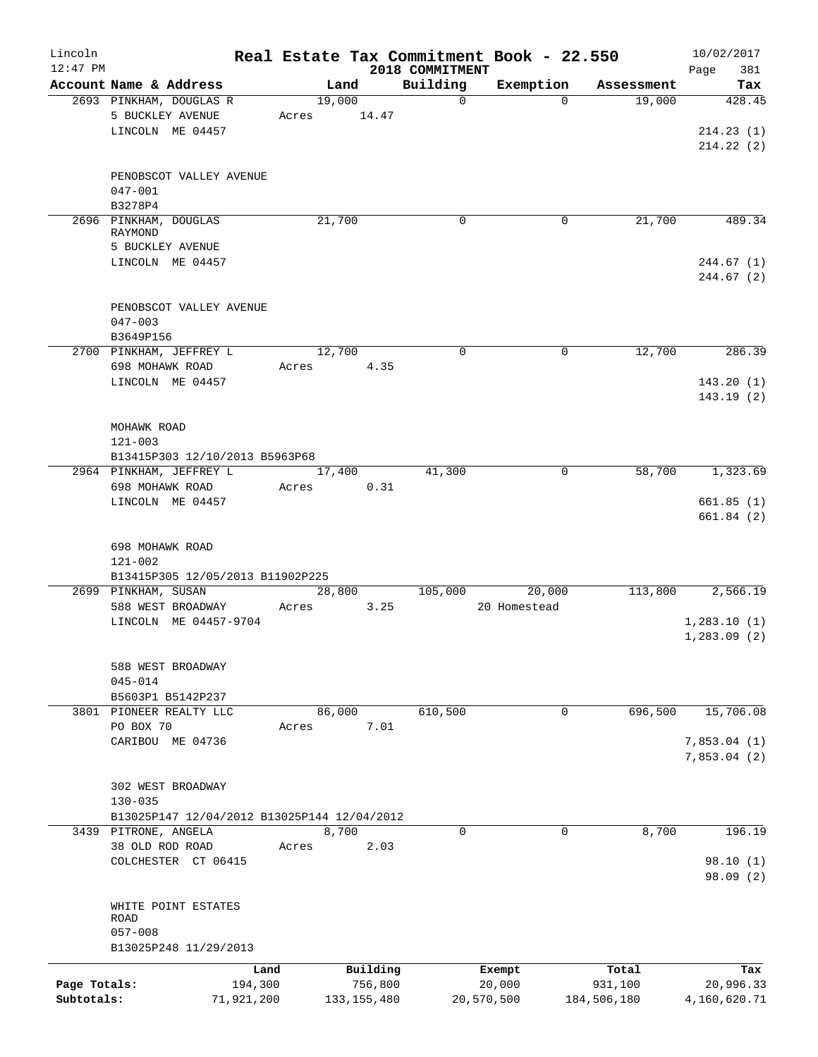| Lincoln<br>$12:47$ PM |                                             |        |               | 2018 COMMITMENT | Real Estate Tax Commitment Book - 22.550 |             | 10/02/2017<br>381<br>Page  |
|-----------------------|---------------------------------------------|--------|---------------|-----------------|------------------------------------------|-------------|----------------------------|
|                       | Account Name & Address                      | Land   |               | Building        | Exemption                                | Assessment  | Tax                        |
|                       | 2693 PINKHAM, DOUGLAS R                     | 19,000 |               | $\mathbf 0$     | $\Omega$                                 | 19,000      | 428.45                     |
|                       | 5 BUCKLEY AVENUE                            | Acres  | 14.47         |                 |                                          |             |                            |
|                       | LINCOLN ME 04457                            |        |               |                 |                                          |             | 214.23(1)                  |
|                       |                                             |        |               |                 |                                          |             | 214.22(2)                  |
|                       |                                             |        |               |                 |                                          |             |                            |
|                       | PENOBSCOT VALLEY AVENUE                     |        |               |                 |                                          |             |                            |
|                       | $047 - 001$                                 |        |               |                 |                                          |             |                            |
|                       | B3278P4                                     |        |               |                 |                                          |             |                            |
|                       | 2696 PINKHAM, DOUGLAS                       | 21,700 |               | $\mathbf 0$     | 0                                        | 21,700      | 489.34                     |
|                       | RAYMOND                                     |        |               |                 |                                          |             |                            |
|                       | 5 BUCKLEY AVENUE                            |        |               |                 |                                          |             |                            |
|                       | LINCOLN ME 04457                            |        |               |                 |                                          |             | 244.67(1)                  |
|                       |                                             |        |               |                 |                                          |             | 244.67(2)                  |
|                       | PENOBSCOT VALLEY AVENUE                     |        |               |                 |                                          |             |                            |
|                       | $047 - 003$                                 |        |               |                 |                                          |             |                            |
|                       | B3649P156                                   |        |               |                 |                                          |             |                            |
|                       | 2700 PINKHAM, JEFFREY L                     | 12,700 |               | $\Omega$        | $\mathbf 0$                              | 12,700      | 286.39                     |
|                       | 698 MOHAWK ROAD                             | Acres  | 4.35          |                 |                                          |             |                            |
|                       | LINCOLN ME 04457                            |        |               |                 |                                          |             | 143.20(1)                  |
|                       |                                             |        |               |                 |                                          |             | 143.19(2)                  |
|                       |                                             |        |               |                 |                                          |             |                            |
|                       | MOHAWK ROAD                                 |        |               |                 |                                          |             |                            |
|                       | $121 - 003$                                 |        |               |                 |                                          |             |                            |
|                       | B13415P303 12/10/2013 B5963P68              |        |               |                 |                                          |             |                            |
|                       | 2964 PINKHAM, JEFFREY L                     | 17,400 |               | 41,300          | 0                                        | 58,700      | 1,323.69                   |
|                       | 698 MOHAWK ROAD                             | Acres  | 0.31          |                 |                                          |             |                            |
|                       | LINCOLN ME 04457                            |        |               |                 |                                          |             | 661.85(1)                  |
|                       |                                             |        |               |                 |                                          |             | 661.84(2)                  |
|                       |                                             |        |               |                 |                                          |             |                            |
|                       | 698 MOHAWK ROAD                             |        |               |                 |                                          |             |                            |
|                       | $121 - 002$                                 |        |               |                 |                                          |             |                            |
|                       | B13415P305 12/05/2013 B11902P225            |        |               |                 |                                          |             |                            |
|                       | 2699 PINKHAM, SUSAN                         | 28,800 |               | 105,000         | 20,000                                   | 113,800     | 2,566.19                   |
|                       | 588 WEST BROADWAY                           | Acres  | 3.25          |                 | 20 Homestead                             |             |                            |
|                       | LINCOLN ME 04457-9704                       |        |               |                 |                                          |             | 1,283.10(1)                |
|                       |                                             |        |               |                 |                                          |             | 1,283.09(2)                |
|                       |                                             |        |               |                 |                                          |             |                            |
|                       | 588 WEST BROADWAY                           |        |               |                 |                                          |             |                            |
|                       | $045 - 014$                                 |        |               |                 |                                          |             |                            |
|                       | B5603P1 B5142P237                           |        |               |                 |                                          |             |                            |
|                       | 3801 PIONEER REALTY LLC                     | 86,000 |               | 610,500         | 0                                        | 696,500     | 15,706.08                  |
|                       | PO BOX 70                                   | Acres  | 7.01          |                 |                                          |             |                            |
|                       | CARIBOU ME 04736                            |        |               |                 |                                          |             | 7,853.04(1)<br>7,853.04(2) |
|                       |                                             |        |               |                 |                                          |             |                            |
|                       | 302 WEST BROADWAY                           |        |               |                 |                                          |             |                            |
|                       | $130 - 035$                                 |        |               |                 |                                          |             |                            |
|                       | B13025P147 12/04/2012 B13025P144 12/04/2012 |        |               |                 |                                          |             |                            |
|                       | 3439 PITRONE, ANGELA                        | 8,700  |               | 0               | 0                                        | 8,700       | 196.19                     |
|                       | 38 OLD ROD ROAD                             | Acres  | 2.03          |                 |                                          |             |                            |
|                       | COLCHESTER CT 06415                         |        |               |                 |                                          |             | 98.10(1)                   |
|                       |                                             |        |               |                 |                                          |             | 98.09(2)                   |
|                       |                                             |        |               |                 |                                          |             |                            |
|                       | WHITE POINT ESTATES                         |        |               |                 |                                          |             |                            |
|                       | ROAD                                        |        |               |                 |                                          |             |                            |
|                       | $057 - 008$                                 |        |               |                 |                                          |             |                            |
|                       | B13025P248 11/29/2013                       |        |               |                 |                                          |             |                            |
|                       | Land                                        |        | Building      |                 | Exempt                                   | Total       | Tax                        |
| Page Totals:          | 194,300                                     |        | 756,800       |                 | 20,000                                   | 931,100     | 20,996.33                  |
| Subtotals:            | 71,921,200                                  |        | 133, 155, 480 |                 | 20,570,500                               | 184,506,180 | 4,160,620.71               |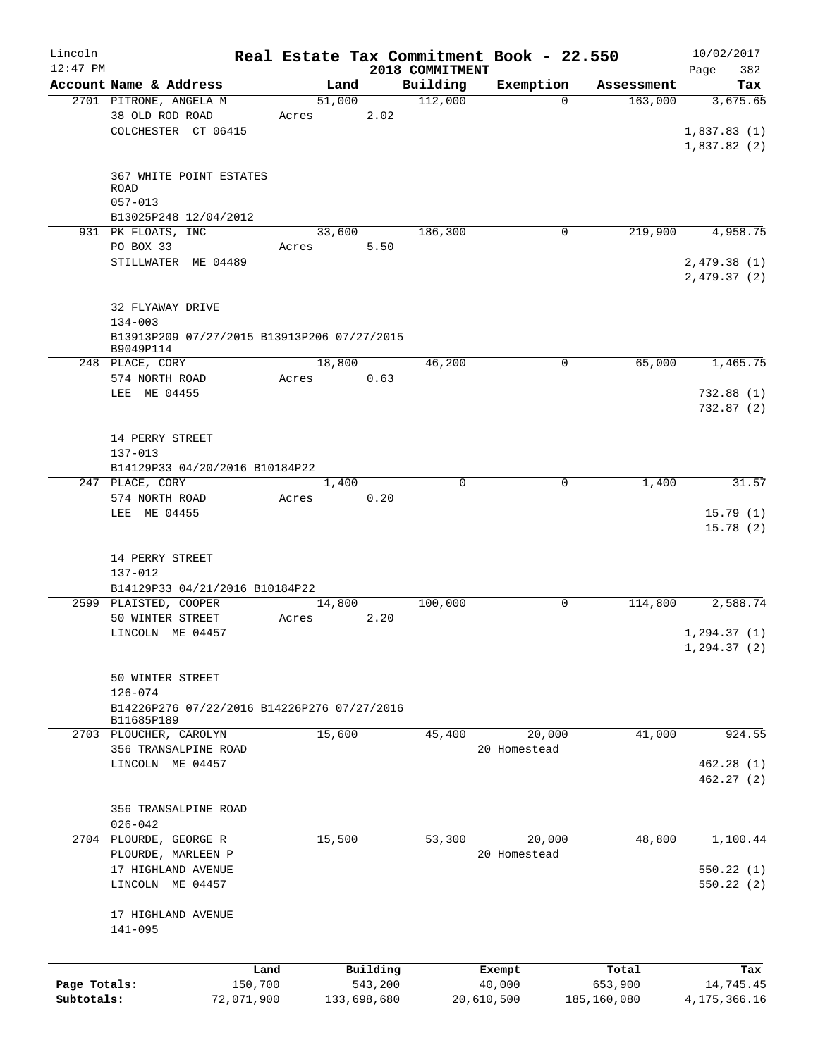| Lincoln      |                                              |       |             |                             | Real Estate Tax Commitment Book - 22.550 |             | 10/02/2017                  |
|--------------|----------------------------------------------|-------|-------------|-----------------------------|------------------------------------------|-------------|-----------------------------|
| $12:47$ PM   | Account Name & Address                       |       | Land        | 2018 COMMITMENT<br>Building | Exemption                                | Assessment  | 382<br>Page<br>Tax          |
|              | 2701 PITRONE, ANGELA M                       |       | 51,000      | 112,000                     | 0                                        | 163,000     | 3,675.65                    |
|              | 38 OLD ROD ROAD                              | Acres | 2.02        |                             |                                          |             |                             |
|              | COLCHESTER CT 06415                          |       |             |                             |                                          |             | 1,837.83(1)<br>1,837.82 (2) |
|              | 367 WHITE POINT ESTATES                      |       |             |                             |                                          |             |                             |
|              | <b>ROAD</b><br>$057 - 013$                   |       |             |                             |                                          |             |                             |
|              | B13025P248 12/04/2012                        |       |             |                             |                                          |             |                             |
|              | 931 PK FLOATS, INC                           |       | 33,600      | 186,300                     | 0                                        | 219,900     | 4,958.75                    |
|              | PO BOX 33                                    | Acres | 5.50        |                             |                                          |             |                             |
|              | STILLWATER ME 04489                          |       |             |                             |                                          |             | 2,479.38(1)<br>2,479.37(2)  |
|              |                                              |       |             |                             |                                          |             |                             |
|              | 32 FLYAWAY DRIVE<br>$134 - 003$              |       |             |                             |                                          |             |                             |
|              | B13913P209 07/27/2015 B13913P206 07/27/2015  |       |             |                             |                                          |             |                             |
|              | B9049P114                                    |       |             |                             |                                          |             |                             |
|              | 248 PLACE, CORY                              |       | 18,800      | 46,200                      | 0                                        | 65,000      | 1,465.75                    |
|              | 574 NORTH ROAD                               | Acres | 0.63        |                             |                                          |             |                             |
|              | LEE ME 04455                                 |       |             |                             |                                          |             | 732.88(1)                   |
|              |                                              |       |             |                             |                                          |             | 732.87(2)                   |
|              |                                              |       |             |                             |                                          |             |                             |
|              | 14 PERRY STREET                              |       |             |                             |                                          |             |                             |
|              | $137 - 013$                                  |       |             |                             |                                          |             |                             |
|              | B14129P33 04/20/2016 B10184P22               |       |             |                             |                                          |             |                             |
|              | 247 PLACE, CORY                              |       | 1,400       | 0                           | 0                                        | 1,400       | 31.57                       |
|              | 574 NORTH ROAD<br>LEE ME 04455               | Acres | 0.20        |                             |                                          |             | 15.79(1)                    |
|              |                                              |       |             |                             |                                          |             | 15.78(2)                    |
|              |                                              |       |             |                             |                                          |             |                             |
|              | 14 PERRY STREET                              |       |             |                             |                                          |             |                             |
|              | 137-012                                      |       |             |                             |                                          |             |                             |
|              | B14129P33 04/21/2016 B10184P22               |       |             |                             |                                          |             |                             |
|              | 2599 PLAISTED, COOPER                        |       | 14,800      | 100,000                     | 0                                        | 114,800     | 2,588.74                    |
|              | 50 WINTER STREET                             | Acres | 2.20        |                             |                                          |             |                             |
|              | LINCOLN ME 04457                             |       |             |                             |                                          |             | 1, 294.37(1)                |
|              |                                              |       |             |                             |                                          |             | 1, 294.37(2)                |
|              |                                              |       |             |                             |                                          |             |                             |
|              | 50 WINTER STREET<br>$126 - 074$              |       |             |                             |                                          |             |                             |
|              | B14226P276 07/22/2016 B14226P276 07/27/2016  |       |             |                             |                                          |             |                             |
|              | B11685P189                                   |       |             |                             |                                          |             |                             |
|              | 2703 PLOUCHER, CAROLYN                       |       | 15,600      | 45,400                      | 20,000                                   | 41,000      | 924.55                      |
|              | 356 TRANSALPINE ROAD                         |       |             |                             | 20 Homestead                             |             |                             |
|              | LINCOLN ME 04457                             |       |             |                             |                                          |             | 462.28(1)                   |
|              |                                              |       |             |                             |                                          |             | 462.27(2)                   |
|              |                                              |       |             |                             |                                          |             |                             |
|              | 356 TRANSALPINE ROAD                         |       |             |                             |                                          |             |                             |
|              | $026 - 042$                                  |       |             |                             |                                          |             |                             |
|              | 2704 PLOURDE, GEORGE R<br>PLOURDE, MARLEEN P |       | 15,500      | 53,300                      | 20,000                                   | 48,800      | 1,100.44                    |
|              | 17 HIGHLAND AVENUE                           |       |             |                             | 20 Homestead                             |             | 550.22(1)                   |
|              | LINCOLN ME 04457                             |       |             |                             |                                          |             | 550.22(2)                   |
|              |                                              |       |             |                             |                                          |             |                             |
|              | 17 HIGHLAND AVENUE                           |       |             |                             |                                          |             |                             |
|              | $141 - 095$                                  |       |             |                             |                                          |             |                             |
|              |                                              |       |             |                             |                                          |             |                             |
|              |                                              | Land  | Building    |                             | Exempt                                   | Total       | Tax                         |
| Page Totals: | 150,700                                      |       | 543,200     |                             | 40,000                                   | 653,900     | 14,745.45                   |
| Subtotals:   | 72,071,900                                   |       | 133,698,680 |                             | 20,610,500                               | 185,160,080 | 4, 175, 366. 16             |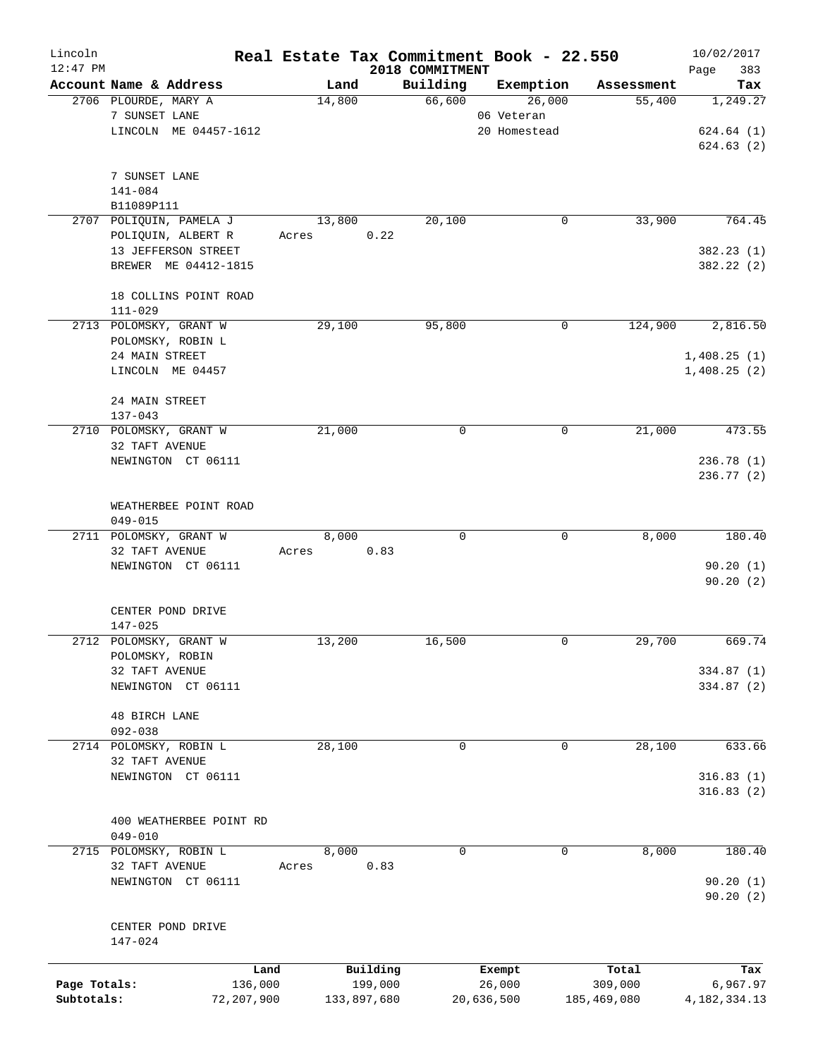| Lincoln<br>$12:47$ PM |                                      |       |             | Real Estate Tax Commitment Book - 22.550<br>2018 COMMITMENT |            |              |             | 10/02/2017<br>383<br>Page |
|-----------------------|--------------------------------------|-------|-------------|-------------------------------------------------------------|------------|--------------|-------------|---------------------------|
|                       | Account Name & Address               |       | Land        | Building                                                    |            | Exemption    | Assessment  | Tax                       |
|                       | 2706 PLOURDE, MARY A                 |       | 14,800      | 66,600                                                      |            | 26,000       | 55,400      | 1,249.27                  |
|                       | 7 SUNSET LANE                        |       |             |                                                             |            | 06 Veteran   |             |                           |
|                       | LINCOLN ME 04457-1612                |       |             |                                                             |            | 20 Homestead |             | 624.64(1)                 |
|                       |                                      |       |             |                                                             |            |              |             | 624.63(2)                 |
|                       |                                      |       |             |                                                             |            |              |             |                           |
|                       | 7 SUNSET LANE                        |       |             |                                                             |            |              |             |                           |
|                       | 141-084                              |       |             |                                                             |            |              |             |                           |
|                       | B11089P111                           |       |             |                                                             |            |              |             |                           |
|                       | 2707 POLIQUIN, PAMELA J              |       | 13,800      | 20,100                                                      |            | 0            | 33,900      | 764.45                    |
|                       | POLIQUIN, ALBERT R                   | Acres |             | 0.22                                                        |            |              |             |                           |
|                       | 13 JEFFERSON STREET                  |       |             |                                                             |            |              |             | 382.23 (1)                |
|                       | BREWER ME 04412-1815                 |       |             |                                                             |            |              |             | 382.22 (2)                |
|                       |                                      |       |             |                                                             |            |              |             |                           |
|                       |                                      |       |             |                                                             |            |              |             |                           |
|                       | 18 COLLINS POINT ROAD<br>$111 - 029$ |       |             |                                                             |            |              |             |                           |
|                       |                                      |       |             |                                                             |            |              |             |                           |
|                       | 2713 POLOMSKY, GRANT W               |       | 29,100      | 95,800                                                      |            | $\mathbf 0$  | 124,900     | 2,816.50                  |
|                       | POLOMSKY, ROBIN L                    |       |             |                                                             |            |              |             |                           |
|                       | 24 MAIN STREET                       |       |             |                                                             |            |              |             | 1,408.25(1)               |
|                       | LINCOLN ME 04457                     |       |             |                                                             |            |              |             | 1,408.25(2)               |
|                       |                                      |       |             |                                                             |            |              |             |                           |
|                       | 24 MAIN STREET                       |       |             |                                                             |            |              |             |                           |
|                       | $137 - 043$                          |       |             |                                                             |            |              |             |                           |
|                       | 2710 POLOMSKY, GRANT W               |       | 21,000      | $\mathbf 0$                                                 |            | 0            | 21,000      | 473.55                    |
|                       | 32 TAFT AVENUE                       |       |             |                                                             |            |              |             |                           |
|                       | NEWINGTON CT 06111                   |       |             |                                                             |            |              |             | 236.78(1)                 |
|                       |                                      |       |             |                                                             |            |              |             | 236.77 (2)                |
|                       |                                      |       |             |                                                             |            |              |             |                           |
|                       | WEATHERBEE POINT ROAD                |       |             |                                                             |            |              |             |                           |
|                       | $049 - 015$                          |       |             |                                                             |            |              |             |                           |
|                       | 2711 POLOMSKY, GRANT W               |       | 8,000       | $\Omega$                                                    |            | $\mathbf 0$  | 8,000       | 180.40                    |
|                       | 32 TAFT AVENUE                       | Acres |             | 0.83                                                        |            |              |             |                           |
|                       | NEWINGTON CT 06111                   |       |             |                                                             |            |              |             | 90.20(1)                  |
|                       |                                      |       |             |                                                             |            |              |             | 90.20(2)                  |
|                       |                                      |       |             |                                                             |            |              |             |                           |
|                       | CENTER POND DRIVE                    |       |             |                                                             |            |              |             |                           |
|                       | $147 - 025$                          |       |             |                                                             |            |              |             |                           |
|                       | 2712 POLOMSKY, GRANT W               |       | 13,200      | 16,500                                                      |            | 0            | 29,700      | 669.74                    |
|                       | POLOMSKY, ROBIN                      |       |             |                                                             |            |              |             |                           |
|                       | 32 TAFT AVENUE                       |       |             |                                                             |            |              |             | 334.87 (1)                |
|                       | NEWINGTON CT 06111                   |       |             |                                                             |            |              |             | 334.87 (2)                |
|                       |                                      |       |             |                                                             |            |              |             |                           |
|                       | <b>48 BIRCH LANE</b>                 |       |             |                                                             |            |              |             |                           |
|                       | $092 - 038$                          |       |             |                                                             |            |              |             |                           |
|                       | 2714 POLOMSKY, ROBIN L               |       | 28,100      | 0                                                           |            | 0            | 28,100      | 633.66                    |
|                       | 32 TAFT AVENUE                       |       |             |                                                             |            |              |             |                           |
|                       | NEWINGTON CT 06111                   |       |             |                                                             |            |              |             | 316.83(1)                 |
|                       |                                      |       |             |                                                             |            |              |             | 316.83(2)                 |
|                       |                                      |       |             |                                                             |            |              |             |                           |
|                       | 400 WEATHERBEE POINT RD              |       |             |                                                             |            |              |             |                           |
|                       | $049 - 010$                          |       |             |                                                             |            |              |             |                           |
|                       | 2715 POLOMSKY, ROBIN L               |       | 8,000       | 0                                                           |            | 0            | 8,000       | 180.40                    |
|                       | 32 TAFT AVENUE                       | Acres |             | 0.83                                                        |            |              |             |                           |
|                       | NEWINGTON CT 06111                   |       |             |                                                             |            |              |             | 90.20(1)                  |
|                       |                                      |       |             |                                                             |            |              |             | 90.20(2)                  |
|                       |                                      |       |             |                                                             |            |              |             |                           |
|                       | CENTER POND DRIVE                    |       |             |                                                             |            |              |             |                           |
|                       | 147-024                              |       |             |                                                             |            |              |             |                           |
|                       |                                      |       |             |                                                             |            |              |             |                           |
|                       | Land                                 |       | Building    |                                                             | Exempt     |              | Total       | Tax                       |
| Page Totals:          | 136,000                              |       | 199,000     |                                                             | 26,000     |              | 309,000     | 6,967.97                  |
| Subtotals:            | 72,207,900                           |       | 133,897,680 |                                                             | 20,636,500 |              | 185,469,080 | 4, 182, 334. 13           |
|                       |                                      |       |             |                                                             |            |              |             |                           |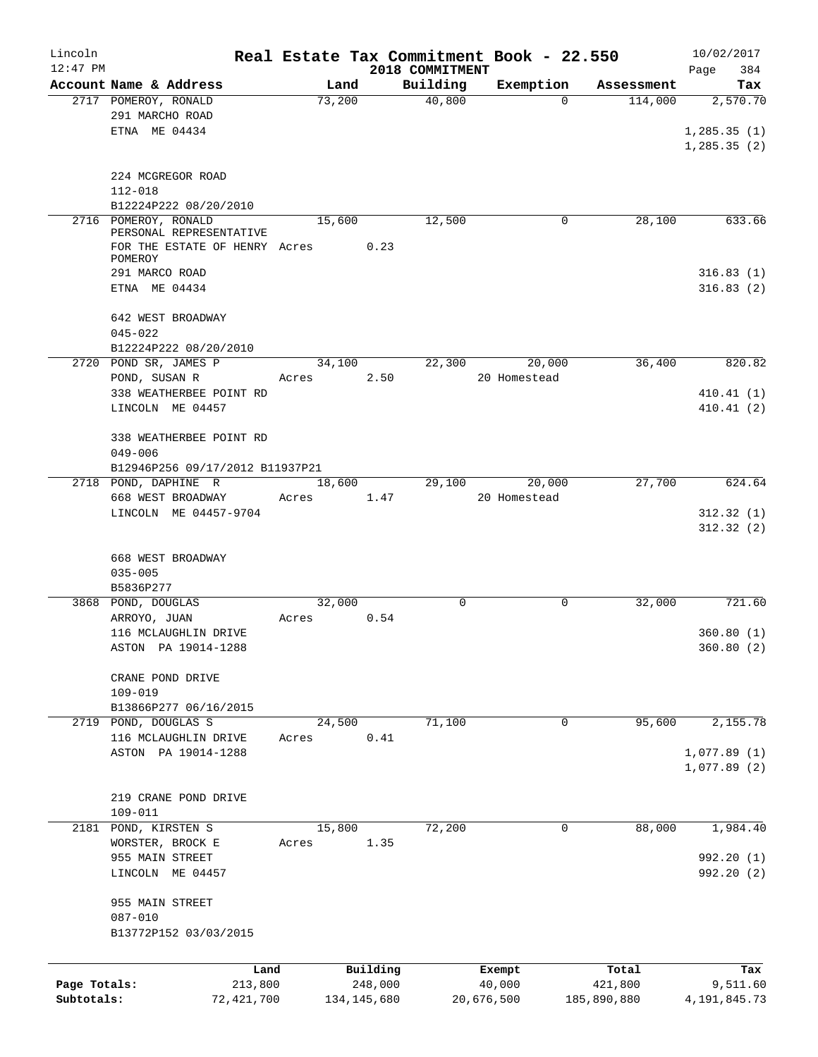| Lincoln      |                                            |        |               |                 | Real Estate Tax Commitment Book - 22.550 |             | 10/02/2017             |
|--------------|--------------------------------------------|--------|---------------|-----------------|------------------------------------------|-------------|------------------------|
| $12:47$ PM   |                                            |        |               | 2018 COMMITMENT |                                          |             | 384<br>Page            |
|              | Account Name & Address                     | Land   |               | Building        | Exemption                                | Assessment  | Tax                    |
|              | 2717 POMEROY, RONALD                       | 73,200 |               | 40,800          | $\Omega$                                 | 114,000     | 2,570.70               |
|              | 291 MARCHO ROAD                            |        |               |                 |                                          |             |                        |
|              | ETNA ME 04434                              |        |               |                 |                                          |             | 1, 285.35(1)           |
|              |                                            |        |               |                 |                                          |             | 1, 285.35(2)           |
|              | 224 MCGREGOR ROAD                          |        |               |                 |                                          |             |                        |
|              | $112 - 018$                                |        |               |                 |                                          |             |                        |
|              | B12224P222 08/20/2010                      |        |               |                 |                                          |             |                        |
|              | 2716 POMEROY, RONALD                       | 15,600 |               | 12,500          | 0                                        | 28,100      | 633.66                 |
|              | PERSONAL REPRESENTATIVE                    |        |               |                 |                                          |             |                        |
|              | FOR THE ESTATE OF HENRY Acres 0.23         |        |               |                 |                                          |             |                        |
|              | POMEROY                                    |        |               |                 |                                          |             |                        |
|              | 291 MARCO ROAD                             |        |               |                 |                                          |             | 316.83(1)              |
|              | ETNA ME 04434                              |        |               |                 |                                          |             | 316.83(2)              |
|              |                                            |        |               |                 |                                          |             |                        |
|              | 642 WEST BROADWAY                          |        |               |                 |                                          |             |                        |
|              | $045 - 022$                                |        |               |                 |                                          |             |                        |
|              | B12224P222 08/20/2010                      |        |               |                 |                                          |             |                        |
|              | 2720 POND SR, JAMES P                      | 34,100 |               | 22,300          | 20,000                                   | 36,400      | 820.82                 |
|              | POND, SUSAN R                              | Acres  | 2.50          |                 | 20 Homestead                             |             |                        |
|              | 338 WEATHERBEE POINT RD                    |        |               |                 |                                          |             | 410.41(1)              |
|              | LINCOLN ME 04457                           |        |               |                 |                                          |             | 410.41(2)              |
|              |                                            |        |               |                 |                                          |             |                        |
|              | 338 WEATHERBEE POINT RD                    |        |               |                 |                                          |             |                        |
|              | $049 - 006$                                |        |               |                 |                                          |             |                        |
|              | B12946P256 09/17/2012 B11937P21            |        |               |                 |                                          |             |                        |
|              | 2718 POND, DAPHINE R                       | 18,600 |               | 29,100          | 20,000                                   | 27,700      | 624.64                 |
|              | 668 WEST BROADWAY<br>LINCOLN ME 04457-9704 | Acres  | 1.47          |                 | 20 Homestead                             |             |                        |
|              |                                            |        |               |                 |                                          |             | 312.32(1)<br>312.32(2) |
|              |                                            |        |               |                 |                                          |             |                        |
|              | 668 WEST BROADWAY                          |        |               |                 |                                          |             |                        |
|              | $035 - 005$                                |        |               |                 |                                          |             |                        |
|              | B5836P277                                  |        |               |                 |                                          |             |                        |
|              | 3868 POND, DOUGLAS                         | 32,000 |               | 0               | 0                                        | 32,000      | 721.60                 |
|              | ARROYO, JUAN                               | Acres  | 0.54          |                 |                                          |             |                        |
|              | 116 MCLAUGHLIN DRIVE                       |        |               |                 |                                          |             | 360.80(1)              |
|              | ASTON PA 19014-1288                        |        |               |                 |                                          |             | 360.80 (2)             |
|              |                                            |        |               |                 |                                          |             |                        |
|              | CRANE POND DRIVE                           |        |               |                 |                                          |             |                        |
|              | $109 - 019$                                |        |               |                 |                                          |             |                        |
|              | B13866P277 06/16/2015                      |        |               |                 |                                          |             |                        |
| 2719         | POND, DOUGLAS S                            | 24,500 |               | 71,100          | 0                                        | 95,600      | 2,155.78               |
|              | 116 MCLAUGHLIN DRIVE                       | Acres  | 0.41          |                 |                                          |             |                        |
|              | ASTON PA 19014-1288                        |        |               |                 |                                          |             | 1,077.89(1)            |
|              |                                            |        |               |                 |                                          |             | 1,077.89(2)            |
|              |                                            |        |               |                 |                                          |             |                        |
|              | 219 CRANE POND DRIVE                       |        |               |                 |                                          |             |                        |
|              | $109 - 011$                                |        |               |                 |                                          |             |                        |
| 2181         | POND, KIRSTEN S                            | 15,800 |               | 72,200          | 0                                        | 88,000      | 1,984.40               |
|              | WORSTER, BROCK E                           | Acres  | 1.35          |                 |                                          |             |                        |
|              | 955 MAIN STREET                            |        |               |                 |                                          |             | 992.20 (1)             |
|              | LINCOLN ME 04457                           |        |               |                 |                                          |             | 992.20 (2)             |
|              |                                            |        |               |                 |                                          |             |                        |
|              | 955 MAIN STREET                            |        |               |                 |                                          |             |                        |
|              | $087 - 010$                                |        |               |                 |                                          |             |                        |
|              | B13772P152 03/03/2015                      |        |               |                 |                                          |             |                        |
|              |                                            |        |               |                 |                                          |             |                        |
|              | Land                                       |        | Building      |                 | Exempt                                   | Total       | Tax                    |
| Page Totals: | 213,800                                    |        | 248,000       |                 | 40,000                                   | 421,800     | 9,511.60               |
| Subtotals:   | 72,421,700                                 |        | 134, 145, 680 |                 | 20,676,500                               | 185,890,880 | 4, 191, 845. 73        |
|              |                                            |        |               |                 |                                          |             |                        |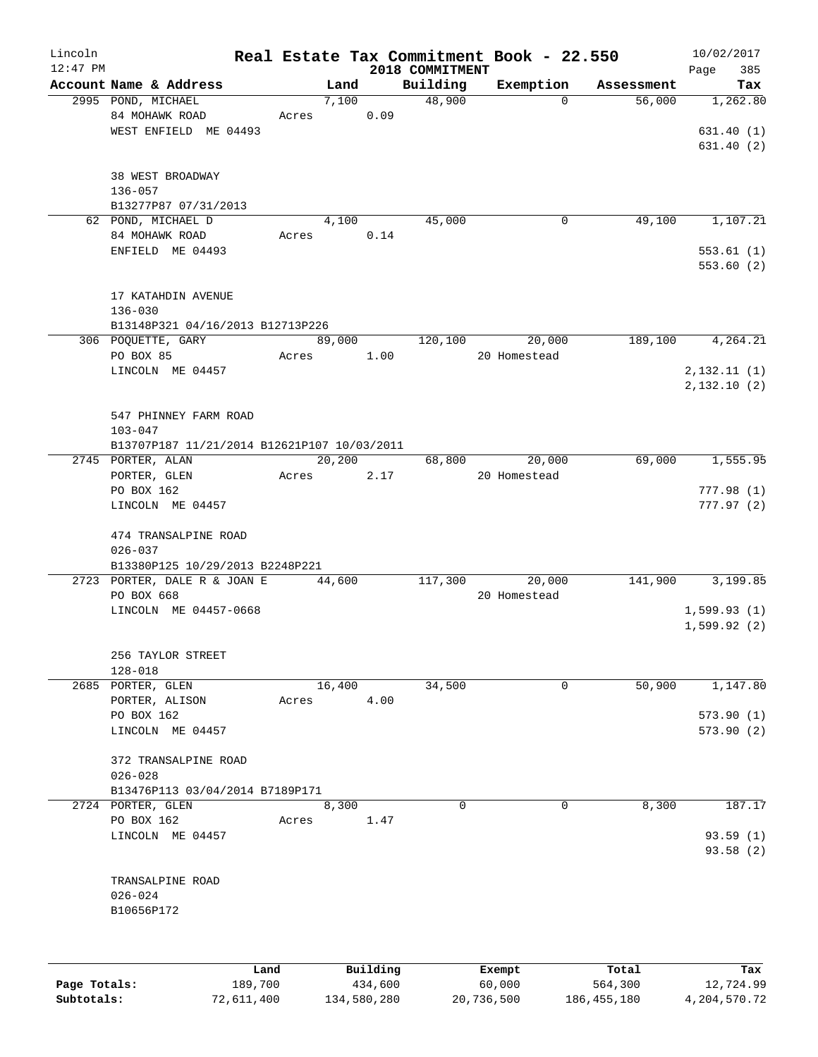| Lincoln      |                                             |         |          |                             | Real Estate Tax Commitment Book - 22.550 |            | 10/02/2017         |
|--------------|---------------------------------------------|---------|----------|-----------------------------|------------------------------------------|------------|--------------------|
| $12:47$ PM   | Account Name & Address                      | Land    |          | 2018 COMMITMENT<br>Building | Exemption                                | Assessment | Page<br>385<br>Tax |
|              | 2995 POND, MICHAEL                          | 7,100   |          | 48,900                      | $\Omega$                                 | 56,000     | 1,262.80           |
|              | 84 MOHAWK ROAD                              | Acres   | 0.09     |                             |                                          |            |                    |
|              | WEST ENFIELD ME 04493                       |         |          |                             |                                          |            | 631.40(1)          |
|              |                                             |         |          |                             |                                          |            | 631.40(2)          |
|              |                                             |         |          |                             |                                          |            |                    |
|              | 38 WEST BROADWAY                            |         |          |                             |                                          |            |                    |
|              | 136-057                                     |         |          |                             |                                          |            |                    |
|              | B13277P87 07/31/2013                        |         |          |                             |                                          |            |                    |
|              | 62 POND, MICHAEL D                          | 4,100   |          | 45,000                      | 0                                        | 49,100     | 1,107.21           |
|              | 84 MOHAWK ROAD                              | Acres   | 0.14     |                             |                                          |            |                    |
|              | ENFIELD ME 04493                            |         |          |                             |                                          |            | 553.61(1)          |
|              |                                             |         |          |                             |                                          |            | 553.60 (2)         |
|              |                                             |         |          |                             |                                          |            |                    |
|              | 17 KATAHDIN AVENUE                          |         |          |                             |                                          |            |                    |
|              | $136 - 030$                                 |         |          |                             |                                          |            |                    |
|              | B13148P321 04/16/2013 B12713P226            |         |          |                             |                                          |            |                    |
|              | 306 POQUETTE, GARY                          | 89,000  |          | 120,100                     | 20,000                                   | 189,100    | 4,264.21           |
|              | PO BOX 85                                   | Acres   | 1.00     |                             | 20 Homestead                             |            |                    |
|              | LINCOLN ME 04457                            |         |          |                             |                                          |            | 2,132.11(1)        |
|              |                                             |         |          |                             |                                          |            | 2,132.10(2)        |
|              |                                             |         |          |                             |                                          |            |                    |
|              | 547 PHINNEY FARM ROAD                       |         |          |                             |                                          |            |                    |
|              | $103 - 047$                                 |         |          |                             |                                          |            |                    |
|              | B13707P187 11/21/2014 B12621P107 10/03/2011 |         |          |                             |                                          |            |                    |
|              | 2745 PORTER, ALAN                           | 20, 200 |          | 68,800                      | 20,000                                   | 69,000     | 1,555.95           |
|              | PORTER, GLEN                                | Acres   | 2.17     |                             | 20 Homestead                             |            |                    |
|              | PO BOX 162                                  |         |          |                             |                                          |            | 777.98(1)          |
|              | LINCOLN ME 04457                            |         |          |                             |                                          |            | 777.97(2)          |
|              | 474 TRANSALPINE ROAD                        |         |          |                             |                                          |            |                    |
|              | $026 - 037$                                 |         |          |                             |                                          |            |                    |
|              | B13380P125 10/29/2013 B2248P221             |         |          |                             |                                          |            |                    |
|              | 2723 PORTER, DALE R & JOAN E                | 44,600  |          | 117,300                     | 20,000                                   | 141,900    | 3,199.85           |
|              | PO BOX 668                                  |         |          |                             | 20 Homestead                             |            |                    |
|              | LINCOLN ME 04457-0668                       |         |          |                             |                                          |            | 1,599.93(1)        |
|              |                                             |         |          |                             |                                          |            | 1,599.92(2)        |
|              |                                             |         |          |                             |                                          |            |                    |
|              | 256 TAYLOR STREET                           |         |          |                             |                                          |            |                    |
|              | $128 - 018$                                 |         |          |                             |                                          |            |                    |
|              | 2685 PORTER, GLEN                           | 16,400  |          | 34,500                      | 0                                        | 50,900     | 1,147.80           |
|              | PORTER, ALISON                              | Acres   | 4.00     |                             |                                          |            |                    |
|              | PO BOX 162                                  |         |          |                             |                                          |            | 573.90(1)          |
|              | LINCOLN ME 04457                            |         |          |                             |                                          |            | 573.90(2)          |
|              |                                             |         |          |                             |                                          |            |                    |
|              | 372 TRANSALPINE ROAD                        |         |          |                             |                                          |            |                    |
|              | $026 - 028$                                 |         |          |                             |                                          |            |                    |
|              | B13476P113 03/04/2014 B7189P171             |         |          |                             |                                          |            |                    |
|              | 2724 PORTER, GLEN                           | 8,300   |          | $\mathbf 0$                 | 0                                        | 8,300      | 187.17             |
|              | PO BOX 162                                  | Acres   | 1.47     |                             |                                          |            |                    |
|              | LINCOLN ME 04457                            |         |          |                             |                                          |            | 93.59(1)           |
|              |                                             |         |          |                             |                                          |            | 93.58(2)           |
|              |                                             |         |          |                             |                                          |            |                    |
|              | TRANSALPINE ROAD                            |         |          |                             |                                          |            |                    |
|              | $026 - 024$                                 |         |          |                             |                                          |            |                    |
|              | B10656P172                                  |         |          |                             |                                          |            |                    |
|              |                                             |         |          |                             |                                          |            |                    |
|              |                                             |         |          |                             |                                          |            |                    |
|              | Land                                        |         | Building |                             | Exempt                                   | Total      | Tax                |
| Page Totals: | 189,700                                     |         | 434,600  |                             | 60,000                                   | 564,300    | 12,724.99          |

**Subtotals:** 72,611,400 134,580,280 20,736,500 186,455,180 4,204,570.72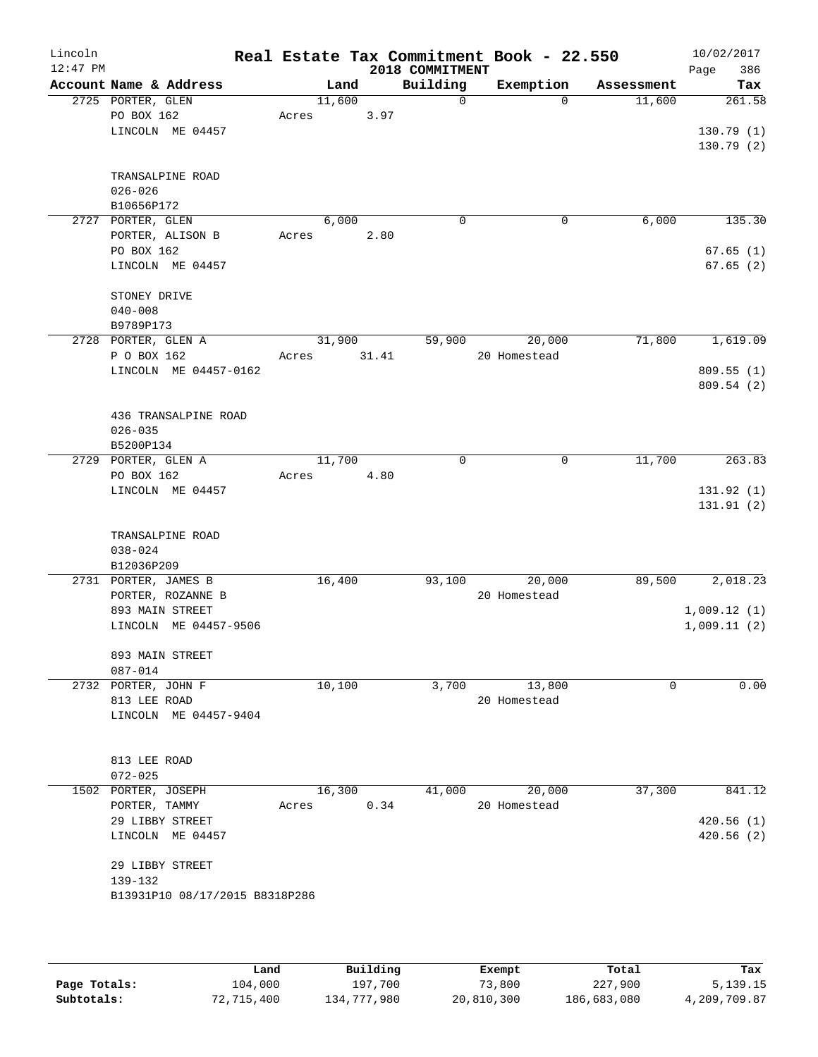| Lincoln<br>$12:47$ PM |                                       |       |        |       | 2018 COMMITMENT | Real Estate Tax Commitment Book - 22.550 |             | 10/02/2017<br>Page<br>386 |
|-----------------------|---------------------------------------|-------|--------|-------|-----------------|------------------------------------------|-------------|---------------------------|
|                       | Account Name & Address                |       | Land   |       | Building        | Exemption                                | Assessment  | Tax                       |
|                       | 2725 PORTER, GLEN<br>PO BOX 162       | Acres | 11,600 | 3.97  | 0               | $\mathbf 0$                              | 11,600      | 261.58                    |
|                       | LINCOLN ME 04457                      |       |        |       |                 |                                          |             | 130.79(1)<br>130.79(2)    |
|                       | TRANSALPINE ROAD<br>$026 - 026$       |       |        |       |                 |                                          |             |                           |
|                       | B10656P172                            |       |        |       |                 |                                          |             |                           |
|                       | 2727 PORTER, GLEN<br>PORTER, ALISON B | Acres | 6,000  | 2.80  | 0               | 0                                        | 6,000       | 135.30                    |
|                       | PO BOX 162<br>LINCOLN ME 04457        |       |        |       |                 |                                          |             | 67.65(1)<br>67.65(2)      |
|                       | STONEY DRIVE<br>$040 - 008$           |       |        |       |                 |                                          |             |                           |
|                       | B9789P173                             |       |        |       |                 |                                          |             |                           |
|                       | 2728 PORTER, GLEN A                   |       | 31,900 |       | 59,900          | 20,000                                   | 71,800      | 1,619.09                  |
|                       | P O BOX 162                           | Acres |        | 31.41 |                 | 20 Homestead                             |             |                           |
|                       | LINCOLN ME 04457-0162                 |       |        |       |                 |                                          |             | 809.55(1)                 |
|                       |                                       |       |        |       |                 |                                          |             | 809.54 (2)                |
|                       | 436 TRANSALPINE ROAD                  |       |        |       |                 |                                          |             |                           |
|                       | $026 - 035$                           |       |        |       |                 |                                          |             |                           |
|                       | B5200P134<br>2729 PORTER, GLEN A      |       | 11,700 |       | 0               | $\mathsf{O}$                             | 11,700      | 263.83                    |
|                       | PO BOX 162                            | Acres |        | 4.80  |                 |                                          |             |                           |
|                       | LINCOLN ME 04457                      |       |        |       |                 |                                          |             | 131.92(1)                 |
|                       |                                       |       |        |       |                 |                                          |             | 131.91 (2)                |
|                       | TRANSALPINE ROAD                      |       |        |       |                 |                                          |             |                           |
|                       | $038 - 024$                           |       |        |       |                 |                                          |             |                           |
|                       | B12036P209                            |       |        |       |                 |                                          |             |                           |
|                       | 2731 PORTER, JAMES B                  |       | 16,400 |       | 93,100          | 20,000                                   | 89,500      | 2,018.23                  |
|                       | PORTER, ROZANNE B<br>893 MAIN STREET  |       |        |       |                 | 20 Homestead                             |             | 1,009.12(1)               |
|                       | LINCOLN ME 04457-9506                 |       |        |       |                 |                                          |             | 1,009.11(2)               |
|                       |                                       |       |        |       |                 |                                          |             |                           |
|                       | 893 MAIN STREET<br>$087 - 014$        |       |        |       |                 |                                          |             |                           |
|                       | 2732 PORTER, JOHN F                   |       | 10,100 |       | 3,700           | 13,800                                   | $\mathbf 0$ | 0.00                      |
|                       | 813 LEE ROAD                          |       |        |       |                 | 20 Homestead                             |             |                           |
|                       | LINCOLN ME 04457-9404                 |       |        |       |                 |                                          |             |                           |
|                       | 813 LEE ROAD                          |       |        |       |                 |                                          |             |                           |
|                       | $072 - 025$                           |       |        |       |                 |                                          |             |                           |
|                       | 1502 PORTER, JOSEPH                   |       | 16,300 | 0.34  | 41,000          | 20,000<br>20 Homestead                   | 37,300      | 841.12                    |
|                       | PORTER, TAMMY<br>29 LIBBY STREET      | Acres |        |       |                 |                                          |             | 420.56(1)                 |
|                       | LINCOLN ME 04457                      |       |        |       |                 |                                          |             | 420.56(2)                 |
|                       | 29 LIBBY STREET                       |       |        |       |                 |                                          |             |                           |
|                       | 139-132                               |       |        |       |                 |                                          |             |                           |
|                       | B13931P10 08/17/2015 B8318P286        |       |        |       |                 |                                          |             |                           |
|                       |                                       |       |        |       |                 |                                          |             |                           |
|                       |                                       |       |        |       |                 |                                          |             |                           |

|              | Land       | Building    | Exempt     | Total       | Tax          |
|--------------|------------|-------------|------------|-------------|--------------|
| Page Totals: | 104,000    | 197,700     | 73,800     | 227,900     | 5,139.15     |
| Subtotals:   | 72,715,400 | 134,777,980 | 20,810,300 | 186,683,080 | 4,209,709.87 |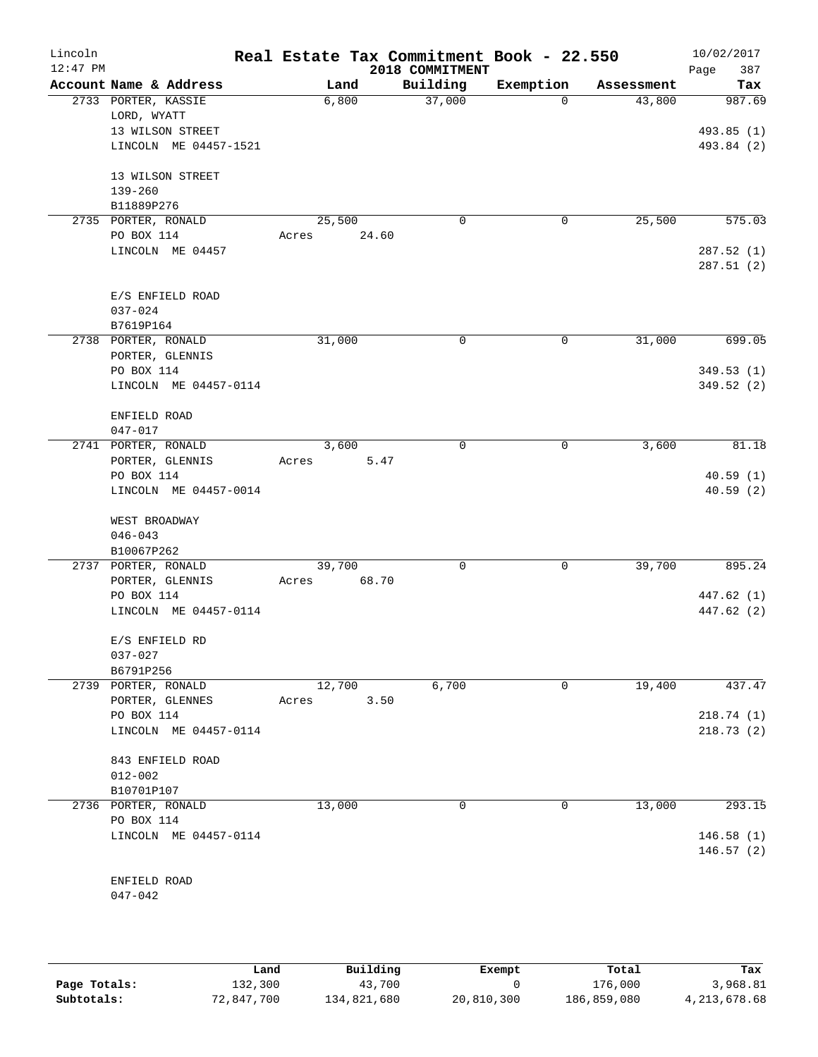| Lincoln<br>$12:47$ PM |                                        |       |        |       | Real Estate Tax Commitment Book - 22.550<br>2018 COMMITMENT |              |            | 10/02/2017<br>387<br>Page |
|-----------------------|----------------------------------------|-------|--------|-------|-------------------------------------------------------------|--------------|------------|---------------------------|
|                       | Account Name & Address                 |       | Land   |       | Building                                                    | Exemption    | Assessment | Tax                       |
|                       | 2733 PORTER, KASSIE                    |       | 6,800  |       | 37,000                                                      | $\Omega$     | 43,800     | 987.69                    |
|                       | LORD, WYATT                            |       |        |       |                                                             |              |            |                           |
|                       | 13 WILSON STREET                       |       |        |       |                                                             |              |            | 493.85 (1)                |
|                       | LINCOLN ME 04457-1521                  |       |        |       |                                                             |              |            | 493.84 (2)                |
|                       |                                        |       |        |       |                                                             |              |            |                           |
|                       | 13 WILSON STREET<br>$139 - 260$        |       |        |       |                                                             |              |            |                           |
|                       | B11889P276                             |       |        |       |                                                             |              |            |                           |
|                       | 2735 PORTER, RONALD                    |       | 25,500 |       | $\mathbf 0$                                                 | $\mathsf{O}$ | 25,500     | 575.03                    |
|                       | PO BOX 114                             | Acres |        | 24.60 |                                                             |              |            |                           |
|                       | LINCOLN ME 04457                       |       |        |       |                                                             |              |            | 287.52(1)                 |
|                       |                                        |       |        |       |                                                             |              |            | 287.51(2)                 |
|                       |                                        |       |        |       |                                                             |              |            |                           |
|                       | E/S ENFIELD ROAD                       |       |        |       |                                                             |              |            |                           |
|                       | $037 - 024$                            |       |        |       |                                                             |              |            |                           |
|                       | B7619P164                              |       |        |       | 0                                                           | 0            | 31,000     | 699.05                    |
|                       | 2738 PORTER, RONALD<br>PORTER, GLENNIS |       | 31,000 |       |                                                             |              |            |                           |
|                       | PO BOX 114                             |       |        |       |                                                             |              |            | 349.53(1)                 |
|                       | LINCOLN ME 04457-0114                  |       |        |       |                                                             |              |            | 349.52 (2)                |
|                       |                                        |       |        |       |                                                             |              |            |                           |
|                       | ENFIELD ROAD                           |       |        |       |                                                             |              |            |                           |
|                       | $047 - 017$                            |       |        |       |                                                             |              |            |                           |
|                       | 2741 PORTER, RONALD                    |       | 3,600  |       | 0                                                           | 0            | 3,600      | 81.18                     |
|                       | PORTER, GLENNIS                        | Acres |        | 5.47  |                                                             |              |            |                           |
|                       | PO BOX 114                             |       |        |       |                                                             |              |            | 40.59(1)                  |
|                       | LINCOLN ME 04457-0014                  |       |        |       |                                                             |              |            | 40.59(2)                  |
|                       |                                        |       |        |       |                                                             |              |            |                           |
|                       | WEST BROADWAY<br>$046 - 043$           |       |        |       |                                                             |              |            |                           |
|                       | B10067P262                             |       |        |       |                                                             |              |            |                           |
|                       | 2737 PORTER, RONALD                    |       | 39,700 |       | 0                                                           | $\mathbf 0$  | 39,700     | 895.24                    |
|                       | PORTER, GLENNIS                        | Acres |        | 68.70 |                                                             |              |            |                           |
|                       | PO BOX 114                             |       |        |       |                                                             |              |            | 447.62 (1)                |
|                       | LINCOLN ME 04457-0114                  |       |        |       |                                                             |              |            | 447.62 (2)                |
|                       |                                        |       |        |       |                                                             |              |            |                           |
|                       | E/S ENFIELD RD                         |       |        |       |                                                             |              |            |                           |
|                       | $037 - 027$                            |       |        |       |                                                             |              |            |                           |
|                       | B6791P256                              |       |        |       |                                                             |              |            |                           |
|                       | 2739 PORTER, RONALD                    |       | 12,700 |       | 6,700                                                       | $\mathbf 0$  | 19,400     | 437.47                    |
|                       | PORTER, GLENNES<br>PO BOX 114          | Acres |        | 3.50  |                                                             |              |            | 218.74(1)                 |
|                       | LINCOLN ME 04457-0114                  |       |        |       |                                                             |              |            | 218.73(2)                 |
|                       |                                        |       |        |       |                                                             |              |            |                           |
|                       | 843 ENFIELD ROAD                       |       |        |       |                                                             |              |            |                           |
|                       | $012 - 002$                            |       |        |       |                                                             |              |            |                           |
|                       | B10701P107                             |       |        |       |                                                             |              |            |                           |
|                       | 2736 PORTER, RONALD                    |       | 13,000 |       | 0                                                           | 0            | 13,000     | 293.15                    |
|                       | PO BOX 114                             |       |        |       |                                                             |              |            |                           |
|                       | LINCOLN ME 04457-0114                  |       |        |       |                                                             |              |            | 146.58(1)                 |
|                       |                                        |       |        |       |                                                             |              |            | 146.57(2)                 |
|                       |                                        |       |        |       |                                                             |              |            |                           |
|                       | ENFIELD ROAD<br>$047 - 042$            |       |        |       |                                                             |              |            |                           |
|                       |                                        |       |        |       |                                                             |              |            |                           |
|                       |                                        |       |        |       |                                                             |              |            |                           |

|              | Land       | Building    | Exempt     | Total       | Tax             |
|--------------|------------|-------------|------------|-------------|-----------------|
| Page Totals: | 132,300    | 43,700      |            | 176,000     | 3,968.81        |
| Subtotals:   | 72,847,700 | 134,821,680 | 20,810,300 | 186,859,080 | 4, 213, 678. 68 |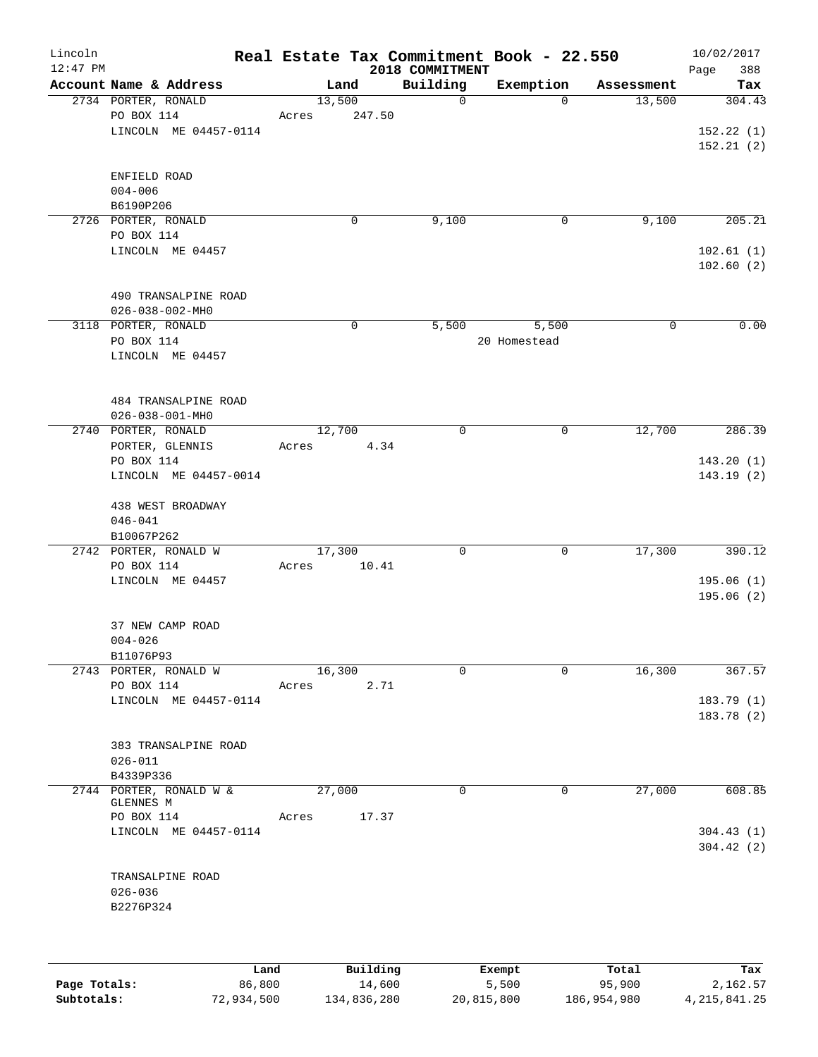| Lincoln<br>$12:47$ PM |                                                            |       |       |             |        | Real Estate Tax Commitment Book - 22.550<br>2018 COMMITMENT |                       |            | 10/02/2017<br>388<br>Page        |
|-----------------------|------------------------------------------------------------|-------|-------|-------------|--------|-------------------------------------------------------------|-----------------------|------------|----------------------------------|
|                       | Account Name & Address                                     |       |       | Land        |        | Building                                                    | Exemption             | Assessment | Tax                              |
|                       | 2734 PORTER, RONALD<br>PO BOX 114<br>LINCOLN ME 04457-0114 | Acres |       | 13,500      | 247.50 | 0                                                           | $\Omega$              | 13,500     | 304.43<br>152.22(1)<br>152.21(2) |
|                       | ENFIELD ROAD<br>$004 - 006$<br>B6190P206                   |       |       |             |        |                                                             |                       |            |                                  |
|                       | 2726 PORTER, RONALD                                        |       |       | $\mathbf 0$ |        | 9,100                                                       | $\mathbf 0$           | 9,100      | 205.21                           |
|                       | PO BOX 114<br>LINCOLN ME 04457                             |       |       |             |        |                                                             |                       |            | 102.61(1)<br>102.60(2)           |
|                       | 490 TRANSALPINE ROAD<br>$026 - 038 - 002 - MHO$            |       |       |             |        |                                                             |                       |            |                                  |
|                       | 3118 PORTER, RONALD<br>PO BOX 114<br>LINCOLN ME 04457      |       |       | 0           |        | 5,500                                                       | 5,500<br>20 Homestead | 0          | 0.00                             |
|                       | 484 TRANSALPINE ROAD<br>$026 - 038 - 001 - MH0$            |       |       |             |        |                                                             |                       |            |                                  |
|                       | 2740 PORTER, RONALD<br>PORTER, GLENNIS                     | Acres |       | 12,700      | 4.34   | 0                                                           | $\mathbf 0$           | 12,700     | 286.39                           |
|                       | PO BOX 114<br>LINCOLN ME 04457-0014                        |       |       |             |        |                                                             |                       |            | 143.20(1)<br>143.19(2)           |
|                       | 438 WEST BROADWAY<br>$046 - 041$<br>B10067P262             |       |       |             |        |                                                             |                       |            |                                  |
|                       | 2742 PORTER, RONALD W<br>PO BOX 114<br>LINCOLN ME 04457    | Acres |       | 17,300      | 10.41  | $\mathbf 0$                                                 | 0                     | 17,300     | 390.12<br>195.06(1)<br>195.06(2) |
|                       | 37 NEW CAMP ROAD<br>$004 - 026$<br>B11076P93               |       |       |             |        |                                                             |                       |            |                                  |
|                       | 2743 PORTER, RONALD W<br>PO BOX 114                        |       | Acres | 16,300      | 2.71   | $\Omega$                                                    | $\Omega$              | 16,300     | 367.57                           |
|                       | LINCOLN ME 04457-0114                                      |       |       |             |        |                                                             |                       |            | 183.79(1)<br>183.78 (2)          |
|                       | 383 TRANSALPINE ROAD<br>$026 - 011$<br>B4339P336           |       |       |             |        |                                                             |                       |            |                                  |
|                       | 2744 PORTER, RONALD W &<br>GLENNES M                       |       |       | 27,000      |        | 0                                                           | 0                     | 27,000     | 608.85                           |
|                       | PO BOX 114<br>LINCOLN ME 04457-0114                        | Acres |       |             | 17.37  |                                                             |                       |            | 304.43 (1)<br>304.42(2)          |
|                       | TRANSALPINE ROAD<br>$026 - 036$<br>B2276P324               |       |       |             |        |                                                             |                       |            |                                  |
|                       |                                                            |       |       |             |        |                                                             |                       |            |                                  |

|              | Land       | Building    | Exempt     | Total       | Tax            |
|--------------|------------|-------------|------------|-------------|----------------|
| Page Totals: | 86,800     | 14,600      | 5,500      | 95,900      | 2,162.57       |
| Subtotals:   | 72,934,500 | 134,836,280 | 20,815,800 | 186,954,980 | 4, 215, 841.25 |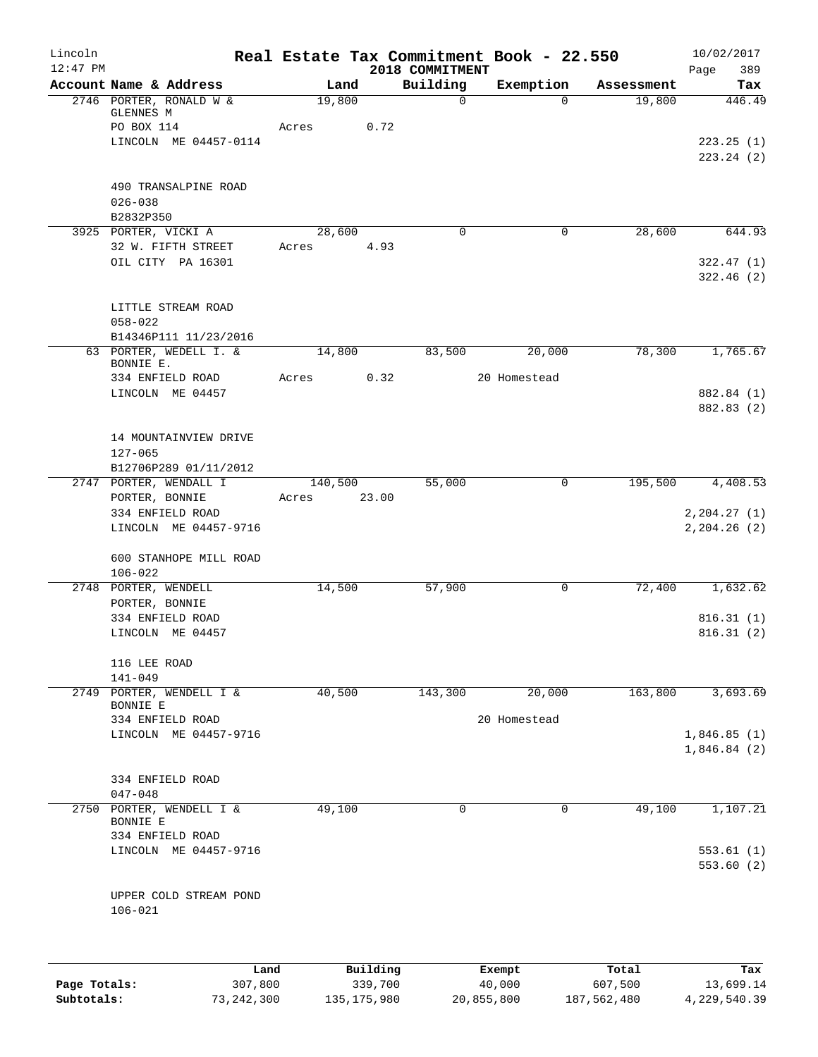| Lincoln<br>$12:47$ PM |                                                                                       |                  | 2018 COMMITMENT     | Real Estate Tax Commitment Book - 22.550 |            | 10/02/2017<br>Page<br>389                 |
|-----------------------|---------------------------------------------------------------------------------------|------------------|---------------------|------------------------------------------|------------|-------------------------------------------|
|                       | Account Name & Address                                                                | Land             | Building            | Exemption                                | Assessment | Tax                                       |
|                       | 2746 PORTER, RONALD W &<br>GLENNES M<br>PO BOX 114<br>LINCOLN ME 04457-0114           | 19,800<br>Acres  | $\mathbf 0$<br>0.72 | $\Omega$                                 | 19,800     | 446.49<br>223.25(1)<br>223.24(2)          |
|                       | 490 TRANSALPINE ROAD<br>$026 - 038$                                                   |                  |                     |                                          |            |                                           |
|                       | B2832P350                                                                             |                  |                     |                                          |            |                                           |
|                       | 3925 PORTER, VICKI A<br>32 W. FIFTH STREET<br>OIL CITY PA 16301                       | 28,600<br>Acres  | $\Omega$<br>4.93    | 0                                        | 28,600     | 644.93<br>322.47(1)<br>322.46(2)          |
|                       | LITTLE STREAM ROAD<br>$058 - 022$<br>B14346P111 11/23/2016                            |                  |                     |                                          |            |                                           |
|                       | 63 PORTER, WEDELL I. &<br>BONNIE E.                                                   | 14,800           | 83,500              | 20,000                                   | 78,300     | 1,765.67                                  |
|                       | 334 ENFIELD ROAD<br>LINCOLN ME 04457                                                  | Acres            | 0.32                | 20 Homestead                             |            | 882.84 (1)<br>882.83 (2)                  |
|                       | 14 MOUNTAINVIEW DRIVE<br>$127 - 065$<br>B12706P289 01/11/2012                         |                  |                     |                                          |            |                                           |
|                       | 2747 PORTER, WENDALL I<br>PORTER, BONNIE<br>334 ENFIELD ROAD<br>LINCOLN ME 04457-9716 | 140,500<br>Acres | 55,000<br>23.00     | 0                                        | 195,500    | 4,408.53<br>2, 204.27(1)<br>2, 204.26 (2) |
|                       | 600 STANHOPE MILL ROAD<br>$106 - 022$                                                 |                  |                     |                                          |            |                                           |
|                       | 2748 PORTER, WENDELL<br>PORTER, BONNIE                                                | 14,500           | 57,900              | $\mathbf 0$                              | 72,400     | 1,632.62                                  |
|                       | 334 ENFIELD ROAD<br>LINCOLN ME 04457                                                  |                  |                     |                                          |            | 816.31(1)<br>816.31(2)                    |
|                       | 116 LEE ROAD<br>$141 - 049$                                                           |                  |                     |                                          |            |                                           |
|                       | 2749 PORTER, WENDELL I &<br>BONNIE E                                                  | 40,500           | 143,300             | 20,000                                   | 163,800    | 3,693.69                                  |
|                       | 334 ENFIELD ROAD<br>LINCOLN ME 04457-9716                                             |                  |                     | 20 Homestead                             |            | 1,846.85(1)<br>1,846.84(2)                |
|                       | 334 ENFIELD ROAD<br>$047 - 048$                                                       |                  |                     |                                          |            |                                           |
| 2750                  | PORTER, WENDELL I &<br>BONNIE E<br>334 ENFIELD ROAD                                   | 49,100           | 0                   | 0                                        | 49,100     | 1,107.21                                  |
|                       | LINCOLN ME 04457-9716                                                                 |                  |                     |                                          |            | 553.61(1)<br>553.60(2)                    |
|                       | UPPER COLD STREAM POND<br>$106 - 021$                                                 |                  |                     |                                          |            |                                           |
|                       | Land.                                                                                 | <b>Building</b>  |                     | $F$ vemnt                                | $T$ otal   |                                           |

|              | Land       | Building      | Exempt     | Total       | Tax          |
|--------------|------------|---------------|------------|-------------|--------------|
| Page Totals: | 307,800    | 339,700       | 40,000     | 607,500     | 13,699.14    |
| Subtotals:   | 73,242,300 | 135, 175, 980 | 20,855,800 | 187,562,480 | 4,229,540.39 |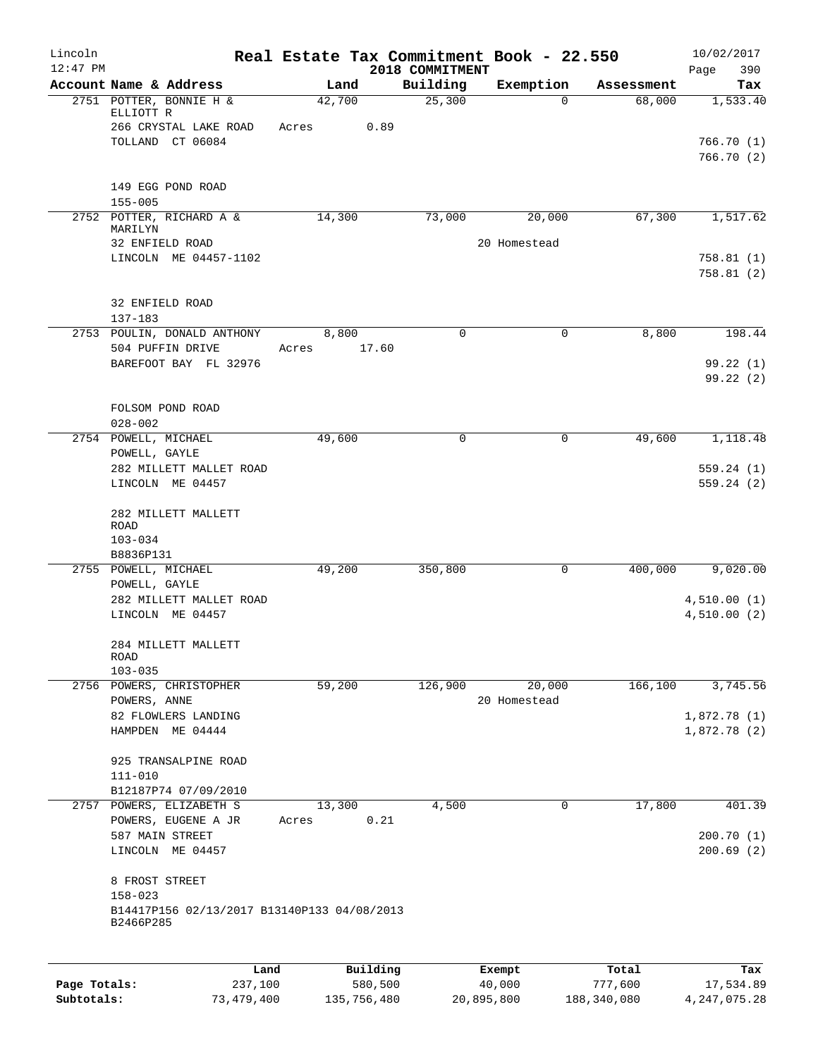| Lincoln      |                                                          |                 |        |                     |                             | Real Estate Tax Commitment Book - 22.550 |             |                  | 10/02/2017                 |
|--------------|----------------------------------------------------------|-----------------|--------|---------------------|-----------------------------|------------------------------------------|-------------|------------------|----------------------------|
| $12:47$ PM   | Account Name & Address                                   |                 | Land   |                     | 2018 COMMITMENT<br>Building | Exemption                                |             | Assessment       | Page<br>390<br>Tax         |
|              | 2751 POTTER, BONNIE H &                                  |                 | 42,700 |                     | 25,300                      |                                          | $\Omega$    | 68,000           | 1,533.40                   |
|              | ELLIOTT R                                                |                 |        |                     |                             |                                          |             |                  |                            |
|              | 266 CRYSTAL LAKE ROAD                                    |                 | Acres  | 0.89                |                             |                                          |             |                  |                            |
|              | TOLLAND CT 06084                                         |                 |        |                     |                             |                                          |             |                  | 766.70(1)<br>766.70(2)     |
|              |                                                          |                 |        |                     |                             |                                          |             |                  |                            |
|              | 149 EGG POND ROAD                                        |                 |        |                     |                             |                                          |             |                  |                            |
|              | $155 - 005$                                              |                 |        |                     |                             |                                          |             |                  |                            |
|              | 2752 POTTER, RICHARD A &                                 |                 | 14,300 |                     | 73,000                      | 20,000                                   |             | 67,300           | 1,517.62                   |
|              | MARILYN<br>32 ENFIELD ROAD                               |                 |        |                     |                             | 20 Homestead                             |             |                  |                            |
|              | LINCOLN ME 04457-1102                                    |                 |        |                     |                             |                                          |             |                  | 758.81(1)                  |
|              |                                                          |                 |        |                     |                             |                                          |             |                  | 758.81(2)                  |
|              |                                                          |                 |        |                     |                             |                                          |             |                  |                            |
|              | 32 ENFIELD ROAD                                          |                 |        |                     |                             |                                          |             |                  |                            |
|              | $137 - 183$<br>2753 POULIN, DONALD ANTHONY               |                 | 8,800  |                     | $\mathbf 0$                 |                                          | 0           | 8,800            | 198.44                     |
|              | 504 PUFFIN DRIVE                                         |                 | Acres  | 17.60               |                             |                                          |             |                  |                            |
|              | BAREFOOT BAY FL 32976                                    |                 |        |                     |                             |                                          |             |                  | 99.22(1)                   |
|              |                                                          |                 |        |                     |                             |                                          |             |                  | 99.22(2)                   |
|              |                                                          |                 |        |                     |                             |                                          |             |                  |                            |
|              | FOLSOM POND ROAD                                         |                 |        |                     |                             |                                          |             |                  |                            |
|              | $028 - 002$<br>2754 POWELL, MICHAEL                      |                 | 49,600 |                     | 0                           |                                          | $\mathbf 0$ | 49,600           | 1,118.48                   |
|              | POWELL, GAYLE                                            |                 |        |                     |                             |                                          |             |                  |                            |
|              | 282 MILLETT MALLET ROAD                                  |                 |        |                     |                             |                                          |             |                  | 559.24(1)                  |
|              | LINCOLN ME 04457                                         |                 |        |                     |                             |                                          |             |                  | 559.24(2)                  |
|              |                                                          |                 |        |                     |                             |                                          |             |                  |                            |
|              | 282 MILLETT MALLETT<br>ROAD                              |                 |        |                     |                             |                                          |             |                  |                            |
|              | $103 - 034$                                              |                 |        |                     |                             |                                          |             |                  |                            |
|              | B8836P131                                                |                 |        |                     |                             |                                          |             |                  |                            |
|              | 2755 POWELL, MICHAEL                                     |                 | 49,200 |                     | 350,800                     |                                          | $\mathbf 0$ | 400,000          | 9,020.00                   |
|              | POWELL, GAYLE                                            |                 |        |                     |                             |                                          |             |                  |                            |
|              | 282 MILLETT MALLET ROAD<br>LINCOLN ME 04457              |                 |        |                     |                             |                                          |             |                  | 4,510.00(1)<br>4,510.00(2) |
|              |                                                          |                 |        |                     |                             |                                          |             |                  |                            |
|              | 284 MILLETT MALLETT                                      |                 |        |                     |                             |                                          |             |                  |                            |
|              | <b>ROAD</b>                                              |                 |        |                     |                             |                                          |             |                  |                            |
| 2756         | $103 - 035$<br>POWERS, CHRISTOPHER                       |                 | 59,200 |                     | 126,900                     | 20,000                                   |             | 166, 100         | 3,745.56                   |
|              | POWERS, ANNE                                             |                 |        |                     |                             | 20 Homestead                             |             |                  |                            |
|              | 82 FLOWLERS LANDING                                      |                 |        |                     |                             |                                          |             |                  | 1,872.78(1)                |
|              | HAMPDEN ME 04444                                         |                 |        |                     |                             |                                          |             |                  | 1,872.78 (2)               |
|              |                                                          |                 |        |                     |                             |                                          |             |                  |                            |
|              | 925 TRANSALPINE ROAD                                     |                 |        |                     |                             |                                          |             |                  |                            |
|              | $111 - 010$<br>B12187P74 07/09/2010                      |                 |        |                     |                             |                                          |             |                  |                            |
| 2757         | POWERS, ELIZABETH S                                      |                 | 13,300 |                     | 4,500                       |                                          | 0           | 17,800           | 401.39                     |
|              | POWERS, EUGENE A JR                                      |                 | Acres  | 0.21                |                             |                                          |             |                  |                            |
|              | 587 MAIN STREET                                          |                 |        |                     |                             |                                          |             |                  | 200.70(1)                  |
|              | LINCOLN ME 04457                                         |                 |        |                     |                             |                                          |             |                  | 200.69(2)                  |
|              | 8 FROST STREET                                           |                 |        |                     |                             |                                          |             |                  |                            |
|              | $158 - 023$                                              |                 |        |                     |                             |                                          |             |                  |                            |
|              | B14417P156 02/13/2017 B13140P133 04/08/2013<br>B2466P285 |                 |        |                     |                             |                                          |             |                  |                            |
|              |                                                          |                 |        |                     |                             |                                          |             |                  |                            |
| Page Totals: |                                                          | Land<br>237,100 |        | Building<br>580,500 |                             | Exempt<br>40,000                         |             | Total<br>777,600 | Tax<br>17,534.89           |
| Subtotals:   |                                                          | 73,479,400      |        | 135,756,480         |                             | 20,895,800                               |             | 188, 340, 080    | 4, 247, 075. 28            |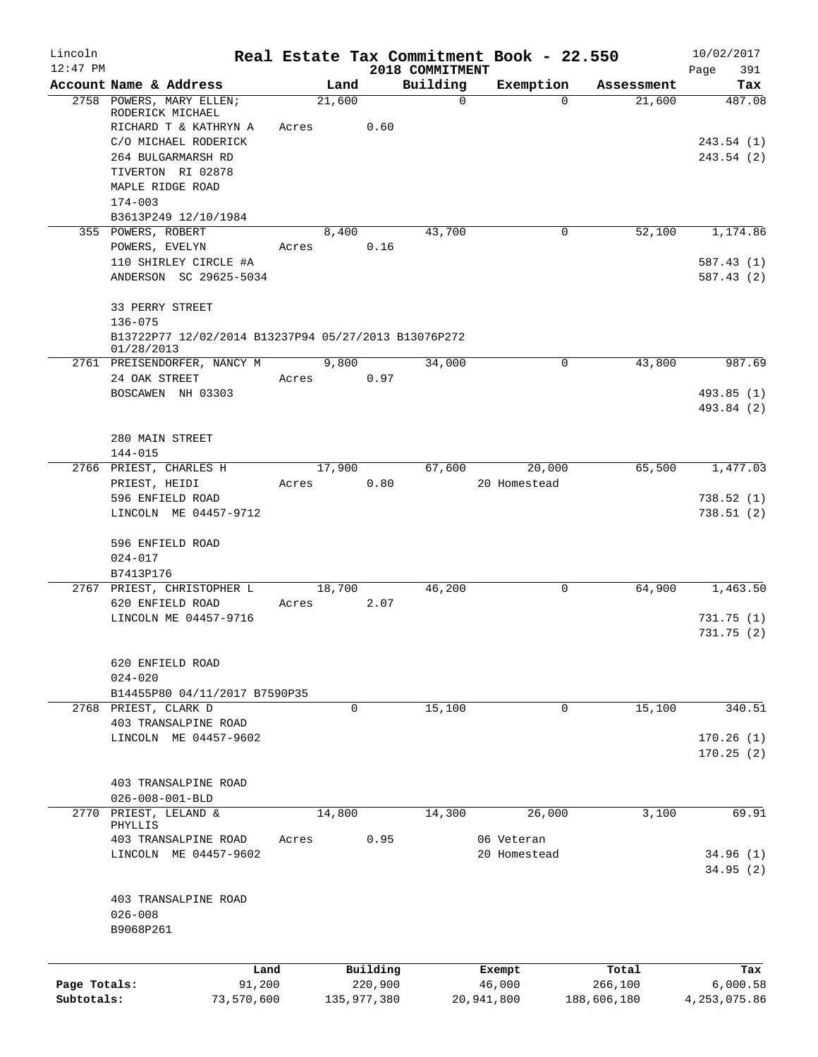| Lincoln<br>$12:47$ PM      |                                                                                                                                                                             |                 |                                    | 2018 COMMITMENT | Real Estate Tax Commitment Book - 22.550 |                                 | 10/02/2017<br>Page<br>391           |
|----------------------------|-----------------------------------------------------------------------------------------------------------------------------------------------------------------------------|-----------------|------------------------------------|-----------------|------------------------------------------|---------------------------------|-------------------------------------|
|                            | Account Name & Address                                                                                                                                                      | Land            |                                    | Building        | Exemption                                | Assessment                      | Tax                                 |
|                            | 2758 POWERS, MARY ELLEN;<br>RODERICK MICHAEL<br>RICHARD T & KATHRYN A<br>C/O MICHAEL RODERICK<br>264 BULGARMARSH RD<br>TIVERTON RI 02878<br>MAPLE RIDGE ROAD<br>$174 - 003$ | 21,600<br>Acres | 0.60                               | $\mathbf 0$     | $\Omega$                                 | 21,600                          | 487.08<br>243.54(1)<br>243.54 (2)   |
|                            | B3613P249 12/10/1984<br>355 POWERS, ROBERT<br>POWERS, EVELYN<br>110 SHIRLEY CIRCLE #A<br>ANDERSON SC 29625-5034                                                             | 8,400<br>Acres  | 0.16                               | 43,700          | 0                                        | 52,100                          | 1,174.86<br>587.43 (1)<br>587.43(2) |
|                            | 33 PERRY STREET<br>$136 - 075$<br>B13722P77 12/02/2014 B13237P94 05/27/2013 B13076P272<br>01/28/2013                                                                        |                 |                                    |                 |                                          |                                 |                                     |
|                            | 2761 PREISENDORFER, NANCY M<br>24 OAK STREET<br>BOSCAWEN NH 03303                                                                                                           | 9,800<br>Acres  | 0.97                               | 34,000          | 0                                        | 43,800                          | 987.69<br>493.85 (1)<br>493.84 (2)  |
|                            | 280 MAIN STREET<br>$144 - 015$                                                                                                                                              |                 |                                    |                 |                                          |                                 |                                     |
|                            | 2766 PRIEST, CHARLES H<br>PRIEST, HEIDI<br>596 ENFIELD ROAD<br>LINCOLN ME 04457-9712                                                                                        | 17,900<br>Acres | 0.80                               | 67,600          | 20,000<br>20 Homestead                   | 65,500                          | 1,477.03<br>738.52(1)<br>738.51(2)  |
|                            | 596 ENFIELD ROAD<br>$024 - 017$<br>B7413P176                                                                                                                                |                 |                                    |                 |                                          |                                 |                                     |
|                            | 2767 PRIEST, CHRISTOPHER L<br>620 ENFIELD ROAD<br>LINCOLN ME 04457-9716                                                                                                     | 18,700<br>Acres | 2.07                               | 46,200          | 0                                        | 64,900                          | 1,463.50<br>731.75 (1)<br>731.75(2) |
|                            | 620 ENFIELD ROAD<br>$024 - 020$<br>B14455P80 04/11/2017 B7590P35                                                                                                            |                 |                                    |                 |                                          |                                 |                                     |
|                            | 2768 PRIEST, CLARK D<br>403 TRANSALPINE ROAD<br>LINCOLN ME 04457-9602                                                                                                       |                 | $\mathbf 0$                        | 15,100          | 0                                        | 15,100                          | 340.51<br>170.26(1)<br>170.25(2)    |
|                            | 403 TRANSALPINE ROAD<br>$026 - 008 - 001 - BLD$                                                                                                                             |                 |                                    |                 |                                          |                                 |                                     |
| 2770                       | PRIEST, LELAND &<br>PHYLLIS<br>403 TRANSALPINE ROAD<br>LINCOLN ME 04457-9602                                                                                                | 14,800<br>Acres | 0.95                               | 14,300          | 26,000<br>06 Veteran<br>20 Homestead     | 3,100                           | 69.91<br>34.96(1)<br>34.95 (2)      |
|                            | 403 TRANSALPINE ROAD<br>$026 - 008$<br>B9068P261                                                                                                                            |                 |                                    |                 |                                          |                                 |                                     |
| Page Totals:<br>Subtotals: | Land<br>91,200<br>73,570,600                                                                                                                                                |                 | Building<br>220,900<br>135,977,380 |                 | Exempt<br>46,000<br>20,941,800           | Total<br>266,100<br>188,606,180 | Tax<br>6,000.58<br>4, 253, 075.86   |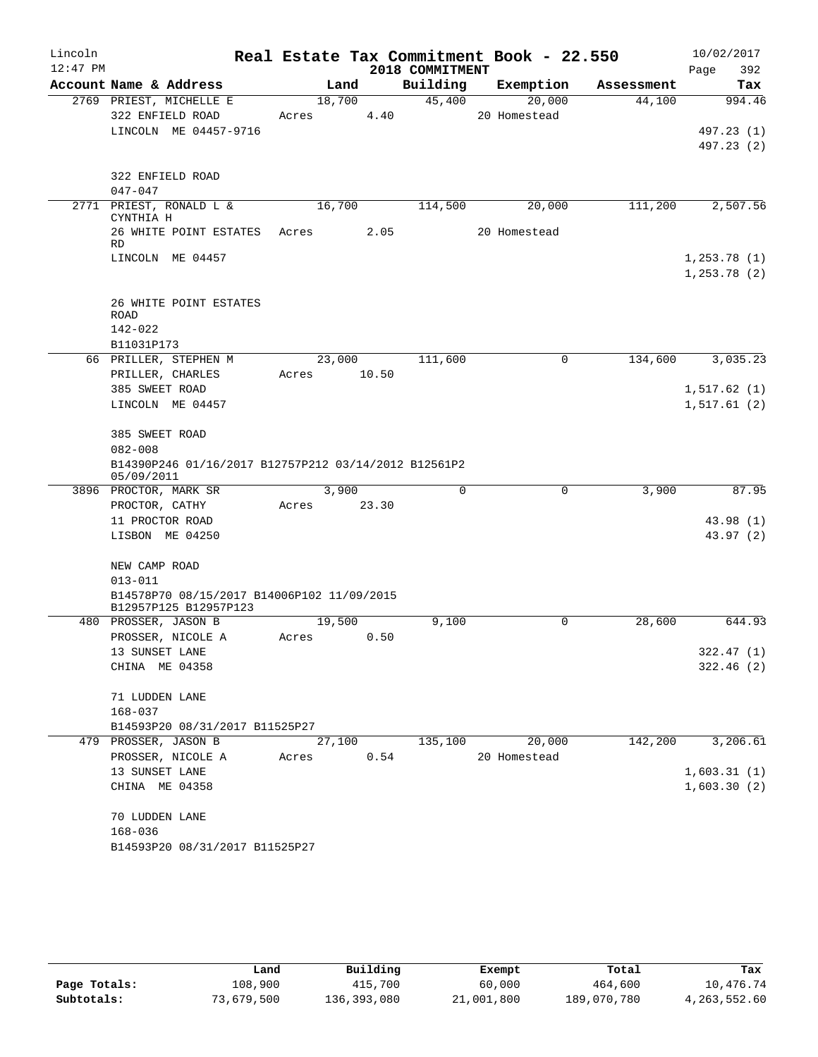| Lincoln<br>$12:47$ PM |                                                                     |       |        |       | Real Estate Tax Commitment Book - 22.550<br>2018 COMMITMENT |              |            | 10/02/2017<br>Page<br>392 |
|-----------------------|---------------------------------------------------------------------|-------|--------|-------|-------------------------------------------------------------|--------------|------------|---------------------------|
|                       | Account Name & Address                                              |       | Land   |       | Building                                                    | Exemption    | Assessment | Tax                       |
|                       | 2769 PRIEST, MICHELLE E                                             |       | 18,700 |       | 45,400                                                      | 20,000       | 44,100     | 994.46                    |
|                       | 322 ENFIELD ROAD                                                    |       | Acres  | 4.40  |                                                             | 20 Homestead |            |                           |
|                       | LINCOLN ME 04457-9716                                               |       |        |       |                                                             |              |            | 497.23 (1)                |
|                       |                                                                     |       |        |       |                                                             |              |            | 497.23 (2)                |
|                       | 322 ENFIELD ROAD                                                    |       |        |       |                                                             |              |            |                           |
|                       | $047 - 047$                                                         |       |        |       |                                                             |              |            |                           |
|                       | 2771 PRIEST, RONALD L &<br>CYNTHIA H                                |       | 16,700 |       | 114,500                                                     | 20,000       | 111,200    | 2,507.56                  |
|                       | 26 WHITE POINT ESTATES Acres<br><b>RD</b>                           |       |        | 2.05  |                                                             | 20 Homestead |            |                           |
|                       | LINCOLN ME 04457                                                    |       |        |       |                                                             |              |            | 1,253.78(1)               |
|                       |                                                                     |       |        |       |                                                             |              |            | 1, 253.78(2)              |
|                       | 26 WHITE POINT ESTATES<br>ROAD                                      |       |        |       |                                                             |              |            |                           |
|                       | $142 - 022$                                                         |       |        |       |                                                             |              |            |                           |
|                       | B11031P173                                                          |       |        |       |                                                             |              |            |                           |
|                       | 66 PRILLER, STEPHEN M                                               |       | 23,000 |       | 111,600                                                     | 0            | 134,600    | 3,035.23                  |
|                       | PRILLER, CHARLES                                                    | Acres |        | 10.50 |                                                             |              |            |                           |
|                       | 385 SWEET ROAD                                                      |       |        |       |                                                             |              |            | 1, 517.62(1)              |
|                       | LINCOLN ME 04457                                                    |       |        |       |                                                             |              |            | 1,517.61(2)               |
|                       | 385 SWEET ROAD                                                      |       |        |       |                                                             |              |            |                           |
|                       | $082 - 008$                                                         |       |        |       |                                                             |              |            |                           |
|                       | B14390P246 01/16/2017 B12757P212 03/14/2012 B12561P2<br>05/09/2011  |       |        |       |                                                             |              |            |                           |
|                       | 3896 PROCTOR, MARK SR                                               |       | 3,900  |       | 0                                                           | $\mathbf 0$  | 3,900      | 87.95                     |
|                       | PROCTOR, CATHY                                                      | Acres |        | 23.30 |                                                             |              |            |                           |
|                       | 11 PROCTOR ROAD                                                     |       |        |       |                                                             |              |            | 43.98(1)                  |
|                       | LISBON ME 04250                                                     |       |        |       |                                                             |              |            | 43.97(2)                  |
|                       | NEW CAMP ROAD                                                       |       |        |       |                                                             |              |            |                           |
|                       | $013 - 011$                                                         |       |        |       |                                                             |              |            |                           |
|                       | B14578P70 08/15/2017 B14006P102 11/09/2015<br>B12957P125 B12957P123 |       |        |       |                                                             |              |            |                           |
|                       | 480 PROSSER, JASON B                                                |       | 19,500 |       | 9,100                                                       | 0            | 28,600     | 644.93                    |
|                       | PROSSER, NICOLE A                                                   |       | Acres  | 0.50  |                                                             |              |            |                           |
|                       | 13 SUNSET LANE                                                      |       |        |       |                                                             |              |            | 322.47(1)                 |
|                       | CHINA ME 04358                                                      |       |        |       |                                                             |              |            | 322.46(2)                 |
|                       | 71 LUDDEN LANE                                                      |       |        |       |                                                             |              |            |                           |
|                       | 168-037                                                             |       |        |       |                                                             |              |            |                           |
|                       | B14593P20 08/31/2017 B11525P27                                      |       |        |       |                                                             |              |            |                           |
|                       | 479 PROSSER, JASON B                                                |       | 27,100 |       | 135,100                                                     | 20,000       | 142,200    | 3,206.61                  |
|                       | PROSSER, NICOLE A                                                   | Acres |        | 0.54  |                                                             | 20 Homestead |            |                           |
|                       | 13 SUNSET LANE                                                      |       |        |       |                                                             |              |            | 1,603.31(1)               |
|                       | CHINA ME 04358                                                      |       |        |       |                                                             |              |            | 1,603.30(2)               |
|                       | 70 LUDDEN LANE                                                      |       |        |       |                                                             |              |            |                           |
|                       | $168 - 036$                                                         |       |        |       |                                                             |              |            |                           |
|                       | B14593P20 08/31/2017 B11525P27                                      |       |        |       |                                                             |              |            |                           |
|                       |                                                                     |       |        |       |                                                             |              |            |                           |

|              | Land       | Building    | Exempt     | Total       | Tax          |
|--------------|------------|-------------|------------|-------------|--------------|
| Page Totals: | 108,900    | 415,700     | 60,000     | 464,600     | 10,476.74    |
| Subtotals:   | 73,679,500 | 136,393,080 | 21,001,800 | 189,070,780 | 4,263,552.60 |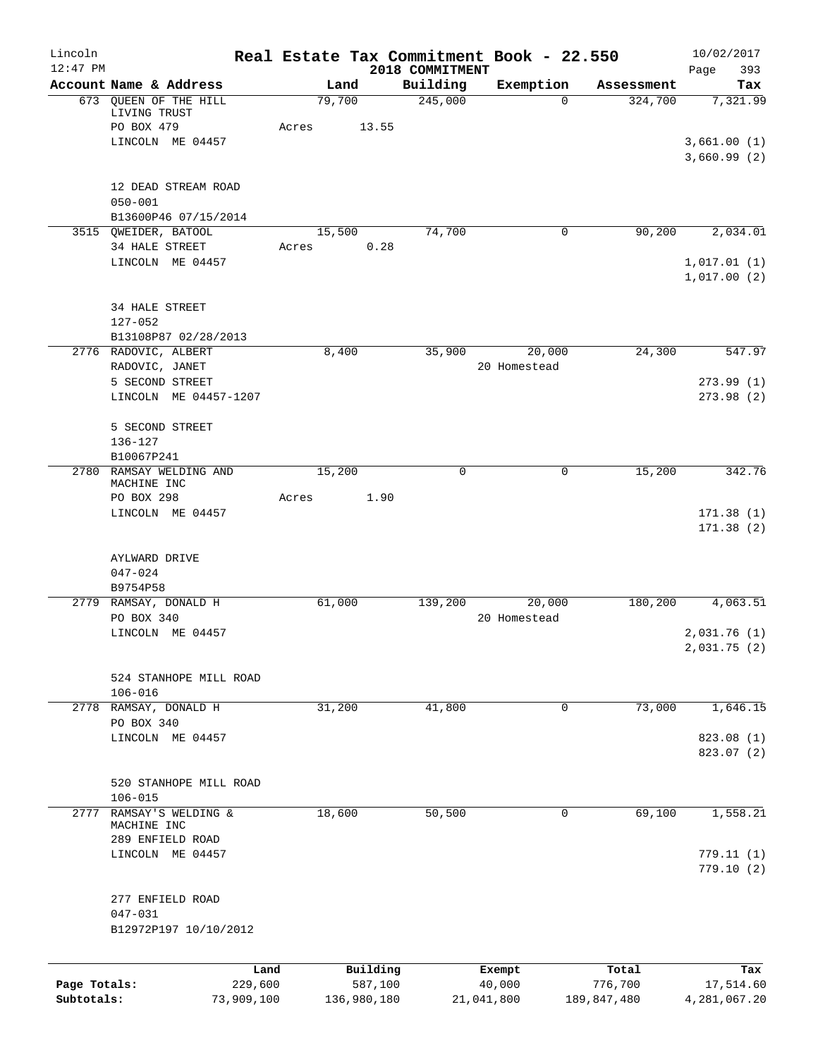| Lincoln<br>$12:47$ PM |                                              | Real Estate Tax Commitment Book - 22.550 |                             |            |                  |                  | 10/02/2017                  |
|-----------------------|----------------------------------------------|------------------------------------------|-----------------------------|------------|------------------|------------------|-----------------------------|
|                       | Account Name & Address                       | Land                                     | 2018 COMMITMENT<br>Building |            | Exemption        | Assessment       | Page<br>393<br>Tax          |
|                       | 673 QUEEN OF THE HILL<br>LIVING TRUST        | 79,700                                   |                             | 245,000    | $\Omega$         | 324,700          | 7,321.99                    |
|                       | PO BOX 479                                   | Acres                                    | 13.55                       |            |                  |                  |                             |
|                       | LINCOLN ME 04457                             |                                          |                             |            |                  |                  | 3,661.00(1)<br>3,660.99(2)  |
|                       | 12 DEAD STREAM ROAD                          |                                          |                             |            |                  |                  |                             |
|                       | $050 - 001$<br>B13600P46 07/15/2014          |                                          |                             |            |                  |                  |                             |
|                       | 3515 OWEIDER, BATOOL                         | 15,500                                   |                             | 74,700     | 0                | 90,200           | 2,034.01                    |
|                       | 34 HALE STREET                               | Acres                                    | 0.28                        |            |                  |                  |                             |
|                       | LINCOLN ME 04457                             |                                          |                             |            |                  |                  | 1,017.01(1)<br>1,017.00(2)  |
|                       | <b>34 HALE STREET</b>                        |                                          |                             |            |                  |                  |                             |
|                       | $127 - 052$                                  |                                          |                             |            |                  |                  |                             |
|                       | B13108P87 02/28/2013<br>2776 RADOVIC, ALBERT | 8,400                                    |                             | 35,900     | 20,000           | 24,300           | 547.97                      |
|                       | RADOVIC, JANET                               |                                          |                             |            | 20 Homestead     |                  |                             |
|                       | 5 SECOND STREET<br>LINCOLN ME 04457-1207     |                                          |                             |            |                  |                  | 273.99(1)<br>273.98(2)      |
|                       | 5 SECOND STREET                              |                                          |                             |            |                  |                  |                             |
|                       | $136 - 127$<br>B10067P241                    |                                          |                             |            |                  |                  |                             |
|                       | 2780 RAMSAY WELDING AND<br>MACHINE INC       | 15,200                                   |                             | 0          | $\mathbf 0$      | 15,200           | 342.76                      |
|                       | PO BOX 298                                   | Acres                                    | 1.90                        |            |                  |                  |                             |
|                       | LINCOLN ME 04457                             |                                          |                             |            |                  |                  | 171.38(1)<br>171.38(2)      |
|                       | AYLWARD DRIVE                                |                                          |                             |            |                  |                  |                             |
|                       | $047 - 024$<br>B9754P58                      |                                          |                             |            |                  |                  |                             |
|                       | 2779 RAMSAY, DONALD H                        | 61,000                                   |                             | 139,200    | 20,000           | 180,200          | 4,063.51                    |
|                       | PO BOX 340                                   |                                          |                             |            | 20 Homestead     |                  |                             |
|                       | LINCOLN ME 04457                             |                                          |                             |            |                  |                  | 2,031.76(1)<br>2,031.75 (2) |
|                       | 524 STANHOPE MILL ROAD                       |                                          |                             |            |                  |                  |                             |
|                       | $106 - 016$                                  |                                          |                             |            |                  | 73,000           |                             |
|                       | 2778 RAMSAY, DONALD H<br>PO BOX 340          | 31,200                                   |                             | 41,800     | $\mathbf 0$      |                  | 1,646.15                    |
|                       | LINCOLN ME 04457                             |                                          |                             |            |                  |                  | 823.08 (1)                  |
|                       |                                              |                                          |                             |            |                  |                  | 823.07 (2)                  |
|                       | 520 STANHOPE MILL ROAD                       |                                          |                             |            |                  |                  |                             |
|                       | $106 - 015$                                  |                                          |                             |            |                  |                  |                             |
| 2777                  | RAMSAY'S WELDING &                           | 18,600                                   |                             | 50,500     | 0                | 69,100           | 1,558.21                    |
|                       | MACHINE INC<br>289 ENFIELD ROAD              |                                          |                             |            |                  |                  |                             |
|                       | LINCOLN ME 04457                             |                                          |                             |            |                  |                  | 779.11(1)                   |
|                       |                                              |                                          |                             |            |                  |                  | 779.10(2)                   |
|                       | 277 ENFIELD ROAD                             |                                          |                             |            |                  |                  |                             |
|                       | $047 - 031$<br>B12972P197 10/10/2012         |                                          |                             |            |                  |                  |                             |
|                       |                                              |                                          |                             |            |                  |                  |                             |
| Page Totals:          | Land<br>229,600                              |                                          | Building<br>587,100         |            | Exempt<br>40,000 | Total<br>776,700 | Tax<br>17,514.60            |
| Subtotals:            | 73,909,100                                   | 136,980,180                              |                             | 21,041,800 |                  | 189,847,480      | 4, 281, 067. 20             |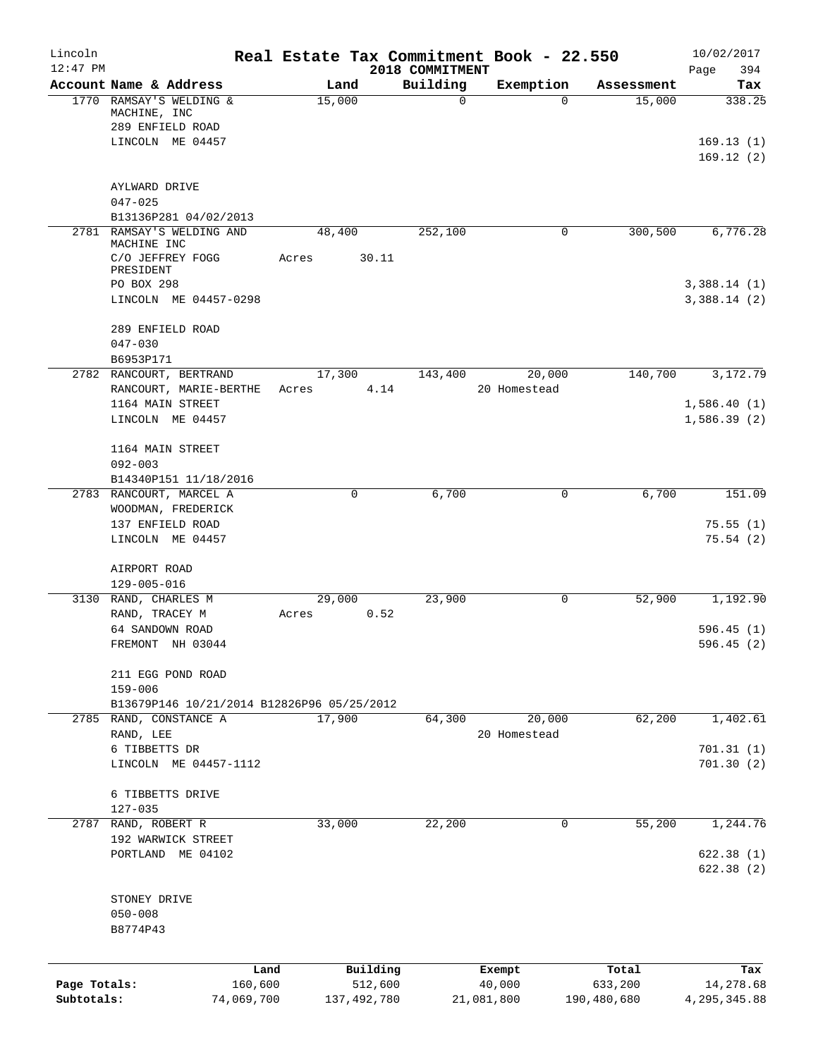| Lincoln<br>$12:47$ PM |                                                                   |       |               |                             | Real Estate Tax Commitment Book - 22.550 |             | 10/02/2017                 |
|-----------------------|-------------------------------------------------------------------|-------|---------------|-----------------------------|------------------------------------------|-------------|----------------------------|
|                       | Account Name & Address                                            |       | Land          | 2018 COMMITMENT<br>Building | Exemption                                | Assessment  | 394<br>Page<br>Tax         |
|                       | 1770 RAMSAY'S WELDING &<br>MACHINE, INC                           |       | 15,000        | 0                           | $\Omega$                                 | 15,000      | 338.25                     |
|                       | 289 ENFIELD ROAD<br>LINCOLN ME 04457                              |       |               |                             |                                          |             | 169.13(1)                  |
|                       | AYLWARD DRIVE                                                     |       |               |                             |                                          |             | 169.12(2)                  |
|                       | $047 - 025$<br>B13136P281 04/02/2013                              |       |               |                             |                                          |             |                            |
|                       | 2781 RAMSAY'S WELDING AND<br>MACHINE INC                          |       | 48,400        | 252,100                     | 0                                        | 300,500     | 6,776.28                   |
|                       | C/O JEFFREY FOGG<br>PRESIDENT                                     | Acres | 30.11         |                             |                                          |             |                            |
|                       | PO BOX 298<br>LINCOLN ME 04457-0298                               |       |               |                             |                                          |             | 3,388.14(1)<br>3,388.14(2) |
|                       | 289 ENFIELD ROAD<br>$047 - 030$                                   |       |               |                             |                                          |             |                            |
|                       | B6953P171                                                         |       |               |                             |                                          |             |                            |
|                       | 2782 RANCOURT, BERTRAND                                           |       | 17,300        | 143,400                     | 20,000                                   | 140,700     | 3,172.79                   |
|                       | RANCOURT, MARIE-BERTHE<br>1164 MAIN STREET                        | Acres |               | 4.14                        | 20 Homestead                             |             | 1,586.40(1)                |
|                       | LINCOLN ME 04457                                                  |       |               |                             |                                          |             | 1,586.39(2)                |
|                       | 1164 MAIN STREET<br>$092 - 003$                                   |       |               |                             |                                          |             |                            |
|                       | B14340P151 11/18/2016                                             |       | 0             | 6,700                       |                                          | 6,700       | 151.09                     |
|                       | 2783 RANCOURT, MARCEL A<br>WOODMAN, FREDERICK<br>137 ENFIELD ROAD |       |               |                             | 0                                        |             | 75.55(1)                   |
|                       | LINCOLN ME 04457                                                  |       |               |                             |                                          |             | 75.54(2)                   |
|                       | AIRPORT ROAD<br>$129 - 005 - 016$                                 |       |               |                             |                                          |             |                            |
|                       | 3130 RAND, CHARLES M                                              |       | 29,000        | 23,900                      | 0                                        | 52,900      | 1,192.90                   |
|                       | RAND, TRACEY M                                                    | Acres |               | 0.52                        |                                          |             |                            |
|                       | 64 SANDOWN ROAD                                                   |       |               |                             |                                          |             | 596.45(1)                  |
|                       | FREMONT NH 03044                                                  |       |               |                             |                                          |             | 596.45 (2)                 |
|                       | 211 EGG POND ROAD<br>$159 - 006$                                  |       |               |                             |                                          |             |                            |
|                       | B13679P146 10/21/2014 B12826P96 05/25/2012                        |       |               |                             |                                          |             |                            |
|                       | 2785 RAND, CONSTANCE A<br>RAND, LEE                               |       | 17,900        | 64,300                      | 20,000<br>20 Homestead                   | 62,200      | 1,402.61                   |
|                       | 6 TIBBETTS DR                                                     |       |               |                             |                                          |             | 701.31(1)                  |
|                       | LINCOLN ME 04457-1112                                             |       |               |                             |                                          |             | 701.30(2)                  |
|                       | 6 TIBBETTS DRIVE<br>$127 - 035$                                   |       |               |                             |                                          |             |                            |
|                       | 2787 RAND, ROBERT R                                               |       | 33,000        | 22,200                      | 0                                        | 55,200      | 1,244.76                   |
|                       | 192 WARWICK STREET                                                |       |               |                             |                                          |             |                            |
|                       | PORTLAND ME 04102                                                 |       |               |                             |                                          |             | 622.38(1)<br>622.38 (2)    |
|                       | STONEY DRIVE                                                      |       |               |                             |                                          |             |                            |
|                       | $050 - 008$<br>B8774P43                                           |       |               |                             |                                          |             |                            |
|                       | Land                                                              |       | Building      |                             | Exempt                                   | Total       | Tax                        |
| Page Totals:          | 160,600                                                           |       | 512,600       |                             | 40,000                                   | 633,200     | 14,278.68                  |
| Subtotals:            | 74,069,700                                                        |       | 137, 492, 780 |                             | 21,081,800                               | 190,480,680 | 4, 295, 345.88             |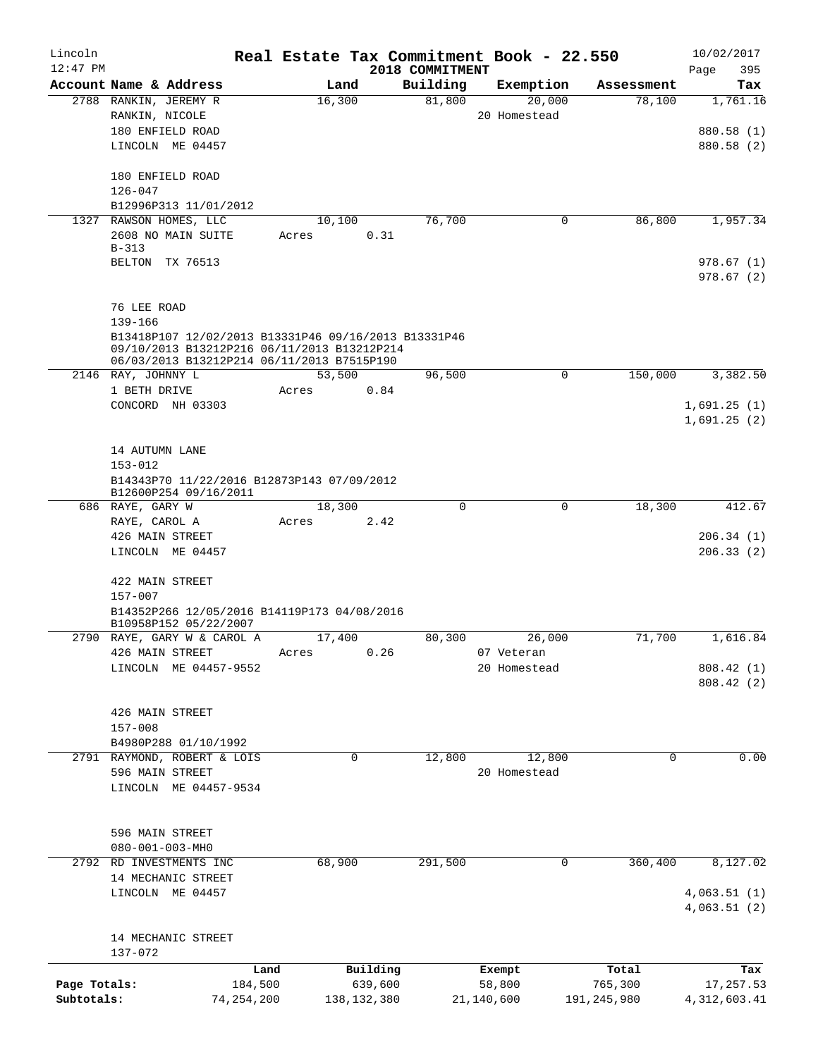| Lincoln<br>$12:47$ PM |                                                                  | Real Estate Tax Commitment Book - 22.550 |             | 2018 COMMITMENT |              |             |             | 10/02/2017<br>395 |  |  |
|-----------------------|------------------------------------------------------------------|------------------------------------------|-------------|-----------------|--------------|-------------|-------------|-------------------|--|--|
|                       | Account Name & Address                                           | Land                                     |             | Building        | Exemption    |             | Assessment  | Page<br>Tax       |  |  |
|                       | 2788 RANKIN, JEREMY R                                            | 16,300                                   |             | 81,800          |              | 20,000      | 78,100      | 1,761.16          |  |  |
|                       | RANKIN, NICOLE                                                   |                                          |             |                 | 20 Homestead |             |             |                   |  |  |
|                       | 180 ENFIELD ROAD                                                 |                                          |             |                 |              |             |             | 880.58 (1)        |  |  |
|                       | LINCOLN ME 04457                                                 |                                          |             |                 |              |             |             | 880.58 (2)        |  |  |
|                       |                                                                  |                                          |             |                 |              |             |             |                   |  |  |
|                       | 180 ENFIELD ROAD                                                 |                                          |             |                 |              |             |             |                   |  |  |
|                       | 126-047                                                          |                                          |             |                 |              |             |             |                   |  |  |
|                       | B12996P313 11/01/2012                                            |                                          |             |                 |              |             |             |                   |  |  |
|                       | 1327 RAWSON HOMES, LLC                                           | 10,100                                   |             | 76,700          |              | 0           | 86,800      | 1,957.34          |  |  |
|                       | 2608 NO MAIN SUITE                                               | Acres                                    | 0.31        |                 |              |             |             |                   |  |  |
|                       | $B-313$                                                          |                                          |             |                 |              |             |             |                   |  |  |
|                       | BELTON TX 76513                                                  |                                          |             |                 |              |             |             | 978.67(1)         |  |  |
|                       |                                                                  |                                          |             |                 |              |             |             | 978.67(2)         |  |  |
|                       |                                                                  |                                          |             |                 |              |             |             |                   |  |  |
|                       | 76 LEE ROAD                                                      |                                          |             |                 |              |             |             |                   |  |  |
|                       | 139-166                                                          |                                          |             |                 |              |             |             |                   |  |  |
|                       | B13418P107 12/02/2013 B13331P46 09/16/2013 B13331P46             |                                          |             |                 |              |             |             |                   |  |  |
|                       | 09/10/2013 B13212P216 06/11/2013 B13212P214                      |                                          |             |                 |              |             |             |                   |  |  |
|                       | 06/03/2013 B13212P214 06/11/2013 B7515P190<br>2146 RAY, JOHNNY L | 53,500                                   |             | 96,500          |              | $\mathbf 0$ | 150,000     | 3,382.50          |  |  |
|                       | 1 BETH DRIVE                                                     | Acres                                    | 0.84        |                 |              |             |             |                   |  |  |
|                       | CONCORD NH 03303                                                 |                                          |             |                 |              |             |             | 1,691.25(1)       |  |  |
|                       |                                                                  |                                          |             |                 |              |             |             | 1,691.25(2)       |  |  |
|                       |                                                                  |                                          |             |                 |              |             |             |                   |  |  |
|                       | 14 AUTUMN LANE                                                   |                                          |             |                 |              |             |             |                   |  |  |
|                       | $153 - 012$                                                      |                                          |             |                 |              |             |             |                   |  |  |
|                       | B14343P70 11/22/2016 B12873P143 07/09/2012                       |                                          |             |                 |              |             |             |                   |  |  |
|                       | B12600P254 09/16/2011                                            |                                          |             |                 |              |             |             |                   |  |  |
|                       | 686 RAYE, GARY W                                                 | 18,300                                   |             | $\mathbf 0$     |              | $\mathbf 0$ | 18,300      | 412.67            |  |  |
|                       | RAYE, CAROL A                                                    | Acres                                    | 2.42        |                 |              |             |             |                   |  |  |
|                       | 426 MAIN STREET                                                  |                                          |             |                 |              |             |             | 206.34(1)         |  |  |
|                       | LINCOLN ME 04457                                                 |                                          |             |                 |              |             |             | 206.33(2)         |  |  |
|                       |                                                                  |                                          |             |                 |              |             |             |                   |  |  |
|                       | 422 MAIN STREET                                                  |                                          |             |                 |              |             |             |                   |  |  |
|                       | $157 - 007$                                                      |                                          |             |                 |              |             |             |                   |  |  |
|                       | B14352P266 12/05/2016 B14119P173 04/08/2016                      |                                          |             |                 |              |             |             |                   |  |  |
|                       | B10958P152 05/22/2007<br>2790 RAYE, GARY W & CAROL A             | 17,400                                   |             | 80,300          |              | 26,000      | 71,700      | 1,616.84          |  |  |
|                       | 426 MAIN STREET                                                  | Acres                                    | 0.26        |                 | 07 Veteran   |             |             |                   |  |  |
|                       | LINCOLN ME 04457-9552                                            |                                          |             |                 | 20 Homestead |             |             | 808.42 (1)        |  |  |
|                       |                                                                  |                                          |             |                 |              |             |             | 808.42(2)         |  |  |
|                       |                                                                  |                                          |             |                 |              |             |             |                   |  |  |
|                       | 426 MAIN STREET                                                  |                                          |             |                 |              |             |             |                   |  |  |
|                       | $157 - 008$                                                      |                                          |             |                 |              |             |             |                   |  |  |
|                       | B4980P288 01/10/1992                                             |                                          |             |                 |              |             |             |                   |  |  |
|                       | 2791 RAYMOND, ROBERT & LOIS                                      | 0                                        |             | 12,800          |              | 12,800      | 0           | 0.00              |  |  |
|                       | 596 MAIN STREET                                                  |                                          |             |                 | 20 Homestead |             |             |                   |  |  |
|                       | LINCOLN ME 04457-9534                                            |                                          |             |                 |              |             |             |                   |  |  |
|                       |                                                                  |                                          |             |                 |              |             |             |                   |  |  |
|                       |                                                                  |                                          |             |                 |              |             |             |                   |  |  |
|                       | 596 MAIN STREET                                                  |                                          |             |                 |              |             |             |                   |  |  |
|                       | $080 - 001 - 003 - MHz$                                          |                                          |             |                 |              |             |             |                   |  |  |
|                       | 2792 RD INVESTMENTS INC                                          | 68,900                                   |             | 291,500         |              | 0           | 360,400     | 8,127.02          |  |  |
|                       | 14 MECHANIC STREET                                               |                                          |             |                 |              |             |             |                   |  |  |
|                       | LINCOLN ME 04457                                                 |                                          |             |                 |              |             |             | 4,063.51(1)       |  |  |
|                       |                                                                  |                                          |             |                 |              |             |             | 4,063.51(2)       |  |  |
|                       |                                                                  |                                          |             |                 |              |             |             |                   |  |  |
|                       | 14 MECHANIC STREET                                               |                                          |             |                 |              |             |             |                   |  |  |
|                       | 137-072                                                          |                                          |             |                 |              |             |             |                   |  |  |
|                       |                                                                  | Land                                     | Building    |                 | Exempt       |             | Total       | Tax               |  |  |
| Page Totals:          | 184,500                                                          |                                          | 639,600     |                 | 58,800       |             | 765,300     | 17,257.53         |  |  |
| Subtotals:            | 74,254,200                                                       |                                          | 138,132,380 |                 | 21,140,600   |             | 191,245,980 | 4,312,603.41      |  |  |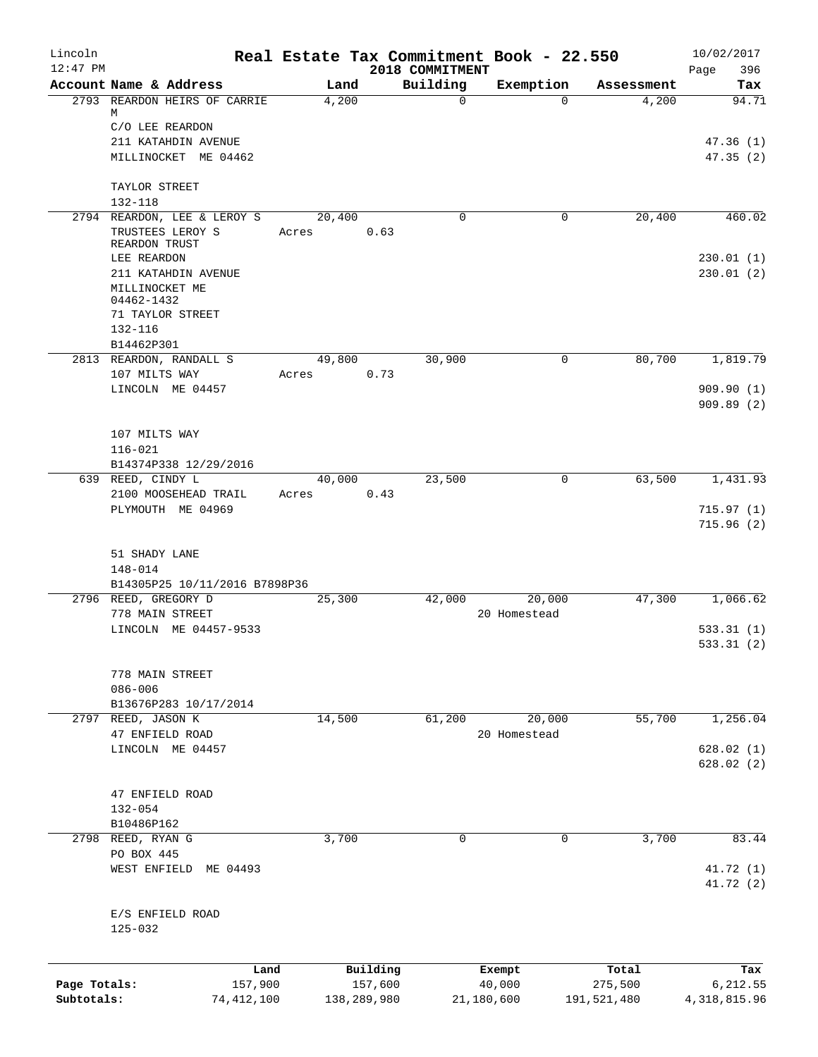| Lincoln                    |                                                                  |       |             |          |                             | Real Estate Tax Commitment Book - 22.550 |                        | 10/02/2017                 |
|----------------------------|------------------------------------------------------------------|-------|-------------|----------|-----------------------------|------------------------------------------|------------------------|----------------------------|
| $12:47$ PM                 | Account Name & Address                                           |       | Land        |          | 2018 COMMITMENT<br>Building | Exemption                                | Assessment             | 396<br>Page<br>Tax         |
|                            | 2793 REARDON HEIRS OF CARRIE                                     |       | 4,200       |          | $\mathbf 0$                 | $\Omega$                                 | 4,200                  | 94.71                      |
|                            | М<br>C/O LEE REARDON                                             |       |             |          |                             |                                          |                        |                            |
|                            | 211 KATAHDIN AVENUE                                              |       |             |          |                             |                                          |                        | 47.36(1)                   |
|                            | MILLINOCKET ME 04462                                             |       |             |          |                             |                                          |                        | 47.35(2)                   |
|                            | TAYLOR STREET                                                    |       |             |          |                             |                                          |                        |                            |
|                            | $132 - 118$                                                      |       |             |          |                             |                                          |                        |                            |
|                            | 2794 REARDON, LEE & LEROY S<br>TRUSTEES LEROY S<br>REARDON TRUST | Acres | 20,400      | 0.63     | 0                           | $\mathbf 0$                              | 20,400                 | 460.02                     |
|                            | LEE REARDON                                                      |       |             |          |                             |                                          |                        | 230.01(1)                  |
|                            | 211 KATAHDIN AVENUE                                              |       |             |          |                             |                                          |                        | 230.01(2)                  |
|                            | MILLINOCKET ME<br>04462-1432                                     |       |             |          |                             |                                          |                        |                            |
|                            | 71 TAYLOR STREET                                                 |       |             |          |                             |                                          |                        |                            |
|                            | 132-116                                                          |       |             |          |                             |                                          |                        |                            |
|                            | B14462P301                                                       |       |             |          |                             |                                          |                        |                            |
|                            | 2813 REARDON, RANDALL S                                          |       | 49,800      |          | 30,900                      | 0                                        | 80,700                 | 1,819.79                   |
|                            | 107 MILTS WAY                                                    | Acres |             | 0.73     |                             |                                          |                        |                            |
|                            | LINCOLN ME 04457                                                 |       |             |          |                             |                                          |                        | 909.90 (1)                 |
|                            |                                                                  |       |             |          |                             |                                          |                        | 909.89(2)                  |
|                            |                                                                  |       |             |          |                             |                                          |                        |                            |
|                            | 107 MILTS WAY                                                    |       |             |          |                             |                                          |                        |                            |
|                            | $116 - 021$                                                      |       |             |          |                             |                                          |                        |                            |
|                            | B14374P338 12/29/2016<br>639 REED, CINDY L                       |       | 40,000      |          |                             | 0                                        | 63,500                 | 1,431.93                   |
|                            | 2100 MOOSEHEAD TRAIL                                             | Acres |             | 0.43     | 23,500                      |                                          |                        |                            |
|                            | PLYMOUTH ME 04969                                                |       |             |          |                             |                                          |                        | 715.97(1)                  |
|                            |                                                                  |       |             |          |                             |                                          |                        | 715.96(2)                  |
|                            | 51 SHADY LANE                                                    |       |             |          |                             |                                          |                        |                            |
|                            | 148-014                                                          |       |             |          |                             |                                          |                        |                            |
|                            | B14305P25 10/11/2016 B7898P36                                    |       |             |          |                             |                                          |                        |                            |
|                            | 2796 REED, GREGORY D                                             |       | 25,300      |          | 42,000                      | 20,000                                   | 47,300                 | 1,066.62                   |
|                            | 778 MAIN STREET                                                  |       |             |          |                             | 20 Homestead                             |                        |                            |
|                            | LINCOLN ME 04457-9533                                            |       |             |          |                             |                                          |                        | 533.31(1)                  |
|                            |                                                                  |       |             |          |                             |                                          |                        | 533.31 (2)                 |
|                            | 778 MAIN STREET                                                  |       |             |          |                             |                                          |                        |                            |
|                            | $086 - 006$                                                      |       |             |          |                             |                                          |                        |                            |
|                            | B13676P283 10/17/2014                                            |       |             |          |                             |                                          |                        |                            |
|                            | 2797 REED, JASON K                                               |       | 14,500      |          | 61,200                      | 20,000                                   | 55,700                 | 1,256.04                   |
|                            | 47 ENFIELD ROAD                                                  |       |             |          |                             | 20 Homestead                             |                        |                            |
|                            | LINCOLN ME 04457                                                 |       |             |          |                             |                                          |                        | 628.02(1)                  |
|                            |                                                                  |       |             |          |                             |                                          |                        | 628.02(2)                  |
|                            | 47 ENFIELD ROAD                                                  |       |             |          |                             |                                          |                        |                            |
|                            | $132 - 054$                                                      |       |             |          |                             |                                          |                        |                            |
|                            | B10486P162                                                       |       |             |          |                             |                                          |                        |                            |
|                            | 2798 REED, RYAN G                                                |       | 3,700       |          | 0                           | 0                                        | 3,700                  | 83.44                      |
|                            | PO BOX 445                                                       |       |             |          |                             |                                          |                        |                            |
|                            | WEST ENFIELD ME 04493                                            |       |             |          |                             |                                          |                        | 41.72 (1)                  |
|                            |                                                                  |       |             |          |                             |                                          |                        | 41.72 (2)                  |
|                            | E/S ENFIELD ROAD<br>125-032                                      |       |             |          |                             |                                          |                        |                            |
|                            |                                                                  |       |             |          |                             |                                          |                        |                            |
|                            |                                                                  | Land  |             | Building |                             | Exempt                                   | Total                  | Tax                        |
| Page Totals:<br>Subtotals: | 157,900<br>74, 412, 100                                          |       | 138,289,980 | 157,600  |                             | 40,000<br>21,180,600                     | 275,500<br>191,521,480 | 6,212.55<br>4, 318, 815.96 |
|                            |                                                                  |       |             |          |                             |                                          |                        |                            |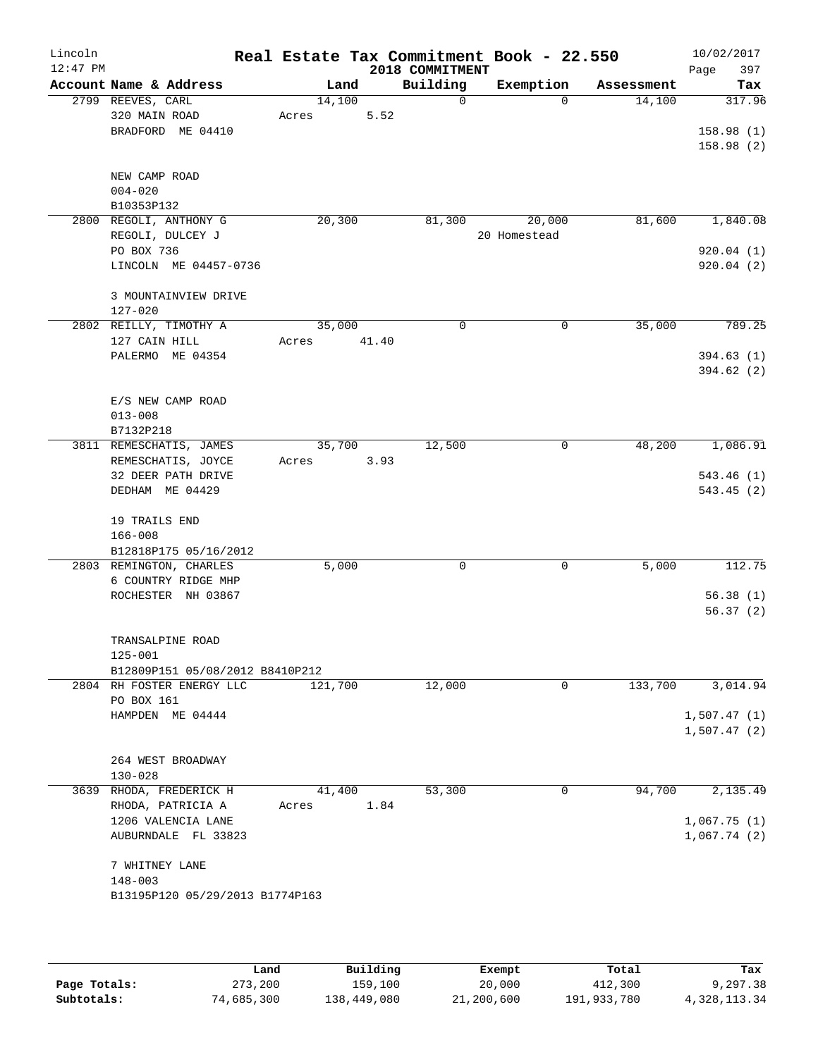| Lincoln<br>$12:47$ PM |                   |                                 |         |       | 2018 COMMITMENT | Real Estate Tax Commitment Book - 22.550 |            | 10/02/2017<br>397<br>Page |
|-----------------------|-------------------|---------------------------------|---------|-------|-----------------|------------------------------------------|------------|---------------------------|
|                       |                   | Account Name & Address          | Land    |       | Building        | Exemption                                | Assessment | Tax                       |
|                       | 2799 REEVES, CARL |                                 | 14,100  |       | 0               | $\Omega$                                 | 14,100     | 317.96                    |
|                       | 320 MAIN ROAD     |                                 | Acres   | 5.52  |                 |                                          |            |                           |
|                       |                   | BRADFORD ME 04410               |         |       |                 |                                          |            | 158.98(1)                 |
|                       |                   |                                 |         |       |                 |                                          |            | 158.98(2)                 |
|                       |                   |                                 |         |       |                 |                                          |            |                           |
|                       | NEW CAMP ROAD     |                                 |         |       |                 |                                          |            |                           |
|                       | $004 - 020$       |                                 |         |       |                 |                                          |            |                           |
|                       | B10353P132        |                                 |         |       |                 |                                          |            |                           |
|                       |                   | 2800 REGOLI, ANTHONY G          | 20,300  |       | 81,300          | 20,000                                   | 81,600     | 1,840.08                  |
|                       |                   | REGOLI, DULCEY J                |         |       |                 | 20 Homestead                             |            |                           |
|                       | PO BOX 736        |                                 |         |       |                 |                                          |            | 920.04(1)                 |
|                       |                   | LINCOLN ME 04457-0736           |         |       |                 |                                          |            | 920.04(2)                 |
|                       |                   |                                 |         |       |                 |                                          |            |                           |
|                       | $127 - 020$       | 3 MOUNTAINVIEW DRIVE            |         |       |                 |                                          |            |                           |
|                       |                   |                                 |         |       | $\Omega$        |                                          |            |                           |
|                       | 127 CAIN HILL     | 2802 REILLY, TIMOTHY A          | 35,000  |       |                 | 0                                        | 35,000     | 789.25                    |
|                       |                   | PALERMO ME 04354                | Acres   | 41.40 |                 |                                          |            | 394.63(1)                 |
|                       |                   |                                 |         |       |                 |                                          |            | 394.62(2)                 |
|                       |                   |                                 |         |       |                 |                                          |            |                           |
|                       |                   | E/S NEW CAMP ROAD               |         |       |                 |                                          |            |                           |
|                       | $013 - 008$       |                                 |         |       |                 |                                          |            |                           |
|                       | B7132P218         |                                 |         |       |                 |                                          |            |                           |
|                       |                   | 3811 REMESCHATIS, JAMES         | 35,700  |       | 12,500          | 0                                        | 48,200     | 1,086.91                  |
|                       |                   | REMESCHATIS, JOYCE              | Acres   | 3.93  |                 |                                          |            |                           |
|                       |                   | 32 DEER PATH DRIVE              |         |       |                 |                                          |            | 543.46(1)                 |
|                       |                   | DEDHAM ME 04429                 |         |       |                 |                                          |            | 543.45(2)                 |
|                       |                   |                                 |         |       |                 |                                          |            |                           |
|                       | 19 TRAILS END     |                                 |         |       |                 |                                          |            |                           |
|                       | $166 - 008$       |                                 |         |       |                 |                                          |            |                           |
|                       |                   | B12818P175 05/16/2012           |         |       |                 |                                          |            |                           |
|                       |                   | 2803 REMINGTON, CHARLES         | 5,000   |       | 0               | $\mathbf 0$                              | 5,000      | 112.75                    |
|                       |                   | 6 COUNTRY RIDGE MHP             |         |       |                 |                                          |            |                           |
|                       |                   | ROCHESTER NH 03867              |         |       |                 |                                          |            | 56.38(1)                  |
|                       |                   |                                 |         |       |                 |                                          |            | 56.37(2)                  |
|                       |                   | TRANSALPINE ROAD                |         |       |                 |                                          |            |                           |
|                       | 125-001           |                                 |         |       |                 |                                          |            |                           |
|                       |                   | B12809P151 05/08/2012 B8410P212 |         |       |                 |                                          |            |                           |
|                       |                   | 2804 RH FOSTER ENERGY LLC       | 121,700 |       | 12,000          | $\mathbf 0$                              | 133,700    | 3,014.94                  |
|                       | PO BOX 161        |                                 |         |       |                 |                                          |            |                           |
|                       |                   | HAMPDEN ME 04444                |         |       |                 |                                          |            | 1,507.47(1)               |
|                       |                   |                                 |         |       |                 |                                          |            | 1,507.47(2)               |
|                       |                   |                                 |         |       |                 |                                          |            |                           |
|                       |                   | 264 WEST BROADWAY               |         |       |                 |                                          |            |                           |
|                       | $130 - 028$       |                                 |         |       |                 |                                          |            |                           |
|                       |                   | 3639 RHODA, FREDERICK H         | 41,400  |       | 53,300          | 0                                        | 94,700     | 2,135.49                  |
|                       |                   | RHODA, PATRICIA A               | Acres   | 1.84  |                 |                                          |            |                           |
|                       |                   | 1206 VALENCIA LANE              |         |       |                 |                                          |            | 1,067.75(1)               |
|                       |                   | AUBURNDALE FL 33823             |         |       |                 |                                          |            | 1,067.74(2)               |
|                       | 7 WHITNEY LANE    |                                 |         |       |                 |                                          |            |                           |
|                       | $148 - 003$       |                                 |         |       |                 |                                          |            |                           |
|                       |                   | B13195P120 05/29/2013 B1774P163 |         |       |                 |                                          |            |                           |
|                       |                   |                                 |         |       |                 |                                          |            |                           |
|                       |                   |                                 |         |       |                 |                                          |            |                           |
|                       |                   |                                 |         |       |                 |                                          |            |                           |

|              | Land       | Building    | Exempt     | Total       | Tax          |
|--------------|------------|-------------|------------|-------------|--------------|
| Page Totals: | 273,200    | 159,100     | 20,000     | 412,300     | 9,297.38     |
| Subtotals:   | 74,685,300 | 138,449,080 | 21,200,600 | 191,933,780 | 4,328,113.34 |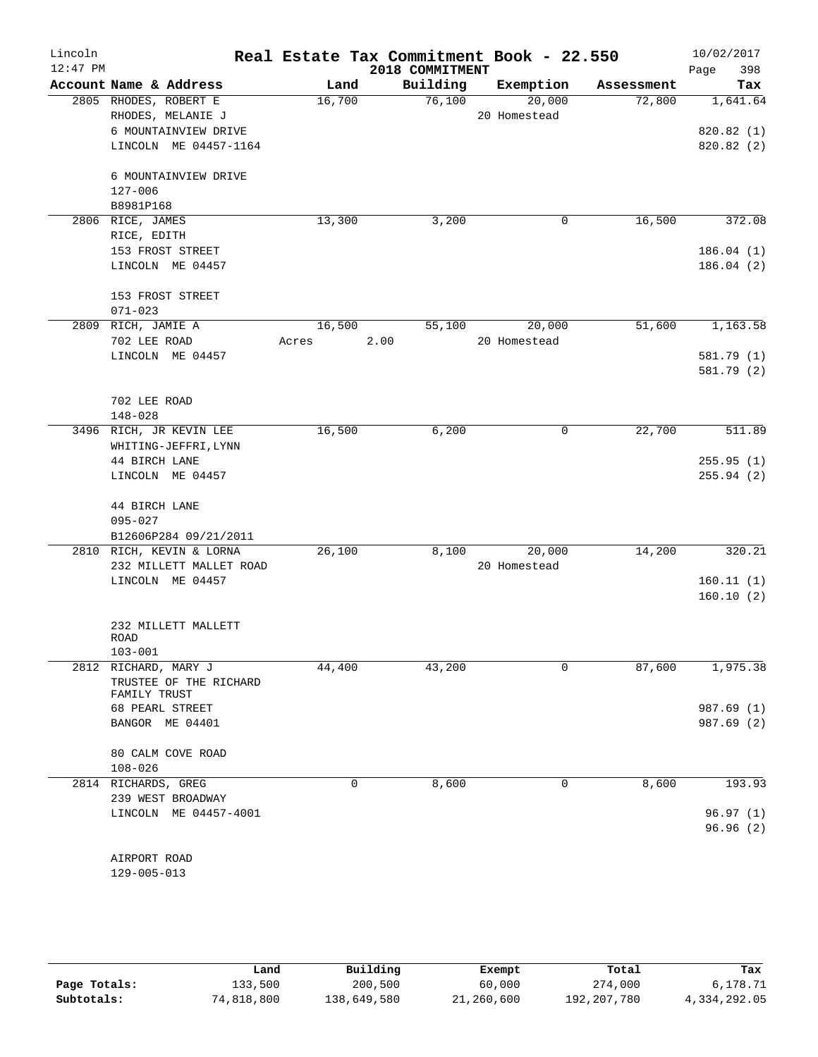| Lincoln<br>$12:47$ PM |                          |        | Real Estate Tax Commitment Book - 22.550<br>2018 COMMITMENT |              |            | 10/02/2017<br>398<br>Page |
|-----------------------|--------------------------|--------|-------------------------------------------------------------|--------------|------------|---------------------------|
|                       | Account Name & Address   | Land   | Building                                                    | Exemption    | Assessment | Tax                       |
|                       | 2805 RHODES, ROBERT E    | 16,700 | 76,100                                                      | 20,000       | 72,800     | 1,641.64                  |
|                       | RHODES, MELANIE J        |        |                                                             | 20 Homestead |            |                           |
|                       | 6 MOUNTAINVIEW DRIVE     |        |                                                             |              |            | 820.82(1)                 |
|                       | LINCOLN ME 04457-1164    |        |                                                             |              |            | 820.82 (2)                |
|                       | 6 MOUNTAINVIEW DRIVE     |        |                                                             |              |            |                           |
|                       | $127 - 006$              |        |                                                             |              |            |                           |
|                       | B8981P168                |        |                                                             |              |            |                           |
|                       | 2806 RICE, JAMES         | 13,300 | 3,200                                                       | 0            | 16,500     | 372.08                    |
|                       | RICE, EDITH              |        |                                                             |              |            |                           |
|                       | 153 FROST STREET         |        |                                                             |              |            | 186.04(1)                 |
|                       | LINCOLN ME 04457         |        |                                                             |              |            | 186.04(2)                 |
|                       | 153 FROST STREET         |        |                                                             |              |            |                           |
|                       | $071 - 023$              |        |                                                             |              |            |                           |
|                       | 2809 RICH, JAMIE A       | 16,500 | 55,100                                                      | 20,000       | 51,600     | 1,163.58                  |
|                       | 702 LEE ROAD             | Acres  | 2.00                                                        | 20 Homestead |            |                           |
|                       | LINCOLN ME 04457         |        |                                                             |              |            | 581.79 (1)                |
|                       |                          |        |                                                             |              |            | 581.79 (2)                |
|                       |                          |        |                                                             |              |            |                           |
|                       | 702 LEE ROAD             |        |                                                             |              |            |                           |
|                       | $148 - 028$              |        |                                                             |              |            |                           |
|                       | 3496 RICH, JR KEVIN LEE  | 16,500 | 6,200                                                       | $\mathsf{O}$ | 22,700     | 511.89                    |
|                       | WHITING-JEFFRI, LYNN     |        |                                                             |              |            |                           |
|                       | 44 BIRCH LANE            |        |                                                             |              |            | 255.95(1)                 |
|                       | LINCOLN ME 04457         |        |                                                             |              |            | 255.94(2)                 |
|                       | 44 BIRCH LANE            |        |                                                             |              |            |                           |
|                       | $095 - 027$              |        |                                                             |              |            |                           |
|                       | B12606P284 09/21/2011    |        |                                                             |              |            |                           |
|                       | 2810 RICH, KEVIN & LORNA | 26,100 | 8,100                                                       | 20,000       | 14,200     | 320.21                    |
|                       | 232 MILLETT MALLET ROAD  |        |                                                             | 20 Homestead |            |                           |
|                       | LINCOLN ME 04457         |        |                                                             |              |            | 160.11(1)                 |
|                       |                          |        |                                                             |              |            | 160.10(2)                 |
|                       | 232 MILLETT MALLETT      |        |                                                             |              |            |                           |
|                       | ROAD                     |        |                                                             |              |            |                           |
|                       | $103 - 001$              |        |                                                             |              |            |                           |
| 2812                  | RICHARD, MARY J          | 44,400 | 43,200                                                      | 0            | 87,600     | 1,975.38                  |
|                       | TRUSTEE OF THE RICHARD   |        |                                                             |              |            |                           |
|                       | FAMILY TRUST             |        |                                                             |              |            |                           |
|                       | 68 PEARL STREET          |        |                                                             |              |            | 987.69 (1)                |
|                       | BANGOR ME 04401          |        |                                                             |              |            | 987.69 (2)                |
|                       | 80 CALM COVE ROAD        |        |                                                             |              |            |                           |
|                       | $108 - 026$              |        |                                                             |              |            |                           |
|                       | 2814 RICHARDS, GREG      | 0      | 8,600                                                       | 0            | 8,600      | 193.93                    |
|                       | 239 WEST BROADWAY        |        |                                                             |              |            |                           |
|                       | LINCOLN ME 04457-4001    |        |                                                             |              |            | 96.97(1)                  |
|                       |                          |        |                                                             |              |            | 96.96(2)                  |
|                       |                          |        |                                                             |              |            |                           |
|                       | AIRPORT ROAD             |        |                                                             |              |            |                           |
|                       | $129 - 005 - 013$        |        |                                                             |              |            |                           |

|              | Land       | Building    | Exempt     | Total       | Tax          |
|--------------|------------|-------------|------------|-------------|--------------|
| Page Totals: | 133,500    | 200,500     | 60,000     | 274,000     | 6,178.71     |
| Subtotals:   | 74,818,800 | 138,649,580 | 21,260,600 | 192,207,780 | 4,334,292.05 |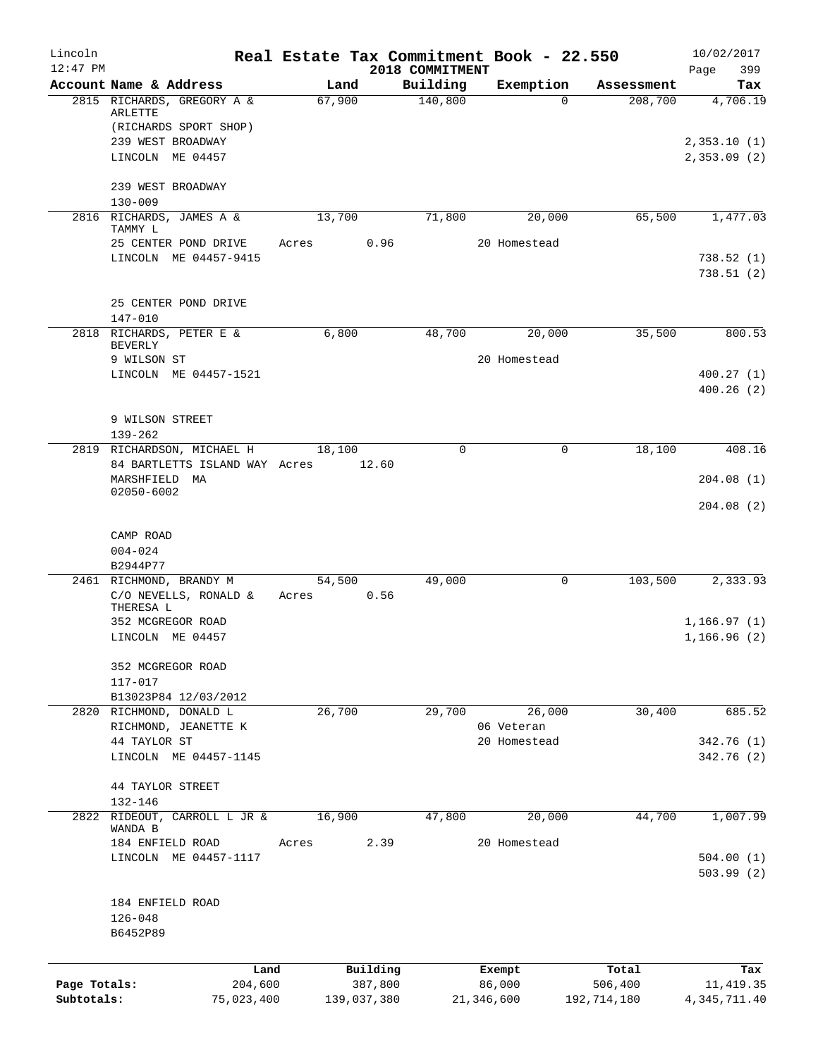| Lincoln      |                                                 |                |             |                     | Real Estate Tax Commitment Book - 22.550 |                       | 10/02/2017      |
|--------------|-------------------------------------------------|----------------|-------------|---------------------|------------------------------------------|-----------------------|-----------------|
| $12:47$ PM   | Account Name & Address                          |                |             | 2018 COMMITMENT     |                                          |                       | 399<br>Page     |
|              | 2815 RICHARDS, GREGORY A &                      | Land<br>67,900 |             | Building<br>140,800 | Exemption<br>$\Omega$                    | Assessment<br>208,700 | Tax<br>4,706.19 |
|              | ARLETTE                                         |                |             |                     |                                          |                       |                 |
|              | (RICHARDS SPORT SHOP)                           |                |             |                     |                                          |                       |                 |
|              | 239 WEST BROADWAY                               |                |             |                     |                                          |                       | 2,353.10(1)     |
|              | LINCOLN ME 04457                                |                |             |                     |                                          |                       | 2,353.09(2)     |
|              | 239 WEST BROADWAY                               |                |             |                     |                                          |                       |                 |
|              | $130 - 009$                                     |                |             |                     |                                          |                       |                 |
|              | 2816 RICHARDS, JAMES A &                        | 13,700         |             | 71,800              | 20,000                                   | 65,500                | 1,477.03        |
|              | TAMMY L                                         |                |             |                     |                                          |                       |                 |
|              | 25 CENTER POND DRIVE<br>LINCOLN ME 04457-9415   | Acres          | 0.96        |                     | 20 Homestead                             |                       | 738.52(1)       |
|              |                                                 |                |             |                     |                                          |                       | 738.51(2)       |
|              |                                                 |                |             |                     |                                          |                       |                 |
|              | 25 CENTER POND DRIVE                            |                |             |                     |                                          |                       |                 |
|              | $147 - 010$                                     |                |             |                     |                                          |                       |                 |
|              | 2818 RICHARDS, PETER E &<br><b>BEVERLY</b>      | 6,800          |             | 48,700              | 20,000                                   | 35,500                | 800.53          |
|              | 9 WILSON ST                                     |                |             |                     | 20 Homestead                             |                       |                 |
|              | LINCOLN ME 04457-1521                           |                |             |                     |                                          |                       | 400.27(1)       |
|              |                                                 |                |             |                     |                                          |                       | 400.26(2)       |
|              |                                                 |                |             |                     |                                          |                       |                 |
|              | 9 WILSON STREET                                 |                |             |                     |                                          |                       |                 |
|              | $139 - 262$<br>2819 RICHARDSON, MICHAEL H       | 18,100         |             | 0                   | 0                                        | 18,100                | 408.16          |
|              | 84 BARTLETTS ISLAND WAY Acres                   |                | 12.60       |                     |                                          |                       |                 |
|              | MARSHFIELD MA                                   |                |             |                     |                                          |                       | 204.08(1)       |
|              | 02050-6002                                      |                |             |                     |                                          |                       |                 |
|              |                                                 |                |             |                     |                                          |                       | 204.08(2)       |
|              | CAMP ROAD                                       |                |             |                     |                                          |                       |                 |
|              | $004 - 024$                                     |                |             |                     |                                          |                       |                 |
|              | B2944P77                                        |                |             |                     |                                          |                       |                 |
|              | 2461 RICHMOND, BRANDY M                         | 54,500         |             | 49,000              | 0                                        | 103,500               | 2,333.93        |
|              | C/O NEVELLS, RONALD $\&$<br>THERESA L           | Acres          | 0.56        |                     |                                          |                       |                 |
|              | 352 MCGREGOR ROAD                               |                |             |                     |                                          |                       | 1,166.97(1)     |
|              | LINCOLN ME 04457                                |                |             |                     |                                          |                       | 1,166.96(2)     |
|              |                                                 |                |             |                     |                                          |                       |                 |
|              | 352 MCGREGOR ROAD                               |                |             |                     |                                          |                       |                 |
|              | 117-017                                         |                |             |                     |                                          |                       |                 |
|              | B13023P84 12/03/2012<br>2820 RICHMOND, DONALD L | 26,700         |             | 29,700              | 26,000                                   | 30,400                | 685.52          |
|              | RICHMOND, JEANETTE K                            |                |             |                     | 06 Veteran                               |                       |                 |
|              | 44 TAYLOR ST                                    |                |             |                     | 20 Homestead                             |                       | 342.76 (1)      |
|              | LINCOLN ME 04457-1145                           |                |             |                     |                                          |                       | 342.76 (2)      |
|              |                                                 |                |             |                     |                                          |                       |                 |
|              | <b>44 TAYLOR STREET</b><br>132-146              |                |             |                     |                                          |                       |                 |
|              | 2822 RIDEOUT, CARROLL L JR &                    | 16,900         |             | 47,800              | 20,000                                   | 44,700                | 1,007.99        |
|              | WANDA B                                         |                |             |                     |                                          |                       |                 |
|              | 184 ENFIELD ROAD                                | Acres          | 2.39        |                     | 20 Homestead                             |                       |                 |
|              | LINCOLN ME 04457-1117                           |                |             |                     |                                          |                       | 504.00(1)       |
|              |                                                 |                |             |                     |                                          |                       | 503.99(2)       |
|              | 184 ENFIELD ROAD                                |                |             |                     |                                          |                       |                 |
|              | $126 - 048$                                     |                |             |                     |                                          |                       |                 |
|              | B6452P89                                        |                |             |                     |                                          |                       |                 |
|              |                                                 |                |             |                     |                                          |                       |                 |
|              | Land                                            |                | Building    |                     | Exempt                                   | Total                 | Tax             |
| Page Totals: | 204,600                                         |                | 387,800     |                     | 86,000                                   | 506,400               | 11, 419.35      |
| Subtotals:   | 75,023,400                                      |                | 139,037,380 |                     | 21,346,600                               | 192,714,180           | 4, 345, 711.40  |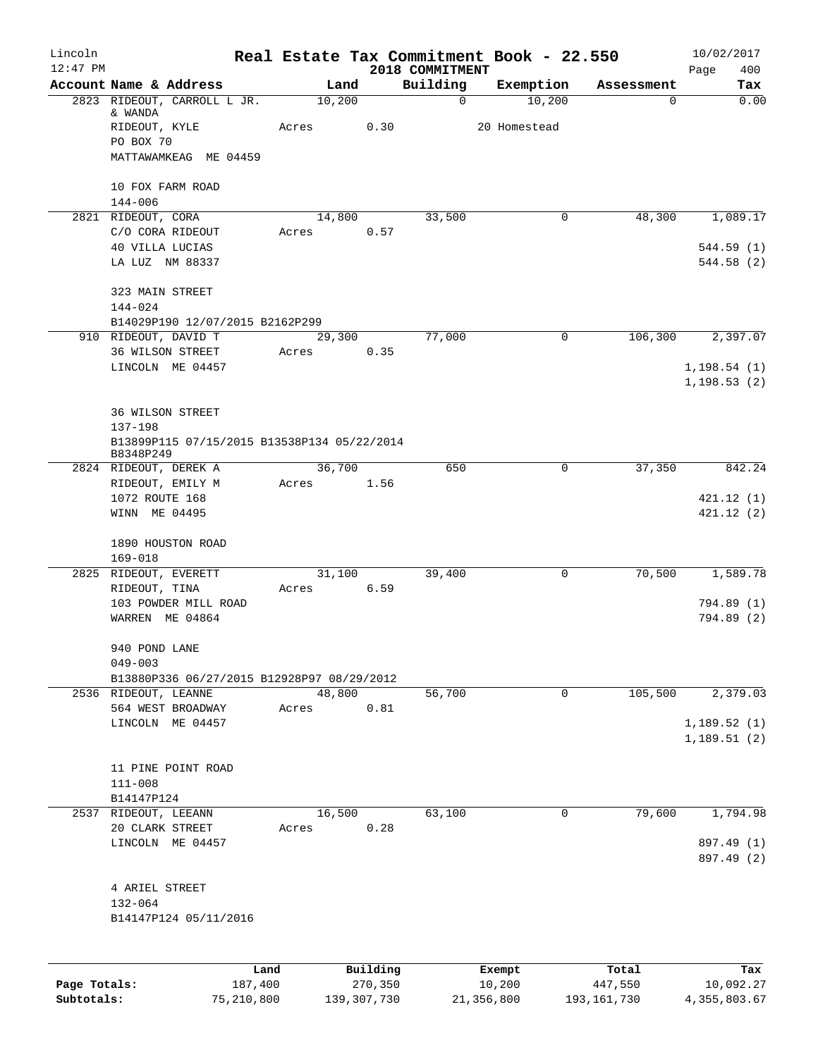| Lincoln<br>$12:47$ PM |                                             | Real Estate Tax Commitment Book - 22.550 |          | 2018 COMMITMENT |              |            | 10/02/2017<br>400 |
|-----------------------|---------------------------------------------|------------------------------------------|----------|-----------------|--------------|------------|-------------------|
|                       | Account Name & Address                      | Land                                     |          | Building        | Exemption    | Assessment | Page<br>Tax       |
|                       | 2823 RIDEOUT, CARROLL L JR.                 | 10,200                                   |          | $\mathbf 0$     | 10,200       | 0          | 0.00              |
|                       | & WANDA                                     |                                          |          |                 |              |            |                   |
|                       | RIDEOUT, KYLE                               | Acres                                    | 0.30     |                 | 20 Homestead |            |                   |
|                       | PO BOX 70                                   |                                          |          |                 |              |            |                   |
|                       | MATTAWAMKEAG ME 04459                       |                                          |          |                 |              |            |                   |
|                       | 10 FOX FARM ROAD                            |                                          |          |                 |              |            |                   |
|                       | $144 - 006$                                 |                                          |          |                 |              |            |                   |
|                       | 2821 RIDEOUT, CORA                          | 14,800                                   |          | 33,500          | $\mathbf 0$  | 48,300     | 1,089.17          |
|                       | C/O CORA RIDEOUT                            | Acres                                    | 0.57     |                 |              |            |                   |
|                       | 40 VILLA LUCIAS                             |                                          |          |                 |              |            | 544.59(1)         |
|                       | LA LUZ NM 88337                             |                                          |          |                 |              |            | 544.58(2)         |
|                       | 323 MAIN STREET                             |                                          |          |                 |              |            |                   |
|                       | 144-024                                     |                                          |          |                 |              |            |                   |
|                       | B14029P190 12/07/2015 B2162P299             |                                          |          |                 |              |            |                   |
|                       | 910 RIDEOUT, DAVID T                        | 29,300                                   |          | 77,000          | 0            | 106,300    | 2,397.07          |
|                       | 36 WILSON STREET                            | Acres                                    | 0.35     |                 |              |            |                   |
|                       | LINCOLN ME 04457                            |                                          |          |                 |              |            | 1, 198.54(1)      |
|                       |                                             |                                          |          |                 |              |            | 1, 198.53(2)      |
|                       | <b>36 WILSON STREET</b>                     |                                          |          |                 |              |            |                   |
|                       | 137-198                                     |                                          |          |                 |              |            |                   |
|                       | B13899P115 07/15/2015 B13538P134 05/22/2014 |                                          |          |                 |              |            |                   |
|                       | B8348P249                                   |                                          |          |                 |              |            |                   |
|                       | 2824 RIDEOUT, DEREK A                       | 36,700                                   |          | 650             | 0            | 37,350     | 842.24            |
|                       | RIDEOUT, EMILY M                            | Acres                                    | 1.56     |                 |              |            |                   |
|                       | 1072 ROUTE 168                              |                                          |          |                 |              |            | 421.12(1)         |
|                       | WINN ME 04495                               |                                          |          |                 |              |            | 421.12(2)         |
|                       | 1890 HOUSTON ROAD                           |                                          |          |                 |              |            |                   |
|                       | $169 - 018$                                 |                                          |          |                 |              |            |                   |
|                       | 2825 RIDEOUT, EVERETT                       | 31,100                                   |          | 39,400          | $\mathbf 0$  | 70,500     | 1,589.78          |
|                       | RIDEOUT, TINA                               | Acres                                    | 6.59     |                 |              |            |                   |
|                       | 103 POWDER MILL ROAD                        |                                          |          |                 |              |            | 794.89 (1)        |
|                       | WARREN ME 04864                             |                                          |          |                 |              |            | 794.89 (2)        |
|                       | 940 POND LANE                               |                                          |          |                 |              |            |                   |
|                       | $049 - 003$                                 |                                          |          |                 |              |            |                   |
|                       | B13880P336 06/27/2015 B12928P97 08/29/2012  |                                          |          |                 |              |            |                   |
|                       | 2536 RIDEOUT, LEANNE                        | 48,800                                   |          | 56,700          | 0            | 105,500    | 2,379.03          |
|                       | 564 WEST BROADWAY                           | Acres                                    | 0.81     |                 |              |            |                   |
|                       | LINCOLN ME 04457                            |                                          |          |                 |              |            | 1,189.52(1)       |
|                       |                                             |                                          |          |                 |              |            | 1,189.51(2)       |
|                       | 11 PINE POINT ROAD                          |                                          |          |                 |              |            |                   |
|                       | $111 - 008$                                 |                                          |          |                 |              |            |                   |
|                       | B14147P124                                  |                                          |          |                 |              |            |                   |
|                       | 2537 RIDEOUT, LEEANN                        | 16,500                                   |          | 63,100          | 0            | 79,600     | 1,794.98          |
|                       | 20 CLARK STREET                             | Acres                                    | 0.28     |                 |              |            |                   |
|                       | LINCOLN ME 04457                            |                                          |          |                 |              |            | 897.49 (1)        |
|                       |                                             |                                          |          |                 |              |            | 897.49 (2)        |
|                       | 4 ARIEL STREET                              |                                          |          |                 |              |            |                   |
|                       | 132-064                                     |                                          |          |                 |              |            |                   |
|                       | B14147P124 05/11/2016                       |                                          |          |                 |              |            |                   |
|                       |                                             |                                          |          |                 |              |            |                   |
|                       |                                             | Land                                     | Building |                 | Exempt       | Total      | Tax               |
|                       |                                             |                                          |          |                 |              |            |                   |

|              | Land       | Building    | Exempt     | тосат       | тах          |
|--------------|------------|-------------|------------|-------------|--------------|
| Page Totals: | 187,400    | 270,350     | 10,200     | 447,550     | 10,092.27    |
| Subtotals:   | 75,210,800 | 139,307,730 | 21,356,800 | 193,161,730 | 4,355,803.67 |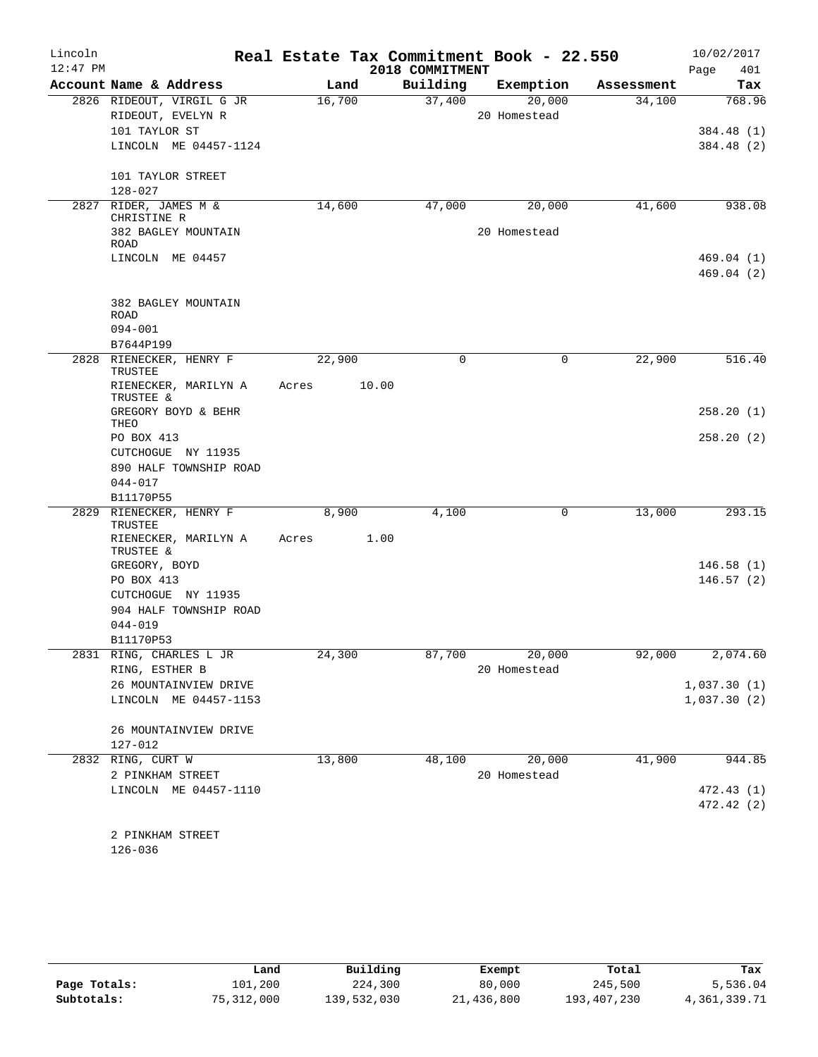| $12:47$ PM<br>2018 COMMITMENT<br>Page<br>401<br>Account Name & Address<br>Building<br>Land<br>Exemption<br>Assessment<br>20,000<br>2826 RIDEOUT, VIRGIL G JR<br>16,700<br>37,400<br>768.96<br>34,100<br>RIDEOUT, EVELYN R<br>20 Homestead<br>101 TAYLOR ST<br>LINCOLN ME 04457-1124<br>101 TAYLOR STREET<br>$128 - 027$<br>2827 RIDER, JAMES M &<br>14,600<br>41,600<br>47,000<br>20,000<br>CHRISTINE R<br>20 Homestead<br>382 BAGLEY MOUNTAIN<br>ROAD<br>LINCOLN ME 04457<br>382 BAGLEY MOUNTAIN<br>ROAD<br>$094 - 001$<br>B7644P199<br>$\mathbf 0$<br>22,900<br>2828 RIENECKER, HENRY F<br>22,900<br>0<br>TRUSTEE<br>RIENECKER, MARILYN A<br>10.00<br>Acres<br>TRUSTEE &<br>GREGORY BOYD & BEHR<br>THEO<br>PO BOX 413<br>CUTCHOGUE NY 11935<br>890 HALF TOWNSHIP ROAD<br>$044 - 017$<br>B11170P55<br>RIENECKER, HENRY F<br>8,900<br>4,100<br>0<br>13,000<br>2829<br>TRUSTEE<br>RIENECKER, MARILYN A<br>Acres<br>1.00<br>TRUSTEE &<br>GREGORY, BOYD<br>PO BOX 413<br>CUTCHOGUE NY 11935<br>904 HALF TOWNSHIP ROAD<br>$044 - 019$<br>B11170P53<br>2831 RING, CHARLES L JR<br>24,300<br>20,000<br>87,700<br>92,000<br>RING, ESTHER B<br>20 Homestead<br>26 MOUNTAINVIEW DRIVE<br>LINCOLN ME 04457-1153<br>26 MOUNTAINVIEW DRIVE<br>127-012<br>2832 RING, CURT W<br>13,800<br>20,000<br>41,900<br>48,100<br>2 PINKHAM STREET<br>20 Homestead<br>LINCOLN ME 04457-1110<br>2 PINKHAM STREET<br>$126 - 036$ | Lincoln | Real Estate Tax Commitment Book - 22.550 |  | 10/02/2017 |
|--------------------------------------------------------------------------------------------------------------------------------------------------------------------------------------------------------------------------------------------------------------------------------------------------------------------------------------------------------------------------------------------------------------------------------------------------------------------------------------------------------------------------------------------------------------------------------------------------------------------------------------------------------------------------------------------------------------------------------------------------------------------------------------------------------------------------------------------------------------------------------------------------------------------------------------------------------------------------------------------------------------------------------------------------------------------------------------------------------------------------------------------------------------------------------------------------------------------------------------------------------------------------------------------------------------------------------------------------------------------------------------------------------|---------|------------------------------------------|--|------------|
|                                                                                                                                                                                                                                                                                                                                                                                                                                                                                                                                                                                                                                                                                                                                                                                                                                                                                                                                                                                                                                                                                                                                                                                                                                                                                                                                                                                                        |         |                                          |  |            |
| 384.48 (1)<br>384.48 (2)<br>944.85                                                                                                                                                                                                                                                                                                                                                                                                                                                                                                                                                                                                                                                                                                                                                                                                                                                                                                                                                                                                                                                                                                                                                                                                                                                                                                                                                                     |         |                                          |  | Tax        |
|                                                                                                                                                                                                                                                                                                                                                                                                                                                                                                                                                                                                                                                                                                                                                                                                                                                                                                                                                                                                                                                                                                                                                                                                                                                                                                                                                                                                        |         |                                          |  |            |
|                                                                                                                                                                                                                                                                                                                                                                                                                                                                                                                                                                                                                                                                                                                                                                                                                                                                                                                                                                                                                                                                                                                                                                                                                                                                                                                                                                                                        |         |                                          |  |            |
|                                                                                                                                                                                                                                                                                                                                                                                                                                                                                                                                                                                                                                                                                                                                                                                                                                                                                                                                                                                                                                                                                                                                                                                                                                                                                                                                                                                                        |         |                                          |  |            |
|                                                                                                                                                                                                                                                                                                                                                                                                                                                                                                                                                                                                                                                                                                                                                                                                                                                                                                                                                                                                                                                                                                                                                                                                                                                                                                                                                                                                        |         |                                          |  |            |
| 938.08<br>469.04(1)<br>469.04(2)                                                                                                                                                                                                                                                                                                                                                                                                                                                                                                                                                                                                                                                                                                                                                                                                                                                                                                                                                                                                                                                                                                                                                                                                                                                                                                                                                                       |         |                                          |  |            |
|                                                                                                                                                                                                                                                                                                                                                                                                                                                                                                                                                                                                                                                                                                                                                                                                                                                                                                                                                                                                                                                                                                                                                                                                                                                                                                                                                                                                        |         |                                          |  |            |
|                                                                                                                                                                                                                                                                                                                                                                                                                                                                                                                                                                                                                                                                                                                                                                                                                                                                                                                                                                                                                                                                                                                                                                                                                                                                                                                                                                                                        |         |                                          |  |            |
|                                                                                                                                                                                                                                                                                                                                                                                                                                                                                                                                                                                                                                                                                                                                                                                                                                                                                                                                                                                                                                                                                                                                                                                                                                                                                                                                                                                                        |         |                                          |  |            |
|                                                                                                                                                                                                                                                                                                                                                                                                                                                                                                                                                                                                                                                                                                                                                                                                                                                                                                                                                                                                                                                                                                                                                                                                                                                                                                                                                                                                        |         |                                          |  |            |
|                                                                                                                                                                                                                                                                                                                                                                                                                                                                                                                                                                                                                                                                                                                                                                                                                                                                                                                                                                                                                                                                                                                                                                                                                                                                                                                                                                                                        |         |                                          |  |            |
|                                                                                                                                                                                                                                                                                                                                                                                                                                                                                                                                                                                                                                                                                                                                                                                                                                                                                                                                                                                                                                                                                                                                                                                                                                                                                                                                                                                                        |         |                                          |  |            |
|                                                                                                                                                                                                                                                                                                                                                                                                                                                                                                                                                                                                                                                                                                                                                                                                                                                                                                                                                                                                                                                                                                                                                                                                                                                                                                                                                                                                        |         |                                          |  |            |
|                                                                                                                                                                                                                                                                                                                                                                                                                                                                                                                                                                                                                                                                                                                                                                                                                                                                                                                                                                                                                                                                                                                                                                                                                                                                                                                                                                                                        |         |                                          |  |            |
|                                                                                                                                                                                                                                                                                                                                                                                                                                                                                                                                                                                                                                                                                                                                                                                                                                                                                                                                                                                                                                                                                                                                                                                                                                                                                                                                                                                                        |         |                                          |  |            |
| 516.40<br>258.20(1)<br>258.20(2)<br>293.15<br>146.58(1)<br>146.57(2)<br>2,074.60<br>1,037.30(1)<br>1,037.30(2)<br>472.43(1)<br>472.42 (2)                                                                                                                                                                                                                                                                                                                                                                                                                                                                                                                                                                                                                                                                                                                                                                                                                                                                                                                                                                                                                                                                                                                                                                                                                                                              |         |                                          |  |            |
|                                                                                                                                                                                                                                                                                                                                                                                                                                                                                                                                                                                                                                                                                                                                                                                                                                                                                                                                                                                                                                                                                                                                                                                                                                                                                                                                                                                                        |         |                                          |  |            |
|                                                                                                                                                                                                                                                                                                                                                                                                                                                                                                                                                                                                                                                                                                                                                                                                                                                                                                                                                                                                                                                                                                                                                                                                                                                                                                                                                                                                        |         |                                          |  |            |
|                                                                                                                                                                                                                                                                                                                                                                                                                                                                                                                                                                                                                                                                                                                                                                                                                                                                                                                                                                                                                                                                                                                                                                                                                                                                                                                                                                                                        |         |                                          |  |            |
|                                                                                                                                                                                                                                                                                                                                                                                                                                                                                                                                                                                                                                                                                                                                                                                                                                                                                                                                                                                                                                                                                                                                                                                                                                                                                                                                                                                                        |         |                                          |  |            |
|                                                                                                                                                                                                                                                                                                                                                                                                                                                                                                                                                                                                                                                                                                                                                                                                                                                                                                                                                                                                                                                                                                                                                                                                                                                                                                                                                                                                        |         |                                          |  |            |
|                                                                                                                                                                                                                                                                                                                                                                                                                                                                                                                                                                                                                                                                                                                                                                                                                                                                                                                                                                                                                                                                                                                                                                                                                                                                                                                                                                                                        |         |                                          |  |            |
|                                                                                                                                                                                                                                                                                                                                                                                                                                                                                                                                                                                                                                                                                                                                                                                                                                                                                                                                                                                                                                                                                                                                                                                                                                                                                                                                                                                                        |         |                                          |  |            |
|                                                                                                                                                                                                                                                                                                                                                                                                                                                                                                                                                                                                                                                                                                                                                                                                                                                                                                                                                                                                                                                                                                                                                                                                                                                                                                                                                                                                        |         |                                          |  |            |
|                                                                                                                                                                                                                                                                                                                                                                                                                                                                                                                                                                                                                                                                                                                                                                                                                                                                                                                                                                                                                                                                                                                                                                                                                                                                                                                                                                                                        |         |                                          |  |            |
|                                                                                                                                                                                                                                                                                                                                                                                                                                                                                                                                                                                                                                                                                                                                                                                                                                                                                                                                                                                                                                                                                                                                                                                                                                                                                                                                                                                                        |         |                                          |  |            |
|                                                                                                                                                                                                                                                                                                                                                                                                                                                                                                                                                                                                                                                                                                                                                                                                                                                                                                                                                                                                                                                                                                                                                                                                                                                                                                                                                                                                        |         |                                          |  |            |
|                                                                                                                                                                                                                                                                                                                                                                                                                                                                                                                                                                                                                                                                                                                                                                                                                                                                                                                                                                                                                                                                                                                                                                                                                                                                                                                                                                                                        |         |                                          |  |            |
|                                                                                                                                                                                                                                                                                                                                                                                                                                                                                                                                                                                                                                                                                                                                                                                                                                                                                                                                                                                                                                                                                                                                                                                                                                                                                                                                                                                                        |         |                                          |  |            |
|                                                                                                                                                                                                                                                                                                                                                                                                                                                                                                                                                                                                                                                                                                                                                                                                                                                                                                                                                                                                                                                                                                                                                                                                                                                                                                                                                                                                        |         |                                          |  |            |
|                                                                                                                                                                                                                                                                                                                                                                                                                                                                                                                                                                                                                                                                                                                                                                                                                                                                                                                                                                                                                                                                                                                                                                                                                                                                                                                                                                                                        |         |                                          |  |            |
|                                                                                                                                                                                                                                                                                                                                                                                                                                                                                                                                                                                                                                                                                                                                                                                                                                                                                                                                                                                                                                                                                                                                                                                                                                                                                                                                                                                                        |         |                                          |  |            |
|                                                                                                                                                                                                                                                                                                                                                                                                                                                                                                                                                                                                                                                                                                                                                                                                                                                                                                                                                                                                                                                                                                                                                                                                                                                                                                                                                                                                        |         |                                          |  |            |
|                                                                                                                                                                                                                                                                                                                                                                                                                                                                                                                                                                                                                                                                                                                                                                                                                                                                                                                                                                                                                                                                                                                                                                                                                                                                                                                                                                                                        |         |                                          |  |            |
|                                                                                                                                                                                                                                                                                                                                                                                                                                                                                                                                                                                                                                                                                                                                                                                                                                                                                                                                                                                                                                                                                                                                                                                                                                                                                                                                                                                                        |         |                                          |  |            |
|                                                                                                                                                                                                                                                                                                                                                                                                                                                                                                                                                                                                                                                                                                                                                                                                                                                                                                                                                                                                                                                                                                                                                                                                                                                                                                                                                                                                        |         |                                          |  |            |
|                                                                                                                                                                                                                                                                                                                                                                                                                                                                                                                                                                                                                                                                                                                                                                                                                                                                                                                                                                                                                                                                                                                                                                                                                                                                                                                                                                                                        |         |                                          |  |            |
|                                                                                                                                                                                                                                                                                                                                                                                                                                                                                                                                                                                                                                                                                                                                                                                                                                                                                                                                                                                                                                                                                                                                                                                                                                                                                                                                                                                                        |         |                                          |  |            |
|                                                                                                                                                                                                                                                                                                                                                                                                                                                                                                                                                                                                                                                                                                                                                                                                                                                                                                                                                                                                                                                                                                                                                                                                                                                                                                                                                                                                        |         |                                          |  |            |
|                                                                                                                                                                                                                                                                                                                                                                                                                                                                                                                                                                                                                                                                                                                                                                                                                                                                                                                                                                                                                                                                                                                                                                                                                                                                                                                                                                                                        |         |                                          |  |            |
|                                                                                                                                                                                                                                                                                                                                                                                                                                                                                                                                                                                                                                                                                                                                                                                                                                                                                                                                                                                                                                                                                                                                                                                                                                                                                                                                                                                                        |         |                                          |  |            |
|                                                                                                                                                                                                                                                                                                                                                                                                                                                                                                                                                                                                                                                                                                                                                                                                                                                                                                                                                                                                                                                                                                                                                                                                                                                                                                                                                                                                        |         |                                          |  |            |
|                                                                                                                                                                                                                                                                                                                                                                                                                                                                                                                                                                                                                                                                                                                                                                                                                                                                                                                                                                                                                                                                                                                                                                                                                                                                                                                                                                                                        |         |                                          |  |            |
|                                                                                                                                                                                                                                                                                                                                                                                                                                                                                                                                                                                                                                                                                                                                                                                                                                                                                                                                                                                                                                                                                                                                                                                                                                                                                                                                                                                                        |         |                                          |  |            |
|                                                                                                                                                                                                                                                                                                                                                                                                                                                                                                                                                                                                                                                                                                                                                                                                                                                                                                                                                                                                                                                                                                                                                                                                                                                                                                                                                                                                        |         |                                          |  |            |

|              | Land       | Building    | Exempt     | Total       | Tax          |
|--------------|------------|-------------|------------|-------------|--------------|
| Page Totals: | 101,200    | 224,300     | 80,000     | 245,500     | 5,536.04     |
| Subtotals:   | 75,312,000 | 139,532,030 | 21,436,800 | 193,407,230 | 4,361,339.71 |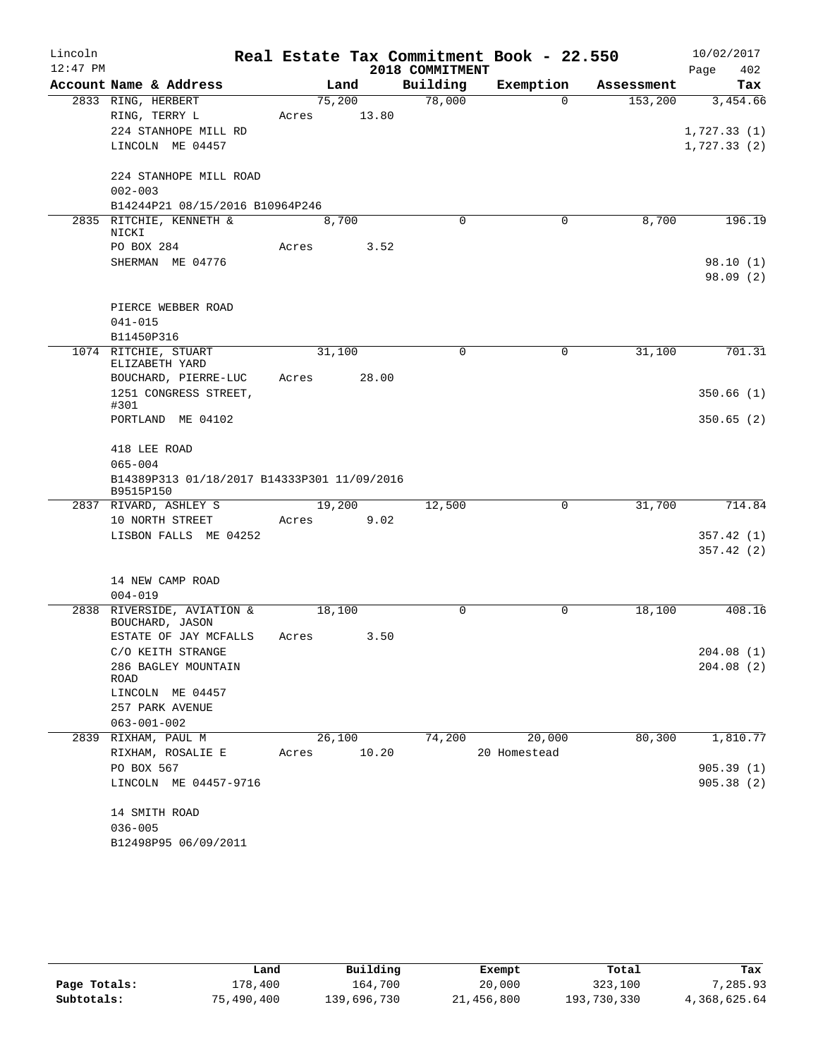| Lincoln<br>$12:47$ PM |                                                          |       |         |       | 2018 COMMITMENT | Real Estate Tax Commitment Book - 22.550 |            | 10/02/2017<br>402<br>Page |
|-----------------------|----------------------------------------------------------|-------|---------|-------|-----------------|------------------------------------------|------------|---------------------------|
|                       | Account Name & Address                                   |       |         | Land  | Building        | Exemption                                | Assessment | Tax                       |
|                       | 2833 RING, HERBERT                                       |       | 75,200  |       | 78,000          | $\Omega$                                 | 153,200    | 3,454.66                  |
|                       | RING, TERRY L                                            | Acres |         | 13.80 |                 |                                          |            |                           |
|                       | 224 STANHOPE MILL RD                                     |       |         |       |                 |                                          |            | 1,727.33(1)               |
|                       | LINCOLN ME 04457                                         |       |         |       |                 |                                          |            | 1,727.33(2)               |
|                       | 224 STANHOPE MILL ROAD<br>$002 - 003$                    |       |         |       |                 |                                          |            |                           |
|                       | B14244P21 08/15/2016 B10964P246                          |       |         |       |                 |                                          |            |                           |
|                       | 2835 RITCHIE, KENNETH &                                  |       | 8,700   |       | $\Omega$        | $\mathbf 0$                              | 8,700      | 196.19                    |
|                       | NICKI                                                    |       |         |       |                 |                                          |            |                           |
|                       | PO BOX 284<br>SHERMAN ME 04776                           | Acres |         | 3.52  |                 |                                          |            |                           |
|                       |                                                          |       |         |       |                 |                                          |            | 98.10(1)<br>98.09(2)      |
|                       | PIERCE WEBBER ROAD                                       |       |         |       |                 |                                          |            |                           |
|                       | $041 - 015$                                              |       |         |       |                 |                                          |            |                           |
|                       | B11450P316                                               |       |         |       |                 |                                          |            |                           |
|                       | 1074 RITCHIE, STUART<br>ELIZABETH YARD                   |       | 31,100  |       | 0               | 0                                        | 31,100     | 701.31                    |
|                       | BOUCHARD, PIERRE-LUC<br>1251 CONGRESS STREET,            | Acres |         | 28.00 |                 |                                          |            | 350.66(1)                 |
|                       | #301<br>PORTLAND ME 04102                                |       |         |       |                 |                                          |            | 350.65(2)                 |
|                       | 418 LEE ROAD                                             |       |         |       |                 |                                          |            |                           |
|                       | $065 - 004$                                              |       |         |       |                 |                                          |            |                           |
|                       | B14389P313 01/18/2017 B14333P301 11/09/2016<br>B9515P150 |       |         |       |                 |                                          |            |                           |
|                       | 2837 RIVARD, ASHLEY S                                    |       | 19,200  |       | 12,500          | 0                                        | 31,700     | 714.84                    |
|                       | 10 NORTH STREET                                          | Acres |         | 9.02  |                 |                                          |            |                           |
|                       | LISBON FALLS ME 04252                                    |       |         |       |                 |                                          |            | 357.42(1)                 |
|                       |                                                          |       |         |       |                 |                                          |            | 357.42(2)                 |
|                       | 14 NEW CAMP ROAD                                         |       |         |       |                 |                                          |            |                           |
|                       | $004 - 019$                                              |       |         |       |                 |                                          |            |                           |
|                       | 2838 RIVERSIDE, AVIATION &<br>BOUCHARD, JASON            |       | 18,100  |       | 0               | 0                                        | 18,100     | 408.16                    |
|                       | ESTATE OF JAY MCFALLS                                    | Acres |         | 3.50  |                 |                                          |            |                           |
|                       | C/O KEITH STRANGE                                        |       |         |       |                 |                                          |            | 204.08(1)                 |
|                       | 286 BAGLEY MOUNTAIN<br>ROAD                              |       |         |       |                 |                                          |            | 204.08(2)                 |
|                       | LINCOLN ME 04457<br>257 PARK AVENUE                      |       |         |       |                 |                                          |            |                           |
|                       | $063 - 001 - 002$                                        |       |         |       |                 |                                          |            |                           |
|                       | 2839 RIXHAM, PAUL M                                      |       | 26, 100 |       | 74,200          | 20,000                                   | 80,300     | 1,810.77                  |
|                       | RIXHAM, ROSALIE E                                        | Acres |         | 10.20 |                 | 20 Homestead                             |            |                           |
|                       | PO BOX 567                                               |       |         |       |                 |                                          |            | 905.39(1)                 |
|                       | LINCOLN ME 04457-9716                                    |       |         |       |                 |                                          |            | 905.38(2)                 |
|                       | 14 SMITH ROAD                                            |       |         |       |                 |                                          |            |                           |
|                       | $036 - 005$                                              |       |         |       |                 |                                          |            |                           |
|                       | B12498P95 06/09/2011                                     |       |         |       |                 |                                          |            |                           |

|              | Land       | Building    | Exempt     | Total       | Tax          |
|--------------|------------|-------------|------------|-------------|--------------|
| Page Totals: | 178,400    | 164,700     | 20,000     | 323,100     | 7,285.93     |
| Subtotals:   | 75,490,400 | 139,696,730 | 21,456,800 | 193,730,330 | 4,368,625.64 |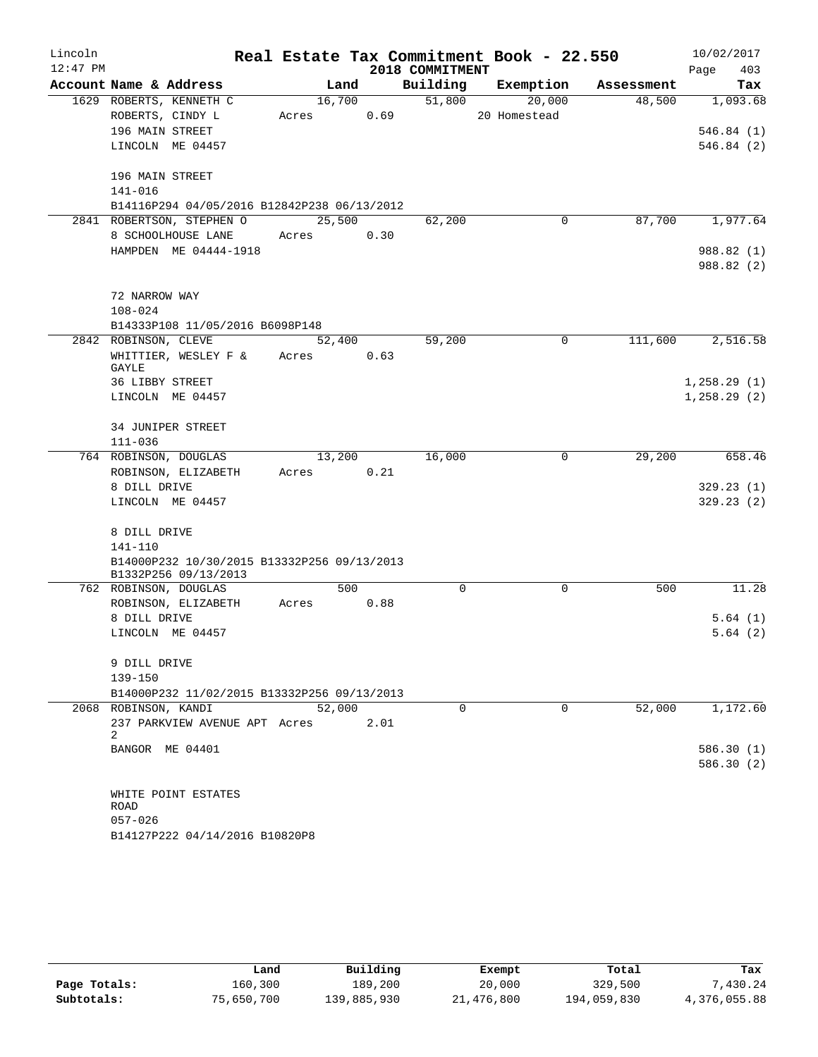| Lincoln    |                      |                                                                     |       |        |      | Real Estate Tax Commitment Book - 22.550 |              |            | 10/02/2017   |
|------------|----------------------|---------------------------------------------------------------------|-------|--------|------|------------------------------------------|--------------|------------|--------------|
| $12:47$ PM |                      |                                                                     |       |        |      | 2018 COMMITMENT                          |              |            | 403<br>Page  |
|            |                      | Account Name & Address                                              |       | Land   |      | Building                                 | Exemption    | Assessment | Tax          |
|            |                      | 1629 ROBERTS, KENNETH C                                             |       | 16,700 |      | 51,800                                   | 20,000       | 48,500     | 1,093.68     |
|            |                      | ROBERTS, CINDY L                                                    | Acres |        | 0.69 |                                          | 20 Homestead |            |              |
|            | 196 MAIN STREET      |                                                                     |       |        |      |                                          |              |            | 546.84(1)    |
|            |                      | LINCOLN ME 04457                                                    |       |        |      |                                          |              |            | 546.84(2)    |
|            | 196 MAIN STREET      |                                                                     |       |        |      |                                          |              |            |              |
|            | 141-016              |                                                                     |       |        |      |                                          |              |            |              |
|            |                      | B14116P294 04/05/2016 B12842P238 06/13/2012                         |       |        |      |                                          |              |            |              |
|            |                      | 2841 ROBERTSON, STEPHEN O                                           |       | 25,500 |      | 62,200                                   | $\mathbf 0$  | 87,700     | 1,977.64     |
|            |                      | 8 SCHOOLHOUSE LANE                                                  | Acres |        | 0.30 |                                          |              |            |              |
|            |                      | HAMPDEN ME 04444-1918                                               |       |        |      |                                          |              |            | 988.82 (1)   |
|            |                      |                                                                     |       |        |      |                                          |              |            | 988.82 (2)   |
|            | 72 NARROW WAY        |                                                                     |       |        |      |                                          |              |            |              |
|            | $108 - 024$          |                                                                     |       |        |      |                                          |              |            |              |
|            |                      | B14333P108 11/05/2016 B6098P148                                     |       |        |      |                                          |              |            |              |
|            | 2842 ROBINSON, CLEVE |                                                                     |       | 52,400 |      | 59,200                                   | $\mathbf 0$  | 111,600    | 2,516.58     |
|            |                      | WHITTIER, WESLEY F &                                                | Acres |        | 0.63 |                                          |              |            |              |
|            | GAYLE                |                                                                     |       |        |      |                                          |              |            |              |
|            | 36 LIBBY STREET      |                                                                     |       |        |      |                                          |              |            | 1, 258.29(1) |
|            |                      | LINCOLN ME 04457                                                    |       |        |      |                                          |              |            | 1, 258.29(2) |
|            |                      | 34 JUNIPER STREET                                                   |       |        |      |                                          |              |            |              |
|            | $111 - 036$          |                                                                     |       |        |      |                                          |              |            |              |
|            |                      | 764 ROBINSON, DOUGLAS                                               |       | 13,200 |      | 16,000                                   | 0            | 29,200     | 658.46       |
|            |                      | ROBINSON, ELIZABETH                                                 | Acres |        | 0.21 |                                          |              |            |              |
|            | 8 DILL DRIVE         |                                                                     |       |        |      |                                          |              |            | 329.23(1)    |
|            |                      | LINCOLN ME 04457                                                    |       |        |      |                                          |              |            | 329.23(2)    |
|            | 8 DILL DRIVE         |                                                                     |       |        |      |                                          |              |            |              |
|            | 141-110              |                                                                     |       |        |      |                                          |              |            |              |
|            |                      | B14000P232 10/30/2015 B13332P256 09/13/2013<br>B1332P256 09/13/2013 |       |        |      |                                          |              |            |              |
|            |                      | 762 ROBINSON, DOUGLAS                                               |       | 500    |      | $\mathbf 0$                              | 0            | 500        | 11.28        |
|            |                      | ROBINSON, ELIZABETH                                                 | Acres |        | 0.88 |                                          |              |            |              |
|            | 8 DILL DRIVE         |                                                                     |       |        |      |                                          |              |            | 5.64(1)      |
|            |                      | LINCOLN ME 04457                                                    |       |        |      |                                          |              |            | 5.64(2)      |
|            | 9 DILL DRIVE         |                                                                     |       |        |      |                                          |              |            |              |
|            | $139 - 150$          |                                                                     |       |        |      |                                          |              |            |              |
|            |                      | B14000P232 11/02/2015 B13332P256 09/13/2013                         |       |        |      |                                          |              |            |              |
|            |                      | 2068 ROBINSON, KANDI                                                |       | 52,000 |      | 0                                        | $\Omega$     | 52,000     | 1,172.60     |
|            |                      | 237 PARKVIEW AVENUE APT Acres                                       |       |        | 2.01 |                                          |              |            |              |
|            | 2                    |                                                                     |       |        |      |                                          |              |            |              |
|            |                      | BANGOR ME 04401                                                     |       |        |      |                                          |              |            | 586.30(1)    |
|            |                      |                                                                     |       |        |      |                                          |              |            | 586.30(2)    |
|            |                      | WHITE POINT ESTATES                                                 |       |        |      |                                          |              |            |              |
|            | ROAD                 |                                                                     |       |        |      |                                          |              |            |              |
|            | $057 - 026$          |                                                                     |       |        |      |                                          |              |            |              |
|            |                      | B14127P222 04/14/2016 B10820P8                                      |       |        |      |                                          |              |            |              |

|              | Land       | Building    | Exempt     | Total       | Tax          |
|--------------|------------|-------------|------------|-------------|--------------|
| Page Totals: | 160,300    | 189,200     | 20,000     | 329,500     | 7,430.24     |
| Subtotals:   | 75,650,700 | 139,885,930 | 21,476,800 | 194,059,830 | 4,376,055.88 |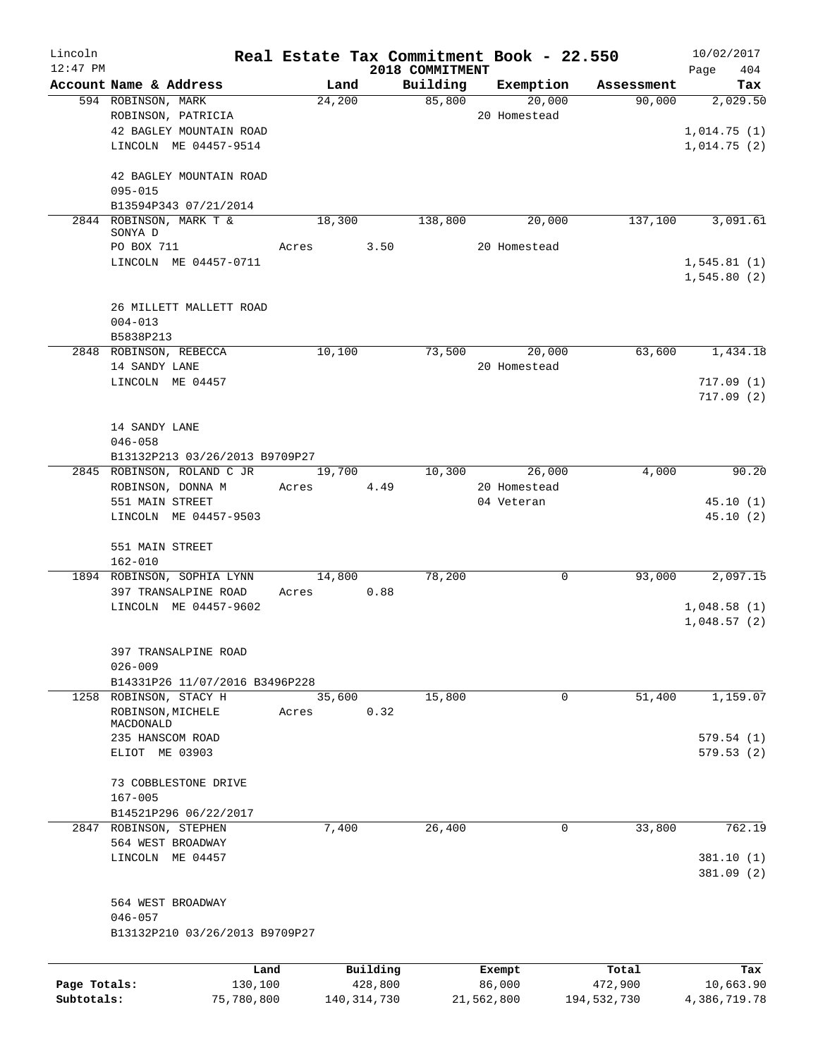| Lincoln      |                                                              |       |               |          |                 | Real Estate Tax Commitment Book - 22.550 |             | 10/02/2017   |
|--------------|--------------------------------------------------------------|-------|---------------|----------|-----------------|------------------------------------------|-------------|--------------|
| $12:47$ PM   |                                                              |       |               |          | 2018 COMMITMENT |                                          |             | 404<br>Page  |
|              | Account Name & Address                                       |       | Land          |          | Building        | Exemption                                | Assessment  | Tax          |
|              | 594 ROBINSON, MARK                                           |       | 24,200        |          | 85,800          | 20,000                                   | 90,000      | 2,029.50     |
|              | ROBINSON, PATRICIA                                           |       |               |          |                 | 20 Homestead                             |             |              |
|              | 42 BAGLEY MOUNTAIN ROAD                                      |       |               |          |                 |                                          |             | 1,014.75(1)  |
|              | LINCOLN ME 04457-9514                                        |       |               |          |                 |                                          |             | 1,014.75(2)  |
|              | 42 BAGLEY MOUNTAIN ROAD                                      |       |               |          |                 |                                          |             |              |
|              | $095 - 015$                                                  |       |               |          |                 |                                          |             |              |
|              | B13594P343 07/21/2014                                        |       |               |          |                 |                                          |             |              |
|              | 2844 ROBINSON, MARK T &<br>SONYA D                           |       | 18,300        |          | 138,800         | 20,000                                   | 137,100     | 3,091.61     |
|              | PO BOX 711                                                   | Acres |               | 3.50     |                 | 20 Homestead                             |             |              |
|              | LINCOLN ME 04457-0711                                        |       |               |          |                 |                                          |             | 1,545.81(1)  |
|              |                                                              |       |               |          |                 |                                          |             | 1,545.80(2)  |
|              | 26 MILLETT MALLETT ROAD                                      |       |               |          |                 |                                          |             |              |
|              | $004 - 013$                                                  |       |               |          |                 |                                          |             |              |
|              | B5838P213                                                    |       |               |          |                 |                                          |             |              |
|              | 2848 ROBINSON, REBECCA                                       |       | 10,100        |          | 73,500          | 20,000                                   | 63,600      | 1,434.18     |
|              | 14 SANDY LANE                                                |       |               |          |                 | 20 Homestead                             |             |              |
|              | LINCOLN ME 04457                                             |       |               |          |                 |                                          |             | 717.09(1)    |
|              |                                                              |       |               |          |                 |                                          |             | 717.09(2)    |
|              |                                                              |       |               |          |                 |                                          |             |              |
|              | 14 SANDY LANE                                                |       |               |          |                 |                                          |             |              |
|              | $046 - 058$                                                  |       |               |          |                 |                                          |             |              |
|              | B13132P213 03/26/2013 B9709P27<br>2845 ROBINSON, ROLAND C JR |       | 19,700        |          | 10,300          | 26,000                                   | 4,000       | 90.20        |
|              | ROBINSON, DONNA M                                            | Acres |               | 4.49     |                 | 20 Homestead                             |             |              |
|              | 551 MAIN STREET                                              |       |               |          |                 | 04 Veteran                               |             | 45.10(1)     |
|              | LINCOLN ME 04457-9503                                        |       |               |          |                 |                                          |             | 45.10(2)     |
|              |                                                              |       |               |          |                 |                                          |             |              |
|              | 551 MAIN STREET                                              |       |               |          |                 |                                          |             |              |
|              | $162 - 010$                                                  |       |               |          |                 |                                          |             |              |
|              | 1894 ROBINSON, SOPHIA LYNN                                   |       | 14,800        |          | 78,200          | 0                                        | 93,000      | 2,097.15     |
|              | 397 TRANSALPINE ROAD                                         | Acres |               | 0.88     |                 |                                          |             |              |
|              | LINCOLN ME 04457-9602                                        |       |               |          |                 |                                          |             | 1,048.58(1)  |
|              |                                                              |       |               |          |                 |                                          |             | 1,048.57(2)  |
|              |                                                              |       |               |          |                 |                                          |             |              |
|              | 397 TRANSALPINE ROAD                                         |       |               |          |                 |                                          |             |              |
|              | $026 - 009$                                                  |       |               |          |                 |                                          |             |              |
|              | B14331P26 11/07/2016 B3496P228                               |       |               |          |                 |                                          |             |              |
|              | 1258 ROBINSON, STACY H                                       |       | 35,600        |          | 15,800          | 0                                        | 51,400      | 1,159.07     |
|              | ROBINSON, MICHELE                                            | Acres |               | 0.32     |                 |                                          |             |              |
|              | MACDONALD<br>235 HANSCOM ROAD                                |       |               |          |                 |                                          |             | 579.54(1)    |
|              | ELIOT ME 03903                                               |       |               |          |                 |                                          |             | 579.53(2)    |
|              |                                                              |       |               |          |                 |                                          |             |              |
|              | 73 COBBLESTONE DRIVE                                         |       |               |          |                 |                                          |             |              |
|              | $167 - 005$                                                  |       |               |          |                 |                                          |             |              |
|              | B14521P296 06/22/2017                                        |       |               |          |                 |                                          |             |              |
|              | 2847 ROBINSON, STEPHEN                                       |       | 7,400         |          | 26,400          | 0                                        | 33,800      | 762.19       |
|              | 564 WEST BROADWAY                                            |       |               |          |                 |                                          |             |              |
|              | LINCOLN ME 04457                                             |       |               |          |                 |                                          |             | 381.10(1)    |
|              |                                                              |       |               |          |                 |                                          |             | 381.09 (2)   |
|              | 564 WEST BROADWAY                                            |       |               |          |                 |                                          |             |              |
|              | $046 - 057$                                                  |       |               |          |                 |                                          |             |              |
|              | B13132P210 03/26/2013 B9709P27                               |       |               |          |                 |                                          |             |              |
|              |                                                              |       |               |          |                 |                                          |             |              |
|              | Land                                                         |       |               | Building |                 | Exempt                                   | Total       | Tax          |
| Page Totals: | 130,100                                                      |       |               | 428,800  |                 | 86,000                                   | 472,900     | 10,663.90    |
| Subtotals:   | 75,780,800                                                   |       | 140, 314, 730 |          |                 | 21,562,800                               | 194,532,730 | 4,386,719.78 |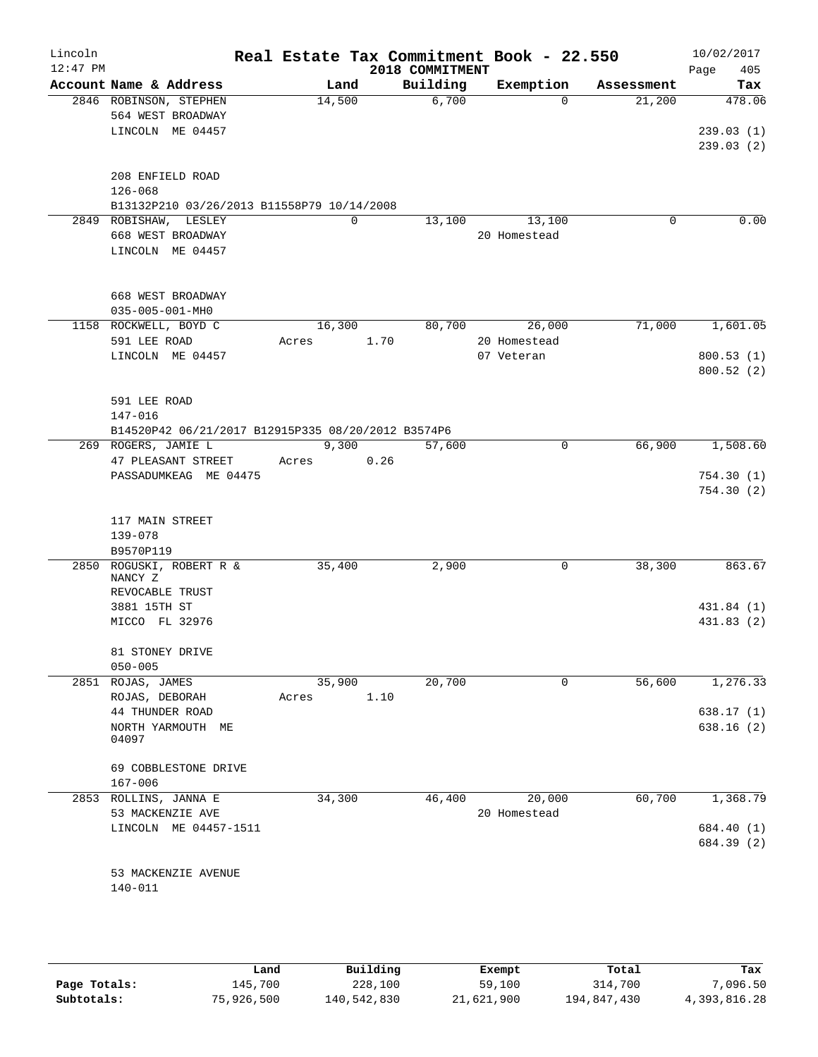| Lincoln<br>$12:47$ PM |                                                                           |       |        | 2018 COMMITMENT | Real Estate Tax Commitment Book - 22.550 |            | 10/02/2017<br>405<br>Page |
|-----------------------|---------------------------------------------------------------------------|-------|--------|-----------------|------------------------------------------|------------|---------------------------|
|                       | Account Name & Address                                                    |       | Land   | Building        | Exemption                                | Assessment | Tax                       |
|                       | 2846 ROBINSON, STEPHEN                                                    |       | 14,500 | 6,700           | $\Omega$                                 | 21,200     | 478.06                    |
|                       | 564 WEST BROADWAY                                                         |       |        |                 |                                          |            |                           |
|                       | LINCOLN ME 04457                                                          |       |        |                 |                                          |            | 239.03(1)                 |
|                       |                                                                           |       |        |                 |                                          |            | 239.03(2)                 |
|                       | 208 ENFIELD ROAD                                                          |       |        |                 |                                          |            |                           |
|                       | $126 - 068$                                                               |       |        |                 |                                          |            |                           |
|                       | B13132P210 03/26/2013 B11558P79 10/14/2008                                |       |        |                 |                                          |            |                           |
|                       | 2849 ROBISHAW, LESLEY                                                     |       | 0      | 13,100          | 13,100                                   | 0          | 0.00                      |
|                       | 668 WEST BROADWAY                                                         |       |        |                 | 20 Homestead                             |            |                           |
|                       | LINCOLN ME 04457                                                          |       |        |                 |                                          |            |                           |
|                       |                                                                           |       |        |                 |                                          |            |                           |
|                       | 668 WEST BROADWAY                                                         |       |        |                 |                                          |            |                           |
|                       | $035 - 005 - 001 - MHO$<br>1158 ROCKWELL, BOYD C                          |       | 16,300 | 80,700          | 26,000                                   | 71,000     | 1,601.05                  |
|                       | 591 LEE ROAD                                                              | Acres |        | 1.70            | 20 Homestead                             |            |                           |
|                       | LINCOLN ME 04457                                                          |       |        |                 | 07 Veteran                               |            | 800.53(1)                 |
|                       |                                                                           |       |        |                 |                                          |            | 800.52(2)                 |
|                       |                                                                           |       |        |                 |                                          |            |                           |
|                       | 591 LEE ROAD                                                              |       |        |                 |                                          |            |                           |
|                       | 147-016                                                                   |       |        |                 |                                          |            |                           |
|                       | B14520P42 06/21/2017 B12915P335 08/20/2012 B3574P6<br>269 ROGERS, JAMIE L |       | 9,300  | 57,600          | 0                                        | 66,900     | 1,508.60                  |
|                       | 47 PLEASANT STREET                                                        | Acres |        | 0.26            |                                          |            |                           |
|                       | PASSADUMKEAG ME 04475                                                     |       |        |                 |                                          |            | 754.30(1)                 |
|                       |                                                                           |       |        |                 |                                          |            | 754.30(2)                 |
|                       |                                                                           |       |        |                 |                                          |            |                           |
|                       | 117 MAIN STREET                                                           |       |        |                 |                                          |            |                           |
|                       | 139-078                                                                   |       |        |                 |                                          |            |                           |
|                       | B9570P119<br>2850 ROGUSKI, ROBERT R &                                     |       | 35,400 | 2,900           | 0                                        | 38,300     | 863.67                    |
|                       | NANCY Z                                                                   |       |        |                 |                                          |            |                           |
|                       | REVOCABLE TRUST                                                           |       |        |                 |                                          |            |                           |
|                       | 3881 15TH ST                                                              |       |        |                 |                                          |            | 431.84 (1)                |
|                       | MICCO FL 32976                                                            |       |        |                 |                                          |            | 431.83 (2)                |
|                       | 81 STONEY DRIVE                                                           |       |        |                 |                                          |            |                           |
|                       | $050 - 005$                                                               |       |        |                 |                                          |            |                           |
|                       | 2851 ROJAS, JAMES                                                         |       | 35,900 | 20,700          | 0                                        | 56,600     | 1,276.33                  |
|                       | ROJAS, DEBORAH                                                            | Acres |        | 1.10            |                                          |            |                           |
|                       | 44 THUNDER ROAD                                                           |       |        |                 |                                          |            | 638.17(1)                 |
|                       | NORTH YARMOUTH ME                                                         |       |        |                 |                                          |            | 638.16(2)                 |
|                       | 04097                                                                     |       |        |                 |                                          |            |                           |
|                       | 69 COBBLESTONE DRIVE                                                      |       |        |                 |                                          |            |                           |
|                       | $167 - 006$                                                               |       |        |                 |                                          |            |                           |
|                       | 2853 ROLLINS, JANNA E                                                     |       | 34,300 | 46,400          | 20,000                                   | 60,700     | 1,368.79                  |
|                       | 53 MACKENZIE AVE                                                          |       |        |                 | 20 Homestead                             |            |                           |
|                       | LINCOLN ME 04457-1511                                                     |       |        |                 |                                          |            | 684.40 (1)                |
|                       |                                                                           |       |        |                 |                                          |            | 684.39 (2)                |
|                       | 53 MACKENZIE AVENUE                                                       |       |        |                 |                                          |            |                           |
|                       | 140-011                                                                   |       |        |                 |                                          |            |                           |
|                       |                                                                           |       |        |                 |                                          |            |                           |
|                       |                                                                           |       |        |                 |                                          |            |                           |

|              | Land       | Building    | Exempt     | Total       | Tax          |
|--------------|------------|-------------|------------|-------------|--------------|
| Page Totals: | 145,700    | 228,100     | 59,100     | 314,700     | 7,096.50     |
| Subtotals:   | 75,926,500 | 140,542,830 | 21,621,900 | 194,847,430 | 4,393,816.28 |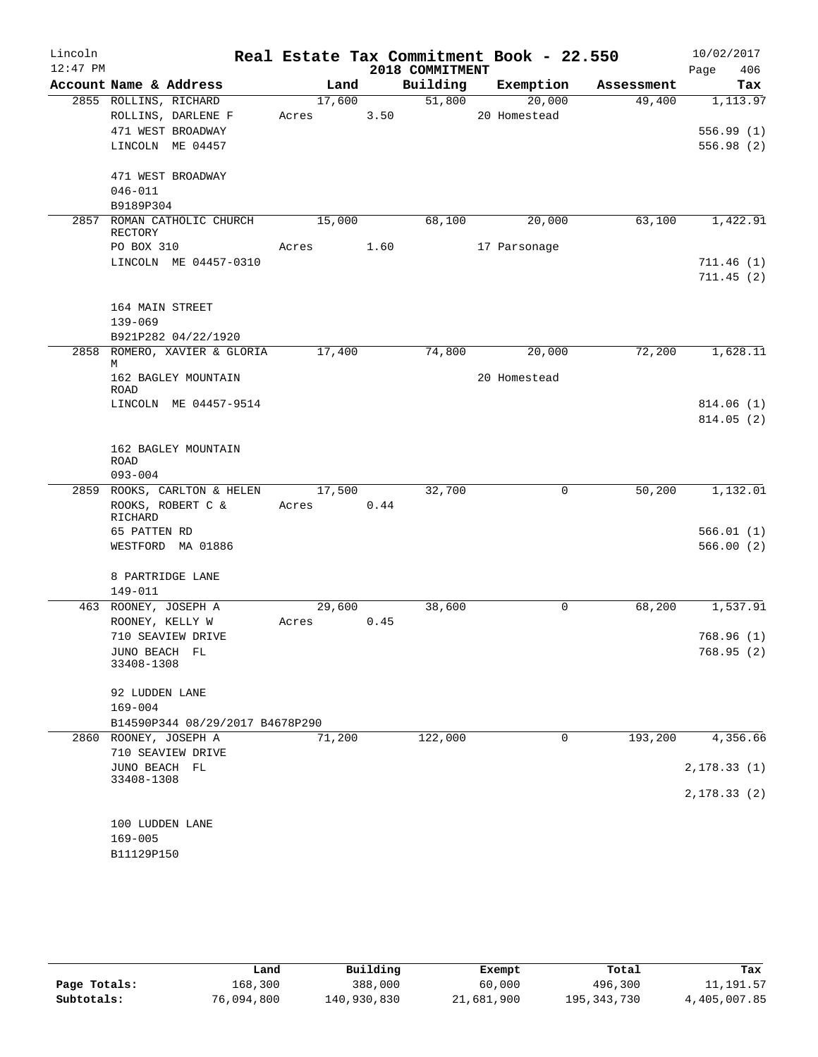| Lincoln    |                               |                                         |       |        |      |                 | Real Estate Tax Commitment Book - 22.550 |            | 10/02/2017   |
|------------|-------------------------------|-----------------------------------------|-------|--------|------|-----------------|------------------------------------------|------------|--------------|
| $12:47$ PM |                               |                                         |       |        |      | 2018 COMMITMENT |                                          |            | 406<br>Page  |
|            |                               | Account Name & Address                  |       | Land   |      | Building        | Exemption                                | Assessment | Tax          |
|            |                               | 2855 ROLLINS, RICHARD                   |       | 17,600 |      | 51,800          | 20,000                                   | 49,400     | 1,113.97     |
|            |                               | ROLLINS, DARLENE F<br>471 WEST BROADWAY | Acres |        | 3.50 |                 | 20 Homestead                             |            | 556.99(1)    |
|            |                               | LINCOLN ME 04457                        |       |        |      |                 |                                          |            | 556.98(2)    |
|            |                               |                                         |       |        |      |                 |                                          |            |              |
|            |                               | 471 WEST BROADWAY                       |       |        |      |                 |                                          |            |              |
|            | $046 - 011$                   |                                         |       |        |      |                 |                                          |            |              |
|            | B9189P304                     |                                         |       |        |      |                 |                                          |            |              |
|            |                               | 2857 ROMAN CATHOLIC CHURCH              |       | 15,000 |      | 68,100          | 20,000                                   | 63,100     | 1,422.91     |
|            | RECTORY                       |                                         |       |        |      |                 |                                          |            |              |
|            | PO BOX 310                    |                                         | Acres |        | 1.60 |                 | 17 Parsonage                             |            |              |
|            |                               | LINCOLN ME 04457-0310                   |       |        |      |                 |                                          |            | 711.46(1)    |
|            |                               |                                         |       |        |      |                 |                                          |            | 711.45(2)    |
|            | 164 MAIN STREET               |                                         |       |        |      |                 |                                          |            |              |
|            | $139 - 069$                   |                                         |       |        |      |                 |                                          |            |              |
|            |                               | B921P282 04/22/1920                     |       |        |      |                 |                                          |            |              |
|            |                               | 2858 ROMERO, XAVIER & GLORIA            |       | 17,400 |      | 74,800          | 20,000                                   | 72,200     | 1,628.11     |
|            | М                             |                                         |       |        |      |                 |                                          |            |              |
|            |                               | 162 BAGLEY MOUNTAIN                     |       |        |      |                 | 20 Homestead                             |            |              |
|            | ROAD                          |                                         |       |        |      |                 |                                          |            |              |
|            |                               | LINCOLN ME 04457-9514                   |       |        |      |                 |                                          |            | 814.06(1)    |
|            |                               |                                         |       |        |      |                 |                                          |            | 814.05(2)    |
|            |                               | 162 BAGLEY MOUNTAIN                     |       |        |      |                 |                                          |            |              |
|            | <b>ROAD</b>                   |                                         |       |        |      |                 |                                          |            |              |
|            | $093 - 004$                   |                                         |       |        |      |                 |                                          |            |              |
| 2859       |                               | ROOKS, CARLTON & HELEN                  |       | 17,500 |      | 32,700          | $\mathbf 0$                              | 50,200     | 1,132.01     |
|            |                               | ROOKS, ROBERT C &                       | Acres |        | 0.44 |                 |                                          |            |              |
|            | RICHARD                       |                                         |       |        |      |                 |                                          |            |              |
|            | 65 PATTEN RD                  |                                         |       |        |      |                 |                                          |            | 566.01(1)    |
|            |                               | WESTFORD MA 01886                       |       |        |      |                 |                                          |            | 566.00(2)    |
|            |                               | 8 PARTRIDGE LANE                        |       |        |      |                 |                                          |            |              |
|            | 149-011                       |                                         |       |        |      |                 |                                          |            |              |
|            |                               | 463 ROONEY, JOSEPH A                    |       | 29,600 |      | 38,600          | 0                                        | 68,200     | 1,537.91     |
|            | ROONEY, KELLY W               |                                         | Acres |        | 0.45 |                 |                                          |            |              |
|            |                               | 710 SEAVIEW DRIVE                       |       |        |      |                 |                                          |            | 768.96(1)    |
|            | JUNO BEACH FL                 |                                         |       |        |      |                 |                                          |            | 768.95(2)    |
|            | 33408-1308                    |                                         |       |        |      |                 |                                          |            |              |
|            |                               |                                         |       |        |      |                 |                                          |            |              |
|            | 92 LUDDEN LANE<br>$169 - 004$ |                                         |       |        |      |                 |                                          |            |              |
|            |                               | B14590P344 08/29/2017 B4678P290         |       |        |      |                 |                                          |            |              |
| 2860       |                               | ROONEY, JOSEPH A                        |       | 71,200 |      | 122,000         | 0                                        | 193,200    | 4,356.66     |
|            |                               | 710 SEAVIEW DRIVE                       |       |        |      |                 |                                          |            |              |
|            | JUNO BEACH FL                 |                                         |       |        |      |                 |                                          |            | 2, 178.33(1) |
|            | 33408-1308                    |                                         |       |        |      |                 |                                          |            |              |
|            |                               |                                         |       |        |      |                 |                                          |            | 2, 178.33(2) |
|            |                               |                                         |       |        |      |                 |                                          |            |              |
|            | 100 LUDDEN LANE               |                                         |       |        |      |                 |                                          |            |              |
|            | $169 - 005$                   |                                         |       |        |      |                 |                                          |            |              |
|            | B11129P150                    |                                         |       |        |      |                 |                                          |            |              |

|              | Land       | Building    | Exempt     | Total         | Tax          |
|--------------|------------|-------------|------------|---------------|--------------|
| Page Totals: | 168,300    | 388,000     | 60,000     | 496,300       | 11,191.57    |
| Subtotals:   | 76,094,800 | 140,930,830 | 21,681,900 | 195, 343, 730 | 4,405,007.85 |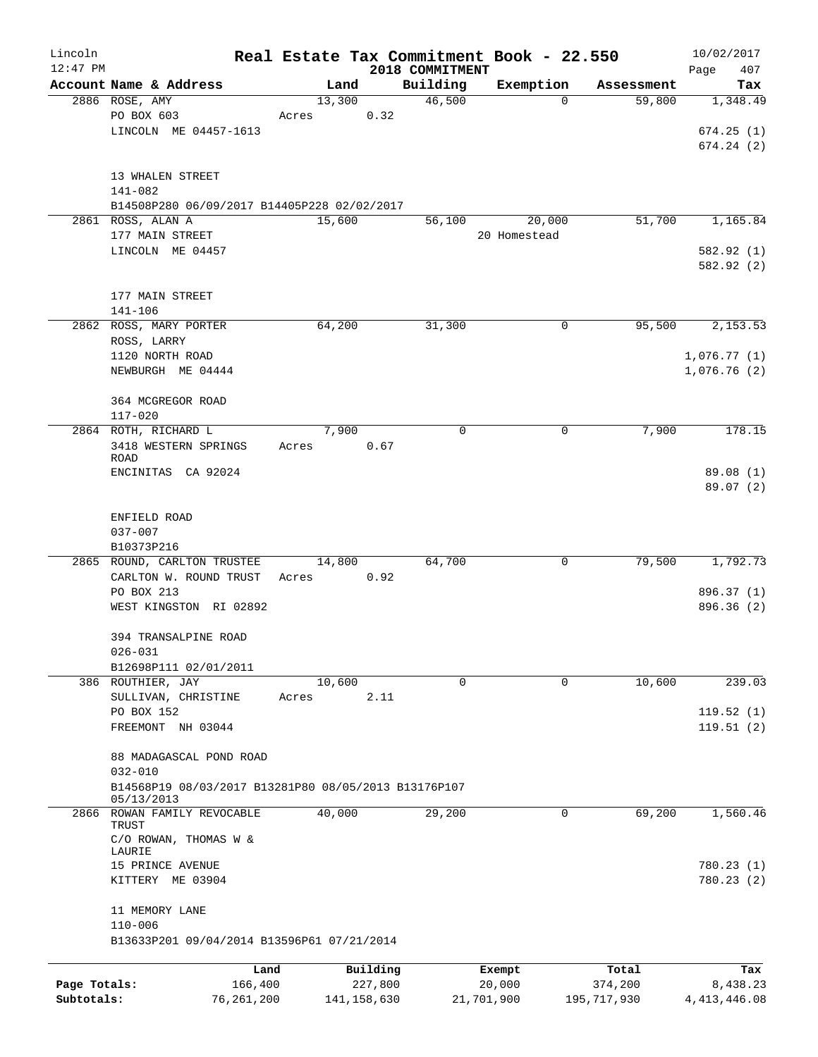| Lincoln      |                                                      |              |       |        |               |                             | Real Estate Tax Commitment Book - 22.550 |             |                      | 10/02/2017     |     |
|--------------|------------------------------------------------------|--------------|-------|--------|---------------|-----------------------------|------------------------------------------|-------------|----------------------|----------------|-----|
| $12:47$ PM   | Account Name & Address                               |              |       | Land   |               | 2018 COMMITMENT<br>Building |                                          |             |                      | Page           | 407 |
|              | 2886 ROSE, AMY                                       |              |       | 13,300 |               | 46,500                      | Exemption                                | $\mathbf 0$ | Assessment<br>59,800 | 1,348.49       | Tax |
|              | PO BOX 603                                           |              | Acres |        | 0.32          |                             |                                          |             |                      |                |     |
|              | LINCOLN ME 04457-1613                                |              |       |        |               |                             |                                          |             |                      | 674.25(1)      |     |
|              |                                                      |              |       |        |               |                             |                                          |             |                      | 674.24(2)      |     |
|              |                                                      |              |       |        |               |                             |                                          |             |                      |                |     |
|              | 13 WHALEN STREET                                     |              |       |        |               |                             |                                          |             |                      |                |     |
|              | $141 - 082$                                          |              |       |        |               |                             |                                          |             |                      |                |     |
|              | B14508P280 06/09/2017 B14405P228 02/02/2017          |              |       |        |               |                             |                                          |             |                      |                |     |
|              | 2861 ROSS, ALAN A                                    |              |       | 15,600 |               | 56,100                      | 20,000                                   |             | 51,700               | 1,165.84       |     |
|              | 177 MAIN STREET                                      |              |       |        |               |                             | 20 Homestead                             |             |                      |                |     |
|              | LINCOLN ME 04457                                     |              |       |        |               |                             |                                          |             |                      | 582.92 (1)     |     |
|              |                                                      |              |       |        |               |                             |                                          |             |                      | 582.92 (2)     |     |
|              |                                                      |              |       |        |               |                             |                                          |             |                      |                |     |
|              | 177 MAIN STREET                                      |              |       |        |               |                             |                                          |             |                      |                |     |
|              | $141 - 106$                                          |              |       |        |               |                             |                                          |             |                      |                |     |
|              | 2862 ROSS, MARY PORTER                               |              |       | 64,200 |               | 31,300                      |                                          | 0           | 95,500               | 2,153.53       |     |
|              | ROSS, LARRY                                          |              |       |        |               |                             |                                          |             |                      |                |     |
|              | 1120 NORTH ROAD                                      |              |       |        |               |                             |                                          |             |                      | 1,076.77(1)    |     |
|              | NEWBURGH ME 04444                                    |              |       |        |               |                             |                                          |             |                      | 1,076.76(2)    |     |
|              |                                                      |              |       |        |               |                             |                                          |             |                      |                |     |
|              | 364 MCGREGOR ROAD                                    |              |       |        |               |                             |                                          |             |                      |                |     |
|              | $117 - 020$                                          |              |       | 7,900  |               | 0                           |                                          | 0           | 7,900                | 178.15         |     |
|              | 2864 ROTH, RICHARD L<br>3418 WESTERN SPRINGS         |              |       |        |               |                             |                                          |             |                      |                |     |
|              | <b>ROAD</b>                                          |              | Acres |        | 0.67          |                             |                                          |             |                      |                |     |
|              | ENCINITAS CA 92024                                   |              |       |        |               |                             |                                          |             |                      | 89.08 (1)      |     |
|              |                                                      |              |       |        |               |                             |                                          |             |                      | 89.07 (2)      |     |
|              |                                                      |              |       |        |               |                             |                                          |             |                      |                |     |
|              | ENFIELD ROAD                                         |              |       |        |               |                             |                                          |             |                      |                |     |
|              | $037 - 007$                                          |              |       |        |               |                             |                                          |             |                      |                |     |
|              | B10373P216                                           |              |       |        |               |                             |                                          |             |                      |                |     |
|              | 2865 ROUND, CARLTON TRUSTEE                          |              |       | 14,800 |               | 64,700                      |                                          | 0           | 79,500               | 1,792.73       |     |
|              | CARLTON W. ROUND TRUST                               |              | Acres |        | 0.92          |                             |                                          |             |                      |                |     |
|              | PO BOX 213                                           |              |       |        |               |                             |                                          |             |                      | 896.37 (1)     |     |
|              | WEST KINGSTON RI 02892                               |              |       |        |               |                             |                                          |             |                      | 896.36 (2)     |     |
|              |                                                      |              |       |        |               |                             |                                          |             |                      |                |     |
|              | 394 TRANSALPINE ROAD                                 |              |       |        |               |                             |                                          |             |                      |                |     |
|              | $026 - 031$                                          |              |       |        |               |                             |                                          |             |                      |                |     |
|              | B12698P111 02/01/2011<br>386 ROUTHIER, JAY           |              |       | 10,600 |               | $\mathbf 0$                 |                                          | $\mathbf 0$ | 10,600               | 239.03         |     |
|              | SULLIVAN, CHRISTINE                                  |              | Acres |        | 2.11          |                             |                                          |             |                      |                |     |
|              | PO BOX 152                                           |              |       |        |               |                             |                                          |             |                      | 119.52(1)      |     |
|              | FREEMONT NH 03044                                    |              |       |        |               |                             |                                          |             |                      | 119.51(2)      |     |
|              |                                                      |              |       |        |               |                             |                                          |             |                      |                |     |
|              | 88 MADAGASCAL POND ROAD                              |              |       |        |               |                             |                                          |             |                      |                |     |
|              | $032 - 010$                                          |              |       |        |               |                             |                                          |             |                      |                |     |
|              | B14568P19 08/03/2017 B13281P80 08/05/2013 B13176P107 |              |       |        |               |                             |                                          |             |                      |                |     |
|              | 05/13/2013                                           |              |       |        |               |                             |                                          |             |                      |                |     |
|              | 2866 ROWAN FAMILY REVOCABLE                          |              |       | 40,000 |               | 29,200                      |                                          | 0           | 69,200               | 1,560.46       |     |
|              | TRUST<br>C/O ROWAN, THOMAS W &                       |              |       |        |               |                             |                                          |             |                      |                |     |
|              | LAURIE                                               |              |       |        |               |                             |                                          |             |                      |                |     |
|              | 15 PRINCE AVENUE                                     |              |       |        |               |                             |                                          |             |                      | 780.23 (1)     |     |
|              | KITTERY ME 03904                                     |              |       |        |               |                             |                                          |             |                      | 780.23(2)      |     |
|              |                                                      |              |       |        |               |                             |                                          |             |                      |                |     |
|              | 11 MEMORY LANE                                       |              |       |        |               |                             |                                          |             |                      |                |     |
|              | $110 - 006$                                          |              |       |        |               |                             |                                          |             |                      |                |     |
|              | B13633P201 09/04/2014 B13596P61 07/21/2014           |              |       |        |               |                             |                                          |             |                      |                |     |
|              |                                                      | Land         |       |        | Building      |                             | Exempt                                   |             | Total                |                | Tax |
| Page Totals: |                                                      | 166,400      |       |        | 227,800       |                             | 20,000                                   |             | 374,200              | 8,438.23       |     |
| Subtotals:   |                                                      | 76, 261, 200 |       |        | 141, 158, 630 |                             | 21,701,900                               |             | 195,717,930          | 4, 413, 446.08 |     |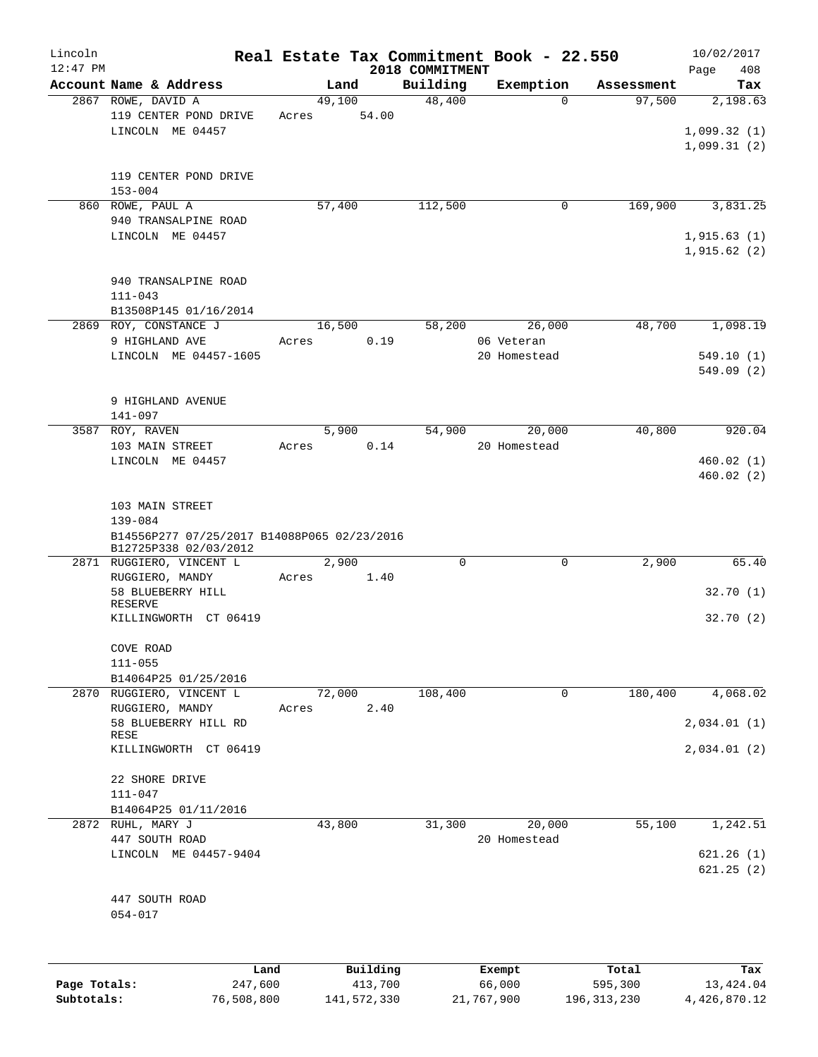| Lincoln      |                                                                      |       |        |          |                 | Real Estate Tax Commitment Book - 22.550 |            | 10/02/2017  |
|--------------|----------------------------------------------------------------------|-------|--------|----------|-----------------|------------------------------------------|------------|-------------|
| $12:47$ PM   |                                                                      |       |        |          | 2018 COMMITMENT |                                          |            | 408<br>Page |
|              | Account Name & Address                                               |       | Land   |          | Building        | Exemption                                | Assessment | Tax         |
|              | 2867 ROWE, DAVID A<br>119 CENTER POND DRIVE                          |       | 49,100 |          | 48,400          | $\Omega$                                 | 97,500     | 2,198.63    |
|              |                                                                      | Acres |        | 54.00    |                 |                                          |            |             |
|              | LINCOLN ME 04457                                                     |       |        |          |                 |                                          |            | 1,099.32(1) |
|              |                                                                      |       |        |          |                 |                                          |            | 1,099.31(2) |
|              |                                                                      |       |        |          |                 |                                          |            |             |
|              | 119 CENTER POND DRIVE                                                |       |        |          |                 |                                          |            |             |
|              | $153 - 004$                                                          |       |        |          |                 |                                          |            |             |
|              | 860 ROWE, PAUL A                                                     |       | 57,400 |          | 112,500         | 0                                        | 169,900    | 3,831.25    |
|              | 940 TRANSALPINE ROAD                                                 |       |        |          |                 |                                          |            |             |
|              | LINCOLN ME 04457                                                     |       |        |          |                 |                                          |            | 1,915.63(1) |
|              |                                                                      |       |        |          |                 |                                          |            | 1,915.62(2) |
|              |                                                                      |       |        |          |                 |                                          |            |             |
|              | 940 TRANSALPINE ROAD                                                 |       |        |          |                 |                                          |            |             |
|              | $111 - 043$                                                          |       |        |          |                 |                                          |            |             |
|              | B13508P145 01/16/2014                                                |       |        |          |                 |                                          |            |             |
|              | 2869 ROY, CONSTANCE J                                                |       | 16,500 |          | 58,200          | 26,000                                   | 48,700     | 1,098.19    |
|              | 9 HIGHLAND AVE                                                       | Acres |        | 0.19     |                 | 06 Veteran                               |            |             |
|              | LINCOLN ME 04457-1605                                                |       |        |          |                 | 20 Homestead                             |            | 549.10(1)   |
|              |                                                                      |       |        |          |                 |                                          |            | 549.09(2)   |
|              |                                                                      |       |        |          |                 |                                          |            |             |
|              | 9 HIGHLAND AVENUE                                                    |       |        |          |                 |                                          |            |             |
|              | 141-097                                                              |       |        |          |                 |                                          |            |             |
|              | 3587 ROY, RAVEN                                                      |       | 5,900  |          | 54,900          | 20,000                                   | 40,800     | 920.04      |
|              | 103 MAIN STREET                                                      | Acres |        | 0.14     |                 | 20 Homestead                             |            |             |
|              | LINCOLN ME 04457                                                     |       |        |          |                 |                                          |            | 460.02(1)   |
|              |                                                                      |       |        |          |                 |                                          |            | 460.02(2)   |
|              |                                                                      |       |        |          |                 |                                          |            |             |
|              | 103 MAIN STREET                                                      |       |        |          |                 |                                          |            |             |
|              | $139 - 084$                                                          |       |        |          |                 |                                          |            |             |
|              | B14556P277 07/25/2017 B14088P065 02/23/2016<br>B12725P338 02/03/2012 |       |        |          |                 |                                          |            |             |
|              | 2871 RUGGIERO, VINCENT L                                             |       | 2,900  |          | $\mathbf 0$     | 0                                        | 2,900      | 65.40       |
|              | RUGGIERO, MANDY                                                      | Acres |        | 1.40     |                 |                                          |            |             |
|              | 58 BLUEBERRY HILL                                                    |       |        |          |                 |                                          |            | 32.70(1)    |
|              | <b>RESERVE</b>                                                       |       |        |          |                 |                                          |            |             |
|              | KILLINGWORTH CT 06419                                                |       |        |          |                 |                                          |            | 32.70(2)    |
|              |                                                                      |       |        |          |                 |                                          |            |             |
|              | COVE ROAD                                                            |       |        |          |                 |                                          |            |             |
|              | $111 - 055$                                                          |       |        |          |                 |                                          |            |             |
|              | B14064P25 01/25/2016                                                 |       |        |          |                 |                                          |            |             |
|              | 2870 RUGGIERO, VINCENT L                                             |       | 72,000 |          | 108,400         | 0                                        | 180,400    | 4,068.02    |
|              | RUGGIERO, MANDY                                                      | Acres |        | 2.40     |                 |                                          |            |             |
|              | 58 BLUEBERRY HILL RD                                                 |       |        |          |                 |                                          |            | 2,034.01(1) |
|              | RESE                                                                 |       |        |          |                 |                                          |            |             |
|              | KILLINGWORTH CT 06419                                                |       |        |          |                 |                                          |            | 2,034.01(2) |
|              |                                                                      |       |        |          |                 |                                          |            |             |
|              | 22 SHORE DRIVE                                                       |       |        |          |                 |                                          |            |             |
|              | $111 - 047$                                                          |       |        |          |                 |                                          |            |             |
|              | B14064P25 01/11/2016                                                 |       |        |          |                 |                                          |            |             |
|              | 2872 RUHL, MARY J                                                    |       | 43,800 |          | 31,300          | 20,000                                   | 55,100     | 1,242.51    |
|              | 447 SOUTH ROAD                                                       |       |        |          |                 | 20 Homestead                             |            |             |
|              | LINCOLN ME 04457-9404                                                |       |        |          |                 |                                          |            | 621.26(1)   |
|              |                                                                      |       |        |          |                 |                                          |            | 621.25(2)   |
|              |                                                                      |       |        |          |                 |                                          |            |             |
|              | 447 SOUTH ROAD                                                       |       |        |          |                 |                                          |            |             |
|              | $054 - 017$                                                          |       |        |          |                 |                                          |            |             |
|              |                                                                      |       |        |          |                 |                                          |            |             |
|              |                                                                      |       |        |          |                 |                                          |            |             |
|              | Land                                                                 |       |        | Building |                 | Exempt                                   | Total      | Tax         |
| Page Totals: | 247,600                                                              |       |        | 413,700  |                 | 66,000                                   | 595,300    | 13, 424.04  |
|              |                                                                      |       |        |          |                 |                                          |            |             |

**Subtotals:** 76,508,800 141,572,330 21,767,900 196,313,230 4,426,870.12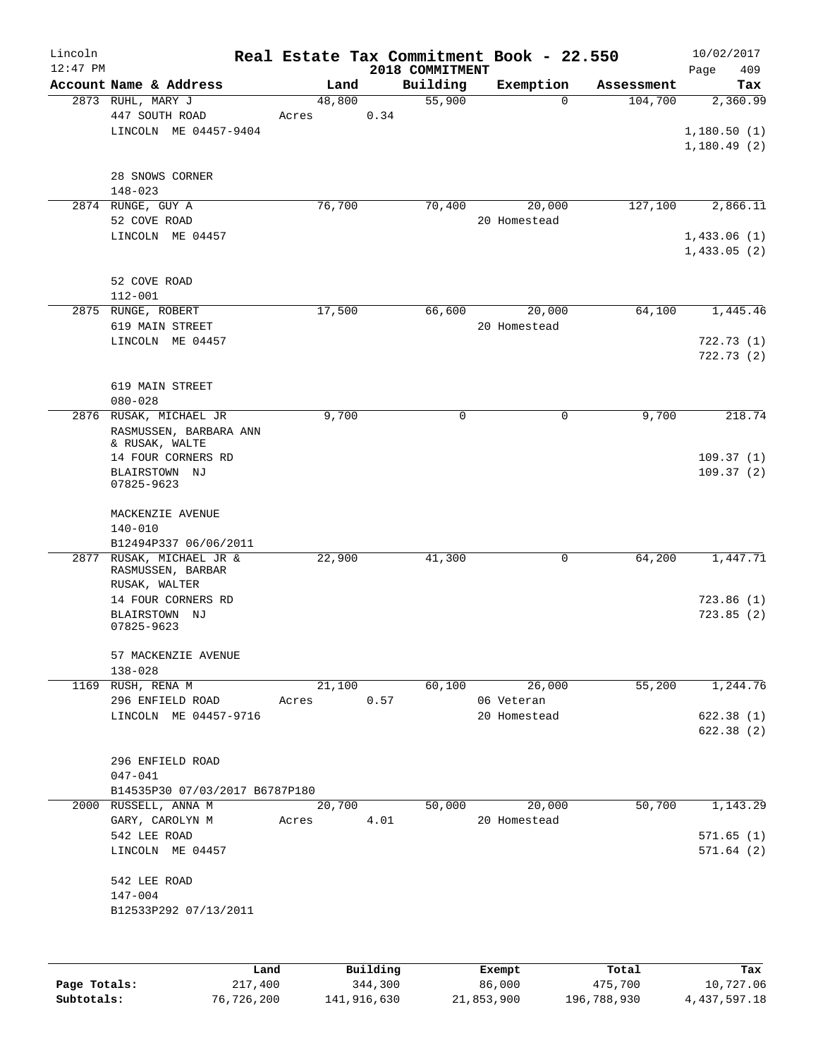| Lincoln<br>$12:47$ PM |                                                                    |                 |       | Real Estate Tax Commitment Book - 22.550<br>2018 COMMITMENT |              |                        |            | 10/02/2017<br>409<br>Page              |
|-----------------------|--------------------------------------------------------------------|-----------------|-------|-------------------------------------------------------------|--------------|------------------------|------------|----------------------------------------|
|                       | Account Name & Address                                             |                 | Land  | Building                                                    |              | Exemption              | Assessment | Tax                                    |
|                       | 2873 RUHL, MARY J<br>447 SOUTH ROAD<br>LINCOLN ME 04457-9404       | 48,800<br>Acres |       | 55,900<br>0.34                                              |              | $\Omega$               | 104,700    | 2,360.99<br>1,180.50(1)<br>1,180.49(2) |
|                       | 28 SNOWS CORNER<br>$148 - 023$                                     |                 |       |                                                             |              |                        |            |                                        |
|                       | 2874 RUNGE, GUY A<br>52 COVE ROAD                                  | 76,700          |       | 70,400                                                      |              | 20,000<br>20 Homestead | 127,100    | 2,866.11                               |
|                       | LINCOLN ME 04457                                                   |                 |       |                                                             |              |                        |            | 1,433.06(1)<br>1,433.05(2)             |
|                       | 52 COVE ROAD<br>$112 - 001$                                        |                 |       |                                                             |              |                        |            |                                        |
|                       | 2875 RUNGE, ROBERT<br>619 MAIN STREET                              | 17,500          |       | 66,600                                                      |              | 20,000<br>20 Homestead | 64,100     | 1,445.46                               |
|                       | LINCOLN ME 04457                                                   |                 |       |                                                             |              |                        |            | 722.73(1)<br>722.73 (2)                |
|                       | 619 MAIN STREET<br>$080 - 028$                                     |                 |       |                                                             |              |                        |            |                                        |
|                       | 2876 RUSAK, MICHAEL JR<br>RASMUSSEN, BARBARA ANN<br>& RUSAK, WALTE |                 | 9,700 | 0                                                           |              | 0                      | 9,700      | 218.74                                 |
|                       | 14 FOUR CORNERS RD<br>BLAIRSTOWN NJ<br>07825-9623                  |                 |       |                                                             |              |                        |            | 109.37(1)<br>109.37(2)                 |
|                       | MACKENZIE AVENUE<br>$140 - 010$<br>B12494P337 06/06/2011           |                 |       |                                                             |              |                        |            |                                        |
|                       | 2877 RUSAK, MICHAEL JR &<br>RASMUSSEN, BARBAR<br>RUSAK, WALTER     | 22,900          |       | 41,300                                                      |              | 0                      | 64,200     | 1,447.71                               |
|                       | 14 FOUR CORNERS RD<br>BLAIRSTOWN NJ<br>07825-9623                  |                 |       |                                                             |              |                        |            | 723.86(1)<br>723.85(2)                 |
|                       | 57 MACKENZIE AVENUE<br>$138 - 028$                                 |                 |       |                                                             |              |                        |            |                                        |
|                       | 1169 RUSH, RENA M<br>296 ENFIELD ROAD                              | 21,100<br>Acres |       | 60,100<br>0.57                                              |              | 26,000<br>06 Veteran   | 55,200     | 1,244.76                               |
|                       | LINCOLN ME 04457-9716                                              |                 |       |                                                             |              | 20 Homestead           |            | 622.38(1)<br>622.38 (2)                |
|                       | 296 ENFIELD ROAD<br>047-041                                        |                 |       |                                                             |              |                        |            |                                        |
|                       | B14535P30 07/03/2017 B6787P180                                     |                 |       |                                                             |              |                        |            |                                        |
|                       | 2000 RUSSELL, ANNA M<br>GARY, CAROLYN M<br>542 LEE ROAD            | 20,700<br>Acres |       | 50,000<br>4.01                                              |              | 20,000<br>20 Homestead | 50,700     | 1,143.29<br>571.65(1)                  |
|                       | LINCOLN ME 04457                                                   |                 |       |                                                             |              |                        |            | 571.64(2)                              |
|                       | 542 LEE ROAD<br>$147 - 004$                                        |                 |       |                                                             |              |                        |            |                                        |
|                       | B12533P292 07/13/2011                                              |                 |       |                                                             |              |                        |            |                                        |
|                       |                                                                    |                 | P114  |                                                             | <b>Duamo</b> |                        |            |                                        |

|              | Land       | Building    | Exempt     | Total       | Tax          |
|--------------|------------|-------------|------------|-------------|--------------|
| Page Totals: | 217,400    | 344,300     | 86,000     | 475,700     | 10,727.06    |
| Subtotals:   | 76,726,200 | 141,916,630 | 21,853,900 | 196,788,930 | 4,437,597.18 |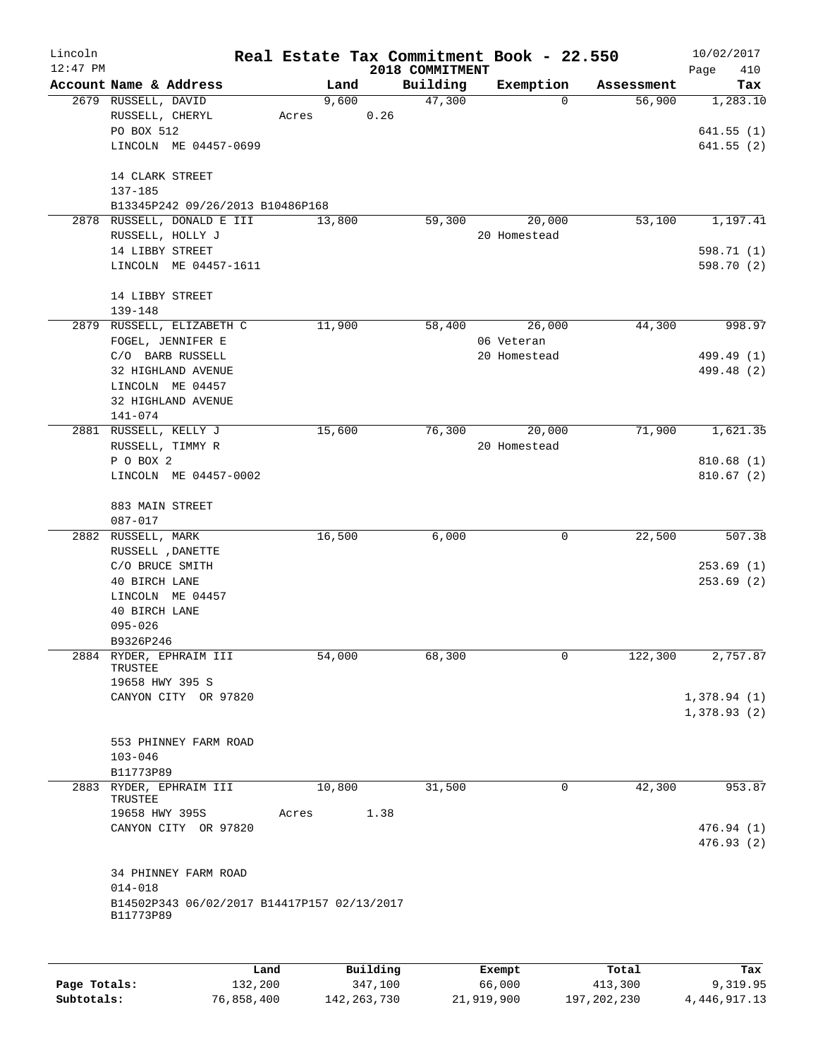| Lincoln<br>$12:47$ PM |                                             |      |        |          | 2018 COMMITMENT | Real Estate Tax Commitment Book - 22.550 |            | 10/02/2017<br>410<br>Page |
|-----------------------|---------------------------------------------|------|--------|----------|-----------------|------------------------------------------|------------|---------------------------|
|                       | Account Name & Address                      |      | Land   |          | Building        | Exemption                                | Assessment | Tax                       |
|                       | 2679 RUSSELL, DAVID                         |      | 9,600  |          | 47,300          | 0                                        | 56,900     | 1,283.10                  |
|                       | RUSSELL, CHERYL                             |      | Acres  | 0.26     |                 |                                          |            |                           |
|                       | PO BOX 512                                  |      |        |          |                 |                                          |            | 641.55(1)                 |
|                       | LINCOLN ME 04457-0699                       |      |        |          |                 |                                          |            | 641.55(2)                 |
|                       | 14 CLARK STREET                             |      |        |          |                 |                                          |            |                           |
|                       | 137-185                                     |      |        |          |                 |                                          |            |                           |
|                       | B13345P242 09/26/2013 B10486P168            |      |        |          |                 |                                          |            |                           |
|                       | 2878 RUSSELL, DONALD E III                  |      | 13,800 |          | 59,300          | 20,000                                   | 53,100     | 1,197.41                  |
|                       | RUSSELL, HOLLY J                            |      |        |          |                 | 20 Homestead                             |            |                           |
|                       | 14 LIBBY STREET                             |      |        |          |                 |                                          |            | 598.71 (1)                |
|                       | LINCOLN ME 04457-1611                       |      |        |          |                 |                                          |            | 598.70 (2)                |
|                       | 14 LIBBY STREET                             |      |        |          |                 |                                          |            |                           |
|                       | 139-148                                     |      |        |          |                 |                                          |            |                           |
|                       | 2879 RUSSELL, ELIZABETH C                   |      | 11,900 |          | 58,400          | 26,000                                   | 44,300     | 998.97                    |
|                       | FOGEL, JENNIFER E                           |      |        |          |                 | 06 Veteran                               |            |                           |
|                       | C/O BARB RUSSELL                            |      |        |          |                 | 20 Homestead                             |            | 499.49 (1)                |
|                       | 32 HIGHLAND AVENUE                          |      |        |          |                 |                                          |            | 499.48 (2)                |
|                       | LINCOLN ME 04457                            |      |        |          |                 |                                          |            |                           |
|                       | 32 HIGHLAND AVENUE                          |      |        |          |                 |                                          |            |                           |
|                       | 141-074                                     |      |        |          |                 |                                          |            |                           |
|                       | 2881 RUSSELL, KELLY J                       |      | 15,600 |          | 76,300          | 20,000                                   | 71,900     | 1,621.35                  |
|                       | RUSSELL, TIMMY R                            |      |        |          |                 | 20 Homestead                             |            |                           |
|                       | P O BOX 2                                   |      |        |          |                 |                                          |            | 810.68(1)                 |
|                       | LINCOLN ME 04457-0002                       |      |        |          |                 |                                          |            | 810.67(2)                 |
|                       |                                             |      |        |          |                 |                                          |            |                           |
|                       | 883 MAIN STREET                             |      |        |          |                 |                                          |            |                           |
|                       | 087-017                                     |      | 16,500 |          |                 | 0                                        | 22,500     | 507.38                    |
|                       | 2882 RUSSELL, MARK<br>RUSSELL , DANETTE     |      |        |          | 6,000           |                                          |            |                           |
|                       | C/O BRUCE SMITH                             |      |        |          |                 |                                          |            | 253.69(1)                 |
|                       | 40 BIRCH LANE                               |      |        |          |                 |                                          |            | 253.69(2)                 |
|                       | LINCOLN ME 04457                            |      |        |          |                 |                                          |            |                           |
|                       |                                             |      |        |          |                 |                                          |            |                           |
|                       | 40 BIRCH LANE<br>$095 - 026$                |      |        |          |                 |                                          |            |                           |
|                       | B9326P246                                   |      |        |          |                 |                                          |            |                           |
|                       | 2884 RYDER, EPHRAIM III                     |      | 54,000 |          | 68,300          | 0                                        | 122,300    | 2,757.87                  |
|                       | TRUSTEE                                     |      |        |          |                 |                                          |            |                           |
|                       | 19658 HWY 395 S                             |      |        |          |                 |                                          |            |                           |
|                       | CANYON CITY OR 97820                        |      |        |          |                 |                                          |            | 1,378.94(1)               |
|                       |                                             |      |        |          |                 |                                          |            | 1,378.93(2)               |
|                       |                                             |      |        |          |                 |                                          |            |                           |
|                       | 553 PHINNEY FARM ROAD                       |      |        |          |                 |                                          |            |                           |
|                       | $103 - 046$                                 |      |        |          |                 |                                          |            |                           |
|                       | B11773P89                                   |      |        |          |                 |                                          |            |                           |
|                       | 2883 RYDER, EPHRAIM III<br>TRUSTEE          |      | 10,800 |          | 31,500          | 0                                        | 42,300     | 953.87                    |
|                       | 19658 HWY 395S                              |      | Acres  | 1.38     |                 |                                          |            |                           |
|                       | CANYON CITY OR 97820                        |      |        |          |                 |                                          |            | 476.94(1)                 |
|                       |                                             |      |        |          |                 |                                          |            | 476.93(2)                 |
|                       | 34 PHINNEY FARM ROAD                        |      |        |          |                 |                                          |            |                           |
|                       | $014 - 018$                                 |      |        |          |                 |                                          |            |                           |
|                       | B14502P343 06/02/2017 B14417P157 02/13/2017 |      |        |          |                 |                                          |            |                           |
|                       | B11773P89                                   |      |        |          |                 |                                          |            |                           |
|                       |                                             |      |        |          |                 |                                          |            |                           |
|                       |                                             | Land |        | Building |                 | Exempt                                   | Total      | Tax                       |

|              | Land       | Building    | Exempt     | Total       | тах          |
|--------------|------------|-------------|------------|-------------|--------------|
| Page Totals: | 132,200    | 347,100     | 66,000     | 413,300     | 9,319.95     |
| Subtotals:   | 76,858,400 | 142,263,730 | 21,919,900 | 197,202,230 | 4,446,917.13 |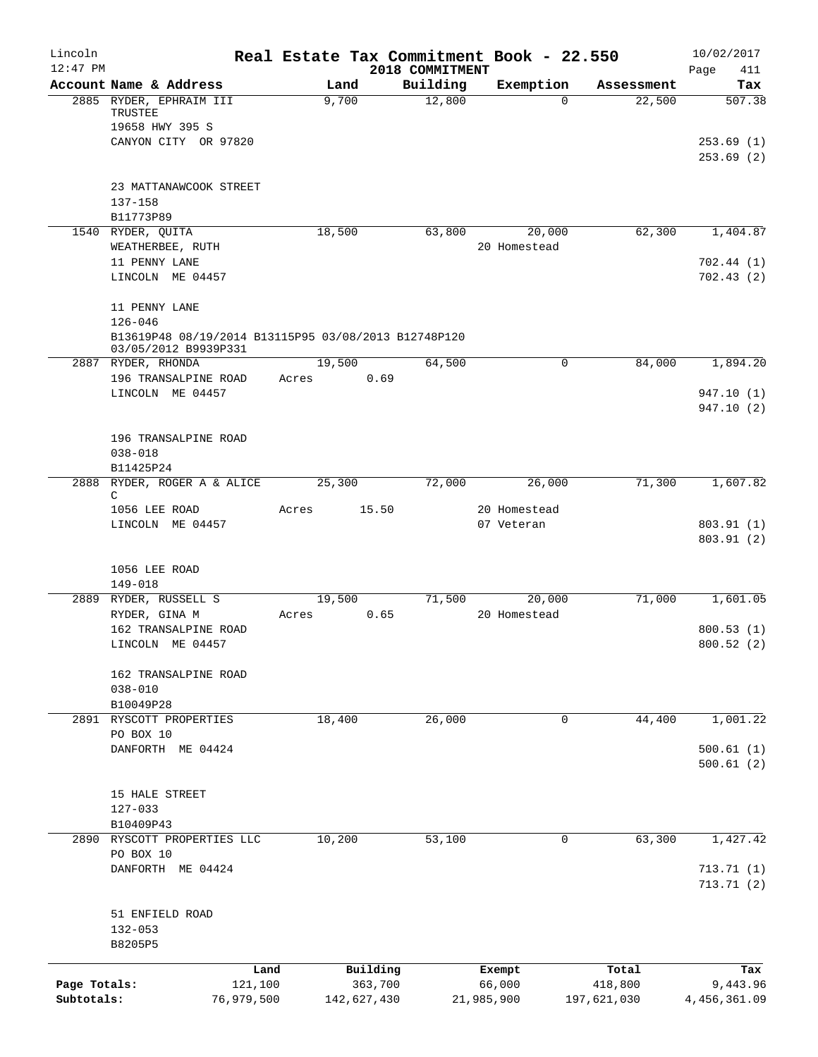| Lincoln<br>$12:47$ PM |                                                                     | Real Estate Tax Commitment Book - 22.550 |             | 2018 COMMITMENT |            |              |             | 10/02/2017<br>Page<br>411 |
|-----------------------|---------------------------------------------------------------------|------------------------------------------|-------------|-----------------|------------|--------------|-------------|---------------------------|
|                       | Account Name & Address                                              | Land                                     |             | Building        |            | Exemption    | Assessment  | Tax                       |
|                       | 2885 RYDER, EPHRAIM III<br>TRUSTEE                                  | 9,700                                    |             | 12,800          |            | $\Omega$     | 22,500      | 507.38                    |
|                       | 19658 HWY 395 S<br>CANYON CITY OR 97820                             |                                          |             |                 |            |              |             | 253.69(1)                 |
|                       |                                                                     |                                          |             |                 |            |              |             | 253.69(2)                 |
|                       | 23 MATTANAWCOOK STREET                                              |                                          |             |                 |            |              |             |                           |
|                       | 137-158<br>B11773P89                                                |                                          |             |                 |            |              |             |                           |
|                       | 1540 RYDER, QUITA                                                   | 18,500                                   |             | 63,800          |            | 20,000       | 62,300      | 1,404.87                  |
|                       | WEATHERBEE, RUTH                                                    |                                          |             |                 |            | 20 Homestead |             |                           |
|                       | 11 PENNY LANE                                                       |                                          |             |                 |            |              |             | 702.44(1)                 |
|                       | LINCOLN ME 04457                                                    |                                          |             |                 |            |              |             | 702.43(2)                 |
|                       | 11 PENNY LANE                                                       |                                          |             |                 |            |              |             |                           |
|                       | $126 - 046$<br>B13619P48 08/19/2014 B13115P95 03/08/2013 B12748P120 |                                          |             |                 |            |              |             |                           |
|                       | 03/05/2012 B9939P331                                                |                                          |             |                 |            |              |             |                           |
|                       | 2887 RYDER, RHONDA                                                  | 19,500                                   |             | 64,500          |            | 0            | 84,000      | 1,894.20                  |
|                       | 196 TRANSALPINE ROAD                                                | Acres                                    | 0.69        |                 |            |              |             |                           |
|                       | LINCOLN ME 04457                                                    |                                          |             |                 |            |              |             | 947.10 (1)<br>947.10 (2)  |
|                       |                                                                     |                                          |             |                 |            |              |             |                           |
|                       | 196 TRANSALPINE ROAD                                                |                                          |             |                 |            |              |             |                           |
|                       | $038 - 018$                                                         |                                          |             |                 |            |              |             |                           |
| 2888                  | B11425P24                                                           |                                          |             |                 |            |              |             |                           |
|                       | RYDER, ROGER A & ALICE<br>C                                         | 25,300                                   |             | 72,000          |            | 26,000       | 71,300      | 1,607.82                  |
|                       | 1056 LEE ROAD                                                       | Acres                                    | 15.50       |                 |            | 20 Homestead |             |                           |
|                       | LINCOLN ME 04457                                                    |                                          |             |                 |            | 07 Veteran   |             | 803.91 (1)                |
|                       |                                                                     |                                          |             |                 |            |              |             | 803.91 (2)                |
|                       | 1056 LEE ROAD                                                       |                                          |             |                 |            |              |             |                           |
|                       | $149 - 018$                                                         |                                          |             |                 |            |              |             |                           |
|                       | 2889 RYDER, RUSSELL S                                               | 19,500                                   |             | 71,500          |            | 20,000       | 71,000      | 1,601.05                  |
|                       | RYDER, GINA M                                                       | Acres                                    | 0.65        |                 |            | 20 Homestead |             |                           |
|                       | 162 TRANSALPINE ROAD                                                |                                          |             |                 |            |              |             | 800.53(1)                 |
|                       | LINCOLN ME 04457                                                    |                                          |             |                 |            |              |             | 800.52(2)                 |
|                       | 162 TRANSALPINE ROAD                                                |                                          |             |                 |            |              |             |                           |
|                       | $038 - 010$                                                         |                                          |             |                 |            |              |             |                           |
|                       | B10049P28                                                           |                                          |             |                 |            |              |             |                           |
|                       | 2891 RYSCOTT PROPERTIES                                             | 18,400                                   |             | 26,000          |            | 0            | 44,400      | 1,001.22                  |
|                       | PO BOX 10                                                           |                                          |             |                 |            |              |             |                           |
|                       | DANFORTH ME 04424                                                   |                                          |             |                 |            |              |             | 500.61(1)<br>500.61(2)    |
|                       |                                                                     |                                          |             |                 |            |              |             |                           |
|                       | 15 HALE STREET                                                      |                                          |             |                 |            |              |             |                           |
|                       | $127 - 033$                                                         |                                          |             |                 |            |              |             |                           |
|                       | B10409P43                                                           |                                          |             |                 |            |              |             |                           |
|                       | 2890 RYSCOTT PROPERTIES LLC                                         | 10,200                                   |             | 53,100          |            | 0            | 63,300      | 1,427.42                  |
|                       | PO BOX 10<br>DANFORTH ME 04424                                      |                                          |             |                 |            |              |             | 713.71(1)                 |
|                       |                                                                     |                                          |             |                 |            |              |             | 713.71(2)                 |
|                       | 51 ENFIELD ROAD                                                     |                                          |             |                 |            |              |             |                           |
|                       | $132 - 053$                                                         |                                          |             |                 |            |              |             |                           |
|                       | B8205P5                                                             |                                          |             |                 |            |              |             |                           |
|                       |                                                                     | Land                                     | Building    |                 |            | Exempt       | Total       | Tax                       |
| Page Totals:          | 121,100                                                             |                                          | 363,700     |                 |            | 66,000       | 418,800     | 9,443.96                  |
| Subtotals:            | 76,979,500                                                          |                                          | 142,627,430 |                 | 21,985,900 |              | 197,621,030 | 4,456,361.09              |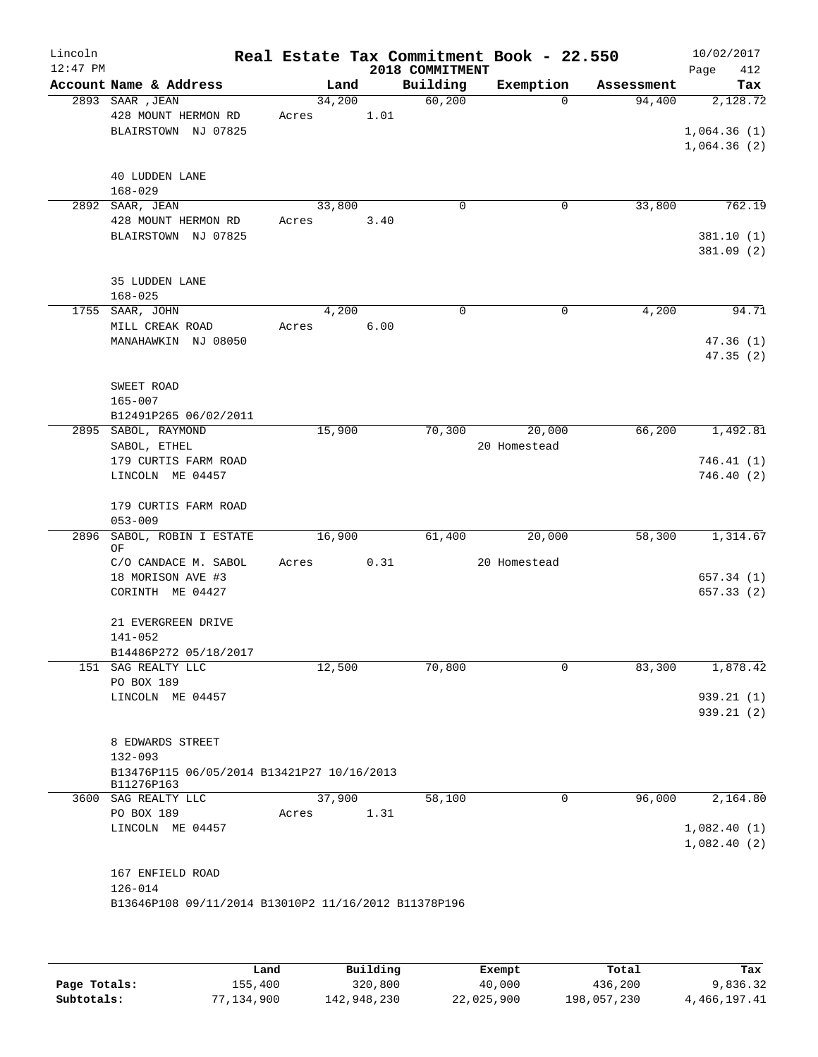| Lincoln<br>$12:47$ PM |                                                      |       |        |      | 2018 COMMITMENT | Real Estate Tax Commitment Book - 22.550 |            | 10/02/2017<br>412<br>Page |
|-----------------------|------------------------------------------------------|-------|--------|------|-----------------|------------------------------------------|------------|---------------------------|
|                       | Account Name & Address                               |       | Land   |      | Building        | Exemption                                | Assessment | Tax                       |
|                       | 2893 SAAR , JEAN                                     |       | 34,200 |      | 60,200          | $\Omega$                                 | 94,400     | 2,128.72                  |
|                       | 428 MOUNT HERMON RD                                  | Acres |        | 1.01 |                 |                                          |            |                           |
|                       | BLAIRSTOWN NJ 07825                                  |       |        |      |                 |                                          |            | 1,064.36(1)               |
|                       |                                                      |       |        |      |                 |                                          |            | 1,064.36(2)               |
|                       |                                                      |       |        |      |                 |                                          |            |                           |
|                       | <b>40 LUDDEN LANE</b><br>$168 - 029$                 |       |        |      |                 |                                          |            |                           |
|                       | 2892 SAAR, JEAN                                      |       | 33,800 |      | $\Omega$        | $\mathbf 0$                              | 33,800     | 762.19                    |
|                       | 428 MOUNT HERMON RD                                  | Acres |        | 3.40 |                 |                                          |            |                           |
|                       | BLAIRSTOWN NJ 07825                                  |       |        |      |                 |                                          |            | 381.10(1)                 |
|                       |                                                      |       |        |      |                 |                                          |            | 381.09(2)                 |
|                       |                                                      |       |        |      |                 |                                          |            |                           |
|                       | 35 LUDDEN LANE                                       |       |        |      |                 |                                          |            |                           |
|                       | $168 - 025$                                          |       |        |      | $\Omega$        |                                          |            |                           |
|                       | 1755 SAAR, JOHN<br>MILL CREAK ROAD                   | Acres | 4,200  | 6.00 |                 | $\mathbf 0$                              | 4,200      | 94.71                     |
|                       | MANAHAWKIN NJ 08050                                  |       |        |      |                 |                                          |            | 47.36(1)                  |
|                       |                                                      |       |        |      |                 |                                          |            | 47.35(2)                  |
|                       |                                                      |       |        |      |                 |                                          |            |                           |
|                       | SWEET ROAD                                           |       |        |      |                 |                                          |            |                           |
|                       | 165-007                                              |       |        |      |                 |                                          |            |                           |
|                       | B12491P265 06/02/2011                                |       |        |      |                 |                                          |            |                           |
|                       | 2895 SABOL, RAYMOND                                  |       | 15,900 |      | 70,300          | 20,000                                   | 66,200     | 1,492.81                  |
|                       | SABOL, ETHEL                                         |       |        |      |                 | 20 Homestead                             |            |                           |
|                       | 179 CURTIS FARM ROAD                                 |       |        |      |                 |                                          |            | 746.41 (1)                |
|                       | LINCOLN ME 04457                                     |       |        |      |                 |                                          |            | 746.40(2)                 |
|                       | 179 CURTIS FARM ROAD                                 |       |        |      |                 |                                          |            |                           |
|                       | $053 - 009$                                          |       |        |      |                 |                                          |            |                           |
| 2896                  | SABOL, ROBIN I ESTATE<br>OF                          |       | 16,900 |      | 61,400          | 20,000                                   | 58,300     | 1,314.67                  |
|                       | C/O CANDACE M. SABOL                                 | Acres |        | 0.31 |                 | 20 Homestead                             |            |                           |
|                       | 18 MORISON AVE #3                                    |       |        |      |                 |                                          |            | 657.34(1)                 |
|                       | CORINTH ME 04427                                     |       |        |      |                 |                                          |            | 657.33(2)                 |
|                       |                                                      |       |        |      |                 |                                          |            |                           |
|                       | 21 EVERGREEN DRIVE                                   |       |        |      |                 |                                          |            |                           |
|                       | 141-052                                              |       |        |      |                 |                                          |            |                           |
|                       | B14486P272 05/18/2017                                |       |        |      |                 |                                          |            |                           |
|                       | 151 SAG REALTY LLC                                   |       | 12,500 |      | 70,800          | $\mathbf 0$                              | 83,300     | 1,878.42                  |
|                       | PO BOX 189<br>LINCOLN ME 04457                       |       |        |      |                 |                                          |            | 939.21 (1)                |
|                       |                                                      |       |        |      |                 |                                          |            | 939.21(2)                 |
|                       |                                                      |       |        |      |                 |                                          |            |                           |
|                       | 8 EDWARDS STREET                                     |       |        |      |                 |                                          |            |                           |
|                       | $132 - 093$                                          |       |        |      |                 |                                          |            |                           |
|                       | B13476P115 06/05/2014 B13421P27 10/16/2013           |       |        |      |                 |                                          |            |                           |
|                       | B11276P163<br>3600 SAG REALTY LLC                    |       | 37,900 |      | 58,100          | 0                                        | 96,000     | 2,164.80                  |
|                       | PO BOX 189                                           | Acres |        | 1.31 |                 |                                          |            |                           |
|                       | LINCOLN ME 04457                                     |       |        |      |                 |                                          |            | 1,082.40(1)               |
|                       |                                                      |       |        |      |                 |                                          |            | 1,082.40(2)               |
|                       |                                                      |       |        |      |                 |                                          |            |                           |
|                       | 167 ENFIELD ROAD                                     |       |        |      |                 |                                          |            |                           |
|                       | $126 - 014$                                          |       |        |      |                 |                                          |            |                           |
|                       | B13646P108 09/11/2014 B13010P2 11/16/2012 B11378P196 |       |        |      |                 |                                          |            |                           |
|                       |                                                      |       |        |      |                 |                                          |            |                           |
|                       |                                                      |       |        |      |                 |                                          |            |                           |

|              | Land       | Building    | Exempt     | Total       | Tax          |
|--------------|------------|-------------|------------|-------------|--------------|
| Page Totals: | 155,400    | 320,800     | 40,000     | 436,200     | 9,836.32     |
| Subtotals:   | 77,134,900 | 142,948,230 | 22,025,900 | 198,057,230 | 4,466,197.41 |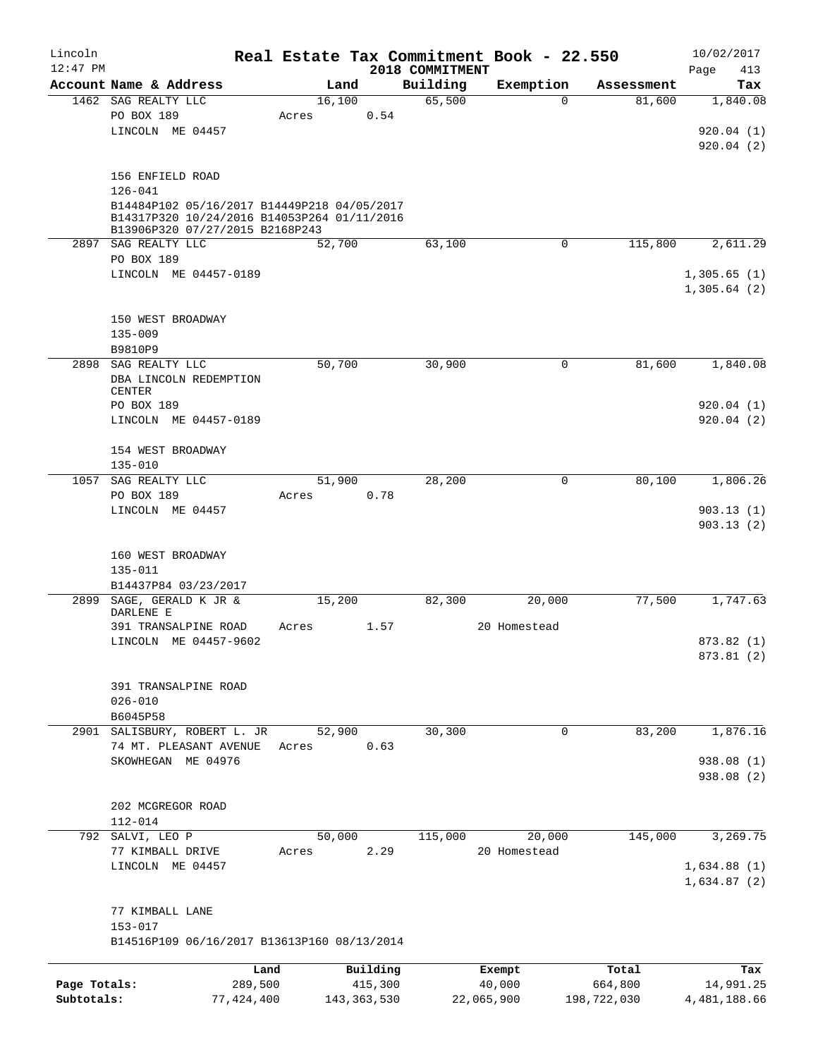| Lincoln<br>$12:47$ PM |                                               |       |        |               |                             | Real Estate Tax Commitment Book - 22.550 |                        | 10/02/2017         |
|-----------------------|-----------------------------------------------|-------|--------|---------------|-----------------------------|------------------------------------------|------------------------|--------------------|
|                       | Account Name & Address                        |       | Land   |               | 2018 COMMITMENT<br>Building | Exemption                                |                        | Page<br>413<br>Tax |
|                       | 1462 SAG REALTY LLC                           |       | 16,100 |               | 65,500                      | 0                                        | Assessment<br>81,600   | 1,840.08           |
|                       | PO BOX 189                                    | Acres |        | 0.54          |                             |                                          |                        |                    |
|                       | LINCOLN ME 04457                              |       |        |               |                             |                                          |                        | 920.04(1)          |
|                       |                                               |       |        |               |                             |                                          |                        | 920.04(2)          |
|                       |                                               |       |        |               |                             |                                          |                        |                    |
|                       | 156 ENFIELD ROAD                              |       |        |               |                             |                                          |                        |                    |
|                       | $126 - 041$                                   |       |        |               |                             |                                          |                        |                    |
|                       | B14484P102 05/16/2017 B14449P218 04/05/2017   |       |        |               |                             |                                          |                        |                    |
|                       | B14317P320 10/24/2016 B14053P264 01/11/2016   |       |        |               |                             |                                          |                        |                    |
|                       | B13906P320 07/27/2015 B2168P243               |       |        |               |                             |                                          |                        |                    |
|                       | 2897 SAG REALTY LLC<br>PO BOX 189             |       | 52,700 |               | 63,100                      | 0                                        | 115,800                | 2,611.29           |
|                       | LINCOLN ME 04457-0189                         |       |        |               |                             |                                          |                        | 1,305.65(1)        |
|                       |                                               |       |        |               |                             |                                          |                        | 1,305.64(2)        |
|                       |                                               |       |        |               |                             |                                          |                        |                    |
|                       | 150 WEST BROADWAY                             |       |        |               |                             |                                          |                        |                    |
|                       | $135 - 009$                                   |       |        |               |                             |                                          |                        |                    |
|                       | B9810P9                                       |       |        |               |                             |                                          |                        |                    |
| 2898                  | SAG REALTY LLC                                |       | 50,700 |               | 30,900                      | 0                                        | 81,600                 | 1,840.08           |
|                       | DBA LINCOLN REDEMPTION                        |       |        |               |                             |                                          |                        |                    |
|                       | <b>CENTER</b>                                 |       |        |               |                             |                                          |                        |                    |
|                       | PO BOX 189                                    |       |        |               |                             |                                          |                        | 920.04(1)          |
|                       | LINCOLN ME 04457-0189                         |       |        |               |                             |                                          |                        | 920.04(2)          |
|                       |                                               |       |        |               |                             |                                          |                        |                    |
|                       | 154 WEST BROADWAY                             |       |        |               |                             |                                          |                        |                    |
| 1057                  | $135 - 010$                                   |       |        |               |                             |                                          |                        |                    |
|                       | SAG REALTY LLC                                |       | 51,900 |               | 28,200                      | 0                                        | 80,100                 | 1,806.26           |
|                       | PO BOX 189<br>LINCOLN ME 04457                | Acres |        | 0.78          |                             |                                          |                        | 903.13(1)          |
|                       |                                               |       |        |               |                             |                                          |                        | 903.13(2)          |
|                       |                                               |       |        |               |                             |                                          |                        |                    |
|                       | 160 WEST BROADWAY                             |       |        |               |                             |                                          |                        |                    |
|                       | 135-011                                       |       |        |               |                             |                                          |                        |                    |
|                       | B14437P84 03/23/2017                          |       |        |               |                             |                                          |                        |                    |
| 2899                  | SAGE, GERALD K JR &                           |       | 15,200 |               | 82,300                      | 20,000                                   | 77,500                 | 1,747.63           |
|                       | DARLENE E                                     |       |        |               |                             |                                          |                        |                    |
|                       | 391 TRANSALPINE ROAD<br>LINCOLN ME 04457-9602 | Acres |        | 1.57          |                             | 20 Homestead                             |                        | 873.82 (1)         |
|                       |                                               |       |        |               |                             |                                          |                        | 873.81 (2)         |
|                       |                                               |       |        |               |                             |                                          |                        |                    |
|                       | 391 TRANSALPINE ROAD                          |       |        |               |                             |                                          |                        |                    |
|                       | $026 - 010$                                   |       |        |               |                             |                                          |                        |                    |
|                       | B6045P58                                      |       |        |               |                             |                                          |                        |                    |
| 2901                  | SALISBURY, ROBERT L. JR                       |       | 52,900 |               | 30, 300                     | 0                                        | 83,200                 | 1,876.16           |
|                       | 74 MT. PLEASANT AVENUE                        | Acres |        | 0.63          |                             |                                          |                        |                    |
|                       | SKOWHEGAN ME 04976                            |       |        |               |                             |                                          |                        | 938.08 (1)         |
|                       |                                               |       |        |               |                             |                                          |                        | 938.08 (2)         |
|                       |                                               |       |        |               |                             |                                          |                        |                    |
|                       | 202 MCGREGOR ROAD                             |       |        |               |                             |                                          |                        |                    |
|                       | $112 - 014$                                   |       |        |               |                             |                                          |                        |                    |
|                       | 792 SALVI, LEO P                              |       | 50,000 |               | 115,000                     | 20,000                                   | 145,000                | 3,269.75           |
|                       | 77 KIMBALL DRIVE                              | Acres |        | 2.29          |                             | 20 Homestead                             |                        |                    |
|                       | LINCOLN ME 04457                              |       |        |               |                             |                                          |                        | 1,634.88(1)        |
|                       |                                               |       |        |               |                             |                                          |                        | 1,634.87(2)        |
|                       | 77 KIMBALL LANE                               |       |        |               |                             |                                          |                        |                    |
|                       | $153 - 017$                                   |       |        |               |                             |                                          |                        |                    |
|                       | B14516P109 06/16/2017 B13613P160 08/13/2014   |       |        |               |                             |                                          |                        |                    |
|                       |                                               |       |        |               |                             |                                          |                        |                    |
|                       |                                               | Land  |        | Building      |                             | Exempt                                   | Total                  | Tax                |
| Page Totals:          | 289,500                                       |       |        | 415,300       |                             | 40,000                                   | 664,800<br>198,722,030 | 14,991.25          |
| Subtotals:            | 77, 424, 400                                  |       |        | 143, 363, 530 |                             | 22,065,900                               |                        | 4,481,188.66       |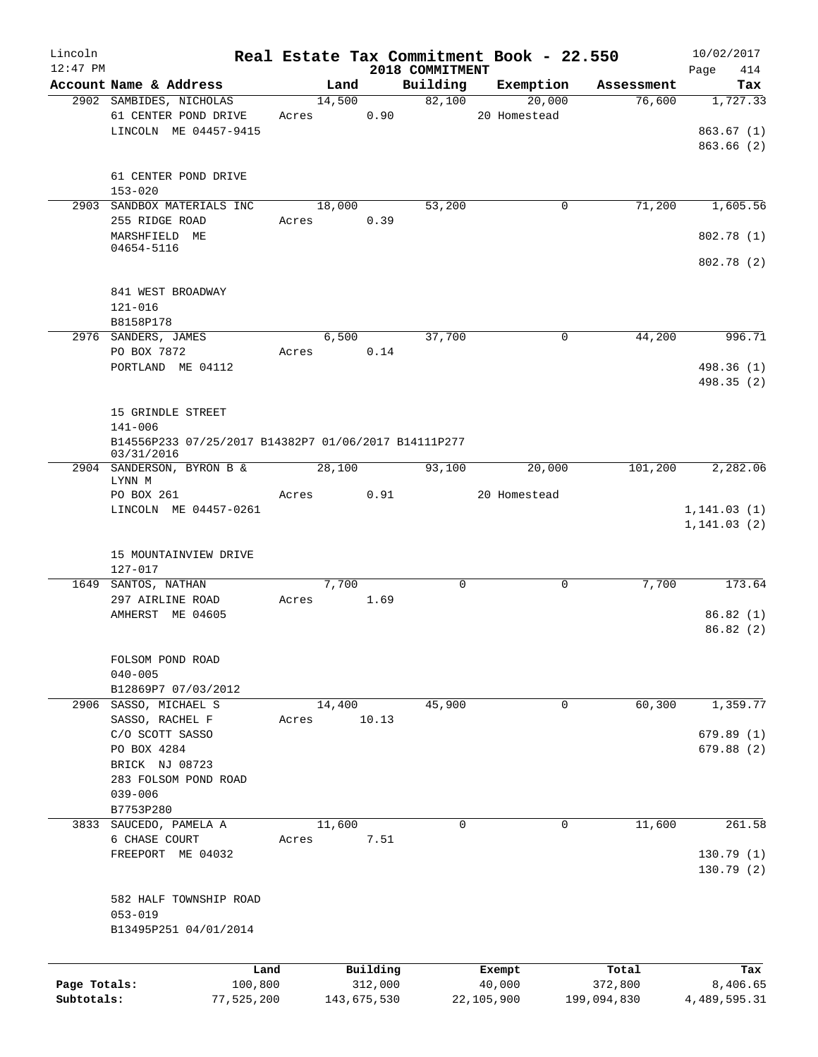| Lincoln      |                                                                    |       |             |                 | Real Estate Tax Commitment Book - 22.550 |             | 10/02/2017             |
|--------------|--------------------------------------------------------------------|-------|-------------|-----------------|------------------------------------------|-------------|------------------------|
| $12:47$ PM   |                                                                    |       |             | 2018 COMMITMENT |                                          |             | 414<br>Page            |
|              | Account Name & Address                                             |       | Land        | Building        | Exemption                                | Assessment  | Tax                    |
|              | 2902 SAMBIDES, NICHOLAS                                            |       | 14,500      | 82,100          | 20,000                                   | 76,600      | 1,727.33               |
|              | 61 CENTER POND DRIVE<br>LINCOLN ME 04457-9415                      | Acres | 0.90        |                 | 20 Homestead                             |             | 863.67(1)              |
|              |                                                                    |       |             |                 |                                          |             | 863.66(2)              |
|              |                                                                    |       |             |                 |                                          |             |                        |
|              | 61 CENTER POND DRIVE                                               |       |             |                 |                                          |             |                        |
|              | $153 - 020$                                                        |       |             |                 |                                          |             |                        |
|              | 2903 SANDBOX MATERIALS INC                                         |       | 18,000      | 53,200          | 0                                        | 71,200      | 1,605.56               |
|              | 255 RIDGE ROAD                                                     | Acres | 0.39        |                 |                                          |             |                        |
|              | MARSHFIELD ME                                                      |       |             |                 |                                          |             | 802.78(1)              |
|              | 04654-5116                                                         |       |             |                 |                                          |             | 802.78(2)              |
|              |                                                                    |       |             |                 |                                          |             |                        |
|              | 841 WEST BROADWAY                                                  |       |             |                 |                                          |             |                        |
|              | $121 - 016$                                                        |       |             |                 |                                          |             |                        |
|              | B8158P178                                                          |       |             |                 |                                          |             |                        |
|              | 2976 SANDERS, JAMES                                                |       | 6,500       | 37,700          | 0                                        | 44,200      | 996.71                 |
|              | PO BOX 7872                                                        | Acres | 0.14        |                 |                                          |             |                        |
|              | PORTLAND ME 04112                                                  |       |             |                 |                                          |             | 498.36 (1)             |
|              |                                                                    |       |             |                 |                                          |             | 498.35(2)              |
|              |                                                                    |       |             |                 |                                          |             |                        |
|              | 15 GRINDLE STREET                                                  |       |             |                 |                                          |             |                        |
|              | $141 - 006$                                                        |       |             |                 |                                          |             |                        |
|              | B14556P233 07/25/2017 B14382P7 01/06/2017 B14111P277<br>03/31/2016 |       |             |                 |                                          |             |                        |
|              | 2904 SANDERSON, BYRON B &                                          |       | 28,100      | 93,100          | 20,000                                   | 101,200     | 2,282.06               |
|              | LYNN M                                                             |       |             |                 |                                          |             |                        |
|              | PO BOX 261                                                         | Acres | 0.91        |                 | 20 Homestead                             |             |                        |
|              | LINCOLN ME 04457-0261                                              |       |             |                 |                                          |             | 1, 141.03(1)           |
|              |                                                                    |       |             |                 |                                          |             | 1, 141.03(2)           |
|              | 15 MOUNTAINVIEW DRIVE                                              |       |             |                 |                                          |             |                        |
|              | 127-017                                                            |       |             |                 |                                          |             |                        |
|              | 1649 SANTOS, NATHAN                                                |       | 7,700       | $\Omega$        | $\Omega$                                 | 7,700       | 173.64                 |
|              | 297 AIRLINE ROAD                                                   | Acres | 1.69        |                 |                                          |             |                        |
|              | AMHERST ME 04605                                                   |       |             |                 |                                          |             | 86.82(1)               |
|              |                                                                    |       |             |                 |                                          |             | 86.82(2)               |
|              |                                                                    |       |             |                 |                                          |             |                        |
|              | FOLSOM POND ROAD                                                   |       |             |                 |                                          |             |                        |
|              | $040 - 005$                                                        |       |             |                 |                                          |             |                        |
|              | B12869P7 07/03/2012                                                |       |             |                 |                                          |             |                        |
|              | 2906 SASSO, MICHAEL S                                              |       | 14,400      | 45,900          | $\mathbf{0}$                             | 60,300      | 1,359.77               |
|              | SASSO, RACHEL F                                                    | Acres | 10.13       |                 |                                          |             |                        |
|              | C/O SCOTT SASSO<br>PO BOX 4284                                     |       |             |                 |                                          |             | 679.89(1)<br>679.88(2) |
|              | BRICK NJ 08723                                                     |       |             |                 |                                          |             |                        |
|              | 283 FOLSOM POND ROAD                                               |       |             |                 |                                          |             |                        |
|              | $039 - 006$                                                        |       |             |                 |                                          |             |                        |
|              | B7753P280                                                          |       |             |                 |                                          |             |                        |
|              | 3833 SAUCEDO, PAMELA A                                             |       | 11,600      | 0               | 0                                        | 11,600      | 261.58                 |
|              | 6 CHASE COURT                                                      | Acres | 7.51        |                 |                                          |             |                        |
|              | FREEPORT ME 04032                                                  |       |             |                 |                                          |             | 130.79(1)              |
|              |                                                                    |       |             |                 |                                          |             | 130.79(2)              |
|              |                                                                    |       |             |                 |                                          |             |                        |
|              | 582 HALF TOWNSHIP ROAD                                             |       |             |                 |                                          |             |                        |
|              | $053 - 019$                                                        |       |             |                 |                                          |             |                        |
|              | B13495P251 04/01/2014                                              |       |             |                 |                                          |             |                        |
|              |                                                                    |       |             |                 |                                          |             |                        |
|              |                                                                    | Land  | Building    |                 | Exempt                                   | Total       | Tax                    |
| Page Totals: | 100,800                                                            |       | 312,000     |                 | 40,000                                   | 372,800     | 8,406.65               |
| Subtotals:   | 77,525,200                                                         |       | 143,675,530 |                 | 22,105,900                               | 199,094,830 | 4, 489, 595.31         |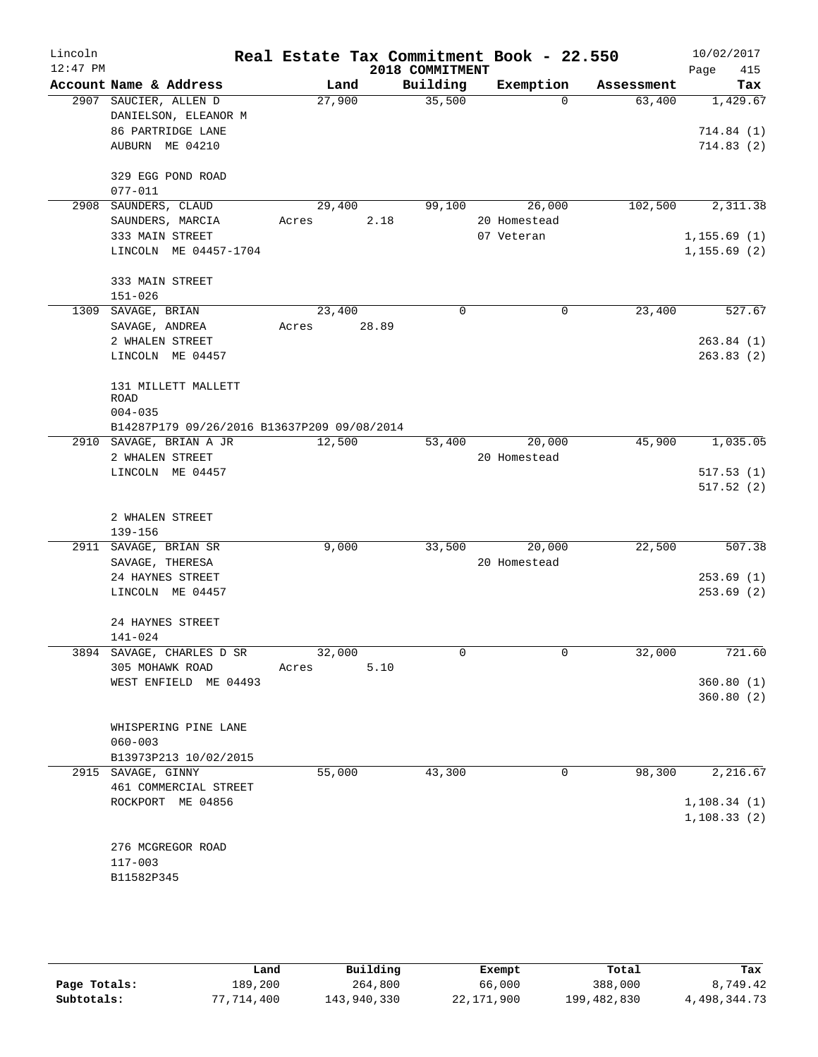| Lincoln<br>$12:47$ PM |                                             | Real Estate Tax Commitment Book - 22.550 | 2018 COMMITMENT |              |            | 10/02/2017<br>415 |
|-----------------------|---------------------------------------------|------------------------------------------|-----------------|--------------|------------|-------------------|
|                       | Account Name & Address                      | Land                                     | Building        | Exemption    | Assessment | Page<br>Tax       |
|                       | 2907 SAUCIER, ALLEN D                       | 27,900                                   | 35,500          | $\Omega$     | 63,400     | 1,429.67          |
|                       | DANIELSON, ELEANOR M                        |                                          |                 |              |            |                   |
|                       | 86 PARTRIDGE LANE                           |                                          |                 |              |            | 714.84(1)         |
|                       | AUBURN ME 04210                             |                                          |                 |              |            | 714.83(2)         |
|                       | 329 EGG POND ROAD                           |                                          |                 |              |            |                   |
|                       | $077 - 011$                                 |                                          |                 |              |            |                   |
|                       | 2908 SAUNDERS, CLAUD                        | 29,400                                   | 99,100          | 26,000       | 102,500    | 2,311.38          |
|                       | SAUNDERS, MARCIA                            | 2.18<br>Acres                            |                 | 20 Homestead |            |                   |
|                       | 333 MAIN STREET                             |                                          |                 | 07 Veteran   |            | 1, 155.69(1)      |
|                       | LINCOLN ME 04457-1704                       |                                          |                 |              |            | 1, 155.69(2)      |
|                       | 333 MAIN STREET                             |                                          |                 |              |            |                   |
|                       | $151 - 026$                                 |                                          |                 |              |            |                   |
|                       | 1309 SAVAGE, BRIAN                          | 23,400                                   | $\Omega$        | $\mathbf 0$  | 23,400     | 527.67            |
|                       | SAVAGE, ANDREA                              | 28.89<br>Acres                           |                 |              |            |                   |
|                       | 2 WHALEN STREET                             |                                          |                 |              |            | 263.84(1)         |
|                       | LINCOLN ME 04457                            |                                          |                 |              |            | 263.83(2)         |
|                       | 131 MILLETT MALLETT                         |                                          |                 |              |            |                   |
|                       | ROAD                                        |                                          |                 |              |            |                   |
|                       | $004 - 035$                                 |                                          |                 |              |            |                   |
|                       | B14287P179 09/26/2016 B13637P209 09/08/2014 |                                          |                 |              |            |                   |
|                       | 2910 SAVAGE, BRIAN A JR                     | 12,500                                   | 53,400          | 20,000       | 45,900     | 1,035.05          |
|                       | 2 WHALEN STREET                             |                                          |                 | 20 Homestead |            |                   |
|                       | LINCOLN ME 04457                            |                                          |                 |              |            | 517.53(1)         |
|                       |                                             |                                          |                 |              |            | 517.52(2)         |
|                       | 2 WHALEN STREET                             |                                          |                 |              |            |                   |
|                       | 139-156                                     |                                          |                 |              |            |                   |
|                       | 2911 SAVAGE, BRIAN SR                       | 9,000                                    | 33,500          | 20,000       | 22,500     | 507.38            |
|                       | SAVAGE, THERESA                             |                                          |                 | 20 Homestead |            |                   |
|                       | 24 HAYNES STREET                            |                                          |                 |              |            | 253.69(1)         |
|                       | LINCOLN ME 04457                            |                                          |                 |              |            | 253.69(2)         |
|                       | 24 HAYNES STREET                            |                                          |                 |              |            |                   |
|                       | $141 - 024$                                 |                                          |                 |              |            |                   |
|                       | 3894 SAVAGE, CHARLES D SR                   | 32,000                                   | 0               | 0            | 32,000     | 721.60            |
|                       | 305 MOHAWK ROAD                             | 5.10<br>Acres                            |                 |              |            |                   |
|                       | WEST ENFIELD ME 04493                       |                                          |                 |              |            | 360.80(1)         |
|                       |                                             |                                          |                 |              |            | 360.80(2)         |
|                       | WHISPERING PINE LANE                        |                                          |                 |              |            |                   |
|                       | $060 - 003$                                 |                                          |                 |              |            |                   |
|                       | B13973P213 10/02/2015                       |                                          |                 |              |            |                   |
|                       | 2915 SAVAGE, GINNY                          | 55,000                                   | 43,300          | 0            | 98,300     | 2,216.67          |
|                       | 461 COMMERCIAL STREET                       |                                          |                 |              |            |                   |
|                       | ROCKPORT ME 04856                           |                                          |                 |              |            | 1, 108.34(1)      |
|                       |                                             |                                          |                 |              |            | 1, 108.33(2)      |
|                       | 276 MCGREGOR ROAD                           |                                          |                 |              |            |                   |
|                       | $117 - 003$                                 |                                          |                 |              |            |                   |
|                       | B11582P345                                  |                                          |                 |              |            |                   |
|                       |                                             |                                          |                 |              |            |                   |

|              | Land       | Building    | Exempt     | Total       | Tax          |
|--------------|------------|-------------|------------|-------------|--------------|
| Page Totals: | 189,200    | 264,800     | 66,000     | 388,000     | 8,749.42     |
| Subtotals:   | 77,714,400 | 143,940,330 | 22,171,900 | 199,482,830 | 4,498,344.73 |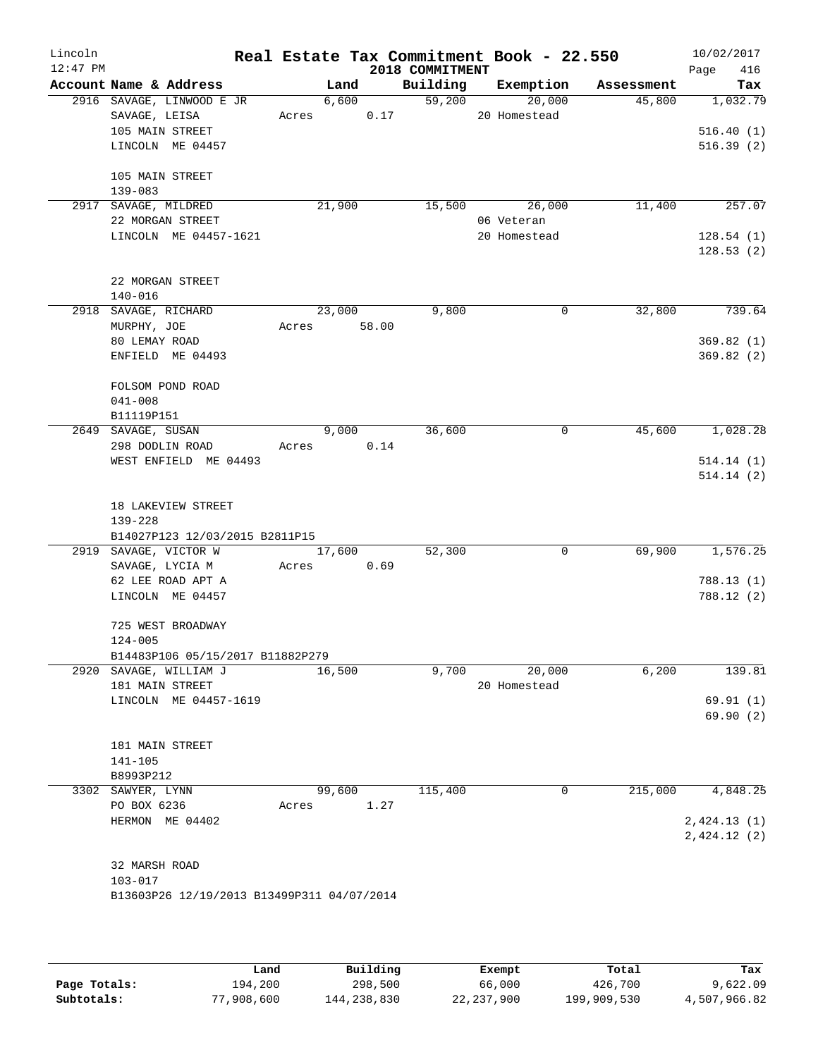| Lincoln<br>$12:47$ PM |                                                                     |       |             |       | 2018 COMMITMENT | Real Estate Tax Commitment Book - 22.550 |                               | 10/02/2017<br>416<br>Page |
|-----------------------|---------------------------------------------------------------------|-------|-------------|-------|-----------------|------------------------------------------|-------------------------------|---------------------------|
|                       | Account Name & Address                                              |       | Land        |       |                 |                                          | Building Exemption Assessment | Tax                       |
|                       | 2916 SAVAGE, LINWOOD E JR                                           |       |             |       | 6,600<br>59,200 | 20,000                                   | 45,800                        | 1,032.79                  |
|                       | SAVAGE, LEISA                                                       |       | Acres 0.17  |       |                 | 20 Homestead                             |                               |                           |
|                       | 105 MAIN STREET                                                     |       |             |       |                 |                                          |                               | 516.40(1)                 |
|                       | LINCOLN ME 04457                                                    |       |             |       |                 |                                          |                               | 516.39(2)                 |
|                       | 105 MAIN STREET                                                     |       |             |       |                 |                                          |                               |                           |
|                       | 139-083                                                             |       |             |       |                 |                                          |                               |                           |
|                       | 2917 SAVAGE, MILDRED                                                |       | 21,900      |       |                 | 15,500 26,000                            | 11,400                        | 257.07                    |
|                       | 22 MORGAN STREET                                                    |       |             |       |                 | 06 Veteran                               |                               |                           |
|                       | LINCOLN ME 04457-1621                                               |       |             |       |                 | 20 Homestead                             |                               | 128.54(1)                 |
|                       |                                                                     |       |             |       |                 |                                          |                               | 128.53(2)                 |
|                       |                                                                     |       |             |       |                 |                                          |                               |                           |
|                       | 22 MORGAN STREET                                                    |       |             |       |                 |                                          |                               |                           |
|                       | $140 - 016$                                                         |       |             |       |                 |                                          |                               |                           |
|                       | 2918 SAVAGE, RICHARD                                                |       | 23,000      |       | 9,800           | 0                                        | 32,800                        | 739.64                    |
|                       | MURPHY, JOE                                                         |       | Acres 58.00 |       |                 |                                          |                               |                           |
|                       | 80 LEMAY ROAD                                                       |       |             |       |                 |                                          |                               | 369.82(1)                 |
|                       | ENFIELD ME 04493                                                    |       |             |       |                 |                                          |                               | 369.82(2)                 |
|                       |                                                                     |       |             |       |                 |                                          |                               |                           |
|                       | FOLSOM POND ROAD                                                    |       |             |       |                 |                                          |                               |                           |
|                       | $041 - 008$<br>B11119P151                                           |       |             |       |                 |                                          |                               |                           |
|                       | 2649 SAVAGE, SUSAN                                                  |       |             | 9,000 | 36,600          | 0                                        | 45,600                        | 1,028.28                  |
|                       | 298 DODLIN ROAD                                                     |       | Acres 0.14  |       |                 |                                          |                               |                           |
|                       | WEST ENFIELD ME 04493                                               |       |             |       |                 |                                          |                               | 514.14(1)                 |
|                       |                                                                     |       |             |       |                 |                                          |                               | 514.14(2)                 |
|                       | 18 LAKEVIEW STREET<br>$139 - 228$<br>B14027P123 12/03/2015 B2811P15 |       |             |       |                 |                                          |                               |                           |
|                       | 2919 SAVAGE, VICTOR W                                               |       | 17,600      |       | 52,300          | $\mathbf 0$                              | 69,900                        | 1,576.25                  |
|                       | SAVAGE, LYCIA M                                                     |       | Acres 0.69  |       |                 |                                          |                               |                           |
|                       | 62 LEE ROAD APT A                                                   |       |             |       |                 |                                          |                               | 788.13(1)                 |
|                       | LINCOLN ME 04457                                                    |       |             |       |                 |                                          |                               | 788.12 (2)                |
|                       | 725 WEST BROADWAY                                                   |       |             |       |                 |                                          |                               |                           |
|                       | $124 - 005$                                                         |       |             |       |                 |                                          |                               |                           |
|                       | B14483P106 05/15/2017 B11882P279                                    |       |             |       |                 |                                          |                               |                           |
|                       | 2920 SAVAGE, WILLIAM J<br>181 MAIN STREET                           |       | 16,500      |       | 9,700           | 20,000<br>20 Homestead                   | 6,200                         | 139.81                    |
|                       | LINCOLN ME 04457-1619                                               |       |             |       |                 |                                          |                               | 69.91(1)                  |
|                       |                                                                     |       |             |       |                 |                                          |                               | 69.90(2)                  |
|                       |                                                                     |       |             |       |                 |                                          |                               |                           |
|                       | 181 MAIN STREET                                                     |       |             |       |                 |                                          |                               |                           |
|                       | 141-105                                                             |       |             |       |                 |                                          |                               |                           |
|                       | B8993P212                                                           |       |             |       |                 |                                          |                               |                           |
|                       | 3302 SAWYER, LYNN                                                   |       | 99,600      |       | 115,400         | 0                                        | 215,000                       | 4,848.25                  |
|                       | PO BOX 6236                                                         | Acres |             | 1.27  |                 |                                          |                               |                           |
|                       | HERMON ME 04402                                                     |       |             |       |                 |                                          |                               | 2,424.13(1)               |
|                       |                                                                     |       |             |       |                 |                                          |                               | 2,424.12(2)               |
|                       |                                                                     |       |             |       |                 |                                          |                               |                           |
|                       | 32 MARSH ROAD                                                       |       |             |       |                 |                                          |                               |                           |
|                       | $103 - 017$<br>B13603P26 12/19/2013 B13499P311 04/07/2014           |       |             |       |                 |                                          |                               |                           |
|                       |                                                                     |       |             |       |                 |                                          |                               |                           |
|                       |                                                                     |       |             |       |                 |                                          |                               |                           |
|                       |                                                                     |       |             |       |                 |                                          |                               |                           |

|              | Land       | Building    | Exempt       | Total       | Tax          |
|--------------|------------|-------------|--------------|-------------|--------------|
| Page Totals: | 194,200    | 298,500     | 66,000       | 426,700     | 9,622.09     |
| Subtotals:   | 77,908,600 | 144,238,830 | 22, 237, 900 | 199,909,530 | 4,507,966.82 |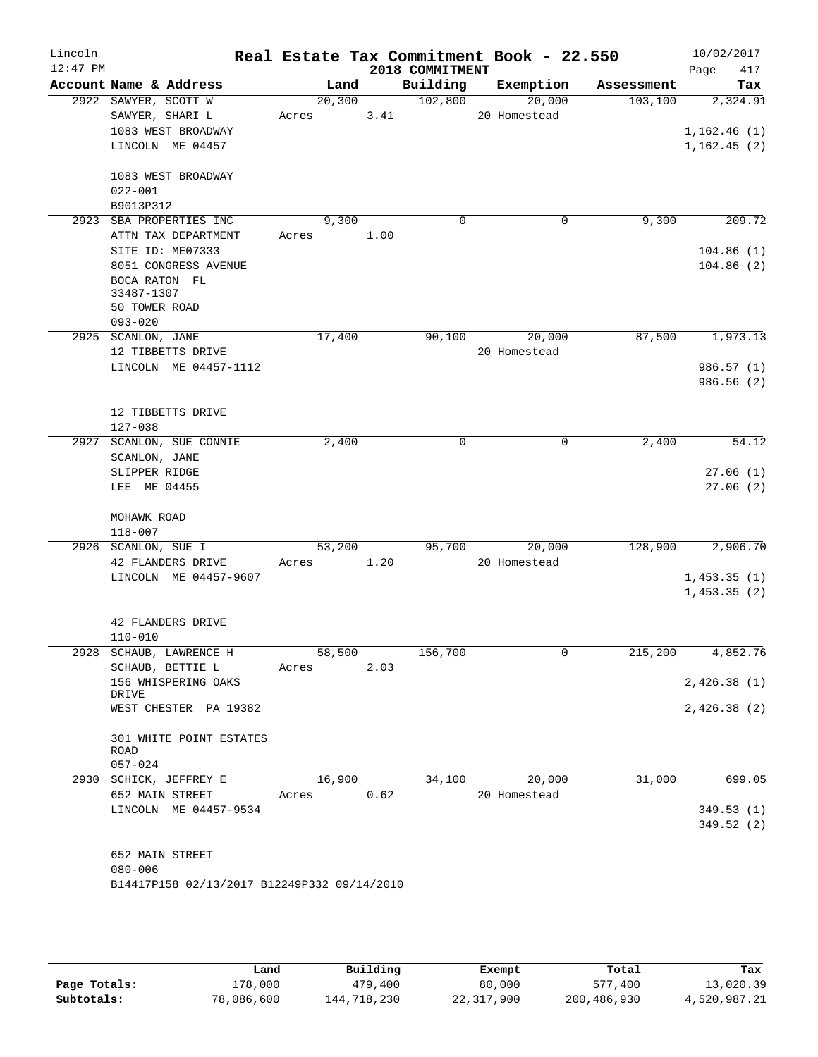| Lincoln<br>$12:47$ PM |                                             |        |      |                             | Real Estate Tax Commitment Book - 22.550 |            | 10/02/2017         |
|-----------------------|---------------------------------------------|--------|------|-----------------------------|------------------------------------------|------------|--------------------|
|                       | Account Name & Address                      | Land   |      | 2018 COMMITMENT<br>Building | Exemption                                | Assessment | Page<br>417<br>Tax |
|                       | 2922 SAWYER, SCOTT W                        | 20,300 |      | 102,800                     | 20,000                                   | 103,100    | 2,324.91           |
|                       | SAWYER, SHARI L                             | Acres  | 3.41 |                             | 20 Homestead                             |            |                    |
|                       | 1083 WEST BROADWAY                          |        |      |                             |                                          |            | 1,162.46(1)        |
|                       | LINCOLN ME 04457                            |        |      |                             |                                          |            | 1, 162.45(2)       |
|                       |                                             |        |      |                             |                                          |            |                    |
|                       | 1083 WEST BROADWAY                          |        |      |                             |                                          |            |                    |
|                       | $022 - 001$                                 |        |      |                             |                                          |            |                    |
|                       | B9013P312                                   |        |      |                             |                                          |            |                    |
|                       | 2923 SBA PROPERTIES INC                     | 9,300  |      | $\Omega$                    | 0                                        | 9,300      | 209.72             |
|                       | ATTN TAX DEPARTMENT                         | Acres  | 1.00 |                             |                                          |            |                    |
|                       | SITE ID: ME07333                            |        |      |                             |                                          |            | 104.86(1)          |
|                       | 8051 CONGRESS AVENUE                        |        |      |                             |                                          |            | 104.86(2)          |
|                       | BOCA RATON FL                               |        |      |                             |                                          |            |                    |
|                       | 33487-1307                                  |        |      |                             |                                          |            |                    |
|                       | 50 TOWER ROAD                               |        |      |                             |                                          |            |                    |
|                       | $093 - 020$                                 |        |      |                             |                                          |            |                    |
|                       | 2925 SCANLON, JANE                          | 17,400 |      | 90,100                      | 20,000                                   | 87,500     | 1,973.13           |
|                       | 12 TIBBETTS DRIVE                           |        |      |                             | 20 Homestead                             |            |                    |
|                       | LINCOLN ME 04457-1112                       |        |      |                             |                                          |            | 986.57 (1)         |
|                       |                                             |        |      |                             |                                          |            | 986.56(2)          |
|                       |                                             |        |      |                             |                                          |            |                    |
|                       | 12 TIBBETTS DRIVE                           |        |      |                             |                                          |            |                    |
|                       | $127 - 038$                                 |        |      |                             |                                          |            |                    |
|                       | 2927 SCANLON, SUE CONNIE                    | 2,400  |      | 0                           | 0                                        | 2,400      | $\overline{54.12}$ |
|                       | SCANLON, JANE                               |        |      |                             |                                          |            |                    |
|                       | SLIPPER RIDGE                               |        |      |                             |                                          |            | 27.06(1)           |
|                       | LEE ME 04455                                |        |      |                             |                                          |            | 27.06(2)           |
|                       |                                             |        |      |                             |                                          |            |                    |
|                       | MOHAWK ROAD                                 |        |      |                             |                                          |            |                    |
|                       | $118 - 007$                                 |        |      |                             |                                          |            |                    |
|                       | 2926 SCANLON, SUE I                         | 53,200 |      | 95,700                      | 20,000                                   | 128,900    | 2,906.70           |
|                       | 42 FLANDERS DRIVE                           | Acres  | 1.20 |                             | 20 Homestead                             |            |                    |
|                       | LINCOLN ME 04457-9607                       |        |      |                             |                                          |            | 1,453.35(1)        |
|                       |                                             |        |      |                             |                                          |            | 1,453.35(2)        |
|                       |                                             |        |      |                             |                                          |            |                    |
|                       | 42 FLANDERS DRIVE                           |        |      |                             |                                          |            |                    |
|                       | $110 - 010$                                 |        |      |                             |                                          |            |                    |
|                       | 2928 SCHAUB, LAWRENCE H                     | 58,500 |      | 156,700                     | 0                                        |            | 215,200 4,852.76   |
|                       | SCHAUB, BETTIE L                            | Acres  | 2.03 |                             |                                          |            |                    |
|                       | 156 WHISPERING OAKS                         |        |      |                             |                                          |            | 2,426.38(1)        |
|                       | DRIVE                                       |        |      |                             |                                          |            |                    |
|                       | WEST CHESTER PA 19382                       |        |      |                             |                                          |            | 2,426.38(2)        |
|                       |                                             |        |      |                             |                                          |            |                    |
|                       | 301 WHITE POINT ESTATES                     |        |      |                             |                                          |            |                    |
|                       | ROAD                                        |        |      |                             |                                          |            |                    |
|                       | $057 - 024$                                 |        |      |                             |                                          |            |                    |
|                       | 2930 SCHICK, JEFFREY E                      | 16,900 |      | 34,100                      | 20,000                                   | 31,000     | 699.05             |
|                       | 652 MAIN STREET                             | Acres  | 0.62 |                             | 20 Homestead                             |            |                    |
|                       | LINCOLN ME 04457-9534                       |        |      |                             |                                          |            | 349.53(1)          |
|                       |                                             |        |      |                             |                                          |            | 349.52(2)          |
|                       |                                             |        |      |                             |                                          |            |                    |
|                       | 652 MAIN STREET                             |        |      |                             |                                          |            |                    |
|                       | $080 - 006$                                 |        |      |                             |                                          |            |                    |
|                       | B14417P158 02/13/2017 B12249P332 09/14/2010 |        |      |                             |                                          |            |                    |
|                       |                                             |        |      |                             |                                          |            |                    |

|              | Land       | Building    | Exempt     | Total       | Tax          |
|--------------|------------|-------------|------------|-------------|--------------|
| Page Totals: | 178,000    | 479,400     | 80,000     | 577,400     | 13,020.39    |
| Subtotals:   | 78,086,600 | 144,718,230 | 22,317,900 | 200,486,930 | 4,520,987.21 |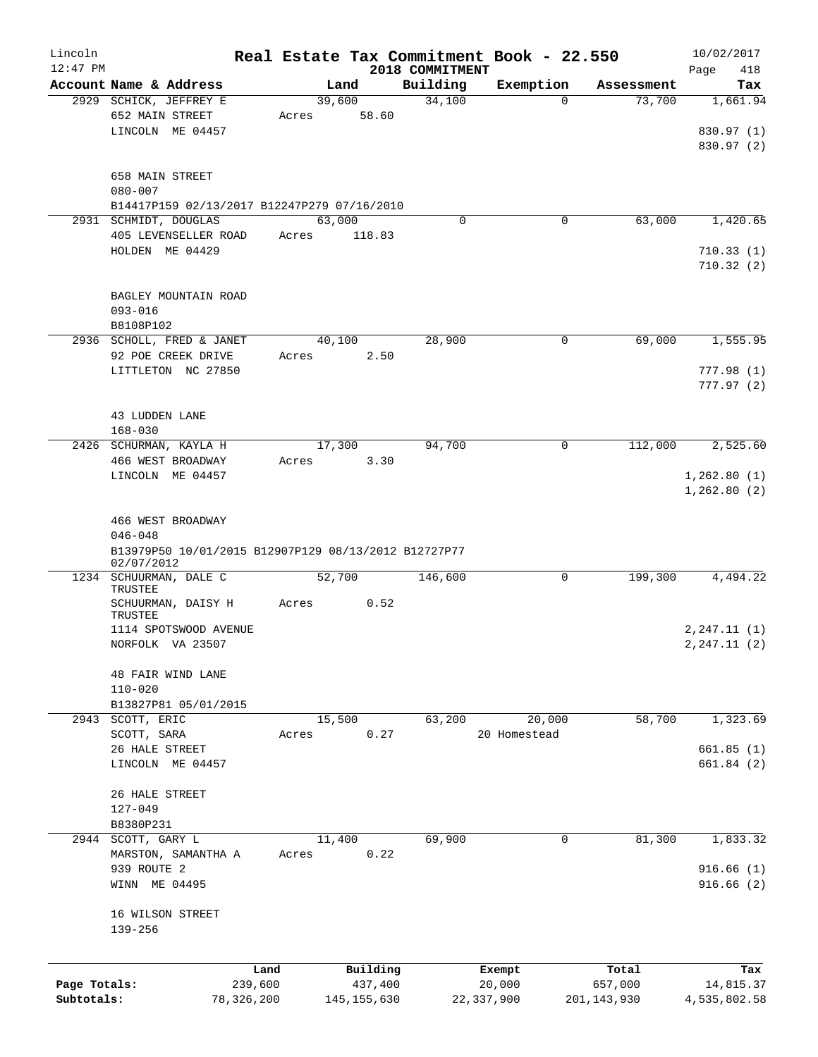| Lincoln      |                                                                    |         |               |                 | Real Estate Tax Commitment Book - 22.550 |               | 10/02/2017   |
|--------------|--------------------------------------------------------------------|---------|---------------|-----------------|------------------------------------------|---------------|--------------|
| $12:47$ PM   |                                                                    |         |               | 2018 COMMITMENT |                                          |               | Page<br>418  |
|              | Account Name & Address                                             |         | Land          | Building        | Exemption                                | Assessment    | Tax          |
|              | 2929 SCHICK, JEFFREY E                                             |         | 39,600        | 34,100          | $\Omega$                                 | 73,700        | 1,661.94     |
|              | 652 MAIN STREET                                                    | Acres   | 58.60         |                 |                                          |               |              |
|              | LINCOLN ME 04457                                                   |         |               |                 |                                          |               | 830.97 (1)   |
|              |                                                                    |         |               |                 |                                          |               | 830.97 (2)   |
|              | 658 MAIN STREET                                                    |         |               |                 |                                          |               |              |
|              | $080 - 007$                                                        |         |               |                 |                                          |               |              |
|              | B14417P159 02/13/2017 B12247P279 07/16/2010                        |         |               |                 |                                          |               |              |
|              | 2931 SCHMIDT, DOUGLAS                                              |         | 63,000        | 0               | 0                                        | 63,000        | 1,420.65     |
|              | 405 LEVENSELLER ROAD                                               | Acres   | 118.83        |                 |                                          |               |              |
|              | HOLDEN ME 04429                                                    |         |               |                 |                                          |               | 710.33(1)    |
|              |                                                                    |         |               |                 |                                          |               | 710.32(2)    |
|              |                                                                    |         |               |                 |                                          |               |              |
|              | BAGLEY MOUNTAIN ROAD                                               |         |               |                 |                                          |               |              |
|              | $093 - 016$                                                        |         |               |                 |                                          |               |              |
|              | B8108P102                                                          |         |               |                 |                                          |               |              |
|              | 2936 SCHOLL, FRED & JANET                                          |         | 40,100        | 28,900          | 0                                        | 69,000        | 1,555.95     |
|              | 92 POE CREEK DRIVE                                                 | Acres   | 2.50          |                 |                                          |               |              |
|              | LITTLETON NC 27850                                                 |         |               |                 |                                          |               | 777.98(1)    |
|              |                                                                    |         |               |                 |                                          |               | 777.97(2)    |
|              |                                                                    |         |               |                 |                                          |               |              |
|              | <b>43 LUDDEN LANE</b>                                              |         |               |                 |                                          |               |              |
|              | $168 - 030$                                                        |         |               |                 |                                          |               |              |
|              | 2426 SCHURMAN, KAYLA H                                             |         | 17,300        | 94,700          | $\mathbf 0$                              | 112,000       | 2,525.60     |
|              | 466 WEST BROADWAY                                                  | Acres   | 3.30          |                 |                                          |               |              |
|              | LINCOLN ME 04457                                                   |         |               |                 |                                          |               | 1,262.80(1)  |
|              |                                                                    |         |               |                 |                                          |               | 1,262.80(2)  |
|              |                                                                    |         |               |                 |                                          |               |              |
|              | 466 WEST BROADWAY                                                  |         |               |                 |                                          |               |              |
|              | $046 - 048$                                                        |         |               |                 |                                          |               |              |
|              |                                                                    |         |               |                 |                                          |               |              |
|              | B13979P50 10/01/2015 B12907P129 08/13/2012 B12727P77<br>02/07/2012 |         |               |                 |                                          |               |              |
|              | 1234 SCHUURMAN, DALE C                                             |         | 52,700        | 146,600         | 0                                        | 199,300       | 4,494.22     |
|              | TRUSTEE                                                            |         |               |                 |                                          |               |              |
|              | SCHUURMAN, DAISY H                                                 | Acres   | 0.52          |                 |                                          |               |              |
|              | <b>TRUSTEE</b>                                                     |         |               |                 |                                          |               |              |
|              | 1114 SPOTSWOOD AVENUE                                              |         |               |                 |                                          |               | 2, 247.11(1) |
|              | NORFOLK VA 23507                                                   |         |               |                 |                                          |               | 2, 247.11(2) |
|              |                                                                    |         |               |                 |                                          |               |              |
|              | 48 FAIR WIND LANE                                                  |         |               |                 |                                          |               |              |
|              | $110 - 020$                                                        |         |               |                 |                                          |               |              |
|              | B13827P81 05/01/2015                                               |         |               |                 |                                          |               |              |
|              | 2943 SCOTT, ERIC                                                   |         | 15,500        | 63,200          | 20,000                                   | 58,700        | 1,323.69     |
|              | SCOTT, SARA                                                        | Acres   | 0.27          |                 | 20 Homestead                             |               |              |
|              | 26 HALE STREET                                                     |         |               |                 |                                          |               | 661.85(1)    |
|              | LINCOLN ME 04457                                                   |         |               |                 |                                          |               | 661.84(2)    |
|              |                                                                    |         |               |                 |                                          |               |              |
|              | 26 HALE STREET                                                     |         |               |                 |                                          |               |              |
|              | $127 - 049$                                                        |         |               |                 |                                          |               |              |
|              | B8380P231                                                          |         |               |                 |                                          |               |              |
|              | 2944 SCOTT, GARY L                                                 |         | 11,400        | 69,900          | 0                                        | 81,300        | 1,833.32     |
|              | MARSTON, SAMANTHA A                                                | Acres   | 0.22          |                 |                                          |               |              |
|              | 939 ROUTE 2                                                        |         |               |                 |                                          |               | 916.66(1)    |
|              | WINN ME 04495                                                      |         |               |                 |                                          |               | 916.66(2)    |
|              |                                                                    |         |               |                 |                                          |               |              |
|              | 16 WILSON STREET                                                   |         |               |                 |                                          |               |              |
|              | $139 - 256$                                                        |         |               |                 |                                          |               |              |
|              |                                                                    |         |               |                 |                                          |               |              |
|              |                                                                    | Land    | Building      |                 | Exempt                                   | Total         | Tax          |
| Page Totals: |                                                                    | 239,600 | 437,400       |                 | 20,000                                   | 657,000       | 14,815.37    |
| Subtotals:   | 78, 326, 200                                                       |         | 145, 155, 630 |                 | 22, 337, 900                             | 201, 143, 930 | 4,535,802.58 |
|              |                                                                    |         |               |                 |                                          |               |              |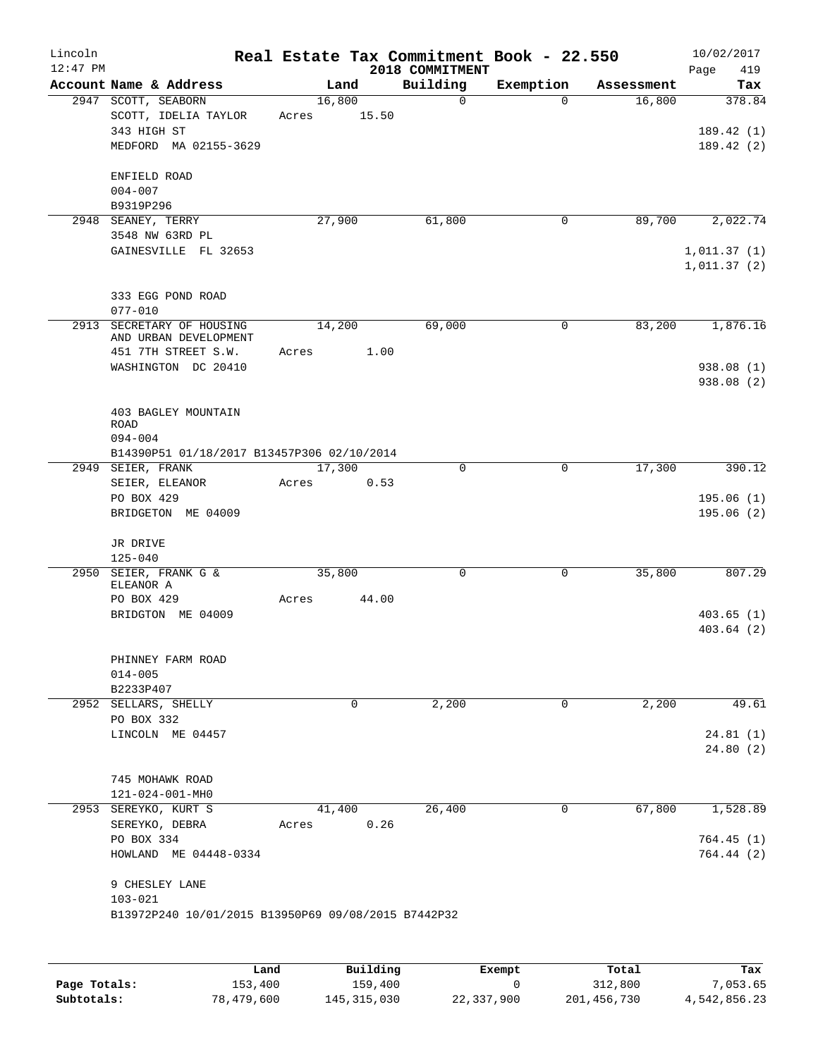| Lincoln<br>$12:47$ PM |                                                                                                  |       |        |                        | 2018 COMMITMENT | Real Estate Tax Commitment Book - 22.550 |            | 10/02/2017<br>Page<br>419           |
|-----------------------|--------------------------------------------------------------------------------------------------|-------|--------|------------------------|-----------------|------------------------------------------|------------|-------------------------------------|
|                       | Account Name & Address                                                                           |       | Land   |                        | Building        | Exemption                                | Assessment | Tax                                 |
|                       | 2947 SCOTT, SEABORN<br>SCOTT, IDELIA TAYLOR<br>343 HIGH ST<br>MEDFORD MA 02155-3629              | Acres | 16,800 | 15.50                  | $\mathbf 0$     | $\Omega$                                 | 16,800     | 378.84<br>189.42 (1)<br>189.42(2)   |
|                       | ENFIELD ROAD<br>$004 - 007$<br>B9319P296                                                         |       |        |                        |                 |                                          |            |                                     |
|                       | 2948 SEANEY, TERRY                                                                               |       | 27,900 |                        | 61,800          | $\mathbf 0$                              | 89,700     | 2,022.74                            |
|                       | 3548 NW 63RD PL<br>GAINESVILLE FL 32653                                                          |       |        |                        |                 |                                          |            | 1,011.37(1)<br>1,011.37(2)          |
|                       | 333 EGG POND ROAD<br>$077 - 010$                                                                 |       |        |                        |                 |                                          |            |                                     |
|                       | 2913 SECRETARY OF HOUSING<br>AND URBAN DEVELOPMENT<br>451 7TH STREET S.W.<br>WASHINGTON DC 20410 | Acres | 14,200 | 1.00                   | 69,000          | 0                                        | 83,200     | 1,876.16<br>938.08(1)<br>938.08 (2) |
|                       | 403 BAGLEY MOUNTAIN<br><b>ROAD</b><br>$094 - 004$<br>B14390P51 01/18/2017 B13457P306 02/10/2014  |       |        |                        |                 |                                          |            |                                     |
|                       | 2949 SEIER, FRANK                                                                                |       | 17,300 |                        | $\mathbf 0$     | $\mathbf 0$                              | 17,300     | 390.12                              |
|                       | SEIER, ELEANOR<br>PO BOX 429<br>BRIDGETON ME 04009                                               | Acres |        | 0.53                   |                 |                                          |            | 195.06(1)<br>195.06(2)              |
|                       | JR DRIVE<br>$125 - 040$                                                                          |       |        |                        |                 |                                          |            |                                     |
|                       | 2950 SEIER, FRANK G &<br>ELEANOR A<br>PO BOX 429                                                 | Acres | 35,800 | 44.00                  | 0               | 0                                        | 35,800     | 807.29                              |
|                       | BRIDGTON ME 04009                                                                                |       |        |                        |                 |                                          |            | 403.65(1)<br>403.64(2)              |
|                       | PHINNEY FARM ROAD<br>$014 - 005$<br>B2233P407                                                    |       |        |                        |                 |                                          |            |                                     |
|                       | 2952 SELLARS, SHELLY                                                                             |       |        | $\mathbf 0$            | 2,200           | 0                                        | 2,200      | 49.61                               |
|                       | PO BOX 332<br>LINCOLN ME 04457                                                                   |       |        |                        |                 |                                          |            | 24.81(1)<br>24.80(2)                |
|                       | 745 MOHAWK ROAD<br>121-024-001-MH0                                                               |       |        |                        |                 |                                          |            |                                     |
|                       | 2953 SEREYKO, KURT S<br>SEREYKO, DEBRA                                                           | Acres | 41,400 | 0.26                   | 26,400          | 0                                        | 67,800     | 1,528.89                            |
|                       | PO BOX 334<br>HOWLAND ME 04448-0334                                                              |       |        |                        |                 |                                          |            | 764.45(1)<br>764.44(2)              |
|                       | 9 CHESLEY LANE<br>$103 - 021$<br>B13972P240 10/01/2015 B13950P69 09/08/2015 B7442P32             |       |        |                        |                 |                                          |            |                                     |
|                       |                                                                                                  |       |        |                        |                 |                                          |            |                                     |
|                       |                                                                                                  |       |        | $D_{11}$ in $A$ in $A$ |                 | Puamoi                                   | Total      |                                     |

|              | Land       | Building    | Exempt     | Total       | Tax          |
|--------------|------------|-------------|------------|-------------|--------------|
| Page Totals: | 153,400    | 159,400     |            | 312,800     | 7,053.65     |
| Subtotals:   | 78,479,600 | 145,315,030 | 22,337,900 | 201,456,730 | 4,542,856.23 |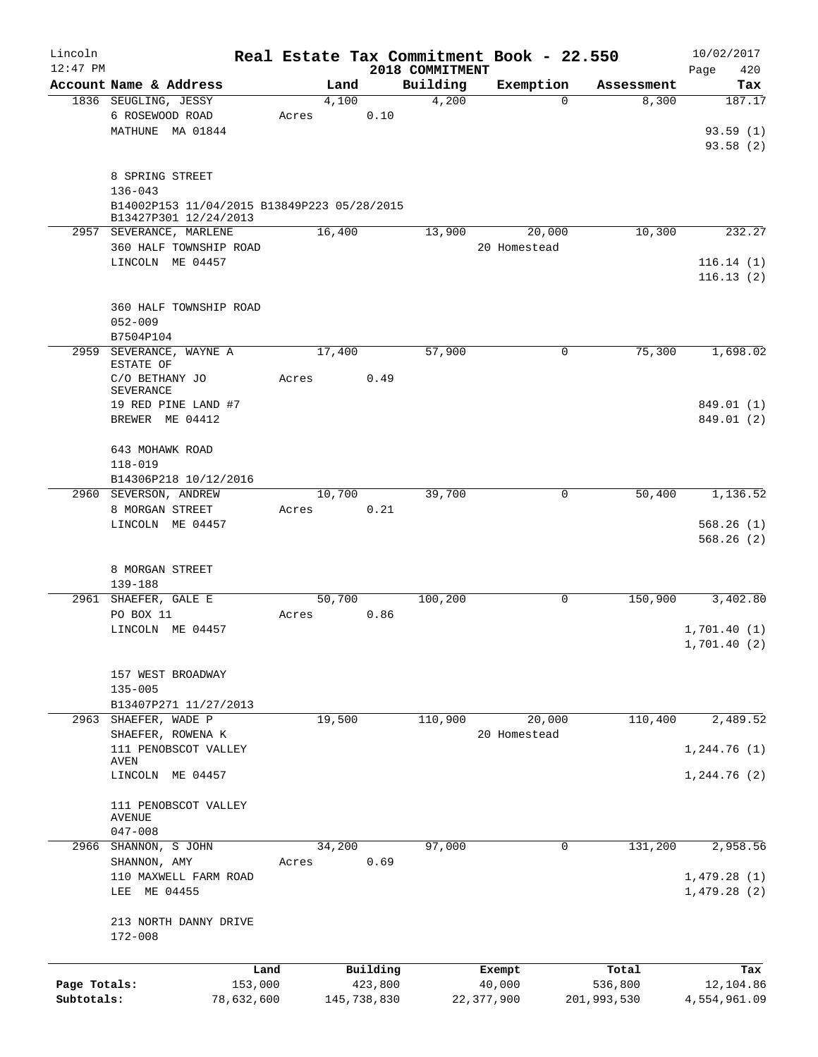| Lincoln<br>$12:47$ PM |                                             |       |             |          | Real Estate Tax Commitment Book - 22.550<br>2018 COMMITMENT |              |             |             | 10/02/2017<br>420<br>Page |
|-----------------------|---------------------------------------------|-------|-------------|----------|-------------------------------------------------------------|--------------|-------------|-------------|---------------------------|
|                       | Account Name & Address                      |       | Land        |          | Building                                                    | Exemption    |             | Assessment  | Tax                       |
|                       | 1836 SEUGLING, JESSY                        |       | 4,100       |          | 4,200                                                       |              | $\Omega$    | 8,300       | 187.17                    |
|                       | 6 ROSEWOOD ROAD                             | Acres |             | 0.10     |                                                             |              |             |             |                           |
|                       | MATHUNE MA 01844                            |       |             |          |                                                             |              |             |             | 93.59(1)                  |
|                       |                                             |       |             |          |                                                             |              |             |             | 93.58(2)                  |
|                       |                                             |       |             |          |                                                             |              |             |             |                           |
|                       | 8 SPRING STREET<br>$136 - 043$              |       |             |          |                                                             |              |             |             |                           |
|                       | B14002P153 11/04/2015 B13849P223 05/28/2015 |       |             |          |                                                             |              |             |             |                           |
|                       | B13427P301 12/24/2013                       |       |             |          |                                                             |              |             |             |                           |
|                       | 2957 SEVERANCE, MARLENE                     |       | 16,400      |          | 13,900                                                      |              | 20,000      | 10,300      | 232.27                    |
|                       | 360 HALF TOWNSHIP ROAD                      |       |             |          |                                                             | 20 Homestead |             |             |                           |
|                       | LINCOLN ME 04457                            |       |             |          |                                                             |              |             |             | 116.14(1)<br>116.13(2)    |
|                       | 360 HALF TOWNSHIP ROAD                      |       |             |          |                                                             |              |             |             |                           |
|                       | $052 - 009$                                 |       |             |          |                                                             |              |             |             |                           |
|                       | B7504P104                                   |       |             |          |                                                             |              |             |             |                           |
| 2959                  | SEVERANCE, WAYNE A<br>ESTATE OF             |       | 17,400      |          | 57,900                                                      |              | 0           | 75,300      | 1,698.02                  |
|                       | C/O BETHANY JO                              | Acres |             | 0.49     |                                                             |              |             |             |                           |
|                       | SEVERANCE                                   |       |             |          |                                                             |              |             |             |                           |
|                       | 19 RED PINE LAND #7                         |       |             |          |                                                             |              |             |             | 849.01 (1)                |
|                       | BREWER ME 04412                             |       |             |          |                                                             |              |             |             | 849.01 (2)                |
|                       |                                             |       |             |          |                                                             |              |             |             |                           |
|                       | 643 MOHAWK ROAD                             |       |             |          |                                                             |              |             |             |                           |
|                       | 118-019<br>B14306P218 10/12/2016            |       |             |          |                                                             |              |             |             |                           |
|                       | 2960 SEVERSON, ANDREW                       |       | 10,700      |          | 39,700                                                      |              | 0           | 50,400      | 1,136.52                  |
|                       | 8 MORGAN STREET                             | Acres |             | 0.21     |                                                             |              |             |             |                           |
|                       | LINCOLN ME 04457                            |       |             |          |                                                             |              |             |             | 568.26(1)                 |
|                       |                                             |       |             |          |                                                             |              |             |             | 568.26(2)                 |
|                       |                                             |       |             |          |                                                             |              |             |             |                           |
|                       | 8 MORGAN STREET                             |       |             |          |                                                             |              |             |             |                           |
|                       | 139-188<br>2961 SHAEFER, GALE E             |       | 50,700      |          | 100,200                                                     |              | 0           | 150,900     | 3,402.80                  |
|                       | PO BOX 11                                   | Acres |             | 0.86     |                                                             |              |             |             |                           |
|                       | LINCOLN ME 04457                            |       |             |          |                                                             |              |             |             | 1,701.40(1)               |
|                       |                                             |       |             |          |                                                             |              |             |             | 1,701.40(2)               |
|                       | 157 WEST BROADWAY                           |       |             |          |                                                             |              |             |             |                           |
|                       | $135 - 005$                                 |       |             |          |                                                             |              |             |             |                           |
|                       | B13407P271 11/27/2013                       |       |             |          |                                                             |              |             |             |                           |
|                       | 2963 SHAEFER, WADE P                        |       | 19,500      |          | 110,900                                                     |              | 20,000      | 110,400     | 2,489.52                  |
|                       | SHAEFER, ROWENA K                           |       |             |          |                                                             | 20 Homestead |             |             |                           |
|                       | 111 PENOBSCOT VALLEY                        |       |             |          |                                                             |              |             |             | 1, 244.76(1)              |
|                       | AVEN<br>LINCOLN ME 04457                    |       |             |          |                                                             |              |             |             | 1,244.76(2)               |
|                       |                                             |       |             |          |                                                             |              |             |             |                           |
|                       | 111 PENOBSCOT VALLEY<br><b>AVENUE</b>       |       |             |          |                                                             |              |             |             |                           |
|                       | $047 - 008$                                 |       |             |          |                                                             |              |             |             |                           |
| 2966                  | SHANNON, S JOHN                             |       | 34,200      |          | 97,000                                                      |              | $\mathbf 0$ | 131,200     | 2,958.56                  |
|                       | SHANNON, AMY                                | Acres |             | 0.69     |                                                             |              |             |             |                           |
|                       | 110 MAXWELL FARM ROAD                       |       |             |          |                                                             |              |             |             | 1,479.28(1)               |
|                       | LEE ME 04455                                |       |             |          |                                                             |              |             |             | 1,479.28(2)               |
|                       | 213 NORTH DANNY DRIVE                       |       |             |          |                                                             |              |             |             |                           |
|                       | 172-008                                     |       |             |          |                                                             |              |             |             |                           |
|                       |                                             |       |             |          |                                                             |              |             |             |                           |
|                       |                                             | Land  |             | Building |                                                             | Exempt       |             | Total       | Tax                       |
| Page Totals:          | 153,000                                     |       |             | 423,800  |                                                             | 40,000       |             | 536,800     | 12,104.86                 |
| Subtotals:            | 78,632,600                                  |       | 145,738,830 |          |                                                             | 22,377,900   |             | 201,993,530 | 4,554,961.09              |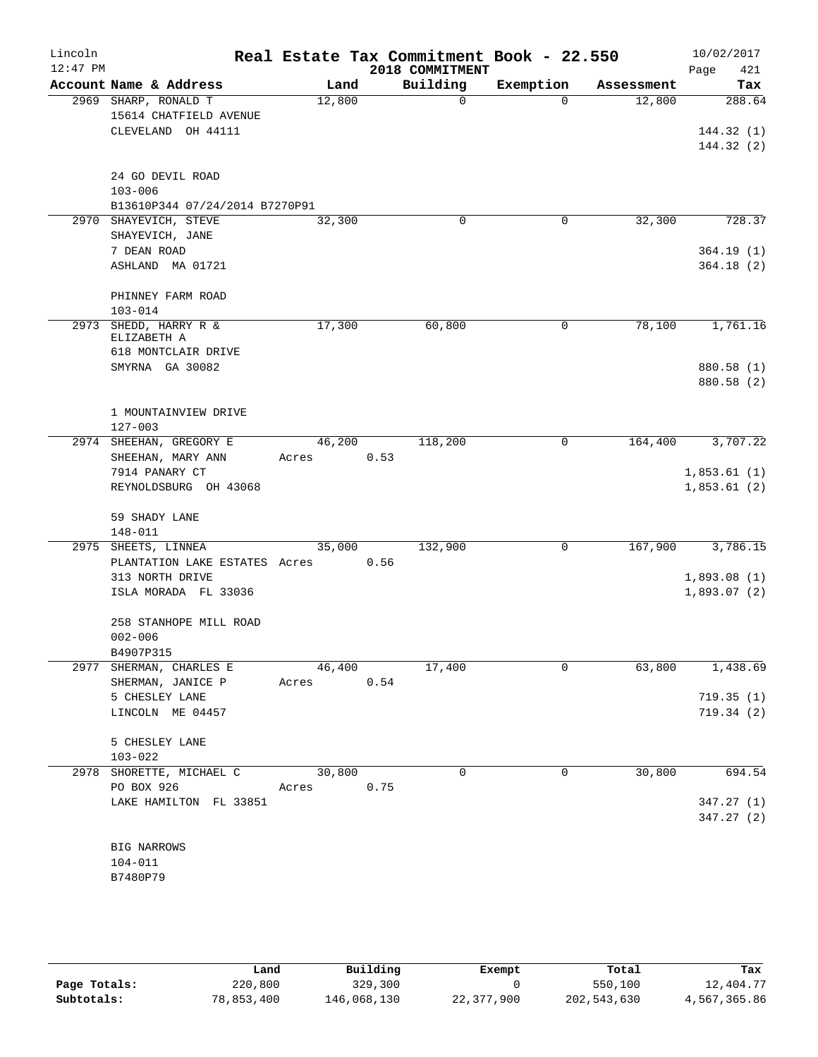| Lincoln<br>$12:47$ PM |                                                |        |      | Real Estate Tax Commitment Book - 22.550<br>2018 COMMITMENT |           |            | 10/02/2017<br>421<br>Page |
|-----------------------|------------------------------------------------|--------|------|-------------------------------------------------------------|-----------|------------|---------------------------|
|                       | Account Name & Address                         | Land   |      | Building                                                    | Exemption | Assessment | Tax                       |
|                       | 2969 SHARP, RONALD T<br>15614 CHATFIELD AVENUE | 12,800 |      | 0                                                           | $\Omega$  | 12,800     | 288.64                    |
|                       | CLEVELAND OH 44111                             |        |      |                                                             |           |            | 144.32(1)<br>144.32(2)    |
|                       | 24 GO DEVIL ROAD                               |        |      |                                                             |           |            |                           |
|                       | $103 - 006$                                    |        |      |                                                             |           |            |                           |
|                       | B13610P344 07/24/2014 B7270P91                 |        |      |                                                             |           |            |                           |
|                       | 2970 SHAYEVICH, STEVE<br>SHAYEVICH, JANE       | 32,300 |      | 0                                                           | 0         | 32,300     | 728.37                    |
|                       | 7 DEAN ROAD                                    |        |      |                                                             |           |            | 364.19(1)                 |
|                       | ASHLAND MA 01721                               |        |      |                                                             |           |            | 364.18(2)                 |
|                       | PHINNEY FARM ROAD<br>$103 - 014$               |        |      |                                                             |           |            |                           |
| 2973                  | SHEDD, HARRY R &<br>ELIZABETH A                | 17,300 |      | 60,800                                                      | 0         | 78,100     | 1,761.16                  |
|                       | 618 MONTCLAIR DRIVE                            |        |      |                                                             |           |            |                           |
|                       | SMYRNA GA 30082                                |        |      |                                                             |           |            | 880.58 (1)<br>880.58 (2)  |
|                       | 1 MOUNTAINVIEW DRIVE                           |        |      |                                                             |           |            |                           |
|                       | $127 - 003$<br>2974 SHEEHAN, GREGORY E         | 46,200 |      | 118,200                                                     | 0         | 164,400    | 3,707.22                  |
|                       | SHEEHAN, MARY ANN                              | Acres  | 0.53 |                                                             |           |            |                           |
|                       | 7914 PANARY CT                                 |        |      |                                                             |           |            | 1,853.61(1)               |
|                       | REYNOLDSBURG OH 43068                          |        |      |                                                             |           |            | 1,853.61(2)               |
|                       | 59 SHADY LANE<br>148-011                       |        |      |                                                             |           |            |                           |
| 2975                  | SHEETS, LINNEA                                 | 35,000 |      | 132,900                                                     | 0         | 167,900    | 3,786.15                  |
|                       | PLANTATION LAKE ESTATES Acres                  |        | 0.56 |                                                             |           |            |                           |
|                       | 313 NORTH DRIVE                                |        |      |                                                             |           |            | 1,893.08(1)               |
|                       | ISLA MORADA FL 33036                           |        |      |                                                             |           |            | 1,893.07(2)               |
|                       | 258 STANHOPE MILL ROAD                         |        |      |                                                             |           |            |                           |
|                       | $002 - 006$                                    |        |      |                                                             |           |            |                           |
|                       | B4907P315<br>2977 SHERMAN, CHARLES E           | 46,400 |      | 17,400                                                      | 0         | 63,800     | 1,438.69                  |
|                       | SHERMAN, JANICE P                              | Acres  | 0.54 |                                                             |           |            |                           |
|                       | 5 CHESLEY LANE                                 |        |      |                                                             |           |            | 719.35(1)                 |
|                       | LINCOLN ME 04457                               |        |      |                                                             |           |            | 719.34(2)                 |
|                       | 5 CHESLEY LANE                                 |        |      |                                                             |           |            |                           |
|                       | $103 - 022$                                    |        |      |                                                             |           |            |                           |
|                       | 2978 SHORETTE, MICHAEL C                       | 30,800 |      | $\mathbf 0$                                                 | 0         | 30,800     | 694.54                    |
|                       | PO BOX 926                                     | Acres  | 0.75 |                                                             |           |            |                           |
|                       | LAKE HAMILTON FL 33851                         |        |      |                                                             |           |            | 347.27(1)<br>347.27(2)    |
|                       |                                                |        |      |                                                             |           |            |                           |
|                       | <b>BIG NARROWS</b>                             |        |      |                                                             |           |            |                           |
|                       | $104 - 011$                                    |        |      |                                                             |           |            |                           |
|                       | B7480P79                                       |        |      |                                                             |           |            |                           |

|              | Land       | Building    | Exempt     | Total       | Tax          |
|--------------|------------|-------------|------------|-------------|--------------|
| Page Totals: | 220,800    | 329,300     |            | 550,100     | 12,404.77    |
| Subtotals:   | 78,853,400 | 146,068,130 | 22,377,900 | 202,543,630 | 4,567,365.86 |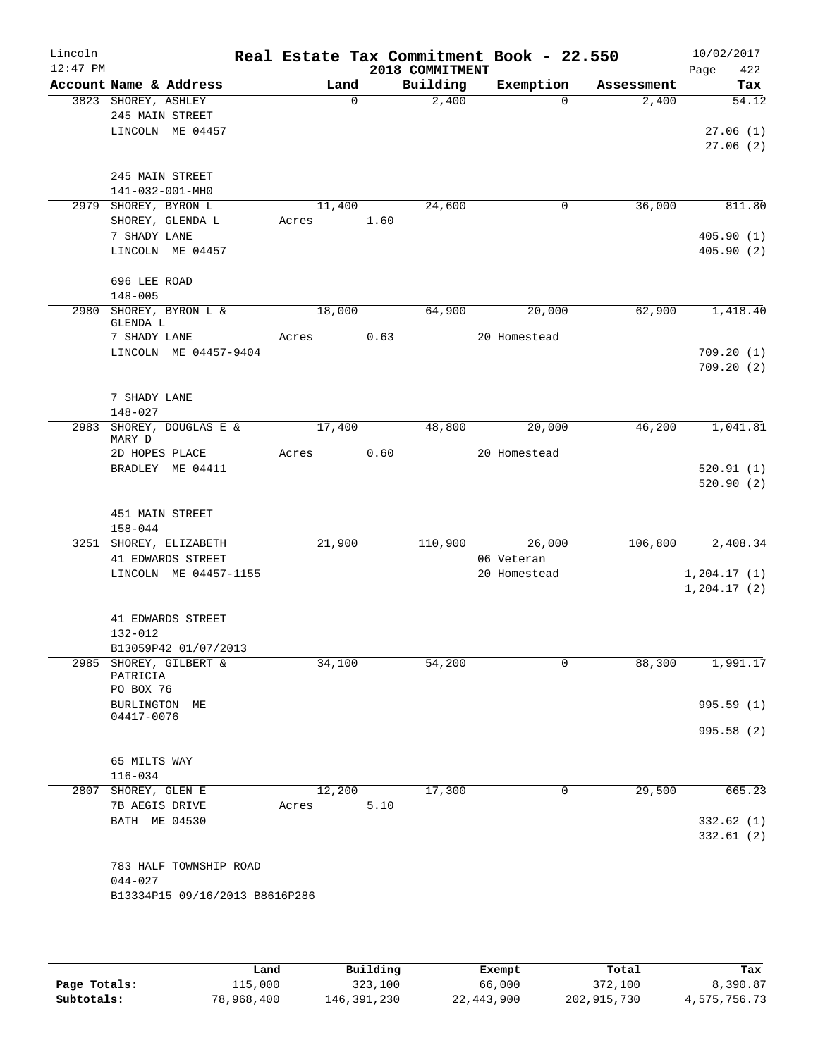| Lincoln<br>$12:47$ PM |                                        |                                |       |        |          | 2018 COMMITMENT | Real Estate Tax Commitment Book - 22.550 |            | 10/02/2017<br>Page<br>422 |
|-----------------------|----------------------------------------|--------------------------------|-------|--------|----------|-----------------|------------------------------------------|------------|---------------------------|
|                       |                                        | Account Name & Address         |       | Land   |          | Building        | Exemption                                | Assessment | Tax                       |
|                       | 3823 SHOREY, ASHLEY<br>245 MAIN STREET |                                |       |        | $\Omega$ | 2,400           | $\Omega$                                 | 2,400      | 54.12                     |
|                       |                                        | LINCOLN ME 04457               |       |        |          |                 |                                          |            | 27.06(1)<br>27.06(2)      |
|                       | 245 MAIN STREET<br>141-032-001-MH0     |                                |       |        |          |                 |                                          |            |                           |
|                       | 2979 SHOREY, BYRON L                   |                                |       | 11,400 |          | 24,600          | 0                                        | 36,000     | 811.80                    |
|                       |                                        | SHOREY, GLENDA L               | Acres |        | 1.60     |                 |                                          |            |                           |
|                       | 7 SHADY LANE                           |                                |       |        |          |                 |                                          |            | 405.90(1)                 |
|                       |                                        | LINCOLN ME 04457               |       |        |          |                 |                                          |            | 405.90(2)                 |
|                       | 696 LEE ROAD<br>$148 - 005$            |                                |       |        |          |                 |                                          |            |                           |
|                       | GLENDA L                               | 2980 SHOREY, BYRON L &         |       | 18,000 |          | 64,900          | 20,000                                   | 62,900     | 1,418.40                  |
|                       | 7 SHADY LANE                           |                                | Acres |        | 0.63     |                 | 20 Homestead                             |            |                           |
|                       |                                        | LINCOLN ME 04457-9404          |       |        |          |                 |                                          |            | 709.20(1)                 |
|                       |                                        |                                |       |        |          |                 |                                          |            | 709.20(2)                 |
|                       | 7 SHADY LANE                           |                                |       |        |          |                 |                                          |            |                           |
| 2983                  | $148 - 027$                            | SHOREY, DOUGLAS E &            |       | 17,400 |          | 48,800          | 20,000                                   | 46,200     | 1,041.81                  |
|                       | MARY D                                 |                                |       |        |          |                 |                                          |            |                           |
|                       | 2D HOPES PLACE                         | BRADLEY ME 04411               | Acres |        | 0.60     |                 | 20 Homestead                             |            | 520.91(1)                 |
|                       |                                        |                                |       |        |          |                 |                                          |            | 520.90(2)                 |
|                       | 451 MAIN STREET<br>$158 - 044$         |                                |       |        |          |                 |                                          |            |                           |
|                       |                                        | 3251 SHOREY, ELIZABETH         |       | 21,900 |          | 110,900         | 26,000                                   | 106,800    | 2,408.34                  |
|                       |                                        | 41 EDWARDS STREET              |       |        |          |                 | 06 Veteran                               |            |                           |
|                       |                                        | LINCOLN ME 04457-1155          |       |        |          |                 | 20 Homestead                             |            | 1, 204.17(1)              |
|                       |                                        |                                |       |        |          |                 |                                          |            | 1, 204.17(2)              |
|                       |                                        | 41 EDWARDS STREET              |       |        |          |                 |                                          |            |                           |
|                       | $132 - 012$                            |                                |       |        |          |                 |                                          |            |                           |
|                       |                                        | B13059P42 01/07/2013           |       |        |          |                 |                                          |            |                           |
|                       | PATRICIA<br>PO BOX 76                  | 2985 SHOREY, GILBERT &         |       | 34,100 |          | 54,200          | 0                                        | 88,300     | 1,991.17                  |
|                       | BURLINGTON ME                          |                                |       |        |          |                 |                                          |            | 995.59 (1)                |
|                       | 04417-0076                             |                                |       |        |          |                 |                                          |            | 995.58 (2)                |
|                       |                                        |                                |       |        |          |                 |                                          |            |                           |
|                       | 65 MILTS WAY                           |                                |       |        |          |                 |                                          |            |                           |
|                       | $116 - 034$                            |                                |       |        |          |                 |                                          |            |                           |
|                       | 2807 SHOREY, GLEN E<br>7B AEGIS DRIVE  |                                | Acres | 12,200 | 5.10     | 17,300          | 0                                        | 29,500     | 665.23                    |
|                       | BATH ME 04530                          |                                |       |        |          |                 |                                          |            | 332.62(1)                 |
|                       |                                        |                                |       |        |          |                 |                                          |            | 332.61(2)                 |
|                       |                                        | 783 HALF TOWNSHIP ROAD         |       |        |          |                 |                                          |            |                           |
|                       | $044 - 027$                            |                                |       |        |          |                 |                                          |            |                           |
|                       |                                        | B13334P15 09/16/2013 B8616P286 |       |        |          |                 |                                          |            |                           |
|                       |                                        |                                |       |        |          |                 |                                          |            |                           |

|              | Land       | Building    | Exempt     | Total       | Tax          |
|--------------|------------|-------------|------------|-------------|--------------|
| Page Totals: | 115,000    | 323,100     | 66,000     | 372,100     | 8,390.87     |
| Subtotals:   | 78,968,400 | 146,391,230 | 22,443,900 | 202,915,730 | 4,575,756.73 |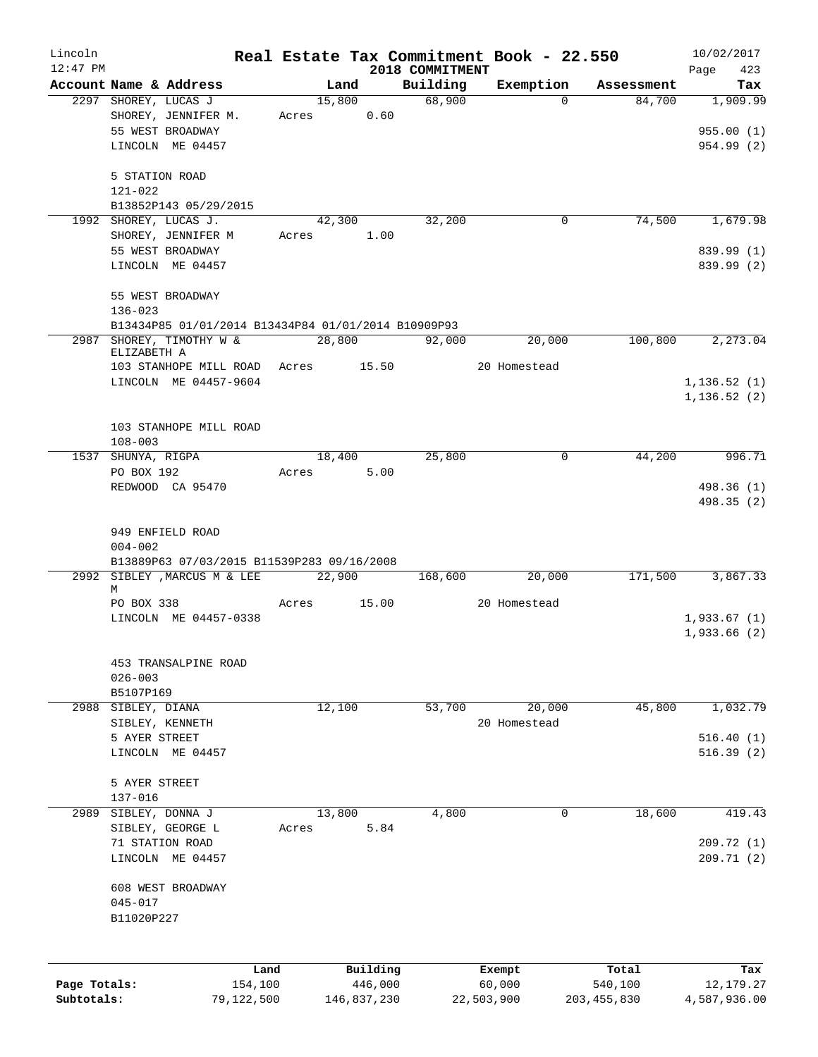| Lincoln      |                          |                                                                            |       |        |             |                             | Real Estate Tax Commitment Book - 22.550 |                      | 10/02/2017         |
|--------------|--------------------------|----------------------------------------------------------------------------|-------|--------|-------------|-----------------------------|------------------------------------------|----------------------|--------------------|
| $12:47$ PM   | Account Name & Address   |                                                                            |       | Land   |             | 2018 COMMITMENT<br>Building | Exemption                                |                      | 423<br>Page<br>Tax |
|              | 2297 SHOREY, LUCAS J     |                                                                            |       | 15,800 |             | 68,900                      | $\Omega$                                 | Assessment<br>84,700 | 1,909.99           |
|              |                          | SHOREY, JENNIFER M.                                                        | Acres |        | 0.60        |                             |                                          |                      |                    |
|              | 55 WEST BROADWAY         |                                                                            |       |        |             |                             |                                          |                      | 955.00(1)          |
|              | LINCOLN ME 04457         |                                                                            |       |        |             |                             |                                          |                      | 954.99 (2)         |
|              |                          |                                                                            |       |        |             |                             |                                          |                      |                    |
|              | 5 STATION ROAD           |                                                                            |       |        |             |                             |                                          |                      |                    |
|              | 121-022                  |                                                                            |       |        |             |                             |                                          |                      |                    |
|              |                          | B13852P143 05/29/2015                                                      |       |        |             |                             |                                          |                      |                    |
|              | 1992 SHOREY, LUCAS J.    |                                                                            |       | 42,300 |             | 32,200                      | 0                                        | 74,500               | 1,679.98           |
|              |                          | SHOREY, JENNIFER M                                                         | Acres |        | 1.00        |                             |                                          |                      |                    |
|              | 55 WEST BROADWAY         |                                                                            |       |        |             |                             |                                          |                      | 839.99 (1)         |
|              | LINCOLN ME 04457         |                                                                            |       |        |             |                             |                                          |                      | 839.99 (2)         |
|              |                          |                                                                            |       |        |             |                             |                                          |                      |                    |
|              | 55 WEST BROADWAY         |                                                                            |       |        |             |                             |                                          |                      |                    |
|              | $136 - 023$              |                                                                            |       |        |             |                             |                                          |                      |                    |
|              |                          | B13434P85 01/01/2014 B13434P84 01/01/2014 B10909P93<br>SHOREY, TIMOTHY W & |       |        |             |                             |                                          | 100,800              |                    |
| 2987         | ELIZABETH A              |                                                                            |       | 28,800 |             | 92,000                      | 20,000                                   |                      | 2,273.04           |
|              |                          | 103 STANHOPE MILL ROAD                                                     | Acres |        | 15.50       |                             | 20 Homestead                             |                      |                    |
|              |                          | LINCOLN ME 04457-9604                                                      |       |        |             |                             |                                          |                      | 1,136.52(1)        |
|              |                          |                                                                            |       |        |             |                             |                                          |                      | 1, 136.52(2)       |
|              |                          |                                                                            |       |        |             |                             |                                          |                      |                    |
|              |                          | 103 STANHOPE MILL ROAD                                                     |       |        |             |                             |                                          |                      |                    |
|              | $108 - 003$              |                                                                            |       |        |             |                             |                                          |                      |                    |
|              | 1537 SHUNYA, RIGPA       |                                                                            |       | 18,400 |             | 25,800                      | 0                                        | 44,200               | 996.71             |
|              | PO BOX 192               |                                                                            | Acres |        | 5.00        |                             |                                          |                      |                    |
|              | REDWOOD CA 95470         |                                                                            |       |        |             |                             |                                          |                      | 498.36 (1)         |
|              |                          |                                                                            |       |        |             |                             |                                          |                      | 498.35 (2)         |
|              | 949 ENFIELD ROAD         |                                                                            |       |        |             |                             |                                          |                      |                    |
|              | $004 - 002$              |                                                                            |       |        |             |                             |                                          |                      |                    |
|              |                          | B13889P63 07/03/2015 B11539P283 09/16/2008                                 |       |        |             |                             |                                          |                      |                    |
|              |                          | 2992 SIBLEY , MARCUS M & LEE                                               |       | 22,900 |             | 168,600                     | 20,000                                   | 171,500              | 3,867.33           |
|              | М                        |                                                                            |       |        |             |                             |                                          |                      |                    |
|              | PO BOX 338               |                                                                            | Acres |        | 15.00       |                             | 20 Homestead                             |                      |                    |
|              |                          | LINCOLN ME 04457-0338                                                      |       |        |             |                             |                                          |                      | 1,933.67(1)        |
|              |                          |                                                                            |       |        |             |                             |                                          |                      | 1,933.66(2)        |
|              |                          |                                                                            |       |        |             |                             |                                          |                      |                    |
|              |                          | 453 TRANSALPINE ROAD                                                       |       |        |             |                             |                                          |                      |                    |
|              | $026 - 003$<br>B5107P169 |                                                                            |       |        |             |                             |                                          |                      |                    |
| 2988         | SIBLEY, DIANA            |                                                                            |       | 12,100 |             | 53,700                      | 20,000                                   | 45,800               | 1,032.79           |
|              | SIBLEY, KENNETH          |                                                                            |       |        |             |                             | 20 Homestead                             |                      |                    |
|              | 5 AYER STREET            |                                                                            |       |        |             |                             |                                          |                      | 516.40(1)          |
|              | LINCOLN ME 04457         |                                                                            |       |        |             |                             |                                          |                      | 516.39(2)          |
|              |                          |                                                                            |       |        |             |                             |                                          |                      |                    |
|              | 5 AYER STREET            |                                                                            |       |        |             |                             |                                          |                      |                    |
|              | 137-016                  |                                                                            |       |        |             |                             |                                          |                      |                    |
| 2989         | SIBLEY, DONNA J          |                                                                            |       | 13,800 |             | 4,800                       | 0                                        | 18,600               | 419.43             |
|              | SIBLEY, GEORGE L         |                                                                            | Acres |        | 5.84        |                             |                                          |                      |                    |
|              | 71 STATION ROAD          |                                                                            |       |        |             |                             |                                          |                      | 209.72(1)          |
|              | LINCOLN ME 04457         |                                                                            |       |        |             |                             |                                          |                      | 209.71(2)          |
|              | 608 WEST BROADWAY        |                                                                            |       |        |             |                             |                                          |                      |                    |
|              | $045 - 017$              |                                                                            |       |        |             |                             |                                          |                      |                    |
|              | B11020P227               |                                                                            |       |        |             |                             |                                          |                      |                    |
|              |                          |                                                                            |       |        |             |                             |                                          |                      |                    |
|              |                          |                                                                            |       |        |             |                             |                                          |                      |                    |
|              |                          | Land                                                                       |       |        | Building    |                             | Exempt                                   | Total                | Tax                |
| Page Totals: |                          | 154,100                                                                    |       |        | 446,000     |                             | 60,000                                   | 540,100              | 12, 179. 27        |
| Subtotals:   |                          | 79,122,500                                                                 |       |        | 146,837,230 |                             | 22,503,900                               | 203, 455, 830        | 4,587,936.00       |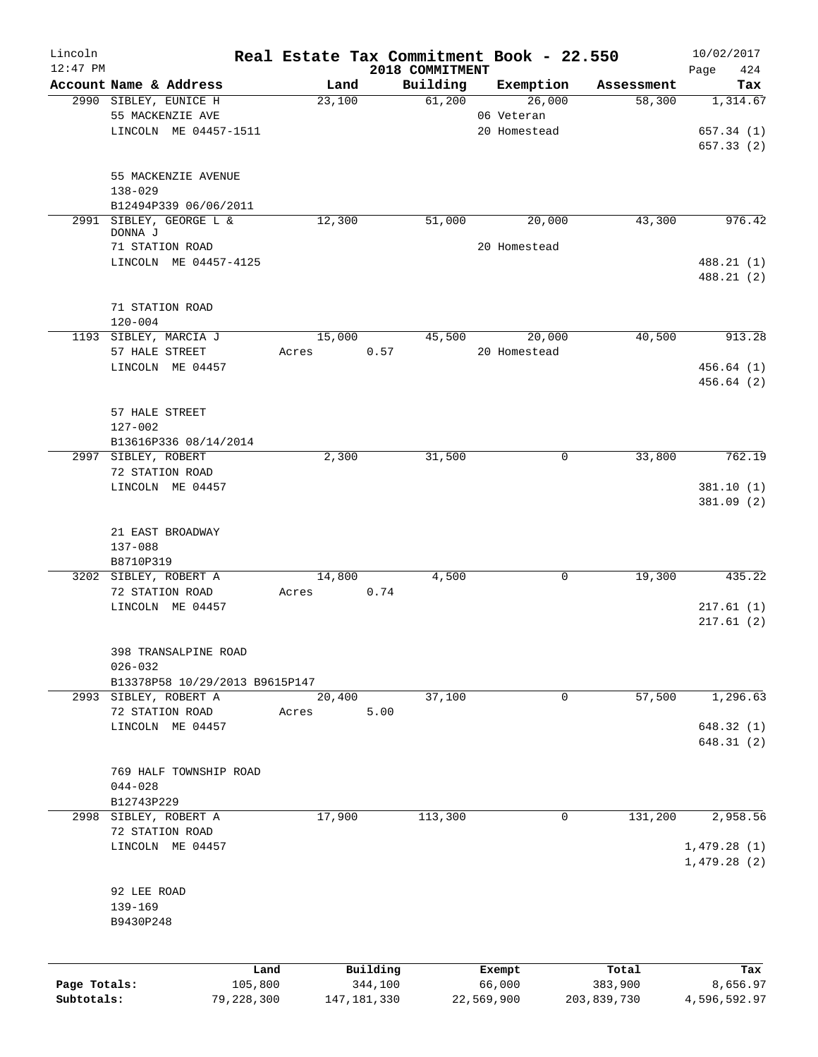| Lincoln                    |                                     |                       |        |                          |                             | Real Estate Tax Commitment Book - 22.550 |                        | 10/02/2017               |
|----------------------------|-------------------------------------|-----------------------|--------|--------------------------|-----------------------------|------------------------------------------|------------------------|--------------------------|
| $12:47$ PM                 | Account Name & Address              |                       |        | Land                     | 2018 COMMITMENT<br>Building | Exemption                                | Assessment             | Page<br>424<br>Tax       |
|                            | 2990 SIBLEY, EUNICE H               |                       | 23,100 |                          | 61,200                      | 26,000                                   | 58,300                 | 1,314.67                 |
|                            | 55 MACKENZIE AVE                    |                       |        |                          |                             | 06 Veteran                               |                        |                          |
|                            | LINCOLN ME 04457-1511               |                       |        |                          |                             | 20 Homestead                             |                        | 657.34 (1)               |
|                            |                                     |                       |        |                          |                             |                                          |                        | 657.33(2)                |
|                            |                                     |                       |        |                          |                             |                                          |                        |                          |
|                            | 55 MACKENZIE AVENUE                 |                       |        |                          |                             |                                          |                        |                          |
|                            | $138 - 029$                         |                       |        |                          |                             |                                          |                        |                          |
|                            | B12494P339 06/06/2011               |                       |        |                          |                             |                                          |                        |                          |
| 2991                       | SIBLEY, GEORGE L &<br>DONNA J       |                       | 12,300 |                          | 51,000                      | 20,000                                   | 43,300                 | 976.42                   |
|                            | 71 STATION ROAD                     |                       |        |                          |                             | 20 Homestead                             |                        |                          |
|                            | LINCOLN ME 04457-4125               |                       |        |                          |                             |                                          |                        | 488.21 (1)               |
|                            |                                     |                       |        |                          |                             |                                          |                        | 488.21 (2)               |
|                            |                                     |                       |        |                          |                             |                                          |                        |                          |
|                            | 71 STATION ROAD<br>$120 - 004$      |                       |        |                          |                             |                                          |                        |                          |
|                            | 1193 SIBLEY, MARCIA J               |                       |        | 15,000                   | 45,500                      | 20,000                                   | 40,500                 | 913.28                   |
|                            | 57 HALE STREET                      |                       | Acres  | 0.57                     |                             | 20 Homestead                             |                        |                          |
|                            | LINCOLN ME 04457                    |                       |        |                          |                             |                                          |                        | 456.64(1)                |
|                            |                                     |                       |        |                          |                             |                                          |                        | 456.64(2)                |
|                            |                                     |                       |        |                          |                             |                                          |                        |                          |
|                            | 57 HALE STREET                      |                       |        |                          |                             |                                          |                        |                          |
|                            | 127-002<br>B13616P336 08/14/2014    |                       |        |                          |                             |                                          |                        |                          |
|                            | 2997 SIBLEY, ROBERT                 |                       |        | 2,300                    | 31,500                      | $\mathbf 0$                              | 33,800                 | 762.19                   |
|                            | 72 STATION ROAD                     |                       |        |                          |                             |                                          |                        |                          |
|                            | LINCOLN ME 04457                    |                       |        |                          |                             |                                          |                        | 381.10(1)                |
|                            |                                     |                       |        |                          |                             |                                          |                        | 381.09(2)                |
|                            |                                     |                       |        |                          |                             |                                          |                        |                          |
|                            | 21 EAST BROADWAY                    |                       |        |                          |                             |                                          |                        |                          |
|                            | 137-088                             |                       |        |                          |                             |                                          |                        |                          |
|                            | B8710P319                           |                       |        |                          |                             |                                          |                        |                          |
|                            | 3202 SIBLEY, ROBERT A               |                       |        | 14,800                   | 4,500                       | 0                                        | 19,300                 | 435.22                   |
|                            | 72 STATION ROAD                     |                       | Acres  | 0.74                     |                             |                                          |                        |                          |
|                            | LINCOLN ME 04457                    |                       |        |                          |                             |                                          |                        | 217.61(1)                |
|                            |                                     |                       |        |                          |                             |                                          |                        | 217.61(2)                |
|                            | 398 TRANSALPINE ROAD                |                       |        |                          |                             |                                          |                        |                          |
|                            | $026 - 032$                         |                       |        |                          |                             |                                          |                        |                          |
|                            | B13378P58 10/29/2013 B9615P147      |                       |        |                          |                             |                                          |                        |                          |
|                            | 2993 SIBLEY, ROBERT A               |                       | 20,400 |                          | 37,100                      | 0                                        | 57,500                 | 1,296.63                 |
|                            | 72 STATION ROAD                     |                       | Acres  | 5.00                     |                             |                                          |                        |                          |
|                            | LINCOLN ME 04457                    |                       |        |                          |                             |                                          |                        | 648.32(1)                |
|                            |                                     |                       |        |                          |                             |                                          |                        | 648.31(2)                |
|                            |                                     |                       |        |                          |                             |                                          |                        |                          |
|                            | 769 HALF TOWNSHIP ROAD              |                       |        |                          |                             |                                          |                        |                          |
|                            | $044 - 028$                         |                       |        |                          |                             |                                          |                        |                          |
|                            | B12743P229<br>2998 SIBLEY, ROBERT A |                       |        | 17,900                   | 113,300                     | 0                                        | 131,200                | 2,958.56                 |
|                            | 72 STATION ROAD                     |                       |        |                          |                             |                                          |                        |                          |
|                            | LINCOLN ME 04457                    |                       |        |                          |                             |                                          |                        | 1,479.28(1)              |
|                            |                                     |                       |        |                          |                             |                                          |                        | 1,479.28(2)              |
|                            |                                     |                       |        |                          |                             |                                          |                        |                          |
|                            | 92 LEE ROAD                         |                       |        |                          |                             |                                          |                        |                          |
|                            | 139-169                             |                       |        |                          |                             |                                          |                        |                          |
|                            | B9430P248                           |                       |        |                          |                             |                                          |                        |                          |
|                            |                                     |                       |        |                          |                             |                                          |                        |                          |
|                            |                                     | Land                  |        | Building                 |                             | Exempt                                   | Total                  | Tax                      |
| Page Totals:<br>Subtotals: |                                     | 105,800<br>79,228,300 |        | 344,100<br>147, 181, 330 |                             | 66,000<br>22,569,900                     | 383,900<br>203,839,730 | 8,656.97<br>4,596,592.97 |
|                            |                                     |                       |        |                          |                             |                                          |                        |                          |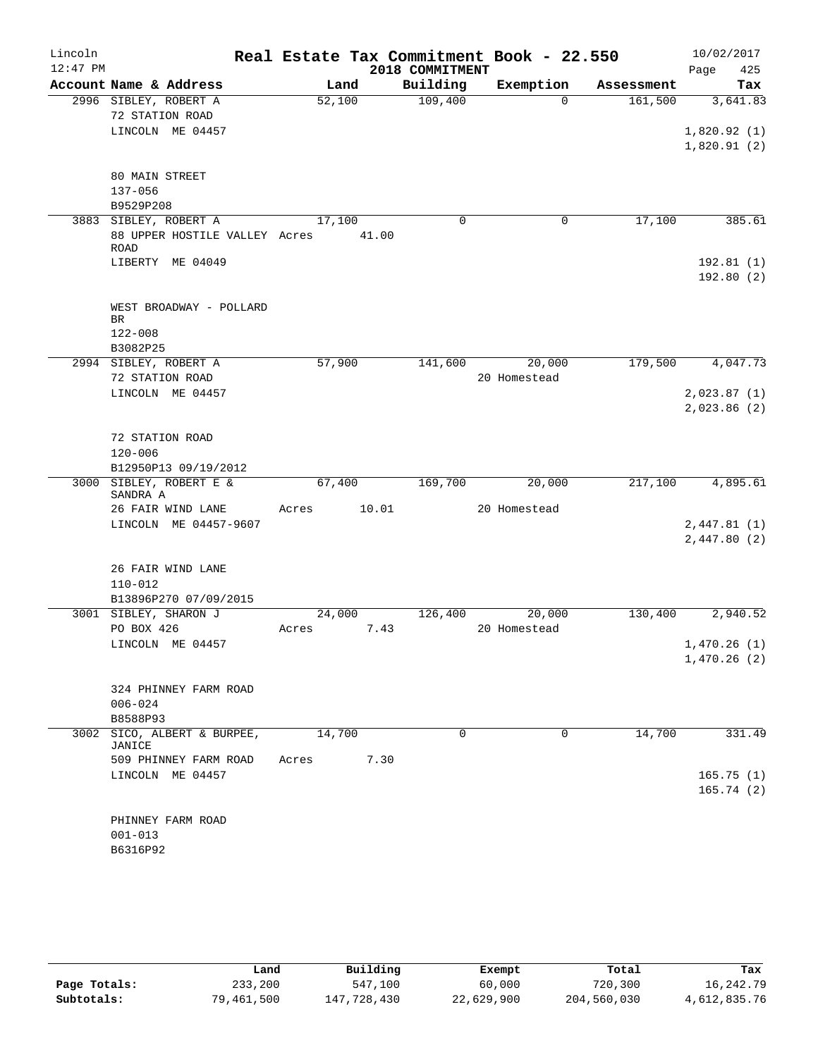| Lincoln    |                                     |        |        | Real Estate Tax Commitment Book - 22.550 |              |            | 10/02/2017                 |
|------------|-------------------------------------|--------|--------|------------------------------------------|--------------|------------|----------------------------|
| $12:47$ PM |                                     |        |        | 2018 COMMITMENT                          |              |            | 425<br>Page                |
|            | Account Name & Address              |        | Land   | Building                                 | Exemption    | Assessment | Tax                        |
|            | 2996 SIBLEY, ROBERT A               | 52,100 |        | 109,400                                  | $\Omega$     | 161,500    | 3,641.83                   |
|            | 72 STATION ROAD                     |        |        |                                          |              |            |                            |
|            | LINCOLN ME 04457                    |        |        |                                          |              |            | 1,820.92(1)                |
|            |                                     |        |        |                                          |              |            | 1,820.91(2)                |
|            | 80 MAIN STREET                      |        |        |                                          |              |            |                            |
|            | $137 - 056$                         |        |        |                                          |              |            |                            |
|            | B9529P208                           |        |        |                                          |              |            |                            |
|            | 3883 SIBLEY, ROBERT A               | 17,100 |        | $\mathbf 0$                              | 0            | 17,100     | 385.61                     |
|            | 88 UPPER HOSTILE VALLEY Acres       |        | 41.00  |                                          |              |            |                            |
|            | <b>ROAD</b>                         |        |        |                                          |              |            |                            |
|            | LIBERTY ME 04049                    |        |        |                                          |              |            | 192.81(1)                  |
|            |                                     |        |        |                                          |              |            | 192.80(2)                  |
|            |                                     |        |        |                                          |              |            |                            |
|            | WEST BROADWAY - POLLARD<br>BR       |        |        |                                          |              |            |                            |
|            | $122 - 008$                         |        |        |                                          |              |            |                            |
|            | B3082P25                            |        |        |                                          |              |            |                            |
|            | 2994 SIBLEY, ROBERT A               | 57,900 |        | 141,600                                  | 20,000       | 179,500    | 4,047.73                   |
|            | 72 STATION ROAD                     |        |        |                                          | 20 Homestead |            |                            |
|            | LINCOLN ME 04457                    |        |        |                                          |              |            | 2,023.87(1)                |
|            |                                     |        |        |                                          |              |            | 2,023.86 (2)               |
|            |                                     |        |        |                                          |              |            |                            |
|            | 72 STATION ROAD                     |        |        |                                          |              |            |                            |
|            | $120 - 006$                         |        |        |                                          |              |            |                            |
|            | B12950P13 09/19/2012                |        |        |                                          |              |            |                            |
|            | 3000 SIBLEY, ROBERT E &<br>SANDRA A |        | 67,400 | 169,700                                  | 20,000       | 217,100    | 4,895.61                   |
|            | 26 FAIR WIND LANE                   | Acres  | 10.01  |                                          | 20 Homestead |            |                            |
|            | LINCOLN ME 04457-9607               |        |        |                                          |              |            | 2,447.81(1)                |
|            |                                     |        |        |                                          |              |            | 2,447.80(2)                |
|            |                                     |        |        |                                          |              |            |                            |
|            | 26 FAIR WIND LANE                   |        |        |                                          |              |            |                            |
|            | $110 - 012$                         |        |        |                                          |              |            |                            |
|            | B13896P270 07/09/2015               |        |        |                                          |              |            |                            |
|            | 3001 SIBLEY, SHARON J               |        | 24,000 | 126,400                                  | 20,000       | 130,400    | 2,940.52                   |
|            | PO BOX 426                          | Acres  | 7.43   |                                          | 20 Homestead |            |                            |
|            | LINCOLN ME 04457                    |        |        |                                          |              |            | 1,470.26(1)<br>1,470.26(2) |
|            |                                     |        |        |                                          |              |            |                            |
|            | 324 PHINNEY FARM ROAD               |        |        |                                          |              |            |                            |
|            | $006 - 024$                         |        |        |                                          |              |            |                            |
|            | B8588P93                            |        |        |                                          |              |            |                            |
|            | 3002 SICO, ALBERT & BURPEE,         | 14,700 |        | $\Omega$                                 | $\Omega$     | 14,700     | 331.49                     |
|            | JANICE                              |        |        |                                          |              |            |                            |
|            | 509 PHINNEY FARM ROAD               | Acres  | 7.30   |                                          |              |            |                            |
|            | LINCOLN ME 04457                    |        |        |                                          |              |            | 165.75(1)                  |
|            |                                     |        |        |                                          |              |            | 165.74(2)                  |
|            | PHINNEY FARM ROAD                   |        |        |                                          |              |            |                            |
|            | $001 - 013$                         |        |        |                                          |              |            |                            |
|            | B6316P92                            |        |        |                                          |              |            |                            |
|            |                                     |        |        |                                          |              |            |                            |

|              | Land       | Building    | Exempt     | Total       | Tax          |
|--------------|------------|-------------|------------|-------------|--------------|
| Page Totals: | 233,200    | 547,100     | 60,000     | 720,300     | 16,242.79    |
| Subtotals:   | 79,461,500 | 147,728,430 | 22,629,900 | 204,560,030 | 4,612,835.76 |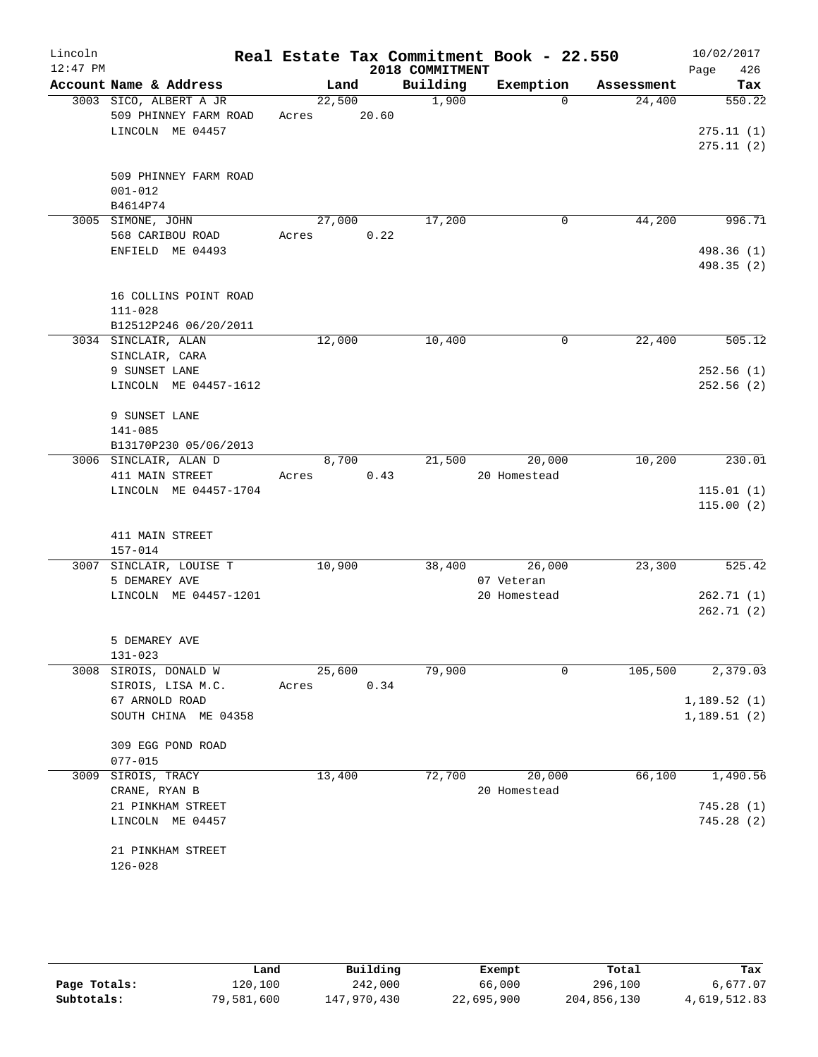| Lincoln<br>$12:47$ PM |                                                                     |                       |      | 2018 COMMITMENT | Real Estate Tax Commitment Book - 22.550 |            | 10/02/2017<br>426<br>Page        |
|-----------------------|---------------------------------------------------------------------|-----------------------|------|-----------------|------------------------------------------|------------|----------------------------------|
|                       | Account Name & Address                                              | Land                  |      | Building        | Exemption                                | Assessment | Tax                              |
|                       | 3003 SICO, ALBERT A JR<br>509 PHINNEY FARM ROAD<br>LINCOLN ME 04457 | 22,500<br>Acres 20.60 |      | 1,900           | $\Omega$                                 | 24,400     | 550.22<br>275.11(1)<br>275.11(2) |
|                       | 509 PHINNEY FARM ROAD<br>$001 - 012$<br>B4614P74                    |                       |      |                 |                                          |            |                                  |
|                       | 3005 SIMONE, JOHN                                                   | 27,000                |      | 17,200          | 0                                        | 44,200     | 996.71                           |
|                       | 568 CARIBOU ROAD<br>ENFIELD ME 04493                                | Acres                 | 0.22 |                 |                                          |            | 498.36 (1)<br>498.35 (2)         |
|                       | 16 COLLINS POINT ROAD<br>$111 - 028$<br>B12512P246 06/20/2011       |                       |      |                 |                                          |            |                                  |
|                       | 3034 SINCLAIR, ALAN                                                 | 12,000                |      | 10,400          | 0                                        | 22,400     | 505.12                           |
|                       | SINCLAIR, CARA<br>9 SUNSET LANE                                     |                       |      |                 |                                          |            | 252.56(1)                        |
|                       | LINCOLN ME 04457-1612                                               |                       |      |                 |                                          |            | 252.56(2)                        |
|                       | 9 SUNSET LANE<br>$141 - 085$                                        |                       |      |                 |                                          |            |                                  |
|                       | B13170P230 05/06/2013                                               |                       |      |                 |                                          |            |                                  |
|                       | 3006 SINCLAIR, ALAN D<br>411 MAIN STREET                            | 8,700<br>Acres        | 0.43 | 21,500          | 20,000<br>20 Homestead                   | 10,200     | 230.01                           |
|                       | LINCOLN ME 04457-1704                                               |                       |      |                 |                                          |            | 115.01(1)<br>115.00(2)           |
|                       | 411 MAIN STREET<br>157-014                                          |                       |      |                 |                                          |            |                                  |
|                       | 3007 SINCLAIR, LOUISE T                                             | 10,900                |      | 38,400          | 26,000                                   | 23,300     | 525.42                           |
|                       | 5 DEMAREY AVE<br>LINCOLN ME 04457-1201                              |                       |      |                 | 07 Veteran<br>20 Homestead               |            | 262.71(1)                        |
|                       |                                                                     |                       |      |                 |                                          |            | 262.71(2)                        |
|                       | 5 DEMAREY AVE<br>$131 - 023$                                        |                       |      |                 |                                          |            |                                  |
| 3008                  | SIROIS, DONALD W                                                    | 25,600                |      | 79,900          | 0                                        | 105,500    | 2,379.03                         |
|                       | SIROIS, LISA M.C.                                                   | Acres                 | 0.34 |                 |                                          |            |                                  |
|                       | 67 ARNOLD ROAD<br>SOUTH CHINA ME 04358                              |                       |      |                 |                                          |            | 1,189.52(1)<br>1,189.51(2)       |
|                       | 309 EGG POND ROAD<br>$077 - 015$                                    |                       |      |                 |                                          |            |                                  |
| 3009                  | SIROIS, TRACY<br>CRANE, RYAN B                                      | 13,400                |      | 72,700          | 20,000<br>20 Homestead                   | 66,100     | 1,490.56                         |
|                       | 21 PINKHAM STREET                                                   |                       |      |                 |                                          |            | 745.28 (1)                       |
|                       | LINCOLN ME 04457                                                    |                       |      |                 |                                          |            | 745.28 (2)                       |
|                       | 21 PINKHAM STREET<br>$126 - 028$                                    |                       |      |                 |                                          |            |                                  |
|                       |                                                                     |                       |      |                 |                                          |            |                                  |

|              | Land       | Building    | Exempt     | Total       | Tax          |
|--------------|------------|-------------|------------|-------------|--------------|
| Page Totals: | 120,100    | 242,000     | 66,000     | 296,100     | 6,677.07     |
| Subtotals:   | 79,581,600 | 147,970,430 | 22,695,900 | 204,856,130 | 4,619,512.83 |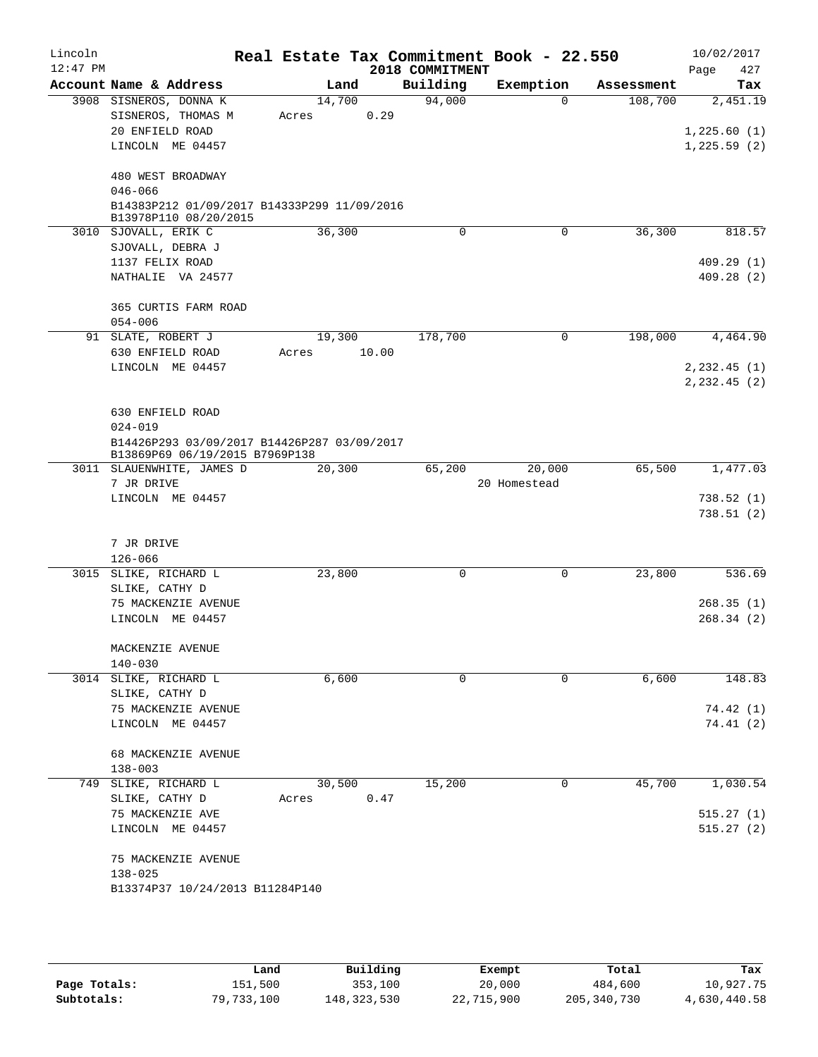|                                              |                                                                                  | 2018 COMMITMENT                                                   |                                                                                                                     | Real Estate Tax Commitment Book - 22.550 | 427<br>Page                      |
|----------------------------------------------|----------------------------------------------------------------------------------|-------------------------------------------------------------------|---------------------------------------------------------------------------------------------------------------------|------------------------------------------|----------------------------------|
| Account Name & Address                       | Land                                                                             | Building                                                          | Exemption                                                                                                           | Assessment                               | Tax                              |
| 3908 SISNEROS, DONNA K<br>SISNEROS, THOMAS M | 14,700<br>Acres                                                                  | 94,000                                                            | $\Omega$                                                                                                            | 108,700                                  | 2,451.19                         |
| LINCOLN ME 04457                             |                                                                                  |                                                                   |                                                                                                                     |                                          | 1,225.60(1)<br>1,225.59(2)       |
| 480 WEST BROADWAY<br>$046 - 066$             |                                                                                  |                                                                   |                                                                                                                     |                                          |                                  |
| B13978P110 08/20/2015                        |                                                                                  |                                                                   |                                                                                                                     |                                          |                                  |
| 3010 SJOVALL, ERIK C<br>SJOVALL, DEBRA J     | 36,300                                                                           | 0                                                                 | 0                                                                                                                   | 36,300                                   | 818.57                           |
| 1137 FELIX ROAD<br>NATHALIE VA 24577         |                                                                                  |                                                                   |                                                                                                                     |                                          | 409.29(1)<br>409.28(2)           |
| 365 CURTIS FARM ROAD                         |                                                                                  |                                                                   |                                                                                                                     |                                          |                                  |
| 91 SLATE, ROBERT J                           | 19,300                                                                           | 178,700                                                           | 0                                                                                                                   | 198,000                                  | 4,464.90                         |
| 630 ENFIELD ROAD<br>LINCOLN ME 04457         | Acres                                                                            |                                                                   |                                                                                                                     |                                          | $2, 232.45$ (1)<br>2, 232.45 (2) |
| 630 ENFIELD ROAD<br>$024 - 019$              |                                                                                  |                                                                   |                                                                                                                     |                                          |                                  |
| 3011 SLAUENWHITE, JAMES D                    | 20,300                                                                           | 65,200                                                            | 20,000                                                                                                              | 65,500                                   | 1,477.03                         |
| LINCOLN ME 04457                             |                                                                                  |                                                                   |                                                                                                                     |                                          | 738.52(1)<br>738.51(2)           |
| 7 JR DRIVE<br>$126 - 066$                    |                                                                                  |                                                                   |                                                                                                                     |                                          |                                  |
| 3015 SLIKE, RICHARD L                        | 23,800                                                                           | 0                                                                 | 0                                                                                                                   | 23,800                                   | 536.69                           |
| 75 MACKENZIE AVENUE<br>LINCOLN ME 04457      |                                                                                  |                                                                   |                                                                                                                     |                                          | 268.35(1)<br>268.34(2)           |
| MACKENZIE AVENUE<br>$140 - 030$              |                                                                                  |                                                                   |                                                                                                                     |                                          |                                  |
| 3014 SLIKE, RICHARD L                        | 6,600                                                                            | 0                                                                 | 0                                                                                                                   | 6,600                                    | 148.83                           |
| 75 MACKENZIE AVENUE<br>LINCOLN ME 04457      |                                                                                  |                                                                   |                                                                                                                     |                                          | 74.42 (1)<br>74.41(2)            |
| 68 MACKENZIE AVENUE<br>$138 - 003$           |                                                                                  |                                                                   |                                                                                                                     |                                          |                                  |
| 749 SLIKE, RICHARD L<br>SLIKE, CATHY D       | 30,500<br>Acres                                                                  | 15,200                                                            | 0                                                                                                                   | 45,700                                   | 1,030.54                         |
| 75 MACKENZIE AVE<br>LINCOLN ME 04457         |                                                                                  |                                                                   |                                                                                                                     |                                          | 515.27(1)<br>515.27(2)           |
| 75 MACKENZIE AVENUE<br>$138 - 025$           |                                                                                  |                                                                   |                                                                                                                     |                                          |                                  |
|                                              | 20 ENFIELD ROAD<br>$054 - 006$<br>7 JR DRIVE<br>SLIKE, CATHY D<br>SLIKE, CATHY D | B13869P69 06/19/2015 B7969P138<br>B13374P37 10/24/2013 B11284P140 | 0.29<br>B14383P212 01/09/2017 B14333P299 11/09/2016<br>10.00<br>B14426P293 03/09/2017 B14426P287 03/09/2017<br>0.47 | 20 Homestead                             |                                  |

|              | Land       | Building      | Exempt     | Total         | Tax          |
|--------------|------------|---------------|------------|---------------|--------------|
| Page Totals: | 151,500    | 353,100       | 20,000     | 484,600       | 10,927.75    |
| Subtotals:   | 79,733,100 | 148, 323, 530 | 22,715,900 | 205, 340, 730 | 4,630,440.58 |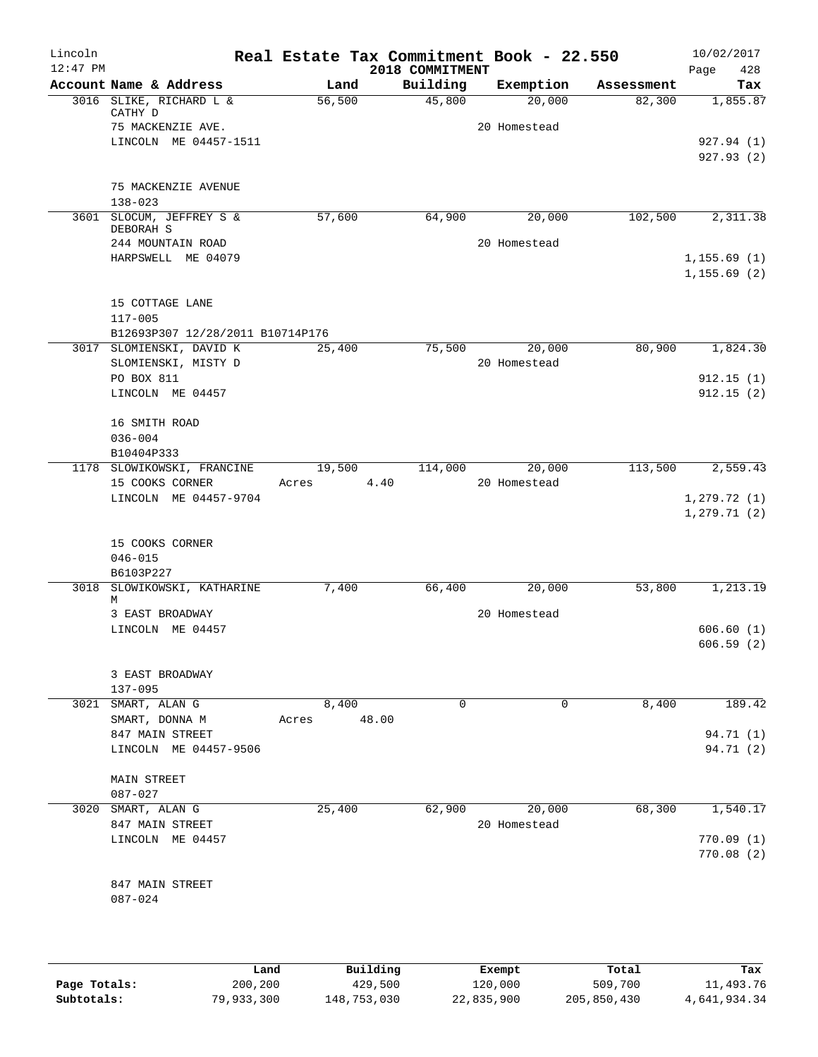| Lincoln    |                                       |        | Real Estate Tax Commitment Book - 22.550 |              |            | 10/02/2017   |
|------------|---------------------------------------|--------|------------------------------------------|--------------|------------|--------------|
| $12:47$ PM |                                       |        | 2018 COMMITMENT                          |              |            | 428<br>Page  |
|            | Account Name & Address                | Land   | Building                                 | Exemption    | Assessment | Tax          |
|            | 3016 SLIKE, RICHARD L &<br>CATHY D    | 56,500 | 45,800                                   | 20,000       | 82,300     | 1,855.87     |
|            | 75 MACKENZIE AVE.                     |        |                                          | 20 Homestead |            |              |
|            | LINCOLN ME 04457-1511                 |        |                                          |              |            | 927.94 (1)   |
|            |                                       |        |                                          |              |            | 927.93(2)    |
|            | 75 MACKENZIE AVENUE                   |        |                                          |              |            |              |
|            | $138 - 023$                           |        |                                          |              |            |              |
|            | 3601 SLOCUM, JEFFREY S &<br>DEBORAH S | 57,600 | 64,900                                   | 20,000       | 102,500    | 2,311.38     |
|            | 244 MOUNTAIN ROAD                     |        |                                          | 20 Homestead |            |              |
|            | HARPSWELL ME 04079                    |        |                                          |              |            | 1, 155.69(1) |
|            |                                       |        |                                          |              |            | 1, 155.69(2) |
|            | 15 COTTAGE LANE                       |        |                                          |              |            |              |
|            | $117 - 005$                           |        |                                          |              |            |              |
|            | B12693P307 12/28/2011 B10714P176      |        |                                          |              |            |              |
|            | 3017 SLOMIENSKI, DAVID K              | 25,400 | 75,500                                   | 20,000       | 80,900     | 1,824.30     |
|            | SLOMIENSKI, MISTY D                   |        |                                          | 20 Homestead |            |              |
|            | PO BOX 811                            |        |                                          |              |            | 912.15(1)    |
|            | LINCOLN ME 04457                      |        |                                          |              |            | 912.15(2)    |
|            | 16 SMITH ROAD                         |        |                                          |              |            |              |
|            | $036 - 004$                           |        |                                          |              |            |              |
|            | B10404P333                            |        |                                          |              |            |              |
|            | 1178 SLOWIKOWSKI, FRANCINE            | 19,500 | 114,000                                  | 20,000       | 113,500    | 2,559.43     |
|            | 15 COOKS CORNER                       | Acres  | 4.40                                     | 20 Homestead |            |              |
|            | LINCOLN ME 04457-9704                 |        |                                          |              |            | 1, 279.72(1) |
|            |                                       |        |                                          |              |            | 1, 279.71(2) |
|            | 15 COOKS CORNER                       |        |                                          |              |            |              |
|            | $046 - 015$                           |        |                                          |              |            |              |
|            | B6103P227                             |        |                                          |              |            |              |
| 3018       | SLOWIKOWSKI, KATHARINE                | 7,400  | 66,400                                   | 20,000       | 53,800     | 1,213.19     |
|            | M                                     |        |                                          |              |            |              |
|            | 3 EAST BROADWAY                       |        |                                          | 20 Homestead |            |              |
|            | LINCOLN ME 04457                      |        |                                          |              |            | 606.60(1)    |
|            |                                       |        |                                          |              |            | 606.59(2)    |
|            | 3 EAST BROADWAY                       |        |                                          |              |            |              |
|            | $137 - 095$                           |        |                                          |              |            |              |
|            | 3021 SMART, ALAN G                    | 8,400  | 0                                        | $\mathbf 0$  | 8,400      | 189.42       |
|            | SMART, DONNA M                        | Acres  | 48.00                                    |              |            |              |
|            | 847 MAIN STREET                       |        |                                          |              |            | 94.71 (1)    |
|            | LINCOLN ME 04457-9506                 |        |                                          |              |            | 94.71 (2)    |
|            | <b>MAIN STREET</b>                    |        |                                          |              |            |              |
|            | $087 - 027$                           |        |                                          |              |            |              |
|            | 3020 SMART, ALAN G                    | 25,400 | 62,900                                   | 20,000       | 68,300     | 1,540.17     |
|            | 847 MAIN STREET                       |        |                                          | 20 Homestead |            |              |
|            | LINCOLN ME 04457                      |        |                                          |              |            | 770.09(1)    |
|            |                                       |        |                                          |              |            | 770.08(2)    |
|            |                                       |        |                                          |              |            |              |
|            | 847 MAIN STREET                       |        |                                          |              |            |              |
|            | $087 - 024$                           |        |                                          |              |            |              |
|            |                                       |        |                                          |              |            |              |
|            |                                       |        |                                          |              |            |              |
|            |                                       |        |                                          |              |            |              |

|              | Land       | Building    | Exempt     | Total       | Tax          |
|--------------|------------|-------------|------------|-------------|--------------|
| Page Totals: | 200,200    | 429,500     | 120,000    | 509,700     | 11,493.76    |
| Subtotals:   | 79,933,300 | 148,753,030 | 22,835,900 | 205,850,430 | 4,641,934.34 |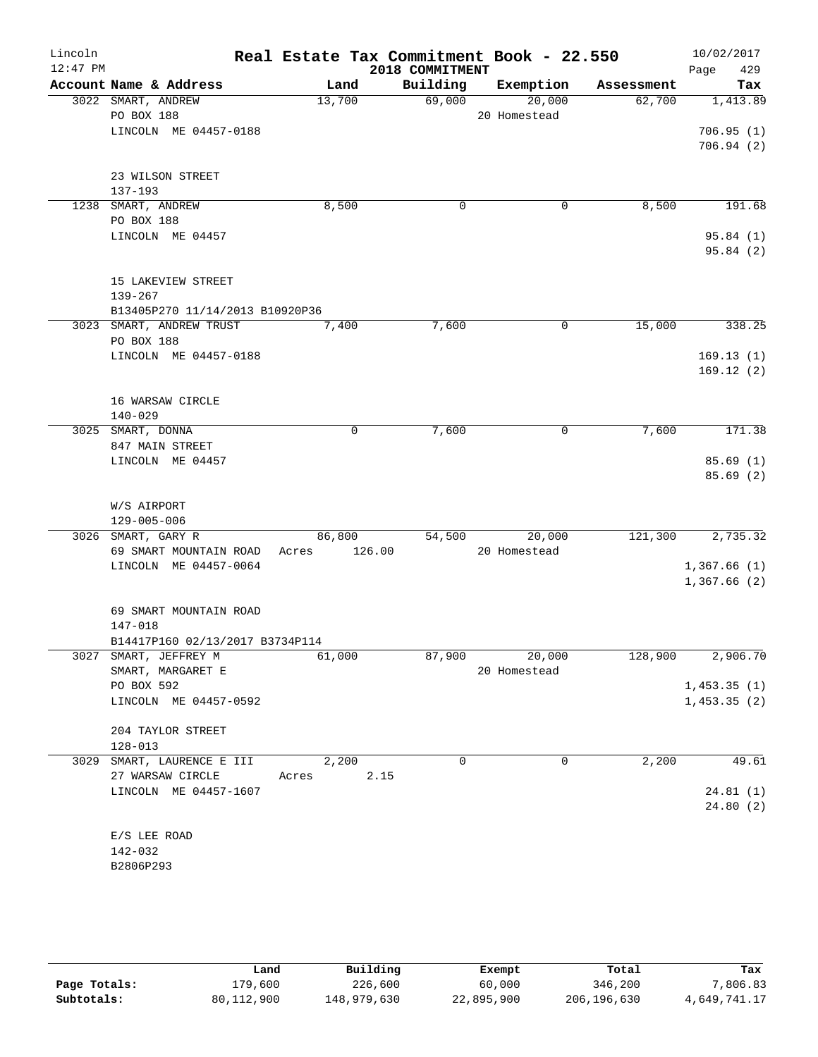| Lincoln    |                                 | Real Estate Tax Commitment Book - 22.550 |                 |               |            | 10/02/2017           |
|------------|---------------------------------|------------------------------------------|-----------------|---------------|------------|----------------------|
| $12:47$ PM |                                 |                                          | 2018 COMMITMENT |               |            | 429<br>Page          |
|            | Account Name & Address          | Land                                     | Building        | Exemption     | Assessment | Tax                  |
|            | 3022 SMART, ANDREW              | 13,700                                   | 69,000          | 20,000        | 62,700     | 1,413.89             |
|            | PO BOX 188                      |                                          |                 | 20 Homestead  |            |                      |
|            | LINCOLN ME 04457-0188           |                                          |                 |               |            | 706.95(1)            |
|            |                                 |                                          |                 |               |            | 706.94(2)            |
|            |                                 |                                          |                 |               |            |                      |
|            | 23 WILSON STREET                |                                          |                 |               |            |                      |
|            | $137 - 193$                     |                                          |                 |               |            |                      |
|            | 1238 SMART, ANDREW              | 8,500                                    | 0               | 0             | 8,500      | 191.68               |
|            | PO BOX 188                      |                                          |                 |               |            |                      |
|            | LINCOLN ME 04457                |                                          |                 |               |            | 95.84(1)<br>95.84(2) |
|            |                                 |                                          |                 |               |            |                      |
|            | 15 LAKEVIEW STREET              |                                          |                 |               |            |                      |
|            | $139 - 267$                     |                                          |                 |               |            |                      |
|            | B13405P270 11/14/2013 B10920P36 |                                          |                 |               |            |                      |
|            | 3023 SMART, ANDREW TRUST        | 7,400                                    | 7,600           | 0             | 15,000     | 338.25               |
|            | PO BOX 188                      |                                          |                 |               |            |                      |
|            | LINCOLN ME 04457-0188           |                                          |                 |               |            | 169.13(1)            |
|            |                                 |                                          |                 |               |            | 169.12(2)            |
|            |                                 |                                          |                 |               |            |                      |
|            | 16 WARSAW CIRCLE                |                                          |                 |               |            |                      |
|            | $140 - 029$                     |                                          |                 |               |            |                      |
|            | 3025 SMART, DONNA               | 0                                        | 7,600           | 0             | 7,600      | 171.38               |
|            | 847 MAIN STREET                 |                                          |                 |               |            |                      |
|            | LINCOLN ME 04457                |                                          |                 |               |            | 85.69(1)             |
|            |                                 |                                          |                 |               |            | 85.69(2)             |
|            |                                 |                                          |                 |               |            |                      |
|            | W/S AIRPORT                     |                                          |                 |               |            |                      |
|            | 129-005-006                     |                                          |                 |               |            |                      |
|            | 3026 SMART, GARY R              | 86,800                                   | 54,500          | 20,000        | 121,300    | 2,735.32             |
|            | 69 SMART MOUNTAIN ROAD          | 126.00<br>Acres                          |                 | 20 Homestead  |            |                      |
|            | LINCOLN ME 04457-0064           |                                          |                 |               |            | 1,367.66(1)          |
|            |                                 |                                          |                 |               |            | 1,367.66(2)          |
|            |                                 |                                          |                 |               |            |                      |
|            | 69 SMART MOUNTAIN ROAD          |                                          |                 |               |            |                      |
|            | 147-018                         |                                          |                 |               |            |                      |
|            | B14417P160 02/13/2017 B3734P114 |                                          |                 |               |            |                      |
|            | 3027 SMART, JEFFREY M           | 61,000                                   |                 | 87,900 20,000 | 128,900    | 2,906.70             |
|            | SMART, MARGARET E               |                                          |                 | 20 Homestead  |            |                      |
|            | PO BOX 592                      |                                          |                 |               |            | 1,453.35(1)          |
|            | LINCOLN ME 04457-0592           |                                          |                 |               |            | 1,453.35(2)          |
|            |                                 |                                          |                 |               |            |                      |
|            | 204 TAYLOR STREET               |                                          |                 |               |            |                      |
|            | $128 - 013$                     |                                          |                 |               |            |                      |
|            | 3029 SMART, LAURENCE E III      | 2,200                                    | 0               | 0             | 2,200      | 49.61                |
|            | 27 WARSAW CIRCLE                | Acres                                    | 2.15            |               |            |                      |
|            | LINCOLN ME 04457-1607           |                                          |                 |               |            | 24.81(1)             |
|            |                                 |                                          |                 |               |            | 24.80(2)             |
|            |                                 |                                          |                 |               |            |                      |
|            | E/S LEE ROAD<br>142-032         |                                          |                 |               |            |                      |
|            | B2806P293                       |                                          |                 |               |            |                      |
|            |                                 |                                          |                 |               |            |                      |

|              | Land       | Building    | Exempt     | Total       | Tax          |
|--------------|------------|-------------|------------|-------------|--------------|
| Page Totals: | 179,600    | 226,600     | 60,000     | 346,200     | 7,806.83     |
| Subtotals:   | 80,112,900 | 148,979,630 | 22,895,900 | 206,196,630 | 4,649,741.17 |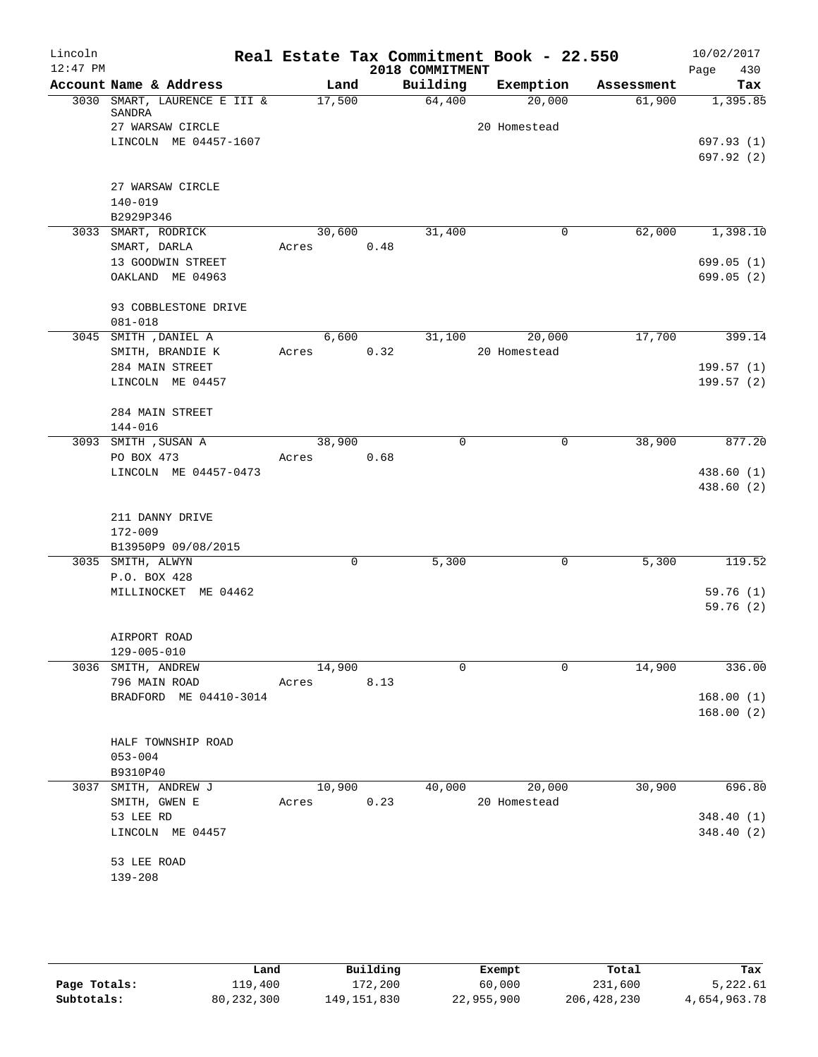| Lincoln<br>$12:47$ PM |                                       |        |             |      | 2018 COMMITMENT | Real Estate Tax Commitment Book - 22.550 |            | 10/02/2017<br>430       |
|-----------------------|---------------------------------------|--------|-------------|------|-----------------|------------------------------------------|------------|-------------------------|
|                       | Account Name & Address                |        | Land        |      | Building        | Exemption                                | Assessment | Page<br>Tax             |
|                       | 3030 SMART, LAURENCE E III &          | 17,500 |             |      | 64,400          | 20,000                                   | 61,900     | 1,395.85                |
|                       | SANDRA                                |        |             |      |                 |                                          |            |                         |
|                       | 27 WARSAW CIRCLE                      |        |             |      |                 | 20 Homestead                             |            |                         |
|                       | LINCOLN ME 04457-1607                 |        |             |      |                 |                                          |            | 697.93(1)               |
|                       |                                       |        |             |      |                 |                                          |            | 697.92(2)               |
|                       |                                       |        |             |      |                 |                                          |            |                         |
|                       | 27 WARSAW CIRCLE                      |        |             |      |                 |                                          |            |                         |
|                       | $140 - 019$                           |        |             |      |                 |                                          |            |                         |
|                       | B2929P346                             |        |             |      |                 |                                          |            |                         |
|                       | 3033 SMART, RODRICK                   | 30,600 |             |      | 31,400          | 0                                        | 62,000     | 1,398.10                |
|                       | SMART, DARLA                          | Acres  |             | 0.48 |                 |                                          |            |                         |
|                       | 13 GOODWIN STREET<br>OAKLAND ME 04963 |        |             |      |                 |                                          |            | 699.05 (1)<br>699.05(2) |
|                       |                                       |        |             |      |                 |                                          |            |                         |
|                       | 93 COBBLESTONE DRIVE                  |        |             |      |                 |                                          |            |                         |
|                       | $081 - 018$                           |        |             |      |                 |                                          |            |                         |
|                       | 3045 SMITH , DANIEL A                 |        | 6,600       |      | 31,100          | 20,000                                   | 17,700     | 399.14                  |
|                       | SMITH, BRANDIE K                      | Acres  |             | 0.32 |                 | 20 Homestead                             |            |                         |
|                       | 284 MAIN STREET                       |        |             |      |                 |                                          |            | 199.57(1)               |
|                       | LINCOLN ME 04457                      |        |             |      |                 |                                          |            | 199.57 (2)              |
|                       |                                       |        |             |      |                 |                                          |            |                         |
|                       | 284 MAIN STREET                       |        |             |      |                 |                                          |            |                         |
|                       | 144-016                               |        |             |      |                 |                                          |            |                         |
|                       | 3093 SMITH , SUSAN A                  | 38,900 |             |      | 0               | $\mathbf 0$                              | 38,900     | 877.20                  |
|                       | PO BOX 473                            | Acres  |             | 0.68 |                 |                                          |            |                         |
|                       | LINCOLN ME 04457-0473                 |        |             |      |                 |                                          |            | 438.60 (1)              |
|                       |                                       |        |             |      |                 |                                          |            | 438.60 (2)              |
|                       |                                       |        |             |      |                 |                                          |            |                         |
|                       | 211 DANNY DRIVE                       |        |             |      |                 |                                          |            |                         |
|                       | $172 - 009$                           |        |             |      |                 |                                          |            |                         |
|                       | B13950P9 09/08/2015                   |        |             |      |                 |                                          |            |                         |
|                       | 3035 SMITH, ALWYN                     |        | $\mathbf 0$ |      | 5,300           | 0                                        | 5,300      | 119.52                  |
|                       | P.O. BOX 428                          |        |             |      |                 |                                          |            |                         |
|                       | MILLINOCKET ME 04462                  |        |             |      |                 |                                          |            | 59.76(1)                |
|                       |                                       |        |             |      |                 |                                          |            | 59.76(2)                |
|                       | AIRPORT ROAD                          |        |             |      |                 |                                          |            |                         |
|                       | $129 - 005 - 010$                     |        |             |      |                 |                                          |            |                         |
|                       | 3036 SMITH, ANDREW                    | 14,900 |             |      | 0               | 0                                        | 14,900     | 336.00                  |
|                       | 796 MAIN ROAD                         | Acres  |             | 8.13 |                 |                                          |            |                         |
|                       | BRADFORD ME 04410-3014                |        |             |      |                 |                                          |            | 168.00(1)               |
|                       |                                       |        |             |      |                 |                                          |            | 168.00(2)               |
|                       |                                       |        |             |      |                 |                                          |            |                         |
|                       | HALF TOWNSHIP ROAD                    |        |             |      |                 |                                          |            |                         |
|                       | $053 - 004$                           |        |             |      |                 |                                          |            |                         |
|                       | B9310P40                              |        |             |      |                 |                                          |            |                         |
| 3037                  | SMITH, ANDREW J                       | 10,900 |             |      | 40,000          | 20,000                                   | 30,900     | 696.80                  |
|                       | SMITH, GWEN E                         | Acres  |             | 0.23 |                 | 20 Homestead                             |            |                         |
|                       | 53 LEE RD                             |        |             |      |                 |                                          |            | 348.40(1)               |
|                       | LINCOLN ME 04457                      |        |             |      |                 |                                          |            | 348.40(2)               |
|                       |                                       |        |             |      |                 |                                          |            |                         |
|                       | 53 LEE ROAD                           |        |             |      |                 |                                          |            |                         |
|                       | $139 - 208$                           |        |             |      |                 |                                          |            |                         |
|                       |                                       |        |             |      |                 |                                          |            |                         |

|              | Land         | Building      | Exempt     | Total         | Tax          |
|--------------|--------------|---------------|------------|---------------|--------------|
| Page Totals: | ⊥19,400      | 172,200       | 60,000     | 231,600       | 5,222.61     |
| Subtotals:   | 80, 232, 300 | 149, 151, 830 | 22,955,900 | 206, 428, 230 | 4,654,963.78 |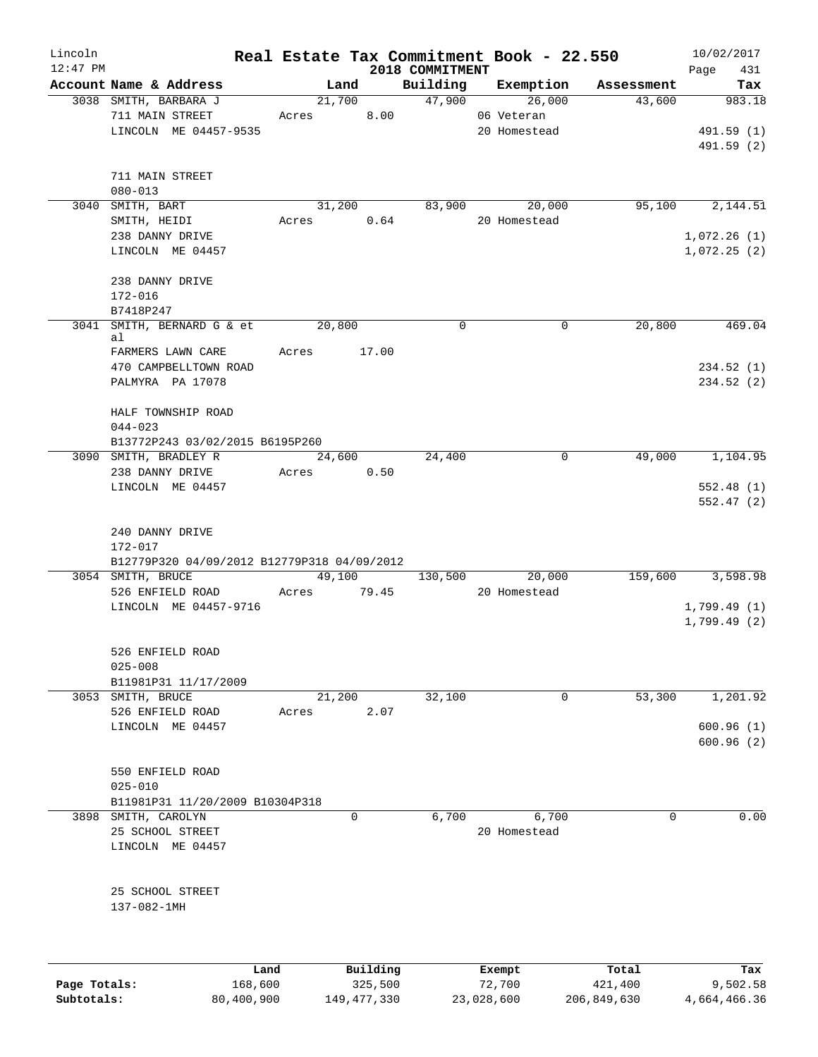| Lincoln<br>$12:47$ PM |                                             |             |             | 2018 COMMITMENT | Real Estate Tax Commitment Book - 22.550 |            | 10/02/2017<br>Page<br>431 |
|-----------------------|---------------------------------------------|-------------|-------------|-----------------|------------------------------------------|------------|---------------------------|
|                       | Account Name & Address                      |             | Land        | Building        | Exemption                                | Assessment | Tax                       |
|                       | 3038 SMITH, BARBARA J                       |             | 21,700      | 47,900          | 26,000                                   | 43,600     | 983.18                    |
|                       | 711 MAIN STREET                             | Acres       | 8.00        |                 | 06 Veteran                               |            |                           |
|                       | LINCOLN ME 04457-9535                       |             |             |                 | 20 Homestead                             |            | 491.59 (1)                |
|                       |                                             |             |             |                 |                                          |            | 491.59 (2)                |
|                       |                                             |             |             |                 |                                          |            |                           |
|                       | 711 MAIN STREET                             |             |             |                 |                                          |            |                           |
|                       | $080 - 013$                                 |             |             |                 |                                          |            |                           |
|                       | 3040 SMITH, BART                            |             | 31,200      | 83,900          | 20,000                                   | 95,100     | 2,144.51                  |
|                       | SMITH, HEIDI                                | Acres       | 0.64        |                 | 20 Homestead                             |            |                           |
|                       | 238 DANNY DRIVE                             |             |             |                 |                                          |            | 1,072.26(1)               |
|                       | LINCOLN ME 04457                            |             |             |                 |                                          |            | 1,072.25(2)               |
|                       |                                             |             |             |                 |                                          |            |                           |
|                       | 238 DANNY DRIVE                             |             |             |                 |                                          |            |                           |
|                       | 172-016                                     |             |             |                 |                                          |            |                           |
|                       | B7418P247                                   |             |             |                 |                                          |            |                           |
|                       | 3041 SMITH, BERNARD G & et                  | 20,800      |             | $\mathbf 0$     | $\mathbf 0$                              | 20,800     | 469.04                    |
|                       | al<br>FARMERS LAWN CARE                     | Acres 17.00 |             |                 |                                          |            |                           |
|                       | 470 CAMPBELLTOWN ROAD                       |             |             |                 |                                          |            | 234.52(1)                 |
|                       | PALMYRA PA 17078                            |             |             |                 |                                          |            | 234.52 (2)                |
|                       |                                             |             |             |                 |                                          |            |                           |
|                       | HALF TOWNSHIP ROAD                          |             |             |                 |                                          |            |                           |
|                       | $044 - 023$                                 |             |             |                 |                                          |            |                           |
|                       | B13772P243 03/02/2015 B6195P260             |             |             |                 |                                          |            |                           |
|                       | 3090 SMITH, BRADLEY R                       |             | 24,600      | 24,400          | 0                                        | 49,000     | 1,104.95                  |
|                       | 238 DANNY DRIVE                             | Acres       | 0.50        |                 |                                          |            |                           |
|                       | LINCOLN ME 04457                            |             |             |                 |                                          |            | 552.48(1)                 |
|                       |                                             |             |             |                 |                                          |            | 552.47(2)                 |
|                       |                                             |             |             |                 |                                          |            |                           |
|                       | 240 DANNY DRIVE                             |             |             |                 |                                          |            |                           |
|                       | 172-017                                     |             |             |                 |                                          |            |                           |
|                       | B12779P320 04/09/2012 B12779P318 04/09/2012 |             |             |                 |                                          |            |                           |
|                       | 3054 SMITH, BRUCE                           |             |             |                 | 49,100 130,500 20,000                    | 159,600    | 3,598.98                  |
|                       | 526 ENFIELD ROAD                            |             | Acres 79.45 |                 | 20 Homestead                             |            |                           |
|                       | LINCOLN ME 04457-9716                       |             |             |                 |                                          |            | 1,799.49(1)               |
|                       |                                             |             |             |                 |                                          |            | 1,799.49(2)               |
|                       |                                             |             |             |                 |                                          |            |                           |
|                       | 526 ENFIELD ROAD                            |             |             |                 |                                          |            |                           |
|                       | $025 - 008$                                 |             |             |                 |                                          |            |                           |
|                       | B11981P31 11/17/2009                        |             |             |                 |                                          |            |                           |
|                       | 3053 SMITH, BRUCE                           |             | 21,200      | 32,100          | 0                                        | 53,300     | 1,201.92                  |
|                       | 526 ENFIELD ROAD                            | Acres       | 2.07        |                 |                                          |            |                           |
|                       | LINCOLN ME 04457                            |             |             |                 |                                          |            | 600.96(1)                 |
|                       |                                             |             |             |                 |                                          |            | 600.96(2)                 |
|                       |                                             |             |             |                 |                                          |            |                           |
|                       | 550 ENFIELD ROAD                            |             |             |                 |                                          |            |                           |
|                       | $025 - 010$                                 |             |             |                 |                                          |            |                           |
|                       | B11981P31 11/20/2009 B10304P318             |             |             |                 |                                          |            |                           |
|                       | 3898 SMITH, CAROLYN                         |             | 0           | 6,700           | 6,700                                    | $\Omega$   | 0.00                      |
|                       | 25 SCHOOL STREET                            |             |             |                 | 20 Homestead                             |            |                           |
|                       | LINCOLN ME 04457                            |             |             |                 |                                          |            |                           |
|                       |                                             |             |             |                 |                                          |            |                           |
|                       | 25 SCHOOL STREET                            |             |             |                 |                                          |            |                           |
|                       | 137-082-1MH                                 |             |             |                 |                                          |            |                           |
|                       |                                             |             |             |                 |                                          |            |                           |
|                       |                                             |             |             |                 |                                          |            |                           |
|                       |                                             |             |             |                 |                                          |            |                           |
|                       | Land                                        |             | Building    |                 | Exempt                                   | Total      | Tax                       |

|              | ⊥and       | Building    | Exempt     | тосат       | тах          |
|--------------|------------|-------------|------------|-------------|--------------|
| Page Totals: | 168,600    | 325,500     | 72,700     | 421,400     | 9,502.58     |
| Subtotals:   | 80,400,900 | 149,477,330 | 23,028,600 | 206,849,630 | 4,664,466.36 |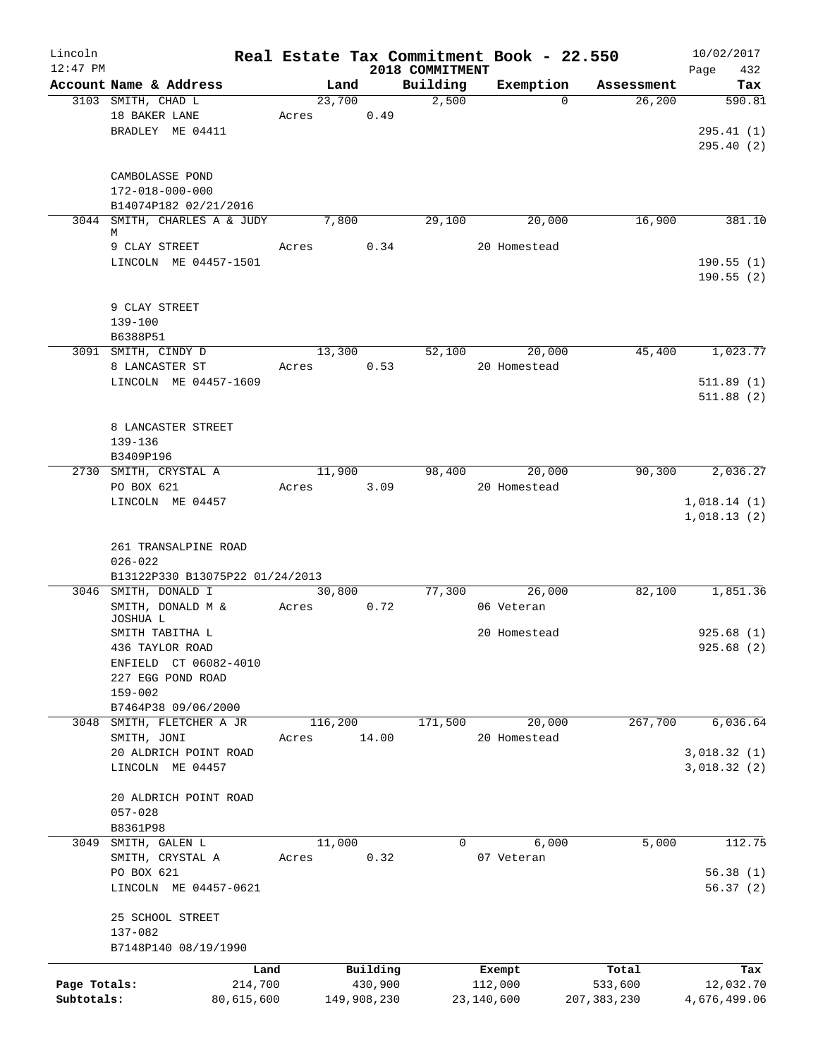| Lincoln      |                                     |            |       |                |                 | Real Estate Tax Commitment Book - 22.550 |                     | 10/02/2017   |
|--------------|-------------------------------------|------------|-------|----------------|-----------------|------------------------------------------|---------------------|--------------|
| $12:47$ PM   |                                     |            |       |                | 2018 COMMITMENT |                                          |                     | 432<br>Page  |
|              | Account Name & Address              |            |       | Land           | Building        | Exemption                                | Assessment          | Tax          |
|              | 3103 SMITH, CHAD L<br>18 BAKER LANE |            | Acres | 23,700<br>0.49 | 2,500           |                                          | 26, 200<br>$\Omega$ | 590.81       |
|              | BRADLEY ME 04411                    |            |       |                |                 |                                          |                     | 295.41(1)    |
|              |                                     |            |       |                |                 |                                          |                     | 295.40(2)    |
|              |                                     |            |       |                |                 |                                          |                     |              |
|              | CAMBOLASSE POND                     |            |       |                |                 |                                          |                     |              |
|              | 172-018-000-000                     |            |       |                |                 |                                          |                     |              |
|              | B14074P182 02/21/2016               |            |       |                |                 |                                          |                     |              |
|              | 3044 SMITH, CHARLES A & JUDY        |            |       | 7,800          | 29,100          | 20,000                                   | 16,900              | 381.10       |
|              | M                                   |            |       |                |                 |                                          |                     |              |
|              | 9 CLAY STREET                       |            | Acres | 0.34           |                 | 20 Homestead                             |                     |              |
|              | LINCOLN ME 04457-1501               |            |       |                |                 |                                          |                     | 190.55(1)    |
|              |                                     |            |       |                |                 |                                          |                     | 190.55(2)    |
|              |                                     |            |       |                |                 |                                          |                     |              |
|              | 9 CLAY STREET                       |            |       |                |                 |                                          |                     |              |
|              | 139-100                             |            |       |                |                 |                                          |                     |              |
|              | B6388P51                            |            |       |                |                 |                                          |                     |              |
|              | 3091 SMITH, CINDY D                 |            |       | 13,300         | 52,100          | 20,000                                   | 45,400              | 1,023.77     |
|              | 8 LANCASTER ST                      |            | Acres | 0.53           |                 | 20 Homestead                             |                     |              |
|              | LINCOLN ME 04457-1609               |            |       |                |                 |                                          |                     | 511.89(1)    |
|              |                                     |            |       |                |                 |                                          |                     | 511.88(2)    |
|              |                                     |            |       |                |                 |                                          |                     |              |
|              | 8 LANCASTER STREET                  |            |       |                |                 |                                          |                     |              |
|              | 139-136<br>B3409P196                |            |       |                |                 |                                          |                     |              |
|              | 2730 SMITH, CRYSTAL A               |            |       | 11,900         | 98,400          | 20,000                                   | 90,300              | 2,036.27     |
|              | PO BOX 621                          |            | Acres | 3.09           |                 | 20 Homestead                             |                     |              |
|              | LINCOLN ME 04457                    |            |       |                |                 |                                          |                     | 1,018.14(1)  |
|              |                                     |            |       |                |                 |                                          |                     | 1,018.13(2)  |
|              |                                     |            |       |                |                 |                                          |                     |              |
|              | 261 TRANSALPINE ROAD                |            |       |                |                 |                                          |                     |              |
|              | $026 - 022$                         |            |       |                |                 |                                          |                     |              |
|              | B13122P330 B13075P22 01/24/2013     |            |       |                |                 |                                          |                     |              |
|              | 3046 SMITH, DONALD I                |            |       | 30,800         | 77,300          | 26,000                                   | 82,100              | 1,851.36     |
|              | SMITH, DONALD M &                   |            | Acres | 0.72           |                 | 06 Veteran                               |                     |              |
|              | JOSHUA L                            |            |       |                |                 |                                          |                     |              |
|              | SMITH TABITHA L                     |            |       |                |                 | 20 Homestead                             |                     | 925.68(1)    |
|              | 436 TAYLOR ROAD                     |            |       |                |                 |                                          |                     | 925.68 (2)   |
|              | ENFIELD CT 06082-4010               |            |       |                |                 |                                          |                     |              |
|              | 227 EGG POND ROAD                   |            |       |                |                 |                                          |                     |              |
|              | $159 - 002$                         |            |       |                |                 |                                          |                     |              |
|              | B7464P38 09/06/2000                 |            |       |                |                 |                                          |                     |              |
| 3048         | SMITH, FLETCHER A JR                |            |       | 116,200        | 171,500         | 20,000                                   | 267,700             | 6,036.64     |
|              | SMITH, JONI                         |            | Acres | 14.00          |                 | 20 Homestead                             |                     |              |
|              | 20 ALDRICH POINT ROAD               |            |       |                |                 |                                          |                     | 3,018.32 (1) |
|              | LINCOLN ME 04457                    |            |       |                |                 |                                          |                     | 3,018.32 (2) |
|              | 20 ALDRICH POINT ROAD               |            |       |                |                 |                                          |                     |              |
|              | $057 - 028$                         |            |       |                |                 |                                          |                     |              |
|              | B8361P98                            |            |       |                |                 |                                          |                     |              |
| 3049         | SMITH, GALEN L                      |            |       | 11,000         | 0               | 6,000                                    | 5,000               | 112.75       |
|              | SMITH, CRYSTAL A                    |            | Acres | 0.32           |                 | 07 Veteran                               |                     |              |
|              | PO BOX 621                          |            |       |                |                 |                                          |                     | 56.38(1)     |
|              | LINCOLN ME 04457-0621               |            |       |                |                 |                                          |                     | 56.37(2)     |
|              |                                     |            |       |                |                 |                                          |                     |              |
|              | 25 SCHOOL STREET                    |            |       |                |                 |                                          |                     |              |
|              | 137-082                             |            |       |                |                 |                                          |                     |              |
|              | B7148P140 08/19/1990                |            |       |                |                 |                                          |                     |              |
|              |                                     | Land       |       | Building       |                 | Exempt                                   | Total               | Tax          |
| Page Totals: |                                     | 214,700    |       | 430,900        |                 | 112,000                                  | 533,600             | 12,032.70    |
| Subtotals:   |                                     | 80,615,600 |       | 149,908,230    |                 | 23,140,600                               | 207, 383, 230       | 4,676,499.06 |
|              |                                     |            |       |                |                 |                                          |                     |              |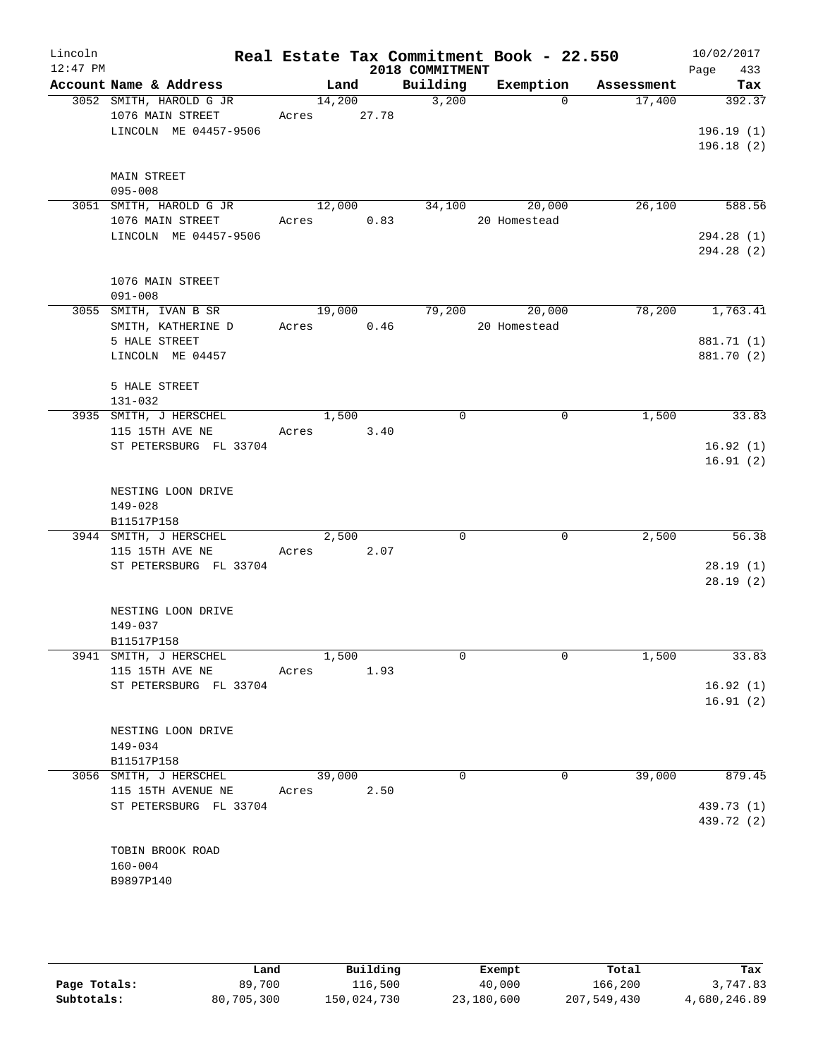| Lincoln    |                         |             |        |      |                 | Real Estate Tax Commitment Book - 22.550 |                      | 10/02/2017         |
|------------|-------------------------|-------------|--------|------|-----------------|------------------------------------------|----------------------|--------------------|
| $12:47$ PM | Account Name & Address  |             |        |      | 2018 COMMITMENT | Land Building Exemption                  | Assessment           | 433<br>Page<br>Tax |
|            | 3052 SMITH, HAROLD G JR |             |        |      | 14,200 3,200    |                                          | $\Omega$<br>17,400   | 392.37             |
|            | 1076 MAIN STREET        | Acres 27.78 |        |      |                 |                                          |                      |                    |
|            | LINCOLN ME 04457-9506   |             |        |      |                 |                                          |                      | 196.19(1)          |
|            |                         |             |        |      |                 |                                          |                      | 196.18(2)          |
|            | <b>MAIN STREET</b>      |             |        |      |                 |                                          |                      |                    |
|            | $095 - 008$             |             |        |      |                 |                                          |                      |                    |
|            | 3051 SMITH, HAROLD G JR | 12,000      |        |      |                 | 34,100 20,000                            | 26,100               | 588.56             |
|            | 1076 MAIN STREET        | Acres 0.83  |        |      |                 | 20 Homestead                             |                      |                    |
|            | LINCOLN ME 04457-9506   |             |        |      |                 |                                          |                      | 294.28 (1)         |
|            |                         |             |        |      |                 |                                          |                      | 294.28(2)          |
|            | 1076 MAIN STREET        |             |        |      |                 |                                          |                      |                    |
|            | $091 - 008$             |             |        |      |                 |                                          |                      |                    |
|            | 3055 SMITH, IVAN B SR   |             |        |      |                 | 19,000 79,200 20,000                     |                      | 78,200 1,763.41    |
|            | SMITH, KATHERINE D      | Acres 0.46  |        |      |                 | 20 Homestead                             |                      |                    |
|            | 5 HALE STREET           |             |        |      |                 |                                          |                      | 881.71 (1)         |
|            | LINCOLN ME 04457        |             |        |      |                 |                                          |                      | 881.70 (2)         |
|            | 5 HALE STREET           |             |        |      |                 |                                          |                      |                    |
|            | 131-032                 |             |        |      |                 |                                          |                      |                    |
|            | 3935 SMITH, J HERSCHEL  |             | 1,500  |      | 0               |                                          | $\mathbf 0$<br>1,500 | 33.83              |
|            | 115 15TH AVE NE         | Acres 3.40  |        |      |                 |                                          |                      |                    |
|            | ST PETERSBURG FL 33704  |             |        |      |                 |                                          |                      | 16.92(1)           |
|            |                         |             |        |      |                 |                                          |                      | 16.91(2)           |
|            | NESTING LOON DRIVE      |             |        |      |                 |                                          |                      |                    |
|            | $149 - 028$             |             |        |      |                 |                                          |                      |                    |
|            | B11517P158              |             |        |      |                 |                                          |                      |                    |
|            | 3944 SMITH, J HERSCHEL  |             | 2,500  |      | $\Omega$        |                                          | $\mathbf 0$<br>2,500 | 56.38              |
|            | 115 15TH AVE NE         | Acres 2.07  |        |      |                 |                                          |                      |                    |
|            | ST PETERSBURG FL 33704  |             |        |      |                 |                                          |                      | 28.19(1)           |
|            |                         |             |        |      |                 |                                          |                      | 28.19(2)           |
|            | NESTING LOON DRIVE      |             |        |      |                 |                                          |                      |                    |
|            | $149 - 037$             |             |        |      |                 |                                          |                      |                    |
|            | B11517P158              |             |        |      |                 |                                          |                      |                    |
|            | 3941 SMITH, J HERSCHEL  |             | 1,500  |      | 0               |                                          | 0<br>1,500           | 33.83              |
|            | 115 15TH AVE NE         | Acres       |        | 1.93 |                 |                                          |                      |                    |
|            | ST PETERSBURG FL 33704  |             |        |      |                 |                                          |                      | 16.92(1)           |
|            |                         |             |        |      |                 |                                          |                      | 16.91(2)           |
|            | NESTING LOON DRIVE      |             |        |      |                 |                                          |                      |                    |
|            | 149-034                 |             |        |      |                 |                                          |                      |                    |
|            | B11517P158              |             |        |      |                 |                                          |                      |                    |
|            | 3056 SMITH, J HERSCHEL  |             | 39,000 |      | 0               |                                          | 39,000<br>0          | 879.45             |
|            | 115 15TH AVENUE NE      | Acres       |        | 2.50 |                 |                                          |                      |                    |
|            | ST PETERSBURG FL 33704  |             |        |      |                 |                                          |                      | 439.73 (1)         |
|            |                         |             |        |      |                 |                                          |                      | 439.72 (2)         |
|            |                         |             |        |      |                 |                                          |                      |                    |
|            | TOBIN BROOK ROAD        |             |        |      |                 |                                          |                      |                    |
|            | $160 - 004$             |             |        |      |                 |                                          |                      |                    |
|            | B9897P140               |             |        |      |                 |                                          |                      |                    |
|            |                         |             |        |      |                 |                                          |                      |                    |

|              | Land       | Building    | Exempt     | Total       | Tax          |
|--------------|------------|-------------|------------|-------------|--------------|
| Page Totals: | 89,700     | 116,500     | 40,000     | 166,200     | 3,747.83     |
| Subtotals:   | 80,705,300 | 150,024,730 | 23,180,600 | 207,549,430 | 4,680,246.89 |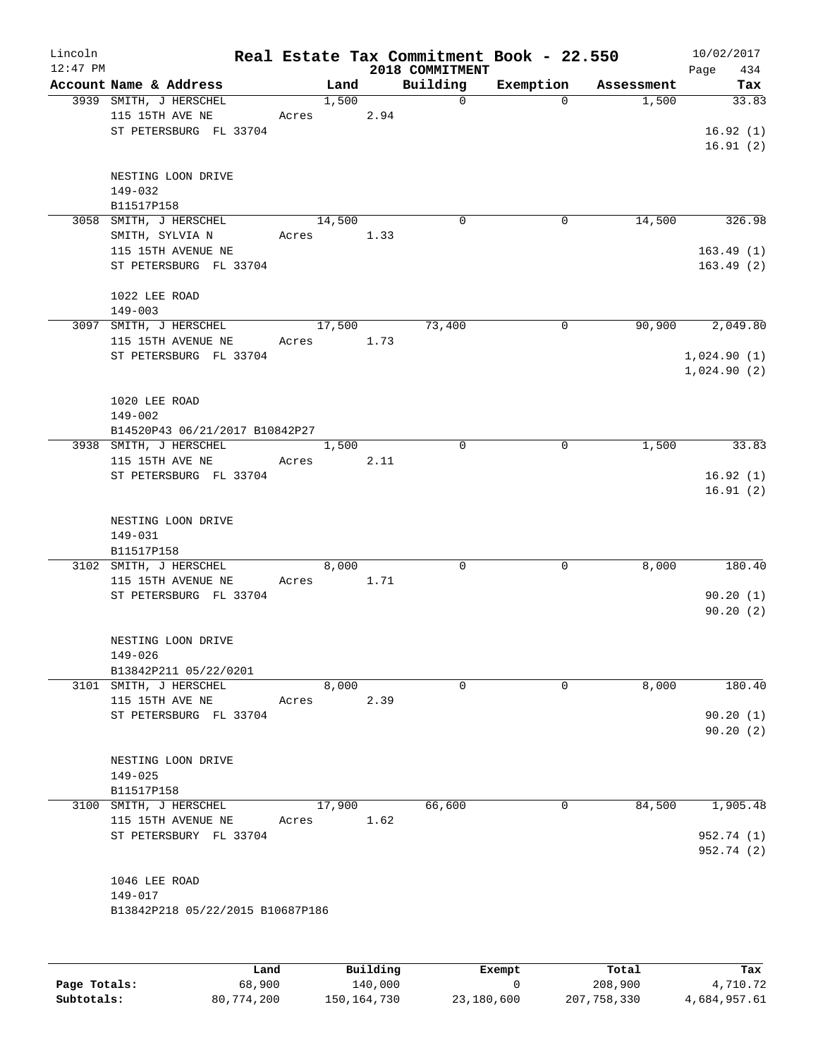| Lincoln    |                                              |       |               |          | Real Estate Tax Commitment Book - 22.550 |                       |                     | 10/02/2017   |
|------------|----------------------------------------------|-------|---------------|----------|------------------------------------------|-----------------------|---------------------|--------------|
| $12:47$ PM | Account Name & Address                       |       |               |          | 2018 COMMITMENT                          |                       |                     | 434<br>Page  |
|            | 3939 SMITH, J HERSCHEL                       |       | Land<br>1,500 |          | Building<br>$\mathbf 0$                  | Exemption<br>$\Omega$ | Assessment<br>1,500 | Tax<br>33.83 |
|            | 115 15TH AVE NE                              | Acres |               | 2.94     |                                          |                       |                     |              |
|            | ST PETERSBURG FL 33704                       |       |               |          |                                          |                       |                     | 16.92(1)     |
|            |                                              |       |               |          |                                          |                       |                     | 16.91(2)     |
|            |                                              |       |               |          |                                          |                       |                     |              |
|            | NESTING LOON DRIVE                           |       |               |          |                                          |                       |                     |              |
|            | 149-032                                      |       |               |          |                                          |                       |                     |              |
|            | B11517P158                                   |       |               |          |                                          |                       |                     |              |
|            | 3058 SMITH, J HERSCHEL                       |       | 14,500        |          | 0                                        | $\mathbf 0$           | 14,500              | 326.98       |
|            | SMITH, SYLVIA N<br>115 15TH AVENUE NE        | Acres |               | 1.33     |                                          |                       |                     | 163.49(1)    |
|            | ST PETERSBURG FL 33704                       |       |               |          |                                          |                       |                     | 163.49(2)    |
|            |                                              |       |               |          |                                          |                       |                     |              |
|            | 1022 LEE ROAD                                |       |               |          |                                          |                       |                     |              |
|            | $149 - 003$                                  |       |               |          |                                          |                       |                     |              |
|            | 3097 SMITH, J HERSCHEL                       |       | 17,500        |          | 73,400                                   | 0                     | 90,900              | 2,049.80     |
|            | 115 15TH AVENUE NE                           | Acres |               | 1.73     |                                          |                       |                     |              |
|            | ST PETERSBURG FL 33704                       |       |               |          |                                          |                       |                     | 1,024.90(1)  |
|            |                                              |       |               |          |                                          |                       |                     | 1,024.90(2)  |
|            | 1020 LEE ROAD                                |       |               |          |                                          |                       |                     |              |
|            | $149 - 002$                                  |       |               |          |                                          |                       |                     |              |
|            | B14520P43 06/21/2017 B10842P27               |       |               |          |                                          |                       |                     |              |
|            | 3938 SMITH, J HERSCHEL                       |       | 1,500         |          | $\mathbf 0$                              | $\mathsf{O}$          | 1,500               | 33.83        |
|            | 115 15TH AVE NE                              | Acres |               | 2.11     |                                          |                       |                     |              |
|            | ST PETERSBURG FL 33704                       |       |               |          |                                          |                       |                     | 16.92(1)     |
|            |                                              |       |               |          |                                          |                       |                     | 16.91(2)     |
|            |                                              |       |               |          |                                          |                       |                     |              |
|            | NESTING LOON DRIVE                           |       |               |          |                                          |                       |                     |              |
|            | 149-031<br>B11517P158                        |       |               |          |                                          |                       |                     |              |
|            | 3102 SMITH, J HERSCHEL                       |       | 8,000         |          | $\mathbf 0$                              | $\mathsf{O}$          | 8,000               | 180.40       |
|            | 115 15TH AVENUE NE                           | Acres |               | 1.71     |                                          |                       |                     |              |
|            | ST PETERSBURG FL 33704                       |       |               |          |                                          |                       |                     | 90.20(1)     |
|            |                                              |       |               |          |                                          |                       |                     | 90.20(2)     |
|            |                                              |       |               |          |                                          |                       |                     |              |
|            | NESTING LOON DRIVE                           |       |               |          |                                          |                       |                     |              |
|            | 149-026                                      |       |               |          |                                          |                       |                     |              |
|            | B13842P211 05/22/0201                        |       |               |          |                                          |                       |                     |              |
|            | 3101 SMITH, J HERSCHEL<br>115 15TH AVE NE    | Acres | 8,000         | 2.39     | 0                                        | 0                     | 8,000               | 180.40       |
|            | ST PETERSBURG FL 33704                       |       |               |          |                                          |                       |                     | 90.20(1)     |
|            |                                              |       |               |          |                                          |                       |                     | 90.20(2)     |
|            |                                              |       |               |          |                                          |                       |                     |              |
|            | NESTING LOON DRIVE                           |       |               |          |                                          |                       |                     |              |
|            | $149 - 025$                                  |       |               |          |                                          |                       |                     |              |
|            | B11517P158                                   |       |               |          |                                          |                       |                     |              |
|            | 3100 SMITH, J HERSCHEL                       |       | 17,900        |          | 66,600                                   | 0                     | 84,500              | 1,905.48     |
|            | 115 15TH AVENUE NE<br>ST PETERSBURY FL 33704 | Acres |               | 1.62     |                                          |                       |                     | 952.74 (1)   |
|            |                                              |       |               |          |                                          |                       |                     | 952.74 (2)   |
|            |                                              |       |               |          |                                          |                       |                     |              |
|            | 1046 LEE ROAD                                |       |               |          |                                          |                       |                     |              |
|            | 149-017                                      |       |               |          |                                          |                       |                     |              |
|            | B13842P218 05/22/2015 B10687P186             |       |               |          |                                          |                       |                     |              |
|            |                                              |       |               |          |                                          |                       |                     |              |
|            |                                              |       |               |          |                                          |                       |                     |              |
|            | Land                                         |       |               | Building |                                          | <b>Exempt</b>         | Total               | Tax          |

|              | Land       | Building      | Exempt     | Total       | Tax          |
|--------------|------------|---------------|------------|-------------|--------------|
| Page Totals: | 68,900     | 140,000       |            | 208,900     | 4,710.72     |
| Subtotals:   | 80,774,200 | 150, 164, 730 | 23,180,600 | 207,758,330 | 4,684,957.61 |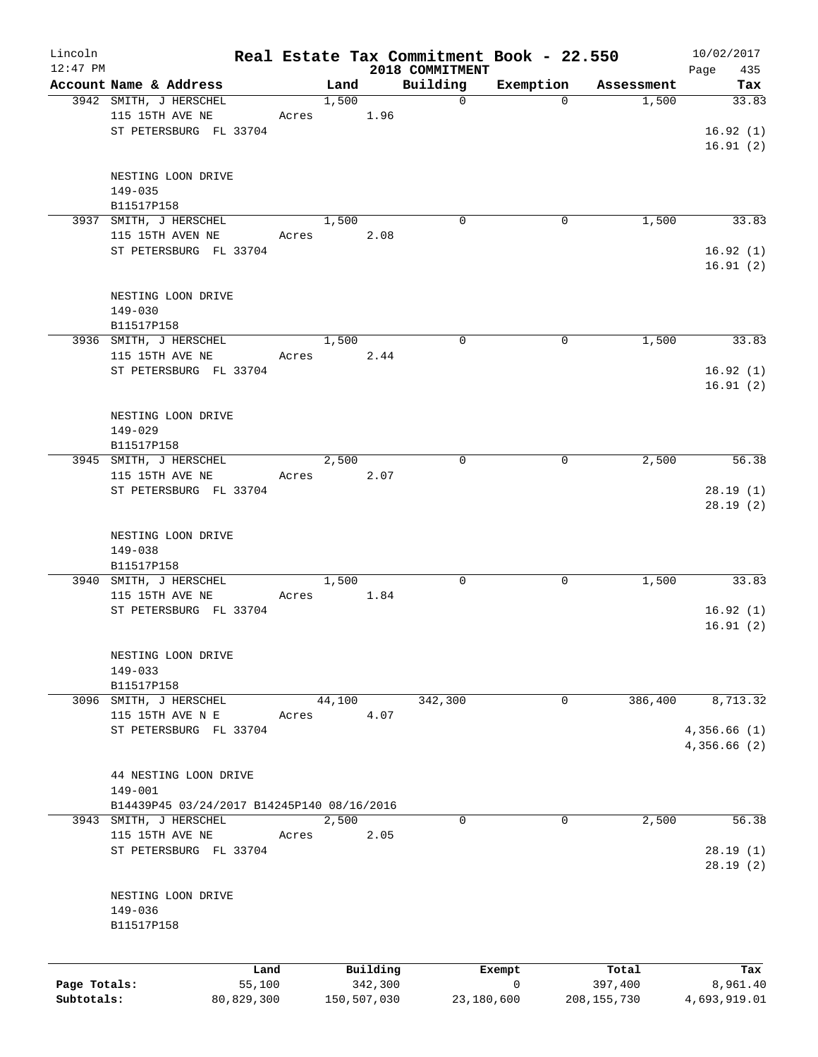| Lincoln<br>$12:47$ PM |                                            |            |       |        |             | 2018 COMMITMENT | Real Estate Tax Commitment Book - 22.550 |               | 10/02/2017<br>Page<br>435 |
|-----------------------|--------------------------------------------|------------|-------|--------|-------------|-----------------|------------------------------------------|---------------|---------------------------|
|                       | Account Name & Address                     |            |       | Land   |             | Building        | Exemption                                | Assessment    | Tax                       |
|                       | 3942 SMITH, J HERSCHEL                     |            |       | 1,500  |             | $\mathbf 0$     | $\Omega$                                 | 1,500         | 33.83                     |
|                       | 115 15TH AVE NE                            |            | Acres |        | 1.96        |                 |                                          |               |                           |
|                       | ST PETERSBURG FL 33704                     |            |       |        |             |                 |                                          |               | 16.92(1)                  |
|                       |                                            |            |       |        |             |                 |                                          |               | 16.91(2)                  |
|                       |                                            |            |       |        |             |                 |                                          |               |                           |
|                       | NESTING LOON DRIVE                         |            |       |        |             |                 |                                          |               |                           |
|                       | 149-035                                    |            |       |        |             |                 |                                          |               |                           |
|                       | B11517P158                                 |            |       |        |             |                 |                                          |               |                           |
|                       | 3937 SMITH, J HERSCHEL                     |            |       | 1,500  |             | $\Omega$        | $\Omega$                                 | 1,500         | 33.83                     |
|                       | 115 15TH AVEN NE                           |            | Acres |        | 2.08        |                 |                                          |               |                           |
|                       | ST PETERSBURG FL 33704                     |            |       |        |             |                 |                                          |               | 16.92(1)                  |
|                       |                                            |            |       |        |             |                 |                                          |               | 16.91(2)                  |
|                       |                                            |            |       |        |             |                 |                                          |               |                           |
|                       | NESTING LOON DRIVE                         |            |       |        |             |                 |                                          |               |                           |
|                       | $149 - 030$                                |            |       |        |             |                 |                                          |               |                           |
|                       | B11517P158                                 |            |       |        |             |                 |                                          |               |                           |
|                       | 3936 SMITH, J HERSCHEL                     |            |       | 1,500  |             | $\mathbf 0$     | 0                                        | 1,500         | 33.83                     |
|                       | 115 15TH AVE NE                            |            |       | Acres  | 2.44        |                 |                                          |               |                           |
|                       | ST PETERSBURG FL 33704                     |            |       |        |             |                 |                                          |               | 16.92(1)                  |
|                       |                                            |            |       |        |             |                 |                                          |               | 16.91(2)                  |
|                       |                                            |            |       |        |             |                 |                                          |               |                           |
|                       | NESTING LOON DRIVE                         |            |       |        |             |                 |                                          |               |                           |
|                       | $149 - 029$                                |            |       |        |             |                 |                                          |               |                           |
|                       | B11517P158                                 |            |       |        |             |                 |                                          |               |                           |
|                       | 3945 SMITH, J HERSCHEL                     |            |       | 2,500  |             | $\Omega$        | $\mathbf 0$                              | 2,500         | 56.38                     |
|                       | 115 15TH AVE NE                            |            | Acres |        | 2.07        |                 |                                          |               |                           |
|                       | ST PETERSBURG FL 33704                     |            |       |        |             |                 |                                          |               | 28.19(1)                  |
|                       |                                            |            |       |        |             |                 |                                          |               | 28.19(2)                  |
|                       |                                            |            |       |        |             |                 |                                          |               |                           |
|                       | NESTING LOON DRIVE                         |            |       |        |             |                 |                                          |               |                           |
|                       | 149-038                                    |            |       |        |             |                 |                                          |               |                           |
|                       | B11517P158                                 |            |       |        |             |                 |                                          |               |                           |
|                       | 3940 SMITH, J HERSCHEL                     |            |       | 1,500  |             | 0               | $\mathbf 0$                              | 1,500         | 33.83                     |
|                       | 115 15TH AVE NE                            |            | Acres |        | 1.84        |                 |                                          |               |                           |
|                       | ST PETERSBURG FL 33704                     |            |       |        |             |                 |                                          |               | 16.92(1)                  |
|                       |                                            |            |       |        |             |                 |                                          |               | 16.91(2)                  |
|                       |                                            |            |       |        |             |                 |                                          |               |                           |
|                       | NESTING LOON DRIVE                         |            |       |        |             |                 |                                          |               |                           |
|                       | $149 - 033$                                |            |       |        |             |                 |                                          |               |                           |
|                       | B11517P158                                 |            |       |        |             |                 |                                          |               |                           |
|                       | 3096 SMITH, J HERSCHEL                     |            |       | 44,100 |             | 342,300         | 0                                        | 386,400       | 8,713.32                  |
|                       | 115 15TH AVE N E                           |            | Acres |        | 4.07        |                 |                                          |               |                           |
|                       | ST PETERSBURG FL 33704                     |            |       |        |             |                 |                                          |               | 4,356.66(1)               |
|                       |                                            |            |       |        |             |                 |                                          |               | 4,356.66(2)               |
|                       |                                            |            |       |        |             |                 |                                          |               |                           |
|                       | 44 NESTING LOON DRIVE                      |            |       |        |             |                 |                                          |               |                           |
|                       | $149 - 001$                                |            |       |        |             |                 |                                          |               |                           |
|                       | B14439P45 03/24/2017 B14245P140 08/16/2016 |            |       |        |             |                 |                                          |               |                           |
|                       | 3943 SMITH, J HERSCHEL                     |            |       | 2,500  |             | 0               | $\mathbf 0$                              | 2,500         | 56.38                     |
|                       | 115 15TH AVE NE                            |            | Acres |        | 2.05        |                 |                                          |               |                           |
|                       | ST PETERSBURG FL 33704                     |            |       |        |             |                 |                                          |               | 28.19(1)                  |
|                       |                                            |            |       |        |             |                 |                                          |               | 28.19(2)                  |
|                       |                                            |            |       |        |             |                 |                                          |               |                           |
|                       | NESTING LOON DRIVE                         |            |       |        |             |                 |                                          |               |                           |
|                       | 149-036                                    |            |       |        |             |                 |                                          |               |                           |
|                       | B11517P158                                 |            |       |        |             |                 |                                          |               |                           |
|                       |                                            |            |       |        |             |                 |                                          |               |                           |
|                       |                                            | Land       |       |        | Building    |                 | Exempt                                   | Total         | Tax                       |
| Page Totals:          |                                            | 55,100     |       |        | 342,300     |                 | 0                                        | 397,400       | 8,961.40                  |
| Subtotals:            |                                            | 80,829,300 |       |        | 150,507,030 | 23,180,600      |                                          | 208, 155, 730 | 4,693,919.01              |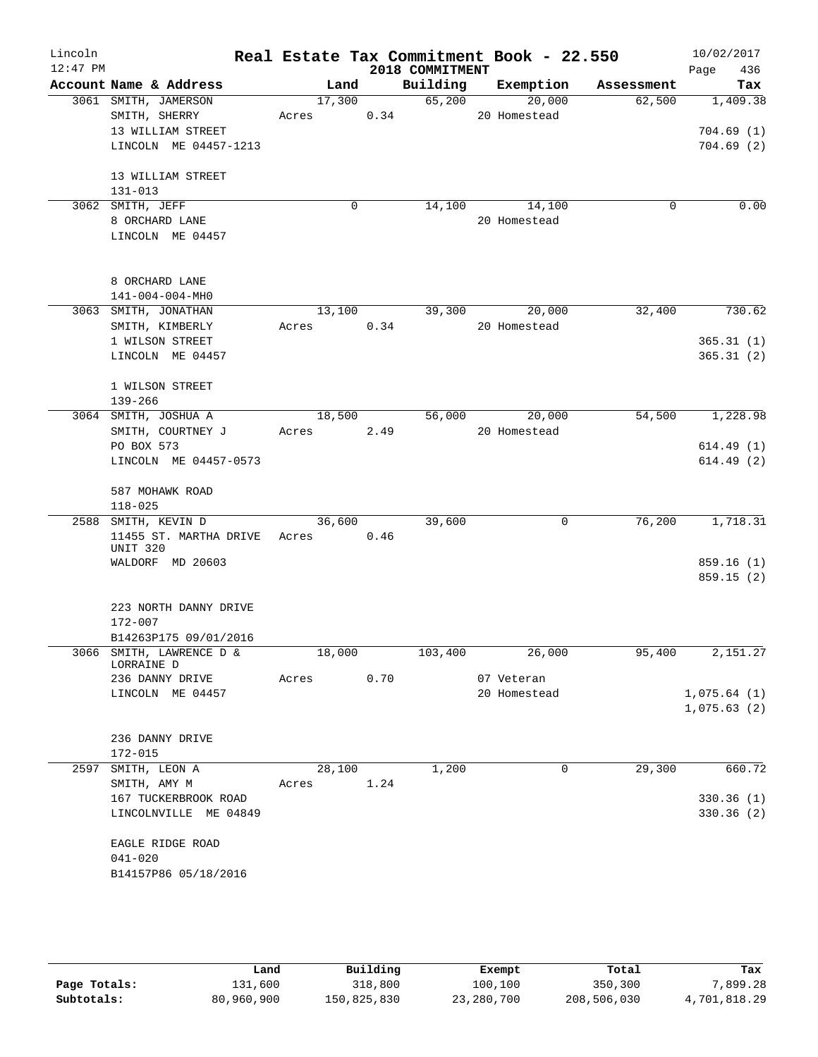| Lincoln<br>$12:47$ PM |                                   | Real Estate Tax Commitment Book - 22.550 |      | 2018 COMMITMENT |                    |            | 10/02/2017         |
|-----------------------|-----------------------------------|------------------------------------------|------|-----------------|--------------------|------------|--------------------|
|                       | Account Name & Address            | Land                                     |      |                 | Building Exemption | Assessment | 436<br>Page<br>Tax |
|                       | 3061 SMITH, JAMERSON              | 17,300                                   |      | 65,200          | 20,000             | 62,500     | 1,409.38           |
|                       | SMITH, SHERRY                     | Acres 0.34                               |      |                 | 20 Homestead       |            |                    |
|                       | 13 WILLIAM STREET                 |                                          |      |                 |                    |            | 704.69(1)          |
|                       | LINCOLN ME 04457-1213             |                                          |      |                 |                    |            | 704.69(2)          |
|                       |                                   |                                          |      |                 |                    |            |                    |
|                       | 13 WILLIAM STREET                 |                                          |      |                 |                    |            |                    |
|                       | $131 - 013$                       |                                          |      |                 |                    |            |                    |
|                       | 3062 SMITH, JEFF                  | $\mathbf 0$                              |      |                 | 14,100 14,100      | 0          | 0.00               |
|                       | 8 ORCHARD LANE                    |                                          |      |                 | 20 Homestead       |            |                    |
|                       | LINCOLN ME 04457                  |                                          |      |                 |                    |            |                    |
|                       |                                   |                                          |      |                 |                    |            |                    |
|                       |                                   |                                          |      |                 |                    |            |                    |
|                       | 8 ORCHARD LANE                    |                                          |      |                 |                    |            |                    |
|                       | 141-004-004-MH0                   |                                          |      |                 |                    |            |                    |
|                       | 3063 SMITH, JONATHAN              | 13,100                                   |      | 39,300          | 20,000             | 32,400     | 730.62             |
|                       | SMITH, KIMBERLY                   | Acres                                    | 0.34 |                 | 20 Homestead       |            |                    |
|                       | 1 WILSON STREET                   |                                          |      |                 |                    |            | 365.31(1)          |
|                       | LINCOLN ME 04457                  |                                          |      |                 |                    |            | 365.31(2)          |
|                       |                                   |                                          |      |                 |                    |            |                    |
|                       | 1 WILSON STREET<br>$139 - 266$    |                                          |      |                 |                    |            |                    |
|                       | 3064 SMITH, JOSHUA A              | 18,500                                   |      | 56,000          | 20,000             | 54,500     | 1,228.98           |
|                       | SMITH, COURTNEY J                 | Acres 2.49                               |      |                 | 20 Homestead       |            |                    |
|                       | PO BOX 573                        |                                          |      |                 |                    |            | 614.49(1)          |
|                       | LINCOLN ME 04457-0573             |                                          |      |                 |                    |            | 614.49(2)          |
|                       |                                   |                                          |      |                 |                    |            |                    |
|                       | 587 MOHAWK ROAD                   |                                          |      |                 |                    |            |                    |
|                       | $118 - 025$                       |                                          |      |                 |                    |            |                    |
|                       | 2588 SMITH, KEVIN D               | 36,600                                   |      | 39,600          | 0                  | 76,200     | 1,718.31           |
|                       | 11455 ST. MARTHA DRIVE Acres 0.46 |                                          |      |                 |                    |            |                    |
|                       | UNIT 320                          |                                          |      |                 |                    |            |                    |
|                       | WALDORF MD 20603                  |                                          |      |                 |                    |            | 859.16(1)          |
|                       |                                   |                                          |      |                 |                    |            | 859.15(2)          |
|                       | 223 NORTH DANNY DRIVE             |                                          |      |                 |                    |            |                    |
|                       | 172-007                           |                                          |      |                 |                    |            |                    |
|                       | B14263P175 09/01/2016             |                                          |      |                 |                    |            |                    |
|                       | 3066 SMITH, LAWRENCE D &          | 18,000                                   |      | 103,400         | 26,000             | 95,400     | 2,151.27           |
|                       | LORRAINE D                        |                                          |      |                 |                    |            |                    |
|                       | 236 DANNY DRIVE                   | Acres                                    | 0.70 |                 | 07 Veteran         |            |                    |
|                       | LINCOLN ME 04457                  |                                          |      |                 | 20 Homestead       |            | 1,075.64(1)        |
|                       |                                   |                                          |      |                 |                    |            | 1,075.63(2)        |
|                       |                                   |                                          |      |                 |                    |            |                    |
|                       | 236 DANNY DRIVE<br>$172 - 015$    |                                          |      |                 |                    |            |                    |
| 2597                  | SMITH, LEON A                     | 28,100                                   |      | 1,200           | 0                  | 29,300     | 660.72             |
|                       | SMITH, AMY M                      | Acres                                    | 1.24 |                 |                    |            |                    |
|                       | 167 TUCKERBROOK ROAD              |                                          |      |                 |                    |            | 330.36(1)          |
|                       | LINCOLNVILLE ME 04849             |                                          |      |                 |                    |            | 330.36(2)          |
|                       |                                   |                                          |      |                 |                    |            |                    |
|                       | EAGLE RIDGE ROAD                  |                                          |      |                 |                    |            |                    |
|                       | $041 - 020$                       |                                          |      |                 |                    |            |                    |
|                       | B14157P86 05/18/2016              |                                          |      |                 |                    |            |                    |
|                       |                                   |                                          |      |                 |                    |            |                    |

|              | Land       | Building    | Exempt     | Total       | Tax          |
|--------------|------------|-------------|------------|-------------|--------------|
| Page Totals: | 131,600    | 318,800     | 100,100    | 350,300     | 7,899.28     |
| Subtotals:   | 80,960,900 | 150,825,830 | 23,280,700 | 208,506,030 | 4,701,818.29 |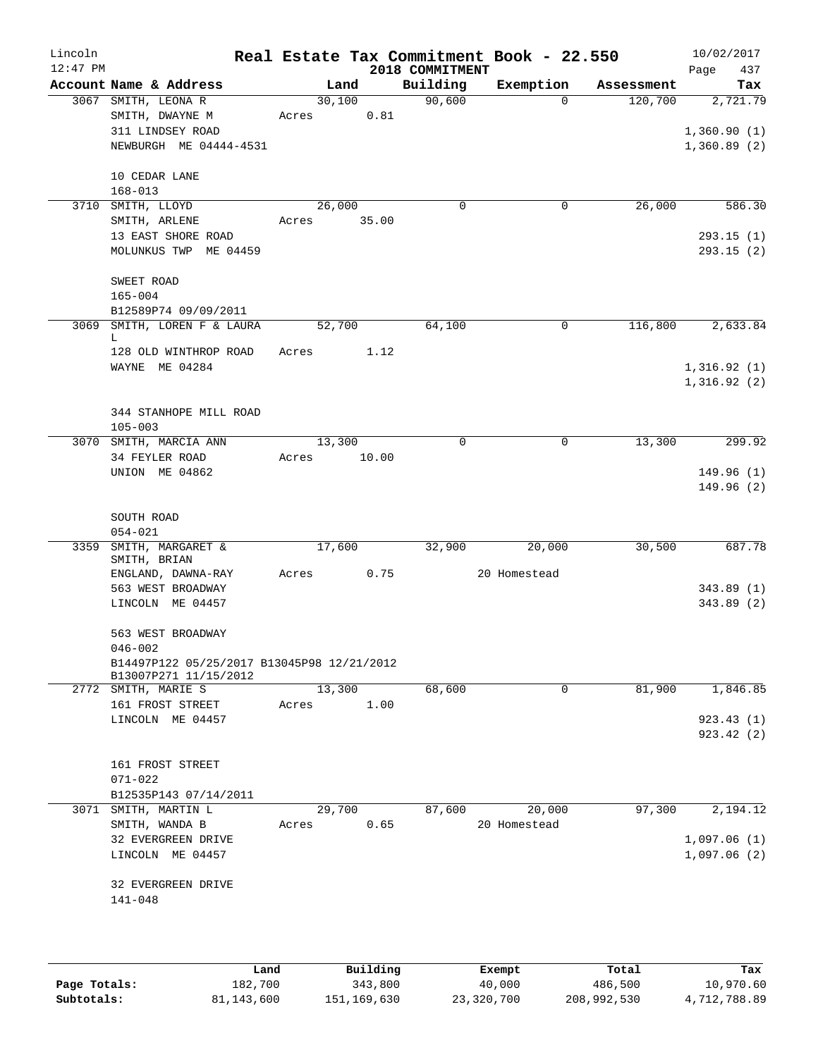| Lincoln<br>$12:47$ PM |                                                |        |          | 2018 COMMITMENT | Real Estate Tax Commitment Book - 22.550 |            | 10/02/2017<br>437<br>Page |
|-----------------------|------------------------------------------------|--------|----------|-----------------|------------------------------------------|------------|---------------------------|
|                       | Account Name & Address                         |        | Land     | Building        | Exemption                                | Assessment | Tax                       |
| 3067                  | SMITH, LEONA R                                 | 30,100 |          | 90,600          | $\Omega$                                 | 120,700    | 2,721.79                  |
|                       | SMITH, DWAYNE M                                | Acres  | 0.81     |                 |                                          |            |                           |
|                       | 311 LINDSEY ROAD                               |        |          |                 |                                          |            | 1,360.90(1)               |
|                       | NEWBURGH ME 04444-4531                         |        |          |                 |                                          |            | 1,360.89(2)               |
|                       |                                                |        |          |                 |                                          |            |                           |
|                       | 10 CEDAR LANE<br>$168 - 013$                   |        |          |                 |                                          |            |                           |
|                       | 3710 SMITH, LLOYD                              | 26,000 |          | $\mathbf 0$     | 0                                        | 26,000     | 586.30                    |
|                       | SMITH, ARLENE                                  | Acres  | 35.00    |                 |                                          |            |                           |
|                       | 13 EAST SHORE ROAD                             |        |          |                 |                                          |            | 293.15(1)                 |
|                       | MOLUNKUS TWP ME 04459                          |        |          |                 |                                          |            | 293.15(2)                 |
|                       |                                                |        |          |                 |                                          |            |                           |
|                       | SWEET ROAD                                     |        |          |                 |                                          |            |                           |
|                       | $165 - 004$                                    |        |          |                 |                                          |            |                           |
| 3069                  | B12589P74 09/09/2011<br>SMITH, LOREN F & LAURA | 52,700 |          | 64,100          | $\mathbf 0$                              | 116,800    | 2,633.84                  |
|                       | L                                              |        |          |                 |                                          |            |                           |
|                       | 128 OLD WINTHROP ROAD                          | Acres  | 1.12     |                 |                                          |            |                           |
|                       | WAYNE ME 04284                                 |        |          |                 |                                          |            | 1,316.92(1)               |
|                       |                                                |        |          |                 |                                          |            | 1,316.92(2)               |
|                       | 344 STANHOPE MILL ROAD                         |        |          |                 |                                          |            |                           |
|                       | $105 - 003$                                    |        |          |                 |                                          |            |                           |
|                       | 3070 SMITH, MARCIA ANN                         | 13,300 |          | $\Omega$        | $\mathbf 0$                              | 13,300     | 299.92                    |
|                       | 34 FEYLER ROAD                                 | Acres  | 10.00    |                 |                                          |            |                           |
|                       | UNION ME 04862                                 |        |          |                 |                                          |            | 149.96(1)                 |
|                       |                                                |        |          |                 |                                          |            | 149.96(2)                 |
|                       | SOUTH ROAD                                     |        |          |                 |                                          |            |                           |
|                       | $054 - 021$                                    |        |          |                 |                                          |            |                           |
| 3359                  | SMITH, MARGARET &                              | 17,600 |          | 32,900          | 20,000                                   | 30,500     | 687.78                    |
|                       | SMITH, BRIAN                                   |        |          |                 |                                          |            |                           |
|                       | ENGLAND, DAWNA-RAY<br>563 WEST BROADWAY        | Acres  | 0.75     |                 | 20 Homestead                             |            | 343.89(1)                 |
|                       | LINCOLN ME 04457                               |        |          |                 |                                          |            | 343.89 (2)                |
|                       |                                                |        |          |                 |                                          |            |                           |
|                       | 563 WEST BROADWAY                              |        |          |                 |                                          |            |                           |
|                       | $046 - 002$                                    |        |          |                 |                                          |            |                           |
|                       | B14497P122 05/25/2017 B13045P98 12/21/2012     |        |          |                 |                                          |            |                           |
|                       | B13007P271 11/15/2012<br>2772 SMITH, MARIE S   |        | 13,300   | 68,600          | $\mathbf 0$                              | 81,900     | 1,846.85                  |
|                       | 161 FROST STREET                               | Acres  | 1.00     |                 |                                          |            |                           |
|                       | LINCOLN ME 04457                               |        |          |                 |                                          |            | 923.43(1)                 |
|                       |                                                |        |          |                 |                                          |            | 923.42(2)                 |
|                       |                                                |        |          |                 |                                          |            |                           |
|                       | 161 FROST STREET<br>071-022                    |        |          |                 |                                          |            |                           |
|                       | B12535P143 07/14/2011                          |        |          |                 |                                          |            |                           |
|                       | 3071 SMITH, MARTIN L                           |        | 29,700   | 87,600          | 20,000                                   | 97,300     | 2,194.12                  |
|                       | SMITH, WANDA B                                 | Acres  | 0.65     |                 | 20 Homestead                             |            |                           |
|                       | 32 EVERGREEN DRIVE                             |        |          |                 |                                          |            | 1,097.06(1)               |
|                       | LINCOLN ME 04457                               |        |          |                 |                                          |            | 1,097.06(2)               |
|                       | 32 EVERGREEN DRIVE                             |        |          |                 |                                          |            |                           |
|                       | 141-048                                        |        |          |                 |                                          |            |                           |
|                       |                                                |        |          |                 |                                          |            |                           |
|                       |                                                |        |          |                 |                                          |            |                           |
|                       |                                                |        |          |                 |                                          |            |                           |
|                       | Land                                           |        | Building |                 | Exempt                                   | Total      | Tax                       |

|              | Land       | Building    | Exempt     | Total       | Tax          |
|--------------|------------|-------------|------------|-------------|--------------|
| Page Totals: | 182,700    | 343,800     | 40,000     | 486,500     | 10,970.60    |
| Subtotals:   | 81,143,600 | 151,169,630 | 23,320,700 | 208,992,530 | 4,712,788.89 |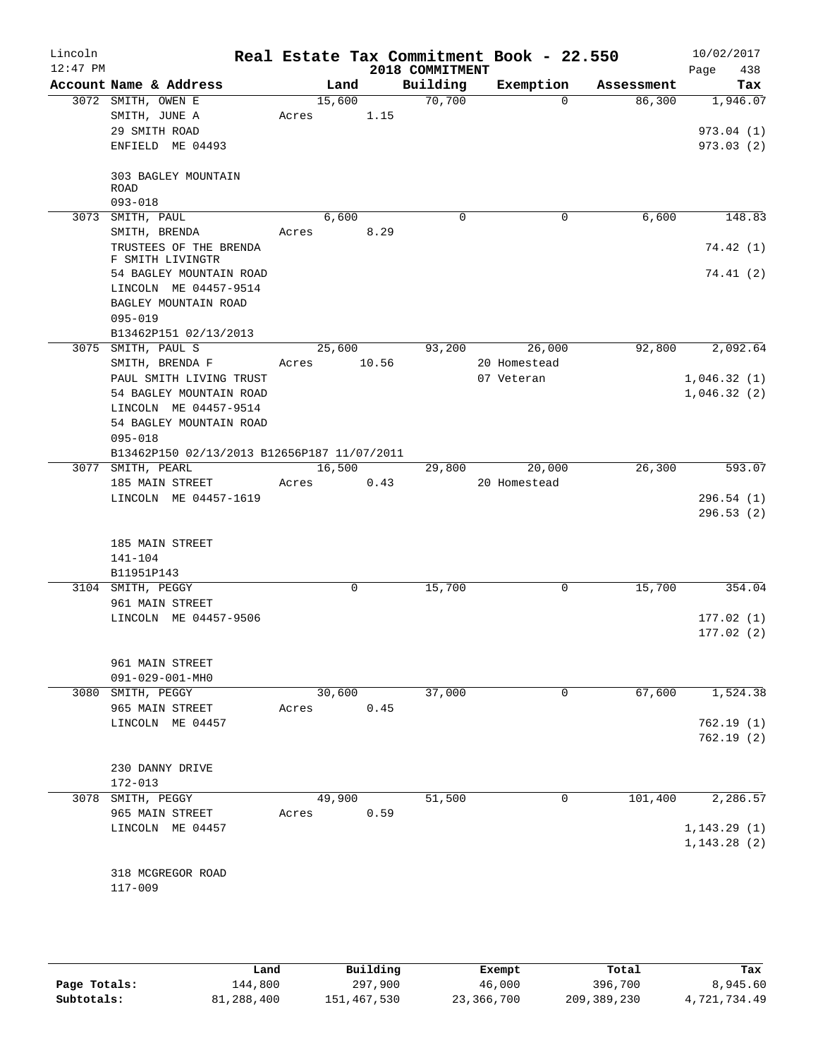| Lincoln<br>$12:47$ PM |                                             |       |        |       | 2018 COMMITMENT | Real Estate Tax Commitment Book - 22.550 |            | 10/02/2017<br>438<br>Page |
|-----------------------|---------------------------------------------|-------|--------|-------|-----------------|------------------------------------------|------------|---------------------------|
|                       | Account Name & Address                      |       | Land   |       | Building        | Exemption                                | Assessment | Tax                       |
|                       | 3072 SMITH, OWEN E                          |       | 15,600 |       | 70,700          | $\Omega$                                 | 86,300     | 1,946.07                  |
|                       | SMITH, JUNE A                               | Acres |        | 1.15  |                 |                                          |            |                           |
|                       | 29 SMITH ROAD                               |       |        |       |                 |                                          |            | 973.04 (1)                |
|                       | ENFIELD ME 04493                            |       |        |       |                 |                                          |            | 973.03(2)                 |
|                       | 303 BAGLEY MOUNTAIN<br>ROAD                 |       |        |       |                 |                                          |            |                           |
|                       | $093 - 018$                                 |       |        |       |                 |                                          |            |                           |
|                       | 3073 SMITH, PAUL                            |       | 6,600  |       | $\Omega$        | 0                                        | 6,600      | 148.83                    |
|                       | SMITH, BRENDA                               | Acres |        | 8.29  |                 |                                          |            |                           |
|                       | TRUSTEES OF THE BRENDA<br>F SMITH LIVINGTR  |       |        |       |                 |                                          |            | 74.42 (1)                 |
|                       | 54 BAGLEY MOUNTAIN ROAD                     |       |        |       |                 |                                          |            | 74.41(2)                  |
|                       | LINCOLN ME 04457-9514                       |       |        |       |                 |                                          |            |                           |
|                       | BAGLEY MOUNTAIN ROAD<br>$095 - 019$         |       |        |       |                 |                                          |            |                           |
|                       | B13462P151 02/13/2013                       |       |        |       |                 |                                          |            |                           |
| 3075                  | SMITH, PAUL S                               |       | 25,600 |       | 93,200          | 26,000                                   | 92,800     | 2,092.64                  |
|                       | SMITH, BRENDA F                             | Acres |        | 10.56 |                 | 20 Homestead                             |            |                           |
|                       | PAUL SMITH LIVING TRUST                     |       |        |       |                 | 07 Veteran                               |            | 1,046.32(1)               |
|                       | 54 BAGLEY MOUNTAIN ROAD                     |       |        |       |                 |                                          |            | 1,046.32(2)               |
|                       | LINCOLN ME 04457-9514                       |       |        |       |                 |                                          |            |                           |
|                       | 54 BAGLEY MOUNTAIN ROAD                     |       |        |       |                 |                                          |            |                           |
|                       | $095 - 018$                                 |       |        |       |                 |                                          |            |                           |
|                       | B13462P150 02/13/2013 B12656P187 11/07/2011 |       |        |       |                 |                                          |            |                           |
|                       | 3077 SMITH, PEARL                           |       | 16,500 |       | 29,800          | 20,000                                   | 26,300     | 593.07                    |
|                       | 185 MAIN STREET                             | Acres |        | 0.43  |                 | 20 Homestead                             |            |                           |
|                       | LINCOLN ME 04457-1619                       |       |        |       |                 |                                          |            | 296.54(1)<br>296.53(2)    |
|                       | 185 MAIN STREET                             |       |        |       |                 |                                          |            |                           |
|                       | 141-104                                     |       |        |       |                 |                                          |            |                           |
|                       | B11951P143                                  |       |        |       |                 |                                          |            |                           |
|                       | 3104 SMITH, PEGGY                           |       | 0      |       | 15,700          | 0                                        | 15,700     | 354.04                    |
|                       | 961 MAIN STREET                             |       |        |       |                 |                                          |            |                           |
|                       | LINCOLN ME 04457-9506                       |       |        |       |                 |                                          |            | 177.02(1)                 |
|                       |                                             |       |        |       |                 |                                          |            | 177.02(2)                 |
|                       |                                             |       |        |       |                 |                                          |            |                           |
|                       | 961 MAIN STREET                             |       |        |       |                 |                                          |            |                           |
|                       | 091-029-001-MH0                             |       |        |       |                 |                                          |            |                           |
| 3080                  | SMITH, PEGGY                                |       | 30,600 |       | 37,000          | 0                                        | 67,600     | 1,524.38                  |
|                       | 965 MAIN STREET                             | Acres |        | 0.45  |                 |                                          |            |                           |
|                       | LINCOLN ME 04457                            |       |        |       |                 |                                          |            | 762.19(1)<br>762.19 (2)   |
|                       |                                             |       |        |       |                 |                                          |            |                           |
|                       | 230 DANNY DRIVE                             |       |        |       |                 |                                          |            |                           |
|                       | 172-013                                     |       |        |       |                 |                                          |            |                           |
| 3078                  | SMITH, PEGGY                                |       | 49,900 |       | 51,500          | 0                                        | 101,400    | 2,286.57                  |
|                       | 965 MAIN STREET                             | Acres |        | 0.59  |                 |                                          |            |                           |
|                       | LINCOLN ME 04457                            |       |        |       |                 |                                          |            | 1, 143.29(1)              |
|                       |                                             |       |        |       |                 |                                          |            | 1, 143.28(2)              |
|                       |                                             |       |        |       |                 |                                          |            |                           |
|                       | 318 MCGREGOR ROAD                           |       |        |       |                 |                                          |            |                           |
|                       | $117 - 009$                                 |       |        |       |                 |                                          |            |                           |
|                       |                                             |       |        |       |                 |                                          |            |                           |

|              | Land       | Building    |            | Total       | Tax          |
|--------------|------------|-------------|------------|-------------|--------------|
|              |            |             | Exempt     |             |              |
| Page Totals: | 144,800    | 297,900     | 46,000     | 396,700     | 8,945.60     |
| Subtotals:   | 81,288,400 | 151,467,530 | 23,366,700 | 209,389,230 | 4,721,734.49 |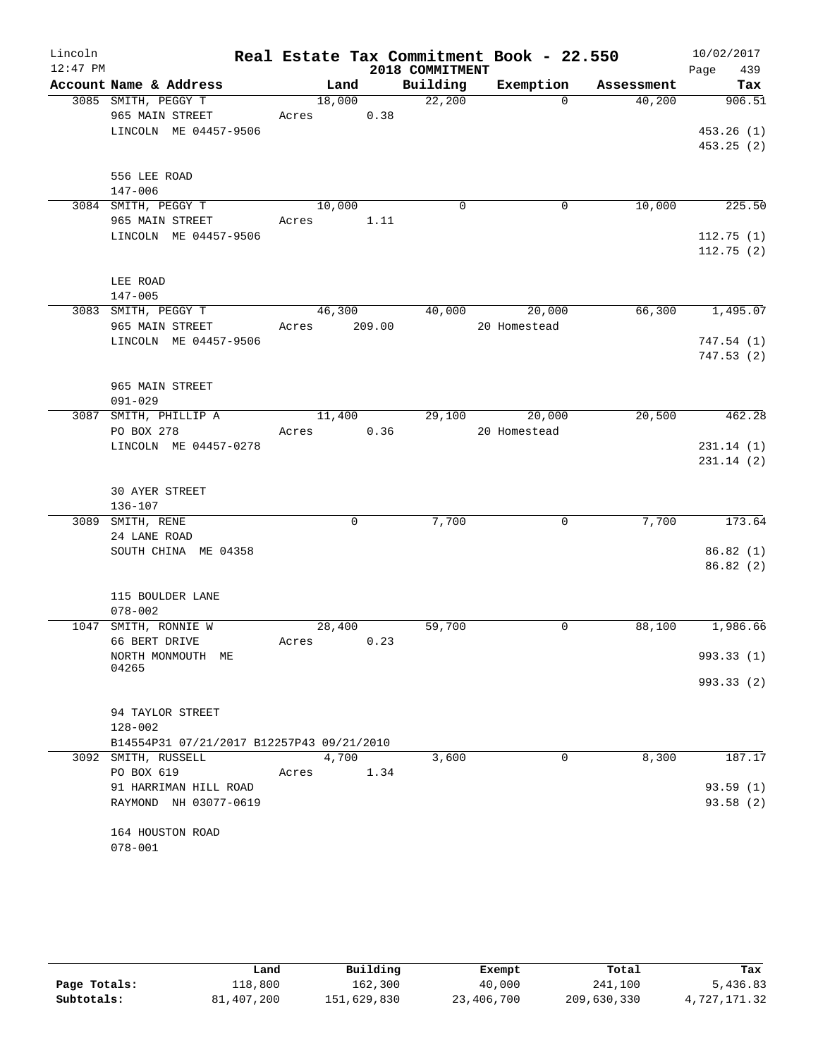| Lincoln    |                                                |            |      |                 | Real Estate Tax Commitment Book - 22.550 |                               | 10/02/2017      |
|------------|------------------------------------------------|------------|------|-----------------|------------------------------------------|-------------------------------|-----------------|
| $12:47$ PM |                                                |            |      | 2018 COMMITMENT |                                          |                               | 439<br>Page     |
|            | Account Name & Address                         |            | Land |                 |                                          | Building Exemption Assessment | Tax             |
|            | 3085 SMITH, PEGGY T                            |            |      | 18,000 22,200   | $\Omega$                                 | 40,200                        | 906.51          |
|            | 965 MAIN STREET                                | Acres 0.38 |      |                 |                                          |                               |                 |
|            | LINCOLN ME 04457-9506                          |            |      |                 |                                          |                               | 453.26(1)       |
|            |                                                |            |      |                 |                                          |                               | 453.25(2)       |
|            |                                                |            |      |                 |                                          |                               |                 |
|            | 556 LEE ROAD                                   |            |      |                 |                                          |                               |                 |
|            | 147-006                                        |            |      |                 |                                          |                               |                 |
|            | 3084 SMITH, PEGGY T                            | 10,000     |      | $\Omega$        | 0                                        | 10,000                        | 225.50          |
|            | 965 MAIN STREET                                | Acres 1.11 |      |                 |                                          |                               |                 |
|            | LINCOLN ME 04457-9506                          |            |      |                 |                                          |                               | 112.75(1)       |
|            |                                                |            |      |                 |                                          |                               | 112.75(2)       |
|            |                                                |            |      |                 |                                          |                               |                 |
|            | LEE ROAD                                       |            |      |                 |                                          |                               |                 |
|            | $147 - 005$                                    |            |      |                 |                                          |                               |                 |
|            | 3083 SMITH, PEGGY T                            |            |      |                 | 46,300 40,000 20,000                     |                               | 66,300 1,495.07 |
|            | 965 MAIN STREET Acres 209.00                   |            |      |                 | 20 Homestead                             |                               |                 |
|            | LINCOLN ME 04457-9506                          |            |      |                 |                                          |                               | 747.54(1)       |
|            |                                                |            |      |                 |                                          |                               | 747.53(2)       |
|            |                                                |            |      |                 |                                          |                               |                 |
|            | 965 MAIN STREET<br>$091 - 029$                 |            |      |                 |                                          |                               |                 |
|            | 3087 SMITH, PHILLIP A                          | 11,400     |      |                 | 29,100 20,000                            |                               | 20,500 462.28   |
|            | PO BOX 278                                     | Acres 0.36 |      |                 | 20 Homestead                             |                               |                 |
|            | LINCOLN ME 04457-0278                          |            |      |                 |                                          |                               | 231.14(1)       |
|            |                                                |            |      |                 |                                          |                               | 231.14(2)       |
|            |                                                |            |      |                 |                                          |                               |                 |
|            | <b>30 AYER STREET</b>                          |            |      |                 |                                          |                               |                 |
|            | $136 - 107$                                    |            |      |                 |                                          |                               |                 |
|            | 3089 SMITH, RENE                               |            | 0    | 7,700           | $\mathbf 0$                              | 7,700                         | 173.64          |
|            | 24 LANE ROAD                                   |            |      |                 |                                          |                               |                 |
|            | SOUTH CHINA ME 04358                           |            |      |                 |                                          |                               | 86.82(1)        |
|            |                                                |            |      |                 |                                          |                               | 86.82(2)        |
|            |                                                |            |      |                 |                                          |                               |                 |
|            | 115 BOULDER LANE                               |            |      |                 |                                          |                               |                 |
|            | $078 - 002$                                    |            |      |                 |                                          |                               |                 |
|            | 1047 SMITH, RONNIE W                           | 28,400     |      | 59,700          | 0                                        | 88,100                        | 1,986.66        |
|            | 66 BERT DRIVE                                  | Acres 0.23 |      |                 |                                          |                               |                 |
|            | NORTH MONMOUTH ME                              |            |      |                 |                                          |                               | 993.33 (1)      |
|            | 04265                                          |            |      |                 |                                          |                               |                 |
|            |                                                |            |      |                 |                                          |                               | 993.33 (2)      |
|            |                                                |            |      |                 |                                          |                               |                 |
|            | 94 TAYLOR STREET                               |            |      |                 |                                          |                               |                 |
|            | $128 - 002$                                    |            |      |                 |                                          |                               |                 |
|            | B14554P31 07/21/2017 B12257P43 09/21/2010      |            |      |                 |                                          |                               |                 |
|            | 3092 SMITH, RUSSELL                            | 4,700      |      | 3,600           | 0                                        | 8,300                         | 187.17          |
|            | PO BOX 619                                     | Acres      | 1.34 |                 |                                          |                               | 93.59(1)        |
|            | 91 HARRIMAN HILL ROAD<br>RAYMOND NH 03077-0619 |            |      |                 |                                          |                               | 93.58 (2)       |
|            |                                                |            |      |                 |                                          |                               |                 |
|            | 164 HOUSTON ROAD                               |            |      |                 |                                          |                               |                 |
|            | $078 - 001$                                    |            |      |                 |                                          |                               |                 |
|            |                                                |            |      |                 |                                          |                               |                 |

|              | Land       | Building    | Exempt     | Total       | Tax          |
|--------------|------------|-------------|------------|-------------|--------------|
| Page Totals: | 118,800    | 162,300     | 40,000     | 241,100     | 5,436.83     |
| Subtotals:   | 81,407,200 | 151,629,830 | 23,406,700 | 209,630,330 | 4,727,171.32 |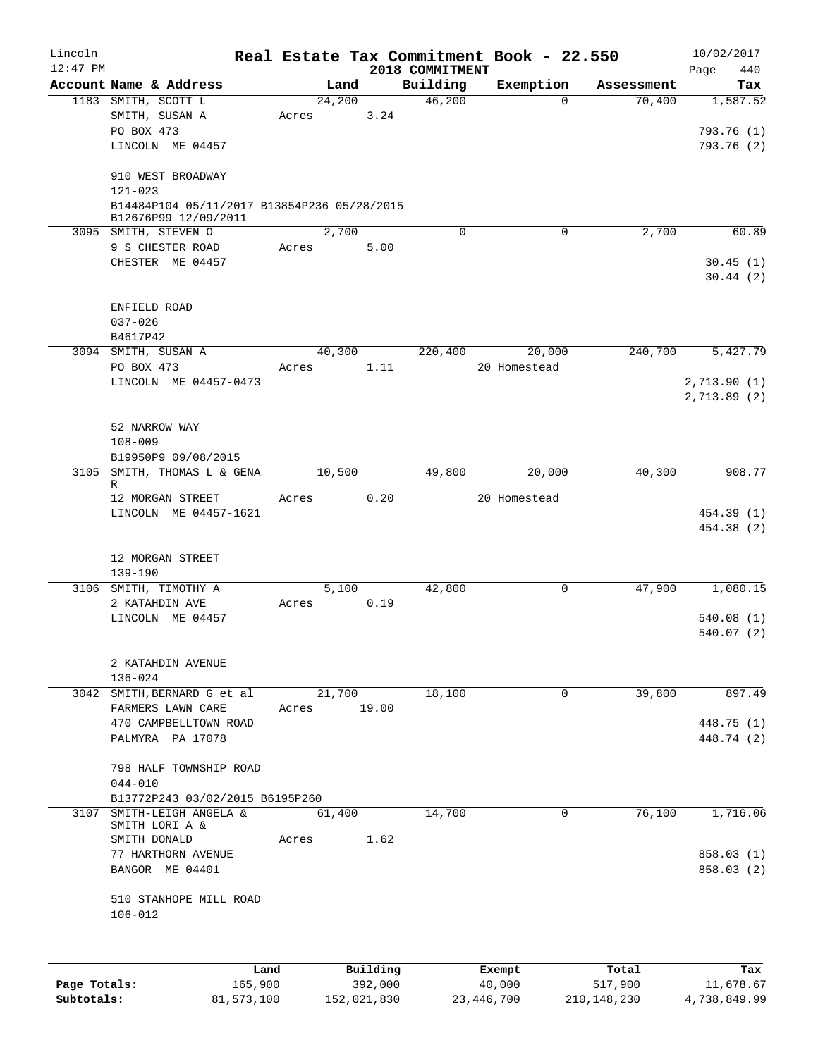| Lincoln      |                                             |         |       |        |          |                 | Real Estate Tax Commitment Book - 22.550 |            | 10/02/2017             |
|--------------|---------------------------------------------|---------|-------|--------|----------|-----------------|------------------------------------------|------------|------------------------|
| $12:47$ PM   |                                             |         |       |        |          | 2018 COMMITMENT |                                          |            | Page<br>440            |
|              | Account Name & Address                      |         |       | Land   |          | Building        | Exemption                                | Assessment | Tax                    |
|              | 1183 SMITH, SCOTT L                         |         |       | 24,200 |          | 46,200          | 0                                        | 70,400     | 1,587.52               |
|              | SMITH, SUSAN A                              |         | Acres |        | 3.24     |                 |                                          |            |                        |
|              | PO BOX 473                                  |         |       |        |          |                 |                                          |            | 793.76 (1)             |
|              | LINCOLN ME 04457                            |         |       |        |          |                 |                                          |            | 793.76 (2)             |
|              | 910 WEST BROADWAY                           |         |       |        |          |                 |                                          |            |                        |
|              | $121 - 023$                                 |         |       |        |          |                 |                                          |            |                        |
|              | B14484P104 05/11/2017 B13854P236 05/28/2015 |         |       |        |          |                 |                                          |            |                        |
|              | B12676P99 12/09/2011                        |         |       |        |          |                 |                                          |            |                        |
|              | 3095 SMITH, STEVEN O                        |         |       | 2,700  |          | $\Omega$        | $\mathbf 0$                              | 2,700      | 60.89                  |
|              | 9 S CHESTER ROAD                            |         | Acres |        | 5.00     |                 |                                          |            |                        |
|              | CHESTER ME 04457                            |         |       |        |          |                 |                                          |            | 30.45(1)               |
|              |                                             |         |       |        |          |                 |                                          |            | 30.44(2)               |
|              | ENFIELD ROAD                                |         |       |        |          |                 |                                          |            |                        |
|              | $037 - 026$                                 |         |       |        |          |                 |                                          |            |                        |
|              | B4617P42                                    |         |       |        |          |                 |                                          |            |                        |
|              | 3094 SMITH, SUSAN A                         |         |       | 40,300 |          | 220,400         | 20,000                                   | 240,700    | 5,427.79               |
|              | PO BOX 473                                  |         | Acres |        | 1.11     |                 | 20 Homestead                             |            |                        |
|              | LINCOLN ME 04457-0473                       |         |       |        |          |                 |                                          |            | 2,713.90(1)            |
|              |                                             |         |       |        |          |                 |                                          |            | 2, 713.89(2)           |
|              |                                             |         |       |        |          |                 |                                          |            |                        |
|              | 52 NARROW WAY                               |         |       |        |          |                 |                                          |            |                        |
|              | $108 - 009$                                 |         |       |        |          |                 |                                          |            |                        |
|              | B19950P9 09/08/2015                         |         |       |        |          |                 |                                          |            |                        |
|              | 3105 SMITH, THOMAS L & GENA                 |         |       | 10,500 |          | 49,800          | 20,000                                   | 40,300     | 908.77                 |
|              | R                                           |         |       |        |          |                 |                                          |            |                        |
|              | 12 MORGAN STREET                            |         | Acres |        | 0.20     |                 | 20 Homestead                             |            |                        |
|              | LINCOLN ME 04457-1621                       |         |       |        |          |                 |                                          |            | 454.39 (1)             |
|              |                                             |         |       |        |          |                 |                                          |            | 454.38 (2)             |
|              |                                             |         |       |        |          |                 |                                          |            |                        |
|              | 12 MORGAN STREET                            |         |       |        |          |                 |                                          |            |                        |
|              | $139 - 190$                                 |         |       |        |          |                 |                                          |            |                        |
|              | 3106 SMITH, TIMOTHY A<br>2 KATAHDIN AVE     |         | Acres | 5,100  | 0.19     | 42,800          | $\mathbf 0$                              | 47,900     | 1,080.15               |
|              |                                             |         |       |        |          |                 |                                          |            |                        |
|              | LINCOLN ME 04457                            |         |       |        |          |                 |                                          |            | 540.08(1)<br>540.07(2) |
|              |                                             |         |       |        |          |                 |                                          |            |                        |
|              | 2 KATAHDIN AVENUE                           |         |       |        |          |                 |                                          |            |                        |
|              | $136 - 024$                                 |         |       |        |          |                 |                                          |            |                        |
| 3042         | SMITH, BERNARD G et al                      |         |       | 21,700 |          | 18,100          | 0                                        | 39,800     | 897.49                 |
|              | FARMERS LAWN CARE                           |         | Acres |        | 19.00    |                 |                                          |            |                        |
|              | 470 CAMPBELLTOWN ROAD                       |         |       |        |          |                 |                                          |            | 448.75 (1)             |
|              | PALMYRA PA 17078                            |         |       |        |          |                 |                                          |            | 448.74 (2)             |
|              |                                             |         |       |        |          |                 |                                          |            |                        |
|              | 798 HALF TOWNSHIP ROAD                      |         |       |        |          |                 |                                          |            |                        |
|              | $044 - 010$                                 |         |       |        |          |                 |                                          |            |                        |
|              | B13772P243 03/02/2015 B6195P260             |         |       |        |          |                 |                                          |            |                        |
| 3107         | SMITH-LEIGH ANGELA &                        |         |       | 61,400 |          | 14,700          | 0                                        | 76,100     | 1,716.06               |
|              | SMITH LORI A &                              |         |       |        |          |                 |                                          |            |                        |
|              | SMITH DONALD                                |         | Acres |        | 1.62     |                 |                                          |            |                        |
|              | 77 HARTHORN AVENUE                          |         |       |        |          |                 |                                          |            | 858.03 (1)             |
|              | BANGOR ME 04401                             |         |       |        |          |                 |                                          |            | 858.03 (2)             |
|              |                                             |         |       |        |          |                 |                                          |            |                        |
|              | 510 STANHOPE MILL ROAD<br>$106 - 012$       |         |       |        |          |                 |                                          |            |                        |
|              |                                             |         |       |        |          |                 |                                          |            |                        |
|              |                                             |         |       |        |          |                 |                                          |            |                        |
|              |                                             |         |       |        |          |                 |                                          |            |                        |
|              |                                             | Land    |       |        | Building |                 | Exempt                                   | Total      | Tax                    |
| Page Totals: |                                             | 165,900 |       |        | 392,000  |                 | 40,000                                   | 517,900    | 11,678.67              |

**Subtotals:** 81,573,100 152,021,830 23,446,700 210,148,230 4,738,849.99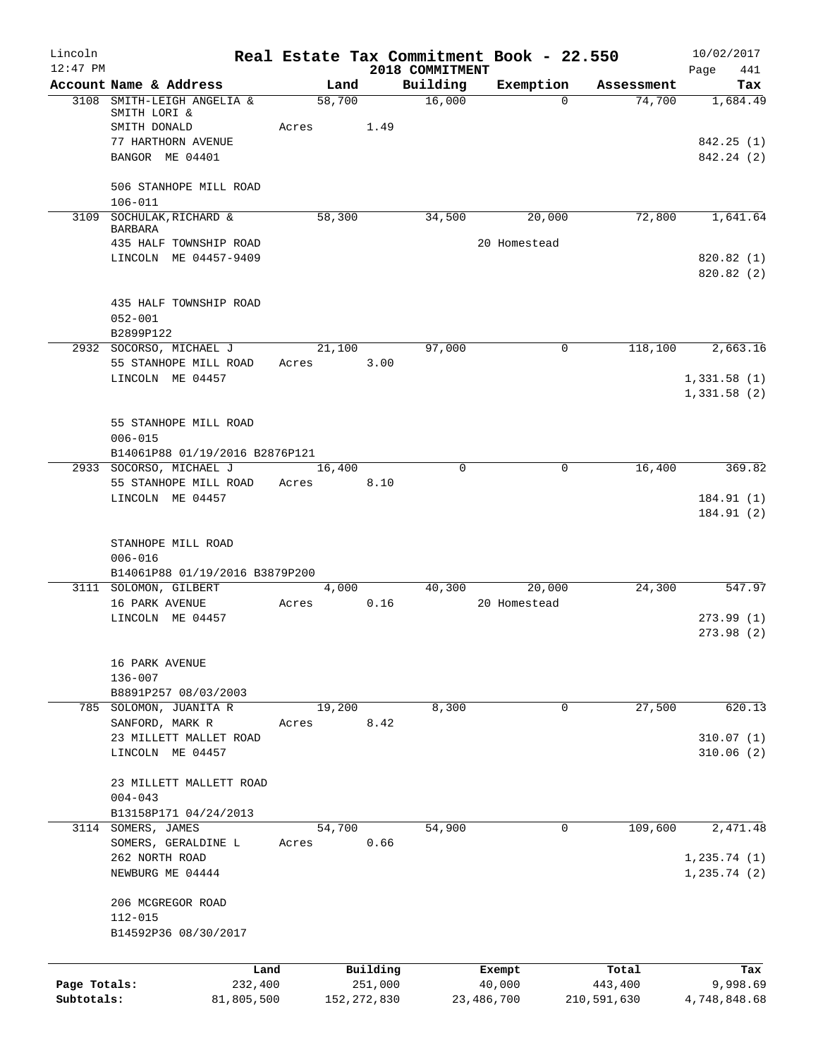| Lincoln      |                                                      |                 |               |                    | Real Estate Tax Commitment Book - 22.550 |                      | 10/02/2017              |
|--------------|------------------------------------------------------|-----------------|---------------|--------------------|------------------------------------------|----------------------|-------------------------|
| $12:47$ PM   |                                                      |                 |               | 2018 COMMITMENT    |                                          |                      | 441<br>Page             |
|              | Account Name & Address<br>3108 SMITH-LEIGH ANGELIA & | Land<br>58,700  |               | Building<br>16,000 | Exemption<br>$\Omega$                    | Assessment<br>74,700 | Tax<br>1,684.49         |
|              | SMITH LORI &<br>SMITH DONALD                         | Acres           | 1.49          |                    |                                          |                      |                         |
|              | 77 HARTHORN AVENUE<br>BANGOR ME 04401                |                 |               |                    |                                          |                      | 842.25(1)<br>842.24 (2) |
|              | 506 STANHOPE MILL ROAD                               |                 |               |                    |                                          |                      |                         |
|              | $106 - 011$                                          |                 |               |                    |                                          |                      |                         |
|              | 3109 SOCHULAK, RICHARD &<br><b>BARBARA</b>           | 58,300          |               | 34,500             | 20,000                                   | 72,800               | 1,641.64                |
|              | 435 HALF TOWNSHIP ROAD<br>LINCOLN ME 04457-9409      |                 |               |                    | 20 Homestead                             |                      | 820.82(1)               |
|              |                                                      |                 |               |                    |                                          |                      | 820.82 (2)              |
|              | 435 HALF TOWNSHIP ROAD                               |                 |               |                    |                                          |                      |                         |
|              | $052 - 001$<br>B2899P122                             |                 |               |                    |                                          |                      |                         |
|              | 2932 SOCORSO, MICHAEL J                              | 21,100          |               | 97,000             | 0                                        | 118,100              | 2,663.16                |
|              | 55 STANHOPE MILL ROAD<br>LINCOLN ME 04457            | Acres           | 3.00          |                    |                                          |                      | 1,331.58(1)             |
|              |                                                      |                 |               |                    |                                          |                      | 1,331.58(2)             |
|              | 55 STANHOPE MILL ROAD                                |                 |               |                    |                                          |                      |                         |
|              | $006 - 015$<br>B14061P88 01/19/2016 B2876P121        |                 |               |                    |                                          |                      |                         |
|              | 2933 SOCORSO, MICHAEL J                              | 16,400          |               | $\Omega$           | 0                                        | 16,400               | 369.82                  |
|              | 55 STANHOPE MILL ROAD<br>LINCOLN ME 04457            | Acres           | 8.10          |                    |                                          |                      | 184.91 (1)              |
|              |                                                      |                 |               |                    |                                          |                      | 184.91 (2)              |
|              | STANHOPE MILL ROAD                                   |                 |               |                    |                                          |                      |                         |
|              | $006 - 016$<br>B14061P88 01/19/2016 B3879P200        |                 |               |                    |                                          |                      |                         |
|              | 3111 SOLOMON, GILBERT                                | 4,000<br>Acres  |               | 40,300             | 20,000                                   | 24,300               | 547.97                  |
|              | 16 PARK AVENUE<br>LINCOLN ME 04457                   |                 | 0.16          |                    | 20 Homestead                             |                      | 273.99(1)               |
|              |                                                      |                 |               |                    |                                          |                      | 273.98(2)               |
|              | 16 PARK AVENUE                                       |                 |               |                    |                                          |                      |                         |
|              | 136-007<br>B8891P257 08/03/2003                      |                 |               |                    |                                          |                      |                         |
| 785          | SOLOMON, JUANITA R<br>SANFORD, MARK R                | 19,200<br>Acres | 8.42          | 8,300              | 0                                        | 27,500               | 620.13                  |
|              | 23 MILLETT MALLET ROAD                               |                 |               |                    |                                          |                      | 310.07(1)               |
|              | LINCOLN ME 04457                                     |                 |               |                    |                                          |                      | 310.06(2)               |
|              | 23 MILLETT MALLETT ROAD                              |                 |               |                    |                                          |                      |                         |
|              | $004 - 043$<br>B13158P171 04/24/2013                 |                 |               |                    |                                          |                      |                         |
| 3114         | SOMERS, JAMES<br>SOMERS, GERALDINE L                 | 54,700<br>Acres | 0.66          | 54,900             | 0                                        | 109,600              | 2,471.48                |
|              | 262 NORTH ROAD                                       |                 |               |                    |                                          |                      | 1, 235.74(1)            |
|              | NEWBURG ME 04444                                     |                 |               |                    |                                          |                      | 1, 235.74(2)            |
|              | 206 MCGREGOR ROAD                                    |                 |               |                    |                                          |                      |                         |
|              | $112 - 015$<br>B14592P36 08/30/2017                  |                 |               |                    |                                          |                      |                         |
|              | Land                                                 |                 | Building      |                    | Exempt                                   | Total                | Tax                     |
| Page Totals: | 232,400                                              |                 | 251,000       |                    | 40,000                                   | 443,400              | 9,998.69                |
| Subtotals:   | 81,805,500                                           |                 | 152, 272, 830 |                    | 23,486,700                               | 210,591,630          | 4,748,848.68            |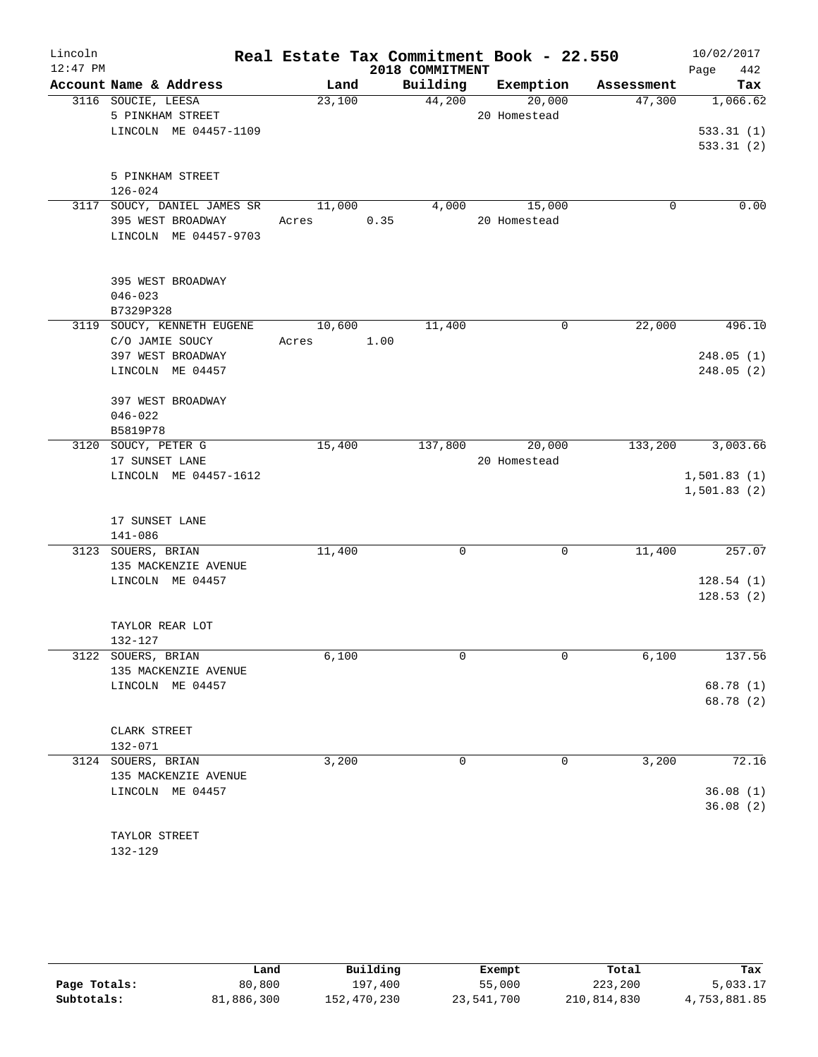| Lincoln    |                                            |            | Real Estate Tax Commitment Book - 22.550 |                    |            | 10/02/2017  |
|------------|--------------------------------------------|------------|------------------------------------------|--------------------|------------|-------------|
| $12:47$ PM |                                            |            | 2018 COMMITMENT                          |                    |            | 442<br>Page |
|            | Account Name & Address                     | Land       |                                          | Building Exemption | Assessment | Tax         |
|            | 3116 SOUCIE, LEESA                         | 23,100     | 44,200                                   | 20,000             | 47,300     | 1,066.62    |
|            | 5 PINKHAM STREET                           |            |                                          | 20 Homestead       |            |             |
|            | LINCOLN ME 04457-1109                      |            |                                          |                    |            | 533.31(1)   |
|            |                                            |            |                                          |                    |            | 533.31(2)   |
|            |                                            |            |                                          |                    |            |             |
|            | 5 PINKHAM STREET                           |            |                                          |                    |            |             |
|            | $126 - 024$                                |            |                                          |                    |            |             |
|            | 3117 SOUCY, DANIEL JAMES SR 11,000         |            | 4,000                                    | 15,000             | 0          | 0.00        |
|            | 395 WEST BROADWAY                          | Acres 0.35 |                                          | 20 Homestead       |            |             |
|            | LINCOLN ME 04457-9703                      |            |                                          |                    |            |             |
|            |                                            |            |                                          |                    |            |             |
|            | 395 WEST BROADWAY                          |            |                                          |                    |            |             |
|            | $046 - 023$                                |            |                                          |                    |            |             |
|            | B7329P328                                  |            |                                          |                    |            |             |
|            | 3119 SOUCY, KENNETH EUGENE                 | 10,600     | 11,400                                   | $\mathbf 0$        | 22,000     | 496.10      |
|            | C/O JAMIE SOUCY                            | Acres 1.00 |                                          |                    |            |             |
|            | 397 WEST BROADWAY                          |            |                                          |                    |            | 248.05(1)   |
|            | LINCOLN ME 04457                           |            |                                          |                    |            | 248.05(2)   |
|            |                                            |            |                                          |                    |            |             |
|            | 397 WEST BROADWAY                          |            |                                          |                    |            |             |
|            | $046 - 022$                                |            |                                          |                    |            |             |
|            | B5819P78                                   |            |                                          |                    |            |             |
|            | 3120 SOUCY, PETER G                        | 15,400     | 137,800                                  | 20,000             | 133,200    | 3,003.66    |
|            | 17 SUNSET LANE                             |            |                                          | 20 Homestead       |            |             |
|            | LINCOLN ME 04457-1612                      |            |                                          |                    |            | 1,501.83(1) |
|            |                                            |            |                                          |                    |            | 1,501.83(2) |
|            |                                            |            |                                          |                    |            |             |
|            | 17 SUNSET LANE                             |            |                                          |                    |            |             |
|            | $141 - 086$                                | 11,400     | 0                                        | $\mathbf 0$        | 11,400     | 257.07      |
|            | 3123 SOUERS, BRIAN<br>135 MACKENZIE AVENUE |            |                                          |                    |            |             |
|            | LINCOLN ME 04457                           |            |                                          |                    |            | 128.54(1)   |
|            |                                            |            |                                          |                    |            | 128.53(2)   |
|            |                                            |            |                                          |                    |            |             |
|            | TAYLOR REAR LOT                            |            |                                          |                    |            |             |
|            | 132-127                                    |            |                                          |                    |            |             |
|            | 3122 SOUERS, BRIAN                         | 6,100      | 0                                        | 0                  | 6,100      | 137.56      |
|            | 135 MACKENZIE AVENUE                       |            |                                          |                    |            |             |
|            | LINCOLN ME 04457                           |            |                                          |                    |            | 68.78 (1)   |
|            |                                            |            |                                          |                    |            | 68.78 (2)   |
|            |                                            |            |                                          |                    |            |             |
|            | CLARK STREET                               |            |                                          |                    |            |             |
|            | 132-071                                    |            |                                          |                    |            |             |
|            | 3124 SOUERS, BRIAN                         | 3,200      | 0                                        | 0                  | 3,200      | 72.16       |
|            | 135 MACKENZIE AVENUE                       |            |                                          |                    |            |             |
|            | LINCOLN ME 04457                           |            |                                          |                    |            | 36.08(1)    |
|            |                                            |            |                                          |                    |            | 36.08(2)    |
|            |                                            |            |                                          |                    |            |             |
|            | TAYLOR STREET                              |            |                                          |                    |            |             |
|            | 132-129                                    |            |                                          |                    |            |             |

|              | Land       | Building    | Exempt     | Total       | Tax          |
|--------------|------------|-------------|------------|-------------|--------------|
| Page Totals: | 80,800     | 197,400     | 55,000     | 223,200     | 5,033.17     |
| Subtotals:   | 81,886,300 | 152,470,230 | 23,541,700 | 210,814,830 | 4,753,881.85 |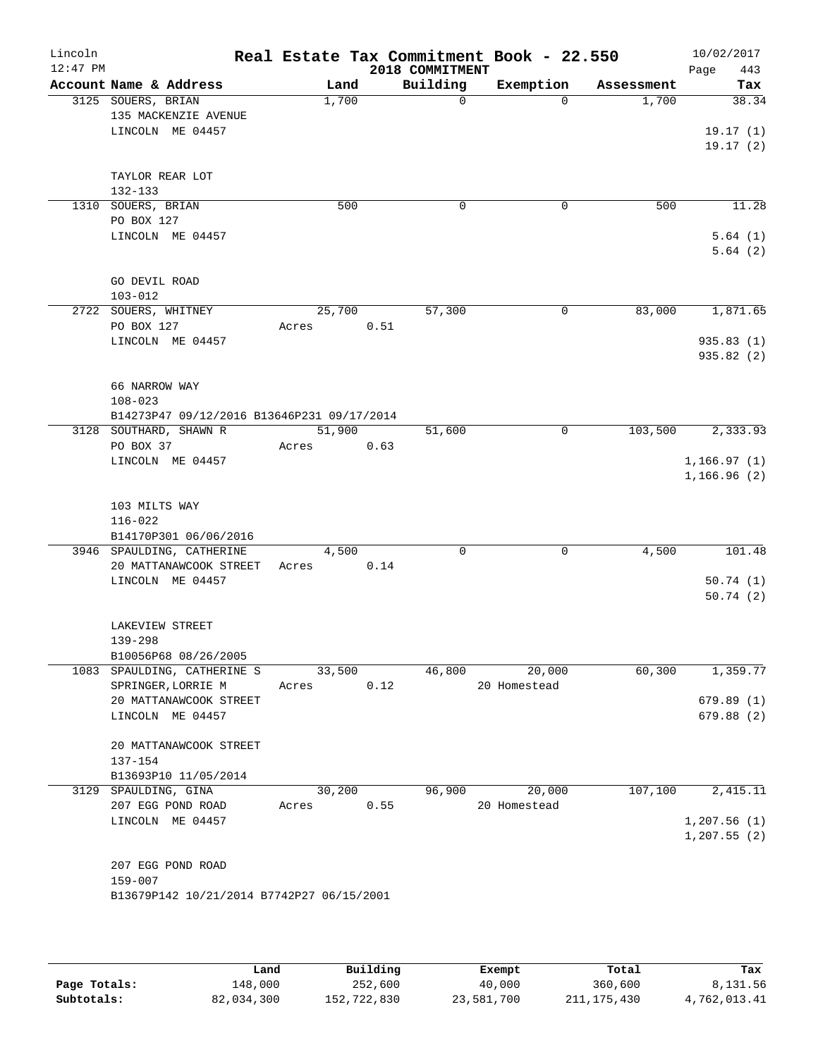| Lincoln<br>$12:47$ PM |                                                     |                |      | 2018 COMMITMENT | Real Estate Tax Commitment Book - 22.550 |            | 10/02/2017<br>443<br>Page |
|-----------------------|-----------------------------------------------------|----------------|------|-----------------|------------------------------------------|------------|---------------------------|
|                       | Account Name & Address                              | Land           |      | Building        | Exemption                                | Assessment | Tax                       |
|                       | 3125 SOUERS, BRIAN                                  | 1,700          |      | $\Omega$        | $\Omega$                                 | 1,700      | 38.34                     |
|                       | 135 MACKENZIE AVENUE                                |                |      |                 |                                          |            |                           |
|                       | LINCOLN ME 04457                                    |                |      |                 |                                          |            | 19.17(1)                  |
|                       |                                                     |                |      |                 |                                          |            | 19.17(2)                  |
|                       | TAYLOR REAR LOT                                     |                |      |                 |                                          |            |                           |
|                       | $132 - 133$                                         |                |      |                 |                                          |            |                           |
|                       | 1310 SOUERS, BRIAN                                  | 500            |      | 0               | 0                                        | 500        | 11.28                     |
|                       | PO BOX 127                                          |                |      |                 |                                          |            |                           |
|                       | LINCOLN ME 04457                                    |                |      |                 |                                          |            | 5.64(1)                   |
|                       |                                                     |                |      |                 |                                          |            | 5.64(2)                   |
|                       |                                                     |                |      |                 |                                          |            |                           |
|                       | GO DEVIL ROAD<br>$103 - 012$                        |                |      |                 |                                          |            |                           |
|                       | 2722 SOUERS, WHITNEY                                | 25,700         |      | 57,300          | 0                                        | 83,000     | 1,871.65                  |
|                       | PO BOX 127                                          | Acres          | 0.51 |                 |                                          |            |                           |
|                       | LINCOLN ME 04457                                    |                |      |                 |                                          |            | 935.83(1)                 |
|                       |                                                     |                |      |                 |                                          |            | 935.82(2)                 |
|                       |                                                     |                |      |                 |                                          |            |                           |
|                       | 66 NARROW WAY                                       |                |      |                 |                                          |            |                           |
|                       | $108 - 023$                                         |                |      |                 |                                          |            |                           |
|                       | B14273P47 09/12/2016 B13646P231 09/17/2014          |                |      |                 |                                          |            |                           |
|                       | 3128 SOUTHARD, SHAWN R<br>PO BOX 37                 | 51,900         |      | 51,600          | 0                                        | 103,500    | 2,333.93                  |
|                       | LINCOLN ME 04457                                    | Acres          | 0.63 |                 |                                          |            | 1, 166.97(1)              |
|                       |                                                     |                |      |                 |                                          |            | 1,166.96(2)               |
|                       |                                                     |                |      |                 |                                          |            |                           |
|                       | 103 MILTS WAY                                       |                |      |                 |                                          |            |                           |
|                       | $116 - 022$                                         |                |      |                 |                                          |            |                           |
|                       | B14170P301 06/06/2016                               |                |      |                 |                                          |            |                           |
|                       | 3946 SPAULDING, CATHERINE<br>20 MATTANAWCOOK STREET | 4,500<br>Acres | 0.14 | $\Omega$        | $\mathbf 0$                              | 4,500      | 101.48                    |
|                       | LINCOLN ME 04457                                    |                |      |                 |                                          |            | 50.74(1)                  |
|                       |                                                     |                |      |                 |                                          |            | 50.74(2)                  |
|                       |                                                     |                |      |                 |                                          |            |                           |
|                       | LAKEVIEW STREET                                     |                |      |                 |                                          |            |                           |
|                       | $139 - 298$                                         |                |      |                 |                                          |            |                           |
|                       | B10056P68 08/26/2005                                |                |      |                 |                                          |            |                           |
|                       | 1083 SPAULDING, CATHERINE S                         | 33,500         |      | 46,800          | 20,000                                   | 60,300     | 1,359.77                  |
|                       | SPRINGER, LORRIE M<br>20 MATTANAWCOOK STREET        | Acres          | 0.12 |                 | 20 Homestead                             |            | 679.89(1)                 |
|                       | LINCOLN ME 04457                                    |                |      |                 |                                          |            | 679.88(2)                 |
|                       |                                                     |                |      |                 |                                          |            |                           |
|                       | 20 MATTANAWCOOK STREET                              |                |      |                 |                                          |            |                           |
|                       | 137-154                                             |                |      |                 |                                          |            |                           |
|                       | B13693P10 11/05/2014                                |                |      |                 |                                          |            |                           |
|                       | 3129 SPAULDING, GINA                                | 30,200         |      | 96,900          | 20,000                                   | 107,100    | 2,415.11                  |
|                       | 207 EGG POND ROAD                                   | Acres          | 0.55 |                 | 20 Homestead                             |            |                           |
|                       | LINCOLN ME 04457                                    |                |      |                 |                                          |            | 1,207.56(1)               |
|                       |                                                     |                |      |                 |                                          |            | 1, 207.55(2)              |
|                       | 207 EGG POND ROAD                                   |                |      |                 |                                          |            |                           |
|                       | 159-007                                             |                |      |                 |                                          |            |                           |
|                       | B13679P142 10/21/2014 B7742P27 06/15/2001           |                |      |                 |                                          |            |                           |
|                       |                                                     |                |      |                 |                                          |            |                           |
|                       |                                                     |                |      |                 |                                          |            |                           |

|              | Land       | Building    | Exempt     | Total         | Tax          |
|--------------|------------|-------------|------------|---------------|--------------|
| Page Totals: | 148,000    | 252,600     | 40,000     | 360,600       | 8,131.56     |
| Subtotals:   | 82,034,300 | 152,722,830 | 23,581,700 | 211, 175, 430 | 4,762,013.41 |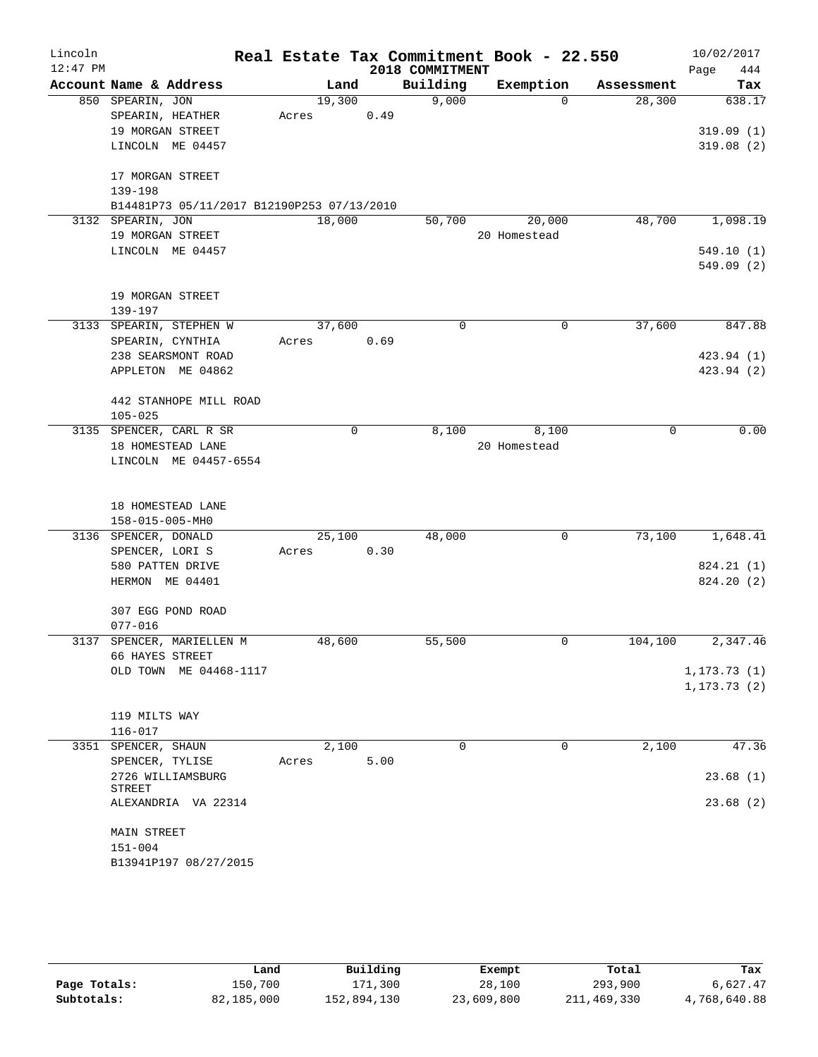| Lincoln<br>$12:47$ PM |                                            |        |             |      | 2018 COMMITMENT | Real Estate Tax Commitment Book - 22.550 |             | 10/02/2017<br>444<br>Page |
|-----------------------|--------------------------------------------|--------|-------------|------|-----------------|------------------------------------------|-------------|---------------------------|
|                       | Account Name & Address                     |        | Land        |      | Building        | Exemption                                | Assessment  | Tax                       |
|                       | 850 SPEARIN, JON                           |        | 19,300      |      | 9,000           | $\Omega$                                 | 28,300      | 638.17                    |
|                       | SPEARIN, HEATHER                           | Acres  |             | 0.49 |                 |                                          |             |                           |
|                       | 19 MORGAN STREET                           |        |             |      |                 |                                          |             | 319.09(1)                 |
|                       | LINCOLN ME 04457                           |        |             |      |                 |                                          |             | 319.08(2)                 |
|                       | 17 MORGAN STREET                           |        |             |      |                 |                                          |             |                           |
|                       | 139-198                                    |        |             |      |                 |                                          |             |                           |
|                       | B14481P73 05/11/2017 B12190P253 07/13/2010 |        |             |      |                 |                                          |             |                           |
|                       | 3132 SPEARIN, JON                          | 18,000 |             |      | 50,700          | 20,000                                   | 48,700      | 1,098.19                  |
|                       | 19 MORGAN STREET                           |        |             |      |                 | 20 Homestead                             |             |                           |
|                       | LINCOLN ME 04457                           |        |             |      |                 |                                          |             | 549.10(1)                 |
|                       |                                            |        |             |      |                 |                                          |             | 549.09(2)                 |
|                       | 19 MORGAN STREET                           |        |             |      |                 |                                          |             |                           |
|                       | 139-197                                    |        |             |      |                 |                                          |             |                           |
|                       | 3133 SPEARIN, STEPHEN W                    |        | 37,600      |      | $\Omega$        | $\mathbf 0$                              | 37,600      | 847.88                    |
|                       | SPEARIN, CYNTHIA                           | Acres  |             | 0.69 |                 |                                          |             |                           |
|                       | 238 SEARSMONT ROAD                         |        |             |      |                 |                                          |             | 423.94 (1)                |
|                       | APPLETON ME 04862                          |        |             |      |                 |                                          |             | 423.94 (2)                |
|                       | 442 STANHOPE MILL ROAD                     |        |             |      |                 |                                          |             |                           |
|                       | $105 - 025$                                |        |             |      |                 |                                          |             |                           |
|                       | 3135 SPENCER, CARL R SR                    |        | $\mathbf 0$ |      | 8,100           | 8,100                                    | $\mathbf 0$ | 0.00                      |
|                       | 18 HOMESTEAD LANE                          |        |             |      |                 | 20 Homestead                             |             |                           |
|                       | LINCOLN ME 04457-6554                      |        |             |      |                 |                                          |             |                           |
|                       | 18 HOMESTEAD LANE                          |        |             |      |                 |                                          |             |                           |
|                       | 158-015-005-MH0                            |        |             |      |                 |                                          |             |                           |
|                       | 3136 SPENCER, DONALD                       |        | 25,100      |      | 48,000          | $\mathbf 0$                              | 73,100      | 1,648.41                  |
|                       | SPENCER, LORI S                            | Acres  |             | 0.30 |                 |                                          |             |                           |
|                       | 580 PATTEN DRIVE                           |        |             |      |                 |                                          |             | 824.21 (1)                |
|                       | HERMON ME 04401                            |        |             |      |                 |                                          |             | 824.20 (2)                |
|                       | 307 EGG POND ROAD                          |        |             |      |                 |                                          |             |                           |
|                       | $077 - 016$                                |        |             |      |                 |                                          |             |                           |
| 3137                  | SPENCER, MARIELLEN M                       | 48,600 |             |      | 55,500          | 0                                        | 104,100     | 2,347.46                  |
|                       | 66 HAYES STREET                            |        |             |      |                 |                                          |             |                           |
|                       | OLD TOWN ME 04468-1117                     |        |             |      |                 |                                          |             | 1, 173.73(1)              |
|                       |                                            |        |             |      |                 |                                          |             | 1, 173.73(2)              |
|                       | 119 MILTS WAY                              |        |             |      |                 |                                          |             |                           |
|                       | $116 - 017$                                |        |             |      |                 |                                          |             |                           |
|                       | 3351 SPENCER, SHAUN                        |        | 2,100       |      | 0               | $\mathbf 0$                              | 2,100       | 47.36                     |
|                       | SPENCER, TYLISE                            | Acres  |             | 5.00 |                 |                                          |             |                           |
|                       | 2726 WILLIAMSBURG                          |        |             |      |                 |                                          |             | 23.68(1)                  |
|                       | STREET<br>ALEXANDRIA VA 22314              |        |             |      |                 |                                          |             | 23.68(2)                  |
|                       |                                            |        |             |      |                 |                                          |             |                           |
|                       | MAIN STREET                                |        |             |      |                 |                                          |             |                           |
|                       | $151 - 004$                                |        |             |      |                 |                                          |             |                           |
|                       | B13941P197 08/27/2015                      |        |             |      |                 |                                          |             |                           |

|              | Land       | Building    | Exempt     | Total       | Tax          |
|--------------|------------|-------------|------------|-------------|--------------|
| Page Totals: | 150.700    | 171,300     | 28,100     | 293,900     | 6,627.47     |
| Subtotals:   | 82,185,000 | 152,894,130 | 23,609,800 | 211,469,330 | 4,768,640.88 |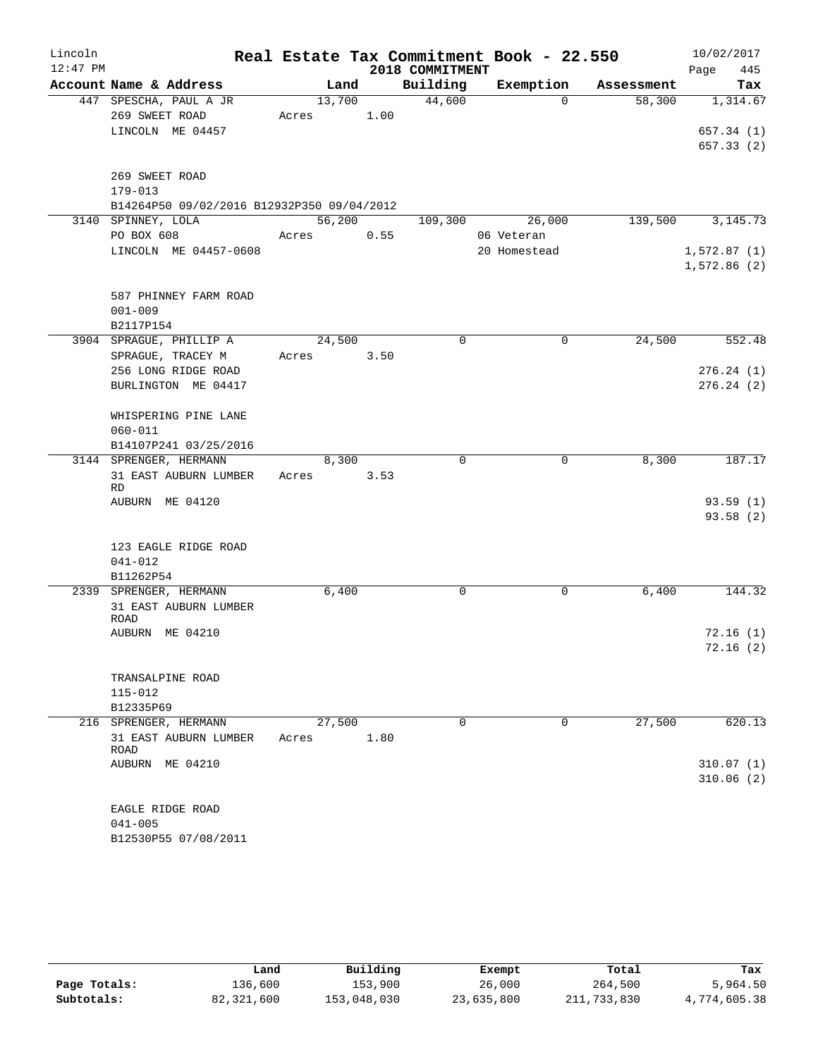| Lincoln    |                                            |       |        |      |                 | Real Estate Tax Commitment Book - 22.550 |            |             | 10/02/2017 |
|------------|--------------------------------------------|-------|--------|------|-----------------|------------------------------------------|------------|-------------|------------|
| $12:47$ PM |                                            |       |        |      | 2018 COMMITMENT |                                          |            | Page        | 445        |
|            | Account Name & Address                     |       | Land   |      | Building        | Exemption                                | Assessment |             | Tax        |
|            | 447 SPESCHA, PAUL A JR                     |       | 13,700 |      | 44,600          | $\Omega$                                 | 58,300     |             | 1,314.67   |
|            | 269 SWEET ROAD                             | Acres |        | 1.00 |                 |                                          |            |             |            |
|            | LINCOLN ME 04457                           |       |        |      |                 |                                          |            |             | 657.34 (1) |
|            |                                            |       |        |      |                 |                                          |            |             | 657.33 (2) |
|            |                                            |       |        |      |                 |                                          |            |             |            |
|            | 269 SWEET ROAD                             |       |        |      |                 |                                          |            |             |            |
|            | $179 - 013$                                |       |        |      |                 |                                          |            |             |            |
|            | B14264P50 09/02/2016 B12932P350 09/04/2012 |       |        |      |                 |                                          |            |             |            |
|            | 3140 SPINNEY, LOLA                         |       | 56,200 |      | 109,300         | 26,000                                   | 139,500    |             | 3, 145. 73 |
|            | PO BOX 608                                 | Acres |        | 0.55 |                 | 06 Veteran                               |            |             |            |
|            | LINCOLN ME 04457-0608                      |       |        |      |                 | 20 Homestead                             |            | 1,572.87(1) |            |
|            |                                            |       |        |      |                 |                                          |            | 1,572.86(2) |            |
|            |                                            |       |        |      |                 |                                          |            |             |            |
|            | 587 PHINNEY FARM ROAD                      |       |        |      |                 |                                          |            |             |            |
|            | $001 - 009$                                |       |        |      |                 |                                          |            |             |            |
|            | B2117P154<br>3904 SPRAGUE, PHILLIP A       |       | 24,500 |      | $\mathbf 0$     | $\mathbf 0$                              | 24,500     |             | 552.48     |
|            | SPRAGUE, TRACEY M                          | Acres |        | 3.50 |                 |                                          |            |             |            |
|            | 256 LONG RIDGE ROAD                        |       |        |      |                 |                                          |            |             | 276.24(1)  |
|            | BURLINGTON ME 04417                        |       |        |      |                 |                                          |            |             | 276.24(2)  |
|            |                                            |       |        |      |                 |                                          |            |             |            |
|            | WHISPERING PINE LANE                       |       |        |      |                 |                                          |            |             |            |
|            | $060 - 011$                                |       |        |      |                 |                                          |            |             |            |
|            | B14107P241 03/25/2016                      |       |        |      |                 |                                          |            |             |            |
|            | 3144 SPRENGER, HERMANN                     |       | 8,300  |      | $\mathbf 0$     | $\mathbf 0$                              | 8,300      |             | 187.17     |
|            | 31 EAST AUBURN LUMBER                      | Acres |        | 3.53 |                 |                                          |            |             |            |
|            | <b>RD</b>                                  |       |        |      |                 |                                          |            |             |            |
|            | AUBURN ME 04120                            |       |        |      |                 |                                          |            |             | 93.59(1)   |
|            |                                            |       |        |      |                 |                                          |            |             | 93.58(2)   |
|            |                                            |       |        |      |                 |                                          |            |             |            |
|            | 123 EAGLE RIDGE ROAD                       |       |        |      |                 |                                          |            |             |            |
|            | $041 - 012$                                |       |        |      |                 |                                          |            |             |            |
|            | B11262P54                                  |       |        |      |                 |                                          |            |             |            |
|            | 2339 SPRENGER, HERMANN                     |       | 6,400  |      | 0               | 0                                        | 6,400      |             | 144.32     |
|            | 31 EAST AUBURN LUMBER                      |       |        |      |                 |                                          |            |             |            |
|            | ROAD<br>AUBURN ME 04210                    |       |        |      |                 |                                          |            |             | 72.16(1)   |
|            |                                            |       |        |      |                 |                                          |            |             | 72.16(2)   |
|            |                                            |       |        |      |                 |                                          |            |             |            |
|            | TRANSALPINE ROAD                           |       |        |      |                 |                                          |            |             |            |
|            | $115 - 012$                                |       |        |      |                 |                                          |            |             |            |
|            | B12335P69                                  |       |        |      |                 |                                          |            |             |            |
|            | 216 SPRENGER, HERMANN                      |       | 27,500 |      | $\Omega$        | 0                                        | 27,500     |             | 620.13     |
|            | 31 EAST AUBURN LUMBER                      | Acres |        | 1.80 |                 |                                          |            |             |            |
|            | ROAD                                       |       |        |      |                 |                                          |            |             |            |
|            | AUBURN ME 04210                            |       |        |      |                 |                                          |            |             | 310.07(1)  |
|            |                                            |       |        |      |                 |                                          |            |             | 310.06(2)  |
|            |                                            |       |        |      |                 |                                          |            |             |            |
|            | EAGLE RIDGE ROAD                           |       |        |      |                 |                                          |            |             |            |
|            | $041 - 005$                                |       |        |      |                 |                                          |            |             |            |
|            | B12530P55 07/08/2011                       |       |        |      |                 |                                          |            |             |            |

|              | Land       | Building    | Exempt     | Total       | Tax          |
|--------------|------------|-------------|------------|-------------|--------------|
| Page Totals: | 136,600    | 153,900     | 26,000     | 264,500     | 5,964.50     |
| Subtotals:   | 82,321,600 | 153,048,030 | 23,635,800 | 211,733,830 | 4,774,605.38 |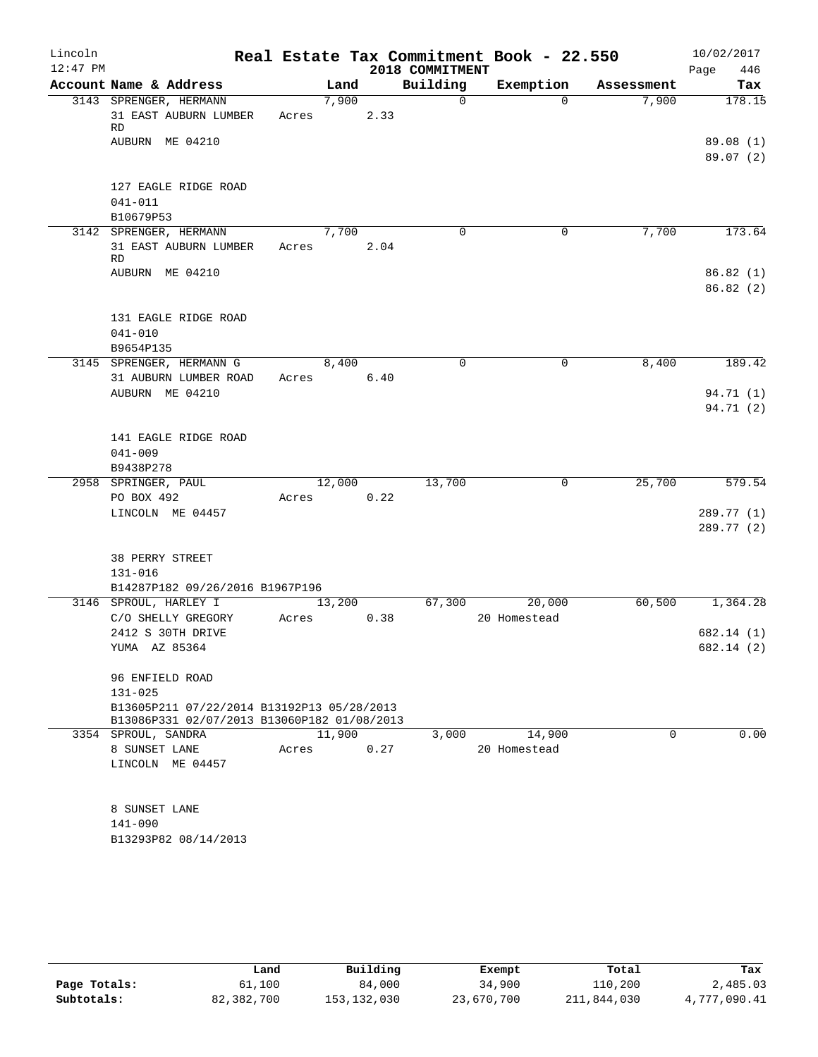| Lincoln<br>$12:47$ PM |                                             |        |      | 2018 COMMITMENT | Real Estate Tax Commitment Book - 22.550 |            | 10/02/2017         |
|-----------------------|---------------------------------------------|--------|------|-----------------|------------------------------------------|------------|--------------------|
|                       | Account Name & Address                      | Land   |      | Building        | Exemption                                | Assessment | Page<br>446<br>Tax |
|                       | 3143 SPRENGER, HERMANN                      | 7,900  |      | $\Omega$        | $\Omega$                                 | 7,900      | 178.15             |
|                       | 31 EAST AUBURN LUMBER<br>RD                 | Acres  | 2.33 |                 |                                          |            |                    |
|                       | AUBURN ME 04210                             |        |      |                 |                                          |            | 89.08(1)           |
|                       |                                             |        |      |                 |                                          |            | 89.07(2)           |
|                       | 127 EAGLE RIDGE ROAD                        |        |      |                 |                                          |            |                    |
|                       | $041 - 011$                                 |        |      |                 |                                          |            |                    |
|                       | B10679P53                                   |        |      |                 |                                          |            |                    |
|                       | 3142 SPRENGER, HERMANN                      | 7,700  |      | $\Omega$        | 0                                        | 7,700      | 173.64             |
|                       | 31 EAST AUBURN LUMBER                       | Acres  | 2.04 |                 |                                          |            |                    |
|                       | <b>RD</b>                                   |        |      |                 |                                          |            |                    |
|                       | AUBURN ME 04210                             |        |      |                 |                                          |            | 86.82(1)           |
|                       |                                             |        |      |                 |                                          |            | 86.82(2)           |
|                       | 131 EAGLE RIDGE ROAD                        |        |      |                 |                                          |            |                    |
|                       | $041 - 010$                                 |        |      |                 |                                          |            |                    |
|                       | B9654P135                                   |        |      |                 |                                          |            |                    |
|                       | 3145 SPRENGER, HERMANN G                    | 8,400  |      | $\Omega$        | $\mathbf 0$                              | 8,400      | 189.42             |
|                       | 31 AUBURN LUMBER ROAD                       | Acres  | 6.40 |                 |                                          |            |                    |
|                       | AUBURN ME 04210                             |        |      |                 |                                          |            | 94.71 (1)          |
|                       |                                             |        |      |                 |                                          |            | 94.71 (2)          |
|                       |                                             |        |      |                 |                                          |            |                    |
|                       | 141 EAGLE RIDGE ROAD                        |        |      |                 |                                          |            |                    |
|                       | $041 - 009$                                 |        |      |                 |                                          |            |                    |
|                       | B9438P278                                   |        |      |                 |                                          |            |                    |
|                       | 2958 SPRINGER, PAUL                         | 12,000 |      | 13,700          | 0                                        | 25,700     | 579.54             |
|                       | PO BOX 492                                  | Acres  | 0.22 |                 |                                          |            |                    |
|                       | LINCOLN ME 04457                            |        |      |                 |                                          |            | 289.77 (1)         |
|                       |                                             |        |      |                 |                                          |            | 289.77 (2)         |
|                       |                                             |        |      |                 |                                          |            |                    |
|                       | 38 PERRY STREET                             |        |      |                 |                                          |            |                    |
|                       | $131 - 016$                                 |        |      |                 |                                          |            |                    |
|                       | B14287P182 09/26/2016 B1967P196             |        |      |                 |                                          |            |                    |
|                       | 3146 SPROUL, HARLEY I                       | 13,200 |      | 67,300          | 20,000                                   | 60,500     | 1,364.28           |
|                       | C/O SHELLY GREGORY                          | Acres  | 0.38 |                 | 20 Homestead                             |            |                    |
|                       | 2412 S 30TH DRIVE                           |        |      |                 |                                          |            | 682.14 (1)         |
|                       | YUMA AZ 85364                               |        |      |                 |                                          |            | 682.14 (2)         |
|                       | 96 ENFIELD ROAD                             |        |      |                 |                                          |            |                    |
|                       | $131 - 025$                                 |        |      |                 |                                          |            |                    |
|                       | B13605P211 07/22/2014 B13192P13 05/28/2013  |        |      |                 |                                          |            |                    |
|                       | B13086P331 02/07/2013 B13060P182 01/08/2013 |        |      |                 |                                          |            |                    |
|                       | 3354 SPROUL, SANDRA                         | 11,900 |      | 3,000           | 14,900                                   | $\Omega$   | 0.00               |
|                       | 8 SUNSET LANE                               | Acres  | 0.27 |                 | 20 Homestead                             |            |                    |
|                       | LINCOLN ME 04457                            |        |      |                 |                                          |            |                    |
|                       |                                             |        |      |                 |                                          |            |                    |
|                       |                                             |        |      |                 |                                          |            |                    |
|                       | 8 SUNSET LANE                               |        |      |                 |                                          |            |                    |
|                       | 141-090                                     |        |      |                 |                                          |            |                    |
|                       | B13293P82 08/14/2013                        |        |      |                 |                                          |            |                    |

|              | Land       | Building    | Exempt     | Total       | Tax          |
|--------------|------------|-------------|------------|-------------|--------------|
| Page Totals: | 61,100     | 84,000      | 34,900     | 110,200     | 2,485.03     |
| Subtotals:   | 82,382,700 | 153,132,030 | 23,670,700 | 211,844,030 | 4,777,090.41 |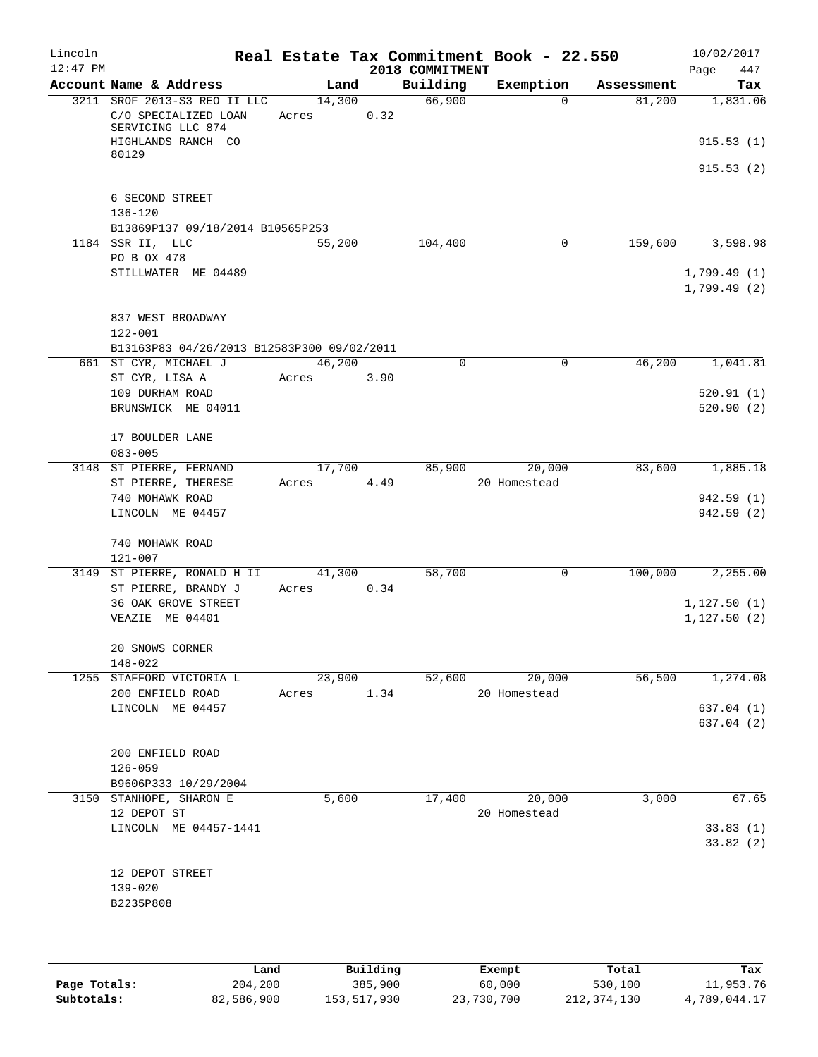| Lincoln<br>$12:47$ PM |                                                                                                 |                 |       | 2018 COMMITMENT | Real Estate Tax Commitment Book - 22.550 |            | 10/02/2017<br>447<br>Page               |
|-----------------------|-------------------------------------------------------------------------------------------------|-----------------|-------|-----------------|------------------------------------------|------------|-----------------------------------------|
|                       | Account Name & Address                                                                          |                 | Land  | Building        | Exemption                                | Assessment | Tax                                     |
|                       | 3211 SROF 2013-S3 REO II LLC<br>C/O SPECIALIZED LOAN<br>SERVICING LLC 874<br>HIGHLANDS RANCH CO | 14,300<br>Acres | 0.32  | 66,900          | $\Omega$                                 | 81,200     | 1,831.06<br>915.53(1)                   |
|                       | 80129                                                                                           |                 |       |                 |                                          |            | 915.53(2)                               |
|                       | 6 SECOND STREET<br>$136 - 120$                                                                  |                 |       |                 |                                          |            |                                         |
|                       | B13869P137 09/18/2014 B10565P253<br>1184 SSR II, LLC                                            | 55,200          |       | 104,400         | 0                                        | 159,600    | 3,598.98                                |
|                       | PO B OX 478<br>STILLWATER ME 04489                                                              |                 |       |                 |                                          |            | 1,799.49(1)<br>1,799.49(2)              |
|                       | 837 WEST BROADWAY<br>122-001                                                                    |                 |       |                 |                                          |            |                                         |
|                       | B13163P83 04/26/2013 B12583P300 09/02/2011                                                      |                 |       |                 |                                          |            |                                         |
|                       | 661 ST CYR, MICHAEL J<br>ST CYR, LISA A<br>109 DURHAM ROAD<br>BRUNSWICK ME 04011                | 46,200<br>Acres | 3.90  | 0               | 0                                        | 46,200     | 1,041.81<br>520.91(1)<br>520.90(2)      |
|                       | 17 BOULDER LANE<br>$083 - 005$                                                                  |                 |       |                 |                                          |            |                                         |
|                       | 3148 ST PIERRE, FERNAND<br>ST PIERRE, THERESE                                                   | 17,700<br>Acres | 4.49  | 85,900          | 20,000<br>20 Homestead                   | 83,600     | 1,885.18                                |
|                       | 740 MOHAWK ROAD<br>LINCOLN ME 04457<br>740 MOHAWK ROAD                                          |                 |       |                 |                                          |            | 942.59 (1)<br>942.59(2)                 |
|                       | $121 - 007$                                                                                     |                 |       |                 |                                          |            |                                         |
|                       | 3149 ST PIERRE, RONALD H II<br>ST PIERRE, BRANDY J<br>36 OAK GROVE STREET<br>VEAZIE ME 04401    | 41,300<br>Acres |       | 58,700<br>0.34  | 0                                        | 100,000    | 2,255.00<br>1,127.50(1)<br>1, 127.50(2) |
|                       | 20 SNOWS CORNER                                                                                 |                 |       |                 |                                          |            |                                         |
|                       | 148-022                                                                                         |                 |       |                 |                                          |            |                                         |
|                       | 1255 STAFFORD VICTORIA L<br>200 ENFIELD ROAD                                                    | 23,900<br>Acres |       | 52,600<br>1.34  | 20,000<br>20 Homestead                   | 56,500     | 1,274.08                                |
|                       | LINCOLN ME 04457                                                                                |                 |       |                 |                                          |            | 637.04 (1)<br>637.04 (2)                |
|                       | 200 ENFIELD ROAD<br>$126 - 059$<br>B9606P333 10/29/2004                                         |                 |       |                 |                                          |            |                                         |
|                       | 3150 STANHOPE, SHARON E                                                                         |                 | 5,600 | 17,400          | 20,000                                   | 3,000      | 67.65                                   |
|                       | 12 DEPOT ST<br>LINCOLN ME 04457-1441                                                            |                 |       |                 | 20 Homestead                             |            | 33.83(1)<br>33.82(2)                    |
|                       | 12 DEPOT STREET<br>$139 - 020$<br>B2235P808                                                     |                 |       |                 |                                          |            |                                         |
|                       |                                                                                                 |                 |       |                 |                                          |            |                                         |

|              | Land       | Building    | Exempt     | Total         | Tax          |
|--------------|------------|-------------|------------|---------------|--------------|
| Page Totals: | 204,200    | 385,900     | 60,000     | 530,100       | 11,953.76    |
| Subtotals:   | 82,586,900 | 153,517,930 | 23,730,700 | 212, 374, 130 | 4,789,044.17 |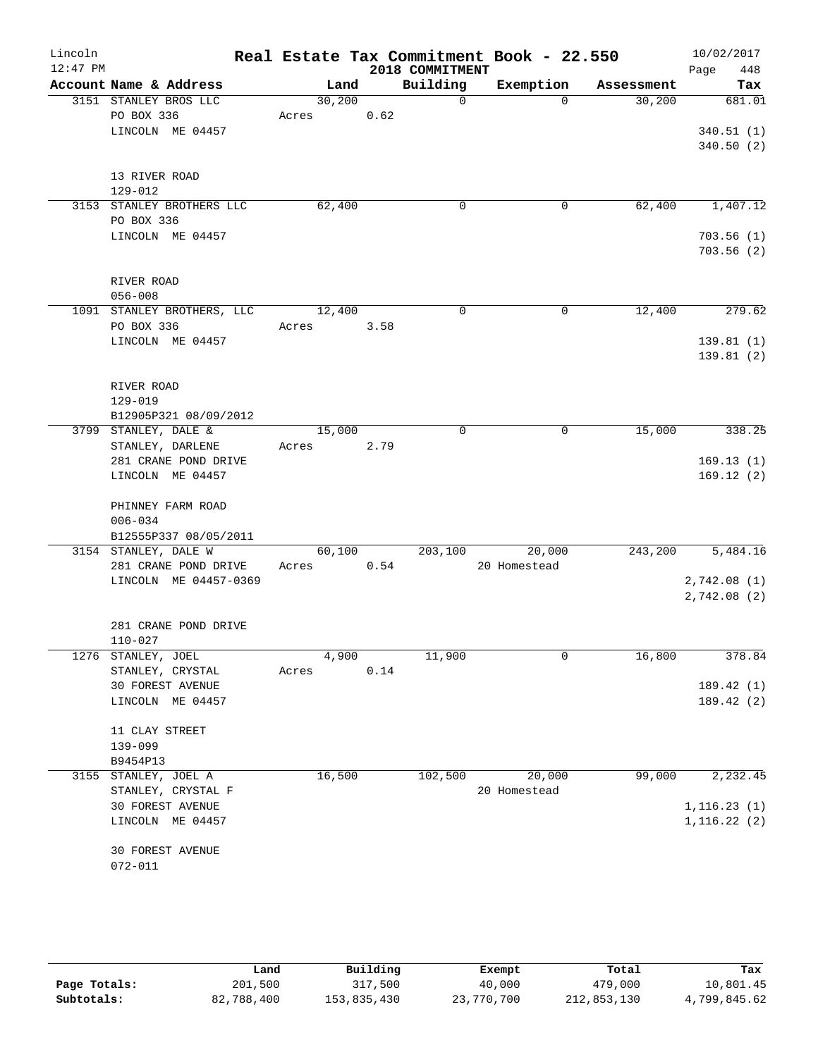| Lincoln<br>$12:47$ PM |                                      |       |                    |      | 2018 COMMITMENT | Real Estate Tax Commitment Book - 22.550 |            | 10/02/2017<br>448<br>Page |
|-----------------------|--------------------------------------|-------|--------------------|------|-----------------|------------------------------------------|------------|---------------------------|
|                       | Account Name & Address               |       | Land               |      | Building        | Exemption                                | Assessment | Tax                       |
|                       | 3151 STANLEY BROS LLC                |       | 30,200             |      | $\overline{0}$  | $\Omega$                                 | 30,200     | 681.01                    |
|                       | PO BOX 336                           | Acres |                    | 0.62 |                 |                                          |            |                           |
|                       | LINCOLN ME 04457                     |       |                    |      |                 |                                          |            | 340.51(1)                 |
|                       |                                      |       |                    |      |                 |                                          |            | 340.50(2)                 |
|                       | 13 RIVER ROAD                        |       |                    |      |                 |                                          |            |                           |
|                       | $129 - 012$                          |       |                    |      |                 |                                          |            |                           |
|                       | 3153 STANLEY BROTHERS LLC            |       | 62,400             |      | 0               | 0                                        | 62,400     | 1,407.12                  |
|                       | PO BOX 336                           |       |                    |      |                 |                                          |            |                           |
|                       | LINCOLN ME 04457                     |       |                    |      |                 |                                          |            | 703.56(1)                 |
|                       |                                      |       |                    |      |                 |                                          |            | 703.56(2)                 |
|                       | RIVER ROAD                           |       |                    |      |                 |                                          |            |                           |
|                       | $056 - 008$                          |       |                    |      |                 |                                          |            |                           |
|                       | 1091 STANLEY BROTHERS, LLC           |       | 12,400             |      | $\Omega$        | 0                                        | 12,400     | 279.62                    |
|                       | PO BOX 336                           | Acres |                    | 3.58 |                 |                                          |            |                           |
|                       | LINCOLN ME 04457                     |       |                    |      |                 |                                          |            | 139.81(1)                 |
|                       |                                      |       |                    |      |                 |                                          |            | 139.81(2)                 |
|                       | RIVER ROAD                           |       |                    |      |                 |                                          |            |                           |
|                       | $129 - 019$                          |       |                    |      |                 |                                          |            |                           |
|                       | B12905P321 08/09/2012                |       |                    |      |                 |                                          |            |                           |
|                       | 3799 STANLEY, DALE &                 |       | 15,000             |      | $\mathbf 0$     | $\mathbf 0$                              | 15,000     | 338.25                    |
|                       | STANLEY, DARLENE                     | Acres |                    | 2.79 |                 |                                          |            |                           |
|                       | 281 CRANE POND DRIVE                 |       |                    |      |                 |                                          |            | 169.13(1)                 |
|                       | LINCOLN ME 04457                     |       |                    |      |                 |                                          |            | 169.12(2)                 |
|                       | PHINNEY FARM ROAD                    |       |                    |      |                 |                                          |            |                           |
|                       | $006 - 034$                          |       |                    |      |                 |                                          |            |                           |
|                       | B12555P337 08/05/2011                |       |                    |      |                 |                                          |            |                           |
|                       | 3154 STANLEY, DALE W                 |       | 60,100             |      | 203,100         | 20,000                                   | 243,200    | 5,484.16                  |
|                       | 281 CRANE POND DRIVE                 | Acres |                    | 0.54 |                 | 20 Homestead                             |            |                           |
|                       | LINCOLN ME 04457-0369                |       |                    |      |                 |                                          |            | 2,742.08(1)               |
|                       |                                      |       |                    |      |                 |                                          |            | 2,742.08 (2)              |
|                       |                                      |       |                    |      |                 |                                          |            |                           |
|                       | 281 CRANE POND DRIVE                 |       |                    |      |                 |                                          |            |                           |
|                       | $110 - 027$                          |       |                    |      |                 |                                          |            |                           |
|                       | 1276 STANLEY, JOEL                   |       | $\overline{4,900}$ |      | 11,900          | 0                                        | 16,800     | 378.84                    |
|                       | STANLEY, CRYSTAL<br>30 FOREST AVENUE | Acres |                    | 0.14 |                 |                                          |            | 189.42 (1)                |
|                       | LINCOLN ME 04457                     |       |                    |      |                 |                                          |            | 189.42 (2)                |
|                       |                                      |       |                    |      |                 |                                          |            |                           |
|                       | 11 CLAY STREET                       |       |                    |      |                 |                                          |            |                           |
|                       | 139-099                              |       |                    |      |                 |                                          |            |                           |
|                       | B9454P13                             |       |                    |      |                 |                                          |            |                           |
|                       | 3155 STANLEY, JOEL A                 |       | 16,500             |      | 102,500         | 20,000                                   | 99,000     | 2,232.45                  |
|                       | STANLEY, CRYSTAL F                   |       |                    |      |                 | 20 Homestead                             |            |                           |
|                       | 30 FOREST AVENUE                     |       |                    |      |                 |                                          |            | 1, 116.23(1)              |
|                       | LINCOLN ME 04457                     |       |                    |      |                 |                                          |            | 1, 116.22(2)              |
|                       | 30 FOREST AVENUE                     |       |                    |      |                 |                                          |            |                           |
|                       | $072 - 011$                          |       |                    |      |                 |                                          |            |                           |
|                       |                                      |       |                    |      |                 |                                          |            |                           |
|                       |                                      |       |                    |      |                 |                                          |            |                           |

|              | Land       | Building    | Exempt     | Total       | Tax          |
|--------------|------------|-------------|------------|-------------|--------------|
| Page Totals: | 201,500    | 317,500     | 40,000     | 479,000     | 10,801.45    |
| Subtotals:   | 82,788,400 | 153,835,430 | 23,770,700 | 212,853,130 | 4,799,845.62 |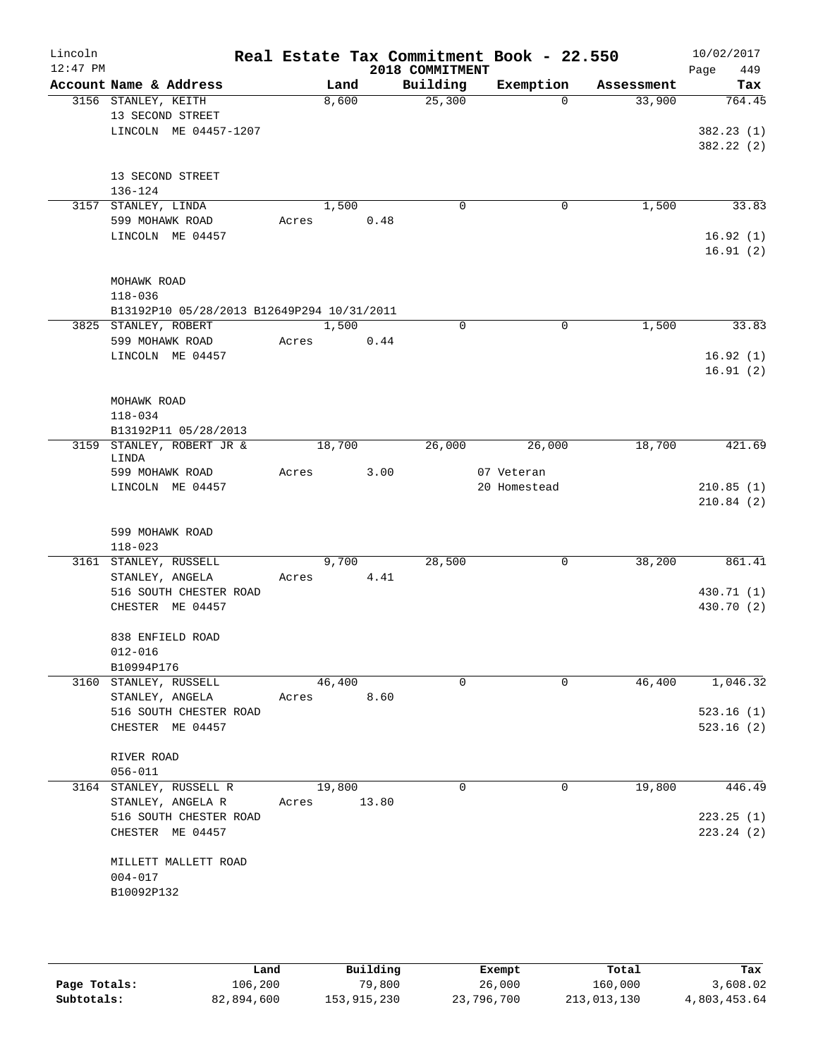| Lincoln<br>$12:47$ PM |                                            |       |        |       | Real Estate Tax Commitment Book - 22.550<br>2018 COMMITMENT |                            |            | 10/02/2017<br>449<br>Page |
|-----------------------|--------------------------------------------|-------|--------|-------|-------------------------------------------------------------|----------------------------|------------|---------------------------|
|                       | Account Name & Address                     |       | Land   |       | Building                                                    | Exemption                  | Assessment | Tax                       |
|                       | 3156 STANLEY, KEITH                        |       | 8,600  |       | 25,300                                                      | $\Omega$                   | 33,900     | 764.45                    |
|                       | 13 SECOND STREET                           |       |        |       |                                                             |                            |            |                           |
|                       | LINCOLN ME 04457-1207                      |       |        |       |                                                             |                            |            | 382.23(1)<br>382.22 (2)   |
|                       |                                            |       |        |       |                                                             |                            |            |                           |
|                       | 13 SECOND STREET                           |       |        |       |                                                             |                            |            |                           |
|                       | 136-124                                    |       |        |       |                                                             |                            |            |                           |
|                       | 3157 STANLEY, LINDA                        |       | 1,500  |       | 0                                                           | 0                          | 1,500      | 33.83                     |
|                       | 599 MOHAWK ROAD                            | Acres |        | 0.48  |                                                             |                            |            |                           |
|                       | LINCOLN ME 04457                           |       |        |       |                                                             |                            |            | 16.92(1)<br>16.91(2)      |
|                       |                                            |       |        |       |                                                             |                            |            |                           |
|                       | MOHAWK ROAD                                |       |        |       |                                                             |                            |            |                           |
|                       | $118 - 036$                                |       |        |       |                                                             |                            |            |                           |
|                       | B13192P10 05/28/2013 B12649P294 10/31/2011 |       |        |       |                                                             |                            |            |                           |
|                       | 3825 STANLEY, ROBERT                       |       | 1,500  |       | $\Omega$                                                    | 0                          | 1,500      | 33.83                     |
|                       | 599 MOHAWK ROAD                            | Acres |        | 0.44  |                                                             |                            |            |                           |
|                       | LINCOLN ME 04457                           |       |        |       |                                                             |                            |            | 16.92(1)                  |
|                       |                                            |       |        |       |                                                             |                            |            | 16.91(2)                  |
|                       | MOHAWK ROAD                                |       |        |       |                                                             |                            |            |                           |
|                       | $118 - 034$                                |       |        |       |                                                             |                            |            |                           |
|                       | B13192P11 05/28/2013                       |       |        |       |                                                             |                            |            |                           |
|                       | 3159 STANLEY, ROBERT JR &                  |       | 18,700 |       | 26,000                                                      | 26,000                     | 18,700     | 421.69                    |
|                       | LINDA                                      |       |        |       |                                                             |                            |            |                           |
|                       | 599 MOHAWK ROAD<br>LINCOLN ME 04457        | Acres |        | 3.00  |                                                             | 07 Veteran<br>20 Homestead |            | 210.85(1)                 |
|                       |                                            |       |        |       |                                                             |                            |            | 210.84(2)                 |
|                       |                                            |       |        |       |                                                             |                            |            |                           |
|                       | 599 MOHAWK ROAD                            |       |        |       |                                                             |                            |            |                           |
|                       | $118 - 023$                                |       |        |       |                                                             |                            |            |                           |
|                       | 3161 STANLEY, RUSSELL                      |       | 9,700  |       | 28,500                                                      | 0                          | 38,200     | 861.41                    |
|                       | STANLEY, ANGELA                            | Acres |        | 4.41  |                                                             |                            |            |                           |
|                       | 516 SOUTH CHESTER ROAD<br>CHESTER ME 04457 |       |        |       |                                                             |                            |            | 430.71 (1)<br>430.70 (2)  |
|                       |                                            |       |        |       |                                                             |                            |            |                           |
|                       | 838 ENFIELD ROAD                           |       |        |       |                                                             |                            |            |                           |
|                       | $012 - 016$                                |       |        |       |                                                             |                            |            |                           |
|                       | B10994P176                                 |       |        |       |                                                             |                            |            |                           |
|                       | 3160 STANLEY, RUSSELL                      |       | 46,400 |       | 0                                                           | 0                          | 46,400     | 1,046.32                  |
|                       | STANLEY, ANGELA                            | Acres |        | 8.60  |                                                             |                            |            |                           |
|                       | 516 SOUTH CHESTER ROAD<br>CHESTER ME 04457 |       |        |       |                                                             |                            |            | 523.16(1)<br>523.16(2)    |
|                       |                                            |       |        |       |                                                             |                            |            |                           |
|                       | RIVER ROAD                                 |       |        |       |                                                             |                            |            |                           |
|                       | $056 - 011$                                |       |        |       |                                                             |                            |            |                           |
|                       | 3164 STANLEY, RUSSELL R                    |       | 19,800 |       | 0                                                           | 0                          | 19,800     | 446.49                    |
|                       | STANLEY, ANGELA R                          | Acres |        | 13.80 |                                                             |                            |            |                           |
|                       | 516 SOUTH CHESTER ROAD                     |       |        |       |                                                             |                            |            | 223.25(1)                 |
|                       | CHESTER ME 04457                           |       |        |       |                                                             |                            |            | 223.24(2)                 |
|                       | MILLETT MALLETT ROAD                       |       |        |       |                                                             |                            |            |                           |
|                       | $004 - 017$                                |       |        |       |                                                             |                            |            |                           |
|                       | B10092P132                                 |       |        |       |                                                             |                            |            |                           |
|                       |                                            |       |        |       |                                                             |                            |            |                           |
|                       |                                            |       |        |       |                                                             |                            |            |                           |

|              | Land       | Building    | Exempt     | Total       | Tax          |
|--------------|------------|-------------|------------|-------------|--------------|
| Page Totals: | 106,200    | 79,800      | 26,000     | 160,000     | 3,608.02     |
| Subtotals:   | 82,894,600 | 153,915,230 | 23,796,700 | 213,013,130 | 4,803,453.64 |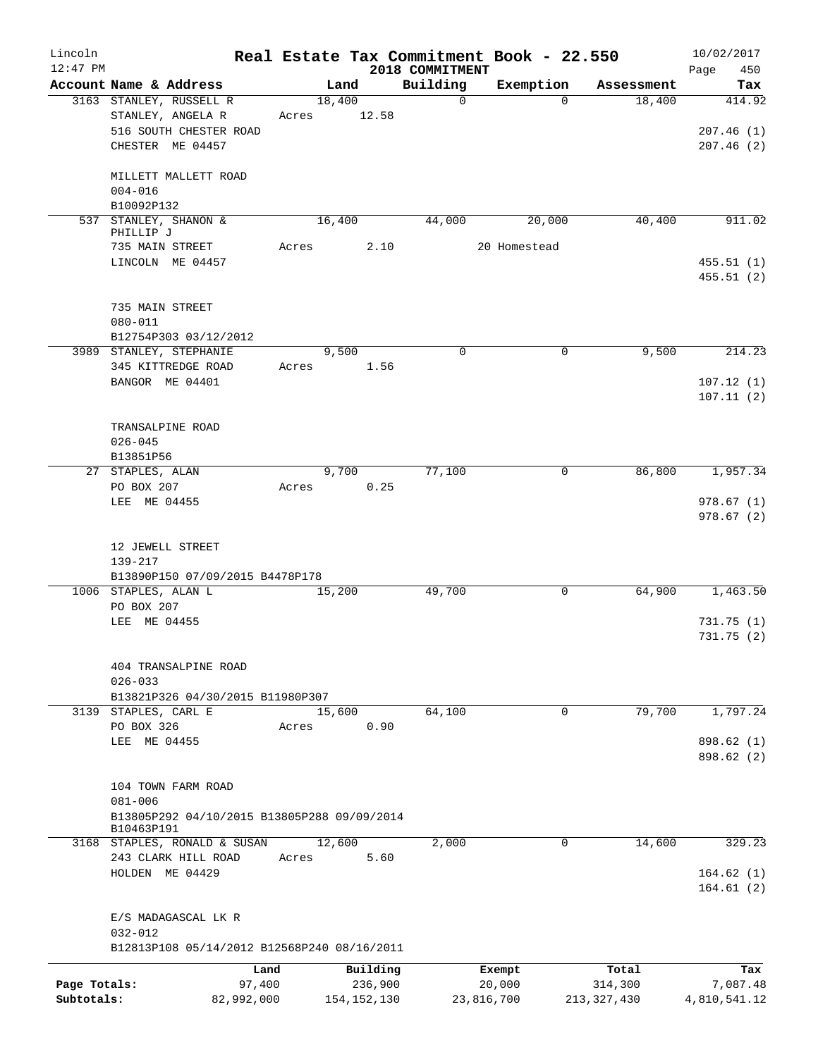| Lincoln<br>$12:47$ PM |                                                           |            |               |          | Real Estate Tax Commitment Book - 22.550<br>2018 COMMITMENT |            |              |               | 10/02/2017<br>450<br>Page |
|-----------------------|-----------------------------------------------------------|------------|---------------|----------|-------------------------------------------------------------|------------|--------------|---------------|---------------------------|
|                       | Account Name & Address                                    |            | Land          |          | Building                                                    |            | Exemption    | Assessment    | Tax                       |
|                       | 3163 STANLEY, RUSSELL R                                   |            | 18,400        |          | $\mathbf 0$                                                 |            | $\Omega$     | 18,400        | 414.92                    |
|                       | STANLEY, ANGELA R                                         | Acres      |               | 12.58    |                                                             |            |              |               |                           |
|                       | 516 SOUTH CHESTER ROAD                                    |            |               |          |                                                             |            |              |               | 207.46(1)                 |
|                       | CHESTER ME 04457                                          |            |               |          |                                                             |            |              |               | 207.46(2)                 |
|                       | MILLETT MALLETT ROAD                                      |            |               |          |                                                             |            |              |               |                           |
|                       | $004 - 016$                                               |            |               |          |                                                             |            |              |               |                           |
|                       | B10092P132                                                |            |               |          |                                                             |            |              |               |                           |
|                       | 537 STANLEY, SHANON &<br>PHILLIP J                        |            | 16,400        |          | 44,000                                                      |            | 20,000       | 40,400        | 911.02                    |
|                       | 735 MAIN STREET                                           | Acres      |               | 2.10     |                                                             |            | 20 Homestead |               |                           |
|                       | LINCOLN ME 04457                                          |            |               |          |                                                             |            |              |               | 455.51(1)<br>455.51(2)    |
|                       | 735 MAIN STREET                                           |            |               |          |                                                             |            |              |               |                           |
|                       | $080 - 011$                                               |            |               |          |                                                             |            |              |               |                           |
|                       | B12754P303 03/12/2012                                     |            |               |          |                                                             |            |              |               |                           |
|                       | 3989 STANLEY, STEPHANIE                                   |            | 9,500         |          | $\mathbf 0$                                                 |            | 0            | 9,500         | 214.23                    |
|                       | 345 KITTREDGE ROAD                                        | Acres      |               | 1.56     |                                                             |            |              |               |                           |
|                       | BANGOR ME 04401                                           |            |               |          |                                                             |            |              |               | 107.12(1)                 |
|                       |                                                           |            |               |          |                                                             |            |              |               | 107.11(2)                 |
|                       | TRANSALPINE ROAD                                          |            |               |          |                                                             |            |              |               |                           |
|                       | $026 - 045$                                               |            |               |          |                                                             |            |              |               |                           |
|                       | B13851P56                                                 |            |               |          |                                                             |            |              |               |                           |
|                       | 27 STAPLES, ALAN                                          |            | 9,700         |          | 77,100                                                      |            | 0            | 86, 800       | 1,957.34                  |
|                       | PO BOX 207                                                | Acres      |               | 0.25     |                                                             |            |              |               |                           |
|                       | LEE ME 04455                                              |            |               |          |                                                             |            |              |               | 978.67(1)<br>978.67(2)    |
|                       | 12 JEWELL STREET                                          |            |               |          |                                                             |            |              |               |                           |
|                       | 139-217                                                   |            |               |          |                                                             |            |              |               |                           |
|                       | B13890P150 07/09/2015 B4478P178                           |            |               |          |                                                             |            |              |               |                           |
|                       | 1006 STAPLES, ALAN L                                      |            | 15,200        |          | 49,700                                                      |            | 0            | 64,900        | 1,463.50                  |
|                       | PO BOX 207                                                |            |               |          |                                                             |            |              |               |                           |
|                       | ME 04455<br>LEE                                           |            |               |          |                                                             |            |              |               | 731.75(1)<br>731.75 (2)   |
|                       | 404 TRANSALPINE ROAD                                      |            |               |          |                                                             |            |              |               |                           |
|                       | $026 - 033$                                               |            |               |          |                                                             |            |              |               |                           |
|                       | B13821P326 04/30/2015 B11980P307                          |            |               |          |                                                             |            |              |               |                           |
|                       | 3139 STAPLES, CARL E                                      |            | 15,600        |          | 64,100                                                      |            | $\mathbf 0$  | 79,700        | 1,797.24                  |
|                       | PO BOX 326                                                | Acres      |               | 0.90     |                                                             |            |              |               |                           |
|                       | ME 04455<br>LEE                                           |            |               |          |                                                             |            |              |               | 898.62 (1)                |
|                       |                                                           |            |               |          |                                                             |            |              |               | 898.62 (2)                |
|                       | 104 TOWN FARM ROAD                                        |            |               |          |                                                             |            |              |               |                           |
|                       | $081 - 006$                                               |            |               |          |                                                             |            |              |               |                           |
|                       | B13805P292 04/10/2015 B13805P288 09/09/2014<br>B10463P191 |            |               |          |                                                             |            |              |               |                           |
|                       | 3168 STAPLES, RONALD & SUSAN                              |            | 12,600        |          | 2,000                                                       |            | 0            | 14,600        | 329.23                    |
|                       | 243 CLARK HILL ROAD                                       | Acres      |               | 5.60     |                                                             |            |              |               |                           |
|                       | HOLDEN ME 04429                                           |            |               |          |                                                             |            |              |               | 164.62(1)<br>164.61(2)    |
|                       | E/S MADAGASCAL LK R                                       |            |               |          |                                                             |            |              |               |                           |
|                       | $032 - 012$                                               |            |               |          |                                                             |            |              |               |                           |
|                       | B12813P108 05/14/2012 B12568P240 08/16/2011               |            |               |          |                                                             |            |              |               |                           |
|                       |                                                           | Land       |               | Building |                                                             | Exempt     |              | Total         | Tax                       |
| Page Totals:          |                                                           | 97,400     |               | 236,900  |                                                             | 20,000     |              | 314,300       | 7,087.48                  |
| Subtotals:            |                                                           | 82,992,000 | 154, 152, 130 |          |                                                             | 23,816,700 |              | 213, 327, 430 | 4,810,541.12              |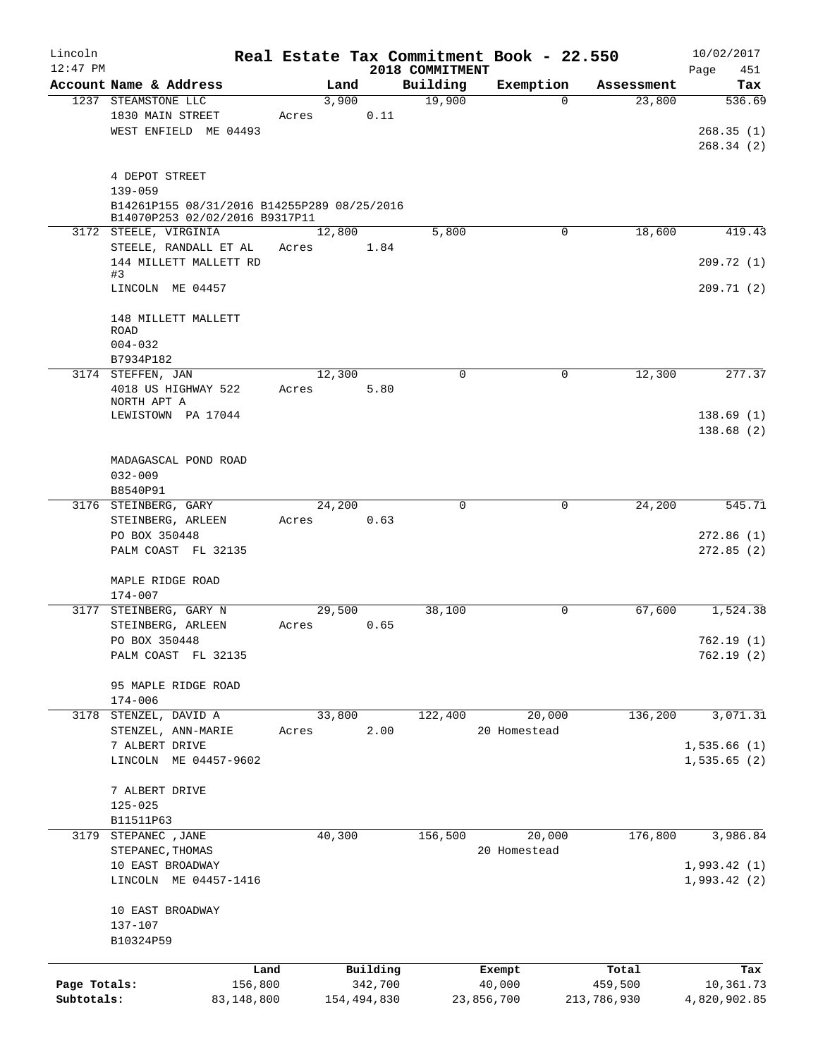| Lincoln<br>$12:47$ PM      |                                                                                                                |                 |                        | 2018 COMMITMENT | Real Estate Tax Commitment Book - 22.550 |                        | 10/02/2017                       |
|----------------------------|----------------------------------------------------------------------------------------------------------------|-----------------|------------------------|-----------------|------------------------------------------|------------------------|----------------------------------|
|                            | Account Name & Address                                                                                         | Land            |                        | Building        | Exemption                                | Assessment             | Page<br>451<br>Tax               |
|                            | 1237 STEAMSTONE LLC                                                                                            | 3,900           |                        | 19,900          | $\Omega$                                 | 23,800                 | 536.69                           |
|                            | 1830 MAIN STREET<br>WEST ENFIELD ME 04493                                                                      | Acres           | 0.11                   |                 |                                          |                        | 268.35(1)<br>268.34(2)           |
|                            | 4 DEPOT STREET<br>$139 - 059$<br>B14261P155 08/31/2016 B14255P289 08/25/2016<br>B14070P253 02/02/2016 B9317P11 |                 |                        |                 |                                          |                        |                                  |
|                            | 3172 STEELE, VIRGINIA                                                                                          | 12,800          |                        | 5,800           | 0                                        | 18,600                 | 419.43                           |
|                            | STEELE, RANDALL ET AL<br>144 MILLETT MALLETT RD                                                                | Acres           | 1.84                   |                 |                                          |                        | 209.72(1)                        |
|                            | #3<br>LINCOLN ME 04457                                                                                         |                 |                        |                 |                                          |                        | 209.71(2)                        |
|                            | 148 MILLETT MALLETT<br>ROAD<br>$004 - 032$                                                                     |                 |                        |                 |                                          |                        |                                  |
|                            | B7934P182                                                                                                      |                 |                        |                 |                                          |                        |                                  |
|                            | 3174 STEFFEN, JAN<br>4018 US HIGHWAY 522<br>NORTH APT A<br>LEWISTOWN PA 17044                                  | 12,300<br>Acres | 5.80                   | $\mathbf 0$     | $\mathbf 0$                              | 12,300                 | 277.37<br>138.69(1)              |
|                            | MADAGASCAL POND ROAD<br>$032 - 009$                                                                            |                 |                        |                 |                                          |                        | 138.68(2)                        |
|                            | B8540P91                                                                                                       |                 |                        |                 |                                          |                        |                                  |
|                            | 3176 STEINBERG, GARY<br>STEINBERG, ARLEEN<br>PO BOX 350448<br>PALM COAST FL 32135                              | 24,200<br>Acres | 0.63                   | $\Omega$        | $\Omega$                                 | 24,200                 | 545.71<br>272.86(1)<br>272.85(2) |
|                            | MAPLE RIDGE ROAD<br>$174 - 007$                                                                                |                 |                        |                 |                                          |                        |                                  |
|                            | 3177 STEINBERG, GARY N                                                                                         | 29,500          |                        | 38,100          | 0                                        | 67,600                 | 1,524.38                         |
|                            | STEINBERG, ARLEEN<br>PO BOX 350448<br>PALM COAST FL 32135                                                      | Acres           | 0.65                   |                 |                                          |                        | 762.19(1)<br>762.19(2)           |
|                            | 95 MAPLE RIDGE ROAD<br>$174 - 006$                                                                             |                 |                        |                 |                                          |                        |                                  |
| 3178                       | STENZEL, DAVID A<br>STENZEL, ANN-MARIE                                                                         | 33,800<br>Acres | 2.00                   | 122,400         | 20,000<br>20 Homestead                   | 136,200                | 3,071.31                         |
|                            | 7 ALBERT DRIVE<br>LINCOLN ME 04457-9602                                                                        |                 |                        |                 |                                          |                        | 1,535.66(1)<br>1,535.65(2)       |
|                            | 7 ALBERT DRIVE<br>$125 - 025$<br>B11511P63                                                                     |                 |                        |                 |                                          |                        |                                  |
| 3179                       | STEPANEC , JANE<br>STEPANEC, THOMAS                                                                            | 40,300          |                        | 156,500         | 20,000<br>20 Homestead                   | 176,800                | 3,986.84                         |
|                            | 10 EAST BROADWAY<br>LINCOLN ME 04457-1416                                                                      |                 |                        |                 |                                          |                        | 1,993.42(1)<br>1,993.42(2)       |
|                            | 10 EAST BROADWAY<br>137-107<br>B10324P59                                                                       |                 |                        |                 |                                          |                        |                                  |
|                            | Land                                                                                                           |                 | Building               |                 | Exempt                                   | Total                  | Tax                              |
| Page Totals:<br>Subtotals: | 156,800<br>83,148,800                                                                                          |                 | 342,700<br>154,494,830 |                 | 40,000<br>23,856,700                     | 459,500<br>213,786,930 | 10,361.73<br>4,820,902.85        |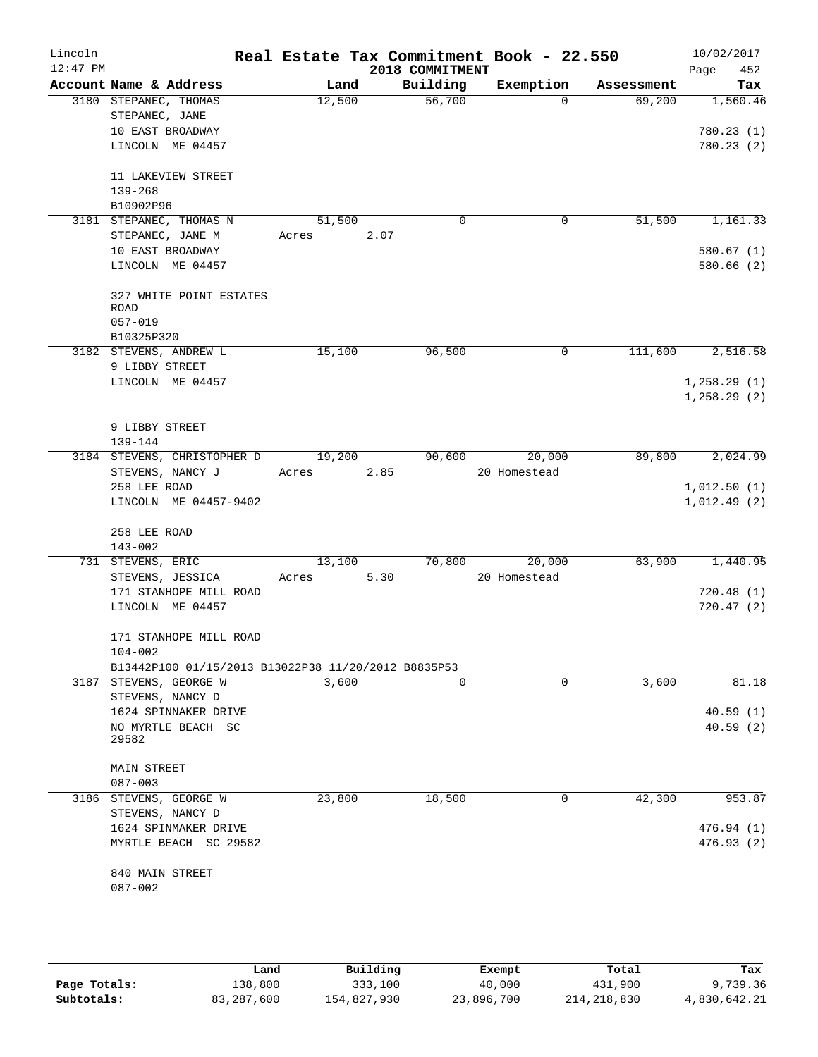| Lincoln<br>$12:47$ PM |                                                                               |        |       | 2018 COMMITMENT | Real Estate Tax Commitment Book - 22.550 |            | 10/02/2017<br>452<br>Page |
|-----------------------|-------------------------------------------------------------------------------|--------|-------|-----------------|------------------------------------------|------------|---------------------------|
|                       | Account Name & Address                                                        |        | Land  | Building        | Exemption                                | Assessment | Tax                       |
|                       | 3180 STEPANEC, THOMAS                                                         | 12,500 |       | 56,700          | $\Omega$                                 | 69,200     | 1,560.46                  |
|                       | STEPANEC, JANE                                                                |        |       |                 |                                          |            |                           |
|                       | 10 EAST BROADWAY                                                              |        |       |                 |                                          |            | 780.23(1)                 |
|                       | LINCOLN ME 04457                                                              |        |       |                 |                                          |            | 780.23 (2)                |
|                       | 11 LAKEVIEW STREET                                                            |        |       |                 |                                          |            |                           |
|                       | $139 - 268$                                                                   |        |       |                 |                                          |            |                           |
|                       | B10902P96                                                                     |        |       |                 |                                          |            |                           |
|                       | 3181 STEPANEC, THOMAS N                                                       | 51,500 |       | $\mathbf 0$     | 0                                        | 51,500     | 1,161.33                  |
|                       | STEPANEC, JANE M                                                              | Acres  | 2.07  |                 |                                          |            |                           |
|                       | 10 EAST BROADWAY                                                              |        |       |                 |                                          |            | 580.67(1)                 |
|                       | LINCOLN ME 04457                                                              |        |       |                 |                                          |            | 580.66(2)                 |
|                       | 327 WHITE POINT ESTATES<br><b>ROAD</b><br>$057 - 019$                         |        |       |                 |                                          |            |                           |
|                       | B10325P320                                                                    |        |       |                 |                                          |            |                           |
|                       | 3182 STEVENS, ANDREW L                                                        | 15,100 |       | 96,500          | $\mathsf{O}$                             | 111,600    | 2,516.58                  |
|                       | 9 LIBBY STREET                                                                |        |       |                 |                                          |            |                           |
|                       | LINCOLN ME 04457                                                              |        |       |                 |                                          |            | 1, 258.29(1)              |
|                       |                                                                               |        |       |                 |                                          |            | 1, 258.29(2)              |
|                       | 9 LIBBY STREET                                                                |        |       |                 |                                          |            |                           |
|                       | 139-144                                                                       |        |       |                 |                                          |            |                           |
|                       | 3184 STEVENS, CHRISTOPHER D                                                   | 19,200 |       | 90,600          | 20,000                                   | 89,800     | 2,024.99                  |
|                       | STEVENS, NANCY J                                                              | Acres  | 2.85  |                 | 20 Homestead                             |            |                           |
|                       | 258 LEE ROAD                                                                  |        |       |                 |                                          |            | 1,012.50(1)               |
|                       | LINCOLN ME 04457-9402                                                         |        |       |                 |                                          |            | 1,012.49(2)               |
|                       |                                                                               |        |       |                 |                                          |            |                           |
|                       | 258 LEE ROAD                                                                  |        |       |                 |                                          |            |                           |
|                       | $143 - 002$<br>731 STEVENS, ERIC                                              | 13,100 |       | 70,800          | 20,000                                   | 63,900     | 1,440.95                  |
|                       | STEVENS, JESSICA                                                              | Acres  | 5.30  |                 | 20 Homestead                             |            |                           |
|                       | 171 STANHOPE MILL ROAD                                                        |        |       |                 |                                          |            | 720.48(1)                 |
|                       | LINCOLN ME 04457                                                              |        |       |                 |                                          |            | 720.47(2)                 |
|                       |                                                                               |        |       |                 |                                          |            |                           |
|                       | 171 STANHOPE MILL ROAD                                                        |        |       |                 |                                          |            |                           |
|                       | $104 - 002$                                                                   |        |       |                 |                                          |            |                           |
|                       | B13442P100 01/15/2013 B13022P38 11/20/2012 B8835P53<br>3187 STEVENS, GEORGE W |        | 3,600 | 0               | 0                                        | 3,600      | 81.18                     |
|                       | STEVENS, NANCY D                                                              |        |       |                 |                                          |            |                           |
|                       | 1624 SPINNAKER DRIVE                                                          |        |       |                 |                                          |            | 40.59(1)                  |
|                       | NO MYRTLE BEACH SC                                                            |        |       |                 |                                          |            | 40.59(2)                  |
|                       | 29582                                                                         |        |       |                 |                                          |            |                           |
|                       | <b>MAIN STREET</b>                                                            |        |       |                 |                                          |            |                           |
|                       | $087 - 003$                                                                   |        |       |                 |                                          |            |                           |
|                       | 3186 STEVENS, GEORGE W                                                        | 23,800 |       | 18,500          | 0                                        | 42,300     | 953.87                    |
|                       | STEVENS, NANCY D                                                              |        |       |                 |                                          |            |                           |
|                       | 1624 SPINMAKER DRIVE                                                          |        |       |                 |                                          |            | 476.94(1)                 |
|                       | MYRTLE BEACH SC 29582                                                         |        |       |                 |                                          |            | 476.93 (2)                |
|                       | 840 MAIN STREET                                                               |        |       |                 |                                          |            |                           |
|                       | $087 - 002$                                                                   |        |       |                 |                                          |            |                           |
|                       |                                                                               |        |       |                 |                                          |            |                           |
|                       |                                                                               |        |       |                 |                                          |            |                           |

|              | Land         | Building    | Exempt     | Total       | Tax          |
|--------------|--------------|-------------|------------|-------------|--------------|
| Page Totals: | 138,800      | 333,100     | 40,000     | 431,900     | 9,739.36     |
| Subtotals:   | 83, 287, 600 | 154,827,930 | 23,896,700 | 214,218,830 | 4,830,642.21 |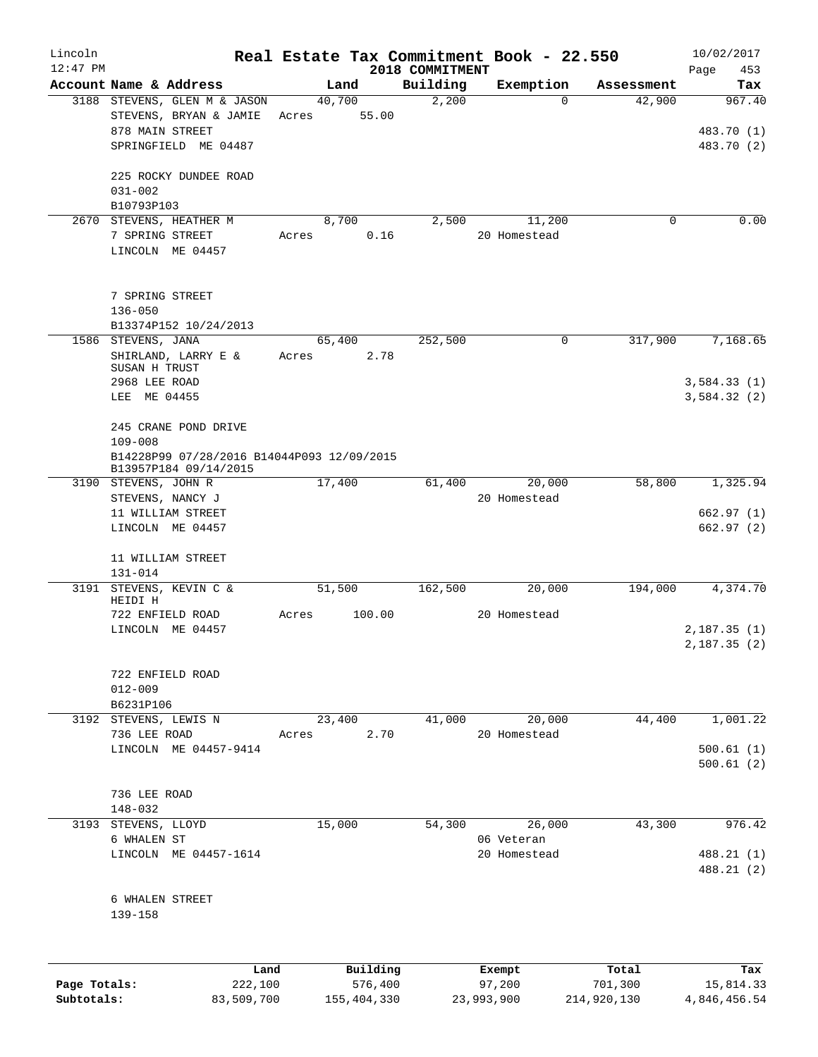| Lincoln      |                                                        |       |                |                   | Real Estate Tax Commitment Book - 22.550 |                      | 10/02/2017    |
|--------------|--------------------------------------------------------|-------|----------------|-------------------|------------------------------------------|----------------------|---------------|
| $12:47$ PM   |                                                        |       |                | 2018 COMMITMENT   |                                          |                      | Page<br>453   |
|              | Account Name & Address<br>3188 STEVENS, GLEN M & JASON |       | Land<br>40,700 | Building<br>2,200 | Exemption<br>$\Omega$                    | Assessment<br>42,900 | Tax<br>967.40 |
|              | STEVENS, BRYAN & JAMIE                                 | Acres | 55.00          |                   |                                          |                      |               |
|              | 878 MAIN STREET                                        |       |                |                   |                                          |                      | 483.70 (1)    |
|              | SPRINGFIELD ME 04487                                   |       |                |                   |                                          |                      | 483.70 (2)    |
|              |                                                        |       |                |                   |                                          |                      |               |
|              | 225 ROCKY DUNDEE ROAD                                  |       |                |                   |                                          |                      |               |
|              | $031 - 002$                                            |       |                |                   |                                          |                      |               |
|              | B10793P103                                             |       |                |                   |                                          |                      |               |
| 2670         | STEVENS, HEATHER M                                     |       | 8,700          | 2,500             | 11,200                                   | 0                    | 0.00          |
|              | 7 SPRING STREET                                        | Acres | 0.16           |                   | 20 Homestead                             |                      |               |
|              | LINCOLN ME 04457                                       |       |                |                   |                                          |                      |               |
|              |                                                        |       |                |                   |                                          |                      |               |
|              | 7 SPRING STREET                                        |       |                |                   |                                          |                      |               |
|              | $136 - 050$                                            |       |                |                   |                                          |                      |               |
|              | B13374P152 10/24/2013                                  |       |                |                   |                                          |                      |               |
| 1586         | STEVENS, JANA                                          |       | 65,400         | 252,500           | 0                                        | 317,900              | 7,168.65      |
|              | SHIRLAND, LARRY E &                                    | Acres | 2.78           |                   |                                          |                      |               |
|              | SUSAN H TRUST                                          |       |                |                   |                                          |                      |               |
|              | 2968 LEE ROAD                                          |       |                |                   |                                          |                      | 3,584.33(1)   |
|              | LEE ME 04455                                           |       |                |                   |                                          |                      | 3,584.32(2)   |
|              | 245 CRANE POND DRIVE                                   |       |                |                   |                                          |                      |               |
|              | $109 - 008$                                            |       |                |                   |                                          |                      |               |
|              | B14228P99 07/28/2016 B14044P093 12/09/2015             |       |                |                   |                                          |                      |               |
|              | B13957P184 09/14/2015                                  |       |                |                   |                                          |                      |               |
|              | 3190 STEVENS, JOHN R                                   |       | 17,400         | 61,400            | 20,000                                   | 58,800               | 1,325.94      |
|              | STEVENS, NANCY J                                       |       |                |                   | 20 Homestead                             |                      |               |
|              | 11 WILLIAM STREET                                      |       |                |                   |                                          |                      | 662.97(1)     |
|              | LINCOLN ME 04457                                       |       |                |                   |                                          |                      | 662.97 (2)    |
|              | 11 WILLIAM STREET                                      |       |                |                   |                                          |                      |               |
|              | $131 - 014$                                            |       |                |                   |                                          |                      |               |
| 3191         | STEVENS, KEVIN C &                                     |       | 51,500         | 162,500           | 20,000                                   | 194,000              | 4,374.70      |
|              | HEIDI H                                                |       |                |                   |                                          |                      |               |
|              | 722 ENFIELD ROAD                                       | Acres | 100.00         |                   | 20 Homestead                             |                      |               |
|              | LINCOLN ME 04457                                       |       |                |                   |                                          |                      | 2,187.35(1)   |
|              |                                                        |       |                |                   |                                          |                      | 2,187.35(2)   |
|              |                                                        |       |                |                   |                                          |                      |               |
|              | 722 ENFIELD ROAD<br>$012 - 009$                        |       |                |                   |                                          |                      |               |
|              | B6231P106                                              |       |                |                   |                                          |                      |               |
|              | 3192 STEVENS, LEWIS N                                  |       | 23,400         | 41,000            | 20,000                                   | 44,400               | 1,001.22      |
|              | 736 LEE ROAD                                           | Acres | 2.70           |                   | 20 Homestead                             |                      |               |
|              | LINCOLN ME 04457-9414                                  |       |                |                   |                                          |                      | 500.61(1)     |
|              |                                                        |       |                |                   |                                          |                      | 500.61(2)     |
|              |                                                        |       |                |                   |                                          |                      |               |
|              | 736 LEE ROAD                                           |       |                |                   |                                          |                      |               |
|              | $148 - 032$                                            |       |                |                   |                                          |                      |               |
|              | 3193 STEVENS, LLOYD                                    |       | 15,000         | 54,300            | 26,000                                   | 43,300               | 976.42        |
|              | 6 WHALEN ST<br>LINCOLN ME 04457-1614                   |       |                |                   | 06 Veteran<br>20 Homestead               |                      | 488.21 (1)    |
|              |                                                        |       |                |                   |                                          |                      | 488.21 (2)    |
|              |                                                        |       |                |                   |                                          |                      |               |
|              | 6 WHALEN STREET                                        |       |                |                   |                                          |                      |               |
|              | 139-158                                                |       |                |                   |                                          |                      |               |
|              |                                                        |       |                |                   |                                          |                      |               |
|              |                                                        |       |                |                   |                                          |                      |               |
|              | Land                                                   |       | Building       |                   | Exempt                                   | Total                | Tax           |
| Page Totals: | 222,100                                                |       | 576,400        |                   | 97,200                                   | 701,300              | 15,814.33     |

**Subtotals:** 83,509,700 155,404,330 23,993,900 214,920,130 4,846,456.54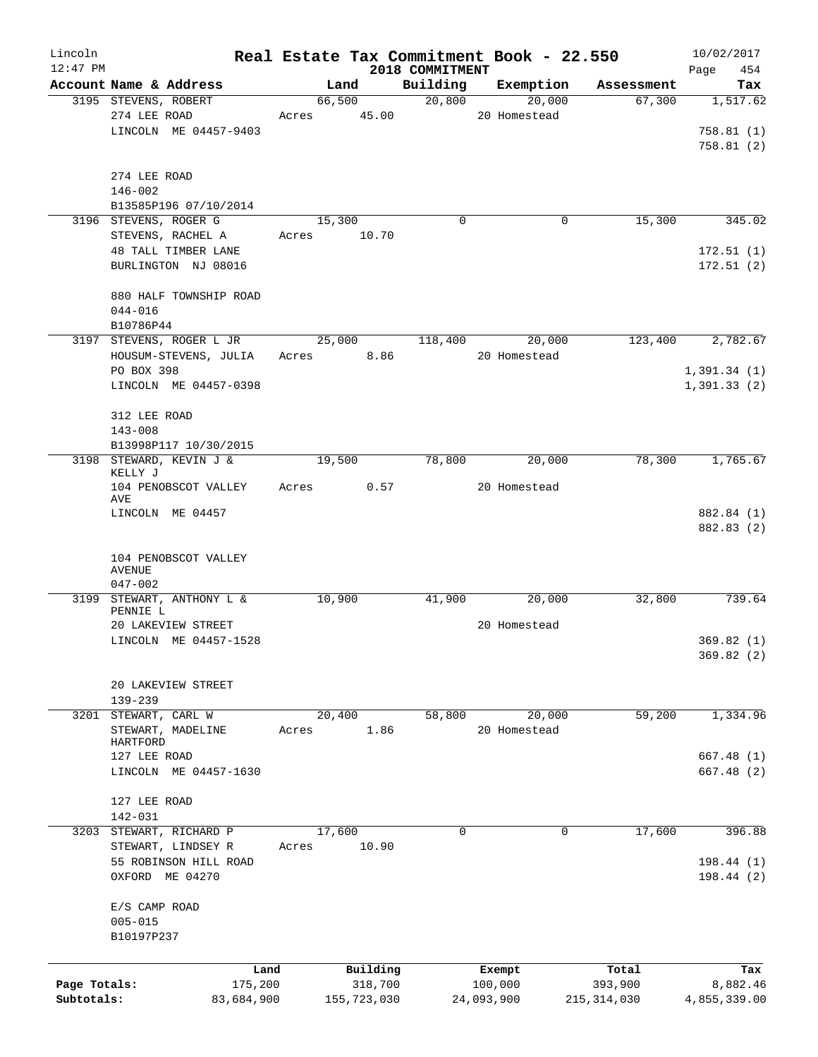| Lincoln<br>$12:47$ PM      |                                       | Real Estate Tax Commitment Book - 22.550 |                             |              |               | 10/02/2017              |
|----------------------------|---------------------------------------|------------------------------------------|-----------------------------|--------------|---------------|-------------------------|
|                            | Account Name & Address                | Land                                     | 2018 COMMITMENT<br>Building | Exemption    | Assessment    | Page<br>454<br>Tax      |
|                            | 3195 STEVENS, ROBERT                  | 66,500                                   | 20,800                      | 20,000       | 67,300        | 1,517.62                |
|                            | 274 LEE ROAD                          | 45.00<br>Acres                           |                             | 20 Homestead |               |                         |
|                            | LINCOLN ME 04457-9403                 |                                          |                             |              |               | 758.81(1)               |
|                            |                                       |                                          |                             |              |               | 758.81(2)               |
|                            |                                       |                                          |                             |              |               |                         |
|                            | 274 LEE ROAD                          |                                          |                             |              |               |                         |
|                            | $146 - 002$                           |                                          |                             |              |               |                         |
|                            | B13585P196 07/10/2014                 |                                          |                             |              |               |                         |
|                            | 3196 STEVENS, ROGER G                 | 15,300                                   | $\mathbf 0$                 | 0            | 15,300        | 345.02                  |
|                            | STEVENS, RACHEL A                     | 10.70<br>Acres                           |                             |              |               |                         |
|                            | 48 TALL TIMBER LANE                   |                                          |                             |              |               | 172.51(1)               |
|                            | BURLINGTON NJ 08016                   |                                          |                             |              |               | 172.51(2)               |
|                            | 880 HALF TOWNSHIP ROAD                |                                          |                             |              |               |                         |
|                            | $044 - 016$                           |                                          |                             |              |               |                         |
|                            | B10786P44                             |                                          |                             |              |               |                         |
|                            | 3197 STEVENS, ROGER L JR              | 25,000                                   | 118,400                     | 20,000       | 123,400       | 2,782.67                |
|                            | HOUSUM-STEVENS, JULIA                 | 8.86<br>Acres                            |                             | 20 Homestead |               |                         |
|                            | PO BOX 398                            |                                          |                             |              |               | 1,391.34(1)             |
|                            | LINCOLN ME 04457-0398                 |                                          |                             |              |               | 1,391.33(2)             |
|                            |                                       |                                          |                             |              |               |                         |
|                            | 312 LEE ROAD                          |                                          |                             |              |               |                         |
|                            | $143 - 008$                           |                                          |                             |              |               |                         |
|                            | B13998P117 10/30/2015                 |                                          |                             |              |               |                         |
|                            | 3198 STEWARD, KEVIN J &               | 19,500                                   | 78,800                      | 20,000       | 78,300        | 1,765.67                |
|                            | KELLY J                               |                                          |                             |              |               |                         |
|                            | 104 PENOBSCOT VALLEY<br>AVE           | 0.57<br>Acres                            |                             | 20 Homestead |               |                         |
|                            | LINCOLN ME 04457                      |                                          |                             |              |               | 882.84 (1)              |
|                            |                                       |                                          |                             |              |               | 882.83 (2)              |
|                            |                                       |                                          |                             |              |               |                         |
|                            | 104 PENOBSCOT VALLEY                  |                                          |                             |              |               |                         |
|                            | <b>AVENUE</b>                         |                                          |                             |              |               |                         |
|                            | $047 - 002$                           |                                          |                             |              |               |                         |
|                            | 3199 STEWART, ANTHONY L &<br>PENNIE L | 10,900                                   | 41,900                      | 20,000       | 32,800        | 739.64                  |
|                            | 20 LAKEVIEW STREET                    |                                          |                             | 20 Homestead |               |                         |
|                            | LINCOLN ME 04457-1528                 |                                          |                             |              |               | 369.82(1)               |
|                            |                                       |                                          |                             |              |               | 369.82(2)               |
|                            |                                       |                                          |                             |              |               |                         |
|                            | 20 LAKEVIEW STREET                    |                                          |                             |              |               |                         |
|                            | 139-239                               |                                          |                             |              |               |                         |
| 3201                       | STEWART, CARL W                       | 20,400                                   | 58,800                      | 20,000       | 59,200        | 1,334.96                |
|                            | STEWART, MADELINE                     | 1.86<br>Acres                            |                             | 20 Homestead |               |                         |
|                            | HARTFORD                              |                                          |                             |              |               |                         |
|                            | 127 LEE ROAD<br>LINCOLN ME 04457-1630 |                                          |                             |              |               | 667.48(1)<br>667.48 (2) |
|                            |                                       |                                          |                             |              |               |                         |
|                            | 127 LEE ROAD                          |                                          |                             |              |               |                         |
|                            | 142-031                               |                                          |                             |              |               |                         |
| 3203                       | STEWART, RICHARD P                    | 17,600                                   | $\mathbf 0$                 | 0            | 17,600        | 396.88                  |
|                            | STEWART, LINDSEY R                    | 10.90<br>Acres                           |                             |              |               |                         |
|                            | 55 ROBINSON HILL ROAD                 |                                          |                             |              |               | 198.44(1)               |
|                            | OXFORD ME 04270                       |                                          |                             |              |               | 198.44(2)               |
|                            |                                       |                                          |                             |              |               |                         |
|                            | E/S CAMP ROAD                         |                                          |                             |              |               |                         |
|                            | $005 - 015$                           |                                          |                             |              |               |                         |
|                            | B10197P237                            |                                          |                             |              |               |                         |
|                            |                                       |                                          |                             |              |               |                         |
|                            | Land                                  | Building                                 |                             | Exempt       | Total         | Tax                     |
| Page Totals:<br>Subtotals: | 175,200                               | 318,700                                  |                             | 100,000      | 393,900       | 8,882.46                |
|                            | 83,684,900                            | 155,723,030                              |                             | 24,093,900   | 215, 314, 030 | 4,855,339.00            |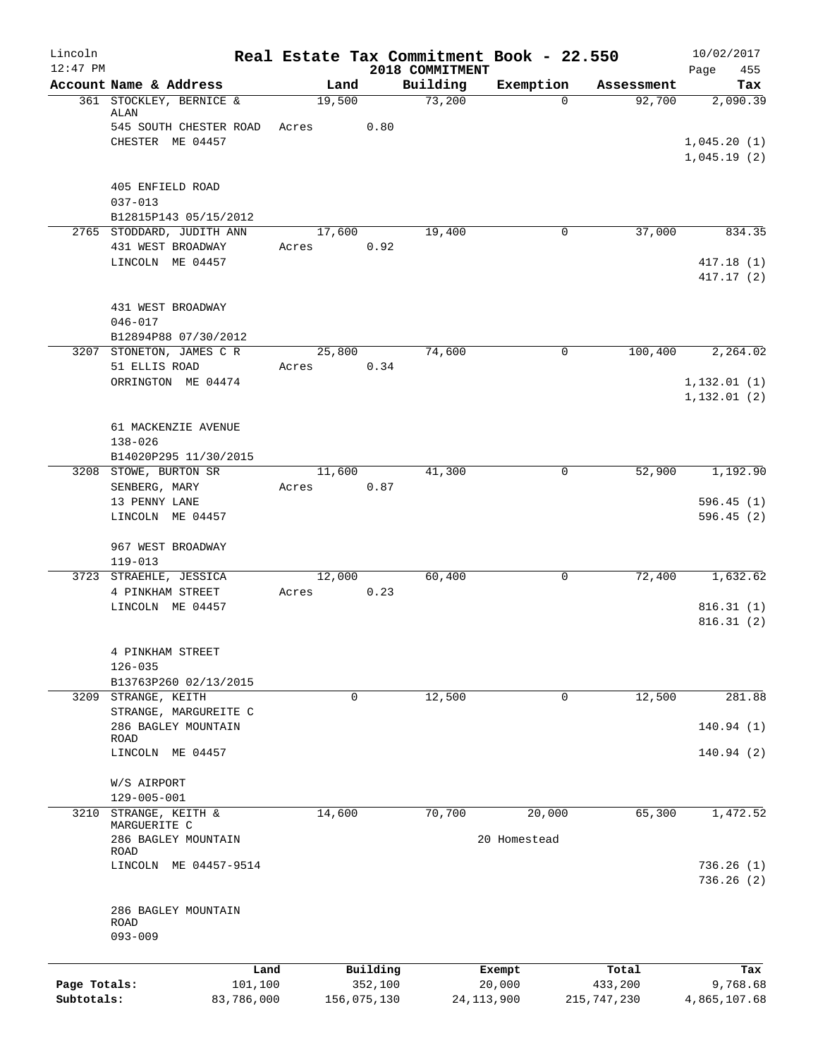| Lincoln<br>$12:47$ PM |                                              |        |                     | 2018 COMMITMENT | Real Estate Tax Commitment Book - 22.550 |                  | 10/02/2017<br>Page<br>455    |
|-----------------------|----------------------------------------------|--------|---------------------|-----------------|------------------------------------------|------------------|------------------------------|
|                       | Account Name & Address                       | Land   |                     | Building        | Exemption                                | Assessment       | Tax                          |
|                       | 361 STOCKLEY, BERNICE &<br>ALAN              | 19,500 |                     | 73,200          | $\Omega$                                 | 92,700           | 2,090.39                     |
|                       | 545 SOUTH CHESTER ROAD                       | Acres  | 0.80                |                 |                                          |                  |                              |
|                       | CHESTER ME 04457                             |        |                     |                 |                                          |                  | 1,045.20(1)<br>1,045.19(2)   |
|                       | 405 ENFIELD ROAD                             |        |                     |                 |                                          |                  |                              |
|                       | $037 - 013$<br>B12815P143 05/15/2012         |        |                     |                 |                                          |                  |                              |
|                       | 2765 STODDARD, JUDITH ANN                    | 17,600 |                     | 19,400          | $\mathbf 0$                              | 37,000           | 834.35                       |
|                       | 431 WEST BROADWAY                            | Acres  | 0.92                |                 |                                          |                  |                              |
|                       | LINCOLN ME 04457                             |        |                     |                 |                                          |                  | 417.18(1)<br>417.17 (2)      |
|                       | 431 WEST BROADWAY                            |        |                     |                 |                                          |                  |                              |
|                       | $046 - 017$<br>B12894P88 07/30/2012          |        |                     |                 |                                          |                  |                              |
|                       | 3207 STONETON, JAMES C R                     | 25,800 |                     | 74,600          | $\mathbf 0$                              | 100,400          | 2,264.02                     |
|                       | 51 ELLIS ROAD                                | Acres  | 0.34                |                 |                                          |                  |                              |
|                       | ORRINGTON ME 04474                           |        |                     |                 |                                          |                  | 1, 132.01(1)<br>1, 132.01(2) |
|                       | 61 MACKENZIE AVENUE                          |        |                     |                 |                                          |                  |                              |
|                       | $138 - 026$<br>B14020P295 11/30/2015         |        |                     |                 |                                          |                  |                              |
|                       | 3208 STOWE, BURTON SR                        | 11,600 |                     | 41,300          | 0                                        | 52,900           | 1,192.90                     |
|                       | SENBERG, MARY                                | Acres  | 0.87                |                 |                                          |                  |                              |
|                       | 13 PENNY LANE<br>LINCOLN ME 04457            |        |                     |                 |                                          |                  | 596.45(1)<br>596.45(2)       |
|                       | 967 WEST BROADWAY<br>$119 - 013$             |        |                     |                 |                                          |                  |                              |
|                       | 3723 STRAEHLE, JESSICA                       | 12,000 |                     | 60,400          | 0                                        | 72,400           | 1,632.62                     |
|                       | 4 PINKHAM STREET<br>LINCOLN ME 04457         | Acres  | 0.23                |                 |                                          |                  | 816.31(1)                    |
|                       |                                              |        |                     |                 |                                          |                  | 816.31(2)                    |
|                       | 4 PINKHAM STREET                             |        |                     |                 |                                          |                  |                              |
|                       | $126 - 035$                                  |        |                     |                 |                                          |                  |                              |
|                       | B13763P260 02/13/2015                        |        |                     |                 |                                          |                  |                              |
|                       | 3209 STRANGE, KEITH<br>STRANGE, MARGUREITE C | 0      |                     | 12,500          | 0                                        | 12,500           | 281.88                       |
|                       | 286 BAGLEY MOUNTAIN                          |        |                     |                 |                                          |                  | 140.94(1)                    |
|                       | ROAD<br>LINCOLN ME 04457                     |        |                     |                 |                                          |                  | 140.94(2)                    |
|                       | W/S AIRPORT                                  |        |                     |                 |                                          |                  |                              |
|                       | 129-005-001                                  |        |                     |                 |                                          |                  |                              |
| 3210                  | STRANGE, KEITH &<br>MARGUERITE C             | 14,600 |                     | 70,700          | 20,000                                   | 65,300           | 1,472.52                     |
|                       | 286 BAGLEY MOUNTAIN<br>ROAD                  |        |                     |                 | 20 Homestead                             |                  |                              |
|                       | LINCOLN ME 04457-9514                        |        |                     |                 |                                          |                  | 736.26(1)<br>736.26 (2)      |
|                       | 286 BAGLEY MOUNTAIN<br>ROAD<br>$093 - 009$   |        |                     |                 |                                          |                  |                              |
|                       |                                              |        |                     |                 |                                          |                  |                              |
| Page Totals:          | Land<br>101,100                              |        | Building<br>352,100 |                 | Exempt<br>20,000                         | Total<br>433,200 | Tax<br>9,768.68              |
| Subtotals:            | 83,786,000                                   |        | 156,075,130         | 24, 113, 900    |                                          | 215, 747, 230    | 4,865,107.68                 |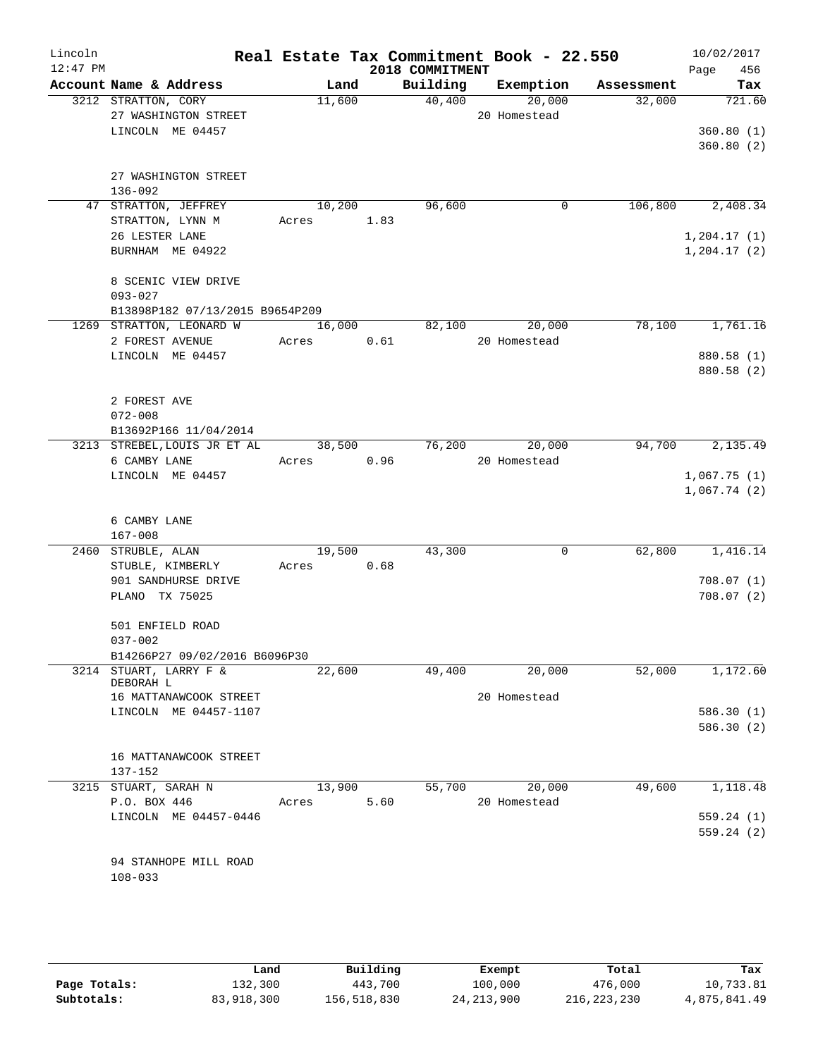| Lincoln<br>$12:47$ PM |                                                                       |                      |      | 2018 COMMITMENT | Real Estate Tax Commitment Book - 22.550 |            | 10/02/2017<br>456<br>Page        |
|-----------------------|-----------------------------------------------------------------------|----------------------|------|-----------------|------------------------------------------|------------|----------------------------------|
|                       | Account Name & Address                                                | Land                 |      | Building        | Exemption                                | Assessment | Tax                              |
|                       | 3212 STRATTON, CORY<br>27 WASHINGTON STREET<br>LINCOLN ME 04457       | 11,600               |      | 40,400          | 20,000<br>20 Homestead                   | 32,000     | 721.60<br>360.80(1)<br>360.80(2) |
|                       | 27 WASHINGTON STREET<br>136-092                                       |                      |      |                 |                                          |            |                                  |
|                       | 47 STRATTON, JEFFREY<br>STRATTON, LYNN M                              | 10,200<br>Acres 1.83 |      | 96,600          | $\mathbf 0$                              | 106,800    | 2,408.34                         |
|                       | 26 LESTER LANE<br>BURNHAM ME 04922                                    |                      |      |                 |                                          |            | 1, 204.17(1)<br>1, 204.17(2)     |
|                       | 8 SCENIC VIEW DRIVE<br>$093 - 027$<br>B13898P182 07/13/2015 B9654P209 |                      |      |                 |                                          |            |                                  |
|                       | 1269 STRATTON, LEONARD W                                              | 16,000               |      | 82,100          | 20,000                                   | 78,100     | 1,761.16                         |
|                       | 2 FOREST AVENUE                                                       | Acres                | 0.61 |                 | 20 Homestead                             |            |                                  |
|                       | LINCOLN ME 04457                                                      |                      |      |                 |                                          |            | 880.58 (1)<br>880.58 (2)         |
|                       | 2 FOREST AVE<br>$072 - 008$<br>B13692P166 11/04/2014                  |                      |      |                 |                                          |            |                                  |
|                       | 3213 STREBEL, LOUIS JR ET AL                                          | 38,500               |      | 76,200          | 20,000                                   | 94,700     | 2,135.49                         |
|                       | 6 CAMBY LANE                                                          | Acres 0.96           |      |                 | 20 Homestead                             |            |                                  |
|                       | LINCOLN ME 04457                                                      |                      |      |                 |                                          |            | 1,067.75(1)                      |
|                       | 6 CAMBY LANE                                                          |                      |      |                 |                                          |            | 1,067.74(2)                      |
|                       | $167 - 008$                                                           |                      |      |                 |                                          |            |                                  |
|                       | 2460 STRUBLE, ALAN                                                    | 19,500               |      | 43,300          | $\mathbf 0$                              | 62,800     | 1,416.14                         |
|                       | STUBLE, KIMBERLY                                                      | Acres 0.68           |      |                 |                                          |            |                                  |
|                       | 901 SANDHURSE DRIVE<br>PLANO TX 75025                                 |                      |      |                 |                                          |            | 708.07(1)<br>708.07(2)           |
|                       | 501 ENFIELD ROAD<br>$037 - 002$                                       |                      |      |                 |                                          |            |                                  |
|                       | B14266P27 09/02/2016 B6096P30                                         |                      |      |                 |                                          |            |                                  |
|                       | 3214 STUART, LARRY F &<br>DEBORAH L                                   | 22,600               |      | 49,400          | 20,000                                   | 52,000     | 1,172.60                         |
|                       | 16 MATTANAWCOOK STREET                                                |                      |      |                 | 20 Homestead                             |            |                                  |
|                       | LINCOLN ME 04457-1107                                                 |                      |      |                 |                                          |            | 586.30 (1)<br>586.30 (2)         |
|                       | 16 MATTANAWCOOK STREET<br>137-152                                     |                      |      |                 |                                          |            |                                  |
|                       | 3215 STUART, SARAH N                                                  | 13,900               |      | 55,700          | 20,000                                   | 49,600     | 1,118.48                         |
|                       | P.O. BOX 446                                                          | Acres                | 5.60 |                 | 20 Homestead                             |            |                                  |
|                       | LINCOLN ME 04457-0446                                                 |                      |      |                 |                                          |            | 559.24(1)<br>559.24(2)           |
|                       | 94 STANHOPE MILL ROAD<br>$108 - 033$                                  |                      |      |                 |                                          |            |                                  |

|              | ∟and       | Building    | Exempt       | Total         | Tax          |
|--------------|------------|-------------|--------------|---------------|--------------|
| Page Totals: | 132,300    | 443,700     | 100,000      | 476,000       | 10,733.81    |
| Subtotals:   | 83,918,300 | 156,518,830 | 24, 213, 900 | 216, 223, 230 | 4,875,841.49 |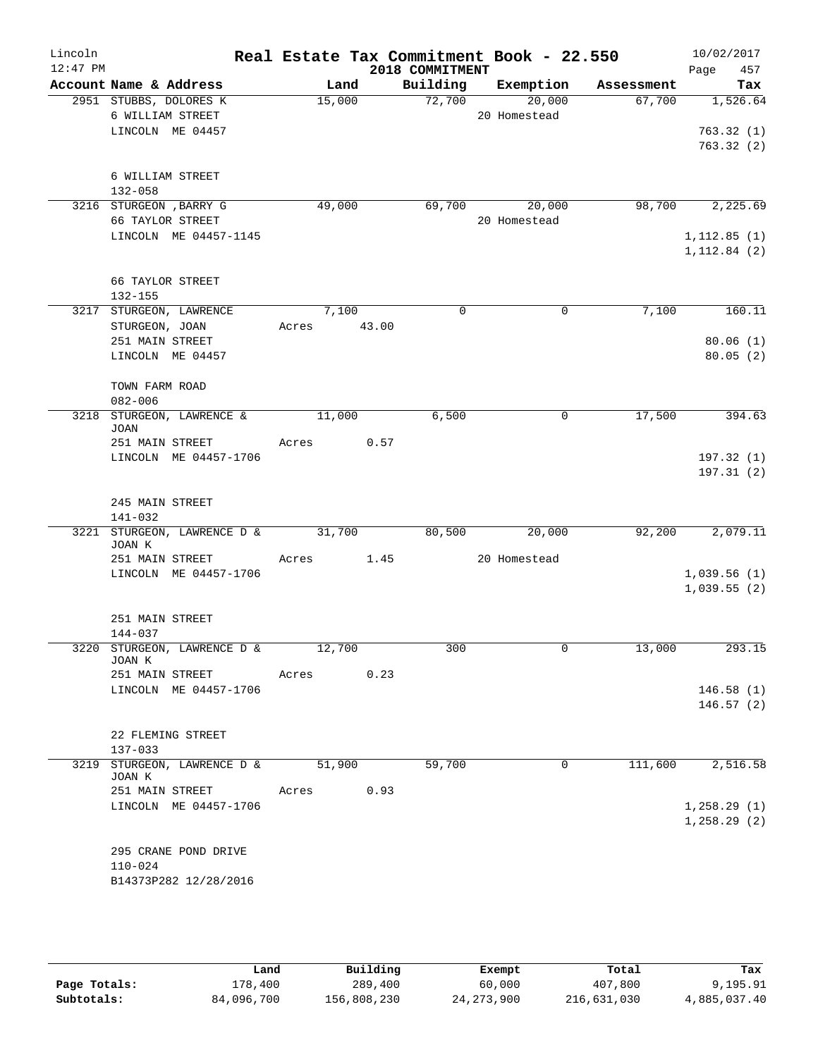| Lincoln<br>$12:47$ PM |                                            |        |       | 2018 COMMITMENT | Real Estate Tax Commitment Book - 22.550 |            | 10/02/2017<br>Page<br>457 |
|-----------------------|--------------------------------------------|--------|-------|-----------------|------------------------------------------|------------|---------------------------|
|                       | Account Name & Address                     | Land   |       | Building        | Exemption                                | Assessment | Tax                       |
|                       | 2951 STUBBS, DOLORES K                     | 15,000 |       | 72,700          | 20,000                                   | 67,700     | 1,526.64                  |
|                       | 6 WILLIAM STREET                           |        |       |                 | 20 Homestead                             |            |                           |
|                       | LINCOLN ME 04457                           |        |       |                 |                                          |            | 763.32(1)                 |
|                       |                                            |        |       |                 |                                          |            | 763.32(2)                 |
|                       |                                            |        |       |                 |                                          |            |                           |
|                       | 6 WILLIAM STREET<br>$132 - 058$            |        |       |                 |                                          |            |                           |
|                       | 3216 STURGEON , BARRY G                    | 49,000 |       | 69,700          | 20,000                                   | 98,700     | 2,225.69                  |
|                       | 66 TAYLOR STREET                           |        |       |                 | 20 Homestead                             |            |                           |
|                       | LINCOLN ME 04457-1145                      |        |       |                 |                                          |            | 1, 112.85(1)              |
|                       |                                            |        |       |                 |                                          |            | 1, 112.84(2)              |
|                       |                                            |        |       |                 |                                          |            |                           |
|                       | 66 TAYLOR STREET<br>$132 - 155$            |        |       |                 |                                          |            |                           |
|                       | 3217 STURGEON, LAWRENCE                    | 7,100  |       | $\Omega$        | 0                                        | 7,100      | 160.11                    |
|                       | STURGEON, JOAN                             | Acres  | 43.00 |                 |                                          |            |                           |
|                       | 251 MAIN STREET                            |        |       |                 |                                          |            | 80.06(1)                  |
|                       | LINCOLN ME 04457                           |        |       |                 |                                          |            | 80.05(2)                  |
|                       |                                            |        |       |                 |                                          |            |                           |
|                       | TOWN FARM ROAD                             |        |       |                 |                                          |            |                           |
|                       | $082 - 006$                                |        |       |                 |                                          |            |                           |
| 3218                  | STURGEON, LAWRENCE &                       | 11,000 |       | 6,500           | $\mathbf 0$                              | 17,500     | 394.63                    |
|                       | JOAN<br>251 MAIN STREET                    | Acres  | 0.57  |                 |                                          |            |                           |
|                       | LINCOLN ME 04457-1706                      |        |       |                 |                                          |            | 197.32(1)                 |
|                       |                                            |        |       |                 |                                          |            | 197.31(2)                 |
|                       |                                            |        |       |                 |                                          |            |                           |
|                       | 245 MAIN STREET                            |        |       |                 |                                          |            |                           |
|                       | 141-032                                    |        |       |                 |                                          |            |                           |
|                       | 3221 STURGEON, LAWRENCE D &<br>JOAN K      | 31,700 |       | 80,500          | 20,000                                   | 92,200     | 2,079.11                  |
|                       | 251 MAIN STREET                            | Acres  |       | 1.45            | 20 Homestead                             |            |                           |
|                       | LINCOLN ME 04457-1706                      |        |       |                 |                                          |            | 1,039.56(1)               |
|                       |                                            |        |       |                 |                                          |            | 1,039.55(2)               |
|                       |                                            |        |       |                 |                                          |            |                           |
|                       | 251 MAIN STREET                            |        |       |                 |                                          |            |                           |
|                       | 144-037                                    |        |       |                 |                                          |            |                           |
|                       | 3220 STURGEON, LAWRENCE D &<br>JOAN K      | 12,700 |       | 300             | 0                                        | 13,000     | 293.15                    |
|                       | 251 MAIN STREET                            | Acres  | 0.23  |                 |                                          |            |                           |
|                       | LINCOLN ME 04457-1706                      |        |       |                 |                                          |            | 146.58(1)                 |
|                       |                                            |        |       |                 |                                          |            | 146.57(2)                 |
|                       |                                            |        |       |                 |                                          |            |                           |
|                       | 22 FLEMING STREET                          |        |       |                 |                                          |            |                           |
|                       | $137 - 033$<br>3219 STURGEON, LAWRENCE D & | 51,900 |       | 59,700          | 0                                        | 111,600    | 2,516.58                  |
|                       | JOAN K                                     |        |       |                 |                                          |            |                           |
|                       | 251 MAIN STREET                            | Acres  | 0.93  |                 |                                          |            |                           |
|                       | LINCOLN ME 04457-1706                      |        |       |                 |                                          |            | 1, 258.29(1)              |
|                       |                                            |        |       |                 |                                          |            | 1, 258.29(2)              |
|                       |                                            |        |       |                 |                                          |            |                           |
|                       | 295 CRANE POND DRIVE                       |        |       |                 |                                          |            |                           |
|                       | $110 - 024$<br>B14373P282 12/28/2016       |        |       |                 |                                          |            |                           |
|                       |                                            |        |       |                 |                                          |            |                           |
|                       |                                            |        |       |                 |                                          |            |                           |

|              | Land       | Building    | Exempt       | Total       | Tax          |
|--------------|------------|-------------|--------------|-------------|--------------|
| Page Totals: | 178,400    | 289,400     | 60,000       | 407,800     | 9,195.91     |
| Subtotals:   | 84,096,700 | 156,808,230 | 24, 273, 900 | 216,631,030 | 4,885,037.40 |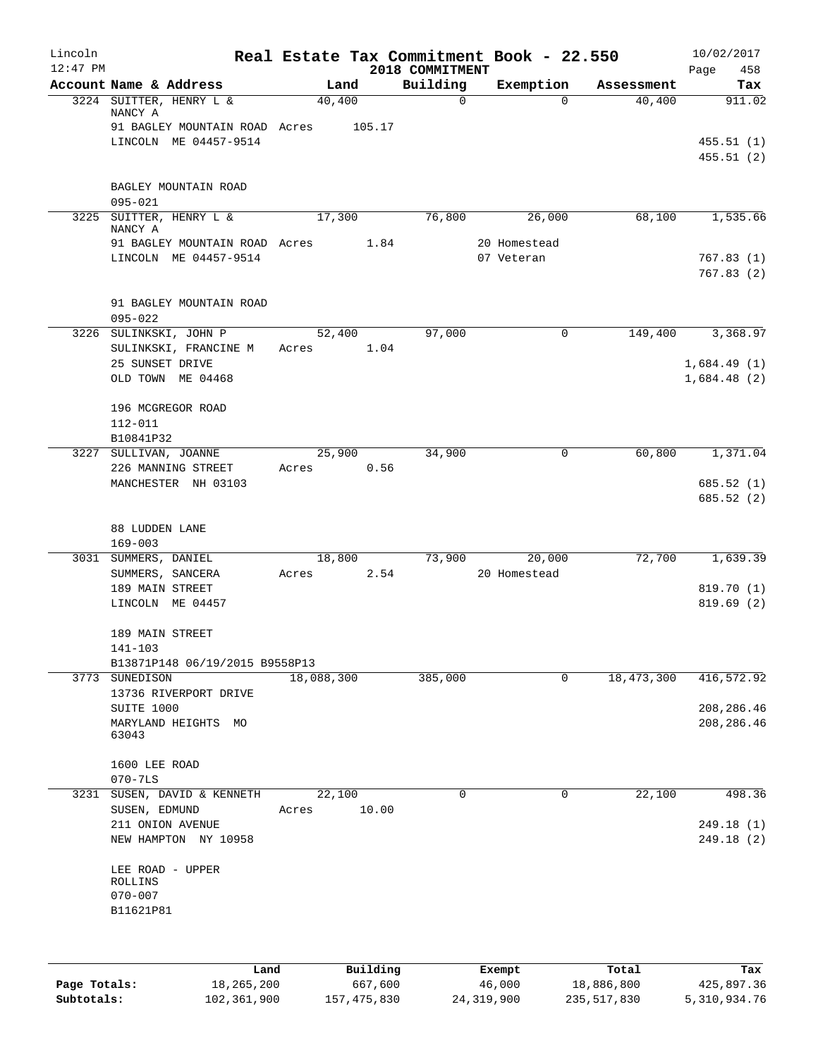| Lincoln<br>$12:47$ PM |                                                        |                 |        | 2018 COMMITMENT | Real Estate Tax Commitment Book - 22.550 |            | 10/02/2017<br>Page<br>458  |
|-----------------------|--------------------------------------------------------|-----------------|--------|-----------------|------------------------------------------|------------|----------------------------|
|                       | Account Name & Address                                 |                 | Land   | Building        | Exemption                                | Assessment | Tax                        |
|                       | 3224 SUITTER, HENRY L &<br>NANCY A                     | 40,400          |        | $\mathbf 0$     | $\Omega$                                 | 40,400     | 911.02                     |
|                       | 91 BAGLEY MOUNTAIN ROAD Acres<br>LINCOLN ME 04457-9514 |                 | 105.17 |                 |                                          |            |                            |
|                       |                                                        |                 |        |                 |                                          |            | 455.51(1)<br>455.51(2)     |
|                       | BAGLEY MOUNTAIN ROAD                                   |                 |        |                 |                                          |            |                            |
|                       | $095 - 021$                                            |                 |        |                 |                                          |            |                            |
|                       | 3225 SUITTER, HENRY L &<br>NANCY A                     | 17,300          |        | 76,800          | 26,000                                   | 68,100     | 1,535.66                   |
|                       | 91 BAGLEY MOUNTAIN ROAD Acres<br>LINCOLN ME 04457-9514 |                 | 1.84   |                 | 20 Homestead<br>07 Veteran               |            | 767.83(1)                  |
|                       |                                                        |                 |        |                 |                                          |            | 767.83(2)                  |
|                       | 91 BAGLEY MOUNTAIN ROAD<br>$095 - 022$                 |                 |        |                 |                                          |            |                            |
|                       | 3226 SULINKSKI, JOHN P                                 | 52,400          |        | 97,000          | $\mathbf 0$                              | 149,400    | 3,368.97                   |
|                       | SULINKSKI, FRANCINE M                                  | Acres           | 1.04   |                 |                                          |            |                            |
|                       | 25 SUNSET DRIVE<br>OLD TOWN ME 04468                   |                 |        |                 |                                          |            | 1,684.49(1)<br>1,684.48(2) |
|                       | 196 MCGREGOR ROAD                                      |                 |        |                 |                                          |            |                            |
|                       | $112 - 011$                                            |                 |        |                 |                                          |            |                            |
|                       | B10841P32                                              |                 |        |                 |                                          |            |                            |
|                       | 3227 SULLIVAN, JOANNE<br>226 MANNING STREET            | 25,900<br>Acres | 0.56   | 34,900          | 0                                        | 60,800     | 1,371.04                   |
|                       | MANCHESTER NH 03103                                    |                 |        |                 |                                          |            | 685.52 (1)<br>685.52 (2)   |
|                       | 88 LUDDEN LANE<br>$169 - 003$                          |                 |        |                 |                                          |            |                            |
|                       | 3031 SUMMERS, DANIEL                                   | 18,800          |        | 73,900          | 20,000                                   | 72,700     | 1,639.39                   |
|                       | SUMMERS, SANCERA                                       | Acres           | 2.54   |                 | 20 Homestead                             |            |                            |
|                       | 189 MAIN STREET<br>LINCOLN ME 04457                    |                 |        |                 |                                          |            | 819.70 (1)<br>819.69 (2)   |
|                       |                                                        |                 |        |                 |                                          |            |                            |
|                       | 189 MAIN STREET                                        |                 |        |                 |                                          |            |                            |
|                       | $141 - 103$<br>B13871P148 06/19/2015 B9558P13          |                 |        |                 |                                          |            |                            |
|                       | 3773 SUNEDISON                                         | 18,088,300      |        | 385,000         | 0                                        | 18,473,300 | 416,572.92                 |
|                       | 13736 RIVERPORT DRIVE                                  |                 |        |                 |                                          |            |                            |
|                       | SUITE 1000                                             |                 |        |                 |                                          |            | 208, 286.46                |
|                       | MARYLAND HEIGHTS MO<br>63043                           |                 |        |                 |                                          |            | 208, 286.46                |
|                       | 1600 LEE ROAD                                          |                 |        |                 |                                          |            |                            |
|                       | $070 - 7LS$                                            |                 |        |                 |                                          |            |                            |
|                       | 3231 SUSEN, DAVID & KENNETH                            | 22,100          |        | 0               | 0                                        | 22,100     | 498.36                     |
|                       | SUSEN, EDMUND<br>211 ONION AVENUE                      | Acres           | 10.00  |                 |                                          |            | 249.18 (1)                 |
|                       | NEW HAMPTON NY 10958                                   |                 |        |                 |                                          |            | 249.18(2)                  |
|                       | LEE ROAD - UPPER                                       |                 |        |                 |                                          |            |                            |
|                       | ROLLINS<br>$070 - 007$                                 |                 |        |                 |                                          |            |                            |
|                       | B11621P81                                              |                 |        |                 |                                          |            |                            |
|                       |                                                        |                 |        |                 |                                          |            |                            |
|                       |                                                        |                 |        |                 |                                          |            |                            |
|                       |                                                        |                 |        |                 |                                          |            |                            |

|              | Land        | Building    | Exempt     | Total       | Tax          |
|--------------|-------------|-------------|------------|-------------|--------------|
| Page Totals: | 18,265,200  | 667,600     | 46,000     | 18,886,800  | 425,897.36   |
| Subtotals:   | 102,361,900 | 157,475,830 | 24,319,900 | 235,517,830 | 5,310,934.76 |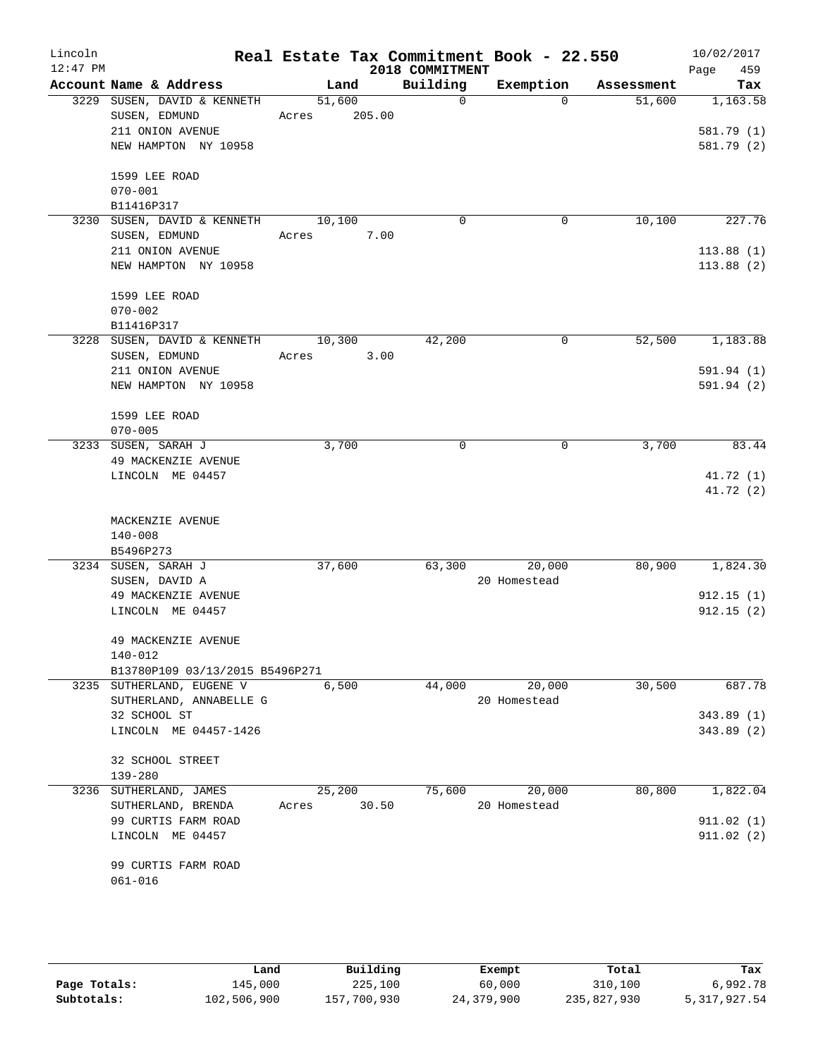| Lincoln<br>$12:47$ PM |                                                                                          |            |                  | 2018 COMMITMENT | Real Estate Tax Commitment Book - 22.550 |            | 10/02/2017<br>Page<br>459            |
|-----------------------|------------------------------------------------------------------------------------------|------------|------------------|-----------------|------------------------------------------|------------|--------------------------------------|
|                       | Account Name & Address                                                                   |            | Land             | Building        | Exemption                                | Assessment | Tax                                  |
|                       | 3229 SUSEN, DAVID & KENNETH<br>SUSEN, EDMUND<br>211 ONION AVENUE<br>NEW HAMPTON NY 10958 | Acres      | 51,600<br>205.00 | $\Omega$        | $\Omega$                                 | 51,600     | 1,163.58<br>581.79 (1)<br>581.79 (2) |
|                       | 1599 LEE ROAD<br>$070 - 001$<br>B11416P317                                               |            |                  |                 |                                          |            |                                      |
|                       | 3230 SUSEN, DAVID & KENNETH<br>SUSEN, EDMUND                                             | Acres      | 10,100<br>7.00   | 0               | 0                                        | 10,100     | 227.76                               |
|                       | 211 ONION AVENUE<br>NEW HAMPTON NY 10958                                                 |            |                  |                 |                                          |            | 113.88(1)<br>113.88(2)               |
|                       | 1599 LEE ROAD<br>$070 - 002$<br>B11416P317                                               |            |                  |                 |                                          |            |                                      |
|                       | 3228 SUSEN, DAVID & KENNETH<br>SUSEN, EDMUND                                             | Acres 3.00 | 10,300           | 42,200          | $\mathbf 0$                              | 52,500     | 1,183.88                             |
|                       | 211 ONION AVENUE<br>NEW HAMPTON NY 10958                                                 |            |                  |                 |                                          |            | 591.94 (1)<br>591.94 (2)             |
|                       | 1599 LEE ROAD<br>$070 - 005$                                                             |            |                  |                 |                                          |            |                                      |
|                       | 3233 SUSEN, SARAH J<br>49 MACKENZIE AVENUE                                               |            | 3,700            | 0               | 0                                        | 3,700      | 83.44                                |
|                       | LINCOLN ME 04457                                                                         |            |                  |                 |                                          |            | 41.72 (1)<br>41.72 (2)               |
|                       | MACKENZIE AVENUE<br>$140 - 008$<br>B5496P273                                             |            |                  |                 |                                          |            |                                      |
|                       | 3234 SUSEN, SARAH J<br>SUSEN, DAVID A                                                    |            | 37,600           | 63,300          | 20,000<br>20 Homestead                   | 80,900     | 1,824.30                             |
|                       | 49 MACKENZIE AVENUE<br>LINCOLN ME 04457                                                  |            |                  |                 |                                          |            | 912.15(1)<br>912.15(2)               |
|                       | 49 MACKENZIE AVENUE<br>140-012<br>B13780P109 03/13/2015 B5496P271                        |            |                  |                 |                                          |            |                                      |
|                       | 3235 SUTHERLAND, EUGENE V                                                                |            | 6,500            | 44,000          | 20,000                                   | 30,500     | 687.78                               |
|                       | SUTHERLAND, ANNABELLE G<br>32 SCHOOL ST                                                  |            |                  |                 | 20 Homestead                             |            | 343.89(1)                            |
|                       | LINCOLN ME 04457-1426                                                                    |            |                  |                 |                                          |            | 343.89 (2)                           |
|                       | 32 SCHOOL STREET<br>139-280                                                              |            |                  |                 |                                          |            |                                      |
|                       | 3236 SUTHERLAND, JAMES<br>SUTHERLAND, BRENDA                                             | Acres      | 25,200<br>30.50  | 75,600          | 20,000<br>20 Homestead                   | 80,800     | 1,822.04                             |
|                       | 99 CURTIS FARM ROAD<br>LINCOLN ME 04457                                                  |            |                  |                 |                                          |            | 911.02(1)<br>911.02(2)               |
|                       | 99 CURTIS FARM ROAD<br>$061 - 016$                                                       |            |                  |                 |                                          |            |                                      |

|              | Land        | Building    | Exempt     | Total       | Tax             |
|--------------|-------------|-------------|------------|-------------|-----------------|
| Page Totals: | 145,000     | 225,100     | 60,000     | 310,100     | 6,992.78        |
| Subtotals:   | 102,506,900 | 157,700,930 | 24,379,900 | 235,827,930 | 5, 317, 927, 54 |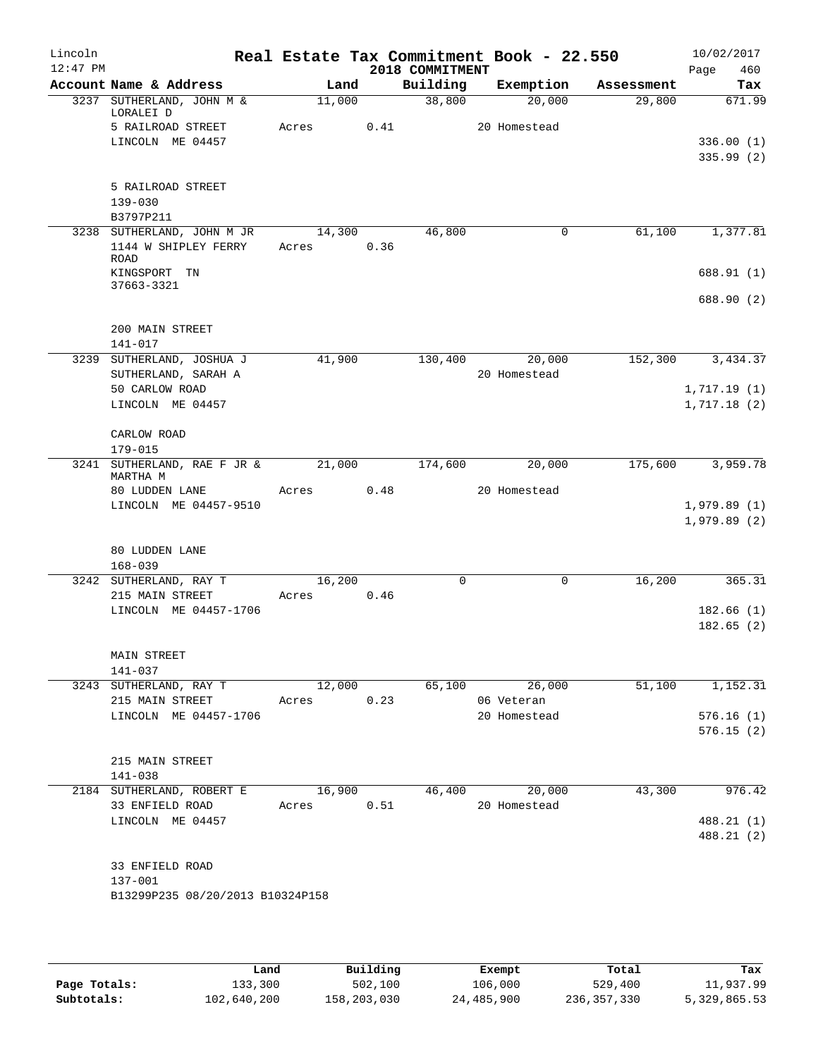| Lincoln<br>$12:47$ PM |                                                           |                 |      | 2018 COMMITMENT | Real Estate Tax Commitment Book - 22.550 |                       | 10/02/2017<br>Page<br>460 |
|-----------------------|-----------------------------------------------------------|-----------------|------|-----------------|------------------------------------------|-----------------------|---------------------------|
|                       | Account Name & Address                                    | Land            |      | Building        | Exemption                                | Assessment            | Tax                       |
|                       | 3237 SUTHERLAND, JOHN M &<br>LORALEI D                    | 11,000          |      | 38,800          | 20,000                                   | 29,800                | 671.99                    |
|                       | 5 RAILROAD STREET<br>LINCOLN ME 04457                     | Acres           | 0.41 |                 | 20 Homestead                             |                       | 336.00(1)<br>335.99(2)    |
|                       | 5 RAILROAD STREET<br>$139 - 030$                          |                 |      |                 |                                          |                       |                           |
|                       | B3797P211<br>3238 SUTHERLAND, JOHN M JR                   | 14,300          |      | 46,800          |                                          | 61,100<br>0           | 1,377.81                  |
|                       | 1144 W SHIPLEY FERRY<br>ROAD<br>KINGSPORT TN              | Acres           | 0.36 |                 |                                          |                       | 688.91 (1)                |
|                       | 37663-3321                                                |                 |      |                 |                                          |                       |                           |
|                       |                                                           |                 |      |                 |                                          |                       | 688.90 (2)                |
|                       | 200 MAIN STREET<br>141-017                                |                 |      |                 |                                          |                       |                           |
|                       | 3239 SUTHERLAND, JOSHUA J<br>SUTHERLAND, SARAH A          | 41,900          |      | 130,400         | 20,000<br>20 Homestead                   | 152,300               | 3,434.37                  |
|                       | 50 CARLOW ROAD                                            |                 |      |                 |                                          |                       | 1,717.19(1)               |
|                       | LINCOLN ME 04457                                          |                 |      |                 |                                          |                       | 1,717.18(2)               |
|                       | CARLOW ROAD                                               |                 |      |                 |                                          |                       |                           |
|                       | $179 - 015$                                               |                 |      |                 |                                          |                       |                           |
|                       | 3241 SUTHERLAND, RAE F JR &<br>MARTHA M<br>80 LUDDEN LANE | 21,000<br>Acres | 0.48 | 174,600         | 20,000<br>20 Homestead                   | 175,600               | 3,959.78                  |
|                       | LINCOLN ME 04457-9510                                     |                 |      |                 |                                          |                       | 1,979.89(1)               |
|                       |                                                           |                 |      |                 |                                          |                       | 1,979.89(2)               |
|                       | 80 LUDDEN LANE<br>$168 - 039$                             |                 |      |                 |                                          |                       |                           |
|                       | 3242 SUTHERLAND, RAY T                                    | 16, 200         |      | $\mathbf 0$     |                                          | 16,200<br>$\mathbf 0$ | 365.31                    |
|                       | 215 MAIN STREET                                           | Acres           | 0.46 |                 |                                          |                       |                           |
|                       | LINCOLN ME 04457-1706                                     |                 |      |                 |                                          |                       | 182.66(1)<br>182.65(2)    |
|                       | MAIN STREET                                               |                 |      |                 |                                          |                       |                           |
|                       | $141 - 037$                                               |                 |      |                 |                                          |                       |                           |
|                       | 3243 SUTHERLAND, RAY T                                    | 12,000          |      |                 | 65,100 26,000                            | 51,100                | 1,152.31                  |
|                       | 215 MAIN STREET                                           | Acres           | 0.23 |                 | 06 Veteran                               |                       |                           |
|                       | LINCOLN ME 04457-1706                                     |                 |      |                 | 20 Homestead                             |                       | 576.16(1)                 |
|                       |                                                           |                 |      |                 |                                          |                       | 576.15(2)                 |
|                       | 215 MAIN STREET<br>141-038                                |                 |      |                 |                                          |                       |                           |
|                       | 2184 SUTHERLAND, ROBERT E                                 | 16,900          |      | 46,400          | 20,000                                   | 43,300                | 976.42                    |
|                       | 33 ENFIELD ROAD                                           | Acres 0.51      |      |                 | 20 Homestead                             |                       |                           |
|                       | LINCOLN ME 04457                                          |                 |      |                 |                                          |                       | 488.21 (1)<br>488.21 (2)  |
|                       |                                                           |                 |      |                 |                                          |                       |                           |
|                       | 33 ENFIELD ROAD                                           |                 |      |                 |                                          |                       |                           |
|                       | 137-001<br>B13299P235 08/20/2013 B10324P158               |                 |      |                 |                                          |                       |                           |
|                       |                                                           |                 |      |                 |                                          |                       |                           |
|                       |                                                           |                 |      |                 |                                          |                       |                           |

|              | Land        | Building    | Exempt     | Total       | Tax          |
|--------------|-------------|-------------|------------|-------------|--------------|
| Page Totals: | 133,300     | 502,100     | 106,000    | 529,400     | 11,937.99    |
| Subtotals:   | 102,640,200 | 158,203,030 | 24,485,900 | 236,357,330 | 5,329,865.53 |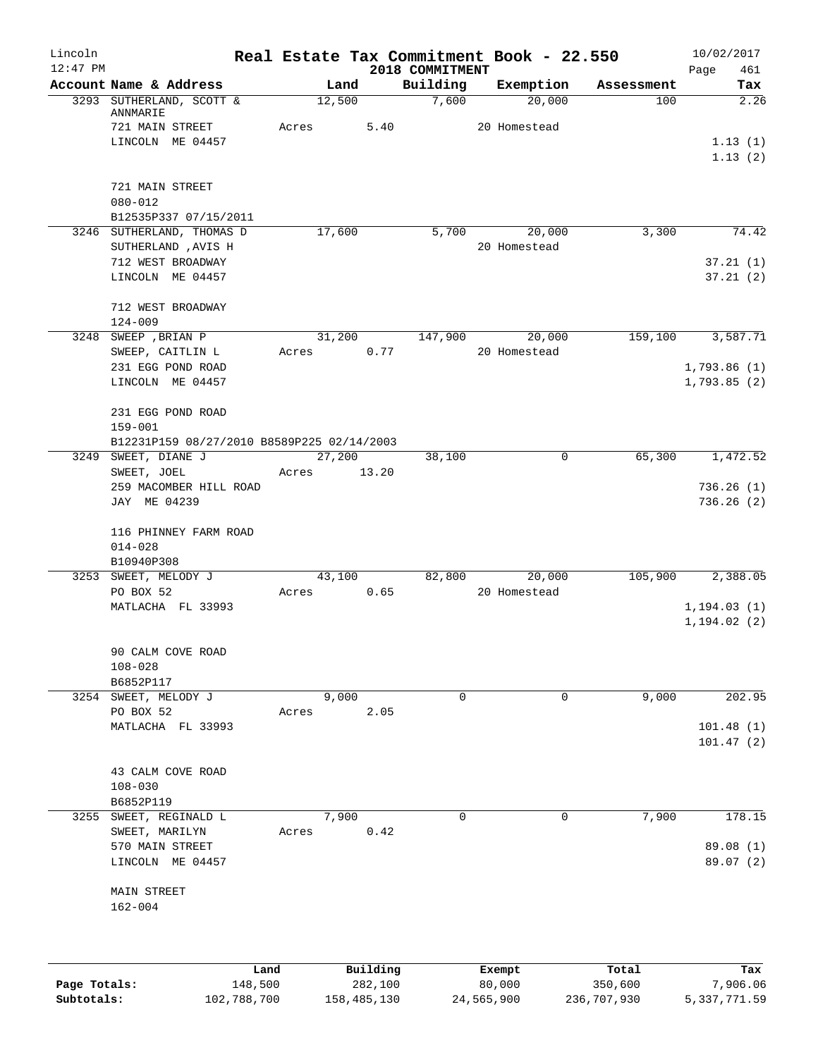| Lincoln      |                                            |       |                |          |                   | Real Estate Tax Commitment Book - 22.550 |                   | 10/02/2017   |
|--------------|--------------------------------------------|-------|----------------|----------|-------------------|------------------------------------------|-------------------|--------------|
| $12:47$ PM   | Account Name & Address                     |       |                |          | 2018 COMMITMENT   |                                          |                   | 461<br>Page  |
|              | 3293 SUTHERLAND, SCOTT &                   |       | Land<br>12,500 |          | Building<br>7,600 | Exemption<br>20,000                      | Assessment<br>100 | Tax<br>2.26  |
|              | ANNMARIE<br>721 MAIN STREET                | Acres |                | 5.40     |                   | 20 Homestead                             |                   |              |
|              | LINCOLN ME 04457                           |       |                |          |                   |                                          |                   | 1.13(1)      |
|              |                                            |       |                |          |                   |                                          |                   | 1.13(2)      |
|              | 721 MAIN STREET                            |       |                |          |                   |                                          |                   |              |
|              | $080 - 012$                                |       |                |          |                   |                                          |                   |              |
|              | B12535P337 07/15/2011                      |       |                |          |                   |                                          |                   |              |
|              | 3246 SUTHERLAND, THOMAS D                  |       | 17,600         |          | 5,700             | 20,000                                   | 3,300             | 74.42        |
|              | SUTHERLAND , AVIS H<br>712 WEST BROADWAY   |       |                |          |                   | 20 Homestead                             |                   | 37.21(1)     |
|              | LINCOLN ME 04457                           |       |                |          |                   |                                          |                   | 37.21(2)     |
|              |                                            |       |                |          |                   |                                          |                   |              |
|              | 712 WEST BROADWAY                          |       |                |          |                   |                                          |                   |              |
|              | $124 - 009$                                |       |                |          |                   |                                          |                   |              |
|              | 3248 SWEEP , BRIAN P                       |       | 31,200         |          | 147,900           | 20,000                                   | 159,100           | 3,587.71     |
|              | SWEEP, CAITLIN L                           | Acres |                | 0.77     |                   | 20 Homestead                             |                   |              |
|              | 231 EGG POND ROAD                          |       |                |          |                   |                                          |                   | 1,793.86(1)  |
|              | LINCOLN ME 04457                           |       |                |          |                   |                                          |                   | 1,793.85(2)  |
|              | 231 EGG POND ROAD                          |       |                |          |                   |                                          |                   |              |
|              | $159 - 001$                                |       |                |          |                   |                                          |                   |              |
|              | B12231P159 08/27/2010 B8589P225 02/14/2003 |       |                |          |                   |                                          |                   |              |
|              | 3249 SWEET, DIANE J                        |       | 27,200         |          | 38,100            | 0                                        | 65,300            | 1,472.52     |
|              | SWEET, JOEL                                | Acres |                | 13.20    |                   |                                          |                   |              |
|              | 259 MACOMBER HILL ROAD                     |       |                |          |                   |                                          |                   | 736.26(1)    |
|              | JAY ME 04239                               |       |                |          |                   |                                          |                   | 736.26(2)    |
|              | 116 PHINNEY FARM ROAD                      |       |                |          |                   |                                          |                   |              |
|              | $014 - 028$                                |       |                |          |                   |                                          |                   |              |
|              | B10940P308                                 |       |                |          |                   |                                          |                   |              |
|              | 3253 SWEET, MELODY J                       |       | 43,100         |          | 82,800            | 20,000                                   | 105,900           | 2,388.05     |
|              | PO BOX 52                                  | Acres |                | 0.65     |                   | 20 Homestead                             |                   |              |
|              | MATLACHA FL 33993                          |       |                |          |                   |                                          |                   | 1, 194.03(1) |
|              |                                            |       |                |          |                   |                                          |                   | 1, 194.02(2) |
|              | 90 CALM COVE ROAD                          |       |                |          |                   |                                          |                   |              |
|              | $108 - 028$                                |       |                |          |                   |                                          |                   |              |
|              | B6852P117                                  |       |                |          |                   |                                          |                   |              |
|              | 3254 SWEET, MELODY J                       |       | 9,000          |          | 0                 | 0                                        | 9,000             | 202.95       |
|              | PO BOX 52                                  | Acres |                | 2.05     |                   |                                          |                   |              |
|              | MATLACHA FL 33993                          |       |                |          |                   |                                          |                   | 101.48(1)    |
|              |                                            |       |                |          |                   |                                          |                   | 101.47(2)    |
|              | 43 CALM COVE ROAD                          |       |                |          |                   |                                          |                   |              |
|              | $108 - 030$                                |       |                |          |                   |                                          |                   |              |
|              | B6852P119                                  |       |                |          |                   |                                          |                   |              |
|              | 3255 SWEET, REGINALD L                     |       | 7,900          |          | $\Omega$          | 0                                        | 7,900             | 178.15       |
|              | SWEET, MARILYN                             | Acres |                | 0.42     |                   |                                          |                   |              |
|              | 570 MAIN STREET                            |       |                |          |                   |                                          |                   | 89.08 (1)    |
|              | LINCOLN ME 04457                           |       |                |          |                   |                                          |                   | 89.07 (2)    |
|              | MAIN STREET                                |       |                |          |                   |                                          |                   |              |
|              | $162 - 004$                                |       |                |          |                   |                                          |                   |              |
|              |                                            |       |                |          |                   |                                          |                   |              |
|              |                                            |       |                |          |                   |                                          |                   |              |
|              | Land                                       |       |                | Building |                   | Exempt                                   | Total             | Tax          |
| Page Totals: | 148,500                                    |       |                | 282,100  |                   | 80,000                                   | 350,600           | 7,906.06     |

**Subtotals:** 102,788,700 158,485,130 24,565,900 236,707,930 5,337,771.59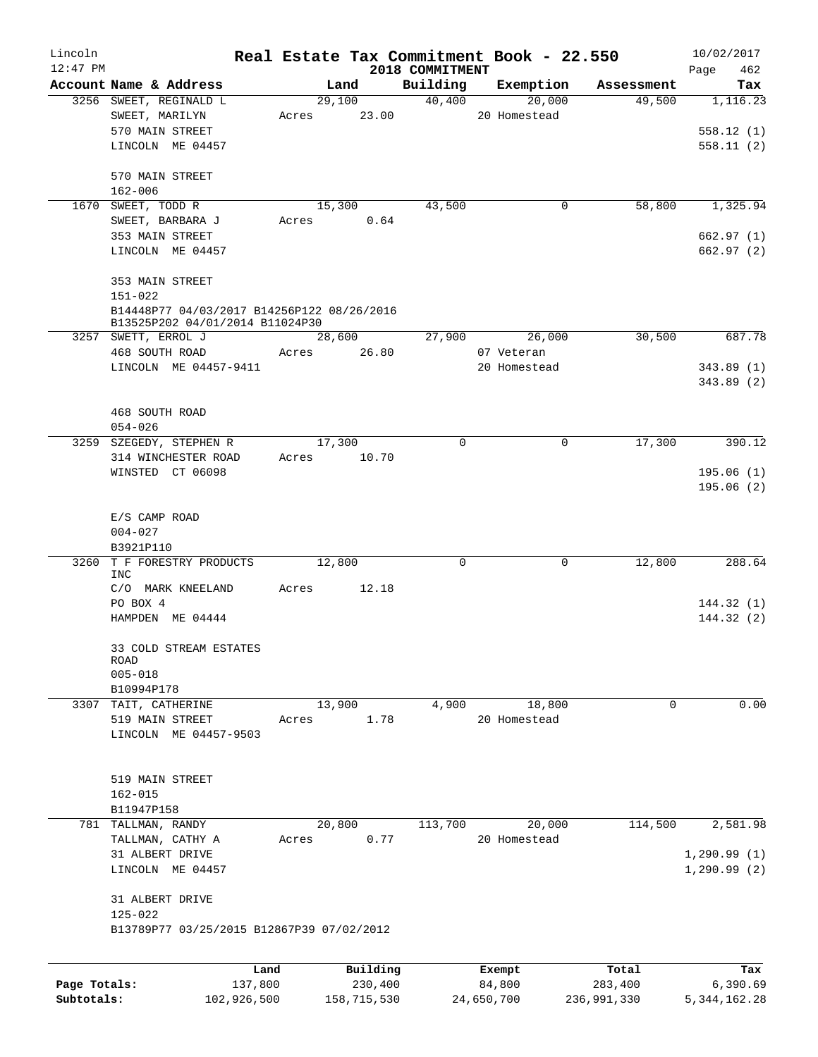| Lincoln      |                                                  |             |                |                 | Real Estate Tax Commitment Book - 22.550 |                       | 10/02/2017      |
|--------------|--------------------------------------------------|-------------|----------------|-----------------|------------------------------------------|-----------------------|-----------------|
| $12:47$ PM   |                                                  |             |                | 2018 COMMITMENT |                                          |                       | Page<br>462     |
|              | Account Name & Address<br>3256 SWEET, REGINALD L |             | Land<br>29,100 | Building        | Exemption<br>40,400<br>20,000            | Assessment<br>49,500  | Tax<br>1,116.23 |
|              | SWEET, MARILYN                                   |             | Acres 23.00    |                 | 20 Homestead                             |                       |                 |
|              | 570 MAIN STREET                                  |             |                |                 |                                          |                       | 558.12(1)       |
|              | LINCOLN ME 04457                                 |             |                |                 |                                          |                       | 558.11(2)       |
|              | 570 MAIN STREET                                  |             |                |                 |                                          |                       |                 |
|              | $162 - 006$                                      |             |                |                 |                                          |                       |                 |
|              | 1670 SWEET, TODD R                               |             | 15,300         | 43,500          |                                          | 58,800<br>0           | 1,325.94        |
|              | SWEET, BARBARA J                                 | Acres       | 0.64           |                 |                                          |                       |                 |
|              | 353 MAIN STREET                                  |             |                |                 |                                          |                       | 662.97 (1)      |
|              | LINCOLN ME 04457                                 |             |                |                 |                                          |                       | 662.97 (2)      |
|              |                                                  |             |                |                 |                                          |                       |                 |
|              | 353 MAIN STREET                                  |             |                |                 |                                          |                       |                 |
|              | $151 - 022$                                      |             |                |                 |                                          |                       |                 |
|              | B14448P77 04/03/2017 B14256P122 08/26/2016       |             |                |                 |                                          |                       |                 |
|              | B13525P202 04/01/2014 B11024P30                  |             |                |                 |                                          |                       |                 |
|              | 3257 SWETT, ERROL J                              |             | 28,600         |                 | 27,900 26,000                            | 30,500                | 687.78          |
|              | 468 SOUTH ROAD                                   | Acres       | 26.80          |                 | 07 Veteran                               |                       |                 |
|              | LINCOLN ME 04457-9411                            |             |                |                 | 20 Homestead                             |                       | 343.89(1)       |
|              |                                                  |             |                |                 |                                          |                       | 343.89(2)       |
|              |                                                  |             |                |                 |                                          |                       |                 |
|              | 468 SOUTH ROAD                                   |             |                |                 |                                          |                       |                 |
|              | $054 - 026$                                      |             |                |                 |                                          |                       |                 |
|              | 3259 SZEGEDY, STEPHEN R                          |             | 17,300         | $\Omega$        |                                          | 17,300<br>0           | 390.12          |
|              | 314 WINCHESTER ROAD                              | Acres 10.70 |                |                 |                                          |                       |                 |
|              | WINSTED CT 06098                                 |             |                |                 |                                          |                       | 195.06(1)       |
|              |                                                  |             |                |                 |                                          |                       | 195.06(2)       |
|              |                                                  |             |                |                 |                                          |                       |                 |
|              | E/S CAMP ROAD                                    |             |                |                 |                                          |                       |                 |
|              | $004 - 027$                                      |             |                |                 |                                          |                       |                 |
|              | B3921P110<br>T F FORESTRY PRODUCTS               | 12,800      |                | 0               |                                          | 12,800<br>$\mathbf 0$ | 288.64          |
| 3260         | INC                                              |             |                |                 |                                          |                       |                 |
|              | C/O MARK KNEELAND                                | Acres       | 12.18          |                 |                                          |                       |                 |
|              | PO BOX 4                                         |             |                |                 |                                          |                       | 144.32(1)       |
|              | HAMPDEN ME 04444                                 |             |                |                 |                                          |                       | 144.32(2)       |
|              | 33 COLD STREAM ESTATES                           |             |                |                 |                                          |                       |                 |
|              | ROAD                                             |             |                |                 |                                          |                       |                 |
|              | $005 - 018$                                      |             |                |                 |                                          |                       |                 |
|              | B10994P178                                       |             |                |                 |                                          |                       |                 |
|              | 3307 TAIT, CATHERINE                             |             | 13,900         | 4,900           | 18,800                                   | $\Omega$              | 0.00            |
|              | 519 MAIN STREET                                  | Acres       | 1.78           |                 | 20 Homestead                             |                       |                 |
|              | LINCOLN ME 04457-9503                            |             |                |                 |                                          |                       |                 |
|              |                                                  |             |                |                 |                                          |                       |                 |
|              |                                                  |             |                |                 |                                          |                       |                 |
|              | 519 MAIN STREET                                  |             |                |                 |                                          |                       |                 |
|              | $162 - 015$                                      |             |                |                 |                                          |                       |                 |
|              | B11947P158                                       |             |                |                 |                                          |                       |                 |
|              | 781 TALLMAN, RANDY                               |             | 20,800         | 113,700         | 20,000                                   | 114,500               | 2,581.98        |
|              | TALLMAN, CATHY A                                 | Acres       | 0.77           |                 | 20 Homestead                             |                       |                 |
|              | 31 ALBERT DRIVE                                  |             |                |                 |                                          |                       | 1,290.99(1)     |
|              | LINCOLN ME 04457                                 |             |                |                 |                                          |                       | 1, 290.99(2)    |
|              | 31 ALBERT DRIVE                                  |             |                |                 |                                          |                       |                 |
|              | $125 - 022$                                      |             |                |                 |                                          |                       |                 |
|              | B13789P77 03/25/2015 B12867P39 07/02/2012        |             |                |                 |                                          |                       |                 |
|              |                                                  |             |                |                 |                                          |                       |                 |
|              | Land                                             |             | Building       |                 | Exempt                                   | Total                 | Tax             |
| Page Totals: | 137,800                                          |             | 230,400        |                 | 84,800                                   | 283,400               | 6,390.69        |
| Subtotals:   | 102,926,500                                      |             | 158,715,530    |                 | 24,650,700                               | 236,991,330           | 5, 344, 162. 28 |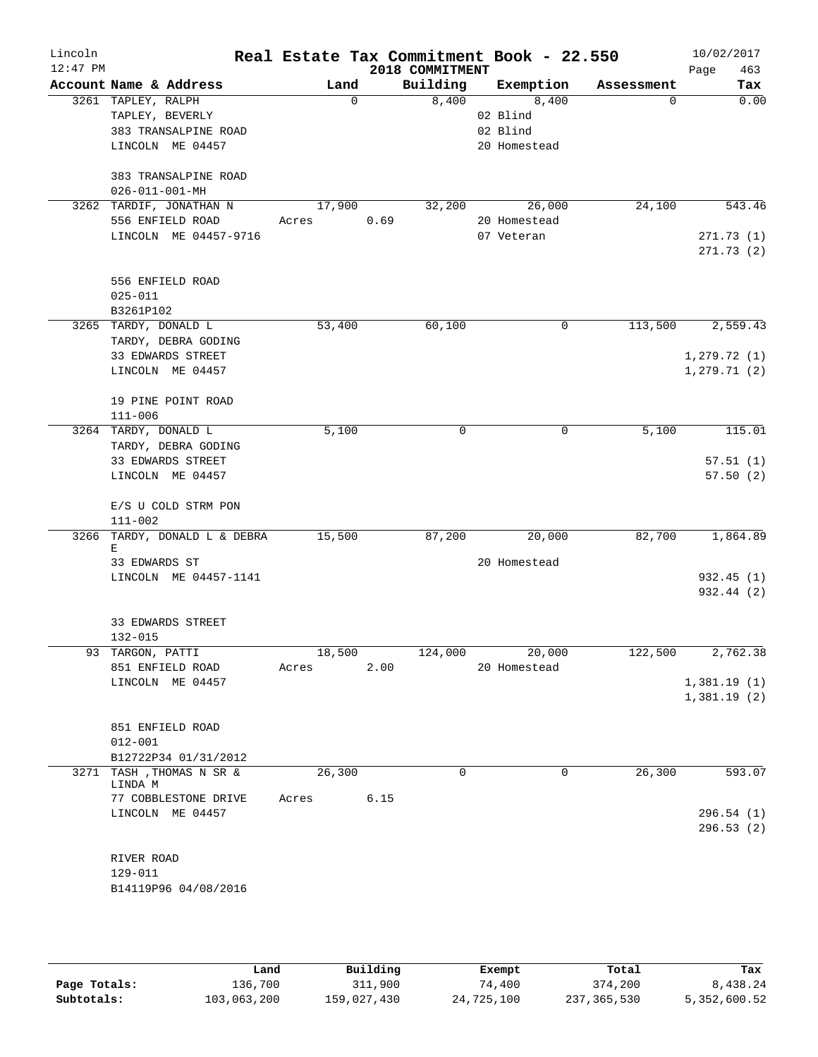| Lincoln<br>$12:47$ PM |                        |                              |       |        |      | 2018 COMMITMENT | Real Estate Tax Commitment Book - 22.550 |            | 10/02/2017<br>463<br>Page |
|-----------------------|------------------------|------------------------------|-------|--------|------|-----------------|------------------------------------------|------------|---------------------------|
|                       |                        | Account Name & Address       |       | Land   |      | Building        | Exemption                                | Assessment | Tax                       |
|                       | 3261 TAPLEY, RALPH     |                              |       | 0      |      | 8,400           | 8,400                                    | 0          | 0.00                      |
|                       | TAPLEY, BEVERLY        |                              |       |        |      |                 | 02 Blind                                 |            |                           |
|                       |                        | 383 TRANSALPINE ROAD         |       |        |      |                 | 02 Blind                                 |            |                           |
|                       |                        | LINCOLN ME 04457             |       |        |      |                 | 20 Homestead                             |            |                           |
|                       |                        | 383 TRANSALPINE ROAD         |       |        |      |                 |                                          |            |                           |
|                       | $026 - 011 - 001 - MH$ |                              |       |        |      |                 |                                          |            |                           |
|                       |                        | 3262 TARDIF, JONATHAN N      |       | 17,900 |      | 32,200          | 26,000                                   | 24,100     | 543.46                    |
|                       |                        | 556 ENFIELD ROAD             | Acres |        | 0.69 |                 | 20 Homestead                             |            |                           |
|                       |                        | LINCOLN ME 04457-9716        |       |        |      |                 | 07 Veteran                               |            | 271.73(1)                 |
|                       |                        |                              |       |        |      |                 |                                          |            | 271.73(2)                 |
|                       |                        | 556 ENFIELD ROAD             |       |        |      |                 |                                          |            |                           |
|                       | $025 - 011$            |                              |       |        |      |                 |                                          |            |                           |
|                       | B3261P102              |                              |       |        |      |                 |                                          |            |                           |
|                       | 3265 TARDY, DONALD L   |                              |       | 53,400 |      | 60,100          | $\mathbf 0$                              | 113,500    | 2,559.43                  |
|                       |                        | TARDY, DEBRA GODING          |       |        |      |                 |                                          |            |                           |
|                       |                        | 33 EDWARDS STREET            |       |        |      |                 |                                          |            | 1,279.72(1)               |
|                       |                        | LINCOLN ME 04457             |       |        |      |                 |                                          |            | 1, 279.71(2)              |
|                       |                        |                              |       |        |      |                 |                                          |            |                           |
|                       |                        | 19 PINE POINT ROAD           |       |        |      |                 |                                          |            |                           |
|                       | $111 - 006$            |                              |       |        |      |                 |                                          |            |                           |
|                       | 3264 TARDY, DONALD L   |                              |       | 5,100  |      | 0               | 0                                        | 5,100      | 115.01                    |
|                       |                        | TARDY, DEBRA GODING          |       |        |      |                 |                                          |            |                           |
|                       |                        | 33 EDWARDS STREET            |       |        |      |                 |                                          |            | 57.51(1)                  |
|                       |                        | LINCOLN ME 04457             |       |        |      |                 |                                          |            | 57.50(2)                  |
|                       |                        | E/S U COLD STRM PON          |       |        |      |                 |                                          |            |                           |
|                       | $111 - 002$            |                              |       |        |      |                 |                                          |            |                           |
|                       |                        | 3266 TARDY, DONALD L & DEBRA |       | 15,500 |      | 87,200          | 20,000                                   | 82,700     | 1,864.89                  |
|                       | Е                      |                              |       |        |      |                 |                                          |            |                           |
|                       | 33 EDWARDS ST          |                              |       |        |      |                 | 20 Homestead                             |            |                           |
|                       |                        | LINCOLN ME 04457-1141        |       |        |      |                 |                                          |            | 932.45 (1)                |
|                       |                        |                              |       |        |      |                 |                                          |            | 932.44 (2)                |
|                       |                        |                              |       |        |      |                 |                                          |            |                           |
|                       | 132-015                | 33 EDWARDS STREET            |       |        |      |                 |                                          |            |                           |
|                       | 93 TARGON, PATTI       |                              |       | 18,500 |      | 124,000         | 20,000                                   | 122,500    | 2,762.38                  |
|                       |                        | 851 ENFIELD ROAD             | Acres |        | 2.00 |                 | 20 Homestead                             |            |                           |
|                       |                        | LINCOLN ME 04457             |       |        |      |                 |                                          |            | 1,381.19(1)               |
|                       |                        |                              |       |        |      |                 |                                          |            | 1,381.19(2)               |
|                       |                        |                              |       |        |      |                 |                                          |            |                           |
|                       |                        | 851 ENFIELD ROAD             |       |        |      |                 |                                          |            |                           |
|                       | $012 - 001$            |                              |       |        |      |                 |                                          |            |                           |
|                       |                        | B12722P34 01/31/2012         |       |        |      |                 |                                          |            |                           |
|                       | LINDA M                | 3271 TASH , THOMAS N SR &    |       | 26,300 |      | $\Omega$        | 0                                        | 26,300     | 593.07                    |
|                       |                        | 77 COBBLESTONE DRIVE         | Acres |        | 6.15 |                 |                                          |            |                           |
|                       |                        | LINCOLN ME 04457             |       |        |      |                 |                                          |            | 296.54(1)                 |
|                       |                        |                              |       |        |      |                 |                                          |            | 296.53(2)                 |
|                       |                        |                              |       |        |      |                 |                                          |            |                           |
|                       | RIVER ROAD             |                              |       |        |      |                 |                                          |            |                           |
|                       | 129-011                |                              |       |        |      |                 |                                          |            |                           |
|                       |                        | B14119P96 04/08/2016         |       |        |      |                 |                                          |            |                           |
|                       |                        |                              |       |        |      |                 |                                          |            |                           |

|              | Land        | Building    | Exempt     | Total         | Tax          |
|--------------|-------------|-------------|------------|---------------|--------------|
| Page Totals: | 136,700     | 311,900     | 74,400     | 374,200       | 8,438.24     |
| Subtotals:   | 103,063,200 | 159,027,430 | 24,725,100 | 237, 365, 530 | 5,352,600.52 |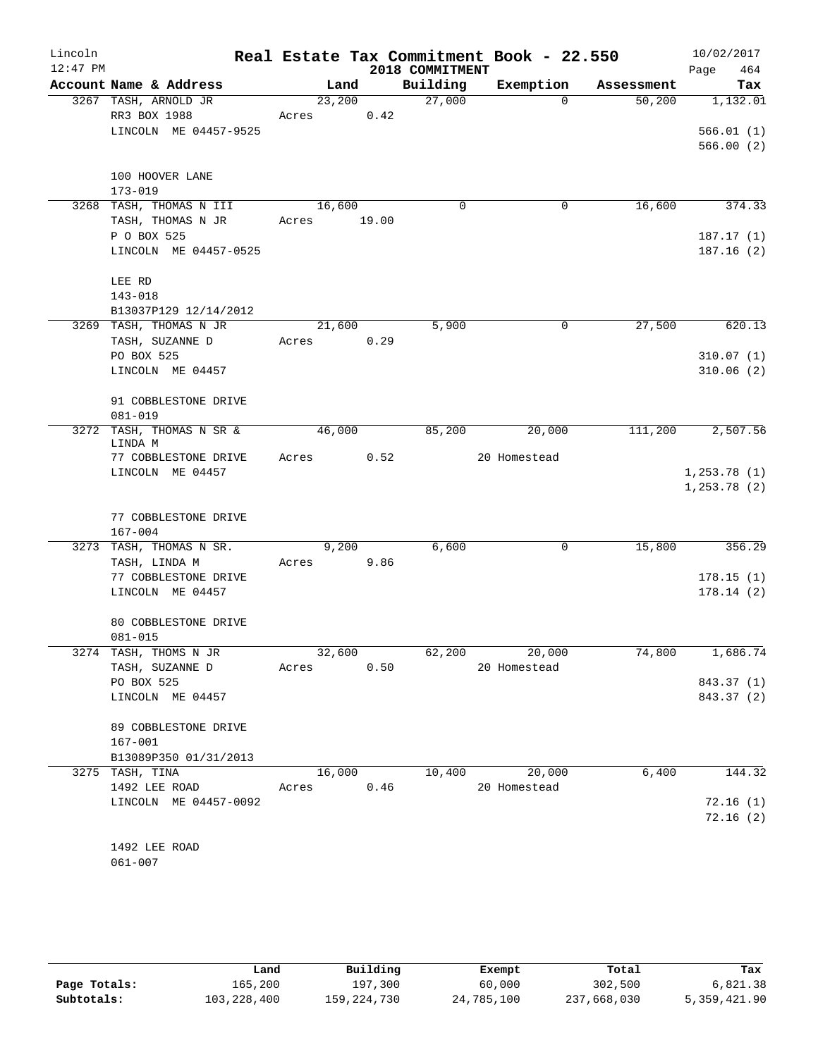| Lincoln    |                                          |       |        |       |                 | Real Estate Tax Commitment Book - 22.550 |            | 10/02/2017   |
|------------|------------------------------------------|-------|--------|-------|-----------------|------------------------------------------|------------|--------------|
| $12:47$ PM |                                          |       |        |       | 2018 COMMITMENT |                                          |            | 464<br>Page  |
|            | Account Name & Address                   |       | Land   |       | Building        | Exemption                                | Assessment | Tax          |
|            | 3267 TASH, ARNOLD JR                     |       | 23,200 |       | 27,000          | $\Omega$                                 | 50,200     | 1,132.01     |
|            | RR3 BOX 1988                             | Acres |        | 0.42  |                 |                                          |            |              |
|            | LINCOLN ME 04457-9525                    |       |        |       |                 |                                          |            | 566.01(1)    |
|            |                                          |       |        |       |                 |                                          |            | 566.00(2)    |
|            | 100 HOOVER LANE                          |       |        |       |                 |                                          |            |              |
|            | $173 - 019$                              |       |        |       |                 |                                          |            |              |
|            | 3268 TASH, THOMAS N III                  |       | 16,600 |       | $\Omega$        | 0                                        | 16,600     | 374.33       |
|            | TASH, THOMAS N JR                        | Acres |        | 19.00 |                 |                                          |            |              |
|            | P O BOX 525                              |       |        |       |                 |                                          |            | 187.17(1)    |
|            | LINCOLN ME 04457-0525                    |       |        |       |                 |                                          |            | 187.16(2)    |
|            |                                          |       |        |       |                 |                                          |            |              |
|            | LEE RD                                   |       |        |       |                 |                                          |            |              |
|            | $143 - 018$                              |       |        |       |                 |                                          |            |              |
|            | B13037P129 12/14/2012                    |       |        |       |                 |                                          |            |              |
|            | 3269 TASH, THOMAS N JR                   |       | 21,600 |       | 5,900           | 0                                        | 27,500     | 620.13       |
|            | TASH, SUZANNE D                          | Acres |        | 0.29  |                 |                                          |            |              |
|            | PO BOX 525                               |       |        |       |                 |                                          |            | 310.07(1)    |
|            | LINCOLN ME 04457                         |       |        |       |                 |                                          |            | 310.06(2)    |
|            | 91 COBBLESTONE DRIVE                     |       |        |       |                 |                                          |            |              |
|            | $081 - 019$                              |       |        |       |                 |                                          |            |              |
|            | 3272 TASH, THOMAS N SR &                 |       | 46,000 |       | 85,200          | 20,000                                   | 111,200    | 2,507.56     |
|            | LINDA M                                  |       |        |       |                 |                                          |            |              |
|            | 77 COBBLESTONE DRIVE                     | Acres |        | 0.52  |                 | 20 Homestead                             |            |              |
|            | LINCOLN ME 04457                         |       |        |       |                 |                                          |            | 1, 253.78(1) |
|            |                                          |       |        |       |                 |                                          |            | 1, 253.78(2) |
|            |                                          |       |        |       |                 |                                          |            |              |
|            | 77 COBBLESTONE DRIVE                     |       |        |       |                 |                                          |            |              |
|            | $167 - 004$                              |       |        |       |                 |                                          |            |              |
|            | 3273 TASH, THOMAS N SR.<br>TASH, LINDA M | Acres | 9,200  | 9.86  | 6,600           | 0                                        | 15,800     | 356.29       |
|            | 77 COBBLESTONE DRIVE                     |       |        |       |                 |                                          |            | 178.15(1)    |
|            | LINCOLN ME 04457                         |       |        |       |                 |                                          |            | 178.14(2)    |
|            |                                          |       |        |       |                 |                                          |            |              |
|            | 80 COBBLESTONE DRIVE                     |       |        |       |                 |                                          |            |              |
|            | $081 - 015$                              |       |        |       |                 |                                          |            |              |
|            | 3274 TASH, THOMS N JR                    |       | 32,600 |       | 62,200          | 20,000                                   | 74,800     | 1,686.74     |
|            | TASH, SUZANNE D                          | Acres |        | 0.50  |                 | 20 Homestead                             |            |              |
|            | PO BOX 525                               |       |        |       |                 |                                          |            | 843.37 (1)   |
|            | LINCOLN ME 04457                         |       |        |       |                 |                                          |            | 843.37 (2)   |
|            |                                          |       |        |       |                 |                                          |            |              |
|            | 89 COBBLESTONE DRIVE                     |       |        |       |                 |                                          |            |              |
|            | $167 - 001$                              |       |        |       |                 |                                          |            |              |
|            | B13089P350 01/31/2013                    |       |        |       |                 |                                          |            |              |
|            | 3275 TASH, TINA                          |       | 16,000 |       | 10,400          | 20,000                                   | 6,400      | 144.32       |
|            | 1492 LEE ROAD                            | Acres |        | 0.46  |                 | 20 Homestead                             |            |              |
|            | LINCOLN ME 04457-0092                    |       |        |       |                 |                                          |            | 72.16(1)     |
|            |                                          |       |        |       |                 |                                          |            | 72.16(2)     |
|            | 1492 LEE ROAD                            |       |        |       |                 |                                          |            |              |
|            | $061 - 007$                              |       |        |       |                 |                                          |            |              |
|            |                                          |       |        |       |                 |                                          |            |              |

|              | Land        | Building    | Exempt     | Total       | Tax          |
|--------------|-------------|-------------|------------|-------------|--------------|
| Page Totals: | 165,200     | 197,300     | 60,000     | 302,500     | 6,821.38     |
| Subtotals:   | 103,228,400 | 159,224,730 | 24,785,100 | 237,668,030 | 5,359,421.90 |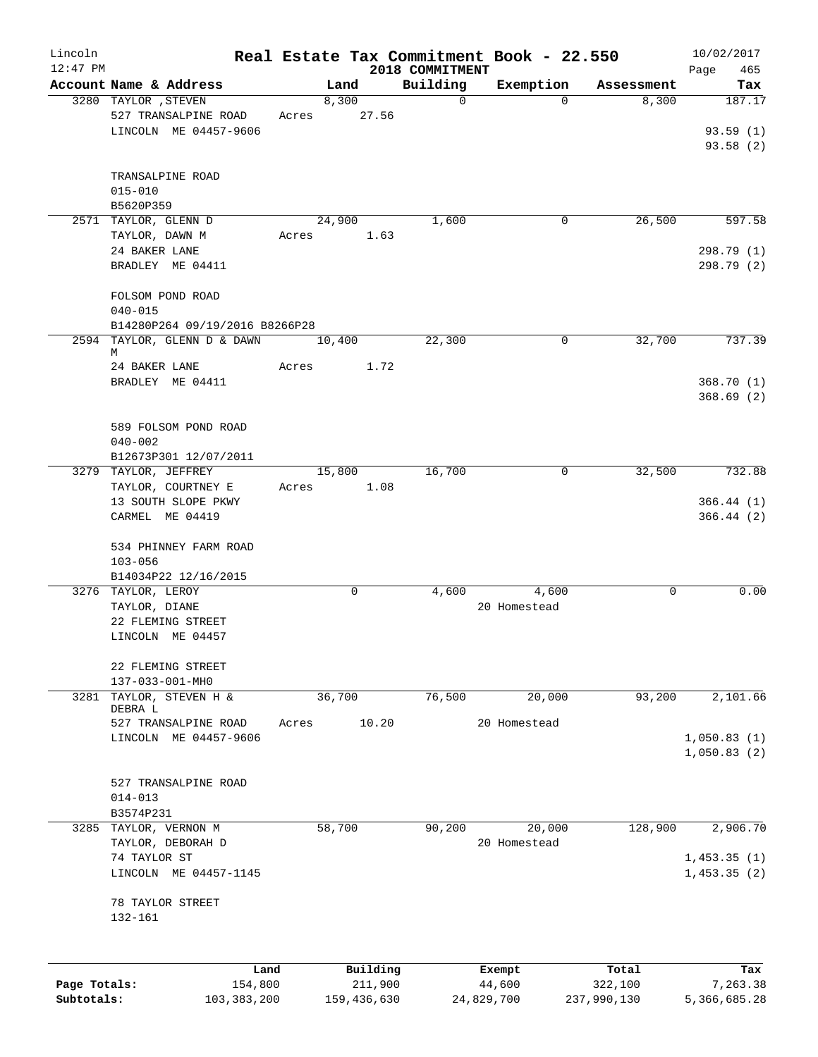| Lincoln      |                                                                       |       |        |                     |                 | Real Estate Tax Commitment Book - 22.550 |                        | 10/02/2017               |
|--------------|-----------------------------------------------------------------------|-------|--------|---------------------|-----------------|------------------------------------------|------------------------|--------------------------|
| $12:47$ PM   |                                                                       |       |        |                     | 2018 COMMITMENT |                                          |                        | Page<br>465              |
|              | Account Name & Address                                                |       | Land   |                     | Building<br>0   | Exemption                                | Assessment<br>$\Omega$ | Tax<br>187.17            |
|              | 3280 TAYLOR , STEVEN<br>527 TRANSALPINE ROAD<br>LINCOLN ME 04457-9606 | Acres | 8,300  | 27.56               |                 |                                          | 8,300                  | 93.59(1)                 |
|              |                                                                       |       |        |                     |                 |                                          |                        | 93.58(2)                 |
|              | TRANSALPINE ROAD<br>$015 - 010$                                       |       |        |                     |                 |                                          |                        |                          |
|              | B5620P359                                                             |       |        |                     |                 |                                          |                        |                          |
|              | 2571 TAYLOR, GLENN D                                                  |       | 24,900 |                     | 1,600           |                                          | 26,500<br>0            | 597.58                   |
|              | TAYLOR, DAWN M                                                        | Acres |        | 1.63                |                 |                                          |                        |                          |
|              | 24 BAKER LANE<br>BRADLEY ME 04411                                     |       |        |                     |                 |                                          |                        | 298.79 (1)<br>298.79 (2) |
|              | FOLSOM POND ROAD                                                      |       |        |                     |                 |                                          |                        |                          |
|              | $040 - 015$                                                           |       |        |                     |                 |                                          |                        |                          |
|              | B14280P264 09/19/2016 B8266P28                                        |       |        |                     |                 |                                          |                        |                          |
|              | 2594 TAYLOR, GLENN D & DAWN<br>М                                      |       | 10,400 |                     | 22,300          |                                          | 32,700<br>0            | 737.39                   |
|              | 24 BAKER LANE                                                         | Acres |        | 1.72                |                 |                                          |                        |                          |
|              | BRADLEY ME 04411                                                      |       |        |                     |                 |                                          |                        | 368.70(1)<br>368.69(2)   |
|              | 589 FOLSOM POND ROAD                                                  |       |        |                     |                 |                                          |                        |                          |
|              | $040 - 002$                                                           |       |        |                     |                 |                                          |                        |                          |
|              | B12673P301 12/07/2011<br>3279 TAYLOR, JEFFREY                         |       |        |                     | 16,700          |                                          | 0                      | 732.88                   |
|              | TAYLOR, COURTNEY E                                                    | Acres | 15,800 | 1.08                |                 |                                          | 32,500                 |                          |
|              | 13 SOUTH SLOPE PKWY                                                   |       |        |                     |                 |                                          |                        | 366.44 (1)               |
|              | CARMEL ME 04419                                                       |       |        |                     |                 |                                          |                        | 366.44 (2)               |
|              | 534 PHINNEY FARM ROAD                                                 |       |        |                     |                 |                                          |                        |                          |
|              | $103 - 056$                                                           |       |        |                     |                 |                                          |                        |                          |
|              | B14034P22 12/16/2015<br>3276 TAYLOR, LEROY                            |       | 0      |                     | 4,600           | 4,600                                    | 0                      | 0.00                     |
|              | TAYLOR, DIANE                                                         |       |        |                     |                 | 20 Homestead                             |                        |                          |
|              | 22 FLEMING STREET                                                     |       |        |                     |                 |                                          |                        |                          |
|              | LINCOLN ME 04457                                                      |       |        |                     |                 |                                          |                        |                          |
|              | 22 FLEMING STREET<br>137-033-001-MH0                                  |       |        |                     |                 |                                          |                        |                          |
| 3281         | TAYLOR, STEVEN H &                                                    |       | 36,700 |                     | 76,500          | 20,000                                   | 93,200                 | 2,101.66                 |
|              | DEBRA L                                                               |       |        |                     |                 |                                          |                        |                          |
|              | 527 TRANSALPINE ROAD                                                  | Acres |        | 10.20               |                 | 20 Homestead                             |                        |                          |
|              | LINCOLN ME 04457-9606                                                 |       |        |                     |                 |                                          |                        | 1,050.83(1)              |
|              |                                                                       |       |        |                     |                 |                                          |                        | 1,050.83(2)              |
|              |                                                                       |       |        |                     |                 |                                          |                        |                          |
|              | 527 TRANSALPINE ROAD                                                  |       |        |                     |                 |                                          |                        |                          |
|              | $014 - 013$                                                           |       |        |                     |                 |                                          |                        |                          |
| 3285         | B3574P231<br>TAYLOR, VERNON M                                         |       | 58,700 |                     | 90,200          | 20,000                                   | 128,900                | 2,906.70                 |
|              | TAYLOR, DEBORAH D                                                     |       |        |                     |                 | 20 Homestead                             |                        |                          |
|              | 74 TAYLOR ST                                                          |       |        |                     |                 |                                          |                        | 1,453.35(1)              |
|              | LINCOLN ME 04457-1145                                                 |       |        |                     |                 |                                          |                        | 1,453.35(2)              |
|              | 78 TAYLOR STREET<br>132-161                                           |       |        |                     |                 |                                          |                        |                          |
|              |                                                                       |       |        |                     |                 |                                          |                        |                          |
| Page Totals: | Land<br>154,800                                                       |       |        | Building<br>211,900 |                 | Exempt<br>44,600                         | Total<br>322,100       | Tax<br>7,263.38          |
| Subtotals:   | 103, 383, 200                                                         |       |        | 159,436,630         |                 | 24,829,700                               | 237,990,130            | 5,366,685.28             |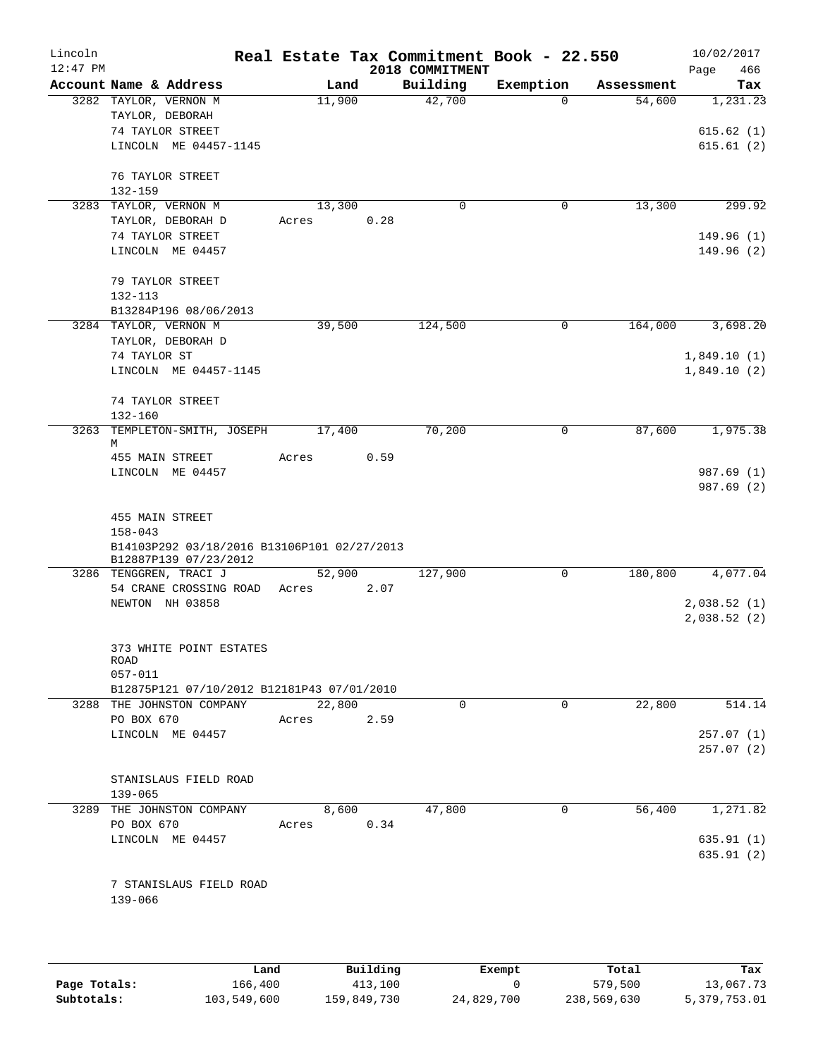| Lincoln<br>$12:47$ PM |                                                 |        |      | Real Estate Tax Commitment Book - 22.550<br>2018 COMMITMENT |                |            | 10/02/2017<br>466<br>Page |
|-----------------------|-------------------------------------------------|--------|------|-------------------------------------------------------------|----------------|------------|---------------------------|
|                       | Account Name & Address                          | Land   |      | Building                                                    | Exemption      | Assessment | Tax                       |
|                       | 3282 TAYLOR, VERNON M                           | 11,900 |      | 42,700                                                      | $\Omega$       | 54,600     | 1,231.23                  |
|                       | TAYLOR, DEBORAH                                 |        |      |                                                             |                |            |                           |
|                       | 74 TAYLOR STREET                                |        |      |                                                             |                |            | 615.62(1)                 |
|                       | LINCOLN ME 04457-1145                           |        |      |                                                             |                |            | 615.61(2)                 |
|                       | 76 TAYLOR STREET                                |        |      |                                                             |                |            |                           |
|                       | 132-159                                         |        |      |                                                             |                |            |                           |
|                       | 3283 TAYLOR, VERNON M                           | 13,300 |      | $\Omega$                                                    | 0              | 13,300     | 299.92                    |
|                       | TAYLOR, DEBORAH D                               | Acres  | 0.28 |                                                             |                |            |                           |
|                       | 74 TAYLOR STREET                                |        |      |                                                             |                |            | 149.96(1)                 |
|                       | LINCOLN ME 04457                                |        |      |                                                             |                |            | 149.96 (2)                |
|                       | 79 TAYLOR STREET                                |        |      |                                                             |                |            |                           |
|                       | 132-113                                         |        |      |                                                             |                |            |                           |
|                       | B13284P196 08/06/2013                           |        |      |                                                             |                |            |                           |
|                       | 3284 TAYLOR, VERNON M                           | 39,500 |      | 124,500                                                     | 0              | 164,000    | 3,698.20                  |
|                       | TAYLOR, DEBORAH D                               |        |      |                                                             |                |            |                           |
|                       | 74 TAYLOR ST                                    |        |      |                                                             |                |            | 1,849.10(1)               |
|                       | LINCOLN ME 04457-1145                           |        |      |                                                             |                |            | 1,849.10(2)               |
|                       | 74 TAYLOR STREET                                |        |      |                                                             |                |            |                           |
|                       | $132 - 160$                                     |        |      |                                                             |                |            |                           |
|                       | 3263 TEMPLETON-SMITH, JOSEPH                    | 17,400 |      | 70,200                                                      | 0              | 87,600     | 1,975.38                  |
|                       | M<br>455 MAIN STREET                            | Acres  | 0.59 |                                                             |                |            |                           |
|                       | LINCOLN ME 04457                                |        |      |                                                             |                |            | 987.69 (1)                |
|                       |                                                 |        |      |                                                             |                |            | 987.69 (2)                |
|                       | 455 MAIN STREET                                 |        |      |                                                             |                |            |                           |
|                       | $158 - 043$                                     |        |      |                                                             |                |            |                           |
|                       | B14103P292 03/18/2016 B13106P101 02/27/2013     |        |      |                                                             |                |            |                           |
|                       | B12887P139 07/23/2012<br>3286 TENGGREN, TRACI J | 52,900 |      | 127,900                                                     | 0              | 180,800    | 4,077.04                  |
|                       | 54 CRANE CROSSING ROAD                          | Acres  | 2.07 |                                                             |                |            |                           |
|                       | NEWTON NH 03858                                 |        |      |                                                             |                |            | 2,038.52(1)               |
|                       |                                                 |        |      |                                                             |                |            | 2,038.52(2)               |
|                       |                                                 |        |      |                                                             |                |            |                           |
|                       | 373 WHITE POINT ESTATES                         |        |      |                                                             |                |            |                           |
|                       | ROAD                                            |        |      |                                                             |                |            |                           |
|                       | $057 - 011$                                     |        |      |                                                             |                |            |                           |
|                       | B12875P121 07/10/2012 B12181P43 07/01/2010      |        |      |                                                             |                |            |                           |
|                       | 3288 THE JOHNSTON COMPANY                       | 22,800 |      | $\Omega$                                                    | $\overline{0}$ | 22,800     | 514.14                    |
|                       | PO BOX 670                                      | Acres  | 2.59 |                                                             |                |            |                           |
|                       | LINCOLN ME 04457                                |        |      |                                                             |                |            | 257.07(1)<br>257.07(2)    |
|                       |                                                 |        |      |                                                             |                |            |                           |
|                       | STANISLAUS FIELD ROAD<br>$139 - 065$            |        |      |                                                             |                |            |                           |
|                       | 3289 THE JOHNSTON COMPANY                       | 8,600  |      | 47,800                                                      | 0              | 56,400     | 1,271.82                  |
|                       | PO BOX 670                                      | Acres  | 0.34 |                                                             |                |            |                           |
|                       | LINCOLN ME 04457                                |        |      |                                                             |                |            | 635.91 (1)                |
|                       |                                                 |        |      |                                                             |                |            | 635.91 (2)                |
|                       | 7 STANISLAUS FIELD ROAD                         |        |      |                                                             |                |            |                           |
|                       | 139-066                                         |        |      |                                                             |                |            |                           |
|                       |                                                 |        |      |                                                             |                |            |                           |
|                       |                                                 |        |      |                                                             |                |            |                           |

|              | Land        | Building    | Exempt     | Total       | Tax          |
|--------------|-------------|-------------|------------|-------------|--------------|
| Page Totals: | 166,400     | 413,100     |            | 579,500     | 13,067.73    |
| Subtotals:   | 103,549,600 | 159,849,730 | 24,829,700 | 238,569,630 | 5,379,753.01 |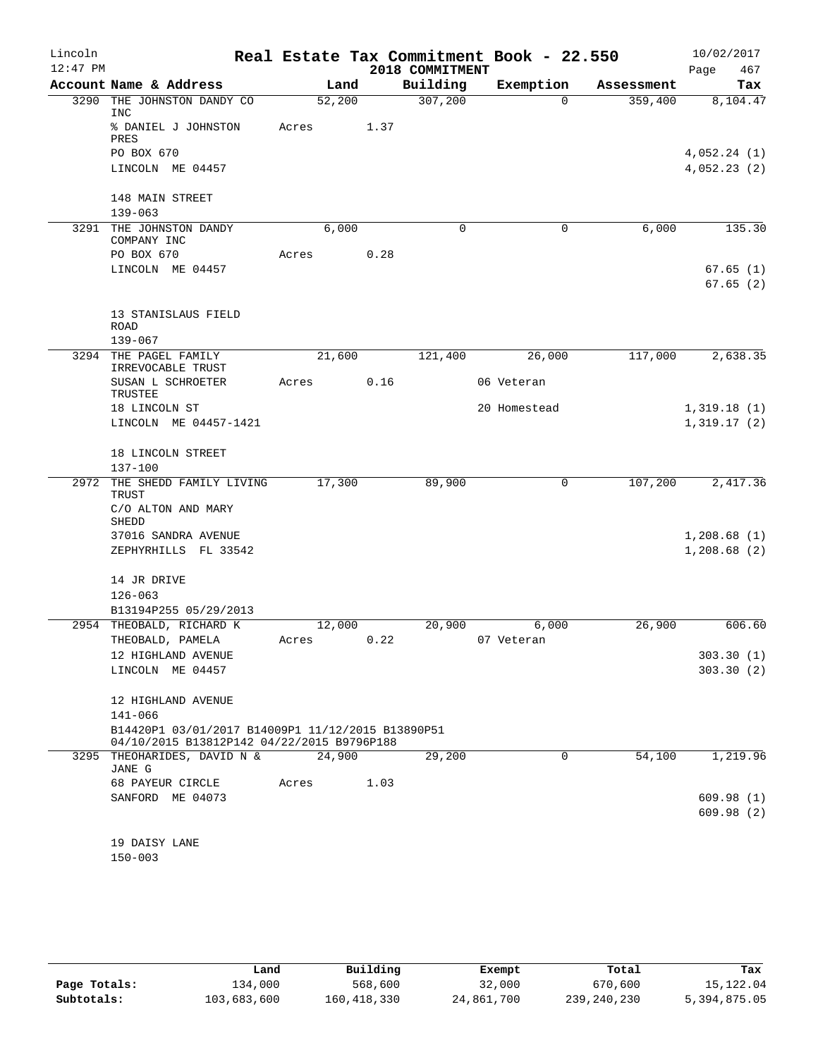| Lincoln    |                                                                                                 |       |        |      |                 | Real Estate Tax Commitment Book - 22.550 |            | 10/02/2017           |
|------------|-------------------------------------------------------------------------------------------------|-------|--------|------|-----------------|------------------------------------------|------------|----------------------|
| $12:47$ PM |                                                                                                 |       |        |      | 2018 COMMITMENT |                                          |            | Page<br>467          |
|            | Account Name & Address                                                                          |       | Land   |      | Building        | Exemption                                | Assessment | Tax                  |
|            | 3290 THE JOHNSTON DANDY CO<br>INC                                                               |       | 52,200 |      | 307,200         | $\Omega$                                 | 359,400    | 8,104.47             |
|            | % DANIEL J JOHNSTON<br>PRES                                                                     | Acres |        | 1.37 |                 |                                          |            |                      |
|            | PO BOX 670                                                                                      |       |        |      |                 |                                          |            | 4,052.24(1)          |
|            | LINCOLN ME 04457                                                                                |       |        |      |                 |                                          |            | 4,052.23(2)          |
|            | 148 MAIN STREET                                                                                 |       |        |      |                 |                                          |            |                      |
|            | $139 - 063$                                                                                     |       |        |      |                 |                                          |            |                      |
|            | 3291 THE JOHNSTON DANDY<br>COMPANY INC                                                          |       | 6,000  |      | 0               | 0                                        | 6,000      | 135.30               |
|            | PO BOX 670                                                                                      | Acres |        | 0.28 |                 |                                          |            |                      |
|            | LINCOLN ME 04457                                                                                |       |        |      |                 |                                          |            | 67.65(1)<br>67.65(2) |
|            | 13 STANISLAUS FIELD<br>ROAD<br>139-067                                                          |       |        |      |                 |                                          |            |                      |
| 3294       | THE PAGEL FAMILY                                                                                |       | 21,600 |      | 121,400         | 26,000                                   | 117,000    | 2,638.35             |
|            | IRREVOCABLE TRUST<br>SUSAN L SCHROETER                                                          | Acres |        | 0.16 |                 | 06 Veteran                               |            |                      |
|            | TRUSTEE                                                                                         |       |        |      |                 |                                          |            |                      |
|            | 18 LINCOLN ST                                                                                   |       |        |      |                 | 20 Homestead                             |            | 1,319.18(1)          |
|            | LINCOLN ME 04457-1421                                                                           |       |        |      |                 |                                          |            | 1,319.17(2)          |
|            | 18 LINCOLN STREET                                                                               |       |        |      |                 |                                          |            |                      |
|            | $137 - 100$                                                                                     |       |        |      |                 |                                          |            |                      |
| 2972       | THE SHEDD FAMILY LIVING<br>TRUST                                                                |       | 17,300 |      | 89,900          | 0                                        | 107,200    | 2,417.36             |
|            | C/O ALTON AND MARY                                                                              |       |        |      |                 |                                          |            |                      |
|            | SHEDD<br>37016 SANDRA AVENUE                                                                    |       |        |      |                 |                                          |            | 1,208.68(1)          |
|            | ZEPHYRHILLS FL 33542                                                                            |       |        |      |                 |                                          |            | 1,208.68(2)          |
|            |                                                                                                 |       |        |      |                 |                                          |            |                      |
|            | 14 JR DRIVE                                                                                     |       |        |      |                 |                                          |            |                      |
|            | $126 - 063$                                                                                     |       |        |      |                 |                                          |            |                      |
|            | B13194P255 05/29/2013<br>2954 THEOBALD, RICHARD K                                               |       | 12,000 |      | 20,900          | 6,000                                    | 26,900     | 606.60               |
|            | THEOBALD, PAMELA                                                                                | Acres |        | 0.22 |                 | 07 Veteran                               |            |                      |
|            | 12 HIGHLAND AVENUE                                                                              |       |        |      |                 |                                          |            | 303.30(1)            |
|            | LINCOLN ME 04457                                                                                |       |        |      |                 |                                          |            | 303.30(2)            |
|            | 12 HIGHLAND AVENUE                                                                              |       |        |      |                 |                                          |            |                      |
|            | 141-066                                                                                         |       |        |      |                 |                                          |            |                      |
|            | B14420P1 03/01/2017 B14009P1 11/12/2015 B13890P51<br>04/10/2015 B13812P142 04/22/2015 B9796P188 |       |        |      |                 |                                          |            |                      |
|            | 3295 THEOHARIDES, DAVID N &<br>JANE G                                                           |       | 24,900 |      | 29,200          | $\mathbf 0$                              | 54,100     | 1,219.96             |
|            | 68 PAYEUR CIRCLE                                                                                | Acres |        | 1.03 |                 |                                          |            |                      |
|            | SANFORD ME 04073                                                                                |       |        |      |                 |                                          |            | 609.98(1)            |
|            |                                                                                                 |       |        |      |                 |                                          |            | 609.98(2)            |
|            | 19 DAISY LANE                                                                                   |       |        |      |                 |                                          |            |                      |
|            | $150 - 003$                                                                                     |       |        |      |                 |                                          |            |                      |

|              | ⊥and        | Building    | Exempt     | Total         | Tax          |
|--------------|-------------|-------------|------------|---------------|--------------|
| Page Totals: | 134,000     | 568,600     | 32,000     | 670,600       | 15,122.04    |
| Subtotals:   | 103,683,600 | 160,418,330 | 24,861,700 | 239, 240, 230 | 5,394,875.05 |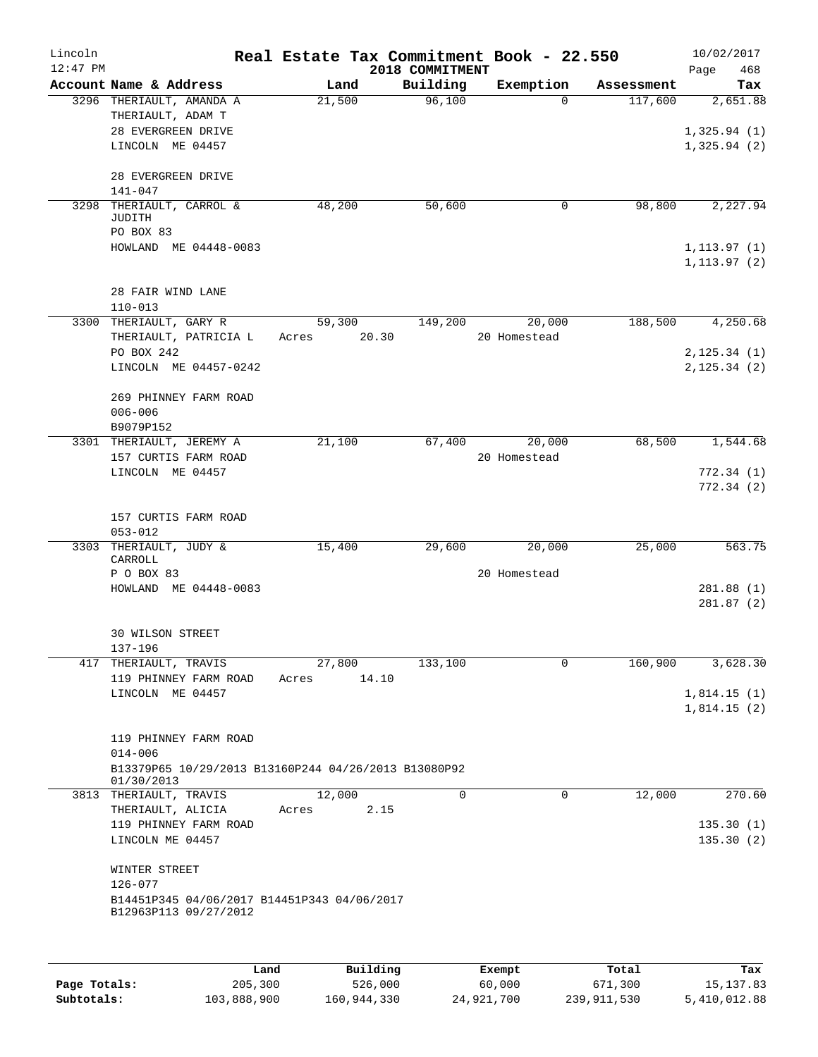| Lincoln<br>$12:47$ PM |                                                            | Real Estate Tax Commitment Book - 22.550 |                             |              |            | 10/02/2017             |
|-----------------------|------------------------------------------------------------|------------------------------------------|-----------------------------|--------------|------------|------------------------|
|                       | Account Name & Address                                     | Land                                     | 2018 COMMITMENT<br>Building | Exemption    | Assessment | Page<br>468<br>Tax     |
|                       | 3296 THERIAULT, AMANDA A                                   | 21,500                                   | 96,100                      | $\Omega$     | 117,600    | 2,651.88               |
|                       | THERIAULT, ADAM T                                          |                                          |                             |              |            |                        |
|                       | 28 EVERGREEN DRIVE                                         |                                          |                             |              |            | 1,325.94(1)            |
|                       | LINCOLN ME 04457                                           |                                          |                             |              |            | 1,325.94(2)            |
|                       |                                                            |                                          |                             |              |            |                        |
|                       | 28 EVERGREEN DRIVE                                         |                                          |                             |              |            |                        |
|                       | $141 - 047$<br>3298 THERIAULT, CARROL &                    | 48,200                                   | 50,600                      | 0            | 98,800     | 2,227.94               |
|                       | JUDITH                                                     |                                          |                             |              |            |                        |
|                       | PO BOX 83                                                  |                                          |                             |              |            |                        |
|                       | HOWLAND ME 04448-0083                                      |                                          |                             |              |            | 1, 113.97(1)           |
|                       |                                                            |                                          |                             |              |            | 1, 113.97(2)           |
|                       | 28 FAIR WIND LANE                                          |                                          |                             |              |            |                        |
|                       | $110 - 013$                                                |                                          |                             |              |            |                        |
|                       | 3300 THERIAULT, GARY R                                     | 59,300                                   | 149,200                     | 20,000       | 188,500    | 4,250.68               |
|                       | THERIAULT, PATRICIA L                                      | 20.30<br>Acres                           |                             | 20 Homestead |            |                        |
|                       | PO BOX 242                                                 |                                          |                             |              |            | 2, 125.34(1)           |
|                       | LINCOLN ME 04457-0242                                      |                                          |                             |              |            | 2, 125.34 (2)          |
|                       |                                                            |                                          |                             |              |            |                        |
|                       | 269 PHINNEY FARM ROAD<br>$006 - 006$                       |                                          |                             |              |            |                        |
|                       | B9079P152                                                  |                                          |                             |              |            |                        |
|                       | 3301 THERIAULT, JEREMY A                                   | 21,100                                   | 67,400                      | 20,000       | 68,500     | 1,544.68               |
|                       | 157 CURTIS FARM ROAD                                       |                                          |                             | 20 Homestead |            |                        |
|                       | LINCOLN ME 04457                                           |                                          |                             |              |            | 772.34(1)              |
|                       |                                                            |                                          |                             |              |            | 772.34(2)              |
|                       |                                                            |                                          |                             |              |            |                        |
|                       | 157 CURTIS FARM ROAD<br>$053 - 012$                        |                                          |                             |              |            |                        |
|                       | 3303 THERIAULT, JUDY &                                     | 15,400                                   | 29,600                      | 20,000       | 25,000     | 563.75                 |
|                       | CARROLL                                                    |                                          |                             |              |            |                        |
|                       | P O BOX 83                                                 |                                          |                             | 20 Homestead |            |                        |
|                       | HOWLAND ME 04448-0083                                      |                                          |                             |              |            | 281.88(1)<br>281.87(2) |
|                       |                                                            |                                          |                             |              |            |                        |
|                       | <b>30 WILSON STREET</b>                                    |                                          |                             |              |            |                        |
|                       | $137 - 196$                                                |                                          |                             |              |            |                        |
|                       | 417 THERIAULT, TRAVIS                                      | 27,800                                   | 133,100                     | 0            | 160,900    | 3,628.30               |
|                       | 119 PHINNEY FARM ROAD<br>LINCOLN ME 04457                  | 14.10<br>Acres                           |                             |              |            | 1,814.15(1)            |
|                       |                                                            |                                          |                             |              |            | 1,814.15(2)            |
|                       |                                                            |                                          |                             |              |            |                        |
|                       | 119 PHINNEY FARM ROAD                                      |                                          |                             |              |            |                        |
|                       | $014 - 006$                                                |                                          |                             |              |            |                        |
|                       | B13379P65 10/29/2013 B13160P244 04/26/2013 B13080P92       |                                          |                             |              |            |                        |
|                       | 01/30/2013<br>3813 THERIAULT, TRAVIS                       | 12,000                                   | 0                           | $\mathbf 0$  | 12,000     | 270.60                 |
|                       | THERIAULT, ALICIA                                          | 2.15<br>Acres                            |                             |              |            |                        |
|                       | 119 PHINNEY FARM ROAD                                      |                                          |                             |              |            | 135.30(1)              |
|                       | LINCOLN ME 04457                                           |                                          |                             |              |            | 135.30(2)              |
|                       |                                                            |                                          |                             |              |            |                        |
|                       | WINTER STREET                                              |                                          |                             |              |            |                        |
|                       | $126 - 077$<br>B14451P345 04/06/2017 B14451P343 04/06/2017 |                                          |                             |              |            |                        |
|                       | B12963P113 09/27/2012                                      |                                          |                             |              |            |                        |
|                       |                                                            |                                          |                             |              |            |                        |
|                       |                                                            |                                          |                             |              |            |                        |
|                       |                                                            | 1.11111                                  |                             | $T1 - 2 - 2$ | $m - i$    |                        |

|              | Land        | Building    | Exempt     | Total         | Tax          |
|--------------|-------------|-------------|------------|---------------|--------------|
| Page Totals: | 205,300     | 526,000     | 60,000     | 671,300       | 15, 137.83   |
| Subtotals:   | 103,888,900 | 160,944,330 | 24,921,700 | 239, 911, 530 | 5,410,012.88 |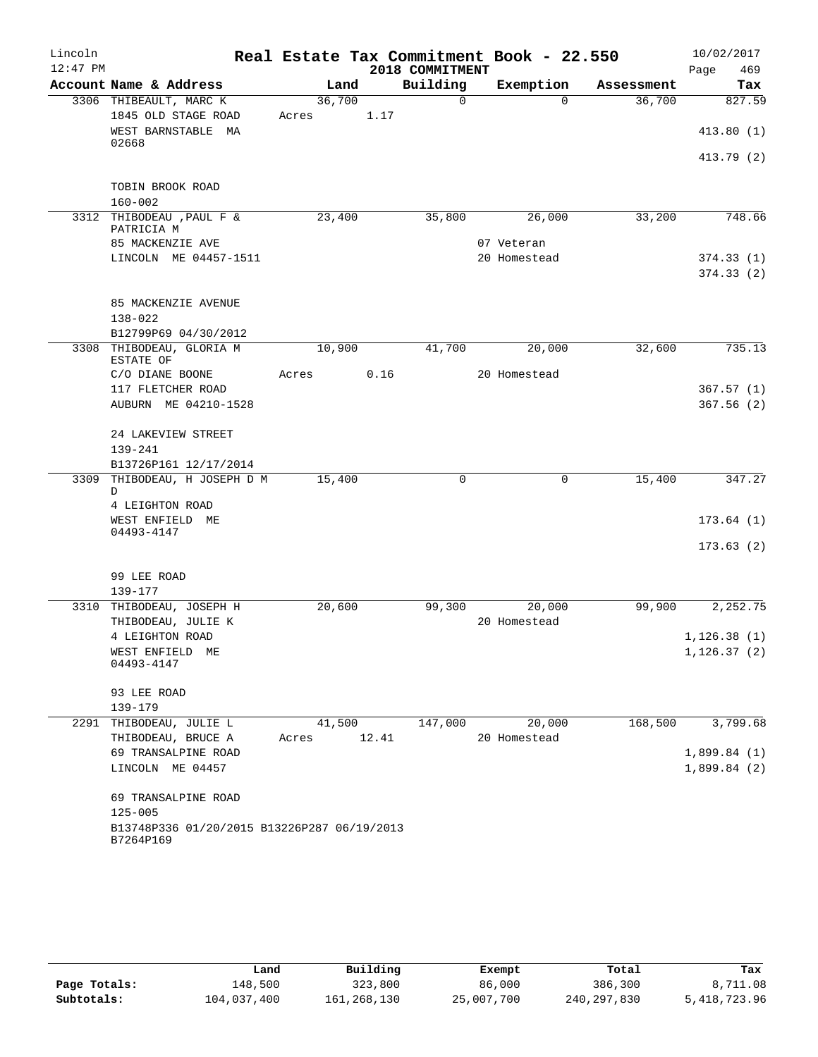| $12:47$ PM<br>2018 COMMITMENT<br>469<br>Page<br>Building<br>Account Name & Address<br>Exemption<br>Land<br>Tax<br>Assessment<br>$\Omega$<br>3306 THIBEAULT, MARC K<br>36,700<br>$\Omega$<br>36,700<br>1845 OLD STAGE ROAD<br>1.17<br>Acres<br>WEST BARNSTABLE MA<br>02668<br>TOBIN BROOK ROAD<br>$160 - 002$<br>3312 THIBODEAU , PAUL F &<br>23,400<br>33,200<br>35,800<br>26,000<br>748.66<br>PATRICIA M<br>85 MACKENZIE AVE<br>07 Veteran<br>LINCOLN ME 04457-1511<br>20 Homestead<br>374.33(1)<br>85 MACKENZIE AVENUE<br>$138 - 022$<br>B12799P69 04/30/2012<br>10,900<br>41,700<br>20,000<br>32,600<br>735.13<br>3308 THIBODEAU, GLORIA M<br>ESTATE OF<br>0.16<br>20 Homestead<br>C/O DIANE BOONE<br>Acres<br>117 FLETCHER ROAD<br>367.57(1)<br>AUBURN ME 04210-1528<br>367.56(2)<br>24 LAKEVIEW STREET<br>$139 - 241$<br>B13726P161 12/17/2014<br>3309 THIBODEAU, H JOSEPH D M<br>$\mathbf 0$<br>15,400<br>15,400<br>0<br>D<br>4 LEIGHTON ROAD<br>WEST ENFIELD ME<br>04493-4147<br>99 LEE ROAD<br>$139 - 177$<br>2,252.75<br>3310 THIBODEAU, JOSEPH H<br>20,600<br>99,300<br>20,000<br>99,900<br>THIBODEAU, JULIE K<br>20 Homestead<br>4 LEIGHTON ROAD<br>1, 126.38(1)<br>1,126.37(2)<br>WEST ENFIELD ME<br>04493-4147<br>93 LEE ROAD<br>$139 - 179$<br>168,500<br>3,799.68<br>THIBODEAU, JULIE L<br>41,500<br>147,000<br>20,000<br>2291<br>THIBODEAU, BRUCE A<br>12.41<br>20 Homestead<br>Acres<br>69 TRANSALPINE ROAD<br>LINCOLN ME 04457<br>69 TRANSALPINE ROAD<br>$125 - 005$ | Lincoln |  |  | Real Estate Tax Commitment Book - 22.550 |  | 10/02/2017  |
|----------------------------------------------------------------------------------------------------------------------------------------------------------------------------------------------------------------------------------------------------------------------------------------------------------------------------------------------------------------------------------------------------------------------------------------------------------------------------------------------------------------------------------------------------------------------------------------------------------------------------------------------------------------------------------------------------------------------------------------------------------------------------------------------------------------------------------------------------------------------------------------------------------------------------------------------------------------------------------------------------------------------------------------------------------------------------------------------------------------------------------------------------------------------------------------------------------------------------------------------------------------------------------------------------------------------------------------------------------------------------------------------------------------------------------------------------------------------------------------|---------|--|--|------------------------------------------|--|-------------|
|                                                                                                                                                                                                                                                                                                                                                                                                                                                                                                                                                                                                                                                                                                                                                                                                                                                                                                                                                                                                                                                                                                                                                                                                                                                                                                                                                                                                                                                                                        |         |  |  |                                          |  |             |
|                                                                                                                                                                                                                                                                                                                                                                                                                                                                                                                                                                                                                                                                                                                                                                                                                                                                                                                                                                                                                                                                                                                                                                                                                                                                                                                                                                                                                                                                                        |         |  |  |                                          |  |             |
|                                                                                                                                                                                                                                                                                                                                                                                                                                                                                                                                                                                                                                                                                                                                                                                                                                                                                                                                                                                                                                                                                                                                                                                                                                                                                                                                                                                                                                                                                        |         |  |  |                                          |  | 827.59      |
|                                                                                                                                                                                                                                                                                                                                                                                                                                                                                                                                                                                                                                                                                                                                                                                                                                                                                                                                                                                                                                                                                                                                                                                                                                                                                                                                                                                                                                                                                        |         |  |  |                                          |  |             |
|                                                                                                                                                                                                                                                                                                                                                                                                                                                                                                                                                                                                                                                                                                                                                                                                                                                                                                                                                                                                                                                                                                                                                                                                                                                                                                                                                                                                                                                                                        |         |  |  |                                          |  | 413.80(1)   |
|                                                                                                                                                                                                                                                                                                                                                                                                                                                                                                                                                                                                                                                                                                                                                                                                                                                                                                                                                                                                                                                                                                                                                                                                                                                                                                                                                                                                                                                                                        |         |  |  |                                          |  | 413.79 (2)  |
|                                                                                                                                                                                                                                                                                                                                                                                                                                                                                                                                                                                                                                                                                                                                                                                                                                                                                                                                                                                                                                                                                                                                                                                                                                                                                                                                                                                                                                                                                        |         |  |  |                                          |  |             |
|                                                                                                                                                                                                                                                                                                                                                                                                                                                                                                                                                                                                                                                                                                                                                                                                                                                                                                                                                                                                                                                                                                                                                                                                                                                                                                                                                                                                                                                                                        |         |  |  |                                          |  |             |
|                                                                                                                                                                                                                                                                                                                                                                                                                                                                                                                                                                                                                                                                                                                                                                                                                                                                                                                                                                                                                                                                                                                                                                                                                                                                                                                                                                                                                                                                                        |         |  |  |                                          |  |             |
|                                                                                                                                                                                                                                                                                                                                                                                                                                                                                                                                                                                                                                                                                                                                                                                                                                                                                                                                                                                                                                                                                                                                                                                                                                                                                                                                                                                                                                                                                        |         |  |  |                                          |  |             |
|                                                                                                                                                                                                                                                                                                                                                                                                                                                                                                                                                                                                                                                                                                                                                                                                                                                                                                                                                                                                                                                                                                                                                                                                                                                                                                                                                                                                                                                                                        |         |  |  |                                          |  | 374.33(2)   |
|                                                                                                                                                                                                                                                                                                                                                                                                                                                                                                                                                                                                                                                                                                                                                                                                                                                                                                                                                                                                                                                                                                                                                                                                                                                                                                                                                                                                                                                                                        |         |  |  |                                          |  |             |
|                                                                                                                                                                                                                                                                                                                                                                                                                                                                                                                                                                                                                                                                                                                                                                                                                                                                                                                                                                                                                                                                                                                                                                                                                                                                                                                                                                                                                                                                                        |         |  |  |                                          |  |             |
|                                                                                                                                                                                                                                                                                                                                                                                                                                                                                                                                                                                                                                                                                                                                                                                                                                                                                                                                                                                                                                                                                                                                                                                                                                                                                                                                                                                                                                                                                        |         |  |  |                                          |  |             |
|                                                                                                                                                                                                                                                                                                                                                                                                                                                                                                                                                                                                                                                                                                                                                                                                                                                                                                                                                                                                                                                                                                                                                                                                                                                                                                                                                                                                                                                                                        |         |  |  |                                          |  |             |
|                                                                                                                                                                                                                                                                                                                                                                                                                                                                                                                                                                                                                                                                                                                                                                                                                                                                                                                                                                                                                                                                                                                                                                                                                                                                                                                                                                                                                                                                                        |         |  |  |                                          |  |             |
|                                                                                                                                                                                                                                                                                                                                                                                                                                                                                                                                                                                                                                                                                                                                                                                                                                                                                                                                                                                                                                                                                                                                                                                                                                                                                                                                                                                                                                                                                        |         |  |  |                                          |  |             |
|                                                                                                                                                                                                                                                                                                                                                                                                                                                                                                                                                                                                                                                                                                                                                                                                                                                                                                                                                                                                                                                                                                                                                                                                                                                                                                                                                                                                                                                                                        |         |  |  |                                          |  |             |
|                                                                                                                                                                                                                                                                                                                                                                                                                                                                                                                                                                                                                                                                                                                                                                                                                                                                                                                                                                                                                                                                                                                                                                                                                                                                                                                                                                                                                                                                                        |         |  |  |                                          |  |             |
|                                                                                                                                                                                                                                                                                                                                                                                                                                                                                                                                                                                                                                                                                                                                                                                                                                                                                                                                                                                                                                                                                                                                                                                                                                                                                                                                                                                                                                                                                        |         |  |  |                                          |  |             |
|                                                                                                                                                                                                                                                                                                                                                                                                                                                                                                                                                                                                                                                                                                                                                                                                                                                                                                                                                                                                                                                                                                                                                                                                                                                                                                                                                                                                                                                                                        |         |  |  |                                          |  |             |
|                                                                                                                                                                                                                                                                                                                                                                                                                                                                                                                                                                                                                                                                                                                                                                                                                                                                                                                                                                                                                                                                                                                                                                                                                                                                                                                                                                                                                                                                                        |         |  |  |                                          |  | 347.27      |
|                                                                                                                                                                                                                                                                                                                                                                                                                                                                                                                                                                                                                                                                                                                                                                                                                                                                                                                                                                                                                                                                                                                                                                                                                                                                                                                                                                                                                                                                                        |         |  |  |                                          |  |             |
|                                                                                                                                                                                                                                                                                                                                                                                                                                                                                                                                                                                                                                                                                                                                                                                                                                                                                                                                                                                                                                                                                                                                                                                                                                                                                                                                                                                                                                                                                        |         |  |  |                                          |  | 173.64(1)   |
|                                                                                                                                                                                                                                                                                                                                                                                                                                                                                                                                                                                                                                                                                                                                                                                                                                                                                                                                                                                                                                                                                                                                                                                                                                                                                                                                                                                                                                                                                        |         |  |  |                                          |  | 173.63(2)   |
|                                                                                                                                                                                                                                                                                                                                                                                                                                                                                                                                                                                                                                                                                                                                                                                                                                                                                                                                                                                                                                                                                                                                                                                                                                                                                                                                                                                                                                                                                        |         |  |  |                                          |  |             |
|                                                                                                                                                                                                                                                                                                                                                                                                                                                                                                                                                                                                                                                                                                                                                                                                                                                                                                                                                                                                                                                                                                                                                                                                                                                                                                                                                                                                                                                                                        |         |  |  |                                          |  |             |
|                                                                                                                                                                                                                                                                                                                                                                                                                                                                                                                                                                                                                                                                                                                                                                                                                                                                                                                                                                                                                                                                                                                                                                                                                                                                                                                                                                                                                                                                                        |         |  |  |                                          |  |             |
|                                                                                                                                                                                                                                                                                                                                                                                                                                                                                                                                                                                                                                                                                                                                                                                                                                                                                                                                                                                                                                                                                                                                                                                                                                                                                                                                                                                                                                                                                        |         |  |  |                                          |  |             |
|                                                                                                                                                                                                                                                                                                                                                                                                                                                                                                                                                                                                                                                                                                                                                                                                                                                                                                                                                                                                                                                                                                                                                                                                                                                                                                                                                                                                                                                                                        |         |  |  |                                          |  |             |
|                                                                                                                                                                                                                                                                                                                                                                                                                                                                                                                                                                                                                                                                                                                                                                                                                                                                                                                                                                                                                                                                                                                                                                                                                                                                                                                                                                                                                                                                                        |         |  |  |                                          |  |             |
|                                                                                                                                                                                                                                                                                                                                                                                                                                                                                                                                                                                                                                                                                                                                                                                                                                                                                                                                                                                                                                                                                                                                                                                                                                                                                                                                                                                                                                                                                        |         |  |  |                                          |  |             |
|                                                                                                                                                                                                                                                                                                                                                                                                                                                                                                                                                                                                                                                                                                                                                                                                                                                                                                                                                                                                                                                                                                                                                                                                                                                                                                                                                                                                                                                                                        |         |  |  |                                          |  |             |
|                                                                                                                                                                                                                                                                                                                                                                                                                                                                                                                                                                                                                                                                                                                                                                                                                                                                                                                                                                                                                                                                                                                                                                                                                                                                                                                                                                                                                                                                                        |         |  |  |                                          |  |             |
|                                                                                                                                                                                                                                                                                                                                                                                                                                                                                                                                                                                                                                                                                                                                                                                                                                                                                                                                                                                                                                                                                                                                                                                                                                                                                                                                                                                                                                                                                        |         |  |  |                                          |  | 1,899.84(1) |
|                                                                                                                                                                                                                                                                                                                                                                                                                                                                                                                                                                                                                                                                                                                                                                                                                                                                                                                                                                                                                                                                                                                                                                                                                                                                                                                                                                                                                                                                                        |         |  |  |                                          |  | 1,899.84(2) |
|                                                                                                                                                                                                                                                                                                                                                                                                                                                                                                                                                                                                                                                                                                                                                                                                                                                                                                                                                                                                                                                                                                                                                                                                                                                                                                                                                                                                                                                                                        |         |  |  |                                          |  |             |
|                                                                                                                                                                                                                                                                                                                                                                                                                                                                                                                                                                                                                                                                                                                                                                                                                                                                                                                                                                                                                                                                                                                                                                                                                                                                                                                                                                                                                                                                                        |         |  |  |                                          |  |             |
| B13748P336 01/20/2015 B13226P287 06/19/2013<br>B7264P169                                                                                                                                                                                                                                                                                                                                                                                                                                                                                                                                                                                                                                                                                                                                                                                                                                                                                                                                                                                                                                                                                                                                                                                                                                                                                                                                                                                                                               |         |  |  |                                          |  |             |

|              | Land        | Building    | Exempt     | Total       | Tax          |
|--------------|-------------|-------------|------------|-------------|--------------|
| Page Totals: | 148,500     | 323,800     | 86,000     | 386,300     | 8,711.08     |
| Subtotals:   | 104,037,400 | 161,268,130 | 25,007,700 | 240,297,830 | 5,418,723.96 |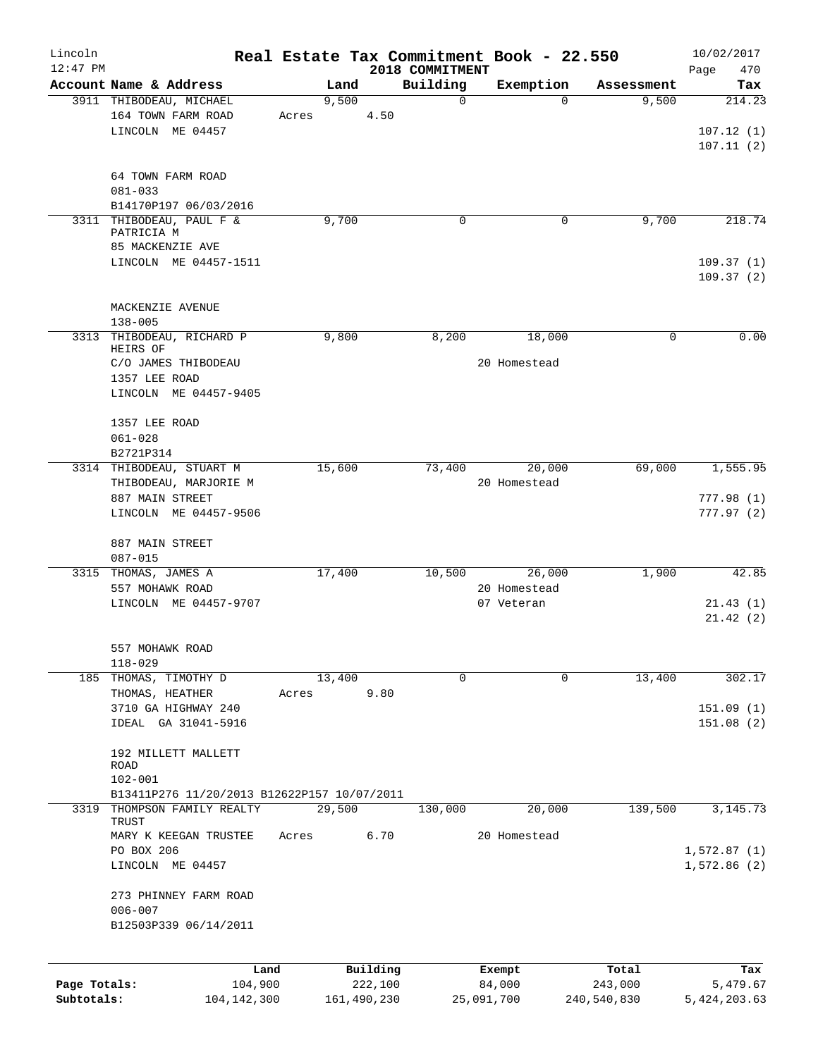| Lincoln<br>$12:47$ PM |                                             | Real Estate Tax Commitment Book - 22.550 |                     | 2018 COMMITMENT |                  |                  | 10/02/2017<br>Page<br>470 |
|-----------------------|---------------------------------------------|------------------------------------------|---------------------|-----------------|------------------|------------------|---------------------------|
|                       | Account Name & Address                      | Land                                     |                     | Building        | Exemption        | Assessment       | Tax                       |
|                       | 3911 THIBODEAU, MICHAEL                     | 9,500                                    |                     | $\mathbf 0$     | $\Omega$         | 9,500            | 214.23                    |
|                       | 164 TOWN FARM ROAD                          | Acres                                    | 4.50                |                 |                  |                  |                           |
|                       | LINCOLN ME 04457                            |                                          |                     |                 |                  |                  | 107.12(1)                 |
|                       |                                             |                                          |                     |                 |                  |                  | 107.11(2)                 |
|                       |                                             |                                          |                     |                 |                  |                  |                           |
|                       | 64 TOWN FARM ROAD                           |                                          |                     |                 |                  |                  |                           |
|                       | $081 - 033$                                 |                                          |                     |                 |                  |                  |                           |
|                       | B14170P197 06/03/2016                       |                                          |                     |                 |                  |                  |                           |
|                       | 3311 THIBODEAU, PAUL F &                    | 9,700                                    |                     | $\mathbf 0$     | 0                | 9,700            | 218.74                    |
|                       | PATRICIA M                                  |                                          |                     |                 |                  |                  |                           |
|                       | 85 MACKENZIE AVE                            |                                          |                     |                 |                  |                  |                           |
|                       | LINCOLN ME 04457-1511                       |                                          |                     |                 |                  |                  | 109.37(1)                 |
|                       |                                             |                                          |                     |                 |                  |                  | 109.37(2)                 |
|                       |                                             |                                          |                     |                 |                  |                  |                           |
|                       | MACKENZIE AVENUE                            |                                          |                     |                 |                  |                  |                           |
|                       | $138 - 005$                                 |                                          |                     |                 |                  |                  |                           |
|                       | 3313 THIBODEAU, RICHARD P                   | 9,800                                    |                     | 8,200           | 18,000           | 0                | 0.00                      |
|                       | HEIRS OF                                    |                                          |                     |                 |                  |                  |                           |
|                       | C/O JAMES THIBODEAU                         |                                          |                     |                 | 20 Homestead     |                  |                           |
|                       | 1357 LEE ROAD                               |                                          |                     |                 |                  |                  |                           |
|                       | LINCOLN ME 04457-9405                       |                                          |                     |                 |                  |                  |                           |
|                       |                                             |                                          |                     |                 |                  |                  |                           |
|                       | 1357 LEE ROAD                               |                                          |                     |                 |                  |                  |                           |
|                       | $061 - 028$                                 |                                          |                     |                 |                  |                  |                           |
|                       | B2721P314                                   |                                          |                     |                 |                  |                  |                           |
|                       | 3314 THIBODEAU, STUART M                    | 15,600                                   |                     | 73,400          | 20,000           | 69,000           | 1,555.95                  |
|                       | THIBODEAU, MARJORIE M                       |                                          |                     |                 | 20 Homestead     |                  |                           |
|                       | 887 MAIN STREET                             |                                          |                     |                 |                  |                  | 777.98(1)                 |
|                       | LINCOLN ME 04457-9506                       |                                          |                     |                 |                  |                  | 777.97(2)                 |
|                       |                                             |                                          |                     |                 |                  |                  |                           |
|                       | 887 MAIN STREET                             |                                          |                     |                 |                  |                  |                           |
|                       | $087 - 015$                                 |                                          |                     |                 |                  |                  |                           |
|                       | 3315 THOMAS, JAMES A                        | 17,400                                   |                     | 10,500          | 26,000           | 1,900            | 42.85                     |
|                       | 557 MOHAWK ROAD                             |                                          |                     |                 | 20 Homestead     |                  |                           |
|                       | LINCOLN ME 04457-9707                       |                                          |                     |                 | 07 Veteran       |                  | 21.43(1)                  |
|                       |                                             |                                          |                     |                 |                  |                  | 21.42(2)                  |
|                       |                                             |                                          |                     |                 |                  |                  |                           |
|                       | 557 MOHAWK ROAD                             |                                          |                     |                 |                  |                  |                           |
|                       | $118 - 029$                                 |                                          |                     |                 |                  |                  |                           |
| 185                   | THOMAS, TIMOTHY D                           | 13,400                                   |                     | $\mathbf 0$     | 0                | 13,400           | 302.17                    |
|                       | THOMAS, HEATHER                             | Acres                                    | 9.80                |                 |                  |                  |                           |
|                       | 3710 GA HIGHWAY 240                         |                                          |                     |                 |                  |                  | 151.09(1)                 |
|                       | IDEAL GA 31041-5916                         |                                          |                     |                 |                  |                  | 151.08(2)                 |
|                       |                                             |                                          |                     |                 |                  |                  |                           |
|                       |                                             |                                          |                     |                 |                  |                  |                           |
|                       | 192 MILLETT MALLETT<br>ROAD                 |                                          |                     |                 |                  |                  |                           |
|                       | $102 - 001$                                 |                                          |                     |                 |                  |                  |                           |
|                       | B13411P276 11/20/2013 B12622P157 10/07/2011 |                                          |                     |                 |                  |                  |                           |
|                       | 3319 THOMPSON FAMILY REALTY                 | 29,500                                   |                     | 130,000         | 20,000           | 139,500          | 3, 145. 73                |
|                       | TRUST                                       |                                          |                     |                 |                  |                  |                           |
|                       | MARY K KEEGAN TRUSTEE                       | Acres                                    | 6.70                |                 | 20 Homestead     |                  |                           |
|                       | PO BOX 206                                  |                                          |                     |                 |                  |                  | 1,572.87(1)               |
|                       | LINCOLN ME 04457                            |                                          |                     |                 |                  |                  | 1,572.86(2)               |
|                       |                                             |                                          |                     |                 |                  |                  |                           |
|                       | 273 PHINNEY FARM ROAD                       |                                          |                     |                 |                  |                  |                           |
|                       | $006 - 007$                                 |                                          |                     |                 |                  |                  |                           |
|                       | B12503P339 06/14/2011                       |                                          |                     |                 |                  |                  |                           |
|                       |                                             |                                          |                     |                 |                  |                  |                           |
|                       |                                             |                                          |                     |                 |                  |                  |                           |
| Page Totals:          | Land<br>104,900                             |                                          | Building<br>222,100 |                 | Exempt<br>84,000 | Total<br>243,000 | Tax<br>5,479.67           |
| Subtotals:            | 104, 142, 300                               |                                          | 161,490,230         |                 | 25,091,700       | 240,540,830      | 5,424,203.63              |
|                       |                                             |                                          |                     |                 |                  |                  |                           |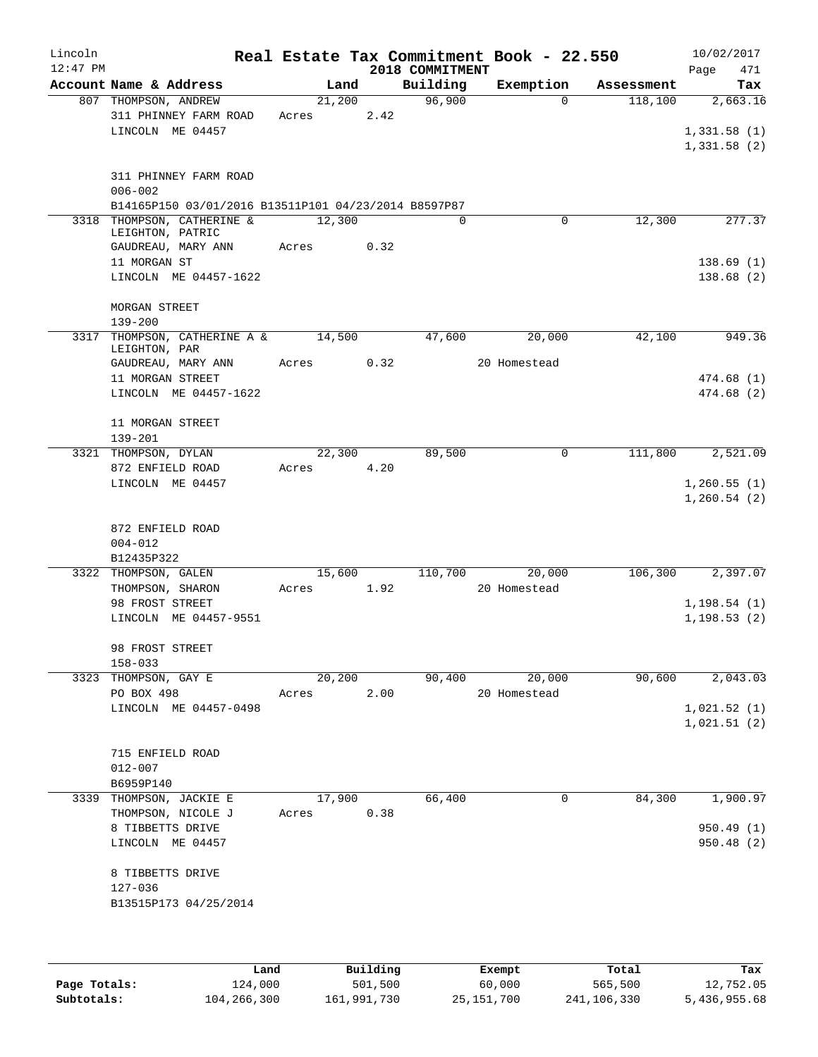| Lincoln    |                                                                                    |       |            |      |                 | Real Estate Tax Commitment Book - 22.550 |            | 10/02/2017   |
|------------|------------------------------------------------------------------------------------|-------|------------|------|-----------------|------------------------------------------|------------|--------------|
| $12:47$ PM |                                                                                    |       |            |      | 2018 COMMITMENT |                                          |            | Page<br>471  |
|            | Account Name & Address                                                             |       | Land       |      | Building        | Exemption                                | Assessment | Tax          |
|            | 807 THOMPSON, ANDREW                                                               |       | 21,200     |      | 96,900          | $\Omega$                                 | 118,100    | 2,663.16     |
|            | 311 PHINNEY FARM ROAD                                                              | Acres |            | 2.42 |                 |                                          |            |              |
|            | LINCOLN ME 04457                                                                   |       |            |      |                 |                                          |            | 1,331.58(1)  |
|            |                                                                                    |       |            |      |                 |                                          |            | 1,331.58(2)  |
|            |                                                                                    |       |            |      |                 |                                          |            |              |
|            | 311 PHINNEY FARM ROAD                                                              |       |            |      |                 |                                          |            |              |
|            | $006 - 002$                                                                        |       |            |      |                 |                                          |            |              |
|            | B14165P150 03/01/2016 B13511P101 04/23/2014 B8597P87<br>3318 THOMPSON, CATHERINE & |       |            |      | $\Omega$        | 0                                        | 12,300     |              |
|            | LEIGHTON, PATRIC                                                                   |       | 12,300     |      |                 |                                          |            | 277.37       |
|            | GAUDREAU, MARY ANN                                                                 |       | Acres 0.32 |      |                 |                                          |            |              |
|            | 11 MORGAN ST                                                                       |       |            |      |                 |                                          |            | 138.69(1)    |
|            | LINCOLN ME 04457-1622                                                              |       |            |      |                 |                                          |            | 138.68(2)    |
|            |                                                                                    |       |            |      |                 |                                          |            |              |
|            | MORGAN STREET                                                                      |       |            |      |                 |                                          |            |              |
|            | $139 - 200$                                                                        |       |            |      |                 |                                          |            |              |
|            | 3317 THOMPSON, CATHERINE A & 14,500                                                |       |            |      | 47,600          | 20,000                                   | 42,100     | 949.36       |
|            | LEIGHTON, PAR                                                                      |       |            |      |                 |                                          |            |              |
|            | GAUDREAU, MARY ANN                                                                 |       | Acres 0.32 |      |                 | 20 Homestead                             |            |              |
|            | 11 MORGAN STREET                                                                   |       |            |      |                 |                                          |            | 474.68 (1)   |
|            | LINCOLN ME 04457-1622                                                              |       |            |      |                 |                                          |            | 474.68 (2)   |
|            | 11 MORGAN STREET                                                                   |       |            |      |                 |                                          |            |              |
|            | $139 - 201$                                                                        |       |            |      |                 |                                          |            |              |
|            | 3321 THOMPSON, DYLAN                                                               |       | 22,300     |      | 89,500          | 0                                        | 111,800    | 2,521.09     |
|            | 872 ENFIELD ROAD                                                                   | Acres |            | 4.20 |                 |                                          |            |              |
|            | LINCOLN ME 04457                                                                   |       |            |      |                 |                                          |            | 1,260.55(1)  |
|            |                                                                                    |       |            |      |                 |                                          |            | 1,260.54(2)  |
|            |                                                                                    |       |            |      |                 |                                          |            |              |
|            | 872 ENFIELD ROAD                                                                   |       |            |      |                 |                                          |            |              |
|            | $004 - 012$                                                                        |       |            |      |                 |                                          |            |              |
|            | B12435P322                                                                         |       |            |      |                 |                                          |            |              |
|            | 3322 THOMPSON, GALEN                                                               |       | 15,600     |      | 110,700         | 20,000                                   | 106,300    | 2,397.07     |
|            | THOMPSON, SHARON                                                                   | Acres |            | 1.92 |                 | 20 Homestead                             |            |              |
|            | 98 FROST STREET                                                                    |       |            |      |                 |                                          |            | 1,198.54(1)  |
|            | LINCOLN ME 04457-9551                                                              |       |            |      |                 |                                          |            | 1, 198.53(2) |
|            |                                                                                    |       |            |      |                 |                                          |            |              |
|            | 98 FROST STREET                                                                    |       |            |      |                 |                                          |            |              |
|            | $158 - 033$                                                                        |       |            |      | 90,400          |                                          | 90,600     | 2,043.03     |
|            | 3323 THOMPSON, GAY E<br>PO BOX 498                                                 | Acres | 20,200     | 2.00 |                 | 20,000<br>20 Homestead                   |            |              |
|            | LINCOLN ME 04457-0498                                                              |       |            |      |                 |                                          |            | 1,021.52(1)  |
|            |                                                                                    |       |            |      |                 |                                          |            | 1,021.51(2)  |
|            |                                                                                    |       |            |      |                 |                                          |            |              |
|            | 715 ENFIELD ROAD                                                                   |       |            |      |                 |                                          |            |              |
|            | $012 - 007$                                                                        |       |            |      |                 |                                          |            |              |
|            | B6959P140                                                                          |       |            |      |                 |                                          |            |              |
|            | 3339 THOMPSON, JACKIE E                                                            |       | 17,900     |      | 66,400          | 0                                        | 84,300     | 1,900.97     |
|            | THOMPSON, NICOLE J                                                                 | Acres |            | 0.38 |                 |                                          |            |              |
|            | 8 TIBBETTS DRIVE                                                                   |       |            |      |                 |                                          |            | 950.49(1)    |
|            | LINCOLN ME 04457                                                                   |       |            |      |                 |                                          |            | 950.48 (2)   |
|            |                                                                                    |       |            |      |                 |                                          |            |              |
|            | 8 TIBBETTS DRIVE                                                                   |       |            |      |                 |                                          |            |              |
|            | 127-036                                                                            |       |            |      |                 |                                          |            |              |
|            | B13515P173 04/25/2014                                                              |       |            |      |                 |                                          |            |              |
|            |                                                                                    |       |            |      |                 |                                          |            |              |
|            |                                                                                    |       |            |      |                 |                                          |            |              |
|            |                                                                                    |       |            |      |                 |                                          |            |              |

|              | Land        | Building    | Exempt     | Total       | Tax          |
|--------------|-------------|-------------|------------|-------------|--------------|
| Page Totals: | 124,000     | 501,500     | 60,000     | 565,500     | 12,752.05    |
| Subtotals:   | 104,266,300 | 161,991,730 | 25,151,700 | 241,106,330 | 5,436,955.68 |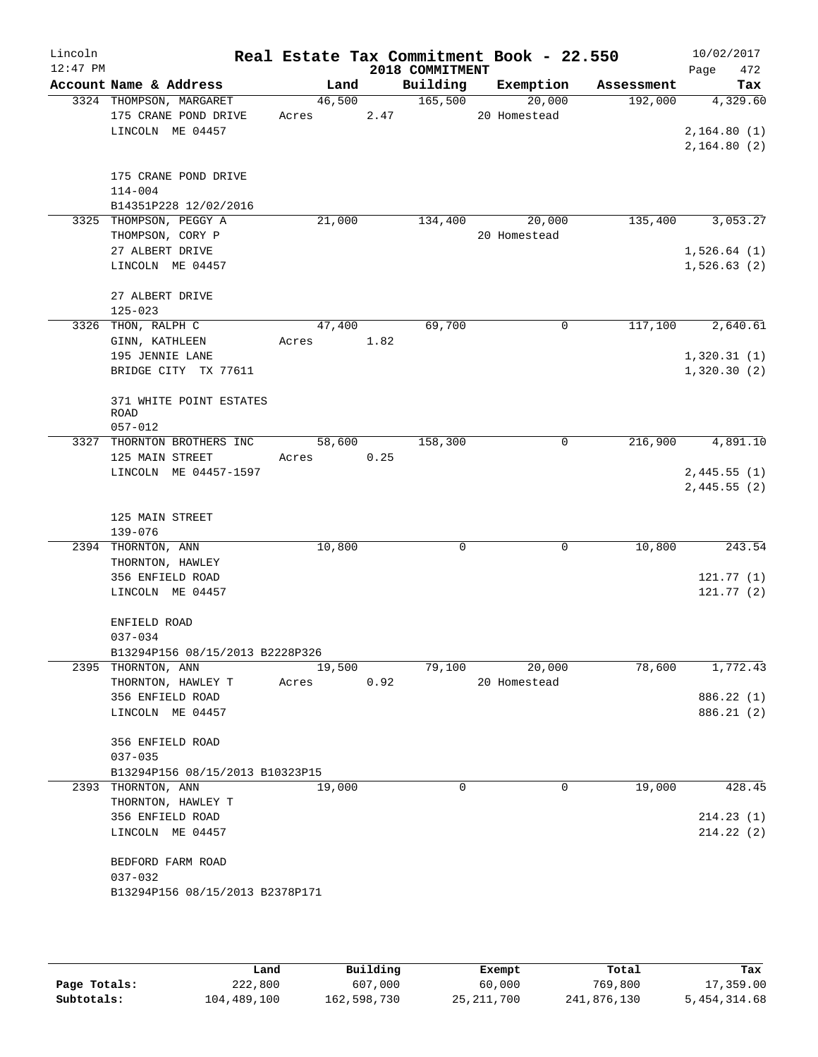| Lincoln<br>$12:47$ PM |                                 |            |      |      | 2018 COMMITMENT | Real Estate Tax Commitment Book - 22.550 |            | 10/02/2017<br>472<br>Page |
|-----------------------|---------------------------------|------------|------|------|-----------------|------------------------------------------|------------|---------------------------|
|                       | Account Name & Address          | Land       |      |      | Building        | Exemption                                | Assessment | Tax                       |
|                       | 3324 THOMPSON, MARGARET         | 46,500     |      |      | 165,500         | 20,000                                   | 192,000    | 4,329.60                  |
|                       | 175 CRANE POND DRIVE            | Acres      |      | 2.47 |                 | 20 Homestead                             |            |                           |
|                       | LINCOLN ME 04457                |            |      |      |                 |                                          |            | 2,164.80(1)               |
|                       |                                 |            |      |      |                 |                                          |            | 2,164.80(2)               |
|                       | 175 CRANE POND DRIVE            |            |      |      |                 |                                          |            |                           |
|                       | $114 - 004$                     |            |      |      |                 |                                          |            |                           |
|                       | B14351P228 12/02/2016           |            |      |      |                 |                                          |            |                           |
|                       | 3325 THOMPSON, PEGGY A          | 21,000     |      |      | 134,400         | 20,000                                   | 135,400    | 3,053.27                  |
|                       | THOMPSON, CORY P                |            |      |      |                 | 20 Homestead                             |            |                           |
|                       | 27 ALBERT DRIVE                 |            |      |      |                 |                                          |            | 1,526.64(1)               |
|                       | LINCOLN ME 04457                |            |      |      |                 |                                          |            | 1,526.63(2)               |
|                       | 27 ALBERT DRIVE                 |            |      |      |                 |                                          |            |                           |
|                       | $125 - 023$                     |            |      |      |                 |                                          |            |                           |
|                       | 3326 THON, RALPH C              | 47,400     |      |      | 69,700          | 0                                        | 117,100    | 2,640.61                  |
|                       | GINN, KATHLEEN                  | Acres 1.82 |      |      |                 |                                          |            |                           |
|                       | 195 JENNIE LANE                 |            |      |      |                 |                                          |            | 1,320.31(1)               |
|                       | BRIDGE CITY TX 77611            |            |      |      |                 |                                          |            | 1,320.30(2)               |
|                       | 371 WHITE POINT ESTATES         |            |      |      |                 |                                          |            |                           |
|                       | <b>ROAD</b>                     |            |      |      |                 |                                          |            |                           |
|                       | $057 - 012$                     |            |      |      |                 |                                          |            |                           |
|                       | 3327 THORNTON BROTHERS INC      | 58,600     |      |      | 158,300         | 0                                        | 216,900    | 4,891.10                  |
|                       | 125 MAIN STREET                 | Acres      | 0.25 |      |                 |                                          |            |                           |
|                       | LINCOLN ME 04457-1597           |            |      |      |                 |                                          |            | 2,445.55(1)               |
|                       |                                 |            |      |      |                 |                                          |            | 2,445.55(2)               |
|                       | 125 MAIN STREET                 |            |      |      |                 |                                          |            |                           |
|                       | $139 - 076$                     |            |      |      |                 |                                          |            |                           |
|                       | 2394 THORNTON, ANN              | 10,800     |      |      | 0               | 0                                        | 10,800     | 243.54                    |
|                       | THORNTON, HAWLEY                |            |      |      |                 |                                          |            |                           |
|                       | 356 ENFIELD ROAD                |            |      |      |                 |                                          |            | 121.77(1)                 |
|                       | LINCOLN ME 04457                |            |      |      |                 |                                          |            | 121.77(2)                 |
|                       |                                 |            |      |      |                 |                                          |            |                           |
|                       | ENFIELD ROAD                    |            |      |      |                 |                                          |            |                           |
|                       | $037 - 034$                     |            |      |      |                 |                                          |            |                           |
|                       | B13294P156 08/15/2013 B2228P326 |            |      |      |                 |                                          |            |                           |
|                       | 2395 THORNTON, ANN              | 19,500     |      |      | 79,100          | 20,000                                   | 78,600     | 1,772.43                  |
|                       | THORNTON, HAWLEY T              | Acres      |      | 0.92 |                 | 20 Homestead                             |            |                           |
|                       | 356 ENFIELD ROAD                |            |      |      |                 |                                          |            | 886.22 (1)                |
|                       | LINCOLN ME 04457                |            |      |      |                 |                                          |            | 886.21 (2)                |
|                       | 356 ENFIELD ROAD                |            |      |      |                 |                                          |            |                           |
|                       | $037 - 035$                     |            |      |      |                 |                                          |            |                           |
|                       | B13294P156 08/15/2013 B10323P15 |            |      |      |                 |                                          |            |                           |
|                       | 2393 THORNTON, ANN              | 19,000     |      |      | 0               | 0                                        | 19,000     | 428.45                    |
|                       | THORNTON, HAWLEY T              |            |      |      |                 |                                          |            |                           |
|                       | 356 ENFIELD ROAD                |            |      |      |                 |                                          |            | 214.23(1)                 |
|                       | LINCOLN ME 04457                |            |      |      |                 |                                          |            | 214.22(2)                 |
|                       | BEDFORD FARM ROAD               |            |      |      |                 |                                          |            |                           |
|                       | $037 - 032$                     |            |      |      |                 |                                          |            |                           |
|                       | B13294P156 08/15/2013 B2378P171 |            |      |      |                 |                                          |            |                           |
|                       |                                 |            |      |      |                 |                                          |            |                           |
|                       |                                 |            |      |      |                 |                                          |            |                           |

|              | úand        | Building    | Exempt       | Total       | Tax          |
|--------------|-------------|-------------|--------------|-------------|--------------|
| Page Totals: | 222,800     | 607,000     | 60,000       | 769,800     | 17,359.00    |
| Subtotals:   | 104,489,100 | 162,598,730 | 25, 211, 700 | 241,876,130 | 5,454,314.68 |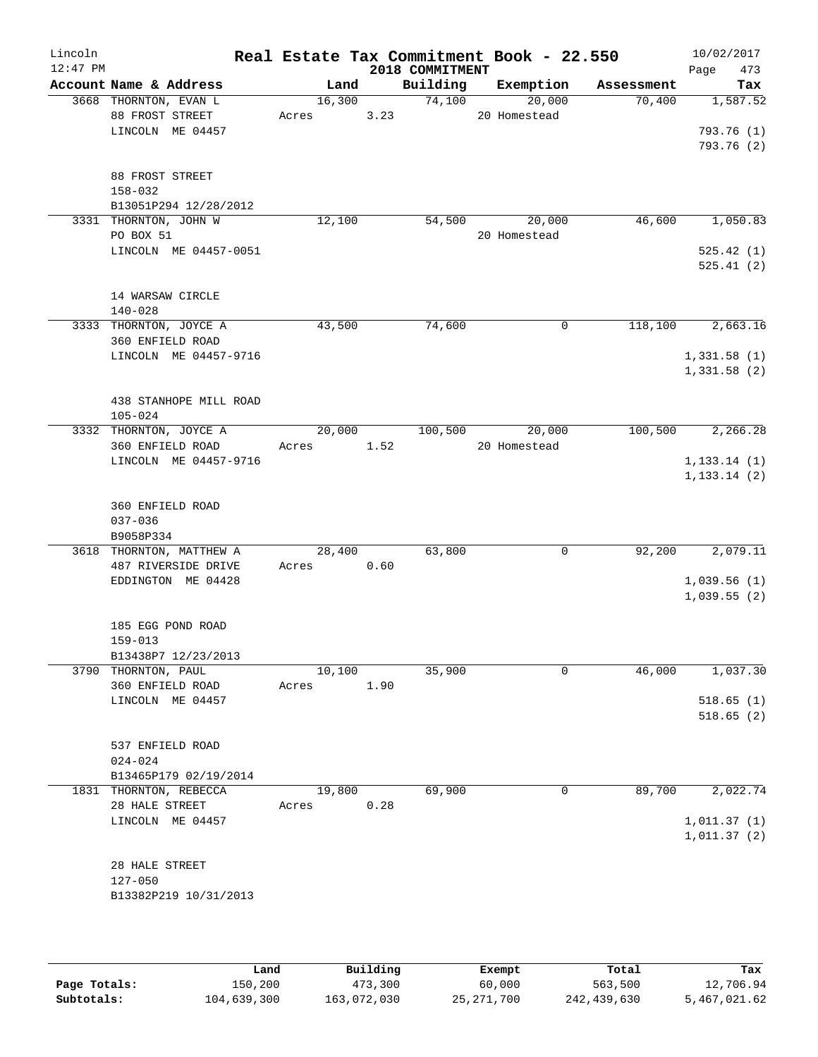| Lincoln<br>$12:47$ PM |                                           |            |      | 2018 COMMITMENT | Real Estate Tax Commitment Book - 22.550 |            | 10/02/2017<br>Page<br>473 |
|-----------------------|-------------------------------------------|------------|------|-----------------|------------------------------------------|------------|---------------------------|
|                       | Account Name & Address                    | Land       |      | Building        | Exemption                                | Assessment | Tax                       |
|                       | 3668 THORNTON, EVAN L                     | 16,300     |      | 74,100          | 20,000                                   | 70,400     | 1,587.52                  |
|                       | 88 FROST STREET                           | Acres      | 3.23 |                 | 20 Homestead                             |            |                           |
|                       | LINCOLN ME 04457                          |            |      |                 |                                          |            | 793.76 (1)                |
|                       |                                           |            |      |                 |                                          |            | 793.76 (2)                |
|                       |                                           |            |      |                 |                                          |            |                           |
|                       | 88 FROST STREET<br>$158 - 032$            |            |      |                 |                                          |            |                           |
|                       | B13051P294 12/28/2012                     |            |      |                 |                                          |            |                           |
|                       | 3331 THORNTON, JOHN W                     | 12,100     |      | 54,500          | 20,000                                   | 46,600     | 1,050.83                  |
|                       | PO BOX 51                                 |            |      |                 | 20 Homestead                             |            |                           |
|                       | LINCOLN ME 04457-0051                     |            |      |                 |                                          |            | 525.42(1)                 |
|                       |                                           |            |      |                 |                                          |            | 525.41(2)                 |
|                       |                                           |            |      |                 |                                          |            |                           |
|                       | 14 WARSAW CIRCLE                          |            |      |                 |                                          |            |                           |
|                       | $140 - 028$                               |            |      |                 |                                          |            |                           |
|                       | 3333 THORNTON, JOYCE A                    | 43,500     |      | 74,600          | 0                                        | 118,100    | 2,663.16                  |
|                       | 360 ENFIELD ROAD<br>LINCOLN ME 04457-9716 |            |      |                 |                                          |            | 1,331.58(1)               |
|                       |                                           |            |      |                 |                                          |            | 1,331.58(2)               |
|                       |                                           |            |      |                 |                                          |            |                           |
|                       | 438 STANHOPE MILL ROAD                    |            |      |                 |                                          |            |                           |
|                       | $105 - 024$                               |            |      |                 |                                          |            |                           |
|                       | 3332 THORNTON, JOYCE A                    | 20,000     |      |                 | 100,500 20,000                           | 100,500    | 2,266.28                  |
|                       | 360 ENFIELD ROAD                          | Acres 1.52 |      |                 | 20 Homestead                             |            |                           |
|                       | LINCOLN ME 04457-9716                     |            |      |                 |                                          |            | 1, 133.14(1)              |
|                       |                                           |            |      |                 |                                          |            | 1, 133.14(2)              |
|                       | 360 ENFIELD ROAD                          |            |      |                 |                                          |            |                           |
|                       | $037 - 036$                               |            |      |                 |                                          |            |                           |
|                       | B9058P334                                 |            |      |                 |                                          |            |                           |
|                       | 3618 THORNTON, MATTHEW A                  | 28,400     |      | 63,800          | $\mathbf 0$                              | 92,200     | 2,079.11                  |
|                       | 487 RIVERSIDE DRIVE                       | Acres 0.60 |      |                 |                                          |            |                           |
|                       | EDDINGTON ME 04428                        |            |      |                 |                                          |            | 1,039.56(1)               |
|                       |                                           |            |      |                 |                                          |            | 1,039.55(2)               |
|                       |                                           |            |      |                 |                                          |            |                           |
|                       | 185 EGG POND ROAD                         |            |      |                 |                                          |            |                           |
|                       | $159 - 013$<br>B13438P7 12/23/2013        |            |      |                 |                                          |            |                           |
|                       | 3790 THORNTON, PAUL                       | 10,100     |      | 35,900          | $\mathbf 0$                              | 46,000     | 1,037.30                  |
|                       | 360 ENFIELD ROAD                          | Acres      | 1.90 |                 |                                          |            |                           |
|                       | LINCOLN ME 04457                          |            |      |                 |                                          |            | 518.65(1)                 |
|                       |                                           |            |      |                 |                                          |            | 518.65(2)                 |
|                       |                                           |            |      |                 |                                          |            |                           |
|                       | 537 ENFIELD ROAD                          |            |      |                 |                                          |            |                           |
|                       | $024 - 024$                               |            |      |                 |                                          |            |                           |
|                       | B13465P179 02/19/2014                     |            |      |                 |                                          |            |                           |
|                       | 1831 THORNTON, REBECCA<br>28 HALE STREET  | 19,800     | 0.28 | 69,900          | 0                                        | 89,700     | 2,022.74                  |
|                       | LINCOLN ME 04457                          | Acres      |      |                 |                                          |            | 1,011.37(1)               |
|                       |                                           |            |      |                 |                                          |            | 1,011.37(2)               |
|                       |                                           |            |      |                 |                                          |            |                           |
|                       | 28 HALE STREET                            |            |      |                 |                                          |            |                           |
|                       | $127 - 050$                               |            |      |                 |                                          |            |                           |
|                       | B13382P219 10/31/2013                     |            |      |                 |                                          |            |                           |
|                       |                                           |            |      |                 |                                          |            |                           |
|                       |                                           |            |      |                 |                                          |            |                           |

|              | Land        | Building    | Exempt     | Total       | Tax          |
|--------------|-------------|-------------|------------|-------------|--------------|
| Page Totals: | 150,200     | 473,300     | 60,000     | 563,500     | 12,706.94    |
| Subtotals:   | 104,639,300 | 163,072,030 | 25,271,700 | 242,439,630 | 5,467,021.62 |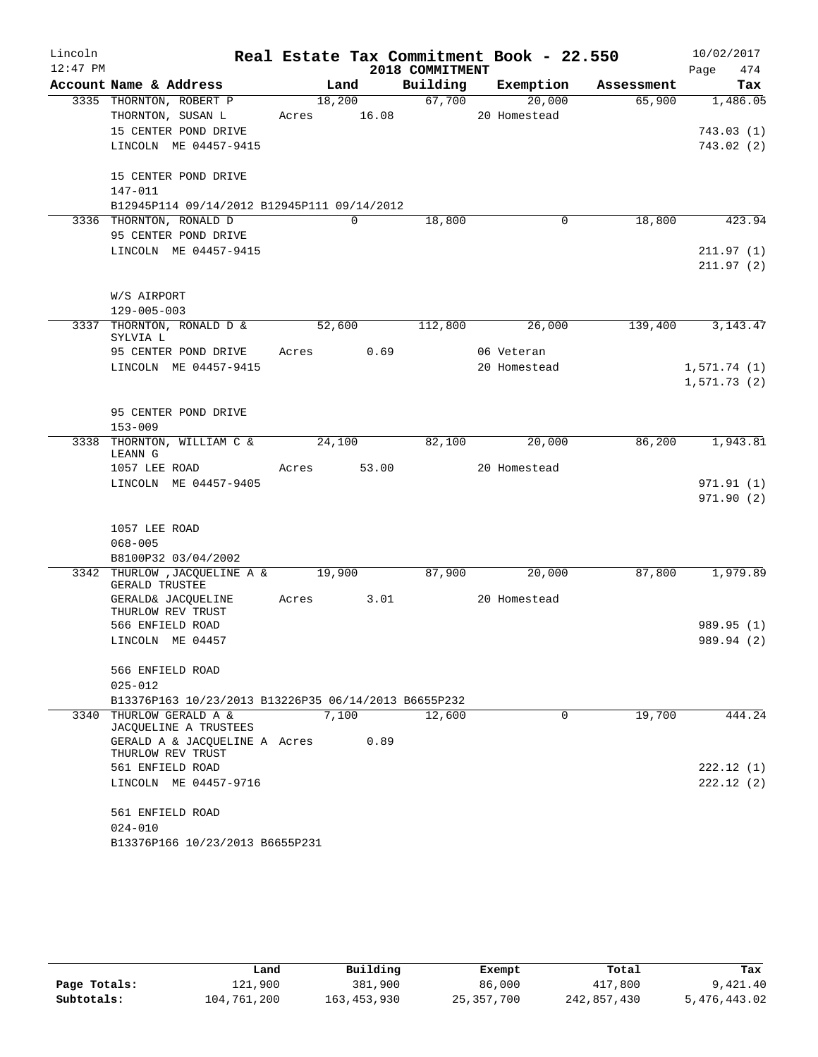| Lincoln    |                                                              |             |          |                 |              | Real Estate Tax Commitment Book - 22.550 | 10/02/2017  |
|------------|--------------------------------------------------------------|-------------|----------|-----------------|--------------|------------------------------------------|-------------|
| $12:47$ PM |                                                              |             |          | 2018 COMMITMENT |              |                                          | 474<br>Page |
|            | Account Name & Address                                       |             | Land     | Building        | Exemption    | Assessment                               | Tax         |
|            | 3335 THORNTON, ROBERT P                                      |             | 18,200   | 67,700          | 20,000       | 65,900                                   | 1,486.05    |
|            | THORNTON, SUSAN L<br>15 CENTER POND DRIVE                    | Acres 16.08 |          |                 | 20 Homestead |                                          |             |
|            | LINCOLN ME 04457-9415                                        |             |          |                 |              |                                          | 743.03(1)   |
|            |                                                              |             |          |                 |              |                                          | 743.02(2)   |
|            | 15 CENTER POND DRIVE                                         |             |          |                 |              |                                          |             |
|            | 147-011                                                      |             |          |                 |              |                                          |             |
|            | B12945P114 09/14/2012 B12945P111 09/14/2012                  |             |          |                 |              |                                          |             |
|            | 3336 THORNTON, RONALD D                                      |             | $\Omega$ | 18,800          |              | 18,800<br>0                              | 423.94      |
|            | 95 CENTER POND DRIVE                                         |             |          |                 |              |                                          |             |
|            | LINCOLN ME 04457-9415                                        |             |          |                 |              |                                          | 211.97(1)   |
|            |                                                              |             |          |                 |              |                                          | 211.97(2)   |
|            |                                                              |             |          |                 |              |                                          |             |
|            | W/S AIRPORT                                                  |             |          |                 |              |                                          |             |
|            | $129 - 005 - 003$<br>3337 THORNTON, RONALD D &               |             |          | 112,800         |              | 139,400                                  |             |
|            | SYLVIA L                                                     | 52,600      |          |                 | 26,000       |                                          | 3, 143. 47  |
|            | 95 CENTER POND DRIVE                                         | Acres       | 0.69     |                 | 06 Veteran   |                                          |             |
|            | LINCOLN ME 04457-9415                                        |             |          |                 | 20 Homestead |                                          | 1,571.74(1) |
|            |                                                              |             |          |                 |              |                                          | 1,571.73(2) |
|            |                                                              |             |          |                 |              |                                          |             |
|            | 95 CENTER POND DRIVE                                         |             |          |                 |              |                                          |             |
|            | $153 - 009$                                                  |             |          |                 |              |                                          |             |
|            | 3338 THORNTON, WILLIAM C &<br>LEANN G                        | 24,100      |          | 82,100          | 20,000       | 86,200                                   | 1,943.81    |
|            | 1057 LEE ROAD                                                | Acres 53.00 |          |                 | 20 Homestead |                                          |             |
|            | LINCOLN ME 04457-9405                                        |             |          |                 |              |                                          | 971.91 (1)  |
|            |                                                              |             |          |                 |              |                                          | 971.90(2)   |
|            |                                                              |             |          |                 |              |                                          |             |
|            | 1057 LEE ROAD                                                |             |          |                 |              |                                          |             |
|            | $068 - 005$                                                  |             |          |                 |              |                                          |             |
|            | B8100P32 03/04/2002                                          |             |          |                 |              |                                          |             |
|            | 3342 THURLOW, JACOUELINE A & 19,900<br><b>GERALD TRUSTEE</b> |             |          | 87,900          | 20,000       | 87,800                                   | 1,979.89    |
|            | GERALD& JACOUELINE<br>THURLOW REV TRUST                      | Acres       | 3.01     |                 | 20 Homestead |                                          |             |
|            | 566 ENFIELD ROAD                                             |             |          |                 |              |                                          | 989.95 (1)  |
|            | LINCOLN ME 04457                                             |             |          |                 |              |                                          | 989.94 (2)  |
|            | 566 ENFIELD ROAD                                             |             |          |                 |              |                                          |             |
|            | $025 - 012$                                                  |             |          |                 |              |                                          |             |
|            | B13376P163 10/23/2013 B13226P35 06/14/2013 B6655P232         |             |          |                 |              |                                          |             |
| 3340       | THURLOW GERALD A &                                           |             | 7,100    | 12,600          |              | 19,700<br>0                              | 444.24      |
|            | JACQUELINE A TRUSTEES                                        |             |          |                 |              |                                          |             |
|            | GERALD A & JACOUELINE A Acres<br>THURLOW REV TRUST           |             | 0.89     |                 |              |                                          |             |
|            | 561 ENFIELD ROAD                                             |             |          |                 |              |                                          | 222.12(1)   |
|            | LINCOLN ME 04457-9716                                        |             |          |                 |              |                                          | 222.12(2)   |
|            | 561 ENFIELD ROAD                                             |             |          |                 |              |                                          |             |
|            | $024 - 010$                                                  |             |          |                 |              |                                          |             |
|            | B13376P166 10/23/2013 B6655P231                              |             |          |                 |              |                                          |             |

|              | Land        | Building      | Exempt       | Total       | Tax          |
|--------------|-------------|---------------|--------------|-------------|--------------|
| Page Totals: | 121,900     | 381,900       | 86,000       | 417,800     | 9,421.40     |
| Subtotals:   | 104,761,200 | 163, 453, 930 | 25, 357, 700 | 242,857,430 | 5,476,443.02 |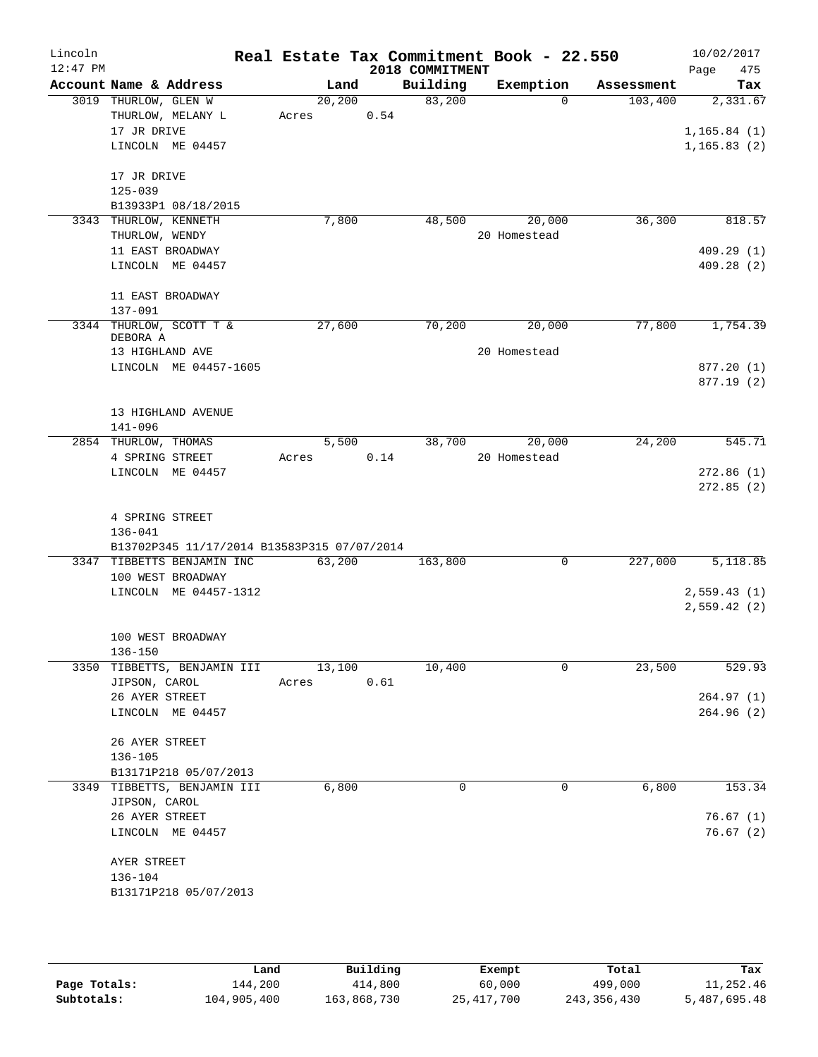| Lincoln<br>$12:47$ PM |                      |                                             |         |       |      | Real Estate Tax Commitment Book - 22.550<br>2018 COMMITMENT |              |          |            | 10/02/2017<br>Page | 475       |
|-----------------------|----------------------|---------------------------------------------|---------|-------|------|-------------------------------------------------------------|--------------|----------|------------|--------------------|-----------|
|                       |                      | Account Name & Address                      |         | Land  |      | Building                                                    | Exemption    |          | Assessment |                    | Tax       |
|                       | 3019 THURLOW, GLEN W |                                             | 20, 200 |       |      | 83,200                                                      |              | $\Omega$ | 103,400    |                    | 2,331.67  |
|                       |                      | THURLOW, MELANY L                           | Acres   |       | 0.54 |                                                             |              |          |            |                    |           |
|                       | 17 JR DRIVE          |                                             |         |       |      |                                                             |              |          |            | 1, 165.84(1)       |           |
|                       |                      | LINCOLN ME 04457                            |         |       |      |                                                             |              |          |            | 1, 165.83(2)       |           |
|                       | 17 JR DRIVE          |                                             |         |       |      |                                                             |              |          |            |                    |           |
|                       | $125 - 039$          |                                             |         |       |      |                                                             |              |          |            |                    |           |
|                       |                      | B13933P1 08/18/2015                         |         |       |      |                                                             |              |          |            |                    |           |
|                       |                      | 3343 THURLOW, KENNETH                       | 7,800   |       |      | 48,500                                                      |              | 20,000   | 36,300     |                    | 818.57    |
|                       | THURLOW, WENDY       |                                             |         |       |      |                                                             | 20 Homestead |          |            |                    |           |
|                       |                      | 11 EAST BROADWAY                            |         |       |      |                                                             |              |          |            |                    | 409.29(1) |
|                       |                      | LINCOLN ME 04457                            |         |       |      |                                                             |              |          |            |                    | 409.28(2) |
|                       |                      | 11 EAST BROADWAY                            |         |       |      |                                                             |              |          |            |                    |           |
|                       | $137 - 091$          |                                             |         |       |      |                                                             |              |          |            |                    |           |
|                       | DEBORA A             | 3344 THURLOW, SCOTT T &                     | 27,600  |       |      | 70,200                                                      |              | 20,000   | 77,800     |                    | 1,754.39  |
|                       | 13 HIGHLAND AVE      |                                             |         |       |      |                                                             | 20 Homestead |          |            |                    |           |
|                       |                      | LINCOLN ME 04457-1605                       |         |       |      |                                                             |              |          |            |                    | 877.20(1) |
|                       |                      |                                             |         |       |      |                                                             |              |          |            |                    | 877.19(2) |
|                       |                      | 13 HIGHLAND AVENUE                          |         |       |      |                                                             |              |          |            |                    |           |
|                       | $141 - 096$          |                                             |         |       |      |                                                             |              |          |            |                    |           |
|                       | 2854 THURLOW, THOMAS |                                             |         | 5,500 |      | 38,700                                                      |              | 20,000   | 24,200     |                    | 545.71    |
|                       | 4 SPRING STREET      |                                             | Acres   |       | 0.14 |                                                             | 20 Homestead |          |            |                    |           |
|                       |                      | LINCOLN ME 04457                            |         |       |      |                                                             |              |          |            |                    | 272.86(1) |
|                       |                      |                                             |         |       |      |                                                             |              |          |            |                    | 272.85(2) |
|                       |                      |                                             |         |       |      |                                                             |              |          |            |                    |           |
|                       | 4 SPRING STREET      |                                             |         |       |      |                                                             |              |          |            |                    |           |
|                       | $136 - 041$          |                                             |         |       |      |                                                             |              |          |            |                    |           |
|                       |                      | B13702P345 11/17/2014 B13583P315 07/07/2014 |         |       |      |                                                             |              |          |            |                    |           |
|                       |                      | 3347 TIBBETTS BENJAMIN INC                  | 63,200  |       |      | 163,800                                                     |              | 0        | 227,000    |                    | 5,118.85  |
|                       |                      | 100 WEST BROADWAY                           |         |       |      |                                                             |              |          |            |                    |           |
|                       |                      | LINCOLN ME 04457-1312                       |         |       |      |                                                             |              |          |            | 2,559.43(1)        |           |
|                       |                      |                                             |         |       |      |                                                             |              |          |            | 2,559.42(2)        |           |
|                       |                      | 100 WEST BROADWAY                           |         |       |      |                                                             |              |          |            |                    |           |
|                       | $136 - 150$          |                                             |         |       |      |                                                             |              |          |            |                    |           |
|                       |                      | 3350 TIBBETTS, BENJAMIN III                 | 13,100  |       |      | 10,400                                                      |              | 0        | 23,500     |                    | 529.93    |
|                       | JIPSON, CAROL        |                                             | Acres   |       | 0.61 |                                                             |              |          |            |                    |           |
|                       | 26 AYER STREET       |                                             |         |       |      |                                                             |              |          |            |                    | 264.97(1) |
|                       |                      | LINCOLN ME 04457                            |         |       |      |                                                             |              |          |            |                    | 264.96(2) |
|                       | 26 AYER STREET       |                                             |         |       |      |                                                             |              |          |            |                    |           |
|                       | $136 - 105$          |                                             |         |       |      |                                                             |              |          |            |                    |           |
|                       |                      | B13171P218 05/07/2013                       |         |       |      |                                                             |              |          |            |                    |           |
|                       |                      | 3349 TIBBETTS, BENJAMIN III                 | 6,800   |       |      | 0                                                           |              | 0        | 6,800      |                    | 153.34    |
|                       | JIPSON, CAROL        |                                             |         |       |      |                                                             |              |          |            |                    |           |
|                       | 26 AYER STREET       |                                             |         |       |      |                                                             |              |          |            |                    | 76.67(1)  |
|                       |                      | LINCOLN ME 04457                            |         |       |      |                                                             |              |          |            |                    | 76.67(2)  |
|                       | AYER STREET          |                                             |         |       |      |                                                             |              |          |            |                    |           |
|                       | 136-104              |                                             |         |       |      |                                                             |              |          |            |                    |           |
|                       |                      | B13171P218 05/07/2013                       |         |       |      |                                                             |              |          |            |                    |           |
|                       |                      |                                             |         |       |      |                                                             |              |          |            |                    |           |
|                       |                      |                                             |         |       |      |                                                             |              |          |            |                    |           |

|              | Land        | Building    | Exempt       | Total       | Tax          |
|--------------|-------------|-------------|--------------|-------------|--------------|
| Page Totals: | 144,200     | 414,800     | 60,000       | 499,000     | 11,252.46    |
| Subtotals:   | 104,905,400 | 163,868,730 | 25, 417, 700 | 243,356,430 | 5,487,695.48 |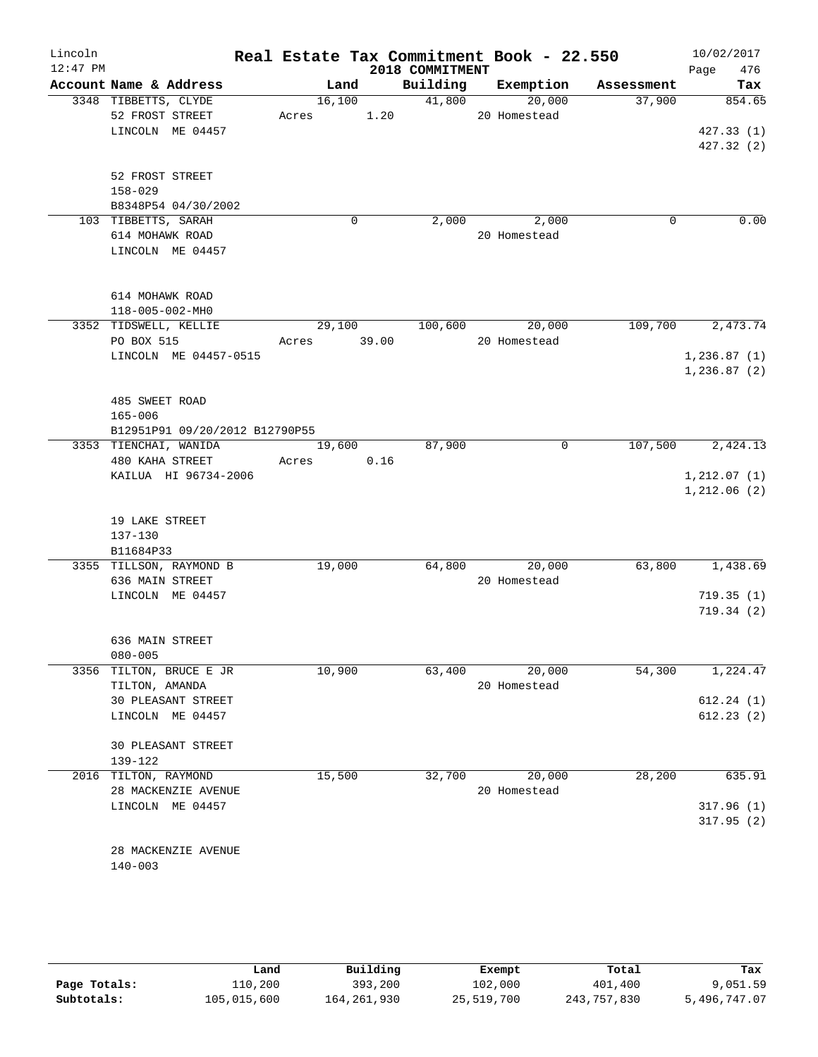| Lincoln<br>$12:47$ PM |                                |             |        | 2018 COMMITMENT | Real Estate Tax Commitment Book - 22.550 |            | Page | 10/02/2017<br>476      |
|-----------------------|--------------------------------|-------------|--------|-----------------|------------------------------------------|------------|------|------------------------|
|                       | Account Name & Address         |             | Land   |                 | Building Exemption                       | Assessment |      | Tax                    |
|                       | 3348 TIBBETTS, CLYDE           |             | 16,100 | 41,800          | 20,000                                   | 37,900     |      | 854.65                 |
|                       | 52 FROST STREET                | Acres 1.20  |        |                 | 20 Homestead                             |            |      |                        |
|                       | LINCOLN ME 04457               |             |        |                 |                                          |            |      | 427.33(1)              |
|                       |                                |             |        |                 |                                          |            |      | 427.32(2)              |
|                       | 52 FROST STREET                |             |        |                 |                                          |            |      |                        |
|                       | $158 - 029$                    |             |        |                 |                                          |            |      |                        |
|                       | B8348P54 04/30/2002            |             |        |                 |                                          |            |      |                        |
|                       | 103 TIBBETTS, SARAH            |             | 0      |                 | 2,000 2,000                              | 0          |      | 0.00                   |
|                       | 614 MOHAWK ROAD                |             |        |                 | 20 Homestead                             |            |      |                        |
|                       | LINCOLN ME 04457               |             |        |                 |                                          |            |      |                        |
|                       | 614 MOHAWK ROAD                |             |        |                 |                                          |            |      |                        |
|                       | 118-005-002-MH0                |             |        |                 |                                          |            |      |                        |
|                       | 3352 TIDSWELL, KELLIE          |             | 29,100 |                 | 100,600 20,000                           | 109,700    |      | 2,473.74               |
|                       | PO BOX 515                     | Acres 39.00 |        |                 | 20 Homestead                             |            |      |                        |
|                       | LINCOLN ME 04457-0515          |             |        |                 |                                          |            |      | 1, 236.87(1)           |
|                       |                                |             |        |                 |                                          |            |      | 1, 236.87(2)           |
|                       |                                |             |        |                 |                                          |            |      |                        |
|                       | 485 SWEET ROAD                 |             |        |                 |                                          |            |      |                        |
|                       | $165 - 006$                    |             |        |                 |                                          |            |      |                        |
|                       | B12951P91 09/20/2012 B12790P55 |             |        |                 |                                          |            |      |                        |
|                       | 3353 TIENCHAI, WANIDA          |             | 19,600 | 87,900          | $\mathbf 0$                              | 107,500    |      | 2,424.13               |
|                       | 480 KAHA STREET                | Acres 0.16  |        |                 |                                          |            |      |                        |
|                       | KAILUA HI 96734-2006           |             |        |                 |                                          |            |      | 1, 212.07(1)           |
|                       |                                |             |        |                 |                                          |            |      | 1,212.06(2)            |
|                       | 19 LAKE STREET                 |             |        |                 |                                          |            |      |                        |
|                       | $137 - 130$                    |             |        |                 |                                          |            |      |                        |
|                       | B11684P33                      |             |        |                 |                                          |            |      |                        |
|                       | 3355 TILLSON, RAYMOND B        |             | 19,000 |                 | 64,800 20,000                            | 63,800     |      | 1,438.69               |
|                       | 636 MAIN STREET                |             |        |                 | 20 Homestead                             |            |      |                        |
|                       | LINCOLN ME 04457               |             |        |                 |                                          |            |      | 719.35(1)              |
|                       |                                |             |        |                 |                                          |            |      | 719.34(2)              |
|                       | 636 MAIN STREET                |             |        |                 |                                          |            |      |                        |
|                       | $080 - 005$                    |             |        |                 |                                          |            |      |                        |
| 3356                  | TILTON, BRUCE E JR             |             | 10,900 | 63,400          | 20,000                                   | 54,300     |      | 1,224.47               |
|                       | TILTON, AMANDA                 |             |        |                 | 20 Homestead                             |            |      |                        |
|                       | 30 PLEASANT STREET             |             |        |                 |                                          |            |      | 612.24(1)              |
|                       | LINCOLN ME 04457               |             |        |                 |                                          |            |      | 612.23(2)              |
|                       | <b>30 PLEASANT STREET</b>      |             |        |                 |                                          |            |      |                        |
|                       | 139-122                        |             |        | 32,700          |                                          |            |      |                        |
|                       | 2016 TILTON, RAYMOND           |             | 15,500 |                 | 20,000                                   | 28,200     |      | 635.91                 |
|                       | 28 MACKENZIE AVENUE            |             |        |                 | 20 Homestead                             |            |      |                        |
|                       | LINCOLN ME 04457               |             |        |                 |                                          |            |      | 317.96(1)<br>317.95(2) |
|                       | 28 MACKENZIE AVENUE            |             |        |                 |                                          |            |      |                        |
|                       | $140 - 003$                    |             |        |                 |                                          |            |      |                        |
|                       |                                |             |        |                 |                                          |            |      |                        |

|              | Land        | Building    | Exempt     | Total       | Tax          |
|--------------|-------------|-------------|------------|-------------|--------------|
| Page Totals: | 110,200     | 393,200     | 102,000    | 401,400     | 9,051.59     |
| Subtotals:   | 105,015,600 | 164,261,930 | 25,519,700 | 243,757,830 | 5,496,747.07 |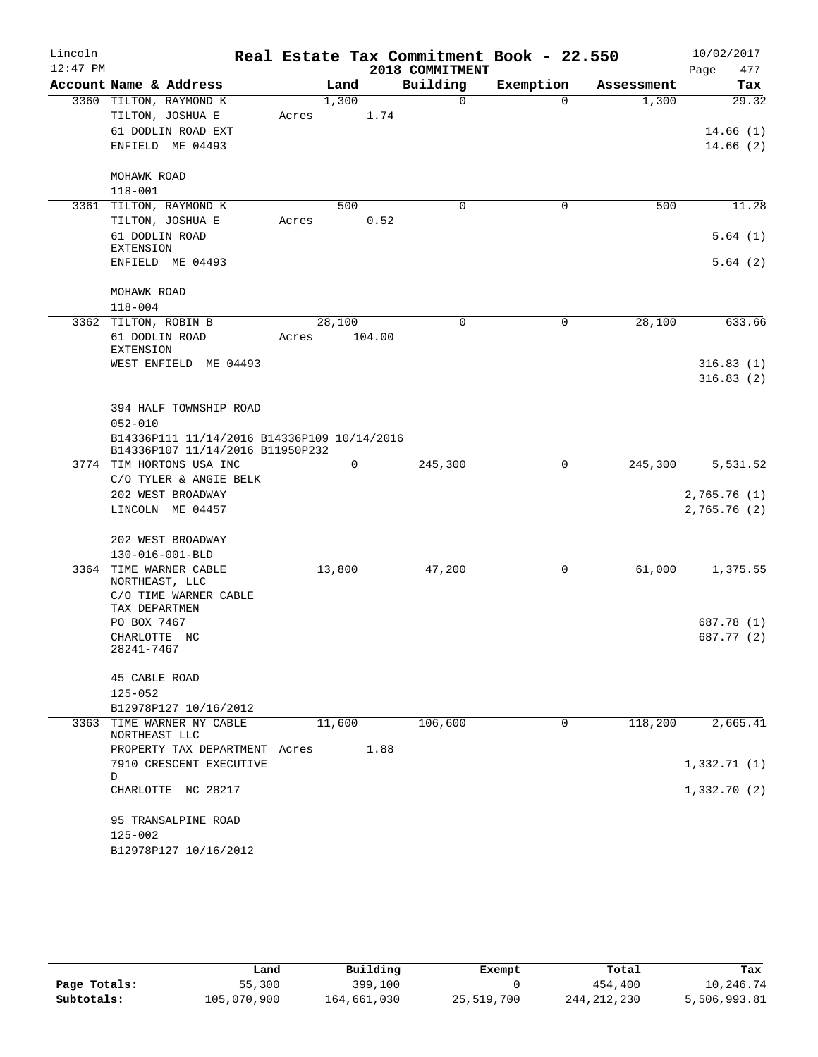| Lincoln    |                                                                                 |        |        |                 | Real Estate Tax Commitment Book - 22.550 |            | 10/02/2017   |
|------------|---------------------------------------------------------------------------------|--------|--------|-----------------|------------------------------------------|------------|--------------|
| $12:47$ PM |                                                                                 |        |        | 2018 COMMITMENT |                                          |            | Page<br>477  |
|            | Account Name & Address                                                          |        | Land   | Building        | Exemption                                | Assessment | Tax          |
|            | 3360 TILTON, RAYMOND K                                                          |        | 1,300  | $\Omega$        | $\Omega$                                 | 1,300      | 29.32        |
|            | TILTON, JOSHUA E                                                                | Acres  | 1.74   |                 |                                          |            |              |
|            | 61 DODLIN ROAD EXT                                                              |        |        |                 |                                          |            | 14.66(1)     |
|            | ENFIELD ME 04493                                                                |        |        |                 |                                          |            | 14.66(2)     |
|            | MOHAWK ROAD                                                                     |        |        |                 |                                          |            |              |
|            | $118 - 001$                                                                     |        |        |                 |                                          |            |              |
|            | 3361 TILTON, RAYMOND K                                                          |        | 500    | 0               | 0                                        | 500        | 11.28        |
|            | TILTON, JOSHUA E                                                                | Acres  | 0.52   |                 |                                          |            |              |
|            | 61 DODLIN ROAD<br><b>EXTENSION</b>                                              |        |        |                 |                                          |            | 5.64(1)      |
|            | ENFIELD ME 04493                                                                |        |        |                 |                                          |            | 5.64(2)      |
|            | MOHAWK ROAD<br>$118 - 004$                                                      |        |        |                 |                                          |            |              |
|            | 3362 TILTON, ROBIN B                                                            | 28,100 |        | 0               | $\mathbf 0$                              | 28,100     | 633.66       |
|            | 61 DODLIN ROAD<br><b>EXTENSION</b>                                              | Acres  | 104.00 |                 |                                          |            |              |
|            | WEST ENFIELD ME 04493                                                           |        |        |                 |                                          |            | 316.83(1)    |
|            |                                                                                 |        |        |                 |                                          |            | 316.83(2)    |
|            | 394 HALF TOWNSHIP ROAD                                                          |        |        |                 |                                          |            |              |
|            | $052 - 010$                                                                     |        |        |                 |                                          |            |              |
|            | B14336P111 11/14/2016 B14336P109 10/14/2016<br>B14336P107 11/14/2016 B11950P232 |        |        |                 |                                          |            |              |
|            | 3774 TIM HORTONS USA INC                                                        |        | 0      | 245,300         | 0                                        | 245,300    | 5,531.52     |
|            | C/O TYLER & ANGIE BELK                                                          |        |        |                 |                                          |            |              |
|            | 202 WEST BROADWAY                                                               |        |        |                 |                                          |            | 2,765.76 (1) |
|            | LINCOLN ME 04457                                                                |        |        |                 |                                          |            | 2,765.76(2)  |
|            | 202 WEST BROADWAY                                                               |        |        |                 |                                          |            |              |
|            | 130-016-001-BLD                                                                 |        |        |                 |                                          |            |              |
|            | 3364 TIME WARNER CABLE<br>NORTHEAST, LLC                                        | 13,800 |        | 47,200          | 0                                        | 61,000     | 1,375.55     |
|            | C/O TIME WARNER CABLE<br>TAX DEPARTMEN                                          |        |        |                 |                                          |            |              |
|            | PO BOX 7467                                                                     |        |        |                 |                                          |            | 687.78 (1)   |
|            | CHARLOTTE NC<br>28241-7467                                                      |        |        |                 |                                          |            | 687.77 (2)   |
|            | 45 CABLE ROAD                                                                   |        |        |                 |                                          |            |              |
|            | $125 - 052$                                                                     |        |        |                 |                                          |            |              |
|            | B12978P127 10/16/2012                                                           |        |        |                 |                                          |            |              |
|            | 3363 TIME WARNER NY CABLE<br>NORTHEAST LLC                                      | 11,600 |        | 106,600         | 0                                        | 118,200    | 2,665.41     |
|            | PROPERTY TAX DEPARTMENT                                                         | Acres  | 1.88   |                 |                                          |            |              |
|            | 7910 CRESCENT EXECUTIVE<br>D                                                    |        |        |                 |                                          |            | 1,332.71(1)  |
|            | CHARLOTTE NC 28217                                                              |        |        |                 |                                          |            | 1,332.70(2)  |
|            | 95 TRANSALPINE ROAD                                                             |        |        |                 |                                          |            |              |
|            | $125 - 002$                                                                     |        |        |                 |                                          |            |              |
|            | B12978P127 10/16/2012                                                           |        |        |                 |                                          |            |              |

|              | Land        | Building    | Exempt     | Total         | Tax          |
|--------------|-------------|-------------|------------|---------------|--------------|
| Page Totals: | 55,300      | 399,100     |            | 454,400       | 10,246.74    |
| Subtotals:   | 105,070,900 | 164,661,030 | 25,519,700 | 244, 212, 230 | 5,506,993.81 |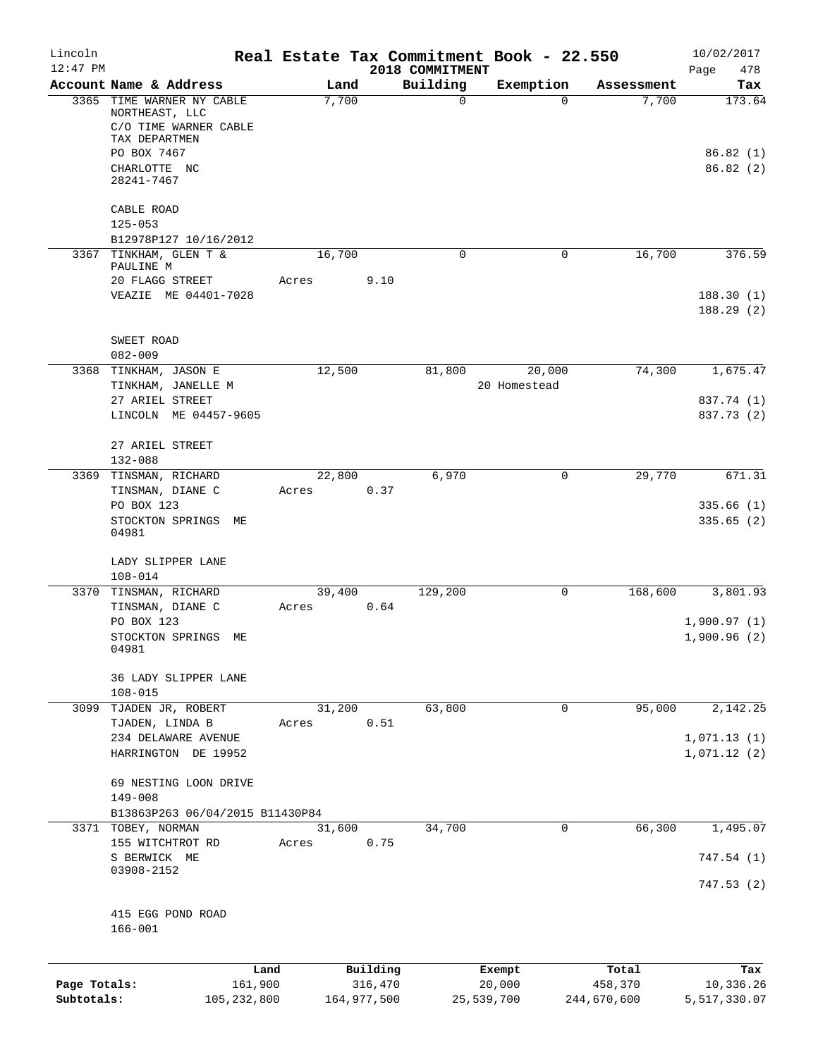| Lincoln      |                                                          |                 |             |                 | Real Estate Tax Commitment Book - 22.550 |                     | 10/02/2017             |
|--------------|----------------------------------------------------------|-----------------|-------------|-----------------|------------------------------------------|---------------------|------------------------|
| $12:47$ PM   |                                                          |                 |             | 2018 COMMITMENT |                                          |                     | 478<br>Page            |
|              | Account Name & Address<br>3365 TIME WARNER NY CABLE      | Land<br>7,700   |             | Building<br>0   | Exemption<br>$\mathbf 0$                 | Assessment<br>7,700 | Tax<br>173.64          |
|              | NORTHEAST, LLC<br>C/O TIME WARNER CABLE<br>TAX DEPARTMEN |                 |             |                 |                                          |                     |                        |
|              | PO BOX 7467                                              |                 |             |                 |                                          |                     | 86.82(1)               |
|              | CHARLOTTE NC<br>28241-7467                               |                 |             |                 |                                          |                     | 86.82 (2)              |
|              | CABLE ROAD<br>$125 - 053$                                |                 |             |                 |                                          |                     |                        |
|              | B12978P127 10/16/2012                                    |                 |             |                 |                                          |                     |                        |
|              | 3367 TINKHAM, GLEN T &<br>PAULINE M                      | 16,700          |             | 0               | $\mathbf 0$                              | 16,700              | 376.59                 |
|              | 20 FLAGG STREET                                          | Acres           | 9.10        |                 |                                          |                     |                        |
|              | VEAZIE ME 04401-7028                                     |                 |             |                 |                                          |                     | 188.30(1)<br>188.29(2) |
|              |                                                          |                 |             |                 |                                          |                     |                        |
|              | SWEET ROAD<br>$082 - 009$                                |                 |             |                 |                                          |                     |                        |
|              | 3368 TINKHAM, JASON E<br>TINKHAM, JANELLE M              | 12,500          |             | 81,800          | 20,000<br>20 Homestead                   | 74,300              | 1,675.47               |
|              | 27 ARIEL STREET                                          |                 |             |                 |                                          |                     | 837.74 (1)             |
|              | LINCOLN ME 04457-9605                                    |                 |             |                 |                                          |                     | 837.73 (2)             |
|              | 27 ARIEL STREET                                          |                 |             |                 |                                          |                     |                        |
|              | 132-088<br>3369 TINSMAN, RICHARD                         | 22,800          |             | 6,970           | 0                                        | 29,770              | 671.31                 |
|              | TINSMAN, DIANE C                                         | Acres           | 0.37        |                 |                                          |                     |                        |
|              | PO BOX 123                                               |                 |             |                 |                                          |                     | 335.66(1)              |
|              | STOCKTON SPRINGS ME<br>04981                             |                 |             |                 |                                          |                     | 335.65(2)              |
|              | LADY SLIPPER LANE<br>$108 - 014$                         |                 |             |                 |                                          |                     |                        |
|              | 3370 TINSMAN, RICHARD                                    | 39,400          |             | 129,200         | 0                                        | 168,600             | 3,801.93               |
|              | TINSMAN, DIANE C                                         | Acres           | 0.64        |                 |                                          |                     |                        |
|              | PO BOX 123                                               |                 |             |                 |                                          |                     | 1,900.97(1)            |
|              | STOCKTON SPRINGS<br>MЕ<br>04981                          |                 |             |                 |                                          |                     | 1,900.96(2)            |
|              | 36 LADY SLIPPER LANE<br>$108 - 015$                      |                 |             |                 |                                          |                     |                        |
| 3099         | TJADEN JR, ROBERT                                        | 31,200          |             | 63,800          | 0                                        | 95,000              | 2,142.25               |
|              | TJADEN, LINDA B                                          | Acres           | 0.51        |                 |                                          |                     |                        |
|              | 234 DELAWARE AVENUE                                      |                 |             |                 |                                          |                     | 1,071.13(1)            |
|              | HARRINGTON DE 19952                                      |                 |             |                 |                                          |                     | 1,071.12(2)            |
|              | 69 NESTING LOON DRIVE                                    |                 |             |                 |                                          |                     |                        |
|              | $149 - 008$                                              |                 |             |                 |                                          |                     |                        |
|              | B13863P263 06/04/2015 B11430P84                          |                 |             |                 |                                          |                     |                        |
|              | 3371 TOBEY, NORMAN<br>155 WITCHTROT RD                   | 31,600<br>Acres | 0.75        | 34,700          | 0                                        | 66,300              | 1,495.07               |
|              | S BERWICK ME<br>03908-2152                               |                 |             |                 |                                          |                     | 747.54 (1)             |
|              |                                                          |                 |             |                 |                                          |                     | 747.53(2)              |
|              | 415 EGG POND ROAD<br>$166 - 001$                         |                 |             |                 |                                          |                     |                        |
|              | Land                                                     |                 | Building    |                 | Exempt                                   | Total               | Tax                    |
| Page Totals: | 161,900                                                  |                 | 316,470     |                 | 20,000                                   | 458,370             | 10,336.26              |
| Subtotals:   | 105, 232, 800                                            |                 | 164,977,500 |                 | 25,539,700                               | 244,670,600         | 5,517,330.07           |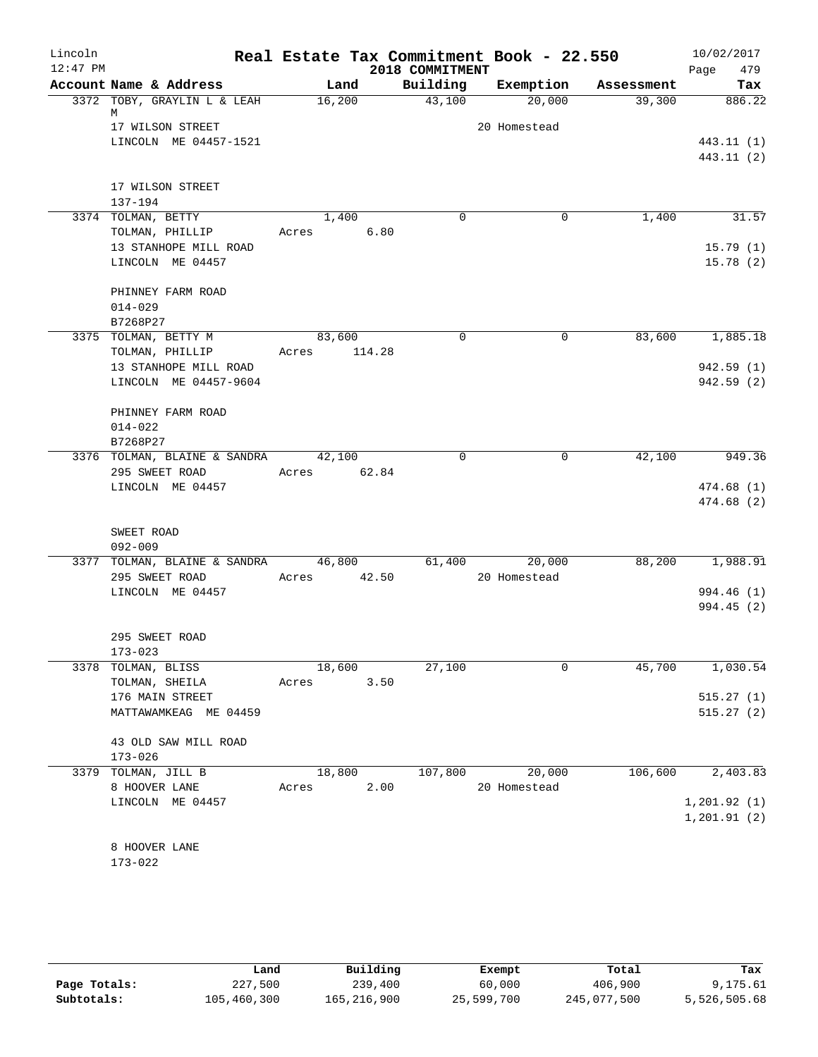| Lincoln<br>$12:47$ PM |                                    |             | 2018 COMMITMENT | Real Estate Tax Commitment Book - 22.550 |            | 10/02/2017<br>479<br>Page |
|-----------------------|------------------------------------|-------------|-----------------|------------------------------------------|------------|---------------------------|
|                       | Account Name & Address             | Land        | Building        | Exemption                                | Assessment | Tax                       |
|                       | 3372 TOBY, GRAYLIN L & LEAH<br>М   | 16,200      | 43,100          | 20,000                                   | 39,300     | 886.22                    |
|                       | 17 WILSON STREET                   |             |                 | 20 Homestead                             |            |                           |
|                       | LINCOLN ME 04457-1521              |             |                 |                                          |            | 443.11 (1)                |
|                       |                                    |             |                 |                                          |            | 443.11 (2)                |
|                       | 17 WILSON STREET                   |             |                 |                                          |            |                           |
|                       | 137-194                            |             |                 |                                          |            |                           |
|                       | 3374 TOLMAN, BETTY                 | 1,400       | $\Omega$        | 0                                        | 1,400      | 31.57                     |
|                       | TOLMAN, PHILLIP                    | Acres       | 6.80            |                                          |            |                           |
|                       | 13 STANHOPE MILL ROAD              |             |                 |                                          |            | 15.79(1)                  |
|                       | LINCOLN ME 04457                   |             |                 |                                          |            | 15.78(2)                  |
|                       | PHINNEY FARM ROAD                  |             |                 |                                          |            |                           |
|                       | $014 - 029$                        |             |                 |                                          |            |                           |
|                       | B7268P27                           |             |                 |                                          |            |                           |
|                       | 3375 TOLMAN, BETTY M               | 83,600      | 0               | 0                                        | 83,600     | 1,885.18                  |
|                       | TOLMAN, PHILLIP                    | Acres       | 114.28          |                                          |            |                           |
|                       | 13 STANHOPE MILL ROAD              |             |                 |                                          |            | 942.59 (1)                |
|                       | LINCOLN ME 04457-9604              |             |                 |                                          |            | 942.59(2)                 |
|                       | PHINNEY FARM ROAD                  |             |                 |                                          |            |                           |
|                       | $014 - 022$                        |             |                 |                                          |            |                           |
|                       | B7268P27                           |             |                 |                                          |            |                           |
|                       | 3376 TOLMAN, BLAINE & SANDRA       | 42,100      | $\Omega$        | 0                                        | 42,100     | 949.36                    |
|                       | 295 SWEET ROAD                     | Acres       | 62.84           |                                          |            |                           |
|                       | LINCOLN ME 04457                   |             |                 |                                          |            | 474.68(1)                 |
|                       |                                    |             |                 |                                          |            | 474.68(2)                 |
|                       | SWEET ROAD                         |             |                 |                                          |            |                           |
|                       | $092 - 009$                        |             |                 |                                          |            |                           |
|                       | 3377 TOLMAN, BLAINE & SANDRA       | 46,800      | 61,400          | 20,000                                   | 88,200     | 1,988.91                  |
|                       | 295 SWEET ROAD<br>LINCOLN ME 04457 | Acres 42.50 |                 | 20 Homestead                             |            | 994.46 (1)                |
|                       |                                    |             |                 |                                          |            | 994.45 (2)                |
|                       |                                    |             |                 |                                          |            |                           |
|                       | 295 SWEET ROAD                     |             |                 |                                          |            |                           |
|                       | $173 - 023$                        |             |                 |                                          |            |                           |
| 3378                  | TOLMAN, BLISS                      | 18,600      | 27,100          | 0                                        | 45,700     | 1,030.54                  |
|                       | TOLMAN, SHEILA                     | Acres       | 3.50            |                                          |            |                           |
|                       | 176 MAIN STREET                    |             |                 |                                          |            | 515.27(1)                 |
|                       | MATTAWAMKEAG ME 04459              |             |                 |                                          |            | 515.27(2)                 |
|                       | 43 OLD SAW MILL ROAD               |             |                 |                                          |            |                           |
|                       | $173 - 026$                        |             |                 |                                          |            |                           |
| 3379                  | TOLMAN, JILL B                     | 18,800      | 107,800         | 20,000                                   | 106,600    | 2,403.83                  |
|                       | 8 HOOVER LANE                      | Acres       | 2.00            | 20 Homestead                             |            |                           |
|                       | LINCOLN ME 04457                   |             |                 |                                          |            | 1,201.92(1)               |
|                       |                                    |             |                 |                                          |            | 1,201.91(2)               |
|                       | 8 HOOVER LANE                      |             |                 |                                          |            |                           |
|                       |                                    |             |                 |                                          |            |                           |

173-022

|              | Land        | Building    | Exempt     | Total       | Tax          |
|--------------|-------------|-------------|------------|-------------|--------------|
| Page Totals: | 227,500     | 239,400     | 60,000     | 406,900     | 9,175.61     |
| Subtotals:   | 105,460,300 | 165,216,900 | 25,599,700 | 245,077,500 | 5,526,505.68 |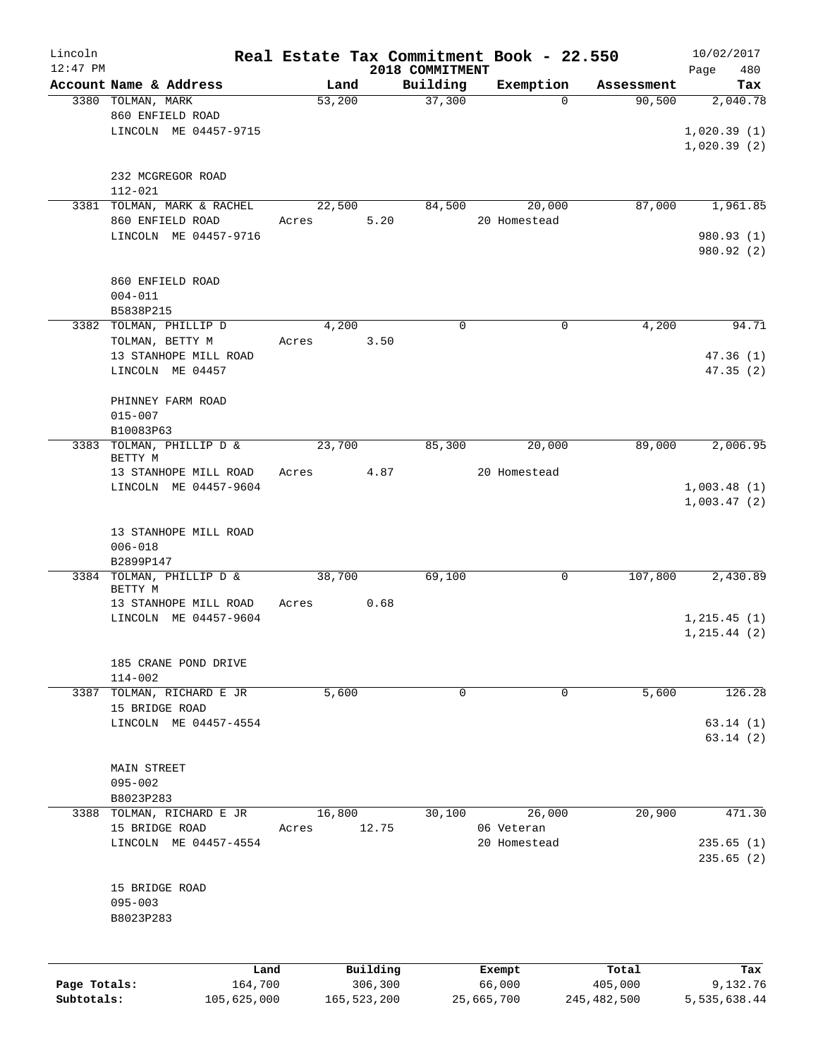| Lincoln<br>$12:47$ PM      |                                                                | Real Estate Tax Commitment Book - 22.550 |                          | 2018 COMMITMENT |                      |                        |                          | Page        | 10/02/2017<br>480            |
|----------------------------|----------------------------------------------------------------|------------------------------------------|--------------------------|-----------------|----------------------|------------------------|--------------------------|-------------|------------------------------|
|                            | Account Name & Address                                         | Land                                     |                          | Building        |                      | Exemption              | Assessment               |             | Tax                          |
|                            | 3380 TOLMAN, MARK<br>860 ENFIELD ROAD<br>LINCOLN ME 04457-9715 | 53,200                                   |                          | 37,300          |                      | $\Omega$               | 90,500                   |             | 2,040.78<br>1,020.39(1)      |
|                            | 232 MCGREGOR ROAD<br>$112 - 021$                               |                                          |                          |                 |                      |                        |                          | 1,020.39(2) |                              |
|                            | 3381 TOLMAN, MARK & RACHEL                                     | 22,500                                   |                          | 84,500          |                      | 20,000<br>20 Homestead | 87,000                   |             | 1,961.85                     |
|                            | 860 ENFIELD ROAD<br>LINCOLN ME 04457-9716                      | Acres                                    | 5.20                     |                 |                      |                        |                          |             | 980.93 (1)<br>980.92 (2)     |
|                            | 860 ENFIELD ROAD<br>$004 - 011$<br>B5838P215                   |                                          |                          |                 |                      |                        |                          |             |                              |
|                            | 3382 TOLMAN, PHILLIP D                                         | 4,200                                    |                          | $\Omega$        |                      | $\mathbf 0$            | 4,200                    |             | 94.71                        |
|                            | TOLMAN, BETTY M<br>13 STANHOPE MILL ROAD<br>LINCOLN ME 04457   | Acres                                    | 3.50                     |                 |                      |                        |                          |             | 47.36(1)<br>47.35(2)         |
|                            | PHINNEY FARM ROAD<br>$015 - 007$                               |                                          |                          |                 |                      |                        |                          |             |                              |
| 3383                       | B10083P63<br>TOLMAN, PHILLIP D &                               | 23,700                                   |                          | 85,300          |                      | 20,000                 | 89,000                   |             | 2,006.95                     |
|                            | BETTY M<br>13 STANHOPE MILL ROAD                               | Acres                                    | 4.87                     |                 |                      | 20 Homestead           |                          |             |                              |
|                            | LINCOLN ME 04457-9604                                          |                                          |                          |                 |                      |                        |                          |             | 1,003.48(1)<br>1,003.47(2)   |
|                            | 13 STANHOPE MILL ROAD<br>$006 - 018$<br>B2899P147              |                                          |                          |                 |                      |                        |                          |             |                              |
|                            | 3384 TOLMAN, PHILLIP D &                                       | 38,700                                   |                          | 69,100          |                      | 0                      | 107,800                  |             | 2,430.89                     |
|                            | BETTY M<br>13 STANHOPE MILL ROAD                               | Acres                                    | 0.68                     |                 |                      |                        |                          |             |                              |
|                            | LINCOLN ME 04457-9604                                          |                                          |                          |                 |                      |                        |                          |             | 1, 215.45(1)<br>1, 215.44(2) |
|                            | 185 CRANE POND DRIVE<br>$114 - 002$                            |                                          |                          |                 |                      |                        |                          |             |                              |
| 3387                       | TOLMAN, RICHARD E JR<br>15 BRIDGE ROAD                         | 5,600                                    |                          | 0               |                      | 0                      | 5,600                    |             | 126.28                       |
|                            | LINCOLN ME 04457-4554                                          |                                          |                          |                 |                      |                        |                          |             | 63.14(1)<br>63.14(2)         |
|                            | MAIN STREET<br>$095 - 002$                                     |                                          |                          |                 |                      |                        |                          |             |                              |
| 3388                       | B8023P283<br>TOLMAN, RICHARD E JR                              | 16,800                                   |                          | 30,100          |                      | 26,000                 | 20,900                   |             | 471.30                       |
|                            | 15 BRIDGE ROAD<br>LINCOLN ME 04457-4554                        | Acres                                    | 12.75                    |                 | 06 Veteran           | 20 Homestead           |                          |             | 235.65(1)<br>235.65(2)       |
|                            | 15 BRIDGE ROAD<br>$095 - 003$<br>B8023P283                     |                                          |                          |                 |                      |                        |                          |             |                              |
|                            | Land                                                           |                                          | Building                 |                 | Exempt               |                        | Total                    |             | Tax                          |
| Page Totals:<br>Subtotals: | 164,700<br>105,625,000                                         |                                          | 306,300<br>165, 523, 200 |                 | 66,000<br>25,665,700 |                        | 405,000<br>245, 482, 500 |             | 9,132.76<br>5,535,638.44     |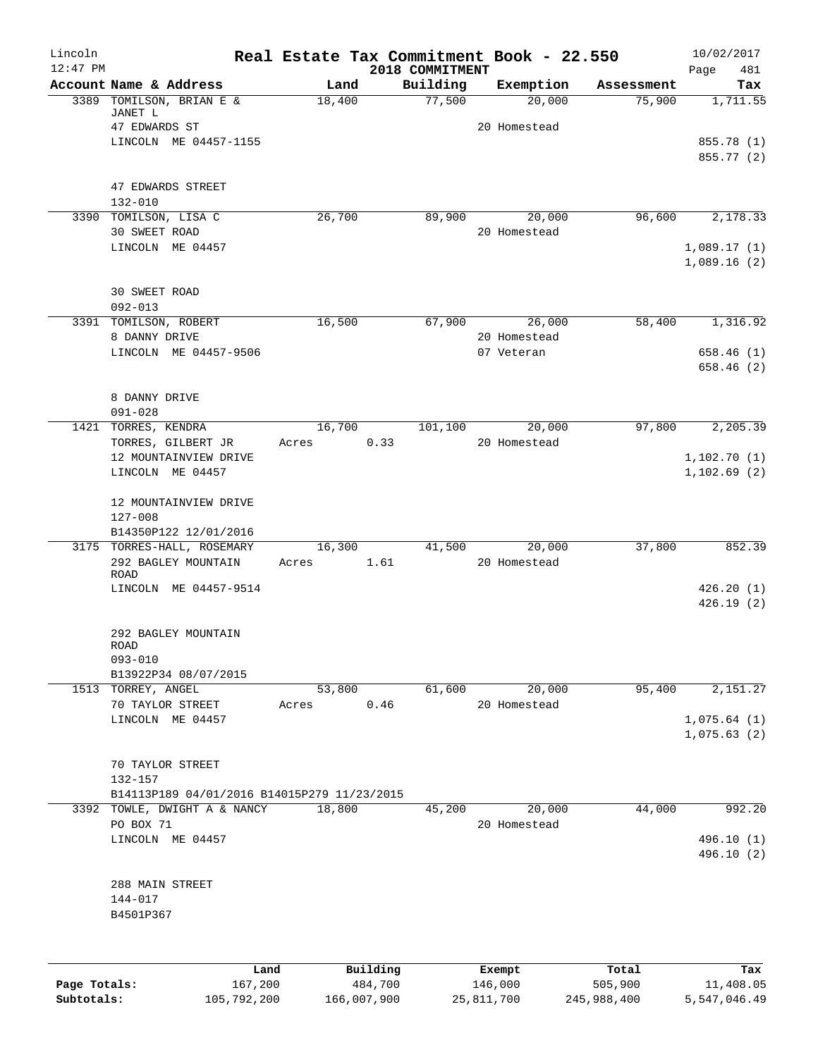| Lincoln      |                                             |                 |          |                             | Real Estate Tax Commitment Book - 22.550 |            | 10/02/2017             |
|--------------|---------------------------------------------|-----------------|----------|-----------------------------|------------------------------------------|------------|------------------------|
| $12:47$ PM   | Account Name & Address                      | Land            |          | 2018 COMMITMENT<br>Building | Exemption                                | Assessment | Page<br>481<br>Tax     |
|              | 3389 TOMILSON, BRIAN E &                    | 18,400          |          | 77,500                      | 20,000                                   | 75,900     | 1,711.55               |
|              | JANET L<br>47 EDWARDS ST                    |                 |          |                             | 20 Homestead                             |            |                        |
|              | LINCOLN ME 04457-1155                       |                 |          |                             |                                          |            | 855.78 (1)             |
|              |                                             |                 |          |                             |                                          |            | 855.77 (2)             |
|              | 47 EDWARDS STREET                           |                 |          |                             |                                          |            |                        |
|              | $132 - 010$                                 |                 |          |                             |                                          |            |                        |
|              | 3390 TOMILSON, LISA C                       | 26,700          |          | 89,900                      | 20,000                                   | 96,600     | 2,178.33               |
|              | 30 SWEET ROAD                               |                 |          |                             | 20 Homestead                             |            |                        |
|              | LINCOLN ME 04457                            |                 |          |                             |                                          |            | 1,089.17(1)            |
|              |                                             |                 |          |                             |                                          |            | 1,089.16(2)            |
|              | <b>30 SWEET ROAD</b>                        |                 |          |                             |                                          |            |                        |
|              | $092 - 013$                                 |                 |          |                             |                                          |            |                        |
|              | 3391 TOMILSON, ROBERT                       | 16,500          |          | 67,900                      | 26,000                                   | 58,400     | 1,316.92               |
|              | 8 DANNY DRIVE                               |                 |          |                             | 20 Homestead                             |            |                        |
|              | LINCOLN ME 04457-9506                       |                 |          |                             | 07 Veteran                               |            | 658.46(1)              |
|              |                                             |                 |          |                             |                                          |            | 658.46 (2)             |
|              |                                             |                 |          |                             |                                          |            |                        |
|              | 8 DANNY DRIVE<br>$091 - 028$                |                 |          |                             |                                          |            |                        |
|              | 1421 TORRES, KENDRA                         | 16,700          |          | 101,100                     | 20,000                                   | 97,800     | 2,205.39               |
|              | TORRES, GILBERT JR                          | Acres           | 0.33     |                             | 20 Homestead                             |            |                        |
|              | 12 MOUNTAINVIEW DRIVE                       |                 |          |                             |                                          |            | 1,102.70(1)            |
|              | LINCOLN ME 04457                            |                 |          |                             |                                          |            | 1,102.69(2)            |
|              |                                             |                 |          |                             |                                          |            |                        |
|              | 12 MOUNTAINVIEW DRIVE                       |                 |          |                             |                                          |            |                        |
|              | $127 - 008$<br>B14350P122 12/01/2016        |                 |          |                             |                                          |            |                        |
|              | 3175 TORRES-HALL, ROSEMARY                  | 16,300          |          | 41,500                      | 20,000                                   | 37,800     | 852.39                 |
|              | 292 BAGLEY MOUNTAIN                         | Acres           | 1.61     |                             | 20 Homestead                             |            |                        |
|              | ROAD                                        |                 |          |                             |                                          |            |                        |
|              | LINCOLN ME 04457-9514                       |                 |          |                             |                                          |            | 426.20(1)<br>426.19(2) |
|              |                                             |                 |          |                             |                                          |            |                        |
|              | 292 BAGLEY MOUNTAIN                         |                 |          |                             |                                          |            |                        |
|              | ROAD                                        |                 |          |                             |                                          |            |                        |
|              | $093 - 010$                                 |                 |          |                             |                                          |            |                        |
|              | B13922P34 08/07/2015                        |                 |          |                             |                                          |            |                        |
|              | 1513 TORREY, ANGEL<br>70 TAYLOR STREET      | 53,800<br>Acres | 0.46     | 61,600                      | 20,000<br>20 Homestead                   | 95,400     | 2,151.27               |
|              | LINCOLN ME 04457                            |                 |          |                             |                                          |            | 1,075.64(1)            |
|              |                                             |                 |          |                             |                                          |            | 1,075.63(2)            |
|              |                                             |                 |          |                             |                                          |            |                        |
|              | 70 TAYLOR STREET                            |                 |          |                             |                                          |            |                        |
|              | 132-157                                     |                 |          |                             |                                          |            |                        |
|              | B14113P189 04/01/2016 B14015P279 11/23/2015 |                 |          |                             |                                          |            |                        |
|              | 3392 TOWLE, DWIGHT A & NANCY<br>PO BOX 71   | 18,800          |          | 45,200                      | 20,000<br>20 Homestead                   | 44,000     | 992.20                 |
|              | LINCOLN ME 04457                            |                 |          |                             |                                          |            | 496.10 (1)             |
|              |                                             |                 |          |                             |                                          |            | 496.10 (2)             |
|              |                                             |                 |          |                             |                                          |            |                        |
|              | 288 MAIN STREET                             |                 |          |                             |                                          |            |                        |
|              | 144-017                                     |                 |          |                             |                                          |            |                        |
|              | B4501P367                                   |                 |          |                             |                                          |            |                        |
|              |                                             |                 |          |                             |                                          |            |                        |
|              | Land                                        |                 | Building |                             | Exempt                                   | Total      | Tax                    |
| Page Totals: | 167,200                                     |                 | 484,700  |                             | 146,000                                  | 505,900    | 11,408.05              |

**Subtotals:** 105,792,200 166,007,900 25,811,700 245,988,400 5,547,046.49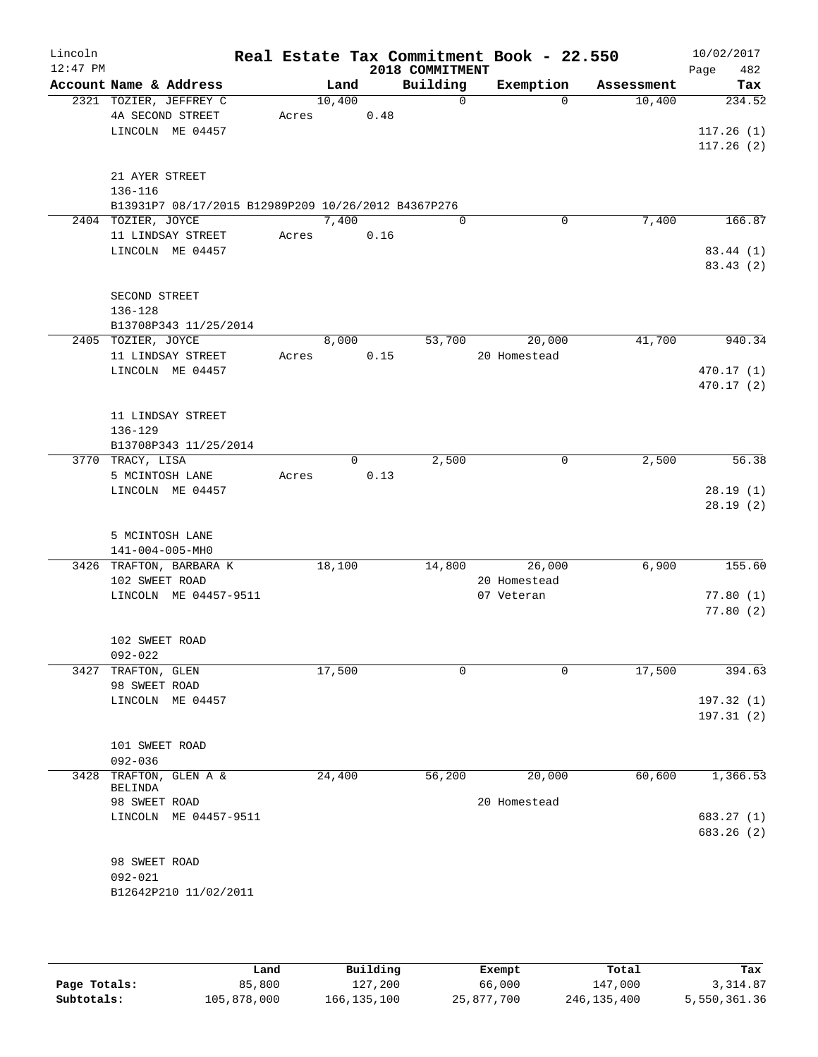| Lincoln<br>$12:47$ PM |                               |                                                     |       |        |          | 2018 COMMITMENT | Real Estate Tax Commitment Book - 22.550 |            | 10/02/2017<br>Page | 482       |
|-----------------------|-------------------------------|-----------------------------------------------------|-------|--------|----------|-----------------|------------------------------------------|------------|--------------------|-----------|
|                       |                               | Account Name & Address                              |       | Land   |          | Building        | Exemption                                | Assessment |                    | Tax       |
|                       |                               | 2321 TOZIER, JEFFREY C                              |       | 10,400 |          | $\Omega$        | $\Omega$                                 | 10,400     |                    | 234.52    |
|                       |                               | 4A SECOND STREET                                    | Acres |        | 0.48     |                 |                                          |            |                    |           |
|                       |                               | LINCOLN ME 04457                                    |       |        |          |                 |                                          |            | 117.26(1)          |           |
|                       |                               |                                                     |       |        |          |                 |                                          |            | 117.26(2)          |           |
|                       | 21 AYER STREET                |                                                     |       |        |          |                 |                                          |            |                    |           |
|                       | 136-116                       |                                                     |       |        |          |                 |                                          |            |                    |           |
|                       |                               | B13931P7 08/17/2015 B12989P209 10/26/2012 B4367P276 |       |        |          |                 |                                          |            |                    |           |
|                       | 2404 TOZIER, JOYCE            |                                                     |       | 7,400  |          | $\Omega$        | 0                                        | 7,400      |                    | 166.87    |
|                       |                               | 11 LINDSAY STREET                                   | Acres |        | 0.16     |                 |                                          |            |                    |           |
|                       |                               | LINCOLN ME 04457                                    |       |        |          |                 |                                          |            |                    | 83.44 (1) |
|                       |                               |                                                     |       |        |          |                 |                                          |            |                    | 83.43(2)  |
|                       | SECOND STREET                 |                                                     |       |        |          |                 |                                          |            |                    |           |
|                       | 136-128                       |                                                     |       |        |          |                 |                                          |            |                    |           |
|                       |                               | B13708P343 11/25/2014                               |       |        |          |                 |                                          |            |                    |           |
|                       | 2405 TOZIER, JOYCE            |                                                     |       | 8,000  |          | 53,700          | 20,000                                   | 41,700     |                    | 940.34    |
|                       |                               | 11 LINDSAY STREET                                   | Acres |        | 0.15     |                 | 20 Homestead                             |            |                    |           |
|                       |                               | LINCOLN ME 04457                                    |       |        |          |                 |                                          |            | 470.17(1)          |           |
|                       |                               |                                                     |       |        |          |                 |                                          |            | 470.17(2)          |           |
|                       |                               |                                                     |       |        |          |                 |                                          |            |                    |           |
|                       |                               | 11 LINDSAY STREET                                   |       |        |          |                 |                                          |            |                    |           |
|                       | 136-129                       | B13708P343 11/25/2014                               |       |        |          |                 |                                          |            |                    |           |
|                       | 3770 TRACY, LISA              |                                                     |       |        | $\Omega$ | 2,500           | $\mathsf{O}$                             | 2,500      |                    | 56.38     |
|                       |                               | 5 MCINTOSH LANE                                     | Acres |        | 0.13     |                 |                                          |            |                    |           |
|                       |                               | LINCOLN ME 04457                                    |       |        |          |                 |                                          |            |                    | 28.19(1)  |
|                       |                               |                                                     |       |        |          |                 |                                          |            |                    | 28.19(2)  |
|                       |                               |                                                     |       |        |          |                 |                                          |            |                    |           |
|                       |                               | 5 MCINTOSH LANE                                     |       |        |          |                 |                                          |            |                    |           |
|                       |                               | 141-004-005-MH0                                     |       |        |          |                 |                                          |            |                    |           |
|                       |                               | 3426 TRAFTON, BARBARA K                             |       | 18,100 |          | 14,800          | 26,000                                   | 6,900      |                    | 155.60    |
|                       | 102 SWEET ROAD                |                                                     |       |        |          |                 | 20 Homestead                             |            |                    |           |
|                       |                               | LINCOLN ME 04457-9511                               |       |        |          |                 | 07 Veteran                               |            |                    | 77.80(1)  |
|                       |                               |                                                     |       |        |          |                 |                                          |            |                    | 77.80(2)  |
|                       |                               |                                                     |       |        |          |                 |                                          |            |                    |           |
|                       | 102 SWEET ROAD<br>$092 - 022$ |                                                     |       |        |          |                 |                                          |            |                    |           |
| 3427                  | TRAFTON, GLEN                 |                                                     |       | 17,500 |          | 0               | 0                                        | 17,500     |                    | 394.63    |
|                       | 98 SWEET ROAD                 |                                                     |       |        |          |                 |                                          |            |                    |           |
|                       |                               | LINCOLN ME 04457                                    |       |        |          |                 |                                          |            | 197.32(1)          |           |
|                       |                               |                                                     |       |        |          |                 |                                          |            | 197.31(2)          |           |
|                       |                               |                                                     |       |        |          |                 |                                          |            |                    |           |
|                       | 101 SWEET ROAD                |                                                     |       |        |          |                 |                                          |            |                    |           |
|                       | $092 - 036$                   |                                                     |       |        |          |                 |                                          |            |                    |           |
| 3428                  | BELINDA                       | TRAFTON, GLEN A &                                   |       | 24,400 |          | 56,200          | 20,000                                   | 60,600     |                    | 1,366.53  |
|                       | 98 SWEET ROAD                 |                                                     |       |        |          |                 | 20 Homestead                             |            |                    |           |
|                       |                               | LINCOLN ME 04457-9511                               |       |        |          |                 |                                          |            | 683.27 (1)         |           |
|                       |                               |                                                     |       |        |          |                 |                                          |            | 683.26 (2)         |           |
|                       |                               |                                                     |       |        |          |                 |                                          |            |                    |           |
|                       | 98 SWEET ROAD                 |                                                     |       |        |          |                 |                                          |            |                    |           |
|                       | $092 - 021$                   |                                                     |       |        |          |                 |                                          |            |                    |           |
|                       |                               | B12642P210 11/02/2011                               |       |        |          |                 |                                          |            |                    |           |
|                       |                               |                                                     |       |        |          |                 |                                          |            |                    |           |
|                       |                               |                                                     |       |        |          |                 |                                          |            |                    |           |

|              | Land        | Building      | Exempt     | Total       | Tax          |
|--------------|-------------|---------------|------------|-------------|--------------|
| Page Totals: | 85,800      | 127,200       | 66,000     | 147,000     | 3,314.87     |
| Subtotals:   | 105,878,000 | 166, 135, 100 | 25,877,700 | 246,135,400 | 5,550,361.36 |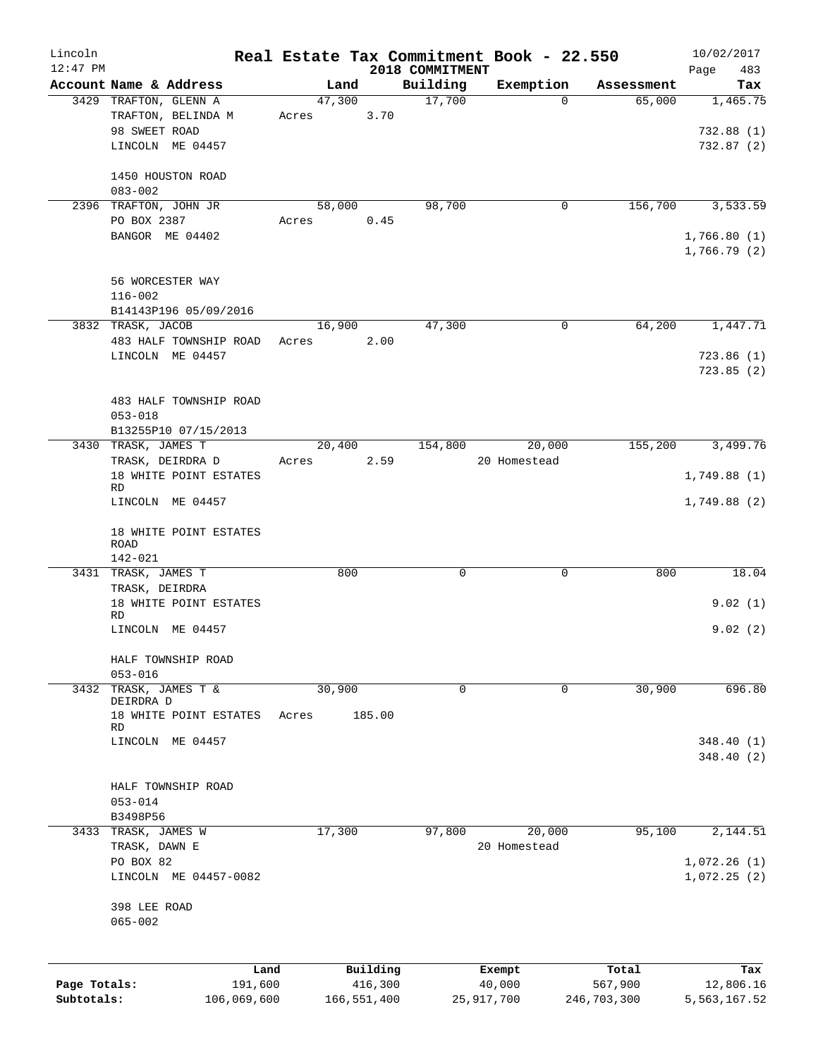| Lincoln      |                                             |                 |             |                    | Real Estate Tax Commitment Book - 22.550 |             | 10/02/2017   |
|--------------|---------------------------------------------|-----------------|-------------|--------------------|------------------------------------------|-------------|--------------|
| $12:47$ PM   |                                             |                 |             | 2018 COMMITMENT    |                                          |             | 483<br>Page  |
|              | Account Name & Address                      | Land            |             | Building<br>17,700 | Exemption                                | Assessment  | Tax          |
|              | 3429 TRAFTON, GLENN A<br>TRAFTON, BELINDA M | 47,300<br>Acres | 3.70        |                    | 0                                        | 65,000      | 1,465.75     |
|              | 98 SWEET ROAD                               |                 |             |                    |                                          |             | 732.88(1)    |
|              | LINCOLN ME 04457                            |                 |             |                    |                                          |             | 732.87(2)    |
|              |                                             |                 |             |                    |                                          |             |              |
|              | 1450 HOUSTON ROAD                           |                 |             |                    |                                          |             |              |
|              | $083 - 002$                                 |                 |             |                    |                                          |             |              |
|              | 2396 TRAFTON, JOHN JR                       | 58,000          |             | 98,700             | 0                                        | 156,700     | 3,533.59     |
|              | PO BOX 2387                                 | Acres           | 0.45        |                    |                                          |             |              |
|              | BANGOR ME 04402                             |                 |             |                    |                                          |             | 1,766.80(1)  |
|              |                                             |                 |             |                    |                                          |             | 1,766.79(2)  |
|              |                                             |                 |             |                    |                                          |             |              |
|              | 56 WORCESTER WAY<br>$116 - 002$             |                 |             |                    |                                          |             |              |
|              | B14143P196 05/09/2016                       |                 |             |                    |                                          |             |              |
|              | 3832 TRASK, JACOB                           | 16,900          |             | 47,300             | $\mathbf 0$                              | 64,200      | 1,447.71     |
|              | 483 HALF TOWNSHIP ROAD                      | Acres           | 2.00        |                    |                                          |             |              |
|              | LINCOLN ME 04457                            |                 |             |                    |                                          |             | 723.86(1)    |
|              |                                             |                 |             |                    |                                          |             | 723.85(2)    |
|              |                                             |                 |             |                    |                                          |             |              |
|              | 483 HALF TOWNSHIP ROAD                      |                 |             |                    |                                          |             |              |
|              | $053 - 018$                                 |                 |             |                    |                                          |             |              |
|              | B13255P10 07/15/2013                        |                 |             |                    |                                          |             |              |
|              | 3430 TRASK, JAMES T                         | 20,400          |             | 154,800            | 20,000                                   | 155,200     | 3,499.76     |
|              | TRASK, DEIRDRA D                            | Acres           | 2.59        |                    | 20 Homestead                             |             |              |
|              | 18 WHITE POINT ESTATES<br><b>RD</b>         |                 |             |                    |                                          |             | 1,749.88(1)  |
|              | LINCOLN ME 04457                            |                 |             |                    |                                          |             | 1,749.88(2)  |
|              |                                             |                 |             |                    |                                          |             |              |
|              | 18 WHITE POINT ESTATES                      |                 |             |                    |                                          |             |              |
|              | ROAD                                        |                 |             |                    |                                          |             |              |
|              | $142 - 021$                                 |                 |             |                    |                                          |             |              |
|              | 3431 TRASK, JAMES T                         | 800             |             | 0                  | 0                                        | 800         | 18.04        |
|              | TRASK, DEIRDRA<br>18 WHITE POINT ESTATES    |                 |             |                    |                                          |             | 9.02(1)      |
|              | <b>RD</b>                                   |                 |             |                    |                                          |             |              |
|              | LINCOLN ME 04457                            |                 |             |                    |                                          |             | 9.02(2)      |
|              |                                             |                 |             |                    |                                          |             |              |
|              | HALF TOWNSHIP ROAD                          |                 |             |                    |                                          |             |              |
|              | $053 - 016$                                 |                 |             |                    |                                          |             |              |
| 3432         | TRASK, JAMES T &<br>DEIRDRA D               | 30,900          |             | 0                  | 0                                        | 30,900      | 696.80       |
|              | 18 WHITE POINT ESTATES                      | Acres           | 185.00      |                    |                                          |             |              |
|              | RD                                          |                 |             |                    |                                          |             |              |
|              | LINCOLN<br>ME 04457                         |                 |             |                    |                                          |             | 348.40(1)    |
|              |                                             |                 |             |                    |                                          |             | 348.40(2)    |
|              |                                             |                 |             |                    |                                          |             |              |
|              | HALF TOWNSHIP ROAD                          |                 |             |                    |                                          |             |              |
|              | $053 - 014$                                 |                 |             |                    |                                          |             |              |
|              | B3498P56<br>3433 TRASK, JAMES W             | 17,300          |             | 97,800             | 20,000                                   | 95,100      | 2,144.51     |
|              | TRASK, DAWN E                               |                 |             |                    | 20 Homestead                             |             |              |
|              | PO BOX 82                                   |                 |             |                    |                                          |             | 1,072.26(1)  |
|              | LINCOLN ME 04457-0082                       |                 |             |                    |                                          |             | 1,072.25(2)  |
|              |                                             |                 |             |                    |                                          |             |              |
|              | 398 LEE ROAD                                |                 |             |                    |                                          |             |              |
|              | $065 - 002$                                 |                 |             |                    |                                          |             |              |
|              |                                             |                 |             |                    |                                          |             |              |
|              |                                             |                 |             |                    |                                          |             |              |
|              | Land                                        |                 | Building    |                    | Exempt                                   | Total       | Tax          |
| Page Totals: | 191,600                                     |                 | 416,300     |                    | 40,000                                   | 567,900     | 12,806.16    |
| Subtotals:   | 106,069,600                                 |                 | 166,551,400 |                    | 25,917,700                               | 246,703,300 | 5,563,167.52 |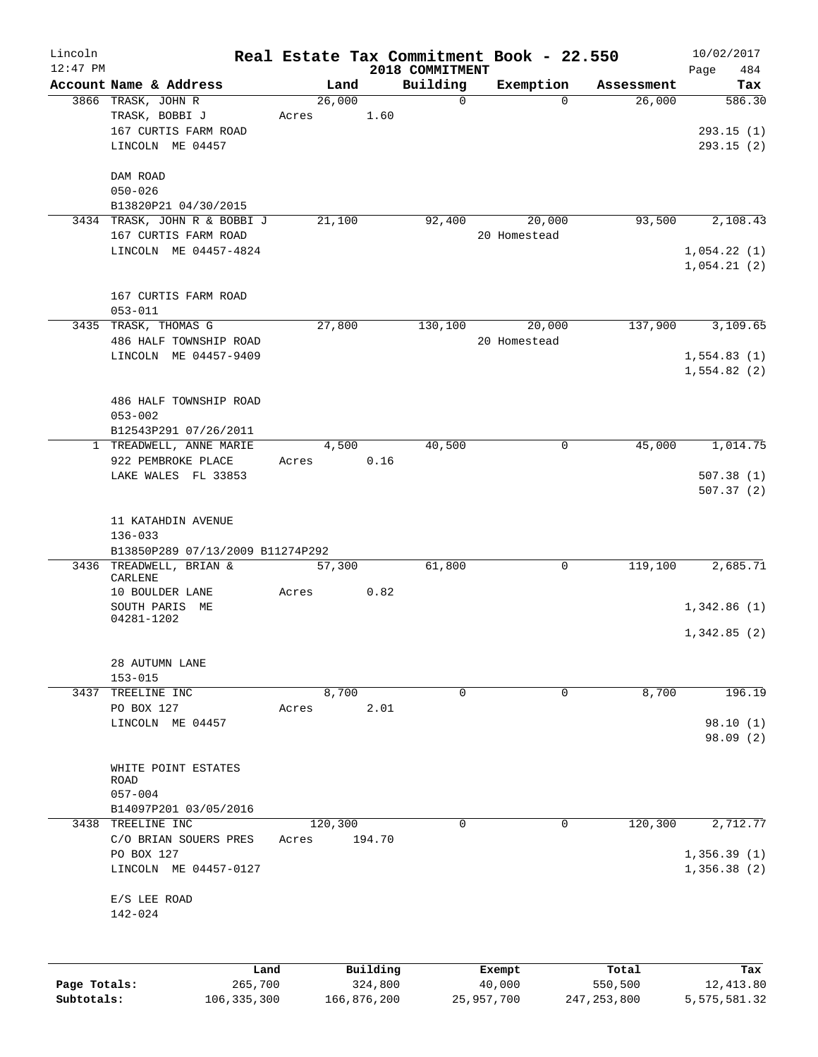| Lincoln    |                                     |       |                |          |                             | Real Estate Tax Commitment Book - 22.550 |                      | 10/02/2017    |
|------------|-------------------------------------|-------|----------------|----------|-----------------------------|------------------------------------------|----------------------|---------------|
| $12:47$ PM | Account Name & Address              |       |                |          | 2018 COMMITMENT<br>Building |                                          |                      | 484<br>Page   |
|            | 3866 TRASK, JOHN R                  |       | Land<br>26,000 |          | 0                           | Exemption<br>$\Omega$                    | Assessment<br>26,000 | Tax<br>586.30 |
|            | TRASK, BOBBI J                      | Acres |                | 1.60     |                             |                                          |                      |               |
|            | 167 CURTIS FARM ROAD                |       |                |          |                             |                                          |                      | 293.15(1)     |
|            | LINCOLN ME 04457                    |       |                |          |                             |                                          |                      | 293.15(2)     |
|            |                                     |       |                |          |                             |                                          |                      |               |
|            | DAM ROAD                            |       |                |          |                             |                                          |                      |               |
|            | $050 - 026$                         |       |                |          |                             |                                          |                      |               |
|            | B13820P21 04/30/2015                |       |                |          |                             |                                          |                      |               |
|            | 3434 TRASK, JOHN R & BOBBI J        |       | 21,100         |          | 92,400                      | 20,000                                   | 93,500               | 2,108.43      |
|            | 167 CURTIS FARM ROAD                |       |                |          |                             | 20 Homestead                             |                      |               |
|            | LINCOLN ME 04457-4824               |       |                |          |                             |                                          |                      | 1,054.22(1)   |
|            |                                     |       |                |          |                             |                                          |                      | 1,054.21(2)   |
|            |                                     |       |                |          |                             |                                          |                      |               |
|            | 167 CURTIS FARM ROAD<br>$053 - 011$ |       |                |          |                             |                                          |                      |               |
|            | 3435 TRASK, THOMAS G                |       | 27,800         |          | 130,100                     | 20,000                                   | 137,900              | 3,109.65      |
|            | 486 HALF TOWNSHIP ROAD              |       |                |          |                             | 20 Homestead                             |                      |               |
|            | LINCOLN ME 04457-9409               |       |                |          |                             |                                          |                      | 1,554.83(1)   |
|            |                                     |       |                |          |                             |                                          |                      | 1,554.82(2)   |
|            |                                     |       |                |          |                             |                                          |                      |               |
|            | 486 HALF TOWNSHIP ROAD              |       |                |          |                             |                                          |                      |               |
|            | $053 - 002$                         |       |                |          |                             |                                          |                      |               |
|            | B12543P291 07/26/2011               |       |                |          |                             |                                          |                      |               |
|            | 1 TREADWELL, ANNE MARIE             |       | 4,500          |          | 40,500                      | 0                                        | 45,000               | 1,014.75      |
|            | 922 PEMBROKE PLACE                  | Acres |                | 0.16     |                             |                                          |                      |               |
|            | LAKE WALES FL 33853                 |       |                |          |                             |                                          |                      | 507.38(1)     |
|            |                                     |       |                |          |                             |                                          |                      | 507.37(2)     |
|            | 11 KATAHDIN AVENUE                  |       |                |          |                             |                                          |                      |               |
|            | $136 - 033$                         |       |                |          |                             |                                          |                      |               |
|            | B13850P289 07/13/2009 B11274P292    |       |                |          |                             |                                          |                      |               |
|            | 3436 TREADWELL, BRIAN &             |       | 57,300         |          | 61,800                      | 0                                        | 119,100              | 2,685.71      |
|            | CARLENE                             |       |                |          |                             |                                          |                      |               |
|            | 10 BOULDER LANE                     | Acres |                | 0.82     |                             |                                          |                      |               |
|            | SOUTH PARIS ME<br>04281-1202        |       |                |          |                             |                                          |                      | 1,342.86(1)   |
|            |                                     |       |                |          |                             |                                          |                      | 1,342.85(2)   |
|            |                                     |       |                |          |                             |                                          |                      |               |
|            | 28 AUTUMN LANE                      |       |                |          |                             |                                          |                      |               |
|            | $153 - 015$                         |       |                |          |                             |                                          |                      |               |
| 3437       | TREELINE INC                        |       | 8,700          |          | 0                           | 0                                        | 8,700                | 196.19        |
|            | PO BOX 127                          | Acres |                | 2.01     |                             |                                          |                      |               |
|            | LINCOLN ME 04457                    |       |                |          |                             |                                          |                      | 98.10(1)      |
|            |                                     |       |                |          |                             |                                          |                      | 98.09 (2)     |
|            |                                     |       |                |          |                             |                                          |                      |               |
|            | WHITE POINT ESTATES<br>ROAD         |       |                |          |                             |                                          |                      |               |
|            | $057 - 004$                         |       |                |          |                             |                                          |                      |               |
|            | B14097P201 03/05/2016               |       |                |          |                             |                                          |                      |               |
|            | 3438 TREELINE INC                   |       | 120,300        |          | 0                           | 0                                        | 120,300              | 2,712.77      |
|            | C/O BRIAN SOUERS PRES               | Acres |                | 194.70   |                             |                                          |                      |               |
|            | PO BOX 127                          |       |                |          |                             |                                          |                      | 1,356.39(1)   |
|            | LINCOLN ME 04457-0127               |       |                |          |                             |                                          |                      | 1,356.38(2)   |
|            |                                     |       |                |          |                             |                                          |                      |               |
|            | E/S LEE ROAD                        |       |                |          |                             |                                          |                      |               |
|            | 142-024                             |       |                |          |                             |                                          |                      |               |
|            |                                     |       |                |          |                             |                                          |                      |               |
|            |                                     |       |                |          |                             |                                          |                      |               |
|            | Land                                |       |                | Building |                             | Exempt                                   | Total                | Tax           |

|              | Land        | Building    | Exempt     | Total         | Tax          |
|--------------|-------------|-------------|------------|---------------|--------------|
| Page Totals: | 265,700     | 324,800     | 40,000     | 550,500       | 12,413.80    |
| Subtotals:   | 106,335,300 | 166,876,200 | 25,957,700 | 247, 253, 800 | 5,575,581.32 |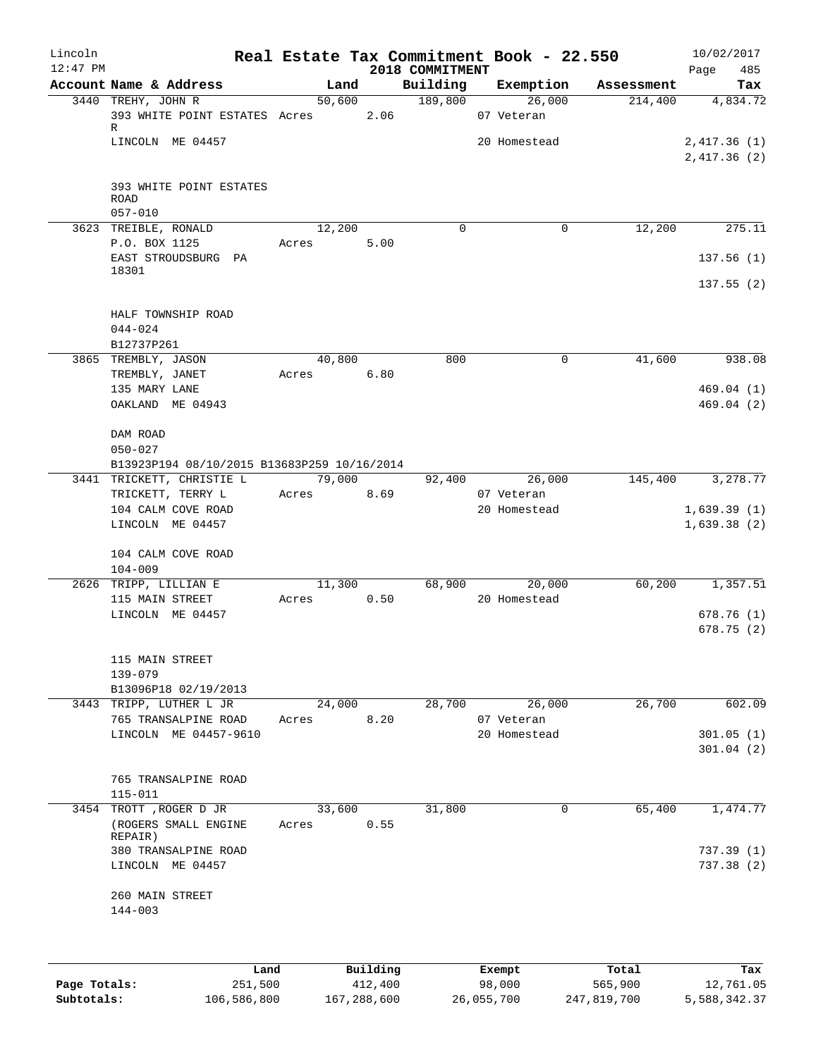| Lincoln    |                                                               |            |          |                      | Real Estate Tax Commitment Book - 22.550 |            | 10/02/2017                 |
|------------|---------------------------------------------------------------|------------|----------|----------------------|------------------------------------------|------------|----------------------------|
| $12:47$ PM |                                                               |            |          | 2018 COMMITMENT      |                                          |            | 485<br>Page                |
|            | Account Name & Address                                        |            | Land     | $\overline{189,800}$ | Building Exemption                       | Assessment | Tax                        |
|            | 3440 TREHY, JOHN R<br>393 WHITE POINT ESTATES Acres 2.06<br>R |            | 50,600   |                      | 26,000<br>07 Veteran                     | 214,400    | 4,834.72                   |
|            | LINCOLN ME 04457                                              |            |          |                      | 20 Homestead                             |            | 2,417.36(1)<br>2,417.36(2) |
|            | 393 WHITE POINT ESTATES<br><b>ROAD</b>                        |            |          |                      |                                          |            |                            |
|            | $057 - 010$<br>3623 TREIBLE, RONALD                           | 12,200     |          | $\mathbf 0$          | 0                                        | 12,200     | 275.11                     |
|            | P.O. BOX 1125                                                 | Acres      | 5.00     |                      |                                          |            |                            |
|            | EAST STROUDSBURG PA                                           |            |          |                      |                                          |            | 137.56(1)                  |
|            | 18301                                                         |            |          |                      |                                          |            | 137.55(2)                  |
|            | HALF TOWNSHIP ROAD                                            |            |          |                      |                                          |            |                            |
|            | 044-024<br>B12737P261                                         |            |          |                      |                                          |            |                            |
|            | 3865 TREMBLY, JASON                                           | 40,800     |          | 800                  | 0                                        | 41,600     | 938.08                     |
|            | TREMBLY, JANET                                                | Acres 6.80 |          |                      |                                          |            |                            |
|            | 135 MARY LANE                                                 |            |          |                      |                                          |            | 469.04(1)                  |
|            | OAKLAND ME 04943                                              |            |          |                      |                                          |            | 469.04(2)                  |
|            | DAM ROAD<br>$050 - 027$                                       |            |          |                      |                                          |            |                            |
|            | B13923P194 08/10/2015 B13683P259 10/16/2014                   |            |          |                      |                                          |            |                            |
|            | 3441 TRICKETT, CHRISTIE L                                     | 79,000     |          | 92,400               | 26,000                                   | 145,400    | 3,278.77                   |
|            | TRICKETT, TERRY L                                             | Acres 8.69 |          |                      | 07 Veteran                               |            |                            |
|            | 104 CALM COVE ROAD                                            |            |          |                      | 20 Homestead                             |            | 1,639.39(1)                |
|            | LINCOLN ME 04457                                              |            |          |                      |                                          |            | 1,639.38(2)                |
|            | 104 CALM COVE ROAD<br>$104 - 009$                             |            |          |                      |                                          |            |                            |
|            | 2626 TRIPP, LILLIAN E                                         |            | 11,300   |                      | 68,900 20,000                            | 60,200     | 1,357.51                   |
|            | 115 MAIN STREET                                               | Acres      | 0.50     |                      | 20 Homestead                             |            |                            |
|            | LINCOLN ME 04457                                              |            |          |                      |                                          |            | 678.76(1)                  |
|            |                                                               |            |          |                      |                                          |            | 678.75(2)                  |
|            | 115 MAIN STREET                                               |            |          |                      |                                          |            |                            |
|            | 139-079<br>B13096P18 02/19/2013                               |            |          |                      |                                          |            |                            |
|            | 3443 TRIPP, LUTHER L JR                                       | 24,000     |          | 28,700               | 26,000                                   | 26,700     | 602.09                     |
|            | 765 TRANSALPINE ROAD                                          | Acres      | 8.20     |                      | 07 Veteran                               |            |                            |
|            | LINCOLN ME 04457-9610                                         |            |          |                      | 20 Homestead                             |            | 301.05(1)                  |
|            |                                                               |            |          |                      |                                          |            | 301.04(2)                  |
|            |                                                               |            |          |                      |                                          |            |                            |
|            | 765 TRANSALPINE ROAD                                          |            |          |                      |                                          |            |                            |
|            | $115 - 011$<br>3454 TROTT , ROGER D JR                        | 33,600     |          | 31,800               | 0                                        | 65,400     | 1,474.77                   |
|            | (ROGERS SMALL ENGINE<br>REPAIR)                               | Acres      | 0.55     |                      |                                          |            |                            |
|            | 380 TRANSALPINE ROAD                                          |            |          |                      |                                          |            | 737.39 (1)                 |
|            | LINCOLN ME 04457                                              |            |          |                      |                                          |            | 737.38(2)                  |
|            | 260 MAIN STREET                                               |            |          |                      |                                          |            |                            |
|            | $144 - 003$                                                   |            |          |                      |                                          |            |                            |
|            |                                                               |            |          |                      |                                          |            |                            |
|            | Land.                                                         |            | Building |                      | <b>Fromnt</b>                            | $T$ ctal   | To:                        |

|              | Land        | Building    | Exempt     | Total       | Tax          |
|--------------|-------------|-------------|------------|-------------|--------------|
| Page Totals: | 251,500     | 412,400     | 98,000     | 565,900     | 12,761.05    |
| Subtotals:   | 106,586,800 | 167,288,600 | 26,055,700 | 247,819,700 | 5,588,342.37 |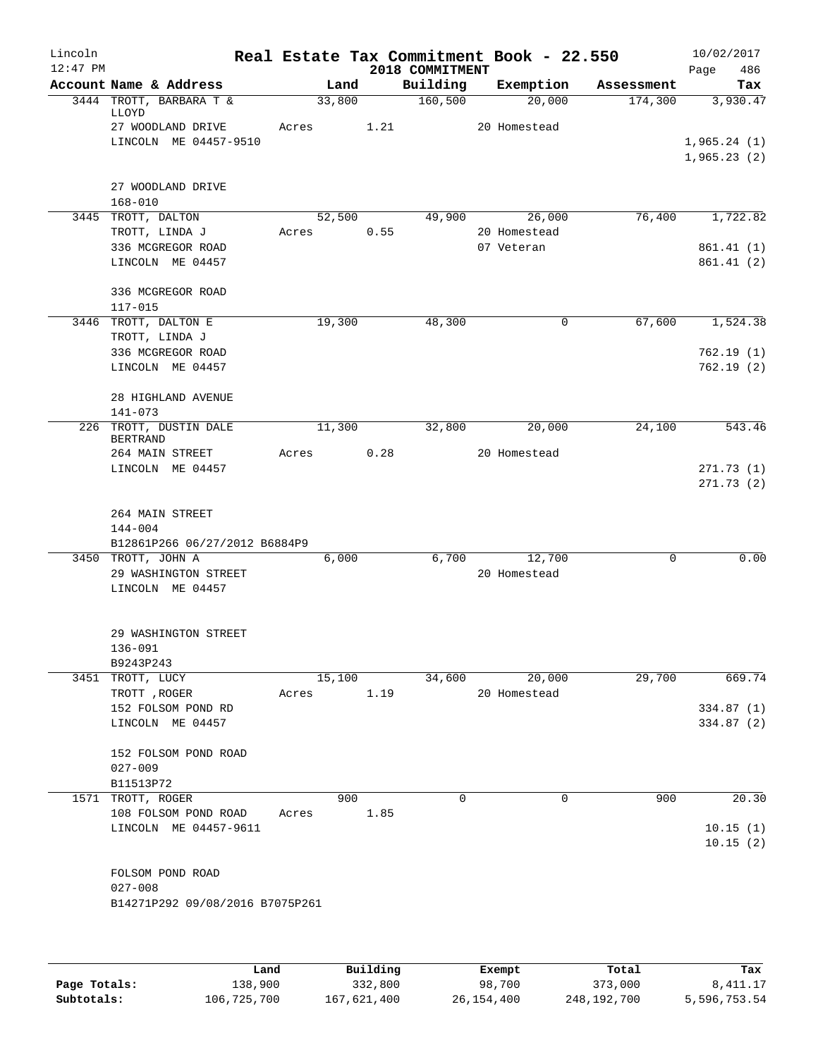| Lincoln    |                                                     |       |        |      |                             | Real Estate Tax Commitment Book - 22.550 |            | 10/02/2017                 |
|------------|-----------------------------------------------------|-------|--------|------|-----------------------------|------------------------------------------|------------|----------------------------|
| $12:47$ PM | Account Name & Address                              |       | Land   |      | 2018 COMMITMENT<br>Building | Exemption                                | Assessment | Page<br>486<br>Tax         |
|            | 3444 TROTT, BARBARA T &                             |       | 33,800 |      | 160, 500                    | 20,000                                   | 174,300    | 3,930.47                   |
|            | LLOYD                                               |       |        |      |                             |                                          |            |                            |
|            | 27 WOODLAND DRIVE                                   | Acres |        | 1.21 |                             | 20 Homestead                             |            |                            |
|            | LINCOLN ME 04457-9510                               |       |        |      |                             |                                          |            | 1,965.24(1)<br>1,965.23(2) |
|            |                                                     |       |        |      |                             |                                          |            |                            |
|            | 27 WOODLAND DRIVE                                   |       |        |      |                             |                                          |            |                            |
|            | $168 - 010$                                         |       |        |      |                             |                                          |            |                            |
|            | 3445 TROTT, DALTON                                  |       | 52,500 |      | 49,900                      | 26,000                                   | 76,400     | 1,722.82                   |
|            | TROTT, LINDA J                                      | Acres |        | 0.55 |                             | 20 Homestead                             |            |                            |
|            | 336 MCGREGOR ROAD<br>LINCOLN ME 04457               |       |        |      |                             | 07 Veteran                               |            | 861.41 (1)<br>861.41(2)    |
|            |                                                     |       |        |      |                             |                                          |            |                            |
|            | 336 MCGREGOR ROAD                                   |       |        |      |                             |                                          |            |                            |
|            | 117-015                                             |       |        |      |                             |                                          |            |                            |
|            | 3446 TROTT, DALTON E                                |       | 19,300 |      | 48,300                      | $\mathbf 0$                              | 67,600     | 1,524.38                   |
|            | TROTT, LINDA J                                      |       |        |      |                             |                                          |            |                            |
|            | 336 MCGREGOR ROAD                                   |       |        |      |                             |                                          |            | 762.19(1)<br>762.19(2)     |
|            | LINCOLN ME 04457                                    |       |        |      |                             |                                          |            |                            |
|            | 28 HIGHLAND AVENUE                                  |       |        |      |                             |                                          |            |                            |
|            | $141 - 073$                                         |       |        |      |                             |                                          |            |                            |
|            | 226 TROTT, DUSTIN DALE                              |       | 11,300 |      | 32,800                      | 20,000                                   | 24,100     | 543.46                     |
|            | <b>BERTRAND</b><br>264 MAIN STREET                  | Acres |        | 0.28 |                             | 20 Homestead                             |            |                            |
|            | LINCOLN ME 04457                                    |       |        |      |                             |                                          |            | 271.73(1)                  |
|            |                                                     |       |        |      |                             |                                          |            | 271.73(2)                  |
|            |                                                     |       |        |      |                             |                                          |            |                            |
|            | 264 MAIN STREET                                     |       |        |      |                             |                                          |            |                            |
|            | 144-004                                             |       |        |      |                             |                                          |            |                            |
|            | B12861P266 06/27/2012 B6884P9<br>3450 TROTT, JOHN A |       | 6,000  |      | 6,700                       | 12,700                                   | 0          | 0.00                       |
|            | 29 WASHINGTON STREET                                |       |        |      |                             | 20 Homestead                             |            |                            |
|            | LINCOLN ME 04457                                    |       |        |      |                             |                                          |            |                            |
|            |                                                     |       |        |      |                             |                                          |            |                            |
|            |                                                     |       |        |      |                             |                                          |            |                            |
|            | 29 WASHINGTON STREET                                |       |        |      |                             |                                          |            |                            |
|            | 136-091<br>B9243P243                                |       |        |      |                             |                                          |            |                            |
|            | 3451 TROTT, LUCY                                    |       | 15,100 |      | 34,600                      | 20,000                                   | 29,700     | 669.74                     |
|            | TROTT, ROGER                                        | Acres |        | 1.19 |                             | 20 Homestead                             |            |                            |
|            | 152 FOLSOM POND RD                                  |       |        |      |                             |                                          |            | 334.87(1)                  |
|            | LINCOLN ME 04457                                    |       |        |      |                             |                                          |            | 334.87 (2)                 |
|            | 152 FOLSOM POND ROAD                                |       |        |      |                             |                                          |            |                            |
|            | $027 - 009$                                         |       |        |      |                             |                                          |            |                            |
|            | B11513P72                                           |       |        |      |                             |                                          |            |                            |
|            | 1571 TROTT, ROGER                                   |       | 900    |      | $\mathbf 0$                 | $\mathbf 0$                              | 900        | 20.30                      |
|            | 108 FOLSOM POND ROAD                                | Acres |        | 1.85 |                             |                                          |            |                            |
|            | LINCOLN ME 04457-9611                               |       |        |      |                             |                                          |            | 10.15(1)                   |
|            |                                                     |       |        |      |                             |                                          |            | 10.15(2)                   |
|            | FOLSOM POND ROAD                                    |       |        |      |                             |                                          |            |                            |
|            | $027 - 008$                                         |       |        |      |                             |                                          |            |                            |
|            | B14271P292 09/08/2016 B7075P261                     |       |        |      |                             |                                          |            |                            |
|            |                                                     |       |        |      |                             |                                          |            |                            |
|            |                                                     |       |        |      |                             |                                          |            |                            |
|            |                                                     |       |        |      |                             |                                          |            |                            |

|              | Land        | Building    | Exempt     | Total       | Tax          |
|--------------|-------------|-------------|------------|-------------|--------------|
| Page Totals: | 138,900     | 332,800     | 98,700     | 373,000     | 8,411.17     |
| Subtotals:   | 106,725,700 | 167,621,400 | 26,154,400 | 248,192,700 | 5,596,753.54 |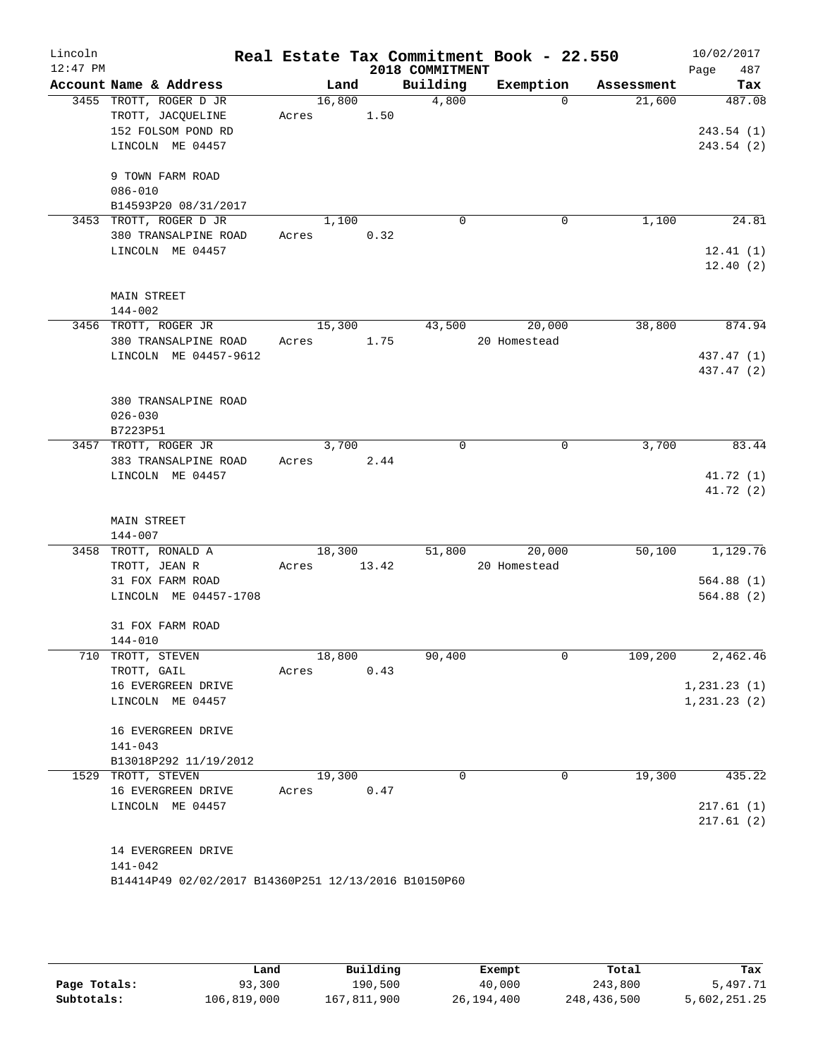| Account Name & Address<br>3455 TROTT, ROGER D JR<br>TROTT, JACQUELINE<br>152 FOLSOM POND RD<br>LINCOLN ME 04457<br>9 TOWN FARM ROAD<br>$086 - 010$<br>B14593P20 08/31/2017<br>3453 TROTT, ROGER D JR<br>380 TRANSALPINE ROAD<br>LINCOLN ME 04457 | 16,800<br>Acres<br>Acres                                                                                                                                                                                            | Land<br>1.50<br>1,100 | 2018 COMMITMENT<br>Building<br>4,800                                   | Exemption<br>$\Omega$                                                        | Assessment<br>21,600                                       | 487<br>Page<br>Tax<br>487.08<br>243.54(1)<br>243.54(2) |
|--------------------------------------------------------------------------------------------------------------------------------------------------------------------------------------------------------------------------------------------------|---------------------------------------------------------------------------------------------------------------------------------------------------------------------------------------------------------------------|-----------------------|------------------------------------------------------------------------|------------------------------------------------------------------------------|------------------------------------------------------------|--------------------------------------------------------|
|                                                                                                                                                                                                                                                  |                                                                                                                                                                                                                     |                       |                                                                        |                                                                              |                                                            |                                                        |
|                                                                                                                                                                                                                                                  |                                                                                                                                                                                                                     |                       |                                                                        |                                                                              |                                                            |                                                        |
|                                                                                                                                                                                                                                                  |                                                                                                                                                                                                                     |                       |                                                                        |                                                                              |                                                            |                                                        |
|                                                                                                                                                                                                                                                  |                                                                                                                                                                                                                     |                       | $\mathbf 0$                                                            | $\mathbf 0$                                                                  | 1,100                                                      | 24.81                                                  |
|                                                                                                                                                                                                                                                  |                                                                                                                                                                                                                     | 0.32                  |                                                                        |                                                                              |                                                            | 12.41(1)<br>12.40(2)                                   |
| <b>MAIN STREET</b><br>$144 - 002$                                                                                                                                                                                                                |                                                                                                                                                                                                                     |                       |                                                                        |                                                                              |                                                            |                                                        |
| 3456 TROTT, ROGER JR                                                                                                                                                                                                                             |                                                                                                                                                                                                                     |                       | 43,500                                                                 | 20,000                                                                       | 38,800                                                     | 874.94                                                 |
|                                                                                                                                                                                                                                                  |                                                                                                                                                                                                                     |                       |                                                                        |                                                                              |                                                            | 437.47 (1)                                             |
|                                                                                                                                                                                                                                                  |                                                                                                                                                                                                                     |                       |                                                                        |                                                                              |                                                            | 437.47 (2)                                             |
| $026 - 030$<br>B7223P51                                                                                                                                                                                                                          |                                                                                                                                                                                                                     |                       |                                                                        |                                                                              |                                                            |                                                        |
| 3457 TROTT, ROGER JR                                                                                                                                                                                                                             |                                                                                                                                                                                                                     |                       | $\mathbf 0$                                                            | $\mathbf 0$                                                                  | 3,700                                                      | 83.44                                                  |
| 383 TRANSALPINE ROAD<br>LINCOLN ME 04457                                                                                                                                                                                                         | Acres                                                                                                                                                                                                               | 2.44                  |                                                                        |                                                                              |                                                            | 41.72 (1)<br>41.72 (2)                                 |
| <b>MAIN STREET</b><br>144-007                                                                                                                                                                                                                    |                                                                                                                                                                                                                     |                       |                                                                        |                                                                              |                                                            |                                                        |
| 3458 TROTT, RONALD A                                                                                                                                                                                                                             |                                                                                                                                                                                                                     |                       |                                                                        | 20,000                                                                       |                                                            | 1,129.76                                               |
|                                                                                                                                                                                                                                                  |                                                                                                                                                                                                                     |                       |                                                                        |                                                                              |                                                            | 564.88(1)                                              |
| LINCOLN ME 04457-1708                                                                                                                                                                                                                            |                                                                                                                                                                                                                     |                       |                                                                        |                                                                              |                                                            | 564.88(2)                                              |
| 31 FOX FARM ROAD<br>144-010                                                                                                                                                                                                                      |                                                                                                                                                                                                                     |                       |                                                                        |                                                                              |                                                            |                                                        |
|                                                                                                                                                                                                                                                  |                                                                                                                                                                                                                     |                       |                                                                        |                                                                              |                                                            | 2,462.46                                               |
| 16 EVERGREEN DRIVE                                                                                                                                                                                                                               |                                                                                                                                                                                                                     |                       |                                                                        |                                                                              |                                                            | 1, 231.23(1)                                           |
| LINCOLN ME 04457                                                                                                                                                                                                                                 |                                                                                                                                                                                                                     |                       |                                                                        |                                                                              |                                                            | 1, 231.23(2)                                           |
| 16 EVERGREEN DRIVE<br>$141 - 043$                                                                                                                                                                                                                |                                                                                                                                                                                                                     |                       |                                                                        |                                                                              |                                                            |                                                        |
|                                                                                                                                                                                                                                                  |                                                                                                                                                                                                                     |                       |                                                                        |                                                                              |                                                            | 435.22                                                 |
|                                                                                                                                                                                                                                                  | Acres                                                                                                                                                                                                               | 0.47                  |                                                                        |                                                                              |                                                            |                                                        |
| LINCOLN ME 04457                                                                                                                                                                                                                                 |                                                                                                                                                                                                                     |                       |                                                                        |                                                                              |                                                            | 217.61(1)<br>217.61(2)                                 |
| 14 EVERGREEN DRIVE<br>$141 - 042$                                                                                                                                                                                                                |                                                                                                                                                                                                                     |                       |                                                                        |                                                                              |                                                            |                                                        |
|                                                                                                                                                                                                                                                  | 380 TRANSALPINE ROAD<br>LINCOLN ME 04457-9612<br>380 TRANSALPINE ROAD<br>TROTT, JEAN R<br>31 FOX FARM ROAD<br>710 TROTT, STEVEN<br>TROTT, GAIL<br>B13018P292 11/19/2012<br>1529 TROTT, STEVEN<br>16 EVERGREEN DRIVE | Acres<br>Acres        | 15,300<br>1.75<br>Acres<br>3,700<br>18,300<br>18,800<br>0.43<br>19,300 | 13.42<br>90,400<br>0<br>B14414P49 02/02/2017 B14360P251 12/13/2016 B10150P60 | 20 Homestead<br>51,800<br>20 Homestead<br>$\mathbf 0$<br>0 | 50,100<br>109,200<br>19,300                            |

|              | Land        | Building    | Exempt     | Total       | Tax          |
|--------------|-------------|-------------|------------|-------------|--------------|
| Page Totals: | 93,300      | 190,500     | 40,000     | 243,800     | 5,497.71     |
| Subtotals:   | 106,819,000 | 167,811,900 | 26,194,400 | 248,436,500 | 5,602,251.25 |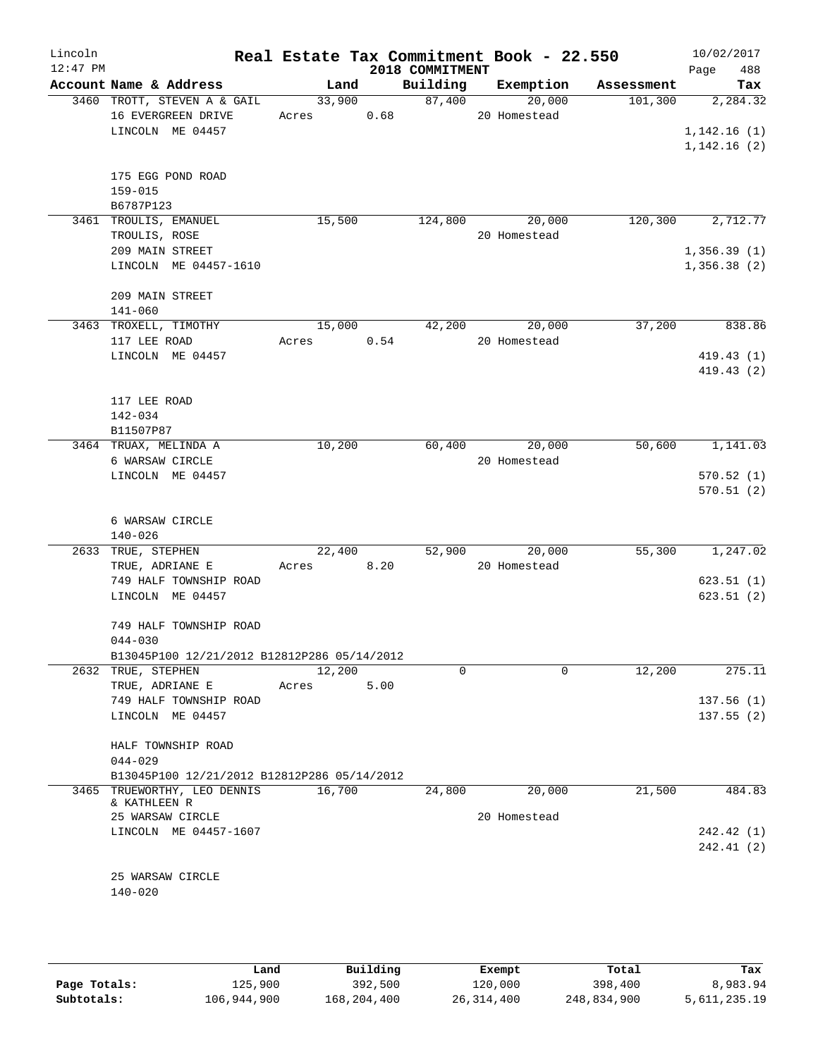| Lincoln<br>$12:47$ PM |                                                                                      |                      |      | 2018 COMMITMENT | Real Estate Tax Commitment Book - 22.550 |                       | 10/02/2017<br>488<br>Page              |
|-----------------------|--------------------------------------------------------------------------------------|----------------------|------|-----------------|------------------------------------------|-----------------------|----------------------------------------|
|                       | Account Name & Address                                                               | Land                 |      | Building        | Exemption                                | Assessment            | Tax                                    |
|                       | 3460 TROTT, STEVEN A & GAIL<br>16 EVERGREEN DRIVE<br>LINCOLN ME 04457                | 33,900<br>Acres 0.68 |      | 87,400          | 20,000<br>20 Homestead                   | 101,300               | 2,284.32<br>1,142.16(1)<br>1,142.16(2) |
|                       | 175 EGG POND ROAD<br>159-015<br>B6787P123                                            |                      |      |                 |                                          |                       |                                        |
|                       | 3461 TROULIS, EMANUEL<br>TROULIS, ROSE                                               | 15,500               |      | 124,800         | 20,000<br>20 Homestead                   | 120,300               | 2,712.77                               |
|                       | 209 MAIN STREET<br>LINCOLN ME 04457-1610                                             |                      |      |                 |                                          |                       | 1,356.39(1)<br>1,356.38(2)             |
|                       | 209 MAIN STREET<br>$141 - 060$                                                       |                      |      |                 |                                          |                       |                                        |
|                       | 3463 TROXELL, TIMOTHY                                                                | 15,000               |      | 42,200          | 20,000                                   | 37,200                | 838.86                                 |
|                       | 117 LEE ROAD                                                                         | Acres                | 0.54 |                 | 20 Homestead                             |                       |                                        |
|                       | LINCOLN ME 04457                                                                     |                      |      |                 |                                          |                       | 419.43(1)<br>419.43(2)                 |
|                       | 117 LEE ROAD<br>142-034                                                              |                      |      |                 |                                          |                       |                                        |
|                       | B11507P87<br>3464 TRUAX, MELINDA A                                                   | 10,200               |      |                 | 60,400<br>20,000                         | 50,600                | 1,141.03                               |
|                       | 6 WARSAW CIRCLE                                                                      |                      |      |                 | 20 Homestead                             |                       |                                        |
|                       | LINCOLN ME 04457                                                                     |                      |      |                 |                                          |                       | 570.52(1)<br>570.51(2)                 |
|                       | 6 WARSAW CIRCLE<br>$140 - 026$                                                       |                      |      |                 |                                          |                       |                                        |
|                       | 2633 TRUE, STEPHEN                                                                   | 22,400               |      | 52,900          | 20,000                                   | $5\overline{5}$ , 300 | 1,247.02                               |
|                       | TRUE, ADRIANE E                                                                      | Acres                | 8.20 |                 | 20 Homestead                             |                       |                                        |
|                       | 749 HALF TOWNSHIP ROAD<br>LINCOLN ME 04457                                           |                      |      |                 |                                          |                       | 623.51(1)<br>623.51(2)                 |
|                       | 749 HALF TOWNSHIP ROAD<br>$044 - 030$<br>B13045P100 12/21/2012 B12812P286 05/14/2012 |                      |      |                 |                                          |                       |                                        |
|                       | 2632 TRUE, STEPHEN                                                                   | 12,200               |      | $\Omega$        |                                          | $\Omega$<br>12,200    | 275.11                                 |
|                       | TRUE, ADRIANE E                                                                      | Acres                | 5.00 |                 |                                          |                       |                                        |
|                       | 749 HALF TOWNSHIP ROAD                                                               |                      |      |                 |                                          |                       | 137.56(1)                              |
|                       | LINCOLN ME 04457                                                                     |                      |      |                 |                                          |                       | 137.55(2)                              |
|                       | HALF TOWNSHIP ROAD                                                                   |                      |      |                 |                                          |                       |                                        |
|                       | $044 - 029$                                                                          |                      |      |                 |                                          |                       |                                        |
|                       | B13045P100 12/21/2012 B12812P286 05/14/2012                                          |                      |      |                 |                                          |                       |                                        |
|                       | 3465 TRUEWORTHY, LEO DENNIS<br>& KATHLEEN R                                          | 16,700               |      | 24,800          | 20,000                                   | 21,500                | 484.83                                 |
|                       | 25 WARSAW CIRCLE                                                                     |                      |      |                 | 20 Homestead                             |                       |                                        |
|                       | LINCOLN ME 04457-1607                                                                |                      |      |                 |                                          |                       | 242.42 (1)<br>242.41 (2)               |
|                       | 25 WARSAW CIRCLE                                                                     |                      |      |                 |                                          |                       |                                        |
|                       | $140 - 020$                                                                          |                      |      |                 |                                          |                       |                                        |

|              | Land        | Building    | Exempt     | Total       | Tax          |
|--------------|-------------|-------------|------------|-------------|--------------|
| Page Totals: | 125,900     | 392,500     | 120,000    | 398,400     | 8,983.94     |
| Subtotals:   | 106,944,900 | 168,204,400 | 26,314,400 | 248,834,900 | 5,611,235.19 |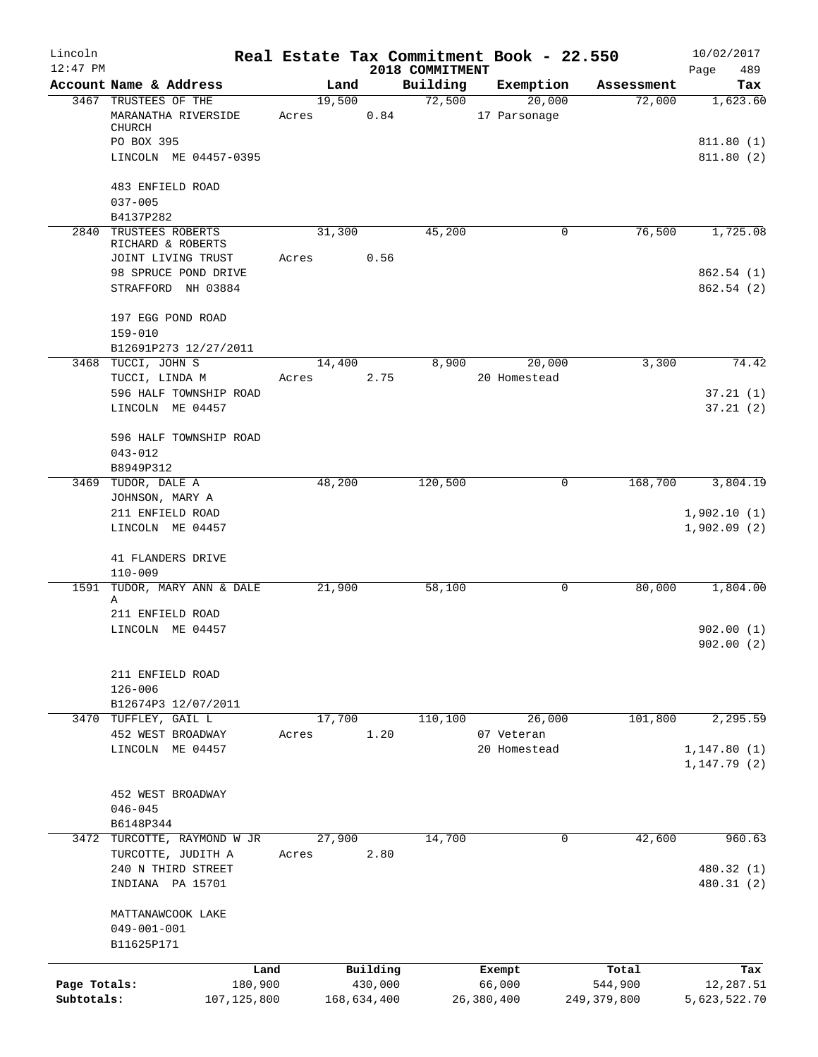| Lincoln      |                                            |       |        |             |                             | Real Estate Tax Commitment Book - 22.550 |               | 10/02/2017         |
|--------------|--------------------------------------------|-------|--------|-------------|-----------------------------|------------------------------------------|---------------|--------------------|
| $12:47$ PM   | Account Name & Address                     |       | Land   |             | 2018 COMMITMENT<br>Building | Exemption                                | Assessment    | 489<br>Page<br>Tax |
|              | 3467 TRUSTEES OF THE                       |       | 19,500 |             | 72,500                      | 20,000                                   | 72,000        | 1,623.60           |
|              | MARANATHA RIVERSIDE<br>CHURCH              |       | Acres  | 0.84        |                             | 17 Parsonage                             |               |                    |
|              | PO BOX 395                                 |       |        |             |                             |                                          |               | 811.80(1)          |
|              | LINCOLN ME 04457-0395                      |       |        |             |                             |                                          |               | 811.80 (2)         |
|              | 483 ENFIELD ROAD                           |       |        |             |                             |                                          |               |                    |
|              | $037 - 005$                                |       |        |             |                             |                                          |               |                    |
|              | B4137P282                                  |       |        |             |                             |                                          |               |                    |
|              | 2840 TRUSTEES ROBERTS<br>RICHARD & ROBERTS |       | 31,300 |             | 45,200                      | 0                                        | 76,500        | 1,725.08           |
|              | JOINT LIVING TRUST                         | Acres |        | 0.56        |                             |                                          |               |                    |
|              | 98 SPRUCE POND DRIVE                       |       |        |             |                             |                                          |               | 862.54 (1)         |
|              | STRAFFORD NH 03884                         |       |        |             |                             |                                          |               | 862.54(2)          |
|              | 197 EGG POND ROAD                          |       |        |             |                             |                                          |               |                    |
|              | $159 - 010$                                |       |        |             |                             |                                          |               |                    |
|              | B12691P273 12/27/2011                      |       |        |             |                             |                                          |               |                    |
|              | 3468 TUCCI, JOHN S                         |       | 14,400 |             | 8,900                       | 20,000                                   | 3,300         | 74.42              |
|              | TUCCI, LINDA M                             | Acres |        | 2.75        |                             | 20 Homestead                             |               |                    |
|              | 596 HALF TOWNSHIP ROAD                     |       |        |             |                             |                                          |               | 37.21(1)           |
|              | LINCOLN ME 04457                           |       |        |             |                             |                                          |               | 37.21(2)           |
|              | 596 HALF TOWNSHIP ROAD                     |       |        |             |                             |                                          |               |                    |
|              | $043 - 012$                                |       |        |             |                             |                                          |               |                    |
|              | B8949P312                                  |       |        |             |                             |                                          |               |                    |
|              | 3469 TUDOR, DALE A                         |       | 48,200 |             | 120,500                     | 0                                        | 168,700       | 3,804.19           |
|              | JOHNSON, MARY A                            |       |        |             |                             |                                          |               |                    |
|              | 211 ENFIELD ROAD                           |       |        |             |                             |                                          |               | 1,902.10(1)        |
|              | LINCOLN ME 04457                           |       |        |             |                             |                                          |               | 1,902.09(2)        |
|              | 41 FLANDERS DRIVE<br>$110 - 009$           |       |        |             |                             |                                          |               |                    |
| 1591         | TUDOR, MARY ANN & DALE                     |       | 21,900 |             | 58,100                      | 0                                        | 80,000        | 1,804.00           |
|              | Α<br>211 ENFIELD ROAD                      |       |        |             |                             |                                          |               |                    |
|              | LINCOLN ME 04457                           |       |        |             |                             |                                          |               | 902.00(1)          |
|              |                                            |       |        |             |                             |                                          |               | 902.00(2)          |
|              | 211 ENFIELD ROAD                           |       |        |             |                             |                                          |               |                    |
|              | $126 - 006$                                |       |        |             |                             |                                          |               |                    |
|              | B12674P3 12/07/2011                        |       |        |             |                             |                                          |               |                    |
|              | 3470 TUFFLEY, GAIL L                       |       | 17,700 |             | 110,100                     | 26,000                                   | 101,800       | 2,295.59           |
|              | 452 WEST BROADWAY                          | Acres |        | 1.20        |                             | 07 Veteran                               |               |                    |
|              | LINCOLN ME 04457                           |       |        |             |                             | 20 Homestead                             |               | 1, 147.80(1)       |
|              |                                            |       |        |             |                             |                                          |               | 1, 147.79(2)       |
|              | 452 WEST BROADWAY                          |       |        |             |                             |                                          |               |                    |
|              | $046 - 045$                                |       |        |             |                             |                                          |               |                    |
|              | B6148P344                                  |       |        |             |                             |                                          |               |                    |
|              | 3472 TURCOTTE, RAYMOND W JR                |       | 27,900 |             | 14,700                      | 0                                        | 42,600        | 960.63             |
|              | TURCOTTE, JUDITH A                         | Acres |        | 2.80        |                             |                                          |               |                    |
|              | 240 N THIRD STREET                         |       |        |             |                             |                                          |               | 480.32 (1)         |
|              | INDIANA PA 15701                           |       |        |             |                             |                                          |               | 480.31 (2)         |
|              | MATTANAWCOOK LAKE                          |       |        |             |                             |                                          |               |                    |
|              | $049 - 001 - 001$                          |       |        |             |                             |                                          |               |                    |
|              | B11625P171                                 |       |        |             |                             |                                          |               |                    |
|              | Land                                       |       |        | Building    |                             | Exempt                                   | Total         | Tax                |
| Page Totals: | 180,900                                    |       |        | 430,000     |                             | 66,000                                   | 544,900       | 12,287.51          |
| Subtotals:   | 107, 125, 800                              |       |        | 168,634,400 |                             | 26,380,400                               | 249, 379, 800 | 5,623,522.70       |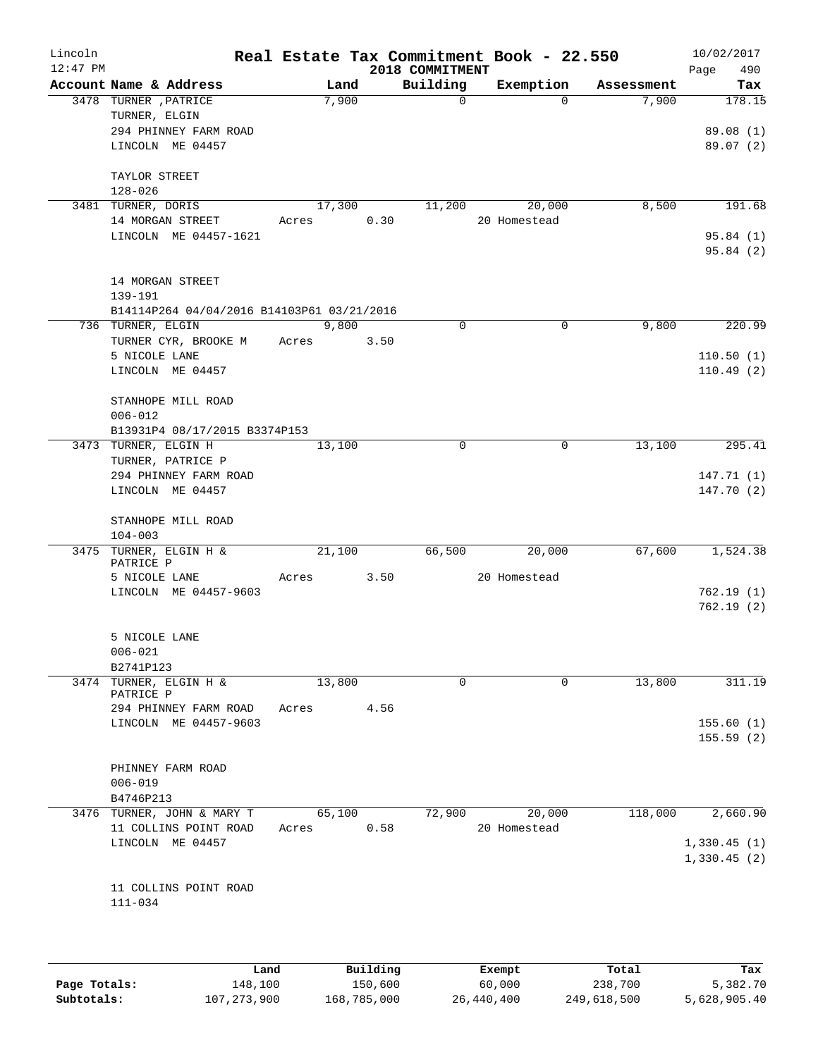| Lincoln<br>$12:47$ PM |                                                                 |                 |      | 2018 COMMITMENT | Real Estate Tax Commitment Book - 22.550 |            | 10/02/2017<br>Page<br>490 |
|-----------------------|-----------------------------------------------------------------|-----------------|------|-----------------|------------------------------------------|------------|---------------------------|
|                       | Account Name & Address                                          | Land            |      | Building        | Exemption                                | Assessment | Tax                       |
|                       | 3478 TURNER , PATRICE<br>TURNER, ELGIN<br>294 PHINNEY FARM ROAD | 7,900           |      | 0               | $\Omega$                                 | 7,900      | 178.15<br>89.08 (1)       |
|                       | LINCOLN ME 04457<br>TAYLOR STREET                               |                 |      |                 |                                          |            | 89.07(2)                  |
|                       | $128 - 026$                                                     |                 |      |                 |                                          |            |                           |
|                       | 3481 TURNER, DORIS<br>14 MORGAN STREET                          | 17,300<br>Acres | 0.30 | 11,200          | 20,000<br>20 Homestead                   | 8,500      | 191.68                    |
|                       | LINCOLN ME 04457-1621                                           |                 |      |                 |                                          |            | 95.84(1)<br>95.84(2)      |
|                       | 14 MORGAN STREET<br>139-191                                     |                 |      |                 |                                          |            |                           |
|                       | B14114P264 04/04/2016 B14103P61 03/21/2016                      |                 |      |                 |                                          |            |                           |
|                       | 736 TURNER, ELGIN                                               | 9,800           |      | $\mathbf 0$     | $\mathbf 0$                              | 9,800      | 220.99                    |
|                       | TURNER CYR, BROOKE M<br>5 NICOLE LANE                           | Acres           | 3.50 |                 |                                          |            | 110.50(1)                 |
|                       | LINCOLN ME 04457                                                |                 |      |                 |                                          |            | 110.49(2)                 |
|                       | STANHOPE MILL ROAD                                              |                 |      |                 |                                          |            |                           |
|                       | $006 - 012$                                                     |                 |      |                 |                                          |            |                           |
|                       | B13931P4 08/17/2015 B3374P153                                   |                 |      |                 |                                          |            |                           |
|                       | 3473 TURNER, ELGIN H                                            | 13,100          |      | 0               | 0                                        | 13,100     | 295.41                    |
|                       | TURNER, PATRICE P<br>294 PHINNEY FARM ROAD                      |                 |      |                 |                                          |            |                           |
|                       | LINCOLN ME 04457                                                |                 |      |                 |                                          |            | 147.71(1)<br>147.70 (2)   |
|                       | STANHOPE MILL ROAD<br>$104 - 003$                               |                 |      |                 |                                          |            |                           |
|                       | 3475 TURNER, ELGIN H &                                          | 21,100          |      | 66,500          | 20,000                                   | 67,600     | 1,524.38                  |
|                       | PATRICE P<br>5 NICOLE LANE                                      | Acres           | 3.50 |                 | 20 Homestead                             |            |                           |
|                       | LINCOLN ME 04457-9603                                           |                 |      |                 |                                          |            | 762.19(1)                 |
|                       |                                                                 |                 |      |                 |                                          |            | 762.19(2)                 |
|                       | 5 NICOLE LANE                                                   |                 |      |                 |                                          |            |                           |
|                       | $006 - 021$                                                     |                 |      |                 |                                          |            |                           |
|                       | B2741P123                                                       |                 |      |                 |                                          |            |                           |
|                       | 3474 TURNER, ELGIN H &<br>PATRICE P                             | 13,800          |      | 0               | 0                                        | 13,800     | 311.19                    |
|                       | 294 PHINNEY FARM ROAD                                           | Acres           | 4.56 |                 |                                          |            |                           |
|                       | LINCOLN ME 04457-9603                                           |                 |      |                 |                                          |            | 155.60(1)<br>155.59(2)    |
|                       | PHINNEY FARM ROAD                                               |                 |      |                 |                                          |            |                           |
|                       | $006 - 019$                                                     |                 |      |                 |                                          |            |                           |
|                       | B4746P213<br>3476 TURNER, JOHN & MARY T                         | 65,100          |      | 72,900          | 20,000                                   | 118,000    | 2,660.90                  |
|                       | 11 COLLINS POINT ROAD                                           | Acres           | 0.58 |                 | 20 Homestead                             |            | 1,330.45(1)               |
|                       | LINCOLN ME 04457                                                |                 |      |                 |                                          |            | 1,330.45(2)               |
|                       | 11 COLLINS POINT ROAD<br>$111 - 034$                            |                 |      |                 |                                          |            |                           |
|                       |                                                                 |                 |      |                 |                                          |            |                           |

|              | Land          | Building    | Exempt     | Total       | Tax          |
|--------------|---------------|-------------|------------|-------------|--------------|
| Page Totals: | 148,100       | 150,600     | 60,000     | 238,700     | 5,382.70     |
| Subtotals:   | 107, 273, 900 | 168,785,000 | 26,440,400 | 249,618,500 | 5,628,905.40 |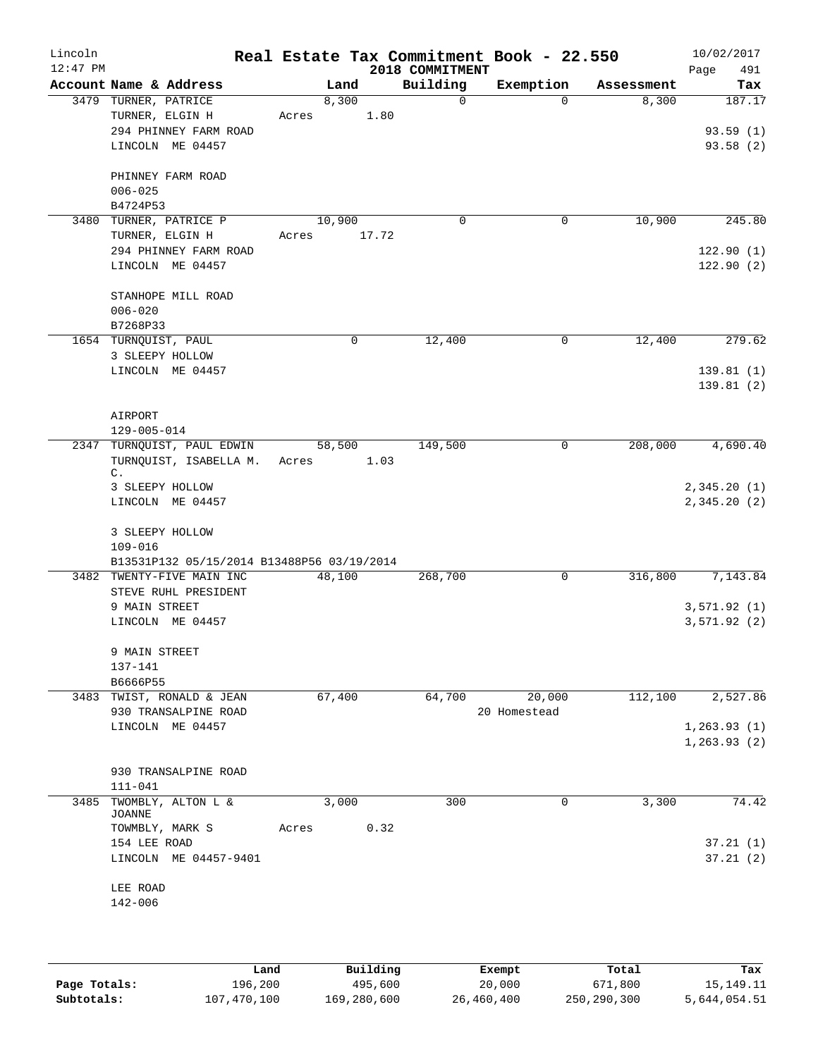| Lincoln    |                                                |       |               |             |                         | Real Estate Tax Commitment Book - 22.550 |             |                     | 10/02/2017                   |
|------------|------------------------------------------------|-------|---------------|-------------|-------------------------|------------------------------------------|-------------|---------------------|------------------------------|
| $12:47$ PM |                                                |       |               |             | 2018 COMMITMENT         |                                          |             |                     | 491<br>Page                  |
|            | Account Name & Address<br>3479 TURNER, PATRICE |       | Land<br>8,300 |             | Building<br>$\mathbf 0$ | Exemption                                | $\Omega$    | Assessment<br>8,300 | Tax<br>187.17                |
|            | TURNER, ELGIN H                                | Acres |               | 1.80        |                         |                                          |             |                     |                              |
|            | 294 PHINNEY FARM ROAD                          |       |               |             |                         |                                          |             |                     | 93.59(1)                     |
|            | LINCOLN ME 04457                               |       |               |             |                         |                                          |             |                     | 93.58(2)                     |
|            |                                                |       |               |             |                         |                                          |             |                     |                              |
|            | PHINNEY FARM ROAD                              |       |               |             |                         |                                          |             |                     |                              |
|            | $006 - 025$                                    |       |               |             |                         |                                          |             |                     |                              |
| 3480       | B4724P53<br>TURNER, PATRICE P                  |       | 10,900        |             | $\mathbf 0$             |                                          | $\mathbf 0$ | 10,900              | 245.80                       |
|            | TURNER, ELGIN H                                | Acres |               | 17.72       |                         |                                          |             |                     |                              |
|            | 294 PHINNEY FARM ROAD                          |       |               |             |                         |                                          |             |                     | 122.90(1)                    |
|            | LINCOLN ME 04457                               |       |               |             |                         |                                          |             |                     | 122.90(2)                    |
|            | STANHOPE MILL ROAD                             |       |               |             |                         |                                          |             |                     |                              |
|            | $006 - 020$                                    |       |               |             |                         |                                          |             |                     |                              |
|            | B7268P33                                       |       |               |             |                         |                                          |             |                     |                              |
|            | 1654 TURNQUIST, PAUL                           |       |               | $\mathbf 0$ | 12,400                  |                                          | 0           | 12,400              | 279.62                       |
|            | 3 SLEEPY HOLLOW                                |       |               |             |                         |                                          |             |                     |                              |
|            | LINCOLN ME 04457                               |       |               |             |                         |                                          |             |                     | 139.81(1)                    |
|            |                                                |       |               |             |                         |                                          |             |                     | 139.81(2)                    |
|            | AIRPORT                                        |       |               |             |                         |                                          |             |                     |                              |
|            | 129-005-014                                    |       |               |             |                         |                                          |             |                     |                              |
|            | 2347 TURNQUIST, PAUL EDWIN                     |       | 58,500        |             | 149,500                 |                                          | 0           | 208,000             | 4,690.40                     |
|            | TURNQUIST, ISABELLA M.                         | Acres |               | 1.03        |                         |                                          |             |                     |                              |
|            | C.                                             |       |               |             |                         |                                          |             |                     |                              |
|            | 3 SLEEPY HOLLOW<br>LINCOLN ME 04457            |       |               |             |                         |                                          |             |                     | 2,345.20(1)<br>2,345.20(2)   |
|            |                                                |       |               |             |                         |                                          |             |                     |                              |
|            | 3 SLEEPY HOLLOW                                |       |               |             |                         |                                          |             |                     |                              |
|            | $109 - 016$                                    |       |               |             |                         |                                          |             |                     |                              |
|            | B13531P132 05/15/2014 B13488P56 03/19/2014     |       |               |             |                         |                                          |             |                     |                              |
|            | 3482 TWENTY-FIVE MAIN INC                      |       | 48,100        |             | 268,700                 |                                          | 0           | 316,800             | 7,143.84                     |
|            | STEVE RUHL PRESIDENT                           |       |               |             |                         |                                          |             |                     |                              |
|            | 9 MAIN STREET<br>LINCOLN ME 04457              |       |               |             |                         |                                          |             |                     | 3,571.92 (1)<br>3,571.92(2)  |
|            |                                                |       |               |             |                         |                                          |             |                     |                              |
|            | 9 MAIN STREET                                  |       |               |             |                         |                                          |             |                     |                              |
|            | 137-141                                        |       |               |             |                         |                                          |             |                     |                              |
|            | B6666P55                                       |       |               |             |                         |                                          |             |                     |                              |
|            | 3483 TWIST, RONALD & JEAN                      |       | 67,400        |             | 64,700                  | 20,000                                   |             | 112,100             | 2,527.86                     |
|            | 930 TRANSALPINE ROAD                           |       |               |             |                         | 20 Homestead                             |             |                     |                              |
|            | LINCOLN ME 04457                               |       |               |             |                         |                                          |             |                     | 1, 263.93(1)<br>1, 263.93(2) |
|            |                                                |       |               |             |                         |                                          |             |                     |                              |
|            | 930 TRANSALPINE ROAD                           |       |               |             |                         |                                          |             |                     |                              |
|            | $111 - 041$                                    |       |               |             |                         |                                          |             |                     |                              |
| 3485       | TWOMBLY, ALTON L &                             |       | 3,000         |             | 300                     | 0                                        |             | 3,300               | 74.42                        |
|            | JOANNE                                         | Acres |               | 0.32        |                         |                                          |             |                     |                              |
|            | TOWMBLY, MARK S<br>154 LEE ROAD                |       |               |             |                         |                                          |             |                     | 37.21(1)                     |
|            | LINCOLN ME 04457-9401                          |       |               |             |                         |                                          |             |                     | 37.21(2)                     |
|            |                                                |       |               |             |                         |                                          |             |                     |                              |
|            | LEE ROAD                                       |       |               |             |                         |                                          |             |                     |                              |
|            | 142-006                                        |       |               |             |                         |                                          |             |                     |                              |
|            |                                                |       |               |             |                         |                                          |             |                     |                              |
|            |                                                |       |               |             |                         |                                          |             |                     |                              |
|            |                                                |       |               |             |                         |                                          |             |                     |                              |

|              | Land        | Building    | Exempt     | Total       | Tax          |
|--------------|-------------|-------------|------------|-------------|--------------|
| Page Totals: | 196,200     | 495,600     | 20,000     | 671,800     | 15, 149. 11  |
| Subtotals:   | 107,470,100 | 169,280,600 | 26,460,400 | 250,290,300 | 5,644,054.51 |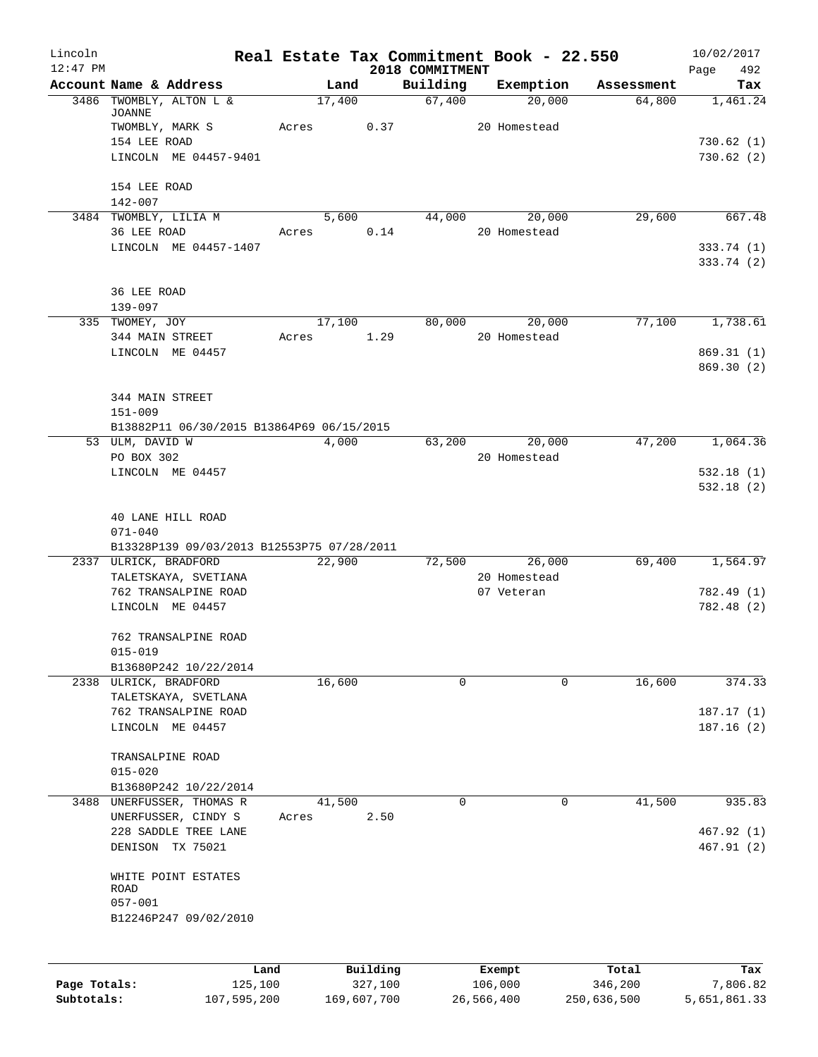| Lincoln      |                                            |       |        |          |                             | Real Estate Tax Commitment Book - 22.550 |            | 10/02/2017               |            |
|--------------|--------------------------------------------|-------|--------|----------|-----------------------------|------------------------------------------|------------|--------------------------|------------|
| $12:47$ PM   | Account Name & Address                     |       | Land   |          | 2018 COMMITMENT<br>Building | Exemption                                | Assessment | Page                     | 492<br>Tax |
|              | 3486 TWOMBLY, ALTON L &                    |       | 17,400 |          | 67,400                      | 20,000                                   | 64,800     | 1,461.24                 |            |
|              | <b>JOANNE</b>                              |       |        |          |                             |                                          |            |                          |            |
|              | TWOMBLY, MARK S<br>154 LEE ROAD            | Acres |        | 0.37     |                             | 20 Homestead                             |            |                          |            |
|              | LINCOLN ME 04457-9401                      |       |        |          |                             |                                          |            | 730.62(1)<br>730.62(2)   |            |
|              |                                            |       |        |          |                             |                                          |            |                          |            |
|              | 154 LEE ROAD                               |       |        |          |                             |                                          |            |                          |            |
|              | $142 - 007$                                |       |        |          |                             |                                          |            |                          |            |
|              | 3484 TWOMBLY, LILIA M                      |       | 5,600  |          | 44,000                      | 20,000                                   | 29,600     |                          | 667.48     |
|              | 36 LEE ROAD                                | Acres |        | 0.14     |                             | 20 Homestead                             |            |                          |            |
|              | LINCOLN ME 04457-1407                      |       |        |          |                             |                                          |            | 333.74 (1)<br>333.74 (2) |            |
|              |                                            |       |        |          |                             |                                          |            |                          |            |
|              | 36 LEE ROAD                                |       |        |          |                             |                                          |            |                          |            |
|              | 139-097                                    |       |        |          |                             |                                          |            |                          |            |
|              | 335 TWOMEY, JOY                            |       | 17,100 |          | 80,000                      | 20,000                                   | 77,100     | 1,738.61                 |            |
|              | 344 MAIN STREET                            | Acres |        | 1.29     |                             | 20 Homestead                             |            |                          |            |
|              | LINCOLN ME 04457                           |       |        |          |                             |                                          |            | 869.31 (1)               |            |
|              |                                            |       |        |          |                             |                                          |            | 869.30(2)                |            |
|              | 344 MAIN STREET                            |       |        |          |                             |                                          |            |                          |            |
|              | $151 - 009$                                |       |        |          |                             |                                          |            |                          |            |
|              | B13882P11 06/30/2015 B13864P69 06/15/2015  |       |        |          |                             |                                          |            |                          |            |
|              | 53 ULM, DAVID W                            |       | 4,000  |          | 63,200                      | 20,000                                   | 47,200     | 1,064.36                 |            |
|              | PO BOX 302                                 |       |        |          |                             | 20 Homestead                             |            |                          |            |
|              | LINCOLN ME 04457                           |       |        |          |                             |                                          |            | 532.18(1)                |            |
|              |                                            |       |        |          |                             |                                          |            | 532.18(2)                |            |
|              | 40 LANE HILL ROAD                          |       |        |          |                             |                                          |            |                          |            |
|              | $071 - 040$                                |       |        |          |                             |                                          |            |                          |            |
|              | B13328P139 09/03/2013 B12553P75 07/28/2011 |       |        |          |                             |                                          |            |                          |            |
|              | 2337 ULRICK, BRADFORD                      |       | 22,900 |          | 72,500                      | 26,000                                   | 69,400     | 1,564.97                 |            |
|              | TALETSKAYA, SVETIANA                       |       |        |          |                             | 20 Homestead                             |            |                          |            |
|              | 762 TRANSALPINE ROAD                       |       |        |          |                             | 07 Veteran                               |            | 782.49 (1)               |            |
|              | LINCOLN ME 04457                           |       |        |          |                             |                                          |            | 782.48 (2)               |            |
|              | 762 TRANSALPINE ROAD                       |       |        |          |                             |                                          |            |                          |            |
|              | $015 - 019$                                |       |        |          |                             |                                          |            |                          |            |
|              | B13680P242 10/22/2014                      |       |        |          |                             |                                          |            |                          |            |
|              | 2338 ULRICK, BRADFORD                      |       | 16,600 |          | 0                           | 0                                        | 16,600     |                          | 374.33     |
|              | TALETSKAYA, SVETLANA                       |       |        |          |                             |                                          |            |                          |            |
|              | 762 TRANSALPINE ROAD                       |       |        |          |                             |                                          |            | 187.17(1)                |            |
|              | LINCOLN ME 04457                           |       |        |          |                             |                                          |            | 187.16(2)                |            |
|              | TRANSALPINE ROAD                           |       |        |          |                             |                                          |            |                          |            |
|              | $015 - 020$                                |       |        |          |                             |                                          |            |                          |            |
|              | B13680P242 10/22/2014                      |       |        |          |                             |                                          |            |                          |            |
|              | 3488 UNERFUSSER, THOMAS R                  |       | 41,500 |          | $\Omega$                    | $\mathbf 0$                              | 41,500     |                          | 935.83     |
|              | UNERFUSSER, CINDY S                        | Acres |        | 2.50     |                             |                                          |            |                          |            |
|              | 228 SADDLE TREE LANE                       |       |        |          |                             |                                          |            | 467.92(1)                |            |
|              | DENISON TX 75021                           |       |        |          |                             |                                          |            | 467.91(2)                |            |
|              | WHITE POINT ESTATES                        |       |        |          |                             |                                          |            |                          |            |
|              | ROAD                                       |       |        |          |                             |                                          |            |                          |            |
|              | $057 - 001$                                |       |        |          |                             |                                          |            |                          |            |
|              | B12246P247 09/02/2010                      |       |        |          |                             |                                          |            |                          |            |
|              |                                            |       |        |          |                             |                                          |            |                          |            |
|              |                                            |       |        |          |                             |                                          |            |                          |            |
|              |                                            | Land  |        | Building |                             | Exempt                                   | Total      |                          | Tax        |
| Page Totals: | 125,100                                    |       |        | 327,100  |                             | 106,000                                  | 346,200    | 7,806.82                 |            |

**Subtotals:** 107,595,200 169,607,700 26,566,400 250,636,500 5,651,861.33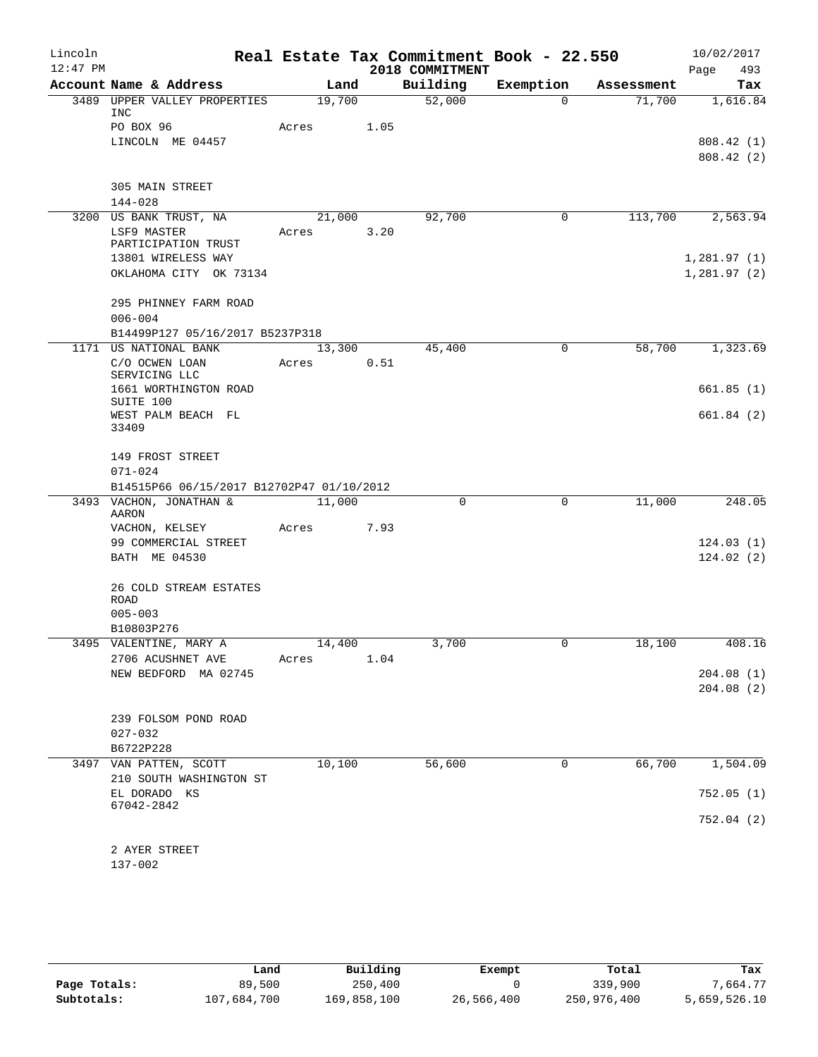| Lincoln<br>$12:47$ PM |                                                          |        |      | 2018 COMMITMENT | Real Estate Tax Commitment Book - 22.550 |            | 10/02/2017<br>493<br>Page |
|-----------------------|----------------------------------------------------------|--------|------|-----------------|------------------------------------------|------------|---------------------------|
|                       | Account Name & Address                                   | Land   |      | Building        | Exemption                                | Assessment | Tax                       |
|                       | 3489 UPPER VALLEY PROPERTIES                             | 19,700 |      | 52,000          | $\Omega$                                 | 71,700     | 1,616.84                  |
|                       | INC                                                      |        |      |                 |                                          |            |                           |
|                       | PO BOX 96                                                | Acres  | 1.05 |                 |                                          |            |                           |
|                       | LINCOLN ME 04457                                         |        |      |                 |                                          |            | 808.42(1)                 |
|                       |                                                          |        |      |                 |                                          |            | 808.42(2)                 |
|                       | 305 MAIN STREET                                          |        |      |                 |                                          |            |                           |
|                       | $144 - 028$                                              |        |      |                 |                                          |            |                           |
|                       | 3200 US BANK TRUST, NA                                   | 21,000 |      | 92,700          | 0                                        | 113,700    | 2,563.94                  |
|                       | LSF9 MASTER                                              | Acres  | 3.20 |                 |                                          |            |                           |
|                       | PARTICIPATION TRUST                                      |        |      |                 |                                          |            |                           |
|                       | 13801 WIRELESS WAY                                       |        |      |                 |                                          |            | 1,281.97(1)               |
|                       | OKLAHOMA CITY OK 73134                                   |        |      |                 |                                          |            | 1,281.97(2)               |
|                       | 295 PHINNEY FARM ROAD                                    |        |      |                 |                                          |            |                           |
|                       | $006 - 004$                                              |        |      |                 |                                          |            |                           |
|                       | B14499P127 05/16/2017 B5237P318                          |        |      |                 |                                          |            |                           |
|                       | 1171 US NATIONAL BANK                                    | 13,300 |      | 45,400          | $\mathbf 0$                              | 58,700     | 1,323.69                  |
|                       | C/O OCWEN LOAN                                           | Acres  | 0.51 |                 |                                          |            |                           |
|                       | SERVICING LLC                                            |        |      |                 |                                          |            |                           |
|                       | 1661 WORTHINGTON ROAD<br>SUITE 100                       |        |      |                 |                                          |            | 661.85(1)                 |
|                       | WEST PALM BEACH FL                                       |        |      |                 |                                          |            | 661.84 (2)                |
|                       | 33409                                                    |        |      |                 |                                          |            |                           |
|                       |                                                          |        |      |                 |                                          |            |                           |
|                       | 149 FROST STREET                                         |        |      |                 |                                          |            |                           |
|                       | $071 - 024$<br>B14515P66 06/15/2017 B12702P47 01/10/2012 |        |      |                 |                                          |            |                           |
|                       | 3493 VACHON, JONATHAN &                                  | 11,000 |      | 0               | $\mathbf 0$                              | 11,000     | 248.05                    |
|                       | AARON                                                    |        |      |                 |                                          |            |                           |
|                       | VACHON, KELSEY                                           | Acres  | 7.93 |                 |                                          |            |                           |
|                       | 99 COMMERCIAL STREET                                     |        |      |                 |                                          |            | 124.03(1)                 |
|                       | BATH ME 04530                                            |        |      |                 |                                          |            | 124.02(2)                 |
|                       |                                                          |        |      |                 |                                          |            |                           |
|                       | 26 COLD STREAM ESTATES<br><b>ROAD</b>                    |        |      |                 |                                          |            |                           |
|                       | $005 - 003$                                              |        |      |                 |                                          |            |                           |
|                       | B10803P276                                               |        |      |                 |                                          |            |                           |
|                       | 3495 VALENTINE, MARY A                                   | 14,400 |      | 3,700           | $\Omega$                                 | 18,100     | 408.16                    |
|                       | 2706 ACUSHNET AVE                                        | Acres  | 1.04 |                 |                                          |            |                           |
|                       | NEW BEDFORD MA 02745                                     |        |      |                 |                                          |            | 204.08(1)                 |
|                       |                                                          |        |      |                 |                                          |            | 204.08(2)                 |
|                       |                                                          |        |      |                 |                                          |            |                           |
|                       | 239 FOLSOM POND ROAD<br>$027 - 032$                      |        |      |                 |                                          |            |                           |
|                       | B6722P228                                                |        |      |                 |                                          |            |                           |
|                       | 3497 VAN PATTEN, SCOTT                                   | 10,100 |      | 56,600          | 0                                        | 66,700     | 1,504.09                  |
|                       | 210 SOUTH WASHINGTON ST                                  |        |      |                 |                                          |            |                           |
|                       | EL DORADO KS                                             |        |      |                 |                                          |            | 752.05(1)                 |
|                       | 67042-2842                                               |        |      |                 |                                          |            |                           |
|                       |                                                          |        |      |                 |                                          |            | 752.04 (2)                |
|                       | 2 AYER STREET                                            |        |      |                 |                                          |            |                           |
|                       | $137 - 002$                                              |        |      |                 |                                          |            |                           |

|              | Land        | Building    | Exempt     | Total       | Tax          |
|--------------|-------------|-------------|------------|-------------|--------------|
| Page Totals: | 89,500      | 250,400     |            | 339,900     | 7.664.77     |
| Subtotals:   | 107,684,700 | 169,858,100 | 26,566,400 | 250,976,400 | 5,659,526.10 |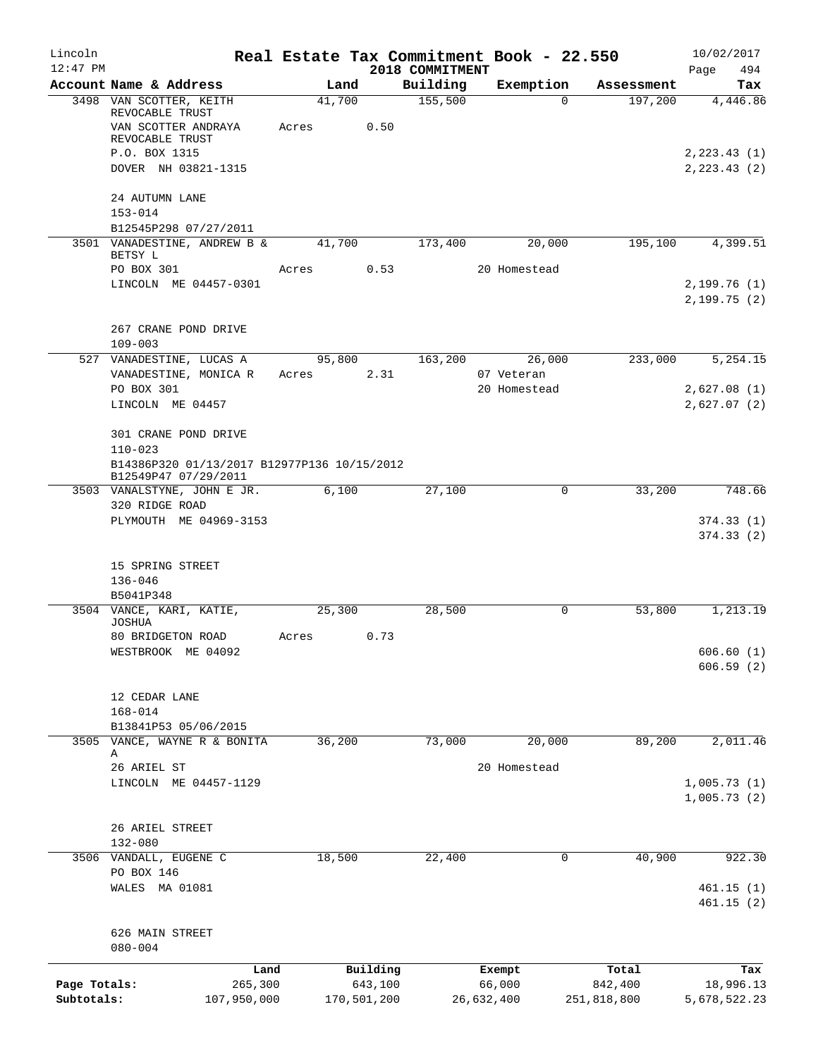| Lincoln      |                                                                     |       |        |             |                             | Real Estate Tax Commitment Book - 22.550 |             | 10/02/2017             |
|--------------|---------------------------------------------------------------------|-------|--------|-------------|-----------------------------|------------------------------------------|-------------|------------------------|
| $12:47$ PM   | Account Name & Address                                              |       | Land   |             | 2018 COMMITMENT<br>Building | Exemption                                | Assessment  | 494<br>Page<br>Tax     |
|              | 3498 VAN SCOTTER, KEITH                                             |       | 41,700 |             | 155,500                     | $\Omega$                                 | 197,200     | 4, 446.86              |
|              | REVOCABLE TRUST<br>VAN SCOTTER ANDRAYA<br>REVOCABLE TRUST           | Acres |        | 0.50        |                             |                                          |             |                        |
|              | P.O. BOX 1315                                                       |       |        |             |                             |                                          |             | 2, 223.43(1)           |
|              | DOVER NH 03821-1315                                                 |       |        |             |                             |                                          |             | 2, 223.43(2)           |
|              | 24 AUTUMN LANE<br>$153 - 014$                                       |       |        |             |                             |                                          |             |                        |
|              | B12545P298 07/27/2011                                               |       |        |             |                             |                                          |             |                        |
|              | 3501 VANADESTINE, ANDREW B &                                        |       | 41,700 |             | 173,400                     | 20,000                                   | 195,100     | 4,399.51               |
|              | BETSY L<br>PO BOX 301                                               | Acres |        | 0.53        |                             | 20 Homestead                             |             |                        |
|              | LINCOLN ME 04457-0301                                               |       |        |             |                             |                                          |             | 2,199.76(1)            |
|              |                                                                     |       |        |             |                             |                                          |             | 2,199.75(2)            |
|              | 267 CRANE POND DRIVE<br>$109 - 003$                                 |       |        |             |                             |                                          |             |                        |
|              | 527 VANADESTINE, LUCAS A                                            |       | 95,800 |             | 163,200                     | 26,000                                   | 233,000     | 5,254.15               |
|              | VANADESTINE, MONICA R                                               | Acres |        | 2.31        |                             | 07 Veteran                               |             |                        |
|              | PO BOX 301                                                          |       |        |             |                             | 20 Homestead                             |             | 2,627.08(1)            |
|              | LINCOLN ME 04457                                                    |       |        |             |                             |                                          |             | 2,627.07(2)            |
|              | 301 CRANE POND DRIVE<br>$110 - 023$                                 |       |        |             |                             |                                          |             |                        |
|              | B14386P320 01/13/2017 B12977P136 10/15/2012<br>B12549P47 07/29/2011 |       |        |             |                             |                                          |             |                        |
|              | 3503 VANALSTYNE, JOHN E JR.                                         |       | 6,100  |             | 27,100                      | $\mathbf 0$                              | 33,200      | 748.66                 |
|              | 320 RIDGE ROAD                                                      |       |        |             |                             |                                          |             |                        |
|              | PLYMOUTH ME 04969-3153                                              |       |        |             |                             |                                          |             | 374.33(1)<br>374.33(2) |
|              |                                                                     |       |        |             |                             |                                          |             |                        |
|              | 15 SPRING STREET                                                    |       |        |             |                             |                                          |             |                        |
|              | $136 - 046$<br>B5041P348                                            |       |        |             |                             |                                          |             |                        |
|              | 3504 VANCE, KARI, KATIE,                                            |       | 25,300 |             | 28,500                      | 0                                        | 53,800      | 1,213.19               |
|              | <b>JOSHUA</b><br>80 BRIDGETON ROAD                                  | Acres |        | 0.73        |                             |                                          |             |                        |
|              | WESTBROOK ME 04092                                                  |       |        |             |                             |                                          |             | 606.60(1)              |
|              |                                                                     |       |        |             |                             |                                          |             | 606.59(2)              |
|              | 12 CEDAR LANE                                                       |       |        |             |                             |                                          |             |                        |
|              | $168 - 014$                                                         |       |        |             |                             |                                          |             |                        |
|              | B13841P53 05/06/2015                                                |       |        |             |                             |                                          |             |                        |
| 3505         | VANCE, WAYNE R & BONITA                                             |       | 36,200 |             | 73,000                      | 20,000                                   | 89,200      | 2,011.46               |
|              | Α<br>26 ARIEL ST                                                    |       |        |             |                             | 20 Homestead                             |             |                        |
|              | LINCOLN ME 04457-1129                                               |       |        |             |                             |                                          |             | 1,005.73(1)            |
|              |                                                                     |       |        |             |                             |                                          |             | 1,005.73(2)            |
|              | 26 ARIEL STREET                                                     |       |        |             |                             |                                          |             |                        |
|              | $132 - 080$                                                         |       |        |             |                             |                                          |             |                        |
| 3506         | VANDALL, EUGENE C                                                   |       | 18,500 |             | 22,400                      | 0                                        | 40,900      | 922.30                 |
|              | PO BOX 146                                                          |       |        |             |                             |                                          |             |                        |
|              | WALES MA 01081                                                      |       |        |             |                             |                                          |             | 461.15(1)<br>461.15(2) |
|              |                                                                     |       |        |             |                             |                                          |             |                        |
|              | 626 MAIN STREET<br>$080 - 004$                                      |       |        |             |                             |                                          |             |                        |
|              | Land                                                                |       |        | Building    |                             | Exempt                                   | Total       | Tax                    |
| Page Totals: | 265,300                                                             |       |        | 643,100     |                             | 66,000                                   | 842,400     | 18,996.13              |
| Subtotals:   | 107,950,000                                                         |       |        | 170,501,200 |                             | 26,632,400                               | 251,818,800 | 5,678,522.23           |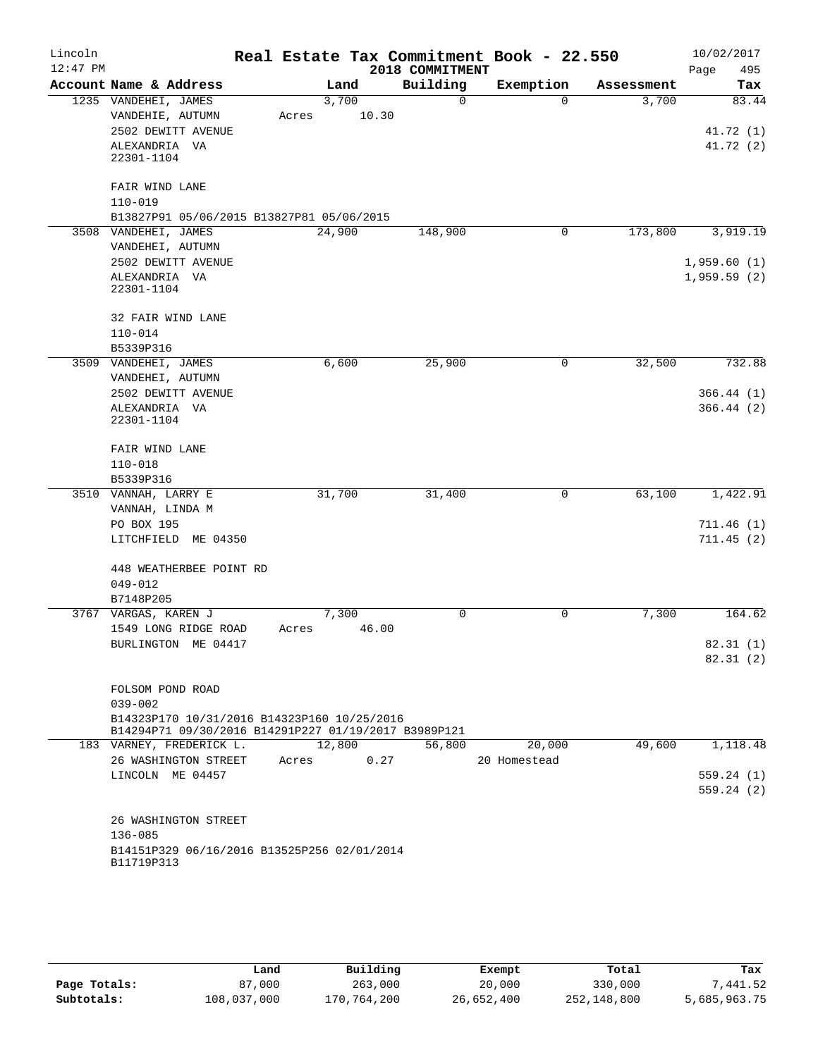| Lincoln<br>$12:47$ PM |                                                                                                     |       |                |                      | Real Estate Tax Commitment Book - 22.550 |            | 10/02/2017                 |
|-----------------------|-----------------------------------------------------------------------------------------------------|-------|----------------|----------------------|------------------------------------------|------------|----------------------------|
|                       |                                                                                                     |       |                | 2018 COMMITMENT      |                                          |            | Page<br>495                |
|                       | Account Name & Address                                                                              |       | Land           | Building<br>$\Omega$ | Exemption<br>$\Omega$                    | Assessment | Tax                        |
|                       | 1235 VANDEHEI, JAMES<br>VANDEHIE, AUTUMN                                                            | Acres | 3,700<br>10.30 |                      |                                          | 3,700      | 83.44                      |
|                       | 2502 DEWITT AVENUE                                                                                  |       |                |                      |                                          |            | 41.72 (1)                  |
|                       | ALEXANDRIA VA                                                                                       |       |                |                      |                                          |            | 41.72(2)                   |
|                       | 22301-1104                                                                                          |       |                |                      |                                          |            |                            |
|                       |                                                                                                     |       |                |                      |                                          |            |                            |
|                       | FAIR WIND LANE                                                                                      |       |                |                      |                                          |            |                            |
|                       | $110 - 019$                                                                                         |       |                |                      |                                          |            |                            |
|                       | B13827P91 05/06/2015 B13827P81 05/06/2015<br>3508 VANDEHEI, JAMES                                   |       | 24,900         | 148,900              | 0                                        | 173,800    | 3,919.19                   |
|                       |                                                                                                     |       |                |                      |                                          |            |                            |
|                       | VANDEHEI, AUTUMN<br>2502 DEWITT AVENUE                                                              |       |                |                      |                                          |            |                            |
|                       | ALEXANDRIA VA                                                                                       |       |                |                      |                                          |            | 1,959.60(1)<br>1,959.59(2) |
|                       | 22301-1104                                                                                          |       |                |                      |                                          |            |                            |
|                       | 32 FAIR WIND LANE                                                                                   |       |                |                      |                                          |            |                            |
|                       | $110 - 014$                                                                                         |       |                |                      |                                          |            |                            |
|                       | B5339P316                                                                                           |       |                |                      |                                          |            |                            |
|                       | 3509 VANDEHEI, JAMES                                                                                |       | 6,600          | 25,900               | 0                                        | 32,500     | 732.88                     |
|                       | VANDEHEI, AUTUMN                                                                                    |       |                |                      |                                          |            |                            |
|                       | 2502 DEWITT AVENUE                                                                                  |       |                |                      |                                          |            | 366.44(1)                  |
|                       | ALEXANDRIA VA                                                                                       |       |                |                      |                                          |            | 366.44(2)                  |
|                       | 22301-1104                                                                                          |       |                |                      |                                          |            |                            |
|                       | FAIR WIND LANE                                                                                      |       |                |                      |                                          |            |                            |
|                       | $110 - 018$                                                                                         |       |                |                      |                                          |            |                            |
|                       | B5339P316                                                                                           |       |                |                      |                                          |            |                            |
|                       | 3510 VANNAH, LARRY E                                                                                |       | 31,700         | 31,400               | 0                                        | 63,100     | 1,422.91                   |
|                       | VANNAH, LINDA M                                                                                     |       |                |                      |                                          |            |                            |
|                       | PO BOX 195                                                                                          |       |                |                      |                                          |            | 711.46(1)                  |
|                       | LITCHFIELD ME 04350                                                                                 |       |                |                      |                                          |            | 711.45(2)                  |
|                       |                                                                                                     |       |                |                      |                                          |            |                            |
|                       | 448 WEATHERBEE POINT RD                                                                             |       |                |                      |                                          |            |                            |
|                       | $049 - 012$                                                                                         |       |                |                      |                                          |            |                            |
|                       | B7148P205                                                                                           |       |                |                      |                                          |            |                            |
|                       | 3767 VARGAS, KAREN J                                                                                |       | 7,300          | $\Omega$             | $\mathbf 0$                              | 7,300      | 164.62                     |
|                       | 1549 LONG RIDGE ROAD                                                                                | Acres | 46.00          |                      |                                          |            |                            |
|                       | BURLINGTON ME 04417                                                                                 |       |                |                      |                                          |            | 82.31 (1)                  |
|                       |                                                                                                     |       |                |                      |                                          |            | 82.31(2)                   |
|                       | FOLSOM POND ROAD                                                                                    |       |                |                      |                                          |            |                            |
|                       | $039 - 002$                                                                                         |       |                |                      |                                          |            |                            |
|                       | B14323P170 10/31/2016 B14323P160 10/25/2016<br>B14294P71 09/30/2016 B14291P227 01/19/2017 B3989P121 |       |                |                      |                                          |            |                            |
|                       | 183 VARNEY, FREDERICK L.                                                                            |       | 12,800         | 56,800               | 20,000                                   | 49,600     | 1,118.48                   |
|                       | 26 WASHINGTON STREET                                                                                | Acres | 0.27           |                      | 20 Homestead                             |            |                            |
|                       | LINCOLN ME 04457                                                                                    |       |                |                      |                                          |            | 559.24(1)                  |
|                       |                                                                                                     |       |                |                      |                                          |            | 559.24(2)                  |
|                       |                                                                                                     |       |                |                      |                                          |            |                            |
|                       | 26 WASHINGTON STREET                                                                                |       |                |                      |                                          |            |                            |
|                       | $136 - 085$                                                                                         |       |                |                      |                                          |            |                            |
|                       | B14151P329 06/16/2016 B13525P256 02/01/2014                                                         |       |                |                      |                                          |            |                            |
|                       | B11719P313                                                                                          |       |                |                      |                                          |            |                            |
|                       |                                                                                                     |       |                |                      |                                          |            |                            |

|              | Land        | Building    | Exempt     | Total       | Tax          |
|--------------|-------------|-------------|------------|-------------|--------------|
| Page Totals: | 87,000      | 263,000     | 20,000     | 330,000     | 7,441.52     |
| Subtotals:   | 108,037,000 | 170,764,200 | 26,652,400 | 252,148,800 | 5,685,963.75 |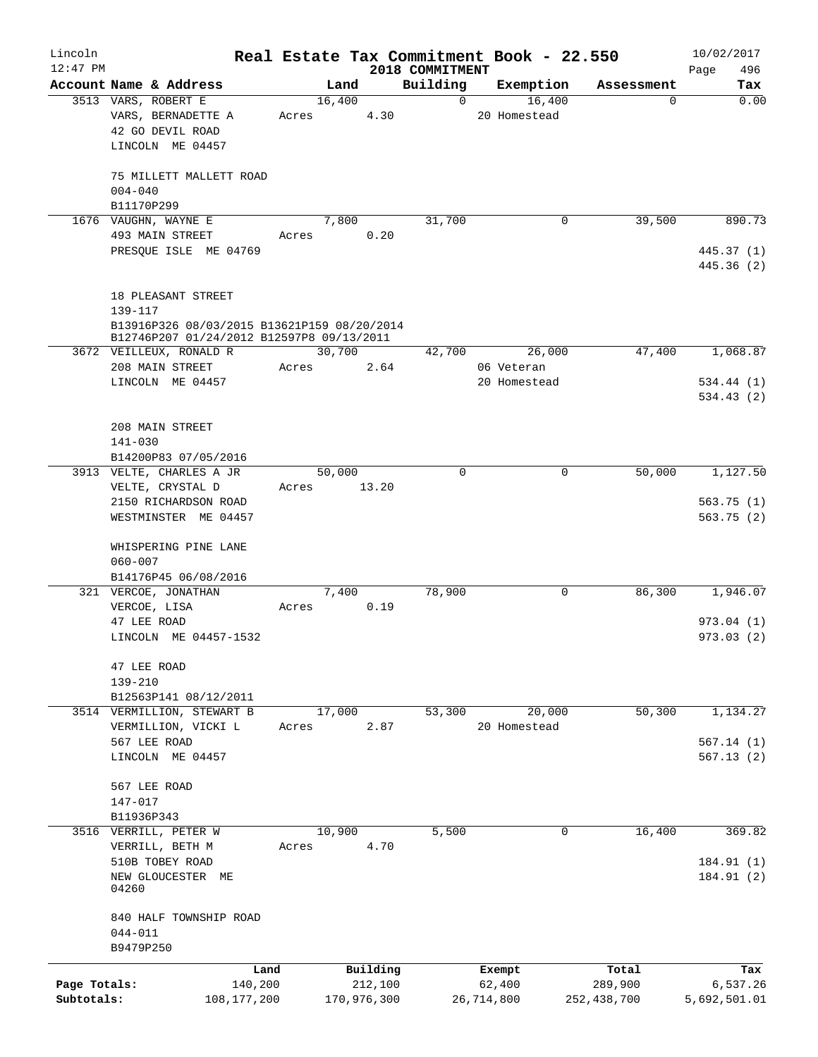| Lincoln<br>$12:47$ PM      |                                                                                   |                          |        |                        | 2018 COMMITMENT | Real Estate Tax Commitment Book - 22.550 |                        | 10/02/2017<br>496<br>Page |
|----------------------------|-----------------------------------------------------------------------------------|--------------------------|--------|------------------------|-----------------|------------------------------------------|------------------------|---------------------------|
|                            | Account Name & Address                                                            |                          | Land   |                        | Building        | Exemption                                | Assessment             | Tax                       |
|                            | 3513 VARS, ROBERT E<br>VARS, BERNADETTE A<br>42 GO DEVIL ROAD<br>LINCOLN ME 04457 | Acres                    | 16,400 | 4.30                   | $\Omega$        | 16,400<br>20 Homestead                   | 0                      | 0.00                      |
|                            | 75 MILLETT MALLETT ROAD<br>$004 - 040$<br>B11170P299                              |                          |        |                        |                 |                                          |                        |                           |
|                            | 1676 VAUGHN, WAYNE E                                                              |                          | 7,800  |                        | 31,700          | 0                                        | 39,500                 | 890.73                    |
|                            | 493 MAIN STREET<br>PRESQUE ISLE ME 04769                                          | Acres                    |        | 0.20                   |                 |                                          |                        | 445.37 (1)<br>445.36 (2)  |
|                            | 18 PLEASANT STREET<br>$139 - 117$<br>B13916P326 08/03/2015 B13621P159 08/20/2014  |                          |        |                        |                 |                                          |                        |                           |
|                            | B12746P207 01/24/2012 B12597P8 09/13/2011<br>3672 VEILLEUX, RONALD R              |                          | 30,700 |                        | 42,700          | 26,000                                   | 47,400                 | 1,068.87                  |
|                            | 208 MAIN STREET<br>LINCOLN ME 04457                                               | Acres                    |        | 2.64                   |                 | 06 Veteran<br>20 Homestead               |                        | 534.44(1)                 |
|                            | 208 MAIN STREET<br>141-030                                                        |                          |        |                        |                 |                                          |                        | 534.43(2)                 |
|                            | B14200P83 07/05/2016<br>3913 VELTE, CHARLES A JR                                  |                          | 50,000 |                        | $\Omega$        | 0                                        | 50,000                 | 1,127.50                  |
|                            | VELTE, CRYSTAL D<br>2150 RICHARDSON ROAD<br>WESTMINSTER ME 04457                  | Acres                    |        | 13.20                  |                 |                                          |                        | 563.75(1)<br>563.75(2)    |
|                            | WHISPERING PINE LANE<br>$060 - 007$<br>B14176P45 06/08/2016                       |                          |        |                        |                 |                                          |                        |                           |
|                            | 321 VERCOE, JONATHAN                                                              |                          | 7,400  |                        | 78,900          | 0                                        | 86,300                 | 1,946.07                  |
|                            | VERCOE, LISA<br>47 LEE ROAD<br>LINCOLN ME 04457-1532                              | Acres                    |        | 0.19                   |                 |                                          |                        | 973.04(1)<br>973.03(2)    |
|                            | 47 LEE ROAD<br>139-210<br>B12563P141 08/12/2011                                   |                          |        |                        |                 |                                          |                        |                           |
|                            | 3514 VERMILLION, STEWART B                                                        |                          | 17,000 |                        | 53,300          | 20,000                                   | 50,300                 | 1,134.27                  |
|                            | VERMILLION, VICKI L<br>567 LEE ROAD                                               | Acres                    |        | 2.87                   |                 | 20 Homestead                             |                        | 567.14(1)                 |
|                            | LINCOLN ME 04457                                                                  |                          |        |                        |                 |                                          |                        | 567.13(2)                 |
|                            | 567 LEE ROAD<br>147-017<br>B11936P343                                             |                          |        |                        |                 |                                          |                        |                           |
|                            | 3516 VERRILL, PETER W<br>VERRILL, BETH M                                          | Acres                    | 10,900 | 4.70                   | 5,500           | $\mathbf 0$                              | 16,400                 | 369.82                    |
|                            | 510B TOBEY ROAD<br>NEW GLOUCESTER ME<br>04260                                     |                          |        |                        |                 |                                          |                        | 184.91 (1)<br>184.91 (2)  |
|                            | 840 HALF TOWNSHIP ROAD<br>$044 - 011$<br>B9479P250                                |                          |        |                        |                 |                                          |                        |                           |
|                            |                                                                                   | Land                     |        | Building               |                 | Exempt                                   | Total                  | Tax                       |
| Page Totals:<br>Subtotals: |                                                                                   | 140,200<br>108, 177, 200 |        | 212,100<br>170,976,300 |                 | 62,400<br>26,714,800                     | 289,900<br>252,438,700 | 6,537.26<br>5,692,501.01  |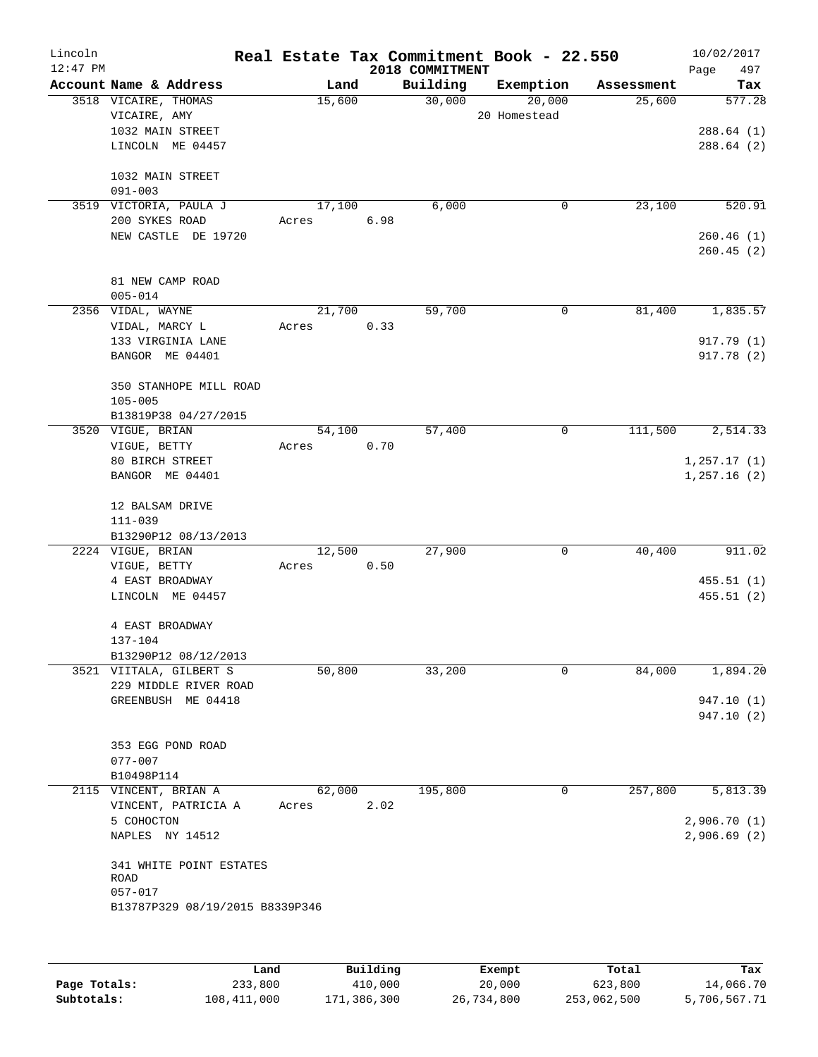| Lincoln    |                                 |        |      |                 | Real Estate Tax Commitment Book - 22.550 |            | 10/02/2017   |
|------------|---------------------------------|--------|------|-----------------|------------------------------------------|------------|--------------|
| $12:47$ PM |                                 |        |      | 2018 COMMITMENT |                                          |            | 497<br>Page  |
|            | Account Name & Address          | Land   |      | Building        | Exemption                                | Assessment | Tax          |
|            | 3518 VICAIRE, THOMAS            | 15,600 |      | 30,000          | 20,000                                   | 25,600     | 577.28       |
|            | VICAIRE, AMY                    |        |      |                 | 20 Homestead                             |            |              |
|            | 1032 MAIN STREET                |        |      |                 |                                          |            | 288.64(1)    |
|            | LINCOLN ME 04457                |        |      |                 |                                          |            | 288.64 (2)   |
|            | 1032 MAIN STREET                |        |      |                 |                                          |            |              |
|            | $091 - 003$                     |        |      |                 |                                          |            |              |
|            | 3519 VICTORIA, PAULA J          | 17,100 |      | 6,000           | 0                                        | 23,100     | 520.91       |
|            | 200 SYKES ROAD                  | Acres  | 6.98 |                 |                                          |            |              |
|            | NEW CASTLE DE 19720             |        |      |                 |                                          |            | 260.46(1)    |
|            |                                 |        |      |                 |                                          |            | 260.45(2)    |
|            |                                 |        |      |                 |                                          |            |              |
|            | 81 NEW CAMP ROAD                |        |      |                 |                                          |            |              |
|            | $005 - 014$                     |        |      |                 |                                          |            |              |
|            | 2356 VIDAL, WAYNE               | 21,700 |      | 59,700          | 0                                        | 81,400     | 1,835.57     |
|            | VIDAL, MARCY L                  | Acres  | 0.33 |                 |                                          |            |              |
|            | 133 VIRGINIA LANE               |        |      |                 |                                          |            | 917.79 (1)   |
|            | BANGOR ME 04401                 |        |      |                 |                                          |            | 917.78 (2)   |
|            |                                 |        |      |                 |                                          |            |              |
|            | 350 STANHOPE MILL ROAD          |        |      |                 |                                          |            |              |
|            | $105 - 005$                     |        |      |                 |                                          |            |              |
|            | B13819P38 04/27/2015            |        |      |                 |                                          |            |              |
|            | 3520 VIGUE, BRIAN               | 54,100 |      | 57,400          | 0                                        | 111,500    | 2,514.33     |
|            | VIGUE, BETTY                    | Acres  | 0.70 |                 |                                          |            |              |
|            | 80 BIRCH STREET                 |        |      |                 |                                          |            | 1, 257.17(1) |
|            | BANGOR ME 04401                 |        |      |                 |                                          |            | 1,257.16(2)  |
|            | 12 BALSAM DRIVE                 |        |      |                 |                                          |            |              |
|            | $111 - 039$                     |        |      |                 |                                          |            |              |
|            | B13290P12 08/13/2013            |        |      |                 |                                          |            |              |
|            | 2224 VIGUE, BRIAN               | 12,500 |      | 27,900          | 0                                        | 40,400     | 911.02       |
|            | VIGUE, BETTY                    | Acres  | 0.50 |                 |                                          |            |              |
|            | 4 EAST BROADWAY                 |        |      |                 |                                          |            | 455.51(1)    |
|            | LINCOLN ME 04457                |        |      |                 |                                          |            | 455.51(2)    |
|            |                                 |        |      |                 |                                          |            |              |
|            | 4 EAST BROADWAY                 |        |      |                 |                                          |            |              |
|            | 137-104                         |        |      |                 |                                          |            |              |
|            | B13290P12 08/12/2013            |        |      |                 |                                          |            |              |
|            | 3521 VIITALA, GILBERT S         | 50,800 |      | 33,200          | 0                                        | 84,000     | 1,894.20     |
|            | 229 MIDDLE RIVER ROAD           |        |      |                 |                                          |            |              |
|            | GREENBUSH ME 04418              |        |      |                 |                                          |            | 947.10 (1)   |
|            |                                 |        |      |                 |                                          |            | 947.10 (2)   |
|            |                                 |        |      |                 |                                          |            |              |
|            | 353 EGG POND ROAD               |        |      |                 |                                          |            |              |
|            | $077 - 007$                     |        |      |                 |                                          |            |              |
|            | B10498P114                      |        |      |                 |                                          |            |              |
|            | 2115 VINCENT, BRIAN A           | 62,000 |      | 195,800         | 0                                        | 257,800    | 5,813.39     |
|            | VINCENT, PATRICIA A             | Acres  | 2.02 |                 |                                          |            |              |
|            | 5 COHOCTON                      |        |      |                 |                                          |            | 2,906.70(1)  |
|            | NAPLES NY 14512                 |        |      |                 |                                          |            | 2,906.69(2)  |
|            |                                 |        |      |                 |                                          |            |              |
|            | 341 WHITE POINT ESTATES<br>ROAD |        |      |                 |                                          |            |              |
|            | $057 - 017$                     |        |      |                 |                                          |            |              |
|            | B13787P329 08/19/2015 B8339P346 |        |      |                 |                                          |            |              |
|            |                                 |        |      |                 |                                          |            |              |
|            |                                 |        |      |                 |                                          |            |              |
|            |                                 |        |      |                 |                                          |            |              |

|              | Land        | Building    | Exempt     | Total       | Tax          |
|--------------|-------------|-------------|------------|-------------|--------------|
| Page Totals: | 233,800     | 410,000     | 20,000     | 623,800     | 14,066.70    |
| Subtotals:   | 108,411,000 | 171,386,300 | 26,734,800 | 253,062,500 | 5,706,567.71 |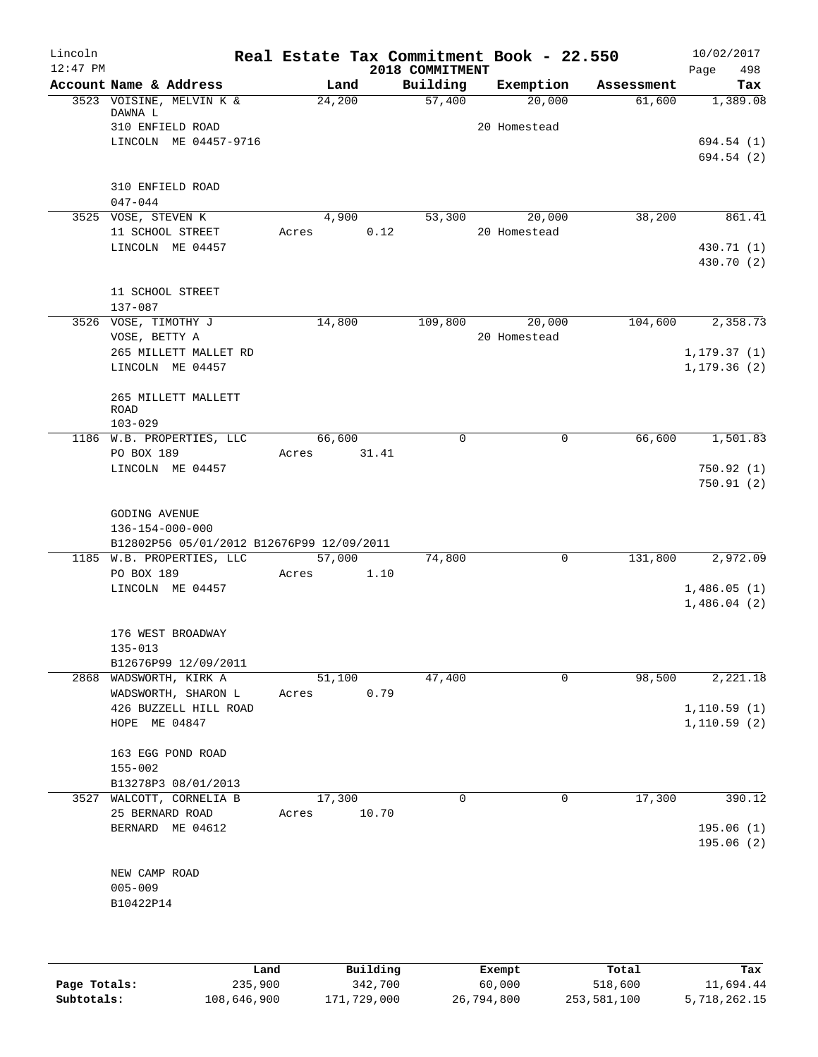| Lincoln<br>$12:47$ PM |                                               | Real Estate Tax Commitment Book - 22.550 |       | 2018 COMMITMENT |              |            | 10/02/2017<br>498<br>Page |
|-----------------------|-----------------------------------------------|------------------------------------------|-------|-----------------|--------------|------------|---------------------------|
|                       | Account Name & Address                        | Land                                     |       | Building        | Exemption    | Assessment | Tax                       |
|                       | 3523 VOISINE, MELVIN K &<br>DAWNA L           | 24,200                                   |       | 57,400          | 20,000       | 61,600     | 1,389.08                  |
|                       | 310 ENFIELD ROAD                              |                                          |       |                 | 20 Homestead |            |                           |
|                       | LINCOLN ME 04457-9716                         |                                          |       |                 |              |            | 694.54 (1)                |
|                       |                                               |                                          |       |                 |              |            | 694.54 (2)                |
|                       |                                               |                                          |       |                 |              |            |                           |
|                       | 310 ENFIELD ROAD<br>$047 - 044$               |                                          |       |                 |              |            |                           |
|                       | 3525 VOSE, STEVEN K                           | 4,900                                    |       | 53,300          | 20,000       | 38,200     | 861.41                    |
|                       | 11 SCHOOL STREET                              | Acres                                    | 0.12  |                 | 20 Homestead |            |                           |
|                       | LINCOLN ME 04457                              |                                          |       |                 |              |            | 430.71 (1)                |
|                       |                                               |                                          |       |                 |              |            | 430.70 (2)                |
|                       | 11 SCHOOL STREET                              |                                          |       |                 |              |            |                           |
|                       | 137-087                                       |                                          |       |                 |              |            |                           |
|                       | 3526 VOSE, TIMOTHY J                          | 14,800                                   |       | 109,800         | 20,000       | 104,600    | 2,358.73                  |
|                       | VOSE, BETTY A                                 |                                          |       |                 | 20 Homestead |            |                           |
|                       | 265 MILLETT MALLET RD                         |                                          |       |                 |              |            | 1, 179.37(1)              |
|                       | LINCOLN ME 04457                              |                                          |       |                 |              |            | 1, 179.36(2)              |
|                       |                                               |                                          |       |                 |              |            |                           |
|                       | 265 MILLETT MALLETT<br>ROAD                   |                                          |       |                 |              |            |                           |
|                       | $103 - 029$                                   |                                          |       |                 |              |            |                           |
|                       | 1186 W.B. PROPERTIES, LLC                     | 66,600                                   |       | $\Omega$        | 0            | 66,600     | 1,501.83                  |
|                       | PO BOX 189                                    | Acres                                    | 31.41 |                 |              |            |                           |
|                       | LINCOLN ME 04457                              |                                          |       |                 |              |            | 750.92(1)                 |
|                       |                                               |                                          |       |                 |              |            | 750.91(2)                 |
|                       | <b>GODING AVENUE</b>                          |                                          |       |                 |              |            |                           |
|                       | 136-154-000-000                               |                                          |       |                 |              |            |                           |
|                       | B12802P56 05/01/2012 B12676P99 12/09/2011     |                                          |       |                 |              |            |                           |
|                       | 1185 W.B. PROPERTIES, LLC                     | 57,000                                   |       | 74,800          | $\mathbf 0$  | 131,800    | 2,972.09                  |
|                       | PO BOX 189<br>LINCOLN ME 04457                | Acres                                    | 1.10  |                 |              |            | 1,486.05(1)               |
|                       |                                               |                                          |       |                 |              |            | 1,486.04(2)               |
|                       |                                               |                                          |       |                 |              |            |                           |
|                       | 176 WEST BROADWAY                             |                                          |       |                 |              |            |                           |
|                       | $135 - 013$                                   |                                          |       |                 |              |            |                           |
|                       | B12676P99 12/09/2011                          | 51,100                                   |       |                 | 0            |            | 2,221.18                  |
|                       | 2868 WADSWORTH, KIRK A<br>WADSWORTH, SHARON L | Acres                                    | 0.79  | 47,400          |              | 98,500     |                           |
|                       | 426 BUZZELL HILL ROAD                         |                                          |       |                 |              |            | 1, 110.59(1)              |
|                       | HOPE ME 04847                                 |                                          |       |                 |              |            | 1, 110.59(2)              |
|                       |                                               |                                          |       |                 |              |            |                           |
|                       | 163 EGG POND ROAD                             |                                          |       |                 |              |            |                           |
|                       | $155 - 002$<br>B13278P3 08/01/2013            |                                          |       |                 |              |            |                           |
|                       | 3527 WALCOTT, CORNELIA B                      | 17,300                                   |       | $\mathbf 0$     | 0            | 17,300     | 390.12                    |
|                       | 25 BERNARD ROAD                               | Acres                                    | 10.70 |                 |              |            |                           |
|                       | BERNARD ME 04612                              |                                          |       |                 |              |            | 195.06(1)                 |
|                       |                                               |                                          |       |                 |              |            | 195.06(2)                 |
|                       |                                               |                                          |       |                 |              |            |                           |
|                       | NEW CAMP ROAD<br>$005 - 009$                  |                                          |       |                 |              |            |                           |
|                       | B10422P14                                     |                                          |       |                 |              |            |                           |
|                       |                                               |                                          |       |                 |              |            |                           |
|                       |                                               |                                          |       |                 |              |            |                           |
|                       |                                               |                                          |       |                 |              |            |                           |

|              | Land        | Building    | Exempt     | Total       | Tax          |
|--------------|-------------|-------------|------------|-------------|--------------|
| Page Totals: | 235,900     | 342,700     | 60,000     | 518,600     | 11,694.44    |
| Subtotals:   | 108,646,900 | 171,729,000 | 26,794,800 | 253,581,100 | 5,718,262.15 |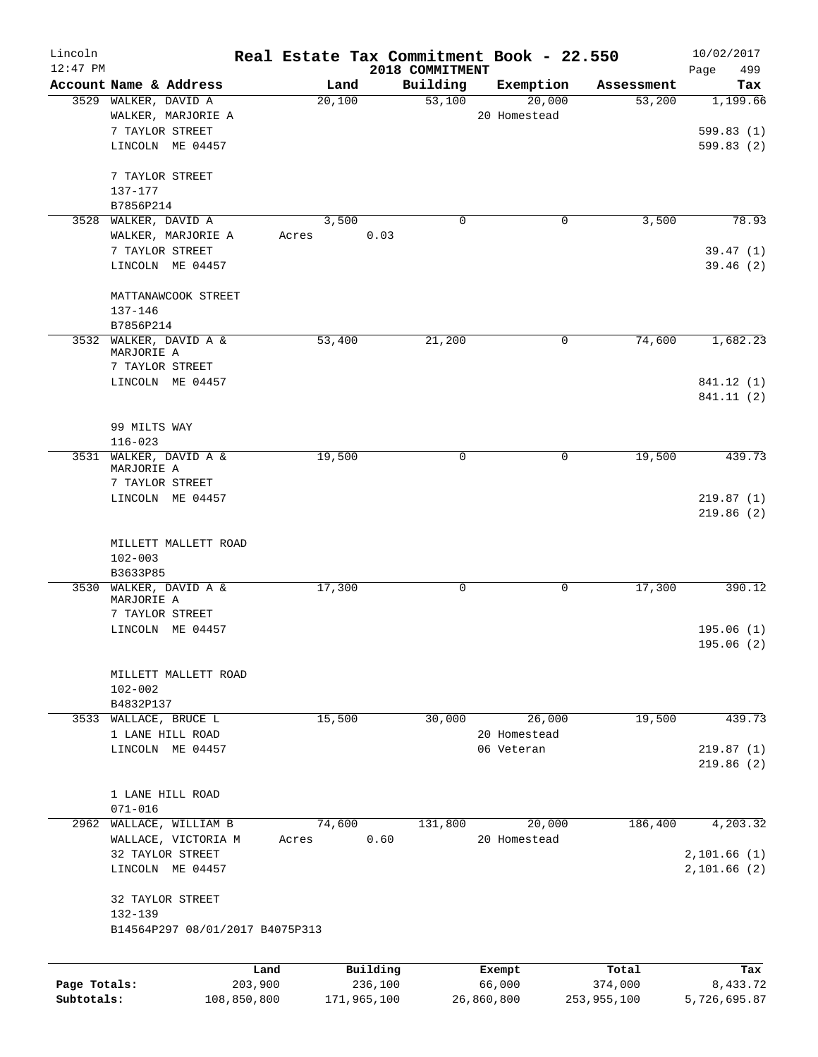| Lincoln                    |                                 | Real Estate Tax Commitment Book - 22.550 |                             |                      |                        | 10/02/2017               |
|----------------------------|---------------------------------|------------------------------------------|-----------------------------|----------------------|------------------------|--------------------------|
| $12:47$ PM                 | Account Name & Address          | Land                                     | 2018 COMMITMENT<br>Building | Exemption            | Assessment             | 499<br>Page<br>Tax       |
|                            | 3529 WALKER, DAVID A            | 20,100                                   | 53,100                      | 20,000               | 53,200                 | 1,199.66                 |
|                            | WALKER, MARJORIE A              |                                          |                             | 20 Homestead         |                        |                          |
|                            | 7 TAYLOR STREET                 |                                          |                             |                      |                        | 599.83(1)                |
|                            | LINCOLN ME 04457                |                                          |                             |                      |                        | 599.83 (2)               |
|                            |                                 |                                          |                             |                      |                        |                          |
|                            | 7 TAYLOR STREET                 |                                          |                             |                      |                        |                          |
|                            | 137-177                         |                                          |                             |                      |                        |                          |
|                            | B7856P214                       |                                          |                             |                      |                        |                          |
| 3528                       | WALKER, DAVID A                 | 3,500                                    | $\mathbf 0$                 | $\mathbf 0$          | 3,500                  | 78.93                    |
|                            | WALKER, MARJORIE A              | Acres                                    | 0.03                        |                      |                        |                          |
|                            | 7 TAYLOR STREET                 |                                          |                             |                      |                        | 39.47(1)                 |
|                            | LINCOLN ME 04457                |                                          |                             |                      |                        | 39.46(2)                 |
|                            |                                 |                                          |                             |                      |                        |                          |
|                            | MATTANAWCOOK STREET             |                                          |                             |                      |                        |                          |
|                            | 137-146<br>B7856P214            |                                          |                             |                      |                        |                          |
| 3532                       | WALKER, DAVID A &               | 53,400                                   | 21,200                      | 0                    | 74,600                 | 1,682.23                 |
|                            | MARJORIE A                      |                                          |                             |                      |                        |                          |
|                            | 7 TAYLOR STREET                 |                                          |                             |                      |                        |                          |
|                            | LINCOLN ME 04457                |                                          |                             |                      |                        | 841.12 (1)               |
|                            |                                 |                                          |                             |                      |                        | 841.11 (2)               |
|                            |                                 |                                          |                             |                      |                        |                          |
|                            | 99 MILTS WAY                    |                                          |                             |                      |                        |                          |
|                            | $116 - 023$                     |                                          |                             |                      |                        |                          |
|                            | 3531 WALKER, DAVID A &          | 19,500                                   | $\mathbf 0$                 | $\mathbf 0$          | 19,500                 | 439.73                   |
|                            | MARJORIE A<br>7 TAYLOR STREET   |                                          |                             |                      |                        |                          |
|                            | LINCOLN ME 04457                |                                          |                             |                      |                        | 219.87(1)                |
|                            |                                 |                                          |                             |                      |                        | 219.86(2)                |
|                            |                                 |                                          |                             |                      |                        |                          |
|                            | MILLETT MALLETT ROAD            |                                          |                             |                      |                        |                          |
|                            | $102 - 003$                     |                                          |                             |                      |                        |                          |
|                            | B3633P85                        |                                          |                             |                      |                        |                          |
| 3530                       | WALKER, DAVID A &<br>MARJORIE A | 17,300                                   | 0                           | 0                    | 17,300                 | 390.12                   |
|                            | 7 TAYLOR STREET                 |                                          |                             |                      |                        |                          |
|                            | LINCOLN ME 04457                |                                          |                             |                      |                        | 195.06(1)                |
|                            |                                 |                                          |                             |                      |                        | 195.06(2)                |
|                            |                                 |                                          |                             |                      |                        |                          |
|                            | MILLETT MALLETT ROAD            |                                          |                             |                      |                        |                          |
|                            | $102 - 002$                     |                                          |                             |                      |                        |                          |
|                            | B4832P137                       |                                          |                             |                      |                        |                          |
|                            | 3533 WALLACE, BRUCE L           | 15,500                                   | 30,000                      | 26,000               | 19,500                 | 439.73                   |
|                            | 1 LANE HILL ROAD                |                                          |                             | 20 Homestead         |                        |                          |
|                            | LINCOLN ME 04457                |                                          |                             | 06 Veteran           |                        | 219.87(1)<br>219.86(2)   |
|                            |                                 |                                          |                             |                      |                        |                          |
|                            | 1 LANE HILL ROAD                |                                          |                             |                      |                        |                          |
|                            | $071 - 016$                     |                                          |                             |                      |                        |                          |
|                            | 2962 WALLACE, WILLIAM B         | 74,600                                   | 131,800                     | 20,000               | 186,400                | 4,203.32                 |
|                            | WALLACE, VICTORIA M             | Acres                                    | 0.60                        | 20 Homestead         |                        |                          |
|                            | 32 TAYLOR STREET                |                                          |                             |                      |                        | 2,101.66(1)              |
|                            | LINCOLN ME 04457                |                                          |                             |                      |                        | 2,101.66(2)              |
|                            |                                 |                                          |                             |                      |                        |                          |
|                            | 32 TAYLOR STREET                |                                          |                             |                      |                        |                          |
|                            | $132 - 139$                     |                                          |                             |                      |                        |                          |
|                            | B14564P297 08/01/2017 B4075P313 |                                          |                             |                      |                        |                          |
|                            |                                 |                                          |                             |                      |                        |                          |
|                            |                                 | Land                                     | Building                    | Exempt               | Total                  | Tax                      |
| Page Totals:<br>Subtotals: | 108,850,800                     | 203,900                                  | 236,100<br>171,965,100      | 66,000<br>26,860,800 | 374,000<br>253,955,100 | 8,433.72<br>5,726,695.87 |
|                            |                                 |                                          |                             |                      |                        |                          |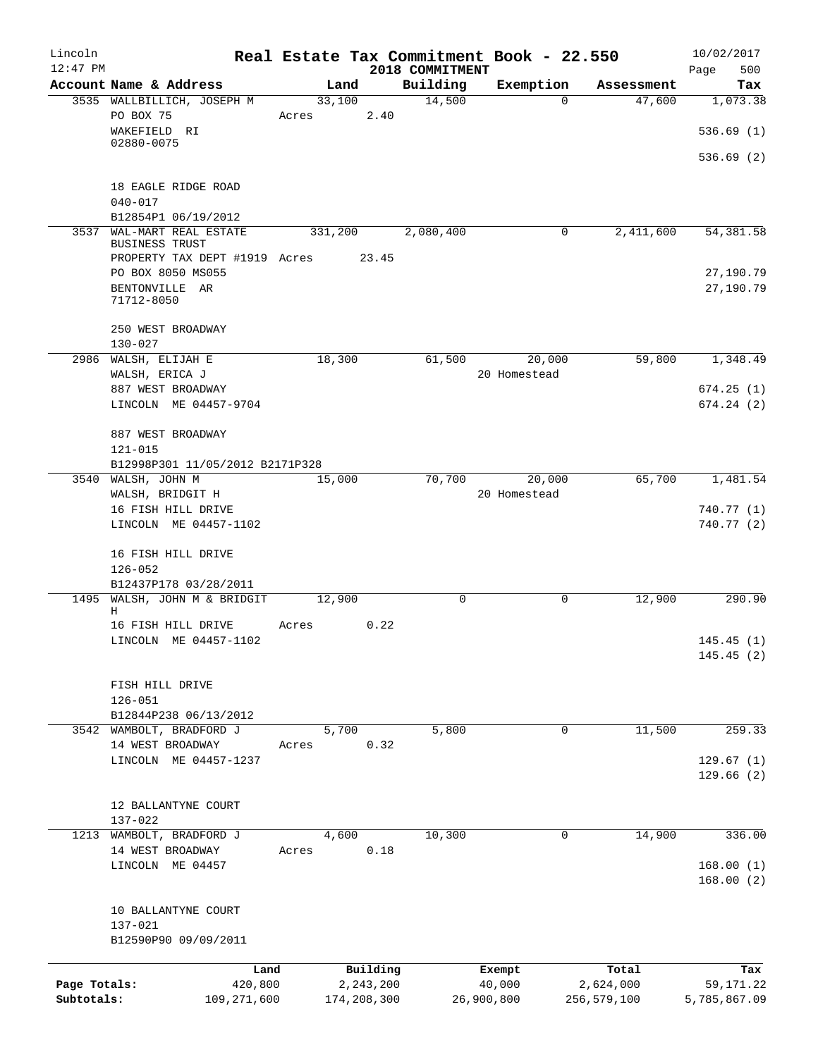| Lincoln                    |                                                      |                |                            |                    | Real Estate Tax Commitment Book - 22.550 |                          | 10/02/2017                |
|----------------------------|------------------------------------------------------|----------------|----------------------------|--------------------|------------------------------------------|--------------------------|---------------------------|
| $12:47$ PM                 |                                                      |                |                            | 2018 COMMITMENT    |                                          |                          | 500<br>Page               |
|                            | Account Name & Address<br>3535 WALLBILLICH, JOSEPH M | Land<br>33,100 |                            | Building<br>14,500 | Exemption<br>0                           | Assessment<br>47,600     | Tax<br>1,073.38           |
|                            | PO BOX 75                                            | Acres          | 2.40                       |                    |                                          |                          |                           |
|                            | WAKEFIELD RI<br>02880-0075                           |                |                            |                    |                                          |                          | 536.69(1)                 |
|                            |                                                      |                |                            |                    |                                          |                          | 536.69(2)                 |
|                            | 18 EAGLE RIDGE ROAD                                  |                |                            |                    |                                          |                          |                           |
|                            | $040 - 017$                                          |                |                            |                    |                                          |                          |                           |
|                            | B12854P1 06/19/2012                                  |                |                            |                    |                                          |                          |                           |
|                            | 3537 WAL-MART REAL ESTATE<br><b>BUSINESS TRUST</b>   | 331,200        |                            | 2,080,400          | $\mathbf 0$                              | 2,411,600                | 54, 381.58                |
|                            | PROPERTY TAX DEPT #1919 Acres                        |                | 23.45                      |                    |                                          |                          |                           |
|                            | PO BOX 8050 MS055<br>BENTONVILLE AR<br>71712-8050    |                |                            |                    |                                          |                          | 27,190.79<br>27,190.79    |
|                            | 250 WEST BROADWAY<br>$130 - 027$                     |                |                            |                    |                                          |                          |                           |
|                            | 2986 WALSH, ELIJAH E                                 | 18,300         |                            | 61,500             | 20,000                                   | 59,800                   | 1,348.49                  |
|                            | WALSH, ERICA J                                       |                |                            |                    | 20 Homestead                             |                          |                           |
|                            | 887 WEST BROADWAY                                    |                |                            |                    |                                          |                          | 674.25(1)                 |
|                            | LINCOLN ME 04457-9704                                |                |                            |                    |                                          |                          | 674.24(2)                 |
|                            |                                                      |                |                            |                    |                                          |                          |                           |
|                            | 887 WEST BROADWAY<br>121-015                         |                |                            |                    |                                          |                          |                           |
|                            | B12998P301 11/05/2012 B2171P328                      |                |                            |                    |                                          |                          |                           |
|                            | 3540 WALSH, JOHN M                                   | 15,000         |                            | 70,700             | 20,000                                   | 65,700                   | 1,481.54                  |
|                            | WALSH, BRIDGIT H                                     |                |                            |                    | 20 Homestead                             |                          |                           |
|                            | 16 FISH HILL DRIVE                                   |                |                            |                    |                                          |                          | 740.77 (1)                |
|                            | LINCOLN ME 04457-1102                                |                |                            |                    |                                          |                          | 740.77(2)                 |
|                            | 16 FISH HILL DRIVE<br>$126 - 052$                    |                |                            |                    |                                          |                          |                           |
|                            | B12437P178 03/28/2011                                |                |                            |                    |                                          |                          |                           |
|                            | 1495 WALSH, JOHN M & BRIDGIT<br>Η                    | 12,900         |                            | 0                  | 0                                        | 12,900                   | 290.90                    |
|                            | 16 FISH HILL DRIVE                                   | Acres          | 0.22                       |                    |                                          |                          |                           |
|                            | LINCOLN ME 04457-1102                                |                |                            |                    |                                          |                          | 145.45(1)<br>145.45(2)    |
|                            | FISH HILL DRIVE                                      |                |                            |                    |                                          |                          |                           |
|                            | $126 - 051$                                          |                |                            |                    |                                          |                          |                           |
|                            | B12844P238 06/13/2012                                |                |                            |                    |                                          |                          |                           |
|                            | 3542 WAMBOLT, BRADFORD J                             | 5,700          |                            | 5,800              | 0                                        | 11,500                   | 259.33                    |
|                            | 14 WEST BROADWAY                                     | Acres          | 0.32                       |                    |                                          |                          |                           |
|                            | LINCOLN ME 04457-1237                                |                |                            |                    |                                          |                          | 129.67(1)<br>129.66(2)    |
|                            | 12 BALLANTYNE COURT                                  |                |                            |                    |                                          |                          |                           |
|                            | $137 - 022$                                          |                |                            |                    |                                          |                          |                           |
| 1213                       | WAMBOLT, BRADFORD J                                  | 4,600          |                            | 10,300             | $\mathbf 0$                              | 14,900                   | 336.00                    |
|                            | 14 WEST BROADWAY                                     | Acres          | 0.18                       |                    |                                          |                          |                           |
|                            | LINCOLN ME 04457                                     |                |                            |                    |                                          |                          | 168.00(1)<br>168.00(2)    |
|                            | 10 BALLANTYNE COURT                                  |                |                            |                    |                                          |                          |                           |
|                            | 137-021<br>B12590P90 09/09/2011                      |                |                            |                    |                                          |                          |                           |
|                            |                                                      |                |                            |                    |                                          |                          |                           |
|                            | Land                                                 |                | Building                   |                    | Exempt                                   | Total                    | Tax                       |
| Page Totals:<br>Subtotals: | 420,800<br>109, 271, 600                             |                | 2, 243, 200<br>174,208,300 |                    | 40,000<br>26,900,800                     | 2,624,000<br>256,579,100 | 59,171.22<br>5,785,867.09 |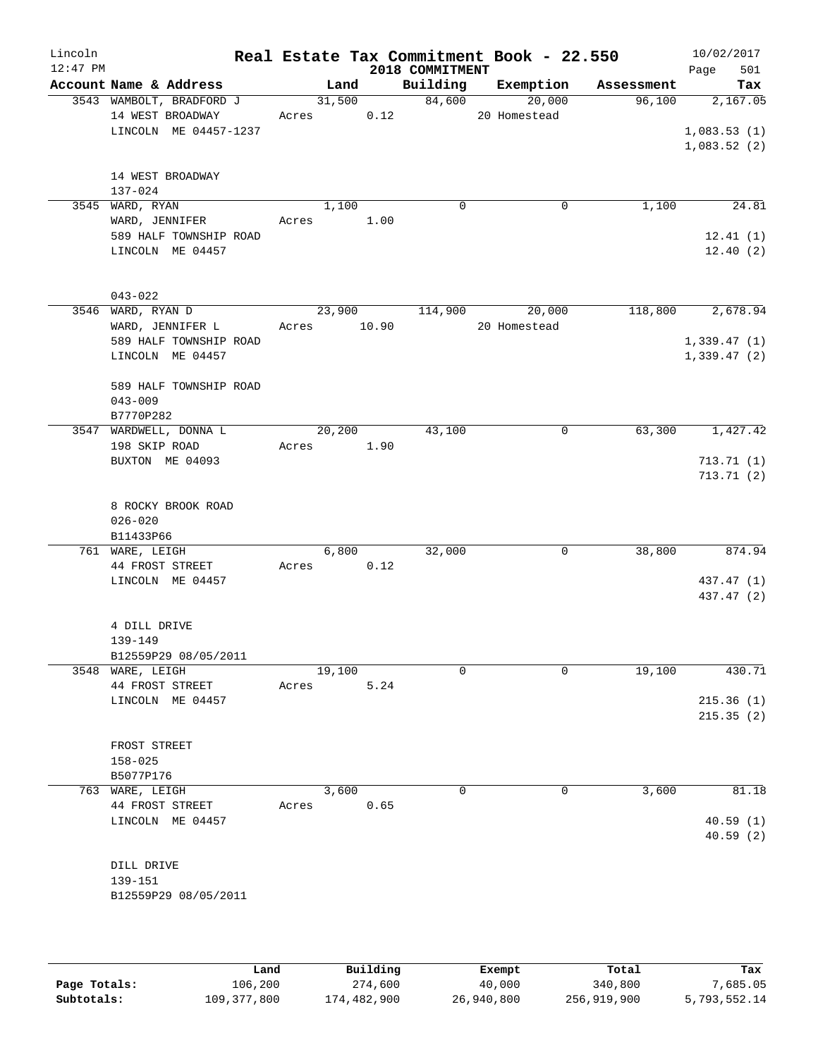| Lincoln<br>$12:47$ PM |                                          |             |        |      | 2018 COMMITMENT | Real Estate Tax Commitment Book - 22.550 |                               | 10/02/2017<br>501<br>Page |
|-----------------------|------------------------------------------|-------------|--------|------|-----------------|------------------------------------------|-------------------------------|---------------------------|
|                       | Account Name & Address                   |             | Land   |      |                 |                                          | Building Exemption Assessment | Tax                       |
|                       | 3543 WAMBOLT, BRADFORD J                 |             |        |      | 31,500 84,600   | 20,000                                   | 96,100                        | 2,167.05                  |
|                       | 14 WEST BROADWAY                         | Acres 0.12  |        |      |                 | 20 Homestead                             |                               |                           |
|                       | LINCOLN ME 04457-1237                    |             |        |      |                 |                                          |                               | 1,083.53(1)               |
|                       |                                          |             |        |      |                 |                                          |                               | 1,083.52(2)               |
|                       |                                          |             |        |      |                 |                                          |                               |                           |
|                       | 14 WEST BROADWAY<br>137-024              |             |        |      |                 |                                          |                               |                           |
|                       | 3545 WARD, RYAN                          |             | 1,100  |      | $\mathbf 0$     | $\mathbf 0$                              | 1,100                         | 24.81                     |
|                       | WARD, JENNIFER                           | Acres 1.00  |        |      |                 |                                          |                               |                           |
|                       | 589 HALF TOWNSHIP ROAD                   |             |        |      |                 |                                          |                               | 12.41(1)                  |
|                       | LINCOLN ME 04457                         |             |        |      |                 |                                          |                               | 12.40(2)                  |
|                       |                                          |             |        |      |                 |                                          |                               |                           |
|                       | $043 - 022$                              |             |        |      |                 |                                          |                               |                           |
|                       | 3546 WARD, RYAN D                        |             |        |      |                 | 23,900 114,900 20,000                    |                               | 118,800 2,678.94          |
|                       | WARD, JENNIFER L                         | Acres 10.90 |        |      |                 | 20 Homestead                             |                               |                           |
|                       | 589 HALF TOWNSHIP ROAD                   |             |        |      |                 |                                          |                               | 1,339.47(1)               |
|                       | LINCOLN ME 04457                         |             |        |      |                 |                                          |                               | 1,339.47(2)               |
|                       |                                          |             |        |      |                 |                                          |                               |                           |
|                       | 589 HALF TOWNSHIP ROAD                   |             |        |      |                 |                                          |                               |                           |
|                       | $043 - 009$                              |             |        |      |                 |                                          |                               |                           |
|                       | B7770P282                                |             |        |      |                 |                                          |                               |                           |
|                       | 3547 WARDWELL, DONNA L                   | 20,200      |        |      | 43,100          | 0                                        | 63,300                        | 1,427.42                  |
|                       | 198 SKIP ROAD                            | Acres 1.90  |        |      |                 |                                          |                               |                           |
|                       | BUXTON ME 04093                          |             |        |      |                 |                                          |                               | 713.71(1)                 |
|                       |                                          |             |        |      |                 |                                          |                               | 713.71(2)                 |
|                       | 8 ROCKY BROOK ROAD                       |             |        |      |                 |                                          |                               |                           |
|                       | $026 - 020$                              |             |        |      |                 |                                          |                               |                           |
|                       | B11433P66                                |             |        |      |                 |                                          |                               |                           |
|                       | 761 WARE, LEIGH                          |             | 6,800  |      | 32,000          | $\mathbf 0$                              | 38,800                        | 874.94                    |
|                       | 44 FROST STREET                          | Acres 0.12  |        |      |                 |                                          |                               |                           |
|                       | LINCOLN ME 04457                         |             |        |      |                 |                                          |                               | 437.47 (1)                |
|                       |                                          |             |        |      |                 |                                          |                               | 437.47 (2)                |
|                       |                                          |             |        |      |                 |                                          |                               |                           |
|                       | 4 DILL DRIVE                             |             |        |      |                 |                                          |                               |                           |
|                       | 139-149                                  |             |        |      |                 |                                          |                               |                           |
|                       | B12559P29 08/05/2011<br>3548 WARE, LEIGH |             | 19,100 |      | $\Omega$        | 0                                        | 19,100                        | 430.71                    |
|                       | 44 FROST STREET                          | Acres       |        | 5.24 |                 |                                          |                               |                           |
|                       | LINCOLN ME 04457                         |             |        |      |                 |                                          |                               | 215.36(1)                 |
|                       |                                          |             |        |      |                 |                                          |                               | 215.35(2)                 |
|                       |                                          |             |        |      |                 |                                          |                               |                           |
|                       | FROST STREET                             |             |        |      |                 |                                          |                               |                           |
|                       | $158 - 025$                              |             |        |      |                 |                                          |                               |                           |
|                       | B5077P176                                |             |        |      |                 |                                          |                               |                           |
|                       | 763 WARE, LEIGH                          |             | 3,600  |      | $\mathbf 0$     | 0                                        | 3,600                         | 81.18                     |
|                       | 44 FROST STREET                          | Acres       |        | 0.65 |                 |                                          |                               |                           |
|                       | LINCOLN ME 04457                         |             |        |      |                 |                                          |                               | 40.59(1)                  |
|                       |                                          |             |        |      |                 |                                          |                               | 40.59(2)                  |
|                       | DILL DRIVE                               |             |        |      |                 |                                          |                               |                           |
|                       | 139-151                                  |             |        |      |                 |                                          |                               |                           |
|                       | B12559P29 08/05/2011                     |             |        |      |                 |                                          |                               |                           |
|                       |                                          |             |        |      |                 |                                          |                               |                           |
|                       |                                          |             |        |      |                 |                                          |                               |                           |

|              | Land        | Building    | Exempt     | Total       | Tax          |
|--------------|-------------|-------------|------------|-------------|--------------|
| Page Totals: | 106,200     | 274,600     | 40,000     | 340,800     | 7,685.05     |
| Subtotals:   | 109,377,800 | 174,482,900 | 26,940,800 | 256,919,900 | 5,793,552.14 |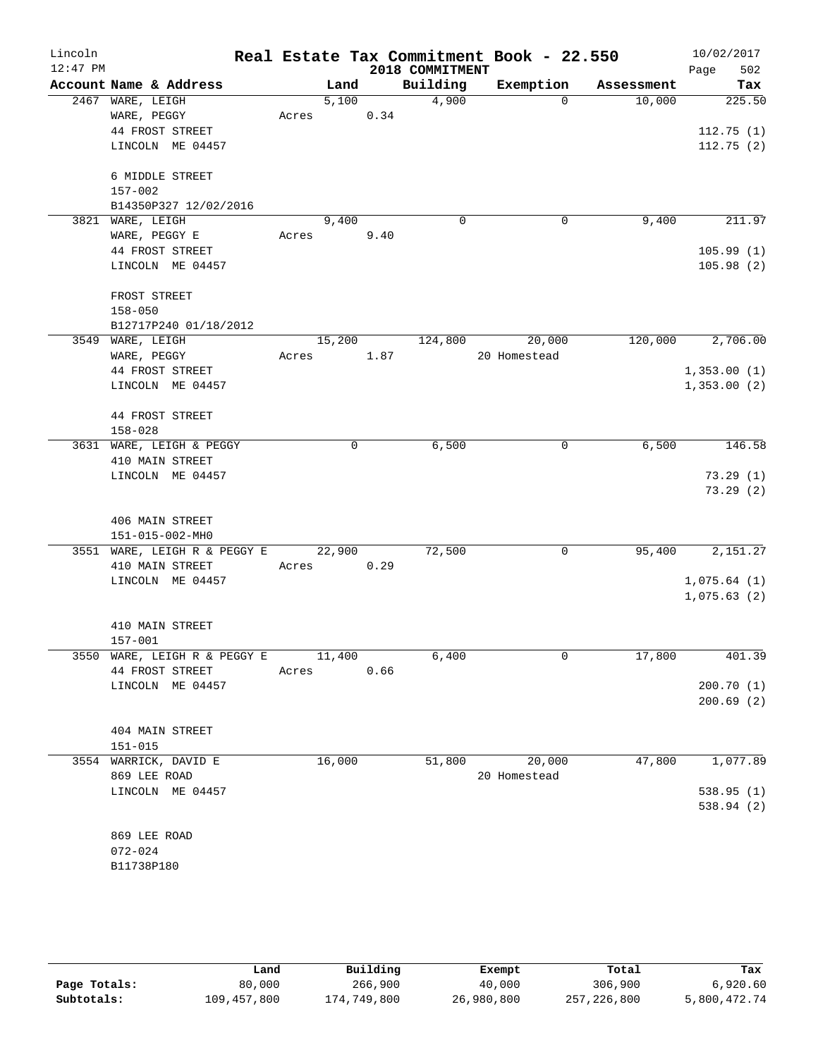| Lincoln    |                                     |        |      |                 | Real Estate Tax Commitment Book - 22.550 |            | 10/02/2017  |
|------------|-------------------------------------|--------|------|-----------------|------------------------------------------|------------|-------------|
| $12:47$ PM |                                     |        |      | 2018 COMMITMENT |                                          |            | 502<br>Page |
|            | Account Name & Address              | Land   |      | Building        | Exemption                                | Assessment | Tax         |
|            | 2467 WARE, LEIGH                    | 5,100  |      | 4,900           | $\Omega$                                 | 10,000     | 225.50      |
|            | WARE, PEGGY                         | Acres  | 0.34 |                 |                                          |            |             |
|            | 44 FROST STREET                     |        |      |                 |                                          |            | 112.75(1)   |
|            | LINCOLN ME 04457                    |        |      |                 |                                          |            | 112.75(2)   |
|            | 6 MIDDLE STREET                     |        |      |                 |                                          |            |             |
|            | $157 - 002$                         |        |      |                 |                                          |            |             |
|            | B14350P327 12/02/2016               |        |      |                 |                                          |            |             |
|            | 3821 WARE, LEIGH                    | 9,400  |      | 0               | 0                                        | 9,400      | 211.97      |
|            | WARE, PEGGY E                       | Acres  | 9.40 |                 |                                          |            |             |
|            | 44 FROST STREET                     |        |      |                 |                                          |            | 105.99(1)   |
|            | LINCOLN ME 04457                    |        |      |                 |                                          |            | 105.98(2)   |
|            |                                     |        |      |                 |                                          |            |             |
|            | FROST STREET                        |        |      |                 |                                          |            |             |
|            | $158 - 050$                         |        |      |                 |                                          |            |             |
|            | B12717P240 01/18/2012               |        |      |                 |                                          |            |             |
|            | 3549 WARE, LEIGH                    | 15,200 |      | 124,800         | 20,000                                   | 120,000    | 2,706.00    |
|            | WARE, PEGGY                         | Acres  | 1.87 |                 | 20 Homestead                             |            |             |
|            | 44 FROST STREET                     |        |      |                 |                                          |            | 1,353.00(1) |
|            | LINCOLN ME 04457                    |        |      |                 |                                          |            | 1,353.00(2) |
|            |                                     |        |      |                 |                                          |            |             |
|            | 44 FROST STREET                     |        |      |                 |                                          |            |             |
|            | $158 - 028$                         |        |      |                 |                                          |            |             |
|            | 3631 WARE, LEIGH & PEGGY            |        | 0    | 6,500           | 0                                        | 6,500      | 146.58      |
|            | 410 MAIN STREET<br>LINCOLN ME 04457 |        |      |                 |                                          |            | 73.29(1)    |
|            |                                     |        |      |                 |                                          |            | 73.29(2)    |
|            |                                     |        |      |                 |                                          |            |             |
|            | 406 MAIN STREET                     |        |      |                 |                                          |            |             |
|            | 151-015-002-MH0                     |        |      |                 |                                          |            |             |
|            | 3551 WARE, LEIGH R & PEGGY E        | 22,900 |      | 72,500          | 0                                        | 95,400     | 2,151.27    |
|            | 410 MAIN STREET                     | Acres  | 0.29 |                 |                                          |            |             |
|            | LINCOLN ME 04457                    |        |      |                 |                                          |            | 1,075.64(1) |
|            |                                     |        |      |                 |                                          |            | 1,075.63(2) |
|            |                                     |        |      |                 |                                          |            |             |
|            | 410 MAIN STREET                     |        |      |                 |                                          |            |             |
|            | 157-001                             |        |      |                 |                                          |            |             |
|            | 3550 WARE, LEIGH R & PEGGY E        | 11,400 |      | 6,400           | 0                                        | 17,800     | 401.39      |
|            | 44 FROST STREET                     | Acres  | 0.66 |                 |                                          |            |             |
|            | LINCOLN ME 04457                    |        |      |                 |                                          |            | 200.70(1)   |
|            |                                     |        |      |                 |                                          |            | 200.69(2)   |
|            | 404 MAIN STREET                     |        |      |                 |                                          |            |             |
|            | $151 - 015$                         |        |      |                 |                                          |            |             |
|            | 3554 WARRICK, DAVID E               | 16,000 |      | 51,800          | 20,000                                   | 47,800     | 1,077.89    |
|            | 869 LEE ROAD                        |        |      |                 | 20 Homestead                             |            |             |
|            | LINCOLN ME 04457                    |        |      |                 |                                          |            | 538.95(1)   |
|            |                                     |        |      |                 |                                          |            | 538.94(2)   |
|            |                                     |        |      |                 |                                          |            |             |
|            | 869 LEE ROAD                        |        |      |                 |                                          |            |             |
|            | $072 - 024$                         |        |      |                 |                                          |            |             |
|            | B11738P180                          |        |      |                 |                                          |            |             |

|              | Land        | Building    | Exempt     | Total       | Tax          |
|--------------|-------------|-------------|------------|-------------|--------------|
| Page Totals: | 80,000      | 266,900     | 40,000     | 306,900     | 6,920.60     |
| Subtotals:   | 109,457,800 | 174,749,800 | 26,980,800 | 257,226,800 | 5,800,472.74 |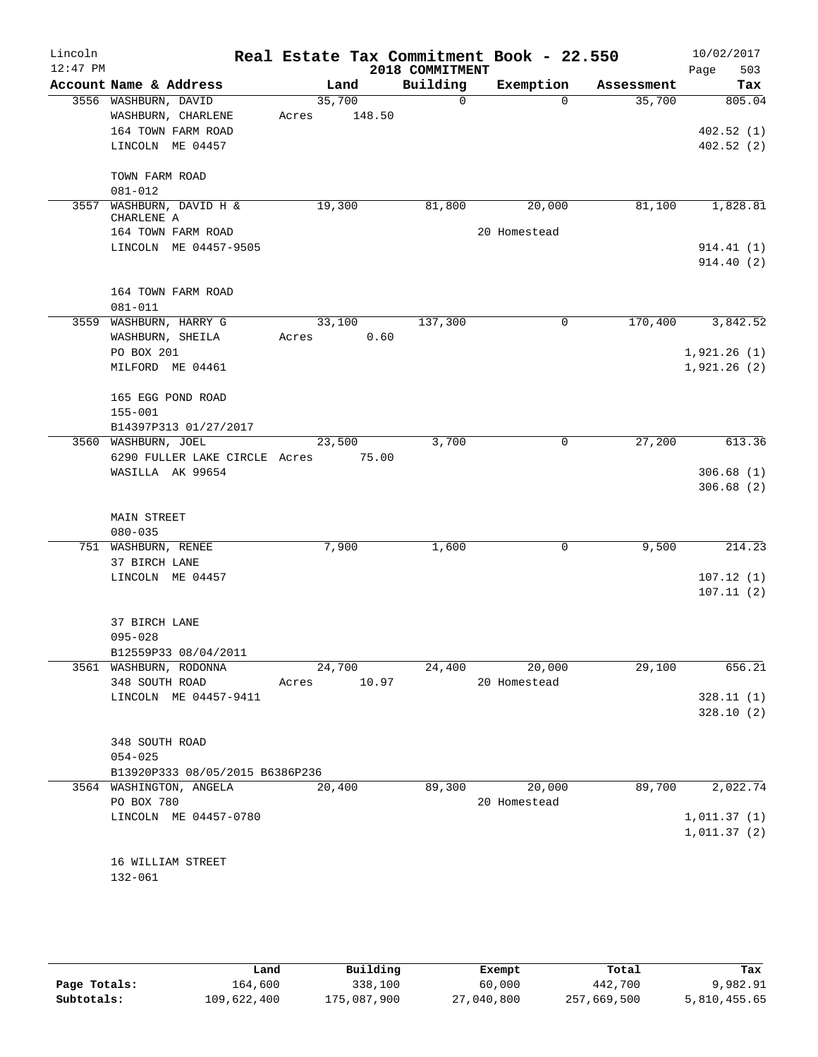| Lincoln<br>$12:47$ PM |                                                            |                 |        | 2018 COMMITMENT | Real Estate Tax Commitment Book - 22.550 |            | 10/02/2017<br>503<br>Page  |
|-----------------------|------------------------------------------------------------|-----------------|--------|-----------------|------------------------------------------|------------|----------------------------|
|                       | Account Name & Address                                     | Land            |        | Building        | Exemption                                | Assessment | Tax                        |
|                       | 3556 WASHBURN, DAVID<br>WASHBURN, CHARLENE                 | 35,700<br>Acres | 148.50 | $\Omega$        | $\Omega$                                 | 35,700     | 805.04                     |
|                       | 164 TOWN FARM ROAD<br>LINCOLN ME 04457                     |                 |        |                 |                                          |            | 402.52(1)<br>402.52(2)     |
|                       | TOWN FARM ROAD<br>$081 - 012$                              |                 |        |                 |                                          |            |                            |
|                       | 3557 WASHBURN, DAVID H &<br>CHARLENE A                     | 19,300          |        | 81,800          | 20,000                                   | 81,100     | 1,828.81                   |
|                       | 164 TOWN FARM ROAD<br>LINCOLN ME 04457-9505                |                 |        |                 | 20 Homestead                             |            | 914.41 (1)<br>914.40(2)    |
|                       | 164 TOWN FARM ROAD<br>081-011                              |                 |        |                 |                                          |            |                            |
|                       | 3559 WASHBURN, HARRY G<br>WASHBURN, SHEILA<br>PO BOX 201   | 33,100<br>Acres | 0.60   | 137,300         | $\mathbf 0$                              | 170,400    | 3,842.52<br>1,921.26(1)    |
|                       | MILFORD ME 04461<br>165 EGG POND ROAD<br>$155 - 001$       |                 |        |                 |                                          |            | 1,921.26(2)                |
|                       | B14397P313 01/27/2017<br>3560 WASHBURN, JOEL               | 23,500          |        | 3,700           | 0                                        | 27,200     | 613.36                     |
|                       | 6290 FULLER LAKE CIRCLE Acres<br>WASILLA AK 99654          |                 | 75.00  |                 |                                          |            | 306.68(1)<br>306.68(2)     |
|                       | <b>MAIN STREET</b><br>$080 - 035$                          |                 |        |                 |                                          |            |                            |
|                       | 751 WASHBURN, RENEE<br>37 BIRCH LANE                       | 7,900           |        | 1,600           | 0                                        | 9,500      | 214.23                     |
|                       | LINCOLN ME 04457                                           |                 |        |                 |                                          |            | 107.12(1)<br>107.11(2)     |
|                       | 37 BIRCH LANE<br>$095 - 028$<br>B12559P33 08/04/2011       |                 |        |                 |                                          |            |                            |
|                       | 3561 WASHBURN, RODONNA                                     | 24,700          |        | 24,400          | 20,000                                   | 29,100     | 656.21                     |
|                       | 348 SOUTH ROAD<br>LINCOLN ME 04457-9411                    | Acres           | 10.97  |                 | 20 Homestead                             |            | 328.11(1)<br>328.10(2)     |
|                       | 348 SOUTH ROAD<br>$054 - 025$                              |                 |        |                 |                                          |            |                            |
|                       | B13920P333 08/05/2015 B6386P236<br>3564 WASHINGTON, ANGELA | 20,400          |        | 89,300          | 20,000                                   | 89,700     | 2,022.74                   |
|                       | PO BOX 780<br>LINCOLN ME 04457-0780                        |                 |        |                 | 20 Homestead                             |            | 1,011.37(1)<br>1,011.37(2) |
|                       | 16 WILLIAM STREET<br>132-061                               |                 |        |                 |                                          |            |                            |

|              | Land        | Building    | Exempt     | Total       | Tax          |
|--------------|-------------|-------------|------------|-------------|--------------|
| Page Totals: | 164,600     | 338,100     | 60,000     | 442,700     | 9,982.91     |
| Subtotals:   | 109,622,400 | 175,087,900 | 27,040,800 | 257,669,500 | 5,810,455.65 |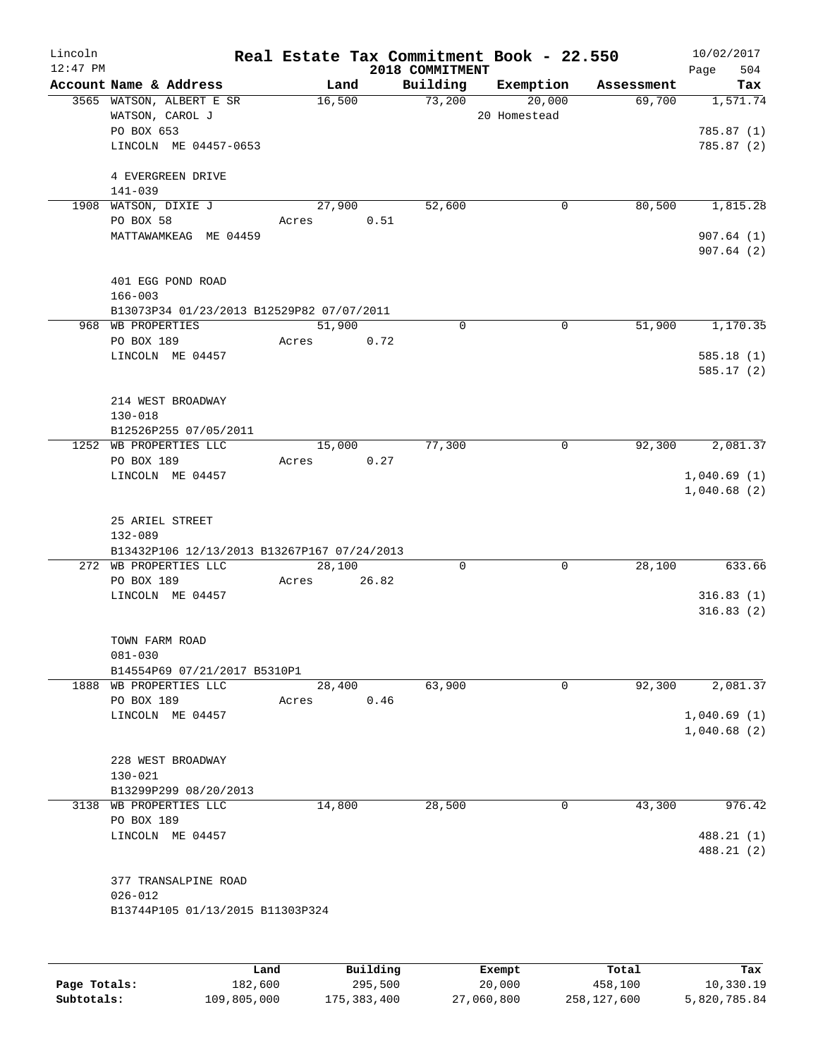| Lincoln    |                                                        |       |        |          |                 | Real Estate Tax Commitment Book - 22.550 |            | 10/02/2017               |
|------------|--------------------------------------------------------|-------|--------|----------|-----------------|------------------------------------------|------------|--------------------------|
| $12:47$ PM |                                                        |       |        |          | 2018 COMMITMENT |                                          |            | 504<br>Page              |
|            | Account Name & Address                                 |       | Land   |          | Building        | Exemption                                | Assessment | Tax                      |
|            | 3565 WATSON, ALBERT E SR                               |       | 16,500 |          | 73,200          | 20,000                                   | 69,700     | 1,571.74                 |
|            | WATSON, CAROL J                                        |       |        |          |                 | 20 Homestead                             |            | 785.87 (1)               |
|            | PO BOX 653<br>LINCOLN ME 04457-0653                    |       |        |          |                 |                                          |            |                          |
|            |                                                        |       |        |          |                 |                                          |            | 785.87 (2)               |
|            | 4 EVERGREEN DRIVE                                      |       |        |          |                 |                                          |            |                          |
|            | $141 - 039$<br>1908 WATSON, DIXIE J                    |       | 27,900 |          | 52,600          | 0                                        | 80,500     | 1,815.28                 |
|            | PO BOX 58                                              | Acres |        | 0.51     |                 |                                          |            |                          |
|            | MATTAWAMKEAG ME 04459                                  |       |        |          |                 |                                          |            | 907.64(1)                |
|            |                                                        |       |        |          |                 |                                          |            | 907.64(2)                |
|            | 401 EGG POND ROAD                                      |       |        |          |                 |                                          |            |                          |
|            | $166 - 003$                                            |       |        |          |                 |                                          |            |                          |
|            | B13073P34 01/23/2013 B12529P82 07/07/2011              |       |        |          |                 |                                          |            |                          |
|            | 968 WB PROPERTIES                                      |       | 51,900 |          | $\Omega$        | 0                                        | 51,900     | 1,170.35                 |
|            | PO BOX 189                                             | Acres |        | 0.72     |                 |                                          |            |                          |
|            | LINCOLN ME 04457                                       |       |        |          |                 |                                          |            | 585.18(1)                |
|            |                                                        |       |        |          |                 |                                          |            | 585.17(2)                |
|            |                                                        |       |        |          |                 |                                          |            |                          |
|            | 214 WEST BROADWAY                                      |       |        |          |                 |                                          |            |                          |
|            | $130 - 018$                                            |       |        |          |                 |                                          |            |                          |
|            | B12526P255 07/05/2011                                  |       |        |          |                 |                                          |            |                          |
|            | 1252 WB PROPERTIES LLC                                 |       | 15,000 |          | 77,300          | 0                                        | 92,300     | 2,081.37                 |
|            | PO BOX 189                                             | Acres |        | 0.27     |                 |                                          |            |                          |
|            | LINCOLN ME 04457                                       |       |        |          |                 |                                          |            | 1,040.69(1)              |
|            |                                                        |       |        |          |                 |                                          |            | 1,040.68(2)              |
|            | 25 ARIEL STREET                                        |       |        |          |                 |                                          |            |                          |
|            | 132-089                                                |       |        |          |                 |                                          |            |                          |
|            | B13432P106 12/13/2013 B13267P167 07/24/2013            |       |        |          |                 |                                          |            |                          |
|            | 272 WB PROPERTIES LLC                                  |       | 28,100 |          | 0               | 0                                        | 28,100     | 633.66                   |
|            | PO BOX 189                                             | Acres |        | 26.82    |                 |                                          |            |                          |
|            | LINCOLN ME 04457                                       |       |        |          |                 |                                          |            | 316.83(1)                |
|            |                                                        |       |        |          |                 |                                          |            | 316.83(2)                |
|            |                                                        |       |        |          |                 |                                          |            |                          |
|            | TOWN FARM ROAD                                         |       |        |          |                 |                                          |            |                          |
|            | $081 - 030$                                            |       |        |          |                 |                                          |            |                          |
|            | B14554P69 07/21/2017 B5310P1<br>1888 WB PROPERTIES LLC |       | 28,400 |          | 63,900          | 0                                        | 92,300     | 2,081.37                 |
|            | PO BOX 189                                             | Acres |        | 0.46     |                 |                                          |            |                          |
|            | LINCOLN ME 04457                                       |       |        |          |                 |                                          |            | 1,040.69(1)              |
|            |                                                        |       |        |          |                 |                                          |            | 1,040.68(2)              |
|            |                                                        |       |        |          |                 |                                          |            |                          |
|            | 228 WEST BROADWAY                                      |       |        |          |                 |                                          |            |                          |
|            | $130 - 021$                                            |       |        |          |                 |                                          |            |                          |
|            | B13299P299 08/20/2013                                  |       |        |          |                 |                                          |            |                          |
|            | 3138 WB PROPERTIES LLC                                 |       | 14,800 |          | 28,500          | $\mathbf 0$                              | 43,300     | 976.42                   |
|            | PO BOX 189                                             |       |        |          |                 |                                          |            |                          |
|            | LINCOLN ME 04457                                       |       |        |          |                 |                                          |            | 488.21 (1)<br>488.21 (2) |
|            | 377 TRANSALPINE ROAD                                   |       |        |          |                 |                                          |            |                          |
|            | $026 - 012$                                            |       |        |          |                 |                                          |            |                          |
|            | B13744P105 01/13/2015 B11303P324                       |       |        |          |                 |                                          |            |                          |
|            |                                                        |       |        |          |                 |                                          |            |                          |
|            |                                                        |       |        |          |                 |                                          |            |                          |
|            |                                                        | Land  |        | Building |                 | Exempt                                   | Total      | Tax                      |

|              | Land        | Building    | Exempt     | Total       | Tax          |
|--------------|-------------|-------------|------------|-------------|--------------|
| Page Totals: | 182,600     | 295,500     | 20,000     | 458,100     | 10,330.19    |
| Subtotals:   | 109,805,000 | 175,383,400 | 27,060,800 | 258,127,600 | 5,820,785.84 |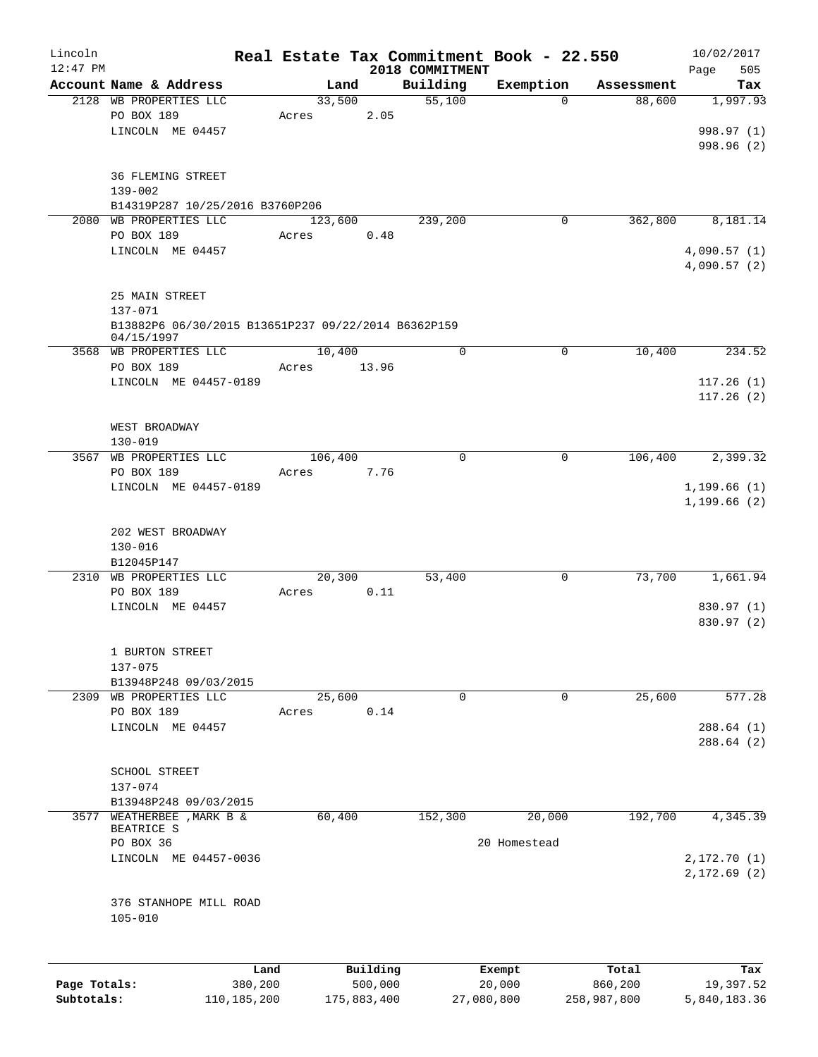| Lincoln<br>$12:47$ PM |                                                     |         |             | 2018 COMMITMENT | Real Estate Tax Commitment Book - 22.550 |             | 10/02/2017<br>505<br>Page |
|-----------------------|-----------------------------------------------------|---------|-------------|-----------------|------------------------------------------|-------------|---------------------------|
|                       | Account Name & Address                              | Land    |             | Building        | Exemption                                | Assessment  | Tax                       |
|                       | 2128 WB PROPERTIES LLC                              | 33,500  |             | 55,100          | $\mathbf 0$                              | 88,600      | 1,997.93                  |
|                       | PO BOX 189                                          | Acres   | 2.05        |                 |                                          |             |                           |
|                       | LINCOLN ME 04457                                    |         |             |                 |                                          |             | 998.97 (1)                |
|                       |                                                     |         |             |                 |                                          |             | 998.96 (2)                |
|                       |                                                     |         |             |                 |                                          |             |                           |
|                       | <b>36 FLEMING STREET</b>                            |         |             |                 |                                          |             |                           |
|                       | $139 - 002$                                         |         |             |                 |                                          |             |                           |
|                       | B14319P287 10/25/2016 B3760P206                     |         |             |                 |                                          |             |                           |
|                       | 2080 WB PROPERTIES LLC                              | 123,600 |             | 239,200         | 0                                        | 362,800     | 8,181.14                  |
|                       | PO BOX 189                                          | Acres   | 0.48        |                 |                                          |             |                           |
|                       | LINCOLN ME 04457                                    |         |             |                 |                                          |             | 4,090.57(1)               |
|                       |                                                     |         |             |                 |                                          |             | 4,090.57(2)               |
|                       | 25 MAIN STREET                                      |         |             |                 |                                          |             |                           |
|                       | $137 - 071$                                         |         |             |                 |                                          |             |                           |
|                       | B13882P6 06/30/2015 B13651P237 09/22/2014 B6362P159 |         |             |                 |                                          |             |                           |
|                       | 04/15/1997                                          |         |             |                 |                                          |             |                           |
|                       | 3568 WB PROPERTIES LLC                              | 10,400  |             | $\mathbf 0$     | 0                                        | 10,400      | 234.52                    |
|                       | PO BOX 189                                          | Acres   | 13.96       |                 |                                          |             |                           |
|                       | LINCOLN ME 04457-0189                               |         |             |                 |                                          |             | 117.26(1)                 |
|                       |                                                     |         |             |                 |                                          |             | 117.26(2)                 |
|                       |                                                     |         |             |                 |                                          |             |                           |
|                       | WEST BROADWAY                                       |         |             |                 |                                          |             |                           |
|                       | $130 - 019$                                         |         |             |                 |                                          |             |                           |
|                       | 3567 WB PROPERTIES LLC                              | 106,400 |             | 0               | $\mathbf 0$                              | 106,400     | 2,399.32                  |
|                       | PO BOX 189                                          | Acres   | 7.76        |                 |                                          |             |                           |
|                       | LINCOLN ME 04457-0189                               |         |             |                 |                                          |             | 1, 199.66(1)              |
|                       |                                                     |         |             |                 |                                          |             | 1, 199.66(2)              |
|                       |                                                     |         |             |                 |                                          |             |                           |
|                       | 202 WEST BROADWAY                                   |         |             |                 |                                          |             |                           |
|                       | $130 - 016$                                         |         |             |                 |                                          |             |                           |
|                       | B12045P147                                          |         |             |                 |                                          |             |                           |
|                       | 2310 WB PROPERTIES LLC                              | 20,300  |             | 53,400          | 0                                        | 73,700      | 1,661.94                  |
|                       | PO BOX 189                                          | Acres   | 0.11        |                 |                                          |             |                           |
|                       | LINCOLN ME 04457                                    |         |             |                 |                                          |             | 830.97 (1)<br>830.97 (2)  |
|                       |                                                     |         |             |                 |                                          |             |                           |
|                       | 1 BURTON STREET                                     |         |             |                 |                                          |             |                           |
|                       | 137-075                                             |         |             |                 |                                          |             |                           |
|                       | B13948P248 09/03/2015                               |         |             |                 |                                          |             |                           |
|                       | 2309 WB PROPERTIES LLC                              | 25,600  |             | 0               | 0                                        | 25,600      | 577.28                    |
|                       | PO BOX 189                                          | Acres   | 0.14        |                 |                                          |             |                           |
|                       | LINCOLN ME 04457                                    |         |             |                 |                                          |             | 288.64(1)                 |
|                       |                                                     |         |             |                 |                                          |             | 288.64(2)                 |
|                       |                                                     |         |             |                 |                                          |             |                           |
|                       | <b>SCHOOL STREET</b>                                |         |             |                 |                                          |             |                           |
|                       | 137-074                                             |         |             |                 |                                          |             |                           |
|                       | B13948P248 09/03/2015                               |         |             |                 |                                          |             |                           |
|                       | 3577 WEATHERBEE , MARK B &                          | 60,400  |             | 152,300         | 20,000                                   | 192,700     | 4,345.39                  |
|                       | BEATRICE S                                          |         |             |                 |                                          |             |                           |
|                       | PO BOX 36                                           |         |             |                 | 20 Homestead                             |             |                           |
|                       | LINCOLN ME 04457-0036                               |         |             |                 |                                          |             | 2,172.70 (1)              |
|                       |                                                     |         |             |                 |                                          |             | 2,172.69(2)               |
|                       | 376 STANHOPE MILL ROAD                              |         |             |                 |                                          |             |                           |
|                       | $105 - 010$                                         |         |             |                 |                                          |             |                           |
|                       |                                                     |         |             |                 |                                          |             |                           |
|                       |                                                     |         |             |                 |                                          |             |                           |
|                       |                                                     | Land    | Building    |                 | Exempt                                   | Total       | Tax                       |
| Page Totals:          | 380,200                                             |         | 500,000     |                 | 20,000                                   | 860,200     | 19,397.52                 |
| Subtotals:            | 110, 185, 200                                       |         | 175,883,400 |                 | 27,080,800                               | 258,987,800 | 5,840,183.36              |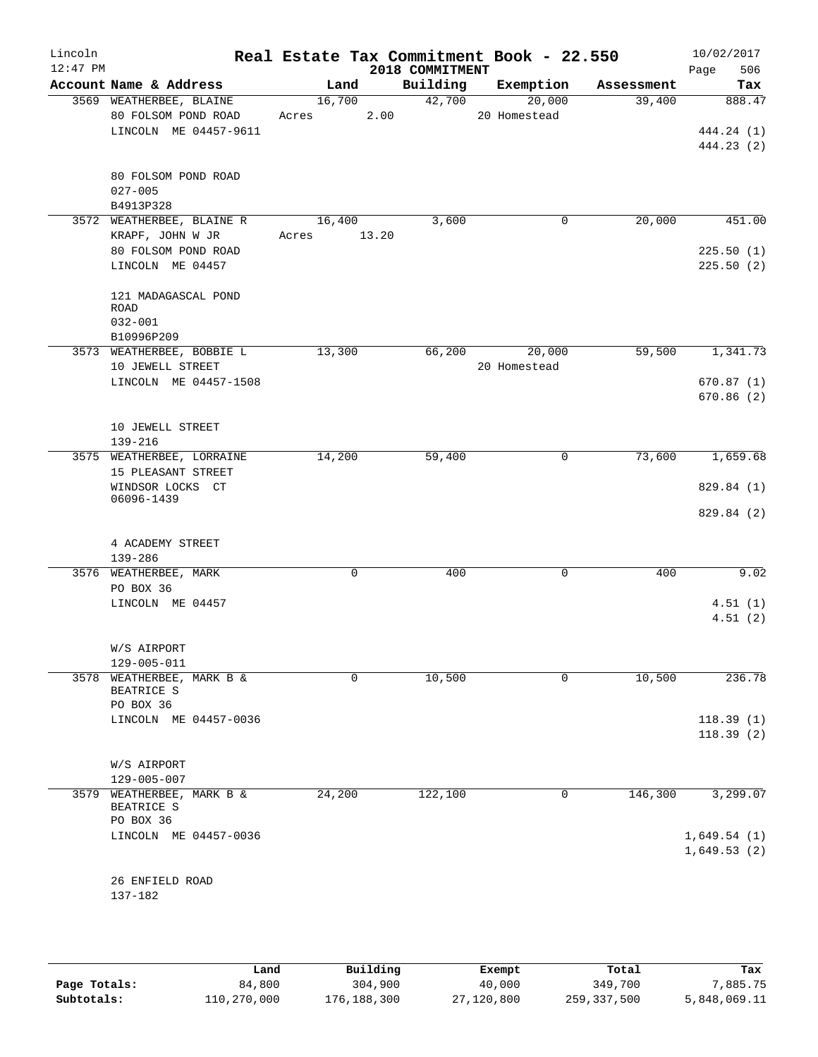| Lincoln<br>$12:47$ PM |                                                      |                 |       | 2018 COMMITMENT | Real Estate Tax Commitment Book - 22.550 |            | 10/02/2017<br>Page<br>506 |
|-----------------------|------------------------------------------------------|-----------------|-------|-----------------|------------------------------------------|------------|---------------------------|
|                       | Account Name & Address                               | Land            |       | Building        | Exemption                                | Assessment | Tax                       |
|                       | 3569 WEATHERBEE, BLAINE<br>80 FOLSOM POND ROAD       | 16,700<br>Acres | 2.00  | 42,700          | 20,000<br>20 Homestead                   | 39,400     | 888.47                    |
|                       | LINCOLN ME 04457-9611                                |                 |       |                 |                                          |            | 444.24 (1)                |
|                       |                                                      |                 |       |                 |                                          |            | 444.23 (2)                |
|                       | 80 FOLSOM POND ROAD<br>$027 - 005$                   |                 |       |                 |                                          |            |                           |
|                       | B4913P328                                            |                 |       |                 |                                          |            |                           |
|                       | 3572 WEATHERBEE, BLAINE R                            | 16,400          |       | 3,600           | 0                                        | 20,000     | 451.00                    |
|                       | KRAPF, JOHN W JR                                     | Acres           | 13.20 |                 |                                          |            |                           |
|                       | 80 FOLSOM POND ROAD                                  |                 |       |                 |                                          |            | 225.50(1)                 |
|                       | LINCOLN ME 04457                                     |                 |       |                 |                                          |            | 225.50(2)                 |
|                       | 121 MADAGASCAL POND<br>ROAD                          |                 |       |                 |                                          |            |                           |
|                       | $032 - 001$<br>B10996P209                            |                 |       |                 |                                          |            |                           |
|                       | 3573 WEATHERBEE, BOBBIE L                            | 13,300          |       | 66,200          | 20,000                                   | 59,500     | 1,341.73                  |
|                       | 10 JEWELL STREET                                     |                 |       |                 | 20 Homestead                             |            |                           |
|                       | LINCOLN ME 04457-1508                                |                 |       |                 |                                          |            | 670.87(1)                 |
|                       |                                                      |                 |       |                 |                                          |            | 670.86(2)                 |
|                       | 10 JEWELL STREET<br>$139 - 216$                      |                 |       |                 |                                          |            |                           |
|                       | 3575 WEATHERBEE, LORRAINE                            | 14,200          |       | 59,400          | 0                                        | 73,600     | 1,659.68                  |
|                       | 15 PLEASANT STREET                                   |                 |       |                 |                                          |            |                           |
|                       | WINDSOR LOCKS CT                                     |                 |       |                 |                                          |            | 829.84 (1)                |
|                       | 06096-1439                                           |                 |       |                 |                                          |            | 829.84 (2)                |
|                       |                                                      |                 |       |                 |                                          |            |                           |
|                       | 4 ACADEMY STREET                                     |                 |       |                 |                                          |            |                           |
|                       | 139-286                                              |                 |       |                 |                                          |            |                           |
|                       | 3576 WEATHERBEE, MARK                                | $\mathbf 0$     |       | 400             | 0                                        | 400        | 9.02                      |
|                       | PO BOX 36                                            |                 |       |                 |                                          |            |                           |
|                       | LINCOLN ME 04457                                     |                 |       |                 |                                          |            | 4.51(1)                   |
|                       |                                                      |                 |       |                 |                                          |            | 4.51(2)                   |
|                       |                                                      |                 |       |                 |                                          |            |                           |
|                       | W/S AIRPORT                                          |                 |       |                 |                                          |            |                           |
|                       | 129-005-011                                          |                 |       |                 |                                          |            |                           |
| 3578                  | WEATHERBEE, MARK B &<br>BEATRICE S                   | 0               |       | 10,500          | 0                                        | 10,500     | 236.78                    |
|                       | PO BOX 36                                            |                 |       |                 |                                          |            |                           |
|                       | LINCOLN ME 04457-0036                                |                 |       |                 |                                          |            | 118.39(1)                 |
|                       |                                                      |                 |       |                 |                                          |            | 118.39(2)                 |
|                       |                                                      |                 |       |                 |                                          |            |                           |
|                       | W/S AIRPORT                                          |                 |       |                 |                                          |            |                           |
|                       | $129 - 005 - 007$                                    |                 |       |                 |                                          |            |                           |
|                       | 3579 WEATHERBEE, MARK B &<br>BEATRICE S<br>PO BOX 36 | 24,200          |       | 122,100         | 0                                        | 146,300    | 3,299.07                  |
|                       | LINCOLN ME 04457-0036                                |                 |       |                 |                                          |            | 1,649.54(1)               |
|                       |                                                      |                 |       |                 |                                          |            | 1,649.53(2)               |
|                       |                                                      |                 |       |                 |                                          |            |                           |
|                       | 26 ENFIELD ROAD                                      |                 |       |                 |                                          |            |                           |
|                       | 137-182                                              |                 |       |                 |                                          |            |                           |
|                       |                                                      |                 |       |                 |                                          |            |                           |

|              | Land        | Building    | Exempt     | Total       | Tax          |
|--------------|-------------|-------------|------------|-------------|--------------|
| Page Totals: | 84,800      | 304,900     | 40,000     | 349,700     | 7,885.75     |
| Subtotals:   | 110,270,000 | 176,188,300 | 27,120,800 | 259,337,500 | 5,848,069.11 |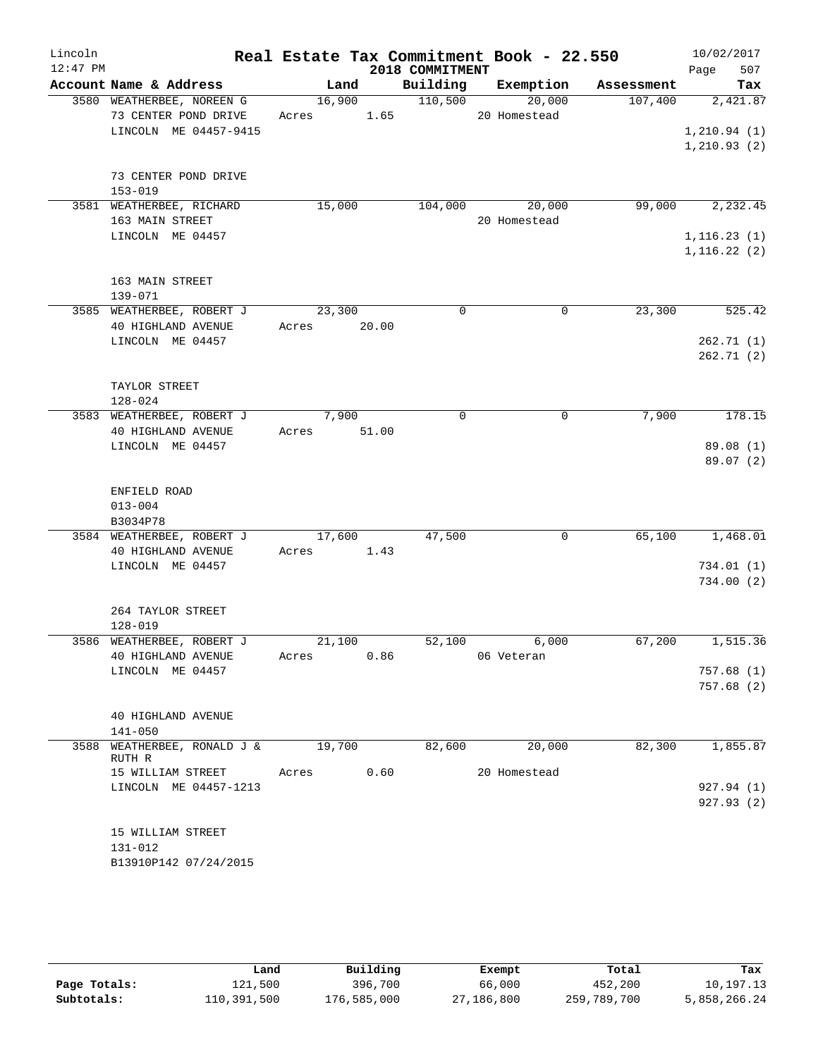| Lincoln<br>$12:47$ PM |                                                 |             |      | 2018 COMMITMENT | Real Estate Tax Commitment Book - 22.550 |                      | 10/02/2017<br>Page<br>507 |
|-----------------------|-------------------------------------------------|-------------|------|-----------------|------------------------------------------|----------------------|---------------------------|
|                       | Account Name & Address                          | Land        |      | Building        |                                          | Exemption Assessment | Tax                       |
|                       | 3580 WEATHERBEE, NOREEN G                       |             |      | 16,900 110,500  | 20,000                                   |                      | $107,400$ $2,421.87$      |
|                       | 73 CENTER POND DRIVE Acres 1.65 20 Homestead    |             |      |                 |                                          |                      |                           |
|                       | LINCOLN ME 04457-9415                           |             |      |                 |                                          |                      | 1, 210.94(1)              |
|                       |                                                 |             |      |                 |                                          |                      | 1, 210.93(2)              |
|                       |                                                 |             |      |                 |                                          |                      |                           |
|                       | 73 CENTER POND DRIVE<br>$153 - 019$             |             |      |                 |                                          |                      |                           |
|                       | 3581 WEATHERBEE, RICHARD                        | 15,000      |      |                 | 104,000 20,000                           |                      | 99,000 2,232.45           |
|                       | 163 MAIN STREET                                 |             |      |                 | 20 Homestead                             |                      |                           |
|                       | LINCOLN ME 04457                                |             |      |                 |                                          |                      | 1, 116.23(1)              |
|                       |                                                 |             |      |                 |                                          |                      | 1, 116.22(2)              |
|                       |                                                 |             |      |                 |                                          |                      |                           |
|                       | 163 MAIN STREET                                 |             |      |                 |                                          |                      |                           |
|                       | 139-071<br>3585 WEATHERBEE, ROBERT J            | 23,300      |      | $\Omega$        | $\mathbf 0$                              | 23,300               | 525.42                    |
|                       | 40 HIGHLAND AVENUE                              | Acres 20.00 |      |                 |                                          |                      |                           |
|                       | LINCOLN ME 04457                                |             |      |                 |                                          |                      | 262.71(1)                 |
|                       |                                                 |             |      |                 |                                          |                      | 262.71(2)                 |
|                       |                                                 |             |      |                 |                                          |                      |                           |
|                       | TAYLOR STREET                                   |             |      |                 |                                          |                      |                           |
|                       | $128 - 024$                                     |             |      |                 |                                          |                      |                           |
|                       | 3583 WEATHERBEE, ROBERT J<br>40 HIGHLAND AVENUE | 7,900       |      | $\mathbf 0$     | 0                                        | 7,900                | 178.15                    |
|                       | LINCOLN ME 04457                                | Acres 51.00 |      |                 |                                          |                      | 89.08 (1)                 |
|                       |                                                 |             |      |                 |                                          |                      | 89.07(2)                  |
|                       |                                                 |             |      |                 |                                          |                      |                           |
|                       | ENFIELD ROAD                                    |             |      |                 |                                          |                      |                           |
|                       | $013 - 004$                                     |             |      |                 |                                          |                      |                           |
|                       | B3034P78                                        |             |      |                 |                                          |                      |                           |
|                       | 3584 WEATHERBEE, ROBERT J                       | 17,600      |      | 47,500          | 0                                        | 65,100               | 1,468.01                  |
|                       | 40 HIGHLAND AVENUE                              | Acres 1.43  |      |                 |                                          |                      |                           |
|                       | LINCOLN ME 04457                                |             |      |                 |                                          |                      | 734.01(1)<br>734.00(2)    |
|                       |                                                 |             |      |                 |                                          |                      |                           |
|                       | 264 TAYLOR STREET                               |             |      |                 |                                          |                      |                           |
|                       | $128 - 019$                                     |             |      |                 |                                          |                      |                           |
|                       | 3586 WEATHERBEE, ROBERT J                       | 21,100      |      | 52,100          | 6,000                                    | 67,200               | 1,515.36                  |
|                       | 40 HIGHLAND AVENUE                              |             |      | Acres 0.86      | 06 Veteran                               |                      |                           |
|                       | LINCOLN ME 04457                                |             |      |                 |                                          |                      | 757.68(1)<br>757.68 (2)   |
|                       |                                                 |             |      |                 |                                          |                      |                           |
|                       | 40 HIGHLAND AVENUE                              |             |      |                 |                                          |                      |                           |
|                       | $141 - 050$                                     |             |      |                 |                                          |                      |                           |
| 3588                  | WEATHERBEE, RONALD $J < 19,700$                 |             |      | 82,600          | 20,000                                   | 82,300               | 1,855.87                  |
|                       | RUTH R<br>15 WILLIAM STREET                     | Acres       | 0.60 |                 | 20 Homestead                             |                      |                           |
|                       | LINCOLN ME 04457-1213                           |             |      |                 |                                          |                      | 927.94 (1)                |
|                       |                                                 |             |      |                 |                                          |                      | 927.93(2)                 |
|                       |                                                 |             |      |                 |                                          |                      |                           |
|                       | 15 WILLIAM STREET                               |             |      |                 |                                          |                      |                           |
|                       | 131-012                                         |             |      |                 |                                          |                      |                           |
|                       | B13910P142 07/24/2015                           |             |      |                 |                                          |                      |                           |

|              | Land        | Building    | Exempt     | Total       | Tax          |
|--------------|-------------|-------------|------------|-------------|--------------|
| Page Totals: | 121,500     | 396,700     | 66,000     | 452,200     | 10,197.13    |
| Subtotals:   | 110,391,500 | 176,585,000 | 27,186,800 | 259,789,700 | 5,858,266.24 |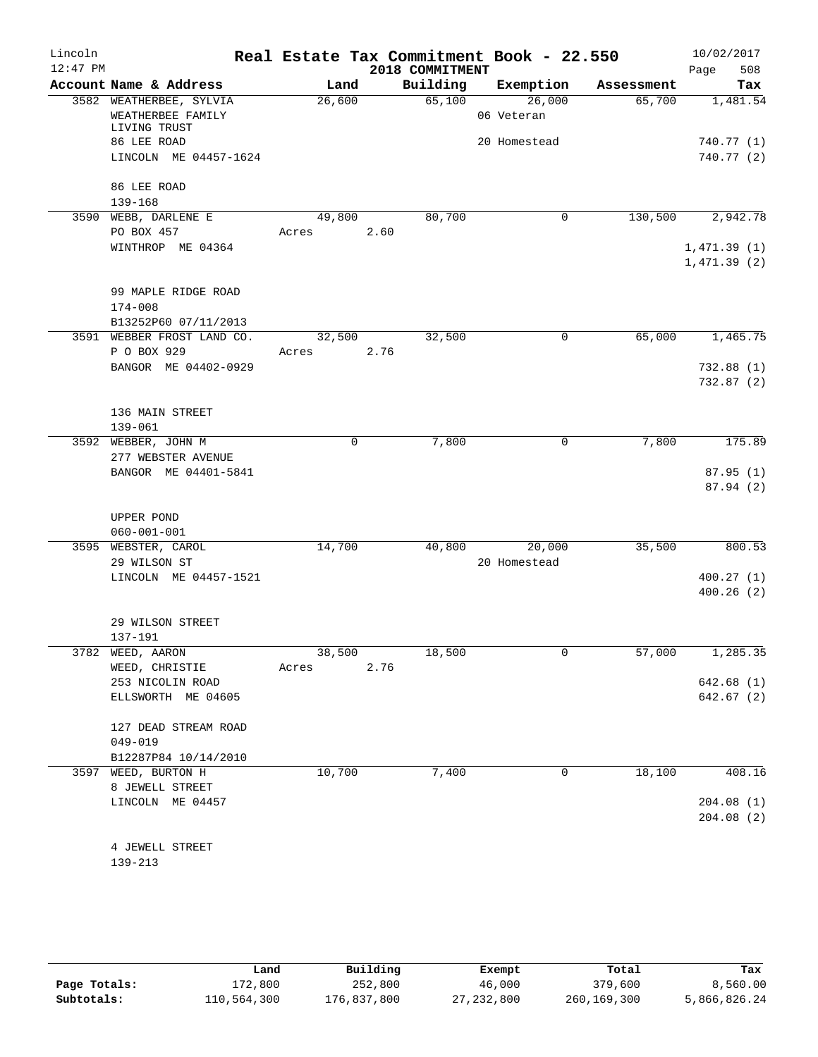| Lincoln    |                                          |        |             | Real Estate Tax Commitment Book - 22.550 |              |            | 10/02/2017  |
|------------|------------------------------------------|--------|-------------|------------------------------------------|--------------|------------|-------------|
| $12:47$ PM |                                          |        |             | 2018 COMMITMENT                          |              |            | 508<br>Page |
|            | Account Name & Address                   | Land   |             | Building                                 | Exemption    | Assessment | Tax         |
|            | 3582 WEATHERBEE, SYLVIA                  | 26,600 |             | 65,100                                   | 26,000       | 65,700     | 1,481.54    |
|            | WEATHERBEE FAMILY                        |        |             |                                          | 06 Veteran   |            |             |
|            | LIVING TRUST                             |        |             |                                          |              |            |             |
|            | 86 LEE ROAD                              |        |             |                                          | 20 Homestead |            | 740.77 (1)  |
|            | LINCOLN ME 04457-1624                    |        |             |                                          |              |            | 740.77(2)   |
|            | 86 LEE ROAD                              |        |             |                                          |              |            |             |
|            | $139 - 168$                              |        |             |                                          |              |            |             |
|            | 3590 WEBB, DARLENE E                     | 49,800 |             | 80,700                                   | 0            | 130,500    | 2,942.78    |
|            | PO BOX 457                               | Acres  | 2.60        |                                          |              |            |             |
|            | WINTHROP ME 04364                        |        |             |                                          |              |            | 1,471.39(1) |
|            |                                          |        |             |                                          |              |            | 1,471.39(2) |
|            |                                          |        |             |                                          |              |            |             |
|            | 99 MAPLE RIDGE ROAD                      |        |             |                                          |              |            |             |
|            | $174 - 008$                              |        |             |                                          |              |            |             |
|            | B13252P60 07/11/2013                     |        |             |                                          |              |            |             |
|            | 3591 WEBBER FROST LAND CO.               | 32,500 |             | 32,500                                   | 0            | 65,000     | 1,465.75    |
|            | P O BOX 929                              | Acres  |             | 2.76                                     |              |            |             |
|            | BANGOR ME 04402-0929                     |        |             |                                          |              |            | 732.88(1)   |
|            |                                          |        |             |                                          |              |            | 732.87 (2)  |
|            |                                          |        |             |                                          |              |            |             |
|            | 136 MAIN STREET                          |        |             |                                          |              |            |             |
|            | $139 - 061$                              |        |             |                                          |              |            |             |
|            | 3592 WEBBER, JOHN M                      |        | $\mathbf 0$ | 7,800                                    | $\mathbf 0$  | 7,800      | 175.89      |
|            | 277 WEBSTER AVENUE                       |        |             |                                          |              |            |             |
|            | BANGOR ME 04401-5841                     |        |             |                                          |              |            | 87.95(1)    |
|            |                                          |        |             |                                          |              |            | 87.94 (2)   |
|            |                                          |        |             |                                          |              |            |             |
|            | UPPER POND                               |        |             |                                          |              |            |             |
|            | $060 - 001 - 001$<br>3595 WEBSTER, CAROL | 14,700 |             | 40,800                                   | 20,000       | 35,500     | 800.53      |
|            | 29 WILSON ST                             |        |             |                                          | 20 Homestead |            |             |
|            | LINCOLN ME 04457-1521                    |        |             |                                          |              |            | 400.27(1)   |
|            |                                          |        |             |                                          |              |            | 400.26(2)   |
|            |                                          |        |             |                                          |              |            |             |
|            | 29 WILSON STREET                         |        |             |                                          |              |            |             |
|            | 137-191                                  |        |             |                                          |              |            |             |
|            | 3782 WEED, AARON                         | 38,500 |             | 18,500                                   | 0            | 57,000     | 1,285.35    |
|            | WEED, CHRISTIE                           | Acres  |             | 2.76                                     |              |            |             |
|            | 253 NICOLIN ROAD                         |        |             |                                          |              |            | 642.68(1)   |
|            | ELLSWORTH ME 04605                       |        |             |                                          |              |            | 642.67(2)   |
|            |                                          |        |             |                                          |              |            |             |
|            | 127 DEAD STREAM ROAD                     |        |             |                                          |              |            |             |
|            | $049 - 019$                              |        |             |                                          |              |            |             |
|            | B12287P84 10/14/2010                     |        |             |                                          |              |            |             |
| 3597       | WEED, BURTON H                           | 10,700 |             | 7,400                                    | 0            | 18,100     | 408.16      |
|            | 8 JEWELL STREET                          |        |             |                                          |              |            |             |
|            | LINCOLN ME 04457                         |        |             |                                          |              |            | 204.08(1)   |
|            |                                          |        |             |                                          |              |            | 204.08(2)   |
|            |                                          |        |             |                                          |              |            |             |
|            | 4 JEWELL STREET                          |        |             |                                          |              |            |             |

|              | Land        | Building    | Exempt       | Total       | Tax          |
|--------------|-------------|-------------|--------------|-------------|--------------|
| Page Totals: | 172,800     | 252,800     | 46,000       | 379,600     | 8,560.00     |
| Subtotals:   | 110,564,300 | 176,837,800 | 27, 232, 800 | 260,169,300 | 5,866,826.24 |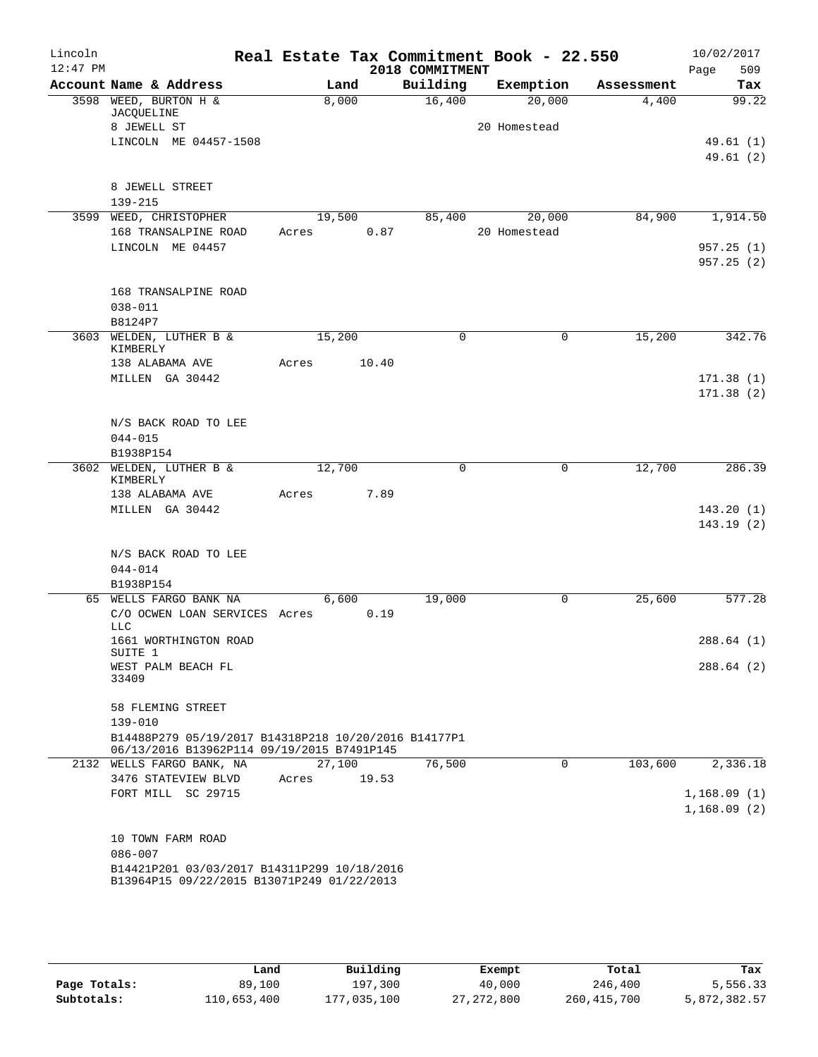| Lincoln<br>$12:47$ PM |                                                      |        |       | 2018 COMMITMENT | Real Estate Tax Commitment Book - 22.550 |            | 10/02/2017<br>509<br>Page |
|-----------------------|------------------------------------------------------|--------|-------|-----------------|------------------------------------------|------------|---------------------------|
|                       | Account Name & Address                               |        | Land  | Building        | Exemption                                | Assessment | Tax                       |
|                       | 3598 WEED, BURTON H &                                |        | 8,000 | 16,400          | 20,000                                   | 4,400      | 99.22                     |
|                       | JACQUELINE                                           |        |       |                 |                                          |            |                           |
|                       | 8 JEWELL ST                                          |        |       |                 | 20 Homestead                             |            |                           |
|                       | LINCOLN ME 04457-1508                                |        |       |                 |                                          |            | 49.61 (1)                 |
|                       |                                                      |        |       |                 |                                          |            | 49.61(2)                  |
|                       | 8 JEWELL STREET                                      |        |       |                 |                                          |            |                           |
|                       | $139 - 215$                                          |        |       |                 |                                          |            |                           |
|                       | 3599 WEED, CHRISTOPHER                               | 19,500 |       | 85,400          | 20,000                                   | 84,900     | 1,914.50                  |
|                       | 168 TRANSALPINE ROAD                                 | Acres  | 0.87  |                 | 20 Homestead                             |            |                           |
|                       | LINCOLN ME 04457                                     |        |       |                 |                                          |            | 957.25(1)                 |
|                       |                                                      |        |       |                 |                                          |            | 957.25 (2)                |
|                       |                                                      |        |       |                 |                                          |            |                           |
|                       | 168 TRANSALPINE ROAD                                 |        |       |                 |                                          |            |                           |
|                       | $038 - 011$                                          |        |       |                 |                                          |            |                           |
|                       | B8124P7                                              |        |       |                 |                                          |            |                           |
| 3603                  | WELDEN, LUTHER B &<br>KIMBERLY                       | 15,200 |       | 0               | 0                                        | 15,200     | 342.76                    |
|                       | 138 ALABAMA AVE                                      | Acres  | 10.40 |                 |                                          |            |                           |
|                       | MILLEN GA 30442                                      |        |       |                 |                                          |            | 171.38(1)                 |
|                       |                                                      |        |       |                 |                                          |            | 171.38(2)                 |
|                       |                                                      |        |       |                 |                                          |            |                           |
|                       | N/S BACK ROAD TO LEE                                 |        |       |                 |                                          |            |                           |
|                       | $044 - 015$                                          |        |       |                 |                                          |            |                           |
|                       | B1938P154                                            |        |       |                 |                                          |            |                           |
|                       | 3602 WELDEN, LUTHER B &<br>KIMBERLY                  | 12,700 |       | 0               | $\mathbf 0$                              | 12,700     | 286.39                    |
|                       | 138 ALABAMA AVE                                      | Acres  | 7.89  |                 |                                          |            |                           |
|                       | MILLEN GA 30442                                      |        |       |                 |                                          |            | 143.20(1)                 |
|                       |                                                      |        |       |                 |                                          |            | 143.19(2)                 |
|                       |                                                      |        |       |                 |                                          |            |                           |
|                       | N/S BACK ROAD TO LEE                                 |        |       |                 |                                          |            |                           |
|                       | $044 - 014$                                          |        |       |                 |                                          |            |                           |
|                       | B1938P154                                            |        |       |                 |                                          |            |                           |
|                       | 65 WELLS FARGO BANK NA                               |        | 6,600 | 19,000          | 0                                        | 25,600     | 577.28                    |
|                       | C/O OCWEN LOAN SERVICES Acres<br><b>LLC</b>          |        | 0.19  |                 |                                          |            |                           |
|                       | 1661 WORTHINGTON ROAD                                |        |       |                 |                                          |            | 288.64(1)                 |
|                       | SUITE 1                                              |        |       |                 |                                          |            |                           |
|                       | WEST PALM BEACH FL<br>33409                          |        |       |                 |                                          |            | 288.64(2)                 |
|                       |                                                      |        |       |                 |                                          |            |                           |
|                       | 58 FLEMING STREET                                    |        |       |                 |                                          |            |                           |
|                       | $139 - 010$                                          |        |       |                 |                                          |            |                           |
|                       | B14488P279 05/19/2017 B14318P218 10/20/2016 B14177P1 |        |       |                 |                                          |            |                           |
|                       | 06/13/2016 B13962P114 09/19/2015 B7491P145           |        |       |                 |                                          |            |                           |
|                       | 2132 WELLS FARGO BANK, NA                            | 27,100 |       | 76,500          | $\mathbf 0$                              | 103,600    | 2,336.18                  |
|                       | 3476 STATEVIEW BLVD<br>FORT MILL SC 29715            | Acres  | 19.53 |                 |                                          |            | 1,168.09(1)               |
|                       |                                                      |        |       |                 |                                          |            | 1,168.09(2)               |
|                       |                                                      |        |       |                 |                                          |            |                           |
|                       | 10 TOWN FARM ROAD                                    |        |       |                 |                                          |            |                           |
|                       | $086 - 007$                                          |        |       |                 |                                          |            |                           |
|                       | B14421P201 03/03/2017 B14311P299 10/18/2016          |        |       |                 |                                          |            |                           |
|                       | B13964P15 09/22/2015 B13071P249 01/22/2013           |        |       |                 |                                          |            |                           |
|                       |                                                      |        |       |                 |                                          |            |                           |
|                       |                                                      |        |       |                 |                                          |            |                           |

|              | Land        | Building    | Exempt       | Total       | Tax          |
|--------------|-------------|-------------|--------------|-------------|--------------|
| Page Totals: | 89,100      | 197,300     | 40,000       | 246,400     | 5,556.33     |
| Subtotals:   | 110,653,400 | 177,035,100 | 27, 272, 800 | 260,415,700 | 5,872,382.57 |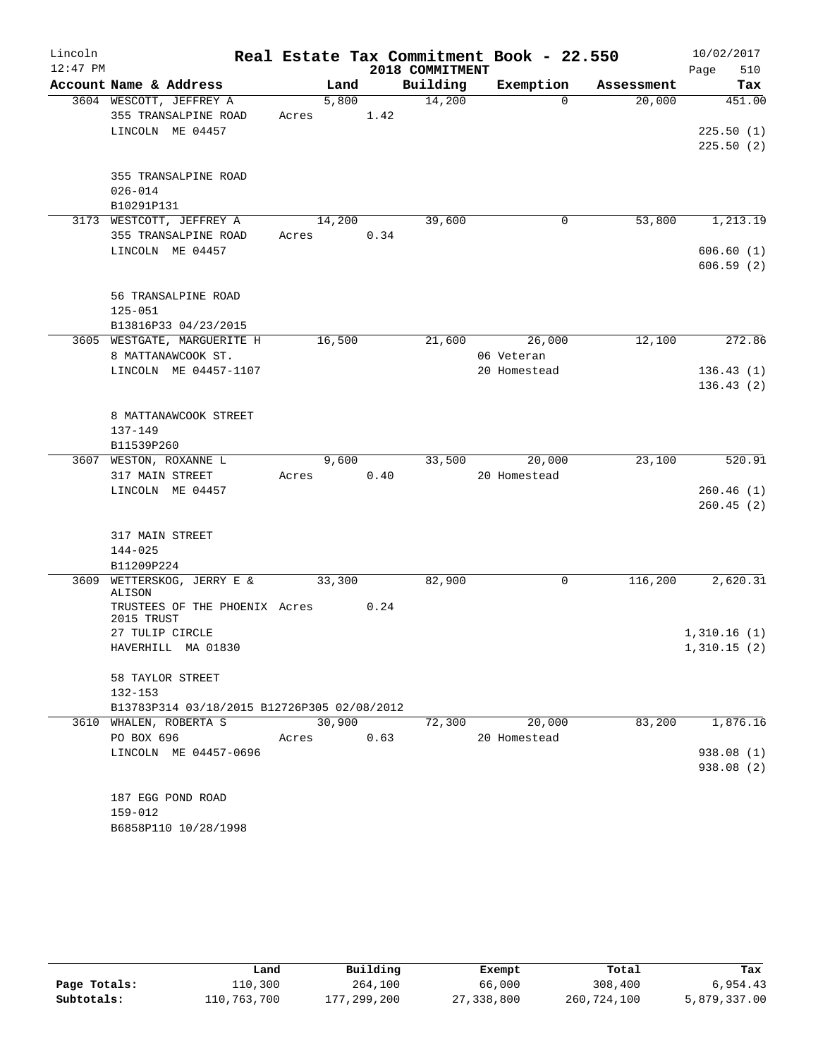| 2018 COMMITMENT<br>Account Name & Address<br>Building<br>Exemption<br>Land<br>Tax<br>Assessment<br>14,200<br>3604 WESCOTT, JEFFREY A<br>5,800<br>$\Omega$<br>20,000<br>451.00<br>355 TRANSALPINE ROAD<br>1.42<br>Acres<br>LINCOLN ME 04457<br>355 TRANSALPINE ROAD<br>$026 - 014$<br>B10291P131<br>3173 WESTCOTT, JEFFREY A<br>14,200<br>39,600<br>53,800<br>0<br>355 TRANSALPINE ROAD<br>0.34<br>Acres<br>LINCOLN ME 04457<br>56 TRANSALPINE ROAD<br>$125 - 051$<br>B13816P33 04/23/2015<br>3605 WESTGATE, MARGUERITE H<br>16,500<br>21,600<br>26,000<br>12,100<br>8 MATTANAWCOOK ST.<br>06 Veteran<br>LINCOLN ME 04457-1107<br>20 Homestead<br>8 MATTANAWCOOK STREET<br>137-149<br>B11539P260<br>3607 WESTON, ROXANNE L<br>9,600<br>33,500<br>20,000<br>23,100<br>0.40<br>317 MAIN STREET<br>20 Homestead<br>Acres<br>LINCOLN ME 04457<br>317 MAIN STREET<br>144-025<br>B11209P224<br>3609 WETTERSKOG, JERRY E &<br>$\mathbf 0$<br>116,200<br>33,300<br>82,900<br>ALISON<br>TRUSTEES OF THE PHOENIX Acres<br>0.24<br>2015 TRUST<br>27 TULIP CIRCLE<br>HAVERHILL MA 01830<br>58 TAYLOR STREET<br>$132 - 153$<br>B13783P314 03/18/2015 B12726P305 02/08/2012<br>30,900<br>20,000<br>83,200<br>3610 WHALEN, ROBERTA S<br>72,300<br>PO BOX 696<br>0.63<br>20 Homestead<br>Acres<br>LINCOLN ME 04457-0696<br>187 EGG POND ROAD<br>159-012 | Lincoln<br>$12:47$ PM |  |  | Real Estate Tax Commitment Book - 22.550 | 10/02/2017  |
|----------------------------------------------------------------------------------------------------------------------------------------------------------------------------------------------------------------------------------------------------------------------------------------------------------------------------------------------------------------------------------------------------------------------------------------------------------------------------------------------------------------------------------------------------------------------------------------------------------------------------------------------------------------------------------------------------------------------------------------------------------------------------------------------------------------------------------------------------------------------------------------------------------------------------------------------------------------------------------------------------------------------------------------------------------------------------------------------------------------------------------------------------------------------------------------------------------------------------------------------------------------------------------------------------------------------------------------|-----------------------|--|--|------------------------------------------|-------------|
|                                                                                                                                                                                                                                                                                                                                                                                                                                                                                                                                                                                                                                                                                                                                                                                                                                                                                                                                                                                                                                                                                                                                                                                                                                                                                                                                        |                       |  |  |                                          | 510<br>Page |
|                                                                                                                                                                                                                                                                                                                                                                                                                                                                                                                                                                                                                                                                                                                                                                                                                                                                                                                                                                                                                                                                                                                                                                                                                                                                                                                                        |                       |  |  |                                          |             |
| 225.50(1)                                                                                                                                                                                                                                                                                                                                                                                                                                                                                                                                                                                                                                                                                                                                                                                                                                                                                                                                                                                                                                                                                                                                                                                                                                                                                                                              |                       |  |  |                                          |             |
| 225.50(2)                                                                                                                                                                                                                                                                                                                                                                                                                                                                                                                                                                                                                                                                                                                                                                                                                                                                                                                                                                                                                                                                                                                                                                                                                                                                                                                              |                       |  |  |                                          |             |
| 1,213.19<br>606.60(1)<br>606.59(2)<br>272.86<br>136.43(1)<br>136.43(2)                                                                                                                                                                                                                                                                                                                                                                                                                                                                                                                                                                                                                                                                                                                                                                                                                                                                                                                                                                                                                                                                                                                                                                                                                                                                 |                       |  |  |                                          |             |
|                                                                                                                                                                                                                                                                                                                                                                                                                                                                                                                                                                                                                                                                                                                                                                                                                                                                                                                                                                                                                                                                                                                                                                                                                                                                                                                                        |                       |  |  |                                          |             |
|                                                                                                                                                                                                                                                                                                                                                                                                                                                                                                                                                                                                                                                                                                                                                                                                                                                                                                                                                                                                                                                                                                                                                                                                                                                                                                                                        |                       |  |  |                                          |             |
|                                                                                                                                                                                                                                                                                                                                                                                                                                                                                                                                                                                                                                                                                                                                                                                                                                                                                                                                                                                                                                                                                                                                                                                                                                                                                                                                        |                       |  |  |                                          |             |
|                                                                                                                                                                                                                                                                                                                                                                                                                                                                                                                                                                                                                                                                                                                                                                                                                                                                                                                                                                                                                                                                                                                                                                                                                                                                                                                                        |                       |  |  |                                          |             |
|                                                                                                                                                                                                                                                                                                                                                                                                                                                                                                                                                                                                                                                                                                                                                                                                                                                                                                                                                                                                                                                                                                                                                                                                                                                                                                                                        |                       |  |  |                                          |             |
|                                                                                                                                                                                                                                                                                                                                                                                                                                                                                                                                                                                                                                                                                                                                                                                                                                                                                                                                                                                                                                                                                                                                                                                                                                                                                                                                        |                       |  |  |                                          |             |
|                                                                                                                                                                                                                                                                                                                                                                                                                                                                                                                                                                                                                                                                                                                                                                                                                                                                                                                                                                                                                                                                                                                                                                                                                                                                                                                                        |                       |  |  |                                          |             |
|                                                                                                                                                                                                                                                                                                                                                                                                                                                                                                                                                                                                                                                                                                                                                                                                                                                                                                                                                                                                                                                                                                                                                                                                                                                                                                                                        |                       |  |  |                                          |             |
|                                                                                                                                                                                                                                                                                                                                                                                                                                                                                                                                                                                                                                                                                                                                                                                                                                                                                                                                                                                                                                                                                                                                                                                                                                                                                                                                        |                       |  |  |                                          |             |
|                                                                                                                                                                                                                                                                                                                                                                                                                                                                                                                                                                                                                                                                                                                                                                                                                                                                                                                                                                                                                                                                                                                                                                                                                                                                                                                                        |                       |  |  |                                          |             |
|                                                                                                                                                                                                                                                                                                                                                                                                                                                                                                                                                                                                                                                                                                                                                                                                                                                                                                                                                                                                                                                                                                                                                                                                                                                                                                                                        |                       |  |  |                                          |             |
|                                                                                                                                                                                                                                                                                                                                                                                                                                                                                                                                                                                                                                                                                                                                                                                                                                                                                                                                                                                                                                                                                                                                                                                                                                                                                                                                        |                       |  |  |                                          |             |
|                                                                                                                                                                                                                                                                                                                                                                                                                                                                                                                                                                                                                                                                                                                                                                                                                                                                                                                                                                                                                                                                                                                                                                                                                                                                                                                                        |                       |  |  |                                          |             |
|                                                                                                                                                                                                                                                                                                                                                                                                                                                                                                                                                                                                                                                                                                                                                                                                                                                                                                                                                                                                                                                                                                                                                                                                                                                                                                                                        |                       |  |  |                                          |             |
|                                                                                                                                                                                                                                                                                                                                                                                                                                                                                                                                                                                                                                                                                                                                                                                                                                                                                                                                                                                                                                                                                                                                                                                                                                                                                                                                        |                       |  |  |                                          |             |
|                                                                                                                                                                                                                                                                                                                                                                                                                                                                                                                                                                                                                                                                                                                                                                                                                                                                                                                                                                                                                                                                                                                                                                                                                                                                                                                                        |                       |  |  |                                          |             |
|                                                                                                                                                                                                                                                                                                                                                                                                                                                                                                                                                                                                                                                                                                                                                                                                                                                                                                                                                                                                                                                                                                                                                                                                                                                                                                                                        |                       |  |  |                                          |             |
|                                                                                                                                                                                                                                                                                                                                                                                                                                                                                                                                                                                                                                                                                                                                                                                                                                                                                                                                                                                                                                                                                                                                                                                                                                                                                                                                        |                       |  |  |                                          |             |
| 520.91<br>260.46(1)<br>260.45(2)                                                                                                                                                                                                                                                                                                                                                                                                                                                                                                                                                                                                                                                                                                                                                                                                                                                                                                                                                                                                                                                                                                                                                                                                                                                                                                       |                       |  |  |                                          |             |
|                                                                                                                                                                                                                                                                                                                                                                                                                                                                                                                                                                                                                                                                                                                                                                                                                                                                                                                                                                                                                                                                                                                                                                                                                                                                                                                                        |                       |  |  |                                          |             |
|                                                                                                                                                                                                                                                                                                                                                                                                                                                                                                                                                                                                                                                                                                                                                                                                                                                                                                                                                                                                                                                                                                                                                                                                                                                                                                                                        |                       |  |  |                                          |             |
|                                                                                                                                                                                                                                                                                                                                                                                                                                                                                                                                                                                                                                                                                                                                                                                                                                                                                                                                                                                                                                                                                                                                                                                                                                                                                                                                        |                       |  |  |                                          |             |
|                                                                                                                                                                                                                                                                                                                                                                                                                                                                                                                                                                                                                                                                                                                                                                                                                                                                                                                                                                                                                                                                                                                                                                                                                                                                                                                                        |                       |  |  |                                          |             |
|                                                                                                                                                                                                                                                                                                                                                                                                                                                                                                                                                                                                                                                                                                                                                                                                                                                                                                                                                                                                                                                                                                                                                                                                                                                                                                                                        |                       |  |  |                                          |             |
| 2,620.31<br>1,876.16                                                                                                                                                                                                                                                                                                                                                                                                                                                                                                                                                                                                                                                                                                                                                                                                                                                                                                                                                                                                                                                                                                                                                                                                                                                                                                                   |                       |  |  |                                          |             |
|                                                                                                                                                                                                                                                                                                                                                                                                                                                                                                                                                                                                                                                                                                                                                                                                                                                                                                                                                                                                                                                                                                                                                                                                                                                                                                                                        |                       |  |  |                                          |             |
| 1,310.16(1)<br>1,310.15(2)                                                                                                                                                                                                                                                                                                                                                                                                                                                                                                                                                                                                                                                                                                                                                                                                                                                                                                                                                                                                                                                                                                                                                                                                                                                                                                             |                       |  |  |                                          |             |
|                                                                                                                                                                                                                                                                                                                                                                                                                                                                                                                                                                                                                                                                                                                                                                                                                                                                                                                                                                                                                                                                                                                                                                                                                                                                                                                                        |                       |  |  |                                          |             |
|                                                                                                                                                                                                                                                                                                                                                                                                                                                                                                                                                                                                                                                                                                                                                                                                                                                                                                                                                                                                                                                                                                                                                                                                                                                                                                                                        |                       |  |  |                                          |             |
|                                                                                                                                                                                                                                                                                                                                                                                                                                                                                                                                                                                                                                                                                                                                                                                                                                                                                                                                                                                                                                                                                                                                                                                                                                                                                                                                        |                       |  |  |                                          |             |
|                                                                                                                                                                                                                                                                                                                                                                                                                                                                                                                                                                                                                                                                                                                                                                                                                                                                                                                                                                                                                                                                                                                                                                                                                                                                                                                                        |                       |  |  |                                          |             |
|                                                                                                                                                                                                                                                                                                                                                                                                                                                                                                                                                                                                                                                                                                                                                                                                                                                                                                                                                                                                                                                                                                                                                                                                                                                                                                                                        |                       |  |  |                                          |             |
| 938.08 (1)<br>938.08 (2)                                                                                                                                                                                                                                                                                                                                                                                                                                                                                                                                                                                                                                                                                                                                                                                                                                                                                                                                                                                                                                                                                                                                                                                                                                                                                                               |                       |  |  |                                          |             |
|                                                                                                                                                                                                                                                                                                                                                                                                                                                                                                                                                                                                                                                                                                                                                                                                                                                                                                                                                                                                                                                                                                                                                                                                                                                                                                                                        |                       |  |  |                                          |             |
|                                                                                                                                                                                                                                                                                                                                                                                                                                                                                                                                                                                                                                                                                                                                                                                                                                                                                                                                                                                                                                                                                                                                                                                                                                                                                                                                        |                       |  |  |                                          |             |
|                                                                                                                                                                                                                                                                                                                                                                                                                                                                                                                                                                                                                                                                                                                                                                                                                                                                                                                                                                                                                                                                                                                                                                                                                                                                                                                                        |                       |  |  |                                          |             |
|                                                                                                                                                                                                                                                                                                                                                                                                                                                                                                                                                                                                                                                                                                                                                                                                                                                                                                                                                                                                                                                                                                                                                                                                                                                                                                                                        |                       |  |  |                                          |             |
|                                                                                                                                                                                                                                                                                                                                                                                                                                                                                                                                                                                                                                                                                                                                                                                                                                                                                                                                                                                                                                                                                                                                                                                                                                                                                                                                        |                       |  |  |                                          |             |
|                                                                                                                                                                                                                                                                                                                                                                                                                                                                                                                                                                                                                                                                                                                                                                                                                                                                                                                                                                                                                                                                                                                                                                                                                                                                                                                                        |                       |  |  |                                          |             |
|                                                                                                                                                                                                                                                                                                                                                                                                                                                                                                                                                                                                                                                                                                                                                                                                                                                                                                                                                                                                                                                                                                                                                                                                                                                                                                                                        |                       |  |  |                                          |             |
|                                                                                                                                                                                                                                                                                                                                                                                                                                                                                                                                                                                                                                                                                                                                                                                                                                                                                                                                                                                                                                                                                                                                                                                                                                                                                                                                        |                       |  |  |                                          |             |
|                                                                                                                                                                                                                                                                                                                                                                                                                                                                                                                                                                                                                                                                                                                                                                                                                                                                                                                                                                                                                                                                                                                                                                                                                                                                                                                                        |                       |  |  |                                          |             |
| B6858P110 10/28/1998                                                                                                                                                                                                                                                                                                                                                                                                                                                                                                                                                                                                                                                                                                                                                                                                                                                                                                                                                                                                                                                                                                                                                                                                                                                                                                                   |                       |  |  |                                          |             |

|              | Land        | Building    | Exempt     | Total       | Tax          |
|--------------|-------------|-------------|------------|-------------|--------------|
| Page Totals: | 110,300     | 264,100     | 66,000     | 308,400     | 6,954.43     |
| Subtotals:   | 110,763,700 | 177,299,200 | 27,338,800 | 260,724,100 | 5,879,337.00 |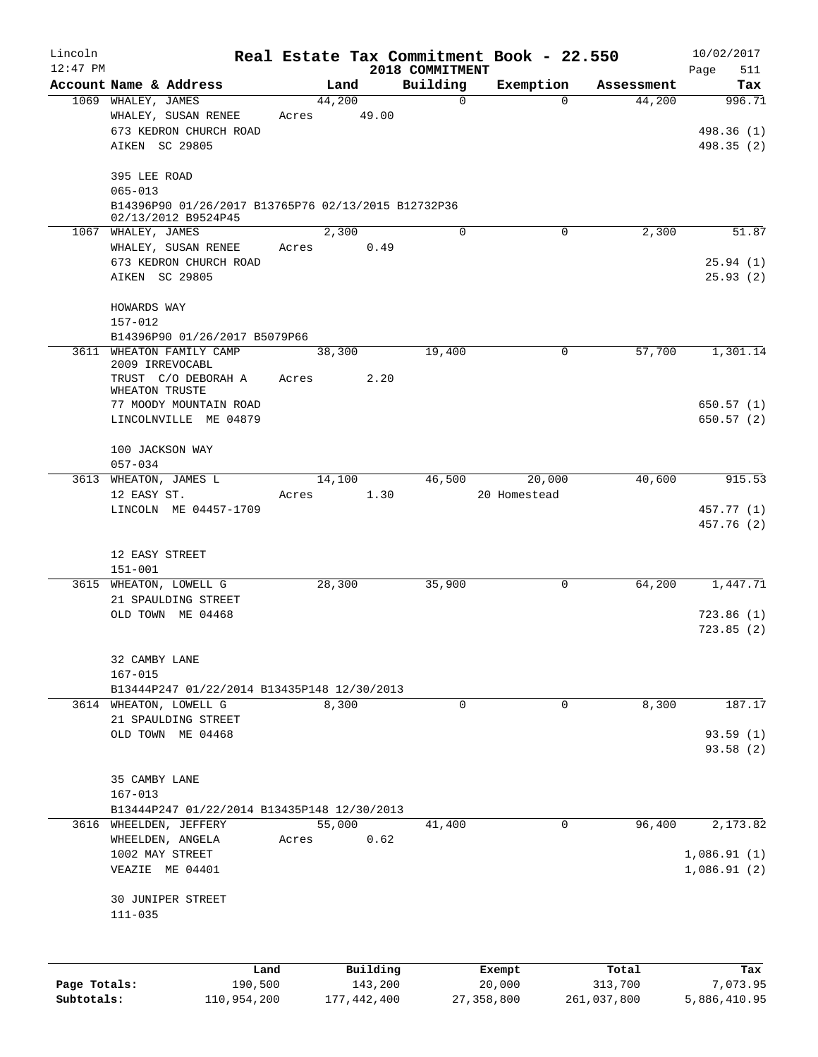| Lincoln      |                                                                    |       |                     |                             | Real Estate Tax Commitment Book - 22.550 |                  | 10/02/2017               |
|--------------|--------------------------------------------------------------------|-------|---------------------|-----------------------------|------------------------------------------|------------------|--------------------------|
| 12:47 PM     | Account Name & Address                                             |       | Land                | 2018 COMMITMENT<br>Building | Exemption                                | Assessment       | 511<br>Page<br>Tax       |
|              | 1069 WHALEY, JAMES                                                 |       | 44,200              | $\Omega$                    | $\Omega$                                 | 44,200           | 996.71                   |
|              | WHALEY, SUSAN RENEE<br>673 KEDRON CHURCH ROAD<br>AIKEN SC 29805    | Acres | 49.00               |                             |                                          |                  | 498.36 (1)<br>498.35 (2) |
|              | 395 LEE ROAD                                                       |       |                     |                             |                                          |                  |                          |
|              | $065 - 013$<br>B14396P90 01/26/2017 B13765P76 02/13/2015 B12732P36 |       |                     |                             |                                          |                  |                          |
|              | 02/13/2012 B9524P45<br>1067 WHALEY, JAMES                          |       | 2,300               | $\Omega$                    | $\Omega$                                 | 2,300            | 51.87                    |
|              | WHALEY, SUSAN RENEE                                                | Acres | 0.49                |                             |                                          |                  |                          |
|              | 673 KEDRON CHURCH ROAD                                             |       |                     |                             |                                          |                  | 25.94(1)                 |
|              | AIKEN SC 29805                                                     |       |                     |                             |                                          |                  | 25.93(2)                 |
|              | HOWARDS WAY<br>157-012                                             |       |                     |                             |                                          |                  |                          |
|              | B14396P90 01/26/2017 B5079P66                                      |       |                     |                             |                                          |                  |                          |
|              | 3611 WHEATON FAMILY CAMP<br>2009 IRREVOCABL                        |       | 38,300              | 19,400                      | 0                                        | 57,700           | 1,301.14                 |
|              | TRUST C/O DEBORAH A<br>WHEATON TRUSTE                              | Acres | 2.20                |                             |                                          |                  |                          |
|              | 77 MOODY MOUNTAIN ROAD                                             |       |                     |                             |                                          |                  | 650.57(1)                |
|              | LINCOLNVILLE ME 04879                                              |       |                     |                             |                                          |                  | 650.57(2)                |
|              | 100 JACKSON WAY<br>$057 - 034$                                     |       |                     |                             |                                          |                  |                          |
|              | 3613 WHEATON, JAMES L                                              |       | 14,100              | 46,500                      | 20,000                                   | 40,600           | 915.53                   |
|              | 12 EASY ST.                                                        | Acres | 1.30                |                             | 20 Homestead                             |                  |                          |
|              | LINCOLN ME 04457-1709                                              |       |                     |                             |                                          |                  | 457.77 (1)<br>457.76 (2) |
|              | 12 EASY STREET                                                     |       |                     |                             |                                          |                  |                          |
|              | $151 - 001$<br>3615 WHEATON, LOWELL G                              |       | 28,300              | 35,900                      | 0                                        | 64,200           | 1,447.71                 |
|              | 21 SPAULDING STREET                                                |       |                     |                             |                                          |                  |                          |
|              | OLD TOWN ME 04468                                                  |       |                     |                             |                                          |                  | 723.86(1)                |
|              |                                                                    |       |                     |                             |                                          |                  | 723.85(2)                |
|              | 32 CAMBY LANE                                                      |       |                     |                             |                                          |                  |                          |
|              | $167 - 015$<br>B13444P247 01/22/2014 B13435P148 12/30/2013         |       |                     |                             |                                          |                  |                          |
|              | 3614 WHEATON, LOWELL G                                             |       | 8,300               | $\mathbf 0$                 | $\Omega$                                 | 8,300            | 187.17                   |
|              | 21 SPAULDING STREET                                                |       |                     |                             |                                          |                  |                          |
|              | OLD TOWN ME 04468                                                  |       |                     |                             |                                          |                  | 93.59(1)                 |
|              |                                                                    |       |                     |                             |                                          |                  | 93.58(2)                 |
|              | 35 CAMBY LANE                                                      |       |                     |                             |                                          |                  |                          |
|              | $167 - 013$                                                        |       |                     |                             |                                          |                  |                          |
|              | B13444P247 01/22/2014 B13435P148 12/30/2013                        |       |                     |                             |                                          |                  |                          |
|              | 3616 WHEELDEN, JEFFERY                                             |       | 55,000              | 41,400                      | 0                                        | 96,400           | 2,173.82                 |
|              | WHEELDEN, ANGELA<br>1002 MAY STREET                                | Acres | 0.62                |                             |                                          |                  | 1,086.91(1)              |
|              | VEAZIE ME 04401                                                    |       |                     |                             |                                          |                  | 1,086.91(2)              |
|              | 30 JUNIPER STREET                                                  |       |                     |                             |                                          |                  |                          |
|              | $111 - 035$                                                        |       |                     |                             |                                          |                  |                          |
|              |                                                                    |       |                     |                             |                                          |                  |                          |
| Page Totals: | Land<br>190,500                                                    |       | Building<br>143,200 |                             | Exempt<br>20,000                         | Total<br>313,700 | Tax<br>7,073.95          |
| Subtotals:   | 110,954,200                                                        |       | 177, 442, 400       |                             | 27, 358, 800                             | 261,037,800      | 5,886,410.95             |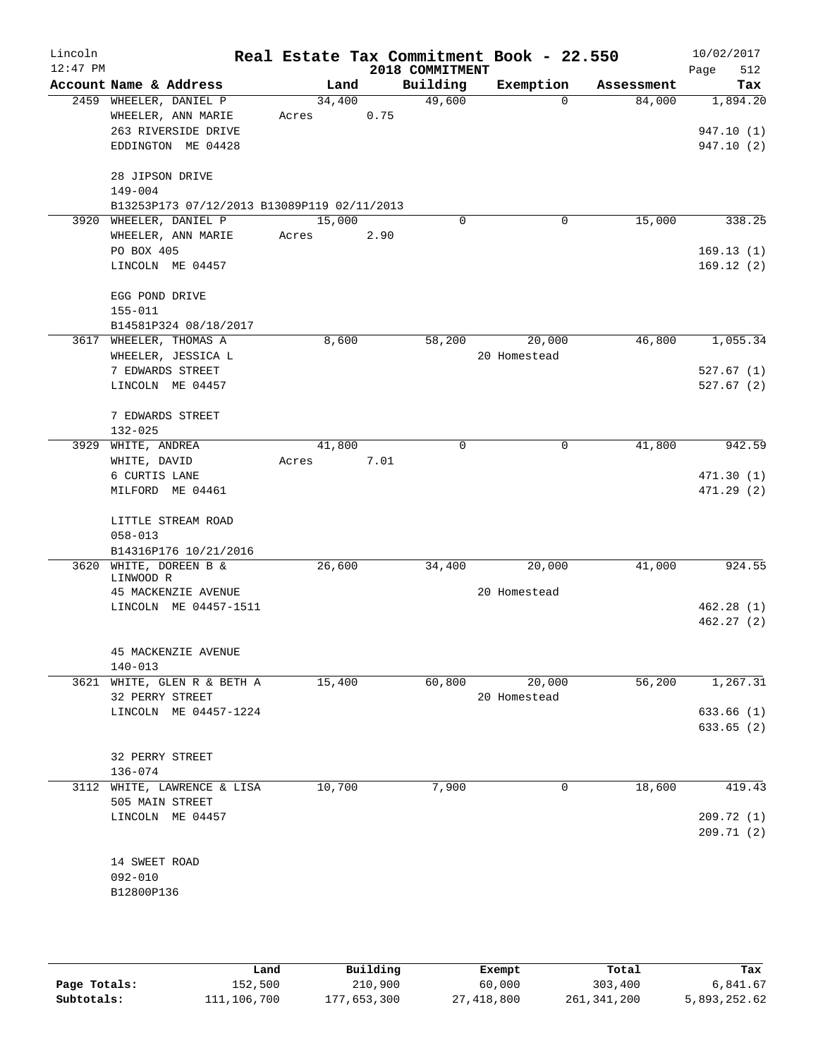| Lincoln<br>$12:47$ PM |                    |                                             |        |        |      | 2018 COMMITMENT | Real Estate Tax Commitment Book - 22.550 |            | 10/02/2017<br>512      |
|-----------------------|--------------------|---------------------------------------------|--------|--------|------|-----------------|------------------------------------------|------------|------------------------|
|                       |                    | Account Name & Address                      |        | Land   |      | Building        | Exemption                                | Assessment | Page<br>Tax            |
|                       |                    | 2459 WHEELER, DANIEL P                      |        | 34,400 |      | 49,600          | $\Omega$                                 | 84,000     | 1,894.20               |
|                       |                    | WHEELER, ANN MARIE                          | Acres  |        | 0.75 |                 |                                          |            |                        |
|                       |                    | 263 RIVERSIDE DRIVE                         |        |        |      |                 |                                          |            | 947.10 (1)             |
|                       |                    | EDDINGTON ME 04428                          |        |        |      |                 |                                          |            | 947.10(2)              |
|                       | 28 JIPSON DRIVE    |                                             |        |        |      |                 |                                          |            |                        |
|                       | $149 - 004$        |                                             |        |        |      |                 |                                          |            |                        |
|                       |                    | B13253P173 07/12/2013 B13089P119 02/11/2013 |        |        |      |                 |                                          |            |                        |
|                       |                    | 3920 WHEELER, DANIEL P                      | 15,000 |        |      | $\Omega$        | $\mathbf 0$                              | 15,000     | 338.25                 |
|                       |                    | WHEELER, ANN MARIE                          | Acres  |        | 2.90 |                 |                                          |            |                        |
|                       | PO BOX 405         |                                             |        |        |      |                 |                                          |            | 169.13(1)              |
|                       |                    | LINCOLN ME 04457                            |        |        |      |                 |                                          |            | 169.12(2)              |
|                       | EGG POND DRIVE     |                                             |        |        |      |                 |                                          |            |                        |
|                       | $155 - 011$        |                                             |        |        |      |                 |                                          |            |                        |
|                       |                    | B14581P324 08/18/2017                       |        |        |      |                 |                                          |            |                        |
|                       |                    | 3617 WHEELER, THOMAS A                      |        | 8,600  |      | 58,200          | 20,000                                   | 46,800     | 1,055.34               |
|                       |                    | WHEELER, JESSICA L                          |        |        |      |                 | 20 Homestead                             |            |                        |
|                       |                    | 7 EDWARDS STREET                            |        |        |      |                 |                                          |            | 527.67(1)              |
|                       |                    | LINCOLN ME 04457                            |        |        |      |                 |                                          |            | 527.67(2)              |
|                       |                    | 7 EDWARDS STREET                            |        |        |      |                 |                                          |            |                        |
|                       | $132 - 025$        |                                             |        |        |      |                 |                                          |            |                        |
|                       | 3929 WHITE, ANDREA |                                             |        | 41,800 |      | 0               | 0                                        | 41,800     | 942.59                 |
|                       | WHITE, DAVID       |                                             | Acres  |        | 7.01 |                 |                                          |            |                        |
|                       | 6 CURTIS LANE      |                                             |        |        |      |                 |                                          |            | 471.30(1)              |
|                       |                    | MILFORD ME 04461                            |        |        |      |                 |                                          |            | 471.29(2)              |
|                       |                    | LITTLE STREAM ROAD                          |        |        |      |                 |                                          |            |                        |
|                       | $058 - 013$        |                                             |        |        |      |                 |                                          |            |                        |
|                       |                    | B14316P176 10/21/2016                       |        |        |      |                 |                                          |            |                        |
|                       |                    | 3620 WHITE, DOREEN B &                      |        | 26,600 |      | 34,400          | 20,000                                   | 41,000     | 924.55                 |
|                       | LINWOOD R          |                                             |        |        |      |                 |                                          |            |                        |
|                       |                    | 45 MACKENZIE AVENUE                         |        |        |      |                 | 20 Homestead                             |            |                        |
|                       |                    | LINCOLN ME 04457-1511                       |        |        |      |                 |                                          |            | 462.28(1)<br>462.27(2) |
|                       |                    |                                             |        |        |      |                 |                                          |            |                        |
|                       |                    | 45 MACKENZIE AVENUE                         |        |        |      |                 |                                          |            |                        |
|                       | $140 - 013$        |                                             |        |        |      |                 |                                          |            |                        |
|                       |                    | 3621 WHITE, GLEN R & BETH A                 |        | 15,400 |      | 60,800          | 20,000                                   | 56,200     | 1,267.31               |
|                       |                    | 32 PERRY STREET                             |        |        |      |                 | 20 Homestead                             |            |                        |
|                       |                    | LINCOLN ME 04457-1224                       |        |        |      |                 |                                          |            | 633.66(1)              |
|                       |                    |                                             |        |        |      |                 |                                          |            | 633.65(2)              |
|                       |                    | 32 PERRY STREET                             |        |        |      |                 |                                          |            |                        |
|                       | $136 - 074$        |                                             |        |        |      |                 |                                          |            |                        |
|                       |                    | 3112 WHITE, LAWRENCE & LISA                 |        | 10,700 |      | 7,900           | 0                                        | 18,600     | 419.43                 |
|                       |                    | 505 MAIN STREET                             |        |        |      |                 |                                          |            |                        |
|                       |                    | LINCOLN ME 04457                            |        |        |      |                 |                                          |            | 209.72 (1)             |
|                       |                    |                                             |        |        |      |                 |                                          |            | 209.71(2)              |
|                       | 14 SWEET ROAD      |                                             |        |        |      |                 |                                          |            |                        |
|                       | $092 - 010$        |                                             |        |        |      |                 |                                          |            |                        |
|                       | B12800P136         |                                             |        |        |      |                 |                                          |            |                        |
|                       |                    |                                             |        |        |      |                 |                                          |            |                        |
|                       |                    |                                             |        |        |      |                 |                                          |            |                        |

|              | Land        | Building    | Exempt     | Total       | Tax          |
|--------------|-------------|-------------|------------|-------------|--------------|
| Page Totals: | 152,500     | 210,900     | 60,000     | 303,400     | 6,841.67     |
| Subtotals:   | 111,106,700 | 177,653,300 | 27,418,800 | 261,341,200 | 5,893,252.62 |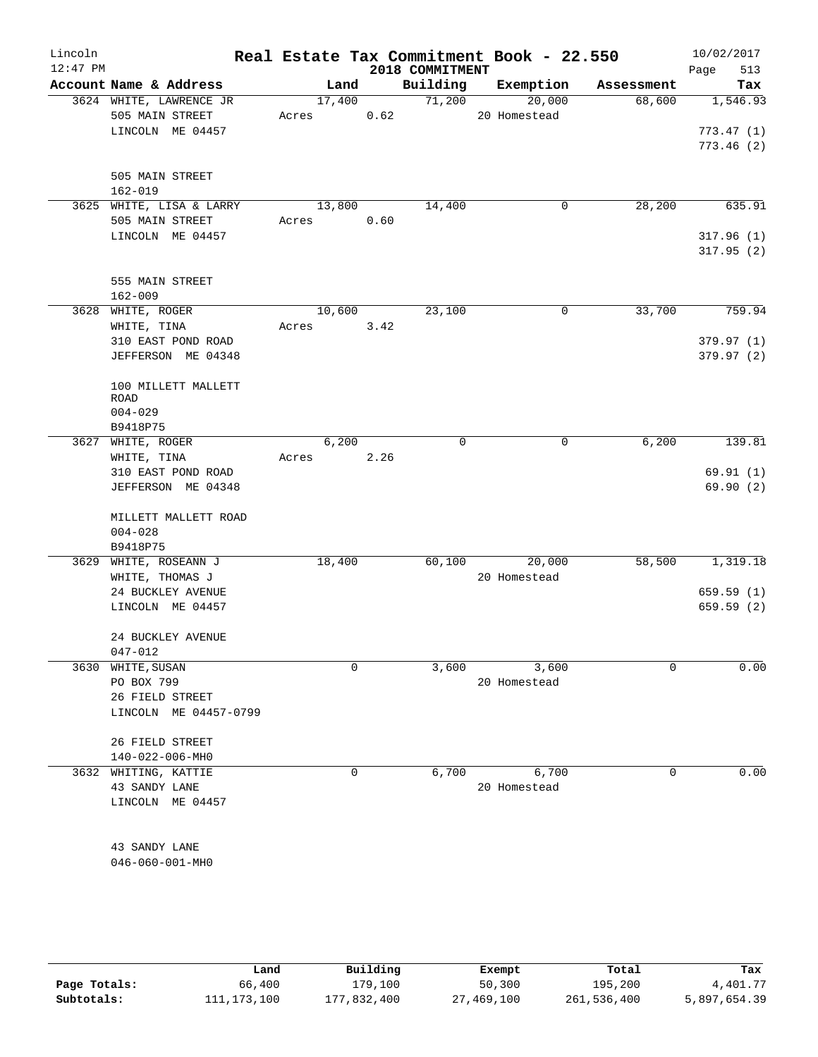| Lincoln<br>$12:47$ PM |                                | Real Estate Tax Commitment Book - 22.550 |      | 2018 COMMITMENT |              |             | 10/02/2017<br>513<br>Page |
|-----------------------|--------------------------------|------------------------------------------|------|-----------------|--------------|-------------|---------------------------|
|                       | Account Name & Address         | Land                                     |      | Building        | Exemption    | Assessment  | Tax                       |
|                       | 3624 WHITE, LAWRENCE JR        | 17,400                                   |      | 71,200          | 20,000       | 68,600      | 1,546.93                  |
|                       | 505 MAIN STREET                | Acres                                    | 0.62 |                 | 20 Homestead |             |                           |
|                       | LINCOLN ME 04457               |                                          |      |                 |              |             | 773.47(1)                 |
|                       |                                |                                          |      |                 |              |             | 773.46(2)                 |
|                       |                                |                                          |      |                 |              |             |                           |
|                       | 505 MAIN STREET<br>$162 - 019$ |                                          |      |                 |              |             |                           |
|                       | 3625 WHITE, LISA & LARRY       | 13,800                                   |      | 14,400          | 0            | 28,200      | 635.91                    |
|                       | 505 MAIN STREET                | Acres 0.60                               |      |                 |              |             |                           |
|                       | LINCOLN ME 04457               |                                          |      |                 |              |             | 317.96(1)                 |
|                       |                                |                                          |      |                 |              |             | 317.95(2)                 |
|                       | 555 MAIN STREET                |                                          |      |                 |              |             |                           |
|                       | $162 - 009$                    |                                          |      |                 |              |             |                           |
|                       | 3628 WHITE, ROGER              | 10,600                                   |      | 23,100          | 0            | 33,700      | 759.94                    |
|                       | WHITE, TINA                    | Acres                                    | 3.42 |                 |              |             |                           |
|                       | 310 EAST POND ROAD             |                                          |      |                 |              |             | 379.97 (1)                |
|                       | JEFFERSON ME 04348             |                                          |      |                 |              |             | 379.97(2)                 |
|                       |                                |                                          |      |                 |              |             |                           |
|                       | 100 MILLETT MALLETT            |                                          |      |                 |              |             |                           |
|                       | ROAD                           |                                          |      |                 |              |             |                           |
|                       | $004 - 029$                    |                                          |      |                 |              |             |                           |
|                       | B9418P75                       |                                          |      |                 |              |             |                           |
| 3627                  | WHITE, ROGER                   | 6,200                                    |      | $\mathbf 0$     | 0            | 6,200       | 139.81                    |
|                       | WHITE, TINA                    | Acres                                    | 2.26 |                 |              |             |                           |
|                       | 310 EAST POND ROAD             |                                          |      |                 |              |             | 69.91(1)                  |
|                       | JEFFERSON ME 04348             |                                          |      |                 |              |             | 69.90(2)                  |
|                       | MILLETT MALLETT ROAD           |                                          |      |                 |              |             |                           |
|                       | $004 - 028$                    |                                          |      |                 |              |             |                           |
|                       | B9418P75                       |                                          |      |                 |              |             |                           |
| 3629                  | WHITE, ROSEANN J               | 18,400                                   |      | 60,100          | 20,000       | 58,500      | 1,319.18                  |
|                       | WHITE, THOMAS J                |                                          |      |                 | 20 Homestead |             |                           |
|                       | 24 BUCKLEY AVENUE              |                                          |      |                 |              |             | 659.59(1)                 |
|                       | LINCOLN ME 04457               |                                          |      |                 |              |             | 659.59(2)                 |
|                       | 24 BUCKLEY AVENUE              |                                          |      |                 |              |             |                           |
|                       | $047 - 012$                    |                                          |      |                 |              |             |                           |
| 3630                  | WHITE, SUSAN                   | 0                                        |      | 3,600           | 3,600        | $\mathbf 0$ | 0.00                      |
|                       | PO BOX 799                     |                                          |      |                 | 20 Homestead |             |                           |
|                       | 26 FIELD STREET                |                                          |      |                 |              |             |                           |
|                       | LINCOLN ME 04457-0799          |                                          |      |                 |              |             |                           |
|                       |                                |                                          |      |                 |              |             |                           |
|                       | 26 FIELD STREET                |                                          |      |                 |              |             |                           |
|                       | 140-022-006-MH0                |                                          |      |                 |              |             |                           |
| 3632                  | WHITING, KATTIE                | 0                                        |      | 6,700           | 6,700        | 0           | 0.00                      |
|                       | 43 SANDY LANE                  |                                          |      |                 | 20 Homestead |             |                           |
|                       | LINCOLN ME 04457               |                                          |      |                 |              |             |                           |
|                       |                                |                                          |      |                 |              |             |                           |
|                       | 43 SANDY LANE                  |                                          |      |                 |              |             |                           |
|                       | $046 - 060 - 001 - MH0$        |                                          |      |                 |              |             |                           |
|                       |                                |                                          |      |                 |              |             |                           |

|              | Land          | Building    | Exempt     | Total       | Tax          |
|--------------|---------------|-------------|------------|-------------|--------------|
| Page Totals: | 66,400        | 179,100     | 50,300     | 195,200     | 4,401.77     |
| Subtotals:   | 111, 173, 100 | 177,832,400 | 27,469,100 | 261,536,400 | 5,897,654.39 |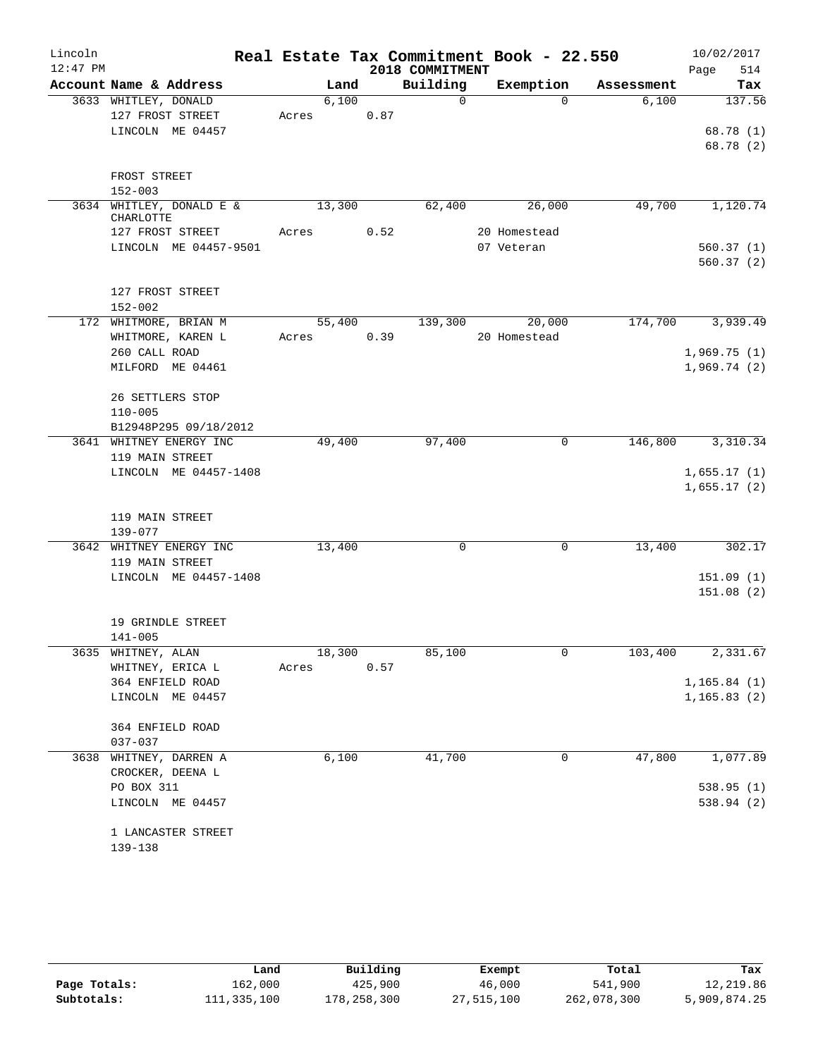| Lincoln<br>$12:47$ PM |                                          |       |        |      | 2018 COMMITMENT | Real Estate Tax Commitment Book - 22.550 |            | 10/02/2017<br>514<br>Page |
|-----------------------|------------------------------------------|-------|--------|------|-----------------|------------------------------------------|------------|---------------------------|
|                       | Account Name & Address                   |       | Land   |      | Building        | Exemption                                | Assessment | Tax                       |
|                       | 3633 WHITLEY, DONALD<br>127 FROST STREET | Acres | 6,100  | 0.87 | $\Omega$        | $\Omega$                                 | 6,100      | 137.56                    |
|                       | LINCOLN ME 04457                         |       |        |      |                 |                                          |            | 68.78 (1)<br>68.78 (2)    |
|                       | FROST STREET                             |       |        |      |                 |                                          |            |                           |
|                       | $152 - 003$                              |       |        |      |                 |                                          |            |                           |
|                       | 3634 WHITLEY, DONALD E &<br>CHARLOTTE    |       | 13,300 |      | 62,400          | 26,000                                   | 49,700     | 1,120.74                  |
|                       | 127 FROST STREET                         | Acres |        | 0.52 |                 | 20 Homestead                             |            |                           |
|                       | LINCOLN ME 04457-9501                    |       |        |      |                 | 07 Veteran                               |            | 560.37(1)                 |
|                       |                                          |       |        |      |                 |                                          |            | 560.37(2)                 |
|                       | 127 FROST STREET                         |       |        |      |                 |                                          |            |                           |
|                       | $152 - 002$                              |       |        |      |                 |                                          |            |                           |
|                       | 172 WHITMORE, BRIAN M                    |       | 55,400 |      | 139,300         | 20,000                                   | 174,700    | 3,939.49                  |
|                       | WHITMORE, KAREN L                        | Acres |        | 0.39 |                 | 20 Homestead                             |            |                           |
|                       | 260 CALL ROAD<br>MILFORD ME 04461        |       |        |      |                 |                                          |            | 1,969.75(1)               |
|                       |                                          |       |        |      |                 |                                          |            | 1,969.74(2)               |
|                       | 26 SETTLERS STOP                         |       |        |      |                 |                                          |            |                           |
|                       | $110 - 005$                              |       |        |      |                 |                                          |            |                           |
|                       | B12948P295 09/18/2012                    |       |        |      |                 |                                          |            |                           |
|                       | 3641 WHITNEY ENERGY INC                  |       | 49,400 |      | 97,400          | 0                                        | 146,800    | 3,310.34                  |
|                       | 119 MAIN STREET                          |       |        |      |                 |                                          |            |                           |
|                       | LINCOLN ME 04457-1408                    |       |        |      |                 |                                          |            | 1,655.17(1)               |
|                       |                                          |       |        |      |                 |                                          |            | 1,655.17(2)               |
|                       | 119 MAIN STREET                          |       |        |      |                 |                                          |            |                           |
|                       | $139 - 077$                              |       |        |      |                 |                                          |            |                           |
|                       | 3642 WHITNEY ENERGY INC                  |       | 13,400 |      | $\mathbf 0$     | 0                                        | 13,400     | 302.17                    |
|                       | 119 MAIN STREET                          |       |        |      |                 |                                          |            |                           |
|                       | LINCOLN ME 04457-1408                    |       |        |      |                 |                                          |            | 151.09(1)                 |
|                       |                                          |       |        |      |                 |                                          |            | 151.08(2)                 |
|                       |                                          |       |        |      |                 |                                          |            |                           |
|                       | 19 GRINDLE STREET                        |       |        |      |                 |                                          |            |                           |
|                       | $141 - 005$                              |       |        |      |                 |                                          |            |                           |
|                       | 3635 WHITNEY, ALAN                       |       | 18,300 |      | 85,100          | 0                                        | 103,400    | 2,331.67                  |
|                       | WHITNEY, ERICA L                         | Acres |        | 0.57 |                 |                                          |            |                           |
|                       | 364 ENFIELD ROAD                         |       |        |      |                 |                                          |            | 1,165.84(1)               |
|                       | LINCOLN ME 04457                         |       |        |      |                 |                                          |            | 1, 165.83(2)              |
|                       | 364 ENFIELD ROAD                         |       |        |      |                 |                                          |            |                           |
|                       | 037-037                                  |       |        |      |                 |                                          |            | 1,077.89                  |
|                       | 3638 WHITNEY, DARREN A                   |       | 6,100  |      | 41,700          | 0                                        | 47,800     |                           |
|                       | CROCKER, DEENA L<br>PO BOX 311           |       |        |      |                 |                                          |            | 538.95(1)                 |
|                       | LINCOLN ME 04457                         |       |        |      |                 |                                          |            | 538.94 (2)                |
|                       |                                          |       |        |      |                 |                                          |            |                           |
|                       | 1 LANCASTER STREET                       |       |        |      |                 |                                          |            |                           |
|                       | 139-138                                  |       |        |      |                 |                                          |            |                           |

|              | Land        | Building    | Exempt     | Total       | Tax          |
|--------------|-------------|-------------|------------|-------------|--------------|
| Page Totals: | 162,000     | 425,900     | 46,000     | 541,900     | 12,219.86    |
| Subtotals:   | 111,335,100 | 178,258,300 | 27,515,100 | 262,078,300 | 5,909,874.25 |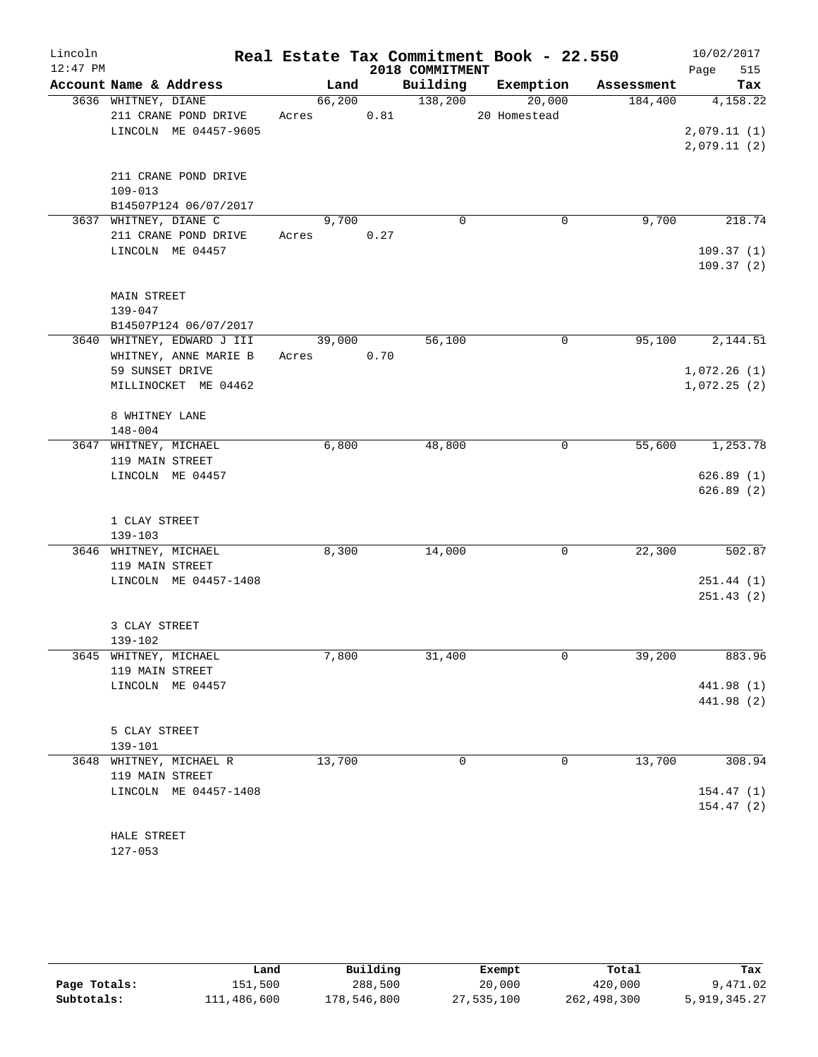| Lincoln    |                            |            |        |      |                 | Real Estate Tax Commitment Book - 22.550 |            | 10/02/2017  |
|------------|----------------------------|------------|--------|------|-----------------|------------------------------------------|------------|-------------|
| $12:47$ PM |                            |            |        |      | 2018 COMMITMENT |                                          |            | 515<br>Page |
|            | Account Name & Address     |            | Land   |      | Building        | Exemption                                | Assessment | Tax         |
|            | 3636 WHITNEY, DIANE        |            | 66,200 |      | 138,200         | 20,000                                   | 184,400    | 4,158.22    |
|            | 211 CRANE POND DRIVE       | Acres      |        | 0.81 |                 | 20 Homestead                             |            |             |
|            | LINCOLN ME 04457-9605      |            |        |      |                 |                                          |            | 2,079.11(1) |
|            |                            |            |        |      |                 |                                          |            | 2,079.11(2) |
|            |                            |            |        |      |                 |                                          |            |             |
|            | 211 CRANE POND DRIVE       |            |        |      |                 |                                          |            |             |
|            | $109 - 013$                |            |        |      |                 |                                          |            |             |
|            | B14507P124 06/07/2017      |            |        |      |                 |                                          |            |             |
|            | 3637 WHITNEY, DIANE C      |            | 9,700  |      | $\mathbf 0$     | 0                                        | 9,700      | 218.74      |
|            | 211 CRANE POND DRIVE       | Acres      |        | 0.27 |                 |                                          |            |             |
|            | LINCOLN ME 04457           |            |        |      |                 |                                          |            | 109.37(1)   |
|            |                            |            |        |      |                 |                                          |            | 109.37(2)   |
|            | <b>MAIN STREET</b>         |            |        |      |                 |                                          |            |             |
|            | $139 - 047$                |            |        |      |                 |                                          |            |             |
|            | B14507P124 06/07/2017      |            |        |      |                 |                                          |            |             |
|            | 3640 WHITNEY, EDWARD J III |            | 39,000 |      | 56,100          | 0                                        | 95,100     | 2,144.51    |
|            | WHITNEY, ANNE MARIE B      | Acres 0.70 |        |      |                 |                                          |            |             |
|            | 59 SUNSET DRIVE            |            |        |      |                 |                                          |            | 1,072.26(1) |
|            | MILLINOCKET ME 04462       |            |        |      |                 |                                          |            | 1,072.25(2) |
|            |                            |            |        |      |                 |                                          |            |             |
|            | 8 WHITNEY LANE             |            |        |      |                 |                                          |            |             |
|            | $148 - 004$                |            |        |      |                 |                                          |            |             |
|            | 3647 WHITNEY, MICHAEL      |            | 6,800  |      | 48,800          | 0                                        | 55,600     | 1,253.78    |
|            | 119 MAIN STREET            |            |        |      |                 |                                          |            |             |
|            | LINCOLN ME 04457           |            |        |      |                 |                                          |            | 626.89(1)   |
|            |                            |            |        |      |                 |                                          |            | 626.89(2)   |
|            | 1 CLAY STREET              |            |        |      |                 |                                          |            |             |
|            | 139-103                    |            |        |      |                 |                                          |            |             |
|            | 3646 WHITNEY, MICHAEL      |            | 8,300  |      | 14,000          | 0                                        | 22,300     | 502.87      |
|            | 119 MAIN STREET            |            |        |      |                 |                                          |            |             |
|            | LINCOLN ME 04457-1408      |            |        |      |                 |                                          |            | 251.44(1)   |
|            |                            |            |        |      |                 |                                          |            | 251.43(2)   |
|            |                            |            |        |      |                 |                                          |            |             |
|            | 3 CLAY STREET              |            |        |      |                 |                                          |            |             |
|            | 139-102                    |            |        |      |                 |                                          |            |             |
|            | 3645 WHITNEY, MICHAEL      |            | 7,800  |      | 31,400          | 0                                        | 39,200     | 883.96      |
|            | 119 MAIN STREET            |            |        |      |                 |                                          |            |             |
|            | LINCOLN ME 04457           |            |        |      |                 |                                          |            | 441.98 (1)  |
|            |                            |            |        |      |                 |                                          |            | 441.98 (2)  |
|            |                            |            |        |      |                 |                                          |            |             |
|            | 5 CLAY STREET              |            |        |      |                 |                                          |            |             |
|            | 139-101                    |            |        |      |                 |                                          |            |             |
|            | 3648 WHITNEY, MICHAEL R    |            | 13,700 |      | 0               | 0                                        | 13,700     | 308.94      |
|            | 119 MAIN STREET            |            |        |      |                 |                                          |            |             |
|            | LINCOLN ME 04457-1408      |            |        |      |                 |                                          |            | 154.47(1)   |
|            |                            |            |        |      |                 |                                          |            | 154.47(2)   |
|            | HALE STREET                |            |        |      |                 |                                          |            |             |
|            |                            |            |        |      |                 |                                          |            |             |

127-053

|              | Land        | Building    | Exempt     | Total       | Tax          |
|--------------|-------------|-------------|------------|-------------|--------------|
| Page Totals: | 151,500     | 288,500     | 20,000     | 420,000     | 9,471.02     |
| Subtotals:   | 111,486,600 | 178,546,800 | 27,535,100 | 262,498,300 | 5,919,345.27 |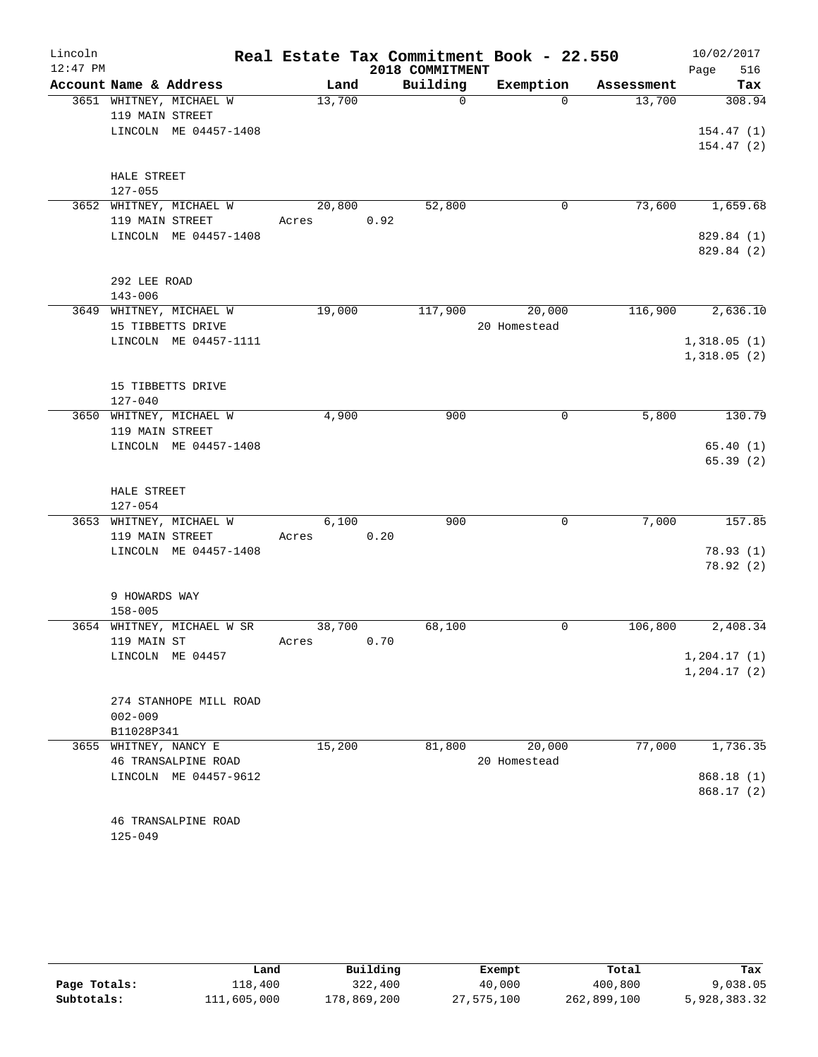| Lincoln<br>$12:47$ PM |                                                                     |                 |            | 2018 COMMITMENT | Real Estate Tax Commitment Book - 22.550 |            | 10/02/2017<br>516<br>Page        |
|-----------------------|---------------------------------------------------------------------|-----------------|------------|-----------------|------------------------------------------|------------|----------------------------------|
|                       | Account Name & Address                                              | Land            |            | Building        | Exemption                                | Assessment | Tax                              |
|                       | 3651 WHITNEY, MICHAEL W<br>119 MAIN STREET<br>LINCOLN ME 04457-1408 | 13,700          |            | $\mathbf 0$     | $\Omega$                                 | 13,700     | 308.94<br>154.47(1)<br>154.47(2) |
|                       | HALE STREET<br>$127 - 055$                                          |                 |            |                 |                                          |            |                                  |
|                       | 3652 WHITNEY, MICHAEL W<br>119 MAIN STREET                          | 20,800<br>Acres | 0.92       | 52,800          | 0                                        | 73,600     | 1,659.68                         |
|                       | LINCOLN ME 04457-1408                                               |                 |            |                 |                                          |            | 829.84 (1)<br>829.84 (2)         |
|                       | 292 LEE ROAD<br>$143 - 006$                                         |                 |            |                 |                                          |            |                                  |
|                       | 3649 WHITNEY, MICHAEL W<br>15 TIBBETTS DRIVE                        | 19,000          |            | 117,900         | 20,000<br>20 Homestead                   | 116,900    | 2,636.10                         |
|                       | LINCOLN ME 04457-1111                                               |                 |            |                 |                                          |            | 1,318.05(1)<br>1,318.05(2)       |
|                       | 15 TIBBETTS DRIVE<br>$127 - 040$                                    |                 |            |                 |                                          |            |                                  |
|                       | 3650 WHITNEY, MICHAEL W<br>119 MAIN STREET<br>LINCOLN ME 04457-1408 | 4,900           |            | 900             | 0                                        | 5,800      | 130.79<br>65.40(1)               |
|                       | HALE STREET<br>$127 - 054$                                          |                 |            |                 |                                          |            | 65.39(2)                         |
|                       | 3653 WHITNEY, MICHAEL W<br>119 MAIN STREET                          | 6,100<br>Acres  | 0.20       | 900             | $\mathbf 0$                              | 7,000      | 157.85                           |
|                       | LINCOLN ME 04457-1408                                               |                 |            |                 |                                          |            | 78.93(1)<br>78.92(2)             |
|                       | 9 HOWARDS WAY<br>$158 - 005$                                        |                 |            |                 |                                          |            |                                  |
|                       | 3654 WHITNEY, MICHAEL W SR<br>119 MAIN ST                           | 38,700<br>Acres | $0\,.\,70$ | 68,100          | $\mathbf 0$                              | 106,800    | 2,408.34                         |
|                       | LINCOLN ME 04457                                                    |                 |            |                 |                                          |            | 1, 204.17(1)<br>1, 204.17(2)     |
|                       | 274 STANHOPE MILL ROAD<br>$002 - 009$<br>B11028P341                 |                 |            |                 |                                          |            |                                  |
|                       | 3655 WHITNEY, NANCY E<br>46 TRANSALPINE ROAD                        | 15,200          |            | 81,800          | 20,000<br>20 Homestead                   | 77,000     | 1,736.35                         |
|                       | LINCOLN ME 04457-9612                                               |                 |            |                 |                                          |            | 868.18(1)<br>868.17(2)           |
|                       | 46 TRANSALPINE ROAD<br>$125 - 049$                                  |                 |            |                 |                                          |            |                                  |

|              | Land        | Building    | Exempt     | Total       | Tax          |
|--------------|-------------|-------------|------------|-------------|--------------|
| Page Totals: | 118,400     | 322,400     | 40,000     | 400,800     | 9,038.05     |
| Subtotals:   | 111,605,000 | 178,869,200 | 27,575,100 | 262,899,100 | 5,928,383.32 |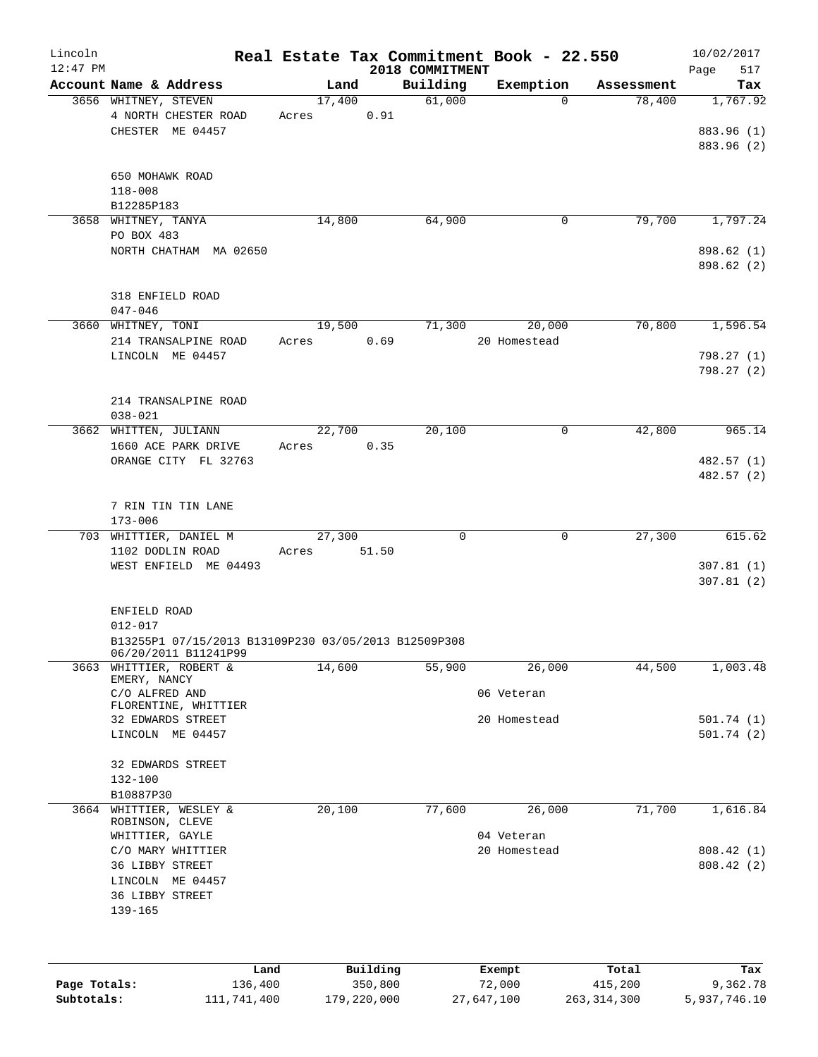| Lincoln      |                                                                              |        |             |                             | Real Estate Tax Commitment Book - 22.550 |               | 10/02/2017               |
|--------------|------------------------------------------------------------------------------|--------|-------------|-----------------------------|------------------------------------------|---------------|--------------------------|
| $12:47$ PM   | Account Name & Address                                                       | Land   |             | 2018 COMMITMENT<br>Building |                                          | Assessment    | Page<br>517              |
|              | 3656 WHITNEY, STEVEN                                                         | 17,400 |             | 61,000                      | Exemption<br>$\Omega$                    | 78,400        | Tax<br>1,767.92          |
|              | 4 NORTH CHESTER ROAD                                                         | Acres  | 0.91        |                             |                                          |               |                          |
|              | CHESTER ME 04457                                                             |        |             |                             |                                          |               | 883.96 (1)               |
|              |                                                                              |        |             |                             |                                          |               | 883.96 (2)               |
|              |                                                                              |        |             |                             |                                          |               |                          |
|              | 650 MOHAWK ROAD                                                              |        |             |                             |                                          |               |                          |
|              | $118 - 008$                                                                  |        |             |                             |                                          |               |                          |
|              | B12285P183<br>3658 WHITNEY, TANYA                                            | 14,800 |             | 64,900                      | $\mathbf 0$                              | 79,700        | 1,797.24                 |
|              | PO BOX 483                                                                   |        |             |                             |                                          |               |                          |
|              | NORTH CHATHAM MA 02650                                                       |        |             |                             |                                          |               | 898.62 (1)               |
|              |                                                                              |        |             |                             |                                          |               | 898.62 (2)               |
|              |                                                                              |        |             |                             |                                          |               |                          |
|              | 318 ENFIELD ROAD                                                             |        |             |                             |                                          |               |                          |
|              | $047 - 046$                                                                  |        |             |                             |                                          |               |                          |
|              | 3660 WHITNEY, TONI                                                           | 19,500 |             | 71,300                      | 20,000                                   | 70,800        | 1,596.54                 |
|              | 214 TRANSALPINE ROAD                                                         | Acres  | 0.69        |                             | 20 Homestead                             |               |                          |
|              | LINCOLN ME 04457                                                             |        |             |                             |                                          |               | 798.27 (1)<br>798.27 (2) |
|              |                                                                              |        |             |                             |                                          |               |                          |
|              | 214 TRANSALPINE ROAD                                                         |        |             |                             |                                          |               |                          |
|              | $038 - 021$                                                                  |        |             |                             |                                          |               |                          |
|              | 3662 WHITTEN, JULIANN                                                        | 22,700 |             | 20,100                      | $\mathbf 0$                              | 42,800        | 965.14                   |
|              | 1660 ACE PARK DRIVE                                                          | Acres  | 0.35        |                             |                                          |               |                          |
|              | ORANGE CITY FL 32763                                                         |        |             |                             |                                          |               | 482.57 (1)               |
|              |                                                                              |        |             |                             |                                          |               | 482.57 (2)               |
|              |                                                                              |        |             |                             |                                          |               |                          |
|              | 7 RIN TIN TIN LANE<br>$173 - 006$                                            |        |             |                             |                                          |               |                          |
|              | 703 WHITTIER, DANIEL M                                                       | 27,300 |             | $\Omega$                    | $\mathbf{0}$                             | 27,300        | 615.62                   |
|              | 1102 DODLIN ROAD                                                             | Acres  | 51.50       |                             |                                          |               |                          |
|              | WEST ENFIELD ME 04493                                                        |        |             |                             |                                          |               | 307.81(1)                |
|              |                                                                              |        |             |                             |                                          |               | 307.81(2)                |
|              |                                                                              |        |             |                             |                                          |               |                          |
|              | ENFIELD ROAD                                                                 |        |             |                             |                                          |               |                          |
|              | $012 - 017$                                                                  |        |             |                             |                                          |               |                          |
|              | B13255P1 07/15/2013 B13109P230 03/05/2013 B12509P308<br>06/20/2011 B11241P99 |        |             |                             |                                          |               |                          |
| 3663         | WHITTIER, ROBERT &                                                           | 14,600 |             | 55,900                      | 26,000                                   | 44,500        | 1,003.48                 |
|              | EMERY, NANCY                                                                 |        |             |                             |                                          |               |                          |
|              | C/O ALFRED AND<br>FLORENTINE, WHITTIER                                       |        |             |                             | 06 Veteran                               |               |                          |
|              | 32 EDWARDS STREET                                                            |        |             |                             | 20 Homestead                             |               | 501.74(1)                |
|              | LINCOLN ME 04457                                                             |        |             |                             |                                          |               | 501.74 (2)               |
|              |                                                                              |        |             |                             |                                          |               |                          |
|              | 32 EDWARDS STREET                                                            |        |             |                             |                                          |               |                          |
|              | $132 - 100$                                                                  |        |             |                             |                                          |               |                          |
|              | B10887P30                                                                    |        |             |                             |                                          |               |                          |
| 3664         | WHITTIER, WESLEY &<br>ROBINSON, CLEVE                                        | 20,100 |             | 77,600                      | 26,000                                   | 71,700        | 1,616.84                 |
|              | WHITTIER, GAYLE                                                              |        |             |                             | 04 Veteran                               |               |                          |
|              | C/O MARY WHITTIER                                                            |        |             |                             | 20 Homestead                             |               | 808.42 (1)               |
|              | 36 LIBBY STREET                                                              |        |             |                             |                                          |               | 808.42 (2)               |
|              | LINCOLN ME 04457                                                             |        |             |                             |                                          |               |                          |
|              | 36 LIBBY STREET                                                              |        |             |                             |                                          |               |                          |
|              | 139-165                                                                      |        |             |                             |                                          |               |                          |
|              |                                                                              |        |             |                             |                                          |               |                          |
|              | Land                                                                         |        | Building    |                             | Exempt                                   | Total         | Tax                      |
| Page Totals: | 136,400                                                                      |        | 350,800     |                             | 72,000                                   | 415,200       | 9,362.78                 |
| Subtotals:   | 111,741,400                                                                  |        | 179,220,000 |                             | 27,647,100                               | 263, 314, 300 | 5,937,746.10             |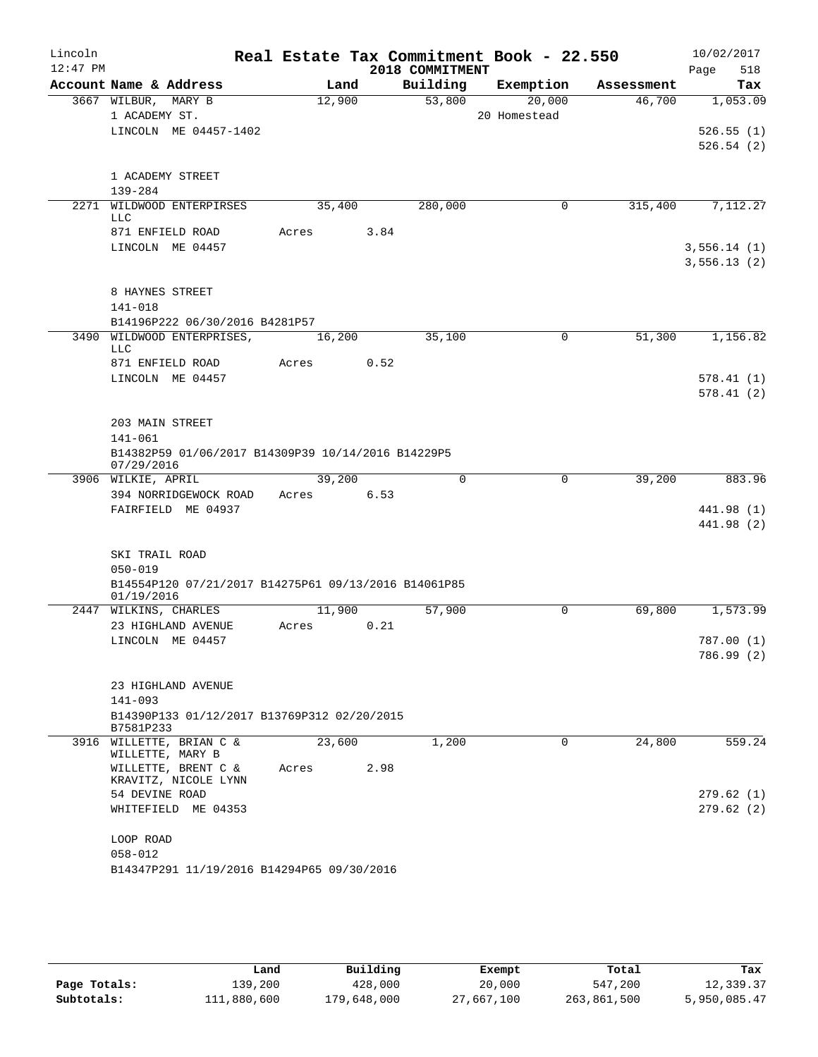| Lincoln<br>$12:47$ PM |                                                                    |        |      | 2018 COMMITMENT | Real Estate Tax Commitment Book - 22.550 |            | 10/02/2017<br>518<br>Page |
|-----------------------|--------------------------------------------------------------------|--------|------|-----------------|------------------------------------------|------------|---------------------------|
|                       | Account Name & Address                                             | Land   |      | Building        | Exemption                                | Assessment | Tax                       |
|                       | 3667 WILBUR, MARY B                                                | 12,900 |      | 53,800          | 20,000                                   | 46,700     | 1,053.09                  |
|                       | 1 ACADEMY ST.                                                      |        |      |                 | 20 Homestead                             |            |                           |
|                       | LINCOLN ME 04457-1402                                              |        |      |                 |                                          |            | 526.55(1)                 |
|                       |                                                                    |        |      |                 |                                          |            | 526.54(2)                 |
|                       |                                                                    |        |      |                 |                                          |            |                           |
|                       | 1 ACADEMY STREET<br>139-284                                        |        |      |                 |                                          |            |                           |
|                       | 2271 WILDWOOD ENTERPIRSES                                          | 35,400 |      | 280,000         | 0                                        | 315,400    | 7,112.27                  |
|                       | <b>LLC</b>                                                         |        |      |                 |                                          |            |                           |
|                       | 871 ENFIELD ROAD                                                   | Acres  | 3.84 |                 |                                          |            |                           |
|                       | LINCOLN ME 04457                                                   |        |      |                 |                                          |            | 3,556.14(1)               |
|                       |                                                                    |        |      |                 |                                          |            | 3,556.13(2)               |
|                       |                                                                    |        |      |                 |                                          |            |                           |
|                       | 8 HAYNES STREET                                                    |        |      |                 |                                          |            |                           |
|                       | $141 - 018$                                                        |        |      |                 |                                          |            |                           |
|                       | B14196P222 06/30/2016 B4281P57<br>3490 WILDWOOD ENTERPRISES,       | 16,200 |      | 35,100          | $\mathbf 0$                              | 51,300     | 1,156.82                  |
|                       | LLC                                                                |        |      |                 |                                          |            |                           |
|                       | 871 ENFIELD ROAD                                                   | Acres  | 0.52 |                 |                                          |            |                           |
|                       | LINCOLN ME 04457                                                   |        |      |                 |                                          |            | 578.41(1)                 |
|                       |                                                                    |        |      |                 |                                          |            | 578.41(2)                 |
|                       |                                                                    |        |      |                 |                                          |            |                           |
|                       | 203 MAIN STREET                                                    |        |      |                 |                                          |            |                           |
|                       | 141-061                                                            |        |      |                 |                                          |            |                           |
|                       | B14382P59 01/06/2017 B14309P39 10/14/2016 B14229P5<br>07/29/2016   |        |      |                 |                                          |            |                           |
|                       | 3906 WILKIE, APRIL                                                 | 39,200 |      | 0               | $\mathbf 0$                              | 39,200     | 883.96                    |
|                       | 394 NORRIDGEWOCK ROAD                                              | Acres  | 6.53 |                 |                                          |            |                           |
|                       | FAIRFIELD ME 04937                                                 |        |      |                 |                                          |            | 441.98 (1)                |
|                       |                                                                    |        |      |                 |                                          |            | 441.98 (2)                |
|                       |                                                                    |        |      |                 |                                          |            |                           |
|                       | SKI TRAIL ROAD                                                     |        |      |                 |                                          |            |                           |
|                       | $050 - 019$                                                        |        |      |                 |                                          |            |                           |
|                       | B14554P120 07/21/2017 B14275P61 09/13/2016 B14061P85<br>01/19/2016 |        |      |                 |                                          |            |                           |
|                       | 2447 WILKINS, CHARLES                                              | 11,900 |      | 57,900          | 0                                        | 69,800     | 1,573.99                  |
|                       | 23 HIGHLAND AVENUE                                                 | Acres  | 0.21 |                 |                                          |            |                           |
|                       | LINCOLN ME 04457                                                   |        |      |                 |                                          |            | 787.00(1)                 |
|                       |                                                                    |        |      |                 |                                          |            | 786.99 (2)                |
|                       |                                                                    |        |      |                 |                                          |            |                           |
|                       | 23 HIGHLAND AVENUE                                                 |        |      |                 |                                          |            |                           |
|                       | $141 - 093$<br>B14390P133 01/12/2017 B13769P312 02/20/2015         |        |      |                 |                                          |            |                           |
|                       | B7581P233                                                          |        |      |                 |                                          |            |                           |
|                       | 3916 WILLETTE, BRIAN C &                                           | 23,600 |      | 1,200           | 0                                        | 24,800     | 559.24                    |
|                       | WILLETTE, MARY B                                                   |        |      |                 |                                          |            |                           |
|                       | WILLETTE, BRENT C &<br>KRAVITZ, NICOLE LYNN                        | Acres  | 2.98 |                 |                                          |            |                           |
|                       | 54 DEVINE ROAD                                                     |        |      |                 |                                          |            | 279.62(1)                 |
|                       | WHITEFIELD ME 04353                                                |        |      |                 |                                          |            | 279.62(2)                 |
|                       |                                                                    |        |      |                 |                                          |            |                           |
|                       | LOOP ROAD                                                          |        |      |                 |                                          |            |                           |
|                       | $058 - 012$                                                        |        |      |                 |                                          |            |                           |
|                       | B14347P291 11/19/2016 B14294P65 09/30/2016                         |        |      |                 |                                          |            |                           |
|                       |                                                                    |        |      |                 |                                          |            |                           |

|              | Land        | Building    | Exempt     | Total       | Tax          |
|--------------|-------------|-------------|------------|-------------|--------------|
| Page Totals: | 139,200     | 428,000     | 20,000     | 547,200     | 12,339.37    |
| Subtotals:   | 111,880,600 | 179,648,000 | 27,667,100 | 263,861,500 | 5,950,085.47 |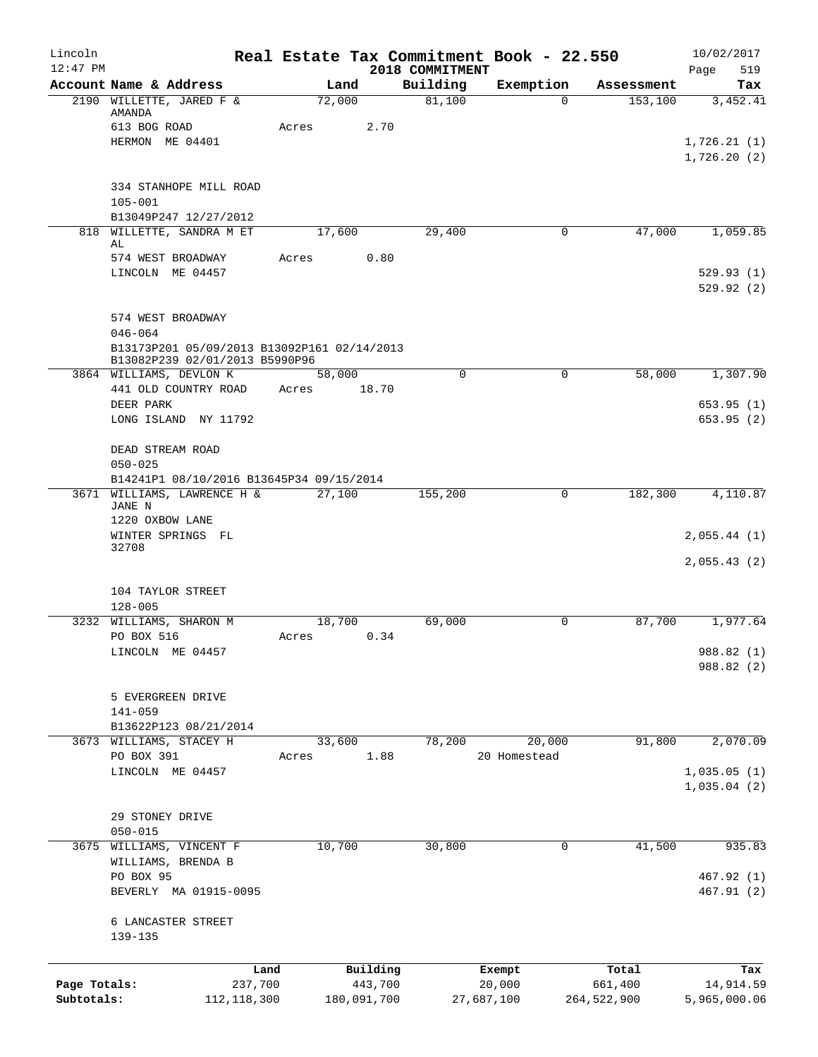| Lincoln<br>$12:47$ PM |                                                                               |        |             | 2018 COMMITMENT | Real Estate Tax Commitment Book - 22.550 |             | 10/02/2017<br>519<br>Page |
|-----------------------|-------------------------------------------------------------------------------|--------|-------------|-----------------|------------------------------------------|-------------|---------------------------|
|                       | Account Name & Address                                                        | Land   |             | Building        | Exemption                                | Assessment  | Tax                       |
|                       | 2190 WILLETTE, JARED F &<br>AMANDA                                            | 72,000 |             | 81,100          | $\Omega$                                 | 153,100     | 3,452.41                  |
|                       | 613 BOG ROAD<br>HERMON ME 04401                                               | Acres  | 2.70        |                 |                                          |             | 1,726.21(1)               |
|                       |                                                                               |        |             |                 |                                          |             | 1,726.20(2)               |
|                       | 334 STANHOPE MILL ROAD<br>$105 - 001$                                         |        |             |                 |                                          |             |                           |
|                       | B13049P247 12/27/2012                                                         |        |             |                 |                                          |             |                           |
|                       | 818 WILLETTE, SANDRA M ET                                                     | 17,600 |             | 29,400          | 0                                        | 47,000      | 1,059.85                  |
|                       | AL<br>574 WEST BROADWAY                                                       | Acres  | 0.80        |                 |                                          |             |                           |
|                       | LINCOLN ME 04457                                                              |        |             |                 |                                          |             | 529.93(1)<br>529.92(2)    |
|                       |                                                                               |        |             |                 |                                          |             |                           |
|                       | 574 WEST BROADWAY<br>$046 - 064$                                              |        |             |                 |                                          |             |                           |
|                       | B13173P201 05/09/2013 B13092P161 02/14/2013<br>B13082P239 02/01/2013 B5990P96 |        |             |                 |                                          |             |                           |
|                       | 3864 WILLIAMS, DEVLON K                                                       | 58,000 |             | $\Omega$        | $\Omega$                                 | 58,000      | 1,307.90                  |
|                       | 441 OLD COUNTRY ROAD<br>DEER PARK                                             | Acres  | 18.70       |                 |                                          |             | 653.95(1)                 |
|                       | LONG ISLAND NY 11792                                                          |        |             |                 |                                          |             | 653.95(2)                 |
|                       | DEAD STREAM ROAD<br>$050 - 025$                                               |        |             |                 |                                          |             |                           |
|                       | B14241P1 08/10/2016 B13645P34 09/15/2014                                      |        |             |                 |                                          |             |                           |
|                       | 3671 WILLIAMS, LAWRENCE H &                                                   | 27,100 |             | 155,200         | 0                                        | 182,300     | 4,110.87                  |
|                       | JANE N<br>1220 OXBOW LANE                                                     |        |             |                 |                                          |             |                           |
|                       | WINTER SPRINGS FL<br>32708                                                    |        |             |                 |                                          |             | 2,055.44(1)               |
|                       |                                                                               |        |             |                 |                                          |             | 2,055.43(2)               |
|                       | 104 TAYLOR STREET<br>$128 - 005$                                              |        |             |                 |                                          |             |                           |
|                       | 3232 WILLIAMS, SHARON M                                                       | 18,700 |             | 69,000          | 0                                        | 87,700      | 1,977.64                  |
|                       | PO BOX 516                                                                    | Acres  | 0.34        |                 |                                          |             |                           |
|                       | LINCOLN ME 04457                                                              |        |             |                 |                                          |             | 988.82 (1)                |
|                       |                                                                               |        |             |                 |                                          |             | 988.82 (2)                |
|                       | 5 EVERGREEN DRIVE                                                             |        |             |                 |                                          |             |                           |
|                       | $141 - 059$                                                                   |        |             |                 |                                          |             |                           |
|                       | B13622P123 08/21/2014<br>3673 WILLIAMS, STACEY H                              | 33,600 |             | 78,200          | 20,000                                   | 91,800      | 2,070.09                  |
|                       | PO BOX 391                                                                    | Acres  | 1.88        |                 | 20 Homestead                             |             |                           |
|                       | LINCOLN ME 04457                                                              |        |             |                 |                                          |             | 1,035.05(1)               |
|                       |                                                                               |        |             |                 |                                          |             | 1,035.04(2)               |
|                       | 29 STONEY DRIVE                                                               |        |             |                 |                                          |             |                           |
|                       | $050 - 015$                                                                   |        |             |                 |                                          |             |                           |
| 3675                  | WILLIAMS, VINCENT F<br>WILLIAMS, BRENDA B                                     | 10,700 |             | 30,800          | 0                                        | 41,500      | 935.83                    |
|                       | PO BOX 95                                                                     |        |             |                 |                                          |             | 467.92 (1)                |
|                       | BEVERLY MA 01915-0095                                                         |        |             |                 |                                          |             | 467.91 (2)                |
|                       | 6 LANCASTER STREET<br>139-135                                                 |        |             |                 |                                          |             |                           |
|                       | Land                                                                          |        | Building    |                 | Exempt                                   | Total       | Tax                       |
| Page Totals:          | 237,700                                                                       |        | 443,700     |                 | 20,000                                   | 661,400     | 14,914.59                 |
| Subtotals:            | 112, 118, 300                                                                 |        | 180,091,700 |                 | 27,687,100                               | 264,522,900 | 5,965,000.06              |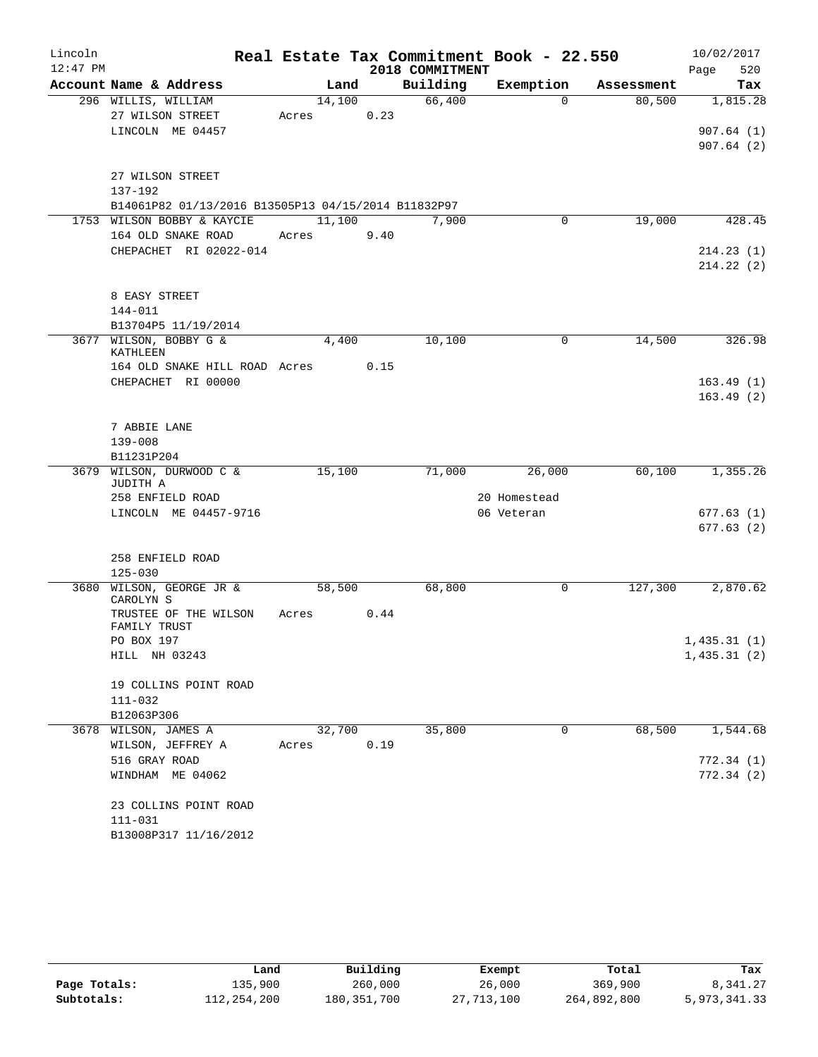| Lincoln     |                                                     |        |      |                 | Real Estate Tax Commitment Book - 22.550 |            | 10/02/2017  |
|-------------|-----------------------------------------------------|--------|------|-----------------|------------------------------------------|------------|-------------|
| $12:47$ PM  |                                                     |        |      | 2018 COMMITMENT |                                          |            | 520<br>Page |
|             | Account Name & Address                              | Land   |      | Building        | Exemption                                | Assessment | Tax         |
|             | 296 WILLIS, WILLIAM                                 | 14,100 |      | 66,400          | $\Omega$                                 | 80,500     | 1,815.28    |
|             | 27 WILSON STREET                                    | Acres  | 0.23 |                 |                                          |            |             |
|             | LINCOLN ME 04457                                    |        |      |                 |                                          |            | 907.64(1)   |
|             |                                                     |        |      |                 |                                          |            | 907.64(2)   |
|             | 27 WILSON STREET                                    |        |      |                 |                                          |            |             |
|             | 137-192                                             |        |      |                 |                                          |            |             |
|             | B14061P82 01/13/2016 B13505P13 04/15/2014 B11832P97 |        |      |                 |                                          |            |             |
|             | 1753 WILSON BOBBY & KAYCIE                          | 11,100 |      | 7,900           | 0                                        | 19,000     | 428.45      |
|             | 164 OLD SNAKE ROAD                                  | Acres  | 9.40 |                 |                                          |            |             |
|             | CHEPACHET RI 02022-014                              |        |      |                 |                                          |            | 214.23(1)   |
|             |                                                     |        |      |                 |                                          |            | 214.22(2)   |
|             | 8 EASY STREET                                       |        |      |                 |                                          |            |             |
|             | $144 - 011$                                         |        |      |                 |                                          |            |             |
|             | B13704P5 11/19/2014                                 |        |      |                 |                                          |            |             |
|             | 3677 WILSON, BOBBY G &                              | 4,400  |      | 10,100          | 0                                        | 14,500     | 326.98      |
|             | KATHLEEN                                            |        |      |                 |                                          |            |             |
|             | 164 OLD SNAKE HILL ROAD Acres                       |        | 0.15 |                 |                                          |            |             |
|             | CHEPACHET RI 00000                                  |        |      |                 |                                          |            | 163.49(1)   |
|             |                                                     |        |      |                 |                                          |            | 163.49(2)   |
|             | 7 ABBIE LANE                                        |        |      |                 |                                          |            |             |
| $139 - 008$ |                                                     |        |      |                 |                                          |            |             |
|             | B11231P204                                          |        |      |                 |                                          |            |             |
|             | 3679 WILSON, DURWOOD C &<br>JUDITH A                | 15,100 |      | 71,000          | 26,000                                   | 60,100     | 1,355.26    |
|             | 258 ENFIELD ROAD                                    |        |      |                 | 20 Homestead                             |            |             |
|             | LINCOLN ME 04457-9716                               |        |      |                 | 06 Veteran                               |            | 677.63(1)   |
|             |                                                     |        |      |                 |                                          |            | 677.63(2)   |
|             |                                                     |        |      |                 |                                          |            |             |
|             | 258 ENFIELD ROAD                                    |        |      |                 |                                          |            |             |
|             | $125 - 030$                                         |        |      |                 |                                          |            |             |
| 3680        | WILSON, GEORGE JR &                                 | 58,500 |      | 68,800          | 0                                        | 127,300    | 2,870.62    |
|             | CAROLYN S                                           |        |      |                 |                                          |            |             |
|             | TRUSTEE OF THE WILSON<br>FAMILY TRUST               | Acres  | 0.44 |                 |                                          |            |             |
|             | PO BOX 197                                          |        |      |                 |                                          |            | 1,435.31(1) |
|             | HILL NH 03243                                       |        |      |                 |                                          |            | 1,435.31(2) |
|             |                                                     |        |      |                 |                                          |            |             |
|             | 19 COLLINS POINT ROAD                               |        |      |                 |                                          |            |             |
|             | 111-032                                             |        |      |                 |                                          |            |             |
|             | B12063P306                                          |        |      |                 |                                          |            |             |
|             | 3678 WILSON, JAMES A                                | 32,700 |      | 35,800          | 0                                        | 68,500     | 1,544.68    |
|             | WILSON, JEFFREY A                                   | Acres  | 0.19 |                 |                                          |            |             |
|             | 516 GRAY ROAD                                       |        |      |                 |                                          |            | 772.34(1)   |
|             | WINDHAM ME 04062                                    |        |      |                 |                                          |            | 772.34(2)   |
|             | 23 COLLINS POINT ROAD                               |        |      |                 |                                          |            |             |
|             | $111 - 031$                                         |        |      |                 |                                          |            |             |
|             | B13008P317 11/16/2012                               |        |      |                 |                                          |            |             |
|             |                                                     |        |      |                 |                                          |            |             |

|              | Land        | Building      | Exempt     | Total       | Tax          |
|--------------|-------------|---------------|------------|-------------|--------------|
| Page Totals: | 135,900     | 260,000       | 26,000     | 369,900     | 8,341.27     |
| Subtotals:   | 112,254,200 | 180, 351, 700 | 27,713,100 | 264,892,800 | 5,973,341.33 |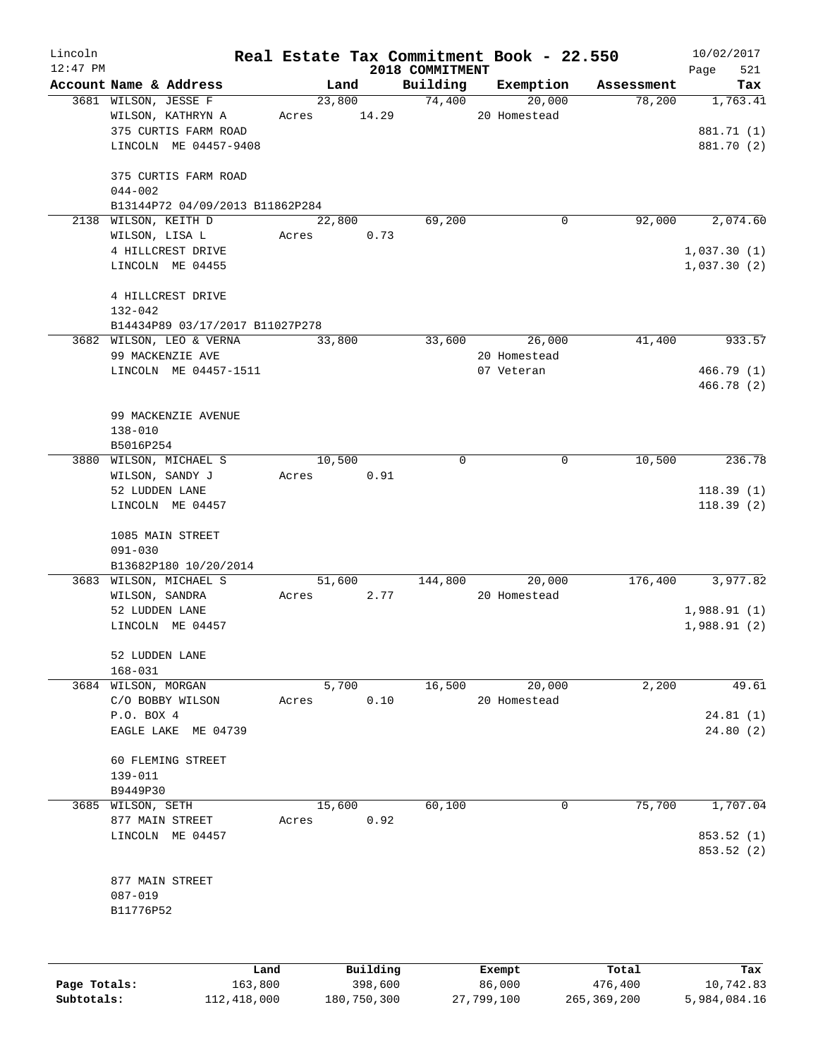| Lincoln     |                                                |                |          |                    | Real Estate Tax Commitment Book - 22.550 |                      | 10/02/2017               |
|-------------|------------------------------------------------|----------------|----------|--------------------|------------------------------------------|----------------------|--------------------------|
| $12:47$ PM  |                                                |                |          | 2018 COMMITMENT    |                                          |                      | 521<br>Page              |
|             | Account Name & Address<br>3681 WILSON, JESSE F | Land<br>23,800 |          | Building<br>74,400 | Exemption<br>20,000                      | Assessment<br>78,200 | Tax<br>1,763.41          |
|             | WILSON, KATHRYN A                              | Acres          | 14.29    |                    | 20 Homestead                             |                      |                          |
|             | 375 CURTIS FARM ROAD                           |                |          |                    |                                          |                      | 881.71 (1)               |
|             | LINCOLN ME 04457-9408                          |                |          |                    |                                          |                      | 881.70 (2)               |
|             |                                                |                |          |                    |                                          |                      |                          |
|             | 375 CURTIS FARM ROAD                           |                |          |                    |                                          |                      |                          |
|             | $044 - 002$                                    |                |          |                    |                                          |                      |                          |
|             | B13144P72 04/09/2013 B11862P284                |                |          |                    |                                          |                      |                          |
|             | 2138 WILSON, KEITH D                           | 22,800         |          | 69,200             | 0                                        | 92,000               | 2,074.60                 |
|             | WILSON, LISA L                                 | Acres          | 0.73     |                    |                                          |                      |                          |
|             | 4 HILLCREST DRIVE                              |                |          |                    |                                          |                      | 1,037.30(1)              |
|             | LINCOLN ME 04455                               |                |          |                    |                                          |                      | 1,037.30(2)              |
|             |                                                |                |          |                    |                                          |                      |                          |
| $132 - 042$ | 4 HILLCREST DRIVE                              |                |          |                    |                                          |                      |                          |
|             | B14434P89 03/17/2017 B11027P278                |                |          |                    |                                          |                      |                          |
|             | 3682 WILSON, LEO & VERNA                       | 33,800         |          | 33,600             | 26,000                                   | 41,400               | 933.57                   |
|             | 99 MACKENZIE AVE                               |                |          |                    | 20 Homestead                             |                      |                          |
|             | LINCOLN ME 04457-1511                          |                |          |                    | 07 Veteran                               |                      | 466.79(1)                |
|             |                                                |                |          |                    |                                          |                      | 466.78(2)                |
|             |                                                |                |          |                    |                                          |                      |                          |
|             | 99 MACKENZIE AVENUE                            |                |          |                    |                                          |                      |                          |
|             | $138 - 010$                                    |                |          |                    |                                          |                      |                          |
|             | B5016P254                                      |                |          |                    |                                          |                      |                          |
|             | 3880 WILSON, MICHAEL S                         | 10,500         |          | $\mathbf 0$        | 0                                        | 10,500               | 236.78                   |
|             | WILSON, SANDY J                                | Acres          | 0.91     |                    |                                          |                      |                          |
|             | 52 LUDDEN LANE                                 |                |          |                    |                                          |                      | 118.39(1)                |
|             | LINCOLN ME 04457                               |                |          |                    |                                          |                      | 118.39(2)                |
|             | 1085 MAIN STREET                               |                |          |                    |                                          |                      |                          |
|             | $091 - 030$                                    |                |          |                    |                                          |                      |                          |
|             | B13682P180 10/20/2014                          |                |          |                    |                                          |                      |                          |
|             | 3683 WILSON, MICHAEL S                         | 51,600         |          | 144,800            | 20,000                                   | 176,400              | 3,977.82                 |
|             | WILSON, SANDRA                                 | Acres          | 2.77     |                    | 20 Homestead                             |                      |                          |
|             | 52 LUDDEN LANE                                 |                |          |                    |                                          |                      | 1,988.91(1)              |
|             | LINCOLN ME 04457                               |                |          |                    |                                          |                      | 1,988.91(2)              |
|             |                                                |                |          |                    |                                          |                      |                          |
|             | 52 LUDDEN LANE                                 |                |          |                    |                                          |                      |                          |
|             | $168 - 031$                                    |                |          |                    |                                          |                      |                          |
|             | 3684 WILSON, MORGAN                            | 5,700          |          | 16,500             | 20,000                                   | 2,200                | 49.61                    |
|             | C/O BOBBY WILSON                               | Acres          | 0.10     |                    | 20 Homestead                             |                      |                          |
|             | P.O. BOX 4<br>EAGLE LAKE ME 04739              |                |          |                    |                                          |                      | 24.81(1)<br>24.80(2)     |
|             |                                                |                |          |                    |                                          |                      |                          |
|             | 60 FLEMING STREET                              |                |          |                    |                                          |                      |                          |
|             | $139 - 011$                                    |                |          |                    |                                          |                      |                          |
|             | B9449P30                                       |                |          |                    |                                          |                      |                          |
|             | 3685 WILSON, SETH                              | 15,600         |          | 60,100             | 0                                        | 75,700               | 1,707.04                 |
|             | 877 MAIN STREET                                | Acres          | 0.92     |                    |                                          |                      |                          |
|             | LINCOLN ME 04457                               |                |          |                    |                                          |                      | 853.52 (1)<br>853.52 (2) |
|             | 877 MAIN STREET                                |                |          |                    |                                          |                      |                          |
|             | $087 - 019$                                    |                |          |                    |                                          |                      |                          |
|             | B11776P52                                      |                |          |                    |                                          |                      |                          |
|             |                                                |                |          |                    |                                          |                      |                          |
|             |                                                |                |          |                    |                                          |                      |                          |
|             | Land                                           |                | Building |                    | Exempt                                   | Total                | Tax                      |

|              | Land        | Building    | Exempt     | Total       | Tax          |
|--------------|-------------|-------------|------------|-------------|--------------|
| Page Totals: | 163,800     | 398,600     | 86,000     | 476,400     | 10,742.83    |
| Subtotals:   | 112,418,000 | 180,750,300 | 27,799,100 | 265,369,200 | 5,984,084.16 |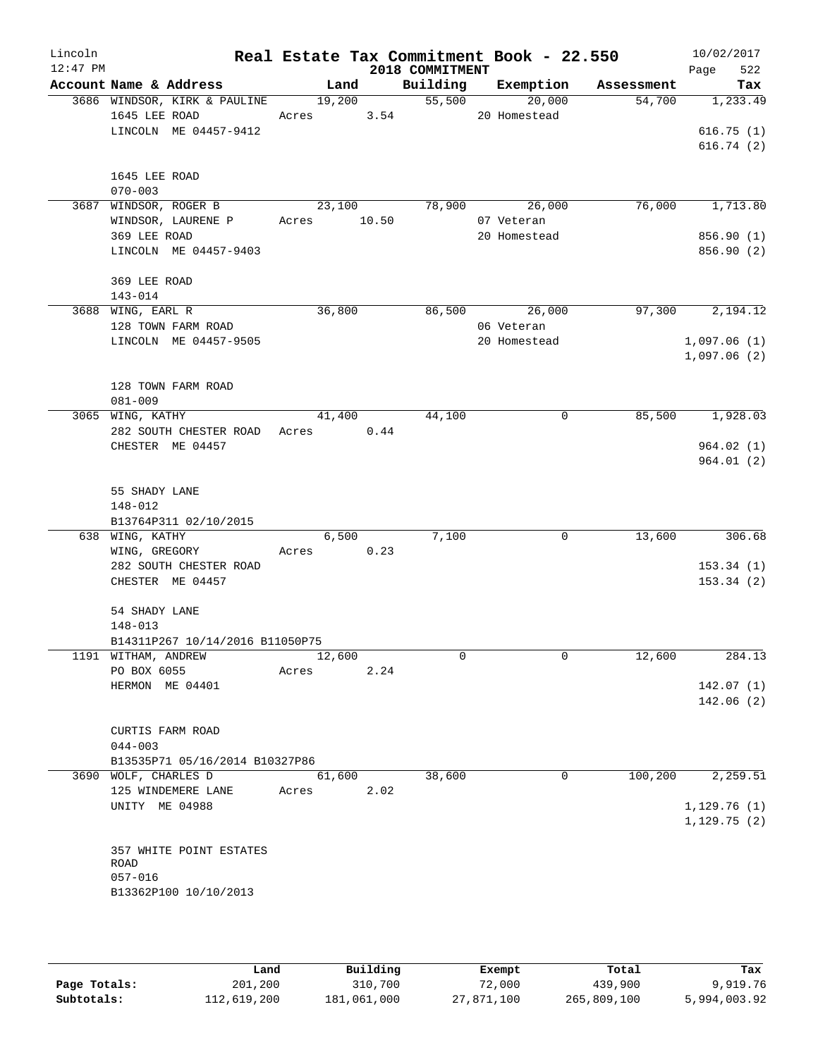| Lincoln<br>$12:47$ PM |                                                       |             |        | 2018 COMMITMENT                             | Real Estate Tax Commitment Book - 22.550 |         | 10/02/2017<br>522<br>Page |
|-----------------------|-------------------------------------------------------|-------------|--------|---------------------------------------------|------------------------------------------|---------|---------------------------|
|                       | Account Name & Address                                |             |        |                                             | Land Building Exemption Assessment       |         | Tax                       |
|                       | 3686 WINDSOR, KIRK & PAULINE                          |             |        | <b>Lanu <math>-</math></b><br>19,200 55,500 | 20,000                                   | 54,700  | 1,233.49                  |
|                       | 1645 LEE ROAD Acres 3.54                              |             |        |                                             | 20 Homestead                             |         |                           |
|                       | LINCOLN ME 04457-9412                                 |             |        |                                             |                                          |         | 616.75(1)                 |
|                       |                                                       |             |        |                                             |                                          |         | 616.74(2)                 |
|                       | 1645 LEE ROAD                                         |             |        |                                             |                                          |         |                           |
|                       | $070 - 003$                                           |             |        |                                             |                                          |         |                           |
|                       | 3687 WINDSOR, ROGER B                                 |             |        |                                             | 23,100 78,900 26,000                     |         | 76,000 1,713.80           |
|                       | WINDSOR, LAURENE P                                    | Acres 10.50 |        |                                             | 07 Veteran                               |         |                           |
|                       | 369 LEE ROAD                                          |             |        |                                             | 20 Homestead                             |         | 856.90 (1)                |
|                       | LINCOLN ME 04457-9403                                 |             |        |                                             |                                          |         | 856.90 (2)                |
|                       | 369 LEE ROAD                                          |             |        |                                             |                                          |         |                           |
|                       | $143 - 014$                                           |             |        |                                             |                                          |         |                           |
|                       | 3688 WING, EARL R                                     | 36,800      |        |                                             | 86,500 26,000                            |         | $97,300$ 2,194.12         |
|                       | 128 TOWN FARM ROAD                                    |             |        |                                             | 06 Veteran                               |         |                           |
|                       | LINCOLN ME 04457-9505                                 |             |        |                                             | 20 Homestead                             |         | 1,097.06(1)               |
|                       |                                                       |             |        |                                             |                                          |         | 1,097.06(2)               |
|                       |                                                       |             |        |                                             |                                          |         |                           |
|                       | 128 TOWN FARM ROAD                                    |             |        |                                             |                                          |         |                           |
|                       | $081 - 009$                                           |             | 41,400 | 44,100                                      | $\mathbf 0$                              |         | 85,500 1,928.03           |
|                       | 3065 WING, KATHY<br>282 SOUTH CHESTER ROAD Acres 0.44 |             |        |                                             |                                          |         |                           |
|                       | CHESTER ME 04457                                      |             |        |                                             |                                          |         | 964.02(1)                 |
|                       |                                                       |             |        |                                             |                                          |         | 964.01(2)                 |
|                       |                                                       |             |        |                                             |                                          |         |                           |
|                       | 55 SHADY LANE                                         |             |        |                                             |                                          |         |                           |
|                       | 148-012                                               |             |        |                                             |                                          |         |                           |
|                       | B13764P311 02/10/2015                                 |             |        |                                             |                                          |         |                           |
|                       | 638 WING, KATHY                                       |             | 6,500  | 7,100                                       | $\overline{0}$                           | 13,600  | $\overline{306.68}$       |
|                       | WING, GREGORY                                         | Acres 0.23  |        |                                             |                                          |         |                           |
|                       | 282 SOUTH CHESTER ROAD                                |             |        |                                             |                                          |         | 153.34(1)                 |
|                       | CHESTER ME 04457                                      |             |        |                                             |                                          |         | 153.34(2)                 |
|                       | 54 SHADY LANE                                         |             |        |                                             |                                          |         |                           |
|                       | $148 - 013$                                           |             |        |                                             |                                          |         |                           |
|                       | B14311P267 10/14/2016 B11050P75                       |             |        |                                             |                                          |         |                           |
|                       | 1191 WITHAM, ANDREW                                   | 12,600      |        | 0                                           | $\mathbf 0$                              | 12,600  | 284.13                    |
|                       | PO BOX 6055                                           | Acres       | 2.24   |                                             |                                          |         |                           |
|                       | HERMON ME 04401                                       |             |        |                                             |                                          |         | 142.07(1)                 |
|                       |                                                       |             |        |                                             |                                          |         | 142.06(2)                 |
|                       | CURTIS FARM ROAD                                      |             |        |                                             |                                          |         |                           |
|                       | $044 - 003$                                           |             |        |                                             |                                          |         |                           |
|                       | B13535P71 05/16/2014 B10327P86                        |             |        |                                             |                                          |         |                           |
|                       | 3690 WOLF, CHARLES D                                  | 61,600      |        | 38,600                                      | 0                                        | 100,200 | 2,259.51                  |
|                       | 125 WINDEMERE LANE                                    | Acres       | 2.02   |                                             |                                          |         |                           |
|                       | UNITY ME 04988                                        |             |        |                                             |                                          |         | 1,129.76(1)               |
|                       |                                                       |             |        |                                             |                                          |         | 1, 129.75(2)              |
|                       |                                                       |             |        |                                             |                                          |         |                           |
|                       | 357 WHITE POINT ESTATES<br>ROAD                       |             |        |                                             |                                          |         |                           |
|                       | $057 - 016$                                           |             |        |                                             |                                          |         |                           |
|                       | B13362P100 10/10/2013                                 |             |        |                                             |                                          |         |                           |
|                       |                                                       |             |        |                                             |                                          |         |                           |

|              | Land        | Building    | Exempt     | Total       | Tax          |
|--------------|-------------|-------------|------------|-------------|--------------|
| Page Totals: | 201,200     | 310,700     | 72,000     | 439,900     | 9,919.76     |
| Subtotals:   | 112,619,200 | 181,061,000 | 27,871,100 | 265,809,100 | 5,994,003.92 |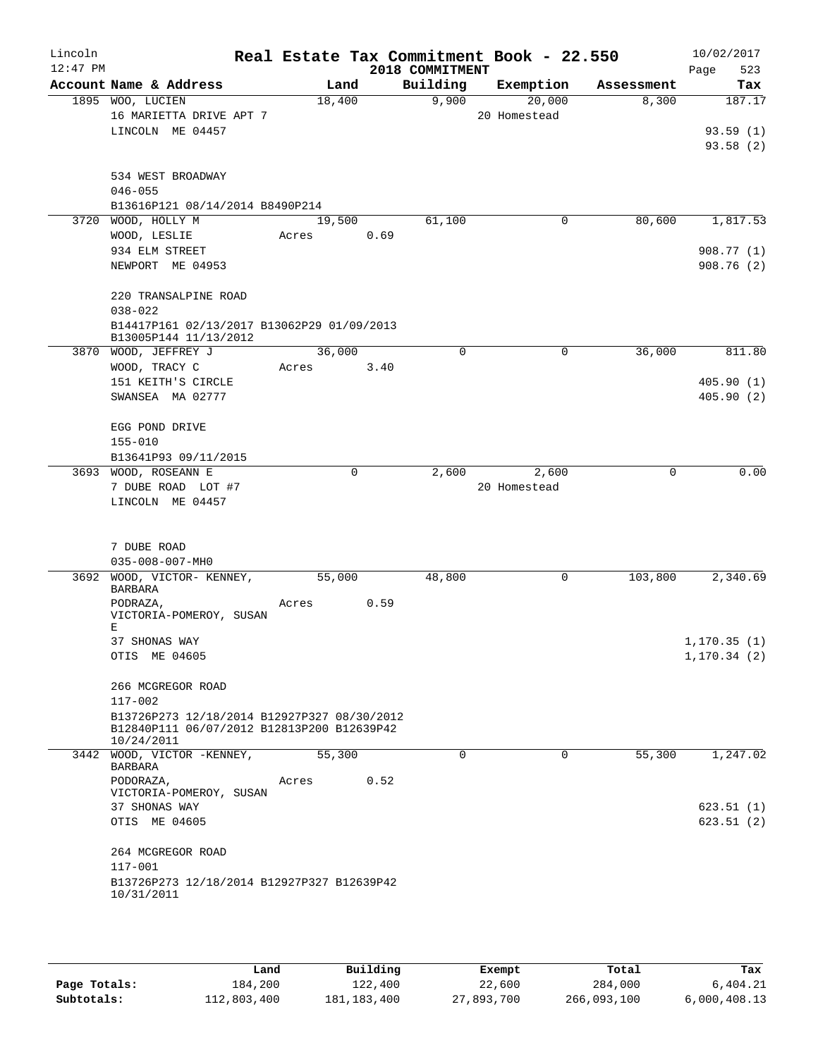| Lincoln<br>$12:47$ PM |                                                                                           |        |             | 2018 COMMITMENT | Real Estate Tax Commitment Book - 22.550 |            | 10/02/2017<br>523<br>Page |
|-----------------------|-------------------------------------------------------------------------------------------|--------|-------------|-----------------|------------------------------------------|------------|---------------------------|
|                       | Account Name & Address                                                                    |        | Land        | Building        | Exemption                                | Assessment | Tax                       |
|                       | 1895 WOO, LUCIEN                                                                          | 18,400 |             | 9,900           | 20,000                                   | 8,300      | 187.17                    |
|                       | 16 MARIETTA DRIVE APT 7                                                                   |        |             |                 | 20 Homestead                             |            |                           |
|                       | LINCOLN ME 04457                                                                          |        |             |                 |                                          |            | 93.59(1)                  |
|                       |                                                                                           |        |             |                 |                                          |            | 93.58(2)                  |
|                       | 534 WEST BROADWAY                                                                         |        |             |                 |                                          |            |                           |
|                       | $046 - 055$                                                                               |        |             |                 |                                          |            |                           |
|                       | B13616P121 08/14/2014 B8490P214                                                           |        |             |                 |                                          |            |                           |
|                       | 3720 WOOD, HOLLY M                                                                        | 19,500 |             | 61,100          | 0                                        | 80,600     | 1,817.53                  |
|                       | WOOD, LESLIE                                                                              | Acres  | 0.69        |                 |                                          |            |                           |
|                       | 934 ELM STREET                                                                            |        |             |                 |                                          |            | 908.77(1)                 |
|                       | NEWPORT ME 04953                                                                          |        |             |                 |                                          |            | 908.76(2)                 |
|                       | 220 TRANSALPINE ROAD                                                                      |        |             |                 |                                          |            |                           |
|                       | $038 - 022$                                                                               |        |             |                 |                                          |            |                           |
|                       | B14417P161 02/13/2017 B13062P29 01/09/2013<br>B13005P144 11/13/2012                       |        |             |                 |                                          |            |                           |
|                       | 3870 WOOD, JEFFREY J                                                                      | 36,000 |             | 0               | $\mathbf 0$                              | 36,000     | 811.80                    |
|                       | WOOD, TRACY C                                                                             | Acres  | 3.40        |                 |                                          |            |                           |
|                       | 151 KEITH'S CIRCLE<br>SWANSEA MA 02777                                                    |        |             |                 |                                          |            | 405.90(1)                 |
|                       |                                                                                           |        |             |                 |                                          |            | 405.90(2)                 |
|                       | EGG POND DRIVE                                                                            |        |             |                 |                                          |            |                           |
|                       | $155 - 010$                                                                               |        |             |                 |                                          |            |                           |
|                       | B13641P93 09/11/2015                                                                      |        |             |                 |                                          |            |                           |
|                       | 3693 WOOD, ROSEANN E                                                                      |        | $\mathbf 0$ | 2,600           | 2,600                                    | 0          | 0.00                      |
|                       | 7 DUBE ROAD LOT #7                                                                        |        |             |                 | 20 Homestead                             |            |                           |
|                       | LINCOLN ME 04457                                                                          |        |             |                 |                                          |            |                           |
|                       |                                                                                           |        |             |                 |                                          |            |                           |
|                       | 7 DUBE ROAD                                                                               |        |             |                 |                                          |            |                           |
|                       | $035 - 008 - 007 - MHO$<br>3692 WOOD, VICTOR- KENNEY,                                     | 55,000 |             | 48,800          | 0                                        | 103,800    | 2,340.69                  |
|                       | BARBARA                                                                                   |        |             |                 |                                          |            |                           |
|                       | PODRAZA,                                                                                  | Acres  | 0.59        |                 |                                          |            |                           |
|                       | VICTORIA-POMEROY, SUSAN<br>Е                                                              |        |             |                 |                                          |            |                           |
|                       | 37 SHONAS WAY                                                                             |        |             |                 |                                          |            | 1, 170.35(1)              |
|                       | OTIS ME 04605                                                                             |        |             |                 |                                          |            | 1, 170.34(2)              |
|                       |                                                                                           |        |             |                 |                                          |            |                           |
|                       | 266 MCGREGOR ROAD                                                                         |        |             |                 |                                          |            |                           |
|                       | 117-002                                                                                   |        |             |                 |                                          |            |                           |
|                       | B13726P273 12/18/2014 B12927P327 08/30/2012<br>B12840P111 06/07/2012 B12813P200 B12639P42 |        |             |                 |                                          |            |                           |
|                       | 10/24/2011                                                                                |        |             |                 |                                          |            |                           |
|                       | 3442 WOOD, VICTOR -KENNEY,                                                                | 55,300 |             | 0               | $\Omega$                                 | 55,300     | 1,247.02                  |
|                       | <b>BARBARA</b>                                                                            |        |             |                 |                                          |            |                           |
|                       | PODORAZA,<br>VICTORIA-POMEROY, SUSAN                                                      | Acres  | 0.52        |                 |                                          |            |                           |
|                       | 37 SHONAS WAY                                                                             |        |             |                 |                                          |            | 623.51(1)                 |
|                       | OTIS ME 04605                                                                             |        |             |                 |                                          |            | 623.51(2)                 |
|                       | 264 MCGREGOR ROAD                                                                         |        |             |                 |                                          |            |                           |
|                       | 117-001                                                                                   |        |             |                 |                                          |            |                           |
|                       | B13726P273 12/18/2014 B12927P327 B12639P42                                                |        |             |                 |                                          |            |                           |
|                       | 10/31/2011                                                                                |        |             |                 |                                          |            |                           |
|                       |                                                                                           |        |             |                 |                                          |            |                           |

|              | Land        | Building    | Exempt     | Total       | Tax          |
|--------------|-------------|-------------|------------|-------------|--------------|
| Page Totals: | 184,200     | 122,400     | 22,600     | 284,000     | 6.404.21     |
| Subtotals:   | 112,803,400 | 181,183,400 | 27,893,700 | 266,093,100 | 6,000,408.13 |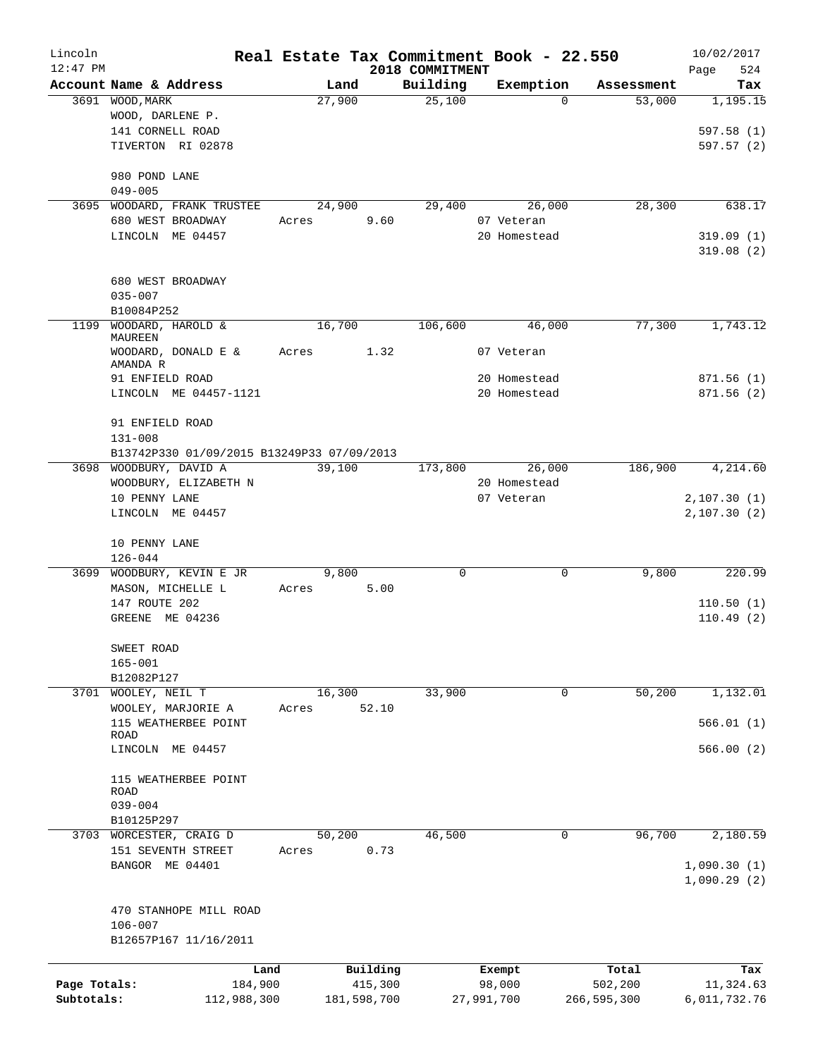| Lincoln      |                                            |                 |       |             |                     |                 | Real Estate Tax Commitment Book - 22.550 |                  | 10/02/2017       |
|--------------|--------------------------------------------|-----------------|-------|-------------|---------------------|-----------------|------------------------------------------|------------------|------------------|
| $12:47$ PM   |                                            |                 |       |             |                     | 2018 COMMITMENT |                                          |                  | 524<br>Page      |
|              | Account Name & Address                     |                 |       | Land        |                     | Building        | Exemption                                | Assessment       | Tax              |
|              | 3691 WOOD, MARK                            |                 |       | 27,900      |                     | 25,100          | $\Omega$                                 | 53,000           | 1,195.15         |
|              | WOOD, DARLENE P.                           |                 |       |             |                     |                 |                                          |                  |                  |
|              | 141 CORNELL ROAD<br>TIVERTON RI 02878      |                 |       |             |                     |                 |                                          |                  | 597.58(1)        |
|              |                                            |                 |       |             |                     |                 |                                          |                  | 597.57 (2)       |
|              | 980 POND LANE                              |                 |       |             |                     |                 |                                          |                  |                  |
|              | $049 - 005$                                |                 |       |             |                     |                 |                                          |                  |                  |
| 3695         | WOODARD, FRANK TRUSTEE                     |                 |       | 24,900      |                     | 29,400          | 26,000                                   | 28,300           | 638.17           |
|              | 680 WEST BROADWAY                          |                 | Acres |             | 9.60                |                 | 07 Veteran                               |                  |                  |
|              | LINCOLN ME 04457                           |                 |       |             |                     |                 | 20 Homestead                             |                  | 319.09(1)        |
|              |                                            |                 |       |             |                     |                 |                                          |                  | 319.08(2)        |
|              |                                            |                 |       |             |                     |                 |                                          |                  |                  |
|              | 680 WEST BROADWAY<br>$035 - 007$           |                 |       |             |                     |                 |                                          |                  |                  |
|              | B10084P252                                 |                 |       |             |                     |                 |                                          |                  |                  |
| 1199         | WOODARD, HAROLD &                          |                 |       | 16,700      |                     | 106,600         | 46,000                                   | 77,300           | 1,743.12         |
|              | MAUREEN                                    |                 |       |             |                     |                 |                                          |                  |                  |
|              | WOODARD, DONALD E &                        |                 | Acres |             | 1.32                |                 | 07 Veteran                               |                  |                  |
|              | AMANDA R<br>91 ENFIELD ROAD                |                 |       |             |                     |                 | 20 Homestead                             |                  | 871.56(1)        |
|              | LINCOLN ME 04457-1121                      |                 |       |             |                     |                 | 20 Homestead                             |                  | 871.56 (2)       |
|              |                                            |                 |       |             |                     |                 |                                          |                  |                  |
|              | 91 ENFIELD ROAD                            |                 |       |             |                     |                 |                                          |                  |                  |
|              | $131 - 008$                                |                 |       |             |                     |                 |                                          |                  |                  |
|              | B13742P330 01/09/2015 B13249P33 07/09/2013 |                 |       |             |                     |                 |                                          |                  |                  |
|              | 3698 WOODBURY, DAVID A                     |                 |       | 39,100      |                     | 173,800         | 26,000                                   | 186,900          | 4,214.60         |
|              | WOODBURY, ELIZABETH N                      |                 |       |             |                     |                 | 20 Homestead                             |                  |                  |
|              | 10 PENNY LANE                              |                 |       |             |                     |                 | 07 Veteran                               |                  | 2,107.30(1)      |
|              | LINCOLN ME 04457                           |                 |       |             |                     |                 |                                          |                  | 2,107.30(2)      |
|              | 10 PENNY LANE                              |                 |       |             |                     |                 |                                          |                  |                  |
|              | $126 - 044$                                |                 |       |             |                     |                 |                                          |                  |                  |
| 3699         | WOODBURY, KEVIN E JR                       |                 |       | 9,800       |                     | $\mathbf 0$     | 0                                        | 9,800            | 220.99           |
|              | MASON, MICHELLE L                          |                 | Acres |             | 5.00                |                 |                                          |                  |                  |
|              | 147 ROUTE 202                              |                 |       |             |                     |                 |                                          |                  | 110.50(1)        |
|              | GREENE ME 04236                            |                 |       |             |                     |                 |                                          |                  | 110.49(2)        |
|              |                                            |                 |       |             |                     |                 |                                          |                  |                  |
|              | SWEET ROAD                                 |                 |       |             |                     |                 |                                          |                  |                  |
|              | $165 - 001$                                |                 |       |             |                     |                 |                                          |                  |                  |
|              | B12082P127                                 |                 |       |             |                     |                 |                                          |                  |                  |
| 3701         | WOOLEY, NEIL T                             |                 |       | 16,300      |                     | 33,900          | 0                                        | 50,200           | 1,132.01         |
|              | WOOLEY, MARJORIE A                         |                 | Acres |             | 52.10               |                 |                                          |                  |                  |
|              | 115 WEATHERBEE POINT<br>ROAD               |                 |       |             |                     |                 |                                          |                  | 566.01(1)        |
|              | LINCOLN ME 04457                           |                 |       |             |                     |                 |                                          |                  | 566.00(2)        |
|              |                                            |                 |       |             |                     |                 |                                          |                  |                  |
|              | 115 WEATHERBEE POINT                       |                 |       |             |                     |                 |                                          |                  |                  |
|              | ROAD<br>$039 - 004$                        |                 |       |             |                     |                 |                                          |                  |                  |
|              | B10125P297                                 |                 |       |             |                     |                 |                                          |                  |                  |
| 3703         | WORCESTER, CRAIG D                         |                 |       | 50,200      |                     | 46,500          | 0                                        | 96,700           | 2,180.59         |
|              | 151 SEVENTH STREET                         |                 | Acres |             | 0.73                |                 |                                          |                  |                  |
|              | BANGOR ME 04401                            |                 |       |             |                     |                 |                                          |                  | 1,090.30(1)      |
|              |                                            |                 |       |             |                     |                 |                                          |                  | 1,090.29(2)      |
|              |                                            |                 |       |             |                     |                 |                                          |                  |                  |
|              | 470 STANHOPE MILL ROAD<br>$106 - 007$      |                 |       |             |                     |                 |                                          |                  |                  |
|              | B12657P167 11/16/2011                      |                 |       |             |                     |                 |                                          |                  |                  |
|              |                                            |                 |       |             |                     |                 |                                          |                  |                  |
| Page Totals: |                                            | Land<br>184,900 |       |             | Building<br>415,300 |                 | Exempt<br>98,000                         | Total<br>502,200 | Tax<br>11,324.63 |
| Subtotals:   |                                            | 112,988,300     |       | 181,598,700 |                     |                 | 27,991,700                               | 266,595,300      | 6,011,732.76     |
|              |                                            |                 |       |             |                     |                 |                                          |                  |                  |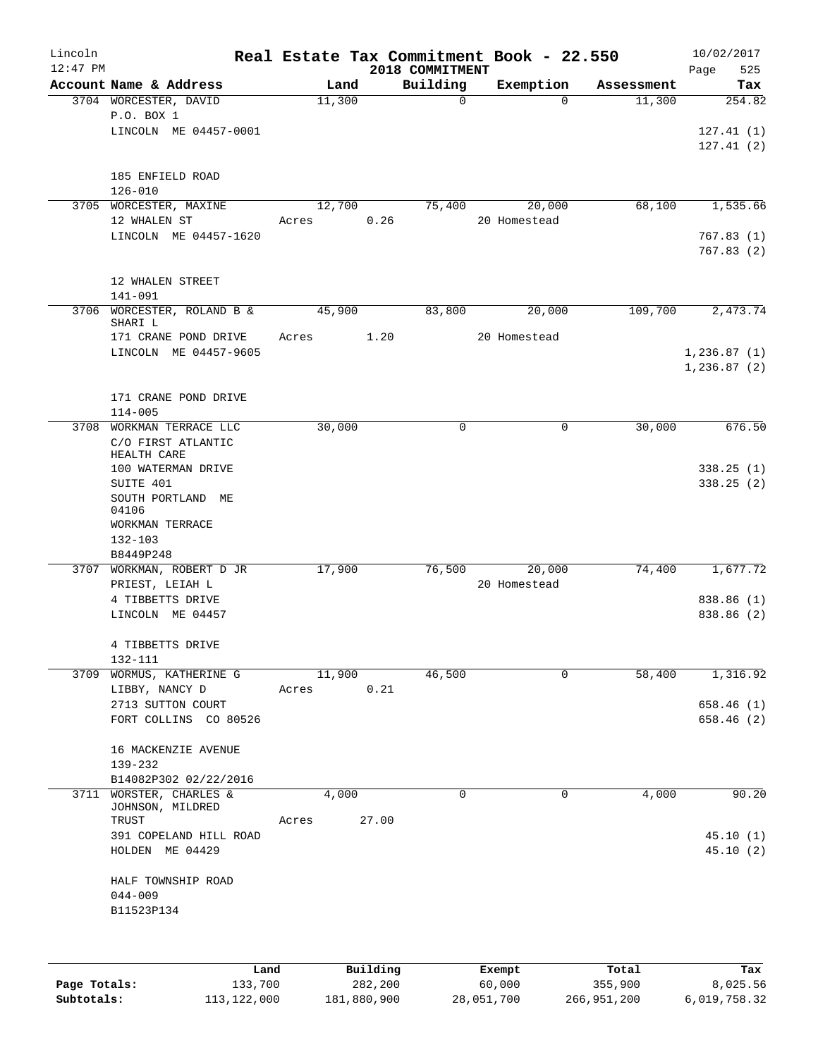| Lincoln<br>$12:47$ PM |                                               |               |       |       | 2018 COMMITMENT | Real Estate Tax Commitment Book - 22.550 |            | 10/02/2017<br>525<br>Page |
|-----------------------|-----------------------------------------------|---------------|-------|-------|-----------------|------------------------------------------|------------|---------------------------|
|                       | Account Name & Address                        |               | Land  |       | Building        | Exemption                                | Assessment | Tax                       |
|                       | 3704 WORCESTER, DAVID                         | 11,300        |       |       | $\mathbf 0$     | $\Omega$                                 | 11,300     | 254.82                    |
|                       | P.O. BOX 1                                    |               |       |       |                 |                                          |            |                           |
|                       | LINCOLN ME 04457-0001                         |               |       |       |                 |                                          |            | 127.41(1)                 |
|                       |                                               |               |       |       |                 |                                          |            | 127.41(2)                 |
|                       |                                               |               |       |       |                 |                                          |            |                           |
|                       | 185 ENFIELD ROAD                              |               |       |       |                 |                                          |            |                           |
|                       | $126 - 010$<br>3705 WORCESTER, MAXINE         | 12,700        |       |       | 75,400          | 20,000                                   | 68,100     | 1,535.66                  |
|                       | 12 WHALEN ST                                  | Acres         |       | 0.26  |                 | 20 Homestead                             |            |                           |
|                       | LINCOLN ME 04457-1620                         |               |       |       |                 |                                          |            | 767.83(1)                 |
|                       |                                               |               |       |       |                 |                                          |            | 767.83(2)                 |
|                       |                                               |               |       |       |                 |                                          |            |                           |
|                       | 12 WHALEN STREET                              |               |       |       |                 |                                          |            |                           |
|                       | 141-091                                       |               |       |       |                 |                                          |            |                           |
|                       | 3706 WORCESTER, ROLAND B &                    | 45,900        |       |       | 83,800          | 20,000                                   | 109,700    | 2,473.74                  |
|                       | SHARI L                                       |               |       |       |                 |                                          |            |                           |
|                       | 171 CRANE POND DRIVE<br>LINCOLN ME 04457-9605 | Acres         |       | 1.20  |                 | 20 Homestead                             |            | 1, 236.87(1)              |
|                       |                                               |               |       |       |                 |                                          |            | 1,236.87(2)               |
|                       |                                               |               |       |       |                 |                                          |            |                           |
|                       | 171 CRANE POND DRIVE                          |               |       |       |                 |                                          |            |                           |
|                       | $114 - 005$                                   |               |       |       |                 |                                          |            |                           |
| 3708                  | WORKMAN TERRACE LLC                           | 30,000        |       |       | $\mathbf 0$     | 0                                        | 30,000     | 676.50                    |
|                       | C/O FIRST ATLANTIC                            |               |       |       |                 |                                          |            |                           |
|                       | HEALTH CARE                                   |               |       |       |                 |                                          |            |                           |
|                       | 100 WATERMAN DRIVE                            |               |       |       |                 |                                          |            | 338.25(1)                 |
|                       | SUITE 401                                     |               |       |       |                 |                                          |            | 338.25(2)                 |
|                       | SOUTH PORTLAND ME<br>04106                    |               |       |       |                 |                                          |            |                           |
|                       | WORKMAN TERRACE                               |               |       |       |                 |                                          |            |                           |
|                       | 132-103                                       |               |       |       |                 |                                          |            |                           |
|                       | B8449P248                                     |               |       |       |                 |                                          |            |                           |
|                       | 3707 WORKMAN, ROBERT D JR                     | 17,900        |       |       | 76,500          | 20,000                                   | 74,400     | 1,677.72                  |
|                       | PRIEST, LEIAH L                               |               |       |       |                 | 20 Homestead                             |            |                           |
|                       | 4 TIBBETTS DRIVE                              |               |       |       |                 |                                          |            | 838.86 (1)                |
|                       | LINCOLN ME 04457                              |               |       |       |                 |                                          |            | 838.86 (2)                |
|                       |                                               |               |       |       |                 |                                          |            |                           |
|                       | 4 TIBBETTS DRIVE                              |               |       |       |                 |                                          |            |                           |
|                       | 132-111                                       |               |       |       |                 |                                          |            |                           |
| 3709                  | WORMUS, KATHERINE G                           | 11,900        |       |       | 46,500          | 0                                        | 58,400     | 1,316.92                  |
|                       | LIBBY, NANCY D                                | Acres         |       | 0.21  |                 |                                          |            |                           |
|                       | 2713 SUTTON COURT<br>FORT COLLINS CO 80526    |               |       |       |                 |                                          |            | 658.46 (1)<br>658.46 (2)  |
|                       |                                               |               |       |       |                 |                                          |            |                           |
|                       | 16 MACKENZIE AVENUE                           |               |       |       |                 |                                          |            |                           |
|                       | 139-232                                       |               |       |       |                 |                                          |            |                           |
|                       | B14082P302 02/22/2016                         |               |       |       |                 |                                          |            |                           |
| 3711                  | WORSTER, CHARLES &                            |               | 4,000 |       | $\mathbf 0$     | 0                                        | 4,000      | 90.20                     |
|                       | JOHNSON, MILDRED                              |               |       |       |                 |                                          |            |                           |
|                       | TRUST                                         | Acres         |       | 27.00 |                 |                                          |            |                           |
|                       | 391 COPELAND HILL ROAD                        |               |       |       |                 |                                          |            | 45.10(1)                  |
|                       | HOLDEN ME 04429                               |               |       |       |                 |                                          |            | 45.10(2)                  |
|                       |                                               |               |       |       |                 |                                          |            |                           |
|                       | HALF TOWNSHIP ROAD                            |               |       |       |                 |                                          |            |                           |
|                       | $044 - 009$<br>B11523P134                     |               |       |       |                 |                                          |            |                           |
|                       |                                               |               |       |       |                 |                                          |            |                           |
|                       |                                               |               |       |       |                 |                                          |            |                           |
|                       |                                               |               |       |       |                 |                                          |            |                           |
|                       |                                               | Land Building |       |       | <b>Exempt.</b>  |                                          | Total      | Tax                       |

|              | Land        | Building    | Exempt     | Total       | Tax          |
|--------------|-------------|-------------|------------|-------------|--------------|
| Page Totals: | 133,700     | 282,200     | 60,000     | 355,900     | 8,025.56     |
| Subtotals:   | 113,122,000 | 181,880,900 | 28,051,700 | 266,951,200 | 6,019,758.32 |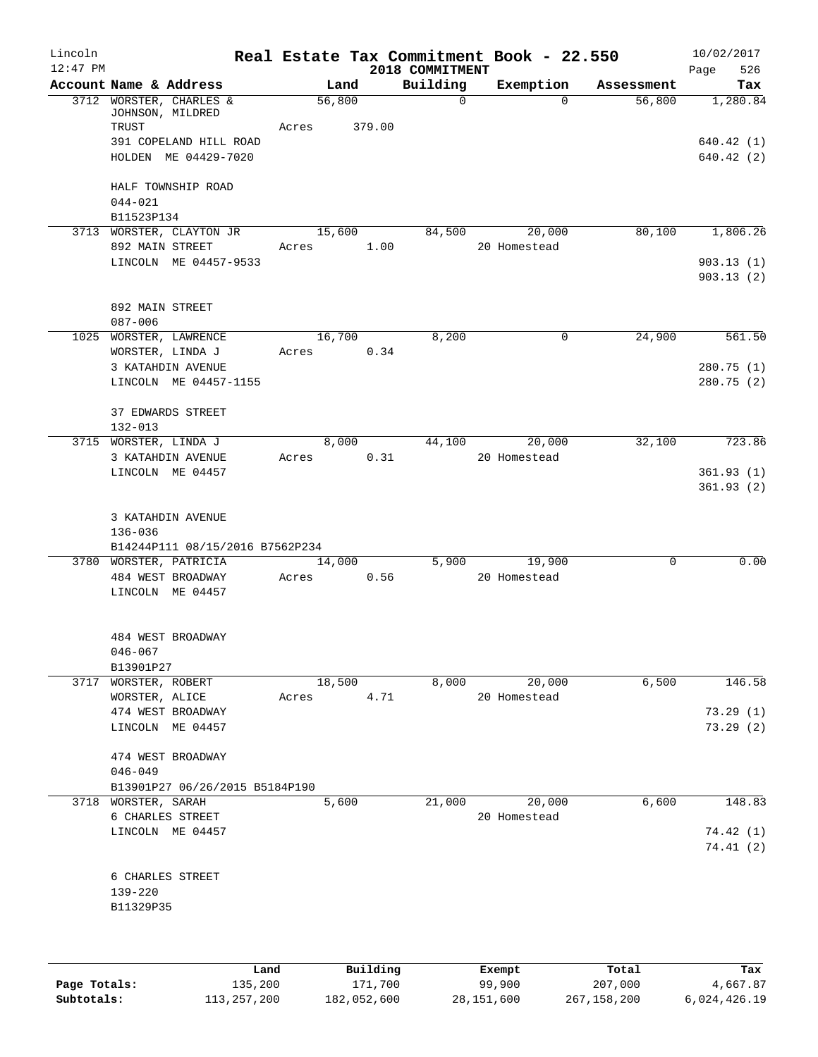| Lincoln<br>$12:47$ PM |                                             |       |        |          | 2018 COMMITMENT | Real Estate Tax Commitment Book - 22.550 |            | 10/02/2017<br>526<br>Page |
|-----------------------|---------------------------------------------|-------|--------|----------|-----------------|------------------------------------------|------------|---------------------------|
|                       | Account Name & Address                      |       | Land   |          | Building        | Exemption                                | Assessment | Tax                       |
|                       | 3712 WORSTER, CHARLES &<br>JOHNSON, MILDRED |       | 56,800 |          | $\Omega$        | $\Omega$                                 | 56,800     | 1,280.84                  |
|                       | TRUST                                       | Acres |        | 379.00   |                 |                                          |            |                           |
|                       | 391 COPELAND HILL ROAD                      |       |        |          |                 |                                          |            | 640.42(1)                 |
|                       | HOLDEN ME 04429-7020                        |       |        |          |                 |                                          |            | 640.42(2)                 |
|                       | HALF TOWNSHIP ROAD                          |       |        |          |                 |                                          |            |                           |
|                       | $044 - 021$                                 |       |        |          |                 |                                          |            |                           |
|                       | B11523P134                                  |       |        |          |                 |                                          |            |                           |
|                       | 3713 WORSTER, CLAYTON JR                    |       | 15,600 |          | 84,500          | 20,000                                   | 80,100     | 1,806.26                  |
|                       | 892 MAIN STREET                             |       | Acres  | 1.00     |                 | 20 Homestead                             |            |                           |
|                       | LINCOLN ME 04457-9533                       |       |        |          |                 |                                          |            | 903.13(1)<br>903.13(2)    |
|                       | 892 MAIN STREET                             |       |        |          |                 |                                          |            |                           |
|                       | 087-006                                     |       |        |          |                 |                                          |            |                           |
|                       | 1025 WORSTER, LAWRENCE                      |       | 16,700 |          | 8,200           | 0                                        | 24,900     | 561.50                    |
|                       | WORSTER, LINDA J                            | Acres |        | 0.34     |                 |                                          |            |                           |
|                       | 3 KATAHDIN AVENUE                           |       |        |          |                 |                                          |            | 280.75 (1)                |
|                       | LINCOLN ME 04457-1155                       |       |        |          |                 |                                          |            | 280.75 (2)                |
|                       | 37 EDWARDS STREET<br>$132 - 013$            |       |        |          |                 |                                          |            |                           |
|                       | 3715 WORSTER, LINDA J                       |       | 8,000  |          | 44,100          | 20,000                                   | 32,100     | 723.86                    |
|                       | 3 KATAHDIN AVENUE                           | Acres |        | 0.31     |                 | 20 Homestead                             |            |                           |
|                       | LINCOLN ME 04457                            |       |        |          |                 |                                          |            | 361.93(1)                 |
|                       |                                             |       |        |          |                 |                                          |            | 361.93(2)                 |
|                       | 3 KATAHDIN AVENUE<br>136-036                |       |        |          |                 |                                          |            |                           |
|                       | B14244P111 08/15/2016 B7562P234             |       |        |          |                 |                                          |            |                           |
|                       | 3780 WORSTER, PATRICIA                      |       | 14,000 |          | 5,900           | 19,900                                   | 0          | 0.00                      |
|                       | 484 WEST BROADWAY                           | Acres |        | 0.56     |                 | 20 Homestead                             |            |                           |
|                       | LINCOLN ME 04457                            |       |        |          |                 |                                          |            |                           |
|                       | 484 WEST BROADWAY                           |       |        |          |                 |                                          |            |                           |
|                       | $046 - 067$                                 |       |        |          |                 |                                          |            |                           |
|                       | B13901P27                                   |       |        |          |                 |                                          |            |                           |
| 3717                  | WORSTER, ROBERT                             |       | 18,500 |          | 8,000           | 20,000                                   | 6,500      | 146.58                    |
|                       | WORSTER, ALICE                              | Acres |        | 4.71     |                 | 20 Homestead                             |            |                           |
|                       | 474 WEST BROADWAY                           |       |        |          |                 |                                          |            | 73.29(1)                  |
|                       | LINCOLN ME 04457                            |       |        |          |                 |                                          |            | 73.29(2)                  |
|                       | 474 WEST BROADWAY                           |       |        |          |                 |                                          |            |                           |
|                       | $046 - 049$                                 |       |        |          |                 |                                          |            |                           |
|                       | B13901P27 06/26/2015 B5184P190              |       |        |          |                 |                                          |            |                           |
| 3718                  | WORSTER, SARAH                              |       | 5,600  |          | 21,000          | 20,000                                   | 6,600      | 148.83                    |
|                       | 6 CHARLES STREET                            |       |        |          |                 | 20 Homestead                             |            |                           |
|                       | LINCOLN ME 04457                            |       |        |          |                 |                                          |            | 74.42(1)                  |
|                       |                                             |       |        |          |                 |                                          |            | 74.41(2)                  |
|                       | 6 CHARLES STREET                            |       |        |          |                 |                                          |            |                           |
|                       | 139-220                                     |       |        |          |                 |                                          |            |                           |
|                       | B11329P35                                   |       |        |          |                 |                                          |            |                           |
|                       |                                             |       |        |          |                 |                                          |            |                           |
|                       |                                             | Land, |        | Building |                 | <b>Exempt</b>                            | Total      | Tax                       |

|              | Land        | Building    | Exempt     | Total       | Tax          |
|--------------|-------------|-------------|------------|-------------|--------------|
| Page Totals: | 135,200     | 171,700     | 99,900     | 207,000     | 4,667.87     |
| Subtotals:   | 113,257,200 | 182,052,600 | 28,151,600 | 267,158,200 | 6,024,426.19 |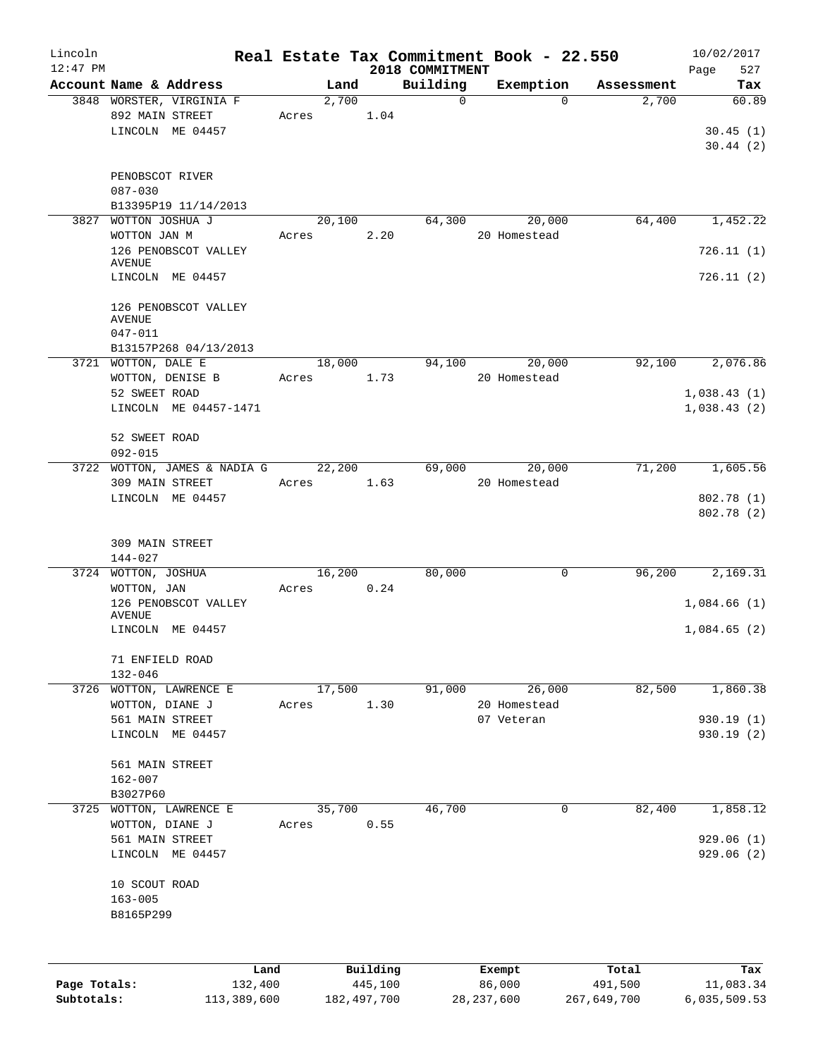| Lincoln      |                                             |                 |               |                 | Real Estate Tax Commitment Book - 22.550 |             | 10/02/2017   |
|--------------|---------------------------------------------|-----------------|---------------|-----------------|------------------------------------------|-------------|--------------|
| $12:47$ PM   |                                             |                 |               | 2018 COMMITMENT |                                          |             | Page<br>527  |
|              | Account Name & Address                      | Land            |               | Building        | Exemption                                | Assessment  | Tax          |
|              | 3848 WORSTER, VIRGINIA F<br>892 MAIN STREET | 2,700<br>Acres  | 1.04          | $\mathsf{O}$    | $\Omega$                                 | 2,700       | 60.89        |
|              | LINCOLN ME 04457                            |                 |               |                 |                                          |             | 30.45(1)     |
|              |                                             |                 |               |                 |                                          |             | 30.44(2)     |
|              | PENOBSCOT RIVER                             |                 |               |                 |                                          |             |              |
|              | $087 - 030$                                 |                 |               |                 |                                          |             |              |
|              | B13395P19 11/14/2013                        |                 |               |                 |                                          |             |              |
| 3827         | WOTTON JOSHUA J<br>WOTTON JAN M             | 20,100<br>Acres | 2.20          | 64,300          | 20,000<br>20 Homestead                   | 64,400      | 1,452.22     |
|              | 126 PENOBSCOT VALLEY                        |                 |               |                 |                                          |             | 726.11(1)    |
|              | <b>AVENUE</b><br>LINCOLN ME 04457           |                 |               |                 |                                          |             | 726.11 (2)   |
|              | 126 PENOBSCOT VALLEY<br><b>AVENUE</b>       |                 |               |                 |                                          |             |              |
|              | $047 - 011$                                 |                 |               |                 |                                          |             |              |
|              | B13157P268 04/13/2013                       |                 |               |                 |                                          |             |              |
|              | 3721 WOTTON, DALE E<br>WOTTON, DENISE B     | 18,000<br>Acres | 1.73          | 94,100          | 20,000<br>20 Homestead                   | 92,100      | 2,076.86     |
|              | 52 SWEET ROAD                               |                 |               |                 |                                          |             | 1,038.43(1)  |
|              | LINCOLN ME 04457-1471                       |                 |               |                 |                                          |             | 1,038.43(2)  |
|              | 52 SWEET ROAD                               |                 |               |                 |                                          |             |              |
|              | $092 - 015$                                 |                 |               |                 |                                          |             |              |
|              | 3722 WOTTON, JAMES & NADIA G                | 22,200          |               | 69,000          | 20,000                                   | 71,200      | 1,605.56     |
|              | 309 MAIN STREET                             | Acres           | 1.63          |                 | 20 Homestead                             |             |              |
|              | LINCOLN ME 04457                            |                 |               |                 |                                          |             | 802.78 (1)   |
|              |                                             |                 |               |                 |                                          |             | 802.78(2)    |
|              | 309 MAIN STREET                             |                 |               |                 |                                          |             |              |
|              | 144-027                                     |                 |               |                 |                                          |             |              |
|              | 3724 WOTTON, JOSHUA                         | 16,200          |               | 80,000          | 0                                        | 96,200      | 2,169.31     |
|              | WOTTON, JAN                                 | Acres           | 0.24          |                 |                                          |             |              |
|              | 126 PENOBSCOT VALLEY<br><b>AVENUE</b>       |                 |               |                 |                                          |             | 1,084.66(1)  |
|              | LINCOLN ME 04457                            |                 |               |                 |                                          |             | 1,084.65(2)  |
|              | 71 ENFIELD ROAD                             |                 |               |                 |                                          |             |              |
|              | $132 - 046$                                 |                 |               |                 |                                          |             |              |
|              | 3726 WOTTON, LAWRENCE E                     | 17,500          |               | 91,000          | 26,000                                   | 82,500      | 1,860.38     |
|              | WOTTON, DIANE J                             | Acres           | 1.30          |                 | 20 Homestead                             |             |              |
|              | 561 MAIN STREET                             |                 |               |                 | 07 Veteran                               |             | 930.19(1)    |
|              | LINCOLN ME 04457                            |                 |               |                 |                                          |             | 930.19 (2)   |
|              | 561 MAIN STREET                             |                 |               |                 |                                          |             |              |
|              | $162 - 007$                                 |                 |               |                 |                                          |             |              |
|              | B3027P60                                    |                 |               |                 |                                          |             |              |
|              | 3725 WOTTON, LAWRENCE E                     | 35,700          |               | 46,700          | 0                                        | 82,400      | 1,858.12     |
|              | WOTTON, DIANE J                             | Acres           | 0.55          |                 |                                          |             |              |
|              | 561 MAIN STREET                             |                 |               |                 |                                          |             | 929.06 (1)   |
|              | LINCOLN ME 04457                            |                 |               |                 |                                          |             | 929.06 (2)   |
|              | 10 SCOUT ROAD                               |                 |               |                 |                                          |             |              |
|              | $163 - 005$                                 |                 |               |                 |                                          |             |              |
|              | B8165P299                                   |                 |               |                 |                                          |             |              |
|              |                                             |                 |               |                 |                                          |             |              |
|              | Land                                        |                 | Building      |                 | Exempt                                   | Total       | Tax          |
| Page Totals: | 132,400                                     |                 | 445,100       |                 | 86,000                                   | 491,500     | 11,083.34    |
| Subtotals:   | 113,389,600                                 |                 | 182, 497, 700 |                 | 28, 237, 600                             | 267,649,700 | 6,035,509.53 |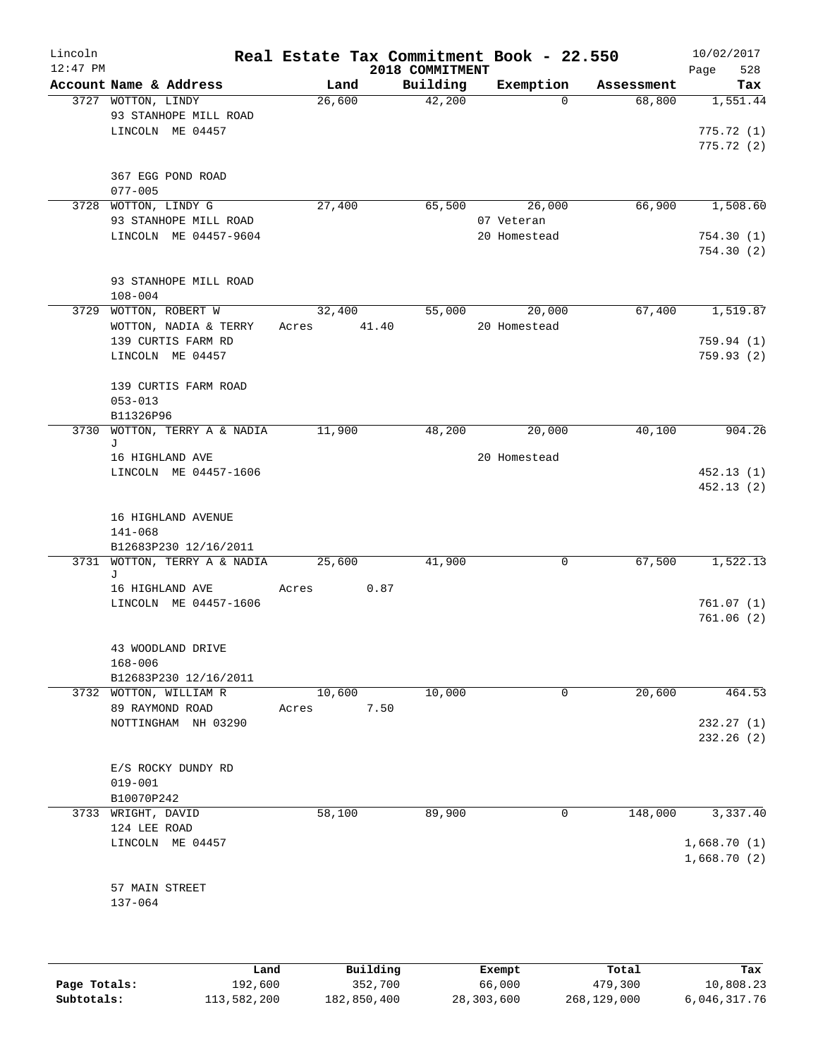| Account Name & Address<br>Building<br>Exemption<br>Land<br>Assessment<br>$\overline{42,200}$<br>3727 WOTTON, LINDY<br>68,800<br>26,600<br>$\Omega$<br>93 STANHOPE MILL ROAD<br>LINCOLN ME 04457<br>775.72 (2)<br>367 EGG POND ROAD<br>$077 - 005$<br>66,900<br>3728 WOTTON, LINDY G<br>27,400<br>65,500<br>26,000<br>1,508.60<br>93 STANHOPE MILL ROAD<br>07 Veteran<br>LINCOLN ME 04457-9604<br>20 Homestead<br>754.30(1)<br>754.30 (2)<br>93 STANHOPE MILL ROAD<br>$108 - 004$<br>3729 WOTTON, ROBERT W<br>32,400<br>55,000<br>20,000<br>67,400<br>41.40<br>20 Homestead<br>WOTTON, NADIA & TERRY<br>Acres<br>139 CURTIS FARM RD<br>759.94(1)<br>LINCOLN ME 04457<br>759.93(2)<br>139 CURTIS FARM ROAD<br>$053 - 013$<br>B11326P96<br>11,900<br>20,000<br>40,100<br>3730 WOTTON, TERRY A & NADIA<br>48,200<br>J<br>16 HIGHLAND AVE<br>20 Homestead<br>LINCOLN ME 04457-1606<br>452.13(1)<br>452.13(2)<br>16 HIGHLAND AVENUE<br>$141 - 068$<br>B12683P230 12/16/2011<br>3731 WOTTON, TERRY A & NADIA<br>41,900<br>0<br>67,500<br>25,600<br>J<br>16 HIGHLAND AVE<br>0.87<br>Acres<br>LINCOLN ME 04457-1606<br>761.07(1)<br>761.06(2)<br>43 WOODLAND DRIVE<br>$168 - 006$<br>B12683P230 12/16/2011<br>10,000<br>20,600<br>3732 WOTTON, WILLIAM R<br>10,600<br>464.53<br>0<br>89 RAYMOND ROAD<br>7.50<br>Acres<br>232.27 (1)<br>NOTTINGHAM NH 03290<br>232.26 (2)<br>E/S ROCKY DUNDY RD<br>$019 - 001$<br>B10070P242<br>58,100<br>89,900<br>148,000<br>3733 WRIGHT, DAVID<br>0<br>124 LEE ROAD<br>1,668.70(1)<br>LINCOLN ME 04457<br>1,668.70(2)<br>57 MAIN STREET<br>137-064 | Lincoln<br>$12:47$ PM | Real Estate Tax Commitment Book - 22.550 | 2018 COMMITMENT |  | 10/02/2017<br>Page<br>528 |
|-----------------------------------------------------------------------------------------------------------------------------------------------------------------------------------------------------------------------------------------------------------------------------------------------------------------------------------------------------------------------------------------------------------------------------------------------------------------------------------------------------------------------------------------------------------------------------------------------------------------------------------------------------------------------------------------------------------------------------------------------------------------------------------------------------------------------------------------------------------------------------------------------------------------------------------------------------------------------------------------------------------------------------------------------------------------------------------------------------------------------------------------------------------------------------------------------------------------------------------------------------------------------------------------------------------------------------------------------------------------------------------------------------------------------------------------------------------------------------------------------------------------------------------------------------------------------------|-----------------------|------------------------------------------|-----------------|--|---------------------------|
|                                                                                                                                                                                                                                                                                                                                                                                                                                                                                                                                                                                                                                                                                                                                                                                                                                                                                                                                                                                                                                                                                                                                                                                                                                                                                                                                                                                                                                                                                                                                                                             |                       |                                          |                 |  | Tax                       |
|                                                                                                                                                                                                                                                                                                                                                                                                                                                                                                                                                                                                                                                                                                                                                                                                                                                                                                                                                                                                                                                                                                                                                                                                                                                                                                                                                                                                                                                                                                                                                                             |                       |                                          |                 |  | 1,551.44                  |
|                                                                                                                                                                                                                                                                                                                                                                                                                                                                                                                                                                                                                                                                                                                                                                                                                                                                                                                                                                                                                                                                                                                                                                                                                                                                                                                                                                                                                                                                                                                                                                             |                       |                                          |                 |  | 775.72(1)                 |
|                                                                                                                                                                                                                                                                                                                                                                                                                                                                                                                                                                                                                                                                                                                                                                                                                                                                                                                                                                                                                                                                                                                                                                                                                                                                                                                                                                                                                                                                                                                                                                             |                       |                                          |                 |  |                           |
|                                                                                                                                                                                                                                                                                                                                                                                                                                                                                                                                                                                                                                                                                                                                                                                                                                                                                                                                                                                                                                                                                                                                                                                                                                                                                                                                                                                                                                                                                                                                                                             |                       |                                          |                 |  |                           |
|                                                                                                                                                                                                                                                                                                                                                                                                                                                                                                                                                                                                                                                                                                                                                                                                                                                                                                                                                                                                                                                                                                                                                                                                                                                                                                                                                                                                                                                                                                                                                                             |                       |                                          |                 |  |                           |
|                                                                                                                                                                                                                                                                                                                                                                                                                                                                                                                                                                                                                                                                                                                                                                                                                                                                                                                                                                                                                                                                                                                                                                                                                                                                                                                                                                                                                                                                                                                                                                             |                       |                                          |                 |  |                           |
|                                                                                                                                                                                                                                                                                                                                                                                                                                                                                                                                                                                                                                                                                                                                                                                                                                                                                                                                                                                                                                                                                                                                                                                                                                                                                                                                                                                                                                                                                                                                                                             |                       |                                          |                 |  |                           |
|                                                                                                                                                                                                                                                                                                                                                                                                                                                                                                                                                                                                                                                                                                                                                                                                                                                                                                                                                                                                                                                                                                                                                                                                                                                                                                                                                                                                                                                                                                                                                                             |                       |                                          |                 |  |                           |
|                                                                                                                                                                                                                                                                                                                                                                                                                                                                                                                                                                                                                                                                                                                                                                                                                                                                                                                                                                                                                                                                                                                                                                                                                                                                                                                                                                                                                                                                                                                                                                             |                       |                                          |                 |  |                           |
|                                                                                                                                                                                                                                                                                                                                                                                                                                                                                                                                                                                                                                                                                                                                                                                                                                                                                                                                                                                                                                                                                                                                                                                                                                                                                                                                                                                                                                                                                                                                                                             |                       |                                          |                 |  |                           |
|                                                                                                                                                                                                                                                                                                                                                                                                                                                                                                                                                                                                                                                                                                                                                                                                                                                                                                                                                                                                                                                                                                                                                                                                                                                                                                                                                                                                                                                                                                                                                                             |                       |                                          |                 |  |                           |
|                                                                                                                                                                                                                                                                                                                                                                                                                                                                                                                                                                                                                                                                                                                                                                                                                                                                                                                                                                                                                                                                                                                                                                                                                                                                                                                                                                                                                                                                                                                                                                             |                       |                                          |                 |  | 1,519.87                  |
|                                                                                                                                                                                                                                                                                                                                                                                                                                                                                                                                                                                                                                                                                                                                                                                                                                                                                                                                                                                                                                                                                                                                                                                                                                                                                                                                                                                                                                                                                                                                                                             |                       |                                          |                 |  |                           |
|                                                                                                                                                                                                                                                                                                                                                                                                                                                                                                                                                                                                                                                                                                                                                                                                                                                                                                                                                                                                                                                                                                                                                                                                                                                                                                                                                                                                                                                                                                                                                                             |                       |                                          |                 |  |                           |
|                                                                                                                                                                                                                                                                                                                                                                                                                                                                                                                                                                                                                                                                                                                                                                                                                                                                                                                                                                                                                                                                                                                                                                                                                                                                                                                                                                                                                                                                                                                                                                             |                       |                                          |                 |  |                           |
|                                                                                                                                                                                                                                                                                                                                                                                                                                                                                                                                                                                                                                                                                                                                                                                                                                                                                                                                                                                                                                                                                                                                                                                                                                                                                                                                                                                                                                                                                                                                                                             |                       |                                          |                 |  |                           |
|                                                                                                                                                                                                                                                                                                                                                                                                                                                                                                                                                                                                                                                                                                                                                                                                                                                                                                                                                                                                                                                                                                                                                                                                                                                                                                                                                                                                                                                                                                                                                                             |                       |                                          |                 |  |                           |
|                                                                                                                                                                                                                                                                                                                                                                                                                                                                                                                                                                                                                                                                                                                                                                                                                                                                                                                                                                                                                                                                                                                                                                                                                                                                                                                                                                                                                                                                                                                                                                             |                       |                                          |                 |  |                           |
|                                                                                                                                                                                                                                                                                                                                                                                                                                                                                                                                                                                                                                                                                                                                                                                                                                                                                                                                                                                                                                                                                                                                                                                                                                                                                                                                                                                                                                                                                                                                                                             |                       |                                          |                 |  | 904.26                    |
|                                                                                                                                                                                                                                                                                                                                                                                                                                                                                                                                                                                                                                                                                                                                                                                                                                                                                                                                                                                                                                                                                                                                                                                                                                                                                                                                                                                                                                                                                                                                                                             |                       |                                          |                 |  |                           |
|                                                                                                                                                                                                                                                                                                                                                                                                                                                                                                                                                                                                                                                                                                                                                                                                                                                                                                                                                                                                                                                                                                                                                                                                                                                                                                                                                                                                                                                                                                                                                                             |                       |                                          |                 |  |                           |
|                                                                                                                                                                                                                                                                                                                                                                                                                                                                                                                                                                                                                                                                                                                                                                                                                                                                                                                                                                                                                                                                                                                                                                                                                                                                                                                                                                                                                                                                                                                                                                             |                       |                                          |                 |  |                           |
|                                                                                                                                                                                                                                                                                                                                                                                                                                                                                                                                                                                                                                                                                                                                                                                                                                                                                                                                                                                                                                                                                                                                                                                                                                                                                                                                                                                                                                                                                                                                                                             |                       |                                          |                 |  |                           |
|                                                                                                                                                                                                                                                                                                                                                                                                                                                                                                                                                                                                                                                                                                                                                                                                                                                                                                                                                                                                                                                                                                                                                                                                                                                                                                                                                                                                                                                                                                                                                                             |                       |                                          |                 |  |                           |
|                                                                                                                                                                                                                                                                                                                                                                                                                                                                                                                                                                                                                                                                                                                                                                                                                                                                                                                                                                                                                                                                                                                                                                                                                                                                                                                                                                                                                                                                                                                                                                             |                       |                                          |                 |  |                           |
|                                                                                                                                                                                                                                                                                                                                                                                                                                                                                                                                                                                                                                                                                                                                                                                                                                                                                                                                                                                                                                                                                                                                                                                                                                                                                                                                                                                                                                                                                                                                                                             |                       |                                          |                 |  |                           |
|                                                                                                                                                                                                                                                                                                                                                                                                                                                                                                                                                                                                                                                                                                                                                                                                                                                                                                                                                                                                                                                                                                                                                                                                                                                                                                                                                                                                                                                                                                                                                                             |                       |                                          |                 |  | 1,522.13                  |
|                                                                                                                                                                                                                                                                                                                                                                                                                                                                                                                                                                                                                                                                                                                                                                                                                                                                                                                                                                                                                                                                                                                                                                                                                                                                                                                                                                                                                                                                                                                                                                             |                       |                                          |                 |  |                           |
|                                                                                                                                                                                                                                                                                                                                                                                                                                                                                                                                                                                                                                                                                                                                                                                                                                                                                                                                                                                                                                                                                                                                                                                                                                                                                                                                                                                                                                                                                                                                                                             |                       |                                          |                 |  |                           |
|                                                                                                                                                                                                                                                                                                                                                                                                                                                                                                                                                                                                                                                                                                                                                                                                                                                                                                                                                                                                                                                                                                                                                                                                                                                                                                                                                                                                                                                                                                                                                                             |                       |                                          |                 |  |                           |
|                                                                                                                                                                                                                                                                                                                                                                                                                                                                                                                                                                                                                                                                                                                                                                                                                                                                                                                                                                                                                                                                                                                                                                                                                                                                                                                                                                                                                                                                                                                                                                             |                       |                                          |                 |  |                           |
|                                                                                                                                                                                                                                                                                                                                                                                                                                                                                                                                                                                                                                                                                                                                                                                                                                                                                                                                                                                                                                                                                                                                                                                                                                                                                                                                                                                                                                                                                                                                                                             |                       |                                          |                 |  |                           |
|                                                                                                                                                                                                                                                                                                                                                                                                                                                                                                                                                                                                                                                                                                                                                                                                                                                                                                                                                                                                                                                                                                                                                                                                                                                                                                                                                                                                                                                                                                                                                                             |                       |                                          |                 |  |                           |
|                                                                                                                                                                                                                                                                                                                                                                                                                                                                                                                                                                                                                                                                                                                                                                                                                                                                                                                                                                                                                                                                                                                                                                                                                                                                                                                                                                                                                                                                                                                                                                             |                       |                                          |                 |  |                           |
|                                                                                                                                                                                                                                                                                                                                                                                                                                                                                                                                                                                                                                                                                                                                                                                                                                                                                                                                                                                                                                                                                                                                                                                                                                                                                                                                                                                                                                                                                                                                                                             |                       |                                          |                 |  |                           |
|                                                                                                                                                                                                                                                                                                                                                                                                                                                                                                                                                                                                                                                                                                                                                                                                                                                                                                                                                                                                                                                                                                                                                                                                                                                                                                                                                                                                                                                                                                                                                                             |                       |                                          |                 |  |                           |
|                                                                                                                                                                                                                                                                                                                                                                                                                                                                                                                                                                                                                                                                                                                                                                                                                                                                                                                                                                                                                                                                                                                                                                                                                                                                                                                                                                                                                                                                                                                                                                             |                       |                                          |                 |  |                           |
|                                                                                                                                                                                                                                                                                                                                                                                                                                                                                                                                                                                                                                                                                                                                                                                                                                                                                                                                                                                                                                                                                                                                                                                                                                                                                                                                                                                                                                                                                                                                                                             |                       |                                          |                 |  |                           |
|                                                                                                                                                                                                                                                                                                                                                                                                                                                                                                                                                                                                                                                                                                                                                                                                                                                                                                                                                                                                                                                                                                                                                                                                                                                                                                                                                                                                                                                                                                                                                                             |                       |                                          |                 |  |                           |
|                                                                                                                                                                                                                                                                                                                                                                                                                                                                                                                                                                                                                                                                                                                                                                                                                                                                                                                                                                                                                                                                                                                                                                                                                                                                                                                                                                                                                                                                                                                                                                             |                       |                                          |                 |  |                           |
|                                                                                                                                                                                                                                                                                                                                                                                                                                                                                                                                                                                                                                                                                                                                                                                                                                                                                                                                                                                                                                                                                                                                                                                                                                                                                                                                                                                                                                                                                                                                                                             |                       |                                          |                 |  |                           |
|                                                                                                                                                                                                                                                                                                                                                                                                                                                                                                                                                                                                                                                                                                                                                                                                                                                                                                                                                                                                                                                                                                                                                                                                                                                                                                                                                                                                                                                                                                                                                                             |                       |                                          |                 |  | 3,337.40                  |
|                                                                                                                                                                                                                                                                                                                                                                                                                                                                                                                                                                                                                                                                                                                                                                                                                                                                                                                                                                                                                                                                                                                                                                                                                                                                                                                                                                                                                                                                                                                                                                             |                       |                                          |                 |  |                           |
|                                                                                                                                                                                                                                                                                                                                                                                                                                                                                                                                                                                                                                                                                                                                                                                                                                                                                                                                                                                                                                                                                                                                                                                                                                                                                                                                                                                                                                                                                                                                                                             |                       |                                          |                 |  |                           |
|                                                                                                                                                                                                                                                                                                                                                                                                                                                                                                                                                                                                                                                                                                                                                                                                                                                                                                                                                                                                                                                                                                                                                                                                                                                                                                                                                                                                                                                                                                                                                                             |                       |                                          |                 |  |                           |
|                                                                                                                                                                                                                                                                                                                                                                                                                                                                                                                                                                                                                                                                                                                                                                                                                                                                                                                                                                                                                                                                                                                                                                                                                                                                                                                                                                                                                                                                                                                                                                             |                       |                                          |                 |  |                           |
|                                                                                                                                                                                                                                                                                                                                                                                                                                                                                                                                                                                                                                                                                                                                                                                                                                                                                                                                                                                                                                                                                                                                                                                                                                                                                                                                                                                                                                                                                                                                                                             |                       |                                          |                 |  |                           |
|                                                                                                                                                                                                                                                                                                                                                                                                                                                                                                                                                                                                                                                                                                                                                                                                                                                                                                                                                                                                                                                                                                                                                                                                                                                                                                                                                                                                                                                                                                                                                                             |                       |                                          |                 |  |                           |
|                                                                                                                                                                                                                                                                                                                                                                                                                                                                                                                                                                                                                                                                                                                                                                                                                                                                                                                                                                                                                                                                                                                                                                                                                                                                                                                                                                                                                                                                                                                                                                             |                       |                                          |                 |  |                           |

|              | Land        | Building    | Exempt     | Total       | Tax          |
|--------------|-------------|-------------|------------|-------------|--------------|
| Page Totals: | 192,600     | 352,700     | 66,000     | 479,300     | 10,808.23    |
| Subtotals:   | 113,582,200 | 182,850,400 | 28,303,600 | 268,129,000 | 6,046,317.76 |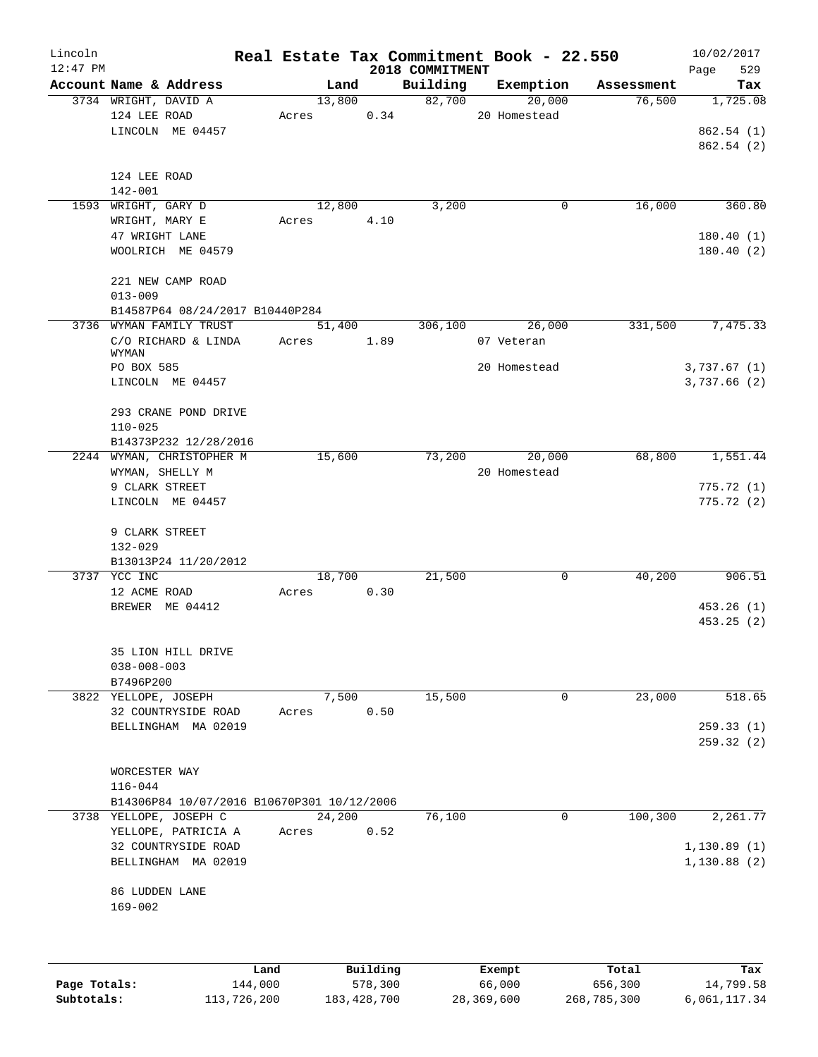| Lincoln    |                                            |       |        |                |                 | Real Estate Tax Commitment Book - 22.550 |            | 10/02/2017            |
|------------|--------------------------------------------|-------|--------|----------------|-----------------|------------------------------------------|------------|-----------------------|
| $12:47$ PM |                                            |       |        |                | 2018 COMMITMENT |                                          |            | 529<br>Page           |
|            | Account Name & Address                     |       | Land   |                | Building        | Exemption                                | Assessment | Tax                   |
|            | 3734 WRIGHT, DAVID A                       |       | 13,800 |                | 82,700          | 20,000                                   | 76,500     | 1,725.08              |
|            | 124 LEE ROAD                               |       | Acres  | 0.34           |                 | 20 Homestead                             |            |                       |
|            | LINCOLN ME 04457                           |       |        |                |                 |                                          |            | 862.54(1)             |
|            |                                            |       |        |                |                 |                                          |            | 862.54 (2)            |
|            | 124 LEE ROAD                               |       |        |                |                 |                                          |            |                       |
|            | 142-001                                    |       |        |                |                 |                                          |            |                       |
|            | 1593 WRIGHT, GARY D                        |       | 12,800 |                | 3,200           | 0                                        | 16,000     | 360.80                |
|            | WRIGHT, MARY E                             | Acres |        | 4.10           |                 |                                          |            |                       |
|            | 47 WRIGHT LANE                             |       |        |                |                 |                                          |            | 180.40(1)             |
|            | WOOLRICH ME 04579                          |       |        |                |                 |                                          |            | 180.40(2)             |
|            | 221 NEW CAMP ROAD                          |       |        |                |                 |                                          |            |                       |
|            | $013 - 009$                                |       |        |                |                 |                                          |            |                       |
|            | B14587P64 08/24/2017 B10440P284            |       |        |                |                 |                                          |            |                       |
|            | 3736 WYMAN FAMILY TRUST                    |       | 51,400 |                | 306,100         | 26,000                                   | 331,500    | 7,475.33              |
|            | C/O RICHARD & LINDA                        | Acres |        | 1.89           |                 | 07 Veteran                               |            |                       |
|            | WYMAN                                      |       |        |                |                 |                                          |            |                       |
|            | PO BOX 585                                 |       |        |                |                 | 20 Homestead                             |            | 3,737.67(1)           |
|            | LINCOLN ME 04457                           |       |        |                |                 |                                          |            | 3,737.66(2)           |
|            | 293 CRANE POND DRIVE                       |       |        |                |                 |                                          |            |                       |
|            | $110 - 025$                                |       |        |                |                 |                                          |            |                       |
|            | B14373P232 12/28/2016                      |       |        |                |                 |                                          |            |                       |
|            | 2244 WYMAN, CHRISTOPHER M                  |       | 15,600 |                | 73,200          | 20,000                                   | 68,800     | 1,551.44              |
|            | WYMAN, SHELLY M                            |       |        |                |                 | 20 Homestead                             |            |                       |
|            | 9 CLARK STREET                             |       |        |                |                 |                                          |            | 775.72(1)             |
|            | LINCOLN ME 04457                           |       |        |                |                 |                                          |            | 775.72(2)             |
|            |                                            |       |        |                |                 |                                          |            |                       |
|            | 9 CLARK STREET                             |       |        |                |                 |                                          |            |                       |
|            | 132-029                                    |       |        |                |                 |                                          |            |                       |
|            | B13013P24 11/20/2012                       |       |        |                |                 |                                          |            |                       |
|            | 3737 YCC INC                               |       | 18,700 |                | 21,500          | 0                                        | 40,200     | 906.51                |
|            | 12 ACME ROAD                               |       | Acres  | 0.30           |                 |                                          |            |                       |
|            | BREWER ME 04412                            |       |        |                |                 |                                          |            | 453.26(1)             |
|            |                                            |       |        |                |                 |                                          |            | 453.25(2)             |
|            | 35 LION HILL DRIVE                         |       |        |                |                 |                                          |            |                       |
|            | $038 - 008 - 003$                          |       |        |                |                 |                                          |            |                       |
|            | B7496P200                                  |       |        |                |                 |                                          |            |                       |
|            | 3822 YELLOPE, JOSEPH                       |       | 7,500  |                | 15,500          | 0                                        | 23,000     | 518.65                |
|            | 32 COUNTRYSIDE ROAD                        | Acres |        | 0.50           |                 |                                          |            |                       |
|            | BELLINGHAM MA 02019                        |       |        |                |                 |                                          |            | 259.33(1)             |
|            |                                            |       |        |                |                 |                                          |            | 259.32(2)             |
|            |                                            |       |        |                |                 |                                          |            |                       |
|            | WORCESTER WAY                              |       |        |                |                 |                                          |            |                       |
|            | $116 - 044$                                |       |        |                |                 |                                          |            |                       |
|            | B14306P84 10/07/2016 B10670P301 10/12/2006 |       |        |                |                 |                                          |            |                       |
|            | 3738 YELLOPE, JOSEPH C                     |       | 24,200 |                | 76,100          | $\overline{0}$                           | 100,300    | $\overline{2,}261.77$ |
|            | YELLOPE, PATRICIA A                        | Acres |        | 0.52           |                 |                                          |            |                       |
|            | 32 COUNTRYSIDE ROAD                        |       |        |                |                 |                                          |            | 1,130.89(1)           |
|            | BELLINGHAM MA 02019                        |       |        |                |                 |                                          |            | 1,130.88(2)           |
|            | 86 LUDDEN LANE                             |       |        |                |                 |                                          |            |                       |
|            | $169 - 002$                                |       |        |                |                 |                                          |            |                       |
|            |                                            |       |        |                |                 |                                          |            |                       |
|            |                                            |       |        |                |                 |                                          |            |                       |
|            |                                            |       |        | <b>Duildim</b> |                 |                                          |            |                       |

|              | Land        | Building    | Exempt     | Total       | Tax          |
|--------------|-------------|-------------|------------|-------------|--------------|
| Page Totals: | 144,000     | 578,300     | 66,000     | 656,300     | 14,799.58    |
| Subtotals:   | 113,726,200 | 183,428,700 | 28,369,600 | 268,785,300 | 6,061,117.34 |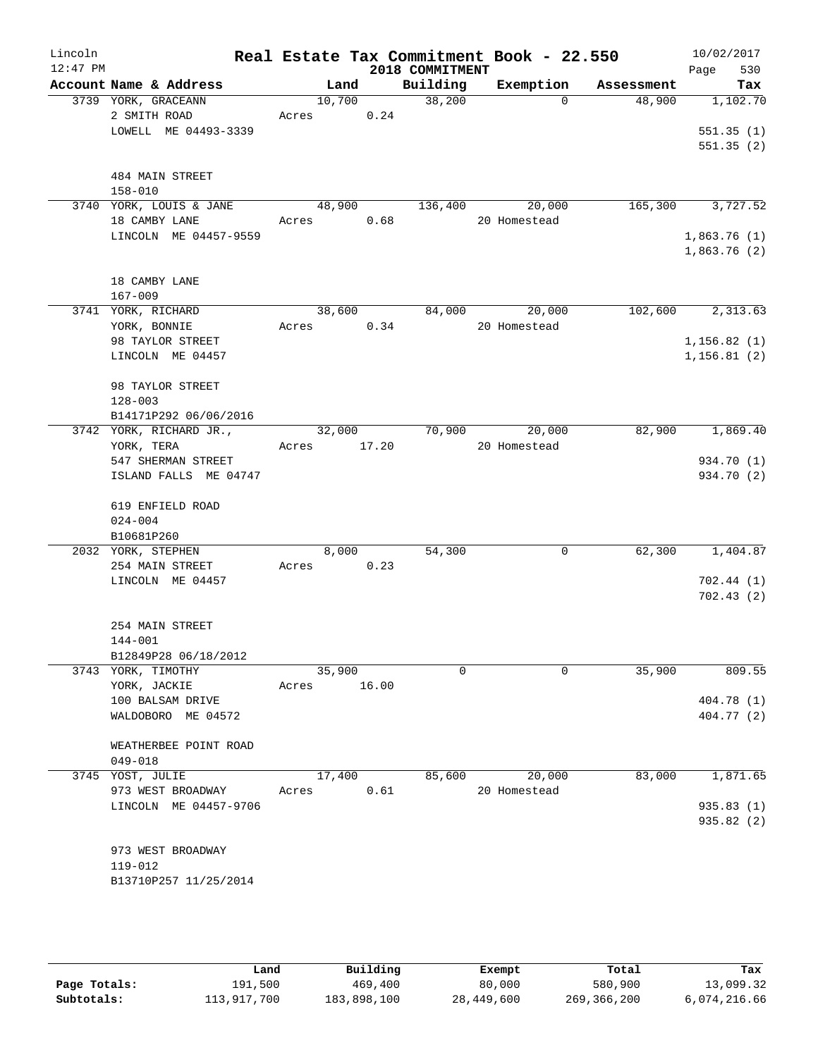| Lincoln    |                                     |             |       |                 | Real Estate Tax Commitment Book - 22.550 |            | 10/02/2017                 |
|------------|-------------------------------------|-------------|-------|-----------------|------------------------------------------|------------|----------------------------|
| $12:47$ PM |                                     |             |       | 2018 COMMITMENT |                                          |            | 530<br>Page                |
|            | Account Name & Address              |             |       |                 | Land Building Exemption                  | Assessment | Tax                        |
|            | 3739 YORK, GRACEANN<br>2 SMITH ROAD | Acres 0.24  |       | 10,700 38,200   | $\Omega$                                 | 48,900     | 1,102.70                   |
|            | LOWELL ME 04493-3339                |             |       |                 |                                          |            | 551.35(1)                  |
|            |                                     |             |       |                 |                                          |            | 551.35(2)                  |
|            |                                     |             |       |                 |                                          |            |                            |
|            | 484 MAIN STREET                     |             |       |                 |                                          |            |                            |
|            | $158 - 010$                         |             |       |                 |                                          |            |                            |
|            | 3740 YORK, LOUIS & JANE             |             |       |                 | 48,900 136,400 20,000                    |            | 165,300 3,727.52           |
|            | 18 CAMBY LANE                       | Acres 0.68  |       |                 | 20 Homestead                             |            |                            |
|            | LINCOLN ME 04457-9559               |             |       |                 |                                          |            | 1,863.76(1)<br>1,863.76(2) |
|            |                                     |             |       |                 |                                          |            |                            |
|            | 18 CAMBY LANE                       |             |       |                 |                                          |            |                            |
|            | $167 - 009$                         |             |       |                 |                                          |            |                            |
|            | 3741 YORK, RICHARD                  |             |       |                 | 38,600 84,000 20,000                     |            | 102,600 2,313.63           |
|            | YORK, BONNIE                        | Acres 0.34  |       |                 | 20 Homestead                             |            |                            |
|            | 98 TAYLOR STREET                    |             |       |                 |                                          |            | 1, 156.82(1)               |
|            | LINCOLN ME 04457                    |             |       |                 |                                          |            | 1, 156.81(2)               |
|            | 98 TAYLOR STREET                    |             |       |                 |                                          |            |                            |
|            | $128 - 003$                         |             |       |                 |                                          |            |                            |
|            | B14171P292 06/06/2016               |             |       |                 |                                          |            |                            |
|            | 3742 YORK, RICHARD JR.,             | 32,000      |       |                 | 70,900 20,000                            | 82,900     | 1,869.40                   |
|            | YORK, TERA                          | Acres 17.20 |       |                 | 20 Homestead                             |            |                            |
|            | 547 SHERMAN STREET                  |             |       |                 |                                          |            | 934.70 (1)                 |
|            | ISLAND FALLS ME 04747               |             |       |                 |                                          |            | 934.70 (2)                 |
|            | 619 ENFIELD ROAD                    |             |       |                 |                                          |            |                            |
|            | $024 - 004$                         |             |       |                 |                                          |            |                            |
|            | B10681P260                          |             |       |                 |                                          |            |                            |
|            | 2032 YORK, STEPHEN                  | 8,000       |       | 54,300          | 0                                        | 62,300     | 1,404.87                   |
|            | 254 MAIN STREET                     | Acres 0.23  |       |                 |                                          |            |                            |
|            | LINCOLN ME 04457                    |             |       |                 |                                          |            | 702.44(1)                  |
|            |                                     |             |       |                 |                                          |            | 702.43(2)                  |
|            | 254 MAIN STREET                     |             |       |                 |                                          |            |                            |
|            | 144-001                             |             |       |                 |                                          |            |                            |
|            | B12849P28 06/18/2012                |             |       |                 |                                          |            |                            |
|            | 3743 YORK, TIMOTHY                  | 35,900      |       | $\Omega$        | $\Omega$                                 | 35,900     | 809.55                     |
|            | YORK, JACKIE                        | Acres       | 16.00 |                 |                                          |            |                            |
|            | 100 BALSAM DRIVE                    |             |       |                 |                                          |            | 404.78 (1)                 |
|            | WALDOBORO ME 04572                  |             |       |                 |                                          |            | 404.77 (2)                 |
|            | WEATHERBEE POINT ROAD               |             |       |                 |                                          |            |                            |
|            | $049 - 018$                         |             |       |                 |                                          |            |                            |
|            | 3745 YOST, JULIE                    | 17,400      |       | 85,600          | 20,000                                   | 83,000     | 1,871.65                   |
|            | 973 WEST BROADWAY                   | Acres       | 0.61  |                 | 20 Homestead                             |            |                            |
|            | LINCOLN ME 04457-9706               |             |       |                 |                                          |            | 935.83(1)                  |
|            |                                     |             |       |                 |                                          |            | 935.82 (2)                 |
|            |                                     |             |       |                 |                                          |            |                            |
|            | 973 WEST BROADWAY<br>119-012        |             |       |                 |                                          |            |                            |
|            | B13710P257 11/25/2014               |             |       |                 |                                          |            |                            |
|            |                                     |             |       |                 |                                          |            |                            |

|              | Land        | Building    | Exempt     | Total       | Tax          |
|--------------|-------------|-------------|------------|-------------|--------------|
| Page Totals: | 191,500     | 469,400     | 80,000     | 580,900     | 13,099.32    |
| Subtotals:   | 113,917,700 | 183,898,100 | 28,449,600 | 269,366,200 | 6,074,216.66 |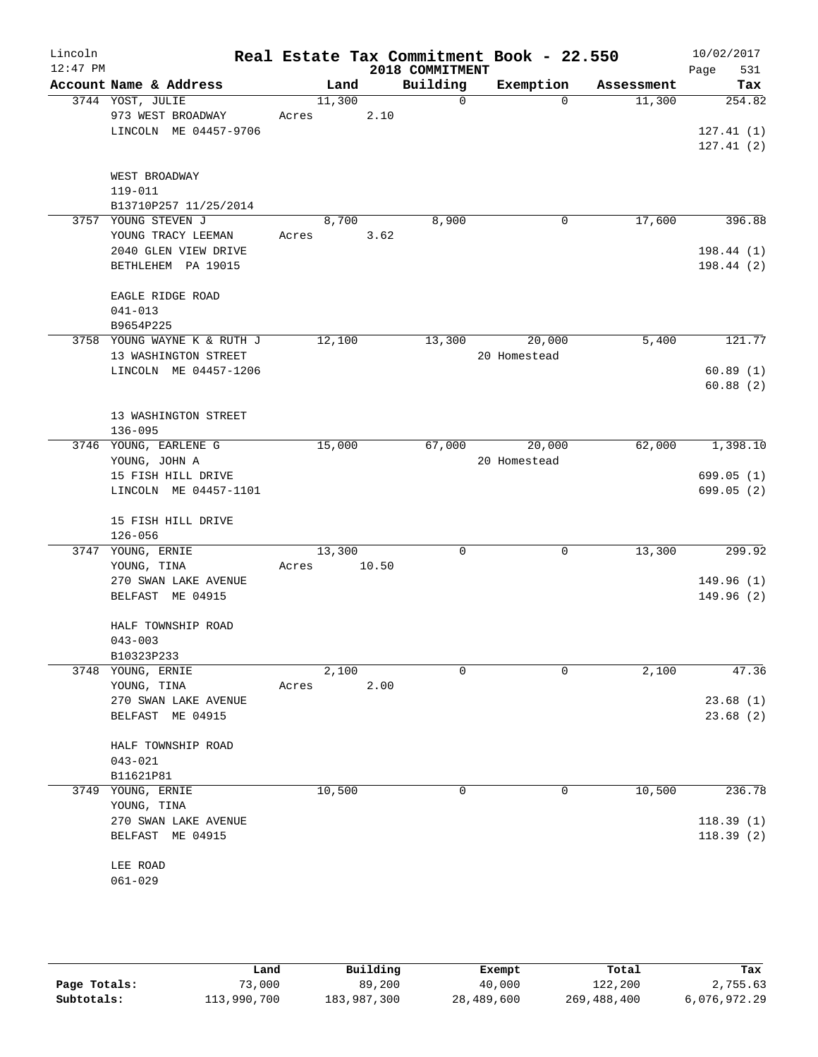| Lincoln<br>$12:47$ PM |                                                     |       |        |       | 2018 COMMITMENT | Real Estate Tax Commitment Book - 22.550 |            | 10/02/2017<br>Page<br>531 |
|-----------------------|-----------------------------------------------------|-------|--------|-------|-----------------|------------------------------------------|------------|---------------------------|
|                       | Account Name & Address                              |       | Land   |       | Building        | Exemption                                | Assessment | Tax                       |
|                       | 3744 YOST, JULIE<br>973 WEST BROADWAY               | Acres | 11,300 | 2.10  | 0               | $\Omega$                                 | 11,300     | 254.82                    |
|                       | LINCOLN ME 04457-9706                               |       |        |       |                 |                                          |            | 127.41(1)<br>127.41(2)    |
|                       | WEST BROADWAY<br>119-011                            |       |        |       |                 |                                          |            |                           |
| 3757                  | B13710P257 11/25/2014<br>YOUNG STEVEN J             |       | 8,700  |       | 8,900           | 0                                        | 17,600     | 396.88                    |
|                       | YOUNG TRACY LEEMAN                                  | Acres |        | 3.62  |                 |                                          |            |                           |
|                       | 2040 GLEN VIEW DRIVE<br>BETHLEHEM PA 19015          |       |        |       |                 |                                          |            | 198.44 (1)<br>198.44 (2)  |
|                       | EAGLE RIDGE ROAD<br>$041 - 013$<br>B9654P225        |       |        |       |                 |                                          |            |                           |
|                       | 3758 YOUNG WAYNE K & RUTH J<br>13 WASHINGTON STREET |       | 12,100 |       | 13,300          | 20,000<br>20 Homestead                   | 5,400      | 121.77                    |
|                       | LINCOLN ME 04457-1206                               |       |        |       |                 |                                          |            | 60.89(1)                  |
|                       |                                                     |       |        |       |                 |                                          |            | 60.88(2)                  |
|                       | 13 WASHINGTON STREET<br>$136 - 095$                 |       |        |       |                 |                                          |            |                           |
|                       | 3746 YOUNG, EARLENE G<br>YOUNG, JOHN A              |       | 15,000 |       | 67,000          | 20,000<br>20 Homestead                   | 62,000     | 1,398.10                  |
|                       | 15 FISH HILL DRIVE<br>LINCOLN ME 04457-1101         |       |        |       |                 |                                          |            | 699.05 (1)<br>699.05 (2)  |
|                       | 15 FISH HILL DRIVE<br>$126 - 056$                   |       |        |       |                 |                                          |            |                           |
| 3747                  | YOUNG, ERNIE<br>YOUNG, TINA                         | Acres | 13,300 | 10.50 | 0               | 0                                        | 13,300     | 299.92                    |
|                       | 270 SWAN LAKE AVENUE<br>BELFAST ME 04915            |       |        |       |                 |                                          |            | 149.96(1)<br>149.96 (2)   |
|                       | HALF TOWNSHIP ROAD<br>$043 - 003$                   |       |        |       |                 |                                          |            |                           |
|                       | B10323P233                                          |       |        |       |                 |                                          |            |                           |
|                       | 3748 YOUNG, ERNIE                                   |       | 2,100  |       | 0               | 0                                        | 2,100      | 47.36                     |
|                       | YOUNG, TINA<br>270 SWAN LAKE AVENUE                 | Acres |        | 2.00  |                 |                                          |            | 23.68(1)                  |
|                       | BELFAST ME 04915                                    |       |        |       |                 |                                          |            | 23.68(2)                  |
|                       | HALF TOWNSHIP ROAD<br>$043 - 021$                   |       |        |       |                 |                                          |            |                           |
|                       | B11621P81                                           |       |        |       |                 |                                          |            |                           |
| 3749                  | YOUNG, ERNIE<br>YOUNG, TINA                         |       | 10,500 |       | 0               | 0                                        | 10,500     | 236.78                    |
|                       | 270 SWAN LAKE AVENUE                                |       |        |       |                 |                                          |            | 118.39(1)                 |
|                       | BELFAST ME 04915                                    |       |        |       |                 |                                          |            | 118.39(2)                 |
|                       | LEE ROAD<br>$061 - 029$                             |       |        |       |                 |                                          |            |                           |
|                       |                                                     |       |        |       |                 |                                          |            |                           |

|              | Land        | Building    | Exempt     | Total       | Tax          |
|--------------|-------------|-------------|------------|-------------|--------------|
| Page Totals: | 73,000      | 89,200      | 40,000     | 122,200     | 2,755.63     |
| Subtotals:   | 113,990,700 | 183,987,300 | 28,489,600 | 269,488,400 | 6,076,972.29 |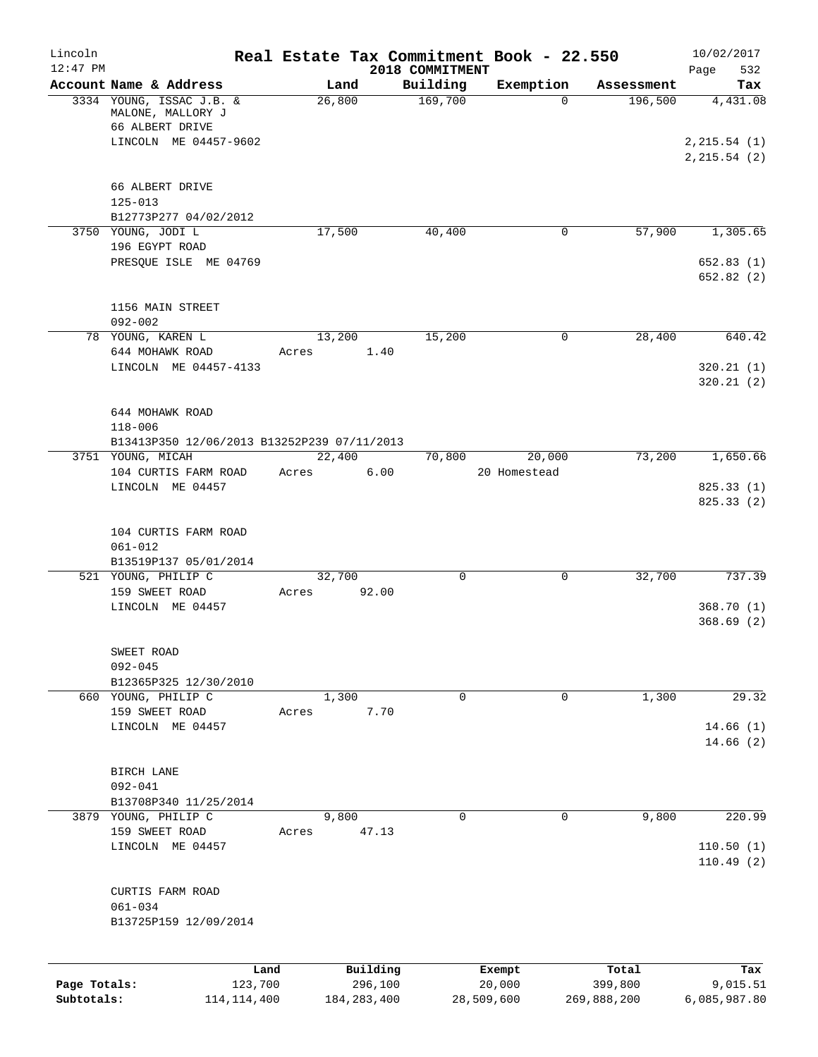| Lincoln<br>$12:47$ PM      |                                                                  |                 |                          | 2018 COMMITMENT | Real Estate Tax Commitment Book - 22.550 |                        | 10/02/2017<br>Page<br>532     |
|----------------------------|------------------------------------------------------------------|-----------------|--------------------------|-----------------|------------------------------------------|------------------------|-------------------------------|
|                            | Account Name & Address                                           | Land            |                          | Building        | Exemption                                | Assessment             | Tax                           |
|                            | 3334 YOUNG, ISSAC J.B. &<br>MALONE, MALLORY J<br>66 ALBERT DRIVE | 26,800          |                          | 169,700         | $\Omega$                                 | 196,500                | 4,431.08                      |
|                            | LINCOLN ME 04457-9602                                            |                 |                          |                 |                                          |                        | 2, 215.54(1)<br>2, 215.54 (2) |
|                            | 66 ALBERT DRIVE                                                  |                 |                          |                 |                                          |                        |                               |
|                            | $125 - 013$                                                      |                 |                          |                 |                                          |                        |                               |
|                            | B12773P277 04/02/2012                                            | 17,500          |                          |                 | $\mathbf 0$                              | 57,900                 | 1,305.65                      |
|                            | 3750 YOUNG, JODI L<br>196 EGYPT ROAD                             |                 |                          | 40,400          |                                          |                        |                               |
|                            | PRESQUE ISLE ME 04769                                            |                 |                          |                 |                                          |                        | 652.83(1)<br>652.82 (2)       |
|                            | 1156 MAIN STREET                                                 |                 |                          |                 |                                          |                        |                               |
|                            | $092 - 002$                                                      |                 |                          |                 |                                          |                        |                               |
|                            | 78 YOUNG, KAREN L                                                | 13,200          |                          | 15,200          | 0                                        | 28,400                 | 640.42                        |
|                            | 644 MOHAWK ROAD<br>LINCOLN ME 04457-4133                         | Acres           | 1.40                     |                 |                                          |                        | 320.21(1)                     |
|                            |                                                                  |                 |                          |                 |                                          |                        | 320.21(2)                     |
|                            | 644 MOHAWK ROAD<br>$118 - 006$                                   |                 |                          |                 |                                          |                        |                               |
|                            | B13413P350 12/06/2013 B13252P239 07/11/2013                      |                 |                          |                 |                                          |                        |                               |
|                            | 3751 YOUNG, MICAH                                                | 22,400          |                          | 70,800          | 20,000                                   | 73,200                 | 1,650.66                      |
|                            | 104 CURTIS FARM ROAD                                             | Acres           | 6.00                     |                 | 20 Homestead                             |                        |                               |
|                            | LINCOLN ME 04457                                                 |                 |                          |                 |                                          |                        | 825.33 (1)<br>825.33(2)       |
|                            | 104 CURTIS FARM ROAD                                             |                 |                          |                 |                                          |                        |                               |
|                            | $061 - 012$                                                      |                 |                          |                 |                                          |                        |                               |
|                            | B13519P137 05/01/2014                                            |                 |                          |                 |                                          |                        |                               |
|                            | 521 YOUNG, PHILIP C<br>159 SWEET ROAD                            | 32,700<br>Acres | 92.00                    | $\mathbf 0$     | 0                                        | 32,700                 | 737.39                        |
|                            | LINCOLN ME 04457                                                 |                 |                          |                 |                                          |                        | 368.70(1)                     |
|                            |                                                                  |                 |                          |                 |                                          |                        | 368.69(2)                     |
|                            | SWEET ROAD                                                       |                 |                          |                 |                                          |                        |                               |
|                            | $092 - 045$                                                      |                 |                          |                 |                                          |                        |                               |
|                            | B12365P325 12/30/2010<br>660 YOUNG, PHILIP C                     | 1,300           |                          | 0               | 0                                        | 1,300                  | 29.32                         |
|                            | 159 SWEET ROAD                                                   | Acres           | 7.70                     |                 |                                          |                        |                               |
|                            | LINCOLN ME 04457                                                 |                 |                          |                 |                                          |                        | 14.66(1)                      |
|                            |                                                                  |                 |                          |                 |                                          |                        | 14.66(2)                      |
|                            | BIRCH LANE                                                       |                 |                          |                 |                                          |                        |                               |
|                            | $092 - 041$                                                      |                 |                          |                 |                                          |                        |                               |
|                            | B13708P340 11/25/2014                                            |                 |                          |                 |                                          |                        |                               |
|                            | 3879 YOUNG, PHILIP C<br>159 SWEET ROAD                           | 9,800           | 47.13                    | $\Omega$        | $\mathbf 0$                              | 9,800                  | 220.99                        |
|                            | LINCOLN ME 04457                                                 | Acres           |                          |                 |                                          |                        | 110.50(1)                     |
|                            |                                                                  |                 |                          |                 |                                          |                        | 110.49(2)                     |
|                            | CURTIS FARM ROAD                                                 |                 |                          |                 |                                          |                        |                               |
|                            | $061 - 034$                                                      |                 |                          |                 |                                          |                        |                               |
|                            | B13725P159 12/09/2014                                            |                 |                          |                 |                                          |                        |                               |
|                            | Land                                                             |                 | Building                 |                 | Exempt                                   | Total                  | Tax                           |
| Page Totals:<br>Subtotals: | 123,700<br>114, 114, 400                                         |                 | 296,100<br>184, 283, 400 |                 | 20,000<br>28,509,600                     | 399,800<br>269,888,200 | 9,015.51<br>6,085,987.80      |
|                            |                                                                  |                 |                          |                 |                                          |                        |                               |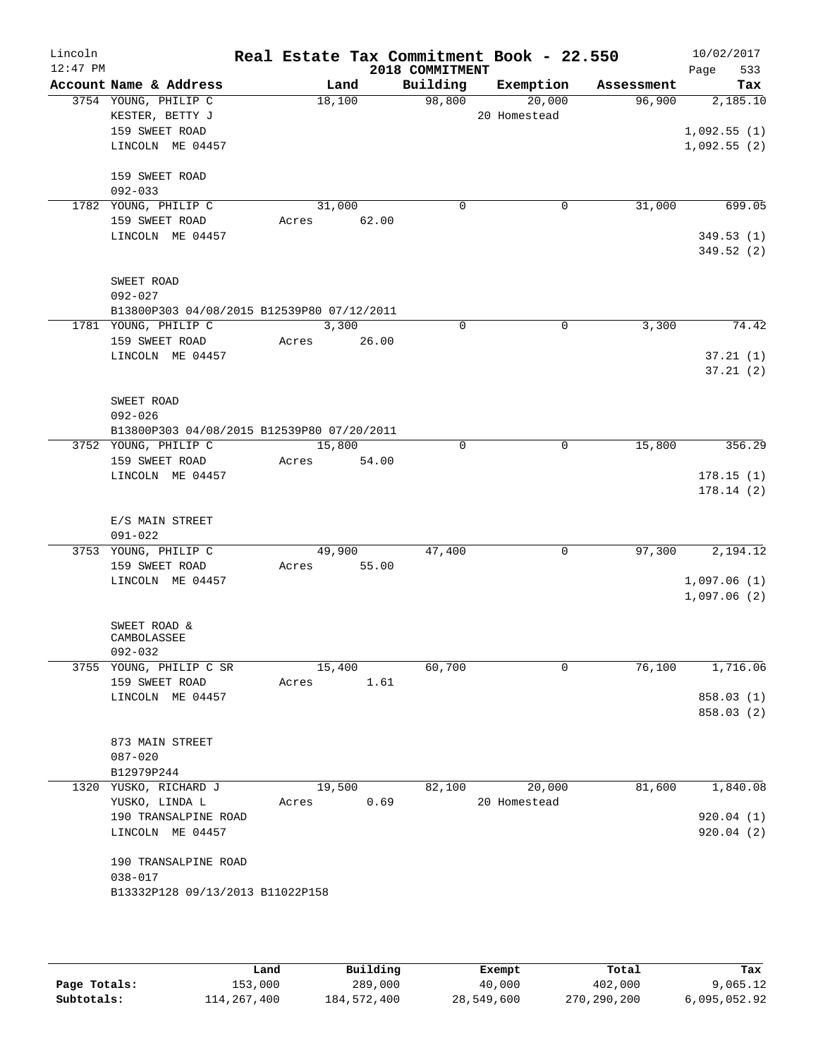| Lincoln<br>$12:47$ PM |                                            |       |        |             | Real Estate Tax Commitment Book - 22.550<br>2018 COMMITMENT |              |             |            | 10/02/2017<br>533<br>Page |
|-----------------------|--------------------------------------------|-------|--------|-------------|-------------------------------------------------------------|--------------|-------------|------------|---------------------------|
|                       | Account Name & Address                     |       |        | Land        | Building                                                    | Exemption    |             | Assessment | Tax                       |
|                       | 3754 YOUNG, PHILIP C                       |       | 18,100 |             | 98,800                                                      |              | 20,000      | 96,900     | 2,185.10                  |
|                       | KESTER, BETTY J                            |       |        |             |                                                             | 20 Homestead |             |            |                           |
|                       | 159 SWEET ROAD                             |       |        |             |                                                             |              |             |            | 1,092.55(1)               |
|                       | LINCOLN ME 04457                           |       |        |             |                                                             |              |             |            | 1,092.55(2)               |
|                       | 159 SWEET ROAD                             |       |        |             |                                                             |              |             |            |                           |
|                       | $092 - 033$                                |       |        |             |                                                             |              |             |            |                           |
|                       | 1782 YOUNG, PHILIP C                       |       | 31,000 |             | 0                                                           |              | 0           | 31,000     | 699.05                    |
|                       | 159 SWEET ROAD                             |       |        | Acres 62.00 |                                                             |              |             |            |                           |
|                       | LINCOLN ME 04457                           |       |        |             |                                                             |              |             |            | 349.53(1)                 |
|                       |                                            |       |        |             |                                                             |              |             |            | 349.52(2)                 |
|                       | SWEET ROAD                                 |       |        |             |                                                             |              |             |            |                           |
|                       | $092 - 027$                                |       |        |             |                                                             |              |             |            |                           |
|                       | B13800P303 04/08/2015 B12539P80 07/12/2011 |       |        |             |                                                             |              |             |            |                           |
|                       | 1781 YOUNG, PHILIP C                       |       |        | 3,300       | $\Omega$                                                    |              | $\Omega$    | 3,300      | 74.42                     |
|                       | 159 SWEET ROAD                             |       | Acres  | 26.00       |                                                             |              |             |            |                           |
|                       | LINCOLN ME 04457                           |       |        |             |                                                             |              |             |            | 37.21(1)                  |
|                       |                                            |       |        |             |                                                             |              |             |            | 37.21(2)                  |
|                       | SWEET ROAD                                 |       |        |             |                                                             |              |             |            |                           |
|                       | $092 - 026$                                |       |        |             |                                                             |              |             |            |                           |
|                       | B13800P303 04/08/2015 B12539P80 07/20/2011 |       |        |             |                                                             |              |             |            |                           |
|                       | 3752 YOUNG, PHILIP C                       |       | 15,800 |             | $\Omega$                                                    |              | $\mathbf 0$ | 15,800     | 356.29                    |
|                       | 159 SWEET ROAD                             |       |        | Acres 54.00 |                                                             |              |             |            |                           |
|                       | LINCOLN ME 04457                           |       |        |             |                                                             |              |             |            | 178.15(1)                 |
|                       |                                            |       |        |             |                                                             |              |             |            | 178.14(2)                 |
|                       |                                            |       |        |             |                                                             |              |             |            |                           |
|                       | E/S MAIN STREET                            |       |        |             |                                                             |              |             |            |                           |
|                       | $091 - 022$                                |       |        |             |                                                             |              | $\mathbf 0$ |            |                           |
|                       | 3753 YOUNG, PHILIP C<br>159 SWEET ROAD     |       | 49,900 | Acres 55.00 | 47,400                                                      |              |             | 97,300     | 2,194.12                  |
|                       | LINCOLN ME 04457                           |       |        |             |                                                             |              |             |            | 1,097.06(1)               |
|                       |                                            |       |        |             |                                                             |              |             |            | 1,097.06(2)               |
|                       |                                            |       |        |             |                                                             |              |             |            |                           |
|                       | SWEET ROAD &                               |       |        |             |                                                             |              |             |            |                           |
|                       | CAMBOLASSEE<br>$092 - 032$                 |       |        |             |                                                             |              |             |            |                           |
|                       | 3755 YOUNG, PHILIP C SR                    |       | 15,400 |             | 60,700                                                      |              | 0           | 76,100     | 1,716.06                  |
|                       | 159 SWEET ROAD                             | Acres |        | 1.61        |                                                             |              |             |            |                           |
|                       | LINCOLN ME 04457                           |       |        |             |                                                             |              |             |            | 858.03 (1)                |
|                       |                                            |       |        |             |                                                             |              |             |            | 858.03 (2)                |
|                       |                                            |       |        |             |                                                             |              |             |            |                           |
|                       | 873 MAIN STREET                            |       |        |             |                                                             |              |             |            |                           |
|                       | $087 - 020$                                |       |        |             |                                                             |              |             |            |                           |
|                       | B12979P244<br>1320 YUSKO, RICHARD J        |       | 19,500 |             | 82,100                                                      |              | 20,000      | 81,600     | 1,840.08                  |
|                       | YUSKO, LINDA L                             | Acres |        | 0.69        |                                                             | 20 Homestead |             |            |                           |
|                       | 190 TRANSALPINE ROAD                       |       |        |             |                                                             |              |             |            | 920.04(1)                 |
|                       | LINCOLN ME 04457                           |       |        |             |                                                             |              |             |            | 920.04(2)                 |
|                       |                                            |       |        |             |                                                             |              |             |            |                           |
|                       | 190 TRANSALPINE ROAD                       |       |        |             |                                                             |              |             |            |                           |
|                       | $038 - 017$                                |       |        |             |                                                             |              |             |            |                           |
|                       | B13332P128 09/13/2013 B11022P158           |       |        |             |                                                             |              |             |            |                           |
|                       |                                            |       |        |             |                                                             |              |             |            |                           |
|                       |                                            |       |        |             |                                                             |              |             |            |                           |

|              | Land        | Building    | Exempt     | Total       | Tax          |
|--------------|-------------|-------------|------------|-------------|--------------|
| Page Totals: | 153,000     | 289,000     | 40,000     | 402,000     | 9,065.12     |
| Subtotals:   | 114,267,400 | 184,572,400 | 28,549,600 | 270,290,200 | 6,095,052.92 |